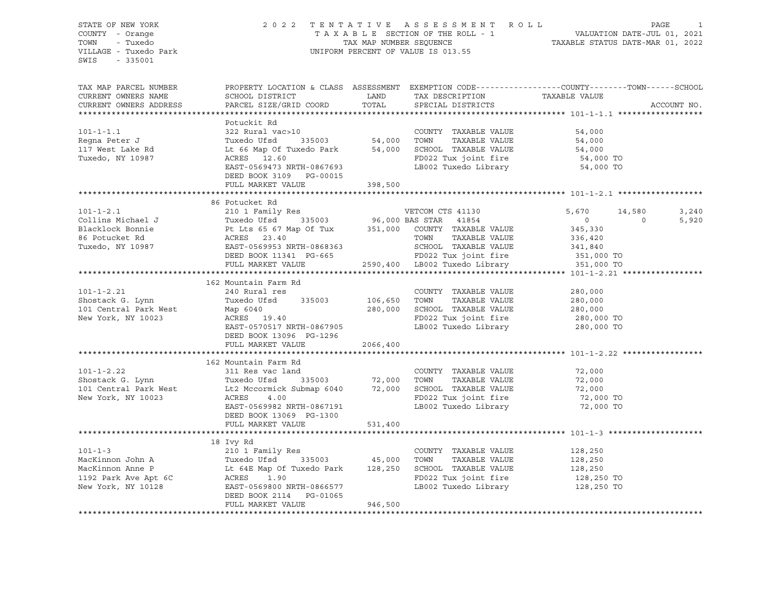| COUNTY - Orange<br>TOWN - Tuxedo<br>VILLAGE - Tuxedo Park                                                                                                                                                                                                    | 2022 TENTATIVE ASSESSMENT ROLL PAGE 1<br>TAXABLE SECTION OF THE ROLL - 1 VALUATION DATE-JUL 01, 2021<br>TAX MAP NUMBER SEQUENCE TAXABLE STATUS DATE-MAR 01, 2022<br>UNIFORM PERCENT OF VALUE IS 013.55                                                                                                                                     |         |                                                                    |                                                                                                  |             |
|--------------------------------------------------------------------------------------------------------------------------------------------------------------------------------------------------------------------------------------------------------------|--------------------------------------------------------------------------------------------------------------------------------------------------------------------------------------------------------------------------------------------------------------------------------------------------------------------------------------------|---------|--------------------------------------------------------------------|--------------------------------------------------------------------------------------------------|-------------|
| SWIS - 335001                                                                                                                                                                                                                                                |                                                                                                                                                                                                                                                                                                                                            |         |                                                                    |                                                                                                  |             |
| TAX MAP PARCEL NUMBER                                                                                                                                                                                                                                        |                                                                                                                                                                                                                                                                                                                                            |         |                                                                    | PROPERTY LOCATION & CLASS ASSESSMENT EXEMPTION CODE----------------COUNTY-------TOWN------SCHOOL |             |
|                                                                                                                                                                                                                                                              | CURRENT OWNERS NAME SCHOOL DISTRICT LAND TAX DESCRIPTION TAXABLE VALUE CURRENT OWNERS ADDRESS PARCEL SIZE/GRID COORD TOTAL SPECIAL DISTRICTS                                                                                                                                                                                               |         |                                                                    |                                                                                                  |             |
|                                                                                                                                                                                                                                                              |                                                                                                                                                                                                                                                                                                                                            |         |                                                                    |                                                                                                  | ACCOUNT NO. |
|                                                                                                                                                                                                                                                              |                                                                                                                                                                                                                                                                                                                                            |         |                                                                    |                                                                                                  |             |
|                                                                                                                                                                                                                                                              | Potuckit Rd<br>Fotuckit Rd 322 Rural vac>10<br>Regna Peter J<br>Regna Peter J<br>Tuxedo Used S35003<br>Tuxedo Used Discussed Used by Discussed Used by S4,000<br>Tuxedo, NY 10987<br>Tuxedo, NY 10987<br>CRES 12.60<br>EAST-0569473 NRTH-0867693<br>DEED BOOK 3                                                                            |         |                                                                    |                                                                                                  |             |
|                                                                                                                                                                                                                                                              |                                                                                                                                                                                                                                                                                                                                            |         |                                                                    |                                                                                                  |             |
|                                                                                                                                                                                                                                                              |                                                                                                                                                                                                                                                                                                                                            |         |                                                                    |                                                                                                  |             |
|                                                                                                                                                                                                                                                              |                                                                                                                                                                                                                                                                                                                                            |         |                                                                    |                                                                                                  |             |
|                                                                                                                                                                                                                                                              |                                                                                                                                                                                                                                                                                                                                            |         |                                                                    |                                                                                                  |             |
|                                                                                                                                                                                                                                                              |                                                                                                                                                                                                                                                                                                                                            |         |                                                                    |                                                                                                  |             |
|                                                                                                                                                                                                                                                              |                                                                                                                                                                                                                                                                                                                                            |         |                                                                    |                                                                                                  |             |
|                                                                                                                                                                                                                                                              |                                                                                                                                                                                                                                                                                                                                            |         |                                                                    |                                                                                                  |             |
|                                                                                                                                                                                                                                                              | 86 Potucket Rd                                                                                                                                                                                                                                                                                                                             |         |                                                                    |                                                                                                  |             |
|                                                                                                                                                                                                                                                              | ${ \mbox{101--1-2.1}} \hskip 0.9in {\mbox{101--1-2.1}} \hskip 0.9in {\mbox{101--1-2.1}} \hskip 0.9in {\mbox{101--1-2.1}} \hskip 0.9in {\mbox{101--1-2.1}} \hskip 0.9in {\mbox{101--1-2.1}} \hskip 0.9in {\mbox{101--1-2.1}} \hskip 0.9in {\mbox{101--1-2.1}} \hskip 0.9in {\mbox{101--1-2.1}} \hskip 0.9in {\mbox{101--1-2.1}} \hskip 0.9$ |         |                                                                    | 5,670 14,580 3,240                                                                               |             |
|                                                                                                                                                                                                                                                              |                                                                                                                                                                                                                                                                                                                                            |         |                                                                    |                                                                                                  | 5,920       |
|                                                                                                                                                                                                                                                              |                                                                                                                                                                                                                                                                                                                                            |         |                                                                    |                                                                                                  |             |
|                                                                                                                                                                                                                                                              |                                                                                                                                                                                                                                                                                                                                            |         |                                                                    |                                                                                                  |             |
|                                                                                                                                                                                                                                                              |                                                                                                                                                                                                                                                                                                                                            |         |                                                                    |                                                                                                  |             |
|                                                                                                                                                                                                                                                              |                                                                                                                                                                                                                                                                                                                                            |         |                                                                    |                                                                                                  |             |
|                                                                                                                                                                                                                                                              |                                                                                                                                                                                                                                                                                                                                            |         |                                                                    |                                                                                                  |             |
|                                                                                                                                                                                                                                                              |                                                                                                                                                                                                                                                                                                                                            |         |                                                                    |                                                                                                  |             |
|                                                                                                                                                                                                                                                              |                                                                                                                                                                                                                                                                                                                                            |         |                                                                    |                                                                                                  |             |
|                                                                                                                                                                                                                                                              |                                                                                                                                                                                                                                                                                                                                            |         |                                                                    |                                                                                                  |             |
|                                                                                                                                                                                                                                                              |                                                                                                                                                                                                                                                                                                                                            |         |                                                                    |                                                                                                  |             |
|                                                                                                                                                                                                                                                              |                                                                                                                                                                                                                                                                                                                                            |         |                                                                    |                                                                                                  |             |
|                                                                                                                                                                                                                                                              |                                                                                                                                                                                                                                                                                                                                            |         |                                                                    |                                                                                                  |             |
|                                                                                                                                                                                                                                                              |                                                                                                                                                                                                                                                                                                                                            |         |                                                                    |                                                                                                  |             |
|                                                                                                                                                                                                                                                              |                                                                                                                                                                                                                                                                                                                                            |         |                                                                    |                                                                                                  |             |
|                                                                                                                                                                                                                                                              |                                                                                                                                                                                                                                                                                                                                            |         |                                                                    |                                                                                                  |             |
| 162 Mountain Farm Rd<br>162 Mountain Farm Rd<br>240 Rural res<br>Shostack G. Lynn<br>101-1-2.21<br>240 Rural res<br>280,000<br>101 Central Park West<br>Map 6040<br>101 Central Park West<br>Map 6040<br>280,000<br>280,000<br>280,000<br>280,000<br>280,000 | FULL MARKET VALUE 2066,400                                                                                                                                                                                                                                                                                                                 |         |                                                                    |                                                                                                  |             |
|                                                                                                                                                                                                                                                              |                                                                                                                                                                                                                                                                                                                                            |         |                                                                    |                                                                                                  |             |
|                                                                                                                                                                                                                                                              |                                                                                                                                                                                                                                                                                                                                            |         |                                                                    |                                                                                                  |             |
|                                                                                                                                                                                                                                                              |                                                                                                                                                                                                                                                                                                                                            |         |                                                                    |                                                                                                  |             |
|                                                                                                                                                                                                                                                              |                                                                                                                                                                                                                                                                                                                                            |         |                                                                    |                                                                                                  |             |
|                                                                                                                                                                                                                                                              |                                                                                                                                                                                                                                                                                                                                            |         |                                                                    |                                                                                                  |             |
|                                                                                                                                                                                                                                                              |                                                                                                                                                                                                                                                                                                                                            |         |                                                                    |                                                                                                  |             |
|                                                                                                                                                                                                                                                              |                                                                                                                                                                                                                                                                                                                                            |         |                                                                    |                                                                                                  |             |
|                                                                                                                                                                                                                                                              |                                                                                                                                                                                                                                                                                                                                            |         |                                                                    |                                                                                                  |             |
|                                                                                                                                                                                                                                                              |                                                                                                                                                                                                                                                                                                                                            |         |                                                                    |                                                                                                  |             |
|                                                                                                                                                                                                                                                              | 162 Mountain Farm Rd<br>161-1-2.22<br>162 Mountain Farm Rd<br>2010 1-1-2.22<br>311 Res vac land<br>2101-1-2.22 TAXABLE VALUE<br>TAXABLE VALUE<br>72,000<br>101 Central Park West<br>162 Mountain Farm Rd<br>22 November 22,000<br>101 Central Park                                                                                         |         |                                                                    |                                                                                                  |             |
|                                                                                                                                                                                                                                                              | 18 Ivy Rd                                                                                                                                                                                                                                                                                                                                  |         |                                                                    |                                                                                                  |             |
|                                                                                                                                                                                                                                                              |                                                                                                                                                                                                                                                                                                                                            |         |                                                                    |                                                                                                  |             |
|                                                                                                                                                                                                                                                              |                                                                                                                                                                                                                                                                                                                                            |         |                                                                    |                                                                                                  |             |
|                                                                                                                                                                                                                                                              |                                                                                                                                                                                                                                                                                                                                            |         |                                                                    |                                                                                                  |             |
|                                                                                                                                                                                                                                                              |                                                                                                                                                                                                                                                                                                                                            |         |                                                                    |                                                                                                  |             |
|                                                                                                                                                                                                                                                              |                                                                                                                                                                                                                                                                                                                                            |         | FD022 Tux joint fire 128,250 TO<br>LB002 Tuxedo Library 128,250 TO |                                                                                                  |             |
|                                                                                                                                                                                                                                                              | DEED BOOK 2114    PG-01065<br>FULL MARKET VALUE                                                                                                                                                                                                                                                                                            | 946,500 |                                                                    |                                                                                                  |             |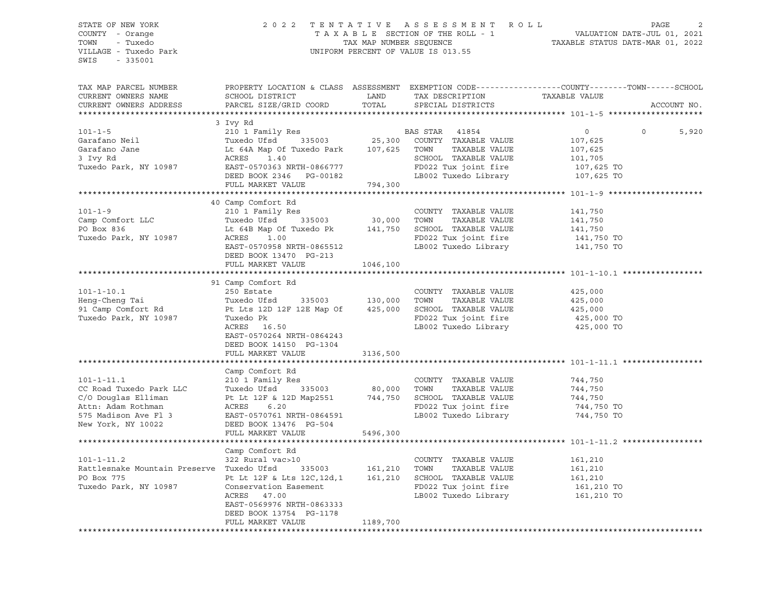#### STATE OF NEW YORK 2 0 2 2 T E N T A T I V E A S S E S S M E N T R O L L PAGE 2 COUNTY - Orange T A X A B L E SECTION OF THE ROLL - 1 VALUATION DATE-JUL 01, 2021 TOWN - Tuxedo TAX MAP NUMBER SEQUENCE TAXABLE STATUS DATE-MAR 01, 2022 VILLAGE - Tuxedo Park UNIFORM PERCENT OF VALUE IS 013.55

| TAX MAP PARCEL NUMBER<br>CURRENT OWNERS NAME<br>CURRENT OWNERS ADDRESS                                                                 | PROPERTY LOCATION & CLASS ASSESSMENT EXEMPTION CODE----------------COUNTY-------TOWN------SCHOOL<br>SCHOOL DISTRICT<br>PARCEL SIZE/GRID COORD                                                                                        | LAND<br>TOTAL |                                                                                                                    |                                                                 | ACCOUNT NO.      |
|----------------------------------------------------------------------------------------------------------------------------------------|--------------------------------------------------------------------------------------------------------------------------------------------------------------------------------------------------------------------------------------|---------------|--------------------------------------------------------------------------------------------------------------------|-----------------------------------------------------------------|------------------|
|                                                                                                                                        |                                                                                                                                                                                                                                      |               |                                                                                                                    |                                                                 |                  |
| $101 - 1 - 5$<br>Garafano Neil<br>Garafano Jane<br>3 Ivy Rd<br>Tuxedo Park, NY 10987 EAST-0570363 NRTH-0866777                         | 3 Ivy Rd<br>210 1 Family Res<br>Tuxedo Ufsd 335003 25,300 COUNTY TAXABLE VALUE<br>Lt 64A Map Of Tuxedo Park 107,625 TOWN TAXABLE VALUE<br>ACRES 1.40<br>DEED BOOK 2346 PG-00182<br>FULL MARKET VALUE                                 | 794,300       | SCHOOL TAXABLE VALUE<br>FD022 Tux joint fire<br>LB002 Tuxedo Library 107,625 TO                                    | $\overline{0}$<br>107,625<br>107,625<br>101,705<br>$107,625$ TO | $\circ$<br>5,920 |
|                                                                                                                                        |                                                                                                                                                                                                                                      |               |                                                                                                                    |                                                                 |                  |
| $101 - 1 - 9$<br>Camp Comfort LLC<br>PO Box 836<br>Tuxedo Park, NY 10987                                                               | 40 Camp Comfort Rd<br>210 1 Family Res<br>Tuxedo Ufsd 335003 30,000 TOWN TAXABLE VALUE<br>Tuxedo Ufsd 335003 30,000 TOWN TAXABLE VALUE<br>ACRES 1.00<br>EAST-0570958 NRTH-0865512<br>DEED BOOK 13470 PG-213                          |               | COUNTY TAXABLE VALUE<br>FD022 Tux joint fire 141,750 TO<br>LB002 Tuxedo Library 141,750 TO<br>LB002 Tuxedo Library | 141,750<br>141,750<br>141,750                                   |                  |
|                                                                                                                                        | FULL MARKET VALUE                                                                                                                                                                                                                    | 1046,100      |                                                                                                                    |                                                                 |                  |
| $101 - 1 - 10.1$<br>Heng-Cheng Tai<br>91 Camp Comfort Rd<br>Tuxedo Park, NY 10987                                                      | 91 Camp Comfort Rd<br>250 Estate<br>Tuxedo Ufsd 335003 130,000 TOWN<br>Pt Lts 12D 12F 12E Map Of 425,000<br>Tuxedo Pk<br>ACRES 16.50<br>EAST-0570264 NRTH-0864243<br>DEED BOOK 14150 PG-1304<br>FULL MARKET VALUE<br>Camp Comfort Rd | 3136,500      | COUNTY TAXABLE VALUE<br>TAXABLE VALUE<br>SCHOOL TAXABLE VALUE<br>FD022 Tux joint fire<br>LB002 Tuxedo Library      | 425,000<br>425,000<br>425,000<br>425,000 TO<br>425,000 TO       |                  |
| $101 - 1 - 11.1$<br>CC Road Tuxedo Park LLC<br>C/O Douglas Elliman<br>Attn: Adam Rothman<br>575 Madison Ave Fl 3<br>New York, NY 10022 | 210 1 Family Res<br>335003 80,000 TOWN<br>Tuxedo Ufsd<br>Pt Lt 12F & 12D Map2551 744, 750 SCHOOL TAXABLE VALUE<br>ACRES 6.20<br>EAST-0570761 NRTH-0864591<br>DEED BOOK 13476 PG-504<br>FULL MARKET VALUE                             | 5496,300      | COUNTY TAXABLE VALUE<br>TAXABLE VALUE<br>FD022 Tux joint fire<br>LB002 Tuxedo Library 744,750 TO                   | 744,750<br>744,750<br>744,750<br>744,750 TO                     |                  |
|                                                                                                                                        | Camp Comfort Rd                                                                                                                                                                                                                      |               |                                                                                                                    |                                                                 |                  |
| $101 - 1 - 11.2$<br>Rattlesnake Mountain Preserve Tuxedo Ufsd<br>PO Box 775<br>Tuxedo Park, NY 10987                                   | 322 Rural vac>10<br>Tuxedo Ufsd 335003 161,210 TOWN TAXABLE VALUE<br>Pt Lt 12F & Lts 12C,12d,1 161,210 SCHOOL TAXABLE VALUE<br>Conservation Easement<br>ACRES 47.00<br>EAST-0569976 NRTH-0863333<br>DEED BOOK 13754 PG-1178          |               | COUNTY TAXABLE VALUE<br>FD022 Tux joint fire<br>LB002 Tuxedo Library 161,210 TO                                    | 161,210<br>161,210<br>161,210<br>161,210 TO                     |                  |
|                                                                                                                                        | FULL MARKET VALUE                                                                                                                                                                                                                    | 1189,700      |                                                                                                                    |                                                                 |                  |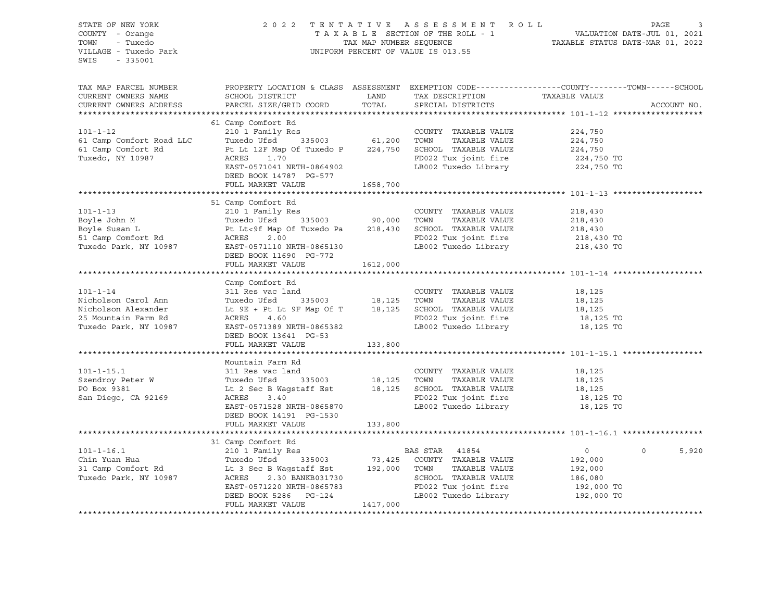| STATE OF NEW YORK                                                                                                                                                                                                                             |                                                                                                 |         |                                                                                                                                                                                                        |           |                   |  |
|-----------------------------------------------------------------------------------------------------------------------------------------------------------------------------------------------------------------------------------------------|-------------------------------------------------------------------------------------------------|---------|--------------------------------------------------------------------------------------------------------------------------------------------------------------------------------------------------------|-----------|-------------------|--|
| COUNTY - Orange                                                                                                                                                                                                                               |                                                                                                 |         | 2022 TENTATIVE ASSESSMENT ROLL PAGE 3<br>TAXABLE SECTION OF THE ROLL - 1 VALUATION DATE-JUL 01, 2021<br>TAX MAP NUMBER SEQUENCE TAXABLE STATUS DATE-MAR 01, 2022<br>UNIFORM PERCENT OF VALUE IS 013.55 |           |                   |  |
| - Tuxedo<br>TOWN                                                                                                                                                                                                                              |                                                                                                 |         |                                                                                                                                                                                                        |           |                   |  |
| VILLAGE - Tuxedo Park                                                                                                                                                                                                                         |                                                                                                 |         |                                                                                                                                                                                                        |           |                   |  |
| SWIS<br>$-335001$                                                                                                                                                                                                                             |                                                                                                 |         |                                                                                                                                                                                                        |           |                   |  |
|                                                                                                                                                                                                                                               |                                                                                                 |         |                                                                                                                                                                                                        |           |                   |  |
|                                                                                                                                                                                                                                               |                                                                                                 |         |                                                                                                                                                                                                        |           |                   |  |
| TAX MAP PARCEL NUMBER                                                                                                                                                                                                                         | PROPERTY LOCATION & CLASS ASSESSMENT EXEMPTION CODE----------------COUNTY-------TOWN-----SCHOOL |         |                                                                                                                                                                                                        |           |                   |  |
| CURRENT OWNERS NAME                                                                                                                                                                                                                           | SCHOOL DISTRICT                                                                                 |         |                                                                                                                                                                                                        |           |                   |  |
| CURRENT OWNERS ADDRESS                                                                                                                                                                                                                        | PARCEL SIZE/GRID COORD                                                                          |         |                                                                                                                                                                                                        |           | ACCOUNT NO.       |  |
|                                                                                                                                                                                                                                               |                                                                                                 |         |                                                                                                                                                                                                        |           |                   |  |
|                                                                                                                                                                                                                                               | 61 Camp Comfort Rd                                                                              |         |                                                                                                                                                                                                        |           |                   |  |
|                                                                                                                                                                                                                                               |                                                                                                 |         |                                                                                                                                                                                                        |           |                   |  |
|                                                                                                                                                                                                                                               |                                                                                                 |         |                                                                                                                                                                                                        |           |                   |  |
|                                                                                                                                                                                                                                               |                                                                                                 |         |                                                                                                                                                                                                        |           |                   |  |
|                                                                                                                                                                                                                                               |                                                                                                 |         |                                                                                                                                                                                                        |           |                   |  |
|                                                                                                                                                                                                                                               |                                                                                                 |         |                                                                                                                                                                                                        |           |                   |  |
|                                                                                                                                                                                                                                               | DEED BOOK 14787 PG-577                                                                          |         |                                                                                                                                                                                                        |           |                   |  |
|                                                                                                                                                                                                                                               | FULL MARKET VALUE 1658,700                                                                      |         |                                                                                                                                                                                                        |           |                   |  |
|                                                                                                                                                                                                                                               |                                                                                                 |         |                                                                                                                                                                                                        |           |                   |  |
|                                                                                                                                                                                                                                               | 51 Camp Comfort Rd                                                                              |         |                                                                                                                                                                                                        |           |                   |  |
|                                                                                                                                                                                                                                               |                                                                                                 |         |                                                                                                                                                                                                        |           |                   |  |
|                                                                                                                                                                                                                                               |                                                                                                 |         |                                                                                                                                                                                                        |           |                   |  |
|                                                                                                                                                                                                                                               |                                                                                                 |         |                                                                                                                                                                                                        |           |                   |  |
|                                                                                                                                                                                                                                               |                                                                                                 |         |                                                                                                                                                                                                        |           |                   |  |
|                                                                                                                                                                                                                                               |                                                                                                 |         |                                                                                                                                                                                                        |           |                   |  |
|                                                                                                                                                                                                                                               |                                                                                                 |         |                                                                                                                                                                                                        |           |                   |  |
|                                                                                                                                                                                                                                               | DEED BOOK 11690 PG-772                                                                          |         |                                                                                                                                                                                                        |           |                   |  |
|                                                                                                                                                                                                                                               | FULL MARKET VALUE 1612,000                                                                      |         |                                                                                                                                                                                                        |           |                   |  |
|                                                                                                                                                                                                                                               |                                                                                                 |         |                                                                                                                                                                                                        |           |                   |  |
| Camp Comfort Rd 311 Res vac land<br>Nicholson Carol Ann<br>Nicholson Alexander<br>Nicholson Alexander Le 9E + Pt Lt 9F Map of T<br>25 Mountain Farm Rd 3603<br>25 Mountain Farm Rd 3603<br>25 Mountain Farm Rd 3602 Tuxedo Library 18,125<br> | Camp Comfort Rd                                                                                 |         |                                                                                                                                                                                                        |           |                   |  |
|                                                                                                                                                                                                                                               |                                                                                                 |         |                                                                                                                                                                                                        |           |                   |  |
|                                                                                                                                                                                                                                               |                                                                                                 |         |                                                                                                                                                                                                        |           |                   |  |
|                                                                                                                                                                                                                                               |                                                                                                 |         |                                                                                                                                                                                                        |           |                   |  |
|                                                                                                                                                                                                                                               |                                                                                                 |         |                                                                                                                                                                                                        |           |                   |  |
|                                                                                                                                                                                                                                               |                                                                                                 |         |                                                                                                                                                                                                        |           |                   |  |
|                                                                                                                                                                                                                                               | DEED BOOK 13641 PG-53                                                                           |         |                                                                                                                                                                                                        |           |                   |  |
|                                                                                                                                                                                                                                               | FULL MARKET VALUE                                                                               | 133,800 |                                                                                                                                                                                                        |           |                   |  |
|                                                                                                                                                                                                                                               |                                                                                                 |         |                                                                                                                                                                                                        |           |                   |  |
|                                                                                                                                                                                                                                               | Mountain Farm Rd                                                                                |         |                                                                                                                                                                                                        |           |                   |  |
| $101 - 1 - 15.1$                                                                                                                                                                                                                              | 311 Res vac land                                                                                |         | COUNTY TAXABLE VALUE                                                                                                                                                                                   | 18,125    |                   |  |
|                                                                                                                                                                                                                                               |                                                                                                 |         |                                                                                                                                                                                                        |           |                   |  |
|                                                                                                                                                                                                                                               |                                                                                                 |         |                                                                                                                                                                                                        |           |                   |  |
| Sendroy Peter W Tuxedo Ufsd 335003 18,125 TOWN TAXABLE VALUE<br>PO Box 9381 Lt 2 Sec B Wagstaff Est 18,125 SCHOOL TAXABLE VALUE<br>San Diego, CA 92169 ACRES 3.40 FD022 Tux joint fire                                                        |                                                                                                 |         | TAXABLE VALUE 18,125<br>TAXABLE VALUE 18,125<br>ux joint fire 18,125                                                                                                                                   | 18,125 TO |                   |  |
|                                                                                                                                                                                                                                               | ACRES 3.40<br>EAST-0571528 NRTH-0865870                                                         |         | LB002 Tuxedo Library 18,125 TO                                                                                                                                                                         |           |                   |  |
|                                                                                                                                                                                                                                               | DEED BOOK 14191    PG-1530                                                                      |         |                                                                                                                                                                                                        |           |                   |  |
|                                                                                                                                                                                                                                               | FULL MARKET VALUE 133,800                                                                       |         |                                                                                                                                                                                                        |           |                   |  |
|                                                                                                                                                                                                                                               |                                                                                                 |         |                                                                                                                                                                                                        |           |                   |  |
|                                                                                                                                                                                                                                               |                                                                                                 |         |                                                                                                                                                                                                        |           |                   |  |
|                                                                                                                                                                                                                                               |                                                                                                 |         |                                                                                                                                                                                                        |           |                   |  |
|                                                                                                                                                                                                                                               |                                                                                                 |         |                                                                                                                                                                                                        |           | $\Omega$<br>5,920 |  |
|                                                                                                                                                                                                                                               |                                                                                                 |         |                                                                                                                                                                                                        |           |                   |  |
|                                                                                                                                                                                                                                               |                                                                                                 |         |                                                                                                                                                                                                        |           |                   |  |
|                                                                                                                                                                                                                                               |                                                                                                 |         |                                                                                                                                                                                                        |           |                   |  |
|                                                                                                                                                                                                                                               |                                                                                                 |         |                                                                                                                                                                                                        |           |                   |  |
|                                                                                                                                                                                                                                               |                                                                                                 |         | SCHOOL TAXABLE VALUE 186,080<br>FD022 Tux joint fire 192,000 TO<br>LB002 Tuxedo Library 192,000 TO                                                                                                     |           |                   |  |
|                                                                                                                                                                                                                                               |                                                                                                 |         |                                                                                                                                                                                                        |           |                   |  |
|                                                                                                                                                                                                                                               |                                                                                                 |         |                                                                                                                                                                                                        |           |                   |  |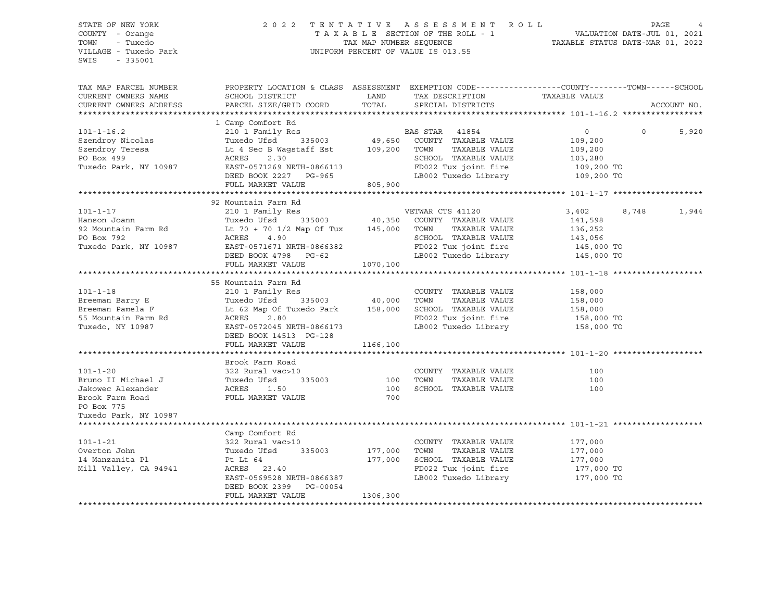#### STATE OF NEW YORK 2 0 2 2 T E N T A T I V E A S S E S S M E N T R O L L PAGE 4 COUNTY - Orange T A X A B L E SECTION OF THE ROLL - 1 VALUATION DATE-JUL 01, 2021 TOWN - Tuxedo TAX MAP NUMBER SEQUENCE TAXABLE STATUS DATE-MAR 01, 2022 VILLAGE - Tuxedo Park UNIFORM PERCENT OF VALUE IS 013.55

| TAX MAP PARCEL NUMBER  | PROPERTY LOCATION & CLASS ASSESSMENT EXEMPTION CODE---------------COUNTY-------TOWN------SCHOOL |               |                                              |               |          |             |
|------------------------|-------------------------------------------------------------------------------------------------|---------------|----------------------------------------------|---------------|----------|-------------|
| CURRENT OWNERS NAME    | SCHOOL DISTRICT                                                                                 | LAND          | TAX DESCRIPTION                              | TAXABLE VALUE |          |             |
| CURRENT OWNERS ADDRESS | PARCEL SIZE/GRID COORD                                                                          | TOTAL         | SPECIAL DISTRICTS                            |               |          | ACCOUNT NO. |
|                        |                                                                                                 |               |                                              |               |          |             |
|                        | 1 Camp Comfort Rd                                                                               |               |                                              |               |          |             |
| $101 - 1 - 16.2$       | 210 1 Family Res                                                                                |               | BAS STAR<br>41854                            | $\circ$       | $\Omega$ | 5,920       |
| Szendroy Nicolas       | 335003 49,650<br>Tuxedo Ufsd                                                                    |               | COUNTY TAXABLE VALUE                         | 109,200       |          |             |
| Szendroy Teresa        | Lt 4 Sec B Wagstaff Est 109,200                                                                 |               | TAXABLE VALUE<br>TOWN                        | 109,200       |          |             |
| PO Box 499             | 2.30<br>ACRES                                                                                   |               | SCHOOL TAXABLE VALUE                         | 103,280       |          |             |
| Tuxedo Park, NY 10987  | EAST-0571269 NRTH-0866113                                                                       |               | FD022 Tux joint fire                         | 109,200 TO    |          |             |
|                        | DEED BOOK 2227 PG-965                                                                           |               | LB002 Tuxedo Library                         | 109,200 TO    |          |             |
|                        | FULL MARKET VALUE                                                                               | 805,900       |                                              |               |          |             |
|                        |                                                                                                 |               |                                              |               |          |             |
|                        | 92 Mountain Farm Rd                                                                             |               |                                              |               |          |             |
| $101 - 1 - 17$         | 210 1 Family Res                                                                                |               | VETWAR CTS 41120                             | 3,402         | 8,748    | 1,944       |
| Hanson Joann           | Tuxedo Ufsd                                                                                     | 335003 40,350 | COUNTY TAXABLE VALUE                         | 141,598       |          |             |
| 92 Mountain Farm Rd    | Lt 70 + 70 1/2 Map Of Tux 145,000 TOWN                                                          |               | TAXABLE VALUE                                | 136,252       |          |             |
| PO Box 792             | ACRES<br>4.90                                                                                   |               | SCHOOL TAXABLE VALUE                         |               |          |             |
|                        |                                                                                                 |               |                                              | 143,056       |          |             |
| Tuxedo Park, NY 10987  | EAST-0571671 NRTH-0866382                                                                       |               | FD022 Tux joint fire<br>LB002 Tuxedo Library | 145,000 TO    |          |             |
|                        | DEED BOOK 4798 PG-62                                                                            |               |                                              | 145,000 TO    |          |             |
|                        | FULL MARKET VALUE                                                                               | 1070,100      |                                              |               |          |             |
|                        |                                                                                                 |               |                                              |               |          |             |
|                        | 55 Mountain Farm Rd                                                                             |               |                                              |               |          |             |
| $101 - 1 - 18$         | 210 1 Family Res                                                                                |               | COUNTY TAXABLE VALUE                         | 158,000       |          |             |
| Breeman Barry E        | Tuxedo Ufsd                                                                                     | 335003 40,000 | TOWN<br>TAXABLE VALUE                        | 158,000       |          |             |
| Breeman Pamela F       | Lt 62 Map Of Tuxedo Park 158,000                                                                |               | SCHOOL TAXABLE VALUE                         | 158,000       |          |             |
| 55 Mountain Farm Rd    | ACRES<br>2.80                                                                                   |               | FD022 Tux joint fire                         | 158,000 TO    |          |             |
| Tuxedo, NY 10987       | EAST-0572045 NRTH-0866173                                                                       |               | LB002 Tuxedo Library                         | 158,000 TO    |          |             |
|                        | DEED BOOK 14513 PG-128                                                                          |               |                                              |               |          |             |
|                        | FULL MARKET VALUE                                                                               | 1166,100      |                                              |               |          |             |
|                        |                                                                                                 |               |                                              |               |          |             |
|                        | Brook Farm Road                                                                                 |               |                                              |               |          |             |
| $101 - 1 - 20$         | 322 Rural vac>10                                                                                |               | COUNTY TAXABLE VALUE                         | 100           |          |             |
| Bruno II Michael J     |                                                                                                 | 335003 100    | TOWN<br>TAXABLE VALUE                        | 100           |          |             |
| Jakowec Alexander      | 1.50                                                                                            | 100           | SCHOOL TAXABLE VALUE                         | 100           |          |             |
| Brook Farm Road        | FULL MARKET VALUE                                                                               | 700           |                                              |               |          |             |
| PO Box 775             |                                                                                                 |               |                                              |               |          |             |
| Tuxedo Park, NY 10987  |                                                                                                 |               |                                              |               |          |             |
|                        |                                                                                                 |               |                                              |               |          |             |
|                        | Camp Comfort Rd                                                                                 |               |                                              |               |          |             |
| $101 - 1 - 21$         | 322 Rural vac>10                                                                                |               | COUNTY TAXABLE VALUE                         | 177,000       |          |             |
| Overton John           | Tuxedo Ufsd<br>335003                                                                           | 177,000       | TAXABLE VALUE<br>TOWN                        | 177,000       |          |             |
| 14 Manzanita Pl        | Pt Lt 64                                                                                        | 177,000       | SCHOOL TAXABLE VALUE                         | 177,000       |          |             |
| Mill Valley, CA 94941  | ACRES 23.40                                                                                     |               | FD022 Tux joint fire                         | 177,000 TO    |          |             |
|                        | EAST-0569528 NRTH-0866387                                                                       |               | LB002 Tuxedo Library 177,000 TO              |               |          |             |
|                        | DEED BOOK 2399 PG-00054                                                                         |               |                                              |               |          |             |
|                        | FULL MARKET VALUE                                                                               | 1306,300      |                                              |               |          |             |
|                        |                                                                                                 |               |                                              |               |          |             |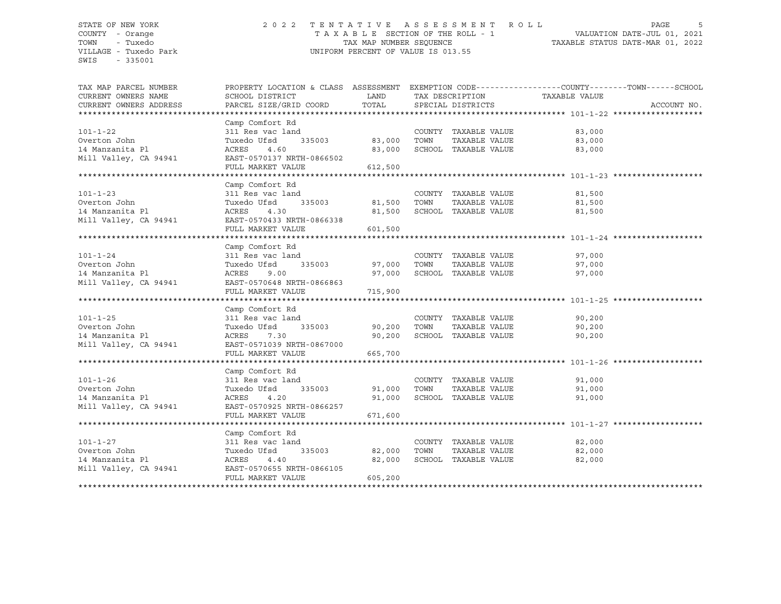#### STATE OF NEW YORK 2 0 2 2 T E N T A T I V E A S S E S S M E N T R O L L PAGE 5 COUNTY - Orange T A X A B L E SECTION OF THE ROLL - 1 VALUATION DATE-JUL 01, 2021 TOWN - Tuxedo TAX MAP NUMBER SEQUENCE TAXABLE STATUS DATE-MAR 01, 2022 VILLAGE - Tuxedo Park UNIFORM PERCENT OF VALUE IS 013.55

| TAX MAP PARCEL NUMBER<br>CURRENT OWNERS NAME | PROPERTY LOCATION & CLASS ASSESSMENT EXEMPTION CODE---------------COUNTY-------TOWN------SCHOOL<br>SCHOOL DISTRICT | LAND<br>TOTAL |      | TAX DESCRIPTION      | TAXABLE VALUE    |             |
|----------------------------------------------|--------------------------------------------------------------------------------------------------------------------|---------------|------|----------------------|------------------|-------------|
| CURRENT OWNERS ADDRESS                       | PARCEL SIZE/GRID COORD                                                                                             |               |      | SPECIAL DISTRICTS    |                  | ACCOUNT NO. |
|                                              |                                                                                                                    |               |      |                      |                  |             |
|                                              | Camp Comfort Rd                                                                                                    |               |      |                      |                  |             |
| $101 - 1 - 22$                               | 311 Res vac land                                                                                                   |               |      | COUNTY TAXABLE VALUE | 83,000           |             |
| Overton John                                 | Tuxedo Ufsd<br>335003                                                                                              | 83,000        | TOWN | TAXABLE VALUE        | 83,000           |             |
| 14 Manzanita Pl                              | 4.60<br>ACRES                                                                                                      | 83,000        |      | SCHOOL TAXABLE VALUE | 83,000           |             |
| Mill Valley, CA 94941                        | EAST-0570137 NRTH-0866502                                                                                          |               |      |                      |                  |             |
|                                              | FULL MARKET VALUE                                                                                                  | 612,500       |      |                      |                  |             |
|                                              | Camp Comfort Rd                                                                                                    |               |      |                      |                  |             |
| $101 - 1 - 23$                               |                                                                                                                    |               |      | COUNTY TAXABLE VALUE |                  |             |
| Overton John                                 | 311 Res vac land<br>Tuxedo Ufsd                                                                                    | 335003 81,500 | TOWN | TAXABLE VALUE        | 81,500<br>81,500 |             |
| 14 Manzanita Pl                              | ACRES<br>4.30                                                                                                      | 81,500        |      | SCHOOL TAXABLE VALUE |                  |             |
| Mill Valley, CA 94941                        | EAST-0570433 NRTH-0866338                                                                                          |               |      |                      | 81,500           |             |
|                                              | FULL MARKET VALUE                                                                                                  | 601,500       |      |                      |                  |             |
|                                              |                                                                                                                    |               |      |                      |                  |             |
|                                              | Camp Comfort Rd                                                                                                    |               |      |                      |                  |             |
| $101 - 1 - 24$                               | 311 Res vac land                                                                                                   |               |      | COUNTY TAXABLE VALUE | 97,000           |             |
| Overton John                                 | Tuxedo Ufsd                                                                                                        | 335003 97,000 | TOWN | TAXABLE VALUE        | 97,000           |             |
| 14 Manzanita Pl                              | ACRES<br>9.00                                                                                                      | 97,000        |      | SCHOOL TAXABLE VALUE | 97,000           |             |
| Mill Valley, CA 94941                        | EAST-0570648 NRTH-0866863                                                                                          |               |      |                      |                  |             |
|                                              | FULL MARKET VALUE                                                                                                  | 715,900       |      |                      |                  |             |
|                                              |                                                                                                                    |               |      |                      |                  |             |
|                                              | Camp Comfort Rd                                                                                                    |               |      |                      |                  |             |
| $101 - 1 - 25$                               | 311 Res vac land                                                                                                   |               |      | COUNTY TAXABLE VALUE | 90,200           |             |
| Overton John                                 | Tuxedo Ufsd<br>335003                                                                                              | 90,200        | TOWN | TAXABLE VALUE        | 90,200           |             |
| 14 Manzanita Pl                              | 7.30<br>ACRES                                                                                                      | 90,200        |      | SCHOOL TAXABLE VALUE | 90,200           |             |
| Mill Valley, CA 94941                        | EAST-0571039 NRTH-0867000                                                                                          |               |      |                      |                  |             |
|                                              | FULL MARKET VALUE                                                                                                  | 665,700       |      |                      |                  |             |
|                                              |                                                                                                                    |               |      |                      |                  |             |
|                                              | Camp Comfort Rd                                                                                                    |               |      |                      |                  |             |
| $101 - 1 - 26$                               | 311 Res vac land                                                                                                   |               |      | COUNTY TAXABLE VALUE | 91,000           |             |
| Overton John                                 | Tuxedo Ufsd<br>335003                                                                                              | 91,000        | TOWN | TAXABLE VALUE        | 91,000           |             |
| 14 Manzanita Pl                              | ACRES<br>4.20                                                                                                      | 91,000        |      | SCHOOL TAXABLE VALUE | 91,000           |             |
| Mill Valley, CA 94941                        | EAST-0570925 NRTH-0866257                                                                                          |               |      |                      |                  |             |
|                                              | FULL MARKET VALUE                                                                                                  | 671,600       |      |                      |                  |             |
|                                              |                                                                                                                    |               |      |                      |                  |             |
|                                              | Camp Comfort Rd                                                                                                    |               |      |                      |                  |             |
| $101 - 1 - 27$                               | 311 Res vac land                                                                                                   |               |      | COUNTY TAXABLE VALUE | 82,000           |             |
| Overton John                                 | 335003<br>Tuxedo Ufsd                                                                                              | 82,000        | TOWN | TAXABLE VALUE        | 82,000           |             |
| 14 Manzanita Pl                              | ACRES<br>4.40                                                                                                      | 82,000        |      | SCHOOL TAXABLE VALUE | 82,000           |             |
| Mill Valley, CA 94941                        | EAST-0570655 NRTH-0866105                                                                                          |               |      |                      |                  |             |
|                                              | FULL MARKET VALUE                                                                                                  | 605,200       |      |                      |                  |             |
|                                              |                                                                                                                    |               |      |                      |                  |             |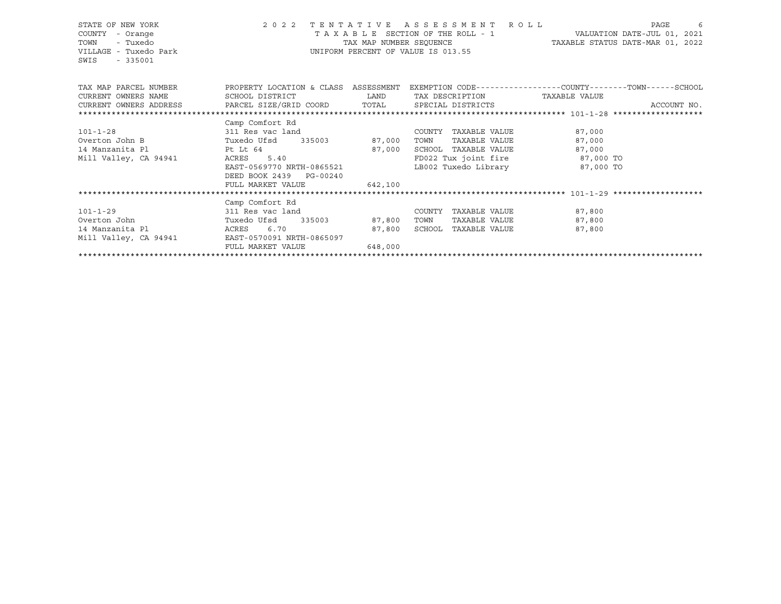| STATE OF NEW YORK<br>COUNTY<br>- Orange<br>- Tuxedo<br>TOWN<br>VILLAGE - Tuxedo Park<br>SWIS - 335001                    |                                                                                                 | TAX MAP NUMBER SEQUENCE | 2022 TENTATIVE ASSESSMENT ROLL<br>UNIFORM PERCENT OF VALUE IS 013.55 | TAXABLE SECTION OF THE ROLL - 1 VALUATION DATE-JUL 01, 2021<br>TAXABLE STATUS DATE-MAR 01, 2022 | PAGE<br>$\overline{6}$ |
|--------------------------------------------------------------------------------------------------------------------------|-------------------------------------------------------------------------------------------------|-------------------------|----------------------------------------------------------------------|-------------------------------------------------------------------------------------------------|------------------------|
| TAX MAP PARCEL NUMBER THE PROPERTY LOCATION & CLASS ASSESSMENT EXEMPTION CODE--------------COUNTY-------TOWN------SCHOOL |                                                                                                 |                         |                                                                      |                                                                                                 |                        |
| CURRENT OWNERS NAME                                                                                                      | SCHOOL DISTRICT                      LAND        TAX DESCRIPTION                  TAXABLE VALUE |                         |                                                                      |                                                                                                 |                        |
|                                                                                                                          |                                                                                                 |                         |                                                                      |                                                                                                 |                        |
|                                                                                                                          |                                                                                                 |                         |                                                                      |                                                                                                 |                        |
|                                                                                                                          | Camp Comfort Rd                                                                                 |                         |                                                                      |                                                                                                 |                        |
| $101 - 1 - 28$                                                                                                           | 311 Res vac land                                                                                |                         | COUNTY TAXABLE VALUE 87,000                                          |                                                                                                 |                        |
| Overton John B Tuxedo Ufsd 335003 87,000 TOWN                                                                            |                                                                                                 |                         |                                                                      | 87,000<br>TAXABLE VALUE                                                                         |                        |
| 14 Manzanita Pl                                                                                                          | Pt Lt 64 87,000<br>94941 ACRES 5.40                                                             |                         | SCHOOL TAXABLE VALUE 67,000                                          |                                                                                                 |                        |
| Mill Valley, CA 94941                                                                                                    |                                                                                                 |                         |                                                                      | FD022 Tux joint fire 87,000 TO                                                                  |                        |
|                                                                                                                          | EAST-0569770 NRTH-0865521                                                                       |                         |                                                                      | LB002 Tuxedo Library 67,000 TO                                                                  |                        |
|                                                                                                                          | DEED BOOK 2439 PG-00240                                                                         |                         |                                                                      |                                                                                                 |                        |
|                                                                                                                          | FULL MARKET VALUE                                                                               | 642,100                 |                                                                      |                                                                                                 |                        |
|                                                                                                                          |                                                                                                 |                         |                                                                      |                                                                                                 |                        |
|                                                                                                                          | Camp Comfort Rd                                                                                 |                         |                                                                      |                                                                                                 |                        |
| $101 - 1 - 29$                                                                                                           | 311 Res vac land                                                                                |                         | COUNTY TAXABLE VALUE                                                 | 87,800                                                                                          |                        |
| Overton John                                                                                                             | Tuxedo Ufsd 335003 87,800                                                                       |                         | TOWN                                                                 | TAXABLE VALUE 87,800                                                                            |                        |
| 14 Manzanita Pl                                                                                                          |                                                                                                 |                         |                                                                      | 87,800                                                                                          |                        |
| Mill Valley, CA 94941 EAST-0570091 NRTH-0865097                                                                          |                                                                                                 |                         |                                                                      |                                                                                                 |                        |
|                                                                                                                          | FULL MARKET VALUE                                                                               | 648,000                 |                                                                      |                                                                                                 |                        |
|                                                                                                                          |                                                                                                 |                         |                                                                      |                                                                                                 |                        |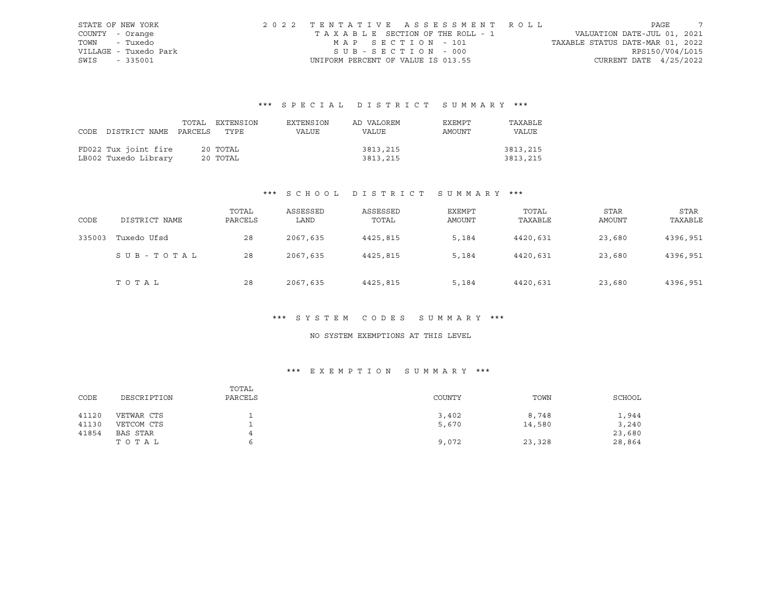|      | STATE OF NEW YORK     | 2022 TENTATIVE ASSESSMENT ROLL     |                                  | PAGE |  |
|------|-----------------------|------------------------------------|----------------------------------|------|--|
|      | COUNTY - Orange       | TAXABLE SECTION OF THE ROLL - 1    | VALUATION DATE-JUL 01, 2021      |      |  |
|      | TOWN - Tuxedo         | MAP SECTION - 101                  | TAXABLE STATUS DATE-MAR 01, 2022 |      |  |
|      | VILLAGE - Tuxedo Park | SUB-SECTION - 000                  | RPS150/V04/L015                  |      |  |
| SWIS | - 335001              | UNIFORM PERCENT OF VALUE IS 013.55 | CURRENT DATE $4/25/2022$         |      |  |

# \*\*\* S P E C I A L D I S T R I C T S U M M A R Y \*\*\*

|                                 | TOTAL EXTENSION | EXTENSION | AD VALOREM | EXEMPT | TAXABLE  |
|---------------------------------|-----------------|-----------|------------|--------|----------|
| CODE DISTRICT NAME PARCELS TYPE |                 | VALUE     | VALUE      | AMOUNT | VALUE    |
|                                 |                 |           |            |        |          |
| FD022 Tux joint fire            | 20 TOTAL        |           | 3813,215   |        | 3813,215 |
| LB002 Tuxedo Library            | 20 TOTAL        |           | 3813,215   |        | 3813,215 |

## \*\*\* S C H O O L D I S T R I C T S U M M A R Y \*\*\*

| CODE   | DISTRICT NAME | TOTAL<br>PARCELS | ASSESSED<br>LAND | ASSESSED<br>TOTAL | EXEMPT<br>AMOUNT | TOTAL<br>TAXABLE | <b>STAR</b><br>AMOUNT | <b>STAR</b><br>TAXABLE |
|--------|---------------|------------------|------------------|-------------------|------------------|------------------|-----------------------|------------------------|
| 335003 | Tuxedo Ufsd   | 28               | 2067,635         | 4425,815          | 5,184            | 4420,631         | 23,680                | 4396,951               |
|        | SUB-TOTAL     | 28               | 2067,635         | 4425,815          | 5,184            | 4420,631         | 23,680                | 4396,951               |
|        | TOTAL         | 28               | 2067,635         | 4425,815          | 5,184            | 4420,631         | 23,680                | 4396,951               |

## \*\*\* S Y S T E M C O D E S S U M M A R Y \*\*\*

### NO SYSTEM EXEMPTIONS AT THIS LEVEL

## \*\*\* E X E M P T I O N S U M M A R Y \*\*\*

| CODE  | DESCRIPTION | TOTAL<br>PARCELS | COUNTY | TOWN   | SCHOOL |
|-------|-------------|------------------|--------|--------|--------|
| 41120 | VETWAR CTS  |                  | 3,402  | 8,748  | 1,944  |
| 41130 | VETCOM CTS  |                  | 5,670  | 14,580 | 3,240  |
| 41854 | BAS STAR    | 4                |        |        | 23,680 |
|       | TOTAL       |                  | 9,072  | 23,328 | 28,864 |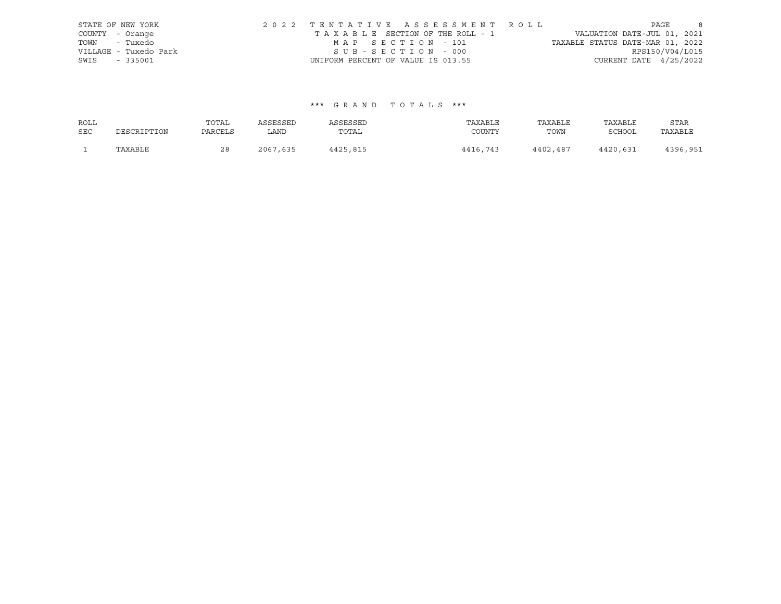|               | STATE OF NEW YORK     |                                    | 2022 TENTATIVE ASSESSMENT ROLL  |                                  | PAGE                        | - 8 |
|---------------|-----------------------|------------------------------------|---------------------------------|----------------------------------|-----------------------------|-----|
|               | COUNTY - Orange       |                                    | TAXABLE SECTION OF THE ROLL - 1 |                                  | VALUATION DATE-JUL 01, 2021 |     |
|               | TOWN - Tuxedo         | MAP SECTION - 101                  |                                 | TAXABLE STATUS DATE-MAR 01, 2022 |                             |     |
|               | VILLAGE - Tuxedo Park | SUB-SECTION - 000                  |                                 |                                  | RPS150/V04/L015             |     |
| SWIS - 335001 |                       | UNIFORM PERCENT OF VALUE IS 013.55 |                                 |                                  | CURRENT DATE 4/25/2022      |     |

## \*\*\* G R A N D T O T A L S \*\*\*

| ROLL       |             | TOTAL   | ASSESSED | ASSESSED | TAXABLE  | TAXABLE  | TAXABLE       | STAR     |
|------------|-------------|---------|----------|----------|----------|----------|---------------|----------|
| <b>SEC</b> | DESCRIPTION | PARCELS | LAND     | TOTAL    | COUNTY   | TOWN     | <b>SCHOOL</b> | TAXABLE  |
|            | TAXABLE     | 28      | 2067,635 | 4425,815 | 4416,743 | 4402,487 | 4420,631      | 4396,951 |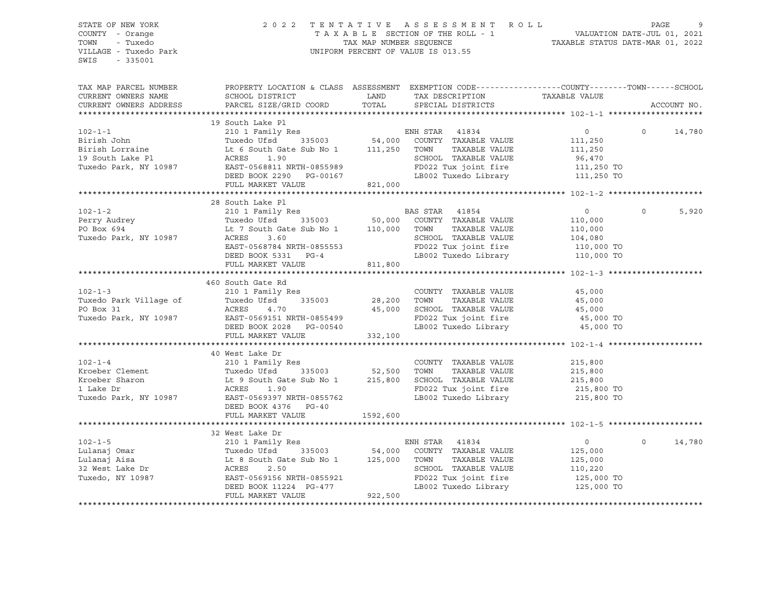#### STATE OF NEW YORK 2 0 2 2 T E N T A T I V E A S S E S S M E N T R O L L PAGE 9 COUNTY - Orange T A X A B L E SECTION OF THE ROLL - 1 TOWN - Tuxedo TAX MAP NUMBER SEQUENCE TAXABLE STATUS DATE-MAR 01, 2022 UNIFORM PERCENT OF VALUE IS 013.55

TAX MAP PARCEL NUMBER PROPERTY LOCATION & CLASS ASSESSMENT EXEMPTION CODE------------------COUNTY--------TOWN------SCHOOL CURRENT OWNERS NAME SCHOOL DISTRICT TAX DAND TAX DESCRIPTION TAXABLE VALUE CURRENT OWNERS ADDRESS PARCEL SIZE/GRID COORD TOTAL SPECIAL DISTRICTS ACCOUNT NO. \*\*\*\*\*\*\*\*\*\*\*\*\*\*\*\*\*\*\*\*\*\*\*\*\*\*\*\*\*\*\*\*\*\*\*\*\*\*\*\*\*\*\*\*\*\*\*\*\*\*\*\*\*\*\*\*\*\*\*\*\*\*\*\*\*\*\*\*\*\*\*\*\*\*\*\*\*\*\*\*\*\*\*\*\*\*\*\*\*\*\*\*\*\*\*\*\*\*\*\*\*\*\* 102-1-1 \*\*\*\*\*\*\*\*\*\*\*\*\*\*\*\*\*\*\*\* 19 South Lake Pl 102-1-1 210 1 Family Res ENH STAR 41834 0 0 14,780 Birish John Tuxedo Ufsd 335003 54,000 COUNTY TAXABLE VALUE 111,250 Birish Lorraine Lt 6 South Gate Sub No 1 111,250 TOWN TAXABLE VALUE 111,250 ACRES 1.90 SCHOOL TAXABLE VALUE 96,470 Tuxedo Park, NY 10987 EAST-0568811 NRTH-0855989 FD022 Tux joint fire 111,250 TO DEED BOOK 2290 PG-00167 LB002 Tuxedo Library 111,250 TO FULL MARKET VALUE 821,000 \*\*\*\*\*\*\*\*\*\*\*\*\*\*\*\*\*\*\*\*\*\*\*\*\*\*\*\*\*\*\*\*\*\*\*\*\*\*\*\*\*\*\*\*\*\*\*\*\*\*\*\*\*\*\*\*\*\*\*\*\*\*\*\*\*\*\*\*\*\*\*\*\*\*\*\*\*\*\*\*\*\*\*\*\*\*\*\*\*\*\*\*\*\*\*\*\*\*\*\*\*\*\* 102-1-2 \*\*\*\*\*\*\*\*\*\*\*\*\*\*\*\*\*\*\*\* 28 South Lake Pl 102-1-2 210 1 Family Res BAS STAR 41854 0 0 5,920 Perry Audrey Tuxedo Ufsd 335003 50,000 COUNTY TAXABLE VALUE 110,000 PO Box 694 Lt 7 South Gate Sub No 1 110,000 TOWN TAXABLE VALUE 110,000 Tuxedo Park, NY 10987 ACRES 3.60 SCHOOL TAXABLE VALUE 104,080 EAST-0568784 NRTH-0855553 FD022 Tux joint fire 110,000 TO DEED BOOK 5331 PG-4 LB002 Tuxedo Library 110,000 TO FULL MARKET VALUE \*\*\*\*\*\*\*\*\*\*\*\*\*\*\*\*\*\*\*\*\*\*\*\*\*\*\*\*\*\*\*\*\*\*\*\*\*\*\*\*\*\*\*\*\*\*\*\*\*\*\*\*\*\*\*\*\*\*\*\*\*\*\*\*\*\*\*\*\*\*\*\*\*\*\*\*\*\*\*\*\*\*\*\*\*\*\*\*\*\*\*\*\*\*\*\*\*\*\*\*\*\*\* 102-1-3 \*\*\*\*\*\*\*\*\*\*\*\*\*\*\*\*\*\*\*\* 460 South Gate Rd 102-1-3 210 1 Family Res COUNTY TAXABLE VALUE 45,000 Tuxedo Park Village of Tuxedo Ufsd 335003 28,200 TOWN TAXABLE VALUE 45,000 PO Box 31 ACRES 4.70 45,000 SCHOOL TAXABLE VALUE 45,000 Tuxedo Park, NY 10987 EAST-0569151 NRTH-0855499 FD022 Tux joint fire 45,000 TO DEED BOOK 2028 PG-00540 LB002 Tuxedo Library 45,000 TO FULL MARKET VALUE 332,100 \*\*\*\*\*\*\*\*\*\*\*\*\*\*\*\*\*\*\*\*\*\*\*\*\*\*\*\*\*\*\*\*\*\*\*\*\*\*\*\*\*\*\*\*\*\*\*\*\*\*\*\*\*\*\*\*\*\*\*\*\*\*\*\*\*\*\*\*\*\*\*\*\*\*\*\*\*\*\*\*\*\*\*\*\*\*\*\*\*\*\*\*\*\*\*\*\*\*\*\*\*\*\* 102-1-4 \*\*\*\*\*\*\*\*\*\*\*\*\*\*\*\*\*\*\*\*

|                       | 40 West Lake Dr                  |                                    |                                     |  |  |  |
|-----------------------|----------------------------------|------------------------------------|-------------------------------------|--|--|--|
| $102 - 1 - 4$         | 210 1 Family Res                 | TAXABLE VALUE<br>COUNTY            | 215,800                             |  |  |  |
| Kroeber Clement       | Tuxedo Ufsd 335003               | 52,500<br>TOWN<br>TAXABLE VALUE    | 215,800                             |  |  |  |
| Kroeber Sharon        | Lt 9 South Gate Sub No 1         | 215,800<br>SCHOOL TAXABLE VALUE    | 215,800                             |  |  |  |
| 1 Lake Dr             | ACRES 1.90                       | FD022 Tux joint fire<br>215,800 TO |                                     |  |  |  |
| Tuxedo Park, NY 10987 | EAST-0569397 NRTH-0855762        | LB002 Tuxedo Library               | 215,800 TO                          |  |  |  |
|                       | DEED BOOK 4376 PG-40             |                                    |                                     |  |  |  |
|                       | FULL MARKET VALUE                | 1592,600                           |                                     |  |  |  |
|                       |                                  |                                    |                                     |  |  |  |
|                       | 32 West Lake Dr                  |                                    |                                     |  |  |  |
| $102 - 1 - 5$         | 210 1 Family Res                 | 41834<br>ENH STAR                  | 14,780<br>$\circ$<br>$\overline{0}$ |  |  |  |
| Lulanaj Omar          | Tuxedo Ufsd 335003               | 54,000 COUNTY<br>TAXABLE VALUE     | 125,000                             |  |  |  |
| Lulanaj Aisa          | Lt 8 South Gate Sub No 1 125,000 | TOWN<br>TAXABLE VALUE              | 125,000                             |  |  |  |
| 32 West Lake Dr       | ACRES 2.50                       | SCHOOL TAXABLE VALUE               | 110,220                             |  |  |  |
| Tuxedo, NY 10987      | EAST-0569156 NRTH-0855921        | FD022 Tux joint fire               | 125,000 TO                          |  |  |  |
|                       | DEED BOOK 11224 PG-477           | LB002 Tuxedo Library               | 125,000 TO                          |  |  |  |
|                       | FULL MARKET VALUE                | 922,500                            |                                     |  |  |  |
|                       |                                  |                                    |                                     |  |  |  |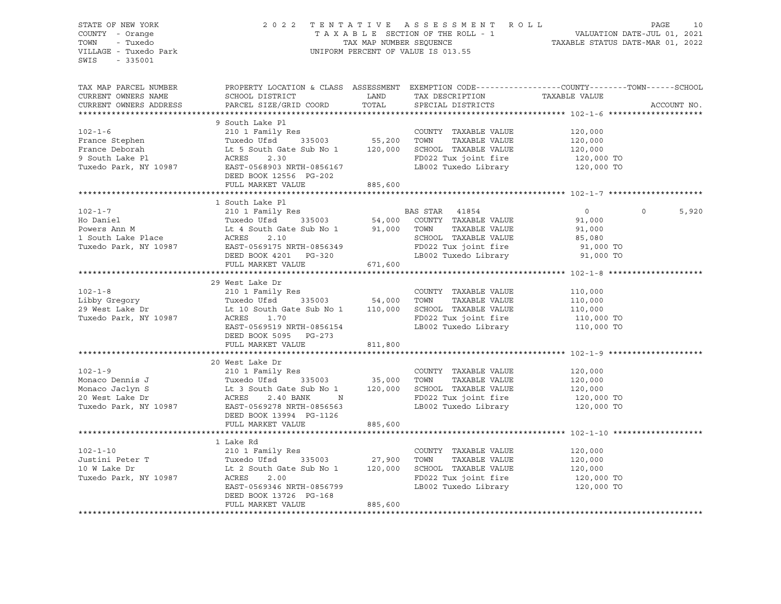| SWIS - 335001 | STATE OF NEW YORK 2022 TENTATIVE ASSESSMENT ROLL PAGE 10<br>COUNTY - Orange TAXABLE SECTION OF THE ROLL - 1 VALUATION DATE-JUL 01, 2021<br>TOWN - Tuxedo Park (Internation of THE SECTION OF THE ROLL - 1 VALUATION DATE-JUL 01, 2                                                                                                                                                                                                                                 |         |  |             |
|---------------|--------------------------------------------------------------------------------------------------------------------------------------------------------------------------------------------------------------------------------------------------------------------------------------------------------------------------------------------------------------------------------------------------------------------------------------------------------------------|---------|--|-------------|
|               |                                                                                                                                                                                                                                                                                                                                                                                                                                                                    |         |  |             |
|               | TAX MAP PARCEL NUMBER THE PROPERTY LOCATION & CLASS ASSESSMENT EXEMPTION CODE---------------COUNTY-------TOWN------SCHOOL                                                                                                                                                                                                                                                                                                                                          |         |  |             |
|               | CURRENT OWNERS NAME SCHOOL DISTRICT LAND TAX DESCRIPTION TAXABLE VALUE CURRENT OWNERS ADDRESS PARCEL SIZE/GRID COORD TOTAL SPECIAL DISTRICTS                                                                                                                                                                                                                                                                                                                       |         |  |             |
|               |                                                                                                                                                                                                                                                                                                                                                                                                                                                                    |         |  | ACCOUNT NO. |
|               | 9 South Lake Pl                                                                                                                                                                                                                                                                                                                                                                                                                                                    |         |  |             |
|               |                                                                                                                                                                                                                                                                                                                                                                                                                                                                    |         |  |             |
|               |                                                                                                                                                                                                                                                                                                                                                                                                                                                                    |         |  |             |
|               |                                                                                                                                                                                                                                                                                                                                                                                                                                                                    |         |  |             |
|               |                                                                                                                                                                                                                                                                                                                                                                                                                                                                    |         |  |             |
|               |                                                                                                                                                                                                                                                                                                                                                                                                                                                                    |         |  |             |
|               |                                                                                                                                                                                                                                                                                                                                                                                                                                                                    |         |  |             |
|               | $\begin{tabular}{lllllllllllllllllllll} \multicolumn{3}{l}{} & 9 & \text{South Lake P1} & \text{COUNTY} & \text{TAXABLE VALUE} & 120,000 \\ \text{France Stephen} & 210 & 1 Family Res & \text{COUNTY} & \text{TAXABLE VALUE} & 120,000 \\ \text{France Deborah} & \text{Lucedo Ufsd} & 335003 & 55,200 & \text{TOWN} & \text{TAXABLE VALUE} & 120,000 \\ \text{France Deborah} & \text{Lt 5 South Gate Sub No 1} & 120,000 & \text{SCHOOL TAXABLE VALUE} & 120,0$ |         |  |             |
|               |                                                                                                                                                                                                                                                                                                                                                                                                                                                                    |         |  |             |
|               |                                                                                                                                                                                                                                                                                                                                                                                                                                                                    |         |  |             |
|               |                                                                                                                                                                                                                                                                                                                                                                                                                                                                    |         |  | 5,920       |
|               |                                                                                                                                                                                                                                                                                                                                                                                                                                                                    |         |  |             |
|               |                                                                                                                                                                                                                                                                                                                                                                                                                                                                    |         |  |             |
|               |                                                                                                                                                                                                                                                                                                                                                                                                                                                                    |         |  |             |
|               |                                                                                                                                                                                                                                                                                                                                                                                                                                                                    |         |  |             |
|               | 102-1-7<br>102-1-7<br>102-1-7<br>210 1 Family Res<br>Ho Daniel<br>210 1 Family Res<br>210 1 Family Res<br>210 1 Family Res<br>210 1 Family Res<br>210 1 Family Res<br>210 1 Family Res<br>210 1 Family Res<br>210 1 Family Res<br>210 1 Family Res<br>210                                                                                                                                                                                                          |         |  |             |
|               |                                                                                                                                                                                                                                                                                                                                                                                                                                                                    |         |  |             |
|               | 29 West Lake Dr<br>$\begin{tabular}{lllllllllllll} \multicolumn{3}{l}{} & 29 \text{ West Lake Dr} & 210 1 Family Res & 210 1 Family Res & 210 1 Family Res & 210 1 Family Res & 210 1 Family Res & 210 1 Family Res & 210 1 110,000 & 29 West Lake Dr & 210 1 110,000 & 29 West Lake Dr & 210 10,000 & 29 West Lake Dr & 210 10,000 & 29 West Lake Dr & 210 10,000 & 29 West Lake Dr & 210 10,000 & 29 West Lake Dr & 210 10,00$                                   |         |  |             |
|               |                                                                                                                                                                                                                                                                                                                                                                                                                                                                    |         |  |             |
|               |                                                                                                                                                                                                                                                                                                                                                                                                                                                                    |         |  |             |
|               |                                                                                                                                                                                                                                                                                                                                                                                                                                                                    |         |  |             |
|               |                                                                                                                                                                                                                                                                                                                                                                                                                                                                    |         |  |             |
|               |                                                                                                                                                                                                                                                                                                                                                                                                                                                                    |         |  |             |
|               |                                                                                                                                                                                                                                                                                                                                                                                                                                                                    |         |  |             |
|               |                                                                                                                                                                                                                                                                                                                                                                                                                                                                    |         |  |             |
|               |                                                                                                                                                                                                                                                                                                                                                                                                                                                                    |         |  |             |
|               |                                                                                                                                                                                                                                                                                                                                                                                                                                                                    |         |  |             |
|               |                                                                                                                                                                                                                                                                                                                                                                                                                                                                    |         |  |             |
|               |                                                                                                                                                                                                                                                                                                                                                                                                                                                                    |         |  |             |
|               |                                                                                                                                                                                                                                                                                                                                                                                                                                                                    |         |  |             |
|               |                                                                                                                                                                                                                                                                                                                                                                                                                                                                    |         |  |             |
|               |                                                                                                                                                                                                                                                                                                                                                                                                                                                                    |         |  |             |
|               |                                                                                                                                                                                                                                                                                                                                                                                                                                                                    |         |  |             |
|               |                                                                                                                                                                                                                                                                                                                                                                                                                                                                    |         |  |             |
|               | 1 Lake Rd                                                                                                                                                                                                                                                                                                                                                                                                                                                          |         |  |             |
|               |                                                                                                                                                                                                                                                                                                                                                                                                                                                                    |         |  |             |
|               |                                                                                                                                                                                                                                                                                                                                                                                                                                                                    |         |  |             |
|               |                                                                                                                                                                                                                                                                                                                                                                                                                                                                    |         |  |             |
|               |                                                                                                                                                                                                                                                                                                                                                                                                                                                                    |         |  |             |
|               | 102-1-10<br>102-1-10<br>310 1 Family Res<br>335003<br>10 W Lake Dr<br>27,900 TOWN TAXABLE VALUE<br>27,900 TOWN TAXABLE VALUE<br>27,900 TOWN TAXABLE VALUE<br>27,900 TOWN TAXABLE VALUE<br>27,900 TOWN TAXABLE VALUE<br>27,900 TOWN TAXABLE VALUE<br><br>DEED BOOK 13726 PG-168                                                                                                                                                                                     |         |  |             |
|               | FULL MARKET VALUE                                                                                                                                                                                                                                                                                                                                                                                                                                                  | 885,600 |  |             |
|               |                                                                                                                                                                                                                                                                                                                                                                                                                                                                    |         |  |             |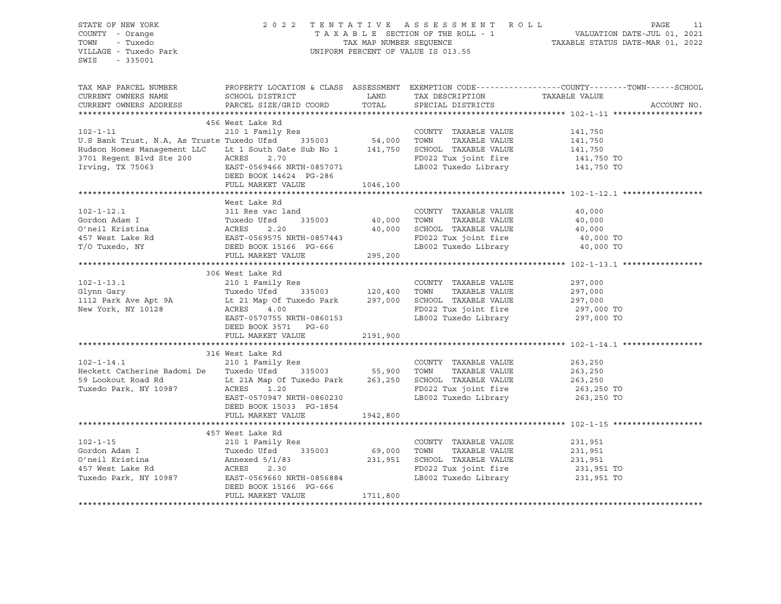STATE OF NEW YORK 2 0 2 2 T E N T A T I V E A S S E S S M E N T R O L L PAGE 11 COUNTY - Orange T A X A B L E SECTION OF THE ROLL - 1 VALUATION DATE-JUL 01, 2021 TOWN - Tuxedo TOWN - TAX MAP NUMBER SEQUENCE TAXABLE STATUS DATE-MAR 01, 2022 VILLAGE - Tuxedo Park UNIFORM PERCENT OF VALUE IS 013.55 SWIS - 335001 TAX MAP PARCEL NUMBER PROPERTY LOCATION & CLASS ASSESSMENT EXEMPTION CODE------------------COUNTY--------TOWN------SCHOOL CURRENT OWNERS NAME SCHOOL DISTRICT LAND TAX DESCRIPTION TAXABLE VALUE CURRENT OWNERS ADDRESS PARCEL SIZE/GRID COORD TOTAL SPECIAL DISTRICTS ACCOUNT NO. \*\*\*\*\*\*\*\*\*\*\*\*\*\*\*\*\*\*\*\*\*\*\*\*\*\*\*\*\*\*\*\*\*\*\*\*\*\*\*\*\*\*\*\*\*\*\*\*\*\*\*\*\*\*\*\*\*\*\*\*\*\*\*\*\*\*\*\*\*\*\*\*\*\*\*\*\*\*\*\*\*\*\*\*\*\*\*\*\*\*\*\*\*\*\*\*\*\*\*\*\*\*\* 102-1-11 \*\*\*\*\*\*\*\*\*\*\*\*\*\*\*\*\*\*\* 456 West Lake Rd 102-1-11 210 1 Family Res COUNTY TAXABLE VALUE 141,750 U.S Bank Trust, N.A, As Truste Tuxedo Ufsd 335003 54,000 TOWN TAXABLE VALUE 141,750 Hudson Homes Management LLC Lt 1 South Gate Sub No 1 141,750 SCHOOL TAXABLE VALUE 141,750 3701 Regent Blvd Ste 200 ACRES 2.70 FD022 Tux joint fire 141,750 TO Irving, TX 75063 EAST-0569466 NRTH-0857071 LB002 Tuxedo Library 141,750 TO DEED BOOK 14624 PG-286 FULL MARKET VALUE 1046,100 \*\*\*\*\*\*\*\*\*\*\*\*\*\*\*\*\*\*\*\*\*\*\*\*\*\*\*\*\*\*\*\*\*\*\*\*\*\*\*\*\*\*\*\*\*\*\*\*\*\*\*\*\*\*\*\*\*\*\*\*\*\*\*\*\*\*\*\*\*\*\*\*\*\*\*\*\*\*\*\*\*\*\*\*\*\*\*\*\*\*\*\*\*\*\*\*\*\*\*\*\*\*\* 102-1-12.1 \*\*\*\*\*\*\*\*\*\*\*\*\*\*\*\*\* West Lake Rd 102-1-12.1 311 Res vac land COUNTY TAXABLE VALUE 40,000 Gordon Adam I Tuxedo Ufsd 335003 40,000 TOWN TAXABLE VALUE 40,000 O'neil Kristina ACRES 2.20 40,000 SCHOOL TAXABLE VALUE 40,000 457 West Lake Rd EAST-0569575 NRTH-0857443 FD022 Tux joint fire 40,000 TO T/O Tuxedo, NY DEED BOOK 15166 PG-666 LB002 Tuxedo Library 40,000 TO EAST-0569573 المحمد من السلطة 295,200<br>DEED BOOK 15166 PG-666<br>Communistie 295,200 \*\*\*\*\*\*\*\*\*\*\*\*\*\*\*\*\*\*\*\*\*\*\*\*\*\*\*\*\*\*\*\*\*\*\*\*\*\*\*\*\*\*\*\*\*\*\*\*\*\*\*\*\*\*\*\*\*\*\*\*\*\*\*\*\*\*\*\*\*\*\*\*\*\*\*\*\*\*\*\*\*\*\*\*\*\*\*\*\*\*\*\*\*\*\*\*\*\*\*\*\*\*\* 102-1-13.1 \*\*\*\*\*\*\*\*\*\*\*\*\*\*\*\*\* 306 West Lake Rd 102-1-13.1 210 1 Family Res COUNTY TAXABLE VALUE 297,000 Glynn Gary Tuxedo Ufsd 335003 120,400 TOWN TAXABLE VALUE 297,000 1112 Park Ave Apt 9A Lt 21 Map Of Tuxedo Park 297,000 SCHOOL TAXABLE VALUE 297,000 New York, NY 10128 ACRES 4.00 FD022 Tux joint fire 297,000 TO EAST-0570755 NRTH-0860153<br>LB002 Tuxedo Library 297,000 TO DEED BOOK 3571 PG-60 FULL MARKET VALUE 2191,900 \*\*\*\*\*\*\*\*\*\*\*\*\*\*\*\*\*\*\*\*\*\*\*\*\*\*\*\*\*\*\*\*\*\*\*\*\*\*\*\*\*\*\*\*\*\*\*\*\*\*\*\*\*\*\*\*\*\*\*\*\*\*\*\*\*\*\*\*\*\*\*\*\*\*\*\*\*\*\*\*\*\*\*\*\*\*\*\*\*\*\*\*\*\*\*\*\*\*\*\*\*\*\* 102-1-14.1 \*\*\*\*\*\*\*\*\*\*\*\*\*\*\*\*\* 316 West Lake Rd 102-1-14.1 210 1 Family Res COUNTY TAXABLE VALUE 263,250 Heckett Catherine Badomi De Tuxedo Ufsd 335003 55,900 TOWN TAXABLE VALUE 263,250 59 Lookout Road Rd Lt 21A Map Of Tuxedo Park 263,250 SCHOOL TAXABLE VALUE 263,250 Tuxedo Park, NY 10987 ACRES 1.20 FD022 Tux joint fire 263,250 TO EAST-0570947 NRTH-0860230 LB002 Tuxedo Library DEED BOOK 15033 PG-1854 FULL MARKET VALUE 1942,800 \*\*\*\*\*\*\*\*\*\*\*\*\*\*\*\*\*\*\*\*\*\*\*\*\*\*\*\*\*\*\*\*\*\*\*\*\*\*\*\*\*\*\*\*\*\*\*\*\*\*\*\*\*\*\*\*\*\*\*\*\*\*\*\*\*\*\*\*\*\*\*\*\*\*\*\*\*\*\*\*\*\*\*\*\*\*\*\*\*\*\*\*\*\*\*\*\*\*\*\*\*\*\* 102-1-15 \*\*\*\*\*\*\*\*\*\*\*\*\*\*\*\*\*\*\* 457 West Lake Rd 102-1-15 210 1 Family Res COUNTY TAXABLE VALUE 231,951 Gordon Adam I Tuxedo Ufsd 335003 69,000 TOWN TAXABLE VALUE 231,951 O'neil Kristina Annexed 5/1/83 231,951 SCHOOL TAXABLE VALUE 231,951 457 West Lake Rd ACRES 2.30 FD022 Tux joint fire 231,951 TO Tuxedo Park, NY 10987 EAST-0569660 NRTH-0856884 LB002 Tuxedo Library 231,951 TO DEED BOOK 15166 PG-666 FULL MARKET VALUE 1711,800 \*\*\*\*\*\*\*\*\*\*\*\*\*\*\*\*\*\*\*\*\*\*\*\*\*\*\*\*\*\*\*\*\*\*\*\*\*\*\*\*\*\*\*\*\*\*\*\*\*\*\*\*\*\*\*\*\*\*\*\*\*\*\*\*\*\*\*\*\*\*\*\*\*\*\*\*\*\*\*\*\*\*\*\*\*\*\*\*\*\*\*\*\*\*\*\*\*\*\*\*\*\*\*\*\*\*\*\*\*\*\*\*\*\*\*\*\*\*\*\*\*\*\*\*\*\*\*\*\*\*\*\*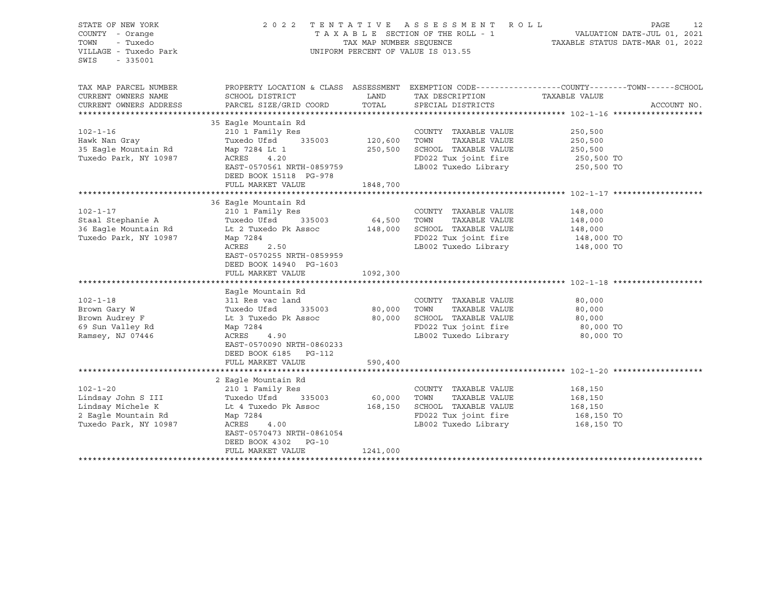| STATE OF NEW YORK<br>COUNTY - Orange<br>- Tuxedo<br>TOWN<br>VILLAGE - Tuxedo Park<br>$-335001$<br>SWIS                                                                                                                         | 2022 TENTATIVE ASSESSMENT ROLL<br>UNIFORM PERCENT OF VALUE IS 013.55                                                    | PAGE<br>12<br>TAXABLE SECTION OF THE ROLL - 1<br>TAXABLE STATUS DATE-JUL 01, 2021<br>TAXABLE STATUS DATE-MAR 01, 2022 |                                                      |                                                                                                  |
|--------------------------------------------------------------------------------------------------------------------------------------------------------------------------------------------------------------------------------|-------------------------------------------------------------------------------------------------------------------------|-----------------------------------------------------------------------------------------------------------------------|------------------------------------------------------|--------------------------------------------------------------------------------------------------|
| TAX MAP PARCEL NUMBER<br>CURRENT OWNERS NAME                                                                                                                                                                                   | SCHOOL DISTRICT                                                                                                         | <b>EXAMPLE SETTING STATE</b>                                                                                          | TAX DESCRIPTION                                      | PROPERTY LOCATION & CLASS ASSESSMENT EXEMPTION CODE----------------COUNTY-------TOWN------SCHOOL |
| CURRENT OWNERS ADDRESS                                                                                                                                                                                                         | PARCEL SIZE/GRID COORD                                                                                                  | TOTAL                                                                                                                 | SPECIAL DISTRICTS                                    | TAXABLE VALUE<br>ACCOUNT NO.                                                                     |
|                                                                                                                                                                                                                                |                                                                                                                         |                                                                                                                       |                                                      |                                                                                                  |
|                                                                                                                                                                                                                                | 35 Eagle Mountain Rd                                                                                                    |                                                                                                                       |                                                      |                                                                                                  |
| $102 - 1 - 16$                                                                                                                                                                                                                 | 210 I Family Res                                                                                                        |                                                                                                                       | COUNTY TAXABLE VALUE                                 | 250,500                                                                                          |
| Hawk Nan Gray                                                                                                                                                                                                                  | Tuxedo Ufsd 335003 120,600 TOWN                                                                                         |                                                                                                                       | TAXABLE VALUE                                        | 250,500<br>250,500                                                                               |
| 35 Eagle Mountain Rd<br>Tuxedo Park, NY 10987                                                                                                                                                                                  | Map 7284 Lt 1<br>ACRES<br>4.20                                                                                          |                                                                                                                       | 250,500 SCHOOL TAXABLE VALUE<br>FD022 Tux joint fire |                                                                                                  |
|                                                                                                                                                                                                                                | EAST-0570561 NRTH-0859759                                                                                               |                                                                                                                       | LB002 Tuxedo Library                                 | 250,500 TO<br>250,500 TO                                                                         |
|                                                                                                                                                                                                                                | DEED BOOK 15118 PG-978                                                                                                  |                                                                                                                       |                                                      |                                                                                                  |
|                                                                                                                                                                                                                                | FULL MARKET VALUE                                                                                                       | 1848,700                                                                                                              |                                                      |                                                                                                  |
|                                                                                                                                                                                                                                |                                                                                                                         |                                                                                                                       |                                                      |                                                                                                  |
|                                                                                                                                                                                                                                | 36 Eagle Mountain Rd                                                                                                    |                                                                                                                       |                                                      |                                                                                                  |
| $102 - 1 - 17$                                                                                                                                                                                                                 | 210 1 Family Res<br>Tuxedo Ufsd 335003 64,500 TOWN                                                                      |                                                                                                                       | COUNTY TAXABLE VALUE                                 | 148,000                                                                                          |
|                                                                                                                                                                                                                                |                                                                                                                         |                                                                                                                       |                                                      |                                                                                                  |
| Staal Stephanie A (1990) Tuxedo Ufsd (1990) 335003 (4,500 TOWN (1984) TAXABLE VALUE (1990) 1990) 1990) 1990) 36 Eagle Mountain Rd (1990) 1990) 1990 (1990) 1990) 1990) 1990) 1990) 1990) 1990) 1990) 1990) 1990) 1990) 1990) 1 |                                                                                                                         |                                                                                                                       |                                                      |                                                                                                  |
|                                                                                                                                                                                                                                | 2.50                                                                                                                    |                                                                                                                       | LB002 Tuxedo Library 148,000 TO                      |                                                                                                  |
|                                                                                                                                                                                                                                | ACRES<br>EAST-0570255 NRTH-0859959<br>DEED BOOK 14940 PG-1603                                                           |                                                                                                                       |                                                      |                                                                                                  |
|                                                                                                                                                                                                                                | FULL MARKET VALUE                                                                                                       | 1092,300                                                                                                              |                                                      |                                                                                                  |
|                                                                                                                                                                                                                                |                                                                                                                         |                                                                                                                       |                                                      |                                                                                                  |
|                                                                                                                                                                                                                                | Eagle Mountain Rd                                                                                                       |                                                                                                                       |                                                      |                                                                                                  |
| $102 - 1 - 18$<br>Brown Gary W                                                                                                                                                                                                 | 311 Res vac land<br>Tuxedo Ufsd 335003 80,000                                                                           |                                                                                                                       | COUNTY TAXABLE VALUE                                 | 80,000<br>80,000                                                                                 |
| Brown Audrey F                                                                                                                                                                                                                 | Tuxedo Ufsd 335003 bu, uu sunn saan aastal saari 1990,000<br>Lt 3 Tuxedo Pk Assoc 80,000 SCHOOL TAXABLE VALUE 80,000 TO |                                                                                                                       |                                                      |                                                                                                  |
| 69 Sun Valley Rd                                                                                                                                                                                                               |                                                                                                                         |                                                                                                                       |                                                      |                                                                                                  |
| Ramsey, NJ 07446                                                                                                                                                                                                               | ACRES<br>4.90                                                                                                           |                                                                                                                       | LB002 Tuxedo Library 60,000 TO                       |                                                                                                  |
|                                                                                                                                                                                                                                | EAST-0570090 NRTH-0860233                                                                                               |                                                                                                                       |                                                      |                                                                                                  |
|                                                                                                                                                                                                                                | DEED BOOK 6185 PG-112                                                                                                   |                                                                                                                       |                                                      |                                                                                                  |
|                                                                                                                                                                                                                                | FULL MARKET VALUE                                                                                                       | 590,400                                                                                                               |                                                      |                                                                                                  |
|                                                                                                                                                                                                                                |                                                                                                                         |                                                                                                                       |                                                      |                                                                                                  |
|                                                                                                                                                                                                                                | 2 Eagle Mountain Rd                                                                                                     |                                                                                                                       |                                                      |                                                                                                  |
| $102 - 1 - 20$                                                                                                                                                                                                                 |                                                                                                                         |                                                                                                                       | COUNTY TAXABLE VALUE 168,150                         |                                                                                                  |
| Lindsay John S III<br>Lindsay Michele K                                                                                                                                                                                        | Lt 4 Tuxedo Pk Assoc 168,150 SCHOOL TAXABLE VALUE 168,150                                                               |                                                                                                                       | TAXABLE VALUE                                        | 168,150                                                                                          |
| 2 Eagle Mountain Rd                                                                                                                                                                                                            | Map 7284                                                                                                                |                                                                                                                       | FD022 Tux joint fire                                 | 168,150 TO                                                                                       |
| Tuxedo Park, NY 10987                                                                                                                                                                                                          | ACRES<br>4.00                                                                                                           |                                                                                                                       | LB002 Tuxedo Library 168,150 TO                      |                                                                                                  |
|                                                                                                                                                                                                                                | EAST-0570473 NRTH-0861054                                                                                               |                                                                                                                       |                                                      |                                                                                                  |
|                                                                                                                                                                                                                                | DEED BOOK 4302 PG-10                                                                                                    |                                                                                                                       |                                                      |                                                                                                  |
|                                                                                                                                                                                                                                | FULL MARKET VALUE                                                                                                       | 1241,000                                                                                                              |                                                      |                                                                                                  |
|                                                                                                                                                                                                                                |                                                                                                                         |                                                                                                                       |                                                      |                                                                                                  |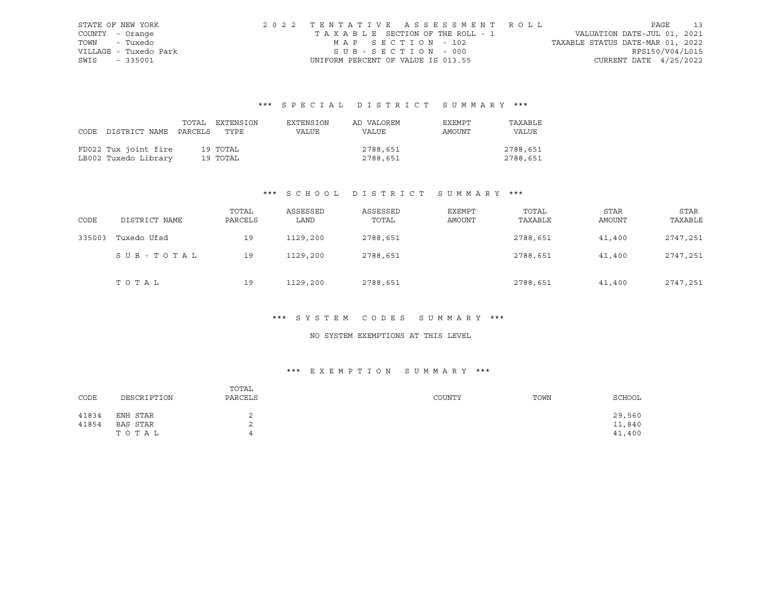|      | STATE OF NEW YORK     | 2022 TENTATIVE ASSESSMENT ROLL     |                                  | PAGE            | 13 |
|------|-----------------------|------------------------------------|----------------------------------|-----------------|----|
|      | COUNTY - Orange       | TAXABLE SECTION OF THE ROLL - 1    | VALUATION DATE-JUL 01, 2021      |                 |    |
|      | TOWN - Tuxedo         | MAP SECTION - 102                  | TAXABLE STATUS DATE-MAR 01, 2022 |                 |    |
|      | VILLAGE - Tuxedo Park | SUB-SECTION - 000                  |                                  | RPS150/V04/L015 |    |
| SWIS | - 335001              | UNIFORM PERCENT OF VALUE IS 013.55 | CURRENT DATE $4/25/2022$         |                 |    |

# \*\*\* S P E C I A L D I S T R I C T S U M M A R Y \*\*\*

|                                 | TOTAL EXTENSION | EXTENSION | AD VALOREM | EXEMPT | TAXABLE  |
|---------------------------------|-----------------|-----------|------------|--------|----------|
| CODE DISTRICT NAME PARCELS TYPE |                 | VALUE     | VALUE      | AMOUNT | VALUE    |
|                                 |                 |           |            |        |          |
| FD022 Tux joint fire            | 19 TOTAL        |           | 2788,651   |        | 2788,651 |
| LB002 Tuxedo Library            | 19 ТОТАL        |           | 2788,651   |        | 2788,651 |

## \*\*\* S C H O O L D I S T R I C T S U M M A R Y \*\*\*

| CODE   | DISTRICT NAME | TOTAL<br>PARCELS | ASSESSED<br>LAND | ASSESSED<br>TOTAL | EXEMPT<br>AMOUNT | TOTAL<br>TAXABLE | <b>STAR</b><br>AMOUNT | STAR<br>TAXABLE |
|--------|---------------|------------------|------------------|-------------------|------------------|------------------|-----------------------|-----------------|
| 335003 | Tuxedo Ufsd   | 19               | 1129,200         | 2788,651          |                  | 2788,651         | 41,400                | 2747,251        |
|        | SUB-TOTAL     | 19               | 1129,200         | 2788,651          |                  | 2788,651         | 41,400                | 2747,251        |
|        | TOTAL         | 19               | 1129,200         | 2788,651          |                  | 2788,651         | 41,400                | 2747,251        |

## \*\*\* S Y S T E M C O D E S S U M M A R Y \*\*\*

### NO SYSTEM EXEMPTIONS AT THIS LEVEL

## \*\*\* E X E M P T I O N S U M M A R Y \*\*\*

| CODE  | DESCRIPTION | TOTAL<br>PARCELS | COUNTY | TOWN | SCHOOL |
|-------|-------------|------------------|--------|------|--------|
| 41834 | ENH STAR    |                  |        |      | 29,560 |
| 41854 | BAS STAR    | ∠                |        |      | 11,840 |
|       | TOTAL       |                  |        |      | 41,400 |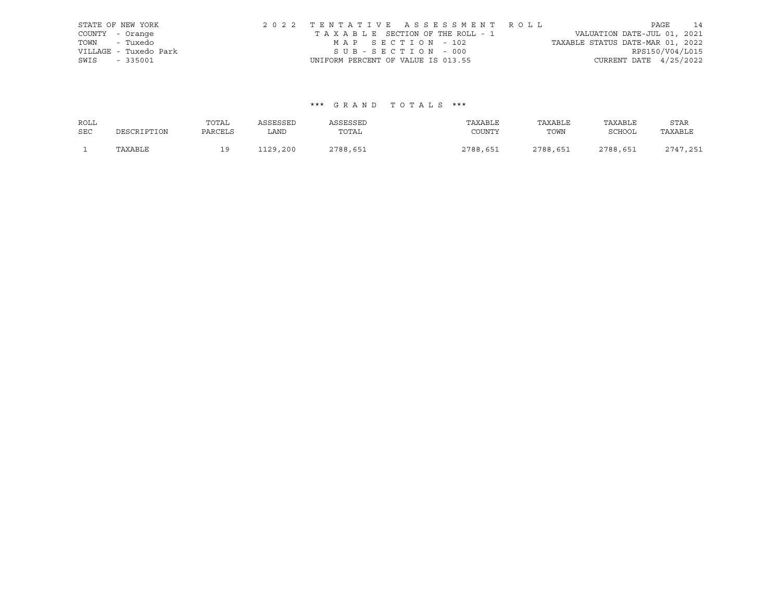| STATE OF NEW YORK |                       | 2022 TENTATIVE ASSESSMENT ROLL |                                    |                   |  |                                       |  |                                  | PAGE | 14              |
|-------------------|-----------------------|--------------------------------|------------------------------------|-------------------|--|---------------------------------------|--|----------------------------------|------|-----------------|
| COUNTY - Orange   |                       |                                |                                    |                   |  | T A X A B L E SECTION OF THE ROLL - 1 |  | VALUATION DATE-JUL 01, 2021      |      |                 |
| TOWN - Tuxedo     |                       |                                |                                    | MAP SECTION - 102 |  |                                       |  | TAXABLE STATUS DATE-MAR 01, 2022 |      |                 |
|                   | VILLAGE - Tuxedo Park |                                |                                    | SUB-SECTION - 000 |  |                                       |  |                                  |      | RPS150/V04/L015 |
| SWIS - 335001     |                       |                                | UNIFORM PERCENT OF VALUE IS 013.55 |                   |  |                                       |  | CURRENT DATE 4/25/2022           |      |                 |

## \*\*\* G R A N D T O T A L S \*\*\*

| <b>ROLL</b> |             | TOTAL   | ASSESSED | ASSESSED | TAXABLE  | TAXABLE  | TAXABLE       | STAR       |
|-------------|-------------|---------|----------|----------|----------|----------|---------------|------------|
| <b>SEC</b>  | DESCRIPTION | PARCELS | LAND     | TOTAL    | COUNTY   | TOWN     | <b>SCHOOL</b> | TAXABLE    |
|             | TAXABLE     | ÷ -     | 1129,200 | 2788,651 | 2788,651 | 2788,651 | 2788,651      | $2747$ 251 |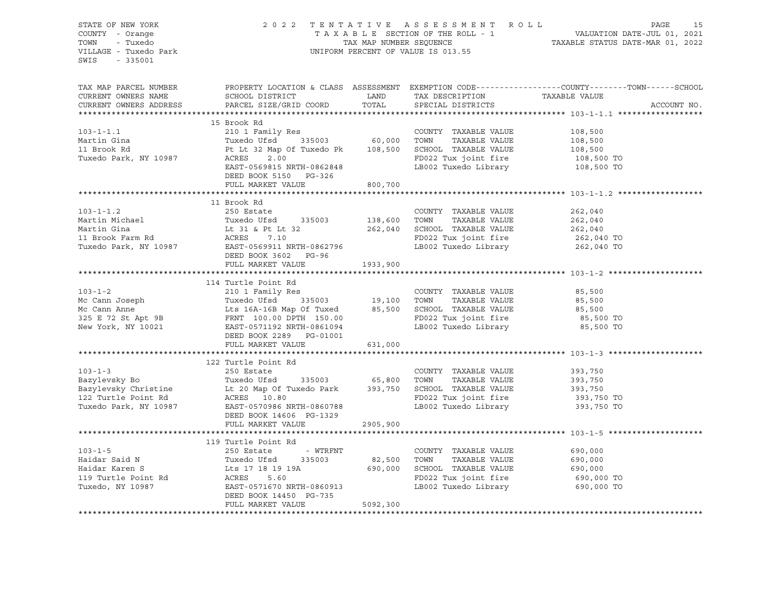| STATE OF NEW YORK<br>COUNTY - Orange<br>TOWN<br>- Tuxedo<br>VILLAGE - Tuxedo Park<br>SWIS - 335001 |                                                                                                                                                                                                                                                                        |           | 2022 TENTATIVE ASSESSMENT ROLL PAGE 15<br>TAXABLE SECTION OF THE ROLL - 1 VALUATION DATE-JUL 01, 2021<br>TAX MAP NUMBER SEQUENCE TAXABLE STATUS DATE-MAR 01, 2022<br>UNIFORM PERCENT OF VALUE IS 013.55 |                                                                                                                  |
|----------------------------------------------------------------------------------------------------|------------------------------------------------------------------------------------------------------------------------------------------------------------------------------------------------------------------------------------------------------------------------|-----------|---------------------------------------------------------------------------------------------------------------------------------------------------------------------------------------------------------|------------------------------------------------------------------------------------------------------------------|
| TAX MAP PARCEL NUMBER                                                                              |                                                                                                                                                                                                                                                                        |           |                                                                                                                                                                                                         | PROPERTY LOCATION & CLASS ASSESSMENT EXEMPTION CODE-----------------COUNTY-------TOWN------SCHOOL<br>ACCOUNT NO. |
|                                                                                                    |                                                                                                                                                                                                                                                                        |           |                                                                                                                                                                                                         |                                                                                                                  |
|                                                                                                    | 15 Brook Rd                                                                                                                                                                                                                                                            |           |                                                                                                                                                                                                         |                                                                                                                  |
|                                                                                                    |                                                                                                                                                                                                                                                                        |           |                                                                                                                                                                                                         |                                                                                                                  |
|                                                                                                    |                                                                                                                                                                                                                                                                        |           |                                                                                                                                                                                                         |                                                                                                                  |
|                                                                                                    |                                                                                                                                                                                                                                                                        |           |                                                                                                                                                                                                         |                                                                                                                  |
|                                                                                                    | 103-1-1.1<br>103-1-1.1<br>Martin Gina<br>108,500<br>Martin Gina<br>108,500<br>Tuxedo Park, NY 10987<br>2001 Family Res<br>Tuxedo Ufsd<br>210 1 Family Res<br>335003<br>2008 500<br>2009 TOWN TAXABLE VALUE<br>60,000 TOWN TAXABLE VALUE<br>7022 Tuxedo Lib             |           |                                                                                                                                                                                                         |                                                                                                                  |
|                                                                                                    |                                                                                                                                                                                                                                                                        |           |                                                                                                                                                                                                         |                                                                                                                  |
|                                                                                                    | 103-1-1.2<br>11 Brook Rd<br>250 Estate<br>Martin Michael Tuxedo Ufsd 335003<br>262,040<br>262,040<br>262,040<br>262,040<br>262,040<br>262,040<br>262,040<br>262,040<br>262,040<br>262,040<br>262,040<br>262,040<br>262,040<br>262,040<br>262,040<br>262,040<br>262,040 |           |                                                                                                                                                                                                         |                                                                                                                  |
|                                                                                                    |                                                                                                                                                                                                                                                                        |           |                                                                                                                                                                                                         |                                                                                                                  |
|                                                                                                    |                                                                                                                                                                                                                                                                        |           |                                                                                                                                                                                                         |                                                                                                                  |
|                                                                                                    |                                                                                                                                                                                                                                                                        |           |                                                                                                                                                                                                         |                                                                                                                  |
|                                                                                                    |                                                                                                                                                                                                                                                                        |           |                                                                                                                                                                                                         |                                                                                                                  |
|                                                                                                    |                                                                                                                                                                                                                                                                        |           |                                                                                                                                                                                                         |                                                                                                                  |
|                                                                                                    |                                                                                                                                                                                                                                                                        |           |                                                                                                                                                                                                         |                                                                                                                  |
|                                                                                                    | FULL MARKET VALUE 1933,900                                                                                                                                                                                                                                             |           |                                                                                                                                                                                                         |                                                                                                                  |
|                                                                                                    |                                                                                                                                                                                                                                                                        |           |                                                                                                                                                                                                         |                                                                                                                  |
|                                                                                                    |                                                                                                                                                                                                                                                                        |           |                                                                                                                                                                                                         |                                                                                                                  |
|                                                                                                    |                                                                                                                                                                                                                                                                        |           |                                                                                                                                                                                                         |                                                                                                                  |
|                                                                                                    |                                                                                                                                                                                                                                                                        |           |                                                                                                                                                                                                         |                                                                                                                  |
|                                                                                                    |                                                                                                                                                                                                                                                                        |           |                                                                                                                                                                                                         |                                                                                                                  |
|                                                                                                    | 114 Turtle Point Rd<br>114 Turtle Point Rd<br>210 1 Family Res<br>Mc Cann Joseph Tuxedo Ufsd 335003 19,100 TOWN TAXABLE VALUE 85,500<br>Mc Cann Anne Lts 16A-16B Map Of Tuxed 85,500 SCHOOL TAXABLE VALUE 85,500<br>325 E 72 St Apt 9B F                               |           |                                                                                                                                                                                                         |                                                                                                                  |
|                                                                                                    |                                                                                                                                                                                                                                                                        |           |                                                                                                                                                                                                         |                                                                                                                  |
|                                                                                                    | FULL MARKET VALUE 631,000                                                                                                                                                                                                                                              |           |                                                                                                                                                                                                         |                                                                                                                  |
|                                                                                                    |                                                                                                                                                                                                                                                                        |           |                                                                                                                                                                                                         |                                                                                                                  |
|                                                                                                    | 122 Turtle Point Rd<br>250 Estate                                                                                                                                                                                                                                      |           |                                                                                                                                                                                                         |                                                                                                                  |
|                                                                                                    |                                                                                                                                                                                                                                                                        |           |                                                                                                                                                                                                         | 393,750                                                                                                          |
|                                                                                                    |                                                                                                                                                                                                                                                                        |           |                                                                                                                                                                                                         |                                                                                                                  |
|                                                                                                    |                                                                                                                                                                                                                                                                        |           |                                                                                                                                                                                                         | TAXABLE VALUE 393,750<br>TAXABLE VALUE 393,750<br>TAXABLE VALUE 393,750<br>1933,750                              |
|                                                                                                    |                                                                                                                                                                                                                                                                        |           | LB002 Tuxedo Library 393,750 TO                                                                                                                                                                         | 393,750 TO                                                                                                       |
|                                                                                                    | 103-1-3<br>Bazylevsky Bo Tuxedo Ufsd 335003 65,800 TOWN TAXABLE VALUE<br>Bazylevsky Christine Lt 20 Map Of Tuxedo Park 393,750 SCHOOL TAXABLE VALUE<br>122 Turtle Point Rd ACRES 10.80 FO022 Tux joint fire<br>Tuxedo Park, NY 10987 E                                 |           |                                                                                                                                                                                                         |                                                                                                                  |
|                                                                                                    | FULL MARKET VALUE 2905,900                                                                                                                                                                                                                                             |           |                                                                                                                                                                                                         |                                                                                                                  |
|                                                                                                    |                                                                                                                                                                                                                                                                        |           |                                                                                                                                                                                                         |                                                                                                                  |
|                                                                                                    | 119 Turtle Point Rd                                                                                                                                                                                                                                                    |           |                                                                                                                                                                                                         |                                                                                                                  |
| $103 - 1 - 5$                                                                                      | - WTRFNT<br>250 Estate                                                                                                                                                                                                                                                 |           | COUNTY TAXABLE VALUE                                                                                                                                                                                    | 690,000                                                                                                          |
|                                                                                                    |                                                                                                                                                                                                                                                                        |           |                                                                                                                                                                                                         |                                                                                                                  |
|                                                                                                    |                                                                                                                                                                                                                                                                        |           |                                                                                                                                                                                                         | TAXABLE VALUE 690,000<br>TAXABLE VALUE 690,000<br>ux joint fire 690,000                                          |
|                                                                                                    |                                                                                                                                                                                                                                                                        |           | FD022 Tux joint fire 690,000 TO<br>LB002 Tuxedo Library 690,000 TO                                                                                                                                      |                                                                                                                  |
|                                                                                                    | Haidar Said N<br>Haidar Karen S<br>19 Turtle Point Rd<br>200 Extate - MIRTH (200 SCHOOL TAXABLE VALUE<br>200 Extate - MIRTH (200 SCHOOL TAXABLE VALUE<br>200 Extate - MIRTH (200 SCHOOL TAXABLE VALUE<br>200 Extate - MIRTH (200 SCHOOL TA                             |           |                                                                                                                                                                                                         |                                                                                                                  |
|                                                                                                    | DEED BOOK 14450 PG-735<br>FULL MARKET VALUE                                                                                                                                                                                                                            | 5092, 300 |                                                                                                                                                                                                         |                                                                                                                  |
|                                                                                                    |                                                                                                                                                                                                                                                                        |           |                                                                                                                                                                                                         |                                                                                                                  |
|                                                                                                    |                                                                                                                                                                                                                                                                        |           |                                                                                                                                                                                                         |                                                                                                                  |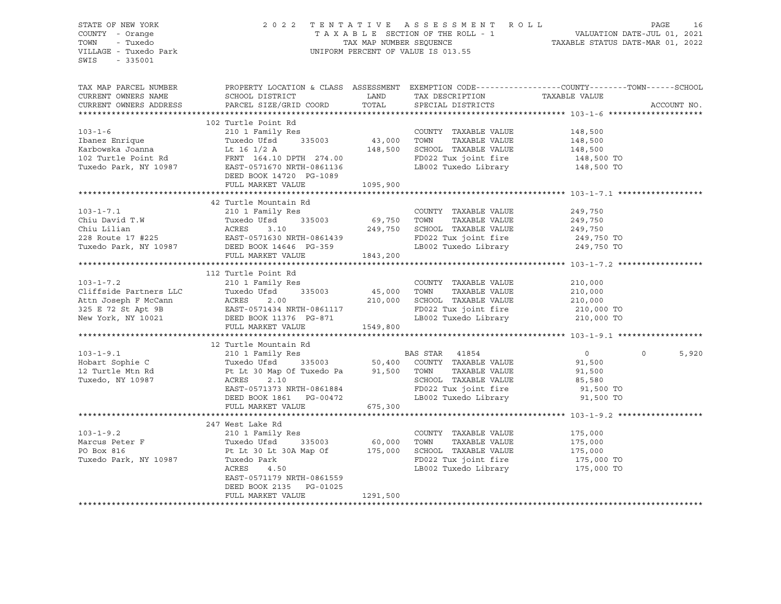#### STATE OF NEW YORK 2 0 2 2 T E N T A T I V E A S S E S S M E N T R O L L PAGE 16 COUNTY - Orange T A X A B L E SECTION OF THE ROLL - 1 VALUATION DATE-JUL 01, 2021 TOWN - Tuxedo TAX MAP NUMBER SEQUENCE TAXABLE STATUS DATE-MAR 01, 2022 VILLAGE - Tuxedo Park UNIFORM PERCENT OF VALUE IS 013.55

| TAX MAP PARCEL NUMBER  | PROPERTY LOCATION & CLASS ASSESSMENT EXEMPTION CODE---------------COUNTY-------TOWN-----SCHOOL                                                                                                                                                 |          |                                                                    |                       |                   |
|------------------------|------------------------------------------------------------------------------------------------------------------------------------------------------------------------------------------------------------------------------------------------|----------|--------------------------------------------------------------------|-----------------------|-------------------|
| CURRENT OWNERS NAME    |                                                                                                                                                                                                                                                |          |                                                                    |                       |                   |
| CURRENT OWNERS ADDRESS |                                                                                                                                                                                                                                                |          | TAX DESCRIPTION TAXABLE VALUE SPECIAL DISTRICTS                    |                       | ACCOUNT NO.       |
|                        |                                                                                                                                                                                                                                                |          |                                                                    |                       |                   |
|                        | 102 Turtle Point Rd                                                                                                                                                                                                                            |          |                                                                    |                       |                   |
|                        |                                                                                                                                                                                                                                                |          |                                                                    |                       |                   |
|                        |                                                                                                                                                                                                                                                |          |                                                                    |                       |                   |
|                        |                                                                                                                                                                                                                                                |          |                                                                    |                       |                   |
|                        |                                                                                                                                                                                                                                                |          |                                                                    |                       |                   |
|                        |                                                                                                                                                                                                                                                |          | FD022 Tux joint fire 148,500 TO<br>LB002 Tuxedo Library 148,500 TO |                       |                   |
|                        |                                                                                                                                                                                                                                                |          |                                                                    |                       |                   |
|                        |                                                                                                                                                                                                                                                | 1095,900 |                                                                    |                       |                   |
|                        | FULL MARKET VALUE                                                                                                                                                                                                                              |          |                                                                    |                       |                   |
|                        |                                                                                                                                                                                                                                                |          |                                                                    |                       |                   |
|                        | 42 Turtle Mountain Rd                                                                                                                                                                                                                          |          |                                                                    |                       |                   |
|                        |                                                                                                                                                                                                                                                |          |                                                                    |                       |                   |
|                        |                                                                                                                                                                                                                                                |          |                                                                    |                       |                   |
|                        |                                                                                                                                                                                                                                                |          |                                                                    |                       |                   |
|                        |                                                                                                                                                                                                                                                |          |                                                                    |                       |                   |
|                        | 103-1-7.1<br>Chiu David T.W 210 1 Family Res<br>Chiu Lilian 249,750<br>Chiu Lilian ACRES 3.10<br>228 Route 17 #225<br>Tuxedo Park, NY 10987 DEED BOOK 14646 PG-359<br>Tuxedo Park, NY 10987 DEED BOOK 14646 PG-359<br>249,750<br>ERST-0571630  |          |                                                                    |                       |                   |
|                        | FULL MARKET VALUE 1843,200                                                                                                                                                                                                                     |          |                                                                    |                       |                   |
|                        |                                                                                                                                                                                                                                                |          |                                                                    |                       |                   |
|                        | 112 Turtle Point Rd                                                                                                                                                                                                                            |          |                                                                    |                       |                   |
| $103 - 1 - 7.2$        | 210 1 Family Res                                                                                                                                                                                                                               |          | COUNTY TAXABLE VALUE 210,000                                       |                       |                   |
|                        |                                                                                                                                                                                                                                                |          |                                                                    |                       |                   |
|                        |                                                                                                                                                                                                                                                |          |                                                                    |                       |                   |
|                        |                                                                                                                                                                                                                                                |          | FD022 Tux joint fire 210,000 TO<br>LB002 Tuxedo Library 210,000 TO |                       |                   |
|                        |                                                                                                                                                                                                                                                |          |                                                                    |                       |                   |
|                        | 210 1 Family Res<br>210 1 Family Res<br>210,000 UOMN TAXABLE VALUE<br>210,000 IONN TAXABLE VALUE<br>210,000 SCHOOL TAXABLE VALUE<br>210,000 SCHOOL TAXABLE VALUE<br>210,000 SCHOOL TAXABLE VALUE<br>210,000 SCHOOL TAXABLE VALUE<br>210,000 SC |          |                                                                    |                       |                   |
|                        |                                                                                                                                                                                                                                                |          |                                                                    |                       |                   |
|                        | 12 Turtle Mountain Rd                                                                                                                                                                                                                          |          |                                                                    |                       |                   |
|                        |                                                                                                                                                                                                                                                |          |                                                                    | $\overline{0}$        | $\Omega$<br>5,920 |
|                        |                                                                                                                                                                                                                                                |          |                                                                    |                       |                   |
|                        |                                                                                                                                                                                                                                                |          |                                                                    |                       |                   |
|                        |                                                                                                                                                                                                                                                |          |                                                                    |                       |                   |
|                        |                                                                                                                                                                                                                                                |          |                                                                    |                       |                   |
|                        |                                                                                                                                                                                                                                                |          |                                                                    |                       |                   |
|                        | FULL MARKET VALUE                                                                                                                                                                                                                              | 675,300  |                                                                    |                       |                   |
|                        |                                                                                                                                                                                                                                                |          |                                                                    |                       |                   |
|                        | 247 West Lake Rd                                                                                                                                                                                                                               |          |                                                                    |                       |                   |
|                        |                                                                                                                                                                                                                                                |          | COUNTY TAXABLE VALUE 175,000                                       |                       |                   |
|                        |                                                                                                                                                                                                                                                |          | TOWN                                                               | TAXABLE VALUE 175,000 |                   |
|                        |                                                                                                                                                                                                                                                |          |                                                                    |                       |                   |
|                        | 103-1-9.2<br>Marcus Peter F<br>PO Box 816<br>Tuxedo Park, NY 10987<br>Tuxedo Park acres 4.50<br>ACRES 4.50                                                                                                                                     |          | SCHOOL TAXABLE VALUE 175,000<br>FD022 Tux joint fire 175,000 TO    |                       |                   |
|                        |                                                                                                                                                                                                                                                |          | LB002 Tuxedo Library 175,000 TO                                    |                       |                   |
|                        | EAST-0571179 NRTH-0861559                                                                                                                                                                                                                      |          |                                                                    |                       |                   |
|                        | DEED BOOK 2135 PG-01025                                                                                                                                                                                                                        |          |                                                                    |                       |                   |
|                        | FULL MARKET VALUE                                                                                                                                                                                                                              | 1291,500 |                                                                    |                       |                   |
|                        |                                                                                                                                                                                                                                                |          |                                                                    |                       |                   |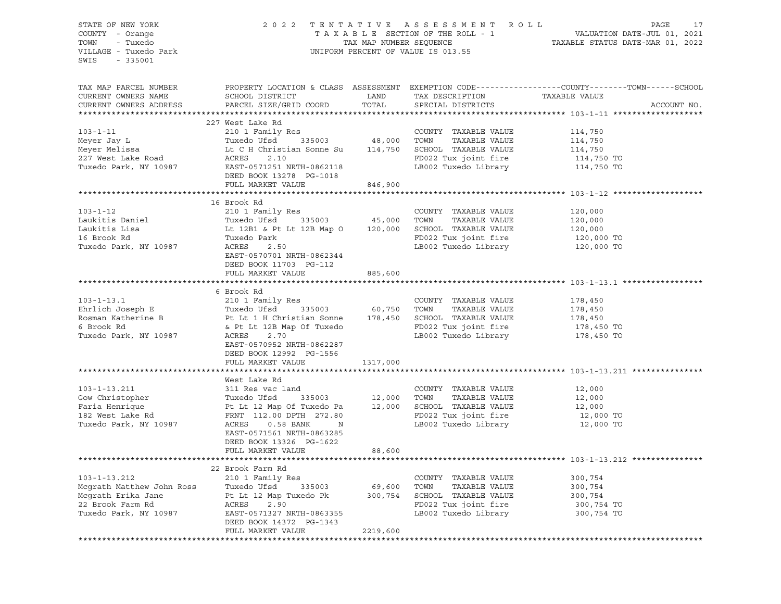| STATE OF NEW YORK<br>SIAIL OF NEW IONS<br>COUNTY - Orange<br>TOWN - Tuxedo<br>VILLAGE - Tuxedo Park<br>SWIS<br>$-335001$                                                                                                                     |                                           |          |                                                                                               |                                                                                                                                       |
|----------------------------------------------------------------------------------------------------------------------------------------------------------------------------------------------------------------------------------------------|-------------------------------------------|----------|-----------------------------------------------------------------------------------------------|---------------------------------------------------------------------------------------------------------------------------------------|
| CURRENT OWNERS NAME<br>CURRENT OWNERS ADDRESS                                                                                                                                                                                                | SCHOOL DISTRICT<br>PARCEL SIZE/GRID COORD |          | LAND TAX DESCRIPTION TAXABLE VALUE<br>TOTAL SPECIAL DISTRICTS                                 | TAX MAP PARCEL NUMBER PROPERTY LOCATION & CLASS ASSESSMENT EXEMPTION CODE----------------COUNTY-------TOWN------SCHOOL<br>ACCOUNT NO. |
| Neyer Jay Land COUNTY TAXABLE VALUE<br>Meyer Jay Land I Family Res<br>Meyer Melissa Land Land Land ACRES 2.10 1 Family Res<br>Meyer Melissa Land Land Land Land ACRES 2.10<br>Tuxedo Park, NY 10987 EAST-0571251 NRTH-0862118<br>DEED BO     |                                           |          |                                                                                               |                                                                                                                                       |
|                                                                                                                                                                                                                                              |                                           |          |                                                                                               |                                                                                                                                       |
|                                                                                                                                                                                                                                              |                                           |          |                                                                                               | 114,750                                                                                                                               |
|                                                                                                                                                                                                                                              |                                           |          |                                                                                               |                                                                                                                                       |
|                                                                                                                                                                                                                                              |                                           |          | TOWN TAXABLE VALUE 114,750<br>SCHOOL TAXABLE VALUE 114,750<br>FD022 Tux joint fire 114,750 TO |                                                                                                                                       |
|                                                                                                                                                                                                                                              |                                           |          | LB002 Tuxedo Library                                                                          | 114,750 TO                                                                                                                            |
|                                                                                                                                                                                                                                              |                                           |          |                                                                                               |                                                                                                                                       |
|                                                                                                                                                                                                                                              | FULL MARKET VALUE                         | 846,900  |                                                                                               |                                                                                                                                       |
|                                                                                                                                                                                                                                              |                                           |          |                                                                                               |                                                                                                                                       |
|                                                                                                                                                                                                                                              | 16 Brook Rd                               |          |                                                                                               |                                                                                                                                       |
| $103 - 1 - 12$                                                                                                                                                                                                                               |                                           |          |                                                                                               |                                                                                                                                       |
|                                                                                                                                                                                                                                              |                                           |          |                                                                                               |                                                                                                                                       |
| 103-1-12 210 1 Family Res COUNTY TAXABLE VALUE 120,000<br>120,000 Ioniel 7uxedo Ufsd 335003 45,000 TOWN TAXABLE VALUE 120,000<br>120,000 Ioniel 1281 & Pt Lt 12B Map 0 120,000 SCHOOL TAXABLE VALUE 120,000<br>16 Brook Rd Tuxedo Pa         |                                           |          |                                                                                               |                                                                                                                                       |
|                                                                                                                                                                                                                                              |                                           |          |                                                                                               |                                                                                                                                       |
| Tuxedo Park, NY 10987                                                                                                                                                                                                                        | ACRES<br>2.50                             |          | LB002 Tuxedo Library 120,000 TO                                                               |                                                                                                                                       |
|                                                                                                                                                                                                                                              | EAST-0570701 NRTH-0862344                 |          |                                                                                               |                                                                                                                                       |
|                                                                                                                                                                                                                                              | DEED BOOK 11703 PG-112                    |          |                                                                                               |                                                                                                                                       |
|                                                                                                                                                                                                                                              | FULL MARKET VALUE                         | 885,600  |                                                                                               |                                                                                                                                       |
|                                                                                                                                                                                                                                              |                                           |          |                                                                                               |                                                                                                                                       |
|                                                                                                                                                                                                                                              | 6 Brook Rd                                |          |                                                                                               |                                                                                                                                       |
|                                                                                                                                                                                                                                              |                                           |          |                                                                                               | 178,450                                                                                                                               |
|                                                                                                                                                                                                                                              |                                           |          |                                                                                               | 178,450                                                                                                                               |
|                                                                                                                                                                                                                                              |                                           |          |                                                                                               | 178,450                                                                                                                               |
| 103-1-13.1 210 1 Family Res<br>Ehrlich Joseph E Tuxedo Ufsd 335003 60,750 TOWN TAXABLE VALUE<br>Rosman Katherine B Pt Lt 1 H Christian Sonne 178,450 SCHOOL TAXABLE VALUE<br>6 Brook Rd<br>6 Brook Reserved Reserved by 1999<br>178,450      |                                           |          | FD022 Tux joint fire 178,450 TO<br>LB002 Tuxedo Library 178,450 TO                            |                                                                                                                                       |
| Tuxedo Park, NY 10987                                                                                                                                                                                                                        | ACRES<br>2.70                             |          |                                                                                               |                                                                                                                                       |
|                                                                                                                                                                                                                                              | EAST-0570952 NRTH-0862287                 |          |                                                                                               |                                                                                                                                       |
|                                                                                                                                                                                                                                              | DEED BOOK 12992 PG-1556                   |          |                                                                                               |                                                                                                                                       |
|                                                                                                                                                                                                                                              | FULL MARKET VALUE                         | 1317,000 |                                                                                               |                                                                                                                                       |
|                                                                                                                                                                                                                                              | West Lake Rd                              |          |                                                                                               |                                                                                                                                       |
| West Lake Runder (2000)<br>311 Res vac land (2000)<br>7000 TOWN TAXABLE VALUE (2000)<br>7000 TOWN TAXABLE VALUE (2000)<br>72,000 TOWN TAXABLE VALUE (2000)<br>72,000 TOWN TAXABLE VALUE (2000)<br>72,000 TOWN TAXABLE VALUE (2000)<br>72,000 |                                           |          |                                                                                               |                                                                                                                                       |
|                                                                                                                                                                                                                                              |                                           |          |                                                                                               |                                                                                                                                       |
|                                                                                                                                                                                                                                              |                                           |          |                                                                                               |                                                                                                                                       |
|                                                                                                                                                                                                                                              |                                           |          |                                                                                               |                                                                                                                                       |
| Tuxedo Park, NY 10987                                                                                                                                                                                                                        | ACRES<br>$0.58$ BANK<br>N                 |          | LB002 Tuxedo Library 12,000 TO                                                                |                                                                                                                                       |
|                                                                                                                                                                                                                                              | EAST-0571561 NRTH-0863285                 |          |                                                                                               |                                                                                                                                       |
|                                                                                                                                                                                                                                              | DEED BOOK 13326 PG-1622                   |          |                                                                                               |                                                                                                                                       |
|                                                                                                                                                                                                                                              | FULL MARKET VALUE                         | 88,600   |                                                                                               |                                                                                                                                       |
|                                                                                                                                                                                                                                              |                                           |          |                                                                                               |                                                                                                                                       |
|                                                                                                                                                                                                                                              | 22 Brook Farm Rd                          |          |                                                                                               |                                                                                                                                       |
| $103 - 1 - 13.212$                                                                                                                                                                                                                           | 210 1 Family Res                          |          | TAXABLE VALUE<br>COUNTY                                                                       | 300,754                                                                                                                               |
| Mcgrath Matthew John Ross                                                                                                                                                                                                                    | Tuxedo Ufsd<br>335003                     | 69,600   | TOWN<br>TAXABLE VALUE                                                                         | 300,754                                                                                                                               |
| Mcgrath Erika Jane                                                                                                                                                                                                                           | Pt Lt 12 Map Tuxedo Pk                    | 300,754  | SCHOOL TAXABLE VALUE                                                                          | 300,754                                                                                                                               |
| 22 Brook Farm Rd                                                                                                                                                                                                                             | ACRES<br>2.90                             |          | FD022 Tux joint fire                                                                          | 300,754 TO                                                                                                                            |
| Tuxedo Park, NY 10987                                                                                                                                                                                                                        | EAST-0571327 NRTH-0863355                 |          | LB002 Tuxedo Library                                                                          | 300,754 TO                                                                                                                            |
|                                                                                                                                                                                                                                              | DEED BOOK 14372 PG-1343                   |          |                                                                                               |                                                                                                                                       |
|                                                                                                                                                                                                                                              | FULL MARKET VALUE                         | 2219,600 |                                                                                               |                                                                                                                                       |
|                                                                                                                                                                                                                                              |                                           |          |                                                                                               |                                                                                                                                       |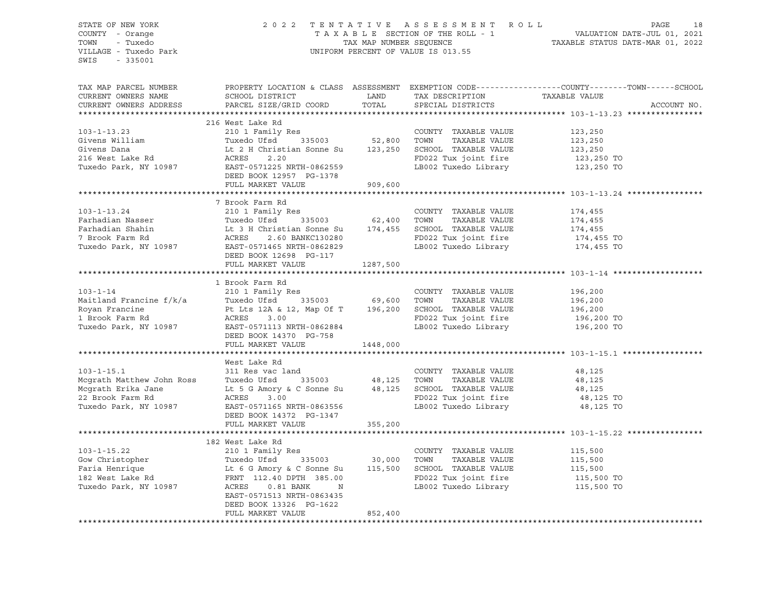STATE OF NEW YORK 2 0 2 2 T E N T A T I V E A S S E S S M E N T R O L L PAGE 18 COUNTY - Orange T A X A B L E SECTION OF THE ROLL - 1 VALUATION DATE-JUL 01, 2021 TRATE OF NEW YORK COUNTY - Orange and the section of the MAC MAP NUMBER SECTION OF THE ROLL PACE ASSESSMENT ROLL TOWN - THE-JUL 01, 2021<br>TOWN - Tuxedo TAX MAP NUMBER SEQUENCE TAXABLE STATUS DATE-MAR 01, 2022<br>VILLAGE - Tuxe UNIFORM PERCENT OF VALUE IS 013.55 SWIS - 335001 TAX MAP PARCEL NUMBER PROPERTY LOCATION & CLASS ASSESSMENT EXEMPTION CODE------------------COUNTY--------TOWN------SCHOOL CURRENT OWNERS NAME SCHOOL DISTRICT LAND TAX DESCRIPTION TAXABLE VALUE CURRENT OWNERS ADDRESS PARCEL SIZE/GRID COORD TOTAL SPECIAL DISTRICTS ACCOUNT NO. \*\*\*\*\*\*\*\*\*\*\*\*\*\*\*\*\*\*\*\*\*\*\*\*\*\*\*\*\*\*\*\*\*\*\*\*\*\*\*\*\*\*\*\*\*\*\*\*\*\*\*\*\*\*\*\*\*\*\*\*\*\*\*\*\*\*\*\*\*\*\*\*\*\*\*\*\*\*\*\*\*\*\*\*\*\*\*\*\*\*\*\*\*\*\*\*\*\*\*\*\*\*\* 103-1-13.23 \*\*\*\*\*\*\*\*\*\*\*\*\*\*\*\* 216 West Lake Rd 103-1-13.23 210 1 Family Res COUNTY TAXABLE VALUE 123,250 Givens William Tuxedo Ufsd 335003 52,800 TOWN TAXABLE VALUE 123,250 Givens Dana Lt 2 H Christian Sonne Su 123,250 SCHOOL TAXABLE VALUE 123,250 216 West Lake Rd ACRES 2.20 FD022 Tux joint fire 123,250 TO Tuxedo Park, NY 10987 EAST-0571225 NRTH-0862559 LB002 Tuxedo Library 123,250 TO DEED BOOK 12957 PG-1378 FULL MARKET VALUE 909,600 \*\*\*\*\*\*\*\*\*\*\*\*\*\*\*\*\*\*\*\*\*\*\*\*\*\*\*\*\*\*\*\*\*\*\*\*\*\*\*\*\*\*\*\*\*\*\*\*\*\*\*\*\*\*\*\*\*\*\*\*\*\*\*\*\*\*\*\*\*\*\*\*\*\*\*\*\*\*\*\*\*\*\*\*\*\*\*\*\*\*\*\*\*\*\*\*\*\*\*\*\*\*\* 103-1-13.24 \*\*\*\*\*\*\*\*\*\*\*\*\*\*\*\* 7 Brook Farm Rd 103-1-13.24 210 1 Family Res COUNTY TAXABLE VALUE 174,455 Farhadian Nasser Tuxedo Ufsd 335003 62,400 TOWN TAXABLE VALUE 174,455 Farhadian Shahin Lt 3 H Christian Sonne Su 174,455 SCHOOL TAXABLE VALUE 174,455 7 Brook Farm Rd ACRES 2.60 BANKC130280 FD022 Tux joint fire 174,455 TO Tuxedo Park, NY 10987 EAST-0571465 NRTH-0862829 LB002 Tuxedo Library 174,455 TO DEED BOOK 12698 PG-117 FULL MARKET VALUE 1287,500 \*\*\*\*\*\*\*\*\*\*\*\*\*\*\*\*\*\*\*\*\*\*\*\*\*\*\*\*\*\*\*\*\*\*\*\*\*\*\*\*\*\*\*\*\*\*\*\*\*\*\*\*\*\*\*\*\*\*\*\*\*\*\*\*\*\*\*\*\*\*\*\*\*\*\*\*\*\*\*\*\*\*\*\*\*\*\*\*\*\*\*\*\*\*\*\*\*\*\*\*\*\*\* 103-1-14 \*\*\*\*\*\*\*\*\*\*\*\*\*\*\*\*\*\*\* 1 Brook Farm Rd 103-1-14 210 1 Family Res COUNTY TAXABLE VALUE 196,200 Maitland Francine f/k/a Tuxedo Ufsd 335003 69,600 TOWN TAXABLE VALUE 196,200 Royan Francine Pt Lts 12A & 12, Map Of T 196,200 SCHOOL TAXABLE VALUE 196,200 1 Brook Farm Rd ACRES 3.00 FD022 Tux joint fire 196,200 TO Tuxedo Park, NY 10987 EAST-0571113 NRTH-0862884 LB002 Tuxedo Library 196,200 TO DEED BOOK 14370 PG-758 FULL MARKET VALUE 1448,000 \*\*\*\*\*\*\*\*\*\*\*\*\*\*\*\*\*\*\*\*\*\*\*\*\*\*\*\*\*\*\*\*\*\*\*\*\*\*\*\*\*\*\*\*\*\*\*\*\*\*\*\*\*\*\*\*\*\*\*\*\*\*\*\*\*\*\*\*\*\*\*\*\*\*\*\*\*\*\*\*\*\*\*\*\*\*\*\*\*\*\*\*\*\*\*\*\*\*\*\*\*\*\* 103-1-15.1 \*\*\*\*\*\*\*\*\*\*\*\*\*\*\*\*\* West Lake Rd<br>311 Res vac land 103-1-15.1 311 Res vac land COUNTY TAXABLE VALUE 48,125 Mcgrath Matthew John Ross Tuxedo Ufsd 335003 48,125 TOWN TAXABLE VALUE 48,125 Mcgrath Erika Jane Lt 5 G Amory & C Sonne Su 48,125 SCHOOL TAXABLE VALUE 48,125 22 Brook Farm Rd ACRES 3.00 FD022 Tux joint fire 48,125 TO Tuxedo Park, NY 10987 EAST-0571165 NRTH-0863556 LB002 Tuxedo Library 48,125 TO DEED BOOK 14372 PG-1347 FULL MARKET VALUE 355,200 \*\*\*\*\*\*\*\*\*\*\*\*\*\*\*\*\*\*\*\*\*\*\*\*\*\*\*\*\*\*\*\*\*\*\*\*\*\*\*\*\*\*\*\*\*\*\*\*\*\*\*\*\*\*\*\*\*\*\*\*\*\*\*\*\*\*\*\*\*\*\*\*\*\*\*\*\*\*\*\*\*\*\*\*\*\*\*\*\*\*\*\*\*\*\*\*\*\*\*\*\*\*\* 103-1-15.22 \*\*\*\*\*\*\*\*\*\*\*\*\*\*\*\* 182 West Lake Rd 103-1-15.22 210 1 Family Res COUNTY TAXABLE VALUE 115,500 Gow Christopher Tuxedo Ufsd 335003 30,000 TOWN TAXABLE VALUE 115,500 Faria Henrique Lt 6 G Amory & C Sonne Su 115,500 SCHOOL TAXABLE VALUE 115,500 182 West Lake Rd FRNT 112.40 DPTH 385.00 FD022 Tux joint fire 115,500 TO Tuxedo Park, NY 10987 ACRES 0.81 BANK N LB002 Tuxedo Library 115,500 TO EAST-0571513 NRTH-0863435 DEED BOOK 13326 PG-1622 FULL MARKET VALUE 852,400 \*\*\*\*\*\*\*\*\*\*\*\*\*\*\*\*\*\*\*\*\*\*\*\*\*\*\*\*\*\*\*\*\*\*\*\*\*\*\*\*\*\*\*\*\*\*\*\*\*\*\*\*\*\*\*\*\*\*\*\*\*\*\*\*\*\*\*\*\*\*\*\*\*\*\*\*\*\*\*\*\*\*\*\*\*\*\*\*\*\*\*\*\*\*\*\*\*\*\*\*\*\*\*\*\*\*\*\*\*\*\*\*\*\*\*\*\*\*\*\*\*\*\*\*\*\*\*\*\*\*\*\*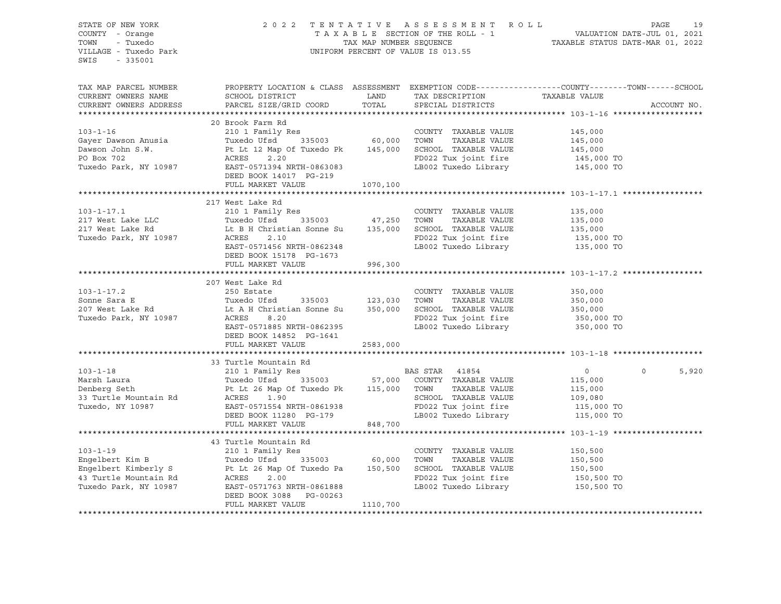|                       | 103-1-17.2<br>Son Estate COUNTY TAXABLE VALUE<br>207 West Lake Rd Lt A H Christian Sonne Su 350,000<br>207 West Lake Rd Lt A H Christian Sonne Su 350,000 SCHOOL TAXABLE VALUE<br>207 West Lake Rd Lt A H Christian Sonne Su 350,000 S<br>DEED BOOK 14852 PG-1641<br>FULL MARKET VALUE 2583,000<br>33 Turtle Mountain Rd<br>33 Turtle Mountain Rd<br>210 1 Family Res<br>Marsh Laura Tuxedo Ufsd<br>210 1 Family Res<br>210 1 Family Res<br>210 1 Family Res<br>210 1 Family Res<br>210 1 Family Res<br>210 1 Family Res<br>210 1 Family Res<br>210 1 F<br>43 Turtle Mountain Rd<br>103-1-19<br>Engelbert Kim B<br>Engelbert Kimberly S<br>Engelbert Kimberly S<br>Engelbert Kimberly S<br>Engelbert Kimberly S<br>Et Le Map Of Tuxedo Park and Tuxedo Park, NY 10987<br>EAST-0571763 NRTH-0861888<br>EAST-0571763 NRTH-0861888<br>E |  | $\overline{0}$<br>$0 \qquad \qquad$                                                                                                                                                                     | 5,920 |
|-----------------------|--------------------------------------------------------------------------------------------------------------------------------------------------------------------------------------------------------------------------------------------------------------------------------------------------------------------------------------------------------------------------------------------------------------------------------------------------------------------------------------------------------------------------------------------------------------------------------------------------------------------------------------------------------------------------------------------------------------------------------------------------------------------------------------------------------------------------------------|--|---------------------------------------------------------------------------------------------------------------------------------------------------------------------------------------------------------|-------|
|                       |                                                                                                                                                                                                                                                                                                                                                                                                                                                                                                                                                                                                                                                                                                                                                                                                                                      |  |                                                                                                                                                                                                         |       |
|                       |                                                                                                                                                                                                                                                                                                                                                                                                                                                                                                                                                                                                                                                                                                                                                                                                                                      |  |                                                                                                                                                                                                         |       |
|                       |                                                                                                                                                                                                                                                                                                                                                                                                                                                                                                                                                                                                                                                                                                                                                                                                                                      |  |                                                                                                                                                                                                         |       |
|                       |                                                                                                                                                                                                                                                                                                                                                                                                                                                                                                                                                                                                                                                                                                                                                                                                                                      |  |                                                                                                                                                                                                         |       |
|                       |                                                                                                                                                                                                                                                                                                                                                                                                                                                                                                                                                                                                                                                                                                                                                                                                                                      |  |                                                                                                                                                                                                         |       |
|                       |                                                                                                                                                                                                                                                                                                                                                                                                                                                                                                                                                                                                                                                                                                                                                                                                                                      |  |                                                                                                                                                                                                         |       |
|                       |                                                                                                                                                                                                                                                                                                                                                                                                                                                                                                                                                                                                                                                                                                                                                                                                                                      |  |                                                                                                                                                                                                         |       |
|                       |                                                                                                                                                                                                                                                                                                                                                                                                                                                                                                                                                                                                                                                                                                                                                                                                                                      |  |                                                                                                                                                                                                         |       |
|                       |                                                                                                                                                                                                                                                                                                                                                                                                                                                                                                                                                                                                                                                                                                                                                                                                                                      |  |                                                                                                                                                                                                         |       |
|                       |                                                                                                                                                                                                                                                                                                                                                                                                                                                                                                                                                                                                                                                                                                                                                                                                                                      |  |                                                                                                                                                                                                         |       |
|                       |                                                                                                                                                                                                                                                                                                                                                                                                                                                                                                                                                                                                                                                                                                                                                                                                                                      |  |                                                                                                                                                                                                         |       |
|                       |                                                                                                                                                                                                                                                                                                                                                                                                                                                                                                                                                                                                                                                                                                                                                                                                                                      |  |                                                                                                                                                                                                         |       |
|                       |                                                                                                                                                                                                                                                                                                                                                                                                                                                                                                                                                                                                                                                                                                                                                                                                                                      |  |                                                                                                                                                                                                         |       |
|                       |                                                                                                                                                                                                                                                                                                                                                                                                                                                                                                                                                                                                                                                                                                                                                                                                                                      |  |                                                                                                                                                                                                         |       |
|                       |                                                                                                                                                                                                                                                                                                                                                                                                                                                                                                                                                                                                                                                                                                                                                                                                                                      |  |                                                                                                                                                                                                         |       |
|                       |                                                                                                                                                                                                                                                                                                                                                                                                                                                                                                                                                                                                                                                                                                                                                                                                                                      |  |                                                                                                                                                                                                         |       |
|                       |                                                                                                                                                                                                                                                                                                                                                                                                                                                                                                                                                                                                                                                                                                                                                                                                                                      |  |                                                                                                                                                                                                         |       |
|                       |                                                                                                                                                                                                                                                                                                                                                                                                                                                                                                                                                                                                                                                                                                                                                                                                                                      |  |                                                                                                                                                                                                         |       |
|                       |                                                                                                                                                                                                                                                                                                                                                                                                                                                                                                                                                                                                                                                                                                                                                                                                                                      |  |                                                                                                                                                                                                         |       |
|                       |                                                                                                                                                                                                                                                                                                                                                                                                                                                                                                                                                                                                                                                                                                                                                                                                                                      |  |                                                                                                                                                                                                         |       |
|                       |                                                                                                                                                                                                                                                                                                                                                                                                                                                                                                                                                                                                                                                                                                                                                                                                                                      |  |                                                                                                                                                                                                         |       |
|                       |                                                                                                                                                                                                                                                                                                                                                                                                                                                                                                                                                                                                                                                                                                                                                                                                                                      |  |                                                                                                                                                                                                         |       |
|                       | 207 West Lake Rd                                                                                                                                                                                                                                                                                                                                                                                                                                                                                                                                                                                                                                                                                                                                                                                                                     |  |                                                                                                                                                                                                         |       |
|                       |                                                                                                                                                                                                                                                                                                                                                                                                                                                                                                                                                                                                                                                                                                                                                                                                                                      |  |                                                                                                                                                                                                         |       |
|                       |                                                                                                                                                                                                                                                                                                                                                                                                                                                                                                                                                                                                                                                                                                                                                                                                                                      |  |                                                                                                                                                                                                         |       |
|                       |                                                                                                                                                                                                                                                                                                                                                                                                                                                                                                                                                                                                                                                                                                                                                                                                                                      |  |                                                                                                                                                                                                         |       |
|                       |                                                                                                                                                                                                                                                                                                                                                                                                                                                                                                                                                                                                                                                                                                                                                                                                                                      |  |                                                                                                                                                                                                         |       |
|                       |                                                                                                                                                                                                                                                                                                                                                                                                                                                                                                                                                                                                                                                                                                                                                                                                                                      |  |                                                                                                                                                                                                         |       |
|                       |                                                                                                                                                                                                                                                                                                                                                                                                                                                                                                                                                                                                                                                                                                                                                                                                                                      |  |                                                                                                                                                                                                         |       |
|                       |                                                                                                                                                                                                                                                                                                                                                                                                                                                                                                                                                                                                                                                                                                                                                                                                                                      |  |                                                                                                                                                                                                         |       |
|                       | 217 West Lake Rd<br>217 West Lake Rd<br>217 West Lake LLC<br>217 West Lake LLC<br>217 West Lake Rd<br>217 West Lake Rd<br>217 West Lake Rd<br>217 West Lake Rd<br>217 West Lake Rd<br>217 West Lake Rd<br>217 West Lake Rd<br>217 West Lake Rd<br>217                                                                                                                                                                                                                                                                                                                                                                                                                                                                                                                                                                                |  |                                                                                                                                                                                                         |       |
|                       | 217 West Lake Rd                                                                                                                                                                                                                                                                                                                                                                                                                                                                                                                                                                                                                                                                                                                                                                                                                     |  |                                                                                                                                                                                                         |       |
|                       |                                                                                                                                                                                                                                                                                                                                                                                                                                                                                                                                                                                                                                                                                                                                                                                                                                      |  |                                                                                                                                                                                                         |       |
|                       |                                                                                                                                                                                                                                                                                                                                                                                                                                                                                                                                                                                                                                                                                                                                                                                                                                      |  |                                                                                                                                                                                                         |       |
|                       | 103-1-16<br>20 Brook Farm Rd<br>210 1 Family Res<br>Gayer Dawson Anusia<br>Tuxedo If 210 1 Family Res<br>Tuxedo If 210 1 Family Res<br>2.10 1 Family Res<br>2.10 60,000 TOWN TAXABLE VALUE<br>2.145,000<br>20 Brook 702<br>2.20 FORD BOX 702<br>2.2                                                                                                                                                                                                                                                                                                                                                                                                                                                                                                                                                                                  |  |                                                                                                                                                                                                         |       |
|                       |                                                                                                                                                                                                                                                                                                                                                                                                                                                                                                                                                                                                                                                                                                                                                                                                                                      |  |                                                                                                                                                                                                         |       |
|                       |                                                                                                                                                                                                                                                                                                                                                                                                                                                                                                                                                                                                                                                                                                                                                                                                                                      |  |                                                                                                                                                                                                         |       |
|                       |                                                                                                                                                                                                                                                                                                                                                                                                                                                                                                                                                                                                                                                                                                                                                                                                                                      |  |                                                                                                                                                                                                         |       |
|                       |                                                                                                                                                                                                                                                                                                                                                                                                                                                                                                                                                                                                                                                                                                                                                                                                                                      |  |                                                                                                                                                                                                         |       |
|                       |                                                                                                                                                                                                                                                                                                                                                                                                                                                                                                                                                                                                                                                                                                                                                                                                                                      |  |                                                                                                                                                                                                         |       |
|                       |                                                                                                                                                                                                                                                                                                                                                                                                                                                                                                                                                                                                                                                                                                                                                                                                                                      |  |                                                                                                                                                                                                         |       |
|                       | 20 Brook Farm Rd                                                                                                                                                                                                                                                                                                                                                                                                                                                                                                                                                                                                                                                                                                                                                                                                                     |  |                                                                                                                                                                                                         |       |
|                       |                                                                                                                                                                                                                                                                                                                                                                                                                                                                                                                                                                                                                                                                                                                                                                                                                                      |  |                                                                                                                                                                                                         |       |
|                       |                                                                                                                                                                                                                                                                                                                                                                                                                                                                                                                                                                                                                                                                                                                                                                                                                                      |  | ACCOUNT NO.                                                                                                                                                                                             |       |
|                       |                                                                                                                                                                                                                                                                                                                                                                                                                                                                                                                                                                                                                                                                                                                                                                                                                                      |  |                                                                                                                                                                                                         |       |
| TAX MAP PARCEL NUMBER |                                                                                                                                                                                                                                                                                                                                                                                                                                                                                                                                                                                                                                                                                                                                                                                                                                      |  | PROPERTY LOCATION & CLASS ASSESSMENT EXEMPTION CODE----------------COUNTY-------TOWN------SCHOOL                                                                                                        |       |
|                       |                                                                                                                                                                                                                                                                                                                                                                                                                                                                                                                                                                                                                                                                                                                                                                                                                                      |  |                                                                                                                                                                                                         |       |
|                       |                                                                                                                                                                                                                                                                                                                                                                                                                                                                                                                                                                                                                                                                                                                                                                                                                                      |  |                                                                                                                                                                                                         |       |
| SWIS - 335001         |                                                                                                                                                                                                                                                                                                                                                                                                                                                                                                                                                                                                                                                                                                                                                                                                                                      |  |                                                                                                                                                                                                         |       |
| VILLAGE - Tuxedo Park |                                                                                                                                                                                                                                                                                                                                                                                                                                                                                                                                                                                                                                                                                                                                                                                                                                      |  | 2022 TENTATIVE ASSESSMENT ROLL PAGE 19<br>TAXABLE SECTION OF THE ROLL - 1 VALUATION DATE-JUL 01, 2021<br>TAX MAP NUMBER SEQUENCE TAXABLE STATUS DATE-MAR 01, 2022<br>UNIFORM PERCENT OF VALUE IS 013.55 |       |
|                       |                                                                                                                                                                                                                                                                                                                                                                                                                                                                                                                                                                                                                                                                                                                                                                                                                                      |  |                                                                                                                                                                                                         |       |
| TOWN - Tuxedo         |                                                                                                                                                                                                                                                                                                                                                                                                                                                                                                                                                                                                                                                                                                                                                                                                                                      |  |                                                                                                                                                                                                         |       |
| COUNTY - Orange       |                                                                                                                                                                                                                                                                                                                                                                                                                                                                                                                                                                                                                                                                                                                                                                                                                                      |  |                                                                                                                                                                                                         |       |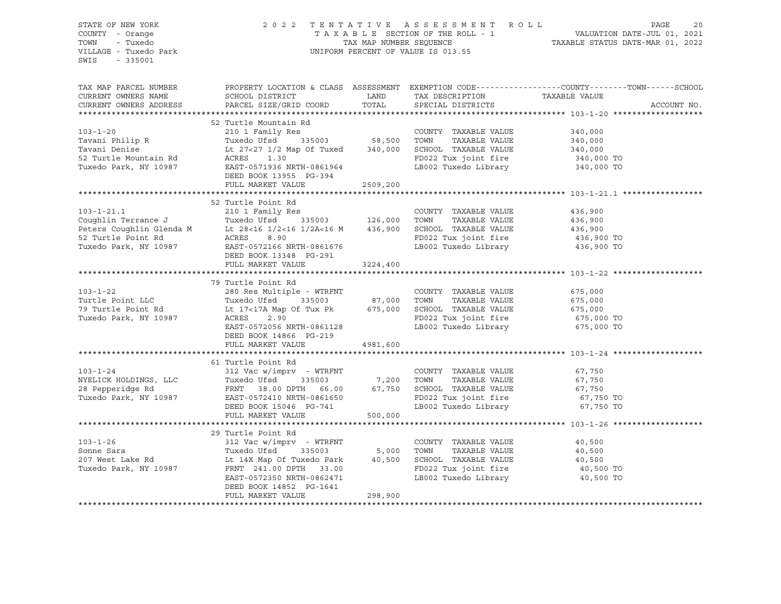| STATE OF NEW YORK<br>COUNTY - Orange<br>TOWN - Tuxedo<br>VILLAGE - Tuxedo Park<br>SWIS - 335001                                                                                                                                                        |                                                                                                                                                                                                                                                     | 2022 TENTATIVE ASSESSMENT ROLL PAGE 20<br>TAXABLE SECTION OF THE ROLL - 1 VALUATION DATE-JUL 01, 2021<br>TAX MAP NUMBER SEQUENCE TAXABLE STATUS DATE-MAR 01, 2022<br>UNIFORM PERCENT OF VALUE IS 013.55 |  |                                                                                                                                                                                                                                |  |
|--------------------------------------------------------------------------------------------------------------------------------------------------------------------------------------------------------------------------------------------------------|-----------------------------------------------------------------------------------------------------------------------------------------------------------------------------------------------------------------------------------------------------|---------------------------------------------------------------------------------------------------------------------------------------------------------------------------------------------------------|--|--------------------------------------------------------------------------------------------------------------------------------------------------------------------------------------------------------------------------------|--|
|                                                                                                                                                                                                                                                        |                                                                                                                                                                                                                                                     |                                                                                                                                                                                                         |  |                                                                                                                                                                                                                                |  |
|                                                                                                                                                                                                                                                        |                                                                                                                                                                                                                                                     |                                                                                                                                                                                                         |  | TAX MAP PARCEL NUMBER BOOPERTY LOCATION & CLASS ASSESSMENT EXEMPTION CODE----------------COUNTY--------TOWN------SCHOOL CURRENT OWNERS NAME SCHOOL DISTRICT LAND TAX DESCRIPTION TAXABLE VALUE CURRENT OWNERS ADDRESS PARCEL S |  |
|                                                                                                                                                                                                                                                        |                                                                                                                                                                                                                                                     |                                                                                                                                                                                                         |  |                                                                                                                                                                                                                                |  |
|                                                                                                                                                                                                                                                        |                                                                                                                                                                                                                                                     |                                                                                                                                                                                                         |  |                                                                                                                                                                                                                                |  |
|                                                                                                                                                                                                                                                        |                                                                                                                                                                                                                                                     |                                                                                                                                                                                                         |  |                                                                                                                                                                                                                                |  |
|                                                                                                                                                                                                                                                        |                                                                                                                                                                                                                                                     |                                                                                                                                                                                                         |  |                                                                                                                                                                                                                                |  |
|                                                                                                                                                                                                                                                        |                                                                                                                                                                                                                                                     |                                                                                                                                                                                                         |  |                                                                                                                                                                                                                                |  |
|                                                                                                                                                                                                                                                        |                                                                                                                                                                                                                                                     |                                                                                                                                                                                                         |  |                                                                                                                                                                                                                                |  |
|                                                                                                                                                                                                                                                        |                                                                                                                                                                                                                                                     |                                                                                                                                                                                                         |  |                                                                                                                                                                                                                                |  |
|                                                                                                                                                                                                                                                        |                                                                                                                                                                                                                                                     |                                                                                                                                                                                                         |  |                                                                                                                                                                                                                                |  |
|                                                                                                                                                                                                                                                        | FULL MARKET VALUE 2509,200                                                                                                                                                                                                                          |                                                                                                                                                                                                         |  |                                                                                                                                                                                                                                |  |
|                                                                                                                                                                                                                                                        |                                                                                                                                                                                                                                                     |                                                                                                                                                                                                         |  |                                                                                                                                                                                                                                |  |
|                                                                                                                                                                                                                                                        | 52 Turtle Point Rd                                                                                                                                                                                                                                  |                                                                                                                                                                                                         |  |                                                                                                                                                                                                                                |  |
|                                                                                                                                                                                                                                                        |                                                                                                                                                                                                                                                     |                                                                                                                                                                                                         |  |                                                                                                                                                                                                                                |  |
|                                                                                                                                                                                                                                                        |                                                                                                                                                                                                                                                     |                                                                                                                                                                                                         |  |                                                                                                                                                                                                                                |  |
|                                                                                                                                                                                                                                                        |                                                                                                                                                                                                                                                     |                                                                                                                                                                                                         |  |                                                                                                                                                                                                                                |  |
|                                                                                                                                                                                                                                                        |                                                                                                                                                                                                                                                     |                                                                                                                                                                                                         |  |                                                                                                                                                                                                                                |  |
| 32 Turtle Point Rd<br>2103-1-21.1<br>Country TAXABLE VALUE<br>Couphlin Terrance J<br>Peters Coughlin Glenda M<br>26,000 TOWN TAXABLE VALUE<br>28-16 1/2<16 1/2A<16 M<br>28.900 10000 TOWN TAXABLE VALUE<br>28-16 1/2<16 1/2A<16 M<br>436,900 SCH       |                                                                                                                                                                                                                                                     |                                                                                                                                                                                                         |  |                                                                                                                                                                                                                                |  |
|                                                                                                                                                                                                                                                        |                                                                                                                                                                                                                                                     | 3224,400                                                                                                                                                                                                |  |                                                                                                                                                                                                                                |  |
|                                                                                                                                                                                                                                                        | FULL MARKET VALUE                                                                                                                                                                                                                                   |                                                                                                                                                                                                         |  |                                                                                                                                                                                                                                |  |
|                                                                                                                                                                                                                                                        | 79 Turtle Point Rd                                                                                                                                                                                                                                  |                                                                                                                                                                                                         |  |                                                                                                                                                                                                                                |  |
|                                                                                                                                                                                                                                                        |                                                                                                                                                                                                                                                     |                                                                                                                                                                                                         |  |                                                                                                                                                                                                                                |  |
|                                                                                                                                                                                                                                                        |                                                                                                                                                                                                                                                     |                                                                                                                                                                                                         |  |                                                                                                                                                                                                                                |  |
|                                                                                                                                                                                                                                                        |                                                                                                                                                                                                                                                     |                                                                                                                                                                                                         |  |                                                                                                                                                                                                                                |  |
|                                                                                                                                                                                                                                                        |                                                                                                                                                                                                                                                     |                                                                                                                                                                                                         |  |                                                                                                                                                                                                                                |  |
| V9 TUTLE POINT AND TUTLE VALUE<br>Turtle Point LLC<br>Turtle Point Rd<br>Turtle Point Rd<br>Turedo Park, NY 10987<br>Tuxedo Park, NY 10987<br>Tuxedo Park, NY 10987<br>Tuxedo Park, NY 10987<br>Tuxedo Park, NY 10987<br>Tuxedo Park, NY 10987<br>     |                                                                                                                                                                                                                                                     |                                                                                                                                                                                                         |  |                                                                                                                                                                                                                                |  |
|                                                                                                                                                                                                                                                        | DEED BOOK 14866 PG-219                                                                                                                                                                                                                              |                                                                                                                                                                                                         |  |                                                                                                                                                                                                                                |  |
|                                                                                                                                                                                                                                                        | FULL MARKET VALUE 4981,600                                                                                                                                                                                                                          |                                                                                                                                                                                                         |  |                                                                                                                                                                                                                                |  |
|                                                                                                                                                                                                                                                        |                                                                                                                                                                                                                                                     |                                                                                                                                                                                                         |  |                                                                                                                                                                                                                                |  |
| $103 - 1 - 24$                                                                                                                                                                                                                                         | 61 Turtle Point Rd                                                                                                                                                                                                                                  |                                                                                                                                                                                                         |  |                                                                                                                                                                                                                                |  |
|                                                                                                                                                                                                                                                        |                                                                                                                                                                                                                                                     |                                                                                                                                                                                                         |  |                                                                                                                                                                                                                                |  |
|                                                                                                                                                                                                                                                        |                                                                                                                                                                                                                                                     |                                                                                                                                                                                                         |  |                                                                                                                                                                                                                                |  |
|                                                                                                                                                                                                                                                        |                                                                                                                                                                                                                                                     |                                                                                                                                                                                                         |  |                                                                                                                                                                                                                                |  |
|                                                                                                                                                                                                                                                        |                                                                                                                                                                                                                                                     |                                                                                                                                                                                                         |  |                                                                                                                                                                                                                                |  |
| 103-1-24<br>NYELICK HOLDINGS, LLC<br>28 Pepperidge Rd<br>Tuxedo Park, NY 10987<br>TULL MARKET VALUE<br>TULL MARKET VALUE<br>TULL MARKET VALUE<br>TULL MARKET VALUE<br>TULL MARKET VALUE<br>TULL MARKET VALUE<br>TULL MARKET VALUE<br>200,000<br>200,00 |                                                                                                                                                                                                                                                     |                                                                                                                                                                                                         |  |                                                                                                                                                                                                                                |  |
|                                                                                                                                                                                                                                                        |                                                                                                                                                                                                                                                     |                                                                                                                                                                                                         |  |                                                                                                                                                                                                                                |  |
|                                                                                                                                                                                                                                                        | 29 Turtle Point Rd                                                                                                                                                                                                                                  |                                                                                                                                                                                                         |  |                                                                                                                                                                                                                                |  |
|                                                                                                                                                                                                                                                        |                                                                                                                                                                                                                                                     |                                                                                                                                                                                                         |  |                                                                                                                                                                                                                                |  |
|                                                                                                                                                                                                                                                        |                                                                                                                                                                                                                                                     |                                                                                                                                                                                                         |  |                                                                                                                                                                                                                                |  |
|                                                                                                                                                                                                                                                        |                                                                                                                                                                                                                                                     |                                                                                                                                                                                                         |  |                                                                                                                                                                                                                                |  |
|                                                                                                                                                                                                                                                        |                                                                                                                                                                                                                                                     |                                                                                                                                                                                                         |  |                                                                                                                                                                                                                                |  |
|                                                                                                                                                                                                                                                        | 103-1-26<br>29 Turtle Point Rd<br>312 Vac w/imprv - WTRFNT<br>312 Vac w/imprv - WTRFNT<br>207 West Lake Rd<br>207 West Lake Rd<br>207 West Lake Rd<br>207 West Lake Rd<br>207 West Lake Rd<br>207 West Lake Rd<br>207 West Lake Rd<br>207 West Lake |                                                                                                                                                                                                         |  |                                                                                                                                                                                                                                |  |
|                                                                                                                                                                                                                                                        | DEED BOOK 14852 PG-1641<br>FULL MARKET VALUE 298,900                                                                                                                                                                                                |                                                                                                                                                                                                         |  |                                                                                                                                                                                                                                |  |
|                                                                                                                                                                                                                                                        |                                                                                                                                                                                                                                                     |                                                                                                                                                                                                         |  |                                                                                                                                                                                                                                |  |
|                                                                                                                                                                                                                                                        |                                                                                                                                                                                                                                                     |                                                                                                                                                                                                         |  |                                                                                                                                                                                                                                |  |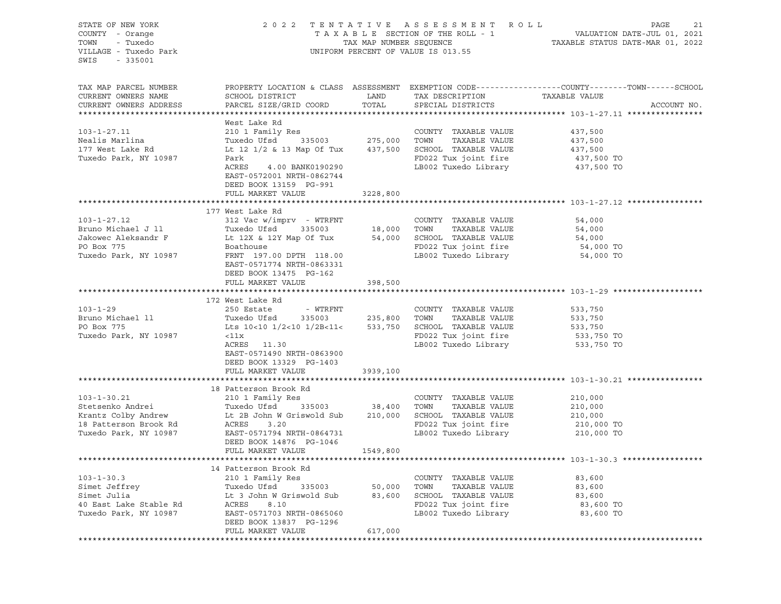| STATE OF NEW YORK<br>COUNTY - Orange<br>- Tuxedo<br>TOWN<br>VILLAGE - Tuxedo Park<br>$-335001$<br>SWIS                                                      | 2022 TENTATIVE ASSESSMENT ROLL<br>UNIFORM PERCENT OF VALUE IS 013.55                                                                                                                                                                              | PAGE<br>21<br>TAXABLE SECTION OF THE ROLL - 1<br>TAXABLE STATUS DATE-JUL 01, 2021<br>TAXABLE STATUS DATE-MAR 01, 2022 |                                                                                                                              |                                                                                                                                  |
|-------------------------------------------------------------------------------------------------------------------------------------------------------------|---------------------------------------------------------------------------------------------------------------------------------------------------------------------------------------------------------------------------------------------------|-----------------------------------------------------------------------------------------------------------------------|------------------------------------------------------------------------------------------------------------------------------|----------------------------------------------------------------------------------------------------------------------------------|
| TAX MAP PARCEL NUMBER<br>CURRENT OWNERS NAME<br>CURRENT OWNERS ADDRESS                                                                                      | SCHOOL DISTRICT<br>PARCEL SIZE/GRID COORD                                                                                                                                                                                                         | <b>EXAMPLE THE STATE OF STATE OF STATE</b><br>TOTAL                                                                   | TAX DESCRIPTION<br>SPECIAL DISTRICTS                                                                                         | PROPERTY LOCATION & CLASS ASSESSMENT EXEMPTION CODE----------------COUNTY-------TOWN------SCHOOL<br>TAXABLE VALUE<br>ACCOUNT NO. |
|                                                                                                                                                             | West Lake Rd                                                                                                                                                                                                                                      |                                                                                                                       |                                                                                                                              |                                                                                                                                  |
| $103 - 1 - 27.11$<br>Nealis Marlina<br>177 West Lake Rd<br>Tuxedo Park, NY 10987                                                                            | 210 1 Family Res<br>335003 275,000<br>Tuxedo Ufsd<br>Lt 12 1/2 & 13 Map Of Tux 437,500 SCHOOL TAXABLE VALUE<br>Park<br>ACRES 4.00 BANK0190290<br>EAST-0572001 NRTH-0862744<br>DEED BOOK 13159 PG-991<br>FULL MARKET VALUE                         | 3228,800                                                                                                              | COUNTY TAXABLE VALUE<br>TOWN<br>TAXABLE VALUE<br>FD022 Tux joint fire<br>LB002 Tuxedo Library                                | 437,500<br>437,500<br>437,500<br>437,500 TO<br>437,500 TO                                                                        |
|                                                                                                                                                             |                                                                                                                                                                                                                                                   |                                                                                                                       |                                                                                                                              |                                                                                                                                  |
| $103 - 1 - 27.12$<br>Bruno Michael J 11 Tuxedo Ufsd 335003<br>Jakowec Aleksandr F 12X & 12Y Map Of Tux<br>PO Box 775<br>PO Box 775<br>Tuxedo Park, NY 10987 | 177 West Lake Rd<br>312 Vac w/imprv - WTRFNT<br>Tuxedo Ufsd 335003 18,000<br>Boathouse<br>FRNT 197.00 DPTH 118.00<br>EAST-0571774 NRTH-0863331<br>DEED BOOK 13475 PG-162<br>FULL MARKET VALUE 398,500                                             |                                                                                                                       | COUNTY TAXABLE VALUE<br>TOWN<br>TAXABLE VALUE<br>54,000 SCHOOL TAXABLE VALUE<br>FD022 Tux joint fire<br>LB002 Tuxedo Library | 54,000<br>54,000<br>54,000<br>54,000 TO<br>54,000 TO                                                                             |
|                                                                                                                                                             |                                                                                                                                                                                                                                                   |                                                                                                                       |                                                                                                                              |                                                                                                                                  |
| $103 - 1 - 29$<br>Bruno Michael 11<br>PO Box 775<br>Tuxedo Park, NY 10987                                                                                   | 172 West Lake Rd<br>250 Estate - WTRFNT<br>Tuxedo Ufsd 335003 235,800 TOWN<br>Lts $10<10$ $1/2<10$ $1/2B<11<$ 533,750 SCHOOL TAXABLE VALUE<br>$<$ 11x<br>ACRES 11.30<br>EAST-0571490 NRTH-0863900<br>DEED BOOK 13329 PG-1403<br>FULL MARKET VALUE | 3939,100                                                                                                              | COUNTY TAXABLE VALUE<br>TAXABLE VALUE<br>FD022 Tux joint fire<br>LB002 Tuxedo Library                                        | 533,750<br>533,750<br>533,750<br>533,750 TO<br>533,750 TO                                                                        |
|                                                                                                                                                             |                                                                                                                                                                                                                                                   |                                                                                                                       |                                                                                                                              |                                                                                                                                  |
| $103 - 1 - 30.21$                                                                                                                                           | 18 Patterson Brook Rd<br>210 1 Family Res                                                                                                                                                                                                         |                                                                                                                       | COUNTY TAXABLE VALUE<br>TOWN<br>TAXABLE VALUE<br>SCHOOL TAXABLE VALUE<br>FD022 Tux joint fire<br>LB002 Tuxedo Library        | 210,000<br>210,000<br>210,000<br>210,000 TO<br>210,000 TO                                                                        |
|                                                                                                                                                             | DEED BOOK 14876 PG-1046<br>FULL MARKET VALUE                                                                                                                                                                                                      | 1549,800                                                                                                              |                                                                                                                              |                                                                                                                                  |
|                                                                                                                                                             |                                                                                                                                                                                                                                                   |                                                                                                                       |                                                                                                                              |                                                                                                                                  |
| $103 - 1 - 30.3$<br>Simet Jeffrey<br>Simet Julia<br>40 East Lake Stable Rd<br>Tuxedo Park, NY 10987                                                         | 14 Patterson Brook Rd<br>210 1 Family Res<br>Tuxedo Ufsd<br>335003<br>Lt 3 John W Griswold Sub<br>ACRES<br>8.10<br>EAST-0571703 NRTH-0865060<br>DEED BOOK 13837 PG-1296<br>FULL MARKET VALUE                                                      | 50,000<br>83,600<br>617,000                                                                                           | TAXABLE VALUE<br>COUNTY<br>TOWN<br>TAXABLE VALUE<br>SCHOOL<br>TAXABLE VALUE<br>FD022 Tux joint fire<br>LB002 Tuxedo Library  | 83,600<br>83,600<br>83,600<br>83,600 TO<br>83,600 TO                                                                             |
|                                                                                                                                                             |                                                                                                                                                                                                                                                   |                                                                                                                       |                                                                                                                              |                                                                                                                                  |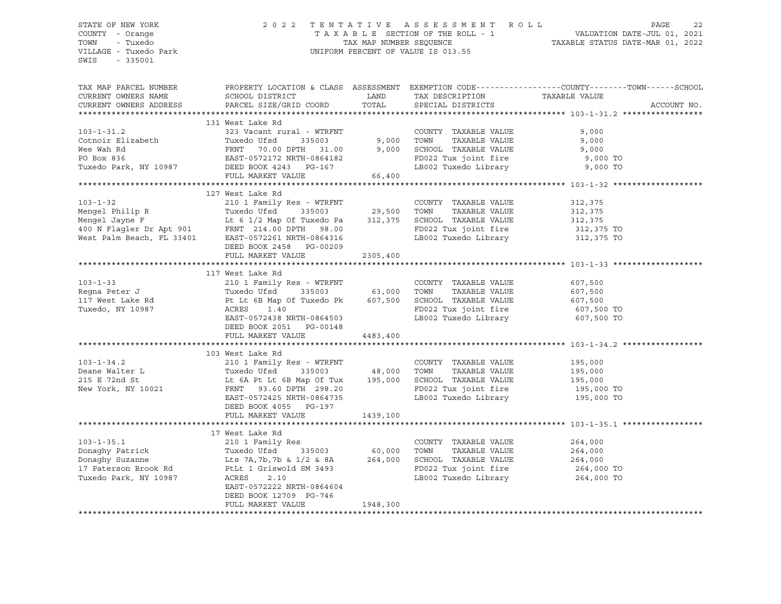#### STATE OF NEW YORK 2 0 2 2 T E N T A T I V E A S S E S S M E N T R O L L PAGE 22 COUNTY - Orange T A X A B L E SECTION OF THE ROLL - 1 VALUATION DATE-JUL 01, 2021 TOWN - Tuxedo TAX MAP NUMBER SEQUENCE TAXABLE STATUS DATE-MAR 01, 2022 VILLAGE - Tuxedo Park UNIFORM PERCENT OF VALUE IS 013.55

| TAX MAP PARCEL NUMBER<br>CURRENT OWNERS NAME<br>CURRENT OWNERS ADDRESS                                                                                                                                                                                 | SCHOOL DISTRICT<br>PARCEL SIZE/GRID COORD                                                                                                                                                                                                                  | LAND<br>TOTAL | TAX DESCRIPTION TAXABLE VALUE SPECIAL DISTRICTS<br>SPECIAL DISTRICTS | PROPERTY LOCATION & CLASS ASSESSMENT EXEMPTION CODE---------------COUNTY-------TOWN------SCHOOL<br>ACCOUNT NO. |  |
|--------------------------------------------------------------------------------------------------------------------------------------------------------------------------------------------------------------------------------------------------------|------------------------------------------------------------------------------------------------------------------------------------------------------------------------------------------------------------------------------------------------------------|---------------|----------------------------------------------------------------------|----------------------------------------------------------------------------------------------------------------|--|
|                                                                                                                                                                                                                                                        |                                                                                                                                                                                                                                                            |               |                                                                      |                                                                                                                |  |
|                                                                                                                                                                                                                                                        | 131 West Lake Rd<br>WEST LAKE ROW TO TOWN TAXABLE VALUE<br>Tuxedo Ufsd 335003 9,000 TOWN TAXABLE VALUE<br>FRNT 70.00 DPTH 31.00 9,000 SCHOOL TAXABLE VALUE<br>EAST-0572172 NRTH-0864182 FD022 Tux joint fire<br>DEED BOOK 4243 PG-167 LB002 Tuxedo Library |               |                                                                      |                                                                                                                |  |
| $103 - 1 - 31.2$                                                                                                                                                                                                                                       |                                                                                                                                                                                                                                                            |               |                                                                      | 9,000                                                                                                          |  |
| Cotnoir Elizabeth                                                                                                                                                                                                                                      |                                                                                                                                                                                                                                                            |               | TAXABLE VALUE                                                        | 9,000                                                                                                          |  |
| Wee Wah Rd                                                                                                                                                                                                                                             | FRNT 70.00 DPTH 31.00<br>EAST-0572172 NRTH-0864182                                                                                                                                                                                                         |               |                                                                      | 9,000                                                                                                          |  |
| PO Box 836                                                                                                                                                                                                                                             |                                                                                                                                                                                                                                                            |               |                                                                      | 9,000 TO                                                                                                       |  |
| Tuxedo Park, NY 10987 DEED BOOK 4243 PG-167                                                                                                                                                                                                            |                                                                                                                                                                                                                                                            |               | LB002 Tuxedo Library 9,000 TO                                        |                                                                                                                |  |
|                                                                                                                                                                                                                                                        |                                                                                                                                                                                                                                                            |               |                                                                      |                                                                                                                |  |
|                                                                                                                                                                                                                                                        |                                                                                                                                                                                                                                                            |               |                                                                      |                                                                                                                |  |
| 103-1-32<br>Mengel Philip R<br>Mengel Jayne F<br>Mengel Jayne F<br>Mengel Jayne F<br>Le 6 1/2 Map Of Tuxedo Pa<br>FRNT 214.00 DPTH 98.00<br>Mengel Jayne F<br>Le 6 1/2 Map Of Tuxedo Pa<br>312,375<br>SCHOOL TAXABLE VALUE<br>SCHOOL TAXABLE VALUE<br> | 127 West Lake Rd                                                                                                                                                                                                                                           |               |                                                                      |                                                                                                                |  |
|                                                                                                                                                                                                                                                        |                                                                                                                                                                                                                                                            |               |                                                                      |                                                                                                                |  |
|                                                                                                                                                                                                                                                        |                                                                                                                                                                                                                                                            |               |                                                                      |                                                                                                                |  |
|                                                                                                                                                                                                                                                        |                                                                                                                                                                                                                                                            |               |                                                                      |                                                                                                                |  |
|                                                                                                                                                                                                                                                        |                                                                                                                                                                                                                                                            |               |                                                                      | 312,375 TO                                                                                                     |  |
|                                                                                                                                                                                                                                                        |                                                                                                                                                                                                                                                            |               | LB002 Tuxedo Library 312,375 TO                                      |                                                                                                                |  |
|                                                                                                                                                                                                                                                        | DEED BOOK 2458 PG-00209                                                                                                                                                                                                                                    |               |                                                                      |                                                                                                                |  |
|                                                                                                                                                                                                                                                        | FULL MARKET VALUE                                                                                                                                                                                                                                          | 2305,400      |                                                                      |                                                                                                                |  |
|                                                                                                                                                                                                                                                        |                                                                                                                                                                                                                                                            |               |                                                                      |                                                                                                                |  |
|                                                                                                                                                                                                                                                        | 117 West Lake Rd                                                                                                                                                                                                                                           |               |                                                                      |                                                                                                                |  |
| $103 - 1 - 33$                                                                                                                                                                                                                                         | 210 1 Family Res - WTRFNT                                                                                                                                                                                                                                  |               | COUNTY TAXABLE VALUE                                                 | 607,500                                                                                                        |  |
|                                                                                                                                                                                                                                                        |                                                                                                                                                                                                                                                            |               |                                                                      | 607,500                                                                                                        |  |
|                                                                                                                                                                                                                                                        |                                                                                                                                                                                                                                                            |               |                                                                      | 607,500                                                                                                        |  |
|                                                                                                                                                                                                                                                        |                                                                                                                                                                                                                                                            |               | FD022 Tux joint fire 607,500 TO                                      |                                                                                                                |  |
|                                                                                                                                                                                                                                                        | EAST-0572438 NRTH-0864503                                                                                                                                                                                                                                  |               | LB002 Tuxedo Library                                                 | 607,500 TO                                                                                                     |  |
|                                                                                                                                                                                                                                                        | DEED BOOK 2051 PG-00148                                                                                                                                                                                                                                    |               |                                                                      |                                                                                                                |  |
|                                                                                                                                                                                                                                                        | FULL MARKET VALUE                                                                                                                                                                                                                                          | 4483,400      |                                                                      |                                                                                                                |  |
|                                                                                                                                                                                                                                                        |                                                                                                                                                                                                                                                            |               |                                                                      |                                                                                                                |  |
|                                                                                                                                                                                                                                                        | 103 West Lake Rd                                                                                                                                                                                                                                           |               |                                                                      |                                                                                                                |  |
| $103 - 1 - 34.2$                                                                                                                                                                                                                                       |                                                                                                                                                                                                                                                            |               |                                                                      | 195,000                                                                                                        |  |
|                                                                                                                                                                                                                                                        |                                                                                                                                                                                                                                                            |               |                                                                      | 195,000                                                                                                        |  |
| Deane Walter L<br>215 E 72nd St                                                                                                                                                                                                                        | Let 6A Pt Lt 6B Map Of Tux 195,000 SCHOOL TAXABLE VALUE 195,000                                                                                                                                                                                            |               |                                                                      |                                                                                                                |  |
| New York, NY 10021                                                                                                                                                                                                                                     | FRNT 93.60 DPTH 298.20                                                                                                                                                                                                                                     |               | FD022 Tux joint fire                                                 | 195,000 TO                                                                                                     |  |
|                                                                                                                                                                                                                                                        | EAST-0572425 NRTH-0864735                                                                                                                                                                                                                                  |               | LB002 Tuxedo Library 195,000 TO                                      |                                                                                                                |  |
|                                                                                                                                                                                                                                                        | DEED BOOK 4055 PG-197                                                                                                                                                                                                                                      |               |                                                                      |                                                                                                                |  |
|                                                                                                                                                                                                                                                        | FULL MARKET VALUE                                                                                                                                                                                                                                          | 1439,100      |                                                                      |                                                                                                                |  |
|                                                                                                                                                                                                                                                        |                                                                                                                                                                                                                                                            |               |                                                                      |                                                                                                                |  |
|                                                                                                                                                                                                                                                        | 17 West Lake Rd                                                                                                                                                                                                                                            |               |                                                                      |                                                                                                                |  |
| $103 - 1 - 35.1$                                                                                                                                                                                                                                       |                                                                                                                                                                                                                                                            |               | COUNTY TAXABLE VALUE                                                 |                                                                                                                |  |
| Donaghy Patrick                                                                                                                                                                                                                                        |                                                                                                                                                                                                                                                            |               | TOWN<br>TAXABLE VALUE                                                | 264,000<br>264,000                                                                                             |  |
| Donaghy Suzanne                                                                                                                                                                                                                                        | Lts 7A, 7b, 7b & $1/2$ & 8A 264, 000                                                                                                                                                                                                                       |               |                                                                      |                                                                                                                |  |
| 17 Paterson Brook Rd                                                                                                                                                                                                                                   | PtLt 1 Griswold SM 3493                                                                                                                                                                                                                                    |               | SCHOOL TAXABLE VALUE 264,000<br>FD022 Tux joint fire 264,000 TO      |                                                                                                                |  |
| Tuxedo Park, NY 10987                                                                                                                                                                                                                                  | ACRES<br>2.10                                                                                                                                                                                                                                              |               | LB002 Tuxedo Library 264,000 TO                                      |                                                                                                                |  |
|                                                                                                                                                                                                                                                        | EAST-0572222 NRTH-0864604                                                                                                                                                                                                                                  |               |                                                                      |                                                                                                                |  |
|                                                                                                                                                                                                                                                        | DEED BOOK 12709 PG-746                                                                                                                                                                                                                                     |               |                                                                      |                                                                                                                |  |
|                                                                                                                                                                                                                                                        | FULL MARKET VALUE                                                                                                                                                                                                                                          | 1948,300      |                                                                      |                                                                                                                |  |
|                                                                                                                                                                                                                                                        |                                                                                                                                                                                                                                                            |               |                                                                      |                                                                                                                |  |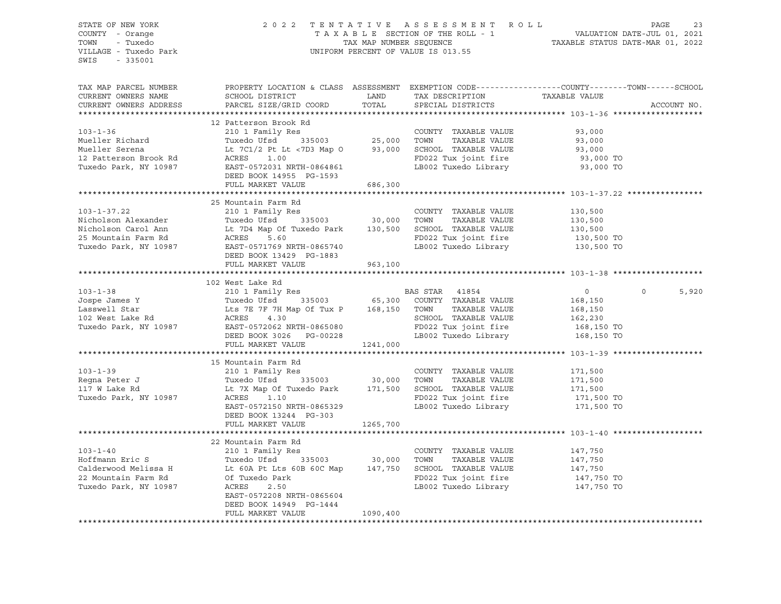| STATE OF NEW YORK                            |                                                                                                                    |                         | 2022 TENTATIVE ASSESSMENT ROLL     |                                                                                                 | PAGE<br>23  |
|----------------------------------------------|--------------------------------------------------------------------------------------------------------------------|-------------------------|------------------------------------|-------------------------------------------------------------------------------------------------|-------------|
| COUNTY - Orange                              |                                                                                                                    |                         | TAXABLE SECTION OF THE ROLL - 1    | VALUATION DATE-JUL 01, 2021<br>TAXABLE STATUS DATE-MAR 01, 2022                                 |             |
| TOWN<br>- Tuxedo                             |                                                                                                                    | TAX MAP NUMBER SEQUENCE |                                    |                                                                                                 |             |
| VILLAGE - Tuxedo Park                        |                                                                                                                    |                         | UNIFORM PERCENT OF VALUE IS 013.55 |                                                                                                 |             |
| SWIS<br>$-335001$                            |                                                                                                                    |                         |                                    |                                                                                                 |             |
|                                              |                                                                                                                    |                         |                                    |                                                                                                 |             |
|                                              |                                                                                                                    |                         |                                    |                                                                                                 |             |
| TAX MAP PARCEL NUMBER                        |                                                                                                                    |                         |                                    | PROPERTY LOCATION & CLASS ASSESSMENT EXEMPTION CODE----------------COUNTY-------TOWN-----SCHOOL |             |
| CURRENT OWNERS NAME                          | SCHOOL DISTRICT                                                                                                    | LAND                    | TAX DESCRIPTION                    | TAXABLE VALUE                                                                                   |             |
| CURRENT OWNERS ADDRESS                       | PARCEL SIZE/GRID COORD                                                                                             | TOTAL                   | SPECIAL DISTRICTS                  |                                                                                                 | ACCOUNT NO. |
|                                              |                                                                                                                    |                         |                                    |                                                                                                 |             |
|                                              | 12 Patterson Brook Rd                                                                                              |                         |                                    |                                                                                                 |             |
| $103 - 1 - 36$                               | 210 1 Family Res                                                                                                   |                         | COUNTY TAXABLE VALUE               | 93,000                                                                                          |             |
| Mueller Richard                              | Tuxedo Ufsd                                                                                                        |                         | TOWN<br>TAXABLE VALUE              | 93,000                                                                                          |             |
| Mueller Serena                               | Lt 7C1/2 Pt Lt <7D3 Map 0 93,000 SCHOOL TAXABLE VALUE                                                              |                         |                                    | 93,000                                                                                          |             |
| 12 Patterson Brook Rd                        | ACRES<br>1.00                                                                                                      |                         | FD022 Tux joint fire               | 93,000 TO                                                                                       |             |
| Tuxedo Park, NY 10987                        | EAST-0572031 NRTH-0864861                                                                                          |                         | LB002 Tuxedo Library               | 93,000 TO                                                                                       |             |
|                                              | DEED BOOK 14955 PG-1593                                                                                            |                         |                                    |                                                                                                 |             |
|                                              | FULL MARKET VALUE                                                                                                  | 686,300                 |                                    |                                                                                                 |             |
|                                              |                                                                                                                    |                         |                                    |                                                                                                 |             |
|                                              | 25 Mountain Farm Rd                                                                                                |                         |                                    |                                                                                                 |             |
| $103 - 1 - 37.22$                            | 210 1 Family Res                                                                                                   |                         | COUNTY TAXABLE VALUE               | 130,500                                                                                         |             |
| Nicholson Alexander                          | Tuxedo Ufsd 335003 30,000 TOWN                                                                                     |                         | TAXABLE VALUE                      | 130,500                                                                                         |             |
| Nicholson Carol Ann                          | Lt 7D4 Map Of Tuxedo Park     130,500   SCHOOL  TAXABLE VALUE                                                      |                         |                                    | 130,500                                                                                         |             |
|                                              |                                                                                                                    |                         |                                    |                                                                                                 |             |
| 25 Mountain Farm Rd<br>Tuxedo Park, NY 10987 | ACRES 5.60                                                                                                         |                         | FD022 Tux joint fire               | 130,500 TO                                                                                      |             |
|                                              | EAST-0571769 NRTH-0865740                                                                                          |                         | LB002 Tuxedo Library               | 130,500 TO                                                                                      |             |
|                                              | DEED BOOK 13429 PG-1883                                                                                            |                         |                                    |                                                                                                 |             |
|                                              | FULL MARKET VALUE                                                                                                  | 963,100                 |                                    |                                                                                                 |             |
|                                              |                                                                                                                    |                         |                                    |                                                                                                 |             |
|                                              | 102 West Lake Rd                                                                                                   |                         |                                    |                                                                                                 |             |
| $103 - 1 - 38$                               | 210 1 Family Res                                                                                                   |                         | BAS STAR 41854                     | $\circ$<br>$\Omega$                                                                             | 5,920       |
| Jospe James Y                                | Tuxedo Ufsd 335003 65,300                                                                                          |                         | COUNTY TAXABLE VALUE               | 168,150                                                                                         |             |
| Lasswell Star                                | Tuxedo Ufsd <sup>3</sup> 335003 65,300 COUNTY<br>Lts 7E 7F 7H Map Of Tux P 168,150 TOWN<br>ACRES 4.30 SCHOOL       |                         | TAXABLE VALUE                      | 168,150                                                                                         |             |
| 102 West Lake Rd                             |                                                                                                                    |                         | SCHOOL TAXABLE VALUE               | 162,230                                                                                         |             |
| Tuxedo Park, NY 10987                        | EAST-0572062 NRTH-0865080                                                                                          |                         | FD022 Tux joint fire               | 168,150 TO                                                                                      |             |
|                                              | DEED BOOK 3026 PG-00228                                                                                            |                         | LB002 Tuxedo Library               | 168,150 TO                                                                                      |             |
|                                              | FULL MARKET VALUE                                                                                                  | 1241,000                |                                    |                                                                                                 |             |
|                                              | **********************                                                                                             |                         |                                    |                                                                                                 |             |
|                                              | 15 Mountain Farm Rd                                                                                                |                         |                                    |                                                                                                 |             |
| $103 - 1 - 39$                               | 210 1 Family Res                                                                                                   |                         | COUNTY TAXABLE VALUE               | 171,500                                                                                         |             |
| Regna Peter J                                | Tuxedo Ufsd <sup>3</sup> 335003 30,000 TOWN TAXABLE VALUE<br>Lt 7X Map Of Tuxedo Park 171,500 SCHOOL TAXABLE VALUE |                         |                                    | 171,500                                                                                         |             |
| 117 W Lake Rd                                |                                                                                                                    |                         |                                    | 171,500                                                                                         |             |
| Tuxedo Park, NY 10987                        | ACRES 1.10                                                                                                         |                         | FD022 Tux joint fire               | 171,500 TO                                                                                      |             |
|                                              | EAST-0572150 NRTH-0865329                                                                                          |                         | LB002 Tuxedo Library 171,500 TO    |                                                                                                 |             |
|                                              | DEED BOOK 13244 PG-303                                                                                             |                         |                                    |                                                                                                 |             |
|                                              | FULL MARKET VALUE                                                                                                  | 1265,700                |                                    |                                                                                                 |             |
|                                              |                                                                                                                    |                         |                                    |                                                                                                 |             |
|                                              | 22 Mountain Farm Rd                                                                                                |                         |                                    |                                                                                                 |             |
| $103 - 1 - 40$                               | 210 1 Family Res                                                                                                   |                         | COUNTY TAXABLE VALUE               | 147,750                                                                                         |             |
| Hoffmann Eric S                              | 335003 30,000 TOWN<br>Tuxedo Ufsd                                                                                  |                         | TAXABLE VALUE                      | 147,750                                                                                         |             |
| Calderwood Melissa H                         | Lt 60A Pt Lts 60B 60C Map 147,750                                                                                  |                         | SCHOOL TAXABLE VALUE               | 147,750                                                                                         |             |
| 22 Mountain Farm Rd                          | Of Tuxedo Park                                                                                                     |                         | FD022 Tux joint fire               | 147,750 TO                                                                                      |             |
| Tuxedo Park, NY 10987                        | ACRES<br>2.50                                                                                                      |                         | LB002 Tuxedo Library               | 147,750 TO                                                                                      |             |
|                                              | EAST-0572208 NRTH-0865604                                                                                          |                         |                                    |                                                                                                 |             |
|                                              | DEED BOOK 14949 PG-1444                                                                                            |                         |                                    |                                                                                                 |             |
|                                              | FULL MARKET VALUE                                                                                                  | 1090,400                |                                    |                                                                                                 |             |
|                                              |                                                                                                                    |                         |                                    |                                                                                                 |             |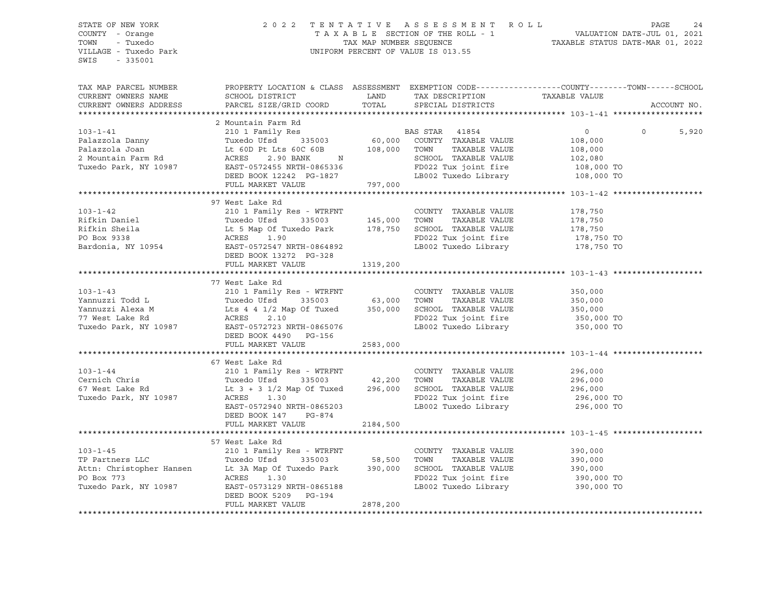STATE OF NEW YORK 2 0 2 2 T E N T A T I V E A S S E S S M E N T R O L L PAGE 24 COUNTY - Orange T A X A B L E SECTION OF THE ROLL - 1 VALUATION DATE-JUL 01, 2021 TRIE OF NEW YORK COUNTY - Orange COUNTY - Orange COUNTY - Orange COUNTY - Orange COUNTY - Orange COUNTY - TRIE RAMENTAL ARE TAXABLE SECTION OF THE ROLL - 1<br>TOWN - Tuxedo TAX MAP NUMBER SEQUENCE TAXABLE STATUS DATE-MAR 01, UNIFORM PERCENT OF VALUE IS 013.55 SWIS - 335001 TAX MAP PARCEL NUMBER PROPERTY LOCATION & CLASS ASSESSMENT EXEMPTION CODE------------------COUNTY--------TOWN------SCHOOL CURRENT OWNERS NAME SCHOOL DISTRICT LAND TAX DESCRIPTION TAXABLE VALUE CURRENT OWNERS ADDRESS PARCEL SIZE/GRID COORD TOTAL SPECIAL DISTRICTS ACCOUNT NO. \*\*\*\*\*\*\*\*\*\*\*\*\*\*\*\*\*\*\*\*\*\*\*\*\*\*\*\*\*\*\*\*\*\*\*\*\*\*\*\*\*\*\*\*\*\*\*\*\*\*\*\*\*\*\*\*\*\*\*\*\*\*\*\*\*\*\*\*\*\*\*\*\*\*\*\*\*\*\*\*\*\*\*\*\*\*\*\*\*\*\*\*\*\*\*\*\*\*\*\*\*\*\* 103-1-41 \*\*\*\*\*\*\*\*\*\*\*\*\*\*\*\*\*\*\* 2 Mountain Farm Rd 103-1-41 210 1 Family Res BAS STAR 41854 0 0 5,920 Palazzola Danny Tuxedo Ufsd 335003 60,000 COUNTY TAXABLE VALUE 108,000 Palazzola Joan Lt 60D Pt Lts 60C 60B 108,000 TOWN TAXABLE VALUE 108,000 2 Mountain Farm Rd ACRES 2.90 BANK N SCHOOL TAXABLE VALUE 102,080 Tuxedo Park, NY 10987 EAST-0572455 NRTH-0865336 FD022 Tux joint fire 108,000 TO DEED BOOK 12242 PG-1827 LB002 Tuxedo Library 108,000 TO FULL MARKET VALUE 797,000 \*\*\*\*\*\*\*\*\*\*\*\*\*\*\*\*\*\*\*\*\*\*\*\*\*\*\*\*\*\*\*\*\*\*\*\*\*\*\*\*\*\*\*\*\*\*\*\*\*\*\*\*\*\*\*\*\*\*\*\*\*\*\*\*\*\*\*\*\*\*\*\*\*\*\*\*\*\*\*\*\*\*\*\*\*\*\*\*\*\*\*\*\*\*\*\*\*\*\*\*\*\*\* 103-1-42 \*\*\*\*\*\*\*\*\*\*\*\*\*\*\*\*\*\*\* 97 West Lake Rd 103-1-42 210 1 Family Res - WTRFNT COUNTY TAXABLE VALUE 178,750 Rifkin Daniel Tuxedo Ufsd 335003 145,000 TOWN TAXABLE VALUE 178,750 Rifkin Sheila Lt 5 Map Of Tuxedo Park 178,750 SCHOOL TAXABLE VALUE 178,750 PO Box 9338 ACRES 1.90 FD022 Tux joint fire 178,750 TO Bardonia, NY 10954 EAST-0572547 NRTH-0864892 LB002 Tuxedo Library 178,750 TO DEED BOOK 13272 PG-328 FULL MARKET VALUE 1319,200 \*\*\*\*\*\*\*\*\*\*\*\*\*\*\*\*\*\*\*\*\*\*\*\*\*\*\*\*\*\*\*\*\*\*\*\*\*\*\*\*\*\*\*\*\*\*\*\*\*\*\*\*\*\*\*\*\*\*\*\*\*\*\*\*\*\*\*\*\*\*\*\*\*\*\*\*\*\*\*\*\*\*\*\*\*\*\*\*\*\*\*\*\*\*\*\*\*\*\*\*\*\*\* 103-1-43 \*\*\*\*\*\*\*\*\*\*\*\*\*\*\*\*\*\*\* 77 West Lake Rd 103-1-43 210 1 Family Res - WTRFNT COUNTY TAXABLE VALUE 350,000 Yannuzzi Todd L Tuxedo Ufsd 335003 63,000 TOWN TAXABLE VALUE 350,000 Yannuzzi Alexa M Lts 4 4 1/2 Map Of Tuxed 350,000 SCHOOL TAXABLE VALUE 350,000 77 West Lake Rd ACRES 2.10 FD022 Tux joint fire 350,000 TO Tuxedo Park, NY 10987 EAST-0572723 NRTH-0865076 LB002 Tuxedo Library 350,000 TO DEED BOOK 4490 PG-156 FULL MARKET VALUE 2583,000 \*\*\*\*\*\*\*\*\*\*\*\*\*\*\*\*\*\*\*\*\*\*\*\*\*\*\*\*\*\*\*\*\*\*\*\*\*\*\*\*\*\*\*\*\*\*\*\*\*\*\*\*\*\*\*\*\*\*\*\*\*\*\*\*\*\*\*\*\*\*\*\*\*\*\*\*\*\*\*\*\*\*\*\*\*\*\*\*\*\*\*\*\*\*\*\*\*\*\*\*\*\*\* 103-1-44 \*\*\*\*\*\*\*\*\*\*\*\*\*\*\*\*\*\*\* 67 West Lake Rd 103-1-44 210 1 Family Res - WTRFNT COUNTY TAXABLE VALUE 296,000 Cernich Chris Tuxedo Ufsd 335003 42,200 TOWN TAXABLE VALUE 296,000 67 West Lake Rd Lt 3 + 3 1/2 Map Of Tuxed 296,000 SCHOOL TAXABLE VALUE 296,000 Tuxedo Park, NY 10987 ACRES 1.30 FD022 Tux joint fire 296,000 TO EAST-052200 Tuxedo Library DEED BOOK 147 PG-874 FULL MARKET VALUE 2184,500 \*\*\*\*\*\*\*\*\*\*\*\*\*\*\*\*\*\*\*\*\*\*\*\*\*\*\*\*\*\*\*\*\*\*\*\*\*\*\*\*\*\*\*\*\*\*\*\*\*\*\*\*\*\*\*\*\*\*\*\*\*\*\*\*\*\*\*\*\*\*\*\*\*\*\*\*\*\*\*\*\*\*\*\*\*\*\*\*\*\*\*\*\*\*\*\*\*\*\*\*\*\*\* 103-1-45 \*\*\*\*\*\*\*\*\*\*\*\*\*\*\*\*\*\*\* 57 West Lake Rd 103-1-45 210 1 Family Res - WTRFNT COUNTY TAXABLE VALUE 390,000 TP Partners LLC Tuxedo Ufsd 335003 58,500 TOWN TAXABLE VALUE 390,000 Attn: Christopher Hansen Lt 3A Map Of Tuxedo Park 390,000 SCHOOL TAXABLE VALUE 390,000 PO Box 773 ACRES 1.30 FD022 Tux joint fire 390,000 TO Tuxedo Park, NY 10987 EAST-0573129 NRTH-0865188 LB002 Tuxedo Library 390,000 TO DEED BOOK 5209 PG-194 FULL MARKET VALUE 2878,200 \*\*\*\*\*\*\*\*\*\*\*\*\*\*\*\*\*\*\*\*\*\*\*\*\*\*\*\*\*\*\*\*\*\*\*\*\*\*\*\*\*\*\*\*\*\*\*\*\*\*\*\*\*\*\*\*\*\*\*\*\*\*\*\*\*\*\*\*\*\*\*\*\*\*\*\*\*\*\*\*\*\*\*\*\*\*\*\*\*\*\*\*\*\*\*\*\*\*\*\*\*\*\*\*\*\*\*\*\*\*\*\*\*\*\*\*\*\*\*\*\*\*\*\*\*\*\*\*\*\*\*\*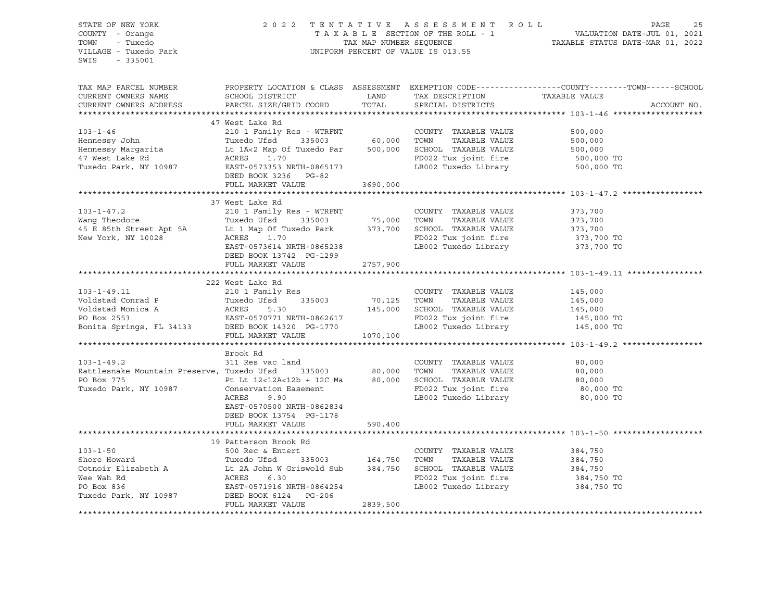| STATE OF NEW YORK<br>COUNTY - Orange<br>TOWN<br>- Tuxedo<br>VILLAGE - Tuxedo Park<br>SWIS<br>$-335001$ |                                                    | TAX MAP NUMBER SEQUENCE | 2022 TENTATIVE ASSESSMENT ROLL<br>TAXABLE SECTION OF THE ROLL - 1<br>UNIFORM PERCENT OF VALUE IS 013.55 | PAGE<br>VALUATION DATE-JUL 01, 2021<br>TAXABLE STATUS DATE-MAR 01, 2022                          | 25 |
|--------------------------------------------------------------------------------------------------------|----------------------------------------------------|-------------------------|---------------------------------------------------------------------------------------------------------|--------------------------------------------------------------------------------------------------|----|
| TAX MAP PARCEL NUMBER                                                                                  |                                                    |                         |                                                                                                         | PROPERTY LOCATION & CLASS ASSESSMENT EXEMPTION CODE----------------COUNTY-------TOWN------SCHOOL |    |
| CURRENT OWNERS NAME                                                                                    | SCHOOL DISTRICT                                    | LAND                    | TAX DESCRIPTION                                                                                         | TAXABLE VALUE                                                                                    |    |
| CURRENT OWNERS ADDRESS                                                                                 | PARCEL SIZE/GRID COORD                             | TOTAL                   | SPECIAL DISTRICTS                                                                                       | ACCOUNT NO.                                                                                      |    |
| *************************                                                                              |                                                    |                         |                                                                                                         |                                                                                                  |    |
|                                                                                                        | 47 West Lake Rd                                    |                         |                                                                                                         |                                                                                                  |    |
| $103 - 1 - 46$<br>Hennessy John                                                                        | 210 1 Family Res - WTRFNT<br>Tuxedo Ufsd<br>335003 | 60,000                  | COUNTY TAXABLE VALUE<br>TOWN<br>TAXABLE VALUE                                                           | 500,000<br>500,000                                                                               |    |
| Hennessy Margarita                                                                                     | Lt 1A<2 Map Of Tuxedo Par                          | 500,000                 | SCHOOL TAXABLE VALUE                                                                                    | 500,000                                                                                          |    |
| 47 West Lake Rd                                                                                        | 1.70<br>ACRES                                      |                         | FD022 Tux joint fire                                                                                    | 500,000 TO                                                                                       |    |
| Tuxedo Park, NY 10987                                                                                  | EAST-0573353 NRTH-0865173                          |                         | LB002 Tuxedo Library                                                                                    | 500,000 TO                                                                                       |    |
|                                                                                                        | DEED BOOK 3236 PG-82                               |                         |                                                                                                         |                                                                                                  |    |
|                                                                                                        | FULL MARKET VALUE                                  | 3690,000                |                                                                                                         |                                                                                                  |    |
|                                                                                                        |                                                    |                         |                                                                                                         |                                                                                                  |    |
|                                                                                                        | 37 West Lake Rd                                    |                         |                                                                                                         |                                                                                                  |    |
| $103 - 1 - 47.2$                                                                                       | 210 1 Family Res - WTRFNT                          |                         | COUNTY TAXABLE VALUE                                                                                    | 373,700                                                                                          |    |
| Wang Theodore                                                                                          | Tuxedo Ufsd<br>335003                              | 75,000                  | TAXABLE VALUE<br>TOWN                                                                                   | 373,700                                                                                          |    |
| 45 E 85th Street Apt 5A                                                                                | Lt 1 Map Of Tuxedo Park                            | 373,700                 | SCHOOL TAXABLE VALUE                                                                                    | 373,700                                                                                          |    |
| New York, NY 10028                                                                                     | ACRES<br>1.70                                      |                         | FD022 Tux joint fire                                                                                    | 373,700 TO                                                                                       |    |
|                                                                                                        | EAST-0573614 NRTH-0865238                          |                         | LB002 Tuxedo Library                                                                                    | 373,700 TO                                                                                       |    |
|                                                                                                        | DEED BOOK 13742 PG-1299                            |                         |                                                                                                         |                                                                                                  |    |
|                                                                                                        | FULL MARKET VALUE                                  | 2757,900                |                                                                                                         |                                                                                                  |    |
|                                                                                                        |                                                    |                         |                                                                                                         |                                                                                                  |    |
|                                                                                                        | 222 West Lake Rd                                   |                         |                                                                                                         |                                                                                                  |    |
| $103 - 1 - 49.11$                                                                                      | 210 1 Family Res                                   |                         | COUNTY TAXABLE VALUE                                                                                    | 145,000                                                                                          |    |
| Voldstad Conrad P<br>Voldstad Monica A                                                                 | Tuxedo Ufsd<br>335003<br>ACRES<br>5.30             | 70,125<br>145,000       | TOWN<br>TAXABLE VALUE<br>SCHOOL TAXABLE VALUE                                                           | 145,000                                                                                          |    |
| PO Box 2553                                                                                            | EAST-0570771 NRTH-0862617                          |                         | FD022 Tux joint fire                                                                                    | 145,000<br>145,000 TO                                                                            |    |
| Bonita Springs, FL 34133                                                                               | DEED BOOK 14320 PG-1770                            |                         | LB002 Tuxedo Library                                                                                    | 145,000 TO                                                                                       |    |
|                                                                                                        | FULL MARKET VALUE                                  | 1070,100                |                                                                                                         |                                                                                                  |    |
|                                                                                                        |                                                    |                         |                                                                                                         |                                                                                                  |    |
|                                                                                                        | Brook Rd                                           |                         |                                                                                                         |                                                                                                  |    |
| $103 - 1 - 49.2$                                                                                       | 311 Res vac land                                   |                         | COUNTY TAXABLE VALUE                                                                                    | 80,000                                                                                           |    |
| Rattlesnake Mountain Preserve, Tuxedo Ufsd                                                             | 335003                                             | 80,000                  | TOWN<br>TAXABLE VALUE                                                                                   | 80,000                                                                                           |    |
| PO Box 775                                                                                             | Pt Lt 12<12A<12b + 12C Ma                          | 80,000                  | SCHOOL TAXABLE VALUE                                                                                    | 80,000                                                                                           |    |
| Tuxedo Park, NY 10987                                                                                  | Conservation Easement                              |                         | FD022 Tux joint fire                                                                                    | 80,000 TO                                                                                        |    |
|                                                                                                        | ACRES<br>9.90                                      |                         | LB002 Tuxedo Library                                                                                    | 80,000 TO                                                                                        |    |
|                                                                                                        | EAST-0570500 NRTH-0862834                          |                         |                                                                                                         |                                                                                                  |    |
|                                                                                                        | DEED BOOK 13754 PG-1178                            |                         |                                                                                                         |                                                                                                  |    |
|                                                                                                        | FULL MARKET VALUE                                  | 590,400                 |                                                                                                         |                                                                                                  |    |
|                                                                                                        |                                                    |                         |                                                                                                         |                                                                                                  |    |
|                                                                                                        | 19 Patterson Brook Rd                              |                         |                                                                                                         |                                                                                                  |    |
| $103 - 1 - 50$                                                                                         | 500 Rec & Entert                                   |                         | COUNTY TAXABLE VALUE                                                                                    | 384,750                                                                                          |    |
| Shore Howard                                                                                           | Tuxedo Ufsd<br>335003                              | 164,750                 | TOWN<br>TAXABLE VALUE                                                                                   | 384,750                                                                                          |    |

Cotnoir Elizabeth A Lt 2A John W Griswold Sub 384,750 SCHOOL TAXABLE VALUE 384,750<br>Wee Wah Rd 384,750 ACRES 6.30 FD022 Tux joint fire 384,750 Wee Wah Rd ACRES 6.30 FD022 Tux joint fire 384,750 TO

FULL MARKET VALUE 2839,500

Tuxedo Park, NY 10987 DEED BOOK 6124 PG-206

EAST-0571916 NRTH-0864254 LB002 Tuxedo Library 384,750 TO

\*\*\*\*\*\*\*\*\*\*\*\*\*\*\*\*\*\*\*\*\*\*\*\*\*\*\*\*\*\*\*\*\*\*\*\*\*\*\*\*\*\*\*\*\*\*\*\*\*\*\*\*\*\*\*\*\*\*\*\*\*\*\*\*\*\*\*\*\*\*\*\*\*\*\*\*\*\*\*\*\*\*\*\*\*\*\*\*\*\*\*\*\*\*\*\*\*\*\*\*\*\*\*\*\*\*\*\*\*\*\*\*\*\*\*\*\*\*\*\*\*\*\*\*\*\*\*\*\*\*\*\*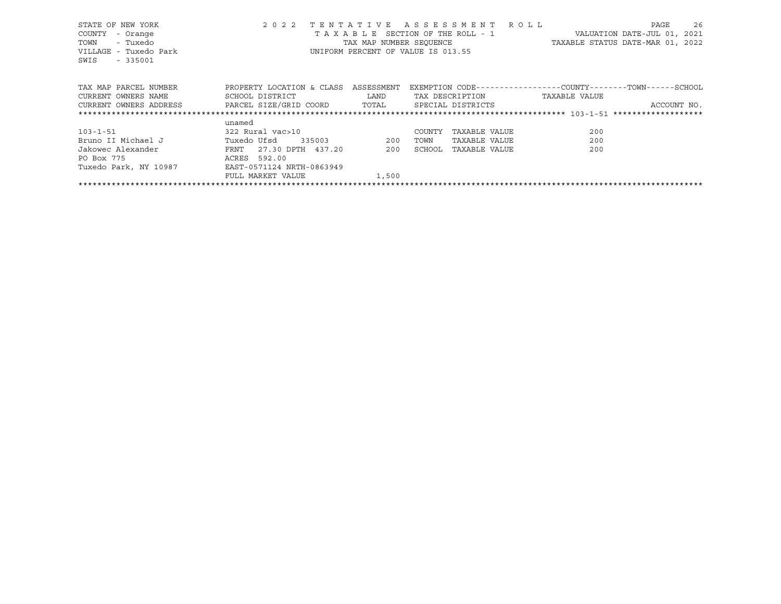| STATE OF NEW YORK                                                         |                                      |       | 2022 TENTATIVE ASSESSMENT ROLL     | 26<br>PAGE                                                   |
|---------------------------------------------------------------------------|--------------------------------------|-------|------------------------------------|--------------------------------------------------------------|
| COUNTY<br>- Orange                                                        |                                      |       | TAXABLE SECTION OF THE ROLL - 1    | VALUATION DATE-JUL 01, 2021                                  |
| - Tuxedo<br>TOWN                                                          |                                      |       |                                    | TAX MAP NUMBER SEQUENCE TAXABLE STATUS DATE-MAR 01, 2022     |
| VILLAGE - Tuxedo Park                                                     |                                      |       | UNIFORM PERCENT OF VALUE IS 013.55 |                                                              |
| SWIS<br>$-335001$                                                         |                                      |       |                                    |                                                              |
|                                                                           |                                      |       |                                    |                                                              |
|                                                                           |                                      |       |                                    |                                                              |
| TAX MAP PARCEL NUMBER                                                     | PROPERTY LOCATION & CLASS ASSESSMENT |       |                                    | EXEMPTION CODE-----------------COUNTY-------TOWN------SCHOOL |
| CURRENT OWNERS NAME                                                       | SCHOOL DISTRICT LAND                 |       | TAX DESCRIPTION                    | TAXABLE VALUE                                                |
| CURRENT OWNERS ADDRESS               PARCEL SIZE/GRID COORD         TOTAL |                                      |       | SPECIAL DISTRICTS                  | ACCOUNT NO.                                                  |
|                                                                           |                                      |       |                                    |                                                              |
|                                                                           | unamed                               |       |                                    |                                                              |
| 103-1-51                                                                  | 322 Rural vac>10                     |       | COUNTY<br>TAXABLE VALUE            | 200                                                          |
| Bruno II Michael J Tuxedo Ufsd                                            | 335003 200                           |       | TAXABLE VALUE<br>TOWN              | 200                                                          |
| Jakowec Alexander                                                         | FRNT 27.30 DPTH 437.20 200           |       | SCHOOL<br>TAXABLE VALUE            | 200                                                          |
| ACRES 592.00<br>PO Box 775                                                |                                      |       |                                    |                                                              |
|                                                                           |                                      |       |                                    |                                                              |
|                                                                           | FULL MARKET VALUE                    | 1,500 |                                    |                                                              |
|                                                                           |                                      |       |                                    |                                                              |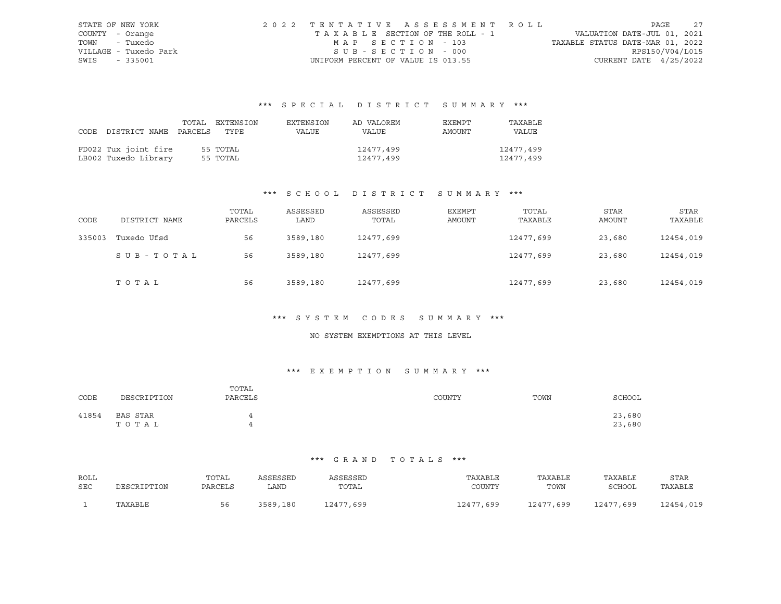|      | STATE OF NEW YORK     | 2022 TENTATIVE ASSESSMENT ROLL     |                                  | PAGE            | 2.7 |
|------|-----------------------|------------------------------------|----------------------------------|-----------------|-----|
|      | COUNTY - Orange       | TAXABLE SECTION OF THE ROLL - 1    | VALUATION DATE-JUL 01, 2021      |                 |     |
|      | TOWN - Tuxedo         | MAP SECTION - 103                  | TAXABLE STATUS DATE-MAR 01, 2022 |                 |     |
|      | VILLAGE - Tuxedo Park | SUB-SECTION - 000                  |                                  | RPS150/V04/L015 |     |
| SWIS | - 335001              | UNIFORM PERCENT OF VALUE IS 013.55 | CURRENT DATE $4/25/2022$         |                 |     |

# \*\*\* S P E C I A L D I S T R I C T S U M M A R Y \*\*\*

|                                 | TOTAL EXTENSION | EXTENSION | AD VALOREM | EXEMPT | TAXABLE   |
|---------------------------------|-----------------|-----------|------------|--------|-----------|
| CODE DISTRICT NAME PARCELS TYPE |                 | VALUE     | VALUE      | AMOUNT | VALUE     |
|                                 |                 |           |            |        |           |
| FD022 Tux joint fire            | 55 TOTAL        |           | 12477,499  |        | 12477,499 |
| LB002 Tuxedo Library            | 55 TOTAL        |           | 12477,499  |        | 12477,499 |

## \*\*\* S C H O O L D I S T R I C T S U M M A R Y \*\*\*

| CODE   | DISTRICT NAME | TOTAL<br>PARCELS | ASSESSED<br>LAND | ASSESSED<br>TOTAL | <b>EXEMPT</b><br>AMOUNT | TOTAL<br>TAXABLE | STAR<br><b>AMOUNT</b> | <b>STAR</b><br>TAXABLE |
|--------|---------------|------------------|------------------|-------------------|-------------------------|------------------|-----------------------|------------------------|
| 335003 | Tuxedo Ufsd   | 56               | 3589,180         | 12477,699         |                         | 12477,699        | 23,680                | 12454,019              |
|        | SUB-TOTAL     | 56               | 3589,180         | 12477,699         |                         | 12477,699        | 23,680                | 12454,019              |
|        | TOTAL         | 56               | 3589,180         | 12477,699         |                         | 12477,699        | 23,680                | 12454,019              |

### \*\*\* S Y S T E M C O D E S S U M M A R Y \*\*\*

#### NO SYSTEM EXEMPTIONS AT THIS LEVEL

## \*\*\* E X E M P T I O N S U M M A R Y \*\*\*

| CODE  | DESCRIPTION       | TOTAL<br>PARCELS | COUNTY | TOWN | SCHOOL           |
|-------|-------------------|------------------|--------|------|------------------|
| 41854 | BAS STAR<br>ТОТАЬ | 4<br>4           |        |      | 23,680<br>23,680 |

#### \*\*\* G R A N D T O T A L S \*\*\*

| ROLL<br>SEC | DESCRIPTION | TOTAL<br>PARCELS | ASSESSED<br>LAND | ASSESSED<br>TOTAL | TAXABLE<br>COUNTY | TAXABLE<br>TOWN | TAXABLE<br>SCHOOL | STAR<br>TAXABLE |
|-------------|-------------|------------------|------------------|-------------------|-------------------|-----------------|-------------------|-----------------|
|             | TAXABLE     | 56               | 3589,<br>,180    | 12477,699         | 12477,699         | 12477,699       | 12477,699         | 12454,019       |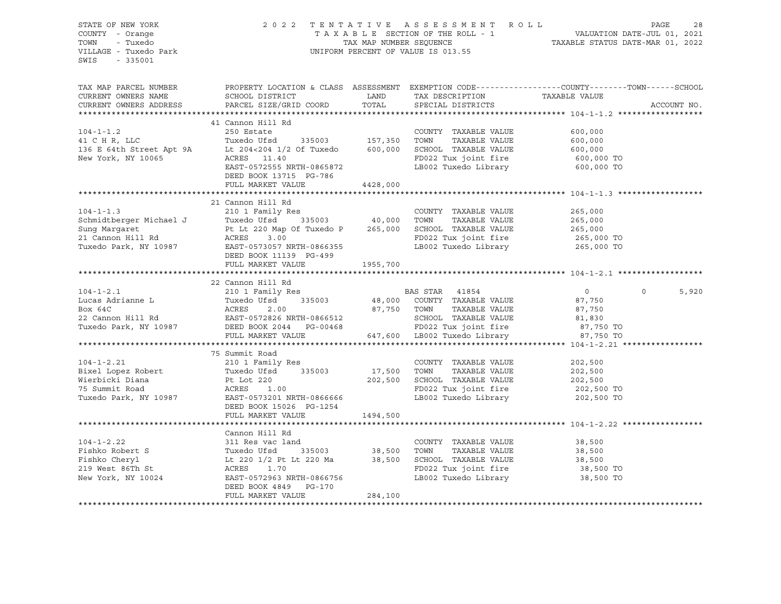| STATE OF NEW YORK<br>COUNTY - Orange<br>TOWN - Tuxedo<br>VILLAGE - Tuxedo Park<br>SWIS - 335001                                                                                                                                                                                                                                                                                                                                                        | 2022 TENTATIVE ASSESSMENT ROLL PAGE 28<br>TAXABLE SECTION OF THE ROLL - 1 VALUATION DATE-JUL 01, 2021<br>TAX MAP NUMBER SEQUENCE TAXABLE STATUS DATE-MAR 01, 2022<br>UNIFORM PERCENT OF VALUE IS 013.55 |                      |         |                            |
|--------------------------------------------------------------------------------------------------------------------------------------------------------------------------------------------------------------------------------------------------------------------------------------------------------------------------------------------------------------------------------------------------------------------------------------------------------|---------------------------------------------------------------------------------------------------------------------------------------------------------------------------------------------------------|----------------------|---------|----------------------------|
| TAX MAP PARCEL NUMBER<br>CURRENT OWNERS NAME SCHOOL DISTRICT LAND TAX DESCRIPTION TAXABLE VALUE<br>CURRENT OWNERS ADDRESS PARCEL SIZE/GRID COORD TOTAL SPECIAL DISTRICTS<br>CURRENT OWNERS ADDRESS PARCEL SIZE/GRID COORD TOTAL SPEC                                                                                                                                                                                                                   | PROPERTY LOCATION & CLASS ASSESSMENT EXEMPTION CODE----------------COUNTY-------TOWN------SCHOOL                                                                                                        |                      |         | ACCOUNT NO.                |
| $104 - 1 - 1.2$<br>$\begin{tabular}{lllllllllllllllllllll} \hline & 104-1-1.2 && 250 \text{ Estate} && 000\text{NTV} & \text{ITARABLE Value} && 000,000 \\ 41 \text{ C H R, LLC} && \text{Tuxedo Ufsd} && 335003 && 157,350 & \text{TOWN} && \text{TAXABLE VALUE} && 600,000 \\ 136 \text{ E 64th Street Apt 9A} && \text{Lt 204<204 1/2 Of Tuxedo} && 600,000 & \text{SCHOOL TAXABLE VALUE} && 600,000 \\ \text{New York, NY 1$                       | 41 Cannon Hill Rd<br>250 Estate                                                                                                                                                                         | COUNTY TAXABLE VALUE | 600,000 |                            |
|                                                                                                                                                                                                                                                                                                                                                                                                                                                        |                                                                                                                                                                                                         |                      |         |                            |
| 210 1 Family Res<br>Schmidtberger Michael J<br>Schmidtberger Michael J<br>Sung Margaret<br>265,000<br>21 Cannon Hill Rd<br>265,000<br>21 Cannon Hill Rd<br>265,000<br>265,000<br>265,000<br>265,000<br>265,000<br>265,000<br>265,000<br>265,000<br>265,000<br>26                                                                                                                                                                                       |                                                                                                                                                                                                         |                      |         |                            |
|                                                                                                                                                                                                                                                                                                                                                                                                                                                        |                                                                                                                                                                                                         |                      |         |                            |
|                                                                                                                                                                                                                                                                                                                                                                                                                                                        | 22 Cannon Hill Rd                                                                                                                                                                                       |                      |         |                            |
| $\begin{tabular}{lllllllllllll} \multicolumn{4}{c }{\textbf{104-1-2.1}} & \multicolumn{4}{c }{22\text{ Common Hill R4}} & \multicolumn{4}{c }{\textbf{210 1 Family Res}} & \multicolumn{4}{c }{\textbf{BAS STAR}} & \multicolumn{4}{c }{\textbf{104-1-2.1}} & 0 \\ \multicolumn{4}{c }{\textbf{Lucas Adrianne L}} & \multicolumn{4}{c }{\textbf{Tuxedo Ufsd}} & \multicolumn{4}{c }{\textbf{335003}} & \multicolumn{4}{c }{\textbf{48,000}} & \multic$ |                                                                                                                                                                                                         |                      |         | 5,920<br>$0 \qquad \qquad$ |
|                                                                                                                                                                                                                                                                                                                                                                                                                                                        |                                                                                                                                                                                                         |                      |         |                            |
| 75 Summit Road<br>202,500<br>Bixel Lopez Robert Tuxedo User Tuxedo User COUNTY TAXABLE VALUE<br>202,500<br>Wierbicki Diana Pt Lot 220<br>75 Summit Road Pt Lot 220<br>202,500<br>202,500<br>202,500<br>202,500<br>202,500<br>202,500<br>202,500<br>202,5                                                                                                                                                                                               | 75 Summit Road                                                                                                                                                                                          |                      |         |                            |
|                                                                                                                                                                                                                                                                                                                                                                                                                                                        |                                                                                                                                                                                                         |                      |         |                            |
| Cannon Hill Rd<br>104-1-2.22 311 Res vac land<br>Fishko Robert S<br>Fishko Cheryl Lt 220 1/2 Pt Lt 220 Ma<br>219 West 86Th St<br>New York, NY 10024 21 BAST-0572963 NRTH-0866756<br>DEED BOOK 4849 PG-170<br>PU22 Tux joint fire<br>284,100<br>2                                                                                                                                                                                                       |                                                                                                                                                                                                         |                      |         |                            |
|                                                                                                                                                                                                                                                                                                                                                                                                                                                        |                                                                                                                                                                                                         |                      |         |                            |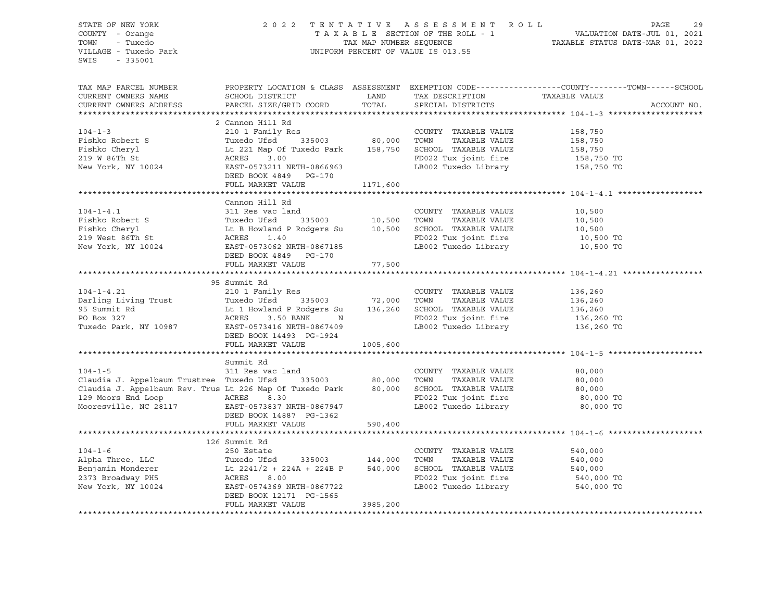| STATE OF NEW YORK<br>COUNTY - Orange<br>- Tuxedo<br>TOWN<br>VILLAGE - Tuxedo Park<br>SWIS<br>$-335001$                            | 2022 TENTATIVE ASSESSMENT ROLL<br>UNIFORM PERCENT OF VALUE IS 013.55         | PAGE<br>29<br>T A X A B L E SECTION OF THE ROLL - 1 WALUATION DATE-JUL 01, 2021<br>TAX A B L E SECTION OF THE ROLL - 1 VALUATION DATE-MAR 01, 2022 |                                                                            |                                                                                                  |
|-----------------------------------------------------------------------------------------------------------------------------------|------------------------------------------------------------------------------|----------------------------------------------------------------------------------------------------------------------------------------------------|----------------------------------------------------------------------------|--------------------------------------------------------------------------------------------------|
| TAX MAP PARCEL NUMBER                                                                                                             |                                                                              |                                                                                                                                                    |                                                                            | PROPERTY LOCATION & CLASS ASSESSMENT EXEMPTION CODE----------------COUNTY-------TOWN------SCHOOL |
| CURRENT OWNERS NAME                                                                                                               | SCHOOL DISTRICT                                                              | LAND                                                                                                                                               | TAX DESCRIPTION                                                            | TAXABLE VALUE                                                                                    |
| CURRENT OWNERS ADDRESS                                                                                                            | PARCEL SIZE/GRID COORD                                                       | TOTAL                                                                                                                                              | SPECIAL DISTRICTS                                                          | ACCOUNT NO.                                                                                      |
|                                                                                                                                   |                                                                              |                                                                                                                                                    |                                                                            |                                                                                                  |
|                                                                                                                                   | 2 Cannon Hill Rd                                                             |                                                                                                                                                    |                                                                            |                                                                                                  |
| $104 - 1 - 3$                                                                                                                     | 210 1 Family Res<br>Res COUNTY<br>335003 80,000 TOWN                         |                                                                                                                                                    | COUNTY TAXABLE VALUE                                                       | 158,750                                                                                          |
| Fishko Robert S                                                                                                                   | Tuxedo Ufsd                                                                  |                                                                                                                                                    | TAXABLE VALUE                                                              | 158,750                                                                                          |
| Fishko Cheryl                                                                                                                     | Lt 221 Map Of Tuxedo Park 158,750 SCHOOL TAXABLE VALUE                       |                                                                                                                                                    |                                                                            | 158,750                                                                                          |
| 219 W 86Th St                                                                                                                     | ACRES<br>3.00                                                                |                                                                                                                                                    | FD022 Tux joint fire                                                       | 158,750 TO                                                                                       |
| New York, NY 10024                                                                                                                | EAST-0573211 NRTH-0866963<br>DEED BOOK 4849    PG-170                        |                                                                                                                                                    | LB002 Tuxedo Library                                                       | 158,750 TO                                                                                       |
|                                                                                                                                   | FULL MARKET VALUE                                                            | 1171,600                                                                                                                                           |                                                                            |                                                                                                  |
|                                                                                                                                   |                                                                              |                                                                                                                                                    |                                                                            |                                                                                                  |
|                                                                                                                                   | Cannon Hill Rd                                                               |                                                                                                                                                    |                                                                            |                                                                                                  |
| $104 - 1 - 4.1$                                                                                                                   | 311 Res vac land                                                             |                                                                                                                                                    | COUNTY TAXABLE VALUE                                                       | 10,500                                                                                           |
| Fishko Robert S                                                                                                                   | Tuxedo Ufsd                                                                  |                                                                                                                                                    | 335003 10,500 TOWN TAXABLE VALUE<br>Rodgers Su 10,500 SCHOOL TAXABLE VALUE | 10,500                                                                                           |
| Fishko Cheryl                                                                                                                     | Lt B Howland P Rodgers Su                                                    |                                                                                                                                                    |                                                                            | 10,500                                                                                           |
| 219 West 86Th St                                                                                                                  | ACRES<br>1.40                                                                |                                                                                                                                                    | FD022 Tux joint fire                                                       | 10,500 TO                                                                                        |
| New York, NY 10024                                                                                                                | EAST-0573062 NRTH-0867185<br>DEED BOOK 4849 PG-170                           |                                                                                                                                                    | LB002 Tuxedo Library                                                       | 10,500 TO                                                                                        |
|                                                                                                                                   | FULL MARKET VALUE                                                            | 77,500                                                                                                                                             |                                                                            |                                                                                                  |
|                                                                                                                                   |                                                                              |                                                                                                                                                    |                                                                            |                                                                                                  |
|                                                                                                                                   | 95 Summit Rd                                                                 |                                                                                                                                                    |                                                                            |                                                                                                  |
| $104 - 1 - 4.21$                                                                                                                  | 210 1 Family Res                                                             |                                                                                                                                                    | COUNTY TAXABLE VALUE                                                       | 136,260                                                                                          |
| Darling Living Trust                                                                                                              |                                                                              | 72,000 TOWN                                                                                                                                        | TAXABLE VALUE                                                              | 136,260                                                                                          |
| 95 Summit Rd                                                                                                                      | g Trust Tuxedo Ufsd 335003<br>Lt 1 Howland P Rodgers Su<br>ACRES 3.50 BANK N |                                                                                                                                                    | 136,260 SCHOOL TAXABLE VALUE                                               | 136,260                                                                                          |
| PO Box 327                                                                                                                        | N                                                                            |                                                                                                                                                    | FD022 Tux joint fire<br>FD022 Tux joint fire                               | 136,260 TO                                                                                       |
| Tuxedo Park, NY 10987                                                                                                             | EAST-0573416 NRTH-0867409                                                    |                                                                                                                                                    | LB002 Tuxedo Library                                                       | 136,260 TO                                                                                       |
|                                                                                                                                   | DEED BOOK 14493 PG-1924                                                      |                                                                                                                                                    |                                                                            |                                                                                                  |
|                                                                                                                                   | FULL MARKET VALUE                                                            | 1005,600                                                                                                                                           |                                                                            |                                                                                                  |
|                                                                                                                                   |                                                                              |                                                                                                                                                    |                                                                            |                                                                                                  |
|                                                                                                                                   | Summit Rd                                                                    |                                                                                                                                                    |                                                                            |                                                                                                  |
| $104 - 1 - 5$                                                                                                                     | 311 Res vac land                                                             |                                                                                                                                                    | COUNTY TAXABLE VALUE                                                       | 80,000                                                                                           |
| Claudia J. Appelbaum Trustree Tuxedo Ufsd                                                                                         | 335003 80,000                                                                |                                                                                                                                                    | TOWN<br>TAXABLE VALUE                                                      | 80,000                                                                                           |
| Claudia J. Appelbaum Rev. Trus Lt 226 Map Of Tuxedo Park 80,000 SCHOOL TAXABLE VALUE                                              |                                                                              |                                                                                                                                                    |                                                                            | 80,000                                                                                           |
| 129 Moors End Loop<br>Mooresville, NC 28117                                                                                       | ACRES<br>8.30                                                                |                                                                                                                                                    | FD022 Tux joint fire                                                       | 80,000 TO                                                                                        |
|                                                                                                                                   | EAST-0573837 NRTH-0867947                                                    |                                                                                                                                                    | LB002 Tuxedo Library                                                       | 80,000 TO                                                                                        |
|                                                                                                                                   | DEED BOOK 14887 PG-1362                                                      |                                                                                                                                                    |                                                                            |                                                                                                  |
|                                                                                                                                   | FULL MARKET VALUE                                                            | 590,400                                                                                                                                            |                                                                            |                                                                                                  |
|                                                                                                                                   |                                                                              |                                                                                                                                                    |                                                                            |                                                                                                  |
|                                                                                                                                   | 126 Summit Rd                                                                |                                                                                                                                                    |                                                                            |                                                                                                  |
| $104 - 1 - 6$                                                                                                                     | 250 Estate                                                                   |                                                                                                                                                    | COUNTY TAXABLE VALUE                                                       | 540,000                                                                                          |
|                                                                                                                                   | Tuxedo Ufsd 335003 144,000                                                   |                                                                                                                                                    | TOWN<br>TAXABLE VALUE                                                      | 540,000                                                                                          |
| 104-1-6<br>Alpha Three, LLC<br>Benjamin Monderer<br>2241/2 + 224A + 224B P<br>2273 Broadway PH5<br>2241/2 + 224A + 224B P<br>2000 |                                                                              | 540,000                                                                                                                                            | SCHOOL TAXABLE VALUE                                                       | 540,000                                                                                          |
|                                                                                                                                   |                                                                              |                                                                                                                                                    | FD022 Tux joint fire                                                       | 540,000 TO                                                                                       |
| New York, NY 10024                                                                                                                | EAST-0574369 NRTH-0867722                                                    |                                                                                                                                                    | LB002 Tuxedo Library                                                       | 540,000 TO                                                                                       |

DEED BOOK 12171 PG-1565

FULL MARKET VALUE 3985,200

\*\*\*\*\*\*\*\*\*\*\*\*\*\*\*\*\*\*\*\*\*\*\*\*\*\*\*\*\*\*\*\*\*\*\*\*\*\*\*\*\*\*\*\*\*\*\*\*\*\*\*\*\*\*\*\*\*\*\*\*\*\*\*\*\*\*\*\*\*\*\*\*\*\*\*\*\*\*\*\*\*\*\*\*\*\*\*\*\*\*\*\*\*\*\*\*\*\*\*\*\*\*\*\*\*\*\*\*\*\*\*\*\*\*\*\*\*\*\*\*\*\*\*\*\*\*\*\*\*\*\*\*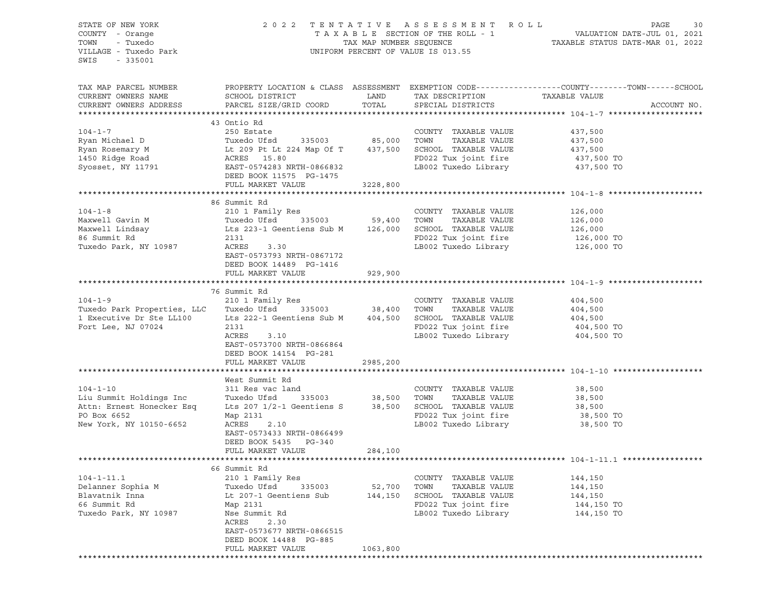| STATE OF NEW YORK<br>COUNTY - Orange                                                                                                                                                                                                         |                                                                                                                                                                                                         |          |                                                 |                                                                                                                           |
|----------------------------------------------------------------------------------------------------------------------------------------------------------------------------------------------------------------------------------------------|---------------------------------------------------------------------------------------------------------------------------------------------------------------------------------------------------------|----------|-------------------------------------------------|---------------------------------------------------------------------------------------------------------------------------|
| - Tuxedo<br>TOWN<br>VILLAGE - Tuxedo Park                                                                                                                                                                                                    | 2022 TENTATIVE ASSESSMENT ROLL PAGE 30<br>TAXABLE SECTION OF THE ROLL - 1 VALUATION DATE-JUL 01, 2021<br>TAX MAP NUMBER SEQUENCE TAXABLE STATUS DATE-MAR 01, 2022<br>UNIFORM PERCENT OF VALUE IS 013.55 |          |                                                 |                                                                                                                           |
| $-335001$<br>SWIS                                                                                                                                                                                                                            |                                                                                                                                                                                                         |          |                                                 |                                                                                                                           |
|                                                                                                                                                                                                                                              |                                                                                                                                                                                                         |          |                                                 | TAX MAP PARCEL NUMBER THE PROPERTY LOCATION & CLASS ASSESSMENT EXEMPTION CODE---------------COUNTY-------TOWN------SCHOOL |
| CURRENT OWNERS NAME                                                                                                                                                                                                                          | SCHOOL DISTRICT                                                                                                                                                                                         |          | LAND TAX DESCRIPTION TAXABLE VALUE              |                                                                                                                           |
| CURRENT OWNERS ADDRESS                                                                                                                                                                                                                       | PARCEL SIZE/GRID COORD                                                                                                                                                                                  | TOTAL    | SPECIAL DISTRICTS                               | ACCOUNT NO.                                                                                                               |
|                                                                                                                                                                                                                                              | 43 Ontio Rd                                                                                                                                                                                             |          |                                                 |                                                                                                                           |
| $104 - 1 - 7$                                                                                                                                                                                                                                | 250 Estate                                                                                                                                                                                              |          | COUNTY TAXABLE VALUE                            | 437,500                                                                                                                   |
|                                                                                                                                                                                                                                              | Tuxedo Ufsd 335003 85,000 TOWN TAXABLE VALUE 437,500                                                                                                                                                    |          |                                                 |                                                                                                                           |
|                                                                                                                                                                                                                                              |                                                                                                                                                                                                         |          |                                                 | 437,500                                                                                                                   |
|                                                                                                                                                                                                                                              |                                                                                                                                                                                                         |          | FD022 Tux joint fire 437,500 TO                 |                                                                                                                           |
|                                                                                                                                                                                                                                              |                                                                                                                                                                                                         |          |                                                 | 437,500 TO                                                                                                                |
| Exam Michael D<br>Ryan Michael D<br>Ryan Rosemary M<br>It 209 Pt Lt 224 Map Of T<br>1437,500 SCHOOL TAXABLE VALUE<br>1450 Ridge Road<br>Syosset, NY 11791<br>EAST-0574283 NRTH-0866832<br>DEED BOOK 11575 PG-1475<br>DEED BOOK 11575 PG-1475 |                                                                                                                                                                                                         |          |                                                 |                                                                                                                           |
|                                                                                                                                                                                                                                              | FULL MARKET VALUE                                                                                                                                                                                       | 3228,800 |                                                 |                                                                                                                           |
|                                                                                                                                                                                                                                              |                                                                                                                                                                                                         |          |                                                 |                                                                                                                           |
|                                                                                                                                                                                                                                              | 86 Summit Rd                                                                                                                                                                                            |          |                                                 |                                                                                                                           |
|                                                                                                                                                                                                                                              |                                                                                                                                                                                                         |          |                                                 |                                                                                                                           |
|                                                                                                                                                                                                                                              |                                                                                                                                                                                                         |          |                                                 |                                                                                                                           |
|                                                                                                                                                                                                                                              |                                                                                                                                                                                                         |          |                                                 |                                                                                                                           |
|                                                                                                                                                                                                                                              |                                                                                                                                                                                                         |          |                                                 |                                                                                                                           |
| Tuxedo Park, NY 10987                                                                                                                                                                                                                        | ACRES<br>3.30                                                                                                                                                                                           |          | LB002 Tuxedo Library 126,000 TO                 |                                                                                                                           |
|                                                                                                                                                                                                                                              | EAST-0573793 NRTH-0867172                                                                                                                                                                               |          |                                                 |                                                                                                                           |
|                                                                                                                                                                                                                                              | DEED BOOK 14489 PG-1416                                                                                                                                                                                 |          |                                                 |                                                                                                                           |
|                                                                                                                                                                                                                                              | FULL MARKET VALUE 929,900                                                                                                                                                                               |          |                                                 |                                                                                                                           |
|                                                                                                                                                                                                                                              |                                                                                                                                                                                                         |          |                                                 |                                                                                                                           |
|                                                                                                                                                                                                                                              | 76 Summit Rd                                                                                                                                                                                            |          | COUNTY TAXABLE VALUE                            |                                                                                                                           |
| 104-1-9 210 1 Family Res COUNTY<br>Tuxedo Ufsd 335003 38,400 TOWN                                                                                                                                                                            |                                                                                                                                                                                                         |          | TAXABLE VALUE                                   | 404,500<br>404,500                                                                                                        |
| 1 Executive Dr Ste LL100 Lts 222-1 Geentiens Sub M 404,500 SCHOOL TAXABLE VALUE 404,500                                                                                                                                                      |                                                                                                                                                                                                         |          |                                                 |                                                                                                                           |
| Fort Lee, NJ 07024                                                                                                                                                                                                                           | 2131                                                                                                                                                                                                    |          | FD022 Tux joint fire                            | 404,500 TO                                                                                                                |
|                                                                                                                                                                                                                                              | ACRES<br>3.10                                                                                                                                                                                           |          | LB002 Tuxedo Library 404,500 TO                 |                                                                                                                           |
|                                                                                                                                                                                                                                              | EAST-0573700 NRTH-0866864                                                                                                                                                                               |          |                                                 |                                                                                                                           |
|                                                                                                                                                                                                                                              | DEED BOOK 14154 PG-281                                                                                                                                                                                  |          |                                                 |                                                                                                                           |
|                                                                                                                                                                                                                                              | FULL MARKET VALUE                                                                                                                                                                                       | 2985,200 |                                                 |                                                                                                                           |
|                                                                                                                                                                                                                                              |                                                                                                                                                                                                         |          |                                                 |                                                                                                                           |
|                                                                                                                                                                                                                                              | West Summit Rd                                                                                                                                                                                          |          |                                                 |                                                                                                                           |
| $104 - 1 - 10$                                                                                                                                                                                                                               |                                                                                                                                                                                                         |          | COUNTY TAXABLE VALUE 38,500                     |                                                                                                                           |
| Liu Summit Holdings Inc<br>Attn: Ernest Honecker Esq                                                                                                                                                                                         |                                                                                                                                                                                                         |          |                                                 |                                                                                                                           |
|                                                                                                                                                                                                                                              |                                                                                                                                                                                                         |          |                                                 |                                                                                                                           |
| PO Box 6652                                                                                                                                                                                                                                  |                                                                                                                                                                                                         |          |                                                 |                                                                                                                           |
| New York, NY 10150-6652                                                                                                                                                                                                                      | ACRES<br>2.10                                                                                                                                                                                           |          | LB002 Tuxedo Library 38,500 TO                  |                                                                                                                           |
|                                                                                                                                                                                                                                              | EAST-0573433 NRTH-0866499                                                                                                                                                                               |          |                                                 |                                                                                                                           |
|                                                                                                                                                                                                                                              | DEED BOOK 5435 PG-340                                                                                                                                                                                   |          |                                                 |                                                                                                                           |
|                                                                                                                                                                                                                                              | FULL MARKET VALUE                                                                                                                                                                                       | 284,100  |                                                 |                                                                                                                           |
|                                                                                                                                                                                                                                              |                                                                                                                                                                                                         |          |                                                 |                                                                                                                           |
|                                                                                                                                                                                                                                              | 66 Summit Rd                                                                                                                                                                                            |          |                                                 |                                                                                                                           |
| $104 - 1 - 11.1$                                                                                                                                                                                                                             | 210 1 Family Res                                                                                                                                                                                        |          | TAXABLE VALUE<br>COUNTY                         | 144,150                                                                                                                   |
| Delanner Sophia M                                                                                                                                                                                                                            | Tuxedo Ufsd<br>335003                                                                                                                                                                                   | 52,700   | TOWN<br>TAXABLE VALUE                           | 144,150                                                                                                                   |
| Blavatnik Inna<br>66 Summit Rd                                                                                                                                                                                                               | Lt 207-1 Geentiens Sub<br>Map 2131                                                                                                                                                                      | 144,150  | SCHOOL<br>TAXABLE VALUE<br>FD022 Tux joint fire | 144,150<br>144,150 TO                                                                                                     |
| Tuxedo Park, NY 10987                                                                                                                                                                                                                        | Nse Summit Rd                                                                                                                                                                                           |          | LB002 Tuxedo Library                            | 144,150 TO                                                                                                                |
|                                                                                                                                                                                                                                              | ACRES<br>2.30                                                                                                                                                                                           |          |                                                 |                                                                                                                           |
|                                                                                                                                                                                                                                              | EAST-0573677 NRTH-0866515                                                                                                                                                                               |          |                                                 |                                                                                                                           |
|                                                                                                                                                                                                                                              | DEED BOOK 14488 PG-885                                                                                                                                                                                  |          |                                                 |                                                                                                                           |
|                                                                                                                                                                                                                                              | FULL MARKET VALUE                                                                                                                                                                                       | 1063,800 |                                                 |                                                                                                                           |
|                                                                                                                                                                                                                                              | *************************                                                                                                                                                                               |          |                                                 |                                                                                                                           |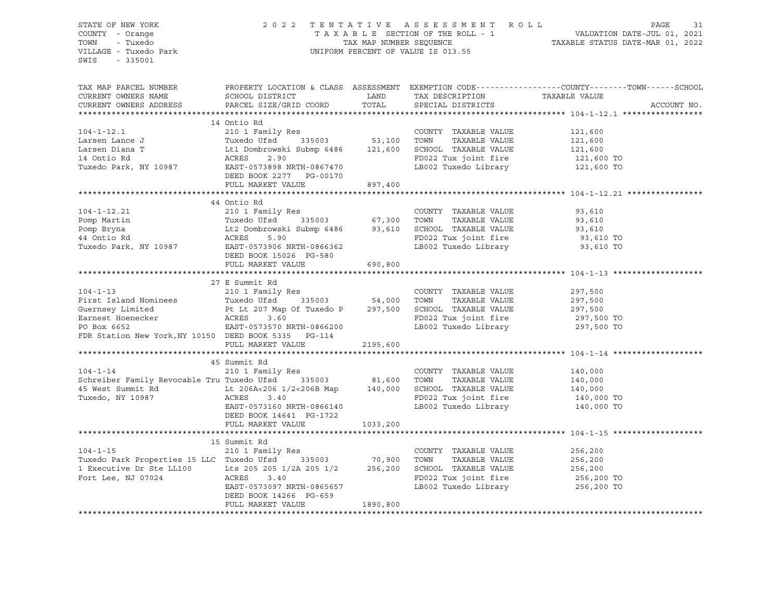STATE OF NEW YORK 2 0 2 2 T E N T A T I V E A S S E S S M E N T R O L L PAGE 31 COUNTY - Orange T A X A B L E SECTION OF THE ROLL - 1 VALUATION DATE-JUL 01, 2021 TRIE OF NEW YORK COUNTY - Orange COUNTY - Orange COUNTY - Orange S1 COUNTY - Orange S1 COUNTY - Orange S1 COUNTY - Orange S1 COUNTY - Orange S1 COUNTY - Orange S1 COUNTY - Orange S1 COUNTY - Orange S1 COUNTY - TUXedo TAXAB UNIFORM PERCENT OF VALUE IS 013.55 SWIS - 335001 TAX MAP PARCEL NUMBER PROPERTY LOCATION & CLASS ASSESSMENT EXEMPTION CODE------------------COUNTY--------TOWN------SCHOOL CURRENT OWNERS NAME SCHOOL DISTRICT LAND TAX DESCRIPTION TAXABLE VALUE CURRENT OWNERS ADDRESS PARCEL SIZE/GRID COORD TOTAL SPECIAL DISTRICTS ACCOUNT NO. \*\*\*\*\*\*\*\*\*\*\*\*\*\*\*\*\*\*\*\*\*\*\*\*\*\*\*\*\*\*\*\*\*\*\*\*\*\*\*\*\*\*\*\*\*\*\*\*\*\*\*\*\*\*\*\*\*\*\*\*\*\*\*\*\*\*\*\*\*\*\*\*\*\*\*\*\*\*\*\*\*\*\*\*\*\*\*\*\*\*\*\*\*\*\*\*\*\*\*\*\*\*\* 104-1-12.1 \*\*\*\*\*\*\*\*\*\*\*\*\*\*\*\*\* 14 Ontio Rd 104-1-12.1 210 1 Family Res COUNTY TAXABLE VALUE 121,600 Larsen Lance J Tuxedo Ufsd 335003 53,100 TOWN TAXABLE VALUE 121,600 Larsen Diana T Lt1 Dombrowski Submp 6486 121,600 SCHOOL TAXABLE VALUE 121,600 14 Ontio Rd ACRES 2.90 FD022 Tux joint fire 121,600 TO Tuxedo Park, NY 10987 EAST-0573898 NRTH-0867470 LB002 Tuxedo Library 121,600 TO DEED BOOK 2277 PG-00170 FULL MARKET VALUE 897,400 \*\*\*\*\*\*\*\*\*\*\*\*\*\*\*\*\*\*\*\*\*\*\*\*\*\*\*\*\*\*\*\*\*\*\*\*\*\*\*\*\*\*\*\*\*\*\*\*\*\*\*\*\*\*\*\*\*\*\*\*\*\*\*\*\*\*\*\*\*\*\*\*\*\*\*\*\*\*\*\*\*\*\*\*\*\*\*\*\*\*\*\*\*\*\*\*\*\*\*\*\*\*\* 104-1-12.21 \*\*\*\*\*\*\*\*\*\*\*\*\*\*\*\* 44 Ontio Rd 104-1-12.21 210 1 Family Res COUNTY TAXABLE VALUE 93,610 Pomp Martin Tuxedo Ufsd 335003 67,300 TOWN TAXABLE VALUE 93,610 Pomp Bryna Lt2 Dombrowski Submp 6486 93,610 SCHOOL TAXABLE VALUE 93,610 44 Ontio Rd ACRES 5.90 FD022 Tux joint fire 93,610 TO Tuxedo Park, NY 10987 EAST-0573906 NRTH-0866362 LB002 Tuxedo Library 93,610 TO DEED BOOK 15026 PG-580 FULL MARKET VALUE 690,800 \*\*\*\*\*\*\*\*\*\*\*\*\*\*\*\*\*\*\*\*\*\*\*\*\*\*\*\*\*\*\*\*\*\*\*\*\*\*\*\*\*\*\*\*\*\*\*\*\*\*\*\*\*\*\*\*\*\*\*\*\*\*\*\*\*\*\*\*\*\*\*\*\*\*\*\*\*\*\*\*\*\*\*\*\*\*\*\*\*\*\*\*\*\*\*\*\*\*\*\*\*\*\* 104-1-13 \*\*\*\*\*\*\*\*\*\*\*\*\*\*\*\*\*\*\* 27 E Summit Rd 104-1-13 210 1 Family Res COUNTY TAXABLE VALUE 297,500 First Island Nominees Tuxedo Ufsd 335003 54,000 TOWN TAXABLE VALUE 297,500 Guernsey Limited Pt Lt 207 Map Of Tuxedo P 297,500 SCHOOL TAXABLE VALUE 297,500 Earnest Hoenecker ACRES 3.60 FD022 Tux joint fire 297,500 TO PO Box 6652 EAST-0573570 NRTH-0866200 LB002 Tuxedo Library 297,500 TO FDR Station New York,NY 10150 DEED BOOK 5335 PG-114 FULL MARKET VALUE 2195,600 \*\*\*\*\*\*\*\*\*\*\*\*\*\*\*\*\*\*\*\*\*\*\*\*\*\*\*\*\*\*\*\*\*\*\*\*\*\*\*\*\*\*\*\*\*\*\*\*\*\*\*\*\*\*\*\*\*\*\*\*\*\*\*\*\*\*\*\*\*\*\*\*\*\*\*\*\*\*\*\*\*\*\*\*\*\*\*\*\*\*\*\*\*\*\*\*\*\*\*\*\*\*\* 104-1-14 \*\*\*\*\*\*\*\*\*\*\*\*\*\*\*\*\*\*\* 45 Summit Rd 104-1-14 210 1 Family Res COUNTY TAXABLE VALUE 140,000 Schreiber Family Revocable Tru Tuxedo Ufsd 335003 81,600 TOWN TAXABLE VALUE 140,000 45 West Summit Rd Lt 206A<206 1/2<206B Map 140,000 SCHOOL TAXABLE VALUE 140,000 Tuxedo, NY 10987 ACRES 3.40 FD022 Tux joint fire 140,000 TO ACRES 3.40<br>EAST-0573160 NRTH-0866140 LB002 Tuxedo Library 140,000 TO DEED BOOK 14641 PG-1722 FULL MARKET VALUE 1033,200 \*\*\*\*\*\*\*\*\*\*\*\*\*\*\*\*\*\*\*\*\*\*\*\*\*\*\*\*\*\*\*\*\*\*\*\*\*\*\*\*\*\*\*\*\*\*\*\*\*\*\*\*\*\*\*\*\*\*\*\*\*\*\*\*\*\*\*\*\*\*\*\*\*\*\*\*\*\*\*\*\*\*\*\*\*\*\*\*\*\*\*\*\*\*\*\*\*\*\*\*\*\*\* 104-1-15 \*\*\*\*\*\*\*\*\*\*\*\*\*\*\*\*\*\*\* 15 Summit Rd 104-1-15 210 1 Family Res COUNTY TAXABLE VALUE 256,200 Tuxedo Park Properties 15 LLC Tuxedo Ufsd 335003 70,900 TOWN TAXABLE VALUE 256,200 1 Executive Dr Ste LL100 Lts 205 205 1/2A 205 1/2 256,200 SCHOOL TAXABLE VALUE 256,200 Fort Lee, NJ 07024 256,200 TO<br>EAST-0573097 NRTH-0865657 18002 Tuxedo Library 256.200 TO EAST-0523097 NRTH-0865<br>Theodor Library DEED BOOK 14266 PG-659 FULL MARKET VALUE 1890,800 \*\*\*\*\*\*\*\*\*\*\*\*\*\*\*\*\*\*\*\*\*\*\*\*\*\*\*\*\*\*\*\*\*\*\*\*\*\*\*\*\*\*\*\*\*\*\*\*\*\*\*\*\*\*\*\*\*\*\*\*\*\*\*\*\*\*\*\*\*\*\*\*\*\*\*\*\*\*\*\*\*\*\*\*\*\*\*\*\*\*\*\*\*\*\*\*\*\*\*\*\*\*\*\*\*\*\*\*\*\*\*\*\*\*\*\*\*\*\*\*\*\*\*\*\*\*\*\*\*\*\*\*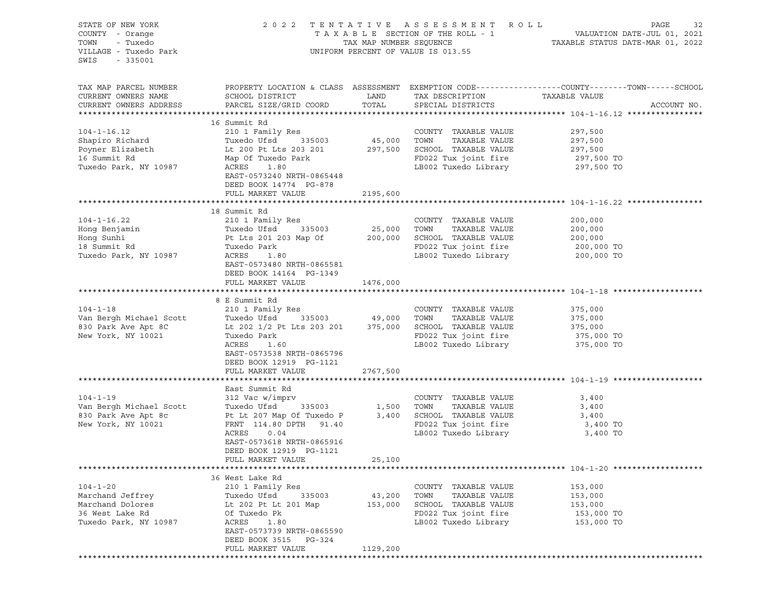| STATE OF NEW YORK<br>SIAIE OF NEW IORN<br>COUNTY - Orange<br>TOWN - Tuxedo<br>VILLAGE - Tuxedo Park<br>SWIS<br>$-335001$                                                                                                                                  |                                                                                                               |               | 2022 TENTATIVE ASSESSMENT ROLL<br>UNIFORM PERCENT OF VALUE IS 013.55                                                           | TENTATIVE ASSESSMENT ROLL<br>TAXABLE SECTION OF THE ROLL - 1 VALUATION DATE-JUL 01, 2021<br>TAX MAP NUMBER SEQUENCE TAXABLE STATUS DATE-MAR 01, 2022 |
|-----------------------------------------------------------------------------------------------------------------------------------------------------------------------------------------------------------------------------------------------------------|---------------------------------------------------------------------------------------------------------------|---------------|--------------------------------------------------------------------------------------------------------------------------------|------------------------------------------------------------------------------------------------------------------------------------------------------|
| TAX MAP PARCEL NUMBER<br>CURRENT OWNERS NAME<br>CURRENT OWNERS ADDRESS                                                                                                                                                                                    | SCHOOL DISTRICT<br>PARCEL SIZE/GRID COORD                                                                     | LAND<br>TOTAL | TAX DESCRIPTION TAXABLE VALUE<br>SERCIAL DISTRICTS<br>SPECIAL DISTRICTS                                                        | PROPERTY LOCATION & CLASS ASSESSMENT EXEMPTION CODE----------------COUNTY-------TOWN-----SCHOOL<br>ACCOUNT NO.                                       |
|                                                                                                                                                                                                                                                           | 16 Summit Rd                                                                                                  |               |                                                                                                                                |                                                                                                                                                      |
| $104 - 1 - 16.12$<br>Shapiro Richard Tuxedo Ufsd 335003 45,000 TOWN TAXABLE VALUE<br>Poyner Elizabeth Lt 200 Pt Lts 203 201 297,500 SCHOOL TAXABLE VALUE<br>16 Summit Rd Map Of Tuxedo Park RD022 Tux joint fire<br>Tuxedo Park, NY 10987 ACRES 1.80 LB00 | 210 1 Family Res                                                                                              |               | COUNTY TAXABLE VALUE<br>SCHOOL TAXABLE VALUE 297,500<br>FD022 Tux joint fire 297,500 TO                                        | 297,500<br>TAXABLE VALUE 297,500                                                                                                                     |
|                                                                                                                                                                                                                                                           | EAST-0573240 NRTH-0865448<br>DEED BOOK 14774 PG-878                                                           |               | LB002 Tuxedo Library                                                                                                           | 297,500 TO                                                                                                                                           |
|                                                                                                                                                                                                                                                           | FULL MARKET VALUE                                                                                             | 2195,600      |                                                                                                                                |                                                                                                                                                      |
|                                                                                                                                                                                                                                                           | 18 Summit Rd                                                                                                  |               |                                                                                                                                |                                                                                                                                                      |
| $104 - 1 - 16.22$                                                                                                                                                                                                                                         | 210 1 Family Res                                                                                              |               | COUNTY TAXABLE VALUE<br>TOWN                                                                                                   | 200,000<br>TAXABLE VALUE 200,000                                                                                                                     |
|                                                                                                                                                                                                                                                           |                                                                                                               |               | 200,000 SCHOOL TAXABLE VALUE<br>SCHOOL TAXABLE VALUE 200,000<br>FD022 Tux joint fire 200,000 TO                                | 200,000                                                                                                                                              |
| Tuxedo Park, NY 10987                                                                                                                                                                                                                                     | Park<br>1.80<br>ACRES<br>EAST-0573480 NRTH-0865581<br>DEED BOOK 14164 PG-1349                                 |               | LB002 Tuxedo Library                                                                                                           | 200,000 TO                                                                                                                                           |
|                                                                                                                                                                                                                                                           | FULL MARKET VALUE                                                                                             | 1476,000      |                                                                                                                                |                                                                                                                                                      |
|                                                                                                                                                                                                                                                           |                                                                                                               |               |                                                                                                                                |                                                                                                                                                      |
|                                                                                                                                                                                                                                                           | 8 E Summit Rd<br>210 1 Family Res                                                                             |               |                                                                                                                                | 375,000                                                                                                                                              |
|                                                                                                                                                                                                                                                           |                                                                                                               |               |                                                                                                                                | TAXABLE VALUE 375,000                                                                                                                                |
|                                                                                                                                                                                                                                                           |                                                                                                               |               |                                                                                                                                | 375,000                                                                                                                                              |
|                                                                                                                                                                                                                                                           |                                                                                                               |               | FD022 Tux joint fire 375,000 TO                                                                                                |                                                                                                                                                      |
|                                                                                                                                                                                                                                                           | ACRES<br>1.60<br>EAST-0573538 NRTH-0865796<br>DEED BOOK 12919 PG-1121                                         |               | LB002 Tuxedo Library                                                                                                           | 375,000 TO                                                                                                                                           |
|                                                                                                                                                                                                                                                           | FULL MARKET VALUE                                                                                             | 2767,500      |                                                                                                                                |                                                                                                                                                      |
|                                                                                                                                                                                                                                                           | East Summit Rd                                                                                                |               |                                                                                                                                |                                                                                                                                                      |
| Van Bergh Michael Scott<br>830 Park Ave Apt 8c<br>830 Park Ave Apt 8c<br>830 Park Ave Apt 8c<br>86 Pt Lt 207 Map 0f Tuxedo P<br>8,400 New York, NY 10021<br>87 PRNT 114.80 DPTH 91 40                                                                     | 312 Vac w/imprv<br>ACRES<br>0.04<br>EAST-0573618 NRTH-0865916<br>DEED BOOK 12919 PG-1121<br>FULL MARKET VALUE | 25,100        | COUNTY TAXABLE VALUE<br>TAXABLE VALUE<br>TOWN<br>SCHOOL TAXABLE VALUE<br>FD022 Tux joint fire 3,400 TO<br>LB002 Tuxedo Library | 3,400<br>3,400<br>3,400<br>3,400 TO                                                                                                                  |
|                                                                                                                                                                                                                                                           |                                                                                                               |               |                                                                                                                                |                                                                                                                                                      |
|                                                                                                                                                                                                                                                           | 36 West Lake Rd                                                                                               |               |                                                                                                                                |                                                                                                                                                      |
| $104 - 1 - 20$                                                                                                                                                                                                                                            | 210 1 Family Res                                                                                              |               | COUNTY TAXABLE VALUE                                                                                                           | 153,000                                                                                                                                              |
| Marchand Jeffrey                                                                                                                                                                                                                                          | Tuxedo Ufsd<br>335003                                                                                         | 43,200        | TAXABLE VALUE<br>TOWN                                                                                                          | 153,000                                                                                                                                              |
| Marchand Dolores                                                                                                                                                                                                                                          | Lt 202 Pt Lt 201 Map                                                                                          | 153,000       | SCHOOL TAXABLE VALUE                                                                                                           | 153,000                                                                                                                                              |
| 36 West Lake Rd                                                                                                                                                                                                                                           | Of Tuxedo Pk                                                                                                  |               | FD022 Tux joint fire                                                                                                           | 153,000 TO                                                                                                                                           |
| Tuxedo Park, NY 10987                                                                                                                                                                                                                                     | ACRES<br>1.80<br>EAST-0573739 NRTH-0865590<br>DEED BOOK 3515 PG-324<br>FULL MARKET VALUE                      | 1129,200      | LB002 Tuxedo Library                                                                                                           | 153,000 TO                                                                                                                                           |
|                                                                                                                                                                                                                                                           |                                                                                                               |               |                                                                                                                                |                                                                                                                                                      |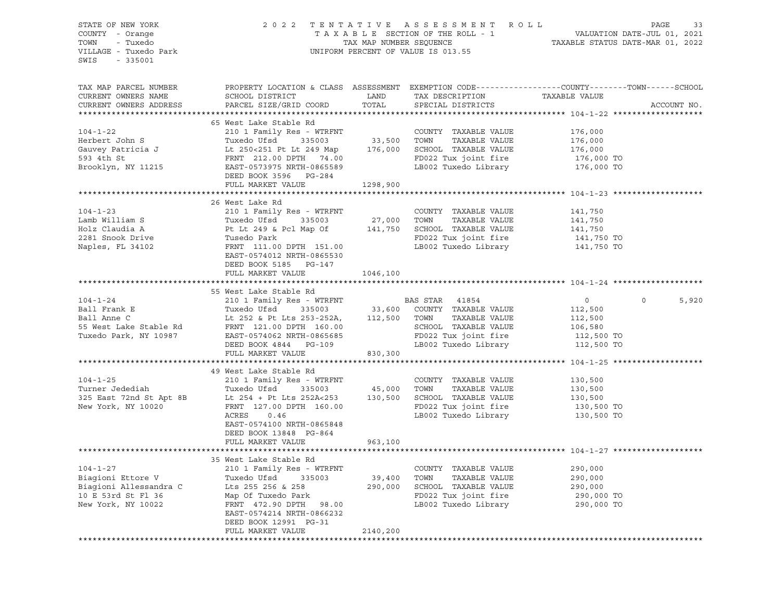| STATE OF NEW YORK<br>COUNTY - Orange<br>TOWN<br>- Tuxedo<br>VILLAGE - Tuxedo Park<br>SWIS<br>$-335001$    |                                                                                                                                                                                                             |                   | 2022 TENTATIVE ASSESSMENT ROLL<br>UNIFORM PERCENT OF VALUE IS 013.55                                                                                                 | PAGE<br>T A X A B L E SECTION OF THE ROLL - 1 VALUATION DATE-JUL 01, 2021<br>TAX MAP NUMBER SEQUENCE TAXABLE STATUS DATE-MAR 01, 2022 | 33    |
|-----------------------------------------------------------------------------------------------------------|-------------------------------------------------------------------------------------------------------------------------------------------------------------------------------------------------------------|-------------------|----------------------------------------------------------------------------------------------------------------------------------------------------------------------|---------------------------------------------------------------------------------------------------------------------------------------|-------|
| TAX MAP PARCEL NUMBER<br>CURRENT OWNERS NAME<br>CURRENT OWNERS ADDRESS                                    | SCHOOL DISTRICT<br>PARCEL SIZE/GRID COORD                                                                                                                                                                   | LAND<br>TOTAL     | TAX DESCRIPTION<br>SPECIAL DISTRICTS                                                                                                                                 | PROPERTY LOCATION & CLASS ASSESSMENT EXEMPTION CODE---------------COUNTY-------TOWN------SCHOOL<br>TAXABLE VALUE<br>ACCOUNT NO.       |       |
|                                                                                                           | 65 West Lake Stable Rd                                                                                                                                                                                      |                   |                                                                                                                                                                      |                                                                                                                                       |       |
| $104 - 1 - 22$<br>Herbert John S<br>Gauvey Patricia J<br>593 4th St<br>Brooklyn, NY 11215                 | 210 1 Family Res - WTRFNT<br>Tuxedo Ufsd<br>335003<br>Lt 250<251 Pt Lt 249 Map 176,000<br>FRNT 212.00 DPTH 74.00<br>EAST-0573975 NRTH-0865589<br>DEED BOOK 3596 PG-284                                      | 33,500 TOWN       | COUNTY TAXABLE VALUE<br>TAXABLE VALUE<br>SCHOOL TAXABLE VALUE<br>FD022 Tux joint fire<br>LB002 Tuxedo Library                                                        | 176,000<br>176,000<br>176,000<br>176,000 TO<br>176,000 TO                                                                             |       |
|                                                                                                           | FULL MARKET VALUE                                                                                                                                                                                           | 1298,900          |                                                                                                                                                                      |                                                                                                                                       |       |
|                                                                                                           |                                                                                                                                                                                                             |                   |                                                                                                                                                                      |                                                                                                                                       |       |
| $104 - 1 - 23$<br>Lamb William S                                                                          | 26 West Lake Rd<br>210 1 Family Res - WTRFNT<br>Tuxedo Ufsd<br>335003                                                                                                                                       | 27,000 TOWN       | COUNTY TAXABLE VALUE<br>TAXABLE VALUE                                                                                                                                | 141,750<br>141,750                                                                                                                    |       |
| Holz Claudia A<br>2281 Snook Drive<br>Naples, FL 34102                                                    | Pt Lt 249 & Pcl Map Of<br>Tusedo Park<br>FRNT 111.00 DPTH 151.00<br>EAST-0574012 NRTH-0865530                                                                                                               | 141,750           | SCHOOL TAXABLE VALUE<br>FD022 Tux joint fire<br>LB002 Tuxedo Library                                                                                                 | 141,750<br>141,750 TO<br>141,750 TO                                                                                                   |       |
|                                                                                                           | DEED BOOK 5185 PG-147<br>FULL MARKET VALUE                                                                                                                                                                  | 1046,100          |                                                                                                                                                                      |                                                                                                                                       |       |
|                                                                                                           | 55 West Lake Stable Rd                                                                                                                                                                                      |                   |                                                                                                                                                                      |                                                                                                                                       |       |
| $104 - 1 - 24$<br>Ball Frank E<br>Ball Anne C<br>55 West Lake Stable Rd<br>Tuxedo Park, NY 10987          | 210 1 Family Res - WTRFNT<br>Tuxedo Ufsd<br>335003<br>Lt 252 & Pt Lts 253-252A,<br>FRNT 121.00 DPTH 160.00<br>EAST-0574062 NRTH-0865685<br>DEED BOOK 4844 PG-109                                            | 112,500           | BAS STAR 41854<br>33,600 COUNTY TAXABLE VALUE<br>112,500 TOWN TAXABLE VALUE<br>TAXABLE VALUE<br>SCHOOL TAXABLE VALUE<br>FD022 Tux joint fire<br>LB002 Tuxedo Library | $\mathbf 0$<br>$\circ$<br>112,500<br>112,500<br>106,580<br>112,500 TO<br>112,500 TO                                                   | 5,920 |
|                                                                                                           | FULL MARKET VALUE                                                                                                                                                                                           | 830,300           |                                                                                                                                                                      |                                                                                                                                       |       |
|                                                                                                           |                                                                                                                                                                                                             |                   |                                                                                                                                                                      |                                                                                                                                       |       |
| $104 - 1 - 25$<br>Turner Jedediah<br>325 East 72nd St Apt 8B<br>New York, NY 10020                        | 49 West Lake Stable Rd<br>210 1 Family Res - WTRFNT<br>Tuxedo Ufsd<br>335003<br>Lt 254 + Pt Lts 252A<253<br>FRNT 127.00 DPTH 160.00<br>ACRES<br>0.46<br>EAST-0574100 NRTH-0865848<br>DEED BOOK 13848 PG-864 | 45,000<br>130,500 | COUNTY TAXABLE VALUE<br>TAXABLE VALUE<br>TOWN<br>SCHOOL TAXABLE VALUE<br>FD022 Tux joint fire<br>LB002 Tuxedo Library                                                | 130,500<br>130,500<br>130,500<br>130,500 TO<br>130,500 TO                                                                             |       |
|                                                                                                           | FULL MARKET VALUE                                                                                                                                                                                           | 963,100           |                                                                                                                                                                      |                                                                                                                                       |       |
|                                                                                                           |                                                                                                                                                                                                             |                   |                                                                                                                                                                      |                                                                                                                                       |       |
| $104 - 1 - 27$<br>Biagioni Ettore V<br>Biagioni Allessandra C<br>10 E 53rd St Fl 36<br>New York, NY 10022 | 35 West Lake Stable Rd<br>210 1 Family Res - WTRFNT<br>Tuxedo Ufsd<br>335003<br>Lts 255 256 & 258<br>Map Of Tuxedo Park<br>FRNT 472.90 DPTH 98.00<br>EAST-0574214 NRTH-0866232<br>DEED BOOK 12991 PG-31     | 39,400<br>290,000 | COUNTY TAXABLE VALUE<br>TAXABLE VALUE<br>TOWN<br>SCHOOL TAXABLE VALUE<br>FD022 Tux joint fire<br>LB002 Tuxedo Library                                                | 290,000<br>290,000<br>290,000<br>290,000 TO<br>290,000 TO                                                                             |       |
|                                                                                                           | FULL MARKET VALUE                                                                                                                                                                                           | 2140,200          |                                                                                                                                                                      |                                                                                                                                       |       |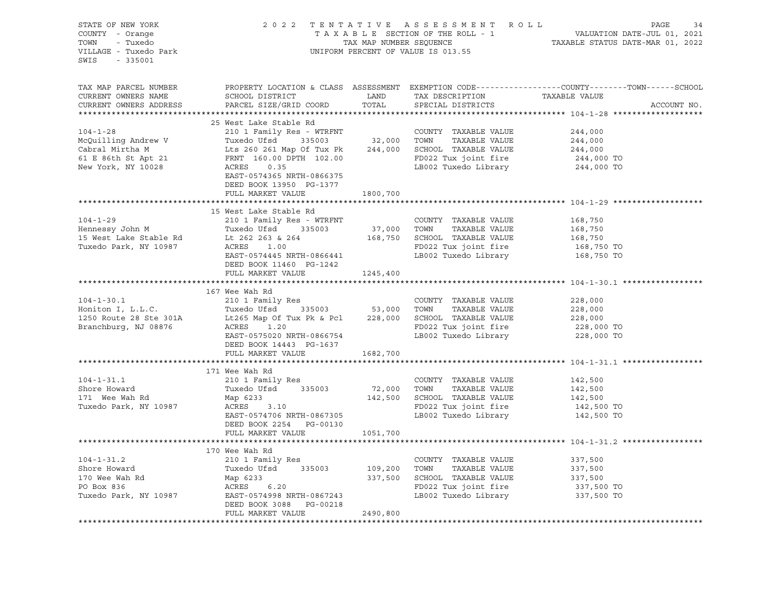| STATE OF NEW YORK<br>COUNTY - Orange<br>TOWN - Tuxedo<br>VILLAGE - Tuxedo Park<br>SWIS - 335001                                                                                                                                                                                |                            |          | UNIFORM PERCENT OF VALUE IS 013.55                                 | 2022 TENTATIVE ASSESSMENT ROLL<br>TAXABLE SECTION OF THE ROLL - 1 VALUATION DATE-JUL 01, 2021<br>TAX MAP NUMBER SEQUENCE TAXABLE STATUS DATE-MAR 01, 2022 |
|--------------------------------------------------------------------------------------------------------------------------------------------------------------------------------------------------------------------------------------------------------------------------------|----------------------------|----------|--------------------------------------------------------------------|-----------------------------------------------------------------------------------------------------------------------------------------------------------|
| TAX MAP PARCEL NUMBER<br>CURRENT OWNERS NAME<br>CURRENT OWNERS ADDRESS                                                                                                                                                                                                         |                            |          |                                                                    | PROPERTY LOCATION & CLASS ASSESSMENT EXEMPTION CODE---------------COUNTY-------TOWN-----SCHOOL<br>ACCOUNT NO.                                             |
|                                                                                                                                                                                                                                                                                |                            |          |                                                                    |                                                                                                                                                           |
|                                                                                                                                                                                                                                                                                |                            |          |                                                                    |                                                                                                                                                           |
|                                                                                                                                                                                                                                                                                |                            |          |                                                                    |                                                                                                                                                           |
|                                                                                                                                                                                                                                                                                |                            |          |                                                                    |                                                                                                                                                           |
|                                                                                                                                                                                                                                                                                |                            |          |                                                                    |                                                                                                                                                           |
| 104-1-28<br>McQuilling Andrew V<br>McQuilling Andrew V<br>Cabral Mirtha M<br>Cabral Mirtha M<br>Cabral Mirtha M<br>Cabral Mirtha M<br>Cabral Mirtha M<br>Cabral Mirtha M<br>Cabral Mirtha M<br>Cabral Mirtha M<br>Cabral Mirtha M<br>Cabral Mirtha M<br>                       | DEED BOOK 13950 PG-1377    |          |                                                                    |                                                                                                                                                           |
|                                                                                                                                                                                                                                                                                | FULL MARKET VALUE          | 1800,700 |                                                                    |                                                                                                                                                           |
|                                                                                                                                                                                                                                                                                |                            |          |                                                                    |                                                                                                                                                           |
| 104-1-29<br>104-1-29<br>Hennessy John M<br>168,750<br>168,750<br>168,750<br>168,750<br>168,750<br>168,750<br>168,750<br>168,750<br>168,750<br>168,750<br>168,750<br>168,750<br>168,750<br>168,750<br>168,750<br>168,750<br>168,750<br>168,750<br>168,750<br>168,750<br>201<br> | 15 West Lake Stable Rd     |          |                                                                    |                                                                                                                                                           |
|                                                                                                                                                                                                                                                                                |                            |          |                                                                    |                                                                                                                                                           |
|                                                                                                                                                                                                                                                                                |                            |          |                                                                    |                                                                                                                                                           |
|                                                                                                                                                                                                                                                                                |                            |          |                                                                    |                                                                                                                                                           |
|                                                                                                                                                                                                                                                                                |                            |          |                                                                    |                                                                                                                                                           |
|                                                                                                                                                                                                                                                                                | DEED BOOK 11460 PG-1242    |          |                                                                    |                                                                                                                                                           |
|                                                                                                                                                                                                                                                                                | FULL MARKET VALUE 1245,400 |          |                                                                    |                                                                                                                                                           |
|                                                                                                                                                                                                                                                                                |                            |          |                                                                    |                                                                                                                                                           |
| 104-1-30.1<br>Honiton I, L.L.C.<br>Honiton I, L.L.C.<br>1250 Route 28 Ste 301A<br>Branchburg, NJ 08876<br>EAST-0575020 NRTH-0866754<br>EAST-0575020 NRTH-0866754<br>EAST-0575020 NRTH-0866754<br>ERST-0575020 NRTH-0866754<br>ERST-0575020 NRTH-                               | 167 Wee Wah Rd             |          |                                                                    |                                                                                                                                                           |
|                                                                                                                                                                                                                                                                                |                            |          |                                                                    |                                                                                                                                                           |
|                                                                                                                                                                                                                                                                                |                            |          |                                                                    |                                                                                                                                                           |
|                                                                                                                                                                                                                                                                                |                            |          |                                                                    |                                                                                                                                                           |
|                                                                                                                                                                                                                                                                                |                            |          |                                                                    |                                                                                                                                                           |
|                                                                                                                                                                                                                                                                                | DEED BOOK 14443 PG-1637    |          |                                                                    |                                                                                                                                                           |
|                                                                                                                                                                                                                                                                                | FULL MARKET VALUE 1682,700 |          |                                                                    |                                                                                                                                                           |
|                                                                                                                                                                                                                                                                                |                            |          |                                                                    |                                                                                                                                                           |
|                                                                                                                                                                                                                                                                                | 171 Wee Wah Rd             |          |                                                                    |                                                                                                                                                           |
|                                                                                                                                                                                                                                                                                |                            |          |                                                                    |                                                                                                                                                           |
|                                                                                                                                                                                                                                                                                |                            |          |                                                                    |                                                                                                                                                           |
|                                                                                                                                                                                                                                                                                |                            |          |                                                                    |                                                                                                                                                           |
|                                                                                                                                                                                                                                                                                |                            |          |                                                                    |                                                                                                                                                           |
|                                                                                                                                                                                                                                                                                |                            |          |                                                                    |                                                                                                                                                           |
|                                                                                                                                                                                                                                                                                | FULL MARKET VALUE 1051,700 |          |                                                                    |                                                                                                                                                           |
|                                                                                                                                                                                                                                                                                |                            |          |                                                                    |                                                                                                                                                           |
|                                                                                                                                                                                                                                                                                |                            |          |                                                                    |                                                                                                                                                           |
|                                                                                                                                                                                                                                                                                |                            |          |                                                                    |                                                                                                                                                           |
| 104-1-31.2<br>2001 Family Res<br>Shore Howard Tuxedo Ufsd 335003<br>2008 Tuxedo Ufsd 335003<br>2008 TOWN TAXABLE VALUE<br>337,500<br>2008 TOWN TAXABLE VALUE<br>337,500<br>2008 TOWN TAXABLE VALUE<br>337,500<br>2008 TOWN TAXABLE VALUE<br>337,500<br>                        |                            |          |                                                                    |                                                                                                                                                           |
|                                                                                                                                                                                                                                                                                |                            |          |                                                                    |                                                                                                                                                           |
|                                                                                                                                                                                                                                                                                |                            |          | FD022 Tux joint fire 337,500 TO<br>LB002 Tuxedo Library 337,500 TO |                                                                                                                                                           |
|                                                                                                                                                                                                                                                                                |                            |          |                                                                    |                                                                                                                                                           |
|                                                                                                                                                                                                                                                                                | FULL MARKET VALUE          | 2490,800 |                                                                    |                                                                                                                                                           |
|                                                                                                                                                                                                                                                                                |                            |          |                                                                    |                                                                                                                                                           |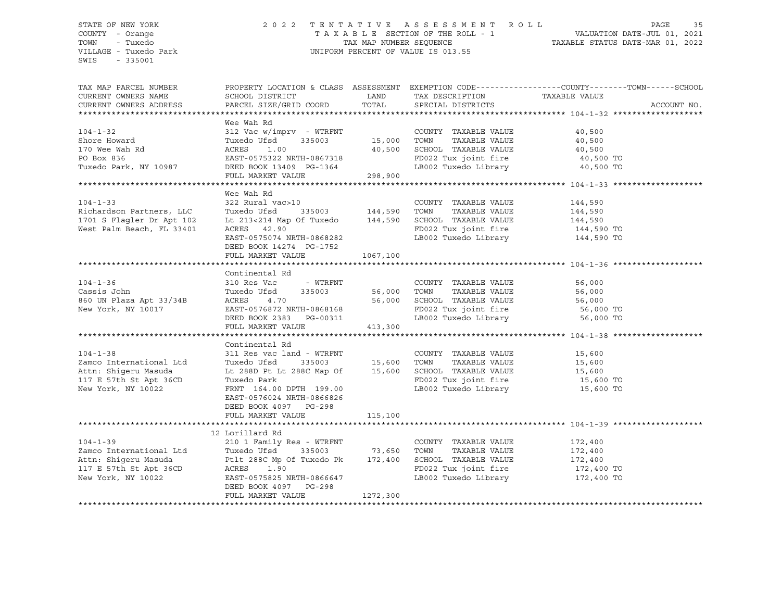#### STATE OF NEW YORK 2 0 2 2 T E N T A T I V E A S S E S S M E N T R O L L PAGE 35 COUNTY - Orange T A X A B L E SECTION OF THE ROLL - 1 VALUATION DATE-JUL 01, 2021 TOWN - Tuxedo TAX MAP NUMBER SEQUENCE TAXABLE STATUS DATE-MAR 01, 2022 VILLAGE - Tuxedo Park UNIFORM PERCENT OF VALUE IS 013.55

| TAX MAP PARCEL NUMBER<br>CURRENT OWNERS NAME<br>CURRENT OWNERS ADDRESS                                                                                                                                                                                       | PROPERTY LOCATION & CLASS ASSESSMENT EXEMPTION CODE---------------COUNTY-------TOWN-----SCHOOL                                                                                                                                                                                                                                                     |                     |                                                                                                    |           | ACCOUNT NO. |
|--------------------------------------------------------------------------------------------------------------------------------------------------------------------------------------------------------------------------------------------------------------|----------------------------------------------------------------------------------------------------------------------------------------------------------------------------------------------------------------------------------------------------------------------------------------------------------------------------------------------------|---------------------|----------------------------------------------------------------------------------------------------|-----------|-------------|
| 104-1-32<br>Shore Howard<br>Shore Howard<br>Tuxedo Ufsd 335003<br>170 Wee Wah Rd ACRES<br>20 Box 836<br>20 Box 836<br>298,900<br>170 Wee Wah Rd ACRES<br>298,900<br>298,900<br>170 Wee Wah Rd ACRES<br>298,900<br>298,900<br>298,900<br>11111111111111111111 | Wee Wah Rd                                                                                                                                                                                                                                                                                                                                         |                     |                                                                                                    |           |             |
| $104 - 1 - 33$<br>Richardson Partners, LLC<br>1701 S Flagler Dr Apt 102<br>West Palm Beach, FL 33401                                                                                                                                                         | Wee Wah Rd<br>322 Rural vac>10<br>ACRES 42.90<br>EAST-0575074 NRTH-0868282<br>DEED BOOK 14274 PG-1752<br>FULL MARKET VALUE                                                                                                                                                                                                                         | PG-1752<br>1067,100 | COUNTY TAXABLE VALUE 144,590<br>FD022 Tux joint fire 144,590 TO<br>LB002 Tuxedo Library 144,590 TO |           |             |
| $104 - 1 - 36$<br>Cassis John Tuxedo<br>860 UN Plaza Apt 33/34B ACRES<br>New York, NY 10017                                                                                                                                                                  | Continental Rd<br>310 Res Vac - WTRFNT COUNTY TAXABLE VALUE 56,000<br>Tuxedo Ufsd 335003 56,000 TOWN TAXABLE VALUE 56,000<br>ACRES 4.70 56,000 SCHOOL TAXABLE VALUE 56,000<br>EAST-0576872 NRTH-0868168 FD022 Tux joint fire 56,000<br>DEED BOOK 2383 PG                                                                                           |                     | FD022 Tux joint fire 56,000 TO<br>LB002 Tuxedo Library 56,000 TO                                   |           |             |
| $104 - 1 - 38$<br>Zamco International Ltd<br>Attn: Shigeru Masuda<br>117 E 57th St Apt 36CD<br>New York, NY 10022                                                                                                                                            | Continental Rd<br>311 Res vac land - WTRFNT COUNTY TAXABLE VALUE 15,600<br>Tuxedo Ufsd 335003 15,600 TOWN TAXABLE VALUE 15,600<br>Lt 288D Pt Lt 288C Map Of 15,600 SCHOOL TAXABLE VALUE 15,600<br>Tuxedo Park FD022 Tux joint fire 15,600 TO<br>FRNT 164.00 DPTH 199.00<br>EAST-0576024 NRTH-0866826<br>DEED BOOK 4097 PG-298<br>FULL MARKET VALUE | 115,100             | LB002 Tuxedo Library                                                                               | 15,600 TO |             |
| 104-1-39<br>2010 1 Family Res - WTRFNT<br>2010 1 Family Res - WTRFNT<br>2010 2 2 2011 Family Res - WTRFNT<br>2010 2 2 335003<br>2010 235003<br>2011 288C Mp Of Tuxedo Pk<br>2017 E S7th St Apt 36CD<br>2022 Tux joint fire<br>2022 Tux joint fir             | DEED BOOK 4097 PG-298<br>FULL MARKET VALUE                                                                                                                                                                                                                                                                                                         | 1272,300            | FD022 Tux joint fire 172,400 TO<br>LB002 Tuxedo Library 172,400 TO                                 |           |             |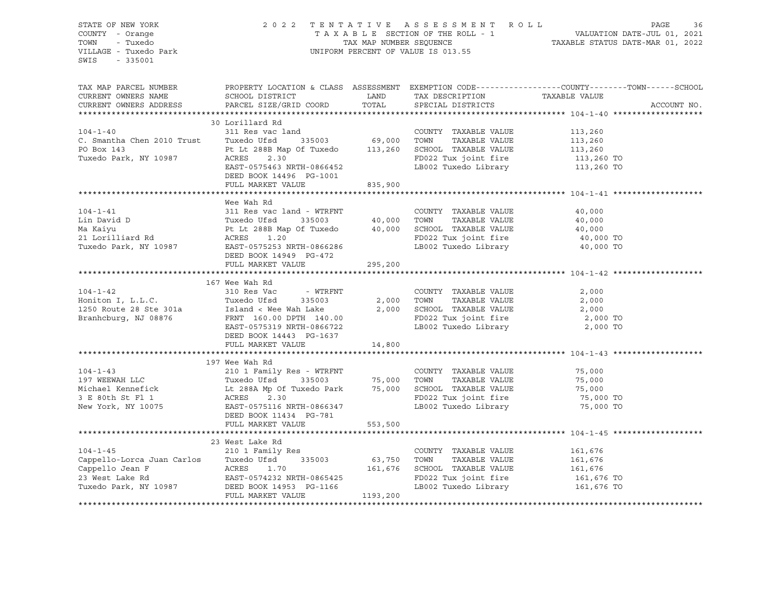| STATE OF NEW YORK<br>COUNTY - Orange<br>- Tuxedo<br>TOWN<br>VILLAGE - Tuxedo Park<br>SWIS - 335001                                                                                                                                                           |                                                 |         |                                                                                      | 2022 TENTATIVE ASSESSMENT ROLL PAGE 36<br>TAXABLE SECTION OF THE ROLL - 1 VALUATION DATE-JUL 01, 2021<br>TAX MAP NUMBER SEQUENCE TAXABLE STATUS DATE-MAR 01, 2022<br>UNIFORM PERCENT OF VALUE IS 013.55 |
|--------------------------------------------------------------------------------------------------------------------------------------------------------------------------------------------------------------------------------------------------------------|-------------------------------------------------|---------|--------------------------------------------------------------------------------------|---------------------------------------------------------------------------------------------------------------------------------------------------------------------------------------------------------|
| TAX MAP PARCEL NUMBER<br>CURRENT OWNERS NAME<br>CURRENT OWNERS ADDRESS                                                                                                                                                                                       | SCHOOL DISTRICT<br>PARCEL SIZE/GRID COORD TOTAL |         | TAXABLE VALUE<br>LAND TAX DESCRIPTION TAXABLE VALUE<br>TOORD TOTAL SPECIAL DISTRICTS | PROPERTY LOCATION & CLASS ASSESSMENT EXEMPTION CODE---------------COUNTY-------TOWN-----SCHOOL<br>ACCOUNT NO.                                                                                           |
|                                                                                                                                                                                                                                                              |                                                 |         |                                                                                      |                                                                                                                                                                                                         |
|                                                                                                                                                                                                                                                              | 30 Lorillard Rd                                 |         |                                                                                      |                                                                                                                                                                                                         |
|                                                                                                                                                                                                                                                              |                                                 |         |                                                                                      |                                                                                                                                                                                                         |
|                                                                                                                                                                                                                                                              |                                                 |         |                                                                                      |                                                                                                                                                                                                         |
|                                                                                                                                                                                                                                                              |                                                 |         |                                                                                      |                                                                                                                                                                                                         |
| 30 LOFITLATA RANDE VALUE<br>311 Res vac land<br>311 Res vac land<br>311 Res vac land<br>313 Res vac land<br>335003<br>260 TOWN TAXABLE VALUE<br>288 Map of Tuxedo 113,260 SCHOOL TAXABLE VALUE<br>2.30<br>2.30<br>2.30<br>2.30<br>2.30<br>2.30<br>2.30<br>2. |                                                 |         |                                                                                      |                                                                                                                                                                                                         |
|                                                                                                                                                                                                                                                              | DEED BOOK 14496 PG-1001                         |         |                                                                                      |                                                                                                                                                                                                         |
|                                                                                                                                                                                                                                                              | FULL MARKET VALUE 835,900                       |         |                                                                                      |                                                                                                                                                                                                         |
|                                                                                                                                                                                                                                                              |                                                 |         |                                                                                      |                                                                                                                                                                                                         |
|                                                                                                                                                                                                                                                              | Wee Wah Rd                                      |         |                                                                                      |                                                                                                                                                                                                         |
|                                                                                                                                                                                                                                                              |                                                 |         |                                                                                      |                                                                                                                                                                                                         |
|                                                                                                                                                                                                                                                              |                                                 |         |                                                                                      |                                                                                                                                                                                                         |
|                                                                                                                                                                                                                                                              |                                                 |         |                                                                                      |                                                                                                                                                                                                         |
|                                                                                                                                                                                                                                                              |                                                 |         |                                                                                      |                                                                                                                                                                                                         |
|                                                                                                                                                                                                                                                              |                                                 |         |                                                                                      |                                                                                                                                                                                                         |
|                                                                                                                                                                                                                                                              |                                                 |         |                                                                                      |                                                                                                                                                                                                         |
|                                                                                                                                                                                                                                                              | FULL MARKET VALUE                               | 295,200 |                                                                                      |                                                                                                                                                                                                         |
|                                                                                                                                                                                                                                                              |                                                 |         |                                                                                      |                                                                                                                                                                                                         |
|                                                                                                                                                                                                                                                              | 167 Wee Wah Rd                                  |         |                                                                                      |                                                                                                                                                                                                         |
| $104 - 1 - 42$                                                                                                                                                                                                                                               |                                                 |         |                                                                                      |                                                                                                                                                                                                         |
|                                                                                                                                                                                                                                                              |                                                 |         |                                                                                      |                                                                                                                                                                                                         |
| 104-1-42<br>Horiton I, L.L.C.<br>1250 Route 28 Ste 301a<br>1250 Route 28 Ste 301a<br>1250 Route 28 Ste 301a<br>1250 Route 28 Ste 301a<br>1250 Route 28 Ste 301a<br>1250 Route 28 Ste 301a<br>1250 Route 28 Ste 301a<br>1250 Route 28 Ste 301a<br>1           |                                                 |         |                                                                                      |                                                                                                                                                                                                         |
|                                                                                                                                                                                                                                                              |                                                 |         |                                                                                      |                                                                                                                                                                                                         |
|                                                                                                                                                                                                                                                              |                                                 |         |                                                                                      |                                                                                                                                                                                                         |
|                                                                                                                                                                                                                                                              | DEED BOOK 14443 PG-1637                         |         |                                                                                      |                                                                                                                                                                                                         |
|                                                                                                                                                                                                                                                              | FULL MARKET VALUE                               | 14,800  |                                                                                      |                                                                                                                                                                                                         |
|                                                                                                                                                                                                                                                              |                                                 |         |                                                                                      |                                                                                                                                                                                                         |
|                                                                                                                                                                                                                                                              | 197 Wee Wah Rd                                  |         |                                                                                      |                                                                                                                                                                                                         |
|                                                                                                                                                                                                                                                              |                                                 |         |                                                                                      |                                                                                                                                                                                                         |
| 197 WEEWAH LLC 201 Family Res - WTRFNT COUNTY TAXABLE VALUE 75,000<br>197 WEEWAH LLC Tuxedo Ufsd 335003 75,000 TOWN TAXABLE VALUE 75,000<br>210 1 Family Res - WTRFNT COUNTY TAXABLE VALUE 75,000<br>210 1 Family Res - WTRFNT 2000                          |                                                 |         |                                                                                      |                                                                                                                                                                                                         |
|                                                                                                                                                                                                                                                              |                                                 |         |                                                                                      |                                                                                                                                                                                                         |
|                                                                                                                                                                                                                                                              |                                                 |         |                                                                                      |                                                                                                                                                                                                         |
|                                                                                                                                                                                                                                                              | DEED BOOK 11434 PG-781                          |         |                                                                                      |                                                                                                                                                                                                         |
|                                                                                                                                                                                                                                                              | FULL MARKET VALUE 553,500                       |         |                                                                                      |                                                                                                                                                                                                         |
|                                                                                                                                                                                                                                                              |                                                 |         |                                                                                      |                                                                                                                                                                                                         |
|                                                                                                                                                                                                                                                              | 23 West Lake Rd                                 |         |                                                                                      |                                                                                                                                                                                                         |
|                                                                                                                                                                                                                                                              |                                                 |         |                                                                                      |                                                                                                                                                                                                         |
| 33 West Lake Rd<br>23 West Lake Rd<br>210 1 Family Res<br>CoUNTY TAXABLE VALUE<br>COUNTY TAXABLE VALUE<br>23 West Lake Rd<br>23 West Lake Rd<br>23 West Lake Rd<br>23 West Lake Rd<br>23 West Lake Rd<br>23 West Lake Rd<br>23 West Lake Rd<br>23 West       |                                                 |         |                                                                                      |                                                                                                                                                                                                         |
|                                                                                                                                                                                                                                                              |                                                 |         |                                                                                      |                                                                                                                                                                                                         |
|                                                                                                                                                                                                                                                              |                                                 |         |                                                                                      |                                                                                                                                                                                                         |
|                                                                                                                                                                                                                                                              |                                                 |         |                                                                                      |                                                                                                                                                                                                         |
|                                                                                                                                                                                                                                                              |                                                 |         |                                                                                      |                                                                                                                                                                                                         |
|                                                                                                                                                                                                                                                              |                                                 |         |                                                                                      |                                                                                                                                                                                                         |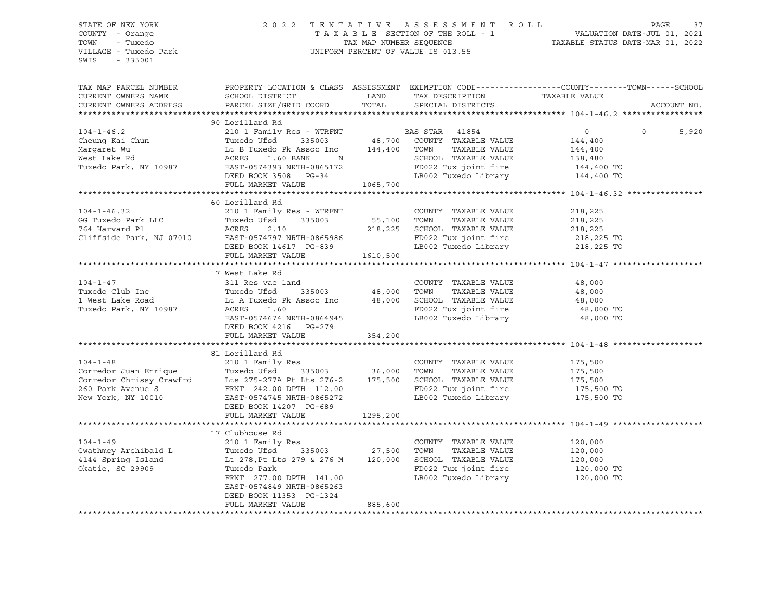#### STATE OF NEW YORK 2 0 2 2 T E N T A T I V E A S S E S S M E N T R O L L PAGE 37 COUNTY - Orange T A X A B L E SECTION OF THE ROLL - 1 VALUATION DATE-JUL 01, 2021 TOWN - Tuxedo TAX MAP NUMBER SEQUENCE TAXABLE STATUS DATE-MAR 01, 2022 VILLAGE - Tuxedo Park UNIFORM PERCENT OF VALUE IS 013.55

| TAX MAP PARCEL NUMBER<br>CURRENT OWNERS NAME                        | PROPERTY LOCATION & CLASS ASSESSMENT EXEMPTION CODE----------------COUNTY-------TOWN------SCHOOL<br>SCHOOL DISTRICT                                                                                                                  | LAND     | TAX DESCRIPTION                                                           | TAXABLE VALUE         |                   |
|---------------------------------------------------------------------|--------------------------------------------------------------------------------------------------------------------------------------------------------------------------------------------------------------------------------------|----------|---------------------------------------------------------------------------|-----------------------|-------------------|
| CURRENT OWNERS ADDRESS                                              | PARCEL SIZE/GRID COORD                                                                                                                                                                                                               | TOTAL    | SPECIAL DISTRICTS                                                         |                       | ACCOUNT NO.       |
|                                                                     | 90 Lorillard Rd                                                                                                                                                                                                                      |          |                                                                           |                       |                   |
| $104 - 1 - 46.2$                                                    |                                                                                                                                                                                                                                      |          |                                                                           | $\overline{0}$        | 5,920<br>$\Omega$ |
| Cheung Kai Chun                                                     |                                                                                                                                                                                                                                      |          |                                                                           | 144,400               |                   |
| Margaret Wu                                                         |                                                                                                                                                                                                                                      |          |                                                                           | 144,400               |                   |
| West Lake Rd                                                        | $\sim$ $\sim$ $\sim$ $\sim$ $\sim$ $\sim$<br>1.60 BANK<br>ACRES                                                                                                                                                                      |          |                                                                           |                       |                   |
| Tuxedo Park, NY 10987                                               | EAST-0574393 NRTH-0865172                                                                                                                                                                                                            |          | SCHOOL TAXABLE VALUE 138,480<br>FD022 Tux joint fire 144,400 TO           |                       |                   |
|                                                                     | DEED BOOK 3508 PG-34                                                                                                                                                                                                                 |          | LB002 Tuxedo Library 144,400 TO                                           |                       |                   |
|                                                                     | FULL MARKET VALUE                                                                                                                                                                                                                    | 1065,700 |                                                                           |                       |                   |
|                                                                     |                                                                                                                                                                                                                                      |          |                                                                           |                       |                   |
|                                                                     | 60 Lorillard Rd                                                                                                                                                                                                                      |          |                                                                           |                       |                   |
| $104 - 1 - 46.32$                                                   | 210 1 Family Res - WTRFNT                                                                                                                                                                                                            |          | COUNTY TAXABLE VALUE                                                      | 218,225               |                   |
|                                                                     | Tuxedo Ufsd 335003 55,100 TOWN                                                                                                                                                                                                       |          | TAXABLE VALUE                                                             | 218,225               |                   |
|                                                                     | ACRES<br>2.10                                                                                                                                                                                                                        |          | 218, 225 SCHOOL TAXABLE VALUE 218, 225                                    |                       |                   |
|                                                                     | EAST-0574797 NRTH-0865986                                                                                                                                                                                                            |          |                                                                           |                       |                   |
|                                                                     | EAST-0574797 NRTH-0865986<br>DEED BOOK 14617 PG-839                                                                                                                                                                                  |          | FD022 Tux joint fire 218,225 TO<br>LB002 Tuxedo Library 218,225 TO        |                       |                   |
| $\therefore$ narvard Pl<br>Cliffside Park, NJ 07010<br>$\therefore$ | FULL MARKET VALUE                                                                                                                                                                                                                    | 1610,500 |                                                                           |                       |                   |
|                                                                     |                                                                                                                                                                                                                                      |          |                                                                           |                       |                   |
|                                                                     | 7 West Lake Rd                                                                                                                                                                                                                       |          |                                                                           |                       |                   |
| $104 - 1 - 47$                                                      | 311 Res vac land                                                                                                                                                                                                                     |          | COUNTY TAXABLE VALUE 48,000                                               |                       |                   |
| Tuxedo Club Inc                                                     |                                                                                                                                                                                                                                      |          | TAXABLE VALUE                                                             |                       |                   |
| 1 West Lake Road                                                    | Tuxedo UISQ<br>Lt A Tuxedo Pk Assoc Inc                                                                                                                                                                                              |          | 335003 48,000 TOWN TAXABLE VALUE<br>Assoc Inc 48,000 SCHOOL TAXABLE VALUE | 48,000<br>48,000      |                   |
| Tuxedo Park, NY 10987                                               |                                                                                                                                                                                                                                      |          |                                                                           | 48,000 TO             |                   |
|                                                                     | EAST-0574674 NRTH-0864945                                                                                                                                                                                                            |          | FD022 Tux joint fire<br>LB002 Tuxedo Library                              | 48,000 TO             |                   |
|                                                                     | DEED BOOK 4216 PG-279                                                                                                                                                                                                                |          |                                                                           |                       |                   |
|                                                                     | FULL MARKET VALUE                                                                                                                                                                                                                    | 354,200  |                                                                           |                       |                   |
|                                                                     |                                                                                                                                                                                                                                      |          |                                                                           |                       |                   |
|                                                                     | 81 Lorillard Rd                                                                                                                                                                                                                      |          |                                                                           |                       |                   |
| $104 - 1 - 48$                                                      |                                                                                                                                                                                                                                      |          | COUNTY TAXABLE VALUE 175,500                                              |                       |                   |
|                                                                     |                                                                                                                                                                                                                                      |          |                                                                           |                       |                   |
|                                                                     |                                                                                                                                                                                                                                      |          |                                                                           |                       |                   |
|                                                                     |                                                                                                                                                                                                                                      |          |                                                                           | 175,500 TO            |                   |
|                                                                     | Corredor Juan Enrique Tuxedo Ufsd 335003 36,000 TOWN TAXABLE VALUE 175,500<br>Corredor Chrissy Crawfrd Lts 275-277A Pt Lts 276-2 175,500 SCHOOL TAXABLE VALUE 175,500<br>260 Park Avenue S FRNT 242.00 DPTH 112.00 FD022 Tux joint f |          | LB002 Tuxedo Library 175,500 TO                                           |                       |                   |
|                                                                     |                                                                                                                                                                                                                                      |          |                                                                           |                       |                   |
|                                                                     | DEED BOOK 14207 PG-689                                                                                                                                                                                                               |          |                                                                           |                       |                   |
|                                                                     | FULL MARKET VALUE                                                                                                                                                                                                                    | 1295,200 |                                                                           |                       |                   |
|                                                                     | 17 Clubhouse Rd                                                                                                                                                                                                                      |          |                                                                           |                       |                   |
| $104 - 1 - 49$                                                      | 210 1 Family Res                                                                                                                                                                                                                     |          | COUNTY TAXABLE VALUE                                                      | 120,000               |                   |
|                                                                     | $335003$ 27,500<br>Tuxedo Ufsd                                                                                                                                                                                                       |          | TOWN<br>TAXABLE VALUE                                                     |                       |                   |
| Gwathmey Archibald L                                                |                                                                                                                                                                                                                                      |          |                                                                           | 120,000               |                   |
| 4144 Spring Island                                                  | Lt 278, Pt Lts 279 & 276 M 120,000                                                                                                                                                                                                   |          | SCHOOL TAXABLE VALUE                                                      | 120,000<br>120,000 TO |                   |
| Okatie, SC 29909                                                    | Tuxedo Park                                                                                                                                                                                                                          |          | FD022 Tux joint fire                                                      |                       |                   |
|                                                                     | FRNT 277.00 DPTH 141.00                                                                                                                                                                                                              |          | LB002 Tuxedo Library 120,000 TO                                           |                       |                   |
|                                                                     | EAST-0574849 NRTH-0865263                                                                                                                                                                                                            |          |                                                                           |                       |                   |
|                                                                     | DEED BOOK 11353 PG-1324<br>FULL MARKET VALUE                                                                                                                                                                                         |          |                                                                           |                       |                   |
|                                                                     |                                                                                                                                                                                                                                      | 885,600  |                                                                           |                       |                   |
|                                                                     |                                                                                                                                                                                                                                      |          |                                                                           |                       |                   |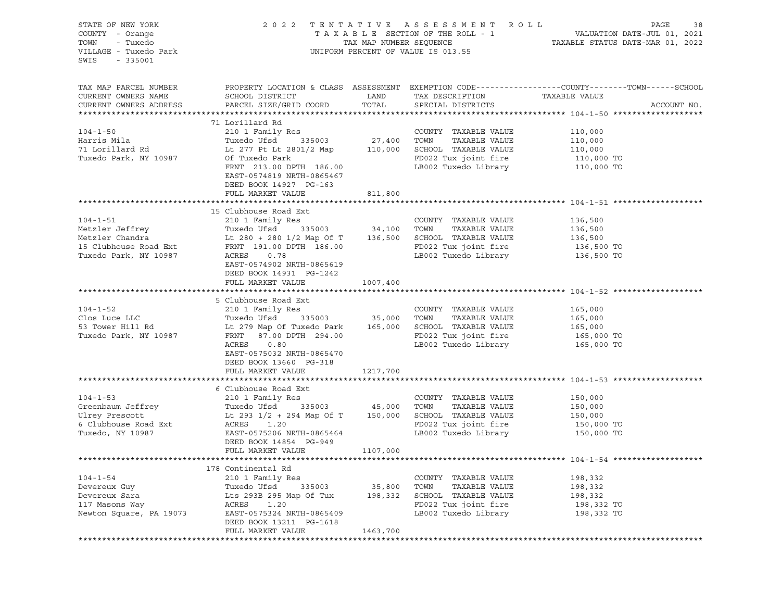| STATE OF NEW YORK<br>COUNTY - Orange<br>- Tuxedo<br>TOWN<br>VILLAGE - Tuxedo Park<br>SWIS<br>- 335001                                                                  |                                                                                                                                                                                                                                                                                                                                                          |                        | 2022 TENTATIVE ASSESSMENT ROLL<br>UNIFORM PERCENT OF VALUE IS 013.55 | PAGE<br>38<br>TAXABLE SECTION OF THE ROLL - 1<br>TAXABLE SECTION OF THE ROLL - 1<br>TAXABLE STATUS DATE-JUL 01, 2021<br>TAXABLE STATUS DATE-MAR 01, 2022 |
|------------------------------------------------------------------------------------------------------------------------------------------------------------------------|----------------------------------------------------------------------------------------------------------------------------------------------------------------------------------------------------------------------------------------------------------------------------------------------------------------------------------------------------------|------------------------|----------------------------------------------------------------------|----------------------------------------------------------------------------------------------------------------------------------------------------------|
| TAX MAP PARCEL NUMBER<br>CURRENT OWNERS NAME<br>CURRENT OWNERS ADDRESS                                                                                                 | SCHOOL DISTRICT<br>PARCEL SIZE/GRID COORD TOTAL SPECIAL DISTRICTS                                                                                                                                                                                                                                                                                        | LAND                   | TAX DESCRIPTION TAXABLE VALUE                                        | PROPERTY LOCATION & CLASS ASSESSMENT EXEMPTION CODE----------------COUNTY-------TOWN------SCHOOL<br>ACCOUNT NO.                                          |
|                                                                                                                                                                        | 71 Lorillard Rd                                                                                                                                                                                                                                                                                                                                          |                        |                                                                      |                                                                                                                                                          |
| $104 - 1 - 50$                                                                                                                                                         |                                                                                                                                                                                                                                                                                                                                                          |                        |                                                                      | 110,000<br>110,000                                                                                                                                       |
| Harris Mila                                                                                                                                                            |                                                                                                                                                                                                                                                                                                                                                          |                        |                                                                      |                                                                                                                                                          |
| 71 Lorillard Rd                                                                                                                                                        | Tuxedo Utsd $\begin{array}{l} 335003 \\ 277 \text{ Pt} \text{ L} \text{t} \end{array}$ $\begin{array}{l} 271.400 \\ 110,000 \\ 110,000 \end{array}$ SCHOOL TAXABLE VALUE $\begin{array}{l} 110000 \\ 110000 \\ 110,000 \end{array}$ TO $\begin{array}{l} 277 \text{ Pt} \text{ L} \text{t} \end{array}$ $\begin{array}{l} 2901/2 \\ 110,000 \end{array}$ |                        |                                                                      |                                                                                                                                                          |
| Tuxedo Park, NY 10987                                                                                                                                                  |                                                                                                                                                                                                                                                                                                                                                          |                        |                                                                      |                                                                                                                                                          |
|                                                                                                                                                                        | FRNT 213.00 DPTH 186.00<br>EAST-0574819 NRTH-0865467<br>DEED BOOK 14927 PG-163                                                                                                                                                                                                                                                                           |                        | LB002 Tuxedo Library 110,000 TO                                      |                                                                                                                                                          |
|                                                                                                                                                                        | FULL MARKET VALUE                                                                                                                                                                                                                                                                                                                                        | 811,800                |                                                                      |                                                                                                                                                          |
|                                                                                                                                                                        |                                                                                                                                                                                                                                                                                                                                                          |                        |                                                                      |                                                                                                                                                          |
|                                                                                                                                                                        | 15 Clubhouse Road Ext                                                                                                                                                                                                                                                                                                                                    |                        |                                                                      |                                                                                                                                                          |
| $104 - 1 - 51$                                                                                                                                                         |                                                                                                                                                                                                                                                                                                                                                          |                        | COUNTY TAXABLE VALUE                                                 | 136,500<br>136,500                                                                                                                                       |
| Metzler Jeffrey                                                                                                                                                        |                                                                                                                                                                                                                                                                                                                                                          |                        |                                                                      |                                                                                                                                                          |
| Metzler Chandra                                                                                                                                                        |                                                                                                                                                                                                                                                                                                                                                          |                        |                                                                      |                                                                                                                                                          |
| 15 Clubhouse Road Ext                                                                                                                                                  | 1.1.280 + 280 1/2 Map Of T 136,500 SCHOOL TAXABLE VALUE 136,500<br>FRNT 191.00 DPTH 186.00 FD022 Tux joint fire 136,500 TO                                                                                                                                                                                                                               |                        |                                                                      |                                                                                                                                                          |
| Tuxedo Park, NY 10987                                                                                                                                                  | ACRES 0.78                                                                                                                                                                                                                                                                                                                                               |                        | LB002 Tuxedo Library 136,500 TO                                      |                                                                                                                                                          |
|                                                                                                                                                                        | EAST-0574902 NRTH-0865619                                                                                                                                                                                                                                                                                                                                |                        |                                                                      |                                                                                                                                                          |
|                                                                                                                                                                        | DEED BOOK 14931 PG-1242                                                                                                                                                                                                                                                                                                                                  |                        |                                                                      |                                                                                                                                                          |
|                                                                                                                                                                        | FULL MARKET VALUE 1007,400                                                                                                                                                                                                                                                                                                                               |                        |                                                                      |                                                                                                                                                          |
|                                                                                                                                                                        | 5 Clubhouse Road Ext                                                                                                                                                                                                                                                                                                                                     |                        |                                                                      |                                                                                                                                                          |
| $104 - 1 - 52$                                                                                                                                                         |                                                                                                                                                                                                                                                                                                                                                          |                        |                                                                      |                                                                                                                                                          |
|                                                                                                                                                                        | 210 1 Family Res<br>The Light Contract of the Contract of the Contract of the Contract of the Contract of the Contract o<br>Tuxedo Ufsd 335003 35,000 TOWN                                                                                                                                                                                               |                        | COUNTY TAXABLE VALUE                                                 | 165,000<br>165,000                                                                                                                                       |
|                                                                                                                                                                        |                                                                                                                                                                                                                                                                                                                                                          |                        |                                                                      |                                                                                                                                                          |
|                                                                                                                                                                        |                                                                                                                                                                                                                                                                                                                                                          |                        |                                                                      |                                                                                                                                                          |
|                                                                                                                                                                        | ACRES<br>0.80                                                                                                                                                                                                                                                                                                                                            |                        | LB002 Tuxedo Library 165,000 TO                                      |                                                                                                                                                          |
|                                                                                                                                                                        | EAST-0575032 NRTH-0865470                                                                                                                                                                                                                                                                                                                                |                        |                                                                      |                                                                                                                                                          |
|                                                                                                                                                                        | DEED BOOK 13660 PG-318                                                                                                                                                                                                                                                                                                                                   |                        |                                                                      |                                                                                                                                                          |
|                                                                                                                                                                        | FULL MARKET VALUE                                                                                                                                                                                                                                                                                                                                        | 1217,700               |                                                                      |                                                                                                                                                          |
|                                                                                                                                                                        |                                                                                                                                                                                                                                                                                                                                                          |                        |                                                                      |                                                                                                                                                          |
|                                                                                                                                                                        | 6 Clubhouse Road Ext                                                                                                                                                                                                                                                                                                                                     |                        |                                                                      |                                                                                                                                                          |
| $104 - 1 - 53$                                                                                                                                                         |                                                                                                                                                                                                                                                                                                                                                          |                        | COUNTY TAXABLE VALUE                                                 |                                                                                                                                                          |
| Greenbaum Jeffrey                                                                                                                                                      |                                                                                                                                                                                                                                                                                                                                                          |                        | TAXABLE VALUE                                                        | 150,000<br>150,000                                                                                                                                       |
| Ulrey Prescott 150,000 EXT 1.293 1/2 + 294 Map Of T 150,000 SCHOOL TAXABLE VALUE 150,000 150,000 TO<br>6 Clubhouse Road Ext ACRES 1.20 FD022 Tux joint fire 150,000 TO |                                                                                                                                                                                                                                                                                                                                                          |                        |                                                                      |                                                                                                                                                          |
|                                                                                                                                                                        |                                                                                                                                                                                                                                                                                                                                                          |                        |                                                                      |                                                                                                                                                          |
| Tuxedo, NY 10987                                                                                                                                                       | EAST-0575206 NRTH-0865464                                                                                                                                                                                                                                                                                                                                |                        | LB002 Tuxedo Library 150,000 TO                                      |                                                                                                                                                          |
|                                                                                                                                                                        | DEED BOOK 14854 PG-949                                                                                                                                                                                                                                                                                                                                   |                        |                                                                      |                                                                                                                                                          |
|                                                                                                                                                                        | FULL MARKET VALUE                                                                                                                                                                                                                                                                                                                                        | 1107,000               |                                                                      |                                                                                                                                                          |
|                                                                                                                                                                        |                                                                                                                                                                                                                                                                                                                                                          |                        |                                                                      |                                                                                                                                                          |
|                                                                                                                                                                        | 178 Continental Rd                                                                                                                                                                                                                                                                                                                                       |                        |                                                                      |                                                                                                                                                          |
| $104 - 1 - 54$                                                                                                                                                         | 210 1 Family Res                                                                                                                                                                                                                                                                                                                                         |                        | COUNTY TAXABLE VALUE                                                 | 198,332                                                                                                                                                  |
| Devereux Guy                                                                                                                                                           | Tuxedo Ufsd<br>335003                                                                                                                                                                                                                                                                                                                                    | 35,800                 | TOWN<br>TAXABLE VALUE                                                | 198,332                                                                                                                                                  |
| Devereux Sara                                                                                                                                                          | Lts 293B 295 Map Of Tux                                                                                                                                                                                                                                                                                                                                  | 198,332                | SCHOOL TAXABLE VALUE                                                 | 198,332                                                                                                                                                  |
| 117 Masons Way                                                                                                                                                         | ACRES<br>1.20                                                                                                                                                                                                                                                                                                                                            |                        | FD022 Tux joint fire                                                 | 198,332 TO                                                                                                                                               |
| Newton Square, PA 19073                                                                                                                                                | EAST-0575324 NRTH-0865409                                                                                                                                                                                                                                                                                                                                |                        | LB002 Tuxedo Library                                                 | 198,332 TO                                                                                                                                               |
|                                                                                                                                                                        | DEED BOOK 13211 PG-1618                                                                                                                                                                                                                                                                                                                                  |                        |                                                                      |                                                                                                                                                          |
|                                                                                                                                                                        | FULL MARKET VALUE                                                                                                                                                                                                                                                                                                                                        | 1463,700               |                                                                      |                                                                                                                                                          |
|                                                                                                                                                                        | *******************                                                                                                                                                                                                                                                                                                                                      | ********************** |                                                                      |                                                                                                                                                          |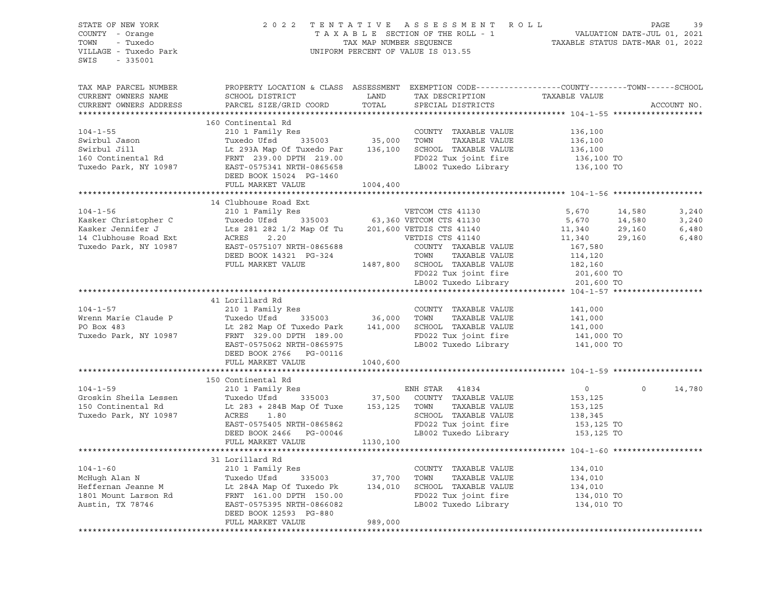| STATE OF NEW YORK<br>COUNTY - Orange<br>TOWN - Tuxedo<br>VILLAGE - Tuxedo Park<br>SWIS - 335001                                                                                                                                                                |                                                                                                                                              | $\begin{tabular}{lllllllllllllllll} \hline & $\mathbf{2}\;\;0\;\;2\;\;2\;\; & $\mathbf{T}\;\; \mathbb{E}\;\; \mathbb{N}\;\; \mathbb{T}\;\; \mathbb{A}\;\; \mathbb{X}\;\; \mathbb{A}\;\; \mathbb{B}\;\; \mathbb{B}\;\; \mathbb{E}\;\; \mathbb{E}\;\; \mathbb{E}\;\; \mathbb{E}\;\; \mathbb{E}\;\; \mathbb{E}\;\; \mathbb{E}\;\; \mathbb{E}\;\; \mathbb{E}\;\; \mathbb{E}\;\; \mathbb{E}\;\; \mathbb{E}\;\; \mathbb{E}\;\; \mathbb{E$ |                                                                                                                                                                  |                                                                                                                                                                                                                                                                         |         |             |
|----------------------------------------------------------------------------------------------------------------------------------------------------------------------------------------------------------------------------------------------------------------|----------------------------------------------------------------------------------------------------------------------------------------------|-------------------------------------------------------------------------------------------------------------------------------------------------------------------------------------------------------------------------------------------------------------------------------------------------------------------------------------------------------------------------------------------------------------------------------------|------------------------------------------------------------------------------------------------------------------------------------------------------------------|-------------------------------------------------------------------------------------------------------------------------------------------------------------------------------------------------------------------------------------------------------------------------|---------|-------------|
| TAX MAP PARCEL NUMBER<br>CURRENT OWNERS NAME<br>CURRENT OWNERS ADDRESS                                                                                                                                                                                         | PROPERTY LOCATION & CLASS ASSESSMENT EXEMPTION CODE----------------COUNTY-------TOWN-----SCHOOL<br>SCHOOL DISTRICT<br>PARCEL SIZE/GRID COORD |                                                                                                                                                                                                                                                                                                                                                                                                                                     | LAND TAX DESCRIPTION TAXABLE VALUE TOTAL SPECIAL DISTRICTS                                                                                                       |                                                                                                                                                                                                                                                                         |         | ACCOUNT NO. |
|                                                                                                                                                                                                                                                                | 160 Continental Rd                                                                                                                           |                                                                                                                                                                                                                                                                                                                                                                                                                                     |                                                                                                                                                                  |                                                                                                                                                                                                                                                                         |         |             |
|                                                                                                                                                                                                                                                                |                                                                                                                                              |                                                                                                                                                                                                                                                                                                                                                                                                                                     |                                                                                                                                                                  |                                                                                                                                                                                                                                                                         |         |             |
|                                                                                                                                                                                                                                                                |                                                                                                                                              |                                                                                                                                                                                                                                                                                                                                                                                                                                     |                                                                                                                                                                  |                                                                                                                                                                                                                                                                         |         |             |
|                                                                                                                                                                                                                                                                |                                                                                                                                              |                                                                                                                                                                                                                                                                                                                                                                                                                                     |                                                                                                                                                                  |                                                                                                                                                                                                                                                                         |         |             |
|                                                                                                                                                                                                                                                                |                                                                                                                                              |                                                                                                                                                                                                                                                                                                                                                                                                                                     |                                                                                                                                                                  |                                                                                                                                                                                                                                                                         |         |             |
|                                                                                                                                                                                                                                                                |                                                                                                                                              |                                                                                                                                                                                                                                                                                                                                                                                                                                     |                                                                                                                                                                  |                                                                                                                                                                                                                                                                         |         |             |
|                                                                                                                                                                                                                                                                | DEED BOOK 15024 PG-1460<br>FULL MARKET VALUE                                                                                                 | 1004,400                                                                                                                                                                                                                                                                                                                                                                                                                            |                                                                                                                                                                  |                                                                                                                                                                                                                                                                         |         |             |
|                                                                                                                                                                                                                                                                |                                                                                                                                              |                                                                                                                                                                                                                                                                                                                                                                                                                                     |                                                                                                                                                                  |                                                                                                                                                                                                                                                                         |         |             |
|                                                                                                                                                                                                                                                                | 14 Clubhouse Road Ext                                                                                                                        |                                                                                                                                                                                                                                                                                                                                                                                                                                     |                                                                                                                                                                  |                                                                                                                                                                                                                                                                         |         |             |
| 19 104-1-56<br>Xasker Christopher C<br>Xasker Jennifer J<br>Xasker Jennifer J<br>14 Clubhouse Road Ext<br>14 Clubhouse Road Ext<br>14 Clubhouse Road Ext<br>2.20<br>2.20<br>Tuxedo Park, NY 10987<br>DEED BOOK 14321 PG-324<br>FULL MARKET VALUE<br>2.         |                                                                                                                                              |                                                                                                                                                                                                                                                                                                                                                                                                                                     |                                                                                                                                                                  | $\begin{array}{cccc} 5\,,670 & \quad & 14\,,580 & \quad & 3\,,240 \\ 5\,,670 & \quad & 14\,,580 & \quad & 3\,,240 \\ 11\,,340 & \quad & 29\,,160 & \quad & 6\,,480 \\ 11\,,340 & \quad & 29\,,160 & \quad & 6\,,480 \\ 167\,,580 & \quad & 6\,,480 & \quad \end{array}$ |         |             |
|                                                                                                                                                                                                                                                                |                                                                                                                                              |                                                                                                                                                                                                                                                                                                                                                                                                                                     |                                                                                                                                                                  |                                                                                                                                                                                                                                                                         |         |             |
|                                                                                                                                                                                                                                                                |                                                                                                                                              |                                                                                                                                                                                                                                                                                                                                                                                                                                     |                                                                                                                                                                  |                                                                                                                                                                                                                                                                         |         |             |
|                                                                                                                                                                                                                                                                |                                                                                                                                              |                                                                                                                                                                                                                                                                                                                                                                                                                                     |                                                                                                                                                                  |                                                                                                                                                                                                                                                                         |         |             |
|                                                                                                                                                                                                                                                                |                                                                                                                                              |                                                                                                                                                                                                                                                                                                                                                                                                                                     |                                                                                                                                                                  |                                                                                                                                                                                                                                                                         |         |             |
|                                                                                                                                                                                                                                                                |                                                                                                                                              |                                                                                                                                                                                                                                                                                                                                                                                                                                     |                                                                                                                                                                  |                                                                                                                                                                                                                                                                         |         |             |
|                                                                                                                                                                                                                                                                |                                                                                                                                              |                                                                                                                                                                                                                                                                                                                                                                                                                                     |                                                                                                                                                                  |                                                                                                                                                                                                                                                                         |         |             |
|                                                                                                                                                                                                                                                                |                                                                                                                                              |                                                                                                                                                                                                                                                                                                                                                                                                                                     | TOWN TAXABLE VALUE 114,120<br>SCHOOL TAXABLE VALUE 182,160<br>FD022 Tux joint fire 201,600 TO<br>LB002 Tuxedo Library 201,600 TO                                 |                                                                                                                                                                                                                                                                         |         |             |
|                                                                                                                                                                                                                                                                |                                                                                                                                              |                                                                                                                                                                                                                                                                                                                                                                                                                                     |                                                                                                                                                                  |                                                                                                                                                                                                                                                                         |         |             |
|                                                                                                                                                                                                                                                                | 41 Lorillard Rd                                                                                                                              |                                                                                                                                                                                                                                                                                                                                                                                                                                     |                                                                                                                                                                  |                                                                                                                                                                                                                                                                         |         |             |
|                                                                                                                                                                                                                                                                |                                                                                                                                              |                                                                                                                                                                                                                                                                                                                                                                                                                                     |                                                                                                                                                                  |                                                                                                                                                                                                                                                                         |         |             |
|                                                                                                                                                                                                                                                                |                                                                                                                                              |                                                                                                                                                                                                                                                                                                                                                                                                                                     |                                                                                                                                                                  |                                                                                                                                                                                                                                                                         |         |             |
|                                                                                                                                                                                                                                                                |                                                                                                                                              |                                                                                                                                                                                                                                                                                                                                                                                                                                     |                                                                                                                                                                  |                                                                                                                                                                                                                                                                         |         |             |
| 104-1-57<br>Wrenn Marie Claude P<br>Tuxedo Park, NY 10987<br>Tuxedo Park, NY 10987<br>EXERT 05711410 RC<br>210 1 Family Res<br>Tuxedo Park 335003<br>141,000<br>210 1 Family Res<br>36,000<br>36,000<br>36,000<br>26,000<br>26,000<br>26,000<br>26,000<br>26,0 |                                                                                                                                              |                                                                                                                                                                                                                                                                                                                                                                                                                                     |                                                                                                                                                                  |                                                                                                                                                                                                                                                                         |         |             |
|                                                                                                                                                                                                                                                                |                                                                                                                                              |                                                                                                                                                                                                                                                                                                                                                                                                                                     |                                                                                                                                                                  |                                                                                                                                                                                                                                                                         |         |             |
|                                                                                                                                                                                                                                                                | DEED BOOK 2766 PG-00116                                                                                                                      |                                                                                                                                                                                                                                                                                                                                                                                                                                     |                                                                                                                                                                  |                                                                                                                                                                                                                                                                         |         |             |
|                                                                                                                                                                                                                                                                | FULL MARKET VALUE 1040,600                                                                                                                   |                                                                                                                                                                                                                                                                                                                                                                                                                                     |                                                                                                                                                                  |                                                                                                                                                                                                                                                                         |         |             |
|                                                                                                                                                                                                                                                                |                                                                                                                                              |                                                                                                                                                                                                                                                                                                                                                                                                                                     |                                                                                                                                                                  |                                                                                                                                                                                                                                                                         |         |             |
| 1999 1997 104-1-59<br>2001 Family Res<br>2101 Family Res<br>2101 Family Res<br>2101 Family Res<br>2101 Family Res<br>2101 Family Res<br>2101 Family Res<br>2101 Family Res<br>235003<br>27,500 COUNTY TAXABLE VALUE<br>283 + 284B Map Of Tuxe<br>283 +         |                                                                                                                                              |                                                                                                                                                                                                                                                                                                                                                                                                                                     |                                                                                                                                                                  |                                                                                                                                                                                                                                                                         | $\circ$ |             |
|                                                                                                                                                                                                                                                                |                                                                                                                                              |                                                                                                                                                                                                                                                                                                                                                                                                                                     |                                                                                                                                                                  |                                                                                                                                                                                                                                                                         |         | 14,780      |
|                                                                                                                                                                                                                                                                |                                                                                                                                              |                                                                                                                                                                                                                                                                                                                                                                                                                                     |                                                                                                                                                                  |                                                                                                                                                                                                                                                                         |         |             |
|                                                                                                                                                                                                                                                                |                                                                                                                                              |                                                                                                                                                                                                                                                                                                                                                                                                                                     |                                                                                                                                                                  |                                                                                                                                                                                                                                                                         |         |             |
|                                                                                                                                                                                                                                                                | ACRES 1.80<br>EAST-0575405 NRTH-0865862<br>DEED BOOK 2466 PG-00046 LB002 Tuxedo Library 153,125 TO                                           |                                                                                                                                                                                                                                                                                                                                                                                                                                     |                                                                                                                                                                  |                                                                                                                                                                                                                                                                         |         |             |
|                                                                                                                                                                                                                                                                |                                                                                                                                              |                                                                                                                                                                                                                                                                                                                                                                                                                                     |                                                                                                                                                                  |                                                                                                                                                                                                                                                                         |         |             |
|                                                                                                                                                                                                                                                                | FULL MARKET VALUE 1130,100                                                                                                                   |                                                                                                                                                                                                                                                                                                                                                                                                                                     |                                                                                                                                                                  |                                                                                                                                                                                                                                                                         |         |             |
|                                                                                                                                                                                                                                                                |                                                                                                                                              |                                                                                                                                                                                                                                                                                                                                                                                                                                     |                                                                                                                                                                  |                                                                                                                                                                                                                                                                         |         |             |
|                                                                                                                                                                                                                                                                | 31 Lorillard Rd                                                                                                                              |                                                                                                                                                                                                                                                                                                                                                                                                                                     |                                                                                                                                                                  |                                                                                                                                                                                                                                                                         |         |             |
|                                                                                                                                                                                                                                                                |                                                                                                                                              |                                                                                                                                                                                                                                                                                                                                                                                                                                     |                                                                                                                                                                  |                                                                                                                                                                                                                                                                         |         |             |
| 104-1-60<br>McHugh Alan N<br>210 1 Family Res<br>210 1 Family Res<br>Tuxedo Ufsd<br>335003<br>210 1 Family Res<br>37,700 TOWN<br>210 TOWN<br>TAXABLE VALUE<br>284A Map Of Tuxedo Pk<br>234A Map Of Tuxedo Pk<br>234A Map Of Tuxedo Pk<br>234A Map Of Tux       |                                                                                                                                              |                                                                                                                                                                                                                                                                                                                                                                                                                                     | COUNTY TAXABLE VALUE 134,010<br>TOWN TAXABLE VALUE 134,010<br>SCHOOL TAXABLE VALUE 134,010<br>FD022 Tux joint fire 134,010 TO<br>LB002 Tuxedo Library 134,010 TO |                                                                                                                                                                                                                                                                         |         |             |
|                                                                                                                                                                                                                                                                |                                                                                                                                              |                                                                                                                                                                                                                                                                                                                                                                                                                                     |                                                                                                                                                                  |                                                                                                                                                                                                                                                                         |         |             |
|                                                                                                                                                                                                                                                                |                                                                                                                                              |                                                                                                                                                                                                                                                                                                                                                                                                                                     |                                                                                                                                                                  |                                                                                                                                                                                                                                                                         |         |             |
|                                                                                                                                                                                                                                                                |                                                                                                                                              |                                                                                                                                                                                                                                                                                                                                                                                                                                     |                                                                                                                                                                  |                                                                                                                                                                                                                                                                         |         |             |
|                                                                                                                                                                                                                                                                | DEED BOOK 12593 PG-880<br>FULL MARKET VALUE                                                                                                  | 989,000                                                                                                                                                                                                                                                                                                                                                                                                                             |                                                                                                                                                                  |                                                                                                                                                                                                                                                                         |         |             |
|                                                                                                                                                                                                                                                                |                                                                                                                                              |                                                                                                                                                                                                                                                                                                                                                                                                                                     |                                                                                                                                                                  |                                                                                                                                                                                                                                                                         |         |             |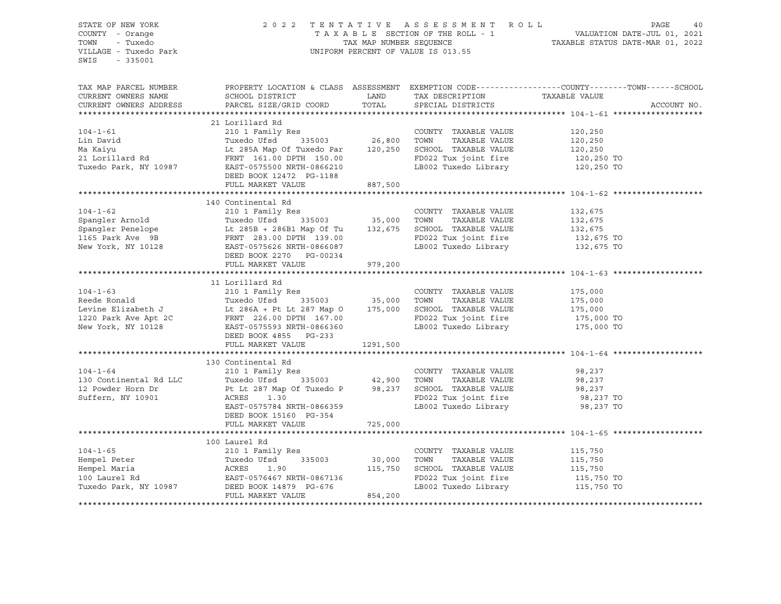| STATE OF NEW YORK<br>COUNTY - Orange<br>TOWN<br>- Tuxedo<br>VILLAGE - Tuxedo Park<br>SWIS<br>$-335001$                                                                                                                                 |                                                                                                                                                              |               | 2022 TENTATIVE ASSESSMENT ROLL PAGE 40<br>TAXABLE SECTION OF THE ROLL - 1 VALUATION DATE-JUL 01, 2021<br>TAXABLE STATUS DATE-MAR 01, 2022<br>TAXABLE STATUS DATE-MAR 01, 2022<br>UNIFORM PERCENT OF VALUE IS 013.55 |                                                                                                                 |  |  |
|----------------------------------------------------------------------------------------------------------------------------------------------------------------------------------------------------------------------------------------|--------------------------------------------------------------------------------------------------------------------------------------------------------------|---------------|---------------------------------------------------------------------------------------------------------------------------------------------------------------------------------------------------------------------|-----------------------------------------------------------------------------------------------------------------|--|--|
| TAX MAP PARCEL NUMBER<br>CURRENT OWNERS NAME<br>CURRENT OWNERS ADDRESS                                                                                                                                                                 | SCHOOL DISTRICT<br>PARCEL SIZE/GRID COORD                                                                                                                    | LAND<br>TOTAL | TAX DESCRIPTION TAXABLE VALUE<br>SPECIAL DISTRICTS                                                                                                                                                                  | PROPERTY LOCATION & CLASS ASSESSMENT EXEMPTION CODE----------------COUNTY-------TOWN------SCHOOL<br>ACCOUNT NO. |  |  |
|                                                                                                                                                                                                                                        |                                                                                                                                                              |               |                                                                                                                                                                                                                     |                                                                                                                 |  |  |
|                                                                                                                                                                                                                                        | 21 Lorillard Rd                                                                                                                                              |               |                                                                                                                                                                                                                     |                                                                                                                 |  |  |
| $104 - 1 - 61$                                                                                                                                                                                                                         | 210 1 Family Res                                                                                                                                             |               | COUNTY TAXABLE VALUE                                                                                                                                                                                                | 120,250                                                                                                         |  |  |
| Lin David                                                                                                                                                                                                                              | 335003 26,800 TOWN                                                                                                                                           |               |                                                                                                                                                                                                                     | 120,250                                                                                                         |  |  |
|                                                                                                                                                                                                                                        |                                                                                                                                                              |               |                                                                                                                                                                                                                     | 120,250                                                                                                         |  |  |
|                                                                                                                                                                                                                                        |                                                                                                                                                              |               | FD022 Tux joint fire<br>LB002 Tuxedo Library                                                                                                                                                                        | 120,250 TO<br>120,250 TO                                                                                        |  |  |
|                                                                                                                                                                                                                                        | DEED BOOK 12472 PG-1188                                                                                                                                      |               |                                                                                                                                                                                                                     |                                                                                                                 |  |  |
|                                                                                                                                                                                                                                        | FULL MARKET VALUE                                                                                                                                            | 887,500       |                                                                                                                                                                                                                     |                                                                                                                 |  |  |
|                                                                                                                                                                                                                                        |                                                                                                                                                              |               |                                                                                                                                                                                                                     |                                                                                                                 |  |  |
|                                                                                                                                                                                                                                        |                                                                                                                                                              |               |                                                                                                                                                                                                                     |                                                                                                                 |  |  |
|                                                                                                                                                                                                                                        |                                                                                                                                                              |               |                                                                                                                                                                                                                     | 132,675<br>132,675                                                                                              |  |  |
|                                                                                                                                                                                                                                        |                                                                                                                                                              |               |                                                                                                                                                                                                                     |                                                                                                                 |  |  |
|                                                                                                                                                                                                                                        |                                                                                                                                                              |               |                                                                                                                                                                                                                     | 132,675<br>132,675 TO                                                                                           |  |  |
|                                                                                                                                                                                                                                        |                                                                                                                                                              |               | LB002 Tuxedo Library                                                                                                                                                                                                | 132,675 TO                                                                                                      |  |  |
| Spangler Arnold Tuxedo Ufsd 335003 35,000 TOWN TAXABLE VALUE<br>Spangler Penelope It 285B + 286B1 Map Of Tu 132,675 SCHOOL TAXABLE VALUE<br>1165 Park Ave 9B FRNT 283.00 DPTH 139.00 PTM 159.00 FO022 Tux joint fire<br>New York, NY   | FULL MARKET VALUE                                                                                                                                            | 979,200       |                                                                                                                                                                                                                     |                                                                                                                 |  |  |
|                                                                                                                                                                                                                                        |                                                                                                                                                              |               |                                                                                                                                                                                                                     |                                                                                                                 |  |  |
|                                                                                                                                                                                                                                        |                                                                                                                                                              |               |                                                                                                                                                                                                                     |                                                                                                                 |  |  |
|                                                                                                                                                                                                                                        |                                                                                                                                                              |               |                                                                                                                                                                                                                     |                                                                                                                 |  |  |
|                                                                                                                                                                                                                                        |                                                                                                                                                              |               |                                                                                                                                                                                                                     | 175,000<br>175,000                                                                                              |  |  |
|                                                                                                                                                                                                                                        |                                                                                                                                                              |               |                                                                                                                                                                                                                     | $\frac{1}{5}$ ,000                                                                                              |  |  |
|                                                                                                                                                                                                                                        |                                                                                                                                                              |               |                                                                                                                                                                                                                     | 175,000 TO                                                                                                      |  |  |
|                                                                                                                                                                                                                                        |                                                                                                                                                              |               | LB002 Tuxedo Library 175,000 TO                                                                                                                                                                                     |                                                                                                                 |  |  |
|                                                                                                                                                                                                                                        |                                                                                                                                                              |               |                                                                                                                                                                                                                     |                                                                                                                 |  |  |
|                                                                                                                                                                                                                                        | FULL MARKET VALUE                                                                                                                                            | 1291,500      |                                                                                                                                                                                                                     |                                                                                                                 |  |  |
|                                                                                                                                                                                                                                        |                                                                                                                                                              |               |                                                                                                                                                                                                                     |                                                                                                                 |  |  |
|                                                                                                                                                                                                                                        | 210 1 Family Res<br>Tuxedo Ufsd 335003 42,900 TOWN TAXABLE VALUE<br>Pt Lt 287 Map Of Tuxedo P 98,237 SCHOOL TAXABLE VALUE<br>ACRES 1.30 REDO22 TAXABLE VALUE |               |                                                                                                                                                                                                                     |                                                                                                                 |  |  |
| $104 - 1 - 64$                                                                                                                                                                                                                         |                                                                                                                                                              |               |                                                                                                                                                                                                                     | 98,237                                                                                                          |  |  |
| 130 Continental Rd LLC                                                                                                                                                                                                                 |                                                                                                                                                              |               | TAXABLE VALUE                                                                                                                                                                                                       | 98,237                                                                                                          |  |  |
| 12 Powder Horn Dr                                                                                                                                                                                                                      |                                                                                                                                                              |               |                                                                                                                                                                                                                     | 98,237                                                                                                          |  |  |
| Suffern, NY 10901                                                                                                                                                                                                                      | ACRES 1.30<br>EAST-0575784 NRTH-0866359                                                                                                                      |               |                                                                                                                                                                                                                     | 98,237 TO                                                                                                       |  |  |
|                                                                                                                                                                                                                                        |                                                                                                                                                              |               | LB002 Tuxedo Library                                                                                                                                                                                                | 98,237 TO                                                                                                       |  |  |
|                                                                                                                                                                                                                                        | DEED BOOK 15160 PG-354                                                                                                                                       |               |                                                                                                                                                                                                                     |                                                                                                                 |  |  |
|                                                                                                                                                                                                                                        | FULL MARKET VALUE                                                                                                                                            | 725,000       |                                                                                                                                                                                                                     |                                                                                                                 |  |  |
|                                                                                                                                                                                                                                        | 100 Laurel Rd                                                                                                                                                |               |                                                                                                                                                                                                                     |                                                                                                                 |  |  |
|                                                                                                                                                                                                                                        | 210 1 Family Res                                                                                                                                             |               |                                                                                                                                                                                                                     |                                                                                                                 |  |  |
| 104-1-65 210 1 Family Res<br>Hempel Peter Tuxedo Ufsd 335003 30,000 TOWN TAXABLE VALUE<br>Hempel Maria ACRES 1.90 115,750 SCHOOL TAXABLE VALUE<br>100 Laurel Rd EAST-0576467 NRTH-0867136 FD022 Tux joint fire<br>Tuxedo Park, NY 1098 |                                                                                                                                                              |               |                                                                                                                                                                                                                     | 115,750<br>115,750                                                                                              |  |  |
|                                                                                                                                                                                                                                        |                                                                                                                                                              |               |                                                                                                                                                                                                                     | 115,750                                                                                                         |  |  |
|                                                                                                                                                                                                                                        |                                                                                                                                                              |               |                                                                                                                                                                                                                     |                                                                                                                 |  |  |
|                                                                                                                                                                                                                                        |                                                                                                                                                              |               | FD022 Tux joint fire<br>LB002 Tuxedo Library                                                                                                                                                                        | 115,750 TO<br>115,750 TO                                                                                        |  |  |
|                                                                                                                                                                                                                                        |                                                                                                                                                              |               |                                                                                                                                                                                                                     |                                                                                                                 |  |  |
|                                                                                                                                                                                                                                        |                                                                                                                                                              |               |                                                                                                                                                                                                                     |                                                                                                                 |  |  |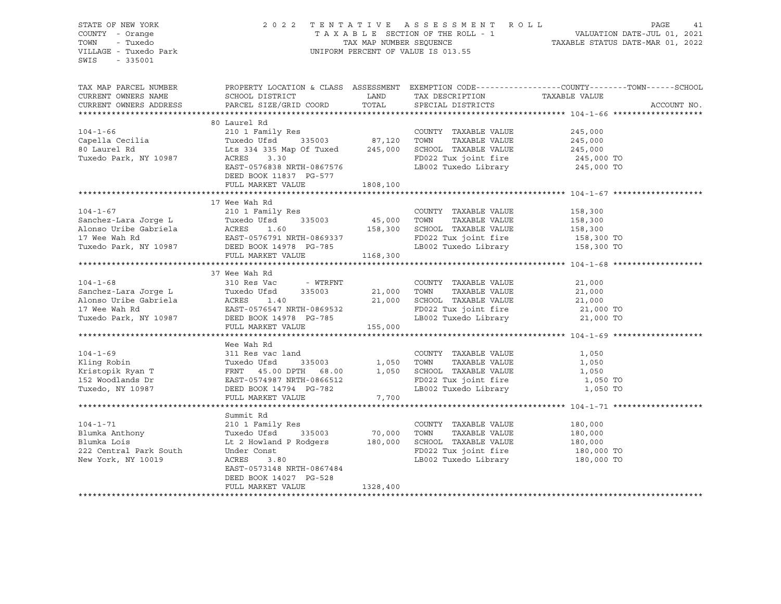| CURRENT OWNERS ADDRESS                                      | SPECIAL DISTRICTS | ACCOUNT NO.                                               |                                                                                                                                                                                                                                                                                                                                                                                                                                                                                                                                                                                                                                                                                                                                                                                                                                                                                                                                                                                                                                                                                                                                                                                                                                                                                                                                                                                                                                                                                                                                                                                                                                                                                                                 |
|-------------------------------------------------------------|-------------------|-----------------------------------------------------------|-----------------------------------------------------------------------------------------------------------------------------------------------------------------------------------------------------------------------------------------------------------------------------------------------------------------------------------------------------------------------------------------------------------------------------------------------------------------------------------------------------------------------------------------------------------------------------------------------------------------------------------------------------------------------------------------------------------------------------------------------------------------------------------------------------------------------------------------------------------------------------------------------------------------------------------------------------------------------------------------------------------------------------------------------------------------------------------------------------------------------------------------------------------------------------------------------------------------------------------------------------------------------------------------------------------------------------------------------------------------------------------------------------------------------------------------------------------------------------------------------------------------------------------------------------------------------------------------------------------------------------------------------------------------------------------------------------------------|
| 80 Laurel Rd<br>DEED BOOK 11837 PG-577<br>FULL MARKET VALUE |                   |                                                           |                                                                                                                                                                                                                                                                                                                                                                                                                                                                                                                                                                                                                                                                                                                                                                                                                                                                                                                                                                                                                                                                                                                                                                                                                                                                                                                                                                                                                                                                                                                                                                                                                                                                                                                 |
| 17 Wee Wah Rd                                               |                   | 158,300<br>158,300<br>158,300                             |                                                                                                                                                                                                                                                                                                                                                                                                                                                                                                                                                                                                                                                                                                                                                                                                                                                                                                                                                                                                                                                                                                                                                                                                                                                                                                                                                                                                                                                                                                                                                                                                                                                                                                                 |
| 37 Wee Wah Rd                                               |                   | 21,000 TO<br>21,000 TO                                    |                                                                                                                                                                                                                                                                                                                                                                                                                                                                                                                                                                                                                                                                                                                                                                                                                                                                                                                                                                                                                                                                                                                                                                                                                                                                                                                                                                                                                                                                                                                                                                                                                                                                                                                 |
| Wee Wah Rd<br>FULL MARKET VALUE                             |                   |                                                           |                                                                                                                                                                                                                                                                                                                                                                                                                                                                                                                                                                                                                                                                                                                                                                                                                                                                                                                                                                                                                                                                                                                                                                                                                                                                                                                                                                                                                                                                                                                                                                                                                                                                                                                 |
| Summit Rd<br>DEED BOOK 14027 PG-528<br>FULL MARKET VALUE    |                   | 180,000<br>180,000<br>180,000<br>180,000 TO<br>180,000 TO |                                                                                                                                                                                                                                                                                                                                                                                                                                                                                                                                                                                                                                                                                                                                                                                                                                                                                                                                                                                                                                                                                                                                                                                                                                                                                                                                                                                                                                                                                                                                                                                                                                                                                                                 |
|                                                             | 1328,400          | PARCEL SIZE/GRID COORD TOTAL<br>1808,100<br>7,700         | 2022 TENTATIVE ASSESSMENT ROLL PAGE 41<br>TAXABLE SECTION OF THE ROLL - 1 VALUATION DATE-JUL 01, 2021<br>TAX MAP NUMBER SEQUENCE TAXABLE STATUS DATE-MAR 01, 2022<br>UNIFORM PERCENT OF VALUE IS 013.55<br>TAX MAP PARCEL NUMBER      PROPERTY LOCATION & CLASS ASSESSMENT EXEMPTION CODE---------------COUNTY-------TOWN------SCHOOL<br>CURRENT OWNERS NAME       SCHOOL DISTRICT          LAND    TAX DESCRIPTION      TAXABLE VALUE<br>${\tt SCHOOL\ DISTRICT} \hspace{2.0cm} {\tt LAND} \hspace{2.0cm} {\tt TAX\ DESCRIPTION} \hspace{2.0cm} {\tt TAXABLE\ VALUE}$<br>00 DOLL NO COUNTY TAXABLE VALUE<br>Country TAXABLE VALUE<br>Country TAXABLE VALUE<br>Country TAXABLE VALUE<br>245,000<br>80 Laurel Rd Lts 334 335 Map Of Tuxed<br>245,000 EAST-0576838 NRTH-0867576<br>EAST-0576838 NRTH-0867576<br>245,000 TO<br>104-1-67<br>Sanchez-Lara Jorge L<br>210 1 Family Res<br>210 1 Family Res<br>Tuxedo Ufsd<br>216 1 Family Res<br>210 1 Family Res<br>210 1 Family Res<br>210 1 Family Res<br>210 1 Family Res<br>210 1 Family Res<br>210 1 Family Res<br>210 1 Family Re<br>FD022 Tux joint fire the 158,300 TO<br>LB002 Tuxedo Library the 158,300 TO<br>104-1-68<br>Sanchez-Lara Jorge L Tuxedo Ufsd - WTRFNT COUNTY TAXABLE VALUE<br>Alonso Uribe Gabriela ACRES 1.40<br>17 Wee Wah Rd EAST-0576547 NRTH-0869532<br>Tuxedo Park, NY 10987 DEED BOOK 14978 PG-785 LB002 Tuxedo Library 21,000<br><br>104-1-71<br>210 1 Family Res<br>Blumka Anthony<br>Elumka Lois Lt 2 Howland P Rodgers<br>222 Central Park South Under Const<br>New York, NY 10019<br>223 Central Park South Under Const<br>224 Central Park South Under Const<br>224 Central Pa<br>FD022 Tux joint fire<br>LB002 Tuxedo Library |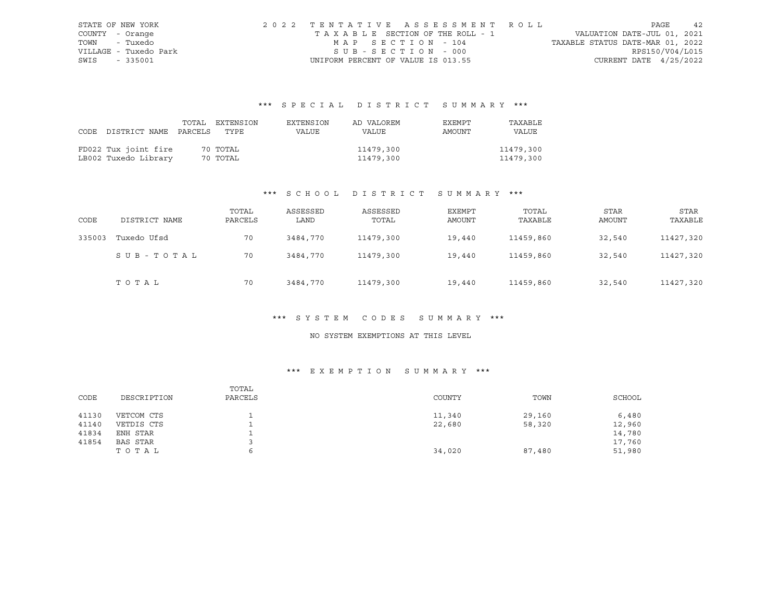|      | STATE OF NEW YORK     | 2022 TENTATIVE ASSESSMENT ROLL     |                                  | PAGE            | 42 |
|------|-----------------------|------------------------------------|----------------------------------|-----------------|----|
|      | COUNTY - Orange       | TAXABLE SECTION OF THE ROLL - 1    | VALUATION DATE-JUL 01, 2021      |                 |    |
|      | TOWN - Tuxedo         | MAP SECTION - 104                  | TAXABLE STATUS DATE-MAR 01, 2022 |                 |    |
|      | VILLAGE - Tuxedo Park | SUB-SECTION - 000                  |                                  | RPS150/V04/L015 |    |
| SWIS | - 335001              | UNIFORM PERCENT OF VALUE IS 013.55 | CURRENT DATE $4/25/2022$         |                 |    |

## \*\*\* S P E C I A L D I S T R I C T S U M M A R Y \*\*\*

|      |                            | TOTAL EXTENSION | EXTENSION | AD VALOREM | EXEMPT | TAXABLE   |
|------|----------------------------|-----------------|-----------|------------|--------|-----------|
| CODE | DISTRICT NAME PARCELS TYPE |                 | VALUE     | VALUE      | AMOUNT | VALUE     |
|      |                            |                 |           |            |        |           |
|      | FD022 Tux joint fire       | 70 TOTAL        |           | 11479,300  |        | 11479,300 |
|      | LB002 Tuxedo Library       | 70 TOTAL        |           | 11479,300  |        | 11479,300 |

## \*\*\* S C H O O L D I S T R I C T S U M M A R Y \*\*\*

| CODE   | DISTRICT NAME | TOTAL<br>PARCELS | ASSESSED<br>LAND | ASSESSED<br>TOTAL | EXEMPT<br>AMOUNT | TOTAL<br>TAXABLE | <b>STAR</b><br>AMOUNT | STAR<br>TAXABLE |
|--------|---------------|------------------|------------------|-------------------|------------------|------------------|-----------------------|-----------------|
| 335003 | Tuxedo Ufsd   | 70               | 3484,770         | 11479,300         | 19,440           | 11459,860        | 32,540                | 11427,320       |
|        | SUB-TOTAL     | 70               | 3484,770         | 11479,300         | 19,440           | 11459,860        | 32,540                | 11427,320       |
|        | TOTAL         | 70               | 3484,770         | 11479,300         | 19,440           | 11459,860        | 32,540                | 11427,320       |

## \*\*\* S Y S T E M C O D E S S U M M A R Y \*\*\*

#### NO SYSTEM EXEMPTIONS AT THIS LEVEL

## \*\*\* E X E M P T I O N S U M M A R Y \*\*\*

|       |             | TOTAL   |        |        |        |
|-------|-------------|---------|--------|--------|--------|
| CODE  | DESCRIPTION | PARCELS | COUNTY | TOWN   | SCHOOL |
|       |             |         |        |        |        |
| 41130 | VETCOM CTS  |         | 11,340 | 29,160 | 6,480  |
| 41140 | VETDIS CTS  |         | 22,680 | 58,320 | 12,960 |
| 41834 | ENH STAR    |         |        |        | 14,780 |
| 41854 | BAS STAR    |         |        |        | 17,760 |
|       | TOTAL       | 6       | 34,020 | 87,480 | 51,980 |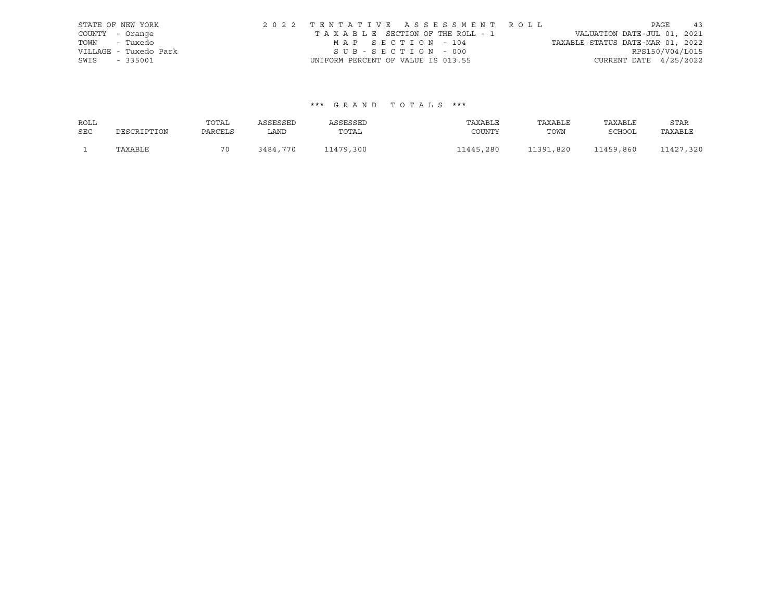|                 | STATE OF NEW YORK     |                                    |                   |  | 2022 TENTATIVE ASSESSMENT ROLL  |                                  |                          | PAGE | 43 |
|-----------------|-----------------------|------------------------------------|-------------------|--|---------------------------------|----------------------------------|--------------------------|------|----|
| COUNTY - Orange |                       |                                    |                   |  | TAXABLE SECTION OF THE ROLL - 1 | VALUATION DATE-JUL 01, 2021      |                          |      |    |
|                 | TOWN - Tuxedo         |                                    | MAP SECTION - 104 |  |                                 | TAXABLE STATUS DATE-MAR 01, 2022 |                          |      |    |
|                 | VILLAGE - Tuxedo Park |                                    | SUB-SECTION - 000 |  |                                 |                                  | RPS150/V04/L015          |      |    |
| SWIS - 335001   |                       | UNIFORM PERCENT OF VALUE IS 013.55 |                   |  |                                 |                                  | CURRENT DATE $4/25/2022$ |      |    |

#### \*\*\* G R A N D T O T A L S \*\*\*

| ROLL       |             | TOTAL   | ASSESSED | ASSESSED  | TAXABLE   | TAXABLE   | TAXABLE       | STAR      |
|------------|-------------|---------|----------|-----------|-----------|-----------|---------------|-----------|
| <b>SEC</b> | DESCRIPTION | PARCELS | LAND     | TOTAL     | COUNTY    | TOWN      | <b>SCHOOL</b> | TAXABLE   |
|            | TAXABLE     | 70      | 3484,770 | 11479,300 | 11445,280 | 11391,820 | 11459,860     | 11427,320 |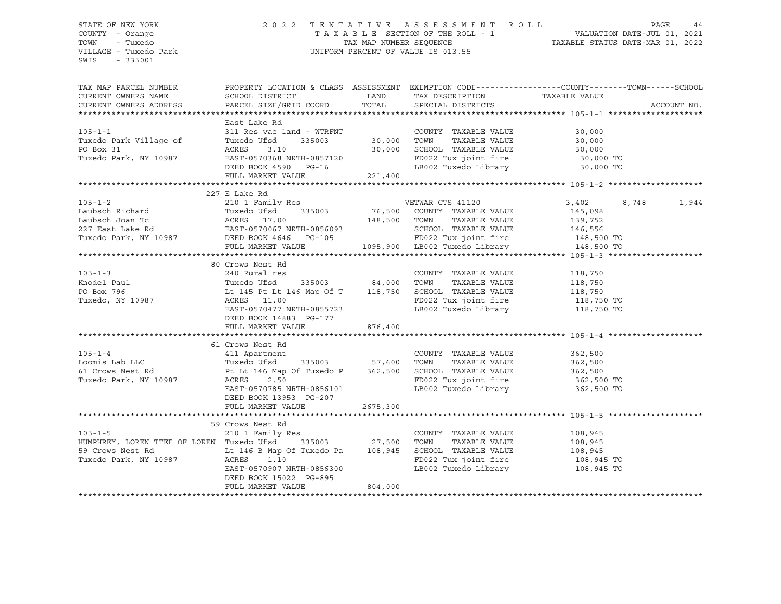#### STATE OF NEW YORK 2 0 2 2 T E N T A T I V E A S S E S S M E N T R O L L PAGE 44 COUNTY - Orange T A X A B L E SECTION OF THE ROLL - 1 VALUATION DATE-JUL 01, 2021 TOWN - Tuxedo TAX MAP NUMBER SEQUENCE TAXABLE STATUS DATE-MAR 01, 2022 VILLAGE - Tuxedo Park UNIFORM PERCENT OF VALUE IS 013.55

| TAX MAP PARCEL NUMBER<br>CURRENT OWNERS NAME<br>CURRENT OWNERS ADDRESS                                                                                                                                                                                                                                                                                                                                                                         | PROPERTY LOCATION & CLASS ASSESSMENT EXEMPTION CODE----------------COUNTY-------TOWN-----SCHOOL<br>SCHOOL DISTRICT<br>PARCEL SIZE/GRID COORD                     | TOTAL              | LAND TAX DESCRIPTION<br>SPECIAL DISTRICTS | TAXABLE VALUE      | ACCOUNT NO. |
|------------------------------------------------------------------------------------------------------------------------------------------------------------------------------------------------------------------------------------------------------------------------------------------------------------------------------------------------------------------------------------------------------------------------------------------------|------------------------------------------------------------------------------------------------------------------------------------------------------------------|--------------------|-------------------------------------------|--------------------|-------------|
|                                                                                                                                                                                                                                                                                                                                                                                                                                                |                                                                                                                                                                  |                    |                                           |                    |             |
|                                                                                                                                                                                                                                                                                                                                                                                                                                                | East Lake Rd                                                                                                                                                     |                    |                                           |                    |             |
| $105 - 1 - 1$                                                                                                                                                                                                                                                                                                                                                                                                                                  |                                                                                                                                                                  |                    | COUNTY TAXABLE VALUE                      | $30,000$<br>30.000 |             |
| Tuxedo Park Village of                                                                                                                                                                                                                                                                                                                                                                                                                         |                                                                                                                                                                  |                    | TAXABLE VALUE                             |                    |             |
| PO Box 31                                                                                                                                                                                                                                                                                                                                                                                                                                      |                                                                                                                                                                  |                    |                                           |                    |             |
| Tuxedo Park, NY 10987                                                                                                                                                                                                                                                                                                                                                                                                                          |                                                                                                                                                                  |                    |                                           |                    |             |
|                                                                                                                                                                                                                                                                                                                                                                                                                                                | ACRES 3.10 30,000 SCHOOL TAXABLE VALUE 30,000<br>EAST-0570368 NRTH-0857120 FD022 Tux joint fire 30,000 TO<br>DEED BOOK 4590 PG-16 LB002 Tuxedo Library 30,000 TO |                    |                                           |                    |             |
|                                                                                                                                                                                                                                                                                                                                                                                                                                                | FULL MARKET VALUE 221,400                                                                                                                                        |                    |                                           |                    |             |
|                                                                                                                                                                                                                                                                                                                                                                                                                                                |                                                                                                                                                                  |                    |                                           |                    |             |
|                                                                                                                                                                                                                                                                                                                                                                                                                                                | 227 E Lake Rd                                                                                                                                                    |                    |                                           |                    |             |
| $105 - 1 - 2$                                                                                                                                                                                                                                                                                                                                                                                                                                  | 210 1 Family Res                                                                                                                                                 |                    | VETWAR CTS 41120                          | 8,748              | 1,944       |
|                                                                                                                                                                                                                                                                                                                                                                                                                                                |                                                                                                                                                                  |                    |                                           |                    |             |
|                                                                                                                                                                                                                                                                                                                                                                                                                                                |                                                                                                                                                                  |                    |                                           |                    |             |
|                                                                                                                                                                                                                                                                                                                                                                                                                                                |                                                                                                                                                                  |                    |                                           |                    |             |
|                                                                                                                                                                                                                                                                                                                                                                                                                                                |                                                                                                                                                                  |                    |                                           |                    |             |
|                                                                                                                                                                                                                                                                                                                                                                                                                                                |                                                                                                                                                                  |                    |                                           |                    |             |
| $\begin{tabular}{lllllllllllllllllll} \multicolumn{4}{c l} \multicolumn{4}{c l} \multicolumn{4}{c l} \multicolumn{4}{c l} \multicolumn{4}{c l} \multicolumn{4}{c l} \multicolumn{4}{c l} \multicolumn{4}{c l} \multicolumn{4}{c l} \multicolumn{4}{c l} \multicolumn{4}{c l} \multicolumn{4}{c l} \multicolumn{4}{c l} \multicolumn{4}{c l} \multicolumn{4}{c l} \multicolumn{4}{c l} \multicolumn{4}{c l} \multicolumn{4}{c l} \multicolumn{$ |                                                                                                                                                                  |                    |                                           |                    |             |
|                                                                                                                                                                                                                                                                                                                                                                                                                                                | 80 Crows Nest Rd                                                                                                                                                 |                    |                                           |                    |             |
| $105 - 1 - 3$                                                                                                                                                                                                                                                                                                                                                                                                                                  | 240 Rural res                                                                                                                                                    |                    | COUNTY TAXABLE VALUE 118,750              |                    |             |
|                                                                                                                                                                                                                                                                                                                                                                                                                                                |                                                                                                                                                                  |                    |                                           |                    |             |
|                                                                                                                                                                                                                                                                                                                                                                                                                                                |                                                                                                                                                                  |                    |                                           |                    |             |
|                                                                                                                                                                                                                                                                                                                                                                                                                                                |                                                                                                                                                                  |                    | FD022 Tux joint fire 118,750 TO           |                    |             |
|                                                                                                                                                                                                                                                                                                                                                                                                                                                | EAST-0570477 NRTH-0855723                                                                                                                                        |                    | LB002 Tuxedo Library                      | 118,750 TO         |             |
|                                                                                                                                                                                                                                                                                                                                                                                                                                                | DEED BOOK 14883 PG-177                                                                                                                                           |                    |                                           |                    |             |
|                                                                                                                                                                                                                                                                                                                                                                                                                                                | FULL MARKET VALUE                                                                                                                                                | 876,400            |                                           |                    |             |
|                                                                                                                                                                                                                                                                                                                                                                                                                                                |                                                                                                                                                                  |                    |                                           |                    |             |
|                                                                                                                                                                                                                                                                                                                                                                                                                                                | 61 Crows Nest Rd                                                                                                                                                 |                    |                                           |                    |             |
| $105 - 1 - 4$                                                                                                                                                                                                                                                                                                                                                                                                                                  | of crows nest kd<br>411 Apartment                                                                                                                                |                    | COUNTY TAXABLE VALUE 362,500              |                    |             |
|                                                                                                                                                                                                                                                                                                                                                                                                                                                |                                                                                                                                                                  |                    |                                           |                    |             |
|                                                                                                                                                                                                                                                                                                                                                                                                                                                |                                                                                                                                                                  |                    |                                           |                    |             |
| Ending the Lab LLC comis Lab LLC comis Lab LLC comis Lab LLC comis Lab LLC comis Lab Crows Nest Rd crows Pt Lt 146 Map Of Tuxedo P 362,500 SCHOOL TAXABLE VALUE 362,500 362,500 Pt Lt 146 Map Of Tuxedo P 362,500 SCHOOL TAXAB                                                                                                                                                                                                                 |                                                                                                                                                                  |                    |                                           |                    |             |
|                                                                                                                                                                                                                                                                                                                                                                                                                                                | EAST-0570785 NRTH-0856101                                                                                                                                        |                    | LB002 Tuxedo Library 362,500 TO           |                    |             |
|                                                                                                                                                                                                                                                                                                                                                                                                                                                | DEED BOOK 13953 PG-207                                                                                                                                           |                    |                                           |                    |             |
|                                                                                                                                                                                                                                                                                                                                                                                                                                                | FULL MARKET VALUE                                                                                                                                                | 2675,300           |                                           |                    |             |
|                                                                                                                                                                                                                                                                                                                                                                                                                                                |                                                                                                                                                                  |                    |                                           |                    |             |
|                                                                                                                                                                                                                                                                                                                                                                                                                                                | 59 Crows Nest Rd                                                                                                                                                 |                    |                                           |                    |             |
| $105 - 1 - 5$                                                                                                                                                                                                                                                                                                                                                                                                                                  | 210 1 Family Res                                                                                                                                                 |                    | COUNTY TAXABLE VALUE                      | 108,945<br>108,945 |             |
| HUMPHREY, LOREN TTEE OF LOREN Tuxedo Ufsd                                                                                                                                                                                                                                                                                                                                                                                                      |                                                                                                                                                                  | 335003 27,500 TOWN | TAXABLE VALUE                             |                    |             |
| 59 Crows Nest Rd<br>Tuxedo Park, NY 10987                  ACRES      1.10<br>ACRES       1.10                                                                                                                                                                                                                                                                                                                                                 |                                                                                                                                                                  |                    | SCHOOL TAXABLE VALUE 108,945              |                    |             |
|                                                                                                                                                                                                                                                                                                                                                                                                                                                |                                                                                                                                                                  |                    | FD022 Tux joint fire                      | 108,945 TO         |             |
|                                                                                                                                                                                                                                                                                                                                                                                                                                                | EAST-0570907 NRTH-0856300                                                                                                                                        |                    | LB002 Tuxedo Library 108,945 TO           |                    |             |
|                                                                                                                                                                                                                                                                                                                                                                                                                                                | DEED BOOK 15022 PG-895                                                                                                                                           |                    |                                           |                    |             |
|                                                                                                                                                                                                                                                                                                                                                                                                                                                | FULL MARKET VALUE                                                                                                                                                | 804,000            |                                           |                    |             |
|                                                                                                                                                                                                                                                                                                                                                                                                                                                |                                                                                                                                                                  |                    |                                           |                    |             |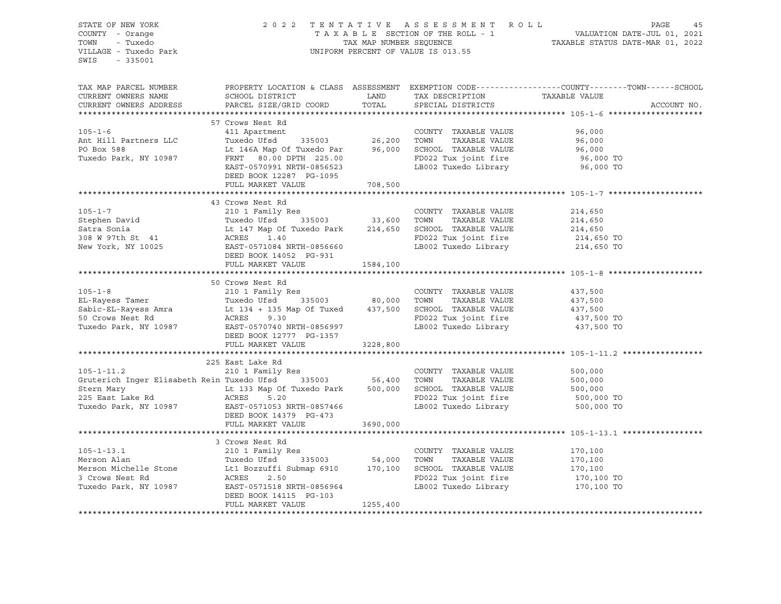| SWIS - 335001                                                                                                                                                                                                                                                                                                                                                                                                                                      |  | $\begin{array}{cccccccccccccc} \texttt{STATE OF NEW YORK} & & & & & & & & 2\ 0 & 2 & 2 & 2 & 2 & 2 & 1 & \texttt{E} & \texttt{N T A T I V E} & & & & & & \texttt{AS SE S S M E N T R O L L} & & & & & & & \texttt{PAGE} & & & 45\ \texttt{COUNTY} & - & \texttt{Orange} & & & & & & & & & \texttt{T A X A B L E SECTION OF THE ROLL - 1} & & & & & & & & & \texttt{VALUATION DATE-JUL 01, 2021}\ \texttt{TOWN} & - & \texttt{Tuxedo Park} & & & & & & & & \text$ |
|----------------------------------------------------------------------------------------------------------------------------------------------------------------------------------------------------------------------------------------------------------------------------------------------------------------------------------------------------------------------------------------------------------------------------------------------------|--|------------------------------------------------------------------------------------------------------------------------------------------------------------------------------------------------------------------------------------------------------------------------------------------------------------------------------------------------------------------------------------------------------------------------------------------------------------------|
|                                                                                                                                                                                                                                                                                                                                                                                                                                                    |  | TAX MAP PARCEL NUMBER BOOPERTY LOCATION & CLASS ASSESSMENT EXEMPTION CODE-----------------COUNTY--------TOWN------SCHOOL CURRENT OWNERS NAME SCHOOL DISTRICT LAND TAX DESCRIPTION TAXABLE VALUE CURRENT OWNERS ADDRESS PARCEL                                                                                                                                                                                                                                    |
|                                                                                                                                                                                                                                                                                                                                                                                                                                                    |  |                                                                                                                                                                                                                                                                                                                                                                                                                                                                  |
|                                                                                                                                                                                                                                                                                                                                                                                                                                                    |  |                                                                                                                                                                                                                                                                                                                                                                                                                                                                  |
|                                                                                                                                                                                                                                                                                                                                                                                                                                                    |  |                                                                                                                                                                                                                                                                                                                                                                                                                                                                  |
|                                                                                                                                                                                                                                                                                                                                                                                                                                                    |  |                                                                                                                                                                                                                                                                                                                                                                                                                                                                  |
|                                                                                                                                                                                                                                                                                                                                                                                                                                                    |  |                                                                                                                                                                                                                                                                                                                                                                                                                                                                  |
| $\begin{tabular}{lllllllllllll} \hline & 57 Cross Nest Rd & & & \multicolumn{3}{c}{\textbf{COUNTY}} & \textbf{TAXABLE VALUE} & 96,000\\ \hline \texttt{Ant Hill Patterns LLC} & \texttt{TLC} & \texttt{Trixedo Ufsd} & 335003 & 26,200 TOWN & \texttt{TAXABLE VALUE} & 96,000\\ \texttt{PO Box 588} & \texttt{Lt 146A Map Of Tuxedo Par} & 96,000 & \texttt{SCHOOL TAXABLE VALUE} & 96,000\\ \texttt{Tuxedo Park, NY 10987} & \texttt{FENT T 80.0$ |  |                                                                                                                                                                                                                                                                                                                                                                                                                                                                  |
|                                                                                                                                                                                                                                                                                                                                                                                                                                                    |  |                                                                                                                                                                                                                                                                                                                                                                                                                                                                  |
|                                                                                                                                                                                                                                                                                                                                                                                                                                                    |  |                                                                                                                                                                                                                                                                                                                                                                                                                                                                  |
|                                                                                                                                                                                                                                                                                                                                                                                                                                                    |  |                                                                                                                                                                                                                                                                                                                                                                                                                                                                  |
|                                                                                                                                                                                                                                                                                                                                                                                                                                                    |  |                                                                                                                                                                                                                                                                                                                                                                                                                                                                  |
|                                                                                                                                                                                                                                                                                                                                                                                                                                                    |  |                                                                                                                                                                                                                                                                                                                                                                                                                                                                  |
|                                                                                                                                                                                                                                                                                                                                                                                                                                                    |  |                                                                                                                                                                                                                                                                                                                                                                                                                                                                  |
|                                                                                                                                                                                                                                                                                                                                                                                                                                                    |  |                                                                                                                                                                                                                                                                                                                                                                                                                                                                  |
|                                                                                                                                                                                                                                                                                                                                                                                                                                                    |  |                                                                                                                                                                                                                                                                                                                                                                                                                                                                  |
|                                                                                                                                                                                                                                                                                                                                                                                                                                                    |  |                                                                                                                                                                                                                                                                                                                                                                                                                                                                  |
|                                                                                                                                                                                                                                                                                                                                                                                                                                                    |  |                                                                                                                                                                                                                                                                                                                                                                                                                                                                  |
|                                                                                                                                                                                                                                                                                                                                                                                                                                                    |  |                                                                                                                                                                                                                                                                                                                                                                                                                                                                  |
|                                                                                                                                                                                                                                                                                                                                                                                                                                                    |  |                                                                                                                                                                                                                                                                                                                                                                                                                                                                  |
|                                                                                                                                                                                                                                                                                                                                                                                                                                                    |  |                                                                                                                                                                                                                                                                                                                                                                                                                                                                  |
|                                                                                                                                                                                                                                                                                                                                                                                                                                                    |  |                                                                                                                                                                                                                                                                                                                                                                                                                                                                  |
| $\begin{tabular}{lcccccc} \texttt{50} Cross & \texttt{51} & \texttt{52} & \texttt{53} & \texttt{54} & \texttt{55} & \texttt{56} & \texttt{Crows} & \texttt{NSE} & \texttt{Rd} & \texttt{66} & \texttt{67} & \texttt{68} & \texttt{69} & \texttt{60} & \texttt{60} & \texttt{60} & \texttt{60} & \texttt{60} & \texttt{60} & \texttt{60} & \texttt{60} & \texttt{60} & \texttt{60} & \texttt{60} & \texttt{60} & \$                                 |  |                                                                                                                                                                                                                                                                                                                                                                                                                                                                  |
|                                                                                                                                                                                                                                                                                                                                                                                                                                                    |  |                                                                                                                                                                                                                                                                                                                                                                                                                                                                  |
|                                                                                                                                                                                                                                                                                                                                                                                                                                                    |  |                                                                                                                                                                                                                                                                                                                                                                                                                                                                  |
| $\begin{tabular}{lllllllllllllll} \rule{0.2cm}{0.1cm}& 225\, \text{East Lake Rd} & 210\, 1\, \text{Family Res} & \text{COUNTY} & \text{TXABLE VALUE} & 500,000 \\ & 210\, 1\, \text{Family Res} & \text{COUNTY} & \text{TXABLE VALUE} & 500,000 \\ \text{Stern Mary} & \text{Lt 133 Map of Tuxedo Park} & 500,000 & \text{SCHOOL TAXABLE VALUE} & 500,000 \\ \text{Stern Mary} & \text{Lt 133 Map of Tuxedo Park} & 500,000 & \text{SCHOOL TAX$    |  |                                                                                                                                                                                                                                                                                                                                                                                                                                                                  |
|                                                                                                                                                                                                                                                                                                                                                                                                                                                    |  |                                                                                                                                                                                                                                                                                                                                                                                                                                                                  |
|                                                                                                                                                                                                                                                                                                                                                                                                                                                    |  |                                                                                                                                                                                                                                                                                                                                                                                                                                                                  |
|                                                                                                                                                                                                                                                                                                                                                                                                                                                    |  |                                                                                                                                                                                                                                                                                                                                                                                                                                                                  |
|                                                                                                                                                                                                                                                                                                                                                                                                                                                    |  |                                                                                                                                                                                                                                                                                                                                                                                                                                                                  |
|                                                                                                                                                                                                                                                                                                                                                                                                                                                    |  |                                                                                                                                                                                                                                                                                                                                                                                                                                                                  |
|                                                                                                                                                                                                                                                                                                                                                                                                                                                    |  |                                                                                                                                                                                                                                                                                                                                                                                                                                                                  |
|                                                                                                                                                                                                                                                                                                                                                                                                                                                    |  |                                                                                                                                                                                                                                                                                                                                                                                                                                                                  |
|                                                                                                                                                                                                                                                                                                                                                                                                                                                    |  |                                                                                                                                                                                                                                                                                                                                                                                                                                                                  |
|                                                                                                                                                                                                                                                                                                                                                                                                                                                    |  |                                                                                                                                                                                                                                                                                                                                                                                                                                                                  |
|                                                                                                                                                                                                                                                                                                                                                                                                                                                    |  |                                                                                                                                                                                                                                                                                                                                                                                                                                                                  |
|                                                                                                                                                                                                                                                                                                                                                                                                                                                    |  |                                                                                                                                                                                                                                                                                                                                                                                                                                                                  |
|                                                                                                                                                                                                                                                                                                                                                                                                                                                    |  |                                                                                                                                                                                                                                                                                                                                                                                                                                                                  |
|                                                                                                                                                                                                                                                                                                                                                                                                                                                    |  |                                                                                                                                                                                                                                                                                                                                                                                                                                                                  |
|                                                                                                                                                                                                                                                                                                                                                                                                                                                    |  |                                                                                                                                                                                                                                                                                                                                                                                                                                                                  |
| $\begin{tabular}{lcccc} \texttt{105-1-13.1} & & & & & & \\ \texttt{3. Crows Nest Rd} & & & & & & \\ \texttt{Merson Alan} & & & & & & \texttt{105-1-13.1} \\ & & & & & & \texttt{210 1 Family Res} & & & & \\ \texttt{Merson Mcellle Stone} & & & & & & \texttt{170,100} & \\ & & & & & & \texttt{True} & & & \texttt{170,100} \\ & & & & & & & \texttt{210 1 Family Res} & & & & \texttt{170,100} & \\ & & & & & & \texttt{170,100} & & & \$       |  |                                                                                                                                                                                                                                                                                                                                                                                                                                                                  |
|                                                                                                                                                                                                                                                                                                                                                                                                                                                    |  |                                                                                                                                                                                                                                                                                                                                                                                                                                                                  |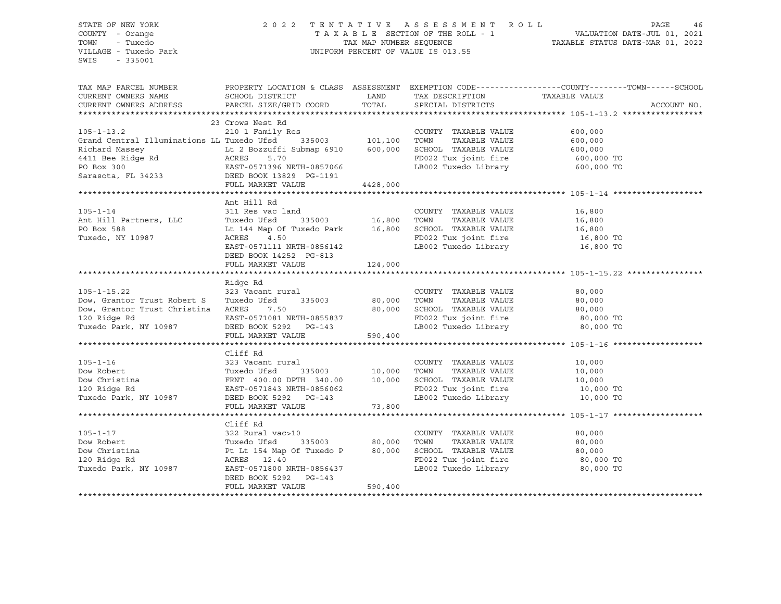#### STATE OF NEW YORK 2 0 2 2 T E N T A T I V E A S S E S S M E N T R O L L PAGE 46 COUNTY - Orange T A X A B L E SECTION OF THE ROLL - 1 VALUATION DATE-JUL 01, 2021 TOWN - Tuxedo TAX MAP NUMBER SEQUENCE TAXABLE STATUS DATE-MAR 01, 2022 VILLAGE - Tuxedo Park UNIFORM PERCENT OF VALUE IS 013.55

|                                                                                                                                                                                                                                                          |                                                                                                                     |          |                                                                  | TAX MAP PARCEL NUMBER BOOPERTY LOCATION & CLASS ASSESSMENT EXEMPTION CODE-----------------COUNTY--------TOWN------SCHOOL CURRENT OWNERS NAME SCHOOL DISTRICT LAND TAX DESCRIPTION TAXABLE VALUE VALUE CURRENT OWNERS ADDRESS P |
|----------------------------------------------------------------------------------------------------------------------------------------------------------------------------------------------------------------------------------------------------------|---------------------------------------------------------------------------------------------------------------------|----------|------------------------------------------------------------------|--------------------------------------------------------------------------------------------------------------------------------------------------------------------------------------------------------------------------------|
|                                                                                                                                                                                                                                                          |                                                                                                                     |          |                                                                  |                                                                                                                                                                                                                                |
|                                                                                                                                                                                                                                                          |                                                                                                                     |          |                                                                  |                                                                                                                                                                                                                                |
|                                                                                                                                                                                                                                                          |                                                                                                                     |          |                                                                  |                                                                                                                                                                                                                                |
|                                                                                                                                                                                                                                                          | 23 Crows Nest Rd                                                                                                    |          |                                                                  |                                                                                                                                                                                                                                |
| $105 - 1 - 13.2$                                                                                                                                                                                                                                         | 210 1 Family Res<br>Res<br>335003 101,100                                                                           |          | COUNTY TAXABLE VALUE                                             | 600,000                                                                                                                                                                                                                        |
| Grand Central Illuminations LL Tuxedo Ufsd                                                                                                                                                                                                               |                                                                                                                     |          | TAXABLE VALUE<br>TOWN                                            | 600,000                                                                                                                                                                                                                        |
|                                                                                                                                                                                                                                                          |                                                                                                                     |          | SCHOOL TAXABLE VALUE 600,000<br>FD022 Tux joint fire 600,000 TO  |                                                                                                                                                                                                                                |
|                                                                                                                                                                                                                                                          |                                                                                                                     |          |                                                                  |                                                                                                                                                                                                                                |
|                                                                                                                                                                                                                                                          |                                                                                                                     |          | LB002 Tuxedo Library 600,000 TO                                  |                                                                                                                                                                                                                                |
| Exchange Massey<br>Exchange Massey<br>Exchange Massey<br>Exchange Massey<br>Example 12 Bozzuffi Submap 6910<br>ACRES<br>5.70<br>PO Box 300<br>Sarasota, FL 34233<br>DEED BOOK 13829<br>FULL MARKET VALUE<br>PULL MARKET VALUE<br>201191<br>FULL MARKET V |                                                                                                                     |          |                                                                  |                                                                                                                                                                                                                                |
|                                                                                                                                                                                                                                                          | FULL MARKET VALUE                                                                                                   | 4428,000 |                                                                  |                                                                                                                                                                                                                                |
|                                                                                                                                                                                                                                                          |                                                                                                                     |          |                                                                  |                                                                                                                                                                                                                                |
|                                                                                                                                                                                                                                                          | Ant Hill Rd                                                                                                         |          |                                                                  |                                                                                                                                                                                                                                |
|                                                                                                                                                                                                                                                          |                                                                                                                     |          |                                                                  | 16,800<br>16,800                                                                                                                                                                                                               |
| 105-1-14 311 Res vac land<br>Ant Hill Partners, LLC 7uxedo Ufsd 335003                                                                                                                                                                                   |                                                                                                                     |          |                                                                  |                                                                                                                                                                                                                                |
| PO Box 588                                                                                                                                                                                                                                               | Lt 144 Map Of Tuxedo Park 16,800 SCHOOL TAXABLE VALUE 16,800 16,800 TO<br>ACRES 4.50 RD022 Tux joint fire 16,800 TO |          |                                                                  |                                                                                                                                                                                                                                |
| Tuxedo, NY 10987                                                                                                                                                                                                                                         |                                                                                                                     |          |                                                                  |                                                                                                                                                                                                                                |
|                                                                                                                                                                                                                                                          | EAST-0571111 NRTH-0856142                                                                                           |          | LB002 Tuxedo Library 16,800 TO                                   |                                                                                                                                                                                                                                |
|                                                                                                                                                                                                                                                          | DEED BOOK 14252 PG-813                                                                                              |          |                                                                  |                                                                                                                                                                                                                                |
|                                                                                                                                                                                                                                                          | FULL MARKET VALUE                                                                                                   | 124,000  |                                                                  |                                                                                                                                                                                                                                |
|                                                                                                                                                                                                                                                          |                                                                                                                     |          |                                                                  |                                                                                                                                                                                                                                |
|                                                                                                                                                                                                                                                          | Ridge Rd                                                                                                            |          |                                                                  |                                                                                                                                                                                                                                |
| $105 - 1 - 15.22$                                                                                                                                                                                                                                        | 323 Vacant rural                                                                                                    |          | COUNTY TAXABLE VALUE                                             | 80,000                                                                                                                                                                                                                         |
| Dow, Grantor Trust Robert S                                                                                                                                                                                                                              | Tuxedo Ufsd                                                                                                         |          |                                                                  | 80,000                                                                                                                                                                                                                         |
| Dow, Grantor Trust Christina ACRES 7.50                                                                                                                                                                                                                  |                                                                                                                     | 80,000   | SCHOOL TAXABLE VALUE 80,000<br>FD022 Tux ioint fire 80,000 TO    |                                                                                                                                                                                                                                |
|                                                                                                                                                                                                                                                          |                                                                                                                     |          | FD022 Tux joint fire 80,000 TO<br>LB002 Tuxedo Library 80,000 TO |                                                                                                                                                                                                                                |
|                                                                                                                                                                                                                                                          |                                                                                                                     |          |                                                                  |                                                                                                                                                                                                                                |
|                                                                                                                                                                                                                                                          | FULL MARKET VALUE                                                                                                   | 590,400  |                                                                  |                                                                                                                                                                                                                                |
|                                                                                                                                                                                                                                                          |                                                                                                                     |          |                                                                  |                                                                                                                                                                                                                                |
|                                                                                                                                                                                                                                                          | Cliff Rd                                                                                                            |          |                                                                  |                                                                                                                                                                                                                                |
| $105 - 1 - 16$                                                                                                                                                                                                                                           | 323 Vacant rural                                                                                                    |          | COUNTY TAXABLE VALUE                                             | 10,000                                                                                                                                                                                                                         |
| Dow Robert                                                                                                                                                                                                                                               |                                                                                                                     |          | TOWN                                                             | TAXABLE VALUE 10,000                                                                                                                                                                                                           |
| Dow Christina                                                                                                                                                                                                                                            | Tuxedo Ufsd 335003 10,000<br>FRNT 400.00 DPTH 340.00 10,000<br>EAST-0571843 NRTH-0856062<br>FRED BOOK 5292 PG-143   |          | SCHOOL TAXABLE VALUE                                             | 10,000                                                                                                                                                                                                                         |
| 120 Ridge Rd                                                                                                                                                                                                                                             |                                                                                                                     |          | FD022 Tux joint fire 10,000 TO                                   |                                                                                                                                                                                                                                |
| Tuxedo Park, NY 10987 DEED BOOK 5292 PG-143                                                                                                                                                                                                              |                                                                                                                     |          | LB002 Tuxedo Library 10,000 TO                                   |                                                                                                                                                                                                                                |
|                                                                                                                                                                                                                                                          | FULL MARKET VALUE                                                                                                   | 73,800   |                                                                  |                                                                                                                                                                                                                                |
|                                                                                                                                                                                                                                                          |                                                                                                                     |          |                                                                  |                                                                                                                                                                                                                                |
|                                                                                                                                                                                                                                                          | Cliff Rd                                                                                                            |          |                                                                  |                                                                                                                                                                                                                                |
| $105 - 1 - 17$                                                                                                                                                                                                                                           |                                                                                                                     |          | COUNTY TAXABLE VALUE                                             | 80,000                                                                                                                                                                                                                         |
| Dow Robert                                                                                                                                                                                                                                               |                                                                                                                     |          | TAXABLE VALUE<br>TOWN                                            | 80,000                                                                                                                                                                                                                         |
| Dow Christina                                                                                                                                                                                                                                            | 322 Rural vaces<br>Tuxedo Ufsd 335003 ov, over<br>Pt Lt 154 Map Of Tuxedo P 80,000<br>ACRES 12.40<br>TACRES 12.40   |          | SCHOOL TAXABLE VALUE 80,000                                      |                                                                                                                                                                                                                                |
| 120 Ridge Rd<br>Tuxedo Park, NY 10987                                                                                                                                                                                                                    |                                                                                                                     |          | FD022 Tux joint fire 80,000 TO<br>LB002 Tuxedo Library 60,000 TO |                                                                                                                                                                                                                                |
|                                                                                                                                                                                                                                                          |                                                                                                                     |          |                                                                  |                                                                                                                                                                                                                                |
|                                                                                                                                                                                                                                                          | DEED BOOK 5292 PG-143<br>FULL MARKET VALUE                                                                          | 590,400  |                                                                  |                                                                                                                                                                                                                                |
|                                                                                                                                                                                                                                                          |                                                                                                                     |          |                                                                  |                                                                                                                                                                                                                                |
|                                                                                                                                                                                                                                                          |                                                                                                                     |          |                                                                  |                                                                                                                                                                                                                                |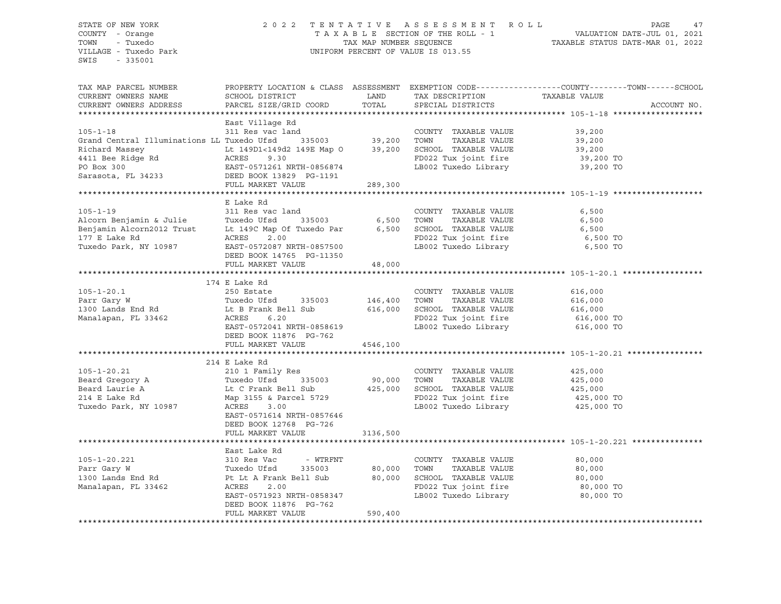#### STATE OF NEW YORK 2 0 2 2 T E N T A T I V E A S S E S S M E N T R O L L PAGE 47 COUNTY - Orange T A X A B L E SECTION OF THE ROLL - 1 VALUATION DATE-JUL 01, 2021 TOWN - Tuxedo TAX MAP NUMBER SEQUENCE TAXABLE STATUS DATE-MAR 01, 2022 UNIFORM PERCENT OF VALUE IS 013.55

TAX MAP PARCEL NUMBER PROPERTY LOCATION & CLASS ASSESSMENT EXEMPTION CODE------------------COUNTY--------TOWN------SCHOOL CURRENT OWNERS NAME SCHOOL DISTRICT LAND TAX DESCRIPTION TAXABLE VALUE CURRENT OWNERS ADDRESS PARCEL SIZE/GRID COORD TOTAL SPECIAL DISTRICTS ACCOUNT NO. \*\*\*\*\*\*\*\*\*\*\*\*\*\*\*\*\*\*\*\*\*\*\*\*\*\*\*\*\*\*\*\*\*\*\*\*\*\*\*\*\*\*\*\*\*\*\*\*\*\*\*\*\*\*\*\*\*\*\*\*\*\*\*\*\*\*\*\*\*\*\*\*\*\*\*\*\*\*\*\*\*\*\*\*\*\*\*\*\*\*\*\*\*\*\*\*\*\*\*\*\*\*\* 105-1-18 \*\*\*\*\*\*\*\*\*\*\*\*\*\*\*\*\*\*\* East Village Rd 105-1-18 311 Res vac land COUNTY TAXABLE VALUE 39,200 Grand Central Illuminations LL Tuxedo Ufsd 335003 39,200 TOWN TAXABLE VALUE 39,200 Richard Massey Lt 149D1<149d2 149E Map O 39,200 SCHOOL TAXABLE VALUE 39,200 4411 Bee Ridge Rd ACRES 9.30 FD022 Tux joint fire 39,200 TO PO Box 300 EAST-0571261 NRTH-0856874 LB002 Tuxedo Library 39,200 TO Sarasota, FL 34233 DEED BOOK 13829 PG-1191 FULL MARKET VALUE 289,300 \*\*\*\*\*\*\*\*\*\*\*\*\*\*\*\*\*\*\*\*\*\*\*\*\*\*\*\*\*\*\*\*\*\*\*\*\*\*\*\*\*\*\*\*\*\*\*\*\*\*\*\*\*\*\*\*\*\*\*\*\*\*\*\*\*\*\*\*\*\*\*\*\*\*\*\*\*\*\*\*\*\*\*\*\*\*\*\*\*\*\*\*\*\*\*\*\*\*\*\*\*\*\* 105-1-19 \*\*\*\*\*\*\*\*\*\*\*\*\*\*\*\*\*\*\* E Lake Rd 105-1-19 311 Res vac land COUNTY TAXABLE VALUE 6,500 Alcorn Benjamin & Julie Tuxedo Ufsd 335003 6,500 TOWN TAXABLE VALUE 6,500 Benjamin Alcorn2012 Trust Lt 149C Map Of Tuxedo Par 6,500 SCHOOL TAXABLE VALUE 6,500 177 E Lake Rd ACRES 2.00 FD022 Tux joint fire 6,500 TO Tuxedo Park, NY 10987 EAST-0572087 NRTH-0857500 LB002 Tuxedo Library 6,500 TO DEED BOOK 14765 PG-11350 FULL MARKET VALUE 48,000 \*\*\*\*\*\*\*\*\*\*\*\*\*\*\*\*\*\*\*\*\*\*\*\*\*\*\*\*\*\*\*\*\*\*\*\*\*\*\*\*\*\*\*\*\*\*\*\*\*\*\*\*\*\*\*\*\*\*\*\*\*\*\*\*\*\*\*\*\*\*\*\*\*\*\*\*\*\*\*\*\*\*\*\*\*\*\*\*\*\*\*\*\*\*\*\*\*\*\*\*\*\*\* 105-1-20.1 \*\*\*\*\*\*\*\*\*\*\*\*\*\*\*\*\* 174 E Lake Rd 105-1-20.1 250 Estate COUNTY TAXABLE VALUE 616,000 Parr Gary W Tuxedo Ufsd 335003 146,400 TOWN TAXABLE VALUE 616,000 1300 Lands End Rd Lt B Frank Bell Sub 616,000 SCHOOL TAXABLE VALUE 616,000 Manalapan, FL 33462 ACRES 6.20 FD022 Tux joint fire 616,000 TO EAST-0572041 NRTH-0858619 LB002 Tuxedo Library 616,000 TO DEED BOOK 11876 PG-762 FULL MARKET VALUE 4546,100 \*\*\*\*\*\*\*\*\*\*\*\*\*\*\*\*\*\*\*\*\*\*\*\*\*\*\*\*\*\*\*\*\*\*\*\*\*\*\*\*\*\*\*\*\*\*\*\*\*\*\*\*\*\*\*\*\*\*\*\*\*\*\*\*\*\*\*\*\*\*\*\*\*\*\*\*\*\*\*\*\*\*\*\*\*\*\*\*\*\*\*\*\*\*\*\*\*\*\*\*\*\*\* 105-1-20.21 \*\*\*\*\*\*\*\*\*\*\*\*\*\*\*\* 214 E Lake Rd 105-1-20.21 210 1 Family Res COUNTY TAXABLE VALUE 425,000 Beard Gregory A Tuxedo Ufsd 335003 90,000 TOWN TAXABLE VALUE 425,000 Beard Laurie A Lt C Frank Bell Sub 425,000 SCHOOL TAXABLE VALUE 425,000 214 E Lake Rd Map 3155 & Parcel 5729 FD022 Tux joint fire 425,000 TO Tuxedo Park, NY 10987 ACRES 3.00 LB002 Tuxedo Library 425,000 TO EAST-0571614 NRTH-0857646 DEED BOOK 12768 PG-726 FULL MARKET VALUE 3136,500 \*\*\*\*\*\*\*\*\*\*\*\*\*\*\*\*\*\*\*\*\*\*\*\*\*\*\*\*\*\*\*\*\*\*\*\*\*\*\*\*\*\*\*\*\*\*\*\*\*\*\*\*\*\*\*\*\*\*\*\*\*\*\*\*\*\*\*\*\*\*\*\*\*\*\*\*\*\*\*\*\*\*\*\*\*\*\*\*\*\*\*\*\*\*\*\*\*\*\*\*\*\*\* 105-1-20.221 \*\*\*\*\*\*\*\*\*\*\*\*\*\*\* East Lake Rd 105-1-20.221 310 Res Vac - WTRFNT COUNTY TAXABLE VALUE 80,000 Parr Gary W Tuxedo Ufsd 335003 80,000 TOWN TAXABLE VALUE 80,000 1300 Lands End Rd Pt Lt A Frank Bell Sub 80,000 SCHOOL TAXABLE VALUE 80,000 Manalapan, FL 33462 ACRES 2.00 FD022 Tux joint fire 80,000 TO EAST-0571923 NRTH-0858347 LB002 Tuxedo Library 80,000 TO DEED BOOK 11876 PG-762 FULL MARKET VALUE 590,400 \*\*\*\*\*\*\*\*\*\*\*\*\*\*\*\*\*\*\*\*\*\*\*\*\*\*\*\*\*\*\*\*\*\*\*\*\*\*\*\*\*\*\*\*\*\*\*\*\*\*\*\*\*\*\*\*\*\*\*\*\*\*\*\*\*\*\*\*\*\*\*\*\*\*\*\*\*\*\*\*\*\*\*\*\*\*\*\*\*\*\*\*\*\*\*\*\*\*\*\*\*\*\*\*\*\*\*\*\*\*\*\*\*\*\*\*\*\*\*\*\*\*\*\*\*\*\*\*\*\*\*\*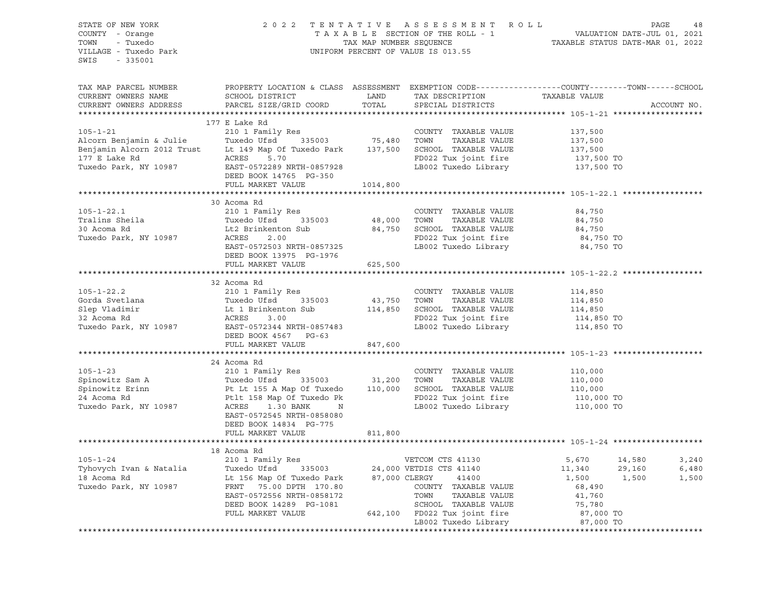| STATE OF NEW YORK<br>COUNTY - Orange<br>- Tuxedo<br>TOWN<br>VILLAGE - Tuxedo Park |                                                                                                                                                                                                                                            |              |                                                                                              |                                          |             |  |  |
|-----------------------------------------------------------------------------------|--------------------------------------------------------------------------------------------------------------------------------------------------------------------------------------------------------------------------------------------|--------------|----------------------------------------------------------------------------------------------|------------------------------------------|-------------|--|--|
| SWIS - 335001                                                                     |                                                                                                                                                                                                                                            |              |                                                                                              |                                          |             |  |  |
| TAX MAP PARCEL NUMBER<br>CURRENT OWNERS NAME<br>CURRENT OWNERS ADDRESS            | PROPERTY LOCATION & CLASS ASSESSMENT EXEMPTION CODE----------------COUNTY-------TOWN-----SCHOOL<br>SCHOOL DISTRICT<br>SCHOOL DISTRICT LAND TAX DESCRIPTION TAXABLE VALUE<br>PARCEL SIZE/GRID COORD                                         | TOTAL        | SPECIAL DISTRICTS                                                                            |                                          | ACCOUNT NO. |  |  |
|                                                                                   |                                                                                                                                                                                                                                            |              |                                                                                              |                                          |             |  |  |
|                                                                                   | 177 E Lake Rd                                                                                                                                                                                                                              |              |                                                                                              |                                          |             |  |  |
|                                                                                   | 105-1-21<br>Alcorn Benjamin & Julie 137,500<br>Alcorn Benjamin & Julie 137,500<br>Benjamin Alcorn 2012 Trust Lt 149 Map Of Tuxedo Park 137,500<br>TOWN TAXABLE VALUE 137,500<br>210 1 Family Res COUNTY TAXABLE VALUE 137,500<br>75,480 TO |              |                                                                                              |                                          |             |  |  |
|                                                                                   |                                                                                                                                                                                                                                            |              |                                                                                              |                                          |             |  |  |
|                                                                                   |                                                                                                                                                                                                                                            |              |                                                                                              |                                          |             |  |  |
|                                                                                   |                                                                                                                                                                                                                                            |              |                                                                                              |                                          |             |  |  |
|                                                                                   |                                                                                                                                                                                                                                            |              |                                                                                              |                                          |             |  |  |
|                                                                                   | DEED BOOK 14765 PG-350<br>FULL MARKET VALUE                                                                                                                                                                                                | 1014,800     |                                                                                              |                                          |             |  |  |
|                                                                                   |                                                                                                                                                                                                                                            |              |                                                                                              |                                          |             |  |  |
|                                                                                   | 30 Acoma Rd                                                                                                                                                                                                                                |              |                                                                                              |                                          |             |  |  |
| $105 - 1 - 22.1$                                                                  |                                                                                                                                                                                                                                            |              |                                                                                              |                                          |             |  |  |
|                                                                                   |                                                                                                                                                                                                                                            |              |                                                                                              |                                          |             |  |  |
| Tralins Sheila<br>30 Acoma Rd                                                     |                                                                                                                                                                                                                                            |              |                                                                                              |                                          |             |  |  |
| Tuxedo Park, NY 10987                                                             |                                                                                                                                                                                                                                            |              |                                                                                              |                                          |             |  |  |
|                                                                                   | 30 ACOURT AND ACTUAL AND COUNTY TRAVELY ALUE<br>Tuxedo Ufsd 335003 48,000 TOWN TAXABLE VALUE<br>Lt2 Brinkenton Sub 84,750 SCHOOL TAXABLE VALUE 84,750<br>ACRES 2.00 FD022 Tux joint fire 84,750 TO<br>EAST-0572503 NRTH-0857325 LB002      |              |                                                                                              |                                          |             |  |  |
|                                                                                   |                                                                                                                                                                                                                                            | $76$ 625,500 |                                                                                              |                                          |             |  |  |
|                                                                                   | FULL MARKET VALUE                                                                                                                                                                                                                          |              |                                                                                              |                                          |             |  |  |
|                                                                                   |                                                                                                                                                                                                                                            |              |                                                                                              |                                          |             |  |  |
|                                                                                   |                                                                                                                                                                                                                                            |              |                                                                                              |                                          |             |  |  |
|                                                                                   |                                                                                                                                                                                                                                            |              |                                                                                              |                                          |             |  |  |
|                                                                                   |                                                                                                                                                                                                                                            |              |                                                                                              |                                          |             |  |  |
|                                                                                   |                                                                                                                                                                                                                                            |              |                                                                                              |                                          |             |  |  |
|                                                                                   |                                                                                                                                                                                                                                            |              |                                                                                              |                                          |             |  |  |
|                                                                                   |                                                                                                                                                                                                                                            |              |                                                                                              |                                          |             |  |  |
|                                                                                   | FULL MARKET VALUE                                                                                                                                                                                                                          | 847,600      |                                                                                              |                                          |             |  |  |
|                                                                                   |                                                                                                                                                                                                                                            |              |                                                                                              |                                          |             |  |  |
|                                                                                   | 24 Acoma Rd                                                                                                                                                                                                                                |              |                                                                                              |                                          |             |  |  |
| $105 - 1 - 23$                                                                    | 210 1 Family Res                                                                                                                                                                                                                           |              | COUNTY TAXABLE VALUE                                                                         | 110,000<br>110,000<br>110,000<br>110,000 |             |  |  |
|                                                                                   |                                                                                                                                                                                                                                            |              |                                                                                              |                                          |             |  |  |
|                                                                                   |                                                                                                                                                                                                                                            |              |                                                                                              |                                          |             |  |  |
|                                                                                   |                                                                                                                                                                                                                                            |              |                                                                                              |                                          |             |  |  |
|                                                                                   | Spinowitz Sam A<br>Spinowitz Erinn Buredo Ufsd 335003 31,200 TOWN TAXABLE VALUE 110,000<br>24 Acoma Rd Pt Lt 155 A Map Of Tuxedo Pk<br>Tuxedo Park, NY 10987 ACRES 1.30 BANK N<br>24 Acoma Rd Pt Lt 158 Map Of Tuxedo Pk<br>Tuxedo Park,   |              |                                                                                              |                                          |             |  |  |
|                                                                                   | EAST-0572545 NRTH-0858080                                                                                                                                                                                                                  |              |                                                                                              |                                          |             |  |  |
|                                                                                   | DEED BOOK 14834 PG-775<br>FULL MARKET VALUE                                                                                                                                                                                                | 811,800      |                                                                                              |                                          |             |  |  |
|                                                                                   |                                                                                                                                                                                                                                            |              |                                                                                              |                                          |             |  |  |
|                                                                                   | 18 Acoma Rd                                                                                                                                                                                                                                |              |                                                                                              |                                          |             |  |  |
|                                                                                   |                                                                                                                                                                                                                                            |              |                                                                                              | 5,670 14,580                             | 3,240       |  |  |
|                                                                                   |                                                                                                                                                                                                                                            |              |                                                                                              | 11,340<br>29,160                         | 6,480       |  |  |
|                                                                                   |                                                                                                                                                                                                                                            |              |                                                                                              | 1,500<br>1,500                           | 1,500       |  |  |
|                                                                                   |                                                                                                                                                                                                                                            |              |                                                                                              | 68,490                                   |             |  |  |
|                                                                                   |                                                                                                                                                                                                                                            |              |                                                                                              | 41,760                                   |             |  |  |
|                                                                                   |                                                                                                                                                                                                                                            |              |                                                                                              |                                          |             |  |  |
|                                                                                   | 105-1-24<br>Tyhovych Ivan & Natalia (210 1 Family Res (216 1 Family Res (216 1 Family Res (216 0 1 Family Res (24,000 VETDIS CTS 41140<br>18 Acoma Rd (24,000 VETDIS CTS 41140<br>Tuxedo Park, NY 10987 (ERST -0572556 NRTH-0858172        |              | SCHOOL TAXABLE VALUE 75,780<br>FD022 Tux joint fire 75,780<br>LB002 Tuxedo Library 87,000 TO |                                          |             |  |  |
|                                                                                   |                                                                                                                                                                                                                                            |              |                                                                                              |                                          |             |  |  |
|                                                                                   |                                                                                                                                                                                                                                            |              |                                                                                              |                                          |             |  |  |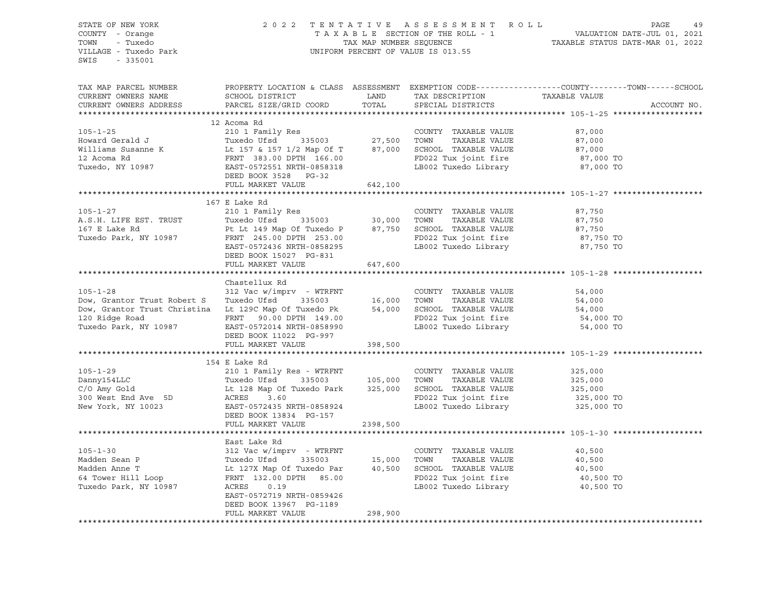| STATE OF NEW YORK<br>COUNTY - Orange                                                                                                                                                                                                                           | 2022 TENTATIVE ASSESSMENT ROLL PAGE 49<br>TAXABLE SECTION OF THE ROLL - 1 VALUATION DATE-JUL 01, 2021<br>TAX MAP NUMBER SEQUENCE TAXABLE STATUS DATE-MAR 01, 2022<br>UNIFORM PERCENT OF VALUE IS 013.55 |          |                                                                                                                                                                       |                                                                                                                 |
|----------------------------------------------------------------------------------------------------------------------------------------------------------------------------------------------------------------------------------------------------------------|---------------------------------------------------------------------------------------------------------------------------------------------------------------------------------------------------------|----------|-----------------------------------------------------------------------------------------------------------------------------------------------------------------------|-----------------------------------------------------------------------------------------------------------------|
| TOWN<br>- Tuxedo<br>VILLAGE - Tuxedo Park<br>SWIS - 335001                                                                                                                                                                                                     |                                                                                                                                                                                                         |          |                                                                                                                                                                       |                                                                                                                 |
| TAX MAP PARCEL NUMBER<br>CURRENT OWNERS NAME<br>CURRENT OWNERS ADDRESS                                                                                                                                                                                         |                                                                                                                                                                                                         |          |                                                                                                                                                                       | PROPERTY LOCATION & CLASS ASSESSMENT EXEMPTION CODE----------------COUNTY-------TOWN------SCHOOL<br>ACCOUNT NO. |
|                                                                                                                                                                                                                                                                |                                                                                                                                                                                                         |          |                                                                                                                                                                       |                                                                                                                 |
| 105-1-25<br>Howard Gerald J<br>Milliams Susanne K<br>12 Acoma Rd<br>Tuxedo Ufsd<br>12 Acoma Rd<br>Tuxedo, NY 10987<br>27,500 TOWN TAXABLE VALUE<br>27,500 TOWN TAXABLE VALUE<br>27,500 TOWN TAXABLE VALUE<br>27,500 TOWN TAXABLE VALUE<br>27,500 TOW           |                                                                                                                                                                                                         |          |                                                                                                                                                                       |                                                                                                                 |
|                                                                                                                                                                                                                                                                |                                                                                                                                                                                                         |          | COUNTY TAXABLE VALUE 87,000<br>TOWN TAXABLE VALUE 87,000<br>SCHOOL TAXABLE VALUE 87,000<br>FD022 Tux joint fire 87,000 TO<br>LB002 Tuxedo Library 87,000 TO           |                                                                                                                 |
|                                                                                                                                                                                                                                                                |                                                                                                                                                                                                         |          |                                                                                                                                                                       |                                                                                                                 |
|                                                                                                                                                                                                                                                                |                                                                                                                                                                                                         |          |                                                                                                                                                                       |                                                                                                                 |
|                                                                                                                                                                                                                                                                |                                                                                                                                                                                                         |          |                                                                                                                                                                       |                                                                                                                 |
|                                                                                                                                                                                                                                                                |                                                                                                                                                                                                         |          |                                                                                                                                                                       |                                                                                                                 |
|                                                                                                                                                                                                                                                                |                                                                                                                                                                                                         |          |                                                                                                                                                                       |                                                                                                                 |
|                                                                                                                                                                                                                                                                | FULL MARKET VALUE                                                                                                                                                                                       | 642,100  |                                                                                                                                                                       |                                                                                                                 |
|                                                                                                                                                                                                                                                                |                                                                                                                                                                                                         |          |                                                                                                                                                                       |                                                                                                                 |
| 105-1-27<br>A.S.H. LIFE EST. TRUST<br>167 E Lake Rd<br>210 1 Family Res<br>210 1 Family Res<br>210 1 Family Res<br>210 1 Family Res<br>216 1 Family Res<br>216 1 Family Res<br>216 1 Family Res<br>216 1 Family Res<br>216 35003<br>216 35003<br>216 350       | 167 E Lake Rd                                                                                                                                                                                           |          |                                                                                                                                                                       |                                                                                                                 |
|                                                                                                                                                                                                                                                                |                                                                                                                                                                                                         |          |                                                                                                                                                                       |                                                                                                                 |
|                                                                                                                                                                                                                                                                |                                                                                                                                                                                                         |          |                                                                                                                                                                       |                                                                                                                 |
|                                                                                                                                                                                                                                                                |                                                                                                                                                                                                         |          |                                                                                                                                                                       |                                                                                                                 |
|                                                                                                                                                                                                                                                                |                                                                                                                                                                                                         |          | COUNTY TAXABLE VALUE $87,750$<br>TOWN TAXABLE VALUE $87,750$<br>SCHOOL TAXABLE VALUE $87,750$<br>FD022 Tux joint fire $87,750$ TO<br>LB002 Tuxedo Library $87,750$ TO |                                                                                                                 |
|                                                                                                                                                                                                                                                                | DEED BOOK 15027 PG-831                                                                                                                                                                                  |          |                                                                                                                                                                       |                                                                                                                 |
|                                                                                                                                                                                                                                                                | FULL MARKET VALUE                                                                                                                                                                                       | 647,600  |                                                                                                                                                                       |                                                                                                                 |
|                                                                                                                                                                                                                                                                |                                                                                                                                                                                                         |          |                                                                                                                                                                       |                                                                                                                 |
|                                                                                                                                                                                                                                                                | Chastellux Rd                                                                                                                                                                                           |          |                                                                                                                                                                       |                                                                                                                 |
|                                                                                                                                                                                                                                                                |                                                                                                                                                                                                         |          |                                                                                                                                                                       |                                                                                                                 |
|                                                                                                                                                                                                                                                                |                                                                                                                                                                                                         |          |                                                                                                                                                                       |                                                                                                                 |
|                                                                                                                                                                                                                                                                |                                                                                                                                                                                                         |          |                                                                                                                                                                       |                                                                                                                 |
|                                                                                                                                                                                                                                                                |                                                                                                                                                                                                         |          |                                                                                                                                                                       |                                                                                                                 |
| 105-1-28<br>Dow, Grantor Trust Robert S<br>Dow, Grantor Trust Robert S<br>Dow, Grantor Trust Christina Lt 129C Map Of Tuxedo Pk<br>16,000 TOWN TAXABLE VALUE<br>54,000 SCHOOL TAXABLE VALUE<br>54,000 54,000 FORNT 149.00<br>Tuxedo Park, NY                   |                                                                                                                                                                                                         |          |                                                                                                                                                                       |                                                                                                                 |
|                                                                                                                                                                                                                                                                | DEED BOOK 11022 PG-997<br>FULL MARKET VALUE                                                                                                                                                             | 398,500  |                                                                                                                                                                       |                                                                                                                 |
|                                                                                                                                                                                                                                                                |                                                                                                                                                                                                         |          |                                                                                                                                                                       |                                                                                                                 |
|                                                                                                                                                                                                                                                                | 154 E Lake Rd                                                                                                                                                                                           |          |                                                                                                                                                                       |                                                                                                                 |
|                                                                                                                                                                                                                                                                |                                                                                                                                                                                                         |          |                                                                                                                                                                       |                                                                                                                 |
|                                                                                                                                                                                                                                                                |                                                                                                                                                                                                         |          |                                                                                                                                                                       |                                                                                                                 |
|                                                                                                                                                                                                                                                                |                                                                                                                                                                                                         |          |                                                                                                                                                                       |                                                                                                                 |
|                                                                                                                                                                                                                                                                |                                                                                                                                                                                                         |          |                                                                                                                                                                       |                                                                                                                 |
| 105-1-29<br>Danny154LLC<br>C/O Amy Gold<br>C/O Amy Gold<br>C/O Amy Gold<br>C/O Amy Gold<br>C/O Amy Gold<br>C/O Amy Gold<br>C/O Amy Gold<br>C/O Amy Gold<br>C/O Amy Gold<br>C/O Amy Gold<br>C/O Amy Gold<br>C/O Amy Gold<br>C/O Amy Gold<br>C/O Amy Gold<br>C/O |                                                                                                                                                                                                         |          |                                                                                                                                                                       |                                                                                                                 |
|                                                                                                                                                                                                                                                                |                                                                                                                                                                                                         |          |                                                                                                                                                                       |                                                                                                                 |
|                                                                                                                                                                                                                                                                | FULL MARKET VALUE                                                                                                                                                                                       | 2398,500 |                                                                                                                                                                       |                                                                                                                 |
|                                                                                                                                                                                                                                                                |                                                                                                                                                                                                         |          |                                                                                                                                                                       |                                                                                                                 |
|                                                                                                                                                                                                                                                                | East Lake Rd                                                                                                                                                                                            |          |                                                                                                                                                                       |                                                                                                                 |
|                                                                                                                                                                                                                                                                |                                                                                                                                                                                                         |          |                                                                                                                                                                       |                                                                                                                 |
|                                                                                                                                                                                                                                                                |                                                                                                                                                                                                         |          |                                                                                                                                                                       |                                                                                                                 |
|                                                                                                                                                                                                                                                                |                                                                                                                                                                                                         |          |                                                                                                                                                                       |                                                                                                                 |
|                                                                                                                                                                                                                                                                |                                                                                                                                                                                                         |          |                                                                                                                                                                       |                                                                                                                 |
|                                                                                                                                                                                                                                                                | EAST-0572719 NRTH-0859426                                                                                                                                                                               |          |                                                                                                                                                                       |                                                                                                                 |
|                                                                                                                                                                                                                                                                | DEED BOOK 13967 PG-1189                                                                                                                                                                                 |          |                                                                                                                                                                       |                                                                                                                 |
|                                                                                                                                                                                                                                                                | FULL MARKET VALUE                                                                                                                                                                                       | 298,900  |                                                                                                                                                                       |                                                                                                                 |
|                                                                                                                                                                                                                                                                |                                                                                                                                                                                                         |          |                                                                                                                                                                       |                                                                                                                 |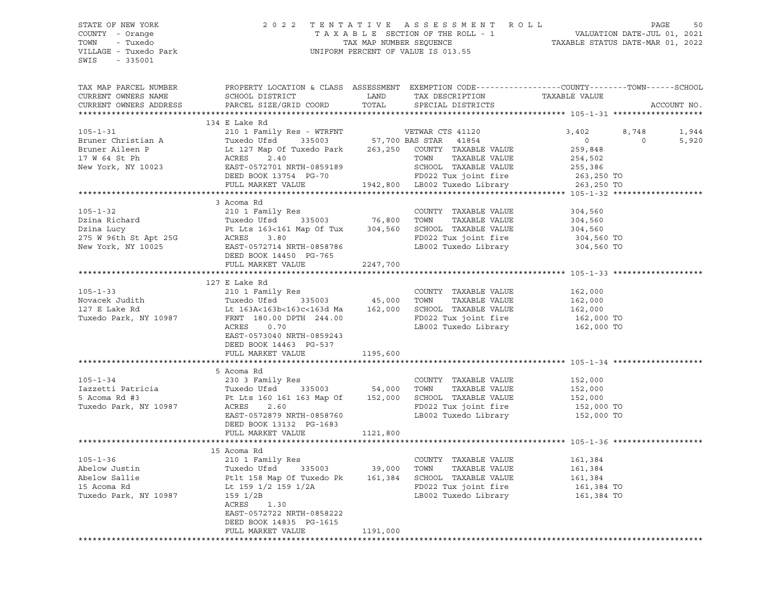#### STATE OF NEW YORK 2 0 2 2 T E N T A T I V E A S S E S S M E N T R O L L PAGE 50 COUNTY - Orange T A X A B L E SECTION OF THE ROLL - 1 VALUATION DATE-JUL 01, 2021 TOWN - Tuxedo TAX MAP NUMBER SEQUENCE TAXABLE STATUS DATE-MAR 01, 2022 VILLAGE - Tuxedo Park UNIFORM PERCENT OF VALUE IS 013.55

| TAX MAP PARCEL NUMBER                                                                                                                                                                                                                               | PROPERTY LOCATION & CLASS ASSESSMENT EXEMPTION CODE---------------COUNTY-------TOWN------SCHOOL                                                                                                                                            |          |                                                                                  |                    |                |             |
|-----------------------------------------------------------------------------------------------------------------------------------------------------------------------------------------------------------------------------------------------------|--------------------------------------------------------------------------------------------------------------------------------------------------------------------------------------------------------------------------------------------|----------|----------------------------------------------------------------------------------|--------------------|----------------|-------------|
| CURRENT OWNERS NAME                                                                                                                                                                                                                                 |                                                                                                                                                                                                                                            |          |                                                                                  |                    |                |             |
| CURRENT OWNERS ADDRESS                                                                                                                                                                                                                              |                                                                                                                                                                                                                                            |          |                                                                                  |                    |                | ACCOUNT NO. |
|                                                                                                                                                                                                                                                     |                                                                                                                                                                                                                                            |          |                                                                                  |                    |                |             |
|                                                                                                                                                                                                                                                     | 134 E Lake Rd                                                                                                                                                                                                                              |          |                                                                                  |                    |                |             |
| 105-1-31<br>Bruner Christian A<br>Bruner Christian A<br>Bruner Aileen P<br>17 W 64 St Ph<br>New York, NY 10023<br>20 1 Family Res - WTRFNT<br>17 W 64 St Ph<br>263,250 COUNTY TAXABLE VALUE<br>17 W 64 St Ph<br>263,250 COUNTY TAXABLE VALUE<br>New |                                                                                                                                                                                                                                            |          |                                                                                  | 3,402 8,748        |                | 1,944       |
|                                                                                                                                                                                                                                                     |                                                                                                                                                                                                                                            |          |                                                                                  | $\overline{0}$     | $\overline{0}$ | 5,920       |
|                                                                                                                                                                                                                                                     |                                                                                                                                                                                                                                            |          |                                                                                  | 259,848            |                |             |
|                                                                                                                                                                                                                                                     |                                                                                                                                                                                                                                            |          |                                                                                  |                    |                |             |
|                                                                                                                                                                                                                                                     |                                                                                                                                                                                                                                            |          | TOWN TAXABLE VALUE 254,502<br>SCHOOL TAXABLE VALUE 255,386                       |                    |                |             |
|                                                                                                                                                                                                                                                     |                                                                                                                                                                                                                                            |          |                                                                                  |                    |                |             |
|                                                                                                                                                                                                                                                     | DEED BOOK 13754 PG-70                                                                                                                                                                                                                      |          | 7-70 FD022 Tux joint fire 263,250 TO<br>1942,800 LB002 Tuxedo Library 263,250 TO |                    |                |             |
|                                                                                                                                                                                                                                                     | FULL MARKET VALUE                                                                                                                                                                                                                          |          |                                                                                  |                    |                |             |
|                                                                                                                                                                                                                                                     |                                                                                                                                                                                                                                            |          |                                                                                  |                    |                |             |
|                                                                                                                                                                                                                                                     | 3 Acoma Rd                                                                                                                                                                                                                                 |          |                                                                                  |                    |                |             |
| $105 - 1 - 32$                                                                                                                                                                                                                                      | 210 1 Family Res                                                                                                                                                                                                                           |          | COUNTY TAXABLE VALUE                                                             | 304,560            |                |             |
|                                                                                                                                                                                                                                                     |                                                                                                                                                                                                                                            |          |                                                                                  | 304,560<br>304,560 |                |             |
|                                                                                                                                                                                                                                                     |                                                                                                                                                                                                                                            |          |                                                                                  |                    |                |             |
|                                                                                                                                                                                                                                                     |                                                                                                                                                                                                                                            |          |                                                                                  |                    |                |             |
|                                                                                                                                                                                                                                                     |                                                                                                                                                                                                                                            |          | FD022 Tux joint fire 304,560 TO<br>LB002 Tuxedo Library 304,560 TO               |                    |                |             |
| Dzina Richard Tuxedo Ufsd 335003 76,800 TOWN TAXABLE VALUE<br>Dzina Lucy Pt Lts 163<161 Map Of Tux 304,560 SCHOOL TAXABLE VALUE<br>275 W 96th St Apt 25G ACRES 3.80 FD022 Tux joint fire<br>New York, NY 10025 EAST-0572714 NRTH-085                |                                                                                                                                                                                                                                            |          |                                                                                  |                    |                |             |
|                                                                                                                                                                                                                                                     | FULL MARKET VALUE                                                                                                                                                                                                                          | 2247,700 |                                                                                  |                    |                |             |
|                                                                                                                                                                                                                                                     |                                                                                                                                                                                                                                            |          |                                                                                  |                    |                |             |
|                                                                                                                                                                                                                                                     | 127 E Lake Rd                                                                                                                                                                                                                              |          |                                                                                  |                    |                |             |
| $105 - 1 - 33$                                                                                                                                                                                                                                      |                                                                                                                                                                                                                                            |          |                                                                                  |                    |                |             |
| Novacek Judith                                                                                                                                                                                                                                      |                                                                                                                                                                                                                                            |          |                                                                                  |                    |                |             |
| 127 E Lake Rd                                                                                                                                                                                                                                       | 210 1 Family Res<br>210 1 Family Res<br>Tuxedo Ufsd 335003 45,000 TOWN TAXABLE VALUE 162,000<br>162,000 It 163A<163b<163c<163d Ma 162,000 SCHOOL TAXABLE VALUE 162,000 IC<br>FRNT 180.00 DPTH 244.00 FO222 Tux joint fire 162,000 TO       |          |                                                                                  |                    |                |             |
| Tuxedo Park, NY 10987                                                                                                                                                                                                                               |                                                                                                                                                                                                                                            |          |                                                                                  |                    |                |             |
|                                                                                                                                                                                                                                                     | ACRES 0.70                                                                                                                                                                                                                                 |          | LB002 Tuxedo Library 162,000 TO                                                  |                    |                |             |
|                                                                                                                                                                                                                                                     | EAST-0573040 NRTH-0859243                                                                                                                                                                                                                  |          |                                                                                  |                    |                |             |
|                                                                                                                                                                                                                                                     | DEED BOOK 14463 PG-537                                                                                                                                                                                                                     |          |                                                                                  |                    |                |             |
|                                                                                                                                                                                                                                                     | FULL MARKET VALUE                                                                                                                                                                                                                          | 1195,600 |                                                                                  |                    |                |             |
|                                                                                                                                                                                                                                                     |                                                                                                                                                                                                                                            |          |                                                                                  |                    |                |             |
|                                                                                                                                                                                                                                                     | 5 Acoma Rd                                                                                                                                                                                                                                 |          |                                                                                  |                    |                |             |
| $105 - 1 - 34$                                                                                                                                                                                                                                      |                                                                                                                                                                                                                                            |          |                                                                                  |                    |                |             |
|                                                                                                                                                                                                                                                     |                                                                                                                                                                                                                                            |          |                                                                                  |                    |                |             |
| Iazzetti Patricia<br>5 Acoma Rd #3<br>5 Acoma Rd #3                                                                                                                                                                                                 |                                                                                                                                                                                                                                            |          |                                                                                  |                    |                |             |
| Tuxedo Park, NY 10987                                                                                                                                                                                                                               |                                                                                                                                                                                                                                            |          |                                                                                  |                    |                |             |
|                                                                                                                                                                                                                                                     | EAST-0572879 NRTH-0858760                                                                                                                                                                                                                  |          | FD022 Tux joint fire 152,000 TO<br>LB002 Tuxedo Library 152,000 TO               |                    |                |             |
|                                                                                                                                                                                                                                                     | DEED BOOK 13132 PG-1683                                                                                                                                                                                                                    |          |                                                                                  |                    |                |             |
|                                                                                                                                                                                                                                                     | FULL MARKET VALUE                                                                                                                                                                                                                          | 1121,800 |                                                                                  |                    |                |             |
|                                                                                                                                                                                                                                                     |                                                                                                                                                                                                                                            |          |                                                                                  |                    |                |             |
|                                                                                                                                                                                                                                                     | 15 Acoma Rd                                                                                                                                                                                                                                |          |                                                                                  |                    |                |             |
| $105 - 1 - 36$                                                                                                                                                                                                                                      |                                                                                                                                                                                                                                            |          |                                                                                  |                    |                |             |
| Abelow Justin                                                                                                                                                                                                                                       |                                                                                                                                                                                                                                            |          |                                                                                  |                    |                |             |
|                                                                                                                                                                                                                                                     |                                                                                                                                                                                                                                            |          |                                                                                  |                    |                |             |
| Abelow Sallie                                                                                                                                                                                                                                       | 15 Acoma ku<br>210 1 Family Res<br>Tuxedo Ufsd 335003 39,000 TOWN TAXABLE VALUE<br>Ptlt 158 Map Of Tuxedo Pk 161,384 SCHOOL TAXABLE VALUE<br>161,384 LE 161,384 FD022 Tux joint fire 161,384<br>161,384 FD022 Tux joint fire 161,384<br>16 |          |                                                                                  |                    |                |             |
| 15 Acoma Rd                                                                                                                                                                                                                                         |                                                                                                                                                                                                                                            |          | FD022 Tux joint fire 161,384 TO<br>LB002 Tuxedo Library 161,384 TO               |                    |                |             |
| Tuxedo Park, NY 10987 159 1/2B                                                                                                                                                                                                                      |                                                                                                                                                                                                                                            |          |                                                                                  |                    |                |             |
|                                                                                                                                                                                                                                                     |                                                                                                                                                                                                                                            |          |                                                                                  |                    |                |             |
|                                                                                                                                                                                                                                                     | EAST-0572722 NRTH-0858222                                                                                                                                                                                                                  |          |                                                                                  |                    |                |             |
|                                                                                                                                                                                                                                                     | DEED BOOK 14835 PG-1615                                                                                                                                                                                                                    |          |                                                                                  |                    |                |             |
|                                                                                                                                                                                                                                                     | FULL MARKET VALUE                                                                                                                                                                                                                          | 1191,000 |                                                                                  |                    |                |             |
|                                                                                                                                                                                                                                                     |                                                                                                                                                                                                                                            |          |                                                                                  |                    |                |             |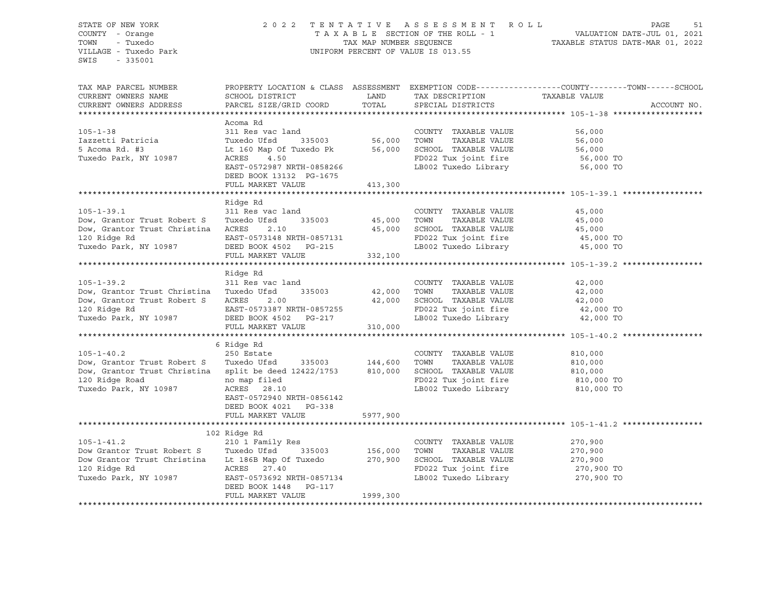#### STATE OF NEW YORK 2 0 2 2 T E N T A T I V E A S S E S S M E N T R O L L PAGE 51 COUNTY - Orange T A X A B L E SECTION OF THE ROLL - 1 VALUATION DATE-JUL 01, 2021 TOWN - Tuxedo TAX MAP NUMBER SEQUENCE TAXABLE STATUS DATE-MAR 01, 2022 UNIFORM PERCENT OF VALUE IS 013.55

TAX MAP PARCEL NUMBER PROPERTY LOCATION & CLASS ASSESSMENT EXEMPTION CODE------------------COUNTY--------TOWN------SCHOOL CURRENT OWNERS NAME SCHOOL DISTRICT TAXIBLE LAND TAXIBESCRIPTION TAXABLE VALUE CURRENT OWNERS ADDRESS PARCEL SIZE/GRID COORD TOTAL SPECIAL DISTRICTS ACCOUNT NO. \*\*\*\*\*\*\*\*\*\*\*\*\*\*\*\*\*\*\*\*\*\*\*\*\*\*\*\*\*\*\*\*\*\*\*\*\*\*\*\*\*\*\*\*\*\*\*\*\*\*\*\*\*\*\*\*\*\*\*\*\*\*\*\*\*\*\*\*\*\*\*\*\*\*\*\*\*\*\*\*\*\*\*\*\*\*\*\*\*\*\*\*\*\*\*\*\*\*\*\*\*\*\* 105-1-38 \*\*\*\*\*\*\*\*\*\*\*\*\*\*\*\*\*\*\* Acoma Rd 105-1-38 311 Res vac land COUNTY TAXABLE VALUE 56,000 Iazzetti Patricia Tuxedo Ufsd 335003 56,000 TOWN TAXABLE VALUE 56,000 5 Acoma Rd. #3 Lt 160 Map Of Tuxedo Pk 56,000 SCHOOL TAXABLE VALUE 56,000 Tuxedo Park, NY 10987 ACRES 4.50 FD022 Tux joint fire 56,000 TO EAST-0572987 NRTH-0858266 LB002 Tuxedo Library 56,000 TO DEED BOOK 13132 PG-1675 FULL MARKET VALUE 413,300 \*\*\*\*\*\*\*\*\*\*\*\*\*\*\*\*\*\*\*\*\*\*\*\*\*\*\*\*\*\*\*\*\*\*\*\*\*\*\*\*\*\*\*\*\*\*\*\*\*\*\*\*\*\*\*\*\*\*\*\*\*\*\*\*\*\*\*\*\*\*\*\*\*\*\*\*\*\*\*\*\*\*\*\*\*\*\*\*\*\*\*\*\*\*\*\*\*\*\*\*\*\*\* 105-1-39.1 \*\*\*\*\*\*\*\*\*\*\*\*\*\*\*\*\* Ridge Rd 105-1-39.1 311 Res vac land COUNTY TAXABLE VALUE 45,000 Dow, Grantor Trust Robert S Tuxedo Ufsd 335003 45,000 TOWN TAXABLE VALUE 45,000 Dow, Grantor Trust Christina ACRES 2.10 45,000 SCHOOL TAXABLE VALUE 45,000 120 Ridge Rd EAST-0573148 NRTH-0857131 FD022 Tux joint fire 45,000 TO Tuxedo Park, NY 10987 DEED BOOK 4502 PG-215 LB002 Tuxedo Library 45,000 TO FULL MARKET VALUE 332,100 \*\*\*\*\*\*\*\*\*\*\*\*\*\*\*\*\*\*\*\*\*\*\*\*\*\*\*\*\*\*\*\*\*\*\*\*\*\*\*\*\*\*\*\*\*\*\*\*\*\*\*\*\*\*\*\*\*\*\*\*\*\*\*\*\*\*\*\*\*\*\*\*\*\*\*\*\*\*\*\*\*\*\*\*\*\*\*\*\*\*\*\*\*\*\*\*\*\*\*\*\*\*\* 105-1-39.2 \*\*\*\*\*\*\*\*\*\*\*\*\*\*\*\*\* Ridge Rd 105-1-39.2 311 Res vac land COUNTY TAXABLE VALUE 42,000 Dow, Grantor Trust Christina Tuxedo Ufsd 335003 42,000 TOWN TAXABLE VALUE 42,000 Dow, Grantor Trust Robert S ACRES 2.00 42,000 SCHOOL TAXABLE VALUE 42,000 120 Ridge Rd EAST-0573387 NRTH-0857255 FD022 Tux joint fire 42,000 TO Tuxedo Park, NY 10987 DEED BOOK 4502 PG-217 LB002 Tuxedo Library 42,000 TO FULL MARKET VALUE 310,000 \*\*\*\*\*\*\*\*\*\*\*\*\*\*\*\*\*\*\*\*\*\*\*\*\*\*\*\*\*\*\*\*\*\*\*\*\*\*\*\*\*\*\*\*\*\*\*\*\*\*\*\*\*\*\*\*\*\*\*\*\*\*\*\*\*\*\*\*\*\*\*\*\*\*\*\*\*\*\*\*\*\*\*\*\*\*\*\*\*\*\*\*\*\*\*\*\*\*\*\*\*\*\* 105-1-40.2 \*\*\*\*\*\*\*\*\*\*\*\*\*\*\*\*\* 6 Ridge Rd 105-1-40.2 250 Estate COUNTY TAXABLE VALUE 810,000 Dow, Grantor Trust Robert S Tuxedo Ufsd 335003 144,600 TOWN TAXABLE VALUE 810,000 Dow, Grantor Trust Christina split be deed 12422/1753 810,000 SCHOOL TAXABLE VALUE 810,000 120 Ridge Road no map filed FD022 Tux joint fire 810,000 TO Tuxedo Park, NY 10987 ACRES 28.10 LB002 Tuxedo Library 810,000 TO EAST-0572940 NRTH-0856142 DEED BOOK 4021 PG-338 FULL MARKET VALUE 5977,900 \*\*\*\*\*\*\*\*\*\*\*\*\*\*\*\*\*\*\*\*\*\*\*\*\*\*\*\*\*\*\*\*\*\*\*\*\*\*\*\*\*\*\*\*\*\*\*\*\*\*\*\*\*\*\*\*\*\*\*\*\*\*\*\*\*\*\*\*\*\*\*\*\*\*\*\*\*\*\*\*\*\*\*\*\*\*\*\*\*\*\*\*\*\*\*\*\*\*\*\*\*\*\* 105-1-41.2 \*\*\*\*\*\*\*\*\*\*\*\*\*\*\*\*\* 102 Ridge Rd 105-1-41.2 210 1 Family Res COUNTY TAXABLE VALUE 270,900 Dow Grantor Trust Robert S Tuxedo Ufsd 335003 156,000 TOWN TAXABLE VALUE 270,900 Dow Grantor Trust Christina Lt 186B Map Of Tuxedo 270,900 SCHOOL TAXABLE VALUE 270,900 120 Ridge Rd ACRES 27.40 FD022 Tux joint fire 270,900 TO Tuxedo Park, NY 10987 EAST-0573692 NRTH-0857134 LB002 Tuxedo Library 270,900 TO DEED BOOK 1448 PG-117 FULL MARKET VALUE 1999,300 \*\*\*\*\*\*\*\*\*\*\*\*\*\*\*\*\*\*\*\*\*\*\*\*\*\*\*\*\*\*\*\*\*\*\*\*\*\*\*\*\*\*\*\*\*\*\*\*\*\*\*\*\*\*\*\*\*\*\*\*\*\*\*\*\*\*\*\*\*\*\*\*\*\*\*\*\*\*\*\*\*\*\*\*\*\*\*\*\*\*\*\*\*\*\*\*\*\*\*\*\*\*\*\*\*\*\*\*\*\*\*\*\*\*\*\*\*\*\*\*\*\*\*\*\*\*\*\*\*\*\*\*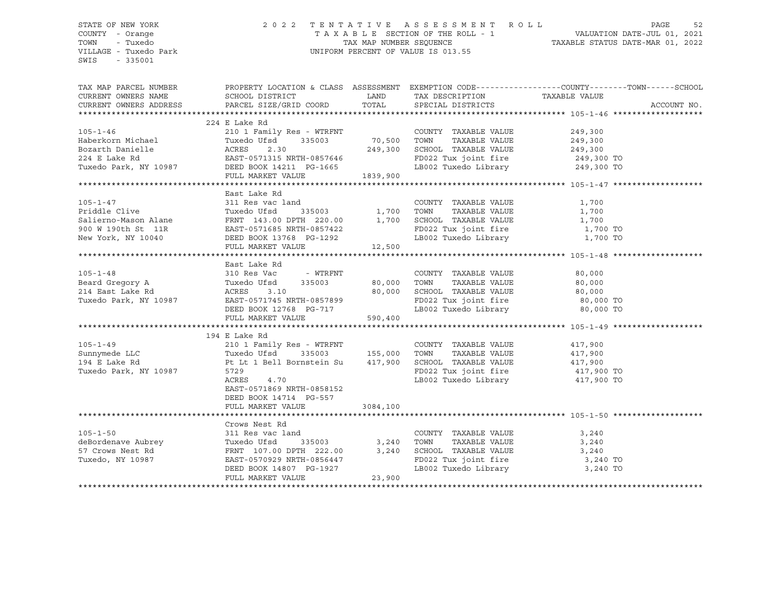#### STATE OF NEW YORK 2 0 2 2 T E N T A T I V E A S S E S S M E N T R O L L PAGE 52 COUNTY - Orange T A X A B L E SECTION OF THE ROLL - 1 VALUATION DATE-JUL 01, 2021 TOWN - Tuxedo TAX MAP NUMBER SEQUENCE TAXABLE STATUS DATE-MAR 01, 2022 VILLAGE - Tuxedo Park UNIFORM PERCENT OF VALUE IS 013.55

| TAX MAP PARCEL NUMBER<br>CURRENT OWNERS NAME<br>CURRENT OWNERS ADDRESS | SCHOOL DISTRICT<br>PARCEL SIZE/GRID COORD            | LAND<br>TOTAL  | TAX DESCRIPTION TAXABLE VALUE<br>SPECIAL DISTRICTS | PROPERTY LOCATION & CLASS ASSESSMENT EXEMPTION CODE----------------COUNTY-------TOWN------SCHOOL | ACCOUNT NO. |
|------------------------------------------------------------------------|------------------------------------------------------|----------------|----------------------------------------------------|--------------------------------------------------------------------------------------------------|-------------|
|                                                                        | 224 E Lake Rd                                        |                |                                                    |                                                                                                  |             |
| $105 - 1 - 46$                                                         | 210 1 Family Res - WTRFNT                            |                | COUNTY TAXABLE VALUE                               | 249,300                                                                                          |             |
|                                                                        | Tuxedo Ufsd<br>335003                                | 70,500         | TOWN<br>TAXABLE VALUE                              | 249,300                                                                                          |             |
| Haberkorn Michael<br>Bozarth Danielle                                  | ACRES<br>2.30                                        | 249,300        | SCHOOL TAXABLE VALUE                               |                                                                                                  |             |
|                                                                        | EAST-0571315 NRTH-0857646                            |                | FD022 Tux joint fire 249,300 TO                    | 249,300                                                                                          |             |
| 224 E Lake Rd                                                          |                                                      |                |                                                    |                                                                                                  |             |
| Tuxedo Park, NY 10987 DEED BOOK 14211 PG-1665                          |                                                      |                | LB002 Tuxedo Library 249,300 TO                    |                                                                                                  |             |
|                                                                        | FULL MARKET VALUE                                    | 1839,900       |                                                    |                                                                                                  |             |
|                                                                        |                                                      |                |                                                    |                                                                                                  |             |
|                                                                        | East Lake Rd                                         |                |                                                    |                                                                                                  |             |
| $105 - 1 - 47$                                                         | 311 Res vac land                                     |                | COUNTY TAXABLE VALUE                               | 1,700                                                                                            |             |
|                                                                        |                                                      |                | TOWN<br>TAXABLE VALUE                              | 1,700                                                                                            |             |
|                                                                        |                                                      |                | SCHOOL TAXABLE VALUE                               | 1,700                                                                                            |             |
|                                                                        |                                                      |                | FD022 Tux joint fire 1,700 TO                      |                                                                                                  |             |
| New York, NY 10040 DEED BOOK 13768 PG-1292                             |                                                      | 12,500         | LB002 Tuxedo Library 1,700 TO                      |                                                                                                  |             |
|                                                                        | FULL MARKET VALUE                                    |                |                                                    |                                                                                                  |             |
|                                                                        |                                                      |                |                                                    |                                                                                                  |             |
|                                                                        | East Lake Rd                                         |                |                                                    |                                                                                                  |             |
| $105 - 1 - 48$                                                         | 310 Res Vac - WTRFNT                                 |                | COUNTY TAXABLE VALUE                               | 80,000                                                                                           |             |
| Beard Gregory A                                                        | Tuxedo Ufsd 335003                                   | 80,000         | TAXABLE VALUE<br>TOWN                              | 80,000                                                                                           |             |
| 214 East Lake Rd                                                       | ACRES<br>3.10                                        | 80,000         | SCHOOL TAXABLE VALUE                               | 80,000                                                                                           |             |
| Tuxedo Park, NY 10987 EAST-0571745 NRTH-0857899                        |                                                      |                | FD022 Tux joint fire 80,000 TO                     |                                                                                                  |             |
|                                                                        | DEED BOOK 12768 PG-717                               |                | LB002 Tuxedo Library                               | 80,000 TO                                                                                        |             |
|                                                                        | FULL MARKET VALUE                                    | 590,400        |                                                    |                                                                                                  |             |
|                                                                        |                                                      |                |                                                    |                                                                                                  |             |
|                                                                        | 194 E Lake Rd                                        |                |                                                    |                                                                                                  |             |
| $105 - 1 - 49$                                                         | 210 1 Family Res - WTRFNT                            |                | COUNTY TAXABLE VALUE                               | 417,900                                                                                          |             |
| Sunnymede LLC                                                          | Tuxedo Ufsd                                          | 335003 155,000 | TAXABLE VALUE<br>TOWN                              | 417,900                                                                                          |             |
| 194 E Lake Rd                                                          | Pt Lt 1 Bell Bornstein Su 417,900                    |                | SCHOOL TAXABLE VALUE                               | 417,900                                                                                          |             |
| Tuxedo Park, NY 10987                                                  | 5729                                                 |                | FD022 Tux joint fire 417,900 TO                    |                                                                                                  |             |
|                                                                        | 4.70<br>ACRES                                        |                | LB002 Tuxedo Library 417,900 TO                    |                                                                                                  |             |
|                                                                        | EAST-0571869 NRTH-0858152                            |                |                                                    |                                                                                                  |             |
|                                                                        | DEED BOOK 14714 PG-557                               |                |                                                    |                                                                                                  |             |
|                                                                        | FULL MARKET VALUE                                    | 3084,100       |                                                    |                                                                                                  |             |
|                                                                        |                                                      |                |                                                    |                                                                                                  |             |
|                                                                        | Crows Nest Rd                                        |                |                                                    |                                                                                                  |             |
| $105 - 1 - 50$                                                         | 311 Res vac land                                     |                | COUNTY TAXABLE VALUE                               | 3,240                                                                                            |             |
| deBordenave Aubrey                                                     | 335003<br>Tuxedo Ufsd                                | 3,240          | TOWN<br>TAXABLE VALUE                              | 3,240                                                                                            |             |
| 57 Crows Nest Rd                                                       |                                                      | 3,240          |                                                    | 3,240                                                                                            |             |
| Tuxedo, NY 10987                                                       | FRNT 107.00 DPTH 222.00<br>EAST-0570929 NRTH-0856447 |                | SCHOOL TAXABLE VALUE<br>FD022 Tux joint fire       | 3,240 TO                                                                                         |             |
|                                                                        | DEED BOOK 14807 PG-1927                              |                | LB002 Tuxedo Library 3,240 TO                      |                                                                                                  |             |
|                                                                        | FULL MARKET VALUE                                    | 23,900         |                                                    |                                                                                                  |             |
|                                                                        |                                                      |                |                                                    |                                                                                                  |             |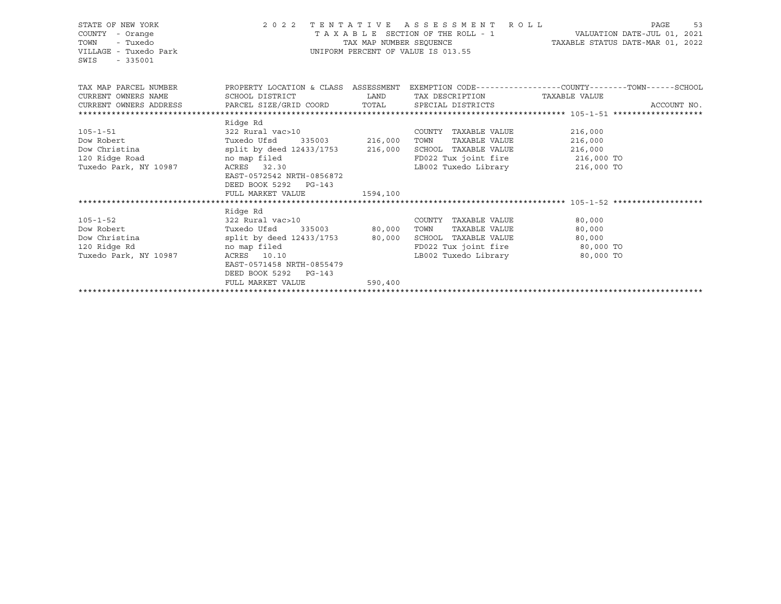| STATE OF NEW YORK<br>COUNTY - Orange<br>TOWN<br>- Tuxedo<br>VILLAGE - Tuxedo Park<br>$-335001$<br>SWIS | 2022 TENTATIVE ASSESSMENT ROLL<br>TAX MAP NUMBER SEOUENCE<br>UNIFORM PERCENT OF VALUE IS 013.55 | TAXABLE STATUS DATE-MAR 01, 2022 | PAGE<br>53                                    |                                                              |             |
|--------------------------------------------------------------------------------------------------------|-------------------------------------------------------------------------------------------------|----------------------------------|-----------------------------------------------|--------------------------------------------------------------|-------------|
| TAX MAP PARCEL NUMBER                                                                                  | PROPERTY LOCATION & CLASS ASSESSMENT                                                            |                                  |                                               | EXEMPTION CODE-----------------COUNTY-------TOWN------SCHOOL |             |
| CURRENT OWNERS NAME                                                                                    | SCHOOL DISTRICT                                                                                 | <b>LAND</b>                      | TAX DESCRIPTION TAXABLE VALUE                 |                                                              |             |
| CURRENT OWNERS ADDRESS                                                                                 | PARCEL SIZE/GRID COORD TOTAL                                                                    |                                  | SPECIAL DISTRICTS                             |                                                              | ACCOUNT NO. |
|                                                                                                        |                                                                                                 |                                  |                                               |                                                              |             |
|                                                                                                        | Ridge Rd                                                                                        |                                  |                                               |                                                              |             |
| $105 - 1 - 51$                                                                                         | 322 Rural vac>10                                                                                |                                  | COUNTY TAXABLE VALUE                          | 216,000                                                      |             |
| Dow Robert                                                                                             | Tuxedo Ufsd 335003 216,000                                                                      |                                  | TOWN<br>TAXABLE VALUE<br>SCHOOL TAXABLE VALUE | 216,000                                                      |             |
| Dow Christina split by deed<br>120 Ridge Road momap filed                                              | split by deed 12433/1753 216,000                                                                |                                  | FD022 Tux joint fire 216,000 TO               | 216,000                                                      |             |
| Tuxedo Park, NY 10987                                                                                  | ACRES 32.30                                                                                     |                                  | LB002 Tuxedo Library 216,000 TO               |                                                              |             |
|                                                                                                        | EAST-0572542 NRTH-0856872                                                                       |                                  |                                               |                                                              |             |
|                                                                                                        | DEED BOOK 5292 PG-143                                                                           |                                  |                                               |                                                              |             |
|                                                                                                        | FULL MARKET VALUE                                                                               | 1594,100                         |                                               |                                                              |             |
|                                                                                                        |                                                                                                 |                                  |                                               |                                                              |             |
|                                                                                                        | Ridge Rd                                                                                        |                                  |                                               |                                                              |             |
| $105 - 1 - 52$                                                                                         | 322 Rural vac>10                                                                                |                                  | COUNTY TAXABLE VALUE                          | 80,000                                                       |             |
| Dow Robert                                                                                             | Tuxedo Ufsd 335003 80,000                                                                       |                                  | TAXABLE VALUE<br>TOWN                         | 80,000                                                       |             |
| Dow Christina                                                                                          | split by deed 12433/1753 80,000                                                                 |                                  | SCHOOL TAXABLE VALUE                          | 80,000                                                       |             |
| 120 Ridge Rd                                                                                           | no map filed                                                                                    |                                  | FD022 Tux joint fire                          | 80,000 TO                                                    |             |
| Tuxedo Park, NY 10987                                                                                  | ACRES 10.10                                                                                     |                                  | LB002 Tuxedo Library                          | 80,000 TO                                                    |             |
|                                                                                                        | EAST-0571458 NRTH-0855479                                                                       |                                  |                                               |                                                              |             |
|                                                                                                        | DEED BOOK 5292 PG-143                                                                           |                                  |                                               |                                                              |             |
|                                                                                                        | FULL MARKET VALUE                                                                               | 590,400                          |                                               |                                                              |             |
|                                                                                                        |                                                                                                 |                                  |                                               |                                                              |             |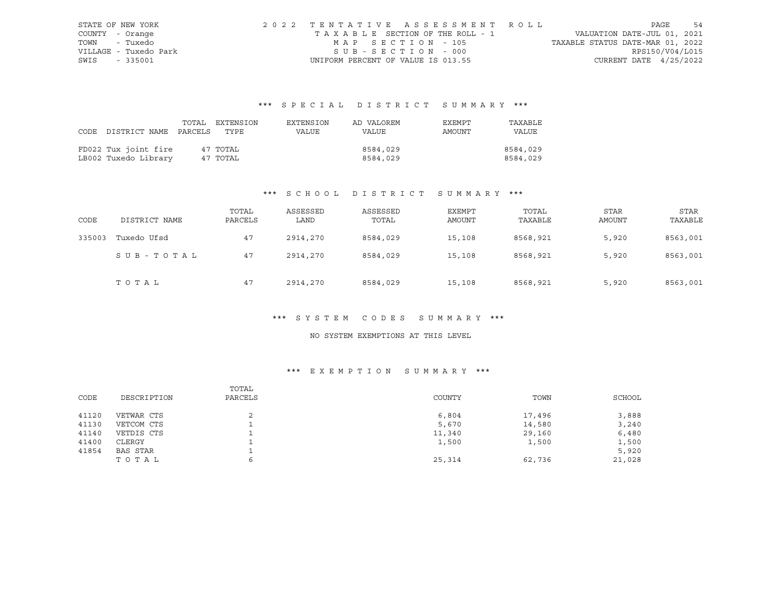|      | STATE OF NEW YORK     | 2022 TENTATIVE ASSESSMENT ROLL     |                                  | PAGE                        | 54 |
|------|-----------------------|------------------------------------|----------------------------------|-----------------------------|----|
|      | COUNTY - Orange       | TAXABLE SECTION OF THE ROLL - 1    |                                  | VALUATION DATE-JUL 01, 2021 |    |
|      | TOWN - Tuxedo         | MAP SECTION - 105                  | TAXABLE STATUS DATE-MAR 01, 2022 |                             |    |
|      | VILLAGE - Tuxedo Park | SUB-SECTION - 000                  |                                  | RPS150/V04/L015             |    |
| SWIS | - 335001              | UNIFORM PERCENT OF VALUE IS 013.55 |                                  | CURRENT DATE $4/25/2022$    |    |

# \*\*\* S P E C I A L D I S T R I C T S U M M A R Y \*\*\*

|                                 | TOTAL EXTENSION | EXTENSION | AD VALOREM | EXEMPT | TAXABLE  |
|---------------------------------|-----------------|-----------|------------|--------|----------|
| CODE DISTRICT NAME PARCELS TYPE |                 | VALUE     | VALUE      | AMOUNT | VALUE    |
|                                 |                 |           |            |        |          |
| FD022 Tux joint fire            | 47 TOTAL        |           | 8584,029   |        | 8584,029 |
| LB002 Tuxedo Library            | 47 TOTAL        |           | 8584,029   |        | 8584,029 |

## \*\*\* S C H O O L D I S T R I C T S U M M A R Y \*\*\*

| CODE   | DISTRICT NAME | TOTAL<br>PARCELS | ASSESSED<br>LAND | ASSESSED<br>TOTAL | EXEMPT<br>AMOUNT | TOTAL<br>TAXABLE | <b>STAR</b><br>AMOUNT | <b>STAR</b><br>TAXABLE |
|--------|---------------|------------------|------------------|-------------------|------------------|------------------|-----------------------|------------------------|
| 335003 | Tuxedo Ufsd   | 47               | 2914,270         | 8584,029          | 15,108           | 8568,921         | 5,920                 | 8563,001               |
|        | SUB-TOTAL     | 47               | 2914,270         | 8584,029          | 15,108           | 8568,921         | 5,920                 | 8563,001               |
|        | TOTAL         | 47               | 2914,270         | 8584,029          | 15,108           | 8568,921         | 5,920                 | 8563,001               |

## \*\*\* S Y S T E M C O D E S S U M M A R Y \*\*\*

#### NO SYSTEM EXEMPTIONS AT THIS LEVEL

## \*\*\* E X E M P T I O N S U M M A R Y \*\*\*

| CODE  | DESCRIPTION     | TOTAL<br>PARCELS | COUNTY | TOWN   | SCHOOL |
|-------|-----------------|------------------|--------|--------|--------|
| 41120 | VETWAR CTS      |                  | 6,804  | 17,496 | 3,888  |
| 41130 | VETCOM CTS      |                  | 5,670  | 14,580 | 3,240  |
| 41140 | VETDIS CTS      |                  | 11,340 | 29,160 | 6,480  |
| 41400 | CLERGY          |                  | 1,500  | 1,500  | 1,500  |
| 41854 | <b>BAS STAR</b> |                  |        |        | 5,920  |
|       | TOTAL           | ь                | 25,314 | 62,736 | 21,028 |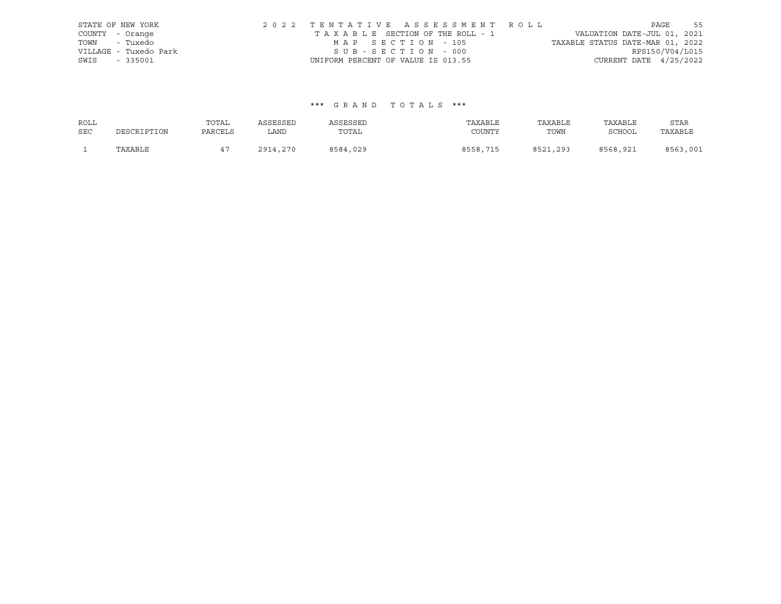| STATE OF NEW YORK |                       | 2022 TENTATIVE ASSESSMENT ROLL |                                       |  |                                  | PAGE                     | 55 |
|-------------------|-----------------------|--------------------------------|---------------------------------------|--|----------------------------------|--------------------------|----|
| COUNTY - Orange   |                       |                                | T A X A B L E SECTION OF THE ROLL - 1 |  | VALUATION DATE-JUL 01, 2021      |                          |    |
| TOWN - Tuxedo     |                       |                                | MAP SECTION - 105                     |  | TAXABLE STATUS DATE-MAR 01, 2022 |                          |    |
|                   | VILLAGE - Tuxedo Park |                                | SUB-SECTION - 000                     |  |                                  | RPS150/V04/L015          |    |
| SWIS - 335001     |                       |                                | UNIFORM PERCENT OF VALUE IS 013.55    |  |                                  | CURRENT DATE $4/25/2022$ |    |

#### \*\*\* G R A N D T O T A L S \*\*\*

| ROLL       |             | TOTAL   | ASSESSED | ASSESSED | TAXABLE  | TAXABLE  | TAXABLE  | <b>STAR</b> |
|------------|-------------|---------|----------|----------|----------|----------|----------|-------------|
| <b>SEC</b> | DESCRIPTION | PARCELS | LAND     | TOTAL    | COUNTY   | TOWN     | SCHOOL   | TAXABLE     |
|            | TAXABLE     |         | 2914,270 | 8584,029 | 8558,715 | 8521,293 | 8568,921 | 8563,001    |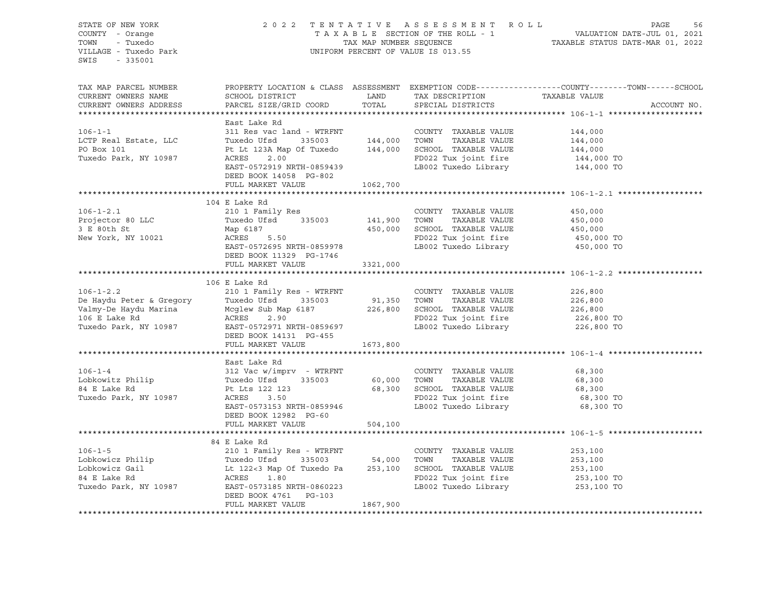STATE OF NEW YORK 2 0 2 2 T E N T A T I V E A S S E S S M E N T R O L L PAGE 56 COUNTY - Orange T A X A B L E SECTION OF THE ROLL - 1 VALUATION DATE-JUL 01, 2021 TOWN - Tuxedo TAX MAP NUMBER SEQUENCE TAXABLE STATUS DATE-MAR 01, 2022 VILLAGE - Tuxedo Park UNIFORM PERCENT OF VALUE IS 013.55 SWIS - 335001 TAX MAP PARCEL NUMBER PROPERTY LOCATION & CLASS ASSESSMENT EXEMPTION CODE------------------COUNTY--------TOWN------SCHOOL CURRENT OWNERS NAME SCHOOL DISTRICT LAND TAX DESCRIPTION TAXABLE VALUE CURRENT OWNERS ADDRESS PARCEL SIZE/GRID COORD TOTAL SPECIAL DISTRICTS ACCOUNT NO. \*\*\*\*\*\*\*\*\*\*\*\*\*\*\*\*\*\*\*\*\*\*\*\*\*\*\*\*\*\*\*\*\*\*\*\*\*\*\*\*\*\*\*\*\*\*\*\*\*\*\*\*\*\*\*\*\*\*\*\*\*\*\*\*\*\*\*\*\*\*\*\*\*\*\*\*\*\*\*\*\*\*\*\*\*\*\*\*\*\*\*\*\*\*\*\*\*\*\*\*\*\*\* 106-1-1 \*\*\*\*\*\*\*\*\*\*\*\*\*\*\*\*\*\*\*\* East Lake Rd 106-1-1 311 Res vac land - WTRFNT COUNTY TAXABLE VALUE 144,000 LCTP Real Estate, LLC Tuxedo Ufsd 335003 144,000 TOWN TAXABLE VALUE 144,000 PO Box 101 **PE DE 123A Map Of Tuxedo** 144,000 SCHOOL TAXABLE VALUE 144,000 Tuxedo Park, NY 10987 ACRES 2.00 FD022 Tux joint fire 144,000 TO EAST-0572919 NRTH-0859439 LB002 Tuxedo Library 144,000 TO DEED BOOK 14058 PG-802 FULL MARKET VALUE 1062,700 \*\*\*\*\*\*\*\*\*\*\*\*\*\*\*\*\*\*\*\*\*\*\*\*\*\*\*\*\*\*\*\*\*\*\*\*\*\*\*\*\*\*\*\*\*\*\*\*\*\*\*\*\*\*\*\*\*\*\*\*\*\*\*\*\*\*\*\*\*\*\*\*\*\*\*\*\*\*\*\*\*\*\*\*\*\*\*\*\*\*\*\*\*\*\*\*\*\*\*\*\*\*\* 106-1-2.1 \*\*\*\*\*\*\*\*\*\*\*\*\*\*\*\*\*\* 104 E Lake Rd 106-1-2.1 210 1 Family Res COUNTY TAXABLE VALUE 450,000 Projector 80 LLC Tuxedo Ufsd 335003 141,900 TOWN TAXABLE VALUE 450,000 3 E 80th St Map 6187 450,000 SCHOOL TAXABLE VALUE 450,000 New York, NY 10021 ACRES 5.50 FD022 Tux joint fire 450,000 TO ACRES 5.50 FD022 Tux joint fire 450,000 TO<br>EAST-0572695 NRTH-0859978 LB002 Tuxedo Library 450,000 TO DEED BOOK 11329 PG-1746 FULL MARKET VALUE 3321,000 \*\*\*\*\*\*\*\*\*\*\*\*\*\*\*\*\*\*\*\*\*\*\*\*\*\*\*\*\*\*\*\*\*\*\*\*\*\*\*\*\*\*\*\*\*\*\*\*\*\*\*\*\*\*\*\*\*\*\*\*\*\*\*\*\*\*\*\*\*\*\*\*\*\*\*\*\*\*\*\*\*\*\*\*\*\*\*\*\*\*\*\*\*\*\*\*\*\*\*\*\*\*\* 106-1-2.2 \*\*\*\*\*\*\*\*\*\*\*\*\*\*\*\*\*\* 106 E Lake Rd 106-1-2.2 210 1 Family Res - WTRFNT COUNTY TAXABLE VALUE 226,800 De Haydu Peter & Gregory Tuxedo Ufsd 335003 91,350 TOWN TAXABLE VALUE 226,800 Valmy-De Haydu Marina Mcglew Sub Map 6187 226,800 SCHOOL TAXABLE VALUE 226,800 106 E Lake Rd ACRES 2.90 FD022 Tux joint fire 226,800 TO Tuxedo Park, NY 10987 EAST-0572971 NRTH-0859697 LB002 Tuxedo Library 226,800 TO DEED BOOK 14131 PG-455 FULL MARKET VALUE 1673,800 \*\*\*\*\*\*\*\*\*\*\*\*\*\*\*\*\*\*\*\*\*\*\*\*\*\*\*\*\*\*\*\*\*\*\*\*\*\*\*\*\*\*\*\*\*\*\*\*\*\*\*\*\*\*\*\*\*\*\*\*\*\*\*\*\*\*\*\*\*\*\*\*\*\*\*\*\*\*\*\*\*\*\*\*\*\*\*\*\*\*\*\*\*\*\*\*\*\*\*\*\*\*\* 106-1-4 \*\*\*\*\*\*\*\*\*\*\*\*\*\*\*\*\*\*\*\* East Lake Rd 106-1-4 312 Vac w/imprv - WTRFNT COUNTY TAXABLE VALUE 68,300 Lobkowitz Philip Tuxedo Ufsd 335003 60,000 TOWN TAXABLE VALUE 68,300 84 E Lake Rd Pt Lts 122 123 68,300 SCHOOL TAXABLE VALUE 68,300 Tuxedo Park, NY 10987 ACRES 3.50 FD022 Tux joint fire 68,300 TO ACRES 3.50 FOO22 Tux joint fire 68,300 TO<br>EAST-0573153 NRTH-0859946 ED022 Tux joint fire 68,300 TO<br>ERST-0573153 NRTH-0859946 LB002 Tuxedo Library 68,300 TO DEED BOOK 12982 PG-60 FULL MARKET VALUE 504,100 \*\*\*\*\*\*\*\*\*\*\*\*\*\*\*\*\*\*\*\*\*\*\*\*\*\*\*\*\*\*\*\*\*\*\*\*\*\*\*\*\*\*\*\*\*\*\*\*\*\*\*\*\*\*\*\*\*\*\*\*\*\*\*\*\*\*\*\*\*\*\*\*\*\*\*\*\*\*\*\*\*\*\*\*\*\*\*\*\*\*\*\*\*\*\*\*\*\*\*\*\*\*\* 106-1-5 \*\*\*\*\*\*\*\*\*\*\*\*\*\*\*\*\*\*\*\* 84 E Lake Rd 106-1-5 210 1 Family Res - WTRFNT COUNTY TAXABLE VALUE 253,100 Lobkowicz Philip Tuxedo Ufsd 335003 54,000 TOWN TAXABLE VALUE 253,100 Lobkowicz Gail Lt 122<3 Map Of Tuxedo Pa 253,100 SCHOOL TAXABLE VALUE 253,100 84 E Lake Rd ACRES 1.80 FD022 Tux joint fire 253,100 TO Tuxedo Park, NY 10987 EAST-0573185 NRTH-0860223 LB002 Tuxedo Library 253,100 TO DEED BOOK 4761 PG-103 FULL MARKET VALUE 1867,900 \*\*\*\*\*\*\*\*\*\*\*\*\*\*\*\*\*\*\*\*\*\*\*\*\*\*\*\*\*\*\*\*\*\*\*\*\*\*\*\*\*\*\*\*\*\*\*\*\*\*\*\*\*\*\*\*\*\*\*\*\*\*\*\*\*\*\*\*\*\*\*\*\*\*\*\*\*\*\*\*\*\*\*\*\*\*\*\*\*\*\*\*\*\*\*\*\*\*\*\*\*\*\*\*\*\*\*\*\*\*\*\*\*\*\*\*\*\*\*\*\*\*\*\*\*\*\*\*\*\*\*\*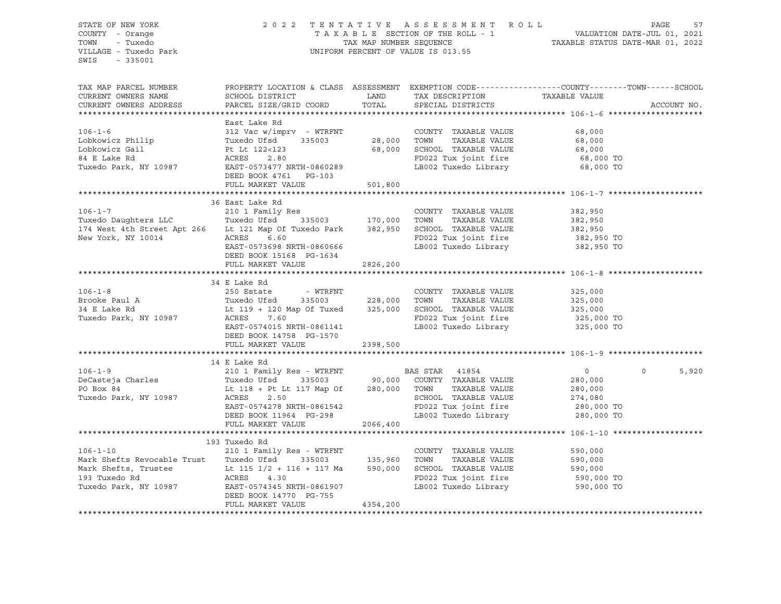STATE OF NEW YORK 2 0 2 2 T E N T A T I V E A S S E S S M E N T R O L L PAGE 57 COUNTY - Orange T A X A B L E SECTION OF THE ROLL - 1 VALUATION DATE-JUL 01, 2021 TOWN - Tuxedo TAX MAP NUMBER SEQUENCE TAXABLE STATUS DATE-MAR 01, 2022 UNIFORM PERCENT OF VALUE IS 013.55 SWIS - 335001 TAX MAP PARCEL NUMBER PROPERTY LOCATION & CLASS ASSESSMENT EXEMPTION CODE------------------COUNTY--------TOWN------SCHOOL CURRENT OWNERS NAME SCHOOL DISTRICT TAX DESCRIPTION TAXABLE VALUE CURRENT OWNERS ADDRESS PARCEL SIZE/GRID COORD TOTAL SPECIAL DISTRICTS ACCOUNT NO. \*\*\*\*\*\*\*\*\*\*\*\*\*\*\*\*\*\*\*\*\*\*\*\*\*\*\*\*\*\*\*\*\*\*\*\*\*\*\*\*\*\*\*\*\*\*\*\*\*\*\*\*\*\*\*\*\*\*\*\*\*\*\*\*\*\*\*\*\*\*\*\*\*\*\*\*\*\*\*\*\*\*\*\*\*\*\*\*\*\*\*\*\*\*\*\*\*\*\*\*\*\*\* 106-1-6 \*\*\*\*\*\*\*\*\*\*\*\*\*\*\*\*\*\*\*\* East Lake Rd 106-1-6 312 Vac w/imprv - WTRFNT COUNTY TAXABLE VALUE 68,000 Lobkowicz Philip Tuxedo Ufsd 335003 28,000 TOWN TAXABLE VALUE 68,000 Lobkowicz Gail Pt Lt 122<123 68,000 SCHOOL TAXABLE VALUE 68,000 84 E Lake Rd ACRES 2.80 FD022 Tux joint fire 68,000 TO Tuxedo Park, NY 10987 EAST-0573477 NRTH-0860289 LB002 Tuxedo Library 68,000 TO DEED BOOK 4761 PG-103 FULL MARKET VALUE 501,800 \*\*\*\*\*\*\*\*\*\*\*\*\*\*\*\*\*\*\*\*\*\*\*\*\*\*\*\*\*\*\*\*\*\*\*\*\*\*\*\*\*\*\*\*\*\*\*\*\*\*\*\*\*\*\*\*\*\*\*\*\*\*\*\*\*\*\*\*\*\*\*\*\*\*\*\*\*\*\*\*\*\*\*\*\*\*\*\*\*\*\*\*\*\*\*\*\*\*\*\*\*\*\* 106-1-7 \*\*\*\*\*\*\*\*\*\*\*\*\*\*\*\*\*\*\*\* 36 East Lake Rd 106-1-7 210 1 Family Res COUNTY TAXABLE VALUE 382,950 Tuxedo Daughters LLC Tuxedo Ufsd 335003 170,000 TOWN TAXABLE VALUE 382,950 174 West 4th Street Apt 266 Lt 121 Map Of Tuxedo Park 382,950 SCHOOL TAXABLE VALUE 382,950 New York, NY 10014 ACRES 6.60 FD022 Tux joint fire 382,950 TO EAST-0573698 NRTH-0860666 LB002 Tuxedo Library 382,950 TO DEED BOOK 15168 PG-1634 FULL MARKET VALUE 2826,200 \*\*\*\*\*\*\*\*\*\*\*\*\*\*\*\*\*\*\*\*\*\*\*\*\*\*\*\*\*\*\*\*\*\*\*\*\*\*\*\*\*\*\*\*\*\*\*\*\*\*\*\*\*\*\*\*\*\*\*\*\*\*\*\*\*\*\*\*\*\*\*\*\*\*\*\*\*\*\*\*\*\*\*\*\*\*\*\*\*\*\*\*\*\*\*\*\*\*\*\*\*\*\* 106-1-8 \*\*\*\*\*\*\*\*\*\*\*\*\*\*\*\*\*\*\*\* 34 E Lake Rd 106-1-8 250 Estate - WTRFNT COUNTY TAXABLE VALUE 325,000 Brooke Paul A Tuxedo Ufsd 335003 228,000 TOWN TAXABLE VALUE 325,000 34 E Lake Rd Lt 119 + 120 Map Of Tuxed 325,000 SCHOOL TAXABLE VALUE 325,000 Tuxedo Park, NY 10987 ACRES 7.60 FD022 Tux joint fire 325,000 TO LB002 Tuxedo Library DEED BOOK 14758 PG-1570 FULL MARKET VALUE 2398,500 \*\*\*\*\*\*\*\*\*\*\*\*\*\*\*\*\*\*\*\*\*\*\*\*\*\*\*\*\*\*\*\*\*\*\*\*\*\*\*\*\*\*\*\*\*\*\*\*\*\*\*\*\*\*\*\*\*\*\*\*\*\*\*\*\*\*\*\*\*\*\*\*\*\*\*\*\*\*\*\*\*\*\*\*\*\*\*\*\*\*\*\*\*\*\*\*\*\*\*\*\*\*\* 106-1-9 \*\*\*\*\*\*\*\*\*\*\*\*\*\*\*\*\*\*\*\* 14 E Lake Rd 106-1-9 210 1 Family Res - WTRFNT BAS STAR 41854 0 0 5,920 DeCasteja Charles Tuxedo Ufsd<sup>1</sup> 335003 90,000 COUNTY TAXABLE VALUE PO Box 84 <br>
Tuxedo Park, NY 10987 <br>
RCRES 2.50 <br>
2.74,080 <br>
2.74,080 <br>
2.74,080 <br>
2.74,080 <br>
PO Box 84 <br>
2.74,080 <br>
2.74,080 <br>
2.74,080 <br>
2.74,080 <br>
2.74,080 <br>
2.20,000 <br>
2.20,000 <br>
2.20,000 <br>
2.20,000 <br>
2.20,000 <br>
2.20,00 Tuxedo Park, NY 10987 ACRES 2.50 SCHOOL TAXABLE VALUE 274,080 EAST-0574278 NRTH-0861542 FD022 Tux joint fire 280,000 TO DEED BOOK 11964 PG-298 LB002 Tuxedo Library 280,000 TO FULL MARKET VALUE 2066,400 \*\*\*\*\*\*\*\*\*\*\*\*\*\*\*\*\*\*\*\*\*\*\*\*\*\*\*\*\*\*\*\*\*\*\*\*\*\*\*\*\*\*\*\*\*\*\*\*\*\*\*\*\*\*\*\*\*\*\*\*\*\*\*\*\*\*\*\*\*\*\*\*\*\*\*\*\*\*\*\*\*\*\*\*\*\*\*\*\*\*\*\*\*\*\*\*\*\*\*\*\*\*\* 106-1-10 \*\*\*\*\*\*\*\*\*\*\*\*\*\*\*\*\*\*\* 193 Tuxedo Rd 106-1-10 210 1 Family Res - WTRFNT COUNTY TAXABLE VALUE 590,000 Mark Shefts Revocable Trust Tuxedo Ufsd 335003 135,960 TOWN TAXABLE VALUE 590,000 Mark Shefts, Trustee Lt 115 1/2 + 116 + 117 Ma 590,000 SCHOOL TAXABLE VALUE 590,000 193 Tuxedo Rd ACRES 4.30 FD022 Tux joint fire 590,000 TO Tuxedo Park, NY 10987 EAST-0574345 NRTH-0861907 DEED BOOK 14770 PG-755 FULL MARKET VALUE 4354,200 \*\*\*\*\*\*\*\*\*\*\*\*\*\*\*\*\*\*\*\*\*\*\*\*\*\*\*\*\*\*\*\*\*\*\*\*\*\*\*\*\*\*\*\*\*\*\*\*\*\*\*\*\*\*\*\*\*\*\*\*\*\*\*\*\*\*\*\*\*\*\*\*\*\*\*\*\*\*\*\*\*\*\*\*\*\*\*\*\*\*\*\*\*\*\*\*\*\*\*\*\*\*\*\*\*\*\*\*\*\*\*\*\*\*\*\*\*\*\*\*\*\*\*\*\*\*\*\*\*\*\*\*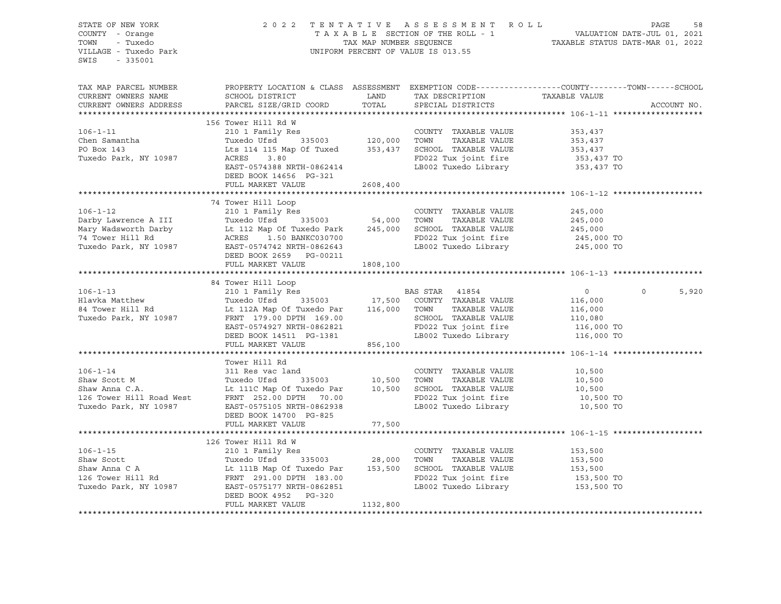| STATE OF NEW YORK<br>COUNTY - Orange<br>TOWN - Tuxedo<br>VILLAGE - Tuxedo Park<br>SWIS - 335001                                                                                                                                                            |                            |          | UNIFORM PERCENT OF VALUE IS 013.55 | 2022 TENTATIVE ASSESSMENT ROLL PAGE 58<br>TAXABLE SECTION OF THE ROLL - 1 VALUATION DATE-JUL 01, 2021<br>TAX MAP NUMBER SEQUENCE TAXABLE STATUS DATE-MAR 01, 2022 |  |
|------------------------------------------------------------------------------------------------------------------------------------------------------------------------------------------------------------------------------------------------------------|----------------------------|----------|------------------------------------|-------------------------------------------------------------------------------------------------------------------------------------------------------------------|--|
|                                                                                                                                                                                                                                                            |                            |          |                                    |                                                                                                                                                                   |  |
|                                                                                                                                                                                                                                                            |                            |          |                                    |                                                                                                                                                                   |  |
|                                                                                                                                                                                                                                                            |                            |          |                                    |                                                                                                                                                                   |  |
|                                                                                                                                                                                                                                                            |                            |          |                                    |                                                                                                                                                                   |  |
|                                                                                                                                                                                                                                                            |                            |          |                                    |                                                                                                                                                                   |  |
| 306-1-12<br>210 1 Family Res<br>Darby Lawrence A III Tuxedo Ufsd 335003<br>Mary Wadsworth Darby Lt 112 Map Of Tuxedo Park 245,000<br>245,000<br>Tuxedo Park, NY 10987 EAST-0574742 NRTH-0862643<br>DEED BOO2 Tuxedo Labrary CHO22 Tuxedo L                 |                            |          |                                    |                                                                                                                                                                   |  |
|                                                                                                                                                                                                                                                            |                            |          |                                    |                                                                                                                                                                   |  |
|                                                                                                                                                                                                                                                            | FULL MARKET VALUE 1808,100 |          |                                    |                                                                                                                                                                   |  |
|                                                                                                                                                                                                                                                            |                            |          |                                    |                                                                                                                                                                   |  |
| 34 Tower Hill Loop<br>34 Tower Hill Loop<br>34 Tower Hill Loop<br>35003<br>35003<br>35003<br>210 1 Family Res<br>210 1 Family Res<br>210 1 Family Res<br>210 1 Family Res<br>210 1 Family Res<br>210 1 Family Res<br>210 1 Family Res<br>210 1 Family Re   |                            |          |                                    | $\overline{0}$ 0<br>5,920                                                                                                                                         |  |
|                                                                                                                                                                                                                                                            |                            |          |                                    |                                                                                                                                                                   |  |
| 106-1-14<br>311 Res vac land<br>311 Res vac land<br>311 Res vac land<br>335003<br>500 TOWN TAXABLE VALUE<br>335003<br>10,500 TOWN TAXABLE VALUE<br>335003<br>10,500 TOWN TAXABLE VALUE<br>10,500<br>335003<br>10,500 TOWN TAXABLE VALUE<br>10,500<br>10,50 |                            |          |                                    |                                                                                                                                                                   |  |
|                                                                                                                                                                                                                                                            | FULL MARKET VALUE 77,500   |          |                                    |                                                                                                                                                                   |  |
|                                                                                                                                                                                                                                                            |                            |          |                                    |                                                                                                                                                                   |  |
| 106-1-15<br>106-1-15<br>210 1 Family Res<br>210 1 Family Res<br>28,000 TOWNT TAXABLE VALUE<br>28,000 TOWN TAXABLE VALUE<br>28,000 TOWN TAXABLE VALUE<br>28,000 TOWN TAXABLE VALUE<br>28,000 TOWN TAXABLE VALUE<br>28,000 TOWN TAXABLE VALUE<br>28,         | DEED BOOK 4952 PG-320      | 1132,800 |                                    |                                                                                                                                                                   |  |
|                                                                                                                                                                                                                                                            | FULL MARKET VALUE          |          |                                    |                                                                                                                                                                   |  |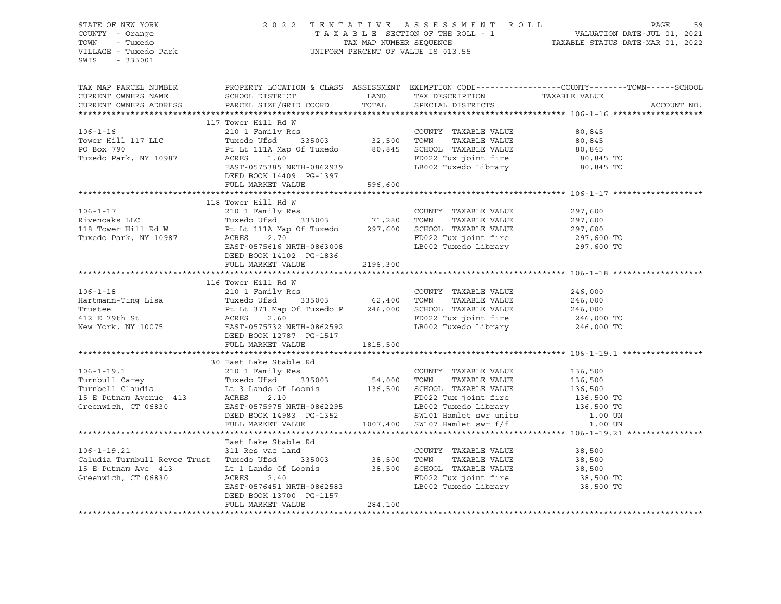| SWIS - 335001                                                                                                                                                                                                                            |                     |         |                                                                                                                                                                                                                               |
|------------------------------------------------------------------------------------------------------------------------------------------------------------------------------------------------------------------------------------------|---------------------|---------|-------------------------------------------------------------------------------------------------------------------------------------------------------------------------------------------------------------------------------|
|                                                                                                                                                                                                                                          |                     |         | TAX MAP PARCEL NUMBER BOOPERTY LOCATION & CLASS ASSESSMENT EXEMPTION CODE-----------------COUNTY--------TOWN------SCHOOL CURRENT OWNERS NAME SCHOOL DISTRICT LAND TAX DESCRIPTION TAXABLE VALUE CURRENT OWNERS ADDRESS PARCEL |
|                                                                                                                                                                                                                                          |                     |         |                                                                                                                                                                                                                               |
|                                                                                                                                                                                                                                          |                     |         |                                                                                                                                                                                                                               |
|                                                                                                                                                                                                                                          |                     |         |                                                                                                                                                                                                                               |
|                                                                                                                                                                                                                                          |                     |         |                                                                                                                                                                                                                               |
| 118 Tower Hill Rd W<br>118 Tower Hill Rd W<br>2010 Family Res<br>Rivenoaks LLC Tuxedo Ufsd 335003 71,280 TOWN TAXABLE VALUE 297,600<br>118 Tower Hill Rd W Pt Lt 111A Map Of Tuxedo 297,600 SCHOOL TAXABLE VALUE 297,600<br>118 Tower Hi |                     |         |                                                                                                                                                                                                                               |
|                                                                                                                                                                                                                                          |                     |         |                                                                                                                                                                                                                               |
|                                                                                                                                                                                                                                          |                     |         |                                                                                                                                                                                                                               |
| 116 Tower Will RW (106-1-18<br>116 Tower Will RW (246,000 EXAMPLE VALUE 246,000 Trustee<br>Trustee Pt Lt 371 Map Of Tuxedo P 246,000 SCHOOL TAXABLE VALUE 246,000<br>Trustee Pt Lt 371 Map Of Tuxedo P 246,000 SCHOOL TAXABLE VALUE      |                     |         |                                                                                                                                                                                                                               |
|                                                                                                                                                                                                                                          |                     |         |                                                                                                                                                                                                                               |
|                                                                                                                                                                                                                                          |                     |         |                                                                                                                                                                                                                               |
| $106 - 1 - 19.21$                                                                                                                                                                                                                        | East Lake Stable Rd |         |                                                                                                                                                                                                                               |
|                                                                                                                                                                                                                                          | FULL MARKET VALUE   | 284,100 |                                                                                                                                                                                                                               |
|                                                                                                                                                                                                                                          |                     |         |                                                                                                                                                                                                                               |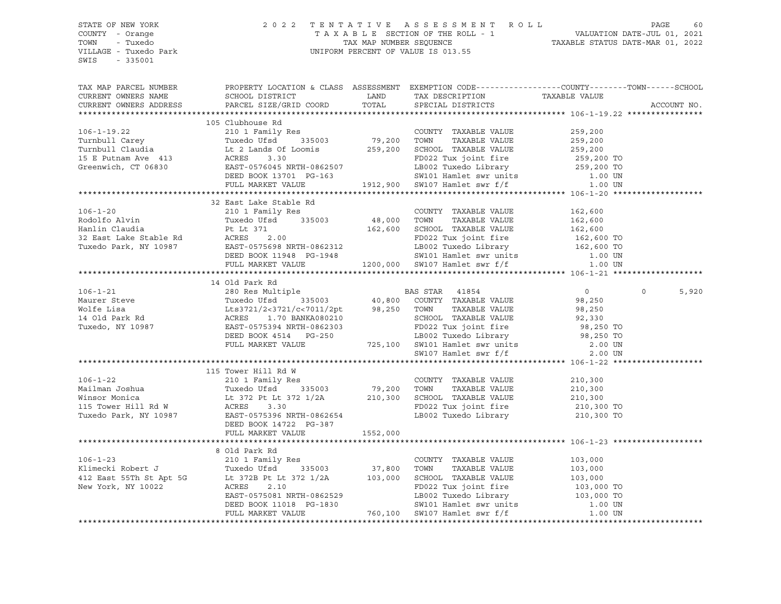#### STATE OF NEW YORK 2 0 2 2 T E N T A T I V E A S S E S S M E N T R O L L PAGE 60 COUNTY - Orange T A X A B L E SECTION OF THE ROLL - 1 VALUATION DATE-JUL 01, 2021 TOWN - Tuxedo TAX MAP NUMBER SEQUENCE TAXABLE STATUS DATE-MAR 01, 2022 VILLAGE - Tuxedo Park UNIFORM PERCENT OF VALUE IS 013.55

| TAX MAP PARCEL NUMBER<br>CURRENT OWNERS NAME SCHOOL DISTRICT THE LAND TAX DESCRIPTION TAXABLE VALUE CURRENT OWNERS ADDRESS PARCEL SIZE/GRID COORD TOTAL SPECIAL DISTRICTS                                                                                                | PROPERTY LOCATION & CLASS ASSESSMENT EXEMPTION CODE---------------COUNTY-------TOWN------SCHOOL |  | ACCOUNT NO.       |
|--------------------------------------------------------------------------------------------------------------------------------------------------------------------------------------------------------------------------------------------------------------------------|-------------------------------------------------------------------------------------------------|--|-------------------|
|                                                                                                                                                                                                                                                                          |                                                                                                 |  |                   |
|                                                                                                                                                                                                                                                                          | 105 Clubhouse Rd                                                                                |  |                   |
|                                                                                                                                                                                                                                                                          |                                                                                                 |  |                   |
|                                                                                                                                                                                                                                                                          |                                                                                                 |  |                   |
|                                                                                                                                                                                                                                                                          |                                                                                                 |  |                   |
|                                                                                                                                                                                                                                                                          |                                                                                                 |  |                   |
|                                                                                                                                                                                                                                                                          |                                                                                                 |  |                   |
|                                                                                                                                                                                                                                                                          |                                                                                                 |  |                   |
|                                                                                                                                                                                                                                                                          |                                                                                                 |  |                   |
|                                                                                                                                                                                                                                                                          |                                                                                                 |  |                   |
|                                                                                                                                                                                                                                                                          | 32 East Lake Stable Rd                                                                          |  |                   |
|                                                                                                                                                                                                                                                                          |                                                                                                 |  |                   |
|                                                                                                                                                                                                                                                                          |                                                                                                 |  |                   |
|                                                                                                                                                                                                                                                                          |                                                                                                 |  |                   |
|                                                                                                                                                                                                                                                                          |                                                                                                 |  |                   |
|                                                                                                                                                                                                                                                                          |                                                                                                 |  |                   |
|                                                                                                                                                                                                                                                                          |                                                                                                 |  |                   |
|                                                                                                                                                                                                                                                                          |                                                                                                 |  |                   |
|                                                                                                                                                                                                                                                                          |                                                                                                 |  |                   |
|                                                                                                                                                                                                                                                                          |                                                                                                 |  |                   |
|                                                                                                                                                                                                                                                                          | 14 Old Park Rd                                                                                  |  |                   |
|                                                                                                                                                                                                                                                                          |                                                                                                 |  | $\Omega$<br>5,920 |
|                                                                                                                                                                                                                                                                          |                                                                                                 |  |                   |
|                                                                                                                                                                                                                                                                          |                                                                                                 |  |                   |
|                                                                                                                                                                                                                                                                          |                                                                                                 |  |                   |
|                                                                                                                                                                                                                                                                          |                                                                                                 |  |                   |
|                                                                                                                                                                                                                                                                          |                                                                                                 |  |                   |
|                                                                                                                                                                                                                                                                          |                                                                                                 |  |                   |
|                                                                                                                                                                                                                                                                          |                                                                                                 |  |                   |
| 106-1-22<br>106-1-22<br>Mailman Joshua<br>Winsor Monica<br>105 120,300<br>Winsor Monica<br>105 120,300<br>210,300<br>210,300<br>210,300<br>210,300<br>210,300<br>210,300<br>210,300<br>210,300<br>210,300<br>210,300<br>210,300<br>210,300<br>210,300<br>210,300<br>210, |                                                                                                 |  |                   |
|                                                                                                                                                                                                                                                                          |                                                                                                 |  |                   |
|                                                                                                                                                                                                                                                                          |                                                                                                 |  |                   |
|                                                                                                                                                                                                                                                                          |                                                                                                 |  |                   |
|                                                                                                                                                                                                                                                                          |                                                                                                 |  |                   |
|                                                                                                                                                                                                                                                                          |                                                                                                 |  |                   |
|                                                                                                                                                                                                                                                                          |                                                                                                 |  |                   |
|                                                                                                                                                                                                                                                                          |                                                                                                 |  |                   |
|                                                                                                                                                                                                                                                                          |                                                                                                 |  |                   |
|                                                                                                                                                                                                                                                                          |                                                                                                 |  |                   |
|                                                                                                                                                                                                                                                                          | 8 Old Park Rd                                                                                   |  |                   |
|                                                                                                                                                                                                                                                                          |                                                                                                 |  |                   |
|                                                                                                                                                                                                                                                                          |                                                                                                 |  |                   |
|                                                                                                                                                                                                                                                                          |                                                                                                 |  |                   |
|                                                                                                                                                                                                                                                                          |                                                                                                 |  |                   |
|                                                                                                                                                                                                                                                                          |                                                                                                 |  |                   |
|                                                                                                                                                                                                                                                                          |                                                                                                 |  |                   |
|                                                                                                                                                                                                                                                                          |                                                                                                 |  |                   |
|                                                                                                                                                                                                                                                                          |                                                                                                 |  |                   |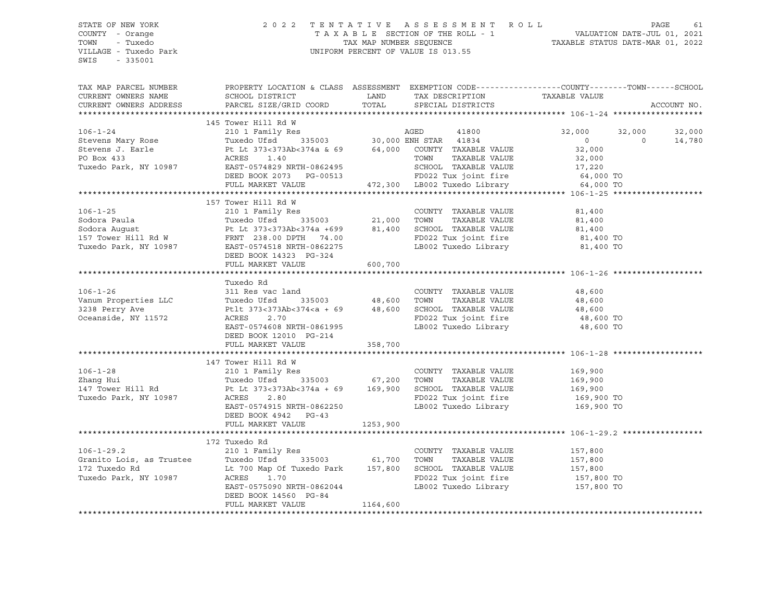#### STATE OF NEW YORK 2 0 2 2 T E N T A T I V E A S S E S S M E N T R O L L PAGE 61 COUNTY - Orange T A X A B L E SECTION OF THE ROLL - 1 VALUATION DATE-JUL 01, 2021 TOWN - Tuxedo TAX MAP NUMBER SEQUENCE TAXABLE STATUS DATE-MAR 01, 2022 VILLAGE - Tuxedo Park UNIFORM PERCENT OF VALUE IS 013.55

| TAX MAP PARCEL NUMBER<br>CURRENT OWNERS NAME<br>CURRENT OWNERS ADDRESS                                                                                                                                                                                                                                                                                                                          | PROPERTY LOCATION & CLASS ASSESSMENT EXEMPTION CODE---------------COUNTY-------TOWN-----SCHOOL                                                                                                                                                                                                        |          | TAX DESCRIPTION TAXABLE VALUE                                        |                    | ACCOUNT NO. |
|-------------------------------------------------------------------------------------------------------------------------------------------------------------------------------------------------------------------------------------------------------------------------------------------------------------------------------------------------------------------------------------------------|-------------------------------------------------------------------------------------------------------------------------------------------------------------------------------------------------------------------------------------------------------------------------------------------------------|----------|----------------------------------------------------------------------|--------------------|-------------|
|                                                                                                                                                                                                                                                                                                                                                                                                 |                                                                                                                                                                                                                                                                                                       |          |                                                                      |                    |             |
|                                                                                                                                                                                                                                                                                                                                                                                                 | 145 Tower Hill Rd W                                                                                                                                                                                                                                                                                   |          |                                                                      |                    |             |
| $\begin{tabular}{lllllllllllll} 106-1-24 & 145 \text{ Tower Hill KQ W} & 146 \text{ Power Hill KQ W} \\ \text{Stevens Mary Rose} & 2101 \text{ Family Res} & 36,000 \text{ EM STR STR} & 41800 & 32,000 & 32,000 & 32,000 \\ \text{Stevens Mary Rose} & 1001 \text{Family Res} & 30,000 \text{ EM STR STR} & 41834 & 0 & 0 & 14,780 \\ \text{Stevens J. Earle} & \text{Pt Lt 373<373Ab<374a &6$ |                                                                                                                                                                                                                                                                                                       |          |                                                                      |                    |             |
|                                                                                                                                                                                                                                                                                                                                                                                                 |                                                                                                                                                                                                                                                                                                       |          |                                                                      |                    |             |
|                                                                                                                                                                                                                                                                                                                                                                                                 |                                                                                                                                                                                                                                                                                                       |          |                                                                      |                    |             |
|                                                                                                                                                                                                                                                                                                                                                                                                 |                                                                                                                                                                                                                                                                                                       |          |                                                                      |                    |             |
|                                                                                                                                                                                                                                                                                                                                                                                                 |                                                                                                                                                                                                                                                                                                       |          |                                                                      |                    |             |
|                                                                                                                                                                                                                                                                                                                                                                                                 |                                                                                                                                                                                                                                                                                                       |          |                                                                      |                    |             |
|                                                                                                                                                                                                                                                                                                                                                                                                 |                                                                                                                                                                                                                                                                                                       |          |                                                                      |                    |             |
|                                                                                                                                                                                                                                                                                                                                                                                                 |                                                                                                                                                                                                                                                                                                       |          |                                                                      |                    |             |
|                                                                                                                                                                                                                                                                                                                                                                                                 |                                                                                                                                                                                                                                                                                                       |          |                                                                      |                    |             |
|                                                                                                                                                                                                                                                                                                                                                                                                 |                                                                                                                                                                                                                                                                                                       |          |                                                                      |                    |             |
|                                                                                                                                                                                                                                                                                                                                                                                                 |                                                                                                                                                                                                                                                                                                       |          |                                                                      |                    |             |
|                                                                                                                                                                                                                                                                                                                                                                                                 |                                                                                                                                                                                                                                                                                                       |          |                                                                      |                    |             |
|                                                                                                                                                                                                                                                                                                                                                                                                 |                                                                                                                                                                                                                                                                                                       |          |                                                                      |                    |             |
|                                                                                                                                                                                                                                                                                                                                                                                                 |                                                                                                                                                                                                                                                                                                       |          |                                                                      |                    |             |
|                                                                                                                                                                                                                                                                                                                                                                                                 |                                                                                                                                                                                                                                                                                                       |          |                                                                      |                    |             |
|                                                                                                                                                                                                                                                                                                                                                                                                 | FULL MARKET VALUE                                                                                                                                                                                                                                                                                     | 600,700  |                                                                      |                    |             |
|                                                                                                                                                                                                                                                                                                                                                                                                 |                                                                                                                                                                                                                                                                                                       |          |                                                                      |                    |             |
|                                                                                                                                                                                                                                                                                                                                                                                                 | Tuxedo Rd                                                                                                                                                                                                                                                                                             |          |                                                                      |                    |             |
| $106 - 1 - 26$                                                                                                                                                                                                                                                                                                                                                                                  | 311 Res vac land                                                                                                                                                                                                                                                                                      |          | COUNTY TAXABLE VALUE 48,600                                          |                    |             |
|                                                                                                                                                                                                                                                                                                                                                                                                 |                                                                                                                                                                                                                                                                                                       |          |                                                                      |                    |             |
|                                                                                                                                                                                                                                                                                                                                                                                                 |                                                                                                                                                                                                                                                                                                       |          |                                                                      |                    |             |
| Vanum Properties LLC<br>3238 Perry Ave<br>Oceanside, NY 11572                                                                                                                                                                                                                                                                                                                                   | 11 No. 12, 135003<br>Puxedo Ufsd 335003 48,600 TOWN TAXABLE VALUE 48,600<br>Ptlt 373<373Ab<374 <a +="" 48,600="" 69="" school="" taxable="" td="" to<="" value=""><td></td><td>FD022 Tux joint fire <math>48,600</math> TO<br/>LB002 Tuxedo Library <math>48,600</math> TO</td><td></td><td></td></a> |          | FD022 Tux joint fire $48,600$ TO<br>LB002 Tuxedo Library $48,600$ TO |                    |             |
|                                                                                                                                                                                                                                                                                                                                                                                                 | EAST-0574608 NRTH-0861995                                                                                                                                                                                                                                                                             |          |                                                                      |                    |             |
|                                                                                                                                                                                                                                                                                                                                                                                                 | DEED BOOK 12010 PG-214                                                                                                                                                                                                                                                                                |          |                                                                      |                    |             |
|                                                                                                                                                                                                                                                                                                                                                                                                 | FULL MARKET VALUE                                                                                                                                                                                                                                                                                     | 358,700  |                                                                      |                    |             |
|                                                                                                                                                                                                                                                                                                                                                                                                 |                                                                                                                                                                                                                                                                                                       |          |                                                                      |                    |             |
|                                                                                                                                                                                                                                                                                                                                                                                                 | 147 Tower Hill Rd W                                                                                                                                                                                                                                                                                   |          |                                                                      |                    |             |
|                                                                                                                                                                                                                                                                                                                                                                                                 |                                                                                                                                                                                                                                                                                                       |          | COUNTY TAXABLE VALUE                                                 | 169,900<br>169,900 |             |
|                                                                                                                                                                                                                                                                                                                                                                                                 |                                                                                                                                                                                                                                                                                                       |          |                                                                      |                    |             |
|                                                                                                                                                                                                                                                                                                                                                                                                 |                                                                                                                                                                                                                                                                                                       |          |                                                                      |                    |             |
| 106-1-28<br>210 1 Family Res<br>210 1 Family Res<br>210 1 Family Res<br>210 1 Family Res<br>335003<br>235003<br>2.80<br>2.80<br>2.80<br>2.80<br>2.80<br>2.80<br>2.80                                                                                                                                                                                                                            |                                                                                                                                                                                                                                                                                                       |          |                                                                      |                    |             |
|                                                                                                                                                                                                                                                                                                                                                                                                 | EAST-0574915 NRTH-0862250                                                                                                                                                                                                                                                                             |          | LB002 Tuxedo Library 169,900 TO                                      |                    |             |
|                                                                                                                                                                                                                                                                                                                                                                                                 | DEED BOOK 4942 PG-43                                                                                                                                                                                                                                                                                  |          |                                                                      |                    |             |
|                                                                                                                                                                                                                                                                                                                                                                                                 | FULL MARKET VALUE                                                                                                                                                                                                                                                                                     | 1253,900 |                                                                      |                    |             |
|                                                                                                                                                                                                                                                                                                                                                                                                 |                                                                                                                                                                                                                                                                                                       |          |                                                                      |                    |             |
|                                                                                                                                                                                                                                                                                                                                                                                                 | 172 Tuxedo Rd                                                                                                                                                                                                                                                                                         |          |                                                                      |                    |             |
| $106 - 1 - 29.2$                                                                                                                                                                                                                                                                                                                                                                                | 210 1 Family Res                                                                                                                                                                                                                                                                                      |          | COUNTY TAXABLE VALUE                                                 | 157,800            |             |
|                                                                                                                                                                                                                                                                                                                                                                                                 |                                                                                                                                                                                                                                                                                                       |          | TAXABLE VALUE<br>TOWN                                                | 157,800<br>157,800 |             |
| Franch Lois, as Trustee<br>Tuxedo Ufsd 335003 61,700<br>172 Tuxedo Rd Lt 700 Map Of Tuxedo Park 157,800<br>Tuxedo Park, NY 10987 ACRES 1.70                                                                                                                                                                                                                                                     |                                                                                                                                                                                                                                                                                                       |          | SCHOOL TAXABLE VALUE                                                 |                    |             |
|                                                                                                                                                                                                                                                                                                                                                                                                 | ACRES 1.70<br>EAST-0575090 NRTH-0862044                                                                                                                                                                                                                                                               |          | FD022 Tux joint fire $157,800$ TO<br>LB002 Tuxedo Library 157,800 TO |                    |             |
|                                                                                                                                                                                                                                                                                                                                                                                                 |                                                                                                                                                                                                                                                                                                       |          |                                                                      |                    |             |
|                                                                                                                                                                                                                                                                                                                                                                                                 | DEED BOOK 14560 PG-84                                                                                                                                                                                                                                                                                 |          |                                                                      |                    |             |
|                                                                                                                                                                                                                                                                                                                                                                                                 | FULL MARKET VALUE                                                                                                                                                                                                                                                                                     | 1164,600 |                                                                      |                    |             |
|                                                                                                                                                                                                                                                                                                                                                                                                 |                                                                                                                                                                                                                                                                                                       |          |                                                                      |                    |             |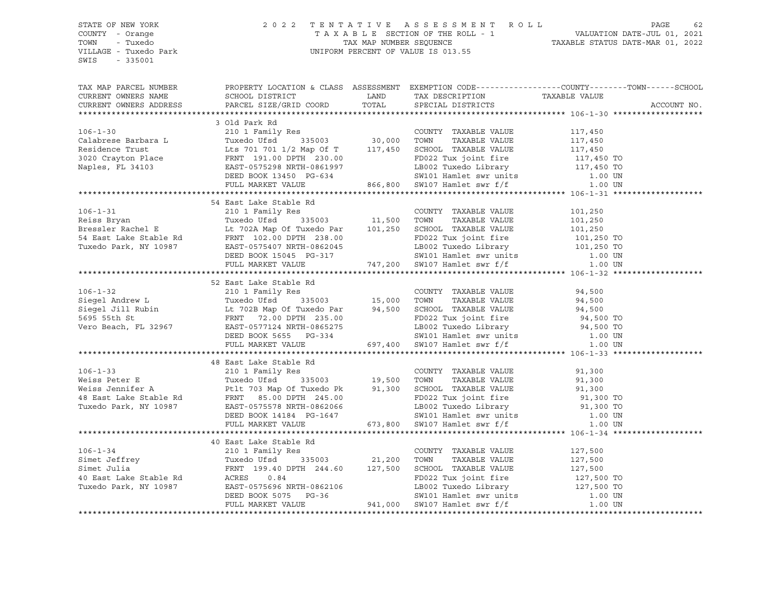#### STATE OF NEW YORK 2 0 2 2 T E N T A T I V E A S S E S S M E N T R O L L PAGE 62 COUNTY - Orange T A X A B L E SECTION OF THE ROLL - 1 VALUATION DATE-JUL 01, 2021 TOWN - Tuxedo TAX MAP NUMBER SEQUENCE TAXABLE STATUS DATE-MAR 01, 2022 VILLAGE - Tuxedo Park UNIFORM PERCENT OF VALUE IS 013.55

| 34 East Lake Stable Rd<br>34 East Lake Stable Rd<br>210 1 Family Res<br>Reiss Bryan<br>Tuxedo Ufsd<br>335003<br>216 1702A Map Of Tuxedo Par<br>238.00<br>238.00<br>238.00<br>238.00<br>238.00<br>238.00<br>238.00<br>238.00<br>238.00<br>238.00<br>238.00<br>238.0                                                                                                                                                                                      |  |                                                                                                                                                                                                                                                                                                                                                                                                                     |
|---------------------------------------------------------------------------------------------------------------------------------------------------------------------------------------------------------------------------------------------------------------------------------------------------------------------------------------------------------------------------------------------------------------------------------------------------------|--|---------------------------------------------------------------------------------------------------------------------------------------------------------------------------------------------------------------------------------------------------------------------------------------------------------------------------------------------------------------------------------------------------------------------|
|                                                                                                                                                                                                                                                                                                                                                                                                                                                         |  |                                                                                                                                                                                                                                                                                                                                                                                                                     |
|                                                                                                                                                                                                                                                                                                                                                                                                                                                         |  |                                                                                                                                                                                                                                                                                                                                                                                                                     |
|                                                                                                                                                                                                                                                                                                                                                                                                                                                         |  |                                                                                                                                                                                                                                                                                                                                                                                                                     |
|                                                                                                                                                                                                                                                                                                                                                                                                                                                         |  |                                                                                                                                                                                                                                                                                                                                                                                                                     |
|                                                                                                                                                                                                                                                                                                                                                                                                                                                         |  |                                                                                                                                                                                                                                                                                                                                                                                                                     |
|                                                                                                                                                                                                                                                                                                                                                                                                                                                         |  |                                                                                                                                                                                                                                                                                                                                                                                                                     |
|                                                                                                                                                                                                                                                                                                                                                                                                                                                         |  |                                                                                                                                                                                                                                                                                                                                                                                                                     |
|                                                                                                                                                                                                                                                                                                                                                                                                                                                         |  |                                                                                                                                                                                                                                                                                                                                                                                                                     |
| 52 East Lake Stable Rd                                                                                                                                                                                                                                                                                                                                                                                                                                  |  |                                                                                                                                                                                                                                                                                                                                                                                                                     |
|                                                                                                                                                                                                                                                                                                                                                                                                                                                         |  |                                                                                                                                                                                                                                                                                                                                                                                                                     |
|                                                                                                                                                                                                                                                                                                                                                                                                                                                         |  |                                                                                                                                                                                                                                                                                                                                                                                                                     |
| 52 East Lake Stable Rd<br>Siegel Andrew L<br>Siegel Jill Rubin Lt 702B Map of Tuxedo Par<br>TAXABLE VALUE 94,500<br>Siegel Jill Rubin Lt 702B Map of Tuxedo Par<br>FRNT 72.00 DPTH 235.00 PDD22 Tux joint fire 94,500 TOWN<br>Vero Beach,                                                                                                                                                                                                               |  |                                                                                                                                                                                                                                                                                                                                                                                                                     |
|                                                                                                                                                                                                                                                                                                                                                                                                                                                         |  |                                                                                                                                                                                                                                                                                                                                                                                                                     |
|                                                                                                                                                                                                                                                                                                                                                                                                                                                         |  |                                                                                                                                                                                                                                                                                                                                                                                                                     |
|                                                                                                                                                                                                                                                                                                                                                                                                                                                         |  |                                                                                                                                                                                                                                                                                                                                                                                                                     |
|                                                                                                                                                                                                                                                                                                                                                                                                                                                         |  |                                                                                                                                                                                                                                                                                                                                                                                                                     |
|                                                                                                                                                                                                                                                                                                                                                                                                                                                         |  |                                                                                                                                                                                                                                                                                                                                                                                                                     |
| 48 East Lake Stable Rd                                                                                                                                                                                                                                                                                                                                                                                                                                  |  |                                                                                                                                                                                                                                                                                                                                                                                                                     |
|                                                                                                                                                                                                                                                                                                                                                                                                                                                         |  |                                                                                                                                                                                                                                                                                                                                                                                                                     |
|                                                                                                                                                                                                                                                                                                                                                                                                                                                         |  |                                                                                                                                                                                                                                                                                                                                                                                                                     |
| ${\small \begin{tabular}{lcccc} 106-1-33 & \multicolumn{3}{c}{48\text{ East Lake Stable Rd}} & \multicolumn{3}{c}{\text{COUNTY TAXABLE VALUE}} & 91,300\\ \text{Weiss Peter E} & \text{Tuxedo USA} & 210 1 Family Res & \text{CUNITY TAXABLE VALUE} & 91,300\\ \text{Weiss Jennifer A} & \text{Putred USA} & 335003 & 19,500 & \text{TOWN TAXABLE VALUE} & 91,300\\ \text{Weiss Jennifer A} & \text{Pett 703 Map Of Tuxedo PR} & 91,300 & \text{SCHOOL$ |  |                                                                                                                                                                                                                                                                                                                                                                                                                     |
|                                                                                                                                                                                                                                                                                                                                                                                                                                                         |  |                                                                                                                                                                                                                                                                                                                                                                                                                     |
|                                                                                                                                                                                                                                                                                                                                                                                                                                                         |  |                                                                                                                                                                                                                                                                                                                                                                                                                     |
|                                                                                                                                                                                                                                                                                                                                                                                                                                                         |  |                                                                                                                                                                                                                                                                                                                                                                                                                     |
|                                                                                                                                                                                                                                                                                                                                                                                                                                                         |  |                                                                                                                                                                                                                                                                                                                                                                                                                     |
|                                                                                                                                                                                                                                                                                                                                                                                                                                                         |  |                                                                                                                                                                                                                                                                                                                                                                                                                     |
|                                                                                                                                                                                                                                                                                                                                                                                                                                                         |  |                                                                                                                                                                                                                                                                                                                                                                                                                     |
| 40 East Lake Stable Rd                                                                                                                                                                                                                                                                                                                                                                                                                                  |  |                                                                                                                                                                                                                                                                                                                                                                                                                     |
|                                                                                                                                                                                                                                                                                                                                                                                                                                                         |  |                                                                                                                                                                                                                                                                                                                                                                                                                     |
|                                                                                                                                                                                                                                                                                                                                                                                                                                                         |  |                                                                                                                                                                                                                                                                                                                                                                                                                     |
|                                                                                                                                                                                                                                                                                                                                                                                                                                                         |  | $\begin{tabular}{lllllllllllllllllll} \multicolumn{3}{c}{\textbf{106-1-34}} & \multicolumn{3}{c}{\textbf{210} & \textbf{127} & \textbf{500}} & \multicolumn{3}{c}{\textbf{21,200} & \textbf{TANABLE VALUE} & \textbf{127,500}} \\[1mm] \textbf{Simet Jeffrey} & \textbf{127,500} & \textbf{YumT} & \textbf{128.5003} & \textbf{21,200} & \textbf{TOWN} & \textbf{TAXABLE VALUE} & \textbf{127,500} \\[1mm] \textbf$ |
|                                                                                                                                                                                                                                                                                                                                                                                                                                                         |  |                                                                                                                                                                                                                                                                                                                                                                                                                     |
|                                                                                                                                                                                                                                                                                                                                                                                                                                                         |  |                                                                                                                                                                                                                                                                                                                                                                                                                     |
|                                                                                                                                                                                                                                                                                                                                                                                                                                                         |  |                                                                                                                                                                                                                                                                                                                                                                                                                     |
|                                                                                                                                                                                                                                                                                                                                                                                                                                                         |  |                                                                                                                                                                                                                                                                                                                                                                                                                     |
|                                                                                                                                                                                                                                                                                                                                                                                                                                                         |  |                                                                                                                                                                                                                                                                                                                                                                                                                     |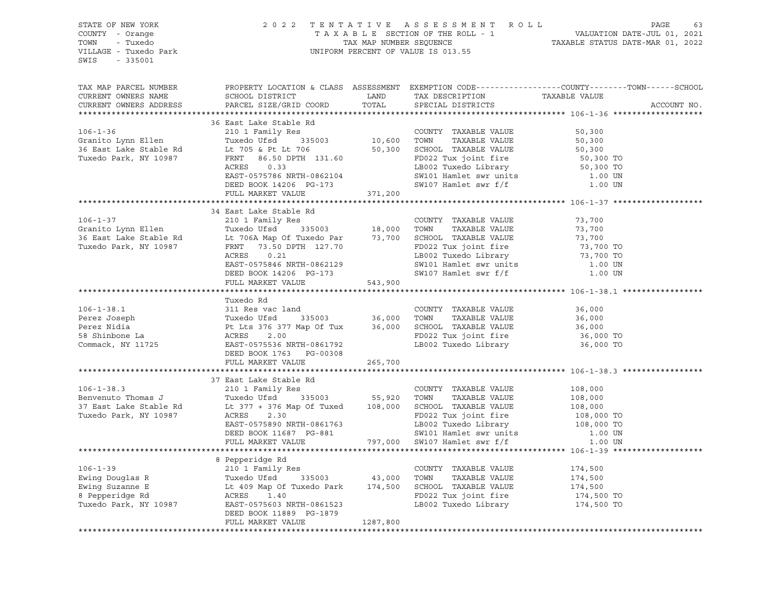| STATE OF NEW YORK<br>COUNTY - Orange<br>TOWN - Tuxedo<br>VILLAGE - Tuxedo Park<br>SWIS - 335001                                                                                                                                                     |                           |          | $2 0 2 2  T E N T A T I V E A S S E S S M E N T R O L L PAGE 63TA X A B L E SECTION OF THE ROLL - 1TAX MAP NUMBER SEQUENCEUNIFORM PERCENT OF VALUE IS 013.5513.55202220 2  T E N T A T I V E A S S E S S M E N T R O L L20212022203  T E N T A T I V E A S S E S S M E N T R O L L2021203  T A X A B L E SECTION OF THE ROLL - 1$ |
|-----------------------------------------------------------------------------------------------------------------------------------------------------------------------------------------------------------------------------------------------------|---------------------------|----------|-----------------------------------------------------------------------------------------------------------------------------------------------------------------------------------------------------------------------------------------------------------------------------------------------------------------------------------|
| TAX MAP PARCEL NUMBER<br>CURRENT OWNERS NAME<br>CURRENT OWNERS ADDRESS                                                                                                                                                                              |                           |          | PROPERTY LOCATION & CLASS ASSESSMENT EXEMPTION CODE---------------COUNTY-------TOWN-----SCHOOL<br>ACCOUNT NO.                                                                                                                                                                                                                     |
|                                                                                                                                                                                                                                                     | 36 East Lake Stable Rd    |          |                                                                                                                                                                                                                                                                                                                                   |
|                                                                                                                                                                                                                                                     |                           |          |                                                                                                                                                                                                                                                                                                                                   |
|                                                                                                                                                                                                                                                     |                           |          |                                                                                                                                                                                                                                                                                                                                   |
|                                                                                                                                                                                                                                                     |                           |          |                                                                                                                                                                                                                                                                                                                                   |
|                                                                                                                                                                                                                                                     |                           |          |                                                                                                                                                                                                                                                                                                                                   |
|                                                                                                                                                                                                                                                     |                           |          |                                                                                                                                                                                                                                                                                                                                   |
|                                                                                                                                                                                                                                                     |                           |          |                                                                                                                                                                                                                                                                                                                                   |
|                                                                                                                                                                                                                                                     |                           |          |                                                                                                                                                                                                                                                                                                                                   |
| 36 East Lake Stable Rd<br>36 East Lake Stable Rd<br>36 East Lake Stable Rd<br>36 East Lake Stable Rd<br>36 East Lake Stable Rd<br>10,600 TOWN TAXABLE VALUE<br>36 East Lake Stable Rd<br>10,600 TOWN TAXABLE VALUE<br>50,300<br>36 East Lake Sta    |                           |          |                                                                                                                                                                                                                                                                                                                                   |
|                                                                                                                                                                                                                                                     |                           |          |                                                                                                                                                                                                                                                                                                                                   |
| 34 East Lake Stable Kd<br>35 Granito Lynn Ellen Tuxedo Ufsd 335003 18,000 TOWNTY TAXABLE VALUE 73,700<br>36 East Lake Stable Rd Lt 706A Map Of Tuxedo Par 73,700 SCHOOL TAXABLE VALUE 73,700<br>Tuxedo Park, NY 10987 FRNT 73.50 DPT                | 34 East Lake Stable Rd    |          |                                                                                                                                                                                                                                                                                                                                   |
|                                                                                                                                                                                                                                                     |                           |          |                                                                                                                                                                                                                                                                                                                                   |
|                                                                                                                                                                                                                                                     |                           |          |                                                                                                                                                                                                                                                                                                                                   |
|                                                                                                                                                                                                                                                     |                           |          |                                                                                                                                                                                                                                                                                                                                   |
|                                                                                                                                                                                                                                                     |                           |          |                                                                                                                                                                                                                                                                                                                                   |
|                                                                                                                                                                                                                                                     |                           |          |                                                                                                                                                                                                                                                                                                                                   |
|                                                                                                                                                                                                                                                     |                           |          |                                                                                                                                                                                                                                                                                                                                   |
|                                                                                                                                                                                                                                                     | FULL MARKET VALUE 543,900 |          |                                                                                                                                                                                                                                                                                                                                   |
|                                                                                                                                                                                                                                                     |                           |          |                                                                                                                                                                                                                                                                                                                                   |
|                                                                                                                                                                                                                                                     | Tuxedo Rd                 |          |                                                                                                                                                                                                                                                                                                                                   |
|                                                                                                                                                                                                                                                     |                           |          |                                                                                                                                                                                                                                                                                                                                   |
|                                                                                                                                                                                                                                                     |                           |          |                                                                                                                                                                                                                                                                                                                                   |
|                                                                                                                                                                                                                                                     |                           |          |                                                                                                                                                                                                                                                                                                                                   |
|                                                                                                                                                                                                                                                     |                           |          |                                                                                                                                                                                                                                                                                                                                   |
| 106-1-38.1 (106-1-38.1)<br>Perez Joseph (106-1-38.1)<br>Perez Nidia (106-1-38.1)<br>Perez Nidia (108 Pt Lts 376 377 Map Of Tux (108 16,000 TOWN TAXABLE VALUE 36,000<br>Perez Nidia (108 Pt Lts 376 377 Map Of Tux 36,000 SCHOOL TAXAB              |                           |          |                                                                                                                                                                                                                                                                                                                                   |
|                                                                                                                                                                                                                                                     | FULL MARKET VALUE 265,700 |          |                                                                                                                                                                                                                                                                                                                                   |
|                                                                                                                                                                                                                                                     |                           |          |                                                                                                                                                                                                                                                                                                                                   |
|                                                                                                                                                                                                                                                     | 37 East Lake Stable Rd    |          |                                                                                                                                                                                                                                                                                                                                   |
|                                                                                                                                                                                                                                                     |                           |          |                                                                                                                                                                                                                                                                                                                                   |
|                                                                                                                                                                                                                                                     |                           |          |                                                                                                                                                                                                                                                                                                                                   |
| 37 East Lake Stable Rd<br>Benvenuto Thomas J<br>37 East Lake Stable Rd<br>37 East Lake Stable Rd<br>108,000 USCHOOL TAXABLE VALUE<br>37 East Lake Stable Rd<br>108,000 USCHOOL TAXABLE VALUE<br>37 East Lake Stable Rd<br>108,000 TOWN<br>2.30<br>  |                           |          |                                                                                                                                                                                                                                                                                                                                   |
|                                                                                                                                                                                                                                                     |                           |          |                                                                                                                                                                                                                                                                                                                                   |
|                                                                                                                                                                                                                                                     |                           |          |                                                                                                                                                                                                                                                                                                                                   |
|                                                                                                                                                                                                                                                     |                           |          |                                                                                                                                                                                                                                                                                                                                   |
|                                                                                                                                                                                                                                                     |                           |          |                                                                                                                                                                                                                                                                                                                                   |
|                                                                                                                                                                                                                                                     |                           |          |                                                                                                                                                                                                                                                                                                                                   |
|                                                                                                                                                                                                                                                     | 8 Pepperidge Rd           |          |                                                                                                                                                                                                                                                                                                                                   |
|                                                                                                                                                                                                                                                     |                           |          |                                                                                                                                                                                                                                                                                                                                   |
|                                                                                                                                                                                                                                                     |                           |          |                                                                                                                                                                                                                                                                                                                                   |
|                                                                                                                                                                                                                                                     |                           |          |                                                                                                                                                                                                                                                                                                                                   |
|                                                                                                                                                                                                                                                     |                           |          |                                                                                                                                                                                                                                                                                                                                   |
| Ewing Douglas R<br>Ewing Suzanne E<br>Ewing Suzanne E<br>Ewing Suzanne E<br>Ewing Suzanne E<br>Exted of Bell and Map of Tuxedo Park<br>Tuxedo Park, NY 10987<br>Exted acress 1.40<br>Tuxedo Park, NY 10987<br>EAST-0575603<br>NRTH-0861523<br>Tuxed | DEED BOOK 11889 PG-1879   |          |                                                                                                                                                                                                                                                                                                                                   |
|                                                                                                                                                                                                                                                     | FULL MARKET VALUE         | 1287,800 |                                                                                                                                                                                                                                                                                                                                   |
|                                                                                                                                                                                                                                                     |                           |          |                                                                                                                                                                                                                                                                                                                                   |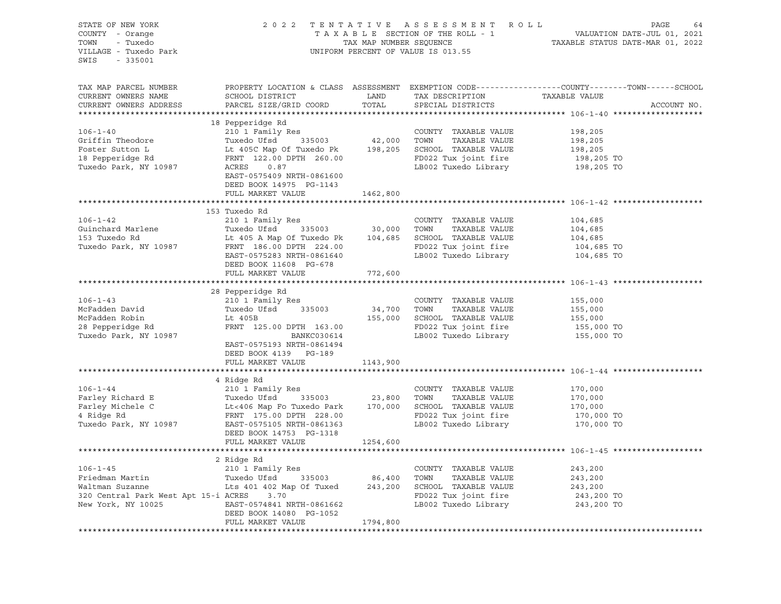| STATE OF NEW YORK<br>COUNTY - Orange<br>TOWN<br>- Tuxedo<br>VILLAGE - Tuxedo Park<br>SWIS<br>$-335001$ | 2 0 2 2                                              | TAX MAP NUMBER SEQUENCE | TENTATIVE ASSESSMENT ROLL<br>TAXABLE SECTION OF THE ROLL - 1<br>UNIFORM PERCENT OF VALUE IS 013.55 | PAGE<br>64<br>VALUATION DATE-JUL 01, 2021<br>TAXABLE STATUS DATE-MAR 01, 2022                                                    |
|--------------------------------------------------------------------------------------------------------|------------------------------------------------------|-------------------------|----------------------------------------------------------------------------------------------------|----------------------------------------------------------------------------------------------------------------------------------|
| TAX MAP PARCEL NUMBER<br>CURRENT OWNERS NAME<br>CURRENT OWNERS ADDRESS                                 | SCHOOL DISTRICT<br>PARCEL SIZE/GRID COORD            | LAND<br>TOTAL           | TAX DESCRIPTION<br>SPECIAL DISTRICTS                                                               | PROPERTY LOCATION & CLASS ASSESSMENT EXEMPTION CODE----------------COUNTY-------TOWN------SCHOOL<br>TAXABLE VALUE<br>ACCOUNT NO. |
|                                                                                                        | 18 Pepperidge Rd                                     |                         |                                                                                                    |                                                                                                                                  |
| $106 - 1 - 40$                                                                                         | 210 1 Family Res                                     |                         | COUNTY TAXABLE VALUE                                                                               | 198,205                                                                                                                          |
| Griffin Theodore                                                                                       | Tuxedo Ufsd                                          | 335003 42,000           | TOWN<br>TAXABLE VALUE                                                                              | 198,205                                                                                                                          |
| Foster Sutton L                                                                                        | Lt 405C Map Of Tuxedo Pk 198,205                     |                         | SCHOOL TAXABLE VALUE                                                                               | 198,205                                                                                                                          |
| 18 Pepperidge Rd                                                                                       | FRNT 122.00 DPTH 260.00                              |                         | FD022 Tux joint fire                                                                               | 198,205 TO                                                                                                                       |
| Tuxedo Park, NY 10987                                                                                  | ACRES<br>0.87                                        |                         | LB002 Tuxedo Library                                                                               | 198,205 TO                                                                                                                       |
|                                                                                                        | EAST-0575409 NRTH-0861600<br>DEED BOOK 14975 PG-1143 |                         |                                                                                                    |                                                                                                                                  |
|                                                                                                        | FULL MARKET VALUE                                    | 1462,800                |                                                                                                    |                                                                                                                                  |
|                                                                                                        | 153 Tuxedo Rd                                        |                         |                                                                                                    |                                                                                                                                  |
| $106 - 1 - 42$                                                                                         | 210 1 Family Res                                     |                         | COUNTY TAXABLE VALUE                                                                               | 104,685                                                                                                                          |
| Guinchard Marlene                                                                                      | Tuxedo Ufsd<br>335003                                | 30,000                  | TOWN<br>TAXABLE VALUE                                                                              | 104,685                                                                                                                          |
| 153 Tuxedo Rd                                                                                          | Lt 405 A Map Of Tuxedo Pk                            | 104,685                 | SCHOOL TAXABLE VALUE                                                                               | 104,685                                                                                                                          |
| Tuxedo Park, NY 10987                                                                                  | FRNT 186.00 DPTH 224.00                              |                         | FD022 Tux joint fire                                                                               | 104,685 TO                                                                                                                       |
|                                                                                                        | EAST-0575283 NRTH-0861640                            |                         | LB002 Tuxedo Library                                                                               | 104,685 TO                                                                                                                       |
|                                                                                                        | DEED BOOK 11608 PG-678                               |                         |                                                                                                    |                                                                                                                                  |
|                                                                                                        | FULL MARKET VALUE                                    | 772,600                 |                                                                                                    |                                                                                                                                  |
|                                                                                                        |                                                      |                         |                                                                                                    |                                                                                                                                  |
|                                                                                                        | 28 Pepperidge Rd                                     |                         |                                                                                                    |                                                                                                                                  |
| $106 - 1 - 43$<br>McFadden David                                                                       | 210 1 Family Res<br>Tuxedo Ufsd<br>335003            |                         | COUNTY TAXABLE VALUE<br>TAXABLE VALUE<br>TOWN                                                      | 155,000                                                                                                                          |
| McFadden Robin                                                                                         | Lt 405B                                              | 34,700<br>155,000       | SCHOOL TAXABLE VALUE                                                                               | 155,000<br>155,000                                                                                                               |
| 28 Pepperidge Rd                                                                                       | FRNT 125.00 DPTH 163.00                              |                         | FD022 Tux joint fire                                                                               | 155,000 TO                                                                                                                       |
| Tuxedo Park, NY 10987                                                                                  | BANKC030614                                          |                         | LB002 Tuxedo Library                                                                               | 155,000 TO                                                                                                                       |
|                                                                                                        | EAST-0575193 NRTH-0861494                            |                         |                                                                                                    |                                                                                                                                  |
|                                                                                                        | DEED BOOK 4139 PG-189                                |                         |                                                                                                    |                                                                                                                                  |
|                                                                                                        | FULL MARKET VALUE                                    | 1143,900                |                                                                                                    |                                                                                                                                  |
|                                                                                                        |                                                      |                         |                                                                                                    |                                                                                                                                  |
|                                                                                                        | 4 Ridge Rd                                           |                         |                                                                                                    |                                                                                                                                  |
| $106 - 1 - 44$                                                                                         | 210 1 Family Res                                     |                         | COUNTY TAXABLE VALUE                                                                               | 170,000                                                                                                                          |
| Farley Richard E                                                                                       | Tuxedo Ufsd<br>335003                                | 23,800                  | TAXABLE VALUE<br>TOWN                                                                              | 170,000                                                                                                                          |
| Farley Michele C                                                                                       | Lt<406 Map Fo Tuxedo Park                            | 170,000                 | SCHOOL TAXABLE VALUE                                                                               | 170,000                                                                                                                          |
| 4 Ridge Rd<br>Tuxedo Park, NY 10987                                                                    | FRNT 175.00 DPTH 228.00<br>EAST-0575105 NRTH-0861363 |                         | FD022 Tux joint fire<br>LB002 Tuxedo Library                                                       | 170,000 TO<br>170,000 TO                                                                                                         |
|                                                                                                        | DEED BOOK 14753 PG-1318                              |                         |                                                                                                    |                                                                                                                                  |
|                                                                                                        | FULL MARKET VALUE                                    | 1254,600                |                                                                                                    |                                                                                                                                  |
|                                                                                                        |                                                      |                         |                                                                                                    |                                                                                                                                  |
|                                                                                                        | 2 Ridge Rd                                           |                         |                                                                                                    |                                                                                                                                  |
| $106 - 1 - 45$                                                                                         | 210 1 Family Res                                     |                         | COUNTY TAXABLE VALUE                                                                               | 243,200                                                                                                                          |
| Friedman Martin                                                                                        | Tuxedo Ufsd<br>335003                                | 86,400                  | TOWN<br>TAXABLE VALUE                                                                              | 243,200                                                                                                                          |
| Waltman Suzanne                                                                                        | Lts 401 402 Map Of Tuxed                             | 243,200                 | SCHOOL TAXABLE VALUE                                                                               | 243,200                                                                                                                          |
| 320 Central Park West Apt 15-i ACRES                                                                   | 3.70                                                 |                         | FD022 Tux joint fire                                                                               | 243,200 TO                                                                                                                       |
| New York, NY 10025                                                                                     | EAST-0574841 NRTH-0861662                            |                         | LB002 Tuxedo Library                                                                               | 243,200 TO                                                                                                                       |
|                                                                                                        | DEED BOOK 14080 PG-1052                              |                         |                                                                                                    |                                                                                                                                  |
|                                                                                                        | FULL MARKET VALUE                                    | 1794,800                |                                                                                                    |                                                                                                                                  |
|                                                                                                        |                                                      |                         |                                                                                                    |                                                                                                                                  |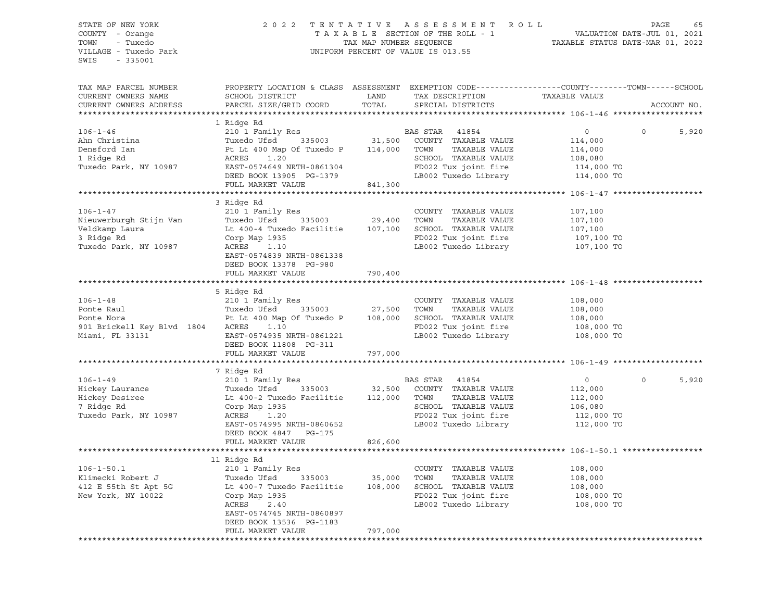#### STATE OF NEW YORK 2 0 2 2 T E N T A T I V E A S S E S S M E N T R O L L PAGE 65 COUNTY - Orange T A X A B L E SECTION OF THE ROLL - 1 VALUATION DATE-JUL 01, 2021 TOWN - Tuxedo TAX MAP NUMBER SEQUENCE TAXABLE STATUS DATE-MAR 01, 2022 UNIFORM PERCENT OF VALUE IS 013.55

TAX MAP PARCEL NUMBER PROPERTY LOCATION & CLASS ASSESSMENT EXEMPTION CODE------------------COUNTY--------TOWN------SCHOOL CURRENT OWNERS NAME SCHOOL DISTRICT LAND TAX DESCRIPTION TAXABLE VALUE CURRENT OWNERS ADDRESS PARCEL SIZE/GRID COORD TOTAL SPECIAL DISTRICTS ACCOUNT NO. \*\*\*\*\*\*\*\*\*\*\*\*\*\*\*\*\*\*\*\*\*\*\*\*\*\*\*\*\*\*\*\*\*\*\*\*\*\*\*\*\*\*\*\*\*\*\*\*\*\*\*\*\*\*\*\*\*\*\*\*\*\*\*\*\*\*\*\*\*\*\*\*\*\*\*\*\*\*\*\*\*\*\*\*\*\*\*\*\*\*\*\*\*\*\*\*\*\*\*\*\*\*\* 106-1-46 \*\*\*\*\*\*\*\*\*\*\*\*\*\*\*\*\*\*\* 1 Ridge Rd 106-1-46 210 1 Family Res BAS STAR 41854 0 0 5,920 Ahn Christina Tuxedo Ufsd 335003 31,500 COUNTY TAXABLE VALUE 114,000 Densford Ian Pt Lt 400 Map Of Tuxedo P 114,000 TOWN TAXABLE VALUE 114,000 1 Ridge Rd ACRES 1.20 SCHOOL TAXABLE VALUE 108,080 Tuxedo Park, NY 10987 EAST-0574649 NRTH-0861304 FD022 Tux joint fire 114,000 TO DEED BOOK 13905 PG-1379 LB002 Tuxedo Library 114,000 TO FULL MARKET VALUE 841,300 \*\*\*\*\*\*\*\*\*\*\*\*\*\*\*\*\*\*\*\*\*\*\*\*\*\*\*\*\*\*\*\*\*\*\*\*\*\*\*\*\*\*\*\*\*\*\*\*\*\*\*\*\*\*\*\*\*\*\*\*\*\*\*\*\*\*\*\*\*\*\*\*\*\*\*\*\*\*\*\*\*\*\*\*\*\*\*\*\*\*\*\*\*\*\*\*\*\*\*\*\*\*\* 106-1-47 \*\*\*\*\*\*\*\*\*\*\*\*\*\*\*\*\*\*\* 3 Ridge Rd 106-1-47 210 1 Family Res COUNTY TAXABLE VALUE 107,100 Nieuwerburgh Stijn Van Tuxedo Ufsd 335003 29,400 TOWN TAXABLE VALUE 107,100 Veldkamp Laura Lt 400-4 Tuxedo Facilitie 107,100 SCHOOL TAXABLE VALUE 107,100 3 Ridge Rd Corp Map 1935 FD022 Tux joint fire 107,100 TO Tuxedo Park, NY 10987 ACRES 1.10 LB002 Tuxedo Library 107,100 TO EAST-0574839 NRTH-0861338 DEED BOOK 13378 PG-980 FULL MARKET VALUE 790,400 \*\*\*\*\*\*\*\*\*\*\*\*\*\*\*\*\*\*\*\*\*\*\*\*\*\*\*\*\*\*\*\*\*\*\*\*\*\*\*\*\*\*\*\*\*\*\*\*\*\*\*\*\*\*\*\*\*\*\*\*\*\*\*\*\*\*\*\*\*\*\*\*\*\*\*\*\*\*\*\*\*\*\*\*\*\*\*\*\*\*\*\*\*\*\*\*\*\*\*\*\*\*\* 106-1-48 \*\*\*\*\*\*\*\*\*\*\*\*\*\*\*\*\*\*\* 5 Ridge Rd<br>210 1 Family Res 106-1-48 210 1 Family Res COUNTY TAXABLE VALUE 108,000 Ponte Raul Tuxedo Ufsd 335003 27,500 TOWN TAXABLE VALUE 108,000 Ponte Nora Pt Lt 400 Map Of Tuxedo P 108,000 SCHOOL TAXABLE VALUE 108,000 901 Brickell Key Blvd 1804 ACRES 1.10<br>108,000 TO Brickell Key Blvd 1804 ACRES 1.10 FD022 Tux joint fire 108,000 TO<br>Miami, FL 33131 BAST-0574935 NRTH-0861221 LB002 Tuxedo Library 108,000 TO Miami, FL 33131 EAST-0574935 NRTH-0861221 LB002 Tuxedo Library 108,000 TO DEED BOOK 11808 PG-311 FULL MARKET VALUE 797,000 \*\*\*\*\*\*\*\*\*\*\*\*\*\*\*\*\*\*\*\*\*\*\*\*\*\*\*\*\*\*\*\*\*\*\*\*\*\*\*\*\*\*\*\*\*\*\*\*\*\*\*\*\*\*\*\*\*\*\*\*\*\*\*\*\*\*\*\*\*\*\*\*\*\*\*\*\*\*\*\*\*\*\*\*\*\*\*\*\*\*\*\*\*\*\*\*\*\*\*\*\*\*\* 106-1-49 \*\*\*\*\*\*\*\*\*\*\*\*\*\*\*\*\*\*\* 7 Ridge Rd 106-1-49 210 1 Family Res BAS STAR 41854 0 0 5,920 Hickey Laurance Tuxedo Ufsd 335003 32,500 COUNTY TAXABLE VALUE 112,000 Hickey Desiree Lt 400-2 Tuxedo Facilitie 112,000 TOWN TAXABLE VALUE 112,000 7 Ridge Rd Corp Map 1935 SCHOOL TAXABLE VALUE 106,080 Tuxedo Park, NY 10987 ACRES 1.20 FD022 Tux joint fire 112,000 TO EAST-0574995 NRTH-0860652 LB002 Tuxedo Library 112,000 TO DEED BOOK 4847 PG-175 FULL MARKET VALUE 826,600 \*\*\*\*\*\*\*\*\*\*\*\*\*\*\*\*\*\*\*\*\*\*\*\*\*\*\*\*\*\*\*\*\*\*\*\*\*\*\*\*\*\*\*\*\*\*\*\*\*\*\*\*\*\*\*\*\*\*\*\*\*\*\*\*\*\*\*\*\*\*\*\*\*\*\*\*\*\*\*\*\*\*\*\*\*\*\*\*\*\*\*\*\*\*\*\*\*\*\*\*\*\*\* 106-1-50.1 \*\*\*\*\*\*\*\*\*\*\*\*\*\*\*\*\* 11 Ridge Rd 106-1-50.1 210 1 Family Res COUNTY TAXABLE VALUE 108,000 Klimecki Robert Jahr (108,000 Tuxedo Ufsd 335003 35,000 TOWN TAXABLE VALUE 108,000 412 E 55th St Apt 5G Lt 400-7 Tuxedo Facilitie 108,000 SCHOOL TAXABLE VALUE 108,000 New York, NY 10022 Corp Map 1935 FD022 Tux joint fire 108,000 TO ACRES 2.40 LB002 Tuxedo Library 108,000 TO EAST-0574745 NRTH-0860897 DEED BOOK 13536 PG-1183 FULL MARKET VALUE 797,000 \*\*\*\*\*\*\*\*\*\*\*\*\*\*\*\*\*\*\*\*\*\*\*\*\*\*\*\*\*\*\*\*\*\*\*\*\*\*\*\*\*\*\*\*\*\*\*\*\*\*\*\*\*\*\*\*\*\*\*\*\*\*\*\*\*\*\*\*\*\*\*\*\*\*\*\*\*\*\*\*\*\*\*\*\*\*\*\*\*\*\*\*\*\*\*\*\*\*\*\*\*\*\*\*\*\*\*\*\*\*\*\*\*\*\*\*\*\*\*\*\*\*\*\*\*\*\*\*\*\*\*\*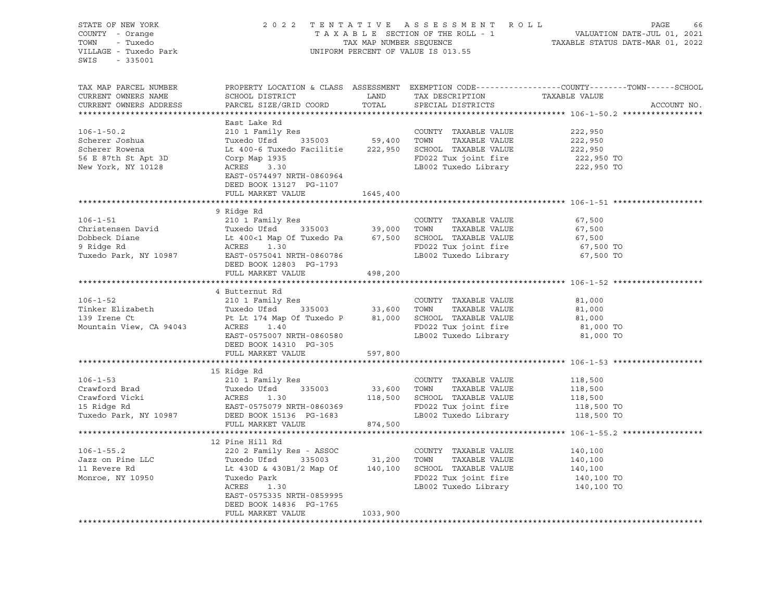| STATE OF NEW YORK<br>COUNTY - Orange<br>TOWN<br>- Tuxedo<br>VILLAGE - Tuxedo Park<br>SWIS - 335001 |                                                                                                                    | TAX MAP NUMBER SEQUENCE | 2022 TENTATIVE ASSESSMENT ROLL<br>TAXABLE SECTION OF THE ROLL - 1<br>UNIFORM PERCENT OF VALUE IS 013.55 | PAGE<br>VALUATION DATE-JUL 01, 2021<br>TAXABLE STATUS DATE-MAR 01, 2022                         |             |  |
|----------------------------------------------------------------------------------------------------|--------------------------------------------------------------------------------------------------------------------|-------------------------|---------------------------------------------------------------------------------------------------------|-------------------------------------------------------------------------------------------------|-------------|--|
| TAX MAP PARCEL NUMBER<br>CURRENT OWNERS NAME<br>CURRENT OWNERS ADDRESS                             | SCHOOL DISTRICT<br>PARCEL SIZE/GRID COORD                                                                          | LAND<br>TOTAL           | TAX DESCRIPTION TAXABLE VALUE<br>SPECIAL DISTRICTS                                                      | PROPERTY LOCATION & CLASS ASSESSMENT EXEMPTION CODE----------------COUNTY-------TOWN-----SCHOOL | ACCOUNT NO. |  |
|                                                                                                    |                                                                                                                    |                         |                                                                                                         |                                                                                                 |             |  |
|                                                                                                    | East Lake Rd                                                                                                       |                         |                                                                                                         |                                                                                                 |             |  |
| $106 - 1 - 50.2$                                                                                   | 210 1 Family Res                                                                                                   |                         | COUNTY TAXABLE VALUE                                                                                    | 222,950                                                                                         |             |  |
| Scherer Joshua                                                                                     |                                                                                                                    |                         | TAXABLE VALUE                                                                                           | 222,950                                                                                         |             |  |
| Scherer Rowena                                                                                     | Lt 400-6 Tuxedo Facilitie 222,950 SCHOOL TAXABLE VALUE                                                             |                         |                                                                                                         | 222,950                                                                                         |             |  |
| 56 E 87th St Apt 3D                                                                                | Corp Map 1935                                                                                                      |                         | FD022 Tux joint fire                                                                                    | 222,950 TO<br>222,950 TO                                                                        |             |  |
| New York, NY 10128                                                                                 | 3.30<br>ACRES<br>EAST-0574497 NRTH-0860964<br>DEED BOOK 13127 PG-1107<br>FULL MARKET VALUE                         | 1645,400                | LB002 Tuxedo Library                                                                                    |                                                                                                 |             |  |
|                                                                                                    |                                                                                                                    |                         |                                                                                                         |                                                                                                 |             |  |
|                                                                                                    | 9 Ridge Rd                                                                                                         |                         |                                                                                                         |                                                                                                 |             |  |
| $106 - 1 - 51$                                                                                     | 210 1 Family Res                                                                                                   |                         | COUNTY TAXABLE VALUE                                                                                    | 67,500                                                                                          |             |  |
| Christensen David                                                                                  |                                                                                                                    |                         |                                                                                                         | 67,500                                                                                          |             |  |
| Dobbeck Diane                                                                                      |                                                                                                                    |                         |                                                                                                         | 67,500                                                                                          |             |  |
| 9 Ridge Rd                                                                                         | ACRES<br>1.30                                                                                                      |                         | FD022 Tux joint fire                                                                                    | 67,500 TO                                                                                       |             |  |
| Tuxedo Park, NY 10987                                                                              | EAST-0575041 NRTH-0860786<br>DEED BOOK 12803 PG-1793<br>FULL MARKET VALUE                                          | 498,200                 | LB002 Tuxedo Library                                                                                    | 67,500 TO                                                                                       |             |  |
|                                                                                                    |                                                                                                                    |                         |                                                                                                         |                                                                                                 |             |  |
|                                                                                                    | 4 Butternut Rd                                                                                                     |                         |                                                                                                         |                                                                                                 |             |  |
| $106 - 1 - 52$                                                                                     | 210 1 Family Res                                                                                                   |                         | COUNTY TAXABLE VALUE                                                                                    | 81,000                                                                                          |             |  |
| 106-1-52<br>Tinker Elizabeth                                                                       | Tuxedo Ufsd 335003 33,600 TOWN TAXABLE VALUE                                                                       |                         |                                                                                                         | 81,000                                                                                          |             |  |
|                                                                                                    | Pt Lt 174 Map Of Tuxedo P 81,000 SCHOOL TAXABLE VALUE                                                              |                         |                                                                                                         | 81,000                                                                                          |             |  |
| Mountain View, CA 94043                                                                            | <b>ACRES</b><br>1.40                                                                                               |                         | FD022 Tux joint fire                                                                                    | 81,000 TO                                                                                       |             |  |
|                                                                                                    | EAST-0575007 NRTH-0860580                                                                                          |                         | LB002 Tuxedo Library                                                                                    | 81,000 TO                                                                                       |             |  |
|                                                                                                    | DEED BOOK 14310 PG-305                                                                                             |                         |                                                                                                         |                                                                                                 |             |  |
|                                                                                                    | FULL MARKET VALUE                                                                                                  | 597,800                 |                                                                                                         |                                                                                                 |             |  |
|                                                                                                    |                                                                                                                    |                         |                                                                                                         |                                                                                                 |             |  |
| $106 - 1 - 53$                                                                                     | 15 Ridge Rd                                                                                                        |                         | COUNTY TAXABLE VALUE                                                                                    | 118,500                                                                                         |             |  |
| Crawford Brad                                                                                      |                                                                                                                    | 33,600 TOWN             | TAXABLE VALUE                                                                                           | 118,500                                                                                         |             |  |
|                                                                                                    | 210 1 Family Res<br>Tuxedo Ufsd 335003<br>ACRES 1.30<br>ERGES 1.30                                                 |                         | 118,500 SCHOOL TAXABLE VALUE                                                                            | 118,500                                                                                         |             |  |
| Crawford Vicki<br>15 Ridge Rd                                                                      |                                                                                                                    |                         | FD022 Tux joint fire                                                                                    |                                                                                                 |             |  |
|                                                                                                    |                                                                                                                    |                         | LB002 Tuxedo Library                                                                                    | 118,500 TO<br>118,500 TO                                                                        |             |  |
|                                                                                                    | FULL MARKET VALUE                                                                                                  | 874,500                 |                                                                                                         |                                                                                                 |             |  |
|                                                                                                    |                                                                                                                    |                         |                                                                                                         |                                                                                                 |             |  |
|                                                                                                    | 12 Pine Hill Rd                                                                                                    |                         |                                                                                                         |                                                                                                 |             |  |
| $106 - 1 - 55.2$                                                                                   | 220 2 Family Res - ASSOC                                                                                           |                         | COUNTY TAXABLE VALUE                                                                                    | 140,100                                                                                         |             |  |
| Jazz on Pine LLC<br>11 Revere Rd                                                                   |                                                                                                                    |                         |                                                                                                         | 140,100                                                                                         |             |  |
| 11 Revere Rd                                                                                       | Tuxedo Ufsd <sup>3</sup> 335003 31,200 TOWN TAXABLE VALUE<br>Lt 430D & 430B1/2 Map Of 140,100 SCHOOL TAXABLE VALUE |                         |                                                                                                         | 140,100                                                                                         |             |  |
| Monroe, NY 10950                                                                                   | Tuxedo Park                                                                                                        |                         | FD022 Tux joint fire                                                                                    | 140,100 TO                                                                                      |             |  |
|                                                                                                    | ACRES<br>1.30                                                                                                      |                         | LB002 Tuxedo Library                                                                                    | 140,100 TO                                                                                      |             |  |
|                                                                                                    | EAST-0575335 NRTH-0859995                                                                                          |                         |                                                                                                         |                                                                                                 |             |  |
|                                                                                                    | DEED BOOK 14836 PG-1765                                                                                            |                         |                                                                                                         |                                                                                                 |             |  |
|                                                                                                    | FULL MARKET VALUE                                                                                                  | 1033,900                |                                                                                                         |                                                                                                 |             |  |
|                                                                                                    |                                                                                                                    |                         |                                                                                                         |                                                                                                 |             |  |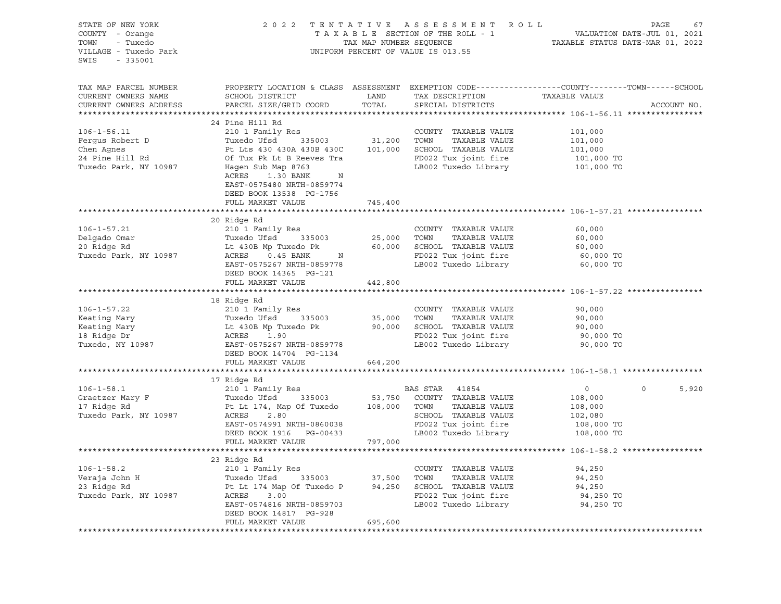| STATE OF NEW YORK<br>COUNTY - Orange<br>TOWN<br>- Tuxedo<br>VILLAGE - Tuxedo Park<br>SWIS - 335001                                                                                                                                             |                                                                                                                                             |                       | 2022 TENTATIVE ASSESSMENT ROLL PAGE 67<br>TAXABLE SECTION OF THE ROLL - 1 VALUATION DATE-JUL 01, 2021<br>TAX MAP NUMBER SEQUENCE TAXABLE STATUS DATE-MAR 01, 2022<br>UNIFORM PERCENT OF VALUE IS 013.55 |                        |                  |
|------------------------------------------------------------------------------------------------------------------------------------------------------------------------------------------------------------------------------------------------|---------------------------------------------------------------------------------------------------------------------------------------------|-----------------------|---------------------------------------------------------------------------------------------------------------------------------------------------------------------------------------------------------|------------------------|------------------|
| TAX MAP PARCEL NUMBER<br>CURRENT OWNERS NAME<br>CURRENT OWNERS ADDRESS                                                                                                                                                                         | PROPERTY LOCATION & CLASS ASSESSMENT EXEMPTION CODE---------------COUNTY-------TOWN-----SCHOOL<br>SCHOOL DISTRICT<br>PARCEL SIZE/GRID COORD | <b>LAND</b><br>TOTAL  | TAX DESCRIPTION TAXABLE VALUE CORCLAI. DISTRICTS<br>SPECIAL DISTRICTS                                                                                                                                   |                        | ACCOUNT NO.      |
|                                                                                                                                                                                                                                                | 24 Pine Hill Rd                                                                                                                             |                       |                                                                                                                                                                                                         |                        |                  |
| $106 - 1 - 56.11$                                                                                                                                                                                                                              |                                                                                                                                             |                       |                                                                                                                                                                                                         |                        |                  |
|                                                                                                                                                                                                                                                |                                                                                                                                             |                       | COUNTY TAXABLE VALUE 101,000<br>TOWN TAXABLE VALUE 101,000                                                                                                                                              |                        |                  |
|                                                                                                                                                                                                                                                |                                                                                                                                             |                       |                                                                                                                                                                                                         | 101,000                |                  |
|                                                                                                                                                                                                                                                |                                                                                                                                             |                       |                                                                                                                                                                                                         |                        |                  |
| Fergus Robert D<br>Tuxedo Ufsd 335003 31,200 TOWN TAXABLE VALUE<br>Chen Agnes Pt Lts 430 430A 430B 430C 101,000 SCHOOL TAXABLE VALUE<br>24 Pine Hill Rd Of Tux Pk Lt B Reeves Tra PD022 Tux joint fire<br>Tuxedo Park, NY 10987 Hagen          | ACRES 1.30 BANK N<br>EAST-0575480 NRTH-0859774<br>DEED BOOK 13538 PG-1756                                                                   |                       | FD022 Tux joint fire 101,000 TO<br>LB002 Tuxedo Library 101,000 TO                                                                                                                                      |                        |                  |
|                                                                                                                                                                                                                                                | FULL MARKET VALUE                                                                                                                           | 745,400               |                                                                                                                                                                                                         |                        |                  |
|                                                                                                                                                                                                                                                | 20 Ridge Rd                                                                                                                                 |                       |                                                                                                                                                                                                         |                        |                  |
|                                                                                                                                                                                                                                                | 210 <sup>1</sup> Family Res                                                                                                                 |                       |                                                                                                                                                                                                         | 60,000                 |                  |
|                                                                                                                                                                                                                                                |                                                                                                                                             | COUNTY<br>25,000 TOWN |                                                                                                                                                                                                         | 60,000                 |                  |
|                                                                                                                                                                                                                                                |                                                                                                                                             |                       |                                                                                                                                                                                                         | 60,000                 |                  |
|                                                                                                                                                                                                                                                |                                                                                                                                             |                       | FD022 Tux joint fire                                                                                                                                                                                    | 60,000 TO              |                  |
| 106-1-57.21 210 1 Family Res<br>Delgado Omar Tuxedo Ufsd 335003 25,000 TOWN TAXABLE VALUE<br>20 Ridge Rd Lt 430B Mp Tuxedo Pk 60,000 SCHOOL TAXABLE VALUE<br>Tuxedo Park, NY 10987 ACRES 0.45 BANK N FD022 Tux joint fire<br>EAST-0575         | FULL MARKET VALUE                                                                                                                           | 442,800               |                                                                                                                                                                                                         | 60,000 TO              |                  |
|                                                                                                                                                                                                                                                |                                                                                                                                             |                       |                                                                                                                                                                                                         |                        |                  |
|                                                                                                                                                                                                                                                | 18 Ridge Rd                                                                                                                                 |                       |                                                                                                                                                                                                         |                        |                  |
|                                                                                                                                                                                                                                                |                                                                                                                                             |                       | COUNTY TAXABLE VALUE                                                                                                                                                                                    | 90,000                 |                  |
| 106-1-57.22<br>Keating Mary 210 1 Family Res<br>Keating Mary TaxaBLE VALUE<br>Keating Mary 106-1-57.22<br>Tuxedo Ufsd 335003<br>Let 430B Mp Tuxedo Pk 90,000 SCHOOL TAXABLE VALUE<br>18 Ridge Dr ACRES 1.90<br>Tuxedo, NY 10987<br>EAST-057526 |                                                                                                                                             |                       | TAXABLE VALUE                                                                                                                                                                                           | 90,000                 |                  |
|                                                                                                                                                                                                                                                |                                                                                                                                             |                       |                                                                                                                                                                                                         | 90,000                 |                  |
|                                                                                                                                                                                                                                                |                                                                                                                                             |                       |                                                                                                                                                                                                         | 90,000 TO              |                  |
|                                                                                                                                                                                                                                                |                                                                                                                                             |                       | LB002 Tuxedo Library 90,000 TO                                                                                                                                                                          |                        |                  |
|                                                                                                                                                                                                                                                | DEED BOOK 14704 PG-1134                                                                                                                     |                       |                                                                                                                                                                                                         |                        |                  |
|                                                                                                                                                                                                                                                | FULL MARKET VALUE                                                                                                                           | 664,200               |                                                                                                                                                                                                         |                        |                  |
| 106-1-58.1<br>Graetzer Mary F<br>17 Ridge Rd<br>17 Ridge Rd<br>17 Ridge Rd<br>17 Ridge Rd<br>2.80<br>2.80<br>2.80<br>2.80<br>2.80                                                                                                              |                                                                                                                                             |                       |                                                                                                                                                                                                         |                        |                  |
|                                                                                                                                                                                                                                                |                                                                                                                                             |                       |                                                                                                                                                                                                         | $\overline{0}$         | $\circ$<br>5,920 |
|                                                                                                                                                                                                                                                |                                                                                                                                             |                       |                                                                                                                                                                                                         | 108,000                |                  |
|                                                                                                                                                                                                                                                |                                                                                                                                             |                       | TAXABLE VALUE                                                                                                                                                                                           | $108,000$<br>$102,080$ |                  |
|                                                                                                                                                                                                                                                |                                                                                                                                             |                       |                                                                                                                                                                                                         |                        |                  |
|                                                                                                                                                                                                                                                | ACRES 2.80<br>EAST-0574991 NRTH-0860038<br>DEED BOOK 1916 PG-00433                                                                          |                       | FD022 Tux joint fire                                                                                                                                                                                    | 108,000 TO             |                  |
|                                                                                                                                                                                                                                                |                                                                                                                                             |                       | LB002 Tuxedo Library                                                                                                                                                                                    | 108,000 TO             |                  |
|                                                                                                                                                                                                                                                | FULL MARKET VALUE                                                                                                                           | 797,000               |                                                                                                                                                                                                         |                        |                  |
|                                                                                                                                                                                                                                                |                                                                                                                                             |                       |                                                                                                                                                                                                         |                        |                  |
|                                                                                                                                                                                                                                                | 23 Ridge Rd                                                                                                                                 |                       |                                                                                                                                                                                                         |                        |                  |
| 106-1-58.2<br>Veraja John H (210 1 Family Res COUNTY TAXABLE VALUE<br>23 Ridge Rd (23 Pt Lt 174 Map Of Tuxedo P (335003) 37,500 TOWN TAXABLE VALUE<br>23 Ridge Rd (250 Pt Lt 174 Map Of Tuxedo P (34,250 SCHOOL TAXABLE VALUE<br>23 Ri         |                                                                                                                                             |                       |                                                                                                                                                                                                         | 94,250                 |                  |
|                                                                                                                                                                                                                                                |                                                                                                                                             |                       |                                                                                                                                                                                                         | 94,250                 |                  |
|                                                                                                                                                                                                                                                |                                                                                                                                             |                       |                                                                                                                                                                                                         | 94,250<br>94,250 TO    |                  |
|                                                                                                                                                                                                                                                | EAST-0574816 NRTH-0859703                                                                                                                   |                       | FD022 Tux joint fire<br>LB002 Tuxedo Library                                                                                                                                                            | 94,250 TO              |                  |
|                                                                                                                                                                                                                                                | DEED BOOK 14817 PG-928                                                                                                                      |                       |                                                                                                                                                                                                         |                        |                  |
|                                                                                                                                                                                                                                                | FULL MARKET VALUE                                                                                                                           | 695,600               |                                                                                                                                                                                                         |                        |                  |
|                                                                                                                                                                                                                                                |                                                                                                                                             |                       |                                                                                                                                                                                                         |                        |                  |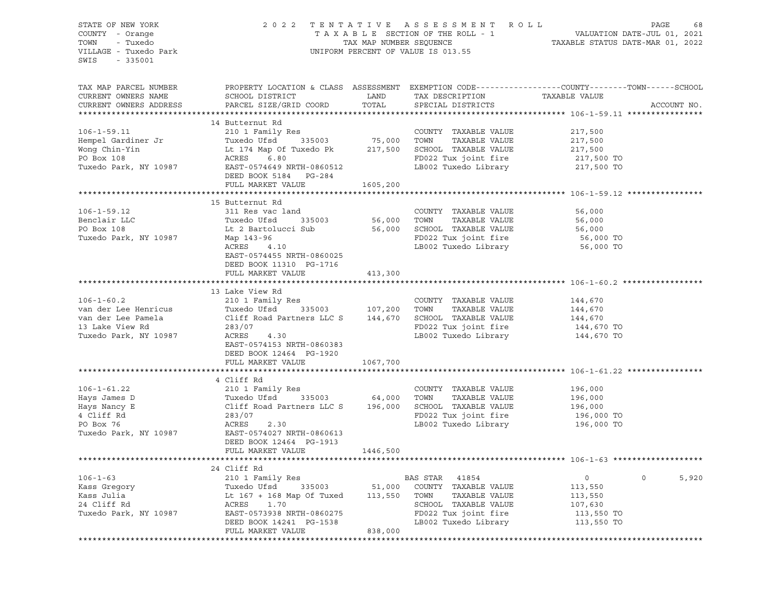| STATE OF NEW YORK<br>COUNTY - Orange<br>TOWN<br>- Tuxedo<br>VILLAGE - Tuxedo Park<br>SWIS<br>$-335001$ |                                                                       | TAX MAP NUMBER SEQUENCE | 2022 TENTATIVE ASSESSMENT ROLL<br>TAXABLE SECTION OF THE ROLL - 1<br>UNIFORM PERCENT OF VALUE IS 013.55 | PAGE<br>68<br>VALUATION DATE-JUL 01, 2021<br>TAXABLE STATUS DATE-MAR 01, 2022                                                    |
|--------------------------------------------------------------------------------------------------------|-----------------------------------------------------------------------|-------------------------|---------------------------------------------------------------------------------------------------------|----------------------------------------------------------------------------------------------------------------------------------|
| TAX MAP PARCEL NUMBER<br>CURRENT OWNERS NAME<br>CURRENT OWNERS ADDRESS                                 | SCHOOL DISTRICT<br>PARCEL SIZE/GRID COORD                             | LAND<br>TOTAL           | TAX DESCRIPTION<br>SPECIAL DISTRICTS                                                                    | PROPERTY LOCATION & CLASS ASSESSMENT EXEMPTION CODE----------------COUNTY-------TOWN------SCHOOL<br>TAXABLE VALUE<br>ACCOUNT NO. |
|                                                                                                        |                                                                       |                         |                                                                                                         |                                                                                                                                  |
| $106 - 1 - 59.11$                                                                                      | 14 Butternut Rd<br>210 1 Family Res                                   |                         | COUNTY TAXABLE VALUE                                                                                    | 217,500                                                                                                                          |
| Hempel Gardiner Jr                                                                                     | Tuxedo Ufsd<br>335003                                                 | 75,000                  | TOWN<br>TAXABLE VALUE                                                                                   | 217,500                                                                                                                          |
| Wong Chin-Yin                                                                                          | Lt 174 Map Of Tuxedo Pk                                               | 217,500                 | SCHOOL TAXABLE VALUE                                                                                    | 217,500                                                                                                                          |
| PO Box 108                                                                                             | ACRES<br>6.80                                                         |                         | FD022 Tux joint fire                                                                                    | 217,500 TO                                                                                                                       |
| Tuxedo Park, NY 10987                                                                                  | EAST-0574649 NRTH-0860512<br>DEED BOOK 5184 PG-284                    |                         | LB002 Tuxedo Library                                                                                    | 217,500 TO                                                                                                                       |
|                                                                                                        | FULL MARKET VALUE                                                     | 1605,200                |                                                                                                         |                                                                                                                                  |
|                                                                                                        |                                                                       |                         |                                                                                                         |                                                                                                                                  |
|                                                                                                        | 15 Butternut Rd                                                       |                         |                                                                                                         |                                                                                                                                  |
| $106 - 1 - 59.12$                                                                                      | 311 Res vac land                                                      |                         | COUNTY TAXABLE VALUE                                                                                    | 56,000                                                                                                                           |
| Benclair LLC                                                                                           | Tuxedo Ufsd<br>335003                                                 | 56,000                  | TOWN<br>TAXABLE VALUE                                                                                   | 56,000                                                                                                                           |
| PO Box 108                                                                                             | Lt 2 Bartolucci Sub                                                   | 56,000                  | SCHOOL TAXABLE VALUE                                                                                    | 56,000                                                                                                                           |
| Tuxedo Park, NY 10987                                                                                  | Map 143-96                                                            |                         | FD022 Tux joint fire                                                                                    | 56,000 TO                                                                                                                        |
|                                                                                                        | ACRES<br>4.10<br>EAST-0574455 NRTH-0860025<br>DEED BOOK 11310 PG-1716 |                         | LB002 Tuxedo Library                                                                                    | 56,000 TO                                                                                                                        |
|                                                                                                        | FULL MARKET VALUE                                                     | 413,300                 |                                                                                                         |                                                                                                                                  |
|                                                                                                        |                                                                       |                         |                                                                                                         |                                                                                                                                  |
|                                                                                                        | 13 Lake View Rd                                                       |                         |                                                                                                         |                                                                                                                                  |
| $106 - 1 - 60.2$                                                                                       | 210 1 Family Res                                                      |                         | COUNTY TAXABLE VALUE                                                                                    | 144,670                                                                                                                          |
| van der Lee Henricus                                                                                   | Tuxedo Ufsd<br>335003                                                 | 107,200                 | TOWN<br>TAXABLE VALUE                                                                                   | 144,670                                                                                                                          |
| van der Lee Pamela                                                                                     | Cliff Road Partners LLC S                                             | 144,670                 | SCHOOL TAXABLE VALUE                                                                                    | 144,670                                                                                                                          |
| 13 Lake View Rd                                                                                        | 283/07                                                                |                         | FD022 Tux joint fire                                                                                    | 144,670 TO                                                                                                                       |
| Tuxedo Park, NY 10987                                                                                  | ACRES<br>4.30<br>EAST-0574153 NRTH-0860383<br>DEED BOOK 12464 PG-1920 |                         | LB002 Tuxedo Library                                                                                    | 144,670 TO                                                                                                                       |
|                                                                                                        | FULL MARKET VALUE                                                     | 1067,700                |                                                                                                         |                                                                                                                                  |
|                                                                                                        |                                                                       |                         |                                                                                                         |                                                                                                                                  |
|                                                                                                        | 4 Cliff Rd                                                            |                         |                                                                                                         |                                                                                                                                  |
| $106 - 1 - 61.22$                                                                                      | 210 1 Family Res                                                      |                         | COUNTY TAXABLE VALUE                                                                                    | 196,000                                                                                                                          |
| Hays James D                                                                                           | Tuxedo Ufsd<br>335003                                                 | 64,000                  | TOWN<br>TAXABLE VALUE                                                                                   | 196,000                                                                                                                          |
| Hays Nancy E                                                                                           | Cliff Road Partners LLC S                                             | 196,000                 | SCHOOL TAXABLE VALUE                                                                                    | 196,000                                                                                                                          |
| 4 Cliff Rd                                                                                             | 283/07                                                                |                         | FD022 Tux joint fire                                                                                    | 196,000 TO                                                                                                                       |
| PO Box 76                                                                                              | ACRES<br>2.30                                                         |                         | LB002 Tuxedo Library                                                                                    | 196,000 TO                                                                                                                       |
| Tuxedo Park, NY 10987                                                                                  | EAST-0574027 NRTH-0860613                                             |                         |                                                                                                         |                                                                                                                                  |
|                                                                                                        | DEED BOOK 12464 PG-1913                                               |                         |                                                                                                         |                                                                                                                                  |
|                                                                                                        | FULL MARKET VALUE                                                     | 1446,500                |                                                                                                         |                                                                                                                                  |
|                                                                                                        |                                                                       |                         |                                                                                                         |                                                                                                                                  |
| $106 - 1 - 63$                                                                                         | 24 Cliff Rd<br>210 1 Family Res                                       |                         | BAS STAR<br>41854                                                                                       | 5,920<br>0<br>0                                                                                                                  |
| Kass Gregory                                                                                           | Tuxedo Ufsd<br>335003                                                 | 51,000                  | COUNTY<br>TAXABLE VALUE                                                                                 | 113,550                                                                                                                          |
| Kass Julia                                                                                             | Lt 167 + 168 Map Of Tuxed                                             | 113,550                 | TOWN<br>TAXABLE VALUE                                                                                   | 113,550                                                                                                                          |
| 24 Cliff Rd                                                                                            | ACRES<br>1.70                                                         |                         | SCHOOL<br>TAXABLE VALUE                                                                                 | 107,630                                                                                                                          |
| Tuxedo Park, NY 10987                                                                                  | EAST-0573938 NRTH-0860275                                             |                         | FD022 Tux joint fire                                                                                    | 113,550 TO                                                                                                                       |
|                                                                                                        | DEED BOOK 14241 PG-1538                                               |                         | LB002 Tuxedo Library                                                                                    | 113,550 TO                                                                                                                       |
|                                                                                                        | FULL MARKET VALUE                                                     | 838,000                 |                                                                                                         |                                                                                                                                  |
|                                                                                                        |                                                                       |                         |                                                                                                         |                                                                                                                                  |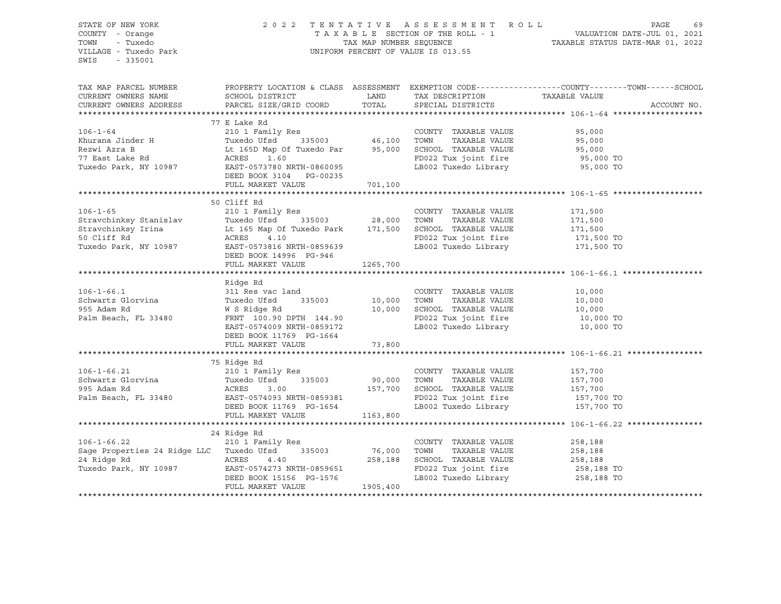| STATE OF NEW YORK                                                                                                                                                                                                                    |                                                                                                                                                                                                                            |             |                                                                                                                                                                                              | 2022 TENTATIVE ASSESSMENT ROLL PAGE 69<br>TAXABLE SECTION OF THE ROLL - 1<br>TAX MAP NUMBER SEQUENCE - TAXABLE STATUS DATE-JUL 01, 2021<br>TAXABLE STATUS DATE-MAR 01, 2022 |
|--------------------------------------------------------------------------------------------------------------------------------------------------------------------------------------------------------------------------------------|----------------------------------------------------------------------------------------------------------------------------------------------------------------------------------------------------------------------------|-------------|----------------------------------------------------------------------------------------------------------------------------------------------------------------------------------------------|-----------------------------------------------------------------------------------------------------------------------------------------------------------------------------|
| COUNTY - Orange                                                                                                                                                                                                                      |                                                                                                                                                                                                                            |             |                                                                                                                                                                                              |                                                                                                                                                                             |
| TOWN<br>- Tuxedo                                                                                                                                                                                                                     |                                                                                                                                                                                                                            |             |                                                                                                                                                                                              |                                                                                                                                                                             |
| VILLAGE - Tuxedo Park                                                                                                                                                                                                                |                                                                                                                                                                                                                            |             | UNIFORM PERCENT OF VALUE IS 013.55                                                                                                                                                           |                                                                                                                                                                             |
| SWIS<br>- 335001                                                                                                                                                                                                                     |                                                                                                                                                                                                                            |             |                                                                                                                                                                                              |                                                                                                                                                                             |
|                                                                                                                                                                                                                                      |                                                                                                                                                                                                                            |             |                                                                                                                                                                                              |                                                                                                                                                                             |
|                                                                                                                                                                                                                                      |                                                                                                                                                                                                                            |             |                                                                                                                                                                                              |                                                                                                                                                                             |
| TAX MAP PARCEL NUMBER                                                                                                                                                                                                                |                                                                                                                                                                                                                            |             |                                                                                                                                                                                              | PROPERTY LOCATION & CLASS ASSESSMENT EXEMPTION CODE----------------COUNTY-------TOWN------SCHOOL                                                                            |
| CURRENT OWNERS NAME                                                                                                                                                                                                                  | SCHOOL DISTRICT                                                                                                                                                                                                            | <b>LAND</b> | TAX DESCRIPTION TAXABLE VALUE                                                                                                                                                                |                                                                                                                                                                             |
| CURRENT OWNERS ADDRESS PARCEL SIZE/GRID COORD                                                                                                                                                                                        |                                                                                                                                                                                                                            | TOTAL       | SPECIAL DISTRICTS                                                                                                                                                                            | ACCOUNT NO.                                                                                                                                                                 |
|                                                                                                                                                                                                                                      |                                                                                                                                                                                                                            |             |                                                                                                                                                                                              |                                                                                                                                                                             |
|                                                                                                                                                                                                                                      | 77 E Lake Rd                                                                                                                                                                                                               |             |                                                                                                                                                                                              |                                                                                                                                                                             |
| $106 - 1 - 64$                                                                                                                                                                                                                       |                                                                                                                                                                                                                            |             |                                                                                                                                                                                              | 95,000                                                                                                                                                                      |
|                                                                                                                                                                                                                                      |                                                                                                                                                                                                                            |             |                                                                                                                                                                                              | 95,000<br>95,000<br>95,000                                                                                                                                                  |
|                                                                                                                                                                                                                                      |                                                                                                                                                                                                                            |             |                                                                                                                                                                                              |                                                                                                                                                                             |
|                                                                                                                                                                                                                                      |                                                                                                                                                                                                                            |             | $FD022$ Tux joint fire                                                                                                                                                                       |                                                                                                                                                                             |
|                                                                                                                                                                                                                                      |                                                                                                                                                                                                                            |             |                                                                                                                                                                                              | $95,000$ TO<br>95,000 TO                                                                                                                                                    |
|                                                                                                                                                                                                                                      |                                                                                                                                                                                                                            |             | LB002 Tuxedo Library                                                                                                                                                                         |                                                                                                                                                                             |
|                                                                                                                                                                                                                                      | DEED BOOK 3104 PG-00235                                                                                                                                                                                                    |             |                                                                                                                                                                                              |                                                                                                                                                                             |
|                                                                                                                                                                                                                                      | FULL MARKET VALUE                                                                                                                                                                                                          | 701,100     |                                                                                                                                                                                              |                                                                                                                                                                             |
|                                                                                                                                                                                                                                      |                                                                                                                                                                                                                            |             |                                                                                                                                                                                              |                                                                                                                                                                             |
|                                                                                                                                                                                                                                      | 50 Cliff Rd                                                                                                                                                                                                                |             |                                                                                                                                                                                              |                                                                                                                                                                             |
| $106 - 1 - 65$                                                                                                                                                                                                                       | 210 1 Family Res                                                                                                                                                                                                           |             | COUNTY TAXABLE VALUE                                                                                                                                                                         | 171,500                                                                                                                                                                     |
|                                                                                                                                                                                                                                      |                                                                                                                                                                                                                            |             | TAXABLE VALUE                                                                                                                                                                                |                                                                                                                                                                             |
| Stravchinksy Stanislav Tuxedo Ufsd 335003 28,000 TOWN TAXABLE VALUE<br>Stravchinksy Irina Lt 165 Map Of Tuxedo Park 171,500 SCHOOL TAXABLE VALUE<br>50 Cliff Rd ACRES 4.10 PD022 Tux joint fire<br>Tuxedo Park, NY 10987 EAST-055963 |                                                                                                                                                                                                                            |             |                                                                                                                                                                                              | 171,500<br>171,500                                                                                                                                                          |
|                                                                                                                                                                                                                                      |                                                                                                                                                                                                                            |             |                                                                                                                                                                                              |                                                                                                                                                                             |
|                                                                                                                                                                                                                                      |                                                                                                                                                                                                                            |             | FD022 Tux joint fire 171,500 TO<br>LB002 Tuxedo Library 171,500 TO                                                                                                                           |                                                                                                                                                                             |
|                                                                                                                                                                                                                                      | DEED BOOK 14996 PG-946                                                                                                                                                                                                     |             |                                                                                                                                                                                              |                                                                                                                                                                             |
|                                                                                                                                                                                                                                      | FULL MARKET VALUE                                                                                                                                                                                                          | 1265,700    |                                                                                                                                                                                              |                                                                                                                                                                             |
|                                                                                                                                                                                                                                      |                                                                                                                                                                                                                            |             |                                                                                                                                                                                              |                                                                                                                                                                             |
|                                                                                                                                                                                                                                      | Ridge Rd                                                                                                                                                                                                                   |             |                                                                                                                                                                                              |                                                                                                                                                                             |
| $106 - 1 - 66.1$                                                                                                                                                                                                                     |                                                                                                                                                                                                                            |             | $\begin{tabular}{lllllllllll} \multicolumn{2}{c}{\text{COUNTY}} & \text{TAXABLE VALUE} & & & 10,000 \\ \multicolumn{2}{c}{\text{TOWN}} & \text{TAXABLE VALUE} & & & 10,000 \\ \end{tabular}$ |                                                                                                                                                                             |
| Schwartz Glorvina                                                                                                                                                                                                                    |                                                                                                                                                                                                                            |             |                                                                                                                                                                                              |                                                                                                                                                                             |
| 955 Adam Rd                                                                                                                                                                                                                          | Aluge Ru<br>311 Res vac land<br>Tuxedo Ufsd 335003 10,000 TOWN TAXABLE VALUE<br>W S Ridge Rd 10,000 SCHOOL TAXABLE VALUE<br>FRNT 100.90 DPTH 144.90 FD022 Tux joint fire<br>EAST-0574009 NRTH-0859172 LB002 Tuxedo Library |             |                                                                                                                                                                                              |                                                                                                                                                                             |
| Palm Beach, FL 33480                                                                                                                                                                                                                 |                                                                                                                                                                                                                            |             |                                                                                                                                                                                              | 10,000<br>10,000 TO                                                                                                                                                         |
|                                                                                                                                                                                                                                      |                                                                                                                                                                                                                            |             |                                                                                                                                                                                              | 10,000 TO                                                                                                                                                                   |
|                                                                                                                                                                                                                                      | DEED BOOK 11769 PG-1664                                                                                                                                                                                                    |             |                                                                                                                                                                                              |                                                                                                                                                                             |
|                                                                                                                                                                                                                                      | FULL MARKET VALUE                                                                                                                                                                                                          | 73,800      |                                                                                                                                                                                              |                                                                                                                                                                             |
|                                                                                                                                                                                                                                      |                                                                                                                                                                                                                            |             |                                                                                                                                                                                              |                                                                                                                                                                             |
|                                                                                                                                                                                                                                      | 75 Ridge Rd                                                                                                                                                                                                                |             |                                                                                                                                                                                              |                                                                                                                                                                             |
| $106 - 1 - 66.21$                                                                                                                                                                                                                    | 210 1 Family Res                                                                                                                                                                                                           |             | COUNTY TAXABLE VALUE                                                                                                                                                                         | 157,700                                                                                                                                                                     |
|                                                                                                                                                                                                                                      |                                                                                                                                                                                                                            |             |                                                                                                                                                                                              |                                                                                                                                                                             |
|                                                                                                                                                                                                                                      |                                                                                                                                                                                                                            |             | $335003 \qquad \qquad 90,000 \qquad \text{TOWN} \qquad \text{TAXABLE VALUE}$<br>$157,700 \qquad \text{SCHOOL} \qquad \text{TAXABLE VALUE}$                                                   | TAXABLE VALUE 157,700<br>TAXABLE VALUE 157,700                                                                                                                              |
| Exchwartz Glorvina<br>995 Adam Rd<br>945 Adam Rd<br>945 Achael (Balm Beach, FL 33480)<br>82857-0574093 NRT                                                                                                                           |                                                                                                                                                                                                                            |             |                                                                                                                                                                                              |                                                                                                                                                                             |
|                                                                                                                                                                                                                                      | EAST-0574093 NRTH-0859381<br>DEED BOOK 11769 PG-1654                                                                                                                                                                       |             | FD022 Tux joint fire 157,700 TO<br>LB002 Tuxedo Library 157,700 TO                                                                                                                           |                                                                                                                                                                             |
|                                                                                                                                                                                                                                      |                                                                                                                                                                                                                            |             |                                                                                                                                                                                              |                                                                                                                                                                             |
|                                                                                                                                                                                                                                      | FULL MARKET VALUE                                                                                                                                                                                                          | 1163,800    |                                                                                                                                                                                              |                                                                                                                                                                             |
|                                                                                                                                                                                                                                      |                                                                                                                                                                                                                            |             |                                                                                                                                                                                              |                                                                                                                                                                             |
|                                                                                                                                                                                                                                      | 24 Ridge Rd                                                                                                                                                                                                                |             |                                                                                                                                                                                              |                                                                                                                                                                             |
| $106 - 1 - 66.22$                                                                                                                                                                                                                    | 210 1 Family Res                                                                                                                                                                                                           |             | COUNTY TAXABLE VALUE                                                                                                                                                                         | 258,188                                                                                                                                                                     |
| Sage Properties 24 Ridge LLC Tuxedo Ufsd 335003 76,000 TOWN                                                                                                                                                                          |                                                                                                                                                                                                                            |             | TAXABLE VALUE                                                                                                                                                                                | 258,188                                                                                                                                                                     |
|                                                                                                                                                                                                                                      |                                                                                                                                                                                                                            |             |                                                                                                                                                                                              | 258,188                                                                                                                                                                     |
|                                                                                                                                                                                                                                      |                                                                                                                                                                                                                            |             |                                                                                                                                                                                              | 258,188 TO                                                                                                                                                                  |
|                                                                                                                                                                                                                                      |                                                                                                                                                                                                                            |             | FD022 Tux joint fire<br>LB002 Tuxedo Library                                                                                                                                                 | 258,188 TO                                                                                                                                                                  |
|                                                                                                                                                                                                                                      | FULL MARKET VALUE                                                                                                                                                                                                          | 1905,400    |                                                                                                                                                                                              |                                                                                                                                                                             |
|                                                                                                                                                                                                                                      |                                                                                                                                                                                                                            |             |                                                                                                                                                                                              |                                                                                                                                                                             |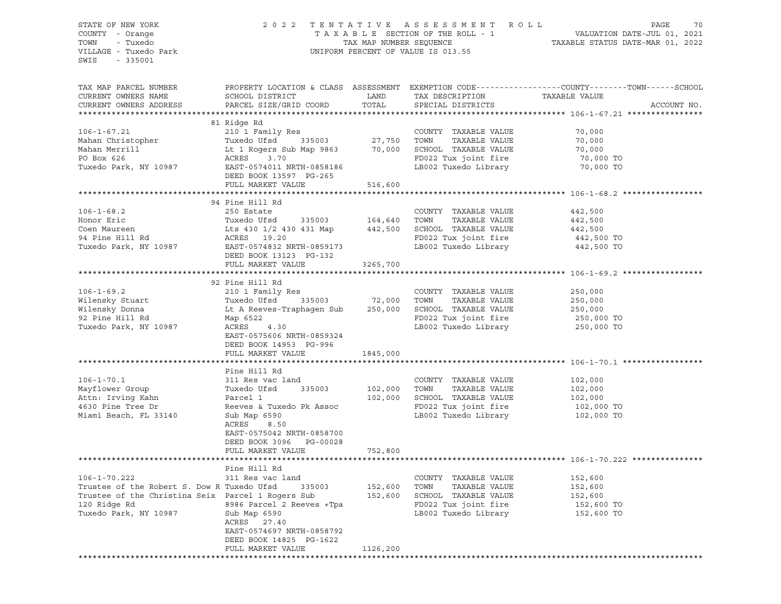STATE OF NEW YORK 2 0 2 2 T E N T A T I V E A S S E S S M E N T R O L L PAGE 70 COUNTY - Orange T A X A B L E SECTION OF THE ROLL - 1 VALUATION DATE-JUL 01, 2021 TOWN - Tuxedo TAX MAP NUMBER SEQUENCE TAXABLE STATUS DATE-MAR 01, 2022 UNIFORM PERCENT OF VALUE IS 013.55 SWIS - 335001 TAX MAP PARCEL NUMBER PROPERTY LOCATION & CLASS ASSESSMENT EXEMPTION CODE------------------COUNTY--------TOWN------SCHOOL CURRENT OWNERS NAME SCHOOL DISTRICT TAX DAND TAX DESCRIPTION TAXABLE VALUE CURRENT OWNERS ADDRESS PARCEL SIZE/GRID COORD TOTAL SPECIAL DISTRICTS ACCOUNT NO. \*\*\*\*\*\*\*\*\*\*\*\*\*\*\*\*\*\*\*\*\*\*\*\*\*\*\*\*\*\*\*\*\*\*\*\*\*\*\*\*\*\*\*\*\*\*\*\*\*\*\*\*\*\*\*\*\*\*\*\*\*\*\*\*\*\*\*\*\*\*\*\*\*\*\*\*\*\*\*\*\*\*\*\*\*\*\*\*\*\*\*\*\*\*\*\*\*\*\*\*\*\*\* 106-1-67.21 \*\*\*\*\*\*\*\*\*\*\*\*\*\*\*\* 81 Ridge Rd 106-1-67.21 210 1 Family Res COUNTY TAXABLE VALUE 70,000 Mahan Christopher Tuxedo Ufsd 335003 27,750 TOWN TAXABLE VALUE 70,000 Mahan Merrill Lt 1 Rogers Sub Map 9863 70,000 SCHOOL TAXABLE VALUE 70,000 PO Box 626 ACRES 3.70 FD022 Tux joint fire 70,000 TO Tuxedo Park, NY 10987 EAST-0574011 NRTH-0858186 LB002 Tuxedo Library 70,000 TO DEED BOOK 13597 PG-265 FULL MARKET VALUE 516,600 \*\*\*\*\*\*\*\*\*\*\*\*\*\*\*\*\*\*\*\*\*\*\*\*\*\*\*\*\*\*\*\*\*\*\*\*\*\*\*\*\*\*\*\*\*\*\*\*\*\*\*\*\*\*\*\*\*\*\*\*\*\*\*\*\*\*\*\*\*\*\*\*\*\*\*\*\*\*\*\*\*\*\*\*\*\*\*\*\*\*\*\*\*\*\*\*\*\*\*\*\*\*\* 106-1-68.2 \*\*\*\*\*\*\*\*\*\*\*\*\*\*\*\*\* 94 Pine Hill Rd 106-1-68.2 250 Estate COUNTY TAXABLE VALUE 442,500 Honor Eric Tuxedo Ufsd 335003 164,640 TOWN TAXABLE VALUE 442,500 Coen Maureen Lts 430 1/2 430 431 Map 442,500 SCHOOL TAXABLE VALUE 442,500 94 Pine Hill Rd ACRES 19.20 FD022 Tux joint fire 442,500 TO Tuxedo Park, NY 10987 EAST-0574832 NRTH-0859173 LB002 Tuxedo Library 442,500 TO DEED BOOK 13123 PG-132 FULL MARKET VALUE 3265,700 \*\*\*\*\*\*\*\*\*\*\*\*\*\*\*\*\*\*\*\*\*\*\*\*\*\*\*\*\*\*\*\*\*\*\*\*\*\*\*\*\*\*\*\*\*\*\*\*\*\*\*\*\*\*\*\*\*\*\*\*\*\*\*\*\*\*\*\*\*\*\*\*\*\*\*\*\*\*\*\*\*\*\*\*\*\*\*\*\*\*\*\*\*\*\*\*\*\*\*\*\*\*\* 106-1-69.2 \*\*\*\*\*\*\*\*\*\*\*\*\*\*\*\*\* 92 Pine Hill Rd 106-1-69.2 210 1 Family Res COUNTY TAXABLE VALUE 250,000 Wilensky Stuart Tuxedo Ufsd 335003 72,000 TOWN TAXABLE VALUE 250,000 Wilensky Donna Lt A Reeves-Traphagen Sub 250,000 SCHOOL TAXABLE VALUE 250,000 92 Pine Hill Rd Map 6522 FD022 Tux joint fire 250,000 TO Provide Park, NY 10987 Map 6522 Acres 4.30 RD022 Tuxedo Library 250,000 TO<br>Tuxedo Park, NY 10987 ACRES 4.30 LB002 Tuxedo Library 250,000 TO EAST-0575606 NRTH-0859324 DEED BOOK 14953 PG-996 FULL MARKET VALUE 1845,000 \*\*\*\*\*\*\*\*\*\*\*\*\*\*\*\*\*\*\*\*\*\*\*\*\*\*\*\*\*\*\*\*\*\*\*\*\*\*\*\*\*\*\*\*\*\*\*\*\*\*\*\*\*\*\*\*\*\*\*\*\*\*\*\*\*\*\*\*\*\*\*\*\*\*\*\*\*\*\*\*\*\*\*\*\*\*\*\*\*\*\*\*\*\*\*\*\*\*\*\*\*\*\* 106-1-70.1 \*\*\*\*\*\*\*\*\*\*\*\*\*\*\*\*\* Pine Hill Rd 106-1-70.1 311 Res vac land COUNTY TAXABLE VALUE 102,000 Mayflower Group Tuxedo Ufsd 335003 102,000 TOWN TAXABLE VALUE 102,000 Attn: Irving Kahn Parcel 1 102,000 SCHOOL TAXABLE VALUE 102,000 4630 Pine Tree Dr Reeves & Tuxedo Pk Assoc FD022 Tux joint fire 102,000 TO Miami Beach, FL 33140 Sub Map 6590 LB002 Tuxedo Library 102,000 TO Sub Map 6590<br>ACRES 8.50 EAST-0575042 NRTH-0858700 DEED BOOK 3096 PG-00028 FULL MARKET VALUE 752,800 \*\*\*\*\*\*\*\*\*\*\*\*\*\*\*\*\*\*\*\*\*\*\*\*\*\*\*\*\*\*\*\*\*\*\*\*\*\*\*\*\*\*\*\*\*\*\*\*\*\*\*\*\*\*\*\*\*\*\*\*\*\*\*\*\*\*\*\*\*\*\*\*\*\*\*\*\*\*\*\*\*\*\*\*\*\*\*\*\*\*\*\*\*\*\*\*\*\*\*\*\*\*\* 106-1-70.222 \*\*\*\*\*\*\*\*\*\*\*\*\*\*\* Pine Hill Rd 106-1-70.222 311 Res vac land COUNTY TAXABLE VALUE 152,600 Trustee of the Robert S. Dow R Tuxedo Ufsd 335003 152,600 TOWN TAXABLE VALUE 152,600 Trustee of the Christina Seix Parcel 1 Rogers Sub 152,600 SCHOOL TAXABLE VALUE 152,600 120 Ridge Rd 8986 Parcel 2 Reeves +Tpa FD022 Tux joint fire 152,600 TO Tuxedo Park, NY 10987 Sub Map 6590 LB002 Tuxedo Library 152,600 TO Sub Map 6590<br>ACRES 27.40 EAST-0574697 NRTH-0858792 DEED BOOK 14825 PG-1622 FULL MARKET VALUE 1126,200 \*\*\*\*\*\*\*\*\*\*\*\*\*\*\*\*\*\*\*\*\*\*\*\*\*\*\*\*\*\*\*\*\*\*\*\*\*\*\*\*\*\*\*\*\*\*\*\*\*\*\*\*\*\*\*\*\*\*\*\*\*\*\*\*\*\*\*\*\*\*\*\*\*\*\*\*\*\*\*\*\*\*\*\*\*\*\*\*\*\*\*\*\*\*\*\*\*\*\*\*\*\*\*\*\*\*\*\*\*\*\*\*\*\*\*\*\*\*\*\*\*\*\*\*\*\*\*\*\*\*\*\*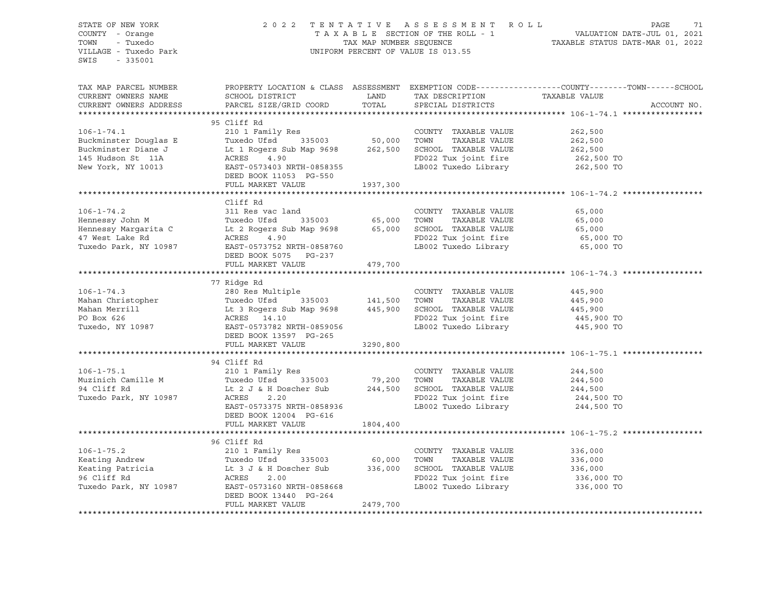| STATE OF NEW YORK<br>COUNTY - Orange<br>TOWN - Tuxedo<br>VILLAGE - Tuxedo Park<br>SWIS - 335001 |                                                                                                                                                                                                                                                        | 2022 TENTATIVE ASSESSMENT ROLL PAGE 71<br>TAXABLE SECTION OF THE ROLL - 1 VALUATION DATE-JUL 01, 2021<br>TAX MAP NUMBER SEQUENCE TAXABLE STATUS DATE-MAR 01, 2022<br>UNIFORM PERCENT OF VALUE IS 013.55 |                                                                                                                                                                  |                                                                                                                 |
|-------------------------------------------------------------------------------------------------|--------------------------------------------------------------------------------------------------------------------------------------------------------------------------------------------------------------------------------------------------------|---------------------------------------------------------------------------------------------------------------------------------------------------------------------------------------------------------|------------------------------------------------------------------------------------------------------------------------------------------------------------------|-----------------------------------------------------------------------------------------------------------------|
| TAX MAP PARCEL NUMBER                                                                           | CURRENT OWNERS NAME SCHOOL DISTRICT LAND TAX DESCRIPTION TAXABLE VALUE CURRENT OWNERS ADDRESS PARCEL SIZE/GRID COORD TOTAL SPECIAL DISTRICTS                                                                                                           |                                                                                                                                                                                                         |                                                                                                                                                                  | PROPERTY LOCATION & CLASS ASSESSMENT EXEMPTION CODE----------------COUNTY-------TOWN------SCHOOL<br>ACCOUNT NO. |
|                                                                                                 | 95 Cliff Rd                                                                                                                                                                                                                                            |                                                                                                                                                                                                         |                                                                                                                                                                  |                                                                                                                 |
|                                                                                                 |                                                                                                                                                                                                                                                        |                                                                                                                                                                                                         |                                                                                                                                                                  |                                                                                                                 |
|                                                                                                 |                                                                                                                                                                                                                                                        |                                                                                                                                                                                                         |                                                                                                                                                                  |                                                                                                                 |
|                                                                                                 |                                                                                                                                                                                                                                                        |                                                                                                                                                                                                         |                                                                                                                                                                  |                                                                                                                 |
|                                                                                                 |                                                                                                                                                                                                                                                        |                                                                                                                                                                                                         |                                                                                                                                                                  |                                                                                                                 |
|                                                                                                 |                                                                                                                                                                                                                                                        |                                                                                                                                                                                                         |                                                                                                                                                                  |                                                                                                                 |
|                                                                                                 |                                                                                                                                                                                                                                                        |                                                                                                                                                                                                         |                                                                                                                                                                  |                                                                                                                 |
|                                                                                                 | Cliff Rd                                                                                                                                                                                                                                               |                                                                                                                                                                                                         |                                                                                                                                                                  |                                                                                                                 |
|                                                                                                 |                                                                                                                                                                                                                                                        |                                                                                                                                                                                                         |                                                                                                                                                                  |                                                                                                                 |
|                                                                                                 |                                                                                                                                                                                                                                                        |                                                                                                                                                                                                         |                                                                                                                                                                  |                                                                                                                 |
|                                                                                                 |                                                                                                                                                                                                                                                        |                                                                                                                                                                                                         |                                                                                                                                                                  |                                                                                                                 |
|                                                                                                 |                                                                                                                                                                                                                                                        |                                                                                                                                                                                                         |                                                                                                                                                                  |                                                                                                                 |
|                                                                                                 |                                                                                                                                                                                                                                                        |                                                                                                                                                                                                         |                                                                                                                                                                  |                                                                                                                 |
|                                                                                                 | CHIT RO COUNTY TAXABLE VALUE 65,000<br>Hennessy John M Tuxedo Ufsd 335003 65,000 TOWN TAXABLE VALUE 65,000<br>Hennessy Margarita C Lt 2 Rogers Sub Map 9698 65,000 SCHOOL TAXABLE VALUE 65,000<br>47 West Lake Rd ACRES 4.90 FD022 T                   |                                                                                                                                                                                                         |                                                                                                                                                                  |                                                                                                                 |
|                                                                                                 |                                                                                                                                                                                                                                                        |                                                                                                                                                                                                         |                                                                                                                                                                  |                                                                                                                 |
|                                                                                                 | 77 Ridge Rd                                                                                                                                                                                                                                            |                                                                                                                                                                                                         |                                                                                                                                                                  |                                                                                                                 |
|                                                                                                 |                                                                                                                                                                                                                                                        |                                                                                                                                                                                                         |                                                                                                                                                                  |                                                                                                                 |
|                                                                                                 |                                                                                                                                                                                                                                                        |                                                                                                                                                                                                         |                                                                                                                                                                  |                                                                                                                 |
|                                                                                                 |                                                                                                                                                                                                                                                        |                                                                                                                                                                                                         |                                                                                                                                                                  |                                                                                                                 |
|                                                                                                 |                                                                                                                                                                                                                                                        |                                                                                                                                                                                                         |                                                                                                                                                                  |                                                                                                                 |
|                                                                                                 | 106-1-74.3<br>280 Res Multiple<br>280 Res Multiple<br>280 Res Multiple<br>280 Res Multiple<br>280 Res Multiple<br>280 Res Multiple<br>280 Res Multiple<br>280 Res Multiple<br>280 Res Multiple<br>280 Res Multiple<br>280 Res Multiple<br>280 2 TOWN T |                                                                                                                                                                                                         |                                                                                                                                                                  |                                                                                                                 |
|                                                                                                 | DEED BOOK 13597 PG-265<br>FULL MARKET VALUE 3290,800                                                                                                                                                                                                   |                                                                                                                                                                                                         |                                                                                                                                                                  |                                                                                                                 |
|                                                                                                 |                                                                                                                                                                                                                                                        |                                                                                                                                                                                                         |                                                                                                                                                                  |                                                                                                                 |
|                                                                                                 | 94 Cliff Rd                                                                                                                                                                                                                                            |                                                                                                                                                                                                         |                                                                                                                                                                  |                                                                                                                 |
| $106 - 1 - 75.1$                                                                                | 210 1 Family Res                                                                                                                                                                                                                                       |                                                                                                                                                                                                         | COUNTY TAXABLE VALUE                                                                                                                                             | 244,500                                                                                                         |
|                                                                                                 |                                                                                                                                                                                                                                                        |                                                                                                                                                                                                         |                                                                                                                                                                  |                                                                                                                 |
|                                                                                                 |                                                                                                                                                                                                                                                        |                                                                                                                                                                                                         |                                                                                                                                                                  |                                                                                                                 |
|                                                                                                 |                                                                                                                                                                                                                                                        |                                                                                                                                                                                                         |                                                                                                                                                                  |                                                                                                                 |
|                                                                                                 | 106-1-75.1 210 1 Family Res<br>210 1 Family Res<br>210 1 Family Res<br>210 1 Family Res<br>210 1 Family Res<br>210 1 Family Res<br>210 1 Family Res<br>210 1 Family Res<br>210 1 Family Res<br>210 2004 2001 2004 2000 2007<br>244,500 244,500<br>24   |                                                                                                                                                                                                         |                                                                                                                                                                  |                                                                                                                 |
|                                                                                                 | FULL MARKET VALUE 1804,400                                                                                                                                                                                                                             |                                                                                                                                                                                                         |                                                                                                                                                                  |                                                                                                                 |
|                                                                                                 |                                                                                                                                                                                                                                                        |                                                                                                                                                                                                         |                                                                                                                                                                  |                                                                                                                 |
|                                                                                                 | 96 Cliff Rd                                                                                                                                                                                                                                            |                                                                                                                                                                                                         |                                                                                                                                                                  |                                                                                                                 |
|                                                                                                 |                                                                                                                                                                                                                                                        |                                                                                                                                                                                                         |                                                                                                                                                                  |                                                                                                                 |
|                                                                                                 |                                                                                                                                                                                                                                                        |                                                                                                                                                                                                         |                                                                                                                                                                  |                                                                                                                 |
|                                                                                                 |                                                                                                                                                                                                                                                        |                                                                                                                                                                                                         |                                                                                                                                                                  |                                                                                                                 |
|                                                                                                 | 106-1-75.2<br>Keating Andrew Tuxedo Ufsd 335003 60,000 TOWN TAXABLE VALUE<br>Keating Patricia Lt 3 J & H Doscher Sub 336,000 SCHOOL TAXABLE VALUE<br>Tuxedo Park, NY 10987 EAST-0573160 NRTH-0858668 LB002 Tuxedo Library<br>Tuxedo Pa                 |                                                                                                                                                                                                         | COUNTY TAXABLE VALUE 336,000<br>TOWN TAXABLE VALUE 336,000<br>SCHOOL TAXABLE VALUE 336,000<br>FD022 Tux joint fire 336,000 TO<br>LB002 Tuxedo Library 336,000 TO |                                                                                                                 |
|                                                                                                 | DEED BOOK 13440 PG-264                                                                                                                                                                                                                                 |                                                                                                                                                                                                         |                                                                                                                                                                  |                                                                                                                 |
|                                                                                                 | FULL MARKET VALUE                                                                                                                                                                                                                                      | 2479,700                                                                                                                                                                                                |                                                                                                                                                                  |                                                                                                                 |
|                                                                                                 |                                                                                                                                                                                                                                                        |                                                                                                                                                                                                         |                                                                                                                                                                  |                                                                                                                 |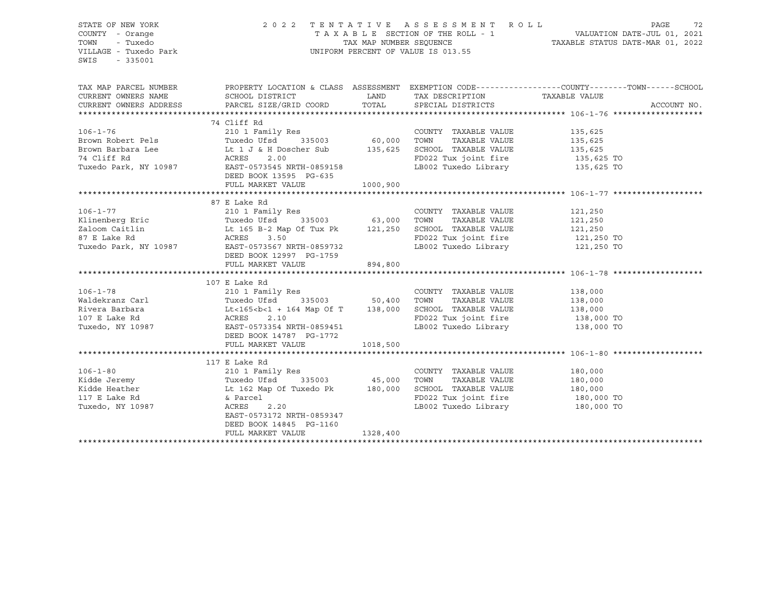| STATE OF NEW YORK<br>COUNTY - Orange<br>TOWN<br>- Tuxedo<br>VILLAGE - Tuxedo Park<br>SWIS<br>$-335001$ | 2022 TENTATIVE ASSESSMENT ROLL<br>T A X A B L E SECTION OF THE ROLL - 1 VALUATION DATE-JUL 01, 2021<br>TAX MAP NUMBER SEQUENCE TAXABLE STATUS DATE-MAR 01, 2022<br>UNIFORM PERCENT OF VALUE IS 013.55                                                              |          |                                                                    | PAGE<br>72            |             |  |
|--------------------------------------------------------------------------------------------------------|--------------------------------------------------------------------------------------------------------------------------------------------------------------------------------------------------------------------------------------------------------------------|----------|--------------------------------------------------------------------|-----------------------|-------------|--|
| TAX MAP PARCEL NUMBER                                                                                  | PROPERTY LOCATION & CLASS ASSESSMENT EXEMPTION CODE---------------COUNTY-------TOWN------SCHOOL                                                                                                                                                                    | LAND     |                                                                    |                       |             |  |
| CURRENT OWNERS NAME<br>CURRENT OWNERS ADDRESS                                                          | SCHOOL DISTRICT                                                                                                                                                                                                                                                    |          | TAX DESCRIPTION TAXABLE VALUE                                      |                       | ACCOUNT NO. |  |
|                                                                                                        |                                                                                                                                                                                                                                                                    |          |                                                                    |                       |             |  |
|                                                                                                        | 74 Cliff Rd                                                                                                                                                                                                                                                        |          |                                                                    |                       |             |  |
| $106 - 1 - 76$                                                                                         | 210 1 Family Res                                                                                                                                                                                                                                                   |          | COUNTY TAXABLE VALUE                                               | 135,625               |             |  |
|                                                                                                        |                                                                                                                                                                                                                                                                    |          |                                                                    | 135,625<br>135,625    |             |  |
|                                                                                                        |                                                                                                                                                                                                                                                                    |          |                                                                    |                       |             |  |
|                                                                                                        |                                                                                                                                                                                                                                                                    |          | FD022 Tux joint fire 135,625 TO<br>LB002 Tuxedo Library 135,625 TO |                       |             |  |
|                                                                                                        | Erown Robert Pels<br>Brown Barbara Lee<br>Brown Barbara Lee<br>Tuxedo Ufsd 335003 60,000 TOWN TAXABLE VALUE<br>Tuxedo Park, NY 10987 EAST-0573545 NRTH-0859158 LB002 Tuxedo Library<br>Tuxedo Park, NY 10987 EAST-0573545 NRTH-0859158 L<br>DEED BOOK 13595 PG-635 |          | LB002 Tuxedo Library                                               |                       |             |  |
|                                                                                                        | FULL MARKET VALUE 1000,900                                                                                                                                                                                                                                         |          |                                                                    |                       |             |  |
|                                                                                                        |                                                                                                                                                                                                                                                                    |          |                                                                    |                       |             |  |
|                                                                                                        | 87 E Lake Rd                                                                                                                                                                                                                                                       |          |                                                                    |                       |             |  |
| $106 - 1 - 77$                                                                                         | 210 1 Family Res                                                                                                                                                                                                                                                   |          | COUNTY TAXABLE VALUE                                               | 121,250               |             |  |
|                                                                                                        |                                                                                                                                                                                                                                                                    |          | TAXABLE VALUE                                                      | 121,250<br>121,250    |             |  |
|                                                                                                        |                                                                                                                                                                                                                                                                    |          | FD022 Tux joint fire 121,250 TO                                    |                       |             |  |
|                                                                                                        | Example the countries and the countries of the countries of the countries of the countries of the countries of the countries of the countries of the countries of the countries of the countries of the countries of the count                                     |          | LB002 Tuxedo Library                                               | 121,250 TO            |             |  |
|                                                                                                        | DEED BOOK 12997 PG-1759                                                                                                                                                                                                                                            |          |                                                                    |                       |             |  |
|                                                                                                        | FULL MARKET VALUE 894,800                                                                                                                                                                                                                                          |          |                                                                    |                       |             |  |
|                                                                                                        |                                                                                                                                                                                                                                                                    |          |                                                                    |                       |             |  |
|                                                                                                        | 107 E Lake Rd                                                                                                                                                                                                                                                      |          |                                                                    |                       |             |  |
| $106 - 1 - 78$                                                                                         | 210 1 Family Res                                                                                                                                                                                                                                                   |          | COUNTY TAXABLE VALUE                                               | 138,000               |             |  |
| Waldekranz Carl<br>Rivera Barbara<br>107 E Lake Rd                                                     | Tuxedo Ufsd 335003 50,400                                                                                                                                                                                                                                          |          | TOWN                                                               | TAXABLE VALUE 138,000 |             |  |
|                                                                                                        | $Lt < 165 < b < 1 + 164$ Map Of T 138,000                                                                                                                                                                                                                          |          | SCHOOL TAXABLE VALUE                                               | 138,000               |             |  |
|                                                                                                        | ACRES<br>2.10                                                                                                                                                                                                                                                      |          | FD022 Tux joint fire 138,000 TO                                    |                       |             |  |
| Tuxedo, NY 10987                                                                                       | EAST-0573354 NRTH-0859451                                                                                                                                                                                                                                          |          | LB002 Tuxedo Library 138,000 TO                                    |                       |             |  |
|                                                                                                        | DEED BOOK 14787 PG-1772                                                                                                                                                                                                                                            |          |                                                                    |                       |             |  |
|                                                                                                        | FULL MARKET VALUE                                                                                                                                                                                                                                                  | 1018,500 |                                                                    |                       |             |  |
|                                                                                                        | 117 E Lake Rd                                                                                                                                                                                                                                                      |          |                                                                    |                       |             |  |
| $106 - 1 - 80$                                                                                         | 210 1 Family Res                                                                                                                                                                                                                                                   |          | COUNTY TAXABLE VALUE                                               | 180,000               |             |  |
|                                                                                                        |                                                                                                                                                                                                                                                                    |          | TOWN<br>TAXABLE VALUE                                              | 180,000               |             |  |
|                                                                                                        |                                                                                                                                                                                                                                                                    |          |                                                                    |                       |             |  |
|                                                                                                        | Fidde Jeremy<br>Function Used Used Used USB 335003 45,000<br>Kidde Heather Lt 162 Map Of Tuxedo Pk 180,000<br>117 E Lake Rd & Parcel<br>& Parcel                                                                                                                   |          | SCHOOL TAXABLE VALUE 180,000<br>FD022 Tux ioint fire 180,000 TO    |                       |             |  |
| Tuxedo, NY 10987                                                                                       | ACRES<br>2.20                                                                                                                                                                                                                                                      |          | LB002 Tuxedo Library 180,000 TO                                    |                       |             |  |
|                                                                                                        | EAST-0573172 NRTH-0859347                                                                                                                                                                                                                                          |          |                                                                    |                       |             |  |
|                                                                                                        | DEED BOOK 14845 PG-1160                                                                                                                                                                                                                                            |          |                                                                    |                       |             |  |
|                                                                                                        | FULL MARKET VALUE                                                                                                                                                                                                                                                  | 1328,400 |                                                                    |                       |             |  |
|                                                                                                        |                                                                                                                                                                                                                                                                    |          |                                                                    |                       |             |  |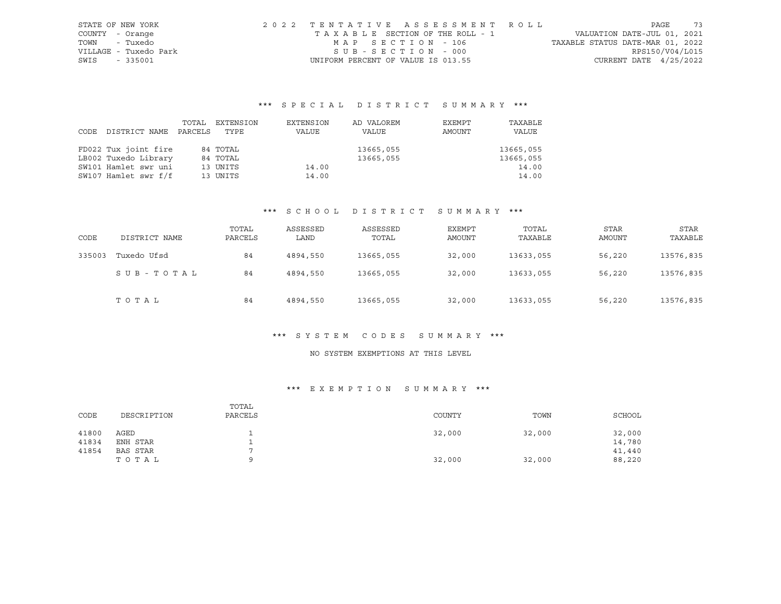| STATE OF NEW YORK     |  | 2022 TENTATIVE ASSESSMENT ROLL     |  |                                  |                          | PAGE | 73 |
|-----------------------|--|------------------------------------|--|----------------------------------|--------------------------|------|----|
| COUNTY - Orange       |  | TAXABLE SECTION OF THE ROLL - 1    |  | VALUATION DATE-JUL 01, 2021      |                          |      |    |
| TOWN - Tuxedo         |  | MAP SECTION - 106                  |  | TAXABLE STATUS DATE-MAR 01, 2022 |                          |      |    |
| VILLAGE - Tuxedo Park |  | SUB-SECTION - 000                  |  |                                  | RPS150/V04/L015          |      |    |
| SWIS - 335001         |  | UNIFORM PERCENT OF VALUE IS 013.55 |  |                                  | CURRENT DATE $4/25/2022$ |      |    |

# \*\*\* S P E C I A L D I S T R I C T S U M M A R Y \*\*\*

|      |                      | TOTAL   | EXTENSION | EXTENSION | AD VALOREM | EXEMPT | TAXABLE   |
|------|----------------------|---------|-----------|-----------|------------|--------|-----------|
| CODE | DISTRICT NAME        | PARCELS | TYPE      | VALUE     | VALUE      | AMOUNT | VALUE     |
|      |                      |         |           |           |            |        |           |
|      | FD022 Tux joint fire |         | 84 TOTAL  |           | 13665,055  |        | 13665,055 |
|      | LB002 Tuxedo Library |         | 84 TOTAL  |           | 13665,055  |        | 13665,055 |
|      | SW101 Hamlet swr uni |         | 13 UNITS  | 14.00     |            |        | 14.00     |
|      | SW107 Hamlet swr f/f |         | 13 UNITS  | 14.00     |            |        | 14.00     |

#### \*\*\* S C H O O L D I S T R I C T S U M M A R Y \*\*\*

| CODE   | DISTRICT NAME | TOTAL<br>PARCELS | ASSESSED<br>LAND | ASSESSED<br>TOTAL | EXEMPT<br>AMOUNT | TOTAL<br>TAXABLE | <b>STAR</b><br><b>AMOUNT</b> | STAR<br>TAXABLE |
|--------|---------------|------------------|------------------|-------------------|------------------|------------------|------------------------------|-----------------|
| 335003 | Tuxedo Ufsd   | 84               | 4894,550         | 13665,055         | 32,000           | 13633,055        | 56,220                       | 13576,835       |
|        | SUB-TOTAL     | 84               | 4894,550         | 13665,055         | 32,000           | 13633,055        | 56,220                       | 13576,835       |
|        | TOTAL         | 84               | 4894,550         | 13665,055         | 32,000           | 13633,055        | 56,220                       | 13576,835       |

#### \*\*\* S Y S T E M C O D E S S U M M A R Y \*\*\*

### NO SYSTEM EXEMPTIONS AT THIS LEVEL

| CODE  | DESCRIPTION | TOTAL<br>PARCELS | COUNTY | TOWN   | SCHOOL |
|-------|-------------|------------------|--------|--------|--------|
| 41800 | AGED        |                  | 32,000 | 32,000 | 32,000 |
| 41834 | ENH STAR    |                  |        |        | 14,780 |
| 41854 | BAS STAR    |                  |        |        | 41,440 |
|       | TOTAL       |                  | 32,000 | 32,000 | 88,220 |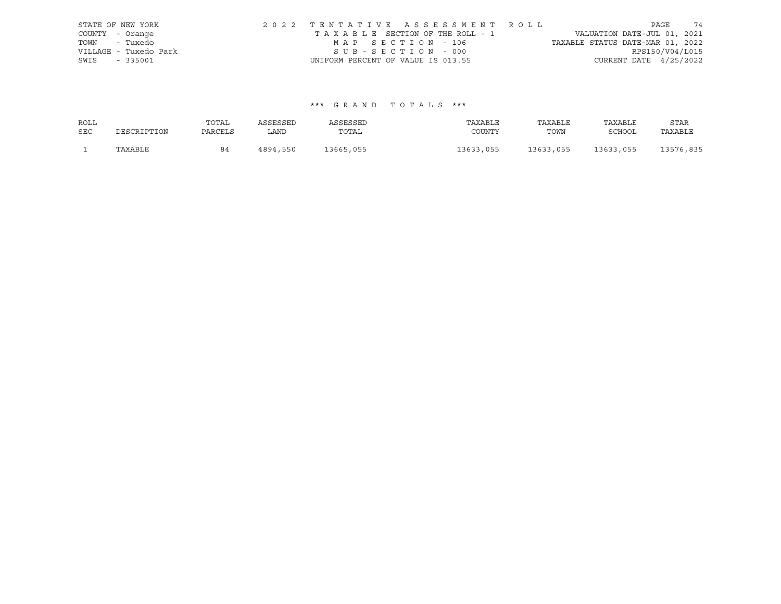|                 | STATE OF NEW YORK     |                                    |  | 2022 TENTATIVE ASSESSMENT ROLL  |                                  |                          | PAGE | 74 |
|-----------------|-----------------------|------------------------------------|--|---------------------------------|----------------------------------|--------------------------|------|----|
| COUNTY - Orange |                       |                                    |  | TAXABLE SECTION OF THE ROLL - 1 | VALUATION DATE-JUL 01, 2021      |                          |      |    |
|                 | TOWN - Tuxedo         | MAP SECTION - 106                  |  |                                 | TAXABLE STATUS DATE-MAR 01, 2022 |                          |      |    |
|                 | VILLAGE - Tuxedo Park | SUB-SECTION - 000                  |  |                                 |                                  | RPS150/V04/L015          |      |    |
| SWIS - 335001   |                       | UNIFORM PERCENT OF VALUE IS 013.55 |  |                                 |                                  | CURRENT DATE $4/25/2022$ |      |    |

| ROLL       |             | TOTAL   | ASSESSED | ASSESSED  | TAXABLE   | TAXABLE   | TAXABLE   | STAR      |
|------------|-------------|---------|----------|-----------|-----------|-----------|-----------|-----------|
| <b>SEC</b> | DESCRIPTION | PARCELS | LAND     | TOTAL     | COUNTY    | TOWN      | SCHOOL    | TAXABLE   |
|            | TAXABLE     | 84      | 4894,550 | 13665,055 | 13633,055 | 13633,055 | 13633,055 | 13576,835 |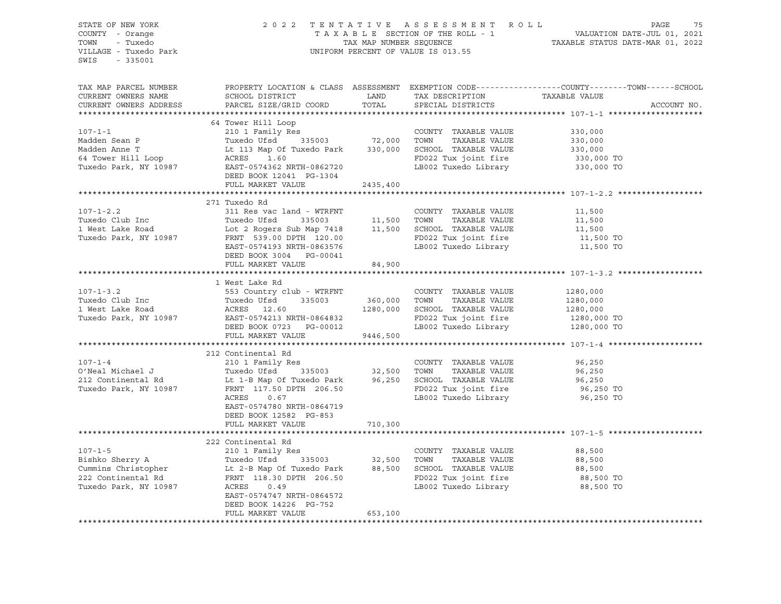| STATE OF NEW YORK<br>COUNTY - Orange<br>TOWN - Tuxedo<br>VILLAGE - Tuxedo Park<br>SWIS - 335001                                                                                                                                                           |                                                                                    |         | UNIFORM PERCENT OF VALUE IS 013.55                                                                                               | 2022 TENTATIVE ASSESSMENT ROLL PAGE 75<br>TAXABLE SECTION OF THE ROLL - 1 VALUATION DATE-JUL 01, 2021<br>TAX MAP NUMBER SEQUENCE TAXABLE STATUS DATE-MAR 01, 2022 |
|-----------------------------------------------------------------------------------------------------------------------------------------------------------------------------------------------------------------------------------------------------------|------------------------------------------------------------------------------------|---------|----------------------------------------------------------------------------------------------------------------------------------|-------------------------------------------------------------------------------------------------------------------------------------------------------------------|
| TAX MAP PARCEL NUMBER<br>CURRENT OWNERS NAME<br>CURRENT OWNERS ADDRESS                                                                                                                                                                                    | SCHOOL DISTRICT<br>PARCEL SIZE/GRID COORD                                          |         | LAND TAX DESCRIPTION TAXABLE VALUE COORD TOTAL SPECIAL DISTRICTS                                                                 | PROPERTY LOCATION & CLASS ASSESSMENT EXEMPTION CODE----------------COUNTY-------TOWN------SCHOOL<br>ACCOUNT NO.                                                   |
| Nadden Sean P<br>Madden Sean P<br>Madden Anne T<br>Madden Anne T<br>Madden Anne T<br>Madden Anne T<br>Le 113 Map Of Tuxedo Park<br>Tuxedo Park, NY 10987<br>EXABLE VALUE<br>Tuxedo Park, NY 10987<br>DEED BOOK 12041<br>PG-1304<br>TAXABLE VALUE<br>FD02  |                                                                                    |         |                                                                                                                                  |                                                                                                                                                                   |
|                                                                                                                                                                                                                                                           |                                                                                    |         |                                                                                                                                  |                                                                                                                                                                   |
|                                                                                                                                                                                                                                                           |                                                                                    |         | COUNTY TAXABLE VALUE 330,000                                                                                                     |                                                                                                                                                                   |
|                                                                                                                                                                                                                                                           |                                                                                    |         |                                                                                                                                  |                                                                                                                                                                   |
|                                                                                                                                                                                                                                                           |                                                                                    |         |                                                                                                                                  |                                                                                                                                                                   |
|                                                                                                                                                                                                                                                           |                                                                                    |         | TOWN TAXABLE VALUE 330,000<br>SCHOOL TAXABLE VALUE 330,000<br>FD022 Tux joint fire 330,000 TO<br>LB002 Tuxedo Library 330,000 TO |                                                                                                                                                                   |
|                                                                                                                                                                                                                                                           |                                                                                    |         |                                                                                                                                  |                                                                                                                                                                   |
|                                                                                                                                                                                                                                                           | FULL MARKET VALUE                                                                  |         |                                                                                                                                  |                                                                                                                                                                   |
|                                                                                                                                                                                                                                                           |                                                                                    |         |                                                                                                                                  |                                                                                                                                                                   |
|                                                                                                                                                                                                                                                           | 271 Tuxedo Rd                                                                      |         |                                                                                                                                  |                                                                                                                                                                   |
| 107-1-2.2<br>Tuxedo Club Inc<br>1 West Lake Road<br>1 West Lake Road<br>1 West Lake Road<br>1 West Lake Road<br>1 West Lake Road<br>1 Mest Lake Road<br>1 Lot 2 Rogers Sub Map 7418<br>2 Rogers Sub Map 7418<br>11,500<br>2 ROAD<br>2 ROAD<br>2 ROAD<br>2 |                                                                                    |         |                                                                                                                                  |                                                                                                                                                                   |
|                                                                                                                                                                                                                                                           |                                                                                    |         |                                                                                                                                  |                                                                                                                                                                   |
|                                                                                                                                                                                                                                                           |                                                                                    |         | COUNTY TAXABLE VALUE 11,500<br>TOWN TAXABLE VALUE 11,500<br>SCHOOL TAXABLE VALUE 11,500                                          |                                                                                                                                                                   |
|                                                                                                                                                                                                                                                           |                                                                                    |         |                                                                                                                                  |                                                                                                                                                                   |
|                                                                                                                                                                                                                                                           |                                                                                    |         |                                                                                                                                  | 11,500 TO<br>11,500 TO                                                                                                                                            |
|                                                                                                                                                                                                                                                           | DEED BOOK 3004 PG-00041                                                            |         |                                                                                                                                  |                                                                                                                                                                   |
|                                                                                                                                                                                                                                                           | FULL MARKET VALUE                                                                  | 84,900  |                                                                                                                                  |                                                                                                                                                                   |
|                                                                                                                                                                                                                                                           |                                                                                    |         |                                                                                                                                  |                                                                                                                                                                   |
|                                                                                                                                                                                                                                                           |                                                                                    |         |                                                                                                                                  |                                                                                                                                                                   |
|                                                                                                                                                                                                                                                           |                                                                                    |         | COUNTY TAXABLE VALUE                                                                                                             | 1280,000                                                                                                                                                          |
|                                                                                                                                                                                                                                                           |                                                                                    |         | TAXABLE VALUE                                                                                                                    | 1280,000                                                                                                                                                          |
|                                                                                                                                                                                                                                                           |                                                                                    |         | 1280,000 SCHOOL TAXABLE VALUE                                                                                                    |                                                                                                                                                                   |
|                                                                                                                                                                                                                                                           |                                                                                    |         | SCHOOL TAXABLE VALUE 1280,000<br>FD022 Tux joint fire 1280,000 TO<br>LB002 Tuxedo Library 1280,000 TO                            |                                                                                                                                                                   |
| Tuxedo Club Inc (1998) and the Rd (1998) and the Material State Rd (1998) and Tuxedo Ufsd (1998) and the Material State Road (1998) and the Material State Road (1998) and the Material State Road (1998) and the Material Sta                            | EAST-0574213 NRTH-0864832<br>DEED BOOK 0723 PG-00012<br>FULL MARKET VALUE 9446,500 |         |                                                                                                                                  |                                                                                                                                                                   |
|                                                                                                                                                                                                                                                           |                                                                                    |         |                                                                                                                                  |                                                                                                                                                                   |
|                                                                                                                                                                                                                                                           | 212 Continental Rd                                                                 |         |                                                                                                                                  |                                                                                                                                                                   |
|                                                                                                                                                                                                                                                           |                                                                                    |         | COUNTY TAXABLE VALUE 96,250                                                                                                      |                                                                                                                                                                   |
|                                                                                                                                                                                                                                                           |                                                                                    |         |                                                                                                                                  | 96,250                                                                                                                                                            |
|                                                                                                                                                                                                                                                           |                                                                                    |         |                                                                                                                                  |                                                                                                                                                                   |
| 212 Continental Rd<br>212 Continental Rd<br>212 Continental Rd<br>212 Continental Rd<br>212 Continental Rd<br>212 Continental Rd<br>212 Continental Rd<br>212 Continental Rd<br>212 Continental Rd<br>212 Continental Rd<br>212 Continental Rd<br>21      |                                                                                    |         |                                                                                                                                  | 96,250<br>96,250 TO                                                                                                                                               |
|                                                                                                                                                                                                                                                           | ACRES 0.67                                                                         |         | LB002 Tuxedo Library                                                                                                             | 96,250 TO                                                                                                                                                         |
|                                                                                                                                                                                                                                                           | EAST-0574780 NRTH-0864719                                                          |         |                                                                                                                                  |                                                                                                                                                                   |
|                                                                                                                                                                                                                                                           | DEED BOOK 12582 PG-853                                                             |         |                                                                                                                                  |                                                                                                                                                                   |
|                                                                                                                                                                                                                                                           | FULL MARKET VALUE                                                                  | 710,300 |                                                                                                                                  |                                                                                                                                                                   |
|                                                                                                                                                                                                                                                           |                                                                                    |         |                                                                                                                                  |                                                                                                                                                                   |
|                                                                                                                                                                                                                                                           |                                                                                    |         |                                                                                                                                  |                                                                                                                                                                   |
|                                                                                                                                                                                                                                                           |                                                                                    |         |                                                                                                                                  | 88,500                                                                                                                                                            |
|                                                                                                                                                                                                                                                           |                                                                                    |         |                                                                                                                                  | 88,500                                                                                                                                                            |
|                                                                                                                                                                                                                                                           |                                                                                    |         |                                                                                                                                  | 88,500<br>88,500 TO                                                                                                                                               |
|                                                                                                                                                                                                                                                           |                                                                                    |         |                                                                                                                                  |                                                                                                                                                                   |
| 107-1-5<br>210 1 Family Res<br>210 1 Family Res<br>210 1 Family Res<br>210 1 Family Res<br>22,500 TOWN TAXABLE VALUE<br>22 Continental Rd<br>22 Continental Rd<br>22 Continental Rd<br>22 Continental Rd<br>22 Continental Rd<br>22 Continental Rd<br>    |                                                                                    |         |                                                                                                                                  | 88,500 TO                                                                                                                                                         |
|                                                                                                                                                                                                                                                           | EAST-0574747 NRTH-0864572                                                          |         |                                                                                                                                  |                                                                                                                                                                   |
|                                                                                                                                                                                                                                                           | DEED BOOK 14226 PG-752                                                             |         |                                                                                                                                  |                                                                                                                                                                   |
|                                                                                                                                                                                                                                                           | FULL MARKET VALUE                                                                  | 653,100 |                                                                                                                                  |                                                                                                                                                                   |
|                                                                                                                                                                                                                                                           |                                                                                    |         |                                                                                                                                  |                                                                                                                                                                   |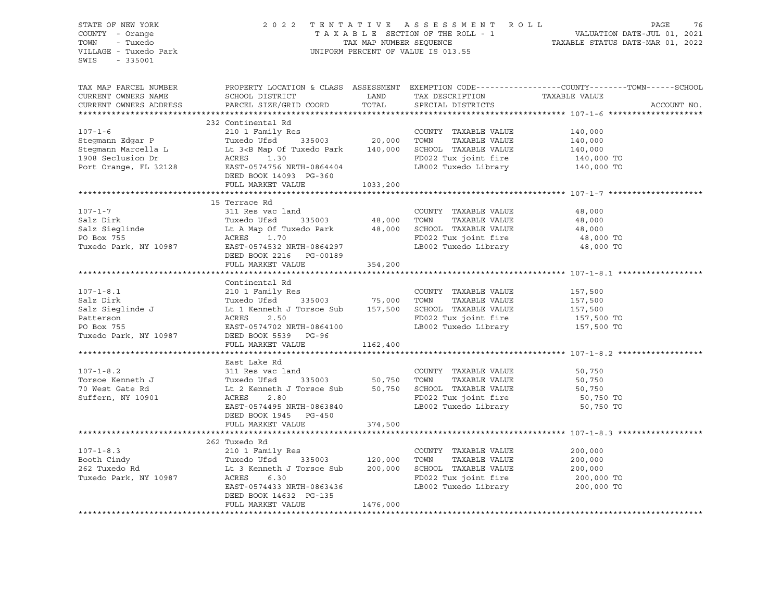|                                                                                                                                                                                                                                                | $\begin{array}{cccccccccccccc} \texttt{STATE OF NEW YORK} & & & & & & & & & 2\ 0 & 2 & 0 & 2 & 2 & 7 & \texttt{E} & \texttt{N T A T I V E} & & & & & & & & \texttt{A S S E S S M E N T R O L L} & & & & & & & & & \texttt{PAGE} & & & & \texttt{76} \\ \texttt{COUNTY} & - & \texttt{Orange} & & & & & & & & & \texttt{T A X A B L E} & & \texttt{SECTION OF THE ROLL} & - & & & & & & & \texttt{VALUATION DATE-JUL O1, 2021} \\ & & & & & & & & & & & & \texttt{T A X A$ |          |  |                                                                                                                            |  |  |  |  |
|------------------------------------------------------------------------------------------------------------------------------------------------------------------------------------------------------------------------------------------------|---------------------------------------------------------------------------------------------------------------------------------------------------------------------------------------------------------------------------------------------------------------------------------------------------------------------------------------------------------------------------------------------------------------------------------------------------------------------------|----------|--|----------------------------------------------------------------------------------------------------------------------------|--|--|--|--|
|                                                                                                                                                                                                                                                |                                                                                                                                                                                                                                                                                                                                                                                                                                                                           |          |  |                                                                                                                            |  |  |  |  |
| SWIS - 335001                                                                                                                                                                                                                                  |                                                                                                                                                                                                                                                                                                                                                                                                                                                                           |          |  |                                                                                                                            |  |  |  |  |
|                                                                                                                                                                                                                                                |                                                                                                                                                                                                                                                                                                                                                                                                                                                                           |          |  |                                                                                                                            |  |  |  |  |
|                                                                                                                                                                                                                                                |                                                                                                                                                                                                                                                                                                                                                                                                                                                                           |          |  |                                                                                                                            |  |  |  |  |
|                                                                                                                                                                                                                                                |                                                                                                                                                                                                                                                                                                                                                                                                                                                                           |          |  | TAX MAP PARCEL NUMBER THE PROPERTY LOCATION & CLASS ASSESSMENT EXEMPTION CODE---------------COUNTY--------TOWN------SCHOOL |  |  |  |  |
| CURRENT OWNERS NAME                                                                                                                                                                                                                            |                                                                                                                                                                                                                                                                                                                                                                                                                                                                           |          |  |                                                                                                                            |  |  |  |  |
| CURRENT OWNERS ADDRESS                                                                                                                                                                                                                         |                                                                                                                                                                                                                                                                                                                                                                                                                                                                           |          |  | ACCOUNT NO.                                                                                                                |  |  |  |  |
|                                                                                                                                                                                                                                                |                                                                                                                                                                                                                                                                                                                                                                                                                                                                           |          |  |                                                                                                                            |  |  |  |  |
|                                                                                                                                                                                                                                                | 232 Continental Rd                                                                                                                                                                                                                                                                                                                                                                                                                                                        |          |  |                                                                                                                            |  |  |  |  |
|                                                                                                                                                                                                                                                |                                                                                                                                                                                                                                                                                                                                                                                                                                                                           |          |  |                                                                                                                            |  |  |  |  |
|                                                                                                                                                                                                                                                |                                                                                                                                                                                                                                                                                                                                                                                                                                                                           |          |  |                                                                                                                            |  |  |  |  |
|                                                                                                                                                                                                                                                |                                                                                                                                                                                                                                                                                                                                                                                                                                                                           |          |  |                                                                                                                            |  |  |  |  |
|                                                                                                                                                                                                                                                |                                                                                                                                                                                                                                                                                                                                                                                                                                                                           |          |  |                                                                                                                            |  |  |  |  |
|                                                                                                                                                                                                                                                |                                                                                                                                                                                                                                                                                                                                                                                                                                                                           |          |  |                                                                                                                            |  |  |  |  |
|                                                                                                                                                                                                                                                |                                                                                                                                                                                                                                                                                                                                                                                                                                                                           |          |  |                                                                                                                            |  |  |  |  |
|                                                                                                                                                                                                                                                |                                                                                                                                                                                                                                                                                                                                                                                                                                                                           |          |  |                                                                                                                            |  |  |  |  |
|                                                                                                                                                                                                                                                |                                                                                                                                                                                                                                                                                                                                                                                                                                                                           |          |  |                                                                                                                            |  |  |  |  |
|                                                                                                                                                                                                                                                |                                                                                                                                                                                                                                                                                                                                                                                                                                                                           |          |  |                                                                                                                            |  |  |  |  |
|                                                                                                                                                                                                                                                | 15 Terrace Rd                                                                                                                                                                                                                                                                                                                                                                                                                                                             |          |  |                                                                                                                            |  |  |  |  |
|                                                                                                                                                                                                                                                |                                                                                                                                                                                                                                                                                                                                                                                                                                                                           |          |  |                                                                                                                            |  |  |  |  |
|                                                                                                                                                                                                                                                |                                                                                                                                                                                                                                                                                                                                                                                                                                                                           |          |  |                                                                                                                            |  |  |  |  |
|                                                                                                                                                                                                                                                |                                                                                                                                                                                                                                                                                                                                                                                                                                                                           |          |  |                                                                                                                            |  |  |  |  |
|                                                                                                                                                                                                                                                |                                                                                                                                                                                                                                                                                                                                                                                                                                                                           |          |  |                                                                                                                            |  |  |  |  |
|                                                                                                                                                                                                                                                |                                                                                                                                                                                                                                                                                                                                                                                                                                                                           |          |  |                                                                                                                            |  |  |  |  |
|                                                                                                                                                                                                                                                |                                                                                                                                                                                                                                                                                                                                                                                                                                                                           |          |  |                                                                                                                            |  |  |  |  |
|                                                                                                                                                                                                                                                |                                                                                                                                                                                                                                                                                                                                                                                                                                                                           |          |  |                                                                                                                            |  |  |  |  |
| 107-1-8.1 Continental Rd<br>210 107-1-8.1 Continental Rd<br>210 16 210 17 120 16 335003<br>210 17 120 16 335003<br>210 17 120 16 335003<br>216 11 120 16 335003<br>216 11 120 16 16 20 16 20 16 20 16 20 16 16 20 16 16 17,500<br>2.50 20 16   |                                                                                                                                                                                                                                                                                                                                                                                                                                                                           |          |  |                                                                                                                            |  |  |  |  |
|                                                                                                                                                                                                                                                |                                                                                                                                                                                                                                                                                                                                                                                                                                                                           |          |  |                                                                                                                            |  |  |  |  |
|                                                                                                                                                                                                                                                |                                                                                                                                                                                                                                                                                                                                                                                                                                                                           |          |  |                                                                                                                            |  |  |  |  |
|                                                                                                                                                                                                                                                |                                                                                                                                                                                                                                                                                                                                                                                                                                                                           |          |  |                                                                                                                            |  |  |  |  |
|                                                                                                                                                                                                                                                |                                                                                                                                                                                                                                                                                                                                                                                                                                                                           |          |  |                                                                                                                            |  |  |  |  |
|                                                                                                                                                                                                                                                |                                                                                                                                                                                                                                                                                                                                                                                                                                                                           |          |  |                                                                                                                            |  |  |  |  |
|                                                                                                                                                                                                                                                |                                                                                                                                                                                                                                                                                                                                                                                                                                                                           |          |  |                                                                                                                            |  |  |  |  |
|                                                                                                                                                                                                                                                |                                                                                                                                                                                                                                                                                                                                                                                                                                                                           |          |  |                                                                                                                            |  |  |  |  |
|                                                                                                                                                                                                                                                | FULL MARKET VALUE 1162,400                                                                                                                                                                                                                                                                                                                                                                                                                                                |          |  |                                                                                                                            |  |  |  |  |
|                                                                                                                                                                                                                                                |                                                                                                                                                                                                                                                                                                                                                                                                                                                                           |          |  |                                                                                                                            |  |  |  |  |
| East Lake Rd<br>107-1-8.2 311 Res vac land<br>Torsoe Kenneth J Torsoe Sub 50,750 TOWN TAXABLE VALUE 50,750<br>70 West Gate Rd Lt 2 Kenneth J Torsoe Sub 50,750 TOWN TAXABLE VALUE 50,750<br>50,750 TOWN TAXABLE VALUE 50,750<br>50,750 T       |                                                                                                                                                                                                                                                                                                                                                                                                                                                                           |          |  |                                                                                                                            |  |  |  |  |
|                                                                                                                                                                                                                                                |                                                                                                                                                                                                                                                                                                                                                                                                                                                                           |          |  |                                                                                                                            |  |  |  |  |
|                                                                                                                                                                                                                                                |                                                                                                                                                                                                                                                                                                                                                                                                                                                                           |          |  |                                                                                                                            |  |  |  |  |
|                                                                                                                                                                                                                                                |                                                                                                                                                                                                                                                                                                                                                                                                                                                                           |          |  |                                                                                                                            |  |  |  |  |
|                                                                                                                                                                                                                                                |                                                                                                                                                                                                                                                                                                                                                                                                                                                                           |          |  |                                                                                                                            |  |  |  |  |
|                                                                                                                                                                                                                                                |                                                                                                                                                                                                                                                                                                                                                                                                                                                                           |          |  |                                                                                                                            |  |  |  |  |
|                                                                                                                                                                                                                                                |                                                                                                                                                                                                                                                                                                                                                                                                                                                                           |          |  |                                                                                                                            |  |  |  |  |
|                                                                                                                                                                                                                                                |                                                                                                                                                                                                                                                                                                                                                                                                                                                                           |          |  |                                                                                                                            |  |  |  |  |
|                                                                                                                                                                                                                                                | FULL MARKET VALUE 374,500                                                                                                                                                                                                                                                                                                                                                                                                                                                 |          |  |                                                                                                                            |  |  |  |  |
|                                                                                                                                                                                                                                                |                                                                                                                                                                                                                                                                                                                                                                                                                                                                           |          |  |                                                                                                                            |  |  |  |  |
|                                                                                                                                                                                                                                                | 262 Tuxedo Rd                                                                                                                                                                                                                                                                                                                                                                                                                                                             |          |  |                                                                                                                            |  |  |  |  |
|                                                                                                                                                                                                                                                |                                                                                                                                                                                                                                                                                                                                                                                                                                                                           |          |  |                                                                                                                            |  |  |  |  |
|                                                                                                                                                                                                                                                |                                                                                                                                                                                                                                                                                                                                                                                                                                                                           |          |  |                                                                                                                            |  |  |  |  |
|                                                                                                                                                                                                                                                |                                                                                                                                                                                                                                                                                                                                                                                                                                                                           |          |  |                                                                                                                            |  |  |  |  |
|                                                                                                                                                                                                                                                |                                                                                                                                                                                                                                                                                                                                                                                                                                                                           |          |  |                                                                                                                            |  |  |  |  |
|                                                                                                                                                                                                                                                |                                                                                                                                                                                                                                                                                                                                                                                                                                                                           |          |  |                                                                                                                            |  |  |  |  |
|                                                                                                                                                                                                                                                |                                                                                                                                                                                                                                                                                                                                                                                                                                                                           |          |  |                                                                                                                            |  |  |  |  |
| 107-1-8.3<br>Booth Cindy<br>200,000 Tuxedo Park, NY 10987<br>200,000 Tuxedo Park, NY 10987<br>200,000 TOWN TAXABLE VALUE<br>200,000 TOWN TAXABLE VALUE<br>200,000 TOWN TAXABLE VALUE<br>200,000 TOWN TAXABLE VALUE<br>200,000 TOWN TAXABLE VAL | DEED BOOK 14632 PG-135                                                                                                                                                                                                                                                                                                                                                                                                                                                    |          |  |                                                                                                                            |  |  |  |  |
|                                                                                                                                                                                                                                                | FULL MARKET VALUE                                                                                                                                                                                                                                                                                                                                                                                                                                                         | 1476,000 |  |                                                                                                                            |  |  |  |  |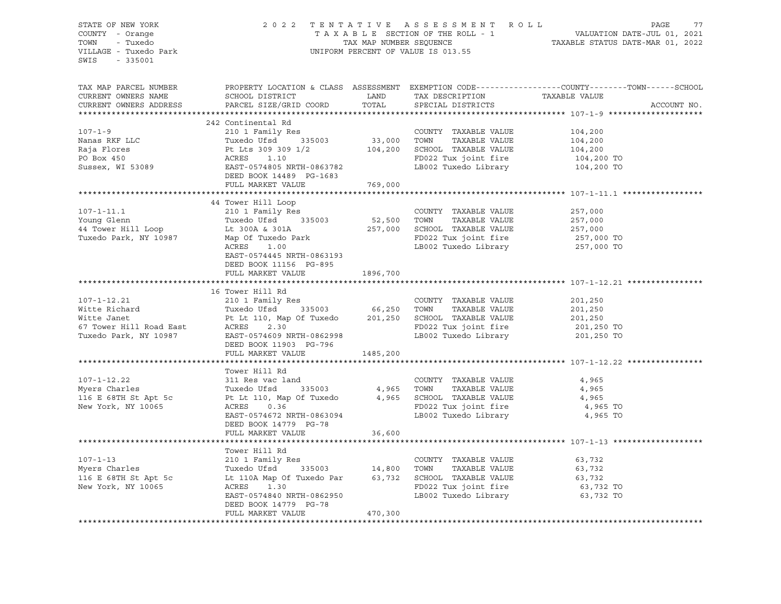| STATE OF NEW YORK<br>COUNTY - Orange<br>TOWN - Tuxedo<br>VILLAGE - Tuxedo Park<br>SWIS - 335001 |                                                                                                                                                                                                                                                                             | 2022 TENTATIVE ASSESSMENT ROLL PAGE 77<br>TAXABLE SECTION OF THE ROLL - 1 VALUATION DATE-JUL 01, 2021<br>TAX MAP NUMBER SEQUENCE TAXABLE STATUS DATE-MAR 01, 2022<br>UNIFORM PERCENT OF VALUE IS 013.55 |                      |                                                                                                                 |
|-------------------------------------------------------------------------------------------------|-----------------------------------------------------------------------------------------------------------------------------------------------------------------------------------------------------------------------------------------------------------------------------|---------------------------------------------------------------------------------------------------------------------------------------------------------------------------------------------------------|----------------------|-----------------------------------------------------------------------------------------------------------------|
| TAX MAP PARCEL NUMBER<br>CURRENT OWNERS NAME<br>CURRENT OWNERS ADDRESS                          |                                                                                                                                                                                                                                                                             |                                                                                                                                                                                                         |                      | PROPERTY LOCATION & CLASS ASSESSMENT EXEMPTION CODE----------------COUNTY-------TOWN------SCHOOL<br>ACCOUNT NO. |
|                                                                                                 | 242 Continental Rd                                                                                                                                                                                                                                                          |                                                                                                                                                                                                         |                      |                                                                                                                 |
|                                                                                                 | 107-1-9<br>242 Continental Rd<br>242 Continental Rd<br>210 I Family Res<br>Tuxedo Ufsd<br>335003<br>26 104,200<br>26 104,200<br>26 104,200<br>26 104,200<br>26 104,200<br>27 20 27 27 27 27 27 27 27 28 29 29 29 29<br>26 26 26 26 26 26 26 26 26 26 2                      |                                                                                                                                                                                                         |                      |                                                                                                                 |
|                                                                                                 |                                                                                                                                                                                                                                                                             |                                                                                                                                                                                                         |                      |                                                                                                                 |
|                                                                                                 |                                                                                                                                                                                                                                                                             |                                                                                                                                                                                                         |                      |                                                                                                                 |
|                                                                                                 |                                                                                                                                                                                                                                                                             |                                                                                                                                                                                                         |                      |                                                                                                                 |
|                                                                                                 |                                                                                                                                                                                                                                                                             |                                                                                                                                                                                                         |                      |                                                                                                                 |
|                                                                                                 |                                                                                                                                                                                                                                                                             |                                                                                                                                                                                                         |                      |                                                                                                                 |
|                                                                                                 | FULL MARKET VALUE 769,000                                                                                                                                                                                                                                                   |                                                                                                                                                                                                         |                      |                                                                                                                 |
|                                                                                                 |                                                                                                                                                                                                                                                                             |                                                                                                                                                                                                         |                      |                                                                                                                 |
|                                                                                                 | 44 Tower Hill Loop<br>107-1-11.1<br>257,000<br>257,000<br>257,000<br>257,000<br>257,000<br>257,000<br>257,000<br>257,000<br>257,000<br>257,000<br>257,000<br>257,000<br>257,000<br>257,000<br>257,000<br>257,000<br>257,000<br>257,000<br>257,000<br>257,000<br>257,000<br> |                                                                                                                                                                                                         |                      |                                                                                                                 |
|                                                                                                 |                                                                                                                                                                                                                                                                             |                                                                                                                                                                                                         |                      |                                                                                                                 |
|                                                                                                 |                                                                                                                                                                                                                                                                             |                                                                                                                                                                                                         |                      |                                                                                                                 |
|                                                                                                 |                                                                                                                                                                                                                                                                             |                                                                                                                                                                                                         |                      |                                                                                                                 |
|                                                                                                 |                                                                                                                                                                                                                                                                             |                                                                                                                                                                                                         |                      |                                                                                                                 |
|                                                                                                 | EAST-0574445 NRTH-0863193                                                                                                                                                                                                                                                   |                                                                                                                                                                                                         |                      |                                                                                                                 |
|                                                                                                 | DEED BOOK 11156 PG-895                                                                                                                                                                                                                                                      |                                                                                                                                                                                                         |                      |                                                                                                                 |
|                                                                                                 | FULL MARKET VALUE                                                                                                                                                                                                                                                           | 1896,700                                                                                                                                                                                                |                      |                                                                                                                 |
|                                                                                                 |                                                                                                                                                                                                                                                                             |                                                                                                                                                                                                         |                      |                                                                                                                 |
|                                                                                                 |                                                                                                                                                                                                                                                                             |                                                                                                                                                                                                         |                      |                                                                                                                 |
|                                                                                                 |                                                                                                                                                                                                                                                                             |                                                                                                                                                                                                         |                      |                                                                                                                 |
|                                                                                                 |                                                                                                                                                                                                                                                                             |                                                                                                                                                                                                         |                      |                                                                                                                 |
|                                                                                                 |                                                                                                                                                                                                                                                                             |                                                                                                                                                                                                         |                      |                                                                                                                 |
|                                                                                                 |                                                                                                                                                                                                                                                                             |                                                                                                                                                                                                         |                      |                                                                                                                 |
|                                                                                                 | 107-1-12.21 21 210 1 Family Res<br>Witte Richard Tuxedo Ufsd 335003 66,250 TOWN TAXABLE VALUE 201,250<br>Witte Janet Pt Lt 110, Map Of Tuxedo 201,250 SCHOOL TAXABLE VALUE 201,250<br>FD022 Tuxedo Park, NY 10987 EAST-0574609 NRTH-                                        |                                                                                                                                                                                                         |                      |                                                                                                                 |
|                                                                                                 | FULL MARKET VALUE 1485,200                                                                                                                                                                                                                                                  |                                                                                                                                                                                                         |                      |                                                                                                                 |
|                                                                                                 |                                                                                                                                                                                                                                                                             |                                                                                                                                                                                                         |                      |                                                                                                                 |
|                                                                                                 | Tower Hill Rd                                                                                                                                                                                                                                                               |                                                                                                                                                                                                         |                      |                                                                                                                 |
|                                                                                                 |                                                                                                                                                                                                                                                                             |                                                                                                                                                                                                         | COUNTY TAXABLE VALUE | 4,965                                                                                                           |
|                                                                                                 | 107-1-12.22 311 Res vac land COUNTY TAXABLE VALUE<br>Myers Charles Tuxedo Ufsd 335003 4,965 TOWN TAXABLE VALUE<br>116 E 68TH St Apt 5c Pt Lt 110, Map Of Tuxedo 4,965 SCHOOL TAXABLE VALUE<br>New York, NY 10065 ACRES 0.36 FD022 Tu                                        |                                                                                                                                                                                                         |                      | 4,965                                                                                                           |
|                                                                                                 |                                                                                                                                                                                                                                                                             |                                                                                                                                                                                                         |                      | 4,965                                                                                                           |
|                                                                                                 |                                                                                                                                                                                                                                                                             |                                                                                                                                                                                                         |                      | 4,965 TO<br>4,965 TO                                                                                            |
|                                                                                                 | ACRES 0.36<br>EAST-0574672 NRTH-0863094<br>DEPED DOOK 14750 DG 50 CAST LE002 Tuxedo Library                                                                                                                                                                                 |                                                                                                                                                                                                         |                      |                                                                                                                 |
|                                                                                                 | DEED BOOK 14779 PG-78<br>FULL MARKET VALUE                                                                                                                                                                                                                                  | 36,600                                                                                                                                                                                                  |                      |                                                                                                                 |
|                                                                                                 |                                                                                                                                                                                                                                                                             |                                                                                                                                                                                                         |                      |                                                                                                                 |
|                                                                                                 | Tower Hill Rd                                                                                                                                                                                                                                                               |                                                                                                                                                                                                         |                      |                                                                                                                 |
|                                                                                                 |                                                                                                                                                                                                                                                                             |                                                                                                                                                                                                         |                      |                                                                                                                 |
|                                                                                                 |                                                                                                                                                                                                                                                                             |                                                                                                                                                                                                         |                      |                                                                                                                 |
|                                                                                                 |                                                                                                                                                                                                                                                                             |                                                                                                                                                                                                         |                      |                                                                                                                 |
|                                                                                                 |                                                                                                                                                                                                                                                                             |                                                                                                                                                                                                         |                      |                                                                                                                 |
|                                                                                                 | 107-1-13<br>Myers Charles<br>Myers Charles<br>Myers Charles<br>Myers Charles<br>Tuxedo Ufsd<br>Tuxedo Ufsd<br>Tuxedo Par<br>14,800 TOWN TAXABLE VALUE<br>TAXABLE VALUE<br>TAXABLE VALUE<br>63,732<br>63,732<br>63,732<br>FD022 Tux joint fire<br>63,732<br>FD0              |                                                                                                                                                                                                         |                      |                                                                                                                 |
|                                                                                                 | DEED BOOK 14779 PG-78                                                                                                                                                                                                                                                       |                                                                                                                                                                                                         |                      |                                                                                                                 |
|                                                                                                 | FULL MARKET VALUE                                                                                                                                                                                                                                                           | 470,300                                                                                                                                                                                                 |                      |                                                                                                                 |
|                                                                                                 |                                                                                                                                                                                                                                                                             |                                                                                                                                                                                                         |                      |                                                                                                                 |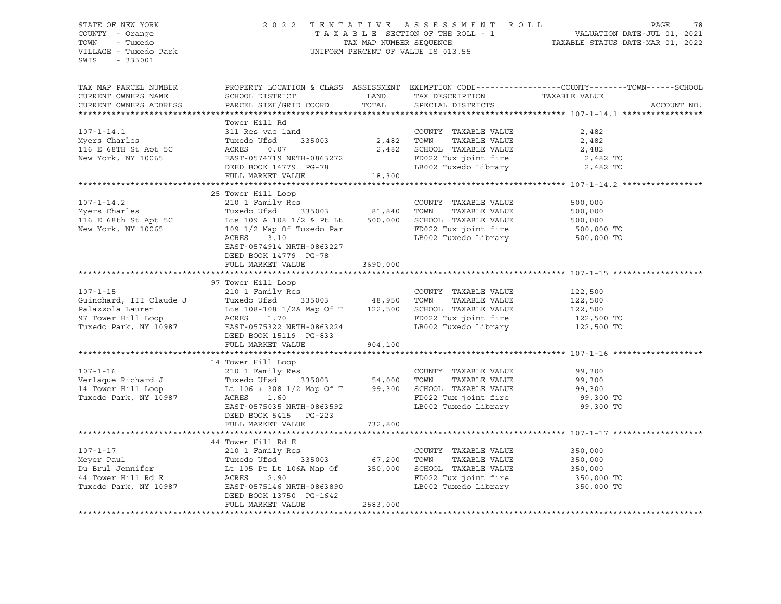### STATE OF NEW YORK 2 0 2 2 T E N T A T I V E A S S E S S M E N T R O L L PAGE 78 COUNTY - Orange T A X A B L E SECTION OF THE ROLL - 1 VALUATION DATE-JUL 01, 2021 TOWN - Tuxedo TAX MAP NUMBER SEQUENCE TAXABLE STATUS DATE-MAR 01, 2022 VILLAGE - Tuxedo Park UNIFORM PERCENT OF VALUE IS 013.55

| TAX MAP PARCEL NUMBER<br>CURRENT OWNERS NAME<br>CURRENT OWNERS ADDRESS                                                                                                                                                                   | SCHOOL DISTRICT<br>PARCEL SIZE/GRID COORD                                                                                                                                                             | LAND<br>TOTAL | TAX DESCRIPTION<br>SPECIAL DISTRICTS                                                                                  | PROPERTY LOCATION & CLASS ASSESSMENT EXEMPTION CODE----------------COUNTY-------TOWN-----SCHOOL<br>TAXABLE VALUE<br>ACCOUNT NO. |
|------------------------------------------------------------------------------------------------------------------------------------------------------------------------------------------------------------------------------------------|-------------------------------------------------------------------------------------------------------------------------------------------------------------------------------------------------------|---------------|-----------------------------------------------------------------------------------------------------------------------|---------------------------------------------------------------------------------------------------------------------------------|
|                                                                                                                                                                                                                                          |                                                                                                                                                                                                       |               |                                                                                                                       |                                                                                                                                 |
| $107 - 1 - 14.1$<br>Myers Charles<br>116 E 68TH St Apt 5C                                                                                                                                                                                | Tower Hill Rd<br>311 Res vac land<br>335003<br>Tuxedo Ufsd<br>ACRES<br>0.07                                                                                                                           | 2,482         | COUNTY TAXABLE VALUE<br>TAXABLE VALUE<br>TOWN<br>2,482 SCHOOL TAXABLE VALUE                                           | 2,482<br>2,482<br>2,482                                                                                                         |
| New York, NY 10065                                                                                                                                                                                                                       | EAST-0574719 NRTH-0863272<br>DEED BOOK 14779 PG-78<br>FULL MARKET VALUE                                                                                                                               | 18,300        | FD022 Tux joint fire<br>LB002 Tuxedo Library                                                                          | 2,482 TO<br>2,482 TO                                                                                                            |
|                                                                                                                                                                                                                                          |                                                                                                                                                                                                       |               |                                                                                                                       |                                                                                                                                 |
| $107 - 1 - 14.2$<br>Myers Charles                                                                                                                                                                                                        | 25 Tower Hill Loop<br>210 1 Family Res<br>Tuxedo Ufsd 335003 81,840 TOWN<br>ACRES 3.10<br>EAST-0574914 NRTH-0863227<br>DEED BOOK 14779 PG-78<br>FULL MARKET VALUE                                     | 3690,000      | COUNTY TAXABLE VALUE<br>TAXABLE VALUE<br>FD022 Tux joint fire<br>LB002 Tuxedo Library 500,000 TO                      | 500,000<br>500,000<br>500,000<br>$500,000$ TO                                                                                   |
|                                                                                                                                                                                                                                          |                                                                                                                                                                                                       |               |                                                                                                                       |                                                                                                                                 |
| 107-1-15<br>COUNTY TAXABLE VALUE 122,500<br>COUNTY TAXABLE VALUE 122,500<br>COUNTY TAXABLE VALUE 122,500<br>Palazzola Lauren Lts 108-108 1/2A Map Of T 122,500 SCHOOL TAXABLE VALUE 122,500<br>97 Tower Hill Loop ACRES 1.70 FD022 Tux j | 97 Tower Hill Loop<br>Tuxedo Park, NY 10987 EAST-0575322 NRTH-0863224<br>DEED BOOK 15119 PG-833<br>FULL MARKET VALUE                                                                                  | 904, 100      | LB002 Tuxedo Library 122,500 TO                                                                                       | 122,500                                                                                                                         |
|                                                                                                                                                                                                                                          |                                                                                                                                                                                                       |               |                                                                                                                       |                                                                                                                                 |
| Tuxedo Park, NY 10987                                                                                                                                                                                                                    | 14 Tower Hill Loop<br>ACRES<br>1.60<br>EAST-0575035 NRTH-0863592<br>DEED BOOK 5415 PG-223                                                                                                             |               | COUNTY TAXABLE VALUE<br>TOWN<br>TAXABLE VALUE<br>SCHOOL TAXABLE VALUE<br>FD022 Tux joint fire<br>LB002 Tuxedo Library | 99,300<br>99,300<br>99,300<br>99,300 TO<br>99,300 TO                                                                            |
|                                                                                                                                                                                                                                          | FULL MARKET VALUE                                                                                                                                                                                     | 732,800       |                                                                                                                       |                                                                                                                                 |
|                                                                                                                                                                                                                                          |                                                                                                                                                                                                       |               |                                                                                                                       |                                                                                                                                 |
| $107 - 1 - 17$<br>Meyer Paul<br>Du Brul Jennifer<br>44 Tower Hill Rd E<br>Tuxedo Park, NY 10987                                                                                                                                          | 44 Tower Hill Rd E<br>210 1 Family Res<br>Tuxedo Ufsd 335003 67,200<br>Lt 105 Pt Lt 106A Map Of 350,000<br>ACRES<br>2.90<br>EAST-0575146 NRTH-0863890<br>DEED BOOK 13750 PG-1642<br>FULL MARKET VALUE | 2583,000      | COUNTY TAXABLE VALUE<br>TOWN<br>TAXABLE VALUE<br>SCHOOL TAXABLE VALUE<br>FD022 Tux joint fire<br>LB002 Tuxedo Library | 350,000<br>350,000<br>350,000<br>350,000 TO<br>350,000 TO                                                                       |
|                                                                                                                                                                                                                                          |                                                                                                                                                                                                       |               |                                                                                                                       |                                                                                                                                 |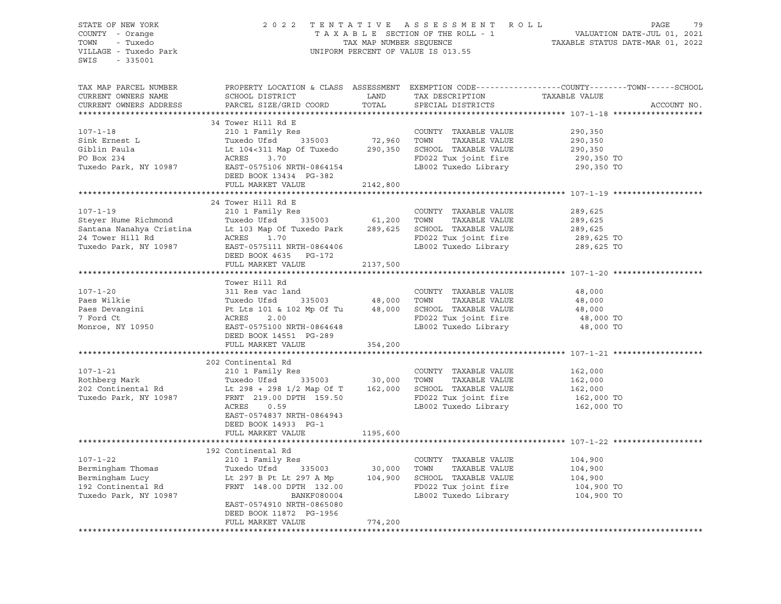| STATE OF NEW YORK                                                                                                                                                                                                                                                                                                                                                                                                                                     |                            |                                                                                                                                                                                                         |                                                                    |                                                                                                  |
|-------------------------------------------------------------------------------------------------------------------------------------------------------------------------------------------------------------------------------------------------------------------------------------------------------------------------------------------------------------------------------------------------------------------------------------------------------|----------------------------|---------------------------------------------------------------------------------------------------------------------------------------------------------------------------------------------------------|--------------------------------------------------------------------|--------------------------------------------------------------------------------------------------|
| COUNTY - Orange                                                                                                                                                                                                                                                                                                                                                                                                                                       |                            | 2022 TENTATIVE ASSESSMENT ROLL PAGE 79<br>TAXABLE SECTION OF THE ROLL - 1 VALUATION DATE-JUL 01, 2021<br>TAX MAP NUMBER SEQUENCE TAXABLE STATUS DATE-MAR 01, 2022<br>UNIFORM PERCENT OF VALUE IS 013.55 |                                                                    |                                                                                                  |
| TOWN - Tuxedo                                                                                                                                                                                                                                                                                                                                                                                                                                         |                            |                                                                                                                                                                                                         |                                                                    |                                                                                                  |
| VILLAGE - Tuxedo Park                                                                                                                                                                                                                                                                                                                                                                                                                                 |                            |                                                                                                                                                                                                         |                                                                    |                                                                                                  |
| SWIS - 335001                                                                                                                                                                                                                                                                                                                                                                                                                                         |                            |                                                                                                                                                                                                         |                                                                    |                                                                                                  |
|                                                                                                                                                                                                                                                                                                                                                                                                                                                       |                            |                                                                                                                                                                                                         |                                                                    |                                                                                                  |
|                                                                                                                                                                                                                                                                                                                                                                                                                                                       |                            |                                                                                                                                                                                                         |                                                                    |                                                                                                  |
| TAX MAP PARCEL NUMBER                                                                                                                                                                                                                                                                                                                                                                                                                                 |                            |                                                                                                                                                                                                         |                                                                    | PROPERTY LOCATION & CLASS ASSESSMENT EXEMPTION CODE----------------COUNTY-------TOWN------SCHOOL |
| CURRENT OWNERS NAME                                                                                                                                                                                                                                                                                                                                                                                                                                   |                            |                                                                                                                                                                                                         |                                                                    |                                                                                                  |
| CURRENT OWNERS ADDRESS                                                                                                                                                                                                                                                                                                                                                                                                                                | PARCEL SIZE/GRID COORD     |                                                                                                                                                                                                         | TOTAL SPECIAL DISTRICTS                                            | ACCOUNT NO.                                                                                      |
|                                                                                                                                                                                                                                                                                                                                                                                                                                                       |                            |                                                                                                                                                                                                         |                                                                    |                                                                                                  |
|                                                                                                                                                                                                                                                                                                                                                                                                                                                       | 34 Tower Hill Rd E         |                                                                                                                                                                                                         |                                                                    |                                                                                                  |
|                                                                                                                                                                                                                                                                                                                                                                                                                                                       |                            |                                                                                                                                                                                                         |                                                                    |                                                                                                  |
|                                                                                                                                                                                                                                                                                                                                                                                                                                                       |                            |                                                                                                                                                                                                         | TAXABLE VALUE                                                      | 290,350<br>290,350<br>290,350                                                                    |
|                                                                                                                                                                                                                                                                                                                                                                                                                                                       |                            |                                                                                                                                                                                                         |                                                                    |                                                                                                  |
|                                                                                                                                                                                                                                                                                                                                                                                                                                                       |                            |                                                                                                                                                                                                         |                                                                    |                                                                                                  |
| 107-1-18<br>34 Tower Hill Ka E<br>210 1 Family Res<br>210 1 Family Res<br>210 1 Family Res<br>210 1 Family Res<br>335003<br>22,960 TOWN TAXABLE VALUE<br>Giblin Paula<br>290,350 SCHOOL TAXABLE VALUE<br>290,350 SCHOOL TAXABLE VALUE<br>290,350 SC                                                                                                                                                                                                   |                            |                                                                                                                                                                                                         |                                                                    |                                                                                                  |
|                                                                                                                                                                                                                                                                                                                                                                                                                                                       | DEED BOOK 13434 PG-382     |                                                                                                                                                                                                         |                                                                    |                                                                                                  |
|                                                                                                                                                                                                                                                                                                                                                                                                                                                       | FULL MARKET VALUE          | 2142,800                                                                                                                                                                                                |                                                                    |                                                                                                  |
|                                                                                                                                                                                                                                                                                                                                                                                                                                                       |                            |                                                                                                                                                                                                         |                                                                    |                                                                                                  |
|                                                                                                                                                                                                                                                                                                                                                                                                                                                       | 24 Tower Hill Rd E         |                                                                                                                                                                                                         |                                                                    |                                                                                                  |
| $107 - 1 - 19$                                                                                                                                                                                                                                                                                                                                                                                                                                        | 210 1 Family Res           |                                                                                                                                                                                                         | COUNTY TAXABLE VALUE                                               | 289,625                                                                                          |
|                                                                                                                                                                                                                                                                                                                                                                                                                                                       |                            |                                                                                                                                                                                                         |                                                                    |                                                                                                  |
| Exercise of the Richmond Cristina (1998)<br>Santana Nanahya Cristina (1998)<br>24 Tower Hill Rd (1998)<br>24 Tower Hill Rd (1998)<br>24 Tower Hill Rd (289,625 SCHOOL TAXABLE VALUE<br>24 Tower Hill Rd (289,625 SCHOOL TAXABLE VALUE<br>2                                                                                                                                                                                                            |                            |                                                                                                                                                                                                         |                                                                    | $289,625$<br>$289,625$                                                                           |
|                                                                                                                                                                                                                                                                                                                                                                                                                                                       |                            |                                                                                                                                                                                                         |                                                                    |                                                                                                  |
|                                                                                                                                                                                                                                                                                                                                                                                                                                                       |                            |                                                                                                                                                                                                         | FD022 Tux joint fire 289,625 TO<br>LB002 Tuxedo Library 289,625 TO |                                                                                                  |
|                                                                                                                                                                                                                                                                                                                                                                                                                                                       |                            |                                                                                                                                                                                                         |                                                                    |                                                                                                  |
|                                                                                                                                                                                                                                                                                                                                                                                                                                                       | FULL MARKET VALUE 2137,500 |                                                                                                                                                                                                         |                                                                    |                                                                                                  |
|                                                                                                                                                                                                                                                                                                                                                                                                                                                       |                            |                                                                                                                                                                                                         |                                                                    |                                                                                                  |
|                                                                                                                                                                                                                                                                                                                                                                                                                                                       |                            |                                                                                                                                                                                                         |                                                                    |                                                                                                  |
|                                                                                                                                                                                                                                                                                                                                                                                                                                                       | Tower Hill Rd              |                                                                                                                                                                                                         |                                                                    |                                                                                                  |
| $107 - 1 - 20$                                                                                                                                                                                                                                                                                                                                                                                                                                        | 311 Res vac land           |                                                                                                                                                                                                         | COUNTY TAXABLE VALUE                                               | 48,000                                                                                           |
|                                                                                                                                                                                                                                                                                                                                                                                                                                                       |                            |                                                                                                                                                                                                         |                                                                    | 48,000<br>48,000                                                                                 |
|                                                                                                                                                                                                                                                                                                                                                                                                                                                       |                            |                                                                                                                                                                                                         |                                                                    |                                                                                                  |
| $\begin{tabular}{lllllllllllllllllllll} \hline & 107-1-20 && 311\hspace{0.1cm} \text{Res}\hspace{0.1cm} \text{vac land} && \text{COUNTY} && \text{TAXABLE VALUE} \\ \hline \text{Paes Wilkie} && \text{Tuxedo Ufsd} && 335003 && 48,000 && \text{TOWN} && \text{TAXABLE VALUE} \\ \text{Pacs Devangini} && \text{Pt\hspace{0.1cm} \text{Lts\hspace{0.1cm} 101 $\&$ 102\hspace{0.1cm} \text{Mp\hspace{0.1cm} 0f Tu}$ && 48,000 && \$                   |                            |                                                                                                                                                                                                         | FD022 Tux joint fire<br>LB002 Tuxedo Library                       | 48,000 TO<br>48,000 TO                                                                           |
|                                                                                                                                                                                                                                                                                                                                                                                                                                                       |                            |                                                                                                                                                                                                         |                                                                    |                                                                                                  |
|                                                                                                                                                                                                                                                                                                                                                                                                                                                       |                            |                                                                                                                                                                                                         |                                                                    |                                                                                                  |
|                                                                                                                                                                                                                                                                                                                                                                                                                                                       | FULL MARKET VALUE 354,200  |                                                                                                                                                                                                         |                                                                    |                                                                                                  |
|                                                                                                                                                                                                                                                                                                                                                                                                                                                       |                            |                                                                                                                                                                                                         |                                                                    |                                                                                                  |
|                                                                                                                                                                                                                                                                                                                                                                                                                                                       | 202 Continental Rd         |                                                                                                                                                                                                         |                                                                    |                                                                                                  |
| $107 - 1 - 21$                                                                                                                                                                                                                                                                                                                                                                                                                                        | 210 1 Family Res           |                                                                                                                                                                                                         | COUNTY TAXABLE VALUE                                               |                                                                                                  |
|                                                                                                                                                                                                                                                                                                                                                                                                                                                       |                            |                                                                                                                                                                                                         |                                                                    |                                                                                                  |
|                                                                                                                                                                                                                                                                                                                                                                                                                                                       |                            |                                                                                                                                                                                                         |                                                                    | 162,000<br>162,000<br>162,000<br>160,000                                                         |
| 107-1-21 210 1 $ram11y$ kes<br>Rothberg Mark Tuxedo Ufsd 335003 30,000 TOWN TAXABLE VALUE<br>202 Continental Rd Lt 298 + 298 1/2 Map Of T 162,000 SCHOOL TAXABLE VALUE<br>Tuxedo Park, NY 10987 FRNT 219.00 PTH 159.50 FD022 Tuxedo                                                                                                                                                                                                                   |                            |                                                                                                                                                                                                         | FD022 Tux joint fire 162,000 TO<br>LB002 Tuxedo Library 162,000 TO |                                                                                                  |
|                                                                                                                                                                                                                                                                                                                                                                                                                                                       | ACRES 0.59                 |                                                                                                                                                                                                         |                                                                    |                                                                                                  |
|                                                                                                                                                                                                                                                                                                                                                                                                                                                       | EAST-0574837 NRTH-0864943  |                                                                                                                                                                                                         |                                                                    |                                                                                                  |
|                                                                                                                                                                                                                                                                                                                                                                                                                                                       | DEED BOOK 14933 PG-1       |                                                                                                                                                                                                         |                                                                    |                                                                                                  |
|                                                                                                                                                                                                                                                                                                                                                                                                                                                       | FULL MARKET VALUE          | 1195,600                                                                                                                                                                                                |                                                                    |                                                                                                  |
|                                                                                                                                                                                                                                                                                                                                                                                                                                                       |                            |                                                                                                                                                                                                         |                                                                    |                                                                                                  |
|                                                                                                                                                                                                                                                                                                                                                                                                                                                       |                            |                                                                                                                                                                                                         |                                                                    |                                                                                                  |
|                                                                                                                                                                                                                                                                                                                                                                                                                                                       |                            |                                                                                                                                                                                                         |                                                                    |                                                                                                  |
| $\begin{tabular}{lllllllllll} \multicolumn{4}{c c c c c} \multicolumn{4}{c c c c} \multicolumn{4}{c c c} \multicolumn{4}{c c c} \multicolumn{4}{c c c} \multicolumn{4}{c c} \multicolumn{4}{c} \multicolumn{4}{c} \multicolumn{4}{c} \multicolumn{4}{c} \multicolumn{4}{c} \multicolumn{4}{c} \multicolumn{4}{c} \multicolumn{4}{c} \multicolumn{4}{c} \multicolumn{4}{c} \multicolumn{4}{c} \multicolumn{4}{c} \multicolumn{4}{c} \multicolumn{4}{c$ |                            |                                                                                                                                                                                                         |                                                                    | 104,900<br>104,900<br>104,900                                                                    |
|                                                                                                                                                                                                                                                                                                                                                                                                                                                       |                            |                                                                                                                                                                                                         |                                                                    |                                                                                                  |
|                                                                                                                                                                                                                                                                                                                                                                                                                                                       |                            |                                                                                                                                                                                                         | FD022 Tux joint fire 104,900 TO<br>LB002 Tuxedo Library 104,900 TO |                                                                                                  |
|                                                                                                                                                                                                                                                                                                                                                                                                                                                       |                            |                                                                                                                                                                                                         |                                                                    |                                                                                                  |
|                                                                                                                                                                                                                                                                                                                                                                                                                                                       | EAST-0574910 NRTH-0865080  |                                                                                                                                                                                                         |                                                                    |                                                                                                  |
|                                                                                                                                                                                                                                                                                                                                                                                                                                                       | DEED BOOK 11872 PG-1956    |                                                                                                                                                                                                         |                                                                    |                                                                                                  |
|                                                                                                                                                                                                                                                                                                                                                                                                                                                       | FULL MARKET VALUE          | 774,200                                                                                                                                                                                                 |                                                                    |                                                                                                  |
|                                                                                                                                                                                                                                                                                                                                                                                                                                                       |                            |                                                                                                                                                                                                         |                                                                    |                                                                                                  |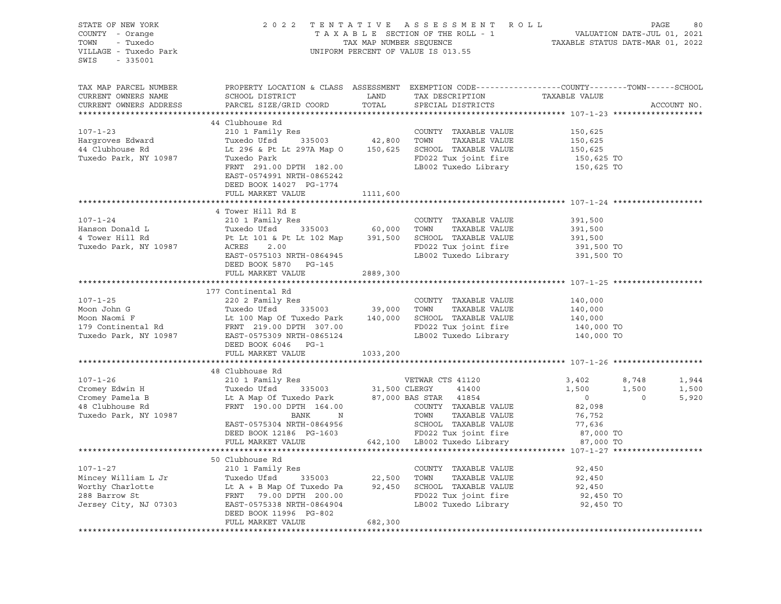| STATE OF NEW YORK<br>COUNTY - Orange<br>TOWN - Tuxedo<br>VILLAGE - Tuxedo Park<br>SWIS - 335001                                                                                                                                                            |                                                                                                                                       |          |                      |                                          |             |       |
|------------------------------------------------------------------------------------------------------------------------------------------------------------------------------------------------------------------------------------------------------------|---------------------------------------------------------------------------------------------------------------------------------------|----------|----------------------|------------------------------------------|-------------|-------|
| TAX MAP PARCEL NUMBER<br>CURRENT OWNERS NAME                                                                                                                                                                                                               | PROPERTY LOCATION & CLASS ASSESSMENT EXEMPTION CODE---------------COUNTY-------TOWN-----SCHOOL                                        |          |                      |                                          |             |       |
| CURRENT OWNERS ADDRESS                                                                                                                                                                                                                                     |                                                                                                                                       |          |                      |                                          | ACCOUNT NO. |       |
|                                                                                                                                                                                                                                                            |                                                                                                                                       |          |                      |                                          |             |       |
|                                                                                                                                                                                                                                                            | 44 Clubhouse Rd                                                                                                                       |          |                      |                                          |             |       |
| $107 - 1 - 23$                                                                                                                                                                                                                                             | 210 1 Family Res<br>Tuxedo Ufsd 335003 42,800 TOWN TAXABLE VALUE<br>Lt 296 & Pt Lt 297A Map 0 150,625 SCHOOL TAXABLE VALUE            |          |                      | 150,625<br>150,625<br>150,625<br>150,625 |             |       |
| Hargroves Edward<br>44 Clubhouse Rd                                                                                                                                                                                                                        |                                                                                                                                       |          |                      |                                          |             |       |
| Tuxedo Park, NY 10987                                                                                                                                                                                                                                      | Tuxedo Park<br>FRNT 291.00 DPTH 182.00 FOO22 Tux joint fire the 150,625 TO<br>FRNT 291.00 DPTH 182.00 LB002 Tuxedo Library 150,625 TO |          |                      |                                          |             |       |
|                                                                                                                                                                                                                                                            |                                                                                                                                       |          |                      |                                          |             |       |
|                                                                                                                                                                                                                                                            | EAST-0574991 NRTH-0865242<br>DEED BOOK 14027 PG-1774                                                                                  |          |                      |                                          |             |       |
|                                                                                                                                                                                                                                                            | FULL MARKET VALUE 1111,600                                                                                                            |          |                      |                                          |             |       |
|                                                                                                                                                                                                                                                            |                                                                                                                                       |          |                      |                                          |             |       |
|                                                                                                                                                                                                                                                            | 4 Tower Hill Rd E                                                                                                                     |          |                      |                                          |             |       |
|                                                                                                                                                                                                                                                            |                                                                                                                                       |          |                      |                                          |             |       |
|                                                                                                                                                                                                                                                            |                                                                                                                                       |          |                      |                                          |             |       |
|                                                                                                                                                                                                                                                            |                                                                                                                                       |          |                      |                                          |             |       |
|                                                                                                                                                                                                                                                            |                                                                                                                                       |          |                      |                                          |             |       |
| 107-1-24 210 1 Family Res<br>Hanson Donald L Tuxedo Ufsd 335003 60,000 TOWN TAXABLE VALUE 391,500<br>4 Tower Hill Rd Pt Lt 101 & Pt Lt 102 Map 391,500 SCHOOL TAXABLE VALUE 391,500<br>Tuxedo Park, NY 10987 ACRES 2.00 FD022 Tux jo                       |                                                                                                                                       |          |                      |                                          |             |       |
|                                                                                                                                                                                                                                                            | FULL MARKET VALUE                                                                                                                     |          |                      |                                          |             |       |
|                                                                                                                                                                                                                                                            |                                                                                                                                       | 2889,300 |                      |                                          |             |       |
|                                                                                                                                                                                                                                                            | 177 Continental Rd                                                                                                                    |          |                      |                                          |             |       |
|                                                                                                                                                                                                                                                            |                                                                                                                                       |          |                      |                                          |             |       |
|                                                                                                                                                                                                                                                            |                                                                                                                                       |          |                      |                                          |             |       |
|                                                                                                                                                                                                                                                            |                                                                                                                                       |          |                      |                                          |             |       |
|                                                                                                                                                                                                                                                            |                                                                                                                                       |          |                      |                                          |             |       |
| 107-1-25<br>Moon John G<br>Moon Naomi F<br>Moon Naomi F<br>Moon Naomi E<br>Moon Naomi E<br>Moon Naomi E<br>Moon Naomi E<br>Le 100 Map Of Tuxedo Park<br>Le 140,000<br>TOWN TAXABLE VALUE<br>TAXABLE VALUE<br>TAXABLE VALUE<br>TAXABLE VALUE<br>TAXABLE VAL |                                                                                                                                       |          |                      |                                          |             |       |
|                                                                                                                                                                                                                                                            | DEED BOOK 6046 PG-1                                                                                                                   |          |                      |                                          |             |       |
|                                                                                                                                                                                                                                                            | FULL MARKET VALUE 1033,200                                                                                                            |          |                      |                                          |             |       |
|                                                                                                                                                                                                                                                            |                                                                                                                                       |          |                      |                                          |             |       |
|                                                                                                                                                                                                                                                            | 48 Clubhouse Rd                                                                                                                       |          |                      |                                          |             |       |
|                                                                                                                                                                                                                                                            |                                                                                                                                       |          |                      |                                          |             | 1,944 |
|                                                                                                                                                                                                                                                            |                                                                                                                                       |          |                      |                                          |             | 1,500 |
|                                                                                                                                                                                                                                                            |                                                                                                                                       |          |                      |                                          |             | 5,920 |
|                                                                                                                                                                                                                                                            |                                                                                                                                       |          |                      |                                          |             |       |
|                                                                                                                                                                                                                                                            |                                                                                                                                       |          |                      |                                          |             |       |
|                                                                                                                                                                                                                                                            |                                                                                                                                       |          |                      |                                          |             |       |
|                                                                                                                                                                                                                                                            |                                                                                                                                       |          |                      |                                          |             |       |
|                                                                                                                                                                                                                                                            |                                                                                                                                       |          |                      |                                          |             |       |
|                                                                                                                                                                                                                                                            | 50 Clubhouse Rd                                                                                                                       |          |                      |                                          |             |       |
| $107 - 1 - 27$                                                                                                                                                                                                                                             | 210 1 Family Res                                                                                                                      |          | COUNTY TAXABLE VALUE |                                          |             |       |
| 107-1-27<br>Mincey William L Jr Tuxedo Ufsd 335003 22,500 TOWN TAXABLE VALUE<br>Worthy Charlotte Lt A + B Map Of Tuxedo Pa 92,450 SCHOOL TAXABLE VALUE<br>288 Barrow St FRNT 79.00 DPTH 200.00 FDD22 Tux joint fire 92,450 TO<br>Jerse                     |                                                                                                                                       |          |                      | 92,450<br>92,450                         |             |       |
|                                                                                                                                                                                                                                                            |                                                                                                                                       |          |                      |                                          |             |       |
|                                                                                                                                                                                                                                                            |                                                                                                                                       |          |                      |                                          |             |       |
|                                                                                                                                                                                                                                                            |                                                                                                                                       |          |                      |                                          |             |       |
|                                                                                                                                                                                                                                                            | DEED BOOK 11996 PG-802                                                                                                                |          |                      |                                          |             |       |
|                                                                                                                                                                                                                                                            | FULL MARKET VALUE                                                                                                                     | 682,300  |                      |                                          |             |       |
|                                                                                                                                                                                                                                                            |                                                                                                                                       |          |                      |                                          |             |       |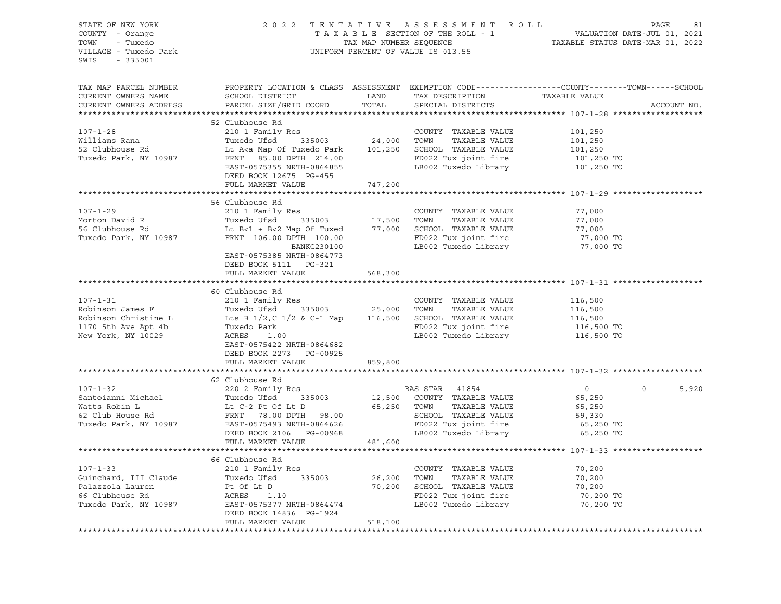| STATE OF NEW YORK<br>COUNTY - Orange<br>- Tuxedo<br>TOWN<br>VILLAGE - Tuxedo Park<br>SWIS<br>$-335001$ |                                                                                                                                               | TAX MAP NUMBER SEQUENCE | 2022 TENTATIVE ASSESSMENT ROLL<br>T A X A B L E SECTION OF THE ROLL - 1<br>TAX MAP NUMBER SEQUENCE TI<br>UNIFORM PERCENT OF VALUE IS 013.55 | TAXABLE STATUS DATE-MAR 01, 2022 | PAGE<br>81<br>VALUATION DATE-JUL 01, 2021 |
|--------------------------------------------------------------------------------------------------------|-----------------------------------------------------------------------------------------------------------------------------------------------|-------------------------|---------------------------------------------------------------------------------------------------------------------------------------------|----------------------------------|-------------------------------------------|
| TAX MAP PARCEL NUMBER<br>CURRENT OWNERS NAME<br>CURRENT OWNERS ADDRESS                                 | PROPERTY LOCATION & CLASS ASSESSMENT EXEMPTION CODE----------------COUNTY-------TOWN------SCHOOL<br>SCHOOL DISTRICT<br>PARCEL SIZE/GRID COORD | LAND<br>TOTAL           | TAX DESCRIPTION<br>SPECIAL DISTRICTS                                                                                                        | TAXABLE VALUE                    | ACCOUNT NO.                               |
|                                                                                                        |                                                                                                                                               |                         |                                                                                                                                             |                                  |                                           |
| $107 - 1 - 28$                                                                                         | 52 Clubhouse Rd<br>210 1 Family Res                                                                                                           |                         | COUNTY TAXABLE VALUE                                                                                                                        | 101,250                          |                                           |
| Williams Rana                                                                                          | Tuxedo Ufsd<br>335003                                                                                                                         | 24,000                  | TAXABLE VALUE<br>TOWN                                                                                                                       | 101,250                          |                                           |
| 52 Clubhouse Rd                                                                                        | Lt A <a map="" of="" park<="" td="" tuxedo=""><td>101,250</td><td>SCHOOL TAXABLE VALUE</td><td>101,250</td><td></td></a>                      | 101,250                 | SCHOOL TAXABLE VALUE                                                                                                                        | 101,250                          |                                           |
| Tuxedo Park, NY 10987                                                                                  | FRNT 85.00 DPTH 214.00                                                                                                                        |                         | FD022 Tux joint fire                                                                                                                        | 101,250 TO                       |                                           |
|                                                                                                        | EAST-0575355 NRTH-0864855<br>DEED BOOK 12675 PG-455                                                                                           |                         | LB002 Tuxedo Library                                                                                                                        | 101,250 TO                       |                                           |
|                                                                                                        | FULL MARKET VALUE                                                                                                                             | 747,200                 |                                                                                                                                             |                                  |                                           |
|                                                                                                        |                                                                                                                                               |                         |                                                                                                                                             |                                  |                                           |
|                                                                                                        | 56 Clubhouse Rd                                                                                                                               |                         |                                                                                                                                             |                                  |                                           |
| $107 - 1 - 29$                                                                                         | 210 1 Family Res                                                                                                                              |                         | COUNTY TAXABLE VALUE                                                                                                                        | 77,000                           |                                           |
| Morton David R                                                                                         | Tuxedo Ufsd<br>335003                                                                                                                         | 17,500                  | TAXABLE VALUE<br>TOWN                                                                                                                       | 77,000                           |                                           |
| 56 Clubhouse Rd                                                                                        | Lt $B<1 + B<2$ Map Of Tuxed                                                                                                                   | 77,000                  | SCHOOL TAXABLE VALUE                                                                                                                        | 77,000                           |                                           |
| Tuxedo Park, NY 10987                                                                                  | FRNT 106.00 DPTH 100.00                                                                                                                       |                         | FD022 Tux joint fire                                                                                                                        | 77,000 TO                        |                                           |
|                                                                                                        | BANKC230100<br>EAST-0575385 NRTH-0864773                                                                                                      |                         | LB002 Tuxedo Library                                                                                                                        | 77,000 TO                        |                                           |
|                                                                                                        | DEED BOOK 5111 PG-321                                                                                                                         |                         |                                                                                                                                             |                                  |                                           |
|                                                                                                        | FULL MARKET VALUE                                                                                                                             | 568,300                 |                                                                                                                                             |                                  |                                           |
|                                                                                                        |                                                                                                                                               |                         |                                                                                                                                             |                                  |                                           |
|                                                                                                        | 60 Clubhouse Rd                                                                                                                               |                         |                                                                                                                                             |                                  |                                           |
| $107 - 1 - 31$<br>Robinson James F                                                                     | 210 1 Family Res<br>Tuxedo Ufsd<br>335003                                                                                                     |                         | COUNTY TAXABLE VALUE<br>TOWN<br>TAXABLE VALUE                                                                                               | 116,500                          |                                           |
| Robinson Christine L                                                                                   | Lts B $1/2$ , C $1/2$ & C-1 Map                                                                                                               | 25,000<br>116,500       | SCHOOL TAXABLE VALUE                                                                                                                        | 116,500                          |                                           |
| 1170 5th Ave Apt 4b                                                                                    | Tuxedo Park                                                                                                                                   |                         | FD022 Tux joint fire                                                                                                                        | 116,500<br>116,500 TO            |                                           |
| New York, NY 10029                                                                                     | ACRES<br>1.00                                                                                                                                 |                         | LB002 Tuxedo Library                                                                                                                        | 116,500 TO                       |                                           |
|                                                                                                        | EAST-0575422 NRTH-0864682                                                                                                                     |                         |                                                                                                                                             |                                  |                                           |
|                                                                                                        | DEED BOOK 2273 PG-00925                                                                                                                       |                         |                                                                                                                                             |                                  |                                           |
|                                                                                                        | FULL MARKET VALUE                                                                                                                             | 859,800                 |                                                                                                                                             |                                  |                                           |
|                                                                                                        |                                                                                                                                               |                         |                                                                                                                                             |                                  |                                           |
|                                                                                                        | 62 Clubhouse Rd                                                                                                                               |                         |                                                                                                                                             |                                  |                                           |
| $107 - 1 - 32$                                                                                         | 220 2 Family Res                                                                                                                              |                         | BAS STAR 41854                                                                                                                              | $\overline{0}$                   | 5,920<br>$\circ$                          |
| Santoianni Michael                                                                                     | Tuxedo Ufsd<br>335003                                                                                                                         | 12,500                  | COUNTY TAXABLE VALUE                                                                                                                        | 65,250                           |                                           |
| Watts Robin L                                                                                          | Lt C-2 Pt Of Lt D                                                                                                                             | 65,250                  | TOWN<br>TAXABLE VALUE                                                                                                                       | 65,250                           |                                           |
| 62 Club House Rd                                                                                       | FRNT 78.00 DPTH 98.00                                                                                                                         |                         | SCHOOL TAXABLE VALUE                                                                                                                        | 59,330                           |                                           |
| Tuxedo Park, NY 10987                                                                                  | EAST-0575493 NRTH-0864626                                                                                                                     |                         | FD022 Tux joint fire                                                                                                                        | 65,250 TO                        |                                           |
|                                                                                                        | DEED BOOK 2106 PG-00968                                                                                                                       |                         | LB002 Tuxedo Library                                                                                                                        | 65,250 TO                        |                                           |
|                                                                                                        | FULL MARKET VALUE                                                                                                                             | 481,600                 |                                                                                                                                             |                                  |                                           |
|                                                                                                        |                                                                                                                                               |                         |                                                                                                                                             |                                  |                                           |
| $107 - 1 - 33$                                                                                         | 66 Clubhouse Rd<br>210 1 Family Res                                                                                                           |                         | COUNTY TAXABLE VALUE                                                                                                                        |                                  |                                           |
| Guinchard, III Claude                                                                                  | Tuxedo Ufsd<br>335003                                                                                                                         | 26,200                  | TOWN<br>TAXABLE VALUE                                                                                                                       | 70,200<br>70,200                 |                                           |
| Palazzola Lauren                                                                                       | Pt Of Lt D                                                                                                                                    | 70,200                  | SCHOOL TAXABLE VALUE                                                                                                                        | 70,200                           |                                           |
| 66 Clubhouse Rd                                                                                        | ACRES<br>1.10                                                                                                                                 |                         | FD022 Tux joint fire                                                                                                                        | 70,200 TO                        |                                           |
| Tuxedo Park, NY 10987                                                                                  | EAST-0575377 NRTH-0864474                                                                                                                     |                         | LB002 Tuxedo Library                                                                                                                        | 70,200 TO                        |                                           |
|                                                                                                        | DEED BOOK 14836 PG-1924                                                                                                                       |                         |                                                                                                                                             |                                  |                                           |
|                                                                                                        | FULL MARKET VALUE                                                                                                                             | 518,100                 |                                                                                                                                             |                                  |                                           |
|                                                                                                        |                                                                                                                                               |                         |                                                                                                                                             |                                  |                                           |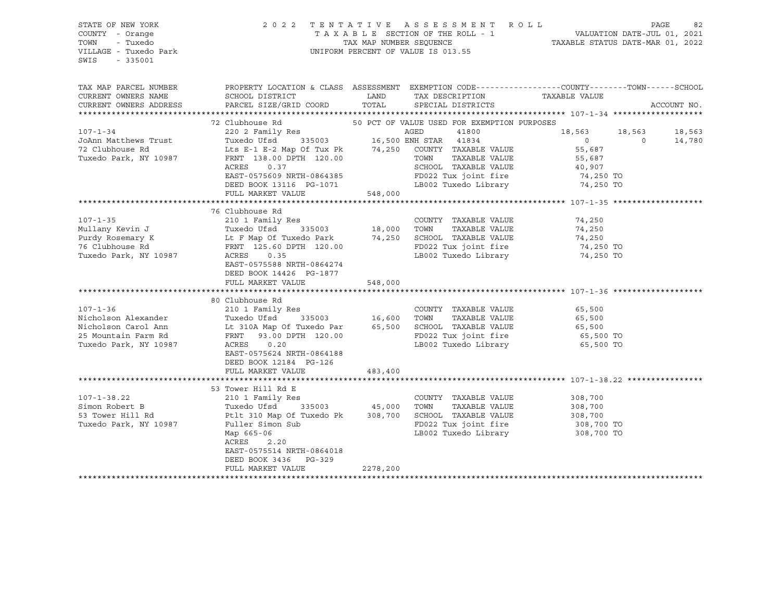### STATE OF NEW YORK 2 0 2 2 T E N T A T I V E A S S E S S M E N T R O L L PAGE 82 COUNTY - Orange T A X A B L E SECTION OF THE ROLL - 1 VALUATION DATE-JUL 01, 2021 TOWN - Tuxedo TAX MAP NUMBER SEQUENCE TAXABLE STATUS DATE-MAR 01, 2022 VILLAGE - Tuxedo Park UNIFORM PERCENT OF VALUE IS 013.55

| TAX MAP PARCEL NUMBER<br>CURRENT OWNERS NAME<br>CURRENT OWNERS ADDRESS                                       | PROPERTY LOCATION & CLASS ASSESSMENT EXEMPTION CODE----------------COUNTY-------TOWN------SCHOOL<br>SCHOOL DISTRICT<br>PARCEL SIZE/GRID COORD                                                                                                   | LAND<br>TOTAL             | TAX DESCRIPTION TAXABLE VALUE<br>SPECIAL DISTRICTS                                                                                                                                            |                                                                            |          | ACCOUNT NO.      |
|--------------------------------------------------------------------------------------------------------------|-------------------------------------------------------------------------------------------------------------------------------------------------------------------------------------------------------------------------------------------------|---------------------------|-----------------------------------------------------------------------------------------------------------------------------------------------------------------------------------------------|----------------------------------------------------------------------------|----------|------------------|
| $107 - 1 - 34$<br>JoAnn Matthews Trust<br>72 Clubhouse Rd<br>Tuxedo Park, NY 10987                           | 72 Clubhouse Rd<br>220 2 Family Res<br>Tuxedo Ufsd<br>Lts E-1 E-2 Map Of Tux Pk 34,250 COUNTY TAXABLE VALUE<br>FRNT 138.00 DPTH 120.00<br>ACRES<br>0.37<br>EAST-0575609 NRTH-0864385<br>DEED BOOK 13116 PG-1071<br>FULL MARKET VALUE            | 548,000                   | 50 PCT OF VALUE USED FOR EXEMPTION PURPOSES<br>AGED<br>41800<br>335003 16,500 ENH STAR 41834<br>TAXABLE VALUE<br>TOWN<br>SCHOOL TAXABLE VALUE<br>FD022 Tux joint fire<br>LB002 Tuxedo Library | 18,563 18,563<br>0<br>55,687<br>55,687<br>40,907<br>74,250 TO<br>74,250 TO | $\Omega$ | 18,563<br>14,780 |
| $107 - 1 - 35$<br>Mullany Kevin J<br>Purdy Rosemary K<br>76 Clubhouse Rd<br>Tuxedo Park, NY 10987            | 76 Clubhouse Rd<br>210 1 Family Res<br>335003 18,000<br>Tuxedo Ufsd<br>Luxedo Olsu - 333003<br>Lt F Map Of Tuxedo Park<br>FRNT 125.60 DPTH 120.00<br>0.35<br>ACRES<br>EAST-0575588 NRTH-0864274<br>DEED BOOK 14426 PG-1877<br>FULL MARKET VALUE | 74,250<br>548,000         | COUNTY TAXABLE VALUE<br>TOWN<br>TAXABLE VALUE<br>SCHOOL TAXABLE VALUE<br>FD022 Tux joint fire 74,250 TO<br>LB002 Tuxedo Library                                                               | 74,250<br>74,250<br>74,250<br>74,250 TO                                    |          |                  |
| $107 - 1 - 36$<br>Nicholson Alexander<br>Nicholson Carol Ann<br>25 Mountain Farm Rd<br>Tuxedo Park, NY 10987 | 80 Clubhouse Rd<br>210 1 Family Res<br>Tuxedo Ufsd<br>ACRES<br>0.20<br>EAST-0575624 NRTH-0864188<br>DEED BOOK 12184 PG-126<br>FULL MARKET VALUE                                                                                                 | 335003 16,600<br>483,400  | COUNTY TAXABLE VALUE<br>TOWN<br>TAXABLE VALUE<br>SCHOOL TAXABLE VALUE<br>FD022 Tux ioint fire 65,500 TO<br>LB002 Tuxedo Library 65,500 TO                                                     | 65,500<br>65,500                                                           |          |                  |
| $107 - 1 - 38.22$<br>Simon Robert B<br>53 Tower Hill Rd<br>Tuxedo Park, NY 10987                             | 53 Tower Hill Rd E<br>210 1 Family Res<br>Tuxedo Ufsd<br>Ptlt 310 Map Of Tuxedo Pk 308,700<br>Fuller Simon Sub<br>Map 665-06<br>ACRES<br>2.20<br>EAST-0575514 NRTH-0864018<br>DEED BOOK 3436 PG-329<br>FULL MARKET VALUE                        | 335003 45,000<br>2278,200 | COUNTY TAXABLE VALUE<br>TOWN<br>TAXABLE VALUE<br>SCHOOL TAXABLE VALUE<br>FD022 Tux joint fire 308,700 TO<br>LB002 Tuxedo Library                                                              | 308,700<br>308,700<br>308,700<br>308,700 TO                                |          |                  |
|                                                                                                              |                                                                                                                                                                                                                                                 |                           |                                                                                                                                                                                               |                                                                            |          |                  |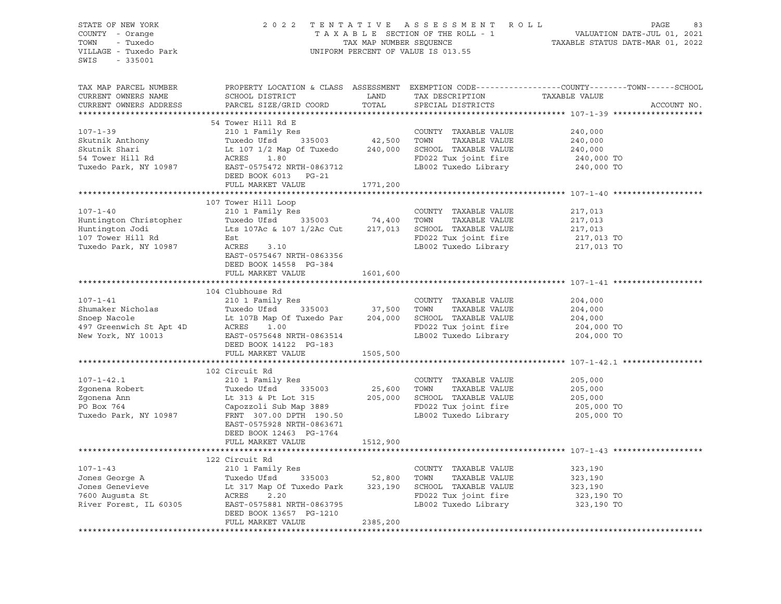| STATE OF NEW YORK<br>COUNTY - Orange<br>TOWN - Tuxedo<br>VILLAGE - Tuxedo Park<br>SWIS - 335001                                                                                                                                                                                |                            |          |  |
|--------------------------------------------------------------------------------------------------------------------------------------------------------------------------------------------------------------------------------------------------------------------------------|----------------------------|----------|--|
| TAX MAP PARCEL NUMBER<br>CURRENT OWNERS NAME<br>CURRENT OWNERS ADDRESS                                                                                                                                                                                                         |                            |          |  |
|                                                                                                                                                                                                                                                                                | 54 Tower Hill Rd E         |          |  |
| 34 OUNTY TAXABLE VALUE<br>Skutnik Anthony<br>Skutnik Shari<br>Skutnik Shari<br>Skutnik Shari<br>Lt 107 1/2 Map Of Tuxedo 240,000 SCHOOL TAXABLE VALUE<br>240,000<br>Skutnik Shari<br>Lt 107 1/2 Map Of Tuxedo 240,000 SCHOOL TAXABLE VALUE<br>24                               |                            |          |  |
|                                                                                                                                                                                                                                                                                |                            |          |  |
|                                                                                                                                                                                                                                                                                |                            |          |  |
|                                                                                                                                                                                                                                                                                |                            |          |  |
|                                                                                                                                                                                                                                                                                |                            |          |  |
|                                                                                                                                                                                                                                                                                |                            |          |  |
|                                                                                                                                                                                                                                                                                | FULL MARKET VALUE 1771,200 |          |  |
|                                                                                                                                                                                                                                                                                |                            |          |  |
| 107-1-40<br>217,013<br>Huntington Christopher<br>Tuxedo Ufsd 335003<br>217,013<br>217,013<br>217,013<br>217,013<br>217,013<br>217,013<br>217,013<br>217,013<br>217,013<br>217,013<br>217,013<br>217,013<br>217,013<br>217,013<br>217,013<br>217,013<br>217,013<br>217,01       | 107 Tower Hill Loop        |          |  |
|                                                                                                                                                                                                                                                                                |                            |          |  |
|                                                                                                                                                                                                                                                                                |                            |          |  |
|                                                                                                                                                                                                                                                                                |                            |          |  |
|                                                                                                                                                                                                                                                                                |                            |          |  |
|                                                                                                                                                                                                                                                                                |                            |          |  |
|                                                                                                                                                                                                                                                                                | DEED BOOK 14558 PG-384     |          |  |
|                                                                                                                                                                                                                                                                                | FULL MARKET VALUE 1601,600 |          |  |
|                                                                                                                                                                                                                                                                                |                            |          |  |
|                                                                                                                                                                                                                                                                                | 104 Clubhouse Rd           |          |  |
|                                                                                                                                                                                                                                                                                |                            |          |  |
|                                                                                                                                                                                                                                                                                |                            |          |  |
|                                                                                                                                                                                                                                                                                |                            |          |  |
|                                                                                                                                                                                                                                                                                |                            |          |  |
| 107-1-41<br>2004,000<br>204,000<br>204,000<br>204,000<br>204,000<br>204,000<br>204,000<br>204,000<br>204,000<br>204,000<br>204,000<br>204,000<br>204,000<br>204,000<br>204,000<br>204,000<br>204,000<br>204,000<br>204,000<br>204,000<br>204,000<br>204,000<br>204,000<br>204, |                            |          |  |
|                                                                                                                                                                                                                                                                                | FULL MARKET VALUE 1505,500 |          |  |
|                                                                                                                                                                                                                                                                                |                            |          |  |
|                                                                                                                                                                                                                                                                                | 102 Circuit Rd             |          |  |
|                                                                                                                                                                                                                                                                                |                            |          |  |
|                                                                                                                                                                                                                                                                                |                            |          |  |
|                                                                                                                                                                                                                                                                                |                            |          |  |
|                                                                                                                                                                                                                                                                                |                            |          |  |
| 107-1-42.1<br>200 Circuit Rd COUNTY TAXABLE VALUE 205,000<br>200 Country TAXABLE VALUE 205,000<br>200 Capozzoli Sub Map 3889<br>Tuxedo Park, NY 10987 ERNT 307.00 DPTH 190.50<br>ELECTE 205,000 TOWN TAXABLE VALUE 205,000<br>205,000 TOW                                      |                            |          |  |
|                                                                                                                                                                                                                                                                                |                            |          |  |
|                                                                                                                                                                                                                                                                                | DEED BOOK 12463 PG-1764    |          |  |
|                                                                                                                                                                                                                                                                                | FULL MARKET VALUE 1512,900 |          |  |
|                                                                                                                                                                                                                                                                                |                            |          |  |
|                                                                                                                                                                                                                                                                                | 122 Circuit Rd             |          |  |
|                                                                                                                                                                                                                                                                                |                            |          |  |
|                                                                                                                                                                                                                                                                                |                            |          |  |
|                                                                                                                                                                                                                                                                                |                            |          |  |
| 107-1-43<br>Jones George A<br>Jones George A<br>Tuxedo Ufsd 335003<br>Tuxedo Ufsd 335003<br>Tuxedo Park 323,190<br>Town TAXABLE VALUE<br>323,190<br>SCHOOL TAXABLE VALUE<br>323,190<br>SCHOOL TAXABLE VALUE<br>323,190<br>323,190<br>23,190<br>TOWN TAXABL                     |                            |          |  |
|                                                                                                                                                                                                                                                                                | DEED BOOK 13657 PG-1210    |          |  |
|                                                                                                                                                                                                                                                                                | FULL MARKET VALUE          | 2385,200 |  |
|                                                                                                                                                                                                                                                                                |                            |          |  |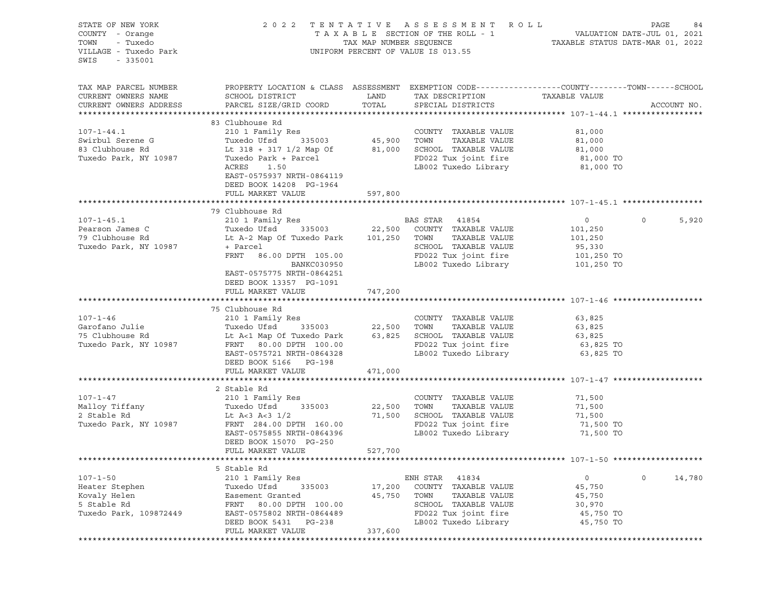| STATE OF NEW YORK<br>COUNTY - Orange<br>- Tuxedo<br>TOWN<br>VILLAGE - Tuxedo Park<br>SWIS<br>$-335001$ |                                                                                                                                                      |               | 2022 TENTATIVE ASSESSMENT ROLL<br>UNIFORM PERCENT OF VALUE IS 013.55                                        |                           | PAGE<br>84       |
|--------------------------------------------------------------------------------------------------------|------------------------------------------------------------------------------------------------------------------------------------------------------|---------------|-------------------------------------------------------------------------------------------------------------|---------------------------|------------------|
| TAX MAP PARCEL NUMBER<br>CURRENT OWNERS NAME<br>CURRENT OWNERS ADDRESS                                 | PROPERTY LOCATION & CLASS ASSESSMENT EXEMPTION CODE---------------COUNTY-------TOWN-----SCHOOL<br>SCHOOL DISTRICT<br>PARCEL SIZE/GRID COORD          | LAND<br>TOTAL | TAX DESCRIPTION<br>SPECIAL DISTRICTS                                                                        | TAXABLE VALUE             | ACCOUNT NO.      |
|                                                                                                        |                                                                                                                                                      |               |                                                                                                             |                           |                  |
| $107 - 1 - 44.1$<br>Swirbul Serene G                                                                   | 83 Clubhouse Rd<br>210 1 Family Res<br>Tuxedo Ufsd<br>335003                                                                                         |               | COUNTY TAXABLE VALUE<br>45,900    TOWN      TAXABLE VALUE                                                   | 81,000<br>81,000          |                  |
| 83 Clubhouse Rd<br>Tuxedo Park, NY 10987                                                               | Lt 318 + 317 1/2 Map Of 81,000 SCHOOL TAXABLE VALUE<br>Tuxedo Park + Parcel<br>ACRES<br>1.50<br>EAST-0575937 NRTH-0864119<br>DEED BOOK 14208 PG-1964 |               | FD022 Tux joint fire<br>LB002 Tuxedo Library 81,000 TO                                                      | 81,000<br>81,000 TO       |                  |
|                                                                                                        | FULL MARKET VALUE                                                                                                                                    | 597,800       |                                                                                                             |                           |                  |
|                                                                                                        | 79 Clubhouse Rd                                                                                                                                      |               |                                                                                                             |                           |                  |
| $107 - 1 - 45.1$<br>Pearson James C                                                                    |                                                                                                                                                      |               |                                                                                                             | $\overline{0}$<br>101,250 | $\circ$<br>5,920 |
| 79 Clubhouse Rd<br>Tuxedo Park, NY 10987                                                               | Lt A-2 Map Of Tuxedo Park 101,250 TOWN<br>+ Parcel<br>FRNT 86.00 DPTH 105.00<br>BANKC030950                                                          |               | TAXABLE VALUE<br>SCHOOL TAXABLE VALUE<br>FD022 Tux joint fire 101,250 TO<br>LB002 Tuxedo Library 101,250 TO | 101,250<br>95,330         |                  |
|                                                                                                        | EAST-0575775 NRTH-0864251<br>DEED BOOK 13357 PG-1091<br>FULL MARKET VALUE                                                                            | 747,200       |                                                                                                             |                           |                  |
|                                                                                                        |                                                                                                                                                      |               |                                                                                                             |                           |                  |
| $107 - 1 - 46$                                                                                         | 75 Clubhouse Rd<br>210 1 Family Res                                                                                                                  |               | COUNTY TAXABLE VALUE                                                                                        |                           |                  |
| Garofano Julie                                                                                         |                                                                                                                                                      |               |                                                                                                             | 63,825<br>63,825          |                  |
| 75 Clubhouse Rd                                                                                        |                                                                                                                                                      |               |                                                                                                             | 63,825                    |                  |
| Tuxedo Park, NY 10987                                                                                  | FRNT 80.00 DPTH 100.00                                                                                                                               |               | FD022 Tux joint fire                                                                                        | 63,825 TO                 |                  |
|                                                                                                        | EAST-0575721 NRTH-0864328<br>DEED BOOK 5166 PG-198                                                                                                   |               | LB002 Tuxedo Library                                                                                        | 63,825 TO                 |                  |
|                                                                                                        | FULL MARKET VALUE                                                                                                                                    | 471,000       |                                                                                                             |                           |                  |
|                                                                                                        | 2 Stable Rd                                                                                                                                          |               |                                                                                                             |                           |                  |
| $107 - 1 - 47$<br>Malloy Tiffany                                                                       | 210 1 Family Res<br>Tuxedo Ufsd 335003                                                                                                               | 22,500        | COUNTY TAXABLE VALUE<br>TOWN<br>TAXABLE VALUE                                                               | 71,500<br>71,500          |                  |
| 2 Stable Rd                                                                                            | Lt A<3 A<3 $1/2$                                                                                                                                     | 71,500        | SCHOOL TAXABLE VALUE                                                                                        | 71,500<br>71,500 TO       |                  |
| Tuxedo Park, NY 10987                                                                                  | FRNT 284.00 DPTH 160.00<br>EAST-0575855 NRTH-0864396<br>DEED BOOK 15070 PG-250                                                                       |               | FD022 Tux joint fire<br>LB002 Tuxedo Library                                                                | 71,500 TO                 |                  |
|                                                                                                        | FULL MARKET VALUE                                                                                                                                    | 527,700       |                                                                                                             |                           |                  |
|                                                                                                        |                                                                                                                                                      |               |                                                                                                             |                           |                  |
|                                                                                                        | 5 Stable Rd                                                                                                                                          |               |                                                                                                             |                           |                  |
| $107 - 1 - 50$                                                                                         | 210 1 Family Res                                                                                                                                     |               | ENH STAR<br>41834                                                                                           | 0                         | 14,780<br>0      |
| Heater Stephen                                                                                         | Tuxedo Ufsd<br>335003                                                                                                                                | 17,200        | COUNTY<br>TAXABLE VALUE                                                                                     | 45,750                    |                  |
| Kovaly Helen                                                                                           | Easement Granted                                                                                                                                     | 45,750        | TOWN<br>TAXABLE VALUE                                                                                       | 45,750                    |                  |
| 5 Stable Rd                                                                                            | 80.00 DPTH 100.00<br>FRNT                                                                                                                            |               | SCHOOL TAXABLE VALUE                                                                                        | 30,970                    |                  |
| Tuxedo Park, 109872449                                                                                 | EAST-0575802 NRTH-0864489                                                                                                                            |               | FD022 Tux joint fire                                                                                        | 45,750 TO                 |                  |
|                                                                                                        | DEED BOOK 5431<br>PG-238                                                                                                                             | 337,600       | LB002 Tuxedo Library                                                                                        | 45,750 TO                 |                  |
|                                                                                                        | FULL MARKET VALUE<br>************************                                                                                                        |               |                                                                                                             |                           |                  |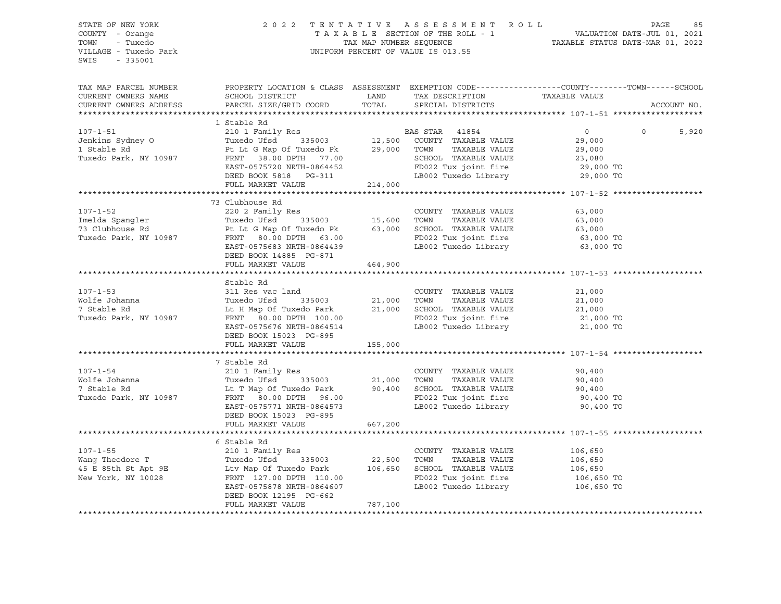| SWIS - 335001 |                                                                                                                                                                                                                                                                                                                                                                                                                                                                                     |         |  |             |
|---------------|-------------------------------------------------------------------------------------------------------------------------------------------------------------------------------------------------------------------------------------------------------------------------------------------------------------------------------------------------------------------------------------------------------------------------------------------------------------------------------------|---------|--|-------------|
|               | TAX MAP PARCEL NUMBER PROPERTY LOCATION & CLASS ASSESSMENT EXEMPTION CODE---------------COUNTY--------TOWN------SCHOOL                                                                                                                                                                                                                                                                                                                                                              |         |  | ACCOUNT NO. |
|               |                                                                                                                                                                                                                                                                                                                                                                                                                                                                                     |         |  |             |
|               | 1 Stable Rd<br>$\begin{tabular}{lllllllllllllllllllllll} \text{107--1-51} & & & & 1 \text{ Stable Rd} & & & & 10 \text{ T ramily Res} \\ \text{Jenkins Sydney O} & & & & 210 \text{ I Family Res} & & & \text{BAS STAR} & 41854 & & 0 & 0 \\ \text{Jerkins Sydney O} & & & \text{Tuxedo USA} & & 335003 & & 12,500 & \text{COUNTY} & \text{TAXABLE VALUE} & & 29,000 \\ \text{1 Stable Rd} & & & \text{Pt L t G Map Of Tuxedo PK} & & 29,000 & \text{TOMN} & \text{T$               |         |  | 5,920       |
|               |                                                                                                                                                                                                                                                                                                                                                                                                                                                                                     |         |  |             |
|               |                                                                                                                                                                                                                                                                                                                                                                                                                                                                                     |         |  |             |
|               |                                                                                                                                                                                                                                                                                                                                                                                                                                                                                     |         |  |             |
|               |                                                                                                                                                                                                                                                                                                                                                                                                                                                                                     |         |  |             |
|               |                                                                                                                                                                                                                                                                                                                                                                                                                                                                                     |         |  |             |
|               |                                                                                                                                                                                                                                                                                                                                                                                                                                                                                     |         |  |             |
|               |                                                                                                                                                                                                                                                                                                                                                                                                                                                                                     |         |  |             |
|               | 73 Clubhouse Rd                                                                                                                                                                                                                                                                                                                                                                                                                                                                     |         |  |             |
|               |                                                                                                                                                                                                                                                                                                                                                                                                                                                                                     |         |  |             |
|               |                                                                                                                                                                                                                                                                                                                                                                                                                                                                                     |         |  |             |
|               |                                                                                                                                                                                                                                                                                                                                                                                                                                                                                     |         |  |             |
|               |                                                                                                                                                                                                                                                                                                                                                                                                                                                                                     |         |  |             |
|               |                                                                                                                                                                                                                                                                                                                                                                                                                                                                                     |         |  |             |
|               | $\begin{tabular}{lllllllllllllll} \multicolumn{3}{l}{} & \multicolumn{3}{l}{} & \multicolumn{3}{l}{} & \multicolumn{3}{l}{} & \multicolumn{3}{l}{} & \multicolumn{3}{l}{} & \multicolumn{3}{l}{} & \multicolumn{3}{l}{} & \multicolumn{3}{l}{} & \multicolumn{3}{l}{} & \multicolumn{3}{l}{} & \multicolumn{3}{l}{} & \multicolumn{3}{l}{} & \multicolumn{3}{l}{} & \multicolumn{3}{l}{} & \multicolumn{3}{l}{} & \multicolumn{3}{l}{} & \multicolumn{3}{l}{} & \multicolumn{3}{$   |         |  |             |
|               |                                                                                                                                                                                                                                                                                                                                                                                                                                                                                     |         |  |             |
|               | Stable Rd                                                                                                                                                                                                                                                                                                                                                                                                                                                                           |         |  |             |
|               |                                                                                                                                                                                                                                                                                                                                                                                                                                                                                     |         |  |             |
|               |                                                                                                                                                                                                                                                                                                                                                                                                                                                                                     |         |  |             |
|               |                                                                                                                                                                                                                                                                                                                                                                                                                                                                                     |         |  |             |
|               |                                                                                                                                                                                                                                                                                                                                                                                                                                                                                     |         |  |             |
|               |                                                                                                                                                                                                                                                                                                                                                                                                                                                                                     |         |  |             |
|               |                                                                                                                                                                                                                                                                                                                                                                                                                                                                                     |         |  |             |
|               |                                                                                                                                                                                                                                                                                                                                                                                                                                                                                     |         |  |             |
|               | $\begin{tabular}{lllllllllllllllllllll} \multicolumn{3}{l}{} & \multicolumn{3}{l}{} & \multicolumn{3}{l}{} & \multicolumn{3}{l}{} & \multicolumn{3}{l}{} & \multicolumn{3}{l}{} & \multicolumn{3}{l}{} & \multicolumn{3}{l}{} & \multicolumn{3}{l}{} & \multicolumn{3}{l}{} & \multicolumn{3}{l}{} & \multicolumn{3}{l}{} & \multicolumn{3}{l}{} & \multicolumn{3}{l}{} & \multicolumn{3}{l}{} & \multicolumn{3}{l}{} & \multicolumn{3}{l}{} & \multicolumn{3}{l}{} & \multicolumn$ |         |  |             |
|               |                                                                                                                                                                                                                                                                                                                                                                                                                                                                                     |         |  |             |
|               |                                                                                                                                                                                                                                                                                                                                                                                                                                                                                     |         |  |             |
|               |                                                                                                                                                                                                                                                                                                                                                                                                                                                                                     |         |  |             |
|               |                                                                                                                                                                                                                                                                                                                                                                                                                                                                                     |         |  |             |
|               |                                                                                                                                                                                                                                                                                                                                                                                                                                                                                     |         |  |             |
|               | FULL MARKET VALUE 667,200                                                                                                                                                                                                                                                                                                                                                                                                                                                           |         |  |             |
|               |                                                                                                                                                                                                                                                                                                                                                                                                                                                                                     |         |  |             |
|               |                                                                                                                                                                                                                                                                                                                                                                                                                                                                                     |         |  |             |
|               |                                                                                                                                                                                                                                                                                                                                                                                                                                                                                     |         |  |             |
|               |                                                                                                                                                                                                                                                                                                                                                                                                                                                                                     |         |  |             |
|               |                                                                                                                                                                                                                                                                                                                                                                                                                                                                                     |         |  |             |
|               |                                                                                                                                                                                                                                                                                                                                                                                                                                                                                     |         |  |             |
|               | DEED BOOK 12195 PG-662                                                                                                                                                                                                                                                                                                                                                                                                                                                              |         |  |             |
|               | FULL MARKET VALUE                                                                                                                                                                                                                                                                                                                                                                                                                                                                   | 787,100 |  |             |
|               |                                                                                                                                                                                                                                                                                                                                                                                                                                                                                     |         |  |             |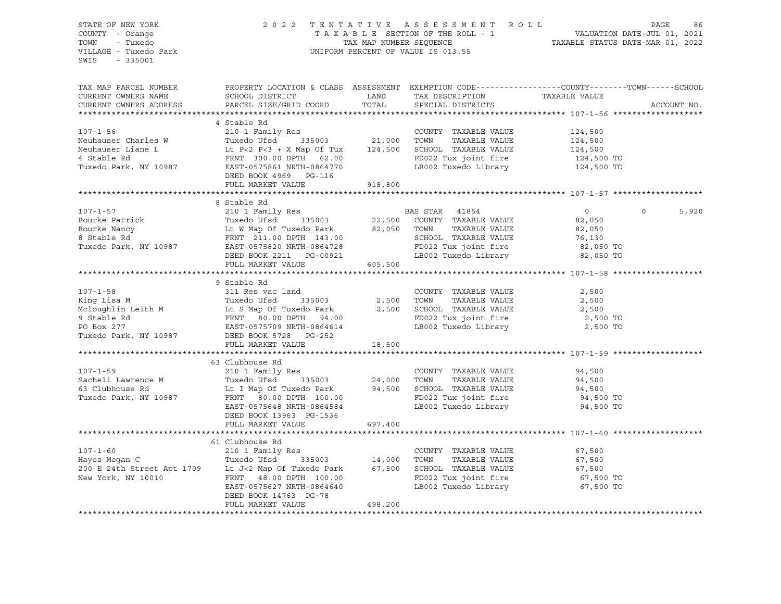### STATE OF NEW YORK 2 0 2 2 T E N T A T I V E A S S E S S M E N T R O L L PAGE 86 COUNTY - Orange T A X A B L E SECTION OF THE ROLL - 1 VALUATION DATE-JUL 01, 2021 TOWN - Tuxedo TAX MAP NUMBER SEQUENCE TAXABLE STATUS DATE-MAR 01, 2022 VILLAGE - Tuxedo Park UNIFORM PERCENT OF VALUE IS 013.55

| TAX MAP PARCEL NUMBER<br>CURRENT OWNERS NAME<br>CURRENT OWNERS ADDRESS                                                                                                                                                                                                                                                                                                                                                 | PROPERTY LOCATION & CLASS ASSESSMENT EXEMPTION CODE---------------COUNTY-------TOWN------SCHOOL<br>SCHOOL DISTRICT<br>PARCEL SIZE/GRID COORD TOTAL                                                                                       | LAND    | TAX DESCRIPTION TAXABLE VALUE<br>SPECIAL DISTRICTS            |                       | ACCOUNT NO.      |
|------------------------------------------------------------------------------------------------------------------------------------------------------------------------------------------------------------------------------------------------------------------------------------------------------------------------------------------------------------------------------------------------------------------------|------------------------------------------------------------------------------------------------------------------------------------------------------------------------------------------------------------------------------------------|---------|---------------------------------------------------------------|-----------------------|------------------|
|                                                                                                                                                                                                                                                                                                                                                                                                                        |                                                                                                                                                                                                                                          |         |                                                               |                       |                  |
|                                                                                                                                                                                                                                                                                                                                                                                                                        | 4 Stable Rd                                                                                                                                                                                                                              |         |                                                               |                       |                  |
| $107 - 1 - 56$<br>Neuhauser Charles W                                                                                                                                                                                                                                                                                                                                                                                  | Res<br>335003 21,000<br>210 1 Family Res<br>Tuxedo Ufsd                                                                                                                                                                                  |         | COUNTY TAXABLE VALUE<br>TOWN<br>TAXABLE VALUE                 | 124,500<br>124,500    |                  |
| Neuhauser Liane L                                                                                                                                                                                                                                                                                                                                                                                                      |                                                                                                                                                                                                                                          |         | SCHOOL TAXABLE VALUE                                          |                       |                  |
| 4 Stable Rd                                                                                                                                                                                                                                                                                                                                                                                                            | Lt P<2 P<3 + X Map Of Tux 124,500<br>FRNT 300.00 DPTH 62.00                                                                                                                                                                              |         | FD022 Tux joint fire                                          | 124,500<br>124,500 TO |                  |
| Tuxedo Park, NY 10987                                                                                                                                                                                                                                                                                                                                                                                                  | EAST-0575861 NRTH-0864770                                                                                                                                                                                                                |         | LB002 Tuxedo Library 124,500 TO                               |                       |                  |
|                                                                                                                                                                                                                                                                                                                                                                                                                        | DEED BOOK 4969 PG-116                                                                                                                                                                                                                    |         |                                                               |                       |                  |
|                                                                                                                                                                                                                                                                                                                                                                                                                        | FULL MARKET VALUE                                                                                                                                                                                                                        | 918,800 |                                                               |                       |                  |
|                                                                                                                                                                                                                                                                                                                                                                                                                        |                                                                                                                                                                                                                                          |         |                                                               |                       |                  |
|                                                                                                                                                                                                                                                                                                                                                                                                                        | 8 Stable Rd                                                                                                                                                                                                                              |         |                                                               |                       |                  |
| $107 - 1 - 57$                                                                                                                                                                                                                                                                                                                                                                                                         | 6 SLADIE Ranily Res<br>Tuxedo Ufsd 335003 22,500 COUNTY TAXABLE VALUE<br>Lt W Map Of Tuxedo Park 82,050 TOWN TAXABLE VALUE<br>FRNT 211.00 DPTH 143.00 SCHOOL TAXABLE VALUE<br>FRNT 211.00 DPTH 143.00 SCHOOL TAXABLE VALUE<br>FRNT 211.0 |         |                                                               | $\overline{0}$        | $\circ$<br>5,920 |
| Bourke Patrick                                                                                                                                                                                                                                                                                                                                                                                                         |                                                                                                                                                                                                                                          |         |                                                               | 82,050                |                  |
| Bourke Nancy                                                                                                                                                                                                                                                                                                                                                                                                           |                                                                                                                                                                                                                                          |         |                                                               | 82,050                |                  |
| 8 Stable Rd                                                                                                                                                                                                                                                                                                                                                                                                            |                                                                                                                                                                                                                                          |         |                                                               |                       |                  |
| Tuxedo Park, NY 10987                                                                                                                                                                                                                                                                                                                                                                                                  |                                                                                                                                                                                                                                          |         | SCHOOL TAXABLE VALUE 76,130<br>FD022 Tux joint fire 82,050 TO |                       |                  |
|                                                                                                                                                                                                                                                                                                                                                                                                                        | DEED BOOK 2211 PG-00921                                                                                                                                                                                                                  |         | LB002 Tuxedo Library 62,050 TO                                |                       |                  |
|                                                                                                                                                                                                                                                                                                                                                                                                                        | FULL MARKET VALUE                                                                                                                                                                                                                        | 605,500 |                                                               |                       |                  |
|                                                                                                                                                                                                                                                                                                                                                                                                                        |                                                                                                                                                                                                                                          |         |                                                               |                       |                  |
|                                                                                                                                                                                                                                                                                                                                                                                                                        | 9 Stable Rd                                                                                                                                                                                                                              |         |                                                               |                       |                  |
|                                                                                                                                                                                                                                                                                                                                                                                                                        |                                                                                                                                                                                                                                          |         |                                                               |                       |                  |
|                                                                                                                                                                                                                                                                                                                                                                                                                        |                                                                                                                                                                                                                                          |         |                                                               |                       |                  |
|                                                                                                                                                                                                                                                                                                                                                                                                                        |                                                                                                                                                                                                                                          |         |                                                               |                       |                  |
|                                                                                                                                                                                                                                                                                                                                                                                                                        |                                                                                                                                                                                                                                          |         |                                                               | 2,500 TO              |                  |
|                                                                                                                                                                                                                                                                                                                                                                                                                        |                                                                                                                                                                                                                                          |         | LB002 Tuxedo Library 2,500 TO                                 |                       |                  |
|                                                                                                                                                                                                                                                                                                                                                                                                                        |                                                                                                                                                                                                                                          |         |                                                               |                       |                  |
|                                                                                                                                                                                                                                                                                                                                                                                                                        | FULL MARKET VALUE                                                                                                                                                                                                                        |         |                                                               |                       |                  |
|                                                                                                                                                                                                                                                                                                                                                                                                                        |                                                                                                                                                                                                                                          | 18,500  |                                                               |                       |                  |
|                                                                                                                                                                                                                                                                                                                                                                                                                        | 63 Clubhouse Rd                                                                                                                                                                                                                          |         |                                                               |                       |                  |
| $107 - 1 - 59$                                                                                                                                                                                                                                                                                                                                                                                                         |                                                                                                                                                                                                                                          |         | COUNTY TAXABLE VALUE                                          | 94,500                |                  |
| Sacheli Lawrence M                                                                                                                                                                                                                                                                                                                                                                                                     |                                                                                                                                                                                                                                          |         | TAXABLE VALUE<br>TOWN                                         | 94,500                |                  |
| 63 Clubhouse Rd                                                                                                                                                                                                                                                                                                                                                                                                        |                                                                                                                                                                                                                                          |         |                                                               |                       |                  |
| Tuxedo Park, NY 10987                                                                                                                                                                                                                                                                                                                                                                                                  | Lt I Map Of Tuxedo Park 94,500<br>FRNT 80.00 DPTH 100.00                                                                                                                                                                                 |         | SCHOOL TAXABLE VALUE 94,500<br>FD022 Tux joint fire 94,500 TO |                       |                  |
|                                                                                                                                                                                                                                                                                                                                                                                                                        | EAST-0575648 NRTH-0864584                                                                                                                                                                                                                |         | LB002 Tuxedo Library                                          | 94,500 TO             |                  |
|                                                                                                                                                                                                                                                                                                                                                                                                                        | DEED BOOK 13963 PG-1536                                                                                                                                                                                                                  |         |                                                               |                       |                  |
|                                                                                                                                                                                                                                                                                                                                                                                                                        | FULL MARKET VALUE                                                                                                                                                                                                                        | 697,400 |                                                               |                       |                  |
|                                                                                                                                                                                                                                                                                                                                                                                                                        |                                                                                                                                                                                                                                          |         |                                                               |                       |                  |
|                                                                                                                                                                                                                                                                                                                                                                                                                        | 61 Clubhouse Rd                                                                                                                                                                                                                          |         |                                                               |                       |                  |
| $107 - 1 - 60$                                                                                                                                                                                                                                                                                                                                                                                                         | 210 1 Family Res                                                                                                                                                                                                                         |         | COUNTY TAXABLE VALUE                                          | 67,500                |                  |
|                                                                                                                                                                                                                                                                                                                                                                                                                        |                                                                                                                                                                                                                                          |         | TOWN<br>TAXABLE VALUE                                         | 67,500                |                  |
| $\begin{tabular}{lcccccc} \multicolumn{4}{c}{\textbf{14,000}} & \multicolumn{4}{c}{\textbf{14,000}} & \multicolumn{4}{c}{\textbf{14,000}} & \multicolumn{4}{c}{\textbf{14,000}} & \multicolumn{4}{c}{\textbf{14,000}} & \multicolumn{4}{c}{\textbf{14,000}} & \multicolumn{4}{c}{\textbf{14,000}} & \multicolumn{4}{c}{\textbf{14,000}} & \multicolumn{4}{c}{\textbf{14,000}} & \multicolumn{4}{c}{\textbf{14,000}} &$ |                                                                                                                                                                                                                                          |         | SCHOOL TAXABLE VALUE                                          | 67,500                |                  |
|                                                                                                                                                                                                                                                                                                                                                                                                                        |                                                                                                                                                                                                                                          |         |                                                               | 67,500 TO             |                  |
|                                                                                                                                                                                                                                                                                                                                                                                                                        | Lt J<2 Map Of Tuxed $\frac{1}{2}$<br>FRNT 48.00 DPTH 100.00                                                                                                                                                                              |         | FD022 Tux joint fire<br>LB002 Tuxedo Library                  | 67,500 TO             |                  |
|                                                                                                                                                                                                                                                                                                                                                                                                                        | DEED BOOK 14763 PG-78                                                                                                                                                                                                                    |         |                                                               |                       |                  |
|                                                                                                                                                                                                                                                                                                                                                                                                                        | FULL MARKET VALUE                                                                                                                                                                                                                        | 498,200 |                                                               |                       |                  |
|                                                                                                                                                                                                                                                                                                                                                                                                                        |                                                                                                                                                                                                                                          |         |                                                               |                       |                  |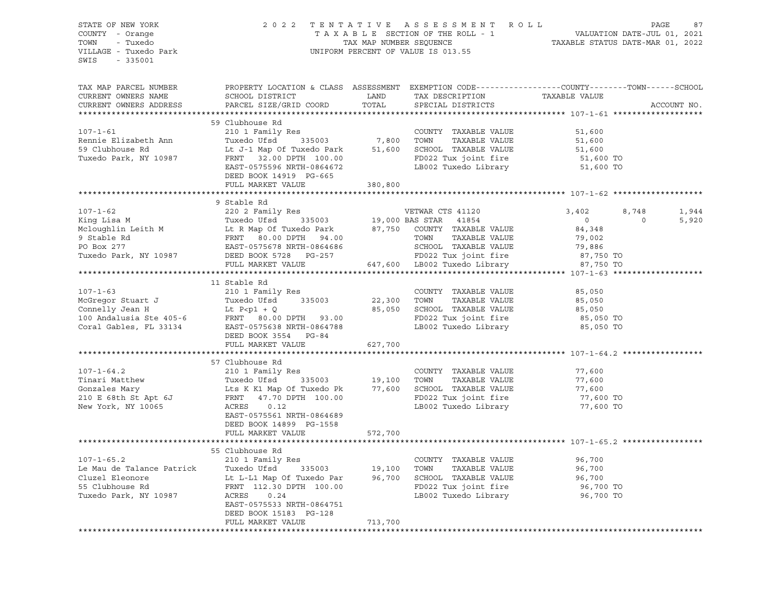| STATE OF NEW YORK<br>COUNTY - Orange<br>TOWN<br>- Tuxedo<br>VILLAGE - Tuxedo Park                                                                                                                                                      | 2022 TENTATIVE ASSESSMENT ROLL                                                                                                                                             |                | UNIFORM PERCENT OF VALUE IS 013.55                                        | TENTATIVE ASSESSMENT ROLL PAGE 87<br>TAXABLE SECTION OF THE ROLL - 1 VALUATION DATE-JUL 01, 2021<br>TAX MAP NUMBER SEQUENCE TAXABLE STATUS DATE-MAR 01, 2022<br>INIFORM PERCENT OF VALUE TO 012 EF |             |
|----------------------------------------------------------------------------------------------------------------------------------------------------------------------------------------------------------------------------------------|----------------------------------------------------------------------------------------------------------------------------------------------------------------------------|----------------|---------------------------------------------------------------------------|----------------------------------------------------------------------------------------------------------------------------------------------------------------------------------------------------|-------------|
| $-335001$<br>SWIS                                                                                                                                                                                                                      |                                                                                                                                                                            |                |                                                                           |                                                                                                                                                                                                    |             |
| TAX MAP PARCEL NUMBER                                                                                                                                                                                                                  |                                                                                                                                                                            |                |                                                                           | PROPERTY LOCATION & CLASS ASSESSMENT EXEMPTION CODE----------------COUNTY-------TOWN-----SCHOOL                                                                                                    |             |
| CURRENT OWNERS NAME                                                                                                                                                                                                                    | SCHOOL DISTRICT                                                                                                                                                            | LAND           | TAX DESCRIPTION                                                           | TAXABLE VALUE                                                                                                                                                                                      |             |
| CURRENT OWNERS ADDRESS                                                                                                                                                                                                                 | PARCEL SIZE/GRID COORD                                                                                                                                                     | TOTAL          | SPECIAL DISTRICTS                                                         |                                                                                                                                                                                                    | ACCOUNT NO. |
|                                                                                                                                                                                                                                        |                                                                                                                                                                            |                |                                                                           |                                                                                                                                                                                                    |             |
|                                                                                                                                                                                                                                        | 59 Clubhouse Rd                                                                                                                                                            |                |                                                                           |                                                                                                                                                                                                    |             |
| $107 - 1 - 61$                                                                                                                                                                                                                         | 210 1 Family Res                                                                                                                                                           |                | COUNTY TAXABLE VALUE                                                      | 51,600                                                                                                                                                                                             |             |
| Rennie Elizabeth Ann                                                                                                                                                                                                                   | Tuxedo Ufsd 335003 7,800 TOWN                                                                                                                                              |                | TAXABLE VALUE                                                             | 51,600                                                                                                                                                                                             |             |
| 59 Clubhouse Rd                                                                                                                                                                                                                        | Lt J-1 Map Of Tuxedo Park 51,600 SCHOOL TAXABLE VALUE                                                                                                                      |                |                                                                           | 51,600                                                                                                                                                                                             |             |
| Tuxedo Park, NY 10987                                                                                                                                                                                                                  | FRNT 32.00 DPTH 100.00                                                                                                                                                     |                | FD022 Tux joint fire                                                      | 51,600 TO                                                                                                                                                                                          |             |
|                                                                                                                                                                                                                                        | EAST-0575596 NRTH-0864672                                                                                                                                                  |                | LB002 Tuxedo Library                                                      | 51,600 TO                                                                                                                                                                                          |             |
|                                                                                                                                                                                                                                        | DEED BOOK 14919 PG-665                                                                                                                                                     |                |                                                                           |                                                                                                                                                                                                    |             |
|                                                                                                                                                                                                                                        | FULL MARKET VALUE                                                                                                                                                          | 380,800        |                                                                           |                                                                                                                                                                                                    |             |
|                                                                                                                                                                                                                                        |                                                                                                                                                                            | *************  |                                                                           | ********************* 107-1-62 *****************                                                                                                                                                   |             |
|                                                                                                                                                                                                                                        | 9 Stable Rd                                                                                                                                                                |                |                                                                           |                                                                                                                                                                                                    |             |
| $107 - 1 - 62$                                                                                                                                                                                                                         | 220 2 Family Res                                                                                                                                                           |                | VETWAR CTS 41120                                                          | 8,748<br>3,402<br>$\circ$<br>$\overline{0}$                                                                                                                                                        | 1,944       |
| King Lisa M                                                                                                                                                                                                                            | Tuxedo Ufsd 335003                                                                                                                                                         |                | 19,000 BAS STAR 41854                                                     | 84,348                                                                                                                                                                                             | 5,920       |
| Mcloughlin Leith M                                                                                                                                                                                                                     |                                                                                                                                                                            |                | TAXABLE VALUE                                                             | 79,002                                                                                                                                                                                             |             |
| POLOGYTILE RELATED BOOTH AND TOWN TAXABLE VALUE<br>POLOGY 277 EAST-0575678 NRTH-0864686 SCHOOL TAXABLE VALUE<br>Tuxedo Park, NY 10987 DEED BOOK 5728 PG-257 FD022 Tux joint fire<br>FULL MARKET VALUE<br>FULL MARKET VALUE 647,600 LB0 | 19,000 BAS SIAR 41894<br>Lt R Map Of Tuxedo Park 87,750 COUNTY TAXABLE VALUE<br>FRNT 80.00 DPTH 94.00 TOWN TAXABLE VALUE<br>EAST-0575678 NRTH-0864686 SCHOOL TAXABLE VALUE |                | SCHOOL TAXABLE VALUE                                                      | 79,886                                                                                                                                                                                             |             |
|                                                                                                                                                                                                                                        |                                                                                                                                                                            |                |                                                                           |                                                                                                                                                                                                    |             |
|                                                                                                                                                                                                                                        |                                                                                                                                                                            |                | FD022 Tux joint fire 57,750 TO<br>LB002 Tuxedo Library 57,750 TO          | 87,750 TO                                                                                                                                                                                          |             |
|                                                                                                                                                                                                                                        |                                                                                                                                                                            |                |                                                                           |                                                                                                                                                                                                    |             |
|                                                                                                                                                                                                                                        | 11 Stable Rd                                                                                                                                                               |                |                                                                           |                                                                                                                                                                                                    |             |
| $107 - 1 - 63$                                                                                                                                                                                                                         | 210 1 Family Res                                                                                                                                                           |                | COUNTY TAXABLE VALUE                                                      | 85,050                                                                                                                                                                                             |             |
| McGregor Stuart J<br>Connelly Jean H                                                                                                                                                                                                   | Tuxedo Ufsd 335003                                                                                                                                                         | 22,300 TOWN    | TAXABLE VALUE                                                             | 85,050                                                                                                                                                                                             |             |
|                                                                                                                                                                                                                                        | Lt $P < p1 + Q$                                                                                                                                                            |                | 85,050 SCHOOL TAXABLE VALUE                                               | 85,050                                                                                                                                                                                             |             |
| 100 Andalusia Ste 405-6 FRNT 80.00 DPTH 93.00                                                                                                                                                                                          |                                                                                                                                                                            |                | FD022 Tux joint fire                                                      | 85,050 TO                                                                                                                                                                                          |             |
| Coral Gables, FL 33134                                                                                                                                                                                                                 | EAST-0575638 NRTH-0864788<br>DEED BOOK 3554 PG-84                                                                                                                          |                | LB002 Tuxedo Library                                                      | 85,050 TO                                                                                                                                                                                          |             |
|                                                                                                                                                                                                                                        | FULL MARKET VALUE                                                                                                                                                          | 627,700        |                                                                           |                                                                                                                                                                                                    |             |
|                                                                                                                                                                                                                                        | 57 Clubhouse Rd                                                                                                                                                            |                |                                                                           |                                                                                                                                                                                                    |             |
| $107 - 1 - 64.2$                                                                                                                                                                                                                       | 210 1 Family Res                                                                                                                                                           |                | COUNTY TAXABLE VALUE                                                      | 77,600                                                                                                                                                                                             |             |
|                                                                                                                                                                                                                                        |                                                                                                                                                                            |                |                                                                           | 77,600                                                                                                                                                                                             |             |
| Tinari Matthew<br>Gonzales Mary                                                                                                                                                                                                        |                                                                                                                                                                            |                | 335003 19,100 TOWN TAXABLE VALUE<br>Tuxedo Pk 77,600 SCHOOL TAXABLE VALUE | 77,600                                                                                                                                                                                             |             |
| 210 E 68th St Apt 6J                                                                                                                                                                                                                   | Tuxedo Ufsd <sup>335003</sup><br>Lts K K1 Map Of Tuxedo Pk<br>FRNT 47.70 DPTH 100.00                                                                                       |                | FD022 Tux joint fire                                                      | 77,600 TO                                                                                                                                                                                          |             |
| New York, NY 10065                                                                                                                                                                                                                     | ACRES<br>0.12                                                                                                                                                              |                | LB002 Tuxedo Library                                                      | 77,600 TO                                                                                                                                                                                          |             |
|                                                                                                                                                                                                                                        | EAST-0575561 NRTH-0864689                                                                                                                                                  |                |                                                                           |                                                                                                                                                                                                    |             |
|                                                                                                                                                                                                                                        | DEED BOOK 14899 PG-1558                                                                                                                                                    |                |                                                                           |                                                                                                                                                                                                    |             |
|                                                                                                                                                                                                                                        | FULL MARKET VALUE                                                                                                                                                          | 572,700        |                                                                           |                                                                                                                                                                                                    |             |
|                                                                                                                                                                                                                                        |                                                                                                                                                                            | ************** |                                                                           | ****************************** 107-1-65.2 ****************                                                                                                                                         |             |
|                                                                                                                                                                                                                                        | 55 Clubhouse Rd                                                                                                                                                            |                |                                                                           |                                                                                                                                                                                                    |             |
| $107 - 1 - 65.2$                                                                                                                                                                                                                       | 210 1 Family Res                                                                                                                                                           |                | COUNTY TAXABLE VALUE                                                      | 96,700                                                                                                                                                                                             |             |
| Le Mau de Talance Patrick<br>Cluzel Eleonore                                                                                                                                                                                           |                                                                                                                                                                            | 96,700         | TOWN<br>TAXABLE VALUE                                                     | 96,700                                                                                                                                                                                             |             |
| 55 Clubhouse Rd                                                                                                                                                                                                                        | Patrick Tuxedo Ufsd 335003 19,100<br>Lt L-L1 Map Of Tuxedo Par 96,700<br>FRNT 112.30 DPTH 100.00                                                                           |                | SCHOOL TAXABLE VALUE<br>FD022 Tux joint fire                              | 96,700<br>96,700 TO                                                                                                                                                                                |             |
| Tuxedo Park, NY 10987                                                                                                                                                                                                                  | ACRES<br>0.24                                                                                                                                                              |                | LB002 Tuxedo Library                                                      | 96,700 TO                                                                                                                                                                                          |             |
|                                                                                                                                                                                                                                        | EAST-0575533 NRTH-0864751                                                                                                                                                  |                |                                                                           |                                                                                                                                                                                                    |             |
|                                                                                                                                                                                                                                        | DEED BOOK 15183 PG-128                                                                                                                                                     |                |                                                                           |                                                                                                                                                                                                    |             |
|                                                                                                                                                                                                                                        | FULL MARKET VALUE                                                                                                                                                          | 713,700        |                                                                           |                                                                                                                                                                                                    |             |
|                                                                                                                                                                                                                                        |                                                                                                                                                                            |                |                                                                           |                                                                                                                                                                                                    |             |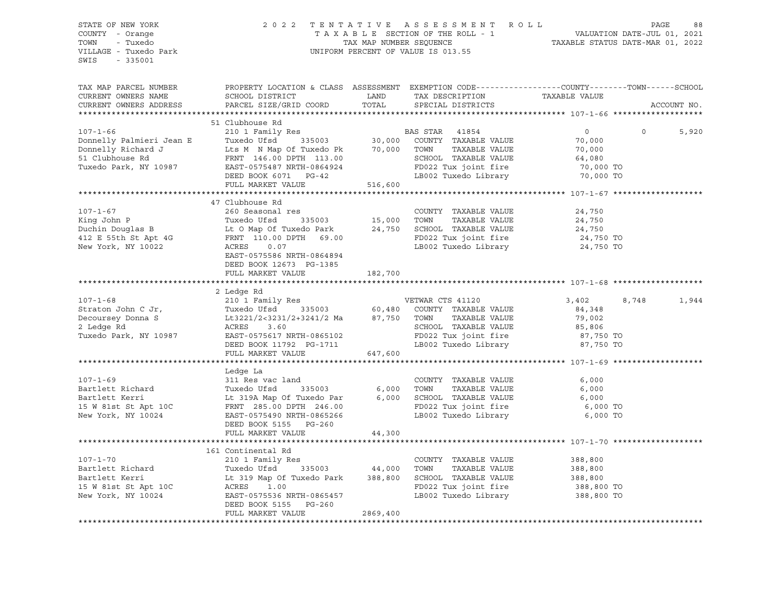| STATE OF NEW YORK<br>COUNTY - Orange<br>TOWN - Tuxedo<br>VILLAGE - Tuxedo Park<br>SWIS - 335001                                                                                                                                                                    | 2022 TENTATIVE ASSESSMENT ROLL PAGE 88<br>TAXABLE SECTION OF THE ROLL - 1 VALUATION DATE-JUL 01, 2021<br>TAX MAP NUMBER SEQUENCE TAXABLE STATUS DATE-MAR 01, 2022<br>UNIFORM PERCENT OF VALUE IS 013.55 |          |                   |             |
|--------------------------------------------------------------------------------------------------------------------------------------------------------------------------------------------------------------------------------------------------------------------|---------------------------------------------------------------------------------------------------------------------------------------------------------------------------------------------------------|----------|-------------------|-------------|
| TAX MAP PARCEL NUMBER<br>CURRENT OWNERS NAME<br>CURRENT OWNERS ADDRESS                                                                                                                                                                                             | PROPERTY LOCATION & CLASS ASSESSMENT EXEMPTION CODE-----------------COUNTY-------TOWN------SCHOOL                                                                                                       |          |                   | ACCOUNT NO. |
|                                                                                                                                                                                                                                                                    |                                                                                                                                                                                                         |          |                   |             |
|                                                                                                                                                                                                                                                                    | 51 Clubhouse Rd                                                                                                                                                                                         |          | $0 \t 0 \t 5,920$ |             |
|                                                                                                                                                                                                                                                                    |                                                                                                                                                                                                         |          |                   |             |
|                                                                                                                                                                                                                                                                    |                                                                                                                                                                                                         |          |                   |             |
|                                                                                                                                                                                                                                                                    |                                                                                                                                                                                                         |          |                   |             |
|                                                                                                                                                                                                                                                                    |                                                                                                                                                                                                         |          |                   |             |
|                                                                                                                                                                                                                                                                    |                                                                                                                                                                                                         |          |                   |             |
|                                                                                                                                                                                                                                                                    |                                                                                                                                                                                                         |          |                   |             |
|                                                                                                                                                                                                                                                                    | 47 Clubhouse Rd                                                                                                                                                                                         |          |                   |             |
|                                                                                                                                                                                                                                                                    |                                                                                                                                                                                                         |          |                   |             |
|                                                                                                                                                                                                                                                                    |                                                                                                                                                                                                         |          |                   |             |
|                                                                                                                                                                                                                                                                    |                                                                                                                                                                                                         |          |                   |             |
|                                                                                                                                                                                                                                                                    |                                                                                                                                                                                                         |          |                   |             |
|                                                                                                                                                                                                                                                                    |                                                                                                                                                                                                         |          |                   |             |
|                                                                                                                                                                                                                                                                    |                                                                                                                                                                                                         |          |                   |             |
|                                                                                                                                                                                                                                                                    | DEED BOOK 12673 PG-1385<br>FULL MARKET VALUE                                                                                                                                                            | 182,700  |                   |             |
|                                                                                                                                                                                                                                                                    |                                                                                                                                                                                                         |          |                   |             |
|                                                                                                                                                                                                                                                                    | 2 Ledge Rd                                                                                                                                                                                              |          |                   |             |
|                                                                                                                                                                                                                                                                    |                                                                                                                                                                                                         |          |                   | 1,944       |
|                                                                                                                                                                                                                                                                    |                                                                                                                                                                                                         |          |                   |             |
|                                                                                                                                                                                                                                                                    |                                                                                                                                                                                                         |          |                   |             |
|                                                                                                                                                                                                                                                                    |                                                                                                                                                                                                         |          |                   |             |
|                                                                                                                                                                                                                                                                    |                                                                                                                                                                                                         |          |                   |             |
| 107-1-68<br>Straton John C Jr,<br>2 Ledge Rd<br>2 Ledge Rd<br>2 Ledge Rd<br>2 Ledge Rd<br>2 Ledge Rd<br>2 Ledge Rd<br>2 Ledge Rd<br>2 Ledge Rd<br>2 Ledge Rd<br>2 Ledge Rd<br>2 Ledge Rd<br>2 Ledge Rd<br>2 Ledge Rd<br>2 Ledge Rd<br>2 Ledge Rd<br>2 Ledge Rd<br> |                                                                                                                                                                                                         |          |                   |             |
|                                                                                                                                                                                                                                                                    |                                                                                                                                                                                                         |          |                   |             |
|                                                                                                                                                                                                                                                                    | Ledge La                                                                                                                                                                                                |          |                   |             |
|                                                                                                                                                                                                                                                                    |                                                                                                                                                                                                         |          |                   |             |
|                                                                                                                                                                                                                                                                    |                                                                                                                                                                                                         |          |                   |             |
|                                                                                                                                                                                                                                                                    |                                                                                                                                                                                                         |          |                   |             |
|                                                                                                                                                                                                                                                                    |                                                                                                                                                                                                         |          |                   |             |
| 107-1-69<br>Bartlett Richard Tuxedo Ufsd 335003 6,000 TOWN TAXABLE VALUE 6,000<br>Bartlett Kerri Lt 319A Map Of Tuxedo Par 6,000 SCHOOL TAXABLE VALUE 6,000<br>15 W 81st St Apt 10C FRNT 285.00 DPTH 246.00<br>New York, NY 10024 EAST                             |                                                                                                                                                                                                         |          |                   |             |
|                                                                                                                                                                                                                                                                    | FULL MARKET VALUE                                                                                                                                                                                       | 44,300   |                   |             |
|                                                                                                                                                                                                                                                                    |                                                                                                                                                                                                         |          |                   |             |
|                                                                                                                                                                                                                                                                    | 161 Continental Rd                                                                                                                                                                                      |          |                   |             |
| $107 - 1 - 70$                                                                                                                                                                                                                                                     |                                                                                                                                                                                                         |          |                   |             |
|                                                                                                                                                                                                                                                                    |                                                                                                                                                                                                         |          |                   |             |
|                                                                                                                                                                                                                                                                    |                                                                                                                                                                                                         |          |                   |             |
|                                                                                                                                                                                                                                                                    |                                                                                                                                                                                                         |          |                   |             |
| 107-1-70<br>Bartlett Richard Tuxedo Ufsd 335003<br>Bartlett Kerri Lt 319 Map Of Tuxedo Park 388,800<br>15 W 81st St Apt 10C<br>New York, NY 10024<br>2001 Family Res 260<br>2101 Family Res 2003 44,000 TOWN TAXABLE VALUE 388,800<br>                             |                                                                                                                                                                                                         |          |                   |             |
|                                                                                                                                                                                                                                                                    | FULL MARKET VALUE                                                                                                                                                                                       | 2869,400 |                   |             |
|                                                                                                                                                                                                                                                                    |                                                                                                                                                                                                         |          |                   |             |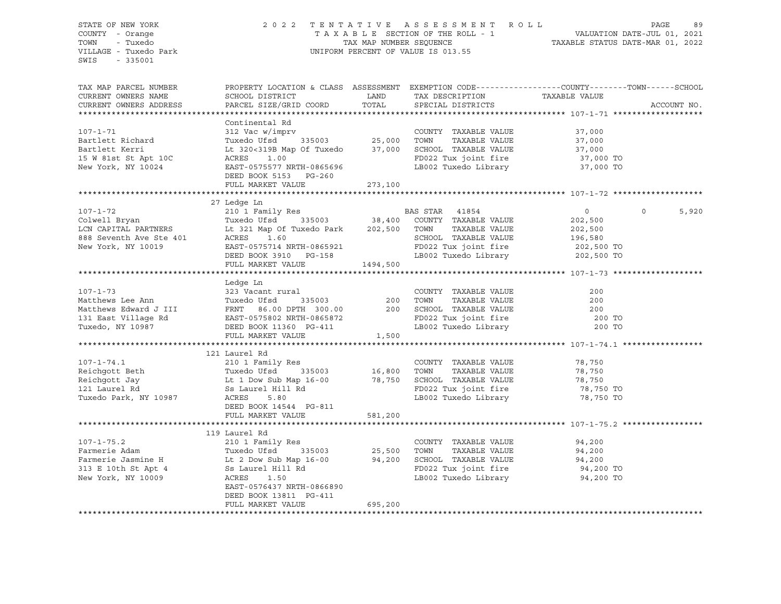| STATE OF NEW YORK                      | 2022 TENTATIVE ASSESSMENT ROLL PAGE 89<br>TAXABLE SECTION OF THE ROLL - 1 VALUATION DATE-JUL 01, 2021<br>TAX MAP NUMBER SEQUENCE TAXABLE STATUS DATE-MAR 01, 2022<br>UNIFORM PERCENT OF VALUE IS 013.55                                                |         |                                                          |                     |             |
|----------------------------------------|--------------------------------------------------------------------------------------------------------------------------------------------------------------------------------------------------------------------------------------------------------|---------|----------------------------------------------------------|---------------------|-------------|
| COUNTY - Orange                        |                                                                                                                                                                                                                                                        |         |                                                          |                     |             |
| TOWN - Tuxedo<br>VILLAGE - Tuxedo Park |                                                                                                                                                                                                                                                        |         |                                                          |                     |             |
| SWIS - 335001                          |                                                                                                                                                                                                                                                        |         |                                                          |                     |             |
|                                        |                                                                                                                                                                                                                                                        |         |                                                          |                     |             |
| TAX MAP PARCEL NUMBER                  | PROPERTY LOCATION & CLASS ASSESSMENT EXEMPTION CODE----------------COUNTY-------TOWN------SCHOOL                                                                                                                                                       |         |                                                          |                     |             |
| CURRENT OWNERS NAME                    |                                                                                                                                                                                                                                                        |         |                                                          |                     |             |
| CURRENT OWNERS ADDRESS                 |                                                                                                                                                                                                                                                        |         |                                                          |                     | ACCOUNT NO. |
|                                        |                                                                                                                                                                                                                                                        |         |                                                          |                     |             |
|                                        | Continental Rd                                                                                                                                                                                                                                         |         |                                                          |                     |             |
|                                        |                                                                                                                                                                                                                                                        |         |                                                          |                     |             |
|                                        |                                                                                                                                                                                                                                                        |         |                                                          |                     |             |
|                                        |                                                                                                                                                                                                                                                        |         |                                                          |                     |             |
|                                        | Continental Rd<br>312 Vac w/imprv<br>312 Vac w/imprv<br>312 Vac w/imprv<br>312 Vac w/imprv<br>312 Vac w/imprv<br>32 Vac w/imprv<br>32 Vac w/imprv<br>32 Vac W/imprv<br>32 Vac W/imprv<br>32 Vac W/imprv<br>32 Vac W/imprv<br>25,000 TOWN TAXABLE VALUE |         |                                                          |                     |             |
|                                        |                                                                                                                                                                                                                                                        |         |                                                          |                     |             |
|                                        |                                                                                                                                                                                                                                                        |         |                                                          |                     |             |
|                                        |                                                                                                                                                                                                                                                        |         |                                                          |                     |             |
|                                        |                                                                                                                                                                                                                                                        |         |                                                          |                     |             |
|                                        | 27 Ledge Ln                                                                                                                                                                                                                                            |         |                                                          |                     |             |
|                                        |                                                                                                                                                                                                                                                        |         |                                                          |                     | 5,920       |
|                                        |                                                                                                                                                                                                                                                        |         |                                                          |                     |             |
|                                        |                                                                                                                                                                                                                                                        |         |                                                          |                     |             |
|                                        |                                                                                                                                                                                                                                                        |         |                                                          |                     |             |
|                                        |                                                                                                                                                                                                                                                        |         |                                                          |                     |             |
|                                        |                                                                                                                                                                                                                                                        |         |                                                          |                     |             |
|                                        |                                                                                                                                                                                                                                                        |         |                                                          |                     |             |
|                                        |                                                                                                                                                                                                                                                        |         |                                                          |                     |             |
|                                        | Ledge Ln                                                                                                                                                                                                                                               |         |                                                          |                     |             |
| $107 - 1 - 73$                         | ndage in:<br>323 Vacant rural                                                                                                                                                                                                                          |         | COUNTY TAXABLE VALUE                                     | 200                 |             |
|                                        |                                                                                                                                                                                                                                                        |         |                                                          |                     |             |
|                                        |                                                                                                                                                                                                                                                        |         |                                                          |                     |             |
|                                        | Matthews Lee Ann Matthews Lee Ann Tuxedo Ufsd 335003 200 TOWN TAXABLE VALUE 200<br>Matthews Edward J III FRNT 86.00 DPTH 300.00 200 SCHOOL TAXABLE VALUE 200<br>131 East Village Rd EAST-0575802 NRTH-0865872 FD022 Tuxedo, NY 109                     |         |                                                          |                     |             |
|                                        |                                                                                                                                                                                                                                                        |         |                                                          |                     |             |
|                                        |                                                                                                                                                                                                                                                        |         |                                                          |                     |             |
|                                        |                                                                                                                                                                                                                                                        |         |                                                          |                     |             |
|                                        | 121 Laurel Rd                                                                                                                                                                                                                                          |         |                                                          |                     |             |
|                                        |                                                                                                                                                                                                                                                        |         | COUNTY TAXABLE VALUE 78,750<br>TOWN TAXABLE VALUE 78,750 |                     |             |
|                                        |                                                                                                                                                                                                                                                        |         |                                                          |                     |             |
|                                        | 107-1-74.1 210 1 Family Res<br>Reichgott Beth Tuxedo Ufsd 335003 16,800 TOWN TAXABLE VALUE<br>Reichgott Jay Lt 1 Dow Sub Map 16-00 78,750 SCHOOL TAXABLE VALUE<br>121 Laurel Rd Ss Laurel Hill Rd FD022 Tux joint fire<br>Tuxedo Park,                 |         |                                                          | 78,750<br>78,750 TO |             |
|                                        |                                                                                                                                                                                                                                                        |         |                                                          |                     |             |
|                                        |                                                                                                                                                                                                                                                        |         |                                                          | 78,750 TO           |             |
|                                        |                                                                                                                                                                                                                                                        |         |                                                          |                     |             |
|                                        |                                                                                                                                                                                                                                                        |         |                                                          |                     |             |
|                                        |                                                                                                                                                                                                                                                        |         |                                                          |                     |             |
|                                        | 119 Laurel Rd                                                                                                                                                                                                                                          |         |                                                          |                     |             |
|                                        |                                                                                                                                                                                                                                                        |         | COUNTY TAXABLE VALUE 94,200                              |                     |             |
|                                        | 107-1-75.2<br>Farmerie Adam (210 1 Family Res COUNTY TAXABLE VALUE<br>Farmerie Adam (12 Dow Sub Map 16-00)<br>313 E 10th St Apt 4 (2 Dow Sub Map 16-00)<br>313 E 10th St Apt 4 (2 Dow Sub Map 16-00)<br>3210 SCHOOL TAXABLE VALUE<br>313 E             |         |                                                          | 94,200              |             |
|                                        |                                                                                                                                                                                                                                                        |         |                                                          | 94,200<br>94,200 TO |             |
|                                        |                                                                                                                                                                                                                                                        |         |                                                          |                     |             |
|                                        |                                                                                                                                                                                                                                                        |         |                                                          | 94,200 TO           |             |
|                                        |                                                                                                                                                                                                                                                        |         |                                                          |                     |             |
|                                        | DEED BOOK 13811 PG-411                                                                                                                                                                                                                                 |         |                                                          |                     |             |
|                                        | FULL MARKET VALUE                                                                                                                                                                                                                                      | 695,200 |                                                          |                     |             |
|                                        |                                                                                                                                                                                                                                                        |         |                                                          |                     |             |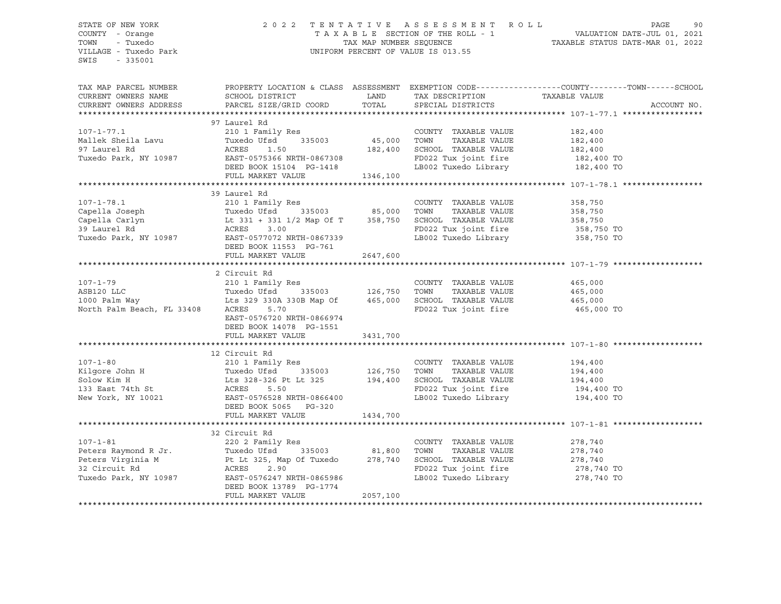### STATE OF NEW YORK 2 0 2 2 T E N T A T I V E A S S E S S M E N T R O L L PAGE 90 COUNTY - Orange T A X A B L E SECTION OF THE ROLL - 1 VALUATION DATE-JUL 01, 2021 TOWN - Tuxedo TAX MAP NUMBER SEQUENCE TAXABLE STATUS DATE-MAR 01, 2022 VILLAGE - Tuxedo Park UNIFORM PERCENT OF VALUE IS 013.55

| CURRENT OWNERS NAME<br>SCHOOL DISTRICT<br>LAND<br>TAX DESCRIPTION TAXABLE VALUE<br>TOTAL<br>PARCEL SIZE/GRID COORD<br>CURRENT OWNERS ADDRESS<br>ACCOUNT NO.<br>SPECIAL DISTRICTS<br>97 Laurel Rd<br>210 1 Family Res<br>Tuxedo Ufsd 335003 45,000 TOWN<br>ACRES 1.50 182,400 SCHOOL<br>EAST-0575366 NPTH 0000000<br>$107 - 1 - 77.1$<br>COUNTY TAXABLE VALUE<br>182,400<br>Mallek Sheila Lavu<br>97 Laurel Rd<br>Tuxedo Park, NY 10987<br>TAXABLE VALUE<br>182,400<br>SCHOOL TAXABLE VALUE 182,400<br>ACRES<br>EAST-0575366 NRTH-0867308<br>DEED BOOK 15104 PG-1418<br>FD022 Tux joint fire 182,400 TO<br>LB002 Tuxedo Library 182,400 TO<br>FULL MARKET VALUE 1346,100<br>39 Laurel Rd<br>$107 - 1 - 78.1$<br>210 1 Family Res<br>COUNTY TAXABLE VALUE<br>358,750<br>Capella Joseph<br>Capella Carlyn<br>Capella Carlyn<br>Capella Carlyn<br>Capella Carlyn<br>Lt 331 + 331 1/2 Map Of T<br>358,750<br>39 Laurel Rd<br>Tuxedo Park, NY 10987<br>EAST-0577072 NRTH-0867339<br>TOWN<br>TAXABLE VALUE<br>358,750<br>SCHOOL TAXABLE VALUE<br>358,750<br>FD022 Tux joint fire 358,750 TO<br>358,750 TO<br>LB002 Tuxedo Library<br>DEED BOOK 11553 PG-761<br>2647,600<br>FULL MARKET VALUE<br>2 Circuit Rd<br>$107 - 1 - 79$<br>210 1 Family Res<br>COUNTY TAXABLE VALUE<br>465,000<br>TAXABLE VALUE<br>TOWN<br>465,000<br>465,000<br>SCHOOL TAXABLE VALUE<br>North Palm Beach, FL 33408 ACRES 5.70<br>FD022 Tux joint fire 465,000 TO<br>EAST-0576720 NRTH-0866974<br>DEED BOOK 14078 PG-1551<br>FULL MARKET VALUE 3431,700<br>12 Circuit Rd<br>$107 - 1 - 80$<br>210 1 Family Res<br>COUNTY TAXABLE VALUE<br>194,400<br>107-1-80<br>Kilgore John H<br>Solow Kim H<br>Lts 328-326 Pt Lt 325<br>194,400<br>194,400<br>New York, NY 10021<br>EAST-0576528 NRTH-0866400<br>TAXABLE VALUE<br>TOWN<br>194,400<br>194,400<br>SCHOOL TAXABLE VALUE<br>FD022 Tux joint fire 194,400 TO<br>LB002 Tuxedo Library 194,400 TO<br>DEED BOOK 5065 PG-320<br>1434,700<br>FULL MARKET VALUE<br>32 Circuit Rd<br>COUNTY TAXABLE VALUE<br>278,740<br>TOWN<br>TAXABLE VALUE<br>278,740<br>278,740<br>SCHOOL TAXABLE VALUE<br>FD022 Tux joint fire 278,740 TO<br>LB002 Tuxedo Library 278,740 TO<br>DEED BOOK 13789 PG-1774<br>2057,100<br>FULL MARKET VALUE | TAX MAP PARCEL NUMBER |  | PROPERTY LOCATION & CLASS ASSESSMENT EXEMPTION CODE---------------COUNTY-------TOWN-----SCHOOL |
|--------------------------------------------------------------------------------------------------------------------------------------------------------------------------------------------------------------------------------------------------------------------------------------------------------------------------------------------------------------------------------------------------------------------------------------------------------------------------------------------------------------------------------------------------------------------------------------------------------------------------------------------------------------------------------------------------------------------------------------------------------------------------------------------------------------------------------------------------------------------------------------------------------------------------------------------------------------------------------------------------------------------------------------------------------------------------------------------------------------------------------------------------------------------------------------------------------------------------------------------------------------------------------------------------------------------------------------------------------------------------------------------------------------------------------------------------------------------------------------------------------------------------------------------------------------------------------------------------------------------------------------------------------------------------------------------------------------------------------------------------------------------------------------------------------------------------------------------------------------------------------------------------------------------------------------------------------------------------------------------------------------------------------------------------------------------------------------------------------------------------------------------------------------------------------------------------------------------------------------|-----------------------|--|------------------------------------------------------------------------------------------------|
|                                                                                                                                                                                                                                                                                                                                                                                                                                                                                                                                                                                                                                                                                                                                                                                                                                                                                                                                                                                                                                                                                                                                                                                                                                                                                                                                                                                                                                                                                                                                                                                                                                                                                                                                                                                                                                                                                                                                                                                                                                                                                                                                                                                                                                      |                       |  |                                                                                                |
|                                                                                                                                                                                                                                                                                                                                                                                                                                                                                                                                                                                                                                                                                                                                                                                                                                                                                                                                                                                                                                                                                                                                                                                                                                                                                                                                                                                                                                                                                                                                                                                                                                                                                                                                                                                                                                                                                                                                                                                                                                                                                                                                                                                                                                      |                       |  |                                                                                                |
|                                                                                                                                                                                                                                                                                                                                                                                                                                                                                                                                                                                                                                                                                                                                                                                                                                                                                                                                                                                                                                                                                                                                                                                                                                                                                                                                                                                                                                                                                                                                                                                                                                                                                                                                                                                                                                                                                                                                                                                                                                                                                                                                                                                                                                      |                       |  |                                                                                                |
|                                                                                                                                                                                                                                                                                                                                                                                                                                                                                                                                                                                                                                                                                                                                                                                                                                                                                                                                                                                                                                                                                                                                                                                                                                                                                                                                                                                                                                                                                                                                                                                                                                                                                                                                                                                                                                                                                                                                                                                                                                                                                                                                                                                                                                      |                       |  |                                                                                                |
|                                                                                                                                                                                                                                                                                                                                                                                                                                                                                                                                                                                                                                                                                                                                                                                                                                                                                                                                                                                                                                                                                                                                                                                                                                                                                                                                                                                                                                                                                                                                                                                                                                                                                                                                                                                                                                                                                                                                                                                                                                                                                                                                                                                                                                      |                       |  |                                                                                                |
|                                                                                                                                                                                                                                                                                                                                                                                                                                                                                                                                                                                                                                                                                                                                                                                                                                                                                                                                                                                                                                                                                                                                                                                                                                                                                                                                                                                                                                                                                                                                                                                                                                                                                                                                                                                                                                                                                                                                                                                                                                                                                                                                                                                                                                      |                       |  |                                                                                                |
|                                                                                                                                                                                                                                                                                                                                                                                                                                                                                                                                                                                                                                                                                                                                                                                                                                                                                                                                                                                                                                                                                                                                                                                                                                                                                                                                                                                                                                                                                                                                                                                                                                                                                                                                                                                                                                                                                                                                                                                                                                                                                                                                                                                                                                      |                       |  |                                                                                                |
|                                                                                                                                                                                                                                                                                                                                                                                                                                                                                                                                                                                                                                                                                                                                                                                                                                                                                                                                                                                                                                                                                                                                                                                                                                                                                                                                                                                                                                                                                                                                                                                                                                                                                                                                                                                                                                                                                                                                                                                                                                                                                                                                                                                                                                      |                       |  |                                                                                                |
|                                                                                                                                                                                                                                                                                                                                                                                                                                                                                                                                                                                                                                                                                                                                                                                                                                                                                                                                                                                                                                                                                                                                                                                                                                                                                                                                                                                                                                                                                                                                                                                                                                                                                                                                                                                                                                                                                                                                                                                                                                                                                                                                                                                                                                      |                       |  |                                                                                                |
|                                                                                                                                                                                                                                                                                                                                                                                                                                                                                                                                                                                                                                                                                                                                                                                                                                                                                                                                                                                                                                                                                                                                                                                                                                                                                                                                                                                                                                                                                                                                                                                                                                                                                                                                                                                                                                                                                                                                                                                                                                                                                                                                                                                                                                      |                       |  |                                                                                                |
|                                                                                                                                                                                                                                                                                                                                                                                                                                                                                                                                                                                                                                                                                                                                                                                                                                                                                                                                                                                                                                                                                                                                                                                                                                                                                                                                                                                                                                                                                                                                                                                                                                                                                                                                                                                                                                                                                                                                                                                                                                                                                                                                                                                                                                      |                       |  |                                                                                                |
|                                                                                                                                                                                                                                                                                                                                                                                                                                                                                                                                                                                                                                                                                                                                                                                                                                                                                                                                                                                                                                                                                                                                                                                                                                                                                                                                                                                                                                                                                                                                                                                                                                                                                                                                                                                                                                                                                                                                                                                                                                                                                                                                                                                                                                      |                       |  |                                                                                                |
|                                                                                                                                                                                                                                                                                                                                                                                                                                                                                                                                                                                                                                                                                                                                                                                                                                                                                                                                                                                                                                                                                                                                                                                                                                                                                                                                                                                                                                                                                                                                                                                                                                                                                                                                                                                                                                                                                                                                                                                                                                                                                                                                                                                                                                      |                       |  |                                                                                                |
|                                                                                                                                                                                                                                                                                                                                                                                                                                                                                                                                                                                                                                                                                                                                                                                                                                                                                                                                                                                                                                                                                                                                                                                                                                                                                                                                                                                                                                                                                                                                                                                                                                                                                                                                                                                                                                                                                                                                                                                                                                                                                                                                                                                                                                      |                       |  |                                                                                                |
|                                                                                                                                                                                                                                                                                                                                                                                                                                                                                                                                                                                                                                                                                                                                                                                                                                                                                                                                                                                                                                                                                                                                                                                                                                                                                                                                                                                                                                                                                                                                                                                                                                                                                                                                                                                                                                                                                                                                                                                                                                                                                                                                                                                                                                      |                       |  |                                                                                                |
|                                                                                                                                                                                                                                                                                                                                                                                                                                                                                                                                                                                                                                                                                                                                                                                                                                                                                                                                                                                                                                                                                                                                                                                                                                                                                                                                                                                                                                                                                                                                                                                                                                                                                                                                                                                                                                                                                                                                                                                                                                                                                                                                                                                                                                      |                       |  |                                                                                                |
|                                                                                                                                                                                                                                                                                                                                                                                                                                                                                                                                                                                                                                                                                                                                                                                                                                                                                                                                                                                                                                                                                                                                                                                                                                                                                                                                                                                                                                                                                                                                                                                                                                                                                                                                                                                                                                                                                                                                                                                                                                                                                                                                                                                                                                      |                       |  |                                                                                                |
|                                                                                                                                                                                                                                                                                                                                                                                                                                                                                                                                                                                                                                                                                                                                                                                                                                                                                                                                                                                                                                                                                                                                                                                                                                                                                                                                                                                                                                                                                                                                                                                                                                                                                                                                                                                                                                                                                                                                                                                                                                                                                                                                                                                                                                      |                       |  |                                                                                                |
|                                                                                                                                                                                                                                                                                                                                                                                                                                                                                                                                                                                                                                                                                                                                                                                                                                                                                                                                                                                                                                                                                                                                                                                                                                                                                                                                                                                                                                                                                                                                                                                                                                                                                                                                                                                                                                                                                                                                                                                                                                                                                                                                                                                                                                      |                       |  |                                                                                                |
|                                                                                                                                                                                                                                                                                                                                                                                                                                                                                                                                                                                                                                                                                                                                                                                                                                                                                                                                                                                                                                                                                                                                                                                                                                                                                                                                                                                                                                                                                                                                                                                                                                                                                                                                                                                                                                                                                                                                                                                                                                                                                                                                                                                                                                      |                       |  |                                                                                                |
|                                                                                                                                                                                                                                                                                                                                                                                                                                                                                                                                                                                                                                                                                                                                                                                                                                                                                                                                                                                                                                                                                                                                                                                                                                                                                                                                                                                                                                                                                                                                                                                                                                                                                                                                                                                                                                                                                                                                                                                                                                                                                                                                                                                                                                      |                       |  |                                                                                                |
|                                                                                                                                                                                                                                                                                                                                                                                                                                                                                                                                                                                                                                                                                                                                                                                                                                                                                                                                                                                                                                                                                                                                                                                                                                                                                                                                                                                                                                                                                                                                                                                                                                                                                                                                                                                                                                                                                                                                                                                                                                                                                                                                                                                                                                      |                       |  |                                                                                                |
|                                                                                                                                                                                                                                                                                                                                                                                                                                                                                                                                                                                                                                                                                                                                                                                                                                                                                                                                                                                                                                                                                                                                                                                                                                                                                                                                                                                                                                                                                                                                                                                                                                                                                                                                                                                                                                                                                                                                                                                                                                                                                                                                                                                                                                      |                       |  |                                                                                                |
|                                                                                                                                                                                                                                                                                                                                                                                                                                                                                                                                                                                                                                                                                                                                                                                                                                                                                                                                                                                                                                                                                                                                                                                                                                                                                                                                                                                                                                                                                                                                                                                                                                                                                                                                                                                                                                                                                                                                                                                                                                                                                                                                                                                                                                      |                       |  |                                                                                                |
|                                                                                                                                                                                                                                                                                                                                                                                                                                                                                                                                                                                                                                                                                                                                                                                                                                                                                                                                                                                                                                                                                                                                                                                                                                                                                                                                                                                                                                                                                                                                                                                                                                                                                                                                                                                                                                                                                                                                                                                                                                                                                                                                                                                                                                      |                       |  |                                                                                                |
|                                                                                                                                                                                                                                                                                                                                                                                                                                                                                                                                                                                                                                                                                                                                                                                                                                                                                                                                                                                                                                                                                                                                                                                                                                                                                                                                                                                                                                                                                                                                                                                                                                                                                                                                                                                                                                                                                                                                                                                                                                                                                                                                                                                                                                      |                       |  |                                                                                                |
|                                                                                                                                                                                                                                                                                                                                                                                                                                                                                                                                                                                                                                                                                                                                                                                                                                                                                                                                                                                                                                                                                                                                                                                                                                                                                                                                                                                                                                                                                                                                                                                                                                                                                                                                                                                                                                                                                                                                                                                                                                                                                                                                                                                                                                      |                       |  |                                                                                                |
|                                                                                                                                                                                                                                                                                                                                                                                                                                                                                                                                                                                                                                                                                                                                                                                                                                                                                                                                                                                                                                                                                                                                                                                                                                                                                                                                                                                                                                                                                                                                                                                                                                                                                                                                                                                                                                                                                                                                                                                                                                                                                                                                                                                                                                      |                       |  |                                                                                                |
|                                                                                                                                                                                                                                                                                                                                                                                                                                                                                                                                                                                                                                                                                                                                                                                                                                                                                                                                                                                                                                                                                                                                                                                                                                                                                                                                                                                                                                                                                                                                                                                                                                                                                                                                                                                                                                                                                                                                                                                                                                                                                                                                                                                                                                      |                       |  |                                                                                                |
|                                                                                                                                                                                                                                                                                                                                                                                                                                                                                                                                                                                                                                                                                                                                                                                                                                                                                                                                                                                                                                                                                                                                                                                                                                                                                                                                                                                                                                                                                                                                                                                                                                                                                                                                                                                                                                                                                                                                                                                                                                                                                                                                                                                                                                      |                       |  |                                                                                                |
|                                                                                                                                                                                                                                                                                                                                                                                                                                                                                                                                                                                                                                                                                                                                                                                                                                                                                                                                                                                                                                                                                                                                                                                                                                                                                                                                                                                                                                                                                                                                                                                                                                                                                                                                                                                                                                                                                                                                                                                                                                                                                                                                                                                                                                      |                       |  |                                                                                                |
|                                                                                                                                                                                                                                                                                                                                                                                                                                                                                                                                                                                                                                                                                                                                                                                                                                                                                                                                                                                                                                                                                                                                                                                                                                                                                                                                                                                                                                                                                                                                                                                                                                                                                                                                                                                                                                                                                                                                                                                                                                                                                                                                                                                                                                      |                       |  |                                                                                                |
|                                                                                                                                                                                                                                                                                                                                                                                                                                                                                                                                                                                                                                                                                                                                                                                                                                                                                                                                                                                                                                                                                                                                                                                                                                                                                                                                                                                                                                                                                                                                                                                                                                                                                                                                                                                                                                                                                                                                                                                                                                                                                                                                                                                                                                      |                       |  |                                                                                                |
|                                                                                                                                                                                                                                                                                                                                                                                                                                                                                                                                                                                                                                                                                                                                                                                                                                                                                                                                                                                                                                                                                                                                                                                                                                                                                                                                                                                                                                                                                                                                                                                                                                                                                                                                                                                                                                                                                                                                                                                                                                                                                                                                                                                                                                      |                       |  |                                                                                                |
|                                                                                                                                                                                                                                                                                                                                                                                                                                                                                                                                                                                                                                                                                                                                                                                                                                                                                                                                                                                                                                                                                                                                                                                                                                                                                                                                                                                                                                                                                                                                                                                                                                                                                                                                                                                                                                                                                                                                                                                                                                                                                                                                                                                                                                      |                       |  |                                                                                                |
|                                                                                                                                                                                                                                                                                                                                                                                                                                                                                                                                                                                                                                                                                                                                                                                                                                                                                                                                                                                                                                                                                                                                                                                                                                                                                                                                                                                                                                                                                                                                                                                                                                                                                                                                                                                                                                                                                                                                                                                                                                                                                                                                                                                                                                      |                       |  |                                                                                                |
|                                                                                                                                                                                                                                                                                                                                                                                                                                                                                                                                                                                                                                                                                                                                                                                                                                                                                                                                                                                                                                                                                                                                                                                                                                                                                                                                                                                                                                                                                                                                                                                                                                                                                                                                                                                                                                                                                                                                                                                                                                                                                                                                                                                                                                      |                       |  |                                                                                                |
|                                                                                                                                                                                                                                                                                                                                                                                                                                                                                                                                                                                                                                                                                                                                                                                                                                                                                                                                                                                                                                                                                                                                                                                                                                                                                                                                                                                                                                                                                                                                                                                                                                                                                                                                                                                                                                                                                                                                                                                                                                                                                                                                                                                                                                      |                       |  |                                                                                                |
|                                                                                                                                                                                                                                                                                                                                                                                                                                                                                                                                                                                                                                                                                                                                                                                                                                                                                                                                                                                                                                                                                                                                                                                                                                                                                                                                                                                                                                                                                                                                                                                                                                                                                                                                                                                                                                                                                                                                                                                                                                                                                                                                                                                                                                      |                       |  |                                                                                                |
|                                                                                                                                                                                                                                                                                                                                                                                                                                                                                                                                                                                                                                                                                                                                                                                                                                                                                                                                                                                                                                                                                                                                                                                                                                                                                                                                                                                                                                                                                                                                                                                                                                                                                                                                                                                                                                                                                                                                                                                                                                                                                                                                                                                                                                      |                       |  |                                                                                                |
|                                                                                                                                                                                                                                                                                                                                                                                                                                                                                                                                                                                                                                                                                                                                                                                                                                                                                                                                                                                                                                                                                                                                                                                                                                                                                                                                                                                                                                                                                                                                                                                                                                                                                                                                                                                                                                                                                                                                                                                                                                                                                                                                                                                                                                      |                       |  |                                                                                                |
|                                                                                                                                                                                                                                                                                                                                                                                                                                                                                                                                                                                                                                                                                                                                                                                                                                                                                                                                                                                                                                                                                                                                                                                                                                                                                                                                                                                                                                                                                                                                                                                                                                                                                                                                                                                                                                                                                                                                                                                                                                                                                                                                                                                                                                      |                       |  |                                                                                                |
|                                                                                                                                                                                                                                                                                                                                                                                                                                                                                                                                                                                                                                                                                                                                                                                                                                                                                                                                                                                                                                                                                                                                                                                                                                                                                                                                                                                                                                                                                                                                                                                                                                                                                                                                                                                                                                                                                                                                                                                                                                                                                                                                                                                                                                      |                       |  |                                                                                                |
|                                                                                                                                                                                                                                                                                                                                                                                                                                                                                                                                                                                                                                                                                                                                                                                                                                                                                                                                                                                                                                                                                                                                                                                                                                                                                                                                                                                                                                                                                                                                                                                                                                                                                                                                                                                                                                                                                                                                                                                                                                                                                                                                                                                                                                      |                       |  |                                                                                                |
|                                                                                                                                                                                                                                                                                                                                                                                                                                                                                                                                                                                                                                                                                                                                                                                                                                                                                                                                                                                                                                                                                                                                                                                                                                                                                                                                                                                                                                                                                                                                                                                                                                                                                                                                                                                                                                                                                                                                                                                                                                                                                                                                                                                                                                      |                       |  |                                                                                                |
|                                                                                                                                                                                                                                                                                                                                                                                                                                                                                                                                                                                                                                                                                                                                                                                                                                                                                                                                                                                                                                                                                                                                                                                                                                                                                                                                                                                                                                                                                                                                                                                                                                                                                                                                                                                                                                                                                                                                                                                                                                                                                                                                                                                                                                      |                       |  |                                                                                                |
|                                                                                                                                                                                                                                                                                                                                                                                                                                                                                                                                                                                                                                                                                                                                                                                                                                                                                                                                                                                                                                                                                                                                                                                                                                                                                                                                                                                                                                                                                                                                                                                                                                                                                                                                                                                                                                                                                                                                                                                                                                                                                                                                                                                                                                      |                       |  |                                                                                                |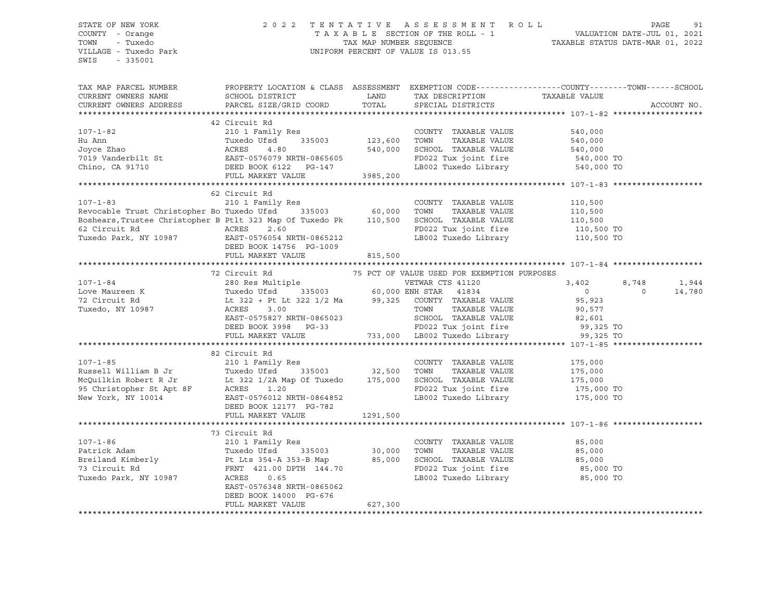### STATE OF NEW YORK 2 0 2 2 T E N T A T I V E A S S E S S M E N T R O L L PAGE 91 COUNTY - Orange T A X A B L E SECTION OF THE ROLL - 1 VALUATION DATE-JUL 01, 2021 TOWN - Tuxedo TAX MAP NUMBER SEQUENCE TAXABLE STATUS DATE-MAR 01, 2022 VILLAGE - Tuxedo Park UNIFORM PERCENT OF VALUE IS 013.55

| TAX MAP PARCEL NUMBER                                                                                                                                                                                                                                   | PROPERTY LOCATION & CLASS ASSESSMENT EXEMPTION CODE---------------COUNTY-------TOWN------SCHOOL | LAND     |                                                                                                                 |                    |          |             |
|---------------------------------------------------------------------------------------------------------------------------------------------------------------------------------------------------------------------------------------------------------|-------------------------------------------------------------------------------------------------|----------|-----------------------------------------------------------------------------------------------------------------|--------------------|----------|-------------|
| CURRENT OWNERS NAME<br>CURRENT OWNERS ADDRESS                                                                                                                                                                                                           | SCHOOL DISTRICT                                                                                 | TOTAL    | TAX DESCRIPTION TAXABLE VALUE                                                                                   |                    |          |             |
|                                                                                                                                                                                                                                                         | PARCEL SIZE/GRID COORD                                                                          |          | SPECIAL DISTRICTS                                                                                               |                    |          | ACCOUNT NO. |
|                                                                                                                                                                                                                                                         | 42 Circuit Rd                                                                                   |          |                                                                                                                 |                    |          |             |
|                                                                                                                                                                                                                                                         |                                                                                                 |          |                                                                                                                 |                    |          |             |
| $107 - 1 - 82$                                                                                                                                                                                                                                          | 210 1 Family Res                                                                                |          | COUNTY TAXABLE VALUE                                                                                            | 540,000            |          |             |
|                                                                                                                                                                                                                                                         | 335003 123,600                                                                                  |          | TOWN<br>TAXABLE VALUE                                                                                           | 540,000<br>540,000 |          |             |
|                                                                                                                                                                                                                                                         |                                                                                                 |          | SCHOOL TAXABLE VALUE                                                                                            |                    |          |             |
|                                                                                                                                                                                                                                                         |                                                                                                 |          | FD022 Tux joint fire 540,000 TO<br>LB002 Tuxedo Library 540,000 TO                                              |                    |          |             |
|                                                                                                                                                                                                                                                         |                                                                                                 |          |                                                                                                                 |                    |          |             |
|                                                                                                                                                                                                                                                         | FULL MARKET VALUE                                                                               | 3985,200 |                                                                                                                 |                    |          |             |
|                                                                                                                                                                                                                                                         |                                                                                                 |          |                                                                                                                 |                    |          |             |
|                                                                                                                                                                                                                                                         | 62 Circuit Rd                                                                                   |          |                                                                                                                 |                    |          |             |
| $107 - 1 - 83$                                                                                                                                                                                                                                          | 210 1 Family Res                                                                                |          | COUNTY TAXABLE VALUE                                                                                            | 110,500            |          |             |
| Revocable Trust Christopher Bo Tuxedo Ufsd <sup>3</sup> 335003 60,000<br>Boshears, Trustee Christopher B Ptlt 323 Map Of Tuxedo Pk <sup>210</sup> 110,500                                                                                               |                                                                                                 |          | TOWN<br>TAXABLE VALUE                                                                                           | 110,500<br>110,500 |          |             |
|                                                                                                                                                                                                                                                         |                                                                                                 |          | SCHOOL TAXABLE VALUE                                                                                            |                    |          |             |
|                                                                                                                                                                                                                                                         |                                                                                                 |          | FD022 Tux joint fire 110,500 TO<br>LB002 Tuxedo Library 110,500 TO                                              |                    |          |             |
|                                                                                                                                                                                                                                                         |                                                                                                 |          | LB002 Tuxedo Library                                                                                            |                    |          |             |
|                                                                                                                                                                                                                                                         | DEED BOOK 14756 PG-1009                                                                         |          |                                                                                                                 |                    |          |             |
|                                                                                                                                                                                                                                                         | FULL MARKET VALUE                                                                               | 815,500  |                                                                                                                 |                    |          |             |
|                                                                                                                                                                                                                                                         |                                                                                                 |          |                                                                                                                 |                    |          |             |
|                                                                                                                                                                                                                                                         | 72 Circuit Rd                                                                                   |          | 75 PCT OF VALUE USED FOR EXEMPTION PURPOSES                                                                     |                    |          |             |
|                                                                                                                                                                                                                                                         |                                                                                                 |          |                                                                                                                 | 3,402              | 8,748    | 1,944       |
| 107-1-84<br>107-1-84<br>280 Res Multiple<br>280 Res Multiple<br>280 Res Multiple<br>280 Res Multiple<br>280 Res Multiple<br>280 Res Multiple<br>280 Res Multiple<br>280 Res Multiple<br>280 Res Multiple<br>280 Res Multiple<br>280 Res Multiple<br>280 |                                                                                                 |          |                                                                                                                 | $\overline{0}$     | $\Omega$ | 14,780      |
|                                                                                                                                                                                                                                                         |                                                                                                 |          |                                                                                                                 | 95,923             |          |             |
|                                                                                                                                                                                                                                                         |                                                                                                 |          |                                                                                                                 | 90,577             |          |             |
|                                                                                                                                                                                                                                                         | EAST-0575827 NRTH-0865023<br>DEED BOOK 3998 PG-33                                               |          |                                                                                                                 |                    |          |             |
|                                                                                                                                                                                                                                                         | DEED BOOK 3998 PG-33                                                                            |          |                                                                                                                 |                    |          |             |
|                                                                                                                                                                                                                                                         | FULL MARKET VALUE                                                                               |          | 865023 SCHOOL TAXABLE VALUE 82,601<br>233 FD022 Tux joint fire 99,325 TO 733,000 LB002 Tuxedo Library 99,325 TO |                    |          |             |
|                                                                                                                                                                                                                                                         |                                                                                                 |          |                                                                                                                 |                    |          |             |
|                                                                                                                                                                                                                                                         | 82 Circuit Rd                                                                                   |          |                                                                                                                 |                    |          |             |
| $107 - 1 - 85$                                                                                                                                                                                                                                          | 210 1 Family Res                                                                                |          | COUNTY TAXABLE VALUE 175,000                                                                                    |                    |          |             |
| Russell William B Jr and Tuxedo Ufsd 335003 32,500 TOWN TAXABLE VALUE 175,000<br>McQuilkin Robert R Jr Lt 322 1/2A Map Of Tuxedo 175,000 SCHOOL TAXABLE VALUE 175,000<br>95 Christopher St Apt 8F ACRES 1.20 FD022 Tux joint fire                       |                                                                                                 |          |                                                                                                                 |                    |          |             |
|                                                                                                                                                                                                                                                         |                                                                                                 |          |                                                                                                                 |                    |          |             |
|                                                                                                                                                                                                                                                         |                                                                                                 |          |                                                                                                                 |                    |          |             |
|                                                                                                                                                                                                                                                         |                                                                                                 |          | FD022 Tux joint fire 175,000 TO<br>LB002 Tuxedo Library 175,000 TO                                              |                    |          |             |
|                                                                                                                                                                                                                                                         | DEED BOOK 12177 PG-782                                                                          |          |                                                                                                                 |                    |          |             |
|                                                                                                                                                                                                                                                         | FULL MARKET VALUE                                                                               | 1291,500 |                                                                                                                 |                    |          |             |
|                                                                                                                                                                                                                                                         |                                                                                                 |          |                                                                                                                 |                    |          |             |
|                                                                                                                                                                                                                                                         | 73 Circuit Rd                                                                                   |          |                                                                                                                 |                    |          |             |
|                                                                                                                                                                                                                                                         |                                                                                                 |          |                                                                                                                 |                    |          |             |
|                                                                                                                                                                                                                                                         |                                                                                                 |          |                                                                                                                 |                    |          |             |
|                                                                                                                                                                                                                                                         |                                                                                                 |          |                                                                                                                 |                    |          |             |
|                                                                                                                                                                                                                                                         |                                                                                                 |          |                                                                                                                 |                    |          |             |
|                                                                                                                                                                                                                                                         |                                                                                                 |          |                                                                                                                 |                    |          |             |
| 107-1-86 210 1 Family Res<br>Patrick Adam Muxedo Ufsd 335003 30,000 TOWN TAXABLE VALUE 85,000<br>Breiland Kimberly Pt Lts 354-A 353-B Map 85,000 SCHOOL TAXABLE VALUE 85,000<br>73 Circuit Rd FRNT 421.00 DPTH 144.70<br>TED022 Tux jo                  | EAST-0576348 NRTH-0865062                                                                       |          |                                                                                                                 |                    |          |             |
|                                                                                                                                                                                                                                                         | DEED BOOK 14000 PG-676                                                                          |          |                                                                                                                 |                    |          |             |
|                                                                                                                                                                                                                                                         | FULL MARKET VALUE                                                                               | 627,300  |                                                                                                                 |                    |          |             |
|                                                                                                                                                                                                                                                         |                                                                                                 |          |                                                                                                                 |                    |          |             |
|                                                                                                                                                                                                                                                         |                                                                                                 |          |                                                                                                                 |                    |          |             |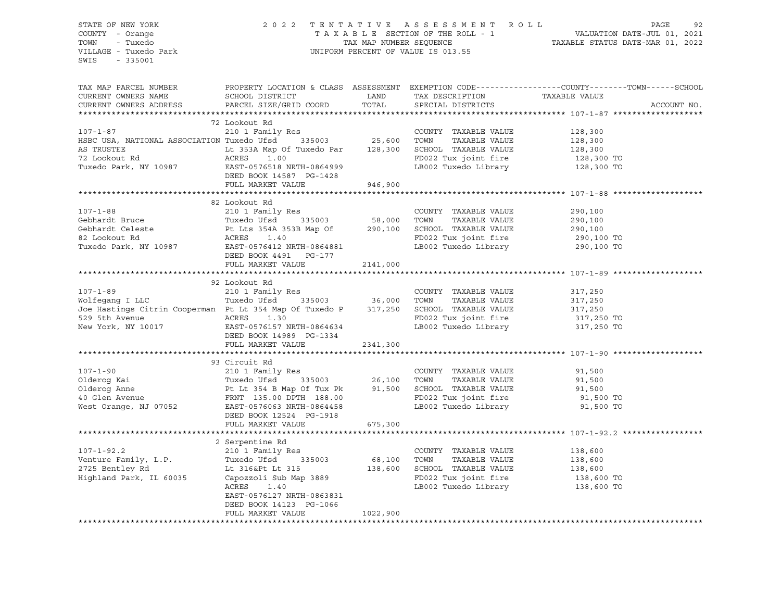STATE OF NEW YORK 2 0 2 2 T E N T A T I V E A S S E S S M E N T R O L L PAGE 92 COUNTY - Orange T A X A B L E SECTION OF THE ROLL - 1 VALUATION DATE-JUL 01, 2021 TOWN - Tuxedo TAX MAP NUMBER SEQUENCE TAXABLE STATUS DATE-MAR 01, 2022 VILLAGE - Tuxedo Park UNIFORM PERCENT OF VALUE IS 013.55 SWIS - 335001 TAX MAP PARCEL NUMBER PROPERTY LOCATION & CLASS ASSESSMENT EXEMPTION CODE------------------COUNTY--------TOWN------SCHOOL CURRENT OWNERS NAME SCHOOL DISTRICT LAND TAX DESCRIPTION TAXABLE VALUE CURRENT OWNERS ADDRESS PARCEL SIZE/GRID COORD TOTAL SPECIAL DISTRICTS ACCOUNT NO. \*\*\*\*\*\*\*\*\*\*\*\*\*\*\*\*\*\*\*\*\*\*\*\*\*\*\*\*\*\*\*\*\*\*\*\*\*\*\*\*\*\*\*\*\*\*\*\*\*\*\*\*\*\*\*\*\*\*\*\*\*\*\*\*\*\*\*\*\*\*\*\*\*\*\*\*\*\*\*\*\*\*\*\*\*\*\*\*\*\*\*\*\*\*\*\*\*\*\*\*\*\*\* 107-1-87 \*\*\*\*\*\*\*\*\*\*\*\*\*\*\*\*\*\*\* 72 Lookout Rd 107-1-87 210 1 Family Res COUNTY TAXABLE VALUE 128,300 HSBC USA, NATIONAL ASSOCIATION Tuxedo Ufsd 335003 25,600 TOWN TAXABLE VALUE 128,300 AS TRUSTEE Lt 353A Map Of Tuxedo Par 128,300 SCHOOL TAXABLE VALUE 128,300 72 Lookout Rd ACRES 1.00 FD022 Tux joint fire 128,300 TO Tuxedo Park, NY 10987 EAST-0576518 NRTH-0864999 LB002 Tuxedo Library 128,300 TO DEED BOOK 14587 PG-1428 FULL MARKET VALUE 946,900 \*\*\*\*\*\*\*\*\*\*\*\*\*\*\*\*\*\*\*\*\*\*\*\*\*\*\*\*\*\*\*\*\*\*\*\*\*\*\*\*\*\*\*\*\*\*\*\*\*\*\*\*\*\*\*\*\*\*\*\*\*\*\*\*\*\*\*\*\*\*\*\*\*\*\*\*\*\*\*\*\*\*\*\*\*\*\*\*\*\*\*\*\*\*\*\*\*\*\*\*\*\*\* 107-1-88 \*\*\*\*\*\*\*\*\*\*\*\*\*\*\*\*\*\*\* 82 Lookout Rd 107-1-88 210 1 Family Res COUNTY TAXABLE VALUE 290,100 Gebhardt Bruce Tuxedo Ufsd 335003 58,000 TOWN TAXABLE VALUE 290,100 Gebhardt Celeste Pt Lts 354A 353B Map Of 290,100 SCHOOL TAXABLE VALUE 290,100 82 Lookout Rd ACRES 1.40 FD022 Tux joint fire 290,100 TO USE UNIVERSAL AND TO CONSUMER THE CONSUMERS 290,100 TO<br>Tuxedo Park, NY 10987 EAST-0576412 NRTH-0864881 LB002 Tuxedo Library 290,100 TO DEED BOOK 4491 PG-177 FULL MARKET VALUE 2141,000 \*\*\*\*\*\*\*\*\*\*\*\*\*\*\*\*\*\*\*\*\*\*\*\*\*\*\*\*\*\*\*\*\*\*\*\*\*\*\*\*\*\*\*\*\*\*\*\*\*\*\*\*\*\*\*\*\*\*\*\*\*\*\*\*\*\*\*\*\*\*\*\*\*\*\*\*\*\*\*\*\*\*\*\*\*\*\*\*\*\*\*\*\*\*\*\*\*\*\*\*\*\*\* 107-1-89 \*\*\*\*\*\*\*\*\*\*\*\*\*\*\*\*\*\*\* 92 Lookout Rd 107-1-89 210 1 Family Res COUNTY TAXABLE VALUE 317,250 Wolfegang I LLC Tuxedo Ufsd 335003 36,000 TOWN TAXABLE VALUE 317,250 Joe Hastings Citrin Cooperman Pt Lt 354 Map Of Tuxedo P 317,250 SCHOOL TAXABLE VALUE 317,250 529 5th Avenue ACRES 1.30 FD022 Tux joint fire 317,250 TO New York, NY 10017 EAST-0576157 NRTH-0864634 LB002 Tuxedo Library 317,250 TO DEED BOOK 14989 PG-1334 FULL MARKET VALUE 2341,300 \*\*\*\*\*\*\*\*\*\*\*\*\*\*\*\*\*\*\*\*\*\*\*\*\*\*\*\*\*\*\*\*\*\*\*\*\*\*\*\*\*\*\*\*\*\*\*\*\*\*\*\*\*\*\*\*\*\*\*\*\*\*\*\*\*\*\*\*\*\*\*\*\*\*\*\*\*\*\*\*\*\*\*\*\*\*\*\*\*\*\*\*\*\*\*\*\*\*\*\*\*\*\* 107-1-90 \*\*\*\*\*\*\*\*\*\*\*\*\*\*\*\*\*\*\* 93 Circuit Rd 107-1-90 210 1 Family Res COUNTY TAXABLE VALUE 91,500 Olderog Kai Tuxedo Ufsd 335003 26,100 TOWN TAXABLE VALUE 91,500 Olderog Anne Pt Lt 354 B Map Of Tux Pk 91,500 SCHOOL TAXABLE VALUE 91,500 40 Glen Avenue FRNT 135.00 DPTH 188.00 FD022 Tux joint fire 91,500 TO West Orange, NJ 07052 EAST-0576063 NRTH-0864458 LB002 Tuxedo Library 91,500 TO DEED BOOK 12524 PG-1918 FULL MARKET VALUE 675,300 \*\*\*\*\*\*\*\*\*\*\*\*\*\*\*\*\*\*\*\*\*\*\*\*\*\*\*\*\*\*\*\*\*\*\*\*\*\*\*\*\*\*\*\*\*\*\*\*\*\*\*\*\*\*\*\*\*\*\*\*\*\*\*\*\*\*\*\*\*\*\*\*\*\*\*\*\*\*\*\*\*\*\*\*\*\*\*\*\*\*\*\*\*\*\*\*\*\*\*\*\*\*\* 107-1-92.2 \*\*\*\*\*\*\*\*\*\*\*\*\*\*\*\*\* 2 Serpentine Rd 107-1-92.2 210 1 Family Res COUNTY TAXABLE VALUE 138,600 Venture Family, L.P. Tuxedo Ufsd 335003 68,100 TOWN TAXABLE VALUE 138,600 2725 Bentley Rd Lt 316&Pt Lt 315 138,600 SCHOOL TAXABLE VALUE 138,600 Highland Park, IL 60035 Capozzoli Sub Map 3889 FD022 Tux joint fire 138,600 TO ACRES 1.40 LB002 Tuxedo Library 138,600 TO EAST-0576127 NRTH-0863831 DEED BOOK 14123 PG-1066 FULL MARKET VALUE 1022,900 \*\*\*\*\*\*\*\*\*\*\*\*\*\*\*\*\*\*\*\*\*\*\*\*\*\*\*\*\*\*\*\*\*\*\*\*\*\*\*\*\*\*\*\*\*\*\*\*\*\*\*\*\*\*\*\*\*\*\*\*\*\*\*\*\*\*\*\*\*\*\*\*\*\*\*\*\*\*\*\*\*\*\*\*\*\*\*\*\*\*\*\*\*\*\*\*\*\*\*\*\*\*\*\*\*\*\*\*\*\*\*\*\*\*\*\*\*\*\*\*\*\*\*\*\*\*\*\*\*\*\*\*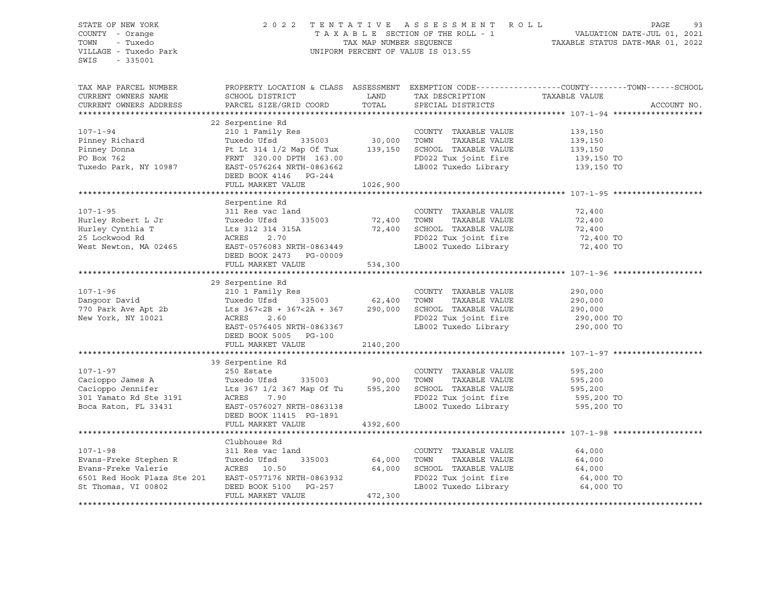| STATE OF NEW YORK                                                                                                                                                                                                                                                                                                                                                                            |                                                |          |                                                                                                                       |                                                                                                                                                                                                         |
|----------------------------------------------------------------------------------------------------------------------------------------------------------------------------------------------------------------------------------------------------------------------------------------------------------------------------------------------------------------------------------------------|------------------------------------------------|----------|-----------------------------------------------------------------------------------------------------------------------|---------------------------------------------------------------------------------------------------------------------------------------------------------------------------------------------------------|
| COUNTY - Orange                                                                                                                                                                                                                                                                                                                                                                              |                                                |          |                                                                                                                       | 2022 TENTATIVE ASSESSMENT ROLL PAGE 93<br>TAXABLE SECTION OF THE ROLL - 1 VALUATION DATE-JUL 01, 2021<br>TAX MAP NUMBER SEQUENCE TAXABLE STATUS DATE-MAR 01, 2022<br>UNIFORM PERCENT OF VALUE IS 013.55 |
| TOWN<br>- Tuxedo                                                                                                                                                                                                                                                                                                                                                                             |                                                |          |                                                                                                                       |                                                                                                                                                                                                         |
| VILLAGE - Tuxedo Park                                                                                                                                                                                                                                                                                                                                                                        |                                                |          |                                                                                                                       |                                                                                                                                                                                                         |
| SWIS<br>$-335001$                                                                                                                                                                                                                                                                                                                                                                            |                                                |          |                                                                                                                       |                                                                                                                                                                                                         |
|                                                                                                                                                                                                                                                                                                                                                                                              |                                                |          |                                                                                                                       |                                                                                                                                                                                                         |
|                                                                                                                                                                                                                                                                                                                                                                                              |                                                |          |                                                                                                                       |                                                                                                                                                                                                         |
| TAX MAP PARCEL NUMBER                                                                                                                                                                                                                                                                                                                                                                        |                                                |          |                                                                                                                       | PROPERTY LOCATION & CLASS ASSESSMENT EXEMPTION CODE---------------COUNTY-------TOWN------SCHOOL                                                                                                         |
| CURRENT OWNERS NAME                                                                                                                                                                                                                                                                                                                                                                          | SCHOOL DISTRICT                                |          | A CHINE IN TAX DESCRIPTION TAXABLE VALUE<br>TAX TAXABLE VALUE TAX DESCRIPTION TOTAL TRESPECT ON THE SPECTAL DISTRICTS |                                                                                                                                                                                                         |
| CURRENT OWNERS ADDRESS                                                                                                                                                                                                                                                                                                                                                                       | PARCEL SIZE/GRID COORD TOTAL SPECIAL DISTRICTS |          |                                                                                                                       | ACCOUNT NO.                                                                                                                                                                                             |
|                                                                                                                                                                                                                                                                                                                                                                                              |                                                |          |                                                                                                                       |                                                                                                                                                                                                         |
|                                                                                                                                                                                                                                                                                                                                                                                              | 22 Serpentine Rd                               |          |                                                                                                                       |                                                                                                                                                                                                         |
|                                                                                                                                                                                                                                                                                                                                                                                              |                                                |          |                                                                                                                       |                                                                                                                                                                                                         |
|                                                                                                                                                                                                                                                                                                                                                                                              |                                                |          |                                                                                                                       |                                                                                                                                                                                                         |
|                                                                                                                                                                                                                                                                                                                                                                                              |                                                |          |                                                                                                                       |                                                                                                                                                                                                         |
|                                                                                                                                                                                                                                                                                                                                                                                              |                                                |          |                                                                                                                       |                                                                                                                                                                                                         |
| 22 Serpentine Rd<br>210 1 Family Res<br>210 1 Family Res<br>210 1 Family Res<br>210 1 Family Res<br>210 1 Family Res<br>210 1 Family Res<br>210 2 Family Res<br>210 2 Family Res<br>210 2 Tuxedo TAXABLE VALUE<br>2139,150<br>2139,150<br>2139,150<br>21                                                                                                                                     |                                                |          | FD022 Tux joint fire 139,150 TO<br>LB002 Tuxedo Library 139,150 TO                                                    |                                                                                                                                                                                                         |
|                                                                                                                                                                                                                                                                                                                                                                                              |                                                |          |                                                                                                                       |                                                                                                                                                                                                         |
|                                                                                                                                                                                                                                                                                                                                                                                              | DEED BOOK 4146 PG-244                          |          |                                                                                                                       |                                                                                                                                                                                                         |
|                                                                                                                                                                                                                                                                                                                                                                                              | FULL MARKET VALUE 1026,900                     |          |                                                                                                                       |                                                                                                                                                                                                         |
|                                                                                                                                                                                                                                                                                                                                                                                              |                                                |          |                                                                                                                       |                                                                                                                                                                                                         |
|                                                                                                                                                                                                                                                                                                                                                                                              | Serpentine Rd                                  |          |                                                                                                                       |                                                                                                                                                                                                         |
|                                                                                                                                                                                                                                                                                                                                                                                              |                                                |          |                                                                                                                       | 72,400                                                                                                                                                                                                  |
|                                                                                                                                                                                                                                                                                                                                                                                              |                                                |          |                                                                                                                       |                                                                                                                                                                                                         |
|                                                                                                                                                                                                                                                                                                                                                                                              |                                                |          |                                                                                                                       |                                                                                                                                                                                                         |
| 107-1-95 311 Res vac land COUNTY TAXABLE VALUE<br>Hurley Robert L Jr Tuxedo Ufsd 335003 72,400 TOWN TAXABLE VALUE<br>Hurley Cynthia T Lts 312 314 315A 72,400 SCHOOL TAXABLE VALUE<br>25 Lockwood Rd ACRES 2.70 FD022 Tux joint fire                                                                                                                                                         |                                                |          |                                                                                                                       | $72,400$<br>$72,400$<br>$72,400$ TO<br>$72,400$ TO                                                                                                                                                      |
|                                                                                                                                                                                                                                                                                                                                                                                              |                                                |          |                                                                                                                       |                                                                                                                                                                                                         |
|                                                                                                                                                                                                                                                                                                                                                                                              | DEED BOOK 2473 PG-00009                        |          |                                                                                                                       |                                                                                                                                                                                                         |
|                                                                                                                                                                                                                                                                                                                                                                                              | FULL MARKET VALUE                              | 534,300  |                                                                                                                       |                                                                                                                                                                                                         |
|                                                                                                                                                                                                                                                                                                                                                                                              |                                                |          |                                                                                                                       |                                                                                                                                                                                                         |
| $\begin{array}{cccccc} 107-1-96 & & 29\text{ Serpentine Rd} & & & \text{COUNTY TAXABLE VALUE} & & 290,000 \\ & & 2101 Family Res & & 62,400 TOWN & TAXABLE VALUE & 290,000 \\ & & 770 Park Ave Apt 2b & & 567<2B + 367<2A + 367 & 290,000 & \text{SCHOOL TAXABLE VALUE} & & 290,000 \\ & & & KERS & 2.60 & & FD022 Tux joint fire & 290,000 TO \\ & & & EAST-0576405 NRTH-0863367 & & & LBO$ |                                                |          |                                                                                                                       |                                                                                                                                                                                                         |
|                                                                                                                                                                                                                                                                                                                                                                                              |                                                |          |                                                                                                                       |                                                                                                                                                                                                         |
|                                                                                                                                                                                                                                                                                                                                                                                              |                                                |          |                                                                                                                       |                                                                                                                                                                                                         |
|                                                                                                                                                                                                                                                                                                                                                                                              |                                                |          |                                                                                                                       |                                                                                                                                                                                                         |
|                                                                                                                                                                                                                                                                                                                                                                                              |                                                |          |                                                                                                                       |                                                                                                                                                                                                         |
|                                                                                                                                                                                                                                                                                                                                                                                              |                                                |          |                                                                                                                       |                                                                                                                                                                                                         |
|                                                                                                                                                                                                                                                                                                                                                                                              |                                                |          |                                                                                                                       |                                                                                                                                                                                                         |
|                                                                                                                                                                                                                                                                                                                                                                                              | FULL MARKET VALUE                              | 2140,200 |                                                                                                                       |                                                                                                                                                                                                         |
|                                                                                                                                                                                                                                                                                                                                                                                              |                                                |          |                                                                                                                       |                                                                                                                                                                                                         |
|                                                                                                                                                                                                                                                                                                                                                                                              | 39 Serpentine Rd                               |          |                                                                                                                       |                                                                                                                                                                                                         |
| 107-1-97<br>CoUNTY TAXABLE VALUE<br>Cacioppo James A<br>Cacioppo Jennifer<br>Cacioppo Jennifer<br>Les 367 1/2 367 Map Of Tu<br>Les 367 1/2 367 Map Of Tu<br>ESSE 7.90<br>Boca Raton, FL 33431<br>EAST-0576027 NRTH-0863138<br>EAST-0576027 NRTH-0                                                                                                                                            |                                                |          |                                                                                                                       | 595,200                                                                                                                                                                                                 |
|                                                                                                                                                                                                                                                                                                                                                                                              |                                                |          |                                                                                                                       |                                                                                                                                                                                                         |
|                                                                                                                                                                                                                                                                                                                                                                                              |                                                |          | TAXABLE VALUE 595,200<br>TAXABLE VALUE 595,200                                                                        |                                                                                                                                                                                                         |
|                                                                                                                                                                                                                                                                                                                                                                                              |                                                |          |                                                                                                                       |                                                                                                                                                                                                         |
|                                                                                                                                                                                                                                                                                                                                                                                              |                                                |          |                                                                                                                       | 595,200 TO                                                                                                                                                                                              |
|                                                                                                                                                                                                                                                                                                                                                                                              |                                                |          | LB002 Tuxedo Library 595,200 TO                                                                                       |                                                                                                                                                                                                         |
|                                                                                                                                                                                                                                                                                                                                                                                              | DEED BOOK 11415 PG-1891                        |          |                                                                                                                       |                                                                                                                                                                                                         |
|                                                                                                                                                                                                                                                                                                                                                                                              | FULL MARKET VALUE                              | 4392,600 |                                                                                                                       |                                                                                                                                                                                                         |
|                                                                                                                                                                                                                                                                                                                                                                                              |                                                |          |                                                                                                                       |                                                                                                                                                                                                         |
|                                                                                                                                                                                                                                                                                                                                                                                              | Clubhouse Rd                                   |          |                                                                                                                       |                                                                                                                                                                                                         |
|                                                                                                                                                                                                                                                                                                                                                                                              |                                                |          | COUNTY TAXABLE VALUE                                                                                                  | 64,000                                                                                                                                                                                                  |
|                                                                                                                                                                                                                                                                                                                                                                                              |                                                |          | TAXABLE VALUE                                                                                                         | 64,000                                                                                                                                                                                                  |
| 107-1-98<br>Evans-Freke Stephen R 311 Res vac land COUNTY<br>Evans-Freke Valerie ACRES 10.50 64,000 SCHOOL<br>Evans-Freke Valerie ACRES 10.50 64,000 SCHOOL                                                                                                                                                                                                                                  |                                                |          |                                                                                                                       | 64,000                                                                                                                                                                                                  |
|                                                                                                                                                                                                                                                                                                                                                                                              |                                                |          |                                                                                                                       | 64,000 TO                                                                                                                                                                                               |
|                                                                                                                                                                                                                                                                                                                                                                                              |                                                |          |                                                                                                                       | 64,000 TO                                                                                                                                                                                               |
| Evans-Freke Valerie (ACRES 10.50 64,000 SCHOOL TAXABLE VALUE 6501 Red Hook Plaza Ste 201 EAST-0577176 NRTH-0863932 FD022 Tux joint fire<br>St Thomas, VI 00802 DEED BOOK 5100 PG-257 LB002 Tuxedo Library<br>FULL MARKET VALUE 472,3                                                                                                                                                         |                                                |          |                                                                                                                       |                                                                                                                                                                                                         |
|                                                                                                                                                                                                                                                                                                                                                                                              |                                                |          |                                                                                                                       |                                                                                                                                                                                                         |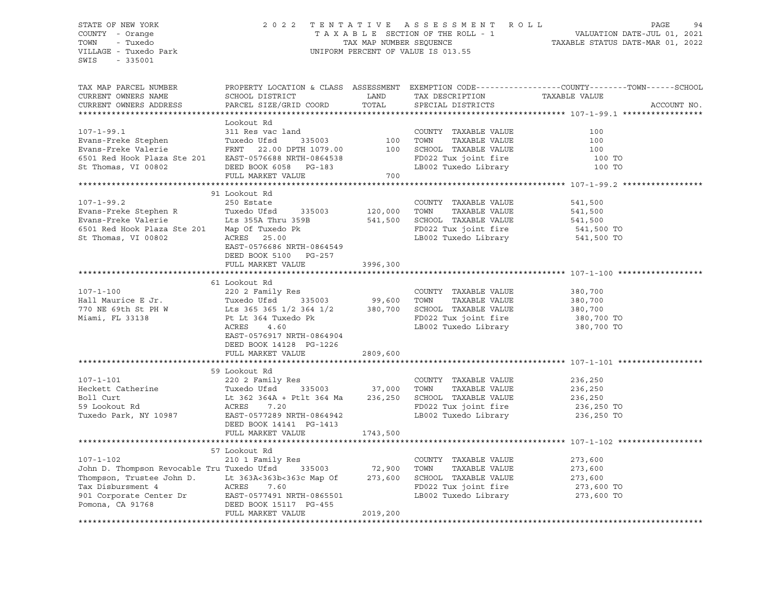### STATE OF NEW YORK 2 0 2 2 T E N T A T I V E A S S E S S M E N T R O L L PAGE 94 COUNTY - Orange T A X A B L E SECTION OF THE ROLL - 1 VALUATION DATE-JUL 01, 2021 TOWN - Tuxedo TAX MAP NUMBER SEQUENCE TAXABLE STATUS DATE-MAR 01, 2022 VILLAGE - Tuxedo Park UNIFORM PERCENT OF VALUE IS 013.55

| TAX MAP PARCEL NUMBER<br>CURRENT OWNERS NAME<br>CURRENT OWNERS ADDRESS                                                                                                                                                                                                  | SCHOOL DISTRICT<br>PARCEL SIZE/GRID COORD                                                                                                                                                                                    | LAND<br>TOTAL                          | TAX DESCRIPTION<br>SPECIAL DISTRICTS                                                                                     | PROPERTY LOCATION & CLASS ASSESSMENT EXEMPTION CODE----------------COUNTY-------TOWN------SCHOOL<br>TAXABLE VALUE<br>ACCOUNT NO. |
|-------------------------------------------------------------------------------------------------------------------------------------------------------------------------------------------------------------------------------------------------------------------------|------------------------------------------------------------------------------------------------------------------------------------------------------------------------------------------------------------------------------|----------------------------------------|--------------------------------------------------------------------------------------------------------------------------|----------------------------------------------------------------------------------------------------------------------------------|
| $107 - 1 - 99.1$<br>Evans-Freke Stephen<br>Evans-Freke Valerie<br>6501 Red Hook Plaza Ste 201<br>St Thomas, VI 00802                                                                                                                                                    | Lookout Rd<br>311 Res vac land<br>Tuxedo Ufsd<br>FRNT 22.00 DPTH 1079.00<br>EAST-0576688 NRTH-0864538<br>DEED BOOK 6058 PG-183<br>FULL MARKET VALUE                                                                          | 1<br>335003 100<br>"1079 00 100<br>700 | COUNTY TAXABLE VALUE<br>TOWN<br>TAXABLE VALUE<br>SCHOOL TAXABLE VALUE<br>FD022 Tux joint fire<br>LB002 Tuxedo Library    | 100<br>100<br>100<br>100 TO<br>100 TO                                                                                            |
|                                                                                                                                                                                                                                                                         |                                                                                                                                                                                                                              |                                        |                                                                                                                          |                                                                                                                                  |
| $107 - 1 - 99.2$<br>Evans-Freke Stephen R<br>Evans-Freke Valerie<br>6501 Red Hook Plaza Ste 201 Map Of Tuxedo Pk<br>St Thomas, VI 00802                                                                                                                                 | 91 Lookout Rd<br>250 Estate<br>335003<br>Tuxedo Utsa دد Tuxedo Utsa<br>Lts 355A Thru 359B<br>ACRES 25.00<br>EAST-0576686 NRTH-0864549<br>DEED BOOK 5100 PG-257<br>FULL MARKET VALUE                                          | 120,000<br>541,500<br>3996,300         | COUNTY TAXABLE VALUE<br>TOWN<br>TAXABLE VALUE<br>SCHOOL TAXABLE VALUE<br>FD022 Tux joint fire<br>LB002 Tuxedo Library    | 541,500<br>541,500<br>541,500<br>541,500 TO<br>541,500 TO                                                                        |
|                                                                                                                                                                                                                                                                         |                                                                                                                                                                                                                              |                                        |                                                                                                                          |                                                                                                                                  |
| $107 - 1 - 100$<br>Hall Maurice E Jr.<br>770 NE 69th St PH W<br>Miami, FL 33138                                                                                                                                                                                         | 61 Lookout Rd<br>220 2 Family Res<br>Tuxedo Ufsd <sup>335003</sup><br>Lts 365 365 1/2 364 1/2<br>335003<br>Pt Lt 364 Tuxedo Pk<br>ACRES<br>4.60<br>EAST-0576917 NRTH-0864904<br>DEED BOOK 14128 PG-1226<br>FULL MARKET VALUE | 99,600<br>380,700<br>2809,600          | COUNTY TAXABLE VALUE<br>TAXABLE VALUE<br>TOWN<br>SCHOOL TAXABLE VALUE<br>FD022 Tux joint fire<br>LB002 Tuxedo Library    | 380,700<br>380,700<br>380,700<br>380,700 TO<br>380,700 TO                                                                        |
|                                                                                                                                                                                                                                                                         |                                                                                                                                                                                                                              |                                        |                                                                                                                          |                                                                                                                                  |
| $107 - 1 - 101$<br>Heckett Catherine<br>Boll Curt<br>59 Lookout Rd<br>Tuxedo Park, NY 10987                                                                                                                                                                             | 59 Lookout Rd<br>220 2 Family Res<br>Tuxedo Ufsd 335003 37,000 TOWN<br>Lt 362 364A + Ptlt 364 Ma 236,250<br>ACRES<br>7.20<br>EAST-0577289 NRTH-0864942<br>DEED BOOK 14141 PG-1413                                            |                                        | COUNTY TAXABLE VALUE<br>TAXABLE VALUE<br>SCHOOL TAXABLE VALUE<br>FD022 Tux joint fire<br>LB002 Tuxedo Library 236,250 TO | 236,250<br>236,250<br>236,250<br>236,250 TO                                                                                      |
|                                                                                                                                                                                                                                                                         | FULL MARKET VALUE                                                                                                                                                                                                            | 1743,500                               |                                                                                                                          |                                                                                                                                  |
|                                                                                                                                                                                                                                                                         |                                                                                                                                                                                                                              |                                        |                                                                                                                          |                                                                                                                                  |
| $107 - 1 - 102$<br>John D. Thompson Revocable Tru Tuxedo Ufsd<br>Thompson, Trustee John D. Lt 363A<363b<363c Map Of<br>Tax Disbursment 4 ACRES 7.60<br>901 Corporate Center Dr EAST-0577491 NRTH-0865501<br>Pomona, CA 91768 DEED BOOK 15117 PG-455<br>Pomona, CA 91768 | 57 Lookout Rd<br>210 1 Family Res<br>335003 72,900<br>DEED BOOK 15117 PG-455<br>FULL MARKET VALUE                                                                                                                            | 273,600<br>2019,200                    | COUNTY TAXABLE VALUE<br>TOWN<br>TAXABLE VALUE<br>SCHOOL TAXABLE VALUE<br>FD022 Tux joint fire<br>LB002 Tuxedo Library    | 273,600<br>273,600<br>273,600<br>273,600 TO<br>273,600 TO                                                                        |
|                                                                                                                                                                                                                                                                         |                                                                                                                                                                                                                              |                                        |                                                                                                                          |                                                                                                                                  |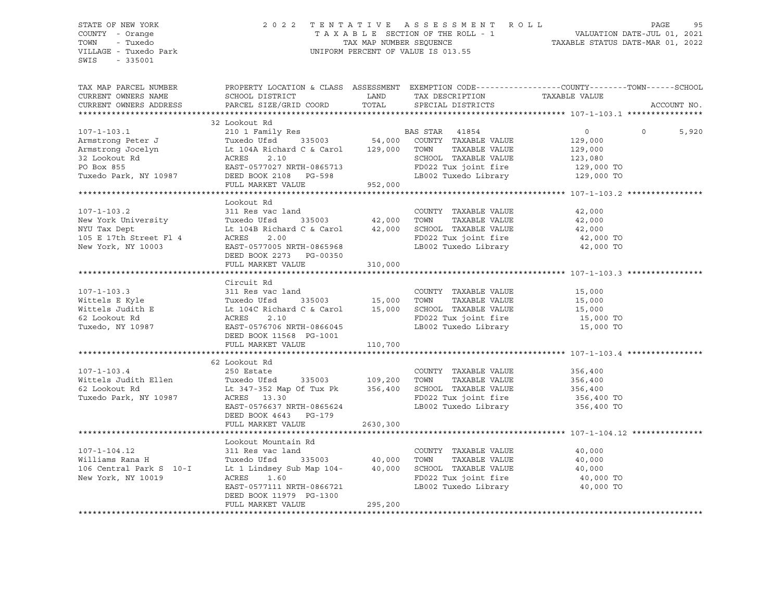### STATE OF NEW YORK 2 0 2 2 T E N T A T I V E A S S E S S M E N T R O L L PAGE 95 COUNTY - Orange T A X A B L E SECTION OF THE ROLL - 1 VALUATION DATE-JUL 01, 2021 TOWN - Tuxedo TAX MAP NUMBER SEQUENCE TAXABLE STATUS DATE-MAR 01, 2022 VILLAGE - Tuxedo Park UNIFORM PERCENT OF VALUE IS 013.55

| TAX MAP PARCEL NUMBER<br>CURRENT OWNERS NAME<br>CURRENT OWNERS ADDRESS                                                                                                                                                               | PROPERTY LOCATION & CLASS ASSESSMENT EXEMPTION CODE---------------COUNTY-------TOWN-----SCHOOL<br>SCHOOL DISTRICT<br>PARCEL SIZE/GRID COORD | TOTAL   | LAND TAX DESCRIPTION<br>SPECIAL DISTRICTS                                                                             | TAXABLE VALUE                                             | ACCOUNT NO.             |
|--------------------------------------------------------------------------------------------------------------------------------------------------------------------------------------------------------------------------------------|---------------------------------------------------------------------------------------------------------------------------------------------|---------|-----------------------------------------------------------------------------------------------------------------------|-----------------------------------------------------------|-------------------------|
|                                                                                                                                                                                                                                      |                                                                                                                                             |         |                                                                                                                       |                                                           |                         |
| Tuxedo Park, NY 10987                                                                                                                                                                                                                | DEED BOOK 2108 PG-598<br>FULL MARKET VALUE                                                                                                  | 952,000 | SCHOOL TAXABLE VALUE 123,080<br>FD022 Tux joint fire 129,000 TO<br>LB002 Tuxedo Library 129,000 TO                    | $\overline{0}$<br>129,000<br>129,000                      | $\overline{0}$<br>5,920 |
|                                                                                                                                                                                                                                      | Lookout Rd                                                                                                                                  |         |                                                                                                                       |                                                           |                         |
| 107-1-103.2 311 Res vac land COUNTY TAXABLE VALUE 42,000<br>New York University Tuxedo Ufsd 335003 42,000 TOWN TAXABLE VALUE 42,000<br>NYU Tax Dept Lt 104B Richard C & Carol 42,000 SCHOOL TAXABLE VALUE 42,000<br>105 E 17th Stree | DEED BOOK 2273 PG-00350<br>FULL MARKET VALUE                                                                                                | 310,000 |                                                                                                                       |                                                           |                         |
|                                                                                                                                                                                                                                      | Circuit Rd                                                                                                                                  |         |                                                                                                                       |                                                           |                         |
| Tuxedo, NY 10987                                                                                                                                                                                                                     | EAST-0576706 NRTH-0866045<br>DEED BOOK 11568 PG-1001<br>FULL MARKET VALUE                                                                   | 110,700 | LB002 Tuxedo Library 15,000 TO                                                                                        |                                                           |                         |
|                                                                                                                                                                                                                                      |                                                                                                                                             |         |                                                                                                                       |                                                           |                         |
| $107 - 1 - 103.4$<br>Wittels Judith Ellen                Tuxedo Ufsd      335003          109,200<br>62 Lookout Rd                            Lt 347-352 Map Of Tux Pk        356,400<br>Tuxedo Park, NY 10987                       | 62 Lookout Rd<br>250 Estate<br>Lt 347-352 Map Of Tux Pk 356,400<br>ACRES 13.30<br>EAST-0576637 NRTH-0865624<br>DEED BOOK 4643 PG-179        |         | COUNTY TAXABLE VALUE<br>TOWN<br>SCHOOL TAXABLE VALUE<br>FD022 Tux joint fire 356,400 TO<br>LB002 Tuxedo Library       | 356,400<br>TAXABLE VALUE 356,400<br>356,400<br>356,400 TO |                         |
|                                                                                                                                                                                                                                      | FULL MARKET VALUE 2630,300                                                                                                                  |         |                                                                                                                       |                                                           |                         |
| $107 - 1 - 104.12$<br>Williams Rana H<br>106 Central Park S 10-I<br>New York, NY 10019                                                                                                                                               | Lookout Mountain Rd<br>311 Res vac land<br>ACRES 1.60<br>EAST-0577111 NRTH-0866721<br>DEED BOOK 11979 PG-1300<br>FULL MARKET VALUE          | 295,200 | COUNTY TAXABLE VALUE<br>TOWN<br>TAXABLE VALUE<br>SCHOOL TAXABLE VALUE<br>FD022 Tux joint fire<br>LB002 Tuxedo Library | 40,000<br>40,000<br>40,000<br>40,000 TO<br>40,000 TO      |                         |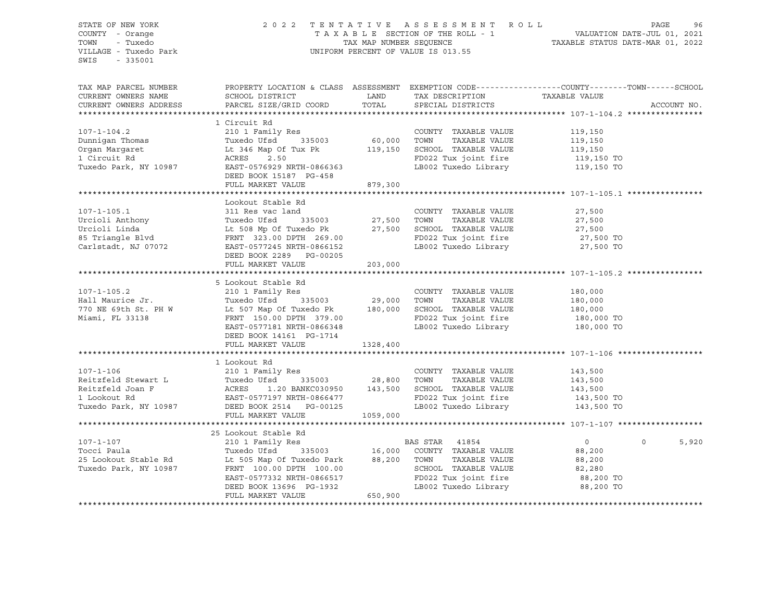### STATE OF NEW YORK 2 0 2 2 T E N T A T I V E A S S E S S M E N T R O L L PAGE 96 COUNTY - Orange T A X A B L E SECTION OF THE ROLL - 1 VALUATION DATE-JUL 01, 2021 TOWN - Tuxedo TAX MAP NUMBER SEQUENCE TAXABLE STATUS DATE-MAR 01, 2022 VILLAGE - Tuxedo Park UNIFORM PERCENT OF VALUE IS 013.55

| TAX MAP PARCEL NUMBER<br>CURRENT OWNERS NAME<br>CURRENT OWNERS ADDRESS                                                                        | PROPERTY LOCATION & CLASS ASSESSMENT EXEMPTION CODE----------------COUNTY-------TOWN------SCHOOL<br>SCHOOL DISTRICT<br>PARCEL SIZE/GRID COORD                                                                                                                          | LAND<br>TOTAL             | TAX DESCRIPTION TAXABLE VALUE<br>SPECIAL DISTRICTS                                                                                       |                                                    | ACCOUNT NO.       |
|-----------------------------------------------------------------------------------------------------------------------------------------------|------------------------------------------------------------------------------------------------------------------------------------------------------------------------------------------------------------------------------------------------------------------------|---------------------------|------------------------------------------------------------------------------------------------------------------------------------------|----------------------------------------------------|-------------------|
|                                                                                                                                               |                                                                                                                                                                                                                                                                        |                           |                                                                                                                                          |                                                    |                   |
|                                                                                                                                               |                                                                                                                                                                                                                                                                        |                           |                                                                                                                                          |                                                    |                   |
| $107 - 1 - 104.2$<br>Dunniqan Thomas<br>Organ Margaret<br>1 Circuit Rd<br>Tuxedo Park, NY 10987                                               | 1 Circuit Rd<br>210 1 Family Res<br>210 1 Family Res<br>Tuxedo Ufsd       335003             60,000<br>Lt 346 Map Of Tux Pk               119,150<br>ACRES     2.50<br>EAST-0576929 NRTH-0866363                                                                       |                           | COUNTY TAXABLE VALUE<br>TOWN<br>TAXABLE VALUE<br>SCHOOL TAXABLE VALUE 119,150<br>FD022 Tux joint fire<br>LB002 Tuxedo Library 119,150 TO | 119,150<br>119,150<br>119,150 TO                   |                   |
|                                                                                                                                               | DEED BOOK 15187 PG-458<br>FULL MARKET VALUE                                                                                                                                                                                                                            | 879,300                   |                                                                                                                                          |                                                    |                   |
|                                                                                                                                               |                                                                                                                                                                                                                                                                        |                           |                                                                                                                                          |                                                    |                   |
| $107 - 1 - 105.1$<br>Urcioli Anthony<br>Urcioli Linda<br>85 Triangle Blvd<br>Carlstadt, NJ 07072                                              | Lookout Stable Rd<br>311 Res vac land<br>Tuxedo Ufsd<br>Lt 508 Mp Of Tuxedo Pk 27,500 SCHOOL TAXABLE VALUE 27,500 27,500<br>FRNT 323.00 DPTH 269.00 FD022 Tux joint fire 27,500 TO<br>EAST-0577245 NRTH-0866152<br>DEED BOOK 2289 PG-00205<br>FULL MARKET VALUE        | 203,000                   | COUNTY TAXABLE VALUE<br>TAXABLE VALUE<br>LB002 Tuxedo Library 27,500 TO                                                                  | 27,500<br>27,500                                   |                   |
|                                                                                                                                               |                                                                                                                                                                                                                                                                        |                           |                                                                                                                                          |                                                    |                   |
| $107 - 1 - 105.2$<br>Hall Maurice Jr.<br>Tuxedo Ufsd 335003 29,000<br>770 NE 69th St. PH W Lt 507 Map Of Tuxedo Pk 180,000<br>Miami, FL 33138 | 5 Lookout Stable Rd<br>210 1 Family Res<br>FRNT 150.00 DPTH 379.00<br>EAST-0577181 NRTH-0866348<br>DEED BOOK 14161 PG-1714<br>FULL MARKET VALUE                                                                                                                        | 1328,400                  | COUNTY TAXABLE VALUE<br>TOWN<br>TAXABLE VALUE<br>SCHOOL TAXABLE VALUE 180,000<br>FD022 Tux joint fire<br>LB002 Tuxedo Library 180,000 TO | 180,000<br>180,000<br>180,000 TO                   |                   |
|                                                                                                                                               |                                                                                                                                                                                                                                                                        |                           |                                                                                                                                          |                                                    |                   |
| $107 - 1 - 106$<br>Reitzfeld Stewart L<br>Reitzfeld Joan F<br>1 Lookout Rd<br>Tuxedo Park, NY 10987                                           | 1 Lookout Rd<br>210 1 Family Res<br>Tuxedo Ufsd 335003<br>ACRES 1.20 BANKC030950<br>EAST-0577197 NRTH-0866477<br>1.20 BANKC030950 143,500<br>EAST-0577197 NRTH-0866477<br>DEED BOOK 2514 PG-00125<br>FULL MARKET VALUE                                                 | 335003 28,800<br>1059,000 | COUNTY TAXABLE VALUE<br>TOWN<br>TAXABLE VALUE<br>SCHOOL TAXABLE VALUE<br>FD022 Tux joint fire<br>LB002 Tuxedo Library 143,500 TO         | 143,500<br>143,500<br>143,500<br>143,500 TO        |                   |
|                                                                                                                                               |                                                                                                                                                                                                                                                                        |                           |                                                                                                                                          |                                                    |                   |
| $107 - 1 - 107$<br>Tocci Paula<br>25 Lookout Stable Rd<br>Tuxedo Park, NY 10987                                                               | 25 Lookout Stable Rd<br>210 1 Family Res<br>Tuxedo Ufsd <sup>*</sup> 335003 16,000 COUNTY TAXABLE VALUE<br>Lt 505 Map Of Tuxedo Park 88,200 TOWN TAXABLE VALUE<br>FRNT 100.00 DPTH 100.00<br>EAST-0577332 NRTH-0866517<br>DEED BOOK 13696 PG-1932<br>FULL MARKET VALUE | 650,900                   | BAS STAR 41854<br>SCHOOL TAXABLE VALUE<br>FD022 Tux joint fire<br>LB002 Tuxedo Library 68,200 TO                                         | $\circ$<br>88,200<br>88,200<br>82,280<br>88,200 TO | $\Omega$<br>5,920 |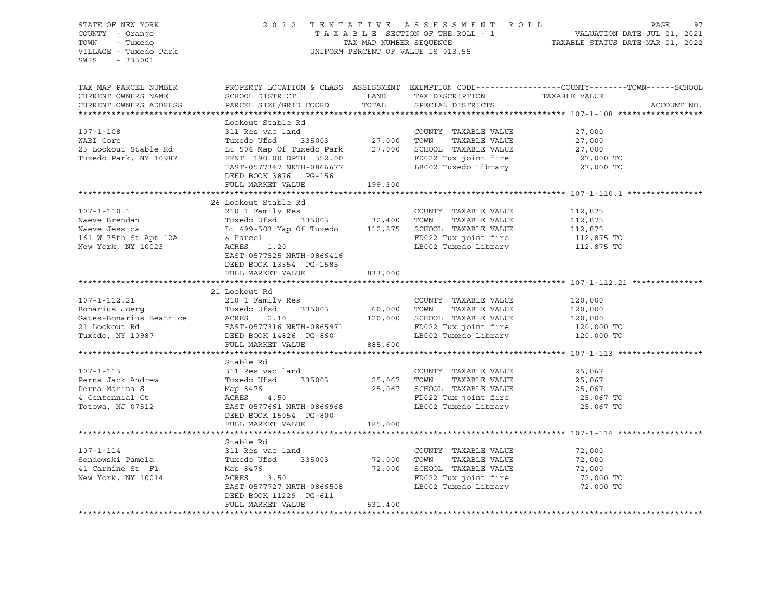| STATE OF NEW YORK<br>COUNTY - Orange<br>TOWN - Tuxedo<br>VILLAGE - Tuxedo Park<br>SWIS - 335001                                                                                                                                                          |                                                                                                                                                                                     |         | UNIFORM PERCENT OF VALUE IS 013.55 | 2022 TENTATIVE ASSESSMENT ROLL PAGE 97<br>TAXABLE SECTION OF THE ROLL - 1 VALUATION DATE-JUL 01, 2021<br>TAX MAP NUMBER SEQUENCE TAXABLE STATUS DATE-MAR 01, 2022       |
|----------------------------------------------------------------------------------------------------------------------------------------------------------------------------------------------------------------------------------------------------------|-------------------------------------------------------------------------------------------------------------------------------------------------------------------------------------|---------|------------------------------------|-------------------------------------------------------------------------------------------------------------------------------------------------------------------------|
| CURRENT OWNERS NAME<br>CURRENT OWNERS ADDRESS                                                                                                                                                                                                            | PROPERTI DOCATION & CHAOD ADDIDUMENT DIMITION TAX DESCRIPTION TAXABLE VALUE<br>SCHOOL DISTRICT LAND TAX DESCRIPTION TAXABLE VALUE<br>PARCEL SIZE/GRID COORD TOTAL SPECIAL DISTRICTS |         |                                    | TAX MAP PARCEL NUMBER<br>SURFALL NUMBER<br>SURFALL SURFALL SURFALL SURFALL SURFALL SURFALL SURFALL SURFALL SURFALL SURFALL SURFALL SURFALL SURFALL SURFA<br>ACCOUNT NO. |
| 107-1-108<br>WABI Corp<br>WABI Corp<br>TWABI Corp<br>TEXABLE VALUE<br>TEXABLE VALUE<br>TEXABLE VALUE<br>TEXABLE VALUE<br>27,000<br>25 Lookout Stable Rd<br>Le 504 Map Of Tuxedo Park<br>Le 504 Map Of Tuxedo Park<br>Le 504 Map Of Tuxedo Park<br>TEXABL | Lookout Stable Rd                                                                                                                                                                   |         |                                    |                                                                                                                                                                         |
|                                                                                                                                                                                                                                                          | FULL MARKET VALUE                                                                                                                                                                   | 833,000 |                                    |                                                                                                                                                                         |
| 107-1-112.21<br>21 Lookout Rd<br>21 Lookout Rd<br>21 Lookout Rd<br>21 Cookout Rd<br>21 Cookout Bonarius Joerg<br>21 Lookout Rd<br>21 Cookout Bonarius Beatrice<br>21 Cookout Rd<br>21 Cookout Rd<br>22 Tux Section TAXABLE VALUE<br>22 Tux joint fir     | 21 Lookout Rd                                                                                                                                                                       |         |                                    |                                                                                                                                                                         |
|                                                                                                                                                                                                                                                          | Stable Rd<br>FULL MARKET VALUE 185,000                                                                                                                                              |         |                                    |                                                                                                                                                                         |
| 107-1-114<br>Sendowski Pamela<br>311 Res vac land<br>311 Res vac land<br>Tuxedo Ufsd<br>335003<br>27,000 TOWN TAXABLE VALUE<br>72,000 TOWN TAXABLE VALUE<br>72,000 TOWN TAXABLE VALUE<br>72,000 TOWN TAXABLE VALUE<br>72,000 TOWN TAXABLE VALUE<br>7     | Stable Rd<br>DEED BOOK 11229 PG-611<br>FULL MARKET VALUE                                                                                                                            | 531,400 |                                    |                                                                                                                                                                         |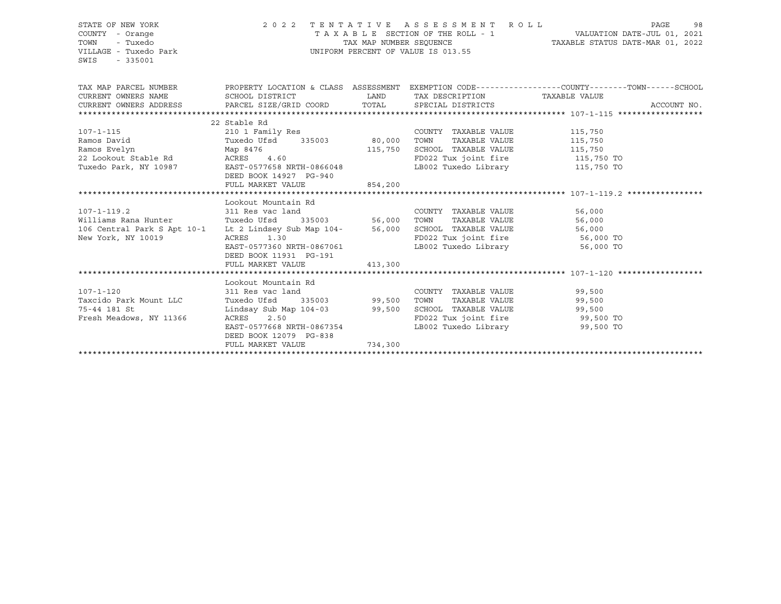| STATE OF NEW YORK<br>COUNTY - Orange<br>- Tuxedo<br>TOWN<br>VILLAGE - Tuxedo Park<br>SWIS<br>$-335001$ | 2022 TENTATIVE ASSESSMENT ROLL<br>PAGE<br>T A X A B L E SECTION OF THE ROLL - 1 VALUATION DATE-JUL 01, 2021<br>TAX MAP NUMBER SEQUENCE TAXABLE STATUS DATE-MAR 01, 2022<br>UNIFORM PERCENT OF VALUE IS 013.55 |                    |                                 |                       |             |  |  |
|--------------------------------------------------------------------------------------------------------|---------------------------------------------------------------------------------------------------------------------------------------------------------------------------------------------------------------|--------------------|---------------------------------|-----------------------|-------------|--|--|
| TAX MAP PARCEL NUMBER<br>CURRENT OWNERS NAME                                                           | PROPERTY LOCATION & CLASS ASSESSMENT EXEMPTION CODE---------------COUNTY-------TOWN-----SCHOOL<br>SCHOOL DISTRICT LAND                                                                                        |                    | TAX DESCRIPTION TAXABLE VALUE   |                       |             |  |  |
| CURRENT OWNERS ADDRESS PARCEL SIZE/GRID COORD TOTAL SPECIAL DISTRICTS                                  |                                                                                                                                                                                                               |                    |                                 |                       | ACCOUNT NO. |  |  |
|                                                                                                        |                                                                                                                                                                                                               |                    |                                 |                       |             |  |  |
|                                                                                                        | 22 Stable Rd                                                                                                                                                                                                  |                    |                                 |                       |             |  |  |
| $107 - 1 - 115$                                                                                        | 210 1 Family Res                                                                                                                                                                                              |                    | COUNTY TAXABLE VALUE 115,750    |                       |             |  |  |
| Ramos David                                                                                            | Tuxedo Ufsd 335003 80,000 TOWN                                                                                                                                                                                |                    |                                 | TAXABLE VALUE 115,750 |             |  |  |
| Map 8476<br>Ramos Evelyn                                                                               |                                                                                                                                                                                                               | 115,750            | SCHOOL TAXABLE VALUE 115,750    |                       |             |  |  |
| 22 Lookout Stable Rd ACRES 4.60                                                                        |                                                                                                                                                                                                               |                    | FD022 Tux joint fire 115,750 TO |                       |             |  |  |
| Tuxedo Park, NY 10987 EAST-0577658 NRTH-0866048                                                        |                                                                                                                                                                                                               |                    | LB002 Tuxedo Library 115,750 TO |                       |             |  |  |
|                                                                                                        | DEED BOOK 14927 PG-940                                                                                                                                                                                        |                    |                                 |                       |             |  |  |
|                                                                                                        | FULL MARKET VALUE 854,200                                                                                                                                                                                     |                    |                                 |                       |             |  |  |
|                                                                                                        | Lookout Mountain Rd                                                                                                                                                                                           |                    |                                 |                       |             |  |  |
| 107-1-119.2 311 Res vac land                                                                           |                                                                                                                                                                                                               |                    | COUNTY TAXABLE VALUE            | 56,000                |             |  |  |
| Williams Rana Hunter Tuxedo Ufsd                                                                       |                                                                                                                                                                                                               | 335003 56,000 TOWN | TAXABLE VALUE                   | 56,000                |             |  |  |
|                                                                                                        |                                                                                                                                                                                                               |                    |                                 | 56,000                |             |  |  |
|                                                                                                        |                                                                                                                                                                                                               |                    | FD022 Tux joint fire 56,000 TO  |                       |             |  |  |
|                                                                                                        | EAST-0577360 NRTH-0867061                                                                                                                                                                                     |                    | LB002 Tuxedo Library            | 56,000 TO             |             |  |  |
|                                                                                                        | DEED BOOK 11931 PG-191                                                                                                                                                                                        |                    |                                 |                       |             |  |  |
|                                                                                                        | FULL MARKET VALUE                                                                                                                                                                                             | 413,300            |                                 |                       |             |  |  |
|                                                                                                        |                                                                                                                                                                                                               |                    |                                 |                       |             |  |  |
|                                                                                                        | Lookout Mountain Rd                                                                                                                                                                                           |                    |                                 |                       |             |  |  |
| $107 - 1 - 120$                                                                                        | 311 Res vac land                                                                                                                                                                                              |                    | COUNTY TAXABLE VALUE 99,500     |                       |             |  |  |
| Taxcido Park Mount LLC                                                                                 | Tuxedo Ufsd                                                                                                                                                                                                   | 335003 99,500 TOWN |                                 | TAXABLE VALUE 99,500  |             |  |  |
| 75-44 181 St                                                                                           | Lindsay Sub Map 104-03 99,500 SCHOOL TAXABLE VALUE 99,500                                                                                                                                                     |                    |                                 |                       |             |  |  |
| Fresh Meadows, NY 11366                                                                                | ACRES<br>2.50                                                                                                                                                                                                 |                    | FD022 Tux joint fire 99,500 TO  |                       |             |  |  |
|                                                                                                        | EAST-0577668 NRTH-0867354                                                                                                                                                                                     |                    | LB002 Tuxedo Library 59,500 TO  |                       |             |  |  |
|                                                                                                        | DEED BOOK 12079 PG-838                                                                                                                                                                                        |                    |                                 |                       |             |  |  |
|                                                                                                        | FULL MARKET VALUE                                                                                                                                                                                             | 734,300            |                                 |                       |             |  |  |
|                                                                                                        |                                                                                                                                                                                                               |                    |                                 |                       |             |  |  |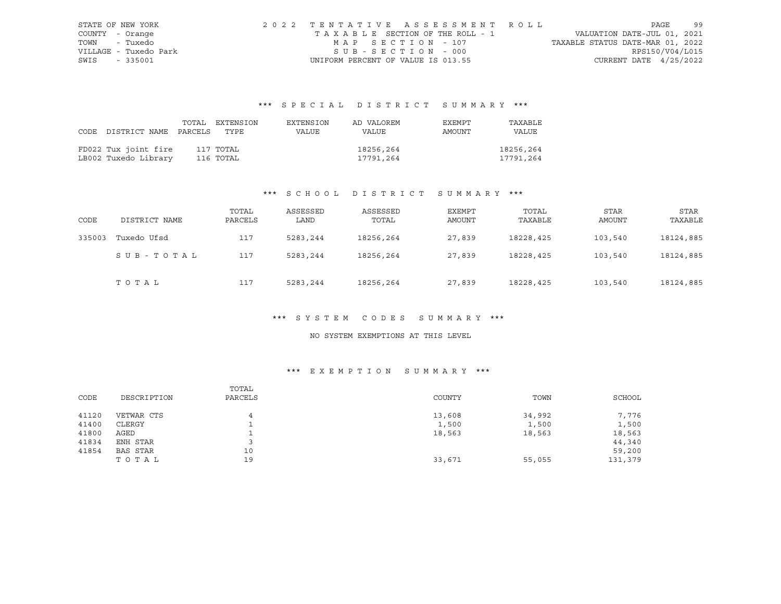|      | STATE OF NEW YORK     | 2022 TENTATIVE ASSESSMENT ROLL     |                                  | PAGE            | - 99 |
|------|-----------------------|------------------------------------|----------------------------------|-----------------|------|
|      | COUNTY - Orange       | TAXABLE SECTION OF THE ROLL - 1    | VALUATION DATE-JUL 01, 2021      |                 |      |
|      | TOWN - Tuxedo         | MAP SECTION - 107                  | TAXABLE STATUS DATE-MAR 01, 2022 |                 |      |
|      | VILLAGE - Tuxedo Park | SUB-SECTION - 000                  |                                  | RPS150/V04/L015 |      |
| SWIS | - 335001              | UNIFORM PERCENT OF VALUE IS 013.55 | CURRENT DATE $4/25/2022$         |                 |      |

# \*\*\* S P E C I A L D I S T R I C T S U M M A R Y \*\*\*

|                                 | TOTAL EXTENSION | EXTENSION | AD VALOREM | EXEMPT | TAXABLE   |
|---------------------------------|-----------------|-----------|------------|--------|-----------|
| CODE DISTRICT NAME PARCELS TYPE |                 | VALUE     | VALUE      | AMOUNT | VALUE     |
|                                 |                 |           |            |        |           |
| FD022 Tux joint fire            | 117 TOTAL       |           | 18256,264  |        | 18256,264 |
| LB002 Tuxedo Library            | 116 TOTAL       |           | 17791,264  |        | 17791,264 |

## \*\*\* S C H O O L D I S T R I C T S U M M A R Y \*\*\*

| CODE   | DISTRICT NAME | TOTAL<br>PARCELS | ASSESSED<br>LAND | ASSESSED<br>TOTAL | <b>EXEMPT</b><br>AMOUNT | TOTAL<br>TAXABLE | <b>STAR</b><br>AMOUNT | <b>STAR</b><br>TAXABLE |
|--------|---------------|------------------|------------------|-------------------|-------------------------|------------------|-----------------------|------------------------|
| 335003 | Tuxedo Ufsd   | 117              | 5283,244         | 18256,264         | 27,839                  | 18228,425        | 103,540               | 18124,885              |
|        | SUB-TOTAL     | 117              | 5283,244         | 18256,264         | 27,839                  | 18228,425        | 103,540               | 18124,885              |
|        | TOTAL         | 117              | 5283,244         | 18256,264         | 27,839                  | 18228,425        | 103,540               | 18124,885              |

## \*\*\* S Y S T E M C O D E S S U M M A R Y \*\*\*

### NO SYSTEM EXEMPTIONS AT THIS LEVEL

| CODE  | DESCRIPTION | TOTAL<br>PARCELS | COUNTY | TOWN   | SCHOOL  |
|-------|-------------|------------------|--------|--------|---------|
| 41120 | VETWAR CTS  | 4                | 13,608 | 34,992 | 7,776   |
| 41400 | CLERGY      |                  | 1,500  | 1,500  | 1,500   |
| 41800 | AGED        |                  | 18,563 | 18,563 | 18,563  |
| 41834 | ENH STAR    |                  |        |        | 44,340  |
| 41854 | BAS STAR    | 10               |        |        | 59,200  |
|       | TOTAL       | 19               | 33,671 | 55,055 | 131,379 |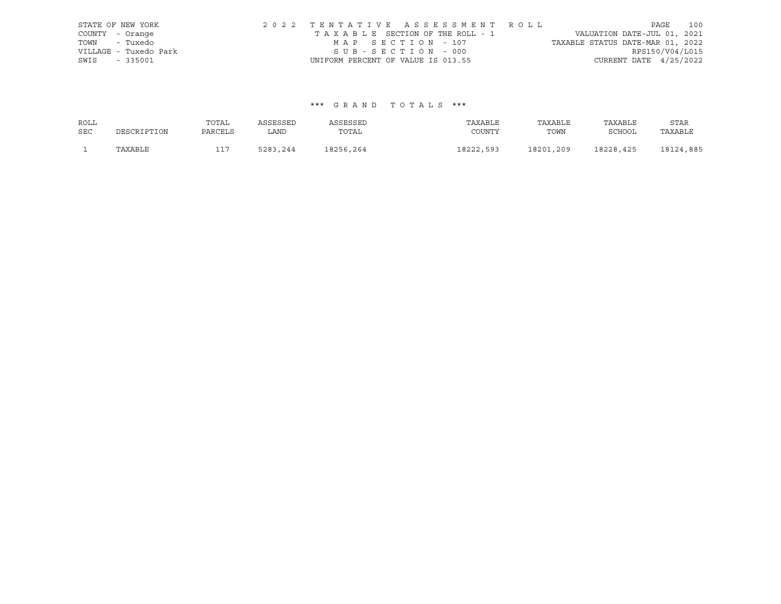|                 | STATE OF NEW YORK     |                                    |                   | 2022 TENTATIVE ASSESSMENT ROLL  |                                  |                          | PAGE | 100 |
|-----------------|-----------------------|------------------------------------|-------------------|---------------------------------|----------------------------------|--------------------------|------|-----|
| COUNTY - Orange |                       |                                    |                   | TAXABLE SECTION OF THE ROLL - 1 | VALUATION DATE-JUL 01, 2021      |                          |      |     |
| TOWN - Tuxedo   |                       |                                    | MAP SECTION - 107 |                                 | TAXABLE STATUS DATE-MAR 01, 2022 |                          |      |     |
|                 | VILLAGE - Tuxedo Park |                                    | SUB-SECTION - 000 |                                 |                                  | RPS150/V04/L015          |      |     |
| SWIS - 335001   |                       | UNIFORM PERCENT OF VALUE IS 013.55 |                   |                                 |                                  | CURRENT DATE $4/25/2022$ |      |     |

| ROLL       |             | TOTAL   | ASSESSED | ASSESSED  | TAXABLE   | TAXABLE   | TAXABLE   | STAR      |
|------------|-------------|---------|----------|-----------|-----------|-----------|-----------|-----------|
| <b>SEC</b> | DESCRIPTION | PARCELS | LAND     | TOTAL     | COUNTY    | TOWN      | SCHOOL    | TAXABLE   |
|            | TAXABLE     |         | 5283,244 | 18256,264 | 18222,593 | 18201,209 | 18228,425 | 18124,885 |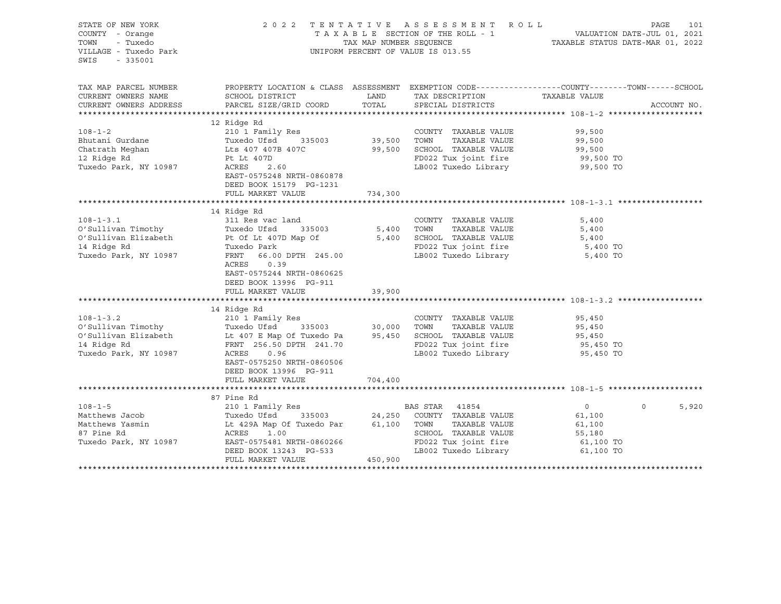| STATE OF NEW YORK<br>COUNTY - Orange<br>- Tuxedo<br>TOWN<br>VILLAGE - Tuxedo Park<br>SWIS<br>$-335001$ |                                                                                           | 2022 TENTATIVE ASSESSMENT ROLL<br>UNIFORM PERCENT OF VALUE IS 013.55 | PAGE<br>101<br>TAXABLE SECTION OF THE ROLL - 1<br>TAXABLE STATUS DATE-JUL 01, 2021<br>TAXABLE STATUS DATE-MAR 01, 2022 |               |             |  |
|--------------------------------------------------------------------------------------------------------|-------------------------------------------------------------------------------------------|----------------------------------------------------------------------|------------------------------------------------------------------------------------------------------------------------|---------------|-------------|--|
| TAX MAP PARCEL NUMBER                                                                                  |                                                                                           |                                                                      | PROPERTY LOCATION & CLASS ASSESSMENT EXEMPTION CODE----------------COUNTY-------TOWN------SCHOOL                       |               |             |  |
| CURRENT OWNERS NAME                                                                                    | SCHOOL DISTRICT                                                                           | LAND                                                                 | TAX DESCRIPTION                                                                                                        | TAXABLE VALUE |             |  |
| CURRENT OWNERS ADDRESS                                                                                 | PARCEL SIZE/GRID COORD                                                                    | TOTAL                                                                | SPECIAL DISTRICTS                                                                                                      |               | ACCOUNT NO. |  |
|                                                                                                        | 12 Ridge Rd                                                                               |                                                                      |                                                                                                                        |               |             |  |
| $108 - 1 - 2$                                                                                          | 210 1 Family Res                                                                          |                                                                      | COUNTY TAXABLE VALUE                                                                                                   | 99,500        |             |  |
| Bhutani Gurdane                                                                                        | Tuxedo Ufsd<br>335003                                                                     | 39,500 TOWN                                                          | TAXABLE VALUE                                                                                                          | 99,500        |             |  |
| Chatrath Meghan                                                                                        | Lts 407 407B 407C                                                                         |                                                                      | 99,500 SCHOOL TAXABLE VALUE                                                                                            | 99,500        |             |  |
| 12 Ridge Rd                                                                                            | Pt Lt 407D                                                                                |                                                                      | FD022 Tux joint fire                                                                                                   | 99,500 TO     |             |  |
| Tuxedo Park, NY 10987                                                                                  | ACRES<br>2.60                                                                             |                                                                      | LB002 Tuxedo Library                                                                                                   | 99,500 TO     |             |  |
|                                                                                                        | EAST-0575248 NRTH-0860878                                                                 |                                                                      |                                                                                                                        |               |             |  |
|                                                                                                        | DEED BOOK 15179 PG-1231                                                                   |                                                                      |                                                                                                                        |               |             |  |
|                                                                                                        | FULL MARKET VALUE                                                                         | 734,300                                                              |                                                                                                                        |               |             |  |
|                                                                                                        | 14 Ridge Rd                                                                               |                                                                      |                                                                                                                        |               |             |  |
| $108 - 1 - 3.1$                                                                                        | 311 Res vac land                                                                          |                                                                      | COUNTY TAXABLE VALUE                                                                                                   | 5,400         |             |  |
| O'Sullivan Timothy                                                                                     | Tuxedo Ufsd<br>335003                                                                     | 5,400 TOWN                                                           | TAXABLE VALUE                                                                                                          | 5,400         |             |  |
| O'Sullivan Elizabeth                                                                                   | Pt Of Lt 407D Map Of                                                                      |                                                                      | 5,400 SCHOOL TAXABLE VALUE                                                                                             | 5,400         |             |  |
| 14 Ridge Rd                                                                                            | Tuxedo Park                                                                               |                                                                      | FD022 Tux joint fire                                                                                                   | 5,400 TO      |             |  |
| Tuxedo Park, NY 10987                                                                                  | 66.00 DPTH 245.00<br>FRNT                                                                 |                                                                      | LB002 Tuxedo Library                                                                                                   | 5,400 TO      |             |  |
|                                                                                                        | 0.39<br>ACRES<br>EAST-0575244 NRTH-0860625<br>DEED BOOK 13996 PG-911                      |                                                                      |                                                                                                                        |               |             |  |
|                                                                                                        | FULL MARKET VALUE                                                                         | 39,900                                                               |                                                                                                                        |               |             |  |
|                                                                                                        | 14 Ridge Rd                                                                               |                                                                      |                                                                                                                        |               |             |  |
| $108 - 1 - 3.2$                                                                                        | 210 1 Family Res                                                                          |                                                                      | COUNTY TAXABLE VALUE                                                                                                   | 95,450        |             |  |
| O'Sullivan Timothy                                                                                     |                                                                                           |                                                                      | TOWN<br>TAXABLE VALUE                                                                                                  | 95,450        |             |  |
| O'Sullivan Elizabeth                                                                                   | Lt 407 E Map Of Tuxedo Pa 95,450 SCHOOL TAXABLE VALUE                                     |                                                                      |                                                                                                                        | 95,450        |             |  |
| 14 Ridge Rd                                                                                            | FRNT 256.50 DPTH 241.70                                                                   |                                                                      | FD022 Tux joint fire                                                                                                   | 95,450 TO     |             |  |
| Tuxedo Park, NY 10987                                                                                  | ACRES<br>0.96<br>EAST-0575250 NRTH-0860506<br>DEED BOOK 13996 PG-911<br>FULL MARKET VALUE | 704,400                                                              | LB002 Tuxedo Library                                                                                                   | 95,450 TO     |             |  |
|                                                                                                        |                                                                                           |                                                                      |                                                                                                                        |               |             |  |
|                                                                                                        | 87 Pine Rd                                                                                |                                                                      |                                                                                                                        |               |             |  |
| $108 - 1 - 5$                                                                                          | 210 1 Family Res                                                                          |                                                                      |                                                                                                                        | 0<br>$\circ$  | 5,920       |  |
| Matthews Jacob                                                                                         | Tuxedo Ufsd                                                                               |                                                                      | s<br>335003 24,250 COUNTY TAXABLE VALUE                                                                                | 61,100        |             |  |
| Matthews Yasmin                                                                                        | Lt 429A Map Of Tuxedo Par                                                                 | 61,100 TOWN                                                          | TAXABLE VALUE                                                                                                          | 61,100        |             |  |
| 87 Pine Rd                                                                                             | ACRES<br>1.00                                                                             |                                                                      | SCHOOL TAXABLE VALUE                                                                                                   | 55,180        |             |  |
| Tuxedo Park, NY 10987                                                                                  | EAST-0575481 NRTH-0860266                                                                 |                                                                      | FD022 Tux joint fire                                                                                                   | 61,100 TO     |             |  |
|                                                                                                        | DEED BOOK 13243 PG-533                                                                    |                                                                      | LB002 Tuxedo Library                                                                                                   | 61,100 TO     |             |  |
|                                                                                                        | FULL MARKET VALUE                                                                         | 450,900                                                              |                                                                                                                        |               |             |  |
|                                                                                                        |                                                                                           |                                                                      |                                                                                                                        |               |             |  |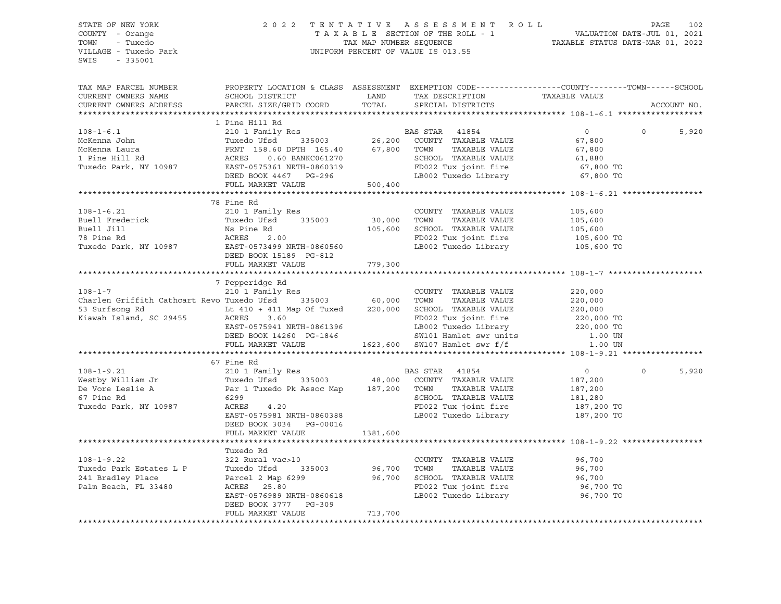STATE OF NEW YORK 2 0 2 2 T E N T A T I V E A S S E S S M E N T R O L L PAGE 102 COUNTY - Orange T A X A B L E SECTION OF THE ROLL - 1 VALUATION DATE-JUL 01, 2021 TOWN - Tuxedo TAX MAP NUMBER SEQUENCE TAXABLE STATUS DATE-MAR 01, 2022 UNIFORM PERCENT OF VALUE IS 013.55 SWIS - 335001 TAX MAP PARCEL NUMBER PROPERTY LOCATION & CLASS ASSESSMENT EXEMPTION CODE------------------COUNTY--------TOWN------SCHOOL CURRENT OWNERS NAME SCHOOL DISTRICT LAND TAX DESCRIPTION TAXABLE VALUE CURRENT OWNERS ADDRESS PARCEL SIZE/GRID COORD TOTAL SPECIAL DISTRICTS ACCOUNT NO. \*\*\*\*\*\*\*\*\*\*\*\*\*\*\*\*\*\*\*\*\*\*\*\*\*\*\*\*\*\*\*\*\*\*\*\*\*\*\*\*\*\*\*\*\*\*\*\*\*\*\*\*\*\*\*\*\*\*\*\*\*\*\*\*\*\*\*\*\*\*\*\*\*\*\*\*\*\*\*\*\*\*\*\*\*\*\*\*\*\*\*\*\*\*\*\*\*\*\*\*\*\*\* 108-1-6.1 \*\*\*\*\*\*\*\*\*\*\*\*\*\*\*\*\*\* 1 Pine Hill Rd 108-1-6.1 210 1 Family Res BAS STAR 41854 0 0 5,920 McKenna John Tuxedo Ufsd 335003 26,200 COUNTY TAXABLE VALUE 67,800 McKenna Laura FRNT 158.60 DPTH 165.40 67,800 TOWN TAXABLE VALUE 67,800 1 Pine Hill Rd ACRES 0.60 BANKC061270 SCHOOL TAXABLE VALUE 61,880 Tuxedo Park, NY 10987 EAST-0575361 NRTH-0860319 FD022 Tux joint fire 67,800 TO DEED BOOK 4467 PG-296 LB002 Tuxedo Library 67,800 TO FULL MARKET VALUE 500,400 \*\*\*\*\*\*\*\*\*\*\*\*\*\*\*\*\*\*\*\*\*\*\*\*\*\*\*\*\*\*\*\*\*\*\*\*\*\*\*\*\*\*\*\*\*\*\*\*\*\*\*\*\*\*\*\*\*\*\*\*\*\*\*\*\*\*\*\*\*\*\*\*\*\*\*\*\*\*\*\*\*\*\*\*\*\*\*\*\*\*\*\*\*\*\*\*\*\*\*\*\*\*\* 108-1-6.21 \*\*\*\*\*\*\*\*\*\*\*\*\*\*\*\*\* 78 Pine Rd 108-1-6.21 210 1 Family Res COUNTY TAXABLE VALUE 105,600 Buell Frederick Tuxedo Ufsd 335003 30,000 TOWN TAXABLE VALUE 105,600 Buell Jill Ns Pine Rd 105,600 SCHOOL TAXABLE VALUE 105,600 78 Pine Rd ACRES 2.00 FD022 Tux joint fire 105,600 TO Tuxedo Park, NY 10987 EAST-0573499 NRTH-0860560 LB002 Tuxedo Library 105,600 TO DEED BOOK 15189 PG-812 FULL MARKET VALUE 779,300 \*\*\*\*\*\*\*\*\*\*\*\*\*\*\*\*\*\*\*\*\*\*\*\*\*\*\*\*\*\*\*\*\*\*\*\*\*\*\*\*\*\*\*\*\*\*\*\*\*\*\*\*\*\*\*\*\*\*\*\*\*\*\*\*\*\*\*\*\*\*\*\*\*\*\*\*\*\*\*\*\*\*\*\*\*\*\*\*\*\*\*\*\*\*\*\*\*\*\*\*\*\*\* 108-1-7 \*\*\*\*\*\*\*\*\*\*\*\*\*\*\*\*\*\*\*\* 7 Pepperidge Rd 108-1-7 210 1 Family Res COUNTY TAXABLE VALUE 220,000 Charlen Griffith Cathcart Revo Tuxedo Ufsd 335003 60,000 TOWN TAXABLE VALUE 220,000 53 Surfsong Rd Lt 410 + 411 Map Of Tuxed 220,000 SCHOOL TAXABLE VALUE 220,000 Kiawah Island, SC 29455 ACRES 3.60 FD022 Tux joint fire 220,000 TO EAST-0575941 NRTH-0861396 LB002 Tuxedo Library 220,000 TO DEED BOOK 14260 PG-1846 SW101 Hamlet swr units 1.00 UN FULL MARKET VALUE 1623,600 SW107 Hamlet swr f/f 1.00 UN \*\*\*\*\*\*\*\*\*\*\*\*\*\*\*\*\*\*\*\*\*\*\*\*\*\*\*\*\*\*\*\*\*\*\*\*\*\*\*\*\*\*\*\*\*\*\*\*\*\*\*\*\*\*\*\*\*\*\*\*\*\*\*\*\*\*\*\*\*\*\*\*\*\*\*\*\*\*\*\*\*\*\*\*\*\*\*\*\*\*\*\*\*\*\*\*\*\*\*\*\*\*\* 108-1-9.21 \*\*\*\*\*\*\*\*\*\*\*\*\*\*\*\*\* 67 Pine Rd<br>210 1 Family Res 108-1-9.21 210 1 Family Res BAS STAR 41854 0 0 5,920 Westby William Jr Tuxedo Ufsd 335003 48,000 COUNTY TAXABLE VALUE 187,200 De Vore Leslie A Par 1 Tuxedo Pk Assoc Map 187,200 TOWN TAXABLE VALUE 187,200 67 Pine Rd 6299 SCHOOL TAXABLE VALUE 181,280 Tuxedo Park, NY 10987 ACRES 4.20 FD022 Tux joint fire 187,200 TO EAST-0575981 NRTH-0860388 LB002 Tuxedo Library 187,200 TO DEED BOOK 3034 PG-00016 FULL MARKET VALUE 1381,600 \*\*\*\*\*\*\*\*\*\*\*\*\*\*\*\*\*\*\*\*\*\*\*\*\*\*\*\*\*\*\*\*\*\*\*\*\*\*\*\*\*\*\*\*\*\*\*\*\*\*\*\*\*\*\*\*\*\*\*\*\*\*\*\*\*\*\*\*\*\*\*\*\*\*\*\*\*\*\*\*\*\*\*\*\*\*\*\*\*\*\*\*\*\*\*\*\*\*\*\*\*\*\* 108-1-9.22 \*\*\*\*\*\*\*\*\*\*\*\*\*\*\*\*\* Tuxedo Rd 108-1-9.22 322 Rural vac>10 COUNTY TAXABLE VALUE 96,700 Tuxedo Park Estates L P Tuxedo Ufsd 335003 96,700 TOWN TAXABLE VALUE 96,700 241 Bradley Place Parcel 2 Map 6299 96,700 SCHOOL TAXABLE VALUE 96,700 Palm Beach, FL 33480 ACRES 25.80 FD022 Tux joint fire 96,700 TO EAST-0576989 NRTH-0860618 LB002 Tuxedo Library 96,700 TO DEED BOOK 3777 PG-309 FULL MARKET VALUE 713,700 \*\*\*\*\*\*\*\*\*\*\*\*\*\*\*\*\*\*\*\*\*\*\*\*\*\*\*\*\*\*\*\*\*\*\*\*\*\*\*\*\*\*\*\*\*\*\*\*\*\*\*\*\*\*\*\*\*\*\*\*\*\*\*\*\*\*\*\*\*\*\*\*\*\*\*\*\*\*\*\*\*\*\*\*\*\*\*\*\*\*\*\*\*\*\*\*\*\*\*\*\*\*\*\*\*\*\*\*\*\*\*\*\*\*\*\*\*\*\*\*\*\*\*\*\*\*\*\*\*\*\*\*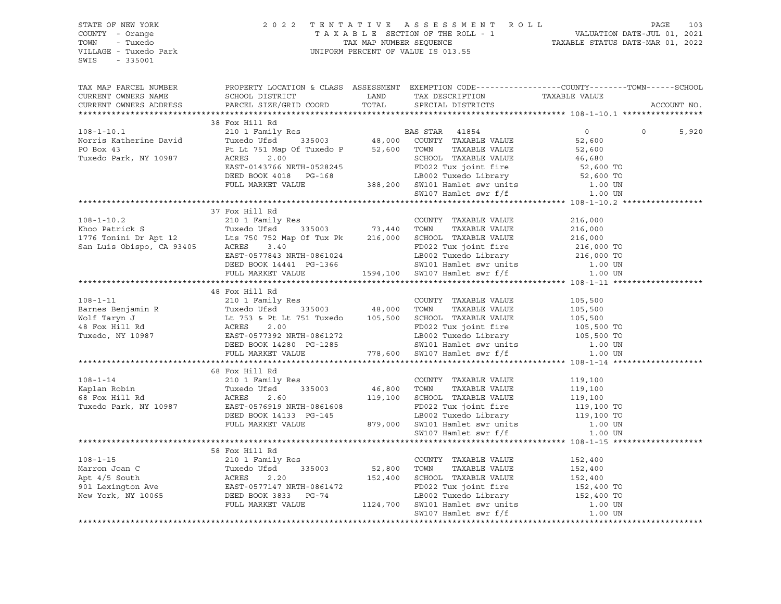| SWIS - 335001    |                                                                                                                                                                                                                                                                                                                                                                                                            |  |  |             |
|------------------|------------------------------------------------------------------------------------------------------------------------------------------------------------------------------------------------------------------------------------------------------------------------------------------------------------------------------------------------------------------------------------------------------------|--|--|-------------|
|                  | TAX MAP PARCEL NUMBER THE PROPERTY LOCATION & CLASS ASSESSMENT EXEMPTION CODE---------------COUNTY-------TOWN------SCHOOL                                                                                                                                                                                                                                                                                  |  |  | ACCOUNT NO. |
|                  |                                                                                                                                                                                                                                                                                                                                                                                                            |  |  |             |
|                  | 38 Fox Hill Rd                                                                                                                                                                                                                                                                                                                                                                                             |  |  |             |
|                  |                                                                                                                                                                                                                                                                                                                                                                                                            |  |  | 5,920       |
|                  |                                                                                                                                                                                                                                                                                                                                                                                                            |  |  |             |
|                  |                                                                                                                                                                                                                                                                                                                                                                                                            |  |  |             |
|                  |                                                                                                                                                                                                                                                                                                                                                                                                            |  |  |             |
|                  |                                                                                                                                                                                                                                                                                                                                                                                                            |  |  |             |
|                  |                                                                                                                                                                                                                                                                                                                                                                                                            |  |  |             |
|                  |                                                                                                                                                                                                                                                                                                                                                                                                            |  |  |             |
|                  |                                                                                                                                                                                                                                                                                                                                                                                                            |  |  |             |
|                  | 37 Fox Hill Rd                                                                                                                                                                                                                                                                                                                                                                                             |  |  |             |
| $108 - 1 - 10.2$ |                                                                                                                                                                                                                                                                                                                                                                                                            |  |  |             |
|                  |                                                                                                                                                                                                                                                                                                                                                                                                            |  |  |             |
|                  |                                                                                                                                                                                                                                                                                                                                                                                                            |  |  |             |
|                  |                                                                                                                                                                                                                                                                                                                                                                                                            |  |  |             |
|                  |                                                                                                                                                                                                                                                                                                                                                                                                            |  |  |             |
|                  |                                                                                                                                                                                                                                                                                                                                                                                                            |  |  |             |
|                  | 108-1-10.2<br>Xhoo Patrick S<br>Xhoo Patrick S<br>216,000<br>1776 Tonini Dr Apt 12<br>San Luis Obispo, CA 93405<br>216,000<br>216,000<br>216,000<br>216,000<br>216,000<br>216,000<br>216,000<br>216,000<br>216,000<br>216,000<br>216,000<br>216,000<br>216,000<br>21                                                                                                                                       |  |  |             |
|                  |                                                                                                                                                                                                                                                                                                                                                                                                            |  |  |             |
|                  | 48 Fox Hill Rd                                                                                                                                                                                                                                                                                                                                                                                             |  |  |             |
|                  |                                                                                                                                                                                                                                                                                                                                                                                                            |  |  |             |
|                  |                                                                                                                                                                                                                                                                                                                                                                                                            |  |  |             |
|                  |                                                                                                                                                                                                                                                                                                                                                                                                            |  |  |             |
|                  |                                                                                                                                                                                                                                                                                                                                                                                                            |  |  |             |
|                  |                                                                                                                                                                                                                                                                                                                                                                                                            |  |  |             |
|                  |                                                                                                                                                                                                                                                                                                                                                                                                            |  |  |             |
|                  | $\begin{tabular}{lllllllllll} \hline 108-1-11 & 48\textrm{ Fox Hill Rd} & 2101\textrm{ Family Res} & 200\text{INTY TAXABLE VALUE} & 105,500\text{I} \\ \hline \texttt{Barnes Benjamin R} & 105,500\textrm{ToWN} & 7\text{AXABLE VALUE} & 105,500\text{I} \\ \hline \texttt{Wolf Taryn J} & 105,500\textrm{I} & 105,500\textrm{I} \\ \hline \texttt{Wolf Taryn J} & 105,500\textrm{I} \\ \hline \texttt{48$ |  |  |             |
|                  |                                                                                                                                                                                                                                                                                                                                                                                                            |  |  |             |
|                  | 68 Fox Hill Rd<br>$[108-1-14$ $[19,100$<br>Kaplan Robin (1987)<br>Exerce of tweedo UFs and MCRES 2.60<br>Tuxedo Park, NY 10987<br>Tuxedo Park, NY 10987<br>Tuxedo Park, NY 10987<br>Tuxedo Park, NY 10987<br>Tuxedo Park, NY 10987<br>Tube COUNTY TAXABLE VALUE                                                                                                                                            |  |  |             |
|                  |                                                                                                                                                                                                                                                                                                                                                                                                            |  |  |             |
|                  |                                                                                                                                                                                                                                                                                                                                                                                                            |  |  |             |
|                  |                                                                                                                                                                                                                                                                                                                                                                                                            |  |  |             |
|                  |                                                                                                                                                                                                                                                                                                                                                                                                            |  |  |             |
|                  |                                                                                                                                                                                                                                                                                                                                                                                                            |  |  |             |
|                  |                                                                                                                                                                                                                                                                                                                                                                                                            |  |  |             |
|                  |                                                                                                                                                                                                                                                                                                                                                                                                            |  |  |             |
|                  | 58 Fox Hill Rd                                                                                                                                                                                                                                                                                                                                                                                             |  |  |             |
| $108 - 1 - 15$   |                                                                                                                                                                                                                                                                                                                                                                                                            |  |  |             |
|                  |                                                                                                                                                                                                                                                                                                                                                                                                            |  |  |             |
|                  |                                                                                                                                                                                                                                                                                                                                                                                                            |  |  |             |
|                  |                                                                                                                                                                                                                                                                                                                                                                                                            |  |  |             |
|                  |                                                                                                                                                                                                                                                                                                                                                                                                            |  |  |             |
|                  |                                                                                                                                                                                                                                                                                                                                                                                                            |  |  |             |
|                  |                                                                                                                                                                                                                                                                                                                                                                                                            |  |  |             |
|                  |                                                                                                                                                                                                                                                                                                                                                                                                            |  |  |             |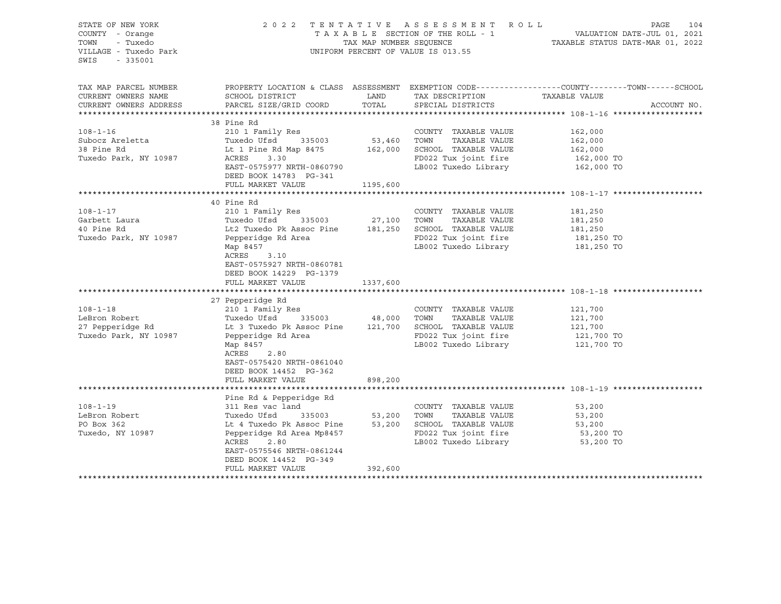| STATE OF NEW YORK<br>COUNTY - Orange<br>- Tuxedo<br>TOWN<br>VILLAGE - Tuxedo Park<br>SWIS<br>$-335001$ |                                                                                                                                                 | 2022 TENTATIVE ASSESSMENT ROLL<br>UNIFORM PERCENT OF VALUE IS 013.55 | PAGE<br>104                          |                                                                                                                                 |
|--------------------------------------------------------------------------------------------------------|-------------------------------------------------------------------------------------------------------------------------------------------------|----------------------------------------------------------------------|--------------------------------------|---------------------------------------------------------------------------------------------------------------------------------|
| TAX MAP PARCEL NUMBER<br>CURRENT OWNERS NAME<br>CURRENT OWNERS ADDRESS                                 | SCHOOL DISTRICT<br>PARCEL SIZE/GRID COORD                                                                                                       | LAND<br>TOTAL                                                        | TAX DESCRIPTION<br>SPECIAL DISTRICTS | PROPERTY LOCATION & CLASS ASSESSMENT EXEMPTION CODE---------------COUNTY-------TOWN------SCHOOL<br>TAXABLE VALUE<br>ACCOUNT NO. |
|                                                                                                        | 38 Pine Rd                                                                                                                                      |                                                                      |                                      |                                                                                                                                 |
| $108 - 1 - 16$                                                                                         | 210 1 Family Res                                                                                                                                |                                                                      | COUNTY TAXABLE VALUE                 | 162,000                                                                                                                         |
| Subocz Areletta                                                                                        | Tuxedo Ufsd 335003                                                                                                                              | 53,460                                                               | TOWN<br>TAXABLE VALUE                | 162,000                                                                                                                         |
| 38 Pine Rd                                                                                             | Lt 1 Pine Rd Map 8475 162,000 SCHOOL TAXABLE VALUE                                                                                              |                                                                      |                                      | 162,000                                                                                                                         |
| Tuxedo Park, NY 10987                                                                                  | ACRES<br>3.30                                                                                                                                   |                                                                      | FD022 Tux joint fire                 | 162,000 TO                                                                                                                      |
|                                                                                                        | EAST-0575977 NRTH-0860790<br>DEED BOOK 14783 PG-341                                                                                             |                                                                      | LB002 Tuxedo Library                 | 162,000 TO                                                                                                                      |
|                                                                                                        | FULL MARKET VALUE                                                                                                                               | 1195,600                                                             |                                      |                                                                                                                                 |
|                                                                                                        |                                                                                                                                                 |                                                                      |                                      |                                                                                                                                 |
|                                                                                                        | 40 Pine Rd                                                                                                                                      |                                                                      |                                      |                                                                                                                                 |
| $108 - 1 - 17$                                                                                         | 210 1 Family Res                                                                                                                                |                                                                      | COUNTY TAXABLE VALUE                 | 181,250                                                                                                                         |
| Garbett Laura                                                                                          | Tuxedo Ufsd                                                                                                                                     | 335003 27,100 TOWN                                                   | TAXABLE VALUE                        | 181,250                                                                                                                         |
| 40 Pine Rd                                                                                             | Lt2 Tuxedo Pk Assoc Pine 181,250 SCHOOL TAXABLE VALUE                                                                                           |                                                                      |                                      | 181,250                                                                                                                         |
| Tuxedo Park, NY 10987                                                                                  | Pepperidge Rd Area                                                                                                                              |                                                                      | FD022 Tux joint fire                 | 181,250 TO                                                                                                                      |
|                                                                                                        | Map 8457<br>ACRES<br>3.10<br>EAST-0575927 NRTH-0860781<br>DEED BOOK 14229 PG-1379                                                               |                                                                      | LB002 Tuxedo Library                 | 181,250 TO                                                                                                                      |
|                                                                                                        | FULL MARKET VALUE                                                                                                                               | 1337,600                                                             |                                      |                                                                                                                                 |
|                                                                                                        |                                                                                                                                                 |                                                                      |                                      |                                                                                                                                 |
| $108 - 1 - 18$                                                                                         | 27 Pepperidge Rd<br>210 1 Family Res                                                                                                            |                                                                      | COUNTY TAXABLE VALUE                 | 121,700                                                                                                                         |
| LeBron Robert                                                                                          | Tuxedo Ufsd                                                                                                                                     | 335003 48,000 TOWN                                                   | TAXABLE VALUE                        | 121,700                                                                                                                         |
| 27 Pepperidge Rd                                                                                       | Lt 3 Tuxedo Pk Assoc Pine 121,700 SCHOOL TAXABLE VALUE                                                                                          |                                                                      |                                      | 121,700                                                                                                                         |
| Tuxedo Park, NY 10987                                                                                  | Pepperidge Rd Area                                                                                                                              |                                                                      | FD022 Tux joint fire                 | 121,700 TO                                                                                                                      |
|                                                                                                        | Map 8457                                                                                                                                        |                                                                      | LB002 Tuxedo Library                 | 121,700 TO                                                                                                                      |
|                                                                                                        | ACRES<br>2.80<br>EAST-0575420 NRTH-0861040<br>DEED BOOK 14452 PG-362                                                                            |                                                                      |                                      |                                                                                                                                 |
|                                                                                                        | FULL MARKET VALUE                                                                                                                               | 898,200                                                              |                                      |                                                                                                                                 |
|                                                                                                        |                                                                                                                                                 |                                                                      |                                      |                                                                                                                                 |
|                                                                                                        | Pine Rd & Pepperidge Rd                                                                                                                         |                                                                      |                                      |                                                                                                                                 |
| $108 - 1 - 19$                                                                                         | 311 Res vac land                                                                                                                                |                                                                      | COUNTY TAXABLE VALUE                 | 53,200                                                                                                                          |
| LeBron Robert                                                                                          | Tuxedo Ufsd        335003               53,200     TOWN     TAXABLE VALUE<br>Lt 4 Tuxedo Pk Assoc Pine         53,200    SCHOOL   TAXABLE VALUE |                                                                      |                                      | 53,200                                                                                                                          |
| PO Box 362                                                                                             |                                                                                                                                                 |                                                                      |                                      | 53,200                                                                                                                          |
| Tuxedo, NY 10987                                                                                       | Pepperidge Rd Area Mp8457                                                                                                                       |                                                                      | FD022 Tux joint fire                 | 53,200 TO                                                                                                                       |
|                                                                                                        | 2.80<br>ACRES                                                                                                                                   |                                                                      | LB002 Tuxedo Library                 | 53,200 TO                                                                                                                       |
|                                                                                                        | EAST-0575546 NRTH-0861244                                                                                                                       |                                                                      |                                      |                                                                                                                                 |
|                                                                                                        | DEED BOOK 14452 PG-349<br>FULL MARKET VALUE                                                                                                     | 392,600                                                              |                                      |                                                                                                                                 |
|                                                                                                        |                                                                                                                                                 |                                                                      |                                      |                                                                                                                                 |
|                                                                                                        |                                                                                                                                                 |                                                                      |                                      |                                                                                                                                 |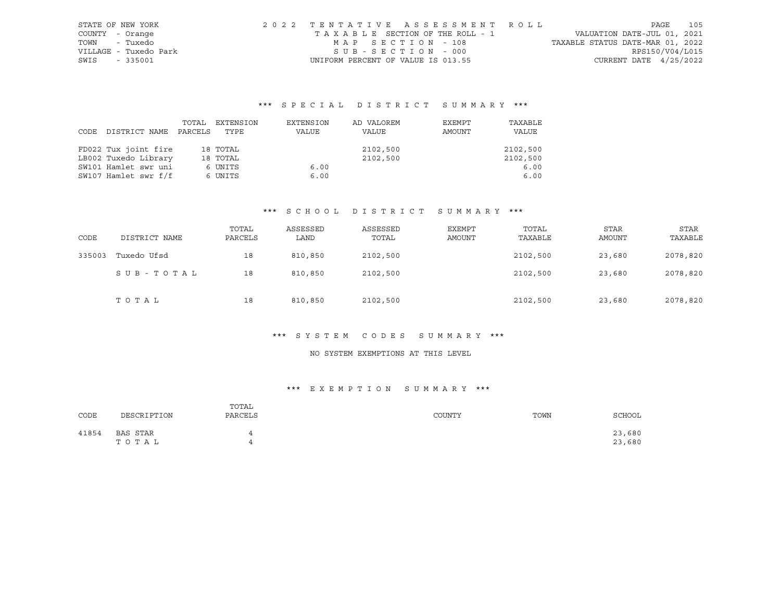| STATE OF NEW YORK     | 2022 TENTATIVE ASSESSMENT ROLL     |                                  | PAGE                        | 105 |
|-----------------------|------------------------------------|----------------------------------|-----------------------------|-----|
| COUNTY - Orange       | TAXABLE SECTION OF THE ROLL - 1    |                                  | VALUATION DATE-JUL 01, 2021 |     |
| TOWN<br>- Tuxedo      | MAP SECTION - 108                  | TAXABLE STATUS DATE-MAR 01, 2022 |                             |     |
| VILLAGE - Tuxedo Park | SUB-SECTION - 000                  |                                  | RPS150/V04/L015             |     |
| SWIS<br>$-335001$     | UNIFORM PERCENT OF VALUE IS 013.55 |                                  | CURRENT DATE $4/25/2022$    |     |

# \*\*\* S P E C I A L D I S T R I C T S U M M A R Y \*\*\*

|      |                      | TOTAL   | EXTENSION | EXTENSION | AD VALOREM | EXEMPT | TAXABLE  |
|------|----------------------|---------|-----------|-----------|------------|--------|----------|
| CODE | DISTRICT NAME        | PARCELS | TYPE      | VALUE     | VALUE      | AMOUNT | VALUE    |
|      |                      |         |           |           |            |        |          |
|      | FD022 Tux joint fire |         | 18 TOTAL  |           | 2102,500   |        | 2102,500 |
|      | LB002 Tuxedo Library |         | 18 TOTAL  |           | 2102,500   |        | 2102,500 |
|      | SW101 Hamlet swr uni |         | 6 UNITS   | 6.00      |            |        | 6.00     |
|      | SW107 Hamlet swr f/f |         | 6 UNITS   | 6.00      |            |        | 6.00     |

#### \*\*\* S C H O O L D I S T R I C T S U M M A R Y \*\*\*

| CODE   | DISTRICT NAME | TOTAL<br>PARCELS | ASSESSED<br>LAND | ASSESSED<br>TOTAL | EXEMPT<br>AMOUNT | TOTAL<br>TAXABLE | <b>STAR</b><br>AMOUNT | STAR<br>TAXABLE |
|--------|---------------|------------------|------------------|-------------------|------------------|------------------|-----------------------|-----------------|
| 335003 | Tuxedo Ufsd   | 18               | 810,850          | 2102,500          |                  | 2102,500         | 23,680                | 2078,820        |
|        | SUB-TOTAL     | 18               | 810,850          | 2102,500          |                  | 2102,500         | 23,680                | 2078,820        |
|        | TOTAL         | 18               | 810,850          | 2102,500          |                  | 2102,500         | 23,680                | 2078,820        |

### \*\*\* S Y S T E M C O D E S S U M M A R Y \*\*\*

### NO SYSTEM EXEMPTIONS AT THIS LEVEL

| CODE  | DESCRIPTION       | TOTAL<br>PARCELS | COUNTY | TOWN | SCHOOL           |
|-------|-------------------|------------------|--------|------|------------------|
| 41854 | BAS STAR<br>TOTAL |                  |        |      | 23,680<br>23,680 |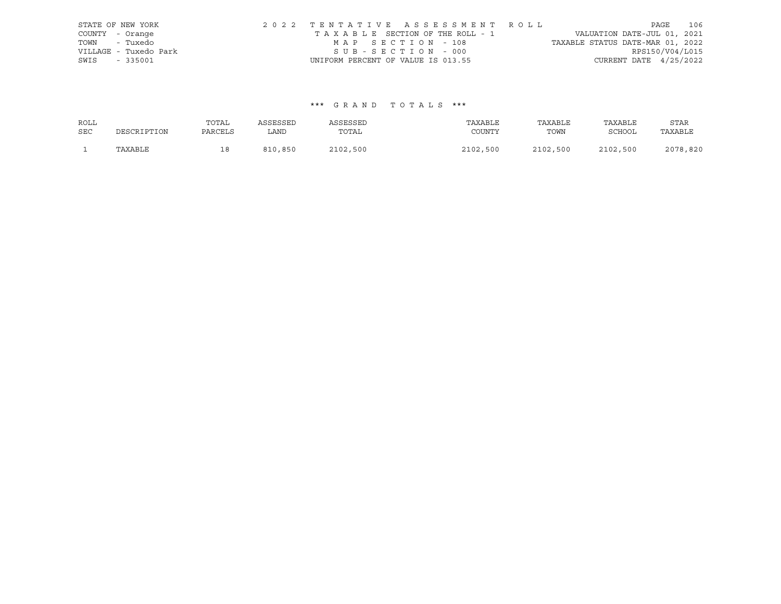|                 | STATE OF NEW YORK     |                                    |  | 2022 TENTATIVE ASSESSMENT ROLL  |                                  |                          | PAGE | 106 |
|-----------------|-----------------------|------------------------------------|--|---------------------------------|----------------------------------|--------------------------|------|-----|
| COUNTY - Orange |                       |                                    |  | TAXABLE SECTION OF THE ROLL - 1 | VALUATION DATE-JUL 01, 2021      |                          |      |     |
| TOWN - Tuxedo   |                       | MAP SECTION - 108                  |  |                                 | TAXABLE STATUS DATE-MAR 01, 2022 |                          |      |     |
|                 | VILLAGE - Tuxedo Park | SUB-SECTION - 000                  |  |                                 |                                  | RPS150/V04/L015          |      |     |
| SWIS - 335001   |                       | UNIFORM PERCENT OF VALUE IS 013.55 |  |                                 |                                  | CURRENT DATE $4/25/2022$ |      |     |

| ROLL       |             | TOTAL   | ASSESSED | ASSESSED | TAXABLE  | TAXABLE  | TAXABLE       | STAR     |
|------------|-------------|---------|----------|----------|----------|----------|---------------|----------|
| <b>SEC</b> | DESCRIPTION | PARCELS | LAND     | TOTAL    | COUNTY   | TOWN     | <b>SCHOOL</b> | TAXABLE  |
|            | TAXABLE     |         | 810,850  | 2102,500 | 2102,500 | 2102,500 | 2102,500      | 2078,820 |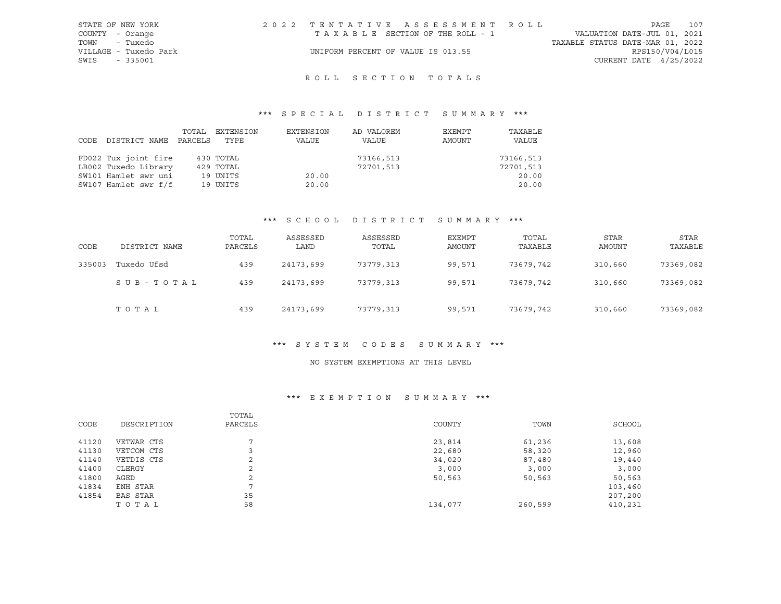| STATE OF NEW YORK     | 2022 TENTATIVE ASSESSMENT ROLL     | 107<br>PAGE                      |
|-----------------------|------------------------------------|----------------------------------|
| COUNTY - Orange       | TAXABLE SECTION OF THE ROLL - 1    | VALUATION DATE-JUL 01, 2021      |
| TOWN<br>- Tuxedo      |                                    | TAXABLE STATUS DATE-MAR 01, 2022 |
| VILLAGE - Tuxedo Park | UNIFORM PERCENT OF VALUE IS 013.55 | RPS150/V04/L015                  |
| SWIS - 335001         |                                    | CURRENT DATE 4/25/2022           |
|                       |                                    |                                  |

# ROLL SECTION TOTALS

## \*\*\* S P E C I A L D I S T R I C T S U M M A R Y \*\*\*

| CODE DISTRICT NAME   | TOTAL<br>PARCELS | EXTENSION<br>TYPE | EXTENSION<br>VALUE | AD VALOREM<br>VALUE | EXEMPT<br>AMOUNT | TAXABLE<br>VALUE |
|----------------------|------------------|-------------------|--------------------|---------------------|------------------|------------------|
| FD022 Tux joint fire |                  | 430 TOTAL         |                    | 73166,513           |                  | 73166,513        |
| LB002 Tuxedo Library |                  | 429 TOTAL         |                    | 72701,513           |                  | 72701,513        |
| SW101 Hamlet swr uni |                  | 19 UNITS          | 20.00              |                     |                  | 20.00            |
| SW107 Hamlet swr f/f |                  | 19 UNITS          | 20.00              |                     |                  | 20.00            |

### \*\*\* S C H O O L D I S T R I C T S U M M A R Y \*\*\*

| CODE   | DISTRICT NAME | TOTAL<br>PARCELS | ASSESSED<br>LAND | ASSESSED<br>TOTAL | EXEMPT<br>AMOUNT | TOTAL<br>TAXABLE | <b>STAR</b><br>AMOUNT | <b>STAR</b><br>TAXABLE |
|--------|---------------|------------------|------------------|-------------------|------------------|------------------|-----------------------|------------------------|
| 335003 | Tuxedo Ufsd   | 439              | 24173,699        | 73779,313         | 99,571           | 73679,742        | 310,660               | 73369,082              |
|        | SUB-TOTAL     | 439              | 24173,699        | 73779,313         | 99,571           | 73679,742        | 310,660               | 73369,082              |
|        | TOTAL         | 439              | 24173,699        | 73779,313         | 99,571           | 73679,742        | 310,660               | 73369,082              |

#### \*\*\* S Y S T E M C O D E S S U M M A R Y \*\*\*

#### NO SYSTEM EXEMPTIONS AT THIS LEVEL

| CODE  | DESCRIPTION | TOTAL<br>PARCELS | COUNTY  | TOWN    | SCHOOL  |
|-------|-------------|------------------|---------|---------|---------|
| 41120 | VETWAR CTS  |                  | 23,814  | 61,236  | 13,608  |
| 41130 | VETCOM CTS  |                  | 22,680  | 58,320  | 12,960  |
| 41140 | VETDIS CTS  | $\sim$<br>∠      | 34,020  | 87,480  | 19,440  |
| 41400 | CLERGY      | $\bigcap$<br>∠   | 3,000   | 3,000   | 3,000   |
| 41800 | AGED        |                  | 50,563  | 50,563  | 50,563  |
| 41834 | ENH STAR    | $\overline{ }$   |         |         | 103,460 |
| 41854 | BAS STAR    | 35               |         |         | 207,200 |
|       | TOTAL       | 58               | 134,077 | 260,599 | 410,231 |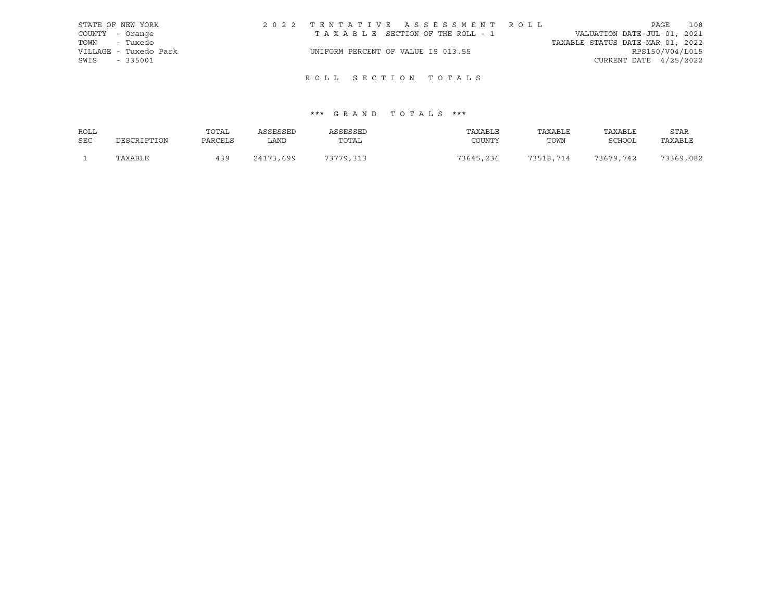| STATE OF NEW YORK     | 2022 TENTATIVE ASSESSMENT ROLL     |                                  | PAGE                     | 108 |
|-----------------------|------------------------------------|----------------------------------|--------------------------|-----|
| COUNTY - Orange       | TAXABLE SECTION OF THE ROLL - 1    | VALUATION DATE-JUL 01, 2021      |                          |     |
| TOWN - Tuxedo         |                                    | TAXABLE STATUS DATE-MAR 01, 2022 |                          |     |
| VILLAGE - Tuxedo Park | UNIFORM PERCENT OF VALUE IS 013.55 |                                  | RPS150/V04/L015          |     |
| SWIS<br>$-335001$     |                                    |                                  | CURRENT DATE $4/25/2022$ |     |
|                       |                                    |                                  |                          |     |

# ROLL SECTION TOTALS

| ROLL       |             | TOTAL   | ASSESSED  | ASSESSED  | TAXABLE   | TAXABLE   | TAXABLE       | <b>STAR</b> |
|------------|-------------|---------|-----------|-----------|-----------|-----------|---------------|-------------|
| <b>SEC</b> | DESCRIPTION | PARCELS | LAND      | TOTAL     | COUNTY    | TOWN      | <b>SCHOOL</b> | TAXABLE     |
|            | TAXABLE     | 439     | 24173,699 | 73779,313 | 73645,236 | 73518,714 | 73679,742     | 73369,082   |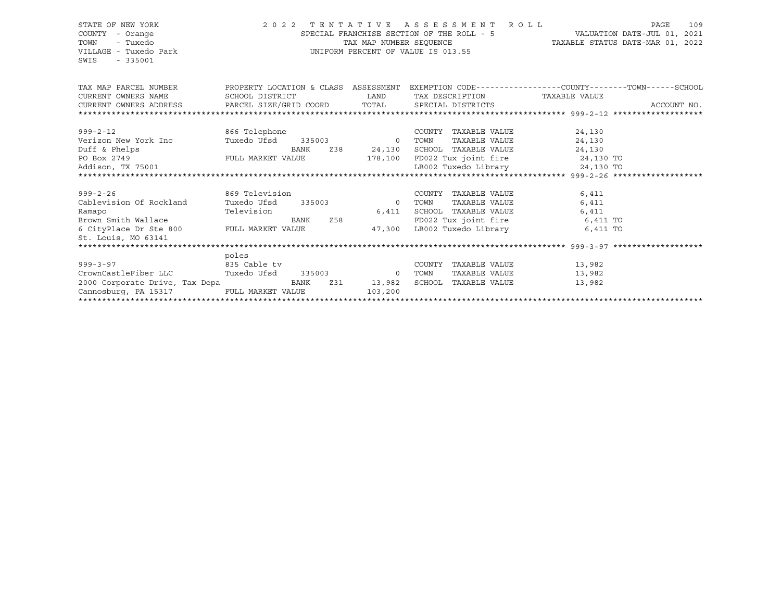SWIS - 335001

### STATE OF NEW YORK 2 0 2 2 T E N T A T I V E A S S E S S M E N T R O L L PAGE 109 COUNTY - Orange SPECIAL FRANCHISE SECTION OF THE ROLL - 5 VALUATION DATE-JUL 01, 2021 TOWN - Tuxedo TAX MAP NUMBER SEQUENCE TAXABLE STATUS DATE-MAR 01, 2022 VILLAGE - Tuxedo Park UNIFORM PERCENT OF VALUE IS 013.55

| TAX MAP PARCEL NUMBER<br>CURRENT OWNERS NAME                                                                                     | SCHOOL DISTRICT      |      | <b>LAND</b> |        |                      | PROPERTY LOCATION & CLASS ASSESSMENT EXEMPTION CODE----------------COUNTY-------TOWN------SCHOOL<br>TAX DESCRIPTION TAXABLE VALUE |  |
|----------------------------------------------------------------------------------------------------------------------------------|----------------------|------|-------------|--------|----------------------|-----------------------------------------------------------------------------------------------------------------------------------|--|
|                                                                                                                                  |                      |      |             |        |                      |                                                                                                                                   |  |
| $999 - 2 - 12$                                                                                                                   | 866 Telephone        |      |             |        | COUNTY TAXABLE VALUE | 24,130                                                                                                                            |  |
| Verizon New York Inc             Tuxedo Ufsd      335003                      0    TOWN                                          |                      |      |             |        | TAXABLE VALUE        | 24,130                                                                                                                            |  |
| Duff & Phelps                                                                                                                    |                      | BANK |             |        |                      | Z38 24,130 SCHOOL TAXABLE VALUE 24,130                                                                                            |  |
| S BANK FULL MARKET VALUE<br>PO Box 2749                                                                                          |                      |      |             |        |                      | 178,100 FD022 Tux joint fire 24,130 TO                                                                                            |  |
| Addison, TX 75001                                                                                                                |                      |      |             |        |                      |                                                                                                                                   |  |
|                                                                                                                                  |                      |      |             |        |                      |                                                                                                                                   |  |
|                                                                                                                                  |                      |      |             |        |                      |                                                                                                                                   |  |
| $999 - 2 - 26$                                                                                                                   | 869 Television       |      |             |        | COUNTY TAXABLE VALUE | 6,411                                                                                                                             |  |
| Cablevision Of Rockland Tuxedo Ufsd 335003 0                                                                                     |                      |      |             | TOWN   | TAXABLE VALUE        | 6,411                                                                                                                             |  |
|                                                                                                                                  |                      |      | 6,411       |        | SCHOOL TAXABLE VALUE | 6,411                                                                                                                             |  |
|                                                                                                                                  |                      |      |             |        |                      | FD022 Tux joint fire 6,411 TO                                                                                                     |  |
|                                                                                                                                  |                      |      | 47,300      |        | LB002 Tuxedo Library | 6,411 TO                                                                                                                          |  |
| St. Louis, MO 63141                                                                                                              |                      |      |             |        |                      |                                                                                                                                   |  |
|                                                                                                                                  |                      |      |             |        |                      |                                                                                                                                   |  |
|                                                                                                                                  | poles                |      |             |        |                      |                                                                                                                                   |  |
| and the same state of the same state of the same state of the same state of the same state of the same state o<br>$999 - 3 - 97$ |                      |      |             | COUNTY | TAXABLE VALUE        | 13,982                                                                                                                            |  |
| CrownCastleFiber LLC                                                                                                             | Tuxedo Ufsd 335003 0 |      |             | TOWN   | TAXABLE VALUE        | 13,982                                                                                                                            |  |
| 2000 Corporate Drive, Tax Depa                                                                                                   |                      | BANK | Z31 13,982  | SCHOOL | TAXABLE VALUE        | 13,982                                                                                                                            |  |
| Cannosburg, PA 15317                                                                                                             | FULL MARKET VALUE    |      | 103,200     |        |                      |                                                                                                                                   |  |
|                                                                                                                                  |                      |      |             |        |                      |                                                                                                                                   |  |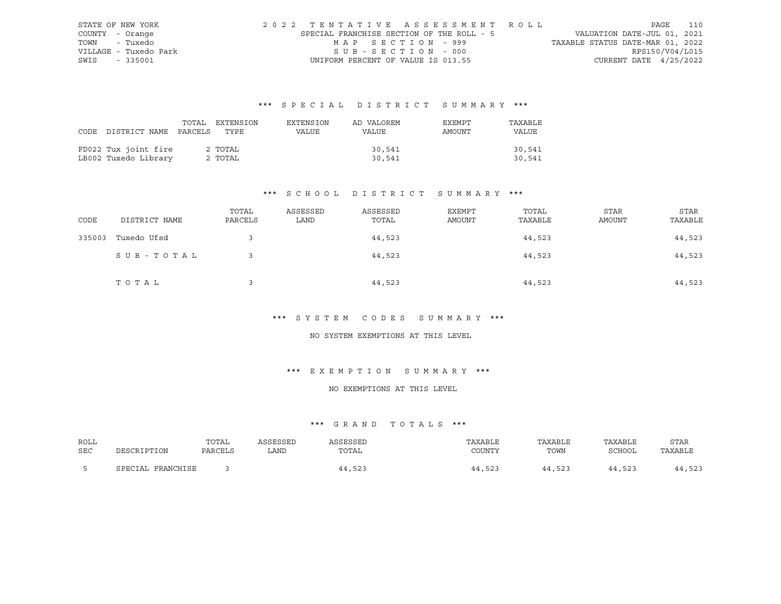| STATE OF NEW YORK     | 2022 TENTATIVE ASSESSMENT ROLL            |                                  | PAGE            | 110 |
|-----------------------|-------------------------------------------|----------------------------------|-----------------|-----|
| COUNTY - Orange       | SPECIAL FRANCHISE SECTION OF THE ROLL - 5 | VALUATION DATE-JUL 01, 2021      |                 |     |
| TOWN<br>- Tuxedo      | MAP SECTION - 999                         | TAXABLE STATUS DATE-MAR 01, 2022 |                 |     |
| VILLAGE - Tuxedo Park | SUB-SECTION - 000                         |                                  | RPS150/V04/L015 |     |
| SWIS - 335001         | UNIFORM PERCENT OF VALUE IS 013.55        | CURRENT DATE $4/25/2022$         |                 |     |

|                                 | TOTAL EXTENSION | EXTENSION | AD VALOREM | EXEMPT | TAXABLE |
|---------------------------------|-----------------|-----------|------------|--------|---------|
| CODE DISTRICT NAME PARCELS TYPE |                 | VALUE     | VALUE      | AMOUNT | VALUE   |
|                                 |                 |           |            |        |         |
| FD022 Tux joint fire            | 2 TOTAL         |           | 30,541     |        | 30,541  |
| LB002 Tuxedo Library            | 2 TOTAL         |           | 30,541     |        | 30,541  |

## \*\*\* S C H O O L D I S T R I C T S U M M A R Y \*\*\*

| CODE   | DISTRICT NAME | TOTAL<br>PARCELS | ASSESSED<br>LAND | ASSESSED<br>TOTAL | EXEMPT<br>AMOUNT | TOTAL<br>TAXABLE | <b>STAR</b><br>AMOUNT | <b>STAR</b><br>TAXABLE |
|--------|---------------|------------------|------------------|-------------------|------------------|------------------|-----------------------|------------------------|
| 335003 | Tuxedo Ufsd   |                  |                  | 44,523            |                  | 44,523           |                       | 44,523                 |
|        | SUB-TOTAL     |                  |                  | 44,523            |                  | 44,523           |                       | 44,523                 |
|        | TOTAL         |                  |                  | 44,523            |                  | 44,523           |                       | 44,523                 |

### \*\*\* S Y S T E M C O D E S S U M M A R Y \*\*\*

#### NO SYSTEM EXEMPTIONS AT THIS LEVEL

### \*\*\* E X E M P T I O N S U M M A R Y \*\*\*

#### NO EXEMPTIONS AT THIS LEVEL

| ROLL |                   | TOTAL   | SSESSED | SSESSED | TAXABLE    | TAXABLE | TAXABLE | <b>STAR</b> |
|------|-------------------|---------|---------|---------|------------|---------|---------|-------------|
| SEC  | DESCRIPTION       | PARCELS | LAND    | TOTAL   | COUNTY     | TOWN    | SCHOOL  | TAXABLE     |
|      | SPECIAL FRANCHISE |         |         | 44,523  | ,523<br>14 | 44,523  | 44,523  | 44,523      |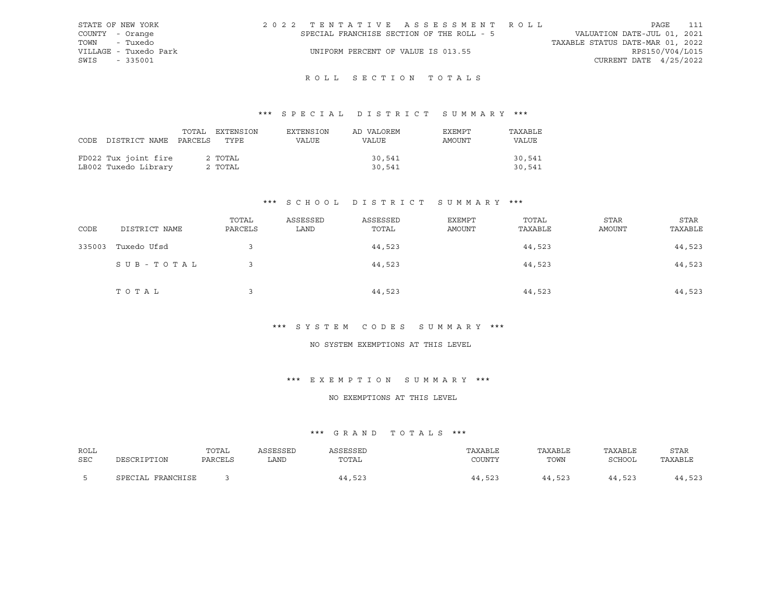| STATE OF NEW YORK     | 2022 TENTATIVE ASSESSMENT ROLL            | 111<br>PAGE                      |
|-----------------------|-------------------------------------------|----------------------------------|
| COUNTY - Orange       | SPECIAL FRANCHISE SECTION OF THE ROLL - 5 | VALUATION DATE-JUL 01, 2021      |
| TOWN - Tuxedo         |                                           | TAXABLE STATUS DATE-MAR 01, 2022 |
| VILLAGE - Tuxedo Park | UNIFORM PERCENT OF VALUE IS 013.55        | RPS150/V04/L015                  |
| SWIS - 335001         |                                           | CURRENT DATE $4/25/2022$         |
|                       |                                           |                                  |

## ROLL SECTION TOTALS

### \*\*\* S P E C I A L D I S T R I C T S U M M A R Y \*\*\*

|                                 | TOTAL EXTENSION | EXTENSION | AD VALOREM | EXEMPT | TAXABLE      |
|---------------------------------|-----------------|-----------|------------|--------|--------------|
| CODE DISTRICT NAME PARCELS TYPE |                 | VALUE     | VALUE      | AMOUNT | <b>VALUE</b> |
|                                 |                 |           |            |        |              |
| FD022 Tux joint fire            | 2 TOTAL         |           | 30,541     |        | 30,541       |
| LB002 Tuxedo Library            | 2 TOTAL         |           | 30,541     |        | 30,541       |

### \*\*\* S C H O O L D I S T R I C T S U M M A R Y \*\*\*

| CODE   | DISTRICT NAME | TOTAL<br>PARCELS | ASSESSED<br>LAND | ASSESSED<br>TOTAL | <b>EXEMPT</b><br>AMOUNT | TOTAL<br>TAXABLE | <b>STAR</b><br>AMOUNT | STAR<br>TAXABLE |
|--------|---------------|------------------|------------------|-------------------|-------------------------|------------------|-----------------------|-----------------|
| 335003 | Tuxedo Ufsd   |                  |                  | 44,523            |                         | 44,523           |                       | 44,523          |
|        | SUB-TOTAL     |                  |                  | 44,523            |                         | 44,523           |                       | 44,523          |
|        | TOTAL         |                  |                  | 44,523            |                         | 44,523           |                       | 44,523          |

### \*\*\* S Y S T E M C O D E S S U M M A R Y \*\*\*

#### NO SYSTEM EXEMPTIONS AT THIS LEVEL

### \*\*\* E X E M P T I O N S U M M A R Y \*\*\*

### NO EXEMPTIONS AT THIS LEVEL

| ROLL       | DESCRIPTION       | TOTAL   | ASSESSED | ASSESSED | TAXABLE | TAXABLE | TAXABLE | <b>STAR</b> |
|------------|-------------------|---------|----------|----------|---------|---------|---------|-------------|
| <b>SEC</b> |                   | PARCELS | LAND     | TOTAL    | COUNTY  | TOWN    | SCHOOL  | TAXABLE     |
|            | SPECIAL FRANCHISE |         |          | 44,523   | 44,523  | 44,523  | 44,523  | 44,523      |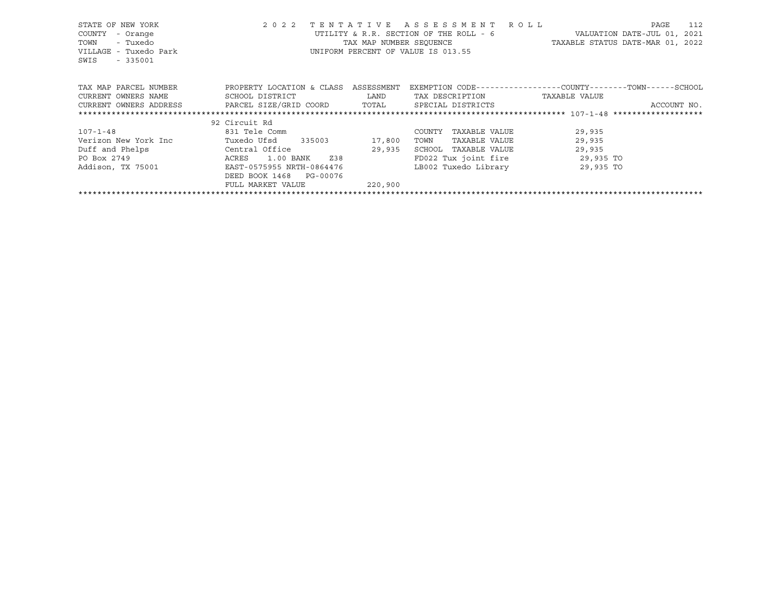| STATE OF NEW YORK<br>- Orange<br>COUNTY<br>- Tuxedo<br>TOWN<br>VILLAGE - Tuxedo Park<br>SWIS<br>$-335001$ | 2 0 2 2<br>TENTATIVE       | TAX MAP NUMBER SEOUENCE | ASSESSMENT ROLL<br>UTILITY & R.R. SECTION OF THE ROLL - 6<br>UNIFORM PERCENT OF VALUE IS 013.55 | 112<br>PAGE<br>VALUATION DATE-JUL 01, 2021<br>TAXABLE STATUS DATE-MAR 01, 2022 |
|-----------------------------------------------------------------------------------------------------------|----------------------------|-------------------------|-------------------------------------------------------------------------------------------------|--------------------------------------------------------------------------------|
| TAX MAP PARCEL NUMBER                                                                                     | PROPERTY LOCATION & CLASS  | ASSESSMENT              |                                                                                                 | EXEMPTION CODE-----------------COUNTY-------TOWN------SCHOOL                   |
| CURRENT OWNERS NAME                                                                                       | SCHOOL DISTRICT            | LAND                    | TAX DESCRIPTION                                                                                 | TAXABLE VALUE                                                                  |
| CURRENT OWNERS ADDRESS BARCEL SIZE/GRID COORD TOTAL                                                       |                            |                         | SPECIAL DISTRICTS                                                                               | ACCOUNT NO.                                                                    |
|                                                                                                           |                            |                         |                                                                                                 |                                                                                |
|                                                                                                           | 92 Circuit Rd              |                         |                                                                                                 |                                                                                |
| $107 - 1 - 48$                                                                                            | 831 Tele Comm              |                         | TAXABLE VALUE<br>COUNTY                                                                         | 29,935                                                                         |
| Verizon New York Inc                                                                                      | Tuxedo Ufsd<br>335003      | 17,800                  | TOWN<br>TAXABLE VALUE                                                                           | 29,935                                                                         |
| Duff and Phelps                                                                                           | Central Office             | 29,935                  | SCHOOL<br>TAXABLE VALUE                                                                         | 29,935                                                                         |
| PO Box 2749                                                                                               | Z38<br>ACRES<br>1.00 BANK  |                         | FD022 Tux joint fire 29,935 TO                                                                  |                                                                                |
| Addison, TX 75001                                                                                         | EAST-0575955 NRTH-0864476  |                         | LB002 Tuxedo Library                                                                            | 29,935 TO                                                                      |
|                                                                                                           | DEED BOOK 1468<br>PG-00076 |                         |                                                                                                 |                                                                                |
|                                                                                                           | FULL MARKET VALUE          | 220,900                 |                                                                                                 |                                                                                |
|                                                                                                           |                            |                         |                                                                                                 |                                                                                |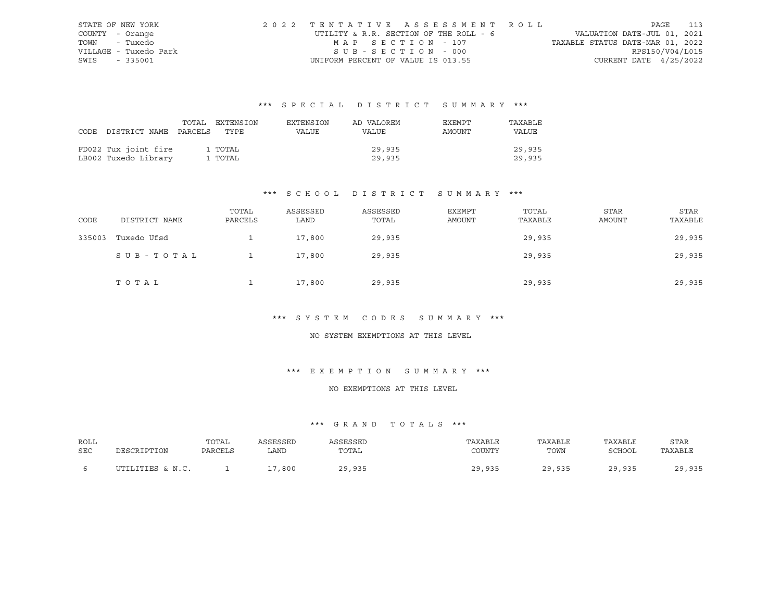| STATE OF NEW YORK     | 2022 TENTATIVE ASSESSMENT ROLL         |                                  | PAGE 113                    |  |
|-----------------------|----------------------------------------|----------------------------------|-----------------------------|--|
| COUNTY - Orange       | UTILITY & R.R. SECTION OF THE ROLL - 6 |                                  | VALUATION DATE-JUL 01, 2021 |  |
| TOWN - Tuxedo         | MAP SECTION - 107                      | TAXABLE STATUS DATE-MAR 01, 2022 |                             |  |
| VILLAGE - Tuxedo Park | SUB-SECTION - 000                      |                                  | RPS150/V04/L015             |  |
| SWIS - 335001         | UNIFORM PERCENT OF VALUE IS 013.55     |                                  | CURRENT DATE $4/25/2022$    |  |

|      |                            | TOTAL EXTENSION | EXTENSION | AD VALOREM | <b>EXEMPT</b> | TAXABLE      |
|------|----------------------------|-----------------|-----------|------------|---------------|--------------|
| CODE | DISTRICT NAME PARCELS TYPE |                 | VALUE     | VALUE      | AMOUNT        | <b>VALUE</b> |
|      |                            |                 |           |            |               |              |
|      | FD022 Tux joint fire       | 1 TOTAL         |           | 29,935     |               | 29,935       |
|      | LB002 Tuxedo Library       | 1 TOTAL         |           | 29,935     |               | 29,935       |

## \*\*\* S C H O O L D I S T R I C T S U M M A R Y \*\*\*

| CODE   | DISTRICT NAME | TOTAL<br>PARCELS | ASSESSED<br>LAND | ASSESSED<br>TOTAL | EXEMPT<br><b>AMOUNT</b> | TOTAL<br>TAXABLE | <b>STAR</b><br><b>AMOUNT</b> | <b>STAR</b><br>TAXABLE |
|--------|---------------|------------------|------------------|-------------------|-------------------------|------------------|------------------------------|------------------------|
| 335003 | Tuxedo Ufsd   |                  | 17,800           | 29,935            |                         | 29,935           |                              | 29,935                 |
|        | SUB-TOTAL     |                  | 17,800           | 29,935            |                         | 29,935           |                              | 29,935                 |
|        | TOTAL         |                  | 17,800           | 29,935            |                         | 29,935           |                              | 29,935                 |

### \*\*\* S Y S T E M C O D E S S U M M A R Y \*\*\*

#### NO SYSTEM EXEMPTIONS AT THIS LEVEL

### \*\*\* E X E M P T I O N S U M M A R Y \*\*\*

#### NO EXEMPTIONS AT THIS LEVEL

| ROLL<br><b>SEC</b> | DESCRIPTION      | TOTAL<br>PARCELS | ASSESSED<br>LAND | SSESSED<br>TOTAL | TAXABLE<br>COUNTY | TAXABLE<br>TOWN | TAXABLE<br>SCHOOL | <b>STAR</b><br>TAXABLE |
|--------------------|------------------|------------------|------------------|------------------|-------------------|-----------------|-------------------|------------------------|
|                    | UTILITIES & N.C. |                  | ,800             | 29,935           | 29 935            | 29,935          | 29 935            | 20 035                 |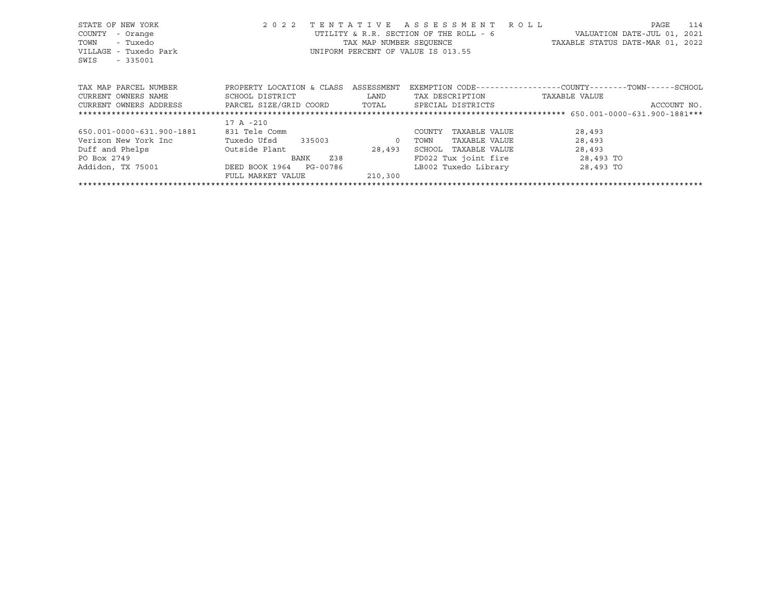| STATE OF NEW YORK         | 2 0 2 2<br>TENTATIVE      |            | ASSESSMENT ROLL                        | PAGE<br>114                                                  |
|---------------------------|---------------------------|------------|----------------------------------------|--------------------------------------------------------------|
| - Orange<br>COUNTY        |                           |            | UTILITY & R.R. SECTION OF THE ROLL - 6 | VALUATION DATE-JUL 01, 2021                                  |
| - Tuxedo<br>TOWN          |                           |            | TAX MAP NUMBER SEQUENCE                | TAXABLE STATUS DATE-MAR 01, 2022                             |
| VILLAGE - Tuxedo Park     |                           |            | UNIFORM PERCENT OF VALUE IS 013.55     |                                                              |
| SWIS<br>$-335001$         |                           |            |                                        |                                                              |
|                           |                           |            |                                        |                                                              |
|                           |                           |            |                                        |                                                              |
| TAX MAP PARCEL NUMBER     | PROPERTY LOCATION & CLASS | ASSESSMENT |                                        | EXEMPTION CODE-----------------COUNTY-------TOWN------SCHOOL |
| CURRENT OWNERS NAME       | SCHOOL DISTRICT           | LAND       | TAX DESCRIPTION                        | TAXABLE VALUE                                                |
| CURRENT OWNERS ADDRESS    | PARCEL SIZE/GRID COORD    | TOTAL      | SPECIAL DISTRICTS                      | ACCOUNT NO.                                                  |
|                           |                           |            |                                        |                                                              |
|                           | 17 A -210                 |            |                                        |                                                              |
| 650.001-0000-631.900-1881 | 831 Tele Comm             |            | TAXABLE VALUE<br>COUNTY                | 28,493                                                       |
| Verizon New York Inc      | Tuxedo Ufsd<br>335003     | $\circ$    | TAXABLE VALUE<br>TOWN                  | 28,493                                                       |
| Duff and Phelps           | Outside Plant             | 28,493     | SCHOOL<br>TAXABLE VALUE                | 28,493                                                       |
| PO Box 2749               | Z38<br>BANK               |            | FD022 Tux joint fire                   | 28,493 TO                                                    |
| Addidon, TX 75001         | DEED BOOK 1964 PG-00786   |            | LB002 Tuxedo Library                   | 28,493 TO                                                    |
|                           | FULL MARKET VALUE         | 210,300    |                                        |                                                              |
|                           |                           |            |                                        |                                                              |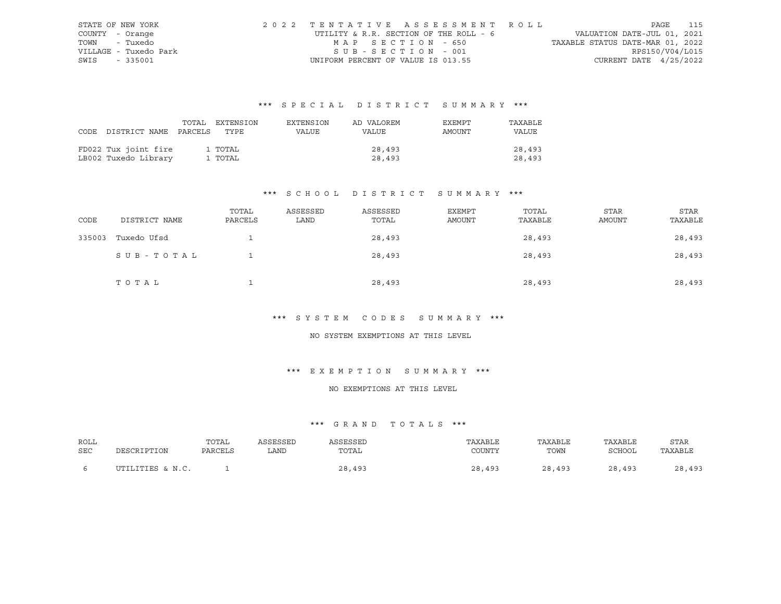| STATE OF NEW YORK     | 2022 TENTATIVE ASSESSMENT ROLL         |                                  | PAGE                     | 115 |
|-----------------------|----------------------------------------|----------------------------------|--------------------------|-----|
| COUNTY - Orange       | UTILITY & R.R. SECTION OF THE ROLL - 6 | VALUATION DATE-JUL 01, 2021      |                          |     |
| TOWN - Tuxedo         | MAP SECTION - 650                      | TAXABLE STATUS DATE-MAR 01, 2022 |                          |     |
| VILLAGE - Tuxedo Park | SUB-SECTION - 001                      |                                  | RPS150/V04/L015          |     |
| SWIS - 335001         | UNIFORM PERCENT OF VALUE IS 013.55     |                                  | CURRENT DATE $4/25/2022$ |     |

|                                 | TOTAL | EXTENSION | EXTENSION | AD VALOREM | EXEMPT | TAXABLE      |
|---------------------------------|-------|-----------|-----------|------------|--------|--------------|
| CODE DISTRICT NAME PARCELS TYPE |       |           | VALUE     | VALUE      | AMOUNT | <b>VALUE</b> |
|                                 |       |           |           |            |        |              |
| FD022 Tux joint fire            |       | 1 TOTAL   |           | 28,493     |        | 28,493       |
| LB002 Tuxedo Library            |       | 1 TOTAL   |           | 28,493     |        | 28,493       |

## \*\*\* S C H O O L D I S T R I C T S U M M A R Y \*\*\*

| CODE   | DISTRICT NAME | TOTAL<br>PARCELS | ASSESSED<br>LAND | ASSESSED<br>TOTAL | EXEMPT<br>AMOUNT | TOTAL<br>TAXABLE | <b>STAR</b><br>AMOUNT | STAR<br>TAXABLE |
|--------|---------------|------------------|------------------|-------------------|------------------|------------------|-----------------------|-----------------|
| 335003 | Tuxedo Ufsd   |                  |                  | 28,493            |                  | 28,493           |                       | 28,493          |
|        | SUB-TOTAL     |                  |                  | 28,493            |                  | 28,493           |                       | 28,493          |
|        | TOTAL         |                  |                  | 28,493            |                  | 28,493           |                       | 28,493          |

### \*\*\* S Y S T E M C O D E S S U M M A R Y \*\*\*

#### NO SYSTEM EXEMPTIONS AT THIS LEVEL

### \*\*\* E X E M P T I O N S U M M A R Y \*\*\*

#### NO EXEMPTIONS AT THIS LEVEL

| ROLL |                  | TOTAL   | ASSESSED | SSESSED | TAXABLE    | TAXABLE | TAXABLE | <b>STAR</b> |
|------|------------------|---------|----------|---------|------------|---------|---------|-------------|
| SEC  | DESCRIPTION      | PARCELS | LAND     | TOTAL   | COUNTY     | TOWN    | SCHOOL  | TAXABLE     |
|      | UTILITIES & N.C. |         |          | 28,493  | າ ວ<br>493 | 28,493  | 28,493  | 28,493      |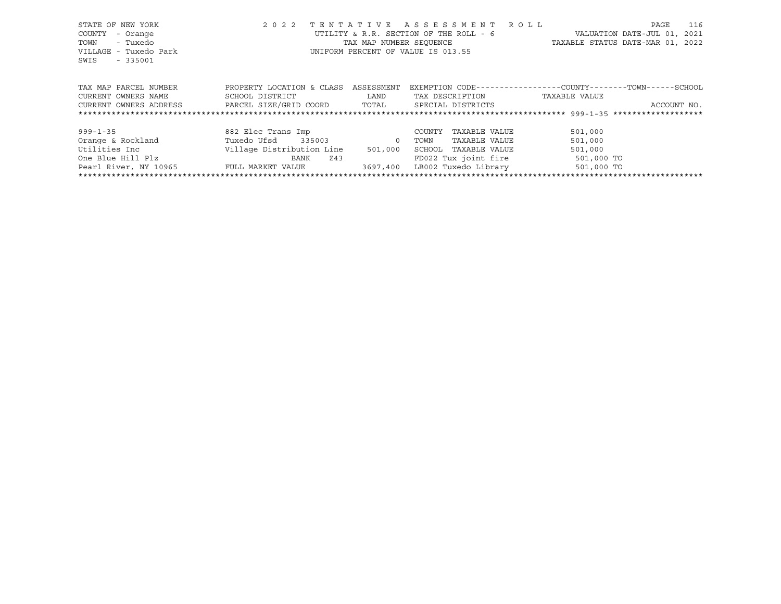| STATE OF NEW YORK      | 2 0 2 2                              |                         | TENTATIVE ASSESSMENT ROLL              |                                                             | PAGE<br>116                 |
|------------------------|--------------------------------------|-------------------------|----------------------------------------|-------------------------------------------------------------|-----------------------------|
| COUNTY<br>- Orange     |                                      |                         | UTILITY & R.R. SECTION OF THE ROLL - 6 |                                                             | VALUATION DATE-JUL 01, 2021 |
| - Tuxedo<br>TOWN       |                                      | TAX MAP NUMBER SEOUENCE |                                        | TAXABLE STATUS DATE-MAR 01, 2022                            |                             |
| VILLAGE - Tuxedo Park  |                                      |                         | UNIFORM PERCENT OF VALUE IS 013.55     |                                                             |                             |
| SWIS<br>$-335001$      |                                      |                         |                                        |                                                             |                             |
|                        |                                      |                         |                                        |                                                             |                             |
|                        |                                      |                         |                                        |                                                             |                             |
| TAX MAP PARCEL NUMBER  | PROPERTY LOCATION & CLASS ASSESSMENT |                         |                                        | EXEMPTION CODE-----------------COUNTY-------TOWN-----SCHOOL |                             |
| CURRENT OWNERS NAME    | SCHOOL DISTRICT                      | LAND                    | TAX DESCRIPTION                        | TAXABLE VALUE                                               |                             |
| CURRENT OWNERS ADDRESS | PARCEL SIZE/GRID COORD               |                         | TOTAL SPECIAL DISTRICTS                |                                                             | ACCOUNT NO.                 |
|                        |                                      |                         |                                        |                                                             |                             |
|                        |                                      |                         |                                        |                                                             |                             |
| $999 - 1 - 35$         | 882 Elec Trans Imp                   |                         | TAXABLE VALUE<br>COUNTY                | 501,000                                                     |                             |
| Orange & Rockland      | Tuxedo Ufsd 335003                   | $\overline{0}$          | TOWN<br>TAXABLE VALUE                  | 501,000                                                     |                             |
| Utilities Inc          | Village Distribution Line            | 501,000                 | SCHOOL TAXABLE VALUE                   | 501,000                                                     |                             |
| One Blue Hill Plz      | Z43<br>BANK                          |                         |                                        | FD022 Tux joint fire 501,000 TO                             |                             |
| Pearl River, NY 10965  | FULL MARKET VALUE                    | 3697,400                | LB002 Tuxedo Library                   | 501,000 TO                                                  |                             |
|                        |                                      |                         |                                        |                                                             |                             |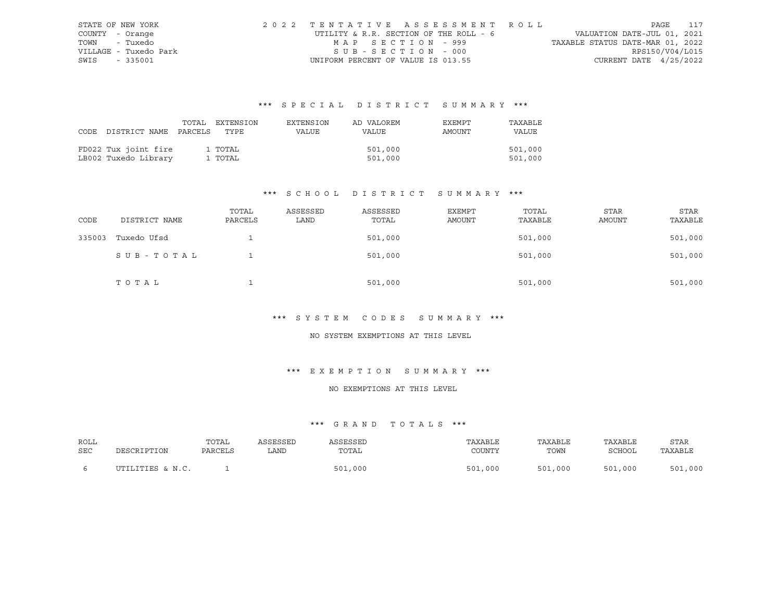| STATE OF NEW YORK     | 2022 TENTATIVE ASSESSMENT ROLL         |                                  | PAGE 117                    |  |
|-----------------------|----------------------------------------|----------------------------------|-----------------------------|--|
| COUNTY - Orange       | UTILITY & R.R. SECTION OF THE ROLL - 6 |                                  | VALUATION DATE-JUL 01, 2021 |  |
| TOWN - Tuxedo         | MAP SECTION - 999                      | TAXABLE STATUS DATE-MAR 01, 2022 |                             |  |
| VILLAGE - Tuxedo Park | SUB-SECTION - 000                      |                                  | RPS150/V04/L015             |  |
| SWIS - 335001         | UNIFORM PERCENT OF VALUE IS 013.55     |                                  | CURRENT DATE $4/25/2022$    |  |

|                                 | TOTAL | EXTENSION | EXTENSION | AD VALOREM | EXEMPT | TAXABLE      |
|---------------------------------|-------|-----------|-----------|------------|--------|--------------|
| CODE DISTRICT NAME PARCELS TYPE |       |           | VALUE     | VALUE      | AMOUNT | <b>VALUE</b> |
|                                 |       |           |           |            |        |              |
| FD022 Tux joint fire            |       | 1 TOTAL   |           | 501,000    |        | 501,000      |
| LB002 Tuxedo Library            |       | 1 TOTAL   |           | 501,000    |        | 501,000      |

## \*\*\* S C H O O L D I S T R I C T S U M M A R Y \*\*\*

| CODE   | DISTRICT NAME | TOTAL<br>PARCELS | ASSESSED<br>LAND | ASSESSED<br>TOTAL | EXEMPT<br>AMOUNT | TOTAL<br>TAXABLE | <b>STAR</b><br><b>AMOUNT</b> | STAR<br>TAXABLE |
|--------|---------------|------------------|------------------|-------------------|------------------|------------------|------------------------------|-----------------|
| 335003 | Tuxedo Ufsd   |                  |                  | 501,000           |                  | 501,000          |                              | 501,000         |
|        | SUB-TOTAL     |                  |                  | 501,000           |                  | 501,000          |                              | 501,000         |
|        | TOTAL         |                  |                  | 501,000           |                  | 501,000          |                              | 501,000         |

### \*\*\* S Y S T E M C O D E S S U M M A R Y \*\*\*

#### NO SYSTEM EXEMPTIONS AT THIS LEVEL

### \*\*\* E X E M P T I O N S U M M A R Y \*\*\*

#### NO EXEMPTIONS AT THIS LEVEL

| ROLL |                  | TOTAL   | ASSESSED | <i><b>\SSESSED</b></i> | TAXABLE     | TAXABLE | TAXABLE | STAR         |
|------|------------------|---------|----------|------------------------|-------------|---------|---------|--------------|
| SEC  | DESCRIPTION      | PARCELS | LAND     | TOTAL                  | COUNTY      | TOWN    | SCHOOL  | TAXABLE      |
|      | UTILITIES & N.C. |         |          | 501,000                | ,000<br>501 | 501,000 | 501,000 | 1,000<br>501 |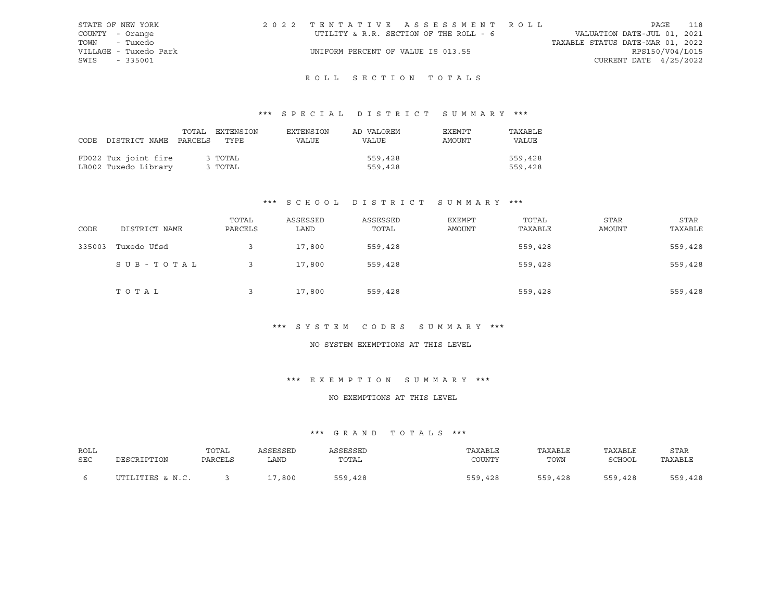| VALUATION DATE-JUL 01, 2021<br>UTILITY & R.R. SECTION OF THE ROLL - 6<br>COUNTY - Orange<br>TOWN<br>- Tuxedo<br>TAXABLE STATUS DATE-MAR 01, 2022<br>RPS150/V04/L015<br>VILLAGE - Tuxedo Park<br>UNIFORM PERCENT OF VALUE IS 013.55 | STATE OF NEW YORK | 2022 TENTATIVE ASSESSMENT ROLL |  |  |  | PAGE | 118 |
|------------------------------------------------------------------------------------------------------------------------------------------------------------------------------------------------------------------------------------|-------------------|--------------------------------|--|--|--|------|-----|
|                                                                                                                                                                                                                                    |                   |                                |  |  |  |      |     |
|                                                                                                                                                                                                                                    |                   |                                |  |  |  |      |     |
|                                                                                                                                                                                                                                    |                   |                                |  |  |  |      |     |
| CURRENT DATE $4/25/2022$                                                                                                                                                                                                           | SWIS<br>$-335001$ |                                |  |  |  |      |     |

## ROLL SECTION TOTALS

### \*\*\* S P E C I A L D I S T R I C T S U M M A R Y \*\*\*

| CODE DISTRICT NAME PARCELS TYPE              | TOTAL | EXTENSION          | EXTENSION<br>VALUE | AD VALOREM<br>VALUE | EXEMPT<br>AMOUNT | TAXABLE<br><b>VALUE</b> |
|----------------------------------------------|-------|--------------------|--------------------|---------------------|------------------|-------------------------|
| FD022 Tux joint fire<br>LB002 Tuxedo Library |       | 3 TOTAL<br>3 TOTAL |                    | 559,428<br>559,428  |                  | 559,428<br>559,428      |

### \*\*\* S C H O O L D I S T R I C T S U M M A R Y \*\*\*

| CODE   | DISTRICT NAME | TOTAL<br>PARCELS | ASSESSED<br>LAND | ASSESSED<br>TOTAL | <b>EXEMPT</b><br>AMOUNT | TOTAL<br>TAXABLE | <b>STAR</b><br><b>AMOUNT</b> | STAR<br>TAXABLE |
|--------|---------------|------------------|------------------|-------------------|-------------------------|------------------|------------------------------|-----------------|
| 335003 | Tuxedo Ufsd   |                  | 17,800           | 559,428           |                         | 559,428          |                              | 559,428         |
|        | SUB-TOTAL     |                  | 17,800           | 559,428           |                         | 559,428          |                              | 559,428         |
|        | TOTAL         |                  | 17,800           | 559,428           |                         | 559,428          |                              | 559,428         |

### \*\*\* S Y S T E M C O D E S S U M M A R Y \*\*\*

#### NO SYSTEM EXEMPTIONS AT THIS LEVEL

### \*\*\* E X E M P T I O N S U M M A R Y \*\*\*

### NO EXEMPTIONS AT THIS LEVEL

| ROLL | DESCRIPTION      | TOTAL   | ASSESSED | ASSESSED | TAXABLE | TAXABLE | TAXABLE | <b>STAR</b> |
|------|------------------|---------|----------|----------|---------|---------|---------|-------------|
| SEC  |                  | PARCELS | LAND     | TOTAL    | COUNTY  | TOWN    | SCHOOL  | TAXABLE     |
|      | UTILITIES & N.C. |         | 17,800   | 559,428  | 559,428 | 559,428 | 559,428 | 559,428     |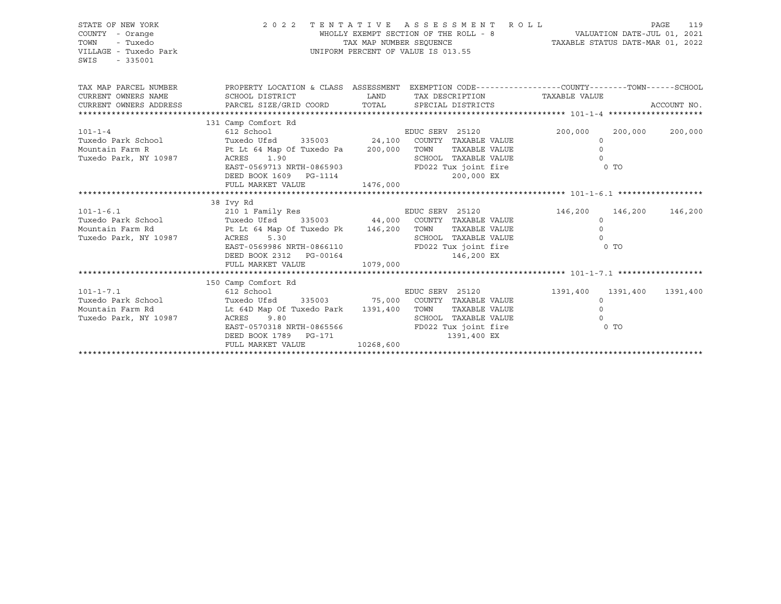| STATE OF NEW YORK<br>COUNTY - Orange<br>- Tuxedo<br>TOWN<br>VILLAGE - Tuxedo Park<br>SWIS<br>$-335001$ |                                                                                                                                                                                                                                                                                                          | TAX MAP NUMBER SEOUENCE  | 2022 TENTATIVE ASSESSMENT ROLL<br>WHOLLY EXEMPT SECTION OF THE ROLL - 8 VALUATION DATE-JUL 01, 2021<br>UNIFORM PERCENT OF VALUE IS 013.55     | TAXABLE STATUS DATE-MAR 01, 2022                                     | PAGE<br>119 |
|--------------------------------------------------------------------------------------------------------|----------------------------------------------------------------------------------------------------------------------------------------------------------------------------------------------------------------------------------------------------------------------------------------------------------|--------------------------|-----------------------------------------------------------------------------------------------------------------------------------------------|----------------------------------------------------------------------|-------------|
| CURRENT OWNERS NAME                                                                                    | TAX MAP PARCEL NUMBER THE PROPERTY LOCATION & CLASS ASSESSMENT EXEMPTION CODE---------------COUNTY--------TOWN------SCHOOL<br>SCHOOL DISTRICT                                                                                                                                                            | <b>EXAMPLE TO A LAND</b> | TAX DESCRIPTION TAXABLE VALUE                                                                                                                 |                                                                      | ACCOUNT NO. |
| $101 - 1 - 4$<br>Tuxedo Park, NY 10987                                                                 | 131 Camp Comfort Rd<br>612 School<br>Tuxedo Park School Tuxedo Ufsd 335003 24,100 COUNTY<br>Mountain Farm R 1991 1 Pt Lt 64 Map Of Tuxedo Pa 200,000 TOWN<br>Tuxedo Ufsd 335003 24,100 COUNTY TAXABLE VALUE<br>ACRES 1.90<br>EAST-0569713 NRTH-0865903<br>DEED BOOK 1609    PG-1114<br>FULL MARKET VALUE | 1476,000                 | EDUC SERV 25120 200,000 200,000 200,000<br>TAXABLE VALUE<br>SCHOOL TAXABLE VALUE<br>FD022 Tux joint fire 6 0 TO<br>200,000 EX                 | $\Omega$<br>$\Omega$<br>$\bigcap$                                    |             |
| $101 - 1 - 6.1$<br>Mountain Farm Rd<br>Tuxedo Park, NY 10987                                           | 38 Ivy Rd<br>210 1 Family Res<br>$\begin{tabular}{llll} \texttt{Tuxedo Park School} & \texttt{Turxedo Ufsd} & \texttt{335003} & \texttt{44,000} & \texttt{COUNTY} & \texttt{TAXABLE VALUE} \end{tabular}$<br>Pt Lt 64 Map Of Tuxedo Pk 146,200 TOWN<br>ACRES<br>5.30<br>FULL MARKET VALUE                | 1079,000                 | EDUC SERV 25120 146,200 146,200<br>TAXABLE VALUE<br>SCHOOL TAXABLE VALUE<br>EAST-0569986 NRTH-0866110 FD022 Tux joint fire 0 TO<br>146,200 EX | $\Omega$<br>$\Omega$<br>$\Omega$                                     | 146,200     |
|                                                                                                        |                                                                                                                                                                                                                                                                                                          |                          |                                                                                                                                               |                                                                      |             |
| $101 - 1 - 7.1$<br>Tuxedo Park School<br>Mountain Farm Rd<br>Tuxedo Park, NY 10987                     | 150 Camp Comfort Rd<br>612 School<br>Tuxedo Ufsd 335003 55,000 COUNTY TAXABLE VALUE<br>Lt 64D Map Of Tuxedo Park 1391,400 TOWN<br>ACRES 9.80<br>EAST-0570318 NRTH-0865566 FD022 Tux joint fire<br>DEED BOOK 1789 PG-171<br>FULL MARKET VALUE                                                             | 10268,600                | EDUC SERV 25120<br>TAXABLE VALUE<br>SCHOOL TAXABLE VALUE<br>1391,400 EX                                                                       | 1391,400 1391,400<br>$\Omega$<br>$\Omega$<br>$\Omega$<br>$\sim$ 0 TO | 1391,400    |
|                                                                                                        |                                                                                                                                                                                                                                                                                                          |                          |                                                                                                                                               |                                                                      |             |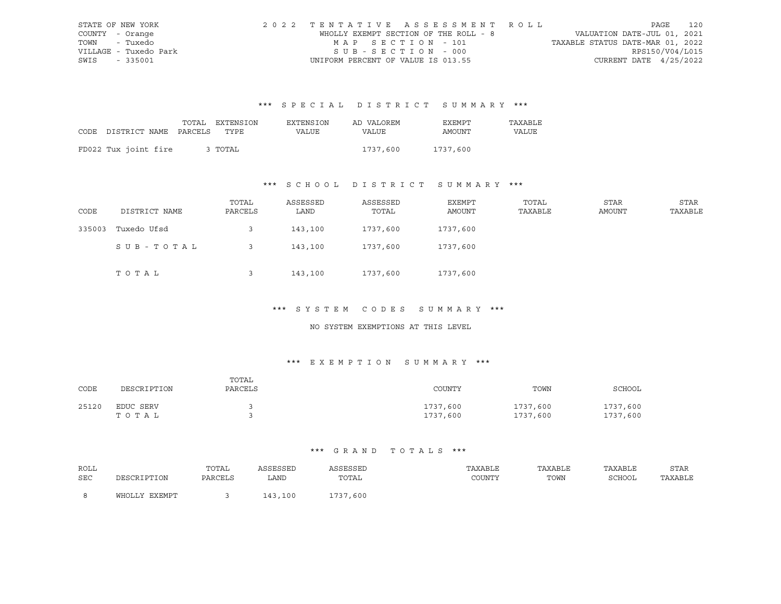| STATE OF NEW YORK     | 2022 TENTATIVE ASSESSMENT ROLL     |                                       | PAGE                             | 120             |
|-----------------------|------------------------------------|---------------------------------------|----------------------------------|-----------------|
| COUNTY - Orange       |                                    | WHOLLY EXEMPT SECTION OF THE ROLL - 8 | VALUATION DATE-JUL 01, 2021      |                 |
| TOWN - Tuxedo         | MAP SECTION - 101                  |                                       | TAXABLE STATUS DATE-MAR 01, 2022 |                 |
| VILLAGE - Tuxedo Park | SUB-SECTION - 000                  |                                       |                                  | RPS150/V04/L015 |
| SWIS<br>- 335001      | UNIFORM PERCENT OF VALUE IS 013.55 |                                       | CURRENT DATE $4/25/2022$         |                 |

|                                 | TOTAL EXTENSION | EXTENSION | AD VALOREM | EXEMPT   | TAXABLE |
|---------------------------------|-----------------|-----------|------------|----------|---------|
| CODE DISTRICT NAME PARCELS TYPE |                 | VALUE     | VALUE      | AMOUNT   | VALUE   |
|                                 |                 |           |            |          |         |
| FD022 Tux joint fire            | 3 TOTAL         |           | 1737,600   | 1737,600 |         |

## \*\*\* S C H O O L D I S T R I C T S U M M A R Y \*\*\*

| CODE   | DISTRICT NAME | TOTAL<br>PARCELS | ASSESSED<br>LAND | ASSESSED<br>TOTAL | EXEMPT<br>AMOUNT | TOTAL<br>TAXABLE | STAR<br>AMOUNT | STAR<br>TAXABLE |
|--------|---------------|------------------|------------------|-------------------|------------------|------------------|----------------|-----------------|
| 335003 | Tuxedo Ufsd   |                  | 143,100          | 1737,600          | 1737,600         |                  |                |                 |
|        | SUB-TOTAL     |                  | 143,100          | 1737,600          | 1737,600         |                  |                |                 |
|        | TOTAL         |                  | 143,100          | 1737,600          | 1737,600         |                  |                |                 |

#### \*\*\* S Y S T E M C O D E S S U M M A R Y \*\*\*

#### NO SYSTEM EXEMPTIONS AT THIS LEVEL

### \*\*\* E X E M P T I O N S U M M A R Y \*\*\*

| CODE  | DESCRIPTION        | TOTAL<br>PARCELS | COUNTY               | TOWN                 | SCHOOL               |
|-------|--------------------|------------------|----------------------|----------------------|----------------------|
| 25120 | EDUC SERV<br>тотаь |                  | 1737,600<br>1737,600 | 1737,600<br>1737,600 | 1737,600<br>1737,600 |

| ROLL       |               | TOTAL   | ASSESSED     | <b>\SSESSED</b> | TAXABLE | TAXABLE | TAXABLE | STAR    |
|------------|---------------|---------|--------------|-----------------|---------|---------|---------|---------|
| <b>SEC</b> | DESCRIPTION   | PARCELS | LAND         | TOTAL           | COUNTY  | TOWN    | SCHOOL  | TAXABLE |
|            |               |         |              |                 |         |         |         |         |
|            | WHOLLY EXEMPT |         | 100<br>2 1 2 | 1737,600        |         |         |         |         |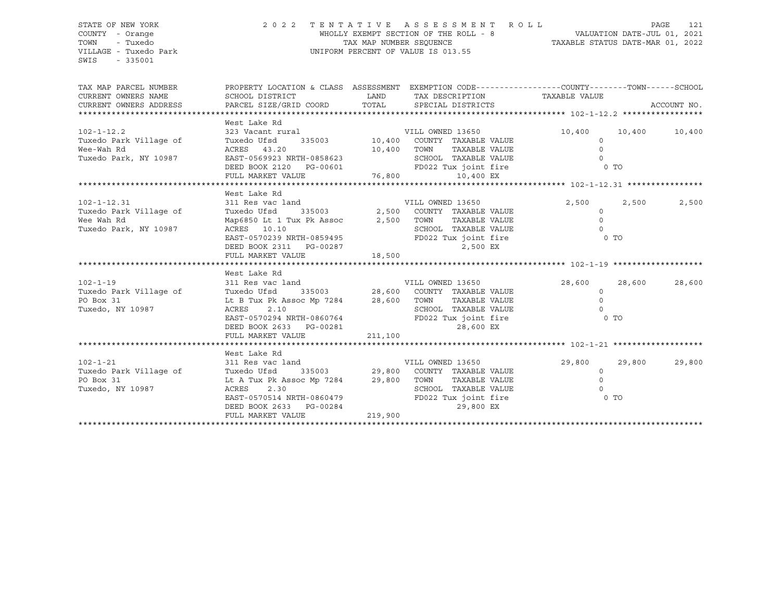SWIS - 335001

#### STATE OF NEW YORK 2 0 2 2 T E N T A T I V E A S S E S S M E N T R O L L PAGE 121 COUNTY - Orange WHOLLY EXEMPT SECTION OF THE ROLL - 8 VALUATION DATE-JUL 01, 2021 TOWN - Tuxedo TAX MAP NUMBER SEQUENCE TAXABLE STATUS DATE-MAR 01, 2022 VILLAGE - Tuxedo Park UNIFORM PERCENT OF VALUE IS 013.55

|  |  |  |  | TAXABLE STATUS DATE-MAR 01, 2022 |  |  |
|--|--|--|--|----------------------------------|--|--|
|--|--|--|--|----------------------------------|--|--|

| TAX MAP PARCEL NUMBER<br>CURRENT OWNERS NAME<br>CURRENT OWNERS ADDRESS                | SCHOOL DISTRICT<br>PARCEL SIZE/GRID COORD                                                                                                                                                                                                                                                         | <b>LAND</b><br>TOTAL | TAX DESCRIPTION TAXABLE VALUE<br>SPECIAL DISTRICTS                                                                                           | PROPERTY LOCATION & CLASS ASSESSMENT EXEMPTION CODE---------------COUNTY-------TOWN------SCHOOL | ACCOUNT NO.   |
|---------------------------------------------------------------------------------------|---------------------------------------------------------------------------------------------------------------------------------------------------------------------------------------------------------------------------------------------------------------------------------------------------|----------------------|----------------------------------------------------------------------------------------------------------------------------------------------|-------------------------------------------------------------------------------------------------|---------------|
|                                                                                       |                                                                                                                                                                                                                                                                                                   |                      |                                                                                                                                              |                                                                                                 |               |
| $102 - 1 - 12.2$<br>Tuxedo Park Village of<br>Wee-Wah Rd<br>Tuxedo Park, NY 10987     | West Lake Rd<br>323 Vacant rural<br>335003 10,400<br>Tuxedo Ufsd<br>ACRES 43.20<br>$\begin{tabular}{lllllll} \texttt{EAST-0569923 NRTH-0858623} & & & & \texttt{SCHOOL} \\ \texttt{DEED BOOK 2120} & & & & \texttt{FD022 T1} \\ \texttt{FULL MARKET VALUE} & & & & \texttt{76,800} \end{tabular}$ | 10,400               | VILL OWNED 13650<br>COUNTY TAXABLE VALUE<br>TOWN<br>TAXABLE VALUE<br>SCHOOL TAXABLE VALUE<br>FD022 Tux joint fire<br>10,400 EX               | 10,400<br>$\circ$<br>$\circ$<br>$\circ$<br>0 TO                                                 | 10,400 10,400 |
|                                                                                       | West Lake Rd                                                                                                                                                                                                                                                                                      |                      |                                                                                                                                              |                                                                                                 |               |
| $102 - 1 - 12.31$<br>Tuxedo Park Village of<br>Wee Wah Rd<br>Tuxedo Park, NY 10987    | 311 Res vac land<br>Tuxedo Ufsd<br>Map6850 Lt 1 Tux Pk Assoc 2,500 TOWN<br>ACRES 10.10<br>EAST-0570239 NRTH-0859495<br>FULL MARKET VALUE                                                                                                                                                          | $0287$ $18,500$      | VILL OWNED 13650<br>335003 2,500 COUNTY TAXABLE VALUE<br>TAXABLE VALUE<br>SCHOOL TAXABLE VALUE<br>FD022 Tux joint fire<br>2,500 EX           | 2,500<br>2,500<br>$\circ$<br>$\Omega$<br>$\Omega$<br><b>CONTROL</b>                             | 2,500         |
|                                                                                       |                                                                                                                                                                                                                                                                                                   |                      |                                                                                                                                              |                                                                                                 |               |
| $102 - 1 - 19$<br>Tuxedo Park Village of Tuxedo Ufsd<br>PO Box 31<br>Tuxedo, NY 10987 | West Lake Rd<br>311 Res vac land<br>Lt B Tux Pk Assoc Mp 7284 28,600<br>ACRES<br>2.10<br>EAST-0570294 NRTH-0860764<br>DEED BOOK 2633 PG-00281<br>FULL MARKET VALUE                                                                                                                                | 211,100              | VILL OWNED 13650<br>335003 28,600 COUNTY TAXABLE VALUE<br>TOWN<br>TAXABLE VALUE<br>SCHOOL TAXABLE VALUE<br>FD022 Tux joint fire<br>28,600 EX | 28,600<br>28,600<br>$\circ$<br>$\Omega$<br>$\Omega$<br>0 TO                                     | 28,600        |
|                                                                                       |                                                                                                                                                                                                                                                                                                   |                      |                                                                                                                                              |                                                                                                 |               |
| $102 - 1 - 21$<br>Tuxedo Park Village of<br>PO Box 31<br>Tuxedo, NY 10987             | West Lake Rd<br>311 Res vac land<br>Tuxedo Ufsd<br>Lt A Tux Pk Assoc Mp 7284 29,800<br>ACRES<br>2.30<br>EAST-0570514 NRTH-0860479<br>DEED BOOK 2633 PG-00284                                                                                                                                      |                      | VILL OWNED 13650<br>335003 29,800 COUNTY TAXABLE VALUE<br>TOWN<br>TAXABLE VALUE<br>SCHOOL TAXABLE VALUE<br>FD022 Tux joint fire<br>29,800 EX | 29,800<br>29,800<br>$\circ$<br>$\Omega$<br>$\Omega$<br>$\sim$ 0 TO                              | 29,800        |
|                                                                                       | FULL MARKET VALUE                                                                                                                                                                                                                                                                                 | 219,900              |                                                                                                                                              |                                                                                                 |               |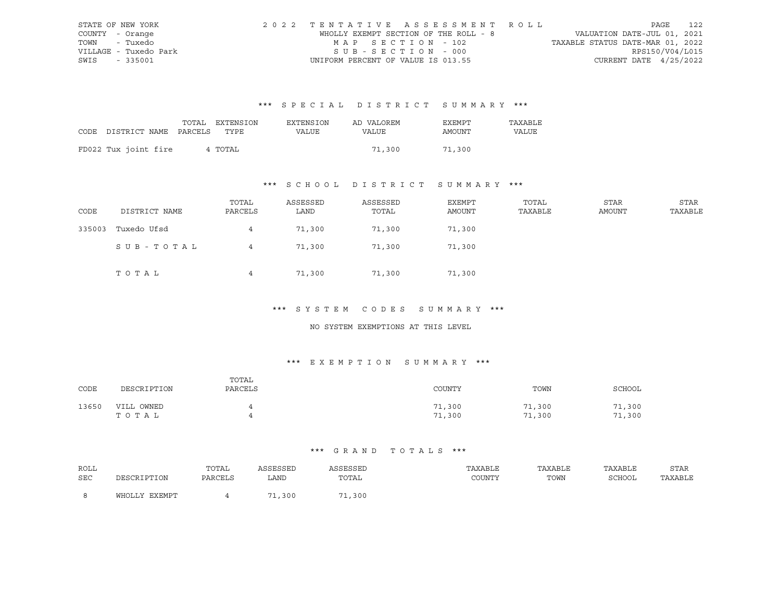| STATE OF NEW YORK     | 2022 TENTATIVE ASSESSMENT ROLL        | 122<br>PAGE                      |
|-----------------------|---------------------------------------|----------------------------------|
| COUNTY - Orange       | WHOLLY EXEMPT SECTION OF THE ROLL - 8 | VALUATION DATE-JUL 01, 2021      |
| TOWN - Tuxedo         | MAP SECTION - 102                     | TAXABLE STATUS DATE-MAR 01, 2022 |
| VILLAGE - Tuxedo Park | SUB-SECTION - 000                     | RPS150/V04/L015                  |
| SWIS - 335001         | UNIFORM PERCENT OF VALUE IS 013.55    | CURRENT DATE $4/25/2022$         |

|                                 | TOTAL EXTENSION | EXTENSION    | AD VALOREM | EXEMPT | TAXABLE |
|---------------------------------|-----------------|--------------|------------|--------|---------|
| CODE DISTRICT NAME PARCELS TYPE |                 | <b>VALUE</b> | VALUE      | AMOUNT | VALUE   |
|                                 |                 |              |            |        |         |
| FD022 Tux joint fire            | 4 TOTAL         |              | 71,300     | 71,300 |         |

## \*\*\* S C H O O L D I S T R I C T S U M M A R Y \*\*\*

| CODE   | DISTRICT NAME | TOTAL<br>PARCELS | ASSESSED<br>LAND | ASSESSED<br>TOTAL | EXEMPT<br>AMOUNT | TOTAL<br>TAXABLE | STAR<br>AMOUNT | STAR<br>TAXABLE |
|--------|---------------|------------------|------------------|-------------------|------------------|------------------|----------------|-----------------|
| 335003 | Tuxedo Ufsd   | 4                | 71,300           | 71,300            | 71,300           |                  |                |                 |
|        | SUB-TOTAL     | 4                | 71,300           | 71,300            | 71,300           |                  |                |                 |
|        | TOTAL         | 4                | 71,300           | 71,300            | 71,300           |                  |                |                 |

#### \*\*\* S Y S T E M C O D E S S U M M A R Y \*\*\*

#### NO SYSTEM EXEMPTIONS AT THIS LEVEL

### \*\*\* E X E M P T I O N S U M M A R Y \*\*\*

| CODE  | DESCRIPTION         | TOTAL<br>PARCELS | COUNTY           | TOWN             | SCHOOL           |
|-------|---------------------|------------------|------------------|------------------|------------------|
| 13650 | VILL OWNED<br>тотаь | ↵                | 71,300<br>71,300 | 71,300<br>71,300 | 71,300<br>71,300 |

| ROLL |               | TOTAL   | ASSESSED       | ASSESSED | TAXABLE | TAXABLE | TAXABLE       | <b>STAR</b> |
|------|---------------|---------|----------------|----------|---------|---------|---------------|-------------|
| SEC  | DESCRIPTION   | PARCELS | LAND           | TOTAL    | COUNTY  | TOWN    | <b>SCHOOL</b> | TAXABLE     |
|      |               |         |                |          |         |         |               |             |
|      | WHOLLY EXEMPT |         | $\sqrt{1,300}$ | 71,300   |         |         |               |             |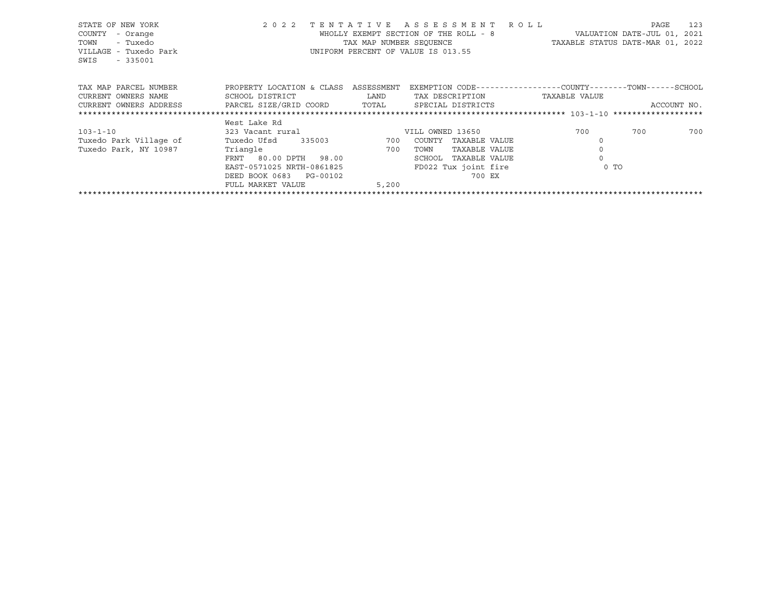| STATE OF NEW YORK<br>COUNTY<br>- Orange<br>- Tuxedo<br>TOWN<br>VILLAGE - Tuxedo Park<br>$-335001$<br>SWIS | 2 0 2 2                   | TENTATIVE<br>TAX MAP NUMBER SEOUENCE | ASSESSMENT ROLL<br>WHOLLY EXEMPT SECTION OF THE ROLL - 8<br>UNIFORM PERCENT OF VALUE IS 013.55 |               |      | PAGE<br>VALUATION DATE-JUL 01, 2021<br>TAXABLE STATUS DATE-MAR 01, 2022 | 123         |
|-----------------------------------------------------------------------------------------------------------|---------------------------|--------------------------------------|------------------------------------------------------------------------------------------------|---------------|------|-------------------------------------------------------------------------|-------------|
| TAX MAP PARCEL NUMBER                                                                                     | PROPERTY LOCATION & CLASS | ASSESSMENT                           | EXEMPTION CODE-----------------COUNTY-------TOWN------SCHOOL                                   |               |      |                                                                         |             |
| CURRENT OWNERS NAME                                                                                       | SCHOOL DISTRICT           | LAND                                 | TAX DESCRIPTION                                                                                | TAXABLE VALUE |      |                                                                         |             |
| CURRENT OWNERS ADDRESS                                                                                    | PARCEL SIZE/GRID COORD    | TOTAL                                | SPECIAL DISTRICTS                                                                              |               |      |                                                                         | ACCOUNT NO. |
|                                                                                                           |                           |                                      |                                                                                                |               |      |                                                                         |             |
|                                                                                                           | West Lake Rd              |                                      |                                                                                                |               |      |                                                                         |             |
| $103 - 1 - 10$                                                                                            | 323 Vacant rural          |                                      | VILL OWNED 13650                                                                               |               | 700  | 700                                                                     | 700         |
| Tuxedo Park Village of                                                                                    | Tuxedo Ufsd<br>335003     | 200                                  | COUNTY<br>TAXABLE VALUE                                                                        |               |      |                                                                         |             |
| Tuxedo Park, NY 10987                                                                                     | Triangle                  | 700                                  | TAXABLE VALUE<br>TOWN                                                                          |               |      |                                                                         |             |
|                                                                                                           | FRNT 80.00 DPTH 98.00     |                                      | SCHOOL<br>TAXABLE VALUE                                                                        |               |      |                                                                         |             |
|                                                                                                           | EAST-0571025 NRTH-0861825 |                                      | FD022 Tux joint fire                                                                           |               | 0 TO |                                                                         |             |
|                                                                                                           | DEED BOOK 0683 PG-00102   |                                      | 700 EX                                                                                         |               |      |                                                                         |             |
|                                                                                                           | FULL MARKET VALUE         | 5,200                                |                                                                                                |               |      |                                                                         |             |
|                                                                                                           |                           |                                      |                                                                                                |               |      |                                                                         |             |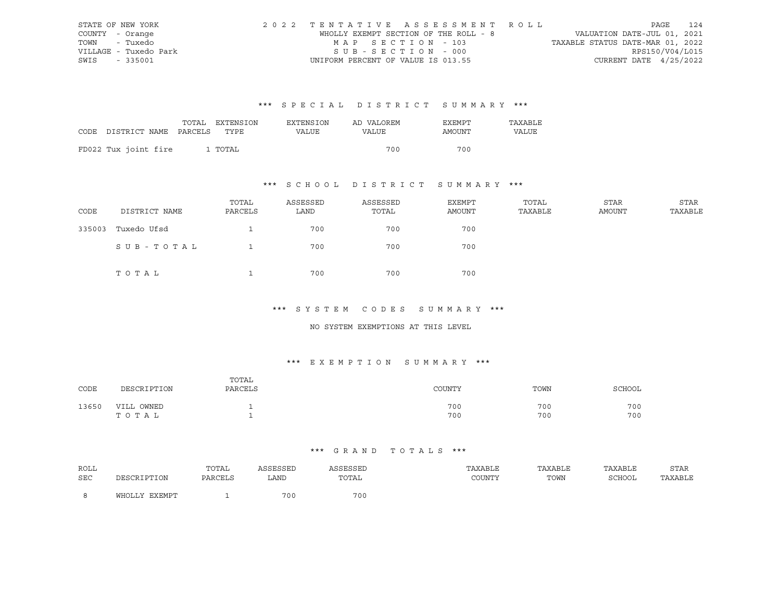| STATE OF NEW YORK     | 2022 TENTATIVE ASSESSMENT ROLL        |                                  | PAGE                        | 124 |
|-----------------------|---------------------------------------|----------------------------------|-----------------------------|-----|
| COUNTY - Orange       | WHOLLY EXEMPT SECTION OF THE ROLL - 8 |                                  | VALUATION DATE-JUL 01, 2021 |     |
| TOWN<br>- Tuxedo      | MAP SECTION - 103                     | TAXABLE STATUS DATE-MAR 01, 2022 |                             |     |
| VILLAGE - Tuxedo Park | $SUB - SECTION - 000$                 |                                  | RPS150/V04/L015             |     |
| SWIS - 335001         | UNIFORM PERCENT OF VALUE IS 013.55    |                                  | CURRENT DATE 4/25/2022      |     |

|                                 | TOTAL EXTENSION | EXTENSION    | AD VALOREM | EXEMPT | TAXABLE |
|---------------------------------|-----------------|--------------|------------|--------|---------|
| CODE DISTRICT NAME PARCELS TYPE |                 | <b>VALUE</b> | VALUE      | AMOUNT | VALUE   |
|                                 |                 |              |            |        |         |
| FD022 Tux joint fire            | 1 TOTAL         |              | 700        | 700    |         |

## \*\*\* S C H O O L D I S T R I C T S U M M A R Y \*\*\*

| CODE   | DISTRICT NAME | TOTAL<br>PARCELS | ASSESSED<br>LAND | ASSESSED<br>TOTAL | EXEMPT<br>AMOUNT | TOTAL<br>TAXABLE | STAR<br>AMOUNT | STAR<br>TAXABLE |
|--------|---------------|------------------|------------------|-------------------|------------------|------------------|----------------|-----------------|
| 335003 | Tuxedo Ufsd   |                  | 700              | 700               | 700              |                  |                |                 |
|        | SUB-TOTAL     |                  | 700              | 700               | 700              |                  |                |                 |
|        | TOTAL         |                  | 700              | 700               | 700              |                  |                |                 |

#### \*\*\* S Y S T E M C O D E S S U M M A R Y \*\*\*

#### NO SYSTEM EXEMPTIONS AT THIS LEVEL

### \*\*\* E X E M P T I O N S U M M A R Y \*\*\*

| CODE  | DESCRIPTION            | TOTAL<br>PARCELS | COUNTY     | TOWN       | SCHOOL     |
|-------|------------------------|------------------|------------|------------|------------|
| 13650 | OWNED<br>VILL<br>TOTAL |                  | 700<br>700 | 700<br>700 | 700<br>700 |

| ROLL |                    | TOTAL          | <b>GOFCOFD</b> | SSESSED | TAXABLE    | TAXABLE | TAXABLE | STAR    |
|------|--------------------|----------------|----------------|---------|------------|---------|---------|---------|
| SEC  | DESCRIPTION        | <b>PARCELS</b> | LAND           | TOTAL   | יחיז הדורו | TOWN    | SCHOOL  | TAXABLE |
|      | FYFMDT<br>V.T.TOHW |                | 700            | 700     |            |         |         |         |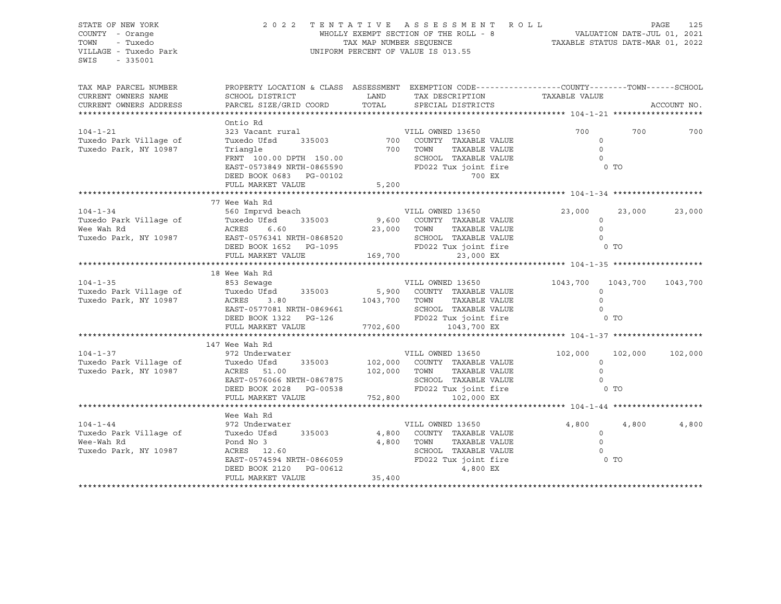STATE OF NEW YORK 2 0 2 2 T E N T A T I V E A S S E S S M E N T R O L L PAGE 125 COUNTY - Orange WHOLLY EXEMPT SECTION OF THE ROLL - 8 VALUATION DATE-JUL 01, 2021 TOWN - Tuxedo TAX MAP NUMBER SEQUENCE TAXABLE STATUS DATE-MAR 01, 2022<br>TILLAGE - Tuxedo Park Taxable Taxable Status of Taxable Status of Taxable Status Date-Mar 01, 2022 UNIFORM PERCENT OF VALUE IS 013.55 SWIS - 335001 TAX MAP PARCEL NUMBER PROPERTY LOCATION & CLASS ASSESSMENT EXEMPTION CODE----------------COUNTY-------TOWN-----SCHOOL CURRENT OWNERS NAME SCHOOL DISTRICT LAND TAX DESCRIPTION TAXABLE VALUE CURRENT OWNERS ADDRESS PARCEL SIZE/GRID COORD TOTAL SPECIAL DISTRICTS ACCOUNT NO. \*\*\*\*\*\*\*\*\*\*\*\*\*\*\*\*\*\*\*\*\*\*\*\*\*\*\*\*\*\*\*\*\*\*\*\*\*\*\*\*\*\*\*\*\*\*\*\*\*\*\*\*\*\*\*\*\*\*\*\*\*\*\*\*\*\*\*\*\*\*\*\*\*\*\*\*\*\*\*\*\*\*\*\*\*\*\*\*\*\*\*\*\*\*\*\*\*\*\*\*\*\*\* 104-1-21 \*\*\*\*\*\*\*\*\*\*\*\*\*\*\*\*\*\*\* Ontio Rd 104-1-21 323 Vacant rural VILL OWNED 13650 700 700 700 Tuxedo Park Village of Tuxedo Ufsd 335003 700 COUNTY TAXABLE VALUE 0 Tuxedo Park, NY 10987 Triangle 700 TOWN TAXABLE VALUE 0 FRNT 100.00 DPTH 150.00 SCHOOL TAXABLE VALUE 0 EAST-0573849 NRTH-0865590 FD022 Tux joint fire 0 TO DEED BOOK 0683 PG-00102 700 EX FULL MARKET VALUE 5,200 \*\*\*\*\*\*\*\*\*\*\*\*\*\*\*\*\*\*\*\*\*\*\*\*\*\*\*\*\*\*\*\*\*\*\*\*\*\*\*\*\*\*\*\*\*\*\*\*\*\*\*\*\*\*\*\*\*\*\*\*\*\*\*\*\*\*\*\*\*\*\*\*\*\*\*\*\*\*\*\*\*\*\*\*\*\*\*\*\*\*\*\*\*\*\*\*\*\*\*\*\*\*\* 104-1-34 \*\*\*\*\*\*\*\*\*\*\*\*\*\*\*\*\*\*\* 77 Wee Wah Rd 104-1-34 560 Imprvd beach VILL OWNED 13650 23,000 23,000 23,000 Tuxedo Park Village of Tuxedo Ufsd 335003 9,600 COUNTY TAXABLE VALUE 0 Wee Wah Rd ACRES 6.60 23,000 TOWN TAXABLE VALUE 0 Tuxedo Park, NY 10987 EAST-0576341 NRTH-0868520 SCHOOL TAXABLE VALUE 0 DEED BOOK 1652 PG-1095 FD022 Tux joint fire 6 O TO FULL MARKET VALUE 169,700 23,000 EX \*\*\*\*\*\*\*\*\*\*\*\*\*\*\*\*\*\*\*\*\*\*\*\*\*\*\*\*\*\*\*\*\*\*\*\*\*\*\*\*\*\*\*\*\*\*\*\*\*\*\*\*\*\*\*\*\*\*\*\*\*\*\*\*\*\*\*\*\*\*\*\*\*\*\*\*\*\*\*\*\*\*\*\*\*\*\*\*\*\*\*\*\*\*\*\*\*\*\*\*\*\*\* 104-1-35 \*\*\*\*\*\*\*\*\*\*\*\*\*\*\*\*\*\*\* 18 Wee Wah Rd 104-1-35 853 Sewage VILL OWNED 13650 1043,700 1043,700 1043,700 Tuxedo Park Village of Tuxedo Ufsd 335003 5,900 COUNTY TAXABLE VALUE 0 Tuxedo Park, NY 10987 ACRES 3.80 1043,700 TOWN TAXABLE VALUE 0 EAST-0577081 NRTH-0869661 SCHOOL TAXABLE VALUE 0 DEED BOOK 1322 PG-126 FD022 Tux joint fire 6 O TO FULL MARKET VALUE 7702,600 1043,700 EX \*\*\*\*\*\*\*\*\*\*\*\*\*\*\*\*\*\*\*\*\*\*\*\*\*\*\*\*\*\*\*\*\*\*\*\*\*\*\*\*\*\*\*\*\*\*\*\*\*\*\*\*\*\*\*\*\*\*\*\*\*\*\*\*\*\*\*\*\*\*\*\*\*\*\*\*\*\*\*\*\*\*\*\*\*\*\*\*\*\*\*\*\*\*\*\*\*\*\*\*\*\*\* 104-1-37 \*\*\*\*\*\*\*\*\*\*\*\*\*\*\*\*\*\*\* 147 Wee Wah Rd 104-1-37 972 Underwater VILL OWNED 13650 102,000 102,000 102,000 Tuxedo Park Village of Tuxedo Ufsd 335003 102,000 COUNTY TAXABLE VALUE 0 Tuxedo Park, NY 10987 ACRES 51.00 102,000 TOWN TAXABLE VALUE 0 EAST-0576066 NRTH-0867875 SCHOOL TAXABLE VALUE 0 DEED BOOK 2028 PG-00538 FD022 Tux joint fire 6 O TO FULL MARKET VALUE 752,800 102,000 EX \*\*\*\*\*\*\*\*\*\*\*\*\*\*\*\*\*\*\*\*\*\*\*\*\*\*\*\*\*\*\*\*\*\*\*\*\*\*\*\*\*\*\*\*\*\*\*\*\*\*\*\*\*\*\*\*\*\*\*\*\*\*\*\*\*\*\*\*\*\*\*\*\*\*\*\*\*\*\*\*\*\*\*\*\*\*\*\*\*\*\*\*\*\*\*\*\*\*\*\*\*\*\* 104-1-44 \*\*\*\*\*\*\*\*\*\*\*\*\*\*\*\*\*\*\* Wee Wah Rd 104-1-44 972 Underwater VILL OWNED 13650 4,800 4,800 4,800 Tuxedo Park Village of Tuxedo Ufsd 335003 4,800 COUNTY TAXABLE VALUE 0 Wee-Wah Rd Pond No 3 4,800 TOWN TAXABLE VALUE 0 Tuxedo Park, NY 10987 ACRES 12.60 SCHOOL TAXABLE VALUE 0 EAST-0574594 NRTH-0866059 FD022 Tux joint fire 0 TO DEED BOOK 2120 PG-00612 4,800 EX FULL MARKET VALUE 35,400 \*\*\*\*\*\*\*\*\*\*\*\*\*\*\*\*\*\*\*\*\*\*\*\*\*\*\*\*\*\*\*\*\*\*\*\*\*\*\*\*\*\*\*\*\*\*\*\*\*\*\*\*\*\*\*\*\*\*\*\*\*\*\*\*\*\*\*\*\*\*\*\*\*\*\*\*\*\*\*\*\*\*\*\*\*\*\*\*\*\*\*\*\*\*\*\*\*\*\*\*\*\*\*\*\*\*\*\*\*\*\*\*\*\*\*\*\*\*\*\*\*\*\*\*\*\*\*\*\*\*\*\*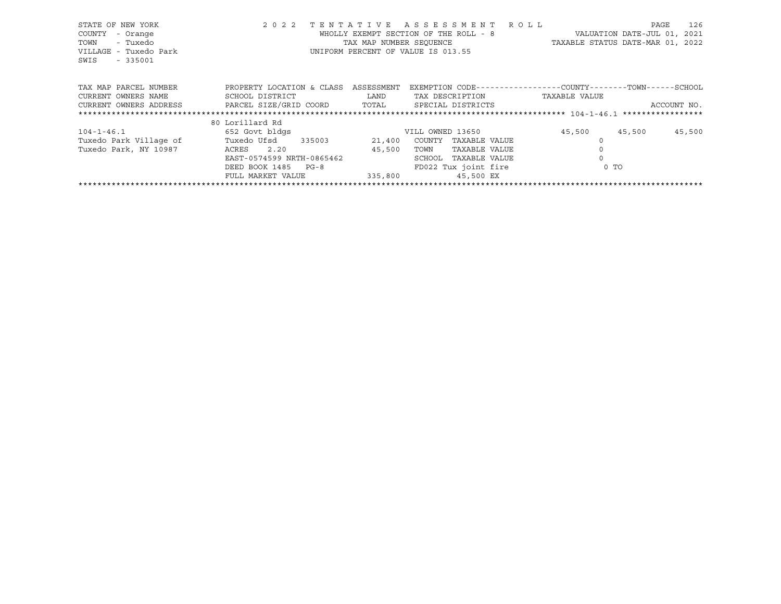| STATE OF NEW YORK<br>COUNTY<br>- Orange<br>- Tuxedo<br>TOWN<br>VILLAGE - Tuxedo Park<br>SWIS<br>$-335001$ | 2 0 2 2<br>TENTATIVE         | TAX MAP NUMBER SEOUENCE | ASSESSMENT ROLL<br>WHOLLY EXEMPT SECTION OF THE ROLL - 8<br>UNIFORM PERCENT OF VALUE IS 013.55 |               | 126<br>PAGE<br>VALUATION DATE-JUL 01,<br>2021<br>TAXABLE STATUS DATE-MAR 01, 2022 |
|-----------------------------------------------------------------------------------------------------------|------------------------------|-------------------------|------------------------------------------------------------------------------------------------|---------------|-----------------------------------------------------------------------------------|
| TAX MAP PARCEL NUMBER                                                                                     | PROPERTY LOCATION & CLASS    | ASSESSMENT              | EXEMPTION CODE-----------------COUNTY-------TOWN------SCHOOL                                   |               |                                                                                   |
| CURRENT OWNERS NAME                                                                                       | SCHOOL DISTRICT              | LAND                    | TAX DESCRIPTION                                                                                | TAXABLE VALUE |                                                                                   |
| CURRENT OWNERS ADDRESS                                                                                    | PARCEL SIZE/GRID COORD TOTAL |                         | SPECIAL DISTRICTS                                                                              |               | ACCOUNT NO.                                                                       |
|                                                                                                           |                              |                         |                                                                                                |               |                                                                                   |
|                                                                                                           | 80 Lorillard Rd              |                         |                                                                                                |               |                                                                                   |
| $104 - 1 - 46.1$                                                                                          | 652 Govt bldgs               |                         | VILL OWNED 13650                                                                               | 45,500        | 45,500<br>45,500                                                                  |
| Tuxedo Park Village of                                                                                    | Tuxedo Ufsd<br>335003        | 21,400                  | COUNTY<br>TAXABLE VALUE                                                                        |               |                                                                                   |
| Tuxedo Park, NY 10987                                                                                     | ACRES<br>2.20                | 45,500                  | TAXABLE VALUE<br>TOWN                                                                          |               |                                                                                   |
|                                                                                                           | EAST-0574599 NRTH-0865462    |                         | SCHOOL<br>TAXABLE VALUE                                                                        |               |                                                                                   |
|                                                                                                           | DEED BOOK 1485 PG-8          |                         | FD022 Tux joint fire                                                                           | $0$ TO        |                                                                                   |
|                                                                                                           | FULL MARKET VALUE            | 335,800                 | 45,500 EX                                                                                      |               |                                                                                   |
|                                                                                                           |                              |                         |                                                                                                |               |                                                                                   |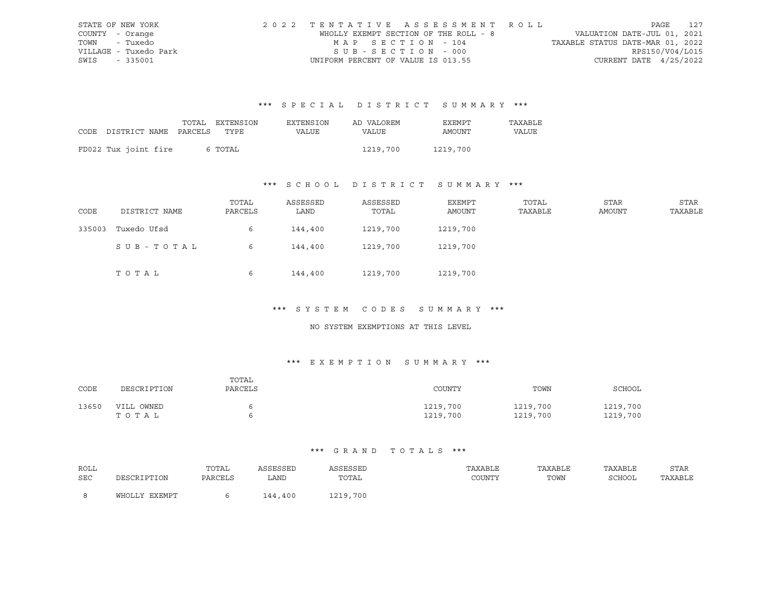| STATE OF NEW YORK     | 2022 TENTATIVE ASSESSMENT ROLL        | 127<br>PAGE                      |
|-----------------------|---------------------------------------|----------------------------------|
| COUNTY - Orange       | WHOLLY EXEMPT SECTION OF THE ROLL - 8 | VALUATION DATE-JUL 01, 2021      |
| TOWN - Tuxedo         | MAP SECTION - 104                     | TAXABLE STATUS DATE-MAR 01, 2022 |
| VILLAGE - Tuxedo Park | SUB-SECTION - 000                     | RPS150/V04/L015                  |
| SWIS - 335001         | UNIFORM PERCENT OF VALUE IS 013.55    | CURRENT DATE $4/25/2022$         |

|                                 | TOTAL EXTENSION | EXTENSION | AD VALOREM | EXEMPT   | TAXABLE |
|---------------------------------|-----------------|-----------|------------|----------|---------|
| CODE DISTRICT NAME PARCELS TYPE |                 | VALUE     | VALUE      | AMOUNT   | VALUE   |
|                                 |                 |           |            |          |         |
| FD022 Tux joint fire            | 6 TOTAL         |           | 1219,700   | 1219,700 |         |

## \*\*\* S C H O O L D I S T R I C T S U M M A R Y \*\*\*

| CODE   | DISTRICT NAME | TOTAL<br>PARCELS | ASSESSED<br>LAND | ASSESSED<br>TOTAL | EXEMPT<br>AMOUNT | TOTAL<br>TAXABLE | STAR<br>AMOUNT | STAR<br>TAXABLE |
|--------|---------------|------------------|------------------|-------------------|------------------|------------------|----------------|-----------------|
| 335003 | Tuxedo Ufsd   | 6                | 144,400          | 1219,700          | 1219,700         |                  |                |                 |
|        | SUB-TOTAL     | 6                | 144,400          | 1219,700          | 1219,700         |                  |                |                 |
|        | TOTAL         | 6                | 144,400          | 1219,700          | 1219,700         |                  |                |                 |

#### \*\*\* S Y S T E M C O D E S S U M M A R Y \*\*\*

#### NO SYSTEM EXEMPTIONS AT THIS LEVEL

### \*\*\* E X E M P T I O N S U M M A R Y \*\*\*

| CODE  | DESCRIPTION         | TOTAL<br>PARCELS | COUNTY               | TOWN                 | SCHOOL               |
|-------|---------------------|------------------|----------------------|----------------------|----------------------|
| 13650 | VILL OWNED<br>TOTAL |                  | 1219,700<br>1219,700 | 1219,700<br>1219,700 | 1219,700<br>1219,700 |

| ROLL       |               | TOTAL   | ASSESSED | <b>\SSESSED</b> | TAXABLE | TAXABLE | TAXABLE | STAR    |
|------------|---------------|---------|----------|-----------------|---------|---------|---------|---------|
| <b>SEC</b> | DESCRIPTION   | PARCELS | LAND     | TOTAL           | COUNTY  | TOWN    | SCHOOL  | TAXABLE |
|            |               |         |          |                 |         |         |         |         |
|            | WHOLLY EXEMPT |         | 144,400  | 1219,700        |         |         |         |         |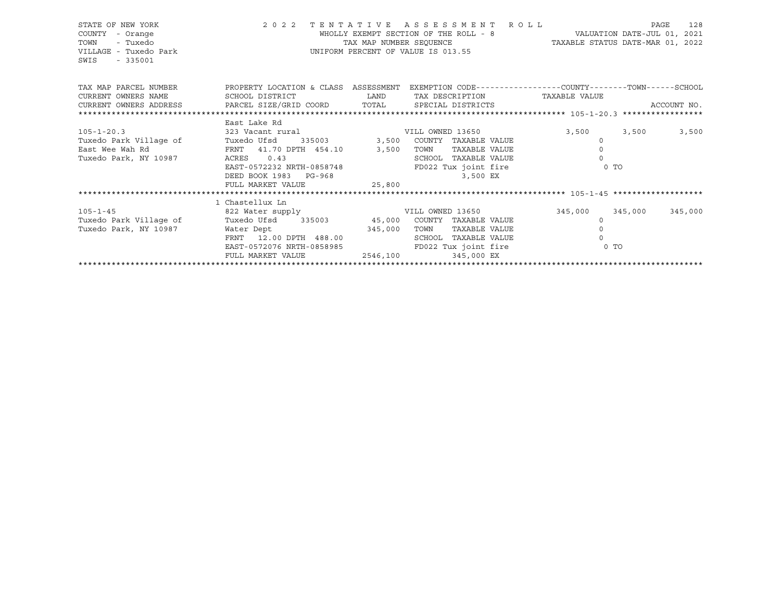| STATE OF NEW YORK<br>COUNTY<br>- Orange<br>- Tuxedo<br>TOWN<br>VILLAGE - Tuxedo Park<br>$-335001$<br>SWIS                                                                                                                |                                                                                                                                                                                                                                               | TAX MAP NUMBER SEQUENCE                                                                                             | 2022 TENTATIVE ASSESSMENT ROLL<br>WHOLLY EXEMPT SECTION OF THE ROLL - 8<br>UNIFORM PERCENT OF VALUE IS 013.55 | VALUATION DATE-JUL 01, 2021<br>TAXABLE STATUS DATE-MAR 01, 2022 |                                         | 128<br>PAGE |
|--------------------------------------------------------------------------------------------------------------------------------------------------------------------------------------------------------------------------|-----------------------------------------------------------------------------------------------------------------------------------------------------------------------------------------------------------------------------------------------|---------------------------------------------------------------------------------------------------------------------|---------------------------------------------------------------------------------------------------------------|-----------------------------------------------------------------|-----------------------------------------|-------------|
| TAX MAP PARCEL NUMBER THE PROPERTY LOCATION & CLASS ASSESSMENT EXEMPTION CODE--------------COUNTY-------TOWN------SCHOOL<br>CURRENT OWNERS NAME<br>CURRENT OWNERS ADDRESS PARCEL SIZE/GRID COORD TOTAL SPECIAL DISTRICTS | SCHOOL DISTRICT                                                                                                                                                                                                                               | <b>EXAMPLE TO A LAND THE SECOND SERVICE SERVICE SERVICE SERVICE SERVICE SERVICE SERVICE SERVICE SERVICE SERVICE</b> | TAX DESCRIPTION TAXABLE VALUE                                                                                 |                                                                 |                                         | ACCOUNT NO. |
|                                                                                                                                                                                                                          |                                                                                                                                                                                                                                               |                                                                                                                     |                                                                                                               |                                                                 |                                         |             |
| $105 - 1 - 20.3$<br>Tuxedo Park Village of<br>East Wee Wah Rd<br>Tuxedo Park, NY 10987                                                                                                                                   | East Lake Rd<br>323 Vacant rural and the VILL OWNED 13650<br>Tuxedo Ufsd 335003 3,500 COUNTY TAXABLE VALUE<br>FRNT 41.70 DPTH 454.10 3,500<br>0.43<br>ACRES<br>EAST-0572232 NRTH-0858748<br>DEED BOOK 1983 PG-968<br>FULL MARKET VALUE 25,800 |                                                                                                                     | TOWN<br>TAXABLE VALUE<br>SCHOOL TAXABLE VALUE<br>FD022 Tux joint fire<br>3,500 EX                             | 3,500                                                           | 3,500<br>$\Omega$<br>$\Omega$<br>$0$ TO | 3,500       |
|                                                                                                                                                                                                                          | 1 Chastellux Ln                                                                                                                                                                                                                               |                                                                                                                     |                                                                                                               |                                                                 |                                         |             |
| $105 - 1 - 45$                                                                                                                                                                                                           | 822 Water supply The Country of Multi-OWNED 13650                                                                                                                                                                                             |                                                                                                                     |                                                                                                               |                                                                 | 345,000 345,000                         | 345,000     |
| Tuxedo Park Village of                                                                                                                                                                                                   | Tuxedo Ufsd 335003 45,000 COUNTY TAXABLE VALUE                                                                                                                                                                                                |                                                                                                                     |                                                                                                               |                                                                 | $\Omega$                                |             |
| Tuxedo Park, NY 10987                                                                                                                                                                                                    | Water Dept 345,000                                                                                                                                                                                                                            |                                                                                                                     | TOWN<br>TAXABLE VALUE                                                                                         |                                                                 |                                         |             |
|                                                                                                                                                                                                                          | FRNT 12.00 DPTH 488.00<br>EAST-0572076 NRTH-0858985                                                                                                                                                                                           |                                                                                                                     | SCHOOL TAXABLE VALUE                                                                                          |                                                                 | $0$ TO                                  |             |
|                                                                                                                                                                                                                          | FULL MARKET VALUE                                                                                                                                                                                                                             |                                                                                                                     | FD022 Tux joint fire<br>2546,100 345,000 EX                                                                   |                                                                 |                                         |             |
|                                                                                                                                                                                                                          |                                                                                                                                                                                                                                               |                                                                                                                     |                                                                                                               |                                                                 |                                         |             |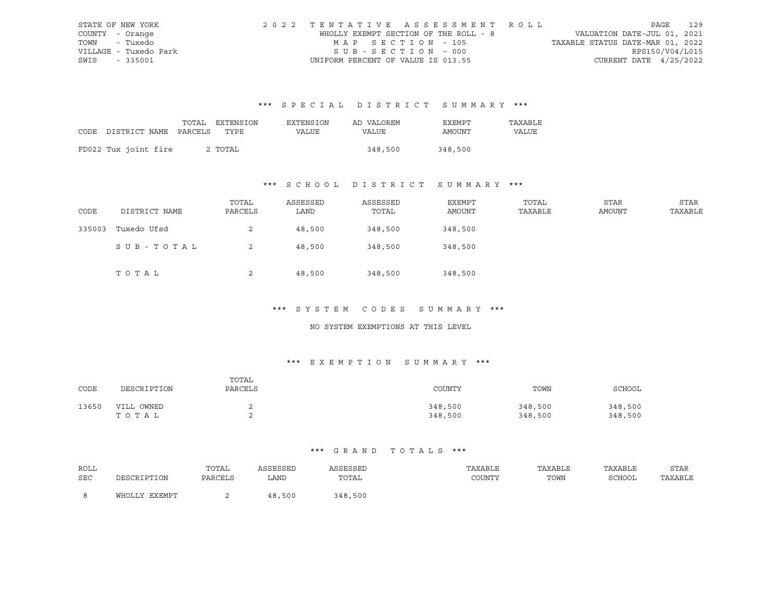| STATE OF NEW YORK     | 2022 TENTATIVE ASSESSMENT ROLL        |                                  | 129<br>PAGE     |
|-----------------------|---------------------------------------|----------------------------------|-----------------|
| COUNTY - Orange       | WHOLLY EXEMPT SECTION OF THE ROLL - 8 | VALUATION DATE-JUL 01, 2021      |                 |
| TOWN - Tuxedo         | MAP SECTION - 105                     | TAXABLE STATUS DATE-MAR 01, 2022 |                 |
| VILLAGE - Tuxedo Park | SUB-SECTION - 000                     |                                  | RPS150/V04/L015 |
| SWIS - 335001         | UNIFORM PERCENT OF VALUE IS 013.55    | CURRENT DATE $4/25/2022$         |                 |

|                                 | TOTAL EXTENSION | EXTENSION | AD VALOREM | EXEMPT  | TAXABLE |
|---------------------------------|-----------------|-----------|------------|---------|---------|
| CODE DISTRICT NAME PARCELS TYPE |                 | VALUE     | VALUE      | AMOUNT  | VALUE   |
|                                 |                 |           |            |         |         |
| FD022 Tux joint fire            | 2 TOTAL         |           | 348,500    | 348,500 |         |

## \*\*\* S C H O O L D I S T R I C T S U M M A R Y \*\*\*

| CODE   | DISTRICT NAME | TOTAL<br>PARCELS | ASSESSED<br>LAND | ASSESSED<br>TOTAL | EXEMPT<br>AMOUNT | TOTAL<br>TAXABLE | STAR<br>AMOUNT | STAR<br>TAXABLE |
|--------|---------------|------------------|------------------|-------------------|------------------|------------------|----------------|-----------------|
| 335003 | Tuxedo Ufsd   | 2                | 48,500           | 348,500           | 348,500          |                  |                |                 |
|        | SUB-TOTAL     | 2                | 48,500           | 348,500           | 348,500          |                  |                |                 |
|        | TOTAL         | 2                | 48,500           | 348,500           | 348,500          |                  |                |                 |

#### \*\*\* S Y S T E M C O D E S S U M M A R Y \*\*\*

#### NO SYSTEM EXEMPTIONS AT THIS LEVEL

### \*\*\* E X E M P T I O N S U M M A R Y \*\*\*

| CODE  | DESCRIPTION         | TOTAL<br>PARCELS | COUNTY             | TOWN               | SCHOOL             |
|-------|---------------------|------------------|--------------------|--------------------|--------------------|
| 13650 | VILL OWNED<br>тотаь |                  | 348,500<br>348,500 | 348,500<br>348,500 | 348,500<br>348,500 |

| ROLL |                   | TOTAL   | ASSESSED   | ASSESSED                                                 | TAXABLE | TAXABLE | TAXABLE       | STAR    |
|------|-------------------|---------|------------|----------------------------------------------------------|---------|---------|---------------|---------|
| SEC  | וו∩דידים דפר⁄ופרו | PARCELS | LAND       | TOTAL<br>the contract of the contract of the contract of | COUNTY  | TOWN    | <b>SCHOOL</b> | TAXABLE |
|      |                   |         |            |                                                          |         |         |               |         |
|      | WHOLLY EXEMPT     |         | ,500<br>48 | 348,500                                                  |         |         |               |         |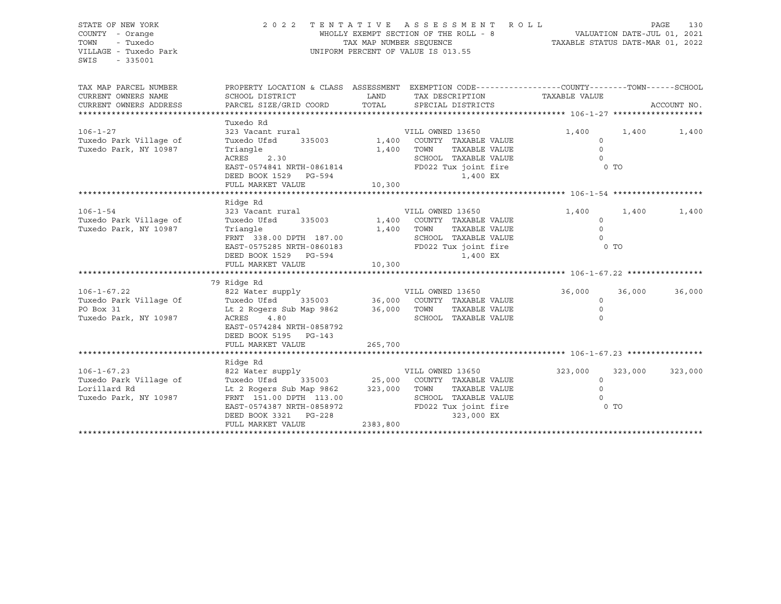| STATE OF NEW YORK<br>COUNTY - Orange<br>TOWN<br>- Tuxedo<br>VILLAGE - Tuxedo Park<br>SWIS<br>$-335001$ | 2022 TENTATIVE ASSESSMENT ROLL<br>WHOLLY EXEMPT SECTION OF THE ROLL - 8<br>TAX MAP NUMBER SEQUENCE<br>UNIFORM PERCENT OF VALUE IS 013.55                                                     |             |                                                                                |                                                                 | PAGE<br>130<br>VALUATION DATE-JUL 01, 2021<br>TAXABLE STATUS DATE-MAR 01, 2022 |             |  |  |
|--------------------------------------------------------------------------------------------------------|----------------------------------------------------------------------------------------------------------------------------------------------------------------------------------------------|-------------|--------------------------------------------------------------------------------|-----------------------------------------------------------------|--------------------------------------------------------------------------------|-------------|--|--|
| TAX MAP PARCEL NUMBER<br>CURRENT OWNERS NAME                                                           | PROPERTY LOCATION & CLASS ASSESSMENT EXEMPTION CODE----------------COUNTY-------TOWN------SCHOOL<br>SCHOOL DISTRICT                                                                          | <b>LAND</b> | TAX DESCRIPTION                                                                | TAXABLE VALUE                                                   |                                                                                |             |  |  |
| CURRENT OWNERS ADDRESS                                                                                 | PARCEL SIZE/GRID COORD TOTAL                                                                                                                                                                 |             | SPECIAL DISTRICTS                                                              |                                                                 |                                                                                | ACCOUNT NO. |  |  |
|                                                                                                        | Tuxedo Rd                                                                                                                                                                                    |             |                                                                                |                                                                 |                                                                                |             |  |  |
| $106 - 1 - 27$<br>Tuxedo Park Village of<br>Tuxedo Park, NY 10987                                      | 323 Vacant rural<br>Tuxedo Ufsd<br>Triangle                                                                                                                                                  | 1,400 TOWN  | VILL OWNED 13650<br>335003 1,400 COUNTY TAXABLE VALUE<br>TAXABLE VALUE         | 1,400<br>$\circ$<br>$\overline{0}$                              | 1,400                                                                          | 1,400       |  |  |
|                                                                                                        | ACRES 2.30<br>EAST-0574841 NRTH-0861814<br>DEED BOOK 1529 PG-594                                                                                                                             | 10,300      | SCHOOL TAXABLE VALUE<br>FD022 Tux joint fire<br>1,400 EX                       | $\bigcirc$<br>O TO                                              |                                                                                |             |  |  |
|                                                                                                        | FULL MARKET VALUE                                                                                                                                                                            |             |                                                                                |                                                                 |                                                                                |             |  |  |
|                                                                                                        | Ridge Rd                                                                                                                                                                                     |             |                                                                                |                                                                 |                                                                                |             |  |  |
| $106 - 1 - 54$<br>Tuxedo Park Village of<br>Tuxedo Park, NY 10987                                      | 323 Vacant rural<br>Tuxedo Ufsd<br>335003<br>Triangle                                                                                                                                        | 1,400 TOWN  | VILL OWNED 13650<br>1,400 COUNTY TAXABLE VALUE<br>TAXABLE VALUE                | 1,400 1,400<br>$\overline{0}$<br>$\Omega$                       |                                                                                | 1,400       |  |  |
|                                                                                                        | FRNT 338.00 DPTH 187.00<br>EAST-0575285 NRTH-0860183<br>DEED BOOK 1529 PG-594                                                                                                                |             | SCHOOL TAXABLE VALUE<br>FD022 Tux joint fire<br>1,400 EX                       | $\overline{0}$<br>0 TO                                          |                                                                                |             |  |  |
|                                                                                                        | FULL MARKET VALUE                                                                                                                                                                            | 10,300      |                                                                                |                                                                 |                                                                                |             |  |  |
|                                                                                                        |                                                                                                                                                                                              |             |                                                                                |                                                                 |                                                                                |             |  |  |
| $106 - 1 - 67.22$                                                                                      | 79 Ridge Rd<br>822 Water supply WILL OWNED 13650                                                                                                                                             |             |                                                                                | 36,000                                                          | 36,000                                                                         | 36,000      |  |  |
| Tuxedo Park Village Of<br>PO Box 31<br>Tuxedo Park, NY 10987                                           | Tuxedo Ufsd <sup>11</sup> 335003 36,000 COUNTY TAXABLE VALUE<br>Lt 2 Rogers Sub Map 9862 36,000 TOWN TAXABLE VALUE<br>ACRES<br>4.80<br>EAST-0574284 NRTH-0858792                             |             | SCHOOL TAXABLE VALUE                                                           | $\overline{0}$<br>$\mathbf{0}$<br>$\Omega$                      |                                                                                |             |  |  |
|                                                                                                        | DEED BOOK 5195 PG-143<br>FULL MARKET VALUE                                                                                                                                                   | 265,700     |                                                                                |                                                                 |                                                                                |             |  |  |
|                                                                                                        |                                                                                                                                                                                              |             |                                                                                |                                                                 |                                                                                |             |  |  |
|                                                                                                        | Ridge Rd                                                                                                                                                                                     |             |                                                                                |                                                                 |                                                                                |             |  |  |
| $106 - 1 - 67.23$<br>Tuxedo Park Village of<br>Lorillard Rd<br>Tuxedo Park, NY 10987                   | 822 Water supply<br>Tuxedo Ufsd<br>Lt 2 Rogers Sub Map 9862 323,000 TOWN TAXABLE VALUE<br>FRNT 151.00 DPTH 113.00<br>EAST-0574387 NRTH-0858972<br>DEED BOOK 3321 PG-228<br>FULL MARKET VALUE | 2383,800    | VILL OWNED 13650<br>SCHOOL TAXABLE VALUE<br>FD022 Tux joint fire<br>323,000 EX | 323,000<br>$\overline{0}$<br>$\overline{0}$<br>$\Omega$<br>0 TO | 323,000                                                                        | 323,000     |  |  |
|                                                                                                        |                                                                                                                                                                                              |             |                                                                                |                                                                 |                                                                                |             |  |  |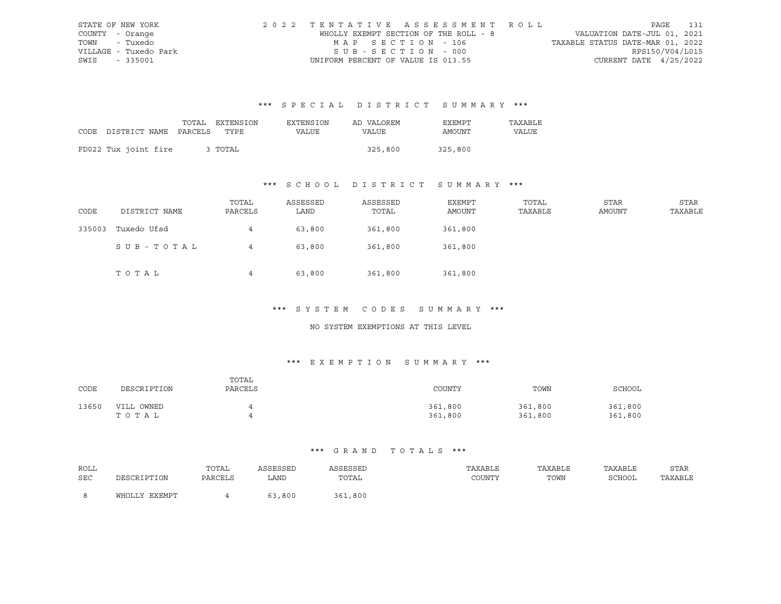| STATE OF NEW YORK     | 2022 TENTATIVE ASSESSMENT ROLL        |                                  | PAGE                        | 131 |
|-----------------------|---------------------------------------|----------------------------------|-----------------------------|-----|
| COUNTY - Orange       | WHOLLY EXEMPT SECTION OF THE ROLL - 8 |                                  | VALUATION DATE-JUL 01, 2021 |     |
| TOWN - Tuxedo         | MAP SECTION - 106                     | TAXABLE STATUS DATE-MAR 01, 2022 |                             |     |
| VILLAGE - Tuxedo Park | SUB-SECTION - 000                     |                                  | RPS150/V04/L015             |     |
| SWIS - 335001         | UNIFORM PERCENT OF VALUE IS 013.55    |                                  | CURRENT DATE $4/25/2022$    |     |

|                                 | TOTAL EXTENSION | EXTENSION | AD VALOREM | EXEMPT  | TAXABLE      |
|---------------------------------|-----------------|-----------|------------|---------|--------------|
| CODE DISTRICT NAME PARCELS TYPE |                 | VALUE     | VALUE      | AMOUNT  | <b>VALUE</b> |
|                                 |                 |           |            |         |              |
| FD022 Tux joint fire            | 3 TOTAL         |           | 325,800    | 325,800 |              |

## \*\*\* S C H O O L D I S T R I C T S U M M A R Y \*\*\*

| CODE   | DISTRICT NAME | TOTAL<br>PARCELS | ASSESSED<br>LAND | ASSESSED<br>TOTAL | EXEMPT<br>AMOUNT | TOTAL<br>TAXABLE | STAR<br>AMOUNT | STAR<br>TAXABLE |
|--------|---------------|------------------|------------------|-------------------|------------------|------------------|----------------|-----------------|
| 335003 | Tuxedo Ufsd   | $4\overline{ }$  | 63,800           | 361,800           | 361,800          |                  |                |                 |
|        | SUB-TOTAL     | 4                | 63,800           | 361,800           | 361,800          |                  |                |                 |
|        | TOTAL         | $\overline{4}$   | 63,800           | 361,800           | 361,800          |                  |                |                 |

#### \*\*\* S Y S T E M C O D E S S U M M A R Y \*\*\*

#### NO SYSTEM EXEMPTIONS AT THIS LEVEL

### \*\*\* E X E M P T I O N S U M M A R Y \*\*\*

| CODE  | DESCRIPTION         | TOTAL<br>PARCELS | COUNTY             | TOWN               | SCHOOL             |
|-------|---------------------|------------------|--------------------|--------------------|--------------------|
| 13650 | VILL OWNED<br>тотаь |                  | 361,800<br>361,800 | 361,800<br>361,800 | 361,800<br>361,800 |

| ROLL |                      | TOTAL   | ASSESSED | ASSESSED                                                 | TAXABLE | TAXABLE | TAXABLE       | STAR    |
|------|----------------------|---------|----------|----------------------------------------------------------|---------|---------|---------------|---------|
| SEC  | זור/דידים דפו״/פידור | PARCELS | LAND     | TOTAL<br>the contract of the contract of the contract of | COUNTY  | TOWN    | <b>SCHOOL</b> | TAXABLE |
|      |                      |         |          |                                                          |         |         |               |         |
|      | WHOLLY EXEMPT        |         | 63,800   | ,800<br>361                                              |         |         |               |         |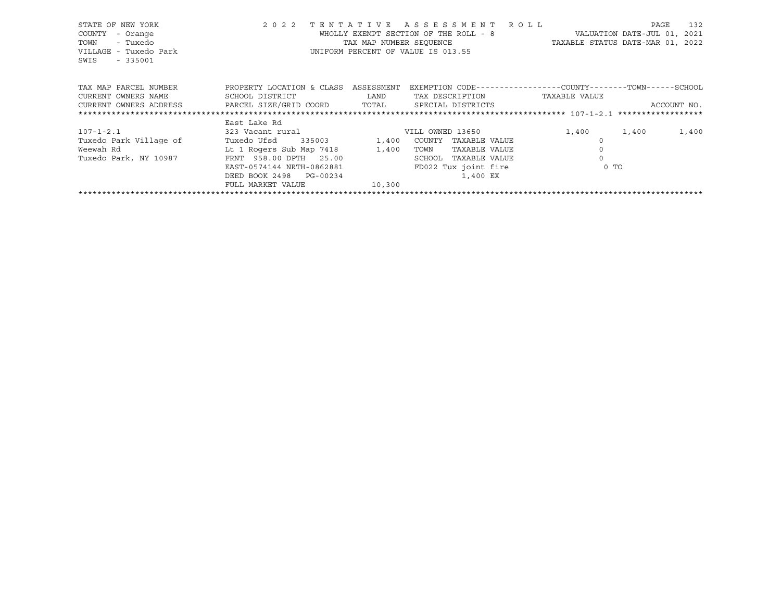| STATE OF NEW YORK<br>- Orange<br>COUNTY<br>- Tuxedo<br>TOWN<br>VILLAGE - Tuxedo Park<br>SWIS<br>$-335001$ | 2 0 2 2                                      | TENTATIVE<br>TAX MAP NUMBER SEOUENCE | ASSESSMENT ROLL<br>WHOLLY EXEMPT SECTION OF THE ROLL - 8<br>UNIFORM PERCENT OF VALUE IS 013.55 | VALUATION DATE-JUL 01, 2021<br>TAXABLE STATUS DATE-MAR 01, 2022 | PAGE  | 132         |
|-----------------------------------------------------------------------------------------------------------|----------------------------------------------|--------------------------------------|------------------------------------------------------------------------------------------------|-----------------------------------------------------------------|-------|-------------|
| TAX MAP PARCEL NUMBER<br>CURRENT OWNERS NAME                                                              | PROPERTY LOCATION & CLASS<br>SCHOOL DISTRICT | ASSESSMENT<br>LAND                   | EXEMPTION CODE-----------------COUNTY-------TOWN------SCHOOL<br>TAX DESCRIPTION                | TAXABLE VALUE                                                   |       |             |
| CURRENT OWNERS ADDRESS TARCEL SIZE/GRID COORD TOTAL                                                       |                                              |                                      | SPECIAL DISTRICTS                                                                              |                                                                 |       | ACCOUNT NO. |
|                                                                                                           |                                              |                                      |                                                                                                |                                                                 |       |             |
|                                                                                                           | East Lake Rd                                 |                                      |                                                                                                |                                                                 |       |             |
| 107-1-2.1                                                                                                 | 323 Vacant rural                             |                                      | VILL OWNED 13650                                                                               | 1,400                                                           | 1,400 | 1,400       |
| Tuxedo Park Village of                                                                                    | Tuxedo Ufsd<br>335003 1,400                  |                                      | COUNTY<br>TAXABLE VALUE                                                                        |                                                                 |       |             |
| Weewah Rd                                                                                                 | Lt 1 Rogers Sub Map 7418 1,400               |                                      | TOWN<br>TAXABLE VALUE                                                                          |                                                                 |       |             |
| Tuxedo Park, NY 10987                                                                                     | FRNT 958.00 DPTH 25.00                       |                                      | SCHOOL<br>TAXABLE VALUE                                                                        |                                                                 |       |             |
|                                                                                                           | EAST-0574144 NRTH-0862881                    |                                      | FD022 Tux joint fire                                                                           | $0$ TO                                                          |       |             |
|                                                                                                           | DEED BOOK 2498 PG-00234                      |                                      | 1,400 EX                                                                                       |                                                                 |       |             |
|                                                                                                           | FULL MARKET VALUE                            | 10,300                               |                                                                                                |                                                                 |       |             |
|                                                                                                           |                                              |                                      |                                                                                                |                                                                 |       |             |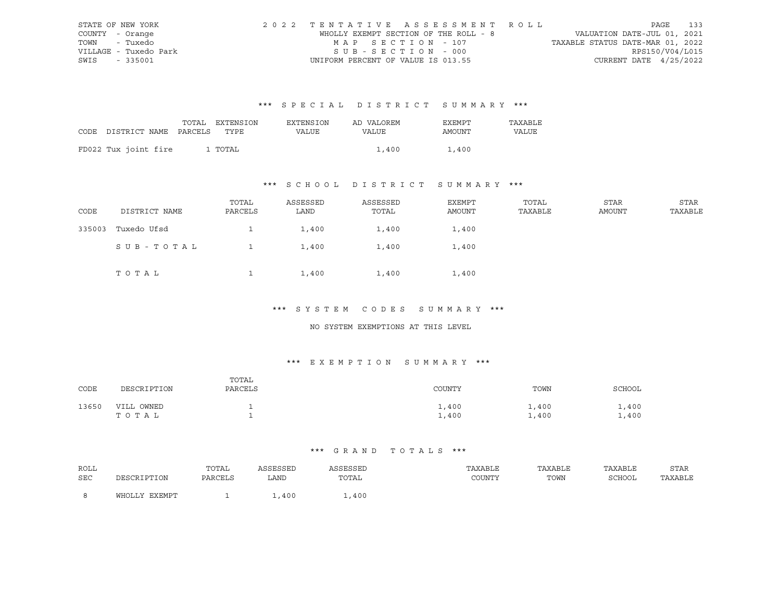| STATE OF NEW YORK     | 2022 TENTATIVE ASSESSMENT ROLL        | PAGE 133                         |
|-----------------------|---------------------------------------|----------------------------------|
| COUNTY - Orange       | WHOLLY EXEMPT SECTION OF THE ROLL - 8 | VALUATION DATE-JUL 01, 2021      |
| TOWN - Tuxedo         | MAP SECTION - 107                     | TAXABLE STATUS DATE-MAR 01, 2022 |
| VILLAGE - Tuxedo Park | SUB-SECTION - 000                     | RPS150/V04/L015                  |
| SWIS - 335001         | UNIFORM PERCENT OF VALUE IS 013.55    | CURRENT DATE $4/25/2022$         |

|                                 | TOTAL EXTENSION | <b>EXTENSION</b> | AD VALOREM | EXEMPT | TAXABLE |
|---------------------------------|-----------------|------------------|------------|--------|---------|
| CODE DISTRICT NAME PARCELS TYPE |                 | VALUE            | VALUE      | AMOUNT | VALUE   |
|                                 |                 |                  |            |        |         |
| FD022 Tux joint fire            | 1 TOTAL         |                  | 1,400      | 1,400  |         |

## \*\*\* S C H O O L D I S T R I C T S U M M A R Y \*\*\*

| CODE   | DISTRICT NAME | TOTAL<br>PARCELS | ASSESSED<br>LAND | ASSESSED<br>TOTAL | EXEMPT<br>AMOUNT | TOTAL<br>TAXABLE | STAR<br>AMOUNT | STAR<br>TAXABLE |
|--------|---------------|------------------|------------------|-------------------|------------------|------------------|----------------|-----------------|
| 335003 | Tuxedo Ufsd   |                  | 1,400            | 1,400             | 1,400            |                  |                |                 |
|        | SUB-TOTAL     |                  | 1,400            | 1,400             | 1,400            |                  |                |                 |
|        | TOTAL         |                  | 1,400            | 1,400             | 1,400            |                  |                |                 |

#### \*\*\* S Y S T E M C O D E S S U M M A R Y \*\*\*

#### NO SYSTEM EXEMPTIONS AT THIS LEVEL

### \*\*\* E X E M P T I O N S U M M A R Y \*\*\*

| CODE  | DESCRIPTION            | TOTAL<br>PARCELS | COUNTY         | TOWN           | SCHOOL       |
|-------|------------------------|------------------|----------------|----------------|--------------|
| 13650 | OWNED<br>VILL<br>TOTAL |                  | 1,400<br>1,400 | .,400<br>1,400 | .400<br>,400 |

| ROLL       |               | TOTAL   |      | <b>ACCECCET</b><br>لمتلاف فانتل | TAXABLE | TAXABLE | TAXABLE | STAR    |
|------------|---------------|---------|------|---------------------------------|---------|---------|---------|---------|
| <b>SEC</b> |               | PARCELS | LAND | TOTAL                           | COUNTY  | TOWN    | SCHOOL  | TAXABLE |
|            |               |         |      |                                 |         |         |         |         |
|            | <b>EXEMPT</b> |         | ,400 | ,400                            |         |         |         |         |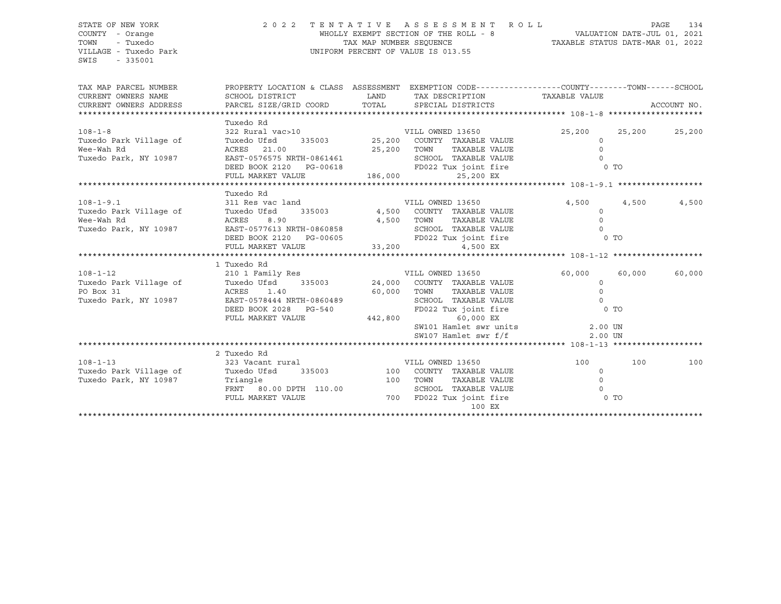SWIS - 335001

#### STATE OF NEW YORK 2 0 2 2 T E N T A T I V E A S S E S S M E N T R O L L PAGE 134 COUNTY - Orange WHOLLY EXEMPT SECTION OF THE ROLL - 8 VALUATION DATE-JUL 01, 2021 TOWN - Tuxedo TAX MAP NUMBER SEQUENCE TAXABLE STATUS DATE-MAR 01, 2022 VILLAGE - Tuxedo Park UNIFORM PERCENT OF VALUE IS 013.55

| TAX MAP PARCEL NUMBER<br>CURRENT OWNERS NAME<br>CURRENT OWNERS ADDRESS                                                  | PROPERTY LOCATION & CLASS ASSESSMENT EXEMPTION CODE---------------COUNTY-------TOWN------SCHOOL<br>SCHOOL DISTRICT<br>PARCEL SIZE/GRID COORD TOTAL SPECIAL DISTRICTS       | <b>LAND</b> | TAX DESCRIPTION TAXABLE VALUE      |                  | ACCOUNT NO.      |
|-------------------------------------------------------------------------------------------------------------------------|----------------------------------------------------------------------------------------------------------------------------------------------------------------------------|-------------|------------------------------------|------------------|------------------|
|                                                                                                                         |                                                                                                                                                                            |             |                                    |                  |                  |
| $108 - 1 - 8$                                                                                                           | Tuxedo Rd<br>322 Rural vac>10 VILL OWNED 13650                                                                                                                             |             |                                    | 25,200           | 25,200<br>25,200 |
| Tuxedo Park Village of                                                                                                  | Tuxedo Ufsd                                                                                                                                                                |             | 335003 25,200 COUNTY TAXABLE VALUE | $\Omega$         |                  |
| Wee-Wah Rd                                                                                                              | ACRES 21.00                                                                                                                                                                | 25,200 TOWN | TAXABLE VALUE                      | $\Omega$         |                  |
| Tuxedo Park, NY 10987                                                                                                   | EAST-0576575 NRTH-0861461                                                                                                                                                  |             | SCHOOL TAXABLE VALUE               | $\Omega$         |                  |
|                                                                                                                         | DEED BOOK 2120 PG-00618 FD022 Tux joint fire                                                                                                                               |             |                                    | $0$ TO           |                  |
|                                                                                                                         | FULL MARKET VALUE 186,000                                                                                                                                                  |             | 25,200 EX                          |                  |                  |
|                                                                                                                         | Tuxedo Rd                                                                                                                                                                  |             |                                    |                  |                  |
| $108 - 1 - 9.1$                                                                                                         | 311 Res vac land                                                                                                                                                           |             | VILL OWNED 13650                   |                  | 4,500            |
|                                                                                                                         |                                                                                                                                                                            |             |                                    | 4,500<br>$\circ$ | 4,500            |
| Tuxedo Park Village of $\frac{1}{2}$ Tuxedo Ufsd 335003 $\frac{4}{2}$ ,500 COUNTY TAXABLE VALUE<br>Wee-Wah Rd           |                                                                                                                                                                            |             | TAXABLE VALUE                      | $\mathbf 0$      |                  |
| Wee-Wah Rd<br>Tuxedo Park, NY 10987                                                                                     |                                                                                                                                                                            |             | SCHOOL TAXABLE VALUE               | $\Omega$         |                  |
|                                                                                                                         | ACRES 8.90 4,500 TOWN TAXABLE VALUE<br>EAST-0577613 NRTH-0860858 SCHOOL TAXABLE VALUE<br>DEED BOOK 2120 PG-00605 FD022 Tux joint fire<br>FULL MARKET VALUE 33,200 4,500 EX |             |                                    | $0$ TO           |                  |
|                                                                                                                         |                                                                                                                                                                            |             |                                    |                  |                  |
|                                                                                                                         |                                                                                                                                                                            |             |                                    |                  |                  |
|                                                                                                                         | 1 Tuxedo Rd                                                                                                                                                                |             |                                    |                  |                  |
| $108 - 1 - 12$                                                                                                          | 210 1 Family Res WILL OWNED 13650                                                                                                                                          |             |                                    | 60,000           | 60,000<br>60,000 |
|                                                                                                                         |                                                                                                                                                                            |             |                                    | $\circ$          |                  |
| Tuxedo Park Village of Tuxedo Ufsd 335003 24,000 COUNTY TAXABLE VALUE PO Box 31 20 ACRES 1.40 60,000 TOWN TAXABLE VALUE |                                                                                                                                                                            |             |                                    | $\Omega$         |                  |
| Tuxedo Park, NY 10987 EAST-0578444 NRTH-0860489                                                                         |                                                                                                                                                                            |             | SCHOOL TAXABLE VALUE               | $\Omega$         |                  |
|                                                                                                                         | DEED BOOK 2028 PG-540                                                                                                                                                      |             | FD022 Tux joint fire               | $0$ TO           |                  |
|                                                                                                                         | FULL MARKET VALUE                                                                                                                                                          | 442,800     | 60,000 EX                          |                  |                  |
|                                                                                                                         |                                                                                                                                                                            |             | SW101 Hamlet swr units 3.00 UN     |                  |                  |
|                                                                                                                         |                                                                                                                                                                            |             | SW107 Hamlet swr f/f               | 2.00 UN          |                  |
|                                                                                                                         |                                                                                                                                                                            |             |                                    |                  |                  |
|                                                                                                                         | 2 Tuxedo Rd                                                                                                                                                                |             |                                    |                  |                  |
| $108 - 1 - 13$                                                                                                          | 323 Vacant rural                                                                                                                                                           |             | VILL OWNED 13650                   | 100              | 100<br>100       |
| Tuxedo Park Village of                                                                                                  | Tuxedo Ufsd 335003 100 COUNTY TAXABLE VALUE                                                                                                                                |             |                                    | $\circ$          |                  |
| Tuxedo Park, NY 10987 Triangle                                                                                          | 100 TOWN                                                                                                                                                                   |             | TAXABLE VALUE                      | $\Omega$         |                  |
|                                                                                                                         | FRNT 80.00 DPTH 110.00                                                                                                                                                     |             | SCHOOL TAXABLE VALUE               | $\Omega$         |                  |
|                                                                                                                         | FULL MARKET VALUE 6 700 FD022 Tux joint fire                                                                                                                               |             |                                    | 0 TO             |                  |
|                                                                                                                         |                                                                                                                                                                            |             | 100 EX                             |                  |                  |
|                                                                                                                         |                                                                                                                                                                            |             |                                    |                  |                  |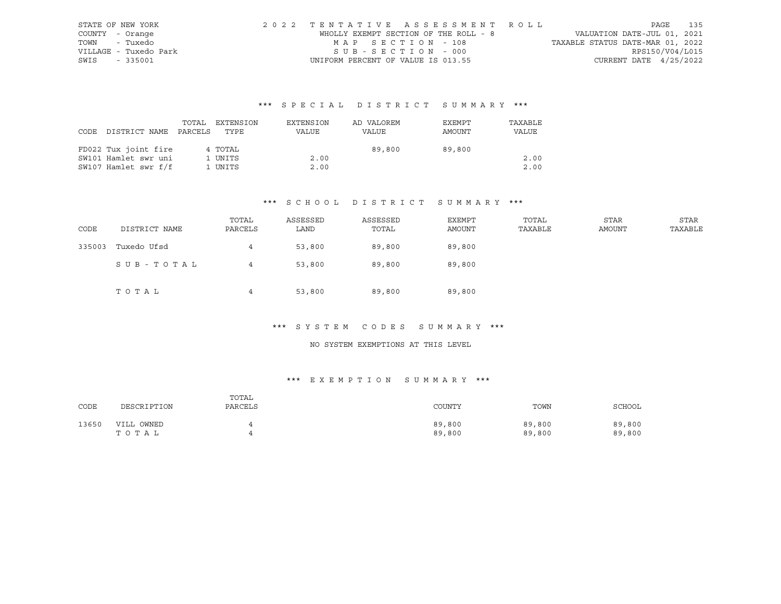| STATE OF NEW YORK     | 2022 TENTATIVE ASSESSMENT ROLL        | PAGE                             | 135             |
|-----------------------|---------------------------------------|----------------------------------|-----------------|
| COUNTY - Orange       | WHOLLY EXEMPT SECTION OF THE ROLL - 8 | VALUATION DATE-JUL 01, 2021      |                 |
| TOWN - Tuxedo         | MAP SECTION - 108                     | TAXABLE STATUS DATE-MAR 01, 2022 |                 |
| VILLAGE - Tuxedo Park | SUB-SECTION - 000                     |                                  | RPS150/V04/L015 |
| SWIS - 335001         | UNIFORM PERCENT OF VALUE IS 013.55    | CURRENT DATE $4/25/2022$         |                 |

| CODE | DISTRICT NAME        | TOTAL<br>PARCELS | EXTENSION<br>TYPE | EXTENSION<br>VALUE | AD VALOREM<br>VALUE | EXEMPT<br>AMOUNT | TAXABLE<br>VALUE |
|------|----------------------|------------------|-------------------|--------------------|---------------------|------------------|------------------|
|      | FD022 Tux joint fire |                  | 4 TOTAL           |                    | 89,800              | 89,800           |                  |
|      | SW101 Hamlet swr uni |                  | 1 UNITS           | 2.00               |                     |                  | 2.00             |
|      | SW107 Hamlet swr f/f |                  | 1 UNITS           | 2.00               |                     |                  | 2.00             |

### \*\*\* S C H O O L D I S T R I C T S U M M A R Y \*\*\*

| CODE   | DISTRICT NAME | TOTAL<br>PARCELS | ASSESSED<br>LAND | ASSESSED<br>TOTAL | <b>EXEMPT</b><br>AMOUNT | TOTAL<br>TAXABLE | <b>STAR</b><br>AMOUNT | <b>STAR</b><br>TAXABLE |
|--------|---------------|------------------|------------------|-------------------|-------------------------|------------------|-----------------------|------------------------|
| 335003 | Tuxedo Ufsd   | 4                | 53,800           | 89,800            | 89,800                  |                  |                       |                        |
|        | SUB-TOTAL     | 4                | 53,800           | 89,800            | 89,800                  |                  |                       |                        |
|        | TOTAL         | 4                | 53,800           | 89,800            | 89,800                  |                  |                       |                        |

## \*\*\* S Y S T E M C O D E S S U M M A R Y \*\*\*

### NO SYSTEM EXEMPTIONS AT THIS LEVEL

### \*\*\* E X E M P T I O N S U M M A R Y \*\*\*

| CODE  | DESCRIPTION         | TOTAL<br>PARCELS | COUNTY           | TOWN             | SCHOOL           |
|-------|---------------------|------------------|------------------|------------------|------------------|
| 13650 | VILL OWNED<br>TOTAL |                  | 89,800<br>89,800 | 89,800<br>89,800 | 89,800<br>89,800 |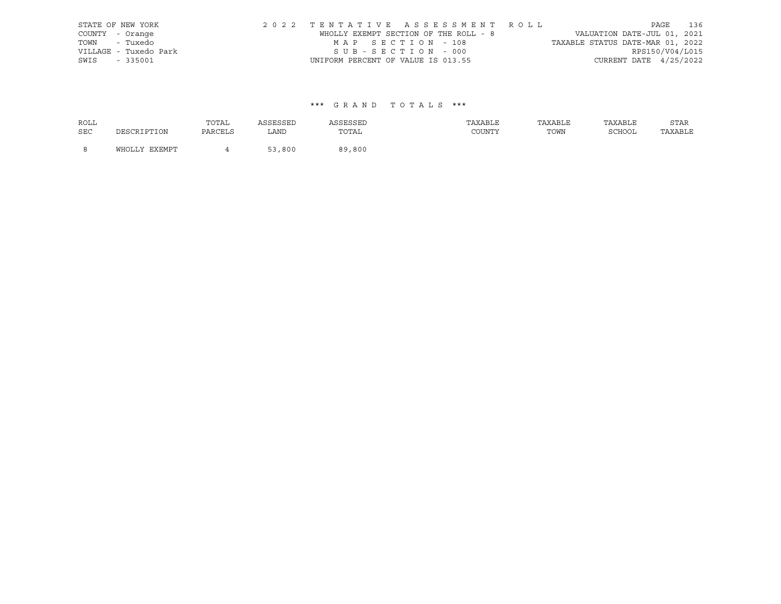|                 | STATE OF NEW YORK     |                                    | 2022 TENTATIVE ASSESSMENT ROLL        |                                  | PAGE                        | 136 |
|-----------------|-----------------------|------------------------------------|---------------------------------------|----------------------------------|-----------------------------|-----|
| COUNTY - Orange |                       |                                    | WHOLLY EXEMPT SECTION OF THE ROLL - 8 |                                  | VALUATION DATE-JUL 01, 2021 |     |
| TOWN - Tuxedo   |                       | MAP SECTION - 108                  |                                       | TAXABLE STATUS DATE-MAR 01, 2022 |                             |     |
|                 | VILLAGE - Tuxedo Park | SUB-SECTION - 000                  |                                       |                                  | RPS150/V04/L015             |     |
| SWIS - 335001   |                       | UNIFORM PERCENT OF VALUE IS 013.55 |                                       |                                  | CURRENT DATE $4/25/2022$    |     |

| <b>ROLL</b> |               | TOTAL   | ASSESSED | ASSESSED | TAXABLE | TAXABLE | TAXABLE | STAR    |
|-------------|---------------|---------|----------|----------|---------|---------|---------|---------|
| SEC         | DESCRIPTION   | PARCELS | LAND     | TOTAL    | COUNTY  | TOWN    | SCHOOL  | TAXABLE |
| - 8         | WHOLLY EXEMPT |         | 53,800   | 89,800   |         |         |         |         |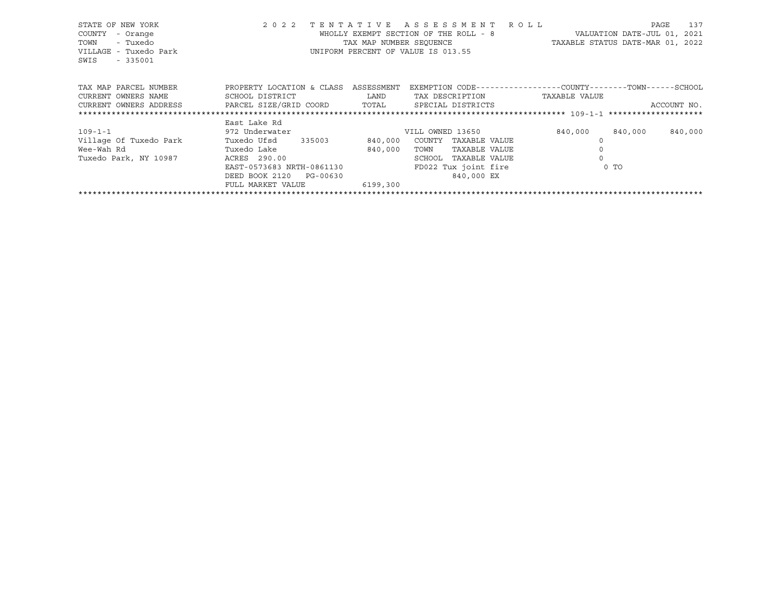| STATE OF NEW YORK<br>- Orange<br>COUNTY<br>- Tuxedo<br>TOWN<br>VILLAGE - Tuxedo Park<br>SWIS<br>$-335001$ | 2 0 2 2                                      | TENTATIVE<br>TAX MAP NUMBER SEOUENCE | A S S E S S M E N T<br>R O L L<br>WHOLLY EXEMPT SECTION OF THE ROLL - 8<br>UNIFORM PERCENT OF VALUE IS 013.55 | VALUATION DATE-JUL 01, 2021<br>TAXABLE STATUS DATE-MAR 01, 2022               | 137<br>PAGE |
|-----------------------------------------------------------------------------------------------------------|----------------------------------------------|--------------------------------------|---------------------------------------------------------------------------------------------------------------|-------------------------------------------------------------------------------|-------------|
| TAX MAP PARCEL NUMBER<br>CURRENT OWNERS NAME                                                              | PROPERTY LOCATION & CLASS<br>SCHOOL DISTRICT | ASSESSMENT<br>LAND                   | TAX DESCRIPTION                                                                                               | EXEMPTION CODE-----------------COUNTY-------TOWN------SCHOOL<br>TAXABLE VALUE |             |
| CURRENT OWNERS ADDRESS                                                                                    | PARCEL SIZE/GRID COORD                       | TOTAL                                | SPECIAL DISTRICTS                                                                                             |                                                                               | ACCOUNT NO. |
|                                                                                                           |                                              |                                      |                                                                                                               |                                                                               |             |
|                                                                                                           | East Lake Rd                                 |                                      |                                                                                                               |                                                                               |             |
| 109-1-1                                                                                                   | 972 Underwater                               |                                      | VILL OWNED 13650                                                                                              | 840,000<br>840,000                                                            | 840,000     |
| Village Of Tuxedo Park                                                                                    | Tuxedo Ufsd 335003                           | 840,000                              | COUNTY<br>TAXABLE VALUE                                                                                       |                                                                               |             |
| Wee-Wah Rd                                                                                                | Tuxedo Lake                                  | 840,000                              | TOWN<br>TAXABLE VALUE                                                                                         |                                                                               |             |
| Tuxedo Park, NY 10987                                                                                     | ACRES 290.00                                 |                                      | SCHOOL<br>TAXABLE VALUE                                                                                       |                                                                               |             |
|                                                                                                           | EAST-0573683 NRTH-0861130                    |                                      | FD022 Tux joint fire                                                                                          | 0 <sub>T</sub>                                                                |             |
|                                                                                                           | DEED BOOK 2120<br>PG-00630                   |                                      | 840,000 EX                                                                                                    |                                                                               |             |
|                                                                                                           | FULL MARKET VALUE                            | 6199,300                             |                                                                                                               |                                                                               |             |
|                                                                                                           |                                              |                                      |                                                                                                               |                                                                               |             |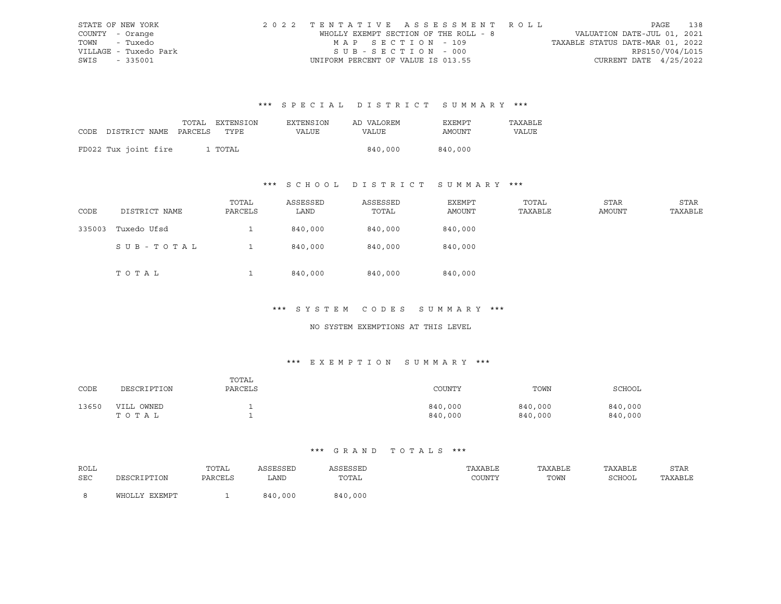| STATE OF NEW YORK     | 2022 TENTATIVE ASSESSMENT ROLL        |                   |  |                                  |                          | PAGE 138 |
|-----------------------|---------------------------------------|-------------------|--|----------------------------------|--------------------------|----------|
| COUNTY - Orange       | WHOLLY EXEMPT SECTION OF THE ROLL - 8 |                   |  | VALUATION DATE-JUL 01, 2021      |                          |          |
| TOWN - Tuxedo         |                                       | MAP SECTION - 109 |  | TAXABLE STATUS DATE-MAR 01, 2022 |                          |          |
| VILLAGE - Tuxedo Park | SUB-SECTION - 000                     |                   |  |                                  | RPS150/V04/L015          |          |
| SWIS<br>- 335001      | UNIFORM PERCENT OF VALUE IS 013.55    |                   |  |                                  | CURRENT DATE $4/25/2022$ |          |

|                                 | TOTAL EXTENSION | EXTENSION    | AD VALOREM | EXEMPT  | TAXABLE |
|---------------------------------|-----------------|--------------|------------|---------|---------|
| CODE DISTRICT NAME PARCELS TYPE |                 | <b>VALUE</b> | VALUE      | AMOUNT  | VALUE   |
|                                 |                 |              |            |         |         |
| FD022 Tux joint fire            | 1 TOTAL         |              | 840,000    | 840,000 |         |

## \*\*\* S C H O O L D I S T R I C T S U M M A R Y \*\*\*

| CODE   | DISTRICT NAME | TOTAL<br>PARCELS | ASSESSED<br>LAND | ASSESSED<br>TOTAL | EXEMPT<br>AMOUNT | TOTAL<br>TAXABLE | STAR<br>AMOUNT | STAR<br>TAXABLE |
|--------|---------------|------------------|------------------|-------------------|------------------|------------------|----------------|-----------------|
| 335003 | Tuxedo Ufsd   |                  | 840,000          | 840,000           | 840,000          |                  |                |                 |
|        | SUB-TOTAL     |                  | 840,000          | 840,000           | 840,000          |                  |                |                 |
|        | TOTAL         |                  | 840,000          | 840,000           | 840,000          |                  |                |                 |

#### \*\*\* S Y S T E M C O D E S S U M M A R Y \*\*\*

#### NO SYSTEM EXEMPTIONS AT THIS LEVEL

### \*\*\* E X E M P T I O N S U M M A R Y \*\*\*

| CODE  | DESCRIPTION            | TOTAL<br>PARCELS | COUNTY             | TOWN               | SCHOOL             |
|-------|------------------------|------------------|--------------------|--------------------|--------------------|
| 13650 | OWNED<br>VILL<br>тотаь |                  | 840,000<br>840,000 | 840,000<br>840,000 | 840,000<br>840,000 |

| ROLL |                   | TOTAL   | ASSESSED | ASSESSED                                                 | TAXABLE | TAXABLE | TAXABLE       | STAR    |
|------|-------------------|---------|----------|----------------------------------------------------------|---------|---------|---------------|---------|
| SEC  | וו∩דידים דפר⁄ופרו | PARCELS | LAND     | TOTAL<br>the contract of the contract of the contract of | COUNTY  | TOWN    | <b>SCHOOL</b> | TAXABLE |
|      |                   |         |          |                                                          |         |         |               |         |
|      | WHOLLY EXEMPT     |         | 840,000  | 840,000                                                  |         |         |               |         |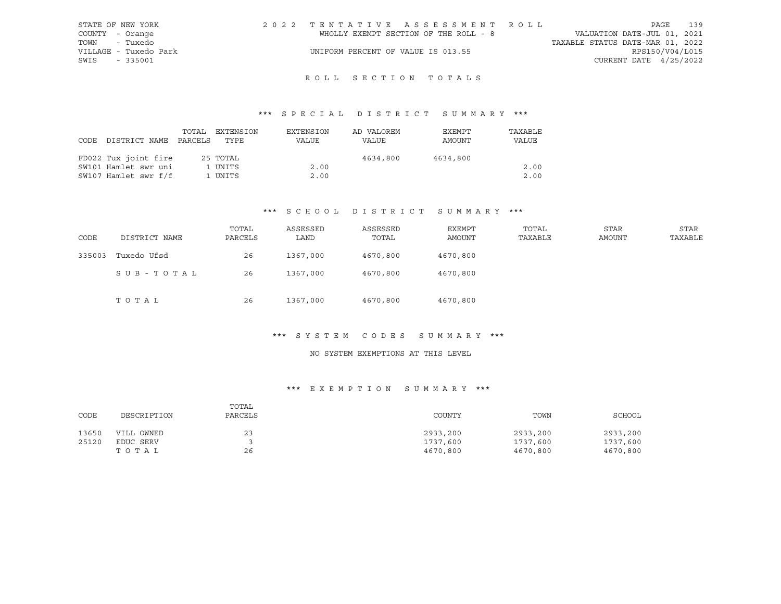| STATE OF NEW YORK     | 2022 TENTATIVE ASSESSMENT ROLL        |                                  | PAGE                        | 139 |
|-----------------------|---------------------------------------|----------------------------------|-----------------------------|-----|
| COUNTY - Orange       | WHOLLY EXEMPT SECTION OF THE ROLL - 8 |                                  | VALUATION DATE-JUL 01, 2021 |     |
| TOWN<br>- Tuxedo      |                                       | TAXABLE STATUS DATE-MAR 01, 2022 |                             |     |
| VILLAGE - Tuxedo Park | UNIFORM PERCENT OF VALUE IS 013.55    |                                  | RPS150/V04/L015             |     |
| SWIS<br>- 335001      |                                       |                                  | CURRENT DATE $4/25/2022$    |     |

## R O L L S E C T I O N T O T A L S

## \*\*\* S P E C I A L D I S T R I C T S U M M A R Y \*\*\*

| CODE | DISTRICT NAME        | TOTAL<br>PARCELS | EXTENSION<br>TYPE | EXTENSION<br>VALUE | AD VALOREM<br><b>VALUE</b> | EXEMPT<br>AMOUNT | TAXABLE<br>VALUE |
|------|----------------------|------------------|-------------------|--------------------|----------------------------|------------------|------------------|
|      | FD022 Tux joint fire |                  | 25 TOTAL          |                    | 4634,800                   | 4634,800         |                  |
|      | SW101 Hamlet swr uni |                  | 1 UNITS           | 2.00               |                            |                  | 2.00             |
|      | SW107 Hamlet swr f/f |                  | 1 UNITS           | 2.00               |                            |                  | 2.00             |

#### \*\*\* S C H O O L D I S T R I C T S U M M A R Y \*\*\*

| CODE   | DISTRICT NAME | TOTAL<br>PARCELS | ASSESSED<br>LAND | ASSESSED<br>TOTAL | EXEMPT<br>AMOUNT | TOTAL<br>TAXABLE | STAR<br><b>AMOUNT</b> | STAR<br>TAXABLE |
|--------|---------------|------------------|------------------|-------------------|------------------|------------------|-----------------------|-----------------|
| 335003 | Tuxedo Ufsd   | 26               | 1367,000         | 4670,800          | 4670,800         |                  |                       |                 |
|        | SUB-TOTAL     | 26               | 1367,000         | 4670,800          | 4670,800         |                  |                       |                 |
|        | TOTAL         | 26               | 1367,000         | 4670,800          | 4670,800         |                  |                       |                 |

#### \*\*\* S Y S T E M C O D E S S U M M A R Y \*\*\*

## NO SYSTEM EXEMPTIONS AT THIS LEVEL

### \*\*\* E X E M P T I O N S U M M A R Y \*\*\*

| CODE  | DESCRIPTION | TOTAL<br>PARCELS | COUNTY   | TOWN     | SCHOOL   |
|-------|-------------|------------------|----------|----------|----------|
| 13650 | VILL OWNED  | 23               | 2933,200 | 2933,200 | 2933,200 |
| 25120 | EDUC SERV   |                  | 1737,600 | 1737,600 | 1737,600 |
|       | TOTAL       | 26               | 4670,800 | 4670,800 | 4670,800 |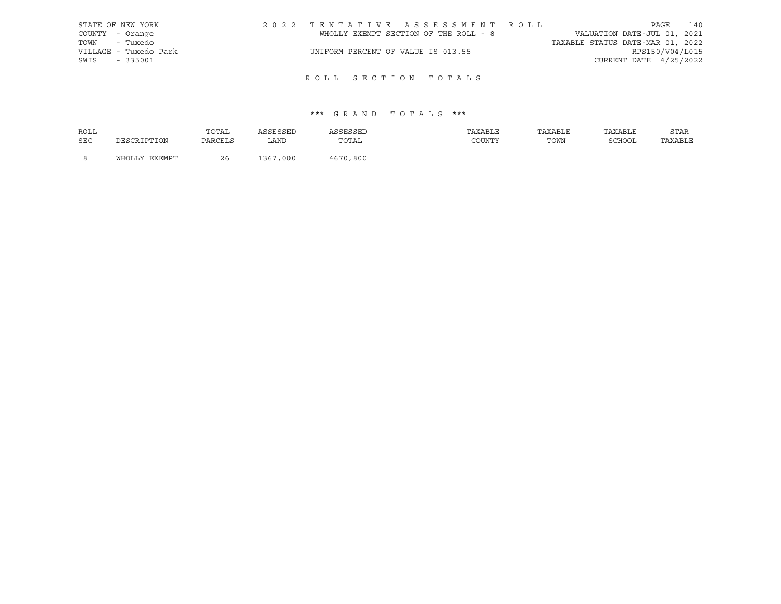| STATE OF NEW YORK     | 2022 TENTATIVE ASSESSMENT ROLL        |                                  | PAGE                   | 140 |
|-----------------------|---------------------------------------|----------------------------------|------------------------|-----|
| COUNTY - Orange       | WHOLLY EXEMPT SECTION OF THE ROLL - 8 | VALUATION DATE-JUL 01, 2021      |                        |     |
| TOWN - Tuxedo         |                                       | TAXABLE STATUS DATE-MAR 01, 2022 |                        |     |
| VILLAGE - Tuxedo Park | UNIFORM PERCENT OF VALUE IS 013.55    |                                  | RPS150/V04/L015        |     |
| SWIS<br>$-335001$     |                                       |                                  | CURRENT DATE 4/25/2022 |     |
|                       |                                       |                                  |                        |     |

## ROLL SECTION TOTALS

| ROLL |               | TOTAL   | ASSESSED | ASSESSED | TAXABLE | TAXABLE | TAXABLE | STAR    |
|------|---------------|---------|----------|----------|---------|---------|---------|---------|
| SEC  | DESCRIPTION   | PARCELS | LAND     | TOTAL    | COUNTY  | TOWN    | SCHOOL  | TAXABLE |
|      |               |         |          |          |         |         |         |         |
|      | WHOLLY EXEMPT | 26      | 1367,000 | 4670,800 |         |         |         |         |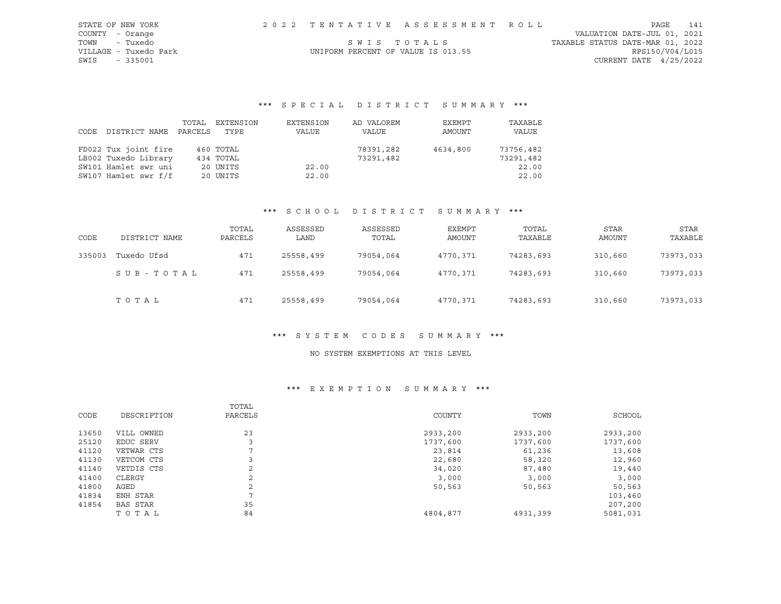| STATE OF NEW YORK     |                                    | 2022 TENTATIVE ASSESSMENT ROLL |                                  | PAGE                        | 141 |
|-----------------------|------------------------------------|--------------------------------|----------------------------------|-----------------------------|-----|
| COUNTY - Orange       |                                    |                                |                                  | VALUATION DATE-JUL 01, 2021 |     |
| TOWN<br>- Tuxedo      |                                    | SWIS TOTALS                    | TAXABLE STATUS DATE-MAR 01, 2022 |                             |     |
| VILLAGE - Tuxedo Park | UNIFORM PERCENT OF VALUE IS 013.55 |                                |                                  | RPS150/V04/L015             |     |
| SWIS - 335001         |                                    |                                |                                  | CURRENT DATE $4/25/2022$    |     |

| CODE DISTRICT NAME   | TOTAL<br>PARCELS | EXTENSION<br>TYPE | EXTENSION<br>VALUE | AD VALOREM<br>VALUE | EXEMPT<br>AMOUNT | TAXABLE<br>VALUE |
|----------------------|------------------|-------------------|--------------------|---------------------|------------------|------------------|
| FD022 Tux joint fire |                  | 460 TOTAL         |                    | 78391,282           | 4634,800         | 73756,482        |
| LB002 Tuxedo Library |                  | 434 TOTAL         |                    | 73291,482           |                  | 73291,482        |
| SW101 Hamlet swr uni |                  | 20 UNITS          | 22.00              |                     |                  | 22.00            |
| SW107 Hamlet swr f/f |                  | 20 UNITS          | 22.00              |                     |                  | 22.00            |

#### \*\*\* S C H O O L D I S T R I C T S U M M A R Y \*\*\*

| CODE   | DISTRICT NAME | TOTAL<br>PARCELS | ASSESSED<br>LAND | ASSESSED<br>TOTAL | EXEMPT<br>AMOUNT | TOTAL<br>TAXABLE | <b>STAR</b><br>AMOUNT | STAR<br>TAXABLE |
|--------|---------------|------------------|------------------|-------------------|------------------|------------------|-----------------------|-----------------|
| 335003 | Tuxedo Ufsd   | 471              | 25558,499        | 79054,064         | 4770.371         | 74283,693        | 310,660               | 73973,033       |
|        | SUB-TOTAL     | 471              | 25558,499        | 79054,064         | 4770.371         | 74283,693        | 310,660               | 73973,033       |
|        | TOTAL         | 471              | 25558,499        | 79054,064         | 4770,371         | 74283,693        | 310,660               | 73973,033       |

#### \*\*\* S Y S T E M C O D E S S U M M A R Y \*\*\*

### NO SYSTEM EXEMPTIONS AT THIS LEVEL

### \*\*\* E X E M P T I O N S U M M A R Y \*\*\*

| CODE  | DESCRIPTION | TOTAL<br>PARCELS | COUNTY   | TOWN     | SCHOOL   |
|-------|-------------|------------------|----------|----------|----------|
| 13650 | VILL OWNED  | 23               | 2933,200 | 2933,200 | 2933,200 |
| 25120 | EDUC SERV   |                  | 1737,600 | 1737,600 | 1737,600 |
| 41120 | VETWAR CTS  | ⇁                | 23,814   | 61,236   | 13,608   |
| 41130 | VETCOM CTS  |                  | 22,680   | 58,320   | 12,960   |
| 41140 | VETDIS CTS  | 2                | 34,020   | 87,480   | 19,440   |
| 41400 | CLERGY      | C.               | 3,000    | 3,000    | 3,000    |
| 41800 | AGED        | 2                | 50,563   | 50,563   | 50,563   |
| 41834 | ENH STAR    | $\overline{ }$   |          |          | 103,460  |
| 41854 | BAS STAR    | 35               |          |          | 207,200  |
|       | TOTAL       | 84               | 4804,877 | 4931,399 | 5081,031 |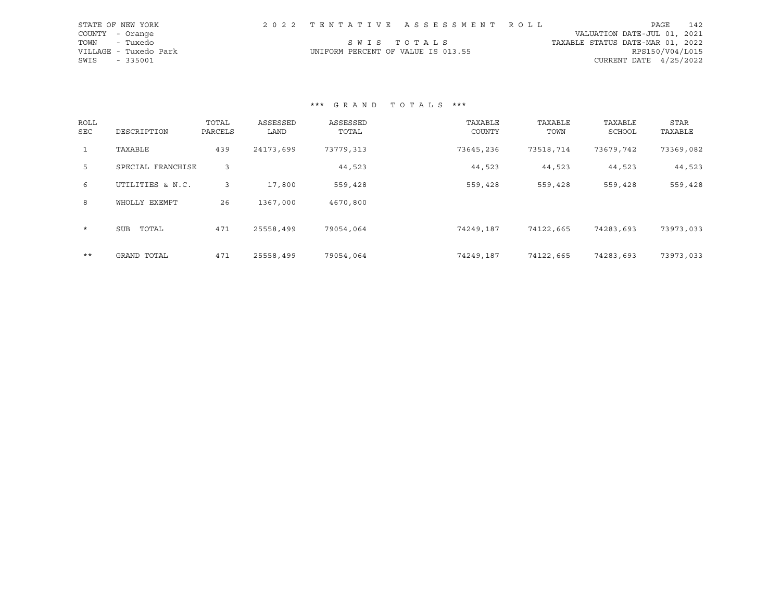| STATE OF NEW YORK     |  | 2022 TENTATIVE ASSESSMENT ROLL     | PAGE                             | 142 |
|-----------------------|--|------------------------------------|----------------------------------|-----|
| COUNTY - Orange       |  |                                    | VALUATION DATE-JUL 01, 2021      |     |
| TOWN<br>- Tuxedo      |  | SWIS TOTALS                        | TAXABLE STATUS DATE-MAR 01, 2022 |     |
| VILLAGE - Tuxedo Park |  | UNIFORM PERCENT OF VALUE IS 013.55 | RPS150/V04/L015                  |     |
| SWIS<br>- 335001      |  |                                    | CURRENT DATE $4/25/2022$         |     |

| ROLL<br>SEC  | DESCRIPTION         | TOTAL<br>PARCELS | ASSESSED<br>LAND | ASSESSED<br>TOTAL | TAXABLE<br>COUNTY | TAXABLE<br>TOWN | TAXABLE<br>SCHOOL | <b>STAR</b><br>TAXABLE |
|--------------|---------------------|------------------|------------------|-------------------|-------------------|-----------------|-------------------|------------------------|
| $\mathbf{1}$ | TAXABLE             | 439              | 24173,699        | 73779,313         | 73645,236         | 73518,714       | 73679,742         | 73369,082              |
| 5            | SPECIAL FRANCHISE   | 3                |                  | 44,523            | 44,523            | 44,523          | 44,523            | 44,523                 |
| 6            | UTILITIES & N.C.    | 3                | 17,800           | 559,428           | 559,428           | 559,428         | 559,428           | 559,428                |
| 8            | WHOLLY EXEMPT       | 26               | 1367,000         | 4670,800          |                   |                 |                   |                        |
| $\star$      | TOTAL<br><b>SUB</b> | 471              | 25558,499        | 79054,064         | 74249,187         | 74122,665       | 74283,693         | 73973,033              |
| $***$        | GRAND TOTAL         | 471              | 25558,499        | 79054,064         | 74249,187         | 74122,665       | 74283,693         | 73973,033              |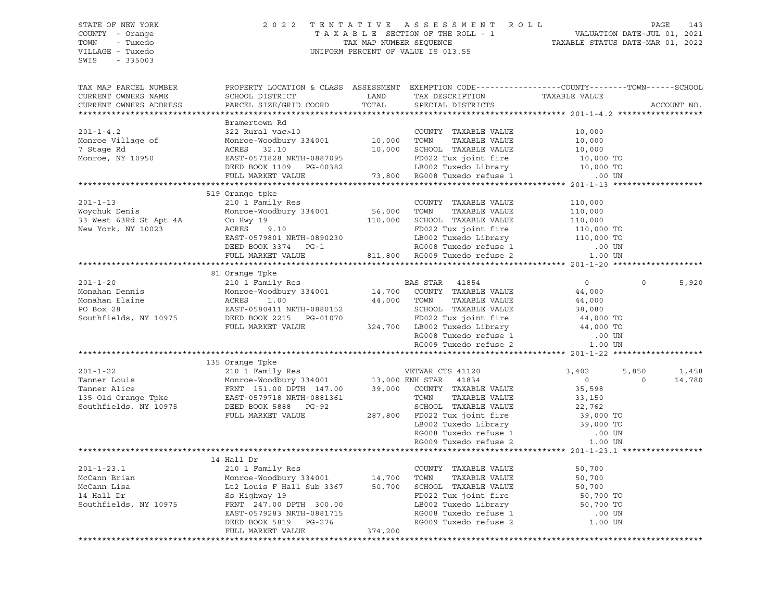SWIS - 335003

#### STATE OF NEW YORK 2 0 2 2 T E N T A T I V E A S S E S S M E N T R O L L PAGE 143 COUNTY - Orange T A X A B L E SECTION OF THE ROLL - 1 VALUATION DATE-JUL 01, 2021 TOWN - Tuxedo TAX MAP NUMBER SEQUENCE TAXABLE STATUS DATE-MAR 01, 2022 VILLAGE - Tuxedo UNIFORM PERCENT OF VALUE IS 013.55

| TAX MAP PARCEL NUMBER<br>CURRENT OWNERS NAME<br>CURRENT OWNERS ADDRESS                                                                                                                                                                     | PROPERTY LOCATION & CLASS ASSESSMENT EXEMPTION CODE----------------COUNTY-------TOWN------SCHOOL |  |  |  |                   | ACCOUNT NO.     |
|--------------------------------------------------------------------------------------------------------------------------------------------------------------------------------------------------------------------------------------------|--------------------------------------------------------------------------------------------------|--|--|--|-------------------|-----------------|
|                                                                                                                                                                                                                                            |                                                                                                  |  |  |  |                   |                 |
| Examericwn Rd Bramericwn Rd 322 Rural vac>10<br>Monroe Village of Monroe-Woodbury 334001<br>7 Stage Rd 201-1-4.2<br>Monroe Village of Monroe-Woodbury 334001<br>7 Stage Rd 201-2 Rural COUNTY TAXABLE VALUE<br>201-000<br>7 Stage Rd 201-2 | Bramertown Rd                                                                                    |  |  |  |                   |                 |
|                                                                                                                                                                                                                                            |                                                                                                  |  |  |  |                   |                 |
|                                                                                                                                                                                                                                            |                                                                                                  |  |  |  |                   |                 |
|                                                                                                                                                                                                                                            |                                                                                                  |  |  |  |                   |                 |
| 201-1-13<br>Woychuk Denis<br>Worker 63Rd St Apt 4A<br>Co Hwy 19<br>ACRES<br>PAST-0579                                                                                                                                                      | 519 Orange tpke                                                                                  |  |  |  |                   |                 |
|                                                                                                                                                                                                                                            |                                                                                                  |  |  |  |                   |                 |
|                                                                                                                                                                                                                                            |                                                                                                  |  |  |  |                   |                 |
|                                                                                                                                                                                                                                            |                                                                                                  |  |  |  |                   |                 |
|                                                                                                                                                                                                                                            |                                                                                                  |  |  |  | $\Omega$          | 5,920           |
|                                                                                                                                                                                                                                            |                                                                                                  |  |  |  |                   |                 |
|                                                                                                                                                                                                                                            |                                                                                                  |  |  |  |                   |                 |
|                                                                                                                                                                                                                                            |                                                                                                  |  |  |  | 5,850<br>$\Omega$ | 1,458<br>14,780 |
| 135 Orange Tpke Monroe Woodbury 334001 13,000 ENH STAR CTS 41120 3,402 5,<br>Tanner Louis Monroe Woodbury 334001 13,000 ENH STAR 41834 0<br>Tanner Alice FRNT 151.00 DPTH 147.00 39,000 COUNTY TAXABLE VALUE 33,598<br>135 Old Orang       |                                                                                                  |  |  |  |                   |                 |
|                                                                                                                                                                                                                                            |                                                                                                  |  |  |  |                   |                 |
|                                                                                                                                                                                                                                            |                                                                                                  |  |  |  |                   |                 |
|                                                                                                                                                                                                                                            |                                                                                                  |  |  |  |                   |                 |
|                                                                                                                                                                                                                                            |                                                                                                  |  |  |  |                   |                 |
|                                                                                                                                                                                                                                            |                                                                                                  |  |  |  |                   |                 |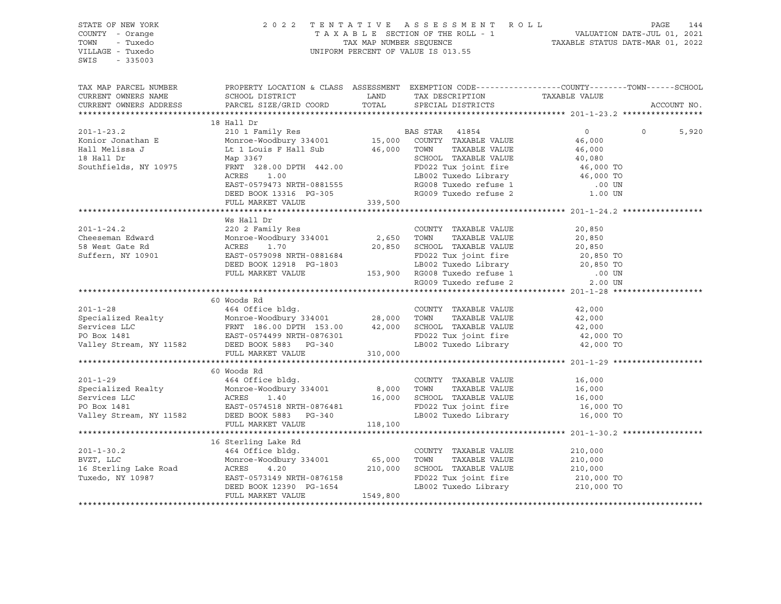STATE OF NEW YORK 2 0 2 2 T E N T A T I V E A S S E S S M E N T R O L L PAGE 144 COUNTY - Orange T A X A B L E SECTION OF THE ROLL - 1 VALUATION DATE-JUL 01, 2021 TOWN - Tuxedo TAX MAP NUMBER SEQUENCE TAXABLE STATUS DATE-MAR 01, 2022 UNIFORM PERCENT OF VALUE IS 013.55 SWIS - 335003 TAX MAP PARCEL NUMBER PROPERTY LOCATION & CLASS ASSESSMENT EXEMPTION CODE----------------COUNTY-------TOWN-----SCHOOL CURRENT OWNERS NAME SCHOOL DISTRICT LAND TAX DESCRIPTION TAXABLE VALUE CURRENT OWNERS ADDRESS PARCEL SIZE/GRID COORD TOTAL SPECIAL DISTRICTS ACCOUNT NO. \*\*\*\*\*\*\*\*\*\*\*\*\*\*\*\*\*\*\*\*\*\*\*\*\*\*\*\*\*\*\*\*\*\*\*\*\*\*\*\*\*\*\*\*\*\*\*\*\*\*\*\*\*\*\*\*\*\*\*\*\*\*\*\*\*\*\*\*\*\*\*\*\*\*\*\*\*\*\*\*\*\*\*\*\*\*\*\*\*\*\*\*\*\*\*\*\*\*\*\*\*\*\* 201-1-23.2 \*\*\*\*\*\*\*\*\*\*\*\*\*\*\*\*\* 18 Hall Dr 201-1-23.2 210 1 Family Res BAS STAR 41854 0 0 5,920 Konior Jonathan E Monroe-Woodbury 334001 15,000 COUNTY TAXABLE VALUE 46,000 Hall Melissa J Lt 1 Louis F Hall Sub 46,000 TOWN TAXABLE VALUE 46,000 18 Hall Dr Map 3367 SCHOOL TAXABLE VALUE 40,080 Southfields, NY 10975 FRNT 328.00 DPTH 442.00 SURVEY FOO22 Tux joint fire 46,000 TO<br>ACRES 1.00 FOO22 Tux joint fire 46,000 TO ACRES 1.00 LB002 Tuxedo Library 46,000 TO EAST-0579473 NRTH-0881555 RG008 Tuxedo refuse 1 .00 UN DEED BOOK 13316 PG-305 RG009 Tuxedo refuse 2 1.00 UN FULL MARKET VALUE 339,500 \*\*\*\*\*\*\*\*\*\*\*\*\*\*\*\*\*\*\*\*\*\*\*\*\*\*\*\*\*\*\*\*\*\*\*\*\*\*\*\*\*\*\*\*\*\*\*\*\*\*\*\*\*\*\*\*\*\*\*\*\*\*\*\*\*\*\*\*\*\*\*\*\*\*\*\*\*\*\*\*\*\*\*\*\*\*\*\*\*\*\*\*\*\*\*\*\*\*\*\*\*\*\* 201-1-24.2 \*\*\*\*\*\*\*\*\*\*\*\*\*\*\*\*\* Ws Hall Dr 201-1-24.2 220 2 Family Res COUNTY TAXABLE VALUE 20,850 Cheeseman Edward Monroe-Woodbury 334001 2,650 TOWN TAXABLE VALUE 20,850 58 West Gate Rd ACRES 1.70 20,850 SCHOOL TAXABLE VALUE 20,850 Suffern, NY 10901 EAST-0579098 NRTH-0881684 FD022 Tux joint fire 20,850 TO DEED BOOK 12918 PG-1803 LB002 Tuxedo Library 20,850 TO FULL MARKET VALUE 153,900 RG008 Tuxedo refuse 1 .00 UN RG009 Tuxedo refuse 2 2.00 UN \*\*\*\*\*\*\*\*\*\*\*\*\*\*\*\*\*\*\*\*\*\*\*\*\*\*\*\*\*\*\*\*\*\*\*\*\*\*\*\*\*\*\*\*\*\*\*\*\*\*\*\*\*\*\*\*\*\*\*\*\*\*\*\*\*\*\*\*\*\*\*\*\*\*\*\*\*\*\*\*\*\*\*\*\*\*\*\*\*\*\*\*\*\*\*\*\*\*\*\*\*\*\* 201-1-28 \*\*\*\*\*\*\*\*\*\*\*\*\*\*\*\*\*\*\* 60 Woods Rd 201-1-28 464 Office bldg. COUNTY TAXABLE VALUE 42,000 Specialized Realty Monroe-Woodbury 334001 28,000 TOWN TAXABLE VALUE 42,000 Services LLC FRNT 186.00 DPTH 153.00 42,000 SCHOOL TAXABLE VALUE 42,000 PO Box 1481 EAST-0574499 NRTH-0876301 FD022 Tux joint fire 42,000 TO Valley Stream, NY 11582 DEED BOOK 5883 PG-340 LB002 Tuxedo Library 42,000 TO FULL MARKET VALUE 310,000 \*\*\*\*\*\*\*\*\*\*\*\*\*\*\*\*\*\*\*\*\*\*\*\*\*\*\*\*\*\*\*\*\*\*\*\*\*\*\*\*\*\*\*\*\*\*\*\*\*\*\*\*\*\*\*\*\*\*\*\*\*\*\*\*\*\*\*\*\*\*\*\*\*\*\*\*\*\*\*\*\*\*\*\*\*\*\*\*\*\*\*\*\*\*\*\*\*\*\*\*\*\*\* 201-1-29 \*\*\*\*\*\*\*\*\*\*\*\*\*\*\*\*\*\*\* 60 Woods Rd 201-1-29 464 Office bldg. COUNTY TAXABLE VALUE 16,000 Specialized Realty Monroe-Woodbury 334001 8,000 TOWN TAXABLE VALUE 16,000 Services LLC ACRES 1.40 16,000 SCHOOL TAXABLE VALUE 16,000 PO Box 1481 EAST-0574518 NRTH-0876481 FD022 Tux joint fire 16,000 TO Valley Stream, NY 11582 DEED BOOK 5883 PG-340 LB002 Tuxedo Library 16,000 TO FULL MARKET VALUE 118,100 \*\*\*\*\*\*\*\*\*\*\*\*\*\*\*\*\*\*\*\*\*\*\*\*\*\*\*\*\*\*\*\*\*\*\*\*\*\*\*\*\*\*\*\*\*\*\*\*\*\*\*\*\*\*\*\*\*\*\*\*\*\*\*\*\*\*\*\*\*\*\*\*\*\*\*\*\*\*\*\*\*\*\*\*\*\*\*\*\*\*\*\*\*\*\*\*\*\*\*\*\*\*\* 201-1-30.2 \*\*\*\*\*\*\*\*\*\*\*\*\*\*\*\*\* 16 Sterling Lake Rd 201-1-30.2 464 Office bldg. COUNTY TAXABLE VALUE 210,000 BVZT, LLC Monroe-Woodbury 334001 65,000 TOWN TAXABLE VALUE 210,000 16 Sterling Lake Road ACRES 4.20 210,000 SCHOOL TAXABLE VALUE 210,000 Tuxedo, NY 10987 EAST-0573149 NRTH-0876158 FD022 Tux joint fire 210,000 TO DEED BOOK 12390 PG-1654 LB002 Tuxedo Library 210,000 TO FULL MARKET VALUE 1549,800 \*\*\*\*\*\*\*\*\*\*\*\*\*\*\*\*\*\*\*\*\*\*\*\*\*\*\*\*\*\*\*\*\*\*\*\*\*\*\*\*\*\*\*\*\*\*\*\*\*\*\*\*\*\*\*\*\*\*\*\*\*\*\*\*\*\*\*\*\*\*\*\*\*\*\*\*\*\*\*\*\*\*\*\*\*\*\*\*\*\*\*\*\*\*\*\*\*\*\*\*\*\*\*\*\*\*\*\*\*\*\*\*\*\*\*\*\*\*\*\*\*\*\*\*\*\*\*\*\*\*\*\*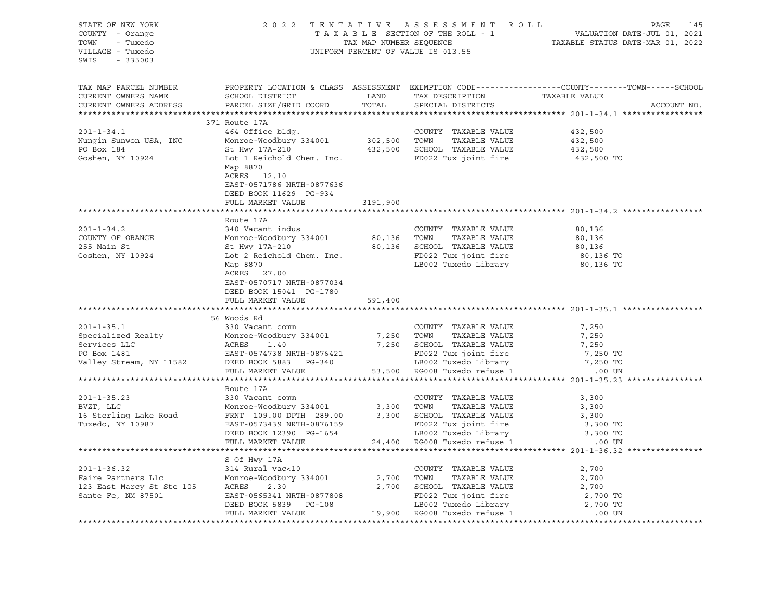| STATE OF NEW YORK<br>COUNTY - Orange<br>TOWN - Tuxedo<br>VILLAGE - Tuxedo<br>SWIS<br>$-335003$                                                                                                                                                                 |                                                                                                                                                                                                                                                                      |          | 2022 TENTATIVE ASSESSMENT ROLL<br>UNIFORM PERCENT OF VALUE IS 013.55 | PAGE<br>145                                                                                                     |
|----------------------------------------------------------------------------------------------------------------------------------------------------------------------------------------------------------------------------------------------------------------|----------------------------------------------------------------------------------------------------------------------------------------------------------------------------------------------------------------------------------------------------------------------|----------|----------------------------------------------------------------------|-----------------------------------------------------------------------------------------------------------------|
| TAX MAP PARCEL NUMBER<br>CURRENT OWNERS NAME<br>CURRENT OWNERS ADDRESS                                                                                                                                                                                         | SCHOOL DISTRICT<br>PARCEL SIZE/GRID COORD                                                                                                                                                                                                                            | TOTAL    | LAND TAX DESCRIPTION TAXABLE VALUE<br>SPECIAL DISTRICTS              | PROPERTY LOCATION & CLASS ASSESSMENT EXEMPTION CODE----------------COUNTY-------TOWN------SCHOOL<br>ACCOUNT NO. |
|                                                                                                                                                                                                                                                                | 371 Route 17A                                                                                                                                                                                                                                                        |          |                                                                      |                                                                                                                 |
| $201 - 1 - 34.1$<br>Nungin Sunwon USA, INC Monroe-Woodbury 334001 302,500 TOWN TAXABLE VALUE<br>PO Box 184 St Hwy 17A-210 432,500 SCHOOL TAXABLE VALUE<br>Goshen, NY 10924                                                                                     | 464 Office bldg.<br>Lot 1 Reichold Chem. Inc. PD022 Tux joint fire<br>Map 8870<br>ACRES 12.10<br>EAST-0571786 NRTH-0877636                                                                                                                                           |          | COUNTY TAXABLE VALUE                                                 | 432,500<br>432,500<br>432,500<br>432,500 TO                                                                     |
|                                                                                                                                                                                                                                                                | DEED BOOK 11629 PG-934                                                                                                                                                                                                                                               |          |                                                                      |                                                                                                                 |
|                                                                                                                                                                                                                                                                | FULL MARKET VALUE                                                                                                                                                                                                                                                    | 3191,900 |                                                                      |                                                                                                                 |
|                                                                                                                                                                                                                                                                |                                                                                                                                                                                                                                                                      |          |                                                                      |                                                                                                                 |
|                                                                                                                                                                                                                                                                | Route 17A                                                                                                                                                                                                                                                            |          |                                                                      |                                                                                                                 |
| $201 - 1 - 34.2$<br>COUNTY OF ORANGE<br>255 Main St                                                                                                                                                                                                            | 340 Vacant indus<br>Monroe-Woodbury 334001 80,136 TOWN TAXABLE VALUE                                                                                                                                                                                                 |          | COUNTY TAXABLE VALUE                                                 | 80,136<br>80,136<br>80,136                                                                                      |
| Goshen, NY 10924                                                                                                                                                                                                                                               | Solution of the Control of TAXABLE VALUE<br>St Hwy 17A-210<br>Lot 2 Reichold Chem. Inc.<br>Map 8870<br>Map 8870<br>LB002 Tuxedo Library<br>ACRES 27.00<br>EAST-0570717 NRTH-0877034<br>DEED BOOK 15041 PG-1780                                                       |          |                                                                      | 80,136 TO<br>80,136 TO                                                                                          |
|                                                                                                                                                                                                                                                                | FULL MARKET VALUE                                                                                                                                                                                                                                                    | 591,400  |                                                                      |                                                                                                                 |
|                                                                                                                                                                                                                                                                |                                                                                                                                                                                                                                                                      |          |                                                                      |                                                                                                                 |
| 301-1-35.1<br>Specialized Realty<br>Specialized Realty<br>Services LLC<br>PO Box 1481<br>PO Box 1481<br>PO Box 1481<br>PO Box 1481<br>PO Box 1481<br>PO Box 1481<br>PO Box 1481<br>PO Box 1481<br>PO Box 1481<br>PO Box 1481<br>PO Box 1481<br>PO Box 1481<br> |                                                                                                                                                                                                                                                                      |          | 7,250 SCHOOL TAXABLE VALUE                                           | 7,250<br>7,250<br>7,250<br>7,250 TO                                                                             |
|                                                                                                                                                                                                                                                                |                                                                                                                                                                                                                                                                      |          |                                                                      | 7,250 TO                                                                                                        |
|                                                                                                                                                                                                                                                                | FULL MARKET VALUE                                                                                                                                                                                                                                                    |          | 53,500 RG008 Tuxedo refuse 1 .00 UN                                  |                                                                                                                 |
|                                                                                                                                                                                                                                                                |                                                                                                                                                                                                                                                                      |          |                                                                      |                                                                                                                 |
| $201 - 1 - 35.23$<br>BVZT, LLC<br>16 Sterling Lake Road<br>Tuxedo, NY 10987                                                                                                                                                                                    | Route 17A<br>330 Vacant comm<br>Monroe-Woodbury 334001 3,300 TOWN TAXABLE VALUE 3,300<br>FRNT 109.00 DPTH 289.00 3,300 SCHOOL TAXABLE VALUE 3,300<br>EAST-0573439 NRTH-0876159 FD022 Tux joint fire 3,300 TO<br>DEED BOOK 12390 PG-1654 LB002 Tuxedo Library 3,300 T |          | COUNTY TAXABLE VALUE                                                 | 3,300                                                                                                           |
|                                                                                                                                                                                                                                                                |                                                                                                                                                                                                                                                                      |          |                                                                      |                                                                                                                 |
| $201 - 1 - 36.32$<br>Faire Partners L1c Monroe-Woodbury 334001 2,700 TOWN TAXABLE VALUE 2,700<br>123 East Marcy St Ste 105 ACRES 2.30 2,700 SCHOOL TAXABLE VALUE 2,700<br>Sante Fe, NM 87501 EAST-0565341 NRTH-0877808 FD022 Tux joint fire 2,700 TO<br>D      | S Of Hwy 17A<br>314 Rural vac<10                                                                                                                                                                                                                                     |          | COUNTY TAXABLE VALUE                                                 | 2,700                                                                                                           |
|                                                                                                                                                                                                                                                                |                                                                                                                                                                                                                                                                      |          |                                                                      |                                                                                                                 |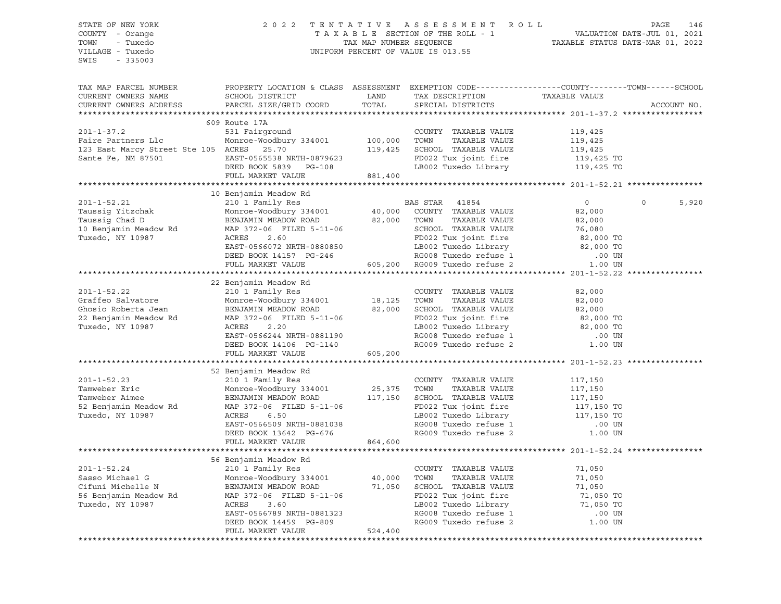SWIS - 335003

#### STATE OF NEW YORK 2 0 2 2 T E N T A T I V E A S S E S S M E N T R O L L PAGE 146 COUNTY - Orange T A X A B L E SECTION OF THE ROLL - 1 VALUATION DATE-JUL 01, 2021 TOWN - Tuxedo TAX MAP NUMBER SEQUENCE TAXABLE STATUS DATE-MAR 01, 2022 VILLAGE - Tuxedo UNIFORM PERCENT OF VALUE IS 013.55

TAX MAP PARCEL NUMBER PROPERTY LOCATION & CLASS ASSESSMENT EXEMPTION CODE------------------COUNTY--------TOWN------SCHOOL CURRENT OWNERS NAME SCHOOL DISTRICT LAND TAX DESCRIPTION TAXABLE VALUE CURRENT OWNERS ADDRESS PARCEL SIZE/GRID COORD TOTAL SPECIAL DISTRICTS ACCOUNT NO. \*\*\*\*\*\*\*\*\*\*\*\*\*\*\*\*\*\*\*\*\*\*\*\*\*\*\*\*\*\*\*\*\*\*\*\*\*\*\*\*\*\*\*\*\*\*\*\*\*\*\*\*\*\*\*\*\*\*\*\*\*\*\*\*\*\*\*\*\*\*\*\*\*\*\*\*\*\*\*\*\*\*\*\*\*\*\*\*\*\*\*\*\*\*\*\*\*\*\*\*\*\*\* 201-1-37.2 \*\*\*\*\*\*\*\*\*\*\*\*\*\*\*\*\* 609 Route 17A 201-1-37.2 531 Fairground COUNTY TAXABLE VALUE 119,425 Faire Partners Llc Monroe-Woodbury 334001 100,000 TOWN TAXABLE VALUE 119,425 123 East Marcy Street Ste 105 ACRES 25.70 119,425 SCHOOL TAXABLE VALUE 119,425 Sante Fe, NM 87501 EAST-0565538 NRTH-0879623 FD022 Tux joint fire 119,425 TO DEED BOOK 5839 PG-108 LB002 Tuxedo Library 119,425 TO FULL MARKET VALUE 881,400 \*\*\*\*\*\*\*\*\*\*\*\*\*\*\*\*\*\*\*\*\*\*\*\*\*\*\*\*\*\*\*\*\*\*\*\*\*\*\*\*\*\*\*\*\*\*\*\*\*\*\*\*\*\*\*\*\*\*\*\*\*\*\*\*\*\*\*\*\*\*\*\*\*\*\*\*\*\*\*\*\*\*\*\*\*\*\*\*\*\*\*\*\*\*\*\*\*\*\*\*\*\*\* 201-1-52.21 \*\*\*\*\*\*\*\*\*\*\*\*\*\*\*\* 10 Benjamin Meadow Rd 201-1-52.21 210 1 Family Res BAS STAR 41854 0 0 5,920 Taussig Yitzchak Monroe-Woodbury 334001 40,000 COUNTY TAXABLE VALUE 82,000 Taussig Chad D BENJAMIN MEADOW ROAD 82,000 TOWN TAXABLE VALUE 82,000 10 Benjamin Meadow Rd MAP 372-06 FILED 5-11-06 SCHOOL TAXABLE VALUE 76,080 Tuxedo, NY 10987 ACRES 2.60 FD022 Tux joint fire 82,000 TO EAST-0566072 NRTH-0880850 LB002 Tuxedo Library 82,000 TO DEED BOOK 14157 PG-246 RG008 Tuxedo refuse 1 .00 UN FULL MARKET VALUE 605,200 RG009 Tuxedo refuse 2 1.00 UN \*\*\*\*\*\*\*\*\*\*\*\*\*\*\*\*\*\*\*\*\*\*\*\*\*\*\*\*\*\*\*\*\*\*\*\*\*\*\*\*\*\*\*\*\*\*\*\*\*\*\*\*\*\*\*\*\*\*\*\*\*\*\*\*\*\*\*\*\*\*\*\*\*\*\*\*\*\*\*\*\*\*\*\*\*\*\*\*\*\*\*\*\*\*\*\*\*\*\*\*\*\*\* 201-1-52.22 \*\*\*\*\*\*\*\*\*\*\*\*\*\*\*\* 22 Benjamin Meadow Rd 201-1-52.22 210 1 Family Res COUNTY TAXABLE VALUE 82,000 Graffeo Salvatore Monroe-Woodbury 334001 18,125 TOWN TAXABLE VALUE 82,000 Ghosio Roberta Jean BENJAMIN MEADOW ROAD 82,000 SCHOOL TAXABLE VALUE 82,000 22 Benjamin Meadow Rd MAP 372-06 FILED 5-11-06 FD022 Tux joint fire 82,000 TO Tuxedo, NY 10987 ACRES 2.20 LB002 Tuxedo Library 82,000 TO EAST-0566244 NRTH-0881190 RG008 Tuxedo refuse 1 .00 UN DEED BOOK 14106 PG-1140 RG009 Tuxedo refuse 2 1.00 UN FULL MARKET VALUE 605,200 \*\*\*\*\*\*\*\*\*\*\*\*\*\*\*\*\*\*\*\*\*\*\*\*\*\*\*\*\*\*\*\*\*\*\*\*\*\*\*\*\*\*\*\*\*\*\*\*\*\*\*\*\*\*\*\*\*\*\*\*\*\*\*\*\*\*\*\*\*\*\*\*\*\*\*\*\*\*\*\*\*\*\*\*\*\*\*\*\*\*\*\*\*\*\*\*\*\*\*\*\*\*\* 201-1-52.23 \*\*\*\*\*\*\*\*\*\*\*\*\*\*\*\* 52 Benjamin Meadow Rd 201-1-52.23 210 1 Family Res COUNTY TAXABLE VALUE 117,150 Tamweber Eric Monroe-Woodbury 334001 25,375 TOWN TAXABLE VALUE 117,150 Tamweber Aimee BENJAMIN MEADOW ROAD 117,150 SCHOOL TAXABLE VALUE 117,150 52 Benjamin Meadow Rd MAP 372-06 FILED 5-11-06 FD022 Tux joint fire 117,150 TO Tuxedo, NY 10987 ACRES 6.50 LB002 Tuxedo Library 117,150 TO EAST-0566509 NRTH-0881038 RG008 Tuxedo refuse 1 .00 UN DEED BOOK 13642 PG-676 RG009 Tuxedo refuse 2 1.00 UN FULL MARKET VALUE 864,600 \*\*\*\*\*\*\*\*\*\*\*\*\*\*\*\*\*\*\*\*\*\*\*\*\*\*\*\*\*\*\*\*\*\*\*\*\*\*\*\*\*\*\*\*\*\*\*\*\*\*\*\*\*\*\*\*\*\*\*\*\*\*\*\*\*\*\*\*\*\*\*\*\*\*\*\*\*\*\*\*\*\*\*\*\*\*\*\*\*\*\*\*\*\*\*\*\*\*\*\*\*\*\* 201-1-52.24 \*\*\*\*\*\*\*\*\*\*\*\*\*\*\*\* 56 Benjamin Meadow Rd 201-1-52.24 210 1 Family Res COUNTY TAXABLE VALUE 71,050 Sasso Michael G Monroe-Woodbury 334001 40,000 TOWN TAXABLE VALUE 71,050 Cifuni Michelle N BENJAMIN MEADOW ROAD 71,050 SCHOOL TAXABLE VALUE 71,050 56 Benjamin Meadow Rd MAP 372-06 FILED 5-11-06 FD022 Tux joint fire 71,050 TO Tuxedo, NY 10987 ACRES 3.60 LB002 Tuxedo Library 71,050 TO EAST-0566789 NRTH-0881323 RG008 Tuxedo refuse 1 .00 UN DEED BOOK 14459 PG-809 RG009 Tuxedo refuse 2 1.00 UN FULL MARKET VALUE 524,400

\*\*\*\*\*\*\*\*\*\*\*\*\*\*\*\*\*\*\*\*\*\*\*\*\*\*\*\*\*\*\*\*\*\*\*\*\*\*\*\*\*\*\*\*\*\*\*\*\*\*\*\*\*\*\*\*\*\*\*\*\*\*\*\*\*\*\*\*\*\*\*\*\*\*\*\*\*\*\*\*\*\*\*\*\*\*\*\*\*\*\*\*\*\*\*\*\*\*\*\*\*\*\*\*\*\*\*\*\*\*\*\*\*\*\*\*\*\*\*\*\*\*\*\*\*\*\*\*\*\*\*\*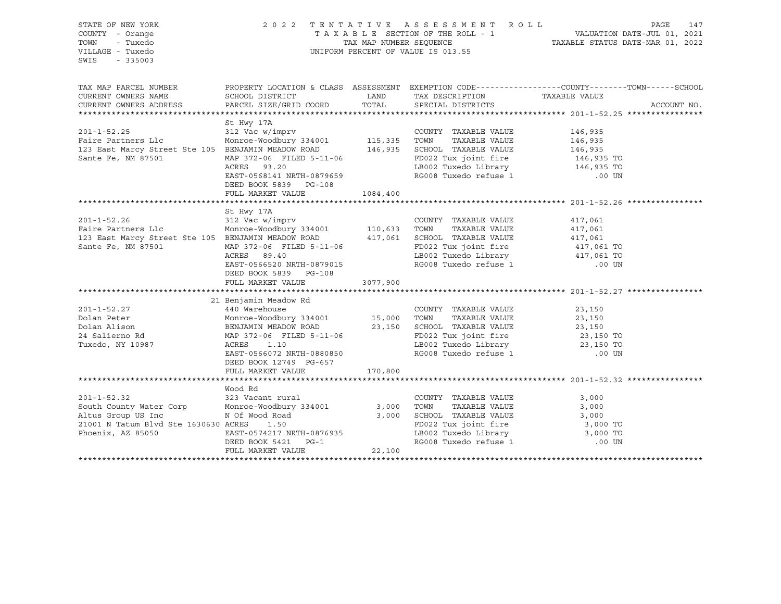| STATE OF NEW YORK<br>COUNTY - Orange<br>TOWN<br>- Tuxedo<br>VILLAGE - Tuxedo<br>$-335003$<br>SWIS                                                                                                                                                         | 2022 TENTATIVE ASSESSMENT ROLL<br>UNIFORM PERCENT OF VALUE IS 013.55                                                                                                      | PAGE<br>147<br>TAXABLE SECTION OF THE ROLL - 1<br>TAXABLE STATUS DATE-JUL 01, 2021<br>TAXABLE STATUS DATE-MAR 01, 2022 |                                                                                     |                                                                                                  |  |
|-----------------------------------------------------------------------------------------------------------------------------------------------------------------------------------------------------------------------------------------------------------|---------------------------------------------------------------------------------------------------------------------------------------------------------------------------|------------------------------------------------------------------------------------------------------------------------|-------------------------------------------------------------------------------------|--------------------------------------------------------------------------------------------------|--|
| TAX MAP PARCEL NUMBER<br>CURRENT OWNERS NAME                                                                                                                                                                                                              | SCHOOL DISTRICT                                                                                                                                                           | <b>LAND</b>                                                                                                            | TAX DESCRIPTION                                                                     | PROPERTY LOCATION & CLASS ASSESSMENT EXEMPTION CODE----------------COUNTY-------TOWN------SCHOOL |  |
| CURRENT OWNERS ADDRESS                                                                                                                                                                                                                                    | PARCEL SIZE/GRID COORD                                                                                                                                                    |                                                                                                                        | TOTAL SPECIAL DISTRICTS                                                             | TAXABLE VALUE<br>ACCOUNT NO.                                                                     |  |
|                                                                                                                                                                                                                                                           |                                                                                                                                                                           |                                                                                                                        |                                                                                     |                                                                                                  |  |
|                                                                                                                                                                                                                                                           | St Hwy 17A                                                                                                                                                                |                                                                                                                        |                                                                                     |                                                                                                  |  |
| $201 - 1 - 52.25$<br>201-1-52.25 312 Vac W/1mprv<br>Faire Partners Llc Monroe-Woodbury 334001 115,335 TOWN TAXABLE VALUE<br>123 East Marcy Street Ste 105 BENJAMIN MEADOW ROAD 146,935 SCHOOL TAXABLE VALUE<br>Sante Fe, NM 87501 MAP 372-06 FILED 5-11-0 | 312 Vac w/imprv                                                                                                                                                           |                                                                                                                        | COUNTY TAXABLE VALUE                                                                | 146,935                                                                                          |  |
|                                                                                                                                                                                                                                                           |                                                                                                                                                                           |                                                                                                                        |                                                                                     | 146,935<br>146,935                                                                               |  |
|                                                                                                                                                                                                                                                           |                                                                                                                                                                           |                                                                                                                        |                                                                                     |                                                                                                  |  |
|                                                                                                                                                                                                                                                           |                                                                                                                                                                           |                                                                                                                        | FD022 Tux joint fire<br>FD022 Tux joint fire<br>T.ROO? Tuxedo Library 146,935 TO    |                                                                                                  |  |
|                                                                                                                                                                                                                                                           | ACRES 93.20                                                                                                                                                               |                                                                                                                        | LB002 Tuxedo Library<br>RG008 Tuxedo refuse 1                                       |                                                                                                  |  |
|                                                                                                                                                                                                                                                           | EAST-0568141 NRTH-0879659<br>DEED BOOK 5839 PG-108                                                                                                                        |                                                                                                                        |                                                                                     | .00 UN                                                                                           |  |
|                                                                                                                                                                                                                                                           | FULL MARKET VALUE                                                                                                                                                         | 1084,400                                                                                                               |                                                                                     |                                                                                                  |  |
|                                                                                                                                                                                                                                                           |                                                                                                                                                                           |                                                                                                                        |                                                                                     |                                                                                                  |  |
|                                                                                                                                                                                                                                                           | St Hwy 17A                                                                                                                                                                |                                                                                                                        |                                                                                     |                                                                                                  |  |
|                                                                                                                                                                                                                                                           | 312 Vac w/imprv                                                                                                                                                           |                                                                                                                        | COUNTY TAXABLE VALUE                                                                | 417,061                                                                                          |  |
|                                                                                                                                                                                                                                                           |                                                                                                                                                                           |                                                                                                                        | TOWN<br>TAXABLE VALUE                                                               | 417,061                                                                                          |  |
| 123 East Marcy Street Ste 105 BENJAMIN MEADOW ROAD 417,061 SCHOOL TAXABLE VALUE                                                                                                                                                                           |                                                                                                                                                                           |                                                                                                                        |                                                                                     | 417,061                                                                                          |  |
| Sante Fe, NM 87501                                                                                                                                                                                                                                        | $\begin{tabular}{lllllllllllll} \texttt{BENUANILN} & \texttt{PIBADON} & \texttt{NOMD} \\ \texttt{MAP } 372\texttt{-06} & \texttt{FILED} & \texttt{5-11-06} \end{tabular}$ |                                                                                                                        | FD022 Tux joint fire<br>LB002 Tuxedo Library 117,061 TO<br>117,061 TO<br>117,061 TO |                                                                                                  |  |
|                                                                                                                                                                                                                                                           | ACRES 89.40                                                                                                                                                               |                                                                                                                        |                                                                                     |                                                                                                  |  |
|                                                                                                                                                                                                                                                           | EAST-0566520 NRTH-0879015<br>DEED BOOK 5839 PG-108                                                                                                                        |                                                                                                                        | LB002 Tuxedo Library 417,061 TO<br>RG008 Tuxedo refuse 1 000 UN                     |                                                                                                  |  |
|                                                                                                                                                                                                                                                           | FULL MARKET VALUE                                                                                                                                                         | 3077,900                                                                                                               |                                                                                     |                                                                                                  |  |
|                                                                                                                                                                                                                                                           |                                                                                                                                                                           |                                                                                                                        |                                                                                     |                                                                                                  |  |
|                                                                                                                                                                                                                                                           | 21 Benjamin Meadow Rd                                                                                                                                                     |                                                                                                                        |                                                                                     |                                                                                                  |  |
| $201 - 1 - 52.27$<br>Dolan Peter                                                                                                                                                                                                                          | 440 Warehouse                                                                                                                                                             |                                                                                                                        | COUNTY TAXABLE VALUE                                                                | 23,150                                                                                           |  |
| Dolan Alison                                                                                                                                                                                                                                              | Monroe-Woodbury 334001 15,000 TOWN TAXABLE VALUE<br>BENJAMIN MEADOW ROAD 23,150 SCHOOL TAXABLE VALUE                                                                      |                                                                                                                        |                                                                                     | TAXABLE VALUE 23,150<br>TAXABLE VALUE 23,150                                                     |  |
| 24 Salierno Rd                                                                                                                                                                                                                                            | Monroe-Woodbury 334001<br>BENJAMIN MEADOW ROAD<br>MAP 372-06 FILED 5-11-06<br>ACREST 1.10<br>MAP 372-06 FILED 5-11-06                                                     |                                                                                                                        | FD022 Tux joint fire                                                                |                                                                                                  |  |
| Tuxedo, NY 10987                                                                                                                                                                                                                                          | ACRES<br>1.10                                                                                                                                                             |                                                                                                                        |                                                                                     | 23,150 TO<br>23,150 TO                                                                           |  |
|                                                                                                                                                                                                                                                           | EAST-0566072 NRTH-0880850                                                                                                                                                 |                                                                                                                        | LB002 Tuxedo Library<br>RG008 Tuxedo refuse 1                                       | $.00$ UN                                                                                         |  |
|                                                                                                                                                                                                                                                           | DEED BOOK 12749 PG-657                                                                                                                                                    |                                                                                                                        |                                                                                     |                                                                                                  |  |
|                                                                                                                                                                                                                                                           | FULL MARKET VALUE                                                                                                                                                         | 170,800                                                                                                                |                                                                                     |                                                                                                  |  |
|                                                                                                                                                                                                                                                           |                                                                                                                                                                           |                                                                                                                        |                                                                                     |                                                                                                  |  |
|                                                                                                                                                                                                                                                           | Wood Rd                                                                                                                                                                   |                                                                                                                        |                                                                                     |                                                                                                  |  |
| $201 - 1 - 52.32$                                                                                                                                                                                                                                         | 323 Vacant rural                                                                                                                                                          |                                                                                                                        | COUNTY TAXABLE VALUE                                                                | 3,000                                                                                            |  |
|                                                                                                                                                                                                                                                           |                                                                                                                                                                           |                                                                                                                        | TAXABLE VALUE<br>TOWN                                                               | 3,000                                                                                            |  |
|                                                                                                                                                                                                                                                           |                                                                                                                                                                           |                                                                                                                        | SCHOOL TAXABLE VALUE                                                                | 3,000                                                                                            |  |
| 21001 N Tatum Blvd Ste 1630630 ACRES                                                                                                                                                                                                                      | 1.50                                                                                                                                                                      |                                                                                                                        | PD022 Tux joint fire 3,000 TO<br>LB002 Tuxedo Library 3,000 TO                      |                                                                                                  |  |
| Phoenix, AZ 85050                                                                                                                                                                                                                                         |                                                                                                                                                                           |                                                                                                                        |                                                                                     |                                                                                                  |  |
|                                                                                                                                                                                                                                                           |                                                                                                                                                                           |                                                                                                                        | LB002 Tuxedo Library<br>RG008 Tuxedo refuse 1                                       | $.00$ UN                                                                                         |  |
|                                                                                                                                                                                                                                                           |                                                                                                                                                                           |                                                                                                                        |                                                                                     |                                                                                                  |  |
|                                                                                                                                                                                                                                                           |                                                                                                                                                                           |                                                                                                                        |                                                                                     |                                                                                                  |  |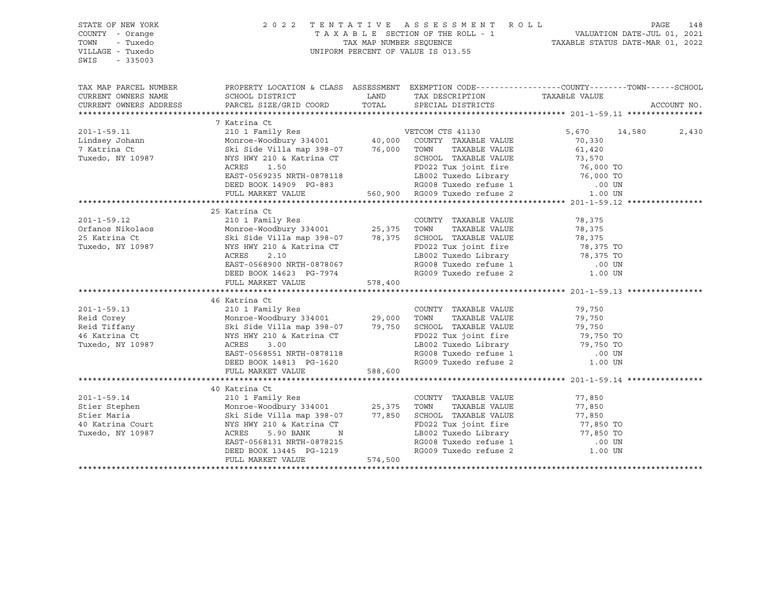| STATE OF NEW YORK<br>COUNTY - Orange                                                                                                                                                                   |                                                                                                                                                                                                                    | PAGE 148 ESSMENT ROLL PAGE 148 PAGE 148 PAGE 148 ESSMENT ROLL TAXABLE SECTION OF THE ROLL - 1 |                                                                                                                                           |                                  |             |
|--------------------------------------------------------------------------------------------------------------------------------------------------------------------------------------------------------|--------------------------------------------------------------------------------------------------------------------------------------------------------------------------------------------------------------------|-----------------------------------------------------------------------------------------------|-------------------------------------------------------------------------------------------------------------------------------------------|----------------------------------|-------------|
| - Tuxedo<br>TOWN                                                                                                                                                                                       |                                                                                                                                                                                                                    |                                                                                               |                                                                                                                                           |                                  |             |
| VILLAGE - Tuxedo                                                                                                                                                                                       |                                                                                                                                                                                                                    |                                                                                               | UNIFORM PERCENT OF VALUE IS 013.55                                                                                                        |                                  |             |
| SWIS<br>$-335003$                                                                                                                                                                                      |                                                                                                                                                                                                                    |                                                                                               |                                                                                                                                           |                                  |             |
|                                                                                                                                                                                                        |                                                                                                                                                                                                                    |                                                                                               |                                                                                                                                           |                                  |             |
|                                                                                                                                                                                                        |                                                                                                                                                                                                                    |                                                                                               |                                                                                                                                           |                                  |             |
| TAX MAP PARCEL NUMBER                                                                                                                                                                                  | PROPERTY LOCATION & CLASS ASSESSMENT EXEMPTION CODE---------------COUNTY-------TOWN-----SCHOOL                                                                                                                     |                                                                                               |                                                                                                                                           |                                  |             |
| CURRENT OWNERS NAME                                                                                                                                                                                    | SCHOOL DISTRICT                                                                                                                                                                                                    |                                                                                               | LAND TAX DESCRIPTION                                                                                                                      | TAXABLE VALUE                    |             |
| CURRENT OWNERS ADDRESS                                                                                                                                                                                 | PARCEL SIZE/GRID COORD                                                                                                                                                                                             | TOTAL                                                                                         | SPECIAL DISTRICTS                                                                                                                         |                                  | ACCOUNT NO. |
|                                                                                                                                                                                                        |                                                                                                                                                                                                                    |                                                                                               |                                                                                                                                           |                                  |             |
|                                                                                                                                                                                                        | 7 Katrina Ct                                                                                                                                                                                                       |                                                                                               |                                                                                                                                           |                                  |             |
| $201 - 1 - 59.11$                                                                                                                                                                                      |                                                                                                                                                                                                                    |                                                                                               |                                                                                                                                           | 5,670 14,580                     | 2,430       |
| Lindsey Johann                                                                                                                                                                                         |                                                                                                                                                                                                                    |                                                                                               |                                                                                                                                           | 70,330                           |             |
| 7 Katrina Ct                                                                                                                                                                                           | Ski Side Villa map 398-07<br>NYS HWY 210 & Katrina CT 5,000 FOWN<br>NYS HWY 210 & Katrina CT 5000 FORD022 Th                                                                                                       |                                                                                               | TAXABLE VALUE                                                                                                                             | 61,420<br>73,570                 |             |
| Tuxedo, NY 10987                                                                                                                                                                                       |                                                                                                                                                                                                                    |                                                                                               | SCHOOL TAXABLE VALUE<br>FD022 Tux joint fire<br>ED022 Tux joint fire 76,000 TO<br>LB002 Tuxedo Library 76,000 TO<br>RG008 Tuxedo refuse 1 |                                  |             |
|                                                                                                                                                                                                        | ACRES<br>1.50                                                                                                                                                                                                      |                                                                                               |                                                                                                                                           |                                  |             |
|                                                                                                                                                                                                        | EAST-0569235 NRTH-0878118                                                                                                                                                                                          |                                                                                               |                                                                                                                                           |                                  |             |
|                                                                                                                                                                                                        | DEED BOOK 14909 PG-883                                                                                                                                                                                             |                                                                                               | RG008 Tuxedo refuse 1<br>560,900 RG009 Tuxedo refuse 2                                                                                    | $.00$ UN                         |             |
|                                                                                                                                                                                                        | FULL MARKET VALUE                                                                                                                                                                                                  |                                                                                               |                                                                                                                                           | 1.00 UN                          |             |
|                                                                                                                                                                                                        |                                                                                                                                                                                                                    |                                                                                               |                                                                                                                                           |                                  |             |
|                                                                                                                                                                                                        | 25 Katrina Ct                                                                                                                                                                                                      |                                                                                               |                                                                                                                                           |                                  |             |
| $201 - 1 - 59.12$                                                                                                                                                                                      |                                                                                                                                                                                                                    |                                                                                               |                                                                                                                                           | 78,375                           |             |
| Orfanos Nikolaos                                                                                                                                                                                       |                                                                                                                                                                                                                    |                                                                                               |                                                                                                                                           | 78,375                           |             |
| 25 Katrina Ct                                                                                                                                                                                          | 23 Natilia CCOUNTY TAXABLE VALUE<br>210 1 Family Res<br>Monroe-Woodbury 334001 25,375 TOWN TAXABLE VALUE<br>Ski Side Villa map 398-07 78,375 SCHOOL TAXABLE VALUE<br>NYS HWY 210 & Katrina CT FD022 Tux joint fire |                                                                                               |                                                                                                                                           | 78,375<br>78,375 TO<br>78,375 TO |             |
| Tuxedo, NY 10987                                                                                                                                                                                       |                                                                                                                                                                                                                    |                                                                                               | FD022 Tux joint fire                                                                                                                      |                                  |             |
|                                                                                                                                                                                                        | ACRES<br>2.10                                                                                                                                                                                                      |                                                                                               | LB002 Tuxedo Library<br>RG008 Tuxedo refuse 1                                                                                             |                                  |             |
|                                                                                                                                                                                                        | EAST-0568900 NRTH-0878067                                                                                                                                                                                          |                                                                                               |                                                                                                                                           | .00 UN                           |             |
|                                                                                                                                                                                                        | DEED BOOK 14623 PG-7974                                                                                                                                                                                            |                                                                                               | RG009 Tuxedo refuse 2                                                                                                                     | 1.00 UN                          |             |
|                                                                                                                                                                                                        | FULL MARKET VALUE                                                                                                                                                                                                  | 578,400                                                                                       |                                                                                                                                           |                                  |             |
|                                                                                                                                                                                                        |                                                                                                                                                                                                                    |                                                                                               |                                                                                                                                           |                                  |             |
|                                                                                                                                                                                                        | 210 1 Family Res<br>Monroe-Woodbury 334001 29,000 TOWN TAXABLE VALUE<br>Ski Side Villa map 398-07 79,750 SCHOOL TAXABLE VALUE<br>NYS HWY 210 & Katrina CT FD022 Tux joint fire<br>ACRES 3.00                       |                                                                                               |                                                                                                                                           |                                  |             |
| $201 - 1 - 59.13$                                                                                                                                                                                      |                                                                                                                                                                                                                    |                                                                                               |                                                                                                                                           | 79,750                           |             |
| Reid Corey                                                                                                                                                                                             |                                                                                                                                                                                                                    |                                                                                               |                                                                                                                                           | 79,750<br>79,750                 |             |
| Reid Tiffany                                                                                                                                                                                           |                                                                                                                                                                                                                    |                                                                                               |                                                                                                                                           |                                  |             |
| 46 Katrina Ct                                                                                                                                                                                          |                                                                                                                                                                                                                    |                                                                                               | FD022 Tux joint fire 50 79,750 TO<br>LB002 Tuxedo Library 50 79,750 TO                                                                    |                                  |             |
| Tuxedo, NY 10987                                                                                                                                                                                       |                                                                                                                                                                                                                    |                                                                                               |                                                                                                                                           |                                  |             |
|                                                                                                                                                                                                        | EAST-0568551 NRTH-0878118                                                                                                                                                                                          |                                                                                               | RG008 Tuxedo refuse 1<br>RG009 Tuxedo refuse 2                                                                                            | .00 UN                           |             |
|                                                                                                                                                                                                        | DEED BOOK 14813 PG-1620                                                                                                                                                                                            |                                                                                               |                                                                                                                                           | 1.00 UN                          |             |
|                                                                                                                                                                                                        | FULL MARKET VALUE                                                                                                                                                                                                  | 588,600                                                                                       |                                                                                                                                           |                                  |             |
|                                                                                                                                                                                                        |                                                                                                                                                                                                                    |                                                                                               |                                                                                                                                           |                                  |             |
|                                                                                                                                                                                                        | 40 Katrina Ct                                                                                                                                                                                                      |                                                                                               |                                                                                                                                           |                                  |             |
| $201 - 1 - 59.14$                                                                                                                                                                                      | 210 1 Family Res                                                                                                                                                                                                   |                                                                                               | COUNTY TAXABLE VALUE                                                                                                                      | 77,850                           |             |
|                                                                                                                                                                                                        |                                                                                                                                                                                                                    |                                                                                               | TAXABLE VALUE                                                                                                                             | 77,850                           |             |
| Stier Stephen Monroe-Woodbury 334001 25,375 TOWN<br>Stier Maria Ski Side Villa map 398-07 77,850 SCHOOL<br>40 Katrina Court MYS HWY 210 & Katrina CT FD022 Tuxedo, NY 10987 ACRES 5.90 BANK N LB002 TU |                                                                                                                                                                                                                    |                                                                                               | 77,850 SCHOOL TAXABLE VALUE                                                                                                               | ,,,,,,<br>77,850<br>77,850 TO    |             |
|                                                                                                                                                                                                        |                                                                                                                                                                                                                    |                                                                                               | FD022 Tux joint fire                                                                                                                      |                                  |             |
|                                                                                                                                                                                                        |                                                                                                                                                                                                                    |                                                                                               | LB002 Tuxedo Library 77,850 TO                                                                                                            |                                  |             |
|                                                                                                                                                                                                        | EAST-0568131 NRTH-0878215                                                                                                                                                                                          |                                                                                               |                                                                                                                                           |                                  |             |
|                                                                                                                                                                                                        | DEED BOOK 13445 PG-1219                                                                                                                                                                                            |                                                                                               |                                                                                                                                           |                                  |             |
|                                                                                                                                                                                                        | FULL MARKET VALUE                                                                                                                                                                                                  | 574,500                                                                                       |                                                                                                                                           |                                  |             |
|                                                                                                                                                                                                        |                                                                                                                                                                                                                    |                                                                                               |                                                                                                                                           |                                  |             |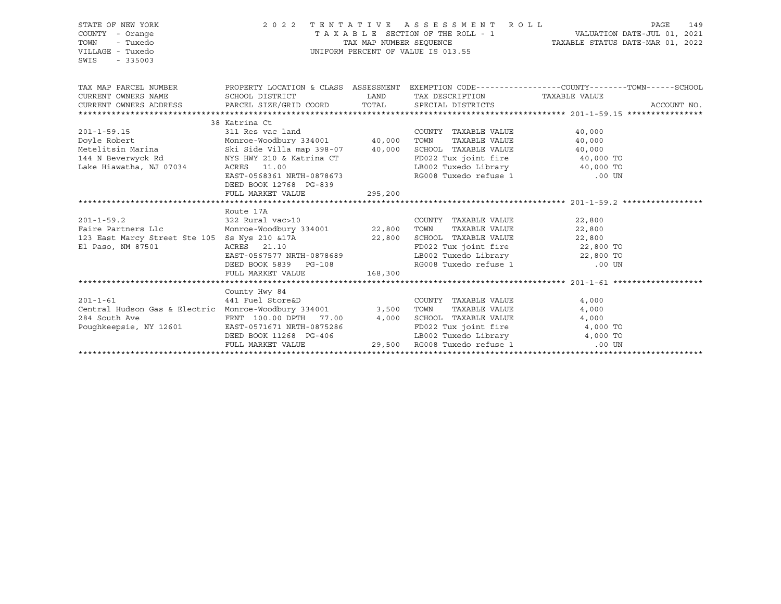| STATE OF NEW YORK<br>COUNTY - Orange<br>TOWN<br>- Tuxedo<br>VILLAGE - Tuxedo<br>SWIS<br>$-335003$           | 2022 TENTATIVE ASSESSMENT<br>TAX MAP NUMBER SEQUENCE<br>UNIFORM PERCENT OF VALUE IS 013.55                           | R O L L<br><b>PAGE</b><br>TAXABLE SECTION OF THE ROLL - 1 VALUATION DATE-JUL 01, 2021<br>TAXABLE STATUS DATE-MAR 01, 2022 | 149                                                             |                                                                                                |             |
|-------------------------------------------------------------------------------------------------------------|----------------------------------------------------------------------------------------------------------------------|---------------------------------------------------------------------------------------------------------------------------|-----------------------------------------------------------------|------------------------------------------------------------------------------------------------|-------------|
| TAX MAP PARCEL NUMBER                                                                                       |                                                                                                                      |                                                                                                                           |                                                                 | PROPERTY LOCATION & CLASS ASSESSMENT EXEMPTION CODE---------------COUNTY-------TOWN-----SCHOOL |             |
| CURRENT OWNERS NAME                                                                                         | SCHOOL DISTRICT                                                                                                      | LAND                                                                                                                      | TAX DESCRIPTION                                                 | TAXABLE VALUE                                                                                  |             |
| CURRENT OWNERS ADDRESS PARCEL SIZE/GRID COORD                                                               |                                                                                                                      | TOTAL                                                                                                                     | SPECIAL DISTRICTS                                               |                                                                                                | ACCOUNT NO. |
|                                                                                                             | 38 Katrina Ct                                                                                                        |                                                                                                                           |                                                                 |                                                                                                |             |
| $201 - 1 - 59.15$                                                                                           | Addition Comment<br>Monroe-Woodbury 334001 40,000<br>Ski Side Villa map 398-07 40,000<br>Sky Gulla map 398-07 40,000 |                                                                                                                           | COUNTY TAXABLE VALUE                                            | 40,000                                                                                         |             |
|                                                                                                             |                                                                                                                      |                                                                                                                           | TOWN<br>TAXABLE VALUE                                           | 40,000                                                                                         |             |
| Doyle Robert<br>Metelitsin Marina                                                                           |                                                                                                                      |                                                                                                                           | SCHOOL TAXABLE VALUE                                            | 40,000                                                                                         |             |
| 144 N Beverwyck Rd                                                                                          | NYS HWY 210 & Katrina CT                                                                                             |                                                                                                                           | FD022 Tux joint fire                                            | $40,000$ TO                                                                                    |             |
| Lake Hiawatha, NJ 07034                                                                                     | ACRES 11.00                                                                                                          |                                                                                                                           |                                                                 |                                                                                                |             |
|                                                                                                             | EAST-0568361 NRTH-0878673                                                                                            |                                                                                                                           | LB002 Tuxedo Library $40,000$ TO<br>RG008 Tuxedo refuse 1 00 UN |                                                                                                |             |
|                                                                                                             | DEED BOOK 12768 PG-839                                                                                               |                                                                                                                           |                                                                 |                                                                                                |             |
|                                                                                                             | FULL MARKET VALUE                                                                                                    | 295,200                                                                                                                   |                                                                 |                                                                                                |             |
|                                                                                                             |                                                                                                                      |                                                                                                                           |                                                                 |                                                                                                |             |
|                                                                                                             | Route 17A                                                                                                            |                                                                                                                           |                                                                 |                                                                                                |             |
| $201 - 1 - 59.2$<br>Faire Partners Llc                                                                      | 322 Rural vac>10<br>Monroe-Woodbury 334001 22,800 TOWN                                                               |                                                                                                                           | COUNTY TAXABLE VALUE<br>TAXABLE VALUE                           | 22,800<br>22,800                                                                               |             |
|                                                                                                             |                                                                                                                      |                                                                                                                           | SCHOOL TAXABLE VALUE                                            | 22,800                                                                                         |             |
| 123 East Marcy Street Ste 105 Ss Nys 210 & 17A 22,800<br>El Paso, NM 87501 ACRES 21.10<br>El Paso, NM 87501 |                                                                                                                      |                                                                                                                           | FD022 Tux joint fire 22,800 TO                                  |                                                                                                |             |
|                                                                                                             | EAST-0567577 NRTH-0878689                                                                                            |                                                                                                                           | LB002 Tuxedo Library 22,800 TO                                  |                                                                                                |             |
|                                                                                                             | DEED BOOK 5839 PG-108                                                                                                |                                                                                                                           | RG008 Tuxedo refuse 1 00 UN                                     |                                                                                                |             |
|                                                                                                             | FULL MARKET VALUE                                                                                                    | 168,300                                                                                                                   |                                                                 |                                                                                                |             |
|                                                                                                             |                                                                                                                      |                                                                                                                           |                                                                 |                                                                                                |             |
|                                                                                                             | County Hwy 84                                                                                                        |                                                                                                                           |                                                                 |                                                                                                |             |
| $201 - 1 - 61$                                                                                              | 441 Fuel Store&D                                                                                                     |                                                                                                                           | COUNTY TAXABLE VALUE                                            | 4,000                                                                                          |             |
| Central Hudson Gas & Electric Monroe-Woodbury 334001                                                        |                                                                                                                      | 3,500                                                                                                                     | TOWN<br>TAXABLE VALUE                                           | 4,000                                                                                          |             |
| 284 South Ave                                                                                               | FRNT 100.00 DPTH 77.00                                                                                               | 4,000                                                                                                                     | SCHOOL TAXABLE VALUE                                            | 4,000                                                                                          |             |
| Poughkeepsie, NY 12601                                                                                      | EAST-0571671 NRTH-0875286                                                                                            |                                                                                                                           | FD022 Tux joint fire 4,000 TO                                   |                                                                                                |             |
|                                                                                                             | DEED BOOK 11268 PG-406                                                                                               |                                                                                                                           | LB002 Tuxedo Library $4,000$ TO<br>RG008 Tuxedo refuse 1 00 UN  |                                                                                                |             |
|                                                                                                             | FULL MARKET VALUE                                                                                                    | 29,500                                                                                                                    |                                                                 |                                                                                                |             |
|                                                                                                             |                                                                                                                      |                                                                                                                           |                                                                 |                                                                                                |             |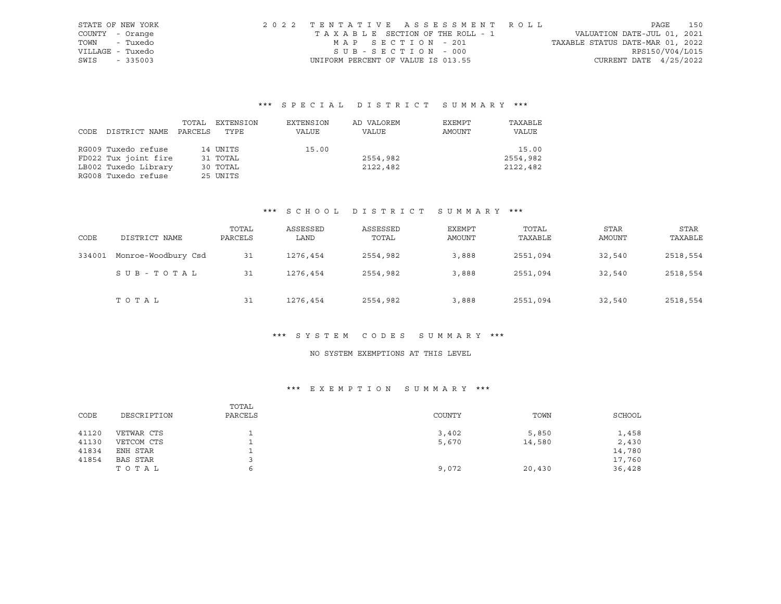| STATE OF NEW YORK | 2022 TENTATIVE ASSESSMENT ROLL     |                                  | PAGE            | 150 |
|-------------------|------------------------------------|----------------------------------|-----------------|-----|
| COUNTY - Orange   | TAXABLE SECTION OF THE ROLL - 1    | VALUATION DATE-JUL 01, 2021      |                 |     |
| TOWN - Tuxedo     | MAP SECTION - 201                  | TAXABLE STATUS DATE-MAR 01, 2022 |                 |     |
| VILLAGE - Tuxedo  | SUB-SECTION - 000                  |                                  | RPS150/V04/L015 |     |
| SWIS<br>$-335003$ | UNIFORM PERCENT OF VALUE IS 013.55 | CURRENT DATE $4/25/2022$         |                 |     |

# \*\*\* S P E C I A L D I S T R I C T S U M M A R Y \*\*\*

|      |                      | TOTAL   | EXTENSION | EXTENSION | AD VALOREM | EXEMPT | TAXABLE  |
|------|----------------------|---------|-----------|-----------|------------|--------|----------|
| CODE | DISTRICT NAME        | PARCELS | TYPE      | VALUE     | VALUE      | AMOUNT | VALUE    |
|      |                      |         |           |           |            |        |          |
|      | RG009 Tuxedo refuse  |         | 14 UNITS  | 15.00     |            |        | 15.00    |
|      | FD022 Tux joint fire |         | 31 TOTAL  |           | 2554,982   |        | 2554,982 |
|      | LB002 Tuxedo Library |         | 30 TOTAL  |           | 2122,482   |        | 2122,482 |
|      | RG008 Tuxedo refuse  |         | 25 UNITS  |           |            |        |          |

## \*\*\* S C H O O L D I S T R I C T S U M M A R Y \*\*\*

| CODE   | DISTRICT NAME       | TOTAL<br>PARCELS | ASSESSED<br>LAND | ASSESSED<br>TOTAL | EXEMPT<br>AMOUNT | TOTAL<br>TAXABLE | <b>STAR</b><br>AMOUNT | STAR<br>TAXABLE |
|--------|---------------------|------------------|------------------|-------------------|------------------|------------------|-----------------------|-----------------|
| 334001 | Monroe-Woodbury Csd | 31               | 1276,454         | 2554,982          | 3,888            | 2551,094         | 32,540                | 2518,554        |
|        | SUB-TOTAL           | 31               | 1276,454         | 2554,982          | 3,888            | 2551,094         | 32,540                | 2518,554        |
|        | TOTAL               | 31               | 1276,454         | 2554,982          | 3,888            | 2551,094         | 32,540                | 2518,554        |

#### \*\*\* S Y S T E M C O D E S S U M M A R Y \*\*\*

# NO SYSTEM EXEMPTIONS AT THIS LEVEL

## \*\*\* E X E M P T I O N S U M M A R Y \*\*\*

| CODE  | DESCRIPTION | TOTAL<br>PARCELS | COUNTY | TOWN   | SCHOOL |
|-------|-------------|------------------|--------|--------|--------|
| 41120 | VETWAR CTS  |                  | 3,402  | 5,850  | 1,458  |
| 41130 | VETCOM CTS  | ∸                | 5,670  | 14,580 | 2,430  |
| 41834 | ENH STAR    |                  |        |        | 14,780 |
| 41854 | BAS STAR    |                  |        |        | 17,760 |
|       | ТОТАЬ       | ь                | 9,072  | 20,430 | 36,428 |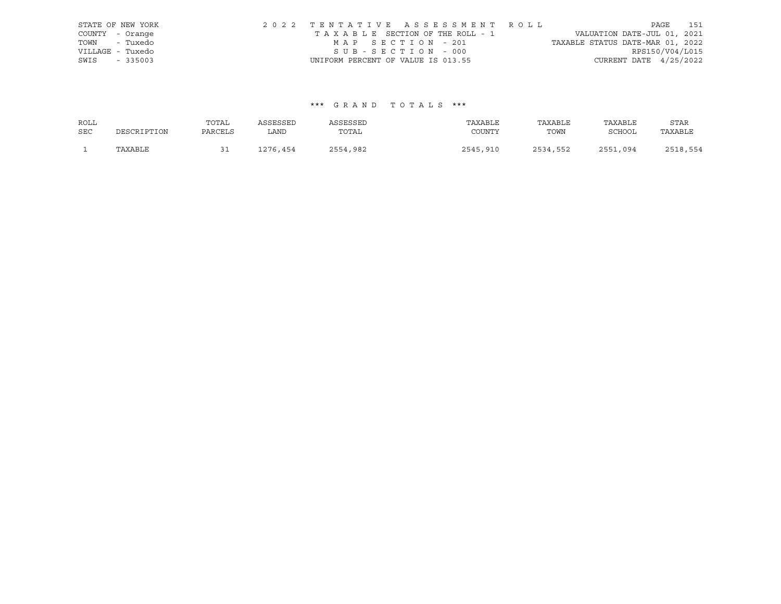|      | STATE OF NEW YORK | 2022 TENTATIVE ASSESSMENT ROLL     |  |                                  |                          | PAGE 151 |
|------|-------------------|------------------------------------|--|----------------------------------|--------------------------|----------|
|      | COUNTY - Orange   | TAXABLE SECTION OF THE ROLL - 1    |  | VALUATION DATE-JUL 01, 2021      |                          |          |
|      | TOWN - Tuxedo     | MAP SECTION - 201                  |  | TAXABLE STATUS DATE-MAR 01, 2022 |                          |          |
|      | VILLAGE - Tuxedo  | SUB-SECTION - 000                  |  |                                  | RPS150/V04/L015          |          |
| SWIS | $-335003$         | UNIFORM PERCENT OF VALUE IS 013.55 |  |                                  | CURRENT DATE $4/25/2022$ |          |

## \*\*\* G R A N D T O T A L S \*\*\*

| ROLL       |             | TOTAL   | ASSESSED | ASSESSED | TAXABLE  | TAXABLE  | TAXABLE       | STAR     |
|------------|-------------|---------|----------|----------|----------|----------|---------------|----------|
| <b>SEC</b> | DESCRIPTION | PARCELS | LAND     | TOTAL    | COUNTY   | TOWN     | <b>SCHOOL</b> | TAXABLE  |
|            | TAXABLE     | ◡       | 1276,454 | 2554,982 | 2545,910 | 2534,552 | 2551<br>,094  | 2518,554 |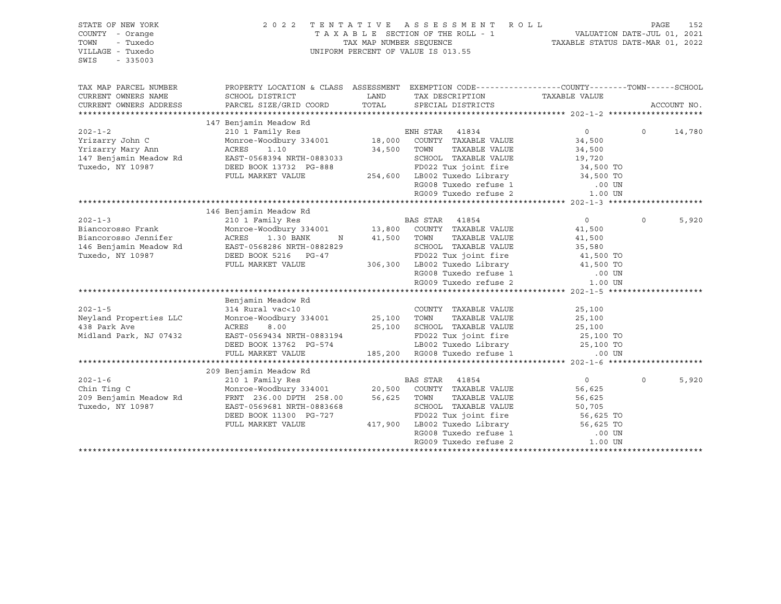| ASSESSMENT ROLL<br>STATE OF NEW YORK<br>2022 TENTATIVE<br>TAXABLE SECTION OF THE ROLL - 1<br>COUNTY - Orange<br>- Tuxedo<br>TAX MAP NUMBER SEQUENCE<br>TOWN<br>UNIFORM PERCENT OF VALUE IS 013.55<br>VILLAGE - Tuxedo<br>$-335003$<br>SWIS |                                                                                                 |             |                                                                                         | PAGE<br>152<br>VALUATION DATE-JUL 01, 2021<br>TAXABLE STATUS DATE-MAR 01, 2022 |          |             |  |
|--------------------------------------------------------------------------------------------------------------------------------------------------------------------------------------------------------------------------------------------|-------------------------------------------------------------------------------------------------|-------------|-----------------------------------------------------------------------------------------|--------------------------------------------------------------------------------|----------|-------------|--|
| TAX MAP PARCEL NUMBER                                                                                                                                                                                                                      | PROPERTY LOCATION & CLASS ASSESSMENT EXEMPTION CODE---------------COUNTY-------TOWN------SCHOOL |             |                                                                                         |                                                                                |          |             |  |
| CURRENT OWNERS NAME                                                                                                                                                                                                                        | SCHOOL DISTRICT                                                                                 | LAND        | TAX DESCRIPTION TAXABLE VALUE                                                           |                                                                                |          |             |  |
| CURRENT OWNERS ADDRESS                                                                                                                                                                                                                     | PARCEL SIZE/GRID COORD                                                                          | TOTAL       | SPECIAL DISTRICTS                                                                       |                                                                                |          | ACCOUNT NO. |  |
|                                                                                                                                                                                                                                            | 147 Benjamin Meadow Rd                                                                          |             |                                                                                         |                                                                                |          |             |  |
| $202 - 1 - 2$                                                                                                                                                                                                                              | 210 1 Family Res                                                                                |             |                                                                                         | $\overline{0}$                                                                 | $\Omega$ | 14,780      |  |
| Yrizarry John C                                                                                                                                                                                                                            | Monroe-Woodbury 334001                                                                          |             | ENH STAR 41834<br>18,000 COUNTY TAXABLE VALUE                                           | 34,500                                                                         |          |             |  |
| Yrizarry Mary Ann                                                                                                                                                                                                                          | ACRES<br>1.10                                                                                   | 34,500 TOWN | TAXABLE VALUE                                                                           | 34,500                                                                         |          |             |  |
| 147 Benjamin Meadow Rd                                                                                                                                                                                                                     | EAST-0568394 NRTH-0883033                                                                       |             | SCHOOL TAXABLE VALUE                                                                    | 19,720                                                                         |          |             |  |
| Tuxedo, NY 10987                                                                                                                                                                                                                           | DEED BOOK 13732 PG-888                                                                          |             | FD022 Tux joint fire                                                                    | 34,500 TO                                                                      |          |             |  |
|                                                                                                                                                                                                                                            | FULL MARKET VALUE                                                                               |             | 254,600 LB002 Tuxedo Library                                                            | 34,500 TO                                                                      |          |             |  |
|                                                                                                                                                                                                                                            |                                                                                                 |             | RG008 Tuxedo refuse 1                                                                   | $.00$ UN                                                                       |          |             |  |
|                                                                                                                                                                                                                                            |                                                                                                 |             | RG009 Tuxedo refuse 2                                                                   | 1.00 UN                                                                        |          |             |  |
|                                                                                                                                                                                                                                            |                                                                                                 |             |                                                                                         |                                                                                |          |             |  |
|                                                                                                                                                                                                                                            | 146 Benjamin Meadow Rd                                                                          |             |                                                                                         |                                                                                |          |             |  |
| $202 - 1 - 3$                                                                                                                                                                                                                              | 210 1 Family Res                                                                                |             | BAS STAR 41854                                                                          | $\overline{0}$                                                                 | $\Omega$ | 5,920       |  |
| Biancorosso Frank                                                                                                                                                                                                                          | Monroe-Woodbury 334001                                                                          |             | 13,800 COUNTY TAXABLE VALUE                                                             | 41,500                                                                         |          |             |  |
| Biancorosso Jennifer                                                                                                                                                                                                                       | ACRES<br>1.30 BANK<br>N                                                                         | 41,500 TOWN | TAXABLE VALUE                                                                           | 41,500                                                                         |          |             |  |
| 146 Benjamin Meadow Rd                                                                                                                                                                                                                     | EAST-0568286 NRTH-0882829                                                                       |             | SCHOOL TAXABLE VALUE                                                                    | 35,580<br>$41,500$ TO                                                          |          |             |  |
| Tuxedo, NY 10987                                                                                                                                                                                                                           | DEED BOOK 5216 PG-47                                                                            |             | FD022 Tux joint fire                                                                    |                                                                                |          |             |  |
|                                                                                                                                                                                                                                            | FULL MARKET VALUE                                                                               |             | 306,300 LB002 Tuxedo Library 41,500 TO                                                  |                                                                                |          |             |  |
|                                                                                                                                                                                                                                            |                                                                                                 |             | RG008 Tuxedo refuse 1<br>RG009 Tuxedo refuse 2                                          | $.00$ UN<br>1.00 UN                                                            |          |             |  |
|                                                                                                                                                                                                                                            |                                                                                                 |             |                                                                                         |                                                                                |          |             |  |
|                                                                                                                                                                                                                                            | Benjamin Meadow Rd                                                                              |             |                                                                                         |                                                                                |          |             |  |
| $202 - 1 - 5$                                                                                                                                                                                                                              | 314 Rural vac<10                                                                                |             | COUNTY TAXABLE VALUE                                                                    | 25,100                                                                         |          |             |  |
| Neyland Properties LLC                                                                                                                                                                                                                     | Monroe-Woodbury 334001                                                                          | 25,100      | TAXABLE VALUE<br>TOWN                                                                   | 25,100                                                                         |          |             |  |
| 438 Park Ave                                                                                                                                                                                                                               | ACRES<br>8.00                                                                                   |             | 25,100 SCHOOL TAXABLE VALUE                                                             | 25,100                                                                         |          |             |  |
| Midland Park, NJ 07432                                                                                                                                                                                                                     | EAST-0569434 NRTH-0883194                                                                       |             | FD022 Tux joint fire                                                                    | 25,100 TO                                                                      |          |             |  |
|                                                                                                                                                                                                                                            | DEED BOOK 13762 PG-574                                                                          |             |                                                                                         | 25,100 TO                                                                      |          |             |  |
|                                                                                                                                                                                                                                            | FULL MARKET VALUE                                                                               |             | FD022 iux julie:<br>LB002 Tuxedo Library<br>Confirma 1<br>185,200 RG008 Tuxedo refuse 1 | $.00$ UN                                                                       |          |             |  |
|                                                                                                                                                                                                                                            |                                                                                                 |             |                                                                                         |                                                                                |          |             |  |
|                                                                                                                                                                                                                                            | 209 Benjamin Meadow Rd                                                                          |             |                                                                                         |                                                                                |          |             |  |
| $202 - 1 - 6$                                                                                                                                                                                                                              | 210 1 Family Res                                                                                |             | BAS STAR<br>41854                                                                       | $\circ$                                                                        | $\Omega$ | 5,920       |  |
| Chin Ting C                                                                                                                                                                                                                                | Monroe-Woodbury 334001                                                                          | 20,500      | COUNTY TAXABLE VALUE                                                                    | 56,625                                                                         |          |             |  |
| 209 Benjamin Meadow Rd                                                                                                                                                                                                                     | FRNT 236.00 DPTH 258.00                                                                         | 56,625      | TOWN<br>TAXABLE VALUE                                                                   | 56,625                                                                         |          |             |  |
| Tuxedo, NY 10987                                                                                                                                                                                                                           | EAST-0569681 NRTH-0883668                                                                       |             | SCHOOL TAXABLE VALUE                                                                    | 50,705                                                                         |          |             |  |
|                                                                                                                                                                                                                                            | DEED BOOK 11300 PG-727                                                                          |             | FD022 Tux joint fire                                                                    | 56,625 TO<br>56,625 TO                                                         |          |             |  |
|                                                                                                                                                                                                                                            | FULL MARKET VALUE                                                                               |             | 417,900 LB002 Tuxedo Library                                                            |                                                                                |          |             |  |
|                                                                                                                                                                                                                                            |                                                                                                 |             | RG008 Tuxedo refuse 1                                                                   | .00 UN                                                                         |          |             |  |
|                                                                                                                                                                                                                                            |                                                                                                 |             | RG009 Tuxedo refuse 2                                                                   | 1.00 UN                                                                        |          |             |  |
|                                                                                                                                                                                                                                            |                                                                                                 |             |                                                                                         |                                                                                |          |             |  |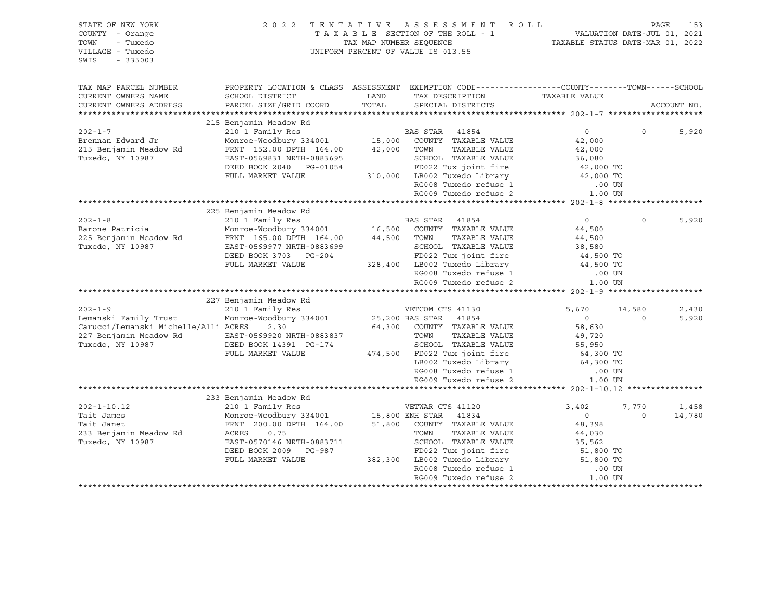| STATE OF NEW YORK<br>COUNTY - Orange<br>- Tuxedo<br>TOWN<br>VILLAGE - Tuxedo<br>$-335003$<br>SWIS                                                                                                                                             |                                                                                                                                                                                                                                                                                                                                              |               | 2022 TENTATIVE ASSESSMENT ROLL<br>UNIFORM PERCENT OF VALUE IS 013.55                                                                                                                                                                                                                                                                                                                                  |                                                                                                                                                                                        | PAGE                           | 153                     |
|-----------------------------------------------------------------------------------------------------------------------------------------------------------------------------------------------------------------------------------------------|----------------------------------------------------------------------------------------------------------------------------------------------------------------------------------------------------------------------------------------------------------------------------------------------------------------------------------------------|---------------|-------------------------------------------------------------------------------------------------------------------------------------------------------------------------------------------------------------------------------------------------------------------------------------------------------------------------------------------------------------------------------------------------------|----------------------------------------------------------------------------------------------------------------------------------------------------------------------------------------|--------------------------------|-------------------------|
| TAX MAP PARCEL NUMBER<br>CURRENT OWNERS NAME<br>CURRENT OWNERS ADDRESS                                                                                                                                                                        | PROPERTY LOCATION & CLASS ASSESSMENT EXEMPTION CODE----------------COUNTY-------TOWN-----SCHOOL<br>SCHOOL DISTRICT<br>PARCEL SIZE/GRID COORD                                                                                                                                                                                                 | LAND<br>TOTAL | TAX DESCRIPTION<br>SPECIAL DISTRICTS                                                                                                                                                                                                                                                                                                                                                                  | TAXABLE VALUE                                                                                                                                                                          |                                | ACCOUNT NO.             |
| $202 - 1 - 7$<br>Brennan Edward Jr<br>215 Benjamin Meadow Rd<br>Tuxedo, NY 10987                                                                                                                                                              | 215 Benjamin Meadow Rd<br>210 1 Family Res<br>210 I Family Res BAS STAR 41854<br>Monroe-Woodbury 334001 15,000 COUNTY TAXABLE VALUE<br>FRNT 152.00 DPTH 164.00<br>EAST-0569831 NRTH-0883695<br>DEED BOOK 2040 PG-01054<br>FULL MARKET VALUE                                                                                                  |               | <b>BAS STAR</b> 41854<br>42,000 TOWN<br>TAXABLE VALUE<br>SCHOOL TAXABLE VALUE<br>FD022 Tux joint fire<br>310,000 LB002 Tuxedo Library<br>RG008 Tuxedo Hibiary<br>RG008 Tuxedo refuse 1<br>RG009 Tuxedo refuse 2                                                                                                                                                                                       | $\Omega$<br>42,000<br>42,000<br>36,080<br>42,000 TO<br>42,000 TO<br>.00 UN<br>1.00 UN                                                                                                  | $\Omega$                       | 5,920                   |
|                                                                                                                                                                                                                                               |                                                                                                                                                                                                                                                                                                                                              |               |                                                                                                                                                                                                                                                                                                                                                                                                       |                                                                                                                                                                                        |                                |                         |
| $202 - 1 - 8$<br>Barone Patricia<br>225 Benjamin Meadow Rd<br>Tuxedo, NY 10987<br>$202 - 1 - 9$<br>Lemanski Family Trust<br>Carucci/Lemanski Michelle/Alli ACRES 2.30<br>227 Benjamin Meadow Rd EAST-0569920 NRTH-0883837<br>Tuxedo, NY 10987 | 225 Benjamin Meadow Rd<br>210 1 Family Res BAS STAR 41854<br>Monroe-Woodbury 334001 16,500 COUNTY TAXABLE VALUE<br>FRNT 165.00 DPTH 164.00<br>EAST-0569977 NRTH-0883699<br>DEED BOOK 3703 PG-204<br>FULL MARKET VALUE<br>227 Benjamin Meadow Rd<br>210 1 Family Res<br>Monroe-Woodbury 334001<br>DEED BOOK 14391 PG-174<br>FULL MARKET VALUE |               | 44,500 TOWN<br>TAXABLE VALUE<br>SCHOOL TAXABLE VALUE<br>FD022 Tux joint fire<br>328,400 LB002 Tuxedo Library<br>RG008 Tuxedo refuse 1<br>RG009 Tuxedo refuse 2<br>VETCOM CTS 41130<br>25,200 BAS STAR 41854<br>64,300 COUNTY TAXABLE VALUE<br>TOWN<br>TAXABLE VALUE<br>SCHOOL TAXABLE VALUE<br>474,500 FD022 Tux joint fire<br>LB002 Tuxedo Library<br>RG008 Tuxedo refuse 1<br>RG009 Tuxedo refuse 2 | 0<br>44,500<br>44,500<br>38,580<br>44,500 TO<br>44,500 TO<br>.00 UN<br>1.00 UN<br>5,670<br>$\overline{0}$<br>58,630<br>49,720<br>55,950<br>64,300 TO<br>64,300 TO<br>.00 UN<br>1.00 UN | $\Omega$<br>14,580<br>$\Omega$ | 5,920<br>2,430<br>5,920 |
|                                                                                                                                                                                                                                               | 233 Benjamin Meadow Rd                                                                                                                                                                                                                                                                                                                       |               |                                                                                                                                                                                                                                                                                                                                                                                                       |                                                                                                                                                                                        |                                |                         |
| $202 - 1 - 10.12$<br>Tait James<br>Tait Janet<br>233 Benjamin Meadow Rd<br>Tuxedo, NY 10987                                                                                                                                                   | 210 1 Family Res<br>Monroe-Woodbury 334001 15,800 ENH STAR 41834<br>FRNT 200.00 DPTH 164.00 51,800 COUNTY TAXABLE VALUE<br>ACRES<br>0.75<br>EAST-0570146 NRTH-0883711<br>DEED BOOK 2009 PG-987<br>FULL MARKET VALUE                                                                                                                          |               | VETWAR CTS 41120<br>TAXABLE VALUE<br>TOWN<br>SCHOOL TAXABLE VALUE<br>FD022 Tux joint fire<br>382,300 LB002 Tuxedo Library<br>RG008 Tuxedo refuse 1<br>RG009 Tuxedo refuse 2                                                                                                                                                                                                                           | 3,402<br>$\overline{0}$<br>48,398<br>44,030<br>35,562<br>51,800 TO<br>51,800 TO<br>$.00$ UN<br>1.00 UN                                                                                 | 7,770<br>$\Omega$              | 1,458<br>14,780         |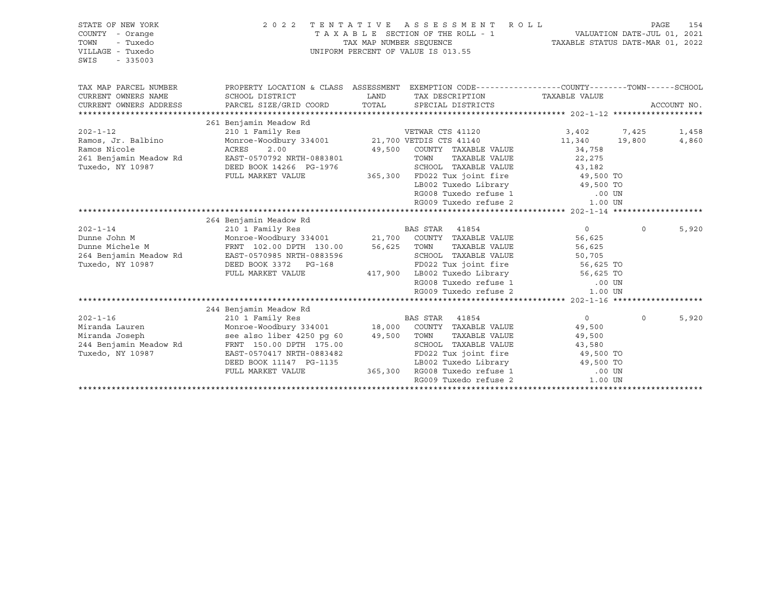| 2 0 2 2                                                                                                                                              |                                                  |                                                                |                                                                                                                                                                             | PAGE                                                                                                                                                                                                                                                                                                                                                                                                                                                                                                          | 154                                                                                                                                                                                                                                                                                                                                                                                                                                                                                         |
|------------------------------------------------------------------------------------------------------------------------------------------------------|--------------------------------------------------|----------------------------------------------------------------|-----------------------------------------------------------------------------------------------------------------------------------------------------------------------------|---------------------------------------------------------------------------------------------------------------------------------------------------------------------------------------------------------------------------------------------------------------------------------------------------------------------------------------------------------------------------------------------------------------------------------------------------------------------------------------------------------------|---------------------------------------------------------------------------------------------------------------------------------------------------------------------------------------------------------------------------------------------------------------------------------------------------------------------------------------------------------------------------------------------------------------------------------------------------------------------------------------------|
| SCHOOL DISTRICT<br>PARCEL SIZE/GRID COORD                                                                                                            | LAND<br>TOTAL                                    | SPECIAL DISTRICTS                                              |                                                                                                                                                                             |                                                                                                                                                                                                                                                                                                                                                                                                                                                                                                               | ACCOUNT NO.                                                                                                                                                                                                                                                                                                                                                                                                                                                                                 |
|                                                                                                                                                      |                                                  |                                                                |                                                                                                                                                                             |                                                                                                                                                                                                                                                                                                                                                                                                                                                                                                               |                                                                                                                                                                                                                                                                                                                                                                                                                                                                                             |
| 210 1 Family Res<br>2.00<br>ACRES<br>EAST-0570792 NRTH-0883801<br>DEED BOOK 14266 PG-1976<br>FULL MARKET VALUE                                       |                                                  | VETWAR CTS 41120<br>TOWN                                       | 3,402<br>34,758<br>22,275<br>43,182                                                                                                                                         | 7,425                                                                                                                                                                                                                                                                                                                                                                                                                                                                                                         | 1,458<br>4,860                                                                                                                                                                                                                                                                                                                                                                                                                                                                              |
|                                                                                                                                                      |                                                  |                                                                |                                                                                                                                                                             |                                                                                                                                                                                                                                                                                                                                                                                                                                                                                                               |                                                                                                                                                                                                                                                                                                                                                                                                                                                                                             |
|                                                                                                                                                      |                                                  |                                                                |                                                                                                                                                                             |                                                                                                                                                                                                                                                                                                                                                                                                                                                                                                               |                                                                                                                                                                                                                                                                                                                                                                                                                                                                                             |
| 210 1 Family Res<br>FRNT 102.00 DPTH 130.00<br>EAST-0570985 NRTH-0883596<br>DEED BOOK 3372 PG-168<br>FULL MARKET VALUE                               |                                                  | BAS STAR<br>41854                                              | $0 \qquad \qquad$<br>56,625<br>56,625<br>50,705                                                                                                                             | $\circ$                                                                                                                                                                                                                                                                                                                                                                                                                                                                                                       | 5,920                                                                                                                                                                                                                                                                                                                                                                                                                                                                                       |
|                                                                                                                                                      |                                                  |                                                                |                                                                                                                                                                             |                                                                                                                                                                                                                                                                                                                                                                                                                                                                                                               |                                                                                                                                                                                                                                                                                                                                                                                                                                                                                             |
| 244 Benjamin Meadow Rd<br>210 1 Family Res<br>see also liber 4250 pq 60<br>EAST-0570417 NRTH-0883482<br>DEED BOOK 11147 PG-1135<br>FULL MARKET VALUE |                                                  | <b>BAS STAR</b><br>41854<br>TOWN                               | 0<br>49,500<br>49,500<br>43,580                                                                                                                                             | $\circ$                                                                                                                                                                                                                                                                                                                                                                                                                                                                                                       | 5,920                                                                                                                                                                                                                                                                                                                                                                                                                                                                                       |
|                                                                                                                                                      | 261 Benjamin Meadow Rd<br>264 Benjamin Meadow Rd | TENTATIVE<br>Monroe-Woodbury 334001<br>FRNT 150.00 DPTH 175.00 | TAXABLE SECTION OF THE ROLL - 1<br>TAX MAP NUMBER SEOUENCE<br>UNIFORM PERCENT OF VALUE IS 013.55<br>Monroe-Woodbury 334001 21,700 VETDIS CTS 41140<br>56,625 TOWN<br>49,500 | ASSESSMENT ROLL<br>TAX DESCRIPTION TAXABLE VALUE<br>49,500 COUNTY TAXABLE VALUE<br>TAXABLE VALUE<br>SCHOOL TAXABLE VALUE<br>LB002 Tuxedo Library<br>RG008 Tuxedo refuse 1<br>RG009 Tuxedo refuse 2<br>21,700 COUNTY TAXABLE VALUE<br>TAXABLE VALUE<br>SCHOOL TAXABLE VALUE<br>RG008 Tuxedo refuse 1<br>RG009 Tuxedo refuse 2<br>Monroe-Woodbury 334001 18,000 COUNTY TAXABLE VALUE<br>TAXABLE VALUE<br>SCHOOL TAXABLE VALUE<br>FD022 Tux joint fire<br>365,300 RG008 Tuxedo refuse 1<br>RG009 Tuxedo refuse 2 | VALUATION DATE-JUL 01, 2021<br>TAXABLE STATUS DATE-MAR 01, 2022<br>PROPERTY LOCATION & CLASS ASSESSMENT EXEMPTION CODE---------------COUNTY-------TOWN-----SCHOOL<br>11,340 19,800<br>365,300 FD022 Tux joint fire 49,500 TO<br>49,500 TO<br>.00 UN<br>1.00 UN<br>FD022 Tux joint fire 56,625 TO<br>417,900 LB002 Tuxedo Library 56,625 TO<br>$.00$ UN<br>1.00 UN<br>49,500 TO<br>EB002 Tuxedo Library (49,500 TO<br>RG008 Tuxedo refuse 1 (00 UN RG009 Tuxedo refuse 2 (1.00 UN<br>1.00 UN |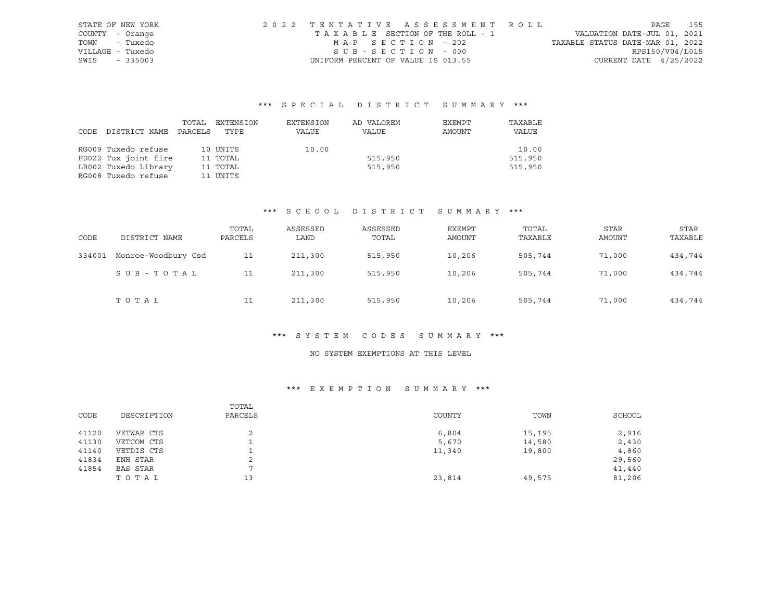| STATE OF NEW YORK | 2022 TENTATIVE ASSESSMENT ROLL     |                                  | PAGE                        | 155 |
|-------------------|------------------------------------|----------------------------------|-----------------------------|-----|
| COUNTY - Orange   | TAXABLE SECTION OF THE ROLL - 1    |                                  | VALUATION DATE-JUL 01, 2021 |     |
| - Tuxedo<br>TOWN  | MAP SECTION - 202                  | TAXABLE STATUS DATE-MAR 01, 2022 |                             |     |
| VILLAGE - Tuxedo  | SUB-SECTION - 000                  |                                  | RPS150/V04/L015             |     |
| SWIS<br>$-335003$ | UNIFORM PERCENT OF VALUE IS 013.55 |                                  | CURRENT DATE $4/25/2022$    |     |

## \*\*\* S P E C I A L D I S T R I C T S U M M A R Y \*\*\*

|      |                      | TOTAL   | EXTENSION | EXTENSION | AD VALOREM | EXEMPT | TAXABLE |
|------|----------------------|---------|-----------|-----------|------------|--------|---------|
| CODE | DISTRICT NAME        | PARCELS | TYPE      | VALUE     | VALUE      | AMOUNT | VALUE   |
|      |                      |         |           |           |            |        |         |
|      | RG009 Tuxedo refuse  |         | 10 UNITS  | 10.00     |            |        | 10.00   |
|      | FD022 Tux joint fire |         | 11 TOTAL  |           | 515,950    |        | 515,950 |
|      | LB002 Tuxedo Library |         | 11 TOTAL  |           | 515,950    |        | 515,950 |
|      | RG008 Tuxedo refuse  |         | 11 UNITS  |           |            |        |         |

#### \*\*\* S C H O O L D I S T R I C T S U M M A R Y \*\*\*

| CODE   | DISTRICT NAME       | TOTAL<br>PARCELS | ASSESSED<br>LAND | ASSESSED<br>TOTAL | EXEMPT<br>AMOUNT | TOTAL<br>TAXABLE | <b>STAR</b><br><b>AMOUNT</b> | STAR<br>TAXABLE |
|--------|---------------------|------------------|------------------|-------------------|------------------|------------------|------------------------------|-----------------|
| 334001 | Monroe-Woodbury Csd | 11               | 211,300          | 515,950           | 10,206           | 505,744          | 71,000                       | 434,744         |
|        | SUB-TOTAL           | 11               | 211,300          | 515,950           | 10,206           | 505,744          | 71,000                       | 434,744         |
|        | TOTAL               | 11               | 211,300          | 515,950           | 10,206           | 505,744          | 71,000                       | 434,744         |

#### \*\*\* S Y S T E M C O D E S S U M M A R Y \*\*\*

## NO SYSTEM EXEMPTIONS AT THIS LEVEL

## \*\*\* E X E M P T I O N S U M M A R Y \*\*\*

|       |             | TOTAL   |        |        |        |
|-------|-------------|---------|--------|--------|--------|
| CODE  | DESCRIPTION | PARCELS | COUNTY | TOWN   | SCHOOL |
|       |             |         |        |        |        |
| 41120 | VETWAR CTS  | ∠       | 6,804  | 15,195 | 2,916  |
| 41130 | VETCOM CTS  |         | 5,670  | 14,580 | 2,430  |
| 41140 | VETDIS CTS  |         | 11,340 | 19,800 | 4,860  |
| 41834 | ENH STAR    | ∠       |        |        | 29,560 |
| 41854 | BAS STAR    |         |        |        | 41,440 |
|       | TOTAL       | 13      | 23,814 | 49,575 | 81,206 |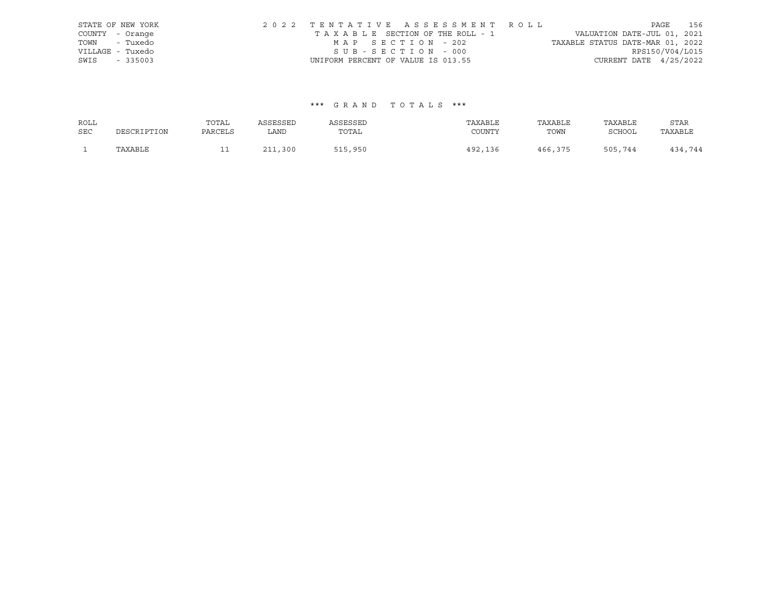|      | STATE OF NEW YORK | 2022 TENTATIVE ASSESSMENT ROLL     |  |                                  |                          | PAGE | 156 |
|------|-------------------|------------------------------------|--|----------------------------------|--------------------------|------|-----|
|      | COUNTY - Orange   | TAXABLE SECTION OF THE ROLL - 1    |  | VALUATION DATE-JUL 01, 2021      |                          |      |     |
|      | TOWN - Tuxedo     | MAP SECTION - 202                  |  | TAXABLE STATUS DATE-MAR 01, 2022 |                          |      |     |
|      | VILLAGE - Tuxedo  | SUB-SECTION - 000                  |  |                                  | RPS150/V04/L015          |      |     |
| SWIS | $-335003$         | UNIFORM PERCENT OF VALUE IS 013.55 |  |                                  | CURRENT DATE $4/25/2022$ |      |     |

## \*\*\* G R A N D T O T A L S \*\*\*

| ROLL       |             | TOTAL   | ASSESSED   | ASSESSED | TAXABLE | TAXABLE | TAXABLE | STAR    |
|------------|-------------|---------|------------|----------|---------|---------|---------|---------|
| <b>SEC</b> | DESCRIPTION | PARCELS | LAND       | TOTAL    | COUNTY  | TOWN    | SCHOOL  | TAXABLE |
|            | TAXABLE     | ᆂᆂ      | 211<br>300 | 515,950  | 492,136 | 466,375 | 505,744 | 434,744 |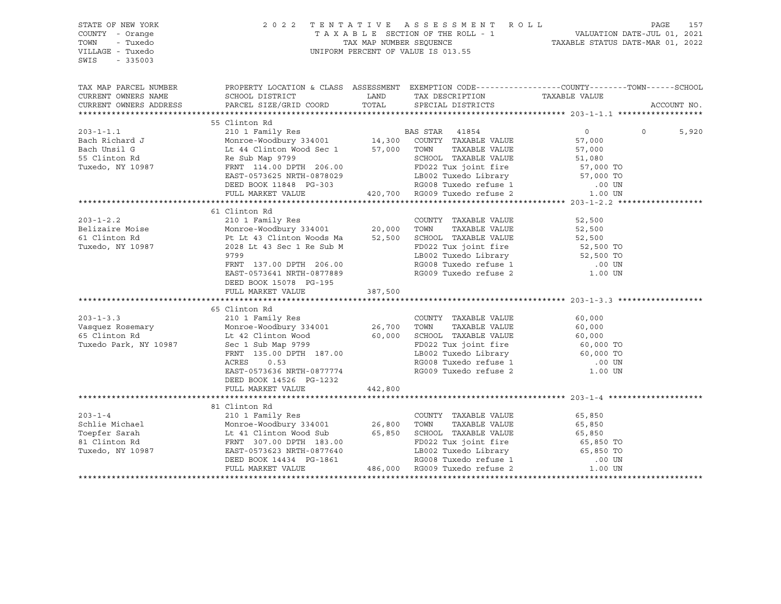| STATE OF NEW YORK<br>COUNTY - Orange<br>TOWN<br>- Tuxedo<br>VILLAGE - Tuxedo<br>SWIS<br>$-335003$ | UNIFORM PERCENT OF VALUE IS 013.55                                                                                                                 | 2022 TENTATIVE ASSESSMENT ROLL PAGE 157<br>TAXABLE SECTION OF THE ROLL - 1 VALUATION DATE-JUL 01, 2021<br>TAX MAP NUMBER SEQUENCE TAXABLE STATUS DATE-MAR 01, 2022 |                                                                                                                                                                                                 |                                  |          |             |
|---------------------------------------------------------------------------------------------------|----------------------------------------------------------------------------------------------------------------------------------------------------|--------------------------------------------------------------------------------------------------------------------------------------------------------------------|-------------------------------------------------------------------------------------------------------------------------------------------------------------------------------------------------|----------------------------------|----------|-------------|
| TAX MAP PARCEL NUMBER<br>CURRENT OWNERS NAME                                                      | PROPERTY LOCATION & CLASS ASSESSMENT EXEMPTION CODE----------------COUNTY-------TOWN------SCHOOL<br>SCHOOL DISTRICT                                |                                                                                                                                                                    |                                                                                                                                                                                                 | TAXABLE VALUE                    |          |             |
| CURRENT OWNERS ADDRESS                                                                            | PARCEL SIZE/GRID COORD                                                                                                                             |                                                                                                                                                                    |                                                                                                                                                                                                 |                                  |          | ACCOUNT NO. |
|                                                                                                   |                                                                                                                                                    |                                                                                                                                                                    |                                                                                                                                                                                                 |                                  |          |             |
|                                                                                                   | 55 Clinton Rd                                                                                                                                      |                                                                                                                                                                    |                                                                                                                                                                                                 |                                  |          |             |
| $203 - 1 - 1.1$                                                                                   | 210 1 Family Res<br>BAS STAR 41854<br>14,300 COUNTY TAXABLE VALUE                                                                                  |                                                                                                                                                                    |                                                                                                                                                                                                 | $\overline{0}$                   | $\Omega$ | 5,920       |
| Bach Richard J                                                                                    | Monroe-Woodbury 334001<br>Lt 44 Clinton Wood Sec 1<br>Re Sub Map 9799                                                                              |                                                                                                                                                                    |                                                                                                                                                                                                 | 57,000                           |          |             |
| Bach Unsil G                                                                                      | Lt 44 Clinton Wood Sec 1 57,000 TOWN                                                                                                               |                                                                                                                                                                    | TAXABLE VALUE                                                                                                                                                                                   | 57,000                           |          |             |
| 55 Clinton Rd                                                                                     | FRNT 114.00 DPTH 206.00                                                                                                                            |                                                                                                                                                                    |                                                                                                                                                                                                 |                                  |          |             |
| Tuxedo, NY 10987                                                                                  | EAST-0573625 NRTH-0878029                                                                                                                          |                                                                                                                                                                    |                                                                                                                                                                                                 | 51,080<br>57,000 TO<br>-- 000 TO |          |             |
|                                                                                                   | DEED BOOK 11848 PG-303                                                                                                                             |                                                                                                                                                                    |                                                                                                                                                                                                 |                                  |          |             |
|                                                                                                   | FULL MARKET VALUE                                                                                                                                  |                                                                                                                                                                    | SCHOOL TAXABLE VALUE 51,080<br>206.00 FD022 Tux joint fire 57,000 TO<br>-0878029 LB002 Tuxedo Library 57,000 TO<br>PG-303 RG008 Tuxedo refuse 1 .00 UN<br>420,700 RG009 Tuxedo refuse 2 1.00 UN |                                  |          |             |
|                                                                                                   |                                                                                                                                                    |                                                                                                                                                                    |                                                                                                                                                                                                 |                                  |          |             |
|                                                                                                   | 61 Clinton Rd                                                                                                                                      |                                                                                                                                                                    |                                                                                                                                                                                                 |                                  |          |             |
| $203 - 1 - 2.2$                                                                                   |                                                                                                                                                    |                                                                                                                                                                    | COUNTY TAXABLE VALUE                                                                                                                                                                            | 52,500                           |          |             |
| Belizaire Moise                                                                                   |                                                                                                                                                    |                                                                                                                                                                    | TAXABLE VALUE                                                                                                                                                                                   | 52,500                           |          |             |
| 61 Clinton Rd                                                                                     | Monroe-Woodbury 334001<br>Pt Lt 43 Clinton Woods Ma                                                                                                |                                                                                                                                                                    | 52,500 SCHOOL TAXABLE VALUE                                                                                                                                                                     |                                  |          |             |
| Tuxedo, NY 10987                                                                                  | 2028 Lt 43 Sec 1 Re Sub M                                                                                                                          |                                                                                                                                                                    | FD022 Tux joint fire                                                                                                                                                                            | 52,500<br>52,500 TO              |          |             |
|                                                                                                   | 9799                                                                                                                                               |                                                                                                                                                                    |                                                                                                                                                                                                 |                                  |          |             |
|                                                                                                   | FRNT 137.00 DPTH 206.00                                                                                                                            |                                                                                                                                                                    |                                                                                                                                                                                                 |                                  |          |             |
|                                                                                                   | EAST-0573641 NRTH-0877889                                                                                                                          |                                                                                                                                                                    | ED022 Tux Joint Tite<br>LB002 Tuxedo Library<br>RG008 Tuxedo refuse 1 00 UN<br>RG009 Tuxedo refuse 2 1.00 UN                                                                                    |                                  |          |             |
|                                                                                                   | DEED BOOK 15078 PG-195                                                                                                                             |                                                                                                                                                                    |                                                                                                                                                                                                 |                                  |          |             |
|                                                                                                   | FULL MARKET VALUE                                                                                                                                  | 387,500                                                                                                                                                            |                                                                                                                                                                                                 |                                  |          |             |
|                                                                                                   |                                                                                                                                                    |                                                                                                                                                                    |                                                                                                                                                                                                 |                                  |          |             |
|                                                                                                   | 65 Clinton Rd                                                                                                                                      |                                                                                                                                                                    |                                                                                                                                                                                                 |                                  |          |             |
| $203 - 1 - 3.3$<br>203-1-5.5<br>Vasquez Rosemary<br>Chichen Pd                                    | 210 1 Family Res<br>210 1 Family Res<br>Monroe-Woodbury 334001 26,700                                                                              |                                                                                                                                                                    | COUNTY TAXABLE VALUE                                                                                                                                                                            | 60,000                           |          |             |
|                                                                                                   |                                                                                                                                                    |                                                                                                                                                                    | TOWN<br>TAXABLE VALUE                                                                                                                                                                           | 60,000                           |          |             |
|                                                                                                   |                                                                                                                                                    |                                                                                                                                                                    | 60,000 SCHOOL TAXABLE VALUE                                                                                                                                                                     | 60,000<br>60,000 TO              |          |             |
| Tuxedo Park, NY 10987                                                                             | FRNT 135.00 DPTH 187.00                                                                                                                            |                                                                                                                                                                    | FD022 Tux joint fire                                                                                                                                                                            |                                  |          |             |
|                                                                                                   | ACRES<br>0.53                                                                                                                                      |                                                                                                                                                                    | LB002 Tuxedo Library 60,000 TO<br>RG008 Tuxedo refuse 1 .00 UN                                                                                                                                  |                                  |          |             |
|                                                                                                   | EAST-0573636 NRTH-0877774                                                                                                                          |                                                                                                                                                                    | RG009 Tuxedo refuse 2 1.00 UN                                                                                                                                                                   |                                  |          |             |
|                                                                                                   | DEED BOOK 14526 PG-1232                                                                                                                            |                                                                                                                                                                    |                                                                                                                                                                                                 |                                  |          |             |
|                                                                                                   | FULL MARKET VALUE                                                                                                                                  | 442,800                                                                                                                                                            |                                                                                                                                                                                                 |                                  |          |             |
|                                                                                                   |                                                                                                                                                    |                                                                                                                                                                    |                                                                                                                                                                                                 |                                  |          |             |
|                                                                                                   | 81 Clinton Rd                                                                                                                                      |                                                                                                                                                                    |                                                                                                                                                                                                 |                                  |          |             |
| $203 - 1 - 4$                                                                                     | 210 1 Family Res                                                                                                                                   |                                                                                                                                                                    | COUNTY TAXABLE VALUE                                                                                                                                                                            | 65,850                           |          |             |
| Schlie Michael                                                                                    | Monroe-Woodbury 334001<br>Lt 41 Clinton Wood Sub<br>FRNT 307.00 DPTH 183.00<br>EAST-0573623 NRTH-0877640                                           | 26,800                                                                                                                                                             | TAXABLE VALUE<br>TOWN                                                                                                                                                                           | 65,850                           |          |             |
| Toepfer Sarah                                                                                     |                                                                                                                                                    |                                                                                                                                                                    | 65,850 SCHOOL TAXABLE VALUE<br>FD022 Tux joint fire                                                                                                                                             |                                  |          |             |
| 81 Clinton Rd                                                                                     |                                                                                                                                                    |                                                                                                                                                                    |                                                                                                                                                                                                 |                                  |          |             |
| Tuxedo, NY 10987                                                                                  |                                                                                                                                                    |                                                                                                                                                                    |                                                                                                                                                                                                 |                                  |          |             |
|                                                                                                   | EAST-0573623 NRTH-0877640 LB002 Tuxedo Library<br>DEED BOOK 14434 PG-1861 RG008 Tuxedo refuse 1<br>FULL MARKET VALUE 486,000 RG009 Tuxedo refuse 2 |                                                                                                                                                                    |                                                                                                                                                                                                 |                                  |          |             |
|                                                                                                   |                                                                                                                                                    |                                                                                                                                                                    |                                                                                                                                                                                                 |                                  |          |             |
|                                                                                                   |                                                                                                                                                    |                                                                                                                                                                    |                                                                                                                                                                                                 |                                  |          |             |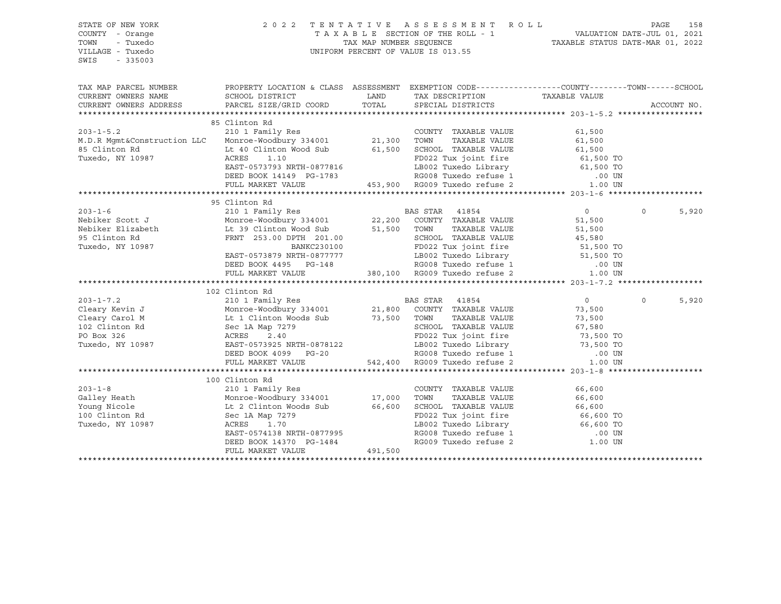STATE OF NEW YORK 2 0 2 2 T E N T A T I V E A S S E S S M E N T R O L L PAGE 158 COUNTY - Orange T A X A B L E SECTION OF THE ROLL - 1 TOWN - Tuxedo TAX MAP NUMBER SEQUENCE TAXABLE STATUS DATE-MAR 01, 2022 UNIFORM PERCENT OF VALUE IS 013.55 SWIS - 335003 TAX MAP PARCEL NUMBER PROPERTY LOCATION & CLASS ASSESSMENT EXEMPTION CODE------------------COUNTY--------TOWN------SCHOOL CURRENT OWNERS NAME SCHOOL DISTRICT LAND TAX DESCRIPTION TAXABLE VALUE CURRENT OWNERS ADDRESS PARCEL SIZE/GRID COORD TOTAL SPECIAL DISTRICTS ACCOUNT NO. \*\*\*\*\*\*\*\*\*\*\*\*\*\*\*\*\*\*\*\*\*\*\*\*\*\*\*\*\*\*\*\*\*\*\*\*\*\*\*\*\*\*\*\*\*\*\*\*\*\*\*\*\*\*\*\*\*\*\*\*\*\*\*\*\*\*\*\*\*\*\*\*\*\*\*\*\*\*\*\*\*\*\*\*\*\*\*\*\*\*\*\*\*\*\*\*\*\*\*\*\*\*\* 203-1-5.2 \*\*\*\*\*\*\*\*\*\*\*\*\*\*\*\*\*\* 85 Clinton Rd 203-1-5.2 210 1 Family Res COUNTY TAXABLE VALUE 61,500 M.D.R Mgmt&Construction LLC Monroe-Woodbury 334001 21,300 TOWN TAXABLE VALUE 61,500 85 Clinton Rd Lt 40 Clinton Wood Sub 61,500 SCHOOL TAXABLE VALUE 61,500 Tuxedo, NY 10987 ACRES 1.10 FD022 Tux joint fire 61,500 TO EAST-0573793 NRTH-0877816 LB002 Tuxedo Library 61,500 TO DEED BOOK 14149 PG-1783 RG008 Tuxedo refuse 1 .00 UN FULL MARKET VALUE 453,900 RG009 Tuxedo refuse 2 1.00 UN \*\*\*\*\*\*\*\*\*\*\*\*\*\*\*\*\*\*\*\*\*\*\*\*\*\*\*\*\*\*\*\*\*\*\*\*\*\*\*\*\*\*\*\*\*\*\*\*\*\*\*\*\*\*\*\*\*\*\*\*\*\*\*\*\*\*\*\*\*\*\*\*\*\*\*\*\*\*\*\*\*\*\*\*\*\*\*\*\*\*\*\*\*\*\*\*\*\*\*\*\*\*\* 203-1-6 \*\*\*\*\*\*\*\*\*\*\*\*\*\*\*\*\*\*\*\* 95 Clinton Rd 203-1-6 210 1 Family Res BAS STAR 41854 0 0 5,920 Nebiker Scott J Monroe-Woodbury 334001 22,200 COUNTY TAXABLE VALUE 51,500 Nebiker Elizabeth Lt 39 Clinton Wood Sub 51,500 TOWN TAXABLE VALUE 51,500 POSTRICT STATES.<br>95 Clinton Rd FRNT 253.00 DPTH 201.00 SCHOOL TAXABLE VALUE 45,580 Tuxedo, NY 10987 BANKC230100 FD022 Tux joint fire 51,500 TO EAST-0573879 NRTH-0877777 LB002 Tuxedo Library 51,500 TO DEED BOOK 4495 PG-148 RG008 Tuxedo refuse 1 .00 UN FULL MARKET VALUE 380,100 RG009 Tuxedo refuse 2 1.00 UN \*\*\*\*\*\*\*\*\*\*\*\*\*\*\*\*\*\*\*\*\*\*\*\*\*\*\*\*\*\*\*\*\*\*\*\*\*\*\*\*\*\*\*\*\*\*\*\*\*\*\*\*\*\*\*\*\*\*\*\*\*\*\*\*\*\*\*\*\*\*\*\*\*\*\*\*\*\*\*\*\*\*\*\*\*\*\*\*\*\*\*\*\*\*\*\*\*\*\*\*\*\*\* 203-1-7.2 \*\*\*\*\*\*\*\*\*\*\*\*\*\*\*\*\*\* 102 Clinton Rd 203-1-7.2 210 1 Family Res BAS STAR 41854 0 0 5,920 Cleary Kevin J Monroe-Woodbury 334001 21,800 COUNTY TAXABLE VALUE 73,500 Cleary Carol M Lt 1 Clinton Woods Sub 73,500 TOWN TAXABLE VALUE 73,500 102 Clinton Rd Sec 1A Map 7279 School Cleary Carol Thaxable VALUE 67,580<br>102 Clinton Rd Sec 1A Map 7279 School TraxAble VALUE 67,580 PO Box 326 ACRES 2.40 FD022 Tux joint fire 73,500 TO Tuxedo, NY 10987 EAST-0573925 NRTH-0878122 LB002 Tuxedo Library 73,500 TO DEED BOOK 4099 PG-20 RG008 Tuxedo refuse 1 .00 UN FULL MARKET VALUE 542,400 RG009 Tuxedo refuse 2 1.00 UN \*\*\*\*\*\*\*\*\*\*\*\*\*\*\*\*\*\*\*\*\*\*\*\*\*\*\*\*\*\*\*\*\*\*\*\*\*\*\*\*\*\*\*\*\*\*\*\*\*\*\*\*\*\*\*\*\*\*\*\*\*\*\*\*\*\*\*\*\*\*\*\*\*\*\*\*\*\*\*\*\*\*\*\*\*\*\*\*\*\*\*\*\*\*\*\*\*\*\*\*\*\*\* 203-1-8 \*\*\*\*\*\*\*\*\*\*\*\*\*\*\*\*\*\*\*\* 100 Clinton Rd 203-1-8 210 1 Family Res COUNTY TAXABLE VALUE 66,600 Galley Heath Monroe-Woodbury 334001 17,000 TOWN TAXABLE VALUE 66,600 Young Nicole Lt 2 Clinton Woods Sub 66,600 SCHOOL TAXABLE VALUE 66,600 100 Young NICOLE<br>100 Clinton Rd Sec 1A Map 7279 FD022 Tux joint fire 66,600 TO<br>FD002 Tuxedo Library 66,600 TO 1002 Tuxedo Library 66,600 TO 1002 Tuxedo Library Tuxedo, NY 10987 ACRES 1.70 LB002 Tuxedo Library 66,600 TO EAST-0574138 NRTH-0877995 RG008 Tuxedo refuse 1 .00 UN DEED BOOK 14370 PG-1484 RG009 Tuxedo refuse 2 1.00 UN FULL MARKET VALUE 491,500 \*\*\*\*\*\*\*\*\*\*\*\*\*\*\*\*\*\*\*\*\*\*\*\*\*\*\*\*\*\*\*\*\*\*\*\*\*\*\*\*\*\*\*\*\*\*\*\*\*\*\*\*\*\*\*\*\*\*\*\*\*\*\*\*\*\*\*\*\*\*\*\*\*\*\*\*\*\*\*\*\*\*\*\*\*\*\*\*\*\*\*\*\*\*\*\*\*\*\*\*\*\*\*\*\*\*\*\*\*\*\*\*\*\*\*\*\*\*\*\*\*\*\*\*\*\*\*\*\*\*\*\*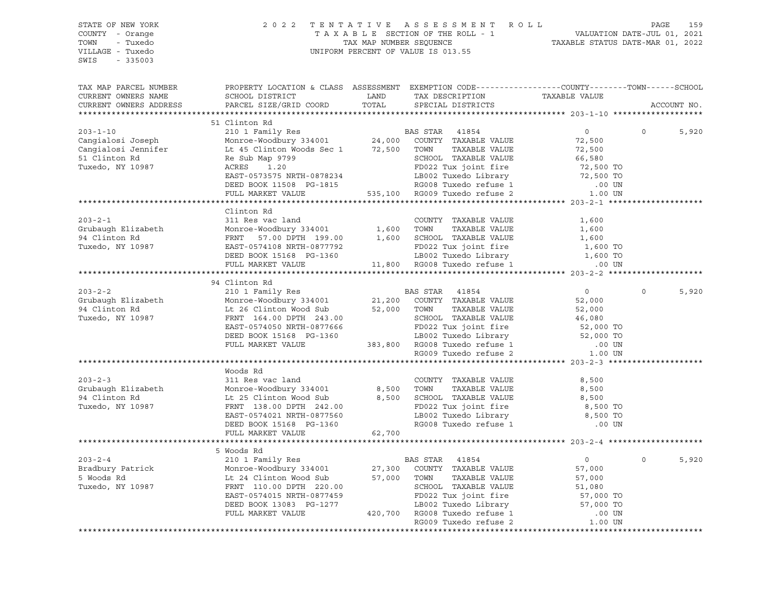| STATE OF NEW YORK<br>COUNTY - Orange<br>TOWN<br>- Tuxedo<br>VILLAGE - Tuxedo<br>SWIS<br>$-335003$                                                                                                                                          |                                                                                                                                                                                                                   |                      | 2022 TENTATIVE ASSESSMENT ROLL<br>TAXABLE SECTION OF THE ROLL - 1<br>TAXABLE SECTION OF THE ROLL - 1<br>TAXABLE STATUS DATE-MAR 01, 2022<br>UNIFORM PERCENT OF VALUE IS 013.55                                                                   |                     | PAGE        | 159   |
|--------------------------------------------------------------------------------------------------------------------------------------------------------------------------------------------------------------------------------------------|-------------------------------------------------------------------------------------------------------------------------------------------------------------------------------------------------------------------|----------------------|--------------------------------------------------------------------------------------------------------------------------------------------------------------------------------------------------------------------------------------------------|---------------------|-------------|-------|
| TAX MAP PARCEL NUMBER<br>CURRENT OWNERS NAME<br>CURRENT OWNERS ADDRESS                                                                                                                                                                     | SCHOOL DISTRICT<br>PARCEL SIZE/GRID COORD                                                                                                                                                                         | <b>LAND</b><br>TOTAL | PROPERTY LOCATION & CLASS ASSESSMENT EXEMPTION CODE-----------------COUNTY-------TOWN------SCHOOL<br>TAX DESCRIPTION TAXABLE VALUE<br>SPECIAL DISTRICTS                                                                                          |                     | ACCOUNT NO. |       |
|                                                                                                                                                                                                                                            |                                                                                                                                                                                                                   |                      |                                                                                                                                                                                                                                                  |                     |             |       |
|                                                                                                                                                                                                                                            | 51 Clinton Rd                                                                                                                                                                                                     |                      |                                                                                                                                                                                                                                                  |                     |             |       |
| Cangialosi Joseph 210 1 Family Res<br>Cangialosi Joseph Monroe-Woodbury 334001 24,000 COUNTY TAXABLE VALUE<br>Cangialosi Jennifer Lt 45 Clinton Woods Sec 1 72,500 TOWN TAXABLE VALUE<br>51 Clinton Re Sub Map 9799<br>Re Sub Map 9799     |                                                                                                                                                                                                                   |                      |                                                                                                                                                                                                                                                  | $0 \qquad \qquad$   | $\Omega$    | 5,920 |
|                                                                                                                                                                                                                                            |                                                                                                                                                                                                                   |                      |                                                                                                                                                                                                                                                  | 72,500              |             |       |
|                                                                                                                                                                                                                                            |                                                                                                                                                                                                                   |                      |                                                                                                                                                                                                                                                  | 72,500              |             |       |
| Tuxedo, NY 10987                                                                                                                                                                                                                           | Map 9799<br>1.20                                                                                                                                                                                                  |                      |                                                                                                                                                                                                                                                  | 66,580              |             |       |
|                                                                                                                                                                                                                                            | ACRES<br>EAST-0573575 NRTH-0878234                                                                                                                                                                                |                      |                                                                                                                                                                                                                                                  |                     |             |       |
|                                                                                                                                                                                                                                            | DEED BOOK 11508 PG-1815                                                                                                                                                                                           |                      |                                                                                                                                                                                                                                                  |                     |             |       |
|                                                                                                                                                                                                                                            | FULL MARKET VALUE                                                                                                                                                                                                 |                      | FD022 Tux joint fire 50,500 TO<br>ED022 Tux joint fire 72,500 TO<br>LB002 Tuxedo Library 72,500 TO<br>RG008 Tuxedo refuse 1 .00 UN<br>535,100 RG009 Tuxedo refuse 2 1.00 UN                                                                      |                     |             |       |
|                                                                                                                                                                                                                                            |                                                                                                                                                                                                                   |                      |                                                                                                                                                                                                                                                  |                     |             |       |
|                                                                                                                                                                                                                                            | Clinton Rd                                                                                                                                                                                                        |                      |                                                                                                                                                                                                                                                  |                     |             |       |
|                                                                                                                                                                                                                                            |                                                                                                                                                                                                                   |                      |                                                                                                                                                                                                                                                  | 1,600               |             |       |
|                                                                                                                                                                                                                                            |                                                                                                                                                                                                                   |                      |                                                                                                                                                                                                                                                  | 1,600               |             |       |
|                                                                                                                                                                                                                                            |                                                                                                                                                                                                                   |                      |                                                                                                                                                                                                                                                  | 1,600               |             |       |
| 203-2-1<br>Grubaugh Elizabeth 311 Res vac land<br>311 Res vac land<br>Monroe-Woodbury 334001 1,600 TOWN TAXABLE VALUE<br>74 Clinton Rd<br>Tuxedo, NY 10987 EAST-0574108 NRTH-0877792 FD022 Tux joint fire<br>DEED BOOK 15168 PG-1360 1,800 |                                                                                                                                                                                                                   |                      |                                                                                                                                                                                                                                                  | 1,600 TO            |             |       |
|                                                                                                                                                                                                                                            |                                                                                                                                                                                                                   |                      |                                                                                                                                                                                                                                                  | 1,600 TO            |             |       |
|                                                                                                                                                                                                                                            |                                                                                                                                                                                                                   |                      |                                                                                                                                                                                                                                                  | .00 UN              |             |       |
|                                                                                                                                                                                                                                            |                                                                                                                                                                                                                   |                      |                                                                                                                                                                                                                                                  |                     |             |       |
|                                                                                                                                                                                                                                            | 94 Clinton Rd                                                                                                                                                                                                     |                      |                                                                                                                                                                                                                                                  |                     |             |       |
| $203 - 2 - 2$                                                                                                                                                                                                                              | 210 1 Family Res                                                                                                                                                                                                  |                      | <b>BAS STAR 41854</b>                                                                                                                                                                                                                            | $\overline{0}$      | $\Omega$    | 5,920 |
|                                                                                                                                                                                                                                            |                                                                                                                                                                                                                   |                      |                                                                                                                                                                                                                                                  | 52,000              |             |       |
|                                                                                                                                                                                                                                            |                                                                                                                                                                                                                   |                      |                                                                                                                                                                                                                                                  | 52,000              |             |       |
|                                                                                                                                                                                                                                            | FRNT 164.00 DPTH 243.00<br>EAST-0574050 NRTH-0877666<br>DEED BOOK 15168 PG-1360<br>FULL MARKET VALUE 383,800 RG008 Tuxedo refuse 1 00 UN<br>RG009 Tuxedo refuse 2 1.00 UN<br>RG009 Tuxedo refuse 2 1.00 UN        |                      |                                                                                                                                                                                                                                                  |                     |             |       |
|                                                                                                                                                                                                                                            |                                                                                                                                                                                                                   |                      |                                                                                                                                                                                                                                                  |                     |             |       |
|                                                                                                                                                                                                                                            |                                                                                                                                                                                                                   |                      |                                                                                                                                                                                                                                                  |                     |             |       |
|                                                                                                                                                                                                                                            |                                                                                                                                                                                                                   |                      |                                                                                                                                                                                                                                                  |                     |             |       |
|                                                                                                                                                                                                                                            |                                                                                                                                                                                                                   |                      |                                                                                                                                                                                                                                                  |                     |             |       |
|                                                                                                                                                                                                                                            |                                                                                                                                                                                                                   |                      |                                                                                                                                                                                                                                                  |                     |             |       |
|                                                                                                                                                                                                                                            | Woods Rd                                                                                                                                                                                                          |                      |                                                                                                                                                                                                                                                  |                     |             |       |
| $203 - 2 - 3$                                                                                                                                                                                                                              | 311 Res vac land                                                                                                                                                                                                  |                      | COUNTY TAXABLE VALUE                                                                                                                                                                                                                             | 8,500               |             |       |
| Grubaugh Elizabeth                                                                                                                                                                                                                         | Monroe-Woodbury 334001                                                                                                                                                                                            |                      |                                                                                                                                                                                                                                                  | 8,500               |             |       |
| 94 Clinton Rd                                                                                                                                                                                                                              |                                                                                                                                                                                                                   |                      |                                                                                                                                                                                                                                                  | 8,500               |             |       |
| Tuxedo, NY 10987                                                                                                                                                                                                                           |                                                                                                                                                                                                                   |                      |                                                                                                                                                                                                                                                  | 8,500 TO            |             |       |
|                                                                                                                                                                                                                                            |                                                                                                                                                                                                                   |                      |                                                                                                                                                                                                                                                  | 8,500 TO            |             |       |
|                                                                                                                                                                                                                                            |                                                                                                                                                                                                                   |                      |                                                                                                                                                                                                                                                  | .00 UN              |             |       |
|                                                                                                                                                                                                                                            | 311 kes<br>Monroe-Woodbury 334001<br>Lt 25 Clinton Wood Sub<br>FRNT 138.00 DPTH 242.00<br>TRNT 138.00 DPTH 242.00<br>TO22 Tux joint 11 E<br>LB002 Tuxedo Library<br>LB002 Tuxedo Library<br>RG008 Tuxedo refuse 1 |                      |                                                                                                                                                                                                                                                  |                     |             |       |
|                                                                                                                                                                                                                                            |                                                                                                                                                                                                                   |                      |                                                                                                                                                                                                                                                  |                     |             |       |
| $203 - 2 - 4$                                                                                                                                                                                                                              |                                                                                                                                                                                                                   |                      |                                                                                                                                                                                                                                                  | $\overline{0}$      | $\circ$     | 5,920 |
| Bradbury Patrick                                                                                                                                                                                                                           |                                                                                                                                                                                                                   |                      |                                                                                                                                                                                                                                                  | 57,000              |             |       |
| 5 Woods Rd                                                                                                                                                                                                                                 | Monroe-Woodbury 334001<br>Lt 24 Clinton Wood Sub                                                                                                                                                                  |                      |                                                                                                                                                                                                                                                  | 57,000              |             |       |
| Tuxedo, NY 10987                                                                                                                                                                                                                           |                                                                                                                                                                                                                   |                      |                                                                                                                                                                                                                                                  |                     |             |       |
|                                                                                                                                                                                                                                            |                                                                                                                                                                                                                   |                      |                                                                                                                                                                                                                                                  | 51,080<br>57,000 TO |             |       |
|                                                                                                                                                                                                                                            |                                                                                                                                                                                                                   |                      |                                                                                                                                                                                                                                                  | 57,000 TO           |             |       |
|                                                                                                                                                                                                                                            |                                                                                                                                                                                                                   |                      | 5 Woods Rd<br>210 1 Family Res<br>Monroe-Woodbury 334001<br>Lt 24 Clinton Wood Sub<br>FRNT 110.00 DPTH 220.00<br>EAST-0574015 NRTH-0877459<br>CHERE PD022 Tuxedo Library<br>CHERE PD022 Tuxedo Library<br>CHERE PD022 Tuxedo Library<br>CHERE PD | $.00$ UN $.00$      |             |       |

\*\*\*\*\*\*\*\*\*\*\*\*\*\*\*\*\*\*\*\*\*\*\*\*\*\*\*\*\*\*\*\*\*\*\*\*\*\*\*\*\*\*\*\*\*\*\*\*\*\*\*\*\*\*\*\*\*\*\*\*\*\*\*\*\*\*\*\*\*\*\*\*\*\*\*\*\*\*\*\*\*\*\*\*\*\*\*\*\*\*\*\*\*\*\*\*\*\*\*\*\*\*\*\*\*\*\*\*\*\*\*\*\*\*\*\*\*\*\*\*\*\*\*\*\*\*\*\*\*\*\*\*

RG009 Tuxedo refuse 2 1.00 UN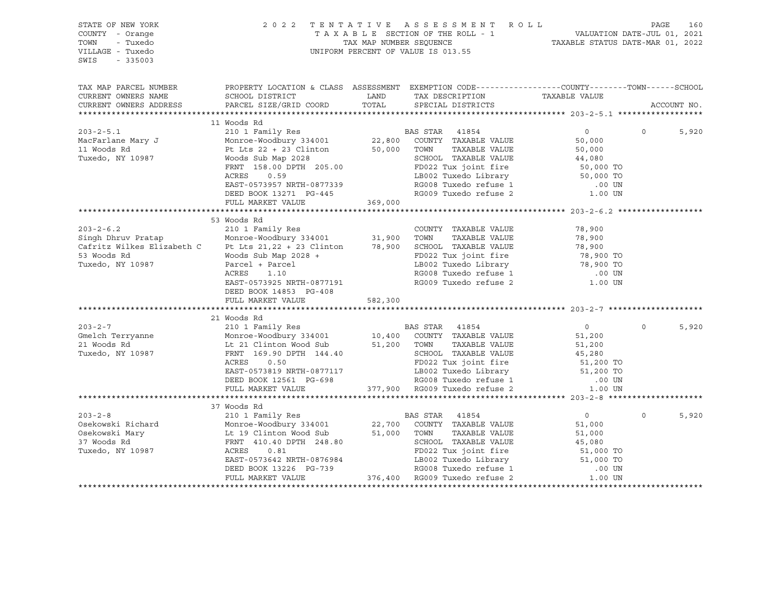| STATE OF NEW YORK<br>COUNTY - Orange<br>TOWN<br>- Tuxedo<br>VILLAGE - Tuxedo<br>SWIS<br>$-335003$ |                                                                                                                                                                                                                                                                                                                                                                                                                                                                                     | 2022 TENTATIVE ASSESSMENT ROLL PAGE 160<br>TAXABLE SECTION OF THE ROLL - 1 VALUATION DATE-JUL 01, 2021<br>TAX MAP NUMBER SEQUENCE TAXABLE STATUS DATE-MAR 01, 2022<br>UNIFORM PERCENT OF VALUE IS 013.55 |                          |          |             |
|---------------------------------------------------------------------------------------------------|-------------------------------------------------------------------------------------------------------------------------------------------------------------------------------------------------------------------------------------------------------------------------------------------------------------------------------------------------------------------------------------------------------------------------------------------------------------------------------------|----------------------------------------------------------------------------------------------------------------------------------------------------------------------------------------------------------|--------------------------|----------|-------------|
|                                                                                                   | TAX MAP PARCEL NUMBER THE PROPERTY LOCATION & CLASS ASSESSMENT EXEMPTION CODE---------------COUNTY--------TOWN------SCHOOL                                                                                                                                                                                                                                                                                                                                                          |                                                                                                                                                                                                          |                          |          | ACCOUNT NO. |
|                                                                                                   |                                                                                                                                                                                                                                                                                                                                                                                                                                                                                     |                                                                                                                                                                                                          |                          |          |             |
|                                                                                                   | 11 Woods Rd                                                                                                                                                                                                                                                                                                                                                                                                                                                                         |                                                                                                                                                                                                          |                          |          |             |
|                                                                                                   | 203-2-5.1 11 Woods Rd<br>MacFarlane Mary J<br>Monroe-Woodbury 334001 22,800 COUNTY TAXABLE VALUE 50,000<br>11 Woods Rd<br>Tuxedo, NY 10987 Woods Sub Map 2028<br>FRNT 158.00 DPTH 205.00<br>ACRES 0.59<br>EAST-0573957 NRTH-0877339 RG009 Tu<br>FULL MARKET VALUE 369,000                                                                                                                                                                                                           |                                                                                                                                                                                                          |                          | $\Omega$ | 5,920       |
|                                                                                                   |                                                                                                                                                                                                                                                                                                                                                                                                                                                                                     |                                                                                                                                                                                                          |                          |          |             |
|                                                                                                   | 53 Woods Rd<br>2003-2-6.2<br>Survey Barily Res<br>210 1 Family Res<br>Monroe-Woodbury 334001<br>210 1 Family Res<br>Monroe-Woodbury 334001<br>210 1 Family Res<br>210 1 Family Res<br>210 1 Family Res<br>210 1 Family Res<br>210 1 Family Res<br>210 1 Family Res<br><br>$\mathbf{L}$<br>ACRES<br>1.10<br>EAST-0573925 NRTH-0877191<br>DEED BOOK 14853 PG-408<br>FULL MARKET VALUE 582,300                                                                                         | -----<br>LB002 Tuxedo Library<br>RG008 Tuxedo refuse 1<br>RG009 Tuxedo refuse 2                                                                                                                          | .00 UN<br>1.00 UN        |          |             |
|                                                                                                   |                                                                                                                                                                                                                                                                                                                                                                                                                                                                                     |                                                                                                                                                                                                          |                          |          |             |
|                                                                                                   | 21 Woods Rd                                                                                                                                                                                                                                                                                                                                                                                                                                                                         |                                                                                                                                                                                                          | $\overline{0}$           | $\Omega$ | 5,920       |
|                                                                                                   |                                                                                                                                                                                                                                                                                                                                                                                                                                                                                     |                                                                                                                                                                                                          |                          |          |             |
|                                                                                                   | 37 Woods Rd                                                                                                                                                                                                                                                                                                                                                                                                                                                                         |                                                                                                                                                                                                          |                          |          |             |
|                                                                                                   | 203-2-8<br>Osekowski Richard<br>Osekowski Mary Lt 19 Clinton Wood Sub<br>37 Woods Rd<br>Tuxedo, NY 10987<br>22,700 COUNTY TAXABLE VALUE<br>37 Woods Rd<br>Tuxedo, NY 10987<br>22,700 COUNTY TAXABLE VALUE<br>37 Woods Rd<br>22,700 COUNTY TAXABLE<br>1000 12000 12000 12000 12000 12000 12000 12000 13000 13000 13000 13000 13000 13000 13000 13000 13000 13000 13000 13000 13000 13000 13000 13000 13000 13000 13000 13000 13000 13000 13000 13000 13000 13000 13000 13000 13000 1 |                                                                                                                                                                                                          | $\overline{0}$<br>51,000 | $\Omega$ | 5,920       |
|                                                                                                   |                                                                                                                                                                                                                                                                                                                                                                                                                                                                                     |                                                                                                                                                                                                          |                          |          |             |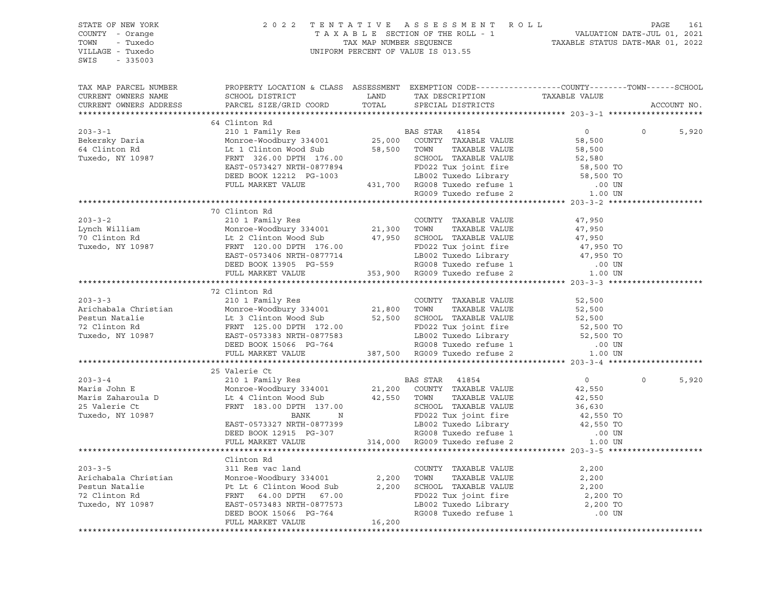| STATE OF NEW YORK<br>COUNTY - Orange<br>TOWN<br>- Tuxedo<br>VILLAGE - Tuxedo<br>SWIS - 335003                                                                                                                                                  |                                                                                                  | $\begin{tabular}{lllllllllllll} \hline 2&0&2&2&\text{T} & \text{E} & \text{N} & \text{T} & \text{A} & \text{T} & \text{A} & \text{B} & \text{A} & \text{B} & \text{E} & \text{A} & \text{E} & \text{E} & \text{E} & \text{E} & \text{E} & \text{E} & \text{E} & \text{E} & \text{E} & \text{E} & \text{E} & \text{E} & \text{E} & \text{E} & \text{E} & \text{E} & \text{E} & \text{E} & \text{E} & \text{E} & \text{E}$ |                |                   |             |
|------------------------------------------------------------------------------------------------------------------------------------------------------------------------------------------------------------------------------------------------|--------------------------------------------------------------------------------------------------|--------------------------------------------------------------------------------------------------------------------------------------------------------------------------------------------------------------------------------------------------------------------------------------------------------------------------------------------------------------------------------------------------------------------------|----------------|-------------------|-------------|
| TAX MAP PARCEL NUMBER<br>CURRENT OWNERS NAME<br>CURRENT OWNERS ADDRESS                                                                                                                                                                         | PROPERTY LOCATION & CLASS ASSESSMENT EXEMPTION CODE----------------COUNTY-------TOWN------SCHOOL |                                                                                                                                                                                                                                                                                                                                                                                                                          |                |                   | ACCOUNT NO. |
|                                                                                                                                                                                                                                                |                                                                                                  |                                                                                                                                                                                                                                                                                                                                                                                                                          |                |                   |             |
|                                                                                                                                                                                                                                                | 64 Clinton Rd                                                                                    |                                                                                                                                                                                                                                                                                                                                                                                                                          |                |                   |             |
|                                                                                                                                                                                                                                                |                                                                                                  |                                                                                                                                                                                                                                                                                                                                                                                                                          | $\overline{0}$ | $0 \qquad \qquad$ | 5,920       |
|                                                                                                                                                                                                                                                |                                                                                                  |                                                                                                                                                                                                                                                                                                                                                                                                                          |                |                   |             |
|                                                                                                                                                                                                                                                |                                                                                                  |                                                                                                                                                                                                                                                                                                                                                                                                                          |                |                   |             |
|                                                                                                                                                                                                                                                |                                                                                                  |                                                                                                                                                                                                                                                                                                                                                                                                                          |                |                   |             |
|                                                                                                                                                                                                                                                |                                                                                                  |                                                                                                                                                                                                                                                                                                                                                                                                                          |                |                   |             |
|                                                                                                                                                                                                                                                |                                                                                                  |                                                                                                                                                                                                                                                                                                                                                                                                                          |                |                   |             |
|                                                                                                                                                                                                                                                |                                                                                                  |                                                                                                                                                                                                                                                                                                                                                                                                                          |                |                   |             |
|                                                                                                                                                                                                                                                |                                                                                                  |                                                                                                                                                                                                                                                                                                                                                                                                                          |                |                   |             |
|                                                                                                                                                                                                                                                | 70 Clinton Rd                                                                                    |                                                                                                                                                                                                                                                                                                                                                                                                                          |                |                   |             |
| $203 - 3 - 2$                                                                                                                                                                                                                                  |                                                                                                  |                                                                                                                                                                                                                                                                                                                                                                                                                          |                |                   |             |
|                                                                                                                                                                                                                                                |                                                                                                  |                                                                                                                                                                                                                                                                                                                                                                                                                          |                |                   |             |
|                                                                                                                                                                                                                                                |                                                                                                  |                                                                                                                                                                                                                                                                                                                                                                                                                          |                |                   |             |
|                                                                                                                                                                                                                                                |                                                                                                  |                                                                                                                                                                                                                                                                                                                                                                                                                          |                |                   |             |
|                                                                                                                                                                                                                                                |                                                                                                  |                                                                                                                                                                                                                                                                                                                                                                                                                          |                |                   |             |
|                                                                                                                                                                                                                                                |                                                                                                  |                                                                                                                                                                                                                                                                                                                                                                                                                          |                |                   |             |
| 203-3-2<br>Lynch William Monroe-Woodbury 334001<br>70 Clinton Rd Lt 2 Clinton Wood Sub<br>Tuxedo, NY 10987 FRNT 120.00 DPTH 176.00<br>EAST-0573406 NRTH-0877714 LB002 Tuxedo Fine 17,950<br>TULL MARKET VALUE<br>FRNT 120.00 DPTH 176.00<br>   |                                                                                                  |                                                                                                                                                                                                                                                                                                                                                                                                                          |                |                   |             |
|                                                                                                                                                                                                                                                | 72 Clinton Rd                                                                                    |                                                                                                                                                                                                                                                                                                                                                                                                                          |                |                   |             |
|                                                                                                                                                                                                                                                |                                                                                                  |                                                                                                                                                                                                                                                                                                                                                                                                                          |                |                   |             |
|                                                                                                                                                                                                                                                |                                                                                                  |                                                                                                                                                                                                                                                                                                                                                                                                                          |                |                   |             |
|                                                                                                                                                                                                                                                |                                                                                                  |                                                                                                                                                                                                                                                                                                                                                                                                                          |                |                   |             |
|                                                                                                                                                                                                                                                |                                                                                                  |                                                                                                                                                                                                                                                                                                                                                                                                                          |                |                   |             |
| 72 Clinton Rd<br>210 1 Family Res<br>Arichabala Christian Monre-Woodbury 334001<br>21,800 TOWN TAXABLE VALUE 52,500<br>Pestun Natalie Lt 3 Clinton Wood Sub<br>72 Clinton Rd<br>72 Clinton Rd<br>21,800 TOWN TAXABLE VALUE 52,500<br>21,800 TO |                                                                                                  |                                                                                                                                                                                                                                                                                                                                                                                                                          |                |                   |             |
|                                                                                                                                                                                                                                                |                                                                                                  |                                                                                                                                                                                                                                                                                                                                                                                                                          |                |                   |             |
|                                                                                                                                                                                                                                                |                                                                                                  |                                                                                                                                                                                                                                                                                                                                                                                                                          |                |                   |             |
|                                                                                                                                                                                                                                                |                                                                                                  |                                                                                                                                                                                                                                                                                                                                                                                                                          |                |                   |             |
|                                                                                                                                                                                                                                                | 25 Valerie Ct                                                                                    |                                                                                                                                                                                                                                                                                                                                                                                                                          |                |                   |             |
|                                                                                                                                                                                                                                                |                                                                                                  |                                                                                                                                                                                                                                                                                                                                                                                                                          | $\overline{0}$ | $\circ$           | 5,920       |
|                                                                                                                                                                                                                                                |                                                                                                  |                                                                                                                                                                                                                                                                                                                                                                                                                          |                |                   |             |
|                                                                                                                                                                                                                                                |                                                                                                  |                                                                                                                                                                                                                                                                                                                                                                                                                          |                |                   |             |
|                                                                                                                                                                                                                                                |                                                                                                  |                                                                                                                                                                                                                                                                                                                                                                                                                          |                |                   |             |
|                                                                                                                                                                                                                                                |                                                                                                  |                                                                                                                                                                                                                                                                                                                                                                                                                          |                |                   |             |
|                                                                                                                                                                                                                                                |                                                                                                  |                                                                                                                                                                                                                                                                                                                                                                                                                          |                |                   |             |
|                                                                                                                                                                                                                                                |                                                                                                  |                                                                                                                                                                                                                                                                                                                                                                                                                          |                |                   |             |
|                                                                                                                                                                                                                                                |                                                                                                  |                                                                                                                                                                                                                                                                                                                                                                                                                          |                |                   |             |
|                                                                                                                                                                                                                                                | Clinton Rd                                                                                       |                                                                                                                                                                                                                                                                                                                                                                                                                          |                |                   |             |
|                                                                                                                                                                                                                                                |                                                                                                  |                                                                                                                                                                                                                                                                                                                                                                                                                          |                |                   |             |
|                                                                                                                                                                                                                                                |                                                                                                  |                                                                                                                                                                                                                                                                                                                                                                                                                          |                |                   |             |
|                                                                                                                                                                                                                                                |                                                                                                  |                                                                                                                                                                                                                                                                                                                                                                                                                          |                |                   |             |
|                                                                                                                                                                                                                                                |                                                                                                  |                                                                                                                                                                                                                                                                                                                                                                                                                          |                |                   |             |
|                                                                                                                                                                                                                                                |                                                                                                  |                                                                                                                                                                                                                                                                                                                                                                                                                          |                |                   |             |
|                                                                                                                                                                                                                                                |                                                                                                  |                                                                                                                                                                                                                                                                                                                                                                                                                          |                |                   |             |
|                                                                                                                                                                                                                                                |                                                                                                  |                                                                                                                                                                                                                                                                                                                                                                                                                          |                |                   |             |
|                                                                                                                                                                                                                                                |                                                                                                  |                                                                                                                                                                                                                                                                                                                                                                                                                          |                |                   |             |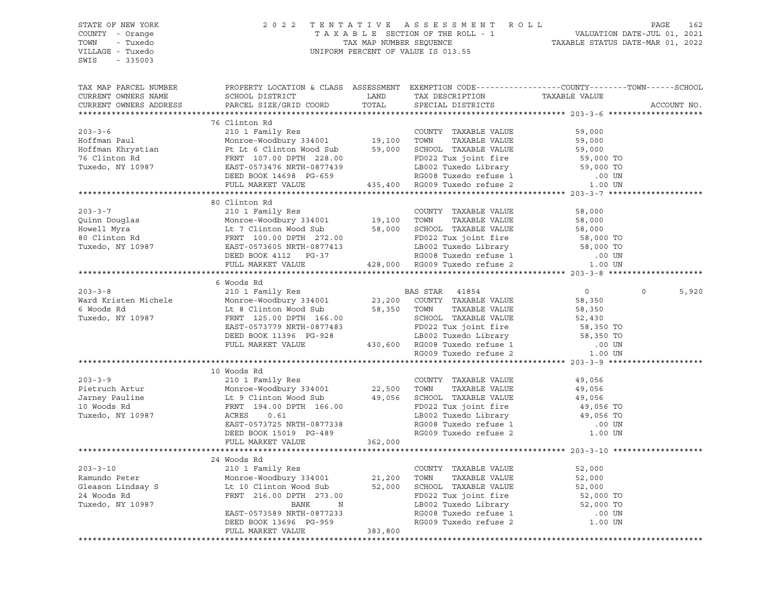SWIS - 335003

#### STATE OF NEW YORK 2 0 2 2 T E N T A T I V E A S S E S S M E N T R O L L PAGE 162 COUNTY - Orange T A X A B L E SECTION OF THE ROLL - 1 VALUATION DATE-JUL 01, 2021 TOWN - Tuxedo TAX MAP NUMBER SEQUENCE TAXABLE STATUS DATE-MAR 01, 2022 VILLAGE - Tuxedo UNIFORM PERCENT OF VALUE IS 013.55

| TAX MAP PARCEL NUMBER                                                                                                                                                                                                                                                                                                                                                                                                                                                            | PROPERTY LOCATION & CLASS ASSESSMENT EXEMPTION CODE----------------COUNTY-------TOWN------SCHOOL |  |                   |
|----------------------------------------------------------------------------------------------------------------------------------------------------------------------------------------------------------------------------------------------------------------------------------------------------------------------------------------------------------------------------------------------------------------------------------------------------------------------------------|--------------------------------------------------------------------------------------------------|--|-------------------|
|                                                                                                                                                                                                                                                                                                                                                                                                                                                                                  |                                                                                                  |  |                   |
|                                                                                                                                                                                                                                                                                                                                                                                                                                                                                  |                                                                                                  |  |                   |
|                                                                                                                                                                                                                                                                                                                                                                                                                                                                                  | 76 Clinton Rd                                                                                    |  |                   |
| 203-3-6<br>Hoffman Paul 210 1 Family Res<br>Monroe-Woodbury 334001<br>Hoffman Khrystian<br>210 1 Family Res<br>Monroe-Woodbury 334001<br>210 19,100 TOWN TAXABLE VALUE 59,000<br>59,000 SCHOOL TAXABLE VALUE 59,000<br>28.00 ECHOOL TAXABLE VA                                                                                                                                                                                                                                   |                                                                                                  |  |                   |
|                                                                                                                                                                                                                                                                                                                                                                                                                                                                                  |                                                                                                  |  |                   |
|                                                                                                                                                                                                                                                                                                                                                                                                                                                                                  |                                                                                                  |  |                   |
|                                                                                                                                                                                                                                                                                                                                                                                                                                                                                  |                                                                                                  |  |                   |
|                                                                                                                                                                                                                                                                                                                                                                                                                                                                                  |                                                                                                  |  |                   |
|                                                                                                                                                                                                                                                                                                                                                                                                                                                                                  |                                                                                                  |  |                   |
|                                                                                                                                                                                                                                                                                                                                                                                                                                                                                  |                                                                                                  |  |                   |
|                                                                                                                                                                                                                                                                                                                                                                                                                                                                                  |                                                                                                  |  |                   |
|                                                                                                                                                                                                                                                                                                                                                                                                                                                                                  | 80 Clinton Rd                                                                                    |  |                   |
|                                                                                                                                                                                                                                                                                                                                                                                                                                                                                  |                                                                                                  |  |                   |
|                                                                                                                                                                                                                                                                                                                                                                                                                                                                                  |                                                                                                  |  |                   |
|                                                                                                                                                                                                                                                                                                                                                                                                                                                                                  |                                                                                                  |  |                   |
|                                                                                                                                                                                                                                                                                                                                                                                                                                                                                  |                                                                                                  |  |                   |
|                                                                                                                                                                                                                                                                                                                                                                                                                                                                                  |                                                                                                  |  |                   |
|                                                                                                                                                                                                                                                                                                                                                                                                                                                                                  |                                                                                                  |  |                   |
|                                                                                                                                                                                                                                                                                                                                                                                                                                                                                  |                                                                                                  |  |                   |
|                                                                                                                                                                                                                                                                                                                                                                                                                                                                                  |                                                                                                  |  |                   |
|                                                                                                                                                                                                                                                                                                                                                                                                                                                                                  | 6 Woods Rd                                                                                       |  |                   |
|                                                                                                                                                                                                                                                                                                                                                                                                                                                                                  |                                                                                                  |  | $\Omega$<br>5,920 |
|                                                                                                                                                                                                                                                                                                                                                                                                                                                                                  |                                                                                                  |  |                   |
|                                                                                                                                                                                                                                                                                                                                                                                                                                                                                  |                                                                                                  |  |                   |
|                                                                                                                                                                                                                                                                                                                                                                                                                                                                                  |                                                                                                  |  |                   |
|                                                                                                                                                                                                                                                                                                                                                                                                                                                                                  |                                                                                                  |  |                   |
|                                                                                                                                                                                                                                                                                                                                                                                                                                                                                  |                                                                                                  |  |                   |
|                                                                                                                                                                                                                                                                                                                                                                                                                                                                                  |                                                                                                  |  |                   |
| 6 Woods Rd<br>2003-3-8 6 Monoce Woodbury 334001 23,200 COUNTY TAXABLE VALUE<br>6 Woods Rd<br>16 Monoce Woodbury 334001 23,200 COUNTY TAXABLE VALUE<br>6 Moods Rd<br>16 Clinton Wood Sub<br>23,200 COUNTY TAXABLE VALUE<br>58,350<br>23,200 COU                                                                                                                                                                                                                                   |                                                                                                  |  |                   |
|                                                                                                                                                                                                                                                                                                                                                                                                                                                                                  |                                                                                                  |  |                   |
| $\begin{tabular}{lcccccc} 203-3-9 & 10\text{ Woods Rd} & 203-3-9 & 210 1 Family Res & 22,500 TOWN T XXXABLE VALUE & 49,056\nPietruch Artur & Monroe-Woodbury 334001 & 22,500 TOWN T AXABLE VALUE & 49,056\nJarney Pauline & Lt 9 Clinton Wood Sub & 49,056 SCHOOL TAXABLE VALUE & 49,056\n10 Woods Rd & FRNT 194.00 DPTH 166.00\nTuxedo, NY 10987 & 20.61 & 20.02 Tuxedo Library & 49,056 TO$                                                                                    |                                                                                                  |  |                   |
|                                                                                                                                                                                                                                                                                                                                                                                                                                                                                  |                                                                                                  |  |                   |
|                                                                                                                                                                                                                                                                                                                                                                                                                                                                                  |                                                                                                  |  |                   |
|                                                                                                                                                                                                                                                                                                                                                                                                                                                                                  |                                                                                                  |  |                   |
|                                                                                                                                                                                                                                                                                                                                                                                                                                                                                  |                                                                                                  |  |                   |
|                                                                                                                                                                                                                                                                                                                                                                                                                                                                                  |                                                                                                  |  |                   |
|                                                                                                                                                                                                                                                                                                                                                                                                                                                                                  |                                                                                                  |  |                   |
|                                                                                                                                                                                                                                                                                                                                                                                                                                                                                  |                                                                                                  |  |                   |
|                                                                                                                                                                                                                                                                                                                                                                                                                                                                                  | FULL MARKET VALUE 362,000                                                                        |  |                   |
|                                                                                                                                                                                                                                                                                                                                                                                                                                                                                  |                                                                                                  |  |                   |
|                                                                                                                                                                                                                                                                                                                                                                                                                                                                                  | 24 Woods Rd                                                                                      |  |                   |
|                                                                                                                                                                                                                                                                                                                                                                                                                                                                                  |                                                                                                  |  |                   |
|                                                                                                                                                                                                                                                                                                                                                                                                                                                                                  |                                                                                                  |  |                   |
|                                                                                                                                                                                                                                                                                                                                                                                                                                                                                  |                                                                                                  |  |                   |
|                                                                                                                                                                                                                                                                                                                                                                                                                                                                                  |                                                                                                  |  |                   |
|                                                                                                                                                                                                                                                                                                                                                                                                                                                                                  |                                                                                                  |  |                   |
|                                                                                                                                                                                                                                                                                                                                                                                                                                                                                  |                                                                                                  |  |                   |
|                                                                                                                                                                                                                                                                                                                                                                                                                                                                                  |                                                                                                  |  |                   |
| $\begin{tabular}{lllllllllllll} \multicolumn{3}{l}{} & \multicolumn{3}{l}{} & \multicolumn{3}{l}{} & \multicolumn{3}{l}{} & \multicolumn{3}{l}{} & \multicolumn{3}{l}{} & \multicolumn{3}{l}{} & \multicolumn{3}{l}{} & \multicolumn{3}{l}{} & \multicolumn{3}{l}{} & \multicolumn{3}{l}{} & \multicolumn{3}{l}{} & \multicolumn{3}{l}{} & \multicolumn{3}{l}{} & \multicolumn{3}{l}{} & \multicolumn{3}{l}{} & \multicolumn{3}{l}{} & \multicolumn{3}{l}{} & \multicolumn{3}{l$ |                                                                                                  |  |                   |
|                                                                                                                                                                                                                                                                                                                                                                                                                                                                                  |                                                                                                  |  |                   |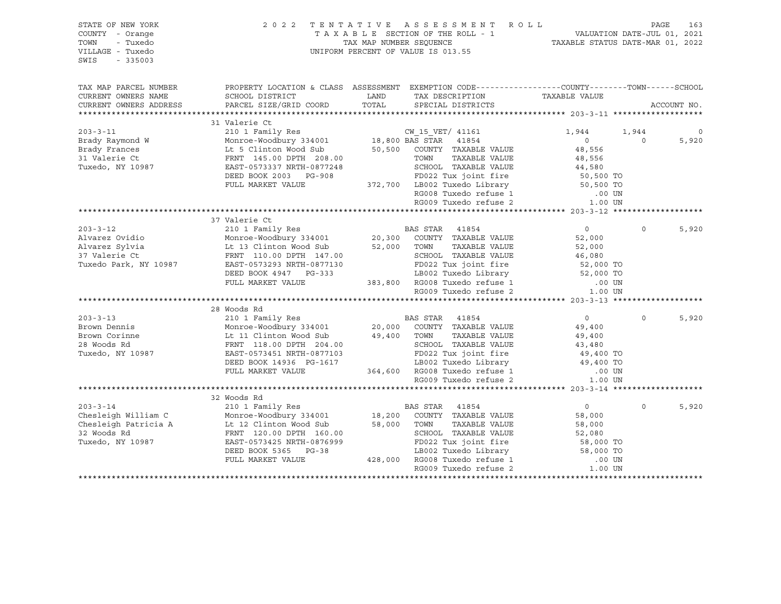| STATE OF NEW YORK<br>COUNTY - Orange<br>TOWN<br>- Tuxedo<br>VILLAGE - Tuxedo<br>$-335003$<br>SWIS |                                                                                                                                               | 2022 TENTATIVE ASSESSMENT ROLL<br>UNIFORM PERCENT OF VALUE IS 013.55 |                                               |                        | PAGE           | 163         |
|---------------------------------------------------------------------------------------------------|-----------------------------------------------------------------------------------------------------------------------------------------------|----------------------------------------------------------------------|-----------------------------------------------|------------------------|----------------|-------------|
| TAX MAP PARCEL NUMBER<br>CURRENT OWNERS NAME<br>CURRENT OWNERS ADDRESS                            | PROPERTY LOCATION & CLASS ASSESSMENT EXEMPTION CODE----------------COUNTY-------TOWN------SCHOOL<br>SCHOOL DISTRICT<br>PARCEL SIZE/GRID COORD | LAND<br>TOTAL                                                        | TAX DESCRIPTION<br>SPECIAL DISTRICTS          | TAXABLE VALUE          |                | ACCOUNT NO. |
|                                                                                                   | 31 Valerie Ct                                                                                                                                 |                                                                      |                                               |                        |                |             |
| $203 - 3 - 11$                                                                                    | 210 1 Family Res                                                                                                                              |                                                                      |                                               | 1,944                  | 1,944          | 0           |
| Brady Raymond W                                                                                   | Monroe-Woodbury 334001                                                                                                                        | CW_15_VET/ 41161<br>18,800 BAS STAR 41854                            |                                               | $\overline{0}$         | $\overline{0}$ | 5,920       |
| Brady Frances                                                                                     |                                                                                                                                               | 50,500 COUNTY TAXABLE VALUE                                          |                                               | 48,556                 |                |             |
| 31 Valerie Ct                                                                                     | Lt 5 Clinton Wood Sub<br>FRNT 145.00 DPTH 208.00                                                                                              | TOWN                                                                 | TAXABLE VALUE                                 | 48,556                 |                |             |
| Tuxedo, NY 10987                                                                                  | EAST-0573337 NRTH-0877248                                                                                                                     |                                                                      | SCHOOL TAXABLE VALUE                          | 44,580<br>50,500 TO    |                |             |
|                                                                                                   | DEED BOOK 2003 PG-908                                                                                                                         |                                                                      | FD022 Tux joint fire                          |                        |                |             |
|                                                                                                   | FULL MARKET VALUE                                                                                                                             | 372,700 LB002 Tuxedo Library                                         |                                               | 50,500 TO              |                |             |
|                                                                                                   |                                                                                                                                               |                                                                      | RG008 Tuxedo refuse 1                         | .00 UN                 |                |             |
|                                                                                                   |                                                                                                                                               |                                                                      | RG009 Tuxedo refuse 2                         | 1.00 UN                |                |             |
|                                                                                                   |                                                                                                                                               |                                                                      |                                               |                        |                |             |
|                                                                                                   | 37 Valerie Ct                                                                                                                                 |                                                                      |                                               |                        |                |             |
| $203 - 3 - 12$                                                                                    |                                                                                                                                               |                                                                      |                                               | $\overline{0}$         | $\Omega$       | 5,920       |
| Alvarez Ovidio                                                                                    |                                                                                                                                               |                                                                      |                                               | 52,000                 |                |             |
| Alvarez Sylvia                                                                                    | Lt 13 Clinton Wood Sub                                                                                                                        | 52,000 TOWN                                                          | TAXABLE VALUE                                 | 52,000                 |                |             |
| 37 Valerie Ct                                                                                     | FRNT 110.00 DPTH 147.00                                                                                                                       |                                                                      | SCHOOL TAXABLE VALUE                          | 46,080                 |                |             |
| Tuxedo Park, NY 10987                                                                             | EAST-0573293 NRTH-0877130                                                                                                                     |                                                                      | FD022 Tux joint fire                          | 52,000 TO              |                |             |
|                                                                                                   | DEED BOOK 4947 PG-333                                                                                                                         |                                                                      | LB002 Tuxedo Library 52,000 TO                |                        |                |             |
|                                                                                                   | FULL MARKET VALUE                                                                                                                             | 383,800 RG008 Tuxedo refuse 1<br>RG008 Tuxedo refuse 2               |                                               | .00 UN                 |                |             |
|                                                                                                   |                                                                                                                                               |                                                                      |                                               | 1.00 UN                |                |             |
|                                                                                                   |                                                                                                                                               |                                                                      |                                               |                        |                |             |
| $203 - 3 - 13$                                                                                    | 28 Woods Rd                                                                                                                                   |                                                                      |                                               |                        | $\Omega$       |             |
| Brown Dennis                                                                                      | 210 1 Family Res<br>Monroe-Woodbury 334001                                                                                                    | BAS STAR 41854<br>34001 20,000 COUNTY TAXABLE VALUE                  |                                               | $\overline{0}$         |                | 5,920       |
| Brown Corinne                                                                                     |                                                                                                                                               |                                                                      | TAXABLE VALUE                                 | 49,400                 |                |             |
| 28 Woods Rd                                                                                       | Lt 11 Clinton Wood Sub 49,400 TOWN<br>FRNT 118.00 DPTH 204.00 SCHOC                                                                           |                                                                      | SCHOOL TAXABLE VALUE                          | 49,400<br>43,480       |                |             |
| Tuxedo, NY 10987                                                                                  | EAST-0573451 NRTH-0877103                                                                                                                     |                                                                      | FD022 Tux joint fire                          |                        |                |             |
|                                                                                                   | DEED BOOK 14936 PG-1617                                                                                                                       |                                                                      | LB002 Tuxedo Library                          | 49,400 TO<br>49,400 TO |                |             |
|                                                                                                   |                                                                                                                                               |                                                                      |                                               | .00 UN                 |                |             |
|                                                                                                   | FULL MARKET VALUE 364,600 RG008 Tuxedo refuse 1<br>RG009 Tuxedo refuse 2                                                                      |                                                                      | RG009 Tuxedo refuse 2                         | 1.00 UN                |                |             |
|                                                                                                   |                                                                                                                                               |                                                                      |                                               |                        |                |             |
|                                                                                                   | 32 Woods Rd                                                                                                                                   |                                                                      |                                               |                        |                |             |
| $203 - 3 - 14$                                                                                    | 210 1 Family Res                                                                                                                              | <b>BAS STAR</b> 41854                                                |                                               | $\overline{0}$         | $\Omega$       | 5,920       |
| Chesleigh William C                                                                               |                                                                                                                                               |                                                                      |                                               | 58,000                 |                |             |
| Chesleigh Patricia A                                                                              | Monroe-Woodbury 334001 18,200 COUNTY TAXABLE VALUE<br>Lt 12 Clinton Wood Sub 58,000 TOWN TAXABLE VALUE                                        |                                                                      |                                               | 58,000                 |                |             |
| 32 Woods Rd                                                                                       | FRNT 120.00 DPTH 160.00                                                                                                                       |                                                                      | SCHOOL TAXABLE VALUE                          | 52,080                 |                |             |
| Tuxedo, NY 10987                                                                                  | EAST-0573425 NRTH-0876999                                                                                                                     |                                                                      | FD022 Tux joint fire                          | 52,080<br>58,000 TO    |                |             |
|                                                                                                   | DEED BOOK 5365 PG-38                                                                                                                          |                                                                      | LB002 Tuxedo Library<br>RG008 Tuxedo refuse 1 | 58,000 TO              |                |             |
|                                                                                                   | FULL MARKET VALUE                                                                                                                             | 428,000 RG008 Tuxedo refuse 1                                        |                                               | .00 UN                 |                |             |
|                                                                                                   |                                                                                                                                               |                                                                      | RG009 Tuxedo refuse 2                         | 1.00 UN                |                |             |
|                                                                                                   |                                                                                                                                               |                                                                      |                                               |                        |                |             |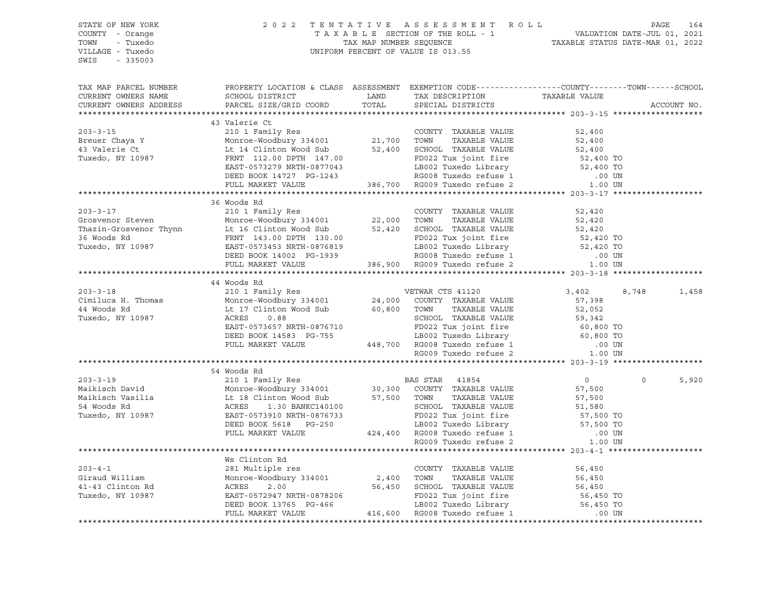| STATE OF NEW YORK      | 2 0 2 2                                                                                                                                                                                                                                                    |       | TENTATIVE ASSESSMENT ROLL | PAGE<br>164       |
|------------------------|------------------------------------------------------------------------------------------------------------------------------------------------------------------------------------------------------------------------------------------------------------|-------|---------------------------|-------------------|
| COUNTY - Orange        |                                                                                                                                                                                                                                                            |       |                           |                   |
| TOWN<br>- Tuxedo       |                                                                                                                                                                                                                                                            |       |                           |                   |
| VILLAGE - Tuxedo       |                                                                                                                                                                                                                                                            |       |                           |                   |
| SWIS<br>$-335003$      |                                                                                                                                                                                                                                                            |       |                           |                   |
|                        |                                                                                                                                                                                                                                                            |       |                           |                   |
| TAX MAP PARCEL NUMBER  | PROPERTY LOCATION & CLASS ASSESSMENT EXEMPTION CODE---------------COUNTY-------TOWN-----SCHOOL                                                                                                                                                             |       |                           |                   |
| CURRENT OWNERS NAME    | SCHOOL DISTRICT                                                                                                                                                                                                                                            | LAND  |                           |                   |
| CURRENT OWNERS ADDRESS | PARCEL SIZE/GRID COORD                                                                                                                                                                                                                                     | TOTAL | SPECIAL DISTRICTS         | ACCOUNT NO.       |
|                        |                                                                                                                                                                                                                                                            |       |                           |                   |
|                        | 43 Valerie Ct                                                                                                                                                                                                                                              |       |                           |                   |
|                        |                                                                                                                                                                                                                                                            |       |                           |                   |
|                        |                                                                                                                                                                                                                                                            |       |                           |                   |
|                        |                                                                                                                                                                                                                                                            |       |                           |                   |
|                        |                                                                                                                                                                                                                                                            |       |                           |                   |
|                        |                                                                                                                                                                                                                                                            |       |                           |                   |
|                        |                                                                                                                                                                                                                                                            |       |                           |                   |
|                        |                                                                                                                                                                                                                                                            |       |                           |                   |
|                        |                                                                                                                                                                                                                                                            |       |                           |                   |
|                        | 36 Woods Rd                                                                                                                                                                                                                                                |       |                           |                   |
|                        |                                                                                                                                                                                                                                                            |       |                           |                   |
|                        |                                                                                                                                                                                                                                                            |       |                           |                   |
|                        |                                                                                                                                                                                                                                                            |       |                           |                   |
|                        |                                                                                                                                                                                                                                                            |       |                           |                   |
|                        | 36 WOODS Rd<br>36 WOODS Rd<br>210 1 Family Res<br>Thazin-Grosvenor Thynn<br>22,000 TOWN TAXABLE VALUE<br>22,000 TOWN TAXABLE VALUE<br>22,000 TOWN TAXABLE VALUE<br>22,000 TOWN TAXABLE VALUE<br>22,000 TOWN TAXABLE VALUE<br>22,000 TOWN TAXABLE           |       |                           |                   |
|                        |                                                                                                                                                                                                                                                            |       |                           |                   |
|                        |                                                                                                                                                                                                                                                            |       |                           |                   |
|                        |                                                                                                                                                                                                                                                            |       |                           |                   |
|                        | 44 Woods Rd                                                                                                                                                                                                                                                |       |                           |                   |
|                        |                                                                                                                                                                                                                                                            |       |                           | 8,748<br>1,458    |
|                        |                                                                                                                                                                                                                                                            |       |                           |                   |
|                        |                                                                                                                                                                                                                                                            |       |                           |                   |
|                        |                                                                                                                                                                                                                                                            |       |                           |                   |
|                        |                                                                                                                                                                                                                                                            |       |                           |                   |
|                        |                                                                                                                                                                                                                                                            |       |                           |                   |
|                        |                                                                                                                                                                                                                                                            |       |                           |                   |
|                        |                                                                                                                                                                                                                                                            |       |                           |                   |
|                        |                                                                                                                                                                                                                                                            |       |                           |                   |
|                        |                                                                                                                                                                                                                                                            |       |                           |                   |
|                        |                                                                                                                                                                                                                                                            |       |                           | 5,920<br>$\Omega$ |
|                        |                                                                                                                                                                                                                                                            |       |                           |                   |
|                        |                                                                                                                                                                                                                                                            |       |                           |                   |
|                        |                                                                                                                                                                                                                                                            |       |                           |                   |
|                        |                                                                                                                                                                                                                                                            |       |                           |                   |
|                        |                                                                                                                                                                                                                                                            |       |                           |                   |
|                        |                                                                                                                                                                                                                                                            |       |                           |                   |
|                        |                                                                                                                                                                                                                                                            |       |                           |                   |
|                        | 34 Woods Rd<br>203-3-19 54 Woods Rd<br>210 1 Family Res<br>Maikisch David Monroe-Woodbury 334001 30,300 COUNTY TAXABLE VALUE<br>57,500 EAS STAR 41854 57,500<br>57,500 EAS STAR 41854 57,500<br>57,500 EAS STAR 41854 57,500<br>57,500 EAS S               |       |                           |                   |
|                        | Ws Clinton Rd                                                                                                                                                                                                                                              |       |                           |                   |
|                        |                                                                                                                                                                                                                                                            |       |                           |                   |
|                        |                                                                                                                                                                                                                                                            |       |                           |                   |
|                        |                                                                                                                                                                                                                                                            |       |                           |                   |
|                        |                                                                                                                                                                                                                                                            |       |                           |                   |
|                        | WE Clinton Rd 203-4-1<br>281 Multiple res 203-4-1<br>281 Multiple res 20001<br>2,400 TOWN TAXABLE VALUE<br>2,400 TOWN TAXABLE VALUE<br>2,400 TOWN TAXABLE VALUE<br>56,450<br>56,450<br>56,450<br>56,450<br>56,450<br>56,450<br>56,450<br>2.00<br>2,400 TOW |       |                           |                   |
|                        |                                                                                                                                                                                                                                                            |       |                           |                   |
|                        |                                                                                                                                                                                                                                                            |       |                           |                   |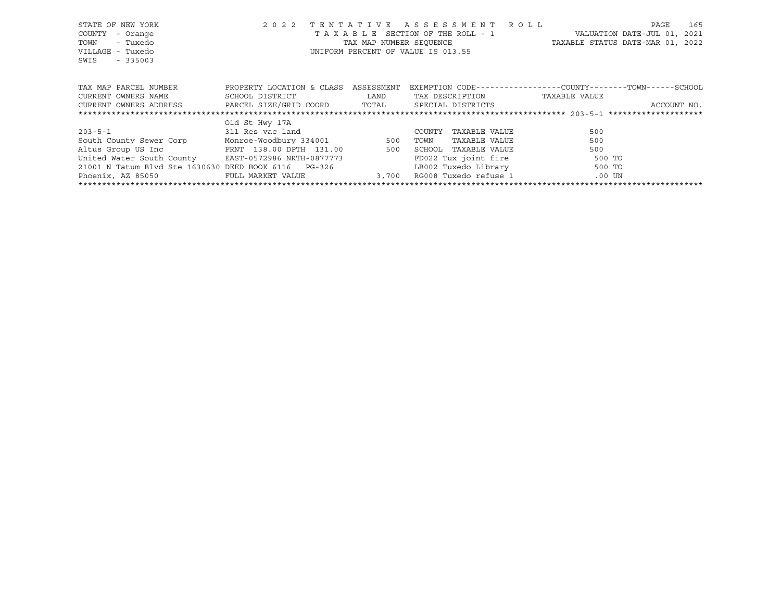| STATE OF NEW YORK<br>COUNTY<br>- Orange<br>- Tuxedo<br>TOWN<br>VILLAGE - Tuxedo<br>SWIS<br>$-335003$ | 2 0 2 2                   |            | TENTATIVE ASSESSMENT ROLL<br>T A X A B L E SECTION OF THE ROLL - 1<br>UNIFORM PERCENT OF VALUE IS 013.55 | 165<br>PAGE<br>VALUATION DATE-JUL 01, 2021<br>TAX MAP NUMBER SEQUENCE TAXABLE STATUS DATE-MAR 01, 2022 |
|------------------------------------------------------------------------------------------------------|---------------------------|------------|----------------------------------------------------------------------------------------------------------|--------------------------------------------------------------------------------------------------------|
| TAX MAP PARCEL NUMBER                                                                                | PROPERTY LOCATION & CLASS | ASSESSMENT |                                                                                                          | EXEMPTION CODE-----------------COUNTY-------TOWN------SCHOOL                                           |
| CURRENT OWNERS NAME                                                                                  | SCHOOL DISTRICT           | LAND       | TAX DESCRIPTION                                                                                          | TAXABLE VALUE                                                                                          |
| CURRENT OWNERS ADDRESS PARCEL SIZE/GRID COORD TOTAL                                                  |                           |            | SPECIAL DISTRICTS                                                                                        | ACCOUNT NO.                                                                                            |
|                                                                                                      |                           |            |                                                                                                          |                                                                                                        |
|                                                                                                      | Old St Hwy 17A            |            |                                                                                                          |                                                                                                        |
| $203 - 5 - 1$                                                                                        | 311 Res vac land          |            | COUNTY<br>TAXABLE VALUE                                                                                  | 500                                                                                                    |
| South County Sewer Corp Monroe-Woodbury 334001 500                                                   |                           |            | TAXABLE VALUE<br>TOWN                                                                                    | 500                                                                                                    |
| Altus Group US Inc 600 FRNT 138.00 DPTH 131.00 500                                                   |                           |            | SCHOOL TAXABLE VALUE                                                                                     | 500                                                                                                    |
| United Water South County EAST-0572986 NRTH-0877773                                                  |                           |            | FD022 Tux joint fire                                                                                     | 500 TO                                                                                                 |
| 21001 N Tatum Blvd Ste 1630630 DEED BOOK 6116 PG-326                                                 |                           |            | LB002 Tuxedo Library                                                                                     | 500 TO                                                                                                 |
| Phoenix, AZ 85050                                                                                    | FULL MARKET VALUE         | 3,700      | RG008 Tuxedo refuse 1 600 UN                                                                             |                                                                                                        |
|                                                                                                      |                           |            |                                                                                                          |                                                                                                        |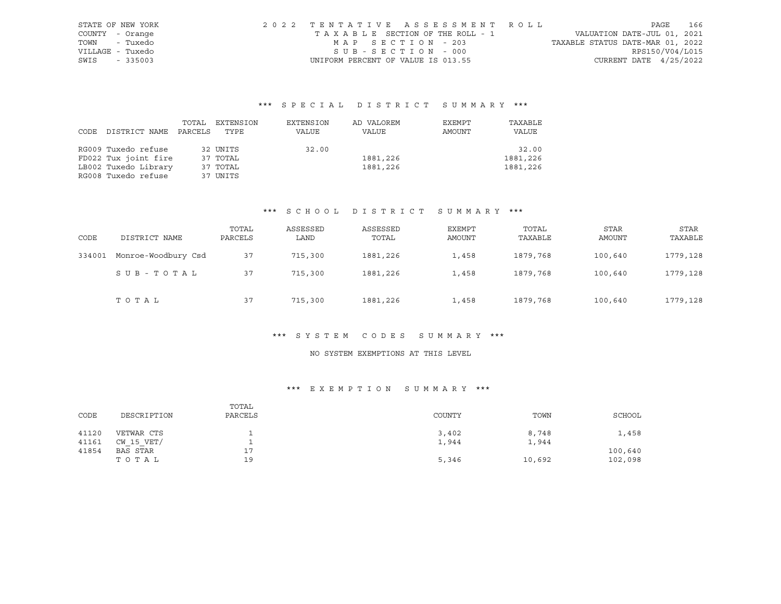| STATE OF NEW YORK | 2022 TENTATIVE ASSESSMENT ROLL     |                                  | PAGE            | 166 |
|-------------------|------------------------------------|----------------------------------|-----------------|-----|
| COUNTY - Orange   | TAXABLE SECTION OF THE ROLL - 1    | VALUATION DATE-JUL 01, 2021      |                 |     |
| TOWN - Tuxedo     | MAP SECTION - 203                  | TAXABLE STATUS DATE-MAR 01, 2022 |                 |     |
| VILLAGE - Tuxedo  | SUB-SECTION - 000                  |                                  | RPS150/V04/L015 |     |
| SWIS<br>$-335003$ | UNIFORM PERCENT OF VALUE IS 013.55 | CURRENT DATE $4/25/2022$         |                 |     |

# \*\*\* S P E C I A L D I S T R I C T S U M M A R Y \*\*\*

|      |                      | TOTAL   | EXTENSION | EXTENSION | AD VALOREM | EXEMPT | TAXABLE  |
|------|----------------------|---------|-----------|-----------|------------|--------|----------|
| CODE | DISTRICT NAME        | PARCELS | TYPE      | VALUE     | VALUE      | AMOUNT | VALUE    |
|      |                      |         |           |           |            |        |          |
|      | RG009 Tuxedo refuse  |         | 32 UNITS  | 32.00     |            |        | 32.00    |
|      | FD022 Tux joint fire |         | 37 TOTAL  |           | 1881,226   |        | 1881,226 |
|      | LB002 Tuxedo Library |         | 37 TOTAL  |           | 1881,226   |        | 1881,226 |
|      | RG008 Tuxedo refuse  |         | 37 UNITS  |           |            |        |          |

## \*\*\* S C H O O L D I S T R I C T S U M M A R Y \*\*\*

| CODE   | DISTRICT NAME       | TOTAL<br>PARCELS | ASSESSED<br>LAND | ASSESSED<br>TOTAL | EXEMPT<br>AMOUNT | TOTAL<br>TAXABLE | <b>STAR</b><br>AMOUNT | <b>STAR</b><br>TAXABLE |
|--------|---------------------|------------------|------------------|-------------------|------------------|------------------|-----------------------|------------------------|
| 334001 | Monroe-Woodbury Csd | 37               | 715,300          | 1881,226          | 1,458            | 1879,768         | 100,640               | 1779,128               |
|        | SUB-TOTAL           | 37               | 715,300          | 1881,226          | 1,458            | 1879,768         | 100,640               | 1779,128               |
|        | TOTAL               | 37               | 715,300          | 1881,226          | 1,458            | 1879,768         | 100,640               | 1779,128               |

#### \*\*\* S Y S T E M C O D E S S U M M A R Y \*\*\*

# NO SYSTEM EXEMPTIONS AT THIS LEVEL

## \*\*\* E X E M P T I O N S U M M A R Y \*\*\*

| CODE  | DESCRIPTION | TOTAL<br>PARCELS | COUNTY | TOWN   | SCHOOL  |
|-------|-------------|------------------|--------|--------|---------|
| 41120 | VETWAR CTS  |                  | 3,402  | 8,748  | 1,458   |
| 41161 | CW 15 VET/  |                  | 1,944  | 1,944  |         |
| 41854 | BAS STAR    | 77<br><b>__</b>  |        |        | 100,640 |
|       | TOTAL       | 19               | 5,346  | 10,692 | 102,098 |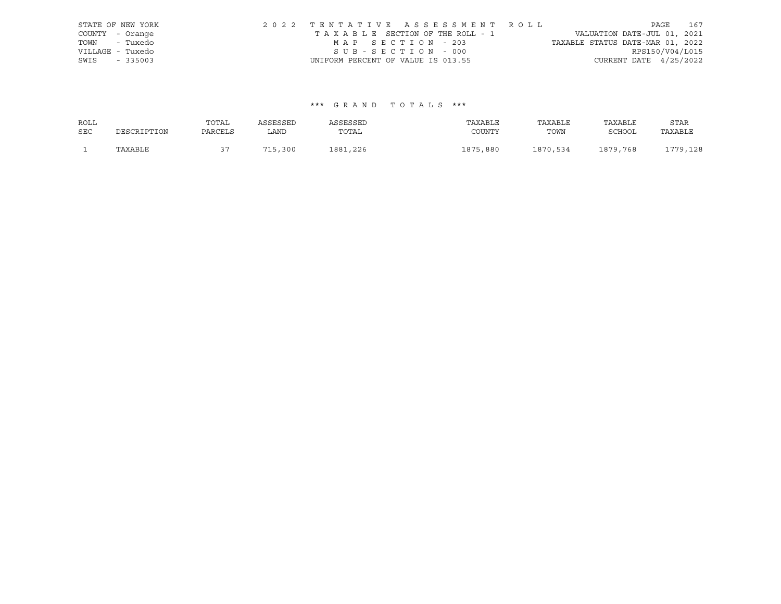|                  | STATE OF NEW YORK | 2022 TENTATIVE ASSESSMENT ROLL     |  |                                  |                          | PAGE 167 |
|------------------|-------------------|------------------------------------|--|----------------------------------|--------------------------|----------|
| COUNTY - Orange  |                   | TAXABLE SECTION OF THE ROLL - 1    |  | VALUATION DATE-JUL 01, 2021      |                          |          |
| TOWN - Tuxedo    |                   | MAP SECTION - 203                  |  | TAXABLE STATUS DATE-MAR 01, 2022 |                          |          |
| VILLAGE - Tuxedo |                   | SUB-SECTION - 000                  |  |                                  | RPS150/V04/L015          |          |
| SWIS             | $-335003$         | UNIFORM PERCENT OF VALUE IS 013.55 |  |                                  | CURRENT DATE $4/25/2022$ |          |

## \*\*\* G R A N D T O T A L S \*\*\*

| ROLL       |             | TOTAL   | ASSESSED    | ASSESSED | TAXABLE      | TAXABLE  | TAXABLE  | STAR     |
|------------|-------------|---------|-------------|----------|--------------|----------|----------|----------|
| <b>SEC</b> | DESCRIPTION | PARCELS | LAND        | TOTAL    | COUNTY       | TOWN     | SCHOOL   | TAXABLE  |
|            | TAXABLE     |         | 71 E<br>300 | 1881,226 | 1875<br>,880 | 1870,534 | 1879,768 | 1779,128 |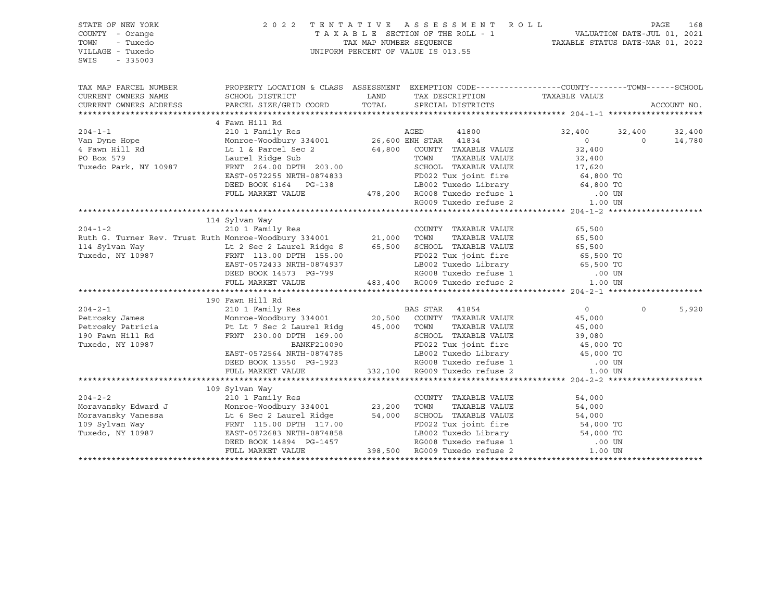SWIS - 335003

#### STATE OF NEW YORK 2 0 2 2 T E N T A T I V E A S S E S S M E N T R O L L PAGE 168 COUNTY - Orange T A X A B L E SECTION OF THE ROLL - 1 VALUATION DATE-JUL 01, 2021 TOWN - Tuxedo TAX MAP NUMBER SEQUENCE TAXABLE STATUS DATE-MAR 01, 2022 VILLAGE - Tuxedo UNIFORM PERCENT OF VALUE IS 013.55

| TAX MAP PARCEL NUMBER                                                                                                                                                                                                                                                                                                                                                                                                                                           | PROPERTY LOCATION & CLASS ASSESSMENT EXEMPTION CODE---------------COUNTY-------TOWN------SCHOOL                                                                            | LAND TAX DESCRIPTION TAXABLE VALUE COORD TOTAL SPECIAL DISTRICTS                                                                                                                                                               |                | ACCOUNT NO.                |
|-----------------------------------------------------------------------------------------------------------------------------------------------------------------------------------------------------------------------------------------------------------------------------------------------------------------------------------------------------------------------------------------------------------------------------------------------------------------|----------------------------------------------------------------------------------------------------------------------------------------------------------------------------|--------------------------------------------------------------------------------------------------------------------------------------------------------------------------------------------------------------------------------|----------------|----------------------------|
|                                                                                                                                                                                                                                                                                                                                                                                                                                                                 | 4 Fawn Hill Rd                                                                                                                                                             |                                                                                                                                                                                                                                |                |                            |
|                                                                                                                                                                                                                                                                                                                                                                                                                                                                 |                                                                                                                                                                            |                                                                                                                                                                                                                                | 32,400 32,400  | 32,400                     |
|                                                                                                                                                                                                                                                                                                                                                                                                                                                                 |                                                                                                                                                                            |                                                                                                                                                                                                                                | $\overline{0}$ | $\Omega$<br>14,780         |
|                                                                                                                                                                                                                                                                                                                                                                                                                                                                 |                                                                                                                                                                            |                                                                                                                                                                                                                                |                |                            |
|                                                                                                                                                                                                                                                                                                                                                                                                                                                                 |                                                                                                                                                                            |                                                                                                                                                                                                                                |                |                            |
|                                                                                                                                                                                                                                                                                                                                                                                                                                                                 |                                                                                                                                                                            |                                                                                                                                                                                                                                |                |                            |
| Van Dyne Hope<br>4 Fawn Hill Rd<br>20,000 EM STAR MUSE VALUE<br>20,000 EM STAR MUSE VALUE<br>20,000 EM STAR MUSE VALUE<br>20,000 EM STAR MUSE VALUE<br>20,000 EM STAR MUSE VALUE<br>20,000 EM STAR MUSE VALUE<br>20,000 EM STAR MUSE VALUE<br>20                                                                                                                                                                                                                |                                                                                                                                                                            |                                                                                                                                                                                                                                |                |                            |
|                                                                                                                                                                                                                                                                                                                                                                                                                                                                 |                                                                                                                                                                            |                                                                                                                                                                                                                                |                |                            |
|                                                                                                                                                                                                                                                                                                                                                                                                                                                                 | DEED BOOK 6164 PG-138 LB002 Tuxedo Library 64,800 TO<br>FULL MARKET VALUE 478,200 RG008 Tuxedo refuse 1 .00 UN<br>RG009 Tuxedo refuse 2 1.00 UN                            |                                                                                                                                                                                                                                |                |                            |
|                                                                                                                                                                                                                                                                                                                                                                                                                                                                 |                                                                                                                                                                            |                                                                                                                                                                                                                                |                |                            |
|                                                                                                                                                                                                                                                                                                                                                                                                                                                                 |                                                                                                                                                                            |                                                                                                                                                                                                                                |                |                            |
|                                                                                                                                                                                                                                                                                                                                                                                                                                                                 | 114 Sylvan Way                                                                                                                                                             |                                                                                                                                                                                                                                |                |                            |
| 204-1-2<br>210 210 1 Family Res 2001<br>Ruth G. Turner Rev. Trust Ruth Monroe-Woodbury 334001 21,000 TOWN<br>$204 - 1 - 2$                                                                                                                                                                                                                                                                                                                                      |                                                                                                                                                                            |                                                                                                                                                                                                                                |                |                            |
|                                                                                                                                                                                                                                                                                                                                                                                                                                                                 |                                                                                                                                                                            |                                                                                                                                                                                                                                |                |                            |
|                                                                                                                                                                                                                                                                                                                                                                                                                                                                 |                                                                                                                                                                            |                                                                                                                                                                                                                                |                |                            |
|                                                                                                                                                                                                                                                                                                                                                                                                                                                                 |                                                                                                                                                                            |                                                                                                                                                                                                                                |                |                            |
|                                                                                                                                                                                                                                                                                                                                                                                                                                                                 |                                                                                                                                                                            |                                                                                                                                                                                                                                |                |                            |
|                                                                                                                                                                                                                                                                                                                                                                                                                                                                 |                                                                                                                                                                            |                                                                                                                                                                                                                                |                |                            |
|                                                                                                                                                                                                                                                                                                                                                                                                                                                                 |                                                                                                                                                                            |                                                                                                                                                                                                                                |                |                            |
|                                                                                                                                                                                                                                                                                                                                                                                                                                                                 |                                                                                                                                                                            |                                                                                                                                                                                                                                |                |                            |
|                                                                                                                                                                                                                                                                                                                                                                                                                                                                 | 190 Fawn Hill Rd                                                                                                                                                           |                                                                                                                                                                                                                                |                |                            |
|                                                                                                                                                                                                                                                                                                                                                                                                                                                                 |                                                                                                                                                                            |                                                                                                                                                                                                                                | $\overline{0}$ | $0 \qquad \qquad$<br>5,920 |
| 204-2-1<br>2010 Petrosky James Monroe-Woodbury 334001<br>20,500 COUNTY TAXABLE VALUE 45,000                                                                                                                                                                                                                                                                                                                                                                     |                                                                                                                                                                            |                                                                                                                                                                                                                                |                |                            |
|                                                                                                                                                                                                                                                                                                                                                                                                                                                                 |                                                                                                                                                                            |                                                                                                                                                                                                                                |                |                            |
|                                                                                                                                                                                                                                                                                                                                                                                                                                                                 |                                                                                                                                                                            |                                                                                                                                                                                                                                |                |                            |
|                                                                                                                                                                                                                                                                                                                                                                                                                                                                 |                                                                                                                                                                            |                                                                                                                                                                                                                                |                |                            |
|                                                                                                                                                                                                                                                                                                                                                                                                                                                                 |                                                                                                                                                                            |                                                                                                                                                                                                                                |                |                            |
|                                                                                                                                                                                                                                                                                                                                                                                                                                                                 |                                                                                                                                                                            |                                                                                                                                                                                                                                |                |                            |
|                                                                                                                                                                                                                                                                                                                                                                                                                                                                 | EAST-0572564 NRTH-0874785<br>DEED BOOK 13550 PG-1923<br>FULL MARKET VALUE 332,100 RG009 Tuxedo refuse 2 1.00 UN<br>FULL MARKET VALUE 332,100 RG009 Tuxedo refuse 2 1.00 UN |                                                                                                                                                                                                                                |                |                            |
|                                                                                                                                                                                                                                                                                                                                                                                                                                                                 |                                                                                                                                                                            |                                                                                                                                                                                                                                |                |                            |
|                                                                                                                                                                                                                                                                                                                                                                                                                                                                 | 109 Sylvan Way                                                                                                                                                             |                                                                                                                                                                                                                                |                |                            |
|                                                                                                                                                                                                                                                                                                                                                                                                                                                                 |                                                                                                                                                                            |                                                                                                                                                                                                                                | 54,000         |                            |
|                                                                                                                                                                                                                                                                                                                                                                                                                                                                 |                                                                                                                                                                            | COUNTY TAXABLE VALUE<br>TOWN     TAXABLE VALUE                                                                                                                                                                                 | 54,000         |                            |
|                                                                                                                                                                                                                                                                                                                                                                                                                                                                 |                                                                                                                                                                            |                                                                                                                                                                                                                                |                |                            |
|                                                                                                                                                                                                                                                                                                                                                                                                                                                                 |                                                                                                                                                                            |                                                                                                                                                                                                                                |                |                            |
| $\begin{tabular}{lllllllllllll} \multicolumn{3}{l} \multicolumn{3}{l}{{109}\text{ SYI van Way}} & \multicolumn{3}{l}{{204-2-2}} & \multicolumn{3}{l}{{09\text{ SYIvan May}}} & \multicolumn{3}{l}{{23,200}\text{ TOWN}} \\ \multicolumn{3}{l}{{\small \text{Moravansky\;Edward\;J}}} & \multicolumn{3}{l}{{109\text{ SYIvan May}}} & \multicolumn{3}{l}{{23,200}\text{ TOWN}} & \multicolumn{3}{l}{{23,200}\text{ TOWN}} \\ & \multicolumn{3}{l}{{\small \text$ |                                                                                                                                                                            |                                                                                                                                                                                                                                |                |                            |
|                                                                                                                                                                                                                                                                                                                                                                                                                                                                 |                                                                                                                                                                            |                                                                                                                                                                                                                                |                |                            |
|                                                                                                                                                                                                                                                                                                                                                                                                                                                                 | FULL MARKET VALUE                                                                                                                                                          | 34,000 17.00 54,000 17.00 17.00 50 54,000 17.00 56 64,000 17.00 50 64,000 17.00 50 64,000 17.00 50 64,000 17.00 50 64,000 17.00 50 64,000 17.00 50 64,000 17.00 50 64,000 17.00 17.00 17.00 17.00 17.00 17.00 17.00 17.00 17.0 |                |                            |
|                                                                                                                                                                                                                                                                                                                                                                                                                                                                 |                                                                                                                                                                            |                                                                                                                                                                                                                                |                |                            |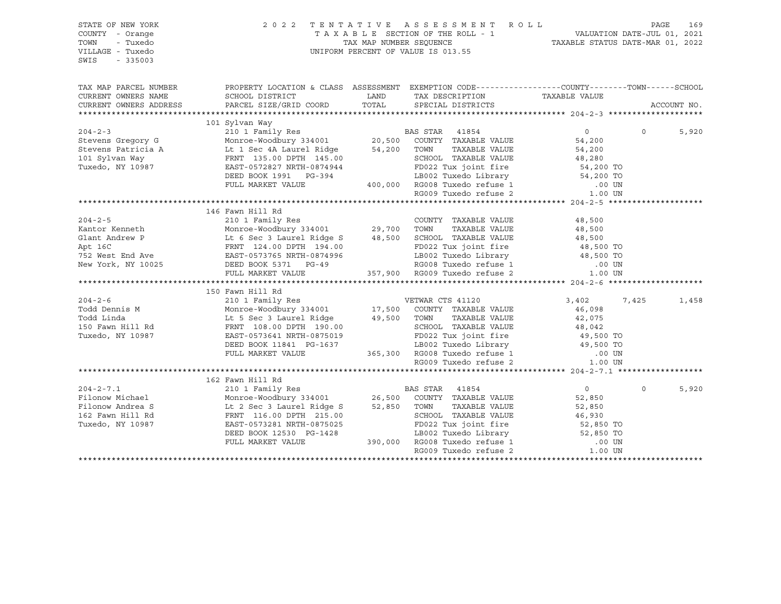| PROPERTY LOCATION & CLASS ASSESSMENT EXEMPTION CODE-----------------COUNTY--------TOWN------SCHOOL<br>TAX MAP PARCEL NUMBER<br>SURVEY THE TAX DESCRIPTION TAXABLE VALUE PARCEL SIZE/GRID COORD TOTAL SPECIAL DISTRICTS TAXABLE VALUE<br>CURRENT OWNERS NAME<br>CURRENT OWNERS ADDRESS<br>ACCOUNT NO.<br>$\begin{tabular}{l c c c c c} \hline \texttt{101 SYI} & 101 Sylvan Way & 101 Sylvan Way & 101 Family Res \\ \hline \texttt{Stevens Gregory G} & 2011 Family Res & 20,500 COUNT TAXABLE VALUE & 54,200 \\ \texttt{Stevens Patricia A} & L11 Sec 4A Laudrel Ridge & 54,200 TOWN TAXABLE VALUE & 54,200 \\ \texttt{101 SYlvan Way & FRTI 135.00 DFH 145.00 & SCHOOL TAXABLE VALUE & 54,200 \\ \texttt{101 SYlvan Way & FRTI 135.00 DFH 1$<br>5,920<br>146 Fawn Hill Rd<br>$3,402$<br>$46,098$<br>7,425<br>1,458<br>162 Fawn Hill Rd<br>204-2-7.1<br>Pilonow Michael Monroe-Woodbury 334001<br>Monroe-Woodbury 334001<br>26,500 COUNTY TAXABLE VALUE<br>Filonow Andrea S<br>16.00 DPTH 215.00<br>16.00 DPTH 215.00<br>27.850 TOWN TAXABLE VALUE<br>27.850 TOWN TAXABLE VALUE<br>27.850 T<br>5,920<br>$\overline{0}$<br>$\Omega$<br>52,850<br>TAXABLE VALUE<br>52,850<br>46,930<br>Tuxedo, NY 10987 | STATE OF NEW YORK<br>COUNTY - Orange<br>- Tuxedo<br>TOWN<br>VILLAGE - Tuxedo<br>SWIS<br>$-335003$ | 2022 TENTATIVE | TENTATIVE ASSESSMENT ROLL PAGE 169<br>TAXABLE SECTION OF THE ROLL - 1 VALUATION DATE-JUL 01, 2021<br>TAX MAP NUMBER SEQUENCE TAXABLE STATUS DATE-MAR 01, 2022<br>UNIFORM PERCENT OF VALUE IS 013.55 |  |  |
|--------------------------------------------------------------------------------------------------------------------------------------------------------------------------------------------------------------------------------------------------------------------------------------------------------------------------------------------------------------------------------------------------------------------------------------------------------------------------------------------------------------------------------------------------------------------------------------------------------------------------------------------------------------------------------------------------------------------------------------------------------------------------------------------------------------------------------------------------------------------------------------------------------------------------------------------------------------------------------------------------------------------------------------------------------------------------------------------------------------------------------------------------------------------------------------------------------|---------------------------------------------------------------------------------------------------|----------------|-----------------------------------------------------------------------------------------------------------------------------------------------------------------------------------------------------|--|--|
|                                                                                                                                                                                                                                                                                                                                                                                                                                                                                                                                                                                                                                                                                                                                                                                                                                                                                                                                                                                                                                                                                                                                                                                                        |                                                                                                   |                |                                                                                                                                                                                                     |  |  |
|                                                                                                                                                                                                                                                                                                                                                                                                                                                                                                                                                                                                                                                                                                                                                                                                                                                                                                                                                                                                                                                                                                                                                                                                        |                                                                                                   |                |                                                                                                                                                                                                     |  |  |
|                                                                                                                                                                                                                                                                                                                                                                                                                                                                                                                                                                                                                                                                                                                                                                                                                                                                                                                                                                                                                                                                                                                                                                                                        |                                                                                                   |                |                                                                                                                                                                                                     |  |  |
|                                                                                                                                                                                                                                                                                                                                                                                                                                                                                                                                                                                                                                                                                                                                                                                                                                                                                                                                                                                                                                                                                                                                                                                                        |                                                                                                   |                |                                                                                                                                                                                                     |  |  |
|                                                                                                                                                                                                                                                                                                                                                                                                                                                                                                                                                                                                                                                                                                                                                                                                                                                                                                                                                                                                                                                                                                                                                                                                        |                                                                                                   |                |                                                                                                                                                                                                     |  |  |
|                                                                                                                                                                                                                                                                                                                                                                                                                                                                                                                                                                                                                                                                                                                                                                                                                                                                                                                                                                                                                                                                                                                                                                                                        |                                                                                                   |                |                                                                                                                                                                                                     |  |  |
|                                                                                                                                                                                                                                                                                                                                                                                                                                                                                                                                                                                                                                                                                                                                                                                                                                                                                                                                                                                                                                                                                                                                                                                                        |                                                                                                   |                |                                                                                                                                                                                                     |  |  |
|                                                                                                                                                                                                                                                                                                                                                                                                                                                                                                                                                                                                                                                                                                                                                                                                                                                                                                                                                                                                                                                                                                                                                                                                        |                                                                                                   |                |                                                                                                                                                                                                     |  |  |
|                                                                                                                                                                                                                                                                                                                                                                                                                                                                                                                                                                                                                                                                                                                                                                                                                                                                                                                                                                                                                                                                                                                                                                                                        |                                                                                                   |                |                                                                                                                                                                                                     |  |  |
|                                                                                                                                                                                                                                                                                                                                                                                                                                                                                                                                                                                                                                                                                                                                                                                                                                                                                                                                                                                                                                                                                                                                                                                                        |                                                                                                   |                |                                                                                                                                                                                                     |  |  |
|                                                                                                                                                                                                                                                                                                                                                                                                                                                                                                                                                                                                                                                                                                                                                                                                                                                                                                                                                                                                                                                                                                                                                                                                        |                                                                                                   |                |                                                                                                                                                                                                     |  |  |
|                                                                                                                                                                                                                                                                                                                                                                                                                                                                                                                                                                                                                                                                                                                                                                                                                                                                                                                                                                                                                                                                                                                                                                                                        |                                                                                                   |                |                                                                                                                                                                                                     |  |  |
|                                                                                                                                                                                                                                                                                                                                                                                                                                                                                                                                                                                                                                                                                                                                                                                                                                                                                                                                                                                                                                                                                                                                                                                                        |                                                                                                   |                |                                                                                                                                                                                                     |  |  |
|                                                                                                                                                                                                                                                                                                                                                                                                                                                                                                                                                                                                                                                                                                                                                                                                                                                                                                                                                                                                                                                                                                                                                                                                        |                                                                                                   |                |                                                                                                                                                                                                     |  |  |
|                                                                                                                                                                                                                                                                                                                                                                                                                                                                                                                                                                                                                                                                                                                                                                                                                                                                                                                                                                                                                                                                                                                                                                                                        |                                                                                                   |                |                                                                                                                                                                                                     |  |  |
|                                                                                                                                                                                                                                                                                                                                                                                                                                                                                                                                                                                                                                                                                                                                                                                                                                                                                                                                                                                                                                                                                                                                                                                                        |                                                                                                   |                |                                                                                                                                                                                                     |  |  |
|                                                                                                                                                                                                                                                                                                                                                                                                                                                                                                                                                                                                                                                                                                                                                                                                                                                                                                                                                                                                                                                                                                                                                                                                        |                                                                                                   |                |                                                                                                                                                                                                     |  |  |
|                                                                                                                                                                                                                                                                                                                                                                                                                                                                                                                                                                                                                                                                                                                                                                                                                                                                                                                                                                                                                                                                                                                                                                                                        |                                                                                                   |                |                                                                                                                                                                                                     |  |  |
|                                                                                                                                                                                                                                                                                                                                                                                                                                                                                                                                                                                                                                                                                                                                                                                                                                                                                                                                                                                                                                                                                                                                                                                                        |                                                                                                   |                |                                                                                                                                                                                                     |  |  |
|                                                                                                                                                                                                                                                                                                                                                                                                                                                                                                                                                                                                                                                                                                                                                                                                                                                                                                                                                                                                                                                                                                                                                                                                        |                                                                                                   |                |                                                                                                                                                                                                     |  |  |
|                                                                                                                                                                                                                                                                                                                                                                                                                                                                                                                                                                                                                                                                                                                                                                                                                                                                                                                                                                                                                                                                                                                                                                                                        |                                                                                                   |                |                                                                                                                                                                                                     |  |  |
|                                                                                                                                                                                                                                                                                                                                                                                                                                                                                                                                                                                                                                                                                                                                                                                                                                                                                                                                                                                                                                                                                                                                                                                                        |                                                                                                   |                |                                                                                                                                                                                                     |  |  |
|                                                                                                                                                                                                                                                                                                                                                                                                                                                                                                                                                                                                                                                                                                                                                                                                                                                                                                                                                                                                                                                                                                                                                                                                        |                                                                                                   |                |                                                                                                                                                                                                     |  |  |
|                                                                                                                                                                                                                                                                                                                                                                                                                                                                                                                                                                                                                                                                                                                                                                                                                                                                                                                                                                                                                                                                                                                                                                                                        |                                                                                                   |                |                                                                                                                                                                                                     |  |  |
|                                                                                                                                                                                                                                                                                                                                                                                                                                                                                                                                                                                                                                                                                                                                                                                                                                                                                                                                                                                                                                                                                                                                                                                                        |                                                                                                   |                |                                                                                                                                                                                                     |  |  |
|                                                                                                                                                                                                                                                                                                                                                                                                                                                                                                                                                                                                                                                                                                                                                                                                                                                                                                                                                                                                                                                                                                                                                                                                        |                                                                                                   |                |                                                                                                                                                                                                     |  |  |
|                                                                                                                                                                                                                                                                                                                                                                                                                                                                                                                                                                                                                                                                                                                                                                                                                                                                                                                                                                                                                                                                                                                                                                                                        |                                                                                                   |                |                                                                                                                                                                                                     |  |  |
|                                                                                                                                                                                                                                                                                                                                                                                                                                                                                                                                                                                                                                                                                                                                                                                                                                                                                                                                                                                                                                                                                                                                                                                                        |                                                                                                   |                |                                                                                                                                                                                                     |  |  |
|                                                                                                                                                                                                                                                                                                                                                                                                                                                                                                                                                                                                                                                                                                                                                                                                                                                                                                                                                                                                                                                                                                                                                                                                        |                                                                                                   |                |                                                                                                                                                                                                     |  |  |
|                                                                                                                                                                                                                                                                                                                                                                                                                                                                                                                                                                                                                                                                                                                                                                                                                                                                                                                                                                                                                                                                                                                                                                                                        |                                                                                                   |                |                                                                                                                                                                                                     |  |  |
|                                                                                                                                                                                                                                                                                                                                                                                                                                                                                                                                                                                                                                                                                                                                                                                                                                                                                                                                                                                                                                                                                                                                                                                                        |                                                                                                   |                |                                                                                                                                                                                                     |  |  |
|                                                                                                                                                                                                                                                                                                                                                                                                                                                                                                                                                                                                                                                                                                                                                                                                                                                                                                                                                                                                                                                                                                                                                                                                        |                                                                                                   |                |                                                                                                                                                                                                     |  |  |
|                                                                                                                                                                                                                                                                                                                                                                                                                                                                                                                                                                                                                                                                                                                                                                                                                                                                                                                                                                                                                                                                                                                                                                                                        |                                                                                                   |                |                                                                                                                                                                                                     |  |  |
|                                                                                                                                                                                                                                                                                                                                                                                                                                                                                                                                                                                                                                                                                                                                                                                                                                                                                                                                                                                                                                                                                                                                                                                                        |                                                                                                   |                |                                                                                                                                                                                                     |  |  |
|                                                                                                                                                                                                                                                                                                                                                                                                                                                                                                                                                                                                                                                                                                                                                                                                                                                                                                                                                                                                                                                                                                                                                                                                        |                                                                                                   |                |                                                                                                                                                                                                     |  |  |
|                                                                                                                                                                                                                                                                                                                                                                                                                                                                                                                                                                                                                                                                                                                                                                                                                                                                                                                                                                                                                                                                                                                                                                                                        |                                                                                                   |                |                                                                                                                                                                                                     |  |  |
|                                                                                                                                                                                                                                                                                                                                                                                                                                                                                                                                                                                                                                                                                                                                                                                                                                                                                                                                                                                                                                                                                                                                                                                                        |                                                                                                   |                |                                                                                                                                                                                                     |  |  |
|                                                                                                                                                                                                                                                                                                                                                                                                                                                                                                                                                                                                                                                                                                                                                                                                                                                                                                                                                                                                                                                                                                                                                                                                        |                                                                                                   |                |                                                                                                                                                                                                     |  |  |
|                                                                                                                                                                                                                                                                                                                                                                                                                                                                                                                                                                                                                                                                                                                                                                                                                                                                                                                                                                                                                                                                                                                                                                                                        |                                                                                                   |                |                                                                                                                                                                                                     |  |  |
|                                                                                                                                                                                                                                                                                                                                                                                                                                                                                                                                                                                                                                                                                                                                                                                                                                                                                                                                                                                                                                                                                                                                                                                                        |                                                                                                   |                |                                                                                                                                                                                                     |  |  |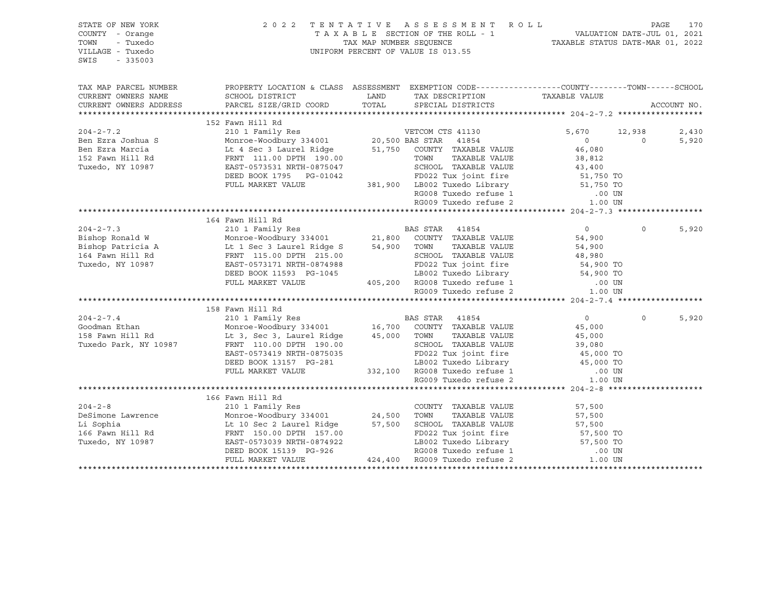| STATE OF NEW YORK<br>COUNTY - Orange<br>- Tuxedo<br>TOWN<br>VILLAGE - Tuxedo<br>SWIS<br>$-335003$                                                                                                                                                                                                                                                                                                                                                                          |                                                                                                  |                                                                  | $\begin{tabular}{lllllllllllllll} \hline 2&0&2&2&\text{T} &\text{E}&\text{N} &\text{T} &\text{T} &\text{A} &\text{S} &\text{E} &\text{E} &\text{S} &\text{S} &\text{M} &\text{E} &\text{N} &\text{T} &\text{R} &\text{O} &\text{L} &\text{D} &\text{D} \\ \hline \text{T} &\text{A} &\text{X} &\text{A} &\text{B} &\text{L} &\text{E} &\text{SECTION} &\text{OF} &\text{THE} &\text{R} &\text{O} &\text{L$ |                |             |
|----------------------------------------------------------------------------------------------------------------------------------------------------------------------------------------------------------------------------------------------------------------------------------------------------------------------------------------------------------------------------------------------------------------------------------------------------------------------------|--------------------------------------------------------------------------------------------------|------------------------------------------------------------------|------------------------------------------------------------------------------------------------------------------------------------------------------------------------------------------------------------------------------------------------------------------------------------------------------------------------------------------------------------------------------------------------------------|----------------|-------------|
| TAX MAP PARCEL NUMBER                                                                                                                                                                                                                                                                                                                                                                                                                                                      | PROPERTY LOCATION & CLASS ASSESSMENT EXEMPTION CODE----------------COUNTY-------TOWN------SCHOOL |                                                                  |                                                                                                                                                                                                                                                                                                                                                                                                            |                |             |
| CURRENT OWNERS NAME                                                                                                                                                                                                                                                                                                                                                                                                                                                        | SCHOOL DISTRICT                                                                                  | LAND TAX DESCRIPTION TAXABLE VALUE COORD TOTAL SPECIAL DISTRICTS |                                                                                                                                                                                                                                                                                                                                                                                                            |                |             |
| CURRENT OWNERS ADDRESS                                                                                                                                                                                                                                                                                                                                                                                                                                                     | PARCEL SIZE/GRID COORD                                                                           |                                                                  |                                                                                                                                                                                                                                                                                                                                                                                                            |                | ACCOUNT NO. |
|                                                                                                                                                                                                                                                                                                                                                                                                                                                                            |                                                                                                  |                                                                  |                                                                                                                                                                                                                                                                                                                                                                                                            |                |             |
|                                                                                                                                                                                                                                                                                                                                                                                                                                                                            |                                                                                                  |                                                                  |                                                                                                                                                                                                                                                                                                                                                                                                            |                | 2,430       |
|                                                                                                                                                                                                                                                                                                                                                                                                                                                                            |                                                                                                  |                                                                  |                                                                                                                                                                                                                                                                                                                                                                                                            |                | 5,920       |
|                                                                                                                                                                                                                                                                                                                                                                                                                                                                            |                                                                                                  |                                                                  |                                                                                                                                                                                                                                                                                                                                                                                                            |                |             |
|                                                                                                                                                                                                                                                                                                                                                                                                                                                                            |                                                                                                  |                                                                  |                                                                                                                                                                                                                                                                                                                                                                                                            |                |             |
|                                                                                                                                                                                                                                                                                                                                                                                                                                                                            |                                                                                                  |                                                                  |                                                                                                                                                                                                                                                                                                                                                                                                            |                |             |
|                                                                                                                                                                                                                                                                                                                                                                                                                                                                            |                                                                                                  |                                                                  |                                                                                                                                                                                                                                                                                                                                                                                                            |                |             |
|                                                                                                                                                                                                                                                                                                                                                                                                                                                                            |                                                                                                  |                                                                  |                                                                                                                                                                                                                                                                                                                                                                                                            |                |             |
|                                                                                                                                                                                                                                                                                                                                                                                                                                                                            |                                                                                                  |                                                                  |                                                                                                                                                                                                                                                                                                                                                                                                            |                |             |
|                                                                                                                                                                                                                                                                                                                                                                                                                                                                            |                                                                                                  |                                                                  |                                                                                                                                                                                                                                                                                                                                                                                                            |                |             |
|                                                                                                                                                                                                                                                                                                                                                                                                                                                                            |                                                                                                  |                                                                  |                                                                                                                                                                                                                                                                                                                                                                                                            |                |             |
|                                                                                                                                                                                                                                                                                                                                                                                                                                                                            |                                                                                                  |                                                                  |                                                                                                                                                                                                                                                                                                                                                                                                            |                |             |
|                                                                                                                                                                                                                                                                                                                                                                                                                                                                            |                                                                                                  |                                                                  |                                                                                                                                                                                                                                                                                                                                                                                                            | $\overline{0}$ | 5,920       |
|                                                                                                                                                                                                                                                                                                                                                                                                                                                                            |                                                                                                  |                                                                  |                                                                                                                                                                                                                                                                                                                                                                                                            |                |             |
|                                                                                                                                                                                                                                                                                                                                                                                                                                                                            |                                                                                                  |                                                                  |                                                                                                                                                                                                                                                                                                                                                                                                            |                |             |
|                                                                                                                                                                                                                                                                                                                                                                                                                                                                            |                                                                                                  |                                                                  |                                                                                                                                                                                                                                                                                                                                                                                                            |                |             |
|                                                                                                                                                                                                                                                                                                                                                                                                                                                                            |                                                                                                  |                                                                  |                                                                                                                                                                                                                                                                                                                                                                                                            |                |             |
|                                                                                                                                                                                                                                                                                                                                                                                                                                                                            |                                                                                                  |                                                                  |                                                                                                                                                                                                                                                                                                                                                                                                            |                |             |
|                                                                                                                                                                                                                                                                                                                                                                                                                                                                            |                                                                                                  |                                                                  |                                                                                                                                                                                                                                                                                                                                                                                                            |                |             |
| $\begin{tabular}{l c c c c c} \hline \texttt{\footnotesize{34,900}} & \texttt{\footnotesize{164} } \texttt{Fawn Hill Rd} & \texttt{\footnotesize{21,800}} & \texttt{\footnotesize{BAS STR}} & \texttt{\footnotesize{41854}} & \texttt{\footnotesize{0}} \\ \hline \texttt{\footnotesize{204-2-7.3}} & \texttt{164} \texttt{Fawn Hill Rd} & \texttt{2101 } \texttt{Fmily Res} & \texttt{\footnotesize{BAS STR}} & \texttt{41854} & \texttt{0} \\ \texttt{Bishop Ranticia A$ |                                                                                                  |                                                                  |                                                                                                                                                                                                                                                                                                                                                                                                            |                |             |
|                                                                                                                                                                                                                                                                                                                                                                                                                                                                            | 158 Fawn Hill Rd                                                                                 |                                                                  |                                                                                                                                                                                                                                                                                                                                                                                                            |                |             |
|                                                                                                                                                                                                                                                                                                                                                                                                                                                                            |                                                                                                  |                                                                  |                                                                                                                                                                                                                                                                                                                                                                                                            | $\Omega$       | 5,920       |
|                                                                                                                                                                                                                                                                                                                                                                                                                                                                            |                                                                                                  |                                                                  |                                                                                                                                                                                                                                                                                                                                                                                                            |                |             |
|                                                                                                                                                                                                                                                                                                                                                                                                                                                                            |                                                                                                  |                                                                  |                                                                                                                                                                                                                                                                                                                                                                                                            |                |             |
|                                                                                                                                                                                                                                                                                                                                                                                                                                                                            |                                                                                                  |                                                                  |                                                                                                                                                                                                                                                                                                                                                                                                            |                |             |
|                                                                                                                                                                                                                                                                                                                                                                                                                                                                            |                                                                                                  |                                                                  |                                                                                                                                                                                                                                                                                                                                                                                                            |                |             |
|                                                                                                                                                                                                                                                                                                                                                                                                                                                                            |                                                                                                  |                                                                  |                                                                                                                                                                                                                                                                                                                                                                                                            |                |             |
|                                                                                                                                                                                                                                                                                                                                                                                                                                                                            |                                                                                                  |                                                                  |                                                                                                                                                                                                                                                                                                                                                                                                            |                |             |
| ${\small \begin{tabular}{lcccc} 204-2-7.4 & 158 Fawn Hill Rd & 210 1 Family Res & 16,700 & COUNTY TAXABLE VALUE & 45,000 \\ & Monroe-Woodburn & 16,700 & COUNTY TAXABLE VALUE & 45,000 \\ 158 Fawn Hill Rd & Mr. 3, Sec 3, Laurent 10.00 DPTH 190.00 & SCHOOL TAXABLE VALUE & 45,000 \\ \end{tabular} } \\ {\small \begin{tabular}{lcccc} 158 Fawn Hill Rd & McTOE-Woodburn & 34001 & 16,700 & COUNTY TAXABLE VALUE & 45,000 \\ & Mr. 3 & $                                |                                                                                                  |                                                                  |                                                                                                                                                                                                                                                                                                                                                                                                            |                |             |
|                                                                                                                                                                                                                                                                                                                                                                                                                                                                            | 166 Fawn Hill Rd                                                                                 |                                                                  |                                                                                                                                                                                                                                                                                                                                                                                                            |                |             |
|                                                                                                                                                                                                                                                                                                                                                                                                                                                                            |                                                                                                  |                                                                  |                                                                                                                                                                                                                                                                                                                                                                                                            |                |             |
|                                                                                                                                                                                                                                                                                                                                                                                                                                                                            |                                                                                                  |                                                                  |                                                                                                                                                                                                                                                                                                                                                                                                            |                |             |
|                                                                                                                                                                                                                                                                                                                                                                                                                                                                            |                                                                                                  |                                                                  |                                                                                                                                                                                                                                                                                                                                                                                                            |                |             |
|                                                                                                                                                                                                                                                                                                                                                                                                                                                                            |                                                                                                  |                                                                  |                                                                                                                                                                                                                                                                                                                                                                                                            |                |             |
|                                                                                                                                                                                                                                                                                                                                                                                                                                                                            |                                                                                                  |                                                                  |                                                                                                                                                                                                                                                                                                                                                                                                            |                |             |
|                                                                                                                                                                                                                                                                                                                                                                                                                                                                            |                                                                                                  |                                                                  |                                                                                                                                                                                                                                                                                                                                                                                                            |                |             |
| $\begin{tabular}{lllllllll} 204-2-8 & 166 Fawn Hill Rd & 210 1 Family Res & 200NTY TAXABLE VALUE & 57,500Definitione Lawrence & 210 1 Family Res & 24,500 TOWN TAXABLE VALUE & 57,500Li Sophia & 111 Rd & 24,500 DPTH 157.00 & 57,500 SCHOOL TAXABLE VALUE & 57,500I66 Fawn Hill Rd & FRNT 150.00 DPTH 157.00 & 57,500 TDXABLE VALUE & 57,500 TOTEBD BOOK 15139 PG-926 & 424,$                                                                                             |                                                                                                  |                                                                  |                                                                                                                                                                                                                                                                                                                                                                                                            |                |             |
|                                                                                                                                                                                                                                                                                                                                                                                                                                                                            |                                                                                                  |                                                                  |                                                                                                                                                                                                                                                                                                                                                                                                            |                |             |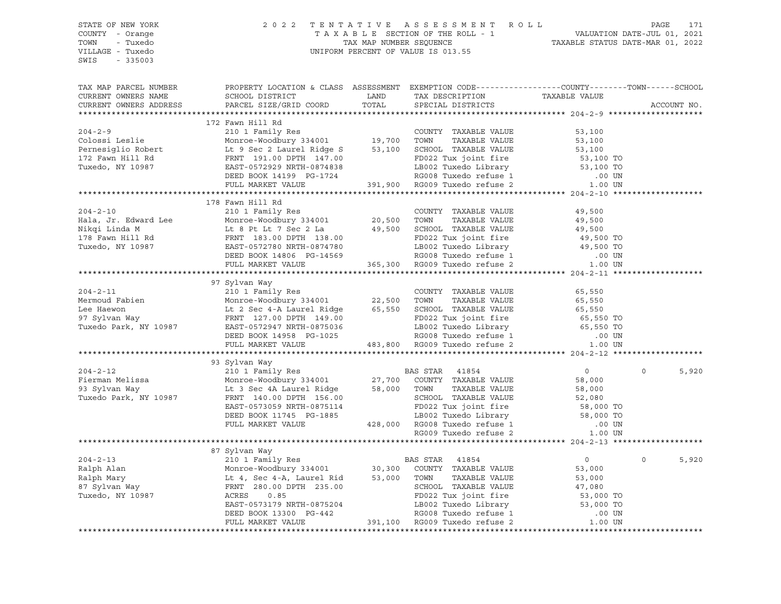| STATE OF NEW YORK      | 2 0 2 2                                                                                                                                                                                                                                        |       | TENTATIVE ASSESSMENT ROLL                                            |                | PAGE<br>171       |
|------------------------|------------------------------------------------------------------------------------------------------------------------------------------------------------------------------------------------------------------------------------------------|-------|----------------------------------------------------------------------|----------------|-------------------|
| COUNTY - Orange        |                                                                                                                                                                                                                                                |       |                                                                      |                |                   |
| TOWN - Tuxedo          |                                                                                                                                                                                                                                                |       |                                                                      |                |                   |
| VILLAGE - Tuxedo       |                                                                                                                                                                                                                                                |       |                                                                      |                |                   |
| SWIS - 335003          |                                                                                                                                                                                                                                                |       |                                                                      |                |                   |
|                        |                                                                                                                                                                                                                                                |       |                                                                      |                |                   |
| TAX MAP PARCEL NUMBER  | PROPERTY LOCATION & CLASS ASSESSMENT EXEMPTION CODE---------------COUNTY-------TOWN-----SCHOOL                                                                                                                                                 |       |                                                                      |                |                   |
| CURRENT OWNERS NAME    | SCHOOL DISTRICT LAND                                                                                                                                                                                                                           |       |                                                                      |                |                   |
| CURRENT OWNERS ADDRESS | PARCEL SIZE/GRID COORD                                                                                                                                                                                                                         | TOTAL | TAX DESCRIPTION TAXABLE VALUE SPECIAL DISTRICTS<br>SPECIAL DISTRICTS |                | ACCOUNT NO.       |
|                        |                                                                                                                                                                                                                                                |       |                                                                      |                |                   |
|                        | 172 Fawn Hill Rd                                                                                                                                                                                                                               |       |                                                                      |                |                   |
|                        | 204-2-9<br>Colossi Leslie 210 1 Fax abut 2010 19,700 TOWNTY TAXABLE VALUE<br>Monroe-Woodbury 334001<br>Pernesiglio Robert Lt 9 Sec 2 Laurel Ridge S<br>172 Fawn Hill Rd FRNT 191.00 DPTH 147.00<br>Tuxedo, NY 10987 EAST-0572929 NRTH-08       |       |                                                                      |                |                   |
|                        |                                                                                                                                                                                                                                                |       |                                                                      |                |                   |
|                        |                                                                                                                                                                                                                                                |       |                                                                      |                |                   |
|                        |                                                                                                                                                                                                                                                |       |                                                                      |                |                   |
|                        |                                                                                                                                                                                                                                                |       |                                                                      |                |                   |
|                        |                                                                                                                                                                                                                                                |       |                                                                      |                |                   |
|                        |                                                                                                                                                                                                                                                |       |                                                                      |                |                   |
|                        |                                                                                                                                                                                                                                                |       |                                                                      |                |                   |
|                        |                                                                                                                                                                                                                                                |       |                                                                      |                |                   |
| $204 - 2 - 10$         | 178 Fawn Hill Rd<br>210 1 Family Res                                                                                                                                                                                                           |       | COUNTY TAXABLE VALUE                                                 | 49,500         |                   |
|                        |                                                                                                                                                                                                                                                |       |                                                                      |                |                   |
|                        |                                                                                                                                                                                                                                                |       |                                                                      |                |                   |
|                        |                                                                                                                                                                                                                                                |       |                                                                      |                |                   |
|                        |                                                                                                                                                                                                                                                |       |                                                                      |                |                   |
|                        |                                                                                                                                                                                                                                                |       |                                                                      |                |                   |
|                        |                                                                                                                                                                                                                                                |       |                                                                      |                |                   |
|                        | 204-2-10 210 1 Family Res<br>Hala, Jr. Edward Lee Monroe-Woodbury 334001 20,500 TOWN TAXABLE VALUE<br>Nikqi Linda M Lt 8 Pt Lt 7 Sec 2 La 49,500 SCHOOL TAXABLE VALUE<br>178 Fawn Hill Rd FRNT 183.00 DPTH 138.00<br>Tuxedo, NY 10987          |       |                                                                      |                |                   |
|                        |                                                                                                                                                                                                                                                |       |                                                                      |                |                   |
|                        | 97 Sylvan Way                                                                                                                                                                                                                                  |       |                                                                      |                |                   |
|                        |                                                                                                                                                                                                                                                |       |                                                                      |                |                   |
|                        |                                                                                                                                                                                                                                                |       |                                                                      |                |                   |
|                        |                                                                                                                                                                                                                                                |       |                                                                      |                |                   |
|                        |                                                                                                                                                                                                                                                |       |                                                                      |                |                   |
|                        |                                                                                                                                                                                                                                                |       |                                                                      |                |                   |
|                        |                                                                                                                                                                                                                                                |       |                                                                      |                |                   |
|                        | 204-2-11 210 1 Family Res<br>Mermoud Fabien 22.500 TOWN TAXABLE VALUE 65,550<br>Lee Haewon Lt 2 Sec 4-A Laurel Ridge 65,550 SCHOOL TAXABLE VALUE 65,550<br>37 Sylvan Way FRNT 127.00 DPTH 149.00<br>Tuxedo Park, NY 10987 EAST-0572947         |       |                                                                      |                |                   |
|                        |                                                                                                                                                                                                                                                |       |                                                                      |                |                   |
|                        | 93 Sylvan Way                                                                                                                                                                                                                                  |       |                                                                      |                |                   |
|                        | 204-2-12<br>Pierman Melissa (210 1 Family Res BAS STAR 41854<br>Monroe-Woodbury 334001<br>27,700 COUNTY TAXABLE VALUE<br>27,700 COUNTY TAXABLE VALUE<br>27,700 COUNTY TAXABLE VALUE<br>Tuxedo Park, NY 10987<br>FRNT 140.00 DPTH 156.00<br>FRN |       |                                                                      | $\overline{0}$ | $\Omega$<br>5,920 |
|                        |                                                                                                                                                                                                                                                |       |                                                                      |                |                   |
|                        |                                                                                                                                                                                                                                                |       |                                                                      |                |                   |
|                        |                                                                                                                                                                                                                                                |       |                                                                      |                |                   |
|                        |                                                                                                                                                                                                                                                |       |                                                                      |                |                   |
|                        |                                                                                                                                                                                                                                                |       |                                                                      |                |                   |
|                        |                                                                                                                                                                                                                                                |       |                                                                      |                |                   |
|                        |                                                                                                                                                                                                                                                |       |                                                                      |                |                   |
|                        | Monroe-Woodbury 334001 27,700 COUNTY TAXABLE VALUE 58,000<br>Lt 3 Sec 4A Laurel Ridge 58,000 TOWN TAXABLE VALUE 58,000<br>FRNT 140.00 DPTH 156.00 SCHOOL TAXABLE VALUE 58,000<br>EAST-0573059 NRTH-0875114 FD022 Tux joint fire 58,0           |       |                                                                      |                |                   |
|                        |                                                                                                                                                                                                                                                |       |                                                                      |                |                   |
|                        |                                                                                                                                                                                                                                                |       |                                                                      | $\overline{0}$ | $\Omega$<br>5,920 |
|                        |                                                                                                                                                                                                                                                |       |                                                                      |                |                   |
|                        |                                                                                                                                                                                                                                                |       |                                                                      |                |                   |
|                        |                                                                                                                                                                                                                                                |       |                                                                      |                |                   |
|                        |                                                                                                                                                                                                                                                |       |                                                                      |                |                   |
|                        |                                                                                                                                                                                                                                                |       |                                                                      |                |                   |
|                        |                                                                                                                                                                                                                                                |       |                                                                      |                |                   |
|                        |                                                                                                                                                                                                                                                |       |                                                                      |                |                   |
|                        | Monto-Woodbury 334001 30,300 COUNTY TAXABLE VALUE 53,000<br>ET A Sec 4-A, Laurel Rid 53,000 TOWN TAXABLE VALUE 53,000<br>FRNT 280.00 DPTH 235.00 SCHOOL TAXABLE VALUE 53,000<br>FRNT 280.00 DPTH 235.00 SCHOOL TAXABLE VALUE 47,080<br>        |       |                                                                      |                |                   |
|                        |                                                                                                                                                                                                                                                |       |                                                                      |                |                   |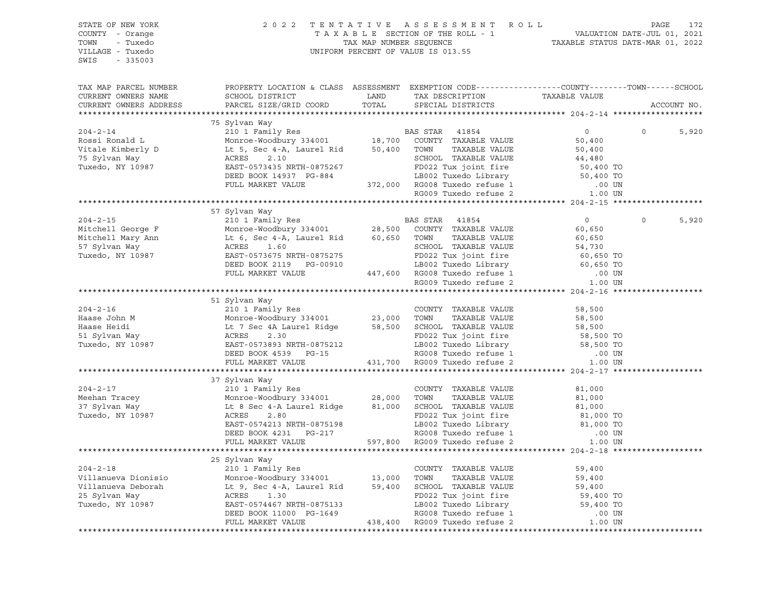| STATE OF NEW YORK<br>COUNTY - Orange<br>TOWN - Tuxedo<br>VILLAGE - Tuxedo<br>SWIS - 335003                                                                                                                                                           |                                                                                                  | 2022 TENTATIVE ASSESSMENT ROLL PAGE 172<br>TAXABLE SECTION OF THE ROLL - 1 VALUATION DATE-JUL 01, 2021<br>TAX MAP NUMBER SEQUENCE TAXABLE STATUS DATE-MAR 01, 2022<br>UNIFORM PERCENT OF VALUE IS ON ES<br>UNIFORM PERCENT OF VALUE IS 013.55 |                |                         |
|------------------------------------------------------------------------------------------------------------------------------------------------------------------------------------------------------------------------------------------------------|--------------------------------------------------------------------------------------------------|-----------------------------------------------------------------------------------------------------------------------------------------------------------------------------------------------------------------------------------------------|----------------|-------------------------|
| TAX MAP PARCEL NUMBER<br>CURRENT OWNERS NAME<br>CURRENT OWNERS ADDRESS                                                                                                                                                                               | PROPERTY LOCATION & CLASS ASSESSMENT EXEMPTION CODE----------------COUNTY-------TOWN------SCHOOL |                                                                                                                                                                                                                                               |                | ACCOUNT NO.             |
|                                                                                                                                                                                                                                                      |                                                                                                  |                                                                                                                                                                                                                                               |                |                         |
|                                                                                                                                                                                                                                                      | 75 Sylvan Way                                                                                    |                                                                                                                                                                                                                                               |                |                         |
|                                                                                                                                                                                                                                                      |                                                                                                  |                                                                                                                                                                                                                                               | $\overline{0}$ | 5,920<br>$\overline{0}$ |
|                                                                                                                                                                                                                                                      |                                                                                                  |                                                                                                                                                                                                                                               |                |                         |
|                                                                                                                                                                                                                                                      |                                                                                                  |                                                                                                                                                                                                                                               |                |                         |
|                                                                                                                                                                                                                                                      |                                                                                                  |                                                                                                                                                                                                                                               |                |                         |
|                                                                                                                                                                                                                                                      |                                                                                                  |                                                                                                                                                                                                                                               |                |                         |
|                                                                                                                                                                                                                                                      |                                                                                                  |                                                                                                                                                                                                                                               |                |                         |
|                                                                                                                                                                                                                                                      |                                                                                                  |                                                                                                                                                                                                                                               |                |                         |
|                                                                                                                                                                                                                                                      |                                                                                                  |                                                                                                                                                                                                                                               |                |                         |
|                                                                                                                                                                                                                                                      |                                                                                                  |                                                                                                                                                                                                                                               |                |                         |
|                                                                                                                                                                                                                                                      | 57 Sylvan Way                                                                                    |                                                                                                                                                                                                                                               |                |                         |
|                                                                                                                                                                                                                                                      |                                                                                                  |                                                                                                                                                                                                                                               |                | $\circ$<br>5,920        |
|                                                                                                                                                                                                                                                      |                                                                                                  |                                                                                                                                                                                                                                               |                |                         |
|                                                                                                                                                                                                                                                      |                                                                                                  |                                                                                                                                                                                                                                               |                |                         |
|                                                                                                                                                                                                                                                      |                                                                                                  |                                                                                                                                                                                                                                               |                |                         |
|                                                                                                                                                                                                                                                      |                                                                                                  |                                                                                                                                                                                                                                               |                |                         |
|                                                                                                                                                                                                                                                      |                                                                                                  |                                                                                                                                                                                                                                               |                |                         |
|                                                                                                                                                                                                                                                      |                                                                                                  |                                                                                                                                                                                                                                               |                |                         |
| 204-2-15<br>Mitchell George F<br>Mitchell George F<br>Mitchell Mary Ann Lt 6, Sec 4-A, Laurel Rid<br>Tuxedo, NY 10987<br>EXERES 1.60<br>Tuxedo, NY 10987<br>EXERES 1.60<br>DEED BOOK 2119 PG-00910<br>FULL MARKET VALUE<br>TULE MARKET VALUE<br>TULE |                                                                                                  |                                                                                                                                                                                                                                               |                |                         |
|                                                                                                                                                                                                                                                      |                                                                                                  |                                                                                                                                                                                                                                               |                |                         |
|                                                                                                                                                                                                                                                      | 51 Sylvan Way                                                                                    |                                                                                                                                                                                                                                               |                |                         |
|                                                                                                                                                                                                                                                      |                                                                                                  |                                                                                                                                                                                                                                               |                |                         |
|                                                                                                                                                                                                                                                      |                                                                                                  |                                                                                                                                                                                                                                               |                |                         |
|                                                                                                                                                                                                                                                      |                                                                                                  |                                                                                                                                                                                                                                               |                |                         |
|                                                                                                                                                                                                                                                      |                                                                                                  |                                                                                                                                                                                                                                               |                |                         |
|                                                                                                                                                                                                                                                      |                                                                                                  |                                                                                                                                                                                                                                               |                |                         |
|                                                                                                                                                                                                                                                      |                                                                                                  |                                                                                                                                                                                                                                               |                |                         |
|                                                                                                                                                                                                                                                      |                                                                                                  |                                                                                                                                                                                                                                               |                |                         |
|                                                                                                                                                                                                                                                      |                                                                                                  |                                                                                                                                                                                                                                               |                |                         |
|                                                                                                                                                                                                                                                      | 37 Sylvan Way                                                                                    |                                                                                                                                                                                                                                               |                |                         |
|                                                                                                                                                                                                                                                      |                                                                                                  |                                                                                                                                                                                                                                               |                |                         |
|                                                                                                                                                                                                                                                      |                                                                                                  |                                                                                                                                                                                                                                               |                |                         |
|                                                                                                                                                                                                                                                      |                                                                                                  |                                                                                                                                                                                                                                               |                |                         |
|                                                                                                                                                                                                                                                      |                                                                                                  |                                                                                                                                                                                                                                               |                |                         |
|                                                                                                                                                                                                                                                      |                                                                                                  |                                                                                                                                                                                                                                               |                |                         |
|                                                                                                                                                                                                                                                      |                                                                                                  |                                                                                                                                                                                                                                               |                |                         |
|                                                                                                                                                                                                                                                      |                                                                                                  |                                                                                                                                                                                                                                               |                |                         |
|                                                                                                                                                                                                                                                      |                                                                                                  |                                                                                                                                                                                                                                               |                |                         |
|                                                                                                                                                                                                                                                      | 25 Sylvan Way                                                                                    |                                                                                                                                                                                                                                               |                |                         |
|                                                                                                                                                                                                                                                      |                                                                                                  |                                                                                                                                                                                                                                               |                |                         |
|                                                                                                                                                                                                                                                      |                                                                                                  |                                                                                                                                                                                                                                               |                |                         |
|                                                                                                                                                                                                                                                      |                                                                                                  |                                                                                                                                                                                                                                               |                |                         |
|                                                                                                                                                                                                                                                      |                                                                                                  |                                                                                                                                                                                                                                               |                |                         |
|                                                                                                                                                                                                                                                      |                                                                                                  |                                                                                                                                                                                                                                               |                |                         |
|                                                                                                                                                                                                                                                      |                                                                                                  |                                                                                                                                                                                                                                               |                |                         |
|                                                                                                                                                                                                                                                      |                                                                                                  |                                                                                                                                                                                                                                               |                |                         |
|                                                                                                                                                                                                                                                      |                                                                                                  |                                                                                                                                                                                                                                               |                |                         |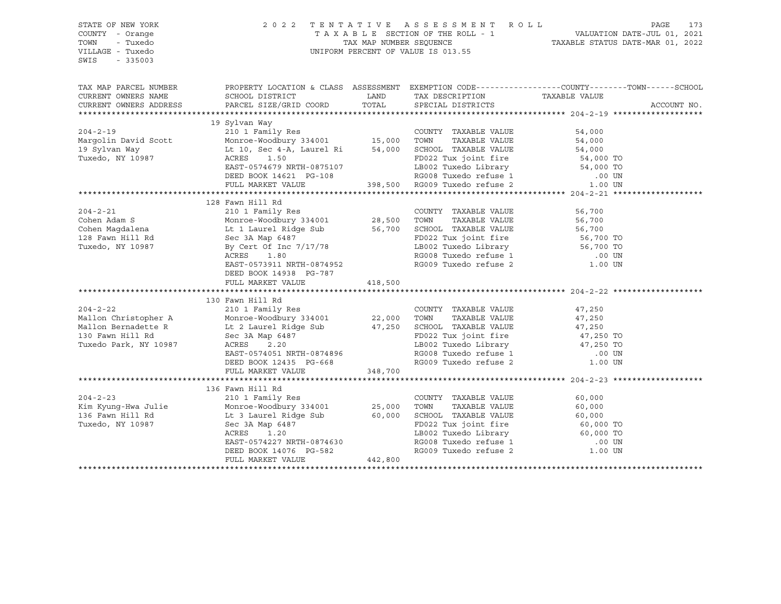| STATE OF NEW YORK<br>COUNTY - Orange<br>TOWN<br>- Tuxedo<br>VILLAGE - Tuxedo<br>$-335003$<br>SWIS | 2 0 2 2<br>TENTATIVE ASSESSMENT ROLL<br>UNIFORM PERCENT OF VALUE IS 013.55                                                                                                                                                                      | PAGE<br>173<br>T A X A B L E SECTION OF THE ROLL - 1 VALUATION DATE-JUL 01, 2021<br>TAX MAP NUMBER SEQUENCE TAXABLE STATUS DATE-MAR 01, 2022 |                                                                                                                                              |                  |             |
|---------------------------------------------------------------------------------------------------|-------------------------------------------------------------------------------------------------------------------------------------------------------------------------------------------------------------------------------------------------|----------------------------------------------------------------------------------------------------------------------------------------------|----------------------------------------------------------------------------------------------------------------------------------------------|------------------|-------------|
| TAX MAP PARCEL NUMBER                                                                             | PROPERTY LOCATION & CLASS ASSESSMENT EXEMPTION CODE-----------------COUNTY--------TOWN------SCHOOL                                                                                                                                              |                                                                                                                                              |                                                                                                                                              |                  |             |
| CURRENT OWNERS NAME                                                                               | SCHOOL DISTRICT                                                                                                                                                                                                                                 |                                                                                                                                              | LAND TAX DESCRIPTION                                                                                                                         | TAXABLE VALUE    |             |
| CURRENT OWNERS ADDRESS                                                                            | PARCEL SIZE/GRID COORD                                                                                                                                                                                                                          | TOTAL                                                                                                                                        | SPECIAL DISTRICTS                                                                                                                            |                  | ACCOUNT NO. |
|                                                                                                   | 19 Sylvan Way                                                                                                                                                                                                                                   |                                                                                                                                              |                                                                                                                                              |                  |             |
| $204 - 2 - 19$                                                                                    |                                                                                                                                                                                                                                                 |                                                                                                                                              | COUNTY TAXABLE VALUE                                                                                                                         | 54,000           |             |
| Margolin David Scott                                                                              |                                                                                                                                                                                                                                                 |                                                                                                                                              |                                                                                                                                              |                  |             |
| 19 Sylvan Way                                                                                     |                                                                                                                                                                                                                                                 |                                                                                                                                              |                                                                                                                                              |                  |             |
| Tuxedo, NY 10987                                                                                  |                                                                                                                                                                                                                                                 |                                                                                                                                              |                                                                                                                                              |                  |             |
|                                                                                                   | ACRES 1.50<br>EAST-0574679 NRTH-0875107<br>DEED BOOK 14621 PG-108<br>EAST-0574679 NRTH-0875107 LB002 Tuxedo Library 54,000 TO<br>DEED BOOK 14621 PG-108 RG008 Tuxedo refuse 1 .00 UN<br>FULL MARKET VALUE 398,500 RG009 Tuxedo refuse 2 1.00 UN |                                                                                                                                              |                                                                                                                                              |                  |             |
|                                                                                                   |                                                                                                                                                                                                                                                 |                                                                                                                                              |                                                                                                                                              |                  |             |
|                                                                                                   |                                                                                                                                                                                                                                                 |                                                                                                                                              |                                                                                                                                              |                  |             |
|                                                                                                   |                                                                                                                                                                                                                                                 |                                                                                                                                              |                                                                                                                                              |                  |             |
|                                                                                                   | 128 Fawn Hill Rd                                                                                                                                                                                                                                |                                                                                                                                              |                                                                                                                                              |                  |             |
| $204 - 2 - 21$                                                                                    |                                                                                                                                                                                                                                                 |                                                                                                                                              |                                                                                                                                              | 56,700           |             |
| Cohen Adam S                                                                                      |                                                                                                                                                                                                                                                 |                                                                                                                                              |                                                                                                                                              | 56,700           |             |
| Cohen Magdalena                                                                                   |                                                                                                                                                                                                                                                 |                                                                                                                                              |                                                                                                                                              | 56,700           |             |
| 128 Fawn Hill Rd<br>Tuxedo, NY 10987                                                              | COUNTY TAXABLE VALUE<br>Monroe-Woodbury 334001 28,500 TOWN TAXABLE VALUE<br>Lt 1 Laurel Ridge Sub 56,700 SCHOOL TAXABLE VALUE<br>Sec 3A Map 6487<br>Sec 3A Map $6487$<br>By Cert Of Inc 7/17/78<br>ACRES 1.80                                   |                                                                                                                                              | FD022 Tux joint fire 56,700 TO<br>LB002 Tuxedo Library 56,700 TO                                                                             |                  |             |
| Tuxedo, NY 10987                                                                                  |                                                                                                                                                                                                                                                 |                                                                                                                                              |                                                                                                                                              |                  |             |
|                                                                                                   |                                                                                                                                                                                                                                                 |                                                                                                                                              | RG008 Tuxedo refuse 1 00 UN RG009 Tuxedo refuse 2 1.00 UN                                                                                    |                  |             |
|                                                                                                   | EAST-0573911 NRTH-0874952                                                                                                                                                                                                                       |                                                                                                                                              |                                                                                                                                              |                  |             |
|                                                                                                   | DEED BOOK 14938 PG-787                                                                                                                                                                                                                          |                                                                                                                                              |                                                                                                                                              |                  |             |
|                                                                                                   | FULL MARKET VALUE                                                                                                                                                                                                                               | 418,500                                                                                                                                      |                                                                                                                                              |                  |             |
|                                                                                                   | 210 1 Family Res<br>Monroe-Woodbury 334001 22,000 TOWN TAXABLE VALUE<br>Lt 2 Laurel Ridge Sub 47,250 SCHOOL TAXABLE VALUE<br>Sec 3A Map 6487 FD022 Tux joint fire<br>ACRES 2.20 LB002 Tux joint fire<br>EAST-0574051 NDTU 2001                  |                                                                                                                                              |                                                                                                                                              |                  |             |
| $204 - 2 - 22$                                                                                    |                                                                                                                                                                                                                                                 |                                                                                                                                              |                                                                                                                                              | 47,250           |             |
| Mallon Christopher A                                                                              |                                                                                                                                                                                                                                                 |                                                                                                                                              |                                                                                                                                              | 47,250           |             |
| Mallon Bernadette R                                                                               |                                                                                                                                                                                                                                                 |                                                                                                                                              |                                                                                                                                              | 47,250<br>47,250 |             |
| 130 Fawn Hill Rd                                                                                  |                                                                                                                                                                                                                                                 |                                                                                                                                              |                                                                                                                                              |                  |             |
| Tuxedo Park, NY 10987                                                                             |                                                                                                                                                                                                                                                 |                                                                                                                                              | FD022 Tux joint fire $47,250$ TO<br>LB002 Tuxedo Library $47,250$ TO                                                                         |                  |             |
|                                                                                                   |                                                                                                                                                                                                                                                 |                                                                                                                                              | RG008 Tuxedo refuse 1<br>RG009 Tuxedo refuse 2                                                                                               | .00 UN           |             |
|                                                                                                   | EAST-0574051 NRTH-0874896<br>DEED BOOK 12435 PG-668                                                                                                                                                                                             |                                                                                                                                              |                                                                                                                                              | 1.00 UN          |             |
|                                                                                                   | FULL MARKET VALUE                                                                                                                                                                                                                               | 348,700                                                                                                                                      |                                                                                                                                              |                  |             |
|                                                                                                   |                                                                                                                                                                                                                                                 |                                                                                                                                              |                                                                                                                                              |                  |             |
|                                                                                                   | 136 Fawn Hill Rd                                                                                                                                                                                                                                |                                                                                                                                              |                                                                                                                                              |                  |             |
| $204 - 2 - 23$                                                                                    | 210 1 Family Res                                                                                                                                                                                                                                |                                                                                                                                              | COUNTY TAXABLE VALUE                                                                                                                         | 60,000           |             |
| Kim Kyung-Hwa Julie<br>100 Taum Will Rd                                                           |                                                                                                                                                                                                                                                 | 25,000 TOWN                                                                                                                                  |                                                                                                                                              | 60,000           |             |
| 136 Fawn Hill Rd                                                                                  |                                                                                                                                                                                                                                                 |                                                                                                                                              |                                                                                                                                              |                  |             |
| Tuxedo, NY 10987                                                                                  | $\overline{a}$<br>Sec 3A Map 6487                                                                                                                                                                                                               |                                                                                                                                              | CCHOOL TAXABLE VALUE<br>FD022 Tux joint fire<br>LB002 Tuxedo Library<br>DC008 Tuxedo Library<br>DC008 Tuxedo Library<br>TC008 Tuxedo Library |                  |             |
|                                                                                                   | 1.20<br>ACRES                                                                                                                                                                                                                                   |                                                                                                                                              |                                                                                                                                              |                  |             |
|                                                                                                   |                                                                                                                                                                                                                                                 |                                                                                                                                              |                                                                                                                                              |                  |             |
|                                                                                                   | ACRES 1.20<br>EAST-0574227 NRTH-0874630<br>DEED BOOK 14076 PG-582<br>PIILL MARKET VALUE 442,800                                                                                                                                                 |                                                                                                                                              |                                                                                                                                              |                  |             |
|                                                                                                   |                                                                                                                                                                                                                                                 |                                                                                                                                              |                                                                                                                                              |                  |             |
|                                                                                                   |                                                                                                                                                                                                                                                 |                                                                                                                                              |                                                                                                                                              |                  |             |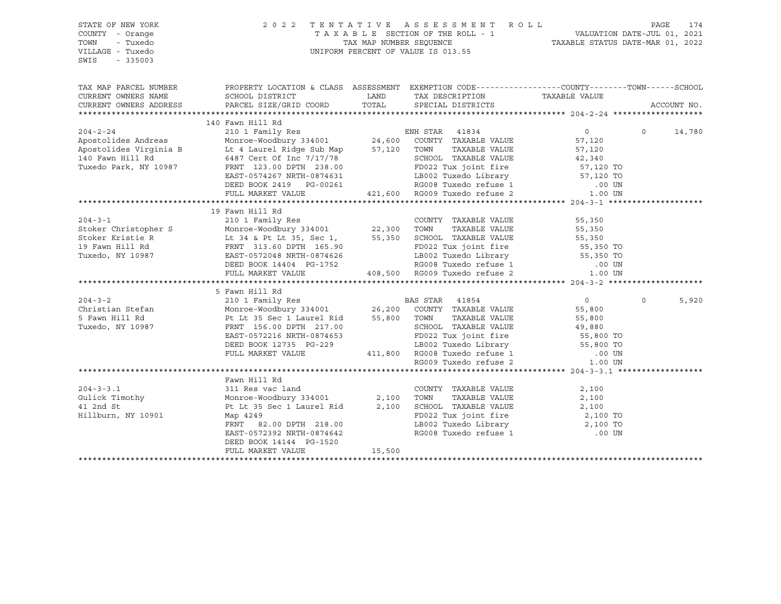STATE OF NEW YORK 2 0 2 2 T E N T A T I V E A S S E S S M E N T R O L L PAGE 174 COUNTY - Orange T A X A B L E SECTION OF THE ROLL - 1 VALUATION DATE-JUL 01, 2021 TOWN - Tuxedo TAX MAP NUMBER SEQUENCE TAXABLE STATUS DATE-MAR 01, 2022 UNIFORM PERCENT OF VALUE IS 013.55 SWIS - 335003 TAX MAP PARCEL NUMBER PROPERTY LOCATION & CLASS ASSESSMENT EXEMPTION CODE------------------COUNTY--------TOWN------SCHOOL CURRENT OWNERS NAME SCHOOL DISTRICT TAX NO TAX DESCRIPTION TAXABLE VALUE CURRENT OWNERS ADDRESS PARCEL SIZE/GRID COORD TOTAL SPECIAL DISTRICTS ACCOUNT NO. \*\*\*\*\*\*\*\*\*\*\*\*\*\*\*\*\*\*\*\*\*\*\*\*\*\*\*\*\*\*\*\*\*\*\*\*\*\*\*\*\*\*\*\*\*\*\*\*\*\*\*\*\*\*\*\*\*\*\*\*\*\*\*\*\*\*\*\*\*\*\*\*\*\*\*\*\*\*\*\*\*\*\*\*\*\*\*\*\*\*\*\*\*\*\*\*\*\*\*\*\*\*\* 204-2-24 \*\*\*\*\*\*\*\*\*\*\*\*\*\*\*\*\*\*\* 140 Fawn Hill Rd 204-2-24 210 1 Family Res ENH STAR 41834 0 0 14,780 Apostolides Andreas Monroe-Woodbury 334001 24,600 COUNTY TAXABLE VALUE 57,120 Apostolides Virginia B Lt 4 Laurel Ridge Sub Map 57,120 TOWN TAXABLE VALUE 57,120 140 Fawn Hill Rd 6487 Cert Of Inc 7/17/78 SCHOOL TAXABLE VALUE 42,340  $\frac{140}{140}$  Fawn Hill Rd  $\frac{140}{100}$  Favn Hill Rd  $\frac{140}{100}$  Favn Hill Rd  $\frac{140}{100}$  Fuxedo Park, NY 10987 FRNT 123.00 DPTH 238.00 FD022 Tux joint fire  $\frac{57}{120}$  TO EAST-0574267 NRTH-0874631 LB002 Tuxedo Library 57,120 TO DEED BOOK 2419 PG-00261 RG008 Tuxedo refuse 1 .00 UN FULL MARKET VALUE 421,600 RG009 Tuxedo refuse 2 1.00 UN \*\*\*\*\*\*\*\*\*\*\*\*\*\*\*\*\*\*\*\*\*\*\*\*\*\*\*\*\*\*\*\*\*\*\*\*\*\*\*\*\*\*\*\*\*\*\*\*\*\*\*\*\*\*\*\*\*\*\*\*\*\*\*\*\*\*\*\*\*\*\*\*\*\*\*\*\*\*\*\*\*\*\*\*\*\*\*\*\*\*\*\*\*\*\*\*\*\*\*\*\*\*\* 204-3-1 \*\*\*\*\*\*\*\*\*\*\*\*\*\*\*\*\*\*\*\* 19 Fawn Hill Rd 204-3-1 210 1 Family Res COUNTY TAXABLE VALUE 55,350 Stoker Christopher S Monroe-Woodbury 334001 22,300 TOWN TAXABLE VALUE 55,350 Stoker Kristie R Lt 34 & Pt Lt 35, Sec 1, 55,350 SCHOOL TAXABLE VALUE 55,350 19 Fawn Hill Rd FRNT 313.60 DPTH 165.90 FD022 Tux joint fire 55,350 TO Tuxedo, NY 10987 EAST-0572048 NRTH-0874626 LB002 Tuxedo Library 55,350 TO DEED BOOK 14404 PG-1752 RG008 Tuxedo refuse 1 .00 UN FULL MARKET VALUE 408,500 RG009 Tuxedo refuse 2 1.00 UN \*\*\*\*\*\*\*\*\*\*\*\*\*\*\*\*\*\*\*\*\*\*\*\*\*\*\*\*\*\*\*\*\*\*\*\*\*\*\*\*\*\*\*\*\*\*\*\*\*\*\*\*\*\*\*\*\*\*\*\*\*\*\*\*\*\*\*\*\*\*\*\*\*\*\*\*\*\*\*\*\*\*\*\*\*\*\*\*\*\*\*\*\*\*\*\*\*\*\*\*\*\*\* 204-3-2 \*\*\*\*\*\*\*\*\*\*\*\*\*\*\*\*\*\*\*\* 5 Fawn Hill Rd 204-3-2 210 1 Family Res BAS STAR 41854 0 0 5,920 Christian Stefan Monroe-Woodbury 334001 26,200 COUNTY TAXABLE VALUE 55,800 5 Fawn Hill Rd Pt Lt 35 Sec 1 Laurel Rid 55,800 TOWN TAXABLE VALUE 55,800 Tuxedo, NY 10987 FRNT 156.00 DPTH 217.00 SCHOOL TAXABLE VALUE 49,880 EAST-0572216 NRTH-0874653 FD022 Tux joint fire 55,800 TO DEED BOOK 12735 PG-229 LB002 Tuxedo Library 55,800 TO FULL MARKET VALUE 411,800 RG008 Tuxedo refuse 1 .00 UN RG009 Tuxedo refuse 2  $1.00$  UN \*\*\*\*\*\*\*\*\*\*\*\*\*\*\*\*\*\*\*\*\*\*\*\*\*\*\*\*\*\*\*\*\*\*\*\*\*\*\*\*\*\*\*\*\*\*\*\*\*\*\*\*\*\*\*\*\*\*\*\*\*\*\*\*\*\*\*\*\*\*\*\*\*\*\*\*\*\*\*\*\*\*\*\*\*\*\*\*\*\*\*\*\*\*\*\*\*\*\*\*\*\*\* 204-3-3.1 \*\*\*\*\*\*\*\*\*\*\*\*\*\*\*\*\*\* Fawn Hill Rd<br>311 Res vac land 204-3-3.1 311 Res vac land COUNTY TAXABLE VALUE 2,100 Gulick Timothy Monroe-Woodbury 334001 2,100 TOWN TAXABLE VALUE 2,100 41 2nd St Pt Lt 35 Sec 1 Laurel Rid 2,100 SCHOOL TAXABLE VALUE 2,100 Hillburn, NY 10901 Map 4249<br>FRNT 82.00 DPTH 218.00 CHA CHOO2 Tuxedo Library 2,100 TO FRNT 82.00 DPTH 218.00 LB002 Tuxedo Library 2,100 TO EAST-0572392 NRTH-0874642 RG008 Tuxedo refuse 1 DEED BOOK 14144 PG-1520 FULL MARKET VALUE 15,500 \*\*\*\*\*\*\*\*\*\*\*\*\*\*\*\*\*\*\*\*\*\*\*\*\*\*\*\*\*\*\*\*\*\*\*\*\*\*\*\*\*\*\*\*\*\*\*\*\*\*\*\*\*\*\*\*\*\*\*\*\*\*\*\*\*\*\*\*\*\*\*\*\*\*\*\*\*\*\*\*\*\*\*\*\*\*\*\*\*\*\*\*\*\*\*\*\*\*\*\*\*\*\*\*\*\*\*\*\*\*\*\*\*\*\*\*\*\*\*\*\*\*\*\*\*\*\*\*\*\*\*\*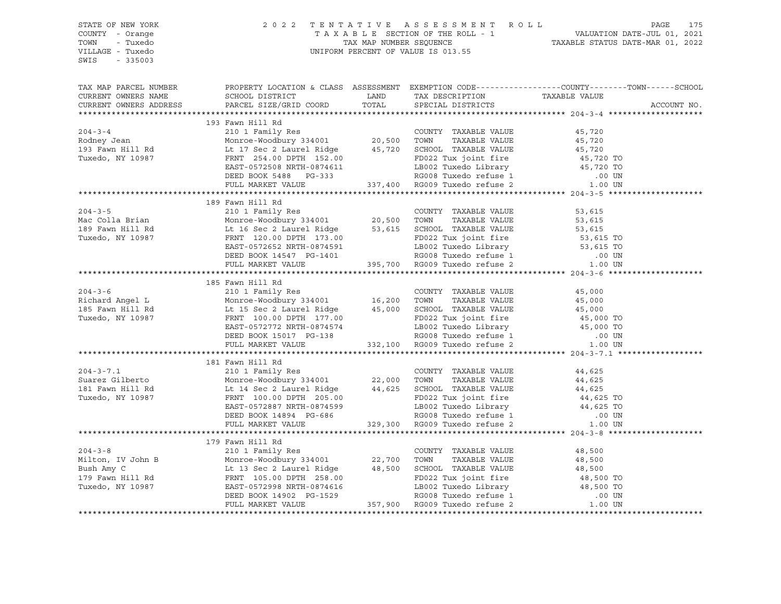| STATE OF NEW YORK<br>COUNTY - Orange<br>TOWN - Tuxedo<br>VILLAGE - Tuxedo<br>SWIS - 335003                                                                                                                                                                                                                                                                                                                                                                                       |  | 2022 TENTATIVE ASSESSMENT ROLL PAGE 175<br>TAXABLE SECTION OF THE ROLL - 1 VALUATION DATE-JUL 01, 2021<br>TAX MAP NUMBER SEQUENCE TAXABLE STATUS DATE-MAR 01, 2022<br>UNIFORM PERCENT OF VALUE IS 013.55                       |
|----------------------------------------------------------------------------------------------------------------------------------------------------------------------------------------------------------------------------------------------------------------------------------------------------------------------------------------------------------------------------------------------------------------------------------------------------------------------------------|--|--------------------------------------------------------------------------------------------------------------------------------------------------------------------------------------------------------------------------------|
|                                                                                                                                                                                                                                                                                                                                                                                                                                                                                  |  | TAX MAP PARCEL NUMBER BOOPERTY LOCATION & CLASS ASSESSMENT EXEMPTION CODE-----------------COUNTY--------TOWN------SCHOOL CURRENT OWNERS NAME SCHOOL DISTRICT LAND TAX DESCRIPTION TAXABLE VALUE VALUE CURRENT OWNERS ADDRESS P |
|                                                                                                                                                                                                                                                                                                                                                                                                                                                                                  |  |                                                                                                                                                                                                                                |
| $\begin{tabular}{l c c c c c c} \hline \textbf{193} & \textbf{Fawn Hill Rd} & \textbf{193} & \textbf{Fawn Hill Rd} & \textbf{COUNTY} & \textbf{TAXABLE VALUE} & \textbf{45,720} \\ \hline \textbf{204-3-4} & 2101 & \textbf{Family Res} & \textbf{COUNTY} & \textbf{20,500} & \textbf{TOWN} & \textbf{TAXABLE VALUE} & \textbf{45,720} \\ \textbf{Rodney Jean} & \textbf{Monroe-Woodbury 334001} & 20,500 & \textbf{TOWN} & \text$                                               |  |                                                                                                                                                                                                                                |
|                                                                                                                                                                                                                                                                                                                                                                                                                                                                                  |  |                                                                                                                                                                                                                                |
|                                                                                                                                                                                                                                                                                                                                                                                                                                                                                  |  |                                                                                                                                                                                                                                |
|                                                                                                                                                                                                                                                                                                                                                                                                                                                                                  |  |                                                                                                                                                                                                                                |
|                                                                                                                                                                                                                                                                                                                                                                                                                                                                                  |  |                                                                                                                                                                                                                                |
|                                                                                                                                                                                                                                                                                                                                                                                                                                                                                  |  |                                                                                                                                                                                                                                |
|                                                                                                                                                                                                                                                                                                                                                                                                                                                                                  |  |                                                                                                                                                                                                                                |
|                                                                                                                                                                                                                                                                                                                                                                                                                                                                                  |  |                                                                                                                                                                                                                                |
| 189 Faun Hill Rd 16 Sec 2 Laurel Ridge 20,500 TOWN TAXABLE VALUE 53,615<br>189 Faun Hill Rd Monroe-Woodbury 334001 20,500 TOWN TAXABLE VALUE 53,615<br>189 Fawn Hill Rd Monroe-Woodbury 334001 20,500 TOWN TAXABLE VALUE 53,615<br>1                                                                                                                                                                                                                                             |  |                                                                                                                                                                                                                                |
|                                                                                                                                                                                                                                                                                                                                                                                                                                                                                  |  |                                                                                                                                                                                                                                |
|                                                                                                                                                                                                                                                                                                                                                                                                                                                                                  |  |                                                                                                                                                                                                                                |
|                                                                                                                                                                                                                                                                                                                                                                                                                                                                                  |  |                                                                                                                                                                                                                                |
|                                                                                                                                                                                                                                                                                                                                                                                                                                                                                  |  |                                                                                                                                                                                                                                |
|                                                                                                                                                                                                                                                                                                                                                                                                                                                                                  |  |                                                                                                                                                                                                                                |
|                                                                                                                                                                                                                                                                                                                                                                                                                                                                                  |  |                                                                                                                                                                                                                                |
|                                                                                                                                                                                                                                                                                                                                                                                                                                                                                  |  |                                                                                                                                                                                                                                |
|                                                                                                                                                                                                                                                                                                                                                                                                                                                                                  |  |                                                                                                                                                                                                                                |
|                                                                                                                                                                                                                                                                                                                                                                                                                                                                                  |  |                                                                                                                                                                                                                                |
|                                                                                                                                                                                                                                                                                                                                                                                                                                                                                  |  |                                                                                                                                                                                                                                |
|                                                                                                                                                                                                                                                                                                                                                                                                                                                                                  |  |                                                                                                                                                                                                                                |
|                                                                                                                                                                                                                                                                                                                                                                                                                                                                                  |  |                                                                                                                                                                                                                                |
|                                                                                                                                                                                                                                                                                                                                                                                                                                                                                  |  |                                                                                                                                                                                                                                |
|                                                                                                                                                                                                                                                                                                                                                                                                                                                                                  |  |                                                                                                                                                                                                                                |
|                                                                                                                                                                                                                                                                                                                                                                                                                                                                                  |  |                                                                                                                                                                                                                                |
|                                                                                                                                                                                                                                                                                                                                                                                                                                                                                  |  |                                                                                                                                                                                                                                |
|                                                                                                                                                                                                                                                                                                                                                                                                                                                                                  |  |                                                                                                                                                                                                                                |
|                                                                                                                                                                                                                                                                                                                                                                                                                                                                                  |  |                                                                                                                                                                                                                                |
| $\begin{tabular}{lllllllllllll} \multicolumn{3}{l}{} & \multicolumn{3}{l}{} & \multicolumn{3}{l}{} & \multicolumn{3}{l}{} & \multicolumn{3}{l}{} & \multicolumn{3}{l}{} & \multicolumn{3}{l}{} & \multicolumn{3}{l}{} & \multicolumn{3}{l}{} & \multicolumn{3}{l}{} & \multicolumn{3}{l}{} & \multicolumn{3}{l}{} & \multicolumn{3}{l}{} & \multicolumn{3}{l}{} & \multicolumn{3}{l}{} & \multicolumn{3}{l}{} & \multicolumn{3}{l}{} & \multicolumn{3}{l}{} & \multicolumn{3}{l$ |  |                                                                                                                                                                                                                                |
|                                                                                                                                                                                                                                                                                                                                                                                                                                                                                  |  |                                                                                                                                                                                                                                |
|                                                                                                                                                                                                                                                                                                                                                                                                                                                                                  |  |                                                                                                                                                                                                                                |
|                                                                                                                                                                                                                                                                                                                                                                                                                                                                                  |  |                                                                                                                                                                                                                                |
|                                                                                                                                                                                                                                                                                                                                                                                                                                                                                  |  |                                                                                                                                                                                                                                |
|                                                                                                                                                                                                                                                                                                                                                                                                                                                                                  |  |                                                                                                                                                                                                                                |
|                                                                                                                                                                                                                                                                                                                                                                                                                                                                                  |  |                                                                                                                                                                                                                                |
|                                                                                                                                                                                                                                                                                                                                                                                                                                                                                  |  |                                                                                                                                                                                                                                |
| 179 Favn Hill Rd ERST-0572998 RTH-0874616<br>179 Favn Hill Rd ERST-0572998 RTH-0874616<br>179 Favn Hill Rd ERST-0572998 RTH-0874616<br>179 Favn Hill Rd ERST-0572998 RTH-0874616<br>179 Favn Hill Rd ERST-0572998 RTH-0874616<br>179 Fav                                                                                                                                                                                                                                         |  |                                                                                                                                                                                                                                |
|                                                                                                                                                                                                                                                                                                                                                                                                                                                                                  |  |                                                                                                                                                                                                                                |
|                                                                                                                                                                                                                                                                                                                                                                                                                                                                                  |  |                                                                                                                                                                                                                                |
|                                                                                                                                                                                                                                                                                                                                                                                                                                                                                  |  |                                                                                                                                                                                                                                |
|                                                                                                                                                                                                                                                                                                                                                                                                                                                                                  |  |                                                                                                                                                                                                                                |
|                                                                                                                                                                                                                                                                                                                                                                                                                                                                                  |  |                                                                                                                                                                                                                                |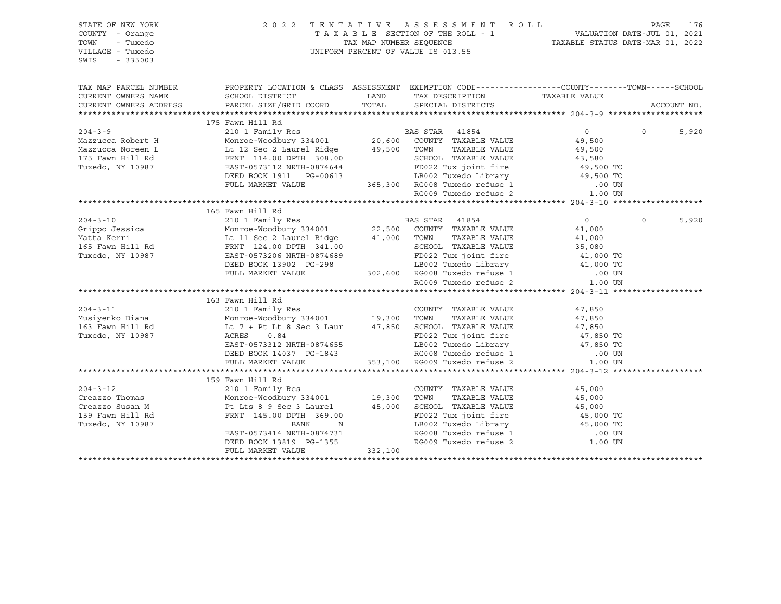| STATE OF NEW YORK<br>COUNTY - Orange<br>- Tuxedo<br>TOWN<br>VILLAGE - Tuxedo<br>SWIS<br>$-335003$                                                                                                                                                                                                                                                                                                                                                         |                                                                                                                                                                                                                        |                                                                                                                                  |                |          |             |
|-----------------------------------------------------------------------------------------------------------------------------------------------------------------------------------------------------------------------------------------------------------------------------------------------------------------------------------------------------------------------------------------------------------------------------------------------------------|------------------------------------------------------------------------------------------------------------------------------------------------------------------------------------------------------------------------|----------------------------------------------------------------------------------------------------------------------------------|----------------|----------|-------------|
| TAX MAP PARCEL NUMBER                                                                                                                                                                                                                                                                                                                                                                                                                                     | PROPERTY LOCATION & CLASS ASSESSMENT EXEMPTION CODE----------------COUNTY-------TOWN------SCHOOL                                                                                                                       |                                                                                                                                  |                |          |             |
| CURRENT OWNERS NAME                                                                                                                                                                                                                                                                                                                                                                                                                                       |                                                                                                                                                                                                                        |                                                                                                                                  |                |          |             |
| CURRENT OWNERS ADDRESS                                                                                                                                                                                                                                                                                                                                                                                                                                    |                                                                                                                                                                                                                        |                                                                                                                                  |                |          | ACCOUNT NO. |
| ${\small \begin{tabular}{lcccc} \textbf{175} \texttt{R} & \texttt{186} & \texttt{178} & \texttt{188} & \texttt{188} & \texttt{188} & \texttt{188} & \texttt{188} & \texttt{188} & \texttt{188} & \texttt{188} & \texttt{188} & \texttt{188} & \texttt{188} & \texttt{188} & \texttt{188} & \texttt{188} & \texttt{188} & \texttt{188} & \texttt{188} & \texttt{188} & \texttt{188} & \texttt{1$                                                           |                                                                                                                                                                                                                        |                                                                                                                                  |                |          |             |
|                                                                                                                                                                                                                                                                                                                                                                                                                                                           |                                                                                                                                                                                                                        |                                                                                                                                  | $\overline{0}$ | $\Omega$ | 5,920       |
|                                                                                                                                                                                                                                                                                                                                                                                                                                                           |                                                                                                                                                                                                                        |                                                                                                                                  |                |          |             |
|                                                                                                                                                                                                                                                                                                                                                                                                                                                           |                                                                                                                                                                                                                        |                                                                                                                                  |                |          |             |
|                                                                                                                                                                                                                                                                                                                                                                                                                                                           |                                                                                                                                                                                                                        |                                                                                                                                  |                |          |             |
|                                                                                                                                                                                                                                                                                                                                                                                                                                                           |                                                                                                                                                                                                                        |                                                                                                                                  |                |          |             |
|                                                                                                                                                                                                                                                                                                                                                                                                                                                           |                                                                                                                                                                                                                        |                                                                                                                                  |                |          |             |
|                                                                                                                                                                                                                                                                                                                                                                                                                                                           |                                                                                                                                                                                                                        |                                                                                                                                  |                |          |             |
|                                                                                                                                                                                                                                                                                                                                                                                                                                                           |                                                                                                                                                                                                                        |                                                                                                                                  |                |          |             |
|                                                                                                                                                                                                                                                                                                                                                                                                                                                           |                                                                                                                                                                                                                        |                                                                                                                                  |                |          |             |
|                                                                                                                                                                                                                                                                                                                                                                                                                                                           | 165 Fawn Hill Rd                                                                                                                                                                                                       |                                                                                                                                  |                |          |             |
|                                                                                                                                                                                                                                                                                                                                                                                                                                                           |                                                                                                                                                                                                                        |                                                                                                                                  |                | $\Omega$ | 5,920       |
|                                                                                                                                                                                                                                                                                                                                                                                                                                                           |                                                                                                                                                                                                                        |                                                                                                                                  |                |          |             |
|                                                                                                                                                                                                                                                                                                                                                                                                                                                           |                                                                                                                                                                                                                        |                                                                                                                                  |                |          |             |
|                                                                                                                                                                                                                                                                                                                                                                                                                                                           |                                                                                                                                                                                                                        |                                                                                                                                  |                |          |             |
|                                                                                                                                                                                                                                                                                                                                                                                                                                                           |                                                                                                                                                                                                                        |                                                                                                                                  |                |          |             |
|                                                                                                                                                                                                                                                                                                                                                                                                                                                           |                                                                                                                                                                                                                        |                                                                                                                                  |                |          |             |
|                                                                                                                                                                                                                                                                                                                                                                                                                                                           |                                                                                                                                                                                                                        |                                                                                                                                  |                |          |             |
| ${\small \begin{tabular}{lcccc} \textbf{204-3-10} & & & & \textbf{165} \text{ Fawn Hill Rd} & & & \textbf{BAS STAR} & 41854 & & 0 \\ \textbf{Grippo Jessica} & & & \textbf{Monro-Woodbury 334001} & & & \textbf{22,500} & \textbf{COUNTY TAXABLE VALUE} & 41,000 \\ \textbf{Matta Kerri} & & & \textbf{Lt 11} \text{ Sec 2 Laurel Ridge} & 41,000 & \textbf{TOWN} & \textbf{TAXABLE VALUE} & 41,000 \\ \textbf{165} \text{ Fawn Hill Rd} & & \textbf{ERN$ |                                                                                                                                                                                                                        |                                                                                                                                  |                |          |             |
|                                                                                                                                                                                                                                                                                                                                                                                                                                                           |                                                                                                                                                                                                                        |                                                                                                                                  |                |          |             |
|                                                                                                                                                                                                                                                                                                                                                                                                                                                           |                                                                                                                                                                                                                        |                                                                                                                                  |                |          |             |
|                                                                                                                                                                                                                                                                                                                                                                                                                                                           |                                                                                                                                                                                                                        |                                                                                                                                  |                |          |             |
|                                                                                                                                                                                                                                                                                                                                                                                                                                                           |                                                                                                                                                                                                                        |                                                                                                                                  |                |          |             |
|                                                                                                                                                                                                                                                                                                                                                                                                                                                           |                                                                                                                                                                                                                        |                                                                                                                                  |                |          |             |
|                                                                                                                                                                                                                                                                                                                                                                                                                                                           |                                                                                                                                                                                                                        |                                                                                                                                  |                |          |             |
|                                                                                                                                                                                                                                                                                                                                                                                                                                                           |                                                                                                                                                                                                                        |                                                                                                                                  |                |          |             |
|                                                                                                                                                                                                                                                                                                                                                                                                                                                           |                                                                                                                                                                                                                        |                                                                                                                                  |                |          |             |
|                                                                                                                                                                                                                                                                                                                                                                                                                                                           |                                                                                                                                                                                                                        |                                                                                                                                  |                |          |             |
|                                                                                                                                                                                                                                                                                                                                                                                                                                                           | 159 Fawn Hill Rd                                                                                                                                                                                                       |                                                                                                                                  |                |          |             |
| $204 - 3 - 12$                                                                                                                                                                                                                                                                                                                                                                                                                                            |                                                                                                                                                                                                                        |                                                                                                                                  |                |          |             |
| Creazzo Thomas                                                                                                                                                                                                                                                                                                                                                                                                                                            |                                                                                                                                                                                                                        |                                                                                                                                  |                |          |             |
| Creazzo Susan M                                                                                                                                                                                                                                                                                                                                                                                                                                           |                                                                                                                                                                                                                        |                                                                                                                                  |                |          |             |
| 159 Fawn Hill Rd                                                                                                                                                                                                                                                                                                                                                                                                                                          | 159 Fawn Hill Rd<br>210 1 Family Res<br>Monroe-Woodbury 334001 19,300 TOWN TAXABLE VALUE<br>210 1 Family Res<br>Monroe-Woodbury 334001 19,300 TOWN TAXABLE VALUE<br>25,000<br>25,000 FD022 Tux joint fire<br>25,000 TO | FD022 Tux joint fire 45,000 TO<br>LB002 Tuxedo Library 45,000 TO<br>RG008 Tuxedo refuse 1 00 UN<br>RG009 Tuxedo refuse 2 1.00 UN |                |          |             |
| Tuxedo, NY 10987                                                                                                                                                                                                                                                                                                                                                                                                                                          | BANK<br>N                                                                                                                                                                                                              |                                                                                                                                  |                |          |             |
|                                                                                                                                                                                                                                                                                                                                                                                                                                                           | EAST-0573414 NRTH-0874731                                                                                                                                                                                              |                                                                                                                                  |                |          |             |
|                                                                                                                                                                                                                                                                                                                                                                                                                                                           | DEED BOOK 13819 PG-1355<br>FIILT. MARKET VALUE 332,100                                                                                                                                                                 |                                                                                                                                  |                |          |             |
|                                                                                                                                                                                                                                                                                                                                                                                                                                                           |                                                                                                                                                                                                                        |                                                                                                                                  |                |          |             |
|                                                                                                                                                                                                                                                                                                                                                                                                                                                           |                                                                                                                                                                                                                        |                                                                                                                                  |                |          |             |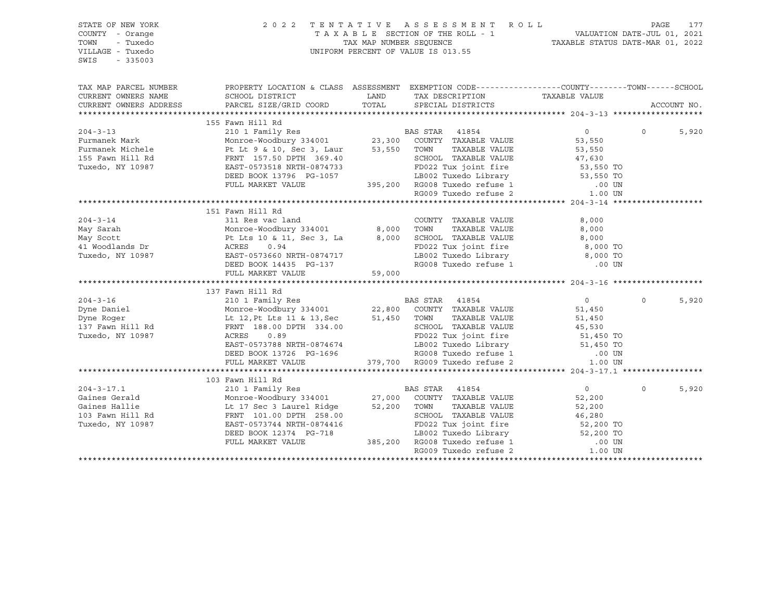| STATE OF NEW YORK<br>COUNTY - Orange<br>TOWN<br>- Tuxedo<br>VILLAGE - Tuxedo<br>SWIS<br>$-335003$ |                                                                                                                                                                                                                                        |        | 2022 TENTATIVE ASSESSMENT ROLL<br>TAXABLE SECTION OF THE ROLL - 1<br>TAXABLE STATUS DATE-JUL 01, 2021<br>TAXABLE STATUS DATE-MAR 01, 2022<br>UNIFORM PERCENT OF VALUE IS 013.55 |                        | PAGE<br>177             |
|---------------------------------------------------------------------------------------------------|----------------------------------------------------------------------------------------------------------------------------------------------------------------------------------------------------------------------------------------|--------|---------------------------------------------------------------------------------------------------------------------------------------------------------------------------------|------------------------|-------------------------|
| TAX MAP PARCEL NUMBER                                                                             | PROPERTY LOCATION & CLASS ASSESSMENT EXEMPTION CODE----------------COUNTY-------TOWN------SCHOOL                                                                                                                                       |        |                                                                                                                                                                                 |                        |                         |
| CURRENT OWNERS NAME                                                                               | SCHOOL DISTRICT                                                                                                                                                                                                                        | LAND   | TAX DESCRIPTION TAXABLE VALUE SPECIAL DISTRICTS                                                                                                                                 |                        |                         |
| CURRENT OWNERS ADDRESS                                                                            | PARCEL SIZE/GRID COORD                                                                                                                                                                                                                 | TOTAL  | SPECIAL DISTRICTS                                                                                                                                                               |                        | ACCOUNT NO.             |
|                                                                                                   | 155 Fawn Hill Rd                                                                                                                                                                                                                       |        |                                                                                                                                                                                 |                        |                         |
| $204 - 3 - 13$                                                                                    | 210 1 Family Res<br>Monroe-Woodbury 334001<br>Pt Lt 9 & 10, Sec 3, Laur 53,550 TOWN TAXABLE VALUE<br>Pt Lt 9 & 10, Sec 3, Laur 53,550 TOWN TAXABLE VALUE<br>FRNT 157.50 DPTH 369.40 SCHOOL TAXABLE VALUE                               |        |                                                                                                                                                                                 | $\overline{0}$         | $\overline{0}$<br>5,920 |
| Furmanek Mark                                                                                     |                                                                                                                                                                                                                                        |        |                                                                                                                                                                                 | 53,550                 |                         |
| Furmanek Michele                                                                                  |                                                                                                                                                                                                                                        |        |                                                                                                                                                                                 |                        |                         |
| 155 Fawn Hill Rd                                                                                  |                                                                                                                                                                                                                                        |        | TOWN TAXABLE VALUE<br>SCHOOL TAXABLE VALUE 47,630<br>53,550 TO                                                                                                                  |                        |                         |
| Tuxedo, NY 10987                                                                                  |                                                                                                                                                                                                                                        |        |                                                                                                                                                                                 |                        |                         |
|                                                                                                   |                                                                                                                                                                                                                                        |        |                                                                                                                                                                                 |                        |                         |
|                                                                                                   |                                                                                                                                                                                                                                        |        |                                                                                                                                                                                 |                        |                         |
|                                                                                                   |                                                                                                                                                                                                                                        |        |                                                                                                                                                                                 |                        |                         |
|                                                                                                   | EAST-0574733<br>EAST-0575158 NRTH-0874733<br>DEED BOOK 13796 PG-1057 LB002 Tuxedo Library 53, 530 10<br>FULL MARKET VALUE 395,200 RG008 Tuxedo refuse 1 1.00 UN<br>RG009 Tuxedo refuse 2 1.00 UN<br>RG009 Tuxedo refuse 2 1.00 UN      |        |                                                                                                                                                                                 |                        |                         |
|                                                                                                   | 151 Fawn Hill Rd                                                                                                                                                                                                                       |        |                                                                                                                                                                                 |                        |                         |
| $204 - 3 - 14$                                                                                    | 311 Res vac land                                                                                                                                                                                                                       |        | COUNTY TAXABLE VALUE                                                                                                                                                            | 8,000                  |                         |
|                                                                                                   |                                                                                                                                                                                                                                        |        |                                                                                                                                                                                 | 8,000                  |                         |
|                                                                                                   |                                                                                                                                                                                                                                        |        |                                                                                                                                                                                 | 8,000                  |                         |
|                                                                                                   |                                                                                                                                                                                                                                        |        | PO022 Tux joint fire<br>T-R002 Tux joint fire<br>T-R002 Tuxedo Library<br>B,000 TO                                                                                              |                        |                         |
|                                                                                                   | 204-3-14<br>May Sarah Monroe-Woodbury 334001 8,000 TUWIN 1000012 WARDLE VALUE<br>May Scott Pt Lts 10 & 11, Sec 3, La 8,000 SCHOOL TAXABLE VALUE<br>41 Woodlands Dr ACRES 0.94<br>Tuxedo, NY 10987 EAST-0573660 NRTH-0874717 LB002 Tuxe |        | LB002 Tuxedo Library 6,000 TO<br>RG008 Tuxedo refuse 1 100 00 UN                                                                                                                |                        |                         |
|                                                                                                   |                                                                                                                                                                                                                                        |        |                                                                                                                                                                                 |                        |                         |
|                                                                                                   | FULL MARKET VALUE                                                                                                                                                                                                                      | 59,000 |                                                                                                                                                                                 |                        |                         |
|                                                                                                   | 137 Fawn Hill Rd                                                                                                                                                                                                                       |        |                                                                                                                                                                                 |                        |                         |
| $204 - 3 - 16$                                                                                    | 210 1 Family Res<br>Monroe-Woodbury 334001 22,800 COUNTY TAXABLE VALUE<br>Lt 12,Pt Lts 11 & 13,Sec 51,450 TOWN TAXABLE VALUE<br>FRNT 188.00 DPTH 334.00 SCHOOL TAXABLE VALUE                                                           |        |                                                                                                                                                                                 | $\overline{0}$         | 5,920<br>$\Omega$       |
| Dyne Daniel                                                                                       |                                                                                                                                                                                                                                        |        |                                                                                                                                                                                 | 51,450                 |                         |
|                                                                                                   |                                                                                                                                                                                                                                        |        |                                                                                                                                                                                 | 51,450                 |                         |
| .<br>Dyne Roger<br>137 Fawn Hill Rd                                                               |                                                                                                                                                                                                                                        |        | SCHOOL TAXABLE VALUE                                                                                                                                                            | 45,530                 |                         |
| Tuxedo, NY 10987                                                                                  | ACRES<br>0.89                                                                                                                                                                                                                          |        | FD022 Tux joint fire                                                                                                                                                            |                        |                         |
|                                                                                                   | EAST-0573788 NRTH-0874674                                                                                                                                                                                                              |        |                                                                                                                                                                                 | 51,450 TO<br>51,450 TO |                         |
|                                                                                                   | DEED BOOK 13726 PG-1696                                                                                                                                                                                                                |        |                                                                                                                                                                                 | .00 UN                 |                         |
|                                                                                                   | FULL MARKET VALUE                                                                                                                                                                                                                      |        | LB002 Tuxedo Library<br>RG008 Tuxedo refuse 1<br>DC008 Tuxedo refuse 2<br>379,700 RG009 Tuxedo refuse 2                                                                         | 1.00 UN                |                         |
|                                                                                                   |                                                                                                                                                                                                                                        |        |                                                                                                                                                                                 |                        |                         |
|                                                                                                   | 103 Fawn Hill Rd                                                                                                                                                                                                                       |        |                                                                                                                                                                                 |                        |                         |
| $204 - 3 - 17.1$                                                                                  |                                                                                                                                                                                                                                        |        |                                                                                                                                                                                 | $\overline{0}$         | 5,920<br>$\circ$        |
| Gaines Gerald                                                                                     |                                                                                                                                                                                                                                        |        |                                                                                                                                                                                 | 52,200                 |                         |
| Gaines Hallie                                                                                     |                                                                                                                                                                                                                                        |        |                                                                                                                                                                                 | 52,200                 |                         |
| 103 Fawn Hill Rd                                                                                  | 210 1 Family Res<br>Monroe-Woodbury 334001 27,000 COUNTY TAXABLE VALUE<br>Lt 17 Sec 3 Laurel Ridge 52,200 TOWN TAXABLE VALUE<br>FRNT 101.00 DPTH 258.00 SCHOOL TAXABLE VALUE                                                           |        |                                                                                                                                                                                 | 46,280                 |                         |
| Tuxedo, NY 10987                                                                                  | EAST-0573744 NRTH-0874416                                                                                                                                                                                                              |        |                                                                                                                                                                                 |                        |                         |
|                                                                                                   | DEED BOOK 12374 PG-718                                                                                                                                                                                                                 |        |                                                                                                                                                                                 |                        |                         |
|                                                                                                   | FULL MARKET VALUE                                                                                                                                                                                                                      |        | 974416 FD022 Tux joint fire 52,200 TO<br>1-718 LB002 Tuxedo Library 52,200 TO<br>385,200 RG008 Tuxedo refuse 1 .00 UN<br>RG009 Tuxedo refuse 2 1.00 UN                          |                        |                         |
|                                                                                                   |                                                                                                                                                                                                                                        |        |                                                                                                                                                                                 |                        |                         |
|                                                                                                   |                                                                                                                                                                                                                                        |        |                                                                                                                                                                                 |                        |                         |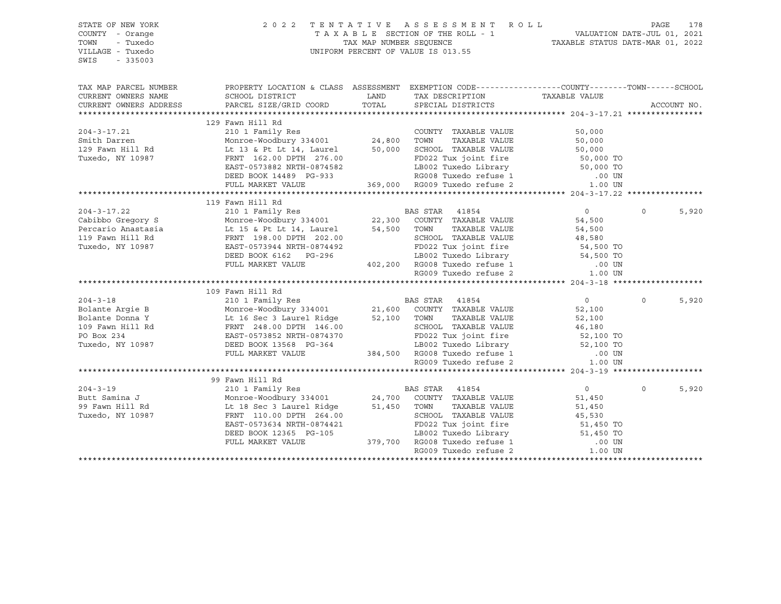| STATE OF NEW YORK<br>COUNTY - Orange<br>TOWN<br>- Tuxedo<br>VILLAGE - Tuxedo                                                                                                                                                                     |                                                                                                                                                                                                  |       | 2022 TENTATIVE ASSESSMENT ROLL<br>TAXABLE SECTION OF THE ROLL - 1<br>TAXABLE STATUS DATE-JUL 01, 2021<br>TAXABLE STATUS DATE-MAR 01, 2022<br>UNIFORM PERCENT OF VALUE IS 013.55                        |                  | PAGE        | 178   |
|--------------------------------------------------------------------------------------------------------------------------------------------------------------------------------------------------------------------------------------------------|--------------------------------------------------------------------------------------------------------------------------------------------------------------------------------------------------|-------|--------------------------------------------------------------------------------------------------------------------------------------------------------------------------------------------------------|------------------|-------------|-------|
| $-335003$<br>SWIS                                                                                                                                                                                                                                |                                                                                                                                                                                                  |       |                                                                                                                                                                                                        |                  |             |       |
| TAX MAP PARCEL NUMBER                                                                                                                                                                                                                            | PROPERTY LOCATION & CLASS ASSESSMENT EXEMPTION CODE----------------COUNTY-------TOWN------SCHOOL                                                                                                 |       |                                                                                                                                                                                                        |                  |             |       |
| CURRENT OWNERS NAME                                                                                                                                                                                                                              | SCHOOL DISTRICT                                                                                                                                                                                  | LAND  | TAX DESCRIPTION TAXABLE VALUE SPECIAL DISTRICTS                                                                                                                                                        |                  |             |       |
| CURRENT OWNERS ADDRESS                                                                                                                                                                                                                           | PARCEL SIZE/GRID COORD                                                                                                                                                                           | TOTAL |                                                                                                                                                                                                        |                  | ACCOUNT NO. |       |
|                                                                                                                                                                                                                                                  |                                                                                                                                                                                                  |       |                                                                                                                                                                                                        |                  |             |       |
| 204-3-17.21<br>210 1 Family Res<br>210 1 Family Res<br>24,800 TOWN TAXABLE VALUE<br>24,800 TOWN TAXABLE VALUE<br>24,800 TOWN TAXABLE VALUE<br>24,800 TOWN TAXABLE VALUE<br>24,800 TOWN TAXABLE VALUE<br>24,800 TOWN TAXABLE VALUE<br>24,800 TOWN | 129 Fawn Hill Rd                                                                                                                                                                                 |       |                                                                                                                                                                                                        |                  |             |       |
|                                                                                                                                                                                                                                                  |                                                                                                                                                                                                  |       |                                                                                                                                                                                                        | 50,000           |             |       |
|                                                                                                                                                                                                                                                  |                                                                                                                                                                                                  |       | TOWN TAXABLE VALUE<br>SO,000<br>SCHOOL TAXABLE VALUE<br>FD022 Tux joint fire<br>LB002 Tuxedo Library<br>RG009 Tuxedo refuse 1 000 UN<br>RG009 Tuxedo refuse 2 1.00 UN<br>RG009 Tuxedo refuse 2 1.00 UN |                  |             |       |
|                                                                                                                                                                                                                                                  |                                                                                                                                                                                                  |       |                                                                                                                                                                                                        |                  |             |       |
|                                                                                                                                                                                                                                                  |                                                                                                                                                                                                  |       |                                                                                                                                                                                                        |                  |             |       |
|                                                                                                                                                                                                                                                  |                                                                                                                                                                                                  |       |                                                                                                                                                                                                        |                  |             |       |
|                                                                                                                                                                                                                                                  | DEED BOOK 14489 PG-933<br>FULL MARKET VALUE                                                                                                                                                      |       | 369,000 RG009 Tuxedo refuse 2                                                                                                                                                                          |                  |             |       |
|                                                                                                                                                                                                                                                  |                                                                                                                                                                                                  |       |                                                                                                                                                                                                        |                  |             |       |
|                                                                                                                                                                                                                                                  | 119 Fawn Hill Rd                                                                                                                                                                                 |       |                                                                                                                                                                                                        |                  |             |       |
| $204 - 3 - 17.22$                                                                                                                                                                                                                                |                                                                                                                                                                                                  |       |                                                                                                                                                                                                        | $\overline{0}$   | $\Omega$    | 5,920 |
| Cabibbo Gregory S<br>Cabibbo Gregory S<br>Percario Anastasia<br>119 Fawn Hill Rd<br>119 Fawn Hill Rd<br>119 Fawn Hill Rd<br>129 FRNT 198.00 DPTH 202.00<br>129 CHOOI                                                                             | 210 1 Family Res<br>Monroe-Woodbury 334001 22,300 COUNTY TAXABLE VALUE                                                                                                                           |       |                                                                                                                                                                                                        | 54,500           |             |       |
|                                                                                                                                                                                                                                                  |                                                                                                                                                                                                  |       | TAXABLE VALUE                                                                                                                                                                                          |                  |             |       |
|                                                                                                                                                                                                                                                  |                                                                                                                                                                                                  |       | SCHOOL TAXABLE VALUE                                                                                                                                                                                   | 54,500<br>48,580 |             |       |
| Tuxedo, NY 10987                                                                                                                                                                                                                                 |                                                                                                                                                                                                  |       |                                                                                                                                                                                                        |                  |             |       |
|                                                                                                                                                                                                                                                  |                                                                                                                                                                                                  |       |                                                                                                                                                                                                        |                  |             |       |
|                                                                                                                                                                                                                                                  | EAST-0573944 NRTH-0874492<br>EAST-0573944 NRTH-0874492<br>DEED BOOK 6162 PG-296<br>FULL MARKET VALUE 402,200 RG008 Tuxedo refuse 1 .00 UN<br>RG009 Tuxedo refuse 2 1.00 UN                       |       |                                                                                                                                                                                                        |                  |             |       |
|                                                                                                                                                                                                                                                  |                                                                                                                                                                                                  |       |                                                                                                                                                                                                        |                  |             |       |
|                                                                                                                                                                                                                                                  |                                                                                                                                                                                                  |       |                                                                                                                                                                                                        |                  |             |       |
| 109 Faunt 11 Rd<br>204-3-18 109 Faunt 111 Rd<br>204-3-18 2010 I Family Res<br>Bolante Argie B Monroe-Woodbury 334001 21,600 COUNTY TAXABLE VALUE 52,100<br>21,600 COUNTY TAXABLE VALUE 52,100<br>21,600 COUNTY TAXABLE VALUE 52,100<br>21,       |                                                                                                                                                                                                  |       |                                                                                                                                                                                                        |                  |             |       |
|                                                                                                                                                                                                                                                  |                                                                                                                                                                                                  |       |                                                                                                                                                                                                        |                  | $\circ$     | 5,920 |
|                                                                                                                                                                                                                                                  |                                                                                                                                                                                                  |       |                                                                                                                                                                                                        |                  |             |       |
|                                                                                                                                                                                                                                                  |                                                                                                                                                                                                  |       |                                                                                                                                                                                                        |                  |             |       |
|                                                                                                                                                                                                                                                  |                                                                                                                                                                                                  |       |                                                                                                                                                                                                        |                  |             |       |
|                                                                                                                                                                                                                                                  |                                                                                                                                                                                                  |       |                                                                                                                                                                                                        |                  |             |       |
|                                                                                                                                                                                                                                                  |                                                                                                                                                                                                  |       |                                                                                                                                                                                                        |                  |             |       |
|                                                                                                                                                                                                                                                  |                                                                                                                                                                                                  |       |                                                                                                                                                                                                        |                  |             |       |
|                                                                                                                                                                                                                                                  |                                                                                                                                                                                                  |       |                                                                                                                                                                                                        |                  |             |       |
|                                                                                                                                                                                                                                                  |                                                                                                                                                                                                  |       |                                                                                                                                                                                                        |                  |             |       |
|                                                                                                                                                                                                                                                  | 99 Fawn Hill Rd                                                                                                                                                                                  |       |                                                                                                                                                                                                        |                  |             |       |
| $204 - 3 - 19$                                                                                                                                                                                                                                   |                                                                                                                                                                                                  |       |                                                                                                                                                                                                        | $\overline{0}$   | $\Omega$    | 5,920 |
| Butt Samina J                                                                                                                                                                                                                                    |                                                                                                                                                                                                  |       |                                                                                                                                                                                                        | 51,450           |             |       |
| 99 Fawn Hill Rd                                                                                                                                                                                                                                  |                                                                                                                                                                                                  |       |                                                                                                                                                                                                        | 51,450<br>45,530 |             |       |
| Tuxedo, NY 10987                                                                                                                                                                                                                                 | 210 1 Family Res<br>210 1 Family Res<br>Monroe-Woodbury 334001 24,700 COUNTY TAXABLE VALUE<br>Lt 18 Sec 3 Laurel Ridge 51,450 TOWN TAXABLE VALUE<br>PRNT 110.00 DPTH 264.00 SCHOOL TAXABLE VALUE |       |                                                                                                                                                                                                        |                  |             |       |
|                                                                                                                                                                                                                                                  | EAST-0573634 NRTH-0874421                                                                                                                                                                        |       |                                                                                                                                                                                                        |                  |             |       |
|                                                                                                                                                                                                                                                  | DEED BOOK 12365 PG-105                                                                                                                                                                           |       |                                                                                                                                                                                                        |                  |             |       |
|                                                                                                                                                                                                                                                  | FULL MARKET VALUE                                                                                                                                                                                |       | 364.00<br>379,700 RG008 Tuxedo Library 51,450 TO<br>379,700 RG008 Tuxedo refuse 1 .00 UN<br>RG009 Tuxedo refuse 2 .00 UN<br>2 .00 UN                                                                   |                  |             |       |
|                                                                                                                                                                                                                                                  |                                                                                                                                                                                                  |       |                                                                                                                                                                                                        |                  |             |       |
|                                                                                                                                                                                                                                                  |                                                                                                                                                                                                  |       |                                                                                                                                                                                                        |                  |             |       |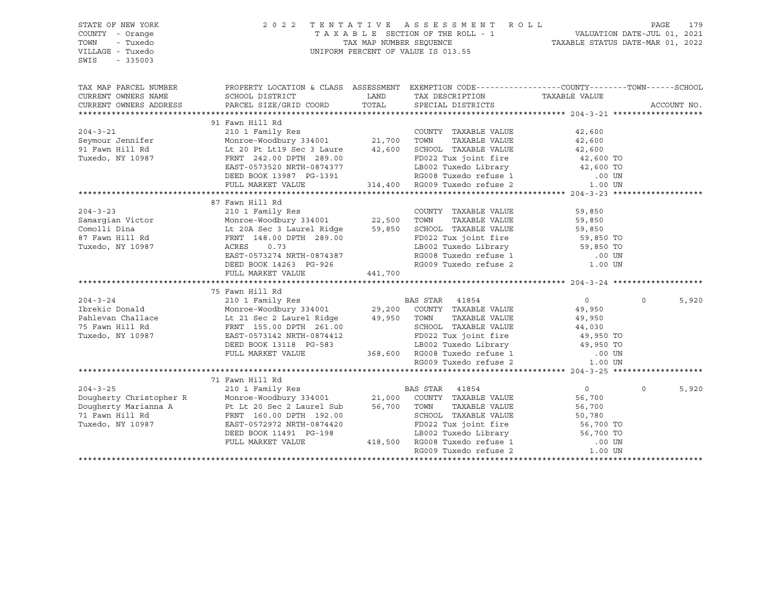| PROPERTY LOCATION & CLASS ASSESSMENT EXEMPTION CODE----------------COUNTY-------TOWN------SCHOOL<br>TAX MAP PARCEL NUMBER<br>TAXABLE VALUE<br>CURRENT OWNERS NAME<br>SCHOOL DISTRICT<br><b>EXAMPLE THE STATE OF STATE OF STATE</b><br>TAX DESCRIPTION<br>TOTAL<br>CURRENT OWNERS ADDRESS<br>PARCEL SIZE/GRID COORD<br>SPECIAL DISTRICTS<br>ACCOUNT NO.<br>91 Fawn Hill Rd<br>210 1 Family Res<br>Monroe-Woodbury 334001 21,700 TOWN<br>It 20 Pt It19 Sec 3 Issues 10.000 TOWN<br>$204 - 3 - 21$<br>COUNTY TAXABLE VALUE<br>42,600<br>Seymour Jennifer                    Monroe-Woodbury 334001           21,700   TOWN     TAXABLE VALUE<br>91 Fawn Hill Rd                          Lt 20 Pt Lt19 Sec 3 Laure        42,600    SCHOOL  TAXABLE VALUE<br>TAXABLE VALUE 42,600<br>TAXABLE VALUE 42,600<br>Tuxedo, NY 10987<br>FRNT 242.00 DPTH 289.00<br>ED022 Tux joint fire the 42,600 TO<br>EAST-0573520 NRTH-0874377 LB002 Tuxedo Library 42,600 TO<br>DEED BOOK 13987 PG-1391 RG008 Tuxedo refuse 1 .00 UN<br>FULL MARKET VALUE 314,400 RG009 Tuxedo refuse 2 1<br>87 Fawn Hill Rd<br>$204 - 3 - 23$<br>COUNTY TAXABLE VALUE<br>59,850<br>210 1 Family Res<br>210 1 Family Res<br>210 1 Family Res<br>29,200 COUNTY TAXABLE VALUE<br>29,950 TOWN TAXABLE VALUE<br>29,950 TOWN TAXABLE VALUE<br>29,950 TOWN TAXABLE VALUE<br>29,950 TOWN TAXABLE VALUE<br>29,950 TOWN TAXABLE VALUE<br>29,9<br>$\overline{0}$<br>$\circ$<br>5,920<br>49,950<br>TAXABLE VALUE<br>49,950<br>44,030<br>ERNT 155.00 DPTH 261.00<br>ERST-0573142 NRTH-0874412<br>DEED BOOK 13118 PG-583<br>FULL MARKET VALUE 368,600 RG008 Tuxedo Library 49,950 TO<br>RG009 Tuxedo refuse 1<br>RG009 Tuxedo refuse 2<br>1.00 UN<br>71 Fawn Hill Rd<br>204-3-25<br>Dougherty Christopher R<br>Dougherty Marianna A<br>Pt Lt 20 Sec 2 Laurel Sub<br>The St,700 TOWN TAXABLE VALUE<br>The Monroe-Woodbury 334001<br>21,000 COUNTY TAXABLE VALUE<br>71 Fawn Hill Rd<br>PRIT 160.00 DPTH 192.00<br>TWO SCHO<br>5,920<br>$\overline{0}$<br>$\mathbf 0$<br>56,700<br>TAXABLE VALUE<br>56,700<br>50,780<br>EAST-0572972 NRTH-0874420<br>9874420<br>3-198 ED022 Tux joint fire<br>3-198 LB002 Tuxedo Library<br>418,500 RG008 Tuxedo refuse 1 .00 UN<br>RG009 Tuxedo refuse 2 1.00 UN<br>Tuxedo, NY 10987<br>DEED BOOK 11491 PG-198<br>FULL MARKET VALUE | STATE OF NEW YORK<br>COUNTY - Orange<br>- Tuxedo<br>TOWN<br>VILLAGE - Tuxedo<br>$-335003$<br>SWIS |  | 2022 TENTATIVE ASSESSMENT ROLL<br>UNIFORM PERCENT OF VALUE IS 013.55 | PAGE<br>179 |
|-----------------------------------------------------------------------------------------------------------------------------------------------------------------------------------------------------------------------------------------------------------------------------------------------------------------------------------------------------------------------------------------------------------------------------------------------------------------------------------------------------------------------------------------------------------------------------------------------------------------------------------------------------------------------------------------------------------------------------------------------------------------------------------------------------------------------------------------------------------------------------------------------------------------------------------------------------------------------------------------------------------------------------------------------------------------------------------------------------------------------------------------------------------------------------------------------------------------------------------------------------------------------------------------------------------------------------------------------------------------------------------------------------------------------------------------------------------------------------------------------------------------------------------------------------------------------------------------------------------------------------------------------------------------------------------------------------------------------------------------------------------------------------------------------------------------------------------------------------------------------------------------------------------------------------------------------------------------------------------------------------------------------------------------------------------------------------------------------------------------------------------------------------------------------------------------------------------------------------------------------------------------------------------------------------------------|---------------------------------------------------------------------------------------------------|--|----------------------------------------------------------------------|-------------|
|                                                                                                                                                                                                                                                                                                                                                                                                                                                                                                                                                                                                                                                                                                                                                                                                                                                                                                                                                                                                                                                                                                                                                                                                                                                                                                                                                                                                                                                                                                                                                                                                                                                                                                                                                                                                                                                                                                                                                                                                                                                                                                                                                                                                                                                                                                                 |                                                                                                   |  |                                                                      |             |
|                                                                                                                                                                                                                                                                                                                                                                                                                                                                                                                                                                                                                                                                                                                                                                                                                                                                                                                                                                                                                                                                                                                                                                                                                                                                                                                                                                                                                                                                                                                                                                                                                                                                                                                                                                                                                                                                                                                                                                                                                                                                                                                                                                                                                                                                                                                 |                                                                                                   |  |                                                                      |             |
|                                                                                                                                                                                                                                                                                                                                                                                                                                                                                                                                                                                                                                                                                                                                                                                                                                                                                                                                                                                                                                                                                                                                                                                                                                                                                                                                                                                                                                                                                                                                                                                                                                                                                                                                                                                                                                                                                                                                                                                                                                                                                                                                                                                                                                                                                                                 |                                                                                                   |  |                                                                      |             |
|                                                                                                                                                                                                                                                                                                                                                                                                                                                                                                                                                                                                                                                                                                                                                                                                                                                                                                                                                                                                                                                                                                                                                                                                                                                                                                                                                                                                                                                                                                                                                                                                                                                                                                                                                                                                                                                                                                                                                                                                                                                                                                                                                                                                                                                                                                                 |                                                                                                   |  |                                                                      |             |
|                                                                                                                                                                                                                                                                                                                                                                                                                                                                                                                                                                                                                                                                                                                                                                                                                                                                                                                                                                                                                                                                                                                                                                                                                                                                                                                                                                                                                                                                                                                                                                                                                                                                                                                                                                                                                                                                                                                                                                                                                                                                                                                                                                                                                                                                                                                 |                                                                                                   |  |                                                                      |             |
|                                                                                                                                                                                                                                                                                                                                                                                                                                                                                                                                                                                                                                                                                                                                                                                                                                                                                                                                                                                                                                                                                                                                                                                                                                                                                                                                                                                                                                                                                                                                                                                                                                                                                                                                                                                                                                                                                                                                                                                                                                                                                                                                                                                                                                                                                                                 |                                                                                                   |  |                                                                      |             |
|                                                                                                                                                                                                                                                                                                                                                                                                                                                                                                                                                                                                                                                                                                                                                                                                                                                                                                                                                                                                                                                                                                                                                                                                                                                                                                                                                                                                                                                                                                                                                                                                                                                                                                                                                                                                                                                                                                                                                                                                                                                                                                                                                                                                                                                                                                                 |                                                                                                   |  |                                                                      |             |
|                                                                                                                                                                                                                                                                                                                                                                                                                                                                                                                                                                                                                                                                                                                                                                                                                                                                                                                                                                                                                                                                                                                                                                                                                                                                                                                                                                                                                                                                                                                                                                                                                                                                                                                                                                                                                                                                                                                                                                                                                                                                                                                                                                                                                                                                                                                 |                                                                                                   |  |                                                                      |             |
|                                                                                                                                                                                                                                                                                                                                                                                                                                                                                                                                                                                                                                                                                                                                                                                                                                                                                                                                                                                                                                                                                                                                                                                                                                                                                                                                                                                                                                                                                                                                                                                                                                                                                                                                                                                                                                                                                                                                                                                                                                                                                                                                                                                                                                                                                                                 |                                                                                                   |  |                                                                      |             |
|                                                                                                                                                                                                                                                                                                                                                                                                                                                                                                                                                                                                                                                                                                                                                                                                                                                                                                                                                                                                                                                                                                                                                                                                                                                                                                                                                                                                                                                                                                                                                                                                                                                                                                                                                                                                                                                                                                                                                                                                                                                                                                                                                                                                                                                                                                                 |                                                                                                   |  |                                                                      |             |
|                                                                                                                                                                                                                                                                                                                                                                                                                                                                                                                                                                                                                                                                                                                                                                                                                                                                                                                                                                                                                                                                                                                                                                                                                                                                                                                                                                                                                                                                                                                                                                                                                                                                                                                                                                                                                                                                                                                                                                                                                                                                                                                                                                                                                                                                                                                 |                                                                                                   |  |                                                                      |             |
|                                                                                                                                                                                                                                                                                                                                                                                                                                                                                                                                                                                                                                                                                                                                                                                                                                                                                                                                                                                                                                                                                                                                                                                                                                                                                                                                                                                                                                                                                                                                                                                                                                                                                                                                                                                                                                                                                                                                                                                                                                                                                                                                                                                                                                                                                                                 |                                                                                                   |  |                                                                      |             |
|                                                                                                                                                                                                                                                                                                                                                                                                                                                                                                                                                                                                                                                                                                                                                                                                                                                                                                                                                                                                                                                                                                                                                                                                                                                                                                                                                                                                                                                                                                                                                                                                                                                                                                                                                                                                                                                                                                                                                                                                                                                                                                                                                                                                                                                                                                                 |                                                                                                   |  |                                                                      |             |
|                                                                                                                                                                                                                                                                                                                                                                                                                                                                                                                                                                                                                                                                                                                                                                                                                                                                                                                                                                                                                                                                                                                                                                                                                                                                                                                                                                                                                                                                                                                                                                                                                                                                                                                                                                                                                                                                                                                                                                                                                                                                                                                                                                                                                                                                                                                 |                                                                                                   |  |                                                                      |             |
|                                                                                                                                                                                                                                                                                                                                                                                                                                                                                                                                                                                                                                                                                                                                                                                                                                                                                                                                                                                                                                                                                                                                                                                                                                                                                                                                                                                                                                                                                                                                                                                                                                                                                                                                                                                                                                                                                                                                                                                                                                                                                                                                                                                                                                                                                                                 |                                                                                                   |  |                                                                      |             |
|                                                                                                                                                                                                                                                                                                                                                                                                                                                                                                                                                                                                                                                                                                                                                                                                                                                                                                                                                                                                                                                                                                                                                                                                                                                                                                                                                                                                                                                                                                                                                                                                                                                                                                                                                                                                                                                                                                                                                                                                                                                                                                                                                                                                                                                                                                                 |                                                                                                   |  |                                                                      |             |
|                                                                                                                                                                                                                                                                                                                                                                                                                                                                                                                                                                                                                                                                                                                                                                                                                                                                                                                                                                                                                                                                                                                                                                                                                                                                                                                                                                                                                                                                                                                                                                                                                                                                                                                                                                                                                                                                                                                                                                                                                                                                                                                                                                                                                                                                                                                 |                                                                                                   |  |                                                                      |             |
|                                                                                                                                                                                                                                                                                                                                                                                                                                                                                                                                                                                                                                                                                                                                                                                                                                                                                                                                                                                                                                                                                                                                                                                                                                                                                                                                                                                                                                                                                                                                                                                                                                                                                                                                                                                                                                                                                                                                                                                                                                                                                                                                                                                                                                                                                                                 |                                                                                                   |  |                                                                      |             |
|                                                                                                                                                                                                                                                                                                                                                                                                                                                                                                                                                                                                                                                                                                                                                                                                                                                                                                                                                                                                                                                                                                                                                                                                                                                                                                                                                                                                                                                                                                                                                                                                                                                                                                                                                                                                                                                                                                                                                                                                                                                                                                                                                                                                                                                                                                                 |                                                                                                   |  |                                                                      |             |
|                                                                                                                                                                                                                                                                                                                                                                                                                                                                                                                                                                                                                                                                                                                                                                                                                                                                                                                                                                                                                                                                                                                                                                                                                                                                                                                                                                                                                                                                                                                                                                                                                                                                                                                                                                                                                                                                                                                                                                                                                                                                                                                                                                                                                                                                                                                 |                                                                                                   |  |                                                                      |             |
|                                                                                                                                                                                                                                                                                                                                                                                                                                                                                                                                                                                                                                                                                                                                                                                                                                                                                                                                                                                                                                                                                                                                                                                                                                                                                                                                                                                                                                                                                                                                                                                                                                                                                                                                                                                                                                                                                                                                                                                                                                                                                                                                                                                                                                                                                                                 |                                                                                                   |  |                                                                      |             |
|                                                                                                                                                                                                                                                                                                                                                                                                                                                                                                                                                                                                                                                                                                                                                                                                                                                                                                                                                                                                                                                                                                                                                                                                                                                                                                                                                                                                                                                                                                                                                                                                                                                                                                                                                                                                                                                                                                                                                                                                                                                                                                                                                                                                                                                                                                                 |                                                                                                   |  |                                                                      |             |
|                                                                                                                                                                                                                                                                                                                                                                                                                                                                                                                                                                                                                                                                                                                                                                                                                                                                                                                                                                                                                                                                                                                                                                                                                                                                                                                                                                                                                                                                                                                                                                                                                                                                                                                                                                                                                                                                                                                                                                                                                                                                                                                                                                                                                                                                                                                 |                                                                                                   |  |                                                                      |             |
|                                                                                                                                                                                                                                                                                                                                                                                                                                                                                                                                                                                                                                                                                                                                                                                                                                                                                                                                                                                                                                                                                                                                                                                                                                                                                                                                                                                                                                                                                                                                                                                                                                                                                                                                                                                                                                                                                                                                                                                                                                                                                                                                                                                                                                                                                                                 |                                                                                                   |  |                                                                      |             |
|                                                                                                                                                                                                                                                                                                                                                                                                                                                                                                                                                                                                                                                                                                                                                                                                                                                                                                                                                                                                                                                                                                                                                                                                                                                                                                                                                                                                                                                                                                                                                                                                                                                                                                                                                                                                                                                                                                                                                                                                                                                                                                                                                                                                                                                                                                                 |                                                                                                   |  |                                                                      |             |
|                                                                                                                                                                                                                                                                                                                                                                                                                                                                                                                                                                                                                                                                                                                                                                                                                                                                                                                                                                                                                                                                                                                                                                                                                                                                                                                                                                                                                                                                                                                                                                                                                                                                                                                                                                                                                                                                                                                                                                                                                                                                                                                                                                                                                                                                                                                 |                                                                                                   |  |                                                                      |             |
|                                                                                                                                                                                                                                                                                                                                                                                                                                                                                                                                                                                                                                                                                                                                                                                                                                                                                                                                                                                                                                                                                                                                                                                                                                                                                                                                                                                                                                                                                                                                                                                                                                                                                                                                                                                                                                                                                                                                                                                                                                                                                                                                                                                                                                                                                                                 |                                                                                                   |  |                                                                      |             |
|                                                                                                                                                                                                                                                                                                                                                                                                                                                                                                                                                                                                                                                                                                                                                                                                                                                                                                                                                                                                                                                                                                                                                                                                                                                                                                                                                                                                                                                                                                                                                                                                                                                                                                                                                                                                                                                                                                                                                                                                                                                                                                                                                                                                                                                                                                                 |                                                                                                   |  |                                                                      |             |
|                                                                                                                                                                                                                                                                                                                                                                                                                                                                                                                                                                                                                                                                                                                                                                                                                                                                                                                                                                                                                                                                                                                                                                                                                                                                                                                                                                                                                                                                                                                                                                                                                                                                                                                                                                                                                                                                                                                                                                                                                                                                                                                                                                                                                                                                                                                 |                                                                                                   |  |                                                                      |             |
|                                                                                                                                                                                                                                                                                                                                                                                                                                                                                                                                                                                                                                                                                                                                                                                                                                                                                                                                                                                                                                                                                                                                                                                                                                                                                                                                                                                                                                                                                                                                                                                                                                                                                                                                                                                                                                                                                                                                                                                                                                                                                                                                                                                                                                                                                                                 |                                                                                                   |  |                                                                      |             |
|                                                                                                                                                                                                                                                                                                                                                                                                                                                                                                                                                                                                                                                                                                                                                                                                                                                                                                                                                                                                                                                                                                                                                                                                                                                                                                                                                                                                                                                                                                                                                                                                                                                                                                                                                                                                                                                                                                                                                                                                                                                                                                                                                                                                                                                                                                                 |                                                                                                   |  |                                                                      |             |
|                                                                                                                                                                                                                                                                                                                                                                                                                                                                                                                                                                                                                                                                                                                                                                                                                                                                                                                                                                                                                                                                                                                                                                                                                                                                                                                                                                                                                                                                                                                                                                                                                                                                                                                                                                                                                                                                                                                                                                                                                                                                                                                                                                                                                                                                                                                 |                                                                                                   |  |                                                                      |             |
|                                                                                                                                                                                                                                                                                                                                                                                                                                                                                                                                                                                                                                                                                                                                                                                                                                                                                                                                                                                                                                                                                                                                                                                                                                                                                                                                                                                                                                                                                                                                                                                                                                                                                                                                                                                                                                                                                                                                                                                                                                                                                                                                                                                                                                                                                                                 |                                                                                                   |  |                                                                      |             |
|                                                                                                                                                                                                                                                                                                                                                                                                                                                                                                                                                                                                                                                                                                                                                                                                                                                                                                                                                                                                                                                                                                                                                                                                                                                                                                                                                                                                                                                                                                                                                                                                                                                                                                                                                                                                                                                                                                                                                                                                                                                                                                                                                                                                                                                                                                                 |                                                                                                   |  |                                                                      |             |
|                                                                                                                                                                                                                                                                                                                                                                                                                                                                                                                                                                                                                                                                                                                                                                                                                                                                                                                                                                                                                                                                                                                                                                                                                                                                                                                                                                                                                                                                                                                                                                                                                                                                                                                                                                                                                                                                                                                                                                                                                                                                                                                                                                                                                                                                                                                 |                                                                                                   |  |                                                                      |             |
|                                                                                                                                                                                                                                                                                                                                                                                                                                                                                                                                                                                                                                                                                                                                                                                                                                                                                                                                                                                                                                                                                                                                                                                                                                                                                                                                                                                                                                                                                                                                                                                                                                                                                                                                                                                                                                                                                                                                                                                                                                                                                                                                                                                                                                                                                                                 |                                                                                                   |  |                                                                      |             |
|                                                                                                                                                                                                                                                                                                                                                                                                                                                                                                                                                                                                                                                                                                                                                                                                                                                                                                                                                                                                                                                                                                                                                                                                                                                                                                                                                                                                                                                                                                                                                                                                                                                                                                                                                                                                                                                                                                                                                                                                                                                                                                                                                                                                                                                                                                                 |                                                                                                   |  |                                                                      |             |
|                                                                                                                                                                                                                                                                                                                                                                                                                                                                                                                                                                                                                                                                                                                                                                                                                                                                                                                                                                                                                                                                                                                                                                                                                                                                                                                                                                                                                                                                                                                                                                                                                                                                                                                                                                                                                                                                                                                                                                                                                                                                                                                                                                                                                                                                                                                 |                                                                                                   |  |                                                                      |             |
|                                                                                                                                                                                                                                                                                                                                                                                                                                                                                                                                                                                                                                                                                                                                                                                                                                                                                                                                                                                                                                                                                                                                                                                                                                                                                                                                                                                                                                                                                                                                                                                                                                                                                                                                                                                                                                                                                                                                                                                                                                                                                                                                                                                                                                                                                                                 |                                                                                                   |  |                                                                      |             |
|                                                                                                                                                                                                                                                                                                                                                                                                                                                                                                                                                                                                                                                                                                                                                                                                                                                                                                                                                                                                                                                                                                                                                                                                                                                                                                                                                                                                                                                                                                                                                                                                                                                                                                                                                                                                                                                                                                                                                                                                                                                                                                                                                                                                                                                                                                                 |                                                                                                   |  |                                                                      |             |
|                                                                                                                                                                                                                                                                                                                                                                                                                                                                                                                                                                                                                                                                                                                                                                                                                                                                                                                                                                                                                                                                                                                                                                                                                                                                                                                                                                                                                                                                                                                                                                                                                                                                                                                                                                                                                                                                                                                                                                                                                                                                                                                                                                                                                                                                                                                 |                                                                                                   |  |                                                                      |             |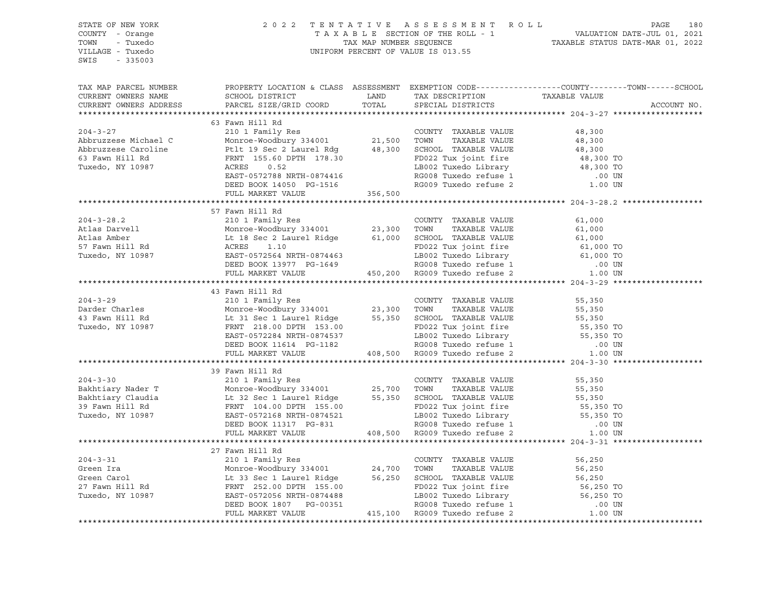| STATE OF NEW YORK<br>COUNTY - Orange<br>TOWN - Tuxedo<br>VILLAGE - Tuxedo<br>SWIS - 335003                                                                                                                                                                                                                                                                                                                                                                                                                                      |                                                                                                | $\begin{tabular}{lllllllllllllllll} \hline & 2&0&2&2&\text{T} & \text{E} & \text{N} & \text{T} & \text{A} & \text{T} & \text{A} & \text{T} & \text{A} & \text{B} & \text{A} & \text{B} & \text{B} \\ & & & & & & & \text{T} & \text{A} & \text{A} & \text{B} & \text{L} & \text{E} & \text{SECTION} & \text{O} & \text{T} & \text{HE} & \text{R} & \text{O} & \text{L} \\ & & & & & & & & \text{T} & \text{A} & \text{A} & \text{B} & \text{$ |             |
|---------------------------------------------------------------------------------------------------------------------------------------------------------------------------------------------------------------------------------------------------------------------------------------------------------------------------------------------------------------------------------------------------------------------------------------------------------------------------------------------------------------------------------|------------------------------------------------------------------------------------------------|-----------------------------------------------------------------------------------------------------------------------------------------------------------------------------------------------------------------------------------------------------------------------------------------------------------------------------------------------------------------------------------------------------------------------------------------------|-------------|
| TAX MAP PARCEL NUMBER<br>CURRENT OWNERS NAME SCHOOL DISTRICT LAND TAX DESCRIPTION TAXABLE VALUE CURRENT OWNERS ADDRESS PARCEL SIZE/GRID COORD TOTAL SPECIAL DISTRICTS                                                                                                                                                                                                                                                                                                                                                           | PROPERTY LOCATION & CLASS ASSESSMENT EXEMPTION CODE---------------COUNTY-------TOWN-----SCHOOL |                                                                                                                                                                                                                                                                                                                                                                                                                                               | ACCOUNT NO. |
|                                                                                                                                                                                                                                                                                                                                                                                                                                                                                                                                 |                                                                                                |                                                                                                                                                                                                                                                                                                                                                                                                                                               |             |
| $\begin{tabular}{lllllllllllll} 204-3-27 & 63 \text{ Fawn Hill Rd} & 2101 \text{ Family Res} & \text{COUNTY TAXABLE VALUE} & 48,300 \\ \text{Abbruzzese Michael C} & \text{Monroc-Holowodbury 334001} & 21,500 \text{ TOWN} & \text{TAXABLE VALUE} & 48,300 \\ \text{Abbruzzese Caroline} & \text{Pett 19 Sec 2 Laurent Rd} & 48,300 \text{ SCHOOL TAXABLE VALUE} & 48,300 \\ \text{63 Fawn Hill Rd} & \text{FRNT 155.60 DPH 178.30} & \text{F00$                                                                               | 63 Fawn Hill Rd                                                                                |                                                                                                                                                                                                                                                                                                                                                                                                                                               |             |
|                                                                                                                                                                                                                                                                                                                                                                                                                                                                                                                                 |                                                                                                |                                                                                                                                                                                                                                                                                                                                                                                                                                               |             |
|                                                                                                                                                                                                                                                                                                                                                                                                                                                                                                                                 |                                                                                                |                                                                                                                                                                                                                                                                                                                                                                                                                                               |             |
|                                                                                                                                                                                                                                                                                                                                                                                                                                                                                                                                 |                                                                                                |                                                                                                                                                                                                                                                                                                                                                                                                                                               |             |
|                                                                                                                                                                                                                                                                                                                                                                                                                                                                                                                                 |                                                                                                |                                                                                                                                                                                                                                                                                                                                                                                                                                               |             |
|                                                                                                                                                                                                                                                                                                                                                                                                                                                                                                                                 |                                                                                                |                                                                                                                                                                                                                                                                                                                                                                                                                                               |             |
|                                                                                                                                                                                                                                                                                                                                                                                                                                                                                                                                 |                                                                                                |                                                                                                                                                                                                                                                                                                                                                                                                                                               |             |
|                                                                                                                                                                                                                                                                                                                                                                                                                                                                                                                                 |                                                                                                |                                                                                                                                                                                                                                                                                                                                                                                                                                               |             |
|                                                                                                                                                                                                                                                                                                                                                                                                                                                                                                                                 |                                                                                                |                                                                                                                                                                                                                                                                                                                                                                                                                                               |             |
|                                                                                                                                                                                                                                                                                                                                                                                                                                                                                                                                 | 57 Fawn Hill Rd                                                                                |                                                                                                                                                                                                                                                                                                                                                                                                                                               |             |
|                                                                                                                                                                                                                                                                                                                                                                                                                                                                                                                                 |                                                                                                |                                                                                                                                                                                                                                                                                                                                                                                                                                               |             |
|                                                                                                                                                                                                                                                                                                                                                                                                                                                                                                                                 |                                                                                                |                                                                                                                                                                                                                                                                                                                                                                                                                                               |             |
|                                                                                                                                                                                                                                                                                                                                                                                                                                                                                                                                 |                                                                                                |                                                                                                                                                                                                                                                                                                                                                                                                                                               |             |
|                                                                                                                                                                                                                                                                                                                                                                                                                                                                                                                                 |                                                                                                |                                                                                                                                                                                                                                                                                                                                                                                                                                               |             |
|                                                                                                                                                                                                                                                                                                                                                                                                                                                                                                                                 |                                                                                                |                                                                                                                                                                                                                                                                                                                                                                                                                                               |             |
|                                                                                                                                                                                                                                                                                                                                                                                                                                                                                                                                 |                                                                                                |                                                                                                                                                                                                                                                                                                                                                                                                                                               |             |
| 3/14-3-28.2<br>Atlas Darvell 210 1 Family Res<br>Atlas Darvell Monroe-Woodbury 334001<br>23,300 TOWN TAXABLE VALUE 61,000<br>Atlas Amber Lt 18 Sec 2 Laurel Ridge 61,000 SCHOOL TAXABLE VALUE 61,000<br>57 Fawn Hill Rd ACRES 1.10<br>Tuxe                                                                                                                                                                                                                                                                                      |                                                                                                |                                                                                                                                                                                                                                                                                                                                                                                                                                               |             |
|                                                                                                                                                                                                                                                                                                                                                                                                                                                                                                                                 |                                                                                                |                                                                                                                                                                                                                                                                                                                                                                                                                                               |             |
| $\begin{tabular}{lllllllllllll} \multicolumn{3}{l}{{\small 43\text{ Fawn Hill Rd}} & {\small 43\text{ Fawn Hull Kd}} & {\small 210 1\text{ Family Res} & {\small 210 1\text{ Family Res}} & {\small 210 1\text{ Family Res}} & {\small 210 1\text{ Family Res}} & {\small 210 1\text{ Family Res}} & {\small 210 1\text{ Family Res}} & {\small 210 1\text{ Family Res}} & {\small 210 1\text{ Family Res}} & {\small 210 1\text{ Family Res}} & {\small 210 1\text{ Family Res}} & {\small 210 1\text{ Family Res}} & {\small$ | 43 Fawn Hill Rd                                                                                |                                                                                                                                                                                                                                                                                                                                                                                                                                               |             |
|                                                                                                                                                                                                                                                                                                                                                                                                                                                                                                                                 |                                                                                                |                                                                                                                                                                                                                                                                                                                                                                                                                                               |             |
|                                                                                                                                                                                                                                                                                                                                                                                                                                                                                                                                 |                                                                                                |                                                                                                                                                                                                                                                                                                                                                                                                                                               |             |
|                                                                                                                                                                                                                                                                                                                                                                                                                                                                                                                                 |                                                                                                |                                                                                                                                                                                                                                                                                                                                                                                                                                               |             |
|                                                                                                                                                                                                                                                                                                                                                                                                                                                                                                                                 |                                                                                                |                                                                                                                                                                                                                                                                                                                                                                                                                                               |             |
|                                                                                                                                                                                                                                                                                                                                                                                                                                                                                                                                 |                                                                                                |                                                                                                                                                                                                                                                                                                                                                                                                                                               |             |
|                                                                                                                                                                                                                                                                                                                                                                                                                                                                                                                                 |                                                                                                |                                                                                                                                                                                                                                                                                                                                                                                                                                               |             |
|                                                                                                                                                                                                                                                                                                                                                                                                                                                                                                                                 |                                                                                                |                                                                                                                                                                                                                                                                                                                                                                                                                                               |             |
|                                                                                                                                                                                                                                                                                                                                                                                                                                                                                                                                 | 39 Fawn Hill Rd                                                                                |                                                                                                                                                                                                                                                                                                                                                                                                                                               |             |
|                                                                                                                                                                                                                                                                                                                                                                                                                                                                                                                                 |                                                                                                |                                                                                                                                                                                                                                                                                                                                                                                                                                               |             |
|                                                                                                                                                                                                                                                                                                                                                                                                                                                                                                                                 |                                                                                                |                                                                                                                                                                                                                                                                                                                                                                                                                                               |             |
|                                                                                                                                                                                                                                                                                                                                                                                                                                                                                                                                 |                                                                                                |                                                                                                                                                                                                                                                                                                                                                                                                                                               |             |
|                                                                                                                                                                                                                                                                                                                                                                                                                                                                                                                                 |                                                                                                |                                                                                                                                                                                                                                                                                                                                                                                                                                               |             |
|                                                                                                                                                                                                                                                                                                                                                                                                                                                                                                                                 |                                                                                                |                                                                                                                                                                                                                                                                                                                                                                                                                                               |             |
|                                                                                                                                                                                                                                                                                                                                                                                                                                                                                                                                 |                                                                                                |                                                                                                                                                                                                                                                                                                                                                                                                                                               |             |
|                                                                                                                                                                                                                                                                                                                                                                                                                                                                                                                                 |                                                                                                |                                                                                                                                                                                                                                                                                                                                                                                                                                               |             |
|                                                                                                                                                                                                                                                                                                                                                                                                                                                                                                                                 |                                                                                                |                                                                                                                                                                                                                                                                                                                                                                                                                                               |             |
|                                                                                                                                                                                                                                                                                                                                                                                                                                                                                                                                 | 27 Fawn Hill Rd                                                                                |                                                                                                                                                                                                                                                                                                                                                                                                                                               |             |
|                                                                                                                                                                                                                                                                                                                                                                                                                                                                                                                                 |                                                                                                |                                                                                                                                                                                                                                                                                                                                                                                                                                               |             |
|                                                                                                                                                                                                                                                                                                                                                                                                                                                                                                                                 |                                                                                                |                                                                                                                                                                                                                                                                                                                                                                                                                                               |             |
|                                                                                                                                                                                                                                                                                                                                                                                                                                                                                                                                 |                                                                                                |                                                                                                                                                                                                                                                                                                                                                                                                                                               |             |
|                                                                                                                                                                                                                                                                                                                                                                                                                                                                                                                                 |                                                                                                |                                                                                                                                                                                                                                                                                                                                                                                                                                               |             |
|                                                                                                                                                                                                                                                                                                                                                                                                                                                                                                                                 |                                                                                                |                                                                                                                                                                                                                                                                                                                                                                                                                                               |             |
| 2.1 UNIVERS COUNTY TAXABLE VALUE 56,250<br>Green Ira Monroe-Woodbury 334001<br>Green Carol Lt 33 Sec 1 Laurel Ridge 56,250<br>27 Fawn Hill Rd FRNT 252.00 DPTH 155.00<br>Tuxedo, NY 10987 EAST-0572056 NRTH-0874488 LB002 Tuxedo FUCLL                                                                                                                                                                                                                                                                                          |                                                                                                |                                                                                                                                                                                                                                                                                                                                                                                                                                               |             |
|                                                                                                                                                                                                                                                                                                                                                                                                                                                                                                                                 |                                                                                                |                                                                                                                                                                                                                                                                                                                                                                                                                                               |             |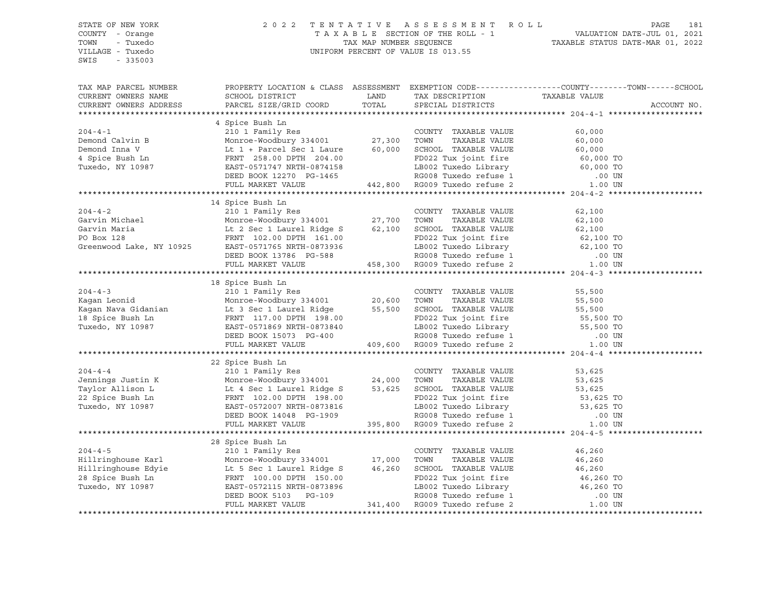## STATE OF NEW YORK 2 0 2 2 T E N T A T I V E A S S E S S M E N T R O L L PAGE 181 COUNTY - Orange T A X A B L E SECTION OF THE ROLL - 1 VALUATION DATE-JUL 01, 2021 TOWN - Tuxedo TAX MAP NUMBER SEQUENCE TAXABLE STATUS DATE-MAR 01, 2022 VILLAGE - Tuxedo UNIFORM PERCENT OF VALUE IS 013.55

| TAX MAP PARCEL NUMBER<br>CURRENT OWNERS NAME<br>CURRENT OWNERS ADDRESS | SCHOOL DISTRICT<br>PARCEL SIZE/GRID COORD | <b>LAND</b><br>TOTAL | TAX DESCRIPTION TAXABLE VALUE SPECIAL DISTRICTS | PROPERTY LOCATION & CLASS ASSESSMENT EXEMPTION CODE---------------COUNTY-------TOWN------SCHOOL<br>ACCOUNT NO. |  |
|------------------------------------------------------------------------|-------------------------------------------|----------------------|-------------------------------------------------|----------------------------------------------------------------------------------------------------------------|--|
|                                                                        |                                           |                      |                                                 |                                                                                                                |  |
|                                                                        | 4 Spice Bush Ln                           |                      |                                                 |                                                                                                                |  |
|                                                                        |                                           |                      |                                                 |                                                                                                                |  |
|                                                                        |                                           |                      |                                                 |                                                                                                                |  |
|                                                                        |                                           |                      |                                                 |                                                                                                                |  |
|                                                                        |                                           |                      |                                                 |                                                                                                                |  |
|                                                                        |                                           |                      |                                                 |                                                                                                                |  |
|                                                                        |                                           |                      |                                                 |                                                                                                                |  |
|                                                                        |                                           |                      |                                                 |                                                                                                                |  |
|                                                                        |                                           |                      |                                                 |                                                                                                                |  |
|                                                                        | 14 Spice Bush Ln                          |                      |                                                 |                                                                                                                |  |
|                                                                        |                                           |                      |                                                 |                                                                                                                |  |
|                                                                        |                                           |                      |                                                 |                                                                                                                |  |
|                                                                        |                                           |                      |                                                 |                                                                                                                |  |
|                                                                        |                                           |                      |                                                 |                                                                                                                |  |
|                                                                        |                                           |                      |                                                 |                                                                                                                |  |
|                                                                        |                                           |                      |                                                 |                                                                                                                |  |
|                                                                        |                                           |                      |                                                 |                                                                                                                |  |
|                                                                        |                                           |                      |                                                 |                                                                                                                |  |
|                                                                        | 18 Spice Bush Ln                          |                      |                                                 |                                                                                                                |  |
|                                                                        |                                           |                      |                                                 |                                                                                                                |  |
|                                                                        |                                           |                      |                                                 |                                                                                                                |  |
|                                                                        |                                           |                      |                                                 |                                                                                                                |  |
|                                                                        |                                           |                      |                                                 |                                                                                                                |  |
|                                                                        |                                           |                      |                                                 |                                                                                                                |  |
|                                                                        |                                           |                      |                                                 |                                                                                                                |  |
|                                                                        |                                           |                      |                                                 |                                                                                                                |  |
|                                                                        |                                           |                      |                                                 |                                                                                                                |  |
|                                                                        |                                           |                      |                                                 |                                                                                                                |  |
|                                                                        | 22 Spice Bush Ln                          |                      |                                                 |                                                                                                                |  |
|                                                                        |                                           |                      |                                                 |                                                                                                                |  |
|                                                                        |                                           |                      |                                                 |                                                                                                                |  |
|                                                                        |                                           |                      |                                                 |                                                                                                                |  |
|                                                                        |                                           |                      |                                                 |                                                                                                                |  |
|                                                                        |                                           |                      |                                                 |                                                                                                                |  |
|                                                                        |                                           |                      |                                                 |                                                                                                                |  |
|                                                                        |                                           |                      |                                                 |                                                                                                                |  |
|                                                                        |                                           |                      |                                                 |                                                                                                                |  |
|                                                                        | 28 Spice Bush Ln                          |                      |                                                 |                                                                                                                |  |
|                                                                        |                                           |                      |                                                 |                                                                                                                |  |
|                                                                        |                                           |                      |                                                 |                                                                                                                |  |
|                                                                        |                                           |                      |                                                 |                                                                                                                |  |
|                                                                        |                                           |                      |                                                 |                                                                                                                |  |
|                                                                        |                                           |                      |                                                 |                                                                                                                |  |
|                                                                        |                                           |                      |                                                 |                                                                                                                |  |
|                                                                        |                                           |                      |                                                 |                                                                                                                |  |
|                                                                        |                                           |                      |                                                 |                                                                                                                |  |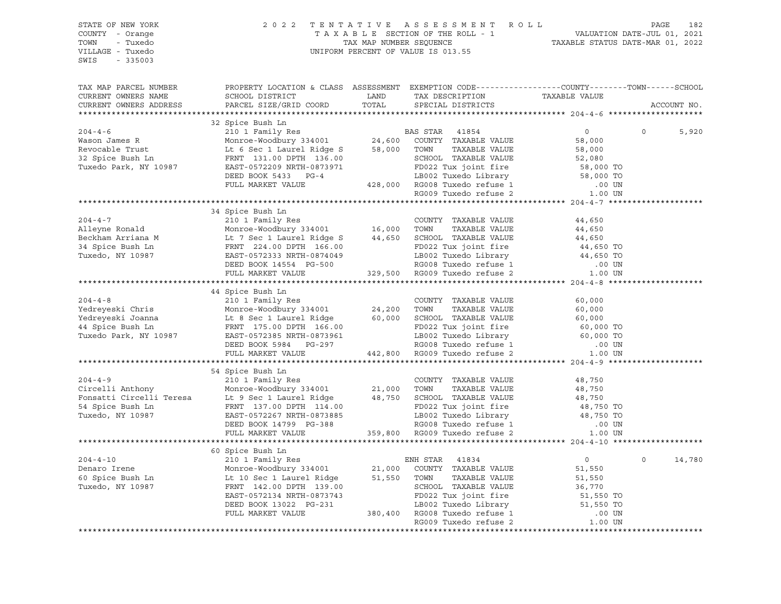| TAX MAP PARCEL NUMBER<br>PROPERTY LOCATION & CLASS ASSESSMENT EXEMPTION CODE----------------COUNTY-------TOWN-----SCHOOL<br>LAND TAX DESCRIPTION TAXABLE VALUE TOTAL SPECIAL DISTRICTS<br>SCHOOL DISTRICT LAND<br>CURRENT OWNERS NAME<br>PARCEL SIZE/GRID COORD<br>CURRENT OWNERS ADDRESS<br>ACCOUNT NO.<br>$\begin{tabular}{lcccc} \texttt{XININATION} & \texttt{XININATION} & \texttt{0} & \texttt{0} & \texttt{0} \\ 204-4-6 & 2101 Family Res & \texttt{BAS STR} & 41854 & 0 \\ \texttt{Wason James R} & \texttt{Monroe-Wodbury 334001} & 24,600 & \texttt{COUNTY TAXABLE VALUE} & 58,000 \\ \texttt{Revocabler Trust} & \texttt{Lt 6 Sec 1 Lautel Ridge S} & 58,000 & 70\texttt{NNAABLE VALUE} & 58,000 \\ \texttt{RAVaEDE VALUE} & \texttt{B$<br>$\circ$<br>5,920<br>34 Spice Bush Ln<br>$\begin{tabular}{lllllllllllll} 204-4-7 & 34 \text{ Spice}{\small \texttt{DMDR}} & 210 & 16,000 & \texttt{TONTY} & \texttt{TAXABLE} \text{ VALUE} & 44,650 \\ \texttt{Alleyne Ronald} & 210 & 1 & 6000 & \texttt{TOWN} & \texttt{TAXABLE VALUE} & 44,650 \\ \texttt{Beckham Arriana M} & \texttt{Lt 7 Sec 1 Laurel Ridge S} & 44,650 & \texttt{SCHOOL TAXABLE VALUE} & 44,650 \\ \texttt{34 Spice Bush Ln} & \texttt{FRNT} & 224.00$<br>44 Spice Bush Ln<br>$\begin{tabular}{lllllllllllllllllllll} \hline & & & & & & & 44 \mbox{ Spice Bush In} & \\ & & & & & 210~1\text{ Family Res} & & & \text{COUNTY TAXABLE VALUE} & & 60,000 \\ \hline \hline \text{Yedreyeski Ionana} & & & & \text{Monore-WodbleW} & 334001 & & 24,200\text{ TOWN} & TAXABLE VALUE & 60,000 \\ \hline \text{Yedreyeski Jonana} & & & \text{Lt 8 Sec 1 Laurel Ridge} & & 60,000 \text{ SCH0OL TAXABLE VALUE} & & 60,000 \\ \hline \$ |
|---------------------------------------------------------------------------------------------------------------------------------------------------------------------------------------------------------------------------------------------------------------------------------------------------------------------------------------------------------------------------------------------------------------------------------------------------------------------------------------------------------------------------------------------------------------------------------------------------------------------------------------------------------------------------------------------------------------------------------------------------------------------------------------------------------------------------------------------------------------------------------------------------------------------------------------------------------------------------------------------------------------------------------------------------------------------------------------------------------------------------------------------------------------------------------------------------------------------------------------------------------------------------------------------------------------------------------------------------------------------------------------------------------------------------------------------------------------------------------------------------------------------------------------------------------------------------------------------------------------------------------------------------------------------------------------------------------------|
|                                                                                                                                                                                                                                                                                                                                                                                                                                                                                                                                                                                                                                                                                                                                                                                                                                                                                                                                                                                                                                                                                                                                                                                                                                                                                                                                                                                                                                                                                                                                                                                                                                                                                                               |
|                                                                                                                                                                                                                                                                                                                                                                                                                                                                                                                                                                                                                                                                                                                                                                                                                                                                                                                                                                                                                                                                                                                                                                                                                                                                                                                                                                                                                                                                                                                                                                                                                                                                                                               |
|                                                                                                                                                                                                                                                                                                                                                                                                                                                                                                                                                                                                                                                                                                                                                                                                                                                                                                                                                                                                                                                                                                                                                                                                                                                                                                                                                                                                                                                                                                                                                                                                                                                                                                               |
|                                                                                                                                                                                                                                                                                                                                                                                                                                                                                                                                                                                                                                                                                                                                                                                                                                                                                                                                                                                                                                                                                                                                                                                                                                                                                                                                                                                                                                                                                                                                                                                                                                                                                                               |
|                                                                                                                                                                                                                                                                                                                                                                                                                                                                                                                                                                                                                                                                                                                                                                                                                                                                                                                                                                                                                                                                                                                                                                                                                                                                                                                                                                                                                                                                                                                                                                                                                                                                                                               |
|                                                                                                                                                                                                                                                                                                                                                                                                                                                                                                                                                                                                                                                                                                                                                                                                                                                                                                                                                                                                                                                                                                                                                                                                                                                                                                                                                                                                                                                                                                                                                                                                                                                                                                               |
|                                                                                                                                                                                                                                                                                                                                                                                                                                                                                                                                                                                                                                                                                                                                                                                                                                                                                                                                                                                                                                                                                                                                                                                                                                                                                                                                                                                                                                                                                                                                                                                                                                                                                                               |
|                                                                                                                                                                                                                                                                                                                                                                                                                                                                                                                                                                                                                                                                                                                                                                                                                                                                                                                                                                                                                                                                                                                                                                                                                                                                                                                                                                                                                                                                                                                                                                                                                                                                                                               |
|                                                                                                                                                                                                                                                                                                                                                                                                                                                                                                                                                                                                                                                                                                                                                                                                                                                                                                                                                                                                                                                                                                                                                                                                                                                                                                                                                                                                                                                                                                                                                                                                                                                                                                               |
|                                                                                                                                                                                                                                                                                                                                                                                                                                                                                                                                                                                                                                                                                                                                                                                                                                                                                                                                                                                                                                                                                                                                                                                                                                                                                                                                                                                                                                                                                                                                                                                                                                                                                                               |
|                                                                                                                                                                                                                                                                                                                                                                                                                                                                                                                                                                                                                                                                                                                                                                                                                                                                                                                                                                                                                                                                                                                                                                                                                                                                                                                                                                                                                                                                                                                                                                                                                                                                                                               |
|                                                                                                                                                                                                                                                                                                                                                                                                                                                                                                                                                                                                                                                                                                                                                                                                                                                                                                                                                                                                                                                                                                                                                                                                                                                                                                                                                                                                                                                                                                                                                                                                                                                                                                               |
|                                                                                                                                                                                                                                                                                                                                                                                                                                                                                                                                                                                                                                                                                                                                                                                                                                                                                                                                                                                                                                                                                                                                                                                                                                                                                                                                                                                                                                                                                                                                                                                                                                                                                                               |
|                                                                                                                                                                                                                                                                                                                                                                                                                                                                                                                                                                                                                                                                                                                                                                                                                                                                                                                                                                                                                                                                                                                                                                                                                                                                                                                                                                                                                                                                                                                                                                                                                                                                                                               |
|                                                                                                                                                                                                                                                                                                                                                                                                                                                                                                                                                                                                                                                                                                                                                                                                                                                                                                                                                                                                                                                                                                                                                                                                                                                                                                                                                                                                                                                                                                                                                                                                                                                                                                               |
|                                                                                                                                                                                                                                                                                                                                                                                                                                                                                                                                                                                                                                                                                                                                                                                                                                                                                                                                                                                                                                                                                                                                                                                                                                                                                                                                                                                                                                                                                                                                                                                                                                                                                                               |
|                                                                                                                                                                                                                                                                                                                                                                                                                                                                                                                                                                                                                                                                                                                                                                                                                                                                                                                                                                                                                                                                                                                                                                                                                                                                                                                                                                                                                                                                                                                                                                                                                                                                                                               |
|                                                                                                                                                                                                                                                                                                                                                                                                                                                                                                                                                                                                                                                                                                                                                                                                                                                                                                                                                                                                                                                                                                                                                                                                                                                                                                                                                                                                                                                                                                                                                                                                                                                                                                               |
|                                                                                                                                                                                                                                                                                                                                                                                                                                                                                                                                                                                                                                                                                                                                                                                                                                                                                                                                                                                                                                                                                                                                                                                                                                                                                                                                                                                                                                                                                                                                                                                                                                                                                                               |
|                                                                                                                                                                                                                                                                                                                                                                                                                                                                                                                                                                                                                                                                                                                                                                                                                                                                                                                                                                                                                                                                                                                                                                                                                                                                                                                                                                                                                                                                                                                                                                                                                                                                                                               |
|                                                                                                                                                                                                                                                                                                                                                                                                                                                                                                                                                                                                                                                                                                                                                                                                                                                                                                                                                                                                                                                                                                                                                                                                                                                                                                                                                                                                                                                                                                                                                                                                                                                                                                               |
|                                                                                                                                                                                                                                                                                                                                                                                                                                                                                                                                                                                                                                                                                                                                                                                                                                                                                                                                                                                                                                                                                                                                                                                                                                                                                                                                                                                                                                                                                                                                                                                                                                                                                                               |
|                                                                                                                                                                                                                                                                                                                                                                                                                                                                                                                                                                                                                                                                                                                                                                                                                                                                                                                                                                                                                                                                                                                                                                                                                                                                                                                                                                                                                                                                                                                                                                                                                                                                                                               |
|                                                                                                                                                                                                                                                                                                                                                                                                                                                                                                                                                                                                                                                                                                                                                                                                                                                                                                                                                                                                                                                                                                                                                                                                                                                                                                                                                                                                                                                                                                                                                                                                                                                                                                               |
|                                                                                                                                                                                                                                                                                                                                                                                                                                                                                                                                                                                                                                                                                                                                                                                                                                                                                                                                                                                                                                                                                                                                                                                                                                                                                                                                                                                                                                                                                                                                                                                                                                                                                                               |
|                                                                                                                                                                                                                                                                                                                                                                                                                                                                                                                                                                                                                                                                                                                                                                                                                                                                                                                                                                                                                                                                                                                                                                                                                                                                                                                                                                                                                                                                                                                                                                                                                                                                                                               |
|                                                                                                                                                                                                                                                                                                                                                                                                                                                                                                                                                                                                                                                                                                                                                                                                                                                                                                                                                                                                                                                                                                                                                                                                                                                                                                                                                                                                                                                                                                                                                                                                                                                                                                               |
|                                                                                                                                                                                                                                                                                                                                                                                                                                                                                                                                                                                                                                                                                                                                                                                                                                                                                                                                                                                                                                                                                                                                                                                                                                                                                                                                                                                                                                                                                                                                                                                                                                                                                                               |
| 54 Spice Bush Ln                                                                                                                                                                                                                                                                                                                                                                                                                                                                                                                                                                                                                                                                                                                                                                                                                                                                                                                                                                                                                                                                                                                                                                                                                                                                                                                                                                                                                                                                                                                                                                                                                                                                                              |
|                                                                                                                                                                                                                                                                                                                                                                                                                                                                                                                                                                                                                                                                                                                                                                                                                                                                                                                                                                                                                                                                                                                                                                                                                                                                                                                                                                                                                                                                                                                                                                                                                                                                                                               |
|                                                                                                                                                                                                                                                                                                                                                                                                                                                                                                                                                                                                                                                                                                                                                                                                                                                                                                                                                                                                                                                                                                                                                                                                                                                                                                                                                                                                                                                                                                                                                                                                                                                                                                               |
|                                                                                                                                                                                                                                                                                                                                                                                                                                                                                                                                                                                                                                                                                                                                                                                                                                                                                                                                                                                                                                                                                                                                                                                                                                                                                                                                                                                                                                                                                                                                                                                                                                                                                                               |
|                                                                                                                                                                                                                                                                                                                                                                                                                                                                                                                                                                                                                                                                                                                                                                                                                                                                                                                                                                                                                                                                                                                                                                                                                                                                                                                                                                                                                                                                                                                                                                                                                                                                                                               |
|                                                                                                                                                                                                                                                                                                                                                                                                                                                                                                                                                                                                                                                                                                                                                                                                                                                                                                                                                                                                                                                                                                                                                                                                                                                                                                                                                                                                                                                                                                                                                                                                                                                                                                               |
|                                                                                                                                                                                                                                                                                                                                                                                                                                                                                                                                                                                                                                                                                                                                                                                                                                                                                                                                                                                                                                                                                                                                                                                                                                                                                                                                                                                                                                                                                                                                                                                                                                                                                                               |
|                                                                                                                                                                                                                                                                                                                                                                                                                                                                                                                                                                                                                                                                                                                                                                                                                                                                                                                                                                                                                                                                                                                                                                                                                                                                                                                                                                                                                                                                                                                                                                                                                                                                                                               |
|                                                                                                                                                                                                                                                                                                                                                                                                                                                                                                                                                                                                                                                                                                                                                                                                                                                                                                                                                                                                                                                                                                                                                                                                                                                                                                                                                                                                                                                                                                                                                                                                                                                                                                               |
| 60 Spice Bush Ln                                                                                                                                                                                                                                                                                                                                                                                                                                                                                                                                                                                                                                                                                                                                                                                                                                                                                                                                                                                                                                                                                                                                                                                                                                                                                                                                                                                                                                                                                                                                                                                                                                                                                              |
| $\overline{0}$<br>$\Omega$<br>14,780                                                                                                                                                                                                                                                                                                                                                                                                                                                                                                                                                                                                                                                                                                                                                                                                                                                                                                                                                                                                                                                                                                                                                                                                                                                                                                                                                                                                                                                                                                                                                                                                                                                                          |
|                                                                                                                                                                                                                                                                                                                                                                                                                                                                                                                                                                                                                                                                                                                                                                                                                                                                                                                                                                                                                                                                                                                                                                                                                                                                                                                                                                                                                                                                                                                                                                                                                                                                                                               |
|                                                                                                                                                                                                                                                                                                                                                                                                                                                                                                                                                                                                                                                                                                                                                                                                                                                                                                                                                                                                                                                                                                                                                                                                                                                                                                                                                                                                                                                                                                                                                                                                                                                                                                               |
|                                                                                                                                                                                                                                                                                                                                                                                                                                                                                                                                                                                                                                                                                                                                                                                                                                                                                                                                                                                                                                                                                                                                                                                                                                                                                                                                                                                                                                                                                                                                                                                                                                                                                                               |
|                                                                                                                                                                                                                                                                                                                                                                                                                                                                                                                                                                                                                                                                                                                                                                                                                                                                                                                                                                                                                                                                                                                                                                                                                                                                                                                                                                                                                                                                                                                                                                                                                                                                                                               |
|                                                                                                                                                                                                                                                                                                                                                                                                                                                                                                                                                                                                                                                                                                                                                                                                                                                                                                                                                                                                                                                                                                                                                                                                                                                                                                                                                                                                                                                                                                                                                                                                                                                                                                               |
| Montoe-Woodbury 334001 21,000 COUNTY TAXABLE VALUE 51,550<br>Montoe-Woodbury 334001 21,000 COUNTY TAXABLE VALUE 51,550<br>FRNT 142.00 DPTH 139.00 SCHOOL TAXABLE VALUE 51,550<br>FRNT 142.00 DPTH 139.00 SCHOOL TAXABLE VALUE 36,770                                                                                                                                                                                                                                                                                                                                                                                                                                                                                                                                                                                                                                                                                                                                                                                                                                                                                                                                                                                                                                                                                                                                                                                                                                                                                                                                                                                                                                                                          |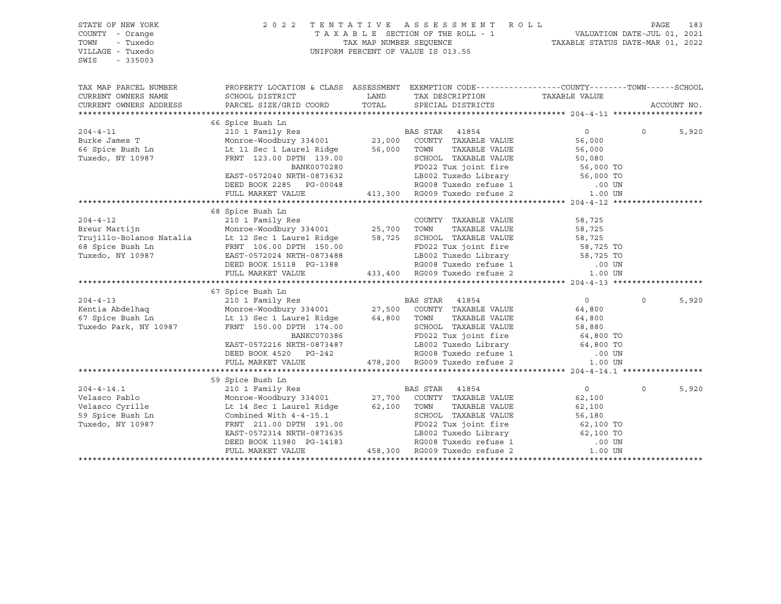| STATE OF NEW YORK<br>COUNTY - Orange<br>TOWN<br>- Tuxedo<br>VILLAGE - Tuxedo<br>$-335003$<br>SWIS | 2 0 2 2                                                                                                                      | TAX MAP NUMBER SEOUENCE | TENTATIVE ASSESSMENT<br>R O L L<br>TAXABLE SECTION OF THE ROLL - 1<br>UNIFORM PERCENT OF VALUE IS 013.55               | VALUATION DATE-JUL 01, 2021<br>TAXABLE STATUS DATE-MAR 01, 2022 | PAGE         | 183         |
|---------------------------------------------------------------------------------------------------|------------------------------------------------------------------------------------------------------------------------------|-------------------------|------------------------------------------------------------------------------------------------------------------------|-----------------------------------------------------------------|--------------|-------------|
| TAX MAP PARCEL NUMBER                                                                             | PROPERTY LOCATION & CLASS ASSESSMENT EXEMPTION CODE----------------COUNTY-------TOWN------SCHOOL                             |                         |                                                                                                                        |                                                                 |              |             |
| CURRENT OWNERS NAME                                                                               | SCHOOL DISTRICT                                                                                                              | LAND                    | TAX DESCRIPTION                                                                                                        | TAXABLE VALUE                                                   |              |             |
| CURRENT OWNERS ADDRESS                                                                            | PARCEL SIZE/GRID COORD                                                                                                       | TOTAL                   | SPECIAL DISTRICTS                                                                                                      |                                                                 |              | ACCOUNT NO. |
|                                                                                                   |                                                                                                                              |                         |                                                                                                                        |                                                                 |              |             |
|                                                                                                   | 66 Spice Bush Ln                                                                                                             |                         |                                                                                                                        |                                                                 |              |             |
| $204 - 4 - 11$                                                                                    | 210 1 Family Res<br>Monroe-Woodbury 334001 23,000 COUNTY TAXABLE VALUE<br>Lt 11 Sec 1 Laurel Ridge 56,000 TOWN TAXABLE VALUE |                         |                                                                                                                        | $\overline{0}$                                                  | $\circ$      | 5,920       |
| $204 - 7 =$<br>Burke James T                                                                      |                                                                                                                              |                         |                                                                                                                        | 56,000                                                          |              |             |
| 66 Spice Bush Ln                                                                                  |                                                                                                                              |                         |                                                                                                                        | 56,000                                                          |              |             |
| Tuxedo, NY 10987                                                                                  | FRNT 123.00 DPTH 139.00                                                                                                      |                         | SCHOOL TAXABLE VALUE 50,080<br>The school Taxable VALUE 56,000 TO                                                      |                                                                 |              |             |
|                                                                                                   | BANK0070280                                                                                                                  |                         | FD022 Tux joint fire                                                                                                   |                                                                 |              |             |
|                                                                                                   | EAST-0572040 NRTH-0873632                                                                                                    |                         | 1973632 LB002 Tuxedo Library 56,000 TO<br>3-00048 RG008 Tuxedo refuse 1 00018<br>413,300 RG009 Tuxedo refuse 2 1.00 UN |                                                                 |              |             |
|                                                                                                   | DEED BOOK 2285 PG-00048                                                                                                      |                         |                                                                                                                        |                                                                 |              |             |
|                                                                                                   | FULL MARKET VALUE                                                                                                            |                         |                                                                                                                        |                                                                 |              |             |
|                                                                                                   |                                                                                                                              |                         |                                                                                                                        |                                                                 |              |             |
| $204 - 4 - 12$                                                                                    | 68 Spice Bush Ln                                                                                                             |                         |                                                                                                                        |                                                                 |              |             |
| Breur Martijn                                                                                     | 210 1 Family Res                                                                                                             |                         | COUNTY TAXABLE VALUE<br>TOWN<br>TAXABLE VALUE                                                                          | 58,725<br>58,725                                                |              |             |
| Trujillo-Bolanos Natalia                                                                          | Monroe-Woodbury 334001 25,700<br>Lt 12 Sec 1 Laurel Ridge 58,725<br>Lt 12 Sec 1 Laurel Ridge                                 |                         | 58,725 SCHOOL TAXABLE VALUE                                                                                            | 58,725                                                          |              |             |
| 68 Spice Bush Ln                                                                                  | FRNT 106.00 DPTH 150.00                                                                                                      |                         |                                                                                                                        |                                                                 |              |             |
| Tuxedo, NY 10987                                                                                  | EAST-0572024 NRTH-0873488                                                                                                    |                         | FD022 Tux joint fire 58,725 TO<br>LB002 Tuxedo Library 58,725 TO<br>LB002 Tuxedo Library                               |                                                                 |              |             |
|                                                                                                   | DEED BOOK 15118 PG-1388                                                                                                      |                         |                                                                                                                        | .00 UN                                                          |              |             |
|                                                                                                   | FULL MARKET VALUE                                                                                                            |                         | RG008 Tuxedo refuse 1<br>RG009 Tuxedo refuse 2                                                                         | 1.00 UN                                                         |              |             |
|                                                                                                   |                                                                                                                              |                         |                                                                                                                        |                                                                 |              |             |
|                                                                                                   | 67 Spice Bush Ln                                                                                                             |                         |                                                                                                                        |                                                                 |              |             |
| $204 - 4 - 13$                                                                                    |                                                                                                                              |                         |                                                                                                                        | $\overline{0}$                                                  | $\circ$      | 5,920       |
| Kentia Abdelhaq                                                                                   |                                                                                                                              |                         |                                                                                                                        | 64,800                                                          |              |             |
| 67 Spice Bush Ln                                                                                  | Lt 13 Sec 1 Laurel Ridge 64,800 TOWN                                                                                         |                         | TAXABLE VALUE                                                                                                          | 64,800                                                          |              |             |
| Tuxedo Park, NY 10987                                                                             | FRNT 150.00 DPTH 174.00                                                                                                      |                         | SCHOOL TAXABLE VALUE                                                                                                   | 58,880                                                          |              |             |
|                                                                                                   | BANKC070386                                                                                                                  |                         | FD022 Tux joint fire                                                                                                   | 64,800 TO                                                       |              |             |
|                                                                                                   | EAST-0572216 NRTH-0873487                                                                                                    |                         | LB002 Tuxedo Library                                                                                                   | 64,800 TO                                                       |              |             |
|                                                                                                   | DEED BOOK 4520 PG-242                                                                                                        |                         | RG008 Tuxedo refuse 1                                                                                                  | .00 UN                                                          |              |             |
|                                                                                                   | FULL MARKET VALUE                                                                                                            |                         | 478,200 RG009 Tuxedo refuse 2                                                                                          | 1.00 UN                                                         |              |             |
|                                                                                                   |                                                                                                                              |                         |                                                                                                                        |                                                                 |              |             |
|                                                                                                   | 59 Spice Bush Ln                                                                                                             |                         |                                                                                                                        |                                                                 |              |             |
| $204 - 4 - 14.1$                                                                                  | 210 1 Family Res BA<br>Monroe-Woodbury 334001 27,700                                                                         |                         | BAS STAR<br>41854                                                                                                      | $\overline{0}$                                                  | $\mathsf{O}$ | 5,920       |
| Velasco Pablo                                                                                     |                                                                                                                              |                         | COUNTY TAXABLE VALUE                                                                                                   | 62,100                                                          |              |             |
| Velasco Cyrille                                                                                   | Lt 14 Sec 1 Laurel Ridge 62,100 TOWN                                                                                         |                         | TAXABLE VALUE                                                                                                          | 62,100                                                          |              |             |
| 59 Spice Bush Ln                                                                                  | Combined With 4-4-15.1                                                                                                       |                         | SCHOOL TAXABLE VALUE                                                                                                   | 56,180                                                          |              |             |
| Tuxedo, NY 10987                                                                                  | FRNT 211.00 DPTH 191.00                                                                                                      |                         | FD022 Tux joint fire                                                                                                   | 62,100 TO<br>62,100 TO                                          |              |             |
|                                                                                                   | EAST-0572314 NRTH-0873635                                                                                                    |                         | LB002 Tuxedo Library                                                                                                   |                                                                 |              |             |
|                                                                                                   | DEED BOOK 11980 PG-14183                                                                                                     |                         | RG008 Tuxedo refuse 1                                                                                                  | .00 UN                                                          |              |             |
|                                                                                                   | FULL MARKET VALUE                                                                                                            |                         | 458,300 RG009 Tuxedo refuse 2                                                                                          | 1.00 UN                                                         |              |             |
|                                                                                                   |                                                                                                                              |                         |                                                                                                                        |                                                                 |              |             |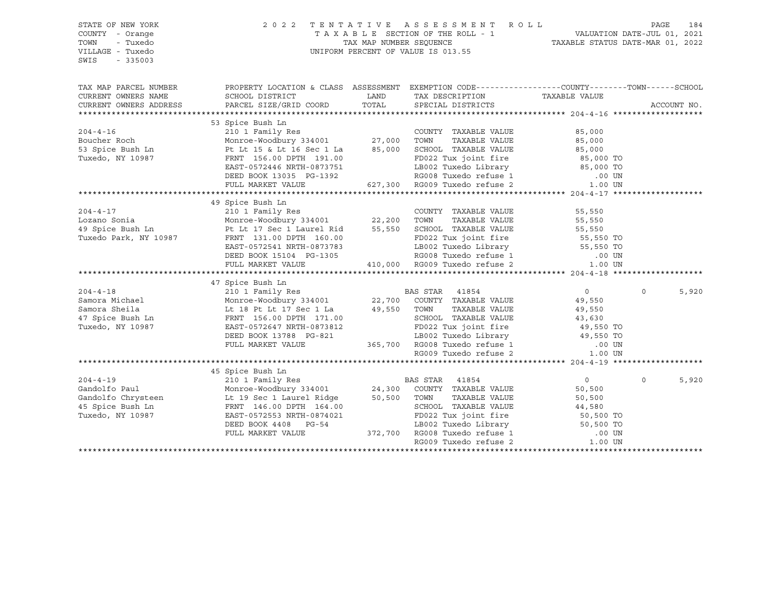| STATE OF NEW YORK<br>COUNTY - Orange | 2 0 2 2                                                                                        | TENTATIVE               | ASSESSMENT ROLL<br>TAXABLE SECTION OF THE ROLL - 1                                                              |                                                                 | 184<br>PAGE          |
|--------------------------------------|------------------------------------------------------------------------------------------------|-------------------------|-----------------------------------------------------------------------------------------------------------------|-----------------------------------------------------------------|----------------------|
| TOWN<br>- Tuxedo<br>VILLAGE - Tuxedo |                                                                                                | TAX MAP NUMBER SEQUENCE | UNIFORM PERCENT OF VALUE IS 013.55                                                                              | VALUATION DATE-JUL 01, 2021<br>TAXABLE STATUS DATE-MAR 01, 2022 |                      |
| SWIS<br>$-335003$                    |                                                                                                |                         |                                                                                                                 |                                                                 |                      |
| TAX MAP PARCEL NUMBER                | PROPERTY LOCATION & CLASS ASSESSMENT EXEMPTION CODE---------------COUNTY-------TOWN-----SCHOOL |                         |                                                                                                                 |                                                                 |                      |
| CURRENT OWNERS NAME                  | SCHOOL DISTRICT                                                                                | LAND                    | TAX DESCRIPTION                                                                                                 | TAXABLE VALUE                                                   |                      |
| CURRENT OWNERS ADDRESS               | PARCEL SIZE/GRID COORD                                                                         | TOTAL                   | SPECIAL DISTRICTS                                                                                               |                                                                 | ACCOUNT NO.          |
|                                      |                                                                                                |                         |                                                                                                                 |                                                                 |                      |
|                                      | 53 Spice Bush Ln                                                                               |                         |                                                                                                                 |                                                                 |                      |
| $204 - 4 - 16$                       | 210 1 Family Res                                                                               |                         | COUNTY TAXABLE VALUE                                                                                            | 85,000                                                          |                      |
| Boucher Roch                         | Monroe-Woodbury 334001 27,000<br>Pt Lt 15 & Lt 16 Sec 1 La 85,000                              |                         | TAXABLE VALUE<br>TOWN                                                                                           | 85,000                                                          |                      |
| 53 Spice Bush Ln                     |                                                                                                |                         | SCHOOL TAXABLE VALUE                                                                                            | 85,000                                                          |                      |
| Tuxedo, NY 10987                     | FRNT 156.00 DPTH 191.00<br>EAST-0572446 NRTH-0873751                                           |                         | FD022 Tux joint fire                                                                                            | 85,000 TO<br>85,000 TO                                          |                      |
|                                      |                                                                                                |                         | LB002 Tuxedo Library                                                                                            |                                                                 |                      |
|                                      | DEED BOOK 13035 PG-1392                                                                        |                         | 7-1392 RG008 Tuxedo refuse 1<br>627,300 RG009 Tuxedo refuse 2<br>RG008 Tuxedo refuse 1<br>RG009 Tuxedo refuse 2 | .00 UN                                                          |                      |
|                                      | FULL MARKET VALUE                                                                              |                         |                                                                                                                 | 1.00 UN                                                         |                      |
|                                      |                                                                                                |                         |                                                                                                                 |                                                                 |                      |
| $204 - 4 - 17$                       | 49 Spice Bush Ln                                                                               |                         |                                                                                                                 |                                                                 |                      |
|                                      | 210 1 Family Res                                                                               |                         | COUNTY TAXABLE VALUE<br>TOWN<br>TAXABLE VALUE                                                                   | 55,550                                                          |                      |
| Lozano Sonia<br>49 Spice Bush Ln     | Monroe-Woodbury 334001 22,200<br>Pt Lt 17 Sec 1 Laurel Rid 55,550                              |                         | SCHOOL TAXABLE VALUE                                                                                            | 55,550                                                          |                      |
| Tuxedo Park, NY 10987                |                                                                                                |                         | FD022 Tux joint fire                                                                                            | 55,550                                                          |                      |
|                                      | FRNT 131.00 DPTH 160.00<br>EAST-0572541 NRTH-0873783                                           |                         | LB002 Tuxedo Library                                                                                            | 55,550 TO<br>55,550 TO                                          |                      |
|                                      | DEED BOOK 15104 PG-1305                                                                        |                         |                                                                                                                 | .00 UN                                                          |                      |
|                                      | FULL MARKET VALUE                                                                              |                         | RG008 Tuxedo refuse 1<br>RG009 Tuxedo refuse 2<br>1-1305 RG008 Tuxedo refuse 1<br>410,000 RG009 Tuxedo refuse 2 | 1.00 UN                                                         |                      |
|                                      |                                                                                                |                         |                                                                                                                 |                                                                 |                      |
|                                      | 47 Spice Bush Ln                                                                               |                         |                                                                                                                 |                                                                 |                      |
| $204 - 4 - 18$                       | 210 1 Family Res                                                                               |                         | BAS STAR 41854                                                                                                  | $\circ$                                                         | $\Omega$<br>5,920    |
| Samora Michael                       | Monroe-Woodbury 334001 22,700                                                                  |                         | COUNTY TAXABLE VALUE                                                                                            | 49,550                                                          |                      |
| Samora Sheila                        | Monroe-Woodbury Joseph It 18 Pt Lt 17 Sec 1 La<br>Lt 18 Pt Lt 17 Sec 1 La                      | 49,550                  | TOWN<br>TAXABLE VALUE                                                                                           | 49,550                                                          |                      |
| 47 Spice Bush Ln                     | FRNT 156.00 DPTH 171.00                                                                        |                         | SCHOOL TAXABLE VALUE                                                                                            | 43,630                                                          |                      |
| Tuxedo, NY 10987                     | EAST-0572647 NRTH-0873812                                                                      |                         | FD022 Tux joint fire                                                                                            | 49,550 TO                                                       |                      |
|                                      | DEED BOOK 13788 PG-821 LB002 Tuxedo Library<br>FULL MARKET VALUE 365,700 RG008 Tuxedo refuse 1 |                         | LB002 Tuxedo Library 19,550 TO                                                                                  |                                                                 |                      |
|                                      |                                                                                                |                         |                                                                                                                 | .00 UN                                                          |                      |
|                                      |                                                                                                |                         | RG009 Tuxedo refuse 2                                                                                           | 1.00 UN                                                         |                      |
|                                      |                                                                                                |                         |                                                                                                                 |                                                                 |                      |
|                                      | 45 Spice Bush Ln                                                                               |                         |                                                                                                                 |                                                                 |                      |
| $204 - 4 - 19$                       |                                                                                                |                         | BAS STAR<br>41854                                                                                               | $\overline{0}$                                                  | 5,920<br>$\mathbf 0$ |
| Gandolfo Paul                        | <i>A</i> 210 1 Family Res<br>Monroe-Woodbury 334001 24,300                                     |                         | COUNTY TAXABLE VALUE                                                                                            | 50,500                                                          |                      |
|                                      |                                                                                                | 50,500                  | TOWN<br>TAXABLE VALUE                                                                                           | 50,500                                                          |                      |
|                                      |                                                                                                |                         | SCHOOL TAXABLE VALUE                                                                                            | 44,580                                                          |                      |
| Tuxedo, NY 10987                     | EAST-0572553 NRTH-0874021                                                                      |                         | FD022 Tux joint fire                                                                                            | 50,500 TO                                                       |                      |
|                                      | DEED BOOK 4408<br>$PG-54$                                                                      |                         |                                                                                                                 | 50,500 TO                                                       |                      |
|                                      | FULL MARKET VALUE                                                                              | 372,700                 | FD022 ida juli<br>LB002 Tuxedo Library<br>RG008 Tuxedo refuse 1<br>Incomputedo refuse 2                         | .00 UN                                                          |                      |
|                                      |                                                                                                |                         |                                                                                                                 | 1.00 UN                                                         |                      |

\*\*\*\*\*\*\*\*\*\*\*\*\*\*\*\*\*\*\*\*\*\*\*\*\*\*\*\*\*\*\*\*\*\*\*\*\*\*\*\*\*\*\*\*\*\*\*\*\*\*\*\*\*\*\*\*\*\*\*\*\*\*\*\*\*\*\*\*\*\*\*\*\*\*\*\*\*\*\*\*\*\*\*\*\*\*\*\*\*\*\*\*\*\*\*\*\*\*\*\*\*\*\*\*\*\*\*\*\*\*\*\*\*\*\*\*\*\*\*\*\*\*\*\*\*\*\*\*\*\*\*\*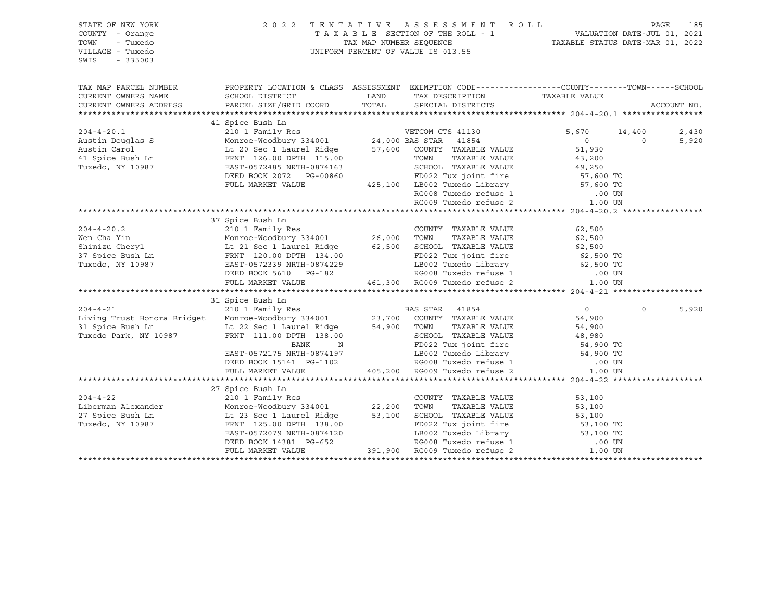| STATE OF NEW YORK<br>COUNTY - Orange<br>- Tuxedo<br>TOWN<br>VILLAGE - Tuxedo                                                                                                                                                                                                                                                                                                                                                                        |                                                                                                   | 2022 TENTATIVE ASSESSMENT ROLL<br>UNIFORM PERCENT OF VALUE IS 013.55 |              | PAGE<br>185             |
|-----------------------------------------------------------------------------------------------------------------------------------------------------------------------------------------------------------------------------------------------------------------------------------------------------------------------------------------------------------------------------------------------------------------------------------------------------|---------------------------------------------------------------------------------------------------|----------------------------------------------------------------------|--------------|-------------------------|
| $-335003$<br>SWIS                                                                                                                                                                                                                                                                                                                                                                                                                                   |                                                                                                   |                                                                      |              |                         |
| TAX MAP PARCEL NUMBER<br>CURRENT OWNERS NAME                                                                                                                                                                                                                                                                                                                                                                                                        | PROPERTY LOCATION & CLASS ASSESSMENT EXEMPTION CODE-----------------COUNTY-------TOWN------SCHOOL |                                                                      |              |                         |
| CURRENT OWNERS ADDRESS                                                                                                                                                                                                                                                                                                                                                                                                                              |                                                                                                   |                                                                      |              | ACCOUNT NO.             |
|                                                                                                                                                                                                                                                                                                                                                                                                                                                     |                                                                                                   |                                                                      |              |                         |
|                                                                                                                                                                                                                                                                                                                                                                                                                                                     |                                                                                                   |                                                                      |              |                         |
|                                                                                                                                                                                                                                                                                                                                                                                                                                                     |                                                                                                   |                                                                      | 5,670 14,400 | 2,430                   |
|                                                                                                                                                                                                                                                                                                                                                                                                                                                     |                                                                                                   |                                                                      |              | $\overline{0}$<br>5,920 |
|                                                                                                                                                                                                                                                                                                                                                                                                                                                     |                                                                                                   |                                                                      |              |                         |
|                                                                                                                                                                                                                                                                                                                                                                                                                                                     |                                                                                                   |                                                                      |              |                         |
|                                                                                                                                                                                                                                                                                                                                                                                                                                                     |                                                                                                   |                                                                      |              |                         |
|                                                                                                                                                                                                                                                                                                                                                                                                                                                     |                                                                                                   |                                                                      |              |                         |
|                                                                                                                                                                                                                                                                                                                                                                                                                                                     |                                                                                                   |                                                                      |              |                         |
|                                                                                                                                                                                                                                                                                                                                                                                                                                                     |                                                                                                   |                                                                      |              |                         |
|                                                                                                                                                                                                                                                                                                                                                                                                                                                     |                                                                                                   |                                                                      |              |                         |
|                                                                                                                                                                                                                                                                                                                                                                                                                                                     | 37 Spice Bush Ln                                                                                  |                                                                      |              |                         |
|                                                                                                                                                                                                                                                                                                                                                                                                                                                     |                                                                                                   |                                                                      |              |                         |
|                                                                                                                                                                                                                                                                                                                                                                                                                                                     |                                                                                                   |                                                                      |              |                         |
|                                                                                                                                                                                                                                                                                                                                                                                                                                                     |                                                                                                   |                                                                      |              |                         |
|                                                                                                                                                                                                                                                                                                                                                                                                                                                     |                                                                                                   |                                                                      |              |                         |
|                                                                                                                                                                                                                                                                                                                                                                                                                                                     |                                                                                                   |                                                                      |              |                         |
|                                                                                                                                                                                                                                                                                                                                                                                                                                                     |                                                                                                   |                                                                      |              |                         |
|                                                                                                                                                                                                                                                                                                                                                                                                                                                     |                                                                                                   |                                                                      |              |                         |
|                                                                                                                                                                                                                                                                                                                                                                                                                                                     |                                                                                                   |                                                                      |              |                         |
| $\begin{tabular}{lcccc} \texttt{204-4-21} & 31 Spice Bush In & \texttt{2101 Family Res} & \texttt{BAS STR} & 41854 & 0 \\ & 2101 Family Res & \texttt{BAS STR} & 41854 & 0 \\ \texttt{L1ving Trust Honora Bridget} & \texttt{Monroe-Woodbury 334001} & 23,700 & \texttt{COUNTY TAXABLE VALUE} & 54,900 \\ \texttt{31 Spice Bush Ln} & \texttt{L1 22 Sec 1 Laurent Ridge} & 54,900 & \texttt{TONIN} & \texttt{TAXABLE VALUE} & 54,900 \\ \texttt{Tr$ |                                                                                                   |                                                                      |              |                         |
|                                                                                                                                                                                                                                                                                                                                                                                                                                                     |                                                                                                   |                                                                      |              | $\Omega$<br>5,920       |
|                                                                                                                                                                                                                                                                                                                                                                                                                                                     |                                                                                                   |                                                                      |              |                         |
|                                                                                                                                                                                                                                                                                                                                                                                                                                                     |                                                                                                   |                                                                      |              |                         |
|                                                                                                                                                                                                                                                                                                                                                                                                                                                     |                                                                                                   |                                                                      |              |                         |
|                                                                                                                                                                                                                                                                                                                                                                                                                                                     |                                                                                                   |                                                                      |              |                         |
|                                                                                                                                                                                                                                                                                                                                                                                                                                                     |                                                                                                   |                                                                      |              |                         |
|                                                                                                                                                                                                                                                                                                                                                                                                                                                     |                                                                                                   |                                                                      |              |                         |
|                                                                                                                                                                                                                                                                                                                                                                                                                                                     |                                                                                                   |                                                                      |              |                         |
|                                                                                                                                                                                                                                                                                                                                                                                                                                                     | 27 Spice Bush Ln                                                                                  |                                                                      |              |                         |
|                                                                                                                                                                                                                                                                                                                                                                                                                                                     |                                                                                                   |                                                                      |              |                         |
|                                                                                                                                                                                                                                                                                                                                                                                                                                                     |                                                                                                   |                                                                      |              |                         |
|                                                                                                                                                                                                                                                                                                                                                                                                                                                     |                                                                                                   |                                                                      |              |                         |
|                                                                                                                                                                                                                                                                                                                                                                                                                                                     |                                                                                                   |                                                                      |              |                         |
|                                                                                                                                                                                                                                                                                                                                                                                                                                                     |                                                                                                   |                                                                      |              |                         |
|                                                                                                                                                                                                                                                                                                                                                                                                                                                     |                                                                                                   |                                                                      |              |                         |
| $\begin{tabular}{lllllllllllll} \multicolumn{3}{c}{\textbf{204-4-22}} & \multicolumn{3}{c}{\textbf{2101} Femily Res}} & \multicolumn{3}{c}{\textbf{22,200} & \textbf{TOWITY} & \textbf{TAXABLE VALUE} & \textbf{53,100} \\ \multicolumn{3}{c}{\textbf{Liberman Alexander}} & \textbf{Mornewology} & \textbf{334001} & \textbf{22,200} & \textbf{TOWN} & \textbf{TAXABLE VALUE} & \textbf{53,100} \\ \multicolumn{3}{c}{\textbf{27} \textbf{Spiece$  |                                                                                                   |                                                                      |              |                         |
|                                                                                                                                                                                                                                                                                                                                                                                                                                                     |                                                                                                   |                                                                      |              |                         |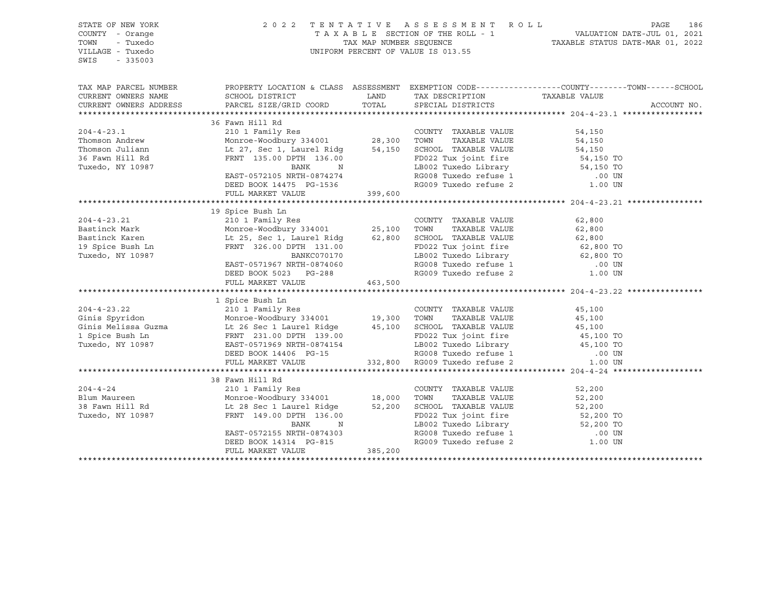| STATE OF NEW YORK<br>COUNTY - Orange<br>TOWN<br>- Tuxedo<br>VILLAGE - Tuxedo<br>SWIS<br>$-335003$ |                                                                                                                                                                                                                                                                                                                                                    |         | 2022 TENTATIVE ASSESSMENT ROLL<br>T A X A B L E SECTION OF THE ROLL - 1 VALUATION DATE-JUL 01, 2021<br>TAX MAP NUMBER SEQUENCE TAXABLE STATUS DATE-MAR 01, 2022<br>UNIFORM PERCENT OF VALUE IS 013.55       |                                                                                                                                        | PAGE<br>186 |
|---------------------------------------------------------------------------------------------------|----------------------------------------------------------------------------------------------------------------------------------------------------------------------------------------------------------------------------------------------------------------------------------------------------------------------------------------------------|---------|-------------------------------------------------------------------------------------------------------------------------------------------------------------------------------------------------------------|----------------------------------------------------------------------------------------------------------------------------------------|-------------|
| TAX MAP PARCEL NUMBER<br>CURRENT OWNERS NAME<br>CURRENT OWNERS ADDRESS                            | PROPERTY LOCATION & CLASS ASSESSMENT EXEMPTION CODE----------------COUNTY-------TOWN-----SCHOOL<br>SCHOOL DISTRICT<br>PARCEL SIZE/GRID COORD                                                                                                                                                                                                       | LAND    | TAX DESCRIPTION TAXABLE VALUE SPECIAL DISTRICTS<br>TOTAL SPECIAL DISTRICTS                                                                                                                                  |                                                                                                                                        | ACCOUNT NO. |
| $204 - 4 - 23.1$<br>Thomson Andrew<br>Thomson Juliann<br>36 Fawn Hill Rd<br>Tuxedo, NY 10987      | 36 Fawn Hill Rd<br>Fawn Hill Rd<br>210 1 Family Res<br>Monroe-Woodbury 334001 28,300 TOWN TAXABLE VALUE<br>Lt 27, Sec 1, Laurel Ridg 54,150 SCHOOL TAXABLE VALUE<br>------ 105.00 PDPTH 136.00 PD022 Tux joint fire<br>BANK<br>N<br>EAST-0572105 NRTH-0874274<br>DEED BOOK 14475 PG-1536<br>FULL MARKET VALUE                                      | 399,600 | RG009 Tuxedo refuse 2                                                                                                                                                                                       | 54,150<br>54,150<br>54,150<br>54,150 TO<br>19002 Tuxedo Library 54,150 TO<br>RG008 Tuxedo refuse 1 000 UN<br>1.00 UN                   |             |
|                                                                                                   |                                                                                                                                                                                                                                                                                                                                                    |         |                                                                                                                                                                                                             |                                                                                                                                        |             |
| $204 - 4 - 23.21$<br>Bastinck Mark<br>Bastinck Karen<br>19 Spice Bush Ln<br>Tuxedo, NY 10987      | 19 Spice Bush Ln<br>ziv i family Res<br>Monroe-Woodbury 334001 25,100<br>Lt 25, Sec 1 Laurel Dif<br>Lt 25, Sec 1, Laurel Ridg 62,800<br>FRNT 326.00 DPTH 131.00<br>BANKC070170<br>EAST-0571967 NRTH-0874060<br>DEED BOOK 5023 PG-288<br>FULL MARKET VALUE                                                                                          | 463,500 | COUNTY TAXABLE VALUE<br>TAXABLE VALUE<br>TOWN<br>SCHOOL TAXABLE VALUE<br>LB002 Tuxedo Library<br>RG008 Tuxedo refuse 1<br>RG009 Tuxedo refuse 2                                                             | 62,800<br>62,800<br>62,800<br>FD022 Tux joint fire 62,800 TO<br>FD022 Tux joint fire 62,800 TO<br>62,800 TO<br>.00 UN<br>1.00 UN       |             |
| $204 - 4 - 23.22$<br>Ginis Spyridon<br>Ginis Melissa Guzma<br>1 Spice Bush Ln<br>Tuxedo, NY 10987 | 1 Spice Bush Ln<br>210 1 Family Res<br>Example value<br>Monroe-Woodbury 334001 19,300 TOWN TAXABLE VALUE<br>Example 26 SC 1 Laurel Ridge 45,100 SCHOOL TAXABLE VALUE<br>FRNT 231.00 DPTH 139.00 FD022 Tux joint fire<br>EAST-0571969 NRTH-0874154 1.R002 Tuxedo Library<br>EAST-0571969 NRTH-0874154<br>DEED BOOK 14406 PG-15<br>FULL MARKET VALUE |         | COUNTY TAXABLE VALUE<br>FD022 Tux joint fire<br>FD022 Tux joint 1111<br>LB002 Tuxedo Library 45,100 11<br>RG008 Tuxedo refuse 1 00 UN<br>- The refuse 2 1.00 UN<br>1.00 UN<br>332,800 RG009 Tuxedo refuse 2 | 45,100<br>45,100<br>45,100<br>45,100 TO<br>45,100 TO                                                                                   |             |
|                                                                                                   |                                                                                                                                                                                                                                                                                                                                                    |         |                                                                                                                                                                                                             |                                                                                                                                        |             |
| $204 - 4 - 24$<br>Blum Maureen<br>38 Fawn Hill Rd<br>Tuxedo, NY 10987                             | 38 Fawn Hill Rd<br>210 1 Family Res<br>Monroe-Woodbury 334001 18,000<br>Lt 28 Sec 1 Laurel Ridge 52,200<br>FRNT 149.00 DPTH 136.00<br>BANK<br>N<br>EAST-0572155 NRTH-0874303<br>DEED BOOK 14314 PG-815<br>FULL MARKET VALUE                                                                                                                        | 385,200 | COUNTY TAXABLE VALUE<br>TOWN<br>TAXABLE VALUE<br>SCHOOL TAXABLE VALUE<br>FD022 Tux joint fire                                                                                                               | 52,200<br>52,200<br>52,200<br>52,200 TO<br>LB002 Tuxedo Library 52,200 TO<br>RG008 Tuxedo refuse 1 00 UN RG009 Tuxedo refuse 2 1.00 UN |             |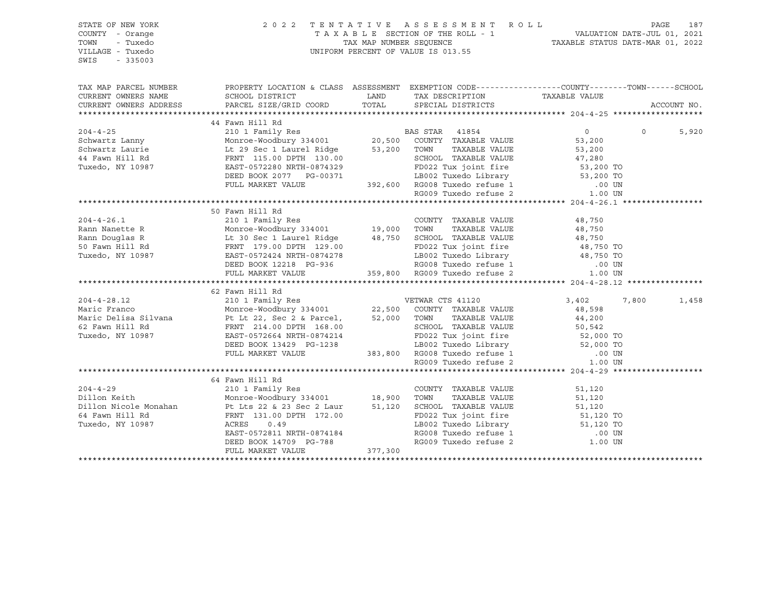| STATE OF NEW YORK<br>COUNTY - Orange<br>TOWN<br>- Tuxedo<br>VILLAGE - Tuxedo<br>$-335003$<br>SWIS |                                                                                                                                                                                                                                           | $\begin{tabular}{lllllllllllllllll} \hline 2&0&2&2&\text{T} & \text{E} & \text{N} & \text{T} & \text{A} & \text{T} & \text{A} & \text{E} & \text{S} & \text{E} & \text{S} & \text{E} & \text{S} & \text{S} & \text{E} & \text{S} & \text{S} & \text{M} & \text{E} & \text{N} & \text{A} & \text{D} & \text{A} & \text{D} & \text{A} & \text{E} & \text{S} & \text{E} & \text{E} & \text{E} & \text{E} & \text{E} & \text{$ |       |             |
|---------------------------------------------------------------------------------------------------|-------------------------------------------------------------------------------------------------------------------------------------------------------------------------------------------------------------------------------------------|----------------------------------------------------------------------------------------------------------------------------------------------------------------------------------------------------------------------------------------------------------------------------------------------------------------------------------------------------------------------------------------------------------------------------|-------|-------------|
|                                                                                                   | TAX MAP PARCEL NUMBER THE PROPERTY LOCATION & CLASS ASSESSMENT EXEMPTION CODE---------------COUNTY--------TOWN------SCHOOL                                                                                                                |                                                                                                                                                                                                                                                                                                                                                                                                                            |       |             |
|                                                                                                   |                                                                                                                                                                                                                                           |                                                                                                                                                                                                                                                                                                                                                                                                                            |       | ACCOUNT NO. |
|                                                                                                   |                                                                                                                                                                                                                                           |                                                                                                                                                                                                                                                                                                                                                                                                                            |       |             |
|                                                                                                   | XAMILY AND HIS CONSULTER A SCHOOL IN THE SCHOOL IN THE SCHOOL IN THE SCHOOL IN THE SCHOOL IN THE SCHOOL IN THE SCHOOL IN THE STAR AND SCHOOL IN THE STAR AND SCHOOL IN THE STAR ON THE STARBLE VALUE SAVING SCHOOL IN THE STAR            |                                                                                                                                                                                                                                                                                                                                                                                                                            |       |             |
|                                                                                                   |                                                                                                                                                                                                                                           |                                                                                                                                                                                                                                                                                                                                                                                                                            |       | 5,920       |
|                                                                                                   |                                                                                                                                                                                                                                           |                                                                                                                                                                                                                                                                                                                                                                                                                            |       |             |
|                                                                                                   |                                                                                                                                                                                                                                           |                                                                                                                                                                                                                                                                                                                                                                                                                            |       |             |
|                                                                                                   |                                                                                                                                                                                                                                           |                                                                                                                                                                                                                                                                                                                                                                                                                            |       |             |
|                                                                                                   |                                                                                                                                                                                                                                           |                                                                                                                                                                                                                                                                                                                                                                                                                            |       |             |
|                                                                                                   |                                                                                                                                                                                                                                           |                                                                                                                                                                                                                                                                                                                                                                                                                            |       |             |
|                                                                                                   |                                                                                                                                                                                                                                           |                                                                                                                                                                                                                                                                                                                                                                                                                            |       |             |
|                                                                                                   |                                                                                                                                                                                                                                           |                                                                                                                                                                                                                                                                                                                                                                                                                            |       |             |
|                                                                                                   |                                                                                                                                                                                                                                           |                                                                                                                                                                                                                                                                                                                                                                                                                            |       |             |
|                                                                                                   | 50 Fawn Hill Rd                                                                                                                                                                                                                           |                                                                                                                                                                                                                                                                                                                                                                                                                            |       |             |
|                                                                                                   |                                                                                                                                                                                                                                           |                                                                                                                                                                                                                                                                                                                                                                                                                            |       |             |
|                                                                                                   |                                                                                                                                                                                                                                           |                                                                                                                                                                                                                                                                                                                                                                                                                            |       |             |
|                                                                                                   |                                                                                                                                                                                                                                           |                                                                                                                                                                                                                                                                                                                                                                                                                            |       |             |
|                                                                                                   |                                                                                                                                                                                                                                           |                                                                                                                                                                                                                                                                                                                                                                                                                            |       |             |
|                                                                                                   |                                                                                                                                                                                                                                           |                                                                                                                                                                                                                                                                                                                                                                                                                            |       |             |
|                                                                                                   |                                                                                                                                                                                                                                           |                                                                                                                                                                                                                                                                                                                                                                                                                            |       |             |
|                                                                                                   |                                                                                                                                                                                                                                           |                                                                                                                                                                                                                                                                                                                                                                                                                            |       |             |
|                                                                                                   | 37 1120<br>204-4-28.12 2101 Family Res<br>2101 Family Res<br>Monroe Woodbury 334001 22,500 COUNTY TAXABLE VALUE<br>Maric Pelisa Silvana PF L<br>t 22, Sec 2 & Parcel, 52,000 TOWN TAXABLE VALUE<br>62 Fawn Hill Rd<br>FRNT 214.00 DPTH 16 |                                                                                                                                                                                                                                                                                                                                                                                                                            |       |             |
|                                                                                                   |                                                                                                                                                                                                                                           |                                                                                                                                                                                                                                                                                                                                                                                                                            | 7,800 | 1,458       |
|                                                                                                   |                                                                                                                                                                                                                                           |                                                                                                                                                                                                                                                                                                                                                                                                                            |       |             |
|                                                                                                   |                                                                                                                                                                                                                                           |                                                                                                                                                                                                                                                                                                                                                                                                                            |       |             |
|                                                                                                   |                                                                                                                                                                                                                                           |                                                                                                                                                                                                                                                                                                                                                                                                                            |       |             |
|                                                                                                   |                                                                                                                                                                                                                                           |                                                                                                                                                                                                                                                                                                                                                                                                                            |       |             |
|                                                                                                   |                                                                                                                                                                                                                                           |                                                                                                                                                                                                                                                                                                                                                                                                                            |       |             |
|                                                                                                   |                                                                                                                                                                                                                                           |                                                                                                                                                                                                                                                                                                                                                                                                                            |       |             |
|                                                                                                   |                                                                                                                                                                                                                                           |                                                                                                                                                                                                                                                                                                                                                                                                                            |       |             |
|                                                                                                   |                                                                                                                                                                                                                                           |                                                                                                                                                                                                                                                                                                                                                                                                                            |       |             |
|                                                                                                   | 64 Fawn Hill Rd                                                                                                                                                                                                                           |                                                                                                                                                                                                                                                                                                                                                                                                                            |       |             |
|                                                                                                   |                                                                                                                                                                                                                                           |                                                                                                                                                                                                                                                                                                                                                                                                                            |       |             |
|                                                                                                   |                                                                                                                                                                                                                                           |                                                                                                                                                                                                                                                                                                                                                                                                                            |       |             |
|                                                                                                   |                                                                                                                                                                                                                                           |                                                                                                                                                                                                                                                                                                                                                                                                                            |       |             |
|                                                                                                   |                                                                                                                                                                                                                                           |                                                                                                                                                                                                                                                                                                                                                                                                                            |       |             |
|                                                                                                   |                                                                                                                                                                                                                                           |                                                                                                                                                                                                                                                                                                                                                                                                                            |       |             |
|                                                                                                   |                                                                                                                                                                                                                                           |                                                                                                                                                                                                                                                                                                                                                                                                                            |       |             |
|                                                                                                   |                                                                                                                                                                                                                                           |                                                                                                                                                                                                                                                                                                                                                                                                                            |       |             |
|                                                                                                   |                                                                                                                                                                                                                                           |                                                                                                                                                                                                                                                                                                                                                                                                                            |       |             |
|                                                                                                   |                                                                                                                                                                                                                                           |                                                                                                                                                                                                                                                                                                                                                                                                                            |       |             |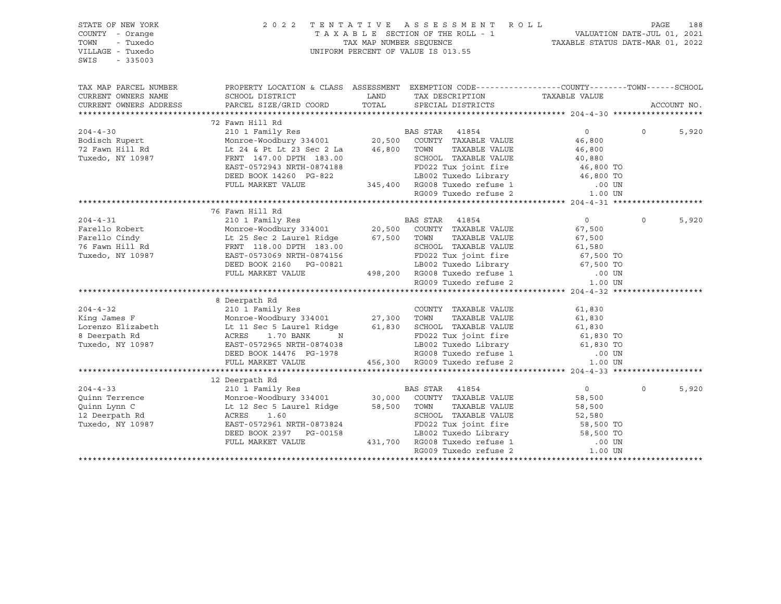| STATE OF NEW YORK<br>COUNTY - Orange<br>TOWN<br>- Tuxedo<br>VILLAGE - Tuxedo<br>SWIS<br>$-335003$                                                                                                                                                      | 2 0 2 2                                                                                                                                                                                 |      | TENTATIVE ASSESSMENT ROLL<br>UNIFORM PERCENT OF VALUE IS 013.55                                                                                             |                  |          | PAGE<br>188 |
|--------------------------------------------------------------------------------------------------------------------------------------------------------------------------------------------------------------------------------------------------------|-----------------------------------------------------------------------------------------------------------------------------------------------------------------------------------------|------|-------------------------------------------------------------------------------------------------------------------------------------------------------------|------------------|----------|-------------|
| TAX MAP PARCEL NUMBER                                                                                                                                                                                                                                  | PROPERTY LOCATION & CLASS ASSESSMENT EXEMPTION CODE---------------COUNTY-------TOWN-----SCHOOL                                                                                          |      |                                                                                                                                                             |                  |          |             |
| CURRENT OWNERS NAME                                                                                                                                                                                                                                    | SCHOOL DISTRICT<br>DONOOL DISIRICT LAND<br>PARCEL SIZE/GRID COORD TOTAL                                                                                                                 | LAND | TAX DESCRIPTION TAXABLE VALUE                                                                                                                               |                  |          |             |
| CURRENT OWNERS ADDRESS                                                                                                                                                                                                                                 |                                                                                                                                                                                         |      | SPECIAL DISTRICTS                                                                                                                                           |                  |          | ACCOUNT NO. |
|                                                                                                                                                                                                                                                        |                                                                                                                                                                                         |      |                                                                                                                                                             |                  |          |             |
|                                                                                                                                                                                                                                                        | 72 Fawn Hill Rd                                                                                                                                                                         |      |                                                                                                                                                             |                  |          |             |
| $204 - 4 - 30$                                                                                                                                                                                                                                         | 2 Fawn Hill Nu<br>210 1 Family Res<br>Monroe-Woodbury 334001<br>20,500 COUNTY TAXABLE VALUE                                                                                             |      |                                                                                                                                                             | $\overline{0}$   | $\Omega$ | 5,920       |
| Bodisch Rupert<br>72 Fawn Hill Rd                                                                                                                                                                                                                      |                                                                                                                                                                                         |      | TAXABLE VALUE                                                                                                                                               | 46,800           |          |             |
| Tuxedo, NY 10987                                                                                                                                                                                                                                       | Lt 24 & Pt Lt 23 Sec 2 La 46,800 TOWN<br>FRNT 147.00 DPTH 183.00                                                                                                                        |      | SCHOOL TAXABLE VALUE                                                                                                                                        | 46,800<br>40,880 |          |             |
|                                                                                                                                                                                                                                                        |                                                                                                                                                                                         |      |                                                                                                                                                             |                  |          |             |
|                                                                                                                                                                                                                                                        |                                                                                                                                                                                         |      |                                                                                                                                                             |                  |          |             |
|                                                                                                                                                                                                                                                        |                                                                                                                                                                                         |      |                                                                                                                                                             | .00 UN           |          |             |
|                                                                                                                                                                                                                                                        | FULL MARKET VALUE<br>FULL MARKET VALUE 345,400 RG008 Tuxedo refuse 1                                                                                                                    |      |                                                                                                                                                             | 1.00 UN          |          |             |
|                                                                                                                                                                                                                                                        |                                                                                                                                                                                         |      |                                                                                                                                                             |                  |          |             |
|                                                                                                                                                                                                                                                        | 76 Fawn Hill Rd                                                                                                                                                                         |      |                                                                                                                                                             |                  |          |             |
|                                                                                                                                                                                                                                                        |                                                                                                                                                                                         |      |                                                                                                                                                             | $\overline{0}$   | $\Omega$ | 5,920       |
| 2001 Family Res<br>Farello Robert Monroe-Woodbury 334001<br>Farello Cindy Lt 25 Sec 2 Laurel Ridge 67,500 TOWN TAXABLE VALUE<br>76 Fawn Hill Rd FRNT 118.00 DPTH 183.00<br>Tuxedo, NY 10987 EAST-0573069 NRTH-0874156<br>FRNT 118.00 DP                |                                                                                                                                                                                         |      |                                                                                                                                                             | 67,500           |          |             |
|                                                                                                                                                                                                                                                        |                                                                                                                                                                                         |      |                                                                                                                                                             | 67,500           |          |             |
|                                                                                                                                                                                                                                                        |                                                                                                                                                                                         |      | SCHOOL TAXABLE VALUE                                                                                                                                        | 61,580           |          |             |
|                                                                                                                                                                                                                                                        |                                                                                                                                                                                         |      | FD022 Tux joint fire                          67,500 TO<br>LB002 Tuxedo Library                            67,500 TO                                        |                  |          |             |
|                                                                                                                                                                                                                                                        | DEED BOOK 2160 PG-00821                                                                                                                                                                 |      |                                                                                                                                                             |                  |          |             |
|                                                                                                                                                                                                                                                        | FULL MARKET VALUE                                                                                                                                                                       |      | 498,200 RG008 Tuxedo refuse 1<br>RG009 Tuxedo refuse 2                                                                                                      | .00 UN           |          |             |
|                                                                                                                                                                                                                                                        |                                                                                                                                                                                         |      |                                                                                                                                                             | 1.00 UN          |          |             |
|                                                                                                                                                                                                                                                        |                                                                                                                                                                                         |      |                                                                                                                                                             |                  |          |             |
|                                                                                                                                                                                                                                                        | 8 Deerpath Rd<br>210 1 Family Res<br>Monroe-Woodbury 334001 27,300 TOWN TAXABLE VALUE<br>Lt 11 Sec 5 Laurel Ridge 61,830 SCHOOL TAXABLE VALUE<br>ACRES 1.70 BANK N FD022 Tux joint fire |      |                                                                                                                                                             |                  |          |             |
| $204 - 4 - 32$                                                                                                                                                                                                                                         |                                                                                                                                                                                         |      |                                                                                                                                                             | 61,830           |          |             |
| King James F                                                                                                                                                                                                                                           |                                                                                                                                                                                         |      |                                                                                                                                                             | 61,830           |          |             |
| Lorenzo Elizabeth<br>8 Deernath Rd                                                                                                                                                                                                                     |                                                                                                                                                                                         |      | FD022 Tux joint fire                                                                                                                                        | 61,830           |          |             |
| 8 Deerpath Rd                                                                                                                                                                                                                                          |                                                                                                                                                                                         |      |                                                                                                                                                             | $61,830$ TO      |          |             |
| Tuxedo, NY 10987                                                                                                                                                                                                                                       | EAST-0572965 NRTH-0874038                                                                                                                                                               |      |                                                                                                                                                             |                  |          |             |
|                                                                                                                                                                                                                                                        | DEED BOOK 14476 PG-1978<br>FULL MARKET VALUE                                                                                                                                            |      | 456,300 RG009 Tuxedo refuse 2                                                                                                                               |                  |          |             |
|                                                                                                                                                                                                                                                        |                                                                                                                                                                                         |      | FD022 Tux joint --<br>LB002 Tuxedo Library 61,830 To<br>RG008 Tuxedo refuse 1 0.00 UN<br>PC008 Tuxedo refuse 2 1.00 UN                                      |                  |          |             |
|                                                                                                                                                                                                                                                        |                                                                                                                                                                                         |      |                                                                                                                                                             |                  |          |             |
|                                                                                                                                                                                                                                                        |                                                                                                                                                                                         |      |                                                                                                                                                             | $\overline{0}$   | $\Omega$ | 5,920       |
|                                                                                                                                                                                                                                                        |                                                                                                                                                                                         |      |                                                                                                                                                             | 58,500           |          |             |
| 204-4-33<br>210 1 Family Res<br>210 1 Family Res<br>210 1 Family Res<br>Monroe-Woodbury 334001<br>20,000 COUNTY TAXABLE VALUE<br>2011 Interval Monroe-Woodbury 334001<br>212 Deerpath Rd<br>212 Deerpath Rd<br>213 ACRES<br>21.60<br>213 ACRES<br>21.6 |                                                                                                                                                                                         |      |                                                                                                                                                             | 58,500           |          |             |
|                                                                                                                                                                                                                                                        |                                                                                                                                                                                         |      |                                                                                                                                                             | 52,580           |          |             |
| Tuxedo, NY 10987                                                                                                                                                                                                                                       | EAST-0572961 NRTH-0873824                                                                                                                                                               |      |                                                                                                                                                             |                  |          |             |
|                                                                                                                                                                                                                                                        | DEED BOOK 2397 PG-00158                                                                                                                                                                 |      |                                                                                                                                                             |                  |          |             |
|                                                                                                                                                                                                                                                        | FULL MARKET VALUE                                                                                                                                                                       |      |                                                                                                                                                             |                  |          |             |
|                                                                                                                                                                                                                                                        |                                                                                                                                                                                         |      | 9-00158<br>19002 Tuxedo Library<br>19002 Tuxedo Library<br>19002 Tuxedo refuse 1<br>19009 Tuxedo refuse 2<br>19009 Tuxedo refuse 2<br>19009 Tuxedo refuse 2 |                  |          |             |
|                                                                                                                                                                                                                                                        |                                                                                                                                                                                         |      |                                                                                                                                                             |                  |          |             |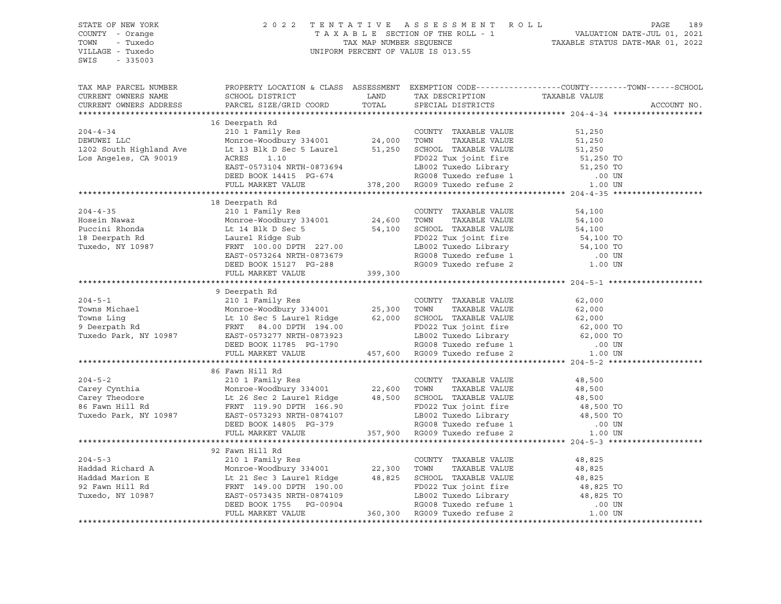| STATE OF NEW YORK<br>COUNTY - Orange               |                                                                                                                                                                                                                                                                                                                                                                                                                                                 |  | 2022 TENTATIVE ASSESSMENT ROLL PAGE 189<br>TAXABLE SECTION OF THE ROLL - 1 VALUATION DATE-JUL 01, 2021<br>TAX MAP NUMBER SEQUENCE TAXABLE STATUS DATE-MAR 01, 2022<br>UNIFORM PERCENT OF VALUE IS 013.55 |
|----------------------------------------------------|-------------------------------------------------------------------------------------------------------------------------------------------------------------------------------------------------------------------------------------------------------------------------------------------------------------------------------------------------------------------------------------------------------------------------------------------------|--|----------------------------------------------------------------------------------------------------------------------------------------------------------------------------------------------------------|
| TOWN - Tuxedo<br>VILLAGE - Tuxedo<br>SWIS - 335003 |                                                                                                                                                                                                                                                                                                                                                                                                                                                 |  |                                                                                                                                                                                                          |
| TAX MAP PARCEL NUMBER                              |                                                                                                                                                                                                                                                                                                                                                                                                                                                 |  | PROPERTY LOCATION & CLASS ASSESSMENT EXEMPTION CODE---------------COUNTY-------TOWN------SCHOOL                                                                                                          |
|                                                    | CURRENT OWNERS NAME SCHOOL DISTRICT THAND TAX DESCRIPTION TAXABLE VALUE<br>CURRENT OWNERS ADDRESS PARCEL SIZE/GRID COORD TOTAL SPECIAL DISTRICTS                                                                                                                                                                                                                                                                                                |  |                                                                                                                                                                                                          |
|                                                    |                                                                                                                                                                                                                                                                                                                                                                                                                                                 |  | ACCOUNT NO.                                                                                                                                                                                              |
|                                                    |                                                                                                                                                                                                                                                                                                                                                                                                                                                 |  |                                                                                                                                                                                                          |
|                                                    | 16 Deerpath Rd                                                                                                                                                                                                                                                                                                                                                                                                                                  |  |                                                                                                                                                                                                          |
|                                                    |                                                                                                                                                                                                                                                                                                                                                                                                                                                 |  |                                                                                                                                                                                                          |
|                                                    |                                                                                                                                                                                                                                                                                                                                                                                                                                                 |  |                                                                                                                                                                                                          |
|                                                    |                                                                                                                                                                                                                                                                                                                                                                                                                                                 |  |                                                                                                                                                                                                          |
|                                                    | 16 Deerpath Rd<br>2004-4-34 210 1 Family Res<br>DEWUWEI LLC Monroe-Woodbury 334001 24,000 TOWN TAXABLE VALUE 51,250<br>1202 South Highland Ave Lt 13 Blk D Sec 5 Laurel 51,250<br>1202 South Highland Ave Lt 13 Blk D Sec 5 Laurel 51,                                                                                                                                                                                                          |  |                                                                                                                                                                                                          |
|                                                    |                                                                                                                                                                                                                                                                                                                                                                                                                                                 |  |                                                                                                                                                                                                          |
|                                                    |                                                                                                                                                                                                                                                                                                                                                                                                                                                 |  |                                                                                                                                                                                                          |
|                                                    |                                                                                                                                                                                                                                                                                                                                                                                                                                                 |  |                                                                                                                                                                                                          |
|                                                    | 18 Deerpath Rd                                                                                                                                                                                                                                                                                                                                                                                                                                  |  |                                                                                                                                                                                                          |
|                                                    |                                                                                                                                                                                                                                                                                                                                                                                                                                                 |  |                                                                                                                                                                                                          |
|                                                    |                                                                                                                                                                                                                                                                                                                                                                                                                                                 |  |                                                                                                                                                                                                          |
|                                                    |                                                                                                                                                                                                                                                                                                                                                                                                                                                 |  |                                                                                                                                                                                                          |
|                                                    |                                                                                                                                                                                                                                                                                                                                                                                                                                                 |  |                                                                                                                                                                                                          |
|                                                    |                                                                                                                                                                                                                                                                                                                                                                                                                                                 |  |                                                                                                                                                                                                          |
|                                                    |                                                                                                                                                                                                                                                                                                                                                                                                                                                 |  |                                                                                                                                                                                                          |
|                                                    |                                                                                                                                                                                                                                                                                                                                                                                                                                                 |  |                                                                                                                                                                                                          |
|                                                    | $\begin{tabular}{lllllllllllll} 204-4-35 & 18\t\t\t\t\t\t\t\t\t\t\t 19\t\t\t\t\t\t\t\t\t\t\t\t\t\t\t 210 1 Family Res & 210 1 Family Res & 24,600 TOWTY TAXABLE VALUE & 54,100\nHoccini Rhonda & 114 B1k D Sec 5 & 54,100 & 54,100 & 54,100 & 54,100 & 54,100 & 54,100 & 54,100 & 54,100 & 54,100 & 54,100 & 54,100 & 54,100 & 54,10$                                                                                                           |  |                                                                                                                                                                                                          |
|                                                    |                                                                                                                                                                                                                                                                                                                                                                                                                                                 |  |                                                                                                                                                                                                          |
|                                                    | 9 Deerpath Rd                                                                                                                                                                                                                                                                                                                                                                                                                                   |  |                                                                                                                                                                                                          |
|                                                    |                                                                                                                                                                                                                                                                                                                                                                                                                                                 |  |                                                                                                                                                                                                          |
|                                                    |                                                                                                                                                                                                                                                                                                                                                                                                                                                 |  |                                                                                                                                                                                                          |
|                                                    |                                                                                                                                                                                                                                                                                                                                                                                                                                                 |  |                                                                                                                                                                                                          |
|                                                    |                                                                                                                                                                                                                                                                                                                                                                                                                                                 |  |                                                                                                                                                                                                          |
|                                                    |                                                                                                                                                                                                                                                                                                                                                                                                                                                 |  |                                                                                                                                                                                                          |
|                                                    | 304-5-1<br>2004-5-1<br>2004-5-1<br>2001-5-1<br>2001-5-1<br>2001-5-1<br>2001-5-1<br>2001-5-1<br>2001-5-1<br>2002-5-1<br>2007-2007-2000-2<br>2007-2007-2000-2<br>2007-2007-2007-201-2<br>2007-201-2<br>2002-2<br>2007-2<br>2002-2<br>2002-2<br>2002-2<br>2002-2<br>2002-                                                                                                                                                                          |  |                                                                                                                                                                                                          |
|                                                    |                                                                                                                                                                                                                                                                                                                                                                                                                                                 |  |                                                                                                                                                                                                          |
|                                                    | 86 Fawn Hill Rd                                                                                                                                                                                                                                                                                                                                                                                                                                 |  |                                                                                                                                                                                                          |
|                                                    |                                                                                                                                                                                                                                                                                                                                                                                                                                                 |  |                                                                                                                                                                                                          |
|                                                    |                                                                                                                                                                                                                                                                                                                                                                                                                                                 |  |                                                                                                                                                                                                          |
|                                                    |                                                                                                                                                                                                                                                                                                                                                                                                                                                 |  |                                                                                                                                                                                                          |
|                                                    |                                                                                                                                                                                                                                                                                                                                                                                                                                                 |  |                                                                                                                                                                                                          |
|                                                    |                                                                                                                                                                                                                                                                                                                                                                                                                                                 |  |                                                                                                                                                                                                          |
|                                                    |                                                                                                                                                                                                                                                                                                                                                                                                                                                 |  |                                                                                                                                                                                                          |
|                                                    | 304-5-2<br>Carey Cynthia 210 1 Family Res<br>Carey Theodore 1 Monroe-Woodbury 334001<br>Carey Theodore 1 E 26 Sec 2 Laurel Ridge 48,500 SCHOOL TAXABLE VALUE<br>357,900 RDS22 Tux joint fire 48,500 TOWN<br>TRABLE VALUE 48,500<br>Tuxedo                                                                                                                                                                                                       |  |                                                                                                                                                                                                          |
|                                                    |                                                                                                                                                                                                                                                                                                                                                                                                                                                 |  |                                                                                                                                                                                                          |
|                                                    |                                                                                                                                                                                                                                                                                                                                                                                                                                                 |  |                                                                                                                                                                                                          |
|                                                    |                                                                                                                                                                                                                                                                                                                                                                                                                                                 |  |                                                                                                                                                                                                          |
|                                                    |                                                                                                                                                                                                                                                                                                                                                                                                                                                 |  |                                                                                                                                                                                                          |
|                                                    |                                                                                                                                                                                                                                                                                                                                                                                                                                                 |  |                                                                                                                                                                                                          |
|                                                    |                                                                                                                                                                                                                                                                                                                                                                                                                                                 |  |                                                                                                                                                                                                          |
|                                                    |                                                                                                                                                                                                                                                                                                                                                                                                                                                 |  |                                                                                                                                                                                                          |
|                                                    | $\begin{tabular}{lllllllllll} \hline & 204-5-3 && 210&1\text{ Family Res} \\ & 92\text{ Family Res} && \text{COUNTY} & \text{TXABLE VALUE} && 48,825 \\ \text{Haddad Richard A} && \text{Monroe-Wodbury 334001} && 22,300\text{ TOWN} & \text{TXABLE VALUE} && 48,825 \\ \text{Haddad Marion E} && \text{Lt 21 Sec 3 Laurel Ridge} && 48,825\text{ SCHOOD. TXABLE VALUE} && 48,825 \\ \text{P2 Fawn Hill Rd} && \text{FRNT 149.00 DFTH 190.00}$ |  |                                                                                                                                                                                                          |
|                                                    |                                                                                                                                                                                                                                                                                                                                                                                                                                                 |  |                                                                                                                                                                                                          |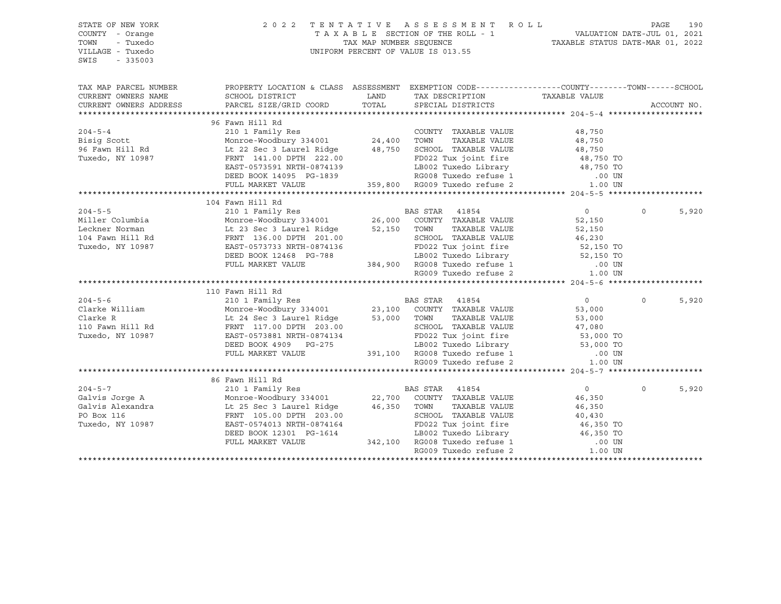| STATE OF NEW YORK<br>COUNTY - Orange<br>- Tuxedo<br>TOWN<br>VILLAGE - Tuxedo<br>$-335003$<br>SWIS                                                                                                                                                                                                                                                                                                                                                                             | 2022 TENTATIVE                                                                                                                                                                                                                                    |                                                     | A S S E S S M E N T R O L L<br>T A X A B L E SECTION OF THE ROLL - 1 VALUATION DATE-JUL 01, 2021<br>TAX MAP NUMBER SEQUENCE CALL - 1 VALUATION DATE-JUL 01, 2021<br>TAXABLE STATUS DATE-MAR 01, 2022<br>UNIFORM PERCENT OF VALUE IS 013.55 |                                            | PAGE     | 190         |
|-------------------------------------------------------------------------------------------------------------------------------------------------------------------------------------------------------------------------------------------------------------------------------------------------------------------------------------------------------------------------------------------------------------------------------------------------------------------------------|---------------------------------------------------------------------------------------------------------------------------------------------------------------------------------------------------------------------------------------------------|-----------------------------------------------------|--------------------------------------------------------------------------------------------------------------------------------------------------------------------------------------------------------------------------------------------|--------------------------------------------|----------|-------------|
| TAX MAP PARCEL NUMBER                                                                                                                                                                                                                                                                                                                                                                                                                                                         | PROPERTY LOCATION & CLASS ASSESSMENT EXEMPTION CODE----------------COUNTY-------TOWN------SCHOOL                                                                                                                                                  |                                                     |                                                                                                                                                                                                                                            |                                            |          |             |
| CURRENT OWNERS NAME<br>CURRENT OWNERS ADDRESS                                                                                                                                                                                                                                                                                                                                                                                                                                 | SCHOOL DISTRICT<br>PARCEL SIZE/GRID COORD                                                                                                                                                                                                         | <b>EXAMPLE THE STATE OF STATE OF STATE</b><br>TOTAL | TAX DESCRIPTION TAXABLE VALUE SPECIAL DISTRICTS<br>SPECIAL DISTRICTS                                                                                                                                                                       |                                            |          | ACCOUNT NO. |
|                                                                                                                                                                                                                                                                                                                                                                                                                                                                               |                                                                                                                                                                                                                                                   |                                                     |                                                                                                                                                                                                                                            |                                            |          |             |
|                                                                                                                                                                                                                                                                                                                                                                                                                                                                               | 96 Fawn Hill Rd                                                                                                                                                                                                                                   |                                                     |                                                                                                                                                                                                                                            |                                            |          |             |
| $204 - 5 - 4$                                                                                                                                                                                                                                                                                                                                                                                                                                                                 | 96 Fawn Hill Rd<br>210 1 Family Res<br>Monroe-Woodbury 334001<br>Lt 22 Sec 3 Laurel Ridge<br>FRNT 148.750 SCHOOL TAXABLE VALUE<br>FRNT 148.750 FOR 222.00<br>FRNT 16974120<br>FRNT 16974120<br>FRNT 18002 Tux doint fire<br>FRNT 16974120<br>FRND |                                                     |                                                                                                                                                                                                                                            | 48,750                                     |          |             |
| Bisig Scott                                                                                                                                                                                                                                                                                                                                                                                                                                                                   |                                                                                                                                                                                                                                                   |                                                     |                                                                                                                                                                                                                                            |                                            |          |             |
|                                                                                                                                                                                                                                                                                                                                                                                                                                                                               |                                                                                                                                                                                                                                                   |                                                     |                                                                                                                                                                                                                                            |                                            |          |             |
| 96 Fawn Hill Rd<br>Tuxedo, NY 10987                                                                                                                                                                                                                                                                                                                                                                                                                                           |                                                                                                                                                                                                                                                   |                                                     | FD022 Tux joint fire                                                                                                                                                                                                                       |                                            |          |             |
|                                                                                                                                                                                                                                                                                                                                                                                                                                                                               | EAST-0573591 NRTH-0874139                                                                                                                                                                                                                         |                                                     |                                                                                                                                                                                                                                            | 48,750<br>48,750<br>48,750 TO<br>48,750 TO |          |             |
|                                                                                                                                                                                                                                                                                                                                                                                                                                                                               | EAST-0573591 NRTH-0874139 LB002 Tuxedo Library<br>DEED BOOK 14095 PG-1839 RG008 Tuxedo refuse 1<br>FULL MARKET VALUE 359,800 RG009 Tuxedo refuse 2                                                                                                |                                                     |                                                                                                                                                                                                                                            |                                            |          |             |
|                                                                                                                                                                                                                                                                                                                                                                                                                                                                               |                                                                                                                                                                                                                                                   |                                                     | FD022 Tux joint 111.<br>LB002 Tuxedo Library 48, 150 10<br>RG008 Tuxedo refuse 1 00 UN<br>The movedo refuse 2 1.00 UN<br>1.00 UN                                                                                                           |                                            |          |             |
|                                                                                                                                                                                                                                                                                                                                                                                                                                                                               |                                                                                                                                                                                                                                                   |                                                     |                                                                                                                                                                                                                                            |                                            |          |             |
|                                                                                                                                                                                                                                                                                                                                                                                                                                                                               | 104 Fawn Hill Rd                                                                                                                                                                                                                                  |                                                     |                                                                                                                                                                                                                                            |                                            |          |             |
| $204 - 5 - 5$                                                                                                                                                                                                                                                                                                                                                                                                                                                                 | 210 1 Family Res<br>Monroe-Woodbury 334001 26,000 COUNTY TAXABLE VALUE                                                                                                                                                                            |                                                     |                                                                                                                                                                                                                                            | $\overline{0}$                             | $\Omega$ | 5,920       |
| Miller Columbia                                                                                                                                                                                                                                                                                                                                                                                                                                                               | 2101 - 1 amin'y Robert Mondo (26,000 COUNT)<br>Monroe-Woodbury 334001 26,000 COUNT<br>Lt 23 Sec 3 Laurel Ridge 52,150 TOWN<br>RENT 136.00 DPTH 201.00 SCHOOI                                                                                      |                                                     |                                                                                                                                                                                                                                            | 52,150                                     |          |             |
| Leckner Norman                                                                                                                                                                                                                                                                                                                                                                                                                                                                |                                                                                                                                                                                                                                                   |                                                     | TAXABLE VALUE                                                                                                                                                                                                                              | 52,150<br>46,230                           |          |             |
| 104 Fawn Hill Rd                                                                                                                                                                                                                                                                                                                                                                                                                                                              | FRNT 136.00 DPTH 201.00                                                                                                                                                                                                                           |                                                     | SCHOOL TAXABLE VALUE                                                                                                                                                                                                                       |                                            |          |             |
| Tuxedo, NY 10987                                                                                                                                                                                                                                                                                                                                                                                                                                                              |                                                                                                                                                                                                                                                   |                                                     |                                                                                                                                                                                                                                            |                                            |          |             |
|                                                                                                                                                                                                                                                                                                                                                                                                                                                                               | EAST-0573733 NRTH-0874136<br>EAST-0573733 NRTH-0874136<br>DEED BOOK 12468 PG-788<br>PULL MARKET VALUE 384,900 RG008 Tuxedo refuse 1 00 UN<br>RG009 Tuxedo refuse 2 1.00 UN                                                                        |                                                     |                                                                                                                                                                                                                                            |                                            |          |             |
|                                                                                                                                                                                                                                                                                                                                                                                                                                                                               |                                                                                                                                                                                                                                                   |                                                     |                                                                                                                                                                                                                                            |                                            |          |             |
|                                                                                                                                                                                                                                                                                                                                                                                                                                                                               |                                                                                                                                                                                                                                                   |                                                     |                                                                                                                                                                                                                                            |                                            |          |             |
|                                                                                                                                                                                                                                                                                                                                                                                                                                                                               | 110 Fawn Hill Rd                                                                                                                                                                                                                                  |                                                     |                                                                                                                                                                                                                                            |                                            |          |             |
| $\begin{tabular}{lllllllllllll} \multicolumn{3}{c}{\text{\small 204--5-6}} & \multicolumn{3}{c}{\text{\small 210 1 Family Res}} & \multicolumn{3}{c}{\text{\small 210 1 Family Res}} & \multicolumn{3}{c}{\text{\small 23,100 }} & \multicolumn{3}{c}{\text{\small 23,100 }} & \multicolumn{3}{c}{\text{\small 23,100 }} & \multicolumn{3}{c}{\text{\small 23,100 }} & \multicolumn{3}{c}{\text{\small 23,100 }} & \multicolumn{3}{c}{\text{\small 23,100 }} & \multicolumn{$ |                                                                                                                                                                                                                                                   |                                                     |                                                                                                                                                                                                                                            | $\overline{0}$                             | $\Omega$ | 5,920       |
|                                                                                                                                                                                                                                                                                                                                                                                                                                                                               |                                                                                                                                                                                                                                                   |                                                     |                                                                                                                                                                                                                                            | 53,000                                     |          |             |
|                                                                                                                                                                                                                                                                                                                                                                                                                                                                               |                                                                                                                                                                                                                                                   |                                                     |                                                                                                                                                                                                                                            |                                            |          |             |
|                                                                                                                                                                                                                                                                                                                                                                                                                                                                               |                                                                                                                                                                                                                                                   |                                                     |                                                                                                                                                                                                                                            |                                            |          |             |
| Tuxedo, NY 10987                                                                                                                                                                                                                                                                                                                                                                                                                                                              |                                                                                                                                                                                                                                                   |                                                     |                                                                                                                                                                                                                                            |                                            |          |             |
|                                                                                                                                                                                                                                                                                                                                                                                                                                                                               | FRAT 117.00 DER NRTH-0874134<br>DEED BOOK 4909 PG-275 LB002 Tuxedo Library 53,000 TO<br>FULL MARKET VALUE 391,100 RG008 Tuxedo refuse 1 .00 UN<br>PCOOR Tuxedo refuse 2 1.00 UN                                                                   |                                                     | TOWN TAXABLE VALUE 53,000<br>SCHOOL TAXABLE VALUE 47,080<br>FD022 Tux joint fire 53,000 TO<br>LB002 Tuxedo Library 53,000 TO                                                                                                               |                                            |          |             |
|                                                                                                                                                                                                                                                                                                                                                                                                                                                                               |                                                                                                                                                                                                                                                   |                                                     |                                                                                                                                                                                                                                            |                                            |          |             |
|                                                                                                                                                                                                                                                                                                                                                                                                                                                                               |                                                                                                                                                                                                                                                   |                                                     |                                                                                                                                                                                                                                            |                                            |          |             |
|                                                                                                                                                                                                                                                                                                                                                                                                                                                                               |                                                                                                                                                                                                                                                   |                                                     |                                                                                                                                                                                                                                            |                                            |          |             |
|                                                                                                                                                                                                                                                                                                                                                                                                                                                                               | 86 Fawn Hill Rd                                                                                                                                                                                                                                   |                                                     |                                                                                                                                                                                                                                            |                                            |          |             |
|                                                                                                                                                                                                                                                                                                                                                                                                                                                                               |                                                                                                                                                                                                                                                   |                                                     |                                                                                                                                                                                                                                            | $\overline{0}$                             | $\Omega$ | 5,920       |
|                                                                                                                                                                                                                                                                                                                                                                                                                                                                               |                                                                                                                                                                                                                                                   |                                                     |                                                                                                                                                                                                                                            | 46,350                                     |          |             |
|                                                                                                                                                                                                                                                                                                                                                                                                                                                                               |                                                                                                                                                                                                                                                   |                                                     |                                                                                                                                                                                                                                            | 46,350<br>40,430                           |          |             |
|                                                                                                                                                                                                                                                                                                                                                                                                                                                                               |                                                                                                                                                                                                                                                   |                                                     |                                                                                                                                                                                                                                            |                                            |          |             |
| Tuxedo, NY 10987                                                                                                                                                                                                                                                                                                                                                                                                                                                              | EAST-0574013 NRTH-0874164                                                                                                                                                                                                                         |                                                     | 1614 FD022 Tux joint fire<br>3-1614 LB002 Tuxedo Library 46,350 TO<br>342,100 RG008 Tuxedo refuse 1 .00 UN                                                                                                                                 |                                            |          |             |
|                                                                                                                                                                                                                                                                                                                                                                                                                                                                               | DEED BOOK 12301 PG-1614<br>FULL MARKET VALUE                                                                                                                                                                                                      |                                                     |                                                                                                                                                                                                                                            |                                            |          |             |
|                                                                                                                                                                                                                                                                                                                                                                                                                                                                               |                                                                                                                                                                                                                                                   |                                                     | RG009 Tuxedo refuse 2                                                                                                                                                                                                                      | $1.00$ UN                                  |          |             |
|                                                                                                                                                                                                                                                                                                                                                                                                                                                                               |                                                                                                                                                                                                                                                   |                                                     |                                                                                                                                                                                                                                            |                                            |          |             |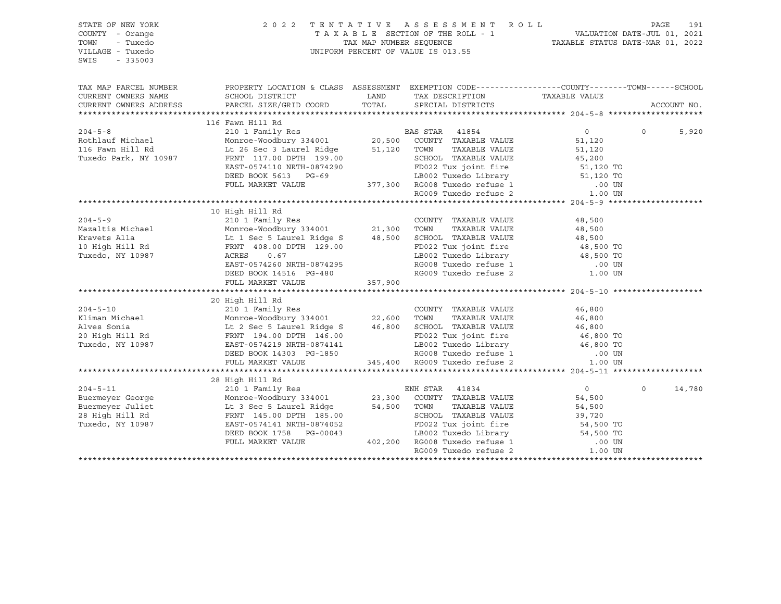| PROPERTY LOCATION & CLASS ASSESSMENT EXEMPTION CODE---------------COUNTY-------TOWN-----SCHOOL<br>TAX MAP PARCEL NUMBER<br>CURRENT OWNERS NAME<br>ACCOUNT NO.<br>CURRENT OWNERS ADDRESS<br>116 Fawn Hill Rd<br>204-5-8<br>210 1 Family Res<br>210 1 Family Res<br>210 1 Family Res<br>210 1 Family Res<br>210 1 Family Res<br>210 1 Family Res<br>20,500 COUNTY TAXABLE VALUE<br>20,500 COUNTY TAXABLE VALUE<br>20,500 COUNTY TAXABLE VALUE<br><br>$\overline{0}$<br>$\Omega$<br>5,920<br>10 High Hill Rd<br>357,900<br>FULL MARKET VALUE<br>EXERCISE TRANSPORT OF THE CONFERENCE OF THE CONFERENCE OF THE CONFERENCE OF THE CONFERENCE OF THE CONFERENCE OF THE CONFERENCE OF THE CONFERENCE OF THE CONFERENCE OF THE CONFERENCE OF THE CONFERENCE OF THE CONFERENCE OF TH<br>$\overline{0}$<br>$\circ$<br>14,780<br>54,500<br>14 3 Sec 5 Laurel Ridge 54,500 TOWN AAAADLE VALUE<br>FRNT 145.00 DPTH 185.00 SCHOOL TAXABLE VALUE 39,720<br>EAST-0574141 NRTH-0874052 FD022 Tux joint fire 54,500 TO<br>DEED BOOK 1758 PG-00043 LB002 Tuxedo Library 54,500 TO<br>FULL | STATE OF NEW YORK<br>COUNTY - Orange<br>TOWN<br>- Tuxedo<br>VILLAGE - Tuxedo<br>SWIS<br>$-335003$ |  | 2022 TENTATIVE ASSESSMENT ROLL | PAGE 191 PAGE 191<br>TAXABLE SECTION OF THE ROLL - 1 VALUATION DATE-JUL 01, 2021<br>TAX MAP NUMBER SEQUENCE TAXABLE STATUS DATE-MAR 01, 2022<br>UNIFORM PERCENT OF VALUE IS 013.55 |  |
|------------------------------------------------------------------------------------------------------------------------------------------------------------------------------------------------------------------------------------------------------------------------------------------------------------------------------------------------------------------------------------------------------------------------------------------------------------------------------------------------------------------------------------------------------------------------------------------------------------------------------------------------------------------------------------------------------------------------------------------------------------------------------------------------------------------------------------------------------------------------------------------------------------------------------------------------------------------------------------------------------------------------------------------------------------------------|---------------------------------------------------------------------------------------------------|--|--------------------------------|------------------------------------------------------------------------------------------------------------------------------------------------------------------------------------|--|
|                                                                                                                                                                                                                                                                                                                                                                                                                                                                                                                                                                                                                                                                                                                                                                                                                                                                                                                                                                                                                                                                        |                                                                                                   |  |                                |                                                                                                                                                                                    |  |
|                                                                                                                                                                                                                                                                                                                                                                                                                                                                                                                                                                                                                                                                                                                                                                                                                                                                                                                                                                                                                                                                        |                                                                                                   |  |                                |                                                                                                                                                                                    |  |
|                                                                                                                                                                                                                                                                                                                                                                                                                                                                                                                                                                                                                                                                                                                                                                                                                                                                                                                                                                                                                                                                        |                                                                                                   |  |                                |                                                                                                                                                                                    |  |
|                                                                                                                                                                                                                                                                                                                                                                                                                                                                                                                                                                                                                                                                                                                                                                                                                                                                                                                                                                                                                                                                        |                                                                                                   |  |                                |                                                                                                                                                                                    |  |
|                                                                                                                                                                                                                                                                                                                                                                                                                                                                                                                                                                                                                                                                                                                                                                                                                                                                                                                                                                                                                                                                        |                                                                                                   |  |                                |                                                                                                                                                                                    |  |
|                                                                                                                                                                                                                                                                                                                                                                                                                                                                                                                                                                                                                                                                                                                                                                                                                                                                                                                                                                                                                                                                        |                                                                                                   |  |                                |                                                                                                                                                                                    |  |
|                                                                                                                                                                                                                                                                                                                                                                                                                                                                                                                                                                                                                                                                                                                                                                                                                                                                                                                                                                                                                                                                        |                                                                                                   |  |                                |                                                                                                                                                                                    |  |
|                                                                                                                                                                                                                                                                                                                                                                                                                                                                                                                                                                                                                                                                                                                                                                                                                                                                                                                                                                                                                                                                        |                                                                                                   |  |                                |                                                                                                                                                                                    |  |
|                                                                                                                                                                                                                                                                                                                                                                                                                                                                                                                                                                                                                                                                                                                                                                                                                                                                                                                                                                                                                                                                        |                                                                                                   |  |                                |                                                                                                                                                                                    |  |
|                                                                                                                                                                                                                                                                                                                                                                                                                                                                                                                                                                                                                                                                                                                                                                                                                                                                                                                                                                                                                                                                        |                                                                                                   |  |                                |                                                                                                                                                                                    |  |
|                                                                                                                                                                                                                                                                                                                                                                                                                                                                                                                                                                                                                                                                                                                                                                                                                                                                                                                                                                                                                                                                        |                                                                                                   |  |                                |                                                                                                                                                                                    |  |
|                                                                                                                                                                                                                                                                                                                                                                                                                                                                                                                                                                                                                                                                                                                                                                                                                                                                                                                                                                                                                                                                        |                                                                                                   |  |                                |                                                                                                                                                                                    |  |
|                                                                                                                                                                                                                                                                                                                                                                                                                                                                                                                                                                                                                                                                                                                                                                                                                                                                                                                                                                                                                                                                        |                                                                                                   |  |                                |                                                                                                                                                                                    |  |
|                                                                                                                                                                                                                                                                                                                                                                                                                                                                                                                                                                                                                                                                                                                                                                                                                                                                                                                                                                                                                                                                        |                                                                                                   |  |                                |                                                                                                                                                                                    |  |
|                                                                                                                                                                                                                                                                                                                                                                                                                                                                                                                                                                                                                                                                                                                                                                                                                                                                                                                                                                                                                                                                        |                                                                                                   |  |                                |                                                                                                                                                                                    |  |
|                                                                                                                                                                                                                                                                                                                                                                                                                                                                                                                                                                                                                                                                                                                                                                                                                                                                                                                                                                                                                                                                        |                                                                                                   |  |                                |                                                                                                                                                                                    |  |
|                                                                                                                                                                                                                                                                                                                                                                                                                                                                                                                                                                                                                                                                                                                                                                                                                                                                                                                                                                                                                                                                        |                                                                                                   |  |                                |                                                                                                                                                                                    |  |
|                                                                                                                                                                                                                                                                                                                                                                                                                                                                                                                                                                                                                                                                                                                                                                                                                                                                                                                                                                                                                                                                        |                                                                                                   |  |                                |                                                                                                                                                                                    |  |
|                                                                                                                                                                                                                                                                                                                                                                                                                                                                                                                                                                                                                                                                                                                                                                                                                                                                                                                                                                                                                                                                        |                                                                                                   |  |                                |                                                                                                                                                                                    |  |
|                                                                                                                                                                                                                                                                                                                                                                                                                                                                                                                                                                                                                                                                                                                                                                                                                                                                                                                                                                                                                                                                        |                                                                                                   |  |                                |                                                                                                                                                                                    |  |
|                                                                                                                                                                                                                                                                                                                                                                                                                                                                                                                                                                                                                                                                                                                                                                                                                                                                                                                                                                                                                                                                        |                                                                                                   |  |                                |                                                                                                                                                                                    |  |
|                                                                                                                                                                                                                                                                                                                                                                                                                                                                                                                                                                                                                                                                                                                                                                                                                                                                                                                                                                                                                                                                        |                                                                                                   |  |                                |                                                                                                                                                                                    |  |
|                                                                                                                                                                                                                                                                                                                                                                                                                                                                                                                                                                                                                                                                                                                                                                                                                                                                                                                                                                                                                                                                        |                                                                                                   |  |                                |                                                                                                                                                                                    |  |
|                                                                                                                                                                                                                                                                                                                                                                                                                                                                                                                                                                                                                                                                                                                                                                                                                                                                                                                                                                                                                                                                        |                                                                                                   |  |                                |                                                                                                                                                                                    |  |
|                                                                                                                                                                                                                                                                                                                                                                                                                                                                                                                                                                                                                                                                                                                                                                                                                                                                                                                                                                                                                                                                        |                                                                                                   |  |                                |                                                                                                                                                                                    |  |
|                                                                                                                                                                                                                                                                                                                                                                                                                                                                                                                                                                                                                                                                                                                                                                                                                                                                                                                                                                                                                                                                        |                                                                                                   |  |                                |                                                                                                                                                                                    |  |
|                                                                                                                                                                                                                                                                                                                                                                                                                                                                                                                                                                                                                                                                                                                                                                                                                                                                                                                                                                                                                                                                        |                                                                                                   |  |                                |                                                                                                                                                                                    |  |
|                                                                                                                                                                                                                                                                                                                                                                                                                                                                                                                                                                                                                                                                                                                                                                                                                                                                                                                                                                                                                                                                        |                                                                                                   |  |                                |                                                                                                                                                                                    |  |
|                                                                                                                                                                                                                                                                                                                                                                                                                                                                                                                                                                                                                                                                                                                                                                                                                                                                                                                                                                                                                                                                        |                                                                                                   |  |                                |                                                                                                                                                                                    |  |
|                                                                                                                                                                                                                                                                                                                                                                                                                                                                                                                                                                                                                                                                                                                                                                                                                                                                                                                                                                                                                                                                        |                                                                                                   |  |                                |                                                                                                                                                                                    |  |
|                                                                                                                                                                                                                                                                                                                                                                                                                                                                                                                                                                                                                                                                                                                                                                                                                                                                                                                                                                                                                                                                        |                                                                                                   |  |                                |                                                                                                                                                                                    |  |
|                                                                                                                                                                                                                                                                                                                                                                                                                                                                                                                                                                                                                                                                                                                                                                                                                                                                                                                                                                                                                                                                        |                                                                                                   |  |                                |                                                                                                                                                                                    |  |
|                                                                                                                                                                                                                                                                                                                                                                                                                                                                                                                                                                                                                                                                                                                                                                                                                                                                                                                                                                                                                                                                        |                                                                                                   |  |                                |                                                                                                                                                                                    |  |
|                                                                                                                                                                                                                                                                                                                                                                                                                                                                                                                                                                                                                                                                                                                                                                                                                                                                                                                                                                                                                                                                        |                                                                                                   |  |                                |                                                                                                                                                                                    |  |
|                                                                                                                                                                                                                                                                                                                                                                                                                                                                                                                                                                                                                                                                                                                                                                                                                                                                                                                                                                                                                                                                        |                                                                                                   |  |                                |                                                                                                                                                                                    |  |
|                                                                                                                                                                                                                                                                                                                                                                                                                                                                                                                                                                                                                                                                                                                                                                                                                                                                                                                                                                                                                                                                        |                                                                                                   |  |                                |                                                                                                                                                                                    |  |
|                                                                                                                                                                                                                                                                                                                                                                                                                                                                                                                                                                                                                                                                                                                                                                                                                                                                                                                                                                                                                                                                        |                                                                                                   |  |                                |                                                                                                                                                                                    |  |
|                                                                                                                                                                                                                                                                                                                                                                                                                                                                                                                                                                                                                                                                                                                                                                                                                                                                                                                                                                                                                                                                        |                                                                                                   |  |                                |                                                                                                                                                                                    |  |
|                                                                                                                                                                                                                                                                                                                                                                                                                                                                                                                                                                                                                                                                                                                                                                                                                                                                                                                                                                                                                                                                        |                                                                                                   |  |                                |                                                                                                                                                                                    |  |
|                                                                                                                                                                                                                                                                                                                                                                                                                                                                                                                                                                                                                                                                                                                                                                                                                                                                                                                                                                                                                                                                        |                                                                                                   |  |                                |                                                                                                                                                                                    |  |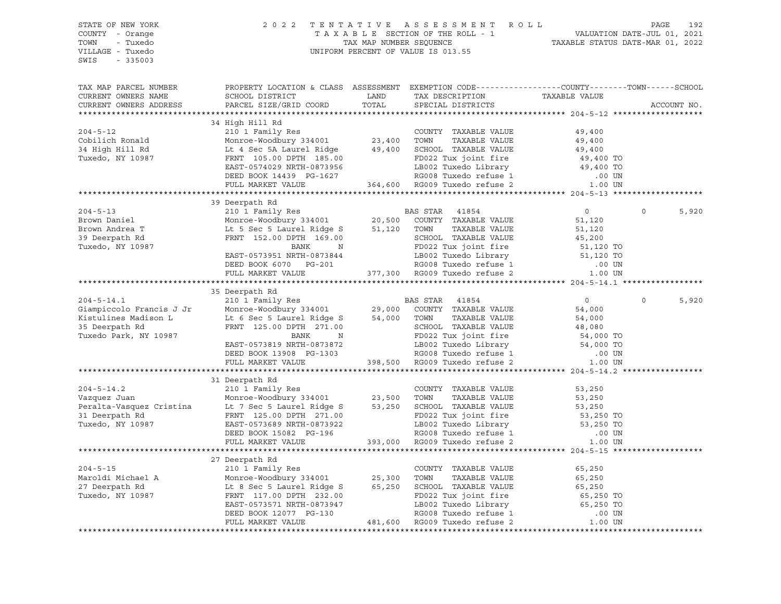| STATE OF NEW YORK<br>COUNTY - Orange<br>TOWN<br>- Tuxedo<br>VILLAGE - Tuxedo<br>SWIS - 335003 |                                                                                                                                                                                                                                                                                                                                                                                                                      | 2022 TENTATIVE ASSESSMENT ROLL PAGE 192<br>TAXABLE SECTION OF THE ROLL - 1 VALUATION DATE-JUL 01, 2021<br>TAX MAP NUMBER SEQUENCE TAXABLE STATUS DATE-MAR 01, 2022<br>INIFORM PERCENT OF VALUE IS 013 55<br>UNIFORM PERCENT OF VALUE IS 013.55 |                       |
|-----------------------------------------------------------------------------------------------|----------------------------------------------------------------------------------------------------------------------------------------------------------------------------------------------------------------------------------------------------------------------------------------------------------------------------------------------------------------------------------------------------------------------|------------------------------------------------------------------------------------------------------------------------------------------------------------------------------------------------------------------------------------------------|-----------------------|
| TAX MAP PARCEL NUMBER<br>CURRENT OWNERS NAME<br>CURRENT OWNERS ADDRESS                        | PROPERTY LOCATION & CLASS ASSESSMENT EXEMPTION CODE----------------COUNTY-------TOWN------SCHOOL                                                                                                                                                                                                                                                                                                                     |                                                                                                                                                                                                                                                | ACCOUNT NO.           |
|                                                                                               |                                                                                                                                                                                                                                                                                                                                                                                                                      |                                                                                                                                                                                                                                                |                       |
|                                                                                               | 34 High Hill Rd                                                                                                                                                                                                                                                                                                                                                                                                      |                                                                                                                                                                                                                                                |                       |
|                                                                                               |                                                                                                                                                                                                                                                                                                                                                                                                                      |                                                                                                                                                                                                                                                |                       |
|                                                                                               |                                                                                                                                                                                                                                                                                                                                                                                                                      |                                                                                                                                                                                                                                                |                       |
|                                                                                               |                                                                                                                                                                                                                                                                                                                                                                                                                      |                                                                                                                                                                                                                                                |                       |
|                                                                                               |                                                                                                                                                                                                                                                                                                                                                                                                                      |                                                                                                                                                                                                                                                |                       |
|                                                                                               |                                                                                                                                                                                                                                                                                                                                                                                                                      |                                                                                                                                                                                                                                                |                       |
|                                                                                               |                                                                                                                                                                                                                                                                                                                                                                                                                      |                                                                                                                                                                                                                                                |                       |
|                                                                                               |                                                                                                                                                                                                                                                                                                                                                                                                                      |                                                                                                                                                                                                                                                |                       |
|                                                                                               | 39 Deerpath Rd                                                                                                                                                                                                                                                                                                                                                                                                       |                                                                                                                                                                                                                                                |                       |
|                                                                                               |                                                                                                                                                                                                                                                                                                                                                                                                                      |                                                                                                                                                                                                                                                | $\Omega$<br>5,920     |
|                                                                                               |                                                                                                                                                                                                                                                                                                                                                                                                                      |                                                                                                                                                                                                                                                |                       |
|                                                                                               |                                                                                                                                                                                                                                                                                                                                                                                                                      |                                                                                                                                                                                                                                                |                       |
|                                                                                               |                                                                                                                                                                                                                                                                                                                                                                                                                      |                                                                                                                                                                                                                                                |                       |
|                                                                                               |                                                                                                                                                                                                                                                                                                                                                                                                                      |                                                                                                                                                                                                                                                |                       |
|                                                                                               |                                                                                                                                                                                                                                                                                                                                                                                                                      |                                                                                                                                                                                                                                                |                       |
|                                                                                               |                                                                                                                                                                                                                                                                                                                                                                                                                      |                                                                                                                                                                                                                                                |                       |
|                                                                                               | $\begin{tabular}{ccccc} 204-5-13 & 39 \; \text{Deerpath} & \text{X1} & \text{X2} & \text{B1} & \text{B2} & \text{B3} & \text{B4} & \text{B5} & \text{B6} & \text{B7} \\ \text{Brown Daniel} & 21011187 \; \text{Rm} & 334001 & 20,500 & \text{COUNTY} & \text{TXABLE VALUE} & 51,120 \\ \text{Brown Andrea T} & \text{Lt 5 Sec 5 Laurel Ridge S} & 51,120 & \text{TOWN} & \text{TXABLE VALUE} & 51,120 \\ \text{New$ |                                                                                                                                                                                                                                                |                       |
|                                                                                               | 35 Deerpath Rd                                                                                                                                                                                                                                                                                                                                                                                                       |                                                                                                                                                                                                                                                |                       |
|                                                                                               |                                                                                                                                                                                                                                                                                                                                                                                                                      |                                                                                                                                                                                                                                                | $\mathsf{O}$<br>5,920 |
|                                                                                               |                                                                                                                                                                                                                                                                                                                                                                                                                      |                                                                                                                                                                                                                                                |                       |
|                                                                                               |                                                                                                                                                                                                                                                                                                                                                                                                                      |                                                                                                                                                                                                                                                |                       |
|                                                                                               |                                                                                                                                                                                                                                                                                                                                                                                                                      |                                                                                                                                                                                                                                                |                       |
|                                                                                               |                                                                                                                                                                                                                                                                                                                                                                                                                      |                                                                                                                                                                                                                                                |                       |
|                                                                                               |                                                                                                                                                                                                                                                                                                                                                                                                                      |                                                                                                                                                                                                                                                |                       |
|                                                                                               |                                                                                                                                                                                                                                                                                                                                                                                                                      |                                                                                                                                                                                                                                                |                       |
|                                                                                               |                                                                                                                                                                                                                                                                                                                                                                                                                      |                                                                                                                                                                                                                                                |                       |
|                                                                                               |                                                                                                                                                                                                                                                                                                                                                                                                                      |                                                                                                                                                                                                                                                |                       |
|                                                                                               | 31 Deerpath Rd                                                                                                                                                                                                                                                                                                                                                                                                       |                                                                                                                                                                                                                                                |                       |
|                                                                                               |                                                                                                                                                                                                                                                                                                                                                                                                                      |                                                                                                                                                                                                                                                |                       |
|                                                                                               |                                                                                                                                                                                                                                                                                                                                                                                                                      |                                                                                                                                                                                                                                                |                       |
|                                                                                               | 31 Deerpath Rd<br>2004-5-14.2 2004-5-14.2 2004-5-14.2 2004-5-14.2 2004-5-14.2 2004-5-14.2 2010 1 Family Res<br>210 1 Family Res<br>23,500 TOWN TAXABLE VALUE 53,250<br>23,500 TOWN TAXABLE VALUE 53,250<br>23,500 TOWN TAXABLE VALUE 53,                                                                                                                                                                             |                                                                                                                                                                                                                                                |                       |
|                                                                                               |                                                                                                                                                                                                                                                                                                                                                                                                                      |                                                                                                                                                                                                                                                |                       |
|                                                                                               |                                                                                                                                                                                                                                                                                                                                                                                                                      |                                                                                                                                                                                                                                                |                       |
|                                                                                               |                                                                                                                                                                                                                                                                                                                                                                                                                      |                                                                                                                                                                                                                                                |                       |
|                                                                                               |                                                                                                                                                                                                                                                                                                                                                                                                                      |                                                                                                                                                                                                                                                |                       |
|                                                                                               | 27 Deerpath Rd                                                                                                                                                                                                                                                                                                                                                                                                       |                                                                                                                                                                                                                                                |                       |
|                                                                                               |                                                                                                                                                                                                                                                                                                                                                                                                                      |                                                                                                                                                                                                                                                |                       |
|                                                                                               | 2.7 Deerpath Rd (2.7 Deerpath Rd (2.7 Deerpath Rd (2.7 Deerpath Rd (2.7 Deerpath Rd (2.7 Deerpath Rd (2.7 Deerpath Rd (2.7 Deerpath Rd (2.7 Deerpath Rd (2.7 Deerpath Rd (2.7 Deerpath Rd (2.7 Deerpath Rd (2.7 Deerpath Rd (2                                                                                                                                                                                       |                                                                                                                                                                                                                                                |                       |
|                                                                                               |                                                                                                                                                                                                                                                                                                                                                                                                                      |                                                                                                                                                                                                                                                |                       |
|                                                                                               |                                                                                                                                                                                                                                                                                                                                                                                                                      |                                                                                                                                                                                                                                                |                       |
|                                                                                               |                                                                                                                                                                                                                                                                                                                                                                                                                      |                                                                                                                                                                                                                                                |                       |
|                                                                                               |                                                                                                                                                                                                                                                                                                                                                                                                                      |                                                                                                                                                                                                                                                |                       |
|                                                                                               |                                                                                                                                                                                                                                                                                                                                                                                                                      |                                                                                                                                                                                                                                                |                       |
|                                                                                               |                                                                                                                                                                                                                                                                                                                                                                                                                      |                                                                                                                                                                                                                                                |                       |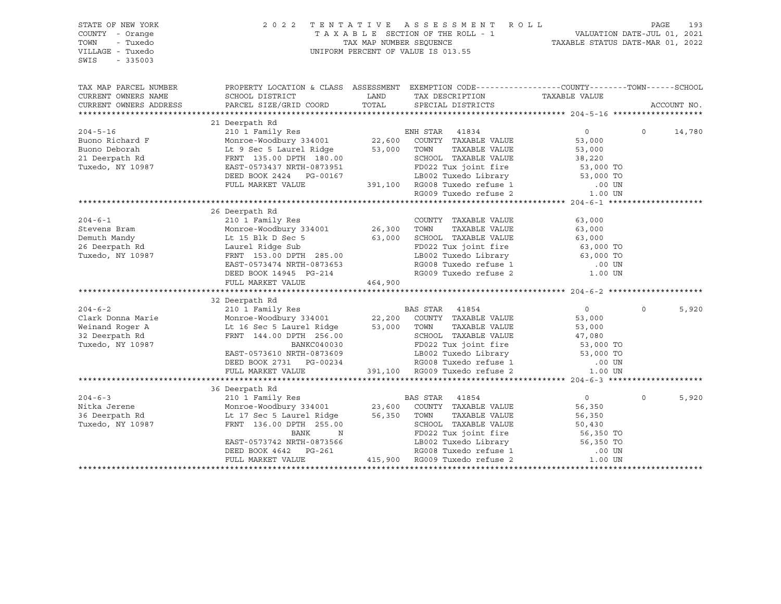| STATE OF NEW YORK<br>2022 TENTATIVE ASSESSMENT ROLL<br>TAXABLE SECTION OF THE ROLL - 1 VALUATION DATE-JUL 01, 2021<br>TAXABLE STATUS DATE-JUL 01, 2021<br>INIEOPM DEDGENT OF NATIVE TO CALCE<br>COUNTY - Orange<br>TOWN<br>- Tuxedo<br>UNIFORM PERCENT OF VALUE IS 013.55<br>VILLAGE - Tuxedo<br>SWIS<br>$-335003$ |                                                                                                                                                                                                                                                  |         |                         |                | PAGE<br>193       |        |  |  |
|--------------------------------------------------------------------------------------------------------------------------------------------------------------------------------------------------------------------------------------------------------------------------------------------------------------------|--------------------------------------------------------------------------------------------------------------------------------------------------------------------------------------------------------------------------------------------------|---------|-------------------------|----------------|-------------------|--------|--|--|
| TAX MAP PARCEL NUMBER                                                                                                                                                                                                                                                                                              | PROPERTY LOCATION & CLASS ASSESSMENT EXEMPTION CODE-----------------COUNTY--------TOWN------SCHOOL                                                                                                                                               |         |                         |                |                   |        |  |  |
| CURRENT OWNERS NAME                                                                                                                                                                                                                                                                                                | SCHOOL DISTRICT                                                                                                                                                                                                                                  | LAND    | TAX DESCRIPTION         | TAXABLE VALUE  |                   |        |  |  |
| CURRENT OWNERS ADDRESS                                                                                                                                                                                                                                                                                             | PARCEL SIZE/GRID COORD                                                                                                                                                                                                                           |         | TOTAL SPECIAL DISTRICTS |                | ACCOUNT NO.       |        |  |  |
|                                                                                                                                                                                                                                                                                                                    |                                                                                                                                                                                                                                                  |         |                         |                |                   |        |  |  |
|                                                                                                                                                                                                                                                                                                                    | 21 Deerpath Rd                                                                                                                                                                                                                                   |         |                         |                | $0 \qquad \qquad$ | 14,780 |  |  |
|                                                                                                                                                                                                                                                                                                                    |                                                                                                                                                                                                                                                  |         |                         |                |                   |        |  |  |
|                                                                                                                                                                                                                                                                                                                    |                                                                                                                                                                                                                                                  |         |                         |                |                   |        |  |  |
|                                                                                                                                                                                                                                                                                                                    |                                                                                                                                                                                                                                                  |         |                         |                |                   |        |  |  |
|                                                                                                                                                                                                                                                                                                                    |                                                                                                                                                                                                                                                  |         |                         |                |                   |        |  |  |
|                                                                                                                                                                                                                                                                                                                    |                                                                                                                                                                                                                                                  |         |                         |                |                   |        |  |  |
|                                                                                                                                                                                                                                                                                                                    |                                                                                                                                                                                                                                                  |         |                         |                |                   |        |  |  |
|                                                                                                                                                                                                                                                                                                                    |                                                                                                                                                                                                                                                  |         |                         |                |                   |        |  |  |
|                                                                                                                                                                                                                                                                                                                    |                                                                                                                                                                                                                                                  |         |                         |                |                   |        |  |  |
|                                                                                                                                                                                                                                                                                                                    | 26 Deerpath Rd                                                                                                                                                                                                                                   |         |                         |                |                   |        |  |  |
|                                                                                                                                                                                                                                                                                                                    |                                                                                                                                                                                                                                                  |         |                         |                |                   |        |  |  |
|                                                                                                                                                                                                                                                                                                                    |                                                                                                                                                                                                                                                  |         |                         |                |                   |        |  |  |
|                                                                                                                                                                                                                                                                                                                    |                                                                                                                                                                                                                                                  |         |                         |                |                   |        |  |  |
|                                                                                                                                                                                                                                                                                                                    |                                                                                                                                                                                                                                                  |         |                         |                |                   |        |  |  |
|                                                                                                                                                                                                                                                                                                                    |                                                                                                                                                                                                                                                  |         |                         |                |                   |        |  |  |
|                                                                                                                                                                                                                                                                                                                    |                                                                                                                                                                                                                                                  |         |                         |                |                   |        |  |  |
|                                                                                                                                                                                                                                                                                                                    |                                                                                                                                                                                                                                                  |         |                         |                |                   |        |  |  |
|                                                                                                                                                                                                                                                                                                                    | FULL MARKET VALUE                                                                                                                                                                                                                                | 464,900 |                         |                |                   |        |  |  |
|                                                                                                                                                                                                                                                                                                                    |                                                                                                                                                                                                                                                  |         |                         |                |                   |        |  |  |
|                                                                                                                                                                                                                                                                                                                    | 32 Deerpath Rd                                                                                                                                                                                                                                   |         |                         |                | $\Omega$          |        |  |  |
|                                                                                                                                                                                                                                                                                                                    |                                                                                                                                                                                                                                                  |         |                         |                |                   | 5,920  |  |  |
|                                                                                                                                                                                                                                                                                                                    |                                                                                                                                                                                                                                                  |         |                         |                |                   |        |  |  |
|                                                                                                                                                                                                                                                                                                                    |                                                                                                                                                                                                                                                  |         |                         |                |                   |        |  |  |
|                                                                                                                                                                                                                                                                                                                    | 0 10 1 Family Res<br>Clark Donna Marie 210 1 Family Res<br>Monroe-Woodbury 334001 22,200 COUNTY TAXABLE VALUE 53,000<br>Weinand Roger A Lt 16 Sec 5 Laurel Ridge 53,000 TOWN TAXABLE VALUE 53,000<br>32 Deerpath Rd FRNT 144.00 DPTH 2           |         |                         |                |                   |        |  |  |
|                                                                                                                                                                                                                                                                                                                    |                                                                                                                                                                                                                                                  |         |                         |                |                   |        |  |  |
|                                                                                                                                                                                                                                                                                                                    |                                                                                                                                                                                                                                                  |         |                         |                |                   |        |  |  |
|                                                                                                                                                                                                                                                                                                                    | EAST-0573610 NRTH-0873609<br>DEED BOOK 2731 PG-00234 RG008 Tuxedo Library 53,000 TO<br>TULL MARKET VALUE 391,100 RG009 Tuxedo refuse 2 1.00 UN                                                                                                   |         |                         |                |                   |        |  |  |
|                                                                                                                                                                                                                                                                                                                    |                                                                                                                                                                                                                                                  |         |                         |                |                   |        |  |  |
|                                                                                                                                                                                                                                                                                                                    |                                                                                                                                                                                                                                                  |         |                         |                |                   |        |  |  |
|                                                                                                                                                                                                                                                                                                                    |                                                                                                                                                                                                                                                  |         |                         | $\overline{0}$ | $\Omega$          | 5,920  |  |  |
|                                                                                                                                                                                                                                                                                                                    |                                                                                                                                                                                                                                                  |         |                         | 56,350         |                   |        |  |  |
|                                                                                                                                                                                                                                                                                                                    |                                                                                                                                                                                                                                                  |         | TAXABLE VALUE           | 56,350         |                   |        |  |  |
|                                                                                                                                                                                                                                                                                                                    | 204-6-3<br>210 1 Family Res<br>210 1 Family Res<br>23,600 COUNTY TAXABLE VALUE<br>36 Deerpath Rd<br>23,600 COUNTY TAXABLE VALUE<br>23,600 COUNTY TAXABLE VALUE<br>23,600 COUNTY TAXABLE VALUE<br>23,600 COUNTY TAXABLE VALUE<br>23,600 COUNTY TA |         |                         |                |                   |        |  |  |
|                                                                                                                                                                                                                                                                                                                    |                                                                                                                                                                                                                                                  |         |                         |                |                   |        |  |  |
|                                                                                                                                                                                                                                                                                                                    |                                                                                                                                                                                                                                                  |         |                         |                |                   |        |  |  |
|                                                                                                                                                                                                                                                                                                                    |                                                                                                                                                                                                                                                  |         |                         |                |                   |        |  |  |
|                                                                                                                                                                                                                                                                                                                    | FRNT 136.00 DPTH 255.00<br>BANK N<br>EAST-0573742 NRTH-0873566 BANK FD022 Tux joint fire 56,350 TO<br>DEED BOOK 4642 PG-261 RG008 Tuxedo refuse 1 .00 UN<br>FULL MARKET VALUE 415,900 RG009 Tuxedo refuse 2 .00 UN<br>FULL MARKET VALUE          |         |                         |                |                   |        |  |  |
|                                                                                                                                                                                                                                                                                                                    |                                                                                                                                                                                                                                                  |         |                         |                |                   |        |  |  |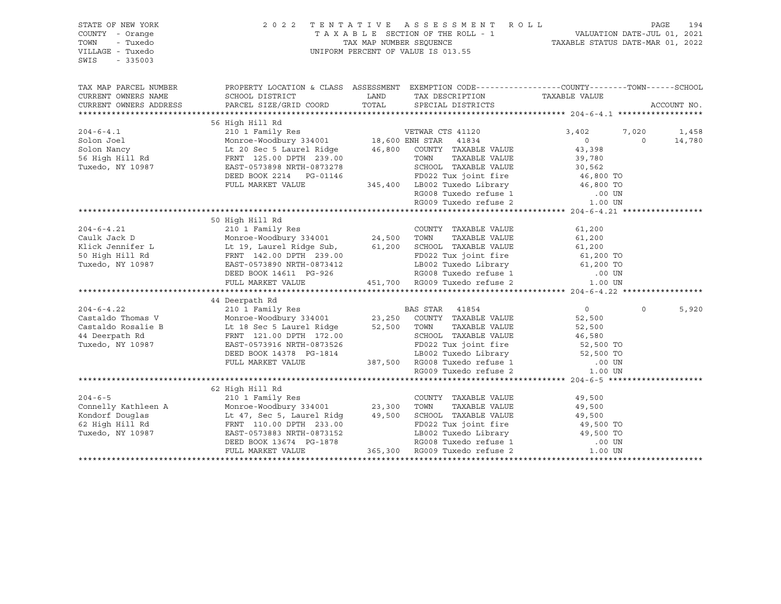| STATE OF NEW YORK<br>COUNTY - Orange<br>TOWN<br>- Tuxedo<br>VILLAGE - Tuxedo<br>SWIS<br>$-335003$ |                                                                                                                                                                                                                                                                                                                                                                                                                                                   | 2022 TENTATIVE ASSESSMENT ROLL |                | PAGE        | 194             |
|---------------------------------------------------------------------------------------------------|---------------------------------------------------------------------------------------------------------------------------------------------------------------------------------------------------------------------------------------------------------------------------------------------------------------------------------------------------------------------------------------------------------------------------------------------------|--------------------------------|----------------|-------------|-----------------|
| TAX MAP PARCEL NUMBER<br>CURRENT OWNERS NAME<br>CURRENT OWNERS ADDRESS                            | PROPERTY LOCATION & CLASS ASSESSMENT EXEMPTION CODE-----------------COUNTY-------TOWN------SCHOOL                                                                                                                                                                                                                                                                                                                                                 |                                |                | ACCOUNT NO. |                 |
|                                                                                                   | $\begin{tabular}{l c c c c} \hline \texttt{CURRENT} & \texttt{OWNERS} & \texttt{ADURESS} & \texttt{56 High Hill Rd} & \texttt{VETWAR CTS 41120} & \texttt{3,402} & \texttt{7,013} \\ \hline 56 High Hill Rd & \texttt{201 Family Res} & \texttt{345,4001} & \texttt{18,600 EMH STAR} & \texttt{41834} & \texttt{010} \\ \texttt{Solon Joel} & \texttt{Monocel} & \texttt{Monocel} & \texttt{20.573898} & \texttt{MCT$                             |                                | 3,402 7,020    | $\Omega$    | 1,458<br>14,780 |
|                                                                                                   | 50 High Hill Rd<br>304-6-4.21<br>2019-6-4.21<br>2019-6-4.21<br>2019-6-4.21<br>2019-6-4.21<br>2019-6-4.21<br>2019-6-4.21<br>2019-6-4.21<br>2019-6-4.21<br>2019-6-4.21<br>2019-7-23400<br>2019-7-234001<br>2019-24,500<br>2019-7-24,500<br>2019-7-24,500<br>2019-7-24,500<br>2019-7                                                                                                                                                                 |                                |                |             |                 |
|                                                                                                   | 14 Deerpath Rd (204-6-4.22 (201 Pamily Res (201 Pamily Res (201 Pamily Res (201 Pamily Res (201 Pamily Res (201 Pamily Res (201 Pamily Res (201 Pamily Res (201 Pamily Res (201 Pamily Res (201 Pamily Res (201 Pamily Res (20                                                                                                                                                                                                                    |                                | $\overline{0}$ | $\Omega$    | 5,920           |
|                                                                                                   | 62 High Hill Rd<br>${204-6-5} \hfill \begin{minipage}{0.9\textwidth} \begin{tabular}{@{}c@{}}\n  204-6-5 & \multicolumn{3}{ c }{62} \multicolumn{3}{ c }{High&Hill&Rd} & \multicolumn{3}{ c }{210} & I Family Res & \multicolumn{3}{ c }{C} \hfill \begin{tabular}{@{}c@{}}\n  210 & 1 Family Res & \multicolumn{3}{ c }{C} \hfill \begin{tabular}{@{}c@{}}\n  210 & 1 Family Res & \multicolumn{3}{ c }{C} \hfill \begin{tabular}{@{}c@{}}\n  2$ |                                |                |             |                 |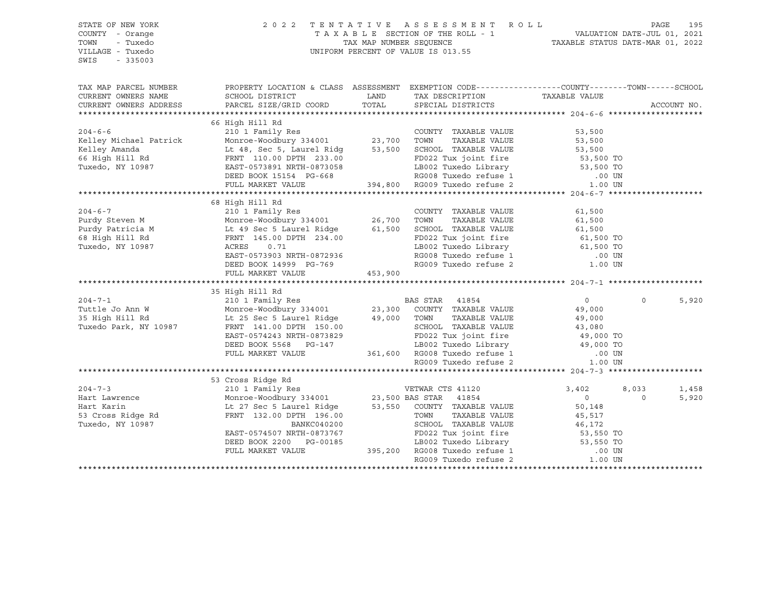| STATE OF NEW YORK<br>COUNTY - Orange<br>TOWN<br>- Tuxedo<br>VILLAGE - Tuxedo<br>SWIS<br>$-335003$ | 2 0 2 2<br>TENTATIVE ASSESSMENT ROLL<br>UNIFORM PERCENT OF VALUE IS 013.55                                                                                                                                                                                                                |         | PAGE                                                                                                                                                                                                                                                                                                                                                                                                      | 195              |          |             |
|---------------------------------------------------------------------------------------------------|-------------------------------------------------------------------------------------------------------------------------------------------------------------------------------------------------------------------------------------------------------------------------------------------|---------|-----------------------------------------------------------------------------------------------------------------------------------------------------------------------------------------------------------------------------------------------------------------------------------------------------------------------------------------------------------------------------------------------------------|------------------|----------|-------------|
| TAX MAP PARCEL NUMBER                                                                             | PROPERTY LOCATION & CLASS ASSESSMENT EXEMPTION CODE----------------COUNTY-------TOWN-----SCHOOL                                                                                                                                                                                           |         |                                                                                                                                                                                                                                                                                                                                                                                                           |                  |          |             |
| CURRENT OWNERS NAME<br>CURRENT OWNERS ADDRESS                                                     | SCHOOL DISTRICT<br>PARCEL SIZE/GRID COORD                                                                                                                                                                                                                                                 | TOTAL   | LAND TAX DESCRIPTION<br>SPECIAL DISTRICTS                                                                                                                                                                                                                                                                                                                                                                 | TAXABLE VALUE    |          | ACCOUNT NO. |
|                                                                                                   |                                                                                                                                                                                                                                                                                           |         |                                                                                                                                                                                                                                                                                                                                                                                                           |                  |          |             |
|                                                                                                   | 66 High Hill Rd                                                                                                                                                                                                                                                                           |         |                                                                                                                                                                                                                                                                                                                                                                                                           |                  |          |             |
| $204 - 6 - 6$                                                                                     |                                                                                                                                                                                                                                                                                           |         | COUNTY TAXABLE VALUE                                                                                                                                                                                                                                                                                                                                                                                      | 53,500           |          |             |
| Kelley Michael Patrick                                                                            |                                                                                                                                                                                                                                                                                           |         | TAXABLE VALUE                                                                                                                                                                                                                                                                                                                                                                                             | 53,500           |          |             |
| Keiley Amanda<br>66 High Hill Rd<br>-                                                             | Lt 48, Sec 5, Laurel Ridg 53,500 SCHOOL TAXABLE VALUE 53,500 53,500<br>FRNT 110.00 DPTH 233.00 FD022 Tux joint fire 53,500 TO                                                                                                                                                             |         |                                                                                                                                                                                                                                                                                                                                                                                                           |                  |          |             |
|                                                                                                   |                                                                                                                                                                                                                                                                                           |         |                                                                                                                                                                                                                                                                                                                                                                                                           |                  |          |             |
| Tuxedo, NY 10987                                                                                  | FRNT 110.00 DPTH 233.00<br>EAST-0573891 NRTH-0873058<br>DEED BOOK 15154 PG-668<br>EAST-0573891 NRTH-0873058<br>DEED BOOK 15154 PG-668<br>PEED BOOK 15154 PG-668<br>RG008 Tuxedo refuse 1 394,800 RG009 Tuxedo refuse 2 1.00 UN<br>PULL MARKET VALUE 394,800 RG009 Tuxedo refuse 2 1.00 UN |         |                                                                                                                                                                                                                                                                                                                                                                                                           |                  |          |             |
|                                                                                                   |                                                                                                                                                                                                                                                                                           |         |                                                                                                                                                                                                                                                                                                                                                                                                           |                  |          |             |
|                                                                                                   |                                                                                                                                                                                                                                                                                           |         |                                                                                                                                                                                                                                                                                                                                                                                                           |                  |          |             |
|                                                                                                   | 68 High Hill Rd                                                                                                                                                                                                                                                                           |         |                                                                                                                                                                                                                                                                                                                                                                                                           |                  |          |             |
|                                                                                                   |                                                                                                                                                                                                                                                                                           |         | COUNTY TAXABLE VALUE                                                                                                                                                                                                                                                                                                                                                                                      | 61,500           |          |             |
|                                                                                                   |                                                                                                                                                                                                                                                                                           |         | TAXABLE VALUE                                                                                                                                                                                                                                                                                                                                                                                             | 61,500           |          |             |
|                                                                                                   |                                                                                                                                                                                                                                                                                           |         | SCHOOL TAXABLE VALUE                                                                                                                                                                                                                                                                                                                                                                                      | 61,500           |          |             |
|                                                                                                   |                                                                                                                                                                                                                                                                                           |         | FD022 Tux joint fire 61,500 TO<br>LB002 Tuxedo Library 61,500 TO                                                                                                                                                                                                                                                                                                                                          |                  |          |             |
| Tuxedo, NY 10987                                                                                  | 0.71<br>ACRES                                                                                                                                                                                                                                                                             |         |                                                                                                                                                                                                                                                                                                                                                                                                           |                  |          |             |
|                                                                                                   | EAST-0573903 NRTH-0872936                                                                                                                                                                                                                                                                 |         | RG008 Tuxedo refuse 1 (00 UN RG009 Tuxedo refuse 2 (1.00 UN                                                                                                                                                                                                                                                                                                                                               |                  |          |             |
|                                                                                                   | DEED BOOK 14999 PG-769                                                                                                                                                                                                                                                                    |         |                                                                                                                                                                                                                                                                                                                                                                                                           |                  |          |             |
|                                                                                                   | FULL MARKET VALUE                                                                                                                                                                                                                                                                         | 453,900 |                                                                                                                                                                                                                                                                                                                                                                                                           |                  |          |             |
|                                                                                                   |                                                                                                                                                                                                                                                                                           |         |                                                                                                                                                                                                                                                                                                                                                                                                           |                  |          |             |
|                                                                                                   | 35 High Hill Rd                                                                                                                                                                                                                                                                           |         |                                                                                                                                                                                                                                                                                                                                                                                                           |                  |          |             |
| $204 - 7 - 1$                                                                                     |                                                                                                                                                                                                                                                                                           |         |                                                                                                                                                                                                                                                                                                                                                                                                           | 0                | $\circ$  | 5,920       |
| Tuttle Jo Ann W<br>35 High Hill Rd                                                                | Lt 25 Sec 5 Laurel Ridge 49,000 TOWN                                                                                                                                                                                                                                                      |         | TAXABLE VALUE                                                                                                                                                                                                                                                                                                                                                                                             | 49,000           |          |             |
| Tuxedo Park, NY 10987                                                                             |                                                                                                                                                                                                                                                                                           |         | SCHOOL TAXABLE VALUE                                                                                                                                                                                                                                                                                                                                                                                      | 49,000<br>43,080 |          |             |
|                                                                                                   |                                                                                                                                                                                                                                                                                           |         |                                                                                                                                                                                                                                                                                                                                                                                                           |                  |          |             |
|                                                                                                   |                                                                                                                                                                                                                                                                                           |         |                                                                                                                                                                                                                                                                                                                                                                                                           |                  |          |             |
|                                                                                                   | EAST-0574243 NRTH-0873829<br>DEED BOOK 5568 PG-147<br>FULL MARKET VALUE                                                                                                                                                                                                                   |         |                                                                                                                                                                                                                                                                                                                                                                                                           |                  |          |             |
|                                                                                                   |                                                                                                                                                                                                                                                                                           |         | 0873829 FD022 Tux joint fire 49,000 TO<br>2G-147 LB002 Tuxedo Library 49,000 TO<br>361,600 RG008 Tuxedo refuse 1 00 UN<br>RG009 Tuxedo refuse 2 1.00 UN                                                                                                                                                                                                                                                   |                  |          |             |
|                                                                                                   |                                                                                                                                                                                                                                                                                           |         |                                                                                                                                                                                                                                                                                                                                                                                                           |                  |          |             |
|                                                                                                   |                                                                                                                                                                                                                                                                                           |         |                                                                                                                                                                                                                                                                                                                                                                                                           |                  |          |             |
|                                                                                                   |                                                                                                                                                                                                                                                                                           |         |                                                                                                                                                                                                                                                                                                                                                                                                           | 3,402            | 8,033    | 1,458       |
|                                                                                                   |                                                                                                                                                                                                                                                                                           |         |                                                                                                                                                                                                                                                                                                                                                                                                           | $\overline{0}$   | $\Omega$ | 5,920       |
|                                                                                                   |                                                                                                                                                                                                                                                                                           |         |                                                                                                                                                                                                                                                                                                                                                                                                           | 50,148           |          |             |
|                                                                                                   |                                                                                                                                                                                                                                                                                           |         | TAXABLE VALUE                                                                                                                                                                                                                                                                                                                                                                                             | 45,517           |          |             |
|                                                                                                   | Hart Lawrence<br>Hart Karin (1998) Monroe-Woodbury 334001 (1998) 23,500 BAS STAR 41854<br>Hart Karin (1998) Lt 27 Sec 5 Laurel Ridge 53,550 COUNTY TAXABLE VALUE<br>Tuxedo, NY 10987 (1998) PRNT 132.00 DPTH 196.00 (2008) TOWN TAXA                                                      |         |                                                                                                                                                                                                                                                                                                                                                                                                           | 46,172           |          |             |
|                                                                                                   | EAST-0574507 NRTH-0873767<br>DEED BOOK 2200 PG-00185                                                                                                                                                                                                                                      |         | 73767 $\begin{array}{@{}c@{\hspace{1cm}}c@{\hspace{1cm}}c@{\hspace{1cm}}c@{\hspace{1cm}}c@{\hspace{1cm}}c@{\hspace{1cm}}c@{\hspace{1cm}}c@{\hspace{1cm}}c@{\hspace{1cm}}c@{\hspace{1cm}}c@{\hspace{1cm}}c@{\hspace{1cm}}c@{\hspace{1cm}}c@{\hspace{1cm}}c@{\hspace{1cm}}c@{\hspace{1cm}}c@{\hspace{1cm}}c@{\hspace{1cm}}c@{\hspace{1cm}}c@{\hspace{1cm}}c@{\hspace{1cm}}c@{\hspace{1cm}}c@{\hspace{1cm}}$ |                  |          |             |
|                                                                                                   | FULL MARKET VALUE                                                                                                                                                                                                                                                                         |         |                                                                                                                                                                                                                                                                                                                                                                                                           |                  |          |             |
|                                                                                                   |                                                                                                                                                                                                                                                                                           |         | RG009 Tuxedo refuse 2                                                                                                                                                                                                                                                                                                                                                                                     | 1.00 UN          |          |             |
|                                                                                                   |                                                                                                                                                                                                                                                                                           |         |                                                                                                                                                                                                                                                                                                                                                                                                           |                  |          |             |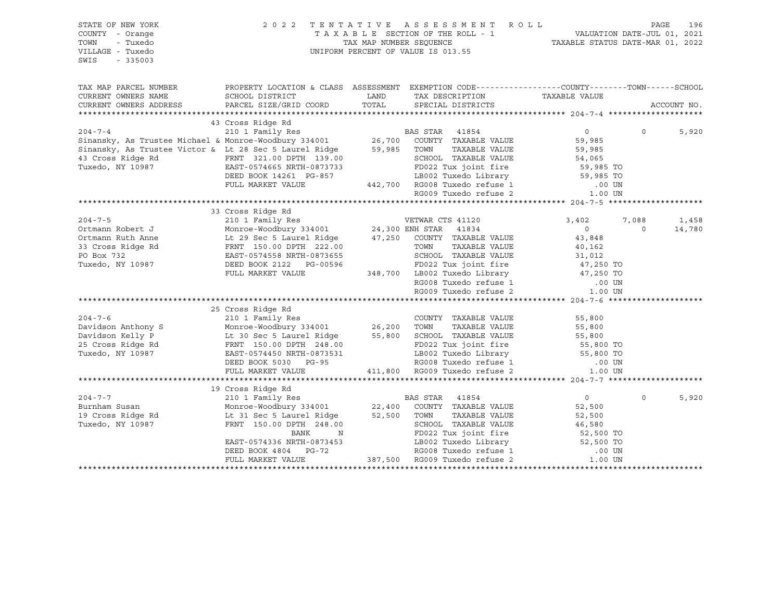| STATE OF NEW YORK<br>COUNTY - Orange<br>TOWN<br>- Tuxedo<br>VILLAGE - Tuxedo<br>$-335003$<br>SWIS                                                                                                                                                                                                                                                                                                   | 2022 TENTATIVE ASSESSMENT ROLL<br>$\begin{tabular}{lllllllllllllllllll} \multicolumn{2}{c l} \multicolumn{2}{c l} \multicolumn{2}{c l} \multicolumn{2}{c l} \multicolumn{2}{c l} \multicolumn{2}{c l} \multicolumn{2}{c l} \multicolumn{2}{c l} \multicolumn{2}{c l} \multicolumn{2}{c l} \multicolumn{2}{c l} \multicolumn{2}{c l} \multicolumn{2}{c l} \multicolumn{2}{c l} \multicolumn{2}{c l} \multicolumn{2}{c l} \multicolumn{2}{c l} \multicolumn{2}{c l} \multicolumn{$ |                                                                                         |                   |                      | PAGE        | 196         |
|-----------------------------------------------------------------------------------------------------------------------------------------------------------------------------------------------------------------------------------------------------------------------------------------------------------------------------------------------------------------------------------------------------|----------------------------------------------------------------------------------------------------------------------------------------------------------------------------------------------------------------------------------------------------------------------------------------------------------------------------------------------------------------------------------------------------------------------------------------------------------------------------------|-----------------------------------------------------------------------------------------|-------------------|----------------------|-------------|-------------|
| TAX MAP PARCEL NUMBER PROPERTY LOCATION & CLASS ASSESSMENT EXEMPTION CODE----------------COUNTY--------TOWN------SCHOOL                                                                                                                                                                                                                                                                             |                                                                                                                                                                                                                                                                                                                                                                                                                                                                                  |                                                                                         |                   |                      |             |             |
| CURRENT OWNERS NAME                                                                                                                                                                                                                                                                                                                                                                                 | SCHOOL DISTRICT                                                                                                                                                                                                                                                                                                                                                                                                                                                                  | <b>EXAMPLE THE STATE OF STATE OF STATE OF STATE OF STATE OF STATE OF STATE OF STATE</b> | TAX DESCRIPTION   | TAXABLE VALUE        |             |             |
| CURRENT OWNERS ADDRESS                                                                                                                                                                                                                                                                                                                                                                              | PARCEL SIZE/GRID COORD                                                                                                                                                                                                                                                                                                                                                                                                                                                           | TOTAL                                                                                   | SPECIAL DISTRICTS |                      |             | ACCOUNT NO. |
|                                                                                                                                                                                                                                                                                                                                                                                                     | 43 Cross Ridge Rd                                                                                                                                                                                                                                                                                                                                                                                                                                                                |                                                                                         |                   |                      |             |             |
| 43 Cross Ridge Rd<br>210 1 Family Res<br>81 BAS STAR 41854<br>81 BAS STAR 41854<br>81 BAS STAR 41854<br>81 BAS STAR 41854<br>81 BAS STAR 41854<br>81 BAS STAR 41854<br>86 BAS STAR 41884<br>86 COUNTY TAXABLE VALUE<br>81 Sinansky, As Trustee Victor & Lt 2                                                                                                                                        |                                                                                                                                                                                                                                                                                                                                                                                                                                                                                  |                                                                                         |                   | $\overline{0}$       | $\Omega$    | 5,920       |
|                                                                                                                                                                                                                                                                                                                                                                                                     |                                                                                                                                                                                                                                                                                                                                                                                                                                                                                  |                                                                                         |                   | 59,985               |             |             |
|                                                                                                                                                                                                                                                                                                                                                                                                     |                                                                                                                                                                                                                                                                                                                                                                                                                                                                                  |                                                                                         | TAXABLE VALUE     | 59,985<br>59,985     |             |             |
|                                                                                                                                                                                                                                                                                                                                                                                                     |                                                                                                                                                                                                                                                                                                                                                                                                                                                                                  |                                                                                         |                   |                      |             |             |
|                                                                                                                                                                                                                                                                                                                                                                                                     |                                                                                                                                                                                                                                                                                                                                                                                                                                                                                  |                                                                                         |                   |                      |             |             |
|                                                                                                                                                                                                                                                                                                                                                                                                     |                                                                                                                                                                                                                                                                                                                                                                                                                                                                                  |                                                                                         |                   |                      |             |             |
|                                                                                                                                                                                                                                                                                                                                                                                                     |                                                                                                                                                                                                                                                                                                                                                                                                                                                                                  |                                                                                         |                   |                      |             |             |
| 31 Alternative Control of TRNT 321.00 DPTH 139.00<br>Tuxedo, NY 10987<br>TUXE DEED BOOK 14261 PG-857<br>FULL MARKET VALUE<br>FULL MARKET VALUE<br>PULL MARKET VALUE<br>PULL MARKET VALUE<br>PULL MARKET VALUE<br>PULL MARKET VALUE<br>PULL MARKE                                                                                                                                                    |                                                                                                                                                                                                                                                                                                                                                                                                                                                                                  |                                                                                         |                   |                      |             |             |
|                                                                                                                                                                                                                                                                                                                                                                                                     |                                                                                                                                                                                                                                                                                                                                                                                                                                                                                  |                                                                                         |                   |                      |             |             |
|                                                                                                                                                                                                                                                                                                                                                                                                     |                                                                                                                                                                                                                                                                                                                                                                                                                                                                                  |                                                                                         |                   |                      |             |             |
|                                                                                                                                                                                                                                                                                                                                                                                                     |                                                                                                                                                                                                                                                                                                                                                                                                                                                                                  |                                                                                         |                   |                      | 7,088       | 1,458       |
|                                                                                                                                                                                                                                                                                                                                                                                                     |                                                                                                                                                                                                                                                                                                                                                                                                                                                                                  |                                                                                         |                   |                      | $\mathbf 0$ | 14,780      |
|                                                                                                                                                                                                                                                                                                                                                                                                     |                                                                                                                                                                                                                                                                                                                                                                                                                                                                                  |                                                                                         |                   |                      |             |             |
|                                                                                                                                                                                                                                                                                                                                                                                                     |                                                                                                                                                                                                                                                                                                                                                                                                                                                                                  |                                                                                         |                   |                      |             |             |
|                                                                                                                                                                                                                                                                                                                                                                                                     |                                                                                                                                                                                                                                                                                                                                                                                                                                                                                  |                                                                                         |                   |                      |             |             |
|                                                                                                                                                                                                                                                                                                                                                                                                     |                                                                                                                                                                                                                                                                                                                                                                                                                                                                                  |                                                                                         |                   |                      |             |             |
|                                                                                                                                                                                                                                                                                                                                                                                                     |                                                                                                                                                                                                                                                                                                                                                                                                                                                                                  |                                                                                         |                   |                      |             |             |
|                                                                                                                                                                                                                                                                                                                                                                                                     |                                                                                                                                                                                                                                                                                                                                                                                                                                                                                  |                                                                                         |                   |                      |             |             |
|                                                                                                                                                                                                                                                                                                                                                                                                     |                                                                                                                                                                                                                                                                                                                                                                                                                                                                                  |                                                                                         |                   |                      |             |             |
|                                                                                                                                                                                                                                                                                                                                                                                                     | 25 Cross Ridge Rd                                                                                                                                                                                                                                                                                                                                                                                                                                                                |                                                                                         |                   |                      |             |             |
|                                                                                                                                                                                                                                                                                                                                                                                                     |                                                                                                                                                                                                                                                                                                                                                                                                                                                                                  |                                                                                         |                   |                      |             |             |
|                                                                                                                                                                                                                                                                                                                                                                                                     |                                                                                                                                                                                                                                                                                                                                                                                                                                                                                  |                                                                                         |                   |                      |             |             |
|                                                                                                                                                                                                                                                                                                                                                                                                     |                                                                                                                                                                                                                                                                                                                                                                                                                                                                                  |                                                                                         |                   |                      |             |             |
|                                                                                                                                                                                                                                                                                                                                                                                                     |                                                                                                                                                                                                                                                                                                                                                                                                                                                                                  |                                                                                         |                   |                      |             |             |
|                                                                                                                                                                                                                                                                                                                                                                                                     |                                                                                                                                                                                                                                                                                                                                                                                                                                                                                  |                                                                                         |                   |                      |             |             |
|                                                                                                                                                                                                                                                                                                                                                                                                     |                                                                                                                                                                                                                                                                                                                                                                                                                                                                                  |                                                                                         |                   |                      |             |             |
| $\begin{tabular}{lllllllllllll} 204-7-6 & 25 Cross Ridge Rd & 210 1 Family Res & 200NTY TAXABLE VALUE & 55,800Davidson Anthony S & 210 1 Family Res & 26,200 TOWN & TAXABLE VALUE & 55,800Davidson Kelly P & 26.20 DES Cross Ridge Rd & FRNT 150.00 DPTH 248.00 & FD022 Tux joint fire & 55,800 TOTuxedo, NY 10987 & EAST-0574450 NRTH-0873531 & 26,200 TOWN & TAXABLE VALUE & 55,800 TOEED BOOK 5$ |                                                                                                                                                                                                                                                                                                                                                                                                                                                                                  |                                                                                         |                   |                      |             |             |
| 204-7-7<br>210 1 Family Res<br>22,400 COUNTY TAXABLE VALUE<br>22,500 TOWN TAXABLE VALUE<br>Tuxedo, NY 10987<br>22,400 COUNTY TAXABLE VALUE<br>22,500 TOWN TAXABLE VALUE<br>Tuxedo, NY 10987<br>23,500 TOWN TAXABLE VALUE<br>248.00                                                                                                                                                                  |                                                                                                                                                                                                                                                                                                                                                                                                                                                                                  |                                                                                         |                   |                      |             |             |
|                                                                                                                                                                                                                                                                                                                                                                                                     |                                                                                                                                                                                                                                                                                                                                                                                                                                                                                  |                                                                                         |                   | $\overline{0}$       | $\circ$     | 5,920       |
|                                                                                                                                                                                                                                                                                                                                                                                                     |                                                                                                                                                                                                                                                                                                                                                                                                                                                                                  |                                                                                         |                   | 52,500               |             |             |
|                                                                                                                                                                                                                                                                                                                                                                                                     |                                                                                                                                                                                                                                                                                                                                                                                                                                                                                  |                                                                                         | TAXABLE VALUE     |                      |             |             |
|                                                                                                                                                                                                                                                                                                                                                                                                     |                                                                                                                                                                                                                                                                                                                                                                                                                                                                                  |                                                                                         |                   | $52,500$<br>$46,580$ |             |             |
|                                                                                                                                                                                                                                                                                                                                                                                                     |                                                                                                                                                                                                                                                                                                                                                                                                                                                                                  |                                                                                         |                   |                      |             |             |
|                                                                                                                                                                                                                                                                                                                                                                                                     |                                                                                                                                                                                                                                                                                                                                                                                                                                                                                  |                                                                                         |                   |                      |             |             |
|                                                                                                                                                                                                                                                                                                                                                                                                     |                                                                                                                                                                                                                                                                                                                                                                                                                                                                                  |                                                                                         |                   |                      |             |             |
|                                                                                                                                                                                                                                                                                                                                                                                                     | FRNT 150.00 DPTH 248.00<br>BANK N FD022 Tux joint fire 52,500 TO<br>EAST-0574336 NRTH-0873453<br>DEED BOOK 4804 PG-72 RG008 Tuxedo refuse 1 .00 UN<br>FULL MARKET VALUE 387,500 RG009 Tuxedo refuse 2 1.00 UN                                                                                                                                                                                                                                                                    |                                                                                         |                   |                      |             |             |
|                                                                                                                                                                                                                                                                                                                                                                                                     |                                                                                                                                                                                                                                                                                                                                                                                                                                                                                  |                                                                                         |                   |                      |             |             |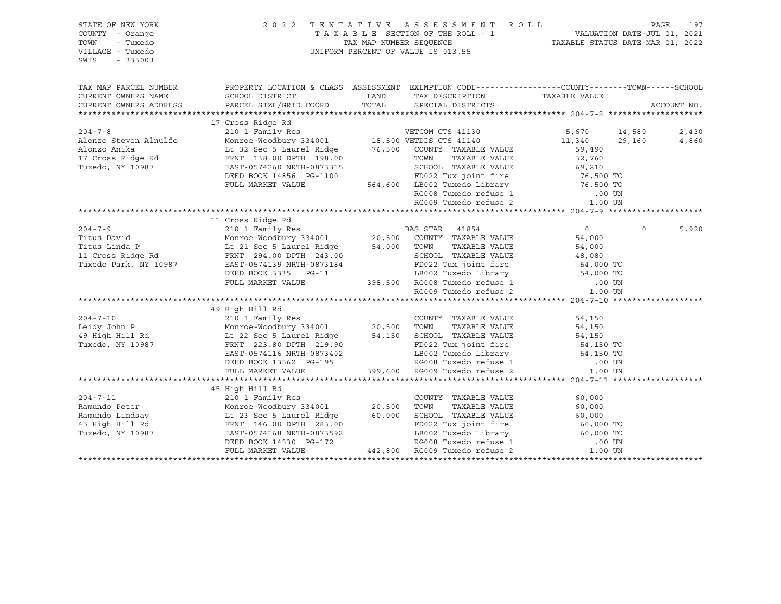| STATE OF NEW YORK<br>COUNTY - Orange<br>TOWN<br>- Tuxedo<br>VILLAGE - Tuxedo<br>SWIS<br>$-335003$ | 2 0 2 2                                                                                           | UNIFORM PERCENT OF VALUE IS 013.55 | TENTATIVE ASSESSMENT ROLL PAGE 197<br>TAXABLE SECTION OF THE ROLL - 1 VALUATION DATE-JUL 01, 2021<br>TAX MAP NUMBER SEQUENCE TAXABLE STATUS DATE-MAR 01, 2022 |          |             |
|---------------------------------------------------------------------------------------------------|---------------------------------------------------------------------------------------------------|------------------------------------|---------------------------------------------------------------------------------------------------------------------------------------------------------------|----------|-------------|
| TAX MAP PARCEL NUMBER                                                                             | PROPERTY LOCATION & CLASS ASSESSMENT EXEMPTION CODE-----------------COUNTY-------TOWN------SCHOOL |                                    |                                                                                                                                                               |          |             |
| CURRENT OWNERS NAME                                                                               | SCHOOL DISTRICT                                                                                   | LAND TAX DESCRIPTION               | TAXABLE VALUE                                                                                                                                                 |          |             |
| CURRENT OWNERS ADDRESS                                                                            | PARCEL SIZE/GRID COORD TOTAL SPECIAL DISTRICTS                                                    |                                    |                                                                                                                                                               |          | ACCOUNT NO. |
|                                                                                                   |                                                                                                   |                                    |                                                                                                                                                               |          |             |
|                                                                                                   |                                                                                                   |                                    |                                                                                                                                                               |          |             |
|                                                                                                   |                                                                                                   |                                    |                                                                                                                                                               |          | 2,430       |
|                                                                                                   |                                                                                                   |                                    |                                                                                                                                                               |          | 4,860       |
|                                                                                                   |                                                                                                   |                                    |                                                                                                                                                               |          |             |
|                                                                                                   |                                                                                                   |                                    |                                                                                                                                                               |          |             |
|                                                                                                   |                                                                                                   |                                    |                                                                                                                                                               |          |             |
|                                                                                                   |                                                                                                   |                                    |                                                                                                                                                               |          |             |
|                                                                                                   |                                                                                                   |                                    |                                                                                                                                                               |          |             |
|                                                                                                   |                                                                                                   |                                    |                                                                                                                                                               |          |             |
|                                                                                                   |                                                                                                   |                                    |                                                                                                                                                               |          |             |
|                                                                                                   |                                                                                                   |                                    |                                                                                                                                                               |          |             |
|                                                                                                   |                                                                                                   |                                    |                                                                                                                                                               | $\Omega$ | 5,920       |
|                                                                                                   |                                                                                                   |                                    |                                                                                                                                                               |          |             |
|                                                                                                   |                                                                                                   |                                    |                                                                                                                                                               |          |             |
|                                                                                                   |                                                                                                   |                                    |                                                                                                                                                               |          |             |
|                                                                                                   |                                                                                                   |                                    |                                                                                                                                                               |          |             |
|                                                                                                   |                                                                                                   |                                    |                                                                                                                                                               |          |             |
|                                                                                                   |                                                                                                   |                                    |                                                                                                                                                               |          |             |
|                                                                                                   |                                                                                                   |                                    |                                                                                                                                                               |          |             |
|                                                                                                   |                                                                                                   |                                    |                                                                                                                                                               |          |             |
|                                                                                                   | 49 High Hill Rd                                                                                   |                                    |                                                                                                                                                               |          |             |
|                                                                                                   |                                                                                                   |                                    |                                                                                                                                                               |          |             |
|                                                                                                   |                                                                                                   |                                    |                                                                                                                                                               |          |             |
|                                                                                                   |                                                                                                   |                                    |                                                                                                                                                               |          |             |
|                                                                                                   |                                                                                                   |                                    |                                                                                                                                                               |          |             |
|                                                                                                   |                                                                                                   |                                    |                                                                                                                                                               |          |             |
|                                                                                                   |                                                                                                   |                                    |                                                                                                                                                               |          |             |
|                                                                                                   |                                                                                                   |                                    |                                                                                                                                                               |          |             |
|                                                                                                   | 45 High Hill Rd                                                                                   |                                    |                                                                                                                                                               |          |             |
|                                                                                                   |                                                                                                   |                                    |                                                                                                                                                               |          |             |
|                                                                                                   |                                                                                                   |                                    |                                                                                                                                                               |          |             |
|                                                                                                   |                                                                                                   |                                    |                                                                                                                                                               |          |             |
|                                                                                                   |                                                                                                   |                                    |                                                                                                                                                               |          |             |
|                                                                                                   |                                                                                                   |                                    |                                                                                                                                                               |          |             |
|                                                                                                   |                                                                                                   |                                    |                                                                                                                                                               |          |             |
|                                                                                                   |                                                                                                   |                                    |                                                                                                                                                               |          |             |
|                                                                                                   |                                                                                                   |                                    |                                                                                                                                                               |          |             |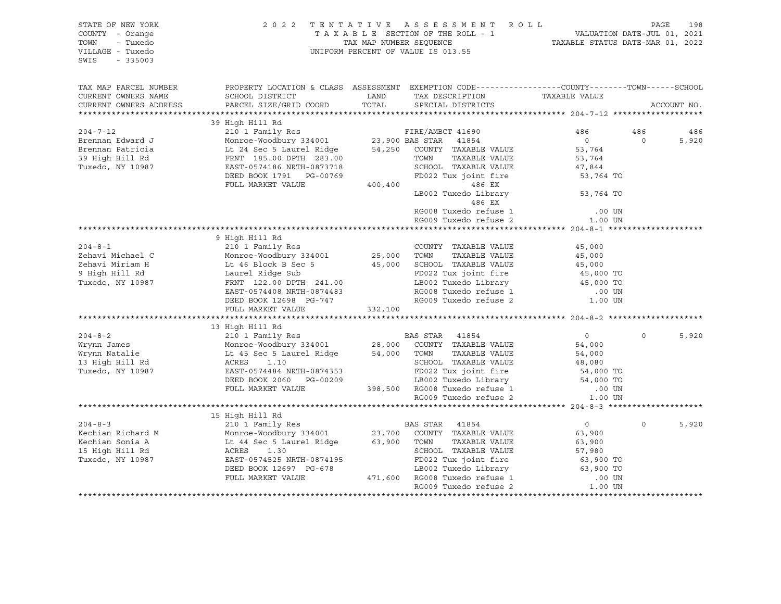| STATE OF NEW YORK<br>COUNTY - Orange<br>TOWN<br>- Tuxedo<br>VILLAGE - Tuxedo<br>SWIS<br>$-335003$                                                                                                                                                 | 2022 TENTATIVE ASSESSMENT ROLL<br>UNIFORM PERCENT OF VALUE IS 013.55                                                                                                                                                                                   | TAXABLE SECTION OF THE ROLL - 1<br>TAXABLE SECTION OF THE ROLL - 1<br>TAXABLE STATUS DATE-JUL 01, 2021<br>TAXABLE STATUS DATE-MAR 01, 2022 | PAGE                  | 198                                                                                                                                                                   |                       |              |
|---------------------------------------------------------------------------------------------------------------------------------------------------------------------------------------------------------------------------------------------------|--------------------------------------------------------------------------------------------------------------------------------------------------------------------------------------------------------------------------------------------------------|--------------------------------------------------------------------------------------------------------------------------------------------|-----------------------|-----------------------------------------------------------------------------------------------------------------------------------------------------------------------|-----------------------|--------------|
| TAX MAP PARCEL NUMBER<br>CURRENT OWNERS NAME<br>CURRENT OWNERS ADDRESS                                                                                                                                                                            | PROPERTY LOCATION & CLASS ASSESSMENT EXEMPTION CODE-----------------COUNTY--------TOWN-----SCHOOL                                                                                                                                                      |                                                                                                                                            |                       | TAXABLE VALUE                                                                                                                                                         |                       | ACCOUNT NO.  |
|                                                                                                                                                                                                                                                   |                                                                                                                                                                                                                                                        |                                                                                                                                            |                       |                                                                                                                                                                       |                       |              |
|                                                                                                                                                                                                                                                   | 39 High Hill Rd                                                                                                                                                                                                                                        |                                                                                                                                            |                       |                                                                                                                                                                       |                       |              |
| 39 High Hill Kinder Woodbury 334001 23,900 BAS STAR 41690 486<br>Brennan Edward J<br>Brennan Patricia Lt 24 Sec 5 Laurel Ridge 54,250 COUNTY TAXABLE VALUE 53,764<br>39 High Hill Rd FRNT 185.00 DPTH 283.00 TOWN TAXABLE VALUE 53,7              |                                                                                                                                                                                                                                                        |                                                                                                                                            |                       | 47,844<br>53,764 TO                                                                                                                                                   | 486<br>$\overline{0}$ | 486<br>5,920 |
|                                                                                                                                                                                                                                                   |                                                                                                                                                                                                                                                        |                                                                                                                                            | 486 EX                | LB002 Tuxedo Library 53,764 TO<br>RG008 Tuxedo refuse 1 (00 UN RG009 Tuxedo refuse 2 (1.00 UN                                                                         |                       |              |
|                                                                                                                                                                                                                                                   |                                                                                                                                                                                                                                                        |                                                                                                                                            |                       |                                                                                                                                                                       |                       |              |
| 204-8-1<br>2010 1 Family Res<br>2010 1 Family Res<br>2010 25,000 TOWN TAXABLE VALUE<br>2022 Tuxedo, NY 10987<br>2023 Tuxedo, NY 10987<br>2023 Tuxedo, NY 10987<br>2023 Tuxedo, NY 10987<br>2023 Tuxedo, NY 10987<br>2023 Tuxedo, NY 10987<br>2023 | 9 High Hill Rd<br>EAST-0574408 NRTH-0874483                                                                                                                                                                                                            |                                                                                                                                            |                       | 45,000<br>45,000<br>EXAMPLE VALUE 45,000<br>FD022 Tux joint fire 45,000 TO<br>LB002 Tuxedo Library 45,000 TO<br>RG008 Tuxedo refuse 1 000 IM<br>RG009 Tuxedo refuse 2 |                       |              |
|                                                                                                                                                                                                                                                   | DEED BOOK 12698 PG-747<br>FULL MARKET VALUE                                                                                                                                                                                                            | 332,100                                                                                                                                    |                       |                                                                                                                                                                       |                       |              |
|                                                                                                                                                                                                                                                   |                                                                                                                                                                                                                                                        |                                                                                                                                            |                       |                                                                                                                                                                       |                       |              |
| 204-8-2<br>2010 I Family Res<br>2010 I Family Res<br>2010 I Family Res<br>2010 28,000 COUNTY TAXABLE VALUE<br>2010 IN 28,000 COUNTY TAXABLE VALUE<br>2010 28,000 COUNTY TAXABLE VALUE<br>2010 28,000 COUNTY TAXABLE VALUE<br>2010 IONN TAXABLE    |                                                                                                                                                                                                                                                        |                                                                                                                                            |                       | $\overline{0}$<br>54,000                                                                                                                                              | $\Omega$              | 5,920        |
|                                                                                                                                                                                                                                                   | 1.10<br>ACRES 1.10<br>ACRES 1.10<br>EAST-0574484 NRTH-0874353<br>DEED BOOK 2060 PG-00209<br>FULL MARKET VALUE<br>TAXABLE VALUE<br>S4,000<br>CHOOL TAXABLE VALUE<br>FD022 Tux joint fire<br>LB002 Tuxedo Library<br>LB002 Tuxedo Library<br>TAXABLE VAL |                                                                                                                                            |                       |                                                                                                                                                                       |                       |              |
|                                                                                                                                                                                                                                                   | 15 High Hill Rd                                                                                                                                                                                                                                        |                                                                                                                                            |                       |                                                                                                                                                                       |                       |              |
| 15 High Hill Rd<br>2004-8-3<br>Echian Richard M<br>Monroe-Woodbury 334001<br>23,700 COUNTY TAXABLE VALUE<br>23,900 COUNTY TAXABLE VALUE<br>23,900 COUNTY TAXABLE VALUE<br>23,900 COUNTY TAXABLE VALUE<br>23,900 TOWN<br>23,900 TOWN TAXABLE VALU  |                                                                                                                                                                                                                                                        |                                                                                                                                            |                       |                                                                                                                                                                       | $\mathsf{O}$          | 5,920        |
|                                                                                                                                                                                                                                                   |                                                                                                                                                                                                                                                        |                                                                                                                                            | RG009 Tuxedo refuse 2 | 1.00 UN                                                                                                                                                               |                       |              |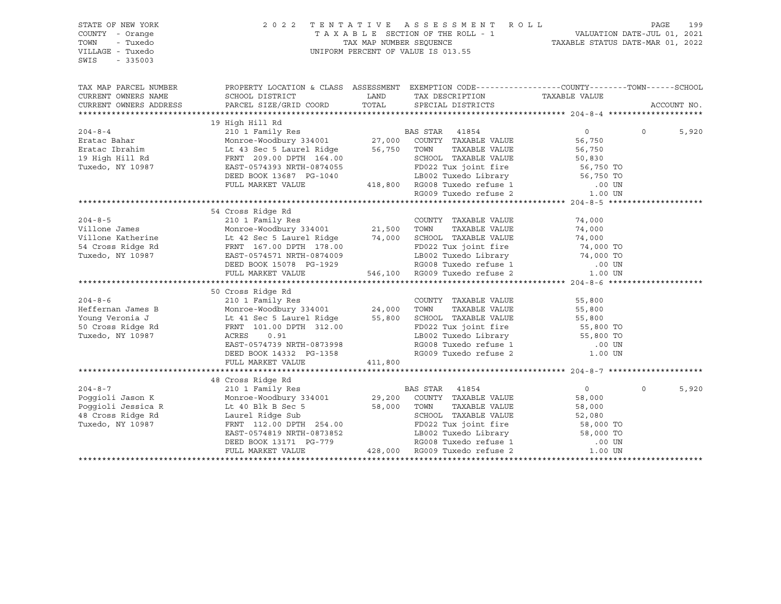| STATE OF NEW YORK<br>COUNTY - Orange                                                                                                                                                                                                              | 2022 TENTATIVE                                                                                                                                                                                                                                   | A S S E S S M E N T R O L L<br>TAXABLE SECTION OF THE ROLL - 1<br>TAX MAP NUMBER SEQUENCE - 1<br>TAXABLE STATUS DATE-MAR 01, 2022 |                                                                                                                                  | PAGE              | 199         |
|---------------------------------------------------------------------------------------------------------------------------------------------------------------------------------------------------------------------------------------------------|--------------------------------------------------------------------------------------------------------------------------------------------------------------------------------------------------------------------------------------------------|-----------------------------------------------------------------------------------------------------------------------------------|----------------------------------------------------------------------------------------------------------------------------------|-------------------|-------------|
| TOWN<br>- Tuxedo<br>VILLAGE - Tuxedo<br>$-335003$<br>SWIS                                                                                                                                                                                         |                                                                                                                                                                                                                                                  | UNIFORM PERCENT OF VALUE IS 013.55                                                                                                |                                                                                                                                  |                   |             |
|                                                                                                                                                                                                                                                   |                                                                                                                                                                                                                                                  |                                                                                                                                   |                                                                                                                                  |                   |             |
| TAX MAP PARCEL NUMBER                                                                                                                                                                                                                             | PROPERTY LOCATION & CLASS ASSESSMENT EXEMPTION CODE----------------COUNTY-------TOWN------SCHOOL                                                                                                                                                 |                                                                                                                                   |                                                                                                                                  |                   |             |
| CURRENT OWNERS NAME                                                                                                                                                                                                                               |                                                                                                                                                                                                                                                  |                                                                                                                                   |                                                                                                                                  |                   |             |
| CURRENT OWNERS ADDRESS                                                                                                                                                                                                                            |                                                                                                                                                                                                                                                  |                                                                                                                                   |                                                                                                                                  |                   | ACCOUNT NO. |
|                                                                                                                                                                                                                                                   | 19 High Hill Rd                                                                                                                                                                                                                                  |                                                                                                                                   |                                                                                                                                  |                   |             |
| 19 High Hill Rd<br>204-8-4 210 1 Family Res<br>Eratac Bahar Monroe-Woodbury 334001 27,000 COUNTY TAXABLE VALUE 56,750<br>27,000 COUNTY TAXABLE VALUE 56,750<br>27,000 COUNTY TAXABLE VALUE 56,750<br>27,000 COUNTY TAXABLE VALUE 56,750<br>       |                                                                                                                                                                                                                                                  |                                                                                                                                   | $\overline{0}$                                                                                                                   | $0 \qquad \qquad$ | 5,920       |
|                                                                                                                                                                                                                                                   |                                                                                                                                                                                                                                                  |                                                                                                                                   |                                                                                                                                  |                   |             |
|                                                                                                                                                                                                                                                   |                                                                                                                                                                                                                                                  |                                                                                                                                   |                                                                                                                                  |                   |             |
|                                                                                                                                                                                                                                                   |                                                                                                                                                                                                                                                  |                                                                                                                                   |                                                                                                                                  |                   |             |
| Tuxedo, NY 10987                                                                                                                                                                                                                                  |                                                                                                                                                                                                                                                  |                                                                                                                                   |                                                                                                                                  |                   |             |
|                                                                                                                                                                                                                                                   |                                                                                                                                                                                                                                                  |                                                                                                                                   |                                                                                                                                  |                   |             |
|                                                                                                                                                                                                                                                   |                                                                                                                                                                                                                                                  |                                                                                                                                   |                                                                                                                                  |                   |             |
|                                                                                                                                                                                                                                                   | FRNT 209.00 DPTH 164.00<br>EAST-0574393 NRTH-0874055<br>DEED BOOK 13687 PG-1040<br>FULL MARKET VALUE<br>TULL MARKET VALUE<br>TULL MARKET VALUE<br>ALSO 2 Tuxedo Library<br>ALSO 2 Tuxedo Library<br>CHOOS Tuxedo refuse 1<br>RG009 Tuxedo refuse |                                                                                                                                   |                                                                                                                                  |                   |             |
|                                                                                                                                                                                                                                                   |                                                                                                                                                                                                                                                  |                                                                                                                                   |                                                                                                                                  |                   |             |
|                                                                                                                                                                                                                                                   | 54 Cross Ridge Rd                                                                                                                                                                                                                                |                                                                                                                                   |                                                                                                                                  |                   |             |
|                                                                                                                                                                                                                                                   |                                                                                                                                                                                                                                                  |                                                                                                                                   |                                                                                                                                  |                   |             |
|                                                                                                                                                                                                                                                   |                                                                                                                                                                                                                                                  |                                                                                                                                   |                                                                                                                                  |                   |             |
|                                                                                                                                                                                                                                                   |                                                                                                                                                                                                                                                  |                                                                                                                                   |                                                                                                                                  |                   |             |
|                                                                                                                                                                                                                                                   |                                                                                                                                                                                                                                                  |                                                                                                                                   |                                                                                                                                  |                   |             |
|                                                                                                                                                                                                                                                   |                                                                                                                                                                                                                                                  |                                                                                                                                   |                                                                                                                                  |                   |             |
|                                                                                                                                                                                                                                                   |                                                                                                                                                                                                                                                  |                                                                                                                                   |                                                                                                                                  |                   |             |
|                                                                                                                                                                                                                                                   |                                                                                                                                                                                                                                                  |                                                                                                                                   |                                                                                                                                  |                   |             |
| 304-8-6<br>204-8-6<br>Heffernan James B<br>2010 I Family Res<br>Monroe-Woodbury 334001<br>24,000 TOWN TAXABLE VALUE<br>24,000 TOWN TAXABLE VALUE<br>24,000 TOWN TAXABLE VALUE<br>24,000 TOWN TAXABLE VALUE<br>24,000 TOWN TAXABLE VALUE<br>24,000 |                                                                                                                                                                                                                                                  |                                                                                                                                   |                                                                                                                                  |                   |             |
|                                                                                                                                                                                                                                                   |                                                                                                                                                                                                                                                  |                                                                                                                                   |                                                                                                                                  |                   |             |
|                                                                                                                                                                                                                                                   |                                                                                                                                                                                                                                                  |                                                                                                                                   |                                                                                                                                  |                   |             |
|                                                                                                                                                                                                                                                   |                                                                                                                                                                                                                                                  |                                                                                                                                   |                                                                                                                                  |                   |             |
|                                                                                                                                                                                                                                                   |                                                                                                                                                                                                                                                  |                                                                                                                                   |                                                                                                                                  |                   |             |
|                                                                                                                                                                                                                                                   |                                                                                                                                                                                                                                                  |                                                                                                                                   |                                                                                                                                  |                   |             |
|                                                                                                                                                                                                                                                   | EAST-0574739 NRTH-0873998                                                                                                                                                                                                                        |                                                                                                                                   |                                                                                                                                  |                   |             |
|                                                                                                                                                                                                                                                   |                                                                                                                                                                                                                                                  |                                                                                                                                   | FD022 Tux joint fire 55,800 TO<br>LB002 Tuxedo Library 55,800 TO<br>RG008 Tuxedo refuse 1 00 UN<br>RG009 Tuxedo refuse 2 1.00 UN |                   |             |
|                                                                                                                                                                                                                                                   | DEED BOOK 14332 PG-1358<br>FULL MARKET VALUE 411,800                                                                                                                                                                                             |                                                                                                                                   |                                                                                                                                  |                   |             |
|                                                                                                                                                                                                                                                   |                                                                                                                                                                                                                                                  |                                                                                                                                   |                                                                                                                                  |                   |             |
|                                                                                                                                                                                                                                                   |                                                                                                                                                                                                                                                  |                                                                                                                                   |                                                                                                                                  |                   |             |
|                                                                                                                                                                                                                                                   |                                                                                                                                                                                                                                                  |                                                                                                                                   | $\overline{0}$                                                                                                                   | $\Omega$          | 5,920       |
|                                                                                                                                                                                                                                                   |                                                                                                                                                                                                                                                  |                                                                                                                                   | 58,000                                                                                                                           |                   |             |
|                                                                                                                                                                                                                                                   |                                                                                                                                                                                                                                                  | TAXABLE VALUE                                                                                                                     |                                                                                                                                  |                   |             |
| 204-8-7<br>Poggioli Jason K 210 1 Family Res<br>Poggioli Jason K Monroe-Woodbury 334001<br>29,200 COUNTY TAXABLE VALUE<br>Poggioli Jessica R Laurel Ridge Sub 58,000 TOWN TAXABLE VALUE<br>Tuxedo, NY 10987<br>TAXABLE VALUE<br>Tuxedo, NY 1      |                                                                                                                                                                                                                                                  |                                                                                                                                   | 58,000<br>52,080                                                                                                                 |                   |             |
|                                                                                                                                                                                                                                                   |                                                                                                                                                                                                                                                  |                                                                                                                                   |                                                                                                                                  |                   |             |
|                                                                                                                                                                                                                                                   |                                                                                                                                                                                                                                                  |                                                                                                                                   |                                                                                                                                  |                   |             |
|                                                                                                                                                                                                                                                   | Laurel Ridge Sub<br>FRNT 112.00 DPTH 254.00<br>EAST-0574819 NRTH-0873852<br>DEED BOOK 13171 PG-779 RG008 Tuxedo refuse 1 00 UN<br>FULL MARKET VALUE 428,000 RG009 Tuxedo refuse 2 1.00 UN                                                        |                                                                                                                                   |                                                                                                                                  |                   |             |
|                                                                                                                                                                                                                                                   |                                                                                                                                                                                                                                                  |                                                                                                                                   |                                                                                                                                  |                   |             |
|                                                                                                                                                                                                                                                   |                                                                                                                                                                                                                                                  |                                                                                                                                   |                                                                                                                                  |                   |             |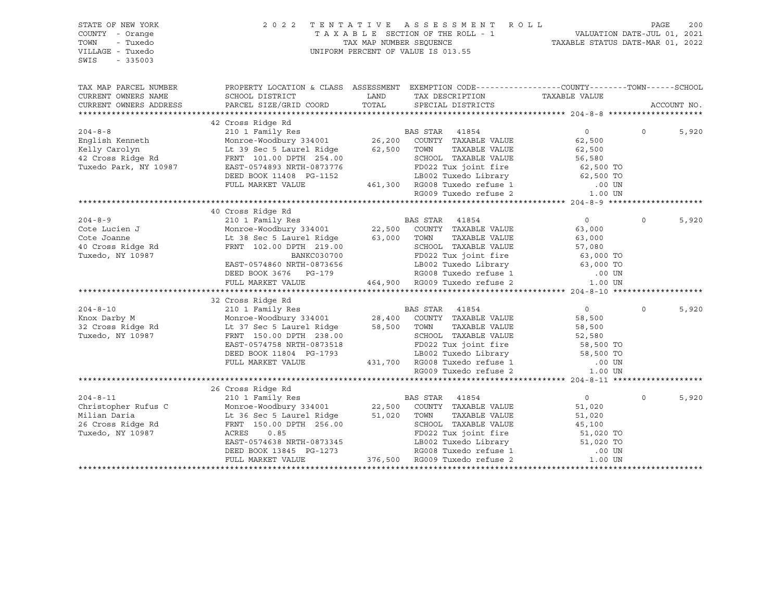| STATE OF NEW YORK<br>COUNTY - Orange<br>TOWN<br>- Tuxedo<br>VILLAGE - Tuxedo<br>SWIS<br>$-335003$                                                                                                                                                              | 2022 TENTATIVE                                                                                                                                                                                                                                       |               | FENTATIVE ASSESSMENT ROLL<br>TAXABLE SECTION OF THE ROLL - 1 VALUATION DATE-JUL 01, 2021<br>TAX MAP NUMBER SEQUENCE TAXABLE STATUS DATE-MAR 01, 2022<br>UNIFORM PERCENT OF VALUE IS 013.55 |                  |             |       |
|----------------------------------------------------------------------------------------------------------------------------------------------------------------------------------------------------------------------------------------------------------------|------------------------------------------------------------------------------------------------------------------------------------------------------------------------------------------------------------------------------------------------------|---------------|--------------------------------------------------------------------------------------------------------------------------------------------------------------------------------------------|------------------|-------------|-------|
| TAX MAP PARCEL NUMBER<br>CURRENT OWNERS NAME<br>CURRENT OWNERS ADDRESS                                                                                                                                                                                         | PROPERTY LOCATION & CLASS ASSESSMENT EXEMPTION CODE---------------COUNTY-------TOWN-----SCHOOL<br>SCHOOL DISTRICT<br>PARCEL SIZE/GRID COORD                                                                                                          | LAND<br>TOTAL | TAX DESCRIPTION<br>SPECIAL DISTRICTS                                                                                                                                                       | TAXABLE VALUE    | ACCOUNT NO. |       |
|                                                                                                                                                                                                                                                                |                                                                                                                                                                                                                                                      |               |                                                                                                                                                                                            |                  |             |       |
|                                                                                                                                                                                                                                                                | 42 Cross Ridge Rd                                                                                                                                                                                                                                    |               |                                                                                                                                                                                            |                  |             |       |
| 204-8-8<br>English Kenneth Monroe-Woodbury 334001<br>Kelly Carolyn Lt 39 Sec 5 Laurel Ridge 62,500 TOWN TAXABLE VALUE<br>42 Cross Ridge Rd FRNT 101.00 DPTH 254.00 SCHOOL TAXABLE VALUE                                                                        |                                                                                                                                                                                                                                                      |               |                                                                                                                                                                                            | $\overline{0}$   | $\Omega$    | 5,920 |
|                                                                                                                                                                                                                                                                |                                                                                                                                                                                                                                                      |               |                                                                                                                                                                                            | 62,500           |             |       |
|                                                                                                                                                                                                                                                                |                                                                                                                                                                                                                                                      |               | TAXABLE VALUE                                                                                                                                                                              | 62,500           |             |       |
|                                                                                                                                                                                                                                                                | FRNT 101.00 DPTH 254.00<br>EAST-0574893 NRTH-0873776<br>DEED BOOK 11408 PG-1152<br>PULL MARKET VALUE<br>FULL MARKET VALUE<br>PULL MARKET VALUE<br>PULL MARKET VALUE<br>PULL MARKET VALUE<br>PULL MARKET VALUE<br>PULL MARKET VALUE<br>PULL MARKET    |               |                                                                                                                                                                                            |                  |             |       |
| Tuxedo Park, NY 10987                                                                                                                                                                                                                                          |                                                                                                                                                                                                                                                      |               |                                                                                                                                                                                            |                  |             |       |
|                                                                                                                                                                                                                                                                |                                                                                                                                                                                                                                                      |               |                                                                                                                                                                                            |                  |             |       |
|                                                                                                                                                                                                                                                                |                                                                                                                                                                                                                                                      |               |                                                                                                                                                                                            |                  |             |       |
|                                                                                                                                                                                                                                                                |                                                                                                                                                                                                                                                      |               |                                                                                                                                                                                            |                  |             |       |
|                                                                                                                                                                                                                                                                |                                                                                                                                                                                                                                                      |               |                                                                                                                                                                                            |                  |             |       |
|                                                                                                                                                                                                                                                                |                                                                                                                                                                                                                                                      |               |                                                                                                                                                                                            |                  |             |       |
|                                                                                                                                                                                                                                                                |                                                                                                                                                                                                                                                      |               |                                                                                                                                                                                            | $\overline{0}$   | $\circ$     | 5,920 |
|                                                                                                                                                                                                                                                                |                                                                                                                                                                                                                                                      |               |                                                                                                                                                                                            | 63,000           |             |       |
|                                                                                                                                                                                                                                                                |                                                                                                                                                                                                                                                      |               | TOWN      TAXABLE VALUE<br>SCHOOL   TAXABLE VALUE                                                                                                                                          |                  |             |       |
|                                                                                                                                                                                                                                                                |                                                                                                                                                                                                                                                      |               |                                                                                                                                                                                            |                  |             |       |
| Cote Lucien J<br>Cote Lucien J<br>Cote Joanne<br>Cote Joanne<br>Cote Joanne<br>Cote Joanne<br>Cote Joanne<br>Cote Joanne<br>Cote Joanne<br>Cote Joanne<br>Cote Joanne<br>Cote Joanne<br>Cote Joanne<br>Cote Joanne<br>Cote Joanne<br>Cote Joanne<br>Cote Joann |                                                                                                                                                                                                                                                      |               |                                                                                                                                                                                            |                  |             |       |
|                                                                                                                                                                                                                                                                | EAST-0574860 NRTH-0873656                                                                                                                                                                                                                            |               |                                                                                                                                                                                            |                  |             |       |
|                                                                                                                                                                                                                                                                | DEED BOOK 3676 PG-179                                                                                                                                                                                                                                |               |                                                                                                                                                                                            |                  |             |       |
|                                                                                                                                                                                                                                                                | FULL MARKET VALUE                                                                                                                                                                                                                                    |               |                                                                                                                                                                                            |                  |             |       |
| 204-8-10<br>Xnox Darby M<br>2010 I Family Res<br>2010 I Family Res<br>2010 I Family Res<br>28,400 COUNTY TAXABLE VALUE<br>28,400 COUNTY TAXABLE VALUE<br>28,500 TOWN TAXABLE VALUE<br>28,500 TOWN TAXABLE VALUE<br>28,500 TOWN TAXABLE VALUE<br>28             |                                                                                                                                                                                                                                                      |               |                                                                                                                                                                                            |                  |             |       |
|                                                                                                                                                                                                                                                                |                                                                                                                                                                                                                                                      |               |                                                                                                                                                                                            |                  |             |       |
|                                                                                                                                                                                                                                                                |                                                                                                                                                                                                                                                      |               |                                                                                                                                                                                            | $\overline{0}$   | $\Omega$    | 5,920 |
|                                                                                                                                                                                                                                                                |                                                                                                                                                                                                                                                      |               |                                                                                                                                                                                            | 58,500<br>58,500 |             |       |
|                                                                                                                                                                                                                                                                |                                                                                                                                                                                                                                                      |               |                                                                                                                                                                                            | 58,500           |             |       |
|                                                                                                                                                                                                                                                                |                                                                                                                                                                                                                                                      |               |                                                                                                                                                                                            |                  |             |       |
|                                                                                                                                                                                                                                                                | EAST-0574758 NRTH-0873518                                                                                                                                                                                                                            |               |                                                                                                                                                                                            |                  |             |       |
|                                                                                                                                                                                                                                                                | DEED BOOK 11804 PG-1793                                                                                                                                                                                                                              |               |                                                                                                                                                                                            |                  |             |       |
|                                                                                                                                                                                                                                                                | FULL MARKET VALUE                                                                                                                                                                                                                                    |               |                                                                                                                                                                                            |                  |             |       |
|                                                                                                                                                                                                                                                                |                                                                                                                                                                                                                                                      |               |                                                                                                                                                                                            |                  |             |       |
|                                                                                                                                                                                                                                                                |                                                                                                                                                                                                                                                      |               |                                                                                                                                                                                            |                  |             |       |
|                                                                                                                                                                                                                                                                |                                                                                                                                                                                                                                                      |               |                                                                                                                                                                                            |                  |             |       |
| $204 - 8 - 11$                                                                                                                                                                                                                                                 |                                                                                                                                                                                                                                                      |               |                                                                                                                                                                                            | $\overline{0}$   | $\Omega$    | 5,920 |
| Christopher Rufus C                                                                                                                                                                                                                                            |                                                                                                                                                                                                                                                      |               |                                                                                                                                                                                            | 51,020           |             |       |
| Milian Daria                                                                                                                                                                                                                                                   | 210 1 Family Res<br>210 1 Family Res<br>Monroe-Woodbury 334001<br>22,500 COUNTY TAXABLE VALUE<br>Lt 36 Sec 5 Laurel Ridge<br>FRNT 150.00 DPTH 256.00                                                                                                 |               | TAXABLE VALUE                                                                                                                                                                              | 51,020<br>45,100 |             |       |
| 26 Cross Ridge Rd                                                                                                                                                                                                                                              |                                                                                                                                                                                                                                                      |               |                                                                                                                                                                                            |                  |             |       |
| Tuxedo, NY 10987                                                                                                                                                                                                                                               | ACRES 0.85<br>EAST-0574638 NRTH-0873345<br>DEED BOOK 13845 PG-1273<br>DEED BOOK 13845 PG-1273<br>TULL MARKET VALUE<br>TULL MARKET VALUE<br>TULL MARKET VALUE<br>TULL MARKET VALUE<br>TULL MARKET VALUE<br>TULL MARKET VALUE<br>TULL MARKET VALUE<br> |               |                                                                                                                                                                                            |                  |             |       |
|                                                                                                                                                                                                                                                                |                                                                                                                                                                                                                                                      |               |                                                                                                                                                                                            |                  |             |       |
|                                                                                                                                                                                                                                                                |                                                                                                                                                                                                                                                      |               |                                                                                                                                                                                            |                  |             |       |
|                                                                                                                                                                                                                                                                |                                                                                                                                                                                                                                                      |               |                                                                                                                                                                                            |                  |             |       |
|                                                                                                                                                                                                                                                                |                                                                                                                                                                                                                                                      |               |                                                                                                                                                                                            |                  |             |       |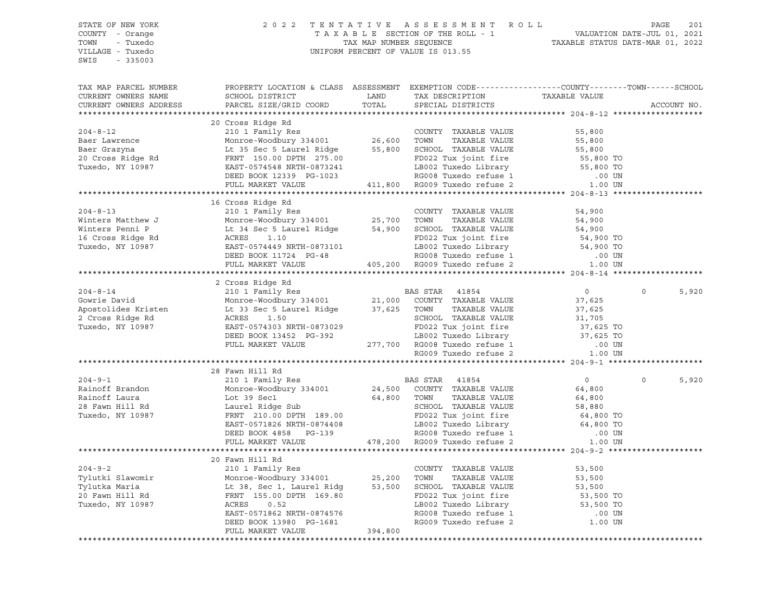| STATE OF NEW YORK<br>COUNTY - Orange<br>- Tuxedo<br>TOWN<br>VILLAGE - Tuxedo<br>SWIS<br>$-335003$                                                                                                                                                                                                                                                                                                                                                                                                                                                                                        | 2022 TENTATIVE ASSESSMENT ROLL<br>UNIFORM PERCENT OF VALUE IS 013.55                                                                                                                                                                                 |               |                                                                                    |                | PAGE<br>201       |
|------------------------------------------------------------------------------------------------------------------------------------------------------------------------------------------------------------------------------------------------------------------------------------------------------------------------------------------------------------------------------------------------------------------------------------------------------------------------------------------------------------------------------------------------------------------------------------------|------------------------------------------------------------------------------------------------------------------------------------------------------------------------------------------------------------------------------------------------------|---------------|------------------------------------------------------------------------------------|----------------|-------------------|
| TAX MAP PARCEL NUMBER<br>CURRENT OWNERS NAME<br>CURRENT OWNERS ADDRESS<br>$\begin{tabular}{lllllllllllllllllllll} \multicolumn{3}{c}{\begin{tabular}{l} \multicolumn{3}{c}{\begin{tabular}{l} \multicolumn{3}{c}{\begin{tabular}{l} \multicolumn{3}{c}{\begin{tabular}{l} \multicolumn{3}{c}{\begin{tabular}{l} \multicolumn{3}{c}{\begin{tabular}{l} \multicolumn{3}{c}{\begin{tabular}{l} \multicolumn{3}{c}{\begin{tabular}{l} \multicolumn{3}{c}{\begin{tabular}{l} \multicolumn{3}{c}{\begin{tabular}{l} \multicolumn{3}{c}{\begin{tabular}{l} \multicolumn{3}{c}{\begin{tabular}{$ | PROPERTY LOCATION & CLASS ASSESSMENT EXEMPTION CODE----------------COUNTY-------TOWN------SCHOOL<br>SCHOOL DISTRICT<br>PARCEL SIZE/GRID COORD                                                                                                        | LAND<br>TOTAL | TAX DESCRIPTION TAXABLE VALUE SPECIAL DISTRICTS                                    |                | ACCOUNT NO.       |
|                                                                                                                                                                                                                                                                                                                                                                                                                                                                                                                                                                                          |                                                                                                                                                                                                                                                      |               |                                                                                    |                |                   |
|                                                                                                                                                                                                                                                                                                                                                                                                                                                                                                                                                                                          |                                                                                                                                                                                                                                                      |               |                                                                                    |                |                   |
|                                                                                                                                                                                                                                                                                                                                                                                                                                                                                                                                                                                          |                                                                                                                                                                                                                                                      |               |                                                                                    |                |                   |
|                                                                                                                                                                                                                                                                                                                                                                                                                                                                                                                                                                                          |                                                                                                                                                                                                                                                      |               |                                                                                    |                |                   |
|                                                                                                                                                                                                                                                                                                                                                                                                                                                                                                                                                                                          |                                                                                                                                                                                                                                                      |               |                                                                                    |                |                   |
|                                                                                                                                                                                                                                                                                                                                                                                                                                                                                                                                                                                          |                                                                                                                                                                                                                                                      |               |                                                                                    |                |                   |
|                                                                                                                                                                                                                                                                                                                                                                                                                                                                                                                                                                                          |                                                                                                                                                                                                                                                      |               |                                                                                    |                |                   |
|                                                                                                                                                                                                                                                                                                                                                                                                                                                                                                                                                                                          |                                                                                                                                                                                                                                                      |               |                                                                                    |                |                   |
|                                                                                                                                                                                                                                                                                                                                                                                                                                                                                                                                                                                          |                                                                                                                                                                                                                                                      |               |                                                                                    |                |                   |
| 16 Cross Ridge Rd 204-8-13<br>210 1 Family Res 210 1 Family Res 210 1 Family Res 210 1 Family Res 210 1 Family Res 210 1 Family Res 210 1 Family Res 210 1 Family Res 210 2 Tuxedo Family Res 210 2 Tuxedo Family Res 21.10 2 Tu                                                                                                                                                                                                                                                                                                                                                         |                                                                                                                                                                                                                                                      |               |                                                                                    |                |                   |
|                                                                                                                                                                                                                                                                                                                                                                                                                                                                                                                                                                                          |                                                                                                                                                                                                                                                      |               |                                                                                    |                |                   |
|                                                                                                                                                                                                                                                                                                                                                                                                                                                                                                                                                                                          |                                                                                                                                                                                                                                                      |               |                                                                                    |                |                   |
|                                                                                                                                                                                                                                                                                                                                                                                                                                                                                                                                                                                          |                                                                                                                                                                                                                                                      |               |                                                                                    |                |                   |
|                                                                                                                                                                                                                                                                                                                                                                                                                                                                                                                                                                                          |                                                                                                                                                                                                                                                      |               |                                                                                    |                |                   |
|                                                                                                                                                                                                                                                                                                                                                                                                                                                                                                                                                                                          |                                                                                                                                                                                                                                                      |               |                                                                                    |                |                   |
|                                                                                                                                                                                                                                                                                                                                                                                                                                                                                                                                                                                          | DEED BOOK 11724 PG-48 RG008 Tuxedo refuse 1 (00 UN FULL MARKET VALUE 405,200 RG009 Tuxedo refuse 2 (1.00 UN                                                                                                                                          |               |                                                                                    |                |                   |
|                                                                                                                                                                                                                                                                                                                                                                                                                                                                                                                                                                                          |                                                                                                                                                                                                                                                      |               |                                                                                    |                |                   |
|                                                                                                                                                                                                                                                                                                                                                                                                                                                                                                                                                                                          | 2 Cross Ridge Rd                                                                                                                                                                                                                                     |               |                                                                                    |                |                   |
|                                                                                                                                                                                                                                                                                                                                                                                                                                                                                                                                                                                          |                                                                                                                                                                                                                                                      |               |                                                                                    | $\overline{0}$ | 5,920<br>$\Omega$ |
|                                                                                                                                                                                                                                                                                                                                                                                                                                                                                                                                                                                          |                                                                                                                                                                                                                                                      |               |                                                                                    | 37,625         |                   |
| 204-8-14<br>210 1 Family Res<br>31001 21,000 COUNTY TAXABLE VALUE<br>Apostolides Kristen<br>2 Cross Ridge Rd<br>2 Cross Ridge Rd<br>2 Cross Ridge Rd<br>2 Cross Ridge Rd<br>2 Cross Ridge Rd<br>2 Cross Ridge Rd<br>2 Cross Ridge Rd<br>2 Cross Ridg                                                                                                                                                                                                                                                                                                                                     |                                                                                                                                                                                                                                                      |               | TOWN TAXABLE VALUE<br>SCHOOL TAXABLE VALUE 31,705<br>All the fire 37,625 TO 37,707 |                |                   |
|                                                                                                                                                                                                                                                                                                                                                                                                                                                                                                                                                                                          |                                                                                                                                                                                                                                                      |               |                                                                                    |                |                   |
|                                                                                                                                                                                                                                                                                                                                                                                                                                                                                                                                                                                          |                                                                                                                                                                                                                                                      |               |                                                                                    |                |                   |
|                                                                                                                                                                                                                                                                                                                                                                                                                                                                                                                                                                                          |                                                                                                                                                                                                                                                      |               |                                                                                    |                |                   |
|                                                                                                                                                                                                                                                                                                                                                                                                                                                                                                                                                                                          |                                                                                                                                                                                                                                                      |               |                                                                                    |                |                   |
|                                                                                                                                                                                                                                                                                                                                                                                                                                                                                                                                                                                          | 1.50<br>RCRES 1.50<br>EAST-0573029<br>DEED BOOK 13452 PG-392<br>PULL MARKET VALUE<br>PULL MARKET VALUE<br>PULL MARKET VALUE<br>PULL MARKET VALUE<br>PULL MARKET VALUE<br>277,700 RG008 Tuxedo refuse 1 00 UN<br>RG009 Tuxedo refuse 2 1.00 UN<br>RG0 |               |                                                                                    |                |                   |
|                                                                                                                                                                                                                                                                                                                                                                                                                                                                                                                                                                                          |                                                                                                                                                                                                                                                      |               |                                                                                    |                |                   |
|                                                                                                                                                                                                                                                                                                                                                                                                                                                                                                                                                                                          | 28 Fawn Hill Rd                                                                                                                                                                                                                                      |               |                                                                                    |                | 5,920<br>$\Omega$ |
|                                                                                                                                                                                                                                                                                                                                                                                                                                                                                                                                                                                          |                                                                                                                                                                                                                                                      |               |                                                                                    |                |                   |
|                                                                                                                                                                                                                                                                                                                                                                                                                                                                                                                                                                                          |                                                                                                                                                                                                                                                      |               |                                                                                    |                |                   |
|                                                                                                                                                                                                                                                                                                                                                                                                                                                                                                                                                                                          |                                                                                                                                                                                                                                                      |               |                                                                                    |                |                   |
|                                                                                                                                                                                                                                                                                                                                                                                                                                                                                                                                                                                          |                                                                                                                                                                                                                                                      |               |                                                                                    |                |                   |
|                                                                                                                                                                                                                                                                                                                                                                                                                                                                                                                                                                                          |                                                                                                                                                                                                                                                      |               |                                                                                    |                |                   |
|                                                                                                                                                                                                                                                                                                                                                                                                                                                                                                                                                                                          |                                                                                                                                                                                                                                                      |               |                                                                                    |                |                   |
|                                                                                                                                                                                                                                                                                                                                                                                                                                                                                                                                                                                          |                                                                                                                                                                                                                                                      |               |                                                                                    |                |                   |
|                                                                                                                                                                                                                                                                                                                                                                                                                                                                                                                                                                                          |                                                                                                                                                                                                                                                      |               |                                                                                    |                |                   |
|                                                                                                                                                                                                                                                                                                                                                                                                                                                                                                                                                                                          |                                                                                                                                                                                                                                                      |               |                                                                                    |                |                   |
|                                                                                                                                                                                                                                                                                                                                                                                                                                                                                                                                                                                          | 210 1 Family Res                                                                                                                                                                                                                                     |               | COUNTY TAXABLE VALUE                                                               | 53,500         |                   |
| Tylutki Slawomir                                                                                                                                                                                                                                                                                                                                                                                                                                                                                                                                                                         | Monroe-Woodbury 334001                                                                                                                                                                                                                               | 25,200        | TOWN<br>TAXABLE VALUE                                                              | 53,500         |                   |
| Tylutka Maria                                                                                                                                                                                                                                                                                                                                                                                                                                                                                                                                                                            | Lt 38, Sec 1, Laurel Ridg                                                                                                                                                                                                                            | 53,500        | SCHOOL TAXABLE VALUE                                                               | 53,500         |                   |
| 20 Fawn Hill Rd                                                                                                                                                                                                                                                                                                                                                                                                                                                                                                                                                                          | FRNT 155.00 DPTH 169.80                                                                                                                                                                                                                              |               | FD022 Tux joint fire                                                               | 53,500 TO      |                   |
| Tuxedo, NY 10987                                                                                                                                                                                                                                                                                                                                                                                                                                                                                                                                                                         | ACRES<br>0.52                                                                                                                                                                                                                                        |               | LB002 Tuxedo Library                                                               | 53,500 TO      |                   |
|                                                                                                                                                                                                                                                                                                                                                                                                                                                                                                                                                                                          | EAST-0571862 NRTH-0874576                                                                                                                                                                                                                            |               | RG008 Tuxedo refuse 1<br>RG009 Tuxedo refuse 2                                     | .00 UN         |                   |
|                                                                                                                                                                                                                                                                                                                                                                                                                                                                                                                                                                                          | DEED BOOK 13980 PG-1681<br>FULL MARKET VALUE                                                                                                                                                                                                         | 394,800       |                                                                                    | 1.00 UN        |                   |
|                                                                                                                                                                                                                                                                                                                                                                                                                                                                                                                                                                                          |                                                                                                                                                                                                                                                      |               |                                                                                    |                |                   |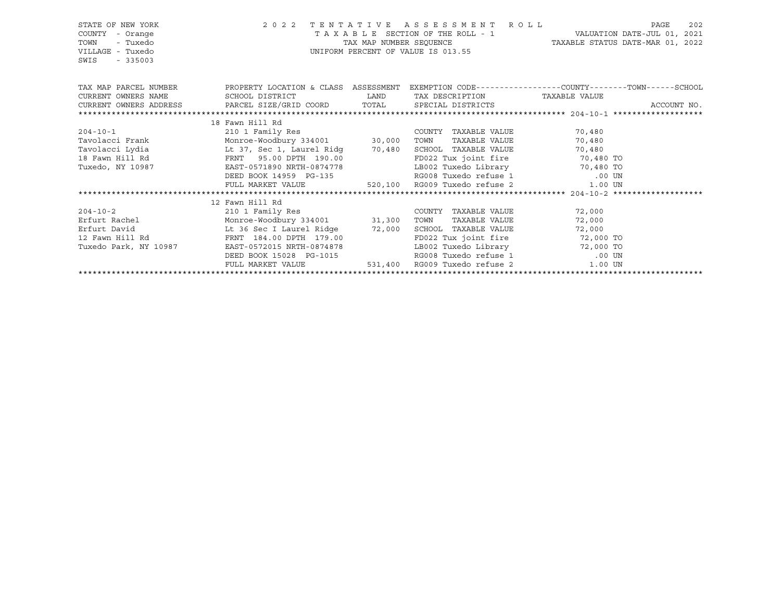| STATE OF NEW YORK<br>COUNTY<br>- Orange<br>TOWN<br>- Tuxedo<br>VILLAGE - Tuxedo<br>$-335003$<br>SWIS | UNIFORM PERCENT OF VALUE IS 013.55                      | 2022 TENTATIVE ASSESSMENT ROLL<br>202<br>PAGE                                                                          |                               |                                                                                                                           |
|------------------------------------------------------------------------------------------------------|---------------------------------------------------------|------------------------------------------------------------------------------------------------------------------------|-------------------------------|---------------------------------------------------------------------------------------------------------------------------|
|                                                                                                      |                                                         |                                                                                                                        |                               | TAX MAP PARCEL NUMBER THE PROPERTY LOCATION & CLASS ASSESSMENT EXEMPTION CODE---------------COUNTY-------TOWN------SCHOOL |
| CURRENT OWNERS NAME                                                                                  | SCHOOL DISTRICT                                         | <b>EXAMPLE SERVICE SERVICE SERVICE SERVICE SERVICE SERVICE SERVICE SERVICE SERVICE SERVICE SERVICE SERVICE SERVICE</b> | TAX DESCRIPTION TAXABLE VALUE |                                                                                                                           |
| CURRENT OWNERS ADDRESS PARCEL SIZE/GRID COORD TOTAL SPECIAL DISTRICTS                                |                                                         |                                                                                                                        |                               | ACCOUNT NO.                                                                                                               |
|                                                                                                      |                                                         |                                                                                                                        |                               |                                                                                                                           |
|                                                                                                      | 18 Fawn Hill Rd                                         |                                                                                                                        |                               |                                                                                                                           |
| $204 - 10 - 1$                                                                                       | 210 1 Family Res                                        |                                                                                                                        | COUNTY TAXABLE VALUE 70,480   |                                                                                                                           |
|                                                                                                      |                                                         |                                                                                                                        | TOWN<br>TAXABLE VALUE         | 70,480                                                                                                                    |
|                                                                                                      |                                                         |                                                                                                                        | SCHOOL TAXABLE VALUE 70,480   |                                                                                                                           |
| 18 Fawn Hill Rd                                                                                      | FRNT 95.00 DPTH 190.00                                  |                                                                                                                        |                               |                                                                                                                           |
| Tuxedo, NY 10987                                                                                     | EAST-0571890 NRTH-0874778                               |                                                                                                                        |                               |                                                                                                                           |
|                                                                                                      | DEED BOOK 14959 PG-135                                  |                                                                                                                        | RG008 Tuxedo refuse 1 .00 UN  |                                                                                                                           |
|                                                                                                      | FULL MARKET VALUE 520,100 RG009 Tuxedo refuse 2 1.00 UN |                                                                                                                        |                               |                                                                                                                           |
|                                                                                                      |                                                         |                                                                                                                        |                               |                                                                                                                           |
|                                                                                                      | 12 Fawn Hill Rd                                         |                                                                                                                        |                               |                                                                                                                           |
| $204 - 10 - 2$                                                                                       | 210 1 Family Res                                        |                                                                                                                        | COUNTY TAXABLE VALUE          | 72,000                                                                                                                    |
|                                                                                                      |                                                         |                                                                                                                        | TOWN<br>TAXABLE VALUE         | 72,000                                                                                                                    |
|                                                                                                      |                                                         |                                                                                                                        | SCHOOL TAXABLE VALUE          | 72,000                                                                                                                    |
| 12 Fawn Hill Rd                                                                                      | FRNT 184.00 DPTH 179.00                                 |                                                                                                                        |                               | FD022 Tux joint fire 72,000 TO                                                                                            |
| Tuxedo Park, NY 10987                                                                                | EAST-0572015 NRTH-0874878                               |                                                                                                                        |                               | LB002 Tuxedo Library 72,000 TO                                                                                            |
|                                                                                                      | DEED BOOK 15028 PG-1015                                 |                                                                                                                        | RG008 Tuxedo refuse 1         | .00 UN                                                                                                                    |
|                                                                                                      | FULL MARKET VALUE                                       |                                                                                                                        | 531,400 RG009 Tuxedo refuse 2 | $1.00$ UN                                                                                                                 |
|                                                                                                      |                                                         |                                                                                                                        |                               |                                                                                                                           |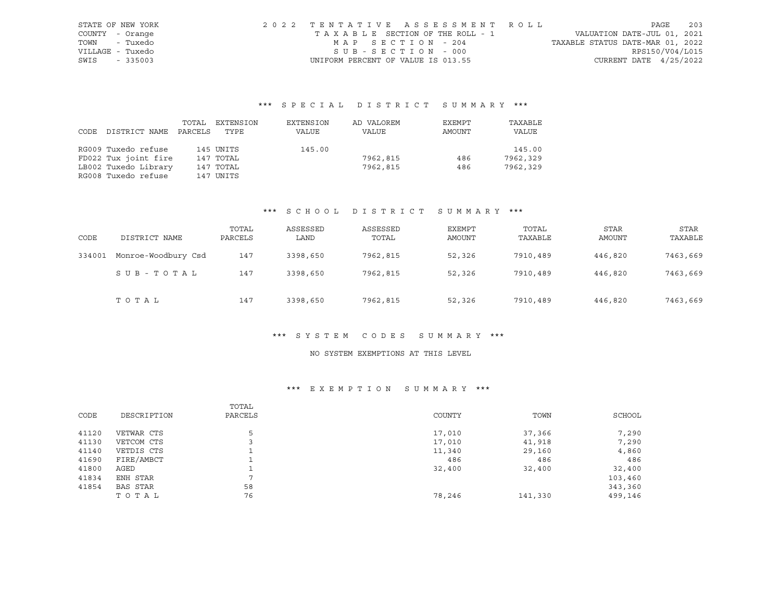| STATE OF NEW YORK | 2022 TENTATIVE ASSESSMENT ROLL     |  |  |                                  |                          | PAGE | 203 |
|-------------------|------------------------------------|--|--|----------------------------------|--------------------------|------|-----|
| COUNTY - Orange   | TAXABLE SECTION OF THE ROLL - 1    |  |  | VALUATION DATE-JUL 01, 2021      |                          |      |     |
| - Tuxedo<br>TOWN  | MAP SECTION - 204                  |  |  | TAXABLE STATUS DATE-MAR 01, 2022 |                          |      |     |
| VILLAGE - Tuxedo  | SUB-SECTION - 000                  |  |  |                                  | RPS150/V04/L015          |      |     |
| SWIS<br>$-335003$ | UNIFORM PERCENT OF VALUE IS 013.55 |  |  |                                  | CURRENT DATE $4/25/2022$ |      |     |

# \*\*\* S P E C I A L D I S T R I C T S U M M A R Y \*\*\*

|      |                      | TOTAL   | EXTENSION | EXTENSION | AD VALOREM | EXEMPT | TAXABLE  |
|------|----------------------|---------|-----------|-----------|------------|--------|----------|
| CODE | DISTRICT NAME        | PARCELS | TYPE      | VALUE     | VALUE      | AMOUNT | VALUE    |
|      |                      |         |           |           |            |        |          |
|      | RG009 Tuxedo refuse  |         | 145 UNITS | 145.00    |            |        | 145.00   |
|      | FD022 Tux joint fire |         | 147 TOTAL |           | 7962,815   | 486    | 7962,329 |
|      | LB002 Tuxedo Library |         | 147 TOTAL |           | 7962,815   | 486    | 7962,329 |
|      | RG008 Tuxedo refuse  |         | 147 UNITS |           |            |        |          |

# \*\*\* S C H O O L D I S T R I C T S U M M A R Y \*\*\*

| CODE   | DISTRICT NAME       | TOTAL<br>PARCELS | ASSESSED<br>LAND | ASSESSED<br>TOTAL | EXEMPT<br>AMOUNT | TOTAL<br>TAXABLE | <b>STAR</b><br>AMOUNT | STAR<br>TAXABLE |
|--------|---------------------|------------------|------------------|-------------------|------------------|------------------|-----------------------|-----------------|
| 334001 | Monroe-Woodbury Csd | 147              | 3398,650         | 7962,815          | 52,326           | 7910,489         | 446,820               | 7463,669        |
|        | SUB-TOTAL           | 147              | 3398,650         | 7962,815          | 52,326           | 7910,489         | 446,820               | 7463,669        |
|        | TOTAL               | 147              | 3398,650         | 7962,815          | 52,326           | 7910,489         | 446,820               | 7463,669        |

#### \*\*\* S Y S T E M C O D E S S U M M A R Y \*\*\*

# NO SYSTEM EXEMPTIONS AT THIS LEVEL

# \*\*\* E X E M P T I O N S U M M A R Y \*\*\*

| CODE  | DESCRIPTION     | TOTAL<br>PARCELS | COUNTY | TOWN    | SCHOOL  |
|-------|-----------------|------------------|--------|---------|---------|
| 41120 | VETWAR CTS      | 5                | 17,010 | 37,366  | 7,290   |
| 41130 | VETCOM CTS      |                  | 17,010 | 41,918  | 7,290   |
| 41140 | VETDIS CTS      |                  | 11,340 | 29,160  | 4,860   |
| 41690 | FIRE/AMBCT      |                  | 486    | 486     | 486     |
| 41800 | AGED            |                  | 32,400 | 32,400  | 32,400  |
| 41834 | ENH STAR        | $\overline{ }$   |        |         | 103,460 |
| 41854 | <b>BAS STAR</b> | 58               |        |         | 343,360 |
|       | TOTAL           | 76               | 78,246 | 141,330 | 499,146 |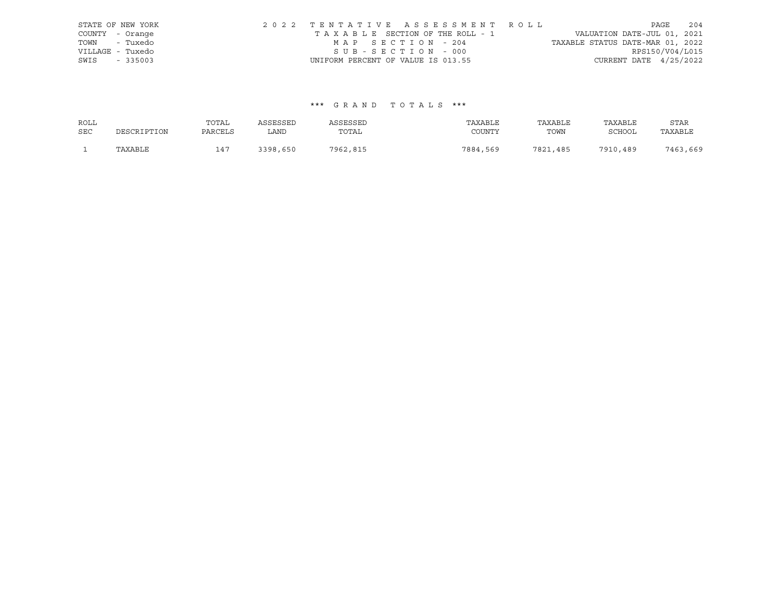|                  | STATE OF NEW YORK |                                    |                   | 2022 TENTATIVE ASSESSMENT ROLL  |                                  |                          | PAGE | 204 |
|------------------|-------------------|------------------------------------|-------------------|---------------------------------|----------------------------------|--------------------------|------|-----|
| COUNTY - Orange  |                   |                                    |                   | TAXABLE SECTION OF THE ROLL - 1 | VALUATION DATE-JUL 01, 2021      |                          |      |     |
| TOWN - Tuxedo    |                   |                                    | MAP SECTION - 204 |                                 | TAXABLE STATUS DATE-MAR 01, 2022 |                          |      |     |
| VILLAGE - Tuxedo |                   |                                    | SUB-SECTION - 000 |                                 |                                  | RPS150/V04/L015          |      |     |
| SWIS - 335003    |                   | UNIFORM PERCENT OF VALUE IS 013.55 |                   |                                 |                                  | CURRENT DATE $4/25/2022$ |      |     |

# \*\*\* G R A N D T O T A L S \*\*\*

| ROLL       |             | TOTAL   | ASSESSED | ASSESSED | TAXABLE  | TAXABLE  | TAXABLE  | <b>STAR</b> |
|------------|-------------|---------|----------|----------|----------|----------|----------|-------------|
| <b>SEC</b> | DESCRIPTION | PARCELS | LAND     | TOTAL    | COUNTY   | TOWN     | SCHOOL   | TAXABLE     |
|            | TAXABLE     | $14-$   | 3398,650 | 7962,815 | 7884,569 | 7821,485 | 7910,489 | 7463,669    |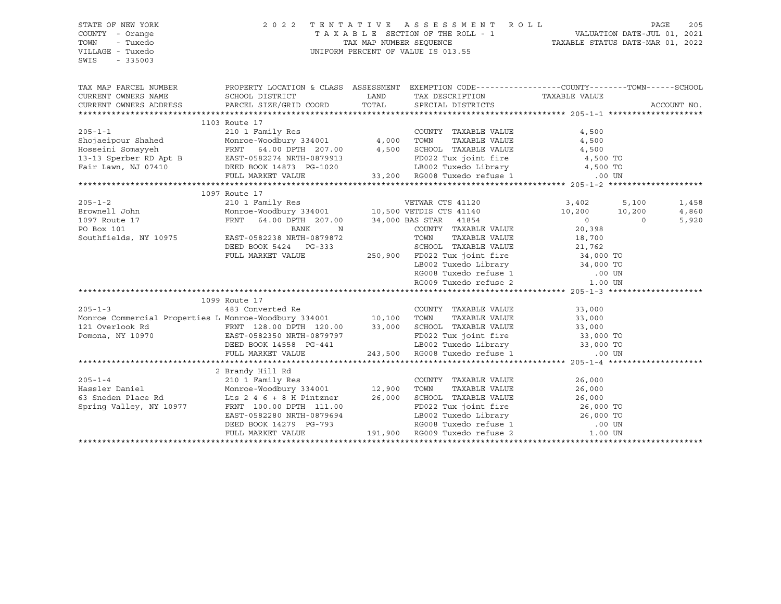## STATE OF NEW YORK 2 0 2 2 T E N T A T I V E A S S E S S M E N T R O L L PAGE 205 COUNTY - Orange T A X A B L E SECTION OF THE ROLL - 1 VALUATION DATE-JUL 01, 2021 TOWN - Tuxedo TAX MAP NUMBER SEQUENCE TAXABLE STATUS DATE-MAR 01, 2022 VILLAGE - Tuxedo UNIFORM PERCENT OF VALUE IS 013.55

| TAX MAP PARCEL NUMBER THE PROPERTY LOCATION & CLASS ASSESSMENT EXEMPTION CODE--------------COUNTY-------TOWN------SCHOOL<br>CURRENT OWNERS NAME SCHOOL DISTRICT                                                                                  |                                                                                                                                                                                                                                          | LAND TAX DESCRIPTION TAXABLE VALUE                                                                                                                                                  |                                                |          | ACCOUNT NO. |
|--------------------------------------------------------------------------------------------------------------------------------------------------------------------------------------------------------------------------------------------------|------------------------------------------------------------------------------------------------------------------------------------------------------------------------------------------------------------------------------------------|-------------------------------------------------------------------------------------------------------------------------------------------------------------------------------------|------------------------------------------------|----------|-------------|
|                                                                                                                                                                                                                                                  | 1103 Route 17                                                                                                                                                                                                                            |                                                                                                                                                                                     |                                                |          |             |
|                                                                                                                                                                                                                                                  |                                                                                                                                                                                                                                          |                                                                                                                                                                                     |                                                |          |             |
|                                                                                                                                                                                                                                                  |                                                                                                                                                                                                                                          |                                                                                                                                                                                     | 4,500<br>4,500                                 |          |             |
|                                                                                                                                                                                                                                                  |                                                                                                                                                                                                                                          |                                                                                                                                                                                     |                                                |          |             |
| Hosseini Somayyeh 64.00 DPTH 207.00 4,500 SCHOOL TAXABLE VALUE 4,500                                                                                                                                                                             |                                                                                                                                                                                                                                          |                                                                                                                                                                                     |                                                |          |             |
|                                                                                                                                                                                                                                                  |                                                                                                                                                                                                                                          |                                                                                                                                                                                     |                                                |          |             |
|                                                                                                                                                                                                                                                  |                                                                                                                                                                                                                                          |                                                                                                                                                                                     |                                                |          |             |
|                                                                                                                                                                                                                                                  |                                                                                                                                                                                                                                          |                                                                                                                                                                                     |                                                |          |             |
|                                                                                                                                                                                                                                                  |                                                                                                                                                                                                                                          |                                                                                                                                                                                     |                                                |          |             |
| 1097 Koute 17<br>210 1 Family Res<br>Brownell John Monroe-Woodbury 334001 10,500 VETDIS CTS 41140 3,402 5,100<br>210 10,200 10,200 10,200 10,200 10,200 10,200 10,200 10,200 10,200 10,200 10,200 10,200 10,200 10,200 10,200                    | 1097 Route 17                                                                                                                                                                                                                            |                                                                                                                                                                                     |                                                |          |             |
|                                                                                                                                                                                                                                                  |                                                                                                                                                                                                                                          |                                                                                                                                                                                     |                                                |          | 1,458       |
|                                                                                                                                                                                                                                                  |                                                                                                                                                                                                                                          |                                                                                                                                                                                     |                                                |          | 4,860       |
| 1097 Route 17<br>PO Box 101                                                                                                                                                                                                                      |                                                                                                                                                                                                                                          |                                                                                                                                                                                     | $\begin{array}{c} 0 \ 20 \, , 398 \end{array}$ | $\Omega$ | 5,920       |
|                                                                                                                                                                                                                                                  |                                                                                                                                                                                                                                          | COUNTY TAXABLE VALUE                                                                                                                                                                |                                                |          |             |
| Southfields, NY 10975                                                                                                                                                                                                                            |                                                                                                                                                                                                                                          | TOWN TAXABLE VALUE 18,700<br>SCHOOL TAXABLE VALUE 21,762                                                                                                                            |                                                |          |             |
|                                                                                                                                                                                                                                                  | DEED BOOK 5424 PG-333                                                                                                                                                                                                                    |                                                                                                                                                                                     |                                                |          |             |
|                                                                                                                                                                                                                                                  | FULL MARKET VALUE                                                                                                                                                                                                                        |                                                                                                                                                                                     |                                                |          |             |
|                                                                                                                                                                                                                                                  |                                                                                                                                                                                                                                          |                                                                                                                                                                                     |                                                |          |             |
|                                                                                                                                                                                                                                                  |                                                                                                                                                                                                                                          | 250,900 FD022 Tux joint fire 34,000 TO<br>250,900 FD022 Tux joint fire 34,000 TO<br>LB002 Tuxedo Library 34,000 TO<br>RG008 Tuxedo refuse 1 .00 UN<br>RG009 Tuxedo refuse 2 1.00 UN |                                                |          |             |
|                                                                                                                                                                                                                                                  |                                                                                                                                                                                                                                          |                                                                                                                                                                                     |                                                |          |             |
|                                                                                                                                                                                                                                                  |                                                                                                                                                                                                                                          |                                                                                                                                                                                     |                                                |          |             |
|                                                                                                                                                                                                                                                  | 1099 Route 17                                                                                                                                                                                                                            |                                                                                                                                                                                     |                                                |          |             |
|                                                                                                                                                                                                                                                  |                                                                                                                                                                                                                                          |                                                                                                                                                                                     |                                                |          |             |
|                                                                                                                                                                                                                                                  |                                                                                                                                                                                                                                          |                                                                                                                                                                                     |                                                |          |             |
|                                                                                                                                                                                                                                                  |                                                                                                                                                                                                                                          |                                                                                                                                                                                     |                                                |          |             |
|                                                                                                                                                                                                                                                  |                                                                                                                                                                                                                                          |                                                                                                                                                                                     |                                                |          |             |
|                                                                                                                                                                                                                                                  |                                                                                                                                                                                                                                          |                                                                                                                                                                                     |                                                |          |             |
| 1099 Route 17<br>483 Converted Re<br>Monroe Commercial Properties L Monroe-Woodbury 334001<br>10,100 TOWN TAXABLE VALUE<br>10,100 TOWN TAXABLE VALUE<br>33,000<br>121 Overlook Rd<br>FRNT 128.00 DPTH 120.00<br>EAST-0582350 NRTH-0879797<br>EEE |                                                                                                                                                                                                                                          |                                                                                                                                                                                     |                                                |          |             |
|                                                                                                                                                                                                                                                  |                                                                                                                                                                                                                                          |                                                                                                                                                                                     |                                                |          |             |
|                                                                                                                                                                                                                                                  | 2 Brandy Hill Rd                                                                                                                                                                                                                         |                                                                                                                                                                                     |                                                |          |             |
| $205 - 1 - 4$                                                                                                                                                                                                                                    |                                                                                                                                                                                                                                          |                                                                                                                                                                                     |                                                |          |             |
| Hassler Daniel                                                                                                                                                                                                                                   | 2 Brandy Hill Rd<br>210 1 Family Res<br>Monroe-Woodbury 334001              12,900                                                                                                                                                       |                                                                                                                                                                                     |                                                |          |             |
| $\overline{63}$ Sneden Place Rd $\overline{168}$ 2 4 6 + 8 H Pintzner 26,000                                                                                                                                                                     | 210 1 Family Res<br>Monroe-Woodbury 334001 12,900 TOWN TAXABLE VALUE<br>26,000<br>Lts 2 4 6 + 8 H Pintzner 26,000 SCHOOL TAXABLE VALUE<br>FRNT 100.00 DPTH 111.00 FD022 Tux joint fire 26,000 TO<br>EAST-0582280 NRTH-0879694 LB002 Tuxe |                                                                                                                                                                                     |                                                |          |             |
| Spring Valley, NY 10977                                                                                                                                                                                                                          |                                                                                                                                                                                                                                          |                                                                                                                                                                                     |                                                |          |             |
|                                                                                                                                                                                                                                                  |                                                                                                                                                                                                                                          |                                                                                                                                                                                     |                                                |          |             |
|                                                                                                                                                                                                                                                  |                                                                                                                                                                                                                                          |                                                                                                                                                                                     |                                                |          |             |
|                                                                                                                                                                                                                                                  |                                                                                                                                                                                                                                          |                                                                                                                                                                                     |                                                |          |             |
|                                                                                                                                                                                                                                                  |                                                                                                                                                                                                                                          |                                                                                                                                                                                     |                                                |          |             |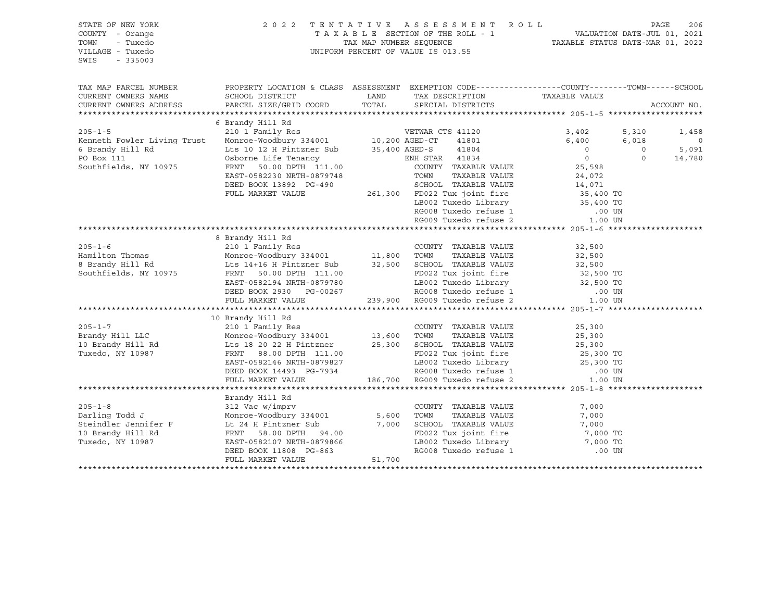## STATE OF NEW YORK 2 0 2 2 T E N T A T I V E A S S E S S M E N T R O L L PAGE 206 COUNTY - Orange T A X A B L E SECTION OF THE ROLL - 1 VALUATION DATE-JUL 01, 2021 TOWN - Tuxedo TAX MAP NUMBER SEQUENCE TAXABLE STATUS DATE-MAR 01, 2022 VILLAGE - Tuxedo UNIFORM PERCENT OF VALUE IS 013.55

| TAX MAP PARCEL NUMBER<br>CURRENT OWNERS NAME<br>CURRENT OWNERS ADDRESS | PROPERTY LOCATION & CLASS ASSESSMENT EXEMPTION CODE----------------COUNTY-------TOWN------SCHOOL |        | TAX DESCRIPTION TAXABLE VALUE<br>SPECIAL DISTRICTS                                                                                                                                                    |                |          | ACCOUNT NO.    |
|------------------------------------------------------------------------|--------------------------------------------------------------------------------------------------|--------|-------------------------------------------------------------------------------------------------------------------------------------------------------------------------------------------------------|----------------|----------|----------------|
|                                                                        | 6 Brandy Hill Rd                                                                                 |        |                                                                                                                                                                                                       |                |          |                |
| $205 - 1 - 5$                                                          |                                                                                                  |        |                                                                                                                                                                                                       | 3,402          | 5,310    |                |
|                                                                        |                                                                                                  |        |                                                                                                                                                                                                       | 6,400          |          | 1,458          |
| Kenneth Fowler Living Trust                                            |                                                                                                  |        |                                                                                                                                                                                                       | $\overline{0}$ | 6,018    | $\overline{0}$ |
| 6 Brandy Hill Rd                                                       | Lts 10 12 H Pintzner Sub 35,400 AGED-S 41804                                                     |        |                                                                                                                                                                                                       |                | $\Omega$ | 5,091          |
| PO Box 111                                                             | Osborne Life Tenancy<br>FRNT 50.00 DPTH 111.00 COUNTY TAXABLE VALUE                              |        |                                                                                                                                                                                                       | $\overline{0}$ | $\Omega$ | 14,780         |
| Southfields, NY 10975                                                  |                                                                                                  |        |                                                                                                                                                                                                       | 25,598         |          |                |
|                                                                        | EAST-0582230 NRTH-0879748                                                                        |        | TAXABLE VALUE<br>TOWN                                                                                                                                                                                 | 24,072         |          |                |
|                                                                        | DEED BOOK 13892 PG-490                                                                           |        | 3-490 SCHOOL TAXABLE VALUE 14,071<br>261,300 FD022 Tux joint fire 35,400 TO                                                                                                                           |                |          |                |
|                                                                        | FULL MARKET VALUE                                                                                |        |                                                                                                                                                                                                       |                |          |                |
|                                                                        |                                                                                                  |        |                                                                                                                                                                                                       |                |          |                |
|                                                                        |                                                                                                  |        | EB002 Tuxedo Library<br>RG008 Tuxedo Library<br>RG008 Tuxedo refuse 1 00 UN<br>RG009 Tuxedo refuse 2 1.00 UN                                                                                          |                |          |                |
|                                                                        |                                                                                                  |        |                                                                                                                                                                                                       |                |          |                |
|                                                                        |                                                                                                  |        |                                                                                                                                                                                                       |                |          |                |
|                                                                        | 8 Brandy Hill Rd                                                                                 |        |                                                                                                                                                                                                       |                |          |                |
|                                                                        |                                                                                                  |        | COUNTY TAXABLE VALUE                                                                                                                                                                                  | 32,500         |          |                |
|                                                                        |                                                                                                  |        | TAXABLE VALUE<br>TOWN                                                                                                                                                                                 | 32,500         |          |                |
| 8 Brandy Hill Rd                                                       | Lts 14+16 H Pintzner Sub 32,500                                                                  |        | 32,500 SCHOOL TAXABLE VALUE 32,500 TO<br>11.00 FD022 Tux joint fire 32,500 TO<br>79780 LB002 Tuxedo Library 32,500 TO<br>00267 RG008 Tuxedo refuse 1 .00 UN<br>239,900 RG009 Tuxedo refuse 2  1.00 UN |                |          |                |
| Southfields, NY 10975                                                  | ENNI 50.00 DPTH 111.00<br>EAST-0582194 NRTH-0879780                                              |        |                                                                                                                                                                                                       |                |          |                |
|                                                                        |                                                                                                  |        |                                                                                                                                                                                                       |                |          |                |
|                                                                        | DEED BOOK 2930 PG-00267                                                                          |        |                                                                                                                                                                                                       |                |          |                |
|                                                                        | FULL MARKET VALUE                                                                                |        |                                                                                                                                                                                                       |                |          |                |
|                                                                        |                                                                                                  |        |                                                                                                                                                                                                       |                |          |                |
|                                                                        | 10 Brandy Hill Rd                                                                                |        |                                                                                                                                                                                                       |                |          |                |
| $205 - 1 - 7$                                                          |                                                                                                  |        | COUNTY TAXABLE VALUE                                                                                                                                                                                  | 25,300         |          |                |
| Brandy Hill LLC                                                        |                                                                                                  |        | TAXABLE VALUE                                                                                                                                                                                         | 25,300         |          |                |
| 10 Brandy Hill Rd Lts 18 20 22 H Pintzner 25,300                       |                                                                                                  |        | SCHOOL TAXABLE VALUE 25,300                                                                                                                                                                           |                |          |                |
| Tuxedo, NY 10987                                                       | FRNT 88.00 DPTH 111.00                                                                           |        | 111.00 FD022 Tux joint fire 25,300 TO<br>1879827 LB002 Tuxedo Library 25,300 TO<br>186,700 RG009 Tuxedo refuse 2 1.00 UN<br>186,700 RG009 Tuxedo refuse 2 1.00 UN                                     |                |          |                |
|                                                                        | EAST-0582146 NRTH-0879827                                                                        |        |                                                                                                                                                                                                       |                |          |                |
|                                                                        | DEED BOOK 14493 PG-7934                                                                          |        |                                                                                                                                                                                                       |                |          |                |
|                                                                        | FULL MARKET VALUE                                                                                |        |                                                                                                                                                                                                       |                |          |                |
|                                                                        |                                                                                                  |        |                                                                                                                                                                                                       |                |          |                |
|                                                                        | Brandy Hill Rd                                                                                   |        |                                                                                                                                                                                                       |                |          |                |
| $205 - 1 - 8$                                                          | 312 Vac w/imprv                                                                                  |        | COUNTY TAXABLE VALUE                                                                                                                                                                                  | 7,000          |          |                |
|                                                                        |                                                                                                  |        |                                                                                                                                                                                                       | 7,000          |          |                |
| Darling Todd J<br>Steindler Jennifer F                                 |                                                                                                  |        | TOWN       TAXABLE  VALUE<br>SCHOOL    TAXABLE  VALUE                                                                                                                                                 | 7,000          |          |                |
| 10 Brandy Hill Rd                                                      | Monroe-Woodbury 334001 5,600<br>Lt 24 H Pintzner Sub 7,000<br>FRNT 58.00 DPTH 94.00              |        | FD022 Tux joint fire 7,000 TO                                                                                                                                                                         |                |          |                |
| Tuxedo, NY 10987                                                       | EAST-0582107 NRTH-0879866                                                                        |        |                                                                                                                                                                                                       |                |          |                |
|                                                                        | DEED BOOK 11808 PG-863                                                                           |        | LB002 Tuxedo Library 7,000 TO<br>RG008 Tuxedo refuse 1 00 UN                                                                                                                                          |                |          |                |
|                                                                        | FULL MARKET VALUE                                                                                | 51,700 |                                                                                                                                                                                                       |                |          |                |
|                                                                        |                                                                                                  |        |                                                                                                                                                                                                       |                |          |                |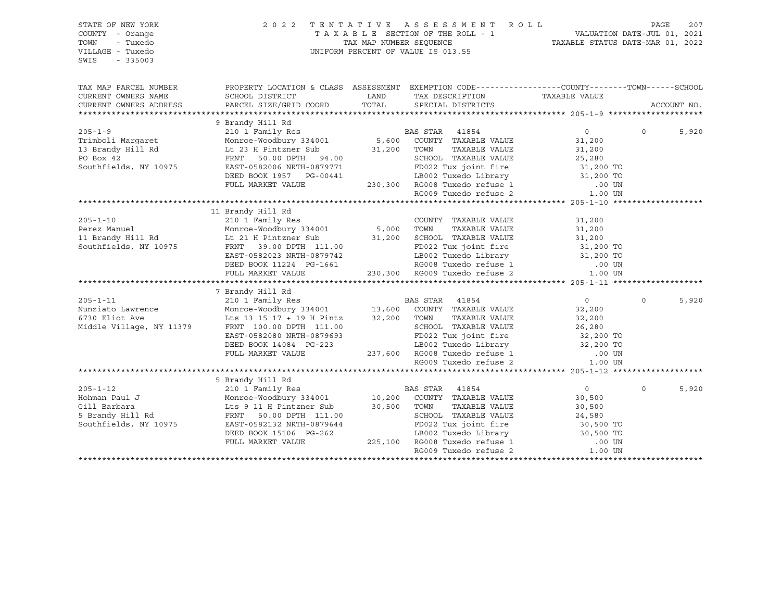| STATE OF NEW YORK<br>COUNTY - Orange<br>TOWN<br>- Tuxedo<br>VILLAGE - Tuxedo<br>$-335003$<br>SWIS |                                                                                                                                                                                                                                                      |               | $\begin{tabular}{lllllllllllllllll} \hline & 2&0&2&2&\text{T} & \text{E} & \text{N} & \text{T} & \text{A} & \text{T} & \text{I} & \text{V} & \text{E} & \text{A} & \text{S} & \text{E} & \text{S} & \text{S} & \text{M} & \text{E} & \text{N} & \text{T} & \text{A} & \text{A} & \text{B} & \text{L} & \text{E} & \text{SECTION OF THE ROLL} & \\ & & & & & & \text{T} & \text{TX} & \text{M} & \text{N} & \text{N} & \text{N} & \text{$ |                  |             |
|---------------------------------------------------------------------------------------------------|------------------------------------------------------------------------------------------------------------------------------------------------------------------------------------------------------------------------------------------------------|---------------|------------------------------------------------------------------------------------------------------------------------------------------------------------------------------------------------------------------------------------------------------------------------------------------------------------------------------------------------------------------------------------------------------------------------------------------|------------------|-------------|
| TAX MAP PARCEL NUMBER                                                                             | PROPERTY LOCATION & CLASS ASSESSMENT EXEMPTION CODE-----------------COUNTY-------TOWN------SCHOOL                                                                                                                                                    |               |                                                                                                                                                                                                                                                                                                                                                                                                                                          |                  |             |
| CURRENT OWNERS NAME<br>CURRENT OWNERS ADDRESS                                                     |                                                                                                                                                                                                                                                      |               |                                                                                                                                                                                                                                                                                                                                                                                                                                          |                  | ACCOUNT NO. |
|                                                                                                   | XEXABLE VALUE CURRENT UNIDEN ARTEST AND HEAT ON THE MARKET VALUE TO THE MARKET VALUE TO A THE MARKET VALUE TO BOX 1975 FULL MARKET VALUE TO A COUNTY TAXABLE VALUE OF A CHARGE AND TO BOX 42 FRNT 50.00 DPTH 94.00<br>Southfield                     |               |                                                                                                                                                                                                                                                                                                                                                                                                                                          |                  |             |
|                                                                                                   |                                                                                                                                                                                                                                                      |               |                                                                                                                                                                                                                                                                                                                                                                                                                                          |                  |             |
|                                                                                                   |                                                                                                                                                                                                                                                      |               |                                                                                                                                                                                                                                                                                                                                                                                                                                          | $\overline{0}$ 0 | 5,920       |
|                                                                                                   |                                                                                                                                                                                                                                                      |               |                                                                                                                                                                                                                                                                                                                                                                                                                                          |                  |             |
|                                                                                                   |                                                                                                                                                                                                                                                      |               |                                                                                                                                                                                                                                                                                                                                                                                                                                          |                  |             |
|                                                                                                   |                                                                                                                                                                                                                                                      |               |                                                                                                                                                                                                                                                                                                                                                                                                                                          |                  |             |
|                                                                                                   |                                                                                                                                                                                                                                                      |               |                                                                                                                                                                                                                                                                                                                                                                                                                                          |                  |             |
|                                                                                                   |                                                                                                                                                                                                                                                      |               |                                                                                                                                                                                                                                                                                                                                                                                                                                          |                  |             |
|                                                                                                   |                                                                                                                                                                                                                                                      |               |                                                                                                                                                                                                                                                                                                                                                                                                                                          |                  |             |
|                                                                                                   |                                                                                                                                                                                                                                                      |               |                                                                                                                                                                                                                                                                                                                                                                                                                                          |                  |             |
|                                                                                                   | 11 Brandy Hill Rd                                                                                                                                                                                                                                    |               |                                                                                                                                                                                                                                                                                                                                                                                                                                          |                  |             |
|                                                                                                   | 11 Brandy Hill Rd<br>210 11 Brandy Hill Res<br>Monroe-Woodbury 334001 5,000 TOWN TAXABLE VALUE 31,200<br>11 Brandy Hill Rd<br>5,000 TOWN TAXABLE VALUE 31,200<br>11 Brandy Hill Rd<br>5,000 TOWN TAXABLE VALUE 31,200<br>31,200<br>5,000 TOWN        |               |                                                                                                                                                                                                                                                                                                                                                                                                                                          |                  |             |
|                                                                                                   |                                                                                                                                                                                                                                                      |               |                                                                                                                                                                                                                                                                                                                                                                                                                                          |                  |             |
|                                                                                                   |                                                                                                                                                                                                                                                      |               |                                                                                                                                                                                                                                                                                                                                                                                                                                          |                  |             |
|                                                                                                   |                                                                                                                                                                                                                                                      |               |                                                                                                                                                                                                                                                                                                                                                                                                                                          |                  |             |
|                                                                                                   |                                                                                                                                                                                                                                                      |               |                                                                                                                                                                                                                                                                                                                                                                                                                                          |                  |             |
|                                                                                                   |                                                                                                                                                                                                                                                      |               |                                                                                                                                                                                                                                                                                                                                                                                                                                          |                  |             |
|                                                                                                   |                                                                                                                                                                                                                                                      |               |                                                                                                                                                                                                                                                                                                                                                                                                                                          |                  |             |
|                                                                                                   |                                                                                                                                                                                                                                                      |               |                                                                                                                                                                                                                                                                                                                                                                                                                                          |                  |             |
|                                                                                                   |                                                                                                                                                                                                                                                      |               |                                                                                                                                                                                                                                                                                                                                                                                                                                          |                  |             |
|                                                                                                   |                                                                                                                                                                                                                                                      |               | $\overline{0}$                                                                                                                                                                                                                                                                                                                                                                                                                           | $\Omega$         | 5,920       |
|                                                                                                   |                                                                                                                                                                                                                                                      |               | 32,200                                                                                                                                                                                                                                                                                                                                                                                                                                   |                  |             |
|                                                                                                   |                                                                                                                                                                                                                                                      |               |                                                                                                                                                                                                                                                                                                                                                                                                                                          |                  |             |
|                                                                                                   |                                                                                                                                                                                                                                                      |               |                                                                                                                                                                                                                                                                                                                                                                                                                                          |                  |             |
|                                                                                                   |                                                                                                                                                                                                                                                      |               |                                                                                                                                                                                                                                                                                                                                                                                                                                          |                  |             |
|                                                                                                   |                                                                                                                                                                                                                                                      |               |                                                                                                                                                                                                                                                                                                                                                                                                                                          |                  |             |
|                                                                                                   |                                                                                                                                                                                                                                                      |               |                                                                                                                                                                                                                                                                                                                                                                                                                                          |                  |             |
|                                                                                                   |                                                                                                                                                                                                                                                      |               |                                                                                                                                                                                                                                                                                                                                                                                                                                          |                  |             |
|                                                                                                   |                                                                                                                                                                                                                                                      |               |                                                                                                                                                                                                                                                                                                                                                                                                                                          |                  |             |
|                                                                                                   |                                                                                                                                                                                                                                                      |               | $\overline{0}$                                                                                                                                                                                                                                                                                                                                                                                                                           | $\Omega$         | 5,920       |
|                                                                                                   |                                                                                                                                                                                                                                                      |               | 30,500                                                                                                                                                                                                                                                                                                                                                                                                                                   |                  |             |
|                                                                                                   |                                                                                                                                                                                                                                                      | TAXABLE VALUE |                                                                                                                                                                                                                                                                                                                                                                                                                                          |                  |             |
|                                                                                                   | 205-1-12<br>Example 12 10 1 Family Res<br>Hohman Paul J Monroe-Woodbury 334001<br>Sill Barbara<br>Lis 9 11 H Pintzner Sub<br>Shrandy Hill Rd<br>Shrandy Hill Rd<br>FRNT 50.00 DPTH 111.00<br>Shrandy Hill Rd<br>Shrandy Hill Rd<br>TAXABLE VALUE<br> |               | 30,500<br>24,580                                                                                                                                                                                                                                                                                                                                                                                                                         |                  |             |
| Southfields, NY 10975                                                                             |                                                                                                                                                                                                                                                      |               |                                                                                                                                                                                                                                                                                                                                                                                                                                          |                  |             |
|                                                                                                   |                                                                                                                                                                                                                                                      |               |                                                                                                                                                                                                                                                                                                                                                                                                                                          |                  |             |
|                                                                                                   |                                                                                                                                                                                                                                                      |               |                                                                                                                                                                                                                                                                                                                                                                                                                                          |                  |             |
|                                                                                                   | FRNT 50.00 DPTH 111.00<br>EAST-0582132 NRTH-0879644<br>DEED BOOK 15106 PG-262<br>FULL MARKET VALUE<br>FULL MARKET VALUE<br>PULL MARKET VALUE<br>225,100 RG008 Tuxedo refuse 1 00 UN<br>RG009 Tuxedo refuse 2 1.00 UN                                 |               |                                                                                                                                                                                                                                                                                                                                                                                                                                          |                  |             |
|                                                                                                   |                                                                                                                                                                                                                                                      |               |                                                                                                                                                                                                                                                                                                                                                                                                                                          |                  |             |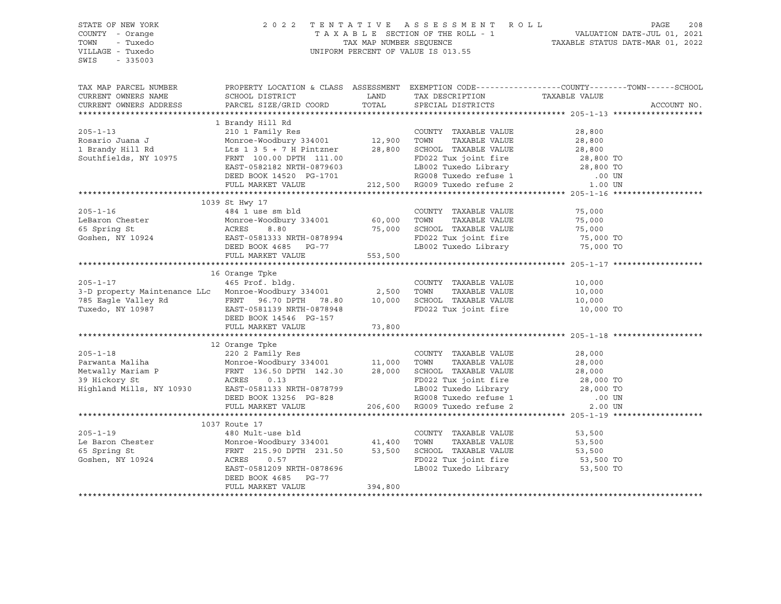STATE OF NEW YORK 2 0 2 2 T E N T A T I V E A S S E S S M E N T R O L L PAGE 208 COUNTY - Orange T A X A B L E SECTION OF THE ROLL - 1 VALUATION DATE-JUL 01, 2021 TOWN - Tuxedo TAX MAP NUMBER SEQUENCE TAXABLE STATUS DATE-MAR 01, 2022 UNIFORM PERCENT OF VALUE IS 013.55 SWIS - 335003 TAX MAP PARCEL NUMBER PROPERTY LOCATION & CLASS ASSESSMENT EXEMPTION CODE------------------COUNTY--------TOWN------SCHOOL CURRENT OWNERS NAME SCHOOL DISTRICT LAND TAX DESCRIPTION TAXABLE VALUE CURRENT OWNERS ADDRESS PARCEL SIZE/GRID COORD TOTAL SPECIAL DISTRICTS ACCOUNT NO. \*\*\*\*\*\*\*\*\*\*\*\*\*\*\*\*\*\*\*\*\*\*\*\*\*\*\*\*\*\*\*\*\*\*\*\*\*\*\*\*\*\*\*\*\*\*\*\*\*\*\*\*\*\*\*\*\*\*\*\*\*\*\*\*\*\*\*\*\*\*\*\*\*\*\*\*\*\*\*\*\*\*\*\*\*\*\*\*\*\*\*\*\*\*\*\*\*\*\*\*\*\*\* 205-1-13 \*\*\*\*\*\*\*\*\*\*\*\*\*\*\*\*\*\*\* 1 Brandy Hill Rd 205-1-13 210 1 Family Res COUNTY TAXABLE VALUE 28,800 Rosario Juana J Monroe-Woodbury 334001 12,900 TOWN TAXABLE VALUE 28,800 1 Brandy Hill Rd Lts 1 3 5 + 7 H Pintzner 28,800 SCHOOL TAXABLE VALUE 28,800 Southfields, NY 10975 FRNT 100.00 DPTH 111.00 FD022 Tux joint fire 28,800 TO EAST-0582182 NRTH-0879603 LB002 Tuxedo Library 28,800 TO DEED BOOK 14520 PG-1701 RG008 Tuxedo refuse 1 .00 UN FULL MARKET VALUE 212,500 RG009 Tuxedo refuse 2 1.00 UN \*\*\*\*\*\*\*\*\*\*\*\*\*\*\*\*\*\*\*\*\*\*\*\*\*\*\*\*\*\*\*\*\*\*\*\*\*\*\*\*\*\*\*\*\*\*\*\*\*\*\*\*\*\*\*\*\*\*\*\*\*\*\*\*\*\*\*\*\*\*\*\*\*\*\*\*\*\*\*\*\*\*\*\*\*\*\*\*\*\*\*\*\*\*\*\*\*\*\*\*\*\*\* 205-1-16 \*\*\*\*\*\*\*\*\*\*\*\*\*\*\*\*\*\*\* 1039 St Hwy 17 205-1-16 484 1 use sm bld COUNTY TAXABLE VALUE 75,000 LeBaron Chester Monroe-Woodbury 334001 60,000 TOWN TAXABLE VALUE 75,000 65 Spring St ACRES 8.80 75,000 SCHOOL TAXABLE VALUE 75,000 Goshen, NY 10924 EAST-0581333 NRTH-0878994 FD022 Tux joint fire 75,000 TO DEED BOOK 4685 PG-77 LB002 Tuxedo Library 75,000 TO FULL MARKET VALUE 553,500 \*\*\*\*\*\*\*\*\*\*\*\*\*\*\*\*\*\*\*\*\*\*\*\*\*\*\*\*\*\*\*\*\*\*\*\*\*\*\*\*\*\*\*\*\*\*\*\*\*\*\*\*\*\*\*\*\*\*\*\*\*\*\*\*\*\*\*\*\*\*\*\*\*\*\*\*\*\*\*\*\*\*\*\*\*\*\*\*\*\*\*\*\*\*\*\*\*\*\*\*\*\*\* 205-1-17 \*\*\*\*\*\*\*\*\*\*\*\*\*\*\*\*\*\*\* 16 Orange Tpke 205-1-17 465 Prof. bldg. COUNTY TAXABLE VALUE 10,000 3-D property Maintenance LLc Monroe-Woodbury 334001 2,500 TOWN TAXABLE VALUE 10,000 785 Eagle Valley Rd FRNT 96.70 DPTH 78.80 10,000 SCHOOL TAXABLE VALUE 10,000 EAST-0581139 NRTH-0878948 FD022 Tux joint fire 10,000 TO DEED BOOK 14546 PG-157 FULL MARKET VALUE 73,800 \*\*\*\*\*\*\*\*\*\*\*\*\*\*\*\*\*\*\*\*\*\*\*\*\*\*\*\*\*\*\*\*\*\*\*\*\*\*\*\*\*\*\*\*\*\*\*\*\*\*\*\*\*\*\*\*\*\*\*\*\*\*\*\*\*\*\*\*\*\*\*\*\*\*\*\*\*\*\*\*\*\*\*\*\*\*\*\*\*\*\*\*\*\*\*\*\*\*\*\*\*\*\* 205-1-18 \*\*\*\*\*\*\*\*\*\*\*\*\*\*\*\*\*\*\* 12 Orange Tpke 205-1-18 220 2 Family Res COUNTY TAXABLE VALUE 28,000 Parwanta Maliha Monroe-Woodbury 334001 11,000 TOWN TAXABLE VALUE 28,000 Metwally Mariam P FRNT 136.50 DPTH 142.30 28,000 SCHOOL TAXABLE VALUE 28,000 39 Hickory St ACRES 0.13 FD022 Tux joint fire 28,000 TO Highland Mills, NY 10930 EAST-0581133 NRTH-0878799 LB002 Tuxedo Library 28,000 TO DEED BOOK 13256 PG-828 RG008 Tuxedo refuse 1 .00 UN FULL MARKET VALUE 206,600 RG009 Tuxedo refuse 2 2.00 UN \*\*\*\*\*\*\*\*\*\*\*\*\*\*\*\*\*\*\*\*\*\*\*\*\*\*\*\*\*\*\*\*\*\*\*\*\*\*\*\*\*\*\*\*\*\*\*\*\*\*\*\*\*\*\*\*\*\*\*\*\*\*\*\*\*\*\*\*\*\*\*\*\*\*\*\*\*\*\*\*\*\*\*\*\*\*\*\*\*\*\*\*\*\*\*\*\*\*\*\*\*\*\* 205-1-19 \*\*\*\*\*\*\*\*\*\*\*\*\*\*\*\*\*\*\* 1037 Route 17 205-1-19 480 Mult-use bld COUNTY TAXABLE VALUE 53,500 Le Baron Chester Monroe-Woodbury 334001 41,400 TOWN TAXABLE VALUE 53,500 65 Spring St FRNT 215.90 DPTH 231.50 53,500 SCHOOL TAXABLE VALUE 53,500 Goshen, NY 10924 ACRES 0.57 FD022 Tux joint fire 53,500 TO EAST-0581209 NRTH-0878696 LB002 Tuxedo Library 53,500 TO DEED BOOK 4685 PG-77 FULL MARKET VALUE 394,800 \*\*\*\*\*\*\*\*\*\*\*\*\*\*\*\*\*\*\*\*\*\*\*\*\*\*\*\*\*\*\*\*\*\*\*\*\*\*\*\*\*\*\*\*\*\*\*\*\*\*\*\*\*\*\*\*\*\*\*\*\*\*\*\*\*\*\*\*\*\*\*\*\*\*\*\*\*\*\*\*\*\*\*\*\*\*\*\*\*\*\*\*\*\*\*\*\*\*\*\*\*\*\*\*\*\*\*\*\*\*\*\*\*\*\*\*\*\*\*\*\*\*\*\*\*\*\*\*\*\*\*\*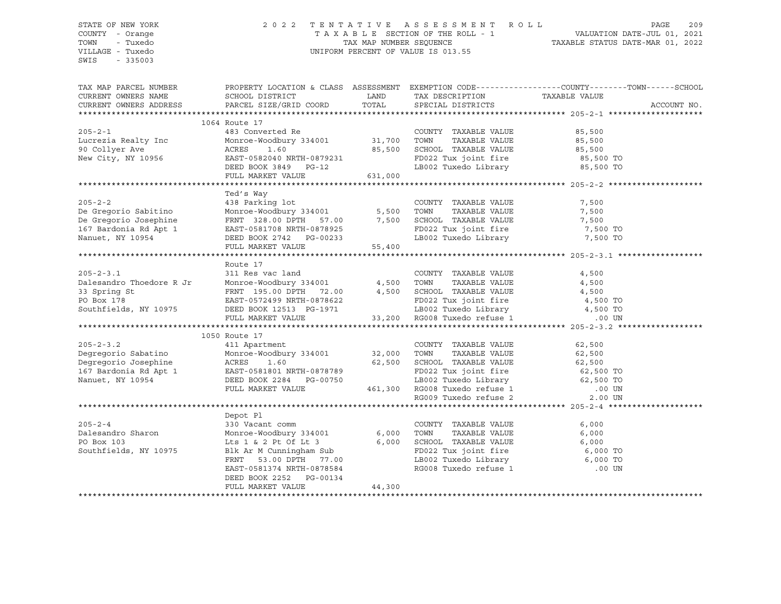## STATE OF NEW YORK 2 0 2 2 T E N T A T I V E A S S E S S M E N T R O L L PAGE 209 COUNTY - Orange T A X A B L E SECTION OF THE ROLL - 1 VALUATION DATE-JUL 01, 2021 TOWN - Tuxedo TAX MAP NUMBER SEQUENCE TAXABLE STATUS DATE-MAR 01, 2022 VILLAGE - Tuxedo UNIFORM PERCENT OF VALUE IS 013.55

| TAX MAP PARCEL NUMBER                                                                                                                                                                                                                                     | PROPERTY LOCATION & CLASS ASSESSMENT EXEMPTION CODE----------------COUNTY-------TOWN------SCHOOL            |         |                                                                                                     |       |             |
|-----------------------------------------------------------------------------------------------------------------------------------------------------------------------------------------------------------------------------------------------------------|-------------------------------------------------------------------------------------------------------------|---------|-----------------------------------------------------------------------------------------------------|-------|-------------|
| CURRENT OWNERS NAME                                                                                                                                                                                                                                       | SCHOOL DISTRICT                                                                                             | LAND    | TAX DESCRIPTION TAXABLE VALUE SPECIAL DISTRICTS                                                     |       |             |
| CURRENT OWNERS ADDRESS                                                                                                                                                                                                                                    | PARCEL SIZE/GRID COORD TOTAL                                                                                |         |                                                                                                     |       | ACCOUNT NO. |
|                                                                                                                                                                                                                                                           |                                                                                                             |         |                                                                                                     |       |             |
|                                                                                                                                                                                                                                                           | 1064 Route 17                                                                                               |         |                                                                                                     |       |             |
|                                                                                                                                                                                                                                                           |                                                                                                             |         |                                                                                                     |       |             |
|                                                                                                                                                                                                                                                           |                                                                                                             |         |                                                                                                     |       |             |
|                                                                                                                                                                                                                                                           |                                                                                                             |         |                                                                                                     |       |             |
|                                                                                                                                                                                                                                                           |                                                                                                             |         |                                                                                                     |       |             |
| 205-2-1<br>Lucrezia Realty Inc Monroe-Woodbury 334001<br>90 Collyer Ave Monroe-Woodbury 334001<br>90 Collyer Ave Monroe-Woodbury 334001<br>85,500<br>New City, NY 10956<br>26,500<br>26,500<br>27 UX Sense COUNTY TAXABLE VALUE<br>85,500<br>27 UX        |                                                                                                             |         | FD022 Tux joint fire 55,500 TO<br>LB002 Tuxedo Library 65,500 TO                                    |       |             |
|                                                                                                                                                                                                                                                           | FULL MARKET VALUE                                                                                           | 631,000 |                                                                                                     |       |             |
|                                                                                                                                                                                                                                                           |                                                                                                             |         |                                                                                                     |       |             |
|                                                                                                                                                                                                                                                           |                                                                                                             |         |                                                                                                     |       |             |
|                                                                                                                                                                                                                                                           | Ted's Way                                                                                                   |         |                                                                                                     |       |             |
|                                                                                                                                                                                                                                                           |                                                                                                             |         | COUNTY TAXABLE VALUE<br>TOWN TAXABLE VALUE                                                          | 7,500 |             |
|                                                                                                                                                                                                                                                           |                                                                                                             |         |                                                                                                     | 7,500 |             |
|                                                                                                                                                                                                                                                           |                                                                                                             |         |                                                                                                     |       |             |
|                                                                                                                                                                                                                                                           |                                                                                                             |         |                                                                                                     |       |             |
|                                                                                                                                                                                                                                                           |                                                                                                             |         |                                                                                                     |       |             |
| De Gregorio Josephine FRNT 328.00 DPTH 57.00 7,500 SCHOOL TAXABLE VALUE 7,500 7,500 7,500 7,500 7,500 7,500 7,500 7,500 7,500 7,500 7,500 7,500 7,500 7,500 7,500 7,500 7,500 7,500 7,500 7,500 7,500 7,500 7,500 7,500 7,500                             |                                                                                                             |         |                                                                                                     |       |             |
|                                                                                                                                                                                                                                                           |                                                                                                             |         |                                                                                                     |       |             |
|                                                                                                                                                                                                                                                           | Route 17                                                                                                    |         |                                                                                                     |       |             |
| $205 - 2 - 3.1$                                                                                                                                                                                                                                           | 311 Res vac land                                                                                            |         | COUNTY TAXABLE VALUE                                                                                | 4,500 |             |
|                                                                                                                                                                                                                                                           |                                                                                                             |         |                                                                                                     |       |             |
| Dalesandro Thoedore R Jr<br>31 Nes vac 1 and<br>33 Spring St<br>200 PTR 195.00 DPTH 72.00<br>200 PO Box 178<br>200 Box 178<br>200 Box 178<br>200 Box 178<br>200 Box 178<br>200 Box 178<br>200 Box 178<br>200 Box 178<br>200 Box 178<br>200 Box 178<br>200 |                                                                                                             |         |                                                                                                     |       |             |
|                                                                                                                                                                                                                                                           |                                                                                                             |         |                                                                                                     |       |             |
|                                                                                                                                                                                                                                                           |                                                                                                             |         |                                                                                                     |       |             |
|                                                                                                                                                                                                                                                           |                                                                                                             |         |                                                                                                     |       |             |
|                                                                                                                                                                                                                                                           |                                                                                                             |         |                                                                                                     |       |             |
|                                                                                                                                                                                                                                                           |                                                                                                             |         |                                                                                                     |       |             |
|                                                                                                                                                                                                                                                           |                                                                                                             |         |                                                                                                     |       |             |
|                                                                                                                                                                                                                                                           |                                                                                                             |         |                                                                                                     |       |             |
|                                                                                                                                                                                                                                                           |                                                                                                             |         |                                                                                                     |       |             |
|                                                                                                                                                                                                                                                           |                                                                                                             |         |                                                                                                     |       |             |
|                                                                                                                                                                                                                                                           |                                                                                                             |         |                                                                                                     |       |             |
|                                                                                                                                                                                                                                                           |                                                                                                             |         |                                                                                                     |       |             |
|                                                                                                                                                                                                                                                           |                                                                                                             |         |                                                                                                     |       |             |
|                                                                                                                                                                                                                                                           |                                                                                                             |         |                                                                                                     |       |             |
|                                                                                                                                                                                                                                                           |                                                                                                             |         |                                                                                                     |       |             |
|                                                                                                                                                                                                                                                           | Depot Pl                                                                                                    |         |                                                                                                     |       |             |
| $205 - 2 - 4$                                                                                                                                                                                                                                             | 330 Vacant comm                                                                                             |         | COUNTY TAXABLE VALUE                                                                                | 6,000 |             |
| Dalesandro Sharon Monroe-Woodbury 334001 6,000                                                                                                                                                                                                            |                                                                                                             |         | TAXABLE VALUE<br>TOWN                                                                               | 6,000 |             |
| PO Box 103                                                                                                                                                                                                                                                |                                                                                                             |         | SCHOOL TAXABLE VALUE                                                                                | 6,000 |             |
| Southfields, NY 10975                                                                                                                                                                                                                                     |                                                                                                             |         |                                                                                                     |       |             |
|                                                                                                                                                                                                                                                           |                                                                                                             |         |                                                                                                     |       |             |
|                                                                                                                                                                                                                                                           | Lts 1 & 2 Pt Of Lt 3 6,000<br>Blk Ar M Cunningham Sub<br>FRNT 53.00 DPTH 77.00<br>EAST-0581374 NRTH-0878584 |         | FD022 Tux joint fire<br>ED022 Tux joint fire<br>ED022 Tuxedo Library<br>RG008 Tuxedo refuse 1 00 UN |       |             |
|                                                                                                                                                                                                                                                           | DEED BOOK 2252 PG-00134                                                                                     |         |                                                                                                     |       |             |
|                                                                                                                                                                                                                                                           | FULL MARKET VALUE                                                                                           | 44,300  |                                                                                                     |       |             |
|                                                                                                                                                                                                                                                           |                                                                                                             |         |                                                                                                     |       |             |
|                                                                                                                                                                                                                                                           |                                                                                                             |         |                                                                                                     |       |             |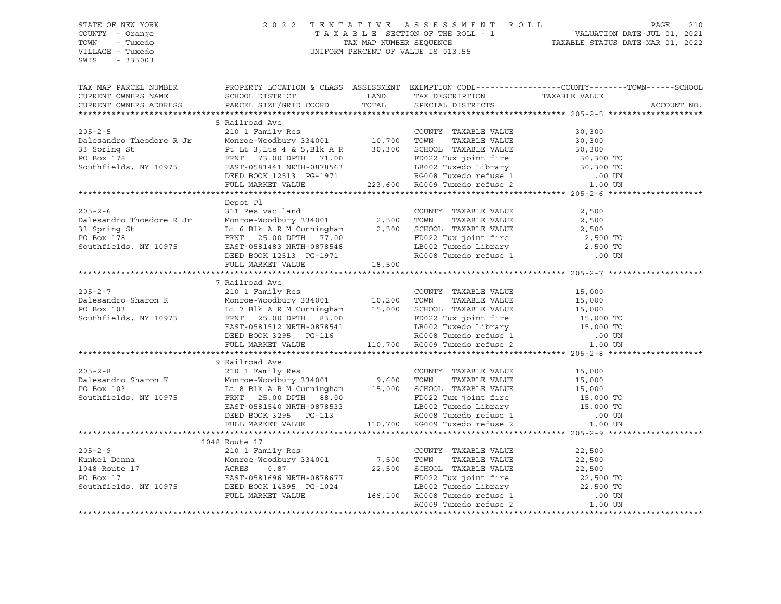#### STATE OF NEW YORK 2 0 2 2 T E N T A T I V E A S S E S S M E N T R O L L PAGE 210 COUNTY - Orange T A X A B L E SECTION OF THE ROLL - 1 VALUATION DATE-JUL 01, 2021 TOWN - Tuxedo TAX MAP NUMBER SEQUENCE TAXABLE STATUS DATE-MAR 01, 2022 UNIFORM PERCENT OF VALUE IS 013.55

TAX MAP PARCEL NUMBER PROPERTY LOCATION & CLASS ASSESSMENT EXEMPTION CODE------------------COUNTY--------TOWN------SCHOOL CURRENT OWNERS NAME SCHOOL DISTRICT LAND TAX DESCRIPTION TAXABLE VALUE CURRENT OWNERS ADDRESS PARCEL SIZE/GRID COORD TOTAL SPECIAL DISTRICTS ACCOUNT NO. \*\*\*\*\*\*\*\*\*\*\*\*\*\*\*\*\*\*\*\*\*\*\*\*\*\*\*\*\*\*\*\*\*\*\*\*\*\*\*\*\*\*\*\*\*\*\*\*\*\*\*\*\*\*\*\*\*\*\*\*\*\*\*\*\*\*\*\*\*\*\*\*\*\*\*\*\*\*\*\*\*\*\*\*\*\*\*\*\*\*\*\*\*\*\*\*\*\*\*\*\*\*\* 205-2-5 \*\*\*\*\*\*\*\*\*\*\*\*\*\*\*\*\*\*\*\* 5 Railroad Ave 205-2-5 210 1 Family Res COUNTY TAXABLE VALUE 30,300 Dalesandro Theodore R Jr Monroe-Woodbury 334001 10,700 TOWN TAXABLE VALUE 30,300 33 Spring St Pt Lt 3, Lts 4 & 5, Blk A R 30,300 SCHOOL TAXABLE VALUE 30,300 PO Box 178 **FRNT 73.00 DPTH 71.00** FD022 Tux joint fire 30,300 TO Southfields, NY 10975 EAST-0581441 NRTH-0878563 LB002 Tuxedo Library 30,300 TO DEED BOOK 12513 PG-1971 RG008 Tuxedo refuse 1 .00 UN FULL MARKET VALUE 223,600 RG009 Tuxedo refuse 2 1.00 UN \*\*\*\*\*\*\*\*\*\*\*\*\*\*\*\*\*\*\*\*\*\*\*\*\*\*\*\*\*\*\*\*\*\*\*\*\*\*\*\*\*\*\*\*\*\*\*\*\*\*\*\*\*\*\*\*\*\*\*\*\*\*\*\*\*\*\*\*\*\*\*\*\*\*\*\*\*\*\*\*\*\*\*\*\*\*\*\*\*\*\*\*\*\*\*\*\*\*\*\*\*\*\* 205-2-6 \*\*\*\*\*\*\*\*\*\*\*\*\*\*\*\*\*\*\*\* Depot Pl 205-2-6 311 Res vac land COUNTY TAXABLE VALUE 2,500 Dalesandro Thoedore R Jr Monroe-Woodbury 334001 2,500 TOWN TAXABLE VALUE 2,500 33 Spring St Lt 6 Blk A R M Cunningham 2,500 SCHOOL TAXABLE VALUE 2,500 PO Box 178 **FRNT 25.00 DPTH 77.00** FD022 Tux joint fire 2,500 TO Southfields, NY 10975 EAST-0581483 NRTH-0878548 LB002 Tuxedo Library 2,500 TO DEED BOOK 12513 PG-1971 RG008 Tuxedo refuse 1 .00 UN FULL MARKET VALUE 18,500 \*\*\*\*\*\*\*\*\*\*\*\*\*\*\*\*\*\*\*\*\*\*\*\*\*\*\*\*\*\*\*\*\*\*\*\*\*\*\*\*\*\*\*\*\*\*\*\*\*\*\*\*\*\*\*\*\*\*\*\*\*\*\*\*\*\*\*\*\*\*\*\*\*\*\*\*\*\*\*\*\*\*\*\*\*\*\*\*\*\*\*\*\*\*\*\*\*\*\*\*\*\*\* 205-2-7 \*\*\*\*\*\*\*\*\*\*\*\*\*\*\*\*\*\*\*\* 7 Railroad Ave<br>210 1 Family Res 205-2-7 210 1 Family Res COUNTY TAXABLE VALUE 15,000 Dalesandro Sharon K Monroe-Woodbury 334001 10,200 TOWN TAXABLE VALUE 15,000 PO Box 103 Lt 7 Blk A R M Cunningham 15,000 SCHOOL TAXABLE VALUE 15,000 Southfields, NY 10975 FRNT 25.00 DPTH 83.00 FD022 Tux joint fire 15,000 TO EAST-0581512 NRTH-0878541 LB002 Tuxedo Library 15,000 TO DEED BOOK 3295 PG-116 RG008 Tuxedo refuse 1 .00 UN FULL MARKET VALUE 110,700 RG009 Tuxedo refuse 2 1.00 UN \*\*\*\*\*\*\*\*\*\*\*\*\*\*\*\*\*\*\*\*\*\*\*\*\*\*\*\*\*\*\*\*\*\*\*\*\*\*\*\*\*\*\*\*\*\*\*\*\*\*\*\*\*\*\*\*\*\*\*\*\*\*\*\*\*\*\*\*\*\*\*\*\*\*\*\*\*\*\*\*\*\*\*\*\*\*\*\*\*\*\*\*\*\*\*\*\*\*\*\*\*\*\* 205-2-8 \*\*\*\*\*\*\*\*\*\*\*\*\*\*\*\*\*\*\*\* 9 Railroad Ave 205-2-8 210 1 Family Res COUNTY TAXABLE VALUE 15,000 Dalesandro Sharon K Monroe-Woodbury 334001 9,600 TOWN TAXABLE VALUE 15,000 PO Box 103 Lt 8 Blk A R M Cunningham 15,000 SCHOOL TAXABLE VALUE 15,000 Southfields, NY 10975 FRNT 25.00 DPTH 88.00 FD022 Tux joint fire 15,000 TO EAST-0581540 NRTH-0878533 LB002 Tuxedo Library 15,000 TO DEED BOOK 3295 PG-113 RG008 Tuxedo refuse 1 .00 UN FULL MARKET VALUE 110,700 RG009 Tuxedo refuse 2 1.00 UN \*\*\*\*\*\*\*\*\*\*\*\*\*\*\*\*\*\*\*\*\*\*\*\*\*\*\*\*\*\*\*\*\*\*\*\*\*\*\*\*\*\*\*\*\*\*\*\*\*\*\*\*\*\*\*\*\*\*\*\*\*\*\*\*\*\*\*\*\*\*\*\*\*\*\*\*\*\*\*\*\*\*\*\*\*\*\*\*\*\*\*\*\*\*\*\*\*\*\*\*\*\*\* 205-2-9 \*\*\*\*\*\*\*\*\*\*\*\*\*\*\*\*\*\*\*\* 1048 Route 17 205-2-9 210 1 Family Res COUNTY TAXABLE VALUE 22,500 Kunkel Donna Monroe-Woodbury 334001 7,500 TOWN TAXABLE VALUE 22,500 1048 Route 17 ACRES 0.87 22,500 SCHOOL TAXABLE VALUE 22,500 PO Box 17 EAST-0581696 NRTH-0878677 FD022 Tux joint fire 22,500 TO Southfields, NY 10975 DEED BOOK 14595 PG-1024 LB002 Tuxedo Library 22,500 TO FULL MARKET VALUE 166,100 RG008 Tuxedo refuse 1 .00 UN RG009 Tuxedo refuse 2  $1.00$  UN \*\*\*\*\*\*\*\*\*\*\*\*\*\*\*\*\*\*\*\*\*\*\*\*\*\*\*\*\*\*\*\*\*\*\*\*\*\*\*\*\*\*\*\*\*\*\*\*\*\*\*\*\*\*\*\*\*\*\*\*\*\*\*\*\*\*\*\*\*\*\*\*\*\*\*\*\*\*\*\*\*\*\*\*\*\*\*\*\*\*\*\*\*\*\*\*\*\*\*\*\*\*\*\*\*\*\*\*\*\*\*\*\*\*\*\*\*\*\*\*\*\*\*\*\*\*\*\*\*\*\*\*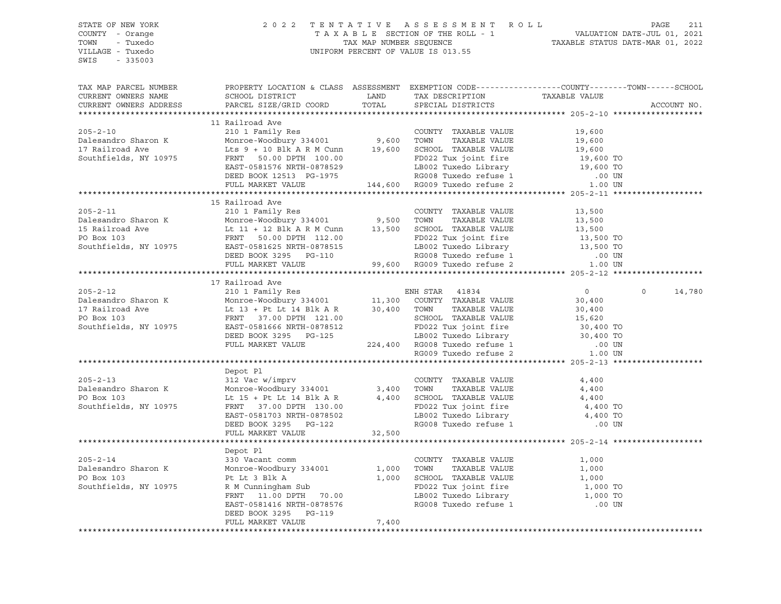| STATE OF NEW YORK<br>COUNTY - Orange<br>- Tuxedo<br>TOWN<br>VILLAGE - Tuxedo<br>SWIS<br>$-335003$ | 2022                                                                                                                                                                                                                                                                                                                                                                                                                                                 |        | TENTATIVE ASSESSMENT ROLL PAGE 211<br>TAXABLE SECTION OF THE ROLL - 1 VALUATION DATE-JUL 01, 2021<br>TAX MAP NUMBER SEQUENCE TAXABLE STATUS DATE-MAR 01, 2022<br>UNIFORM PERCENT OF VALUE IS 013.55                                         |                            |                   |
|---------------------------------------------------------------------------------------------------|------------------------------------------------------------------------------------------------------------------------------------------------------------------------------------------------------------------------------------------------------------------------------------------------------------------------------------------------------------------------------------------------------------------------------------------------------|--------|---------------------------------------------------------------------------------------------------------------------------------------------------------------------------------------------------------------------------------------------|----------------------------|-------------------|
| TAX MAP PARCEL NUMBER<br>CURRENT OWNERS NAME<br>CURRENT OWNERS ADDRESS                            | PROPERTY LOCATION & CLASS ASSESSMENT EXEMPTION CODE---------------COUNTY-------TOWN-----SCHOOL<br>SCHOOL DISTRICT LAND<br>PARCEL SIZE/GRID COORD                                                                                                                                                                                                                                                                                                     | TOTAL  | TAX DESCRIPTION<br>SPECIAL DISTRICTS<br>SPECIAL DISTRICTS                                                                                                                                                                                   |                            | ACCOUNT NO.       |
|                                                                                                   |                                                                                                                                                                                                                                                                                                                                                                                                                                                      |        |                                                                                                                                                                                                                                             |                            |                   |
| $205 - 2 - 10$                                                                                    |                                                                                                                                                                                                                                                                                                                                                                                                                                                      |        |                                                                                                                                                                                                                                             | 19,600                     |                   |
| Dalesandro Sharon K                                                                               |                                                                                                                                                                                                                                                                                                                                                                                                                                                      |        |                                                                                                                                                                                                                                             |                            |                   |
| 17 Railroad Ave                                                                                   |                                                                                                                                                                                                                                                                                                                                                                                                                                                      |        |                                                                                                                                                                                                                                             |                            |                   |
| Southfields, NY 10975                                                                             | COUNTY TAXABLE VALUE<br>Monroe-Woodbury 334001 9,600 TOWN TAXABLE VALUE<br>Lts 9 + 10 Blk A R M Cunn 19,600 SCHOOL TAXABLE VALUE<br>FRNT 50.00 DPTH 100.00 FD022 Tux ioint fire<br>EAST-0581576 NRTH-0936536<br>Monroe-Woodbury 334001 9,600 TOWN TAXABLE VALUE 19,600<br>Lts 9 + 10 Blk A R M Cunn 19,600 SCHOOL TAXABLE VALUE 19,600<br>FRNT 50.00 DPTH 100.00 FD022 Tux joint fire 19,600 TO<br>EAST-0581576 NRTH-0878529 LB002 Tuxedo Library 19 |        |                                                                                                                                                                                                                                             |                            |                   |
|                                                                                                   |                                                                                                                                                                                                                                                                                                                                                                                                                                                      |        |                                                                                                                                                                                                                                             |                            |                   |
|                                                                                                   |                                                                                                                                                                                                                                                                                                                                                                                                                                                      |        |                                                                                                                                                                                                                                             |                            |                   |
|                                                                                                   |                                                                                                                                                                                                                                                                                                                                                                                                                                                      |        |                                                                                                                                                                                                                                             |                            |                   |
|                                                                                                   | 15 Railroad Ave                                                                                                                                                                                                                                                                                                                                                                                                                                      |        |                                                                                                                                                                                                                                             |                            |                   |
| $205 - 2 - 11$                                                                                    | 210 1 Family Res                                                                                                                                                                                                                                                                                                                                                                                                                                     |        | COUNTY TAXABLE VALUE                                                                                                                                                                                                                        | 13,500                     |                   |
|                                                                                                   |                                                                                                                                                                                                                                                                                                                                                                                                                                                      |        |                                                                                                                                                                                                                                             |                            |                   |
|                                                                                                   |                                                                                                                                                                                                                                                                                                                                                                                                                                                      |        |                                                                                                                                                                                                                                             |                            |                   |
|                                                                                                   |                                                                                                                                                                                                                                                                                                                                                                                                                                                      |        |                                                                                                                                                                                                                                             |                            |                   |
|                                                                                                   |                                                                                                                                                                                                                                                                                                                                                                                                                                                      |        |                                                                                                                                                                                                                                             |                            |                   |
|                                                                                                   |                                                                                                                                                                                                                                                                                                                                                                                                                                                      |        |                                                                                                                                                                                                                                             |                            |                   |
|                                                                                                   |                                                                                                                                                                                                                                                                                                                                                                                                                                                      |        |                                                                                                                                                                                                                                             |                            |                   |
|                                                                                                   | 17 Railroad Ave                                                                                                                                                                                                                                                                                                                                                                                                                                      |        |                                                                                                                                                                                                                                             |                            |                   |
|                                                                                                   | EXERCISE AND SOLUTION OF TAXABLE VALUE CONTRACT AND MONOGRAPH OF SAMPLE VALUE OF BOX 103<br>Southfields, NY 10975<br>Southfields, NY 10975<br>Southfields, NY 10975<br>SEED BOOK 3295<br>THE CHOCL TAXABLE VALUE CONTRACT AND SCHOOL TAX                                                                                                                                                                                                             |        |                                                                                                                                                                                                                                             | $\overline{0}$             | $\circ$<br>14,780 |
|                                                                                                   |                                                                                                                                                                                                                                                                                                                                                                                                                                                      |        |                                                                                                                                                                                                                                             |                            |                   |
|                                                                                                   |                                                                                                                                                                                                                                                                                                                                                                                                                                                      |        |                                                                                                                                                                                                                                             |                            |                   |
|                                                                                                   |                                                                                                                                                                                                                                                                                                                                                                                                                                                      |        |                                                                                                                                                                                                                                             |                            |                   |
|                                                                                                   |                                                                                                                                                                                                                                                                                                                                                                                                                                                      |        |                                                                                                                                                                                                                                             |                            |                   |
|                                                                                                   |                                                                                                                                                                                                                                                                                                                                                                                                                                                      |        |                                                                                                                                                                                                                                             |                            |                   |
|                                                                                                   | FULL MARKET VALUE                                                                                                                                                                                                                                                                                                                                                                                                                                    |        | 11,300 COUNTY TAXABLE VALUE 30,400<br>30,400 TOWN TAXABLE VALUE 30,400<br>SCHOOL TAXABLE VALUE 30,400<br>SCHOOL TAXABLE VALUE 15,620<br>FD022 Tux joint fire 30,400 TO<br>LB002 Tuxedo refuse 1 .00 UN<br>RG009 Tuxedo refuse 2 .00 UN<br>* |                            |                   |
|                                                                                                   |                                                                                                                                                                                                                                                                                                                                                                                                                                                      |        |                                                                                                                                                                                                                                             |                            |                   |
|                                                                                                   |                                                                                                                                                                                                                                                                                                                                                                                                                                                      |        |                                                                                                                                                                                                                                             |                            |                   |
| $205 - 2 - 13$                                                                                    |                                                                                                                                                                                                                                                                                                                                                                                                                                                      |        | COUNTY TAXABLE VALUE                                                                                                                                                                                                                        | 4,400                      |                   |
| Dalesandro Sharon K                                                                               | 312 Vac w/imprv<br>Monroe-Woodbury 334001 3,400 TOWN<br>Lt 15 + Pt Lt 14 Blk A P                                                                                                                                                                                                                                                                                                                                                                     |        | TAXABLE VALUE                                                                                                                                                                                                                               | 4,400                      |                   |
| PO Box 103                                                                                        | Lt 15 + Pt Lt 14 Blk A R 4,400 SCHOOL TAXABLE VALUE<br>FRNT 37.00 DPTH 130.00 FD022 Tux joint fire<br>EAST-0581703 NRTH-0878502 LB002 Tuxedo Library<br>DEED BOOK 3295 PG-122 RG008 Tuxedo refuse 1                                                                                                                                                                                                                                                  |        |                                                                                                                                                                                                                                             | 4,400                      |                   |
| Southfields, NY 10975                                                                             |                                                                                                                                                                                                                                                                                                                                                                                                                                                      |        |                                                                                                                                                                                                                                             | 4,400 TO<br>4,400 TO       |                   |
|                                                                                                   |                                                                                                                                                                                                                                                                                                                                                                                                                                                      |        |                                                                                                                                                                                                                                             | .00 UN                     |                   |
|                                                                                                   | FULL MARKET VALUE                                                                                                                                                                                                                                                                                                                                                                                                                                    | 32,500 |                                                                                                                                                                                                                                             |                            |                   |
|                                                                                                   |                                                                                                                                                                                                                                                                                                                                                                                                                                                      |        |                                                                                                                                                                                                                                             |                            |                   |
|                                                                                                   | Depot Pl                                                                                                                                                                                                                                                                                                                                                                                                                                             |        |                                                                                                                                                                                                                                             |                            |                   |
| $205 - 2 - 14$                                                                                    |                                                                                                                                                                                                                                                                                                                                                                                                                                                      |        |                                                                                                                                                                                                                                             | 1,000                      |                   |
| Dalesandro Sharon K                                                                               |                                                                                                                                                                                                                                                                                                                                                                                                                                                      |        |                                                                                                                                                                                                                                             |                            |                   |
| PO Box 103                                                                                        | Equationm<br>330 Vacant comm<br>Monroe-Woodbury 334001<br>Pt Lt 3 Blk A<br>R M Cunningham Sub<br>R M Cunningham Sub<br>FD022 Tux joint fire<br>FRNT 11.00 DPTH 70.00<br>EAST-0581416 NRTH-0878576<br>TATA DRTH-0878576<br>TATA DRTH-0878576<br>RG008                                                                                                                                                                                                 |        |                                                                                                                                                                                                                                             | 1,000<br>1,000<br>1,000 TO |                   |
| Southfields, NY 10975                                                                             |                                                                                                                                                                                                                                                                                                                                                                                                                                                      |        |                                                                                                                                                                                                                                             |                            |                   |
|                                                                                                   |                                                                                                                                                                                                                                                                                                                                                                                                                                                      |        |                                                                                                                                                                                                                                             | $1,000$ TO<br>.00 UN       |                   |
|                                                                                                   | DEED BOOK 3295 PG-119                                                                                                                                                                                                                                                                                                                                                                                                                                |        |                                                                                                                                                                                                                                             |                            |                   |
|                                                                                                   | FULL MARKET VALUE                                                                                                                                                                                                                                                                                                                                                                                                                                    | 7,400  |                                                                                                                                                                                                                                             |                            |                   |
|                                                                                                   |                                                                                                                                                                                                                                                                                                                                                                                                                                                      |        |                                                                                                                                                                                                                                             |                            |                   |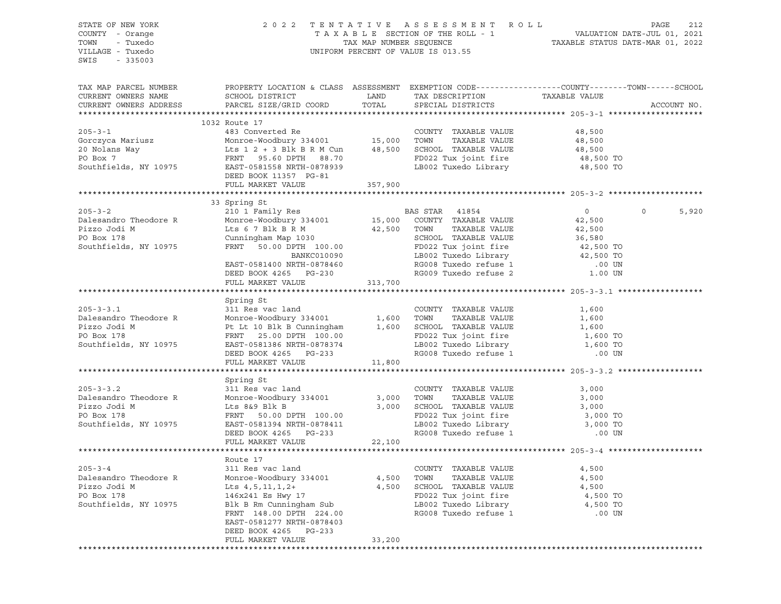| STATE OF NEW YORK<br>COUNTY - Orange<br>TOWN<br>- Tuxedo<br>VILLAGE - Tuxedo<br>SWIS<br>$-335003$ |                                                                                                                                                                                                                                          |                          | 2022 TENTATIVE ASSESSMENT ROLL<br>T A X A B L E SECTION OF THE ROLL - 1 VALUATION DATE-JUL 01, 2021<br>TAX MAP NUMBER SEQUENCE TAXABLE STATUS DATE-MAR 01, 2022<br>UNIFORM PERCENT OF VALUE IS 013.55 |                                                                | PAGE<br>212      |
|---------------------------------------------------------------------------------------------------|------------------------------------------------------------------------------------------------------------------------------------------------------------------------------------------------------------------------------------------|--------------------------|-------------------------------------------------------------------------------------------------------------------------------------------------------------------------------------------------------|----------------------------------------------------------------|------------------|
| TAX MAP PARCEL NUMBER<br>CURRENT OWNERS NAME<br>CURRENT OWNERS ADDRESS                            | SCHOOL DISTRICT<br>PARCEL SIZE/GRID COORD                                                                                                                                                                                                | LAND<br>TOTAL            | PROPERTY LOCATION & CLASS ASSESSMENT EXEMPTION CODE----------------COUNTY-------TOWN------SCHOOL<br>TAX DESCRIPTION<br>SPECIAL DISTRICTS                                                              | TAXABLE VALUE                                                  | ACCOUNT NO.      |
|                                                                                                   | 1032 Route 17                                                                                                                                                                                                                            |                          |                                                                                                                                                                                                       |                                                                |                  |
| $205 - 3 - 1$<br>Gorczyca Mariusz<br>20 Nolans Way                                                | 483 Converted Re<br>Monroe-Woodbury 334001 15,000<br>Lts $1 \t2 + 3$ Blk B R M Cun 48,500                                                                                                                                                |                          | COUNTY TAXABLE VALUE<br>TOWN<br>TAXABLE VALUE<br>SCHOOL TAXABLE VALUE                                                                                                                                 | 48,500<br>48,500<br>48,500                                     |                  |
| PO Box 7<br>Southfields, NY 10975                                                                 | FRNT 95.60 DPTH 88.70<br>EAST-0581558 NRTH-0878939<br>DEED BOOK 11357 PG-81<br>FULL MARKET VALUE                                                                                                                                         | 357,900                  | FD022 Tux joint fire<br>LB002 Tuxedo Library                                                                                                                                                          | 48,500 TO<br>48,500 TO                                         |                  |
|                                                                                                   |                                                                                                                                                                                                                                          |                          |                                                                                                                                                                                                       |                                                                |                  |
| $205 - 3 - 2$                                                                                     | 33 Spring St<br>210 1 Family Res                                                                                                                                                                                                         |                          | BAS STAR 41854                                                                                                                                                                                        | $\overline{0}$                                                 | $\circ$<br>5,920 |
| Dalesandro Theodore R<br>Pizzo Jodi M<br>PO Box 178<br>Southfields, NY 10975                      | Monroe-Woodbury 334001<br>Lts 6 7 Blk B R M<br>Cunningham Map 1030<br>FRNT 50.00 DPTH 100.00<br>BANKC010090<br>EAST-0581400 NRTH-0878460                                                                                                 | 42,500                   | 15,000 COUNTY TAXABLE VALUE<br>TOWN<br>TAXABLE VALUE<br>SCHOOL TAXABLE VALUE<br>FD022 Tux joint fire<br>LB002 Tuxedo Library<br>RG008 Tuxedo refuse 1                                                 | 42,500<br>42,500<br>36,580<br>42,500 TO<br>42,500 TO<br>.00 UN |                  |
|                                                                                                   | DEED BOOK 4265 PG-230<br>FULL MARKET VALUE                                                                                                                                                                                               | 313,700                  | RG009 Tuxedo refuse 2                                                                                                                                                                                 | 1.00 UN                                                        |                  |
|                                                                                                   |                                                                                                                                                                                                                                          |                          |                                                                                                                                                                                                       |                                                                |                  |
|                                                                                                   | Spring St                                                                                                                                                                                                                                |                          |                                                                                                                                                                                                       |                                                                |                  |
| $205 - 3 - 3.1$<br>Dalesandro Theodore R<br>Pizzo Jodi M<br>PO Box 178<br>Southfields, NY 10975   | 311 Res vac land<br>Monroe-Woodbury 334001<br>Pt Lt 10 Blk B Cunningham<br>FRNT 25.00 DPTH 100.00<br>EAST-0581386 NRTH-0878374<br>DEED BOOK 4265 PG-233<br>FULL MARKET VALUE                                                             | 1,600<br>1,600<br>11,800 | COUNTY TAXABLE VALUE<br>TOWN<br>TAXABLE VALUE<br>SCHOOL TAXABLE VALUE<br>FD022 Tux joint fire<br>LB002 Tuxedo Library<br>RG008 Tuxedo refuse 1                                                        | 1,600<br>1,600<br>1,600<br>1,600 TO<br>1,600 TO<br>.00 UN      |                  |
|                                                                                                   |                                                                                                                                                                                                                                          |                          |                                                                                                                                                                                                       |                                                                |                  |
| $205 - 3 - 3.2$<br>Dalesandro Theodore R<br>Pizzo Jodi M<br>PO Box 178<br>Southfields, NY 10975   | Spring St<br>311 Res vac land<br>Monroe-Woodbury 334001<br>Lts 8&9 Blk B<br>FRNT 50.00 DPTH 100.00<br>EAST-0581394 NRTH-0878411<br>DEED BOOK 4265 PG-233<br>FULL MARKET VALUE                                                            | 3,000<br>3,000<br>22,100 | COUNTY TAXABLE VALUE<br>TOWN<br>TAXABLE VALUE<br>SCHOOL TAXABLE VALUE<br>FD022 Tux joint fire<br>LB002 Tuxedo Library<br>RG008 Tuxedo refuse 1                                                        | 3,000<br>3,000<br>3,000<br>3,000 TO<br>3,000 TO<br>.00 UN      |                  |
|                                                                                                   |                                                                                                                                                                                                                                          |                          |                                                                                                                                                                                                       |                                                                |                  |
| $205 - 3 - 4$<br>Dalesandro Theodore R<br>Pizzo Jodi M<br>PO Box 178<br>Southfields, NY 10975     | Route 17<br>311 Res vac land<br>Monroe-Woodbury 334001<br>Lts $4, 5, 11, 1, 2+$<br>146x241 Es Hwy 17<br>Blk B Rm Cunningham Sub<br>FRNT 148.00 DPTH 224.00<br>EAST-0581277 NRTH-0878403<br>DEED BOOK 4265<br>PG-233<br>FULL MARKET VALUE | 4,500<br>4,500<br>33,200 | COUNTY TAXABLE VALUE<br>TOWN<br>TAXABLE VALUE<br>SCHOOL TAXABLE VALUE<br>FD022 Tux joint fire<br>LB002 Tuxedo Library<br>RG008 Tuxedo refuse 1                                                        | 4,500<br>4,500<br>4,500<br>4,500 TO<br>4,500 TO<br>$.00$ UN    |                  |
|                                                                                                   |                                                                                                                                                                                                                                          |                          |                                                                                                                                                                                                       |                                                                |                  |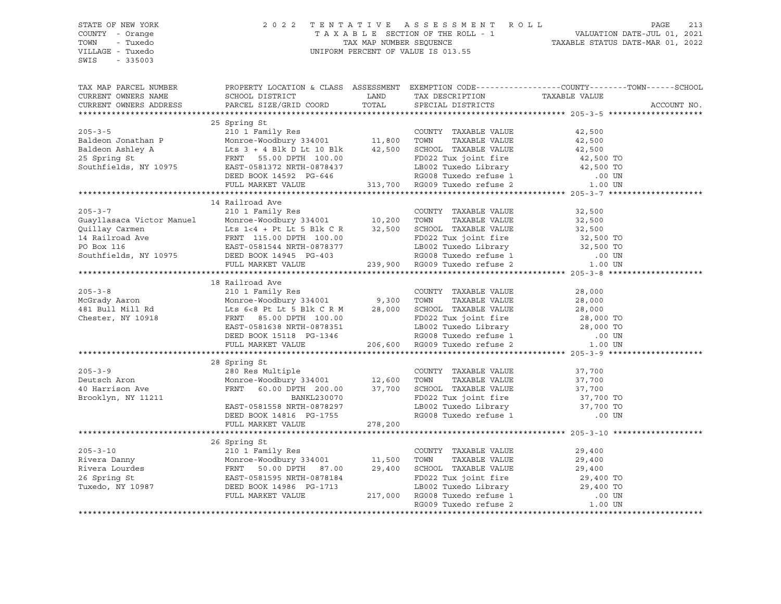## STATE OF NEW YORK 2 0 2 2 T E N T A T I V E A S S E S S M E N T R O L L PAGE 213 COUNTY - Orange T A X A B L E SECTION OF THE ROLL - 1 VALUATION DATE-JUL 01, 2021 TOWN - Tuxedo TAX MAP NUMBER SEQUENCE TAXABLE STATUS DATE-MAR 01, 2022 VILLAGE - Tuxedo UNIFORM PERCENT OF VALUE IS 013.55

| TAX MAP PARCEL NUMBER<br>CURRENT OWNERS NAME<br>CURRENT OWNERS ADDRESS | SCHOOL DISTRICT LAND<br>PARCEL SIZE/GRID COORD                                                                                                                                                                                                                                                                                                                                    | TOTAL | TAX DESCRIPTION TAXABLE VALUE SPECIAL DISTRICTS<br>TAX DESCRIPTION | PROPERTY LOCATION & CLASS ASSESSMENT EXEMPTION CODE----------------COUNTY-------TOWN-----SCHOOL | ACCOUNT NO. |
|------------------------------------------------------------------------|-----------------------------------------------------------------------------------------------------------------------------------------------------------------------------------------------------------------------------------------------------------------------------------------------------------------------------------------------------------------------------------|-------|--------------------------------------------------------------------|-------------------------------------------------------------------------------------------------|-------------|
|                                                                        |                                                                                                                                                                                                                                                                                                                                                                                   |       |                                                                    |                                                                                                 |             |
|                                                                        | 25 Spring St                                                                                                                                                                                                                                                                                                                                                                      |       |                                                                    |                                                                                                 |             |
|                                                                        |                                                                                                                                                                                                                                                                                                                                                                                   |       |                                                                    |                                                                                                 |             |
|                                                                        |                                                                                                                                                                                                                                                                                                                                                                                   |       |                                                                    |                                                                                                 |             |
|                                                                        |                                                                                                                                                                                                                                                                                                                                                                                   |       |                                                                    |                                                                                                 |             |
|                                                                        |                                                                                                                                                                                                                                                                                                                                                                                   |       |                                                                    |                                                                                                 |             |
|                                                                        |                                                                                                                                                                                                                                                                                                                                                                                   |       |                                                                    |                                                                                                 |             |
|                                                                        |                                                                                                                                                                                                                                                                                                                                                                                   |       |                                                                    |                                                                                                 |             |
|                                                                        |                                                                                                                                                                                                                                                                                                                                                                                   |       |                                                                    |                                                                                                 |             |
|                                                                        |                                                                                                                                                                                                                                                                                                                                                                                   |       |                                                                    |                                                                                                 |             |
|                                                                        | 14 Railroad Ave                                                                                                                                                                                                                                                                                                                                                                   |       |                                                                    |                                                                                                 |             |
|                                                                        |                                                                                                                                                                                                                                                                                                                                                                                   |       |                                                                    |                                                                                                 |             |
|                                                                        |                                                                                                                                                                                                                                                                                                                                                                                   |       |                                                                    |                                                                                                 |             |
|                                                                        |                                                                                                                                                                                                                                                                                                                                                                                   |       |                                                                    |                                                                                                 |             |
|                                                                        |                                                                                                                                                                                                                                                                                                                                                                                   |       |                                                                    |                                                                                                 |             |
|                                                                        |                                                                                                                                                                                                                                                                                                                                                                                   |       |                                                                    |                                                                                                 |             |
|                                                                        |                                                                                                                                                                                                                                                                                                                                                                                   |       |                                                                    |                                                                                                 |             |
|                                                                        | 205-3-7<br>205-3-7<br>210 1 Family Res<br>CoUNTY TAXABLE VALUE<br>22,500<br>210 1 Family Res<br>22,500<br>23,500<br>23,500<br>23,500<br>23,500<br>239,900 RG005<br>239,900 RG009 Tuxedo refuse 2<br>239,900 RG009 Tuxedo refuse 2<br>239,900 RG009 Tuxedo                                                                                                                         |       |                                                                    |                                                                                                 |             |
|                                                                        |                                                                                                                                                                                                                                                                                                                                                                                   |       |                                                                    |                                                                                                 |             |
|                                                                        | 18 Railroad Ave                                                                                                                                                                                                                                                                                                                                                                   |       |                                                                    |                                                                                                 |             |
|                                                                        |                                                                                                                                                                                                                                                                                                                                                                                   |       |                                                                    |                                                                                                 |             |
|                                                                        |                                                                                                                                                                                                                                                                                                                                                                                   |       |                                                                    |                                                                                                 |             |
|                                                                        |                                                                                                                                                                                                                                                                                                                                                                                   |       |                                                                    |                                                                                                 |             |
|                                                                        |                                                                                                                                                                                                                                                                                                                                                                                   |       |                                                                    |                                                                                                 |             |
|                                                                        |                                                                                                                                                                                                                                                                                                                                                                                   |       |                                                                    |                                                                                                 |             |
|                                                                        |                                                                                                                                                                                                                                                                                                                                                                                   |       |                                                                    |                                                                                                 |             |
|                                                                        | 18 Railroad Ave 210 1 Family Res COUNTY TAXABLE VALUE 28,000<br>MCGrady Aaron Monroe-Woodbury 334001 9,300 TOWN TAXABLE VALUE 28,000<br>481 Bull Mill Rd Lts 6<8 Pt Lt 5 Blk C R M 28,000 SCHOOL TAXABLE VALUE 28,000<br>Chester, NY                                                                                                                                              |       |                                                                    |                                                                                                 |             |
|                                                                        |                                                                                                                                                                                                                                                                                                                                                                                   |       |                                                                    |                                                                                                 |             |
|                                                                        | 28 Spring St                                                                                                                                                                                                                                                                                                                                                                      |       |                                                                    |                                                                                                 |             |
|                                                                        |                                                                                                                                                                                                                                                                                                                                                                                   |       |                                                                    |                                                                                                 |             |
|                                                                        |                                                                                                                                                                                                                                                                                                                                                                                   |       |                                                                    |                                                                                                 |             |
|                                                                        |                                                                                                                                                                                                                                                                                                                                                                                   |       |                                                                    |                                                                                                 |             |
|                                                                        |                                                                                                                                                                                                                                                                                                                                                                                   |       |                                                                    |                                                                                                 |             |
|                                                                        |                                                                                                                                                                                                                                                                                                                                                                                   |       |                                                                    |                                                                                                 |             |
|                                                                        |                                                                                                                                                                                                                                                                                                                                                                                   |       |                                                                    |                                                                                                 |             |
|                                                                        | $\begin{tabular}{lllllllllllll} 205-3-9 & \multicolumn{3}{c }{205-3-9} & \multicolumn{3}{c }{205-3-9} & \multicolumn{3}{c }{205-3-9} & \multicolumn{3}{c }{205-3-9} & \multicolumn{3}{c }{205-3-9} & \multicolumn{3}{c }{205-3-9} & \multicolumn{3}{c }{205-3-9} & \multicolumn{3}{c }{205-3-9} & \multicolumn{3}{c }{205-3-9} & \multicolumn{3}{c }{205-3-9} & \multicolumn{3}{$ |       |                                                                    |                                                                                                 |             |
|                                                                        |                                                                                                                                                                                                                                                                                                                                                                                   |       |                                                                    |                                                                                                 |             |
|                                                                        |                                                                                                                                                                                                                                                                                                                                                                                   |       |                                                                    |                                                                                                 |             |
|                                                                        |                                                                                                                                                                                                                                                                                                                                                                                   |       |                                                                    |                                                                                                 |             |
|                                                                        |                                                                                                                                                                                                                                                                                                                                                                                   |       |                                                                    |                                                                                                 |             |
|                                                                        |                                                                                                                                                                                                                                                                                                                                                                                   |       |                                                                    |                                                                                                 |             |
|                                                                        |                                                                                                                                                                                                                                                                                                                                                                                   |       |                                                                    |                                                                                                 |             |
|                                                                        |                                                                                                                                                                                                                                                                                                                                                                                   |       |                                                                    |                                                                                                 |             |
|                                                                        |                                                                                                                                                                                                                                                                                                                                                                                   |       |                                                                    |                                                                                                 |             |
|                                                                        |                                                                                                                                                                                                                                                                                                                                                                                   |       |                                                                    |                                                                                                 |             |
|                                                                        |                                                                                                                                                                                                                                                                                                                                                                                   |       |                                                                    |                                                                                                 |             |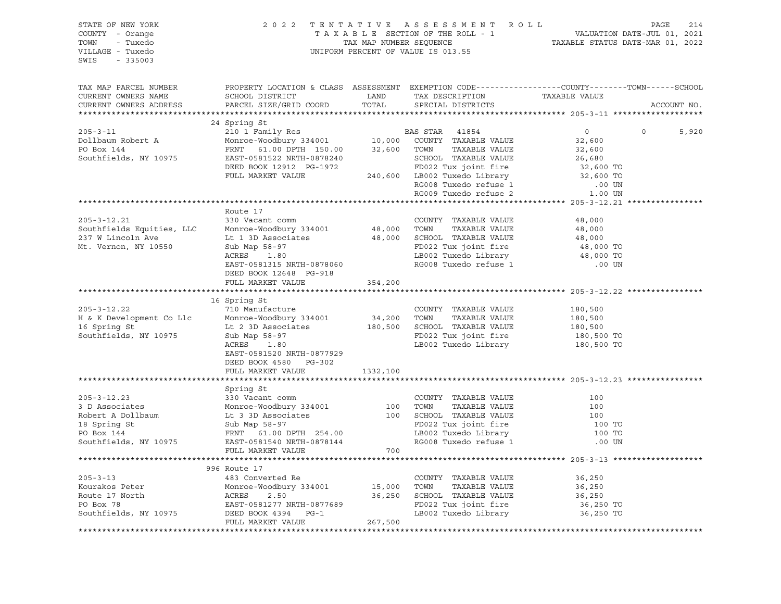| STATE OF NEW YORK<br>COUNTY - Orange<br>TOWN - Tuxedo<br>VILLAGE - Tuxedo<br>SWIS - 335003                                                                                                                                                                                                                                                                                                                           |                                                                                                                                      |         | 2022 TENTATIVE ASSESSMENT ROLL PAGE 214<br>TAXABLE SECTION OF THE ROLL - 1 VALUATION DATE-JUL 01, 2021<br>TAX MAP NUMBER SEQUENCE TAXABLE STATUS DATE-MAR 01, 2022<br>UNIFORM PERCENT OF VALUE IS 013.55 |                     |             |       |
|----------------------------------------------------------------------------------------------------------------------------------------------------------------------------------------------------------------------------------------------------------------------------------------------------------------------------------------------------------------------------------------------------------------------|--------------------------------------------------------------------------------------------------------------------------------------|---------|----------------------------------------------------------------------------------------------------------------------------------------------------------------------------------------------------------|---------------------|-------------|-------|
| TAX MAP PARCEL NUMBER<br>CURRENT OWNERS NAME<br>CURRENT OWNERS ADDRESS                                                                                                                                                                                                                                                                                                                                               | PROPERTY LOCATION & CLASS ASSESSMENT EXEMPTION CODE----------------COUNTY-------TOWN------SCHOOL                                     |         |                                                                                                                                                                                                          |                     | ACCOUNT NO. |       |
|                                                                                                                                                                                                                                                                                                                                                                                                                      |                                                                                                                                      |         |                                                                                                                                                                                                          |                     |             |       |
|                                                                                                                                                                                                                                                                                                                                                                                                                      | 24 Spring St                                                                                                                         |         |                                                                                                                                                                                                          |                     |             |       |
|                                                                                                                                                                                                                                                                                                                                                                                                                      |                                                                                                                                      |         |                                                                                                                                                                                                          | $\overline{0}$      | $\circ$     | 5,920 |
|                                                                                                                                                                                                                                                                                                                                                                                                                      |                                                                                                                                      |         |                                                                                                                                                                                                          |                     |             |       |
|                                                                                                                                                                                                                                                                                                                                                                                                                      |                                                                                                                                      |         |                                                                                                                                                                                                          |                     |             |       |
|                                                                                                                                                                                                                                                                                                                                                                                                                      |                                                                                                                                      |         |                                                                                                                                                                                                          |                     |             |       |
|                                                                                                                                                                                                                                                                                                                                                                                                                      |                                                                                                                                      |         |                                                                                                                                                                                                          |                     |             |       |
|                                                                                                                                                                                                                                                                                                                                                                                                                      |                                                                                                                                      |         |                                                                                                                                                                                                          |                     |             |       |
|                                                                                                                                                                                                                                                                                                                                                                                                                      |                                                                                                                                      |         |                                                                                                                                                                                                          |                     |             |       |
|                                                                                                                                                                                                                                                                                                                                                                                                                      |                                                                                                                                      |         |                                                                                                                                                                                                          |                     |             |       |
|                                                                                                                                                                                                                                                                                                                                                                                                                      |                                                                                                                                      |         |                                                                                                                                                                                                          |                     |             |       |
|                                                                                                                                                                                                                                                                                                                                                                                                                      | Route 17                                                                                                                             |         |                                                                                                                                                                                                          |                     |             |       |
|                                                                                                                                                                                                                                                                                                                                                                                                                      |                                                                                                                                      |         |                                                                                                                                                                                                          |                     |             |       |
|                                                                                                                                                                                                                                                                                                                                                                                                                      |                                                                                                                                      |         |                                                                                                                                                                                                          |                     |             |       |
|                                                                                                                                                                                                                                                                                                                                                                                                                      |                                                                                                                                      |         |                                                                                                                                                                                                          |                     |             |       |
|                                                                                                                                                                                                                                                                                                                                                                                                                      |                                                                                                                                      |         |                                                                                                                                                                                                          |                     |             |       |
|                                                                                                                                                                                                                                                                                                                                                                                                                      |                                                                                                                                      |         |                                                                                                                                                                                                          |                     |             |       |
| 205-3-12.21 330 Vacant comm<br>Southfields Equities, LLC Monroe-Woodbury 334001 48,000 TOWN TAXABLE VALUE 48,000<br>237 W Lincoln Ave Lt 1 3D Associates 48,000 SCHOOL TAXABLE VALUE 48,000<br>Mt. Vernon, NY 10550 Sub Map 58-97 FD                                                                                                                                                                                 |                                                                                                                                      |         |                                                                                                                                                                                                          |                     |             |       |
|                                                                                                                                                                                                                                                                                                                                                                                                                      | FULL MARKET VALUE 354,200                                                                                                            |         |                                                                                                                                                                                                          |                     |             |       |
|                                                                                                                                                                                                                                                                                                                                                                                                                      |                                                                                                                                      |         |                                                                                                                                                                                                          |                     |             |       |
|                                                                                                                                                                                                                                                                                                                                                                                                                      | 16 Spring St                                                                                                                         |         |                                                                                                                                                                                                          |                     |             |       |
|                                                                                                                                                                                                                                                                                                                                                                                                                      |                                                                                                                                      |         |                                                                                                                                                                                                          |                     |             |       |
|                                                                                                                                                                                                                                                                                                                                                                                                                      |                                                                                                                                      |         |                                                                                                                                                                                                          |                     |             |       |
|                                                                                                                                                                                                                                                                                                                                                                                                                      |                                                                                                                                      |         |                                                                                                                                                                                                          |                     |             |       |
|                                                                                                                                                                                                                                                                                                                                                                                                                      |                                                                                                                                      |         |                                                                                                                                                                                                          |                     |             |       |
| $\begin{tabular}{lllllllllllllllllllll} & & & 16 & {\rm spring\,\,s.t.} & & & 16 & {\rm spring\,\,s.t.} & & 10 & {\rm Manufacture} & & & 100 & {\rm Manufacture} & & & 100 & {\rm Nonroe-Woodbury\,\,334001} & & & 34,200 & {\rm TOWN} & {\rm TAXABLE\,\,VALUE} & & & 180,500 & \\ \hline \text{16 Spring St} & & & & \text{Monroe-Woodbury\,\,334001} & & & 34,200 & {\rm TOWN} & {\rm TAXABLE\,\,VALUE} & & & 180$ |                                                                                                                                      |         |                                                                                                                                                                                                          |                     |             |       |
|                                                                                                                                                                                                                                                                                                                                                                                                                      | EAST-0581520 NRTH-0877929                                                                                                            |         |                                                                                                                                                                                                          |                     |             |       |
|                                                                                                                                                                                                                                                                                                                                                                                                                      | DEED BOOK 4580 PG-302                                                                                                                |         |                                                                                                                                                                                                          |                     |             |       |
|                                                                                                                                                                                                                                                                                                                                                                                                                      | FULL MARKET VALUE 1332,100                                                                                                           |         |                                                                                                                                                                                                          |                     |             |       |
|                                                                                                                                                                                                                                                                                                                                                                                                                      |                                                                                                                                      |         |                                                                                                                                                                                                          |                     |             |       |
|                                                                                                                                                                                                                                                                                                                                                                                                                      | Spring St                                                                                                                            |         |                                                                                                                                                                                                          |                     |             |       |
|                                                                                                                                                                                                                                                                                                                                                                                                                      |                                                                                                                                      |         |                                                                                                                                                                                                          |                     |             |       |
|                                                                                                                                                                                                                                                                                                                                                                                                                      |                                                                                                                                      |         |                                                                                                                                                                                                          |                     |             |       |
|                                                                                                                                                                                                                                                                                                                                                                                                                      |                                                                                                                                      |         |                                                                                                                                                                                                          |                     |             |       |
|                                                                                                                                                                                                                                                                                                                                                                                                                      |                                                                                                                                      |         |                                                                                                                                                                                                          |                     |             |       |
|                                                                                                                                                                                                                                                                                                                                                                                                                      |                                                                                                                                      |         |                                                                                                                                                                                                          |                     |             |       |
| 30 Vacant comm<br>30 Vacant comm<br>30 Vacant comm<br>Monroe-Woodbury 334001<br>Robert A Dollbaum<br>100 TOWN TAXABLE VALUE<br>100 TOWN TAXABLE VALUE<br>100 TOWN TAXABLE VALUE<br>100 TOWN TAXABLE VALUE<br>100 TOWN TAXABLE VALUE<br>100 TOWN TA                                                                                                                                                                   |                                                                                                                                      |         |                                                                                                                                                                                                          |                     |             |       |
|                                                                                                                                                                                                                                                                                                                                                                                                                      |                                                                                                                                      |         |                                                                                                                                                                                                          |                     |             |       |
|                                                                                                                                                                                                                                                                                                                                                                                                                      |                                                                                                                                      |         |                                                                                                                                                                                                          |                     |             |       |
|                                                                                                                                                                                                                                                                                                                                                                                                                      |                                                                                                                                      |         | COUNTY TAXABLE VALUE                                                                                                                                                                                     | 36,250              |             |       |
|                                                                                                                                                                                                                                                                                                                                                                                                                      |                                                                                                                                      |         | TAXABLE VALUE                                                                                                                                                                                            | 36,250              |             |       |
|                                                                                                                                                                                                                                                                                                                                                                                                                      |                                                                                                                                      |         |                                                                                                                                                                                                          |                     |             |       |
| Example 17<br>Solution of the Monroe-Woodbury 334001<br>Monroe-Woodbury 334001<br>Monroe-Woodbury 334001<br>Monroe-Woodbury 334001<br>15,000 TOWN<br>Route 17 North<br>PO Box 78<br>Southfields NY 111-1                                                                                                                                                                                                             |                                                                                                                                      |         |                                                                                                                                                                                                          | 36,250<br>36,250 TO |             |       |
| Southfields, NY 10975                                                                                                                                                                                                                                                                                                                                                                                                | ACRES 2.50 36,250 SCHOOL TAXABLE VALUE<br>BAST-0581277 NRTH-0877689 50HOOL TAXABLE VALUE<br>DEED BOOK 4394 PG-1 LB002 Tuxedo Library |         | LB002 Tuxedo Library                                                                                                                                                                                     | 36,250 TO           |             |       |
|                                                                                                                                                                                                                                                                                                                                                                                                                      | FULL MARKET VALUE                                                                                                                    | 267,500 |                                                                                                                                                                                                          |                     |             |       |
|                                                                                                                                                                                                                                                                                                                                                                                                                      |                                                                                                                                      |         |                                                                                                                                                                                                          |                     |             |       |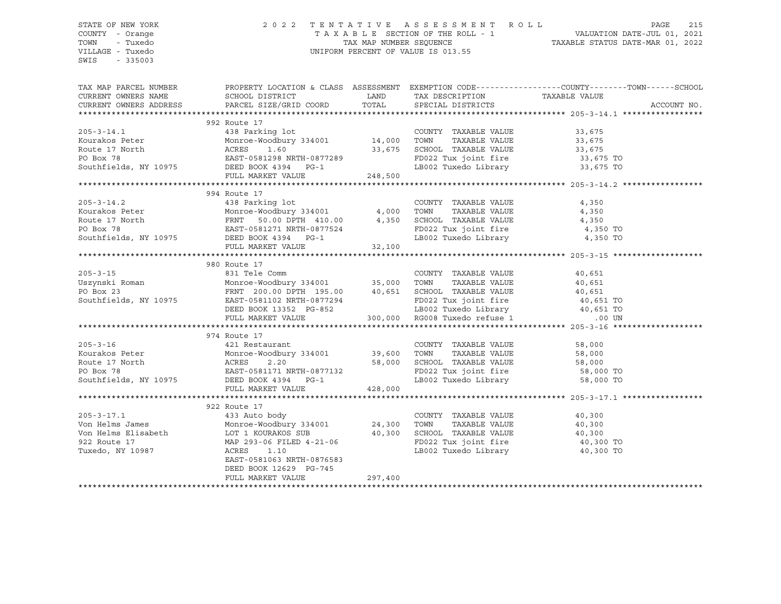## STATE OF NEW YORK 2 0 2 2 T E N T A T I V E A S S E S S M E N T R O L L PAGE 215 COUNTY - Orange T A X A B L E SECTION OF THE ROLL - 1 VALUATION DATE-JUL 01, 2021 TOWN - Tuxedo TAX MAP NUMBER SEQUENCE TAXABLE STATUS DATE-MAR 01, 2022 VILLAGE - Tuxedo UNIFORM PERCENT OF VALUE IS 013.55

| 992 Route 17                                                                                                                                                                                                                                                                                                                                                                                                                   |  |  |  |  |  |  |
|--------------------------------------------------------------------------------------------------------------------------------------------------------------------------------------------------------------------------------------------------------------------------------------------------------------------------------------------------------------------------------------------------------------------------------|--|--|--|--|--|--|
|                                                                                                                                                                                                                                                                                                                                                                                                                                |  |  |  |  |  |  |
| $\begin{tabular}{lllllllllll} \multicolumn{2}{c}{\text{COUNTY}} & \text{TAXABLE VALUE} & & & 33 \, , \, 675 \\ \text{TOWN} & \text{TAXABLE VALUE} & & & 33 \, , \, 675 \\ \end{tabular}$<br>438 Parking 1ot COUNT<br>Kourakos Peter Monroe-Woodbury 334001 14,000 TOWN<br>Route 17 North ACRES 1.60 33,675 SCHOO<br>PO Box 78 EAST-0581298 NRTH-0877289 FD022<br>Southfields, NY 10975 PROF POOF 1331                          |  |  |  |  |  |  |
|                                                                                                                                                                                                                                                                                                                                                                                                                                |  |  |  |  |  |  |
| 33,675 SCHOOL TAXABLE VALUE 33,675<br>TH-0877289 FD022 Tux joint fire 33,675 TO                                                                                                                                                                                                                                                                                                                                                |  |  |  |  |  |  |
| LB002 Tuxedo Library 33,675 TO                                                                                                                                                                                                                                                                                                                                                                                                 |  |  |  |  |  |  |
| EAST-0581298 NRTH-0877289<br>Southfields, NY 10975<br>First Southfields, NY 10975<br>248,500<br>FULL MARKET VALUE                                                                                                                                                                                                                                                                                                              |  |  |  |  |  |  |
|                                                                                                                                                                                                                                                                                                                                                                                                                                |  |  |  |  |  |  |
| 994 Route 17                                                                                                                                                                                                                                                                                                                                                                                                                   |  |  |  |  |  |  |
|                                                                                                                                                                                                                                                                                                                                                                                                                                |  |  |  |  |  |  |
|                                                                                                                                                                                                                                                                                                                                                                                                                                |  |  |  |  |  |  |
|                                                                                                                                                                                                                                                                                                                                                                                                                                |  |  |  |  |  |  |
|                                                                                                                                                                                                                                                                                                                                                                                                                                |  |  |  |  |  |  |
|                                                                                                                                                                                                                                                                                                                                                                                                                                |  |  |  |  |  |  |
| $\begin{tabular}{lllllllllllllllllllll} \hline & 994\text{ Route }17 & \text{COUNTY TAXABLE VALUE} & 4,350 \\ \hline \text{Kourakos Peter} & \text{Monroe-Wodbury } 334001 & 4,000\text{ TOWN} & \text{TAXABLE VALUE} & 4,350 \\ \text{Route 17 North} & \text{FRNT} & 50.00 DPTH & 410.00 & 4,350\text{ SCHOOL TAXABLE VALUE} & 4,350 \\ \text{PO Box } 78 & \text{EAST}-0581271\text{ NRTH}-0877524 & \text{FD022 Tux joint$ |  |  |  |  |  |  |
|                                                                                                                                                                                                                                                                                                                                                                                                                                |  |  |  |  |  |  |
| 980 Route 17                                                                                                                                                                                                                                                                                                                                                                                                                   |  |  |  |  |  |  |
| $205 - 3 - 15$<br>831 Tele Comm<br>COUNTY TAXABLE VALUE<br>40,651                                                                                                                                                                                                                                                                                                                                                              |  |  |  |  |  |  |
|                                                                                                                                                                                                                                                                                                                                                                                                                                |  |  |  |  |  |  |
|                                                                                                                                                                                                                                                                                                                                                                                                                                |  |  |  |  |  |  |
|                                                                                                                                                                                                                                                                                                                                                                                                                                |  |  |  |  |  |  |
|                                                                                                                                                                                                                                                                                                                                                                                                                                |  |  |  |  |  |  |
| Exerbition of the community of the community of the community of the community of the community of the community of the community of the community of the community of the community of the community of the community of the                                                                                                                                                                                                  |  |  |  |  |  |  |
|                                                                                                                                                                                                                                                                                                                                                                                                                                |  |  |  |  |  |  |
| 974 Route 17                                                                                                                                                                                                                                                                                                                                                                                                                   |  |  |  |  |  |  |
| 421 Restaurant<br>$205 - 3 - 16$<br>COUNTY TAXABLE VALUE 58,000                                                                                                                                                                                                                                                                                                                                                                |  |  |  |  |  |  |
|                                                                                                                                                                                                                                                                                                                                                                                                                                |  |  |  |  |  |  |
|                                                                                                                                                                                                                                                                                                                                                                                                                                |  |  |  |  |  |  |
|                                                                                                                                                                                                                                                                                                                                                                                                                                |  |  |  |  |  |  |
| Xourakos Peter<br>Monroe-Woodbury 334001 39,600 TOWN TAXABLE VALUE 58,000<br>PO Box 78 EAST-0581171 NRTH-0877132 FD022 Tux joint fire 58,000 TOWN SOUTHING TAXABLE VALUE<br>SOUTHING TAXABLE VALUE 58,000 CHOOL TAXABLE VALUE 58,000                                                                                                                                                                                           |  |  |  |  |  |  |
| 428,000<br>FULL MARKET VALUE                                                                                                                                                                                                                                                                                                                                                                                                   |  |  |  |  |  |  |
|                                                                                                                                                                                                                                                                                                                                                                                                                                |  |  |  |  |  |  |
| 922 Route 17                                                                                                                                                                                                                                                                                                                                                                                                                   |  |  |  |  |  |  |
| COUNTY TAXABLE VALUE<br>40,300                                                                                                                                                                                                                                                                                                                                                                                                 |  |  |  |  |  |  |
| TOWN<br>TAXABLE VALUE<br>40,300<br>SCHOOL TAXABLE VALUE                                                                                                                                                                                                                                                                                                                                                                        |  |  |  |  |  |  |
| 40,300                                                                                                                                                                                                                                                                                                                                                                                                                         |  |  |  |  |  |  |
| FD022 Tux joint fire 40,300 TO<br>LB002 Tuxedo Library 40,300 TO                                                                                                                                                                                                                                                                                                                                                               |  |  |  |  |  |  |
|                                                                                                                                                                                                                                                                                                                                                                                                                                |  |  |  |  |  |  |
| EAST-0581063 NRTH-0876583                                                                                                                                                                                                                                                                                                                                                                                                      |  |  |  |  |  |  |
| DEED BOOK 12629 PG-745<br>297,400<br>FULL MARKET VALUE                                                                                                                                                                                                                                                                                                                                                                         |  |  |  |  |  |  |
|                                                                                                                                                                                                                                                                                                                                                                                                                                |  |  |  |  |  |  |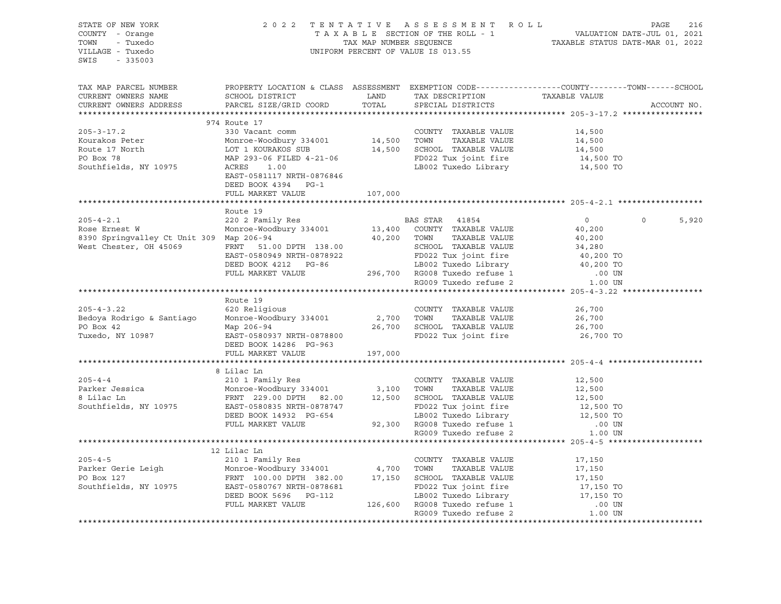| STATE OF NEW YORK<br>COUNTY - Orange<br>TOWN - Tuxedo<br>VILLAGE - Tuxedo<br>SWIS - 335003                                                                                                                                                              |                                                                                                  |         | PAGE 216 PAGE 216 PAGE 216<br>TAXABLE SECTION OF THE ROLL - 1 VALUATION DATE-JUL 01, 2021<br>TAX MAP NUMBER SEQUENCE<br>UNIFORM PERCENT OF VALUE IS 013.55 |                                         |                   |  |  |
|---------------------------------------------------------------------------------------------------------------------------------------------------------------------------------------------------------------------------------------------------------|--------------------------------------------------------------------------------------------------|---------|------------------------------------------------------------------------------------------------------------------------------------------------------------|-----------------------------------------|-------------------|--|--|
| TAX MAP PARCEL NUMBER<br>CURRENT OWNERS NAME<br>CURRENT OWNERS ADDRESS                                                                                                                                                                                  | PROPERTY LOCATION & CLASS ASSESSMENT EXEMPTION CODE----------------COUNTY-------TOWN------SCHOOL |         |                                                                                                                                                            |                                         | ACCOUNT NO.       |  |  |
| 974 Route 17                                                                                                                                                                                                                                            |                                                                                                  |         |                                                                                                                                                            |                                         |                   |  |  |
| $205 - 3 - 17.2$<br>Xourakos Peter Monroe-Woodbury 334001 Monroe-Woodbury 334001 14,500 TOWN TAXABLE VALUE 17 North 14,500<br>Route 17 North LOT 1 KOURAKOS SUB<br>PO Box 78 MAP 293-06 FILED 4-21-06 PO BOX 78 MAP 293-06 FILED 4-21-06 PO BOX 78 MAP  | 330 Vacant comm<br>EAST-0581117 NRTH-0876846                                                     |         | COUNTY TAXABLE VALUE                                                                                                                                       | 14,500                                  |                   |  |  |
|                                                                                                                                                                                                                                                         | DEED BOOK 4394 PG-1                                                                              |         |                                                                                                                                                            |                                         |                   |  |  |
|                                                                                                                                                                                                                                                         | FULL MARKET VALUE                                                                                | 107,000 | ********************************** 205-4-2.1 *****************                                                                                             |                                         |                   |  |  |
|                                                                                                                                                                                                                                                         | Route 19                                                                                         |         |                                                                                                                                                            |                                         |                   |  |  |
| Rose Ernest W 220 2 Family Res<br>Rose Ernest W 220 2 Family Res<br>Rose Ernest W 220 2 Family Res<br>Monroc-Woodbury 334001 13,400 COUNTY TAXABLE VALUE<br>40,200<br>West Chester, OH 45069 FRNT 51.00 DPTH 138.00<br>EAST-0580949 NRTH-0              |                                                                                                  |         |                                                                                                                                                            |                                         | $\Omega$<br>5,920 |  |  |
|                                                                                                                                                                                                                                                         |                                                                                                  |         |                                                                                                                                                            |                                         |                   |  |  |
|                                                                                                                                                                                                                                                         |                                                                                                  |         |                                                                                                                                                            |                                         |                   |  |  |
| ROUTE 19<br>205-4-3.22 620 Religious<br>2,700 TOWN TAXABLE VALUE<br>26,700 TOWN TAXABLE VALUE<br>26,700 SCHOOL TAXABLE VALUE<br>26,700 SCHOOL TAXABLE VALUE<br>26,700 SCHOOL TAXABLE VALUE<br>26,700 SCHOOL TAXABLE VALUE<br>26,700 SCHOOL TAX          | Route 19                                                                                         |         |                                                                                                                                                            | 26,700<br>26,700<br>26,700<br>26,700 TO |                   |  |  |
|                                                                                                                                                                                                                                                         | FULL MARKET VALUE                                                                                | 197,000 |                                                                                                                                                            |                                         |                   |  |  |
|                                                                                                                                                                                                                                                         |                                                                                                  |         |                                                                                                                                                            |                                         |                   |  |  |
| $205 - 4 - 4$<br>205-4-4<br>Parker Jessica 205-4-4<br>210 1 Pamily Res COUNTY TAXABLE VALUE 12,500<br>8 Lilac Ln FRNT 229.00 DPTH 82.00 12,500 SCHOOL TAXABLE VALUE 12,500<br>Southfields, NY 10975 EAST-0580835 NRTH-0878747 PD022 Tux joint fire 12,5 | 8 Lilac Ln                                                                                       |         |                                                                                                                                                            |                                         |                   |  |  |
|                                                                                                                                                                                                                                                         |                                                                                                  |         |                                                                                                                                                            |                                         |                   |  |  |
|                                                                                                                                                                                                                                                         |                                                                                                  |         |                                                                                                                                                            |                                         |                   |  |  |
| 12 Lilac Ln<br>205-4-5 210 1 Family Res<br>Parker Gerie Leigh Monroe-Woodbury 334001 4,700 TOWN TAXABLE VALUE 17,150<br>PO Box 127 FRNT 100.00 DPTH 382.00 17,150 SCHOOL TAXABLE VALUE 17,150<br>Southfields, NY 10975 EAST-0580767 NR                  |                                                                                                  |         |                                                                                                                                                            |                                         |                   |  |  |
| ********************************                                                                                                                                                                                                                        |                                                                                                  |         |                                                                                                                                                            |                                         |                   |  |  |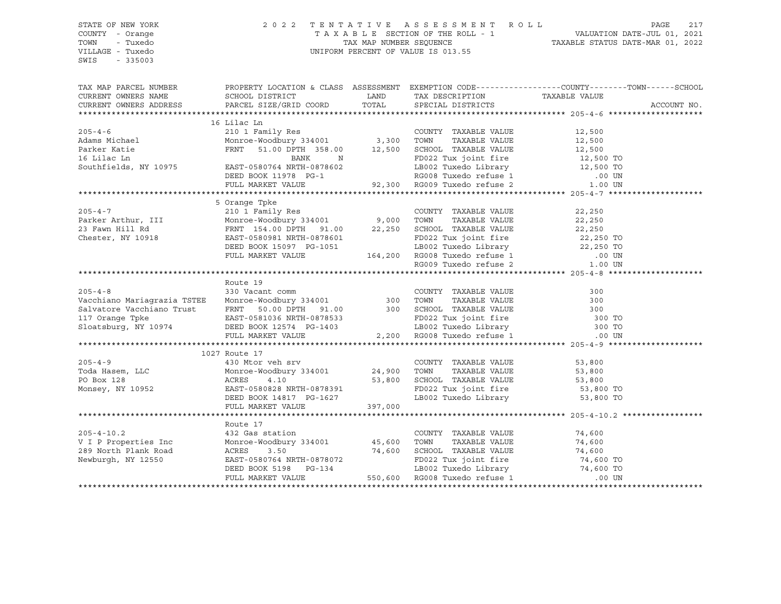#### STATE OF NEW YORK 2 0 2 2 T E N T A T I V E A S S E S S M E N T R O L L PAGE 217 COUNTY - Orange T A X A B L E SECTION OF THE ROLL - 1 VALUATION DATE-JUL 01, 2021 TOWN - Tuxedo TAX MAP NUMBER SEQUENCE TAXABLE STATUS DATE-MAR 01, 2022 VILLAGE - Tuxedo UNIFORM PERCENT OF VALUE IS 013.55

|                                                                                                                                                                                                                                                                                 |                 |                             | TAX MAP PARCEL NUMBER THE PROPERTY LOCATION & CLASS ASSESSMENT EXEMPTION CODE--------------COUNTY-------TOWN------SCHOOL |
|---------------------------------------------------------------------------------------------------------------------------------------------------------------------------------------------------------------------------------------------------------------------------------|-----------------|-----------------------------|--------------------------------------------------------------------------------------------------------------------------|
|                                                                                                                                                                                                                                                                                 |                 |                             | ACCOUNT NO.                                                                                                              |
|                                                                                                                                                                                                                                                                                 |                 |                             |                                                                                                                          |
|                                                                                                                                                                                                                                                                                 | 16 Lilac Ln     |                             |                                                                                                                          |
|                                                                                                                                                                                                                                                                                 |                 |                             |                                                                                                                          |
|                                                                                                                                                                                                                                                                                 |                 |                             |                                                                                                                          |
|                                                                                                                                                                                                                                                                                 |                 |                             |                                                                                                                          |
|                                                                                                                                                                                                                                                                                 |                 |                             |                                                                                                                          |
|                                                                                                                                                                                                                                                                                 |                 |                             |                                                                                                                          |
|                                                                                                                                                                                                                                                                                 |                 |                             |                                                                                                                          |
| 10 11 210 16 11 210 16 11 210 16 16 210 16 210 16 210 17 210 17 200 16 210 17 200 16 210 17 21 21 21 21 21 21<br>Monroe-Woodbury 334001 2,500 TOWN TAXABLE VALUE 12,500<br>Parker Katie FRNT 51.00 DPTH 358.00 12,500 SCHOOL TAXAB                                              |                 |                             |                                                                                                                          |
|                                                                                                                                                                                                                                                                                 |                 |                             |                                                                                                                          |
|                                                                                                                                                                                                                                                                                 | 5 Orange Tpke   |                             |                                                                                                                          |
| 305-4-7<br>210 1 Family Res<br>22,250<br>23 Fawn Hill Rd<br>Chester, NY 10918<br>22,250<br>23,250<br>22,250<br>22,250<br>22,250<br>22,250<br>22,250<br>22,250<br>22,250<br>22,250<br>22,250<br>22,250<br>22,250<br>22,250<br>22,250<br>22,250<br>22,250<br>22,250<br>22,250<br> |                 |                             |                                                                                                                          |
|                                                                                                                                                                                                                                                                                 |                 |                             |                                                                                                                          |
|                                                                                                                                                                                                                                                                                 |                 |                             |                                                                                                                          |
|                                                                                                                                                                                                                                                                                 |                 |                             |                                                                                                                          |
|                                                                                                                                                                                                                                                                                 |                 |                             |                                                                                                                          |
|                                                                                                                                                                                                                                                                                 |                 |                             |                                                                                                                          |
|                                                                                                                                                                                                                                                                                 |                 |                             |                                                                                                                          |
|                                                                                                                                                                                                                                                                                 |                 |                             |                                                                                                                          |
|                                                                                                                                                                                                                                                                                 | Route 19        |                             |                                                                                                                          |
| Route 19<br>Vacchiano Mariagrazia TSTEE Monroe-Woodbury 334001 300<br>Salvatore Vacchiano Trust FRNT 50.00 DPTH 91.00 300 SCHOOL TAXABLE VALUE 300<br>117 Orange Tpke EAST-0581036 NRTH-0878533<br>Sloatsburg, NY 10974 DEED BOOK 1257                                          |                 |                             |                                                                                                                          |
|                                                                                                                                                                                                                                                                                 |                 |                             |                                                                                                                          |
|                                                                                                                                                                                                                                                                                 |                 |                             |                                                                                                                          |
|                                                                                                                                                                                                                                                                                 |                 |                             |                                                                                                                          |
|                                                                                                                                                                                                                                                                                 |                 |                             |                                                                                                                          |
|                                                                                                                                                                                                                                                                                 |                 |                             |                                                                                                                          |
|                                                                                                                                                                                                                                                                                 |                 |                             |                                                                                                                          |
|                                                                                                                                                                                                                                                                                 |                 |                             |                                                                                                                          |
|                                                                                                                                                                                                                                                                                 |                 |                             |                                                                                                                          |
|                                                                                                                                                                                                                                                                                 |                 |                             |                                                                                                                          |
|                                                                                                                                                                                                                                                                                 |                 |                             |                                                                                                                          |
|                                                                                                                                                                                                                                                                                 |                 |                             |                                                                                                                          |
|                                                                                                                                                                                                                                                                                 |                 |                             |                                                                                                                          |
|                                                                                                                                                                                                                                                                                 |                 |                             |                                                                                                                          |
|                                                                                                                                                                                                                                                                                 |                 |                             |                                                                                                                          |
|                                                                                                                                                                                                                                                                                 |                 |                             |                                                                                                                          |
|                                                                                                                                                                                                                                                                                 | Route 17        |                             |                                                                                                                          |
| $205 - 4 - 10.2$                                                                                                                                                                                                                                                                | 432 Gas station | COUNTY TAXABLE VALUE 74,600 |                                                                                                                          |
|                                                                                                                                                                                                                                                                                 |                 |                             |                                                                                                                          |
|                                                                                                                                                                                                                                                                                 |                 |                             |                                                                                                                          |
|                                                                                                                                                                                                                                                                                 |                 |                             |                                                                                                                          |
|                                                                                                                                                                                                                                                                                 |                 |                             |                                                                                                                          |
| V I P Properties Inc Monroe-Woodbury 334001 45,600 TOWN TAXABLE VALUE 74,600<br>289 North Plank Road ACRES 3.50 74,600 SCHOOL TAXABLE VALUE 74,600<br>Newburgh, NY 12550 EAST-0580764 NRTH-0878072 FD022 Tux joint fire 74,600 TO<br>                                           |                 |                             |                                                                                                                          |
|                                                                                                                                                                                                                                                                                 |                 |                             |                                                                                                                          |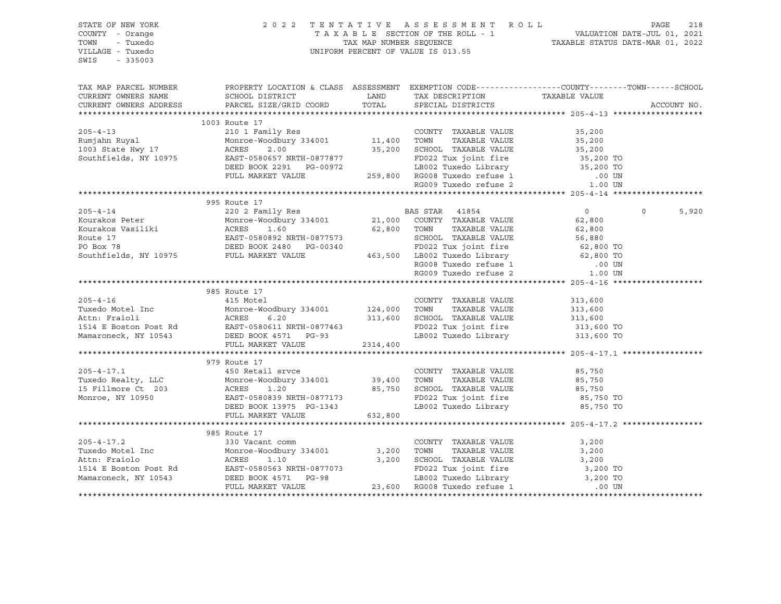| STATE OF NEW YORK<br>COUNTY - Orange                      |                                                                                                                                                                                                                                              |         | 2022 TENTATIVE ASSESSMENT ROLL PAGE 218<br>TAXABLE SECTION OF THE ROLL - 1<br>TAX MAP NUMBER SEQUENCE TAXABLE STATUS DATE-MAR 01, 2022 |                      |                   |
|-----------------------------------------------------------|----------------------------------------------------------------------------------------------------------------------------------------------------------------------------------------------------------------------------------------------|---------|----------------------------------------------------------------------------------------------------------------------------------------|----------------------|-------------------|
| TOWN<br>- Tuxedo<br>VILLAGE - Tuxedo<br>SWIS<br>$-335003$ |                                                                                                                                                                                                                                              |         | UNIFORM PERCENT OF VALUE IS 013.55                                                                                                     |                      |                   |
| TAX MAP PARCEL NUMBER                                     | PROPERTY LOCATION & CLASS ASSESSMENT EXEMPTION CODE----------------COUNTY-------TOWN------SCHOOL                                                                                                                                             |         |                                                                                                                                        |                      |                   |
| CURRENT OWNERS NAME                                       | SCHOOL DISTRICT                                                                                                                                                                                                                              |         | LAND TAX DESCRIPTION TAXABLE VALUE                                                                                                     |                      |                   |
|                                                           | CURRENT OWNERS ADDRESS PARCEL SIZE/GRID COORD TOTAL SPECIAL DISTRICTS                                                                                                                                                                        |         |                                                                                                                                        |                      | ACCOUNT NO.       |
|                                                           |                                                                                                                                                                                                                                              |         |                                                                                                                                        |                      |                   |
|                                                           |                                                                                                                                                                                                                                              |         |                                                                                                                                        |                      |                   |
|                                                           |                                                                                                                                                                                                                                              |         |                                                                                                                                        |                      |                   |
|                                                           |                                                                                                                                                                                                                                              |         |                                                                                                                                        |                      |                   |
|                                                           |                                                                                                                                                                                                                                              |         |                                                                                                                                        |                      |                   |
|                                                           |                                                                                                                                                                                                                                              |         |                                                                                                                                        |                      |                   |
|                                                           |                                                                                                                                                                                                                                              |         |                                                                                                                                        |                      |                   |
|                                                           |                                                                                                                                                                                                                                              |         |                                                                                                                                        |                      |                   |
|                                                           |                                                                                                                                                                                                                                              |         |                                                                                                                                        |                      |                   |
|                                                           | 995 Route 17                                                                                                                                                                                                                                 |         |                                                                                                                                        |                      |                   |
|                                                           |                                                                                                                                                                                                                                              |         |                                                                                                                                        |                      | $\Omega$<br>5,920 |
|                                                           |                                                                                                                                                                                                                                              |         |                                                                                                                                        |                      |                   |
|                                                           |                                                                                                                                                                                                                                              |         |                                                                                                                                        |                      |                   |
|                                                           |                                                                                                                                                                                                                                              |         |                                                                                                                                        |                      |                   |
|                                                           |                                                                                                                                                                                                                                              |         |                                                                                                                                        |                      |                   |
|                                                           |                                                                                                                                                                                                                                              |         |                                                                                                                                        |                      |                   |
|                                                           |                                                                                                                                                                                                                                              |         |                                                                                                                                        |                      |                   |
|                                                           |                                                                                                                                                                                                                                              |         |                                                                                                                                        |                      |                   |
|                                                           |                                                                                                                                                                                                                                              |         |                                                                                                                                        |                      |                   |
|                                                           | 985 Route 17                                                                                                                                                                                                                                 |         |                                                                                                                                        |                      |                   |
| $205 - 4 - 16$                                            | 415 Motel                                                                                                                                                                                                                                    |         | COUNTY TAXABLE VALUE                                                                                                                   | 313,600              |                   |
|                                                           |                                                                                                                                                                                                                                              |         |                                                                                                                                        | 313,600<br>313,600   |                   |
|                                                           |                                                                                                                                                                                                                                              |         |                                                                                                                                        |                      |                   |
|                                                           |                                                                                                                                                                                                                                              |         |                                                                                                                                        | 313,600 TO           |                   |
|                                                           | 200-4-10<br>Tuxedo Motel Inc Monroe-Woodbury 334001<br>Tuxedo Motel Inc Monroe-Woodbury 334001<br>Actn: Fraioli ACRES 6.20<br>313,600 SCHOOL TAXABLE VALUE<br>1514 E Boston Post Rd EAST-0580611 NRTH-0877463<br>Mamaroneck, NY 10543<br>Mam |         | LB002 Tuxedo Library 313,600 TO                                                                                                        |                      |                   |
|                                                           |                                                                                                                                                                                                                                              |         |                                                                                                                                        |                      |                   |
|                                                           |                                                                                                                                                                                                                                              |         |                                                                                                                                        |                      |                   |
|                                                           | 979 Route 17<br>450 Retail srvce                                                                                                                                                                                                             |         |                                                                                                                                        | 85,750               |                   |
|                                                           |                                                                                                                                                                                                                                              |         |                                                                                                                                        |                      |                   |
|                                                           |                                                                                                                                                                                                                                              |         |                                                                                                                                        | 85,750<br>85,750     |                   |
|                                                           |                                                                                                                                                                                                                                              |         |                                                                                                                                        | 85,750 TO            |                   |
|                                                           |                                                                                                                                                                                                                                              |         | LB002 Tuxedo Library                                                                                                                   | 85,750 TO            |                   |
|                                                           | FULL MARKET VALUE                                                                                                                                                                                                                            | 632,800 |                                                                                                                                        |                      |                   |
|                                                           |                                                                                                                                                                                                                                              |         |                                                                                                                                        |                      |                   |
|                                                           | 985 Route 17                                                                                                                                                                                                                                 |         |                                                                                                                                        |                      |                   |
| $205 - 4 - 17.2$                                          |                                                                                                                                                                                                                                              |         | COUNTY TAXABLE VALUE                                                                                                                   | 3,200                |                   |
| Tuxedo Motel Inc                                          | 330 Vacant comm<br>Monroe-Woodbury 334001 3,200 TOWN<br>ACRES 1.10 3,200 SCHOO                                                                                                                                                               |         | TAXABLE VALUE                                                                                                                          | 3,200                |                   |
|                                                           |                                                                                                                                                                                                                                              |         |                                                                                                                                        | 3,200                |                   |
|                                                           |                                                                                                                                                                                                                                              |         |                                                                                                                                        |                      |                   |
|                                                           |                                                                                                                                                                                                                                              |         |                                                                                                                                        | 3,200 TO<br>3,200 TO |                   |
|                                                           |                                                                                                                                                                                                                                              |         |                                                                                                                                        | .00 UN               |                   |
|                                                           |                                                                                                                                                                                                                                              |         |                                                                                                                                        |                      |                   |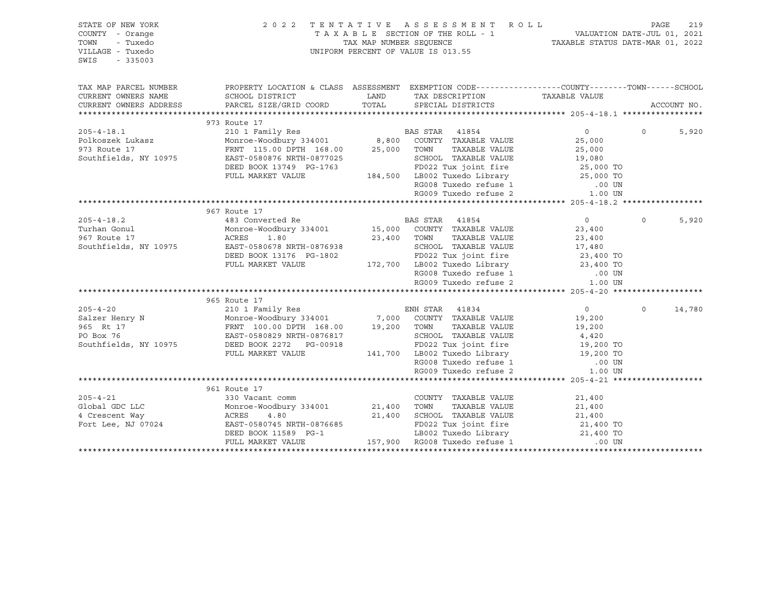| STATE OF NEW YORK<br>COUNTY - Orange<br>TOWN<br>- Tuxedo<br>VILLAGE - Tuxedo<br>SWIS<br>$-335003$ | 2 0 2 2                                                                                                                    |       | TENTATIVE ASSESSMENT ROLL<br>UNIFORM PERCENT OF VALUE IS 013.55                                        |                        | PAGE     | 219         |
|---------------------------------------------------------------------------------------------------|----------------------------------------------------------------------------------------------------------------------------|-------|--------------------------------------------------------------------------------------------------------|------------------------|----------|-------------|
| TAX MAP PARCEL NUMBER                                                                             | PROPERTY LOCATION & CLASS ASSESSMENT EXEMPTION CODE---------------COUNTY-------TOWN------SCHOOL                            |       |                                                                                                        |                        |          |             |
| CURRENT OWNERS NAME                                                                               | SCHOOL DISTRICT                                                                                                            | LAND  | TAX DESCRIPTION                                                                                        | TAXABLE VALUE          |          |             |
| CURRENT OWNERS ADDRESS                                                                            | PARCEL SIZE/GRID COORD                                                                                                     | TOTAL | SPECIAL DISTRICTS                                                                                      |                        |          | ACCOUNT NO. |
|                                                                                                   | 973 Route 17                                                                                                               |       |                                                                                                        |                        |          |             |
| $205 - 4 - 18.1$                                                                                  | 210 1 Family Res                                                                                                           |       | BAS STAR 41854                                                                                         | $\Omega$               | $\Omega$ | 5,920       |
|                                                                                                   |                                                                                                                            |       |                                                                                                        | 25,000                 |          |             |
| Polkoszek Lukasz<br>973 Route 17<br>973 Route 17                                                  |                                                                                                                            |       |                                                                                                        | 25,000                 |          |             |
| Southfields, NY 10975                                                                             | EAST-0580876 NRTH-0877025                                                                                                  |       |                                                                                                        |                        |          |             |
|                                                                                                   | DEED BOOK 13749 PG-1763                                                                                                    |       | SCHOOL TAXABLE VALUE 19,080<br>FD022 Tux joint fire 25,000 TO                                          |                        |          |             |
|                                                                                                   | FULL MARKET VALUE                                                                                                          |       |                                                                                                        |                        |          |             |
|                                                                                                   |                                                                                                                            |       |                                                                                                        |                        |          |             |
|                                                                                                   |                                                                                                                            |       | 184,500 LB002 Tuxedo Library 25,000 TO<br>RG008 Tuxedo refuse 1 00 UN<br>RG009 Tuxedo refuse 2 1.00 UN |                        |          |             |
|                                                                                                   |                                                                                                                            |       |                                                                                                        |                        |          |             |
|                                                                                                   | 967 Route 17                                                                                                               |       |                                                                                                        |                        |          |             |
| $205 - 4 - 18.2$                                                                                  | 483 Converted Re <b>BAS</b> STAR 41854                                                                                     |       |                                                                                                        | $\overline{0}$         | $\Omega$ | 5,920       |
| Turhan Gonul                                                                                      | Monroe-Woodbury 334001 15,000 COUNTY TAXABLE VALUE                                                                         |       |                                                                                                        | 23,400                 |          |             |
| 967 Route 17                                                                                      | ACRES<br>1.80                                                                                                              |       | 23,400 TOWN<br>TAXABLE VALUE                                                                           | 23,400                 |          |             |
| Southfields, NY 10975                                                                             | EAST-0580678 NRTH-0876938                                                                                                  |       | TOWN TAAADDE VADUL<br>SCHOOL TAXABLE VALUE 17,480<br>EDO22 Tux ioint fire 23,400 TO                    |                        |          |             |
|                                                                                                   | DEED BOOK 13176 PG-1802                                                                                                    |       |                                                                                                        |                        |          |             |
|                                                                                                   | FULL MARKET VALUE                                                                                                          |       | 172,700 LB002 Tuxedo Library 23,400 TO                                                                 |                        |          |             |
|                                                                                                   |                                                                                                                            |       |                                                                                                        |                        |          |             |
|                                                                                                   |                                                                                                                            |       | LB002 Tuxeau $\frac{1}{2}$ RG008 Tuxedo refuse 1 $\frac{1}{2}$ 1.00 UN<br>$\frac{1}{2}$ 1.00 UN        |                        |          |             |
|                                                                                                   |                                                                                                                            |       |                                                                                                        |                        |          |             |
|                                                                                                   | 965 Route 17                                                                                                               |       |                                                                                                        |                        |          |             |
| $205 - 4 - 20$                                                                                    | 210 1 Family Res                                                                                                           |       | ENH STAR 41834                                                                                         | $\overline{0}$         | $\Omega$ | 14,780      |
| Salzer Henry N                                                                                    |                                                                                                                            |       |                                                                                                        | 19,200                 |          |             |
| 965 Rt 17                                                                                         | Monroe-Woodbury 334001 7,000 COUNTY TAXABLE VALUE<br>FRNT 100.00 DPTH 168.00 19,200 TOWN TAXABLE VALUE                     |       | TAXABLE VALUE                                                                                          | 19,200                 |          |             |
| PO Box 76                                                                                         | EAST-0580829 NRTH-0876817                                                                                                  |       | SCHOOL TAXABLE VALUE                                                                                   | 4,420                  |          |             |
| Southfields, NY 10975                                                                             | DEED BOOK 2272 PG-00918                                                                                                    |       | 3-00918 FD022 Tux joint fire 19,200 TO<br>141,700 LB002 Tuxedo Library 19,200 TO                       |                        |          |             |
|                                                                                                   | FULL MARKET VALUE                                                                                                          |       |                                                                                                        |                        |          |             |
|                                                                                                   |                                                                                                                            |       | RG008 Tuxedo refuse 1<br>RG009 Tuxedo refuse 2                                                         | $.00$ UN               |          |             |
|                                                                                                   |                                                                                                                            |       |                                                                                                        | 1.00 UN                |          |             |
|                                                                                                   | 961 Route 17                                                                                                               |       |                                                                                                        |                        |          |             |
| $205 - 4 - 21$                                                                                    | 330 Vacant comm                                                                                                            |       | COUNTY TAXABLE VALUE                                                                                   | 21,400                 |          |             |
| Global GDC LLC                                                                                    |                                                                                                                            |       | TAXABLE VALUE                                                                                          | 21,400                 |          |             |
| 4 Crescent Way                                                                                    | 330 vacant comm<br>Monroe-Woodbury 334001 21,400 TOWN<br>ACRES 4.80 21,400 SCHOO<br>EAST-0580745 NRTH-0876685 21,400 SCHOO |       | 21,400 SCHOOL TAXABLE VALUE                                                                            |                        |          |             |
| Fort Lee, NJ 07024                                                                                | EAST-0580745 NRTH-0876685                                                                                                  |       | FD022 Tux joint fire                                                                                   | 21,400 TO<br>21,400 TO |          |             |
|                                                                                                   | DEED BOOK 11589 PG-1                                                                                                       |       | LB002 Tuxedo Library 11,400 TO                                                                         |                        |          |             |
|                                                                                                   | FULL MARKET VALUE                                                                                                          |       | 157,900 RG008 Tuxedo refuse 1                                                                          | .00 UN                 |          |             |
|                                                                                                   |                                                                                                                            |       |                                                                                                        |                        |          |             |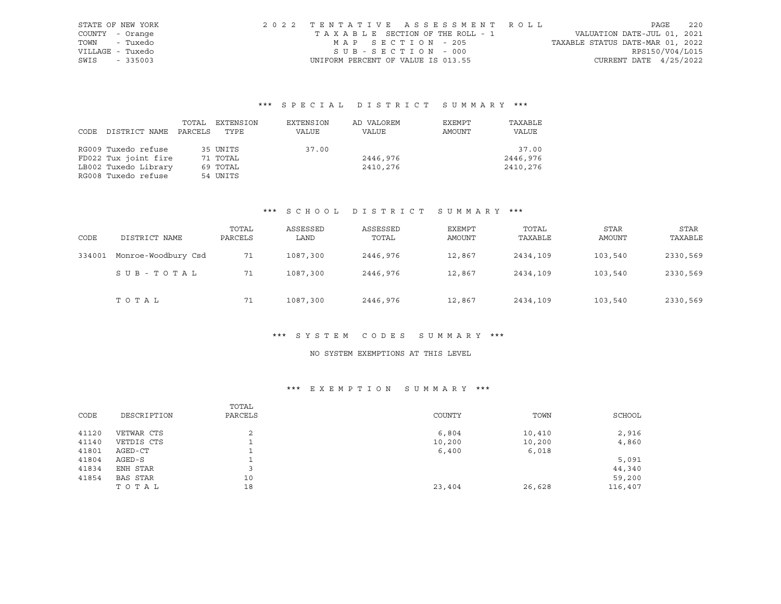| STATE OF NEW YORK | 2022 TENTATIVE ASSESSMENT ROLL     |  |                                  | PAGE            | 2.2.0 |
|-------------------|------------------------------------|--|----------------------------------|-----------------|-------|
| COUNTY - Orange   | TAXABLE SECTION OF THE ROLL - 1    |  | VALUATION DATE-JUL 01, 2021      |                 |       |
| - Tuxedo<br>TOWN  | MAP SECTION - 205                  |  | TAXABLE STATUS DATE-MAR 01, 2022 |                 |       |
| VILLAGE - Tuxedo  | SUB-SECTION - 000                  |  |                                  | RPS150/V04/L015 |       |
| SWIS<br>$-335003$ | UNIFORM PERCENT OF VALUE IS 013.55 |  | CURRENT DATE $4/25/2022$         |                 |       |

|      |                      | TOTAL   | EXTENSION | EXTENSION | AD VALOREM | EXEMPT | TAXABLE  |
|------|----------------------|---------|-----------|-----------|------------|--------|----------|
| CODE | DISTRICT NAME        | PARCELS | TYPE      | VALUE     | VALUE      | AMOUNT | VALUE    |
|      |                      |         |           |           |            |        |          |
|      | RG009 Tuxedo refuse  |         | 35 UNITS  | 37.00     |            |        | 37.00    |
|      | FD022 Tux joint fire |         | 71 TOTAL  |           | 2446,976   |        | 2446,976 |
|      | LB002 Tuxedo Library |         | 69 TOTAL  |           | 2410,276   |        | 2410,276 |
|      | RG008 Tuxedo refuse  |         | 54 UNITS  |           |            |        |          |

#### \*\*\* S C H O O L D I S T R I C T S U M M A R Y \*\*\*

| CODE   | DISTRICT NAME       | TOTAL<br>PARCELS | ASSESSED<br>LAND | ASSESSED<br>TOTAL | EXEMPT<br>AMOUNT | TOTAL<br>TAXABLE | <b>STAR</b><br>AMOUNT | <b>STAR</b><br>TAXABLE |
|--------|---------------------|------------------|------------------|-------------------|------------------|------------------|-----------------------|------------------------|
| 334001 | Monroe-Woodbury Csd | 71               | 1087,300         | 2446,976          | 12,867           | 2434,109         | 103,540               | 2330,569               |
|        | SUB-TOTAL           | 71               | 1087,300         | 2446,976          | 12,867           | 2434,109         | 103,540               | 2330,569               |
|        | TOTAL               | 71               | 1087,300         | 2446,976          | 12,867           | 2434,109         | 103,540               | 2330,569               |

#### \*\*\* S Y S T E M C O D E S S U M M A R Y \*\*\*

## NO SYSTEM EXEMPTIONS AT THIS LEVEL

|       |             | TOTAL        |        |        |         |
|-------|-------------|--------------|--------|--------|---------|
| CODE  | DESCRIPTION | PARCELS      | COUNTY | TOWN   | SCHOOL  |
| 41120 | VETWAR CTS  | $\sim$<br>z. | 6,804  | 10,410 | 2,916   |
| 41140 | VETDIS CTS  | ∸            | 10,200 | 10,200 | 4,860   |
| 41801 | AGED-CT     |              | 6,400  | 6,018  |         |
| 41804 | AGED-S      |              |        |        | 5,091   |
| 41834 | ENH STAR    |              |        |        | 44,340  |
| 41854 | BAS STAR    | 10           |        |        | 59,200  |
|       | TOTAL       | 18           | 23,404 | 26,628 | 116,407 |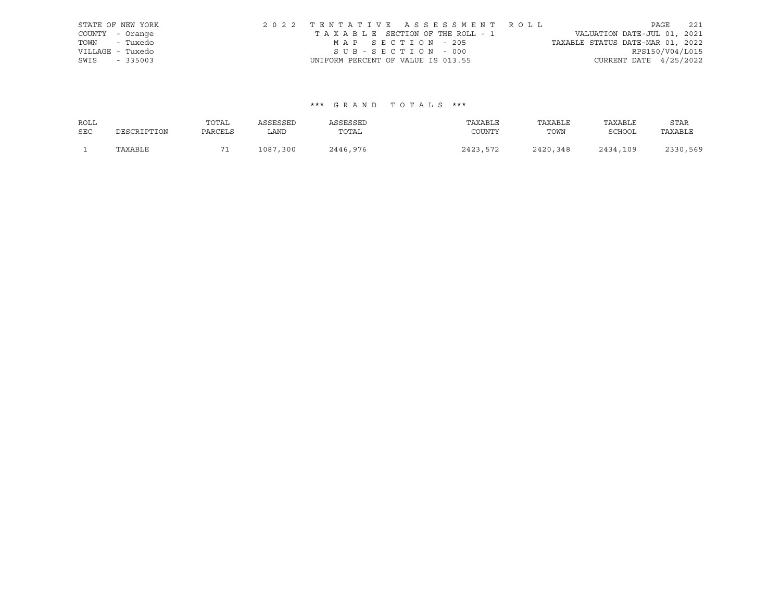|      | STATE OF NEW YORK | 2022 TENTATIVE ASSESSMENT ROLL     |  |                                  |                          | PAGE | 221 |
|------|-------------------|------------------------------------|--|----------------------------------|--------------------------|------|-----|
|      | COUNTY - Orange   | TAXABLE SECTION OF THE ROLL - 1    |  | VALUATION DATE-JUL 01, 2021      |                          |      |     |
|      | TOWN - Tuxedo     | MAP SECTION - 205                  |  | TAXABLE STATUS DATE-MAR 01, 2022 |                          |      |     |
|      | VILLAGE - Tuxedo  | SUB-SECTION - 000                  |  |                                  | RPS150/V04/L015          |      |     |
| SWIS | $-335003$         | UNIFORM PERCENT OF VALUE IS 013.55 |  |                                  | CURRENT DATE $4/25/2022$ |      |     |

| ROLL       |             | TOTAL   | ASSESSED | ASSESSED | TAXABLE  | TAXABLE  | TAXABLE       | STAR     |
|------------|-------------|---------|----------|----------|----------|----------|---------------|----------|
| <b>SEC</b> | DESCRIPTION | PARCELS | LAND     | TOTAL    | COUNTY   | TOWN     | <b>SCHOOL</b> | TAXABLE  |
|            | TAXABLE     | n -     | 1087,300 | 2446,976 | 2423,572 | 2420,348 | 2434,109      | 2330,569 |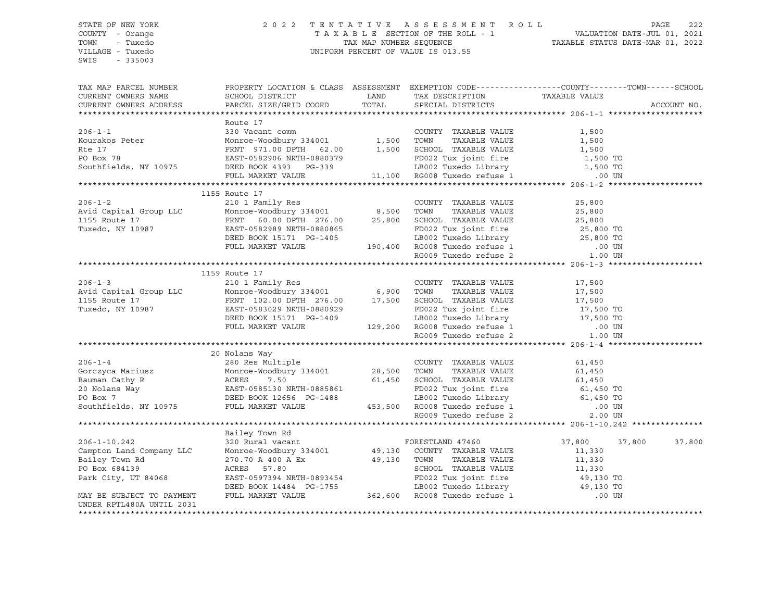#### STATE OF NEW YORK 2 0 2 2 T E N T A T I V E A S S E S S M E N T R O L L PAGE 222 COUNTY - Orange T A X A B L E SECTION OF THE ROLL - 1 VALUATION DATE-JUL 01, 2021 TOWN - Tuxedo TAX MAP NUMBER SEQUENCE TAXABLE STATUS DATE-MAR 01, 2022 VILLAGE - Tuxedo UNIFORM PERCENT OF VALUE IS 013.55

| TAX MAP PARCEL NUMBER<br>CURRENT OWNERS NAME<br>CURRENT OWNERS ADDRESS                                                                                                                                                                                                                                                                                                                                            | PROPERTY LOCATION & CLASS ASSESSMENT EXEMPTION CODE----------------COUNTY-------TOWN------SCHOOL                                                                                                                                                   |  | ACCOUNT NO. |
|-------------------------------------------------------------------------------------------------------------------------------------------------------------------------------------------------------------------------------------------------------------------------------------------------------------------------------------------------------------------------------------------------------------------|----------------------------------------------------------------------------------------------------------------------------------------------------------------------------------------------------------------------------------------------------|--|-------------|
|                                                                                                                                                                                                                                                                                                                                                                                                                   |                                                                                                                                                                                                                                                    |  |             |
| Route 17<br>Example 17<br>Kourakos Peter Monroe-Woodbury 334001<br>Reinard Monroe-Woodbury 334001<br>Reinard Monroe-Woodbury 334001<br>Reinard Monroe-Woodbury 334001<br>Reinard Monroe-Woodbury 334001<br>Reinard 1,500<br>PO Box 78<br>EXST-05                                                                                                                                                                  | Route 17                                                                                                                                                                                                                                           |  |             |
|                                                                                                                                                                                                                                                                                                                                                                                                                   |                                                                                                                                                                                                                                                    |  |             |
|                                                                                                                                                                                                                                                                                                                                                                                                                   |                                                                                                                                                                                                                                                    |  |             |
|                                                                                                                                                                                                                                                                                                                                                                                                                   |                                                                                                                                                                                                                                                    |  |             |
|                                                                                                                                                                                                                                                                                                                                                                                                                   |                                                                                                                                                                                                                                                    |  |             |
|                                                                                                                                                                                                                                                                                                                                                                                                                   |                                                                                                                                                                                                                                                    |  |             |
|                                                                                                                                                                                                                                                                                                                                                                                                                   |                                                                                                                                                                                                                                                    |  |             |
| 1155 Route 17<br>210 1 Family Res<br>Avid Capital Group LLC Moncroe-Woodbury 334001<br>1155 Route 17<br>ENT 60.00 DPTH 276.00<br>EAST-0582989 NRTH-0880865<br>DEED BOOK 15171 PG-1405<br>PULL MARKET VALUE<br>PULL MARKET VALUE<br>190,400 RG008                                                                                                                                                                  | 1155 Route 17                                                                                                                                                                                                                                      |  |             |
|                                                                                                                                                                                                                                                                                                                                                                                                                   |                                                                                                                                                                                                                                                    |  |             |
|                                                                                                                                                                                                                                                                                                                                                                                                                   |                                                                                                                                                                                                                                                    |  |             |
|                                                                                                                                                                                                                                                                                                                                                                                                                   |                                                                                                                                                                                                                                                    |  |             |
|                                                                                                                                                                                                                                                                                                                                                                                                                   |                                                                                                                                                                                                                                                    |  |             |
|                                                                                                                                                                                                                                                                                                                                                                                                                   |                                                                                                                                                                                                                                                    |  |             |
|                                                                                                                                                                                                                                                                                                                                                                                                                   |                                                                                                                                                                                                                                                    |  |             |
|                                                                                                                                                                                                                                                                                                                                                                                                                   |                                                                                                                                                                                                                                                    |  |             |
|                                                                                                                                                                                                                                                                                                                                                                                                                   |                                                                                                                                                                                                                                                    |  |             |
|                                                                                                                                                                                                                                                                                                                                                                                                                   |                                                                                                                                                                                                                                                    |  |             |
|                                                                                                                                                                                                                                                                                                                                                                                                                   |                                                                                                                                                                                                                                                    |  |             |
|                                                                                                                                                                                                                                                                                                                                                                                                                   |                                                                                                                                                                                                                                                    |  |             |
|                                                                                                                                                                                                                                                                                                                                                                                                                   |                                                                                                                                                                                                                                                    |  |             |
|                                                                                                                                                                                                                                                                                                                                                                                                                   |                                                                                                                                                                                                                                                    |  |             |
|                                                                                                                                                                                                                                                                                                                                                                                                                   |                                                                                                                                                                                                                                                    |  |             |
|                                                                                                                                                                                                                                                                                                                                                                                                                   |                                                                                                                                                                                                                                                    |  |             |
|                                                                                                                                                                                                                                                                                                                                                                                                                   |                                                                                                                                                                                                                                                    |  |             |
|                                                                                                                                                                                                                                                                                                                                                                                                                   |                                                                                                                                                                                                                                                    |  |             |
| $\begin{tabular}{lllllllllllllllllllll} \hline & 20\, \text{Nolans Way} & 20\, \text{Nolans Way} & 20\, \text{Nolans Way} & 20\, \text{Nolans Way} & 20\, \text{Nolans May} & 20\, \text{Nolans May} & 20\, \text{Nolans May} & 20\, \text{Nolans May} & 20\, \text{Nolans May} & 20\, \text{Nolans May} & 20\, \text{Nolans May} & 20\, \text{Nolans May} & 20\, \text{Nolans May} & 20\, \text{Nolans May} & 2$ |                                                                                                                                                                                                                                                    |  |             |
|                                                                                                                                                                                                                                                                                                                                                                                                                   |                                                                                                                                                                                                                                                    |  |             |
|                                                                                                                                                                                                                                                                                                                                                                                                                   |                                                                                                                                                                                                                                                    |  |             |
|                                                                                                                                                                                                                                                                                                                                                                                                                   |                                                                                                                                                                                                                                                    |  |             |
|                                                                                                                                                                                                                                                                                                                                                                                                                   |                                                                                                                                                                                                                                                    |  |             |
|                                                                                                                                                                                                                                                                                                                                                                                                                   |                                                                                                                                                                                                                                                    |  |             |
|                                                                                                                                                                                                                                                                                                                                                                                                                   |                                                                                                                                                                                                                                                    |  |             |
|                                                                                                                                                                                                                                                                                                                                                                                                                   |                                                                                                                                                                                                                                                    |  |             |
|                                                                                                                                                                                                                                                                                                                                                                                                                   |                                                                                                                                                                                                                                                    |  |             |
|                                                                                                                                                                                                                                                                                                                                                                                                                   |                                                                                                                                                                                                                                                    |  |             |
|                                                                                                                                                                                                                                                                                                                                                                                                                   |                                                                                                                                                                                                                                                    |  | 37,800      |
| Campton Land Company LLC Monroe-Woodbury 334001 PORESTLAND 47460 37,800 37,800 37,800 37,800 37,800 37,800 37,800 37,800 37,800 37,800 37,800 37,800 37,800 37,800 37,800 37,800 37,800 37,800 37,800 37,800 37,800 37,800 37,                                                                                                                                                                                    |                                                                                                                                                                                                                                                    |  |             |
|                                                                                                                                                                                                                                                                                                                                                                                                                   |                                                                                                                                                                                                                                                    |  |             |
|                                                                                                                                                                                                                                                                                                                                                                                                                   |                                                                                                                                                                                                                                                    |  |             |
| Park City, UT 84068                                                                                                                                                                                                                                                                                                                                                                                               |                                                                                                                                                                                                                                                    |  |             |
|                                                                                                                                                                                                                                                                                                                                                                                                                   |                                                                                                                                                                                                                                                    |  |             |
| MAY BE SUBJECT TO PAYMENT                                                                                                                                                                                                                                                                                                                                                                                         | 270.70 A 400 A Ex<br>ACRES 57.80<br>EAST-0597394 NRTH-0893454<br>DEED BOOK 14484 PG-1755<br>FULL MARKET VALUE<br>FULL MARKET VALUE<br>TAXABLE VALUE<br>FULL MARKET VALUE<br>362,600 RG008 Tuxedo refuse 1<br>100 DEED BOOK 14484 PG-1755<br>FULL M |  |             |
| UNDER RPTL480A UNTIL 2031                                                                                                                                                                                                                                                                                                                                                                                         |                                                                                                                                                                                                                                                    |  |             |
|                                                                                                                                                                                                                                                                                                                                                                                                                   |                                                                                                                                                                                                                                                    |  |             |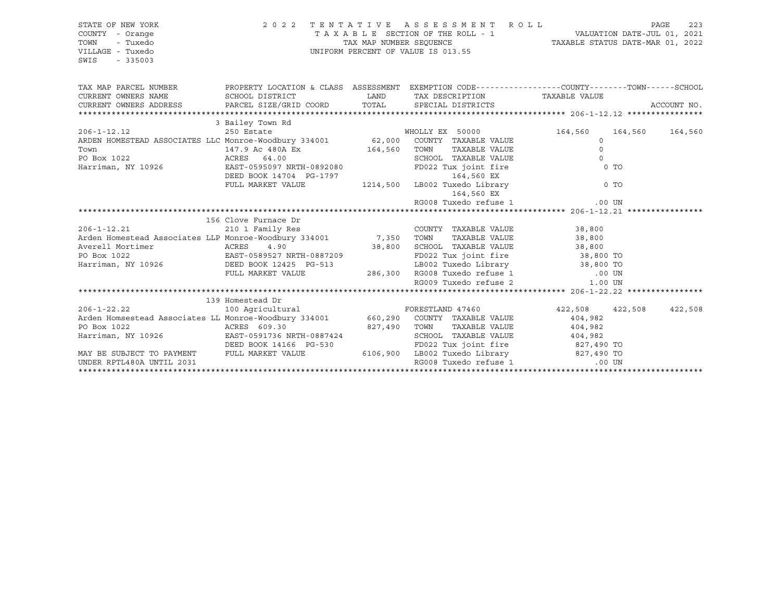| STATE OF NEW YORK<br>COUNTY - Orange<br>TOWN<br>- Tuxedo<br>VILLAGE - Tuxedo<br>SWIS<br>$-335003$                                                                                                                                    |                                                                                                  |              | 2022 TENTATIVE ASSESSMENT ROLL                                          |                         |         | PAGE<br>223 |
|--------------------------------------------------------------------------------------------------------------------------------------------------------------------------------------------------------------------------------------|--------------------------------------------------------------------------------------------------|--------------|-------------------------------------------------------------------------|-------------------------|---------|-------------|
| TAX MAP PARCEL NUMBER                                                                                                                                                                                                                | PROPERTY LOCATION & CLASS ASSESSMENT EXEMPTION CODE----------------COUNTY-------TOWN------SCHOOL |              |                                                                         |                         |         |             |
|                                                                                                                                                                                                                                      |                                                                                                  |              |                                                                         | TAXABLE VALUE           |         |             |
|                                                                                                                                                                                                                                      |                                                                                                  |              |                                                                         |                         |         | ACCOUNT NO. |
|                                                                                                                                                                                                                                      |                                                                                                  |              |                                                                         |                         |         |             |
| 3 Bailey Town Rd<br>206-1-12.12 250 Estate WHOLLY EX 50000<br>ARDEN HOMESTEAD ASSOCIATES LLC Monroe-Woodbury 334001 62,000 COUNTY TAXABLE VALUE                                                                                      |                                                                                                  |              |                                                                         |                         |         |             |
|                                                                                                                                                                                                                                      |                                                                                                  |              |                                                                         | 164,560<br>$\Omega$     | 164,560 | 164,560     |
|                                                                                                                                                                                                                                      | 147.9 Ac 480A Ex                                                                                 |              | TAXABLE VALUE                                                           | $\Omega$                |         |             |
| Town<br>PO Box 1022                                                                                                                                                                                                                  |                                                                                                  | 164,560 TOWN | SCHOOL TAXABLE VALUE                                                    | $\Omega$                |         |             |
| ACRES 64.00<br>Harriman, NY 10926                                                                                                                                                                                                    |                                                                                                  |              |                                                                         | $0$ TO                  |         |             |
|                                                                                                                                                                                                                                      | EAST-0595097 NRTH-0892080 FD022 Tux joint fire<br>DEED BOOK 14704 PG-1797 164,560 EX             |              |                                                                         |                         |         |             |
|                                                                                                                                                                                                                                      | FULL MARKET VALUE 1214,500 LB002 Tuxedo Library 0 TO                                             |              |                                                                         |                         |         |             |
|                                                                                                                                                                                                                                      |                                                                                                  |              | 164,560 EX                                                              |                         |         |             |
|                                                                                                                                                                                                                                      |                                                                                                  |              |                                                                         |                         |         |             |
|                                                                                                                                                                                                                                      |                                                                                                  |              |                                                                         |                         |         |             |
|                                                                                                                                                                                                                                      | 156 Clove Furnace Dr                                                                             |              |                                                                         |                         |         |             |
| $\frac{210}{210}$ 1 Family Res<br>Arden Homestead Associates LLP Monroe-Woodbury 334001 7,350 TOWN<br>Averell Mortimer                                                                                                               |                                                                                                  |              | COUNTY TAXABLE VALUE 38,800                                             |                         |         |             |
|                                                                                                                                                                                                                                      |                                                                                                  |              |                                                                         |                         |         |             |
|                                                                                                                                                                                                                                      |                                                                                                  |              |                                                                         |                         |         |             |
|                                                                                                                                                                                                                                      |                                                                                                  |              |                                                                         |                         |         |             |
| Arden Homestead Associates LLP Monroe-Woodbury 334001 7,350 TOWN TAXABLE VALUE 38,800<br>Averell Mortimer ACRES 4.90 38,800 SCHOOL TAXABLE VALUE 38,800<br>PO Box 1022 EAST-0589527 NRTH-0887209 FD022 Tux joint fire 38,800 TO<br>H |                                                                                                  |              |                                                                         |                         |         |             |
|                                                                                                                                                                                                                                      | FULL MARKET VALUE                                                                                |              | 286,300 RG008 Tuxedo refuse 1 (00 UN RG009 Tuxedo refuse 2 (1.00 UN     |                         |         |             |
|                                                                                                                                                                                                                                      |                                                                                                  |              |                                                                         |                         |         |             |
|                                                                                                                                                                                                                                      |                                                                                                  |              |                                                                         |                         |         |             |
| 139 Homestead Dr<br>100 Agricultural FORESTLAND 47460<br>Arden Homsestead Associates LL Monroe-Woodbury 334001 660,290 COUNTY TAXABLE VALUE<br>1997-480 TOWN TAXABLE VALUE                                                           |                                                                                                  |              |                                                                         |                         |         |             |
|                                                                                                                                                                                                                                      |                                                                                                  |              |                                                                         | 422,508 422,508 422,508 |         |             |
|                                                                                                                                                                                                                                      |                                                                                                  |              |                                                                         | 404,982                 |         |             |
| PO Box 1022                                                                                                                                                                                                                          | ACRES 609.30                                                                                     |              | 827,490 TOWN TAXABLE VALUE                                              | 404,982                 |         |             |
| Harriman, NY 10926 EAST-0591736 NRTH-0887424                                                                                                                                                                                         |                                                                                                  |              | SCHOOL TAXABLE VALUE 404,982                                            |                         |         |             |
|                                                                                                                                                                                                                                      | DEED BOOK 14166 PG-530                                                                           |              | FD022 Tux joint fire 827,490 TO                                         |                         |         |             |
| MAY BE SUBJECT TO PAYMENT FULL MARKET VALUE<br>UNDER RPTL480A UNTIL 2031                                                                                                                                                             |                                                                                                  |              | 6106,900 LB002 Tuxedo Library 827,490 TO<br>RG008 Tuxedo refuse 1 00 UN |                         |         |             |
|                                                                                                                                                                                                                                      |                                                                                                  |              |                                                                         |                         |         |             |
|                                                                                                                                                                                                                                      |                                                                                                  |              |                                                                         |                         |         |             |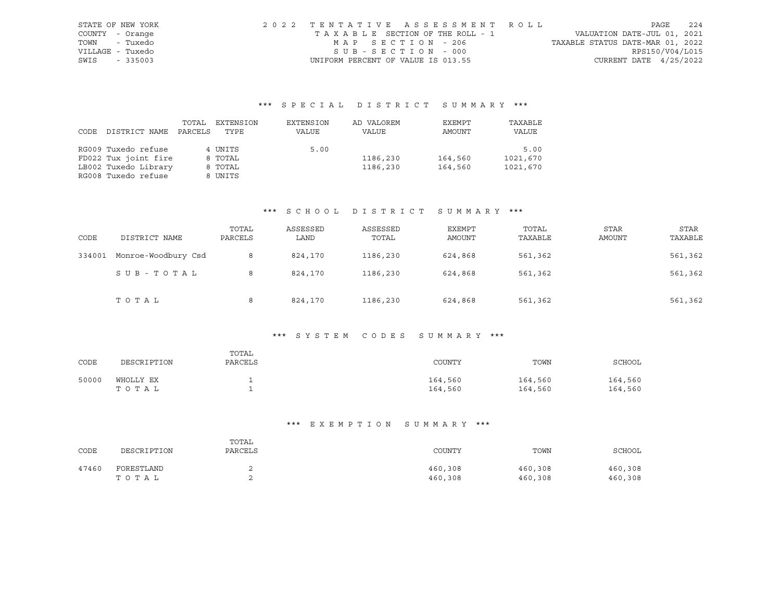| STATE OF NEW YORK | 2022 TENTATIVE ASSESSMENT ROLL     |                                  | PAGE            | 224 |
|-------------------|------------------------------------|----------------------------------|-----------------|-----|
| COUNTY - Orange   | TAXABLE SECTION OF THE ROLL - 1    | VALUATION DATE-JUL 01, 2021      |                 |     |
| - Tuxedo<br>TOWN  | MAP SECTION - 206                  | TAXABLE STATUS DATE-MAR 01, 2022 |                 |     |
| VILLAGE - Tuxedo  | $SUB - SECTION - 000$              |                                  | RPS150/V04/L015 |     |
| SWIS<br>- 335003  | UNIFORM PERCENT OF VALUE IS 013.55 | CURRENT DATE $4/25/2022$         |                 |     |

|             |                      | TOTAL   | EXTENSION | EXTENSION | AD VALOREM | EXEMPT  | TAXABLE  |
|-------------|----------------------|---------|-----------|-----------|------------|---------|----------|
| <b>CODE</b> | DISTRICT NAME        | PARCELS | TYPE      | VALUE     | VALUE      | AMOUNT  | VALUE    |
|             |                      |         |           |           |            |         |          |
|             | RG009 Tuxedo refuse  |         | 4 UNITS   | 5.00      |            |         | 5.00     |
|             | FD022 Tux joint fire |         | 8 TOTAL   |           | 1186,230   | 164,560 | 1021,670 |
|             | LB002 Tuxedo Library |         | 8 TOTAL   |           | 1186,230   | 164,560 | 1021,670 |
|             | RG008 Tuxedo refuse  |         | 8 UNITS   |           |            |         |          |

## \*\*\* S C H O O L D I S T R I C T S U M M A R Y \*\*\*

| CODE   | DISTRICT NAME       | TOTAL<br>PARCELS | ASSESSED<br>LAND | ASSESSED<br>TOTAL | EXEMPT<br>AMOUNT | TOTAL<br>TAXABLE | <b>STAR</b><br>AMOUNT | <b>STAR</b><br>TAXABLE |
|--------|---------------------|------------------|------------------|-------------------|------------------|------------------|-----------------------|------------------------|
| 334001 | Monroe-Woodbury Csd | 8                | 824,170          | 1186,230          | 624,868          | 561,362          |                       | 561,362                |
|        | SUB-TOTAL           | 8                | 824,170          | 1186,230          | 624,868          | 561,362          |                       | 561,362                |
|        | TOTAL               | 8                | 824,170          | 1186,230          | 624,868          | 561,362          |                       | 561,362                |

# \*\*\* S Y S T E M C O D E S S U M M A R Y \*\*\*

| CODE  | DESCRIPTION        | TOTAL<br>PARCELS | COUNTY             | TOWN               | SCHOOL             |
|-------|--------------------|------------------|--------------------|--------------------|--------------------|
| 50000 | WHOLLY EX<br>TOTAL |                  | 164,560<br>164,560 | 164,560<br>164,560 | 164,560<br>164,560 |

| CODE  | DESCRIPTION | TOTAL<br>PARCELS | COUNTY  | TOWN    | SCHOOL  |
|-------|-------------|------------------|---------|---------|---------|
| 47460 | FORESTLAND  | ৴                | 460,308 | 460,308 | 460,308 |
|       | TOTAL       | ৴                | 460,308 | 460,308 | 460,308 |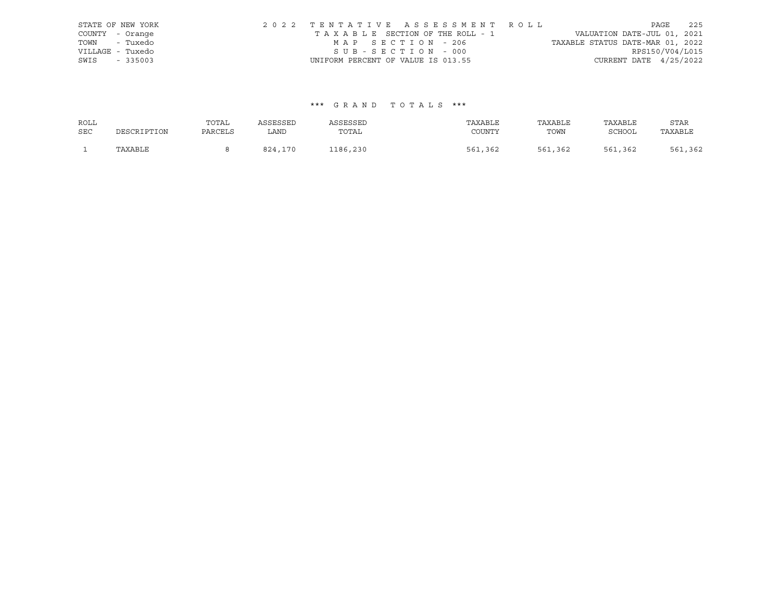|                  | STATE OF NEW YORK | 2022 TENTATIVE ASSESSMENT ROLL     |  |                                  |                          | PAGE | 225 |
|------------------|-------------------|------------------------------------|--|----------------------------------|--------------------------|------|-----|
| COUNTY - Orange  |                   | TAXABLE SECTION OF THE ROLL - 1    |  | VALUATION DATE-JUL 01, 2021      |                          |      |     |
| TOWN - Tuxedo    |                   | MAP SECTION - 206                  |  | TAXABLE STATUS DATE-MAR 01, 2022 |                          |      |     |
| VILLAGE - Tuxedo |                   | SUB-SECTION - 000                  |  |                                  | RPS150/V04/L015          |      |     |
| SWIS             | $-335003$         | UNIFORM PERCENT OF VALUE IS 013.55 |  |                                  | CURRENT DATE $4/25/2022$ |      |     |

| ROLL       |             | TOTAL   | ASSESSED     | ASSESSED | TAXABLE     | TAXABLE | TAXABLE       | STAR    |
|------------|-------------|---------|--------------|----------|-------------|---------|---------------|---------|
| <b>SEC</b> | DESCRIPTION | PARCELS | LAND         | TOTAL    | COUNTY      | TOWN    | <b>SCHOOL</b> | TAXABLE |
|            | TAXABLE     |         | 824.<br>,170 | 1186,230 | ,362<br>561 | 561,362 | 561,362       | 561,362 |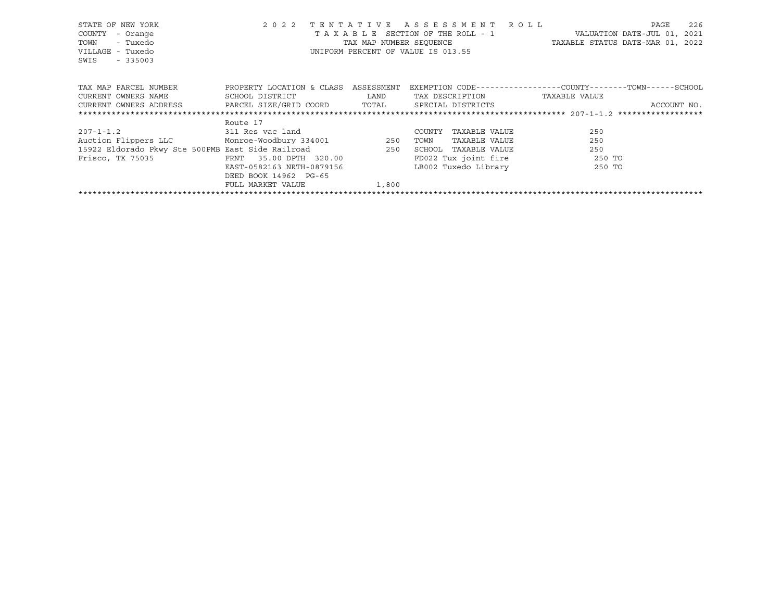| STATE OF NEW YORK<br>COUNTY<br>- Orange<br>- Tuxedo<br>TOWN<br>VILLAGE - Tuxedo<br>SWIS<br>$-335003$ | 2 0 2 2                   | TENTATIVE  | A S S E S S M E N T R O L L<br>T A X A B L E SECTION OF THE ROLL - 1<br>UNIFORM PERCENT OF VALUE IS 013.55 | 226<br>PAGE<br>VALUATION DATE-JUL 01, 2021<br>TAX MAP NUMBER SEQUENCE TAXABLE STATUS DATE-MAR 01, 2022 |
|------------------------------------------------------------------------------------------------------|---------------------------|------------|------------------------------------------------------------------------------------------------------------|--------------------------------------------------------------------------------------------------------|
| TAX MAP PARCEL NUMBER                                                                                | PROPERTY LOCATION & CLASS | ASSESSMENT |                                                                                                            | EXEMPTION CODE-----------------COUNTY-------TOWN------SCHOOL                                           |
| CURRENT OWNERS NAME                                                                                  | SCHOOL DISTRICT           | LAND       | TAX DESCRIPTION                                                                                            | TAXABLE VALUE                                                                                          |
| CURRENT OWNERS ADDRESS FARCEL SIZE/GRID COORD TOTAL                                                  |                           |            | SPECIAL DISTRICTS                                                                                          | ACCOUNT NO.                                                                                            |
|                                                                                                      |                           |            |                                                                                                            |                                                                                                        |
|                                                                                                      | Route 17                  |            |                                                                                                            |                                                                                                        |
| $207 - 1 - 1.2$ 311 Res vac land                                                                     |                           |            | TAXABLE VALUE<br>COUNTY                                                                                    | 250                                                                                                    |
| Auction Flippers LLC Monroe-Woodbury 334001 250                                                      |                           |            | TOWN<br>TAXABLE VALUE                                                                                      | 250                                                                                                    |
| 15922 Eldorado Pkwy Ste 500PMB East Side Railroad 250                                                |                           |            | SCHOOL<br>TAXABLE VALUE                                                                                    | 250                                                                                                    |
| Frisco, TX 75035                                                                                     | FRNT 35.00 DPTH 320.00    |            | FD022 Tux joint fire 250 TO                                                                                |                                                                                                        |
|                                                                                                      | EAST-0582163 NRTH-0879156 |            | LB002 Tuxedo Library                                                                                       | 250 TO                                                                                                 |
|                                                                                                      | DEED BOOK 14962 PG-65     |            |                                                                                                            |                                                                                                        |
|                                                                                                      | FULL MARKET VALUE         | 1,800      |                                                                                                            |                                                                                                        |
|                                                                                                      |                           |            |                                                                                                            |                                                                                                        |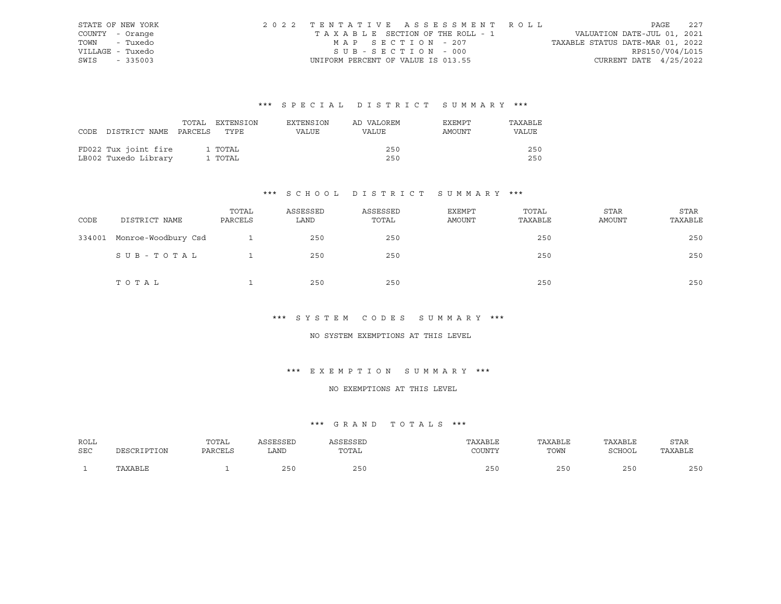| STATE OF NEW YORK | 2022 TENTATIVE ASSESSMENT ROLL     |                                  | PAGE            | 2.2.7 |
|-------------------|------------------------------------|----------------------------------|-----------------|-------|
| COUNTY - Orange   | TAXABLE SECTION OF THE ROLL - 1    | VALUATION DATE-JUL 01, 2021      |                 |       |
| TOWN - Tuxedo     | MAP SECTION - 207                  | TAXABLE STATUS DATE-MAR 01, 2022 |                 |       |
| VILLAGE - Tuxedo  | SUB-SECTION - 000                  |                                  | RPS150/V04/L015 |       |
| SWIS - 335003     | UNIFORM PERCENT OF VALUE IS 013.55 | CURRENT DATE 4/25/2022           |                 |       |

| CODE DISTRICT NAME PARCELS TYPE | TOTAL | EXTENSION | EXTENSION<br>VALUE | AD VALOREM<br>VALUE | EXEMPT<br>AMOUNT | TAXABLE<br><b>VALUE</b> |
|---------------------------------|-------|-----------|--------------------|---------------------|------------------|-------------------------|
|                                 |       |           |                    |                     |                  |                         |
| FD022 Tux joint fire            |       | 1 TOTAL   |                    | 250                 |                  | 250                     |
| LB002 Tuxedo Library            |       | 1 TOTAL   |                    | 250                 |                  | 250                     |

# \*\*\* S C H O O L D I S T R I C T S U M M A R Y \*\*\*

| CODE   | DISTRICT NAME       | TOTAL<br>PARCELS | ASSESSED<br>LAND | ASSESSED<br>TOTAL | EXEMPT<br>AMOUNT | TOTAL<br>TAXABLE | STAR<br>AMOUNT | <b>STAR</b><br>TAXABLE |
|--------|---------------------|------------------|------------------|-------------------|------------------|------------------|----------------|------------------------|
| 334001 | Monroe-Woodbury Csd |                  | 250              | 250               |                  | 250              |                | 250                    |
|        | SUB-TOTAL           |                  | 250              | 250               |                  | 250              |                | 250                    |
|        | TOTAL               |                  | 250              | 250               |                  | 250              |                | 250                    |

## \*\*\* S Y S T E M C O D E S S U M M A R Y \*\*\*

#### NO SYSTEM EXEMPTIONS AT THIS LEVEL

## \*\*\* E X E M P T I O N S U M M A R Y \*\*\*

#### NO EXEMPTIONS AT THIS LEVEL

| ROLL       | DESCRIPTION | TOTAL   | <b><i>\SSESSED</i></b> | ASSESSED | TAXABLE | TAXABLE | TAXABLE       | STAR    |
|------------|-------------|---------|------------------------|----------|---------|---------|---------------|---------|
| <b>SEC</b> |             | PARCELS | LAND                   | TOTAL    | TOUNTY  | TOWN    | <b>SCHOOL</b> | TAXABLE |
|            | TAXABLE     |         | つらの                    | 250      | つらん     | 250     | 250           | 250     |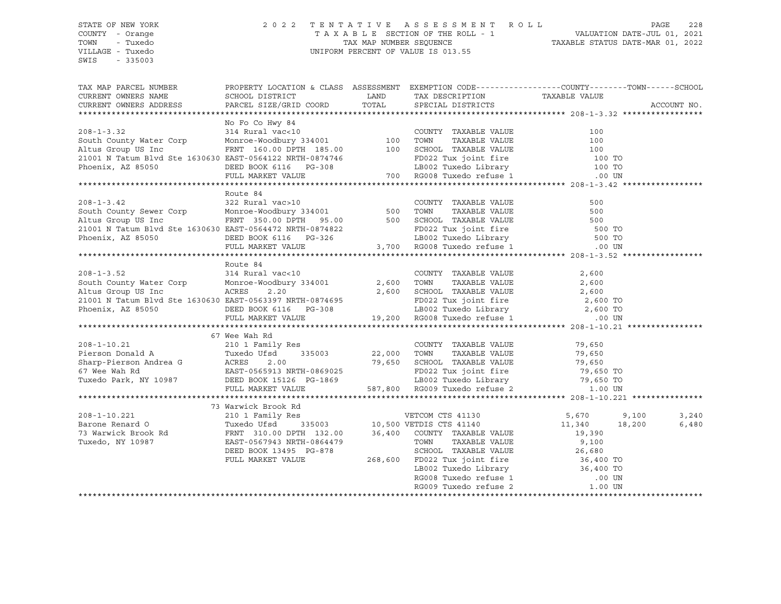#### STATE OF NEW YORK 2 0 2 2 T E N T A T I V E A S S E S S M E N T R O L L PAGE 228 COUNTY - Orange T A X A B L E SECTION OF THE ROLL - 1 VALUATION DATE-JUL 01, 2021 TOWN - Tuxedo TAX MAP NUMBER SEQUENCE TAXABLE STATUS DATE-MAR 01, 2022 VILLAGE - Tuxedo UNIFORM PERCENT OF VALUE IS 013.55

| TAX MAP PARCEL NUMBER                                                                                                                                                                                                                                                                                                                                                                                                                              | PROPERTY LOCATION & CLASS ASSESSMENT EXEMPTION CODE----------------COUNTY-------TOWN------SCHOOL |  |             |
|----------------------------------------------------------------------------------------------------------------------------------------------------------------------------------------------------------------------------------------------------------------------------------------------------------------------------------------------------------------------------------------------------------------------------------------------------|--------------------------------------------------------------------------------------------------|--|-------------|
| CURRENT OWNERS NAME                                                                                                                                                                                                                                                                                                                                                                                                                                |                                                                                                  |  |             |
| CURRENT OWNERS ADDRESS                                                                                                                                                                                                                                                                                                                                                                                                                             |                                                                                                  |  | ACCOUNT NO. |
|                                                                                                                                                                                                                                                                                                                                                                                                                                                    |                                                                                                  |  |             |
|                                                                                                                                                                                                                                                                                                                                                                                                                                                    | No Fo Co Hwy 84                                                                                  |  |             |
|                                                                                                                                                                                                                                                                                                                                                                                                                                                    |                                                                                                  |  |             |
|                                                                                                                                                                                                                                                                                                                                                                                                                                                    |                                                                                                  |  |             |
|                                                                                                                                                                                                                                                                                                                                                                                                                                                    |                                                                                                  |  |             |
|                                                                                                                                                                                                                                                                                                                                                                                                                                                    |                                                                                                  |  |             |
|                                                                                                                                                                                                                                                                                                                                                                                                                                                    |                                                                                                  |  |             |
| 208-1-3.32 314 Rural vac<10<br>South County Water Corp Monroe-Woodbury 334001 100 TOWN TAXABLE VALUE 100<br>Altus Group US Inc FRNT 160.00 DPTH 185.00 100 SCHOOL TAXABLE VALUE 100<br>21001 N Tatum Blvd Ste 1630630 EAST-0564122 N                                                                                                                                                                                                               |                                                                                                  |  |             |
|                                                                                                                                                                                                                                                                                                                                                                                                                                                    |                                                                                                  |  |             |
|                                                                                                                                                                                                                                                                                                                                                                                                                                                    | Route 84                                                                                         |  |             |
|                                                                                                                                                                                                                                                                                                                                                                                                                                                    |                                                                                                  |  |             |
|                                                                                                                                                                                                                                                                                                                                                                                                                                                    |                                                                                                  |  |             |
|                                                                                                                                                                                                                                                                                                                                                                                                                                                    |                                                                                                  |  |             |
|                                                                                                                                                                                                                                                                                                                                                                                                                                                    |                                                                                                  |  |             |
|                                                                                                                                                                                                                                                                                                                                                                                                                                                    |                                                                                                  |  |             |
| 2008-1-3.42<br>2008-1-3.42<br>2008-1-3.42<br>2008-1-3.42<br>2008-1-3.42<br>2008-1-3.42<br>2009-1-3.42<br>2009-1-3.42<br>2009-1-3.42<br>2009-1-3.42<br>2009-201 Monroe-Woodbury 334001<br>2001 N Tatum Blvd Ste 1630630 EAST-0564472 NRTH-0874822<br>2                                                                                                                                                                                              |                                                                                                  |  |             |
|                                                                                                                                                                                                                                                                                                                                                                                                                                                    |                                                                                                  |  |             |
|                                                                                                                                                                                                                                                                                                                                                                                                                                                    | Route 84                                                                                         |  |             |
|                                                                                                                                                                                                                                                                                                                                                                                                                                                    |                                                                                                  |  |             |
|                                                                                                                                                                                                                                                                                                                                                                                                                                                    |                                                                                                  |  |             |
|                                                                                                                                                                                                                                                                                                                                                                                                                                                    |                                                                                                  |  |             |
|                                                                                                                                                                                                                                                                                                                                                                                                                                                    |                                                                                                  |  |             |
|                                                                                                                                                                                                                                                                                                                                                                                                                                                    |                                                                                                  |  |             |
| 208-1-3.52<br>208-1-3.52<br>2,600<br>2,600<br>2,600<br>2,600<br>2,600<br>2,600<br>2,600<br>2,600<br>2,600<br>2,600<br>2,600<br>2,600<br>2,600<br>2,600<br>2,600<br>2,600<br>2,600<br>2,600<br>2,600<br>2,600<br>2,600<br>2,600<br>2,600<br>2,600<br>2,600<br>2,600<br>2,600<br>2,600<br>2                                                                                                                                                          |                                                                                                  |  |             |
|                                                                                                                                                                                                                                                                                                                                                                                                                                                    |                                                                                                  |  |             |
|                                                                                                                                                                                                                                                                                                                                                                                                                                                    | 67 Wee Wah Rd                                                                                    |  |             |
|                                                                                                                                                                                                                                                                                                                                                                                                                                                    |                                                                                                  |  |             |
|                                                                                                                                                                                                                                                                                                                                                                                                                                                    |                                                                                                  |  |             |
|                                                                                                                                                                                                                                                                                                                                                                                                                                                    |                                                                                                  |  |             |
|                                                                                                                                                                                                                                                                                                                                                                                                                                                    |                                                                                                  |  |             |
|                                                                                                                                                                                                                                                                                                                                                                                                                                                    |                                                                                                  |  |             |
| $\begin{array}{cccccccc} 67 \text{ We} & \text{Wah Rd} & & & & & & \text{COUNTY} & \text{TXABLE VALUE} & & & & 79,650 \\ \text{Pierson Donald A} & & & & & & & & \text{Tuxedo Ufsd} & & & 335003 & & 22,000 & \text{TOWN} & \text{TXABLE VALUE} & & & 79,650 \\ \text{Sharp-Pierson Andrea G} & & & & & & & & & \text{TCRES} & 2.00 & & & 79,650 & \text{SCHOLU E} & & & 79,650 \\ \text{Sharp-Pierson Andrea G} & & & & & & & & & \text{ACRES} &$ |                                                                                                  |  |             |
|                                                                                                                                                                                                                                                                                                                                                                                                                                                    | 73 Warwick Brook Rd                                                                              |  |             |
|                                                                                                                                                                                                                                                                                                                                                                                                                                                    |                                                                                                  |  | 3,240       |
|                                                                                                                                                                                                                                                                                                                                                                                                                                                    |                                                                                                  |  | 6,480       |
|                                                                                                                                                                                                                                                                                                                                                                                                                                                    |                                                                                                  |  |             |
|                                                                                                                                                                                                                                                                                                                                                                                                                                                    |                                                                                                  |  |             |
|                                                                                                                                                                                                                                                                                                                                                                                                                                                    |                                                                                                  |  |             |
|                                                                                                                                                                                                                                                                                                                                                                                                                                                    |                                                                                                  |  |             |
|                                                                                                                                                                                                                                                                                                                                                                                                                                                    |                                                                                                  |  |             |
|                                                                                                                                                                                                                                                                                                                                                                                                                                                    |                                                                                                  |  |             |
|                                                                                                                                                                                                                                                                                                                                                                                                                                                    |                                                                                                  |  |             |
|                                                                                                                                                                                                                                                                                                                                                                                                                                                    |                                                                                                  |  |             |
|                                                                                                                                                                                                                                                                                                                                                                                                                                                    |                                                                                                  |  |             |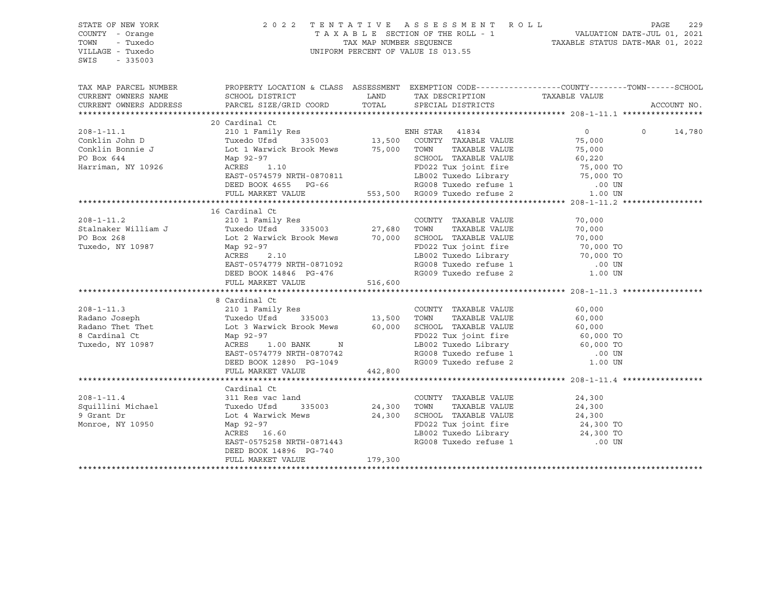| STATE OF NEW YORK<br>COUNTY - Orange<br>TOWN<br>- Tuxedo<br>VILLAGE - Tuxedo<br>SWIS<br>$-335003$ | UNIFORM PERCENT OF VALUE IS 013.55                                                                                                                                                                                                                                                                                                                                                                                                 | 2022 TENTATIVE ASSESSMENT ROLL PAGE 229<br>TAXABLE SECTION OF THE ROLL - 1 VALUATION DATE-JUL 01, 2021<br>TAX MAP NUMBER SEQUENCE TAXABLE STATUS DATE-MAR 01, 2022 |                                                          |        |                          |
|---------------------------------------------------------------------------------------------------|------------------------------------------------------------------------------------------------------------------------------------------------------------------------------------------------------------------------------------------------------------------------------------------------------------------------------------------------------------------------------------------------------------------------------------|--------------------------------------------------------------------------------------------------------------------------------------------------------------------|----------------------------------------------------------|--------|--------------------------|
| CURRENT OWNERS NAME                                                                               | TAX MAP PARCEL NUMBER THE PROPERTY LOCATION & CLASS ASSESSMENT EXEMPTION CODE---------------COUNTY--------TOWN------SCHOOL                                                                                                                                                                                                                                                                                                         |                                                                                                                                                                    |                                                          |        |                          |
| CURRENT OWNERS ADDRESS                                                                            |                                                                                                                                                                                                                                                                                                                                                                                                                                    |                                                                                                                                                                    |                                                          |        | ACCOUNT NO.              |
|                                                                                                   | 20 Cardinal Ct                                                                                                                                                                                                                                                                                                                                                                                                                     |                                                                                                                                                                    |                                                          |        |                          |
|                                                                                                   | $\begin{tabular}{lllllllllllll} 208-1-11.1 & 20 \text{ d} {\tt d} {\tt c} {\tt on} {\tt klin} & 0 & 210 \text{ 1 Family Res} & {\tt EMH \mbox{ STAR}} & 41834 & 0 \\ 210 \text{ 1 Family Res} & {\tt ENH \mbox{ STAR}} & 41834 & 0 \\ \hline {\tt Conklin \mbox{ Donrie J} & {\tt Lot 1} \mbox{ Warwick \mbox{ Brook News}} & 75,000 & {\tt COMNY \mbox{ TAXABLE VALUE}} & 75,000 \\ {\tt PO \mbox{ Box 644} & \mbox{Map 92-97} &$ |                                                                                                                                                                    |                                                          |        | $\overline{0}$<br>14,780 |
|                                                                                                   |                                                                                                                                                                                                                                                                                                                                                                                                                                    |                                                                                                                                                                    |                                                          |        |                          |
|                                                                                                   |                                                                                                                                                                                                                                                                                                                                                                                                                                    |                                                                                                                                                                    |                                                          |        |                          |
|                                                                                                   |                                                                                                                                                                                                                                                                                                                                                                                                                                    |                                                                                                                                                                    |                                                          |        |                          |
|                                                                                                   |                                                                                                                                                                                                                                                                                                                                                                                                                                    |                                                                                                                                                                    |                                                          |        |                          |
|                                                                                                   |                                                                                                                                                                                                                                                                                                                                                                                                                                    |                                                                                                                                                                    |                                                          |        |                          |
|                                                                                                   |                                                                                                                                                                                                                                                                                                                                                                                                                                    |                                                                                                                                                                    |                                                          |        |                          |
|                                                                                                   |                                                                                                                                                                                                                                                                                                                                                                                                                                    |                                                                                                                                                                    |                                                          |        |                          |
|                                                                                                   |                                                                                                                                                                                                                                                                                                                                                                                                                                    |                                                                                                                                                                    |                                                          |        |                          |
|                                                                                                   | 16 Cardinal Ct<br>16 Cardinal Ct<br>210 1 Family Res<br>210 1 Family Res<br>27,680 TOWN TAXABLE VALUE<br>27,680 TOWN TAXABLE VALUE<br>27,680 TOWN TAXABLE VALUE<br>27,680 TOWN TAXABLE VALUE<br>27,680 TOWN TAXABLE VALUE<br>27,680 TOWN TAXABLE VALUE<br>27,680 T                                                                                                                                                                 |                                                                                                                                                                    |                                                          |        |                          |
|                                                                                                   |                                                                                                                                                                                                                                                                                                                                                                                                                                    |                                                                                                                                                                    |                                                          |        |                          |
|                                                                                                   |                                                                                                                                                                                                                                                                                                                                                                                                                                    |                                                                                                                                                                    |                                                          |        |                          |
|                                                                                                   |                                                                                                                                                                                                                                                                                                                                                                                                                                    |                                                                                                                                                                    |                                                          |        |                          |
|                                                                                                   |                                                                                                                                                                                                                                                                                                                                                                                                                                    |                                                                                                                                                                    |                                                          |        |                          |
|                                                                                                   |                                                                                                                                                                                                                                                                                                                                                                                                                                    |                                                                                                                                                                    |                                                          |        |                          |
|                                                                                                   |                                                                                                                                                                                                                                                                                                                                                                                                                                    |                                                                                                                                                                    |                                                          |        |                          |
|                                                                                                   |                                                                                                                                                                                                                                                                                                                                                                                                                                    |                                                                                                                                                                    |                                                          |        |                          |
|                                                                                                   | FULL MARKET VALUE 516,600                                                                                                                                                                                                                                                                                                                                                                                                          |                                                                                                                                                                    |                                                          |        |                          |
|                                                                                                   |                                                                                                                                                                                                                                                                                                                                                                                                                                    |                                                                                                                                                                    |                                                          |        |                          |
|                                                                                                   | 8 Cardinal Ct                                                                                                                                                                                                                                                                                                                                                                                                                      |                                                                                                                                                                    |                                                          |        |                          |
|                                                                                                   |                                                                                                                                                                                                                                                                                                                                                                                                                                    |                                                                                                                                                                    |                                                          |        |                          |
|                                                                                                   |                                                                                                                                                                                                                                                                                                                                                                                                                                    |                                                                                                                                                                    |                                                          |        |                          |
|                                                                                                   |                                                                                                                                                                                                                                                                                                                                                                                                                                    |                                                                                                                                                                    |                                                          |        |                          |
|                                                                                                   |                                                                                                                                                                                                                                                                                                                                                                                                                                    |                                                                                                                                                                    |                                                          |        |                          |
|                                                                                                   | 208-1-11.3<br>208-1-11.3<br>208-1-11.3<br>208-1-11.3<br>2000 Town TAXABLE VALUE<br>2000 Town TAXABLE VALUE<br>2000 TOWN TAXABLE VALUE<br>2000 TOWN TAXABLE VALUE<br>2000 TOWN TAXABLE VALUE<br>2000 TOWN TAXABLE VALUE<br>2000 TOWN TAXABLE VALUE<br>                                                                                                                                                                              |                                                                                                                                                                    |                                                          |        |                          |
|                                                                                                   |                                                                                                                                                                                                                                                                                                                                                                                                                                    |                                                                                                                                                                    |                                                          |        |                          |
|                                                                                                   | Lot 3 Warwick Brook Mews<br>Map 92-97<br>Map 92-97<br>RCRES 1.00 BANK N LB002 Tuxedo Library 60,000 TO<br>RGRES 1.00 BANK N LB002 Tuxedo Library 60,000 TO<br>EAST-0574779 NRTH-0870742 RG008 Tuxedo refuse 1 .00 UN<br>DEED BOOK 12890                                                                                                                                                                                            |                                                                                                                                                                    |                                                          |        |                          |
|                                                                                                   | FULL MARKET VALUE 442,800                                                                                                                                                                                                                                                                                                                                                                                                          |                                                                                                                                                                    |                                                          |        |                          |
|                                                                                                   |                                                                                                                                                                                                                                                                                                                                                                                                                                    |                                                                                                                                                                    |                                                          |        |                          |
|                                                                                                   | Cardinal Ct                                                                                                                                                                                                                                                                                                                                                                                                                        |                                                                                                                                                                    |                                                          |        |                          |
|                                                                                                   |                                                                                                                                                                                                                                                                                                                                                                                                                                    |                                                                                                                                                                    |                                                          |        |                          |
|                                                                                                   |                                                                                                                                                                                                                                                                                                                                                                                                                                    |                                                                                                                                                                    |                                                          |        |                          |
|                                                                                                   | 208-1-11.4<br>Squillini Michael Tuxedo Ufsd 335003<br>24,300 TOWN TAXABLE VALUE 24,300<br>24,300 TOWN TAXABLE VALUE 24,300<br>24,300 TOWN TAXABLE VALUE 24,300<br>24,300 TOWN TAXABLE VALUE 24,300<br>24,300 TOWN TAXABLE VALUE 24,300<br>24                                                                                                                                                                                       |                                                                                                                                                                    |                                                          |        |                          |
|                                                                                                   |                                                                                                                                                                                                                                                                                                                                                                                                                                    |                                                                                                                                                                    |                                                          |        |                          |
|                                                                                                   |                                                                                                                                                                                                                                                                                                                                                                                                                                    |                                                                                                                                                                    |                                                          |        |                          |
|                                                                                                   | EAST-0575258 NRTH-0871443                                                                                                                                                                                                                                                                                                                                                                                                          |                                                                                                                                                                    |                                                          | .00 UN |                          |
|                                                                                                   | DEED BOOK 14896 PG-740                                                                                                                                                                                                                                                                                                                                                                                                             |                                                                                                                                                                    | FDUZZ 1<br>LB002 Tuxedo Library<br>RG008 Tuxedo refuse 1 |        |                          |
|                                                                                                   | FULL MARKET VALUE                                                                                                                                                                                                                                                                                                                                                                                                                  | 179,300                                                                                                                                                            |                                                          |        |                          |
|                                                                                                   |                                                                                                                                                                                                                                                                                                                                                                                                                                    |                                                                                                                                                                    |                                                          |        |                          |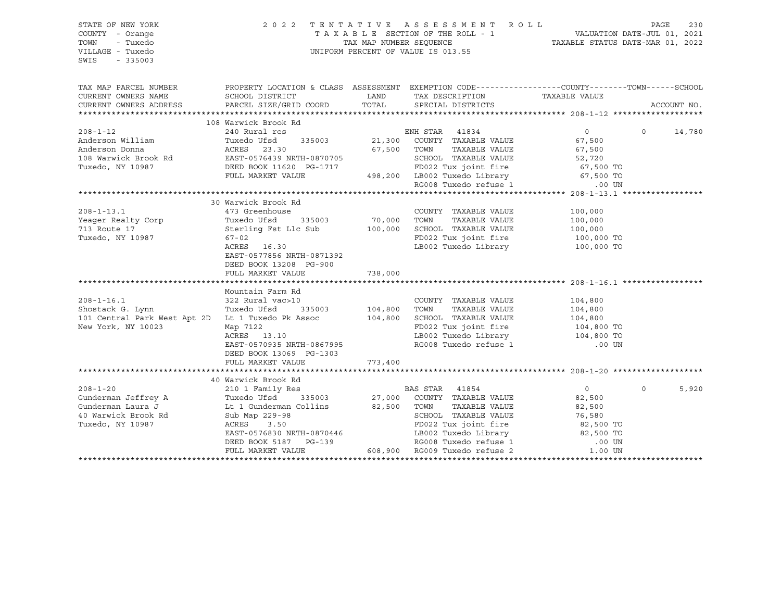| STATE OF NEW YORK<br>COUNTY - Orange<br>TOWN<br>- Tuxedo<br>VILLAGE - Tuxedo<br>SWIS<br>$-335003$ | 2 0 2 2<br>TENTATIVE ASSESSMENT ROLL<br>UNIFORM PERCENT OF VALUE IS 013.55                     | T A X A B L E SECTION OF THE ROLL - 1 VALUATION DATE-JUL 01, 2021<br>TAX MAP NUMBER SEQUENCE TAXABLE STATUS DATE-MAR 01, 2022 | 230<br>PAGE                                                                                          |                                                                                                       |                   |
|---------------------------------------------------------------------------------------------------|------------------------------------------------------------------------------------------------|-------------------------------------------------------------------------------------------------------------------------------|------------------------------------------------------------------------------------------------------|-------------------------------------------------------------------------------------------------------|-------------------|
| TAX MAP PARCEL NUMBER                                                                             | PROPERTY LOCATION & CLASS ASSESSMENT EXEMPTION CODE---------------COUNTY-------TOWN-----SCHOOL |                                                                                                                               |                                                                                                      |                                                                                                       |                   |
| CURRENT OWNERS NAME                                                                               | SCHOOL DISTRICT                                                                                | LAND                                                                                                                          | TAX DESCRIPTION                                                                                      | TAXABLE VALUE                                                                                         |                   |
| CURRENT OWNERS ADDRESS                                                                            | PARCEL SIZE/GRID COORD                                                                         | TOTAL                                                                                                                         | SPECIAL DISTRICTS                                                                                    |                                                                                                       | ACCOUNT NO.       |
|                                                                                                   |                                                                                                |                                                                                                                               |                                                                                                      |                                                                                                       |                   |
| $208 - 1 - 12$                                                                                    | 108 Warwick Brook Rd<br>240 Rural res                                                          |                                                                                                                               | ENH STAR 41834                                                                                       | $\overline{0}$                                                                                        | $0 \t 14,780$     |
| Anderson William                                                                                  | Tuxedo Ufsd<br>335003                                                                          |                                                                                                                               | 21,300 COUNTY TAXABLE VALUE                                                                          | 67,500                                                                                                |                   |
| Anderson Donna                                                                                    | ACRES 23.30                                                                                    | 67,500 TOWN                                                                                                                   | TAXABLE VALUE                                                                                        | 67,500                                                                                                |                   |
|                                                                                                   |                                                                                                |                                                                                                                               | SCHOOL TAXABLE VALUE                                                                                 |                                                                                                       |                   |
|                                                                                                   |                                                                                                |                                                                                                                               |                                                                                                      | 52,720<br>67,500 TO                                                                                   |                   |
|                                                                                                   | FULL MARKET VALUE 498,200 LB002 Tuxedo Library 67,500 TO RG008 Tuxedo refuse 1 00 UN           |                                                                                                                               |                                                                                                      |                                                                                                       |                   |
|                                                                                                   |                                                                                                |                                                                                                                               |                                                                                                      |                                                                                                       |                   |
|                                                                                                   |                                                                                                |                                                                                                                               |                                                                                                      |                                                                                                       |                   |
|                                                                                                   | 30 Warwick Brook Rd                                                                            |                                                                                                                               |                                                                                                      |                                                                                                       |                   |
| $208 - 1 - 13.1$                                                                                  | 473 Greenhouse                                                                                 |                                                                                                                               | COUNTY TAXABLE VALUE                                                                                 | 100,000                                                                                               |                   |
| Yeager Realty Corp                                                                                | The Sicenmod<br>Tuxedo Ufsd<br>Sterling Fst<br>335003                                          |                                                                                                                               | TAXABLE VALUE                                                                                        | 100,000                                                                                               |                   |
| 713 Route 17                                                                                      | Sterling Fst Llc Sub 100,000 SCHOOL TAXABLE VALUE                                              |                                                                                                                               |                                                                                                      | 100,000<br>100,000 TO                                                                                 |                   |
| Tuxedo, NY 10987                                                                                  | $67 - 02$<br>ACRES 16.30                                                                       |                                                                                                                               | FD022 Tux joint fire<br>LB002 Tuxedo Library 100,000 TO                                              |                                                                                                       |                   |
|                                                                                                   | EAST-0577856 NRTH-0871392                                                                      |                                                                                                                               |                                                                                                      |                                                                                                       |                   |
|                                                                                                   | DEED BOOK 13208 PG-900                                                                         |                                                                                                                               |                                                                                                      |                                                                                                       |                   |
|                                                                                                   | FULL MARKET VALUE                                                                              | 738,000                                                                                                                       |                                                                                                      |                                                                                                       |                   |
|                                                                                                   |                                                                                                |                                                                                                                               |                                                                                                      |                                                                                                       |                   |
|                                                                                                   | Mountain Farm Rd                                                                               |                                                                                                                               |                                                                                                      |                                                                                                       |                   |
| 208-1-16.1<br>Shostack G. Lynn                                                                    | 322 Rural vac>10                                                                               |                                                                                                                               | COUNTY TAXABLE VALUE                                                                                 |                                                                                                       |                   |
|                                                                                                   | Tuxedo Ufsd<br>335003                                                                          | 104,800 TOWN                                                                                                                  | TAXABLE VALUE                                                                                        | $104,800$<br>$104,800$                                                                                |                   |
| 101 Central Park West Apt 2D Lt 1 Tuxedo Pk Assoc                                                 |                                                                                                |                                                                                                                               | 104,800 SCHOOL TAXABLE VALUE                                                                         | 104,800                                                                                               |                   |
| New York, NY 10023                                                                                | Map 7122                                                                                       |                                                                                                                               | FD022 Tux joint fire                                                                                 | 104,800 TO                                                                                            |                   |
|                                                                                                   | ACRES 13.10                                                                                    |                                                                                                                               | LB002 Tuxedo Library 104,800 TO<br>RG008 Tuxedo refuse 1                                             |                                                                                                       |                   |
|                                                                                                   | EAST-0570935 NRTH-0867995                                                                      |                                                                                                                               |                                                                                                      | .00 UN                                                                                                |                   |
|                                                                                                   | DEED BOOK 13069 PG-1303<br>FULL MARKET VALUE                                                   | 773,400                                                                                                                       |                                                                                                      |                                                                                                       |                   |
|                                                                                                   |                                                                                                |                                                                                                                               |                                                                                                      |                                                                                                       |                   |
|                                                                                                   | 40 Warwick Brook Rd                                                                            |                                                                                                                               |                                                                                                      |                                                                                                       |                   |
| $208 - 1 - 20$                                                                                    |                                                                                                |                                                                                                                               |                                                                                                      | $\overline{0}$                                                                                        | 5,920<br>$\Omega$ |
| Gunderman Jeffrey A                                                                               | EXECUTIVE SERVICE 210 1 Family Res<br>Tuxedo Ufsd 335003 27,000 COUNTY TAXABLE VALUE           |                                                                                                                               |                                                                                                      | 82,500                                                                                                |                   |
| Gunderman Laura J                                                                                 | Lt 1 Gunderman Collins 82,500 TOWN                                                             |                                                                                                                               | TAXABLE VALUE                                                                                        | 82,500                                                                                                |                   |
| 40 Warwick Brook Rd                                                                               | Sub Map 229-98                                                                                 |                                                                                                                               | SCHOOL TAXABLE VALUE                                                                                 | 76,580                                                                                                |                   |
| Tuxedo, NY 10987                                                                                  | ACRES 3.50                                                                                     |                                                                                                                               | FD022 Tux joint fire $82,500$ TO<br>LB002 Tuxedo Library $82,500$ TO<br>RG008 Tuxedo refuse 1 .00 UN |                                                                                                       |                   |
|                                                                                                   | EAST-0576830 NRTH-0870446                                                                      |                                                                                                                               |                                                                                                      |                                                                                                       |                   |
|                                                                                                   | DEED BOOK 5187 PG-139 RG008 Tuxedo refuse 1<br>FULL MARKET VALUE 608,900 RG009 Tuxedo refuse 2 |                                                                                                                               |                                                                                                      |                                                                                                       |                   |
|                                                                                                   |                                                                                                |                                                                                                                               |                                                                                                      | $\begin{array}{c}\n 0.00 \text{ UN} \\  0.00 \text{ UN} \\  \hline\n 0.00 \text{ UN} \\  \end{array}$ |                   |
|                                                                                                   |                                                                                                |                                                                                                                               |                                                                                                      |                                                                                                       |                   |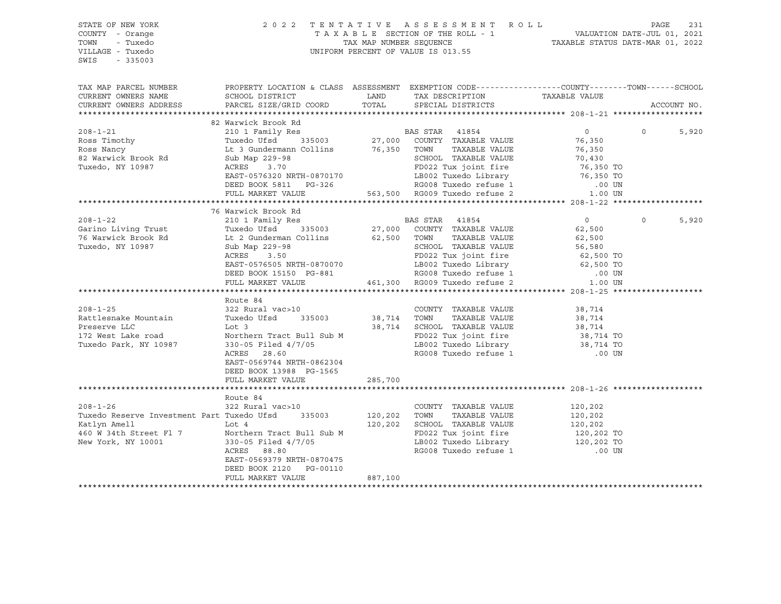STATE OF NEW YORK 20 2 2 2 2 2 2 2 2 2 3 E S S M E N T R O L L PAGE 231 COUNTY - Orange T A X A B L E SECTION OF THE ROLL - 1 VALUATION DATE-JUL 01, 2021 TOWN - Tuxedo TAX MAP NUMBER SEQUENCE TAXABLE STATUS DATE-MAR 01, 2022 UNIFORM PERCENT OF VALUE IS 013.55 SWIS - 335003 TAX MAP PARCEL NUMBER PROPERTY LOCATION & CLASS ASSESSMENT EXEMPTION CODE------------------COUNTY--------TOWN------SCHOOL CURRENT OWNERS NAME SCHOOL DISTRICT TAX DAND TAX DESCRIPTION TAXABLE VALUE CURRENT OWNERS ADDRESS PARCEL SIZE/GRID COORD TOTAL SPECIAL DISTRICTS ACCOUNT NO. \*\*\*\*\*\*\*\*\*\*\*\*\*\*\*\*\*\*\*\*\*\*\*\*\*\*\*\*\*\*\*\*\*\*\*\*\*\*\*\*\*\*\*\*\*\*\*\*\*\*\*\*\*\*\*\*\*\*\*\*\*\*\*\*\*\*\*\*\*\*\*\*\*\*\*\*\*\*\*\*\*\*\*\*\*\*\*\*\*\*\*\*\*\*\*\*\*\*\*\*\*\*\* 208-1-21 \*\*\*\*\*\*\*\*\*\*\*\*\*\*\*\*\*\*\* 82 Warwick Brook Rd 208-1-21 210 1 Family Res BAS STAR 41854 0 0 5,920 Ross Timothy Tuxedo Ufsd 335003 27,000 COUNTY TAXABLE VALUE 76,350 Ross Nancy Lt 3 Gundermann Collins 76,350 TOWN TAXABLE VALUE 76,350 82 Warwick Brook Rd Sub Map 229-98 SCHOOL TAXABLE VALUE 70,430 Tuxedo, NY 10987 ACRES 3.70 FD022 Tux joint fire 76,350 TO EAST-0576320 NRTH-0870170 LB002 Tuxedo Library 76,350 TO DEED BOOK 5811 PG-326 RG008 Tuxedo refuse 1 .00 UN FULL MARKET VALUE 563,500 RG009 Tuxedo refuse 2 1.00 UN \*\*\*\*\*\*\*\*\*\*\*\*\*\*\*\*\*\*\*\*\*\*\*\*\*\*\*\*\*\*\*\*\*\*\*\*\*\*\*\*\*\*\*\*\*\*\*\*\*\*\*\*\*\*\*\*\*\*\*\*\*\*\*\*\*\*\*\*\*\*\*\*\*\*\*\*\*\*\*\*\*\*\*\*\*\*\*\*\*\*\*\*\*\*\*\*\*\*\*\*\*\*\* 208-1-22 \*\*\*\*\*\*\*\*\*\*\*\*\*\*\*\*\*\*\* 76 Warwick Brook Rd 208-1-22 210 1 Family Res BAS STAR 41854 0 0 5,920 Garino Living Trust Tuxedo Ufsd 335003 27,000 COUNTY TAXABLE VALUE 62,500 76 Warwick Brook Rd Lt 2 Gunderman Collins 62,500 TOWN TAXABLE VALUE 62,500 Tuxedo, NY 10987 Sub Map 229-98 SCHOOL TAXABLE VALUE 56,580 ACRES 3.50 FD022 Tux joint fire 62,500 TO EAST-0576505 NRTH-0870070 LB002 Tuxedo Library 62,500 TO DEED BOOK 15150 PG-881 RG008 Tuxedo refuse 1 .00 UN FULL MARKET VALUE 461,300 RG009 Tuxedo refuse 2 1.00 UN \*\*\*\*\*\*\*\*\*\*\*\*\*\*\*\*\*\*\*\*\*\*\*\*\*\*\*\*\*\*\*\*\*\*\*\*\*\*\*\*\*\*\*\*\*\*\*\*\*\*\*\*\*\*\*\*\*\*\*\*\*\*\*\*\*\*\*\*\*\*\*\*\*\*\*\*\*\*\*\*\*\*\*\*\*\*\*\*\*\*\*\*\*\*\*\*\*\*\*\*\*\*\* 208-1-25 \*\*\*\*\*\*\*\*\*\*\*\*\*\*\*\*\*\*\* Route 84 208-1-25 322 Rural vac>10 COUNTY TAXABLE VALUE 38,714 Rattlesnake Mountain Tuxedo Ufsd 335003 38,714 TOWN TAXABLE VALUE 38,714 Preserve LLC Lot 3 38,714 SCHOOL TAXABLE VALUE 38,714 172 West Lake road Northern Tract Bull Sub M FD022 Tux joint fire 38,714 TO Tuxedo Park, NY 10987 330-05 Filed 4/7/05 LB002 Tuxedo Library 38,714 TO ACRES 28.60 RG008 Tuxedo refuse 1 .00 UN EAST-0569744 NRTH-0862304 DEED BOOK 13988 PG-1565 FULL MARKET VALUE 285,700 \*\*\*\*\*\*\*\*\*\*\*\*\*\*\*\*\*\*\*\*\*\*\*\*\*\*\*\*\*\*\*\*\*\*\*\*\*\*\*\*\*\*\*\*\*\*\*\*\*\*\*\*\*\*\*\*\*\*\*\*\*\*\*\*\*\*\*\*\*\*\*\*\*\*\*\*\*\*\*\*\*\*\*\*\*\*\*\*\*\*\*\*\*\*\*\*\*\*\*\*\*\*\* 208-1-26 \*\*\*\*\*\*\*\*\*\*\*\*\*\*\*\*\*\*\* Route 84 208-1-26 322 Rural vac>10 COUNTY TAXABLE VALUE 120,202 Tuxedo Reserve Investment Part Tuxedo Ufsd 335003 120,202 TOWN TAXABLE VALUE 120,202 Katlyn Amell Lot 4 120,202 SCHOOL TAXABLE VALUE 120,202 460 W 34th Street Fl 7 Morthern Tract Bull Sub M FD022 Tux joint fire 120,202 TO<br>New York, NY 10001 330-05 Filed 4/7/05 12002 Tuxedo Library 120,202 TO New York, NY 10001 330-05 Filed 4/7/05 ACRES 88.80 RG008 Tuxedo refuse 1 .00 UN EAST-0569379 NRTH-0870475 DEED BOOK 2120 PG-00110 FULL MARKET VALUE 887,100 \*\*\*\*\*\*\*\*\*\*\*\*\*\*\*\*\*\*\*\*\*\*\*\*\*\*\*\*\*\*\*\*\*\*\*\*\*\*\*\*\*\*\*\*\*\*\*\*\*\*\*\*\*\*\*\*\*\*\*\*\*\*\*\*\*\*\*\*\*\*\*\*\*\*\*\*\*\*\*\*\*\*\*\*\*\*\*\*\*\*\*\*\*\*\*\*\*\*\*\*\*\*\*\*\*\*\*\*\*\*\*\*\*\*\*\*\*\*\*\*\*\*\*\*\*\*\*\*\*\*\*\*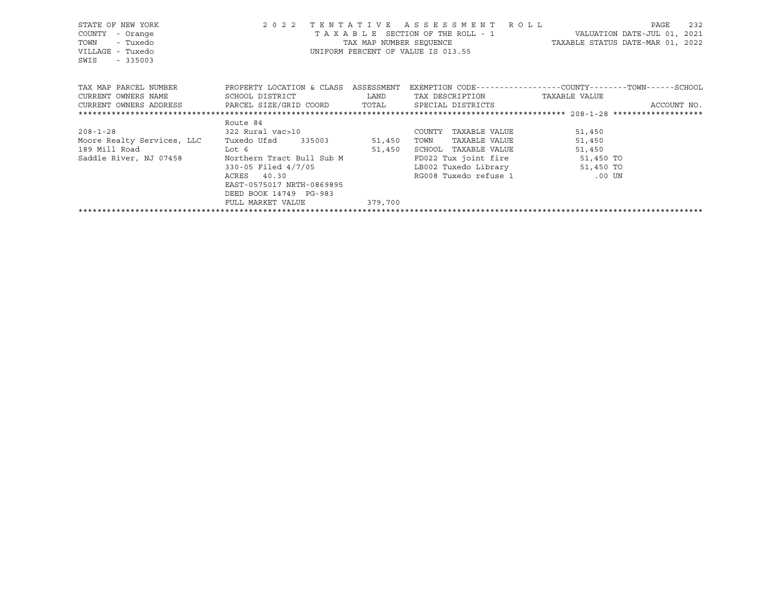| STATE OF NEW YORK<br>COUNTY<br>- Orange<br>TOWN<br>- Tuxedo<br>VILLAGE - Tuxedo<br>SWIS<br>$-335003$ |                                                                                                 |         | 2022 TENTATIVE ASSESSMENT ROLL<br>T A X A B L E SECTION OF THE ROLL - 1 WALUATION DATE-JUL 01, 2021<br>TAX MAP NUMBER SEQUENCE TAXABLE STATUS DATE-MAR 01, 2022<br>UNIFORM PERCENT OF VALUE IS 013.55 |        | 232<br>PAGE |
|------------------------------------------------------------------------------------------------------|-------------------------------------------------------------------------------------------------|---------|-------------------------------------------------------------------------------------------------------------------------------------------------------------------------------------------------------|--------|-------------|
| TAX MAP PARCEL NUMBER TROPERTY LOCATION & CLASS ASSESSMENT                                           |                                                                                                 |         | EXEMPTION CODE-----------------COUNTY-------TOWN------SCHOOL                                                                                                                                          |        |             |
| CURRENT OWNERS NAME                                                                                  | SCHOOL DISTRICT                      LAND        TAX DESCRIPTION                  TAXABLE VALUE |         |                                                                                                                                                                                                       |        |             |
| CURRENT OWNERS ADDRESS     PARCEL SIZE/GRID COORD     TOTAL     SPECIAL DISTRICTS                    |                                                                                                 |         |                                                                                                                                                                                                       |        | ACCOUNT NO. |
|                                                                                                      |                                                                                                 |         |                                                                                                                                                                                                       |        |             |
|                                                                                                      | Route 84                                                                                        |         |                                                                                                                                                                                                       |        |             |
| $208 - 1 - 28$                                                                                       | 322 Rural vac>10                                                                                |         | COUNTY TAXABLE VALUE                                                                                                                                                                                  | 51,450 |             |
| Moore Realty Services, LLC Tuxedo Ufsd 335003 51,450                                                 |                                                                                                 |         | TOWN TAXABLE VALUE                                                                                                                                                                                    | 51,450 |             |
| 189 Mill Road Lot 6                                                                                  | 51,450                                                                                          |         | SCHOOL TAXABLE VALUE                                                                                                                                                                                  | 51,450 |             |
| Saddle River, NJ 07458 Northern Tract Bull Sub M                                                     |                                                                                                 |         | FD022 Tux joint fire 51,450 TO                                                                                                                                                                        |        |             |
|                                                                                                      | 330-05 Filed 4/7/05                                                                             |         | LB002 Tuxedo Library 51,450 TO                                                                                                                                                                        |        |             |
|                                                                                                      | ACRES 40.30                                                                                     |         | RG008 Tuxedo refuse 1 00 UN                                                                                                                                                                           |        |             |
|                                                                                                      | EAST-0575017 NRTH-0869895                                                                       |         |                                                                                                                                                                                                       |        |             |
|                                                                                                      | DEED BOOK 14749 PG-983                                                                          |         |                                                                                                                                                                                                       |        |             |
|                                                                                                      | FULL MARKET VALUE                                                                               | 379,700 |                                                                                                                                                                                                       |        |             |
|                                                                                                      |                                                                                                 |         |                                                                                                                                                                                                       |        |             |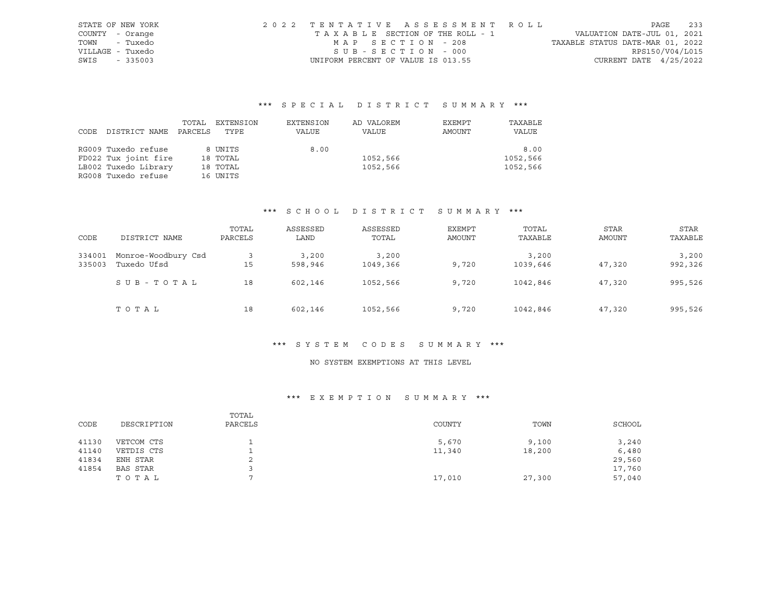| STATE OF NEW YORK |           | 2022 TENTATIVE ASSESSMENT ROLL     |  |                                  |                          | PAGE | 233 |
|-------------------|-----------|------------------------------------|--|----------------------------------|--------------------------|------|-----|
| COUNTY - Orange   |           | TAXABLE SECTION OF THE ROLL - 1    |  | VALUATION DATE-JUL 01, 2021      |                          |      |     |
| TOWN              | - Tuxedo  | MAP SECTION - 208                  |  | TAXABLE STATUS DATE-MAR 01, 2022 |                          |      |     |
| VILLAGE - Tuxedo  |           | SUB-SECTION - 000                  |  |                                  | RPS150/V04/L015          |      |     |
| SWIS              | $-335003$ | UNIFORM PERCENT OF VALUE IS 013.55 |  |                                  | CURRENT DATE $4/25/2022$ |      |     |

|      |                      | TOTAL   | EXTENSION | EXTENSION | AD VALOREM | EXEMPT | TAXABLE  |
|------|----------------------|---------|-----------|-----------|------------|--------|----------|
| CODE | DISTRICT NAME        | PARCELS | TYPE      | VALUE     | VALUE      | AMOUNT | VALUE    |
|      |                      |         |           |           |            |        |          |
|      | RG009 Tuxedo refuse  |         | 8 UNITS   | 8.00      |            |        | 8.00     |
|      | FD022 Tux joint fire |         | 18 TOTAL  |           | 1052,566   |        | 1052,566 |
|      | LB002 Tuxedo Library |         | 18 TOTAL  |           | 1052,566   |        | 1052,566 |
|      | RG008 Tuxedo refuse  |         | 16 UNITS  |           |            |        |          |

#### \*\*\* S C H O O L D I S T R I C T S U M M A R Y \*\*\*

|        |                     | TOTAL   | ASSESSED | ASSESSED | EXEMPT | TOTAL    | <b>STAR</b> | STAR    |
|--------|---------------------|---------|----------|----------|--------|----------|-------------|---------|
| CODE   | DISTRICT NAME       | PARCELS | LAND     | TOTAL    | AMOUNT | TAXABLE  | AMOUNT      | TAXABLE |
| 334001 | Monroe-Woodbury Csd |         | 3,200    | 3,200    |        | 3,200    |             | 3,200   |
| 335003 | Tuxedo Ufsd         | 15      | 598,946  | 1049,366 | 9,720  | 1039,646 | 47,320      | 992,326 |
|        | SUB-TOTAL           | 18      | 602,146  | 1052,566 | 9,720  | 1042,846 | 47,320      | 995,526 |
|        | TOTAL               | 18      | 602,146  | 1052,566 | 9,720  | 1042,846 | 47,320      | 995,526 |

#### \*\*\* S Y S T E M C O D E S S U M M A R Y \*\*\*

#### NO SYSTEM EXEMPTIONS AT THIS LEVEL

| CODE  | DESCRIPTION | TOTAL<br>PARCELS | COUNTY | TOWN   | SCHOOL |
|-------|-------------|------------------|--------|--------|--------|
| 41130 | VETCOM CTS  |                  | 5,670  | 9,100  | 3,240  |
| 41140 | VETDIS CTS  |                  | 11,340 | 18,200 | 6,480  |
| 41834 | ENH STAR    | ▵                |        |        | 29,560 |
| 41854 | BAS STAR    |                  |        |        | 17,760 |
|       | TOTAL       |                  | 17,010 | 27,300 | 57,040 |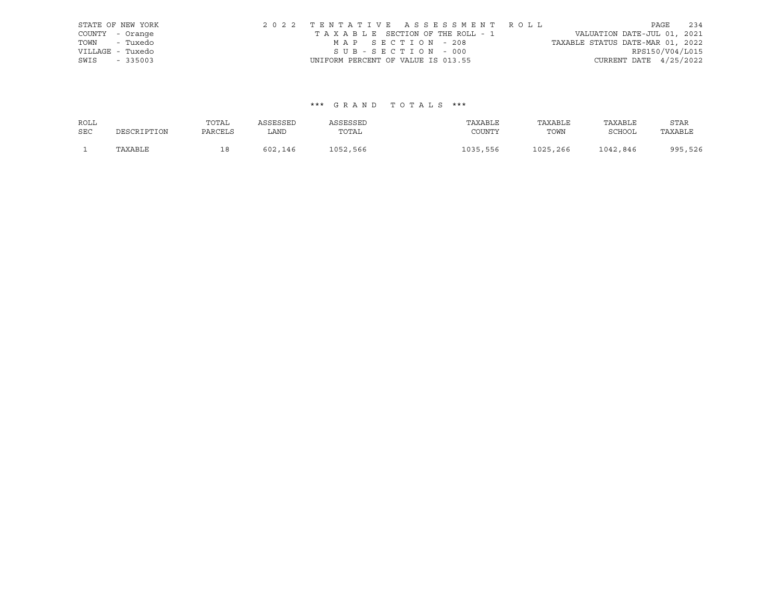|                  | STATE OF NEW YORK | 2022 TENTATIVE ASSESSMENT ROLL     |  |                                  |                          | PAGE | 234 |
|------------------|-------------------|------------------------------------|--|----------------------------------|--------------------------|------|-----|
| COUNTY - Orange  |                   | TAXABLE SECTION OF THE ROLL - 1    |  | VALUATION DATE-JUL 01, 2021      |                          |      |     |
| TOWN - Tuxedo    |                   | MAP SECTION - 208                  |  | TAXABLE STATUS DATE-MAR 01, 2022 |                          |      |     |
| VILLAGE - Tuxedo |                   | SUB-SECTION - 000                  |  |                                  | RPS150/V04/L015          |      |     |
| SWIS             | $-335003$         | UNIFORM PERCENT OF VALUE IS 013.55 |  |                                  | CURRENT DATE $4/25/2022$ |      |     |

| ROLL       |             | TOTAL   | ASSESSED | ASSESSED | TAXABLE  | TAXABLE  | TAXABLE       | STAR    |
|------------|-------------|---------|----------|----------|----------|----------|---------------|---------|
| <b>SEC</b> | DESCRIPTION | PARCELS | LAND     | TOTAL    | COUNTY   | TOWN     | <b>SCHOOL</b> | TAXABLE |
|            | TAXABLE     | ∸       | 602,146  | 1052,566 | 1035,556 | 1025,266 | 1042,846      | 995,526 |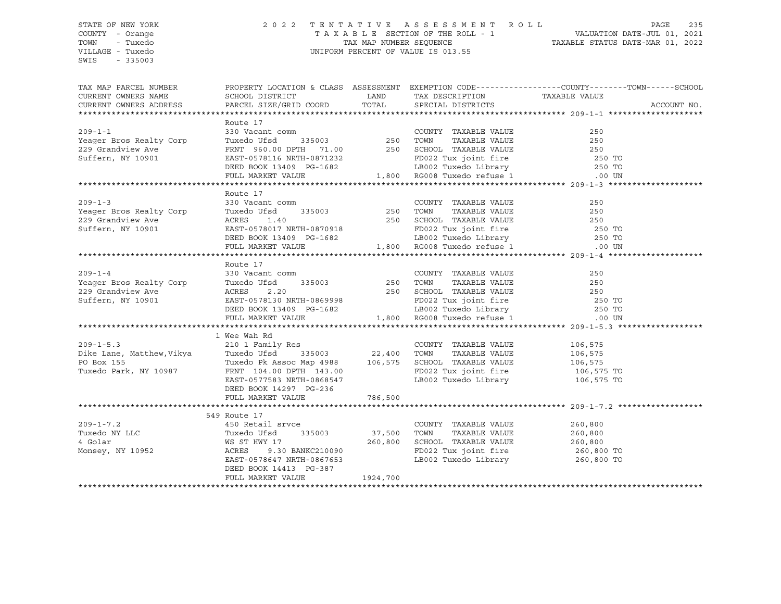#### STATE OF NEW YORK 2 0 2 2 T E N T A T I V E A S S E S S M E N T R O L L PAGE 235 COUNTY - Orange T A X A B L E SECTION OF THE ROLL - 1 VALUATION DATE-JUL 01, 2021 TOWN - Tuxedo TAX MAP NUMBER SEQUENCE TAXABLE STATUS DATE-MAR 01, 2022 VILLAGE - Tuxedo UNIFORM PERCENT OF VALUE IS 013.55

| TAX MAP PARCEL NUMBER                                                                                                                                                                                                                            | PROPERTY LOCATION & CLASS ASSESSMENT EXEMPTION CODE----------------COUNTY-------TOWN-----SCHOOL                                                                                                                                                  |          |                                                                    |         |  |
|--------------------------------------------------------------------------------------------------------------------------------------------------------------------------------------------------------------------------------------------------|--------------------------------------------------------------------------------------------------------------------------------------------------------------------------------------------------------------------------------------------------|----------|--------------------------------------------------------------------|---------|--|
| $209 - 1 - 1$<br>Yeager Bros Realty Corp<br>229 Grandview Ave<br>229 Grandview Ave<br>Suffern, NY 10901                                                                                                                                          | Route 17<br>NORTH TRANSFORM COUNTY TRANSFORM COUNTY TRANSFORM ON TRANSFORM 250 VACANTLE VALUE 250<br>TWEEN 960.00 DPTH 71.00 250 SCHOOL TAXABLE VALUE 250<br>FRNT 960.00 DPTH 71.00 250 SCHOOL TAXABLE VALUE 250 TO<br>EAST-0578116 NRTH-0871232 |          |                                                                    |         |  |
| Veager Bros Realty Corp<br>250 Veacant comm<br>250 Veacant comm<br>250 Veacant comm<br>250 Veager Bros Realty Corp<br>250 TOWN TAXABLE VALUE<br>250 TOWN TAXABLE VALUE<br>250 TOWN TAXABLE VALUE<br>250 TOWN TAXABLE VALUE<br>250 TOWN TAXABLE V | Route 17                                                                                                                                                                                                                                         |          |                                                                    |         |  |
|                                                                                                                                                                                                                                                  | Route 17                                                                                                                                                                                                                                         |          |                                                                    |         |  |
| 1 Wee Wah Rd<br>209-1-5.3 210 1 Family Res<br>210 1 Family Res<br>22,400 TOWN TAXABLE VALUE 106,575<br>22,400 TOWN TAXABLE VALUE 106,575<br>22,400 TOWN TAXABLE VALUE 106,575<br>22,400 TOWN TAXABLE VALUE 106,575<br>22,400 TOWN TAXABLE VA     | DEED BOOK 14297 PG-236                                                                                                                                                                                                                           |          | FD022 Tux joint fire 106,575 TO<br>LB002 Tuxedo Library 106,575 TO |         |  |
|                                                                                                                                                                                                                                                  | FULL MARKET VALUE                                                                                                                                                                                                                                | 786,500  |                                                                    |         |  |
| $209 - 1 - 7.2$<br>1991-1-1.2<br>Tuxedo NY LLC Tuxedo Ufsd 335003 37,500 TOWN TAXABLE VALUE 260,800<br>4 Golar MS ST HWY 17 260,800 SCHOOL TAXABLE VALUE 260,800<br>Monsey, NY 10952 ACRES 9.30 BANKC210090 FD022 Tux joint fire 260,800 TO      | 549 Route 17<br>450 Retail srvce<br>EAST-0578647 NRTH-0867653<br>DEED BOOK 14413 PG-387<br>FULL MARKET VALUE                                                                                                                                     | 1924,700 | COUNTY TAXABLE VALUE<br>LB002 Tuxedo Library 1260,800 TO           | 260,800 |  |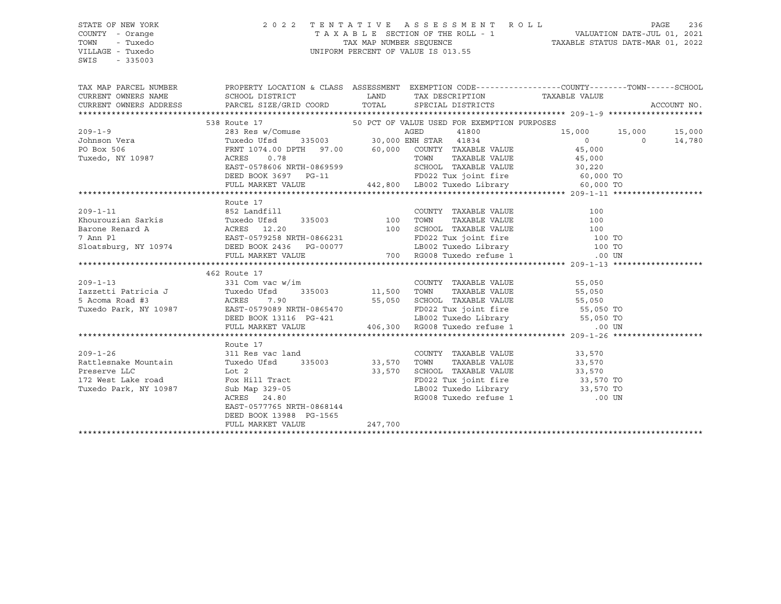#### STATE OF NEW YORK 2 0 2 2 T E N T A T I V E A S S E S S M E N T R O L L PAGE 236 COUNTY - Orange T A X A B L E SECTION OF THE ROLL - 1 VALUATION DATE-JUL 01, 2021 TOWN - Tuxedo TAX MAP NUMBER SEQUENCE TAXABLE STATUS DATE-MAR 01, 2022 VILLAGE - Tuxedo UNIFORM PERCENT OF VALUE IS 013.55

| TAX MAP PARCEL NUMBER THE PROPERTY LOCATION & CLASS ASSESSMENT EXEMPTION CODE--------------COUNTY-------TOWN------SCHOOL<br>CURRENT OWNERS NAME SCHOOL DISTRICT TOORD LAND TAX DESCRIPTION TAXABLE VALUE<br>CURRENT OWNERS ADDRESS PARCEL SIZE/GRID COORD TOTAL SPECIAL DISTRICTS |                              |         |                                                                                                                                |                      | ACCOUNT NO. |
|-----------------------------------------------------------------------------------------------------------------------------------------------------------------------------------------------------------------------------------------------------------------------------------|------------------------------|---------|--------------------------------------------------------------------------------------------------------------------------------|----------------------|-------------|
|                                                                                                                                                                                                                                                                                   |                              |         |                                                                                                                                |                      |             |
|                                                                                                                                                                                                                                                                                   |                              |         |                                                                                                                                |                      |             |
|                                                                                                                                                                                                                                                                                   |                              |         |                                                                                                                                |                      |             |
|                                                                                                                                                                                                                                                                                   |                              |         |                                                                                                                                |                      |             |
|                                                                                                                                                                                                                                                                                   |                              |         |                                                                                                                                |                      |             |
|                                                                                                                                                                                                                                                                                   |                              |         |                                                                                                                                |                      |             |
|                                                                                                                                                                                                                                                                                   |                              |         |                                                                                                                                |                      |             |
|                                                                                                                                                                                                                                                                                   |                              |         |                                                                                                                                |                      |             |
|                                                                                                                                                                                                                                                                                   |                              |         |                                                                                                                                |                      |             |
|                                                                                                                                                                                                                                                                                   | Route 17                     |         |                                                                                                                                |                      |             |
|                                                                                                                                                                                                                                                                                   |                              |         |                                                                                                                                |                      |             |
|                                                                                                                                                                                                                                                                                   |                              |         |                                                                                                                                |                      |             |
|                                                                                                                                                                                                                                                                                   |                              |         |                                                                                                                                |                      |             |
|                                                                                                                                                                                                                                                                                   |                              |         |                                                                                                                                |                      |             |
|                                                                                                                                                                                                                                                                                   |                              |         |                                                                                                                                |                      |             |
| 209-1-11<br>Exponential Barkis Function (100 EXES)<br>Barone Renard A ACRES 12.20<br>7 Ann Pl EAST-0579258 NRTH-0866231 FOO22 Tux joint fire 100 TO<br>Sloatsburg, NY 10974 DEED BOOK 2436 PG-00077 LB002 Tuxedo Library 100 TO<br>FULL                                           |                              |         |                                                                                                                                |                      |             |
|                                                                                                                                                                                                                                                                                   |                              |         |                                                                                                                                |                      |             |
|                                                                                                                                                                                                                                                                                   | 462 Route 17                 |         |                                                                                                                                |                      |             |
| 462 ROUE 17<br>331 Com vac w/im<br>331 Com vac w/im<br>331 Com vac w/im<br>Tuxedo Ufsd<br>335003<br>56,050 TOWN TAXABLE VALUE<br>55,050<br>57,050 TOWN TAXABLE VALUE<br>55,050<br>57,050 TOWN TAXABLE VALUE<br>55,050<br>57,050 TOWN TAXABLE VALUE<br>55                          |                              |         |                                                                                                                                |                      |             |
|                                                                                                                                                                                                                                                                                   |                              |         |                                                                                                                                |                      |             |
|                                                                                                                                                                                                                                                                                   |                              |         |                                                                                                                                |                      |             |
|                                                                                                                                                                                                                                                                                   |                              |         |                                                                                                                                |                      |             |
|                                                                                                                                                                                                                                                                                   |                              |         |                                                                                                                                |                      |             |
|                                                                                                                                                                                                                                                                                   |                              |         |                                                                                                                                |                      |             |
|                                                                                                                                                                                                                                                                                   |                              |         |                                                                                                                                |                      |             |
|                                                                                                                                                                                                                                                                                   | Route 17                     |         |                                                                                                                                |                      |             |
| $209 - 1 - 26$                                                                                                                                                                                                                                                                    | $\frac{1}{311}$ Res vac land |         | COUNTY TAXABLE VALUE 33,570                                                                                                    |                      |             |
| Rattlesnake Mountain Tuxedo Ufsd 335003 33,570 TOWN                                                                                                                                                                                                                               |                              |         |                                                                                                                                | TAXABLE VALUE 33,570 |             |
|                                                                                                                                                                                                                                                                                   |                              |         |                                                                                                                                |                      |             |
|                                                                                                                                                                                                                                                                                   |                              |         |                                                                                                                                |                      |             |
| Preserve LLC Lot 2 33,570<br>172 West Lake road Fox Hill Tract 33,570<br>Tuxedo Park, NY 10987 Sub Map 329-05<br>ACRES 24.80                                                                                                                                                      |                              |         | SCHOOL TAXABLE VALUE 33,570<br>FD022 Tux joint fire 33,570 TO<br>LB002 Tuxedo Library 33,570 TO<br>RG008 Tuxedo refuse 1 00 UN |                      |             |
|                                                                                                                                                                                                                                                                                   |                              |         |                                                                                                                                |                      |             |
|                                                                                                                                                                                                                                                                                   |                              |         |                                                                                                                                |                      |             |
|                                                                                                                                                                                                                                                                                   | EAST-0577765 NRTH-0868144    |         |                                                                                                                                |                      |             |
|                                                                                                                                                                                                                                                                                   | DEED BOOK 13988 PG-1565      |         |                                                                                                                                |                      |             |
|                                                                                                                                                                                                                                                                                   | FULL MARKET VALUE            | 247,700 |                                                                                                                                |                      |             |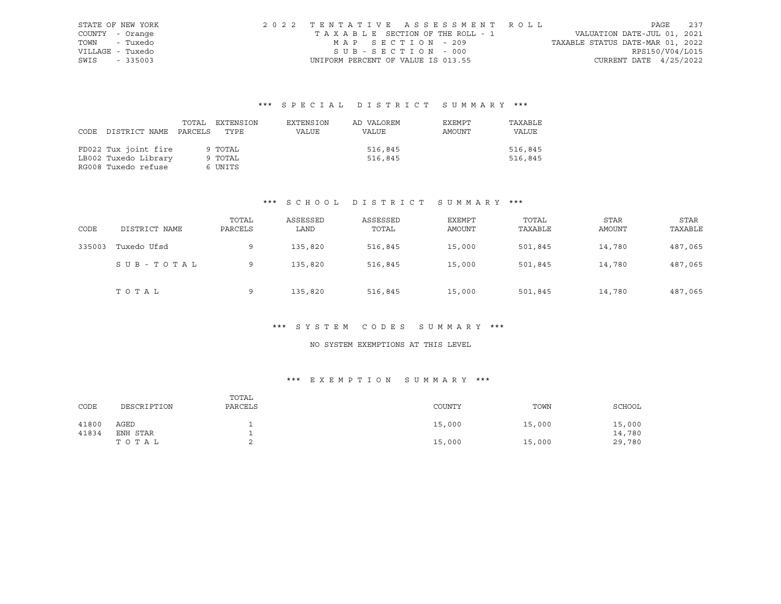|                  | STATE OF NEW YORK | 2022 TENTATIVE ASSESSMENT ROLL     |                                  | PAGE 237        |  |
|------------------|-------------------|------------------------------------|----------------------------------|-----------------|--|
| COUNTY - Orange  |                   | TAXABLE SECTION OF THE ROLL - 1    | VALUATION DATE-JUL 01, 2021      |                 |  |
| TOWN - Tuxedo    |                   | MAP SECTION - 209                  | TAXABLE STATUS DATE-MAR 01, 2022 |                 |  |
| VILLAGE - Tuxedo |                   | SUB-SECTION - 000                  |                                  | RPS150/V04/L015 |  |
| SWIS - 335003    |                   | UNIFORM PERCENT OF VALUE IS 013.55 | CURRENT DATE $4/25/2022$         |                 |  |

| CODE | DISTRICT NAME PARCELS                                               | TOTAL | EXTENSION<br>TYPE             | EXTENSION<br>VALUE | AD VALOREM<br>VALUE | EXEMPT<br>AMOUNT | TAXABLE<br>VALUE   |
|------|---------------------------------------------------------------------|-------|-------------------------------|--------------------|---------------------|------------------|--------------------|
|      | FD022 Tux joint fire<br>LB002 Tuxedo Library<br>RG008 Tuxedo refuse |       | 9 TOTAL<br>9 TOTAL<br>6 UNITS |                    | 516,845<br>516,845  |                  | 516,845<br>516,845 |

## \*\*\* S C H O O L D I S T R I C T S U M M A R Y \*\*\*

| CODE   | DISTRICT NAME | TOTAL<br>PARCELS | ASSESSED<br>LAND | ASSESSED<br>TOTAL | EXEMPT<br><b>AMOUNT</b> | TOTAL<br>TAXABLE | <b>STAR</b><br>AMOUNT | STAR<br>TAXABLE |
|--------|---------------|------------------|------------------|-------------------|-------------------------|------------------|-----------------------|-----------------|
| 335003 | Tuxedo Ufsd   | 9                | 135,820          | 516,845           | 15,000                  | 501,845          | 14,780                | 487,065         |
|        | SUB-TOTAL     | 9                | 135,820          | 516,845           | 15,000                  | 501,845          | 14,780                | 487,065         |
|        | TOTAL         | 9                | 135,820          | 516,845           | 15,000                  | 501,845          | 14,780                | 487,065         |

# \*\*\* S Y S T E M C O D E S S U M M A R Y \*\*\*

## NO SYSTEM EXEMPTIONS AT THIS LEVEL

| CODE  | DESCRIPTION | TOTAL<br>PARCELS | COUNTY | TOWN   | SCHOOL |
|-------|-------------|------------------|--------|--------|--------|
| 41800 | AGED        |                  | 15,000 | 15,000 | 15,000 |
| 41834 | ENH STAR    |                  |        |        | 14,780 |
|       | TOTAL       |                  | 15,000 | 15,000 | 29,780 |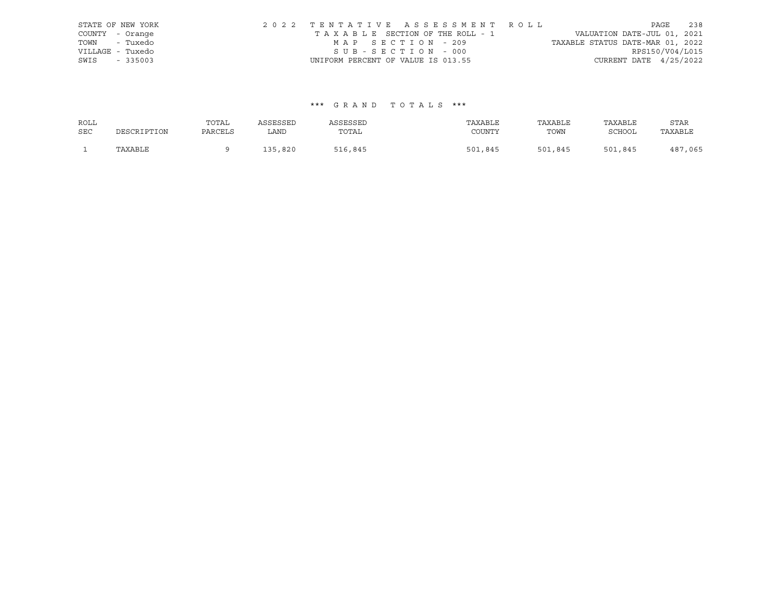|                  | STATE OF NEW YORK | 2022 TENTATIVE ASSESSMENT ROLL     |  |                                  |                          | PAGE | 238 |
|------------------|-------------------|------------------------------------|--|----------------------------------|--------------------------|------|-----|
| COUNTY - Orange  |                   | TAXABLE SECTION OF THE ROLL - 1    |  | VALUATION DATE-JUL 01, 2021      |                          |      |     |
| TOWN - Tuxedo    |                   | MAP SECTION - 209                  |  | TAXABLE STATUS DATE-MAR 01, 2022 |                          |      |     |
| VILLAGE - Tuxedo |                   | SUB-SECTION - 000                  |  |                                  | RPS150/V04/L015          |      |     |
| SWIS             | $-335003$         | UNIFORM PERCENT OF VALUE IS 013.55 |  |                                  | CURRENT DATE $4/25/2022$ |      |     |

| ROLL       |             | TOTAL   | ASSESSED | ASSESSED | TAXABLE     | TAXABLE | TAXABLE       | STAR         |
|------------|-------------|---------|----------|----------|-------------|---------|---------------|--------------|
| <b>SEC</b> | DESCRIPTION | PARCELS | LAND     | TOTAL    | COUNTY      | TOWN    | <b>SCHOOL</b> | TAXABLE      |
|            | TAXABLE     |         | 135,820  | 516,845  | ,845<br>501 | 501,845 | 501,845       | 7,065<br>487 |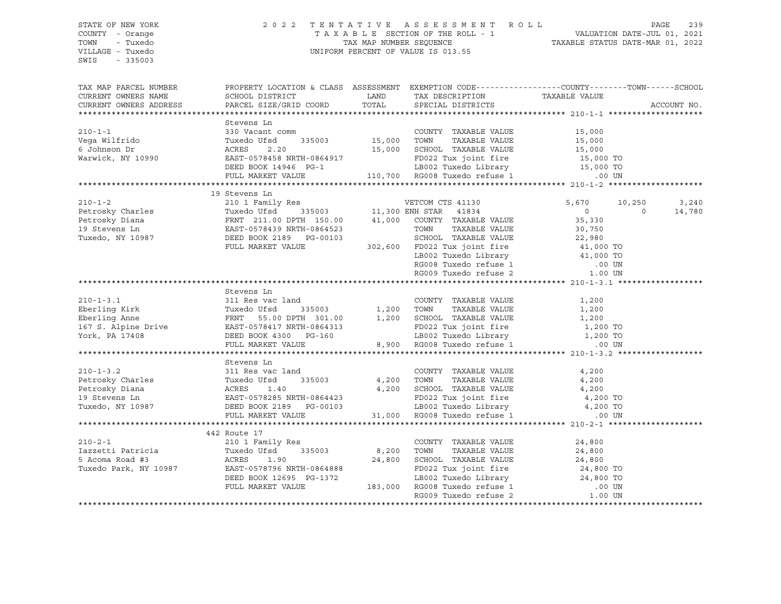#### STATE OF NEW YORK 2 0 2 2 T E N T A T I V E A S S E S S M E N T R O L L PAGE 239 COUNTY - Orange T A X A B L E SECTION OF THE ROLL - 1 VALUATION DATE-JUL 01, 2021 TOWN - Tuxedo TAX MAP NUMBER SEQUENCE TAXABLE STATUS DATE-MAR 01, 2022 VILLAGE - Tuxedo UNIFORM PERCENT OF VALUE IS 013.55

| TAX MAP PARCEL NUMBER<br>CURRENT OWNERS NAME<br>CURRENT OWNERS ADDRESS                                                                                                                                                                                             | PROPERTY LOCATION & CLASS ASSESSMENT EXEMPTION CODE----------------COUNTY-------TOWN------SCHOOL                                                                                                                                         |                                                                                                                                                                                                                                                                          |                                            |                |             |
|--------------------------------------------------------------------------------------------------------------------------------------------------------------------------------------------------------------------------------------------------------------------|------------------------------------------------------------------------------------------------------------------------------------------------------------------------------------------------------------------------------------------|--------------------------------------------------------------------------------------------------------------------------------------------------------------------------------------------------------------------------------------------------------------------------|--------------------------------------------|----------------|-------------|
|                                                                                                                                                                                                                                                                    |                                                                                                                                                                                                                                          |                                                                                                                                                                                                                                                                          |                                            |                | ACCOUNT NO. |
|                                                                                                                                                                                                                                                                    | Stevens Ln                                                                                                                                                                                                                               |                                                                                                                                                                                                                                                                          |                                            |                |             |
| 310-1-1<br>Vega Wilfrido (15,000 Tuxedo Ufsd (15,000 15,000 TOWN TAXABLE VALUE 15,000 15,000 15,000 15,000 15,000 15,000<br>6 Johnson Dr ACRES 2.20 15,000 TOWN TAXABLE VALUE 15,000 15,000 15,000 15,000 15,000 15,000 15,000 15,                                 |                                                                                                                                                                                                                                          |                                                                                                                                                                                                                                                                          |                                            |                |             |
|                                                                                                                                                                                                                                                                    |                                                                                                                                                                                                                                          |                                                                                                                                                                                                                                                                          |                                            |                |             |
|                                                                                                                                                                                                                                                                    |                                                                                                                                                                                                                                          |                                                                                                                                                                                                                                                                          |                                            |                |             |
|                                                                                                                                                                                                                                                                    |                                                                                                                                                                                                                                          |                                                                                                                                                                                                                                                                          |                                            |                |             |
|                                                                                                                                                                                                                                                                    |                                                                                                                                                                                                                                          |                                                                                                                                                                                                                                                                          |                                            |                |             |
|                                                                                                                                                                                                                                                                    |                                                                                                                                                                                                                                          |                                                                                                                                                                                                                                                                          |                                            |                |             |
|                                                                                                                                                                                                                                                                    |                                                                                                                                                                                                                                          |                                                                                                                                                                                                                                                                          |                                            |                |             |
|                                                                                                                                                                                                                                                                    |                                                                                                                                                                                                                                          |                                                                                                                                                                                                                                                                          |                                            |                |             |
|                                                                                                                                                                                                                                                                    | 19 Stevens Ln                                                                                                                                                                                                                            |                                                                                                                                                                                                                                                                          |                                            |                |             |
| 210-1-2<br>Petrosky Charles<br>Petrosky Diana<br>Petrosky Diana<br>Petrosky Diana<br>Petrosky Diana<br>Petrosky Diana<br>Petrosky Diana<br>Petrosky Diana<br>Petrosky Diana<br>Petrosky Diana<br>Petrosky Diana<br>Petrosky Diana<br>Petrosky Diana<br>Pet         |                                                                                                                                                                                                                                          |                                                                                                                                                                                                                                                                          | 5,670 10,250                               |                | 3,240       |
|                                                                                                                                                                                                                                                                    |                                                                                                                                                                                                                                          |                                                                                                                                                                                                                                                                          | $\begin{array}{c} 0 \\ 35,330 \end{array}$ | $\overline{0}$ | 14,780      |
|                                                                                                                                                                                                                                                                    |                                                                                                                                                                                                                                          |                                                                                                                                                                                                                                                                          |                                            |                |             |
|                                                                                                                                                                                                                                                                    |                                                                                                                                                                                                                                          |                                                                                                                                                                                                                                                                          |                                            |                |             |
|                                                                                                                                                                                                                                                                    |                                                                                                                                                                                                                                          |                                                                                                                                                                                                                                                                          |                                            |                |             |
|                                                                                                                                                                                                                                                                    | FULL MARKET VALUE                                                                                                                                                                                                                        |                                                                                                                                                                                                                                                                          |                                            |                |             |
|                                                                                                                                                                                                                                                                    |                                                                                                                                                                                                                                          |                                                                                                                                                                                                                                                                          |                                            |                |             |
|                                                                                                                                                                                                                                                                    |                                                                                                                                                                                                                                          |                                                                                                                                                                                                                                                                          |                                            |                |             |
|                                                                                                                                                                                                                                                                    |                                                                                                                                                                                                                                          | 0864523<br>0864523<br>0864523<br>0864523<br>087,50<br>0864523<br>087,50<br>087,50<br>087,50<br>087,750<br>087,750<br>087,750<br>087,750<br>087,750<br>087,750<br>022 Tux joint fire<br>1,000 TO<br>022 Tux joint fire<br>1,000 TO<br>00 TO<br>RG008 Tuxedo Library<br>00 |                                            |                |             |
|                                                                                                                                                                                                                                                                    |                                                                                                                                                                                                                                          |                                                                                                                                                                                                                                                                          |                                            |                |             |
|                                                                                                                                                                                                                                                                    | Stevens Ln                                                                                                                                                                                                                               |                                                                                                                                                                                                                                                                          |                                            |                |             |
| $210 - 1 - 3.1$                                                                                                                                                                                                                                                    | 311 Res vac land                                                                                                                                                                                                                         | COUNTY TAXABLE VALUE 1,200                                                                                                                                                                                                                                               |                                            |                |             |
|                                                                                                                                                                                                                                                                    |                                                                                                                                                                                                                                          |                                                                                                                                                                                                                                                                          |                                            |                |             |
|                                                                                                                                                                                                                                                                    |                                                                                                                                                                                                                                          |                                                                                                                                                                                                                                                                          |                                            |                |             |
|                                                                                                                                                                                                                                                                    |                                                                                                                                                                                                                                          |                                                                                                                                                                                                                                                                          |                                            |                |             |
|                                                                                                                                                                                                                                                                    |                                                                                                                                                                                                                                          |                                                                                                                                                                                                                                                                          |                                            |                |             |
| 210-1-5.1<br>Eberling Kirk Fuxelo Ufad 335003 1,200 TOWN TAXABLE VALUE 1,200<br>Eberling Anne FRNT 55.00 DPTH 301.00 1,200 SCHOOL TAXABLE VALUE 1,200<br>167 S. Alpine Drive EAST-0578417 NRTH-0864313 FD022 Tux joint fire 1,200 TO                               |                                                                                                                                                                                                                                          |                                                                                                                                                                                                                                                                          |                                            |                |             |
|                                                                                                                                                                                                                                                                    |                                                                                                                                                                                                                                          |                                                                                                                                                                                                                                                                          |                                            |                |             |
|                                                                                                                                                                                                                                                                    | Stevens Ln                                                                                                                                                                                                                               |                                                                                                                                                                                                                                                                          |                                            |                |             |
|                                                                                                                                                                                                                                                                    |                                                                                                                                                                                                                                          |                                                                                                                                                                                                                                                                          |                                            |                |             |
|                                                                                                                                                                                                                                                                    |                                                                                                                                                                                                                                          |                                                                                                                                                                                                                                                                          |                                            |                |             |
|                                                                                                                                                                                                                                                                    |                                                                                                                                                                                                                                          |                                                                                                                                                                                                                                                                          |                                            |                |             |
|                                                                                                                                                                                                                                                                    |                                                                                                                                                                                                                                          |                                                                                                                                                                                                                                                                          |                                            |                |             |
|                                                                                                                                                                                                                                                                    |                                                                                                                                                                                                                                          |                                                                                                                                                                                                                                                                          |                                            |                |             |
|                                                                                                                                                                                                                                                                    |                                                                                                                                                                                                                                          |                                                                                                                                                                                                                                                                          |                                            |                |             |
| 310-1-3.2<br>210-1-3.2<br>210-1-3.2<br>210-1-3.2<br>210-1-3.2<br>210-1-3.2<br>210-1-3.2<br>210-1-3.2<br>210-1-3.2<br>210-1-3.2<br>210-1-3.2<br>210-1-3.2<br>210-2-1<br>21x do URIS 2140<br>21x do TOWN<br>21x do TOWN<br>21x do TOWN<br>21x do SCHOOL<br>21x do SC |                                                                                                                                                                                                                                          |                                                                                                                                                                                                                                                                          |                                            |                |             |
|                                                                                                                                                                                                                                                                    | 442 Route 17                                                                                                                                                                                                                             |                                                                                                                                                                                                                                                                          |                                            |                |             |
| $210 - 2 - 1$<br>210-2-1<br>1azzetti Patricia (1998)<br>210 1 Family Res<br>210 1 Family Res<br>24,800<br>5 Acoma Road #3<br>24,800<br>24,800<br>24,800<br>24,800<br>24,800<br>24,800                                                                              |                                                                                                                                                                                                                                          | COUNTY TAXABLE VALUE                                                                                                                                                                                                                                                     | 24,800                                     |                |             |
|                                                                                                                                                                                                                                                                    |                                                                                                                                                                                                                                          |                                                                                                                                                                                                                                                                          |                                            |                |             |
|                                                                                                                                                                                                                                                                    |                                                                                                                                                                                                                                          |                                                                                                                                                                                                                                                                          |                                            |                |             |
|                                                                                                                                                                                                                                                                    |                                                                                                                                                                                                                                          |                                                                                                                                                                                                                                                                          |                                            |                |             |
|                                                                                                                                                                                                                                                                    |                                                                                                                                                                                                                                          |                                                                                                                                                                                                                                                                          |                                            |                |             |
|                                                                                                                                                                                                                                                                    |                                                                                                                                                                                                                                          |                                                                                                                                                                                                                                                                          |                                            |                |             |
|                                                                                                                                                                                                                                                                    | 10 1 Family Res<br>Tuxedo Ufsd 335003 8,200 TOWN TAXABLE VALUE<br>RES 1.90 24,800 SCHOOL TAXABLE VALUE 24,800<br>EAST-0578796 NRTH-0864888 FD022 Tux joint fire 24,800 TO<br>DEED BOOK 12695 PG-1372 LB002 Tuxedo Library 24,800 TO<br>F |                                                                                                                                                                                                                                                                          |                                            |                |             |
|                                                                                                                                                                                                                                                                    |                                                                                                                                                                                                                                          |                                                                                                                                                                                                                                                                          |                                            |                |             |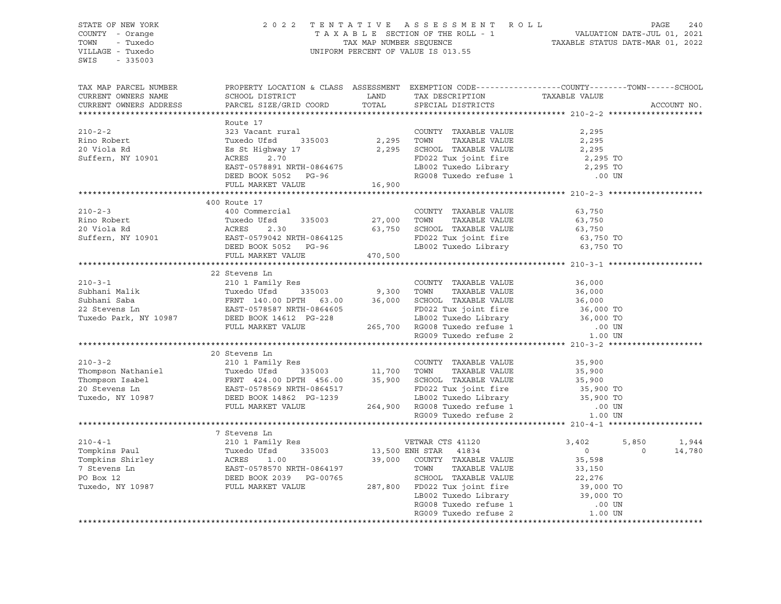STATE OF NEW YORK 2 0 2 2 T E N T A T I V E A S S E S S M E N T R O L L PAGE 240 COUNTY - Orange T A X A B L E SECTION OF THE ROLL - 1 VALUATION DATE-JUL 01, 2021 TOWN - Tuxedo TOWN - TAX MAP NUMBER SEQUENCE TAXABLE STATUS DATE-MAR 01, 2022 VILLAGE - Tuxedo UNIFORM PERCENT OF VALUE IS 013.55 SWIS - 335003 TAX MAP PARCEL NUMBER PROPERTY LOCATION & CLASS ASSESSMENT EXEMPTION CODE------------------COUNTY--------TOWN------SCHOOL CURRENT OWNERS NAME SCHOOL DISTRICT LAND TAX DESCRIPTION TAXABLE VALUE CURRENT OWNERS ADDRESS PARCEL SIZE/GRID COORD TOTAL SPECIAL DISTRICTS ACCOUNT NO. \*\*\*\*\*\*\*\*\*\*\*\*\*\*\*\*\*\*\*\*\*\*\*\*\*\*\*\*\*\*\*\*\*\*\*\*\*\*\*\*\*\*\*\*\*\*\*\*\*\*\*\*\*\*\*\*\*\*\*\*\*\*\*\*\*\*\*\*\*\*\*\*\*\*\*\*\*\*\*\*\*\*\*\*\*\*\*\*\*\*\*\*\*\*\*\*\*\*\*\*\*\*\* 210-2-2 \*\*\*\*\*\*\*\*\*\*\*\*\*\*\*\*\*\*\*\* Route 17 210-2-2 323 Vacant rural COUNTY TAXABLE VALUE 2,295 Rino Robert Tuxedo Ufsd 335003 2,295 TOWN TAXABLE VALUE 2,295 20 Viola Rd Es St Highway 17 2,295 SCHOOL TAXABLE VALUE 2,295 Suffern, NY 10901 ACRES 2.70 FD022 Tux joint fire 2,295 TO EAST-0578891 NRTH-0864675 LB002 Tuxedo Library 2,295 TO DEED BOOK 5052 PG-96 RG008 Tuxedo refuse 1 .00 UN FULL MARKET VALUE 16,900 \*\*\*\*\*\*\*\*\*\*\*\*\*\*\*\*\*\*\*\*\*\*\*\*\*\*\*\*\*\*\*\*\*\*\*\*\*\*\*\*\*\*\*\*\*\*\*\*\*\*\*\*\*\*\*\*\*\*\*\*\*\*\*\*\*\*\*\*\*\*\*\*\*\*\*\*\*\*\*\*\*\*\*\*\*\*\*\*\*\*\*\*\*\*\*\*\*\*\*\*\*\*\* 210-2-3 \*\*\*\*\*\*\*\*\*\*\*\*\*\*\*\*\*\*\*\* 400 Route 17 210-2-3 400 Commercial COUNTY TAXABLE VALUE 63,750 Rino Robert Tuxedo Ufsd 335003 27,000 TOWN TAXABLE VALUE 63,750 20 Viola Rd ACRES 2.30 63,750 SCHOOL TAXABLE VALUE 63,750 Suffern, NY 10901 EAST-0579042 NRTH-0864125 FD022 Tux joint fire 63,750 TO DEED BOOK 5052 PG-96 LB002 Tuxedo Library 63,750 TO FULL MARKET VALUE 470,500 \*\*\*\*\*\*\*\*\*\*\*\*\*\*\*\*\*\*\*\*\*\*\*\*\*\*\*\*\*\*\*\*\*\*\*\*\*\*\*\*\*\*\*\*\*\*\*\*\*\*\*\*\*\*\*\*\*\*\*\*\*\*\*\*\*\*\*\*\*\*\*\*\*\*\*\*\*\*\*\*\*\*\*\*\*\*\*\*\*\*\*\*\*\*\*\*\*\*\*\*\*\*\* 210-3-1 \*\*\*\*\*\*\*\*\*\*\*\*\*\*\*\*\*\*\*\* 22 Stevens Ln 210-3-1 210 1 Family Res COUNTY TAXABLE VALUE 36,000 Subhani Malik Tuxedo Ufsd 335003 9,300 TOWN TAXABLE VALUE 36,000 Subhani Saba FRNT 140.00 DPTH 63.00 36,000 SCHOOL TAXABLE VALUE 36,000 22 Stevens Ln EAST-0578587 NRTH-0864605 FD022 Tux joint fire 36,000 TO Tuxedo Park, NY 10987 DEED BOOK 14612 PG-228 LB002 Tuxedo Library 36,000 TO FULL MARKET VALUE 265,700 RG008 Tuxedo refuse 1 .00 UN RG009 Tuxedo refuse 2  $1.00$  UN \*\*\*\*\*\*\*\*\*\*\*\*\*\*\*\*\*\*\*\*\*\*\*\*\*\*\*\*\*\*\*\*\*\*\*\*\*\*\*\*\*\*\*\*\*\*\*\*\*\*\*\*\*\*\*\*\*\*\*\*\*\*\*\*\*\*\*\*\*\*\*\*\*\*\*\*\*\*\*\*\*\*\*\*\*\*\*\*\*\*\*\*\*\*\*\*\*\*\*\*\*\*\* 210-3-2 \*\*\*\*\*\*\*\*\*\*\*\*\*\*\*\*\*\*\*\* 20 Stevens Ln 210-3-2 210 1 Family Res COUNTY TAXABLE VALUE 35,900 Thompson Nathaniel Tuxedo Ufsd 335003 11,700 TOWN TAXABLE VALUE 35,900 Thompson Isabel FRNT 424.00 DPTH 456.00 35,900 SCHOOL TAXABLE VALUE 35,900 20 Stevens Ln EAST-0578569 NRTH-0864517 FD022 Tux joint fire 35,900 TO Tuxedo, NY 10987 DEED BOOK 14862 PG-1239 LB002 Tuxedo Library 35,900 TO FULL MARKET VALUE 264,900 RG008 Tuxedo refuse 1 .00 UN RG009 Tuxedo refuse 2  $1.00$  UN \*\*\*\*\*\*\*\*\*\*\*\*\*\*\*\*\*\*\*\*\*\*\*\*\*\*\*\*\*\*\*\*\*\*\*\*\*\*\*\*\*\*\*\*\*\*\*\*\*\*\*\*\*\*\*\*\*\*\*\*\*\*\*\*\*\*\*\*\*\*\*\*\*\*\*\*\*\*\*\*\*\*\*\*\*\*\*\*\*\*\*\*\*\*\*\*\*\*\*\*\*\*\* 210-4-1 \*\*\*\*\*\*\*\*\*\*\*\*\*\*\*\*\*\*\*\* 7 Stevens Ln 210-4-1 210 1 Family Res VETWAR CTS 41120 3,402 5,850 1,944 Tompkins Paul Tuxedo Ufsd 335003 13,500 ENH STAR 41834 0 0 14,780 Tompkins Shirley ACRES 1.00 39,000 COUNTY TAXABLE VALUE 35,598 7 Stevens Ln EAST-0578570 NRTH-0864197 TOWN TAXABLE VALUE 33,150 PO Box 12 DEED BOOK 2039 PG-00765 SCHOOL TAXABLE VALUE 22,276 Tuxedo, NY 10987 FULL MARKET 19864197<br>
Tuxedo, NY 10987 FULL MARKET VALUE 287,800 FOR TAXABLE VALUE 22,276<br>
Tuxedo, NY 10987 FULL MARKET VALUE 287,800 FD022 Tux joint fire 39,000 TO LB002 Tuxedo Library RG008 Tuxedo refuse 1 .00 UN RG009 Tuxedo refuse 2 1.00 UN \*\*\*\*\*\*\*\*\*\*\*\*\*\*\*\*\*\*\*\*\*\*\*\*\*\*\*\*\*\*\*\*\*\*\*\*\*\*\*\*\*\*\*\*\*\*\*\*\*\*\*\*\*\*\*\*\*\*\*\*\*\*\*\*\*\*\*\*\*\*\*\*\*\*\*\*\*\*\*\*\*\*\*\*\*\*\*\*\*\*\*\*\*\*\*\*\*\*\*\*\*\*\*\*\*\*\*\*\*\*\*\*\*\*\*\*\*\*\*\*\*\*\*\*\*\*\*\*\*\*\*\*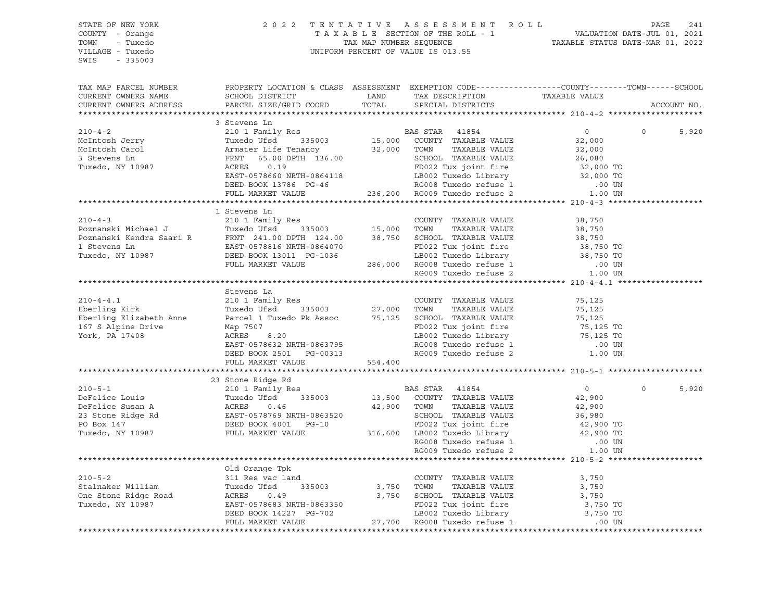#### STATE OF NEW YORK 2 0 2 2 T E N T A T I V E A S S E S S M E N T R O L L PAGE 241 COUNTY - Orange T A X A B L E SECTION OF THE ROLL - 1 VALUATION DATE-JUL 01, 2021 TOWN - Tuxedo TAX MAP NUMBER SEQUENCE TAXABLE STATUS DATE-MAR 01, 2022 VILLAGE - Tuxedo UNIFORM PERCENT OF VALUE IS 013.55

| TAX MAP PARCEL NUMBER<br>CURRENT OWNERS NAME                                                                                                                                                                                                         | PROPERTY LOCATION & CLASS ASSESSMENT EXEMPTION CODE----------------COUNTY-------TOWN-----SCHOOL<br>SCHOOL DISTRICT LAND                                                                                                                            |                                                                |                |                |             |
|------------------------------------------------------------------------------------------------------------------------------------------------------------------------------------------------------------------------------------------------------|----------------------------------------------------------------------------------------------------------------------------------------------------------------------------------------------------------------------------------------------------|----------------------------------------------------------------|----------------|----------------|-------------|
| CURRENT OWNERS ADDRESS                                                                                                                                                                                                                               | PARCEL SIZE/GRID COORD                                                                                                                                                                                                                             |                                                                |                |                | ACCOUNT NO. |
|                                                                                                                                                                                                                                                      |                                                                                                                                                                                                                                                    |                                                                |                |                |             |
| 210-4-2<br>210-4-2<br>McIntosh Jerry 210 1 Family Res<br>McIntosh Carol 210 1 Family Res<br>210 1 Family Res<br>210 1 Family Res<br>210 1 Family Res<br>210 1 Family Res<br>210 1 Family Res<br>210 1 Family Res<br>210 1 Family Res<br>210 1 Family |                                                                                                                                                                                                                                                    |                                                                |                |                |             |
|                                                                                                                                                                                                                                                      |                                                                                                                                                                                                                                                    |                                                                | $\overline{0}$ | $\overline{0}$ | 5,920       |
|                                                                                                                                                                                                                                                      |                                                                                                                                                                                                                                                    |                                                                | 32,000         |                |             |
|                                                                                                                                                                                                                                                      |                                                                                                                                                                                                                                                    |                                                                | 32,000         |                |             |
|                                                                                                                                                                                                                                                      |                                                                                                                                                                                                                                                    |                                                                |                |                |             |
|                                                                                                                                                                                                                                                      |                                                                                                                                                                                                                                                    |                                                                |                |                |             |
|                                                                                                                                                                                                                                                      |                                                                                                                                                                                                                                                    |                                                                |                |                |             |
|                                                                                                                                                                                                                                                      |                                                                                                                                                                                                                                                    |                                                                |                |                |             |
|                                                                                                                                                                                                                                                      | FRAT 65.00 DPTH 136.00<br>RES 0.19<br>EAST-0578660 NRTH-0864118<br>DEED BOOK 13786 PG-46<br>PED BOOK 13786 PG-46<br>PED BOOK 13786 PG-46<br>PED BOOK 13786 PG-46<br>PED BOOK 13786 PG-46<br>PED BOOK 13786 PG-46<br>PED BOOK 13786 PG-46<br>PED BO |                                                                |                |                |             |
|                                                                                                                                                                                                                                                      |                                                                                                                                                                                                                                                    |                                                                |                |                |             |
| 1 Stevens Line (2000)<br>210-4-3 210-1 Family Res Poznanski Michael J Tuxedo Ufsd 335003 15,000 TOWN TAXABLE VALUE 38,750<br>210-4-3 Tuxedo Ufsd 335003 15,000 TOWN TAXABLE VALUE 38,750<br>21 Dexnamski Kendra Saari R FRNT 241.00                  |                                                                                                                                                                                                                                                    |                                                                |                |                |             |
|                                                                                                                                                                                                                                                      |                                                                                                                                                                                                                                                    |                                                                |                |                |             |
|                                                                                                                                                                                                                                                      |                                                                                                                                                                                                                                                    |                                                                |                |                |             |
|                                                                                                                                                                                                                                                      |                                                                                                                                                                                                                                                    |                                                                |                |                |             |
|                                                                                                                                                                                                                                                      |                                                                                                                                                                                                                                                    |                                                                |                |                |             |
|                                                                                                                                                                                                                                                      |                                                                                                                                                                                                                                                    |                                                                |                |                |             |
|                                                                                                                                                                                                                                                      |                                                                                                                                                                                                                                                    |                                                                |                |                |             |
|                                                                                                                                                                                                                                                      |                                                                                                                                                                                                                                                    |                                                                |                |                |             |
|                                                                                                                                                                                                                                                      |                                                                                                                                                                                                                                                    |                                                                |                |                |             |
|                                                                                                                                                                                                                                                      | Stevens La                                                                                                                                                                                                                                         |                                                                |                |                |             |
| $210 - 4 - 4.1$                                                                                                                                                                                                                                      |                                                                                                                                                                                                                                                    | COUNTY TAXABLE VALUE                                           |                |                |             |
|                                                                                                                                                                                                                                                      | 210 1 Family Res<br>Tuxedo Ufsd 335003 27,000 TOWN                                                                                                                                                                                                 |                                                                | 75,125         |                |             |
| Eberling Kirk                                                                                                                                                                                                                                        |                                                                                                                                                                                                                                                    | TAXABLE VALUE                                                  | 75,125         |                |             |
| Eberling Elizabeth Anne Parcel 1 Tuxedo Pk Assoc 75,125 SCHOOL TAXABLE VALUE 75,125 76,125 TO<br>167 S Alpine Drive Map 7507 Map 7507 FD022 Tux joint fire 75,125 TO<br>17902 Tuxedo Islamin 17408 Parcel 1 Tuxedo Pk Assoc 75,125 F                 |                                                                                                                                                                                                                                                    |                                                                |                |                |             |
|                                                                                                                                                                                                                                                      |                                                                                                                                                                                                                                                    |                                                                |                |                |             |
| York, PA 17408                                                                                                                                                                                                                                       |                                                                                                                                                                                                                                                    |                                                                |                |                |             |
|                                                                                                                                                                                                                                                      |                                                                                                                                                                                                                                                    |                                                                |                |                |             |
|                                                                                                                                                                                                                                                      |                                                                                                                                                                                                                                                    |                                                                |                |                |             |
|                                                                                                                                                                                                                                                      | map /507<br>RCRES 8.20<br>RCRES 8.20<br>EAST-0578632 NRTH-0863795<br>DEED BOOK 2501 PG-00313<br>FULL MARKET VALUE 554,400<br>FULL MARKET VALUE 554,400<br>TULL MARKET VALUE 554,400<br>TULL MARKET VALUE 554,400<br>TULL MARKET VALUE 554,400<br>T |                                                                |                |                |             |
|                                                                                                                                                                                                                                                      |                                                                                                                                                                                                                                                    |                                                                |                |                |             |
|                                                                                                                                                                                                                                                      | 23 Stone Ridge Rd                                                                                                                                                                                                                                  |                                                                |                |                |             |
|                                                                                                                                                                                                                                                      |                                                                                                                                                                                                                                                    |                                                                |                | $\Omega$       | 5,920       |
|                                                                                                                                                                                                                                                      |                                                                                                                                                                                                                                                    |                                                                |                |                |             |
|                                                                                                                                                                                                                                                      |                                                                                                                                                                                                                                                    |                                                                |                |                |             |
|                                                                                                                                                                                                                                                      |                                                                                                                                                                                                                                                    |                                                                |                |                |             |
|                                                                                                                                                                                                                                                      |                                                                                                                                                                                                                                                    |                                                                |                |                |             |
|                                                                                                                                                                                                                                                      |                                                                                                                                                                                                                                                    |                                                                |                |                |             |
|                                                                                                                                                                                                                                                      |                                                                                                                                                                                                                                                    |                                                                |                |                |             |
|                                                                                                                                                                                                                                                      |                                                                                                                                                                                                                                                    |                                                                |                |                |             |
|                                                                                                                                                                                                                                                      |                                                                                                                                                                                                                                                    |                                                                |                |                |             |
|                                                                                                                                                                                                                                                      | Old Orange Tpk                                                                                                                                                                                                                                     |                                                                |                |                |             |
| $210 - 5 - 2$                                                                                                                                                                                                                                        | 311 Res vac land                                                                                                                                                                                                                                   | COUNTY TAXABLE VALUE                                           | 3,750          |                |             |
|                                                                                                                                                                                                                                                      |                                                                                                                                                                                                                                                    |                                                                | 3,750          |                |             |
| Stalnaker William Tuxedo Ufsd<br>One Stone Ridge Road ACRES 0.4<br>Tuxedo, NY 10987 EAST-0578683                                                                                                                                                     |                                                                                                                                                                                                                                                    | 3,750 TOWN TAXABLE VALUE<br>3,750 SCHOOL TAXABLE VALUE         | 3,750          |                |             |
|                                                                                                                                                                                                                                                      |                                                                                                                                                                                                                                                    |                                                                |                |                |             |
|                                                                                                                                                                                                                                                      |                                                                                                                                                                                                                                                    | FD022 Tux joint fire 3,750 TO<br>LB002 Tuxedo Library 3,750 TO |                |                |             |
|                                                                                                                                                                                                                                                      | Tuxedo Ufsd 335003 3,750 TOWN TAXABLE VALUE<br>RCRES 0.49 3,750 TOWN TAXABLE VALUE<br>REST-0578683 NRTH-0863350 FD022 Tux joint fire<br>DEED BOOK 14227 PG-702 18002 Tuxedo Library<br>FULL MARKET VALUE 27,700 RG008 Tuxedo refuse 1              |                                                                | .00 UN         |                |             |
|                                                                                                                                                                                                                                                      |                                                                                                                                                                                                                                                    |                                                                |                |                |             |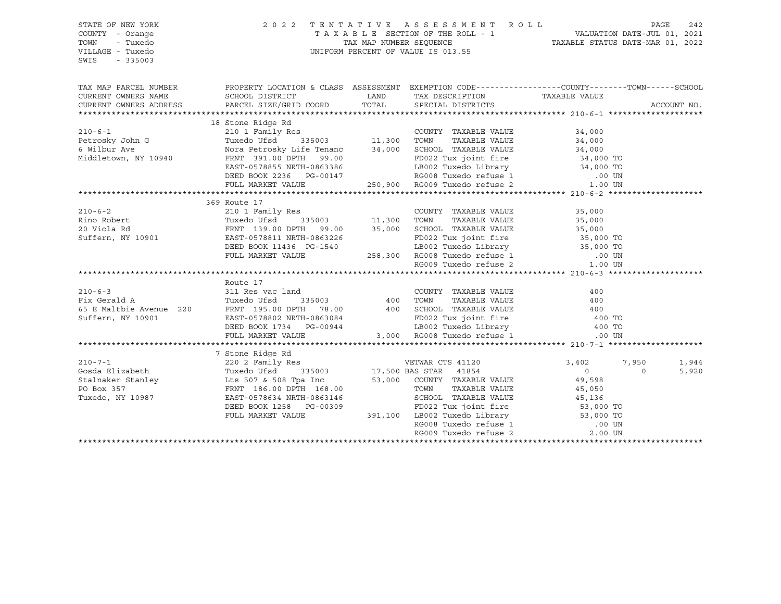| STATE OF NEW YORK      |                                                                                                                                                                                                                                                                                                                                                                                                                                                                             | 2022 TENTATIVE ASSESSMENT ROLL<br>PAGE<br>242 |  |                |             |  |
|------------------------|-----------------------------------------------------------------------------------------------------------------------------------------------------------------------------------------------------------------------------------------------------------------------------------------------------------------------------------------------------------------------------------------------------------------------------------------------------------------------------|-----------------------------------------------|--|----------------|-------------|--|
| COUNTY - Orange        |                                                                                                                                                                                                                                                                                                                                                                                                                                                                             |                                               |  |                |             |  |
| TOWN<br>- Tuxedo       |                                                                                                                                                                                                                                                                                                                                                                                                                                                                             |                                               |  |                |             |  |
| VILLAGE - Tuxedo       |                                                                                                                                                                                                                                                                                                                                                                                                                                                                             |                                               |  |                |             |  |
| $-335003$<br>SWIS      |                                                                                                                                                                                                                                                                                                                                                                                                                                                                             |                                               |  |                |             |  |
|                        |                                                                                                                                                                                                                                                                                                                                                                                                                                                                             |                                               |  |                |             |  |
|                        |                                                                                                                                                                                                                                                                                                                                                                                                                                                                             |                                               |  |                |             |  |
|                        | TAX MAP PARCEL NUMBER THE PROPERTY LOCATION & CLASS ASSESSMENT EXEMPTION CODE---------------COUNTY--------TOWN------SCHOOL                                                                                                                                                                                                                                                                                                                                                  |                                               |  |                |             |  |
| CURRENT OWNERS NAME    |                                                                                                                                                                                                                                                                                                                                                                                                                                                                             |                                               |  |                |             |  |
| CURRENT OWNERS ADDRESS |                                                                                                                                                                                                                                                                                                                                                                                                                                                                             |                                               |  |                | ACCOUNT NO. |  |
|                        |                                                                                                                                                                                                                                                                                                                                                                                                                                                                             |                                               |  |                |             |  |
|                        | 18 Stone Ridge Rd                                                                                                                                                                                                                                                                                                                                                                                                                                                           |                                               |  |                |             |  |
|                        |                                                                                                                                                                                                                                                                                                                                                                                                                                                                             |                                               |  |                |             |  |
|                        |                                                                                                                                                                                                                                                                                                                                                                                                                                                                             |                                               |  |                |             |  |
|                        |                                                                                                                                                                                                                                                                                                                                                                                                                                                                             |                                               |  |                |             |  |
|                        |                                                                                                                                                                                                                                                                                                                                                                                                                                                                             |                                               |  |                |             |  |
|                        |                                                                                                                                                                                                                                                                                                                                                                                                                                                                             |                                               |  |                |             |  |
|                        |                                                                                                                                                                                                                                                                                                                                                                                                                                                                             |                                               |  |                |             |  |
|                        |                                                                                                                                                                                                                                                                                                                                                                                                                                                                             |                                               |  |                |             |  |
|                        | 369 Route 17<br>210-6-2<br>Rino Robert 20 Viola Rd FRNT 139.00 DPTH 99.00<br>20 Viola Rd FRNT 139.00 DPTH 99.00<br>20 Viola Rd FRNT 139.00 DPTH 99.00<br>20 Viola Rd FRNT 139.00 DPTH 99.00<br>20 Viola Rd FRNT 139.00 PTH 99.00<br>258,300                                                                                                                                                                                                                                 |                                               |  |                |             |  |
|                        |                                                                                                                                                                                                                                                                                                                                                                                                                                                                             |                                               |  |                |             |  |
|                        |                                                                                                                                                                                                                                                                                                                                                                                                                                                                             |                                               |  |                |             |  |
|                        |                                                                                                                                                                                                                                                                                                                                                                                                                                                                             |                                               |  |                |             |  |
|                        |                                                                                                                                                                                                                                                                                                                                                                                                                                                                             |                                               |  |                |             |  |
|                        |                                                                                                                                                                                                                                                                                                                                                                                                                                                                             |                                               |  |                |             |  |
|                        |                                                                                                                                                                                                                                                                                                                                                                                                                                                                             |                                               |  |                |             |  |
|                        |                                                                                                                                                                                                                                                                                                                                                                                                                                                                             |                                               |  |                |             |  |
|                        |                                                                                                                                                                                                                                                                                                                                                                                                                                                                             |                                               |  |                |             |  |
|                        |                                                                                                                                                                                                                                                                                                                                                                                                                                                                             |                                               |  |                |             |  |
|                        | Route 17                                                                                                                                                                                                                                                                                                                                                                                                                                                                    |                                               |  |                |             |  |
|                        |                                                                                                                                                                                                                                                                                                                                                                                                                                                                             |                                               |  |                |             |  |
|                        |                                                                                                                                                                                                                                                                                                                                                                                                                                                                             |                                               |  |                |             |  |
|                        |                                                                                                                                                                                                                                                                                                                                                                                                                                                                             |                                               |  |                |             |  |
|                        |                                                                                                                                                                                                                                                                                                                                                                                                                                                                             |                                               |  |                |             |  |
|                        |                                                                                                                                                                                                                                                                                                                                                                                                                                                                             |                                               |  |                |             |  |
|                        | Route 17<br>210-6-3<br>Fix Gerald A<br>Fix Gerald A<br>Tuxedo Ufsd 335003<br>220<br>FRNT 195.00 DPTH 78.00<br>220<br>FRNT 195.00 DPTH 78.00<br>220<br>200 SCHOOL TAXABLE VALUE<br>200 SCHOOL TAXABLE VALUE<br>200 SCHOOL TAXABLE VALUE<br>200 ROS TULE 2                                                                                                                                                                                                                    |                                               |  |                |             |  |
|                        |                                                                                                                                                                                                                                                                                                                                                                                                                                                                             |                                               |  |                |             |  |
|                        |                                                                                                                                                                                                                                                                                                                                                                                                                                                                             |                                               |  |                |             |  |
|                        |                                                                                                                                                                                                                                                                                                                                                                                                                                                                             |                                               |  | 3,402 7,950    | 1,944       |  |
|                        |                                                                                                                                                                                                                                                                                                                                                                                                                                                                             |                                               |  | $\overline{0}$ | 5,920       |  |
|                        |                                                                                                                                                                                                                                                                                                                                                                                                                                                                             |                                               |  |                |             |  |
|                        |                                                                                                                                                                                                                                                                                                                                                                                                                                                                             |                                               |  |                |             |  |
|                        |                                                                                                                                                                                                                                                                                                                                                                                                                                                                             |                                               |  |                |             |  |
|                        |                                                                                                                                                                                                                                                                                                                                                                                                                                                                             |                                               |  |                |             |  |
|                        |                                                                                                                                                                                                                                                                                                                                                                                                                                                                             |                                               |  |                |             |  |
|                        |                                                                                                                                                                                                                                                                                                                                                                                                                                                                             |                                               |  |                |             |  |
|                        |                                                                                                                                                                                                                                                                                                                                                                                                                                                                             |                                               |  |                |             |  |
|                        | $\begin{tabular}{lcccccc} \texttt{\textbf{7}} & \texttt{\textbf{7}} & \texttt{\textbf{7}} & \texttt{\textbf{7}} & \texttt{\textbf{7}} & \texttt{\textbf{7}} & \texttt{\textbf{7}} & \texttt{\textbf{7}} & \texttt{\textbf{7}} & \texttt{\textbf{7}} & \texttt{\textbf{7}} & \texttt{\textbf{7}} & \texttt{\textbf{7}} & \texttt{\textbf{7}} \\ \texttt{200 17} & 220 2 & \texttt{Family} & \texttt{\textbf{8}} & 335003 & 17,500 & \texttt{\textbf{B}} & \texttt{\textbf{8$ |                                               |  |                |             |  |
|                        |                                                                                                                                                                                                                                                                                                                                                                                                                                                                             |                                               |  |                |             |  |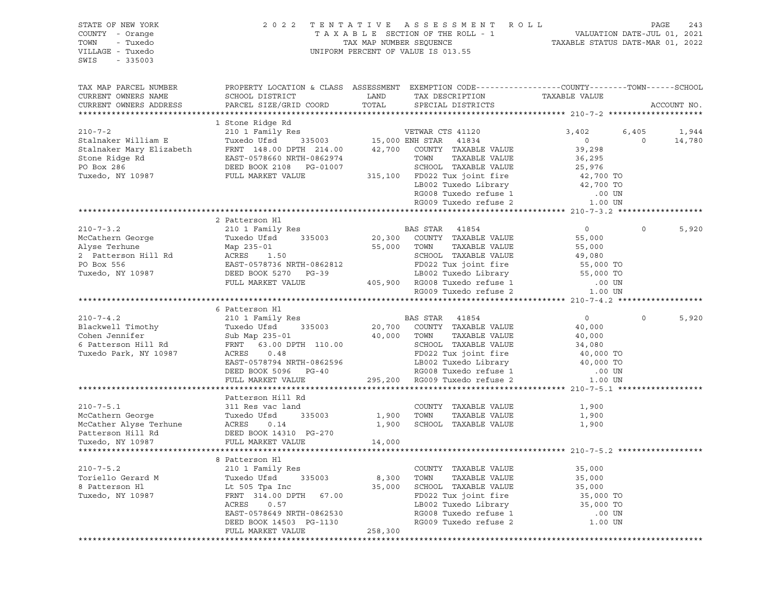#### STATE OF NEW YORK 2 0 2 2 T E N T A T I V E A S S E S S M E N T R O L L PAGE 243 COUNTY - Orange T A X A B L E SECTION OF THE ROLL - 1 VALUATION DATE-JUL 01, 2021 TOWN - Tuxedo TAX MAP NUMBER SEQUENCE TAXABLE STATUS DATE-MAR 01, 2022 UNIFORM PERCENT OF VALUE IS 013.55

| TAX MAP PARCEL NUMBER                                                                                                             | PROPERTY LOCATION & CLASS ASSESSMENT EXEMPTION CODE----------------COUNTY-------TOWN------SCHOOL                                   |             |                                                                                                                                                      |                        |                   |
|-----------------------------------------------------------------------------------------------------------------------------------|------------------------------------------------------------------------------------------------------------------------------------|-------------|------------------------------------------------------------------------------------------------------------------------------------------------------|------------------------|-------------------|
| CURRENT OWNERS NAME                                                                                                               | SCHOOL DISTRICT                                                                                                                    | LAND        |                                                                                                                                                      |                        |                   |
|                                                                                                                                   |                                                                                                                                    | TOTAL       | TAX DESCRIPTION TAXABLE VALUE                                                                                                                        |                        |                   |
| CURRENT OWNERS ADDRESS                                                                                                            | PARCEL SIZE/GRID COORD                                                                                                             |             | SPECIAL DISTRICTS                                                                                                                                    |                        | ACCOUNT NO.       |
|                                                                                                                                   |                                                                                                                                    |             |                                                                                                                                                      |                        |                   |
|                                                                                                                                   | 1 Stone Ridge Rd                                                                                                                   |             |                                                                                                                                                      |                        |                   |
| $210 - 7 - 2$                                                                                                                     | 210 1 Family Res                                                                                                                   |             | VETWAR CTS 41120                                                                                                                                     | 3,402                  | 6,405<br>1,944    |
| Stalnaker William E                                                                                                               | Tuxedo Ufsd                                                                                                                        |             | 335003 15,000 ENH STAR 41834                                                                                                                         | $0 \qquad \qquad$      | 14,780<br>$\circ$ |
|                                                                                                                                   |                                                                                                                                    |             | 42,700 COUNTY TAXABLE VALUE                                                                                                                          | 39,298                 |                   |
|                                                                                                                                   |                                                                                                                                    |             | TAXABLE VALUE<br>TOWN                                                                                                                                | 36,295                 |                   |
|                                                                                                                                   | Stalnaker Mary Elizabeth FRNT 148.00 DPTH 214.00<br>Stone Ridge Rd EAST-0578660 NRTH-0862974<br>PO Box 286 DEED BOOK 2108 PG-01007 |             | SCHOOL TAXABLE VALUE                                                                                                                                 | 25,976                 |                   |
| Tuxedo, NY 10987                                                                                                                  | FULL MARKET VALUE                                                                                                                  |             | 315,100 FD022 Tux joint fire 42,700 TO<br>LB002 Tuxedo Library 42,700 TO                                                                             |                        |                   |
|                                                                                                                                   |                                                                                                                                    |             |                                                                                                                                                      |                        |                   |
|                                                                                                                                   |                                                                                                                                    |             |                                                                                                                                                      |                        |                   |
|                                                                                                                                   |                                                                                                                                    |             | RG008 Tuxedo refuse 1 00 UN<br>RG009 Tuxedo refuse 2 1.00 UN                                                                                         |                        |                   |
|                                                                                                                                   |                                                                                                                                    |             |                                                                                                                                                      |                        |                   |
|                                                                                                                                   | 2 Patterson Hl                                                                                                                     |             |                                                                                                                                                      |                        |                   |
| $210 - 7 - 3.2$                                                                                                                   | 210 1 Family Res                                                                                                                   |             | BAS STAR 41854                                                                                                                                       | $0 \qquad \qquad$      | $\Omega$<br>5,920 |
| McCathern George                                                                                                                  | 335003<br>Tuxedo Ufsd                                                                                                              |             | 20,300 COUNTY TAXABLE VALUE                                                                                                                          | 55,000                 |                   |
| Alyse Terhune                                                                                                                     | Map 235-01                                                                                                                         | 55,000      | TAXABLE VALUE<br>TOWN                                                                                                                                | 55,000                 |                   |
| Alyse Icrosses<br>2 Patterson Hill Rd                                                                                             |                                                                                                                                    |             | SCHOOL TAXABLE VALUE                                                                                                                                 | 49,080                 |                   |
| PO Box 556                                                                                                                        |                                                                                                                                    |             |                                                                                                                                                      |                        |                   |
| Tuxedo, NY 10987                                                                                                                  | ACRES 1.50<br>EAST-0578736 NRTH-0862812<br>DEED BOOK 5270 PG-39                                                                    |             |                                                                                                                                                      |                        |                   |
|                                                                                                                                   | FULL MARKET VALUE                                                                                                                  |             |                                                                                                                                                      |                        |                   |
|                                                                                                                                   |                                                                                                                                    |             | 9862812<br>PD022 Tux joint fire 55,000 TO<br>LB002 Tuxedo Library 55,000 TO<br>405,900 RG008 Tuxedo refuse 1 .00 UN<br>RG009 Tuxedo refuse 2 1.00 UN |                        |                   |
|                                                                                                                                   |                                                                                                                                    |             |                                                                                                                                                      |                        |                   |
|                                                                                                                                   |                                                                                                                                    |             |                                                                                                                                                      |                        |                   |
|                                                                                                                                   | 6 Patterson Hl                                                                                                                     |             |                                                                                                                                                      |                        | $\Omega$          |
| $210 - 7 - 4.2$                                                                                                                   | 210 1 Family Res                                                                                                                   |             | BAS STAR 41854                                                                                                                                       | $\circ$                | 5,920             |
| Blackwell Timothy                                                                                                                 | Tuxedo Ufsd<br>335003                                                                                                              | 20,700      | COUNTY TAXABLE VALUE                                                                                                                                 | 40,000                 |                   |
| Cohen Jennifer                                                                                                                    | Sub Map 235-01<br>FRNT 63.00 DE                                                                                                    | 40,000 TOWN | TAXABLE VALUE                                                                                                                                        | 40,000                 |                   |
| 6 Patterson Hill Rd                                                                                                               | FRNT 63.00 DPTH 110.00                                                                                                             |             | SCHOOL TAXABLE VALUE                                                                                                                                 | 34,080<br>40,000 TO    |                   |
| Tuxedo Park, NY 10987                                                                                                             | 0.48<br>ACRES                                                                                                                      |             | FD022 Tux joint fire                                                                                                                                 |                        |                   |
|                                                                                                                                   | EAST-0578794 NRTH-0862596                                                                                                          |             |                                                                                                                                                      |                        |                   |
|                                                                                                                                   | DEED BOOK 5096 PG-40                                                                                                               |             |                                                                                                                                                      |                        |                   |
|                                                                                                                                   | FULL MARKET VALUE                                                                                                                  |             | LB002 Tuxedo Library<br>RG008 Tuxedo refuse 1 0.00 TO<br>RG009 Tuxedo refuse 2 1.00 UN<br>295,200 RG009 Tuxedo refuse 2                              |                        |                   |
|                                                                                                                                   |                                                                                                                                    |             |                                                                                                                                                      |                        |                   |
|                                                                                                                                   | Patterson Hill Rd                                                                                                                  |             |                                                                                                                                                      |                        |                   |
| $210 - 7 - 5.1$                                                                                                                   | 311 Res vac land                                                                                                                   |             | COUNTY TAXABLE VALUE                                                                                                                                 | 1,900                  |                   |
|                                                                                                                                   | 335003                                                                                                                             | 1,900       | TAXABLE VALUE<br>TOWN                                                                                                                                | 1,900                  |                   |
|                                                                                                                                   |                                                                                                                                    | 1,900       | SCHOOL TAXABLE VALUE                                                                                                                                 | 1,900                  |                   |
| 210-7-5.1<br>McCathern George Tuxedo Ufsd 335003<br>McCather Alyse Terhune ACRES 0.14<br>Patterson Hill Rd DEED BOOK 14310 PG-270 |                                                                                                                                    |             |                                                                                                                                                      |                        |                   |
| Tuxedo, NY 10987                                                                                                                  | FULL MARKET VALUE                                                                                                                  | 14,000      |                                                                                                                                                      |                        |                   |
|                                                                                                                                   |                                                                                                                                    |             |                                                                                                                                                      |                        |                   |
|                                                                                                                                   | 8 Patterson Hl                                                                                                                     |             |                                                                                                                                                      |                        |                   |
| $210 - 7 - 5.2$                                                                                                                   | 210 1 Family Res                                                                                                                   |             | COUNTY TAXABLE VALUE                                                                                                                                 | 35,000                 |                   |
| Toriello Gerard M                                                                                                                 | 335003                                                                                                                             | 8,300       | TAXABLE VALUE<br>TOWN                                                                                                                                | 35,000                 |                   |
| 8 Patterson Hl                                                                                                                    | Tuxedo Ufsd 33<br>Lt 505 Tpa Inc                                                                                                   | 35,000      | SCHOOL TAXABLE VALUE                                                                                                                                 | 35,000                 |                   |
| Tuxedo, NY 10987                                                                                                                  | FRNT 314.00 DPTH 67.00                                                                                                             |             | FD022 Tux joint fire                                                                                                                                 |                        |                   |
|                                                                                                                                   |                                                                                                                                    |             | FD022 Tux John Theory<br>LB002 Tuxedo Library<br>RG008 Tuxedo refuse 1                                                                               | 35,000 TO<br>35,000 TO |                   |
|                                                                                                                                   | ACRES<br>0.57                                                                                                                      |             |                                                                                                                                                      |                        |                   |
|                                                                                                                                   | EAST-0578649 NRTH-0862530                                                                                                          |             |                                                                                                                                                      | .00 UN                 |                   |
|                                                                                                                                   | DEED BOOK 14503 PG-1130                                                                                                            |             |                                                                                                                                                      | 1.00 UN                |                   |
|                                                                                                                                   | FULL MARKET VALUE                                                                                                                  | 258,300     |                                                                                                                                                      |                        |                   |
|                                                                                                                                   |                                                                                                                                    |             |                                                                                                                                                      |                        |                   |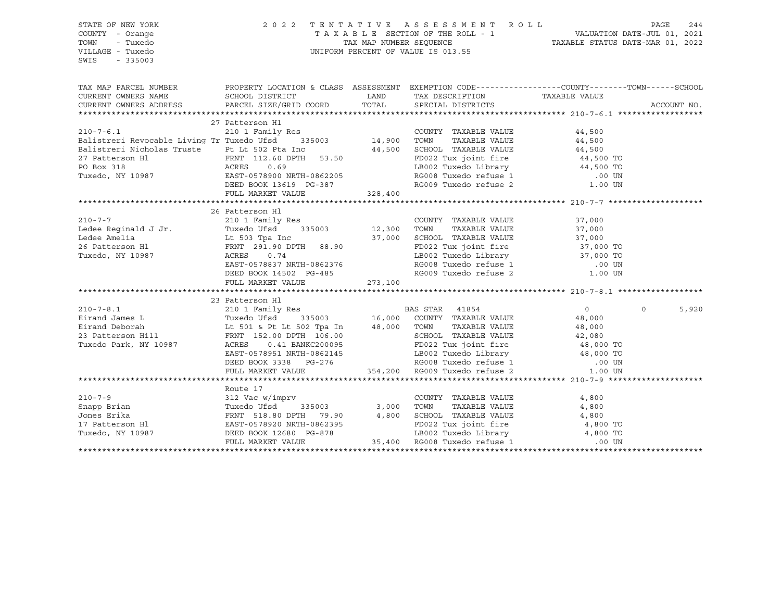| STATE OF NEW YORK                                                                                                                                                                                                                                                                                                                                                                                                |                           |                                                 |                  |                   |  |  |
|------------------------------------------------------------------------------------------------------------------------------------------------------------------------------------------------------------------------------------------------------------------------------------------------------------------------------------------------------------------------------------------------------------------|---------------------------|-------------------------------------------------|------------------|-------------------|--|--|
| COUNTY - Orange                                                                                                                                                                                                                                                                                                                                                                                                  |                           |                                                 |                  |                   |  |  |
| TOWN<br>- Tuxedo                                                                                                                                                                                                                                                                                                                                                                                                 |                           |                                                 |                  |                   |  |  |
| VILLAGE - Tuxedo                                                                                                                                                                                                                                                                                                                                                                                                 |                           |                                                 |                  |                   |  |  |
| SWIS<br>$-335003$                                                                                                                                                                                                                                                                                                                                                                                                |                           |                                                 |                  |                   |  |  |
|                                                                                                                                                                                                                                                                                                                                                                                                                  |                           |                                                 |                  |                   |  |  |
|                                                                                                                                                                                                                                                                                                                                                                                                                  |                           |                                                 |                  |                   |  |  |
| TAX MAP PARCEL NUMBER PROPERTY LOCATION & CLASS ASSESSMENT EXEMPTION CODE---------------COUNTY--------TOWN------SCHOOL                                                                                                                                                                                                                                                                                           |                           |                                                 |                  |                   |  |  |
|                                                                                                                                                                                                                                                                                                                                                                                                                  |                           |                                                 |                  |                   |  |  |
|                                                                                                                                                                                                                                                                                                                                                                                                                  |                           |                                                 |                  | ACCOUNT NO.       |  |  |
|                                                                                                                                                                                                                                                                                                                                                                                                                  |                           |                                                 |                  |                   |  |  |
|                                                                                                                                                                                                                                                                                                                                                                                                                  | 27 Patterson Hl           |                                                 |                  |                   |  |  |
|                                                                                                                                                                                                                                                                                                                                                                                                                  |                           | COUNTY TAXABLE VALUE<br>TOWN      TAXABLE VALUE | 44,500<br>44,500 |                   |  |  |
|                                                                                                                                                                                                                                                                                                                                                                                                                  |                           |                                                 |                  |                   |  |  |
|                                                                                                                                                                                                                                                                                                                                                                                                                  |                           |                                                 |                  |                   |  |  |
|                                                                                                                                                                                                                                                                                                                                                                                                                  |                           |                                                 |                  |                   |  |  |
|                                                                                                                                                                                                                                                                                                                                                                                                                  |                           |                                                 |                  |                   |  |  |
|                                                                                                                                                                                                                                                                                                                                                                                                                  |                           |                                                 |                  |                   |  |  |
|                                                                                                                                                                                                                                                                                                                                                                                                                  |                           |                                                 |                  |                   |  |  |
| Example the colours in the set of the colours of the colours of the colour of the colour of the colour of the colour of the colour of the colour of the colour state of the colour state of the colour state of the colour sta                                                                                                                                                                                   |                           |                                                 |                  |                   |  |  |
|                                                                                                                                                                                                                                                                                                                                                                                                                  |                           |                                                 |                  |                   |  |  |
|                                                                                                                                                                                                                                                                                                                                                                                                                  | 26 Patterson Hl           |                                                 |                  |                   |  |  |
|                                                                                                                                                                                                                                                                                                                                                                                                                  |                           |                                                 |                  |                   |  |  |
|                                                                                                                                                                                                                                                                                                                                                                                                                  |                           |                                                 |                  |                   |  |  |
| 210-7-7<br>26 Patterson H1<br>210 1 Family Res<br>26 Patterson H1<br>26 Patterson H1<br>26 Dedee Reginald J Jr.<br>26 Patterson H1<br>26 OUNTY TAXABLE VALUE<br>27,000<br>27,000<br>27,000<br>27,000<br>27,000<br>27,000<br>27,000<br>27,000<br>27,000<br>27,000                                                                                                                                                 |                           |                                                 |                  |                   |  |  |
|                                                                                                                                                                                                                                                                                                                                                                                                                  |                           |                                                 |                  |                   |  |  |
|                                                                                                                                                                                                                                                                                                                                                                                                                  |                           |                                                 |                  |                   |  |  |
|                                                                                                                                                                                                                                                                                                                                                                                                                  |                           |                                                 |                  |                   |  |  |
|                                                                                                                                                                                                                                                                                                                                                                                                                  |                           |                                                 |                  |                   |  |  |
|                                                                                                                                                                                                                                                                                                                                                                                                                  | FULL MARKET VALUE 273,100 |                                                 |                  |                   |  |  |
|                                                                                                                                                                                                                                                                                                                                                                                                                  |                           |                                                 |                  |                   |  |  |
|                                                                                                                                                                                                                                                                                                                                                                                                                  | 23 Patterson Hl           |                                                 |                  |                   |  |  |
|                                                                                                                                                                                                                                                                                                                                                                                                                  |                           |                                                 |                  | 5,920<br>$\Omega$ |  |  |
|                                                                                                                                                                                                                                                                                                                                                                                                                  |                           |                                                 |                  |                   |  |  |
|                                                                                                                                                                                                                                                                                                                                                                                                                  |                           |                                                 |                  |                   |  |  |
|                                                                                                                                                                                                                                                                                                                                                                                                                  |                           |                                                 |                  |                   |  |  |
|                                                                                                                                                                                                                                                                                                                                                                                                                  |                           |                                                 |                  |                   |  |  |
|                                                                                                                                                                                                                                                                                                                                                                                                                  |                           |                                                 |                  |                   |  |  |
|                                                                                                                                                                                                                                                                                                                                                                                                                  |                           |                                                 |                  |                   |  |  |
| ${210-7-8.1} \hfill \begin{tabular}{lcccccc} 210-7-8.1 & 23 Patterson H1 & 210 1 Family Res \\ \hline \texttt{Eirand James L} & \texttt{TuX-0U5} & \texttt{Tuxedo Ufsd} & 335003 & 16,000 ^{\circ} & \texttt{CONTTY TAXABLE VALUE} & 48,000 \\ \hline \texttt{Eirand Deborah} & \texttt{Lt 501 } & \texttt{FRNT} & 152.00 DPTH & 106.00 & 23 Patterson Hill & FRNT & 152.00 DPTH & 106.00 & 23 Patterson Hill &$ |                           |                                                 |                  |                   |  |  |
|                                                                                                                                                                                                                                                                                                                                                                                                                  |                           |                                                 |                  |                   |  |  |
|                                                                                                                                                                                                                                                                                                                                                                                                                  | Route 17                  |                                                 |                  |                   |  |  |
|                                                                                                                                                                                                                                                                                                                                                                                                                  |                           |                                                 |                  |                   |  |  |
|                                                                                                                                                                                                                                                                                                                                                                                                                  |                           |                                                 |                  |                   |  |  |
|                                                                                                                                                                                                                                                                                                                                                                                                                  |                           |                                                 |                  |                   |  |  |
|                                                                                                                                                                                                                                                                                                                                                                                                                  |                           |                                                 |                  |                   |  |  |
|                                                                                                                                                                                                                                                                                                                                                                                                                  |                           |                                                 |                  |                   |  |  |
|                                                                                                                                                                                                                                                                                                                                                                                                                  |                           |                                                 |                  |                   |  |  |
|                                                                                                                                                                                                                                                                                                                                                                                                                  |                           |                                                 |                  |                   |  |  |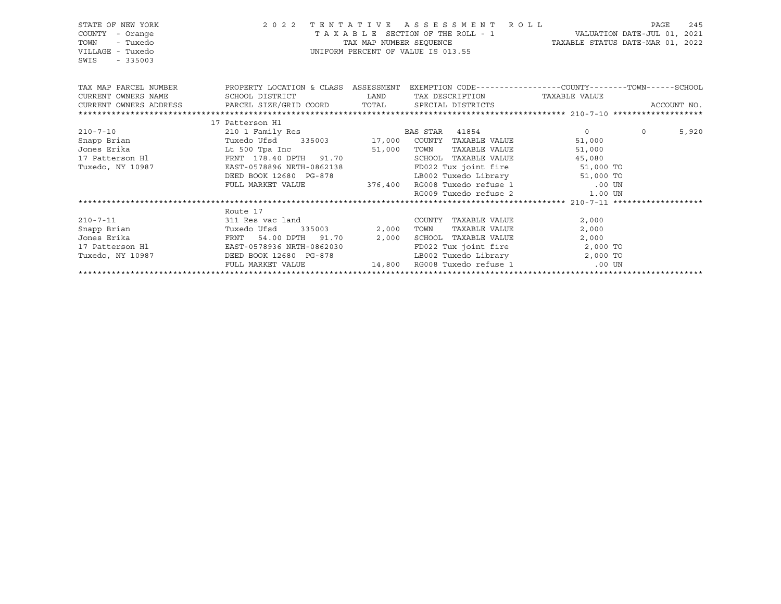| STATE OF NEW YORK<br>COUNTY<br>- Orange<br>TOWN<br>- Tuxedo<br>VILLAGE - Tuxedo<br>SWIS<br>$-335003$                                            | 2022 TENTATIVE ASSESSMENT ROLL<br>VALUATION DATE-JUL 01, 2021<br>TAXABLE STATUS DATE-MAR 01, 2022<br>UNIFORM PERCENT OF VALUE IS 013.55 |  |                                                                              |                                                                                                                                                                                                                                                                                                                                    | PAGE<br>245                |
|-------------------------------------------------------------------------------------------------------------------------------------------------|-----------------------------------------------------------------------------------------------------------------------------------------|--|------------------------------------------------------------------------------|------------------------------------------------------------------------------------------------------------------------------------------------------------------------------------------------------------------------------------------------------------------------------------------------------------------------------------|----------------------------|
| TAX MAP PARCEL NUMBER THE PROPERTY LOCATION & CLASS ASSESSMENT EXEMPTION CODE--------------COUNTY-------TOWN------SCHOOL<br>CURRENT OWNERS NAME | SCHOOL DISTRICT                     LAND        TAX DESCRIPTION                TAXABLE VALUE                                            |  |                                                                              |                                                                                                                                                                                                                                                                                                                                    |                            |
| CURRENT OWNERS ADDRESS BARCEL SIZE/GRID COORD TOTAL SPECIAL DISTRICTS                                                                           |                                                                                                                                         |  |                                                                              |                                                                                                                                                                                                                                                                                                                                    | ACCOUNT NO.                |
|                                                                                                                                                 |                                                                                                                                         |  |                                                                              |                                                                                                                                                                                                                                                                                                                                    |                            |
|                                                                                                                                                 | 17 Patterson Hl                                                                                                                         |  |                                                                              |                                                                                                                                                                                                                                                                                                                                    |                            |
| $210 - 7 - 10$                                                                                                                                  | 210 1 Family Res BAS STAR 41854                                                                                                         |  |                                                                              | $\overline{0}$ and $\overline{0}$ and $\overline{0}$ and $\overline{0}$ and $\overline{0}$ and $\overline{0}$ and $\overline{0}$ and $\overline{0}$ and $\overline{0}$ and $\overline{0}$ and $\overline{0}$ and $\overline{0}$ and $\overline{0}$ and $\overline{0}$ and $\overline{0}$ and $\overline{0}$ and $\overline{0}$ and | 5,920<br>$0 \qquad \qquad$ |
|                                                                                                                                                 |                                                                                                                                         |  |                                                                              | 51,000                                                                                                                                                                                                                                                                                                                             |                            |
| Jones Erika                                                                                                                                     | Lt 500 Tpa Inc 51,000 TOWN                                                                                                              |  | TAXABLE VALUE                                                                | 51,000                                                                                                                                                                                                                                                                                                                             |                            |
| 17 Patterson Hl                                                                                                                                 | FRNT 178.40 DPTH 91.70                                                                                                                  |  | SCHOOL TAXABLE VALUE                                                         | 45,080                                                                                                                                                                                                                                                                                                                             |                            |
| Tuxedo, NY 10987                                                                                                                                | EAST-0578896 NRTH-0862138                                                                                                               |  | FD022 Tux joint fire 51,000 TO                                               |                                                                                                                                                                                                                                                                                                                                    |                            |
|                                                                                                                                                 | DEED BOOK 12680 PG-878                                                                                                                  |  | 99-878 LB002 Tuxedo Library 51,000 TO<br>376,400 RG008 Tuxedo refuse 1 00 UN |                                                                                                                                                                                                                                                                                                                                    |                            |
|                                                                                                                                                 | FULL MARKET VALUE                                                                                                                       |  |                                                                              |                                                                                                                                                                                                                                                                                                                                    |                            |
|                                                                                                                                                 |                                                                                                                                         |  |                                                                              | RG009 Tuxedo refuse 2 1.00 UN                                                                                                                                                                                                                                                                                                      |                            |
|                                                                                                                                                 |                                                                                                                                         |  |                                                                              |                                                                                                                                                                                                                                                                                                                                    |                            |
|                                                                                                                                                 | Route 17                                                                                                                                |  |                                                                              |                                                                                                                                                                                                                                                                                                                                    |                            |
| $210 - 7 - 11$                                                                                                                                  | 311 Res vac land                                                                                                                        |  | COUNTY TAXABLE VALUE                                                         | 2,000                                                                                                                                                                                                                                                                                                                              |                            |
|                                                                                                                                                 |                                                                                                                                         |  | TAXABLE VALUE<br>TOWN                                                        | 2,000                                                                                                                                                                                                                                                                                                                              |                            |
| Jones Erika                                                                                                                                     | FRNT 54.00 DPTH 91.70 2,000<br>H1 EAST-0578936 NRTH-0862030<br>54.00 DPTH 91.70 2,000                                                   |  | SCHOOL TAXABLE VALUE                                                         | 2,000                                                                                                                                                                                                                                                                                                                              |                            |
| 17 Patterson Hl                                                                                                                                 |                                                                                                                                         |  |                                                                              | FD022 Tux joint fire 2,000 TO                                                                                                                                                                                                                                                                                                      |                            |
| Tuxedo, NY 10987                                                                                                                                | DEED BOOK 12680 PG-878                                                                                                                  |  |                                                                              | LB002 Tuxedo Library 12,000 TO                                                                                                                                                                                                                                                                                                     |                            |
|                                                                                                                                                 | FULL MARKET VALUE                                                                                                                       |  | 14,800 RG008 Tuxedo refuse 1 (00 UN                                          |                                                                                                                                                                                                                                                                                                                                    |                            |
|                                                                                                                                                 |                                                                                                                                         |  |                                                                              |                                                                                                                                                                                                                                                                                                                                    |                            |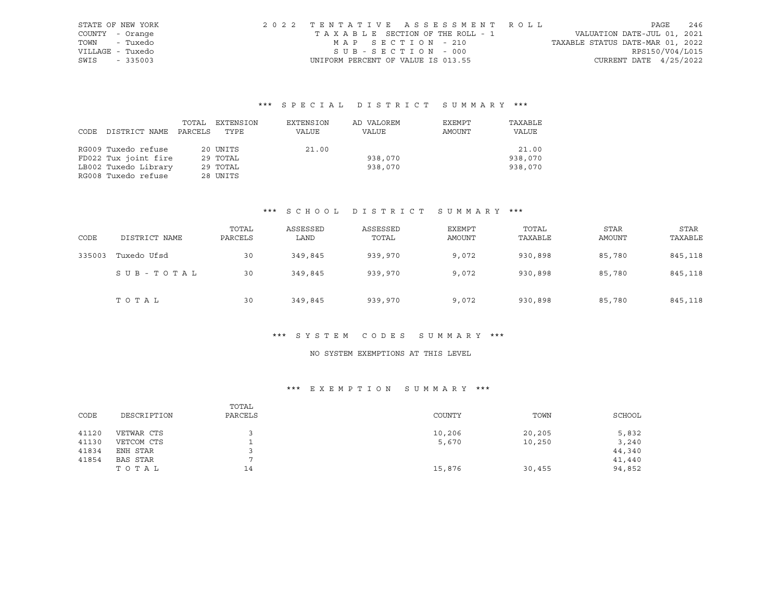| STATE OF NEW YORK | 2022 TENTATIVE ASSESSMENT ROLL        |                                  | PAGE                     | 246 |
|-------------------|---------------------------------------|----------------------------------|--------------------------|-----|
| COUNTY - Orange   | T A X A B L E SECTION OF THE ROLL - 1 | VALUATION DATE-JUL 01, 2021      |                          |     |
| TOWN - Tuxedo     | MAP SECTION - 210                     | TAXABLE STATUS DATE-MAR 01, 2022 |                          |     |
| VILLAGE - Tuxedo  | SUB-SECTION - 000                     |                                  | RPS150/V04/L015          |     |
| SWIS - 335003     | UNIFORM PERCENT OF VALUE IS 013.55    |                                  | CURRENT DATE $4/25/2022$ |     |

|      |                      | TOTAL   | EXTENSION | EXTENSION | AD VALOREM | EXEMPT | TAXABLE |
|------|----------------------|---------|-----------|-----------|------------|--------|---------|
| CODE | DISTRICT NAME        | PARCELS | TYPE      | VALUE     | VALUE      | AMOUNT | VALUE   |
|      |                      |         |           |           |            |        |         |
|      | RG009 Tuxedo refuse  |         | 20 UNITS  | 21.00     |            |        | 21.00   |
|      | FD022 Tux joint fire |         | 29 TOTAL  |           | 938,070    |        | 938,070 |
|      | LB002 Tuxedo Library |         | 29 TOTAL  |           | 938,070    |        | 938,070 |
|      | RG008 Tuxedo refuse  |         | 28 UNITS  |           |            |        |         |

## \*\*\* S C H O O L D I S T R I C T S U M M A R Y \*\*\*

| CODE   | DISTRICT NAME | TOTAL<br>PARCELS | ASSESSED<br>LAND | ASSESSED<br>TOTAL | EXEMPT<br>AMOUNT | TOTAL<br>TAXABLE | <b>STAR</b><br>AMOUNT | <b>STAR</b><br>TAXABLE |
|--------|---------------|------------------|------------------|-------------------|------------------|------------------|-----------------------|------------------------|
| 335003 | Tuxedo Ufsd   | 30               | 349,845          | 939,970           | 9,072            | 930,898          | 85,780                | 845,118                |
|        | SUB-TOTAL     | 30               | 349,845          | 939,970           | 9,072            | 930,898          | 85,780                | 845,118                |
|        | TOTAL         | 30               | 349,845          | 939,970           | 9,072            | 930,898          | 85,780                | 845,118                |

#### \*\*\* S Y S T E M C O D E S S U M M A R Y \*\*\*

## NO SYSTEM EXEMPTIONS AT THIS LEVEL

| CODE  | DESCRIPTION | TOTAL<br>PARCELS | COUNTY | TOWN   | SCHOOL |
|-------|-------------|------------------|--------|--------|--------|
| 41120 | VETWAR CTS  |                  | 10,206 | 20,205 | 5,832  |
| 41130 | VETCOM CTS  | ∸                | 5,670  | 10,250 | 3,240  |
| 41834 | ENH STAR    |                  |        |        | 44,340 |
| 41854 | BAS STAR    |                  |        |        | 41,440 |
|       | ТОТАЬ       | 14               | 15,876 | 30,455 | 94,852 |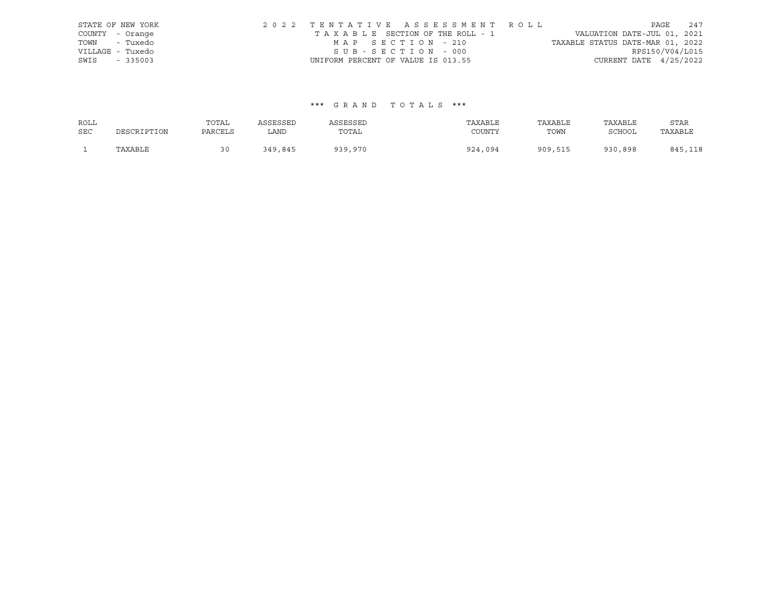|                  | STATE OF NEW YORK | 2022 TENTATIVE ASSESSMENT ROLL     |  |                                 |                                  |                          | PAGE | 247 |
|------------------|-------------------|------------------------------------|--|---------------------------------|----------------------------------|--------------------------|------|-----|
| COUNTY - Orange  |                   |                                    |  | TAXABLE SECTION OF THE ROLL - 1 | VALUATION DATE-JUL 01, 2021      |                          |      |     |
| TOWN - Tuxedo    |                   | MAP SECTION - 210                  |  |                                 | TAXABLE STATUS DATE-MAR 01, 2022 |                          |      |     |
| VILLAGE - Tuxedo |                   | SUB-SECTION - 000                  |  |                                 |                                  | RPS150/V04/L015          |      |     |
| SWIS - 335003    |                   | UNIFORM PERCENT OF VALUE IS 013.55 |  |                                 |                                  | CURRENT DATE $4/25/2022$ |      |     |

| ROLL       |             | TOTAL   | ASSESSED | ASSESSED | TAXABLE | TAXABLE | TAXABLE       | STAR    |
|------------|-------------|---------|----------|----------|---------|---------|---------------|---------|
| <b>SEC</b> | DESCRIPTION | PARCELS | LAND     | TOTAL    | COUNTY  | TOWN    | <b>SCHOOL</b> | TAXABLE |
|            | TAXABLE     |         | 349,845  | 939,970  | 924,094 | 909,515 | 930,898       | 845,118 |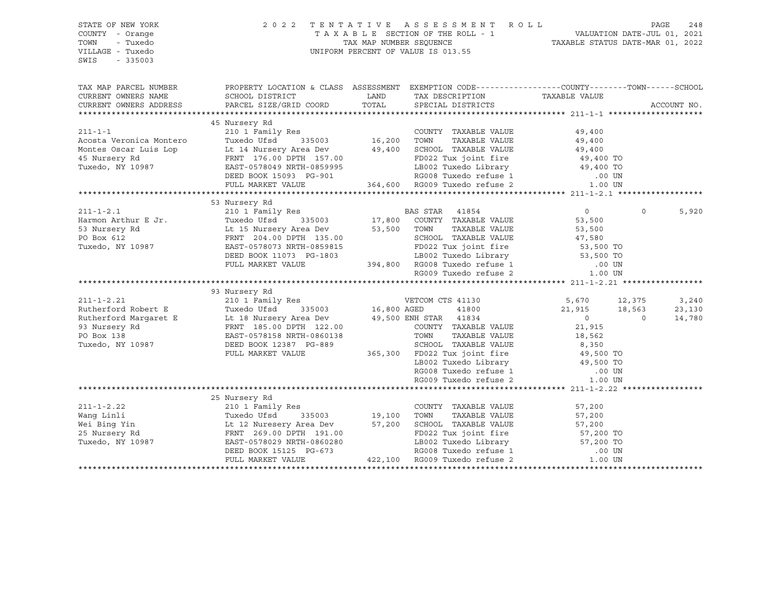| STATE OF NEW YORK<br>COUNTY - Orange<br>TOWN<br>- Tuxedo<br>VILLAGE - Tuxedo<br>SWIS<br>$-335003$ |                                                                                                                                                                                                                                                                                                                                                                      | 2022 TENTATIVE ASSESSMENT ROLL<br>TAXABLE SECTION OF THE ROLL - 1<br>TAXABLE STATUS DATE-JUL 01, 2021<br>TAXABLE STATUS DATE-MAR 01, 2022<br>UNIFORM PERCENT OF VALUE IS 013.55 |          | PAGE        | 248   |
|---------------------------------------------------------------------------------------------------|----------------------------------------------------------------------------------------------------------------------------------------------------------------------------------------------------------------------------------------------------------------------------------------------------------------------------------------------------------------------|---------------------------------------------------------------------------------------------------------------------------------------------------------------------------------|----------|-------------|-------|
| CURRENT OWNERS NAME<br>CURRENT OWNERS ADDRESS                                                     | TAX MAP PARCEL NUMBER PROPERTY LOCATION & CLASS ASSESSMENT EXEMPTION CODE---------------COUNTY-------TOWN------SCHOOL                                                                                                                                                                                                                                                |                                                                                                                                                                                 |          | ACCOUNT NO. |       |
|                                                                                                   |                                                                                                                                                                                                                                                                                                                                                                      |                                                                                                                                                                                 |          |             |       |
|                                                                                                   | 45 Nursery Rd                                                                                                                                                                                                                                                                                                                                                        |                                                                                                                                                                                 |          |             |       |
|                                                                                                   |                                                                                                                                                                                                                                                                                                                                                                      |                                                                                                                                                                                 |          |             |       |
|                                                                                                   |                                                                                                                                                                                                                                                                                                                                                                      |                                                                                                                                                                                 |          |             |       |
|                                                                                                   |                                                                                                                                                                                                                                                                                                                                                                      |                                                                                                                                                                                 |          |             |       |
|                                                                                                   |                                                                                                                                                                                                                                                                                                                                                                      |                                                                                                                                                                                 |          |             |       |
|                                                                                                   |                                                                                                                                                                                                                                                                                                                                                                      |                                                                                                                                                                                 |          |             |       |
|                                                                                                   |                                                                                                                                                                                                                                                                                                                                                                      |                                                                                                                                                                                 |          |             |       |
|                                                                                                   |                                                                                                                                                                                                                                                                                                                                                                      |                                                                                                                                                                                 |          |             |       |
|                                                                                                   |                                                                                                                                                                                                                                                                                                                                                                      |                                                                                                                                                                                 |          |             |       |
|                                                                                                   |                                                                                                                                                                                                                                                                                                                                                                      |                                                                                                                                                                                 | $\Omega$ |             | 5,920 |
|                                                                                                   |                                                                                                                                                                                                                                                                                                                                                                      |                                                                                                                                                                                 |          |             |       |
|                                                                                                   |                                                                                                                                                                                                                                                                                                                                                                      |                                                                                                                                                                                 |          |             |       |
|                                                                                                   |                                                                                                                                                                                                                                                                                                                                                                      |                                                                                                                                                                                 |          |             |       |
|                                                                                                   |                                                                                                                                                                                                                                                                                                                                                                      |                                                                                                                                                                                 |          |             |       |
|                                                                                                   |                                                                                                                                                                                                                                                                                                                                                                      |                                                                                                                                                                                 |          |             |       |
|                                                                                                   |                                                                                                                                                                                                                                                                                                                                                                      |                                                                                                                                                                                 |          |             |       |
|                                                                                                   |                                                                                                                                                                                                                                                                                                                                                                      |                                                                                                                                                                                 |          |             |       |
|                                                                                                   |                                                                                                                                                                                                                                                                                                                                                                      |                                                                                                                                                                                 |          |             |       |
|                                                                                                   | 93 Nursery Rd                                                                                                                                                                                                                                                                                                                                                        |                                                                                                                                                                                 |          |             |       |
|                                                                                                   |                                                                                                                                                                                                                                                                                                                                                                      |                                                                                                                                                                                 |          |             |       |
|                                                                                                   |                                                                                                                                                                                                                                                                                                                                                                      |                                                                                                                                                                                 |          |             |       |
|                                                                                                   |                                                                                                                                                                                                                                                                                                                                                                      |                                                                                                                                                                                 |          |             |       |
|                                                                                                   |                                                                                                                                                                                                                                                                                                                                                                      |                                                                                                                                                                                 |          |             |       |
|                                                                                                   |                                                                                                                                                                                                                                                                                                                                                                      |                                                                                                                                                                                 |          |             |       |
|                                                                                                   |                                                                                                                                                                                                                                                                                                                                                                      |                                                                                                                                                                                 |          |             |       |
|                                                                                                   |                                                                                                                                                                                                                                                                                                                                                                      |                                                                                                                                                                                 |          |             |       |
|                                                                                                   | $\begin{tabular}{c cccc} 211-1-2.21 & 93 \text{ Nursery }\text{Rd} & 210-1-2.21 & 2101 \text{ Pami-ly }\text{Res} & 5,670 & 12,375 & 3,240 \\ 2101 \text{ Pami-ly }\text{Res} & 16,800 \text{ AGBD} & 41800 & 21,915 & 18,563 & 23,130 \\ \text{Rutherford Rargaret E} & \text{L 18 Nursery Area Dev} & 49,500 \text{ ENH STAR} & 41834 & 0 & 0 & 14,780 \\ \text{P$ |                                                                                                                                                                                 |          |             |       |
|                                                                                                   |                                                                                                                                                                                                                                                                                                                                                                      |                                                                                                                                                                                 |          |             |       |
|                                                                                                   |                                                                                                                                                                                                                                                                                                                                                                      |                                                                                                                                                                                 |          |             |       |
|                                                                                                   |                                                                                                                                                                                                                                                                                                                                                                      |                                                                                                                                                                                 |          |             |       |
|                                                                                                   | 25 Nursery Rd                                                                                                                                                                                                                                                                                                                                                        |                                                                                                                                                                                 |          |             |       |
|                                                                                                   |                                                                                                                                                                                                                                                                                                                                                                      |                                                                                                                                                                                 |          |             |       |
|                                                                                                   |                                                                                                                                                                                                                                                                                                                                                                      |                                                                                                                                                                                 |          |             |       |
|                                                                                                   |                                                                                                                                                                                                                                                                                                                                                                      |                                                                                                                                                                                 |          |             |       |
|                                                                                                   |                                                                                                                                                                                                                                                                                                                                                                      |                                                                                                                                                                                 |          |             |       |
|                                                                                                   |                                                                                                                                                                                                                                                                                                                                                                      |                                                                                                                                                                                 |          |             |       |
|                                                                                                   |                                                                                                                                                                                                                                                                                                                                                                      |                                                                                                                                                                                 |          |             |       |
|                                                                                                   |                                                                                                                                                                                                                                                                                                                                                                      |                                                                                                                                                                                 |          |             |       |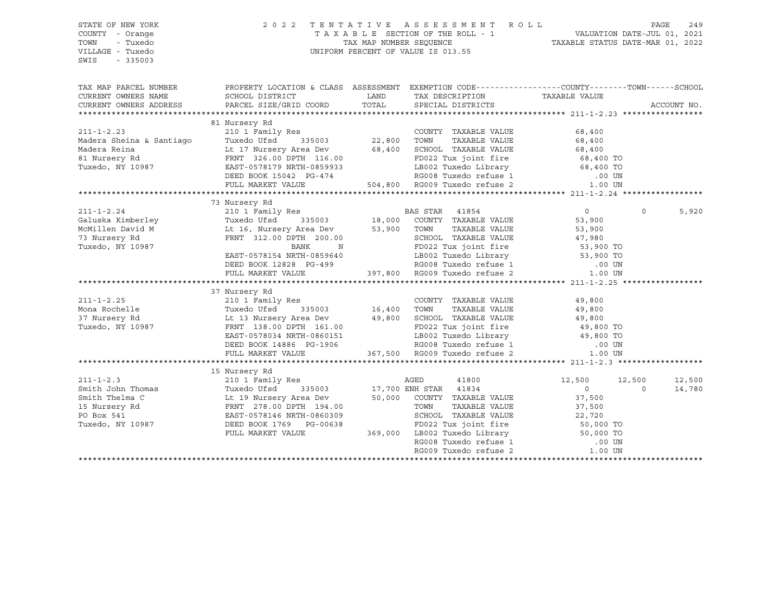STATE OF NEW YORK 2 0 2 2 T E N T A T I V E A S S E S S M E N T R O L L PAGE 249 COUNTY - Orange T A X A B L E SECTION OF THE ROLL - 1 TOWN - Tuxedo TAX MAP NUMBER SEQUENCE TAXABLE STATUS DATE-MAR 01, 2022 UNIFORM PERCENT OF VALUE IS 013.55 SWIS - 335003 TAX MAP PARCEL NUMBER PROPERTY LOCATION & CLASS ASSESSMENT EXEMPTION CODE------------------COUNTY--------TOWN------SCHOOL CURRENT OWNERS NAME SCHOOL DISTRICT TAX DAND TAX DESCRIPTION TAXABLE VALUE CURRENT OWNERS ADDRESS PARCEL SIZE/GRID COORD TOTAL SPECIAL DISTRICTS ACCOUNT NO. \*\*\*\*\*\*\*\*\*\*\*\*\*\*\*\*\*\*\*\*\*\*\*\*\*\*\*\*\*\*\*\*\*\*\*\*\*\*\*\*\*\*\*\*\*\*\*\*\*\*\*\*\*\*\*\*\*\*\*\*\*\*\*\*\*\*\*\*\*\*\*\*\*\*\*\*\*\*\*\*\*\*\*\*\*\*\*\*\*\*\*\*\*\*\*\*\*\*\*\*\*\*\* 211-1-2.23 \*\*\*\*\*\*\*\*\*\*\*\*\*\*\*\*\* 81 Nursery Rd 211-1-2.23 210 1 Family Res COUNTY TAXABLE VALUE 68,400 Madera Sheina & Santiago Tuxedo Ufsd 335003 22,800 TOWN TAXABLE VALUE 68,400 Madera Reina Lt 17 Nursery Area Dev 68,400 SCHOOL TAXABLE VALUE 68,400 81 Nursery Rd FRNT 326.00 DPTH 116.00 FD022 Tux joint fire 68,400 TO Tuxedo, NY 10987 EAST-0578179 NRTH-0859933 LB002 Tuxedo Library 68,400 TO DEED BOOK 15042 PG-474 RG008 Tuxedo refuse 1 .00 UN FULL MARKET VALUE 504,800 RG009 Tuxedo refuse 2 1.00 UN \*\*\*\*\*\*\*\*\*\*\*\*\*\*\*\*\*\*\*\*\*\*\*\*\*\*\*\*\*\*\*\*\*\*\*\*\*\*\*\*\*\*\*\*\*\*\*\*\*\*\*\*\*\*\*\*\*\*\*\*\*\*\*\*\*\*\*\*\*\*\*\*\*\*\*\*\*\*\*\*\*\*\*\*\*\*\*\*\*\*\*\*\*\*\*\*\*\*\*\*\*\*\* 211-1-2.24 \*\*\*\*\*\*\*\*\*\*\*\*\*\*\*\*\* 73 Nursery Rd 211-1-2.24 210 1 Family Res BAS STAR 41854 0 0 5,920 Galuska Kimberley Tuxedo Ufsd 335003 18,000 COUNTY TAXABLE VALUE 53,900 McMillen David M Lt 16, Nursery Area Dev 53,900 TOWN TAXABLE VALUE 53,900 73 Nursery Rd FRNT 312.00 DPTH 200.00 SCHOOL TAXABLE VALUE 47,980 Tuxedo, NY 10987 BANK N FD022 Tux joint fire 53,900 TO EAST-0578154 NRTH-0859640 LB002 Tuxedo Library 53,900 TO DEED BOOK 12828 PG-499 RG008 Tuxedo refuse 1 .00 UN FULL MARKET VALUE 397,800 RG009 Tuxedo refuse 2 1.00 UN \*\*\*\*\*\*\*\*\*\*\*\*\*\*\*\*\*\*\*\*\*\*\*\*\*\*\*\*\*\*\*\*\*\*\*\*\*\*\*\*\*\*\*\*\*\*\*\*\*\*\*\*\*\*\*\*\*\*\*\*\*\*\*\*\*\*\*\*\*\*\*\*\*\*\*\*\*\*\*\*\*\*\*\*\*\*\*\*\*\*\*\*\*\*\*\*\*\*\*\*\*\*\* 211-1-2.25 \*\*\*\*\*\*\*\*\*\*\*\*\*\*\*\*\* 37 Nursery Rd 211-1-2.25 210 1 Family Res COUNTY TAXABLE VALUE 49,800 Mona Rochelle Tuxedo Ufsd 335003 16,400 TOWN TAXABLE VALUE 49,800 37 Nursery Rd Lt 13 Nursery Area Dev 49,800 SCHOOL TAXABLE VALUE 49,800 Tuxedo, NY 10987 FRNT 138.00 DPTH 161.00 FD022 Tux joint fire 49,800 TO EAST-0578034 NRTH-0860151 LB002 Tuxedo Library 49,800 TO DEED BOOK 14886 PG-1906 RG008 Tuxedo refuse 1 .00 UN FULL MARKET VALUE 367,500 RG009 Tuxedo refuse 2 1.00 UN \*\*\*\*\*\*\*\*\*\*\*\*\*\*\*\*\*\*\*\*\*\*\*\*\*\*\*\*\*\*\*\*\*\*\*\*\*\*\*\*\*\*\*\*\*\*\*\*\*\*\*\*\*\*\*\*\*\*\*\*\*\*\*\*\*\*\*\*\*\*\*\*\*\*\*\*\*\*\*\*\*\*\*\*\*\*\*\*\*\*\*\*\*\*\*\*\*\*\*\*\*\*\* 211-1-2.3 \*\*\*\*\*\*\*\*\*\*\*\*\*\*\*\*\*\* 15 Nursery Rd 211-1-2.3 210 1 Family Res AGED 41800 12,500 12,500 12,500 12,500 Smith John Thomas Tuxedo Ufsd 335003 17,700 ENH STAR 41834 0 0 14,780 Smith Thelma C Lt 19 Nursery Area Dev 50,000 COUNTY TAXABLE VALUE 37,500 15 Nursery Rd FRNT 278.00 DPTH 194.00 TOWN TAXABLE VALUE 37,500 PO Box 541 **EAST-0578146 NRTH-0860309** Tuxedo, NY 10987 DEED BOOK 1769 PG-00638 FD022 Tux joint fire 50,000 TO FULL MARKET VALUE 369,000 LB002 Tuxedo Library 50,000 TO RG008 Tuxedo refuse 1 .00 UN RG009 Tuxedo refuse 2 1.00 UN \*\*\*\*\*\*\*\*\*\*\*\*\*\*\*\*\*\*\*\*\*\*\*\*\*\*\*\*\*\*\*\*\*\*\*\*\*\*\*\*\*\*\*\*\*\*\*\*\*\*\*\*\*\*\*\*\*\*\*\*\*\*\*\*\*\*\*\*\*\*\*\*\*\*\*\*\*\*\*\*\*\*\*\*\*\*\*\*\*\*\*\*\*\*\*\*\*\*\*\*\*\*\*\*\*\*\*\*\*\*\*\*\*\*\*\*\*\*\*\*\*\*\*\*\*\*\*\*\*\*\*\*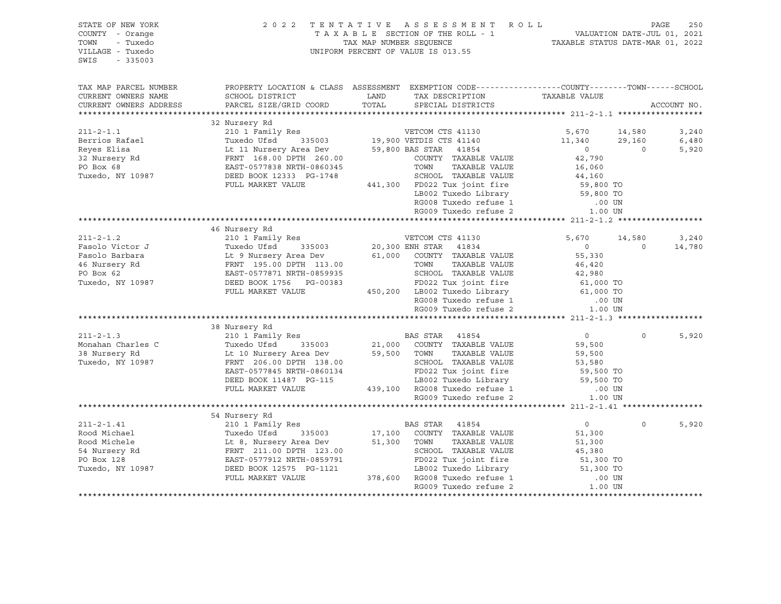#### STATE OF NEW YORK 2 0 2 2 T E N T A T I V E A S S E S S M E N T R O L L PAGE 250 COUNTY - Orange T A X A B L E SECTION OF THE ROLL - 1 VALUATION DATE-JUL 01, 2021 TOWN - Tuxedo TAX MAP NUMBER SEQUENCE TAXABLE STATUS DATE-MAR 01, 2022 VILLAGE - Tuxedo UNIFORM PERCENT OF VALUE IS 013.55

| TAX MAP PARCEL NUMBER<br>CURRENT OWNERS NAME<br>CURRENT OWNERS ADDRESS                                                                                                                                                                                     | PROPERTY LOCATION & CLASS ASSESSMENT EXEMPTION CODE----------------COUNTY-------TOWN------SCHOOL<br>SCHOOL DISTRICT<br>PARCEL SIZE/GRID COORD                                                                                                                                                                                                  | LAND<br>TOTAL                    | TAX DESCRIPTION TAXABLE VALUE<br>SPECIAL DISTRICTS                                                                                                                                                                                                                                                                                                                                                                                                                          |                                                                                                            |                                    | ACCOUNT NO.             |
|------------------------------------------------------------------------------------------------------------------------------------------------------------------------------------------------------------------------------------------------------------|------------------------------------------------------------------------------------------------------------------------------------------------------------------------------------------------------------------------------------------------------------------------------------------------------------------------------------------------|----------------------------------|-----------------------------------------------------------------------------------------------------------------------------------------------------------------------------------------------------------------------------------------------------------------------------------------------------------------------------------------------------------------------------------------------------------------------------------------------------------------------------|------------------------------------------------------------------------------------------------------------|------------------------------------|-------------------------|
| $211 - 2 - 1.1$<br>Berrios Rafael<br>Berrios Rafael<br>Reyes Elisa<br>32 Nursery Rd                                                                                                                                                                        | 32 Nursery Rd<br>210 1 Family Res<br>Tuxedo Ufsd<br>Lt 11 Nursery Area Dev<br>FRNT 168.00 DPTH 260.00                                                                                                                                                                                                                                          |                                  | VETCOM CTS 41130<br>335003 19,900 VETDIS CTS 41140 11,340<br>59,800 BAS STAR 41854<br>COUNTY TAXABLE VALUE                                                                                                                                                                                                                                                                                                                                                                  | 5,670<br>$\overline{0}$<br>42,790                                                                          | 14,580<br>29,160<br>$\overline{0}$ | 3,240<br>6,480<br>5,920 |
| PO Box 68<br>Tuxedo, NY 10987                                                                                                                                                                                                                              | EAST-0577838 NRTH-0860345<br>DEED BOOK 12333 PG-1748<br>FULL MARKET VALUE                                                                                                                                                                                                                                                                      |                                  | TOWN<br>TAXABLE VALUE<br>SCHOOL TAXABLE VALUE<br>441,300 FD022 Tux joint fire<br>LB002 Tuxedo Library<br>RG008 Tuxedo refuse 1 00 UN<br>RG009 Tuxedo refuse 2                                                                                                                                                                                                                                                                                                               | 16,060<br>44,160<br>59,800 TO<br>59,800 TO<br>1.00 UN                                                      |                                    |                         |
|                                                                                                                                                                                                                                                            |                                                                                                                                                                                                                                                                                                                                                |                                  |                                                                                                                                                                                                                                                                                                                                                                                                                                                                             |                                                                                                            |                                    |                         |
| $211 - 2 - 1.2$                                                                                                                                                                                                                                            | 46 Nursery Rd<br>210 1 Family Res WETCOM CTS 41130                                                                                                                                                                                                                                                                                             |                                  |                                                                                                                                                                                                                                                                                                                                                                                                                                                                             | 5,670 14,580                                                                                               |                                    | 3,240                   |
| Fasolo Victor J<br>Fasolo Barbara                         Lt 9 Nursery Area Dev<br>46 Nursery Rd                   FRNT  195.00 DPTH  113.00<br>PO Box 62<br>Tuxedo, NY 10987<br>$211 - 2 - 1.3$<br>Monahan Charles C<br>38 Nursery Rd<br>Tuxedo, NY 10987 | Tuxedo Ufsd<br>EAST-0577871 NRTH-0859935<br>DEED BOOK 1756 PG-00383<br>FULL MARKET VALUE<br>38 Nursery Rd<br>210 1 Family Res<br>210 1 ramii <sub>7</sub><br>Tuxedo Ufsd<br>335003<br>Lt 10 Nursery Area Dev<br>FBNT 206-00 DPTH 128-00<br>FRNT 206.00 DPTH 138.00<br>EAST-0577845 NRTH-0860134<br>DEED BOOK 11487 PG-115<br>FULL MARKET VALUE | 335003 20,300 ENH STAR<br>59,500 | 41834<br>61,000 COUNTY TAXABLE VALUE<br>TOWN<br>TAXABLE VALUE<br>SCHOOL TAXABLE VALUE 42,980<br>FD022 Tux joint fire 61,000 TO<br>450,200 LB002 Tuxedo Library 61,000 TO<br>RG008 Tuxedo refuse 1 00 UN RG009 Tuxedo refuse 2 1.00 UN<br>BAS STAR 41854<br>21,000 COUNTY TAXABLE VALUE<br>TOWN<br>TAXABLE VALUE<br>SCHOOL TAXABLE VALUE<br>FD022 Tux joint fire 59,500 TO<br>LB002 Tuxedo Library 59,500 TO<br>439,100 RG008 Tuxedo refuse 1 00 UN<br>RG009 Tuxedo refuse 2 | $\overline{0}$<br>55,330<br>46,420<br>.00 UN<br>$0 \qquad \qquad$<br>59,500<br>59,500<br>53,580<br>1.00 UN | $\circ$<br>$\Omega$                | 14,780<br>5,920         |
|                                                                                                                                                                                                                                                            |                                                                                                                                                                                                                                                                                                                                                |                                  |                                                                                                                                                                                                                                                                                                                                                                                                                                                                             |                                                                                                            |                                    |                         |
| $211 - 2 - 1.41$<br>Rood Michael<br>Rood Michele<br>54 Nursery Rd<br>PO Box 128<br>Tuxedo, NY 10987                                                                                                                                                        | 54 Nursery Rd<br>210 1 Family Res<br>Tuxedo Ufsd<br>335003<br>Lt 8, Nursery Area Dev<br>FRNT 211.00 DPTH 123.00<br>EAST-0577912 NRTH-0859791<br>DEED BOOK 12575 PG-1121<br>DEED BOOK 12575 PG-1121<br>FULL MARKET VALUE                                                                                                                        | 17,100<br>51,300<br>378,600      | BAS STAR 41854<br>COUNTY TAXABLE VALUE<br>TOWN<br>TAXABLE VALUE<br>SCHOOL TAXABLE VALUE<br>FD022 Tux joint fire 51,300 TO<br>LB002 Tuxedo Library 51,300 TO<br>LB002 Tuxedo Library 51,300 TO<br>RG008 Tuxedo refuse 1 .00 UN                                                                                                                                                                                                                                               | $\overline{0}$<br>51,300<br>51,300<br>45,380                                                               | $\Omega$                           | 5,920                   |
|                                                                                                                                                                                                                                                            |                                                                                                                                                                                                                                                                                                                                                |                                  | RG009 Tuxedo refuse 2                                                                                                                                                                                                                                                                                                                                                                                                                                                       | 1.00 UN                                                                                                    |                                    |                         |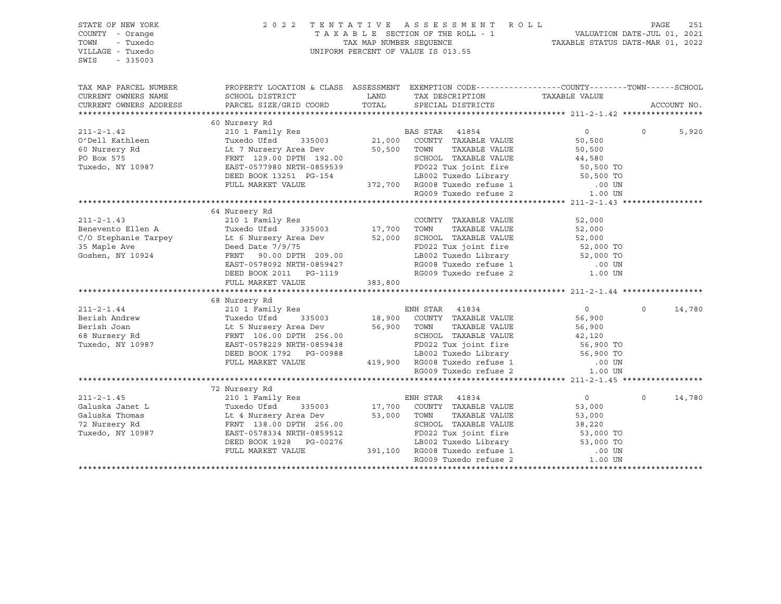| STATE OF NEW YORK<br>COUNTY - Orange<br>TOWN<br>- Tuxedo<br>VILLAGE - Tuxedo<br>SWIS<br>$-335003$ |                                                                                                                                                                                                                                                  |         | 2022 TENTATIVE ASSESSMENT ROLL<br>UNIFORM PERCENT OF VALUE IS 013.55                                                                                           |                | PAGE               | 251   |
|---------------------------------------------------------------------------------------------------|--------------------------------------------------------------------------------------------------------------------------------------------------------------------------------------------------------------------------------------------------|---------|----------------------------------------------------------------------------------------------------------------------------------------------------------------|----------------|--------------------|-------|
| TAX MAP PARCEL NUMBER                                                                             | PROPERTY LOCATION & CLASS ASSESSMENT EXEMPTION CODE----------------COUNTY-------TOWN------SCHOOL                                                                                                                                                 |         |                                                                                                                                                                |                |                    |       |
| CURRENT OWNERS NAME                                                                               | SCHOOL DISTRICT                                                                                                                                                                                                                                  | LAND    | TAX DESCRIPTION                                                                                                                                                | TAXABLE VALUE  |                    |       |
| CURRENT OWNERS ADDRESS                                                                            | PARCEL SIZE/GRID COORD                                                                                                                                                                                                                           | TOTAL   | SPECIAL DISTRICTS                                                                                                                                              |                | ACCOUNT NO.        |       |
|                                                                                                   |                                                                                                                                                                                                                                                  |         |                                                                                                                                                                |                |                    |       |
|                                                                                                   | 60 Nursery Rd                                                                                                                                                                                                                                    |         |                                                                                                                                                                |                |                    |       |
| $211 - 2 - 1.42$                                                                                  | 210 1 Family Res<br>Tuxedo Ufsd 335003 21,000 COUNTY TAXABLE VALUE                                                                                                                                                                               |         |                                                                                                                                                                | $\overline{0}$ | $\Omega$           | 5,920 |
|                                                                                                   |                                                                                                                                                                                                                                                  |         |                                                                                                                                                                | 50,500         |                    |       |
|                                                                                                   | Lt 7 Nursery Area Dev 50,500 TOWN                                                                                                                                                                                                                |         | TAXABLE VALUE                                                                                                                                                  | 50,500         |                    |       |
|                                                                                                   | 0 1 1 129.00 DPTH 192.00<br>EAST-0577980 NRTH-0859539<br>DEED BOOK 13251 PG-154<br>FULL MARKET VALUE 372,700 RG008 Tuxedo refuse 1 00 UN<br>RG009 Tuxedo refuse 2 1.00 UN<br>EAST-0577980 NRTH-0859539                                           |         |                                                                                                                                                                |                |                    |       |
| Tuxedo, NY 10987                                                                                  |                                                                                                                                                                                                                                                  |         |                                                                                                                                                                |                |                    |       |
|                                                                                                   |                                                                                                                                                                                                                                                  |         |                                                                                                                                                                |                |                    |       |
|                                                                                                   |                                                                                                                                                                                                                                                  |         |                                                                                                                                                                |                |                    |       |
|                                                                                                   |                                                                                                                                                                                                                                                  |         |                                                                                                                                                                |                |                    |       |
|                                                                                                   | 64 Nursery Rd                                                                                                                                                                                                                                    |         |                                                                                                                                                                |                |                    |       |
| $211 - 2 - 1.43$                                                                                  | 210 1 Family Res                                                                                                                                                                                                                                 |         | COUNTY TAXABLE VALUE                                                                                                                                           | 52,000         |                    |       |
| Benevento Ellen A                                                                                 | Res COUNT<br>335003 17,700 TOWN<br>Tuxedo Ufsd                                                                                                                                                                                                   |         | TAXABLE VALUE                                                                                                                                                  | 52,000         |                    |       |
|                                                                                                   |                                                                                                                                                                                                                                                  |         |                                                                                                                                                                |                |                    |       |
|                                                                                                   |                                                                                                                                                                                                                                                  |         |                                                                                                                                                                |                |                    |       |
|                                                                                                   |                                                                                                                                                                                                                                                  |         |                                                                                                                                                                |                |                    |       |
|                                                                                                   |                                                                                                                                                                                                                                                  |         |                                                                                                                                                                |                |                    |       |
|                                                                                                   | C/O Stephanie Tarpey Lt 6 Nursery Area Dev 52,000 SCHOOL TAXABLE VALUE 52,000 TO<br>35 Maple Ave Deed Date 7/9/75 FD022 Tux joint fire 52,000 TO<br>Goshen, NY 10924 FRNT 90.00 DPTH 209.00<br>EAST-0578092 NRTH-0859427 RG008 Tuxedo r          |         |                                                                                                                                                                |                |                    |       |
|                                                                                                   | FULL MARKET VALUE                                                                                                                                                                                                                                | 383,800 |                                                                                                                                                                |                |                    |       |
|                                                                                                   |                                                                                                                                                                                                                                                  |         |                                                                                                                                                                |                |                    |       |
|                                                                                                   | 68 Nursery Rd                                                                                                                                                                                                                                    |         |                                                                                                                                                                |                |                    |       |
|                                                                                                   |                                                                                                                                                                                                                                                  |         |                                                                                                                                                                |                | $\Omega$<br>14,780 |       |
|                                                                                                   |                                                                                                                                                                                                                                                  |         |                                                                                                                                                                |                |                    |       |
|                                                                                                   |                                                                                                                                                                                                                                                  |         |                                                                                                                                                                |                |                    |       |
|                                                                                                   |                                                                                                                                                                                                                                                  |         |                                                                                                                                                                |                |                    |       |
|                                                                                                   |                                                                                                                                                                                                                                                  |         |                                                                                                                                                                |                |                    |       |
|                                                                                                   |                                                                                                                                                                                                                                                  |         |                                                                                                                                                                |                |                    |       |
|                                                                                                   |                                                                                                                                                                                                                                                  |         |                                                                                                                                                                |                |                    |       |
|                                                                                                   |                                                                                                                                                                                                                                                  |         |                                                                                                                                                                |                |                    |       |
|                                                                                                   |                                                                                                                                                                                                                                                  |         |                                                                                                                                                                |                |                    |       |
|                                                                                                   |                                                                                                                                                                                                                                                  |         |                                                                                                                                                                |                |                    |       |
| $211 - 2 - 1.45$                                                                                  | 210 1 Family Res                                                                                                                                                                                                                                 |         | ENH STAR 41834                                                                                                                                                 | $\overline{0}$ | $\Omega$<br>14,780 |       |
|                                                                                                   |                                                                                                                                                                                                                                                  |         | 17,700 COUNTY TAXABLE VALUE                                                                                                                                    | 53,000         |                    |       |
|                                                                                                   | Caluska Janet L (2008)<br>Caluska Janet L (2008)<br>Caluska Thomas (2008)<br>Caluska Thomas (2008)<br>Caluska Thomas (2008)<br>Caluska Thomas (2008)<br>Caluska Thomas (2008)<br>Caluska Thomas (2008)<br>Caluska Thomas (2008)<br>Caluska Thoma |         | TAXABLE VALUE                                                                                                                                                  | 53,000         |                    |       |
|                                                                                                   |                                                                                                                                                                                                                                                  |         | 256.00 SCHOOL TAXABLE VALUE<br>9859512 FD022 Tux joint fire 53,000 TO<br>9859512 FD022 Tux joint fire 53,000 TO<br>391,100 RG008 Tuxedo refuse 1 00 UN 0000 TO |                |                    |       |
|                                                                                                   |                                                                                                                                                                                                                                                  |         |                                                                                                                                                                |                |                    |       |
|                                                                                                   | DEED BOOK 1928 PG-00276                                                                                                                                                                                                                          |         |                                                                                                                                                                |                |                    |       |
|                                                                                                   | FULL MARKET VALUE                                                                                                                                                                                                                                |         | RG009 Tuxedo refuse 2                                                                                                                                          | 1.00 UN        |                    |       |
|                                                                                                   |                                                                                                                                                                                                                                                  |         |                                                                                                                                                                |                |                    |       |
|                                                                                                   |                                                                                                                                                                                                                                                  |         |                                                                                                                                                                |                |                    |       |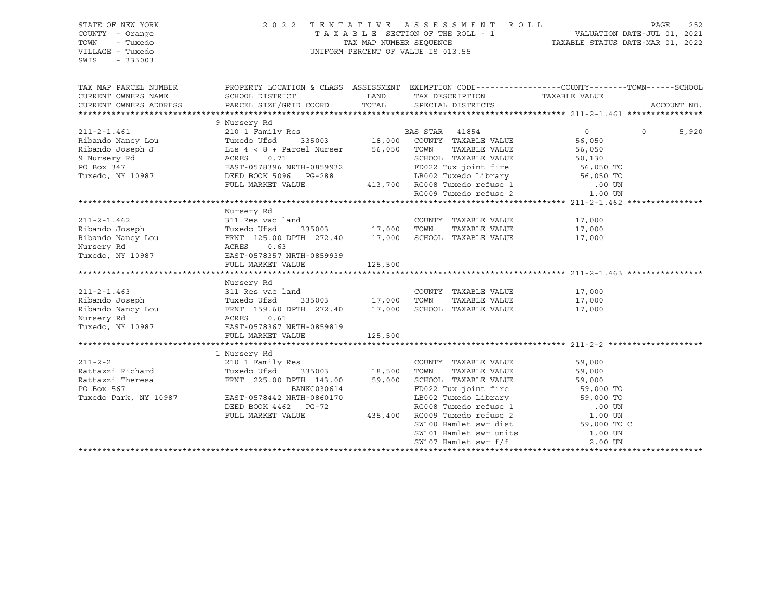#### STATE OF NEW YORK 2 0 2 2 T E N T A T I V E A S S E S S M E N T R O L L PAGE 252 COUNTY - Orange T A X A B L E SECTION OF THE ROLL - 1 VALUATION DATE-JUL 01, 2021 TOWN - Tuxedo TAX MAP NUMBER SEQUENCE TAXABLE STATUS DATE-MAR 01, 2022 VILLAGE - Tuxedo UNIFORM PERCENT OF VALUE IS 013.55

| TAX MAP PARCEL NUMBER<br>CURRENT OWNERS NAME<br>CURRENT OWNERS ADDRESS | PROPERTY LOCATION & CLASS ASSESSMENT EXEMPTION CODE---------------COUNTY-------TOWN-----SCHOOL<br>SCHOOL DISTRICT<br>PARCEL SIZE/GRID COORD | LAND<br>TOTAL                | TAX DESCRIPTION TAXABLE VALUE<br>SPECIAL DISTRICTS                                                  |                   | ACCOUNT NO.      |
|------------------------------------------------------------------------|---------------------------------------------------------------------------------------------------------------------------------------------|------------------------------|-----------------------------------------------------------------------------------------------------|-------------------|------------------|
|                                                                        |                                                                                                                                             |                              |                                                                                                     |                   |                  |
| $211 - 2 - 1.461$                                                      | 9 Nursery Rd<br>210 1 Family Res                                                                                                            |                              | BAS STAR 41854                                                                                      | $\circ$           | $\circ$<br>5,920 |
| Ribando Nancy Lou                                                      | Tuxedo Ufsd                                                                                                                                 |                              | 335003 18,000 COUNTY TAXABLE VALUE                                                                  | 56,050            |                  |
| Ribando Joseph J                                                       | Lts $4 < 8 +$ Parcel Nurser 56,050 TOWN                                                                                                     |                              | TAXABLE VALUE                                                                                       | 56,050            |                  |
| 9 Nursery Rd                                                           | 0.71<br>ACRES                                                                                                                               |                              | SCHOOL TAXABLE VALUE                                                                                | 50,130            |                  |
| PO Box 347                                                             | EAST-0578396 NRTH-0859932                                                                                                                   |                              | FD022 Tux joint fire 56,050 TO                                                                      |                   |                  |
| Tuxedo, NY 10987                                                       | DEED BOOK 5096 PG-288                                                                                                                       |                              | LB002 Tuxedo Library 56,050 TO<br>$3-288$<br>413,700 RG008 Tuxedo refuse 1<br>PG009 Tuxedo refuse 2 |                   |                  |
|                                                                        | FULL MARKET VALUE                                                                                                                           |                              |                                                                                                     | .00 UN<br>1.00 UN |                  |
|                                                                        |                                                                                                                                             |                              |                                                                                                     |                   |                  |
|                                                                        |                                                                                                                                             |                              |                                                                                                     |                   |                  |
|                                                                        | Nursery Rd                                                                                                                                  |                              |                                                                                                     |                   |                  |
| $211 - 2 - 1.462$                                                      | 311 Res vac land                                                                                                                            |                              | COUNTY TAXABLE VALUE                                                                                | 17,000            |                  |
| Ribando Joseph                                                         | Tuxedo Ufsd                                                                                                                                 | - 2001<br>335003 17,000 TOWN | TAXABLE VALUE                                                                                       | 17,000            |                  |
| Ribando Nancy Lou                                                      | FRNT 125.00 DPTH 272.40 17,000                                                                                                              |                              | SCHOOL TAXABLE VALUE                                                                                | 17,000            |                  |
| Nursery Rd                                                             | 0.63<br>ACRES                                                                                                                               |                              |                                                                                                     |                   |                  |
| Tuxedo, NY 10987                                                       | EAST-0578357 NRTH-0859939                                                                                                                   |                              |                                                                                                     |                   |                  |
|                                                                        | FULL MARKET VALUE                                                                                                                           | 125,500                      |                                                                                                     |                   |                  |
|                                                                        |                                                                                                                                             |                              |                                                                                                     |                   |                  |
|                                                                        | Nursery Rd                                                                                                                                  |                              |                                                                                                     |                   |                  |
| $211 - 2 - 1.463$                                                      | 311 Res vac land                                                                                                                            |                              | COUNTY TAXABLE VALUE                                                                                | 17,000            |                  |
| Ribando Joseph                                                         | Tuxedo Ufsd                                                                                                                                 | 335003 17,000 TOWN           | TAXABLE VALUE                                                                                       | 17,000            |                  |
| Ribando Nancy Lou                                                      | FRNT 159.60 DPTH 272.40                                                                                                                     | 17,000                       | SCHOOL TAXABLE VALUE                                                                                | 17,000            |                  |
| Nursery Rd                                                             | ACRES<br>0.61                                                                                                                               |                              |                                                                                                     |                   |                  |
| Tuxedo, NY 10987                                                       | EAST-0578367 NRTH-0859819                                                                                                                   |                              |                                                                                                     |                   |                  |
|                                                                        | FULL MARKET VALUE                                                                                                                           | 125,500                      |                                                                                                     |                   |                  |
|                                                                        |                                                                                                                                             |                              |                                                                                                     |                   |                  |
|                                                                        | 1 Nursery Rd                                                                                                                                |                              |                                                                                                     |                   |                  |
| $211 - 2 - 2$                                                          | 210 1 Family Res                                                                                                                            |                              | COUNTY TAXABLE VALUE                                                                                | 59,000            |                  |
| Rattazzi Richard                                                       | Tuxedo Ufsd<br>335003                                                                                                                       | 18,500                       | TOWN<br>TAXABLE VALUE                                                                               | 59,000            |                  |
| Rattazzi Theresa                                                       | FRNT 225.00 DPTH 143.00                                                                                                                     | 59,000                       | SCHOOL TAXABLE VALUE                                                                                | 59,000            |                  |
| PO Box 567                                                             | BANKC030614                                                                                                                                 |                              | FD022 Tux joint fire                                                                                | 59,000 TO         |                  |
| Tuxedo Park, NY 10987                                                  | EAST-0578442 NRTH-0860170                                                                                                                   |                              | LB002 Tuxedo Library                                                                                | 59,000 TO         |                  |
|                                                                        | DEED BOOK 4462 PG-72                                                                                                                        |                              | RG008 Tuxedo refuse 1                                                                               | .00 UN            |                  |
|                                                                        | FULL MARKET VALUE                                                                                                                           | 435,400                      | RG009 Tuxedo refuse 2                                                                               | 1.00 UN           |                  |
|                                                                        |                                                                                                                                             |                              | SW100 Hamlet swr dist                                                                               | 59,000 TO C       |                  |
|                                                                        |                                                                                                                                             |                              | SW101 Hamlet swr units                                                                              | 1.00 UN           |                  |
|                                                                        |                                                                                                                                             |                              | SW107 Hamlet swr f/f                                                                                | 2.00 UN           |                  |
|                                                                        |                                                                                                                                             |                              |                                                                                                     |                   |                  |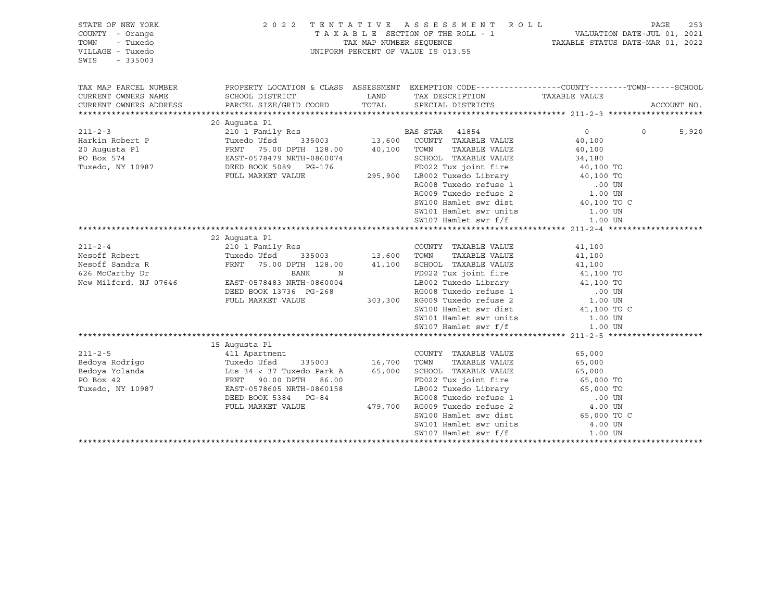| STATE OF NEW YORK<br>COUNTY - Orange<br>TOWN<br>- Tuxedo<br>VILLAGE - Tuxedo<br>SWIS<br>$-335003$ | 2 0 2 2                                                                                                                                                                       |                                                                                                                        | TENTATIVE ASSESSMENT ROLL<br>T A X A B L E SECTION OF THE ROLL - 1 VALUATION DATE-JUL 01, 2021 TAX MAP NUMBER SEQUENCE TAXIS TAXIBLE STATUS DATE-MAR 01, 2022<br>UNIFORM PERCENT OF VALUE IS 013.55                                                                                     |                                                                 | PAGE<br>253       |
|---------------------------------------------------------------------------------------------------|-------------------------------------------------------------------------------------------------------------------------------------------------------------------------------|------------------------------------------------------------------------------------------------------------------------|-----------------------------------------------------------------------------------------------------------------------------------------------------------------------------------------------------------------------------------------------------------------------------------------|-----------------------------------------------------------------|-------------------|
| TAX MAP PARCEL NUMBER<br>CURRENT OWNERS NAME<br>CURRENT OWNERS ADDRESS                            | PROPERTY LOCATION & CLASS ASSESSMENT EXEMPTION CODE---------------COUNTY-------TOWN------SCHOOL<br>SCHOOL DISTRICT<br>PARCEL SIZE/GRID COORD                                  | LAND<br>TOTAL                                                                                                          | TAX DESCRIPTION TAXABLE VALUE<br>SPECIAL DISTRICTS                                                                                                                                                                                                                                      |                                                                 | ACCOUNT NO.       |
|                                                                                                   | 20 Augusta Pl                                                                                                                                                                 |                                                                                                                        |                                                                                                                                                                                                                                                                                         |                                                                 |                   |
| $211 - 2 - 3$<br>Harkin Robert P<br>20 Augusta Pl<br>PO Box 574<br>Tuxedo, NY 10987               | 210 1 Family Res<br>Tuxedo Ufsd<br>FRNT 75.00 DPTH 128.00<br>EAST-0578479 NRTH-0860074<br>DEED BOOK 5089 PG-176<br>FULL MARKET VALUE                                          | $\begin{array}{ccc} 13 & 13 & 13 \end{array}$<br>$\begin{array}{ccc} 13 & 600 \\ \text{13} & 13 \end{array}$<br>40,100 | BAS STAR 41854<br>COUNTY TAXABLE VALUE<br>TAXABLE VALUE<br>TOWN<br>SCHOOL TAXABLE VALUE<br>SW100 Hamlet swr dist<br>SW101 Hamlet swr units                                                                                                                                              | $\circ$<br>40,100<br>40,100<br>34,180<br>40,100 TO C<br>1.00 UN | $\Omega$<br>5,920 |
|                                                                                                   |                                                                                                                                                                               |                                                                                                                        | SW107 Hamlet swr f/f                                                                                                                                                                                                                                                                    | 1.00 UN                                                         |                   |
| $211 - 2 - 4$<br>Nesoff Robert<br>Nesoff Sandra R                                                 | 22 Augusta Pl<br>210 1 Family Res<br>Tuxedo Ufsd<br>335003<br>FRNT<br>75.00 DPTH 128.00                                                                                       | 13,600<br>41,100                                                                                                       | COUNTY TAXABLE VALUE<br>TOWN<br>TAXABLE VALUE<br>SCHOOL TAXABLE VALUE                                                                                                                                                                                                                   | 41,100<br>41,100                                                |                   |
| 626 McCarthy Dr<br>New Milford, NJ 07646                                                          | BANK<br>N<br>EAST-0578483 NRTH-0860004<br>DEED BOOK 13736 PG-268<br>FULL MARKET VALUE                                                                                         | 303,300                                                                                                                | FD022 Tux joint fire<br>LB002 Tuxedo Library 41,100 TO<br>RG008 Tuxedo refuse 1 00 UN RG009 Tuxedo refuse 2 1.00 UN<br>SW100 Hamlet swr dist<br>SW101 Hamlet swr units                                                                                                                  | $41,100$ TO<br>$41,100$ TO<br>41,100 TO C<br>1.00 UN            |                   |
|                                                                                                   |                                                                                                                                                                               |                                                                                                                        | SW107 Hamlet swr f/f                                                                                                                                                                                                                                                                    | 1.00 UN                                                         |                   |
|                                                                                                   |                                                                                                                                                                               |                                                                                                                        |                                                                                                                                                                                                                                                                                         |                                                                 |                   |
| $211 - 2 - 5$<br>Bedoya Rodrigo<br>Bedoya Yolanda<br>PO Box 42<br>Tuxedo, NY 10987                | 15 Augusta Pl<br>411 Apartment<br>Tuxedo Ufsd<br>Lts 34 < 37 Tuxedo Park A<br>FRNT 90.00 DPTH 86.00<br>EAST-0578605 NRTH-0860158<br>DEED BOOK 5384 PG-84<br>FULL MARKET VALUE | 335003 16,700<br>65,000<br>479,700                                                                                     | COUNTY TAXABLE VALUE<br>TOWN<br>TAXABLE VALUE<br>SCHOOL TAXABLE VALUE<br>FD022 Tux joint fire<br>19002 Tuxedo Library 65,000 TO<br>RG008 Tuxedo refuse 1 000 UN<br>RG009 Tuxedo refuse 2 4.00 UN<br>SW100 Hamlet swr dist 65,000 TO C<br>SW101 Hamlet swr units<br>SW107 Hamlet swr f/f | 65,000<br>65,000<br>65,000<br>65,000 TO<br>4.00 UN<br>1.00 UN   |                   |
|                                                                                                   |                                                                                                                                                                               |                                                                                                                        |                                                                                                                                                                                                                                                                                         |                                                                 |                   |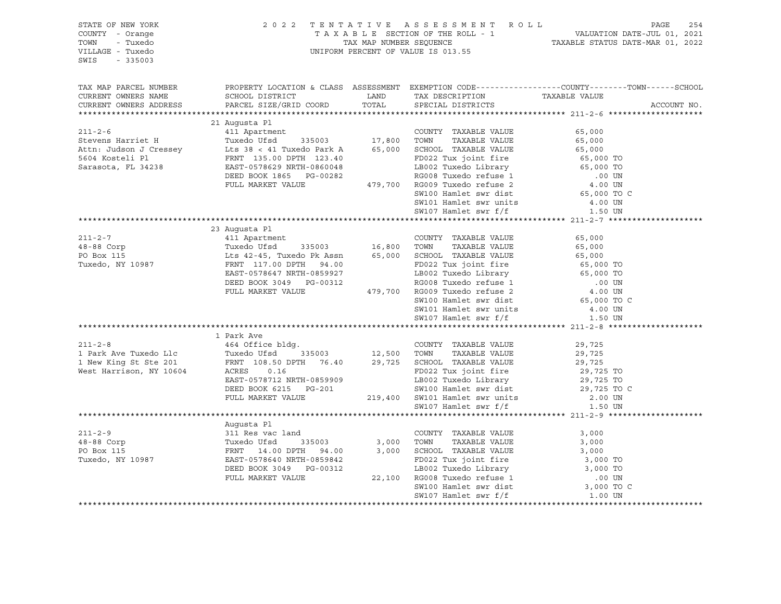| STATE OF NEW YORK<br>COUNTY - Orange<br>TOWN<br>- Tuxedo<br>VILLAGE - Tuxedo<br>SWIS<br>$-335003$ |                                                                                                                                                                                                                                                                                                                                                                                                                                     |                      | 2022 TENTATIVE ASSESSMENT ROLL<br>UNIFORM PERCENT OF VALUE IS 013.55               | PAGE<br>254                                                                                                                                               |
|---------------------------------------------------------------------------------------------------|-------------------------------------------------------------------------------------------------------------------------------------------------------------------------------------------------------------------------------------------------------------------------------------------------------------------------------------------------------------------------------------------------------------------------------------|----------------------|------------------------------------------------------------------------------------|-----------------------------------------------------------------------------------------------------------------------------------------------------------|
| CURRENT OWNERS NAME<br>CURRENT OWNERS ADDRESS                                                     | SCHOOL DISTRICT<br>PARCEL SIZE/GRID COORD                                                                                                                                                                                                                                                                                                                                                                                           | <b>LAND</b><br>TOTAL | TAX DESCRIPTION<br>SPECIAL DISTRICTS                                               | TAX MAP PARCEL NUMBER THE PROPERTY LOCATION & CLASS ASSESSMENT EXEMPTION CODE--------------COUNTY--------TOWN------SCHOOL<br>TAXABLE VALUE<br>ACCOUNT NO. |
|                                                                                                   |                                                                                                                                                                                                                                                                                                                                                                                                                                     |                      |                                                                                    |                                                                                                                                                           |
| $211 - 2 - 6$                                                                                     | 21 Augusta Pl<br>411 Apartment<br>211-2-6<br>211-2-6<br>211-2-6<br>211-2-6<br>26,000<br>26,000<br>26,000<br>26,000<br>26,000<br>26,000<br>26,000<br>2700 PD022<br>2700 PD022<br>2700 PD022<br>2700 PD022<br>2700 PD022<br>2700 PD022<br>2700 PD022<br>2700 PD022<br>2700 PD022<br>2700 PD022<br>2700 P                                                                                                                              |                      | COUNTY TAXABLE VALUE<br>SW100 Hamlet swr dist                                      | 65,000<br>65,000 TO C                                                                                                                                     |
|                                                                                                   |                                                                                                                                                                                                                                                                                                                                                                                                                                     |                      |                                                                                    |                                                                                                                                                           |
|                                                                                                   |                                                                                                                                                                                                                                                                                                                                                                                                                                     |                      |                                                                                    |                                                                                                                                                           |
|                                                                                                   |                                                                                                                                                                                                                                                                                                                                                                                                                                     |                      |                                                                                    |                                                                                                                                                           |
|                                                                                                   | 23 Augusta Pl                                                                                                                                                                                                                                                                                                                                                                                                                       |                      |                                                                                    |                                                                                                                                                           |
| $211 - 2 - 7$<br>48-88 Corp<br>PO Box 115<br>Tuxedo, NY 10987                                     | 411 Apartment<br>Tuxedo Ufsd 335003 16,800 TOWN TAXABLE VALUE<br>Lts 42-45, Tuxedo Pk Assn 65,000 SCHOOL TAXABLE VALUE<br>FRNT 117.00 DPTH 94.00 FD022 Tux joint fire<br>EAST-0578647 NRTH-0859927 LB002 Tuxedo Library<br>DEED BOOK 3049 PG-00312 RG008 Tuxedo refuse 1<br>FULL MARKET VALUE 479,700 RG009 Tuxedo refuse 2                                                                                                         |                      | CONCOL TAXABLE VALUE<br>FD022 Tux joint fire<br>LB002 Tuxedo Library<br>RG008 Ture | 65,000<br>65,000<br>65,000<br>65,000 TO<br>65,000 TO<br>00 UN.<br>4.00 UN                                                                                 |
|                                                                                                   |                                                                                                                                                                                                                                                                                                                                                                                                                                     |                      | SW100 Hamlet swr dist<br>SW101 Hamlet swr units<br>SW107 Hamlet swr f/f<br>1.50 UN | 65,000 TO C                                                                                                                                               |
|                                                                                                   |                                                                                                                                                                                                                                                                                                                                                                                                                                     |                      |                                                                                    |                                                                                                                                                           |
|                                                                                                   | 1 Park Ave<br>$\begin{tabular}{lcccc} $\angle$11$-$a$-$b$ & $\angle$ & $464$ \; 0ffice b1dg. & $\angle$ & $COUNTY$ & TAXABLE VALUE \\ & $\angle$ & $Tuxedo Ufsd$ & $335003 & $12,500$ & $TOWN$ & $TAXABLE VALUE \\ 1 New King St Ste 201 & \text{FRNT} & 108.50 DPTH & $76.40 & $29,725$ & $SCHOOL$ & TAXABLE VALUE \\ West Harrison, NY 10604 & $\triangle$CRES & 0.16 & $P022$ & $Tuv$ & $464$ & $C1UE \\ $Tuxedo Ufsd$ & $33500$ |                      |                                                                                    | 29,725<br>29,725<br>29,725<br>29,725 TO                                                                                                                   |
|                                                                                                   | EAST-0578712 NRTH-0859909<br>DEED BOOK 6215 PG-201<br>FULL MARKET VALUE 219,400 SW101 Hamlet swr units<br>SW107 Hamlet swr f/f                                                                                                                                                                                                                                                                                                      |                      | FD022 Tux joint fire<br>LB002 Tuxedo Library<br>SW100 Hamlet swr dist              | 29,725 TO<br>29,725 TO C<br>2.00 UN<br>1.50 UN                                                                                                            |
|                                                                                                   |                                                                                                                                                                                                                                                                                                                                                                                                                                     |                      |                                                                                    |                                                                                                                                                           |
|                                                                                                   | ${\small \begin{tabular}{lcccc} \textbf{11-2-9} & \textbf{Augusta PI} \\ \textbf{211-2-9} & \textbf{311 Res vac land} \\ \textbf{48-88 Corp} & \texttt{TuuedO Ufsd} & \texttt{335003} & \texttt{3,000 T0NNN} & \texttt{TXABLE VALUE} \\ \textbf{PO Box 115} & \texttt{FRNT} & \texttt{14.00 DPTH} & \texttt{94.00} & \texttt{3,000 SCHOOL TAXABLE VALUE} & \texttt{3,000 TO} \\ \texttt{RXedo, NY 10987} & \texttt{EBNS-1057$       |                      |                                                                                    |                                                                                                                                                           |
|                                                                                                   |                                                                                                                                                                                                                                                                                                                                                                                                                                     |                      |                                                                                    |                                                                                                                                                           |
|                                                                                                   |                                                                                                                                                                                                                                                                                                                                                                                                                                     |                      |                                                                                    |                                                                                                                                                           |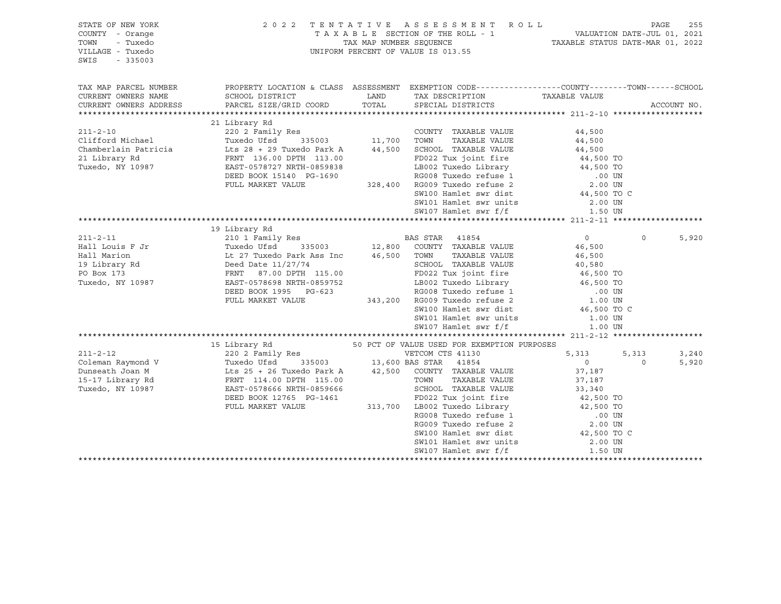| STATE OF NEW YORK<br>COUNTY - Orange<br>- Tuxedo<br>TOWN<br>VILLAGE - Tuxedo<br>SWIS<br>$-335003$ |                                                                                                                                                                                                                                                       |               | 2022 TENTATIVE ASSESSMENT ROLL PAGE 255<br>TAXABLE SECTION OF THE ROLL - 1 VALUATION DATE-JUL 01, 2021<br>TAX MAP NUMBER SEQUENCE TAXABLE STATUS DATE-MAR 01, 2022<br>UNIFORM PERCENT OF VALUE IS 013.55                                      |                                                                     |          |             |
|---------------------------------------------------------------------------------------------------|-------------------------------------------------------------------------------------------------------------------------------------------------------------------------------------------------------------------------------------------------------|---------------|-----------------------------------------------------------------------------------------------------------------------------------------------------------------------------------------------------------------------------------------------|---------------------------------------------------------------------|----------|-------------|
| TAX MAP PARCEL NUMBER                                                                             | PROPERTY LOCATION & CLASS ASSESSMENT EXEMPTION CODE----------------COUNTY-------TOWN------SCHOOL                                                                                                                                                      |               |                                                                                                                                                                                                                                               |                                                                     |          |             |
| CURRENT OWNERS NAME                                                                               |                                                                                                                                                                                                                                                       |               |                                                                                                                                                                                                                                               |                                                                     |          |             |
| CURRENT OWNERS ADDRESS                                                                            |                                                                                                                                                                                                                                                       |               |                                                                                                                                                                                                                                               |                                                                     |          | ACCOUNT NO. |
|                                                                                                   |                                                                                                                                                                                                                                                       |               |                                                                                                                                                                                                                                               |                                                                     |          |             |
|                                                                                                   | 21 Library Rd                                                                                                                                                                                                                                         |               |                                                                                                                                                                                                                                               |                                                                     |          |             |
| $211 - 2 - 10$                                                                                    |                                                                                                                                                                                                                                                       |               | COUNTY TAXABLE VALUE                                                                                                                                                                                                                          | 44,500                                                              |          |             |
| Clifford Michael                                                                                  | Tuxedo Ufsd                                                                                                                                                                                                                                           |               | TAXABLE VALUE                                                                                                                                                                                                                                 | 44,500                                                              |          |             |
|                                                                                                   | Chamberlain Patricia $\frac{126}{28} + \frac{29}{29}$ Tuxedo Park A $\frac{44}{500}$ SCHOOL TAXABLE VALUE                                                                                                                                             |               | 44,500 SCHOOL TAXABLE VALUE<br>FD022 Tux joint fire<br>LB002 Tuxedo Library<br>RG008 Tuxedo Library<br>RG008 Tuxedo refuse 1 00 UN<br>328,400 RG009 Tuxedo refuse 2 2.00 UN<br>SW100 Hamlet swr dist<br>44,500 TO C<br>SW101 Hamlet swr units |                                                                     |          |             |
| 21 Library Rd                                                                                     | FRNT 136.00 DPTH 113.00                                                                                                                                                                                                                               |               |                                                                                                                                                                                                                                               |                                                                     |          |             |
| Tuxedo, NY 10987                                                                                  | EAST-0578727 NRTH-0859838                                                                                                                                                                                                                             |               |                                                                                                                                                                                                                                               |                                                                     |          |             |
|                                                                                                   | DEED BOOK 15140 PG-1690<br>FULL MARKET VALUE                                                                                                                                                                                                          |               |                                                                                                                                                                                                                                               |                                                                     |          |             |
|                                                                                                   |                                                                                                                                                                                                                                                       |               |                                                                                                                                                                                                                                               |                                                                     |          |             |
|                                                                                                   |                                                                                                                                                                                                                                                       |               |                                                                                                                                                                                                                                               |                                                                     |          |             |
|                                                                                                   |                                                                                                                                                                                                                                                       |               |                                                                                                                                                                                                                                               |                                                                     |          |             |
|                                                                                                   |                                                                                                                                                                                                                                                       |               |                                                                                                                                                                                                                                               |                                                                     |          |             |
|                                                                                                   | 19 Library Rd                                                                                                                                                                                                                                         |               |                                                                                                                                                                                                                                               |                                                                     |          |             |
| $211 - 2 - 11$                                                                                    |                                                                                                                                                                                                                                                       |               |                                                                                                                                                                                                                                               | $\overline{0}$                                                      | $\Omega$ | 5,920       |
|                                                                                                   | And Arisonal Marion 210 1 Family Res<br>Hall Louis F Jr Tuxedo Ufsd 335003<br>Hall Marion 19 Library Rd Deed Date 11/27/74<br>PO Box 173 FRNT 87.00 DPTH 115.00<br>Tuxedo, NY 10987 EAST-0578698 NRTH-0859752                                         |               |                                                                                                                                                                                                                                               | 46,500                                                              |          |             |
|                                                                                                   |                                                                                                                                                                                                                                                       | $46,500$ TOWN |                                                                                                                                                                                                                                               | 46,500                                                              |          |             |
|                                                                                                   |                                                                                                                                                                                                                                                       |               | 46,500 TOWN TAXABLE VALUE<br>SCHOOL TAXABLE VALUE<br>115.00 FD022 Tux joint fire 46,500 TO<br>0859752 LB002 Tuxedo Library 46,500 TO<br>343,200 RG008 Tuxedo refuse 1 .00 UN<br>343,200 RG009 Tuxedo refuse 2 1.00 UN<br>2000 TO              |                                                                     |          |             |
|                                                                                                   |                                                                                                                                                                                                                                                       |               |                                                                                                                                                                                                                                               |                                                                     |          |             |
|                                                                                                   |                                                                                                                                                                                                                                                       |               |                                                                                                                                                                                                                                               |                                                                     |          |             |
|                                                                                                   | DEED BOOK 1995 PG-623                                                                                                                                                                                                                                 |               |                                                                                                                                                                                                                                               |                                                                     |          |             |
|                                                                                                   | FULL MARKET VALUE                                                                                                                                                                                                                                     |               |                                                                                                                                                                                                                                               |                                                                     |          |             |
|                                                                                                   |                                                                                                                                                                                                                                                       |               |                                                                                                                                                                                                                                               |                                                                     |          |             |
|                                                                                                   |                                                                                                                                                                                                                                                       |               |                                                                                                                                                                                                                                               | SW100 Hamlet swr dist 46,500 TO C<br>SW101 Hamlet swr units 1.00 UN |          |             |
|                                                                                                   |                                                                                                                                                                                                                                                       |               | SW107 Hamlet swr f/f                                                                                                                                                                                                                          | 1.00 UN                                                             |          |             |
|                                                                                                   |                                                                                                                                                                                                                                                       |               |                                                                                                                                                                                                                                               |                                                                     |          |             |
|                                                                                                   | 15 Library Rd                                                                                                                                                                                                                                         |               | 50 PCT OF VALUE USED FOR EXEMPTION PURPOSES                                                                                                                                                                                                   |                                                                     |          |             |
|                                                                                                   | 211-2-12<br>Coleman Raymond V<br>Coleman Raymond V<br>Tuxedo Ufsd 335003<br>Dunseath Joan M<br>Lts 25 + 26 Tuxedo Park A<br>13,600 BAS STAR 41854<br>13,600 BAS STAR 41854<br>13,500 COUNTY TAXABLE VALUE<br>15-17 Library Rd<br>15-17 Library Rd<br> |               |                                                                                                                                                                                                                                               | 5,313                                                               | 5,313    | 3,240       |
|                                                                                                   |                                                                                                                                                                                                                                                       |               |                                                                                                                                                                                                                                               | $\circ$                                                             | $\Omega$ | 5,920       |
|                                                                                                   |                                                                                                                                                                                                                                                       |               |                                                                                                                                                                                                                                               | 37,187                                                              |          |             |
|                                                                                                   |                                                                                                                                                                                                                                                       |               |                                                                                                                                                                                                                                               | 37,187<br>33,34v<br>42,500 TO<br>10 500 TO                          |          |             |
| Tuxedo, NY 10987                                                                                  | EAST-0578666 NRTH-0859666                                                                                                                                                                                                                             |               | SCHOOL TAXABLE VALUE                                                                                                                                                                                                                          |                                                                     |          |             |
|                                                                                                   | DEED BOOK 12765 PG-1461                                                                                                                                                                                                                               |               |                                                                                                                                                                                                                                               |                                                                     |          |             |
|                                                                                                   | FULL MARKET VALUE                                                                                                                                                                                                                                     |               |                                                                                                                                                                                                                                               |                                                                     |          |             |
|                                                                                                   |                                                                                                                                                                                                                                                       |               |                                                                                                                                                                                                                                               |                                                                     |          |             |
|                                                                                                   |                                                                                                                                                                                                                                                       |               | 313,700 FD022 Tux joint fire<br>313,700 LB002 Tuxedo Library<br>RG008 Tuxedo refuse 1 .00 UN<br>RG009 Tuxedo refuse 2 2.00 UN<br>CW100 Hamlet swr dist 42,500 TO                                                                              |                                                                     |          |             |
|                                                                                                   |                                                                                                                                                                                                                                                       |               |                                                                                                                                                                                                                                               |                                                                     |          |             |
|                                                                                                   |                                                                                                                                                                                                                                                       |               | SW101 Hamlet swr units                                                                                                                                                                                                                        | 2.00 UN                                                             |          |             |
|                                                                                                   |                                                                                                                                                                                                                                                       |               | SW107 Hamlet swr f/f                                                                                                                                                                                                                          | 1.50 UN                                                             |          |             |
|                                                                                                   |                                                                                                                                                                                                                                                       |               |                                                                                                                                                                                                                                               |                                                                     |          |             |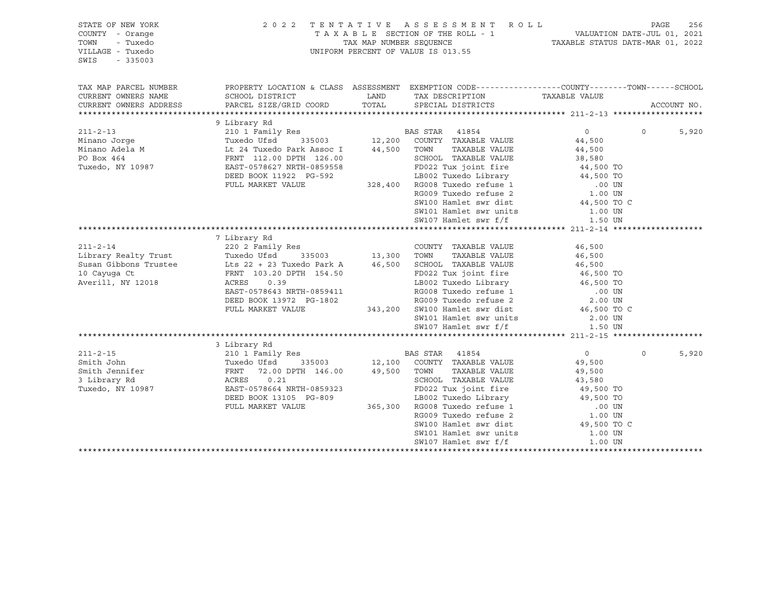| STATE OF NEW YORK<br>COUNTY - Orange<br>TOWN<br>- Tuxedo<br>VILLAGE - Tuxedo<br>SWIS<br>$-335003$ |                                                                                                  |      | 2022 TENTATIVE ASSESSMENT ROLL<br>T A X A B L E SECTION OF THE ROLL - 1<br>TAX MAP NUMBER SEQUENCE - 1 VALUATION DATE-JUL 01, 2021<br>TAX MAP NUMBER SEQUENCE - TAXABLE STATUS DATE-MAR 01, 2022<br>UNIFORM PERCENT OF VALUE IS 013.55 |                     | PAGE     | 256         |
|---------------------------------------------------------------------------------------------------|--------------------------------------------------------------------------------------------------|------|----------------------------------------------------------------------------------------------------------------------------------------------------------------------------------------------------------------------------------------|---------------------|----------|-------------|
| TAX MAP PARCEL NUMBER                                                                             | PROPERTY LOCATION & CLASS ASSESSMENT EXEMPTION CODE----------------COUNTY-------TOWN------SCHOOL |      |                                                                                                                                                                                                                                        |                     |          |             |
| CURRENT OWNERS NAME                                                                               | SCHOOL DISTRICT                                                                                  | LAND | TAX DESCRIPTION TAXABLE VALUE                                                                                                                                                                                                          |                     |          |             |
| CURRENT OWNERS ADDRESS                                                                            | PARCEL SIZE/GRID COORD TOTAL SPECIAL DISTRICTS                                                   |      |                                                                                                                                                                                                                                        |                     |          | ACCOUNT NO. |
|                                                                                                   | 9 Library Rd                                                                                     |      |                                                                                                                                                                                                                                        |                     |          |             |
|                                                                                                   |                                                                                                  |      |                                                                                                                                                                                                                                        | $\Omega$            | $\Omega$ | 5,920       |
|                                                                                                   |                                                                                                  |      |                                                                                                                                                                                                                                        | 44,500              |          |             |
|                                                                                                   |                                                                                                  |      |                                                                                                                                                                                                                                        | 44,500              |          |             |
|                                                                                                   | FRNT 112.00 DPTH 126.00                                                                          |      |                                                                                                                                                                                                                                        |                     |          |             |
| PO Box 464<br>Tuxedo, NY 10987                                                                    | EAST-0578627 NRTH-0859558                                                                        |      | SCHOOL TAXABLE VALUE 38,580<br>FD022 Tux joint fire 44,500 TO                                                                                                                                                                          |                     |          |             |
|                                                                                                   | DEED BOOK 11922 PG-592                                                                           |      |                                                                                                                                                                                                                                        |                     |          |             |
|                                                                                                   | FULL MARKET VALUE                                                                                |      |                                                                                                                                                                                                                                        |                     |          |             |
|                                                                                                   |                                                                                                  |      |                                                                                                                                                                                                                                        |                     |          |             |
|                                                                                                   |                                                                                                  |      | 92<br>19802 Tuxedo Library<br>19802 Tuxedo Library<br>328,400 RG008 Tuxedo refuse 1<br>RG009 Tuxedo refuse 2<br>SW100 Hamlet swr dist<br>44,500 TO UN<br>44,500 TO UN                                                                  |                     |          |             |
|                                                                                                   |                                                                                                  |      |                                                                                                                                                                                                                                        | 1.00 UN             |          |             |
|                                                                                                   |                                                                                                  |      | SW101 Hamlet swr units<br>SW107 Hamlet swr f/f                                                                                                                                                                                         | 1.50 UN             |          |             |
|                                                                                                   |                                                                                                  |      |                                                                                                                                                                                                                                        |                     |          |             |
|                                                                                                   | 7 Library Rd                                                                                     |      |                                                                                                                                                                                                                                        |                     |          |             |
|                                                                                                   |                                                                                                  |      | COUNTY TAXABLE VALUE                                                                                                                                                                                                                   | 46,500<br>46,500    |          |             |
| 211-2-14 COUNT 220 2 Family Res COUNT<br>Library Realty Trust Tuxedo Ufsd 335003 13,300 TOWN      |                                                                                                  |      | TAXABLE VALUE                                                                                                                                                                                                                          | 46,500              |          |             |
|                                                                                                   |                                                                                                  |      |                                                                                                                                                                                                                                        | 46,500<br>46,500 TO |          |             |
| 10 Cayuqa Ct                                                                                      | FRNT 103.20 DPTH 154.50                                                                          |      | FD022 Tux joint fire                                                                                                                                                                                                                   |                     |          |             |
| Averill, NY 12018                                                                                 | 0.39<br>ACRES                                                                                    |      | FD022 Tux joint life the control of the control of the control of RG008 Tuxedo refuse 1 and 100 UN RG009 Tuxedo refuse 2 and 2.00 UN SW100 Hamlet swr dist that the state of the control of the control of the control of the          |                     |          |             |
|                                                                                                   | EAST-0578643 NRTH-0859411                                                                        |      |                                                                                                                                                                                                                                        |                     |          |             |
|                                                                                                   |                                                                                                  |      |                                                                                                                                                                                                                                        |                     |          |             |
|                                                                                                   | DEED BOOK 13972 PG-1802 RG009 Tuxedo refuse 2<br>FULL MARKET VALUE 343,200 SW100 Hamlet swr dist |      |                                                                                                                                                                                                                                        |                     |          |             |
|                                                                                                   |                                                                                                  |      | SW101 Hamlet swr units 2.00 UN                                                                                                                                                                                                         |                     |          |             |
|                                                                                                   |                                                                                                  |      | SW107 Hamlet swr f/f                                                                                                                                                                                                                   | 1.50 UN             |          |             |
|                                                                                                   |                                                                                                  |      |                                                                                                                                                                                                                                        |                     |          |             |
|                                                                                                   | 3 Library Rd                                                                                     |      |                                                                                                                                                                                                                                        |                     |          |             |
|                                                                                                   |                                                                                                  |      |                                                                                                                                                                                                                                        | $\overline{0}$      | $\Omega$ | 5,920       |
|                                                                                                   |                                                                                                  |      |                                                                                                                                                                                                                                        | 49,500              |          |             |
|                                                                                                   |                                                                                                  |      | TOWN INANALLE VALUE<br>SCHOOL TAXABLE VALUE                                                                                                                                                                                            | 49,500              |          |             |
| 3 Library Rd                                                                                      | ACRES 0.21                                                                                       |      |                                                                                                                                                                                                                                        | 43,580<br>49,500 TO |          |             |
| Tuxedo, NY 10987                                                                                  | EAST-0578664 NRTH-0859323                                                                        |      | FD022 Tux joint fire                                                                                                                                                                                                                   |                     |          |             |
|                                                                                                   | DEED BOOK 13105 PG-809                                                                           |      |                                                                                                                                                                                                                                        |                     |          |             |
|                                                                                                   | FULL MARKET VALUE                                                                                |      |                                                                                                                                                                                                                                        |                     |          |             |
|                                                                                                   |                                                                                                  |      | 365,300 EBO02 Tuxedo Library 49,500 TO<br>365,300 RG008 Tuxedo Library 49,500 TO<br>RG009 Tuxedo refuse 1 .00 UN<br>SW100 Hamlet swr dist 49,500 TO C                                                                                  |                     |          |             |
|                                                                                                   |                                                                                                  |      |                                                                                                                                                                                                                                        |                     |          |             |
|                                                                                                   |                                                                                                  |      | SW101 Hamlet swr units                                                                                                                                                                                                                 | 1.00 UN             |          |             |
|                                                                                                   |                                                                                                  |      | SW107 Hamlet swr f/f                                                                                                                                                                                                                   | 1.00 UN             |          |             |
|                                                                                                   |                                                                                                  |      |                                                                                                                                                                                                                                        |                     |          |             |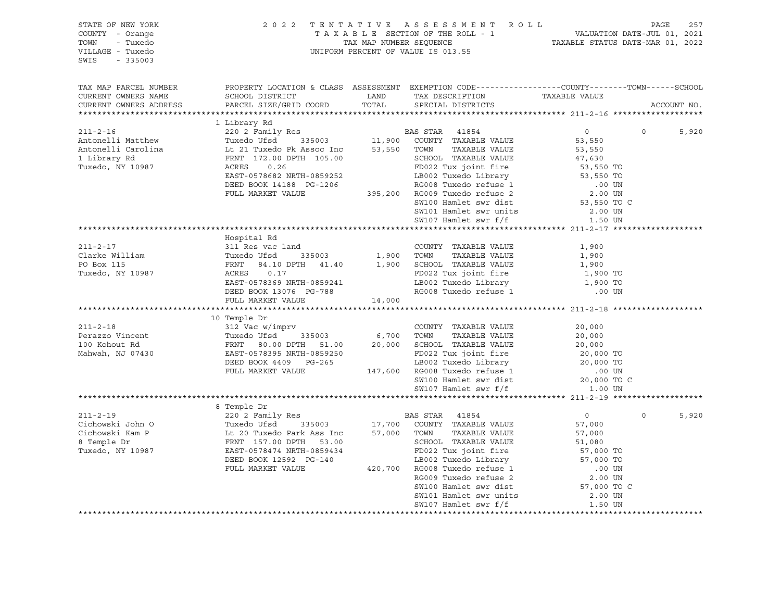| STATE OF NEW YORK<br>COUNTY - Orange<br>TOWN<br>- Tuxedo<br>VILLAGE - Tuxedo<br>SWIS<br>$-335003$ |                                                                                                                                                                                                                                                                                                                                                                                                                                     | 2022 TENTATIVE ASSESSMENT ROLL PAGE 257<br>TAXABLE SECTION OF THE ROLL - 1 VALUATION DATE-JUL 01, 2021<br>TAX MAP NUMBER SEQUENCE TAXABLE STATUS DATE-MAR 01, 2022<br>UNIFORM PERCENT OF VALUE IS 013.55 |                  |         |             |
|---------------------------------------------------------------------------------------------------|-------------------------------------------------------------------------------------------------------------------------------------------------------------------------------------------------------------------------------------------------------------------------------------------------------------------------------------------------------------------------------------------------------------------------------------|----------------------------------------------------------------------------------------------------------------------------------------------------------------------------------------------------------|------------------|---------|-------------|
| TAX MAP PARCEL NUMBER<br>CURRENT OWNERS NAME<br>CURRENT OWNERS ADDRESS                            | PROPERTY LOCATION & CLASS ASSESSMENT EXEMPTION CODE----------------COUNTY-------TOWN------SCHOOL                                                                                                                                                                                                                                                                                                                                    |                                                                                                                                                                                                          |                  |         | ACCOUNT NO. |
|                                                                                                   |                                                                                                                                                                                                                                                                                                                                                                                                                                     |                                                                                                                                                                                                          |                  |         |             |
|                                                                                                   |                                                                                                                                                                                                                                                                                                                                                                                                                                     |                                                                                                                                                                                                          |                  |         |             |
|                                                                                                   |                                                                                                                                                                                                                                                                                                                                                                                                                                     |                                                                                                                                                                                                          | $\overline{0}$ 0 |         | 5,920       |
|                                                                                                   |                                                                                                                                                                                                                                                                                                                                                                                                                                     |                                                                                                                                                                                                          |                  |         |             |
|                                                                                                   |                                                                                                                                                                                                                                                                                                                                                                                                                                     |                                                                                                                                                                                                          |                  |         |             |
|                                                                                                   |                                                                                                                                                                                                                                                                                                                                                                                                                                     |                                                                                                                                                                                                          |                  |         |             |
|                                                                                                   |                                                                                                                                                                                                                                                                                                                                                                                                                                     |                                                                                                                                                                                                          |                  |         |             |
|                                                                                                   |                                                                                                                                                                                                                                                                                                                                                                                                                                     |                                                                                                                                                                                                          |                  |         |             |
|                                                                                                   |                                                                                                                                                                                                                                                                                                                                                                                                                                     |                                                                                                                                                                                                          |                  |         |             |
|                                                                                                   |                                                                                                                                                                                                                                                                                                                                                                                                                                     |                                                                                                                                                                                                          |                  |         |             |
|                                                                                                   |                                                                                                                                                                                                                                                                                                                                                                                                                                     |                                                                                                                                                                                                          |                  |         |             |
|                                                                                                   |                                                                                                                                                                                                                                                                                                                                                                                                                                     |                                                                                                                                                                                                          |                  |         |             |
|                                                                                                   |                                                                                                                                                                                                                                                                                                                                                                                                                                     |                                                                                                                                                                                                          |                  |         |             |
|                                                                                                   | Hospital Rd                                                                                                                                                                                                                                                                                                                                                                                                                         |                                                                                                                                                                                                          |                  |         |             |
|                                                                                                   |                                                                                                                                                                                                                                                                                                                                                                                                                                     | COUNTY TAXABLE VALUE                                                                                                                                                                                     | 1,900            |         |             |
|                                                                                                   |                                                                                                                                                                                                                                                                                                                                                                                                                                     | TAXABLE VALUE                                                                                                                                                                                            | 1,900            |         |             |
|                                                                                                   |                                                                                                                                                                                                                                                                                                                                                                                                                                     |                                                                                                                                                                                                          | 1,900            |         |             |
|                                                                                                   | 211-2-17<br>211-2-17<br>211-2-17<br>211-2-17<br>211-2-17<br>211-2-17<br>211-2-17<br>211-2-17<br>211-2-17<br>211-2-17<br>211-2-17<br>211-2-17<br>211-2-17<br>211-2-17<br>211-2-17<br>211-2-17<br>211-2-17<br>22 TWN TAXABLE VALUE<br>21.900 TOWN TAXABLE VALUE<br>21.<br>ACRES 0.17<br>EAST-0578369 NRTH-0859241<br>DEED BOOK 13076 PG-788<br>DEED BOOK 13076 PG-788<br>RG008 Tuxedo refuse 1 (00 UN                                 |                                                                                                                                                                                                          |                  |         |             |
|                                                                                                   |                                                                                                                                                                                                                                                                                                                                                                                                                                     |                                                                                                                                                                                                          |                  |         |             |
|                                                                                                   |                                                                                                                                                                                                                                                                                                                                                                                                                                     |                                                                                                                                                                                                          |                  |         |             |
|                                                                                                   | FULL MARKET VALUE 14,000                                                                                                                                                                                                                                                                                                                                                                                                            |                                                                                                                                                                                                          |                  |         |             |
|                                                                                                   | 10 Temple Dr                                                                                                                                                                                                                                                                                                                                                                                                                        |                                                                                                                                                                                                          |                  |         |             |
|                                                                                                   |                                                                                                                                                                                                                                                                                                                                                                                                                                     |                                                                                                                                                                                                          |                  |         |             |
|                                                                                                   |                                                                                                                                                                                                                                                                                                                                                                                                                                     |                                                                                                                                                                                                          |                  |         |             |
|                                                                                                   |                                                                                                                                                                                                                                                                                                                                                                                                                                     |                                                                                                                                                                                                          |                  |         |             |
|                                                                                                   |                                                                                                                                                                                                                                                                                                                                                                                                                                     |                                                                                                                                                                                                          |                  |         |             |
|                                                                                                   |                                                                                                                                                                                                                                                                                                                                                                                                                                     |                                                                                                                                                                                                          |                  |         |             |
|                                                                                                   |                                                                                                                                                                                                                                                                                                                                                                                                                                     |                                                                                                                                                                                                          |                  |         |             |
|                                                                                                   |                                                                                                                                                                                                                                                                                                                                                                                                                                     |                                                                                                                                                                                                          |                  |         |             |
|                                                                                                   | $\begin{tabular}{lcccc} \bf 211-2-18 & & & 10 Temple Dr & & & \bf 20,000 \\ \bf 211-2-18 & & & 12 Vec with & 335003 & 6,700 TWNN & TAXABLE VALUE & 20,000 \\ \bf 100 Kohout Rd & & FNNT & & 335003 & 6,700 TWNN & TAXABLE VALUE & 20,000 \\ \bf 100 Kohout Rd & & FNNT & & 80.00 DPTH & 51.00 & 20,000 SCHOOL TAXABLE VALUE & 20,000 T0 \\ \bf 20,000 T0 & & & 2000 T0 & &$                                                         |                                                                                                                                                                                                          |                  |         |             |
|                                                                                                   |                                                                                                                                                                                                                                                                                                                                                                                                                                     |                                                                                                                                                                                                          |                  |         |             |
|                                                                                                   |                                                                                                                                                                                                                                                                                                                                                                                                                                     |                                                                                                                                                                                                          |                  | $\circ$ | 5,920       |
|                                                                                                   |                                                                                                                                                                                                                                                                                                                                                                                                                                     |                                                                                                                                                                                                          |                  |         |             |
|                                                                                                   |                                                                                                                                                                                                                                                                                                                                                                                                                                     |                                                                                                                                                                                                          |                  |         |             |
|                                                                                                   |                                                                                                                                                                                                                                                                                                                                                                                                                                     |                                                                                                                                                                                                          |                  |         |             |
|                                                                                                   | $\begin{tabular}{lcccc} \texttt{7777112} \texttt{78713} & \texttt{87} & \texttt{R} & \texttt{R} & \texttt{R} & \texttt{9} \\ \texttt{211-2-19} & \texttt{220 2 Family Res} & \texttt{BAS STAR} & \texttt{41854} & \texttt{0} \\ \texttt{Cichowski } \texttt{Kam } P & \texttt{Lt 20 Tused UER} & \texttt{57,000} & \texttt{COWITY} & \texttt{TAXABLE VALUE} & \texttt{57,000} \\ \texttt{Cichowski } \texttt{Kam } P & \texttt{Lt $ |                                                                                                                                                                                                          |                  |         |             |
|                                                                                                   |                                                                                                                                                                                                                                                                                                                                                                                                                                     |                                                                                                                                                                                                          |                  |         |             |
|                                                                                                   |                                                                                                                                                                                                                                                                                                                                                                                                                                     |                                                                                                                                                                                                          |                  |         |             |
|                                                                                                   |                                                                                                                                                                                                                                                                                                                                                                                                                                     |                                                                                                                                                                                                          |                  |         |             |
|                                                                                                   |                                                                                                                                                                                                                                                                                                                                                                                                                                     |                                                                                                                                                                                                          |                  |         |             |
|                                                                                                   |                                                                                                                                                                                                                                                                                                                                                                                                                                     | SW101 Hamlet swr units                                                                                                                                                                                   | 2.00 UN          |         |             |
|                                                                                                   |                                                                                                                                                                                                                                                                                                                                                                                                                                     |                                                                                                                                                                                                          |                  |         |             |
|                                                                                                   |                                                                                                                                                                                                                                                                                                                                                                                                                                     |                                                                                                                                                                                                          |                  |         |             |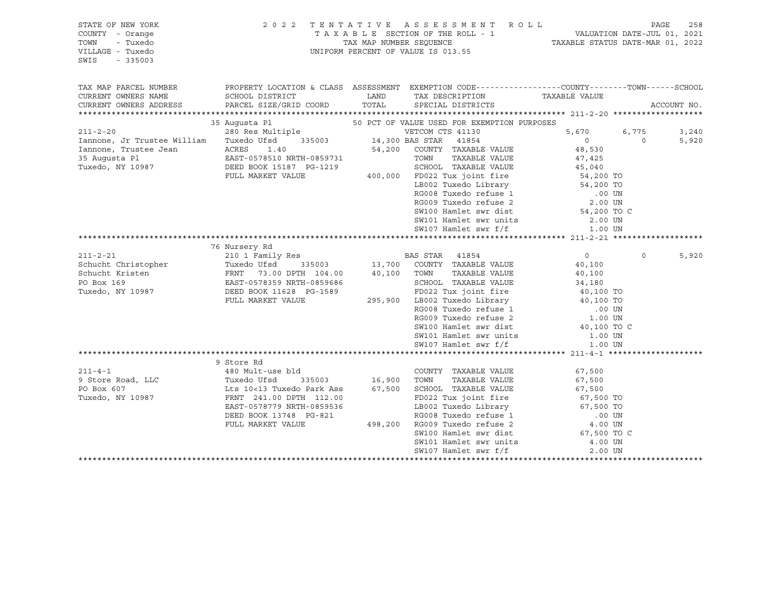| STATE OF NEW YORK<br>COUNTY - Orange<br>TOWN<br>- Tuxedo<br>VILLAGE - Tuxedo<br>$-335003$<br>SWIS | 2 0 2 2                                                                                           | TAX MAP NUMBER SEQUENCE | TENTATIVE ASSESSMENT ROLL<br>TAXABLE SECTION OF THE ROLL - 1<br>UNIFORM PERCENT OF VALUE IS 013.55 | VALUATION DATE-JUL 01, 2021<br>TAXABLE STATUS DATE-MAR 01, 2022 | PAGE     | 258         |
|---------------------------------------------------------------------------------------------------|---------------------------------------------------------------------------------------------------|-------------------------|----------------------------------------------------------------------------------------------------|-----------------------------------------------------------------|----------|-------------|
| TAX MAP PARCEL NUMBER                                                                             | PROPERTY LOCATION & CLASS ASSESSMENT EXEMPTION CODE-----------------COUNTY-------TOWN------SCHOOL |                         |                                                                                                    |                                                                 |          |             |
| CURRENT OWNERS NAME<br>CURRENT OWNERS ADDRESS                                                     | SCHOOL DISTRICT<br>PARCEL SIZE/GRID COORD                                                         | LAND<br>TOTAL           | TAX DESCRIPTION<br>SPECIAL DISTRICTS                                                               | TAXABLE VALUE                                                   |          | ACCOUNT NO. |
|                                                                                                   |                                                                                                   |                         |                                                                                                    |                                                                 |          |             |
|                                                                                                   | 35 Augusta Pl                                                                                     |                         | 50 PCT OF VALUE USED FOR EXEMPTION PURPOSES                                                        |                                                                 |          |             |
| $211 - 2 - 20$                                                                                    | 280 Res Multiple                                                                                  |                         | VETCOM CTS 41130                                                                                   | 5,670                                                           | 6,775    | 3,240       |
| Iannone, Jr Trustee William                                                                       | Tuxedo Ufsd                                                                                       | 335003 14,300 BAS STAR  | 41854                                                                                              | $\circ$                                                         | $\Omega$ | 5,920       |
| Iannone, Trustee Jean                                                                             | ACRES<br>1.40                                                                                     |                         | 54,200 COUNTY TAXABLE VALUE                                                                        | 48,530                                                          |          |             |
| 35 Augusta Pl                                                                                     | EAST-0578510 NRTH-0859731                                                                         |                         | TOWN<br>TAXABLE VALUE                                                                              | 47,425                                                          |          |             |
| Tuxedo, NY 10987                                                                                  | DEED BOOK 15187 PG-1219                                                                           |                         | SCHOOL TAXABLE VALUE                                                                               | 45,040                                                          |          |             |
|                                                                                                   | FULL MARKET VALUE                                                                                 |                         | 400,000 FD022 Tux joint fire                                                                       | $54,200$ TO                                                     |          |             |
|                                                                                                   |                                                                                                   |                         | LB002 Tuxedo Library 54,200 TO                                                                     |                                                                 |          |             |
|                                                                                                   |                                                                                                   |                         | RG008 Tuxedo refuse 1<br>RG009 Tuxedo refuse 2                                                     | .00 UN                                                          |          |             |
|                                                                                                   |                                                                                                   |                         | SW100 Hamlet swr dist                                                                              | 2.00 UN<br>54,200 TO C                                          |          |             |
|                                                                                                   |                                                                                                   |                         |                                                                                                    | 2.00 UN                                                         |          |             |
|                                                                                                   |                                                                                                   |                         | SW101 Hamlet swr units<br>SW107 Hamlet swr f/f                                                     | 1.00 UN                                                         |          |             |
|                                                                                                   |                                                                                                   |                         |                                                                                                    |                                                                 |          |             |
|                                                                                                   | 76 Nursery Rd                                                                                     |                         |                                                                                                    |                                                                 |          |             |
| $211 - 2 - 21$                                                                                    | 210 1 Family Res                                                                                  |                         | BAS STAR 41854                                                                                     | $\circ$                                                         | $\circ$  | 5,920       |
| Schucht Christopher                                                                               | Tuxedo Ufsd<br>335003                                                                             |                         | 13,700 COUNTY TAXABLE VALUE                                                                        | 40,100                                                          |          |             |
| Schucht Kristen                                                                                   | FRNT 73.00 DPTH 104.00                                                                            | 40,100 TOWN             | TAXABLE VALUE                                                                                      | 40,100                                                          |          |             |
| PO Box 169                                                                                        | EAST-0578359 NRTH-0859686                                                                         |                         | SCHOOL TAXABLE VALUE                                                                               | 34,180                                                          |          |             |
| Tuxedo, NY 10987                                                                                  | DEED BOOK 11628 PG-1589                                                                           |                         | FD022 Tux joint fire                                                                               | 40,100 TO                                                       |          |             |
|                                                                                                   | FULL MARKET VALUE                                                                                 |                         | rpuzz ida juli<br>295,900 LB002 Tuxedo Library<br>2000 Timedo refuse 1                             | 40,100 TO                                                       |          |             |
|                                                                                                   |                                                                                                   |                         |                                                                                                    | .00 UN                                                          |          |             |
|                                                                                                   |                                                                                                   |                         | RG009 Tuxedo refuse 2                                                                              | 1.00 UN                                                         |          |             |
|                                                                                                   |                                                                                                   |                         | SW100 Hamlet swr dist                                                                              | 40,100 TO C                                                     |          |             |
|                                                                                                   |                                                                                                   |                         | SW101 Hamlet swr units<br>SW107 Hamlet swr f/f                                                     | 1.00 UN<br>1.00 UN                                              |          |             |
|                                                                                                   |                                                                                                   |                         |                                                                                                    |                                                                 |          |             |
|                                                                                                   | 9 Store Rd                                                                                        |                         |                                                                                                    |                                                                 |          |             |
| $211 - 4 - 1$                                                                                     | 480 Mult-use bld                                                                                  |                         | COUNTY TAXABLE VALUE                                                                               | 67,500                                                          |          |             |
| 9 Store Road, LLC                                                                                 | Tuxedo Ufsd<br>335003                                                                             | 16,900 TOWN             | TAXABLE VALUE                                                                                      | 67,500                                                          |          |             |
| PO Box 607                                                                                        | Lts 10<13 Tuxedo Park Ass                                                                         |                         | 67,500 SCHOOL TAXABLE VALUE                                                                        | 67,500                                                          |          |             |
| Tuxedo, NY 10987                                                                                  | FRNT 241.00 DPTH 112.00                                                                           |                         | FD022 Tux joint fire                                                                               | 67,500 TO                                                       |          |             |
|                                                                                                   | EAST-0578779 NRTH-0859536                                                                         |                         | LB002 Tuxedo Library                                                                               | 67,500 TO                                                       |          |             |
|                                                                                                   | DEED BOOK 13748 PG-821                                                                            |                         | RG008 Tuxedo refuse 1<br>RG009 Tuxedo refuse 2                                                     | .00 UN                                                          |          |             |
|                                                                                                   | FULL MARKET VALUE                                                                                 | 498,200                 |                                                                                                    | 4.00 UN                                                         |          |             |
|                                                                                                   |                                                                                                   |                         | SW100 Hamlet swr dist                                                                              | 67,500 TO C                                                     |          |             |
|                                                                                                   |                                                                                                   |                         | SW101 Hamlet swr units                                                                             | 4.00 UN                                                         |          |             |
|                                                                                                   |                                                                                                   |                         | SW107 Hamlet swr f/f                                                                               | 2.00 UN                                                         |          |             |

\*\*\*\*\*\*\*\*\*\*\*\*\*\*\*\*\*\*\*\*\*\*\*\*\*\*\*\*\*\*\*\*\*\*\*\*\*\*\*\*\*\*\*\*\*\*\*\*\*\*\*\*\*\*\*\*\*\*\*\*\*\*\*\*\*\*\*\*\*\*\*\*\*\*\*\*\*\*\*\*\*\*\*\*\*\*\*\*\*\*\*\*\*\*\*\*\*\*\*\*\*\*\*\*\*\*\*\*\*\*\*\*\*\*\*\*\*\*\*\*\*\*\*\*\*\*\*\*\*\*\*\*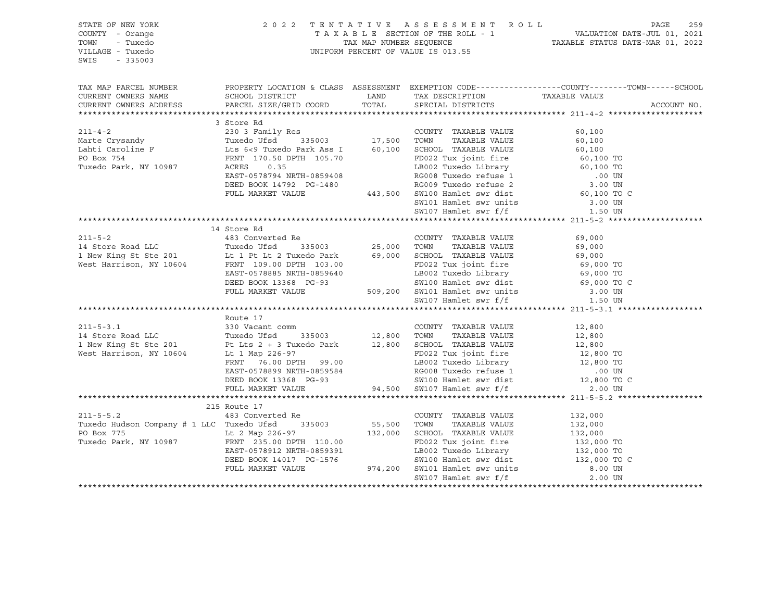STATE OF NEW YORK 2 0 2 2 T E N T A T I V E A S S E S S M E N T R O L L PAGE 259 COUNTY - Orange T A X A B L E SECTION OF THE ROLL - 1 VALUATION DATE-JUL 01, 2021 TOWN - Tuxedo TAX MAP NUMBER SEQUENCE TAXABLE STATUS DATE-MAR 01, 2022 UNIFORM PERCENT OF VALUE IS 013.55 SWIS - 335003 TAX MAP PARCEL NUMBER PROPERTY LOCATION & CLASS ASSESSMENT EXEMPTION CODE------------------COUNTY--------TOWN------SCHOOL CURRENT OWNERS NAME SCHOOL DISTRICT LAND TAX DESCRIPTION TAXABLE VALUE CURRENT OWNERS ADDRESS PARCEL SIZE/GRID COORD TOTAL SPECIAL DISTRICTS ACCOUNT NO. \*\*\*\*\*\*\*\*\*\*\*\*\*\*\*\*\*\*\*\*\*\*\*\*\*\*\*\*\*\*\*\*\*\*\*\*\*\*\*\*\*\*\*\*\*\*\*\*\*\*\*\*\*\*\*\*\*\*\*\*\*\*\*\*\*\*\*\*\*\*\*\*\*\*\*\*\*\*\*\*\*\*\*\*\*\*\*\*\*\*\*\*\*\*\*\*\*\*\*\*\*\*\* 211-4-2 \*\*\*\*\*\*\*\*\*\*\*\*\*\*\*\*\*\*\*\* 3 Store Rd 211-4-2 230 3 Family Res COUNTY TAXABLE VALUE 60,100 Marte Crysandy Tuxedo Ufsd 335003 17,500 TOWN TAXABLE VALUE 60,100 Lahti Caroline F Lts 6<9 Tuxedo Park Ass I 60,100 SCHOOL TAXABLE VALUE 60,100 PO Box 754 FRNT 170.50 DPTH 105.70 FD022 Tux joint fire 60,100 TO Tuxedo Park, NY 10987 ACRES 0.35 LB002 Tuxedo Library 60,100 TO EAST-0578794 NRTH-0859408 RG008 Tuxedo refuse 1 .00 UN DEED BOOK 14792 PG-1480 <br>RG009 Tuxedo refuse 2 FULL MARKET VALUE 443,500 SW100 Hamlet swr dist 60,100 TO C SW101 Hamlet swr units 3.00 UN SW107 Hamlet swr f/f 1.50 UN \*\*\*\*\*\*\*\*\*\*\*\*\*\*\*\*\*\*\*\*\*\*\*\*\*\*\*\*\*\*\*\*\*\*\*\*\*\*\*\*\*\*\*\*\*\*\*\*\*\*\*\*\*\*\*\*\*\*\*\*\*\*\*\*\*\*\*\*\*\*\*\*\*\*\*\*\*\*\*\*\*\*\*\*\*\*\*\*\*\*\*\*\*\*\*\*\*\*\*\*\*\*\* 211-5-2 \*\*\*\*\*\*\*\*\*\*\*\*\*\*\*\*\*\*\*\* 14 Store Rd 211-5-2 483 Converted Re COUNTY TAXABLE VALUE 69,000 14 Store Road LLC Tuxedo Ufsd 335003 25,000 TOWN TAXABLE VALUE 69,000 1 New King St Ste 201 Lt 1 Pt Lt 2 Tuxedo Park 69,000 SCHOOL TAXABLE VALUE 69,000 69,000 TO<br>
West Harrison, NY 10604 FRNT 109.00 DPTH 103.00 FD022 Tux joint fire 69,000 TO West Harrison, NY 10604 FRNT 109.00 DPTH 103.00 FD022 Tux joint fire 69,000 TO EAST-0578885 NRTH-0859640 LB002 Tuxedo Library 69,000 TO DEED BOOK 13368 PG-93 SW100 Hamlet swr dist 69,000 TO C FULL MARKET VALUE 509,200 SW101 Hamlet swr units 3.00 UN SW107 Hamlet swr f/f  $1.50$  UN \*\*\*\*\*\*\*\*\*\*\*\*\*\*\*\*\*\*\*\*\*\*\*\*\*\*\*\*\*\*\*\*\*\*\*\*\*\*\*\*\*\*\*\*\*\*\*\*\*\*\*\*\*\*\*\*\*\*\*\*\*\*\*\*\*\*\*\*\*\*\*\*\*\*\*\*\*\*\*\*\*\*\*\*\*\*\*\*\*\*\*\*\*\*\*\*\*\*\*\*\*\*\* 211-5-3.1 \*\*\*\*\*\*\*\*\*\*\*\*\*\*\*\*\*\* Route 17<br>330 Vacant comm 211-5-3.1 330 Vacant comm COUNTY TAXABLE VALUE 12,800 14 Store Road LLC Tuxedo Ufsd 335003 12,800 TOWN TAXABLE VALUE 12,800 1 New King St Ste 201 Pt Lts 2 + 3 Tuxedo Park 12,800 SCHOOL TAXABLE VALUE 12,800 West Harrison, NY 10604 Lt 1 Map 226-97 FD022 Tux joint fire 12,800 TO FRNT 76.00 DPTH 99.00 LB002 Tuxedo Library 12,800 TO EAST-0578899 NRTH-0859584 RG008 Tuxedo refuse 1 .00 UN DEED BOOK 13368 PG-93 SW100 Hamlet swr dist 12,800 TO C FULL MARKET VALUE 94,500 SW107 Hamlet swr f/f 2.00 UN \*\*\*\*\*\*\*\*\*\*\*\*\*\*\*\*\*\*\*\*\*\*\*\*\*\*\*\*\*\*\*\*\*\*\*\*\*\*\*\*\*\*\*\*\*\*\*\*\*\*\*\*\*\*\*\*\*\*\*\*\*\*\*\*\*\*\*\*\*\*\*\*\*\*\*\*\*\*\*\*\*\*\*\*\*\*\*\*\*\*\*\*\*\*\*\*\*\*\*\*\*\*\* 211-5-5.2 \*\*\*\*\*\*\*\*\*\*\*\*\*\*\*\*\*\* 215 Route 17 211-5-5.2 483 Converted Re COUNTY TAXABLE VALUE 132,000 Tuxedo Hudson Company # 1 LLC Tuxedo Ufsd 335003 55,500 TOWN TAXABLE VALUE 132,000 PO Box 775 Lt 2 Map 226-97 132,000 SCHOOL TAXABLE VALUE 132,000 Tuxedo Park, NY 10987 FRNT 235.00 DPTH 110.00 FD022 Tux joint fire 132,000 TO EAST-0578912 NRTH-0859391 LB002 Tuxedo Library 132,000 TO DEED BOOK 14017 PG-1576 SW100 Hamlet swr dist 132,000 TO C FULL MARKET VALUE 974,200 SW101 Hamlet swr units 8.00 UN SW107 Hamlet swr  $f/f$  2.00 UN \*\*\*\*\*\*\*\*\*\*\*\*\*\*\*\*\*\*\*\*\*\*\*\*\*\*\*\*\*\*\*\*\*\*\*\*\*\*\*\*\*\*\*\*\*\*\*\*\*\*\*\*\*\*\*\*\*\*\*\*\*\*\*\*\*\*\*\*\*\*\*\*\*\*\*\*\*\*\*\*\*\*\*\*\*\*\*\*\*\*\*\*\*\*\*\*\*\*\*\*\*\*\*\*\*\*\*\*\*\*\*\*\*\*\*\*\*\*\*\*\*\*\*\*\*\*\*\*\*\*\*\*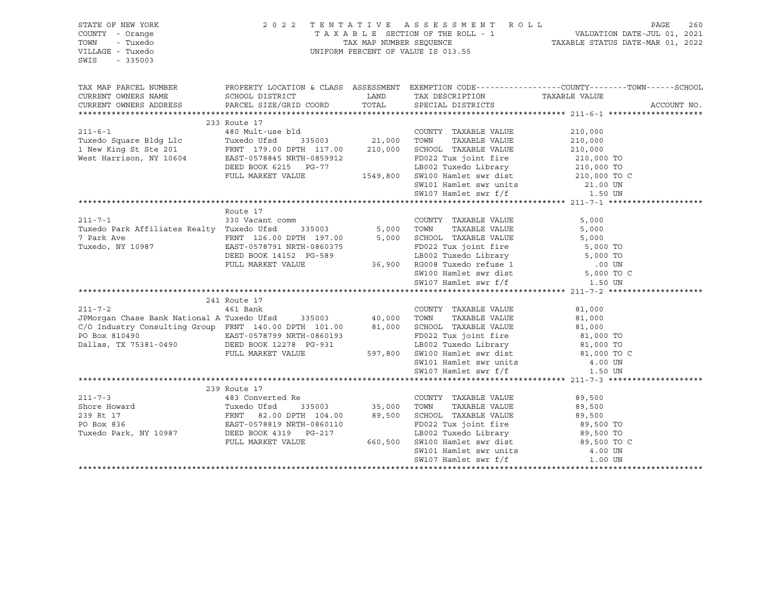| STATE OF NEW YORK<br>COUNTY - Orange<br>TOWN<br>- Tuxedo<br>VILLAGE - Tuxedo<br>SWIS<br>$-335003$                                                                                                                                    | 2 0 2 2                                                                                                                                                                                                                                 |         | TENTATIVE ASSESSMENT ROLL<br>UNIFORM PERCENT OF VALUE IS 013.55                                                                                                                 | PAGE<br>260<br>TAXABLE SECTION OF THE ROLL - 1<br>TAXABLE SECTION OF THE ROLL - 1<br>TAXABLE STATUS DATE-MAR 01, 2022 |
|--------------------------------------------------------------------------------------------------------------------------------------------------------------------------------------------------------------------------------------|-----------------------------------------------------------------------------------------------------------------------------------------------------------------------------------------------------------------------------------------|---------|---------------------------------------------------------------------------------------------------------------------------------------------------------------------------------|-----------------------------------------------------------------------------------------------------------------------|
| TAX MAP PARCEL NUMBER                                                                                                                                                                                                                |                                                                                                                                                                                                                                         |         |                                                                                                                                                                                 | PROPERTY LOCATION & CLASS ASSESSMENT EXEMPTION CODE---------------COUNTY-------TOWN-----SCHOOL                        |
| CURRENT OWNERS NAME                                                                                                                                                                                                                  | SCHOOL DISTRICT                                                                                                                                                                                                                         | LAND    | TAX DESCRIPTION                                                                                                                                                                 | TAXABLE VALUE                                                                                                         |
| CURRENT OWNERS ADDRESS                                                                                                                                                                                                               | PARCEL SIZE/GRID COORD                                                                                                                                                                                                                  | TOTAL   | SPECIAL DISTRICTS                                                                                                                                                               | ACCOUNT NO.                                                                                                           |
|                                                                                                                                                                                                                                      |                                                                                                                                                                                                                                         |         |                                                                                                                                                                                 |                                                                                                                       |
| $211 - 6 - 1$                                                                                                                                                                                                                        | 233 Route 17<br>480 Mult-use bld                                                                                                                                                                                                        |         |                                                                                                                                                                                 |                                                                                                                       |
|                                                                                                                                                                                                                                      |                                                                                                                                                                                                                                         |         | COUNTY TAXABLE VALUE                                                                                                                                                            | 210,000                                                                                                               |
|                                                                                                                                                                                                                                      |                                                                                                                                                                                                                                         |         |                                                                                                                                                                                 | 210,000<br>210,000                                                                                                    |
|                                                                                                                                                                                                                                      |                                                                                                                                                                                                                                         |         |                                                                                                                                                                                 |                                                                                                                       |
| West Harrison, NY 10604 EAST-0578845 NRTH-0859912<br>DEED BOOK 6215 PG-77                                                                                                                                                            |                                                                                                                                                                                                                                         |         |                                                                                                                                                                                 |                                                                                                                       |
|                                                                                                                                                                                                                                      | FULL MARKET VALUE                                                                                                                                                                                                                       |         |                                                                                                                                                                                 |                                                                                                                       |
|                                                                                                                                                                                                                                      |                                                                                                                                                                                                                                         |         |                                                                                                                                                                                 |                                                                                                                       |
|                                                                                                                                                                                                                                      |                                                                                                                                                                                                                                         |         | ED022 Tux joint fire<br>ED022 Tux joint fire<br>LB002 Tuxedo Library<br>1549,800 SW100 Hamlet swr dist<br>SW101 Hamlet swr units<br>21.00 UN<br>SW107 Hamlet swr f/f<br>1.50 UN |                                                                                                                       |
|                                                                                                                                                                                                                                      |                                                                                                                                                                                                                                         |         |                                                                                                                                                                                 |                                                                                                                       |
|                                                                                                                                                                                                                                      | Route 17                                                                                                                                                                                                                                |         |                                                                                                                                                                                 |                                                                                                                       |
| $211 - 7 - 1$                                                                                                                                                                                                                        | 330 Vacant comm                                                                                                                                                                                                                         |         | COUNTY TAXABLE VALUE                                                                                                                                                            | 5,000                                                                                                                 |
| Tuxedo Park Affiliates Realty Tuxedo Ufsd 335003 5,000 TOWN                                                                                                                                                                          |                                                                                                                                                                                                                                         |         | TAXABLE VALUE                                                                                                                                                                   | 5,000                                                                                                                 |
|                                                                                                                                                                                                                                      |                                                                                                                                                                                                                                         |         |                                                                                                                                                                                 |                                                                                                                       |
|                                                                                                                                                                                                                                      | EAST-0578791 NRTH-0860375<br>DEED BOOK 14152 PG-589<br>FULL MARKET VALUE 36,900 RG008 Tuxedo Library 5,000 TO<br>FULL MARKET VALUE 36,900 RG008 Tuxedo refuse 1 .00 UN<br>SW100 Hamlet swr dist 5,000 TO C<br>SW107 Hamlet swr f/f 1.50 |         |                                                                                                                                                                                 |                                                                                                                       |
|                                                                                                                                                                                                                                      |                                                                                                                                                                                                                                         |         |                                                                                                                                                                                 |                                                                                                                       |
|                                                                                                                                                                                                                                      |                                                                                                                                                                                                                                         |         |                                                                                                                                                                                 |                                                                                                                       |
|                                                                                                                                                                                                                                      |                                                                                                                                                                                                                                         |         |                                                                                                                                                                                 |                                                                                                                       |
|                                                                                                                                                                                                                                      |                                                                                                                                                                                                                                         |         |                                                                                                                                                                                 |                                                                                                                       |
|                                                                                                                                                                                                                                      | 241 Route 17                                                                                                                                                                                                                            |         |                                                                                                                                                                                 |                                                                                                                       |
|                                                                                                                                                                                                                                      |                                                                                                                                                                                                                                         |         | COUNTY TAXABLE VALUE                                                                                                                                                            | 81,000                                                                                                                |
|                                                                                                                                                                                                                                      |                                                                                                                                                                                                                                         |         | TAXABLE VALUE<br>TOWN                                                                                                                                                           | 81,000                                                                                                                |
| 461 Bank<br>JPMorgan Chase Bank National A Tuxedo Ufsd 335003 40,000<br>C/O Industry Consulting Group FRNT 140.00 Banks 10000                                                                                                        |                                                                                                                                                                                                                                         |         | SCHOOL TAXABLE VALUE                                                                                                                                                            |                                                                                                                       |
| PO Box 810490                                                                                                                                                                                                                        |                                                                                                                                                                                                                                         |         | SCHOOL TAXABLE VALUE<br>FD022 Tux joint fire 81,000 TO<br>- 34 Library 81,000 TO                                                                                                |                                                                                                                       |
| Dallas, TX 75381-0490                                                                                                                                                                                                                |                                                                                                                                                                                                                                         |         |                                                                                                                                                                                 |                                                                                                                       |
|                                                                                                                                                                                                                                      | FULL MARKET VALUE                                                                                                                                                                                                                       | 597,800 | LB002 Tuxedo Library 81,000 TO<br>SW100 Hamlet swr dist 81,000 TO C                                                                                                             |                                                                                                                       |
|                                                                                                                                                                                                                                      |                                                                                                                                                                                                                                         |         | SW101 Hamlet swr units<br>SW107 Hamlet swr f/f                                                                                                                                  | 4.00 UN                                                                                                               |
|                                                                                                                                                                                                                                      |                                                                                                                                                                                                                                         |         |                                                                                                                                                                                 | 1.50 UN                                                                                                               |
|                                                                                                                                                                                                                                      |                                                                                                                                                                                                                                         |         |                                                                                                                                                                                 |                                                                                                                       |
|                                                                                                                                                                                                                                      | 239 Route 17                                                                                                                                                                                                                            |         |                                                                                                                                                                                 |                                                                                                                       |
| $211 - 7 - 3$                                                                                                                                                                                                                        | 483 Converted Re                                                                                                                                                                                                                        |         | COUNTY TAXABLE VALUE                                                                                                                                                            | 89,500                                                                                                                |
| Shore Howard Tuxedo Ufsd 335003 35,000 TOWN TAXABLE VALUE<br>239 Rt 17 FRNT 82.00 DPTH 104.00 89,500 SCHOOL TAXABLE VALUE<br>PO Box 836 EAST-0578819 NRTH-0860110 FD022 Tux joint fire<br>Tuxedo Park, NY 10987 DEED BOOK 4319 PG-21 |                                                                                                                                                                                                                                         |         |                                                                                                                                                                                 | 89,500                                                                                                                |
|                                                                                                                                                                                                                                      |                                                                                                                                                                                                                                         |         | 89,500 SCHOOL TAXABLE VALUE                                                                                                                                                     | 89,500                                                                                                                |
|                                                                                                                                                                                                                                      |                                                                                                                                                                                                                                         |         | FD022 Tux joint fire 89,500 TO<br>LB002 Tuxedo Library 89,500 TO                                                                                                                |                                                                                                                       |
|                                                                                                                                                                                                                                      |                                                                                                                                                                                                                                         |         |                                                                                                                                                                                 | 89,500 TO C                                                                                                           |
|                                                                                                                                                                                                                                      | FULL MARKET VALUE                                                                                                                                                                                                                       |         | 660,500 SW100 Hamlet swr dist<br>SW101 Hamlet swr units                                                                                                                         | 4.00 UN                                                                                                               |
|                                                                                                                                                                                                                                      |                                                                                                                                                                                                                                         |         | SW107 Hamlet swr f/f                                                                                                                                                            | 1.00 UN                                                                                                               |
|                                                                                                                                                                                                                                      |                                                                                                                                                                                                                                         |         |                                                                                                                                                                                 |                                                                                                                       |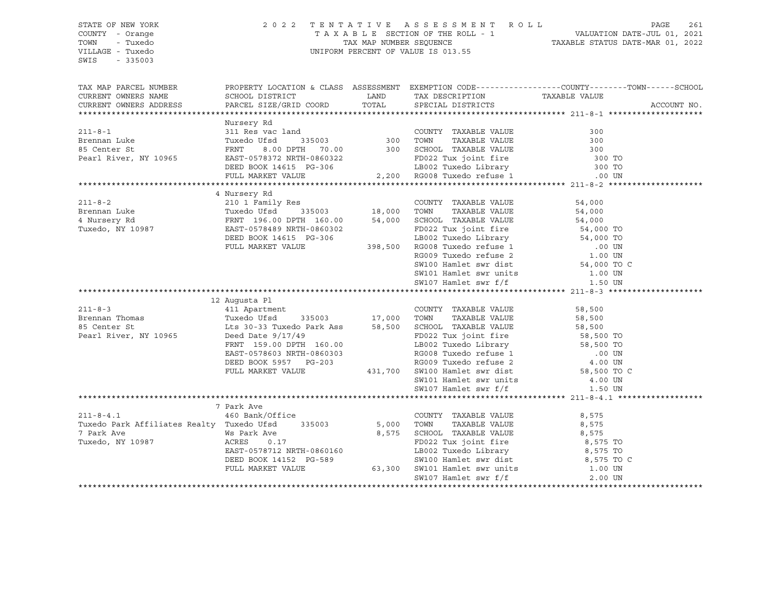SWIS - 335003

#### STATE OF NEW YORK 2 0 2 2 T E N T A T I V E A S S E S S M E N T R O L L PAGE 261 COUNTY - Orange T A X A B L E SECTION OF THE ROLL - 1 VALUATION DATE-JUL 01, 2021 TOWN - Tuxedo TAX MAP NUMBER SEQUENCE TAXABLE STATUS DATE-MAR 01, 2022 VILLAGE - Tuxedo UNIFORM PERCENT OF VALUE IS 013.55

| TAX MAP PARCEL NUMBER<br>CURRENT OWNERS NAME     |                                                                                                                                                                                                                                        |         | TAX DESCRIPTION TAXABLE VALUE<br>SPECIAL DISTRICTS                                                                                                                                                                                               | PROPERTY LOCATION & CLASS ASSESSMENT EXEMPTION CODE----------------COUNTY-------TOWN------SCHOOL |
|--------------------------------------------------|----------------------------------------------------------------------------------------------------------------------------------------------------------------------------------------------------------------------------------------|---------|--------------------------------------------------------------------------------------------------------------------------------------------------------------------------------------------------------------------------------------------------|--------------------------------------------------------------------------------------------------|
| CURRENT OWNERS ADDRESS                           |                                                                                                                                                                                                                                        |         |                                                                                                                                                                                                                                                  | ACCOUNT NO.                                                                                      |
|                                                  |                                                                                                                                                                                                                                        |         |                                                                                                                                                                                                                                                  |                                                                                                  |
|                                                  | Nursery Rd                                                                                                                                                                                                                             |         |                                                                                                                                                                                                                                                  |                                                                                                  |
| $211 - 8 - 1$                                    | 311 Res vac land                                                                                                                                                                                                                       |         | COUNTY TAXABLE VALUE                                                                                                                                                                                                                             | 300                                                                                              |
| Brennan Luke                                     |                                                                                                                                                                                                                                        |         |                                                                                                                                                                                                                                                  |                                                                                                  |
| 85 Center St                                     | 311 Res Vac January 1990<br>TRAT 8.00 DPTH 70.00 300 TOWN TAXABLE VALUE 300<br>FRNT 8.00 DPTH 70.00 300 SCHOOL TAXABLE VALUE 300<br>EAST-0578372 NRTH-0860322 FD022 Tux joint fire 300 TO<br>DEED BOOK 14615 PG-306 LB002 Tuxedo Libra |         |                                                                                                                                                                                                                                                  |                                                                                                  |
| Pearl River, NY 10965                            |                                                                                                                                                                                                                                        |         |                                                                                                                                                                                                                                                  |                                                                                                  |
|                                                  |                                                                                                                                                                                                                                        |         |                                                                                                                                                                                                                                                  |                                                                                                  |
|                                                  |                                                                                                                                                                                                                                        |         |                                                                                                                                                                                                                                                  |                                                                                                  |
|                                                  | 4 Nursery Rd                                                                                                                                                                                                                           |         |                                                                                                                                                                                                                                                  |                                                                                                  |
| $211 - 8 - 2$                                    | 210 1 Family Res                                                                                                                                                                                                                       |         | COUNTY TAXABLE VALUE 54,000                                                                                                                                                                                                                      |                                                                                                  |
|                                                  |                                                                                                                                                                                                                                        |         | TOWN TAXABLE VALUE                                                                                                                                                                                                                               |                                                                                                  |
|                                                  | 335003 18,000                                                                                                                                                                                                                          |         | SCHOOL TAXABLE VALUE                                                                                                                                                                                                                             | 54,000<br>54,000                                                                                 |
|                                                  |                                                                                                                                                                                                                                        |         | FD022 Tux joint fire 54,000 TO                                                                                                                                                                                                                   |                                                                                                  |
|                                                  | DEED BOOK 14615 PG-306                                                                                                                                                                                                                 |         |                                                                                                                                                                                                                                                  |                                                                                                  |
|                                                  | FULL MARKET VALUE                                                                                                                                                                                                                      | 398,500 |                                                                                                                                                                                                                                                  |                                                                                                  |
|                                                  |                                                                                                                                                                                                                                        |         |                                                                                                                                                                                                                                                  |                                                                                                  |
|                                                  |                                                                                                                                                                                                                                        |         | 19002 Tuxedo Library 54,000 TO<br>RG008 Tuxedo refuse 1 000 UN<br>RG009 Tuxedo refuse 2 1.00 UN<br>SW100 Hamlet swr dist 54,000 TO C                                                                                                             |                                                                                                  |
|                                                  |                                                                                                                                                                                                                                        |         | SW101 Hamlet swr units 1.00 UN                                                                                                                                                                                                                   |                                                                                                  |
|                                                  |                                                                                                                                                                                                                                        |         | SW107 Hamlet swr f/f                                                                                                                                                                                                                             | 1.50 UN                                                                                          |
|                                                  |                                                                                                                                                                                                                                        |         |                                                                                                                                                                                                                                                  |                                                                                                  |
|                                                  |                                                                                                                                                                                                                                        |         |                                                                                                                                                                                                                                                  |                                                                                                  |
|                                                  |                                                                                                                                                                                                                                        |         |                                                                                                                                                                                                                                                  |                                                                                                  |
| $211 - 8 - 3$                                    | 12 Augusta Pl                                                                                                                                                                                                                          |         | COUNTY TAXABLE VALUE                                                                                                                                                                                                                             | 58,500                                                                                           |
| Brennan Thomas                                   |                                                                                                                                                                                                                                        |         | TAXABLE VALUE 58,500<br>TOWN                                                                                                                                                                                                                     |                                                                                                  |
| 85 Center St                                     |                                                                                                                                                                                                                                        |         |                                                                                                                                                                                                                                                  |                                                                                                  |
| Pearl River, NY 10965                            |                                                                                                                                                                                                                                        |         |                                                                                                                                                                                                                                                  |                                                                                                  |
|                                                  | 12 11 Apartment<br>Tuxedo Ufsd 335003 17,000<br>Lts 30-33 Tuxedo Park Ass 58,500<br>Deed Date 9/17/49<br>FRNT 159.00 DPTH 160.00                                                                                                       |         | SCHOOL TAXABLE VALUE 58,500<br>FD022 Tux joint fire 58,500 TO                                                                                                                                                                                    |                                                                                                  |
|                                                  |                                                                                                                                                                                                                                        |         |                                                                                                                                                                                                                                                  |                                                                                                  |
|                                                  |                                                                                                                                                                                                                                        |         |                                                                                                                                                                                                                                                  |                                                                                                  |
|                                                  | EAST-0578603 NRTH-0860303<br>DEED BOOK 5957 PG-203<br>FULL MARKET VALUE                                                                                                                                                                |         |                                                                                                                                                                                                                                                  |                                                                                                  |
|                                                  |                                                                                                                                                                                                                                        |         |                                                                                                                                                                                                                                                  |                                                                                                  |
|                                                  |                                                                                                                                                                                                                                        |         | FD022 Tux joint fire<br>160.00 LB002 Tuxedo Library 58,500 TO<br>160.00 RG008 Tuxedo Library 58,500 TO<br>17-203 RG009 Tuxedo refuse 2 4.00 UN<br>431,700 SW100 Hamlet swr dist<br>58,500 TO C<br>4.00 UN<br>58,500 TO C<br>4.00 UN<br>58,500 TO | 1.50 UN                                                                                          |
|                                                  |                                                                                                                                                                                                                                        |         | SW107 Hamlet swr f/f                                                                                                                                                                                                                             |                                                                                                  |
|                                                  | 7 Park Ave                                                                                                                                                                                                                             |         |                                                                                                                                                                                                                                                  |                                                                                                  |
| $211 - 8 - 4.1$                                  | 460 Bank/Office                                                                                                                                                                                                                        |         | COUNTY TAXABLE VALUE                                                                                                                                                                                                                             | 8,575                                                                                            |
| Tuxedo Park Affiliates Realty Tuxedo Ufsd 335003 |                                                                                                                                                                                                                                        | 5,000   | TAXABLE VALUE<br>TOWN                                                                                                                                                                                                                            | 8,575                                                                                            |
| 7 Park Ave                                       | Ws Park Ave                                                                                                                                                                                                                            | 8,575   | SCHOOL TAXABLE VALUE                                                                                                                                                                                                                             | 8,575                                                                                            |
| Tuxedo, NY 10987                                 | ACRES<br>0.17                                                                                                                                                                                                                          |         |                                                                                                                                                                                                                                                  |                                                                                                  |
|                                                  | EAST-0578712 NRTH-0860160                                                                                                                                                                                                              |         |                                                                                                                                                                                                                                                  |                                                                                                  |
|                                                  |                                                                                                                                                                                                                                        |         |                                                                                                                                                                                                                                                  |                                                                                                  |
|                                                  | FULL MARKET VALUE                                                                                                                                                                                                                      |         |                                                                                                                                                                                                                                                  |                                                                                                  |
|                                                  |                                                                                                                                                                                                                                        |         | 0860160<br>FD022 Tux joint fire<br>FD022 Tux joint fire<br>B002 Tuxedo Library<br>S-589<br>SW100 Hamlet swr dist<br>63,300 SW101 Hamlet swr units<br>SW107 Hamlet swr f/f<br>2.00 UN                                                             |                                                                                                  |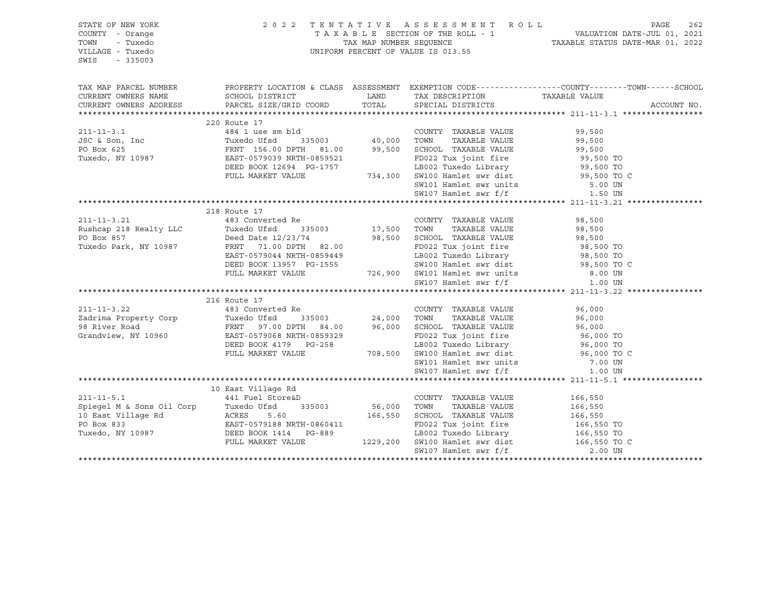| STATE OF NEW YORK<br>COUNTY - Orange<br>TOWN<br>- Tuxedo<br>VILLAGE - Tuxedo<br>SWIS<br>$-335003$                                                                                                                                                | 2 0 2 2                                                                                                                                                                                          | TENTATIVE ASSESSMENT ROLL<br>TAXABLE SECTION OF THE ROLL - 1<br>TAXABLE STATUS DATE-JUL 01, 2021<br>TAXABLE STATUS DATE-MAR 01, 2022<br>UNIFORM PERCENT OF VALUE IS 013.55                                                                   |         | PAGE<br>262 |
|--------------------------------------------------------------------------------------------------------------------------------------------------------------------------------------------------------------------------------------------------|--------------------------------------------------------------------------------------------------------------------------------------------------------------------------------------------------|----------------------------------------------------------------------------------------------------------------------------------------------------------------------------------------------------------------------------------------------|---------|-------------|
| TAX MAP PARCEL NUMBER                                                                                                                                                                                                                            |                                                                                                                                                                                                  | PROPERTY LOCATION & CLASS ASSESSMENT EXEMPTION CODE----------------COUNTY-------TOWN-----SCHOOL                                                                                                                                              |         |             |
| CURRENT OWNERS NAME<br>CURRENT OWNERS ADDRESS                                                                                                                                                                                                    | SCHOOL DISTRICT<br>PARCEL SIZE/GRID COORD                                                                                                                                                        |                                                                                                                                                                                                                                              |         | ACCOUNT NO. |
|                                                                                                                                                                                                                                                  |                                                                                                                                                                                                  |                                                                                                                                                                                                                                              |         |             |
|                                                                                                                                                                                                                                                  | 220 Route 17                                                                                                                                                                                     |                                                                                                                                                                                                                                              |         |             |
| $211 - 11 - 3.1$                                                                                                                                                                                                                                 | 484 1 use sm bld<br>Tuxedo Ufsd 335003 40,000 TOWN TAXABLE VALUE 99,500<br>FRNT 156.00 DPTH 81.00 99,500 SCHOOL TAXABLE VALUE 99,500<br>EAST-0579039 NRTH-0859521 FD022 Tux joint fire 99,500 TO |                                                                                                                                                                                                                                              |         |             |
| JSC & Son, Inc<br>PO Box 625<br>Tuxedo, NY 10987                                                                                                                                                                                                 |                                                                                                                                                                                                  |                                                                                                                                                                                                                                              |         |             |
|                                                                                                                                                                                                                                                  |                                                                                                                                                                                                  |                                                                                                                                                                                                                                              |         |             |
|                                                                                                                                                                                                                                                  |                                                                                                                                                                                                  | EAST-0579039 NRTH-0859521 FD022 Tux joint fire 99,500 TO<br>DEED BOOK 12694 PG-1757 LB002 Tuxedo Library 99,500 TO<br>FULL MARKET VALUE 734,300 SW100 Hamlet swr dist 99,500 TO C                                                            |         |             |
|                                                                                                                                                                                                                                                  |                                                                                                                                                                                                  |                                                                                                                                                                                                                                              |         |             |
|                                                                                                                                                                                                                                                  |                                                                                                                                                                                                  |                                                                                                                                                                                                                                              |         |             |
|                                                                                                                                                                                                                                                  |                                                                                                                                                                                                  | SW101 Hamlet swr units 5.00 UN<br>SW107 Hamlet swr f/f 1.50 UN                                                                                                                                                                               |         |             |
|                                                                                                                                                                                                                                                  |                                                                                                                                                                                                  |                                                                                                                                                                                                                                              |         |             |
|                                                                                                                                                                                                                                                  | 218 Route 17                                                                                                                                                                                     |                                                                                                                                                                                                                                              |         |             |
| 211-11-3.21 (a) 483 Converted Re (COUNTY Rushcap 218 Realty LLC Tuxedo Ufsd (335003 (217,500 TOWN)                                                                                                                                               |                                                                                                                                                                                                  | COUNTY TAXABLE VALUE                                                                                                                                                                                                                         | 98,500  |             |
|                                                                                                                                                                                                                                                  |                                                                                                                                                                                                  | TAXABLE VALUE                                                                                                                                                                                                                                | 98,500  |             |
| PO Box 857                                                                                                                                                                                                                                       |                                                                                                                                                                                                  |                                                                                                                                                                                                                                              |         |             |
| Tuxedo Park, NY 10987                                                                                                                                                                                                                            |                                                                                                                                                                                                  | Deed Date 12/23/74 98,500 SCHOOL TAXABLE VALUE 98,500<br>FRNT 71.00 DPTH 82.00 FD022 Tux joint fire 98,500 TO                                                                                                                                |         |             |
|                                                                                                                                                                                                                                                  |                                                                                                                                                                                                  |                                                                                                                                                                                                                                              |         |             |
|                                                                                                                                                                                                                                                  |                                                                                                                                                                                                  |                                                                                                                                                                                                                                              |         |             |
|                                                                                                                                                                                                                                                  |                                                                                                                                                                                                  |                                                                                                                                                                                                                                              |         |             |
|                                                                                                                                                                                                                                                  |                                                                                                                                                                                                  | Deed Date 12/23/74<br>FRNT 71.00 DPTH 82.00<br>EAST-0579044 NRTH-0859449<br>DEED BOOK 13957 PG-1555<br>FULL MARKET VALUE 726,900 SW101 Hamlet swr dist 8.00 UN<br>SW107 Hamlet swr f/f 1.00 UN<br>SW107 Hamlet swr f/f 1.00 UN<br>SW107 Haml |         |             |
|                                                                                                                                                                                                                                                  |                                                                                                                                                                                                  |                                                                                                                                                                                                                                              |         |             |
|                                                                                                                                                                                                                                                  | 216 Route 17                                                                                                                                                                                     |                                                                                                                                                                                                                                              |         |             |
|                                                                                                                                                                                                                                                  |                                                                                                                                                                                                  |                                                                                                                                                                                                                                              |         |             |
|                                                                                                                                                                                                                                                  |                                                                                                                                                                                                  |                                                                                                                                                                                                                                              |         |             |
|                                                                                                                                                                                                                                                  |                                                                                                                                                                                                  |                                                                                                                                                                                                                                              |         |             |
| 211-11-3.22<br>24,000 TOWN TAXABLE VALUE<br>24,000 TOWN TAXABLE VALUE<br>24,000 TOWN TAXABLE VALUE<br>24,000 TOWN TAXABLE VALUE<br>24,000 TOWN TAXABLE VALUE<br>26,000 TOWN TAXABLE VALUE<br>26,000 TO<br>24,000 TOWN TAXABLE VALUE<br>26,000 TO |                                                                                                                                                                                                  |                                                                                                                                                                                                                                              |         |             |
|                                                                                                                                                                                                                                                  |                                                                                                                                                                                                  | -258 LB002 Tuxedo Library 96,000 TO<br>708,500 SW100 Hamlet swr dist 96,000 TO C                                                                                                                                                             |         |             |
|                                                                                                                                                                                                                                                  | FULL MARKET VALUE                                                                                                                                                                                | SW101 Hamlet swr units                                                                                                                                                                                                                       |         |             |
|                                                                                                                                                                                                                                                  |                                                                                                                                                                                                  | SW107 Hamlet swr f/f 1.00 UN                                                                                                                                                                                                                 | 7.00 UN |             |
|                                                                                                                                                                                                                                                  |                                                                                                                                                                                                  |                                                                                                                                                                                                                                              |         |             |
|                                                                                                                                                                                                                                                  | 10 East Village Rd                                                                                                                                                                               |                                                                                                                                                                                                                                              |         |             |
| $211 - 11 - 5.1$                                                                                                                                                                                                                                 | 441 Fuel Store&D                                                                                                                                                                                 | COUNTY TAXABLE VALUE                                                                                                                                                                                                                         | 166,550 |             |
|                                                                                                                                                                                                                                                  |                                                                                                                                                                                                  |                                                                                                                                                                                                                                              |         |             |
|                                                                                                                                                                                                                                                  |                                                                                                                                                                                                  |                                                                                                                                                                                                                                              |         |             |
|                                                                                                                                                                                                                                                  |                                                                                                                                                                                                  |                                                                                                                                                                                                                                              |         |             |
|                                                                                                                                                                                                                                                  |                                                                                                                                                                                                  |                                                                                                                                                                                                                                              |         |             |
|                                                                                                                                                                                                                                                  |                                                                                                                                                                                                  |                                                                                                                                                                                                                                              |         |             |
| 911-11-5.1 (11-5.1)<br>9987 (1229,200 FONN TAXABLE VALUE 16,550 CHOOL TAXABLE VALUE 16,550 IO Bast Village Rd (16,550 IO Bast Village Rd (16,550 IO BAST-0579188 NRTH-0860411<br>9987 (1229,200 SW100 Hamlet swr dist 166,550 TO B               |                                                                                                                                                                                                  |                                                                                                                                                                                                                                              |         |             |
|                                                                                                                                                                                                                                                  |                                                                                                                                                                                                  |                                                                                                                                                                                                                                              |         |             |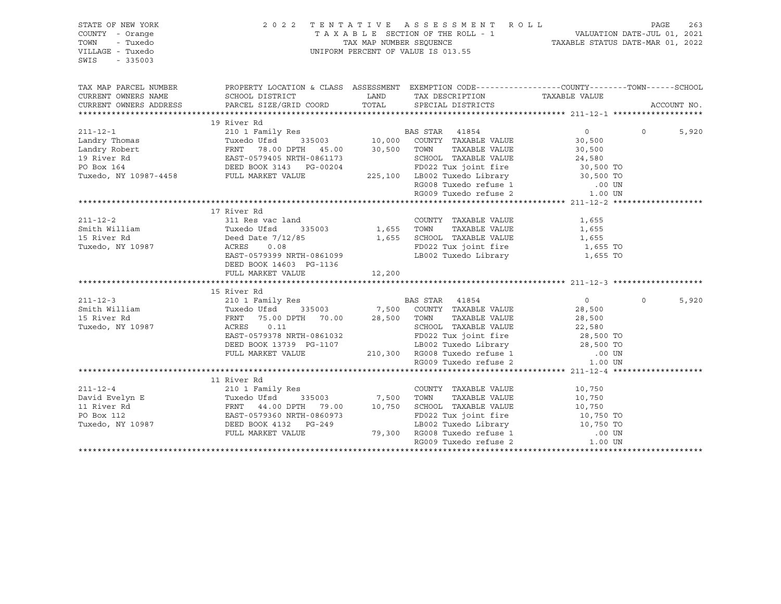| STATE OF NEW YORK<br>COUNTY - Orange<br>TOWN<br>- Tuxedo<br>VILLAGE - Tuxedo<br>SWIS<br>$-335003$                                                                                                                                                           |                                                                                                                                                        |        | 2022 TENTATIVE ASSESSMENT ROLL<br>$\begin{tabular}{lllllllllllllllllll} \multicolumn{2}{c l} \multicolumn{2}{c l} \multicolumn{2}{c l} \multicolumn{2}{c l} \multicolumn{2}{c l} \multicolumn{2}{c l} \multicolumn{2}{c l} \multicolumn{2}{c l} \multicolumn{2}{c l} \multicolumn{2}{c l} \multicolumn{2}{c l} \multicolumn{2}{c l} \multicolumn{2}{c l} \multicolumn{2}{c l} \multicolumn{2}{c l} \multicolumn{2}{c l} \multicolumn{2}{c l} \multicolumn{2}{c l} \multicolumn{$ |                  | PAGE        | 263   |
|-------------------------------------------------------------------------------------------------------------------------------------------------------------------------------------------------------------------------------------------------------------|--------------------------------------------------------------------------------------------------------------------------------------------------------|--------|----------------------------------------------------------------------------------------------------------------------------------------------------------------------------------------------------------------------------------------------------------------------------------------------------------------------------------------------------------------------------------------------------------------------------------------------------------------------------------|------------------|-------------|-------|
| TAX MAP PARCEL NUMBER                                                                                                                                                                                                                                       | PROPERTY LOCATION & CLASS ASSESSMENT EXEMPTION CODE----------------COUNTY-------TOWN------SCHOOL                                                       |        |                                                                                                                                                                                                                                                                                                                                                                                                                                                                                  |                  |             |       |
| CURRENT OWNERS NAME                                                                                                                                                                                                                                         | SCHOOL DISTRICT                                                                                                                                        | LAND   | TAX DESCRIPTION TAXABLE VALUE                                                                                                                                                                                                                                                                                                                                                                                                                                                    |                  |             |       |
| CURRENT OWNERS ADDRESS                                                                                                                                                                                                                                      | PARCEL SIZE/GRID COORD TOTAL SPECIAL DISTRICTS                                                                                                         |        |                                                                                                                                                                                                                                                                                                                                                                                                                                                                                  |                  | ACCOUNT NO. |       |
|                                                                                                                                                                                                                                                             |                                                                                                                                                        |        |                                                                                                                                                                                                                                                                                                                                                                                                                                                                                  |                  |             |       |
| 211-12-1<br>Landry Thomas<br>Landry Robert<br>210 1 Family Res<br>Tuxedo Ufsd<br>335003<br>210 1 Family Res<br>210 1 Family Res<br>210 1 Family Res<br>210 1 Family Res<br>210 1 Family Res<br>210 1 Family Res<br>210 1 Family Res<br>210 1 Family Res<br> | 19 River Rd                                                                                                                                            |        |                                                                                                                                                                                                                                                                                                                                                                                                                                                                                  |                  |             |       |
|                                                                                                                                                                                                                                                             |                                                                                                                                                        |        |                                                                                                                                                                                                                                                                                                                                                                                                                                                                                  | $\Omega$         | $\Omega$    | 5,920 |
|                                                                                                                                                                                                                                                             |                                                                                                                                                        |        |                                                                                                                                                                                                                                                                                                                                                                                                                                                                                  | 30,500           |             |       |
|                                                                                                                                                                                                                                                             |                                                                                                                                                        |        | TAXABLE VALUE                                                                                                                                                                                                                                                                                                                                                                                                                                                                    | 30,500           |             |       |
|                                                                                                                                                                                                                                                             |                                                                                                                                                        |        | SCHOOL TAXABLE VALUE 24,580<br>FD022 Tux joint fire 30,500 TO                                                                                                                                                                                                                                                                                                                                                                                                                    |                  |             |       |
|                                                                                                                                                                                                                                                             |                                                                                                                                                        |        |                                                                                                                                                                                                                                                                                                                                                                                                                                                                                  |                  |             |       |
|                                                                                                                                                                                                                                                             |                                                                                                                                                        |        |                                                                                                                                                                                                                                                                                                                                                                                                                                                                                  |                  |             |       |
| Tuxedo, NY 10987-4458 FULL MARKET VALUE 225,100 LB002 Tuxedo Library 30,500 TO 700 UN RG008 Tuxedo Controller<br>Tuxedo, NY 10987-4458 FULL MARKET VALUE 225,100 RG008 Tuxedo refuse 1 1.00 UN RG009 Tuxedo refuse 2                                        |                                                                                                                                                        |        |                                                                                                                                                                                                                                                                                                                                                                                                                                                                                  |                  |             |       |
|                                                                                                                                                                                                                                                             |                                                                                                                                                        |        |                                                                                                                                                                                                                                                                                                                                                                                                                                                                                  |                  |             |       |
|                                                                                                                                                                                                                                                             | 17 River Rd                                                                                                                                            |        |                                                                                                                                                                                                                                                                                                                                                                                                                                                                                  |                  |             |       |
| $211 - 12 - 2$                                                                                                                                                                                                                                              | 311 Res vac land                                                                                                                                       |        | COUNTY TAXABLE VALUE                                                                                                                                                                                                                                                                                                                                                                                                                                                             | 1,655            |             |       |
|                                                                                                                                                                                                                                                             |                                                                                                                                                        |        |                                                                                                                                                                                                                                                                                                                                                                                                                                                                                  | 1,655            |             |       |
|                                                                                                                                                                                                                                                             |                                                                                                                                                        |        |                                                                                                                                                                                                                                                                                                                                                                                                                                                                                  | 1,655            |             |       |
|                                                                                                                                                                                                                                                             |                                                                                                                                                        |        | 335003 1,655 TOWN TAXABLE VALUE<br>12/85 1,655 SCHOOL TAXABLE VALUE<br>8 FD022 Tux joint fire<br>FD022 Tux joint fire                                                                                                                                                                                                                                                                                                                                                            | 1,655 TO         |             |       |
|                                                                                                                                                                                                                                                             | ALKES 0.08<br>EAST-0579399 NRTH-0861099                                                                                                                |        | LB002 Tuxedo Library                                                                                                                                                                                                                                                                                                                                                                                                                                                             | 1,655 TO         |             |       |
|                                                                                                                                                                                                                                                             | DEED BOOK 14603 PG-1136                                                                                                                                |        |                                                                                                                                                                                                                                                                                                                                                                                                                                                                                  |                  |             |       |
|                                                                                                                                                                                                                                                             | FULL MARKET VALUE                                                                                                                                      | 12,200 |                                                                                                                                                                                                                                                                                                                                                                                                                                                                                  |                  |             |       |
|                                                                                                                                                                                                                                                             |                                                                                                                                                        |        |                                                                                                                                                                                                                                                                                                                                                                                                                                                                                  |                  |             |       |
| 211-12-3<br>210 1 Family Res<br>210 1 Family Res<br>210 1 Family Res<br>210 335003<br>28,500 COUNTY TAXABLE VALUE<br>28,500 TOWN TAXABLE VALUE<br>Tuxedo, NY 10987<br>28,500 TOWN TAXABLE VALUE                                                             |                                                                                                                                                        |        |                                                                                                                                                                                                                                                                                                                                                                                                                                                                                  |                  |             |       |
|                                                                                                                                                                                                                                                             |                                                                                                                                                        |        |                                                                                                                                                                                                                                                                                                                                                                                                                                                                                  | $\overline{0}$   | $\Omega$    | 5,920 |
|                                                                                                                                                                                                                                                             |                                                                                                                                                        |        |                                                                                                                                                                                                                                                                                                                                                                                                                                                                                  | 28,500           |             |       |
|                                                                                                                                                                                                                                                             |                                                                                                                                                        |        | TAXABLE VALUE                                                                                                                                                                                                                                                                                                                                                                                                                                                                    | 28,500           |             |       |
|                                                                                                                                                                                                                                                             |                                                                                                                                                        |        |                                                                                                                                                                                                                                                                                                                                                                                                                                                                                  |                  |             |       |
|                                                                                                                                                                                                                                                             | EAST-0579378 NRTH-0861032                                                                                                                              |        | SCHOOL TAXABLE VALUE 22,580<br>FD022 Tux joint fire 28,500 TO                                                                                                                                                                                                                                                                                                                                                                                                                    |                  |             |       |
|                                                                                                                                                                                                                                                             |                                                                                                                                                        |        |                                                                                                                                                                                                                                                                                                                                                                                                                                                                                  |                  |             |       |
|                                                                                                                                                                                                                                                             |                                                                                                                                                        |        |                                                                                                                                                                                                                                                                                                                                                                                                                                                                                  |                  |             |       |
|                                                                                                                                                                                                                                                             | DEED BOOK 13739 PG-1107<br>PULL MARKET VALUE 210,300 RG008 Tuxedo refuse 1 28,500 TO<br>RG009 Tuxedo refuse 2 1.00 UN<br>RG009 Tuxedo refuse 2 1.00 UN |        |                                                                                                                                                                                                                                                                                                                                                                                                                                                                                  |                  |             |       |
|                                                                                                                                                                                                                                                             |                                                                                                                                                        |        |                                                                                                                                                                                                                                                                                                                                                                                                                                                                                  |                  |             |       |
|                                                                                                                                                                                                                                                             | 11 River Rd                                                                                                                                            |        |                                                                                                                                                                                                                                                                                                                                                                                                                                                                                  |                  |             |       |
|                                                                                                                                                                                                                                                             |                                                                                                                                                        |        | COUNTY TAXABLE VALUE                                                                                                                                                                                                                                                                                                                                                                                                                                                             | 10,750           |             |       |
|                                                                                                                                                                                                                                                             |                                                                                                                                                        |        | TAXABLE VALUE<br>TOWN                                                                                                                                                                                                                                                                                                                                                                                                                                                            |                  |             |       |
|                                                                                                                                                                                                                                                             |                                                                                                                                                        |        | SCHOOL TAXABLE VALUE                                                                                                                                                                                                                                                                                                                                                                                                                                                             | 10,750<br>10,750 |             |       |
|                                                                                                                                                                                                                                                             |                                                                                                                                                        |        |                                                                                                                                                                                                                                                                                                                                                                                                                                                                                  |                  |             |       |
|                                                                                                                                                                                                                                                             |                                                                                                                                                        |        |                                                                                                                                                                                                                                                                                                                                                                                                                                                                                  |                  |             |       |
|                                                                                                                                                                                                                                                             | FULL MARKET VALUE                                                                                                                                      |        | 10,750 TO 10,750 PD022 Tux joint fire<br>249 LB002 Tuxedo Library<br>79,300 RG008 Tuxedo refuse 1 0,750 TO<br>RG009 Tuxedo refuse 2 1.00 UN                                                                                                                                                                                                                                                                                                                                      |                  |             |       |
|                                                                                                                                                                                                                                                             |                                                                                                                                                        |        |                                                                                                                                                                                                                                                                                                                                                                                                                                                                                  | $1.00$ UN        |             |       |
|                                                                                                                                                                                                                                                             |                                                                                                                                                        |        |                                                                                                                                                                                                                                                                                                                                                                                                                                                                                  |                  |             |       |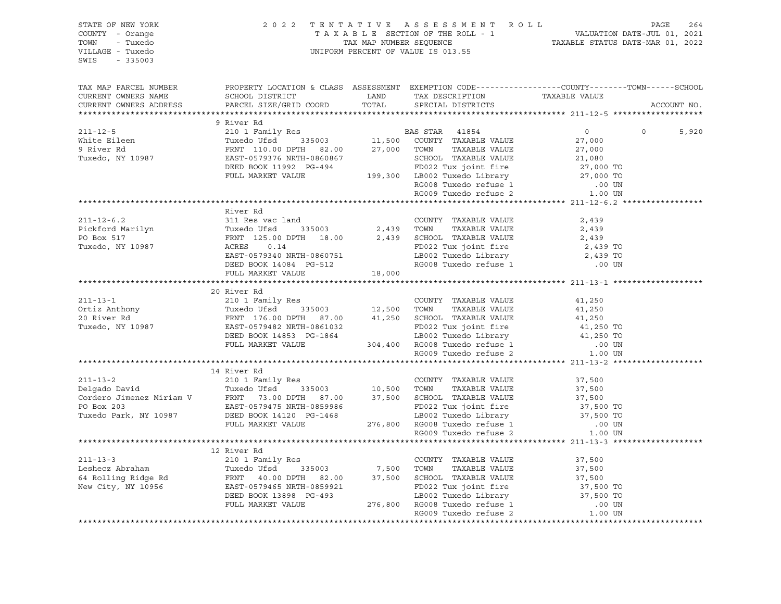| STATE OF NEW YORK<br>COUNTY - Orange<br>TOWN - Tuxedo<br>VILLAGE - Tuxedo<br>SWIS - 335003                                                                                                                                                             | 2022 TENTATIVE ASSESSMENT ROLL PAGE 264<br>TAXABLE SECTION OF THE ROLL - 1 VALUATION DATE-JUL 01, 2021<br>TAX MAP NUMBER SEQUENCE TAXABLE STATUS DATE-MAR 01, 2022<br>UNIFORM PERCENT OF VALUE IS 013.55 |  |             |
|--------------------------------------------------------------------------------------------------------------------------------------------------------------------------------------------------------------------------------------------------------|----------------------------------------------------------------------------------------------------------------------------------------------------------------------------------------------------------|--|-------------|
|                                                                                                                                                                                                                                                        |                                                                                                                                                                                                          |  | ACCOUNT NO. |
| 311-12-5<br>9 River Rd<br>211-12-5<br>210 1 Family Res<br>210 1 Family Res<br>210 0 1 Family Res<br>27,000 0 27,000 NNTY TAXABLE VALUE<br>9 River Rd<br>27,000 PTH 32.00<br>27,000 TOWN TAXABLE VALUE<br>27,000<br>27,000 TWRABLE VALUE<br>27,000 DESP |                                                                                                                                                                                                          |  |             |
|                                                                                                                                                                                                                                                        |                                                                                                                                                                                                          |  |             |
|                                                                                                                                                                                                                                                        |                                                                                                                                                                                                          |  | 5,920       |
|                                                                                                                                                                                                                                                        |                                                                                                                                                                                                          |  |             |
|                                                                                                                                                                                                                                                        |                                                                                                                                                                                                          |  |             |
|                                                                                                                                                                                                                                                        |                                                                                                                                                                                                          |  |             |
|                                                                                                                                                                                                                                                        |                                                                                                                                                                                                          |  |             |
|                                                                                                                                                                                                                                                        |                                                                                                                                                                                                          |  |             |
|                                                                                                                                                                                                                                                        |                                                                                                                                                                                                          |  |             |
|                                                                                                                                                                                                                                                        |                                                                                                                                                                                                          |  |             |
|                                                                                                                                                                                                                                                        | River Rd                                                                                                                                                                                                 |  |             |
|                                                                                                                                                                                                                                                        |                                                                                                                                                                                                          |  |             |
|                                                                                                                                                                                                                                                        |                                                                                                                                                                                                          |  |             |
|                                                                                                                                                                                                                                                        |                                                                                                                                                                                                          |  |             |
|                                                                                                                                                                                                                                                        |                                                                                                                                                                                                          |  |             |
|                                                                                                                                                                                                                                                        |                                                                                                                                                                                                          |  |             |
| 211-12-6.2<br>Pickford Marilyn 311 Res vac land<br>Pickford Marilyn Tuxedo Ufsd 335003<br>PO Box 517<br>Tuxedo, NY 10987 RRNT 125.00 DPTH 18.00<br>EAST-0579340 NRTH-0860751 LB002 Tuxedo Library 2,439 TO<br>DEED BOOK 14084 PG-512<br>PULL           |                                                                                                                                                                                                          |  |             |
|                                                                                                                                                                                                                                                        |                                                                                                                                                                                                          |  |             |
|                                                                                                                                                                                                                                                        | 20 River Rd                                                                                                                                                                                              |  |             |
|                                                                                                                                                                                                                                                        |                                                                                                                                                                                                          |  |             |
|                                                                                                                                                                                                                                                        |                                                                                                                                                                                                          |  |             |
|                                                                                                                                                                                                                                                        |                                                                                                                                                                                                          |  |             |
|                                                                                                                                                                                                                                                        |                                                                                                                                                                                                          |  |             |
|                                                                                                                                                                                                                                                        |                                                                                                                                                                                                          |  |             |
|                                                                                                                                                                                                                                                        |                                                                                                                                                                                                          |  |             |
|                                                                                                                                                                                                                                                        |                                                                                                                                                                                                          |  |             |
|                                                                                                                                                                                                                                                        |                                                                                                                                                                                                          |  |             |
| 14 River Rd 14 River Rd 211-13-2<br>210 1 Ramily Res<br>211-13-2 210 1 Ramily Res<br>210 1 Ramily Res<br>210 1 Ramily Res<br>210 1 Ramily Res<br>210 1 Ramily Res<br>210 1 Ramily Res<br>210 1 Ramily Res<br>210 1 Ramily Res<br>210 1 20 1 20 2 2     |                                                                                                                                                                                                          |  |             |
|                                                                                                                                                                                                                                                        |                                                                                                                                                                                                          |  |             |
|                                                                                                                                                                                                                                                        |                                                                                                                                                                                                          |  |             |
|                                                                                                                                                                                                                                                        |                                                                                                                                                                                                          |  |             |
|                                                                                                                                                                                                                                                        |                                                                                                                                                                                                          |  |             |
|                                                                                                                                                                                                                                                        |                                                                                                                                                                                                          |  |             |
|                                                                                                                                                                                                                                                        |                                                                                                                                                                                                          |  |             |
|                                                                                                                                                                                                                                                        |                                                                                                                                                                                                          |  |             |
|                                                                                                                                                                                                                                                        |                                                                                                                                                                                                          |  |             |
|                                                                                                                                                                                                                                                        |                                                                                                                                                                                                          |  |             |
|                                                                                                                                                                                                                                                        |                                                                                                                                                                                                          |  |             |
|                                                                                                                                                                                                                                                        |                                                                                                                                                                                                          |  |             |
|                                                                                                                                                                                                                                                        |                                                                                                                                                                                                          |  |             |
|                                                                                                                                                                                                                                                        |                                                                                                                                                                                                          |  |             |
|                                                                                                                                                                                                                                                        |                                                                                                                                                                                                          |  |             |
| 12 River Rd 211-13-3<br>211-13-3<br>212 River Rd 210 1 Family Res<br>211-13-3<br>212 River Rd 2101 Family Res<br>212 River Rd 215003<br>212 River Rd 235003<br>27,500 TOWN TAXABLE VALUE 37,500<br>47,500 TOWN TAXABLE VALUE 37,500<br>47,500 TO       |                                                                                                                                                                                                          |  |             |
|                                                                                                                                                                                                                                                        |                                                                                                                                                                                                          |  |             |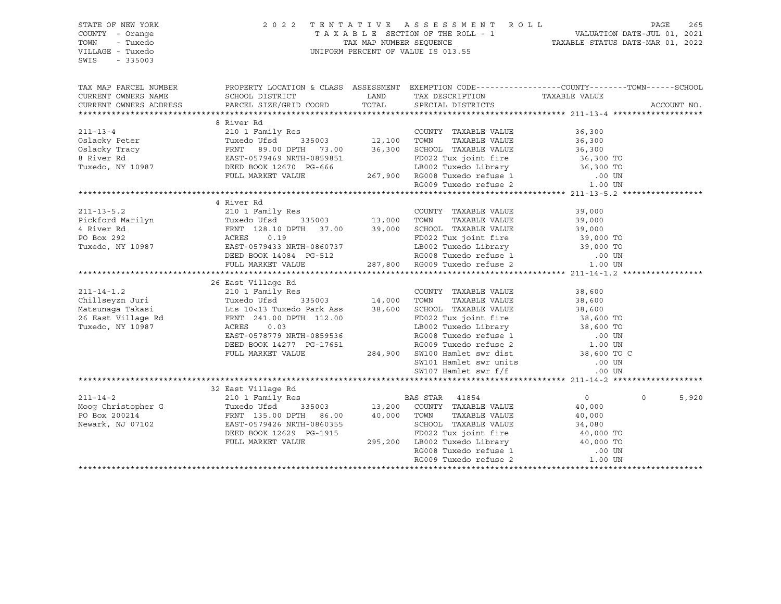| STATE OF NEW YORK<br>COUNTY - Orange<br>TOWN<br>- Tuxedo<br>VILLAGE - Tuxedo<br>SWIS<br>$-335003$ |                                                                                                                                                                                                                                                                                                                                                                         | 2022 TENTATIVE ASSESSMENT ROLL<br>TAXABLE SECTION OF THE ROLL - 1<br>TAX MAP NUMBER SEQUENCE TAXABLE STATUS DATE-JUL 01, 2021<br>TAXABLE STATUS DATE-MAR 01, 2022<br>UNIFORM PERCENT OF VALUE IS 013.55 |                | PAGE<br>265       |
|---------------------------------------------------------------------------------------------------|-------------------------------------------------------------------------------------------------------------------------------------------------------------------------------------------------------------------------------------------------------------------------------------------------------------------------------------------------------------------------|---------------------------------------------------------------------------------------------------------------------------------------------------------------------------------------------------------|----------------|-------------------|
|                                                                                                   | TAX MAP PARCEL NUMBER THE PROPERTY LOCATION & CLASS ASSESSMENT EXEMPTION CODE--------------COUNTY--------TOWN------SCHOOL                                                                                                                                                                                                                                               |                                                                                                                                                                                                         |                |                   |
|                                                                                                   | CURRENT OWNERS NAME<br>CURRENT OWNERS ADDRESS<br>PARCEL SIZE/GRID COORD                                                                                                                                                                                                                                                                                                 | LAND TAX DESCRIPTION TAXABLE VALUE COORD TOTAL SPECIAL DISTRICTS                                                                                                                                        |                | ACCOUNT NO.       |
|                                                                                                   |                                                                                                                                                                                                                                                                                                                                                                         |                                                                                                                                                                                                         |                |                   |
|                                                                                                   | 8 River Rd<br>210 1 Family Res<br>031acky Peter Tuxedo Ufsd 335003 12,100 TOWN TAXABLE VALUE 36,300<br>031acky Tracy FRNT 89.00 DPTH 73.00 36,300 SCHOOL TAXABLE VALUE 36,300<br>8 River Rd EAST-0579469 NRTH-0859851 BDD22 Tux joint                                                                                                                                   |                                                                                                                                                                                                         |                |                   |
|                                                                                                   |                                                                                                                                                                                                                                                                                                                                                                         |                                                                                                                                                                                                         |                |                   |
|                                                                                                   |                                                                                                                                                                                                                                                                                                                                                                         |                                                                                                                                                                                                         |                |                   |
|                                                                                                   |                                                                                                                                                                                                                                                                                                                                                                         |                                                                                                                                                                                                         |                |                   |
|                                                                                                   |                                                                                                                                                                                                                                                                                                                                                                         |                                                                                                                                                                                                         |                |                   |
|                                                                                                   |                                                                                                                                                                                                                                                                                                                                                                         |                                                                                                                                                                                                         |                |                   |
|                                                                                                   |                                                                                                                                                                                                                                                                                                                                                                         |                                                                                                                                                                                                         |                |                   |
|                                                                                                   |                                                                                                                                                                                                                                                                                                                                                                         |                                                                                                                                                                                                         |                |                   |
|                                                                                                   |                                                                                                                                                                                                                                                                                                                                                                         |                                                                                                                                                                                                         |                |                   |
|                                                                                                   | 4 River Rd                                                                                                                                                                                                                                                                                                                                                              |                                                                                                                                                                                                         |                |                   |
|                                                                                                   |                                                                                                                                                                                                                                                                                                                                                                         |                                                                                                                                                                                                         |                |                   |
|                                                                                                   |                                                                                                                                                                                                                                                                                                                                                                         |                                                                                                                                                                                                         |                |                   |
|                                                                                                   |                                                                                                                                                                                                                                                                                                                                                                         |                                                                                                                                                                                                         |                |                   |
|                                                                                                   |                                                                                                                                                                                                                                                                                                                                                                         |                                                                                                                                                                                                         |                |                   |
|                                                                                                   |                                                                                                                                                                                                                                                                                                                                                                         |                                                                                                                                                                                                         |                |                   |
|                                                                                                   | $\begin{tabular}{c cccc} 211-13-5.2 & 4 KVUT R & 210 1 Ramily Res & 200 NTY TAXABLE VALUE & 39,000\nPickford Marilyn & 10987 & 210 1 Family Res & 335003 & 13,000 TOWN TAXABLE VALUE & 39,000\n4 River Rd & FRNT 128.10 DPTH 37.00 & 39,000 SCHOOL TAXABLE VALUE & 39,000\n4 River Rd & FRNT 128.10 DPTH 37.00 & 39,000 SCHOOL TAXABLE VALUE & 39,000\n4 CRES & 0.19 &$ |                                                                                                                                                                                                         |                |                   |
|                                                                                                   |                                                                                                                                                                                                                                                                                                                                                                         |                                                                                                                                                                                                         |                |                   |
|                                                                                                   |                                                                                                                                                                                                                                                                                                                                                                         |                                                                                                                                                                                                         |                |                   |
|                                                                                                   |                                                                                                                                                                                                                                                                                                                                                                         |                                                                                                                                                                                                         |                |                   |
|                                                                                                   |                                                                                                                                                                                                                                                                                                                                                                         |                                                                                                                                                                                                         |                |                   |
|                                                                                                   |                                                                                                                                                                                                                                                                                                                                                                         |                                                                                                                                                                                                         |                |                   |
|                                                                                                   |                                                                                                                                                                                                                                                                                                                                                                         |                                                                                                                                                                                                         |                |                   |
|                                                                                                   |                                                                                                                                                                                                                                                                                                                                                                         |                                                                                                                                                                                                         |                |                   |
|                                                                                                   |                                                                                                                                                                                                                                                                                                                                                                         |                                                                                                                                                                                                         |                |                   |
|                                                                                                   |                                                                                                                                                                                                                                                                                                                                                                         |                                                                                                                                                                                                         |                |                   |
|                                                                                                   |                                                                                                                                                                                                                                                                                                                                                                         |                                                                                                                                                                                                         |                |                   |
|                                                                                                   |                                                                                                                                                                                                                                                                                                                                                                         |                                                                                                                                                                                                         |                |                   |
|                                                                                                   |                                                                                                                                                                                                                                                                                                                                                                         |                                                                                                                                                                                                         |                |                   |
|                                                                                                   |                                                                                                                                                                                                                                                                                                                                                                         |                                                                                                                                                                                                         |                |                   |
|                                                                                                   |                                                                                                                                                                                                                                                                                                                                                                         |                                                                                                                                                                                                         |                |                   |
| $211 - 14 - 2$                                                                                    |                                                                                                                                                                                                                                                                                                                                                                         |                                                                                                                                                                                                         | $\overline{0}$ | $\Omega$<br>5,920 |
|                                                                                                   |                                                                                                                                                                                                                                                                                                                                                                         |                                                                                                                                                                                                         |                |                   |
|                                                                                                   |                                                                                                                                                                                                                                                                                                                                                                         |                                                                                                                                                                                                         |                |                   |
|                                                                                                   |                                                                                                                                                                                                                                                                                                                                                                         |                                                                                                                                                                                                         |                |                   |
|                                                                                                   |                                                                                                                                                                                                                                                                                                                                                                         |                                                                                                                                                                                                         |                |                   |
|                                                                                                   |                                                                                                                                                                                                                                                                                                                                                                         |                                                                                                                                                                                                         |                |                   |
|                                                                                                   |                                                                                                                                                                                                                                                                                                                                                                         |                                                                                                                                                                                                         |                |                   |
|                                                                                                   |                                                                                                                                                                                                                                                                                                                                                                         |                                                                                                                                                                                                         |                |                   |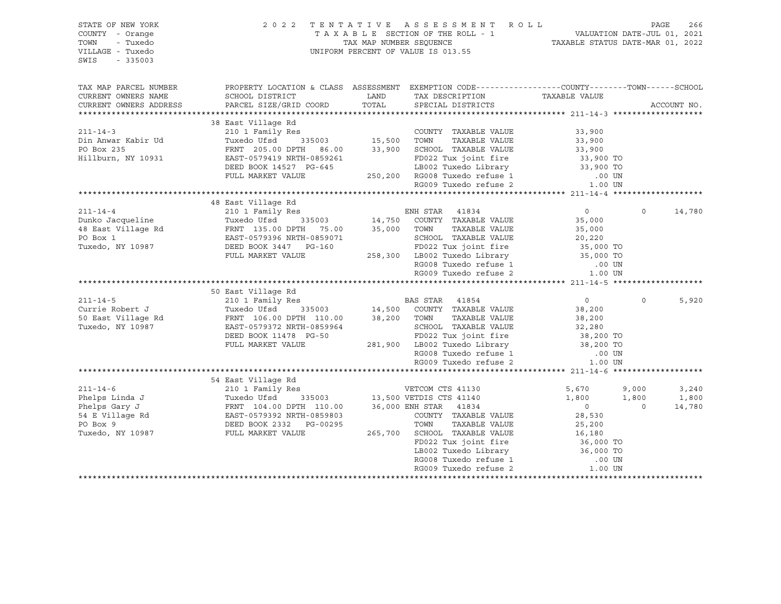| STATE OF NEW YORK<br>COUNTY - Orange<br>TOWN<br>- Tuxedo<br>VILLAGE - Tuxedo<br>$-335003$<br>SWIS                 |                                                                                                                                                                                                                                                                                                                                                                                                      |               | 2022 TENTATIVE ASSESSMENT ROLL<br>T A X A B L E SECTION OF THE ROLL - 1 VALUATION DATE-JUL 01, 2021<br>TAX MAP NUMBER SEQUENCE TAXIBLE STATUS DATE-MAR 01, 2022<br>UNIFORM PERCENT OF VALUE IS 013.55                                                                                                                                                                                                                                                                                                                            |                                                                                                                                                                                           | PAGE                       | 266                      |
|-------------------------------------------------------------------------------------------------------------------|------------------------------------------------------------------------------------------------------------------------------------------------------------------------------------------------------------------------------------------------------------------------------------------------------------------------------------------------------------------------------------------------------|---------------|----------------------------------------------------------------------------------------------------------------------------------------------------------------------------------------------------------------------------------------------------------------------------------------------------------------------------------------------------------------------------------------------------------------------------------------------------------------------------------------------------------------------------------|-------------------------------------------------------------------------------------------------------------------------------------------------------------------------------------------|----------------------------|--------------------------|
| TAX MAP PARCEL NUMBER<br>CURRENT OWNERS NAME<br>CURRENT OWNERS ADDRESS                                            | PROPERTY LOCATION & CLASS ASSESSMENT EXEMPTION CODE---------------COUNTY-------TOWN------SCHOOL<br>SCHOOL DISTRICT<br>PARCEL SIZE/GRID COORD                                                                                                                                                                                                                                                         | LAND<br>TOTAL | TAX DESCRIPTION<br>SPECIAL DISTRICTS                                                                                                                                                                                                                                                                                                                                                                                                                                                                                             | TAXABLE VALUE                                                                                                                                                                             |                            | ACCOUNT NO.              |
| $211 - 14 - 3$<br>Din Anwar Kabir Ud<br>PO Box 235<br>Hillburn, NY 10931                                          | 38 East Village Rd<br>FRNT 205.00 DPTH 86.00 33,900 SCHOOL TAXABLE VALUE<br>EAST-0579419 NRTH-0859261<br>DEED BOOK 14527 PG-645<br>FULL MARKET VALUE                                                                                                                                                                                                                                                 |               | COUNTY TAXABLE VALUE<br>TOWN<br>TAXABLE VALUE<br>FD022 Tux joint fire<br>LB002 Tuxedo Library<br>1-645 250,200 RG008 Tuxedo refuse 1<br>RG009 Tuxedo refuse 2                                                                                                                                                                                                                                                                                                                                                                    | 33,900<br>33,900<br>33,900<br>33,900 TO<br>33,900 TO<br>.00 UN<br>1.00 UN                                                                                                                 |                            |                          |
|                                                                                                                   |                                                                                                                                                                                                                                                                                                                                                                                                      |               |                                                                                                                                                                                                                                                                                                                                                                                                                                                                                                                                  |                                                                                                                                                                                           |                            |                          |
| $211 - 14 - 4$<br>Dunko Jacqueline<br>$211 - 14 - 5$<br>Currie Robert J<br>50 East Village Rd<br>Tuxedo, NY 10987 | 48 East Village Rd<br>210 1 Family Res<br>Tuxedo Ufsd<br>48 East Village Rd<br>PRNT 135.00 DPTH 75.00 35,000 TOWN<br>PO Box 1 EAST-0579396 NRTH-0859071 SCHOOL<br>Tuxedo, NY 10987 DEED BOOK 3447 PG-160 FD022 T<br>FULL MARKET VALUE<br>50 East Village Rd<br>210 1 Family Res<br>Tuxedo Ufsd<br>FRNT 106.00 DPTH 110.00<br>EAST-0579372 NRTH-0859964<br>DEED BOOK 11478 PG-50<br>FULL MARKET VALUE |               | ENH STAR 41834<br>$\begin{array}{cccc}\n 335003 & 14,750 & \text{COUNTY} & \text{TAXABLE VALUE} \\  \end{array}$<br>TAXABLE VALUE<br>SCHOOL TAXABLE VALUE<br>FD022 Tux joint fire<br>258,300 LB002 Tuxedo Library 35,000 TO<br>RG008 Tuxedo refuse 1<br>RG009 Tuxedo refuse 2<br>BAS STAR 41854<br>335003 14,500 COUNTY TAXABLE VALUE<br>38,200 TOWN<br>TAXABLE VALUE<br>SCHOOL TAXABLE VALUE<br>FD022 Tux joint fire<br>281,900 LB002 Tuxedo Library<br>LB002 luxedo refuse 1<br>RG008 Tuxedo refuse 1<br>RG009 Tuxedo refuse 2 | $\overline{0}$<br>35,000<br>35,000<br>$20,220$<br>35,000<br>35,000 TO<br>.00 UN<br>1.00 UN<br>$\overline{0}$<br>38,200<br>38,200<br>32,280<br>38,200 TO<br>38,200 TO<br>.00 UN<br>1.00 UN | $\Omega$<br>$\Omega$       | 14,780<br>5,920          |
|                                                                                                                   |                                                                                                                                                                                                                                                                                                                                                                                                      |               |                                                                                                                                                                                                                                                                                                                                                                                                                                                                                                                                  |                                                                                                                                                                                           |                            |                          |
| $211 - 14 - 6$<br>Phelps Linda J<br>Phelps Gary J<br>54 E Village Rd<br>PO Box 9<br>Tuxedo, NY 10987              | 54 East Village Rd<br>210 1 Family Res<br>Tuxedo Ufsd<br>Tuxedo Ufsd<br>FRNT 104.00 DPTH 110.00<br>EAST-0579392 NRTH-0859803<br>DEED BOOK 2332 PG-00295<br>FULL MARKET VALUE                                                                                                                                                                                                                         | 265,700       | VETCOM CTS 41130<br>335003 13,500 VETDIS CTS 41140<br>36,000 ENH STAR 41834<br>COUNTY TAXABLE VALUE<br>TOWN<br>TAXABLE VALUE<br>SCHOOL TAXABLE VALUE<br>FD022 Tux joint fire<br>LB002 Tuxedo Library<br>RG008 Tuxedo refuse 1<br>RG009 Tuxedo refuse 2                                                                                                                                                                                                                                                                           | 5,670<br>1,800<br>$\overline{0}$<br>28,530<br>25,200<br>16,180<br>36,000 TO<br>36,000 TO<br>.00 UN<br>1.00 UN                                                                             | 9,000<br>1,800<br>$\Omega$ | 3,240<br>1,800<br>14,780 |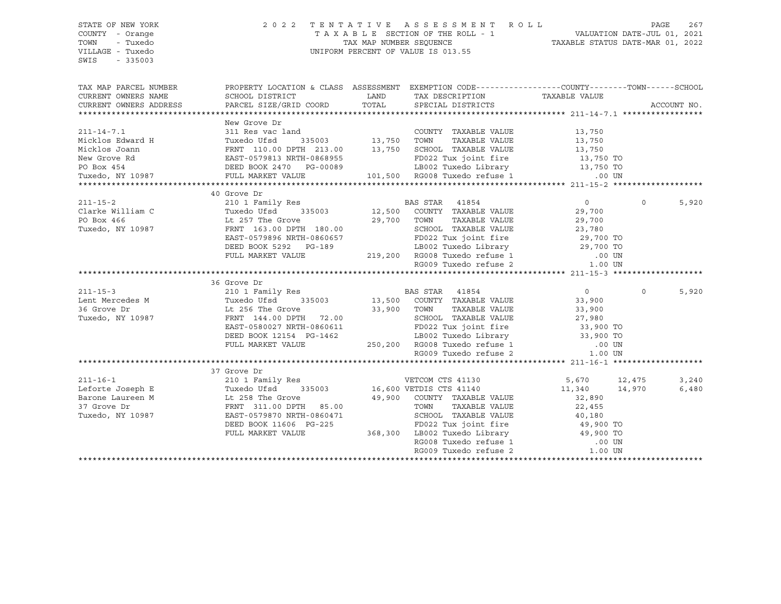SWIS - 335003

#### STATE OF NEW YORK 2 0 2 2 T E N T A T I V E A S S E S S M E N T R O L L PAGE 267 COUNTY - Orange T A X A B L E SECTION OF THE ROLL - 1 VALUATION DATE-JUL 01, 2021 TOWN - Tuxedo TAX MAP NUMBER SEQUENCE TAXABLE STATUS DATE-MAR 01, 2022 VILLAGE - Tuxedo UNIFORM PERCENT OF VALUE IS 013.55

| TAX MAP PARCEL NUMBER                                                                                                                                                                                                                                                | PROPERTY LOCATION & CLASS ASSESSMENT EXEMPTION CODE----------------COUNTY-------TOWN------SCHOOL                                                  |                               |                |          |       |
|----------------------------------------------------------------------------------------------------------------------------------------------------------------------------------------------------------------------------------------------------------------------|---------------------------------------------------------------------------------------------------------------------------------------------------|-------------------------------|----------------|----------|-------|
|                                                                                                                                                                                                                                                                      | SCHOOL DISTRICT                                                                                                                                   |                               |                |          |       |
|                                                                                                                                                                                                                                                                      |                                                                                                                                                   |                               |                |          |       |
|                                                                                                                                                                                                                                                                      |                                                                                                                                                   |                               |                |          |       |
|                                                                                                                                                                                                                                                                      | New Grove Dr                                                                                                                                      |                               |                |          |       |
| 211-14-7.1           311 Res vac land              COUNTY TAXABLE VALUE        13,750<br>Micklos Edward H        Tuxedo Ufsd   335003     13,750  TOWN   TAXABLE VALUE       13,750                                                                                  |                                                                                                                                                   |                               |                |          |       |
|                                                                                                                                                                                                                                                                      |                                                                                                                                                   |                               |                |          |       |
|                                                                                                                                                                                                                                                                      |                                                                                                                                                   |                               |                |          |       |
|                                                                                                                                                                                                                                                                      |                                                                                                                                                   |                               |                |          |       |
|                                                                                                                                                                                                                                                                      |                                                                                                                                                   |                               |                |          |       |
| Micklos Joann FRNT 110.00 DPTH 213.00 13,750 SCHOOL TAXABLE VALUE 13,750 13,750 New Grove Rd EAST-0579813 NRTH-0868955 PO Box 454 DEED BOOK 2470 PG-00089 LB002 Tuxedo, NY 10987 PULL MARKET VALUE 101,500 RG008 Tuxedo, NY 10                                       |                                                                                                                                                   |                               |                |          |       |
|                                                                                                                                                                                                                                                                      |                                                                                                                                                   |                               |                |          |       |
|                                                                                                                                                                                                                                                                      | 40 Grove Dr                                                                                                                                       |                               |                |          |       |
|                                                                                                                                                                                                                                                                      |                                                                                                                                                   |                               | $\overline{0}$ | $\Omega$ | 5,920 |
|                                                                                                                                                                                                                                                                      |                                                                                                                                                   |                               |                |          |       |
|                                                                                                                                                                                                                                                                      |                                                                                                                                                   |                               |                |          |       |
|                                                                                                                                                                                                                                                                      |                                                                                                                                                   |                               |                |          |       |
|                                                                                                                                                                                                                                                                      |                                                                                                                                                   |                               |                |          |       |
|                                                                                                                                                                                                                                                                      |                                                                                                                                                   |                               |                |          |       |
|                                                                                                                                                                                                                                                                      |                                                                                                                                                   |                               |                |          |       |
| PO Box 466<br>PO Box 466<br>Tuxedo, NY 10987<br>EAST-0579896 NRTH-0860657<br>DEED BOOK 5292 PG-189<br>FULL MARKET VALUE<br>PULL MARKET VALUE<br>PULL MARKET VALUE<br>PULL MARKET VALUE<br>PULL MARKET VALUE<br>PULL MARKET VALUE<br>PULL MARKET VALU                 |                                                                                                                                                   |                               |                |          |       |
|                                                                                                                                                                                                                                                                      |                                                                                                                                                   |                               |                |          |       |
|                                                                                                                                                                                                                                                                      |                                                                                                                                                   |                               |                |          |       |
|                                                                                                                                                                                                                                                                      |                                                                                                                                                   |                               |                | $\Omega$ | 5,920 |
|                                                                                                                                                                                                                                                                      |                                                                                                                                                   |                               |                |          |       |
|                                                                                                                                                                                                                                                                      |                                                                                                                                                   |                               |                |          |       |
|                                                                                                                                                                                                                                                                      |                                                                                                                                                   |                               |                |          |       |
|                                                                                                                                                                                                                                                                      |                                                                                                                                                   |                               |                |          |       |
|                                                                                                                                                                                                                                                                      |                                                                                                                                                   |                               |                |          |       |
|                                                                                                                                                                                                                                                                      |                                                                                                                                                   |                               |                |          |       |
|                                                                                                                                                                                                                                                                      |                                                                                                                                                   | RG009 Tuxedo refuse 2 1.00 UN |                |          |       |
|                                                                                                                                                                                                                                                                      |                                                                                                                                                   |                               |                |          |       |
|                                                                                                                                                                                                                                                                      | 37 Grove Dr                                                                                                                                       |                               |                |          |       |
|                                                                                                                                                                                                                                                                      |                                                                                                                                                   |                               |                |          | 3,240 |
| 37 Grove Dr<br>210 1 Family Res<br>210 1 Family Res<br>210 1 Family Res<br>210 1 Family Res<br>216,600 VETDIS CTS 41140<br>21140<br>21,340<br>21,340<br>21,340<br>21,340<br>21,970<br>21,970<br>22,455<br>37 Grove Dr<br>22,455<br>22,455<br>22,455<br>22,455<br>22, |                                                                                                                                                   |                               |                |          | 6,480 |
|                                                                                                                                                                                                                                                                      |                                                                                                                                                   |                               |                |          |       |
|                                                                                                                                                                                                                                                                      |                                                                                                                                                   |                               |                |          |       |
|                                                                                                                                                                                                                                                                      |                                                                                                                                                   |                               |                |          |       |
|                                                                                                                                                                                                                                                                      |                                                                                                                                                   |                               |                |          |       |
|                                                                                                                                                                                                                                                                      | DEED BOOK 11606 PG-225 FD022 Tux joint fire 49,900 TO<br>FULL MARKET VALUE 368,300 LB002 Tuxedo Library 49,900 TO<br>RG008 Tuxedo refuse 1 .00 UN |                               |                |          |       |
|                                                                                                                                                                                                                                                                      |                                                                                                                                                   |                               |                |          |       |
|                                                                                                                                                                                                                                                                      |                                                                                                                                                   |                               |                |          |       |
|                                                                                                                                                                                                                                                                      |                                                                                                                                                   |                               |                |          |       |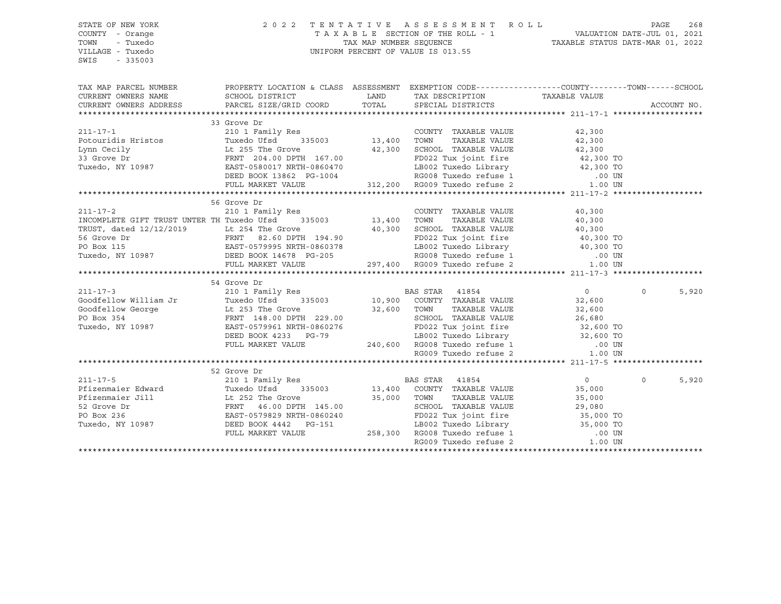STATE OF NEW YORK 2 0 2 2 T E N T A T I V E A S S E S S M E N T R O L L PAGE 268 COUNTY - Orange T A X A B L E SECTION OF THE ROLL - 1 TOWN - Tuxedo TAX MAP NUMBER SEQUENCE TAXABLE STATUS DATE-MAR 01, 2022 UNIFORM PERCENT OF VALUE IS 013.55 SWIS - 335003 TAX MAP PARCEL NUMBER PROPERTY LOCATION & CLASS ASSESSMENT EXEMPTION CODE------------------COUNTY--------TOWN------SCHOOL CURRENT OWNERS NAME SCHOOL DISTRICT TAX DESCRIPTION TAXABLE VALUE CURRENT OWNERS ADDRESS PARCEL SIZE/GRID COORD TOTAL SPECIAL DISTRICTS ACCOUNT NO. \*\*\*\*\*\*\*\*\*\*\*\*\*\*\*\*\*\*\*\*\*\*\*\*\*\*\*\*\*\*\*\*\*\*\*\*\*\*\*\*\*\*\*\*\*\*\*\*\*\*\*\*\*\*\*\*\*\*\*\*\*\*\*\*\*\*\*\*\*\*\*\*\*\*\*\*\*\*\*\*\*\*\*\*\*\*\*\*\*\*\*\*\*\*\*\*\*\*\*\*\*\*\* 211-17-1 \*\*\*\*\*\*\*\*\*\*\*\*\*\*\*\*\*\*\* 33 Grove Dr 211-17-1 210 1 Family Res COUNTY TAXABLE VALUE 42,300 Potouridis Hristos Tuxedo Ufsd 335003 13,400 TOWN TAXABLE VALUE 42,300 Lynn Cecily Lt 255 The Grove 42,300 SCHOOL TAXABLE VALUE 42,300 Lynn Cecily Lt 255 The Grove 42,300 SCHOOL TAXABLE VALUE 42,300 TO<br>33 Grove Dr FRNT 204.00 DPTH 167.00 FD022 Tux joint fire Tuxedo, NY 10987 EAST-0580017 NRTH-0860470 LB002 Tuxedo Library 42,300 TO DEED BOOK 13862 PG-1004 RG008 Tuxedo refuse 1 .00 UN FULL MARKET VALUE 312,200 RG009 Tuxedo refuse 2 1.00 UN \*\*\*\*\*\*\*\*\*\*\*\*\*\*\*\*\*\*\*\*\*\*\*\*\*\*\*\*\*\*\*\*\*\*\*\*\*\*\*\*\*\*\*\*\*\*\*\*\*\*\*\*\*\*\*\*\*\*\*\*\*\*\*\*\*\*\*\*\*\*\*\*\*\*\*\*\*\*\*\*\*\*\*\*\*\*\*\*\*\*\*\*\*\*\*\*\*\*\*\*\*\*\* 211-17-2 \*\*\*\*\*\*\*\*\*\*\*\*\*\*\*\*\*\*\* 56 Grove Dr 211-17-2 210 1 Family Res COUNTY TAXABLE VALUE 40,300 INCOMPLETE GIFT TRUST UNTER TH Tuxedo Ufsd 335003 13,400 TOWN TAXABLE VALUE 40,300 TRUST, dated 12/12/2019 Lt 254 The Grove 40,300 SCHOOL TAXABLE VALUE 40,300 56 Grove Dr FRNT 82.60 DPTH 194.90 FD022 Tux joint fire 40,300 TO PO Box 115 EAST-0579995 NRTH-0860378 LB002 Tuxedo Library 40,300 TO Tuxedo, NY 10987 DEED BOOK 14678 PG-205 RG008 Tuxedo refuse 1 .00 UN FULL MARKET VALUE 297,400 RG009 Tuxedo refuse 2 1.00 UN \*\*\*\*\*\*\*\*\*\*\*\*\*\*\*\*\*\*\*\*\*\*\*\*\*\*\*\*\*\*\*\*\*\*\*\*\*\*\*\*\*\*\*\*\*\*\*\*\*\*\*\*\*\*\*\*\*\*\*\*\*\*\*\*\*\*\*\*\*\*\*\*\*\*\*\*\*\*\*\*\*\*\*\*\*\*\*\*\*\*\*\*\*\*\*\*\*\*\*\*\*\*\* 211-17-3 \*\*\*\*\*\*\*\*\*\*\*\*\*\*\*\*\*\*\* 54 Grove Dr 211-17-3 210 1 Family Res BAS STAR 41854 0 0 5,920 Goodfellow William Jr Tuxedo Ufsd 335003 10,900 COUNTY TAXABLE VALUE 32,600 Goodfellow George Lt 253 The Grove 32,600 TOWN TAXABLE VALUE 32,600 PO Box 354 FRNT 148.00 DPTH 229.00 SCHOOL TAXABLE VALUE Tuxedo, NY 10987 EAST-0579961 NRTH-0860276 FD022 Tux joint fire 32,600 TO DEED BOOK 4233 PG-79 LB002 Tuxedo Library 32,600 TO FULL MARKET VALUE 240,600 RG008 Tuxedo refuse 1 .00 UN RG009 Tuxedo refuse 2 1.00 UN \*\*\*\*\*\*\*\*\*\*\*\*\*\*\*\*\*\*\*\*\*\*\*\*\*\*\*\*\*\*\*\*\*\*\*\*\*\*\*\*\*\*\*\*\*\*\*\*\*\*\*\*\*\*\*\*\*\*\*\*\*\*\*\*\*\*\*\*\*\*\*\*\*\*\*\*\*\*\*\*\*\*\*\*\*\*\*\*\*\*\*\*\*\*\*\*\*\*\*\*\*\*\* 211-17-5 \*\*\*\*\*\*\*\*\*\*\*\*\*\*\*\*\*\*\* 52 Grove Dr 211-17-5 210 1 Family Res BAS STAR 41854 0 0 5,920 Pfizenmaier Edward Tuxedo Ufsd 335003 13,400 COUNTY TAXABLE VALUE 35,000 Pfizenmaier Jill Lt 252 The Grove 35,000 TOWN TAXABLE VALUE 35,000 52 Grove Dr FRNT 46.00 DPTH 145.00 SCHOOL TAXABLE VALUE 29,080 EAST-0579829 NRTH-0860240 FD022 Tux joint fire 35,000 TO Tuxedo, NY 10987 DEED BOOK 4442 PG-151 LB002 Tuxedo Library 35,000 TO 258,300 RG008 Tuxedo refuse 1 RG009 Tuxedo refuse 2 1.00 UN \*\*\*\*\*\*\*\*\*\*\*\*\*\*\*\*\*\*\*\*\*\*\*\*\*\*\*\*\*\*\*\*\*\*\*\*\*\*\*\*\*\*\*\*\*\*\*\*\*\*\*\*\*\*\*\*\*\*\*\*\*\*\*\*\*\*\*\*\*\*\*\*\*\*\*\*\*\*\*\*\*\*\*\*\*\*\*\*\*\*\*\*\*\*\*\*\*\*\*\*\*\*\*\*\*\*\*\*\*\*\*\*\*\*\*\*\*\*\*\*\*\*\*\*\*\*\*\*\*\*\*\*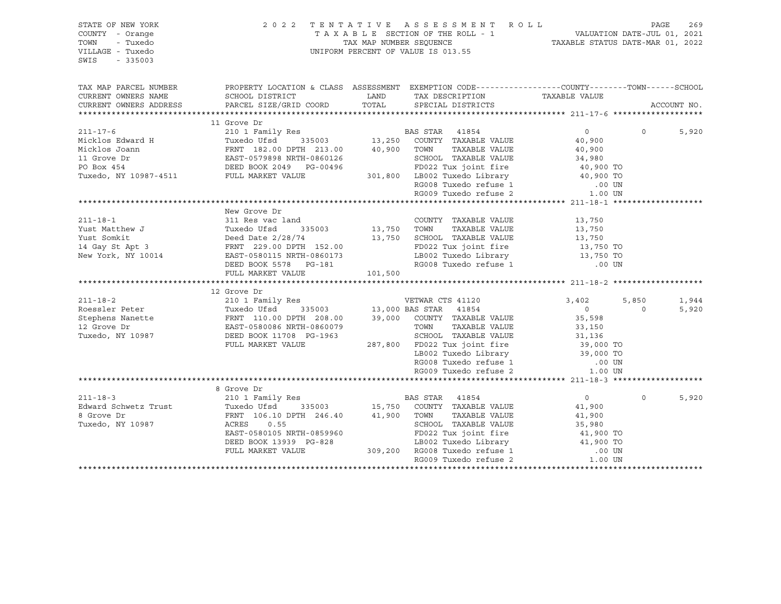| STATE OF NEW YORK<br>COUNTY - Orange<br>TOWN<br>- Tuxedo<br>VILLAGE - Tuxedo<br>SWIS<br>$-335003$                                                                                                                                                                                                                                                                                                              | UNIFORM PERCENT OF VALUE IS 013.55                                                                                                                                                                                                               |             | 2022 TENTATIVE ASSESSMENT ROLL PAGE 269<br>TAXABLE SECTION OF THE ROLL - 1 VALUATION DATE-JUL 01, 2021<br>TAX MAP NUMBER SEQUENCE TAXABLE STATUS DATE-MAR 01, 2022 |                     |          |             |
|----------------------------------------------------------------------------------------------------------------------------------------------------------------------------------------------------------------------------------------------------------------------------------------------------------------------------------------------------------------------------------------------------------------|--------------------------------------------------------------------------------------------------------------------------------------------------------------------------------------------------------------------------------------------------|-------------|--------------------------------------------------------------------------------------------------------------------------------------------------------------------|---------------------|----------|-------------|
| TAX MAP PARCEL NUMBER                                                                                                                                                                                                                                                                                                                                                                                          | PROPERTY LOCATION & CLASS ASSESSMENT EXEMPTION CODE-----------------COUNTY-------TOWN------SCHOOL                                                                                                                                                |             |                                                                                                                                                                    |                     |          |             |
| CURRENT OWNERS NAME                                                                                                                                                                                                                                                                                                                                                                                            | SCHOOL DISTRICT                                                                                                                                                                                                                                  | LAND        | TAX DESCRIPTION                                                                                                                                                    | TAXABLE VALUE       |          |             |
| CURRENT OWNERS ADDRESS                                                                                                                                                                                                                                                                                                                                                                                         | PARCEL SIZE/GRID COORD                                                                                                                                                                                                                           | TOTAL       | SPECIAL DISTRICTS                                                                                                                                                  |                     |          | ACCOUNT NO. |
|                                                                                                                                                                                                                                                                                                                                                                                                                |                                                                                                                                                                                                                                                  |             |                                                                                                                                                                    |                     |          |             |
| ${\small \begin{tabular}{lcccccc} \texttt{11} & \texttt{31} & \texttt{31} & \texttt{31} & \texttt{31} & \texttt{31} & \texttt{31} & \texttt{31} & \texttt{31} & \texttt{31} & \texttt{31} & \texttt{31} & \texttt{31} & \texttt{31} & \texttt{31} & \texttt{31} & \texttt{31} & \texttt{31} & \texttt{31} & \texttt{31} & \texttt{31} & \texttt{31} & \texttt{31} & \texttt{31} & \texttt{31} & \texttt{31} &$ |                                                                                                                                                                                                                                                  |             |                                                                                                                                                                    |                     |          |             |
|                                                                                                                                                                                                                                                                                                                                                                                                                |                                                                                                                                                                                                                                                  |             |                                                                                                                                                                    |                     | $\Omega$ | 5,920       |
|                                                                                                                                                                                                                                                                                                                                                                                                                |                                                                                                                                                                                                                                                  |             |                                                                                                                                                                    |                     |          |             |
|                                                                                                                                                                                                                                                                                                                                                                                                                |                                                                                                                                                                                                                                                  |             |                                                                                                                                                                    |                     |          |             |
|                                                                                                                                                                                                                                                                                                                                                                                                                |                                                                                                                                                                                                                                                  |             |                                                                                                                                                                    |                     |          |             |
|                                                                                                                                                                                                                                                                                                                                                                                                                |                                                                                                                                                                                                                                                  |             |                                                                                                                                                                    |                     |          |             |
|                                                                                                                                                                                                                                                                                                                                                                                                                |                                                                                                                                                                                                                                                  |             |                                                                                                                                                                    |                     |          |             |
|                                                                                                                                                                                                                                                                                                                                                                                                                |                                                                                                                                                                                                                                                  |             |                                                                                                                                                                    |                     |          |             |
|                                                                                                                                                                                                                                                                                                                                                                                                                |                                                                                                                                                                                                                                                  |             |                                                                                                                                                                    |                     |          |             |
|                                                                                                                                                                                                                                                                                                                                                                                                                | New Grove Dr                                                                                                                                                                                                                                     |             |                                                                                                                                                                    |                     |          |             |
| $211 - 18 - 1$                                                                                                                                                                                                                                                                                                                                                                                                 | 311 Res vac land                                                                                                                                                                                                                                 |             | COUNTY TAXABLE VALUE                                                                                                                                               | 13,750              |          |             |
| Vust Matthew J<br>Yust Matthew J<br>Yust Somkit<br>14 Gay St Apt 3<br>Need Date 2/28/74<br>14 Gay St Apt 3<br>New York, NY 10014<br>EAST-0580115 NRTH-0860173<br>EAST-0580115 NRTH-0860173<br>EAST-0580115 NRTH-0860173                                                                                                                                                                                        |                                                                                                                                                                                                                                                  | 13,750 TOWN | TAXABLE VALUE                                                                                                                                                      | 13,750<br>13,750    |          |             |
|                                                                                                                                                                                                                                                                                                                                                                                                                |                                                                                                                                                                                                                                                  |             | 13,750 SCHOOL TAXABLE VALUE                                                                                                                                        |                     |          |             |
|                                                                                                                                                                                                                                                                                                                                                                                                                |                                                                                                                                                                                                                                                  |             | FD022 Tux joint fire                                                                                                                                               | 13,750<br>13,750 TO |          |             |
|                                                                                                                                                                                                                                                                                                                                                                                                                |                                                                                                                                                                                                                                                  |             | LB002 Tuxedo Library 13,750 TO                                                                                                                                     |                     |          |             |
|                                                                                                                                                                                                                                                                                                                                                                                                                | DEED BOOK 5578 PG-181                                                                                                                                                                                                                            |             | RG008 Tuxedo refuse 1                                                                                                                                              | $.00$ UN            |          |             |
|                                                                                                                                                                                                                                                                                                                                                                                                                |                                                                                                                                                                                                                                                  |             |                                                                                                                                                                    |                     |          |             |
|                                                                                                                                                                                                                                                                                                                                                                                                                |                                                                                                                                                                                                                                                  |             |                                                                                                                                                                    |                     |          |             |
|                                                                                                                                                                                                                                                                                                                                                                                                                |                                                                                                                                                                                                                                                  |             |                                                                                                                                                                    |                     |          |             |
|                                                                                                                                                                                                                                                                                                                                                                                                                |                                                                                                                                                                                                                                                  |             |                                                                                                                                                                    |                     | 5,850    | 1,944       |
|                                                                                                                                                                                                                                                                                                                                                                                                                |                                                                                                                                                                                                                                                  |             |                                                                                                                                                                    |                     | $\Omega$ | 5,920       |
|                                                                                                                                                                                                                                                                                                                                                                                                                |                                                                                                                                                                                                                                                  |             |                                                                                                                                                                    |                     |          |             |
|                                                                                                                                                                                                                                                                                                                                                                                                                |                                                                                                                                                                                                                                                  |             |                                                                                                                                                                    |                     |          |             |
|                                                                                                                                                                                                                                                                                                                                                                                                                |                                                                                                                                                                                                                                                  |             |                                                                                                                                                                    |                     |          |             |
|                                                                                                                                                                                                                                                                                                                                                                                                                |                                                                                                                                                                                                                                                  |             |                                                                                                                                                                    |                     |          |             |
|                                                                                                                                                                                                                                                                                                                                                                                                                |                                                                                                                                                                                                                                                  |             |                                                                                                                                                                    |                     |          |             |
|                                                                                                                                                                                                                                                                                                                                                                                                                |                                                                                                                                                                                                                                                  |             |                                                                                                                                                                    |                     |          |             |
|                                                                                                                                                                                                                                                                                                                                                                                                                |                                                                                                                                                                                                                                                  |             |                                                                                                                                                                    |                     |          |             |
|                                                                                                                                                                                                                                                                                                                                                                                                                |                                                                                                                                                                                                                                                  |             |                                                                                                                                                                    |                     |          |             |
| $211 - 18 - 3$                                                                                                                                                                                                                                                                                                                                                                                                 |                                                                                                                                                                                                                                                  |             |                                                                                                                                                                    | $\overline{0}$      | $\Omega$ | 5,920       |
|                                                                                                                                                                                                                                                                                                                                                                                                                |                                                                                                                                                                                                                                                  |             |                                                                                                                                                                    | 41,900              |          |             |
| Edward Schwetz Trust<br>8 Grove Dr<br>TRNT 106.10 DPTH 246.40<br>Tuxedo, NY 10987<br>RERES 1.55<br>COUNTY TAXABLE VALUE<br>Tuxedo, NY 10987<br>ACRES 2.16 0.55<br>SCHOOL TAXABLE VALUE                                                                                                                                                                                                                         |                                                                                                                                                                                                                                                  |             |                                                                                                                                                                    | 41,900              |          |             |
|                                                                                                                                                                                                                                                                                                                                                                                                                |                                                                                                                                                                                                                                                  |             |                                                                                                                                                                    |                     |          |             |
|                                                                                                                                                                                                                                                                                                                                                                                                                |                                                                                                                                                                                                                                                  |             |                                                                                                                                                                    |                     |          |             |
|                                                                                                                                                                                                                                                                                                                                                                                                                |                                                                                                                                                                                                                                                  |             |                                                                                                                                                                    |                     |          |             |
|                                                                                                                                                                                                                                                                                                                                                                                                                |                                                                                                                                                                                                                                                  |             |                                                                                                                                                                    |                     |          |             |
|                                                                                                                                                                                                                                                                                                                                                                                                                | ACRES 0.55<br>BAST-0580105 NRTH-0859960<br>EAST-0580105 NRTH-0859960<br>DEED BOOK 13939 PG-828<br>PULL MARKET VALUE<br>BOO2 Tuxedo Library<br>BOO2 Tuxedo Library<br>LB002 Tuxedo Library<br>LB002 Tuxedo Library<br>209,200 RG008 Tuxedo refuse |             |                                                                                                                                                                    |                     |          |             |
|                                                                                                                                                                                                                                                                                                                                                                                                                |                                                                                                                                                                                                                                                  |             |                                                                                                                                                                    |                     |          |             |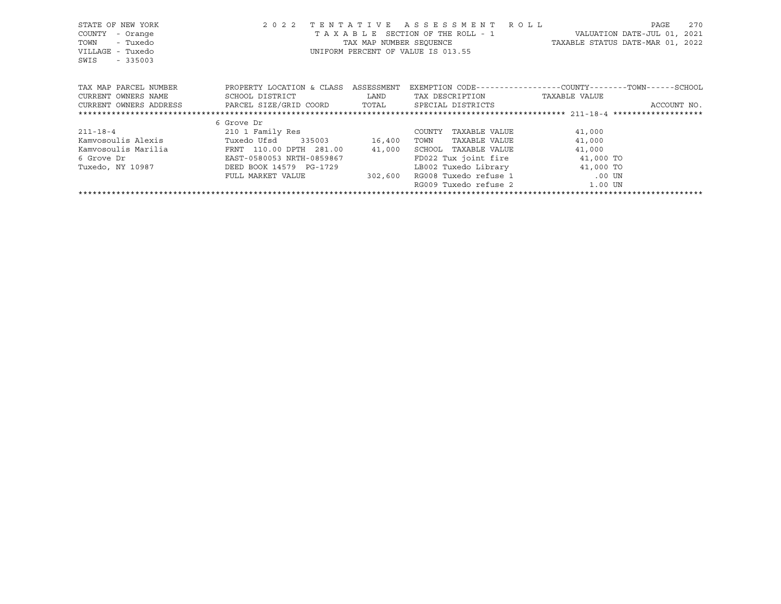| STATE OF NEW YORK<br>COUNTY<br>- Orange<br>- Tuxedo<br>TOWN<br>VILLAGE - Tuxedo<br>$-335003$<br>SWIS | 2 0 2 2                   | TENTATIVE<br>TAX MAP NUMBER SEOUENCE | ASSESSMENT ROLL<br>TAXABLE SECTION OF THE ROLL - 1<br>UNIFORM PERCENT OF VALUE IS 013.55 | TAXABLE STATUS DATE-MAR 01, 2022                             | 270<br>PAGE<br>VALUATION DATE-JUL 01, 2021 |
|------------------------------------------------------------------------------------------------------|---------------------------|--------------------------------------|------------------------------------------------------------------------------------------|--------------------------------------------------------------|--------------------------------------------|
| TAX MAP PARCEL NUMBER                                                                                | PROPERTY LOCATION & CLASS | ASSESSMENT                           |                                                                                          | EXEMPTION CODE-----------------COUNTY-------TOWN------SCHOOL |                                            |
| CURRENT OWNERS NAME                                                                                  | SCHOOL DISTRICT           | LAND                                 | TAX DESCRIPTION                                                                          | TAXABLE VALUE                                                |                                            |
| CURRENT OWNERS ADDRESS                                                                               | PARCEL SIZE/GRID COORD    | TOTAL                                | SPECIAL DISTRICTS                                                                        |                                                              | ACCOUNT NO.                                |
|                                                                                                      |                           |                                      |                                                                                          |                                                              |                                            |
|                                                                                                      | 6 Grove Dr                |                                      |                                                                                          |                                                              |                                            |
| $211 - 18 - 4$                                                                                       | 210 1 Family Res          |                                      | COUNTY<br>TAXABLE VALUE                                                                  | 41,000                                                       |                                            |
| Kamvosoulis Alexis                                                                                   | Tuxedo Ufsd<br>335003     | 16,400                               | TOWN<br>TAXABLE VALUE                                                                    | 41,000                                                       |                                            |
| Kamvosoulis Marilia                                                                                  | FRNT 110.00 DPTH 281.00   | 41,000                               | SCHOOL<br>TAXABLE VALUE                                                                  | 41,000                                                       |                                            |
| 6 Grove Dr                                                                                           | EAST-0580053 NRTH-0859867 |                                      | FD022 Tux joint fire                                                                     | 41,000 TO                                                    |                                            |
| Tuxedo, NY 10987                                                                                     | DEED BOOK 14579 PG-1729   |                                      | LB002 Tuxedo Library                                                                     | 41,000 TO                                                    |                                            |
|                                                                                                      | FULL MARKET VALUE         | 302,600                              | RG008 Tuxedo refuse 1                                                                    | .00 UN                                                       |                                            |
|                                                                                                      |                           |                                      | RG009 Tuxedo refuse 2                                                                    | 1.00 UN                                                      |                                            |
|                                                                                                      |                           |                                      |                                                                                          |                                                              |                                            |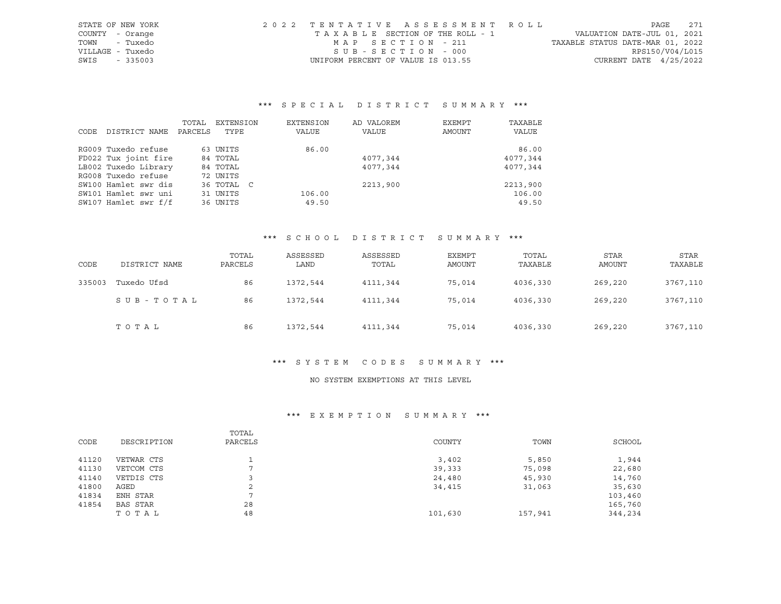| STATE OF NEW YORK | 2022 TENTATIVE ASSESSMENT ROLL |                                    | 271<br>PAGE                      |
|-------------------|--------------------------------|------------------------------------|----------------------------------|
| COUNTY - Orange   |                                | TAXABLE SECTION OF THE ROLL - 1    | VALUATION DATE-JUL 01, 2021      |
| - Tuxedo<br>TOWN  |                                | MAP SECTION - 211                  | TAXABLE STATUS DATE-MAR 01, 2022 |
| VILLAGE - Tuxedo  |                                | SUB-SECTION - 000                  | RPS150/V04/L015                  |
| SWIS<br>$-335003$ |                                | UNIFORM PERCENT OF VALUE IS 013.55 | CURRENT DATE $4/25/2022$         |

# \*\*\* S P E C I A L D I S T R I C T S U M M A R Y \*\*\*

|      |                      | TOTAL   | EXTENSION  | EXTENSION | AD VALOREM | EXEMPT | TAXABLE  |
|------|----------------------|---------|------------|-----------|------------|--------|----------|
| CODE | DISTRICT NAME        | PARCELS | TYPE       | VALUE     | VALUE      | AMOUNT | VALUE    |
|      | RG009 Tuxedo refuse  |         | 63 UNITS   | 86.00     |            |        | 86.00    |
|      | FD022 Tux joint fire |         | 84 TOTAL   |           | 4077,344   |        | 4077,344 |
|      | LB002 Tuxedo Library |         | 84 TOTAL   |           | 4077,344   |        | 4077,344 |
|      | RG008 Tuxedo refuse  |         | 72 UNITS   |           |            |        |          |
|      | SW100 Hamlet swr dis |         | 36 TOTAL C |           | 2213,900   |        | 2213,900 |
|      | SW101 Hamlet swr uni |         | 31 UNITS   | 106.00    |            |        | 106.00   |
|      | SW107 Hamlet swr f/f |         | 36 UNITS   | 49.50     |            |        | 49.50    |

# \*\*\* S C H O O L D I S T R I C T S U M M A R Y \*\*\*

| CODE   | DISTRICT NAME | TOTAL<br>PARCELS | ASSESSED<br>LAND | ASSESSED<br>TOTAL | <b>EXEMPT</b><br>AMOUNT | TOTAL<br>TAXABLE | <b>STAR</b><br>AMOUNT | <b>STAR</b><br>TAXABLE |
|--------|---------------|------------------|------------------|-------------------|-------------------------|------------------|-----------------------|------------------------|
| 335003 | Tuxedo Ufsd   | 86               | 1372,544         | 4111,344          | 75,014                  | 4036,330         | 269,220               | 3767,110               |
|        | SUB-TOTAL     | 86               | 1372,544         | 4111,344          | 75,014                  | 4036,330         | 269,220               | 3767,110               |
|        | TOTAL         | 86               | 1372,544         | 4111,344          | 75,014                  | 4036,330         | 269,220               | 3767,110               |

# \*\*\* S Y S T E M C O D E S S U M M A R Y \*\*\*

#### NO SYSTEM EXEMPTIONS AT THIS LEVEL

# \*\*\* E X E M P T I O N S U M M A R Y \*\*\*

|       |             | TOTAL   |         |         |         |
|-------|-------------|---------|---------|---------|---------|
| CODE  | DESCRIPTION | PARCELS | COUNTY  | TOWN    | SCHOOL  |
| 41120 | VETWAR CTS  |         | 3,402   | 5,850   | 1,944   |
| 41130 | VETCOM CTS  |         | 39,333  | 75,098  | 22,680  |
| 41140 | VETDIS CTS  |         | 24,480  | 45,930  | 14,760  |
| 41800 | AGED        | 2       | 34,415  | 31,063  | 35,630  |
| 41834 | ENH STAR    |         |         |         | 103,460 |
| 41854 | BAS STAR    | 28      |         |         | 165,760 |
|       | TOTAL       | 48      | 101,630 | 157,941 | 344,234 |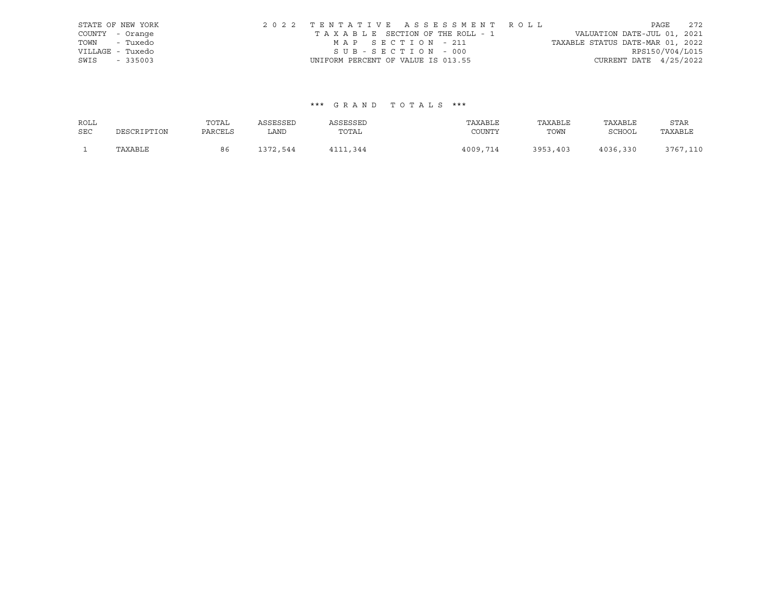|                  | STATE OF NEW YORK | 2022 TENTATIVE ASSESSMENT ROLL     |  |  |                                  |                          | PAGE | 2.72 |
|------------------|-------------------|------------------------------------|--|--|----------------------------------|--------------------------|------|------|
| COUNTY - Orange  |                   | TAXABLE SECTION OF THE ROLL - 1    |  |  | VALUATION DATE-JUL 01, 2021      |                          |      |      |
| TOWN - Tuxedo    |                   | MAP SECTION - 211                  |  |  | TAXABLE STATUS DATE-MAR 01, 2022 |                          |      |      |
| VILLAGE - Tuxedo |                   | SUB-SECTION - 000                  |  |  |                                  | RPS150/V04/L015          |      |      |
| SWIS             | $-335003$         | UNIFORM PERCENT OF VALUE IS 013.55 |  |  |                                  | CURRENT DATE $4/25/2022$ |      |      |

# \*\*\* G R A N D T O T A L S \*\*\*

| ROLL       |             | TOTAL   | ASSESSED | ASSESSED | TAXABLE  | TAXABLE  | TAXABLE  | STAR     |
|------------|-------------|---------|----------|----------|----------|----------|----------|----------|
| <b>SEC</b> | DESCRIPTION | PARCELS | LAND     | TOTAL    | COUNTY   | TOWN     | SCHOOL   | TAXABLE  |
|            | TAXABLE     | 86      | 1372,544 | 4111,344 | 4009,714 | 3953,403 | 4036,330 | 3767,110 |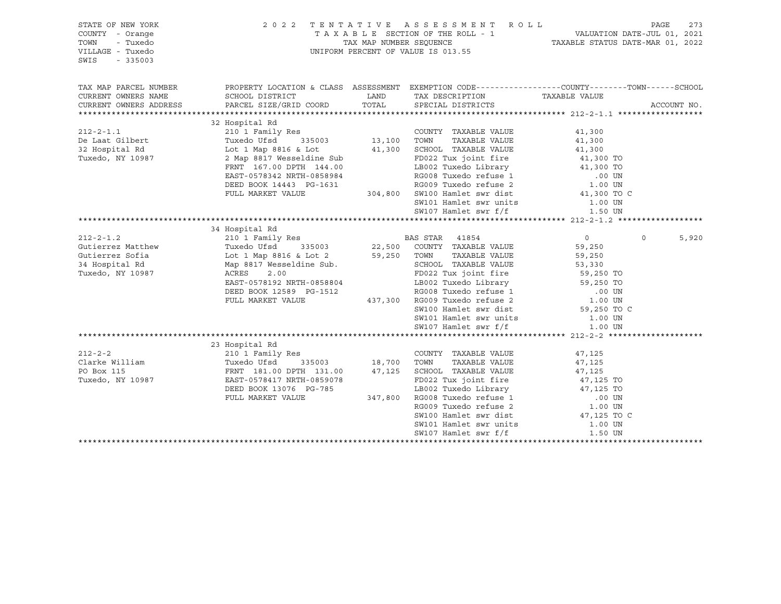| STATE OF NEW YORK<br>COUNTY - Orange<br>TOWN<br>- Tuxedo<br>VILLAGE - Tuxedo<br>SWIS<br>$-335003$ | 2022 TENTATIVE ASSESSMENT ROLL<br>UNIFORM PERCENT OF VALUE IS 013.55                                                                                                   | TAXABLE SECTION OF THE ROLL - 1<br>TAX MAP NUMBER SEQUENCE TAXABLE STATUS DATE-JUL 01, 2021 | PAGE                                                                                            | 273                    |                  |  |
|---------------------------------------------------------------------------------------------------|------------------------------------------------------------------------------------------------------------------------------------------------------------------------|---------------------------------------------------------------------------------------------|-------------------------------------------------------------------------------------------------|------------------------|------------------|--|
| TAX MAP PARCEL NUMBER                                                                             | PROPERTY LOCATION & CLASS ASSESSMENT EXEMPTION CODE----------------COUNTY-------TOWN------SCHOOL                                                                       |                                                                                             |                                                                                                 |                        |                  |  |
| CURRENT OWNERS NAME<br>CURRENT OWNERS ADDRESS                                                     | SCHOOL DISTRICT<br>PARCEL SIZE/GRID COORD                                                                                                                              |                                                                                             | LAND TAX DESCRIPTION TAXABLE VALUE<br>TOTAL SPECIAL DISTRICTS                                   |                        | ACCOUNT NO.      |  |
|                                                                                                   |                                                                                                                                                                        |                                                                                             |                                                                                                 |                        |                  |  |
|                                                                                                   | 32 Hospital Rd                                                                                                                                                         |                                                                                             |                                                                                                 |                        |                  |  |
| $212 - 2 - 1.1$                                                                                   | 210 1 Family Res                                                                                                                                                       |                                                                                             | COUNTY TAXABLE VALUE                                                                            | 41,300                 |                  |  |
| De Laat Gilbert                                                                                   | les<br>335003 13,100<br>CS Lot 41,300<br>Tuxedo Ufsd                                                                                                                   |                                                                                             | TAXABLE VALUE<br>TOWN                                                                           | 41,300                 |                  |  |
| 32 Hospital Rd                                                                                    | Lot 1 Map 8816 & Lot                                                                                                                                                   |                                                                                             | SCHOOL TAXABLE VALUE                                                                            | 41,300                 |                  |  |
| Tuxedo, NY 10987                                                                                  | 2 Map 8817 Wesseldine Sub                                                                                                                                              |                                                                                             | FD022 Tux joint fire 41,300 TO                                                                  |                        |                  |  |
|                                                                                                   | FRNT 167.00 DPTH 144.00                                                                                                                                                |                                                                                             | ----<br>LB002 Tuxedo Library<br>RG008 Tuxedo refuse 1                                           | 41,300 TO              |                  |  |
|                                                                                                   | EAST-0578342 NRTH-0858984                                                                                                                                              |                                                                                             |                                                                                                 | .00 UN<br>1.00 UN      |                  |  |
|                                                                                                   | DEED BOOK 14443 PG-1631                                                                                                                                                |                                                                                             | EXAMPLE 2 Transformation of the MGO09 Tuxedo refuse 2 to 1.00 UN 1.300 TO C 1.00 UN 10.300 TO C |                        |                  |  |
|                                                                                                   | FULL MARKET VALUE                                                                                                                                                      |                                                                                             |                                                                                                 |                        |                  |  |
|                                                                                                   |                                                                                                                                                                        |                                                                                             | SW101 Hamlet swr units<br>SW107 Hamlet swr f/f                                                  | 1.00 UN                |                  |  |
|                                                                                                   |                                                                                                                                                                        |                                                                                             |                                                                                                 | 1.50 UN                |                  |  |
|                                                                                                   |                                                                                                                                                                        |                                                                                             |                                                                                                 |                        |                  |  |
|                                                                                                   | 34 Hospital Rd                                                                                                                                                         |                                                                                             |                                                                                                 |                        |                  |  |
| $212 - 2 - 1.2$                                                                                   |                                                                                                                                                                        |                                                                                             |                                                                                                 | $\overline{0}$         | 5,920<br>$\circ$ |  |
| Gutierrez Matthew                                                                                 |                                                                                                                                                                        |                                                                                             |                                                                                                 | 59,250                 |                  |  |
| Gutierrez Sofia                                                                                   | Lot 1 Map 8816 & Lot 2 59,250 TOWN                                                                                                                                     |                                                                                             | TAXABLE VALUE                                                                                   | 59,250                 |                  |  |
| 34 Hospital Rd                                                                                    | Map 8817 Wesseldine Sub.                                                                                                                                               |                                                                                             | SCHOOL TAXABLE VALUE<br>SCHOOL TAXABLE VALUE 53,330<br>FD022 Tux joint fire 59,250 TO           |                        |                  |  |
| Tuxedo, NY 10987                                                                                  | ACRES<br>2.00                                                                                                                                                          |                                                                                             |                                                                                                 |                        |                  |  |
|                                                                                                   |                                                                                                                                                                        |                                                                                             |                                                                                                 |                        |                  |  |
|                                                                                                   |                                                                                                                                                                        |                                                                                             |                                                                                                 |                        |                  |  |
|                                                                                                   | EAST-0578192 NRTH-0858804<br>DEED BOOK 12589 PG-1512<br>PULL MARKET VALUE 437,300 RG009 Tuxedo refuse 2 1.00 UN<br>CHARKET VALUE 437,300 RG009 Tuxedo refuse 2 1.00 UN |                                                                                             |                                                                                                 | 1.00 UN<br>59,250 TO C |                  |  |
|                                                                                                   |                                                                                                                                                                        |                                                                                             | SW100 Hamlet swr dist                                                                           |                        |                  |  |
|                                                                                                   |                                                                                                                                                                        |                                                                                             | SW101 Hamlet swr units 1.00 UN                                                                  |                        |                  |  |
|                                                                                                   |                                                                                                                                                                        |                                                                                             | SW107 Hamlet swr f/f                                                                            | 1.00 UN                |                  |  |
|                                                                                                   |                                                                                                                                                                        |                                                                                             |                                                                                                 |                        |                  |  |
|                                                                                                   | 23 Hospital Rd                                                                                                                                                         |                                                                                             |                                                                                                 |                        |                  |  |
| $212 - 2 - 2$                                                                                     | 210 1 Family Res                                                                                                                                                       |                                                                                             | COUNTY TAXABLE VALUE                                                                            | 47,125                 |                  |  |
| Clarke William                                                                                    | Tuxedo Ufsd                                                                                                                                                            | 335003 18,700 TOWN<br>TH 131.00 47.125 SCHOOL                                               | TAXABLE VALUE                                                                                   | 47,125                 |                  |  |
| PO Box 115                                                                                        | FRNT 181.00 DPTH 131.00                                                                                                                                                |                                                                                             | 47,125 SCHOOL TAXABLE VALUE                                                                     | 47,125                 |                  |  |
| Tuxedo, NY 10987                                                                                  | EAST-0578417 NRTH-0859078                                                                                                                                              |                                                                                             | FD022 Tux joint fire                                                                            | 47,125 TO              |                  |  |
|                                                                                                   | DEED BOOK 13076 PG-785                                                                                                                                                 |                                                                                             | LB002 Tuxedo Library                                                                            | 47,125 TO              |                  |  |
|                                                                                                   | FULL MARKET VALUE                                                                                                                                                      |                                                                                             | 347,800 RG008 Tuxedo refuse 1                                                                   | .00 UN                 |                  |  |
|                                                                                                   |                                                                                                                                                                        |                                                                                             |                                                                                                 | 1.00 UN                |                  |  |
|                                                                                                   |                                                                                                                                                                        |                                                                                             | RG009 Tuxedo refuse 2<br>SW100 Hamlet swr dist                                                  | 47,125 TO C            |                  |  |
|                                                                                                   |                                                                                                                                                                        |                                                                                             | SW101 Hamlet swr units                                                                          | 1.00 UN                |                  |  |
|                                                                                                   |                                                                                                                                                                        |                                                                                             | SW107 Hamlet swr f/f                                                                            | 1.50 UN                |                  |  |
|                                                                                                   |                                                                                                                                                                        |                                                                                             |                                                                                                 |                        |                  |  |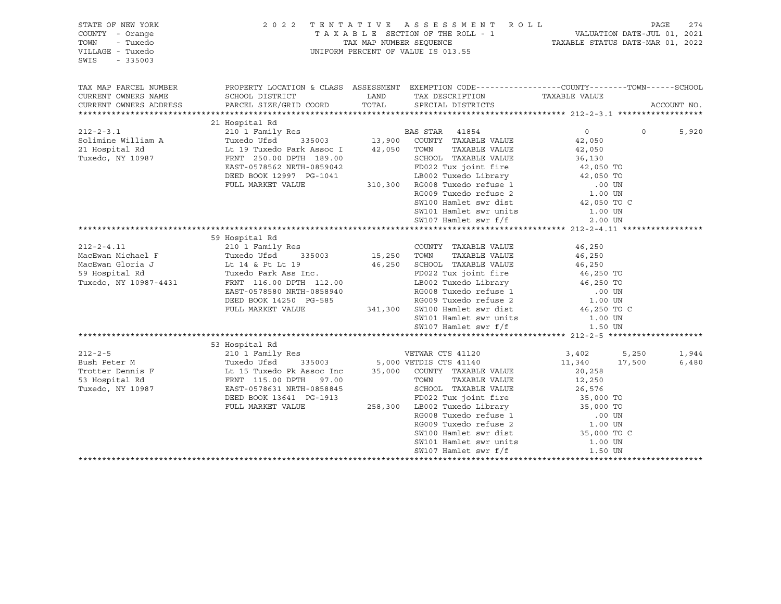| STATE OF NEW YORK<br>COUNTY - Orange<br>TOWN<br>- Tuxedo<br>VILLAGE - Tuxedo<br>SWIS<br>$-335003$ |                                                                                                                                                                                                                                                          | 2022 TENTATIVE ASSESSMENT ROLL                                                                                                                                                                           |                                                                                                                                                                                                                                                                                                                                    | PAGE<br>274       |
|---------------------------------------------------------------------------------------------------|----------------------------------------------------------------------------------------------------------------------------------------------------------------------------------------------------------------------------------------------------------|----------------------------------------------------------------------------------------------------------------------------------------------------------------------------------------------------------|------------------------------------------------------------------------------------------------------------------------------------------------------------------------------------------------------------------------------------------------------------------------------------------------------------------------------------|-------------------|
| TAX MAP PARCEL NUMBER<br>CURRENT OWNERS NAME<br>CURRENT OWNERS ADDRESS                            | PROPERTY LOCATION & CLASS ASSESSMENT EXEMPTION CODE----------------COUNTY-------TOWN------SCHOOL                                                                                                                                                         |                                                                                                                                                                                                          |                                                                                                                                                                                                                                                                                                                                    | ACCOUNT NO.       |
|                                                                                                   |                                                                                                                                                                                                                                                          |                                                                                                                                                                                                          |                                                                                                                                                                                                                                                                                                                                    |                   |
|                                                                                                   |                                                                                                                                                                                                                                                          |                                                                                                                                                                                                          |                                                                                                                                                                                                                                                                                                                                    |                   |
|                                                                                                   |                                                                                                                                                                                                                                                          |                                                                                                                                                                                                          | $\overline{0}$ and $\overline{0}$ and $\overline{0}$ and $\overline{0}$ and $\overline{0}$ and $\overline{0}$ and $\overline{0}$ and $\overline{0}$ and $\overline{0}$ and $\overline{0}$ and $\overline{0}$ and $\overline{0}$ and $\overline{0}$ and $\overline{0}$ and $\overline{0}$ and $\overline{0}$ and $\overline{0}$ and | $\Omega$<br>5,920 |
|                                                                                                   |                                                                                                                                                                                                                                                          |                                                                                                                                                                                                          |                                                                                                                                                                                                                                                                                                                                    |                   |
|                                                                                                   |                                                                                                                                                                                                                                                          |                                                                                                                                                                                                          |                                                                                                                                                                                                                                                                                                                                    |                   |
|                                                                                                   |                                                                                                                                                                                                                                                          |                                                                                                                                                                                                          |                                                                                                                                                                                                                                                                                                                                    |                   |
|                                                                                                   |                                                                                                                                                                                                                                                          |                                                                                                                                                                                                          |                                                                                                                                                                                                                                                                                                                                    |                   |
|                                                                                                   | DEED BOOK 12997 PG-1041                                                                                                                                                                                                                                  |                                                                                                                                                                                                          |                                                                                                                                                                                                                                                                                                                                    |                   |
|                                                                                                   | FULL MARKET VALUE                                                                                                                                                                                                                                        |                                                                                                                                                                                                          |                                                                                                                                                                                                                                                                                                                                    |                   |
|                                                                                                   |                                                                                                                                                                                                                                                          |                                                                                                                                                                                                          |                                                                                                                                                                                                                                                                                                                                    |                   |
|                                                                                                   |                                                                                                                                                                                                                                                          | SW100 Hamlet swr dist 42,050 TO C<br>SW101 Hamlet swr units 1.00 UN                                                                                                                                      |                                                                                                                                                                                                                                                                                                                                    |                   |
|                                                                                                   |                                                                                                                                                                                                                                                          |                                                                                                                                                                                                          |                                                                                                                                                                                                                                                                                                                                    |                   |
|                                                                                                   |                                                                                                                                                                                                                                                          | SW107 Hamlet swr f/f                                                                                                                                                                                     | 2.00 UN                                                                                                                                                                                                                                                                                                                            |                   |
|                                                                                                   |                                                                                                                                                                                                                                                          |                                                                                                                                                                                                          |                                                                                                                                                                                                                                                                                                                                    |                   |
|                                                                                                   | 59 Hospital Rd                                                                                                                                                                                                                                           |                                                                                                                                                                                                          |                                                                                                                                                                                                                                                                                                                                    |                   |
| $212 - 2 - 4.11$                                                                                  |                                                                                                                                                                                                                                                          |                                                                                                                                                                                                          | 46,250                                                                                                                                                                                                                                                                                                                             |                   |
| MacEwan Michael F                                                                                 |                                                                                                                                                                                                                                                          |                                                                                                                                                                                                          | 46,250                                                                                                                                                                                                                                                                                                                             |                   |
|                                                                                                   | MacEwan Gloria J<br>MacEwan Gloria J<br>Lt 14 & Pt Lt 19<br>Tuxedo Park Ass Inc.                                                                                                                                                                         | 46,250 IOMN TAXABLE VALUE<br>46,250 SCHOOL TAXABLE VALUE<br>FD022 Tux joint fire<br>LB002 Tuxedo Library<br>RG008 Tuxedo refuse 1 .00 UN<br>RG009 Tuxedo refuse 2 .00 UN<br>RG009 Tuxedo refuse 2 .00 UN |                                                                                                                                                                                                                                                                                                                                    |                   |
| 59 Hospital Rd                                                                                    | FRNT 116.00 DPTH 112.00                                                                                                                                                                                                                                  |                                                                                                                                                                                                          |                                                                                                                                                                                                                                                                                                                                    |                   |
| Tuxedo, NY 10987-4431                                                                             | EAST-0578580 NRTH-0858940                                                                                                                                                                                                                                |                                                                                                                                                                                                          |                                                                                                                                                                                                                                                                                                                                    |                   |
|                                                                                                   |                                                                                                                                                                                                                                                          |                                                                                                                                                                                                          |                                                                                                                                                                                                                                                                                                                                    |                   |
|                                                                                                   | DEED BOOK 14250 PG-585 RG009 Tuxedo refuse 2<br>FULL MARKET VALUE 341,300 SW100 Hamlet swr dist                                                                                                                                                          |                                                                                                                                                                                                          | 46,250 TO C                                                                                                                                                                                                                                                                                                                        |                   |
|                                                                                                   |                                                                                                                                                                                                                                                          | SW101 Hamlet swr units 1.00 UN                                                                                                                                                                           |                                                                                                                                                                                                                                                                                                                                    |                   |
|                                                                                                   |                                                                                                                                                                                                                                                          | SW107 Hamlet swr f/f                                                                                                                                                                                     | 1.50 UN                                                                                                                                                                                                                                                                                                                            |                   |
|                                                                                                   |                                                                                                                                                                                                                                                          |                                                                                                                                                                                                          |                                                                                                                                                                                                                                                                                                                                    |                   |
|                                                                                                   | 53 Hospital Rd                                                                                                                                                                                                                                           |                                                                                                                                                                                                          |                                                                                                                                                                                                                                                                                                                                    |                   |
|                                                                                                   |                                                                                                                                                                                                                                                          |                                                                                                                                                                                                          | 3,402                                                                                                                                                                                                                                                                                                                              | 1,944<br>5,250    |
|                                                                                                   |                                                                                                                                                                                                                                                          |                                                                                                                                                                                                          | 11,340 17,500                                                                                                                                                                                                                                                                                                                      | 6,480             |
|                                                                                                   | 212-2-5<br>Bush Peter M<br>Trotter Dennis F<br>Trotter Dennis F<br>Sa Hospital Rd<br>Trotter Dennis F<br>Et 15 Tuxedo Pk Assoc Inc<br>Et 115.00 DPTH<br>115.00 DPTH<br>97.00<br>TOWN TAXABLE VALUE<br>TUXED ON TOWN<br>TAXABLE VALUE<br>TUXED ON TAXABLE |                                                                                                                                                                                                          | 20,258                                                                                                                                                                                                                                                                                                                             |                   |
|                                                                                                   |                                                                                                                                                                                                                                                          |                                                                                                                                                                                                          |                                                                                                                                                                                                                                                                                                                                    |                   |
| Tuxedo, NY 10987                                                                                  | EAST-0578631 NRTH-0858845                                                                                                                                                                                                                                |                                                                                                                                                                                                          |                                                                                                                                                                                                                                                                                                                                    |                   |
|                                                                                                   | DEED BOOK 13641 PG-1913                                                                                                                                                                                                                                  |                                                                                                                                                                                                          |                                                                                                                                                                                                                                                                                                                                    |                   |
|                                                                                                   | FULL MARKET VALUE                                                                                                                                                                                                                                        |                                                                                                                                                                                                          |                                                                                                                                                                                                                                                                                                                                    |                   |
|                                                                                                   |                                                                                                                                                                                                                                                          |                                                                                                                                                                                                          |                                                                                                                                                                                                                                                                                                                                    |                   |
|                                                                                                   |                                                                                                                                                                                                                                                          | 939013<br>FD022 Tux joint fire<br>258,300 LB002 Tuxedo Library<br>RG008 Tuxedo Library<br>RG008 Tuxedo refuse 1 00 UN<br>RG009 Tuxedo refuse 2 1.00 UN<br>SW100 Hamlet swr dist<br>35,000 TO             |                                                                                                                                                                                                                                                                                                                                    |                   |
|                                                                                                   |                                                                                                                                                                                                                                                          |                                                                                                                                                                                                          |                                                                                                                                                                                                                                                                                                                                    |                   |
|                                                                                                   |                                                                                                                                                                                                                                                          | SW101 Hamlet swr units 1.00 UN                                                                                                                                                                           |                                                                                                                                                                                                                                                                                                                                    |                   |
|                                                                                                   |                                                                                                                                                                                                                                                          | SW107 Hamlet swr f/f                                                                                                                                                                                     | 1.50 UN                                                                                                                                                                                                                                                                                                                            |                   |
|                                                                                                   |                                                                                                                                                                                                                                                          |                                                                                                                                                                                                          |                                                                                                                                                                                                                                                                                                                                    |                   |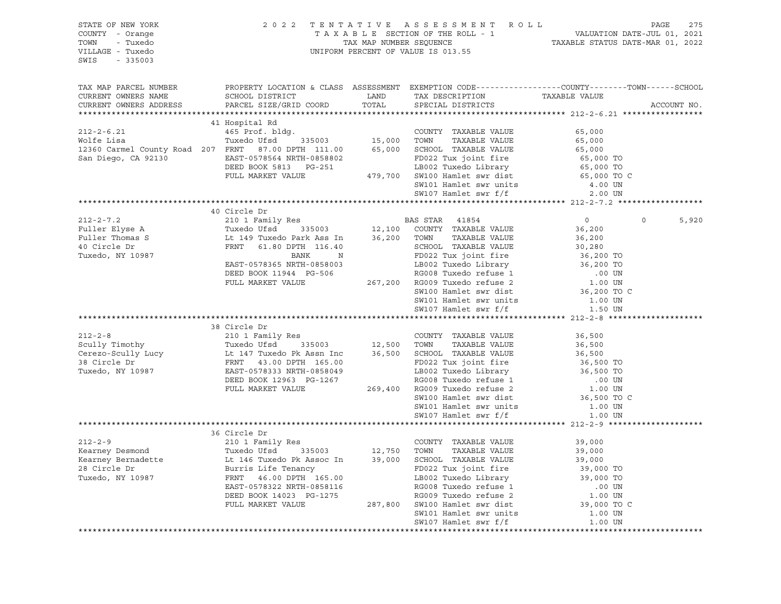| STATE OF NEW YORK<br>COUNTY - Orange<br>- Tuxedo<br>TOWN<br>VILLAGE - Tuxedo<br>SWIS<br>$-335003$                        | 2022                                                  |               | TENTATIVE ASSESSMENT ROLL<br>UNIFORM PERCENT OF VALUE IS 013.55 |                                                                                                                  | PAGE<br>275 |
|--------------------------------------------------------------------------------------------------------------------------|-------------------------------------------------------|---------------|-----------------------------------------------------------------|------------------------------------------------------------------------------------------------------------------|-------------|
| TAX MAP PARCEL NUMBER<br>CURRENT OWNERS NAME<br>CURRENT OWNERS ADDRESS                                                   | SCHOOL DISTRICT<br>PARCEL SIZE/GRID COORD             | LAND<br>TOTAL | TAX DESCRIPTION<br>SPECIAL DISTRICTS                            | PROPERTY LOCATION & CLASS ASSESSMENT EXEMPTION CODE---------------COUNTY-------TOWN------SCHOOL<br>TAXABLE VALUE | ACCOUNT NO. |
|                                                                                                                          |                                                       |               |                                                                 |                                                                                                                  |             |
|                                                                                                                          | 41 Hospital Rd                                        |               |                                                                 |                                                                                                                  |             |
| $212 - 2 - 6.21$                                                                                                         | 465 Prof. bldg.                                       |               | COUNTY TAXABLE VALUE                                            | 65,000                                                                                                           |             |
| Wolfe Lisa                                                                                                               | 335003 15,000<br>Tuxedo Ufsd                          |               | TAXABLE VALUE<br>TOWN                                           | 65,000                                                                                                           |             |
| 12360 Carmel County Road 207 FRNT 87.00 DPTH 111.00                                                                      |                                                       | 65,000        | SCHOOL TAXABLE VALUE                                            | 65,000                                                                                                           |             |
| San Diego, CA 92130                                                                                                      | EAST-0578564 NRTH-0858802                             |               | FD022 Tux joint fire                                            | 65,000 TO                                                                                                        |             |
|                                                                                                                          | DEED BOOK 5813 PG-251                                 |               | LB002 Tuxedo Library 65,000 TO                                  |                                                                                                                  |             |
|                                                                                                                          | FULL MARKET VALUE                                     |               | 479,700 SW100 Hamlet swr dist                                   | 65,000 TO C                                                                                                      |             |
|                                                                                                                          |                                                       |               | SW101 Hamlet swr units                                          | 4.00 UN                                                                                                          |             |
|                                                                                                                          |                                                       |               | SW107 Hamlet swr f/f                                            | 2.00 UN                                                                                                          |             |
|                                                                                                                          |                                                       |               |                                                                 |                                                                                                                  |             |
|                                                                                                                          | 40 Circle Dr                                          |               |                                                                 |                                                                                                                  |             |
| $212 - 2 - 7.2$                                                                                                          | 210 1 Family Res                                      |               | BAS STAR 41854                                                  | $\mathbf 0$<br>$\overline{0}$                                                                                    | 5,920       |
| Fuller Elyse A                                                                                                           | Tuxedo Ufsd 335003                                    |               | 12,100 COUNTY TAXABLE VALUE                                     | 36,200                                                                                                           |             |
| Fuller Thomas S                                                                                                          | Lt 149 Tuxedo Park Ass In                             | 36,200        | TAXABLE VALUE<br>TOWN                                           | 36,200                                                                                                           |             |
| 40 Circle Dr                                                                                                             | FRNT<br>61.80 DPTH 116.40                             |               | SCHOOL TAXABLE VALUE                                            | 30,280                                                                                                           |             |
| Tuxedo, NY 10987                                                                                                         | BANK<br>N                                             |               | FD022 Tux joint fire                                            | 36,200 TO                                                                                                        |             |
|                                                                                                                          | EAST-0578365 NRTH-0858003                             |               | FD022 Idn j--<br>LB002 Tuxedo Library<br>RG008 Tuxedo refuse 1  | 36,200 TO                                                                                                        |             |
|                                                                                                                          | DEED BOOK 11944 PG-506                                |               |                                                                 | $.00$ UN                                                                                                         |             |
|                                                                                                                          | FULL MARKET VALUE                                     |               | 267,200 RG009 Tuxedo refuse 2                                   | 1.00 UN                                                                                                          |             |
|                                                                                                                          |                                                       |               | SW100 Hamlet swr dist                                           | 36,200 TO C                                                                                                      |             |
|                                                                                                                          |                                                       |               | SW101 Hamlet swr units                                          | 1.00 UN                                                                                                          |             |
|                                                                                                                          |                                                       |               | SW107 Hamlet swr f/f                                            | 1.50 UN                                                                                                          |             |
|                                                                                                                          |                                                       |               |                                                                 |                                                                                                                  |             |
|                                                                                                                          | 38 Circle Dr                                          |               |                                                                 |                                                                                                                  |             |
| $212 - 2 - 8$                                                                                                            | 210 1 Family Res                                      |               | COUNTY TAXABLE VALUE                                            | 36,500                                                                                                           |             |
|                                                                                                                          | 335003 12,500                                         |               | TAXABLE VALUE<br>TOWN                                           | 36,500                                                                                                           |             |
| Scully Timothy<br>Cerezo-Scully Lucy<br>38 Circle Dr<br>Tuxedo NY 10987<br>Tuxedo NY 10987<br>FRAST-0578333 NETH-0858049 |                                                       | 36,500        | SCHOOL TAXABLE VALUE                                            | 36,500                                                                                                           |             |
| Tuxedo, NY 10987                                                                                                         | EAST-0578333 NRTH-0858049                             |               | FD022 Tux joint fire                                            | 36,500 TO                                                                                                        |             |
|                                                                                                                          | DEED BOOK 12963 PG-1267                               |               | FD022 ida jumi<br>LB002 Tuxedo Library<br>PG008 Tuxedo refuse 1 | 36,500 TO<br>$.00$ UN                                                                                            |             |
|                                                                                                                          | FULL MARKET VALUE                                     | 269,400       | RG009 Tuxedo refuse 2                                           | 1.00 UN                                                                                                          |             |
|                                                                                                                          |                                                       |               | SW100 Hamlet swr dist                                           | 36,500 TO C                                                                                                      |             |
|                                                                                                                          |                                                       |               | SW101 Hamlet swr units                                          | 1.00 UN                                                                                                          |             |
|                                                                                                                          |                                                       |               | SW107 Hamlet swr f/f                                            | 1.00 UN                                                                                                          |             |
|                                                                                                                          |                                                       |               |                                                                 |                                                                                                                  |             |
|                                                                                                                          | 36 Circle Dr                                          |               |                                                                 |                                                                                                                  |             |
| $212 - 2 - 9$                                                                                                            | 210 1 Family Res                                      |               | COUNTY TAXABLE VALUE                                            | 39,000                                                                                                           |             |
| Kearney Desmond                                                                                                          | Tuxedo Ufsd                                           | 335003 12,750 | TOWN<br>TAXABLE VALUE                                           | 39,000                                                                                                           |             |
| Kearney Bernadette                                                                                                       | Lt 146 Tuxedo Pk Assoc In 39,000 SCHOOL TAXABLE VALUE |               |                                                                 | 39,000                                                                                                           |             |
| 28 Circle Dr                                                                                                             | Burris Life Tenancy                                   |               | FD022 Tux joint fire                                            | 39,000 TO                                                                                                        |             |
| Tuxedo, NY 10987                                                                                                         | 46.00 DPTH 165.00<br>FRNT                             |               | LB002 Tuxedo Library                                            | 39,000 TO                                                                                                        |             |
|                                                                                                                          | EAST-0578322 NRTH-0858116                             |               | RG008 Tuxedo refuse 1                                           | .00 UN                                                                                                           |             |
|                                                                                                                          | DEED BOOK 14023 PG-1275                               |               | RG009 Tuxedo refuse 2                                           | 1.00 UN                                                                                                          |             |
|                                                                                                                          | FULL MARKET VALUE                                     | 287,800       | SW100 Hamlet swr dist                                           | 39,000 TO C                                                                                                      |             |
|                                                                                                                          |                                                       |               | SW101 Hamlet swr units                                          | 1.00 UN                                                                                                          |             |
|                                                                                                                          |                                                       |               | SW107 Hamlet swr f/f                                            | 1.00 UN                                                                                                          |             |
|                                                                                                                          |                                                       |               |                                                                 |                                                                                                                  |             |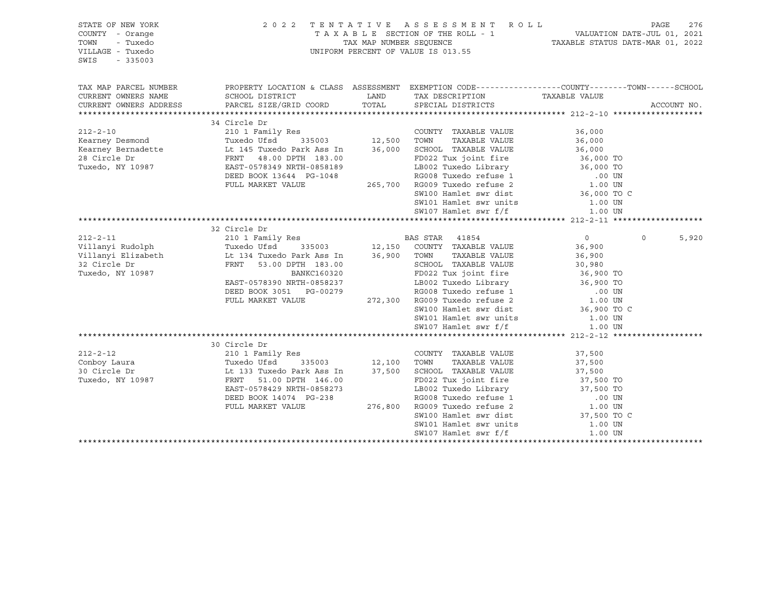| STATE OF NEW YORK<br>COUNTY - Orange<br>TOWN<br>- Tuxedo<br>VILLAGE - Tuxedo<br>SWIS<br>$-335003$                                                                                                                                                       | 2 0 2 2                                                                                                     |                                                                                                  | TENTATIVE ASSESSMENT ROLL<br>TAXABLE SECTION OF THE ROLL - 1<br>TAXABLE STATUS DATE-JUL 01, 2021<br>TAXABLE STATUS DATE-MAR 01, 2022<br>UNIFORM PERCENT OF VALUE IS 013.55 |                     | PAGE     | 276         |
|---------------------------------------------------------------------------------------------------------------------------------------------------------------------------------------------------------------------------------------------------------|-------------------------------------------------------------------------------------------------------------|--------------------------------------------------------------------------------------------------|----------------------------------------------------------------------------------------------------------------------------------------------------------------------------|---------------------|----------|-------------|
| TAX MAP PARCEL NUMBER                                                                                                                                                                                                                                   | PROPERTY LOCATION & CLASS ASSESSMENT EXEMPTION CODE----------------COUNTY-------TOWN------SCHOOL            |                                                                                                  |                                                                                                                                                                            |                     |          |             |
| CURRENT OWNERS NAME<br>CURRENT OWNERS ADDRESS PARCEL SIZE/GRID COORD                                                                                                                                                                                    | SCHOOL DISTRICT                                                                                             | <b>EXAMPLE THE STATE OF STATE OF STATE OF STATE OF STATE OF STATE OF STATE OF STATE</b><br>TOTAL | TAX DESCRIPTION TAXABLE VALUE<br>SPECIAL DISTRICTS                                                                                                                         |                     |          | ACCOUNT NO. |
|                                                                                                                                                                                                                                                         | 34 Circle Dr                                                                                                |                                                                                                  |                                                                                                                                                                            |                     |          |             |
|                                                                                                                                                                                                                                                         |                                                                                                             |                                                                                                  | COUNTY TAXABLE VALUE                                                                                                                                                       | 36,000              |          |             |
| 212-2-10<br>Kearney Desmond<br>Example Foundation (1998)<br>Campion (1998)<br>Campion (1998)<br>Campion (1998)<br>Campion (1998)<br>Campion (1998)<br>Campion (1998)<br>Campion (1998)<br>Campion (1998)<br>Campion (1998)<br>Campion (1998)<br>Campion | Kes<br>335003 12,500<br>Park Ass T-                                                                         |                                                                                                  | TAXABLE VALUE<br>TOWN                                                                                                                                                      | 36,000              |          |             |
|                                                                                                                                                                                                                                                         |                                                                                                             | 36,000                                                                                           |                                                                                                                                                                            |                     |          |             |
|                                                                                                                                                                                                                                                         |                                                                                                             |                                                                                                  | SCHOOL TAXABLE VALUE 36,000<br>FD022 Tux joint fire 36,000 TO                                                                                                              |                     |          |             |
|                                                                                                                                                                                                                                                         | EAST-0578349 NRTH-0858189                                                                                   |                                                                                                  |                                                                                                                                                                            |                     |          |             |
|                                                                                                                                                                                                                                                         | DEED BOOK 13644 PG-1048                                                                                     |                                                                                                  | 0858189 LB002 Tuxedo Library 36,000 TO<br>G-1048 RG008 Tuxedo refuse 1 00 UN<br>265,700 RG009 Tuxedo refuse 2 1.00 UN<br>SW100 Hamlet swr dist 36,000 TO C                 |                     |          |             |
|                                                                                                                                                                                                                                                         | FULL MARKET VALUE                                                                                           |                                                                                                  |                                                                                                                                                                            |                     |          |             |
|                                                                                                                                                                                                                                                         |                                                                                                             |                                                                                                  |                                                                                                                                                                            |                     |          |             |
|                                                                                                                                                                                                                                                         |                                                                                                             |                                                                                                  |                                                                                                                                                                            |                     |          |             |
|                                                                                                                                                                                                                                                         |                                                                                                             |                                                                                                  |                                                                                                                                                                            |                     |          |             |
|                                                                                                                                                                                                                                                         |                                                                                                             |                                                                                                  |                                                                                                                                                                            |                     |          |             |
|                                                                                                                                                                                                                                                         | 32 Circle Dr                                                                                                |                                                                                                  |                                                                                                                                                                            |                     |          |             |
|                                                                                                                                                                                                                                                         |                                                                                                             |                                                                                                  |                                                                                                                                                                            | $\overline{0}$      | $\Omega$ | 5,920       |
| 212-2-11<br>210 1 Family Res<br>210 1 Family Res<br>210 1 Family Res<br>2135003 12,150 COUNTY TAXABLE VALUE<br>211 Tuxedo Park Ass In 36,900 TOWN TAXABLE VALUE<br>2011 TAXABLE VALUE                                                                   |                                                                                                             |                                                                                                  |                                                                                                                                                                            | 36,900              |          |             |
|                                                                                                                                                                                                                                                         |                                                                                                             |                                                                                                  |                                                                                                                                                                            | 36,900              |          |             |
| 32 Circle Dr                                                                                                                                                                                                                                            | FRNT 53.00 DPTH 183.00                                                                                      |                                                                                                  | SCHOOL TAXABLE VALUE                                                                                                                                                       | 30,980<br>36,900 TO |          |             |
| Tuxedo, NY 10987                                                                                                                                                                                                                                        | BANKC160320                                                                                                 |                                                                                                  | FD022 Tux joint fire                                                                                                                                                       |                     |          |             |
|                                                                                                                                                                                                                                                         | EAST-0578390 NRTH-0858237                                                                                   |                                                                                                  |                                                                                                                                                                            |                     |          |             |
|                                                                                                                                                                                                                                                         | DEED BOOK 3051 PG-00279                                                                                     |                                                                                                  |                                                                                                                                                                            |                     |          |             |
|                                                                                                                                                                                                                                                         | FULL MARKET VALUE                                                                                           |                                                                                                  |                                                                                                                                                                            |                     |          |             |
|                                                                                                                                                                                                                                                         |                                                                                                             |                                                                                                  | SW100 Hamlet swr dist<br>SW101 Hamlet swr units 1.00 UN                                                                                                                    | 36,900 TO C         |          |             |
|                                                                                                                                                                                                                                                         |                                                                                                             |                                                                                                  | SW107 Hamlet swr f/f                                                                                                                                                       |                     |          |             |
|                                                                                                                                                                                                                                                         |                                                                                                             |                                                                                                  |                                                                                                                                                                            | 1.00 UN             |          |             |
|                                                                                                                                                                                                                                                         | 30 Circle Dr                                                                                                |                                                                                                  |                                                                                                                                                                            |                     |          |             |
| $212 - 2 - 12$                                                                                                                                                                                                                                          | 210 1 Family Res                                                                                            |                                                                                                  | COUNTY TAXABLE VALUE                                                                                                                                                       | 37,500              |          |             |
| Conboy Laura                                                                                                                                                                                                                                            |                                                                                                             |                                                                                                  | TOWN<br>TAXABLE VALUE                                                                                                                                                      | 37,500              |          |             |
| 30 Circle Dr                                                                                                                                                                                                                                            | 335003 12,100<br>37,500 o Park Ass In<br>Tuxedo ULSu<br>Lt 133 Tuxedo Park Ass In<br>An Der Leo Park 146.00 |                                                                                                  | 37,500 SCHOOL TAXABLE VALUE                                                                                                                                                | 37,500              |          |             |
| Tuxedo, NY 10987                                                                                                                                                                                                                                        | FRNT<br>51.00 DPTH 146.00                                                                                   |                                                                                                  | FD022 Tux joint fire                                                                                                                                                       | 37,500 TO           |          |             |
|                                                                                                                                                                                                                                                         | EAST-0578429 NRTH-0858273                                                                                   |                                                                                                  |                                                                                                                                                                            |                     |          |             |
|                                                                                                                                                                                                                                                         | DEED BOOK 14074 PG-238                                                                                      |                                                                                                  |                                                                                                                                                                            |                     |          |             |
|                                                                                                                                                                                                                                                         | FULL MARKET VALUE                                                                                           |                                                                                                  | 19002 Tuxedo Library 137,500 TO<br>RG008 Tuxedo refuse 1 00 UN<br>276,800 RG009 Tuxedo refuse 2 1.00 UN<br>SW100 Hamlet swr dist 37,500 TO C                               |                     |          |             |
|                                                                                                                                                                                                                                                         |                                                                                                             |                                                                                                  |                                                                                                                                                                            |                     |          |             |
|                                                                                                                                                                                                                                                         |                                                                                                             |                                                                                                  | SW101 Hamlet swr units                                                                                                                                                     | 1.00 UN             |          |             |
|                                                                                                                                                                                                                                                         |                                                                                                             |                                                                                                  | SW107 Hamlet swr f/f                                                                                                                                                       | 1.00 UN             |          |             |
|                                                                                                                                                                                                                                                         |                                                                                                             |                                                                                                  |                                                                                                                                                                            |                     |          |             |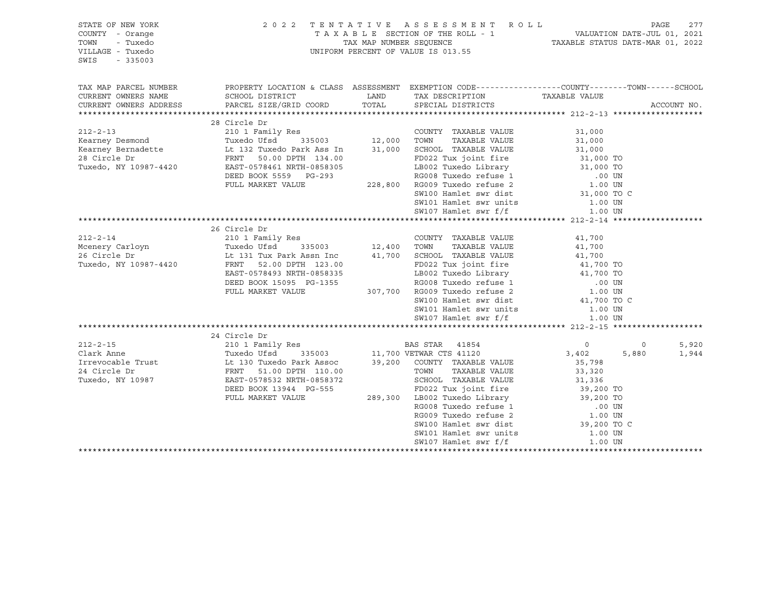| STATE OF NEW YORK<br>COUNTY - Orange<br>- Tuxedo<br>TOWN<br>VILLAGE - Tuxedo<br>SWIS<br>$-335003$ |                                                                                                                                                                                                                                      | 2022 TENTATIVE ASSESSMENT ROLL<br>T A X A B L E SECTION OF THE ROLL - 1<br>TAX MAP NUMBER SEQUENCE COLL - 1<br>TAX MAP NUMBER SEQUENCE COLL - 1<br>TAXABLE STATUS DATE-MAR 01, 2022<br>UNIFORM PERCENT OF VALUE IS 013.55 |                         |                | PAGE<br>277 |
|---------------------------------------------------------------------------------------------------|--------------------------------------------------------------------------------------------------------------------------------------------------------------------------------------------------------------------------------------|---------------------------------------------------------------------------------------------------------------------------------------------------------------------------------------------------------------------------|-------------------------|----------------|-------------|
| TAX MAP PARCEL NUMBER                                                                             |                                                                                                                                                                                                                                      | PROPERTY LOCATION & CLASS ASSESSMENT EXEMPTION CODE----------------COUNTY-------TOWN------SCHOOL                                                                                                                          |                         |                |             |
| CURRENT OWNERS NAME                                                                               |                                                                                                                                                                                                                                      | TAX DESCRIPTION TAXABLE VALUE                                                                                                                                                                                             |                         |                |             |
| CURRENT OWNERS ADDRESS                                                                            |                                                                                                                                                                                                                                      |                                                                                                                                                                                                                           |                         |                | ACCOUNT NO. |
|                                                                                                   | 28 Circle Dr                                                                                                                                                                                                                         |                                                                                                                                                                                                                           |                         |                |             |
|                                                                                                   | 212-2-13 210 1 Family Res COUNTY TAXABLE VALUE<br>Kearney Desmond Tuxedo Ufsd 335003 12,000 TOWN TAXABLE VALUE<br>Kearney Bernadette Lt 132 Tuxedo Park Ass In 31,000 SCHOOL TAXABLE VALUE<br>28 Circle Dr FRNT 50.00 DPTH 134.00    |                                                                                                                                                                                                                           | 31,000                  |                |             |
|                                                                                                   |                                                                                                                                                                                                                                      |                                                                                                                                                                                                                           | 31,000                  |                |             |
|                                                                                                   |                                                                                                                                                                                                                                      |                                                                                                                                                                                                                           | 31,000                  |                |             |
|                                                                                                   |                                                                                                                                                                                                                                      | FD022 Tux joint fire 31,000 TO<br>LB002 Tuxedo Library 31,000 TO<br>RG008 Tuxedo refuse 1 00 UN<br>228,800 RG009 Tuxedo refuse 2 1.00 UN                                                                                  |                         |                |             |
|                                                                                                   |                                                                                                                                                                                                                                      |                                                                                                                                                                                                                           |                         |                |             |
|                                                                                                   | DEED BOOK 5559 PG-293                                                                                                                                                                                                                |                                                                                                                                                                                                                           |                         |                |             |
|                                                                                                   | FULL MARKET VALUE                                                                                                                                                                                                                    |                                                                                                                                                                                                                           |                         |                |             |
|                                                                                                   |                                                                                                                                                                                                                                      | SW100 Hamlet swr dist                                                                                                                                                                                                     | 31,000 TO C             |                |             |
|                                                                                                   |                                                                                                                                                                                                                                      | SW101 Hamlet swr units                                                                                                                                                                                                    | 1.00 UN                 |                |             |
|                                                                                                   |                                                                                                                                                                                                                                      | SW107 Hamlet swr f/f                                                                                                                                                                                                      | 1.00 UN                 |                |             |
|                                                                                                   | 26 Circle Dr                                                                                                                                                                                                                         |                                                                                                                                                                                                                           |                         |                |             |
|                                                                                                   |                                                                                                                                                                                                                                      |                                                                                                                                                                                                                           | 41,700                  |                |             |
|                                                                                                   |                                                                                                                                                                                                                                      |                                                                                                                                                                                                                           | 41,700                  |                |             |
|                                                                                                   |                                                                                                                                                                                                                                      |                                                                                                                                                                                                                           | 41,700                  |                |             |
| Tuxedo, NY 10987-4420                                                                             | FRNT 52.00 DPTH 123.00 FD022 Tux joint fire 41,700 TO<br>EAST-0578493 NRTH-0858335 LB002 Tuxedo Library 41,700 TO<br>DEED BOOK 15095 PG-1355 RG008 Tuxedo refuse 1 .00 UN<br>FULL MARKET VALUE 307,700 RG009 Tuxedo refuse 2 1.00 UN |                                                                                                                                                                                                                           |                         |                |             |
|                                                                                                   |                                                                                                                                                                                                                                      |                                                                                                                                                                                                                           |                         |                |             |
|                                                                                                   |                                                                                                                                                                                                                                      |                                                                                                                                                                                                                           |                         |                |             |
|                                                                                                   |                                                                                                                                                                                                                                      |                                                                                                                                                                                                                           |                         |                |             |
|                                                                                                   |                                                                                                                                                                                                                                      | SW100 Hamlet swr dist                                                                                                                                                                                                     | 41,700 TO C             |                |             |
|                                                                                                   |                                                                                                                                                                                                                                      | SW101 Hamlet swr units<br>SW107 Hamlet swr f/f                                                                                                                                                                            | 1.00 UN                 |                |             |
|                                                                                                   |                                                                                                                                                                                                                                      |                                                                                                                                                                                                                           | 1.00 UN                 |                |             |
|                                                                                                   |                                                                                                                                                                                                                                      |                                                                                                                                                                                                                           |                         |                |             |
|                                                                                                   | 24 Circle Dr                                                                                                                                                                                                                         |                                                                                                                                                                                                                           |                         |                |             |
| $212 - 2 - 15$                                                                                    | 210 1 Family Res<br>Tuxedo Ufsd 335003<br>Lt 130 Tuxedo Park Assoc 39,200 COUNTY TAXABLE VALUE<br>FRNT 51.00 DPTH 110.00 TOWN TAXABLE VALUE<br>FRNT 51.00 DPTH 110.00 TOWN TAXABLE VALUE                                             | s<br>335003 11,700 VETWAR CTS 41120<br>BAS STAR 41854                                                                                                                                                                     | $\overline{0}$<br>3,402 | $\overline{0}$ | 5,920       |
| Clark Anne                                                                                        |                                                                                                                                                                                                                                      |                                                                                                                                                                                                                           | 35,798                  | 5,880          | 1,944       |
| Irrevocable Trust<br>24 Givele Pr<br>24 Circle Dr                                                 |                                                                                                                                                                                                                                      |                                                                                                                                                                                                                           | 33,320                  |                |             |
| Tuxedo, NY 10987                                                                                  |                                                                                                                                                                                                                                      |                                                                                                                                                                                                                           |                         |                |             |
|                                                                                                   | DEED BOOK 13944 PG-555                                                                                                                                                                                                               |                                                                                                                                                                                                                           |                         |                |             |
|                                                                                                   | FULL MARKET VALUE                                                                                                                                                                                                                    |                                                                                                                                                                                                                           |                         |                |             |
|                                                                                                   |                                                                                                                                                                                                                                      |                                                                                                                                                                                                                           |                         |                |             |
|                                                                                                   |                                                                                                                                                                                                                                      |                                                                                                                                                                                                                           |                         |                |             |
|                                                                                                   |                                                                                                                                                                                                                                      |                                                                                                                                                                                                                           |                         |                |             |
|                                                                                                   |                                                                                                                                                                                                                                      | SW101 Hamlet swr units                                                                                                                                                                                                    | 1.00 UN                 |                |             |
|                                                                                                   |                                                                                                                                                                                                                                      | SW107 Hamlet swr f/f                                                                                                                                                                                                      | 1.00 UN                 |                |             |
|                                                                                                   |                                                                                                                                                                                                                                      |                                                                                                                                                                                                                           |                         |                |             |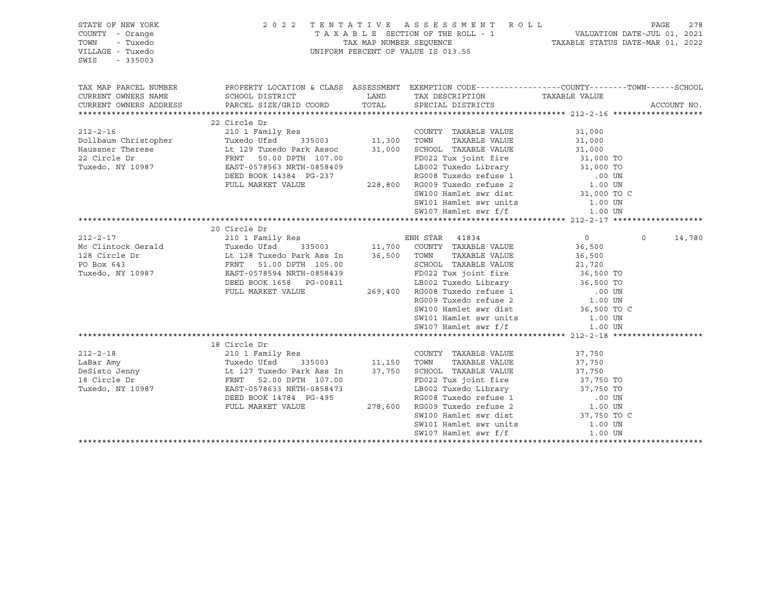| STATE OF NEW YORK<br>COUNTY - Orange<br>- Tuxedo<br>TOWN<br>VILLAGE - Tuxedo<br>SWIS<br>$-335003$                                                                                                                              |                                                                                                                                               |                                                                                                                                                                                                                                               | 2022 TENTATIVE ASSESSMENT ROLL<br>TAXABLE SECTION OF THE ROLL - 1<br>TAXABLE STATUS DATE-JUL 01, 2021<br>TAXABLE STATUS DATE-MAR 01, 2022<br>UNIFORM PERCENT OF VALUE IS 013.55 |                            | PAGE     | 278         |
|--------------------------------------------------------------------------------------------------------------------------------------------------------------------------------------------------------------------------------|-----------------------------------------------------------------------------------------------------------------------------------------------|-----------------------------------------------------------------------------------------------------------------------------------------------------------------------------------------------------------------------------------------------|---------------------------------------------------------------------------------------------------------------------------------------------------------------------------------|----------------------------|----------|-------------|
| TAX MAP PARCEL NUMBER<br>CURRENT OWNERS NAME<br>CURRENT OWNERS ADDRESS                                                                                                                                                         | PROPERTY LOCATION & CLASS ASSESSMENT EXEMPTION CODE----------------COUNTY-------TOWN------SCHOOL<br>SCHOOL DISTRICT<br>PARCEL SIZE/GRID COORD | <b>EXAMPLE EXAMPLE EXAMPLE EXAMPLE EXAMPLE EXAMPLE EXAMPLE EXAMPLE EXAMPLE EXAMPLE EXAMPLE EXAMPLE EXAMPLE EXAMPLE EXAMPLE EXAMPLE EXAMPLE EXAMPLE EXAMPLE EXAMPLE EXAMPLE EXAMPLE EXAMPLE EXAMPLE EXAMPLE EXAMPLE EXAMPLE EXAMP</b><br>TOTAL | TAX DESCRIPTION TAXABLE VALUE<br>SPECIAL DISTRICTS                                                                                                                              |                            |          | ACCOUNT NO. |
|                                                                                                                                                                                                                                |                                                                                                                                               |                                                                                                                                                                                                                                               |                                                                                                                                                                                 |                            |          |             |
|                                                                                                                                                                                                                                | 22 Circle Dr                                                                                                                                  |                                                                                                                                                                                                                                               |                                                                                                                                                                                 |                            |          |             |
| 210 1 Family Res<br>Dollbaum Christopher Tuxedo Ufsd 335003 11,300<br>Haussner Therese Lt 129 Tuxedo Park Assoc 31,000<br>22 Circle Dr FRNT 50.00 DPTH 107.00<br>Tuxedo, NY 10987 EAST-0578563 NRTH-0858409                    |                                                                                                                                               |                                                                                                                                                                                                                                               | COUNTY TAXABLE VALUE                                                                                                                                                            | 31,000                     |          |             |
|                                                                                                                                                                                                                                |                                                                                                                                               |                                                                                                                                                                                                                                               | TAXABLE VALUE<br>TOWN                                                                                                                                                           | 31,000                     |          |             |
|                                                                                                                                                                                                                                |                                                                                                                                               |                                                                                                                                                                                                                                               | SCHOOL TAXABLE VALUE                                                                                                                                                            | 31,000                     |          |             |
|                                                                                                                                                                                                                                |                                                                                                                                               |                                                                                                                                                                                                                                               | FD022 Tux joint fire 31,000 TO                                                                                                                                                  |                            |          |             |
|                                                                                                                                                                                                                                |                                                                                                                                               |                                                                                                                                                                                                                                               | LB002 Tuxedo Library 31,000 TO<br>RG008 Tuxedo refuse 1 000 UN                                                                                                                  |                            |          |             |
|                                                                                                                                                                                                                                | DEED BOOK 14384 PG-237                                                                                                                        |                                                                                                                                                                                                                                               |                                                                                                                                                                                 |                            |          |             |
|                                                                                                                                                                                                                                | FULL MARKET VALUE                                                                                                                             |                                                                                                                                                                                                                                               | 228,800 RG009 Tuxedo refuse 2                                                                                                                                                   | $1.00$ or C<br>31,000 TO C |          |             |
|                                                                                                                                                                                                                                |                                                                                                                                               |                                                                                                                                                                                                                                               | SW100 Hamlet swr dist                                                                                                                                                           |                            |          |             |
|                                                                                                                                                                                                                                |                                                                                                                                               |                                                                                                                                                                                                                                               |                                                                                                                                                                                 |                            |          |             |
|                                                                                                                                                                                                                                |                                                                                                                                               |                                                                                                                                                                                                                                               |                                                                                                                                                                                 |                            |          |             |
| And The Dr. School of the Dr. School of the Dr. School of the Dr. School of the Dr. School of the Dr. School of the Dr. School of the Dr. School of the Dr. School of the Dr. School of the Dr. School of the Dr. School of th |                                                                                                                                               |                                                                                                                                                                                                                                               |                                                                                                                                                                                 |                            |          |             |
|                                                                                                                                                                                                                                |                                                                                                                                               |                                                                                                                                                                                                                                               |                                                                                                                                                                                 | $\overline{0}$             | $\Omega$ | 14,780      |
|                                                                                                                                                                                                                                |                                                                                                                                               |                                                                                                                                                                                                                                               |                                                                                                                                                                                 | 36,500                     |          |             |
|                                                                                                                                                                                                                                |                                                                                                                                               |                                                                                                                                                                                                                                               |                                                                                                                                                                                 | 36,500                     |          |             |
|                                                                                                                                                                                                                                |                                                                                                                                               |                                                                                                                                                                                                                                               |                                                                                                                                                                                 |                            |          |             |
|                                                                                                                                                                                                                                |                                                                                                                                               |                                                                                                                                                                                                                                               |                                                                                                                                                                                 | 21,720<br>36,500 TO        |          |             |
|                                                                                                                                                                                                                                | DEED BOOK 1658 PG-00811                                                                                                                       |                                                                                                                                                                                                                                               | 38439<br>00811 LB002 Tuxedo Library 36,500 TO<br>269,400 RG008 Tuxedo refuse 1 .00 UN<br>RG009 Tuxedo refuse 2 1.00 UN<br>SW100 Hamlet swr dist 36,500 TO C                     |                            |          |             |
|                                                                                                                                                                                                                                | FULL MARKET VALUE                                                                                                                             |                                                                                                                                                                                                                                               |                                                                                                                                                                                 |                            |          |             |
|                                                                                                                                                                                                                                |                                                                                                                                               |                                                                                                                                                                                                                                               |                                                                                                                                                                                 |                            |          |             |
|                                                                                                                                                                                                                                |                                                                                                                                               |                                                                                                                                                                                                                                               |                                                                                                                                                                                 |                            |          |             |
|                                                                                                                                                                                                                                |                                                                                                                                               |                                                                                                                                                                                                                                               | SW101 Hamlet swr units 1.00 UN                                                                                                                                                  |                            |          |             |
|                                                                                                                                                                                                                                |                                                                                                                                               |                                                                                                                                                                                                                                               | SW107 Hamlet swr f/f                                                                                                                                                            | 1.00 UN                    |          |             |
|                                                                                                                                                                                                                                |                                                                                                                                               |                                                                                                                                                                                                                                               |                                                                                                                                                                                 |                            |          |             |
|                                                                                                                                                                                                                                | 18 Circle Dr                                                                                                                                  |                                                                                                                                                                                                                                               |                                                                                                                                                                                 |                            |          |             |
| $212 - 2 - 18$                                                                                                                                                                                                                 | 210 1 Family Res                                                                                                                              |                                                                                                                                                                                                                                               | COUNTY TAXABLE VALUE                                                                                                                                                            | 37,750                     |          |             |
|                                                                                                                                                                                                                                | Tuxedo Ufsd       335003              11,150<br>Lt 127 Tuxedo Park Ass In         37,750                                                      |                                                                                                                                                                                                                                               | TOWN<br>TAXABLE VALUE                                                                                                                                                           | 37,750                     |          |             |
|                                                                                                                                                                                                                                |                                                                                                                                               |                                                                                                                                                                                                                                               | 37,750 SCHOOL TAXABLE VALUE                                                                                                                                                     | 37,750                     |          |             |
|                                                                                                                                                                                                                                |                                                                                                                                               |                                                                                                                                                                                                                                               | FD022 Tux joint fire                                                                                                                                                            | 37,750 TO<br>37,750 TO     |          |             |
| Tuxedo, NY 10987                                                                                                                                                                                                               | EAST-0578633 NRTH-0858473                                                                                                                     |                                                                                                                                                                                                                                               |                                                                                                                                                                                 |                            |          |             |
|                                                                                                                                                                                                                                | DEED BOOK 14784 PG-495                                                                                                                        |                                                                                                                                                                                                                                               |                                                                                                                                                                                 |                            |          |             |
|                                                                                                                                                                                                                                | FULL MARKET VALUE                                                                                                                             |                                                                                                                                                                                                                                               | 19002 Tuxedo Library 137,750 TO<br>RG008 Tuxedo refuse 1 1.00 UN<br>278,600 RG009 Tuxedo refuse 2 1.00 UN<br>SW100 Hamlet swr dist 37,750 TO C                                  |                            |          |             |
|                                                                                                                                                                                                                                |                                                                                                                                               |                                                                                                                                                                                                                                               |                                                                                                                                                                                 |                            |          |             |
|                                                                                                                                                                                                                                |                                                                                                                                               |                                                                                                                                                                                                                                               | SW101 Hamlet swr units                                                                                                                                                          | 1.00 UN                    |          |             |
|                                                                                                                                                                                                                                |                                                                                                                                               |                                                                                                                                                                                                                                               | SW107 Hamlet swr f/f                                                                                                                                                            | 1.00 UN                    |          |             |
|                                                                                                                                                                                                                                |                                                                                                                                               |                                                                                                                                                                                                                                               |                                                                                                                                                                                 |                            |          |             |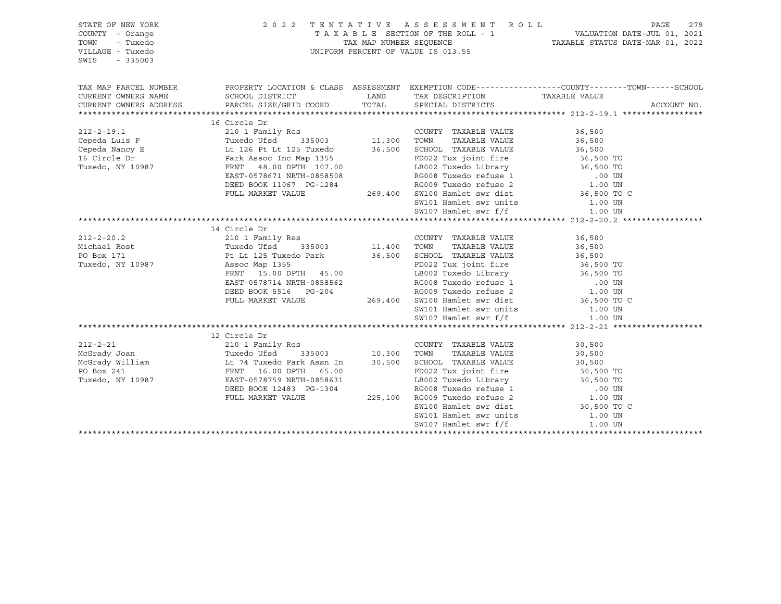| STATE OF NEW YORK<br>COUNTY - Orange<br>TOWN<br>- Tuxedo<br>VILLAGE - Tuxedo<br>SWIS<br>$-335003$                                                                                                                                                                                                                                                                                                               |                                                                                                                   | 2022 TENTATIVE ASSESSMENT ROLL<br>UNIFORM PERCENT OF VALUE IS 013.55 |                                                                                                                                                                                                                                                                | PAGE        | 279 |
|-----------------------------------------------------------------------------------------------------------------------------------------------------------------------------------------------------------------------------------------------------------------------------------------------------------------------------------------------------------------------------------------------------------------|-------------------------------------------------------------------------------------------------------------------|----------------------------------------------------------------------|----------------------------------------------------------------------------------------------------------------------------------------------------------------------------------------------------------------------------------------------------------------|-------------|-----|
| TAX MAP PARCEL NUMBER<br>CURRENT OWNERS NAME<br>CURRENT OWNERS ADDRESS PARCEL SIZE/GRID COORD                                                                                                                                                                                                                                                                                                                   | PROPERTY LOCATION & CLASS ASSESSMENT EXEMPTION CODE---------------COUNTY-------TOWN-----SCHOOL<br>SCHOOL DISTRICT | LAND TAX DESCRIPTION TAXABLE VALUE<br>TOTAL SPECIAL DISTRICTS        |                                                                                                                                                                                                                                                                | ACCOUNT NO. |     |
|                                                                                                                                                                                                                                                                                                                                                                                                                 | 16 Circle Dr                                                                                                      |                                                                      |                                                                                                                                                                                                                                                                |             |     |
| $212 - 2 - 19.1$<br>Cepeda Luis F<br>Cepeda Luis r<br>Cepeda Mancy E Lt 126 Pt Lt 125 Tuxedo 36,500 SCHOOL TAXABLE VALUE<br>16 Circle Dr Park Assoc Inc Map 1355<br>Tuxedo, NY 10987 FRNT 48.00 DPTH 107.00 LB002 Tuxedo Library 36,500 TO<br>EAST-0578671 NRTH-0858508 RG0                                                                                                                                     |                                                                                                                   | COUNTY TAXABLE VALUE<br>TAXABLE VALUE                                | 36,500<br>36,500                                                                                                                                                                                                                                               |             |     |
|                                                                                                                                                                                                                                                                                                                                                                                                                 | FULL MARKET VALUE                                                                                                 |                                                                      | $269,400$ SW100 Hamlet swr dist $36,500$ TO C                                                                                                                                                                                                                  |             |     |
|                                                                                                                                                                                                                                                                                                                                                                                                                 |                                                                                                                   |                                                                      |                                                                                                                                                                                                                                                                |             |     |
|                                                                                                                                                                                                                                                                                                                                                                                                                 |                                                                                                                   |                                                                      |                                                                                                                                                                                                                                                                |             |     |
|                                                                                                                                                                                                                                                                                                                                                                                                                 |                                                                                                                   |                                                                      |                                                                                                                                                                                                                                                                |             |     |
| $\begin{array}{cccccc} 212-2-20.2 & 210 & 1 Family Res & 210 & 1 Family Res & 36,500 \\ \text{Michael Rost} & \text{Tuxedo Ufsd} & 335003 & 11,400 & \text{TOWN} & \text{TAXABLE VALUE} & 36,500 \\ \text{PO Box 171} & \text{Pt Lt 125 Tuxedo Park} & 36,500 & \text{SCHOOL TAXABLE VALUE} & 36,500 \\ \text{Tuxedo, NY 10987} & \text{Assoc Map 1355} & \text{FD022 Tux joint, fire} & 36,500 \\ \end{array}$ | FRNT 15.00 DPTH 45.00<br>EAST-0578714 NRTH-0858562<br>DEED BOOK 5516 PG-204                                       |                                                                      | FD022 Tux joint fire 36,500 TO<br>LB002 Tuxedo Library 36,500 TO<br>RG008 Tuxedo refuse 1 00 UN<br>RG009 Tuxedo refuse 2 1.00 UN                                                                                                                               |             |     |
|                                                                                                                                                                                                                                                                                                                                                                                                                 | FULL MARKET VALUE                                                                                                 |                                                                      | 269,400 SW100 Hamlet swr dist 36,500 TO C                                                                                                                                                                                                                      |             |     |
|                                                                                                                                                                                                                                                                                                                                                                                                                 |                                                                                                                   | SW101 Hamlet swr units<br>SW107 Hamlet swr f/f                       | 1.00 UN<br>1.00 UN                                                                                                                                                                                                                                             |             |     |
|                                                                                                                                                                                                                                                                                                                                                                                                                 |                                                                                                                   |                                                                      |                                                                                                                                                                                                                                                                |             |     |
| 212-2-21<br>McGrady Joan 210 1 Family Res<br>McGrady William 10,300 TOWN<br>McGrady William 16.00 DPTH 65.00 FORD 22 Tuxedo, NY 10987<br>Tuxedo, NY 10987<br>2008<br>2009<br>2011<br>210 1 Family Res<br>210 1 Family Res<br>210 1 Family Res<br>210                                                                                                                                                            | DEED BOOK 12483 PG-1304<br>FULL MARKET VALUE                                                                      | COUNTY TAXABLE VALUE<br>TAXABLE VALUE                                | 30,500<br>30,500<br>30,500<br>Assn In 30,500 SCHOOL TAXABLE VALUE<br>65.00 FD022 Tux joint fire 30,500 TO<br>65.00 FD022 Tux joint fire 30,500 TO<br>65.00 FD022 Tux joint fire 30,500 TO<br>8658631 LB002 Tuxedo Library 30,500 TO<br>86608 Tuxedo refuse 2 . |             |     |
|                                                                                                                                                                                                                                                                                                                                                                                                                 |                                                                                                                   | SW101 Hamlet swr units                                               | SW100 Hamlet swr dist 30,500 TO C<br>1.00 UN                                                                                                                                                                                                                   |             |     |
|                                                                                                                                                                                                                                                                                                                                                                                                                 |                                                                                                                   | SW107 Hamlet swr f/f                                                 | 1.00 UN                                                                                                                                                                                                                                                        |             |     |
|                                                                                                                                                                                                                                                                                                                                                                                                                 |                                                                                                                   |                                                                      |                                                                                                                                                                                                                                                                |             |     |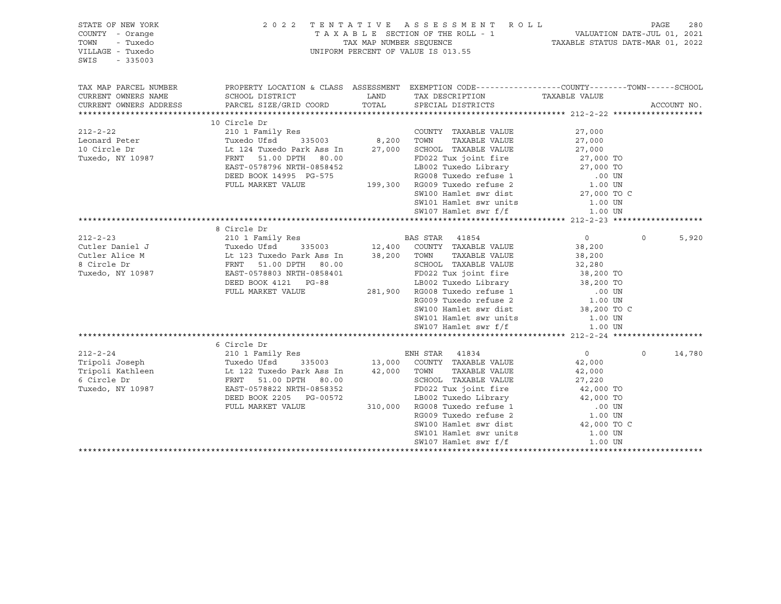| STATE OF NEW YORK<br>COUNTY - Orange<br>TOWN<br>- Tuxedo<br>VILLAGE - Tuxedo<br>SWIS<br>$-335003$                                                                                                                                                                   |                                                                                                                                                                                                                                                        | 2022 TENTATIVE ASSESSMENT ROLL<br>UNIFORM PERCENT OF VALUE IS 013.55                                                                                                                                        |                |          | PAGE<br>280 |
|---------------------------------------------------------------------------------------------------------------------------------------------------------------------------------------------------------------------------------------------------------------------|--------------------------------------------------------------------------------------------------------------------------------------------------------------------------------------------------------------------------------------------------------|-------------------------------------------------------------------------------------------------------------------------------------------------------------------------------------------------------------|----------------|----------|-------------|
| TAX MAP PARCEL NUMBER                                                                                                                                                                                                                                               | PROPERTY LOCATION & CLASS ASSESSMENT EXEMPTION CODE----------------COUNTY-------TOWN------SCHOOL                                                                                                                                                       |                                                                                                                                                                                                             |                |          |             |
| CURRENT OWNERS NAME<br>CURRENT OWNERS ADDRESS                                                                                                                                                                                                                       | SCHOOL DISTRICT<br>PARCEL SIZE/GRID COORD TOTAL SPECIAL DISTRICTS                                                                                                                                                                                      | LAND TAX DESCRIPTION TAXABLE VALUE                                                                                                                                                                          |                |          | ACCOUNT NO. |
|                                                                                                                                                                                                                                                                     |                                                                                                                                                                                                                                                        |                                                                                                                                                                                                             |                |          |             |
|                                                                                                                                                                                                                                                                     | 10 Circle Dr                                                                                                                                                                                                                                           |                                                                                                                                                                                                             |                |          |             |
|                                                                                                                                                                                                                                                                     |                                                                                                                                                                                                                                                        |                                                                                                                                                                                                             | 27,000         |          |             |
|                                                                                                                                                                                                                                                                     |                                                                                                                                                                                                                                                        |                                                                                                                                                                                                             | 27,000         |          |             |
|                                                                                                                                                                                                                                                                     |                                                                                                                                                                                                                                                        | 8,200    TOWN      TAXABLE VALUE<br>27,000    SCHOOL   TAXABLE VALUE                                                                                                                                        | 27,000         |          |             |
|                                                                                                                                                                                                                                                                     |                                                                                                                                                                                                                                                        | 80.00 FD022 Tux joint fire 27,000 TO<br>0858452 LB002 Tuxedo Library 27,000 TO<br>0558452 LB002 Tuxedo Library 27,000 TO<br>07.00 TO RG008 Tuxedo refuse 2 1.00 UN<br>199,300 RG009 Tuxedo refuse 2 1.00 UN |                |          |             |
|                                                                                                                                                                                                                                                                     |                                                                                                                                                                                                                                                        |                                                                                                                                                                                                             |                |          |             |
|                                                                                                                                                                                                                                                                     | DEED BOOK 14995 PG-575                                                                                                                                                                                                                                 |                                                                                                                                                                                                             |                |          |             |
|                                                                                                                                                                                                                                                                     | FULL MARKET VALUE                                                                                                                                                                                                                                      |                                                                                                                                                                                                             |                |          |             |
|                                                                                                                                                                                                                                                                     |                                                                                                                                                                                                                                                        | SW100 Hamlet swr dist                                                                                                                                                                                       | 27,000 TO C    |          |             |
|                                                                                                                                                                                                                                                                     |                                                                                                                                                                                                                                                        | SW101 Hamlet swr units                                                                                                                                                                                      | 1.00 UN        |          |             |
|                                                                                                                                                                                                                                                                     |                                                                                                                                                                                                                                                        | SW107 Hamlet swr f/f                                                                                                                                                                                        | 1.00 UN        |          |             |
|                                                                                                                                                                                                                                                                     |                                                                                                                                                                                                                                                        |                                                                                                                                                                                                             |                |          |             |
| 210 1 Family Res<br>Cutler Daniel J<br>Cutler Alice M<br>Cutler Alice M<br>BAS STAR 41854<br>210 1 Family Res<br>Tuxedo Ufsd<br>335003<br>12,400 COUNTY TAXABLE VALUE<br>38,200<br>28,200<br>28,200<br>28,200<br>28,200<br>28,200<br>28,200<br>28,200<br>28,200<br> |                                                                                                                                                                                                                                                        |                                                                                                                                                                                                             |                |          |             |
|                                                                                                                                                                                                                                                                     |                                                                                                                                                                                                                                                        |                                                                                                                                                                                                             |                | $\Omega$ | 5,920       |
|                                                                                                                                                                                                                                                                     |                                                                                                                                                                                                                                                        |                                                                                                                                                                                                             |                |          |             |
|                                                                                                                                                                                                                                                                     |                                                                                                                                                                                                                                                        |                                                                                                                                                                                                             |                |          |             |
|                                                                                                                                                                                                                                                                     |                                                                                                                                                                                                                                                        |                                                                                                                                                                                                             |                |          |             |
|                                                                                                                                                                                                                                                                     | EAST-0578803 NRTH-0858401<br>DEED BOOK 4121 PG-88<br>PULL MARKET VALUE 281,900 RG008 Tuxedo Library<br>281,900 RG008 Tuxedo Library<br>RG009 Tuxedo refuse 1 00 UN<br>RG009 Tuxedo refuse 2 1.00 UN<br>SW100 Hamlet swr dist 38,200 TO                 | TOWN TAXABLE VALUE<br>SCHOOL TAXABLE VALUE 32,280<br>----- million int fire 38,200 TO                                                                                                                       |                |          |             |
|                                                                                                                                                                                                                                                                     |                                                                                                                                                                                                                                                        |                                                                                                                                                                                                             |                |          |             |
|                                                                                                                                                                                                                                                                     |                                                                                                                                                                                                                                                        |                                                                                                                                                                                                             |                |          |             |
|                                                                                                                                                                                                                                                                     |                                                                                                                                                                                                                                                        |                                                                                                                                                                                                             |                |          |             |
|                                                                                                                                                                                                                                                                     |                                                                                                                                                                                                                                                        |                                                                                                                                                                                                             |                |          |             |
|                                                                                                                                                                                                                                                                     |                                                                                                                                                                                                                                                        | SW101 Hamlet swr units 1.00 UN                                                                                                                                                                              |                |          |             |
|                                                                                                                                                                                                                                                                     |                                                                                                                                                                                                                                                        | SW107 Hamlet swr f/f                                                                                                                                                                                        | 1.00 UN        |          |             |
|                                                                                                                                                                                                                                                                     |                                                                                                                                                                                                                                                        |                                                                                                                                                                                                             |                |          |             |
|                                                                                                                                                                                                                                                                     | 6 Circle Dr                                                                                                                                                                                                                                            |                                                                                                                                                                                                             |                |          |             |
| 212-2-24<br>210 1 Family Res<br>210 1 Family Res<br>210 1 Family Res<br>210 1 Family Res<br>210 1 Family Res<br>210 1 Family Res<br>216 335003<br>213,000 COUNTY TAXABLE VALUE<br>217 13,000 COUNTY TAXABLE VALUE<br>217 13,000 COUNTY TAXABLE VAL                  |                                                                                                                                                                                                                                                        |                                                                                                                                                                                                             | $\overline{0}$ | $\circ$  | 14,780      |
|                                                                                                                                                                                                                                                                     |                                                                                                                                                                                                                                                        |                                                                                                                                                                                                             | 42,000         |          |             |
|                                                                                                                                                                                                                                                                     |                                                                                                                                                                                                                                                        |                                                                                                                                                                                                             | 42,000         |          |             |
|                                                                                                                                                                                                                                                                     |                                                                                                                                                                                                                                                        |                                                                                                                                                                                                             |                |          |             |
|                                                                                                                                                                                                                                                                     |                                                                                                                                                                                                                                                        |                                                                                                                                                                                                             |                |          |             |
|                                                                                                                                                                                                                                                                     |                                                                                                                                                                                                                                                        |                                                                                                                                                                                                             |                |          |             |
|                                                                                                                                                                                                                                                                     |                                                                                                                                                                                                                                                        |                                                                                                                                                                                                             |                |          |             |
|                                                                                                                                                                                                                                                                     | FRNT 51.00 DPTH 80.00<br>EAST-0578822 NRTH-0858352<br>DEED BOOK 2205 PG-00572<br>FULL MARKET VALUE<br>FULL MARKET VALUE<br>FULL MARKET VALUE<br>FULL MARKET VALUE<br>FULL MARKET VALUE<br>ARKET VALUE<br>ARKET VALUE<br>ARKET VALUE<br>ARKET VALUE<br> |                                                                                                                                                                                                             |                |          |             |
|                                                                                                                                                                                                                                                                     |                                                                                                                                                                                                                                                        |                                                                                                                                                                                                             |                |          |             |
|                                                                                                                                                                                                                                                                     |                                                                                                                                                                                                                                                        | SW101 Hamlet swr units                                                                                                                                                                                      | 1.00 UN        |          |             |
|                                                                                                                                                                                                                                                                     |                                                                                                                                                                                                                                                        | SW107 Hamlet swr f/f                                                                                                                                                                                        | 1.00 UN        |          |             |
|                                                                                                                                                                                                                                                                     |                                                                                                                                                                                                                                                        |                                                                                                                                                                                                             |                |          |             |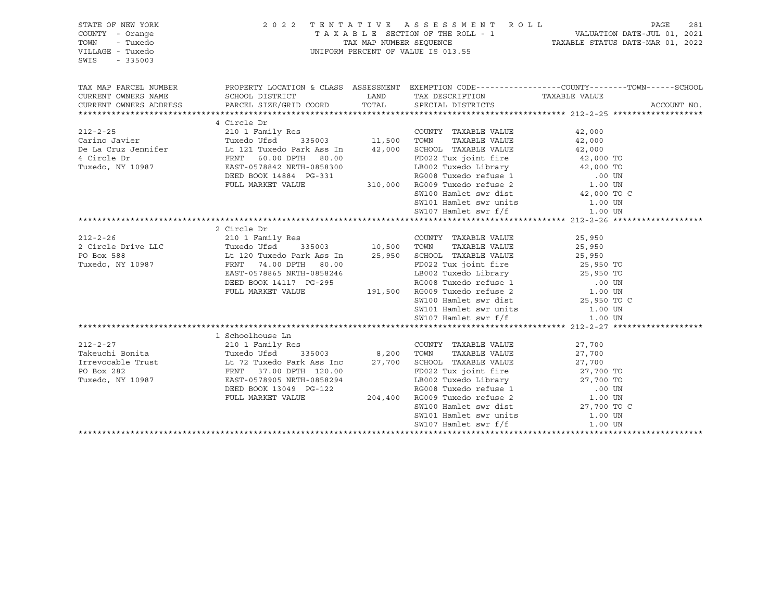| STATE OF NEW YORK<br>COUNTY - Orange<br>TOWN<br>- Tuxedo<br>VILLAGE - Tuxedo<br>SWIS<br>$-335003$                                                                                                         |                                                                                                                   |       | 2022 TENTATIVE ASSESSMENT ROLL<br>TAXABLE SECTION OF THE ROLL - 1<br>TAXABLE STATUS DATE-JUL 01, 2021<br>TAXABLE STATUS DATE-MAR 01, 2022<br>UNIFORM PERCENT OF VALUE IS 013.55 |               | PAGE        | 281 |
|-----------------------------------------------------------------------------------------------------------------------------------------------------------------------------------------------------------|-------------------------------------------------------------------------------------------------------------------|-------|---------------------------------------------------------------------------------------------------------------------------------------------------------------------------------|---------------|-------------|-----|
| TAX MAP PARCEL NUMBER<br>CURRENT OWNERS NAME                                                                                                                                                              | PROPERTY LOCATION & CLASS ASSESSMENT EXEMPTION CODE---------------COUNTY-------TOWN-----SCHOOL<br>SCHOOL DISTRICT |       | LAND TAX DESCRIPTION                                                                                                                                                            | TAXABLE VALUE |             |     |
| CURRENT OWNERS ADDRESS                                                                                                                                                                                    | PARCEL SIZE/GRID COORD                                                                                            | TOTAL | SPECIAL DISTRICTS                                                                                                                                                               |               | ACCOUNT NO. |     |
|                                                                                                                                                                                                           |                                                                                                                   |       |                                                                                                                                                                                 |               |             |     |
|                                                                                                                                                                                                           | 4 Circle Dr                                                                                                       |       |                                                                                                                                                                                 |               |             |     |
| $212 - 2 - 25$                                                                                                                                                                                            |                                                                                                                   |       | COUNTY TAXABLE VALUE                                                                                                                                                            | 42,000        |             |     |
| Carino Javier<br>Press                                                                                                                                                                                    |                                                                                                                   |       | TAXABLE VALUE                                                                                                                                                                   | 42,000        |             |     |
| 021 Circle Dr Care of Taxable VALUE<br>121 Tuxedo Park Ass In 42,000 SCHOOL TAXABLE VALUE<br>42,000 TO 122 Tuxedo, NY 10987 EAST-0578842 NRTH-0858300 LB002 Tuxedo Library 42,000 TO 122 Tuxedo, NY 10987 |                                                                                                                   |       |                                                                                                                                                                                 |               |             |     |
|                                                                                                                                                                                                           |                                                                                                                   |       |                                                                                                                                                                                 |               |             |     |
|                                                                                                                                                                                                           | DEED BOOK 14884 PG-331                                                                                            |       |                                                                                                                                                                                 |               |             |     |
|                                                                                                                                                                                                           | FULL MARKET VALUE                                                                                                 |       | 81 RG008 Tuxedo refuse 1 00 UN<br>310,000 RG009 Tuxedo refuse 2 1.00 UN<br>SW100 Hamlet swr dist 42,000 TO C                                                                    |               |             |     |
|                                                                                                                                                                                                           |                                                                                                                   |       |                                                                                                                                                                                 |               |             |     |
|                                                                                                                                                                                                           |                                                                                                                   |       |                                                                                                                                                                                 |               |             |     |
|                                                                                                                                                                                                           |                                                                                                                   |       |                                                                                                                                                                                 |               |             |     |
|                                                                                                                                                                                                           |                                                                                                                   |       |                                                                                                                                                                                 |               |             |     |
|                                                                                                                                                                                                           | 2 Circle Dr                                                                                                       |       |                                                                                                                                                                                 |               |             |     |
| $212 - 2 - 26$                                                                                                                                                                                            | 210 1 Family Res<br>210 1 Family Res<br>Tuxedo Ufsd 335003 10,500 TOWN<br>1987 - FRNT 34 00 PRT                   |       | COUNTY TAXABLE VALUE                                                                                                                                                            | 25,950        |             |     |
| 2 Circle Drive LLC                                                                                                                                                                                        |                                                                                                                   |       | TAXABLE VALUE                                                                                                                                                                   | 25,950        |             |     |
| PO Box 588                                                                                                                                                                                                |                                                                                                                   |       | 25,950 SCHOOL TAXABLE VALUE                                                                                                                                                     | 25,950        |             |     |
| Tuxedo, NY 10987                                                                                                                                                                                          |                                                                                                                   |       | FD022 Tux joint fire 25,950 TO<br>LB002 Tuxedo Library 25,950 TO<br>RG008 Tuxedo refuse 1 00 UN<br>191,500 RG009 Tuxedo refuse 2 1.00 UN                                        |               |             |     |
|                                                                                                                                                                                                           | EAST-0578865 NRTH-0858246                                                                                         |       |                                                                                                                                                                                 |               |             |     |
|                                                                                                                                                                                                           | DEED BOOK 14117 PG-295                                                                                            |       |                                                                                                                                                                                 |               |             |     |
|                                                                                                                                                                                                           | FULL MARKET VALUE                                                                                                 |       |                                                                                                                                                                                 |               |             |     |
|                                                                                                                                                                                                           |                                                                                                                   |       | SW100 Hamlet swr dist 25,950 TO C                                                                                                                                               |               |             |     |
|                                                                                                                                                                                                           |                                                                                                                   |       | SW101 Hamlet swr units<br>SW107 Hamlet swr f/f                                                                                                                                  | 1.00 UN       |             |     |
|                                                                                                                                                                                                           |                                                                                                                   |       |                                                                                                                                                                                 | 1.00 UN       |             |     |
|                                                                                                                                                                                                           |                                                                                                                   |       |                                                                                                                                                                                 |               |             |     |
| $212 - 2 - 27$                                                                                                                                                                                            | 1 Schoolhouse Ln                                                                                                  |       |                                                                                                                                                                                 |               |             |     |
| Takeuchi Bonita                                                                                                                                                                                           | Res<br>335003 8,200                                                                                               |       | COUNTY TAXABLE VALUE                                                                                                                                                            | 27,700        |             |     |
|                                                                                                                                                                                                           |                                                                                                                   |       | 8,200 TOWN TAAADLE VALUE 27,700<br>27,700 SCHOOL TAXABLE VALUE 27,700 TO                                                                                                        |               |             |     |
| Irrevocable Trust 11 12 Tuxedo Park Ass Inc<br>PO Box 282                                                                                                                                                 | FRNT 37.00 DPTH 120.00                                                                                            |       |                                                                                                                                                                                 |               |             |     |
| Tuxedo, NY 10987                                                                                                                                                                                          | EAST-0578905 NRTH-0858294                                                                                         |       |                                                                                                                                                                                 |               |             |     |
|                                                                                                                                                                                                           | DEED BOOK 13049 PG-122                                                                                            |       |                                                                                                                                                                                 |               |             |     |
|                                                                                                                                                                                                           | FULL MARKET VALUE                                                                                                 |       | 8294<br>22<br>204,400 RG008 Tuxedo Library<br>204,400 RG009 Tuxedo refuse 1<br>204,400 RG009 Tuxedo refuse 2<br>204,400 RG009 Tuxedo refuse 2                                   |               |             |     |
|                                                                                                                                                                                                           |                                                                                                                   |       | SW100 Hamlet swr dist 27,700 TO C                                                                                                                                               |               |             |     |
|                                                                                                                                                                                                           |                                                                                                                   |       | SW101 Hamlet swr units                                                                                                                                                          | 1.00 UN       |             |     |
|                                                                                                                                                                                                           |                                                                                                                   |       | SW107 Hamlet swr f/f                                                                                                                                                            | 1.00 UN       |             |     |
|                                                                                                                                                                                                           |                                                                                                                   |       |                                                                                                                                                                                 |               |             |     |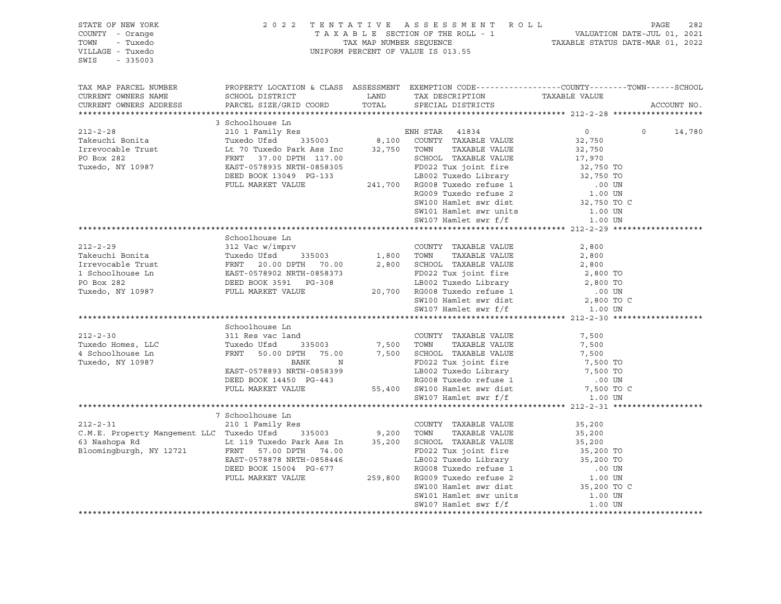| STATE OF NEW YORK<br>COUNTY - Orange<br>- Tuxedo<br>TOWN<br>VILLAGE - Tuxedo<br>SWIS - 335003                                                                                                                                                                                                                                                                                                                                |                | 2022 TENTATIVE ASSESSMENT ROLL PAGE 282<br>TAXABLE SECTION OF THE ROLL - 1 VALUATION DATE-JUL 01, 2021<br>TAX MAP NUMBER SEQUENCE TAXABLE STATUS DATE-MAR 01, 2022<br>UNIFORM PERCENT OF VALUE IS 013.55 |                  |             |  |
|------------------------------------------------------------------------------------------------------------------------------------------------------------------------------------------------------------------------------------------------------------------------------------------------------------------------------------------------------------------------------------------------------------------------------|----------------|----------------------------------------------------------------------------------------------------------------------------------------------------------------------------------------------------------|------------------|-------------|--|
| TAX MAP PARCEL NUMBER THE PROPERTY LOCATION & CLASS ASSESSMENT EXEMPTION CODE---------------COUNTY-------TOWN------SCHOOL                                                                                                                                                                                                                                                                                                    |                |                                                                                                                                                                                                          |                  |             |  |
|                                                                                                                                                                                                                                                                                                                                                                                                                              |                |                                                                                                                                                                                                          |                  |             |  |
|                                                                                                                                                                                                                                                                                                                                                                                                                              |                |                                                                                                                                                                                                          |                  | ACCOUNT NO. |  |
| ${\small \begin{tabular}{l c c c c c} \hline \textbf{CUTKERI} & \textbf{100} & \textbf{111} & \textbf{121} & \textbf{132} & \textbf{133} & \textbf{141} & \textbf{153} & \textbf{163} & \textbf{164} & \textbf{165} & \textbf{166} & \textbf{167} & \textbf{168} & \textbf{168} & \textbf{169} & \textbf{169} & \textbf{169} & \textbf{169} & \textbf{169} & \textbf{169} & \textbf{16$                                      |                |                                                                                                                                                                                                          |                  |             |  |
|                                                                                                                                                                                                                                                                                                                                                                                                                              |                |                                                                                                                                                                                                          |                  |             |  |
|                                                                                                                                                                                                                                                                                                                                                                                                                              |                |                                                                                                                                                                                                          | $\overline{0}$ 0 | 14,780      |  |
|                                                                                                                                                                                                                                                                                                                                                                                                                              |                |                                                                                                                                                                                                          |                  |             |  |
|                                                                                                                                                                                                                                                                                                                                                                                                                              |                |                                                                                                                                                                                                          |                  |             |  |
|                                                                                                                                                                                                                                                                                                                                                                                                                              |                |                                                                                                                                                                                                          |                  |             |  |
|                                                                                                                                                                                                                                                                                                                                                                                                                              |                |                                                                                                                                                                                                          |                  |             |  |
|                                                                                                                                                                                                                                                                                                                                                                                                                              |                |                                                                                                                                                                                                          |                  |             |  |
|                                                                                                                                                                                                                                                                                                                                                                                                                              |                |                                                                                                                                                                                                          |                  |             |  |
|                                                                                                                                                                                                                                                                                                                                                                                                                              |                |                                                                                                                                                                                                          |                  |             |  |
|                                                                                                                                                                                                                                                                                                                                                                                                                              |                |                                                                                                                                                                                                          |                  |             |  |
|                                                                                                                                                                                                                                                                                                                                                                                                                              |                |                                                                                                                                                                                                          |                  |             |  |
|                                                                                                                                                                                                                                                                                                                                                                                                                              |                |                                                                                                                                                                                                          |                  |             |  |
|                                                                                                                                                                                                                                                                                                                                                                                                                              | Schoolhouse Ln |                                                                                                                                                                                                          |                  |             |  |
|                                                                                                                                                                                                                                                                                                                                                                                                                              |                |                                                                                                                                                                                                          |                  |             |  |
|                                                                                                                                                                                                                                                                                                                                                                                                                              |                |                                                                                                                                                                                                          |                  |             |  |
|                                                                                                                                                                                                                                                                                                                                                                                                                              |                |                                                                                                                                                                                                          |                  |             |  |
|                                                                                                                                                                                                                                                                                                                                                                                                                              |                |                                                                                                                                                                                                          |                  |             |  |
|                                                                                                                                                                                                                                                                                                                                                                                                                              |                |                                                                                                                                                                                                          |                  |             |  |
|                                                                                                                                                                                                                                                                                                                                                                                                                              |                |                                                                                                                                                                                                          |                  |             |  |
|                                                                                                                                                                                                                                                                                                                                                                                                                              |                |                                                                                                                                                                                                          |                  |             |  |
|                                                                                                                                                                                                                                                                                                                                                                                                                              |                |                                                                                                                                                                                                          |                  |             |  |
|                                                                                                                                                                                                                                                                                                                                                                                                                              |                |                                                                                                                                                                                                          |                  |             |  |
|                                                                                                                                                                                                                                                                                                                                                                                                                              |                |                                                                                                                                                                                                          |                  |             |  |
|                                                                                                                                                                                                                                                                                                                                                                                                                              |                |                                                                                                                                                                                                          |                  |             |  |
|                                                                                                                                                                                                                                                                                                                                                                                                                              |                |                                                                                                                                                                                                          |                  |             |  |
|                                                                                                                                                                                                                                                                                                                                                                                                                              |                |                                                                                                                                                                                                          |                  |             |  |
|                                                                                                                                                                                                                                                                                                                                                                                                                              |                |                                                                                                                                                                                                          |                  |             |  |
|                                                                                                                                                                                                                                                                                                                                                                                                                              |                |                                                                                                                                                                                                          |                  |             |  |
|                                                                                                                                                                                                                                                                                                                                                                                                                              |                |                                                                                                                                                                                                          |                  |             |  |
|                                                                                                                                                                                                                                                                                                                                                                                                                              |                |                                                                                                                                                                                                          |                  |             |  |
|                                                                                                                                                                                                                                                                                                                                                                                                                              |                |                                                                                                                                                                                                          |                  |             |  |
|                                                                                                                                                                                                                                                                                                                                                                                                                              |                |                                                                                                                                                                                                          |                  |             |  |
|                                                                                                                                                                                                                                                                                                                                                                                                                              |                |                                                                                                                                                                                                          |                  |             |  |
|                                                                                                                                                                                                                                                                                                                                                                                                                              |                |                                                                                                                                                                                                          |                  |             |  |
|                                                                                                                                                                                                                                                                                                                                                                                                                              |                |                                                                                                                                                                                                          |                  |             |  |
|                                                                                                                                                                                                                                                                                                                                                                                                                              |                |                                                                                                                                                                                                          |                  |             |  |
|                                                                                                                                                                                                                                                                                                                                                                                                                              |                |                                                                                                                                                                                                          |                  |             |  |
|                                                                                                                                                                                                                                                                                                                                                                                                                              |                |                                                                                                                                                                                                          |                  |             |  |
|                                                                                                                                                                                                                                                                                                                                                                                                                              |                |                                                                                                                                                                                                          |                  |             |  |
|                                                                                                                                                                                                                                                                                                                                                                                                                              |                |                                                                                                                                                                                                          |                  |             |  |
|                                                                                                                                                                                                                                                                                                                                                                                                                              |                |                                                                                                                                                                                                          |                  |             |  |
| $\begin{tabular}{l c c c c c} \multicolumn{4}{c}{\textbf{212-2-31}} & 7\text{ Schoolhouse In} & 210\,T\end{tabular}\\[1mm] \begin{tabular}{c}{\textbf{212-2-31}} & 7\text{ Schoolhouse In} & 210\,T\end{tabular}\\[1mm] \begin{tabular}{c}{\textbf{212-2-31}} & 7\text{ Schoolhouse In} & 200NTY TAXABLE VALUE & 35,200\\ C.M.E. Property Management LLC TusedO Ufsd & 335003 & 9,200 TOWN TAXABLE VALUE & 35,200\\ \text{6$ |                |                                                                                                                                                                                                          |                  |             |  |
|                                                                                                                                                                                                                                                                                                                                                                                                                              |                |                                                                                                                                                                                                          |                  |             |  |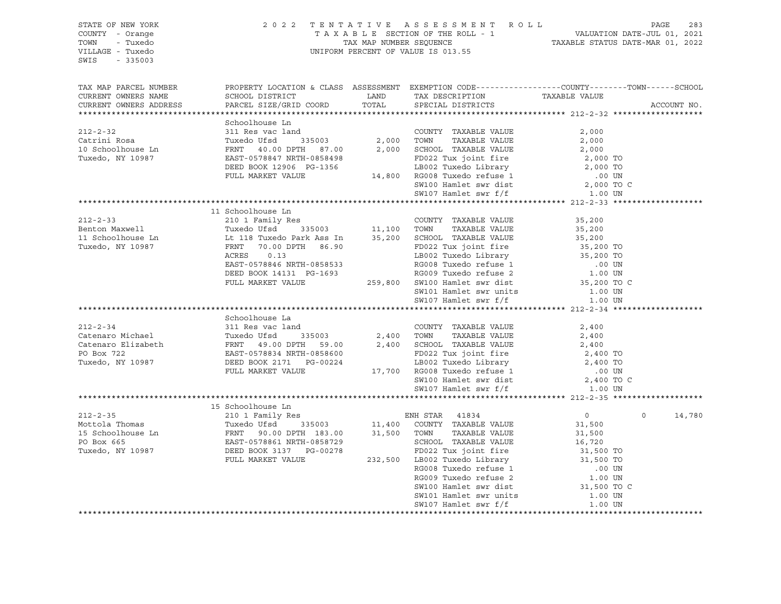| STATE OF NEW YORK<br>COUNTY - Orange<br>TOWN - Tuxedo<br>VILLAGE - Tuxedo<br>SWIS<br>$-335003$                                                                                                                                                                                                                                                                                                |                                                                                                                                                                                                                                       |       | 2022 TENTATIVE ASSESSMENT ROLL PAGE 283<br>TAXABLE SECTION OF THE ROLL - 1 VALUATION DATE-JUL 01, 2021<br>TAX MAP NUMBER SEQUENCE TAXABLE STATUS DATE-MAR 01, 2022<br>UNIFORM PERCENT OF VALUE IS 013.55 |         |                   |
|-----------------------------------------------------------------------------------------------------------------------------------------------------------------------------------------------------------------------------------------------------------------------------------------------------------------------------------------------------------------------------------------------|---------------------------------------------------------------------------------------------------------------------------------------------------------------------------------------------------------------------------------------|-------|----------------------------------------------------------------------------------------------------------------------------------------------------------------------------------------------------------|---------|-------------------|
| TAX MAP PARCEL NUMBER<br>CURRENT OWNERS NAME<br>CURRENT OWNERS ADDRESS                                                                                                                                                                                                                                                                                                                        | PROPERTY LOCATION & CLASS ASSESSMENT EXEMPTION CODE----------------COUNTY-------TOWN------SCHOOL<br>SCHOOL DISTRICT LAND TAX DESCRIPTION TAXABLE VALUE<br>PARCEL SIZE/GRID COORD                                                      | TOTAL | SPECIAL DISTRICTS                                                                                                                                                                                        |         | ACCOUNT NO.       |
|                                                                                                                                                                                                                                                                                                                                                                                               |                                                                                                                                                                                                                                       |       |                                                                                                                                                                                                          |         |                   |
|                                                                                                                                                                                                                                                                                                                                                                                               | Schoolhouse Ln                                                                                                                                                                                                                        |       |                                                                                                                                                                                                          |         |                   |
| $212 - 2 - 32$                                                                                                                                                                                                                                                                                                                                                                                | 311 Res vac land                                                                                                                                                                                                                      |       | COUNTY TAXABLE VALUE                                                                                                                                                                                     | 2,000   |                   |
| --- - --<br>Catrini Rosa                                                                                                                                                                                                                                                                                                                                                                      |                                                                                                                                                                                                                                       |       |                                                                                                                                                                                                          |         |                   |
| 10 Schoolhouse Ln<br>Tuxedo, NY 10987                                                                                                                                                                                                                                                                                                                                                         |                                                                                                                                                                                                                                       |       |                                                                                                                                                                                                          |         |                   |
|                                                                                                                                                                                                                                                                                                                                                                                               |                                                                                                                                                                                                                                       |       |                                                                                                                                                                                                          |         |                   |
|                                                                                                                                                                                                                                                                                                                                                                                               |                                                                                                                                                                                                                                       |       |                                                                                                                                                                                                          |         |                   |
|                                                                                                                                                                                                                                                                                                                                                                                               |                                                                                                                                                                                                                                       |       |                                                                                                                                                                                                          |         |                   |
|                                                                                                                                                                                                                                                                                                                                                                                               |                                                                                                                                                                                                                                       |       |                                                                                                                                                                                                          |         |                   |
|                                                                                                                                                                                                                                                                                                                                                                                               | 311 Res vac land<br>Tuxedo Ufsd 335003 2,000 TOWN TAXABLE VALUE 2,000<br>FRNT 40.00 DPTH 87.00 2,000 SCHOOL TAXABLE VALUE 2,000<br>EAST-0578847 NRTH-0858498 FD022 Tux joint fire 2,000 TO<br>DEED BOOK 12906 PG-1356 LB002 Tuxedo Li |       |                                                                                                                                                                                                          |         |                   |
| $[212-2-33$ 212-2-33<br>210 1 Family Res<br>210 1 Family Res<br>210 1 Family Res<br>210 1 Family Res<br>210 1 Family Res<br>210 1 Family Res<br>210 1 Family Res<br>216 1 Family Res<br>235003<br>211,100 TOWN TAXABLE VALUE<br>235,200<br>235,200<br>2                                                                                                                                       |                                                                                                                                                                                                                                       |       |                                                                                                                                                                                                          |         |                   |
|                                                                                                                                                                                                                                                                                                                                                                                               |                                                                                                                                                                                                                                       |       |                                                                                                                                                                                                          |         |                   |
|                                                                                                                                                                                                                                                                                                                                                                                               |                                                                                                                                                                                                                                       |       |                                                                                                                                                                                                          |         |                   |
|                                                                                                                                                                                                                                                                                                                                                                                               |                                                                                                                                                                                                                                       |       |                                                                                                                                                                                                          |         |                   |
|                                                                                                                                                                                                                                                                                                                                                                                               |                                                                                                                                                                                                                                       |       |                                                                                                                                                                                                          |         |                   |
|                                                                                                                                                                                                                                                                                                                                                                                               |                                                                                                                                                                                                                                       |       |                                                                                                                                                                                                          |         |                   |
|                                                                                                                                                                                                                                                                                                                                                                                               |                                                                                                                                                                                                                                       |       |                                                                                                                                                                                                          |         |                   |
|                                                                                                                                                                                                                                                                                                                                                                                               |                                                                                                                                                                                                                                       |       |                                                                                                                                                                                                          |         |                   |
|                                                                                                                                                                                                                                                                                                                                                                                               |                                                                                                                                                                                                                                       |       |                                                                                                                                                                                                          |         |                   |
|                                                                                                                                                                                                                                                                                                                                                                                               |                                                                                                                                                                                                                                       |       |                                                                                                                                                                                                          |         |                   |
|                                                                                                                                                                                                                                                                                                                                                                                               |                                                                                                                                                                                                                                       |       |                                                                                                                                                                                                          |         |                   |
|                                                                                                                                                                                                                                                                                                                                                                                               |                                                                                                                                                                                                                                       |       |                                                                                                                                                                                                          |         |                   |
|                                                                                                                                                                                                                                                                                                                                                                                               |                                                                                                                                                                                                                                       |       |                                                                                                                                                                                                          |         |                   |
|                                                                                                                                                                                                                                                                                                                                                                                               |                                                                                                                                                                                                                                       |       |                                                                                                                                                                                                          |         |                   |
|                                                                                                                                                                                                                                                                                                                                                                                               |                                                                                                                                                                                                                                       |       |                                                                                                                                                                                                          |         |                   |
|                                                                                                                                                                                                                                                                                                                                                                                               |                                                                                                                                                                                                                                       |       |                                                                                                                                                                                                          |         |                   |
|                                                                                                                                                                                                                                                                                                                                                                                               |                                                                                                                                                                                                                                       |       |                                                                                                                                                                                                          |         |                   |
|                                                                                                                                                                                                                                                                                                                                                                                               |                                                                                                                                                                                                                                       |       |                                                                                                                                                                                                          |         |                   |
| Schoolhouse La<br>212-2-34<br>311 Res vac land<br>Catenaro Michael<br>Tuxedo Ufsd<br>FRNT 49.00 DPTH 59.00<br>FRNT 49.00 DPTH 59.00<br>2,400<br>2,400<br>2,400<br>FRNT 49.00 DPTH 59.00<br>2,400<br>FRNT 49.00 DPTH 59.00<br>2,400<br>FRNT 49.00 DPTH 59.0                                                                                                                                    |                                                                                                                                                                                                                                       |       |                                                                                                                                                                                                          |         |                   |
|                                                                                                                                                                                                                                                                                                                                                                                               |                                                                                                                                                                                                                                       |       |                                                                                                                                                                                                          |         |                   |
|                                                                                                                                                                                                                                                                                                                                                                                               |                                                                                                                                                                                                                                       |       |                                                                                                                                                                                                          |         |                   |
|                                                                                                                                                                                                                                                                                                                                                                                               |                                                                                                                                                                                                                                       |       |                                                                                                                                                                                                          |         |                   |
|                                                                                                                                                                                                                                                                                                                                                                                               |                                                                                                                                                                                                                                       |       |                                                                                                                                                                                                          |         | 14,780<br>$\circ$ |
|                                                                                                                                                                                                                                                                                                                                                                                               |                                                                                                                                                                                                                                       |       |                                                                                                                                                                                                          |         |                   |
|                                                                                                                                                                                                                                                                                                                                                                                               |                                                                                                                                                                                                                                       |       |                                                                                                                                                                                                          |         |                   |
|                                                                                                                                                                                                                                                                                                                                                                                               |                                                                                                                                                                                                                                       |       |                                                                                                                                                                                                          |         |                   |
| $[212-2-35 \label{eq:212-2-35} 15\text{ Schoolhouse Ln} \label{eq:212-2-35} 15\text{ Schoolhouse Ln} \\\ \text{Method: Thomas} \qquad \begin{array}{l} \text{15 Schoolhouse Min} \\ \text{16.35003} \\ \text{17.400} \\ \text{18.500} \\ \text{19.500} \\ \text{10.500} \\ \text{10.500} \\ \text{11.500} \\ \text{12.500} \\ \text{13.500} \\ \text{15.500} \\ \text{16.720} \\ \text{17.60$ |                                                                                                                                                                                                                                       |       |                                                                                                                                                                                                          |         |                   |
|                                                                                                                                                                                                                                                                                                                                                                                               |                                                                                                                                                                                                                                       |       |                                                                                                                                                                                                          |         |                   |
|                                                                                                                                                                                                                                                                                                                                                                                               |                                                                                                                                                                                                                                       |       |                                                                                                                                                                                                          |         |                   |
|                                                                                                                                                                                                                                                                                                                                                                                               |                                                                                                                                                                                                                                       |       |                                                                                                                                                                                                          |         |                   |
|                                                                                                                                                                                                                                                                                                                                                                                               |                                                                                                                                                                                                                                       |       |                                                                                                                                                                                                          |         |                   |
|                                                                                                                                                                                                                                                                                                                                                                                               |                                                                                                                                                                                                                                       |       |                                                                                                                                                                                                          |         |                   |
|                                                                                                                                                                                                                                                                                                                                                                                               |                                                                                                                                                                                                                                       |       | SW107 Hamlet swr f/f                                                                                                                                                                                     | 1.00 UN |                   |
|                                                                                                                                                                                                                                                                                                                                                                                               |                                                                                                                                                                                                                                       |       |                                                                                                                                                                                                          |         |                   |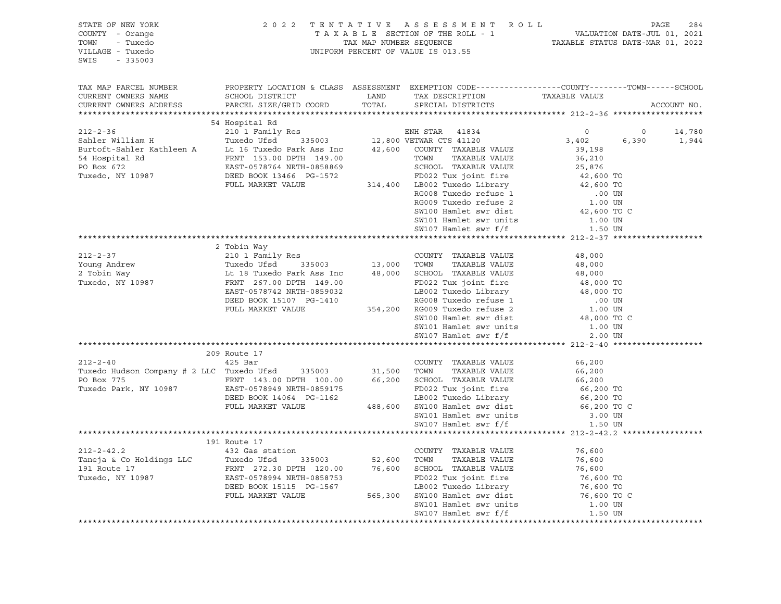| STATE OF NEW YORK<br>COUNTY - Orange<br>TOWN<br>- Tuxedo<br>VILLAGE - Tuxedo                                                                                                                                                                                                                                                                                                                                                                                                                                                                                                                                                                                                                                                                                                                                                                                              |              | 2022 TENTATIVE ASSESSMENT ROLL PAGE 284<br>TAXABLE SECTION OF THE ROLL - 1 VALUATION DATE-JUL 01, 2021<br>TAX MAP NUMBER SEQUENCE TAXABLE STATUS DATE-MAR 01, 2022<br>UNIFORM PERCENT OF VALUE IS 013.55 |             |
|---------------------------------------------------------------------------------------------------------------------------------------------------------------------------------------------------------------------------------------------------------------------------------------------------------------------------------------------------------------------------------------------------------------------------------------------------------------------------------------------------------------------------------------------------------------------------------------------------------------------------------------------------------------------------------------------------------------------------------------------------------------------------------------------------------------------------------------------------------------------------|--------------|----------------------------------------------------------------------------------------------------------------------------------------------------------------------------------------------------------|-------------|
| SWIS<br>$-335003$                                                                                                                                                                                                                                                                                                                                                                                                                                                                                                                                                                                                                                                                                                                                                                                                                                                         |              |                                                                                                                                                                                                          |             |
| TAX MAP PARCEL NUMBER<br>CURRENT OWNERS NAME                                                                                                                                                                                                                                                                                                                                                                                                                                                                                                                                                                                                                                                                                                                                                                                                                              |              | PROPERTY LOCATION & CLASS ASSESSMENT EXEMPTION CODE---------------COUNTY-------TOWN-----SCHOOL                                                                                                           |             |
| CURRENT OWNERS ADDRESS                                                                                                                                                                                                                                                                                                                                                                                                                                                                                                                                                                                                                                                                                                                                                                                                                                                    |              |                                                                                                                                                                                                          | ACCOUNT NO. |
|                                                                                                                                                                                                                                                                                                                                                                                                                                                                                                                                                                                                                                                                                                                                                                                                                                                                           |              |                                                                                                                                                                                                          |             |
| $\begin{tabular}{lcccccc} \texttt{\bf 147.400} & \texttt{\bf 212-2-36} & \texttt{\bf 54 Hospital Rd} & \texttt{\bf 64 Hospital Rd} & \texttt{\bf 712-2-36} & \texttt{\bf 64 Hospital Rd} & \texttt{\bf 712-2-36} & \texttt{\bf 712-2-37} & \texttt{\bf 712-2-38} & \texttt{\bf 712-2-38} & \texttt{\bf 712-2-38} & \texttt{\bf 712-2-38} & \texttt{\bf 712-2-38} & \texttt{\bf 712-2-38}$                                                                                                                                                                                                                                                                                                                                                                                                                                                                                 |              |                                                                                                                                                                                                          |             |
|                                                                                                                                                                                                                                                                                                                                                                                                                                                                                                                                                                                                                                                                                                                                                                                                                                                                           |              |                                                                                                                                                                                                          |             |
|                                                                                                                                                                                                                                                                                                                                                                                                                                                                                                                                                                                                                                                                                                                                                                                                                                                                           |              |                                                                                                                                                                                                          |             |
|                                                                                                                                                                                                                                                                                                                                                                                                                                                                                                                                                                                                                                                                                                                                                                                                                                                                           |              |                                                                                                                                                                                                          |             |
|                                                                                                                                                                                                                                                                                                                                                                                                                                                                                                                                                                                                                                                                                                                                                                                                                                                                           |              |                                                                                                                                                                                                          |             |
|                                                                                                                                                                                                                                                                                                                                                                                                                                                                                                                                                                                                                                                                                                                                                                                                                                                                           |              |                                                                                                                                                                                                          |             |
|                                                                                                                                                                                                                                                                                                                                                                                                                                                                                                                                                                                                                                                                                                                                                                                                                                                                           |              |                                                                                                                                                                                                          |             |
|                                                                                                                                                                                                                                                                                                                                                                                                                                                                                                                                                                                                                                                                                                                                                                                                                                                                           |              |                                                                                                                                                                                                          |             |
|                                                                                                                                                                                                                                                                                                                                                                                                                                                                                                                                                                                                                                                                                                                                                                                                                                                                           |              |                                                                                                                                                                                                          |             |
|                                                                                                                                                                                                                                                                                                                                                                                                                                                                                                                                                                                                                                                                                                                                                                                                                                                                           |              |                                                                                                                                                                                                          |             |
|                                                                                                                                                                                                                                                                                                                                                                                                                                                                                                                                                                                                                                                                                                                                                                                                                                                                           |              |                                                                                                                                                                                                          |             |
|                                                                                                                                                                                                                                                                                                                                                                                                                                                                                                                                                                                                                                                                                                                                                                                                                                                                           |              |                                                                                                                                                                                                          |             |
|                                                                                                                                                                                                                                                                                                                                                                                                                                                                                                                                                                                                                                                                                                                                                                                                                                                                           |              |                                                                                                                                                                                                          |             |
|                                                                                                                                                                                                                                                                                                                                                                                                                                                                                                                                                                                                                                                                                                                                                                                                                                                                           |              |                                                                                                                                                                                                          |             |
|                                                                                                                                                                                                                                                                                                                                                                                                                                                                                                                                                                                                                                                                                                                                                                                                                                                                           |              |                                                                                                                                                                                                          |             |
|                                                                                                                                                                                                                                                                                                                                                                                                                                                                                                                                                                                                                                                                                                                                                                                                                                                                           |              |                                                                                                                                                                                                          |             |
|                                                                                                                                                                                                                                                                                                                                                                                                                                                                                                                                                                                                                                                                                                                                                                                                                                                                           |              |                                                                                                                                                                                                          |             |
|                                                                                                                                                                                                                                                                                                                                                                                                                                                                                                                                                                                                                                                                                                                                                                                                                                                                           |              |                                                                                                                                                                                                          |             |
|                                                                                                                                                                                                                                                                                                                                                                                                                                                                                                                                                                                                                                                                                                                                                                                                                                                                           |              |                                                                                                                                                                                                          |             |
|                                                                                                                                                                                                                                                                                                                                                                                                                                                                                                                                                                                                                                                                                                                                                                                                                                                                           |              |                                                                                                                                                                                                          |             |
|                                                                                                                                                                                                                                                                                                                                                                                                                                                                                                                                                                                                                                                                                                                                                                                                                                                                           |              |                                                                                                                                                                                                          |             |
|                                                                                                                                                                                                                                                                                                                                                                                                                                                                                                                                                                                                                                                                                                                                                                                                                                                                           |              |                                                                                                                                                                                                          |             |
|                                                                                                                                                                                                                                                                                                                                                                                                                                                                                                                                                                                                                                                                                                                                                                                                                                                                           |              |                                                                                                                                                                                                          |             |
|                                                                                                                                                                                                                                                                                                                                                                                                                                                                                                                                                                                                                                                                                                                                                                                                                                                                           |              |                                                                                                                                                                                                          |             |
| $\begin{tabular}{lcccc} \textbf{212--2-37} & \textbf{2\text{ Tobin Way}} & \textbf{212--37} \\ \textbf{212--2-37} & \textbf{2\text{ Tobin Way}} & \textbf{210 1\text{ Famil1y Res}} & \textbf{COWTY} & \textbf{TAXABLE VALUE} & \textbf{48,000} \\ \textbf{212--2-37} & \textbf{21 1\text{ Fmul1y Res}} & \textbf{21 3,000} & \textbf{TOWN} & \textbf{TAXABLE VALUE} & \textbf{48,000} \\ \textbf{2\text{ Tobin Way}} & \text{L$<br>$\begin{tabular}{lcccc} \texttt{7} & \texttt{7} & \texttt{7} & \texttt{7} & \texttt{7} & \texttt{7} \\ \texttt{7} & \texttt{7} & \texttt{7} & \texttt{7} & \texttt{7} \\ \texttt{7} & \texttt{7} & \texttt{7} & \texttt{7} & \texttt{7} \\ \texttt{7} & \texttt{7} & \texttt{7} & \texttt{7} & \texttt{7} \\ \texttt{7} & \texttt{7} & \texttt{7} & \texttt{7} & \texttt{7} \\ \texttt{8} & \texttt{7} & \texttt{7} & \texttt{7} & \$ |              |                                                                                                                                                                                                          |             |
|                                                                                                                                                                                                                                                                                                                                                                                                                                                                                                                                                                                                                                                                                                                                                                                                                                                                           |              |                                                                                                                                                                                                          |             |
|                                                                                                                                                                                                                                                                                                                                                                                                                                                                                                                                                                                                                                                                                                                                                                                                                                                                           |              |                                                                                                                                                                                                          |             |
|                                                                                                                                                                                                                                                                                                                                                                                                                                                                                                                                                                                                                                                                                                                                                                                                                                                                           |              |                                                                                                                                                                                                          |             |
|                                                                                                                                                                                                                                                                                                                                                                                                                                                                                                                                                                                                                                                                                                                                                                                                                                                                           |              |                                                                                                                                                                                                          |             |
|                                                                                                                                                                                                                                                                                                                                                                                                                                                                                                                                                                                                                                                                                                                                                                                                                                                                           |              |                                                                                                                                                                                                          |             |
|                                                                                                                                                                                                                                                                                                                                                                                                                                                                                                                                                                                                                                                                                                                                                                                                                                                                           |              |                                                                                                                                                                                                          |             |
|                                                                                                                                                                                                                                                                                                                                                                                                                                                                                                                                                                                                                                                                                                                                                                                                                                                                           |              |                                                                                                                                                                                                          |             |
|                                                                                                                                                                                                                                                                                                                                                                                                                                                                                                                                                                                                                                                                                                                                                                                                                                                                           |              |                                                                                                                                                                                                          |             |
|                                                                                                                                                                                                                                                                                                                                                                                                                                                                                                                                                                                                                                                                                                                                                                                                                                                                           |              |                                                                                                                                                                                                          |             |
|                                                                                                                                                                                                                                                                                                                                                                                                                                                                                                                                                                                                                                                                                                                                                                                                                                                                           | 191 Route 17 |                                                                                                                                                                                                          |             |
|                                                                                                                                                                                                                                                                                                                                                                                                                                                                                                                                                                                                                                                                                                                                                                                                                                                                           |              |                                                                                                                                                                                                          |             |
|                                                                                                                                                                                                                                                                                                                                                                                                                                                                                                                                                                                                                                                                                                                                                                                                                                                                           |              |                                                                                                                                                                                                          |             |
|                                                                                                                                                                                                                                                                                                                                                                                                                                                                                                                                                                                                                                                                                                                                                                                                                                                                           |              |                                                                                                                                                                                                          |             |
|                                                                                                                                                                                                                                                                                                                                                                                                                                                                                                                                                                                                                                                                                                                                                                                                                                                                           |              |                                                                                                                                                                                                          |             |
|                                                                                                                                                                                                                                                                                                                                                                                                                                                                                                                                                                                                                                                                                                                                                                                                                                                                           |              |                                                                                                                                                                                                          |             |
|                                                                                                                                                                                                                                                                                                                                                                                                                                                                                                                                                                                                                                                                                                                                                                                                                                                                           |              |                                                                                                                                                                                                          |             |
|                                                                                                                                                                                                                                                                                                                                                                                                                                                                                                                                                                                                                                                                                                                                                                                                                                                                           |              |                                                                                                                                                                                                          |             |
|                                                                                                                                                                                                                                                                                                                                                                                                                                                                                                                                                                                                                                                                                                                                                                                                                                                                           |              |                                                                                                                                                                                                          |             |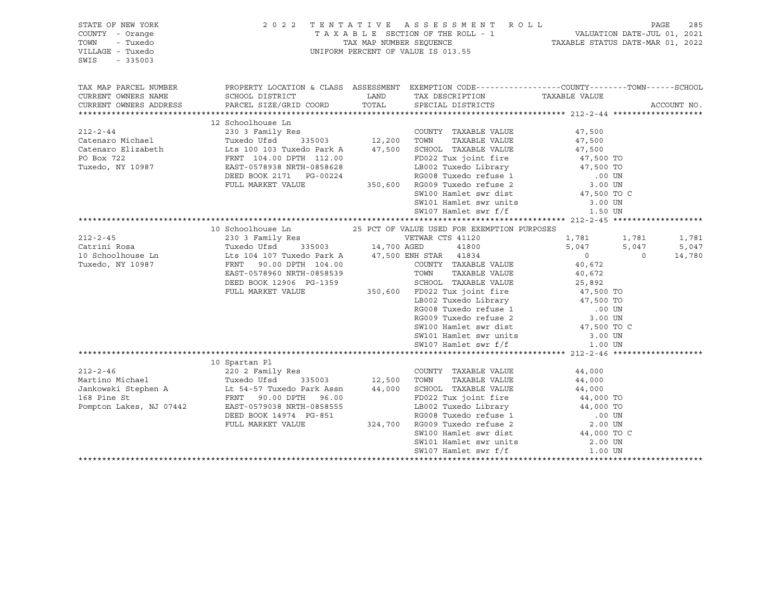| STATE OF NEW YORK<br>COUNTY - Orange<br>TOWN<br>- Tuxedo<br>VILLAGE - Tuxedo<br>SWIS<br>$-335003$                                                                                                                                                               |                                                                                                                                                                                                                                                            |      | 2022 TENTATIVE ASSESSMENT ROLL<br>TAXABLE SECTION OF THE ROLL - 1<br>TAXABLE STATUS DATE-JUL 01, 2021<br>TAXABLE STATUS DATE-MAR 01, 2022<br>UNIFORM PERCENT OF VALUE IS 013.55                                                                                                      |                                                                                      |                  | PAGE        | 285            |
|-----------------------------------------------------------------------------------------------------------------------------------------------------------------------------------------------------------------------------------------------------------------|------------------------------------------------------------------------------------------------------------------------------------------------------------------------------------------------------------------------------------------------------------|------|--------------------------------------------------------------------------------------------------------------------------------------------------------------------------------------------------------------------------------------------------------------------------------------|--------------------------------------------------------------------------------------|------------------|-------------|----------------|
| TAX MAP PARCEL NUMBER<br>CURRENT OWNERS NAME<br>CURRENT OWNERS ADDRESS                                                                                                                                                                                          | PROPERTY LOCATION & CLASS ASSESSMENT EXEMPTION CODE----------------COUNTY-------TOWN------SCHOOL<br>SCHOOL DISTRICT<br>PARCEL SIZE/GRID COORD                                                                                                              | LAND | TAX DESCRIPTION TAXABLE VALUE SPECIAL DISTRICTS<br>TOTAL SPECIAL DISTRICTS                                                                                                                                                                                                           |                                                                                      |                  | ACCOUNT NO. |                |
| 212-2-44<br>230 3 Family Res<br>Catenaro Michael Tuxedo Ufsd 335003<br>Catenaro Elizabeth Lts 100 103 Tuxedo Park A 47,500 SCHOOL TAXABLE VALUE<br>PO Box 722 FRNT 104.00 DPTH 112.00<br>Tuxedo, NY 10987 EAST-0578938 NRTH-0858628<br>DEE                      | 17,500 MMARLE VALUE 100 103 Tuxedo Park A<br>FRNT 104.00 DPTH 112.00 FD022 Tux joint fire 47,500 TO<br>EAST-0578938 NRTH-0858628 LB002 Tuxedo Library 47,500 TO<br>DEED BOOK 2171 PG-00224 RG008 Tuxedo refuse 1 .00 UN<br>FULL MARKET                     |      | SW101 Hamlet swr units<br>SW107 Hamlet swr f/f                                                                                                                                                                                                                                       | 47,500<br>47,500<br>3.00 UN<br>1.50 UN                                               |                  |             |                |
|                                                                                                                                                                                                                                                                 |                                                                                                                                                                                                                                                            |      |                                                                                                                                                                                                                                                                                      |                                                                                      |                  |             |                |
| $212 - 2 - 45$<br>Catrini Rosa<br>10 Schoolhouse Ln<br>Tuxedo, NY 10987                                                                                                                                                                                         | 230 3 Family Res<br>Tuxedo Ufsd 335003 14,700 AGED 41800<br>Lts 104 107 Tuxedo Park A 47,500 ENH STAR 41834<br>FRNT 90.00 DPTH 104.00 COUNTY TAXABLE VALUE<br>EAST-0578960 NRTH-0858539 TOWN TAXABLE VALUE<br>DEED BOOK 12906 PG-1359 SCHOOL TAXABLE VALUE |      | VETWAR CTS 41120<br>ED022 Tux John Tite<br>LB002 Tuxedo Library 47,500 TO<br>RG008 Tuxedo refuse 1 00 UN<br>RG009 Tuxedo refuse 2 3.00 UN<br>SW100 Hamlet swr dist 47,500 TO C<br>SW101 Hamlet swr units<br>SW107 Hamlet swr f/f<br>1.00 UN                                          | 1,781 1,781<br>5,047<br>$\overline{0}$<br>40,672<br>25,89∠<br>47,500 TO<br>17 500 TO | 5,047<br>$\circ$ | 14,780      | 1,781<br>5,047 |
|                                                                                                                                                                                                                                                                 | 10 Spartan Pl                                                                                                                                                                                                                                              |      |                                                                                                                                                                                                                                                                                      |                                                                                      |                  |             |                |
| 212-2-46 2202 Family Res COUNTY TAXABLE VALUE<br>Martino Michael Tuxedo Ufsd 335003 12,500 TOWN TAXABLE VALUE<br>Jankowski Stephen A Lt 54-57 Tuxedo Park Assn 44,000 SCHOOL TAXABLE VALUE<br>168 Pine St FRNT 90.00 DPTH 96.00 FD02<br>Pompton Lakes, NJ 07442 | EAST-0579038 NRTH-0858555<br>DEED BOOK 14974 PG-851<br>FULL MARKET VALUE                                                                                                                                                                                   |      | FD022 Tux joint fire<br>19002 Tuxedo Library<br>RG008 Tuxedo Library<br>RG008 Tuxedo refuse 1 000 TO<br>324,700 RG009 Tuxedo refuse 2 2.00 UN<br>SW100 Hamlet swr dist 44,000 TO C<br>$SW101$ Hamlet swr units 2.00 UN<br>$GW107$ Usulat sum $f/f$ $1.00$ UN<br>SW107 Hamlet swr f/f | 44,000<br>44,000<br>44,000 TO<br>44,000 TO<br>1000 TO<br>1.00 UN                     |                  |             |                |
|                                                                                                                                                                                                                                                                 |                                                                                                                                                                                                                                                            |      |                                                                                                                                                                                                                                                                                      |                                                                                      |                  |             |                |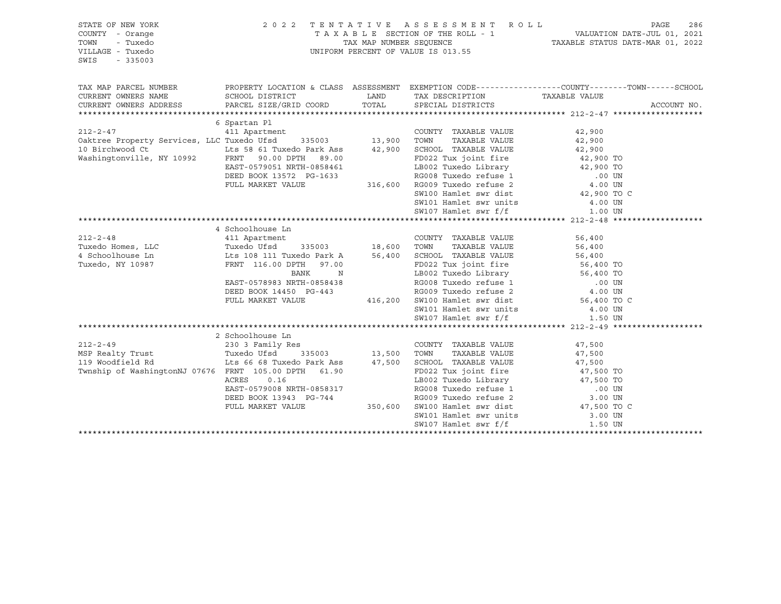| STATE OF NEW YORK<br>COUNTY - Orange<br>TOWN<br>- Tuxedo<br>VILLAGE - Tuxedo<br>SWIS<br>$-335003$ | 2 0 2 2                                                                                                             |               | TENTATIVE ASSESSMENT ROLL<br>UNIFORM PERCENT OF VALUE IS 013.55      |                     | PAGE<br>286 |
|---------------------------------------------------------------------------------------------------|---------------------------------------------------------------------------------------------------------------------|---------------|----------------------------------------------------------------------|---------------------|-------------|
| TAX MAP PARCEL NUMBER<br>CURRENT OWNERS NAME                                                      | PROPERTY LOCATION & CLASS ASSESSMENT EXEMPTION CODE----------------COUNTY-------TOWN------SCHOOL<br>SCHOOL DISTRICT |               | LAND TAX DESCRIPTION                                                 | TAXABLE VALUE       |             |
| CURRENT OWNERS ADDRESS                                                                            | PARCEL SIZE/GRID COORD                                                                                              | TOTAL         | SPECIAL DISTRICTS                                                    |                     | ACCOUNT NO. |
|                                                                                                   |                                                                                                                     |               |                                                                      |                     |             |
|                                                                                                   | 6 Spartan Pl                                                                                                        |               |                                                                      |                     |             |
| $212 - 2 - 47$                                                                                    | 411 Apartment                                                                                                       | 13,900        | COUNTY TAXABLE VALUE                                                 | 42,900              |             |
| Oaktree Property Services, LLC Tuxedo Ufsd 335003                                                 |                                                                                                                     |               | TAXABLE VALUE<br>TOWN                                                | 42,900              |             |
| 10 Birchwood Ct<br>Washingtonville, NY 10992                                                      | Lts 58 61 Tuxedo Park Ass                                                                                           |               | 42,900 SCHOOL TAXABLE VALUE                                          | 42,900              |             |
|                                                                                                   | FRNT 90.00 DPTH 89.00<br>EAST-0579051 NRTH-0858461                                                                  |               | FD022 Tux joint fire $42,900$ TO<br>LB002 Tuxedo Library $42,900$ TO |                     |             |
|                                                                                                   | DEED BOOK 13572 PG-1633                                                                                             |               |                                                                      |                     |             |
|                                                                                                   | FULL MARKET VALUE                                                                                                   |               |                                                                      |                     |             |
|                                                                                                   |                                                                                                                     |               | SW100 Hamlet swr dist 42,900 TO C                                    |                     |             |
|                                                                                                   |                                                                                                                     |               | SW101 Hamlet swr units                                               | 4.00 UN             |             |
|                                                                                                   |                                                                                                                     |               | SW107 Hamlet swr f/f                                                 | 1.00 UN             |             |
|                                                                                                   |                                                                                                                     |               |                                                                      |                     |             |
|                                                                                                   | 4 Schoolhouse Ln                                                                                                    |               |                                                                      |                     |             |
| $212 - 2 - 48$                                                                                    | 411 Apartment                                                                                                       |               | COUNTY TAXABLE VALUE                                                 | 56,400              |             |
| Tuxedo Homes, LLC                                                                                 | The Mension Tuxedo Ufsd<br>335003                                                                                   | $18,600$ TOWN | TAXABLE VALUE                                                        | 56,400              |             |
| 4 Schoolhouse Ln                                                                                  | Lts 108 111 Tuxedo Park A                                                                                           |               | 56,400 SCHOOL TAXABLE VALUE                                          | 56,400              |             |
| Tuxedo, NY 10987                                                                                  | FRNT 116.00 DPTH 97.00                                                                                              |               | FD022 Tux joint fire 56,400 TO<br>LB002 Tuxedo Library 56,400 TO     |                     |             |
|                                                                                                   | BANK<br>$\mathbb N$                                                                                                 |               |                                                                      |                     |             |
|                                                                                                   | EAST-0578983 NRTH-0858438                                                                                           |               | RG008 Tuxedo refuse 1 (00 UN RG009 Tuxedo refuse 2 (4.00 UN          |                     |             |
|                                                                                                   | DEED BOOK 14450 PG-443                                                                                              |               |                                                                      |                     |             |
|                                                                                                   | FULL MARKET VALUE                                                                                                   |               | 416,200 SW100 Hamlet swr dist 56,400 TO C                            | 4.00 UN             |             |
|                                                                                                   |                                                                                                                     |               | SW101 Hamlet swr units<br>SW107 Hamlet swr f/f                       | 1.50 UN             |             |
|                                                                                                   |                                                                                                                     |               |                                                                      |                     |             |
|                                                                                                   | 2 Schoolhouse Ln                                                                                                    |               |                                                                      |                     |             |
| $212 - 2 - 49$                                                                                    |                                                                                                                     |               | COUNTY TAXABLE VALUE                                                 | 47,500              |             |
|                                                                                                   | 230 3 Family Res<br>Tuxedo Ufsd                                                                                     |               | TAXABLE VALUE                                                        | 47,500              |             |
|                                                                                                   |                                                                                                                     | 47,500        | SCHOOL TAXABLE VALUE                                                 |                     |             |
| MSP Realty Trust<br>MSP Realty Trust<br>110 Woodfield Rd Lis 66 68 Tuxedo Park Ass                |                                                                                                                     |               | FD022 Tux joint fire                                                 | 47,500<br>47,500 TO |             |
|                                                                                                   | 0.16<br>ACRES                                                                                                       |               | LB002 Tuxedo Library 47,500 TO                                       |                     |             |
|                                                                                                   | EAST-0579008 NRTH-0858317                                                                                           |               | RG008 Tuxedo refuse 1 00 UN RG009 Tuxedo refuse 2 3.00 UN            |                     |             |
|                                                                                                   | DEED BOOK 13943 PG-744                                                                                              |               |                                                                      |                     |             |
|                                                                                                   | FULL MARKET VALUE                                                                                                   |               | 350,600 SW100 Hamlet swr dist 47,500 TO C                            |                     |             |
|                                                                                                   |                                                                                                                     |               | SW101 Hamlet swr units<br>SW107 Hamlet swr f/f                       | 3.00 UN             |             |
|                                                                                                   |                                                                                                                     |               |                                                                      | 1.50 UN             |             |
|                                                                                                   |                                                                                                                     |               |                                                                      |                     |             |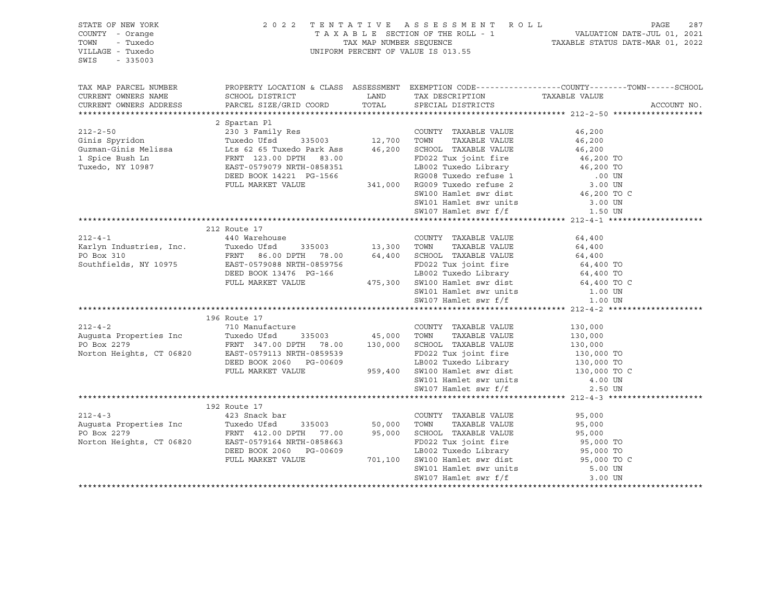| STATE OF NEW YORK<br>COUNTY - Orange<br>TOWN<br>- Tuxedo<br>VILLAGE - Tuxedo<br>SWIS<br>$-335003$     |                                                                                                                                                                                                                                                                                                                                                                                                                                                                    | 2022 TENTATIVE ASSESSMENT ROLL<br>UNIFORM PERCENT OF VALUE IS 013.55 | PAGE<br>287                                                                                                                      |
|-------------------------------------------------------------------------------------------------------|--------------------------------------------------------------------------------------------------------------------------------------------------------------------------------------------------------------------------------------------------------------------------------------------------------------------------------------------------------------------------------------------------------------------------------------------------------------------|----------------------------------------------------------------------|----------------------------------------------------------------------------------------------------------------------------------|
| TAX MAP PARCEL NUMBER<br>CURRENT OWNERS NAME<br>CURRENT OWNERS ADDRESS                                | SCHOOL DISTRICT<br>PARCEL SIZE/GRID COORD                                                                                                                                                                                                                                                                                                                                                                                                                          | LAND TAX DESCRIPTION<br>COORD TOTAL SPECIAL DISTRICTS                | PROPERTY LOCATION & CLASS ASSESSMENT EXEMPTION CODE----------------COUNTY-------TOWN------SCHOOL<br>TAXABLE VALUE<br>ACCOUNT NO. |
| $212 - 2 - 50$<br>Ginis Spyridon<br>--<br>Guzman-Ginis Melissa<br>1 Spice Bush Ln<br>Tuxedo, NY 10987 | 2 Spartan Pl<br>230 3 Family Res<br>Tuxedo Ufsd<br>335003<br>12,700 TOWN TAXABLE VALUE<br>Lts 62 65 Tuxedo Park Ass<br>FRNT 123.00 DPTH 83.00<br>FD022 Tux joint fire<br>EAST-0579079 NRTH-0858351<br>NRT 14221 PG-1566<br>NRT 14221 PG-1566<br>2008<br>ENT 133.00 DFTH 83.00<br>ERST-0579079 NRTH-0858351<br>DEED BOOK 14221 PG-1566<br>FULL MARKET VALUE 341,000 RG009 Tuxedo Library<br>SM100 Hamlet swr dist 46,200 TO UN<br>SM100 Hamlet swr dist 46,200 TO C | TAXABLE VALUE                                                        | 46,200<br>46,200<br>46,200                                                                                                       |
|                                                                                                       |                                                                                                                                                                                                                                                                                                                                                                                                                                                                    |                                                                      |                                                                                                                                  |
| $212 - 4 - 1$<br>Xiz-4 i<br>Karlyn Industries, Inc.<br>PO Box 310                                     | 212 Route 17<br>Southfields, NY 10975 EAST-0579088 NRTH-0859756                                                                                                                                                                                                                                                                                                                                                                                                    |                                                                      |                                                                                                                                  |
|                                                                                                       |                                                                                                                                                                                                                                                                                                                                                                                                                                                                    |                                                                      |                                                                                                                                  |
| $212 - 4 - 2$                                                                                         | 196 Route 17<br>710 Manufacture                                                                                                                                                                                                                                                                                                                                                                                                                                    |                                                                      |                                                                                                                                  |
|                                                                                                       |                                                                                                                                                                                                                                                                                                                                                                                                                                                                    |                                                                      |                                                                                                                                  |
| $212 - 4 - 3$                                                                                         | 192 Route 17<br>423 Snack bar<br>212-4-3<br>Augusta Properties Inc 7uxedo Ufsd 335003<br>PO Box 2279<br>Norton Heights, CT 06820<br>DEED BOOK 2060 PG-00609<br>FULL MARKET VALUE<br>FULL MARKET VALUE<br>PULL MARKET VALUE<br>PULL MARKET VALUE<br>PULL MARKET VALUE<br>PULL MARKET                                                                                                                                                                                | COUNTY TAXABLE VALUE<br>SW107 Hamlet swr f/f                         | 95,000<br>3.00 UN                                                                                                                |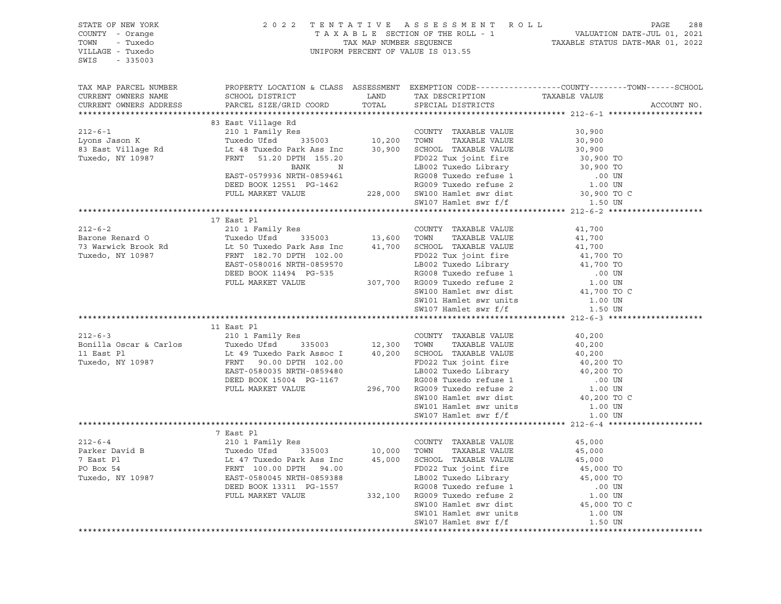| STATE OF NEW YORK<br>COUNTY - Orange<br>TOWN<br>- Tuxedo<br>VILLAGE - Tuxedo<br>SWIS<br>$-335003$                                                                                                                                                      | 2022 TENTATIVE ASSESSMENT ROLL<br>PAGE<br>288<br>T A X A B L E SECTION OF THE ROLL - 1 VALUATION DATE-JUL 01, 2021<br>TAX MAP NUMBER SEQUENCE - 1 TAXABLE STATUS DATE-MAR 01, 2022<br>UNIFORM PERCENT OF VALUE IS 013.55                   |         |                                                |                                                                                                                 |  |  |  |
|--------------------------------------------------------------------------------------------------------------------------------------------------------------------------------------------------------------------------------------------------------|--------------------------------------------------------------------------------------------------------------------------------------------------------------------------------------------------------------------------------------------|---------|------------------------------------------------|-----------------------------------------------------------------------------------------------------------------|--|--|--|
| TAX MAP PARCEL NUMBER<br>CURRENT OWNERS NAME<br>CURRENT OWNERS ADDRESS                                                                                                                                                                                 |                                                                                                                                                                                                                                            |         |                                                | PROPERTY LOCATION & CLASS ASSESSMENT EXEMPTION CODE----------------COUNTY-------TOWN------SCHOOL<br>ACCOUNT NO. |  |  |  |
|                                                                                                                                                                                                                                                        | 83 East Village Rd                                                                                                                                                                                                                         |         |                                                |                                                                                                                 |  |  |  |
| 212-6-1<br>Lyons Jason K 210 1 Family Res<br>Exponsion Country TAXABLE VALUE<br>Tuxedo K 210 1 Family Res<br>Tuxedo Ufsd 335003<br>10,200 TOWN TAXABLE VALUE<br>20,900<br>SCHOOL TAXABLE VALUE<br>30,900<br>Tuxedo, NY 10987<br>FRNT 51.20 DPTH 15     |                                                                                                                                                                                                                                            |         |                                                |                                                                                                                 |  |  |  |
|                                                                                                                                                                                                                                                        | FRNT 51.20 DPTH 155.20<br>FRNT 51.20 DPTH 155.20<br>BANK N LB002 Tux joint fire 30,900 TO<br>BANK N LB002 Tuxedo Library 30,900 TO<br>REST-0579936 NRTH-0859461<br>DEED BOOK 12551 PG-1462<br>FULL MARKET VALUE 228,000 SW100 Hamlet swr d |         |                                                |                                                                                                                 |  |  |  |
|                                                                                                                                                                                                                                                        |                                                                                                                                                                                                                                            |         |                                                |                                                                                                                 |  |  |  |
|                                                                                                                                                                                                                                                        | 17 East Pl                                                                                                                                                                                                                                 |         |                                                |                                                                                                                 |  |  |  |
|                                                                                                                                                                                                                                                        |                                                                                                                                                                                                                                            |         |                                                |                                                                                                                 |  |  |  |
|                                                                                                                                                                                                                                                        |                                                                                                                                                                                                                                            |         |                                                |                                                                                                                 |  |  |  |
| 212-6-2<br>Barone Renard 0<br>73 Warwick Brook Rd<br>Tuxedo (16d 335003)<br>73 Warwick Brook Rd<br>Tuxedo, NY 10987<br>210 1 Family Res<br>210 1 Family Res<br>210 1 Family Res<br>210 1 Family Res<br>213,600 TOWN TAXABLE VALUE<br>21,700<br>213,600 |                                                                                                                                                                                                                                            |         |                                                |                                                                                                                 |  |  |  |
|                                                                                                                                                                                                                                                        |                                                                                                                                                                                                                                            |         |                                                |                                                                                                                 |  |  |  |
|                                                                                                                                                                                                                                                        |                                                                                                                                                                                                                                            |         |                                                | SW100 Hamlet swr dist 41,700 TO C                                                                               |  |  |  |
|                                                                                                                                                                                                                                                        |                                                                                                                                                                                                                                            |         |                                                |                                                                                                                 |  |  |  |
|                                                                                                                                                                                                                                                        |                                                                                                                                                                                                                                            |         |                                                |                                                                                                                 |  |  |  |
|                                                                                                                                                                                                                                                        | 11 East Pl                                                                                                                                                                                                                                 |         |                                                |                                                                                                                 |  |  |  |
|                                                                                                                                                                                                                                                        |                                                                                                                                                                                                                                            |         |                                                |                                                                                                                 |  |  |  |
|                                                                                                                                                                                                                                                        |                                                                                                                                                                                                                                            |         |                                                |                                                                                                                 |  |  |  |
|                                                                                                                                                                                                                                                        |                                                                                                                                                                                                                                            |         |                                                |                                                                                                                 |  |  |  |
|                                                                                                                                                                                                                                                        |                                                                                                                                                                                                                                            |         |                                                |                                                                                                                 |  |  |  |
|                                                                                                                                                                                                                                                        |                                                                                                                                                                                                                                            |         |                                                |                                                                                                                 |  |  |  |
|                                                                                                                                                                                                                                                        |                                                                                                                                                                                                                                            |         |                                                |                                                                                                                 |  |  |  |
|                                                                                                                                                                                                                                                        |                                                                                                                                                                                                                                            |         |                                                | SW100 Hamlet swr dist<br>SW101 Hamlet swr units 1.00 UN                                                         |  |  |  |
|                                                                                                                                                                                                                                                        |                                                                                                                                                                                                                                            |         |                                                |                                                                                                                 |  |  |  |
|                                                                                                                                                                                                                                                        |                                                                                                                                                                                                                                            |         |                                                |                                                                                                                 |  |  |  |
|                                                                                                                                                                                                                                                        | 7 East Pl                                                                                                                                                                                                                                  |         |                                                |                                                                                                                 |  |  |  |
| $212 - 6 - 4$                                                                                                                                                                                                                                          | 210 1 Family Res                                                                                                                                                                                                                           |         | COUNTY TAXABLE VALUE                           | 45,000                                                                                                          |  |  |  |
| Parker David B<br>Tuxedo Ufsd 335003<br>Tuxedo Ufsd 335003<br>10,000 TOWN                                                                                                                                                                              |                                                                                                                                                                                                                                            |         | TAXABLE VALUE                                  | 45,000                                                                                                          |  |  |  |
| 7 East Pl                                                                                                                                                                                                                                              | Lt 47 Tuxedo Park Ass Inc 45,000 SCHOOL TAXABLE VALUE                                                                                                                                                                                      |         |                                                | 45,000                                                                                                          |  |  |  |
| PO Box 54                                                                                                                                                                                                                                              | FRNT 100.00 DPTH 94.00                                                                                                                                                                                                                     |         | FD022 Tux joint fire                           | 45,000 TO                                                                                                       |  |  |  |
| Tuxedo, NY 10987                                                                                                                                                                                                                                       | EAST-0580045 NRTH-0859388                                                                                                                                                                                                                  |         | LB002 Tuxedo Library                           | 45,000 TO                                                                                                       |  |  |  |
|                                                                                                                                                                                                                                                        | DEED BOOK 13311 PG-1557                                                                                                                                                                                                                    | 332,100 | RG008 Tuxedo refuse 1                          | .00 UN<br>1.00 UN                                                                                               |  |  |  |
|                                                                                                                                                                                                                                                        | FULL MARKET VALUE                                                                                                                                                                                                                          |         | RG009 Tuxedo refuse 2<br>SW100 Hamlet swr dist | 45,000 TO C                                                                                                     |  |  |  |
|                                                                                                                                                                                                                                                        |                                                                                                                                                                                                                                            |         | SW101 Hamlet swr units                         | 1.00 UN                                                                                                         |  |  |  |
|                                                                                                                                                                                                                                                        |                                                                                                                                                                                                                                            |         | SW107 Hamlet swr f/f                           | 1.50 UN                                                                                                         |  |  |  |
|                                                                                                                                                                                                                                                        | *************************************                                                                                                                                                                                                      |         |                                                |                                                                                                                 |  |  |  |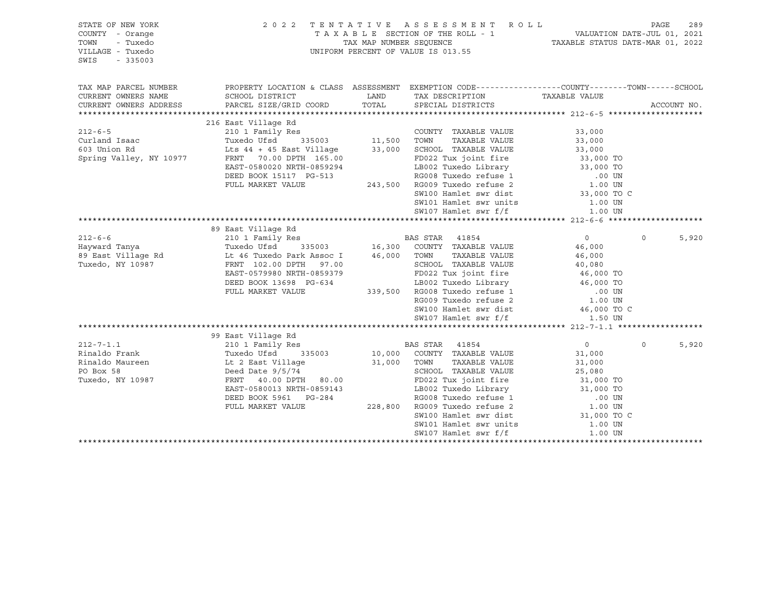| STATE OF NEW YORK<br>COUNTY - Orange<br>TOWN<br>- Tuxedo<br>VILLAGE - Tuxedo<br>SWIS<br>$-335003$ | 2 0 2 2                                                                                                                                                                                                          |               | TENTATIVE ASSESSMENT ROLL<br>UNIFORM PERCENT OF VALUE IS 013.55                                                                                                                                                                                                                                            |                                                                                                                                  | PAGE     | 289         |
|---------------------------------------------------------------------------------------------------|------------------------------------------------------------------------------------------------------------------------------------------------------------------------------------------------------------------|---------------|------------------------------------------------------------------------------------------------------------------------------------------------------------------------------------------------------------------------------------------------------------------------------------------------------------|----------------------------------------------------------------------------------------------------------------------------------|----------|-------------|
| TAX MAP PARCEL NUMBER<br>CURRENT OWNERS NAME<br>CURRENT OWNERS ADDRESS                            | PROPERTY LOCATION & CLASS ASSESSMENT EXEMPTION CODE----------------COUNTY-------TOWN------SCHOOL<br>SCHOOL DISTRICT<br>PARCEL SIZE/GRID COORD                                                                    | LAND<br>TOTAL | TAX DESCRIPTION<br>SPECIAL DISTRICTS                                                                                                                                                                                                                                                                       | TAXABLE VALUE                                                                                                                    |          | ACCOUNT NO. |
|                                                                                                   |                                                                                                                                                                                                                  |               |                                                                                                                                                                                                                                                                                                            |                                                                                                                                  |          |             |
| $212 - 6 - 5$<br>Curland Isaac<br>603 Union Rd<br>Spring Valley, NY 10977                         | 216 East Village Rd<br>Res<br>335003 11,500<br>210 1 Family Res<br>Tuxedo Ufsd<br>Lts 44 + 45 East Village<br>FRNT 70.00 DPTH 165.00<br>EAST-0580020 NRTH-0859294<br>DEED BOOK 15117 PG-513<br>FULL MARKET VALUE | 33,000        | COUNTY TAXABLE VALUE<br>TAXABLE VALUE<br>TOWN<br>SCHOOL TAXABLE VALUE<br>FD022 Tux joint fire<br>LB002 Tuxedo Library $33,000$ TO<br>RG008 Tuxedo refuse 1<br>243,500 RG009 Tuxedo refuse 2<br>SW100 Hamlet swr dist                                                                                       | 33,000<br>33,000<br>33,000<br>33,000 TO<br>.00 UN<br>1.00 UN<br>33,000 TO C                                                      |          |             |
|                                                                                                   |                                                                                                                                                                                                                  |               | SW101 Hamlet swr units                                                                                                                                                                                                                                                                                     | 1.00 UN                                                                                                                          |          |             |
|                                                                                                   |                                                                                                                                                                                                                  |               | SW107 Hamlet swr f/f                                                                                                                                                                                                                                                                                       | 1.00 UN                                                                                                                          |          |             |
|                                                                                                   | 89 East Village Rd                                                                                                                                                                                               |               |                                                                                                                                                                                                                                                                                                            |                                                                                                                                  |          |             |
| $212 - 6 - 6$<br>Hayward Tanya<br>89 East Village Rd<br>Tuxedo, NY 10987                          | 210 1 Family Res<br>Tuxedo Ufsd<br>Lt 46 Tuxedo Park Assoc I<br>FRNT 102.00 DPTH 97.00<br>EAST-0579980 NRTH-0859379<br>DEED BOOK 13698 PG-634<br>FULL MARKET VALUE                                               |               | <b>BAS STAR</b> 41854<br>335003 16,300 COUNTY TAXABLE VALUE<br>Park Assoc I 46,000 TOWN TAXABLE VALUE<br>SCHOOL TAXABLE VALUE<br>FD022 Tux joint fire<br>LB002 Tuxedo Library 16,000 TO<br>339,500 RG008 Tuxedo refuse 1<br>RG009 Tuxedo refuse 2<br>SW100 Hamlet swr dist<br>SW107 Hamlet swr f/f 1.50 UN | $\overline{0}$<br>46,000<br>46,000<br>$40,000$ TO<br>$46,000$ TO<br>.00 UN<br>1.00 UN<br>46,000 TO C                             | $\Omega$ | 5,920       |
|                                                                                                   |                                                                                                                                                                                                                  |               |                                                                                                                                                                                                                                                                                                            |                                                                                                                                  |          |             |
| $212 - 7 - 1.1$<br>Rinaldo Frank<br>Rinaldo Maureen<br>PO Box 58<br>Tuxedo, NY 10987              | 99 East Village Rd<br>210 1 Family Res<br>Tuxedo Ufsd<br>335003<br>Lt 2 East Village<br>Deed Date $9/5/74$<br>FRNT 40.00 DPTH 80.00<br>EAST-0580013 NRTH-0859143<br>DEED BOOK 5961 PG-284<br>FULL MARKET VALUE   | 31,000        | BAS STAR 41854<br>10,000 COUNTY TAXABLE VALUE<br>TAXABLE VALUE<br>TOWN<br>SCHOOL TAXABLE VALUE<br>FD022 Tux joint fire<br>LB002 Tuxedo Library<br>RG008 Tuxedo refuse 1<br>228,800 RG009 Tuxedo refuse 2<br>SW100 Hamlet swr dist<br>SW101 Hamlet swr units<br>SW107 Hamlet swr f/f                        | $\overline{0}$<br>31,000<br>31,000<br>25,080<br>31,000 TO<br>31,000 TO<br>.00 UN<br>1.00 UN<br>31,000 TO C<br>1.00 UN<br>1.00 UN | $\Omega$ | 5,920       |
|                                                                                                   |                                                                                                                                                                                                                  |               |                                                                                                                                                                                                                                                                                                            |                                                                                                                                  |          |             |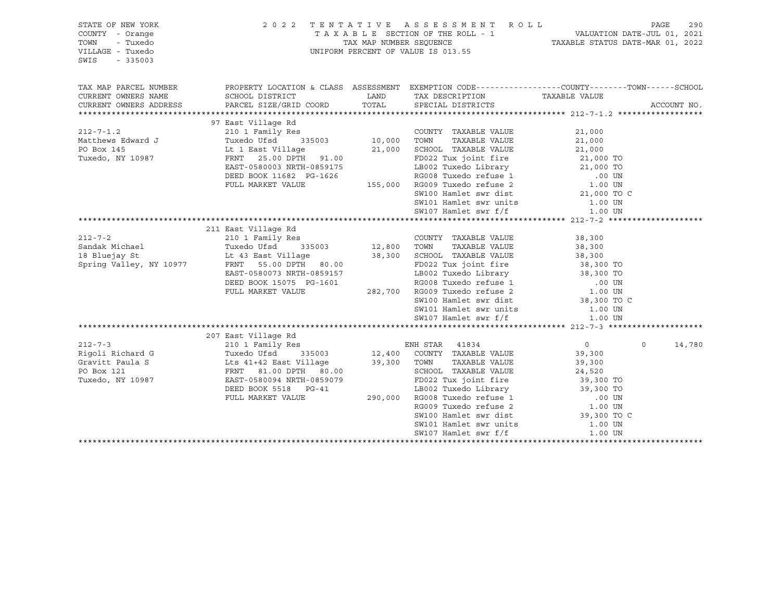| STATE OF NEW YORK<br>COUNTY - Orange<br>TOWN<br>- Tuxedo<br>VILLAGE - Tuxedo<br>$-335003$<br>SWIS |                                                                                                                                                                                                                                                                                   | 2022 TENTATIVE ASSESSMENT ROLL<br>TAXABLE SECTION OF THE ROLL - 1 VALUATION DATE-JUL 01, 2021<br>TAX MAP NUMBER SEQUENCE TAXABLE STATUS DATE-MAR 01, 2022<br>UNIFORM PERCENT OF VALUE IS 013.55 |                |                    |
|---------------------------------------------------------------------------------------------------|-----------------------------------------------------------------------------------------------------------------------------------------------------------------------------------------------------------------------------------------------------------------------------------|-------------------------------------------------------------------------------------------------------------------------------------------------------------------------------------------------|----------------|--------------------|
| TAX MAP PARCEL NUMBER                                                                             | PROPERTY LOCATION & CLASS ASSESSMENT EXEMPTION CODE-----------------COUNTY-------TOWN------SCHOOL                                                                                                                                                                                 |                                                                                                                                                                                                 |                |                    |
| CURRENT OWNERS NAME                                                                               | SCHOOL DISTRICT<br>CURRENT OWNERS ADDRESS PARCEL SIZE/GRID COORD                                                                                                                                                                                                                  | LAND TAX DESCRIPTION TAXABLE VALUE<br>TOTAL SPECIAL DISTRICTS                                                                                                                                   |                | ACCOUNT NO.        |
|                                                                                                   | 37 East Village Rd<br>212-7-1.2 97 East Village Rd<br>212-7-1.2 2011 Family Res<br>21,000 TOWNTY TAXABLE VALUE<br>21,000 TOWN TAXABLE VALUE<br>21,000 TOWN TAXABLE VALUE<br>21,000 TOWN TAXABLE VALUE<br>21,000 SCHOOL TAXABLE VALUE<br>21,000                                    |                                                                                                                                                                                                 |                |                    |
|                                                                                                   |                                                                                                                                                                                                                                                                                   |                                                                                                                                                                                                 |                |                    |
|                                                                                                   |                                                                                                                                                                                                                                                                                   |                                                                                                                                                                                                 |                |                    |
|                                                                                                   |                                                                                                                                                                                                                                                                                   |                                                                                                                                                                                                 |                |                    |
|                                                                                                   |                                                                                                                                                                                                                                                                                   |                                                                                                                                                                                                 |                |                    |
|                                                                                                   |                                                                                                                                                                                                                                                                                   |                                                                                                                                                                                                 |                |                    |
|                                                                                                   |                                                                                                                                                                                                                                                                                   |                                                                                                                                                                                                 |                |                    |
|                                                                                                   |                                                                                                                                                                                                                                                                                   |                                                                                                                                                                                                 |                |                    |
|                                                                                                   |                                                                                                                                                                                                                                                                                   |                                                                                                                                                                                                 |                |                    |
|                                                                                                   |                                                                                                                                                                                                                                                                                   |                                                                                                                                                                                                 |                |                    |
|                                                                                                   |                                                                                                                                                                                                                                                                                   |                                                                                                                                                                                                 |                |                    |
|                                                                                                   |                                                                                                                                                                                                                                                                                   |                                                                                                                                                                                                 |                |                    |
|                                                                                                   | 211 East Village Rd<br>211 East Village Rd<br>210 1 Family Res<br>210 1 Family Res<br>210 1 Family Res<br>210 1 Family Res<br>210 1 Family Res<br>210 2 TOWN TAXABLE VALUE<br>28,300<br>28,300<br>28,300<br>28,300<br>29 TOWN TAXABLE VALUE<br>28,300<br>29 TAXABLE VALUE<br>28,3 |                                                                                                                                                                                                 |                |                    |
|                                                                                                   |                                                                                                                                                                                                                                                                                   |                                                                                                                                                                                                 |                |                    |
|                                                                                                   |                                                                                                                                                                                                                                                                                   |                                                                                                                                                                                                 |                |                    |
|                                                                                                   |                                                                                                                                                                                                                                                                                   |                                                                                                                                                                                                 |                |                    |
|                                                                                                   | ERNT 55.00 DPTH 80.00<br>ERST-0580073 NRTH-0859157 LB002 Tux joint fire 38,300 TO<br>DEED BOOK 15075 PG-1601 RG008 Tuxedo Library 38,300 TO<br>PULL MARKET VALUE 282,700 RG009 Tuxedo refuse 2 1.00 UN<br>SW100 Hamlet swr dist 38,300                                            |                                                                                                                                                                                                 |                |                    |
|                                                                                                   |                                                                                                                                                                                                                                                                                   |                                                                                                                                                                                                 |                |                    |
|                                                                                                   |                                                                                                                                                                                                                                                                                   |                                                                                                                                                                                                 |                |                    |
|                                                                                                   |                                                                                                                                                                                                                                                                                   |                                                                                                                                                                                                 |                |                    |
|                                                                                                   |                                                                                                                                                                                                                                                                                   |                                                                                                                                                                                                 |                |                    |
|                                                                                                   |                                                                                                                                                                                                                                                                                   |                                                                                                                                                                                                 |                |                    |
|                                                                                                   |                                                                                                                                                                                                                                                                                   |                                                                                                                                                                                                 |                |                    |
|                                                                                                   |                                                                                                                                                                                                                                                                                   |                                                                                                                                                                                                 |                |                    |
|                                                                                                   |                                                                                                                                                                                                                                                                                   |                                                                                                                                                                                                 |                |                    |
|                                                                                                   |                                                                                                                                                                                                                                                                                   |                                                                                                                                                                                                 | $\overline{0}$ | $\Omega$<br>14,780 |
|                                                                                                   |                                                                                                                                                                                                                                                                                   |                                                                                                                                                                                                 |                |                    |
|                                                                                                   |                                                                                                                                                                                                                                                                                   |                                                                                                                                                                                                 |                |                    |
|                                                                                                   |                                                                                                                                                                                                                                                                                   |                                                                                                                                                                                                 |                |                    |
| Tuxedo, NY 10987                                                                                  |                                                                                                                                                                                                                                                                                   |                                                                                                                                                                                                 |                |                    |
|                                                                                                   |                                                                                                                                                                                                                                                                                   |                                                                                                                                                                                                 |                |                    |
|                                                                                                   |                                                                                                                                                                                                                                                                                   |                                                                                                                                                                                                 |                |                    |
|                                                                                                   | FRAT 81.00 DFTH 80.00<br>EAST-0580094 NRTH-0859079 FD022 Tux joint fire 39,300 TO<br>DEED BOOK 5518 PG-41 LB002 Tuxedo Library 39,300 TO<br>FULL MARKET VALUE 290,000 RG008 Tuxedo refuse 1 .00 UN<br>RG009 Tuxedo refuse 2 1.00 UN<br>S                                          |                                                                                                                                                                                                 |                |                    |
|                                                                                                   |                                                                                                                                                                                                                                                                                   |                                                                                                                                                                                                 |                |                    |
|                                                                                                   |                                                                                                                                                                                                                                                                                   | SW101 Hamlet swr units<br>SW107 Hamlet swr f/f                                                                                                                                                  | 1.00 UN        |                    |
|                                                                                                   |                                                                                                                                                                                                                                                                                   |                                                                                                                                                                                                 | 1.00 UN        |                    |
|                                                                                                   |                                                                                                                                                                                                                                                                                   |                                                                                                                                                                                                 |                |                    |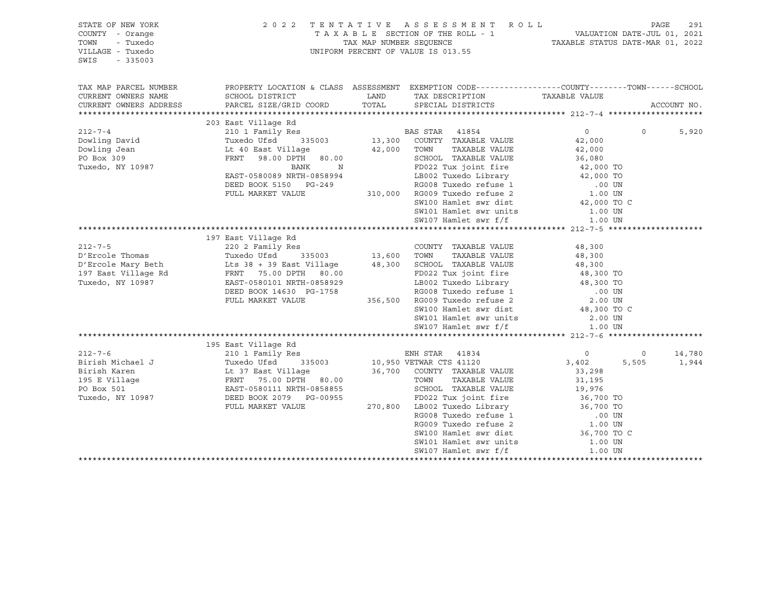| STATE OF NEW YORK<br>COUNTY - Orange<br>TOWN<br>- Tuxedo<br>VILLAGE - Tuxedo<br>SWIS<br>$-335003$                                                                                                                                                                  | 2 0 2 2                                                                                           |                       | TENTATIVE ASSESSMENT ROLL                                                                                                                                                                                                    |                                                                     |          | PAGE<br>291 |
|--------------------------------------------------------------------------------------------------------------------------------------------------------------------------------------------------------------------------------------------------------------------|---------------------------------------------------------------------------------------------------|-----------------------|------------------------------------------------------------------------------------------------------------------------------------------------------------------------------------------------------------------------------|---------------------------------------------------------------------|----------|-------------|
| TAX MAP PARCEL NUMBER                                                                                                                                                                                                                                              | PROPERTY LOCATION & CLASS ASSESSMENT EXEMPTION CODE-----------------COUNTY-------TOWN------SCHOOL |                       |                                                                                                                                                                                                                              |                                                                     |          |             |
| CURRENT OWNERS NAME                                                                                                                                                                                                                                                | SCHOOL DISTRICT                                                                                   | LAND                  | TAX DESCRIPTION TAXABLE VALUE<br>SPECIAL DISTRICTS TAXABLE VALUE                                                                                                                                                             |                                                                     |          |             |
| CURRENT OWNERS ADDRESS                                                                                                                                                                                                                                             | PARCEL SIZE/GRID COORD TOTAL SPECIAL DISTRICTS                                                    |                       |                                                                                                                                                                                                                              |                                                                     |          | ACCOUNT NO. |
|                                                                                                                                                                                                                                                                    |                                                                                                   |                       |                                                                                                                                                                                                                              |                                                                     |          |             |
| $212 - 7 - 4$                                                                                                                                                                                                                                                      | 203 East Village Rd                                                                               |                       |                                                                                                                                                                                                                              | $\overline{0}$                                                      | $\Omega$ |             |
|                                                                                                                                                                                                                                                                    |                                                                                                   |                       |                                                                                                                                                                                                                              | 42,000                                                              |          | 5,920       |
| Dowling David<br>Dowling Jean<br>PO Box 309<br>Tuxedo, NY 10987                                                                                                                                                                                                    | Lt 40 East Village                                                                                |                       | TAXABLE VALUE                                                                                                                                                                                                                | 42,000                                                              |          |             |
|                                                                                                                                                                                                                                                                    | FRNT 98.00 DPTH 80.00                                                                             | 42,000 TOWN<br>SCHOOL |                                                                                                                                                                                                                              |                                                                     |          |             |
|                                                                                                                                                                                                                                                                    | BANK<br>$\mathbb N$                                                                               |                       |                                                                                                                                                                                                                              |                                                                     |          |             |
|                                                                                                                                                                                                                                                                    | EAST-0580089 NRTH-0858994                                                                         |                       |                                                                                                                                                                                                                              |                                                                     |          |             |
|                                                                                                                                                                                                                                                                    | DEED BOOK 5150 PG-249                                                                             |                       |                                                                                                                                                                                                                              |                                                                     |          |             |
|                                                                                                                                                                                                                                                                    | FULL MARKET VALUE                                                                                 |                       |                                                                                                                                                                                                                              |                                                                     |          |             |
|                                                                                                                                                                                                                                                                    |                                                                                                   |                       |                                                                                                                                                                                                                              |                                                                     |          |             |
|                                                                                                                                                                                                                                                                    |                                                                                                   |                       |                                                                                                                                                                                                                              |                                                                     |          |             |
|                                                                                                                                                                                                                                                                    |                                                                                                   |                       | SW107 Hamlet swr f/f                                                                                                                                                                                                         | 1.00 UN                                                             |          |             |
|                                                                                                                                                                                                                                                                    |                                                                                                   |                       |                                                                                                                                                                                                                              |                                                                     |          |             |
|                                                                                                                                                                                                                                                                    | 197 East Village Rd                                                                               |                       |                                                                                                                                                                                                                              |                                                                     |          |             |
| $212 - 7 - 5$                                                                                                                                                                                                                                                      |                                                                                                   |                       | COUNTY TAXABLE VALUE                                                                                                                                                                                                         | 48,300                                                              |          |             |
| D'Ercole Thomas                                                                                                                                                                                                                                                    |                                                                                                   |                       | TAXABLE VALUE                                                                                                                                                                                                                | 48,300                                                              |          |             |
| D'Ercole Mary Beth                                                                                                                                                                                                                                                 |                                                                                                   |                       | 13,000 IOMN IAAABLE VALUE<br>13,000 SCHOOL TAXABLE VALUE<br>48,300 SCHOOL TAXABLE VALUE<br>48,300 TO<br>558929 LB002 Tuxedo Library 48,300 TO<br>1758 RG008 Tuxedo refuse 2 2.00 UN<br>356,500 RG009 Tuxedo refuse 2 2.00 UN |                                                                     |          |             |
| 197 East Village Rd                                                                                                                                                                                                                                                | FRNT 75.00 DPTH 80.00                                                                             |                       |                                                                                                                                                                                                                              |                                                                     |          |             |
| Tuxedo, NY 10987                                                                                                                                                                                                                                                   | EAST-0580101 NRTH-0858929                                                                         |                       |                                                                                                                                                                                                                              |                                                                     |          |             |
|                                                                                                                                                                                                                                                                    | DEED BOOK 14630 PG-1758                                                                           |                       |                                                                                                                                                                                                                              |                                                                     |          |             |
|                                                                                                                                                                                                                                                                    | FULL MARKET VALUE                                                                                 |                       |                                                                                                                                                                                                                              |                                                                     |          |             |
|                                                                                                                                                                                                                                                                    |                                                                                                   |                       |                                                                                                                                                                                                                              | SW100 Hamlet swr dist 48,300 TO C<br>SW101 Hamlet swr units 2.00 UN |          |             |
|                                                                                                                                                                                                                                                                    |                                                                                                   |                       |                                                                                                                                                                                                                              |                                                                     |          |             |
|                                                                                                                                                                                                                                                                    |                                                                                                   |                       | SW107 Hamlet swr f/f                                                                                                                                                                                                         | 1.00 UN                                                             |          |             |
|                                                                                                                                                                                                                                                                    |                                                                                                   |                       |                                                                                                                                                                                                                              |                                                                     |          |             |
| X<br>212-7-6<br>Birish Michael J<br>Birish Karen<br>195 E Village<br>210 1 ram<br>10 Tuxedo Ufsd<br>133500 J<br>10 Tuxedo Ufsd<br>133500 J<br>210 1 ram<br>210 1 ram<br>210 1 ram<br>210 1 Tuxedo Ufsd<br>33500 J<br>23500 J<br>23500 J<br>2437 East Village<br>25 |                                                                                                   |                       |                                                                                                                                                                                                                              |                                                                     |          |             |
|                                                                                                                                                                                                                                                                    |                                                                                                   |                       |                                                                                                                                                                                                                              | $\overline{0}$                                                      | $\circ$  | 14,780      |
|                                                                                                                                                                                                                                                                    |                                                                                                   |                       |                                                                                                                                                                                                                              | 3,402                                                               | 5,505    | 1,944       |
|                                                                                                                                                                                                                                                                    |                                                                                                   |                       | 36,700 COUNTY TAXABLE VALUE<br>80.00 60.00 TOWN TAXABLE VALUE                                                                                                                                                                | 33,298                                                              |          |             |
|                                                                                                                                                                                                                                                                    |                                                                                                   |                       | TAXABLE VALUE                                                                                                                                                                                                                | 31,195                                                              |          |             |
|                                                                                                                                                                                                                                                                    |                                                                                                   |                       | SCHOOL TAXABLE VALUE                                                                                                                                                                                                         |                                                                     |          |             |
|                                                                                                                                                                                                                                                                    |                                                                                                   |                       |                                                                                                                                                                                                                              | $19,976$<br>$36,700$ TO                                             |          |             |
|                                                                                                                                                                                                                                                                    |                                                                                                   |                       |                                                                                                                                                                                                                              |                                                                     |          |             |
|                                                                                                                                                                                                                                                                    |                                                                                                   |                       |                                                                                                                                                                                                                              |                                                                     |          |             |
|                                                                                                                                                                                                                                                                    |                                                                                                   |                       | 270,800 ED022 Tux joint fire<br>270,800 LB002 Tuxedo Library<br>RG008 Tuxedo Library<br>RG008 Tuxedo refuse 1 .00 UN<br>RG009 Tuxedo refuse 2 .00 UN<br>SW100 Hamlet swr dist 36,700 TO C                                    |                                                                     |          |             |
|                                                                                                                                                                                                                                                                    |                                                                                                   |                       |                                                                                                                                                                                                                              |                                                                     |          |             |
|                                                                                                                                                                                                                                                                    |                                                                                                   |                       |                                                                                                                                                                                                                              | SW101 Hamlet swr units 1.00 UN                                      |          |             |
|                                                                                                                                                                                                                                                                    |                                                                                                   |                       | SW107 Hamlet swr f/f                                                                                                                                                                                                         | 1.00 UN                                                             |          |             |
|                                                                                                                                                                                                                                                                    |                                                                                                   |                       |                                                                                                                                                                                                                              |                                                                     |          |             |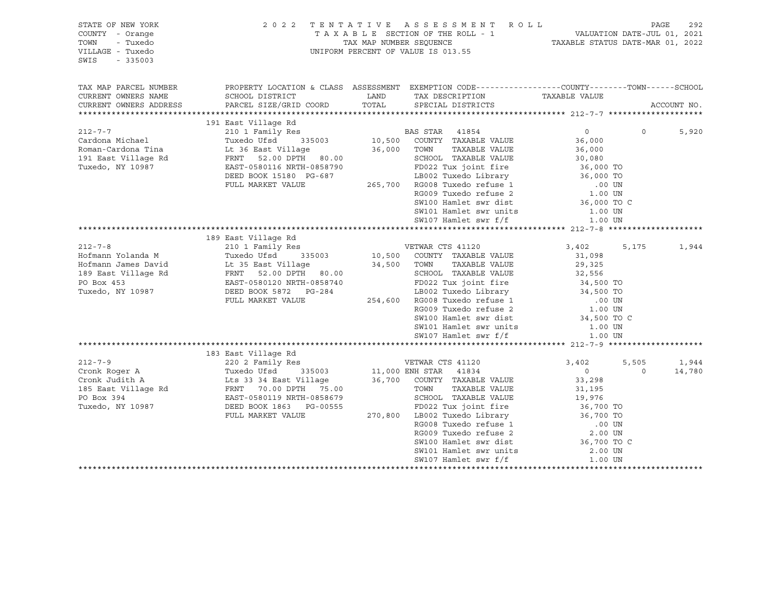| STATE OF NEW YORK<br>COUNTY - Orange<br>TOWN<br>- Tuxedo<br>VILLAGE - Tuxedo<br>$-335003$<br>SWIS |                                                                                                                                                  |       | 2022 TENTATIVE ASSESSMENT ROLL<br>UNIFORM PERCENT OF VALUE IS 013.55                          | TAXABLE SECTION OF THE ROLL - 1<br>TAXABLE STATUS DATE-JUL 01, 2021<br>TAXABLE STATUS DATE-MAR 01, 2022                                                                            |            | PAGE<br>292 |
|---------------------------------------------------------------------------------------------------|--------------------------------------------------------------------------------------------------------------------------------------------------|-------|-----------------------------------------------------------------------------------------------|------------------------------------------------------------------------------------------------------------------------------------------------------------------------------------|------------|-------------|
| TAX MAP PARCEL NUMBER                                                                             | PROPERTY LOCATION & CLASS ASSESSMENT EXEMPTION CODE---------------COUNTY-------TOWN-----SCHOOL                                                   |       |                                                                                               |                                                                                                                                                                                    |            |             |
| CURRENT OWNERS NAME                                                                               | SCHOOL DISTRICT                                                                                                                                  | LAND  | TAX DESCRIPTION                                                                               | TAXABLE VALUE                                                                                                                                                                      |            |             |
| CURRENT OWNERS ADDRESS                                                                            | PARCEL SIZE/GRID COORD                                                                                                                           | TOTAL | SPECIAL DISTRICTS                                                                             |                                                                                                                                                                                    |            | ACCOUNT NO. |
|                                                                                                   | 191 East Village Rd                                                                                                                              |       |                                                                                               |                                                                                                                                                                                    |            |             |
| $212 - 7 - 7$                                                                                     |                                                                                                                                                  |       |                                                                                               | $\overline{0}$                                                                                                                                                                     | $\Omega$   | 5,920       |
| Cardona Michael                                                                                   |                                                                                                                                                  |       |                                                                                               | 36,000                                                                                                                                                                             |            |             |
| Roman-Cardona Tina                                                                                |                                                                                                                                                  |       |                                                                                               | 36,000                                                                                                                                                                             |            |             |
| 191 East Village Rd                                                                               | FRNT 52.00 DPTH 80.00                                                                                                                            |       |                                                                                               | SCHOOL TAXABLE VALUE 30,080<br>FD022 Tux joint fire 36,000 TO<br>LB002 Tuxedo Library 36,000 TO<br>265,700 RG008 Tuxedo refuse 1 00 UN<br>RG009 Tuxedo refuse 2                    |            |             |
| Tuxedo, NY 10987                                                                                  | EAST-0580116 NRTH-0858790                                                                                                                        |       |                                                                                               |                                                                                                                                                                                    |            |             |
|                                                                                                   | DEED BOOK 15180 PG-687                                                                                                                           |       |                                                                                               |                                                                                                                                                                                    |            |             |
|                                                                                                   | FULL MARKET VALUE                                                                                                                                |       |                                                                                               |                                                                                                                                                                                    |            |             |
|                                                                                                   |                                                                                                                                                  |       |                                                                                               |                                                                                                                                                                                    |            |             |
|                                                                                                   |                                                                                                                                                  |       | SW100 Hamlet swr dist                                                                         | 36,000 TO C                                                                                                                                                                        |            |             |
|                                                                                                   |                                                                                                                                                  |       | SW101 Hamlet swr units                                                                        | 1.00 UN                                                                                                                                                                            |            |             |
|                                                                                                   |                                                                                                                                                  |       | SW107 Hamlet swr f/f                                                                          | 1.00 UN                                                                                                                                                                            |            |             |
|                                                                                                   |                                                                                                                                                  |       |                                                                                               |                                                                                                                                                                                    |            |             |
| $212 - 7 - 8$                                                                                     | 189 East Village Rd                                                                                                                              |       |                                                                                               |                                                                                                                                                                                    |            |             |
| Hofmann Yolanda M                                                                                 | 210 1 Family Res                                                                                                                                 |       |                                                                                               | 3,402                                                                                                                                                                              | 5,175      | 1,944       |
| Hofmann James David                                                                               | Tuxedo Ufsd 335003<br>Lt 35 East Village<br>FRNT 52.00 DPTH 80.00<br>EAST-0580120 NRTH-0858740<br>DEED BOOK 5872 PG-284<br>DEED BOOK 5872 PG-284 |       | VETWAR CTS 41120<br>10,500 COUNTY TAXABLE VALUE<br>34,500 TOWN TAXABLE VALUE<br>TAXABLE VALUE | 31,098<br>29,325                                                                                                                                                                   |            |             |
| 189 East Village Rd                                                                               |                                                                                                                                                  |       | SCHOOL TAXABLE VALUE                                                                          |                                                                                                                                                                                    |            |             |
| PO Box 453                                                                                        |                                                                                                                                                  |       | FD022 Tux joint fire                                                                          | 32,556<br>34,500 TO                                                                                                                                                                |            |             |
| Tuxedo, NY 10987                                                                                  |                                                                                                                                                  |       |                                                                                               |                                                                                                                                                                                    |            |             |
|                                                                                                   | FULL MARKET VALUE                                                                                                                                |       |                                                                                               | LB002 Tuxedo Library 34,500 TO<br>254,600 RG008 Tuxedo refuse 1 .00 UN                                                                                                             |            |             |
|                                                                                                   |                                                                                                                                                  |       |                                                                                               | .00 UN<br>1.00 UN                                                                                                                                                                  |            |             |
|                                                                                                   |                                                                                                                                                  |       | RG009 Tuxedo refuse 2<br>SW100 Hamlet swr dist                                                | 34,500 TO C                                                                                                                                                                        |            |             |
|                                                                                                   |                                                                                                                                                  |       | SW101 Hamlet swr units                                                                        | 1.00 UN                                                                                                                                                                            |            |             |
|                                                                                                   |                                                                                                                                                  |       | SW107 Hamlet swr f/f                                                                          | 1.00 UN                                                                                                                                                                            |            |             |
|                                                                                                   |                                                                                                                                                  |       |                                                                                               |                                                                                                                                                                                    |            |             |
|                                                                                                   | 183 East Village Rd                                                                                                                              |       |                                                                                               |                                                                                                                                                                                    |            |             |
| $212 - 7 - 9$                                                                                     | 220 2 Family Res                                                                                                                                 |       | VETWAR CTS 41120                                                                              | 3,402                                                                                                                                                                              | 5,505      | 1,944       |
| Cronk Roger A                                                                                     | Tuxedo Utsa (1990)<br>Lts 33 34 East Village<br>10 10 PREH (1990)                                                                                |       | 11,000 ENH STAR 41834<br>36,700 COUNTY TAXABLE VALUE                                          | $0 \qquad \qquad$                                                                                                                                                                  | $\bigcirc$ | 14,780      |
| Cronk Judith A                                                                                    |                                                                                                                                                  |       |                                                                                               | 33,298                                                                                                                                                                             |            |             |
| 185 East Village Rd                                                                               | FRNT 70.00 DPTH 75.00<br>EAST-0580119 NRTH-0858679                                                                                               |       | TAXABLE VALUE<br>TOWN                                                                         | 31,195<br>19,976                                                                                                                                                                   |            |             |
| PO Box 394                                                                                        |                                                                                                                                                  |       | SCHOOL TAXABLE VALUE                                                                          |                                                                                                                                                                                    |            |             |
| Tuxedo, NY 10987                                                                                  | DEED BOOK 1863 PG-00555                                                                                                                          |       |                                                                                               |                                                                                                                                                                                    |            |             |
|                                                                                                   | FULL MARKET VALUE                                                                                                                                |       |                                                                                               |                                                                                                                                                                                    |            |             |
|                                                                                                   |                                                                                                                                                  |       |                                                                                               | PD022 Tux joint fire<br>270,800 LB002 Tuxedo Library<br>RG008 Tuxedo Library<br>RG008 Tuxedo refuse 1 00 UN<br>RG009 Tuxedo refuse 2 2.00 UN<br>SW100 Hamlet swr dist<br>36,700 TO |            |             |
|                                                                                                   |                                                                                                                                                  |       |                                                                                               |                                                                                                                                                                                    |            |             |
|                                                                                                   |                                                                                                                                                  |       | SW101 Hamlet swr units                                                                        | 2.00 UN                                                                                                                                                                            |            |             |
|                                                                                                   |                                                                                                                                                  |       | SW107 Hamlet swr f/f                                                                          | 1.00 UN                                                                                                                                                                            |            |             |
|                                                                                                   |                                                                                                                                                  |       |                                                                                               |                                                                                                                                                                                    |            |             |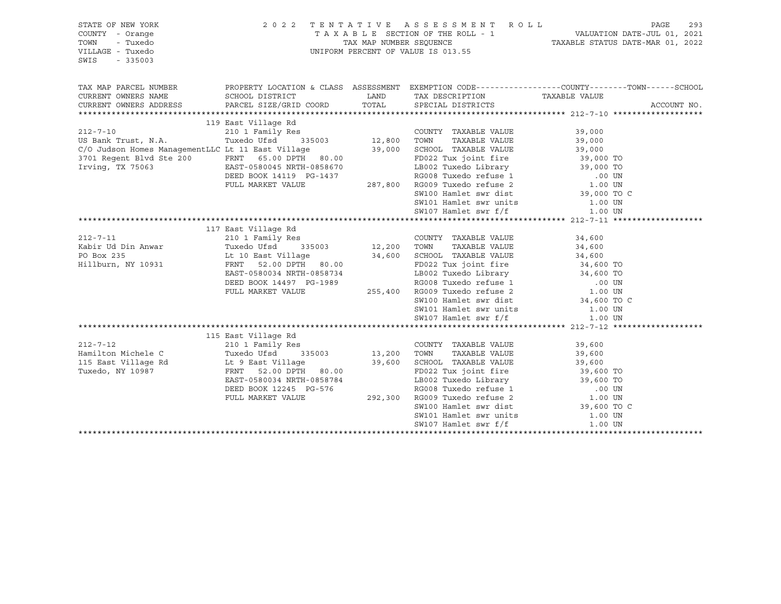| STATE OF NEW YORK<br>COUNTY - Orange<br>- Tuxedo<br>TOWN<br>VILLAGE - Tuxedo<br>SWIS<br>$-335003$                                                                |                                                                                                                                                                                  |                                      | 2022 TENTATIVE ASSESSMENT ROLL<br>UNIFORM PERCENT OF VALUE IS 013.55                                                  | TAXABLE SECTION OF THE ROLL - 1 VALUATION DATE-JUL 01, 2021<br>TAX MAP NUMBER SEQUENCE TAXABLE STATUS DATE-MAR 01, 2022                                                                                                                  | PAGE        | 293 |
|------------------------------------------------------------------------------------------------------------------------------------------------------------------|----------------------------------------------------------------------------------------------------------------------------------------------------------------------------------|--------------------------------------|-----------------------------------------------------------------------------------------------------------------------|------------------------------------------------------------------------------------------------------------------------------------------------------------------------------------------------------------------------------------------|-------------|-----|
| TAX MAP PARCEL NUMBER<br>CURRENT OWNERS NAME<br>CURRENT OWNERS ADDRESS                                                                                           | PROPERTY LOCATION & CLASS ASSESSMENT EXEMPTION CODE---------------COUNTY-------TOWN-----SCHOOL<br>SCHOOL DISTRICT<br>PARCEL SIZE/GRID COORD                                      | TOTAL                                | LAND TAX DESCRIPTION<br>SPECIAL DISTRICTS                                                                             | TAXABLE VALUE                                                                                                                                                                                                                            | ACCOUNT NO. |     |
|                                                                                                                                                                  |                                                                                                                                                                                  |                                      |                                                                                                                       |                                                                                                                                                                                                                                          |             |     |
| $212 - 7 - 10$<br>US Bank Trust, N.A.<br>C/O Judson Homes ManagementLLC Lt 11 East Village<br>3701 Regent Blvd Ste 200 FRNT 65.00 DPTH 80.00<br>Irving, TX 75063 | 119 East Village Rd<br>210 1 Family Res<br>Tuxedo Ufsd<br>EAST-0580045 NRTH-0858670<br>DEED BOOK 14119 PG-1437<br>FULL MARKET VALUE                                              | Res<br>335003 12,800<br>39,000       | COUNTY TAXABLE VALUE<br>TAXABLE VALUE<br>TOWN<br>SCHOOL TAXABLE VALUE<br>FD022 Tux joint fire<br>SW107 Hamlet swr f/f | 39,000<br>39,000<br>39,000<br>39,000 TO<br>LB002 Tuxedo Library 39,000 TO<br>SW100 Hamlet swr dist 39,000 TO C<br>SW101 Hamlet swr units 1.00 UN<br>1.00 UN                                                                              |             |     |
|                                                                                                                                                                  |                                                                                                                                                                                  |                                      |                                                                                                                       |                                                                                                                                                                                                                                          |             |     |
| $212 - 7 - 11$<br>Kabir Ud Din Anwar<br>PO Box 235<br>Hillburn, NY 10931                                                                                         | 117 East Village Rd<br>210 1 Family Res<br>Tuxedo Ufsd<br>EAST-0580034 NRTH-0858734<br>DEED BOOK 14497 PG-1989<br>FULL MARKET VALUE                                              | 335003 12,200 TOWN                   | COUNTY TAXABLE VALUE<br>TAXABLE VALUE<br>SW107 Hamlet swr f/f                                                         | 34,600<br>34,600<br>19992 - 1.1 1991<br>LB002 Tuxedo Library 34,600 TO<br>RG008 Tuxedo refuse 1 00 UN<br>255,400 RG009 Tuxedo refuse 2 1.00 UN<br>SW100 Hamlet swr dist 34,600 TO C<br>SW101 Hamlet swr units 1.00 UN<br>1.00 UN         |             |     |
|                                                                                                                                                                  |                                                                                                                                                                                  |                                      |                                                                                                                       |                                                                                                                                                                                                                                          |             |     |
| $212 - 7 - 12$<br>Hamilton Michele C<br>115 East Village Rd<br>Tuxedo, NY 10987                                                                                  | 115 East Village Rd<br>210 1 Family Res<br>Tuxedo Ufsd<br>Lt 9 East Village<br>FRNT 52.00 DPTH 80.00<br>EAST-0580034 NRTH-0858784<br>DEED BOOK 12245 PG-576<br>FULL MARKET VALUE | $335003$ 13,200<br>39,600<br>292,300 | COUNTY TAXABLE VALUE<br>TAXABLE VALUE<br>TOWN<br>SCHOOL TAXABLE VALUE<br>FD022 Tux joint fire<br>SW107 Hamlet swr f/f | 39,600<br>39,600<br>39,600<br>39,600 TO<br>19002 Tuxedo Library 39,600 TO<br>RG008 Tuxedo refuse 1 00 UN<br>RG009 Tuxedo refuse 2 1.00 UN<br>SW100 Hamlet swr dist 39,600 TO<br>SW101 Hamlet swr units 1.00 UN<br>39,600 TO C<br>1.00 UN |             |     |
|                                                                                                                                                                  |                                                                                                                                                                                  |                                      |                                                                                                                       |                                                                                                                                                                                                                                          |             |     |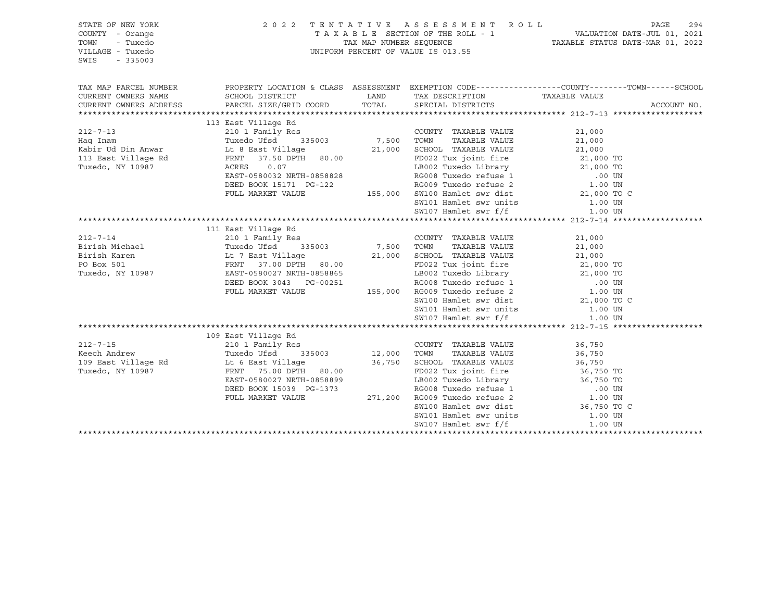| STATE OF NEW YORK<br>COUNTY - Orange<br>- Tuxedo<br>TOWN<br>VILLAGE - Tuxedo<br>SWIS<br>$-335003$ |                                                                                                                                                                                                       |                      | 2022 TENTATIVE ASSESSMENT ROLL<br>UNIFORM PERCENT OF VALUE IS 013.55    | TAXABLE SECTION OF THE ROLL - 1<br>TAXABLE STATUS DATE-JUL 01, 2021<br>TAXABLE STATUS DATE-MAR 01, 2022                                                                                     | PAGE<br>294 |
|---------------------------------------------------------------------------------------------------|-------------------------------------------------------------------------------------------------------------------------------------------------------------------------------------------------------|----------------------|-------------------------------------------------------------------------|---------------------------------------------------------------------------------------------------------------------------------------------------------------------------------------------|-------------|
| TAX MAP PARCEL NUMBER<br>CURRENT OWNERS NAME<br>CURRENT OWNERS ADDRESS                            | PROPERTY LOCATION & CLASS ASSESSMENT EXEMPTION CODE---------------COUNTY-------TOWN-----SCHOOL<br>SCHOOL DISTRICT<br>PARCEL SIZE/GRID COORD                                                           | LAND<br>TOTAL        | TAX DESCRIPTION<br>SPECIAL DISTRICTS                                    | TAXABLE VALUE                                                                                                                                                                               | ACCOUNT NO. |
|                                                                                                   |                                                                                                                                                                                                       |                      |                                                                         |                                                                                                                                                                                             |             |
| $212 - 7 - 13$<br>Haq Inam<br>Kabir Ud Din Anwar<br>113 East Village Rd<br>Tuxedo, NY 10987       | 113 East Village Rd<br>210 1 Family Res (COUNT<br>Tuxedo Ufsd 335003 7,500 TOWN<br>Lt 8 East Village<br>FRNT 37.50 DPTH 80.00<br>0.07<br>ACRES<br>EAST-0580032 NRTH-0858828<br>DEED BOOK 15171 PG-122 |                      | COUNTY TAXABLE VALUE<br>TAXABLE VALUE                                   | 21,000<br>7,500 TOWN TAXABLE VALUE 21,000 TO 21,000 SCHOOL TAXABLE VALUE 21,000 TO<br>LB002 Tuxedo Library 21,000 TO<br>RG008 Tuxedo refuse 1 00 UN RG009 Tuxedo refuse 2 1.00 UN           |             |
|                                                                                                   | FULL MARKET VALUE                                                                                                                                                                                     |                      |                                                                         | 155,000 SW100 Hamlet swr dist 21,000 TO C                                                                                                                                                   |             |
|                                                                                                   |                                                                                                                                                                                                       |                      | SW101 Hamlet swr units<br>SW107 Hamlet swr f/f                          | 1.00 UN                                                                                                                                                                                     |             |
|                                                                                                   |                                                                                                                                                                                                       |                      |                                                                         | 1.00 UN                                                                                                                                                                                     |             |
|                                                                                                   |                                                                                                                                                                                                       |                      |                                                                         |                                                                                                                                                                                             |             |
| $212 - 7 - 14$<br>Birish Michael<br>Birish Karen                                                  | 111 East Village Rd<br>210 1 Family Res<br>335003<br>Tuxedo Ufsd<br>Lt 7 East Village<br>PRIE - 25,000 PPEI - 20,000                                                                                  | 7,500 TOWN<br>21,000 | COUNTY TAXABLE VALUE<br>TAXABLE VALUE<br>SCHOOL TAXABLE VALUE           | 21,000<br>21,000<br>21,000                                                                                                                                                                  |             |
| PO Box 501<br>Tuxedo, NY 10987                                                                    | FRNT 37.00 DPTH 80.00<br>EAST-0580027 NRTH-0858865<br>DEED BOOK 3043 PG-00251<br>FULL MARKET VALUE                                                                                                    |                      | FD022 Tux joint fire                                                    | 21,000 TO<br>0251 1022 Tuxedo Library 21,000 TO<br>0251 RG008 Tuxedo Library 21,000 TO<br>155,000 RG009 Tuxedo refuse 2 1.00 UN                                                             |             |
|                                                                                                   |                                                                                                                                                                                                       |                      | SW101 Hamlet swr units<br>SW107 Hamlet swr f/f                          | SW100 Hamlet swr dist 21,000 TO C<br>1.00 UN<br>1.00 UN                                                                                                                                     |             |
|                                                                                                   |                                                                                                                                                                                                       |                      |                                                                         |                                                                                                                                                                                             |             |
| $212 - 7 - 15$<br>Keech Andrew                                                                    | 109 East Village Rd<br>210 1 Family Res<br>335003<br>Tuxedo Ufsd                                                                                                                                      | 12,000               | COUNTY TAXABLE VALUE<br>TAXABLE VALUE<br>TOWN                           | 36,750<br>36,750                                                                                                                                                                            |             |
| 109 East Village Rd                                                                               | Lt 6 East Village                                                                                                                                                                                     | 36,750               | SCHOOL TAXABLE VALUE                                                    |                                                                                                                                                                                             |             |
| Tuxedo, NY 10987                                                                                  | FRNT 75.00 DPTH 80.00<br>EAST-0580027 NRTH-0858899<br>DEED BOOK 15039 PG-1373                                                                                                                         |                      | FD022 Tux joint fire                                                    | 36, 750<br>36, 750 TO<br>11 150 TO<br>0.02 12002 Tuxedo Library<br>36,750 TO 12002 Tuxedo Library<br>36,750 TO 12000 RG008 Tuxedo refuse 1 1.00 UN<br>271,200 RG009 Tuxedo refuse 2 1.00 UN |             |
|                                                                                                   | FULL MARKET VALUE                                                                                                                                                                                     |                      |                                                                         |                                                                                                                                                                                             |             |
|                                                                                                   |                                                                                                                                                                                                       |                      | SW100 Hamlet swr dist<br>SW101 Hamlet swr units<br>SW107 Hamlet swr f/f | 36,750 TO C<br>1.00 UN<br>1.00 UN                                                                                                                                                           |             |
|                                                                                                   |                                                                                                                                                                                                       |                      |                                                                         |                                                                                                                                                                                             |             |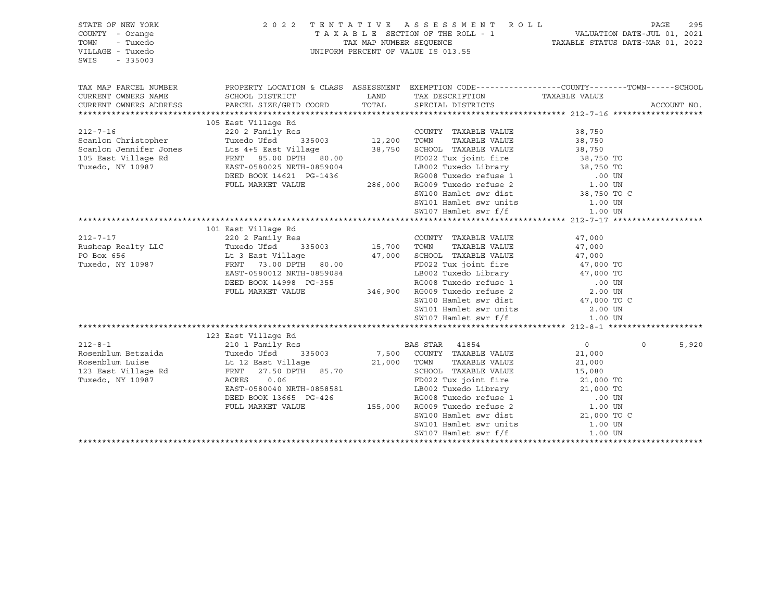| STATE OF NEW YORK<br>COUNTY - Orange<br>- Tuxedo<br>TOWN<br>VILLAGE - Tuxedo<br>SWIS<br>$-335003$ |                                                                                                                    |        | 2022 TENTATIVE ASSESSMENT ROLL<br>TAXABLE SECTION OF THE ROLL - 1 VALUATION DATE-JUL 01, 2021<br>TAX MAP NUMBER SEQUENCE TAXABLE STATUS DATE-MAR 01, 2022<br>UNIFORM PERCENT OF VALUE IS 013.55 |                        | PAGE     | 295         |
|---------------------------------------------------------------------------------------------------|--------------------------------------------------------------------------------------------------------------------|--------|-------------------------------------------------------------------------------------------------------------------------------------------------------------------------------------------------|------------------------|----------|-------------|
| TAX MAP PARCEL NUMBER<br>CURRENT OWNERS NAME                                                      | PROPERTY LOCATION & CLASS ASSESSMENT EXEMPTION CODE---------------COUNTY-------TOWN------SCHOOL<br>SCHOOL DISTRICT | LAND   | TAX DESCRIPTION TAXABLE VALUE                                                                                                                                                                   |                        |          |             |
| CURRENT OWNERS ADDRESS                                                                            | PARCEL SIZE/GRID COORD                                                                                             | TOTAL  | SPECIAL DISTRICTS                                                                                                                                                                               |                        |          | ACCOUNT NO. |
|                                                                                                   |                                                                                                                    |        |                                                                                                                                                                                                 |                        |          |             |
|                                                                                                   | 105 East Village Rd                                                                                                |        |                                                                                                                                                                                                 |                        |          |             |
| $212 - 7 - 16$                                                                                    | Kes<br>335003 12,200<br>7illage<br>220 2 Family Res                                                                |        | COUNTY TAXABLE VALUE                                                                                                                                                                            | 38,750                 |          |             |
|                                                                                                   | Tuxedo Ufsd<br>Lts 4+5 East Village                                                                                | 38,750 | TAXABLE VALUE<br>TOWN<br>SCHOOL TAXABLE VALUE                                                                                                                                                   | 38,750                 |          |             |
| Scanlon Christopher<br>Scanlon Jennifer Jones<br>105 East Village Rd                              | FRNT 85.00 DPTH 80.00                                                                                              |        | FD022 Tux joint fire                                                                                                                                                                            | 38,750<br>38,750 TO    |          |             |
| Tuxedo, NY 10987                                                                                  | EAST-0580025 NRTH-0859004                                                                                          |        |                                                                                                                                                                                                 |                        |          |             |
|                                                                                                   | DEED BOOK 14621 PG-1436                                                                                            |        | LB002 Tuxedo Library 38,750 TO<br>RG008 Tuxedo refuse 1 00 UN                                                                                                                                   |                        |          |             |
|                                                                                                   | FULL MARKET VALUE                                                                                                  |        | 286,000 RG009 Tuxedo refuse 2                                                                                                                                                                   | 1.00 UN                |          |             |
|                                                                                                   |                                                                                                                    |        | SW100 Hamlet swr dist                                                                                                                                                                           | 38,750 TO C            |          |             |
|                                                                                                   |                                                                                                                    |        |                                                                                                                                                                                                 |                        |          |             |
|                                                                                                   |                                                                                                                    |        |                                                                                                                                                                                                 |                        |          |             |
|                                                                                                   |                                                                                                                    |        |                                                                                                                                                                                                 |                        |          |             |
|                                                                                                   | 101 East Village Rd                                                                                                |        |                                                                                                                                                                                                 |                        |          |             |
| $212 - 7 - 17$                                                                                    |                                                                                                                    |        |                                                                                                                                                                                                 | 47,000                 |          |             |
| Rushcap Realty LLC                                                                                |                                                                                                                    |        |                                                                                                                                                                                                 | 47,000                 |          |             |
| PO Box 656                                                                                        | Lt 3 East Village                                                                                                  |        | 47,000 SCHOOL TAXABLE VALUE                                                                                                                                                                     | 47,000                 |          |             |
| Tuxedo, NY 10987                                                                                  | FRNT 73.00 DPTH 80.00                                                                                              |        | FD022 Tux joint fire<br>FD022 Tux joint fire $47,000$ TO<br>LB002 Tuxedo Library $47,000$ TO                                                                                                    |                        |          |             |
|                                                                                                   | EAST-0580012 NRTH-0859084                                                                                          |        |                                                                                                                                                                                                 |                        |          |             |
|                                                                                                   | DEED BOOK 14998 PG-355                                                                                             |        | 7-355 RG008 Tuxedo refuse 1 (100 ON VI)<br>346,900 RG009 Tuxedo refuse 2 (2.00 UN                                                                                                               |                        |          |             |
|                                                                                                   | FULL MARKET VALUE                                                                                                  |        |                                                                                                                                                                                                 |                        |          |             |
|                                                                                                   |                                                                                                                    |        | SW100 Hamlet swr dist 47,000 TO C                                                                                                                                                               |                        |          |             |
|                                                                                                   |                                                                                                                    |        | SW101 Hamlet swr units<br>SW107 Hamlet swr f/f                                                                                                                                                  | 2.00 UN                |          |             |
|                                                                                                   |                                                                                                                    |        |                                                                                                                                                                                                 | 1.00 UN                |          |             |
|                                                                                                   |                                                                                                                    |        |                                                                                                                                                                                                 |                        |          |             |
| $212 - 8 - 1$                                                                                     | 123 East Village Rd<br>210 1 Family Res                                                                            |        | BAS STAR 41854                                                                                                                                                                                  | $\overline{0}$         | $\Omega$ | 5,920       |
| Rosenblum Betzaida                                                                                | Tuxedo Ufsd<br>335003                                                                                              |        | 7,500 COUNTY TAXABLE VALUE                                                                                                                                                                      | 21,000                 |          |             |
| Rosenblum Luise                                                                                   |                                                                                                                    |        | TAXABLE VALUE                                                                                                                                                                                   | 21,000                 |          |             |
| 123 East Village Rd                                                                               | Lt 12 East Village $21,000$ TOWN<br>FRNT<br>27.50 DPTH 85.70                                                       |        | SCHOOL TAXABLE VALUE                                                                                                                                                                            | 15,080                 |          |             |
| Tuxedo, NY 10987                                                                                  | ACRES<br>0.06                                                                                                      |        | FD022 Tux joint fire                                                                                                                                                                            |                        |          |             |
|                                                                                                   | EAST-0580040 NRTH-0858581                                                                                          |        | LB002 Tuxedo Library                                                                                                                                                                            | 21,000 TO<br>21,000 TO |          |             |
|                                                                                                   | DEED BOOK 13665 PG-426                                                                                             |        | RG008 Tuxedo refuse 1                                                                                                                                                                           |                        |          |             |
|                                                                                                   | FULL MARKET VALUE                                                                                                  |        |                                                                                                                                                                                                 | .00 UN<br>1.00 UN      |          |             |
|                                                                                                   |                                                                                                                    |        | 1.00 IDS, 155, 000 RG009 Tuxedo refuse 2 1.00 UN<br>SW100 Hamlet swr dist 21,000 TO C                                                                                                           |                        |          |             |
|                                                                                                   |                                                                                                                    |        |                                                                                                                                                                                                 | 1.00 UN                |          |             |
|                                                                                                   |                                                                                                                    |        | SW101 Hamlet swr units<br>SW101 Hamlet swr units                                                                                                                                                | 1.00 UN                |          |             |
|                                                                                                   |                                                                                                                    |        |                                                                                                                                                                                                 |                        |          |             |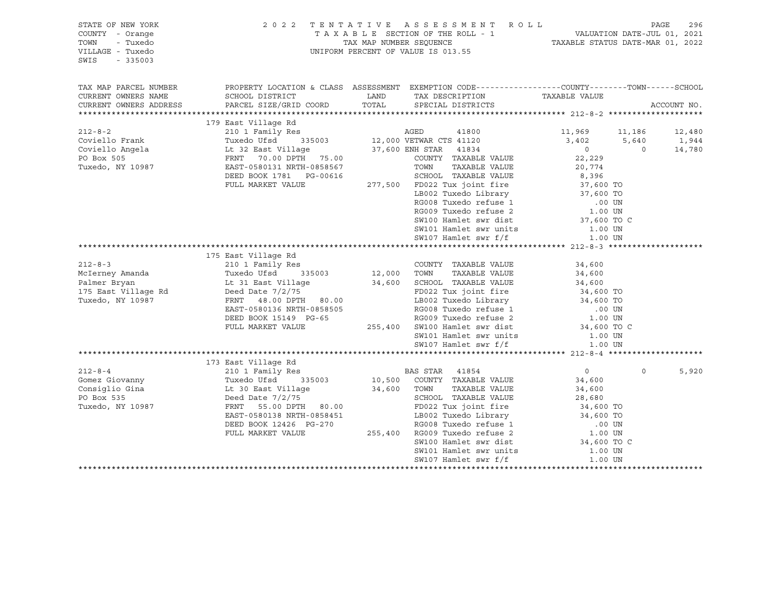| STATE OF NEW YORK<br>COUNTY - Orange<br>TOWN<br>- Tuxedo<br>VILLAGE - Tuxedo<br>SWIS<br>$-335003$ | TENTATIVE ASSESSMENT ROLL<br>2 0 2 2<br>TAXABLE SECTION OF THE ROLL - 1<br>TAX MAP NUMBER SEOUENCE<br>UNIFORM PERCENT OF VALUE IS 013.55 |             |                                                                                                                                   |                          | PAGE<br>1 VALUATION DATE-JUL 01, 2021<br>TAXABLE STATUS DATE-MAR 01, 2022 |             |  |
|---------------------------------------------------------------------------------------------------|------------------------------------------------------------------------------------------------------------------------------------------|-------------|-----------------------------------------------------------------------------------------------------------------------------------|--------------------------|---------------------------------------------------------------------------|-------------|--|
| TAX MAP PARCEL NUMBER                                                                             |                                                                                                                                          |             | PROPERTY LOCATION & CLASS ASSESSMENT EXEMPTION CODE----------------COUNTY-------TOWN------SCHOOL                                  |                          |                                                                           |             |  |
| CURRENT OWNERS NAME                                                                               | SCHOOL DISTRICT                                                                                                                          | LAND        | TAX DESCRIPTION                                                                                                                   | TAXABLE VALUE            |                                                                           |             |  |
| CURRENT OWNERS ADDRESS                                                                            | PARCEL SIZE/GRID COORD                                                                                                                   | TOTAL       | SPECIAL DISTRICTS                                                                                                                 |                          |                                                                           | ACCOUNT NO. |  |
|                                                                                                   |                                                                                                                                          |             |                                                                                                                                   |                          |                                                                           |             |  |
|                                                                                                   | 179 East Village Rd                                                                                                                      |             |                                                                                                                                   |                          |                                                                           |             |  |
| $212 - 8 - 2$                                                                                     | East village Ru<br>210 1 Family Res                                                                                                      |             | AGED<br>41800                                                                                                                     | 11,969 11,186            |                                                                           | 12,480      |  |
| Coviello Frank                                                                                    | 335003<br>Tuxedo Ufsd                                                                                                                    |             |                                                                                                                                   | 3,402                    | 5,640                                                                     | 1,944       |  |
| Coviello Angela                                                                                   | Lt 32 East Village                                                                                                                       |             | 12,000 VETWAR CTS 41120<br>37,600 ENH STAR 41834<br>COUNTY TAXABLE                                                                | $\sim$ 0                 | $\overline{0}$                                                            | 14,780      |  |
| PO Box 505                                                                                        | FRNT 70.00 DPTH 75.00                                                                                                                    |             | COUNTY TAXABLE VALUE                                                                                                              | 22,229<br>20,774         |                                                                           |             |  |
| Tuxedo, NY 10987                                                                                  | EAST-0580131 NRTH-0858567                                                                                                                |             | TOWN<br>TAXABLE VALUE                                                                                                             |                          |                                                                           |             |  |
|                                                                                                   | DEED BOOK 1781    PG-00616                                                                                                               |             | SCHOOL TAXABLE VALUE                                                                                                              | $8,350$<br>37,600 TO     |                                                                           |             |  |
|                                                                                                   | FULL MARKET VALUE                                                                                                                        |             | 277,500 FD022 Tux joint fire                                                                                                      |                          |                                                                           |             |  |
|                                                                                                   |                                                                                                                                          |             |                                                                                                                                   |                          |                                                                           |             |  |
|                                                                                                   |                                                                                                                                          |             |                                                                                                                                   |                          |                                                                           |             |  |
|                                                                                                   |                                                                                                                                          |             | 19002 Tuxedo Library 37,600 TO<br>RG008 Tuxedo refuse 1 00 UN<br>RG009 Tuxedo refuse 2 1.00 UN<br>SW100 Hamlet swr dist 37,600 TO | $37,600$ TO C            |                                                                           |             |  |
|                                                                                                   |                                                                                                                                          |             |                                                                                                                                   | 1.00 UN                  |                                                                           |             |  |
|                                                                                                   |                                                                                                                                          |             | SW101 Hamlet swr units<br>SW107 Hamlet swr f/f                                                                                    | 1.00 UN                  |                                                                           |             |  |
|                                                                                                   |                                                                                                                                          |             |                                                                                                                                   |                          |                                                                           |             |  |
|                                                                                                   | 175 East Village Rd                                                                                                                      |             |                                                                                                                                   |                          |                                                                           |             |  |
|                                                                                                   |                                                                                                                                          |             |                                                                                                                                   |                          |                                                                           |             |  |
| $212 - 8 - 3$                                                                                     |                                                                                                                                          |             | COUNTY TAXABLE VALUE                                                                                                              |                          |                                                                           |             |  |
| McIerney Amanda                                                                                   | 210 1 Family Res<br>Tuxedo Ufsd<br>335003                                                                                                | 12,000 TOWN | TAXABLE VALUE                                                                                                                     | 34,600<br>34,600         |                                                                           |             |  |
| Palmer Bryan                                                                                      |                                                                                                                                          |             | 34,600 SCHOOL TAXABLE VALUE                                                                                                       | 34,600                   |                                                                           |             |  |
| 175 East Village Rd                                                                               | Lt 31 East Village<br>Deed Date 7/2/75                                                                                                   |             | FD022 Tux joint fire                                                                                                              | 34,600 TO                |                                                                           |             |  |
| Tuxedo, NY 10987                                                                                  | FRNT 48.00 DPTH 80.00                                                                                                                    |             |                                                                                                                                   |                          |                                                                           |             |  |
|                                                                                                   | EAST-0580136 NRTH-0858505                                                                                                                |             | LB002 Tuxedo Library 34,600 TO                                                                                                    | $.00$ UN                 |                                                                           |             |  |
|                                                                                                   | DEED BOOK 15149 PG-65                                                                                                                    |             |                                                                                                                                   | 1.00 UN                  |                                                                           |             |  |
|                                                                                                   | FULL MARKET VALUE                                                                                                                        |             | ---.<br>RG008 Tuxedo refuse 1<br>RG009 Tuxedo refuse 2<br>255,400 SW100 Hamlet swr dist                                           |                          |                                                                           |             |  |
|                                                                                                   |                                                                                                                                          |             |                                                                                                                                   | $34,600$ TO C<br>1.00 UN |                                                                           |             |  |
|                                                                                                   |                                                                                                                                          |             | SW101 Hamlet swr units<br>$G_{M1}^{V1}$ or $H_{M1}^{V1}$ or $H_{M1}^{V1}$ or $H_{M1}^{V1}$<br>SW107 Hamlet swr f/f                | 1.00 UN                  |                                                                           |             |  |
|                                                                                                   |                                                                                                                                          |             |                                                                                                                                   |                          |                                                                           |             |  |
|                                                                                                   | 173 East Village Rd                                                                                                                      |             |                                                                                                                                   |                          |                                                                           |             |  |
| $212 - 8 - 4$                                                                                     | 210 1 Family Res                                                                                                                         |             | BAS STAR 41854                                                                                                                    | $\overline{0}$           | $\Omega$                                                                  | 5,920       |  |
| Gomez Giovanny                                                                                    | Tuxedo Ufsd<br>335003                                                                                                                    |             | 10,500 COUNTY TAXABLE VALUE                                                                                                       | 34,600                   |                                                                           |             |  |
| Consiglio Gina                                                                                    | Lt 30 East Village                                                                                                                       | 34,600 TOWN | TAXABLE VALUE                                                                                                                     | 34,600                   |                                                                           |             |  |
| PO Box 535                                                                                        | Deed Date $7/2/75$                                                                                                                       |             | SCHOOL TAXABLE VALUE                                                                                                              | 28,680                   |                                                                           |             |  |
| Tuxedo, NY 10987                                                                                  | FRNT 55.00 DPTH 80.00                                                                                                                    |             | FD022 Tux joint fire                                                                                                              | 34,600 TO                |                                                                           |             |  |
|                                                                                                   | EAST-0580138 NRTH-0858451                                                                                                                |             | LB002 Tuxedo Library                                                                                                              | 34,600 TO                |                                                                           |             |  |
|                                                                                                   | DEED BOOK 12426 PG-270                                                                                                                   |             | RG008 Tuxedo refuse 1                                                                                                             | .00 UN                   |                                                                           |             |  |
|                                                                                                   | FULL MARKET VALUE                                                                                                                        |             | 255,400 RG009 Tuxedo refuse 2                                                                                                     | 1.00 UN                  |                                                                           |             |  |
|                                                                                                   |                                                                                                                                          |             | SW100 Hamlet swr dist<br>SW101 Hamlet swr units                                                                                   | 34,600 TO C<br>1.00 UN   |                                                                           |             |  |

\*\*\*\*\*\*\*\*\*\*\*\*\*\*\*\*\*\*\*\*\*\*\*\*\*\*\*\*\*\*\*\*\*\*\*\*\*\*\*\*\*\*\*\*\*\*\*\*\*\*\*\*\*\*\*\*\*\*\*\*\*\*\*\*\*\*\*\*\*\*\*\*\*\*\*\*\*\*\*\*\*\*\*\*\*\*\*\*\*\*\*\*\*\*\*\*\*\*\*\*\*\*\*\*\*\*\*\*\*\*\*\*\*\*\*\*\*\*\*\*\*\*\*\*\*\*\*\*\*\*\*\*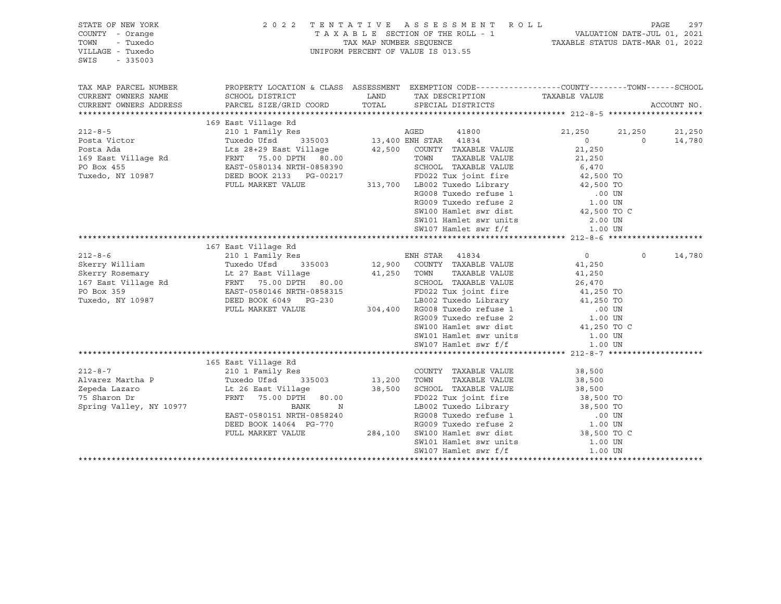| STATE OF NEW YORK<br>COUNTY - Orange<br>- Tuxedo<br>TOWN<br>VILLAGE - Tuxedo<br>SWIS<br>$-335003$                                                                                                                                                                                                                                                                                                                                          |                                                                                                                                                                                                                                               |             | 2022 TENTATIVE ASSESSMENT ROLL<br>TAXABLE SECTION OF THE ROLL - 1<br>TAXABLE STATUS DATE-JUL 01, 2021<br>TAXABLE STATUS DATE-MAR 01, 2022<br>UNIFORM PERCENT OF VALUE IS 013.55                                                |                |          | PAGE        | 297    |
|--------------------------------------------------------------------------------------------------------------------------------------------------------------------------------------------------------------------------------------------------------------------------------------------------------------------------------------------------------------------------------------------------------------------------------------------|-----------------------------------------------------------------------------------------------------------------------------------------------------------------------------------------------------------------------------------------------|-------------|--------------------------------------------------------------------------------------------------------------------------------------------------------------------------------------------------------------------------------|----------------|----------|-------------|--------|
| TAX MAP PARCEL NUMBER                                                                                                                                                                                                                                                                                                                                                                                                                      | PROPERTY LOCATION & CLASS ASSESSMENT EXEMPTION CODE---------------COUNTY-------TOWN-----SCHOOL                                                                                                                                                |             |                                                                                                                                                                                                                                |                |          |             |        |
| CURRENT OWNERS NAME                                                                                                                                                                                                                                                                                                                                                                                                                        | SCHOOL DISTRICT                                                                                                                                                                                                                               | LAND        | TAX DESCRIPTION                                                                                                                                                                                                                | TAXABLE VALUE  |          |             |        |
| CURRENT OWNERS ADDRESS                                                                                                                                                                                                                                                                                                                                                                                                                     | PARCEL SIZE/GRID COORD                                                                                                                                                                                                                        | TOTAL       | SPECIAL DISTRICTS                                                                                                                                                                                                              |                |          | ACCOUNT NO. |        |
|                                                                                                                                                                                                                                                                                                                                                                                                                                            | 169 East Village Rd<br>East Village Rd<br>210 1 Family Res<br>Tuxedo Ufsd 335003<br>Lts 28+29 East Village 42,500 COUNTY TAXABLE VALUE<br>75.00 DPTH 80.00<br>2000 TOWN TAXABLE VALUE<br>SCHOOL TAXABLE VALUE<br>SCHOOL TAXABLE VALUE<br>2000 |             |                                                                                                                                                                                                                                |                |          |             |        |
|                                                                                                                                                                                                                                                                                                                                                                                                                                            |                                                                                                                                                                                                                                               |             |                                                                                                                                                                                                                                | 21,250         | 21,250   |             | 21,250 |
| $\begin{tabular}{lllllllllllll} \multicolumn{3}{c}{\text{\small 212-8-5}} & \multicolumn{3}{c}{\text{\small 212-8-5}} & \multicolumn{3}{c}{\text{\small 212-8-5}} & \multicolumn{3}{c}{\text{\small 212-8-5}} & \multicolumn{3}{c}{\text{\small 212-8-5}} & \multicolumn{3}{c}{\text{\small 212-8-5}} & \multicolumn{3}{c}{\text{\small 212-8-5}} & \multicolumn{3}{c}{\text{\small 212-8-5}} & \multicolumn{3}{c}{\text{\small 212-8-5}}$ |                                                                                                                                                                                                                                               |             |                                                                                                                                                                                                                                | $\overline{0}$ | $\Omega$ |             | 14,780 |
|                                                                                                                                                                                                                                                                                                                                                                                                                                            |                                                                                                                                                                                                                                               |             |                                                                                                                                                                                                                                | 21,250         |          |             |        |
|                                                                                                                                                                                                                                                                                                                                                                                                                                            |                                                                                                                                                                                                                                               |             |                                                                                                                                                                                                                                | 21,250         |          |             |        |
|                                                                                                                                                                                                                                                                                                                                                                                                                                            |                                                                                                                                                                                                                                               |             |                                                                                                                                                                                                                                |                |          |             |        |
|                                                                                                                                                                                                                                                                                                                                                                                                                                            |                                                                                                                                                                                                                                               |             | SCHOOL TAXABLE VALUE 6,470<br>FD022 Tux joint fire 42,500 TO                                                                                                                                                                   |                |          |             |        |
|                                                                                                                                                                                                                                                                                                                                                                                                                                            |                                                                                                                                                                                                                                               |             |                                                                                                                                                                                                                                |                |          |             |        |
|                                                                                                                                                                                                                                                                                                                                                                                                                                            |                                                                                                                                                                                                                                               |             |                                                                                                                                                                                                                                |                |          |             |        |
|                                                                                                                                                                                                                                                                                                                                                                                                                                            |                                                                                                                                                                                                                                               |             |                                                                                                                                                                                                                                |                |          |             |        |
|                                                                                                                                                                                                                                                                                                                                                                                                                                            | FULL MARKET VALUE 313,700 LB002 Tuxedo Library 42,500 TO<br>RG008 Tuxedo Library RG008 Tuxedo Library 142,500 TO<br>RG009 Tuxedo refuse 1 .00 UN<br>SW100 Hamlet swr dist 42,500 TO C                                                         |             |                                                                                                                                                                                                                                |                |          |             |        |
|                                                                                                                                                                                                                                                                                                                                                                                                                                            |                                                                                                                                                                                                                                               |             | SW101 Hamlet swr units<br>SW107 Hamlet swr f/f                                                                                                                                                                                 | 2.00 UN        |          |             |        |
|                                                                                                                                                                                                                                                                                                                                                                                                                                            |                                                                                                                                                                                                                                               |             |                                                                                                                                                                                                                                | 1.00 UN        |          |             |        |
|                                                                                                                                                                                                                                                                                                                                                                                                                                            |                                                                                                                                                                                                                                               |             |                                                                                                                                                                                                                                |                |          |             |        |
|                                                                                                                                                                                                                                                                                                                                                                                                                                            | 167 East Village Rd                                                                                                                                                                                                                           |             |                                                                                                                                                                                                                                |                |          |             |        |
|                                                                                                                                                                                                                                                                                                                                                                                                                                            |                                                                                                                                                                                                                                               |             | Res<br>Res<br>335003 12,900 COUNTY TAXABLE VALUE                                                                                                                                                                               | $\overline{0}$ | $\circ$  |             | 14,780 |
|                                                                                                                                                                                                                                                                                                                                                                                                                                            |                                                                                                                                                                                                                                               |             |                                                                                                                                                                                                                                | 41,250         |          |             |        |
|                                                                                                                                                                                                                                                                                                                                                                                                                                            |                                                                                                                                                                                                                                               | 41,250 TOWN | TAXABLE VALUE                                                                                                                                                                                                                  | 41,250         |          |             |        |
|                                                                                                                                                                                                                                                                                                                                                                                                                                            |                                                                                                                                                                                                                                               |             | SCHOOL TAXABLE VALUE                                                                                                                                                                                                           | 26,470         |          |             |        |
|                                                                                                                                                                                                                                                                                                                                                                                                                                            |                                                                                                                                                                                                                                               |             |                                                                                                                                                                                                                                |                |          |             |        |
|                                                                                                                                                                                                                                                                                                                                                                                                                                            |                                                                                                                                                                                                                                               |             |                                                                                                                                                                                                                                |                |          |             |        |
|                                                                                                                                                                                                                                                                                                                                                                                                                                            | EAST-0580146 NRTH-0858315<br>DEED BOOK 6049 PG-230 LB002 Tuxedo Library<br>FITT. MARKET VALUE 304,400 RG008 Tuxedo refuse 1 00 UN<br>RG009 Tuxedo refuse 2 1.00 UN                                                                            |             |                                                                                                                                                                                                                                |                |          |             |        |
|                                                                                                                                                                                                                                                                                                                                                                                                                                            |                                                                                                                                                                                                                                               |             | SW100 Hamlet swr dist                                                                                                                                                                                                          | 41,250 TO C    |          |             |        |
|                                                                                                                                                                                                                                                                                                                                                                                                                                            |                                                                                                                                                                                                                                               |             |                                                                                                                                                                                                                                | 1.00 UN        |          |             |        |
|                                                                                                                                                                                                                                                                                                                                                                                                                                            |                                                                                                                                                                                                                                               |             | SW101 Hamlet swr units<br>SW107 Hamlet swr f/f                                                                                                                                                                                 | 1.00 UN        |          |             |        |
|                                                                                                                                                                                                                                                                                                                                                                                                                                            |                                                                                                                                                                                                                                               |             |                                                                                                                                                                                                                                |                |          |             |        |
|                                                                                                                                                                                                                                                                                                                                                                                                                                            | 165 East Village Rd                                                                                                                                                                                                                           |             |                                                                                                                                                                                                                                |                |          |             |        |
| $212 - 8 - 7$                                                                                                                                                                                                                                                                                                                                                                                                                              | 210 1 Family Res                                                                                                                                                                                                                              |             | COUNTY TAXABLE VALUE                                                                                                                                                                                                           | 38,500         |          |             |        |
| Alvarez Martha P                                                                                                                                                                                                                                                                                                                                                                                                                           | Tuxedo Ufsd<br>335003                                                                                                                                                                                                                         | 13,200      | TAXABLE VALUE<br>TOWN                                                                                                                                                                                                          | 38,500         |          |             |        |
| Zepeda Lazaro                                                                                                                                                                                                                                                                                                                                                                                                                              | Lt 26 East Village                                                                                                                                                                                                                            |             | 38,500 SCHOOL TAXABLE VALUE                                                                                                                                                                                                    | 38,500         |          |             |        |
| 75 Sharon Dr                                                                                                                                                                                                                                                                                                                                                                                                                               | FRNT 75.00 DPTH 80.00                                                                                                                                                                                                                         |             | FD022 Tux joint fire                                                                                                                                                                                                           | 38,500 TO      |          |             |        |
| Spring Valley, NY 10977                                                                                                                                                                                                                                                                                                                                                                                                                    | BANK<br>$\mathbf N$                                                                                                                                                                                                                           |             |                                                                                                                                                                                                                                |                |          |             |        |
|                                                                                                                                                                                                                                                                                                                                                                                                                                            | EAST-0580151 NRTH-0858240                                                                                                                                                                                                                     |             |                                                                                                                                                                                                                                |                |          |             |        |
|                                                                                                                                                                                                                                                                                                                                                                                                                                            | DEED BOOK 14064 PG-770 RG009 Tuxedo refuse 2<br>FULL MARKET VALUE 284,100 SW100 Hamlet swr dist                                                                                                                                               |             | FD022 Tux joint life and the series of the series of the series of the series of the series of the series of the series of the series of the series of the series of the series of the series of the series of the series of t |                |          |             |        |
|                                                                                                                                                                                                                                                                                                                                                                                                                                            |                                                                                                                                                                                                                                               |             |                                                                                                                                                                                                                                |                |          |             |        |
|                                                                                                                                                                                                                                                                                                                                                                                                                                            |                                                                                                                                                                                                                                               |             | SW101 Hamlet swr units                                                                                                                                                                                                         | 1.00 UN        |          |             |        |
|                                                                                                                                                                                                                                                                                                                                                                                                                                            |                                                                                                                                                                                                                                               |             | SW107 Hamlet swr f/f                                                                                                                                                                                                           | 1.00 UN        |          |             |        |
|                                                                                                                                                                                                                                                                                                                                                                                                                                            |                                                                                                                                                                                                                                               |             |                                                                                                                                                                                                                                |                |          |             |        |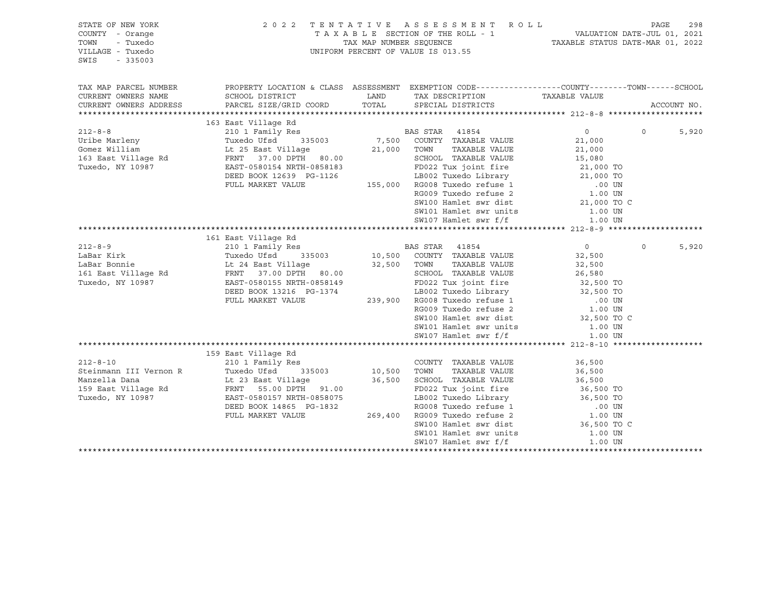| STATE OF NEW YORK<br>COUNTY - Orange<br>- Tuxedo<br>TOWN<br>VILLAGE - Tuxedo<br>SWIS<br>$-335003$ |                                                                                                                                                                                                           |      | 2022 TENTATIVE ASSESSMENT ROLL<br>TAXABLE SECTION OF THE ROLL - 1<br>TAXABLE STATUS DATE-JUL 01, 2021<br>TAXABLE STATUS DATE-MAR 01, 2022<br>UNIFORM PERCENT OF VALUE IS 013.55                                            |                |          |             |
|---------------------------------------------------------------------------------------------------|-----------------------------------------------------------------------------------------------------------------------------------------------------------------------------------------------------------|------|----------------------------------------------------------------------------------------------------------------------------------------------------------------------------------------------------------------------------|----------------|----------|-------------|
| TAX MAP PARCEL NUMBER                                                                             | PROPERTY LOCATION & CLASS ASSESSMENT EXEMPTION CODE---------------COUNTY-------TOWN-----SCHOOL                                                                                                            |      |                                                                                                                                                                                                                            |                |          |             |
| CURRENT OWNERS NAME<br>CURRENT OWNERS ADDRESS                                                     | SCHOOL DISTRICT<br>PARCEL SIZE/GRID COORD TOTAL SPECIAL DISTRICTS                                                                                                                                         | LAND | TAX DESCRIPTION TAXABLE VALUE                                                                                                                                                                                              |                |          | ACCOUNT NO. |
|                                                                                                   |                                                                                                                                                                                                           |      |                                                                                                                                                                                                                            |                |          |             |
|                                                                                                   | 163 East Village Rd                                                                                                                                                                                       |      |                                                                                                                                                                                                                            |                |          |             |
| $212 - 8 - 8$                                                                                     | 210 1 Family Res                                                                                                                                                                                          |      | BAS STAR 41854<br>35003 7,500 COUNTY TAXABLE VALUE<br>21,000 TOWN TAXABLE VALUE                                                                                                                                            | $\overline{0}$ | $\Omega$ | 5,920       |
| Uribe Marleny                                                                                     | Tuxedo Ufsd 335003                                                                                                                                                                                        |      |                                                                                                                                                                                                                            | 21,000         |          |             |
|                                                                                                   |                                                                                                                                                                                                           |      |                                                                                                                                                                                                                            | 21,000         |          |             |
|                                                                                                   |                                                                                                                                                                                                           |      | 80.00 SCHOOL TAXABLE VALUE 15,080<br>58183 FD022 Tux joint fire 15,080<br>1126 LB002 Tuxedo Library 21,000 TO<br>155,000 RG008 Tuxedo refuse 1 .00 UN<br>RG009 Tuxedo refuse 2 1.00 UN<br>SW100 Hamlet swr dist. 21,000 TO |                |          |             |
| Tuxedo, NY 10987                                                                                  | EAST-0580154 NRTH-0858183                                                                                                                                                                                 |      |                                                                                                                                                                                                                            |                |          |             |
|                                                                                                   | DEED BOOK 12639 PG-1126                                                                                                                                                                                   |      |                                                                                                                                                                                                                            |                |          |             |
|                                                                                                   | FULL MARKET VALUE                                                                                                                                                                                         |      |                                                                                                                                                                                                                            |                |          |             |
|                                                                                                   |                                                                                                                                                                                                           |      |                                                                                                                                                                                                                            |                |          |             |
|                                                                                                   |                                                                                                                                                                                                           |      |                                                                                                                                                                                                                            |                |          |             |
|                                                                                                   |                                                                                                                                                                                                           |      |                                                                                                                                                                                                                            |                |          |             |
|                                                                                                   |                                                                                                                                                                                                           |      |                                                                                                                                                                                                                            |                |          |             |
|                                                                                                   | 161 East Village Rd                                                                                                                                                                                       |      |                                                                                                                                                                                                                            |                |          |             |
| $212 - 8 - 9$                                                                                     | 210 1 Family Res                                                                                                                                                                                          |      | BAS STAR 41854<br>10,500 COUNTY TAXABLE VALUE                                                                                                                                                                              | $\overline{0}$ | $\circ$  | 5,920       |
| LaBar Kirk                                                                                        | Tuxedo Ufsd 335003                                                                                                                                                                                        |      |                                                                                                                                                                                                                            | 32,500         |          |             |
| LaBar Bonnie                                                                                      |                                                                                                                                                                                                           |      | TAXABLE VALUE                                                                                                                                                                                                              | 32,500         |          |             |
| 161 East Village Rd                                                                               |                                                                                                                                                                                                           |      | SCHOOL TAXABLE VALUE                                                                                                                                                                                                       | 26,580         |          |             |
| Tuxedo, NY 10987                                                                                  |                                                                                                                                                                                                           |      | 9.1374<br>239,900 RG008 Tuxedo Library<br>239,900 RG008 Tuxedo Library<br>239,900 RG008 Tuxedo refuse 1<br>239,900 RG008 Tuxedo refuse 2<br>239,900 RG009 Tuxedo refuse 2<br>23,500 TO<br>239,500 TO                       |                |          |             |
|                                                                                                   | DEED BOOK 13216 PG-1374                                                                                                                                                                                   |      |                                                                                                                                                                                                                            |                |          |             |
|                                                                                                   | FULL MARKET VALUE                                                                                                                                                                                         |      |                                                                                                                                                                                                                            |                |          |             |
|                                                                                                   |                                                                                                                                                                                                           |      |                                                                                                                                                                                                                            |                |          |             |
|                                                                                                   |                                                                                                                                                                                                           |      |                                                                                                                                                                                                                            |                |          |             |
|                                                                                                   |                                                                                                                                                                                                           |      |                                                                                                                                                                                                                            |                |          |             |
|                                                                                                   |                                                                                                                                                                                                           |      |                                                                                                                                                                                                                            |                |          |             |
|                                                                                                   |                                                                                                                                                                                                           |      |                                                                                                                                                                                                                            |                |          |             |
| $212 - 8 - 10$                                                                                    | 159 East Village Rd<br>210 1 Family Res                                                                                                                                                                   |      | COUNTY TAXABLE VALUE                                                                                                                                                                                                       | 36,500         |          |             |
| Steinmann III Vernon R                                                                            | 335003 10,500 TOWN<br>Tuxedo Ufsd                                                                                                                                                                         |      | TAXABLE VALUE                                                                                                                                                                                                              | 36,500         |          |             |
| Manzella Dana                                                                                     |                                                                                                                                                                                                           |      |                                                                                                                                                                                                                            |                |          |             |
| 159 East Village Rd                                                                               |                                                                                                                                                                                                           |      |                                                                                                                                                                                                                            |                |          |             |
| Tuxedo, NY 10987                                                                                  |                                                                                                                                                                                                           |      |                                                                                                                                                                                                                            |                |          |             |
|                                                                                                   |                                                                                                                                                                                                           |      |                                                                                                                                                                                                                            |                |          |             |
|                                                                                                   | 1.1.23 East Village 36,500<br>FRNT 55.00 DPTH 91.00<br>EAST-0580157 NRTH-0858075<br>DEED BOOK 14865 PG-1832<br>FULL MARKET VALUE 269,400 RG009 Tuxedo refuse 2 1.00 UN<br>SM100 Hamlet swr dist 36,500 TO |      |                                                                                                                                                                                                                            |                |          |             |
|                                                                                                   |                                                                                                                                                                                                           |      |                                                                                                                                                                                                                            |                |          |             |
|                                                                                                   |                                                                                                                                                                                                           |      | SW101 Hamlet swr units 1.00 UN                                                                                                                                                                                             |                |          |             |
|                                                                                                   |                                                                                                                                                                                                           |      | SW107 Hamlet swr f/f                                                                                                                                                                                                       | 1.00 UN        |          |             |
|                                                                                                   |                                                                                                                                                                                                           |      |                                                                                                                                                                                                                            |                |          |             |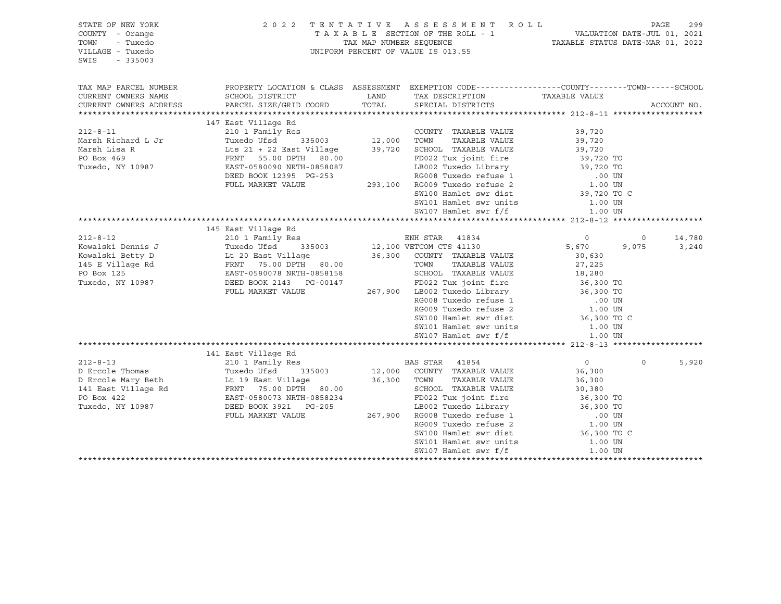| PROPERTY LOCATION & CLASS ASSESSMENT EXEMPTION CODE----------------COUNTY-------TOWN------SCHOOL<br>CURRENT OWNERS NAME<br>CURRENT OWNERS ADDRESS<br>ACCOUNT NO.<br>147 East Village Rd<br>$212 - 8 - 11$<br>210 1 Family Res<br>COUNTY TAXABLE VALUE<br>39,720<br>Tuxedo Ufsd 335003 12,000 TOWN TAXABLE VALUE<br>Lts 21 + 22 East Village 39,720 SCHOOL TAXABLE VALUE<br>FRNT 55.00 DPTH 80.00 FD022 Tux joint fire<br>Marsh Richard L Jr<br>39,720<br>Marsh Lisa R<br>39,720 SCHOOL TAXABLE VALUE<br>39,720 SCHOOL TAXABLE VALUE<br>FD022 Tux joint fire<br>LB002 Tuxedo Library<br>RG008 Tuxedo refuse 1 .00 UN<br>293,100 RG009 Tuxedo refuse 2 1.00 UN<br>SW100 Hamlet swr dist<br>39,720 TO<br>SW100 Hamlet swr<br>PO Box 469<br>Tuxedo, NY 10987<br>EAST-0580090 NRTH-0858087<br>DEED BOOK 12395 PG-253<br>FULL MARKET VALUE<br>SW101 Hamlet swr units<br>SW107 Hamlet swr f/f<br>$1.00$ UN<br>1.00 UN<br>145 East Village Rd<br>Rd<br>Res<br>335003 12,100 VETCOM CTS 41130<br>illage 36,300 COUNTY TAXABLE VALUE<br>DPTH 80.00 36,300 COUNTY TAXABLE VALUE<br>SCHOOL TAXABLE VALUE<br>RESPOND TAXABLE VALUE<br>$212 - 8 - 12$<br>210 1 Family Res<br>$\overline{0}$<br>$\circ$<br>14,780<br>5,670<br>Expansive of the control of the control of the control of the control of the control of the control of the control of the control of the control of the control of the control of the control of the control of the control of<br>3,240<br>9,075<br>30,630<br>27,225<br>958158<br>87.900 ESCHOOL TAXABLE VALUE<br>9658158<br>967.900 EB002 Tuxedo Library<br>267,900 EB002 Tuxedo Library<br>RG008 Tuxedo refuse 1<br>86,300 TO<br>86,300 TO<br>86,300 TO<br>86,300 TO<br>86,300 TO<br>86,300 TO<br>86,300 TO<br>86,300 TO<br>86,3<br>FULL MARKET VALUE<br>SW101 Hamlet swr units<br>SW107 Hamlet swr f/f<br>1.00 UN<br>1.00 UN<br>141 East Village Rd<br>Res<br>335003 12,000 COUNTY TAXABLE VALUE<br>$212 - 8 - 13$<br>210 1 Family Res<br>$\overline{0}$<br>$\Omega$<br>5,920<br>212-8-13<br>D Ercole Thomas<br>D Ercole Mary Beth<br>141 East Village Rd<br>141 East Village Rd<br>16 EAST-0580073 NRTH-0858234<br>16 EAST-0580073 NRTH-0858234<br>36,300<br>36,300 TOWN<br>TAXABLE VALUE<br>36,300<br>SCHOOL TAXABLE VALUE<br>30,380<br>FD022 Tux joint fire<br>36,300 TO<br>EAST-0580073 NKTH-0858234<br>DEED BOOK 3921 PG-205<br>FULL MARKET VALUE 267,900 RG008 Tuxedo refuse 1 .00 UN<br>RG009 Tuxedo refuse 2 .00 UN<br>SW100 Hamlet swr dist 36,300 TO C<br>Tuxedo, NY 10987<br>SW101 Hamlet swr units<br>1.00 UN<br>1.00 UN | STATE OF NEW YORK<br>COUNTY - Orange<br>- Tuxedo<br>TOWN<br>VILLAGE - Tuxedo<br>SWIS<br>$-335003$ |  |                      |  |  |
|--------------------------------------------------------------------------------------------------------------------------------------------------------------------------------------------------------------------------------------------------------------------------------------------------------------------------------------------------------------------------------------------------------------------------------------------------------------------------------------------------------------------------------------------------------------------------------------------------------------------------------------------------------------------------------------------------------------------------------------------------------------------------------------------------------------------------------------------------------------------------------------------------------------------------------------------------------------------------------------------------------------------------------------------------------------------------------------------------------------------------------------------------------------------------------------------------------------------------------------------------------------------------------------------------------------------------------------------------------------------------------------------------------------------------------------------------------------------------------------------------------------------------------------------------------------------------------------------------------------------------------------------------------------------------------------------------------------------------------------------------------------------------------------------------------------------------------------------------------------------------------------------------------------------------------------------------------------------------------------------------------------------------------------------------------------------------------------------------------------------------------------------------------------------------------------------------------------------------------------------------------------------------------------------------------------------------------------------------------------------------------------------------------------------------------------------------------------------------------------------------------------------------------------------------------|---------------------------------------------------------------------------------------------------|--|----------------------|--|--|
|                                                                                                                                                                                                                                                                                                                                                                                                                                                                                                                                                                                                                                                                                                                                                                                                                                                                                                                                                                                                                                                                                                                                                                                                                                                                                                                                                                                                                                                                                                                                                                                                                                                                                                                                                                                                                                                                                                                                                                                                                                                                                                                                                                                                                                                                                                                                                                                                                                                                                                                                                        | TAX MAP PARCEL NUMBER                                                                             |  |                      |  |  |
|                                                                                                                                                                                                                                                                                                                                                                                                                                                                                                                                                                                                                                                                                                                                                                                                                                                                                                                                                                                                                                                                                                                                                                                                                                                                                                                                                                                                                                                                                                                                                                                                                                                                                                                                                                                                                                                                                                                                                                                                                                                                                                                                                                                                                                                                                                                                                                                                                                                                                                                                                        |                                                                                                   |  |                      |  |  |
|                                                                                                                                                                                                                                                                                                                                                                                                                                                                                                                                                                                                                                                                                                                                                                                                                                                                                                                                                                                                                                                                                                                                                                                                                                                                                                                                                                                                                                                                                                                                                                                                                                                                                                                                                                                                                                                                                                                                                                                                                                                                                                                                                                                                                                                                                                                                                                                                                                                                                                                                                        |                                                                                                   |  |                      |  |  |
|                                                                                                                                                                                                                                                                                                                                                                                                                                                                                                                                                                                                                                                                                                                                                                                                                                                                                                                                                                                                                                                                                                                                                                                                                                                                                                                                                                                                                                                                                                                                                                                                                                                                                                                                                                                                                                                                                                                                                                                                                                                                                                                                                                                                                                                                                                                                                                                                                                                                                                                                                        |                                                                                                   |  |                      |  |  |
|                                                                                                                                                                                                                                                                                                                                                                                                                                                                                                                                                                                                                                                                                                                                                                                                                                                                                                                                                                                                                                                                                                                                                                                                                                                                                                                                                                                                                                                                                                                                                                                                                                                                                                                                                                                                                                                                                                                                                                                                                                                                                                                                                                                                                                                                                                                                                                                                                                                                                                                                                        |                                                                                                   |  |                      |  |  |
|                                                                                                                                                                                                                                                                                                                                                                                                                                                                                                                                                                                                                                                                                                                                                                                                                                                                                                                                                                                                                                                                                                                                                                                                                                                                                                                                                                                                                                                                                                                                                                                                                                                                                                                                                                                                                                                                                                                                                                                                                                                                                                                                                                                                                                                                                                                                                                                                                                                                                                                                                        |                                                                                                   |  |                      |  |  |
|                                                                                                                                                                                                                                                                                                                                                                                                                                                                                                                                                                                                                                                                                                                                                                                                                                                                                                                                                                                                                                                                                                                                                                                                                                                                                                                                                                                                                                                                                                                                                                                                                                                                                                                                                                                                                                                                                                                                                                                                                                                                                                                                                                                                                                                                                                                                                                                                                                                                                                                                                        |                                                                                                   |  |                      |  |  |
|                                                                                                                                                                                                                                                                                                                                                                                                                                                                                                                                                                                                                                                                                                                                                                                                                                                                                                                                                                                                                                                                                                                                                                                                                                                                                                                                                                                                                                                                                                                                                                                                                                                                                                                                                                                                                                                                                                                                                                                                                                                                                                                                                                                                                                                                                                                                                                                                                                                                                                                                                        |                                                                                                   |  |                      |  |  |
|                                                                                                                                                                                                                                                                                                                                                                                                                                                                                                                                                                                                                                                                                                                                                                                                                                                                                                                                                                                                                                                                                                                                                                                                                                                                                                                                                                                                                                                                                                                                                                                                                                                                                                                                                                                                                                                                                                                                                                                                                                                                                                                                                                                                                                                                                                                                                                                                                                                                                                                                                        |                                                                                                   |  |                      |  |  |
|                                                                                                                                                                                                                                                                                                                                                                                                                                                                                                                                                                                                                                                                                                                                                                                                                                                                                                                                                                                                                                                                                                                                                                                                                                                                                                                                                                                                                                                                                                                                                                                                                                                                                                                                                                                                                                                                                                                                                                                                                                                                                                                                                                                                                                                                                                                                                                                                                                                                                                                                                        |                                                                                                   |  |                      |  |  |
|                                                                                                                                                                                                                                                                                                                                                                                                                                                                                                                                                                                                                                                                                                                                                                                                                                                                                                                                                                                                                                                                                                                                                                                                                                                                                                                                                                                                                                                                                                                                                                                                                                                                                                                                                                                                                                                                                                                                                                                                                                                                                                                                                                                                                                                                                                                                                                                                                                                                                                                                                        |                                                                                                   |  |                      |  |  |
|                                                                                                                                                                                                                                                                                                                                                                                                                                                                                                                                                                                                                                                                                                                                                                                                                                                                                                                                                                                                                                                                                                                                                                                                                                                                                                                                                                                                                                                                                                                                                                                                                                                                                                                                                                                                                                                                                                                                                                                                                                                                                                                                                                                                                                                                                                                                                                                                                                                                                                                                                        |                                                                                                   |  |                      |  |  |
|                                                                                                                                                                                                                                                                                                                                                                                                                                                                                                                                                                                                                                                                                                                                                                                                                                                                                                                                                                                                                                                                                                                                                                                                                                                                                                                                                                                                                                                                                                                                                                                                                                                                                                                                                                                                                                                                                                                                                                                                                                                                                                                                                                                                                                                                                                                                                                                                                                                                                                                                                        |                                                                                                   |  |                      |  |  |
|                                                                                                                                                                                                                                                                                                                                                                                                                                                                                                                                                                                                                                                                                                                                                                                                                                                                                                                                                                                                                                                                                                                                                                                                                                                                                                                                                                                                                                                                                                                                                                                                                                                                                                                                                                                                                                                                                                                                                                                                                                                                                                                                                                                                                                                                                                                                                                                                                                                                                                                                                        |                                                                                                   |  |                      |  |  |
|                                                                                                                                                                                                                                                                                                                                                                                                                                                                                                                                                                                                                                                                                                                                                                                                                                                                                                                                                                                                                                                                                                                                                                                                                                                                                                                                                                                                                                                                                                                                                                                                                                                                                                                                                                                                                                                                                                                                                                                                                                                                                                                                                                                                                                                                                                                                                                                                                                                                                                                                                        |                                                                                                   |  |                      |  |  |
|                                                                                                                                                                                                                                                                                                                                                                                                                                                                                                                                                                                                                                                                                                                                                                                                                                                                                                                                                                                                                                                                                                                                                                                                                                                                                                                                                                                                                                                                                                                                                                                                                                                                                                                                                                                                                                                                                                                                                                                                                                                                                                                                                                                                                                                                                                                                                                                                                                                                                                                                                        |                                                                                                   |  |                      |  |  |
|                                                                                                                                                                                                                                                                                                                                                                                                                                                                                                                                                                                                                                                                                                                                                                                                                                                                                                                                                                                                                                                                                                                                                                                                                                                                                                                                                                                                                                                                                                                                                                                                                                                                                                                                                                                                                                                                                                                                                                                                                                                                                                                                                                                                                                                                                                                                                                                                                                                                                                                                                        |                                                                                                   |  |                      |  |  |
|                                                                                                                                                                                                                                                                                                                                                                                                                                                                                                                                                                                                                                                                                                                                                                                                                                                                                                                                                                                                                                                                                                                                                                                                                                                                                                                                                                                                                                                                                                                                                                                                                                                                                                                                                                                                                                                                                                                                                                                                                                                                                                                                                                                                                                                                                                                                                                                                                                                                                                                                                        |                                                                                                   |  |                      |  |  |
|                                                                                                                                                                                                                                                                                                                                                                                                                                                                                                                                                                                                                                                                                                                                                                                                                                                                                                                                                                                                                                                                                                                                                                                                                                                                                                                                                                                                                                                                                                                                                                                                                                                                                                                                                                                                                                                                                                                                                                                                                                                                                                                                                                                                                                                                                                                                                                                                                                                                                                                                                        |                                                                                                   |  |                      |  |  |
|                                                                                                                                                                                                                                                                                                                                                                                                                                                                                                                                                                                                                                                                                                                                                                                                                                                                                                                                                                                                                                                                                                                                                                                                                                                                                                                                                                                                                                                                                                                                                                                                                                                                                                                                                                                                                                                                                                                                                                                                                                                                                                                                                                                                                                                                                                                                                                                                                                                                                                                                                        |                                                                                                   |  |                      |  |  |
|                                                                                                                                                                                                                                                                                                                                                                                                                                                                                                                                                                                                                                                                                                                                                                                                                                                                                                                                                                                                                                                                                                                                                                                                                                                                                                                                                                                                                                                                                                                                                                                                                                                                                                                                                                                                                                                                                                                                                                                                                                                                                                                                                                                                                                                                                                                                                                                                                                                                                                                                                        |                                                                                                   |  |                      |  |  |
|                                                                                                                                                                                                                                                                                                                                                                                                                                                                                                                                                                                                                                                                                                                                                                                                                                                                                                                                                                                                                                                                                                                                                                                                                                                                                                                                                                                                                                                                                                                                                                                                                                                                                                                                                                                                                                                                                                                                                                                                                                                                                                                                                                                                                                                                                                                                                                                                                                                                                                                                                        |                                                                                                   |  |                      |  |  |
|                                                                                                                                                                                                                                                                                                                                                                                                                                                                                                                                                                                                                                                                                                                                                                                                                                                                                                                                                                                                                                                                                                                                                                                                                                                                                                                                                                                                                                                                                                                                                                                                                                                                                                                                                                                                                                                                                                                                                                                                                                                                                                                                                                                                                                                                                                                                                                                                                                                                                                                                                        |                                                                                                   |  |                      |  |  |
|                                                                                                                                                                                                                                                                                                                                                                                                                                                                                                                                                                                                                                                                                                                                                                                                                                                                                                                                                                                                                                                                                                                                                                                                                                                                                                                                                                                                                                                                                                                                                                                                                                                                                                                                                                                                                                                                                                                                                                                                                                                                                                                                                                                                                                                                                                                                                                                                                                                                                                                                                        |                                                                                                   |  |                      |  |  |
|                                                                                                                                                                                                                                                                                                                                                                                                                                                                                                                                                                                                                                                                                                                                                                                                                                                                                                                                                                                                                                                                                                                                                                                                                                                                                                                                                                                                                                                                                                                                                                                                                                                                                                                                                                                                                                                                                                                                                                                                                                                                                                                                                                                                                                                                                                                                                                                                                                                                                                                                                        |                                                                                                   |  |                      |  |  |
|                                                                                                                                                                                                                                                                                                                                                                                                                                                                                                                                                                                                                                                                                                                                                                                                                                                                                                                                                                                                                                                                                                                                                                                                                                                                                                                                                                                                                                                                                                                                                                                                                                                                                                                                                                                                                                                                                                                                                                                                                                                                                                                                                                                                                                                                                                                                                                                                                                                                                                                                                        |                                                                                                   |  |                      |  |  |
|                                                                                                                                                                                                                                                                                                                                                                                                                                                                                                                                                                                                                                                                                                                                                                                                                                                                                                                                                                                                                                                                                                                                                                                                                                                                                                                                                                                                                                                                                                                                                                                                                                                                                                                                                                                                                                                                                                                                                                                                                                                                                                                                                                                                                                                                                                                                                                                                                                                                                                                                                        |                                                                                                   |  |                      |  |  |
|                                                                                                                                                                                                                                                                                                                                                                                                                                                                                                                                                                                                                                                                                                                                                                                                                                                                                                                                                                                                                                                                                                                                                                                                                                                                                                                                                                                                                                                                                                                                                                                                                                                                                                                                                                                                                                                                                                                                                                                                                                                                                                                                                                                                                                                                                                                                                                                                                                                                                                                                                        |                                                                                                   |  |                      |  |  |
|                                                                                                                                                                                                                                                                                                                                                                                                                                                                                                                                                                                                                                                                                                                                                                                                                                                                                                                                                                                                                                                                                                                                                                                                                                                                                                                                                                                                                                                                                                                                                                                                                                                                                                                                                                                                                                                                                                                                                                                                                                                                                                                                                                                                                                                                                                                                                                                                                                                                                                                                                        |                                                                                                   |  |                      |  |  |
|                                                                                                                                                                                                                                                                                                                                                                                                                                                                                                                                                                                                                                                                                                                                                                                                                                                                                                                                                                                                                                                                                                                                                                                                                                                                                                                                                                                                                                                                                                                                                                                                                                                                                                                                                                                                                                                                                                                                                                                                                                                                                                                                                                                                                                                                                                                                                                                                                                                                                                                                                        |                                                                                                   |  |                      |  |  |
|                                                                                                                                                                                                                                                                                                                                                                                                                                                                                                                                                                                                                                                                                                                                                                                                                                                                                                                                                                                                                                                                                                                                                                                                                                                                                                                                                                                                                                                                                                                                                                                                                                                                                                                                                                                                                                                                                                                                                                                                                                                                                                                                                                                                                                                                                                                                                                                                                                                                                                                                                        |                                                                                                   |  |                      |  |  |
|                                                                                                                                                                                                                                                                                                                                                                                                                                                                                                                                                                                                                                                                                                                                                                                                                                                                                                                                                                                                                                                                                                                                                                                                                                                                                                                                                                                                                                                                                                                                                                                                                                                                                                                                                                                                                                                                                                                                                                                                                                                                                                                                                                                                                                                                                                                                                                                                                                                                                                                                                        |                                                                                                   |  |                      |  |  |
|                                                                                                                                                                                                                                                                                                                                                                                                                                                                                                                                                                                                                                                                                                                                                                                                                                                                                                                                                                                                                                                                                                                                                                                                                                                                                                                                                                                                                                                                                                                                                                                                                                                                                                                                                                                                                                                                                                                                                                                                                                                                                                                                                                                                                                                                                                                                                                                                                                                                                                                                                        |                                                                                                   |  |                      |  |  |
|                                                                                                                                                                                                                                                                                                                                                                                                                                                                                                                                                                                                                                                                                                                                                                                                                                                                                                                                                                                                                                                                                                                                                                                                                                                                                                                                                                                                                                                                                                                                                                                                                                                                                                                                                                                                                                                                                                                                                                                                                                                                                                                                                                                                                                                                                                                                                                                                                                                                                                                                                        |                                                                                                   |  |                      |  |  |
|                                                                                                                                                                                                                                                                                                                                                                                                                                                                                                                                                                                                                                                                                                                                                                                                                                                                                                                                                                                                                                                                                                                                                                                                                                                                                                                                                                                                                                                                                                                                                                                                                                                                                                                                                                                                                                                                                                                                                                                                                                                                                                                                                                                                                                                                                                                                                                                                                                                                                                                                                        |                                                                                                   |  |                      |  |  |
|                                                                                                                                                                                                                                                                                                                                                                                                                                                                                                                                                                                                                                                                                                                                                                                                                                                                                                                                                                                                                                                                                                                                                                                                                                                                                                                                                                                                                                                                                                                                                                                                                                                                                                                                                                                                                                                                                                                                                                                                                                                                                                                                                                                                                                                                                                                                                                                                                                                                                                                                                        |                                                                                                   |  |                      |  |  |
|                                                                                                                                                                                                                                                                                                                                                                                                                                                                                                                                                                                                                                                                                                                                                                                                                                                                                                                                                                                                                                                                                                                                                                                                                                                                                                                                                                                                                                                                                                                                                                                                                                                                                                                                                                                                                                                                                                                                                                                                                                                                                                                                                                                                                                                                                                                                                                                                                                                                                                                                                        |                                                                                                   |  |                      |  |  |
|                                                                                                                                                                                                                                                                                                                                                                                                                                                                                                                                                                                                                                                                                                                                                                                                                                                                                                                                                                                                                                                                                                                                                                                                                                                                                                                                                                                                                                                                                                                                                                                                                                                                                                                                                                                                                                                                                                                                                                                                                                                                                                                                                                                                                                                                                                                                                                                                                                                                                                                                                        |                                                                                                   |  |                      |  |  |
|                                                                                                                                                                                                                                                                                                                                                                                                                                                                                                                                                                                                                                                                                                                                                                                                                                                                                                                                                                                                                                                                                                                                                                                                                                                                                                                                                                                                                                                                                                                                                                                                                                                                                                                                                                                                                                                                                                                                                                                                                                                                                                                                                                                                                                                                                                                                                                                                                                                                                                                                                        |                                                                                                   |  |                      |  |  |
|                                                                                                                                                                                                                                                                                                                                                                                                                                                                                                                                                                                                                                                                                                                                                                                                                                                                                                                                                                                                                                                                                                                                                                                                                                                                                                                                                                                                                                                                                                                                                                                                                                                                                                                                                                                                                                                                                                                                                                                                                                                                                                                                                                                                                                                                                                                                                                                                                                                                                                                                                        |                                                                                                   |  | SW107 Hamlet swr f/f |  |  |
|                                                                                                                                                                                                                                                                                                                                                                                                                                                                                                                                                                                                                                                                                                                                                                                                                                                                                                                                                                                                                                                                                                                                                                                                                                                                                                                                                                                                                                                                                                                                                                                                                                                                                                                                                                                                                                                                                                                                                                                                                                                                                                                                                                                                                                                                                                                                                                                                                                                                                                                                                        |                                                                                                   |  |                      |  |  |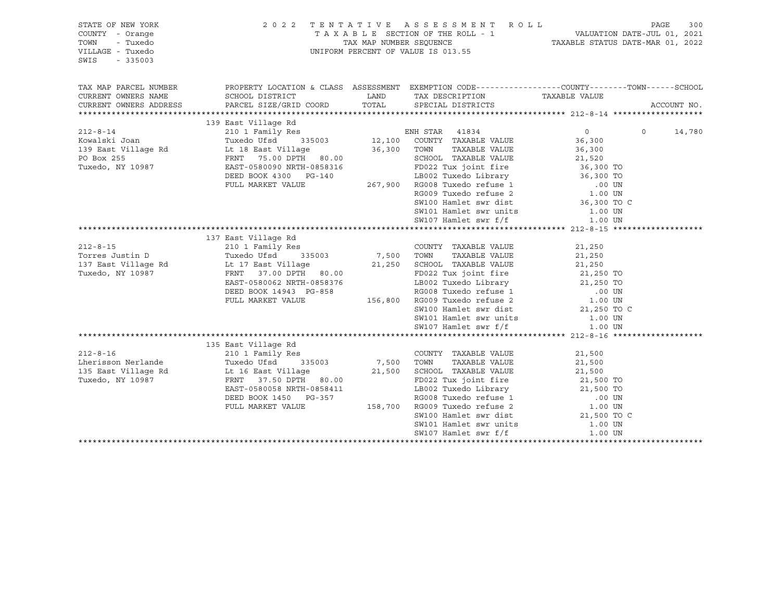| STATE OF NEW YORK<br>COUNTY - Orange<br>- Tuxedo<br>TOWN<br>VILLAGE - Tuxedo<br>SWIS<br>$-335003$ |                                                                                                                                                                                                                                     |                                | 2022 TENTATIVE ASSESSMENT ROLL<br>TAXABLE SECTION OF THE ROLL - 1<br>TAXABLE SECTION OF THE ROLL - 1<br>TAXABLE STATUS DATE-JUL 01, 2021<br>TAXABLE STATUS DATE-MAR 01, 2022<br>UNIFORM PERCENT OF VALUE IS 013.55 |                     | PAGE    | 300         |
|---------------------------------------------------------------------------------------------------|-------------------------------------------------------------------------------------------------------------------------------------------------------------------------------------------------------------------------------------|--------------------------------|--------------------------------------------------------------------------------------------------------------------------------------------------------------------------------------------------------------------|---------------------|---------|-------------|
| TAX MAP PARCEL NUMBER<br>CURRENT OWNERS NAME                                                      | PROPERTY LOCATION & CLASS ASSESSMENT EXEMPTION CODE----------------COUNTY-------TOWN------SCHOOL<br>SCHOOL DISTRICT                                                                                                                 |                                | LAND TAX DESCRIPTION TAXABLE VALUE                                                                                                                                                                                 |                     |         |             |
| CURRENT OWNERS ADDRESS PARCEL SIZE/GRID COORD                                                     |                                                                                                                                                                                                                                     |                                | TOTAL SPECIAL DISTRICTS                                                                                                                                                                                            |                     |         | ACCOUNT NO. |
|                                                                                                   |                                                                                                                                                                                                                                     |                                |                                                                                                                                                                                                                    |                     |         |             |
| $212 - 8 - 14$                                                                                    | 139 East Village Rd<br>210 1 Family Res                                                                                                                                                                                             |                                | Res<br>335003 12,100 COUNTY TAXABLE VALUE<br>illegs                                                                                                                                                                | $\overline{0}$      | $\circ$ | 14,780      |
| Kowalski Joan                                                                                     | Tuxedo Ufsd                                                                                                                                                                                                                         |                                |                                                                                                                                                                                                                    | 36,300              |         |             |
|                                                                                                   |                                                                                                                                                                                                                                     |                                | TAXABLE VALUE                                                                                                                                                                                                      | 36,300              |         |             |
|                                                                                                   |                                                                                                                                                                                                                                     |                                | SCHOOL TAXABLE VALUE                                                                                                                                                                                               | 21,520              |         |             |
| Tuxedo, NY 10987                                                                                  | EAST-0580090 NRTH-0858316<br>DEED BOOK 4300 PG-140<br>FULL MARKET VALUE 267,900 RG008 Tuxedo Library<br>FULL MARKET VALUE 267,900 RG008 Tuxedo refuse 1<br>RG009 Tuxedo refuse 2<br>SW100 Hamlet swr dist<br>CM101 Hamlet swr units |                                |                                                                                                                                                                                                                    |                     |         |             |
|                                                                                                   |                                                                                                                                                                                                                                     |                                |                                                                                                                                                                                                                    |                     |         |             |
|                                                                                                   |                                                                                                                                                                                                                                     |                                |                                                                                                                                                                                                                    |                     |         |             |
|                                                                                                   |                                                                                                                                                                                                                                     |                                |                                                                                                                                                                                                                    |                     |         |             |
|                                                                                                   |                                                                                                                                                                                                                                     |                                |                                                                                                                                                                                                                    |                     |         |             |
|                                                                                                   |                                                                                                                                                                                                                                     |                                | SW101 Hamlet swr units<br>SW107 Hamlet swr f/f                                                                                                                                                                     | 1.00 UN             |         |             |
|                                                                                                   |                                                                                                                                                                                                                                     |                                |                                                                                                                                                                                                                    | 1.00 UN             |         |             |
|                                                                                                   |                                                                                                                                                                                                                                     |                                |                                                                                                                                                                                                                    |                     |         |             |
|                                                                                                   | 137 East Village Rd                                                                                                                                                                                                                 |                                |                                                                                                                                                                                                                    |                     |         |             |
| $212 - 8 - 15$                                                                                    | 210 1 Family Res                                                                                                                                                                                                                    |                                | COUNTY TAXABLE VALUE                                                                                                                                                                                               | 21,250              |         |             |
| Torres Justin D                                                                                   | 335003 7,500 TOWN<br>Tuxedo Ufsd                                                                                                                                                                                                    |                                | TAXABLE VALUE                                                                                                                                                                                                      | 21,250              |         |             |
|                                                                                                   |                                                                                                                                                                                                                                     |                                | 21,250 SCHOOL TAXABLE VALUE                                                                                                                                                                                        | 21,250<br>21,250 TO |         |             |
| Tuxedo, NY 10987                                                                                  | FRNT 37.00 DPTH 80.00                                                                                                                                                                                                               |                                | FD022 Tux joint fire                                                                                                                                                                                               |                     |         |             |
|                                                                                                   | EAST-0580062 NRTH-0858376                                                                                                                                                                                                           |                                | 00.00<br>1858376 LB002 Tuxedo Library 21,250 TO<br>3-858 RG008 Tuxedo refuse 1 .00 UN<br>156,800 RG009 Tuxedo refuse 2 1.00 UN                                                                                     |                     |         |             |
|                                                                                                   | DEED BOOK 14943 PG-858                                                                                                                                                                                                              |                                |                                                                                                                                                                                                                    |                     |         |             |
|                                                                                                   | FULL MARKET VALUE                                                                                                                                                                                                                   |                                |                                                                                                                                                                                                                    |                     |         |             |
|                                                                                                   |                                                                                                                                                                                                                                     |                                | SW100 Hamlet swr dist 21,250 TO C                                                                                                                                                                                  |                     |         |             |
|                                                                                                   |                                                                                                                                                                                                                                     |                                | SW101 Hamlet swr units 1.00 UN                                                                                                                                                                                     |                     |         |             |
|                                                                                                   |                                                                                                                                                                                                                                     |                                | SW107 Hamlet swr f/f                                                                                                                                                                                               | 1.00 UN             |         |             |
|                                                                                                   | 135 East Village Rd                                                                                                                                                                                                                 |                                |                                                                                                                                                                                                                    |                     |         |             |
| $212 - 8 - 16$                                                                                    | 210 1 Family Res                                                                                                                                                                                                                    |                                | COUNTY TAXABLE VALUE                                                                                                                                                                                               | 21,500              |         |             |
| Lherisson Nerlande                                                                                | Tuxedo Ufsd 335003                                                                                                                                                                                                                  |                                | TAXABLE VALUE                                                                                                                                                                                                      | 21,500              |         |             |
| 135 East Village Rd                                                                               |                                                                                                                                                                                                                                     | COUNTY<br>7,500 TOWN<br>21.500 | 21,500 SCHOOL TAXABLE VALUE                                                                                                                                                                                        | 21,500              |         |             |
| Tuxedo, NY 10987                                                                                  | FRNT 37.50 DPTH 80.00                                                                                                                                                                                                               |                                | FD022 Tux joint fire                                                                                                                                                                                               | 21,500 TO           |         |             |
|                                                                                                   |                                                                                                                                                                                                                                     |                                |                                                                                                                                                                                                                    |                     |         |             |
|                                                                                                   |                                                                                                                                                                                                                                     |                                |                                                                                                                                                                                                                    |                     |         |             |
|                                                                                                   |                                                                                                                                                                                                                                     |                                |                                                                                                                                                                                                                    |                     |         |             |
|                                                                                                   | EAST-0580058 NRTH-0858411<br>EAST-0580058 NRTH-0858411<br>DEED BOOK 1450 PG-357 RG008 Tuxedo refuse 1 00 UN<br>FULL MARKET VALUE 158,700 RG009 Tuxedo refuse 2 1.00 UN<br>SW100 Hamlet swr dist 21,500 TO C                         |                                |                                                                                                                                                                                                                    |                     |         |             |
|                                                                                                   |                                                                                                                                                                                                                                     |                                | SW101 Hamlet swr units                                                                                                                                                                                             | 1.00 UN             |         |             |
|                                                                                                   |                                                                                                                                                                                                                                     |                                | SW107 Hamlet swr f/f                                                                                                                                                                                               | 1.00 UN             |         |             |
|                                                                                                   |                                                                                                                                                                                                                                     |                                |                                                                                                                                                                                                                    |                     |         |             |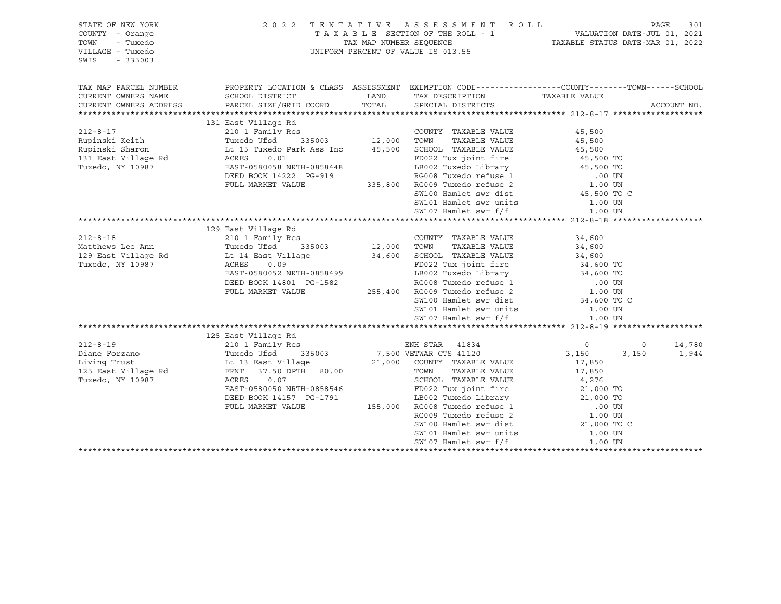| STATE OF NEW YORK<br>COUNTY - Orange<br>TOWN<br>- Tuxedo<br>VILLAGE - Tuxedo<br>SWIS<br>$-335003$ | 2 0 2 2                                                                                                                                                | TENTATIVE ASSESSMENT ROLL<br>UNIFORM PERCENT OF VALUE IS 013.55                                                                                                                                                         |                   |                | PAGE<br>301 |
|---------------------------------------------------------------------------------------------------|--------------------------------------------------------------------------------------------------------------------------------------------------------|-------------------------------------------------------------------------------------------------------------------------------------------------------------------------------------------------------------------------|-------------------|----------------|-------------|
| TAX MAP PARCEL NUMBER                                                                             |                                                                                                                                                        | PROPERTY LOCATION & CLASS ASSESSMENT EXEMPTION CODE----------------COUNTY-------TOWN------SCHOOL                                                                                                                        |                   |                |             |
| CURRENT OWNERS NAME<br>CURRENT OWNERS ADDRESS                                                     | SCHOOL DISTRICT<br>PARCEL SIZE/GRID COORD                                                                                                              | LAND TAX DESCRIPTION TAXABLE VALUE<br>TOTAL SPECIAL DISTRICTS                                                                                                                                                           |                   |                | ACCOUNT NO. |
|                                                                                                   |                                                                                                                                                        |                                                                                                                                                                                                                         |                   |                |             |
|                                                                                                   | 131 East Village Rd                                                                                                                                    |                                                                                                                                                                                                                         |                   |                |             |
| $212 - 8 - 17$                                                                                    |                                                                                                                                                        |                                                                                                                                                                                                                         | 45,500            |                |             |
| Rupinski Keith<br>Rupinski Sharon                                                                 |                                                                                                                                                        |                                                                                                                                                                                                                         | 45,500            |                |             |
|                                                                                                   |                                                                                                                                                        |                                                                                                                                                                                                                         | 45,500            |                |             |
|                                                                                                   |                                                                                                                                                        | ACRES 0.01 FD022 Tux joint fire 45,500 TO<br>EAST-0580058 NRTH-0858448 LB002 Tuxedo Library 45,500 TO<br>DEED BOOK 14222 PG-919 RG008 Tuxedo refuse 1 .00 UN<br>FULL MARKET VALUE 335,800 RG009 Tuxedo refuse 2 1.00 UN |                   |                |             |
|                                                                                                   |                                                                                                                                                        |                                                                                                                                                                                                                         |                   |                |             |
|                                                                                                   |                                                                                                                                                        |                                                                                                                                                                                                                         |                   |                |             |
|                                                                                                   |                                                                                                                                                        |                                                                                                                                                                                                                         |                   |                |             |
|                                                                                                   |                                                                                                                                                        | SW100 Hamlet swr dist                                                                                                                                                                                                   | 45,500 TO C       |                |             |
|                                                                                                   |                                                                                                                                                        | SW101 Hamlet swr units                                                                                                                                                                                                  | 1.00 UN           |                |             |
|                                                                                                   |                                                                                                                                                        | SW107 Hamlet swr f/f                                                                                                                                                                                                    | 1.00 UN           |                |             |
|                                                                                                   |                                                                                                                                                        |                                                                                                                                                                                                                         |                   |                |             |
|                                                                                                   | 129 East Village Rd                                                                                                                                    |                                                                                                                                                                                                                         |                   |                |             |
| $212 - 8 - 18$                                                                                    | 210 1 Family Res                                                                                                                                       | COUNTY TAXABLE VALUE                                                                                                                                                                                                    | 34,600            |                |             |
| Matthews Lee Ann                                                                                  | Res<br>335003 12,000 TOWN<br>11070<br>Tuxedo Ufsd        335003<br>Lt 14 East Village<br>ACRES     0.09                                                | TAXABLE VALUE                                                                                                                                                                                                           | 34,600            |                |             |
| 129 East Village Rd                                                                               |                                                                                                                                                        | 34,600 SCHOOL TAXABLE VALUE<br>FD022 Tux joint fire<br>IP002 Tuyodo Library                                                                                                                                             | 34,600            |                |             |
| Tuxedo, NY 10987                                                                                  | ACRES<br>0.09                                                                                                                                          | FD022 Tux joint fire<br>LB002 Tuxedo Library<br>RG008 Tuxedo refuse 1 00 UN<br>.00 UN<br>.00 UN                                                                                                                         |                   |                |             |
|                                                                                                   | EAST-0580052 NRTH-0858455<br>DEED BOOK 14801 PG-1582 RG008 Tuxedo refuse 1<br>FULL MARKET VALUE 255,400 RG009 Tuxedo refuse 2<br>SW100 Hamlet swr dist |                                                                                                                                                                                                                         |                   |                |             |
|                                                                                                   |                                                                                                                                                        |                                                                                                                                                                                                                         |                   |                |             |
|                                                                                                   |                                                                                                                                                        |                                                                                                                                                                                                                         | 1.00 UN           |                |             |
|                                                                                                   |                                                                                                                                                        |                                                                                                                                                                                                                         | 34,600 TO C       |                |             |
|                                                                                                   |                                                                                                                                                        | SW101 Hamlet swr units<br>SW107 Hamlet swr f/f                                                                                                                                                                          | 1.00 UN           |                |             |
|                                                                                                   |                                                                                                                                                        |                                                                                                                                                                                                                         | 1.00 UN           |                |             |
|                                                                                                   |                                                                                                                                                        |                                                                                                                                                                                                                         |                   |                |             |
|                                                                                                   | 125 East Village Rd                                                                                                                                    |                                                                                                                                                                                                                         |                   |                |             |
| $212 - 8 - 19$                                                                                    | 210 1 Family Res                                                                                                                                       | ENH STAR 41834<br>VETWAR CTS 41120                                                                                                                                                                                      | $0 \qquad \qquad$ | $\overline{0}$ | 14,780      |
| Diane Forzano                                                                                     | Tuxedo Ufsd 333000<br>Lt 13 East Village 21,000<br>Computer 80.00                                                                                      | 335003 7,500 VETWAR CTS 41120                                                                                                                                                                                           | 3,150             | 3,150          | 1,944       |
| Living Trust                                                                                      |                                                                                                                                                        | 21,000 COUNTY TAXABLE VALUE                                                                                                                                                                                             | 17,850            |                |             |
| 125 East Village Rd                                                                               |                                                                                                                                                        | TOWN<br>TAXABLE VALUE                                                                                                                                                                                                   | 17,850            |                |             |
| Tuxedo, NY 10987                                                                                  | ACRES<br>0.07                                                                                                                                          | SCHOOL TAXABLE VALUE 4,276<br>FD022 Tux joint fire 21,000 TO                                                                                                                                                            |                   |                |             |
|                                                                                                   | EAST-0580050 NRTH-0858546                                                                                                                              | FD022 Tux joint fire                                                                                                                                                                                                    |                   |                |             |
|                                                                                                   | DEED BOOK 14157 PG-1791                                                                                                                                |                                                                                                                                                                                                                         |                   |                |             |
|                                                                                                   | FULL MARKET VALUE                                                                                                                                      |                                                                                                                                                                                                                         |                   |                |             |
|                                                                                                   |                                                                                                                                                        | C-1791 155,000 RG008 Tuxedo Library 21,000 TO<br>155,000 RG008 Tuxedo refuse 1 000 TO<br>RG009 Tuxedo refuse 2 1.00 UN<br>SW100 Hamlet swr dist 21,000 TO C                                                             |                   |                |             |
|                                                                                                   |                                                                                                                                                        |                                                                                                                                                                                                                         |                   |                |             |
|                                                                                                   |                                                                                                                                                        | SW101 Hamlet swr units                                                                                                                                                                                                  | 1.00 UN           |                |             |
|                                                                                                   |                                                                                                                                                        | SW107 Hamlet swr f/f                                                                                                                                                                                                    | 1.00 UN           |                |             |
|                                                                                                   |                                                                                                                                                        |                                                                                                                                                                                                                         |                   |                |             |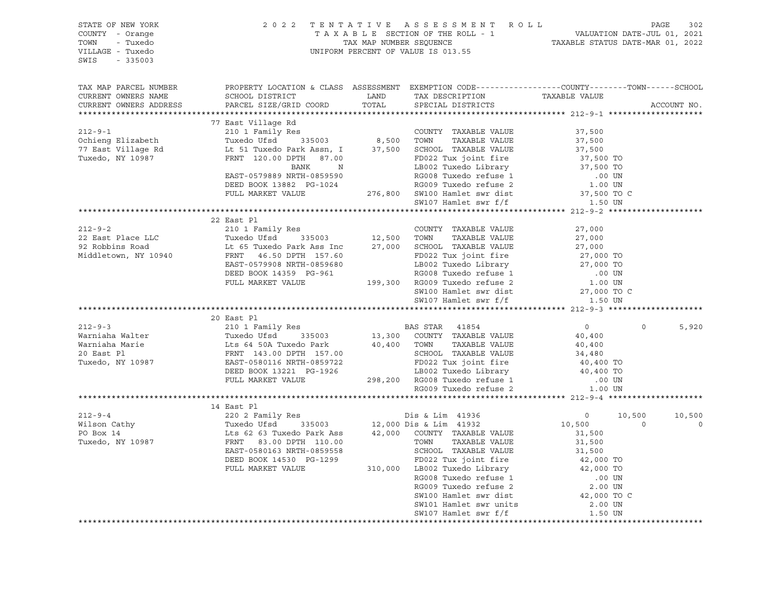| TAX MAP PARCEL NUMBER     PROPERTY LOCATION & CLASS ASSESSMENT EXEMPTION CODE----------------COUNTY-------TOWN------SCHOOL PISTRICT     TAND   TAND   TAND   TAND   TAND   TAND   TAND   TAND   TAND   TAND   TAND   TAND   TA<br>ACCOUNT NO.<br>CURRENT OWNERS ADDRESS<br>77 East Village Rd<br>210 1 Family Res<br>210 1 Family Res<br>210 1 Family Res<br>210 1 Family Res<br>216 210 1 Family Res<br>216 216 216 2016 216 216 216 216 216 216 216 216 217,500<br>216 217,500<br>216 217,500<br>217,500 2016 21882 PG-10<br>22 East Pl |
|-------------------------------------------------------------------------------------------------------------------------------------------------------------------------------------------------------------------------------------------------------------------------------------------------------------------------------------------------------------------------------------------------------------------------------------------------------------------------------------------------------------------------------------------|
|                                                                                                                                                                                                                                                                                                                                                                                                                                                                                                                                           |
|                                                                                                                                                                                                                                                                                                                                                                                                                                                                                                                                           |
|                                                                                                                                                                                                                                                                                                                                                                                                                                                                                                                                           |
|                                                                                                                                                                                                                                                                                                                                                                                                                                                                                                                                           |
|                                                                                                                                                                                                                                                                                                                                                                                                                                                                                                                                           |
|                                                                                                                                                                                                                                                                                                                                                                                                                                                                                                                                           |
|                                                                                                                                                                                                                                                                                                                                                                                                                                                                                                                                           |
|                                                                                                                                                                                                                                                                                                                                                                                                                                                                                                                                           |
|                                                                                                                                                                                                                                                                                                                                                                                                                                                                                                                                           |
|                                                                                                                                                                                                                                                                                                                                                                                                                                                                                                                                           |
|                                                                                                                                                                                                                                                                                                                                                                                                                                                                                                                                           |
|                                                                                                                                                                                                                                                                                                                                                                                                                                                                                                                                           |
|                                                                                                                                                                                                                                                                                                                                                                                                                                                                                                                                           |
|                                                                                                                                                                                                                                                                                                                                                                                                                                                                                                                                           |
|                                                                                                                                                                                                                                                                                                                                                                                                                                                                                                                                           |
|                                                                                                                                                                                                                                                                                                                                                                                                                                                                                                                                           |
|                                                                                                                                                                                                                                                                                                                                                                                                                                                                                                                                           |
|                                                                                                                                                                                                                                                                                                                                                                                                                                                                                                                                           |
|                                                                                                                                                                                                                                                                                                                                                                                                                                                                                                                                           |
|                                                                                                                                                                                                                                                                                                                                                                                                                                                                                                                                           |
|                                                                                                                                                                                                                                                                                                                                                                                                                                                                                                                                           |
|                                                                                                                                                                                                                                                                                                                                                                                                                                                                                                                                           |
| 20 East Pl                                                                                                                                                                                                                                                                                                                                                                                                                                                                                                                                |
| $\overline{0}$<br>$\circ$<br>5,920                                                                                                                                                                                                                                                                                                                                                                                                                                                                                                        |
|                                                                                                                                                                                                                                                                                                                                                                                                                                                                                                                                           |
|                                                                                                                                                                                                                                                                                                                                                                                                                                                                                                                                           |
|                                                                                                                                                                                                                                                                                                                                                                                                                                                                                                                                           |
|                                                                                                                                                                                                                                                                                                                                                                                                                                                                                                                                           |
|                                                                                                                                                                                                                                                                                                                                                                                                                                                                                                                                           |
|                                                                                                                                                                                                                                                                                                                                                                                                                                                                                                                                           |
| ${20\hskip-2.0mm} \begin{tabular}{lcccccc} 212-9-3 & 20&\text{East} & \text{PL} & \text{BAS STAR} & 41854 & 0 \\ & 210&1 &\text{Family Res} & 13,300 & \text{COUNTY} & \text{TAXABLE VALUE} & 40,400 \\ \text{Warningha Marie} & \text{Lts 64 50A Tuxedo Park} & 40,400 & \text{TOWN} & \text{TAXABLE VALUE} & 40,400 \\ & \text{Rarnisha Marie} & \text{EBS T-T-0580116 NRTH-0859722} & 40,400 & \text{SCHO$                                                                                                                             |
|                                                                                                                                                                                                                                                                                                                                                                                                                                                                                                                                           |
| 14 East Pl                                                                                                                                                                                                                                                                                                                                                                                                                                                                                                                                |
|                                                                                                                                                                                                                                                                                                                                                                                                                                                                                                                                           |
|                                                                                                                                                                                                                                                                                                                                                                                                                                                                                                                                           |
|                                                                                                                                                                                                                                                                                                                                                                                                                                                                                                                                           |
|                                                                                                                                                                                                                                                                                                                                                                                                                                                                                                                                           |
|                                                                                                                                                                                                                                                                                                                                                                                                                                                                                                                                           |
|                                                                                                                                                                                                                                                                                                                                                                                                                                                                                                                                           |
|                                                                                                                                                                                                                                                                                                                                                                                                                                                                                                                                           |
|                                                                                                                                                                                                                                                                                                                                                                                                                                                                                                                                           |
|                                                                                                                                                                                                                                                                                                                                                                                                                                                                                                                                           |
|                                                                                                                                                                                                                                                                                                                                                                                                                                                                                                                                           |
|                                                                                                                                                                                                                                                                                                                                                                                                                                                                                                                                           |
| $\begin{tabular}{l c c c c c} \hline \texttt{14} & \texttt{East} & \texttt{14} & \texttt{East} & \texttt{14} & \texttt{04} & \texttt{04} & \texttt{04} & \texttt{04} & \texttt{04} & \texttt{04} & \texttt{04} & \texttt{04} & \texttt{04} & \texttt{04} & \texttt{04} & \texttt{04} & \texttt{04} & \texttt{04} & \texttt{04} & \texttt{04} & \texttt{04} & \texttt{04} & \texttt{04} & \texttt{04} & \$<br>******************************                                                                                               |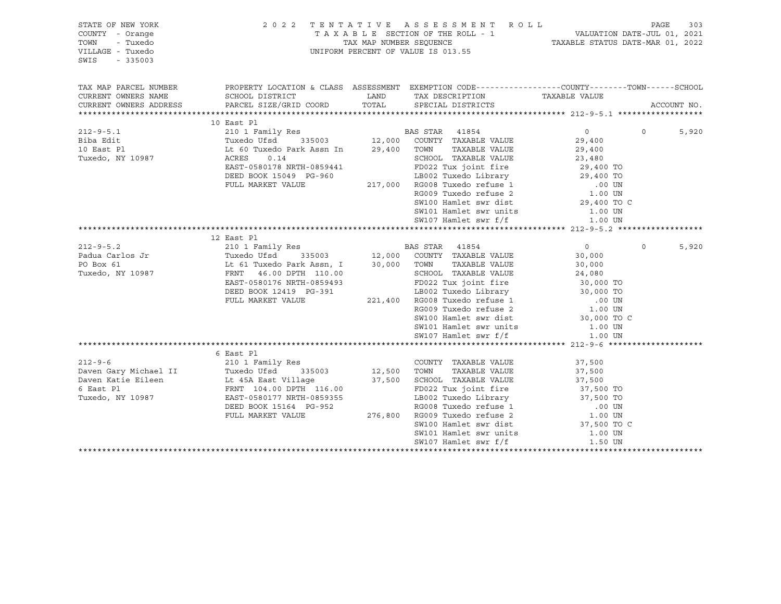| STATE OF NEW YORK<br>COUNTY - Orange<br>- Tuxedo<br>TOWN<br>VILLAGE - Tuxedo<br>SWIS<br>$-335003$                                                                                                                                      |                                                                                                                                                                                                                                                      | 2 0 2 2 TENTATIVE ASSESSMENT ROLL<br>TAXABLE SECTION OF THE ROLL - 1 VALUATION DATE-JUL 01, 2021<br>TAX MAP NUMBER SEQUENCE TAXABLE STATUS DATE-MAR 01, 2022<br>UNIFORM PERCENT OF VALUE IS 013.55 |         |          |             |
|----------------------------------------------------------------------------------------------------------------------------------------------------------------------------------------------------------------------------------------|------------------------------------------------------------------------------------------------------------------------------------------------------------------------------------------------------------------------------------------------------|----------------------------------------------------------------------------------------------------------------------------------------------------------------------------------------------------|---------|----------|-------------|
| TAX MAP PARCEL NUMBER                                                                                                                                                                                                                  | PROPERTY LOCATION & CLASS ASSESSMENT EXEMPTION CODE----------------COUNTY-------TOWN------SCHOOL                                                                                                                                                     |                                                                                                                                                                                                    |         |          |             |
| CURRENT OWNERS NAME                                                                                                                                                                                                                    | SCHOOL DISTRICT                                                                                                                                                                                                                                      | LAND TAX DESCRIPTION TAXABLE VALUE                                                                                                                                                                 |         |          |             |
| CURRENT OWNERS ADDRESS                                                                                                                                                                                                                 | PARCEL SIZE/GRID COORD TOTAL SPECIAL DISTRICTS                                                                                                                                                                                                       |                                                                                                                                                                                                    |         |          | ACCOUNT NO. |
|                                                                                                                                                                                                                                        | 10 East Pl                                                                                                                                                                                                                                           |                                                                                                                                                                                                    |         |          |             |
|                                                                                                                                                                                                                                        |                                                                                                                                                                                                                                                      |                                                                                                                                                                                                    |         | $\Omega$ | 5,920       |
|                                                                                                                                                                                                                                        |                                                                                                                                                                                                                                                      |                                                                                                                                                                                                    |         |          |             |
|                                                                                                                                                                                                                                        |                                                                                                                                                                                                                                                      |                                                                                                                                                                                                    |         |          |             |
|                                                                                                                                                                                                                                        | EXERES 0.14<br>EAST-0580178 NRTH-0859441<br>DEED BOOK 15049 PG-960<br>FULL MARKET VALUE<br>FULL MARKET VALUE<br>PULL MARKET VALUE<br>PULL MARKET VALUE<br>PULL MARKET VALUE<br>PULL MARKET VALUE<br>PULL MARKET VALUE<br>PULL MARKET VALUE<br>PULL M |                                                                                                                                                                                                    |         |          |             |
|                                                                                                                                                                                                                                        |                                                                                                                                                                                                                                                      |                                                                                                                                                                                                    |         |          |             |
|                                                                                                                                                                                                                                        |                                                                                                                                                                                                                                                      |                                                                                                                                                                                                    |         |          |             |
|                                                                                                                                                                                                                                        |                                                                                                                                                                                                                                                      |                                                                                                                                                                                                    |         |          |             |
|                                                                                                                                                                                                                                        |                                                                                                                                                                                                                                                      |                                                                                                                                                                                                    |         |          |             |
|                                                                                                                                                                                                                                        |                                                                                                                                                                                                                                                      |                                                                                                                                                                                                    |         |          |             |
|                                                                                                                                                                                                                                        |                                                                                                                                                                                                                                                      |                                                                                                                                                                                                    |         |          |             |
|                                                                                                                                                                                                                                        |                                                                                                                                                                                                                                                      |                                                                                                                                                                                                    |         |          |             |
|                                                                                                                                                                                                                                        |                                                                                                                                                                                                                                                      |                                                                                                                                                                                                    |         |          |             |
|                                                                                                                                                                                                                                        |                                                                                                                                                                                                                                                      |                                                                                                                                                                                                    |         | $\circ$  | 5,920       |
|                                                                                                                                                                                                                                        |                                                                                                                                                                                                                                                      |                                                                                                                                                                                                    |         |          |             |
|                                                                                                                                                                                                                                        |                                                                                                                                                                                                                                                      |                                                                                                                                                                                                    |         |          |             |
|                                                                                                                                                                                                                                        |                                                                                                                                                                                                                                                      |                                                                                                                                                                                                    |         |          |             |
|                                                                                                                                                                                                                                        |                                                                                                                                                                                                                                                      |                                                                                                                                                                                                    |         |          |             |
|                                                                                                                                                                                                                                        |                                                                                                                                                                                                                                                      |                                                                                                                                                                                                    |         |          |             |
|                                                                                                                                                                                                                                        |                                                                                                                                                                                                                                                      |                                                                                                                                                                                                    |         |          |             |
|                                                                                                                                                                                                                                        |                                                                                                                                                                                                                                                      |                                                                                                                                                                                                    |         |          |             |
|                                                                                                                                                                                                                                        |                                                                                                                                                                                                                                                      |                                                                                                                                                                                                    |         |          |             |
|                                                                                                                                                                                                                                        |                                                                                                                                                                                                                                                      |                                                                                                                                                                                                    |         |          |             |
|                                                                                                                                                                                                                                        |                                                                                                                                                                                                                                                      |                                                                                                                                                                                                    |         |          |             |
|                                                                                                                                                                                                                                        |                                                                                                                                                                                                                                                      |                                                                                                                                                                                                    |         |          |             |
|                                                                                                                                                                                                                                        |                                                                                                                                                                                                                                                      |                                                                                                                                                                                                    |         |          |             |
|                                                                                                                                                                                                                                        |                                                                                                                                                                                                                                                      |                                                                                                                                                                                                    |         |          |             |
|                                                                                                                                                                                                                                        |                                                                                                                                                                                                                                                      |                                                                                                                                                                                                    |         |          |             |
|                                                                                                                                                                                                                                        |                                                                                                                                                                                                                                                      |                                                                                                                                                                                                    |         |          |             |
|                                                                                                                                                                                                                                        |                                                                                                                                                                                                                                                      |                                                                                                                                                                                                    |         |          |             |
|                                                                                                                                                                                                                                        |                                                                                                                                                                                                                                                      |                                                                                                                                                                                                    |         |          |             |
|                                                                                                                                                                                                                                        |                                                                                                                                                                                                                                                      |                                                                                                                                                                                                    |         |          |             |
| 37,500 6 East P1 Tuxedo (1913)<br>212-9-6 210 1 Family Res<br>Daven Gary Michael II Tuxedo Ufsd 335003 12,500 TOWN TAXABLE VALUE 37,500<br>Daven Katie Eileen Lt 45A East Village 37,500 SCHOOL TAXABLE VALUE 37,500<br>6 East P1 FRNT |                                                                                                                                                                                                                                                      |                                                                                                                                                                                                    |         |          |             |
|                                                                                                                                                                                                                                        |                                                                                                                                                                                                                                                      | SW101 Hamlet swr units 1.00 UN                                                                                                                                                                     |         |          |             |
|                                                                                                                                                                                                                                        |                                                                                                                                                                                                                                                      | SW107 Hamlet swr f/f                                                                                                                                                                               | 1.50 UN |          |             |
|                                                                                                                                                                                                                                        |                                                                                                                                                                                                                                                      |                                                                                                                                                                                                    |         |          |             |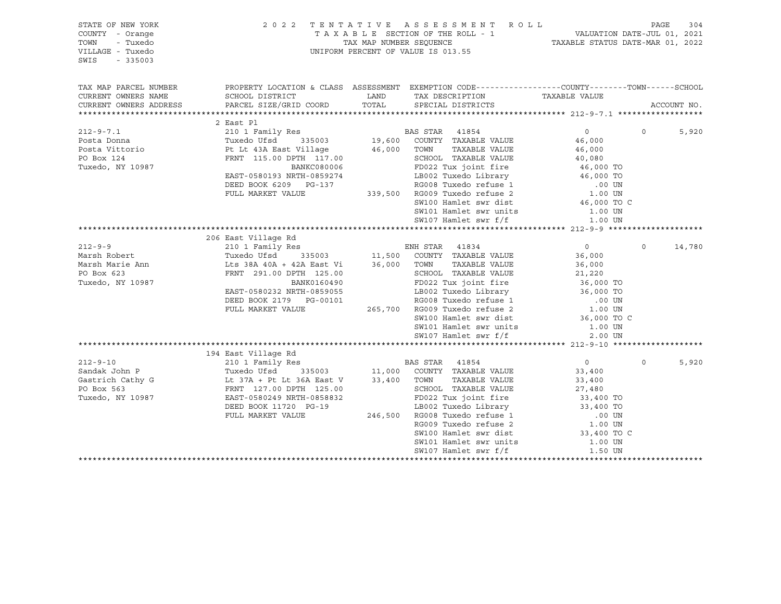| STATE OF NEW YORK<br>COUNTY - Orange<br>TOWN<br>- Tuxedo |                           |             | 2022 TENTATIVE ASSESSMENT ROLL                                                                   |                   | PAGE     | 304         |
|----------------------------------------------------------|---------------------------|-------------|--------------------------------------------------------------------------------------------------|-------------------|----------|-------------|
| VILLAGE - Tuxedo<br>SWIS<br>$-335003$                    |                           |             | UNIFORM PERCENT OF VALUE IS 013.55                                                               |                   |          |             |
| TAX MAP PARCEL NUMBER                                    |                           |             | PROPERTY LOCATION & CLASS ASSESSMENT EXEMPTION CODE----------------COUNTY-------TOWN------SCHOOL |                   |          |             |
| CURRENT OWNERS NAME                                      | SCHOOL DISTRICT           | LAND        | TAX DESCRIPTION TAXABLE VALUE                                                                    |                   |          |             |
| CURRENT OWNERS ADDRESS                                   | PARCEL SIZE/GRID COORD    | TOTAL       | SPECIAL DISTRICTS                                                                                |                   |          | ACCOUNT NO. |
|                                                          |                           |             |                                                                                                  |                   |          |             |
|                                                          | 2 East Pl                 |             |                                                                                                  |                   |          |             |
| $212 - 9 - 7.1$                                          | 210 1 Family Res          |             | BAS STAR 41854                                                                                   | $\overline{0}$    | $\Omega$ | 5,920       |
| Posta Donna                                              | Tuxedo Ufsd<br>335003     |             | 19,600 COUNTY TAXABLE VALUE                                                                      | 46,000            |          |             |
| Posta Vittorio                                           | Pt Lt 43A East Village    | 46,000 TOWN | TAXABLE VALUE                                                                                    | 46,000            |          |             |
| PO Box 124                                               | FRNT 115.00 DPTH 117.00   |             | SCHOOL TAXABLE VALUE                                                                             | 40,080            |          |             |
| Tuxedo, NY 10987                                         | BANKC080006               |             | FD022 Tux joint fire                                                                             | 46,000 TO         |          |             |
|                                                          | EAST-0580193 NRTH-0859274 |             | LB002 Tuxedo Library                                                                             | 46,000 TO         |          |             |
|                                                          | DEED BOOK 6209 PG-137     |             | RG008 Tuxedo refuse 1                                                                            | .00 UN<br>1.00 UN |          |             |
|                                                          | FULL MARKET VALUE         |             | 339,500 RG009 Tuxedo refuse 2                                                                    |                   |          |             |
|                                                          |                           |             | SW100 Hamlet swr dist<br>SW101 Hamlet swr units                                                  | 46,000 TO C       |          |             |
|                                                          |                           |             |                                                                                                  | 1.00 UN           |          |             |
|                                                          |                           |             | SW107 Hamlet swr f/f                                                                             | 1.00 UN           |          |             |
|                                                          | 206 East Village Rd       |             |                                                                                                  |                   |          |             |
| $212 - 9 - 9$                                            | 210 1 Family Res          |             | ENH STAR 41834                                                                                   | $0 \qquad \qquad$ | $\Omega$ | 14,780      |
| Marsh Robert                                             | Tuxedo Ufsd<br>335003     |             |                                                                                                  | 36,000            |          |             |
| Marsh Marie Ann                                          | Lts 38A 40A + 42A East Vi | 36,000 TOWN | 11,500 COUNTY TAXABLE VALUE<br>36,000 TOWN TAXABLE VALUE<br>TAXABLE VALUE                        | 36,000            |          |             |
| PO Box 623                                               | FRNT 291.00 DPTH 125.00   |             | SCHOOL TAXABLE VALUE                                                                             | 21,220            |          |             |
| Tuxedo, NY 10987                                         | BANK0160490               |             | FD022 Tux joint fire                                                                             | 36,000 TO         |          |             |
|                                                          | EAST-0580232 NRTH-0859055 |             | LB002 Tuxedo Library                                                                             | 36,000 TO         |          |             |
|                                                          | DEED BOOK 2179 PG-00101   |             | RG008 Tuxedo refuse 1                                                                            | .00 UN            |          |             |
|                                                          | FULL MARKET VALUE         | 265,700     | RG009 Tuxedo refuse 2                                                                            | 1.00 UN           |          |             |
|                                                          |                           |             | SW100 Hamlet swr dist                                                                            | 36,000 TO C       |          |             |
|                                                          |                           |             |                                                                                                  | 1.00 UN           |          |             |
|                                                          |                           |             | SW101 Hamlet swr units<br>SW107 Hamlet swr f/f                                                   | 2.00 UN           |          |             |
|                                                          |                           |             |                                                                                                  |                   |          |             |
|                                                          | 194 East Village Rd       |             |                                                                                                  |                   |          |             |
| $212 - 9 - 10$                                           | 210 1 Family Res          |             | BAS STAR 41854                                                                                   | $\circ$           | $\Omega$ | 5,920       |
| Sandak John P                                            | Tuxedo Ufsd<br>335003     | 11,000      | COUNTY TAXABLE VALUE                                                                             | 33,400            |          |             |
| Gastrich Cathy G                                         | Lt 37A + Pt Lt 36A East V | 33,400      | TAXABLE VALUE<br>TOWN                                                                            | 33,400            |          |             |
| PO Box 563                                               | FRNT 127.00 DPTH 125.00   |             | SCHOOL TAXABLE VALUE                                                                             | 27,480            |          |             |
| Tuxedo, NY 10987                                         | EAST-0580249 NRTH-0858832 |             | FD022 Tux joint fire                                                                             | 33,400 TO         |          |             |
|                                                          | DEED BOOK 11720 PG-19     |             | LB002 Tuxedo Library                                                                             | 33,400 TO         |          |             |
|                                                          | FULL MARKET VALUE         | 246,500     | RG008 Tuxedo refuse 1                                                                            | .00 UN            |          |             |
|                                                          |                           |             | RG009 Tuxedo refuse 2                                                                            | 1.00 UN           |          |             |
|                                                          |                           |             | SW100 Hamlet swr dist                                                                            | 33,400 TO C       |          |             |
|                                                          |                           |             | SW101 Hamlet swr units                                                                           | 1.00 UN           |          |             |
|                                                          |                           |             | SW107 Hamlet swr f/f                                                                             | 1.50 UN           |          |             |
|                                                          |                           |             |                                                                                                  |                   |          |             |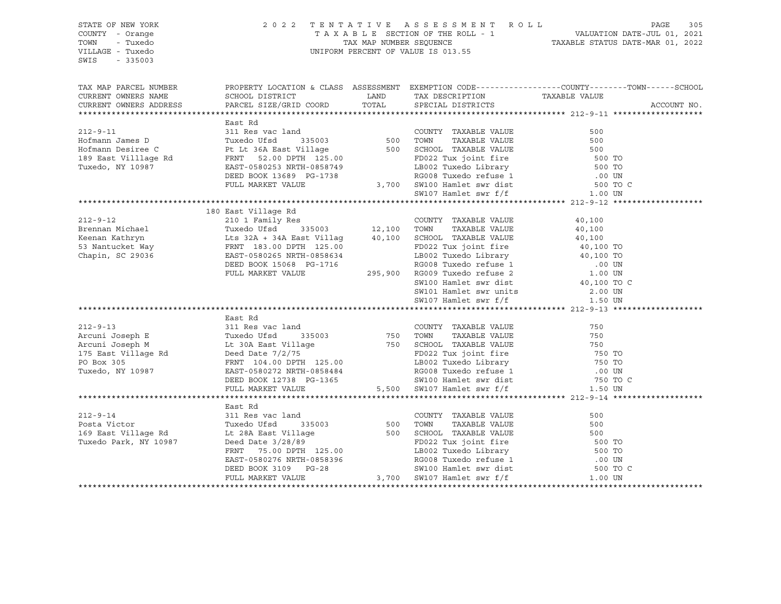| STATE OF NEW YORK<br>COUNTY - Orange<br>TOWN - Tuxedo<br>VILLAGE - Tuxedo<br>$-335003$<br>SWIS                                                                                                                                                                                                                                                                                                                                                                                                |                     | 2022 TENTATIVE ASSESSMENT ROLL PAGE 305<br>TAXABLE SECTION OF THE ROLL - 1 VALUATION DATE-JUL 01, 2021<br>TAX MAP NUMBER SEQUENCE TAXABLE STATUS DATE-MAR 01, 2022<br>UNIFORM PERCENT OF VALUE IS 013.55 |                                                                                                                                          |
|-----------------------------------------------------------------------------------------------------------------------------------------------------------------------------------------------------------------------------------------------------------------------------------------------------------------------------------------------------------------------------------------------------------------------------------------------------------------------------------------------|---------------------|----------------------------------------------------------------------------------------------------------------------------------------------------------------------------------------------------------|------------------------------------------------------------------------------------------------------------------------------------------|
| CURRENT OWNERS NAME<br>CURRENT OWNERS NAME SCHOOL DISTRICT LAND TAX DESCRIPTION TAXABLE VALUE<br>CURRENT OWNERS ADDRESS PARCEL SIZE/GRID COORD TOTAL SPECIAL DISTRICTS                                                                                                                                                                                                                                                                                                                        |                     |                                                                                                                                                                                                          | TAX MAP PARCEL NUMBER THE PROPERTY LOCATION & CLASS ASSESSMENT EXEMPTION CODE--------------COUNTY--------TOWN------SCHOOL<br>ACCOUNT NO. |
|                                                                                                                                                                                                                                                                                                                                                                                                                                                                                               |                     |                                                                                                                                                                                                          |                                                                                                                                          |
|                                                                                                                                                                                                                                                                                                                                                                                                                                                                                               |                     |                                                                                                                                                                                                          |                                                                                                                                          |
|                                                                                                                                                                                                                                                                                                                                                                                                                                                                                               | 180 East Village Rd |                                                                                                                                                                                                          |                                                                                                                                          |
|                                                                                                                                                                                                                                                                                                                                                                                                                                                                                               |                     |                                                                                                                                                                                                          |                                                                                                                                          |
| ${\small \begin{tabular}{lcccc} \textbf{212-9--14} & \textbf{East Rd} & \textbf{311 Res vac land} \\ \textbf{212-9--14} & \textbf{311 Res vac land} \\ \textbf{169 East Village Rd} & \textbf{Cut 28A East Village} & \textbf{500} & \textbf{T0WN} & \textbf{TAXABLE VALUE} \\ \textbf{169 East Village Rd} & \textbf{Text Red Data} & \textbf{141 age} & \textbf{500} & \textbf{SCHOOL TAXABLE VALUE} & \textbf{500} \\ \textbf{171} & \textbf{Text Red Data} & \textbf{171} & \textbf{172}$ | East Rd             |                                                                                                                                                                                                          |                                                                                                                                          |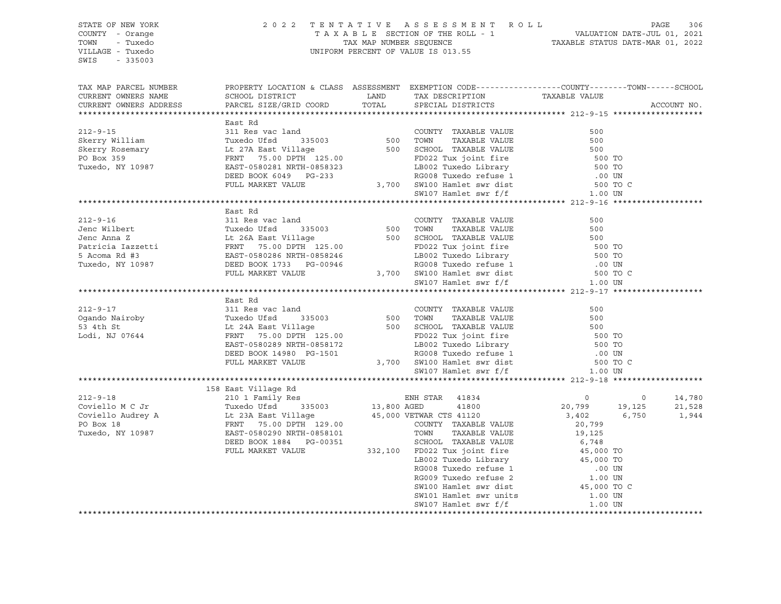| STATE OF NEW YORK<br>COUNTY - Orange<br>TOWN - Tuxedo<br>VILLAGE - Tuxedo<br>SWIS - 335003                                                                                                                                                                                                                                                                                                         |         | 2022 TENTATIVE ASSESSMENT ROLL PAGE 306<br>TAXABLE SECTION OF THE ROLL - 1 VALUATION DATE-JUL 01, 2021<br>TAX MAP NUMBER SEQUENCE TAXABLE STATUS DATE-MAR 01, 2022<br>UNIFORM PERCENT OF VALUE IS 013.55 |  |             |  |  |
|----------------------------------------------------------------------------------------------------------------------------------------------------------------------------------------------------------------------------------------------------------------------------------------------------------------------------------------------------------------------------------------------------|---------|----------------------------------------------------------------------------------------------------------------------------------------------------------------------------------------------------------|--|-------------|--|--|
| TAX MAP PARCEL NUMBER BOOPERTY LOCATION & CLASS ASSESSMENT EXEMPTION CODE----------------COUNTY--------TOWN------SCHOOL CURRENT OWNERS NAME SCHOOL DISTRICT LAND TAX DESCRIPTION TAXABLE VALUE CURRENT OWNERS ADDRESS PARCEL S                                                                                                                                                                     |         |                                                                                                                                                                                                          |  | ACCOUNT NO. |  |  |
|                                                                                                                                                                                                                                                                                                                                                                                                    |         |                                                                                                                                                                                                          |  |             |  |  |
|                                                                                                                                                                                                                                                                                                                                                                                                    |         |                                                                                                                                                                                                          |  |             |  |  |
|                                                                                                                                                                                                                                                                                                                                                                                                    |         |                                                                                                                                                                                                          |  |             |  |  |
|                                                                                                                                                                                                                                                                                                                                                                                                    |         |                                                                                                                                                                                                          |  |             |  |  |
|                                                                                                                                                                                                                                                                                                                                                                                                    |         |                                                                                                                                                                                                          |  |             |  |  |
|                                                                                                                                                                                                                                                                                                                                                                                                    |         |                                                                                                                                                                                                          |  |             |  |  |
|                                                                                                                                                                                                                                                                                                                                                                                                    |         |                                                                                                                                                                                                          |  |             |  |  |
|                                                                                                                                                                                                                                                                                                                                                                                                    |         |                                                                                                                                                                                                          |  |             |  |  |
|                                                                                                                                                                                                                                                                                                                                                                                                    |         |                                                                                                                                                                                                          |  |             |  |  |
|                                                                                                                                                                                                                                                                                                                                                                                                    |         |                                                                                                                                                                                                          |  |             |  |  |
| 311 Res Restrict And Skerry William (1998)<br>212-9-15 311 Res vac land Skerry Nilliam Tuxedo Ufsd 335003 500 TOWN TAXABLE VALUE 500<br>Skerry Rosemary Lt 27ABLE VALUE 500 TOWN TAXABLE VALUE 500<br>PROX 359 FRNT 75.00 DFTH 125.0                                                                                                                                                               |         |                                                                                                                                                                                                          |  |             |  |  |
|                                                                                                                                                                                                                                                                                                                                                                                                    | East Rd |                                                                                                                                                                                                          |  |             |  |  |
|                                                                                                                                                                                                                                                                                                                                                                                                    |         |                                                                                                                                                                                                          |  |             |  |  |
|                                                                                                                                                                                                                                                                                                                                                                                                    |         |                                                                                                                                                                                                          |  |             |  |  |
|                                                                                                                                                                                                                                                                                                                                                                                                    |         |                                                                                                                                                                                                          |  |             |  |  |
|                                                                                                                                                                                                                                                                                                                                                                                                    |         |                                                                                                                                                                                                          |  |             |  |  |
|                                                                                                                                                                                                                                                                                                                                                                                                    |         |                                                                                                                                                                                                          |  |             |  |  |
|                                                                                                                                                                                                                                                                                                                                                                                                    |         |                                                                                                                                                                                                          |  |             |  |  |
|                                                                                                                                                                                                                                                                                                                                                                                                    |         |                                                                                                                                                                                                          |  |             |  |  |
| $\begin{tabular}{lcccccc} \bf 212-9-16 & \tt East~Rd & \tt COUNTY\_TAXABLE\ VALUE & \tt 500 \\ \tt Jenc~Wilbert & \tt TuxA2BLE~VALUE & \tt 500 \\ \tt Jenc~Anna~Z & \tt Lt~26A\ East~Village & \tt 500~SCHOOL\_TAXABLE\ VALUE & \tt 500 \\ \tt Particia~Iazzetti & \tt FRNT & \tt 75.00~DPTH~125.00 & \tt FDD022~Tux joint~fire & \tt 500~TO \\ \tt 5 Acoma~RA~\#3 & \tt EAST-0580286~NRTH-085824$ |         |                                                                                                                                                                                                          |  |             |  |  |
|                                                                                                                                                                                                                                                                                                                                                                                                    | East Rd |                                                                                                                                                                                                          |  |             |  |  |
|                                                                                                                                                                                                                                                                                                                                                                                                    |         |                                                                                                                                                                                                          |  |             |  |  |
|                                                                                                                                                                                                                                                                                                                                                                                                    |         |                                                                                                                                                                                                          |  |             |  |  |
|                                                                                                                                                                                                                                                                                                                                                                                                    |         |                                                                                                                                                                                                          |  |             |  |  |
|                                                                                                                                                                                                                                                                                                                                                                                                    |         |                                                                                                                                                                                                          |  |             |  |  |
|                                                                                                                                                                                                                                                                                                                                                                                                    |         |                                                                                                                                                                                                          |  |             |  |  |
|                                                                                                                                                                                                                                                                                                                                                                                                    |         |                                                                                                                                                                                                          |  |             |  |  |
|                                                                                                                                                                                                                                                                                                                                                                                                    |         |                                                                                                                                                                                                          |  |             |  |  |
|                                                                                                                                                                                                                                                                                                                                                                                                    |         |                                                                                                                                                                                                          |  |             |  |  |
|                                                                                                                                                                                                                                                                                                                                                                                                    |         |                                                                                                                                                                                                          |  |             |  |  |
|                                                                                                                                                                                                                                                                                                                                                                                                    |         |                                                                                                                                                                                                          |  |             |  |  |
|                                                                                                                                                                                                                                                                                                                                                                                                    |         |                                                                                                                                                                                                          |  |             |  |  |
|                                                                                                                                                                                                                                                                                                                                                                                                    |         |                                                                                                                                                                                                          |  |             |  |  |
|                                                                                                                                                                                                                                                                                                                                                                                                    |         |                                                                                                                                                                                                          |  |             |  |  |
|                                                                                                                                                                                                                                                                                                                                                                                                    |         |                                                                                                                                                                                                          |  |             |  |  |
|                                                                                                                                                                                                                                                                                                                                                                                                    |         |                                                                                                                                                                                                          |  |             |  |  |
|                                                                                                                                                                                                                                                                                                                                                                                                    |         |                                                                                                                                                                                                          |  |             |  |  |
|                                                                                                                                                                                                                                                                                                                                                                                                    |         |                                                                                                                                                                                                          |  |             |  |  |
|                                                                                                                                                                                                                                                                                                                                                                                                    |         |                                                                                                                                                                                                          |  |             |  |  |
|                                                                                                                                                                                                                                                                                                                                                                                                    |         |                                                                                                                                                                                                          |  |             |  |  |
|                                                                                                                                                                                                                                                                                                                                                                                                    |         |                                                                                                                                                                                                          |  |             |  |  |
|                                                                                                                                                                                                                                                                                                                                                                                                    |         |                                                                                                                                                                                                          |  |             |  |  |
|                                                                                                                                                                                                                                                                                                                                                                                                    |         |                                                                                                                                                                                                          |  |             |  |  |
|                                                                                                                                                                                                                                                                                                                                                                                                    |         |                                                                                                                                                                                                          |  |             |  |  |
|                                                                                                                                                                                                                                                                                                                                                                                                    |         |                                                                                                                                                                                                          |  |             |  |  |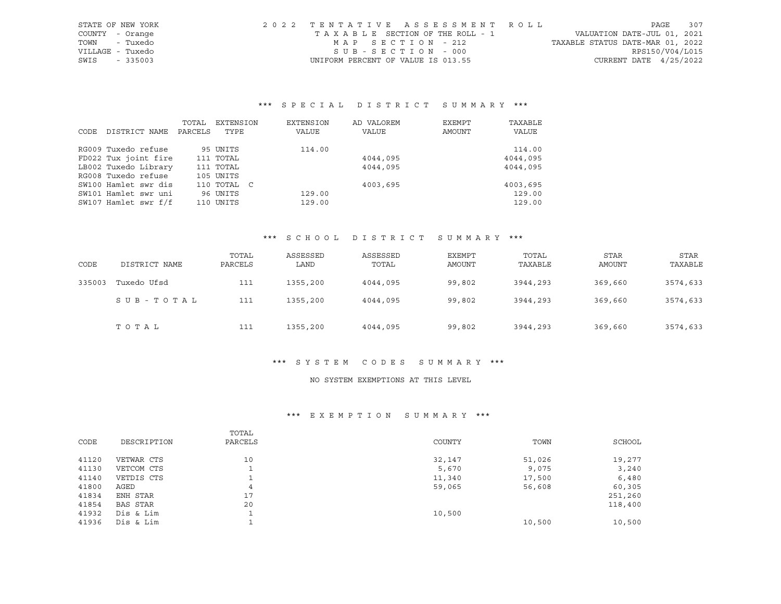| STATE OF NEW YORK |           | 2022 TENTATIVE ASSESSMENT ROLL     |  |                                  | PAGE            | 307 |
|-------------------|-----------|------------------------------------|--|----------------------------------|-----------------|-----|
| COUNTY - Orange   |           | TAXABLE SECTION OF THE ROLL - 1    |  | VALUATION DATE-JUL 01, 2021      |                 |     |
| TOWN              | - Tuxedo  | MAP SECTION - 212                  |  | TAXABLE STATUS DATE-MAR 01, 2022 |                 |     |
| VILLAGE - Tuxedo  |           | SUB-SECTION - 000                  |  |                                  | RPS150/V04/L015 |     |
| SWIS              | $-335003$ | UNIFORM PERCENT OF VALUE IS 013.55 |  | CURRENT DATE $4/25/2022$         |                 |     |

# \*\*\* S P E C I A L D I S T R I C T S U M M A R Y \*\*\*

|      |                      | TOTAL   | EXTENSION   | EXTENSION | AD VALOREM | EXEMPT | TAXABLE  |
|------|----------------------|---------|-------------|-----------|------------|--------|----------|
| CODE | DISTRICT NAME        | PARCELS | TYPE        | VALUE     | VALUE      | AMOUNT | VALUE    |
|      | RG009 Tuxedo refuse  |         | 95 UNITS    | 114.00    |            |        | 114.00   |
|      | FD022 Tux joint fire |         | 111 TOTAL   |           | 4044,095   |        | 4044,095 |
|      | LB002 Tuxedo Library |         | 111 TOTAL   |           | 4044,095   |        | 4044,095 |
|      | RG008 Tuxedo refuse  |         | 105 UNITS   |           |            |        |          |
|      | SW100 Hamlet swr dis |         | 110 TOTAL C |           | 4003,695   |        | 4003,695 |
|      | SW101 Hamlet swr uni |         | 96 UNITS    | 129.00    |            |        | 129.00   |
|      | SW107 Hamlet swr f/f |         | 110 UNITS   | 129.00    |            |        | 129.00   |

#### \*\*\* S C H O O L D I S T R I C T S U M M A R Y \*\*\*

| CODE   | DISTRICT NAME | TOTAL<br>PARCELS | ASSESSED<br>LAND | ASSESSED<br>TOTAL | <b>EXEMPT</b><br>AMOUNT | TOTAL<br>TAXABLE | <b>STAR</b><br>AMOUNT | STAR<br>TAXABLE |
|--------|---------------|------------------|------------------|-------------------|-------------------------|------------------|-----------------------|-----------------|
| 335003 | Tuxedo Ufsd   | 111              | 1355,200         | 4044,095          | 99,802                  | 3944,293         | 369,660               | 3574,633        |
|        | SUB-TOTAL     | 111              | 1355,200         | 4044,095          | 99,802                  | 3944,293         | 369,660               | 3574,633        |
|        | TOTAL         | 111              | 1355,200         | 4044,095          | 99,802                  | 3944,293         | 369,660               | 3574,633        |

## \*\*\* S Y S T E M C O D E S S U M M A R Y \*\*\*

#### NO SYSTEM EXEMPTIONS AT THIS LEVEL

#### \*\*\* E X E M P T I O N S U M M A R Y \*\*\*

| CODE  | DESCRIPTION | TOTAL<br>PARCELS | COUNTY | TOWN   | SCHOOL  |
|-------|-------------|------------------|--------|--------|---------|
| 41120 | VETWAR CTS  | 10               | 32,147 | 51,026 | 19,277  |
| 41130 | VETCOM CTS  |                  | 5,670  | 9,075  | 3,240   |
| 41140 | VETDIS CTS  |                  | 11,340 | 17,500 | 6,480   |
| 41800 | AGED        | 4                | 59,065 | 56,608 | 60,305  |
| 41834 | ENH STAR    | 17               |        |        | 251,260 |
| 41854 | BAS STAR    | 20               |        |        | 118,400 |
| 41932 | Dis & Lim   |                  | 10,500 |        |         |
| 41936 | Dis & Lim   |                  |        | 10,500 | 10,500  |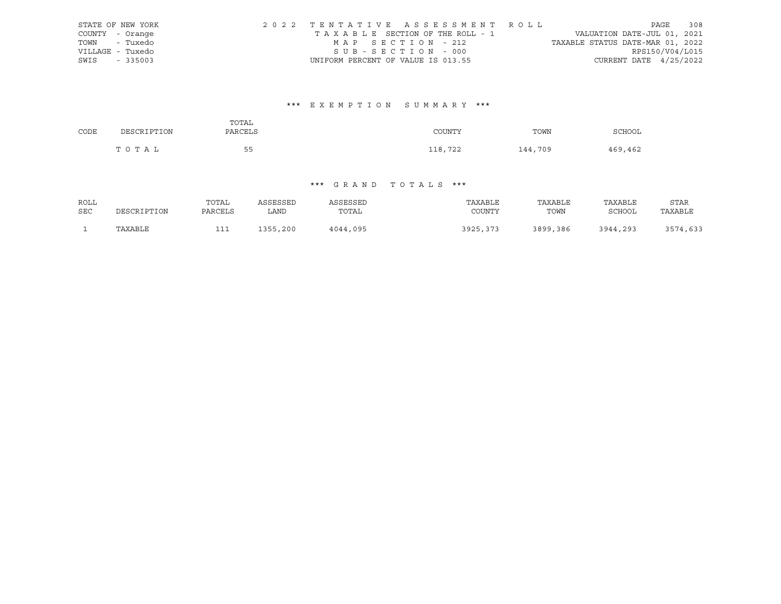| STATE OF NEW YORK |                                    | 2022 TENTATIVE ASSESSMENT ROLL        |                                  |                          | PAGE | 308 |
|-------------------|------------------------------------|---------------------------------------|----------------------------------|--------------------------|------|-----|
| COUNTY - Orange   |                                    | T A X A B L E SECTION OF THE ROLL - 1 | VALUATION DATE-JUL 01, 2021      |                          |      |     |
| TOWN - Tuxedo     | MAP SECTION - 212                  |                                       | TAXABLE STATUS DATE-MAR 01, 2022 |                          |      |     |
| VILLAGE - Tuxedo  | SUB-SECTION - 000                  |                                       |                                  | RPS150/V04/L015          |      |     |
| SWIS - 335003     | UNIFORM PERCENT OF VALUE IS 013.55 |                                       |                                  | CURRENT DATE $4/25/2022$ |      |     |

## \*\*\* E X E M P T I O N S U M M A R Y \*\*\*

| CODE | DESCRIPTION | TOTAL<br>PARCELS | COUNTY  | TOWN    | <b>SCHOOL</b> |
|------|-------------|------------------|---------|---------|---------------|
|      | TOTAL       | 55<br>$\sim$     | 118,722 | 144,709 | 469,462       |

### \*\*\* G R A N D T O T A L S \*\*\*

| ROLL |             | TOTAL   | ASSESSED | ASSESSED | TAXABLE  | TAXABLE  | TAXABLE  | <b>STAR</b> |
|------|-------------|---------|----------|----------|----------|----------|----------|-------------|
| SEC  | DESCRIPTION | PARCELS | LAND     | TOTAL    | COUNTY   | TOWN     | SCHOOL   | TAXABLE     |
|      |             |         |          |          |          |          |          |             |
|      | TAXABLE     | ᆂᆂ      | 1355,200 | 4044,095 | 3925,373 | 3899,386 | 3944,293 | 3574,633    |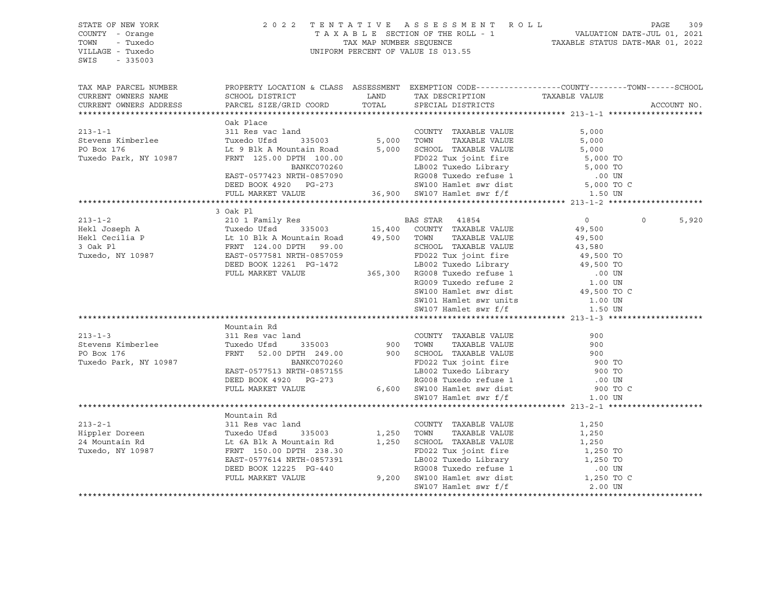| STATE OF NEW YORK<br>COUNTY - Orange<br>TOWN - Tuxedo<br>VILLAGE - Tuxedo                                                                                                                                                                                                                                                                                                                                                       |           | 2 0 2 2 TENTATIVE ASSESSMENT ROLL PAGE 309<br>TAXABLE SECTION OF THE ROLL - 1 VALUATION DATE-JUL 01, 2021<br>TAX MAP NUMBER SEQUENCE TAXABLE STATUS DATE-MAR 01, 2022<br>UNIFORM PERCENT OF VALUE IS 013.55 |         |                   |
|---------------------------------------------------------------------------------------------------------------------------------------------------------------------------------------------------------------------------------------------------------------------------------------------------------------------------------------------------------------------------------------------------------------------------------|-----------|-------------------------------------------------------------------------------------------------------------------------------------------------------------------------------------------------------------|---------|-------------------|
| SWIS<br>$-335003$                                                                                                                                                                                                                                                                                                                                                                                                               |           |                                                                                                                                                                                                             |         |                   |
|                                                                                                                                                                                                                                                                                                                                                                                                                                 |           |                                                                                                                                                                                                             |         |                   |
| TAX MAP PARCEL NUMBER THE PROPERTY LOCATION & CLASS ASSESSMENT EXEMPTION CODE---------------COUNTY--------TOWN------SCHOOL<br>CURRENT OWNERS NAME                                                                                                                                                                                                                                                                               |           |                                                                                                                                                                                                             |         |                   |
| CURRENT OWNERS ADDRESS                                                                                                                                                                                                                                                                                                                                                                                                          |           |                                                                                                                                                                                                             |         | ACCOUNT NO.       |
|                                                                                                                                                                                                                                                                                                                                                                                                                                 |           |                                                                                                                                                                                                             |         |                   |
| 213-1-1<br>Stevens Kimberlee 311 Res vac land<br>Stevens Kimberlee Tuxedo Ufsd 335003<br>ELEN A Mountain Road 5,000 TOWN TAXABLE VALUE 5,000<br>TUXedo Park, NY 10987 FRNT 125.00 DPTH 100.00<br>EAST-0577423 NRTH-0857090 EOD 27 Uxedo                                                                                                                                                                                         | Oak Place |                                                                                                                                                                                                             |         |                   |
|                                                                                                                                                                                                                                                                                                                                                                                                                                 |           |                                                                                                                                                                                                             |         |                   |
|                                                                                                                                                                                                                                                                                                                                                                                                                                 |           |                                                                                                                                                                                                             |         |                   |
|                                                                                                                                                                                                                                                                                                                                                                                                                                 |           |                                                                                                                                                                                                             |         |                   |
|                                                                                                                                                                                                                                                                                                                                                                                                                                 |           |                                                                                                                                                                                                             |         |                   |
|                                                                                                                                                                                                                                                                                                                                                                                                                                 |           |                                                                                                                                                                                                             |         |                   |
|                                                                                                                                                                                                                                                                                                                                                                                                                                 |           |                                                                                                                                                                                                             |         |                   |
|                                                                                                                                                                                                                                                                                                                                                                                                                                 |           |                                                                                                                                                                                                             |         |                   |
| $\begin{tabular}{lcccccc} \textbf{213--1-2} & & 3 & \text{Oak P1} & & & \text{DAS STAR} & 41854 \\ & & 210 & 1 & \text{Family Res} & & & \text{DAS STAR} & 41854 \\ \text{Hekl Joseph A} & & 210 & 1 & \text{Smallly Res} & & 15,400 & \text{COUNTY} & \text{TAXABLE VALUE} & & 49,500 \\ \text{Hekl Cecilia P} & & \text{TurC} & & 35003 & 15,400 & \text{COUNTY} & \text{TAXABLE VALUE} & & 49,500 \\ \text{3. Oak P1} & & &$ |           |                                                                                                                                                                                                             |         |                   |
|                                                                                                                                                                                                                                                                                                                                                                                                                                 |           |                                                                                                                                                                                                             |         |                   |
|                                                                                                                                                                                                                                                                                                                                                                                                                                 |           |                                                                                                                                                                                                             |         | $\Omega$<br>5,920 |
|                                                                                                                                                                                                                                                                                                                                                                                                                                 |           |                                                                                                                                                                                                             |         |                   |
|                                                                                                                                                                                                                                                                                                                                                                                                                                 |           |                                                                                                                                                                                                             |         |                   |
|                                                                                                                                                                                                                                                                                                                                                                                                                                 |           |                                                                                                                                                                                                             |         |                   |
|                                                                                                                                                                                                                                                                                                                                                                                                                                 |           |                                                                                                                                                                                                             |         |                   |
|                                                                                                                                                                                                                                                                                                                                                                                                                                 |           |                                                                                                                                                                                                             |         |                   |
|                                                                                                                                                                                                                                                                                                                                                                                                                                 |           |                                                                                                                                                                                                             |         |                   |
|                                                                                                                                                                                                                                                                                                                                                                                                                                 |           |                                                                                                                                                                                                             |         |                   |
|                                                                                                                                                                                                                                                                                                                                                                                                                                 |           |                                                                                                                                                                                                             |         |                   |
|                                                                                                                                                                                                                                                                                                                                                                                                                                 |           |                                                                                                                                                                                                             |         |                   |
|                                                                                                                                                                                                                                                                                                                                                                                                                                 |           |                                                                                                                                                                                                             |         |                   |
|                                                                                                                                                                                                                                                                                                                                                                                                                                 |           |                                                                                                                                                                                                             |         |                   |
|                                                                                                                                                                                                                                                                                                                                                                                                                                 |           |                                                                                                                                                                                                             |         |                   |
|                                                                                                                                                                                                                                                                                                                                                                                                                                 |           |                                                                                                                                                                                                             |         |                   |
|                                                                                                                                                                                                                                                                                                                                                                                                                                 |           |                                                                                                                                                                                                             |         |                   |
|                                                                                                                                                                                                                                                                                                                                                                                                                                 |           |                                                                                                                                                                                                             |         |                   |
|                                                                                                                                                                                                                                                                                                                                                                                                                                 |           |                                                                                                                                                                                                             |         |                   |
|                                                                                                                                                                                                                                                                                                                                                                                                                                 |           |                                                                                                                                                                                                             |         |                   |
|                                                                                                                                                                                                                                                                                                                                                                                                                                 |           |                                                                                                                                                                                                             |         |                   |
|                                                                                                                                                                                                                                                                                                                                                                                                                                 |           |                                                                                                                                                                                                             |         |                   |
|                                                                                                                                                                                                                                                                                                                                                                                                                                 |           |                                                                                                                                                                                                             |         |                   |
|                                                                                                                                                                                                                                                                                                                                                                                                                                 |           |                                                                                                                                                                                                             |         |                   |
|                                                                                                                                                                                                                                                                                                                                                                                                                                 |           |                                                                                                                                                                                                             |         |                   |
|                                                                                                                                                                                                                                                                                                                                                                                                                                 |           |                                                                                                                                                                                                             |         |                   |
|                                                                                                                                                                                                                                                                                                                                                                                                                                 |           |                                                                                                                                                                                                             |         |                   |
|                                                                                                                                                                                                                                                                                                                                                                                                                                 |           |                                                                                                                                                                                                             |         |                   |
|                                                                                                                                                                                                                                                                                                                                                                                                                                 |           |                                                                                                                                                                                                             |         |                   |
|                                                                                                                                                                                                                                                                                                                                                                                                                                 |           |                                                                                                                                                                                                             |         |                   |
|                                                                                                                                                                                                                                                                                                                                                                                                                                 |           |                                                                                                                                                                                                             |         |                   |
|                                                                                                                                                                                                                                                                                                                                                                                                                                 |           |                                                                                                                                                                                                             |         |                   |
| 213-2-1<br>Hippler Doreen<br>24 Mountain Rd<br>24 Mountain Rd<br>Tuxedo, NY 10987<br>250 TOWN TAXABLE VALUE<br>24 Mountain Rd<br>24 Mountain Rd<br>24 Mountain Rd<br>24 Mountain Rd<br>2.50 TOWN TAXABLE VALUE<br>2.50 TOWN TAXABLE VALUE<br>2.50 TOWN                                                                                                                                                                          |           | SW107 Hamlet swr f/f                                                                                                                                                                                        | 2.00 UN |                   |
|                                                                                                                                                                                                                                                                                                                                                                                                                                 |           |                                                                                                                                                                                                             |         |                   |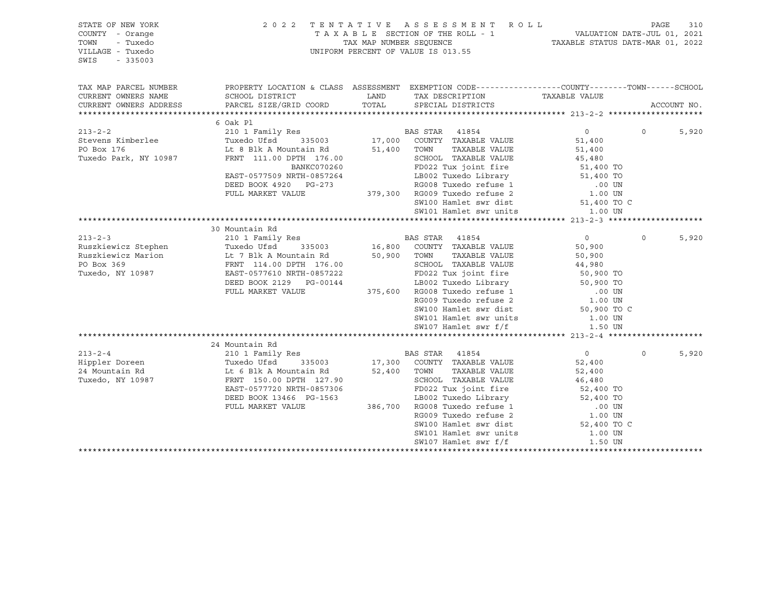| PROPERTY LOCATION & CLASS ASSESSMENT EXEMPTION CODE----------------COUNTY-------TOWN------SCHOOL<br>TAX MAP PARCEL NUMBER<br>CURRENT OWNERS NAME<br>TAX DESCRIPTION TAXABLE VALUE<br>CURRENT OWNERS ADDRESS<br>ACCOUNT NO.<br>6 Oak Pl<br>213-2-2<br>213-2-2<br>213-2-2<br>210 1 Family Res<br>Tuxedo Ufsd<br>215003<br>217,000 COUNTY TAXABLE VALUE<br>216 BOR 2176<br>216 BOR 2176<br>216 BOR 2176<br>216 BOR 2176<br>216 BOR 2176<br>216 BOR 2176<br>$\overline{0}$<br>5,920<br>$\Omega$<br>51,400<br>51,400<br>Tuxedo Park, NY 10987 FRNT 111.00 DPTH 176.00 SCHOOL TAXABLE VALUE 45,480<br>BANKC070260 FD022 Tux joint fire 51,400 TO<br>EAST-0577509 NRTH-0857264<br>DEED BOOK 4920 PG-273<br>FULL MARKET VALUE 379,300 RG009 Tuxedo Library<br>S1,400 TO<br>RG008 Tuxedo Library<br>S1,400 TO<br>SW100 Hamlet swr dist<br>51,400 TO<br>SW101 Hamlet swr units 1.00 UN<br>$\begin{tabular}{lcccccc} \textbf{X} & \textbf{X} & \textbf{X} & \textbf{X} & \textbf{X} & \textbf{X} & \textbf{X} & \textbf{X} & \textbf{X} & \textbf{X} & \textbf{X} & \textbf{X} & \textbf{X} & \textbf{X} & \textbf{X} & \textbf{X} & \textbf{X} & \textbf{X} & \textbf{X} & \textbf{X} & \textbf{X} & \textbf{X} & \textbf{X} & \textbf{X} & \textbf{X} & \textbf{X} & \textbf{X} & \textbf{X} & \textbf{X} & \textbf{X} &$<br>$\Omega$<br>5,920<br>SW101 Hamlet swr units 1.00 UN<br>SW107 Hamlet swr f/f<br>1.50 UN<br>24 Mountain Rd<br>213-2-4<br>213-2-4<br>219-2-4<br>214 Mountain Rd 21500 Eamily Res<br>24 Mountain Rd 24 Mountain Rd 25 Mountain Rd 52,400 TOWN TAXABLE VALUE<br>$\overline{0}$<br>$\Omega$<br>5,920<br>52,400<br>52,400<br>Tuxedo, NY 10987<br>FRNT 150.00 DPTH 127.90<br>EAST-0577720 NRTH-0857306<br>DEED BOOK 13466 PG-1563<br>FULL MARKET VALUE<br>FULL MARKET VALUE<br>FULL MARKET VALUE<br>S86,700 RG008 Tuxedo refuse 1 00 UN<br>RG009 Tuxedo refuse 2 1.00 UN<br>SW100 Hamlet swr dis<br>FRNT 150.00 DPTH 127.90<br>SW101 Hamlet swr units 1.00 UN<br>SW107 Hamlet swr f/f<br>1.50 UN | STATE OF NEW YORK<br>COUNTY - Orange<br>TOWN<br>- Tuxedo<br>VILLAGE - Tuxedo<br>SWIS<br>$-335003$ |  | 2022 TENTATIVE ASSESSMENT ROLL<br>$\begin{tabular}{lllllllllllll} \multicolumn{2}{c l} \multicolumn{2}{c l} \multicolumn{2}{c l} \multicolumn{2}{c l} \multicolumn{2}{c l} \multicolumn{2}{c l} \multicolumn{2}{c l} \multicolumn{2}{c l} \multicolumn{2}{c l} \multicolumn{2}{c l} \multicolumn{2}{c l} \multicolumn{2}{c l} \multicolumn{2}{c l} \multicolumn{2}{c l} \multicolumn{2}{c l} \multicolumn{2}{c l} \multicolumn{2}{c l} \multicolumn{2}{c l} \multicolumn{2}{c$ | PAGE | 310 |
|--------------------------------------------------------------------------------------------------------------------------------------------------------------------------------------------------------------------------------------------------------------------------------------------------------------------------------------------------------------------------------------------------------------------------------------------------------------------------------------------------------------------------------------------------------------------------------------------------------------------------------------------------------------------------------------------------------------------------------------------------------------------------------------------------------------------------------------------------------------------------------------------------------------------------------------------------------------------------------------------------------------------------------------------------------------------------------------------------------------------------------------------------------------------------------------------------------------------------------------------------------------------------------------------------------------------------------------------------------------------------------------------------------------------------------------------------------------------------------------------------------------------------------------------------------------------------------------------------------------------------------------------------------------------------------------------------------------------------------------------------------------------------------------------------------------------------------------------------------------------------------------------------------------------------------------------------------------------------------------------------------------|---------------------------------------------------------------------------------------------------|--|--------------------------------------------------------------------------------------------------------------------------------------------------------------------------------------------------------------------------------------------------------------------------------------------------------------------------------------------------------------------------------------------------------------------------------------------------------------------------------|------|-----|
|                                                                                                                                                                                                                                                                                                                                                                                                                                                                                                                                                                                                                                                                                                                                                                                                                                                                                                                                                                                                                                                                                                                                                                                                                                                                                                                                                                                                                                                                                                                                                                                                                                                                                                                                                                                                                                                                                                                                                                                                              |                                                                                                   |  |                                                                                                                                                                                                                                                                                                                                                                                                                                                                                |      |     |
|                                                                                                                                                                                                                                                                                                                                                                                                                                                                                                                                                                                                                                                                                                                                                                                                                                                                                                                                                                                                                                                                                                                                                                                                                                                                                                                                                                                                                                                                                                                                                                                                                                                                                                                                                                                                                                                                                                                                                                                                              |                                                                                                   |  |                                                                                                                                                                                                                                                                                                                                                                                                                                                                                |      |     |
|                                                                                                                                                                                                                                                                                                                                                                                                                                                                                                                                                                                                                                                                                                                                                                                                                                                                                                                                                                                                                                                                                                                                                                                                                                                                                                                                                                                                                                                                                                                                                                                                                                                                                                                                                                                                                                                                                                                                                                                                              |                                                                                                   |  |                                                                                                                                                                                                                                                                                                                                                                                                                                                                                |      |     |
|                                                                                                                                                                                                                                                                                                                                                                                                                                                                                                                                                                                                                                                                                                                                                                                                                                                                                                                                                                                                                                                                                                                                                                                                                                                                                                                                                                                                                                                                                                                                                                                                                                                                                                                                                                                                                                                                                                                                                                                                              |                                                                                                   |  |                                                                                                                                                                                                                                                                                                                                                                                                                                                                                |      |     |
|                                                                                                                                                                                                                                                                                                                                                                                                                                                                                                                                                                                                                                                                                                                                                                                                                                                                                                                                                                                                                                                                                                                                                                                                                                                                                                                                                                                                                                                                                                                                                                                                                                                                                                                                                                                                                                                                                                                                                                                                              |                                                                                                   |  |                                                                                                                                                                                                                                                                                                                                                                                                                                                                                |      |     |
|                                                                                                                                                                                                                                                                                                                                                                                                                                                                                                                                                                                                                                                                                                                                                                                                                                                                                                                                                                                                                                                                                                                                                                                                                                                                                                                                                                                                                                                                                                                                                                                                                                                                                                                                                                                                                                                                                                                                                                                                              |                                                                                                   |  |                                                                                                                                                                                                                                                                                                                                                                                                                                                                                |      |     |
|                                                                                                                                                                                                                                                                                                                                                                                                                                                                                                                                                                                                                                                                                                                                                                                                                                                                                                                                                                                                                                                                                                                                                                                                                                                                                                                                                                                                                                                                                                                                                                                                                                                                                                                                                                                                                                                                                                                                                                                                              |                                                                                                   |  |                                                                                                                                                                                                                                                                                                                                                                                                                                                                                |      |     |
|                                                                                                                                                                                                                                                                                                                                                                                                                                                                                                                                                                                                                                                                                                                                                                                                                                                                                                                                                                                                                                                                                                                                                                                                                                                                                                                                                                                                                                                                                                                                                                                                                                                                                                                                                                                                                                                                                                                                                                                                              |                                                                                                   |  |                                                                                                                                                                                                                                                                                                                                                                                                                                                                                |      |     |
|                                                                                                                                                                                                                                                                                                                                                                                                                                                                                                                                                                                                                                                                                                                                                                                                                                                                                                                                                                                                                                                                                                                                                                                                                                                                                                                                                                                                                                                                                                                                                                                                                                                                                                                                                                                                                                                                                                                                                                                                              |                                                                                                   |  |                                                                                                                                                                                                                                                                                                                                                                                                                                                                                |      |     |
|                                                                                                                                                                                                                                                                                                                                                                                                                                                                                                                                                                                                                                                                                                                                                                                                                                                                                                                                                                                                                                                                                                                                                                                                                                                                                                                                                                                                                                                                                                                                                                                                                                                                                                                                                                                                                                                                                                                                                                                                              |                                                                                                   |  |                                                                                                                                                                                                                                                                                                                                                                                                                                                                                |      |     |
|                                                                                                                                                                                                                                                                                                                                                                                                                                                                                                                                                                                                                                                                                                                                                                                                                                                                                                                                                                                                                                                                                                                                                                                                                                                                                                                                                                                                                                                                                                                                                                                                                                                                                                                                                                                                                                                                                                                                                                                                              |                                                                                                   |  |                                                                                                                                                                                                                                                                                                                                                                                                                                                                                |      |     |
|                                                                                                                                                                                                                                                                                                                                                                                                                                                                                                                                                                                                                                                                                                                                                                                                                                                                                                                                                                                                                                                                                                                                                                                                                                                                                                                                                                                                                                                                                                                                                                                                                                                                                                                                                                                                                                                                                                                                                                                                              |                                                                                                   |  |                                                                                                                                                                                                                                                                                                                                                                                                                                                                                |      |     |
|                                                                                                                                                                                                                                                                                                                                                                                                                                                                                                                                                                                                                                                                                                                                                                                                                                                                                                                                                                                                                                                                                                                                                                                                                                                                                                                                                                                                                                                                                                                                                                                                                                                                                                                                                                                                                                                                                                                                                                                                              |                                                                                                   |  |                                                                                                                                                                                                                                                                                                                                                                                                                                                                                |      |     |
|                                                                                                                                                                                                                                                                                                                                                                                                                                                                                                                                                                                                                                                                                                                                                                                                                                                                                                                                                                                                                                                                                                                                                                                                                                                                                                                                                                                                                                                                                                                                                                                                                                                                                                                                                                                                                                                                                                                                                                                                              |                                                                                                   |  |                                                                                                                                                                                                                                                                                                                                                                                                                                                                                |      |     |
|                                                                                                                                                                                                                                                                                                                                                                                                                                                                                                                                                                                                                                                                                                                                                                                                                                                                                                                                                                                                                                                                                                                                                                                                                                                                                                                                                                                                                                                                                                                                                                                                                                                                                                                                                                                                                                                                                                                                                                                                              |                                                                                                   |  |                                                                                                                                                                                                                                                                                                                                                                                                                                                                                |      |     |
|                                                                                                                                                                                                                                                                                                                                                                                                                                                                                                                                                                                                                                                                                                                                                                                                                                                                                                                                                                                                                                                                                                                                                                                                                                                                                                                                                                                                                                                                                                                                                                                                                                                                                                                                                                                                                                                                                                                                                                                                              |                                                                                                   |  |                                                                                                                                                                                                                                                                                                                                                                                                                                                                                |      |     |
|                                                                                                                                                                                                                                                                                                                                                                                                                                                                                                                                                                                                                                                                                                                                                                                                                                                                                                                                                                                                                                                                                                                                                                                                                                                                                                                                                                                                                                                                                                                                                                                                                                                                                                                                                                                                                                                                                                                                                                                                              |                                                                                                   |  |                                                                                                                                                                                                                                                                                                                                                                                                                                                                                |      |     |
|                                                                                                                                                                                                                                                                                                                                                                                                                                                                                                                                                                                                                                                                                                                                                                                                                                                                                                                                                                                                                                                                                                                                                                                                                                                                                                                                                                                                                                                                                                                                                                                                                                                                                                                                                                                                                                                                                                                                                                                                              |                                                                                                   |  |                                                                                                                                                                                                                                                                                                                                                                                                                                                                                |      |     |
|                                                                                                                                                                                                                                                                                                                                                                                                                                                                                                                                                                                                                                                                                                                                                                                                                                                                                                                                                                                                                                                                                                                                                                                                                                                                                                                                                                                                                                                                                                                                                                                                                                                                                                                                                                                                                                                                                                                                                                                                              |                                                                                                   |  |                                                                                                                                                                                                                                                                                                                                                                                                                                                                                |      |     |
|                                                                                                                                                                                                                                                                                                                                                                                                                                                                                                                                                                                                                                                                                                                                                                                                                                                                                                                                                                                                                                                                                                                                                                                                                                                                                                                                                                                                                                                                                                                                                                                                                                                                                                                                                                                                                                                                                                                                                                                                              |                                                                                                   |  |                                                                                                                                                                                                                                                                                                                                                                                                                                                                                |      |     |
|                                                                                                                                                                                                                                                                                                                                                                                                                                                                                                                                                                                                                                                                                                                                                                                                                                                                                                                                                                                                                                                                                                                                                                                                                                                                                                                                                                                                                                                                                                                                                                                                                                                                                                                                                                                                                                                                                                                                                                                                              |                                                                                                   |  |                                                                                                                                                                                                                                                                                                                                                                                                                                                                                |      |     |
|                                                                                                                                                                                                                                                                                                                                                                                                                                                                                                                                                                                                                                                                                                                                                                                                                                                                                                                                                                                                                                                                                                                                                                                                                                                                                                                                                                                                                                                                                                                                                                                                                                                                                                                                                                                                                                                                                                                                                                                                              |                                                                                                   |  |                                                                                                                                                                                                                                                                                                                                                                                                                                                                                |      |     |
|                                                                                                                                                                                                                                                                                                                                                                                                                                                                                                                                                                                                                                                                                                                                                                                                                                                                                                                                                                                                                                                                                                                                                                                                                                                                                                                                                                                                                                                                                                                                                                                                                                                                                                                                                                                                                                                                                                                                                                                                              |                                                                                                   |  |                                                                                                                                                                                                                                                                                                                                                                                                                                                                                |      |     |
|                                                                                                                                                                                                                                                                                                                                                                                                                                                                                                                                                                                                                                                                                                                                                                                                                                                                                                                                                                                                                                                                                                                                                                                                                                                                                                                                                                                                                                                                                                                                                                                                                                                                                                                                                                                                                                                                                                                                                                                                              |                                                                                                   |  |                                                                                                                                                                                                                                                                                                                                                                                                                                                                                |      |     |
|                                                                                                                                                                                                                                                                                                                                                                                                                                                                                                                                                                                                                                                                                                                                                                                                                                                                                                                                                                                                                                                                                                                                                                                                                                                                                                                                                                                                                                                                                                                                                                                                                                                                                                                                                                                                                                                                                                                                                                                                              |                                                                                                   |  |                                                                                                                                                                                                                                                                                                                                                                                                                                                                                |      |     |
|                                                                                                                                                                                                                                                                                                                                                                                                                                                                                                                                                                                                                                                                                                                                                                                                                                                                                                                                                                                                                                                                                                                                                                                                                                                                                                                                                                                                                                                                                                                                                                                                                                                                                                                                                                                                                                                                                                                                                                                                              |                                                                                                   |  |                                                                                                                                                                                                                                                                                                                                                                                                                                                                                |      |     |
|                                                                                                                                                                                                                                                                                                                                                                                                                                                                                                                                                                                                                                                                                                                                                                                                                                                                                                                                                                                                                                                                                                                                                                                                                                                                                                                                                                                                                                                                                                                                                                                                                                                                                                                                                                                                                                                                                                                                                                                                              |                                                                                                   |  |                                                                                                                                                                                                                                                                                                                                                                                                                                                                                |      |     |
|                                                                                                                                                                                                                                                                                                                                                                                                                                                                                                                                                                                                                                                                                                                                                                                                                                                                                                                                                                                                                                                                                                                                                                                                                                                                                                                                                                                                                                                                                                                                                                                                                                                                                                                                                                                                                                                                                                                                                                                                              |                                                                                                   |  |                                                                                                                                                                                                                                                                                                                                                                                                                                                                                |      |     |
|                                                                                                                                                                                                                                                                                                                                                                                                                                                                                                                                                                                                                                                                                                                                                                                                                                                                                                                                                                                                                                                                                                                                                                                                                                                                                                                                                                                                                                                                                                                                                                                                                                                                                                                                                                                                                                                                                                                                                                                                              |                                                                                                   |  |                                                                                                                                                                                                                                                                                                                                                                                                                                                                                |      |     |
|                                                                                                                                                                                                                                                                                                                                                                                                                                                                                                                                                                                                                                                                                                                                                                                                                                                                                                                                                                                                                                                                                                                                                                                                                                                                                                                                                                                                                                                                                                                                                                                                                                                                                                                                                                                                                                                                                                                                                                                                              |                                                                                                   |  |                                                                                                                                                                                                                                                                                                                                                                                                                                                                                |      |     |
|                                                                                                                                                                                                                                                                                                                                                                                                                                                                                                                                                                                                                                                                                                                                                                                                                                                                                                                                                                                                                                                                                                                                                                                                                                                                                                                                                                                                                                                                                                                                                                                                                                                                                                                                                                                                                                                                                                                                                                                                              |                                                                                                   |  |                                                                                                                                                                                                                                                                                                                                                                                                                                                                                |      |     |
|                                                                                                                                                                                                                                                                                                                                                                                                                                                                                                                                                                                                                                                                                                                                                                                                                                                                                                                                                                                                                                                                                                                                                                                                                                                                                                                                                                                                                                                                                                                                                                                                                                                                                                                                                                                                                                                                                                                                                                                                              |                                                                                                   |  |                                                                                                                                                                                                                                                                                                                                                                                                                                                                                |      |     |
|                                                                                                                                                                                                                                                                                                                                                                                                                                                                                                                                                                                                                                                                                                                                                                                                                                                                                                                                                                                                                                                                                                                                                                                                                                                                                                                                                                                                                                                                                                                                                                                                                                                                                                                                                                                                                                                                                                                                                                                                              |                                                                                                   |  |                                                                                                                                                                                                                                                                                                                                                                                                                                                                                |      |     |
|                                                                                                                                                                                                                                                                                                                                                                                                                                                                                                                                                                                                                                                                                                                                                                                                                                                                                                                                                                                                                                                                                                                                                                                                                                                                                                                                                                                                                                                                                                                                                                                                                                                                                                                                                                                                                                                                                                                                                                                                              |                                                                                                   |  |                                                                                                                                                                                                                                                                                                                                                                                                                                                                                |      |     |
|                                                                                                                                                                                                                                                                                                                                                                                                                                                                                                                                                                                                                                                                                                                                                                                                                                                                                                                                                                                                                                                                                                                                                                                                                                                                                                                                                                                                                                                                                                                                                                                                                                                                                                                                                                                                                                                                                                                                                                                                              |                                                                                                   |  |                                                                                                                                                                                                                                                                                                                                                                                                                                                                                |      |     |
|                                                                                                                                                                                                                                                                                                                                                                                                                                                                                                                                                                                                                                                                                                                                                                                                                                                                                                                                                                                                                                                                                                                                                                                                                                                                                                                                                                                                                                                                                                                                                                                                                                                                                                                                                                                                                                                                                                                                                                                                              |                                                                                                   |  |                                                                                                                                                                                                                                                                                                                                                                                                                                                                                |      |     |
|                                                                                                                                                                                                                                                                                                                                                                                                                                                                                                                                                                                                                                                                                                                                                                                                                                                                                                                                                                                                                                                                                                                                                                                                                                                                                                                                                                                                                                                                                                                                                                                                                                                                                                                                                                                                                                                                                                                                                                                                              |                                                                                                   |  |                                                                                                                                                                                                                                                                                                                                                                                                                                                                                |      |     |
|                                                                                                                                                                                                                                                                                                                                                                                                                                                                                                                                                                                                                                                                                                                                                                                                                                                                                                                                                                                                                                                                                                                                                                                                                                                                                                                                                                                                                                                                                                                                                                                                                                                                                                                                                                                                                                                                                                                                                                                                              |                                                                                                   |  |                                                                                                                                                                                                                                                                                                                                                                                                                                                                                |      |     |
|                                                                                                                                                                                                                                                                                                                                                                                                                                                                                                                                                                                                                                                                                                                                                                                                                                                                                                                                                                                                                                                                                                                                                                                                                                                                                                                                                                                                                                                                                                                                                                                                                                                                                                                                                                                                                                                                                                                                                                                                              |                                                                                                   |  |                                                                                                                                                                                                                                                                                                                                                                                                                                                                                |      |     |
|                                                                                                                                                                                                                                                                                                                                                                                                                                                                                                                                                                                                                                                                                                                                                                                                                                                                                                                                                                                                                                                                                                                                                                                                                                                                                                                                                                                                                                                                                                                                                                                                                                                                                                                                                                                                                                                                                                                                                                                                              |                                                                                                   |  |                                                                                                                                                                                                                                                                                                                                                                                                                                                                                |      |     |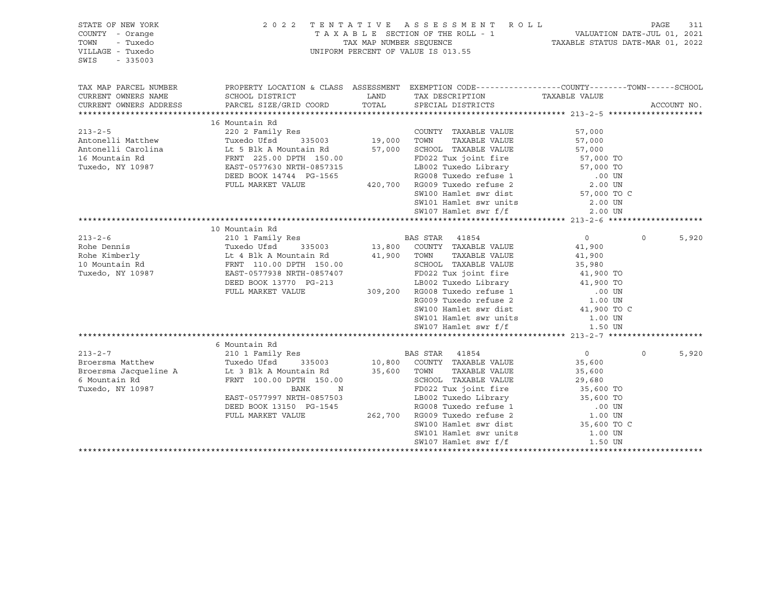| STATE OF NEW YORK<br>COUNTY - Orange<br>TOWN<br>- Tuxedo<br>VILLAGE - Tuxedo<br>SWIS<br>$-335003$                                                                                                                                                          |                                                                                                                                                                                                      |             | 2022 TENTATIVE ASSESSMENT ROLL<br>TAXABLE SECTION OF THE ROLL - 1<br>TAXABLE STATUS DATE-JUL 01, 2021<br>TAXABLE STATUS DATE-MAR 01, 2022<br>UNIFORM PERCENT OF VALUE IS 013.55                                             |                                  | PAGE     | 311         |
|------------------------------------------------------------------------------------------------------------------------------------------------------------------------------------------------------------------------------------------------------------|------------------------------------------------------------------------------------------------------------------------------------------------------------------------------------------------------|-------------|-----------------------------------------------------------------------------------------------------------------------------------------------------------------------------------------------------------------------------|----------------------------------|----------|-------------|
| TAX MAP PARCEL NUMBER                                                                                                                                                                                                                                      | PROPERTY LOCATION & CLASS ASSESSMENT EXEMPTION CODE---------------COUNTY-------TOWN------SCHOOL                                                                                                      |             |                                                                                                                                                                                                                             |                                  |          |             |
| CURRENT OWNERS NAME<br>CURRENT OWNERS ADDRESS                                                                                                                                                                                                              | SCHOOL DISTRICT<br>PARCEL SIZE/GRID COORD                                                                                                                                                            |             | LAND TAX DESCRIPTION TAXABLE VALUE<br>TOTAL SPECIAL DISTRICTS                                                                                                                                                               |                                  |          | ACCOUNT NO. |
|                                                                                                                                                                                                                                                            |                                                                                                                                                                                                      |             |                                                                                                                                                                                                                             |                                  |          |             |
|                                                                                                                                                                                                                                                            | 16 Mountain Rd                                                                                                                                                                                       |             |                                                                                                                                                                                                                             |                                  |          |             |
| $213 - 2 - 5$                                                                                                                                                                                                                                              | 220 2 Family Res                                                                                                                                                                                     |             | COUNTY TAXABLE VALUE                                                                                                                                                                                                        | 57,000                           |          |             |
| Antonelli Matthew                                                                                                                                                                                                                                          | Tuxedo Ufsd 335003 19,000 TOWN TAXABLE VALUE<br>Lt 5 Blk A Mountain Rd 57,000 SCHOOL TAXABLE VALUE<br>FRNT 225.00 DPTH 150.00 FD022 Tux joint fire<br>EAST-0577630 NRTH-0857315 LB002 Tuxedo Library |             |                                                                                                                                                                                                                             | 57,000                           |          |             |
| Antonelli Carolina                                                                                                                                                                                                                                         |                                                                                                                                                                                                      |             | SCHOOL TAXABLE VALUE                                                                                                                                                                                                        | 57,000                           |          |             |
| 16 Mountain Rd                                                                                                                                                                                                                                             |                                                                                                                                                                                                      |             | 157315<br>1565 LB002 Tuxedo Library<br>1565 RG008 Tuxedo refuse 1<br>1565 RG008 Tuxedo refuse 2<br>1565 2.00 UN<br>2.00 UN<br>2.00 UN<br>2.00 UN<br>2.00 UN                                                                 |                                  |          |             |
| Tuxedo, NY 10987                                                                                                                                                                                                                                           |                                                                                                                                                                                                      |             |                                                                                                                                                                                                                             |                                  |          |             |
|                                                                                                                                                                                                                                                            | DEED BOOK 14744 PG-1565                                                                                                                                                                              |             |                                                                                                                                                                                                                             |                                  |          |             |
|                                                                                                                                                                                                                                                            | FULL MARKET VALUE                                                                                                                                                                                    |             |                                                                                                                                                                                                                             |                                  |          |             |
|                                                                                                                                                                                                                                                            |                                                                                                                                                                                                      |             | SW100 Hamlet swr dist                                                                                                                                                                                                       | 57,000 TO C                      |          |             |
|                                                                                                                                                                                                                                                            |                                                                                                                                                                                                      |             | SW101 Hamlet swr units                                                                                                                                                                                                      | 2.00 UN                          |          |             |
|                                                                                                                                                                                                                                                            |                                                                                                                                                                                                      |             | SW107 Hamlet swr f/f                                                                                                                                                                                                        | 2.00 UN                          |          |             |
|                                                                                                                                                                                                                                                            |                                                                                                                                                                                                      |             |                                                                                                                                                                                                                             |                                  |          |             |
|                                                                                                                                                                                                                                                            | 10 Mountain Rd                                                                                                                                                                                       |             |                                                                                                                                                                                                                             |                                  |          |             |
| 213-2-6<br>Rohe Dennis<br>Rohe Kimberly<br>10 Mountain Rd<br>10 Mountain Rd<br>10 Mountain Rd<br>10 Mountain Rd<br>10 Mountain Rd<br>10 Mountain Rd<br>10 Mountain Rd<br>10 Mountain Rd<br>10 Mountain Rd<br>10 Mountain Rd<br>10 Mountain Rd<br>10 Mounta | 210 1 Family Res<br>Tuxedo Ufsd 335003 13,800 COUNTY TAXABLE VALUE<br>Lt 4 Blk A Mountain Pd (1000 Terre                                                                                             |             |                                                                                                                                                                                                                             | $\overline{0}$                   | $\circ$  | 5,920       |
|                                                                                                                                                                                                                                                            |                                                                                                                                                                                                      |             |                                                                                                                                                                                                                             | 41,900                           |          |             |
|                                                                                                                                                                                                                                                            |                                                                                                                                                                                                      | 41,900 TOWN | TAXABLE VALUE                                                                                                                                                                                                               | 41,900                           |          |             |
|                                                                                                                                                                                                                                                            |                                                                                                                                                                                                      |             | SCHOOL TAXABLE VALUE                                                                                                                                                                                                        |                                  |          |             |
|                                                                                                                                                                                                                                                            | EAST-0577938 NRTH-0857407<br>DEED BOOK 13770 PG-213 LB002 Tuxedo Library 41,900 TO<br>FULL MARKET VALUE 309,200 RG008 Tuxedo refuse 1 .00 UN<br>RG009 Tuxedo refuse 2 1.00 UN                        |             | FD022 Tux joint fire                                                                                                                                                                                                        | 35,98v<br>41,900 TO<br>11,900 TO |          |             |
|                                                                                                                                                                                                                                                            |                                                                                                                                                                                                      |             |                                                                                                                                                                                                                             |                                  |          |             |
|                                                                                                                                                                                                                                                            |                                                                                                                                                                                                      |             |                                                                                                                                                                                                                             |                                  |          |             |
|                                                                                                                                                                                                                                                            |                                                                                                                                                                                                      |             |                                                                                                                                                                                                                             |                                  |          |             |
|                                                                                                                                                                                                                                                            |                                                                                                                                                                                                      |             | SW100 Hamlet swr dist                                                                                                                                                                                                       | 41,900 TO C                      |          |             |
|                                                                                                                                                                                                                                                            |                                                                                                                                                                                                      |             | SW101 Hamlet swr units 1.00 UN                                                                                                                                                                                              |                                  |          |             |
|                                                                                                                                                                                                                                                            |                                                                                                                                                                                                      |             | SW107 Hamlet swr f/f                                                                                                                                                                                                        | 1.50 UN                          |          |             |
|                                                                                                                                                                                                                                                            |                                                                                                                                                                                                      |             |                                                                                                                                                                                                                             |                                  |          |             |
|                                                                                                                                                                                                                                                            | 6 Mountain Rd                                                                                                                                                                                        |             |                                                                                                                                                                                                                             |                                  |          |             |
| 213-2-7 210 1 Family Res BAS STAR 41854<br>Broersma Matthew Tuxedo Ufsd 335003 10,800 COUNTY TAXABLE VALUE<br>Broersma Jacqueline A Lt 3 Blk A Mountain Rd 35,600 TOWN TAXABLE VALUE                                                                       |                                                                                                                                                                                                      |             |                                                                                                                                                                                                                             | $\overline{0}$                   | $\Omega$ | 5,920       |
|                                                                                                                                                                                                                                                            |                                                                                                                                                                                                      |             |                                                                                                                                                                                                                             | 35,600                           |          |             |
|                                                                                                                                                                                                                                                            |                                                                                                                                                                                                      |             |                                                                                                                                                                                                                             | 35,600                           |          |             |
| 6 Mountain Rd<br>Thursday, W. 19997                                                                                                                                                                                                                        | FRNT 100.00 DPTH 150.00<br>BANK                                                                                                                                                                      |             |                                                                                                                                                                                                                             |                                  |          |             |
| Tuxedo, NY 10987                                                                                                                                                                                                                                           | N<br>EAST-0577997 NRTH-0857503                                                                                                                                                                       |             |                                                                                                                                                                                                                             |                                  |          |             |
|                                                                                                                                                                                                                                                            | DEED BOOK 13150 PG-1545                                                                                                                                                                              |             |                                                                                                                                                                                                                             |                                  |          |             |
|                                                                                                                                                                                                                                                            | FULL MARKET VALUE                                                                                                                                                                                    |             |                                                                                                                                                                                                                             |                                  |          |             |
|                                                                                                                                                                                                                                                            |                                                                                                                                                                                                      |             | SCHOOL TAXABLE VALUE<br>SCHOOL TAXABLE VALUE<br>FD022 Tux joint fire 35,600 TO<br>LB002 Tuxedo Library 35,600 TO<br>RG008 Tuxedo refuse 1 00 UN<br>262,700 RG009 Tuxedo refuse 2 1.00 UN<br>SW100 Hamlet swr dist 35,600 TO |                                  |          |             |
|                                                                                                                                                                                                                                                            |                                                                                                                                                                                                      |             | SW101 Hamlet swr units                                                                                                                                                                                                      | 1.00 UN                          |          |             |
|                                                                                                                                                                                                                                                            |                                                                                                                                                                                                      |             | SW107 Hamlet swr f/f                                                                                                                                                                                                        | 1.50 UN                          |          |             |
|                                                                                                                                                                                                                                                            |                                                                                                                                                                                                      |             |                                                                                                                                                                                                                             |                                  |          |             |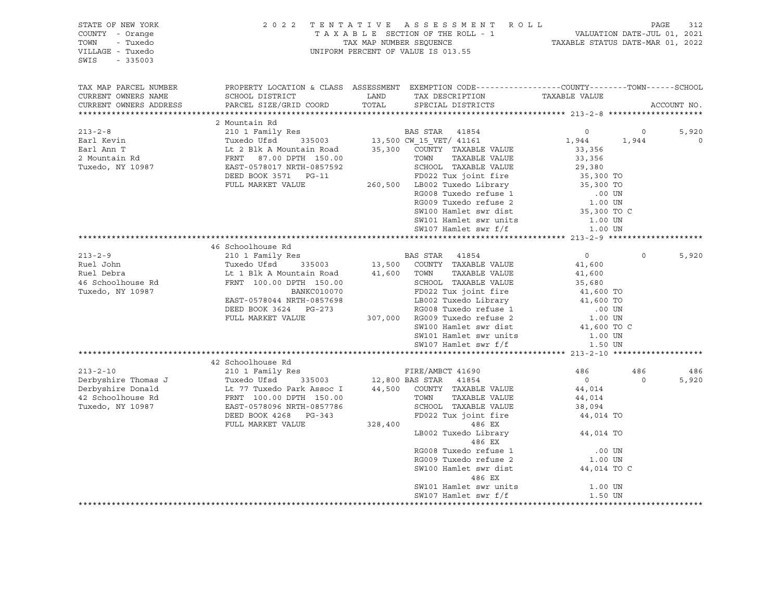| STATE OF NEW YORK<br>COUNTY - Orange<br>- Tuxedo<br>TOWN<br>VILLAGE - Tuxedo<br>SWIS<br>$-335003$   | 2 0 2 2                                                                                                                                                                                                         | TAX MAP NUMBER SEOUENCE | TENTATIVE ASSESSMENT ROLL<br>T A X A B L E SECTION OF THE ROLL - 1<br>UNIFORM PERCENT OF VALUE IS 013.55                                                                                                                                                                        | TAXABLE STATUS DATE-MAR 01, 2022                                                                                          |                  | PAGE<br>312<br>VALUATION DATE-JUL 01, 2021 |
|-----------------------------------------------------------------------------------------------------|-----------------------------------------------------------------------------------------------------------------------------------------------------------------------------------------------------------------|-------------------------|---------------------------------------------------------------------------------------------------------------------------------------------------------------------------------------------------------------------------------------------------------------------------------|---------------------------------------------------------------------------------------------------------------------------|------------------|--------------------------------------------|
| TAX MAP PARCEL NUMBER<br>CURRENT OWNERS NAME<br>CURRENT OWNERS ADDRESS                              | PROPERTY LOCATION & CLASS ASSESSMENT EXEMPTION CODE----------------COUNTY-------TOWN-----SCHOOL<br>SCHOOL DISTRICT<br>PARCEL SIZE/GRID COORD                                                                    | LAND<br>TOTAL           | TAX DESCRIPTION<br>SPECIAL DISTRICTS                                                                                                                                                                                                                                            | TAXABLE VALUE                                                                                                             |                  | ACCOUNT NO.                                |
|                                                                                                     |                                                                                                                                                                                                                 |                         |                                                                                                                                                                                                                                                                                 |                                                                                                                           |                  |                                            |
| $213 - 2 - 8$<br>Earl Kevin<br>Earl Ann T<br>2 Mountain Rd<br>Tuxedo, NY 10987                      | 2 Mountain Rd<br>210 1 Family Res<br>Tuxedo Ufsd<br>335003<br>Lt 2 Blk A Mountain Road<br>FRNT 87.00 DPTH 150.00<br>EAST-0578017 NRTH-0857592<br>DEED BOOK 3571 PG-11<br>FULL MARKET VALUE                      |                         | BAS STAR 41854<br>13,500 CW 15 VET/ 41161<br>35,300 COUNTY TAXABLE VALUE<br>TAXABLE VALUE<br>TOWN<br>SCHOOL TAXABLE VALUE<br>FD022 Tux joint fire<br>260,500 LB002 Tuxedo Library                                                                                               | $\circ$<br>1,944<br>33,356<br>33,356<br>29,380<br>35,300 TO<br>35,300 TO                                                  | $\circ$<br>1,944 | 5,920<br>$\circ$                           |
|                                                                                                     |                                                                                                                                                                                                                 |                         | RG008 Tuxedo refuse 1<br>RG009 Tuxedo refuse 2<br>SW100 Hamlet swr dist<br>SW101 Hamlet swr units<br>SW107 Hamlet swr f/f                                                                                                                                                       | .00 UN<br>1.00 UN<br>35,300 TO C<br>1.00 UN<br>1.00 UN                                                                    |                  |                                            |
|                                                                                                     |                                                                                                                                                                                                                 |                         |                                                                                                                                                                                                                                                                                 |                                                                                                                           |                  |                                            |
| $213 - 2 - 9$<br>Ruel John<br>Ruel Debra<br>46 Schoolhouse Rd<br>Tuxedo, NY 10987                   | 46 Schoolhouse Rd<br>210 1 Family Res<br>Tuxedo Ufsd<br>335003<br>Lt 1 Blk A Mountain Road<br>FRNT 100.00 DPTH 150.00<br>BANKC010070<br>EAST-0578044 NRTH-0857698<br>DEED BOOK 3624 PG-273<br>FULL MARKET VALUE | 13,500<br>41,600        | BAS STAR<br>41854<br>COUNTY TAXABLE VALUE<br>TAXABLE VALUE<br>TOWN<br>SCHOOL TAXABLE VALUE<br>FD022 Tux joint fire<br>LB002 Tuxedo Library<br>RG008 Tuxedo refuse 1<br>307,000 RG009 Tuxedo refuse 2<br>SW100 Hamlet swr dist<br>SW101 Hamlet swr units<br>SW107 Hamlet swr f/f | $\circ$<br>41,600<br>41,600<br>35,680<br>41,600 TO<br>41,600 TO<br>.00 UN<br>1.00 UN<br>41,600 TO C<br>1.00 UN<br>1.50 UN | $\Omega$         | 5,920                                      |
|                                                                                                     |                                                                                                                                                                                                                 |                         |                                                                                                                                                                                                                                                                                 |                                                                                                                           |                  |                                            |
|                                                                                                     | 42 Schoolhouse Rd                                                                                                                                                                                               |                         |                                                                                                                                                                                                                                                                                 |                                                                                                                           |                  |                                            |
| $213 - 2 - 10$<br>Derbyshire Thomas J<br>Derbyshire Donald<br>42 Schoolhouse Rd<br>Tuxedo, NY 10987 | 210 1 Family Res<br>Tuxedo Ufsd<br>335003<br>Lt 77 Tuxedo Park Assoc I<br>FRNT 100.00 DPTH 150.00<br>EAST-0578096 NRTH-0857786<br>DEED BOOK 4268 PG-343                                                         | 44,500                  | FIRE/AMBCT 41690<br>12,800 BAS STAR<br>41854<br>COUNTY TAXABLE VALUE<br>TAXABLE VALUE<br>TOWN<br>SCHOOL TAXABLE VALUE<br>FD022 Tux joint fire                                                                                                                                   | 486<br>$\overline{0}$<br>44,014<br>44,014<br>38,094<br>44,014 TO                                                          | 486<br>$\circ$   | 486<br>5,920                               |
|                                                                                                     | FULL MARKET VALUE                                                                                                                                                                                               | 328,400                 | 486 EX<br>LB002 Tuxedo Library<br>486 EX<br>RG008 Tuxedo refuse 1<br>RG009 Tuxedo refuse 2<br>SW100 Hamlet swr dist<br>486 EX<br>SW101 Hamlet swr units<br>SW107 Hamlet swr f/f                                                                                                 | 44,014 TO<br>.00 UN<br>1.00 UN<br>44,014 TO C<br>1.00 UN<br>1.50 UN                                                       |                  |                                            |
|                                                                                                     |                                                                                                                                                                                                                 |                         |                                                                                                                                                                                                                                                                                 |                                                                                                                           |                  |                                            |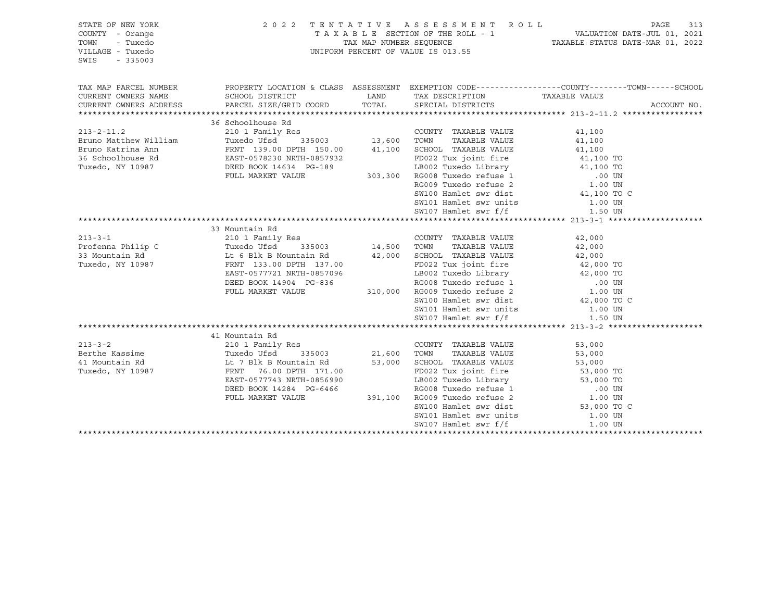| STATE OF NEW YORK<br>COUNTY - Orange<br>TOWN<br>- Tuxedo<br>VILLAGE - Tuxedo<br>SWIS<br>$-335003$ |                                                                                                                                                      |        | 2022 TENTATIVE ASSESSMENT ROLL<br>TENTATIVE ASSESSMENT ROLL<br>TAXABLE SECTION OF THE ROLL - 1 VALUATION DATE-JUL 01, 2021<br>TAXABLE STATUS DATE-MAR 01, 2022<br>UNIFORM PERCENT OF VALUE IS 013.55             |                     |             |
|---------------------------------------------------------------------------------------------------|------------------------------------------------------------------------------------------------------------------------------------------------------|--------|------------------------------------------------------------------------------------------------------------------------------------------------------------------------------------------------------------------|---------------------|-------------|
| TAX MAP PARCEL NUMBER<br>CURRENT OWNERS NAME                                                      | PROPERTY LOCATION & CLASS ASSESSMENT EXEMPTION CODE---------------COUNTY-------TOWN-----SCHOOL<br>SCHOOL DISTRICT                                    |        | LAND TAX DESCRIPTION                                                                                                                                                                                             | TAXABLE VALUE       |             |
| CURRENT OWNERS ADDRESS                                                                            | PARCEL SIZE/GRID COORD                                                                                                                               | TOTAL  | SPECIAL DISTRICTS                                                                                                                                                                                                |                     | ACCOUNT NO. |
|                                                                                                   |                                                                                                                                                      |        |                                                                                                                                                                                                                  |                     |             |
|                                                                                                   | 36 Schoolhouse Rd                                                                                                                                    |        |                                                                                                                                                                                                                  |                     |             |
| $213 - 2 - 11.2$                                                                                  |                                                                                                                                                      |        | COUNTY TAXABLE VALUE                                                                                                                                                                                             | 41,100              |             |
| Bruno Matthew William<br>Bruno Katrina Ann                                                        |                                                                                                                                                      |        | TAXABLE VALUE                                                                                                                                                                                                    | 41,100              |             |
| 36 Schoolhouse Rd                                                                                 | FRNT 139.00 DPTH 150.00 41,100 SCHOOL TAXABLE VALUE<br>EAST-0578230 NRTH-0857932 FD022 Tux joint fire<br>DEED BOOK 14634 PG-189 LB002 Tuxedo Library |        | FD022 Tux joint fire                                                                                                                                                                                             | 41,100<br>41,100 TO |             |
| Tuxedo, NY 10987                                                                                  |                                                                                                                                                      |        |                                                                                                                                                                                                                  |                     |             |
|                                                                                                   | FULL MARKET VALUE                                                                                                                                    |        |                                                                                                                                                                                                                  |                     |             |
|                                                                                                   |                                                                                                                                                      |        |                                                                                                                                                                                                                  |                     |             |
|                                                                                                   |                                                                                                                                                      |        |                                                                                                                                                                                                                  |                     |             |
|                                                                                                   |                                                                                                                                                      |        | FD022 Tux Joint Tire<br>LB002 Tuxedo Library<br>11,100 TO<br>RG008 Tuxedo refuse 1<br>RG009 Tuxedo refuse 2<br>SW100 Hamlet swr dist<br>SW101 Hamlet swr units<br>1.00 UN<br>1.00 TO C<br>1.00 UN<br>21,100 TO C |                     |             |
|                                                                                                   |                                                                                                                                                      |        | SW107 Hamlet swr f/f 1.50 UN                                                                                                                                                                                     |                     |             |
|                                                                                                   |                                                                                                                                                      |        |                                                                                                                                                                                                                  |                     |             |
|                                                                                                   | 33 Mountain Rd                                                                                                                                       |        |                                                                                                                                                                                                                  |                     |             |
| $213 - 3 - 1$<br>Profenna Philip C                                                                | Res COUNT<br>335003 14,500 TOWN<br>210 1 Family Res<br>Tuxedo Ufsd                                                                                   |        | COUNTY TAXABLE VALUE<br>TAXABLE VALUE                                                                                                                                                                            | 42,000<br>42,000    |             |
| 33 Mountain Rd                                                                                    |                                                                                                                                                      |        |                                                                                                                                                                                                                  |                     |             |
| Tuxedo, NY 10987                                                                                  |                                                                                                                                                      |        |                                                                                                                                                                                                                  | 42,000              |             |
|                                                                                                   | EAST-0577721 NRTH-0857096                                                                                                                            |        | FD022 Tux joint fire 42,000 TO<br>LB002 Tuxedo Library 42,000 TO<br>RG008 Tuxedo refuse 1 .00 UN<br>310,000 RG009 Tuxedo refuse 2 .00 UN                                                                         |                     |             |
|                                                                                                   | DEED BOOK 14904 PG-836                                                                                                                               |        |                                                                                                                                                                                                                  |                     |             |
|                                                                                                   | FULL MARKET VALUE                                                                                                                                    |        |                                                                                                                                                                                                                  |                     |             |
|                                                                                                   |                                                                                                                                                      |        | SW100 Hamlet swr dist<br>SW101 Hamlet swr units 1.00 UN                                                                                                                                                          |                     |             |
|                                                                                                   |                                                                                                                                                      |        |                                                                                                                                                                                                                  |                     |             |
|                                                                                                   |                                                                                                                                                      |        | SW107 Hamlet swr f/f                                                                                                                                                                                             | 1.50 UN             |             |
|                                                                                                   |                                                                                                                                                      |        |                                                                                                                                                                                                                  |                     |             |
| $213 - 3 - 2$                                                                                     | 41 Mountain Rd                                                                                                                                       |        |                                                                                                                                                                                                                  |                     |             |
| Berthe Kassime                                                                                    | Res COUNT<br>335003 21,600 TOWN<br>210 1 Family Res<br>Tuxedo Ufsd                                                                                   |        | COUNTY TAXABLE VALUE<br>TAXABLE VALUE                                                                                                                                                                            | 53,000<br>53,000    |             |
| 41 Mountain Rd                                                                                    |                                                                                                                                                      | 53,000 | SCHOOL TAXABLE VALUE                                                                                                                                                                                             |                     |             |
| Tuxedo, NY 10987                                                                                  | Lt 7 Blk B Mountain Rd<br>FRNT   76.00 DPTH  171.<br>FRNT 76.00 DPTH 171.00                                                                          |        | FD022 Tux joint fire                                                                                                                                                                                             | 53,000<br>53,000 TO |             |
|                                                                                                   | EAST-0577743 NRTH-0856990                                                                                                                            |        | 391,100 RG009 Tuxedo refuse 2 1.00 UN 391,100 RG009 Tuxedo refuse 2 1.00 UN                                                                                                                                      |                     |             |
|                                                                                                   | DEED BOOK 14284 PG-6466                                                                                                                              |        |                                                                                                                                                                                                                  |                     |             |
|                                                                                                   | FULL MARKET VALUE                                                                                                                                    |        |                                                                                                                                                                                                                  |                     |             |
|                                                                                                   |                                                                                                                                                      |        | SW100 Hamlet swr dist 53,000 TO<br>SW101 Hamlet swr units 1.00 UN                                                                                                                                                | 53,000 TO C         |             |
|                                                                                                   |                                                                                                                                                      |        |                                                                                                                                                                                                                  |                     |             |
|                                                                                                   |                                                                                                                                                      |        | SW107 Hamlet swr f/f                                                                                                                                                                                             | 1.00 UN             |             |
|                                                                                                   |                                                                                                                                                      |        |                                                                                                                                                                                                                  |                     |             |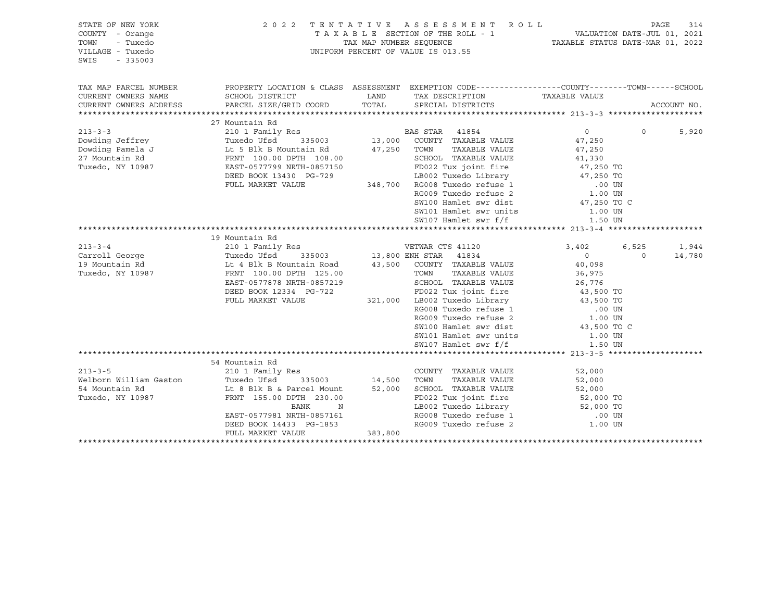| STATE OF NEW YORK<br>COUNTY - Orange<br>TOWN<br>- Tuxedo<br>VILLAGE - Tuxedo<br>SWIS<br>$-335003$                                                                                                    |                                                                                                                                                                                                                                                            |         | 2022 TENTATIVE ASSESSMENT ROLL<br>TAXABLE SECTION OF THE ROLL - 1<br>TAX MAP NUMBER SEQUENCE TAXABLE STATUS DATE-JUL 01, 2021<br>TAXABLE STATUS DATE-MAR 01, 2022<br>UNIFORM PERCENT OF VALUE IS 013.55 |                                    |                   | PAGE<br>314     |
|------------------------------------------------------------------------------------------------------------------------------------------------------------------------------------------------------|------------------------------------------------------------------------------------------------------------------------------------------------------------------------------------------------------------------------------------------------------------|---------|---------------------------------------------------------------------------------------------------------------------------------------------------------------------------------------------------------|------------------------------------|-------------------|-----------------|
| TAX MAP PARCEL NUMBER<br>CURRENT OWNERS NAME<br>CURRENT OWNERS ADDRESS                                                                                                                               | SCHOOL DISTRICT<br>PARCEL SIZE/GRID COORD TOTAL                                                                                                                                                                                                            |         | PROPERTY LOCATION & CLASS ASSESSMENT EXEMPTION CODE----------------COUNTY-------TOWN------SCHOOL<br>LAND TAX DESCRIPTION TAXABLE VALUE<br>SPECIAL DISTRICTS                                             |                                    |                   | ACCOUNT NO.     |
|                                                                                                                                                                                                      |                                                                                                                                                                                                                                                            |         |                                                                                                                                                                                                         |                                    |                   |                 |
| $213 - 3 - 3$<br>Dowding Jeffrey<br>Dowding Pamela J<br>27 Mountain Rd<br>27 Mountain Rd<br>27 Mountain Rd<br>27 Mountain Rd<br>27 Mountain Rd<br>27 Mountain Rd<br>27 Mountain Rd<br>27 Mountain Rd | 27 Mountain Rd<br>210 1 Family Res                                                                                                                                                                                                                         |         | Res<br>335003 13,000 COUNTY TAXABLE VALUE<br>TAXABLE VALUE<br>47,250 TOWN                                                                                                                               | $\overline{0}$<br>47,250<br>47,250 | $\circ$           | 5,920           |
| Tuxedo, NY 10987                                                                                                                                                                                     | EAST-0577799 NRTH-0857150<br>DEED BOOK 13430 PG-729                                                                                                                                                                                                        |         | SCHOOL TAXABLE VALUE<br>FD022 Tux joint fire $47,250$ TO<br>LB002 Tuxedo Library $47,250$ TO                                                                                                            | 41,330                             |                   |                 |
|                                                                                                                                                                                                      | FULL MARKET VALUE                                                                                                                                                                                                                                          |         | 348,700 RG008 Tuxedo refuse 1 00 UN RG009 Tuxedo refuse 2 1.00 UN<br>SW100 Hamlet swr dist<br>SW101 Hamlet swr units<br>SW107 Hamlet swr f/f                                                            | 47,250 TO C<br>1.00 UN<br>1.50 UN  |                   |                 |
|                                                                                                                                                                                                      |                                                                                                                                                                                                                                                            |         |                                                                                                                                                                                                         |                                    |                   |                 |
|                                                                                                                                                                                                      | 19 Mountain Rd                                                                                                                                                                                                                                             |         |                                                                                                                                                                                                         |                                    |                   |                 |
| $213 - 3 - 4$<br>Carroll George                                                                                                                                                                      | 210 1 Family Res<br>210 1 Family Acs<br>Tuxedo Ufsd 335003 13,800 ENH STAR 41034<br>Lt 4 Blk B Mountain Road 43,500 COUNTY TAXABLE VALUE<br>FRNT 100.00 DPTH 125.00 TOWN TAXABLE VALUE<br>TOWN TAXABLE VALUE<br>CHOOL TAXABLE VALUE<br>CHOOL TAXABLE VALUE |         |                                                                                                                                                                                                         | 3,402<br>$\overline{0}$            | 6,525<br>$\Omega$ | 1,944<br>14,780 |
| 19 Mountain Rd                                                                                                                                                                                       |                                                                                                                                                                                                                                                            |         |                                                                                                                                                                                                         |                                    |                   |                 |
| Tuxedo, NY 10987                                                                                                                                                                                     |                                                                                                                                                                                                                                                            |         |                                                                                                                                                                                                         | 40,098<br>36,975                   |                   |                 |
|                                                                                                                                                                                                      |                                                                                                                                                                                                                                                            |         | SCHOOL TAXABLE VALUE<br>SCHOOL TAXABLE VALUE 26,776<br>FD022 Tux ioint fire 43,500 TO                                                                                                                   |                                    |                   |                 |
|                                                                                                                                                                                                      | DEED BOOK 12334 PG-722                                                                                                                                                                                                                                     |         |                                                                                                                                                                                                         |                                    |                   |                 |
|                                                                                                                                                                                                      | FULL MARKET VALUE                                                                                                                                                                                                                                          |         | 321,000 LB002 Tuxedo Library 43,500 TO                                                                                                                                                                  |                                    |                   |                 |
|                                                                                                                                                                                                      |                                                                                                                                                                                                                                                            |         |                                                                                                                                                                                                         |                                    |                   |                 |
|                                                                                                                                                                                                      |                                                                                                                                                                                                                                                            |         |                                                                                                                                                                                                         |                                    |                   |                 |
|                                                                                                                                                                                                      |                                                                                                                                                                                                                                                            |         | SW100 Hamlet swr dist                                                                                                                                                                                   | 43,500 TO C                        |                   |                 |
|                                                                                                                                                                                                      |                                                                                                                                                                                                                                                            |         | SW101 Hamlet swr units 1.00 UN                                                                                                                                                                          |                                    |                   |                 |
|                                                                                                                                                                                                      |                                                                                                                                                                                                                                                            |         | SW107 Hamlet swr f/f                                                                                                                                                                                    | 1.50 UN                            |                   |                 |
|                                                                                                                                                                                                      | 54 Mountain Rd                                                                                                                                                                                                                                             |         |                                                                                                                                                                                                         |                                    |                   |                 |
|                                                                                                                                                                                                      |                                                                                                                                                                                                                                                            |         | COUNTY TAXABLE VALUE                                                                                                                                                                                    | 52,000                             |                   |                 |
|                                                                                                                                                                                                      |                                                                                                                                                                                                                                                            |         | TOWN<br>TAXABLE VALUE                                                                                                                                                                                   | 52,000                             |                   |                 |
| 54 Mountain Rd                                                                                                                                                                                       | Lt 8 Blk B & Parcel Mount                                                                                                                                                                                                                                  |         | 52,000 SCHOOL TAXABLE VALUE                                                                                                                                                                             |                                    |                   |                 |
| Tuxedo, NY 10987                                                                                                                                                                                     | FRNT 155.00 DPTH 230.00                                                                                                                                                                                                                                    |         | SCHOOL TAXABLE VALUE 52,000<br>FD022 Tux joint fire 52,000 TO                                                                                                                                           |                                    |                   |                 |
|                                                                                                                                                                                                      | BANK<br>$\mathbb N$                                                                                                                                                                                                                                        |         | LB002 Tuxedo Library 52,000 TO<br>RG008 Tuxedo refuse 1 00 UN                                                                                                                                           |                                    |                   |                 |
|                                                                                                                                                                                                      | EAST-0577981 NRTH-0857161                                                                                                                                                                                                                                  |         |                                                                                                                                                                                                         |                                    |                   |                 |
|                                                                                                                                                                                                      | DEED BOOK 14433 PG-1853<br>FULL MARKET VALUE                                                                                                                                                                                                               | 383,800 | RG009 Tuxedo refuse 2 1.00 UN                                                                                                                                                                           |                                    |                   |                 |
|                                                                                                                                                                                                      |                                                                                                                                                                                                                                                            |         |                                                                                                                                                                                                         |                                    |                   |                 |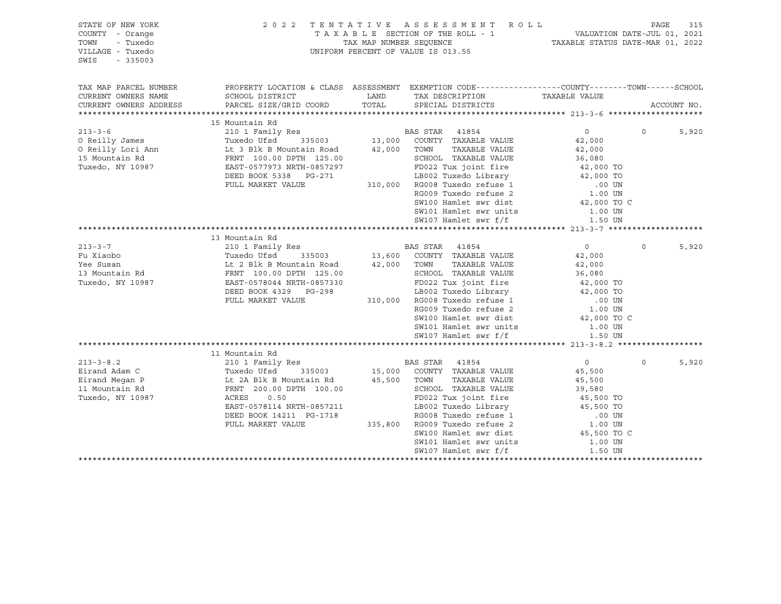| STATE OF NEW YORK<br>COUNTY - Orange<br>- Tuxedo<br>TOWN<br>VILLAGE - Tuxedo<br>SWIS<br>$-335003$ |                                                                                                                                             |               | 2022 TENTATIVE ASSESSMENT ROLL<br>UNIFORM PERCENT OF VALUE IS 013.55 | TAXABLE SECTION OF THE ROLL - 1 VALUATION DATE-JUL 01, 2021<br>TAX MAP NUMBER SEQUENCE TAXABLE STATUS DATE-MAR 01, 2022 | PAGE     | 315         |
|---------------------------------------------------------------------------------------------------|---------------------------------------------------------------------------------------------------------------------------------------------|---------------|----------------------------------------------------------------------|-------------------------------------------------------------------------------------------------------------------------|----------|-------------|
| TAX MAP PARCEL NUMBER<br>CURRENT OWNERS NAME<br>CURRENT OWNERS ADDRESS                            | PROPERTY LOCATION & CLASS ASSESSMENT EXEMPTION CODE---------------COUNTY-------TOWN-----SCHOOL<br>SCHOOL DISTRICT<br>PARCEL SIZE/GRID COORD | LAND<br>TOTAL | TAX DESCRIPTION<br>SPECIAL DISTRICTS                                 | TAXABLE VALUE                                                                                                           |          | ACCOUNT NO. |
|                                                                                                   | 15 Mountain Rd                                                                                                                              |               |                                                                      |                                                                                                                         |          |             |
| $213 - 3 - 6$                                                                                     |                                                                                                                                             |               |                                                                      | $0 \qquad \qquad$                                                                                                       | $\Omega$ | 5,920       |
| O Reilly James                                                                                    |                                                                                                                                             |               |                                                                      | 42,000                                                                                                                  |          |             |
| O Reilly Lori Ann                                                                                 |                                                                                                                                             | 42,000 TOWN   | TAXABLE VALUE                                                        | 42,000                                                                                                                  |          |             |
| 15 Mountain Rd                                                                                    | Lt 3 Blk B Mountain Road<br>FRNT 100.00 DPTH 125.00                                                                                         |               | SCHOOL TAXABLE VALUE                                                 | 36,080                                                                                                                  |          |             |
| Tuxedo, NY 10987                                                                                  | EAST-0577973 NRTH-0857297                                                                                                                   |               | FD022 Tux joint fire                                                 | 42,000 TO                                                                                                               |          |             |
|                                                                                                   | DEED BOOK 5338 PG-271                                                                                                                       |               |                                                                      | LB002 Tuxedo Library 42,000 TO                                                                                          |          |             |
|                                                                                                   | FULL MARKET VALUE                                                                                                                           |               | 310,000 RG008 Tuxedo refuse 1                                        | .00 UN                                                                                                                  |          |             |
|                                                                                                   |                                                                                                                                             |               | RG009 Tuxedo refuse 2                                                | 1.00 UN                                                                                                                 |          |             |
|                                                                                                   |                                                                                                                                             |               | SW100 Hamlet swr dist                                                | 42,000 TO C                                                                                                             |          |             |
|                                                                                                   |                                                                                                                                             |               | SW101 Hamlet swr units                                               | 1.00 UN                                                                                                                 |          |             |
|                                                                                                   |                                                                                                                                             |               | SW107 Hamlet swr f/f                                                 | 1.50 UN                                                                                                                 |          |             |
|                                                                                                   |                                                                                                                                             |               |                                                                      |                                                                                                                         |          |             |
|                                                                                                   | 13 Mountain Rd                                                                                                                              |               |                                                                      |                                                                                                                         |          |             |
| $213 - 3 - 7$                                                                                     | 210 1 Family Res                                                                                                                            |               | <b>BAS STAR</b> 41854                                                | $\overline{0}$                                                                                                          | $\Omega$ | 5,920       |
| Fu Xiaobo                                                                                         | Tuxedo Ufsd<br>335003                                                                                                                       |               | 13,600 COUNTY TAXABLE VALUE                                          | 42,000                                                                                                                  |          |             |
| Yee Susan                                                                                         | Lt 2 Blk B Mountain Road                                                                                                                    | 42,000 TOWN   | TAXABLE VALUE                                                        | 42,000                                                                                                                  |          |             |
| 13 Mountain Rd                                                                                    | FRNT 100.00 DPTH 125.00                                                                                                                     |               | SCHOOL TAXABLE VALUE                                                 | 36,080                                                                                                                  |          |             |
| Tuxedo, NY 10987                                                                                  | EAST-0578044 NRTH-0857330                                                                                                                   |               | FD022 Tux joint fire                                                 | 42,000 TO                                                                                                               |          |             |
|                                                                                                   | DEED BOOK 4329 PG-298                                                                                                                       |               | LB002 Tuxedo Library                                                 | 42,000 TO                                                                                                               |          |             |
|                                                                                                   | FULL MARKET VALUE                                                                                                                           |               | 310,000 RG008 Tuxedo refuse 1                                        | .00 UN                                                                                                                  |          |             |
|                                                                                                   |                                                                                                                                             |               | RG009 Tuxedo refuse 2                                                | 1.00 UN                                                                                                                 |          |             |
|                                                                                                   |                                                                                                                                             |               | SW100 Hamlet swr dist                                                | 42,000 TO C                                                                                                             |          |             |
|                                                                                                   |                                                                                                                                             |               | SW101 Hamlet swr units                                               | 1.00 UN                                                                                                                 |          |             |
|                                                                                                   |                                                                                                                                             |               | SW107 Hamlet swr f/f                                                 | 1.50 UN                                                                                                                 |          |             |
|                                                                                                   |                                                                                                                                             |               |                                                                      |                                                                                                                         |          |             |
|                                                                                                   | 11 Mountain Rd                                                                                                                              |               |                                                                      |                                                                                                                         |          |             |
| $213 - 3 - 8.2$                                                                                   | 210 1 Family Res                                                                                                                            |               | BAS STAR 41854                                                       | $\circ$                                                                                                                 | $\circ$  | 5,920       |
| Eirand Adam C                                                                                     |                                                                                                                                             |               | 335003 15,000 COUNTY TAXABLE VALUE                                   | 45,500                                                                                                                  |          |             |
| Eirand Megan P                                                                                    | Tuxedo Ufsd <sup>1</sup> 335003<br>Lt 2A Blk B Mountain Rd<br>FRNT 200.00 DPTH 100.00                                                       | 45,500 TOWN   | TAXABLE VALUE                                                        | 45,500                                                                                                                  |          |             |
| 11 Mountain Rd                                                                                    |                                                                                                                                             |               | SCHOOL TAXABLE VALUE                                                 | 39,580                                                                                                                  |          |             |
| Tuxedo, NY 10987                                                                                  | ACRES<br>0.50<br>EAST-0578114 NRTH-0857211                                                                                                  |               | FD022 Tux joint fire<br>LB002 Tuxedo Library                         | 45,500 TO                                                                                                               |          |             |
|                                                                                                   | DEED BOOK 14211 PG-1718                                                                                                                     |               | RG008 Tuxedo refuse 1                                                | 45,500 TO                                                                                                               |          |             |
|                                                                                                   | FULL MARKET VALUE                                                                                                                           |               | 335,800 RG009 Tuxedo refuse 2                                        | .00 UN<br>1.00 UN                                                                                                       |          |             |
|                                                                                                   |                                                                                                                                             |               | SW100 Hamlet swr dist                                                | 45,500 TO C                                                                                                             |          |             |
|                                                                                                   |                                                                                                                                             |               | SW101 Hamlet swr units                                               | 1.00 UN                                                                                                                 |          |             |
|                                                                                                   |                                                                                                                                             |               | SW107 Hamlet swr f/f                                                 | 1.50 UN                                                                                                                 |          |             |
|                                                                                                   |                                                                                                                                             |               |                                                                      | **********************                                                                                                  |          |             |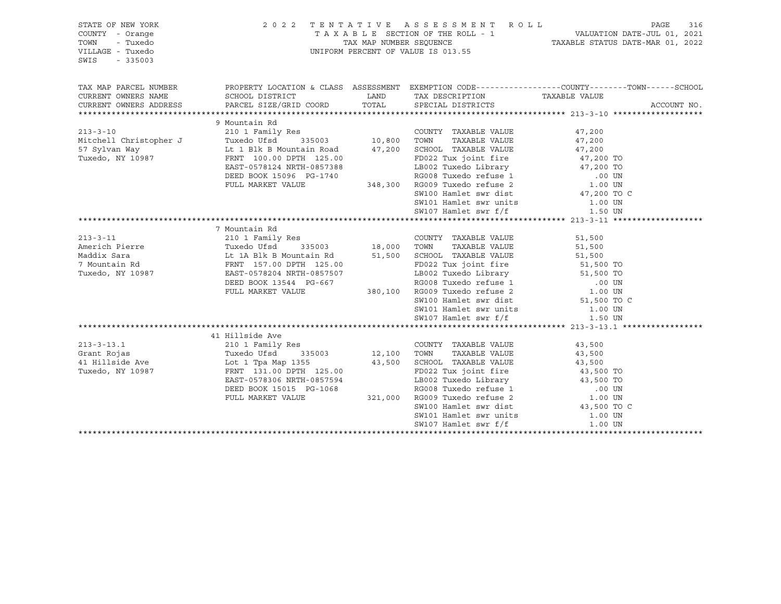| STATE OF NEW YORK<br>COUNTY - Orange<br>TOWN<br>- Tuxedo<br>VILLAGE - Tuxedo<br>SWIS<br>$-335003$ |                                                                                                                                                                                             |                         | 2022 TENTATIVE ASSESSMENT ROLL<br>UNIFORM PERCENT OF VALUE IS 013.55                                                                            | T A X A B L E SECTION OF THE ROLL - 1 VALUATION DATE-JUL 01, 2021<br>TAX MAP NUMBER SEQUENCE TAXABLE STATUS DATE-MAR 01, 2022 | PAGE        | 316 |
|---------------------------------------------------------------------------------------------------|---------------------------------------------------------------------------------------------------------------------------------------------------------------------------------------------|-------------------------|-------------------------------------------------------------------------------------------------------------------------------------------------|-------------------------------------------------------------------------------------------------------------------------------|-------------|-----|
| TAX MAP PARCEL NUMBER<br>CURRENT OWNERS NAME<br>CURRENT OWNERS ADDRESS                            | PROPERTY LOCATION & CLASS ASSESSMENT EXEMPTION CODE---------------COUNTY-------TOWN-----SCHOOL<br>SCHOOL DISTRICT<br>PARCEL SIZE/GRID COORD                                                 | LAND<br>TOTAL           | TAX DESCRIPTION<br>SPECIAL DISTRICTS                                                                                                            | TAXABLE VALUE                                                                                                                 | ACCOUNT NO. |     |
|                                                                                                   |                                                                                                                                                                                             |                         |                                                                                                                                                 |                                                                                                                               |             |     |
| $213 - 3 - 10$<br>Mitchell Christopher J<br>57 Sylvan Way<br>Tuxedo, NY 10987                     | 9 Mountain Rd<br>210 1 Family Res<br>Lt 1 Blk B Mountain Road 47,200 SCHOOL TAXABLE VALUE<br>FRNT 100.00 DPTH 125.00<br>EAST-0578124 NRTH-0857388                                           |                         | COUNTY TAXABLE VALUE<br>TAXABLE VALUE<br>TOWN<br>FD022 Tux joint fire                                                                           | 47,200<br>47,200<br>47,200<br>47,200 TO<br>LB002 Tuxedo Library 47,200 TO                                                     |             |     |
|                                                                                                   | DEED BOOK 15096 PG-1740<br>FULL MARKET VALUE                                                                                                                                                |                         | SW101 Hamlet swr units<br>SW107 Hamlet swr f/f                                                                                                  | RG008 Tuxedo refuse 1 00 UN 348,300 RG009 Tuxedo refuse 2 1.00 UN<br>SW100 Hamlet swr dist 47,200 TO C<br>1.00 UN<br>1.50 UN  |             |     |
|                                                                                                   |                                                                                                                                                                                             |                         |                                                                                                                                                 |                                                                                                                               |             |     |
| $213 - 3 - 11$<br>Americh Pierre<br>Maddix Sara<br>7 Mountain Rd<br>Tuxedo, NY 10987              | 7 Mountain Rd<br>210 1 Family Res<br>Tuxedo Ufsd<br>Lt 1A Blk B Mountain Rd $51,500$<br>FRNT 157.00 DPTH 125.00<br>EAST-0578204 NRTH-0857507<br>DEED BOOK 13544 PG-667<br>FULL MARKET VALUE | s<br>335003 18,000 TOWN | COUNTY TAXABLE VALUE<br>TAXABLE VALUE<br>SCHOOL TAXABLE VALUE<br>FD022 Tux joint fire<br>RG008 Tuxedo refuse 1<br>380,100 RG009 Tuxedo refuse 2 | 51,500<br>51,500<br>51,500<br>51,500 TO<br>LB002 Tuxedo Library 51,500 TO<br>00 UN.<br>1.00 UN                                |             |     |
|                                                                                                   |                                                                                                                                                                                             |                         | SW100 Hamlet swr dist<br>SW101 Hamlet swr units<br>SW107 Hamlet swr f/f                                                                         | 51,500 TO C<br>1.00 UN<br>1.50 UN                                                                                             |             |     |
|                                                                                                   |                                                                                                                                                                                             |                         |                                                                                                                                                 |                                                                                                                               |             |     |
|                                                                                                   | 41 Hillside Ave                                                                                                                                                                             |                         |                                                                                                                                                 |                                                                                                                               |             |     |
| $213 - 3 - 13.1$<br>Grant Rojas<br>41 Hillside Ave<br>Tuxedo, NY 10987                            | 210 1 Family Res<br>335003<br>Tuxedo Ufsd<br>Lot 1 Tpa Map 1355<br>FRNT 131.00 DPTH 125.00<br>EAST-0578306 NRTH-0857594<br>DEED BOOK 15015 PG-1068                                          | 12,100<br>43,500        | COUNTY TAXABLE VALUE<br>TAXABLE VALUE<br>TOWN<br>SCHOOL TAXABLE VALUE<br>FD022 Tux joint fire                                                   | 43,500<br>43,500<br>43,500<br>43,500 TO<br>LB002 Tuxedo Library 43,500 TO                                                     |             |     |
|                                                                                                   | FULL MARKET VALUE                                                                                                                                                                           |                         | SW100 Hamlet swr dist<br>SW101 Hamlet swr units<br>SW107 Hamlet swr f/f                                                                         | 8 RG008 Tuxedo refuse 1 (00 UN 321,000 RG009 Tuxedo refuse 2 (1.00 UN<br>43,500 TO C<br>1.00 UN<br>1.00 UN                    |             |     |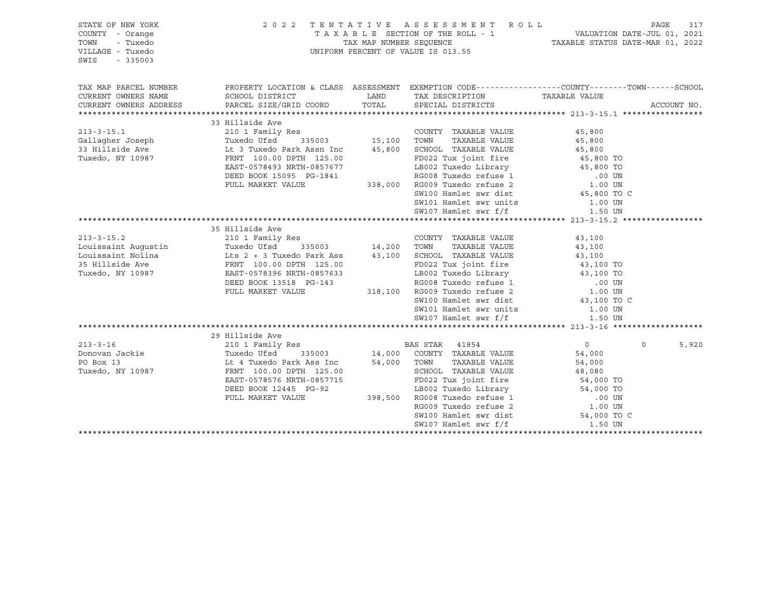| STATE OF NEW YORK<br>COUNTY - Orange<br>TOWN<br>- Tuxedo<br>VILLAGE - Tuxedo<br>SWIS<br>$-335003$           | 2 0 2 2                                                                                                                                                                     |               | TENTATIVE ASSESSMENT ROLL<br>UNIFORM PERCENT OF VALUE IS 013.55                                                                                              |                                                                                                                                            | PAGE     | 317         |
|-------------------------------------------------------------------------------------------------------------|-----------------------------------------------------------------------------------------------------------------------------------------------------------------------------|---------------|--------------------------------------------------------------------------------------------------------------------------------------------------------------|--------------------------------------------------------------------------------------------------------------------------------------------|----------|-------------|
| TAX MAP PARCEL NUMBER<br>CURRENT OWNERS NAME<br>CURRENT OWNERS ADDRESS                                      | PROPERTY LOCATION & CLASS ASSESSMENT EXEMPTION CODE----------------COUNTY-------TOWN------SCHOOL<br>SCHOOL DISTRICT<br>PARCEL SIZE/GRID COORD                               | LAND<br>TOTAL | TAX DESCRIPTION<br>SPECIAL DISTRICTS                                                                                                                         | TAXABLE VALUE                                                                                                                              |          | ACCOUNT NO. |
|                                                                                                             |                                                                                                                                                                             |               |                                                                                                                                                              |                                                                                                                                            |          |             |
|                                                                                                             | 33 Hillside Ave                                                                                                                                                             |               |                                                                                                                                                              |                                                                                                                                            |          |             |
| $213 - 3 - 15.1$<br>Gallagher Joseph<br>33 Hillside Ave<br>Tuxedo, NY 10987                                 | 210 1 Family Res<br>Tuxedo Ufsd<br>335003<br>Lt 3 Tuxedo Park Assn Inc<br>FRNT 100.00 DPTH 125.00<br>EAST-0578493 NRTH-0857677                                              | 15,100        | COUNTY TAXABLE VALUE<br>TAXABLE VALUE<br>TOWN<br>45,800 SCHOOL TAXABLE VALUE<br>FD022 Tux joint fire<br>LB002 Tuxedo Library                                 | 45,800<br>45,800<br>45,800<br>45,800 TO<br>45,800 TO                                                                                       |          |             |
|                                                                                                             | DEED BOOK 15095 PG-1841<br>FULL MARKET VALUE                                                                                                                                |               | RG008 Tuxedo refuse 1 (0.00 UN 338,000 RG009 Tuxedo refuse 2 (3.00 UN SW100 Hamlet swr dist (45,800 TO C<br>SW101 Hamlet swr units<br>SW107 Hamlet swr $f/f$ | 1.00 UN<br>1.50 UN                                                                                                                         |          |             |
|                                                                                                             |                                                                                                                                                                             |               |                                                                                                                                                              |                                                                                                                                            |          |             |
| $213 - 3 - 15.2$<br>Louissaint Auqustin<br>Louissaint Nolina $Lts$ 2 + 3 Tuxedo Park Ass<br>35 Hillside Ave | 35 Hillside Ave<br>210 1 Family Res<br>Tuxedo Ufsd<br>335003<br>FRNT 100.00 DPTH 125.00<br>FRNT 100.00 DPTH 125.00                                                          |               | COUNTY TAXABLE VALUE<br>TAXABLE VALUE<br>43,100 SCHOOL TAXABLE VALUE<br>FD022 Tux joint fire                                                                 | 43,100<br>43,100<br>43,100<br>43,100 TO                                                                                                    |          |             |
| Tuxedo, NY 10987                                                                                            | EAST-0578396 NRTH-0857633<br>DEED BOOK 13518 PG-143<br>FULL MARKET VALUE                                                                                                    |               | RG008 Tuxedo refuse 1 (0.00 UN 318,100 RG009 Tuxedo refuse 2 (1.00 UN<br>SW100 Hamlet swr dist                                                               | FD022 Tux joint fire and any series and any series and the series of the series of the series and the series o<br>43,100 TO<br>43,100 TO C |          |             |
|                                                                                                             |                                                                                                                                                                             |               | SW101 Hamlet swr units<br>SW107 Hamlet swr f/f                                                                                                               | 1.00 UN                                                                                                                                    |          |             |
|                                                                                                             |                                                                                                                                                                             |               |                                                                                                                                                              | 1.50 UN                                                                                                                                    |          |             |
|                                                                                                             | 29 Hillside Ave                                                                                                                                                             |               |                                                                                                                                                              |                                                                                                                                            |          |             |
| $213 - 3 - 16$<br>Donovan Jackie<br>PO Box 13<br>Tuxedo, NY 10987                                           | 210 1 Family Res<br>Tuxedo Ufsd<br>335003<br>Lt 4 Tuxedo Park Ass Inc<br>FRNT 100.00 DPTH 125.00<br>EAST-0578576 NRTH-0857715<br>DEED BOOK 12445 PG-92<br>FULL MARKET VALUE | 54,000 TOWN   | BAS STAR 41854<br>14,000 COUNTY TAXABLE VALUE<br>TAXABLE VALUE<br>SCHOOL TAXABLE VALUE<br>FD022 Tux joint fire<br>398,500 RG008 Tuxedo refuse 1              | $\overline{0}$<br>54,000<br>54,000<br>48,080<br>$54,000$ TO<br>LB002 Tuxedo Library 54,000 TO<br>RG008 Tuxedo refuse 1 00 UN               | $\Omega$ | 5,920       |
|                                                                                                             |                                                                                                                                                                             |               | RG009 Tuxedo refuse 2<br>SW100 Hamlet swr dist<br>SW107 Hamlet swr f/f                                                                                       | 1.00 UN<br>54,000 TO C<br>1.50 UN                                                                                                          |          |             |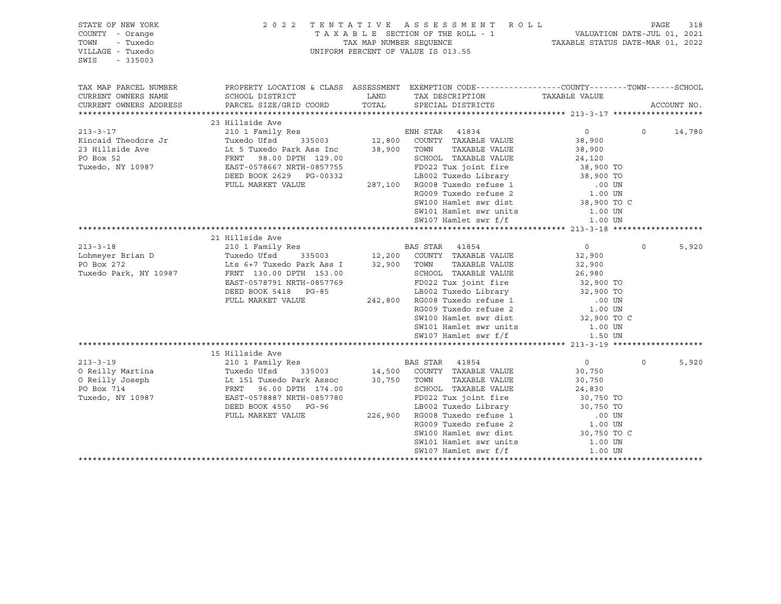| STATE OF NEW YORK<br>COUNTY - Orange<br>- Tuxedo<br>TOWN<br>VILLAGE - Tuxedo<br>SWIS<br>$-335003$ |                                                                                                                                                                                                                                          |             | 2022 TENTATIVE ASSESSMENT ROLL<br>TAXABLE SECTION OF THE ROLL - 1<br>TAXABLE STATUS DATE-JUL 01, 2021<br>TAXABLE STATUS DATE-MAR 01, 2022<br>UNIFORM PERCENT OF VALUE IS 013.55                   |                    | PAGE     | 318         |
|---------------------------------------------------------------------------------------------------|------------------------------------------------------------------------------------------------------------------------------------------------------------------------------------------------------------------------------------------|-------------|---------------------------------------------------------------------------------------------------------------------------------------------------------------------------------------------------|--------------------|----------|-------------|
| TAX MAP PARCEL NUMBER                                                                             | PROPERTY LOCATION & CLASS ASSESSMENT EXEMPTION CODE---------------COUNTY-------TOWN-----SCHOOL                                                                                                                                           |             |                                                                                                                                                                                                   |                    |          |             |
| CURRENT OWNERS NAME                                                                               | SCHOOL DISTRICT                                                                                                                                                                                                                          | LAND        | TAX DESCRIPTION TAXABLE VALUE SPECIAL DISTRICTS                                                                                                                                                   |                    |          |             |
| CURRENT OWNERS ADDRESS                                                                            | PARCEL SIZE/GRID COORD                                                                                                                                                                                                                   |             | TOTAL SPECIAL DISTRICTS                                                                                                                                                                           |                    |          | ACCOUNT NO. |
|                                                                                                   |                                                                                                                                                                                                                                          |             |                                                                                                                                                                                                   |                    |          |             |
| $213 - 3 - 17$                                                                                    | 210 1 Family Res<br>Tuxedo Ufsd 335003 12,800 COUNTY TAXABLE VALUE<br>Lt 5 Tuxedo Park Ass Inc 38,900 TOWN TAXABLE VALUE<br>FRNT 98.00 DPTH 129.00 SCHOOL TAXABLE VALUE<br>EAST-0578667 NRTH-0857755 FD022 Tux joint fire<br>DEED ROOK 2 |             |                                                                                                                                                                                                   | $\overline{0}$     | $\Omega$ | 14,780      |
| Kincaid Theodore Jr                                                                               |                                                                                                                                                                                                                                          |             |                                                                                                                                                                                                   | 38,900             |          |             |
| 23 Hillside Ave                                                                                   |                                                                                                                                                                                                                                          |             |                                                                                                                                                                                                   | 38,900             |          |             |
| PO Box 52                                                                                         |                                                                                                                                                                                                                                          |             | SCHOOL TAXABLE VALUE<br>FD022 Tux joint fire 38,900 TO<br>LB002 Tuxedo Library 38,900 TO<br>RG008 Tuxedo refuse 1                                                                                 |                    |          |             |
| Tuxedo, NY 10987                                                                                  |                                                                                                                                                                                                                                          |             |                                                                                                                                                                                                   |                    |          |             |
|                                                                                                   | DEED BOOK 2629 PG-00332                                                                                                                                                                                                                  |             |                                                                                                                                                                                                   |                    |          |             |
|                                                                                                   | FULL MARKET VALUE                                                                                                                                                                                                                        |             |                                                                                                                                                                                                   |                    |          |             |
|                                                                                                   |                                                                                                                                                                                                                                          |             | 287,100 RG008 Tuxedo refuse 1 (0.00 UN RG009 Tuxedo refuse 2 (1.00 UN                                                                                                                             |                    |          |             |
|                                                                                                   |                                                                                                                                                                                                                                          |             | SW100 Hamlet swr dist                                                                                                                                                                             | 38,900 TO C        |          |             |
|                                                                                                   |                                                                                                                                                                                                                                          |             | SW101 Hamlet swr units 1.00 UN                                                                                                                                                                    |                    |          |             |
|                                                                                                   |                                                                                                                                                                                                                                          |             | SW107 Hamlet swr f/f                                                                                                                                                                              | 1.00 UN            |          |             |
|                                                                                                   |                                                                                                                                                                                                                                          |             |                                                                                                                                                                                                   |                    |          |             |
|                                                                                                   | 21 Hillside Ave                                                                                                                                                                                                                          |             |                                                                                                                                                                                                   |                    |          |             |
| $213 - 3 - 18$                                                                                    |                                                                                                                                                                                                                                          |             |                                                                                                                                                                                                   | $\overline{0}$     | $\circ$  | 5,920       |
| Lohmeyer Brian D                                                                                  | Tuxedo Utsa (1992)<br>Lts 6+7 Tuxedo Park Ass I                                                                                                                                                                                          |             |                                                                                                                                                                                                   | 32,900             |          |             |
| PO Box 272                                                                                        |                                                                                                                                                                                                                                          | 32,900 TOWN | TAXABLE VALUE                                                                                                                                                                                     | 32,900             |          |             |
| Tuxedo Park, NY 10987                                                                             |                                                                                                                                                                                                                                          |             | SCHOOL TAXABLE VALUE                                                                                                                                                                              | 26,980             |          |             |
|                                                                                                   | EAST-0578791 NRTH-0857769                                                                                                                                                                                                                |             | 57769<br>FD022 Tux joint fire<br>BD022 Tux joint fire<br>LB002 Tuxedo Library<br>242,800 RG008 Tuxedo refuse 1 00 UN<br>20 UN                                                                     |                    |          |             |
|                                                                                                   | DEED BOOK 5418 PG-85                                                                                                                                                                                                                     |             |                                                                                                                                                                                                   |                    |          |             |
|                                                                                                   | FULL MARKET VALUE                                                                                                                                                                                                                        |             |                                                                                                                                                                                                   | .00 UN<br>1.00 UN  |          |             |
|                                                                                                   |                                                                                                                                                                                                                                          |             | RG009 Tuxedo refuse 2                                                                                                                                                                             |                    |          |             |
|                                                                                                   |                                                                                                                                                                                                                                          |             | SW100 Hamlet swr dist                                                                                                                                                                             | 32,900 TO C        |          |             |
|                                                                                                   |                                                                                                                                                                                                                                          |             | SW101 Hamlet swr units                                                                                                                                                                            | 1.00 UN            |          |             |
|                                                                                                   |                                                                                                                                                                                                                                          |             | SW107 Hamlet swr f/f                                                                                                                                                                              | 1.50 UN            |          |             |
|                                                                                                   |                                                                                                                                                                                                                                          |             |                                                                                                                                                                                                   |                    |          |             |
|                                                                                                   | 15 Hillside Ave                                                                                                                                                                                                                          |             |                                                                                                                                                                                                   |                    |          |             |
| $213 - 3 - 19$                                                                                    | 210 1 Family Res                                                                                                                                                                                                                         |             |                                                                                                                                                                                                   | $\overline{0}$     | $\circ$  | 5,920       |
| O Reilly Martina                                                                                  |                                                                                                                                                                                                                                          |             |                                                                                                                                                                                                   | 30,750             |          |             |
| O Reilly Joseph                                                                                   | Tuxedo Ufsd<br>Tuxedo Ufsd 335003<br>Lt 151 Tuxedo Park Assoc<br>FRNT 96.00 DPTH 174.00<br>EAST-0578887 NRTH-0857780                                                                                                                     | 30,750 TOWN | TAXABLE VALUE                                                                                                                                                                                     | 30,750             |          |             |
| PO Box 714                                                                                        |                                                                                                                                                                                                                                          |             |                                                                                                                                                                                                   |                    |          |             |
| Tuxedo, NY 10987                                                                                  |                                                                                                                                                                                                                                          |             |                                                                                                                                                                                                   |                    |          |             |
|                                                                                                   | DEED BOOK 4550 PG-96                                                                                                                                                                                                                     |             |                                                                                                                                                                                                   |                    |          |             |
|                                                                                                   | FULL MARKET VALUE                                                                                                                                                                                                                        |             |                                                                                                                                                                                                   |                    |          |             |
|                                                                                                   |                                                                                                                                                                                                                                          |             | SCHOOL TAXABLE vALUE<br>FD022 Tux joint fire<br>LB002 Tuxedo Library<br>226,900 RG008 Tuxedo refuse 1 00 UN<br>RG009 Tuxedo refuse 2 1.00 UN<br>COLORED 1.00 UN<br>COLORED 1.00 UN<br>20,750 TO C |                    |          |             |
|                                                                                                   |                                                                                                                                                                                                                                          |             | SW101 Hamlet swr units                                                                                                                                                                            |                    |          |             |
|                                                                                                   |                                                                                                                                                                                                                                          |             | SW107 Hamlet swr f/f                                                                                                                                                                              | 1.00 UN<br>1.00 UN |          |             |
|                                                                                                   |                                                                                                                                                                                                                                          |             |                                                                                                                                                                                                   |                    |          |             |
|                                                                                                   |                                                                                                                                                                                                                                          |             |                                                                                                                                                                                                   |                    |          |             |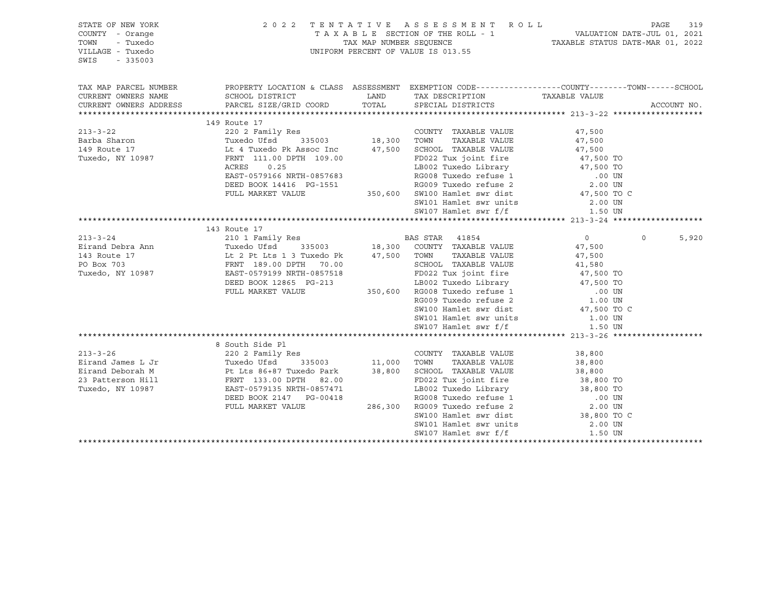| STATE OF NEW YORK<br>COUNTY - Orange<br>TOWN<br>- Tuxedo<br>VILLAGE - Tuxedo<br>SWIS<br>$-335003$                                                                                                                                                                                                                                                                                                                                      |                                                                                                                                                                                                                                                    | 2022 TENTATIVE ASSESSMENT ROLL PAGE 319<br>TAXABLE SECTION OF THE ROLL - 1 VALUATION DATE-JUL 01, 2021<br>TAX MAP NUMBER SEQUENCE TAXABLE STATUS DATE-MAR 01, 2022<br>UNIFORM PERCENT OF VALUE IS 013.55 |                  |          |             |
|----------------------------------------------------------------------------------------------------------------------------------------------------------------------------------------------------------------------------------------------------------------------------------------------------------------------------------------------------------------------------------------------------------------------------------------|----------------------------------------------------------------------------------------------------------------------------------------------------------------------------------------------------------------------------------------------------|----------------------------------------------------------------------------------------------------------------------------------------------------------------------------------------------------------|------------------|----------|-------------|
| TAX MAP PARCEL NUMBER<br>CURRENT OWNERS NAME                                                                                                                                                                                                                                                                                                                                                                                           | PROPERTY LOCATION & CLASS ASSESSMENT EXEMPTION CODE----------------COUNTY-------TOWN------SCHOOL<br>SCHOOL DISTRICT                                                                                                                                | LAND TAX DESCRIPTION TAXABLE VALUE                                                                                                                                                                       |                  |          |             |
| CURRENT OWNERS ADDRESS PARCEL SIZE/GRID COORD TOTAL SPECIAL DISTRICTS                                                                                                                                                                                                                                                                                                                                                                  |                                                                                                                                                                                                                                                    |                                                                                                                                                                                                          |                  |          | ACCOUNT NO. |
|                                                                                                                                                                                                                                                                                                                                                                                                                                        | 149 Route 17                                                                                                                                                                                                                                       |                                                                                                                                                                                                          |                  |          |             |
| 213-3-22 2<br>Barba Sharon Tuxedo Ufsd 335003 18,300 TOWNTY TAXABLE VALUE<br>149 Route 17 Lt 4 Tuxedo Pk Assoc Inc 47,500 SCHOOL TAXABLE VALUE<br>Tuxedo, NY 10987 FRNT 111.00 DPTH 109.00 PRO22 Tuxedo I incomparament in the state                                                                                                                                                                                                   |                                                                                                                                                                                                                                                    |                                                                                                                                                                                                          | 47,500<br>47,500 |          |             |
|                                                                                                                                                                                                                                                                                                                                                                                                                                        | 17.500 CHOOL TAXABLE VALUE<br>FRNT 111.00 DPTH 109.00<br>FRNT 111.00 DPTH 109.00<br>FRNT 111.00 DPTH 109.00<br>EAST-0579166 NRTH-0857683<br>DEED BOOK 14416 PG-1551<br>FULL MARKET VALUE<br>FULL MARKET VALUE<br>FULL MARKET VALUE<br>2.00 UN<br>F |                                                                                                                                                                                                          |                  |          |             |
|                                                                                                                                                                                                                                                                                                                                                                                                                                        |                                                                                                                                                                                                                                                    |                                                                                                                                                                                                          |                  |          |             |
|                                                                                                                                                                                                                                                                                                                                                                                                                                        |                                                                                                                                                                                                                                                    |                                                                                                                                                                                                          |                  |          |             |
| 213-3-24<br>Eirand Debra Ann (210 1 Family Res (210 1 Family Res (210 1 Family Res (210 1 Family Res (210 1 Family Res (216 1 7 13 3500 3)<br>2143 Route 17 (2) Pt Lts 1 3 Tuxedo Pk (2) 47,500 TOWN TAXABLE VALUE PO Box 703 (200                                                                                                                                                                                                     | 143 Route 17                                                                                                                                                                                                                                       |                                                                                                                                                                                                          | $\overline{0}$   | $\Omega$ | 5,920       |
|                                                                                                                                                                                                                                                                                                                                                                                                                                        |                                                                                                                                                                                                                                                    |                                                                                                                                                                                                          | 47,500           |          |             |
|                                                                                                                                                                                                                                                                                                                                                                                                                                        |                                                                                                                                                                                                                                                    |                                                                                                                                                                                                          | 47,500           |          |             |
|                                                                                                                                                                                                                                                                                                                                                                                                                                        | FRNT 189.00 DPTH 70.00<br>EAST-0579199 NRTH-0857518<br>DEED BOOK 12865 PG-213<br>FULL MARKET VALUE 350,600 RG008 Tuxedo refuse 1 00 UN<br>RG009 Tuxedo refuse 2 1.00 UN<br>RG009 Tuxedo refuse 2 1.00 UN<br>RG009 Tuxedo refuse 2 1.00 UN          |                                                                                                                                                                                                          |                  |          |             |
|                                                                                                                                                                                                                                                                                                                                                                                                                                        |                                                                                                                                                                                                                                                    |                                                                                                                                                                                                          |                  |          |             |
|                                                                                                                                                                                                                                                                                                                                                                                                                                        |                                                                                                                                                                                                                                                    |                                                                                                                                                                                                          |                  |          |             |
|                                                                                                                                                                                                                                                                                                                                                                                                                                        |                                                                                                                                                                                                                                                    |                                                                                                                                                                                                          |                  |          |             |
|                                                                                                                                                                                                                                                                                                                                                                                                                                        |                                                                                                                                                                                                                                                    |                                                                                                                                                                                                          |                  |          |             |
|                                                                                                                                                                                                                                                                                                                                                                                                                                        |                                                                                                                                                                                                                                                    | SW100 Hamlet swr dist<br>$$\sf 47,500$$ TO C $$\sf 5W101$$ Hamlet swr units $$\sf 1.00$$ UN                                                                                                              |                  |          |             |
|                                                                                                                                                                                                                                                                                                                                                                                                                                        |                                                                                                                                                                                                                                                    |                                                                                                                                                                                                          |                  |          |             |
|                                                                                                                                                                                                                                                                                                                                                                                                                                        |                                                                                                                                                                                                                                                    | SW107 Hamlet swr f/f                                                                                                                                                                                     | 1.50 UN          |          |             |
|                                                                                                                                                                                                                                                                                                                                                                                                                                        | 8 South Side Pl                                                                                                                                                                                                                                    |                                                                                                                                                                                                          |                  |          |             |
| $\begin{array}{ccccccccc} 213-3-26 & & & 8 \text{ South Side PI} & & & & \text{COUNTY TAXABLE VALUE} & & & 38,800 \\ & & & 220 & 2 \text{ Family Res} & & & & 11,000 & \text{TOWN} & \text{TXABLE VALUE} & & & 38,800 \\ \text{Eirand Debrah M} & & & \text{Pt Lts 86+87 Tuxedo Park} & & & 38,800 & \text{SCHOOL TAXABLE VALUE} & & & 38,800 \\ \text{Eirand Debrah M} & & & \text{Pt Lts 86+87 Tuxedo Park} & & 38,800 & \text{SCHO$ |                                                                                                                                                                                                                                                    |                                                                                                                                                                                                          |                  |          |             |
|                                                                                                                                                                                                                                                                                                                                                                                                                                        |                                                                                                                                                                                                                                                    |                                                                                                                                                                                                          |                  |          |             |
|                                                                                                                                                                                                                                                                                                                                                                                                                                        |                                                                                                                                                                                                                                                    |                                                                                                                                                                                                          |                  |          |             |
|                                                                                                                                                                                                                                                                                                                                                                                                                                        |                                                                                                                                                                                                                                                    |                                                                                                                                                                                                          |                  |          |             |
| Tuxedo, NY 10987                                                                                                                                                                                                                                                                                                                                                                                                                       | EAST-0579135 NRTH-0857471                                                                                                                                                                                                                          |                                                                                                                                                                                                          |                  |          |             |
|                                                                                                                                                                                                                                                                                                                                                                                                                                        |                                                                                                                                                                                                                                                    |                                                                                                                                                                                                          |                  |          |             |
|                                                                                                                                                                                                                                                                                                                                                                                                                                        | FL LIS 86467 133.00 DPTH 82.00<br>FRNT 133.00 DPTH 82.00<br>EAST-0579135 NRTH-0857471<br>DEED BOOK 2147 PG-00418<br>FULL MARKET VALUE 286,300 RG009 Tuxedo refuse 2<br>286,300 RG009 Tuxedo refuse 2<br>SW100 Hamlet swr dist 38,800 TO C          |                                                                                                                                                                                                          |                  |          |             |
|                                                                                                                                                                                                                                                                                                                                                                                                                                        |                                                                                                                                                                                                                                                    |                                                                                                                                                                                                          |                  |          |             |
|                                                                                                                                                                                                                                                                                                                                                                                                                                        |                                                                                                                                                                                                                                                    | $\frac{SW101}{CW107}$ Hamlet swr units 2.00 UN $\frac{W107}{W107}$ Hamlet swr $f/f$ 1.50 UN                                                                                                              |                  |          |             |
|                                                                                                                                                                                                                                                                                                                                                                                                                                        |                                                                                                                                                                                                                                                    | SW107 Hamlet swr f/f                                                                                                                                                                                     | 1.50 UN          |          |             |
|                                                                                                                                                                                                                                                                                                                                                                                                                                        |                                                                                                                                                                                                                                                    |                                                                                                                                                                                                          |                  |          |             |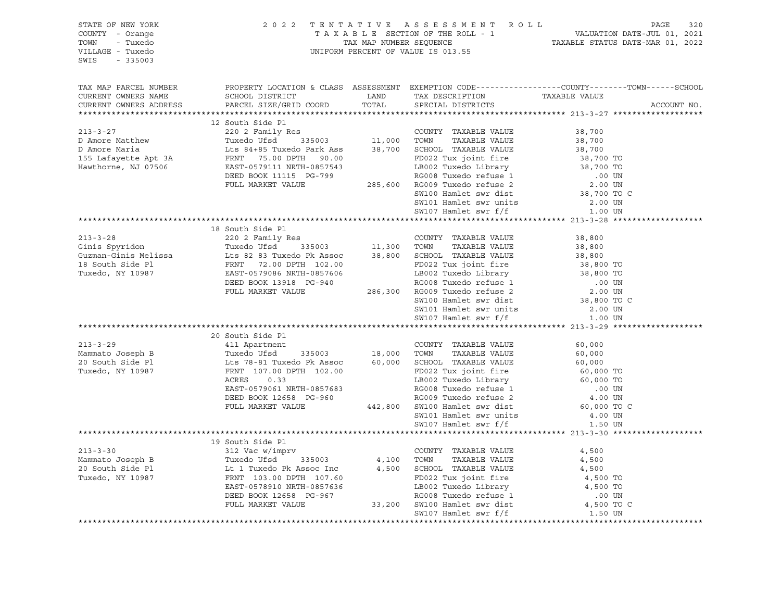| STATE OF NEW YORK<br>COUNTY - Orange<br>TOWN - Tuxedo<br>VILLAGE - Tuxedo<br>SWIS - 335003                                                                                                                                                                                                                                                                                                                                                                     |                  |  | 2022 TENTATIVE ASSESSMENT ROLL PAGE 320<br>TAXABLE SECTION OF THE ROLL - 1 VALUATION DATE-JUL 01, 2021<br>TAX MAP NUMBER SEQUENCE TAXABLE STATUS DATE-MAR 01, 2022<br>UNIFORM PERCENT OF VALUE IS 013.55 |
|----------------------------------------------------------------------------------------------------------------------------------------------------------------------------------------------------------------------------------------------------------------------------------------------------------------------------------------------------------------------------------------------------------------------------------------------------------------|------------------|--|----------------------------------------------------------------------------------------------------------------------------------------------------------------------------------------------------------|
| CURRENT OWNERS NAME SCHOOL DISTRICT AND TAX DESCRIPTION TAXABLE VALUE CURRENT OWNERS ADDRESS PARCEL SIZE/GRID COORD TOTAL SPECIAL DISTRICTS                                                                                                                                                                                                                                                                                                                    |                  |  | ACCOUNT NO.                                                                                                                                                                                              |
|                                                                                                                                                                                                                                                                                                                                                                                                                                                                |                  |  |                                                                                                                                                                                                          |
|                                                                                                                                                                                                                                                                                                                                                                                                                                                                |                  |  |                                                                                                                                                                                                          |
|                                                                                                                                                                                                                                                                                                                                                                                                                                                                |                  |  |                                                                                                                                                                                                          |
|                                                                                                                                                                                                                                                                                                                                                                                                                                                                |                  |  |                                                                                                                                                                                                          |
|                                                                                                                                                                                                                                                                                                                                                                                                                                                                |                  |  |                                                                                                                                                                                                          |
|                                                                                                                                                                                                                                                                                                                                                                                                                                                                |                  |  |                                                                                                                                                                                                          |
| $\begin{tabular}{lcccc} \texttt{A}} & \texttt{A}} & \texttt{A}} & \texttt{A}} & \texttt{A}} & \texttt{A}} & \texttt{A}} & \texttt{A}} & \texttt{A}} & \texttt{A}} & \texttt{A}} & \texttt{A}} & \texttt{A}} & \texttt{A}} & \texttt{A}} & \texttt{A}} & \texttt{A}} & \texttt{A}} & \texttt{A}} & \texttt{A}} & \texttt{A}} & \texttt{A}} & \texttt{A}} & \texttt{A}} & \texttt{A}} & \texttt{A}} & \texttt{A}} & \texttt{A}} & \texttt{A}} & \texttt{A}} & \$ |                  |  |                                                                                                                                                                                                          |
|                                                                                                                                                                                                                                                                                                                                                                                                                                                                |                  |  |                                                                                                                                                                                                          |
|                                                                                                                                                                                                                                                                                                                                                                                                                                                                | 19 South Side Pl |  |                                                                                                                                                                                                          |
|                                                                                                                                                                                                                                                                                                                                                                                                                                                                |                  |  |                                                                                                                                                                                                          |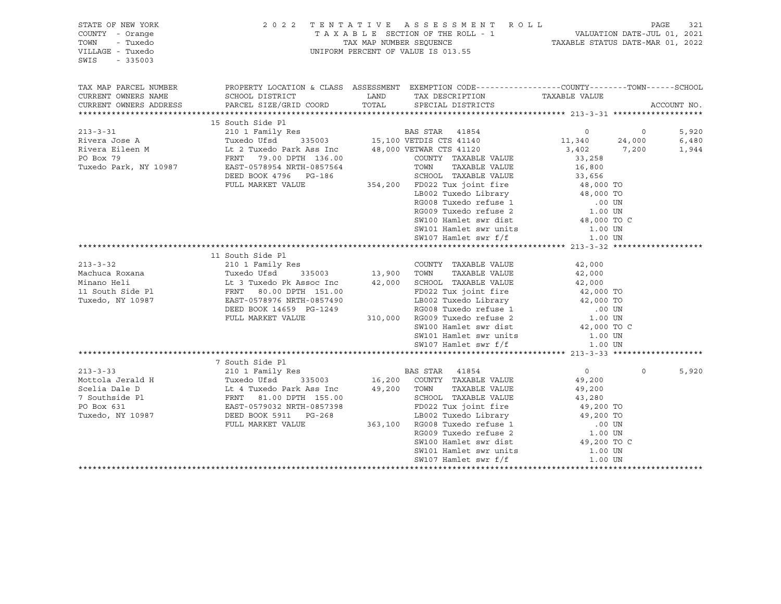| STATE OF NEW YORK<br>COUNTY - Orange<br>TOWN<br>- Tuxedo<br>VILLAGE - Tuxedo<br>SWIS<br>$-335003$ |                                                                                                                                                                                                                                                                   | 2022 TENTATIVE ASSESSMENT ROLL<br>T A X A B L E SECTION OF THE ROLL - 1 VALUATION DATE-JUL 01, 2021<br>TAX MAP NUMBER SEQUENCE TAXABLE STATUS DATE-MAR 01, 2022<br>UNIFORM PERCENT OF VALUE IS 013.55                                                  |                  |          | 321<br>PAGE |  |
|---------------------------------------------------------------------------------------------------|-------------------------------------------------------------------------------------------------------------------------------------------------------------------------------------------------------------------------------------------------------------------|--------------------------------------------------------------------------------------------------------------------------------------------------------------------------------------------------------------------------------------------------------|------------------|----------|-------------|--|
| TAX MAP PARCEL NUMBER                                                                             | PROPERTY LOCATION & CLASS ASSESSMENT EXEMPTION CODE----------------COUNTY-------TOWN------SCHOOL                                                                                                                                                                  |                                                                                                                                                                                                                                                        |                  |          |             |  |
| CURRENT OWNERS NAME                                                                               | SCHOOL DISTRICT                                                                                                                                                                                                                                                   | LAND TAX DESCRIPTION                                                                                                                                                                                                                                   | TAXABLE VALUE    |          |             |  |
| CURRENT OWNERS ADDRESS                                                                            | PARCEL SIZE/GRID COORD                                                                                                                                                                                                                                            | TOTAL SPECIAL DISTRICTS                                                                                                                                                                                                                                |                  |          | ACCOUNT NO. |  |
|                                                                                                   |                                                                                                                                                                                                                                                                   |                                                                                                                                                                                                                                                        |                  |          |             |  |
|                                                                                                   | 15 South Side Pl<br>210 1 Family Res<br>Tuxedo Ufsd 335003 15,100 VETDIS CTS 41140 11,340 24,000<br>16 2 Tuxedo Park Ass Inc 48,000 VETWAR CTS 41120 3,402 7,200<br>FRNT 79.00 DPTH 136.00 COUNTY TAXABLE VALUE 33,258<br>TAXABLE VALUE                           |                                                                                                                                                                                                                                                        |                  |          |             |  |
| $213 - 3 - 31$                                                                                    |                                                                                                                                                                                                                                                                   |                                                                                                                                                                                                                                                        |                  |          | 5,920       |  |
| Rivera Jose A                                                                                     |                                                                                                                                                                                                                                                                   |                                                                                                                                                                                                                                                        |                  |          | 6,480       |  |
| Rivera Eileen M                                                                                   |                                                                                                                                                                                                                                                                   |                                                                                                                                                                                                                                                        |                  |          | 1,944       |  |
| PO Box 79                                                                                         |                                                                                                                                                                                                                                                                   |                                                                                                                                                                                                                                                        |                  |          |             |  |
| Tuxedo Park, NY 10987                                                                             |                                                                                                                                                                                                                                                                   |                                                                                                                                                                                                                                                        |                  |          |             |  |
|                                                                                                   |                                                                                                                                                                                                                                                                   |                                                                                                                                                                                                                                                        |                  |          |             |  |
|                                                                                                   |                                                                                                                                                                                                                                                                   |                                                                                                                                                                                                                                                        |                  |          |             |  |
|                                                                                                   |                                                                                                                                                                                                                                                                   |                                                                                                                                                                                                                                                        |                  |          |             |  |
|                                                                                                   |                                                                                                                                                                                                                                                                   |                                                                                                                                                                                                                                                        |                  |          |             |  |
|                                                                                                   |                                                                                                                                                                                                                                                                   |                                                                                                                                                                                                                                                        |                  |          |             |  |
|                                                                                                   |                                                                                                                                                                                                                                                                   |                                                                                                                                                                                                                                                        |                  |          |             |  |
|                                                                                                   |                                                                                                                                                                                                                                                                   |                                                                                                                                                                                                                                                        |                  |          |             |  |
|                                                                                                   |                                                                                                                                                                                                                                                                   |                                                                                                                                                                                                                                                        |                  |          |             |  |
|                                                                                                   | 1 1 1 1 2000 1 1 2000 1<br>1 210 1 Family Res<br>13,900 1 2000 1<br>210 1 Family Res<br>210 1 Family Res<br>210 1 Family Res<br>210 1 Family Res<br>22,000<br>22 TWABLE VALUE<br>22,000<br>24,000<br>24,000<br>24,000<br>24,000<br>24,000<br>24,000<br>24,000<br> |                                                                                                                                                                                                                                                        |                  |          |             |  |
| $213 - 3 - 32$                                                                                    |                                                                                                                                                                                                                                                                   |                                                                                                                                                                                                                                                        |                  |          |             |  |
| Machuca Roxana                                                                                    |                                                                                                                                                                                                                                                                   |                                                                                                                                                                                                                                                        |                  |          |             |  |
| Minano Heli                                                                                       |                                                                                                                                                                                                                                                                   |                                                                                                                                                                                                                                                        |                  |          |             |  |
| 11 South Side Pl                                                                                  |                                                                                                                                                                                                                                                                   |                                                                                                                                                                                                                                                        |                  |          |             |  |
| Tuxedo, NY 10987                                                                                  |                                                                                                                                                                                                                                                                   |                                                                                                                                                                                                                                                        |                  |          |             |  |
|                                                                                                   | DEED BOOK 14659 PG-1249                                                                                                                                                                                                                                           |                                                                                                                                                                                                                                                        |                  |          |             |  |
|                                                                                                   | FULL MARKET VALUE                                                                                                                                                                                                                                                 | 42,000 SCHOOL TAAABLE VALLE<br>FD022 Tux joint fire<br>LB002 Tuxedo Library<br>RG008 Tuxedo refuse 1 000 TO<br>310,000 RG009 Tuxedo refuse 2 1.00 UN<br>CW100 Hamlet swr dist<br>42,000 TO<br>42,000 TO<br>400 TO<br>400 TO<br>42,000 TO<br>400 TO<br> |                  |          |             |  |
|                                                                                                   |                                                                                                                                                                                                                                                                   |                                                                                                                                                                                                                                                        |                  |          |             |  |
|                                                                                                   |                                                                                                                                                                                                                                                                   |                                                                                                                                                                                                                                                        |                  |          |             |  |
|                                                                                                   |                                                                                                                                                                                                                                                                   |                                                                                                                                                                                                                                                        |                  |          |             |  |
|                                                                                                   |                                                                                                                                                                                                                                                                   |                                                                                                                                                                                                                                                        |                  |          |             |  |
|                                                                                                   |                                                                                                                                                                                                                                                                   |                                                                                                                                                                                                                                                        |                  |          |             |  |
|                                                                                                   |                                                                                                                                                                                                                                                                   |                                                                                                                                                                                                                                                        | $\overline{0}$   | $\Omega$ | 5,920       |  |
|                                                                                                   |                                                                                                                                                                                                                                                                   |                                                                                                                                                                                                                                                        | 49,200           |          |             |  |
|                                                                                                   |                                                                                                                                                                                                                                                                   |                                                                                                                                                                                                                                                        |                  |          |             |  |
|                                                                                                   |                                                                                                                                                                                                                                                                   |                                                                                                                                                                                                                                                        | 49,200<br>43,280 |          |             |  |
|                                                                                                   |                                                                                                                                                                                                                                                                   |                                                                                                                                                                                                                                                        |                  |          |             |  |
|                                                                                                   |                                                                                                                                                                                                                                                                   | FD022 Tux joint fire 49,200 TO<br>LB002 Tuxedo Library 49,200 TO                                                                                                                                                                                       |                  |          |             |  |
|                                                                                                   |                                                                                                                                                                                                                                                                   |                                                                                                                                                                                                                                                        |                  |          |             |  |
|                                                                                                   |                                                                                                                                                                                                                                                                   | RG009 Tuxedo refuse 2                                                                                                                                                                                                                                  |                  |          |             |  |
|                                                                                                   |                                                                                                                                                                                                                                                                   | $\begin{array}{ll}\n\text{SW100 Hamlet swr dist} & 1.00 \text{ UN} \\ \text{SW101 Hamlet swr units} & 49,200 \text{ TO C} \\ \text{SW107 Hamlet swr f/f} & 1.00 \text{ UN} \\ \end{array}$                                                             |                  |          |             |  |
|                                                                                                   |                                                                                                                                                                                                                                                                   |                                                                                                                                                                                                                                                        |                  |          |             |  |
|                                                                                                   |                                                                                                                                                                                                                                                                   |                                                                                                                                                                                                                                                        |                  |          |             |  |

\*\*\*\*\*\*\*\*\*\*\*\*\*\*\*\*\*\*\*\*\*\*\*\*\*\*\*\*\*\*\*\*\*\*\*\*\*\*\*\*\*\*\*\*\*\*\*\*\*\*\*\*\*\*\*\*\*\*\*\*\*\*\*\*\*\*\*\*\*\*\*\*\*\*\*\*\*\*\*\*\*\*\*\*\*\*\*\*\*\*\*\*\*\*\*\*\*\*\*\*\*\*\*\*\*\*\*\*\*\*\*\*\*\*\*\*\*\*\*\*\*\*\*\*\*\*\*\*\*\*\*\*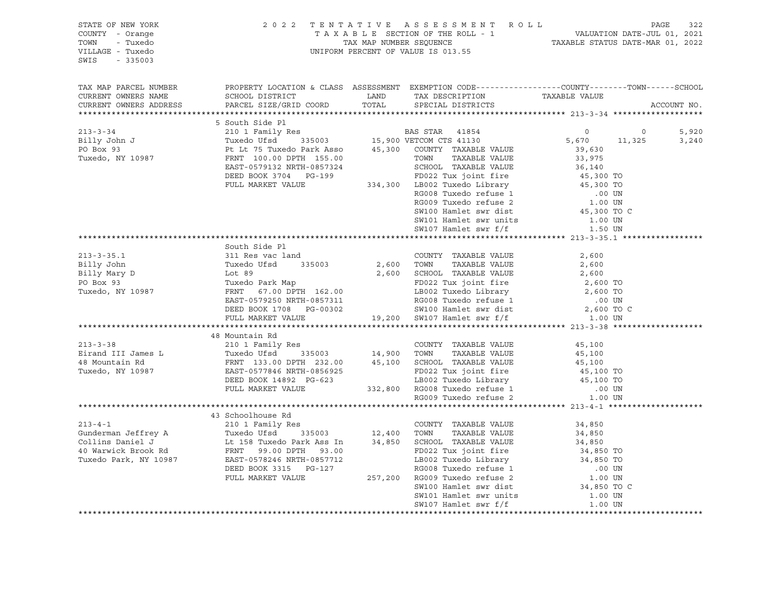| STATE OF NEW YORK<br>COUNTY - Orange<br>TOWN - Tuxedo<br>VILLAGE - Tuxedo<br>SWIS - 335003                                                                                                                                                                                                                                                                                     | 2022          | UNIFORM PERCENT OF VALUE IS 013.55 | 2022 TENTATIVE ASSESSMENT ROLL PAGE 322<br>TAXABLE SECTION OF THE ROLL - 1 VALUATION DATE-JUL 01, 2021<br>TAX MAP NUMBER SEQUENCE TAXABLE STATUS DATE-MAR 01, 2022 |  |
|--------------------------------------------------------------------------------------------------------------------------------------------------------------------------------------------------------------------------------------------------------------------------------------------------------------------------------------------------------------------------------|---------------|------------------------------------|--------------------------------------------------------------------------------------------------------------------------------------------------------------------|--|
| TAX MAP PARCEL NUMBER BOOPERTY LOCATION & CLASS ASSESSMENT EXEMPTION CODE----------------COUNTY-------TOWN------SCHOOL CURRENT OWNERS NAME SCHOOL DISTRICT LAND TAX DESCRIPTION TAXABLE VALUE CURRENT OWNERS ADDRESS PARCEL SI                                                                                                                                                 |               |                                    |                                                                                                                                                                    |  |
|                                                                                                                                                                                                                                                                                                                                                                                |               |                                    |                                                                                                                                                                    |  |
|                                                                                                                                                                                                                                                                                                                                                                                |               |                                    |                                                                                                                                                                    |  |
|                                                                                                                                                                                                                                                                                                                                                                                |               |                                    |                                                                                                                                                                    |  |
|                                                                                                                                                                                                                                                                                                                                                                                |               |                                    |                                                                                                                                                                    |  |
|                                                                                                                                                                                                                                                                                                                                                                                |               |                                    |                                                                                                                                                                    |  |
|                                                                                                                                                                                                                                                                                                                                                                                |               |                                    |                                                                                                                                                                    |  |
|                                                                                                                                                                                                                                                                                                                                                                                |               |                                    |                                                                                                                                                                    |  |
|                                                                                                                                                                                                                                                                                                                                                                                |               |                                    |                                                                                                                                                                    |  |
|                                                                                                                                                                                                                                                                                                                                                                                |               |                                    |                                                                                                                                                                    |  |
|                                                                                                                                                                                                                                                                                                                                                                                |               |                                    |                                                                                                                                                                    |  |
|                                                                                                                                                                                                                                                                                                                                                                                |               |                                    |                                                                                                                                                                    |  |
|                                                                                                                                                                                                                                                                                                                                                                                |               |                                    |                                                                                                                                                                    |  |
|                                                                                                                                                                                                                                                                                                                                                                                |               |                                    |                                                                                                                                                                    |  |
|                                                                                                                                                                                                                                                                                                                                                                                |               |                                    |                                                                                                                                                                    |  |
|                                                                                                                                                                                                                                                                                                                                                                                | South Side Pl |                                    |                                                                                                                                                                    |  |
|                                                                                                                                                                                                                                                                                                                                                                                |               |                                    |                                                                                                                                                                    |  |
|                                                                                                                                                                                                                                                                                                                                                                                |               |                                    |                                                                                                                                                                    |  |
|                                                                                                                                                                                                                                                                                                                                                                                |               |                                    |                                                                                                                                                                    |  |
|                                                                                                                                                                                                                                                                                                                                                                                |               |                                    |                                                                                                                                                                    |  |
|                                                                                                                                                                                                                                                                                                                                                                                |               |                                    |                                                                                                                                                                    |  |
|                                                                                                                                                                                                                                                                                                                                                                                |               |                                    |                                                                                                                                                                    |  |
|                                                                                                                                                                                                                                                                                                                                                                                |               |                                    |                                                                                                                                                                    |  |
|                                                                                                                                                                                                                                                                                                                                                                                |               |                                    |                                                                                                                                                                    |  |
|                                                                                                                                                                                                                                                                                                                                                                                |               |                                    |                                                                                                                                                                    |  |
| 48 Mountain Rd<br>48 Mountain Rd<br>210 1 Family Res<br>Eirand III James L<br>Tuxedo Ufsd<br>FRNT 133.00 DPTH 232.00<br>48 Mountain Rd<br>FRNT 133.00 DPTH 232.00<br>45,100<br>TUXERE VALUE<br>45,100<br>TUXERE VALUE<br>45,100<br>45,100<br>45,100<br>45,10                                                                                                                   |               |                                    |                                                                                                                                                                    |  |
|                                                                                                                                                                                                                                                                                                                                                                                |               |                                    |                                                                                                                                                                    |  |
|                                                                                                                                                                                                                                                                                                                                                                                |               |                                    |                                                                                                                                                                    |  |
|                                                                                                                                                                                                                                                                                                                                                                                |               |                                    |                                                                                                                                                                    |  |
|                                                                                                                                                                                                                                                                                                                                                                                |               |                                    |                                                                                                                                                                    |  |
|                                                                                                                                                                                                                                                                                                                                                                                |               |                                    |                                                                                                                                                                    |  |
|                                                                                                                                                                                                                                                                                                                                                                                |               |                                    |                                                                                                                                                                    |  |
|                                                                                                                                                                                                                                                                                                                                                                                |               |                                    |                                                                                                                                                                    |  |
|                                                                                                                                                                                                                                                                                                                                                                                |               |                                    |                                                                                                                                                                    |  |
|                                                                                                                                                                                                                                                                                                                                                                                |               |                                    |                                                                                                                                                                    |  |
|                                                                                                                                                                                                                                                                                                                                                                                |               |                                    |                                                                                                                                                                    |  |
|                                                                                                                                                                                                                                                                                                                                                                                |               |                                    |                                                                                                                                                                    |  |
|                                                                                                                                                                                                                                                                                                                                                                                |               |                                    |                                                                                                                                                                    |  |
|                                                                                                                                                                                                                                                                                                                                                                                |               |                                    |                                                                                                                                                                    |  |
|                                                                                                                                                                                                                                                                                                                                                                                |               |                                    |                                                                                                                                                                    |  |
|                                                                                                                                                                                                                                                                                                                                                                                |               |                                    |                                                                                                                                                                    |  |
|                                                                                                                                                                                                                                                                                                                                                                                |               |                                    |                                                                                                                                                                    |  |
|                                                                                                                                                                                                                                                                                                                                                                                |               |                                    |                                                                                                                                                                    |  |
|                                                                                                                                                                                                                                                                                                                                                                                |               |                                    |                                                                                                                                                                    |  |
| $\begin{tabular}{lcccccc} \textbf{213-4-1} & \textbf{43 Stabolhouse Rd} & \textbf{213-4-1} & \textbf{43 Stabolhouse Rd} & \textbf{213-4-1} & \textbf{43 Stabolhouse Rd} & \textbf{213-4-1} & \textbf{213-4-1} & \textbf{213-4-1} & \textbf{213-4-1} & \textbf{213-4-1} & \textbf{213-4-1} & \textbf{213-4-1} & \textbf{213-4-1} & \textbf{213-4-1} & \textbf{213-4-1} & \text$ |               |                                    |                                                                                                                                                                    |  |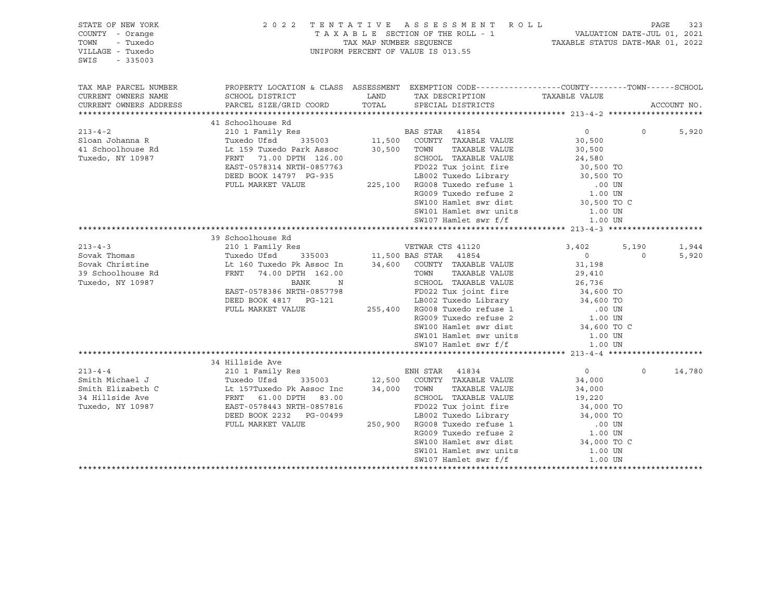| STATE OF NEW YORK<br>COUNTY - Orange<br>TOWN<br>- Tuxedo<br>VILLAGE - Tuxedo<br>$-335003$<br>SWIS |                                                                                                |               | 2022 TENTATIVE ASSESSMENT ROLL<br>TAXABLE SECTION OF THE ROLL - 1 VALUATION DATE-JUL 01, 2021<br>TAX MAP NUMBER SEQUENCE TAXABLE STATUS DATE-MAR 01, 2022<br>UNIFORM PERCENT OF VALUE IS 013.55                                                |                                                                          |          | PAGE<br>323 |
|---------------------------------------------------------------------------------------------------|------------------------------------------------------------------------------------------------|---------------|------------------------------------------------------------------------------------------------------------------------------------------------------------------------------------------------------------------------------------------------|--------------------------------------------------------------------------|----------|-------------|
| TAX MAP PARCEL NUMBER                                                                             | PROPERTY LOCATION & CLASS ASSESSMENT EXEMPTION CODE---------------COUNTY-------TOWN-----SCHOOL |               |                                                                                                                                                                                                                                                |                                                                          |          |             |
| CURRENT OWNERS NAME                                                                               | SCHOOL DISTRICT                                                                                | LAND<br>TOTAL | TAX DESCRIPTION                                                                                                                                                                                                                                | TAXABLE VALUE                                                            |          | ACCOUNT NO. |
| CURRENT OWNERS ADDRESS                                                                            | PARCEL SIZE/GRID COORD                                                                         |               | SPECIAL DISTRICTS                                                                                                                                                                                                                              |                                                                          |          |             |
|                                                                                                   | 41 Schoolhouse Rd                                                                              |               |                                                                                                                                                                                                                                                |                                                                          |          |             |
| $213 - 4 - 2$                                                                                     |                                                                                                |               |                                                                                                                                                                                                                                                | $\overline{0}$                                                           | $\Omega$ | 5,920       |
| Sloan Johanna R                                                                                   |                                                                                                |               |                                                                                                                                                                                                                                                | 30,500                                                                   |          |             |
| 41 Schoolhouse Rd                                                                                 |                                                                                                |               |                                                                                                                                                                                                                                                | 30,500                                                                   |          |             |
| Tuxedo, NY 10987                                                                                  | FRNT 71.00 DPTH 126.00                                                                         |               | 24,580<br>24,580<br>26 CM-22 Tux joint fire<br>24,580<br>24,580<br>276,500 TO<br>225,100 RG008 Tuxedo refuse 1<br>275,100 RG009 Tuxedo refuse 2<br>29 CM-20 CM-20 CM-20 CM-20 CM-20 CM-20 CM-20 CM-20 CM-20 CM-20 CM-20 CM-20 CM-20 CM-20 CM-2 |                                                                          |          |             |
|                                                                                                   | EAST-0578314 NRTH-0857763                                                                      |               |                                                                                                                                                                                                                                                |                                                                          |          |             |
|                                                                                                   | DEED BOOK 14797 PG-935                                                                         |               |                                                                                                                                                                                                                                                |                                                                          |          |             |
|                                                                                                   | FULL MARKET VALUE                                                                              |               |                                                                                                                                                                                                                                                |                                                                          |          |             |
|                                                                                                   |                                                                                                |               |                                                                                                                                                                                                                                                |                                                                          |          |             |
|                                                                                                   |                                                                                                |               | SW101 Hamlet swr units                                                                                                                                                                                                                         | 30,500 TO C                                                              |          |             |
|                                                                                                   |                                                                                                |               | SW107 Hamlet swr f/f                                                                                                                                                                                                                           | 1.00 UN<br>1.00 UN                                                       |          |             |
|                                                                                                   |                                                                                                |               |                                                                                                                                                                                                                                                |                                                                          |          |             |
|                                                                                                   | 39 Schoolhouse Rd                                                                              |               |                                                                                                                                                                                                                                                |                                                                          |          |             |
| $213 - 4 - 3$                                                                                     | 210 1 Family Res                                                                               |               |                                                                                                                                                                                                                                                | 3,402                                                                    | 5,190    | 1,944       |
| Sovak Thomas                                                                                      |                                                                                                |               |                                                                                                                                                                                                                                                | $\sim$ 0                                                                 | $\circ$  | 5,920       |
| Sovak Christine                                                                                   | Tuxedo Ufsd 335003<br>Lt 160 Tuxedo Pk Assoc In                                                |               |                                                                                                                                                                                                                                                | 31,198                                                                   |          |             |
| 39 Schoolhouse Rd                                                                                 | FRNT 74.00 DPTH 162.00                                                                         |               | TOWN TAAADDE<br>SCHOOL TAXABLE VALUE<br>Clint fire                                                                                                                                                                                             | 29,410                                                                   |          |             |
| Tuxedo, NY 10987                                                                                  | BANK<br>N                                                                                      |               | CHOOL TAXABLE VALUE<br>FD022 Tux joint fire<br>LB002 Tux joint fire<br>LB002 Tuxedo Library<br>RG008 Tuxedo xofuse 1 34,600 TO                                                                                                                 |                                                                          |          |             |
|                                                                                                   | EAST-0578386 NRTH-0857798                                                                      |               |                                                                                                                                                                                                                                                |                                                                          |          |             |
|                                                                                                   | DEED BOOK 4817 PG-121                                                                          |               |                                                                                                                                                                                                                                                |                                                                          |          |             |
|                                                                                                   | FULL MARKET VALUE                                                                              |               | 255,400 RG008 Tuxedo refuse 1                                                                                                                                                                                                                  | .00 UN<br>1.00 UN                                                        |          |             |
|                                                                                                   |                                                                                                |               | RG009 Tuxedo refuse 2<br>SW100 Hamlet swr dist                                                                                                                                                                                                 |                                                                          |          |             |
|                                                                                                   |                                                                                                |               | SW101 Hamlet swr units                                                                                                                                                                                                                         | 34,600 TO C                                                              |          |             |
|                                                                                                   |                                                                                                |               | SW107 Hamlet swr f/f                                                                                                                                                                                                                           | 1.00 UN<br>1.00 UN                                                       |          |             |
|                                                                                                   |                                                                                                |               |                                                                                                                                                                                                                                                |                                                                          |          |             |
|                                                                                                   | 34 Hillside Ave                                                                                |               |                                                                                                                                                                                                                                                |                                                                          |          |             |
| $213 - 4 - 4$                                                                                     | 210 1 Family Res                                                                               |               |                                                                                                                                                                                                                                                | $\overline{0}$                                                           | $\Omega$ | 14,780      |
| Smith Michael J                                                                                   |                                                                                                |               | ENH STAR 41834<br>12,500 COUNTY TAXABLE VALUE                                                                                                                                                                                                  | 34,000                                                                   |          |             |
| Smith Elizabeth C                                                                                 | The Transity Res<br>Tuxedo Ufsd 335003<br>Lt 157Tuxedo Pk Assoc Inc<br>FRNT 61.00 DPTH 83.00   |               | 34,000 TOWN<br>TAXABLE VALUE                                                                                                                                                                                                                   | 34,000                                                                   |          |             |
| 34 Hillside Ave                                                                                   |                                                                                                |               | SCHOOL TAXABLE VALUE                                                                                                                                                                                                                           | 19,220                                                                   |          |             |
| Tuxedo, NY 10987                                                                                  | EAST-0578443 NRTH-0857816                                                                      |               |                                                                                                                                                                                                                                                |                                                                          |          |             |
|                                                                                                   | DEED BOOK 2232    PG-00499                                                                     |               |                                                                                                                                                                                                                                                | $10022$ Tux joint fire $34,000$ TO<br>$18002$ Tuxedo Library $34,000$ TO |          |             |
|                                                                                                   | FULL MARKET VALUE                                                                              |               | 250,900 RG008 Tuxedo refuse 1                                                                                                                                                                                                                  | $.00$ UN                                                                 |          |             |
|                                                                                                   |                                                                                                |               | RG009 Tuxedo refuse 2                                                                                                                                                                                                                          | 1.00 UN                                                                  |          |             |
|                                                                                                   |                                                                                                |               | SW100 Hamlet swr dist                                                                                                                                                                                                                          | 34,000 TO C                                                              |          |             |
|                                                                                                   |                                                                                                |               | SW101 Hamlet swr units<br>SW107 Hamlet swr f/f                                                                                                                                                                                                 | 1.00 UN<br>1.00 UN                                                       |          |             |
|                                                                                                   |                                                                                                |               |                                                                                                                                                                                                                                                | ***********************                                                  |          |             |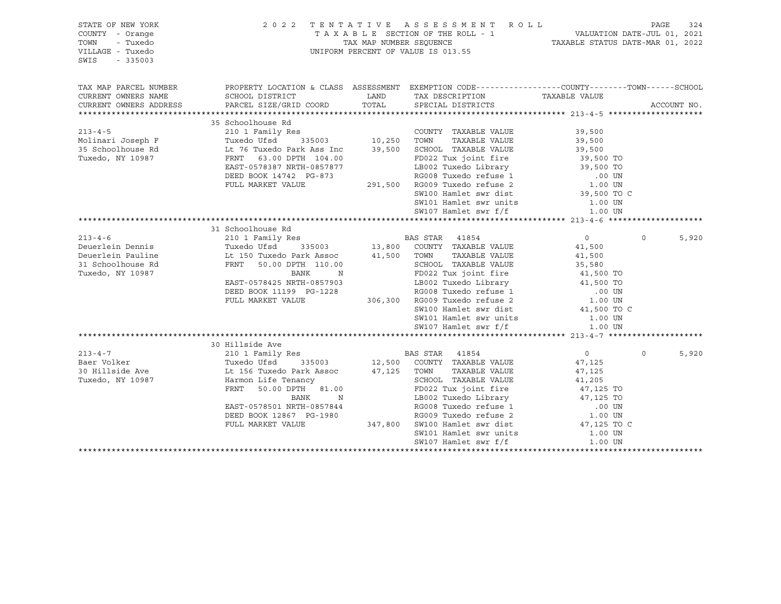| STATE OF NEW YORK<br>COUNTY - Orange<br>TOWN<br>- Tuxedo<br>VILLAGE - Tuxedo<br>SWIS<br>$-335003$ |                           | 2022 TENTATIVE ASSESSMENT ROLL<br>TAXABLE SECTION OF THE ROLL - 1 VALUATION DATE-JUL 01, 2021<br>TAX MAP NUMBER SEQUENCE TAXABLE STATUS DATE-MAR 01, 2022<br>UNIFORM PERCENT OF VALUE IS 013.55                                                      |                            |          |             |
|---------------------------------------------------------------------------------------------------|---------------------------|------------------------------------------------------------------------------------------------------------------------------------------------------------------------------------------------------------------------------------------------------|----------------------------|----------|-------------|
| TAX MAP PARCEL NUMBER                                                                             |                           | PROPERTY LOCATION & CLASS ASSESSMENT EXEMPTION CODE---------------COUNTY-------TOWN------SCHOOL                                                                                                                                                      |                            |          |             |
| CURRENT OWNERS NAME                                                                               | SCHOOL DISTRICT           | LAND TAX DESCRIPTION TAXABLE VALUE                                                                                                                                                                                                                   |                            |          |             |
| CURRENT OWNERS ADDRESS                                                                            | PARCEL SIZE/GRID COORD    | TOTAL SPECIAL DISTRICTS                                                                                                                                                                                                                              |                            |          | ACCOUNT NO. |
|                                                                                                   |                           |                                                                                                                                                                                                                                                      |                            |          |             |
|                                                                                                   | 35 Schoolhouse Rd         |                                                                                                                                                                                                                                                      |                            |          |             |
|                                                                                                   |                           |                                                                                                                                                                                                                                                      | 39,500                     |          |             |
|                                                                                                   |                           |                                                                                                                                                                                                                                                      | 39,500<br>39,500           |          |             |
| Tuxedo, NY 10987                                                                                  | FRNT 63.00 DPTH 104.00    |                                                                                                                                                                                                                                                      |                            |          |             |
|                                                                                                   | EAST-0578387 NRTH-0857877 | 104.00 FD022 Tux joint fire 39,500 TO<br>0857877 LB002 Tuxedo Library 39,500 TO<br>39,500 TO<br>39,500 TO<br>291,500 RG009 Tuxedo refuse 2 1.00 UN                                                                                                   |                            |          |             |
|                                                                                                   | DEED BOOK 14742 PG-873    |                                                                                                                                                                                                                                                      |                            |          |             |
|                                                                                                   | FULL MARKET VALUE         |                                                                                                                                                                                                                                                      |                            |          |             |
|                                                                                                   |                           | SW100 Hamlet swr dist                                                                                                                                                                                                                                | 39,500 TO C                |          |             |
|                                                                                                   |                           | SW101 Hamlet swr units                                                                                                                                                                                                                               | 1.00 UN                    |          |             |
|                                                                                                   |                           | SW107 Hamlet swr f/f                                                                                                                                                                                                                                 | 1.00 UN                    |          |             |
|                                                                                                   |                           |                                                                                                                                                                                                                                                      |                            |          |             |
|                                                                                                   | 31 Schoolhouse Rd         |                                                                                                                                                                                                                                                      |                            |          |             |
| $213 - 4 - 6$                                                                                     | 210 1 Family Res          |                                                                                                                                                                                                                                                      | $\overline{0}$             | $\circ$  | 5,920       |
| Deuerlein Dennis                                                                                  |                           |                                                                                                                                                                                                                                                      |                            |          |             |
|                                                                                                   |                           |                                                                                                                                                                                                                                                      | 41,500<br>41,500<br>41,500 |          |             |
| Deuerlein Pauline<br>31 Schoolhouse Rd                                                            | FRNT 50.00 DPTH 110.00    |                                                                                                                                                                                                                                                      |                            |          |             |
| Tuxedo, NY 10987                                                                                  | BANK N                    | 110.00 SCHOOL TAXABLE VALUE 35,580<br>N FD022 Tux joint fire 41,500 TO<br>0857903 LB002 Tuxedo Library 41,500 TO<br>G-1228 RG008 Tuxedo refuse 1 .00 UN<br>306,300 RG009 Tuxedo refuse 2 1.00 UN<br>THE 306,300 RG009 Tuxedo refuse 2                |                            |          |             |
|                                                                                                   | EAST-0578425 NRTH-0857903 |                                                                                                                                                                                                                                                      |                            |          |             |
|                                                                                                   | DEED BOOK 11199 PG-1228   |                                                                                                                                                                                                                                                      |                            |          |             |
|                                                                                                   | FULL MARKET VALUE         |                                                                                                                                                                                                                                                      |                            |          |             |
|                                                                                                   |                           | SW100 Hamlet swr dist                                                                                                                                                                                                                                | 41,500 TO C                |          |             |
|                                                                                                   |                           | SW101 Hamlet swr units 1.00 UN                                                                                                                                                                                                                       |                            |          |             |
|                                                                                                   |                           | SW107 Hamlet swr f/f                                                                                                                                                                                                                                 | 1.00 UN                    |          |             |
|                                                                                                   |                           |                                                                                                                                                                                                                                                      |                            |          |             |
|                                                                                                   | 30 Hillside Ave           |                                                                                                                                                                                                                                                      |                            |          |             |
|                                                                                                   |                           |                                                                                                                                                                                                                                                      | $\overline{0}$             | $\Omega$ | 5,920       |
|                                                                                                   |                           |                                                                                                                                                                                                                                                      | 47,125                     |          |             |
|                                                                                                   |                           |                                                                                                                                                                                                                                                      | 47,125                     |          |             |
| Tuxedo, NY 10987                                                                                  |                           |                                                                                                                                                                                                                                                      |                            |          |             |
|                                                                                                   |                           |                                                                                                                                                                                                                                                      |                            |          |             |
|                                                                                                   |                           |                                                                                                                                                                                                                                                      |                            |          |             |
|                                                                                                   |                           |                                                                                                                                                                                                                                                      |                            |          |             |
|                                                                                                   |                           | Harmon Life Tenancy<br>FRNT 50.00 DPTH 81.00<br>FRNT 50.00 DPTH 81.00<br>EAST-0578501 NRTH-0857844<br>DEED BOOK 12867 PG-1980<br>FULL MARKET VALUE<br>FULL MARKET VALUE<br>2009 Tuxedo refuse 2<br>21.00 UN<br>RG009 Tuxedo refuse 2<br>21.00 UN<br> |                            |          |             |
|                                                                                                   |                           |                                                                                                                                                                                                                                                      |                            |          |             |
|                                                                                                   |                           | SW101 Hamlet swr units                                                                                                                                                                                                                               | 1.00 UN                    |          |             |
|                                                                                                   |                           | SW107 Hamlet swr f/f                                                                                                                                                                                                                                 | 1.00 UN                    |          |             |
|                                                                                                   |                           |                                                                                                                                                                                                                                                      |                            |          |             |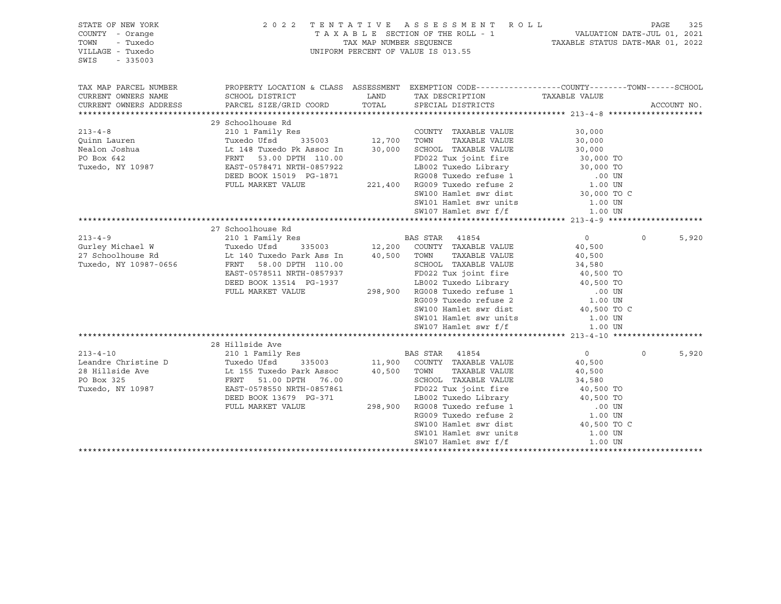| STATE OF NEW YORK<br>COUNTY - Orange<br>TOWN<br>- Tuxedo<br>VILLAGE - Tuxedo<br>SWIS<br>$-335003$                                                                                                                                                                                                                                                                                                                                                     |                                                                                                                                                                                                                                        | 2022 TENTATIVE ASSESSMENT ROLL<br>UNIFORM PERCENT OF VALUE IS 013.55                                                                                                                                                                       |                |          | PAGE<br>325 |
|-------------------------------------------------------------------------------------------------------------------------------------------------------------------------------------------------------------------------------------------------------------------------------------------------------------------------------------------------------------------------------------------------------------------------------------------------------|----------------------------------------------------------------------------------------------------------------------------------------------------------------------------------------------------------------------------------------|--------------------------------------------------------------------------------------------------------------------------------------------------------------------------------------------------------------------------------------------|----------------|----------|-------------|
| TAX MAP PARCEL NUMBER                                                                                                                                                                                                                                                                                                                                                                                                                                 | PROPERTY LOCATION & CLASS ASSESSMENT EXEMPTION CODE----------------COUNTY-------TOWN------SCHOOL                                                                                                                                       |                                                                                                                                                                                                                                            |                |          |             |
| CURRENT OWNERS NAME<br>CURRENT OWNERS ADDRESS                                                                                                                                                                                                                                                                                                                                                                                                         | SCHOOL DISTRICT<br>PARCEL SIZE/GRID COORD TOTAL SPECIAL DISTRICTS                                                                                                                                                                      | LAND TAX DESCRIPTION TAXABLE VALUE                                                                                                                                                                                                         |                |          | ACCOUNT NO. |
|                                                                                                                                                                                                                                                                                                                                                                                                                                                       |                                                                                                                                                                                                                                        |                                                                                                                                                                                                                                            |                |          |             |
|                                                                                                                                                                                                                                                                                                                                                                                                                                                       | 29 Schoolhouse Rd                                                                                                                                                                                                                      |                                                                                                                                                                                                                                            |                |          |             |
| COUNTY TAXABLE VALUE<br>Quinn Lauren (210 1 Family Res COUNTY TAXABLE VALUE<br>Nealon Joshua (148 Tuxedo Pk Assoc In 30,000 SCHOOL TAXABLE VALUE<br>PO Box 642 FRNT 53.00 DPTH 110.00 FD022 Tux joint fire<br>Tuxedo, NY 10987 EAST-05                                                                                                                                                                                                                |                                                                                                                                                                                                                                        |                                                                                                                                                                                                                                            | 30,000         |          |             |
|                                                                                                                                                                                                                                                                                                                                                                                                                                                       |                                                                                                                                                                                                                                        |                                                                                                                                                                                                                                            | 30,000         |          |             |
|                                                                                                                                                                                                                                                                                                                                                                                                                                                       |                                                                                                                                                                                                                                        |                                                                                                                                                                                                                                            | 30,000         |          |             |
|                                                                                                                                                                                                                                                                                                                                                                                                                                                       |                                                                                                                                                                                                                                        | 110.00 FD022 Tux joint fire 30,000 TO<br>0857922 LB002 Tuxedo Library 30,000 TO<br>G-1871 RG008 Tuxedo refuse 1 00 UN<br>221,400 RG009 Tuxedo refuse 2 1.00 UN                                                                             |                |          |             |
|                                                                                                                                                                                                                                                                                                                                                                                                                                                       |                                                                                                                                                                                                                                        |                                                                                                                                                                                                                                            |                |          |             |
|                                                                                                                                                                                                                                                                                                                                                                                                                                                       |                                                                                                                                                                                                                                        |                                                                                                                                                                                                                                            |                |          |             |
|                                                                                                                                                                                                                                                                                                                                                                                                                                                       | FULL MARKET VALUE                                                                                                                                                                                                                      |                                                                                                                                                                                                                                            |                |          |             |
|                                                                                                                                                                                                                                                                                                                                                                                                                                                       |                                                                                                                                                                                                                                        | SW100 Hamlet swr dist                                                                                                                                                                                                                      | 30,000 TO C    |          |             |
|                                                                                                                                                                                                                                                                                                                                                                                                                                                       |                                                                                                                                                                                                                                        | SW101 Hamlet swr units                                                                                                                                                                                                                     | 1.00 UN        |          |             |
|                                                                                                                                                                                                                                                                                                                                                                                                                                                       |                                                                                                                                                                                                                                        | SW107 Hamlet swr f/f                                                                                                                                                                                                                       | 1.00 UN        |          |             |
|                                                                                                                                                                                                                                                                                                                                                                                                                                                       |                                                                                                                                                                                                                                        |                                                                                                                                                                                                                                            |                |          |             |
|                                                                                                                                                                                                                                                                                                                                                                                                                                                       | 27 Schoolhouse Rd                                                                                                                                                                                                                      |                                                                                                                                                                                                                                            |                |          |             |
| $\begin{tabular}{lcccccc} \multicolumn{1}{c}{213-4-9} & \multicolumn{1}{c}{213-4-9} & \multicolumn{1}{c}{213-4-9} & \multicolumn{1}{c}{210} & \multicolumn{1}{c}{Family Res} & \multicolumn{1}{c}{BAS STR} & 41854 \\ \multicolumn{1}{c}{Gurley Michael W} & \multicolumn{1}{c}{Tuxedo Ufsd} & 335003 & 12,200 & \multicolumn{1}{c}{COUNTY} & TAXABLE VALUE \\ \multicolumn{1}{c}{27 Schoolhouse Rd} & \multicolumn{1}{c}{L140 Tuxedo Park Ass In} &$ |                                                                                                                                                                                                                                        |                                                                                                                                                                                                                                            | $\overline{0}$ | $\Omega$ | 5,920       |
|                                                                                                                                                                                                                                                                                                                                                                                                                                                       |                                                                                                                                                                                                                                        |                                                                                                                                                                                                                                            | 40,500         |          |             |
|                                                                                                                                                                                                                                                                                                                                                                                                                                                       |                                                                                                                                                                                                                                        |                                                                                                                                                                                                                                            |                |          |             |
|                                                                                                                                                                                                                                                                                                                                                                                                                                                       |                                                                                                                                                                                                                                        | TOWN TAXABLE VALUE<br>SCHOOL TAXABLE VALUE 34,580<br>Aliso Time in the fire 40,500 TO                                                                                                                                                      |                |          |             |
|                                                                                                                                                                                                                                                                                                                                                                                                                                                       | FRNT 58.00 DFTH 110.00<br>EAST-0578511 NRTH-0857937 FD022 Tux joint fire 40,500 TO<br>DEED BOOK 13514 PG-1937 LB002 Tuxedo Library 40,500 TO<br>FULL MARKET VALUE 298,900 RG008 Tuxedo refuse 1 .00 UN<br>RG009 Tuxedo refuse 2 1.00 U |                                                                                                                                                                                                                                            |                |          |             |
|                                                                                                                                                                                                                                                                                                                                                                                                                                                       |                                                                                                                                                                                                                                        |                                                                                                                                                                                                                                            |                |          |             |
|                                                                                                                                                                                                                                                                                                                                                                                                                                                       |                                                                                                                                                                                                                                        |                                                                                                                                                                                                                                            |                |          |             |
|                                                                                                                                                                                                                                                                                                                                                                                                                                                       |                                                                                                                                                                                                                                        |                                                                                                                                                                                                                                            |                |          |             |
|                                                                                                                                                                                                                                                                                                                                                                                                                                                       |                                                                                                                                                                                                                                        | SW100 Hamlet swr dist                                                                                                                                                                                                                      | 40,500 TO C    |          |             |
|                                                                                                                                                                                                                                                                                                                                                                                                                                                       |                                                                                                                                                                                                                                        | SW101 Hamlet swr units 1.00 UN                                                                                                                                                                                                             |                |          |             |
|                                                                                                                                                                                                                                                                                                                                                                                                                                                       |                                                                                                                                                                                                                                        | SW107 Hamlet swr f/f                                                                                                                                                                                                                       | 1.00 UN        |          |             |
|                                                                                                                                                                                                                                                                                                                                                                                                                                                       |                                                                                                                                                                                                                                        |                                                                                                                                                                                                                                            |                |          |             |
|                                                                                                                                                                                                                                                                                                                                                                                                                                                       | 28 Hillside Ave                                                                                                                                                                                                                        |                                                                                                                                                                                                                                            |                |          |             |
|                                                                                                                                                                                                                                                                                                                                                                                                                                                       |                                                                                                                                                                                                                                        |                                                                                                                                                                                                                                            | $\overline{0}$ | $\circ$  | 5,920       |
|                                                                                                                                                                                                                                                                                                                                                                                                                                                       |                                                                                                                                                                                                                                        |                                                                                                                                                                                                                                            | 40,500         |          |             |
|                                                                                                                                                                                                                                                                                                                                                                                                                                                       |                                                                                                                                                                                                                                        |                                                                                                                                                                                                                                            | 40,500         |          |             |
|                                                                                                                                                                                                                                                                                                                                                                                                                                                       |                                                                                                                                                                                                                                        |                                                                                                                                                                                                                                            |                |          |             |
|                                                                                                                                                                                                                                                                                                                                                                                                                                                       |                                                                                                                                                                                                                                        |                                                                                                                                                                                                                                            |                |          |             |
|                                                                                                                                                                                                                                                                                                                                                                                                                                                       | DEED BOOK 13679 PG-371                                                                                                                                                                                                                 |                                                                                                                                                                                                                                            |                |          |             |
|                                                                                                                                                                                                                                                                                                                                                                                                                                                       | FULL MARKET VALUE                                                                                                                                                                                                                      |                                                                                                                                                                                                                                            |                |          |             |
|                                                                                                                                                                                                                                                                                                                                                                                                                                                       |                                                                                                                                                                                                                                        | 76.00 SCHOOL TAXABLE VALUE<br>0857861 FD022 Tux joint fire 40,500 TO<br>0857861 FD022 Tux joint fire 40,500 TO<br>298,900 RG008 Tuxedo refuse 1 .00 UN<br>RG009 Tuxedo refuse 2 1.00 UN<br>SM100 Hamlet swr dist<br>2000 Tuxedo refuse 2 1 |                |          |             |
|                                                                                                                                                                                                                                                                                                                                                                                                                                                       |                                                                                                                                                                                                                                        |                                                                                                                                                                                                                                            |                |          |             |
|                                                                                                                                                                                                                                                                                                                                                                                                                                                       |                                                                                                                                                                                                                                        | SW101 Hamlet swr units 1.00 UN                                                                                                                                                                                                             |                |          |             |
|                                                                                                                                                                                                                                                                                                                                                                                                                                                       |                                                                                                                                                                                                                                        | SW107 Hamlet swr f/f                                                                                                                                                                                                                       | 1.00 UN        |          |             |
|                                                                                                                                                                                                                                                                                                                                                                                                                                                       |                                                                                                                                                                                                                                        |                                                                                                                                                                                                                                            |                |          |             |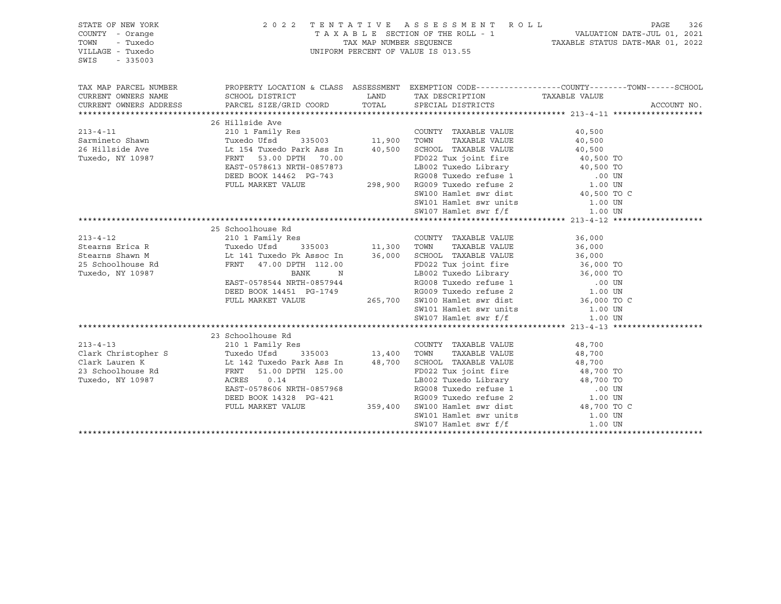| STATE OF NEW YORK<br>COUNTY - Orange<br>TOWN<br>- Tuxedo<br>VILLAGE - Tuxedo<br>SWIS<br>$-335003$              |                                                                                                                                                                                                              |                      | 2022 TENTATIVE ASSESSMENT ROLL<br>UNIFORM PERCENT OF VALUE IS 013.55                                                                                                                                                                                                                         |                              | PAGE<br>326 |
|----------------------------------------------------------------------------------------------------------------|--------------------------------------------------------------------------------------------------------------------------------------------------------------------------------------------------------------|----------------------|----------------------------------------------------------------------------------------------------------------------------------------------------------------------------------------------------------------------------------------------------------------------------------------------|------------------------------|-------------|
| TAX MAP PARCEL NUMBER<br>CURRENT OWNERS NAME<br>CURRENT OWNERS ADDRESS                                         | PROPERTY LOCATION & CLASS ASSESSMENT EXEMPTION CODE----------------COUNTY-------TOWN------SCHOOL<br>SCHOOL DISTRICT<br>PARCEL SIZE/GRID COORD                                                                | TOTAL                | LAND TAX DESCRIPTION<br>SPECIAL DISTRICTS                                                                                                                                                                                                                                                    | TAXABLE VALUE                | ACCOUNT NO. |
|                                                                                                                |                                                                                                                                                                                                              |                      |                                                                                                                                                                                                                                                                                              |                              |             |
|                                                                                                                | 26 Hillside Ave                                                                                                                                                                                              |                      |                                                                                                                                                                                                                                                                                              |                              |             |
| $213 - 4 - 11$<br>Sarmineto Shawn<br>26 Hillside Ave<br>Tuxedo, NY 10987                                       | Lt 154 Tuxedo Park Ass In<br>FRNT 53.00 DPTH 70.00<br>EAST-0578613 NRTH-0857873                                                                                                                              |                      | COUNTY TAXABLE VALUE<br>TAXABLE VALUE<br>40,500 SCHOOL TAXABLE VALUE 40,500                                                                                                                                                                                                                  | 40,500<br>40,500             |             |
|                                                                                                                | DEED BOOK 14462 PG-743<br>FULL MARKET VALUE                                                                                                                                                                  |                      | 0.00 FD022 Tux joint fire 40,500 TO<br>7873 LB002 Tuxedo Library 40,500 TO<br>80008 Tuxedo Library 40,500 TO<br>80008 Tuxedo refuse 1 .00 UN<br>298,900 RG009 Tuxedo refuse 2 1.00 UN<br>SM100 Hamlet swr dist 40,500 TO C<br>200 NG00 Ham<br>SW101 Hamlet swr units<br>SW107 Hamlet swr f/f | 1.00 UN<br>1.00 UN           |             |
|                                                                                                                |                                                                                                                                                                                                              |                      |                                                                                                                                                                                                                                                                                              |                              |             |
| $213 - 4 - 12$<br>Stearns Erica R<br>Stearns Shawn M<br>25 Schoolhouse Rd<br>- 32 MW 10097<br>Tuxedo, NY 10987 | 25 Schoolhouse Rd<br>210 1 Family Res<br>Tuxedo Ufsd 335003<br>Lt 141 Tuxedo Pk Assoc In<br>RRNT 47.00 DPTH 112.00<br>BANK<br>N<br>EAST-0578544 NRTH-0857944<br>DEED BOOK 14451 PG-1749<br>FULL MARKET VALUE | COUNT<br>11,300 TOWN | COUNTY TAXABLE VALUE<br>TAXABLE VALUE<br>36,000 SCHOOL TAXABLE VALUE<br>FD022 Tux joint fire 36,000 TO<br>LB002 Tuxedo Library 36,000 TO<br>RG008 Tuxedo refuse 1 00 UN<br>RG009 Tuxedo refuse 2 1.00 UN<br>265,700 SW100 Hamlet swr dist 36,000 TO C                                        | 36,000<br>36,000<br>36,000   |             |
|                                                                                                                |                                                                                                                                                                                                              |                      | SW101 Hamlet swr units<br>SW107 Hamlet swr f/f                                                                                                                                                                                                                                               | 1.00 UN                      |             |
|                                                                                                                |                                                                                                                                                                                                              |                      |                                                                                                                                                                                                                                                                                              | 1.00 UN                      |             |
|                                                                                                                |                                                                                                                                                                                                              |                      |                                                                                                                                                                                                                                                                                              |                              |             |
| $213 - 4 - 13$                                                                                                 | 23 Schoolhouse Rd<br>EAST-0578606 NRTH-0857968<br>DEED BOOK 14328 PG-421<br>FULL MARKET VALUE                                                                                                                |                      | COUNTY TAXABLE VALUE<br>Example 1114<br>LB002 Tuxedo Library 18,700 TO<br>RG008 Tuxedo refuse 1 .00 UN<br>RG009 Tuxedo refuse 2 1.00 UN<br>359,400 SW100 Hamlet swr dist 48,700 TO C<br>SW101 Hamlet swr units<br>SW107 Hamlet swr f/f                                                       | 48,700<br>1.00 UN<br>1.00 UN |             |
|                                                                                                                |                                                                                                                                                                                                              |                      |                                                                                                                                                                                                                                                                                              |                              |             |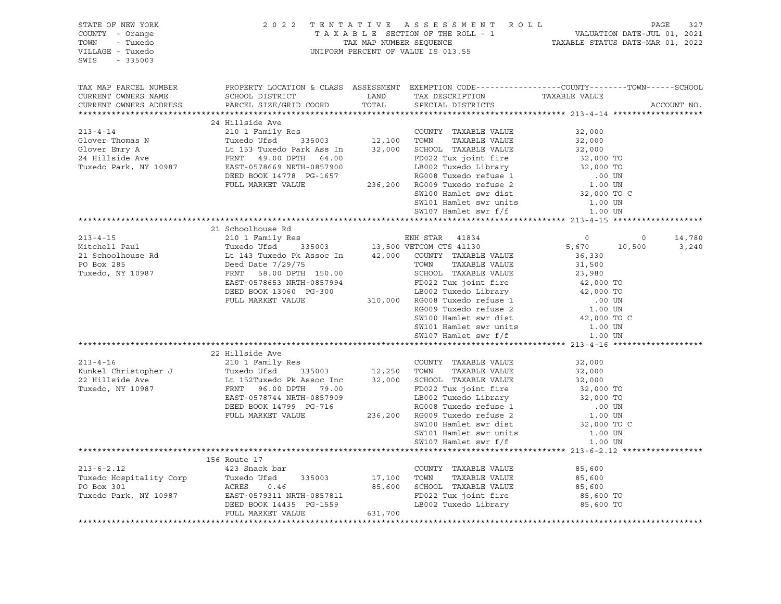| STATE OF NEW YORK<br>COUNTY - Orange<br>- Tuxedo<br>TOWN<br>VILLAGE - Tuxedo<br>$-335003$<br>SWIS                                                                                                                                        |                                                                                                                                                                                                                                                      |         | 2022 TENTATIVE ASSESSMENT ROLL<br>PAGE 327<br>TAXABLE SECTION OF THE ROLL - 1 VALUATION DATE-JUL 01, 2021<br>TAXABLE STATUS DATE-MAR 01, 2022<br>TAXABLE STATUS DATE-MAR 01, 2022<br>UNIFORM PERCENT OF VALUE IS 013.55        |           | PAGE<br>327     |
|------------------------------------------------------------------------------------------------------------------------------------------------------------------------------------------------------------------------------------------|------------------------------------------------------------------------------------------------------------------------------------------------------------------------------------------------------------------------------------------------------|---------|--------------------------------------------------------------------------------------------------------------------------------------------------------------------------------------------------------------------------------|-----------|-----------------|
| TAX MAP PARCEL NUMBER<br>CURRENT OWNERS NAME<br>CURRENT OWNERS ADDRESS                                                                                                                                                                   | SCHOOL DISTRICT<br>PARCEL SIZE/GRID COORD                                                                                                                                                                                                            | TOTAL   | PROPERTY LOCATION & CLASS ASSESSMENT EXEMPTION CODE---------------COUNTY-------TOWN-----SCHOOL<br>LAND TAX DESCRIPTION TAXABLE VALUE<br>COORD TOTAL SPECIAL DISTRICTS<br>SPECIAL DISTRICTS                                     |           | ACCOUNT NO.     |
|                                                                                                                                                                                                                                          |                                                                                                                                                                                                                                                      |         |                                                                                                                                                                                                                                |           |                 |
| 213-4-14<br>210 1 Family Res<br>Glover Thomas N Tuxedo Ufsd 335003 12,100 TOWN TAXABLE VALUE<br>Glover Emry A Lt 153 Tuxedo Park Ass In 32,000 SCHOOL TAXABLE VALUE<br>24 Hillside Ave FRNT 49.00 DPTH 64.00 FD022 Tux joint fire<br>Tux |                                                                                                                                                                                                                                                      |         |                                                                                                                                                                                                                                | 32,000    |                 |
|                                                                                                                                                                                                                                          |                                                                                                                                                                                                                                                      |         |                                                                                                                                                                                                                                | 32,000    |                 |
|                                                                                                                                                                                                                                          | 153 Tuxedo Park Ass In 32,000<br>FRNT 49.00 DPTH 64.00<br>EAST-0578669 NRTH-0857900<br>DEED BOOK 14778 PG-1657<br>FULL MARKET VALUE 236,200 RG009 Tuxedo refuse 2 1.00 UN<br>SW100 Hamlet swr dist                                                   |         |                                                                                                                                                                                                                                |           |                 |
|                                                                                                                                                                                                                                          |                                                                                                                                                                                                                                                      |         |                                                                                                                                                                                                                                |           |                 |
|                                                                                                                                                                                                                                          |                                                                                                                                                                                                                                                      |         |                                                                                                                                                                                                                                |           |                 |
|                                                                                                                                                                                                                                          |                                                                                                                                                                                                                                                      |         |                                                                                                                                                                                                                                |           |                 |
|                                                                                                                                                                                                                                          |                                                                                                                                                                                                                                                      |         |                                                                                                                                                                                                                                |           |                 |
|                                                                                                                                                                                                                                          |                                                                                                                                                                                                                                                      |         | SW100 Hamlet swr dist 32,000 TO C                                                                                                                                                                                              |           |                 |
|                                                                                                                                                                                                                                          |                                                                                                                                                                                                                                                      |         |                                                                                                                                                                                                                                |           |                 |
|                                                                                                                                                                                                                                          |                                                                                                                                                                                                                                                      |         |                                                                                                                                                                                                                                |           |                 |
|                                                                                                                                                                                                                                          |                                                                                                                                                                                                                                                      |         |                                                                                                                                                                                                                                |           |                 |
| 213-4-15<br>214 SCHOOLINGUSE RAND ENN STAR 41834<br>215 SCHOOLINGUSE RAND TUXE TUXE TUXE 215 TUXE 215 SCHOOLINGUSE RAND 21<br>215 SCHOOLINGUSE 2013 TUXE 2135003<br>215 SCHOOLINGUSE 2136,330<br>215 SCHOOLINGUSE 2134 2000 VETCOM CTS   | 21 Schoolhouse Rd                                                                                                                                                                                                                                    |         |                                                                                                                                                                                                                                |           |                 |
|                                                                                                                                                                                                                                          |                                                                                                                                                                                                                                                      |         |                                                                                                                                                                                                                                |           | 14,780<br>3,240 |
|                                                                                                                                                                                                                                          |                                                                                                                                                                                                                                                      |         |                                                                                                                                                                                                                                |           |                 |
|                                                                                                                                                                                                                                          |                                                                                                                                                                                                                                                      |         |                                                                                                                                                                                                                                |           |                 |
|                                                                                                                                                                                                                                          |                                                                                                                                                                                                                                                      |         |                                                                                                                                                                                                                                |           |                 |
|                                                                                                                                                                                                                                          |                                                                                                                                                                                                                                                      |         |                                                                                                                                                                                                                                |           |                 |
|                                                                                                                                                                                                                                          | 9 Deed Date 7/29/75<br>FRNT 58.00 DPTH 150.00<br>ERST-0578653 NRTH-0857994<br>DEED BOOK 13060 PG-300<br>FULL MARKET VALUE<br>FULL MARKET VALUE<br>FULL MARKET VALUE<br>210,000 RG008 Tuxedo Library<br>23,980<br>FULL MARKET VALUE<br>23,000 TO<br>2 |         |                                                                                                                                                                                                                                |           |                 |
|                                                                                                                                                                                                                                          |                                                                                                                                                                                                                                                      |         |                                                                                                                                                                                                                                |           |                 |
|                                                                                                                                                                                                                                          |                                                                                                                                                                                                                                                      |         |                                                                                                                                                                                                                                |           |                 |
|                                                                                                                                                                                                                                          |                                                                                                                                                                                                                                                      |         |                                                                                                                                                                                                                                |           |                 |
|                                                                                                                                                                                                                                          |                                                                                                                                                                                                                                                      |         |                                                                                                                                                                                                                                |           |                 |
|                                                                                                                                                                                                                                          |                                                                                                                                                                                                                                                      |         | Extra transitional contract on the contract of the matrix of the matrix of the same of the same of the same of the same of the same of the same of the same of the same of the same of the same of the same of the same of the |           |                 |
|                                                                                                                                                                                                                                          |                                                                                                                                                                                                                                                      |         |                                                                                                                                                                                                                                |           |                 |
|                                                                                                                                                                                                                                          | 22 Hillside Ave                                                                                                                                                                                                                                      |         |                                                                                                                                                                                                                                |           |                 |
| $213 - 4 - 16$                                                                                                                                                                                                                           | 210 1 Family Res<br>Tuxedo Ufsd 335003 12,250 TOWN<br>210 1 Family Res                                                                                                                                                                               |         | COUNTY TAXABLE VALUE 32,000                                                                                                                                                                                                    |           |                 |
|                                                                                                                                                                                                                                          |                                                                                                                                                                                                                                                      |         |                                                                                                                                                                                                                                |           |                 |
|                                                                                                                                                                                                                                          |                                                                                                                                                                                                                                                      |         |                                                                                                                                                                                                                                |           |                 |
|                                                                                                                                                                                                                                          |                                                                                                                                                                                                                                                      |         |                                                                                                                                                                                                                                |           |                 |
|                                                                                                                                                                                                                                          |                                                                                                                                                                                                                                                      |         |                                                                                                                                                                                                                                |           |                 |
|                                                                                                                                                                                                                                          |                                                                                                                                                                                                                                                      |         |                                                                                                                                                                                                                                |           |                 |
|                                                                                                                                                                                                                                          |                                                                                                                                                                                                                                                      |         |                                                                                                                                                                                                                                |           |                 |
|                                                                                                                                                                                                                                          |                                                                                                                                                                                                                                                      |         |                                                                                                                                                                                                                                | 1.00 UN   |                 |
|                                                                                                                                                                                                                                          |                                                                                                                                                                                                                                                      |         | SW101 Hamlet swr units<br>SW107 Hamlet swr f/f                                                                                                                                                                                 | 1.00 UN   |                 |
|                                                                                                                                                                                                                                          |                                                                                                                                                                                                                                                      |         |                                                                                                                                                                                                                                |           |                 |
|                                                                                                                                                                                                                                          | 156 Route 17                                                                                                                                                                                                                                         |         |                                                                                                                                                                                                                                |           |                 |
|                                                                                                                                                                                                                                          |                                                                                                                                                                                                                                                      |         | COUNTY TAXABLE VALUE                                                                                                                                                                                                           | 85,600    |                 |
|                                                                                                                                                                                                                                          |                                                                                                                                                                                                                                                      |         | TAXABLE VALUE<br>TOWN                                                                                                                                                                                                          | 85,600    |                 |
|                                                                                                                                                                                                                                          |                                                                                                                                                                                                                                                      |         | 85,600 SCHOOL TAXABLE VALUE                                                                                                                                                                                                    | 85,600    |                 |
|                                                                                                                                                                                                                                          |                                                                                                                                                                                                                                                      |         | FD022 Tux joint fire                                                                                                                                                                                                           | 85,600 TO |                 |
|                                                                                                                                                                                                                                          |                                                                                                                                                                                                                                                      |         | LB002 Tuxedo Library 65,600 TO                                                                                                                                                                                                 |           |                 |
|                                                                                                                                                                                                                                          | FULL MARKET VALUE                                                                                                                                                                                                                                    | 631,700 |                                                                                                                                                                                                                                |           |                 |
|                                                                                                                                                                                                                                          |                                                                                                                                                                                                                                                      |         |                                                                                                                                                                                                                                |           |                 |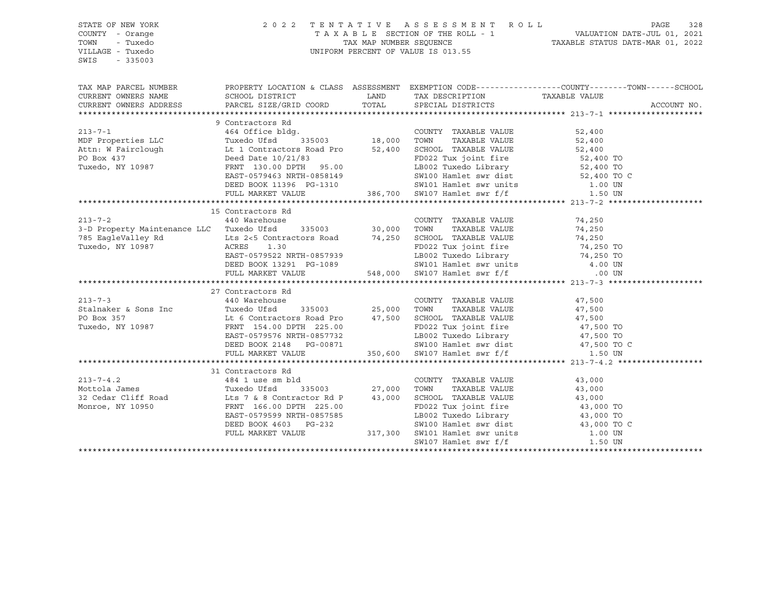| STATE OF NEW YORK<br>COUNTY - Orange<br>TOWN<br>- Tuxedo<br>VILLAGE - Tuxedo<br>SWIS<br>$-335003$                                                                                                                      | 2 0 2 2                                                                                                         |                    | TENTATIVE ASSESSMENT ROLL<br>UNIFORM PERCENT OF VALUE IS 013.55                                                                      | PAGE<br>328                                                                                                              |
|------------------------------------------------------------------------------------------------------------------------------------------------------------------------------------------------------------------------|-----------------------------------------------------------------------------------------------------------------|--------------------|--------------------------------------------------------------------------------------------------------------------------------------|--------------------------------------------------------------------------------------------------------------------------|
|                                                                                                                                                                                                                        |                                                                                                                 |                    |                                                                                                                                      | TAX MAP PARCEL NUMBER THE PROPERTY LOCATION & CLASS ASSESSMENT EXEMPTION CODE--------------COUNTY-------TOWN------SCHOOL |
| CURRENT OWNERS NAME                                                                                                                                                                                                    | SCHOOL DISTRICT                                                                                                 | LAND               | TAX DESCRIPTION TAXABLE VALUE                                                                                                        |                                                                                                                          |
| CURRENT OWNERS ADDRESS                                                                                                                                                                                                 | PARCEL SIZE/GRID COORD                                                                                          | TOTAL              | SPECIAL DISTRICTS                                                                                                                    | ACCOUNT NO.                                                                                                              |
|                                                                                                                                                                                                                        |                                                                                                                 |                    |                                                                                                                                      |                                                                                                                          |
|                                                                                                                                                                                                                        | 9 Contractors Rd                                                                                                |                    |                                                                                                                                      |                                                                                                                          |
| $213 - 7 - 1$                                                                                                                                                                                                          | 464 Office bldg.                                                                                                |                    | COUNTY TAXABLE VALUE                                                                                                                 | 52,400                                                                                                                   |
| MDF Properties LLC Tuxedo Ufsd                                                                                                                                                                                         |                                                                                                                 | 335003 18,000 TOWN | TAXABLE VALUE                                                                                                                        | 52,400                                                                                                                   |
| Attn: W Fairclough 1.1 Contractors Road Pro 52,400 SCHOOL TAXABLE VALUE 52,400 52,400 TO<br>PO Box 437 1.1 Deed Date 10/21/83 FD022 Tux joint fire 52,400 TO                                                           |                                                                                                                 |                    |                                                                                                                                      |                                                                                                                          |
|                                                                                                                                                                                                                        |                                                                                                                 |                    |                                                                                                                                      |                                                                                                                          |
| Tuxedo, NY 10987                                                                                                                                                                                                       | FRNT 130.00 DPTH 95.00                                                                                          |                    | LB002 Tuxedo Library 52,400 TO                                                                                                       |                                                                                                                          |
|                                                                                                                                                                                                                        | EAST-0579463 NRTH-0858149                                                                                       |                    | SW100 Hamlet swr dist 52,400 TO C<br>SW101 Hamlet swr units 1.00 UN                                                                  |                                                                                                                          |
|                                                                                                                                                                                                                        | DEED BOOK 11396 PG-1310                                                                                         |                    |                                                                                                                                      |                                                                                                                          |
|                                                                                                                                                                                                                        | FULL MARKET VALUE                                                                                               |                    | 386,700 SW107 Hamlet swr f/f                                                                                                         | 1.50 UN                                                                                                                  |
|                                                                                                                                                                                                                        |                                                                                                                 |                    |                                                                                                                                      |                                                                                                                          |
|                                                                                                                                                                                                                        | 15 Contractors Rd                                                                                               |                    |                                                                                                                                      |                                                                                                                          |
| $213 - 7 - 2$                                                                                                                                                                                                          | 440 Warehouse                                                                                                   |                    | COUNTY TAXABLE VALUE                                                                                                                 | 74,250                                                                                                                   |
| 3-D Property Maintenance LLC Tuxedo Ufsd 335003 30,000 TOWN                                                                                                                                                            |                                                                                                                 |                    | TAXABLE VALUE                                                                                                                        | 74,250                                                                                                                   |
| 785 EagleValley Rd<br>Lts 2<5 Contractors Road<br>The Contractors Road<br>The Contractors Road<br>The Contractors Road<br>The Contractors Road<br>The Contractors Road<br>The Contractors Road<br>The Contractors Road |                                                                                                                 |                    |                                                                                                                                      |                                                                                                                          |
| Tuxedo, NY 10987                                                                                                                                                                                                       | ACRES 1.30                                                                                                      |                    | SCHOOL TAXABLE VALUE 74,250<br>FD022 Tux joint fire 74,250 TO<br>FD022 Tux joint fire 50 74,250 TO<br>LB002 Tuxedo Library 54,250 TO |                                                                                                                          |
|                                                                                                                                                                                                                        | EAST-0579522 NRTH-0857939                                                                                       |                    |                                                                                                                                      |                                                                                                                          |
|                                                                                                                                                                                                                        |                                                                                                                 |                    |                                                                                                                                      |                                                                                                                          |
|                                                                                                                                                                                                                        | DEED BOOK 13291 PG-1089 SW101 Hamlet swr units 4.00 UN<br>FULL MARKET VALUE 548,000 SW107 Hamlet swr f/f 600 UN |                    |                                                                                                                                      |                                                                                                                          |
|                                                                                                                                                                                                                        |                                                                                                                 |                    |                                                                                                                                      |                                                                                                                          |
|                                                                                                                                                                                                                        | 27 Contractors Rd                                                                                               |                    |                                                                                                                                      |                                                                                                                          |
| $213 - 7 - 3$                                                                                                                                                                                                          | 440 Warehouse                                                                                                   |                    | COUNTY TAXABLE VALUE                                                                                                                 | 47,500                                                                                                                   |
|                                                                                                                                                                                                                        |                                                                                                                 |                    | TOWN<br>TAXABLE VALUE                                                                                                                | 47,500                                                                                                                   |
|                                                                                                                                                                                                                        |                                                                                                                 |                    | SCHOOL TAXABLE VALUE                                                                                                                 | 47,500                                                                                                                   |
| Tuxedo, NY 10987                                                                                                                                                                                                       | FRNT 154.00 DPTH 225.00                                                                                         |                    | FD022 Tux joint fire 47,500 TO                                                                                                       |                                                                                                                          |
|                                                                                                                                                                                                                        | EAST-0579576 NRTH-0857732                                                                                       |                    | LB002 Tuxedo Library<br>SW100 Hamlet swr dist 47,500 TO C                                                                            |                                                                                                                          |
|                                                                                                                                                                                                                        | DEED BOOK 2148 PG-00871                                                                                         |                    |                                                                                                                                      |                                                                                                                          |
|                                                                                                                                                                                                                        | FULL MARKET VALUE                                                                                               |                    | $350,600$ SW107 Hamlet swr f/f $1.50$ UN                                                                                             |                                                                                                                          |
|                                                                                                                                                                                                                        |                                                                                                                 |                    |                                                                                                                                      |                                                                                                                          |
|                                                                                                                                                                                                                        | 31 Contractors Rd                                                                                               |                    |                                                                                                                                      |                                                                                                                          |
| $213 - 7 - 4.2$                                                                                                                                                                                                        |                                                                                                                 |                    | COUNTY TAXABLE VALUE                                                                                                                 | 43,000                                                                                                                   |
|                                                                                                                                                                                                                        | bld<br>335003 27,000<br>484 1 use sm bld<br>Tuxedo Ufsd 3                                                       |                    | TOWN<br>TAXABLE VALUE                                                                                                                | 43,000                                                                                                                   |
|                                                                                                                                                                                                                        |                                                                                                                 |                    | ${\tt SCH OOL} \hspace{0.2in} {\tt TAXABLE} \hspace{0.2in} {\tt VALUE} \hspace{0.2in} 43,000$                                        |                                                                                                                          |
| Monroe, NY 10950                                                                                                                                                                                                       | FRNT 166.00 DPTH 225.00                                                                                         |                    |                                                                                                                                      |                                                                                                                          |
|                                                                                                                                                                                                                        | EAST-0579599 NRTH-0857585                                                                                       |                    | FD022 Tux joint fire 43,000 TO<br>LB002 Tuxedo Library 43,000 TO                                                                     |                                                                                                                          |
|                                                                                                                                                                                                                        | DEED BOOK 4603<br>PG-232                                                                                        |                    | SW100 Hamlet swr dist                                                                                                                | 43,000 TO C                                                                                                              |

 FULL MARKET VALUE 317,300 SW101 Hamlet swr units 1.00 UN SW107 Hamlet swr f/f  $1.50$  UN

\*\*\*\*\*\*\*\*\*\*\*\*\*\*\*\*\*\*\*\*\*\*\*\*\*\*\*\*\*\*\*\*\*\*\*\*\*\*\*\*\*\*\*\*\*\*\*\*\*\*\*\*\*\*\*\*\*\*\*\*\*\*\*\*\*\*\*\*\*\*\*\*\*\*\*\*\*\*\*\*\*\*\*\*\*\*\*\*\*\*\*\*\*\*\*\*\*\*\*\*\*\*\*\*\*\*\*\*\*\*\*\*\*\*\*\*\*\*\*\*\*\*\*\*\*\*\*\*\*\*\*\*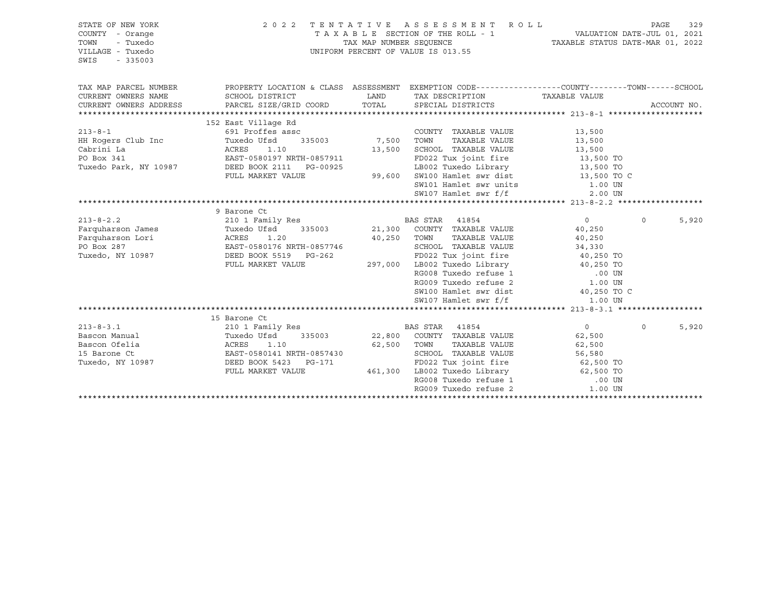| STATE OF NEW YORK<br>COUNTY - Orange<br>- Tuxedo<br>TOWN<br>VILLAGE - Tuxedo<br>SWIS<br>$-335003$ | 2 0 2 2                                                                    | TAX MAP NUMBER SEQUENCE | TENTATIVE ASSESSMENT ROLL<br>TAXABLE SECTION OF THE ROLL - 1<br>UNIFORM PERCENT OF VALUE IS 013.55 | ROLL - 1 VALUATION DATE-JUL 01, 2021<br>TAXABLE STATUS DATE-MAR 01, 2022 | PAGE     | 329         |
|---------------------------------------------------------------------------------------------------|----------------------------------------------------------------------------|-------------------------|----------------------------------------------------------------------------------------------------|--------------------------------------------------------------------------|----------|-------------|
| TAX MAP PARCEL NUMBER                                                                             |                                                                            |                         | PROPERTY LOCATION & CLASS ASSESSMENT EXEMPTION CODE---------------COUNTY-------TOWN-----SCHOOL     |                                                                          |          |             |
| CURRENT OWNERS NAME                                                                               | SCHOOL DISTRICT                                                            | LAND                    | TAX DESCRIPTION TAXABLE VALUE                                                                      |                                                                          |          |             |
| CURRENT OWNERS ADDRESS                                                                            | PARCEL SIZE/GRID COORD                                                     | TOTAL                   | SPECIAL DISTRICTS                                                                                  |                                                                          |          | ACCOUNT NO. |
|                                                                                                   |                                                                            |                         |                                                                                                    |                                                                          |          |             |
|                                                                                                   | 152 East Village Rd                                                        |                         |                                                                                                    |                                                                          |          |             |
| $213 - 8 - 1$                                                                                     | 691 Proffes assc<br>Tuxedo Ufsd<br>335003                                  | 7,500 TOWN              | COUNTY TAXABLE VALUE<br>TAXABLE VALUE                                                              | 13,500                                                                   |          |             |
| HH Rogers Club Inc<br>Cabrini La                                                                  | ACRES<br>1.10                                                              | 13,500                  | SCHOOL TAXABLE VALUE                                                                               | 13,500<br>13,500                                                         |          |             |
| PO Box 341                                                                                        | EAST-0580197 NRTH-0857911                                                  |                         | FD022 Tux joint fire 13,500 TO                                                                     |                                                                          |          |             |
| Tuxedo Park, NY 10987                                                                             | DEED BOOK 2111 PG-00925                                                    |                         | LB002 Tuxedo Library 13,500 TO                                                                     |                                                                          |          |             |
|                                                                                                   | FULL MARKET VALUE                                                          |                         | 99,600 SW100 Hamlet swr dist                                                                       | 13,500 TO C                                                              |          |             |
|                                                                                                   |                                                                            |                         | SW101 Hamlet swr units 1.00 UN                                                                     |                                                                          |          |             |
|                                                                                                   |                                                                            |                         | SW107 Hamlet swr f/f                                                                               | 2.00 UN                                                                  |          |             |
|                                                                                                   |                                                                            |                         |                                                                                                    |                                                                          |          |             |
|                                                                                                   | 9 Barone Ct                                                                |                         |                                                                                                    |                                                                          |          |             |
| $213 - 8 - 2.2$                                                                                   | 210 1 Family Res                                                           |                         | BAS STAR 41854                                                                                     | $0 \qquad \qquad$                                                        | $\Omega$ | 5,920       |
| Farquharson James                                                                                 | Tuxedo Ufsd <sup>3</sup> 335003<br>ACRES 1.20<br>EAST-0580176 NRTH-0857746 |                         | 335003 21,300 COUNTY TAXABLE VALUE                                                                 | 40,250                                                                   |          |             |
| Farquharson Lori                                                                                  |                                                                            | 40,250 TOWN             | TAXABLE VALUE                                                                                      | 40,250                                                                   |          |             |
| PO Box 287                                                                                        |                                                                            |                         | SCHOOL TAXABLE VALUE                                                                               | 34,330                                                                   |          |             |
| Tuxedo, NY 10987                                                                                  | DEED BOOK 5519 PG-262                                                      |                         | FD022 Tux joint fire                                                                               | 40,250 TO                                                                |          |             |
|                                                                                                   | FULL MARKET VALUE                                                          | 297,000                 | LB002 Tuxedo Library 40,250 TO                                                                     |                                                                          |          |             |
|                                                                                                   |                                                                            |                         | RG008 Tuxedo refuse 1<br>RG008 Tuxedo refuse 1 00 UN<br>RG009 Tuxedo refuse 2 1.00 UN              | .00 UN                                                                   |          |             |
|                                                                                                   |                                                                            |                         | SW100 Hamlet swr dist                                                                              | 40,250 TO C                                                              |          |             |
|                                                                                                   |                                                                            |                         | SW107 Hamlet swr f/f                                                                               | 1.00 UN                                                                  |          |             |
|                                                                                                   |                                                                            |                         |                                                                                                    |                                                                          |          |             |
|                                                                                                   | 15 Barone Ct                                                               |                         |                                                                                                    |                                                                          |          |             |
| $213 - 8 - 3.1$                                                                                   | 210 1 Family Res                                                           |                         | BAS STAR 41854                                                                                     | $\overline{0}$                                                           | $\Omega$ | 5,920       |
| Bascon Manual                                                                                     | Tuxedo Ufsd<br>335003                                                      |                         | 22,800 COUNTY TAXABLE VALUE                                                                        | 62,500                                                                   |          |             |
| Bascon Ofelia                                                                                     | ACRES<br>1.10                                                              | 62,500                  | TAXABLE VALUE<br>TOWN                                                                              | 62,500                                                                   |          |             |
| 15 Barone Ct                                                                                      | EAST-0580141 NRTH-0857430                                                  |                         | SCHOOL TAXABLE VALUE                                                                               | 56,580                                                                   |          |             |
| Tuxedo, NY 10987                                                                                  | DEED BOOK 5423 PG-171                                                      |                         | FD022 Tux joint fire                                                                               | $62,500$ TO                                                              |          |             |
|                                                                                                   | FULL MARKET VALUE                                                          |                         | 461,300 LB002 Tuxedo Library 62,500 TO<br>RG008 Tuxedo refuse 1 00 UN                              |                                                                          |          |             |
|                                                                                                   |                                                                            |                         |                                                                                                    |                                                                          |          |             |
|                                                                                                   |                                                                            |                         | RG009 Tuxedo refuse 2                                                                              | 1.00 UN                                                                  |          |             |
|                                                                                                   |                                                                            |                         |                                                                                                    |                                                                          |          |             |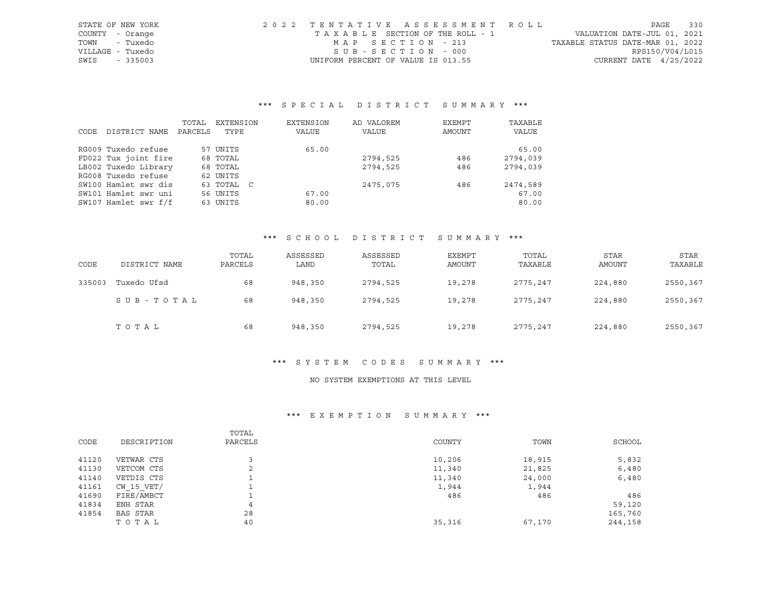| STATE OF NEW YORK | 2022 TENTATIVE ASSESSMENT ROLL |                                    |  |  |  |                                  |                          | PAGE | 330 |
|-------------------|--------------------------------|------------------------------------|--|--|--|----------------------------------|--------------------------|------|-----|
| COUNTY - Orange   |                                | TAXABLE SECTION OF THE ROLL - 1    |  |  |  | VALUATION DATE-JUL 01, 2021      |                          |      |     |
| - Tuxedo<br>TOWN  |                                | MAP SECTION - 213                  |  |  |  | TAXABLE STATUS DATE-MAR 01, 2022 |                          |      |     |
| VILLAGE - Tuxedo  |                                | $SUB - SECTION - 000$              |  |  |  |                                  | RPS150/V04/L015          |      |     |
| SWIS<br>$-335003$ |                                | UNIFORM PERCENT OF VALUE IS 013.55 |  |  |  |                                  | CURRENT DATE $4/25/2022$ |      |     |

|      |                      | TOTAL   | EXTENSION  | EXTENSION | AD VALOREM | EXEMPT | TAXABLE  |
|------|----------------------|---------|------------|-----------|------------|--------|----------|
| CODE | DISTRICT NAME        | PARCELS | TYPE       | VALUE     | VALUE      | AMOUNT | VALUE    |
|      | RG009 Tuxedo refuse  |         | 57 UNITS   | 65.00     |            |        | 65.00    |
|      | FD022 Tux joint fire |         | 68 TOTAL   |           | 2794,525   | 486    | 2794,039 |
|      | LB002 Tuxedo Library |         | 68 TOTAL   |           | 2794,525   | 486    | 2794,039 |
|      | RG008 Tuxedo refuse  |         | 62 UNITS   |           |            |        |          |
|      | SW100 Hamlet swr dis |         | 63 TOTAL C |           | 2475,075   | 486    | 2474,589 |
|      | SW101 Hamlet swr uni |         | 56 UNITS   | 67.00     |            |        | 67.00    |
|      | SW107 Hamlet swr f/f |         | 63 UNITS   | 80.00     |            |        | 80.00    |

## \*\*\* S C H O O L D I S T R I C T S U M M A R Y \*\*\*

| CODE   | DISTRICT NAME | TOTAL<br>PARCELS | ASSESSED<br>LAND | ASSESSED<br>TOTAL | <b>EXEMPT</b><br>AMOUNT | TOTAL<br>TAXABLE | STAR<br>AMOUNT | STAR<br>TAXABLE |
|--------|---------------|------------------|------------------|-------------------|-------------------------|------------------|----------------|-----------------|
| 335003 | Tuxedo Ufsd   | 68               | 948,350          | 2794,525          | 19,278                  | 2775,247         | 224,880        | 2550,367        |
|        | SUB-TOTAL     | 68               | 948,350          | 2794,525          | 19,278                  | 2775,247         | 224,880        | 2550,367        |
|        | TOTAL         | 68               | 948,350          | 2794,525          | 19,278                  | 2775,247         | 224,880        | 2550,367        |

## \*\*\* S Y S T E M C O D E S S U M M A R Y \*\*\*

#### NO SYSTEM EXEMPTIONS AT THIS LEVEL

| CODE  | DESCRIPTION | TOTAL<br>PARCELS | COUNTY | TOWN   | SCHOOL  |
|-------|-------------|------------------|--------|--------|---------|
| 41120 | VETWAR CTS  |                  | 10,206 | 18,915 | 5,832   |
| 41130 | VETCOM CTS  | $\sim$<br>∠      | 11,340 | 21,825 | 6,480   |
| 41140 | VETDIS CTS  |                  | 11,340 | 24,000 | 6,480   |
| 41161 | CW 15 VET/  |                  | 1,944  | 1,944  |         |
| 41690 | FIRE/AMBCT  |                  | 486    | 486    | 486     |
| 41834 | ENH STAR    | 4                |        |        | 59,120  |
| 41854 | BAS STAR    | 28               |        |        | 165,760 |
|       | TOTAL       | 40               | 35,316 | 67,170 | 244,158 |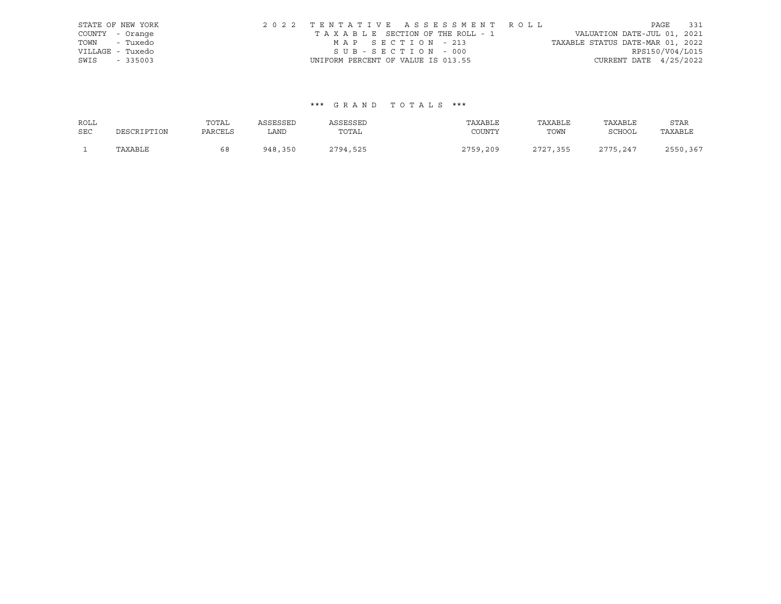|                  | STATE OF NEW YORK | 2022 TENTATIVE ASSESSMENT ROLL     |  |                                  |                          | PAGE | 331 |
|------------------|-------------------|------------------------------------|--|----------------------------------|--------------------------|------|-----|
| COUNTY - Orange  |                   | TAXABLE SECTION OF THE ROLL - 1    |  | VALUATION DATE-JUL 01, 2021      |                          |      |     |
| TOWN - Tuxedo    |                   | MAP SECTION - 213                  |  | TAXABLE STATUS DATE-MAR 01, 2022 |                          |      |     |
| VILLAGE - Tuxedo |                   | SUB-SECTION - 000                  |  |                                  | RPS150/V04/L015          |      |     |
| SWIS             | $-335003$         | UNIFORM PERCENT OF VALUE IS 013.55 |  |                                  | CURRENT DATE $4/25/2022$ |      |     |

| ROLL       |             | TOTAL   | ASSESSED | ASSESSED | TAXABLE  | TAXABLE  | TAXABLE       | STAR     |
|------------|-------------|---------|----------|----------|----------|----------|---------------|----------|
| <b>SEC</b> | DESCRIPTION | PARCELS | LAND     | TOTAL    | COUNTY   | TOWN     | <b>SCHOOL</b> | TAXABLE  |
|            | TAXABLE     | 68      | 948,350  | 2794,525 | 2759,209 | 2727,355 | 2775,247      | 2550,367 |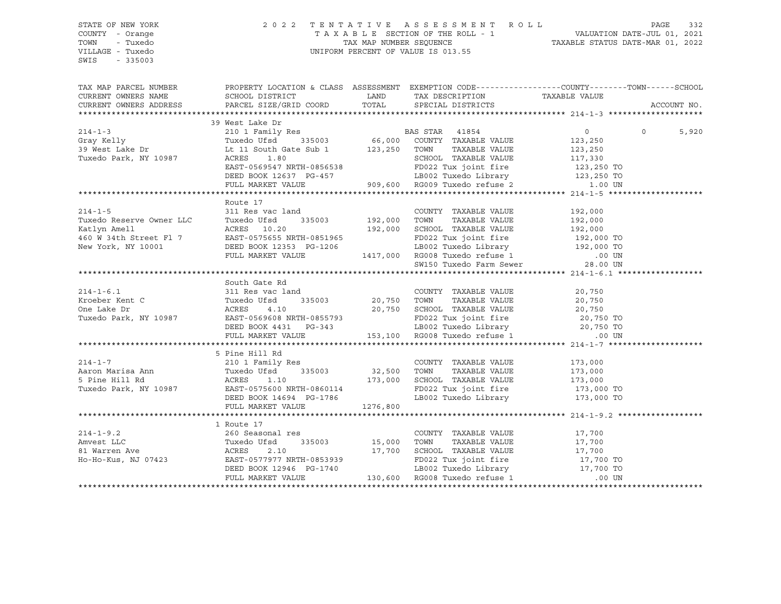SWIS - 335003

#### STATE OF NEW YORK 2 0 2 2 T E N T A T I V E A S S E S S M E N T R O L L PAGE 332 COUNTY - Orange T A X A B L E SECTION OF THE ROLL - 1 VALUATION DATE-JUL 01, 2021 TOWN - Tuxedo TAX MAP NUMBER SEQUENCE TAXABLE STATUS DATE-MAR 01, 2022 VILLAGE - Tuxedo UNIFORM PERCENT OF VALUE IS 013.55

TAX MAP PARCEL NUMBER PROPERTY LOCATION & CLASS ASSESSMENT EXEMPTION CODE------------------COUNTY--------TOWN------SCHOOL CURRENT OWNERS NAME SCHOOL DISTRICT LAND TAX DESCRIPTION TAXABLE VALUE PARCEL SIZE/GRID COORD TOTAL SPECIAL DISTRICTS TO ACCOUNT NO. \*\*\*\*\*\*\*\*\*\*\*\*\*\*\*\*\*\*\*\*\*\*\*\*\*\*\*\*\*\*\*\*\*\*\*\*\*\*\*\*\*\*\*\*\*\*\*\*\*\*\*\*\*\*\*\*\*\*\*\*\*\*\*\*\*\*\*\*\*\*\*\*\*\*\*\*\*\*\*\*\*\*\*\*\*\*\*\*\*\*\*\*\*\*\*\*\*\*\*\*\*\*\* 214-1-3 \*\*\*\*\*\*\*\*\*\*\*\*\*\*\*\*\*\*\*\* 39 West Lake Dr 214-1-3 210 1 Family Res BAS STAR 41854 0 0 5,920 Gray Kelly Tuxedo Ufsd 335003 66,000 COUNTY TAXABLE VALUE 123,250 39 West Lake Dr Lt 11 South Gate Sub 1 123,250 TOWN TAXABLE VALUE 123,250 Tuxedo Park, NY 10987 ACRES 1.80 SCHOOL TAXABLE VALUE 117,330 EAST-0569547 NRTH-0856538 FD022 Tux joint fire 123,250 TO DEED BOOK 12637 PG-457 LB002 Tuxedo Library 123,250 TO FULL MARKET VALUE 909,600 RG009 Tuxedo refuse 2 1.00 UN \*\*\*\*\*\*\*\*\*\*\*\*\*\*\*\*\*\*\*\*\*\*\*\*\*\*\*\*\*\*\*\*\*\*\*\*\*\*\*\*\*\*\*\*\*\*\*\*\*\*\*\*\*\*\*\*\*\*\*\*\*\*\*\*\*\*\*\*\*\*\*\*\*\*\*\*\*\*\*\*\*\*\*\*\*\*\*\*\*\*\*\*\*\*\*\*\*\*\*\*\*\*\* 214-1-5 \*\*\*\*\*\*\*\*\*\*\*\*\*\*\*\*\*\*\*\* Route 17 214-1-5 311 Res vac land COUNTY TAXABLE VALUE 192,000 Tuxedo Reserve Owner LLC Tuxedo Ufsd 335003 192,000 TOWN TAXABLE VALUE 192,000 Katlyn Amell ACRES 10.20 192,000 SCHOOL TAXABLE VALUE 192,000 460 W 34th Street Fl 7 EAST-0575655 NRTH-0851965 FD022 Tux joint fire 192,000 TO New York, NY 10001 DEED BOOK 12353 PG-1206 LB002 Tuxedo Library 192,000 TO FULL MARKET VALUE 1417,000 RG008 Tuxedo refuse 1 .00 UN SW150 Tuxedo Farm Sewer \*\*\*\*\*\*\*\*\*\*\*\*\*\*\*\*\*\*\*\*\*\*\*\*\*\*\*\*\*\*\*\*\*\*\*\*\*\*\*\*\*\*\*\*\*\*\*\*\*\*\*\*\*\*\*\*\*\*\*\*\*\*\*\*\*\*\*\*\*\*\*\*\*\*\*\*\*\*\*\*\*\*\*\*\*\*\*\*\*\*\*\*\*\*\*\*\*\*\*\*\*\*\* 214-1-6.1 \*\*\*\*\*\*\*\*\*\*\*\*\*\*\*\*\*\* South Gate Rd 214-1-6.1 311 Res vac land COUNTY TAXABLE VALUE 20,750 Kroeber Kent C Tuxedo Ufsd 335003 20,750 TOWN TAXABLE VALUE 20,750 One Lake Dr ACRES 4.10 20,750 SCHOOL TAXABLE VALUE 20,750 Tuxedo Park, NY 10987 EAST-0569608 NRTH-0855793 FD022 Tux joint fire 20,750 TO DEED BOOK 4431 PG-343 LB002 Tuxedo Library 20,750 TO FULL MARKET VALUE 153,100 RG008 Tuxedo refuse 1 .00 UN \*\*\*\*\*\*\*\*\*\*\*\*\*\*\*\*\*\*\*\*\*\*\*\*\*\*\*\*\*\*\*\*\*\*\*\*\*\*\*\*\*\*\*\*\*\*\*\*\*\*\*\*\*\*\*\*\*\*\*\*\*\*\*\*\*\*\*\*\*\*\*\*\*\*\*\*\*\*\*\*\*\*\*\*\*\*\*\*\*\*\*\*\*\*\*\*\*\*\*\*\*\*\* 214-1-7 \*\*\*\*\*\*\*\*\*\*\*\*\*\*\*\*\*\*\*\* 5 Pine Hill Rd 214-1-7 210 1 Family Res COUNTY TAXABLE VALUE 173,000 Aaron Marisa Ann Tuxedo Ufsd 335003 32,500 TOWN TAXABLE VALUE 173,000 5 Pine Hill Rd ACRES 1.10 173,000 SCHOOL TAXABLE VALUE 173,000 Tuxedo Park, NY 10987 EAST-0575600 NRTH-0860114 FD022 Tux joint fire 173,000 TO DEED BOOK 14694 PG-1786 LB002 Tuxedo Library 173,000 TO FULL MARKET VALUE 1276,800 \*\*\*\*\*\*\*\*\*\*\*\*\*\*\*\*\*\*\*\*\*\*\*\*\*\*\*\*\*\*\*\*\*\*\*\*\*\*\*\*\*\*\*\*\*\*\*\*\*\*\*\*\*\*\*\*\*\*\*\*\*\*\*\*\*\*\*\*\*\*\*\*\*\*\*\*\*\*\*\*\*\*\*\*\*\*\*\*\*\*\*\*\*\*\*\*\*\*\*\*\*\*\* 214-1-9.2 \*\*\*\*\*\*\*\*\*\*\*\*\*\*\*\*\*\* 1 Route 17 214-1-9.2 260 Seasonal res COUNTY TAXABLE VALUE 17,700 Amvest LLC Tuxedo Ufsd 335003 15,000 TOWN TAXABLE VALUE 17,700 81 Warren Ave ACRES 2.10 17,700 SCHOOL TAXABLE VALUE 17,700 Ho-Ho-Kus, NJ 07423 EAST-0577977 NRTH-0853939 FD022 Tux joint fire 17,700 TO DEED BOOK 12946 PG-1740 LB002 Tuxedo Library 17,700 TO FULL MARKET VALUE 130,600 RG008 Tuxedo refuse 1 .00 UN \*\*\*\*\*\*\*\*\*\*\*\*\*\*\*\*\*\*\*\*\*\*\*\*\*\*\*\*\*\*\*\*\*\*\*\*\*\*\*\*\*\*\*\*\*\*\*\*\*\*\*\*\*\*\*\*\*\*\*\*\*\*\*\*\*\*\*\*\*\*\*\*\*\*\*\*\*\*\*\*\*\*\*\*\*\*\*\*\*\*\*\*\*\*\*\*\*\*\*\*\*\*\*\*\*\*\*\*\*\*\*\*\*\*\*\*\*\*\*\*\*\*\*\*\*\*\*\*\*\*\*\*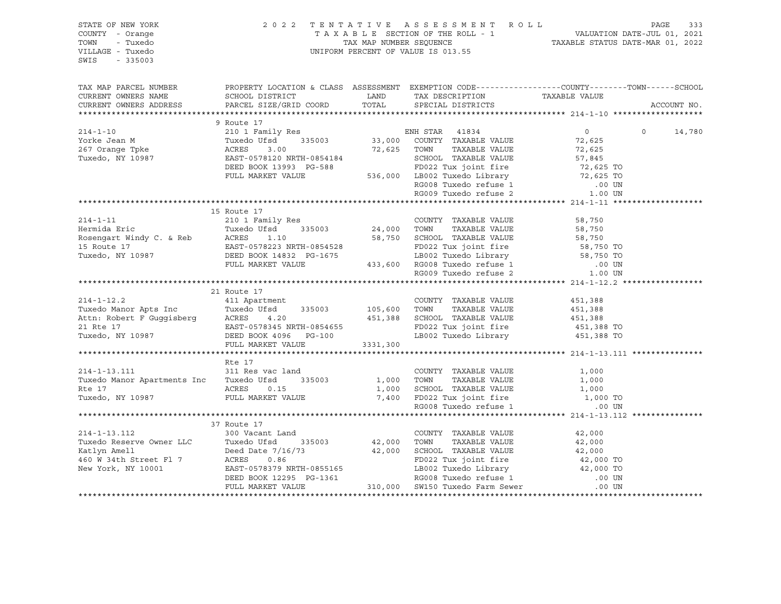| STATE OF NEW YORK                                                                                                                                                                                                                                                                                                                                                                             |                                                                                                                                                                                                          |  |                |               |
|-----------------------------------------------------------------------------------------------------------------------------------------------------------------------------------------------------------------------------------------------------------------------------------------------------------------------------------------------------------------------------------------------|----------------------------------------------------------------------------------------------------------------------------------------------------------------------------------------------------------|--|----------------|---------------|
| COUNTY - Orange                                                                                                                                                                                                                                                                                                                                                                               |                                                                                                                                                                                                          |  |                |               |
| TOWN<br>- Tuxedo                                                                                                                                                                                                                                                                                                                                                                              |                                                                                                                                                                                                          |  |                |               |
| VILLAGE - Tuxedo                                                                                                                                                                                                                                                                                                                                                                              | 2022 TENTATIVE ASSESSMENT ROLL PAGE 333<br>TAXABLE SECTION OF THE ROLL - 1 VALUATION DATE-JUL 01, 2021<br>TAX MAP NUMBER SEQUENCE TAXABLE STATUS DATE-MAR 01, 2022<br>UNIFORM PERCENT OF VALUE IS 013.55 |  |                |               |
| SWIS - 335003                                                                                                                                                                                                                                                                                                                                                                                 |                                                                                                                                                                                                          |  |                |               |
|                                                                                                                                                                                                                                                                                                                                                                                               |                                                                                                                                                                                                          |  |                |               |
|                                                                                                                                                                                                                                                                                                                                                                                               |                                                                                                                                                                                                          |  |                |               |
|                                                                                                                                                                                                                                                                                                                                                                                               |                                                                                                                                                                                                          |  |                |               |
| CURRENT OWNERS ADDRESS PARCEL SIZE/GRID COORD TOTAL SPECIAL DISTRICTS                                                                                                                                                                                                                                                                                                                         |                                                                                                                                                                                                          |  |                | ACCOUNT NO.   |
|                                                                                                                                                                                                                                                                                                                                                                                               |                                                                                                                                                                                                          |  |                |               |
|                                                                                                                                                                                                                                                                                                                                                                                               | 9 Route 17                                                                                                                                                                                               |  |                |               |
|                                                                                                                                                                                                                                                                                                                                                                                               |                                                                                                                                                                                                          |  | $\overline{0}$ | $0 \t 14,780$ |
|                                                                                                                                                                                                                                                                                                                                                                                               |                                                                                                                                                                                                          |  |                |               |
|                                                                                                                                                                                                                                                                                                                                                                                               |                                                                                                                                                                                                          |  |                |               |
|                                                                                                                                                                                                                                                                                                                                                                                               |                                                                                                                                                                                                          |  |                |               |
|                                                                                                                                                                                                                                                                                                                                                                                               |                                                                                                                                                                                                          |  |                |               |
|                                                                                                                                                                                                                                                                                                                                                                                               |                                                                                                                                                                                                          |  |                |               |
|                                                                                                                                                                                                                                                                                                                                                                                               |                                                                                                                                                                                                          |  |                |               |
|                                                                                                                                                                                                                                                                                                                                                                                               |                                                                                                                                                                                                          |  |                |               |
| $\begin{tabular}{lllllllllllllllllllllll} \hline & 214-1-10 && 9\;\;{\rm Route} & 17 && 210\;\;1\;\;{\rm Family\;\,Res} && 210\;\;1\;\;{\rm Family\;\,Res} && 33,000\;\;{\rm COUNTY}\;\;{\rm TAXABLE\;\,VALUE} && 72,625\\ 267\;\;{\rm Orange\;\,Tpke} && 267\;\;{\rm Orange\;\,Tpke} && 335003 && 33,000\;\;{\rm COUNTY}\;\;{\rm TAXABLE\;\,VALUE} && 72,625\\ 267\;\;{\rm Orange\;\,Tp$     |                                                                                                                                                                                                          |  |                |               |
|                                                                                                                                                                                                                                                                                                                                                                                               |                                                                                                                                                                                                          |  |                |               |
|                                                                                                                                                                                                                                                                                                                                                                                               | 15 Route 17                                                                                                                                                                                              |  |                |               |
|                                                                                                                                                                                                                                                                                                                                                                                               |                                                                                                                                                                                                          |  |                |               |
|                                                                                                                                                                                                                                                                                                                                                                                               |                                                                                                                                                                                                          |  |                |               |
|                                                                                                                                                                                                                                                                                                                                                                                               |                                                                                                                                                                                                          |  |                |               |
|                                                                                                                                                                                                                                                                                                                                                                                               |                                                                                                                                                                                                          |  |                |               |
|                                                                                                                                                                                                                                                                                                                                                                                               |                                                                                                                                                                                                          |  |                |               |
|                                                                                                                                                                                                                                                                                                                                                                                               |                                                                                                                                                                                                          |  |                |               |
|                                                                                                                                                                                                                                                                                                                                                                                               |                                                                                                                                                                                                          |  |                |               |
|                                                                                                                                                                                                                                                                                                                                                                                               |                                                                                                                                                                                                          |  |                |               |
|                                                                                                                                                                                                                                                                                                                                                                                               | 21 Route 17                                                                                                                                                                                              |  |                |               |
|                                                                                                                                                                                                                                                                                                                                                                                               |                                                                                                                                                                                                          |  |                |               |
|                                                                                                                                                                                                                                                                                                                                                                                               |                                                                                                                                                                                                          |  |                |               |
|                                                                                                                                                                                                                                                                                                                                                                                               |                                                                                                                                                                                                          |  |                |               |
|                                                                                                                                                                                                                                                                                                                                                                                               |                                                                                                                                                                                                          |  |                |               |
|                                                                                                                                                                                                                                                                                                                                                                                               |                                                                                                                                                                                                          |  |                |               |
| 21 KOULE 17<br>21 KOULE 17<br>21 KOULE 17<br>21 KOULE 17<br>21 KOULE 17<br>21 KOULE 17<br>21 KOULE 17<br>21 ACRES 4.20<br>21 REED BOOK 4096 PG-100<br>21 REED BOOK 4096 PG-100<br>21 REED BOOK 4096 PG-100<br>21 REED BOOK 4096 PG-100<br>21 REED BOOK                                                                                                                                        |                                                                                                                                                                                                          |  |                |               |
|                                                                                                                                                                                                                                                                                                                                                                                               |                                                                                                                                                                                                          |  |                |               |
| Rte 17<br>214-1-13.111 311 Res vac land<br>214-1-13.111 311 Res vac land<br>215003 1,000 TOWN TAXABLE VALUE 1,000<br>216 1,000 TOWN TAXABLE VALUE 1,000<br>216 1,000 TOWN TAXABLE VALUE 1,000<br>217 1,000 TOWN TAXABLE VALUE 1,000<br>21,00                                                                                                                                                  |                                                                                                                                                                                                          |  |                |               |
|                                                                                                                                                                                                                                                                                                                                                                                               |                                                                                                                                                                                                          |  |                |               |
|                                                                                                                                                                                                                                                                                                                                                                                               |                                                                                                                                                                                                          |  |                |               |
|                                                                                                                                                                                                                                                                                                                                                                                               |                                                                                                                                                                                                          |  |                |               |
|                                                                                                                                                                                                                                                                                                                                                                                               |                                                                                                                                                                                                          |  |                |               |
|                                                                                                                                                                                                                                                                                                                                                                                               |                                                                                                                                                                                                          |  |                |               |
|                                                                                                                                                                                                                                                                                                                                                                                               |                                                                                                                                                                                                          |  |                |               |
|                                                                                                                                                                                                                                                                                                                                                                                               | 37 Route 17                                                                                                                                                                                              |  |                |               |
|                                                                                                                                                                                                                                                                                                                                                                                               |                                                                                                                                                                                                          |  |                |               |
|                                                                                                                                                                                                                                                                                                                                                                                               |                                                                                                                                                                                                          |  |                |               |
|                                                                                                                                                                                                                                                                                                                                                                                               |                                                                                                                                                                                                          |  |                |               |
|                                                                                                                                                                                                                                                                                                                                                                                               |                                                                                                                                                                                                          |  |                |               |
|                                                                                                                                                                                                                                                                                                                                                                                               |                                                                                                                                                                                                          |  |                |               |
|                                                                                                                                                                                                                                                                                                                                                                                               |                                                                                                                                                                                                          |  |                |               |
| $\begin{tabular}{lllllllllllll} & & & 37\ \text{Route} & 17 & 300\ \text{Vacant Land} & & & \text{COUNTY TAXABLE VALUE} & 42,000 \ \text{Ratlyn Amell} & & 300\ \text{Vacant Land} & & & 42,000\ \text{Katlyn Amell} & & & 42,000\ \text{Katlyn Amell} & & & 42,000\ \text{Katlyn Amell} & & & 42,000\ \text{Row York, NY 10001} & & & 42,000\ \text{Row York, NY 10001} & & & 42,000\ \text$ |                                                                                                                                                                                                          |  |                |               |
|                                                                                                                                                                                                                                                                                                                                                                                               |                                                                                                                                                                                                          |  |                |               |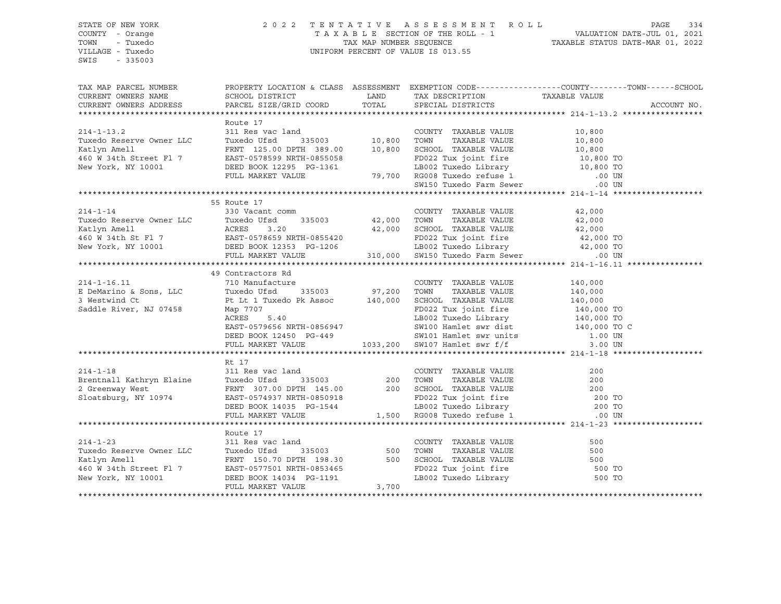SWIS - 335003

#### STATE OF NEW YORK 2 0 2 2 T E N T A T I V E A S S E S S M E N T R O L L PAGE 334 COUNTY - Orange T A X A B L E SECTION OF THE ROLL - 1 VALUATION DATE-JUL 01, 2021 TOWN - Tuxedo TAX MAP NUMBER SEQUENCE TAXABLE STATUS DATE-MAR 01, 2022 VILLAGE - Tuxedo UNIFORM PERCENT OF VALUE IS 013.55

| TAX MAP PARCEL NUMBER<br>CURRENT OWNERS NAME<br>CURRENT OWNERS ADDRESS                                                                                                                                                                                                                                                                                                                                                             | PROPERTY LOCATION & CLASS ASSESSMENT EXEMPTION CODE----------------COUNTY-------TOWN------SCHOOL<br>SCHOOL DISTRICT<br>PARCEL SIZE/GRID COORD TOTAL SPECIAL DISTRICTS                                                                                |                      | LAND TAX DESCRIPTION TAXABLE VALUE COORD TOTAL SPECIAL DISTRICTS |         | ACCOUNT NO. |
|------------------------------------------------------------------------------------------------------------------------------------------------------------------------------------------------------------------------------------------------------------------------------------------------------------------------------------------------------------------------------------------------------------------------------------|------------------------------------------------------------------------------------------------------------------------------------------------------------------------------------------------------------------------------------------------------|----------------------|------------------------------------------------------------------|---------|-------------|
|                                                                                                                                                                                                                                                                                                                                                                                                                                    |                                                                                                                                                                                                                                                      |                      |                                                                  |         |             |
| $214 - 1 - 13.2$                                                                                                                                                                                                                                                                                                                                                                                                                   | Route 17<br>311 Res vac land<br>Tuxedo Ufsd 335003 10,800 TOWN                                                                                                                                                                                       |                      | COUNTY TAXABLE VALUE                                             | 10,800  |             |
|                                                                                                                                                                                                                                                                                                                                                                                                                                    |                                                                                                                                                                                                                                                      |                      | TAXABLE VALUE                                                    | 10,800  |             |
|                                                                                                                                                                                                                                                                                                                                                                                                                                    |                                                                                                                                                                                                                                                      |                      |                                                                  |         |             |
| 214-1-13.2<br>Tuxedo Reserve Owner LLC<br>Tuxedo Ufsd 335003 10,800<br>Xatlyn Amell<br>460 W 34th Street Fl 7<br>EAST-0578599 NRTH-0855058<br>New York, NY 10001 DEED BOOK 12295 PG-1361<br>10,800 TOWN TAXABLE VALUE<br>TRAFFIC TRAFFIC 12295 PRTH 389.00 10,800 SCHOOL TAXABLE VALUE<br>TRAFFIC TO TERNT 125.00 DPTH 389.00 10,800 SCHOOL TAXABLE VALUE<br>TRAFFIC TO TERNT 125.00 PTH 0855058<br>New York, NY 10001 DEED BOOK 1 |                                                                                                                                                                                                                                                      |                      |                                                                  |         |             |
|                                                                                                                                                                                                                                                                                                                                                                                                                                    |                                                                                                                                                                                                                                                      |                      |                                                                  |         |             |
|                                                                                                                                                                                                                                                                                                                                                                                                                                    |                                                                                                                                                                                                                                                      |                      |                                                                  |         |             |
|                                                                                                                                                                                                                                                                                                                                                                                                                                    |                                                                                                                                                                                                                                                      |                      |                                                                  |         |             |
|                                                                                                                                                                                                                                                                                                                                                                                                                                    |                                                                                                                                                                                                                                                      |                      |                                                                  |         |             |
|                                                                                                                                                                                                                                                                                                                                                                                                                                    | 55 Route 17                                                                                                                                                                                                                                          |                      |                                                                  |         |             |
| $214 - 1 - 14$                                                                                                                                                                                                                                                                                                                                                                                                                     | 330 Vacant comm                                                                                                                                                                                                                                      |                      | COUNTY TAXABLE VALUE                                             | 42,000  |             |
| Exactly a cross two control of the control of the control of the control of the control of the control of the control of the control of the control of the control of the control of the control of the control of the control                                                                                                                                                                                                     | $335003$ 42,000                                                                                                                                                                                                                                      |                      |                                                                  |         |             |
|                                                                                                                                                                                                                                                                                                                                                                                                                                    |                                                                                                                                                                                                                                                      |                      |                                                                  |         |             |
|                                                                                                                                                                                                                                                                                                                                                                                                                                    |                                                                                                                                                                                                                                                      |                      |                                                                  |         |             |
|                                                                                                                                                                                                                                                                                                                                                                                                                                    |                                                                                                                                                                                                                                                      |                      |                                                                  |         |             |
|                                                                                                                                                                                                                                                                                                                                                                                                                                    |                                                                                                                                                                                                                                                      |                      |                                                                  |         |             |
|                                                                                                                                                                                                                                                                                                                                                                                                                                    |                                                                                                                                                                                                                                                      |                      |                                                                  |         |             |
| E DeMarino & Sons, LLC<br>E DeMarino & Sons, LLC<br>3 Westwind Ct<br>Saddle River, NJ 07458<br>COUNTY<br>Saddle River, NJ 07458<br>Per Lt 1 Tuxedo Pk Assoc<br>Nap 7707<br>County<br>County<br>County<br>Per Lt 1 Tuxedo Pk Assoc<br>240,000<br>SCHOOL<br>                                                                                                                                                                         |                                                                                                                                                                                                                                                      |                      |                                                                  |         |             |
|                                                                                                                                                                                                                                                                                                                                                                                                                                    |                                                                                                                                                                                                                                                      |                      |                                                                  |         |             |
|                                                                                                                                                                                                                                                                                                                                                                                                                                    |                                                                                                                                                                                                                                                      |                      | COUNTY TAXABLE VALUE<br>TAXABLE VALUE                            | 140,000 |             |
|                                                                                                                                                                                                                                                                                                                                                                                                                                    |                                                                                                                                                                                                                                                      |                      | SCHOOL TAXABLE VALUE 140,000                                     | 140,000 |             |
|                                                                                                                                                                                                                                                                                                                                                                                                                                    |                                                                                                                                                                                                                                                      |                      |                                                                  |         |             |
|                                                                                                                                                                                                                                                                                                                                                                                                                                    |                                                                                                                                                                                                                                                      |                      |                                                                  |         |             |
|                                                                                                                                                                                                                                                                                                                                                                                                                                    | Map 7707<br>Map 7707<br>RD022 Tux joint fire<br>LB002 Tuxedo Library<br>LB002 Tuxedo Library<br>140,000 TO<br>EAST-0579656 NRTH-0856947<br>DEED BOOK 12450 PG-449<br>FULL MARKET VALUE<br>TULL MARKET VALUE<br>1033,200 SW107 Hamlet swr f/f<br>1.00 |                      |                                                                  |         |             |
|                                                                                                                                                                                                                                                                                                                                                                                                                                    |                                                                                                                                                                                                                                                      |                      |                                                                  |         |             |
|                                                                                                                                                                                                                                                                                                                                                                                                                                    |                                                                                                                                                                                                                                                      |                      |                                                                  |         |             |
|                                                                                                                                                                                                                                                                                                                                                                                                                                    |                                                                                                                                                                                                                                                      |                      |                                                                  |         |             |
|                                                                                                                                                                                                                                                                                                                                                                                                                                    |                                                                                                                                                                                                                                                      |                      |                                                                  |         |             |
|                                                                                                                                                                                                                                                                                                                                                                                                                                    | Rt 17                                                                                                                                                                                                                                                |                      |                                                                  |         |             |
|                                                                                                                                                                                                                                                                                                                                                                                                                                    |                                                                                                                                                                                                                                                      |                      |                                                                  |         |             |
| 214-1-18<br>200 Eventuall Kathryn Elaine 31 Res vac land<br>200 TOWN TAXABLE VALUE 200<br>200 TOWN TAXABLE VALUE 200<br>200 TOWN TAXABLE VALUE 200<br>200 SCHOOL TAXABLE VALUE 200 TO<br>200 SCHOOL TAXABLE VALUE 200 TO<br>200 SCHOOL TAXAB                                                                                                                                                                                       |                                                                                                                                                                                                                                                      |                      |                                                                  |         |             |
|                                                                                                                                                                                                                                                                                                                                                                                                                                    |                                                                                                                                                                                                                                                      |                      |                                                                  |         |             |
|                                                                                                                                                                                                                                                                                                                                                                                                                                    |                                                                                                                                                                                                                                                      |                      |                                                                  |         |             |
|                                                                                                                                                                                                                                                                                                                                                                                                                                    |                                                                                                                                                                                                                                                      |                      |                                                                  |         |             |
|                                                                                                                                                                                                                                                                                                                                                                                                                                    |                                                                                                                                                                                                                                                      |                      |                                                                  |         |             |
|                                                                                                                                                                                                                                                                                                                                                                                                                                    |                                                                                                                                                                                                                                                      |                      |                                                                  |         |             |
|                                                                                                                                                                                                                                                                                                                                                                                                                                    | Route 17                                                                                                                                                                                                                                             |                      |                                                                  |         |             |
|                                                                                                                                                                                                                                                                                                                                                                                                                                    |                                                                                                                                                                                                                                                      | 1<br>335003 500 TOWN |                                                                  |         |             |
|                                                                                                                                                                                                                                                                                                                                                                                                                                    |                                                                                                                                                                                                                                                      |                      |                                                                  |         |             |
|                                                                                                                                                                                                                                                                                                                                                                                                                                    |                                                                                                                                                                                                                                                      |                      |                                                                  |         |             |
|                                                                                                                                                                                                                                                                                                                                                                                                                                    |                                                                                                                                                                                                                                                      |                      |                                                                  |         |             |
| 214-1-23 311 Res vac land COUNTY TAXABLE VALUE 500<br>Tuxedo Reserve Owner LLC Tuxedo Ufsd 335003 500 TOWN TAXABLE VALUE 500<br>Xatlyn Amell FRNT 150.70 DPTH 198.30 500 SCHOOL TAXABLE VALUE 500<br>460 W 34th Street Fl 7 EAST-057                                                                                                                                                                                               |                                                                                                                                                                                                                                                      |                      |                                                                  |         |             |
|                                                                                                                                                                                                                                                                                                                                                                                                                                    | FULL MARKET VALUE                                                                                                                                                                                                                                    | 3,700                |                                                                  |         |             |
|                                                                                                                                                                                                                                                                                                                                                                                                                                    |                                                                                                                                                                                                                                                      |                      |                                                                  |         |             |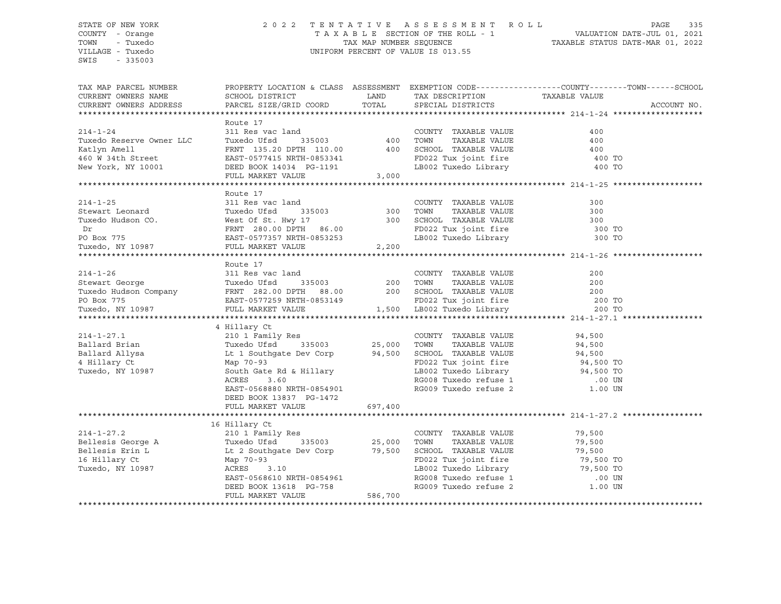SWIS - 335003

#### STATE OF NEW YORK 2 0 2 2 T E N T A T I V E A S S E S S M E N T R O L L PAGE 335 COUNTY - Orange T A X A B L E SECTION OF THE ROLL - 1 VALUATION DATE-JUL 01, 2021 TOWN - Tuxedo TAX MAP NUMBER SEQUENCE TAXABLE STATUS DATE-MAR 01, 2022 VILLAGE - Tuxedo UNIFORM PERCENT OF VALUE IS 013.55

| TAX MAP PARCEL NUMBER<br>CURRENT OWNERS NAME<br>CURRENT OWNERS ADDRESS | PROPERTY LOCATION & CLASS ASSESSMENT EXEMPTION CODE----------------COUNTY-------TOWN-----SCHOOL<br>SCHOOL DISTRICT<br>PARCEL SIZE/GRID COORD                                                                                                                                                                                                                              | LAND TAX DESCRIPTION                                                                                                                                                                                                      |                  | ACCOUNT NO. |
|------------------------------------------------------------------------|---------------------------------------------------------------------------------------------------------------------------------------------------------------------------------------------------------------------------------------------------------------------------------------------------------------------------------------------------------------------------|---------------------------------------------------------------------------------------------------------------------------------------------------------------------------------------------------------------------------|------------------|-------------|
|                                                                        | Route 17<br>Route 17<br>214-1-24<br>214-1-24<br>211 Res vac land<br>211 Res vac land<br>211 Res vac land<br>211 Res vac land<br>211 Res vac land<br>211 Res vac land<br>2135003<br>200 TOWN<br>200 TOWN<br>200 TOWN<br>200 TAXABLE VALUE<br>200<br>200 TOWN<br>200 TAXABLE                                                                                                | LB002 Tuxedo Library 100 TO                                                                                                                                                                                               | 400 TO           |             |
|                                                                        | Route 17<br>214-1-25 311 Res vac land COUNTY TAXABLE VALUE 300<br>214-1-25 311 Res vac land COUNTY TAXABLE VALUE 300<br>214-1-25 311 Res vac land COUNTY TAXABLE VALUE 300<br>200 TOWN TAXABLE VALUE 300<br>200 TOWN TAXABLE VALUE 300<br>200 TOWN T                                                                                                                      | FD022 Tux joint fire 300 TO<br>LB002 Tuxedo Library 300 TO                                                                                                                                                                |                  |             |
|                                                                        | Route 17<br>214-1-26<br>200<br>200<br>200<br>200<br>200<br>200<br>200<br>200<br>200<br>200<br>200<br>200<br>200<br>200<br>200<br>200<br>200<br>200<br>200<br>200<br>200<br>200<br>200<br>200<br>200<br>200<br>200<br>200<br>200<br>200<br>200<br>200<br>200<br>200<br>200<br>2                                                                                            |                                                                                                                                                                                                                           |                  |             |
|                                                                        | XAMILE VALUE<br>XAMILE VALUE<br>XAMILE VALUE<br>214-1-27.1 210 1 Family Res<br>25,000 TOWN TAXABLE VALUE<br>214-1-27.1 210 1 Family Res<br>25,000 TOWN TAXABLE VALUE<br>214-1-27.1 210 1 Family Res<br>25,000 TOWN TAXABLE VALUE<br>216 25,000 T<br>EAST-0568880 NRTH-0854901 RG009 Tuxedo refuse 2 1.00 UN<br>DEED BOOK 13837 PG-1472<br>FULL MARKET VALUE 697,400       |                                                                                                                                                                                                                           |                  |             |
|                                                                        | 16 Hillary Ct<br>214-1-27.2<br>Bellesis George A 210 1 Family Res<br>Bellesis George A Tuxedo Ufsd 335003 25,000<br>Bellesis Erin L Lt 2 Southgate Dev Corp 79,500<br>16 Hillary Ct Map 70-93<br>Tuxedo, NY 10987 ACRES 3.10<br>Lt 2 Southgate Dev Corp.<br>Map 70-93<br>ACRES 3.10<br>EAST-0568610 NRTH-0854961<br>DEED BOOK 13618 PG-758<br>PHITT, MARKET VALUE 586,700 | COUNTY TAXABLE VALUE<br>TAXABLE VALUE<br>TOWN<br>CHOOL TAXABLE VALUE<br>FD022 Tux joint fire<br>FD022 Tux joint fire<br>FD022 Tux joint fire<br>79,500 TO<br>RG008 Tuxedo refuse 1 00 UN<br>RG009 Tuxedo refuse 2 1.00 UN | 79,500<br>79,500 |             |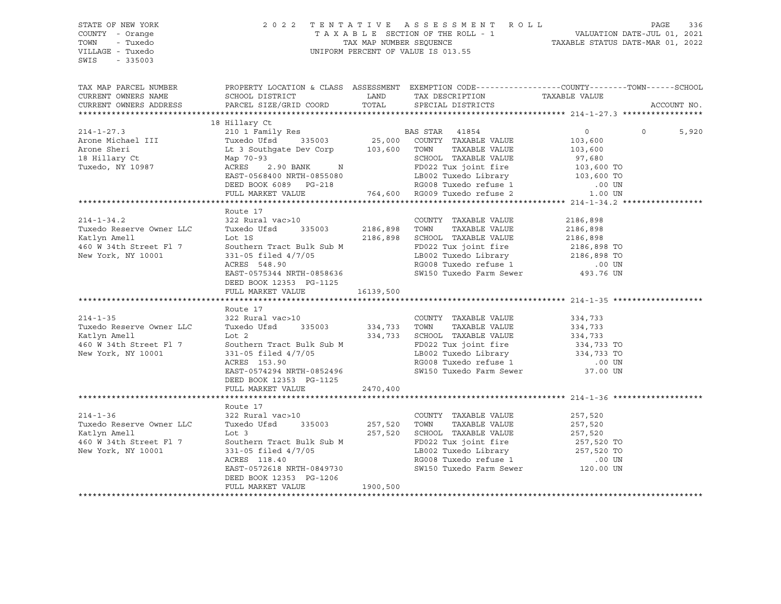STATE OF NEW YORK 2 0 2 2 T E N T A T I V E A S S E S S M E N T R O L L PAGE 336 COUNTY - Orange T A X A B L E SECTION OF THE ROLL - 1 VALUATION DATE-JUL 01, 2021 TOWN - Tuxedo TAX MAP NUMBER SEQUENCE TAXABLE STATUS DATE-MAR 01, 2022 UNIFORM PERCENT OF VALUE IS 013.55 TAX MAP PARCEL NUMBER PROPERTY LOCATION & CLASS ASSESSMENT EXEMPTION CODE------------------COUNTY--------TOWN------SCHOOL CURRENT OWNERS NAME SCHOOL DISTRICT TAX DAND TAX DESCRIPTION TAXABLE VALUE CURRENT OWNERS ADDRESS PARCEL SIZE/GRID COORD TOTAL SPECIAL DISTRICTS ACCOUNT NO. \*\*\*\*\*\*\*\*\*\*\*\*\*\*\*\*\*\*\*\*\*\*\*\*\*\*\*\*\*\*\*\*\*\*\*\*\*\*\*\*\*\*\*\*\*\*\*\*\*\*\*\*\*\*\*\*\*\*\*\*\*\*\*\*\*\*\*\*\*\*\*\*\*\*\*\*\*\*\*\*\*\*\*\*\*\*\*\*\*\*\*\*\*\*\*\*\*\*\*\*\*\*\* 214-1-27.3 \*\*\*\*\*\*\*\*\*\*\*\*\*\*\*\*\* 18 Hillary Ct 214-1-27.3 210 1 Family Res BAS STAR 41854 0 0 5,920 Arone Michael III Tuxedo Ufsd 335003 25,000 COUNTY TAXABLE VALUE 103,600 Arone Sheri Lt 3 Southgate Dev Corp 103,600 TOWN TAXABLE VALUE 103,600 18 Hillary Ct Map 70-93 SCHOOL TAXABLE VALUE 97,680 Tuxedo, NY 10987 ACRES 2.90 BANK N FD022 Tux joint fire 103,600 TO EAST-0568400 NRTH-0855080 LB002 Tuxedo Library 103,600 TO Route 17<br>322 Rural vac>10 RG008 Tuxedo refuse 1 DEED BOOK 12353 PG-1125 FULL MARKET VALUE 16139,500 Route 17<br>322 Rural vac>10 DEED BOOK 12353 PG-1125 FULL MARKET VALUE 2470,400 Route 17

SWIS - 335003

 DEED BOOK 6089 PG-218 RG008 Tuxedo refuse 1 .00 UN FULL MARKET VALUE 764,600 RG009 Tuxedo refuse 2 1.00 UN \*\*\*\*\*\*\*\*\*\*\*\*\*\*\*\*\*\*\*\*\*\*\*\*\*\*\*\*\*\*\*\*\*\*\*\*\*\*\*\*\*\*\*\*\*\*\*\*\*\*\*\*\*\*\*\*\*\*\*\*\*\*\*\*\*\*\*\*\*\*\*\*\*\*\*\*\*\*\*\*\*\*\*\*\*\*\*\*\*\*\*\*\*\*\*\*\*\*\*\*\*\*\* 214-1-34.2 \*\*\*\*\*\*\*\*\*\*\*\*\*\*\*\*\* 214-1-34.2 322 Rural vac>10 COUNTY TAXABLE VALUE 2186,898 Tuxedo Reserve Owner LLC Tuxedo Ufsd 335003 2186,898 TOWN TAXABLE VALUE 2186,898 Katlyn Amell Lot 1S 2186,898 SCHOOL TAXABLE VALUE 2186,898 460 W 34th Street Fl 7 Southern Tract Bulk Sub M FD022 Tux joint fire 2186,898 TO New York, NY 10001 331-05 filed 4/7/05 LB002 Tuxedo Library 2186,898 TO<br>ACRES 548.90 RG008 Tuxedo refuse 1 00 UN EAST-0575344 NRTH-0858636 SW150 Tuxedo Farm Sewer 493.76 UN \*\*\*\*\*\*\*\*\*\*\*\*\*\*\*\*\*\*\*\*\*\*\*\*\*\*\*\*\*\*\*\*\*\*\*\*\*\*\*\*\*\*\*\*\*\*\*\*\*\*\*\*\*\*\*\*\*\*\*\*\*\*\*\*\*\*\*\*\*\*\*\*\*\*\*\*\*\*\*\*\*\*\*\*\*\*\*\*\*\*\*\*\*\*\*\*\*\*\*\*\*\*\* 214-1-35 \*\*\*\*\*\*\*\*\*\*\*\*\*\*\*\*\*\*\* 214-1-35 322 Rural vac>10 COUNTY TAXABLE VALUE 334,733 Tuxedo Reserve Owner LLC Tuxedo Ufsd 335003 334,733 TOWN TAXABLE VALUE 334,733 Katlyn Amell Lot 2 334,733 SCHOOL TAXABLE VALUE 334,733 460 W 34th Street Fl 7 Southern Tract Bulk Sub M FD022 Tux joint fire 334,733 TO New York, NY 10001 331-05 filed 4/7/05 LB002 Tuxedo Library 334,733 TO ACRES 153.90 RG008 Tuxedo refuse 1 .00 UN EAST-0574294 NRTH-0852496 SW150 Tuxedo Farm Sewer 37.00 UN \*\*\*\*\*\*\*\*\*\*\*\*\*\*\*\*\*\*\*\*\*\*\*\*\*\*\*\*\*\*\*\*\*\*\*\*\*\*\*\*\*\*\*\*\*\*\*\*\*\*\*\*\*\*\*\*\*\*\*\*\*\*\*\*\*\*\*\*\*\*\*\*\*\*\*\*\*\*\*\*\*\*\*\*\*\*\*\*\*\*\*\*\*\*\*\*\*\*\*\*\*\*\* 214-1-36 \*\*\*\*\*\*\*\*\*\*\*\*\*\*\*\*\*\*\* 214-1-36 322 Rural vac>10 COUNTY TAXABLE VALUE 257,520 Tuxedo Reserve Owner LLC Tuxedo Ufsd 335003 257,520 TOWN TAXABLE VALUE 257,520 Katlyn Amell Lot 3 257,520 SCHOOL TAXABLE VALUE 257,520 460 W 34th Street Fl 7 Southern Tract Bulk Sub M FD022 Tux joint fire 257,520 TO New York, NY 10001 331-05 filed 4/7/05 LB002 Tuxedo Library 257,520 TO ACRES 118.40 RG008 Tuxedo refuse 1 .00 UN EAST-0572618 NRTH-0849730 SW150 Tuxedo Farm Sewer 120.00 UN DEED BOOK 12353 PG-1206 FULL MARKET VALUE 1900,500 \*\*\*\*\*\*\*\*\*\*\*\*\*\*\*\*\*\*\*\*\*\*\*\*\*\*\*\*\*\*\*\*\*\*\*\*\*\*\*\*\*\*\*\*\*\*\*\*\*\*\*\*\*\*\*\*\*\*\*\*\*\*\*\*\*\*\*\*\*\*\*\*\*\*\*\*\*\*\*\*\*\*\*\*\*\*\*\*\*\*\*\*\*\*\*\*\*\*\*\*\*\*\*\*\*\*\*\*\*\*\*\*\*\*\*\*\*\*\*\*\*\*\*\*\*\*\*\*\*\*\*\*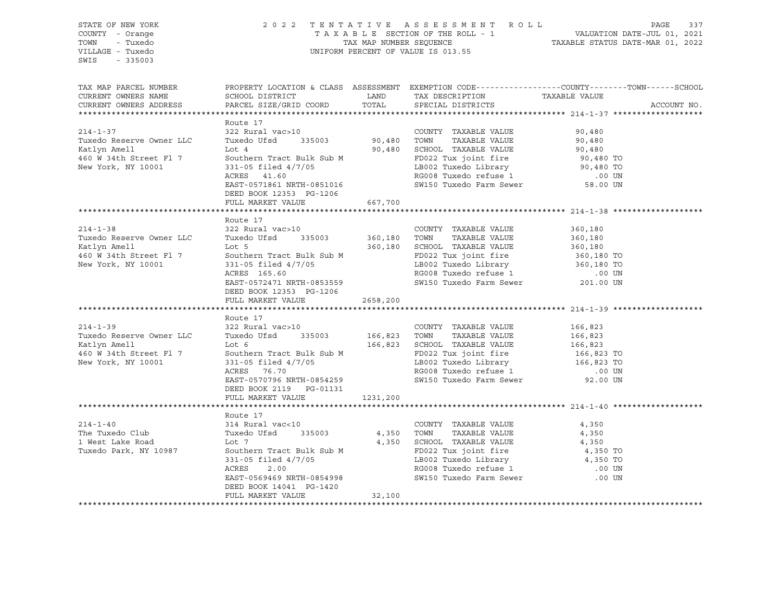STATE OF NEW YORK 2 0 2 2 T E N T A T I V E A S S E S S M E N T R O L L PAGE 337 COUNTY - Orange T A X A B L E SECTION OF THE ROLL - 1 VALUATION DATE-JUL 01, 2021 TOWN - Tuxedo TAX MAP NUMBER SEQUENCE TAXABLE STATUS DATE-MAR 01, 2022 VILLAGE - Tuxedo UNIFORM PERCENT OF VALUE IS 013.55 SWIS - 335003 TAX MAP PARCEL NUMBER PROPERTY LOCATION & CLASS ASSESSMENT EXEMPTION CODE------------------COUNTY--------TOWN------SCHOOL CURRENT OWNERS NAME SCHOOL DISTRICT TAX DESCRIPTION TAXABLE VALUE CURRENT OWNERS ADDRESS PARCEL SIZE/GRID COORD TOTAL SPECIAL DISTRICTS ACCOUNT NO. \*\*\*\*\*\*\*\*\*\*\*\*\*\*\*\*\*\*\*\*\*\*\*\*\*\*\*\*\*\*\*\*\*\*\*\*\*\*\*\*\*\*\*\*\*\*\*\*\*\*\*\*\*\*\*\*\*\*\*\*\*\*\*\*\*\*\*\*\*\*\*\*\*\*\*\*\*\*\*\*\*\*\*\*\*\*\*\*\*\*\*\*\*\*\*\*\*\*\*\*\*\*\* 214-1-37 \*\*\*\*\*\*\*\*\*\*\*\*\*\*\*\*\*\*\* Route 17 214-1-37 322 Rural vac>10 COUNTY TAXABLE VALUE 90,480 Tuxedo Reserve Owner LLC Tuxedo Ufsd 335003 90,480 TOWN TAXABLE VALUE 90,480 Katlyn Amell Lot 4 90,480 SCHOOL TAXABLE VALUE 90,480 460 W 34th Street Fl 7 Southern Tract Bulk Sub M FD022 Tux joint fire 90,480 TO New York, NY 10001 331-05 filed 4/7/05 LB002 Tuxedo Library 90,480 TO ACRES 41.60 RG008 Tuxedo refuse 1 .00 UN EAST-0571861 NRTH-0851016 SW150 Tuxedo Farm Sewer 58.00 UN DEED BOOK 12353 PG-1206 FULL MARKET VALUE 667,700 \*\*\*\*\*\*\*\*\*\*\*\*\*\*\*\*\*\*\*\*\*\*\*\*\*\*\*\*\*\*\*\*\*\*\*\*\*\*\*\*\*\*\*\*\*\*\*\*\*\*\*\*\*\*\*\*\*\*\*\*\*\*\*\*\*\*\*\*\*\*\*\*\*\*\*\*\*\*\*\*\*\*\*\*\*\*\*\*\*\*\*\*\*\*\*\*\*\*\*\*\*\*\* 214-1-38 \*\*\*\*\*\*\*\*\*\*\*\*\*\*\*\*\*\*\* Route 17 214-1-38 322 Rural vac>10 COUNTY TAXABLE VALUE 360,180 Tuxedo Reserve Owner LLC Tuxedo Ufsd 335003 360,180 TOWN TAXABLE VALUE 360,180 Katlyn Amell Lot 5 360,180 SCHOOL TAXABLE VALUE 360,180 460 W 34th Street Fl 7 Southern Tract Bulk Sub M FD022 Tux joint fire 360,180 TO<br>New York, NY 10001 331-05 filed 4/7/05 LB002 Tuxedo Library 360,180 TO New York, NY 10001 331-05 filed 4/7/05 ACRES 165.60 RG008 Tuxedo refuse 1 .00 UN SW150 Tuxedo Farm Sewer DEED BOOK 12353 PG-1206 FULL MARKET VALUE 2658,200 \*\*\*\*\*\*\*\*\*\*\*\*\*\*\*\*\*\*\*\*\*\*\*\*\*\*\*\*\*\*\*\*\*\*\*\*\*\*\*\*\*\*\*\*\*\*\*\*\*\*\*\*\*\*\*\*\*\*\*\*\*\*\*\*\*\*\*\*\*\*\*\*\*\*\*\*\*\*\*\*\*\*\*\*\*\*\*\*\*\*\*\*\*\*\*\*\*\*\*\*\*\*\* 214-1-39 \*\*\*\*\*\*\*\*\*\*\*\*\*\*\*\*\*\*\* Route 17<br>322 Rural vac>10 214-1-39 322 Rural vac>10 COUNTY TAXABLE VALUE 166,823 Tuxedo Reserve Owner LLC Tuxedo Ufsd 335003 166,823 TOWN TAXABLE VALUE 166,823 Katlyn Amell Lot 6 166,823 SCHOOL TAXABLE VALUE 166,823 460 W 34th Street Fl 7 Southern Tract Bulk Sub M FD022 Tux joint fire 166,823 TO<br>New York, NY 10001 331-05 filed 4/7/05 16802 Tuxedo Library 166,823 TO New York, NY 10001 331-05 filed 4/7/05 LB002 Tuxedo Library 166,823 TO ACRES 76.70 RG008 Tuxedo refuse 1 .00 UN EAST-0570796 NRTH-0854259 SW150 Tuxedo Farm Sewer 92.00 UN DEED BOOK 2119 PG-01131 FULL MARKET VALUE 1231,200 \*\*\*\*\*\*\*\*\*\*\*\*\*\*\*\*\*\*\*\*\*\*\*\*\*\*\*\*\*\*\*\*\*\*\*\*\*\*\*\*\*\*\*\*\*\*\*\*\*\*\*\*\*\*\*\*\*\*\*\*\*\*\*\*\*\*\*\*\*\*\*\*\*\*\*\*\*\*\*\*\*\*\*\*\*\*\*\*\*\*\*\*\*\*\*\*\*\*\*\*\*\*\* 214-1-40 \*\*\*\*\*\*\*\*\*\*\*\*\*\*\*\*\*\*\* Route 17 214-1-40 314 Rural vac<10 COUNTY TAXABLE VALUE 4,350 The Tuxedo Club Tuxedo Ufsd 335003 4,350 TOWN TAXABLE VALUE 4,350 1 West Lake Road Lot 7 4,350 SCHOOL TAXABLE VALUE 4,350 Tuxedo Park, NY 10987 Southern Tract Bulk Sub M FD022 Tux joint fire 4,350 TO 331-05 filed 4/7/05 LB002 Tuxedo Library 4,350 TO ACRES 2.00 RG008 Tuxedo refuse 1 .00 UN EAST-0569469 NRTH-0854998 SW150 Tuxedo Farm Sewer .00 UN DEED BOOK 14041 PG-1420 FULL MARKET VALUE 32,100 \*\*\*\*\*\*\*\*\*\*\*\*\*\*\*\*\*\*\*\*\*\*\*\*\*\*\*\*\*\*\*\*\*\*\*\*\*\*\*\*\*\*\*\*\*\*\*\*\*\*\*\*\*\*\*\*\*\*\*\*\*\*\*\*\*\*\*\*\*\*\*\*\*\*\*\*\*\*\*\*\*\*\*\*\*\*\*\*\*\*\*\*\*\*\*\*\*\*\*\*\*\*\*\*\*\*\*\*\*\*\*\*\*\*\*\*\*\*\*\*\*\*\*\*\*\*\*\*\*\*\*\*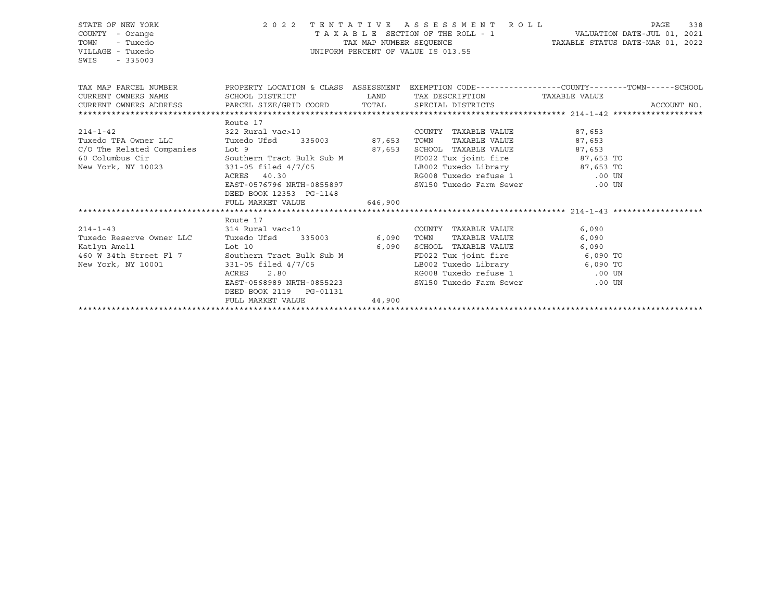| STATE OF NEW YORK<br>COUNTY - Orange<br>TOWN<br>- Tuxedo<br>VILLAGE - Tuxedo<br>$-335003$<br>SWIS                          | UNIFORM PERCENT OF VALUE IS 013.55 | 2022 TENTATIVE ASSESSMENT ROLL PAGE 338<br>TAXABLE SECTION OF THE ROLL - 1 VALUATION DATE-JUL 01, 2021<br>TAX MAP NUMBER SEQUENCE TAXABLE STATUS DATE-MAR 01, 2022 |                                    |       |  |
|----------------------------------------------------------------------------------------------------------------------------|------------------------------------|--------------------------------------------------------------------------------------------------------------------------------------------------------------------|------------------------------------|-------|--|
| TAX MAP PARCEL NUMBER THE PROPERTY LOCATION & CLASS ASSESSMENT EXEMPTION CODE---------------COUNTY--------TOWN------SCHOOL |                                    |                                                                                                                                                                    |                                    |       |  |
| CURRENT OWNERS NAME                                                                                                        | ---<br>SCHOOL DISTRICT             |                                                                                                                                                                    | LAND TAX DESCRIPTION TAXABLE VALUE |       |  |
| CURRENT OWNERS ADDRESS BARCEL SIZE/GRID COORD TOTAL SPECIAL DISTRICTS CONNERS ADDRESS ACCOUNT NO.                          |                                    |                                                                                                                                                                    |                                    |       |  |
|                                                                                                                            |                                    |                                                                                                                                                                    |                                    |       |  |
|                                                                                                                            | Route 17                           |                                                                                                                                                                    |                                    |       |  |
| $214 - 1 - 42$                                                                                                             | 322 Rural vac>10                   |                                                                                                                                                                    | COUNTY TAXABLE VALUE 87,653        |       |  |
| Tuxedo TPA Owner LLC              Tuxedo Ufsd      335003            87,653   TOWN                                         |                                    |                                                                                                                                                                    | TAXABLE VALUE 87,653               |       |  |
|                                                                                                                            |                                    |                                                                                                                                                                    |                                    |       |  |
|                                                                                                                            |                                    |                                                                                                                                                                    |                                    |       |  |
|                                                                                                                            | ACRES 40.30                        |                                                                                                                                                                    | RG008 Tuxedo refuse 1 00 UN        |       |  |
|                                                                                                                            | EAST-0576796 NRTH-0855897          |                                                                                                                                                                    | SW150 Tuxedo Farm Sewer .00 UN     |       |  |
|                                                                                                                            | DEED BOOK 12353 PG-1148            |                                                                                                                                                                    |                                    |       |  |
|                                                                                                                            | FULL MARKET VALUE                  | 646,900                                                                                                                                                            |                                    |       |  |
|                                                                                                                            |                                    |                                                                                                                                                                    |                                    |       |  |
|                                                                                                                            | Route 17                           |                                                                                                                                                                    |                                    |       |  |
|                                                                                                                            |                                    |                                                                                                                                                                    | COUNTY TAXABLE VALUE               | 6,090 |  |
|                                                                                                                            |                                    |                                                                                                                                                                    | TAXABLE VALUE                      | 6,090 |  |
| Katlyn Amell<br>Lot 10                                                                                                     | 6,090                              |                                                                                                                                                                    | SCHOOL TAXABLE VALUE               | 6,090 |  |
|                                                                                                                            |                                    |                                                                                                                                                                    | FD022 Tux joint fire 6,090 TO      |       |  |
| 460 W 34th Street F1 7<br>New York, NY 10001<br>New York, NY 10001<br>RCRES 2.80<br>EAST-0568989 NRTH-0855223              |                                    |                                                                                                                                                                    | LB002 Tuxedo Library 6,090 TO      |       |  |
|                                                                                                                            |                                    |                                                                                                                                                                    | RG008 Tuxedo refuse 1 .00 UN       |       |  |
|                                                                                                                            |                                    |                                                                                                                                                                    | SW150 Tuxedo Farm Sewer .00 UN     |       |  |
|                                                                                                                            | DEED BOOK 2119    PG-01131         |                                                                                                                                                                    |                                    |       |  |
|                                                                                                                            | FULL MARKET VALUE                  | 44.900                                                                                                                                                             |                                    |       |  |
|                                                                                                                            |                                    |                                                                                                                                                                    |                                    |       |  |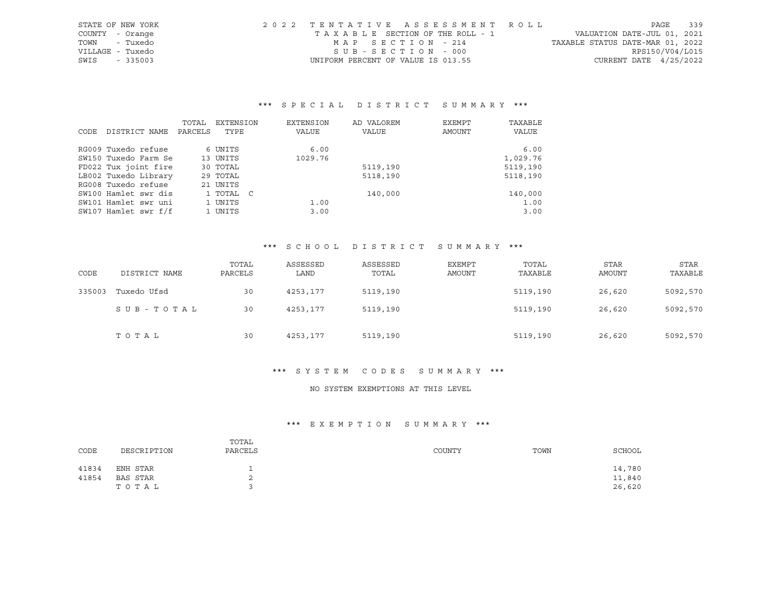| STATE OF NEW YORK | 2022 TENTATIVE ASSESSMENT ROLL     |                                  | PAGE                        | 339 |
|-------------------|------------------------------------|----------------------------------|-----------------------------|-----|
| COUNTY - Orange   | TAXABLE SECTION OF THE ROLL - 1    |                                  | VALUATION DATE-JUL 01, 2021 |     |
| - Tuxedo<br>TOWN  | MAP SECTION - 214                  | TAXABLE STATUS DATE-MAR 01, 2022 |                             |     |
| VILLAGE - Tuxedo  | SUB-SECTION - 000                  |                                  | RPS150/V04/L015             |     |
| SWIS<br>- 335003  | UNIFORM PERCENT OF VALUE IS 013.55 |                                  | CURRENT DATE $4/25/2022$    |     |

|      |                      | TOTAL   | EXTENSION | EXTENSION | AD VALOREM | EXEMPT | TAXABLE      |
|------|----------------------|---------|-----------|-----------|------------|--------|--------------|
| CODE | DISTRICT NAME        | PARCELS | TYPE      | VALUE     | VALUE      | AMOUNT | <b>VALUE</b> |
|      | RG009 Tuxedo refuse  |         | 6 UNITS   | 6.00      |            |        | 6.00         |
|      |                      |         |           |           |            |        |              |
|      | SW150 Tuxedo Farm Se |         | 13 UNITS  | 1029.76   |            |        | 1,029.76     |
|      | FD022 Tux joint fire |         | 30 TOTAL  |           | 5119,190   |        | 5119,190     |
|      | LB002 Tuxedo Library |         | 29 TOTAL  |           | 5118,190   |        | 5118,190     |
|      | RG008 Tuxedo refuse  |         | 21 UNITS  |           |            |        |              |
|      | SW100 Hamlet swr dis |         | 1 TOTAL C |           | 140,000    |        | 140,000      |
|      | SW101 Hamlet swr uni |         | 1 UNITS   | 1.00      |            |        | 1.00         |
|      | SW107 Hamlet swr f/f |         | 1 UNITS   | 3.00      |            |        | 3.00         |

## \*\*\* S C H O O L D I S T R I C T S U M M A R Y \*\*\*

| CODE   | DISTRICT NAME | TOTAL<br>PARCELS | ASSESSED<br>LAND | ASSESSED<br>TOTAL | EXEMPT<br>AMOUNT | TOTAL<br>TAXABLE | <b>STAR</b><br>AMOUNT | <b>STAR</b><br>TAXABLE |
|--------|---------------|------------------|------------------|-------------------|------------------|------------------|-----------------------|------------------------|
| 335003 | Tuxedo Ufsd   | 30               | 4253,177         | 5119,190          |                  | 5119,190         | 26,620                | 5092,570               |
|        | SUB-TOTAL     | 30               | 4253,177         | 5119,190          |                  | 5119,190         | 26,620                | 5092,570               |
|        | TOTAL         | 30               | 4253,177         | 5119,190          |                  | 5119,190         | 26,620                | 5092,570               |

## \*\*\* S Y S T E M C O D E S S U M M A R Y \*\*\*

## NO SYSTEM EXEMPTIONS AT THIS LEVEL

| CODE  | DESCRIPTION | TOTAL<br>PARCELS | COUNTY | TOWN | SCHOOL |
|-------|-------------|------------------|--------|------|--------|
| 41834 | ENH STAR    |                  |        |      | 14,780 |
| 41854 | BAS STAR    | ⌒<br>z.          |        |      | 11,840 |
|       | TOTAL       |                  |        |      | 26,620 |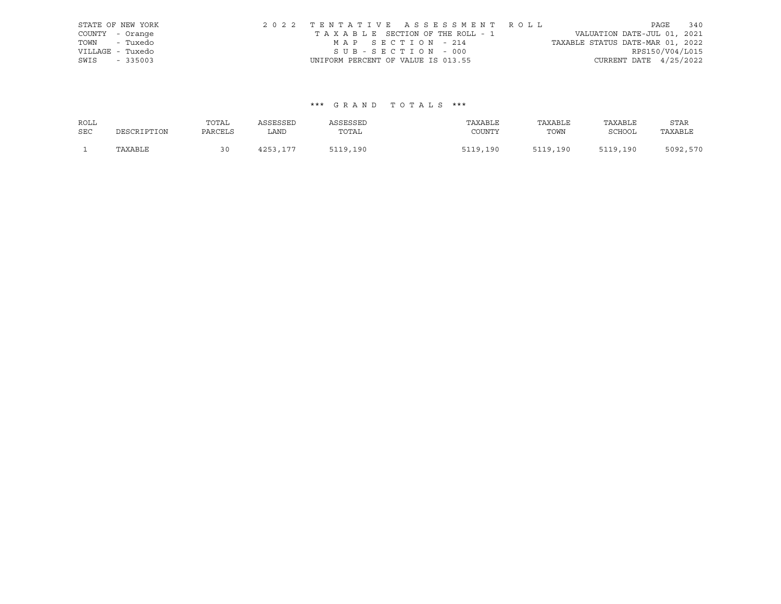|      | STATE OF NEW YORK | 2022 TENTATIVE ASSESSMENT ROLL     |  |                                  |                          | PAGE | 340 |
|------|-------------------|------------------------------------|--|----------------------------------|--------------------------|------|-----|
|      | COUNTY - Orange   | TAXABLE SECTION OF THE ROLL - 1    |  | VALUATION DATE-JUL 01, 2021      |                          |      |     |
|      | TOWN - Tuxedo     | MAP SECTION - 214                  |  | TAXABLE STATUS DATE-MAR 01, 2022 |                          |      |     |
|      | VILLAGE - Tuxedo  | SUB-SECTION - 000                  |  |                                  | RPS150/V04/L015          |      |     |
| SWIS | $-335003$         | UNIFORM PERCENT OF VALUE IS 013.55 |  |                                  | CURRENT DATE $4/25/2022$ |      |     |

| ROLL       |             | TOTAL   | ASSESSED | ASSESSED | TAXABLE  | TAXABLE  | TAXABLE       | STAR     |
|------------|-------------|---------|----------|----------|----------|----------|---------------|----------|
| <b>SEC</b> | DESCRIPTION | PARCELS | LAND     | TOTAL    | COUNTY   | TOWN     | <b>SCHOOL</b> | TAXABLE  |
|            | TAXABLE     |         | 4253,177 | 5119,190 | 5119,190 | 5119,190 | 5119,190      | 5092,570 |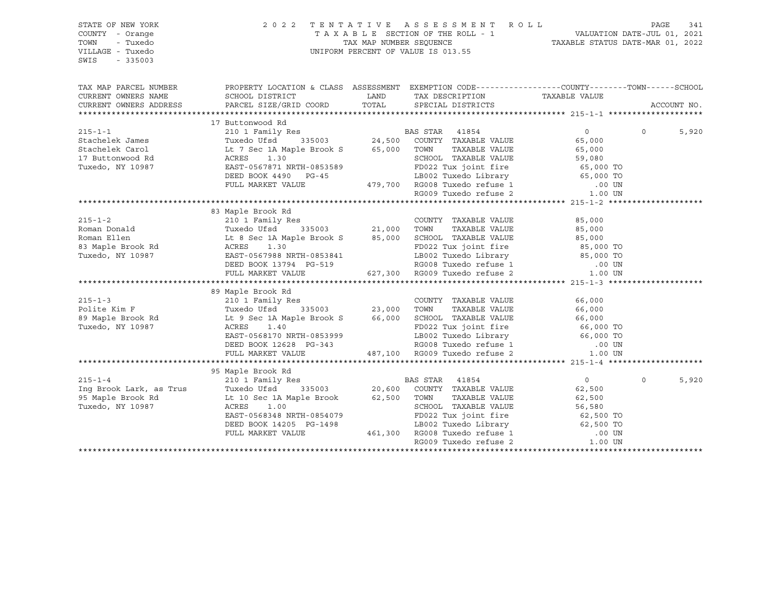| FAGE 341<br>TAXABLE SECTION OF THE ROLL - 1 VALUATION DATE-JUL 01, 2021<br>TAX MAP NUMBER SEQUENCE TAXABLE STATUS DATE-MAR 01, 2022<br>UNIFORM PERCENT OF VALUE IS 013.55<br>TOWN<br>- Tuxedo<br>VILLAGE - Tuxedo<br>$-335003$<br>SWIS                                                                                    |             |
|---------------------------------------------------------------------------------------------------------------------------------------------------------------------------------------------------------------------------------------------------------------------------------------------------------------------------|-------------|
| PROPERTY LOCATION & CLASS ASSESSMENT EXEMPTION CODE----------------COUNTY-------TOWN------SCHOOL<br>TAX MAP PARCEL NUMBER<br>TAX DESCRIPTION TAXABLE VALUE<br>SCHOOL DISTRICT<br>CURRENT OWNERS NAME<br>LAND<br>PARCEL SIZE/GRID COORD TOTAL SPECIAL DISTRICTS<br>CURRENT OWNERS ADDRESS                                  | ACCOUNT NO. |
|                                                                                                                                                                                                                                                                                                                           |             |
| 215-1-1<br>215-1-1<br>210 1 Family Res<br>210 1 Family Res<br>216 335003<br>24,500 COUNTY TAXABLE VALUE<br>24,500 COUNTY TAXABLE VALUE<br>24,500 COUNTY TAXABLE VALUE<br>24,500 COUNTY TAXABLE VALUE<br>24,500 COUNTY TAXABLE VALUE<br>24,500 COUN                                                                        |             |
| $\overline{0}$<br>$\Omega$                                                                                                                                                                                                                                                                                                | 5,920       |
| 65,000                                                                                                                                                                                                                                                                                                                    |             |
| TOWN TAXABLE VALUE 65,000<br>SCHOOL TAXABLE VALUE 59,080<br>FD022 Tux joint fire 65,000 TO<br>LB002 Tuxedo Library 65,000 TO                                                                                                                                                                                              |             |
| ACRES 1.30<br>EAST-0567871 NRTH-0853589                                                                                                                                                                                                                                                                                   |             |
| Tuxedo, NY 10987                                                                                                                                                                                                                                                                                                          |             |
| DEED BOOK 4490 PG-45                                                                                                                                                                                                                                                                                                      |             |
| FULL MARKET VALUE                                                                                                                                                                                                                                                                                                         |             |
| 1853589<br>199,700 RG008 Tuxedo Library<br>199,700 RG008 Tuxedo refuse 1 1 1.00 UN<br>RG009 Tuxedo refuse 2                                                                                                                                                                                                               |             |
|                                                                                                                                                                                                                                                                                                                           |             |
| 83 Maple Brook Rd                                                                                                                                                                                                                                                                                                         |             |
|                                                                                                                                                                                                                                                                                                                           |             |
|                                                                                                                                                                                                                                                                                                                           |             |
|                                                                                                                                                                                                                                                                                                                           |             |
| FD022 Tux joint fire 85,000 TO<br>LB002 Tuxedo Library 85,000 TO<br>RG008 Tuxedo refuse 1 00 UN<br>627,300 RG009 Tuxedo refuse 2 1.00 UN                                                                                                                                                                                  |             |
|                                                                                                                                                                                                                                                                                                                           |             |
| DEED BOOK 13794 PG-519<br>FULL MARKET VALUE                                                                                                                                                                                                                                                                               |             |
|                                                                                                                                                                                                                                                                                                                           |             |
| 89 Maple Brook Rd                                                                                                                                                                                                                                                                                                         |             |
|                                                                                                                                                                                                                                                                                                                           |             |
|                                                                                                                                                                                                                                                                                                                           |             |
|                                                                                                                                                                                                                                                                                                                           |             |
|                                                                                                                                                                                                                                                                                                                           |             |
| LB002 Tuxedo Library 66,000 TO<br>EAST-0568170 NRTH-0853999                                                                                                                                                                                                                                                               |             |
| DEED BOOK 12628 PG-343                                                                                                                                                                                                                                                                                                    |             |
| 143 RG008 Tuxedo refuse 1 00 UN د183 .00 UN د187,100 RG009 Tuxedo refuse 2<br>FULL MARKET VALUE                                                                                                                                                                                                                           |             |
|                                                                                                                                                                                                                                                                                                                           |             |
|                                                                                                                                                                                                                                                                                                                           |             |
| $0 \qquad \qquad$<br>$\Omega$                                                                                                                                                                                                                                                                                             | 5,920       |
| 62,500                                                                                                                                                                                                                                                                                                                    |             |
| 62,500                                                                                                                                                                                                                                                                                                                    |             |
| 215-1-4<br>210 1 Family Res<br>20,600 COUNTY TAXABLE VALUE<br>95 Maple Brook Rd<br>20,600 COUNTY TAXABLE VALUE<br>20,600 COUNTY TAXABLE VALUE<br>20,600 COUNTY TAXABLE VALUE<br>20,500 TOWN TAXABLE VALUE<br>20,500 TOWN TAXABLE VALUE<br>20,500<br>TOWN      TAXABLE VALUE<br>SCHOOL   TAXABLE VALUE<br>62,500<br>56,580 |             |
|                                                                                                                                                                                                                                                                                                                           |             |
|                                                                                                                                                                                                                                                                                                                           |             |
|                                                                                                                                                                                                                                                                                                                           |             |
| EAST-0568348 NRTH-0854079<br>DEED BOOK 14205 PG-1498<br>FULL MARKET VALUE 461,300 RG008 Tuxedo refuse 1 000 UN<br>RG009 Tuxedo refuse 2 1.00 UN<br>$1.00$ UN<br>$$                                                                                                                                                        |             |
|                                                                                                                                                                                                                                                                                                                           |             |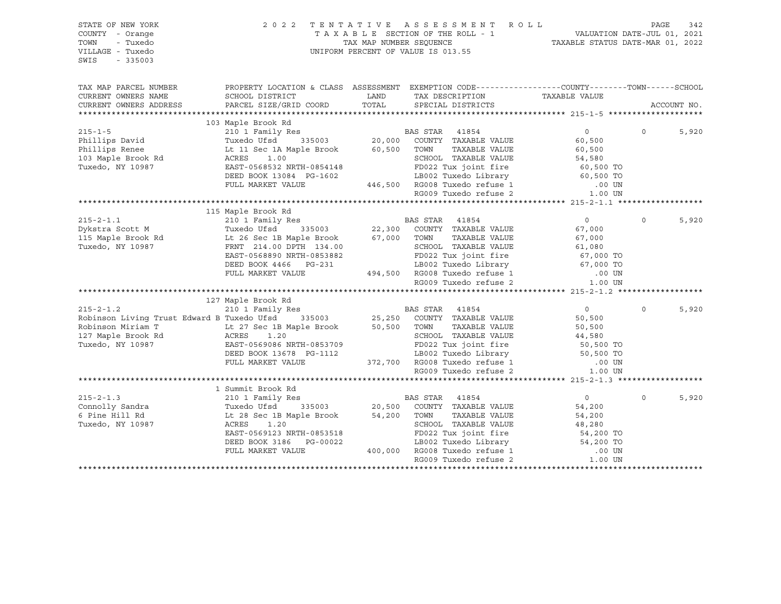| STATE OF NEW YORK<br>COUNTY - Orange<br>TOWN<br>- Tuxedo<br>VILLAGE - Tuxedo<br>SWIS<br>$-335003$                                                                                                                                                 |                                                                                                                                                                                                                                      |                                                                                         | 2022 TENTATIVE ASSESSMENT ROLL |                                                                                                                                                        | PAGE     | 342         |
|---------------------------------------------------------------------------------------------------------------------------------------------------------------------------------------------------------------------------------------------------|--------------------------------------------------------------------------------------------------------------------------------------------------------------------------------------------------------------------------------------|-----------------------------------------------------------------------------------------|--------------------------------|--------------------------------------------------------------------------------------------------------------------------------------------------------|----------|-------------|
| TAX MAP PARCEL NUMBER                                                                                                                                                                                                                             | PROPERTY LOCATION & CLASS ASSESSMENT EXEMPTION CODE----------------COUNTY-------TOWN------SCHOOL                                                                                                                                     |                                                                                         |                                |                                                                                                                                                        |          |             |
| CURRENT OWNERS NAME                                                                                                                                                                                                                               | SCHOOL DISTRICT                                                                                                                                                                                                                      | <b>EXAMPLE THE STATE OF STATE OF STATE OF STATE OF STATE OF STATE OF STATE OF STATE</b> |                                |                                                                                                                                                        |          |             |
| CURRENT OWNERS ADDRESS                                                                                                                                                                                                                            | PARCEL SIZE/GRID COORD                                                                                                                                                                                                               |                                                                                         |                                |                                                                                                                                                        |          | ACCOUNT NO. |
|                                                                                                                                                                                                                                                   |                                                                                                                                                                                                                                      |                                                                                         |                                |                                                                                                                                                        |          |             |
|                                                                                                                                                                                                                                                   |                                                                                                                                                                                                                                      |                                                                                         |                                |                                                                                                                                                        | $\Omega$ | 5,920       |
|                                                                                                                                                                                                                                                   |                                                                                                                                                                                                                                      |                                                                                         |                                |                                                                                                                                                        |          |             |
|                                                                                                                                                                                                                                                   |                                                                                                                                                                                                                                      |                                                                                         |                                |                                                                                                                                                        |          |             |
|                                                                                                                                                                                                                                                   |                                                                                                                                                                                                                                      |                                                                                         |                                |                                                                                                                                                        |          |             |
|                                                                                                                                                                                                                                                   |                                                                                                                                                                                                                                      |                                                                                         |                                |                                                                                                                                                        |          |             |
|                                                                                                                                                                                                                                                   |                                                                                                                                                                                                                                      |                                                                                         |                                |                                                                                                                                                        |          |             |
|                                                                                                                                                                                                                                                   |                                                                                                                                                                                                                                      |                                                                                         |                                |                                                                                                                                                        |          |             |
|                                                                                                                                                                                                                                                   |                                                                                                                                                                                                                                      |                                                                                         |                                |                                                                                                                                                        |          |             |
|                                                                                                                                                                                                                                                   |                                                                                                                                                                                                                                      |                                                                                         |                                |                                                                                                                                                        |          |             |
|                                                                                                                                                                                                                                                   | 115 Maple Brook Rd                                                                                                                                                                                                                   |                                                                                         |                                |                                                                                                                                                        |          |             |
|                                                                                                                                                                                                                                                   |                                                                                                                                                                                                                                      |                                                                                         |                                | $\overline{0}$                                                                                                                                         | $\Omega$ | 5,920       |
|                                                                                                                                                                                                                                                   |                                                                                                                                                                                                                                      |                                                                                         |                                | 67,000                                                                                                                                                 |          |             |
| 215-2-1.1<br>210 1 Family Res<br>22,300 COUNTY TAXABLE VALUE<br>215 Maple Brook Rd<br>22,300 COUNTY TAXABLE VALUE<br>22,300 COUNTY TAXABLE VALUE<br>22,300 COUNTY TAXABLE VALUE<br>22,300 COUNTY TAXABLE VALUE<br>22,300 COUNTY TAXABLE VALUE<br> |                                                                                                                                                                                                                                      |                                                                                         |                                |                                                                                                                                                        |          |             |
|                                                                                                                                                                                                                                                   |                                                                                                                                                                                                                                      |                                                                                         |                                |                                                                                                                                                        |          |             |
|                                                                                                                                                                                                                                                   |                                                                                                                                                                                                                                      |                                                                                         |                                |                                                                                                                                                        |          |             |
|                                                                                                                                                                                                                                                   |                                                                                                                                                                                                                                      |                                                                                         |                                |                                                                                                                                                        |          |             |
|                                                                                                                                                                                                                                                   | 1.1 26 Sec 1B Maple Brook 67,000 TOWN TAXABLE VALUE 67,000<br>FRNT 214.00 DPTH 134.00 SCHOOL TAXABLE VALUE 67,000<br>EAST-0568890 NRTH-0853882 FD022 Tux joint fire 67,000 TO<br>DEED BOOK 4466 PG-231 LB002 Tuxedo Library 67,000 T |                                                                                         |                                |                                                                                                                                                        |          |             |
|                                                                                                                                                                                                                                                   |                                                                                                                                                                                                                                      |                                                                                         |                                |                                                                                                                                                        |          |             |
|                                                                                                                                                                                                                                                   | 127 Maple Brook Rd                                                                                                                                                                                                                   |                                                                                         |                                |                                                                                                                                                        |          |             |
|                                                                                                                                                                                                                                                   |                                                                                                                                                                                                                                      |                                                                                         |                                | $\overline{0}$                                                                                                                                         | $\Omega$ | 5,920       |
| 215-2-1.2<br>210 210 1 Family Res<br>25,250 25,250 COUNTY TAXABLE VALUE                                                                                                                                                                           |                                                                                                                                                                                                                                      |                                                                                         |                                | 50,500                                                                                                                                                 |          |             |
|                                                                                                                                                                                                                                                   |                                                                                                                                                                                                                                      |                                                                                         |                                |                                                                                                                                                        |          |             |
|                                                                                                                                                                                                                                                   |                                                                                                                                                                                                                                      |                                                                                         |                                |                                                                                                                                                        |          |             |
|                                                                                                                                                                                                                                                   |                                                                                                                                                                                                                                      |                                                                                         |                                |                                                                                                                                                        |          |             |
|                                                                                                                                                                                                                                                   |                                                                                                                                                                                                                                      |                                                                                         |                                |                                                                                                                                                        |          |             |
|                                                                                                                                                                                                                                                   |                                                                                                                                                                                                                                      |                                                                                         |                                |                                                                                                                                                        |          |             |
| Robinson Living Trust Edward B Tuxedo Ursa 335003<br>Robinson Miriam T<br>127 Maple Brook Rd<br>127 Maple Brook Rd<br>127 Maple Brook Rd<br>27 Maple Brook Rd<br>27 Maple Brook Rd<br>27 Maple Brook Rd<br>27 Maple Brook Rd<br>27 Maple Brook R  |                                                                                                                                                                                                                                      |                                                                                         |                                |                                                                                                                                                        |          |             |
|                                                                                                                                                                                                                                                   |                                                                                                                                                                                                                                      |                                                                                         |                                |                                                                                                                                                        |          |             |
|                                                                                                                                                                                                                                                   |                                                                                                                                                                                                                                      |                                                                                         |                                |                                                                                                                                                        |          |             |
|                                                                                                                                                                                                                                                   |                                                                                                                                                                                                                                      |                                                                                         |                                | $\overline{0}$                                                                                                                                         | $\circ$  | 5,920       |
|                                                                                                                                                                                                                                                   |                                                                                                                                                                                                                                      |                                                                                         |                                | 54,200                                                                                                                                                 |          |             |
|                                                                                                                                                                                                                                                   |                                                                                                                                                                                                                                      |                                                                                         | TAXABLE VALUE                  | 54,200                                                                                                                                                 |          |             |
| Controlly Sandra<br>Connolly Sandra<br>Connolly Sandra<br>Tuxedo Ufsd 335003 20,500 COUNTY TAXABLE VALUE<br>Tuxedo, NY 10987 ACRES 1.20<br>RAST-RECORD TO CONN TAXABLE VALUE<br>Tuxedo, NY 10987 ACRES 1.20<br>RAST-RECORD TO CONN TAXABLE V      |                                                                                                                                                                                                                                      |                                                                                         |                                | SCHOOL TAXABLE VALUE 48,280<br>S-00022 TUX joint fire 54,200 TO<br>3-00022 LB002 Tuxedo Library 54,200 TO<br>400,000 RG008 Tuxedo refuse 1 00 UN 00 UN |          |             |
|                                                                                                                                                                                                                                                   |                                                                                                                                                                                                                                      |                                                                                         |                                |                                                                                                                                                        |          |             |
|                                                                                                                                                                                                                                                   | DEED BOOK 3186 PG-00022<br>FULL MARKET VALUE                                                                                                                                                                                         |                                                                                         |                                |                                                                                                                                                        |          |             |
|                                                                                                                                                                                                                                                   |                                                                                                                                                                                                                                      |                                                                                         | RG009 Tuxedo refuse 2          | 1.00 UN                                                                                                                                                |          |             |
|                                                                                                                                                                                                                                                   |                                                                                                                                                                                                                                      |                                                                                         |                                |                                                                                                                                                        |          |             |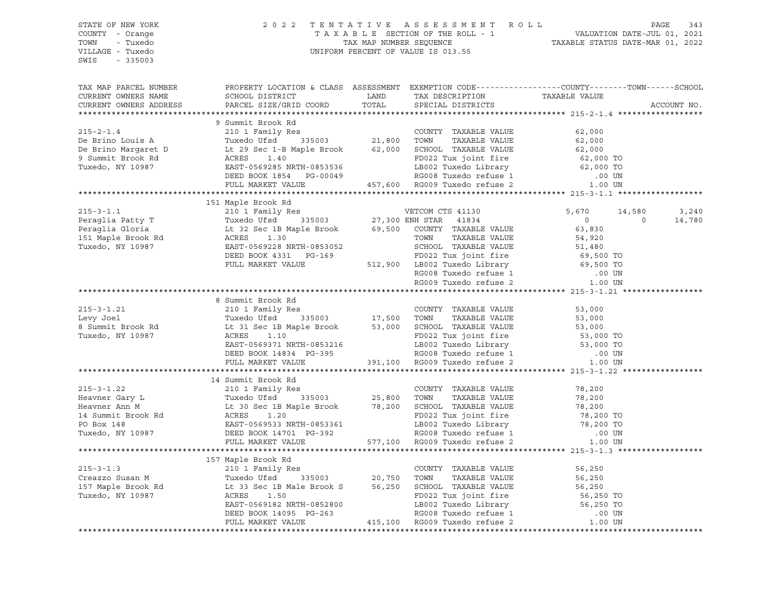| STATE OF NEW YORK                                                                                                                                                                                                                                                                                                                                                                                                                                           |                    | $\begin{tabular}{lllllllllllllllll} \hline 2&0&2&2&\text{T} & \text{E} & \text{N} & \text{T} & \text{A} & \text{T} & \text{A} & \text{E} & \text{S} & \text{E} & \text{S} & \text{S} & \text{S} & \text{M} & \text{E} & \text{N} & \text{T} & \text{A} & \text{A} & \text{A} & \text{E} & \text{S} & \text{E} & \text{S} & \text{S} & \text{S} & \text{S} & \text{S} & \text{S} & \text{S} & \text{A} & \text{A} & \text{A$ |                 |        |
|-------------------------------------------------------------------------------------------------------------------------------------------------------------------------------------------------------------------------------------------------------------------------------------------------------------------------------------------------------------------------------------------------------------------------------------------------------------|--------------------|-----------------------------------------------------------------------------------------------------------------------------------------------------------------------------------------------------------------------------------------------------------------------------------------------------------------------------------------------------------------------------------------------------------------------------|-----------------|--------|
| COUNTY - Orange                                                                                                                                                                                                                                                                                                                                                                                                                                             |                    |                                                                                                                                                                                                                                                                                                                                                                                                                             |                 |        |
| TOWN - Tuxedo                                                                                                                                                                                                                                                                                                                                                                                                                                               |                    |                                                                                                                                                                                                                                                                                                                                                                                                                             |                 |        |
| VILLAGE - Tuxedo                                                                                                                                                                                                                                                                                                                                                                                                                                            |                    |                                                                                                                                                                                                                                                                                                                                                                                                                             |                 |        |
| SWIS - 335003                                                                                                                                                                                                                                                                                                                                                                                                                                               |                    |                                                                                                                                                                                                                                                                                                                                                                                                                             |                 |        |
|                                                                                                                                                                                                                                                                                                                                                                                                                                                             |                    |                                                                                                                                                                                                                                                                                                                                                                                                                             |                 |        |
|                                                                                                                                                                                                                                                                                                                                                                                                                                                             |                    |                                                                                                                                                                                                                                                                                                                                                                                                                             |                 |        |
| TAX MAP PARCEL NUMBER THE PROPERTY LOCATION & CLASS ASSESSMENT EXEMPTION CODE---------------COUNTY-------TOWN------SCHOOL                                                                                                                                                                                                                                                                                                                                   |                    |                                                                                                                                                                                                                                                                                                                                                                                                                             |                 |        |
|                                                                                                                                                                                                                                                                                                                                                                                                                                                             |                    |                                                                                                                                                                                                                                                                                                                                                                                                                             |                 |        |
|                                                                                                                                                                                                                                                                                                                                                                                                                                                             |                    |                                                                                                                                                                                                                                                                                                                                                                                                                             | ACCOUNT NO.     |        |
|                                                                                                                                                                                                                                                                                                                                                                                                                                                             |                    |                                                                                                                                                                                                                                                                                                                                                                                                                             |                 |        |
|                                                                                                                                                                                                                                                                                                                                                                                                                                                             | 9 Summit Brook Rd  |                                                                                                                                                                                                                                                                                                                                                                                                                             |                 |        |
|                                                                                                                                                                                                                                                                                                                                                                                                                                                             |                    |                                                                                                                                                                                                                                                                                                                                                                                                                             |                 |        |
|                                                                                                                                                                                                                                                                                                                                                                                                                                                             |                    |                                                                                                                                                                                                                                                                                                                                                                                                                             |                 |        |
|                                                                                                                                                                                                                                                                                                                                                                                                                                                             |                    |                                                                                                                                                                                                                                                                                                                                                                                                                             |                 |        |
|                                                                                                                                                                                                                                                                                                                                                                                                                                                             |                    |                                                                                                                                                                                                                                                                                                                                                                                                                             |                 |        |
|                                                                                                                                                                                                                                                                                                                                                                                                                                                             |                    |                                                                                                                                                                                                                                                                                                                                                                                                                             |                 |        |
|                                                                                                                                                                                                                                                                                                                                                                                                                                                             |                    |                                                                                                                                                                                                                                                                                                                                                                                                                             |                 |        |
|                                                                                                                                                                                                                                                                                                                                                                                                                                                             |                    |                                                                                                                                                                                                                                                                                                                                                                                                                             |                 |        |
|                                                                                                                                                                                                                                                                                                                                                                                                                                                             |                    |                                                                                                                                                                                                                                                                                                                                                                                                                             |                 |        |
|                                                                                                                                                                                                                                                                                                                                                                                                                                                             |                    |                                                                                                                                                                                                                                                                                                                                                                                                                             |                 |        |
| $[151 \text{ Maple Brook Rd}\footnote{215-3-1.1}\footnote{215-3-1.1}\footnote{215-3-1.1}\footnote{215-3-1.1}\footnote{215-3-1.1}\footnote{215-3-1.2}\footnote{215-3-1.2}\footnote{215-3-1.2}\footnote{215-3-1.2}\footnote{215-3-1.2}\footnote{215-3-1.2}\footnote{215-3-1.2}\footnote{215-3-1.2}\footnote{215-3-1.2}\footnote{215-3-1.2}\footnote{215-3-1.2}\foot$                                                                                          | 151 Maple Brook Rd |                                                                                                                                                                                                                                                                                                                                                                                                                             | 14,580          | 3,240  |
|                                                                                                                                                                                                                                                                                                                                                                                                                                                             |                    |                                                                                                                                                                                                                                                                                                                                                                                                                             | $\sim$ 0 $\sim$ |        |
|                                                                                                                                                                                                                                                                                                                                                                                                                                                             |                    |                                                                                                                                                                                                                                                                                                                                                                                                                             |                 | 14,780 |
|                                                                                                                                                                                                                                                                                                                                                                                                                                                             |                    |                                                                                                                                                                                                                                                                                                                                                                                                                             |                 |        |
|                                                                                                                                                                                                                                                                                                                                                                                                                                                             |                    |                                                                                                                                                                                                                                                                                                                                                                                                                             |                 |        |
|                                                                                                                                                                                                                                                                                                                                                                                                                                                             |                    |                                                                                                                                                                                                                                                                                                                                                                                                                             |                 |        |
|                                                                                                                                                                                                                                                                                                                                                                                                                                                             |                    |                                                                                                                                                                                                                                                                                                                                                                                                                             |                 |        |
|                                                                                                                                                                                                                                                                                                                                                                                                                                                             |                    |                                                                                                                                                                                                                                                                                                                                                                                                                             |                 |        |
|                                                                                                                                                                                                                                                                                                                                                                                                                                                             |                    |                                                                                                                                                                                                                                                                                                                                                                                                                             |                 |        |
|                                                                                                                                                                                                                                                                                                                                                                                                                                                             |                    |                                                                                                                                                                                                                                                                                                                                                                                                                             |                 |        |
|                                                                                                                                                                                                                                                                                                                                                                                                                                                             |                    |                                                                                                                                                                                                                                                                                                                                                                                                                             |                 |        |
|                                                                                                                                                                                                                                                                                                                                                                                                                                                             | 8 Summit Brook Rd  |                                                                                                                                                                                                                                                                                                                                                                                                                             |                 |        |
|                                                                                                                                                                                                                                                                                                                                                                                                                                                             |                    |                                                                                                                                                                                                                                                                                                                                                                                                                             |                 |        |
|                                                                                                                                                                                                                                                                                                                                                                                                                                                             |                    |                                                                                                                                                                                                                                                                                                                                                                                                                             |                 |        |
|                                                                                                                                                                                                                                                                                                                                                                                                                                                             |                    |                                                                                                                                                                                                                                                                                                                                                                                                                             |                 |        |
|                                                                                                                                                                                                                                                                                                                                                                                                                                                             |                    |                                                                                                                                                                                                                                                                                                                                                                                                                             |                 |        |
|                                                                                                                                                                                                                                                                                                                                                                                                                                                             |                    |                                                                                                                                                                                                                                                                                                                                                                                                                             |                 |        |
|                                                                                                                                                                                                                                                                                                                                                                                                                                                             |                    |                                                                                                                                                                                                                                                                                                                                                                                                                             |                 |        |
| 215-3-1.21 and thook kd<br>Levy Joel Tuxedo Ufsd 335003 17,500 TOMN TAXABLE VALUE 53,000<br>8 Summit Brook Rd Lt 31 Sec 1B Maple Brook 53,000 SCHOOL TAXABLE VALUE 53,000<br>Tuxedo, NY 10987 ACRES 1.10 FD022 Tux joint fire 53,000                                                                                                                                                                                                                        |                    |                                                                                                                                                                                                                                                                                                                                                                                                                             |                 |        |
|                                                                                                                                                                                                                                                                                                                                                                                                                                                             |                    |                                                                                                                                                                                                                                                                                                                                                                                                                             |                 |        |
|                                                                                                                                                                                                                                                                                                                                                                                                                                                             | 14 Summit Brook Rd |                                                                                                                                                                                                                                                                                                                                                                                                                             |                 |        |
|                                                                                                                                                                                                                                                                                                                                                                                                                                                             |                    |                                                                                                                                                                                                                                                                                                                                                                                                                             |                 |        |
|                                                                                                                                                                                                                                                                                                                                                                                                                                                             |                    |                                                                                                                                                                                                                                                                                                                                                                                                                             |                 |        |
|                                                                                                                                                                                                                                                                                                                                                                                                                                                             |                    |                                                                                                                                                                                                                                                                                                                                                                                                                             |                 |        |
|                                                                                                                                                                                                                                                                                                                                                                                                                                                             |                    |                                                                                                                                                                                                                                                                                                                                                                                                                             |                 |        |
|                                                                                                                                                                                                                                                                                                                                                                                                                                                             |                    |                                                                                                                                                                                                                                                                                                                                                                                                                             |                 |        |
|                                                                                                                                                                                                                                                                                                                                                                                                                                                             |                    |                                                                                                                                                                                                                                                                                                                                                                                                                             |                 |        |
|                                                                                                                                                                                                                                                                                                                                                                                                                                                             |                    |                                                                                                                                                                                                                                                                                                                                                                                                                             |                 |        |
|                                                                                                                                                                                                                                                                                                                                                                                                                                                             |                    |                                                                                                                                                                                                                                                                                                                                                                                                                             |                 |        |
|                                                                                                                                                                                                                                                                                                                                                                                                                                                             |                    |                                                                                                                                                                                                                                                                                                                                                                                                                             |                 |        |
|                                                                                                                                                                                                                                                                                                                                                                                                                                                             | 157 Maple Brook Rd |                                                                                                                                                                                                                                                                                                                                                                                                                             |                 |        |
|                                                                                                                                                                                                                                                                                                                                                                                                                                                             |                    |                                                                                                                                                                                                                                                                                                                                                                                                                             |                 |        |
|                                                                                                                                                                                                                                                                                                                                                                                                                                                             |                    |                                                                                                                                                                                                                                                                                                                                                                                                                             |                 |        |
|                                                                                                                                                                                                                                                                                                                                                                                                                                                             |                    |                                                                                                                                                                                                                                                                                                                                                                                                                             |                 |        |
|                                                                                                                                                                                                                                                                                                                                                                                                                                                             |                    |                                                                                                                                                                                                                                                                                                                                                                                                                             |                 |        |
|                                                                                                                                                                                                                                                                                                                                                                                                                                                             |                    |                                                                                                                                                                                                                                                                                                                                                                                                                             |                 |        |
|                                                                                                                                                                                                                                                                                                                                                                                                                                                             |                    |                                                                                                                                                                                                                                                                                                                                                                                                                             |                 |        |
| $\begin{tabular}{lllllllllllllllllllll} \multicolumn{3}{c }{\text{\small 157~Maple BrouX~AU}} & \multicolumn{3}{c }{\text{\small 157~Maple BrouX~AU}} & \multicolumn{3}{c }{\text{\small 158~Supl} \text{P} \text{RE}} & \multicolumn{3}{c }{\text{\small 159~Maple BrouX~AU}} & \multicolumn{3}{c }{\text{\small 150~Maple BrouX~AU}} & \multicolumn{3}{c }{\text{\small 150~Maple BrouX~AU}} & \multicolumn{3}{c }{\text{\small 151~Maple BrouX~AU}} & \$ |                    |                                                                                                                                                                                                                                                                                                                                                                                                                             |                 |        |
|                                                                                                                                                                                                                                                                                                                                                                                                                                                             |                    |                                                                                                                                                                                                                                                                                                                                                                                                                             |                 |        |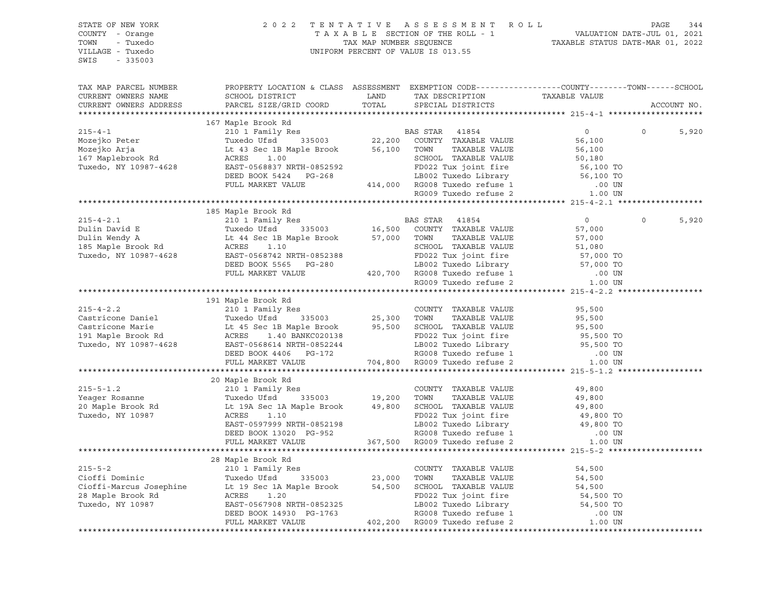| STATE OF NEW YORK<br>COUNTY - Orange<br>TOWN - Tuxedo<br>VILLAGE - Tuxedo<br>SWIS - 335003                                                                                                                                                                                                                                                                                                                                                                                                    |                                                                                                  | 2022 TENTATIVE ASSESSMENT ROLL PAGE 344<br>TAXABLE SECTION OF THE ROLL - 1 VALUATION DATE-JUL 01, 2021<br>TAX MAP NUMBER SEQUENCE TAXABLE STATUS DATE-MAR 01, 2022<br>INIFORM PERCENT OF VALUE TO 12 EF<br>UNIFORM PERCENT OF VALUE IS 013.55 |                |                   |
|-----------------------------------------------------------------------------------------------------------------------------------------------------------------------------------------------------------------------------------------------------------------------------------------------------------------------------------------------------------------------------------------------------------------------------------------------------------------------------------------------|--------------------------------------------------------------------------------------------------|-----------------------------------------------------------------------------------------------------------------------------------------------------------------------------------------------------------------------------------------------|----------------|-------------------|
| TAX MAP PARCEL NUMBER<br>CURRENT OWNERS NAME<br>CURRENT OWNERS ADDRESS                                                                                                                                                                                                                                                                                                                                                                                                                        | PROPERTY LOCATION & CLASS ASSESSMENT EXEMPTION CODE----------------COUNTY-------TOWN------SCHOOL |                                                                                                                                                                                                                                               |                | ACCOUNT NO.       |
|                                                                                                                                                                                                                                                                                                                                                                                                                                                                                               |                                                                                                  |                                                                                                                                                                                                                                               |                |                   |
| $\begin{tabular}{lllllllllllllllllllll} \hline & & & & & & 167 \text{ Maple Brook Rd} & & & & \text{BAS STRR} & 41854 & 0 \\ \hline \text{Moejko Peter} & & & & \text{Tusedo Ufsd} & 335003 & 22,200 & \text{COUNTY TAXABLE VALUE} & 56,100 \\ \text{Moejko Arja} & & & & \text{Lt 4 3 Sec 1B Maple Brook} & 56,100 & \text{TOWN} & \text{TAXABLE VALUE} & 56,100 \\ \text{Lt 4 4 3 Sec 1B Maple Brook R1} & & & & \text{SCEHODL TAXABLE$                                                     |                                                                                                  |                                                                                                                                                                                                                                               |                |                   |
|                                                                                                                                                                                                                                                                                                                                                                                                                                                                                               |                                                                                                  |                                                                                                                                                                                                                                               | $\overline{0}$ | $\Omega$<br>5,920 |
|                                                                                                                                                                                                                                                                                                                                                                                                                                                                                               |                                                                                                  |                                                                                                                                                                                                                                               |                |                   |
|                                                                                                                                                                                                                                                                                                                                                                                                                                                                                               |                                                                                                  |                                                                                                                                                                                                                                               |                |                   |
|                                                                                                                                                                                                                                                                                                                                                                                                                                                                                               |                                                                                                  |                                                                                                                                                                                                                                               |                |                   |
|                                                                                                                                                                                                                                                                                                                                                                                                                                                                                               |                                                                                                  |                                                                                                                                                                                                                                               |                |                   |
|                                                                                                                                                                                                                                                                                                                                                                                                                                                                                               |                                                                                                  |                                                                                                                                                                                                                                               |                |                   |
|                                                                                                                                                                                                                                                                                                                                                                                                                                                                                               |                                                                                                  |                                                                                                                                                                                                                                               |                |                   |
|                                                                                                                                                                                                                                                                                                                                                                                                                                                                                               |                                                                                                  |                                                                                                                                                                                                                                               |                |                   |
|                                                                                                                                                                                                                                                                                                                                                                                                                                                                                               | 185 Maple Brook Rd                                                                               |                                                                                                                                                                                                                                               |                |                   |
| ${\small \begin{tabular}{lcccc} \textbf{215-4-2.1} & \textbf{185 Maple Brook Rd} \\ \textbf{Dulin David E} & \textbf{210 1 Family Res} \\ \textbf{Dulin Would E} & \textbf{186, SOO} & \textbf{COUNTYY TAXABLE VALUE} & \textbf{57,000} \\ \textbf{Dulin Wendy A} & \textbf{Lt 44 Sec 1B Maple Brook} & \textbf{335003} & \textbf{16,500} & \textbf{COUNTYY TAXABLE VALUE} & \textbf{57,000} \\ \textbf{185 Maple Brook Rd} & \textbf{ACRES} & \textbf{1.10} & \text$                         |                                                                                                  |                                                                                                                                                                                                                                               |                | $\circ$<br>5,920  |
|                                                                                                                                                                                                                                                                                                                                                                                                                                                                                               |                                                                                                  |                                                                                                                                                                                                                                               |                |                   |
|                                                                                                                                                                                                                                                                                                                                                                                                                                                                                               |                                                                                                  |                                                                                                                                                                                                                                               |                |                   |
|                                                                                                                                                                                                                                                                                                                                                                                                                                                                                               |                                                                                                  |                                                                                                                                                                                                                                               |                |                   |
|                                                                                                                                                                                                                                                                                                                                                                                                                                                                                               |                                                                                                  |                                                                                                                                                                                                                                               |                |                   |
|                                                                                                                                                                                                                                                                                                                                                                                                                                                                                               |                                                                                                  |                                                                                                                                                                                                                                               |                |                   |
|                                                                                                                                                                                                                                                                                                                                                                                                                                                                                               |                                                                                                  |                                                                                                                                                                                                                                               |                |                   |
|                                                                                                                                                                                                                                                                                                                                                                                                                                                                                               |                                                                                                  |                                                                                                                                                                                                                                               |                |                   |
|                                                                                                                                                                                                                                                                                                                                                                                                                                                                                               |                                                                                                  |                                                                                                                                                                                                                                               |                |                   |
| $\begin{tabular}{lllllllllllllllllllll} \end{tabular} \begin{tabular}{lllllllllllll} \end{tabular} \begin{tabular}{lllllllllll} \multicolumn{3}{c}{{\small 191 Maple Brook Rd} & {\small 191 Maple Brook Rd} & {\small 210 1 Family Res & {\small 210 1 Family Res & {\small 210 1 family Res & {\small 210 11 } \\\hline \multicolumn{3}{c}{{\small 210 1} & \text{Family Res} & {\small 25,300} & {\small 200NTY T {PAXABLE VALUE} & 95,500 \\ {\small 210 1 & \text{Family Res} & {\small$ | 191 Maple Brook Rd                                                                               |                                                                                                                                                                                                                                               |                |                   |
|                                                                                                                                                                                                                                                                                                                                                                                                                                                                                               |                                                                                                  |                                                                                                                                                                                                                                               |                |                   |
|                                                                                                                                                                                                                                                                                                                                                                                                                                                                                               |                                                                                                  |                                                                                                                                                                                                                                               |                |                   |
|                                                                                                                                                                                                                                                                                                                                                                                                                                                                                               |                                                                                                  |                                                                                                                                                                                                                                               |                |                   |
|                                                                                                                                                                                                                                                                                                                                                                                                                                                                                               |                                                                                                  |                                                                                                                                                                                                                                               |                |                   |
|                                                                                                                                                                                                                                                                                                                                                                                                                                                                                               |                                                                                                  |                                                                                                                                                                                                                                               |                |                   |
|                                                                                                                                                                                                                                                                                                                                                                                                                                                                                               |                                                                                                  |                                                                                                                                                                                                                                               |                |                   |
|                                                                                                                                                                                                                                                                                                                                                                                                                                                                                               |                                                                                                  |                                                                                                                                                                                                                                               |                |                   |
|                                                                                                                                                                                                                                                                                                                                                                                                                                                                                               |                                                                                                  |                                                                                                                                                                                                                                               |                |                   |
| ${\small \begin{tabular}{lcccc} \textbf{215-S-1.2} & \textbf{20 Maple Brook Rd} & \textbf{210 1 Family Res} & \textbf{CUNITY} & \textbf{TAXABLE VALUE} & \textbf{49,800} \\ \textbf{215-S-1.2} & \textbf{210 1 Family Res} & \textbf{210 1 Family Res} & \textbf{210 121 221 235 245 256 266 276 287 296 20 Maple Brook Rd} & \textbf{220 Maple Brook Rd} & \textbf{235003} & \textbf{249,800} & \textbf{250 120}$                                                                            | 20 Maple Brook Rd                                                                                |                                                                                                                                                                                                                                               |                |                   |
|                                                                                                                                                                                                                                                                                                                                                                                                                                                                                               |                                                                                                  |                                                                                                                                                                                                                                               |                |                   |
|                                                                                                                                                                                                                                                                                                                                                                                                                                                                                               |                                                                                                  |                                                                                                                                                                                                                                               |                |                   |
|                                                                                                                                                                                                                                                                                                                                                                                                                                                                                               |                                                                                                  |                                                                                                                                                                                                                                               |                |                   |
|                                                                                                                                                                                                                                                                                                                                                                                                                                                                                               |                                                                                                  |                                                                                                                                                                                                                                               |                |                   |
|                                                                                                                                                                                                                                                                                                                                                                                                                                                                                               |                                                                                                  |                                                                                                                                                                                                                                               |                |                   |
|                                                                                                                                                                                                                                                                                                                                                                                                                                                                                               |                                                                                                  |                                                                                                                                                                                                                                               |                |                   |
|                                                                                                                                                                                                                                                                                                                                                                                                                                                                                               |                                                                                                  |                                                                                                                                                                                                                                               |                |                   |
|                                                                                                                                                                                                                                                                                                                                                                                                                                                                                               |                                                                                                  |                                                                                                                                                                                                                                               |                |                   |
|                                                                                                                                                                                                                                                                                                                                                                                                                                                                                               | 28 Maple Brook Rd                                                                                |                                                                                                                                                                                                                                               |                |                   |
|                                                                                                                                                                                                                                                                                                                                                                                                                                                                                               |                                                                                                  |                                                                                                                                                                                                                                               |                |                   |
|                                                                                                                                                                                                                                                                                                                                                                                                                                                                                               |                                                                                                  |                                                                                                                                                                                                                                               |                |                   |
|                                                                                                                                                                                                                                                                                                                                                                                                                                                                                               |                                                                                                  |                                                                                                                                                                                                                                               |                |                   |
|                                                                                                                                                                                                                                                                                                                                                                                                                                                                                               |                                                                                                  |                                                                                                                                                                                                                                               |                |                   |
|                                                                                                                                                                                                                                                                                                                                                                                                                                                                                               |                                                                                                  |                                                                                                                                                                                                                                               |                |                   |
| $\begin{tabular}{lllllllllllllllllll} \hline & \multicolumn{3}{c }{215-5-2} & \multicolumn{3}{c }{215-5-2} & \multicolumn{3}{c }{215-5-2} & \multicolumn{3}{c }{215-5-2} & \multicolumn{3}{c }{215-5-2} & \multicolumn{3}{c }{215-5-2} & \multicolumn{3}{c }{215-5-2} & \multicolumn{3}{c }{215-5-2} & \multicolumn{3}{c }{215-5-2} & \multicolumn{3}{c }{215-5-2} & \multicolumn{3}{c $                                                                                                      |                                                                                                  |                                                                                                                                                                                                                                               |                |                   |
|                                                                                                                                                                                                                                                                                                                                                                                                                                                                                               |                                                                                                  |                                                                                                                                                                                                                                               |                |                   |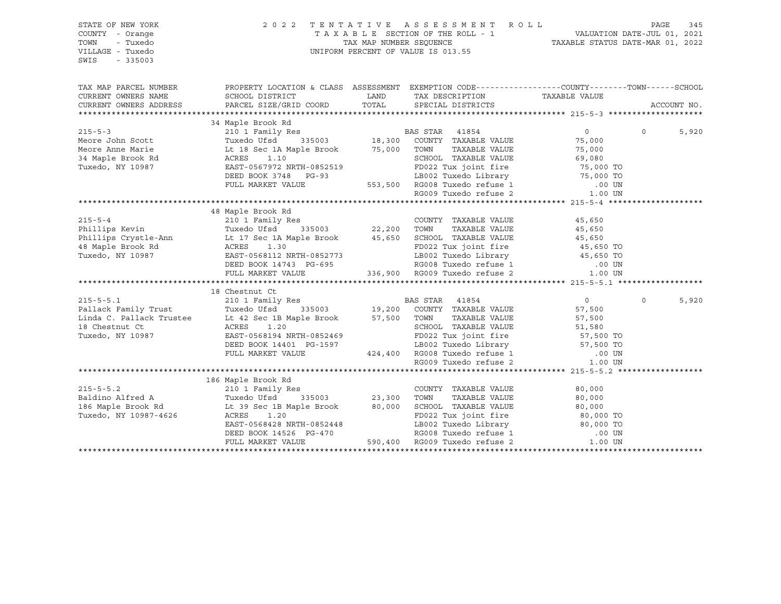| STATE OF NEW YORK<br>COUNTY - Orange<br>TOWN<br>- Tuxedo<br>VILLAGE - Tuxedo | $\begin{tabular}{lllllllllllllllll} \hline & 2&0&2&2&\text{T} & \text{E} & \text{N} & \text{T} & \text{A} & \text{T} & \text{T} & \text{A} & \text{E} & \text{S} & \text{E} & \text{S} & \text{S} & \text{M} & \text{E} & \text{N} & \text{T} & \text{A} & \text{A} & \text{E} & \text{S} & \text{E} & \text{S} & \text{E} & \text{S} & \text{S} & \text{M} & \text{E} & \text{R} & \text{O} & \text{L} & \text{D} & \text{D$ |  |                |                   |
|------------------------------------------------------------------------------|-------------------------------------------------------------------------------------------------------------------------------------------------------------------------------------------------------------------------------------------------------------------------------------------------------------------------------------------------------------------------------------------------------------------------------|--|----------------|-------------------|
| $-335003$<br>SWIS                                                            |                                                                                                                                                                                                                                                                                                                                                                                                                               |  |                |                   |
| TAX MAP PARCEL NUMBER                                                        | PROPERTY LOCATION & CLASS ASSESSMENT EXEMPTION CODE-----------------COUNTY-------TOWN------SCHOOL                                                                                                                                                                                                                                                                                                                             |  |                |                   |
| CURRENT OWNERS NAME                                                          |                                                                                                                                                                                                                                                                                                                                                                                                                               |  |                |                   |
| CURRENT OWNERS ADDRESS                                                       | XEXAMI UNIFORM CURRENT UNIFORM ACTES 210 1 Family Res 335003 18,300 COUNTY TAXABLE VALUE 75,000 TON SCOLUME 75,000 NON MARKET VALUE MORE TUXE AND TRAVEL AT THE MARKET VALUE CHARGE STAR AND EXET-0567972 NRTH-0852519 TON SCH                                                                                                                                                                                                |  |                | ACCOUNT NO.       |
|                                                                              |                                                                                                                                                                                                                                                                                                                                                                                                                               |  |                |                   |
|                                                                              |                                                                                                                                                                                                                                                                                                                                                                                                                               |  |                | $\Omega$<br>5,920 |
|                                                                              |                                                                                                                                                                                                                                                                                                                                                                                                                               |  |                |                   |
|                                                                              |                                                                                                                                                                                                                                                                                                                                                                                                                               |  |                |                   |
|                                                                              |                                                                                                                                                                                                                                                                                                                                                                                                                               |  |                |                   |
|                                                                              |                                                                                                                                                                                                                                                                                                                                                                                                                               |  |                |                   |
|                                                                              |                                                                                                                                                                                                                                                                                                                                                                                                                               |  |                |                   |
|                                                                              |                                                                                                                                                                                                                                                                                                                                                                                                                               |  |                |                   |
|                                                                              |                                                                                                                                                                                                                                                                                                                                                                                                                               |  |                |                   |
|                                                                              |                                                                                                                                                                                                                                                                                                                                                                                                                               |  |                |                   |
|                                                                              | 48 Maple Brook Rd                                                                                                                                                                                                                                                                                                                                                                                                             |  |                |                   |
|                                                                              |                                                                                                                                                                                                                                                                                                                                                                                                                               |  |                |                   |
|                                                                              |                                                                                                                                                                                                                                                                                                                                                                                                                               |  |                |                   |
|                                                                              |                                                                                                                                                                                                                                                                                                                                                                                                                               |  |                |                   |
|                                                                              |                                                                                                                                                                                                                                                                                                                                                                                                                               |  |                |                   |
|                                                                              |                                                                                                                                                                                                                                                                                                                                                                                                                               |  |                |                   |
|                                                                              |                                                                                                                                                                                                                                                                                                                                                                                                                               |  |                |                   |
|                                                                              |                                                                                                                                                                                                                                                                                                                                                                                                                               |  |                |                   |
|                                                                              |                                                                                                                                                                                                                                                                                                                                                                                                                               |  |                |                   |
|                                                                              | 18 Chestnut Ct                                                                                                                                                                                                                                                                                                                                                                                                                |  |                |                   |
|                                                                              |                                                                                                                                                                                                                                                                                                                                                                                                                               |  | $\overline{0}$ | $\circ$<br>5,920  |
|                                                                              |                                                                                                                                                                                                                                                                                                                                                                                                                               |  | 57,500         |                   |
|                                                                              | 215-5-5.1 210 1 Family Res<br>Pallack Family Trust Tuxedo Ufsd 335003 19,200 COUNTY TAXABLE VALUE<br>Linda C. Pallack Trustee Lt 42 Sec 1B Maple Brook 57,500 TOWN TAXABLE VALUE<br>18 Chestnut Ct Cress 1.20<br>18 CRES 1.20<br>19,200                                                                                                                                                                                       |  |                |                   |
|                                                                              |                                                                                                                                                                                                                                                                                                                                                                                                                               |  |                |                   |
| Tuxedo, NY 10987                                                             |                                                                                                                                                                                                                                                                                                                                                                                                                               |  |                |                   |
|                                                                              |                                                                                                                                                                                                                                                                                                                                                                                                                               |  |                |                   |
|                                                                              | 1.42 Sec 1B Maple Brook 57,500 TOWN TAXABLE VALUE 57,500<br>ACRES 1.20 SCHOOL TAXABLE VALUE 51,580<br>EAST-0568194 NRTH-0852469 FD022 Tux joint fire 57,500 TOWN LEVE 51,580<br>DEED BOOK 14401 PG-1597 LB002 Tuxedo Library 57,500                                                                                                                                                                                           |  |                |                   |
|                                                                              |                                                                                                                                                                                                                                                                                                                                                                                                                               |  |                |                   |
|                                                                              | 186 Maple Brook Rd                                                                                                                                                                                                                                                                                                                                                                                                            |  |                |                   |
|                                                                              |                                                                                                                                                                                                                                                                                                                                                                                                                               |  |                |                   |
|                                                                              |                                                                                                                                                                                                                                                                                                                                                                                                                               |  |                |                   |
|                                                                              |                                                                                                                                                                                                                                                                                                                                                                                                                               |  |                |                   |
|                                                                              |                                                                                                                                                                                                                                                                                                                                                                                                                               |  |                |                   |
|                                                                              |                                                                                                                                                                                                                                                                                                                                                                                                                               |  |                |                   |
|                                                                              |                                                                                                                                                                                                                                                                                                                                                                                                                               |  |                |                   |
|                                                                              |                                                                                                                                                                                                                                                                                                                                                                                                                               |  |                |                   |
|                                                                              |                                                                                                                                                                                                                                                                                                                                                                                                                               |  |                |                   |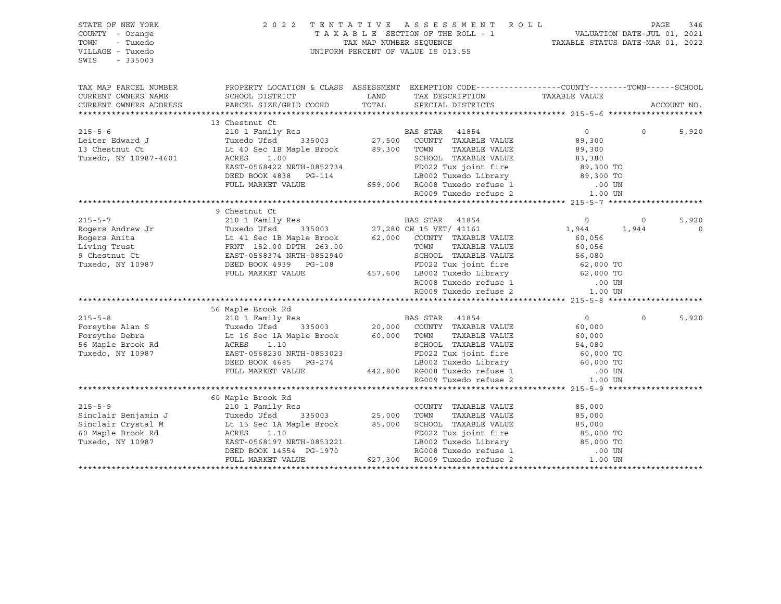| STATE OF NEW YORK<br>COUNTY - Orange<br>TOWN<br>- Tuxedo<br>VILLAGE - Tuxedo<br>$-335003$<br>SWIS                                                                                                                                                                                                                                                                                                                                                                                     | 2022 TENTATIVE ASSESSMENT ROLL                                                                                                                                                                                                                 |  |                                                           |                   |                |
|---------------------------------------------------------------------------------------------------------------------------------------------------------------------------------------------------------------------------------------------------------------------------------------------------------------------------------------------------------------------------------------------------------------------------------------------------------------------------------------|------------------------------------------------------------------------------------------------------------------------------------------------------------------------------------------------------------------------------------------------|--|-----------------------------------------------------------|-------------------|----------------|
|                                                                                                                                                                                                                                                                                                                                                                                                                                                                                       | TAX MAP PARCEL NUMBER THE PROPERTY LOCATION & CLASS ASSESSMENT EXEMPTION CODE---------------COUNTY--------TOWN------SCHOOL                                                                                                                     |  |                                                           |                   |                |
| CURRENT OWNERS NAME                                                                                                                                                                                                                                                                                                                                                                                                                                                                   | SCHOOL DISTRICT TAND TAX DESCRIPTION                                                                                                                                                                                                           |  | TAXABLE VALUE                                             |                   |                |
| CURRENT OWNERS ADDRESS                                                                                                                                                                                                                                                                                                                                                                                                                                                                | PARCEL SIZE/GRID COORD TOTAL SPECIAL DISTRICTS                                                                                                                                                                                                 |  |                                                           |                   | ACCOUNT NO.    |
|                                                                                                                                                                                                                                                                                                                                                                                                                                                                                       |                                                                                                                                                                                                                                                |  |                                                           |                   |                |
| 215-5-6<br>216 1 Family Res<br>210 1 Family Res<br>27,500 COUNTY TAXABLE VALUE<br>335003 27,500 COUNTY TAXABLE VALUE<br>27,500 COUNTY TAXABLE VALUE<br>27,500 COUNTY TAXABLE VALUE<br>27,500 COUNTY TAXABLE VALUE<br>27,500 COUNTY TAXABLE VAL                                                                                                                                                                                                                                        | 13 Chestnut Ct                                                                                                                                                                                                                                 |  |                                                           |                   |                |
|                                                                                                                                                                                                                                                                                                                                                                                                                                                                                       |                                                                                                                                                                                                                                                |  | $\overline{0}$                                            | $0 \qquad \qquad$ | 5,920          |
|                                                                                                                                                                                                                                                                                                                                                                                                                                                                                       |                                                                                                                                                                                                                                                |  | 89,300<br>89,300                                          |                   |                |
|                                                                                                                                                                                                                                                                                                                                                                                                                                                                                       |                                                                                                                                                                                                                                                |  |                                                           |                   |                |
|                                                                                                                                                                                                                                                                                                                                                                                                                                                                                       | ACRES 1.00<br>EAST-0568422 NRTH-0852734<br>DEED BOOK 4838 PG-114<br>FD022 Tux joint fire 89,300 TO<br>EED BOOK 4838 PG-114<br>FD022 Tux joint fire 89,300 TO<br>RG009 Tuxedo refuse 1 .00 UN<br>RG009 Tuxedo refuse 2 .00 UN<br>RG009 Tuxedo r |  |                                                           |                   |                |
|                                                                                                                                                                                                                                                                                                                                                                                                                                                                                       |                                                                                                                                                                                                                                                |  |                                                           |                   |                |
|                                                                                                                                                                                                                                                                                                                                                                                                                                                                                       |                                                                                                                                                                                                                                                |  |                                                           |                   |                |
|                                                                                                                                                                                                                                                                                                                                                                                                                                                                                       |                                                                                                                                                                                                                                                |  |                                                           |                   |                |
| $\begin{tabular}{l c c c c c} \multicolumn{3}{c}{\text{\small\bf 215-5-7}} & 9 {\quad \mbox{Chestnut C1}} & 9 {\quad \mbox{Chestunt C1}} & 9 {\quad \mbox{210 1 Family Res}} & 9 {\quad \mbox{D45 1}} & 0 & 10 {\quad \mbox{210 1 Family Res}} & 0 & 10 {\quad \mbox{210 1 Family Res}} & 0 & 10 {\quad \mbox{210 1 Fally Res}} & 0 & 10 {\quad \mbox{210 2}} & 0 & 10 {\quad \mbox{210 2}} & 0 & 10 {\quad \m$                                                                       |                                                                                                                                                                                                                                                |  |                                                           |                   |                |
|                                                                                                                                                                                                                                                                                                                                                                                                                                                                                       |                                                                                                                                                                                                                                                |  |                                                           |                   |                |
|                                                                                                                                                                                                                                                                                                                                                                                                                                                                                       |                                                                                                                                                                                                                                                |  | $\begin{array}{ccc} & 0 & 0 \\ 1,944 & 1,944 \end{array}$ |                   | 5,920          |
|                                                                                                                                                                                                                                                                                                                                                                                                                                                                                       |                                                                                                                                                                                                                                                |  |                                                           |                   | $\overline{0}$ |
|                                                                                                                                                                                                                                                                                                                                                                                                                                                                                       |                                                                                                                                                                                                                                                |  |                                                           |                   |                |
|                                                                                                                                                                                                                                                                                                                                                                                                                                                                                       |                                                                                                                                                                                                                                                |  |                                                           |                   |                |
|                                                                                                                                                                                                                                                                                                                                                                                                                                                                                       |                                                                                                                                                                                                                                                |  |                                                           |                   |                |
|                                                                                                                                                                                                                                                                                                                                                                                                                                                                                       |                                                                                                                                                                                                                                                |  |                                                           |                   |                |
|                                                                                                                                                                                                                                                                                                                                                                                                                                                                                       |                                                                                                                                                                                                                                                |  |                                                           |                   |                |
|                                                                                                                                                                                                                                                                                                                                                                                                                                                                                       |                                                                                                                                                                                                                                                |  |                                                           |                   |                |
|                                                                                                                                                                                                                                                                                                                                                                                                                                                                                       |                                                                                                                                                                                                                                                |  |                                                           |                   |                |
|                                                                                                                                                                                                                                                                                                                                                                                                                                                                                       |                                                                                                                                                                                                                                                |  |                                                           |                   |                |
|                                                                                                                                                                                                                                                                                                                                                                                                                                                                                       |                                                                                                                                                                                                                                                |  |                                                           | $\Omega$          | 5,920          |
|                                                                                                                                                                                                                                                                                                                                                                                                                                                                                       |                                                                                                                                                                                                                                                |  |                                                           |                   |                |
|                                                                                                                                                                                                                                                                                                                                                                                                                                                                                       |                                                                                                                                                                                                                                                |  |                                                           |                   |                |
|                                                                                                                                                                                                                                                                                                                                                                                                                                                                                       |                                                                                                                                                                                                                                                |  |                                                           |                   |                |
| $\begin{tabular}{lcccc} \texttt{7-5-8} & & & & & \texttt{56 Maple Brook Rd} \\ 215-5-8 & & & & \texttt{210 1 Family Res} \\ \texttt{Forsythe Alan S} & & & \texttt{Tuxedo Ufsd} & & \texttt{335003} & & \texttt{20,000} & \texttt{CONTTY} & \texttt{TAXABLE VALUE} & & \texttt{60,000} \\ \texttt{Forsythe Debra} & & & \texttt{L16 Sec 1A Maple Brook R} & & & \texttt{ACRES 1.10} & & \texttt{60,000} \\ \texttt{Forsythe Debra} & & & \texttt{L16 Sec $                            |                                                                                                                                                                                                                                                |  |                                                           |                   |                |
|                                                                                                                                                                                                                                                                                                                                                                                                                                                                                       |                                                                                                                                                                                                                                                |  |                                                           |                   |                |
|                                                                                                                                                                                                                                                                                                                                                                                                                                                                                       |                                                                                                                                                                                                                                                |  |                                                           |                   |                |
|                                                                                                                                                                                                                                                                                                                                                                                                                                                                                       |                                                                                                                                                                                                                                                |  |                                                           |                   |                |
|                                                                                                                                                                                                                                                                                                                                                                                                                                                                                       |                                                                                                                                                                                                                                                |  |                                                           |                   |                |
|                                                                                                                                                                                                                                                                                                                                                                                                                                                                                       | 60 Maple Brook Rd                                                                                                                                                                                                                              |  |                                                           |                   |                |
|                                                                                                                                                                                                                                                                                                                                                                                                                                                                                       |                                                                                                                                                                                                                                                |  |                                                           |                   |                |
|                                                                                                                                                                                                                                                                                                                                                                                                                                                                                       |                                                                                                                                                                                                                                                |  |                                                           |                   |                |
|                                                                                                                                                                                                                                                                                                                                                                                                                                                                                       |                                                                                                                                                                                                                                                |  |                                                           |                   |                |
|                                                                                                                                                                                                                                                                                                                                                                                                                                                                                       |                                                                                                                                                                                                                                                |  |                                                           |                   |                |
|                                                                                                                                                                                                                                                                                                                                                                                                                                                                                       |                                                                                                                                                                                                                                                |  |                                                           |                   |                |
| ${\small \begin{tabular}{lcccc} \texttt{215-5-9} & \texttt{60 Maple Brook Rd} \\ \texttt{Sinclair Benjamin J} & \texttt{True} & \texttt{210 1 Family Res} \\ \texttt{Sinclair Cryptal M} & \texttt{True} & \texttt{210 1 Family Res} \\ \texttt{Sinclair Crystal M} & \texttt{True} & \texttt{25,000} & \texttt{70WN} & \texttt{TAXABLE VALUE} & \texttt{85,000} \\ \texttt{Sinclair Crystal M} & \texttt{Lt 15 Sec 1A Maple Brook} & \texttt{85,000} & \texttt{50,000} & \texttt{50$ |                                                                                                                                                                                                                                                |  |                                                           |                   |                |
|                                                                                                                                                                                                                                                                                                                                                                                                                                                                                       |                                                                                                                                                                                                                                                |  |                                                           |                   |                |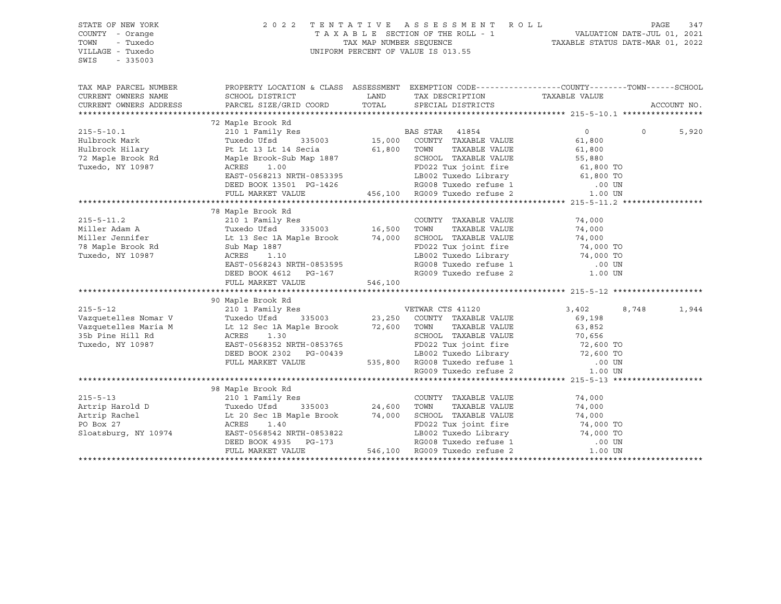| STATE OF NEW YORK<br>COUNTY - Orange<br>TOWN<br>- Tuxedo<br>VILLAGE - Tuxedo<br>SWIS<br>$-335003$                                                                                                                                                                          | TENTATIVE ASSESSMENT ROLL<br>2 0 2 2<br>UNIFORM PERCENT OF VALUE IS 013.55                                                                                                                                                                                      | $\begin{array}{cccccccccccccc} \texttt{T} & \texttt{A} & \texttt{X} & \texttt{A} & \texttt{B} & \texttt{L} & \texttt{E} & \texttt{SECTION} & \texttt{OF} & \texttt{THE} & \texttt{ROL} & \texttt{I} & \texttt{I} & \texttt{I} & \texttt{I} & \texttt{I} & \texttt{I} & \texttt{I} & \texttt{I} & \texttt{I} & \texttt{I} & \texttt{I} & \texttt{I} & \texttt{I} & \texttt{I} & \texttt{I} & \texttt{I} & \texttt{I} & \texttt{I} & \texttt{I} & \$ | PAGE                                               | 347           |                |             |
|----------------------------------------------------------------------------------------------------------------------------------------------------------------------------------------------------------------------------------------------------------------------------|-----------------------------------------------------------------------------------------------------------------------------------------------------------------------------------------------------------------------------------------------------------------|----------------------------------------------------------------------------------------------------------------------------------------------------------------------------------------------------------------------------------------------------------------------------------------------------------------------------------------------------------------------------------------------------------------------------------------------------|----------------------------------------------------|---------------|----------------|-------------|
|                                                                                                                                                                                                                                                                            |                                                                                                                                                                                                                                                                 |                                                                                                                                                                                                                                                                                                                                                                                                                                                    |                                                    |               |                |             |
| TAX MAP PARCEL NUMBER                                                                                                                                                                                                                                                      | PROPERTY LOCATION & CLASS ASSESSMENT EXEMPTION CODE-----------------COUNTY-------TOWN------SCHOOL                                                                                                                                                               |                                                                                                                                                                                                                                                                                                                                                                                                                                                    |                                                    |               |                |             |
| CURRENT OWNERS NAME                                                                                                                                                                                                                                                        | SCHOOL DISTRICT                                                                                                                                                                                                                                                 |                                                                                                                                                                                                                                                                                                                                                                                                                                                    | LAND TAX DESCRIPTION                               | TAXABLE VALUE |                |             |
| CURRENT OWNERS ADDRESS                                                                                                                                                                                                                                                     | PARCEL SIZE/GRID COORD                                                                                                                                                                                                                                          |                                                                                                                                                                                                                                                                                                                                                                                                                                                    | TOTAL SPECIAL DISTRICTS                            |               |                | ACCOUNT NO. |
|                                                                                                                                                                                                                                                                            | 72 Maple Brook Rd<br>Maple Brook Rd<br>210 1 Family Res<br>Tuxedo Ufsd 335003 15,000 COUNTY TAXABLE VALUE 61,800<br>Pt. Lt 13 Lt 14 Secia 61,800 TOWN TAXABLE VALUE 61,800<br>COUNTY TAXABLE VALUE 61,800<br>COUNTY TAXABLE VALUE 55,880<br>COUNTY TAXABLE VALU |                                                                                                                                                                                                                                                                                                                                                                                                                                                    |                                                    |               |                |             |
| $215 - 5 - 10.1$                                                                                                                                                                                                                                                           |                                                                                                                                                                                                                                                                 |                                                                                                                                                                                                                                                                                                                                                                                                                                                    |                                                    |               | $\overline{0}$ | 5,920       |
|                                                                                                                                                                                                                                                                            |                                                                                                                                                                                                                                                                 |                                                                                                                                                                                                                                                                                                                                                                                                                                                    |                                                    |               |                |             |
| Hulbrock Mark Tuxedo Ufsd 335003 15,000<br>Hulbrock Hilary Pt Lt 13 Lt 14 Secia 61,800<br>72 Maple Brook Rd Maple Brook-Sub Map 1887<br>Tuxedo, NY 10987 ACRES 1.00                                                                                                        |                                                                                                                                                                                                                                                                 |                                                                                                                                                                                                                                                                                                                                                                                                                                                    |                                                    |               |                |             |
|                                                                                                                                                                                                                                                                            |                                                                                                                                                                                                                                                                 |                                                                                                                                                                                                                                                                                                                                                                                                                                                    |                                                    |               |                |             |
|                                                                                                                                                                                                                                                                            |                                                                                                                                                                                                                                                                 |                                                                                                                                                                                                                                                                                                                                                                                                                                                    |                                                    |               |                |             |
|                                                                                                                                                                                                                                                                            |                                                                                                                                                                                                                                                                 |                                                                                                                                                                                                                                                                                                                                                                                                                                                    |                                                    |               |                |             |
|                                                                                                                                                                                                                                                                            |                                                                                                                                                                                                                                                                 |                                                                                                                                                                                                                                                                                                                                                                                                                                                    |                                                    |               |                |             |
|                                                                                                                                                                                                                                                                            | Maple Brook-Sub Map 1887<br>ACRES 1.00<br>EAST-0568213 NRTH-0853395<br>DEED BOOK 13501 PG-1426<br>FULL MARKET VALUE<br>FULL MARKET VALUE<br>FULL MARKET VALUE<br>456,100 RG009 Tuxedo refuse 2<br>456,100 RG009 Tuxedo refuse 2<br>1.00 UN                      |                                                                                                                                                                                                                                                                                                                                                                                                                                                    |                                                    |               |                |             |
|                                                                                                                                                                                                                                                                            |                                                                                                                                                                                                                                                                 |                                                                                                                                                                                                                                                                                                                                                                                                                                                    |                                                    |               |                |             |
|                                                                                                                                                                                                                                                                            | 78 Maple Brook Rd                                                                                                                                                                                                                                               |                                                                                                                                                                                                                                                                                                                                                                                                                                                    |                                                    |               |                |             |
|                                                                                                                                                                                                                                                                            |                                                                                                                                                                                                                                                                 |                                                                                                                                                                                                                                                                                                                                                                                                                                                    |                                                    |               |                |             |
| 215-5-11.2<br>Miller Adam A<br>Miller Jennifer COUNTY TAXABLE VALUE<br>Miller Jennifer Internal Sub Map 1887<br>Tuxedo, NY 10987<br>Tuxedo, NY 10987<br>Tuxedo, NY 10987<br>Tuxedo, NY 10987<br>COUNTY TAXABLE VALUE<br>TAXABLE VALUE<br>TAXABLE V                         |                                                                                                                                                                                                                                                                 |                                                                                                                                                                                                                                                                                                                                                                                                                                                    |                                                    |               |                |             |
|                                                                                                                                                                                                                                                                            |                                                                                                                                                                                                                                                                 |                                                                                                                                                                                                                                                                                                                                                                                                                                                    |                                                    |               |                |             |
|                                                                                                                                                                                                                                                                            |                                                                                                                                                                                                                                                                 |                                                                                                                                                                                                                                                                                                                                                                                                                                                    |                                                    |               |                |             |
|                                                                                                                                                                                                                                                                            |                                                                                                                                                                                                                                                                 |                                                                                                                                                                                                                                                                                                                                                                                                                                                    | -<br>LB002 Tuxedo Library<br>RG008 Tuxedo refuse 1 |               |                |             |
|                                                                                                                                                                                                                                                                            | EAST-0568243 NRTH-0853595<br>DEED BOOK 4612 PG-167                                                                                                                                                                                                              |                                                                                                                                                                                                                                                                                                                                                                                                                                                    | RG009 Tuxedo refuse 2 1.00 UN                      | .00 UN        |                |             |
|                                                                                                                                                                                                                                                                            | FULL MARKET VALUE                                                                                                                                                                                                                                               | 546,100                                                                                                                                                                                                                                                                                                                                                                                                                                            |                                                    |               |                |             |
|                                                                                                                                                                                                                                                                            |                                                                                                                                                                                                                                                                 |                                                                                                                                                                                                                                                                                                                                                                                                                                                    |                                                    |               |                |             |
| 90 Maple Brook Rd<br>215-5-12 210 1 Family Res<br>Vazquetelles Nomar V Tuxedo Ufsd 335003 23,250 COUNTY TAXABLE VALUE<br>Vazquetelles Maria M Lt 12 Sec 1A Maple Brook 72,600 TOWN TAXABLE VALUE<br>35b Pine Hill Rd ACRES 1.30 SCHOOL                                     |                                                                                                                                                                                                                                                                 |                                                                                                                                                                                                                                                                                                                                                                                                                                                    |                                                    |               |                |             |
|                                                                                                                                                                                                                                                                            |                                                                                                                                                                                                                                                                 |                                                                                                                                                                                                                                                                                                                                                                                                                                                    |                                                    | 3,402         | 8,748          | 1,944       |
|                                                                                                                                                                                                                                                                            |                                                                                                                                                                                                                                                                 |                                                                                                                                                                                                                                                                                                                                                                                                                                                    |                                                    | 69,198        |                |             |
|                                                                                                                                                                                                                                                                            |                                                                                                                                                                                                                                                                 |                                                                                                                                                                                                                                                                                                                                                                                                                                                    |                                                    | 63,852        |                |             |
|                                                                                                                                                                                                                                                                            |                                                                                                                                                                                                                                                                 |                                                                                                                                                                                                                                                                                                                                                                                                                                                    |                                                    |               |                |             |
|                                                                                                                                                                                                                                                                            |                                                                                                                                                                                                                                                                 |                                                                                                                                                                                                                                                                                                                                                                                                                                                    |                                                    |               |                |             |
|                                                                                                                                                                                                                                                                            |                                                                                                                                                                                                                                                                 |                                                                                                                                                                                                                                                                                                                                                                                                                                                    |                                                    |               |                |             |
|                                                                                                                                                                                                                                                                            |                                                                                                                                                                                                                                                                 |                                                                                                                                                                                                                                                                                                                                                                                                                                                    |                                                    |               |                |             |
|                                                                                                                                                                                                                                                                            | ACRES 1.30<br>EAST-0568352 NRTH-0853765<br>DEED BOOK 2302 PG-00439<br>FULL MARKET VALUE 535,800 RG008 Tuxedo refuse 1 .00 UN<br>NGC 1 .00 UN<br>RG009 Tuxedo refuse 2 .00 TO<br>CHOO2 Tuxedo refuse 1 .00 UN<br>RG009 Tuxedo refuse 2 .00 UN                    |                                                                                                                                                                                                                                                                                                                                                                                                                                                    |                                                    |               |                |             |
|                                                                                                                                                                                                                                                                            |                                                                                                                                                                                                                                                                 |                                                                                                                                                                                                                                                                                                                                                                                                                                                    |                                                    |               |                |             |
|                                                                                                                                                                                                                                                                            | 98 Maple Brook Rd                                                                                                                                                                                                                                               |                                                                                                                                                                                                                                                                                                                                                                                                                                                    |                                                    |               |                |             |
|                                                                                                                                                                                                                                                                            |                                                                                                                                                                                                                                                                 |                                                                                                                                                                                                                                                                                                                                                                                                                                                    |                                                    |               |                |             |
|                                                                                                                                                                                                                                                                            |                                                                                                                                                                                                                                                                 |                                                                                                                                                                                                                                                                                                                                                                                                                                                    |                                                    |               |                |             |
| 315-5-13<br>215-5-13<br>216-5-13<br>216-5-13<br>216-5-13<br>216-5-13<br>216-5-13<br>216-5-13<br>216-5-13<br>216-5-13<br>216-5-13<br>216-5-13<br>216-000<br>216-20 URE 20 SERIOR 27<br>24,600<br>24,600<br>24,600<br>24,600<br>24,600<br>24,600<br>24,600<br>24,600<br>24,6 |                                                                                                                                                                                                                                                                 |                                                                                                                                                                                                                                                                                                                                                                                                                                                    |                                                    |               |                |             |
|                                                                                                                                                                                                                                                                            |                                                                                                                                                                                                                                                                 |                                                                                                                                                                                                                                                                                                                                                                                                                                                    |                                                    |               |                |             |
|                                                                                                                                                                                                                                                                            |                                                                                                                                                                                                                                                                 |                                                                                                                                                                                                                                                                                                                                                                                                                                                    |                                                    |               |                |             |
|                                                                                                                                                                                                                                                                            |                                                                                                                                                                                                                                                                 |                                                                                                                                                                                                                                                                                                                                                                                                                                                    |                                                    |               |                |             |
|                                                                                                                                                                                                                                                                            |                                                                                                                                                                                                                                                                 |                                                                                                                                                                                                                                                                                                                                                                                                                                                    |                                                    |               |                |             |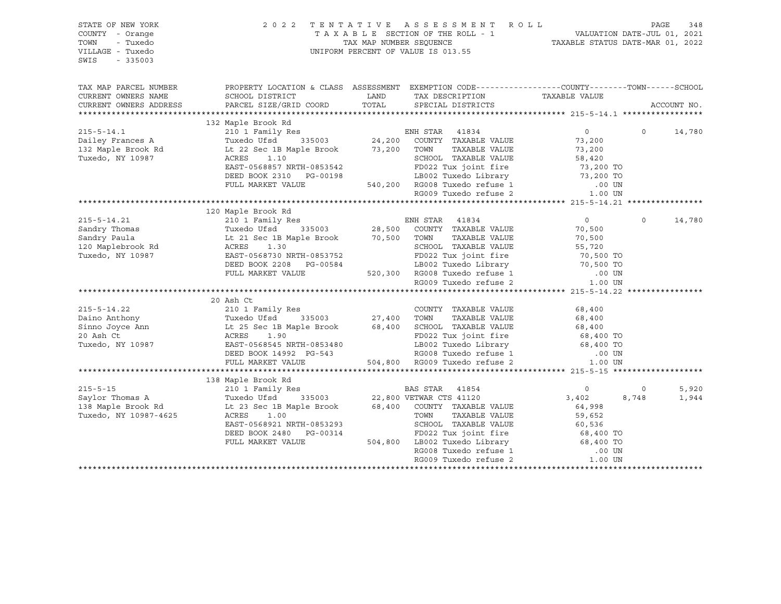| STATE OF NEW YORK<br>COUNTY - Orange<br>TOWN<br>- Tuxedo<br>VILLAGE - Tuxedo<br>SWIS<br>$-335003$                                                                                                                                                  |                                                                                                                                                                                                                        |               | 2022 TENTATIVE ASSESSMENT ROLL PAGE 348<br>TAXABLE SECTION OF THE ROLL - 1 VALUATION DATE-JUL 01, 2021<br>TAX MAP NUMBER SEQUENCE TAXABLE STATUS DATE-MAR 01, 2022<br>UNIFORM PERCENT OF VALUE IS 013.55                                                                                                                    |                        |          |             |
|----------------------------------------------------------------------------------------------------------------------------------------------------------------------------------------------------------------------------------------------------|------------------------------------------------------------------------------------------------------------------------------------------------------------------------------------------------------------------------|---------------|-----------------------------------------------------------------------------------------------------------------------------------------------------------------------------------------------------------------------------------------------------------------------------------------------------------------------------|------------------------|----------|-------------|
| TAX MAP PARCEL NUMBER<br>CURRENT OWNERS NAME<br>CURRENT OWNERS ADDRESS                                                                                                                                                                             | PROPERTY LOCATION & CLASS ASSESSMENT EXEMPTION CODE---------------COUNTY-------TOWN-----SCHOOL<br>SCHOOL DISTRICT<br>PARCEL SIZE/GRID COORD                                                                            | LAND<br>TOTAL | TAX DESCRIPTION<br>SPECIAL DISTRICTS                                                                                                                                                                                                                                                                                        | TAXABLE VALUE          |          | ACCOUNT NO. |
|                                                                                                                                                                                                                                                    |                                                                                                                                                                                                                        |               |                                                                                                                                                                                                                                                                                                                             |                        |          |             |
|                                                                                                                                                                                                                                                    | 132 Maple Brook Rd                                                                                                                                                                                                     |               |                                                                                                                                                                                                                                                                                                                             |                        |          |             |
| $215 - 5 - 14.1$                                                                                                                                                                                                                                   |                                                                                                                                                                                                                        |               |                                                                                                                                                                                                                                                                                                                             | $\overline{0}$         | $\Omega$ | 14,780      |
|                                                                                                                                                                                                                                                    |                                                                                                                                                                                                                        |               |                                                                                                                                                                                                                                                                                                                             | 73,200                 |          |             |
| Dailey Frances A<br>132 Maple Brook Rd                                                                                                                                                                                                             |                                                                                                                                                                                                                        |               |                                                                                                                                                                                                                                                                                                                             | 73,200                 |          |             |
| Tuxedo, NY 10987                                                                                                                                                                                                                                   | ACRES 1.10                                                                                                                                                                                                             |               | SCHOOL TAXABLE VALUE                                                                                                                                                                                                                                                                                                        | 58,420                 |          |             |
|                                                                                                                                                                                                                                                    | EAST-0568857 NRTH-0853542                                                                                                                                                                                              |               | FD022 Tux joint fire 73,200 TO<br>LB002 Tuxedo Library 73,200 TO                                                                                                                                                                                                                                                            |                        |          |             |
|                                                                                                                                                                                                                                                    | DEED BOOK 2310 PG-00198                                                                                                                                                                                                |               |                                                                                                                                                                                                                                                                                                                             |                        |          |             |
|                                                                                                                                                                                                                                                    | FULL MARKET VALUE                                                                                                                                                                                                      |               | 540,200 RG008 Tuxedo refuse 1<br>RG009 Tuxedo refuse 2                                                                                                                                                                                                                                                                      | .00 UN                 |          |             |
|                                                                                                                                                                                                                                                    |                                                                                                                                                                                                                        |               |                                                                                                                                                                                                                                                                                                                             | 1.00 UN                |          |             |
|                                                                                                                                                                                                                                                    |                                                                                                                                                                                                                        |               |                                                                                                                                                                                                                                                                                                                             |                        |          |             |
|                                                                                                                                                                                                                                                    |                                                                                                                                                                                                                        |               |                                                                                                                                                                                                                                                                                                                             |                        |          |             |
|                                                                                                                                                                                                                                                    |                                                                                                                                                                                                                        |               |                                                                                                                                                                                                                                                                                                                             | $\overline{0}$         | $\circ$  | 14,780      |
|                                                                                                                                                                                                                                                    |                                                                                                                                                                                                                        |               |                                                                                                                                                                                                                                                                                                                             | 70,500                 |          |             |
|                                                                                                                                                                                                                                                    |                                                                                                                                                                                                                        |               |                                                                                                                                                                                                                                                                                                                             | 70,500                 |          |             |
| 215-5-14.21<br>215-5-14.21<br>210 1 Family Res<br>210 1 Family Res<br>210 1 Family Res<br>216 21 Sec 18 Maple Brook<br>216 21 Sec 18 Maple Brook<br>28,500 COUNTY TAXABLE VALUE<br>28,500 COUNTY TAXABLE VALUE<br>28,500 COUNTY TAXABLE VALUE<br>2 | ACRES 1.30<br>EAST-0568730 NRTH-0853752<br>DEED BOOK 2208 PG-00584<br>FULL MARKET VALUE 520.300 PG-00584<br>FULL MARKET VALUE 520.300 PG-00 THE 1.50 PG-00 PG-00 TO                                                    |               |                                                                                                                                                                                                                                                                                                                             |                        |          |             |
| Tuxedo, NY 10987                                                                                                                                                                                                                                   |                                                                                                                                                                                                                        |               |                                                                                                                                                                                                                                                                                                                             |                        |          |             |
|                                                                                                                                                                                                                                                    |                                                                                                                                                                                                                        |               |                                                                                                                                                                                                                                                                                                                             |                        |          |             |
|                                                                                                                                                                                                                                                    | FULL MARKET VALUE                                                                                                                                                                                                      |               |                                                                                                                                                                                                                                                                                                                             |                        |          |             |
|                                                                                                                                                                                                                                                    |                                                                                                                                                                                                                        |               | 1.00 UN LIBOUZ TUXELO PETRE 1<br>520,300 RG008 Tuxedo refuse 1 1.00 UN 1.00 UN<br>- 1.00 UN 1.00 UN LIBOUZ PETRE 2                                                                                                                                                                                                          |                        |          |             |
|                                                                                                                                                                                                                                                    | 20 Ash Ct                                                                                                                                                                                                              |               |                                                                                                                                                                                                                                                                                                                             |                        |          |             |
| $215 - 5 - 14.22$                                                                                                                                                                                                                                  | 210 1 Family Res<br>Tuxedo Ufsd 335003<br>27,400 TOWN TAXABLE VALUE<br>Lt 25 Sec 1B Maple Brook 68,400 SCHOOL TAXABLE VALUE<br>ACRES 1.90<br>EAST-0568545 NRTH-0853480<br>LB002 Tuxedo Library<br>LB002 Tuxedo Library |               |                                                                                                                                                                                                                                                                                                                             | 68,400                 |          |             |
| Daino Anthony                                                                                                                                                                                                                                      |                                                                                                                                                                                                                        |               |                                                                                                                                                                                                                                                                                                                             |                        |          |             |
| Sinno Joyce Ann                                                                                                                                                                                                                                    |                                                                                                                                                                                                                        |               |                                                                                                                                                                                                                                                                                                                             | 68,400<br>68,400       |          |             |
| 20 Ash Ct                                                                                                                                                                                                                                          |                                                                                                                                                                                                                        |               |                                                                                                                                                                                                                                                                                                                             |                        |          |             |
| Tuxedo, NY 10987                                                                                                                                                                                                                                   |                                                                                                                                                                                                                        |               |                                                                                                                                                                                                                                                                                                                             | 68,400 TO<br>68,400 TO |          |             |
|                                                                                                                                                                                                                                                    | DEED BOOK 14992 PG-543                                                                                                                                                                                                 |               |                                                                                                                                                                                                                                                                                                                             | $.00$ UN               |          |             |
|                                                                                                                                                                                                                                                    | FULL MARKET VALUE                                                                                                                                                                                                      |               |                                                                                                                                                                                                                                                                                                                             | 1.00 UN                |          |             |
|                                                                                                                                                                                                                                                    |                                                                                                                                                                                                                        |               |                                                                                                                                                                                                                                                                                                                             |                        |          |             |
|                                                                                                                                                                                                                                                    | 138 Maple Brook Rd                                                                                                                                                                                                     |               | $\begin{tabular}{lllllllll} \texttt{\#xxxx} & \texttt{\#xxxx} \\ \texttt{335003} & \texttt{22,800 VETWAR CTS 41120} \\ \texttt{nle Brook} & \texttt{68,400} & \texttt{COUNTY TAXABLE VALUE} \\ & \texttt{TOWN} & \texttt{TAXABLE VALUE} \\ & \texttt{rwinort} & \texttt{TAXABLE VALUE} \\ & \texttt{rwin} \\ \end{tabular}$ |                        |          |             |
| $215 - 5 - 15$                                                                                                                                                                                                                                     | 210 1 Family Res                                                                                                                                                                                                       |               |                                                                                                                                                                                                                                                                                                                             | $\overline{0}$         | $\circ$  | 5,920       |
| Saylor Thomas A                                                                                                                                                                                                                                    | Tuxedo Ufsd                                                                                                                                                                                                            |               |                                                                                                                                                                                                                                                                                                                             | 3,402                  | 8,748    | 1,944       |
| 138 Maple Brook Rd                                                                                                                                                                                                                                 | Lt 23 Sec 1B Maple Brook                                                                                                                                                                                               |               |                                                                                                                                                                                                                                                                                                                             | 64,998                 |          |             |
| Tuxedo, NY 10987-4625                                                                                                                                                                                                                              | ACRES<br>1.00                                                                                                                                                                                                          |               |                                                                                                                                                                                                                                                                                                                             | 59,652                 |          |             |
|                                                                                                                                                                                                                                                    | EAST-0568921 NRTH-0853293                                                                                                                                                                                              |               |                                                                                                                                                                                                                                                                                                                             | 60,536                 |          |             |
|                                                                                                                                                                                                                                                    | DEED BOOK 2480 PG-00314                                                                                                                                                                                                |               |                                                                                                                                                                                                                                                                                                                             |                        |          |             |
|                                                                                                                                                                                                                                                    | FULL MARKET VALUE                                                                                                                                                                                                      |               |                                                                                                                                                                                                                                                                                                                             |                        |          |             |
|                                                                                                                                                                                                                                                    |                                                                                                                                                                                                                        |               |                                                                                                                                                                                                                                                                                                                             |                        |          |             |
|                                                                                                                                                                                                                                                    |                                                                                                                                                                                                                        |               |                                                                                                                                                                                                                                                                                                                             |                        |          |             |
|                                                                                                                                                                                                                                                    |                                                                                                                                                                                                                        |               |                                                                                                                                                                                                                                                                                                                             |                        |          |             |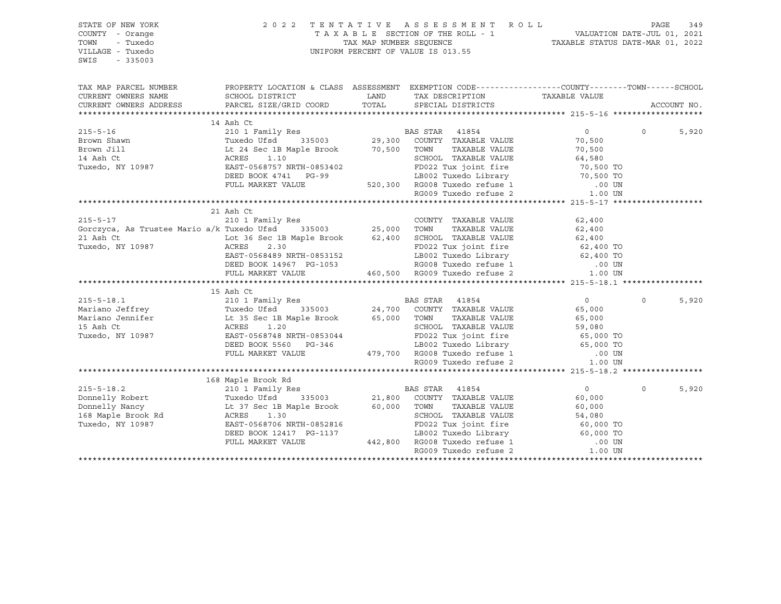| STATE OF NEW YORK<br>COUNTY - Orange<br>- Tuxedo<br>TOWN<br>VILLAGE - Tuxedo<br>SWIS<br>$-335003$                                                                                                                                     | TENTATIVE ASSESSMENT ROLL PAGE 349<br>TAXABLE SECTION OF THE ROLL - 1 VALUATION DATE-JUL 01, 2021<br>TAX MAP NUMBER SEQUENCE TAXABLE STATUS DATE-MAR 01, 2022              |                                                                                       |  |                |             |
|---------------------------------------------------------------------------------------------------------------------------------------------------------------------------------------------------------------------------------------|----------------------------------------------------------------------------------------------------------------------------------------------------------------------------|---------------------------------------------------------------------------------------|--|----------------|-------------|
| TAX MAP PARCEL NUMBER THE PROPERTY LOCATION & CLASS ASSESSMENT EXEMPTION CODE---------------COUNTY--------TOWN------SCHOOL                                                                                                            |                                                                                                                                                                            |                                                                                       |  |                |             |
| CURRENT OWNERS NAME<br>CURRENT OWNERS ADDRESS                                                                                                                                                                                         |                                                                                                                                                                            |                                                                                       |  |                |             |
|                                                                                                                                                                                                                                       |                                                                                                                                                                            |                                                                                       |  |                | ACCOUNT NO. |
|                                                                                                                                                                                                                                       |                                                                                                                                                                            |                                                                                       |  |                |             |
|                                                                                                                                                                                                                                       |                                                                                                                                                                            |                                                                                       |  | $\overline{0}$ | 5,920       |
|                                                                                                                                                                                                                                       |                                                                                                                                                                            |                                                                                       |  |                |             |
|                                                                                                                                                                                                                                       |                                                                                                                                                                            |                                                                                       |  |                |             |
|                                                                                                                                                                                                                                       |                                                                                                                                                                            |                                                                                       |  |                |             |
|                                                                                                                                                                                                                                       |                                                                                                                                                                            | ) TOWN TAXABLE VALUE<br>SCHOOL TAXABLE VALUE 64,580<br>PROSS Tux ioint fire 70,500 TO |  |                |             |
|                                                                                                                                                                                                                                       |                                                                                                                                                                            |                                                                                       |  |                |             |
|                                                                                                                                                                                                                                       |                                                                                                                                                                            |                                                                                       |  |                |             |
|                                                                                                                                                                                                                                       | EAST-0568757 NRTH-0853402<br>DEED BOOK 4741 PG-99 LB002 Tuxedo Library 70,500 TO<br>FULL MARKET VALUE 520,300 RG008 Tuxedo refuse 1 00 UN<br>RG009 Tuxedo refuse 2 1.00 UN |                                                                                       |  |                |             |
|                                                                                                                                                                                                                                       |                                                                                                                                                                            |                                                                                       |  |                |             |
|                                                                                                                                                                                                                                       | 21 Ash Ct                                                                                                                                                                  |                                                                                       |  |                |             |
|                                                                                                                                                                                                                                       |                                                                                                                                                                            |                                                                                       |  |                |             |
|                                                                                                                                                                                                                                       |                                                                                                                                                                            |                                                                                       |  |                |             |
|                                                                                                                                                                                                                                       |                                                                                                                                                                            |                                                                                       |  |                |             |
|                                                                                                                                                                                                                                       |                                                                                                                                                                            |                                                                                       |  |                |             |
|                                                                                                                                                                                                                                       |                                                                                                                                                                            |                                                                                       |  |                |             |
|                                                                                                                                                                                                                                       |                                                                                                                                                                            |                                                                                       |  |                |             |
| 215-5-17<br>21 ASILOL 216 ASS COUNTY TAXABLE VALUE<br>216 ASS Trustee Mario a/k Tuxedo Ufsd 335003<br>21 Ash Ct Lot 36 Sec 1B Maple Brook 62,400 SCHOOL TAXABLE VALUE<br>21 Ash Ct Lot 36 Sec 1B Maple Brook 62,400 SCHOOL TAXABLE VA |                                                                                                                                                                            |                                                                                       |  |                |             |
|                                                                                                                                                                                                                                       |                                                                                                                                                                            |                                                                                       |  |                |             |
|                                                                                                                                                                                                                                       |                                                                                                                                                                            |                                                                                       |  | $\Omega$       | 5,920       |
|                                                                                                                                                                                                                                       |                                                                                                                                                                            |                                                                                       |  |                |             |
|                                                                                                                                                                                                                                       |                                                                                                                                                                            |                                                                                       |  |                |             |
|                                                                                                                                                                                                                                       |                                                                                                                                                                            |                                                                                       |  |                |             |
|                                                                                                                                                                                                                                       |                                                                                                                                                                            |                                                                                       |  |                |             |
|                                                                                                                                                                                                                                       |                                                                                                                                                                            |                                                                                       |  |                |             |
|                                                                                                                                                                                                                                       |                                                                                                                                                                            |                                                                                       |  |                |             |
|                                                                                                                                                                                                                                       |                                                                                                                                                                            |                                                                                       |  |                |             |
|                                                                                                                                                                                                                                       |                                                                                                                                                                            |                                                                                       |  |                |             |
|                                                                                                                                                                                                                                       |                                                                                                                                                                            |                                                                                       |  |                |             |
|                                                                                                                                                                                                                                       |                                                                                                                                                                            |                                                                                       |  | $\Omega$       | 5,920       |
|                                                                                                                                                                                                                                       |                                                                                                                                                                            |                                                                                       |  |                |             |
|                                                                                                                                                                                                                                       |                                                                                                                                                                            |                                                                                       |  |                |             |
|                                                                                                                                                                                                                                       |                                                                                                                                                                            |                                                                                       |  |                |             |
|                                                                                                                                                                                                                                       |                                                                                                                                                                            |                                                                                       |  |                |             |
|                                                                                                                                                                                                                                       |                                                                                                                                                                            |                                                                                       |  |                |             |
|                                                                                                                                                                                                                                       |                                                                                                                                                                            |                                                                                       |  |                |             |
|                                                                                                                                                                                                                                       |                                                                                                                                                                            |                                                                                       |  |                |             |
|                                                                                                                                                                                                                                       |                                                                                                                                                                            |                                                                                       |  |                |             |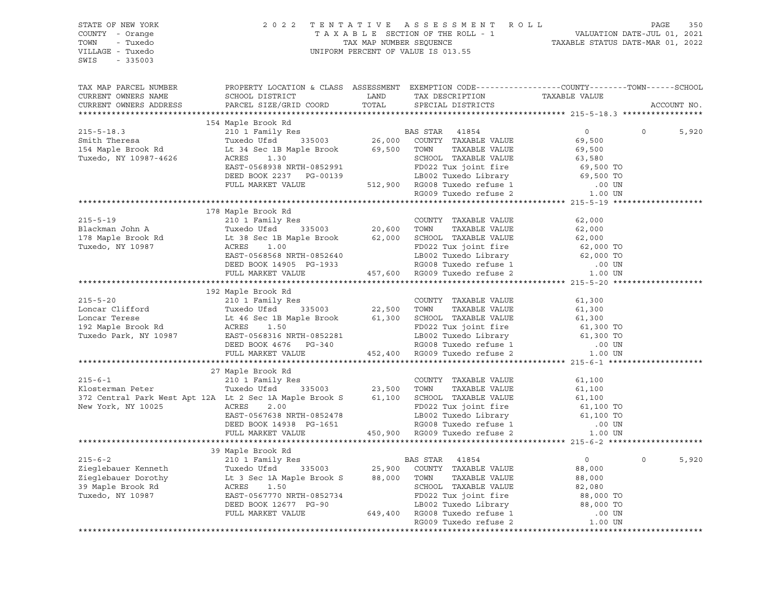| STATE OF NEW YORK<br>COUNTY - Orange<br>TOWN - Tuxedo<br>VILLAGE - Tuxedo<br>SWIS - 335003                                                                                                                                                                                                                                                                                                                                                                                                                                                                                                                                             |                    | 2022 TENTATIVE ASSESSMENT ROLL PAGE 350<br>TAXABLE SECTION OF THE ROLL - 1 VALUATION DATE-JUL 01, 2021<br>TAX MAP NUMBER SEQUENCE TAXABLE STATUS DATE-MAR 01, 2022<br>UNIFORM PERCENT OF VALUE IS 013.55 |                |                   |
|----------------------------------------------------------------------------------------------------------------------------------------------------------------------------------------------------------------------------------------------------------------------------------------------------------------------------------------------------------------------------------------------------------------------------------------------------------------------------------------------------------------------------------------------------------------------------------------------------------------------------------------|--------------------|----------------------------------------------------------------------------------------------------------------------------------------------------------------------------------------------------------|----------------|-------------------|
| TAX MAP PARCEL NUMBER<br>CURRENT OWNERS NAME<br>CURRENT OWNERS ADDRESS                                                                                                                                                                                                                                                                                                                                                                                                                                                                                                                                                                 |                    | PROPERTY LOCATION & CLASS ASSESSMENT EXEMPTION CODE---------------COUNTY-------TOWN-----SCHOOL                                                                                                           |                | ACCOUNT NO.       |
|                                                                                                                                                                                                                                                                                                                                                                                                                                                                                                                                                                                                                                        |                    |                                                                                                                                                                                                          |                |                   |
|                                                                                                                                                                                                                                                                                                                                                                                                                                                                                                                                                                                                                                        |                    |                                                                                                                                                                                                          |                | $\circ$<br>5,920  |
|                                                                                                                                                                                                                                                                                                                                                                                                                                                                                                                                                                                                                                        |                    |                                                                                                                                                                                                          |                |                   |
|                                                                                                                                                                                                                                                                                                                                                                                                                                                                                                                                                                                                                                        |                    |                                                                                                                                                                                                          |                |                   |
|                                                                                                                                                                                                                                                                                                                                                                                                                                                                                                                                                                                                                                        |                    |                                                                                                                                                                                                          |                |                   |
|                                                                                                                                                                                                                                                                                                                                                                                                                                                                                                                                                                                                                                        |                    |                                                                                                                                                                                                          |                |                   |
|                                                                                                                                                                                                                                                                                                                                                                                                                                                                                                                                                                                                                                        |                    |                                                                                                                                                                                                          |                |                   |
|                                                                                                                                                                                                                                                                                                                                                                                                                                                                                                                                                                                                                                        |                    |                                                                                                                                                                                                          |                |                   |
|                                                                                                                                                                                                                                                                                                                                                                                                                                                                                                                                                                                                                                        |                    |                                                                                                                                                                                                          |                |                   |
|                                                                                                                                                                                                                                                                                                                                                                                                                                                                                                                                                                                                                                        |                    |                                                                                                                                                                                                          |                |                   |
|                                                                                                                                                                                                                                                                                                                                                                                                                                                                                                                                                                                                                                        | 178 Maple Brook Rd |                                                                                                                                                                                                          |                |                   |
|                                                                                                                                                                                                                                                                                                                                                                                                                                                                                                                                                                                                                                        |                    |                                                                                                                                                                                                          |                |                   |
|                                                                                                                                                                                                                                                                                                                                                                                                                                                                                                                                                                                                                                        |                    |                                                                                                                                                                                                          |                |                   |
|                                                                                                                                                                                                                                                                                                                                                                                                                                                                                                                                                                                                                                        |                    |                                                                                                                                                                                                          |                |                   |
|                                                                                                                                                                                                                                                                                                                                                                                                                                                                                                                                                                                                                                        |                    |                                                                                                                                                                                                          |                |                   |
|                                                                                                                                                                                                                                                                                                                                                                                                                                                                                                                                                                                                                                        |                    |                                                                                                                                                                                                          |                |                   |
|                                                                                                                                                                                                                                                                                                                                                                                                                                                                                                                                                                                                                                        |                    |                                                                                                                                                                                                          |                |                   |
| ${178\text{ Maple Brook Rd}} \newline \text{Blackman John A} \newline \text{Table 210 1 Family Res} \newline \text{Blackman John A} \newline \text{Table 210 1 Family Res} \newline \text{Blackman John A} \newline \text{True} \newline \text{178 Maple VALUE} \newline \text{178 Maple Brook Rd} \newline \text{178 Maple Brook Rd} \newline \text{178 Maple Book} \newline \text{178 Maple Book} \newline \text{178 Maple Book} \newline \text{178 Maple Book} \newline \text{178 Maple Book} \newline \text{178 Maple Book} \newline \text{178Maple Brook Rd} \newline \text{178Maple Brook Rd} \newline \text{178Maple Brook Rd}$ |                    |                                                                                                                                                                                                          |                |                   |
|                                                                                                                                                                                                                                                                                                                                                                                                                                                                                                                                                                                                                                        |                    |                                                                                                                                                                                                          |                |                   |
|                                                                                                                                                                                                                                                                                                                                                                                                                                                                                                                                                                                                                                        |                    |                                                                                                                                                                                                          |                |                   |
|                                                                                                                                                                                                                                                                                                                                                                                                                                                                                                                                                                                                                                        |                    |                                                                                                                                                                                                          |                |                   |
|                                                                                                                                                                                                                                                                                                                                                                                                                                                                                                                                                                                                                                        |                    |                                                                                                                                                                                                          |                |                   |
|                                                                                                                                                                                                                                                                                                                                                                                                                                                                                                                                                                                                                                        |                    |                                                                                                                                                                                                          |                |                   |
|                                                                                                                                                                                                                                                                                                                                                                                                                                                                                                                                                                                                                                        |                    |                                                                                                                                                                                                          |                |                   |
|                                                                                                                                                                                                                                                                                                                                                                                                                                                                                                                                                                                                                                        |                    |                                                                                                                                                                                                          |                |                   |
|                                                                                                                                                                                                                                                                                                                                                                                                                                                                                                                                                                                                                                        |                    |                                                                                                                                                                                                          |                |                   |
|                                                                                                                                                                                                                                                                                                                                                                                                                                                                                                                                                                                                                                        |                    |                                                                                                                                                                                                          |                |                   |
|                                                                                                                                                                                                                                                                                                                                                                                                                                                                                                                                                                                                                                        | 27 Maple Brook Rd  |                                                                                                                                                                                                          |                |                   |
|                                                                                                                                                                                                                                                                                                                                                                                                                                                                                                                                                                                                                                        |                    |                                                                                                                                                                                                          |                |                   |
|                                                                                                                                                                                                                                                                                                                                                                                                                                                                                                                                                                                                                                        |                    |                                                                                                                                                                                                          |                |                   |
|                                                                                                                                                                                                                                                                                                                                                                                                                                                                                                                                                                                                                                        |                    |                                                                                                                                                                                                          |                |                   |
|                                                                                                                                                                                                                                                                                                                                                                                                                                                                                                                                                                                                                                        |                    |                                                                                                                                                                                                          |                |                   |
|                                                                                                                                                                                                                                                                                                                                                                                                                                                                                                                                                                                                                                        |                    |                                                                                                                                                                                                          |                |                   |
|                                                                                                                                                                                                                                                                                                                                                                                                                                                                                                                                                                                                                                        |                    |                                                                                                                                                                                                          |                |                   |
|                                                                                                                                                                                                                                                                                                                                                                                                                                                                                                                                                                                                                                        |                    |                                                                                                                                                                                                          |                |                   |
|                                                                                                                                                                                                                                                                                                                                                                                                                                                                                                                                                                                                                                        |                    |                                                                                                                                                                                                          |                |                   |
|                                                                                                                                                                                                                                                                                                                                                                                                                                                                                                                                                                                                                                        |                    |                                                                                                                                                                                                          |                |                   |
|                                                                                                                                                                                                                                                                                                                                                                                                                                                                                                                                                                                                                                        |                    |                                                                                                                                                                                                          | $\overline{0}$ | $\Omega$<br>5,920 |
|                                                                                                                                                                                                                                                                                                                                                                                                                                                                                                                                                                                                                                        |                    |                                                                                                                                                                                                          |                |                   |
|                                                                                                                                                                                                                                                                                                                                                                                                                                                                                                                                                                                                                                        |                    |                                                                                                                                                                                                          |                |                   |
|                                                                                                                                                                                                                                                                                                                                                                                                                                                                                                                                                                                                                                        |                    |                                                                                                                                                                                                          |                |                   |
|                                                                                                                                                                                                                                                                                                                                                                                                                                                                                                                                                                                                                                        |                    |                                                                                                                                                                                                          |                |                   |
|                                                                                                                                                                                                                                                                                                                                                                                                                                                                                                                                                                                                                                        |                    |                                                                                                                                                                                                          |                |                   |
|                                                                                                                                                                                                                                                                                                                                                                                                                                                                                                                                                                                                                                        |                    |                                                                                                                                                                                                          |                |                   |
| $\begin{tabular}{lcccccc} \textbf{215-6-2} & & 39 \text{ Maple Brook Rd} & & \text{BAS STAR} & 41854 & & 0 \\ & & 210 1 \text{ Family Res} & & \text{BAS STAR} & 41854 & & 0 \\ \text{Zieglebauer Kenneth} & & \text{Tuxdo Ufsd} & 335003 & 25,900 & \text{COUNTY TAXABLE VALUE} & 88,000 \\ \text{Zieglebauer Dorothy} & & \text{Lt 3 Sec 1A Maple Brook S} & 88,000 & \text{TOWN} & \text{TXABLE VALUE} & 88,000 \\ \text{Zideglebauer Dorothy} & & \$                                                                                                                                                                               |                    |                                                                                                                                                                                                          |                |                   |
|                                                                                                                                                                                                                                                                                                                                                                                                                                                                                                                                                                                                                                        |                    |                                                                                                                                                                                                          |                |                   |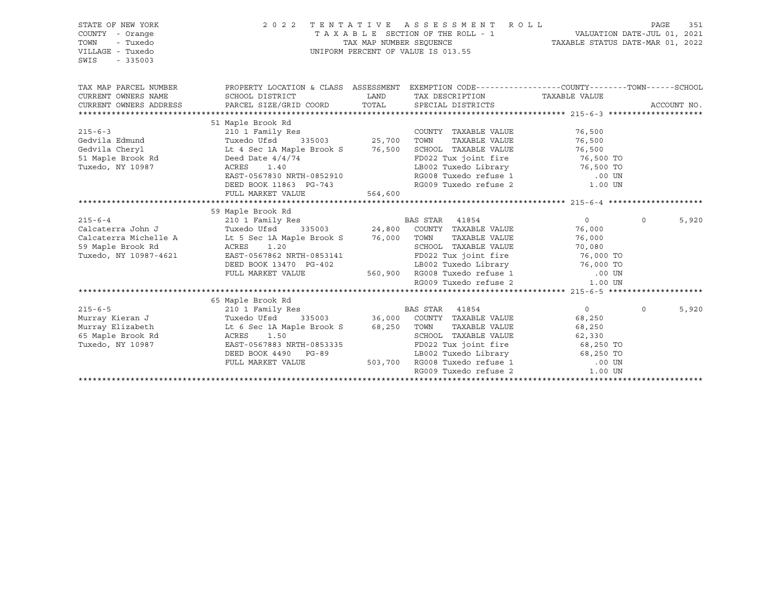| STATE OF NEW YORK<br>COUNTY - Orange<br>TOWN<br>- Tuxedo<br>VILLAGE - Tuxedo<br>SWIS<br>$-335003$ | 2022 TENTATIVE ASSESSMENT ROLL<br>UNIFORM PERCENT OF VALUE IS 013.55                                                                                           |         | PAGE<br>351                                   |                                                                                                 |                   |
|---------------------------------------------------------------------------------------------------|----------------------------------------------------------------------------------------------------------------------------------------------------------------|---------|-----------------------------------------------|-------------------------------------------------------------------------------------------------|-------------------|
| TAX MAP PARCEL NUMBER<br>CURRENT OWNERS NAME                                                      | PROPERTY LOCATION & CLASS ASSESSMENT EXEMPTION CODE---------------COUNTY-------TOWN-----SCHOOL<br>SCHOOL DISTRICT                                              | LAND    | TAX DESCRIPTION TAXABLE VALUE                 |                                                                                                 |                   |
| CURRENT OWNERS ADDRESS                                                                            | PARCEL SIZE/GRID COORD TOTAL                                                                                                                                   |         | SPECIAL DISTRICTS                             |                                                                                                 | ACCOUNT NO.       |
|                                                                                                   |                                                                                                                                                                |         |                                               |                                                                                                 |                   |
| $215 - 6 - 3$                                                                                     | 51 Maple Brook Rd<br>Mapie Brook Ku<br>210 1 Family Res<br>Tuxedo Ufsd 335003 25,700                                                                           |         | COUNTY TAXABLE VALUE<br>TAXABLE VALUE<br>TOWN | 76,500<br>76,500                                                                                |                   |
|                                                                                                   | Gedvila Edmund<br>Gedvila Cheryl Lite 4 Sec 1A Maple Brook S 76,500<br>Deed Date 4/4/74                                                                        |         | SCHOOL TAXABLE VALUE                          | 76,500<br>FD022 Tux joint fire 76,500 TO                                                        |                   |
| Tuxedo, NY 10987                                                                                  | 1.40<br>ACRES<br>EAST-0567830 NRTH-0852910<br>DEED BOOK 11863 PG-743<br>FILED BOOK 11863 PG-743<br>FILET MADKET VALUE                                          |         |                                               | LB002 Tuxedo Library 16,500 TO<br>RG008 Tuxedo refuse 1 (00 UN RG009 Tuxedo refuse 2 (1.00 UN   |                   |
|                                                                                                   |                                                                                                                                                                | 564,600 |                                               |                                                                                                 |                   |
|                                                                                                   | 59 Maple Brook Rd                                                                                                                                              |         |                                               |                                                                                                 |                   |
| $215 - 6 - 4$                                                                                     | 210 1 Family Res<br>Tuxedo Ufsd 335003<br>24,800 COUNTY TAXABLE VALUE<br>24,800 COUNTY TAXABLE VALUE<br>27,000 TOWN TAXABLE VALUE<br>27,000 TOWN TAXABLE VALUE |         |                                               | $\overline{0}$                                                                                  | $\Omega$<br>5,920 |
| Calcaterra John J                                                                                 |                                                                                                                                                                |         |                                               | 76,000                                                                                          |                   |
| Calcaterra Michelle A                                                                             |                                                                                                                                                                |         |                                               | 76,000                                                                                          |                   |
| 59 Maple Brook Rd                                                                                 | ACRES 1.20                                                                                                                                                     |         |                                               | SCHOOL TAXABLE VALUE 70,080<br>FD022 Tux joint fire 76,000 TO                                   |                   |
| Tuxedo, NY 10987-4621                                                                             | EAST-0567862 NRTH-0853141                                                                                                                                      |         |                                               |                                                                                                 |                   |
|                                                                                                   | DEED BOOK 13470 PG-402                                                                                                                                         |         |                                               | LB002 Tuxedo Library 16,000 TO                                                                  |                   |
|                                                                                                   | FULL MARKET VALUE                                                                                                                                              |         |                                               | 560,900 RG008 Tuxedo refuse 1 (00 UN                                                            |                   |
|                                                                                                   |                                                                                                                                                                |         | RG009 Tuxedo refuse 2                         | 1.00 UN                                                                                         |                   |
|                                                                                                   | 65 Maple Brook Rd                                                                                                                                              |         |                                               |                                                                                                 |                   |
|                                                                                                   |                                                                                                                                                                |         |                                               | $\sim$ 0 $\sim$                                                                                 | $\Omega$<br>5,920 |
|                                                                                                   |                                                                                                                                                                |         |                                               | 68,250                                                                                          |                   |
|                                                                                                   | Murray Elizabeth (International Control of Sec 1A Maple Brook S (68,250 TOWN                                                                                   |         | TAXABLE VALUE                                 | 68,250                                                                                          |                   |
| 65 Maple Brook Rd                                                                                 | ACRES<br>1.50                                                                                                                                                  |         |                                               |                                                                                                 |                   |
| Tuxedo, NY 10987                                                                                  | EAST-0567883 NRTH-0853335                                                                                                                                      |         |                                               |                                                                                                 |                   |
|                                                                                                   | DEED BOOK 4490 PG-89                                                                                                                                           |         |                                               | SCHOOL TAXABLE VALUE 62,330<br>FD022 Tux joint fire 68,250 TO<br>LB002 Tuxedo Library 68,250 TO |                   |
|                                                                                                   | FULL MARKET VALUE                                                                                                                                              |         |                                               | 503,700 RG008 Tuxedo refuse 1 600 UN                                                            |                   |
|                                                                                                   |                                                                                                                                                                |         |                                               | RG009 Tuxedo refuse 2 1.00 UN                                                                   |                   |
|                                                                                                   |                                                                                                                                                                |         |                                               |                                                                                                 |                   |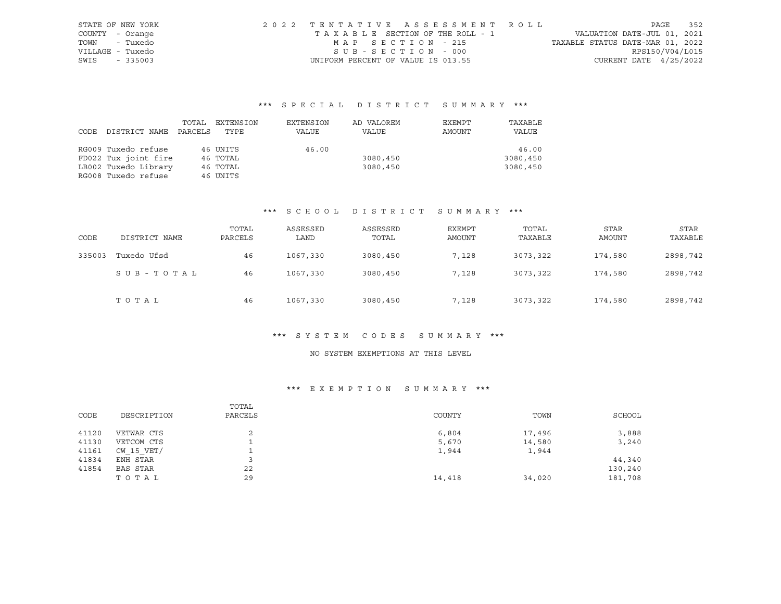| STATE OF NEW YORK | 2022 TENTATIVE ASSESSMENT ROLL |                                    |  |  |                                  |                          | PAGE | 352 |
|-------------------|--------------------------------|------------------------------------|--|--|----------------------------------|--------------------------|------|-----|
| COUNTY - Orange   |                                | TAXABLE SECTION OF THE ROLL - 1    |  |  | VALUATION DATE-JUL 01, 2021      |                          |      |     |
| - Tuxedo<br>TOWN  |                                | MAP SECTION - 215                  |  |  | TAXABLE STATUS DATE-MAR 01, 2022 |                          |      |     |
| VILLAGE - Tuxedo  |                                | SUB-SECTION - 000                  |  |  |                                  | RPS150/V04/L015          |      |     |
| SWIS<br>$-335003$ |                                | UNIFORM PERCENT OF VALUE IS 013.55 |  |  |                                  | CURRENT DATE $4/25/2022$ |      |     |

|      |                      | TOTAL   | EXTENSION | EXTENSION | AD VALOREM | EXEMPT | TAXABLE  |
|------|----------------------|---------|-----------|-----------|------------|--------|----------|
| CODE | DISTRICT NAME        | PARCELS | TYPE      | VALUE     | VALUE      | AMOUNT | VALUE    |
|      |                      |         |           |           |            |        |          |
|      | RG009 Tuxedo refuse  |         | 46 UNITS  | 46.00     |            |        | 46.00    |
|      | FD022 Tux joint fire |         | 46 TOTAL  |           | 3080,450   |        | 3080,450 |
|      | LB002 Tuxedo Library |         | 46 TOTAL  |           | 3080,450   |        | 3080,450 |
|      | RG008 Tuxedo refuse  |         | 46 UNITS  |           |            |        |          |

#### \*\*\* S C H O O L D I S T R I C T S U M M A R Y \*\*\*

| CODE   | DISTRICT NAME | TOTAL<br>PARCELS | ASSESSED<br>LAND | ASSESSED<br>TOTAL | <b>EXEMPT</b><br>AMOUNT | TOTAL<br>TAXABLE | <b>STAR</b><br>AMOUNT | <b>STAR</b><br>TAXABLE |
|--------|---------------|------------------|------------------|-------------------|-------------------------|------------------|-----------------------|------------------------|
| 335003 | Tuxedo Ufsd   | 46               | 1067,330         | 3080,450          | 7,128                   | 3073,322         | 174,580               | 2898,742               |
|        | SUB-TOTAL     | 46               | 1067,330         | 3080,450          | 7,128                   | 3073,322         | 174,580               | 2898,742               |
|        | TOTAL         | 46               | 1067,330         | 3080,450          | 7,128                   | 3073,322         | 174,580               | 2898,742               |

#### \*\*\* S Y S T E M C O D E S S U M M A R Y \*\*\*

# NO SYSTEM EXEMPTIONS AT THIS LEVEL

|       |                | TOTAL   |        |        |         |
|-------|----------------|---------|--------|--------|---------|
| CODE  | DESCRIPTION    | PARCELS | COUNTY | TOWN   | SCHOOL  |
|       |                |         |        |        |         |
| 41120 | VETWAR CTS     |         | 6,804  | 17,496 | 3,888   |
| 41130 | VETCOM CTS     |         | 5,670  | 14,580 | 3,240   |
| 41161 | $CW$ 15 $VET/$ |         | 1,944  | 1,944  |         |
| 41834 | ENH STAR       |         |        |        | 44,340  |
| 41854 | BAS STAR       | 22      |        |        | 130,240 |
|       | TOTAL          | 29      | 14,418 | 34,020 | 181,708 |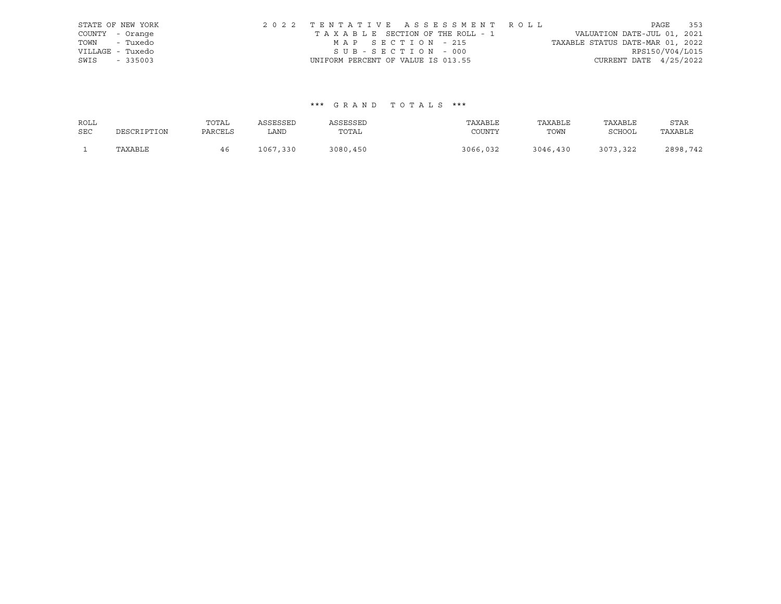|                  | STATE OF NEW YORK | 2022 TENTATIVE ASSESSMENT ROLL     |                                  | PAGE                        | 353 |
|------------------|-------------------|------------------------------------|----------------------------------|-----------------------------|-----|
| COUNTY - Orange  |                   | TAXABLE SECTION OF THE ROLL - 1    |                                  | VALUATION DATE-JUL 01, 2021 |     |
| TOWN - Tuxedo    |                   | MAP SECTION - 215                  | TAXABLE STATUS DATE-MAR 01, 2022 |                             |     |
| VILLAGE - Tuxedo |                   | SUB-SECTION - 000                  |                                  | RPS150/V04/L015             |     |
| SWIS             | $-335003$         | UNIFORM PERCENT OF VALUE IS 013.55 |                                  | CURRENT DATE $4/25/2022$    |     |

| ROLL       |             | TOTAL   | ASSESSED | ASSESSED | TAXABLE  | TAXABLE  | TAXABLE       | STAR     |
|------------|-------------|---------|----------|----------|----------|----------|---------------|----------|
| <b>SEC</b> | DESCRIPTION | PARCELS | LAND     | TOTAL    | COUNTY   | TOWN     | <b>SCHOOL</b> | TAXABLE  |
|            | TAXABLE     |         | 1067,330 | 3080,450 | 3066,032 | 3046,430 | 3073,322      | 2898,742 |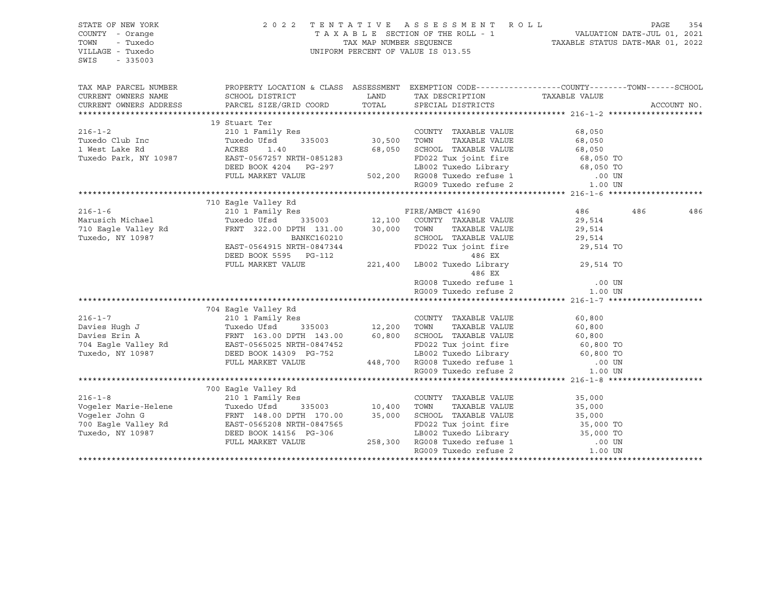| STATE OF NEW YORK<br>COUNTY - Orange<br>TOWN<br>- Tuxedo<br>VILLAGE - Tuxedo<br>SWIS<br>$-335003$                                                                                                                                                                                                                                                                                                |                                                                                                                                                                                            |        | $\begin{tabular}{lllllllllllll} \hline 2&0&2&2&\text{T} & \text{E} & \text{N} & \text{T} & \text{A} & \text{T} & \text{I} & \text{V} & \text{E} & \text{A} & \text{E} & \text{S} & \text{E} & \text{S} & \text{S} & \text{A} & \text{E} & \text{E} & \text{S} & \text{E} & \text{S} & \text{E} & \text{S} & \text{E} & \text{E} & \text{E} & \text{E} & \text{E} & \text{E} & \text{E} & \text{E} & \text{E} & \text{E}$ |             |     |
|--------------------------------------------------------------------------------------------------------------------------------------------------------------------------------------------------------------------------------------------------------------------------------------------------------------------------------------------------------------------------------------------------|--------------------------------------------------------------------------------------------------------------------------------------------------------------------------------------------|--------|--------------------------------------------------------------------------------------------------------------------------------------------------------------------------------------------------------------------------------------------------------------------------------------------------------------------------------------------------------------------------------------------------------------------------|-------------|-----|
| TAX MAP PARCEL NUMBER PROPERTY LOCATION & CLASS ASSESSMENT EXEMPTION CODE---------------COUNTY--------TOWN------SCHOOL                                                                                                                                                                                                                                                                           |                                                                                                                                                                                            |        |                                                                                                                                                                                                                                                                                                                                                                                                                          |             |     |
| CURRENT OWNERS NAME<br>CURRENT OWNERS NAME<br>CURRENT OWNERS ADDRESS                                                                                                                                                                                                                                                                                                                             |                                                                                                                                                                                            |        |                                                                                                                                                                                                                                                                                                                                                                                                                          |             |     |
|                                                                                                                                                                                                                                                                                                                                                                                                  |                                                                                                                                                                                            |        |                                                                                                                                                                                                                                                                                                                                                                                                                          | ACCOUNT NO. |     |
| 19 Stuart Ter 216-1-2<br>19 Stuart Ter 2010 Inc 2104 Office 335003<br>19 Stuart Ter 2010 Inc Tuxedo Club Inc Tuxedo Club Inc Tuxedo Club Inc 2010 Inc 2010 Inc 2010 Inc 2010 Inc 2011<br>19 Stuart Ter 2010 Inc 2011<br>2010 Inc 2013                                                                                                                                                            |                                                                                                                                                                                            |        |                                                                                                                                                                                                                                                                                                                                                                                                                          |             |     |
|                                                                                                                                                                                                                                                                                                                                                                                                  |                                                                                                                                                                                            |        |                                                                                                                                                                                                                                                                                                                                                                                                                          |             |     |
|                                                                                                                                                                                                                                                                                                                                                                                                  |                                                                                                                                                                                            |        |                                                                                                                                                                                                                                                                                                                                                                                                                          |             |     |
|                                                                                                                                                                                                                                                                                                                                                                                                  |                                                                                                                                                                                            |        |                                                                                                                                                                                                                                                                                                                                                                                                                          |             |     |
|                                                                                                                                                                                                                                                                                                                                                                                                  |                                                                                                                                                                                            |        |                                                                                                                                                                                                                                                                                                                                                                                                                          |             |     |
|                                                                                                                                                                                                                                                                                                                                                                                                  |                                                                                                                                                                                            |        |                                                                                                                                                                                                                                                                                                                                                                                                                          |             |     |
|                                                                                                                                                                                                                                                                                                                                                                                                  |                                                                                                                                                                                            |        |                                                                                                                                                                                                                                                                                                                                                                                                                          |             |     |
|                                                                                                                                                                                                                                                                                                                                                                                                  |                                                                                                                                                                                            |        |                                                                                                                                                                                                                                                                                                                                                                                                                          |             |     |
|                                                                                                                                                                                                                                                                                                                                                                                                  |                                                                                                                                                                                            |        |                                                                                                                                                                                                                                                                                                                                                                                                                          |             |     |
|                                                                                                                                                                                                                                                                                                                                                                                                  | 710 Eagle Valley Rd                                                                                                                                                                        |        |                                                                                                                                                                                                                                                                                                                                                                                                                          |             |     |
| $216 - 1 - 6$                                                                                                                                                                                                                                                                                                                                                                                    |                                                                                                                                                                                            |        | 486 486                                                                                                                                                                                                                                                                                                                                                                                                                  |             | 486 |
|                                                                                                                                                                                                                                                                                                                                                                                                  |                                                                                                                                                                                            |        | 29,514<br>29,514                                                                                                                                                                                                                                                                                                                                                                                                         |             |     |
| Marusich Michael<br>710 Eagle Valley Rd<br>Tuxedo, NY 10987                                                                                                                                                                                                                                                                                                                                      |                                                                                                                                                                                            |        |                                                                                                                                                                                                                                                                                                                                                                                                                          |             |     |
|                                                                                                                                                                                                                                                                                                                                                                                                  |                                                                                                                                                                                            |        |                                                                                                                                                                                                                                                                                                                                                                                                                          |             |     |
|                                                                                                                                                                                                                                                                                                                                                                                                  |                                                                                                                                                                                            |        |                                                                                                                                                                                                                                                                                                                                                                                                                          |             |     |
|                                                                                                                                                                                                                                                                                                                                                                                                  | BANKC160210 SCHOOL TAXABLE VALUE 29,514<br>DEED BOOK 5595 PG-112 PD022 Tux joint fire 29,514<br>FD022 Tux joint fire 29,514 TO<br>FULL MARKET VALUE 221,400 LB002 Tuxedo Library 29,514 TO |        |                                                                                                                                                                                                                                                                                                                                                                                                                          |             |     |
|                                                                                                                                                                                                                                                                                                                                                                                                  |                                                                                                                                                                                            | 486 EX |                                                                                                                                                                                                                                                                                                                                                                                                                          |             |     |
|                                                                                                                                                                                                                                                                                                                                                                                                  |                                                                                                                                                                                            |        | RG008 Tuxedo refuse 1 00 UN<br>RG009 Tuxedo refuse 2 1.00 UN                                                                                                                                                                                                                                                                                                                                                             |             |     |
|                                                                                                                                                                                                                                                                                                                                                                                                  |                                                                                                                                                                                            |        |                                                                                                                                                                                                                                                                                                                                                                                                                          |             |     |
|                                                                                                                                                                                                                                                                                                                                                                                                  |                                                                                                                                                                                            |        |                                                                                                                                                                                                                                                                                                                                                                                                                          |             |     |
| $\begin{tabular}{lllllllllllllllll} \hline 216-1-7 & 704\ \texttt{Eagle Valley Rd} & 210\ 1\ \texttt{Family Res} & 210\ 1\ \texttt{Family Res} & 12,200\ \texttt{TuxE} & 60,800\ \texttt{Davis} & 60,800\ \texttt{Davis} & 60,800\ \texttt{Davis} & 60,800\ \texttt{Davis} & 60,800\ \texttt{Davis} & 60,800\ \texttt{RowN1} & 143.00 & 60,800\ \texttt{SAwise Erin A} & \texttt{FRXABLE VALUE}$ |                                                                                                                                                                                            |        |                                                                                                                                                                                                                                                                                                                                                                                                                          |             |     |
|                                                                                                                                                                                                                                                                                                                                                                                                  |                                                                                                                                                                                            |        |                                                                                                                                                                                                                                                                                                                                                                                                                          |             |     |
|                                                                                                                                                                                                                                                                                                                                                                                                  |                                                                                                                                                                                            |        |                                                                                                                                                                                                                                                                                                                                                                                                                          |             |     |
|                                                                                                                                                                                                                                                                                                                                                                                                  |                                                                                                                                                                                            |        |                                                                                                                                                                                                                                                                                                                                                                                                                          |             |     |
|                                                                                                                                                                                                                                                                                                                                                                                                  |                                                                                                                                                                                            |        |                                                                                                                                                                                                                                                                                                                                                                                                                          |             |     |
|                                                                                                                                                                                                                                                                                                                                                                                                  |                                                                                                                                                                                            |        |                                                                                                                                                                                                                                                                                                                                                                                                                          |             |     |
|                                                                                                                                                                                                                                                                                                                                                                                                  |                                                                                                                                                                                            |        |                                                                                                                                                                                                                                                                                                                                                                                                                          |             |     |
|                                                                                                                                                                                                                                                                                                                                                                                                  |                                                                                                                                                                                            |        |                                                                                                                                                                                                                                                                                                                                                                                                                          |             |     |
|                                                                                                                                                                                                                                                                                                                                                                                                  |                                                                                                                                                                                            |        |                                                                                                                                                                                                                                                                                                                                                                                                                          |             |     |
|                                                                                                                                                                                                                                                                                                                                                                                                  |                                                                                                                                                                                            |        |                                                                                                                                                                                                                                                                                                                                                                                                                          |             |     |
|                                                                                                                                                                                                                                                                                                                                                                                                  |                                                                                                                                                                                            |        |                                                                                                                                                                                                                                                                                                                                                                                                                          |             |     |
|                                                                                                                                                                                                                                                                                                                                                                                                  |                                                                                                                                                                                            |        |                                                                                                                                                                                                                                                                                                                                                                                                                          |             |     |
|                                                                                                                                                                                                                                                                                                                                                                                                  |                                                                                                                                                                                            |        |                                                                                                                                                                                                                                                                                                                                                                                                                          |             |     |
|                                                                                                                                                                                                                                                                                                                                                                                                  |                                                                                                                                                                                            |        |                                                                                                                                                                                                                                                                                                                                                                                                                          |             |     |
|                                                                                                                                                                                                                                                                                                                                                                                                  |                                                                                                                                                                                            |        |                                                                                                                                                                                                                                                                                                                                                                                                                          |             |     |
|                                                                                                                                                                                                                                                                                                                                                                                                  |                                                                                                                                                                                            |        |                                                                                                                                                                                                                                                                                                                                                                                                                          |             |     |
|                                                                                                                                                                                                                                                                                                                                                                                                  |                                                                                                                                                                                            |        |                                                                                                                                                                                                                                                                                                                                                                                                                          |             |     |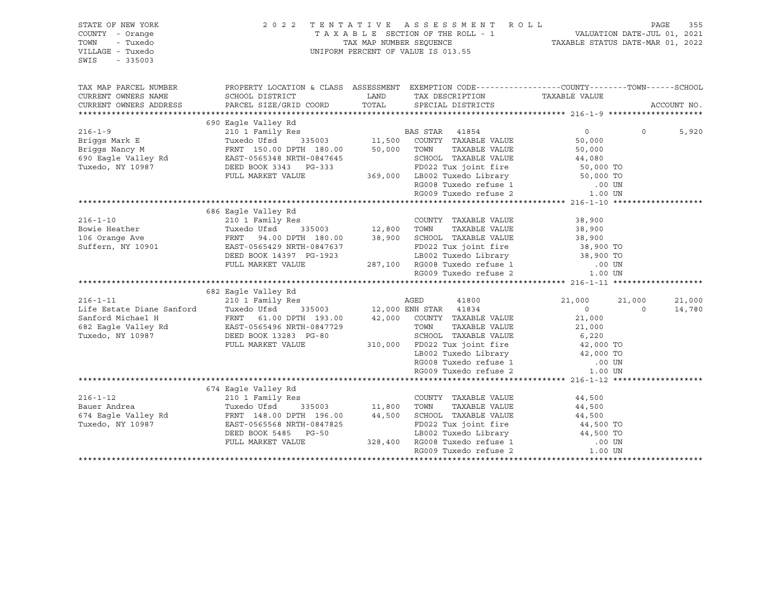| STATE OF NEW YORK<br>COUNTY - Orange<br>TOWN<br>- Tuxedo<br>VILLAGE - Tuxedo<br>SWIS<br>$-335003$                                                                                                | 2 0 2 2                                                                                                                                                                    |                    | TENTATIVE ASSESSMENT ROLL<br>UNIFORM PERCENT OF VALUE IS 013.55                           |                        |          | PAGE<br>355 |
|--------------------------------------------------------------------------------------------------------------------------------------------------------------------------------------------------|----------------------------------------------------------------------------------------------------------------------------------------------------------------------------|--------------------|-------------------------------------------------------------------------------------------|------------------------|----------|-------------|
| TAX MAP PARCEL NUMBER                                                                                                                                                                            | PROPERTY LOCATION & CLASS ASSESSMENT EXEMPTION CODE---------------COUNTY-------TOWN-----SCHOOL                                                                             |                    |                                                                                           |                        |          |             |
| CURRENT OWNERS NAME                                                                                                                                                                              | SCHOOL DISTRICT<br>LAND DISIRICT LAND<br>PARCEL SIZE/GRID COORD TOTAL                                                                                                      | LAND               | TAX DESCRIPTION TAXABLE VALUE                                                             |                        |          |             |
| CURRENT OWNERS ADDRESS                                                                                                                                                                           |                                                                                                                                                                            |                    | SPECIAL DISTRICTS                                                                         |                        |          | ACCOUNT NO. |
|                                                                                                                                                                                                  |                                                                                                                                                                            |                    |                                                                                           |                        |          |             |
| $216 - 1 - 9$                                                                                                                                                                                    | 690 Eagle Valley Rd                                                                                                                                                        |                    | S<br>BAS STAR 41854<br>335003 11,500 COUNTY TAXABLE VALUE<br>1000 TOMN TAXABLE VALUE      | $\overline{0}$         | $\Omega$ |             |
| Briggs Mark E                                                                                                                                                                                    | 210 1 Family Res<br>Tuxedo Ufsd                                                                                                                                            |                    |                                                                                           | 50,000                 |          | 5,920       |
| Briggs Mancy M<br>Briggs Nancy M<br>690 Eagle Valley Rd<br>200 November 10987                                                                                                                    |                                                                                                                                                                            |                    | TAXABLE VALUE                                                                             | 50,000                 |          |             |
|                                                                                                                                                                                                  | FRNT 150.00 DPTH 180.00 50,000 TOWN<br>FRNT 150.00 DPTH 180.00<br>EAST-0565348 NRTH-0847645<br>DEED BOOK 3343 PG-333                                                       |                    | SCHOOL TAXABLE VALUE                                                                      | 44,080                 |          |             |
|                                                                                                                                                                                                  |                                                                                                                                                                            |                    |                                                                                           |                        |          |             |
|                                                                                                                                                                                                  | FULL MARKET VALUE                                                                                                                                                          |                    | FD022 Tux joint fire 50,000 TO<br>369,000 LB002 Tuxedo Library 50,000 TO                  |                        |          |             |
|                                                                                                                                                                                                  |                                                                                                                                                                            |                    |                                                                                           | .00 UN                 |          |             |
|                                                                                                                                                                                                  |                                                                                                                                                                            |                    | RG008 Tuxedo refuse 1<br>RG009 Tuxedo refuse 2                                            | 1.00 UN                |          |             |
|                                                                                                                                                                                                  |                                                                                                                                                                            |                    |                                                                                           |                        |          |             |
|                                                                                                                                                                                                  | 686 Eagle Valley Rd                                                                                                                                                        |                    |                                                                                           |                        |          |             |
| $216 - 1 - 10$                                                                                                                                                                                   | 210 1 Family Res                                                                                                                                                           |                    | COUNTY TAXABLE VALUE                                                                      | 38,900                 |          |             |
| Bowie Heather                                                                                                                                                                                    |                                                                                                                                                                            |                    |                                                                                           | 38,900                 |          |             |
|                                                                                                                                                                                                  | Tuxedo Ufsd 335003<br>Tuxedo Ufsd 335003 12,800 TOWN TAXABLE VALUE<br>FRNT 94.00 DPTH 180.00 38,900 SCHOOL TAXABLE VALUE<br>EAST-0565429 NRTH-0847637 FD022 Tux joint fire |                    |                                                                                           | 38,900<br>38,900 TO    |          |             |
| 106 Orange Ave<br>Suffern, NY 10901                                                                                                                                                              |                                                                                                                                                                            |                    |                                                                                           |                        |          |             |
|                                                                                                                                                                                                  | DEED BOOK 14397 PG-1923                                                                                                                                                    |                    |                                                                                           | 38,900 TO              |          |             |
|                                                                                                                                                                                                  | FULL MARKET VALUE                                                                                                                                                          |                    |                                                                                           | .00 UN                 |          |             |
|                                                                                                                                                                                                  |                                                                                                                                                                            |                    | 3-1923 LB002 Tuxedo Library<br>287,100 RG008 Tuxedo refuse 1<br>RG009 Tuxedo refuse 2     | 1.00 UN                |          |             |
|                                                                                                                                                                                                  |                                                                                                                                                                            |                    |                                                                                           |                        |          |             |
|                                                                                                                                                                                                  | 682 Eagle Valley Rd                                                                                                                                                        |                    |                                                                                           |                        |          |             |
| $216 - 1 - 11$                                                                                                                                                                                   |                                                                                                                                                                            |                    |                                                                                           | 21,000                 | 21,000   | 21,000      |
|                                                                                                                                                                                                  | 210 1 Family Res<br>Tuxedo Ufsd 335003 12,000 ENH STAR 41834<br>FRNT 61.00 DPTH 193.00 42,000 COUNTY TAXABLE VALUE                                                         |                    |                                                                                           | $\overline{0}$         | $\Omega$ | 14,780      |
|                                                                                                                                                                                                  |                                                                                                                                                                            |                    |                                                                                           | 21,000                 |          |             |
| Life Estate Diane Sanford Tuxedo Ufsd <sup>3</sup> 335003<br>Sanford Michael H FRNT 61.00 DPTH 193.00<br>682 Eagle Valley Rd EAST-0565496 NRTH-0847729<br>Tuxedo, NY 10987 DEED BOOK 13283 PG-80 |                                                                                                                                                                            |                    | TOWN<br>TAXABLE VALUE                                                                     | 21,000                 |          |             |
|                                                                                                                                                                                                  |                                                                                                                                                                            |                    | TOWN TAXABLE VALUE<br>SCHOOL TAXABLE VALUE 6,220<br>Theodology interferent fire 42,000 TO |                        |          |             |
|                                                                                                                                                                                                  | FULL MARKET VALUE                                                                                                                                                          |                    | 310,000 FD022 Tux joint fire                                                              |                        |          |             |
|                                                                                                                                                                                                  |                                                                                                                                                                            |                    | LB002 Tuxedo Library 42,000 TO                                                            |                        |          |             |
|                                                                                                                                                                                                  |                                                                                                                                                                            |                    |                                                                                           |                        |          |             |
|                                                                                                                                                                                                  |                                                                                                                                                                            |                    |                                                                                           |                        |          |             |
|                                                                                                                                                                                                  | 674 Eagle Valley Rd                                                                                                                                                        |                    |                                                                                           |                        |          |             |
| $216 - 1 - 12$                                                                                                                                                                                   | 210 1 Family Res                                                                                                                                                           |                    | COUNTY TAXABLE VALUE                                                                      | 44,500                 |          |             |
| Bauer Andrea                                                                                                                                                                                     |                                                                                                                                                                            | s<br>335003 11,800 | TAXABLE VALUE<br>TOWN                                                                     | 44,500                 |          |             |
| 674 Eagle Valley Rd                                                                                                                                                                              |                                                                                                                                                                            | 44,500             | SCHOOL TAXABLE VALUE                                                                      | 44,500                 |          |             |
| Tuxedo, NY 10987                                                                                                                                                                                 | Tuxedo Ufsd <sup>3</sup> 335003<br>FRNT 148.00 DPTH 196.00<br>EAST-0565568 NRTH-0847825<br>EAST-0565568 NRTH-0847825                                                       |                    | FD022 Tux joint fire                                                                      |                        |          |             |
|                                                                                                                                                                                                  | DEED BOOK 5485 PG-50                                                                                                                                                       |                    |                                                                                           | 44,500 TO<br>44,500 TO |          |             |
|                                                                                                                                                                                                  | FULL MARKET VALUE                                                                                                                                                          | 328,400            | LB002 Tuxedo Library<br>RG008 Tuxedo refuse 1                                             | .00 UN                 |          |             |
|                                                                                                                                                                                                  |                                                                                                                                                                            |                    | RG009 Tuxedo refuse 2                                                                     | 1.00 UN                |          |             |
|                                                                                                                                                                                                  |                                                                                                                                                                            |                    |                                                                                           |                        |          |             |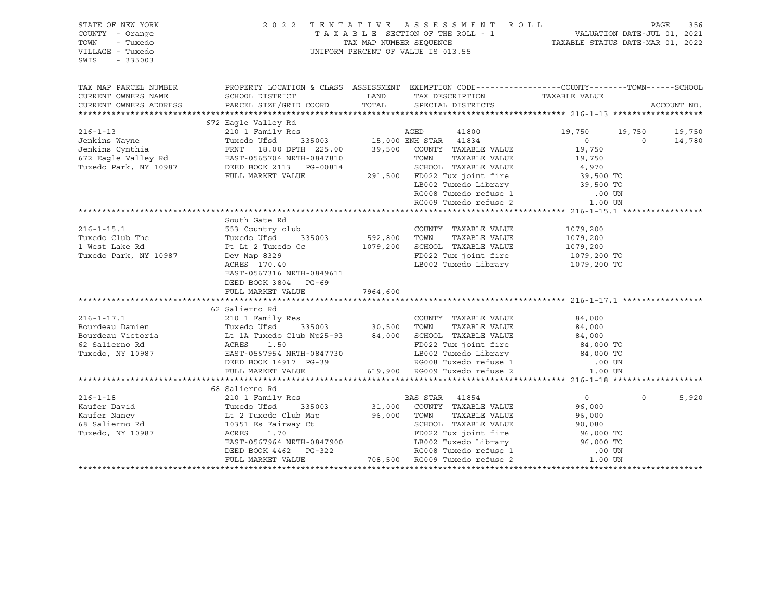| STATE OF NEW YORK<br>COUNTY - Orange<br>TOWN<br>- Tuxedo<br>VILLAGE - Tuxedo<br>SWIS<br>$-335003$                                                                                                                                                                  | 2 0 2 2                                                                                                                                                                             |                     | TENTATIVE ASSESSMENT ROLL                                                                                                                                                   |                                              | PAGE<br>356                    |
|--------------------------------------------------------------------------------------------------------------------------------------------------------------------------------------------------------------------------------------------------------------------|-------------------------------------------------------------------------------------------------------------------------------------------------------------------------------------|---------------------|-----------------------------------------------------------------------------------------------------------------------------------------------------------------------------|----------------------------------------------|--------------------------------|
| TAX MAP PARCEL NUMBER<br>CURRENT OWNERS NAME                                                                                                                                                                                                                       | PROPERTY LOCATION & CLASS ASSESSMENT EXEMPTION CODE----------------COUNTY-------TOWN------SCHOOL<br>SCHOOL DISTRICT                                                                 | LAND                | TAX DESCRIPTION<br>SPECIAL DISTRICTS                                                                                                                                        | TAXABLE VALUE                                |                                |
| CURRENT OWNERS ADDRESS                                                                                                                                                                                                                                             | PARCEL SIZE/GRID COORD                                                                                                                                                              |                     | TOTAL SPECIAL DISTRICTS                                                                                                                                                     |                                              | ACCOUNT NO.                    |
|                                                                                                                                                                                                                                                                    |                                                                                                                                                                                     |                     |                                                                                                                                                                             |                                              |                                |
| 316-1-13<br>216-1-13<br>210 1 Family Res<br>31003<br>210 1 Family Res<br>210 1 Family Res<br>210 1 Family Res<br>315003<br>215,000 ENH STAR<br>2134<br>216-1-13<br>41800<br>41800<br>210 1 Family Res<br>2135003<br>215,000 ENH STAR<br>2134<br>225.00<br>39,500 C |                                                                                                                                                                                     |                     |                                                                                                                                                                             | 19,750<br>19,750<br>$\overline{0}$<br>19,750 | 19,750<br>$\bigcirc$<br>14,780 |
|                                                                                                                                                                                                                                                                    | FULL MARKET VALUE                                                                                                                                                                   |                     | TAXABLE VALUE<br>SCHOOL TAXABLE VALUE                                                                                                                                       | 19,750<br>4,970                              |                                |
|                                                                                                                                                                                                                                                                    |                                                                                                                                                                                     |                     | 291,500 FD022 Tux joint fire<br>LB002 Tuxedo Library<br>RG008 Tuxedo refuse 1 00 UN<br>RG009 Tuxedo refuse 2 1.00 UN                                                        |                                              |                                |
|                                                                                                                                                                                                                                                                    |                                                                                                                                                                                     |                     |                                                                                                                                                                             |                                              |                                |
| $216 - 1 - 15.1$                                                                                                                                                                                                                                                   | South Gate Rd<br>553 Country club                                                                                                                                                   |                     | COUNTY TAXABLE VALUE                                                                                                                                                        | 1079,200                                     |                                |
| Tuxedo Club The<br>1 West Lake Rd<br>Tuxedo Park, NY 10987                                                                                                                                                                                                         | Tuxedo Ufsd<br>Pt Lt 2 Tuxedo Cc                                                                                                                                                    | 335003 592,800 TOWN | TAXABLE VALUE<br>1079,200 SCHOOL TAXABLE VALUE<br>FD022 Tux joint fire                                                                                                      | 1079,200<br>1079,200<br>1079,200 TO          |                                |
|                                                                                                                                                                                                                                                                    | Dev Map 8329<br>ACRES 170.40<br>EAST-0567316 NRTH-0849611<br>DEED BOOK 3804 PG-69<br>FULL MARKET VALUE                                                                              | 7964,600            | LB002 Tuxedo Library                                                                                                                                                        | 1079,200 TO                                  |                                |
|                                                                                                                                                                                                                                                                    |                                                                                                                                                                                     |                     |                                                                                                                                                                             |                                              |                                |
| 216-1-17.1 210 1 Family Res<br>Bourdeau Damien Tuxedo Ufsd 335003 30,500 TOWN TAXABLE VALUE<br>Bourdeau Victoria Lt 1A Tuxedo Club Mp25-93 84,000 SCHOOL TAXABLE VALUE<br>62 Salierno Rd ACRES 1.50<br>Tuxedo NV 10997                                             |                                                                                                                                                                                     |                     |                                                                                                                                                                             |                                              |                                |
|                                                                                                                                                                                                                                                                    |                                                                                                                                                                                     |                     |                                                                                                                                                                             | 84,000                                       |                                |
|                                                                                                                                                                                                                                                                    |                                                                                                                                                                                     |                     |                                                                                                                                                                             | 84,000                                       |                                |
|                                                                                                                                                                                                                                                                    |                                                                                                                                                                                     |                     |                                                                                                                                                                             | 84,000<br>84,000 TO                          |                                |
| Tuxedo, NY 10987                                                                                                                                                                                                                                                   | EAST-0567954 NRTH-0847730                                                                                                                                                           |                     |                                                                                                                                                                             |                                              |                                |
|                                                                                                                                                                                                                                                                    | EAST-0567954 NRTH-0847730<br>DEED BOOK 14917 PG-39                                                                                                                                  |                     | 19002 Tuxedo Library and 1910 and 1910 and 1910 and 1910 and 1910 and 1910 and 1910 and 1910 and 1910 and 191<br>RG008 Tuxedo refuse 1 000 UN RG009 Tuxedo refuse 2 1.00 UN |                                              |                                |
|                                                                                                                                                                                                                                                                    | FULL MARKET VALUE                                                                                                                                                                   |                     | 619,900 RG009 Tuxedo refuse 2                                                                                                                                               |                                              |                                |
|                                                                                                                                                                                                                                                                    |                                                                                                                                                                                     |                     |                                                                                                                                                                             |                                              |                                |
|                                                                                                                                                                                                                                                                    | 68 Salierno Rd                                                                                                                                                                      |                     |                                                                                                                                                                             |                                              |                                |
| $216 - 1 - 18$                                                                                                                                                                                                                                                     | 210 1 Family Res                                                                                                                                                                    |                     | BAS STAR 41854                                                                                                                                                              | $\overline{0}$                               | $\Omega$<br>5,920              |
|                                                                                                                                                                                                                                                                    |                                                                                                                                                                                     |                     | 31,000 COUNTY TAXABLE VALUE<br>96,000 TOWN TAXABLE VALUE<br>TAXABLE VALUE                                                                                                   | 96,000<br>96,000                             |                                |
|                                                                                                                                                                                                                                                                    |                                                                                                                                                                                     |                     |                                                                                                                                                                             |                                              |                                |
|                                                                                                                                                                                                                                                                    |                                                                                                                                                                                     |                     | SCHOOL TAXABLE VALUE 90,080<br>FD022 Tux joint fire 96,000 TO<br>LB002 Tuxedo Library 96,000 TO<br>RG008 Tuxedo refuse 1 00 UN                                              |                                              |                                |
|                                                                                                                                                                                                                                                                    |                                                                                                                                                                                     |                     |                                                                                                                                                                             |                                              |                                |
|                                                                                                                                                                                                                                                                    |                                                                                                                                                                                     |                     |                                                                                                                                                                             |                                              |                                |
|                                                                                                                                                                                                                                                                    | ACRES 1.70 FD022 Tux joint fire<br>EAST-0567964 NRTH-0847900 LB002 Tuxedo Library<br>DEED BOOK 4462 PG-322 RG008 Tuxedo refuse 1<br>FULL MARKET VALUE 708,500 RG009 Tuxedo refuse 2 |                     |                                                                                                                                                                             | 1.00 UN                                      |                                |
|                                                                                                                                                                                                                                                                    |                                                                                                                                                                                     |                     |                                                                                                                                                                             |                                              |                                |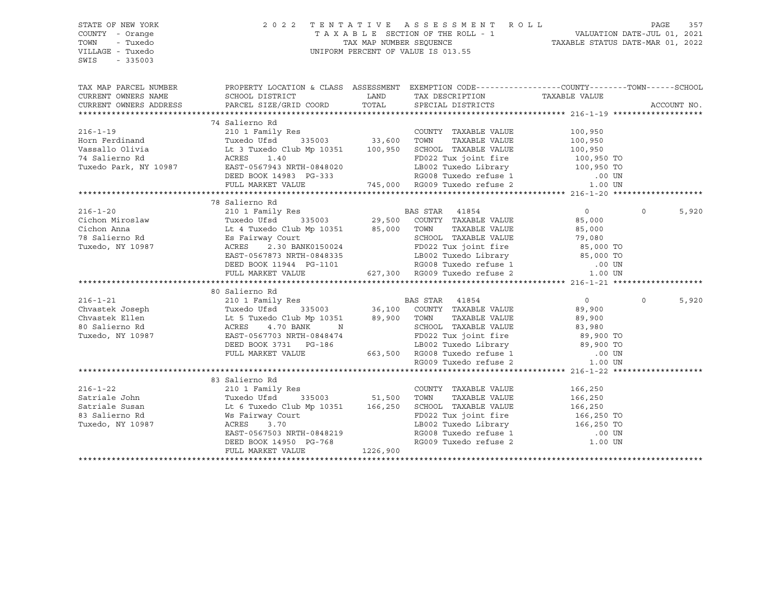| STATE OF NEW YORK<br>COUNTY - Orange<br>TOWN<br>- Tuxedo<br>VILLAGE - Tuxedo<br>SWIS<br>$-335003$ | 2 0 2 2                                                                                                                                                                                                                                | TENTATIVE ASSESSMENT ROLL<br>PAGE<br>357<br>TAXABLE SECTION OF THE ROLL - 1<br>TAXABLE STATUS DATE-JUL 01, 2021<br>TAXABLE STATUS DATE-MAR 01, 2022<br>UNIFORM PERCENT OF VALUE IS 013.55 |                                                                                                                                    |                |          |             |
|---------------------------------------------------------------------------------------------------|----------------------------------------------------------------------------------------------------------------------------------------------------------------------------------------------------------------------------------------|-------------------------------------------------------------------------------------------------------------------------------------------------------------------------------------------|------------------------------------------------------------------------------------------------------------------------------------|----------------|----------|-------------|
|                                                                                                   | TAX MAP PARCEL NUMBER PROPERTY LOCATION & CLASS ASSESSMENT EXEMPTION CODE---------------COUNTY-------TOWN------SCHOOL                                                                                                                  |                                                                                                                                                                                           |                                                                                                                                    |                |          |             |
| CURRENT OWNERS NAME                                                                               | SCHOOL DISTRICT                                                                                                                                                                                                                        |                                                                                                                                                                                           | LAND TAX DESCRIPTION                                                                                                               | TAXABLE VALUE  |          |             |
| CURRENT OWNERS ADDRESS                                                                            | PARCEL SIZE/GRID COORD                                                                                                                                                                                                                 | TOTAL                                                                                                                                                                                     | SPECIAL DISTRICTS                                                                                                                  |                |          | ACCOUNT NO. |
|                                                                                                   |                                                                                                                                                                                                                                        |                                                                                                                                                                                           |                                                                                                                                    |                |          |             |
| $216 - 1 - 19$                                                                                    | 74 Salierno Rd<br>210 1 Family Res                                                                                                                                                                                                     |                                                                                                                                                                                           |                                                                                                                                    |                |          |             |
|                                                                                                   |                                                                                                                                                                                                                                        |                                                                                                                                                                                           | COUNTY TAXABLE VALUE 100,950                                                                                                       |                |          |             |
|                                                                                                   | Horn Ferdinand Tuxedo Ufsd 335003 33,600 TOWN TAXABLE VALUE 100,950<br>Vassallo Olivia Lt 3 Tuxedo Club Mp 10351 100,950 SCHOOL TAXABLE VALUE 100,950<br>74 Salierno Rd ACRES 1.40 FD022 Tux joint fire 100,950<br>Tuxedo Park, NY 1   |                                                                                                                                                                                           |                                                                                                                                    |                |          |             |
|                                                                                                   |                                                                                                                                                                                                                                        |                                                                                                                                                                                           |                                                                                                                                    |                |          |             |
|                                                                                                   |                                                                                                                                                                                                                                        |                                                                                                                                                                                           |                                                                                                                                    |                |          |             |
|                                                                                                   |                                                                                                                                                                                                                                        |                                                                                                                                                                                           |                                                                                                                                    |                |          |             |
|                                                                                                   | ACRES 1.40 FD022 Tux joint fire 100,950 TO<br>EAST-0567943 NRTH-0848020 LB002 Tuxedo Library 100,950 TO<br>DEED BOOK 14983 PG-333 RG008 Tuxedo refuse 1 .00 UN<br>FULL MARKET VALUE 745,000 RG009 Tuxedo refuse 2 1.00 UN              |                                                                                                                                                                                           |                                                                                                                                    |                |          |             |
|                                                                                                   |                                                                                                                                                                                                                                        |                                                                                                                                                                                           |                                                                                                                                    |                |          |             |
|                                                                                                   |                                                                                                                                                                                                                                        |                                                                                                                                                                                           |                                                                                                                                    |                |          |             |
|                                                                                                   | 210 1 Family Res<br>Tuxedo Ufsd 335003 29,500 COUNTY TAXABLE VALUE                                                                                                                                                                     |                                                                                                                                                                                           |                                                                                                                                    | $\overline{0}$ | $\Omega$ | 5,920       |
|                                                                                                   |                                                                                                                                                                                                                                        |                                                                                                                                                                                           |                                                                                                                                    | 85,000         |          |             |
|                                                                                                   |                                                                                                                                                                                                                                        |                                                                                                                                                                                           |                                                                                                                                    |                |          |             |
|                                                                                                   |                                                                                                                                                                                                                                        |                                                                                                                                                                                           |                                                                                                                                    |                |          |             |
|                                                                                                   |                                                                                                                                                                                                                                        |                                                                                                                                                                                           |                                                                                                                                    |                |          |             |
|                                                                                                   |                                                                                                                                                                                                                                        |                                                                                                                                                                                           |                                                                                                                                    |                |          |             |
|                                                                                                   |                                                                                                                                                                                                                                        |                                                                                                                                                                                           |                                                                                                                                    |                |          |             |
|                                                                                                   | 1.00 UM MP 10351 85,000 TOWN TAXABLE VALUE 85,000<br>ES Fairway Court 85,000 TOWN TAXABLE VALUE 85,000<br>ACRES 2.30 BANK0150024 FD022 Tux joint fire 85,000 TO<br>EAST-0567873 NRTH-0848335 LB002 Tuxedo Library 85,000 TO<br>DEED BO |                                                                                                                                                                                           |                                                                                                                                    |                |          |             |
|                                                                                                   | 30 Salierno Rd 216-1-21 and 200 Salierno Rd 200 Salierno Rd 216-1-21 and 200 Salierno Rd Tuxedo Ufsd 335003 36,100 COUNTY TAXABLE VALUE 29,900<br>Chvastek Ellen Lt 5 Tuxedo Club Mp 10351 39,900 TOWN TAXABLE VALUE 29,900<br>30 Sa   |                                                                                                                                                                                           |                                                                                                                                    |                |          |             |
|                                                                                                   |                                                                                                                                                                                                                                        |                                                                                                                                                                                           |                                                                                                                                    |                | $\Omega$ | 5,920       |
|                                                                                                   |                                                                                                                                                                                                                                        |                                                                                                                                                                                           |                                                                                                                                    |                |          |             |
|                                                                                                   |                                                                                                                                                                                                                                        |                                                                                                                                                                                           |                                                                                                                                    |                |          |             |
|                                                                                                   |                                                                                                                                                                                                                                        |                                                                                                                                                                                           |                                                                                                                                    |                |          |             |
|                                                                                                   |                                                                                                                                                                                                                                        |                                                                                                                                                                                           |                                                                                                                                    |                |          |             |
|                                                                                                   |                                                                                                                                                                                                                                        |                                                                                                                                                                                           |                                                                                                                                    |                |          |             |
|                                                                                                   |                                                                                                                                                                                                                                        |                                                                                                                                                                                           |                                                                                                                                    |                |          |             |
|                                                                                                   |                                                                                                                                                                                                                                        |                                                                                                                                                                                           |                                                                                                                                    |                |          |             |
|                                                                                                   |                                                                                                                                                                                                                                        |                                                                                                                                                                                           |                                                                                                                                    |                |          |             |
|                                                                                                   | 83 Salierno Rd                                                                                                                                                                                                                         |                                                                                                                                                                                           |                                                                                                                                    |                |          |             |
| $216 - 1 - 22$                                                                                    | 210 1 Family Res                                                                                                                                                                                                                       |                                                                                                                                                                                           | COUNTY TAXABLE VALUE 166,250                                                                                                       |                |          |             |
|                                                                                                   | Satriale John Tuxedo Ufsd 335003 51,500 TOWN TAXABLE VALUE 166,250<br>Satriale Susan Lt 6 Tuxedo Club Mp 10351 166,250 SCHOOL TAXABLE VALUE 166,250<br>83 Salierno Rd Ws Fairway Court FD022 Tux joint fire 166,250<br>Tuxedo, NY 10   |                                                                                                                                                                                           |                                                                                                                                    |                |          |             |
|                                                                                                   |                                                                                                                                                                                                                                        |                                                                                                                                                                                           |                                                                                                                                    |                |          |             |
|                                                                                                   |                                                                                                                                                                                                                                        |                                                                                                                                                                                           | FD022 Tux joint fire 166,250 TO<br>LB002 Tuxedo Library 166,250 TO<br>RG008 Tuxedo refuse 1 00 UN<br>RG009 Tuxedo refuse 2 1.00 UN |                |          |             |
|                                                                                                   |                                                                                                                                                                                                                                        |                                                                                                                                                                                           |                                                                                                                                    |                |          |             |
|                                                                                                   |                                                                                                                                                                                                                                        |                                                                                                                                                                                           |                                                                                                                                    |                |          |             |
|                                                                                                   | EAST-0567503 NRTH-0848219<br>DEED BOOK 14950 PG-768<br>FULL MARKET VALUE 1226,900                                                                                                                                                      |                                                                                                                                                                                           |                                                                                                                                    |                |          |             |
|                                                                                                   |                                                                                                                                                                                                                                        |                                                                                                                                                                                           |                                                                                                                                    |                |          |             |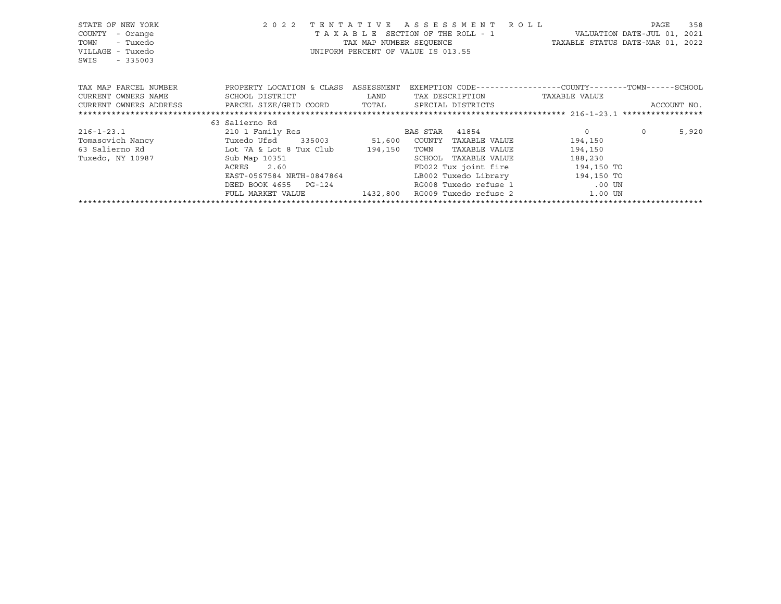| STATE OF NEW YORK                                                                 |                                                            | 2022 TENTATIVE ASSESSMENT ROLL                                    |                | PAGE        | 358   |
|-----------------------------------------------------------------------------------|------------------------------------------------------------|-------------------------------------------------------------------|----------------|-------------|-------|
| COUNTY<br>- Orange                                                                |                                                            | T A X A B L E SECTION OF THE ROLL - 1 WALUATION DATE-JUL 01, 2021 |                |             |       |
| - Tuxedo<br>TOWN                                                                  |                                                            | TAX MAP NUMBER SEQUENCE TAXABLE STATUS DATE-MAR 01, 2022          |                |             |       |
| VILLAGE - Tuxedo                                                                  |                                                            | UNIFORM PERCENT OF VALUE IS 013.55                                |                |             |       |
| SWIS - 335003                                                                     |                                                            |                                                                   |                |             |       |
|                                                                                   |                                                            |                                                                   |                |             |       |
|                                                                                   |                                                            |                                                                   |                |             |       |
| TAX MAP PARCEL NUMBER TROPERTY LOCATION & CLASS ASSESSMENT                        |                                                            | EXEMPTION CODE-----------------COUNTY-------TOWN------SCHOOL      |                |             |       |
|                                                                                   |                                                            |                                                                   |                |             |       |
| CURRENT OWNERS ADDRESS     PARCEL SIZE/GRID COORD     TOTAL     SPECIAL DISTRICTS |                                                            |                                                                   |                | ACCOUNT NO. |       |
|                                                                                   |                                                            |                                                                   |                |             |       |
|                                                                                   | 63 Salierno Rd                                             |                                                                   |                |             |       |
| 216-1-23.1 210 1 Family Res                                                       |                                                            | BAS STAR 41854                                                    | $\overline{0}$ | $\Omega$    | 5,920 |
| Tomasovich Nancy Tuxedo Ufsd 335003 51,600 COUNTY                                 |                                                            | TAXABLE VALUE                                                     | 194,150        |             |       |
| 63 Salierno Rd                   Lot 7A & Lot 8 Tux Club       194,150            |                                                            | TOWN<br>TAXABLE VALUE                                             | 194,150        |             |       |
| Tuxedo, NY 10987                                                                  | Sub Map 10351<br>ACRES 2.60<br>EAST-0567584 NRTH-0847864   | SCHOOL<br>TAXABLE VALUE                                           | 188,230        |             |       |
|                                                                                   |                                                            | FD022 Tux joint fire 194,150 TO                                   |                |             |       |
|                                                                                   |                                                            | LB002 Tuxedo Library 194,150 TO                                   |                |             |       |
|                                                                                   | DEED BOOK 4655 PG-124                                      | RG008 Tuxedo refuse 1 00 UN                                       |                |             |       |
|                                                                                   | FULL MARKET VALUE $1432,800$ RG009 Tuxedo refuse 2 1.00 UN |                                                                   |                |             |       |
|                                                                                   |                                                            |                                                                   |                |             |       |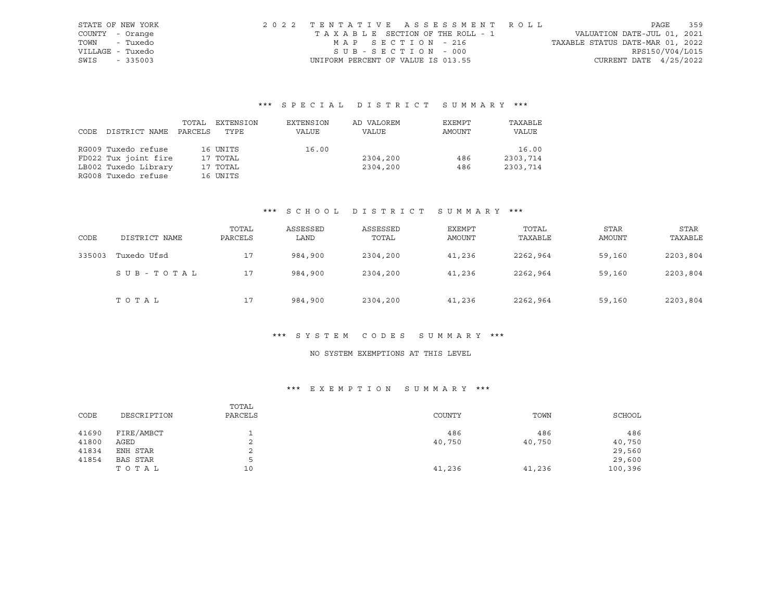| STATE OF NEW YORK | 2022 TENTATIVE ASSESSMENT ROLL     |  |  |                                  |                          | PAGE | 359 |
|-------------------|------------------------------------|--|--|----------------------------------|--------------------------|------|-----|
| COUNTY - Orange   | TAXABLE SECTION OF THE ROLL - 1    |  |  | VALUATION DATE-JUL 01, 2021      |                          |      |     |
| - Tuxedo<br>TOWN  | MAP SECTION - 216                  |  |  | TAXABLE STATUS DATE-MAR 01, 2022 |                          |      |     |
| VILLAGE - Tuxedo  | SUB-SECTION - 000                  |  |  |                                  | RPS150/V04/L015          |      |     |
| SWIS<br>$-335003$ | UNIFORM PERCENT OF VALUE IS 013.55 |  |  |                                  | CURRENT DATE $4/25/2022$ |      |     |

|      |                      | TOTAL   | EXTENSION | EXTENSION | AD VALOREM | EXEMPT | TAXABLE  |
|------|----------------------|---------|-----------|-----------|------------|--------|----------|
| CODE | DISTRICT NAME        | PARCELS | TYPE      | VALUE     | VALUE      | AMOUNT | VALUE    |
|      |                      |         |           |           |            |        |          |
|      | RG009 Tuxedo refuse  |         | 16 UNITS  | 16.00     |            |        | 16.00    |
|      | FD022 Tux joint fire |         | 17 TOTAL  |           | 2304,200   | 486    | 2303,714 |
|      | LB002 Tuxedo Library |         | 17 TOTAL  |           | 2304,200   | 486    | 2303,714 |
|      | RG008 Tuxedo refuse  |         | 16 UNITS  |           |            |        |          |

#### \*\*\* S C H O O L D I S T R I C T S U M M A R Y \*\*\*

| CODE   | DISTRICT NAME | TOTAL<br>PARCELS | ASSESSED<br>LAND | ASSESSED<br>TOTAL | EXEMPT<br>AMOUNT | TOTAL<br>TAXABLE | <b>STAR</b><br>AMOUNT | STAR<br>TAXABLE |
|--------|---------------|------------------|------------------|-------------------|------------------|------------------|-----------------------|-----------------|
| 335003 | Tuxedo Ufsd   | 17               | 984,900          | 2304,200          | 41,236           | 2262,964         | 59,160                | 2203,804        |
|        | SUB-TOTAL     | 17               | 984,900          | 2304,200          | 41,236           | 2262,964         | 59,160                | 2203,804        |
|        | TOTAL         | 17               | 984,900          | 2304,200          | 41,236           | 2262,964         | 59,160                | 2203,804        |

#### \*\*\* S Y S T E M C O D E S S U M M A R Y \*\*\*

## NO SYSTEM EXEMPTIONS AT THIS LEVEL

| CODE  | DESCRIPTION     | TOTAL<br>PARCELS | COUNTY | TOWN   | SCHOOL  |
|-------|-----------------|------------------|--------|--------|---------|
|       |                 |                  |        |        |         |
| 41690 | FIRE/AMBCT      |                  | 486    | 486    | 486     |
| 41800 | AGED            | ▵                | 40,750 | 40,750 | 40,750  |
| 41834 | ENH STAR        | ∠                |        |        | 29,560  |
| 41854 | <b>BAS STAR</b> | ↳                |        |        | 29,600  |
|       | TOTAL           | 10               | 41,236 | 41,236 | 100,396 |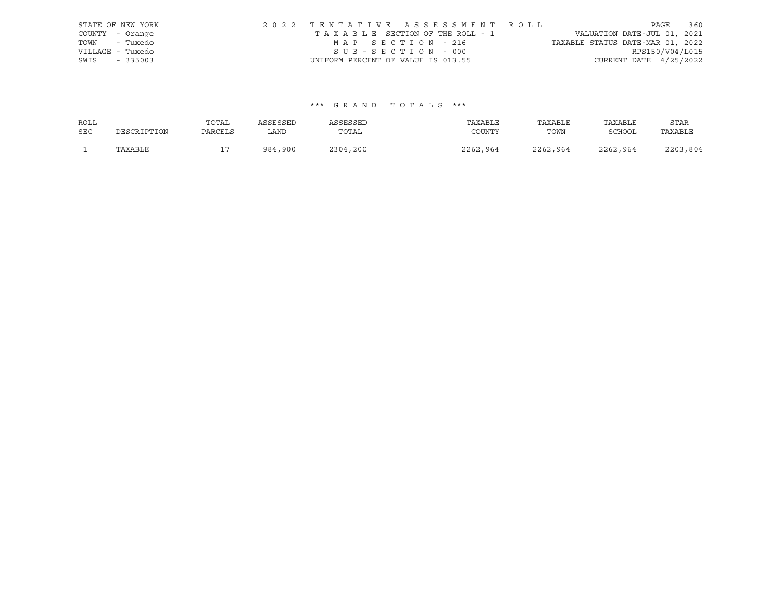| STATE OF NEW YORK |                                    | 2022 TENTATIVE ASSESSMENT ROLL  |                                  | PAGE                        | 360 |
|-------------------|------------------------------------|---------------------------------|----------------------------------|-----------------------------|-----|
| COUNTY - Orange   |                                    | TAXABLE SECTION OF THE ROLL - 1 |                                  | VALUATION DATE-JUL 01, 2021 |     |
| TOWN - Tuxedo     |                                    | MAP SECTION - 216               | TAXABLE STATUS DATE-MAR 01, 2022 |                             |     |
| VILLAGE - Tuxedo  |                                    | SUB-SECTION - 000               |                                  | RPS150/V04/L015             |     |
| SWIS - 335003     | UNIFORM PERCENT OF VALUE IS 013.55 |                                 |                                  | CURRENT DATE $4/25/2022$    |     |

| ROLL       |             | TOTAL   | ASSESSED | ASSESSED | TAXABLE  | TAXABLE  | TAXABLE       | STAR     |
|------------|-------------|---------|----------|----------|----------|----------|---------------|----------|
| <b>SEC</b> | DESCRIPTION | PARCELS | LAND     | TOTAL    | COUNTY   | TOWN     | <b>SCHOOL</b> | TAXABLE  |
|            | TAXABLE     | - 1     | 984,900  | 2304,200 | 2262,964 | 2262,964 | 2262,964      | 2203,804 |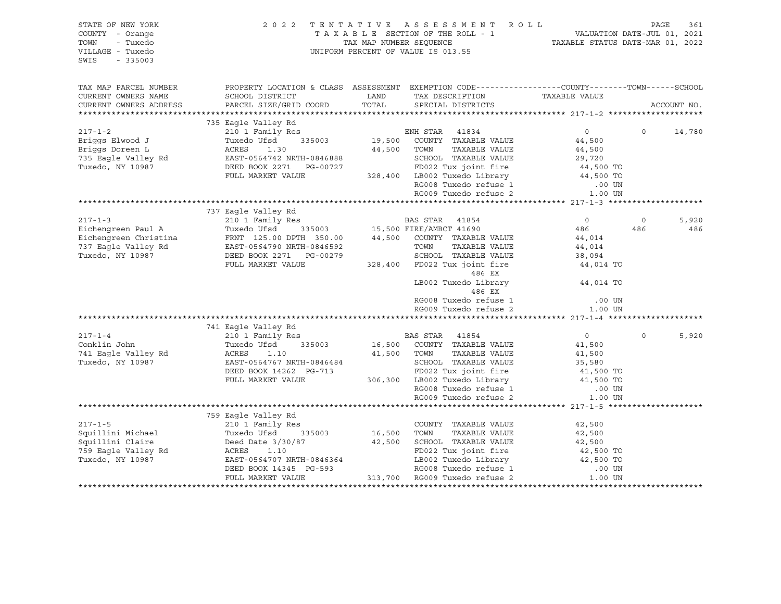| STATE OF NEW YORK<br>COUNTY - Orange<br>TOWN<br>- Tuxedo<br>VILLAGE - Tuxedo<br>$-335003$<br>SWIS                                                                                                                                                                                                                                                                                                                                                                                |                                                                                                |                    |                                                                                                                                                         |         |                       |
|----------------------------------------------------------------------------------------------------------------------------------------------------------------------------------------------------------------------------------------------------------------------------------------------------------------------------------------------------------------------------------------------------------------------------------------------------------------------------------|------------------------------------------------------------------------------------------------|--------------------|---------------------------------------------------------------------------------------------------------------------------------------------------------|---------|-----------------------|
| TAX MAP PARCEL NUMBER<br>CURRENT OWNERS NAME<br>CURRENT OWNERS ADDRESS                                                                                                                                                                                                                                                                                                                                                                                                           | PROPERTY LOCATION & CLASS ASSESSMENT EXEMPTION CODE---------------COUNTY-------TOWN-----SCHOOL |                    |                                                                                                                                                         |         | ACCOUNT NO.           |
|                                                                                                                                                                                                                                                                                                                                                                                                                                                                                  | 735 Eagle Valley Rd                                                                            |                    |                                                                                                                                                         | $\circ$ | 14,780                |
|                                                                                                                                                                                                                                                                                                                                                                                                                                                                                  |                                                                                                |                    |                                                                                                                                                         |         |                       |
| $\begin{tabular}{lllllllllllll} \multicolumn{3}{l}{} & \multicolumn{3}{l}{} & \multicolumn{3}{l}{} & \multicolumn{3}{l}{} & \multicolumn{3}{l}{} & \multicolumn{3}{l}{} & \multicolumn{3}{l}{} & \multicolumn{3}{l}{} & \multicolumn{3}{l}{} & \multicolumn{3}{l}{} & \multicolumn{3}{l}{} & \multicolumn{3}{l}{} & \multicolumn{3}{l}{} & \multicolumn{3}{l}{} & \multicolumn{3}{l}{} & \multicolumn{3}{l}{} & \multicolumn{3}{l}{} & \multicolumn{3}{l}{} & \multicolumn{3}{l$ | 737 Eagle Valley Rd<br>741 Eagle Valley Rd                                                     | 486 EX<br>$486$ EX | $0$ 0<br>486 486<br>44,014<br>LB002 Tuxedo Library 44,014 TO<br>RG008 Tuxedo refuse 1 (00 UN RG009 Tuxedo refuse 2 (1.00 UN<br>.00 UN<br>$\overline{0}$ | $\circ$ | 5,920<br>486<br>5,920 |
|                                                                                                                                                                                                                                                                                                                                                                                                                                                                                  |                                                                                                |                    |                                                                                                                                                         |         |                       |
|                                                                                                                                                                                                                                                                                                                                                                                                                                                                                  |                                                                                                |                    |                                                                                                                                                         |         |                       |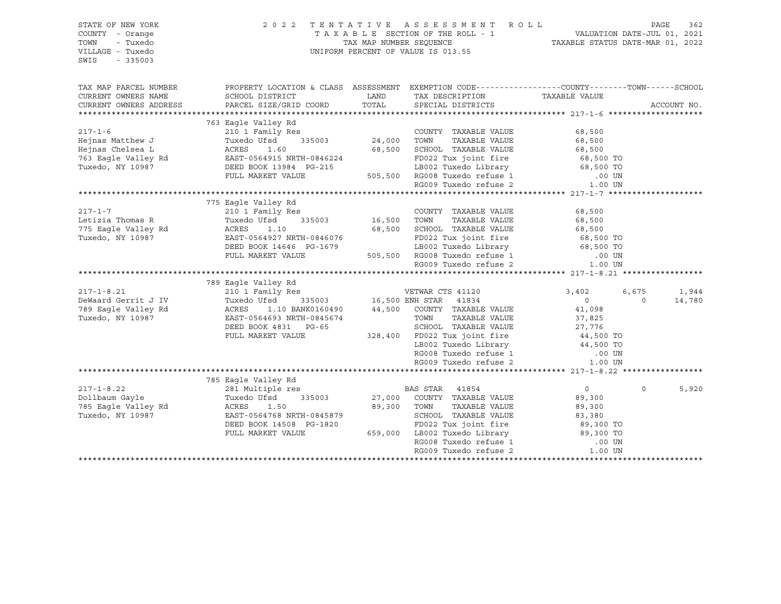| STATE OF NEW YORK<br>COUNTY - Orange<br>- Tuxedo<br>TOWN<br>VILLAGE - Tuxedo<br>SWIS<br>$-335003$                                                                                                                                                    |                                                                                                                                                                                                                                                                                                                                                      |               | 2022 TENTATIVE ASSESSMENT ROLL PAGE 362<br>TAXABLE SECTION OF THE ROLL - 1 VALUATION DATE-JUL 01, 2021<br>TAX MAP NUMBER SEQUENCE TAXABLE STATUS DATE-MAR 01, 2022<br>UNIFORM PERCENT OF VALUE IS 013.55                                                                                                                                                                                                                             |                                              |                   |                 |
|------------------------------------------------------------------------------------------------------------------------------------------------------------------------------------------------------------------------------------------------------|------------------------------------------------------------------------------------------------------------------------------------------------------------------------------------------------------------------------------------------------------------------------------------------------------------------------------------------------------|---------------|--------------------------------------------------------------------------------------------------------------------------------------------------------------------------------------------------------------------------------------------------------------------------------------------------------------------------------------------------------------------------------------------------------------------------------------|----------------------------------------------|-------------------|-----------------|
| TAX MAP PARCEL NUMBER<br>CURRENT OWNERS NAME<br>CURRENT OWNERS ADDRESS                                                                                                                                                                               | PROPERTY LOCATION & CLASS ASSESSMENT EXEMPTION CODE----------------COUNTY-------TOWN------SCHOOL<br>SCHOOL DISTRICT<br>PARCEL SIZE/GRID COORD                                                                                                                                                                                                        | LAND<br>TOTAL | TAX DESCRIPTION TAXABLE VALUE SPECIAL DISTRICTS<br>SPECIAL DISTRICTS                                                                                                                                                                                                                                                                                                                                                                 |                                              |                   | ACCOUNT NO.     |
|                                                                                                                                                                                                                                                      |                                                                                                                                                                                                                                                                                                                                                      |               |                                                                                                                                                                                                                                                                                                                                                                                                                                      |                                              |                   |                 |
| $217 - 1 - 6$                                                                                                                                                                                                                                        | 763 Eagle Valley Rd                                                                                                                                                                                                                                                                                                                                  |               | COUNTY TAXABLE VALUE                                                                                                                                                                                                                                                                                                                                                                                                                 | 68,500                                       |                   |                 |
| 17-1-6<br>Hejnas Matthew J<br>Hejnas Chelsea L<br>Tuxedo Ufsd<br>24,000 TOWN TAXABLE VALUE<br>24,000 TOWN TAXABLE VALUE<br>24,000 TOWN TAXABLE VALUE<br>24,000 TOWN TAXABLE VALUE<br>24,000 TOWN TAXABLE VALUE<br>24,000 TOWN TAXABLE VALUE<br>24,   |                                                                                                                                                                                                                                                                                                                                                      |               |                                                                                                                                                                                                                                                                                                                                                                                                                                      |                                              |                   |                 |
|                                                                                                                                                                                                                                                      |                                                                                                                                                                                                                                                                                                                                                      |               |                                                                                                                                                                                                                                                                                                                                                                                                                                      |                                              |                   |                 |
| $217 - 1 - 7$<br>Letizia Thomas R<br>neural momas is and the control of the search of the search of the search of the search of the search of the s<br>Tuxedo . NY 10987<br>Tuxedo, NY 10987                                                         | 775 Eagle Valley Rd<br>210 1 Family Res<br>Tuxedo Ufsd 335003 16,500 TOWN TAXABLE VALUE<br>Tuxedo Ufsd 335003<br>ACRES 1.10<br>EAST-0564927 NRTH-0846076 FD022 Tux joint fire<br>DEED BOOK 14646 PG-1679 LB002 Tuxedo Library 68,500 TO<br>FULL MARKET VALUE 505,500 RG008 Tuxedo refuse 1 .00 UN<br>RG009 Tuxedo refuse 2 1.00 UN<br>RG009 Tuxedo r |               | COUNTY TAXABLE VALUE 68,500<br>16,500 TOWN TAXABLE VALUE 68,500<br>68,500 SCHOOL TAXABLE VALUE 68,500 TO                                                                                                                                                                                                                                                                                                                             |                                              |                   |                 |
|                                                                                                                                                                                                                                                      |                                                                                                                                                                                                                                                                                                                                                      |               |                                                                                                                                                                                                                                                                                                                                                                                                                                      |                                              |                   |                 |
|                                                                                                                                                                                                                                                      |                                                                                                                                                                                                                                                                                                                                                      |               |                                                                                                                                                                                                                                                                                                                                                                                                                                      |                                              |                   |                 |
| $217 - 1 - 8.21$<br>DeWaard Gerrit J IV<br>789 Eagle Valley Rd<br>Tuxedo, NY 10987                                                                                                                                                                   | 789 Eagle Valley Rd<br>210 1 Family Res<br>Tuxedo Ufsd 335003 16,500 ENH STAR 41834<br>Tuxedo Ufsd 335003 16,500 ENH STAR 41037<br>ACRES 1.10 BANK0160490 44,500 COUNTY TAXABLE VALUE<br>EAST-0564693 NRTH-0845674 TOWN TAXABLE VALUE<br>TREE ROOK 4831 PG-65 SCHOOL TAXABLE VALUE<br>FULL MARKET VALUE                                              |               | VETWAR CTS 41120<br>$\begin{tabular}{ccccc} \multicolumn{2}{c}{\textbf{G-65}} & & & & & & & & & & 41,098 \\ \multicolumn{2}{c}{\textbf{G-65}} & & & & & & & & & & & & & & 11,098 \\ & & & & & & & & & & & & & & 10 & 98 \\ & & & & & & & & & & & & & & 10 & 98 \\ & & & & & & & & & & & & & & 10 & 98 \\ & & & & & & & & & & & & & & 10 & 98 \\ & & & & & & & & & & & & & & 10 & 98 \\ & & & & & & & & & & & & & & 10 & 98 \\ & & &$ | 3,402<br>$0$<br>41,098                       | 6,675<br>$\Omega$ | 1,944<br>14,780 |
|                                                                                                                                                                                                                                                      |                                                                                                                                                                                                                                                                                                                                                      |               |                                                                                                                                                                                                                                                                                                                                                                                                                                      |                                              |                   |                 |
| 217-1-8.22<br>Dollbaum Gayle<br>785 Eagle Valley Rd<br>785 Eagle Valley Rd<br>785 Eagle Valley Rd<br>785 Eagle Valley Rd<br>785 Eagle Valley Rd<br>785 Eagle Valley Rd<br>785 Eagle Valley Rd<br>785 Eagle Valley Rd<br>785 Eagle Valley Rd<br>785 E | 785 Eagle Valley Rd<br>ACRES 1.50<br>EAST-0564768 NRTH-0845879 SCHOOL TAXABLE VALUE<br>DEED BOOK 14508 PG-1820 FD022 Tux joint fire 89,300 TO<br>FULL MARKET VALUE 659,000 LB002 Tuxedo Library 89,300 TO<br>RG008 Tuxedo refuse 1 .00 UN<br>PC009 Tuxedo refus                                                                                      | 89,300 TOWN   | TAXABLE VALUE                                                                                                                                                                                                                                                                                                                                                                                                                        | $\overline{0}$<br>89,300<br>89,300<br>83,380 | $\Omega$          | 5,920           |
|                                                                                                                                                                                                                                                      |                                                                                                                                                                                                                                                                                                                                                      |               |                                                                                                                                                                                                                                                                                                                                                                                                                                      |                                              |                   |                 |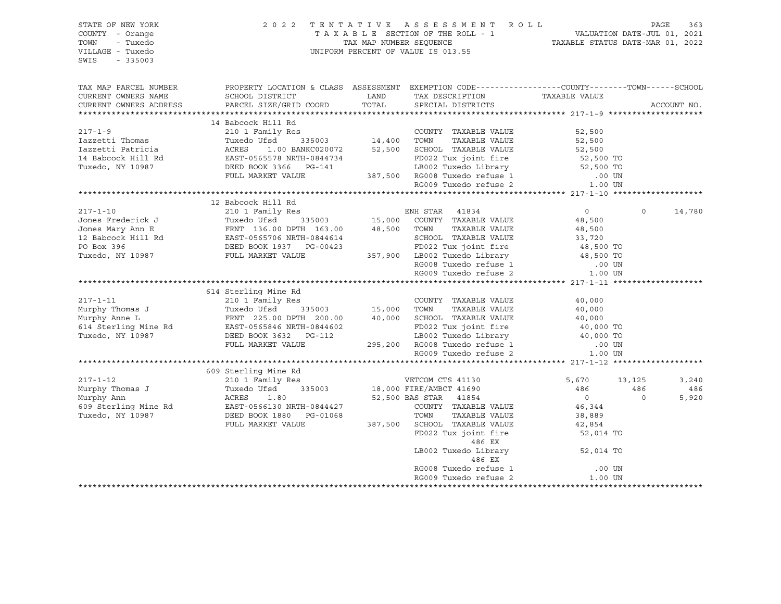| PROPERTY LOCATION & CLASS ASSESSMENT EXEMPTION CODE----------------COUNTY-------TOWN------SCHOOL<br>TAX MAP PARCEL NUMBER<br>CURRENT OWNERS NAME<br>LAND TAX DESCRIPTION TAXABLE VALUE COORD TOTAL SPECIAL DISTRICTS<br>SCHOOL DISTRICT<br>CURRENT OWNERS ADDRESS<br>PARCEL SIZE/GRID COORD<br>ACCOUNT NO.<br>14 Babcock Hill Rd<br>$217 - 1 - 9$<br>Res<br>335003 14,400 TOWN TAXABLE VALUE<br>0 BANKC020072 52,500 SCHOOL TAXABLE VALUE<br>210 1 Family Res<br>52,500<br>12 Babcock Hill Rd<br>210 1 Family Res<br>210 1 Family Res<br>Tuxedo Ufsd 335003 15,000 COUNTY TAXABLE VALUE<br>$\circ$<br>14,780<br>614 Sterling Mine Rd<br>$217 - 1 - 11$<br>210 1 Family Res<br>COUNTY TAXABLE VALUE<br>40,000<br>609 Sterling Mine Rd<br>3 KG<br>Res<br>335003 18,000 FIRE/AMBCT 41690<br>52 EQ EQ BAS STAR 41854<br>5,670<br>3,240<br>13,125<br>486<br>486<br>486<br>$\overline{0}$<br>$\Omega$<br>5,920<br>46,344<br>38,889<br>42,854<br>52,014 TO<br>486 EX<br>LB002 Tuxedo Library 52,014 TO<br>486 EX<br>RG008 Tuxedo refuse 1<br>.00 UN<br>RG009 Tuxedo refuse 2<br>1.00 UN | STATE OF NEW YORK<br>COUNTY - Orange<br>TOWN<br>- Tuxedo<br>VILLAGE - Tuxedo<br>SWIS<br>$-335003$ |  | 2022 TENTATIVE ASSESSMENT ROLL<br>$\begin{tabular}{lllllllllll} \multicolumn{2}{c l} \multicolumn{2}{c l} \multicolumn{2}{c l} \multicolumn{2}{c l} \multicolumn{2}{c l} \multicolumn{2}{c l} \multicolumn{2}{c l} \multicolumn{2}{c l} \multicolumn{2}{c l} \multicolumn{2}{c l} \multicolumn{2}{c l} \multicolumn{2}{c l} \multicolumn{2}{c l} \multicolumn{2}{c l} \multicolumn{2}{c l} \multicolumn{2}{c l} \multicolumn{2}{c l} \multicolumn{2}{c l} \multicolumn{2}{c $<br>UNIFORM PERCENT OF VALUE IS 013.55 |  | PAGE<br>363 |
|----------------------------------------------------------------------------------------------------------------------------------------------------------------------------------------------------------------------------------------------------------------------------------------------------------------------------------------------------------------------------------------------------------------------------------------------------------------------------------------------------------------------------------------------------------------------------------------------------------------------------------------------------------------------------------------------------------------------------------------------------------------------------------------------------------------------------------------------------------------------------------------------------------------------------------------------------------------------------------------------------------------------------------------------------------------------------------|---------------------------------------------------------------------------------------------------|--|---------------------------------------------------------------------------------------------------------------------------------------------------------------------------------------------------------------------------------------------------------------------------------------------------------------------------------------------------------------------------------------------------------------------------------------------------------------------------------------------------------------------|--|-------------|
|                                                                                                                                                                                                                                                                                                                                                                                                                                                                                                                                                                                                                                                                                                                                                                                                                                                                                                                                                                                                                                                                                  |                                                                                                   |  |                                                                                                                                                                                                                                                                                                                                                                                                                                                                                                                     |  |             |
|                                                                                                                                                                                                                                                                                                                                                                                                                                                                                                                                                                                                                                                                                                                                                                                                                                                                                                                                                                                                                                                                                  |                                                                                                   |  |                                                                                                                                                                                                                                                                                                                                                                                                                                                                                                                     |  |             |
|                                                                                                                                                                                                                                                                                                                                                                                                                                                                                                                                                                                                                                                                                                                                                                                                                                                                                                                                                                                                                                                                                  |                                                                                                   |  |                                                                                                                                                                                                                                                                                                                                                                                                                                                                                                                     |  |             |
|                                                                                                                                                                                                                                                                                                                                                                                                                                                                                                                                                                                                                                                                                                                                                                                                                                                                                                                                                                                                                                                                                  |                                                                                                   |  |                                                                                                                                                                                                                                                                                                                                                                                                                                                                                                                     |  |             |
|                                                                                                                                                                                                                                                                                                                                                                                                                                                                                                                                                                                                                                                                                                                                                                                                                                                                                                                                                                                                                                                                                  |                                                                                                   |  |                                                                                                                                                                                                                                                                                                                                                                                                                                                                                                                     |  |             |
|                                                                                                                                                                                                                                                                                                                                                                                                                                                                                                                                                                                                                                                                                                                                                                                                                                                                                                                                                                                                                                                                                  |                                                                                                   |  |                                                                                                                                                                                                                                                                                                                                                                                                                                                                                                                     |  |             |
|                                                                                                                                                                                                                                                                                                                                                                                                                                                                                                                                                                                                                                                                                                                                                                                                                                                                                                                                                                                                                                                                                  |                                                                                                   |  |                                                                                                                                                                                                                                                                                                                                                                                                                                                                                                                     |  |             |
|                                                                                                                                                                                                                                                                                                                                                                                                                                                                                                                                                                                                                                                                                                                                                                                                                                                                                                                                                                                                                                                                                  |                                                                                                   |  |                                                                                                                                                                                                                                                                                                                                                                                                                                                                                                                     |  |             |
|                                                                                                                                                                                                                                                                                                                                                                                                                                                                                                                                                                                                                                                                                                                                                                                                                                                                                                                                                                                                                                                                                  |                                                                                                   |  |                                                                                                                                                                                                                                                                                                                                                                                                                                                                                                                     |  |             |
|                                                                                                                                                                                                                                                                                                                                                                                                                                                                                                                                                                                                                                                                                                                                                                                                                                                                                                                                                                                                                                                                                  |                                                                                                   |  |                                                                                                                                                                                                                                                                                                                                                                                                                                                                                                                     |  |             |
|                                                                                                                                                                                                                                                                                                                                                                                                                                                                                                                                                                                                                                                                                                                                                                                                                                                                                                                                                                                                                                                                                  |                                                                                                   |  |                                                                                                                                                                                                                                                                                                                                                                                                                                                                                                                     |  |             |
|                                                                                                                                                                                                                                                                                                                                                                                                                                                                                                                                                                                                                                                                                                                                                                                                                                                                                                                                                                                                                                                                                  |                                                                                                   |  |                                                                                                                                                                                                                                                                                                                                                                                                                                                                                                                     |  |             |
|                                                                                                                                                                                                                                                                                                                                                                                                                                                                                                                                                                                                                                                                                                                                                                                                                                                                                                                                                                                                                                                                                  |                                                                                                   |  |                                                                                                                                                                                                                                                                                                                                                                                                                                                                                                                     |  |             |
|                                                                                                                                                                                                                                                                                                                                                                                                                                                                                                                                                                                                                                                                                                                                                                                                                                                                                                                                                                                                                                                                                  |                                                                                                   |  |                                                                                                                                                                                                                                                                                                                                                                                                                                                                                                                     |  |             |
|                                                                                                                                                                                                                                                                                                                                                                                                                                                                                                                                                                                                                                                                                                                                                                                                                                                                                                                                                                                                                                                                                  |                                                                                                   |  |                                                                                                                                                                                                                                                                                                                                                                                                                                                                                                                     |  |             |
|                                                                                                                                                                                                                                                                                                                                                                                                                                                                                                                                                                                                                                                                                                                                                                                                                                                                                                                                                                                                                                                                                  |                                                                                                   |  |                                                                                                                                                                                                                                                                                                                                                                                                                                                                                                                     |  |             |
|                                                                                                                                                                                                                                                                                                                                                                                                                                                                                                                                                                                                                                                                                                                                                                                                                                                                                                                                                                                                                                                                                  |                                                                                                   |  |                                                                                                                                                                                                                                                                                                                                                                                                                                                                                                                     |  |             |
|                                                                                                                                                                                                                                                                                                                                                                                                                                                                                                                                                                                                                                                                                                                                                                                                                                                                                                                                                                                                                                                                                  |                                                                                                   |  |                                                                                                                                                                                                                                                                                                                                                                                                                                                                                                                     |  |             |
|                                                                                                                                                                                                                                                                                                                                                                                                                                                                                                                                                                                                                                                                                                                                                                                                                                                                                                                                                                                                                                                                                  |                                                                                                   |  |                                                                                                                                                                                                                                                                                                                                                                                                                                                                                                                     |  |             |
|                                                                                                                                                                                                                                                                                                                                                                                                                                                                                                                                                                                                                                                                                                                                                                                                                                                                                                                                                                                                                                                                                  |                                                                                                   |  |                                                                                                                                                                                                                                                                                                                                                                                                                                                                                                                     |  |             |
|                                                                                                                                                                                                                                                                                                                                                                                                                                                                                                                                                                                                                                                                                                                                                                                                                                                                                                                                                                                                                                                                                  |                                                                                                   |  |                                                                                                                                                                                                                                                                                                                                                                                                                                                                                                                     |  |             |
|                                                                                                                                                                                                                                                                                                                                                                                                                                                                                                                                                                                                                                                                                                                                                                                                                                                                                                                                                                                                                                                                                  |                                                                                                   |  |                                                                                                                                                                                                                                                                                                                                                                                                                                                                                                                     |  |             |
|                                                                                                                                                                                                                                                                                                                                                                                                                                                                                                                                                                                                                                                                                                                                                                                                                                                                                                                                                                                                                                                                                  |                                                                                                   |  |                                                                                                                                                                                                                                                                                                                                                                                                                                                                                                                     |  |             |
|                                                                                                                                                                                                                                                                                                                                                                                                                                                                                                                                                                                                                                                                                                                                                                                                                                                                                                                                                                                                                                                                                  |                                                                                                   |  |                                                                                                                                                                                                                                                                                                                                                                                                                                                                                                                     |  |             |
|                                                                                                                                                                                                                                                                                                                                                                                                                                                                                                                                                                                                                                                                                                                                                                                                                                                                                                                                                                                                                                                                                  |                                                                                                   |  |                                                                                                                                                                                                                                                                                                                                                                                                                                                                                                                     |  |             |
|                                                                                                                                                                                                                                                                                                                                                                                                                                                                                                                                                                                                                                                                                                                                                                                                                                                                                                                                                                                                                                                                                  |                                                                                                   |  |                                                                                                                                                                                                                                                                                                                                                                                                                                                                                                                     |  |             |
|                                                                                                                                                                                                                                                                                                                                                                                                                                                                                                                                                                                                                                                                                                                                                                                                                                                                                                                                                                                                                                                                                  |                                                                                                   |  |                                                                                                                                                                                                                                                                                                                                                                                                                                                                                                                     |  |             |
|                                                                                                                                                                                                                                                                                                                                                                                                                                                                                                                                                                                                                                                                                                                                                                                                                                                                                                                                                                                                                                                                                  |                                                                                                   |  |                                                                                                                                                                                                                                                                                                                                                                                                                                                                                                                     |  |             |
|                                                                                                                                                                                                                                                                                                                                                                                                                                                                                                                                                                                                                                                                                                                                                                                                                                                                                                                                                                                                                                                                                  |                                                                                                   |  |                                                                                                                                                                                                                                                                                                                                                                                                                                                                                                                     |  |             |
|                                                                                                                                                                                                                                                                                                                                                                                                                                                                                                                                                                                                                                                                                                                                                                                                                                                                                                                                                                                                                                                                                  |                                                                                                   |  |                                                                                                                                                                                                                                                                                                                                                                                                                                                                                                                     |  |             |
|                                                                                                                                                                                                                                                                                                                                                                                                                                                                                                                                                                                                                                                                                                                                                                                                                                                                                                                                                                                                                                                                                  |                                                                                                   |  |                                                                                                                                                                                                                                                                                                                                                                                                                                                                                                                     |  |             |
|                                                                                                                                                                                                                                                                                                                                                                                                                                                                                                                                                                                                                                                                                                                                                                                                                                                                                                                                                                                                                                                                                  |                                                                                                   |  |                                                                                                                                                                                                                                                                                                                                                                                                                                                                                                                     |  |             |
|                                                                                                                                                                                                                                                                                                                                                                                                                                                                                                                                                                                                                                                                                                                                                                                                                                                                                                                                                                                                                                                                                  |                                                                                                   |  |                                                                                                                                                                                                                                                                                                                                                                                                                                                                                                                     |  |             |
|                                                                                                                                                                                                                                                                                                                                                                                                                                                                                                                                                                                                                                                                                                                                                                                                                                                                                                                                                                                                                                                                                  |                                                                                                   |  |                                                                                                                                                                                                                                                                                                                                                                                                                                                                                                                     |  |             |
|                                                                                                                                                                                                                                                                                                                                                                                                                                                                                                                                                                                                                                                                                                                                                                                                                                                                                                                                                                                                                                                                                  |                                                                                                   |  |                                                                                                                                                                                                                                                                                                                                                                                                                                                                                                                     |  |             |
|                                                                                                                                                                                                                                                                                                                                                                                                                                                                                                                                                                                                                                                                                                                                                                                                                                                                                                                                                                                                                                                                                  |                                                                                                   |  |                                                                                                                                                                                                                                                                                                                                                                                                                                                                                                                     |  |             |
|                                                                                                                                                                                                                                                                                                                                                                                                                                                                                                                                                                                                                                                                                                                                                                                                                                                                                                                                                                                                                                                                                  |                                                                                                   |  |                                                                                                                                                                                                                                                                                                                                                                                                                                                                                                                     |  |             |
|                                                                                                                                                                                                                                                                                                                                                                                                                                                                                                                                                                                                                                                                                                                                                                                                                                                                                                                                                                                                                                                                                  |                                                                                                   |  |                                                                                                                                                                                                                                                                                                                                                                                                                                                                                                                     |  |             |
|                                                                                                                                                                                                                                                                                                                                                                                                                                                                                                                                                                                                                                                                                                                                                                                                                                                                                                                                                                                                                                                                                  |                                                                                                   |  |                                                                                                                                                                                                                                                                                                                                                                                                                                                                                                                     |  |             |
|                                                                                                                                                                                                                                                                                                                                                                                                                                                                                                                                                                                                                                                                                                                                                                                                                                                                                                                                                                                                                                                                                  |                                                                                                   |  |                                                                                                                                                                                                                                                                                                                                                                                                                                                                                                                     |  |             |
|                                                                                                                                                                                                                                                                                                                                                                                                                                                                                                                                                                                                                                                                                                                                                                                                                                                                                                                                                                                                                                                                                  |                                                                                                   |  |                                                                                                                                                                                                                                                                                                                                                                                                                                                                                                                     |  |             |
|                                                                                                                                                                                                                                                                                                                                                                                                                                                                                                                                                                                                                                                                                                                                                                                                                                                                                                                                                                                                                                                                                  |                                                                                                   |  |                                                                                                                                                                                                                                                                                                                                                                                                                                                                                                                     |  |             |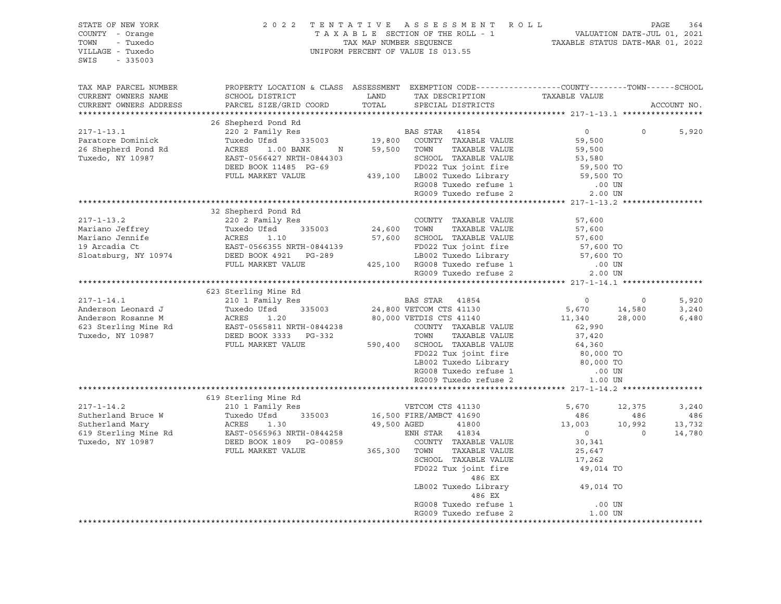| STATE OF NEW YORK<br>COUNTY - Orange<br>- Tuxedo<br>TOWN<br>VILLAGE - Tuxedo<br>SWIS<br>$-335003$                                                                                                                                                    |                                                                                                                                               | 2022 TENTATIVE ASSESSMENT ROLL<br>TAXABLE SECTION OF THE ROLL - 1<br>TAXABLE SECTION OF THE ROLL - 1<br>TAXABLE STATUS DATE-JUL 01, 2021<br>TAXABLE STATUS DATE-MAR 01, 2022<br>UNIFORM PERCENT OF VALUE IS 013.55 |                                                              | PAGE              | 364            |
|------------------------------------------------------------------------------------------------------------------------------------------------------------------------------------------------------------------------------------------------------|-----------------------------------------------------------------------------------------------------------------------------------------------|--------------------------------------------------------------------------------------------------------------------------------------------------------------------------------------------------------------------|--------------------------------------------------------------|-------------------|----------------|
| TAX MAP PARCEL NUMBER<br>CURRENT OWNERS NAME<br>CURRENT OWNERS ADDRESS                                                                                                                                                                               | PROPERTY LOCATION & CLASS ASSESSMENT EXEMPTION CODE----------------COUNTY-------TOWN------SCHOOL<br>SCHOOL DISTRICT<br>PARCEL SIZE/GRID COORD |                                                                                                                                                                                                                    |                                                              |                   | ACCOUNT NO.    |
|                                                                                                                                                                                                                                                      |                                                                                                                                               |                                                                                                                                                                                                                    |                                                              |                   |                |
|                                                                                                                                                                                                                                                      | 26 Shepherd Pond Rd<br>6 Shepherd Pond Rd<br>220 2 Family Res                                                                                 |                                                                                                                                                                                                                    |                                                              |                   |                |
| $217 - 1 - 13.1$                                                                                                                                                                                                                                     | 26 SHEPHELQ POHQ RQ<br>220 2 Family Res<br>Tuxedo Ufsd 335003 19,800 COUNTY TAXABLE VALUE<br>ACRES 1.00 BANK 19,800 TOWN TAXABLE VALUE        |                                                                                                                                                                                                                    | $\overline{0}$                                               | $\Omega$          | 5,920          |
| Paratore Dominick<br>26 Shepherd Pond Rd                                                                                                                                                                                                             |                                                                                                                                               |                                                                                                                                                                                                                    | 59,500                                                       |                   |                |
| Tuxedo, NY 10987                                                                                                                                                                                                                                     | EAST-0566427 NRTH-0844303                                                                                                                     | SCHOOL TAXABLE VALUE                                                                                                                                                                                               | 59,500<br>53,580<br>59,500 TO                                |                   |                |
|                                                                                                                                                                                                                                                      | DEED BOOK 11485 PG-69                                                                                                                         | SCHOOL TAXABLE VALUE<br>FD022 Tux joint fire                                                                                                                                                                       |                                                              |                   |                |
|                                                                                                                                                                                                                                                      | FULL MARKET VALUE 439,100 LB002 Tuxedo Library 59,500 TO                                                                                      |                                                                                                                                                                                                                    |                                                              |                   |                |
|                                                                                                                                                                                                                                                      |                                                                                                                                               |                                                                                                                                                                                                                    |                                                              |                   |                |
|                                                                                                                                                                                                                                                      |                                                                                                                                               |                                                                                                                                                                                                                    |                                                              |                   |                |
|                                                                                                                                                                                                                                                      |                                                                                                                                               |                                                                                                                                                                                                                    |                                                              |                   |                |
| 217-1-13.2<br>Mariano Jeffrey<br>Mariano Jeffrey<br>Mariano Jeffrey<br>Mariano Jeffrey<br>Mariano Jeffrey<br>Tuxedo Ufsd<br>24,600 TOWN TAXABLE VALUE<br>24,600 TOWN TAXABLE VALUE<br>24,600 TOWN TAXABLE VALUE<br>24,600 TOWN TAXABLE VALUE<br>25,6 | 32 Shepherd Pond Rd                                                                                                                           |                                                                                                                                                                                                                    |                                                              |                   |                |
|                                                                                                                                                                                                                                                      |                                                                                                                                               |                                                                                                                                                                                                                    | 57,600<br>57,600                                             |                   |                |
|                                                                                                                                                                                                                                                      |                                                                                                                                               |                                                                                                                                                                                                                    |                                                              |                   |                |
|                                                                                                                                                                                                                                                      |                                                                                                                                               |                                                                                                                                                                                                                    |                                                              |                   |                |
|                                                                                                                                                                                                                                                      |                                                                                                                                               |                                                                                                                                                                                                                    | 57,600<br>57,600 TO<br>57,600 TO                             |                   |                |
|                                                                                                                                                                                                                                                      | PULL MARKET VALUE 425,100 RG008 Tuxedo refuse 1 (0.0 UN PULL MARKET VALUE 425,100 RG008 Tuxedo refuse 1 (0.0 UN PULL MARKET VALUE             |                                                                                                                                                                                                                    |                                                              |                   |                |
|                                                                                                                                                                                                                                                      |                                                                                                                                               |                                                                                                                                                                                                                    |                                                              |                   |                |
|                                                                                                                                                                                                                                                      |                                                                                                                                               |                                                                                                                                                                                                                    |                                                              |                   |                |
|                                                                                                                                                                                                                                                      | 623 Sterling Mine Rd                                                                                                                          |                                                                                                                                                                                                                    |                                                              |                   |                |
| 417-1-14.1 623 Sterling Mine Rd<br>210 1 Family Res<br>210 1 Family Res<br>24,800 VETCOM CTS 41130<br>24,800 VETCOM CTS 41130<br>24,800 VETCOM CTS 41130<br>24,800 VETCOM CTS 41140<br>24,800 VETCOM CTS 41140<br>24,800 VETCOM CTS 41140<br>24,     |                                                                                                                                               |                                                                                                                                                                                                                    | $\begin{array}{c}0\\5\,,670\end{array}$                      | $\circ$<br>14,580 | 5,920<br>3,240 |
|                                                                                                                                                                                                                                                      |                                                                                                                                               |                                                                                                                                                                                                                    | 11,340 28,000                                                |                   | 6,480          |
|                                                                                                                                                                                                                                                      |                                                                                                                                               |                                                                                                                                                                                                                    | 62,990                                                       |                   |                |
|                                                                                                                                                                                                                                                      |                                                                                                                                               |                                                                                                                                                                                                                    | 37,420                                                       |                   |                |
|                                                                                                                                                                                                                                                      | FULL MARKET VALUE                                                                                                                             | 590,400 SCHOOL TAXABLE VALUE<br>FD022 Tux joint fire                                                                                                                                                               | 64,360                                                       |                   |                |
|                                                                                                                                                                                                                                                      |                                                                                                                                               |                                                                                                                                                                                                                    | 80,000 TO<br>80,000 TO                                       |                   |                |
|                                                                                                                                                                                                                                                      |                                                                                                                                               | LB002 Tuxedo Library                                                                                                                                                                                               |                                                              |                   |                |
|                                                                                                                                                                                                                                                      |                                                                                                                                               | RG008 Tuxedo refuse 1                                                                                                                                                                                              | .00 UN<br>1.00 UN                                            |                   |                |
|                                                                                                                                                                                                                                                      |                                                                                                                                               | RG009 Tuxedo refuse 2                                                                                                                                                                                              |                                                              |                   |                |
|                                                                                                                                                                                                                                                      | 619 Sterling Mine Rd                                                                                                                          |                                                                                                                                                                                                                    |                                                              |                   |                |
|                                                                                                                                                                                                                                                      | 210 1 Family Res                                                                                                                              |                                                                                                                                                                                                                    | 5,670                                                        | 12,375            | 3,240          |
|                                                                                                                                                                                                                                                      |                                                                                                                                               |                                                                                                                                                                                                                    | 486                                                          | 486               | 486            |
|                                                                                                                                                                                                                                                      |                                                                                                                                               |                                                                                                                                                                                                                    | 13,003                                                       | 10,992            | 13,732         |
|                                                                                                                                                                                                                                                      |                                                                                                                                               |                                                                                                                                                                                                                    | $\overline{0}$                                               | $\overline{0}$    | 14,780         |
|                                                                                                                                                                                                                                                      |                                                                                                                                               |                                                                                                                                                                                                                    | 30,341<br>25,647                                             |                   |                |
|                                                                                                                                                                                                                                                      |                                                                                                                                               |                                                                                                                                                                                                                    |                                                              |                   |                |
| 217-1-14.2<br>Sutherland Bruce W 7uxedo Ufsd 335003<br>Sutherland Mary ACRES 1.30 16,500 FIRE/AMBCT 41690<br>619 Sterling Mine Rd EAST-0565963 NRTH-0844258<br>Tuxedo, NY 10987 DEED BOOK 1809 PG-00859 265,300 TOWN TAXABLE VALUE<br>FU             |                                                                                                                                               | FD022 Tux joint fire                                                                                                                                                                                               | 17,262<br>49,014 TO                                          |                   |                |
|                                                                                                                                                                                                                                                      |                                                                                                                                               | 486 EX                                                                                                                                                                                                             |                                                              |                   |                |
|                                                                                                                                                                                                                                                      |                                                                                                                                               | LB002 Tuxedo Library<br>486 EX                                                                                                                                                                                     | 49,014 TO                                                    |                   |                |
|                                                                                                                                                                                                                                                      |                                                                                                                                               |                                                                                                                                                                                                                    |                                                              |                   |                |
|                                                                                                                                                                                                                                                      |                                                                                                                                               |                                                                                                                                                                                                                    | RG008 Tuxedo refuse 1 .00 UN<br>RG009 Tuxedo refuse 2 .00 UN |                   |                |
|                                                                                                                                                                                                                                                      |                                                                                                                                               |                                                                                                                                                                                                                    |                                                              |                   |                |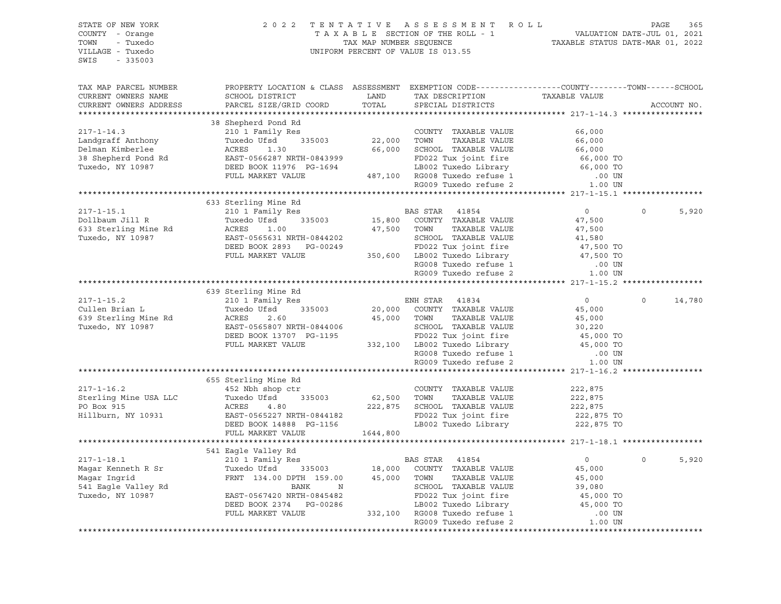| STATE OF NEW YORK<br>COUNTY - Orange<br>TOWN - Tuxedo<br>VILLAGE - Tuxedo<br>SWIS - 335003 |                                                                                                                                                                                                                                                        | 2022 TENTATIVE ASSESSMENT ROLL PAGE 365<br>TAXABLE SECTION OF THE ROLL - 1 VALUATION DATE-JUL 01, 2021<br>TAX MAP NUMBER SEQUENCE TAXABLE STATUS DATE-MAR 01, 2022<br>INIFORM PERCENT OF VALUE TO 12 55<br>UNIFORM PERCENT OF VALUE IS 013.55 |                       |                      |
|--------------------------------------------------------------------------------------------|--------------------------------------------------------------------------------------------------------------------------------------------------------------------------------------------------------------------------------------------------------|-----------------------------------------------------------------------------------------------------------------------------------------------------------------------------------------------------------------------------------------------|-----------------------|----------------------|
| TAX MAP PARCEL NUMBER<br>CURRENT OWNERS NAME<br>CURRENT OWNERS ADDRESS                     | PROPERTY LOCATION & CLASS ASSESSMENT EXEMPTION CODE----------------COUNTY-------TOWN------SCHOOL                                                                                                                                                       |                                                                                                                                                                                                                                               |                       | ACCOUNT NO.          |
|                                                                                            | 38 Shepherd Pond Rd<br>217-1-14.3 38 Shepherd Pond Rd<br>22,000 TOWITY TAXABLE VALUE 66,000<br>22,000 TOWITY TAXABLE VALUE 66,000<br>Delman Kimberlee ACRES 1.30 66,000 SCHOOL TAXABLE VALUE 66,000<br>38 Shepherd Pond Rd<br>22,000 TOWIT             |                                                                                                                                                                                                                                               |                       |                      |
|                                                                                            |                                                                                                                                                                                                                                                        |                                                                                                                                                                                                                                               |                       |                      |
|                                                                                            |                                                                                                                                                                                                                                                        |                                                                                                                                                                                                                                               |                       |                      |
|                                                                                            |                                                                                                                                                                                                                                                        |                                                                                                                                                                                                                                               |                       |                      |
|                                                                                            |                                                                                                                                                                                                                                                        |                                                                                                                                                                                                                                               |                       |                      |
|                                                                                            |                                                                                                                                                                                                                                                        |                                                                                                                                                                                                                                               |                       |                      |
|                                                                                            |                                                                                                                                                                                                                                                        |                                                                                                                                                                                                                                               |                       |                      |
|                                                                                            |                                                                                                                                                                                                                                                        |                                                                                                                                                                                                                                               |                       |                      |
|                                                                                            |                                                                                                                                                                                                                                                        |                                                                                                                                                                                                                                               |                       |                      |
|                                                                                            | 633 Sterling Mine Rd                                                                                                                                                                                                                                   |                                                                                                                                                                                                                                               |                       |                      |
| $217 - 1 - 15.1$                                                                           |                                                                                                                                                                                                                                                        |                                                                                                                                                                                                                                               | $\overline{0}$        | $\mathbf 0$<br>5,920 |
| Dollbaum Jill R                                                                            |                                                                                                                                                                                                                                                        |                                                                                                                                                                                                                                               |                       |                      |
| 633 Sterling Mine Rd                                                                       | 210 1 Family Res<br>Tuxedo Ufsd 335003 15,800 COUNTY TAXABLE VALUE<br>ACRES 1.00 27,500 TOWN TAXABLE VALUE                                                                                                                                             |                                                                                                                                                                                                                                               |                       |                      |
| Tuxedo, NY 10987                                                                           |                                                                                                                                                                                                                                                        |                                                                                                                                                                                                                                               |                       |                      |
|                                                                                            |                                                                                                                                                                                                                                                        |                                                                                                                                                                                                                                               |                       |                      |
|                                                                                            |                                                                                                                                                                                                                                                        |                                                                                                                                                                                                                                               |                       |                      |
|                                                                                            |                                                                                                                                                                                                                                                        |                                                                                                                                                                                                                                               |                       |                      |
|                                                                                            | Tuxedo Ufsd 335003 15,800 COUNTY TAXABLE VALUE 47,500<br>ACRES 1.00 47,500 TOWN TAXABLE VALUE 47,500<br>EAST-0565631 NRTH-0844202 SCHOOL TAXABLE VALUE 41,580<br>DEED BOOK 2893 PG-00249 FD022 Tux joint fire 47,500 TOWN 47,500<br>FU                 |                                                                                                                                                                                                                                               |                       |                      |
|                                                                                            |                                                                                                                                                                                                                                                        |                                                                                                                                                                                                                                               |                       |                      |
|                                                                                            | 639 Sterling Mine Rd<br>Sterling Mine Rd<br>210 1 Family Res                                                                                                                                                                                           |                                                                                                                                                                                                                                               |                       |                      |
| $217 - 1 - 15.2$                                                                           |                                                                                                                                                                                                                                                        | ENH STAR 41834                                                                                                                                                                                                                                | $\overline{0}$        | $\Omega$<br>14,780   |
|                                                                                            |                                                                                                                                                                                                                                                        |                                                                                                                                                                                                                                               |                       |                      |
|                                                                                            |                                                                                                                                                                                                                                                        |                                                                                                                                                                                                                                               |                       |                      |
|                                                                                            |                                                                                                                                                                                                                                                        |                                                                                                                                                                                                                                               |                       |                      |
|                                                                                            |                                                                                                                                                                                                                                                        |                                                                                                                                                                                                                                               |                       |                      |
|                                                                                            |                                                                                                                                                                                                                                                        |                                                                                                                                                                                                                                               |                       |                      |
|                                                                                            |                                                                                                                                                                                                                                                        |                                                                                                                                                                                                                                               |                       |                      |
|                                                                                            | 217-1-15.2<br>Cullen Brian L<br>Cullen Brian L<br>Tuxedo, NY 10987<br>Tuxedo, NY 10987<br>Tuxedo, NY 10987<br>TULL MARKET VALUE<br>TULL MARKET VALUE<br>TULL MARKET VALUE<br>TULL MARKET VALUE<br>TULL MARKET VALUE<br>TULL MARKET VALUE<br>TULL MARKE |                                                                                                                                                                                                                                               |                       |                      |
|                                                                                            |                                                                                                                                                                                                                                                        |                                                                                                                                                                                                                                               |                       |                      |
|                                                                                            | 452 Nbh shop ctr<br>317-1-16.2 452 Nbh shop ctr<br>452 Nbh shop ctr<br>452 Nbh shop ctr<br>452 Nbh shop ctr<br>4.80 62,500 TOWN TAXABLE VALUE<br>4.80 222,875 SCHOOL TAXABLE VALUE<br>4.80 222,875 SCHOOL TAXABLE VALUE<br>4.80 222,875 SCHOOL         | ng Mine Rd<br>h shop ctr<br>Ufsd 335003 62,500 TOWN TAXABLE VALUE<br>4.80 222,875 SCHOOL TAXABLE VALUE                                                                                                                                        | 222,875               |                      |
|                                                                                            |                                                                                                                                                                                                                                                        |                                                                                                                                                                                                                                               | 222,875               |                      |
|                                                                                            |                                                                                                                                                                                                                                                        |                                                                                                                                                                                                                                               |                       |                      |
|                                                                                            |                                                                                                                                                                                                                                                        |                                                                                                                                                                                                                                               | 222,875<br>222,875 TO |                      |
|                                                                                            |                                                                                                                                                                                                                                                        | LB002 Tuxedo Library                                                                                                                                                                                                                          | 222,875 TO            |                      |
|                                                                                            | FULL MARKET VALUE 1644,800                                                                                                                                                                                                                             |                                                                                                                                                                                                                                               |                       |                      |
|                                                                                            |                                                                                                                                                                                                                                                        |                                                                                                                                                                                                                                               |                       |                      |
|                                                                                            | 541 Eagle Valley Rd                                                                                                                                                                                                                                    |                                                                                                                                                                                                                                               |                       |                      |
|                                                                                            |                                                                                                                                                                                                                                                        |                                                                                                                                                                                                                                               |                       | $\Omega$<br>5,920    |
|                                                                                            |                                                                                                                                                                                                                                                        |                                                                                                                                                                                                                                               |                       |                      |
|                                                                                            |                                                                                                                                                                                                                                                        |                                                                                                                                                                                                                                               |                       |                      |
|                                                                                            |                                                                                                                                                                                                                                                        |                                                                                                                                                                                                                                               |                       |                      |
|                                                                                            |                                                                                                                                                                                                                                                        |                                                                                                                                                                                                                                               |                       |                      |
|                                                                                            |                                                                                                                                                                                                                                                        |                                                                                                                                                                                                                                               |                       |                      |
|                                                                                            |                                                                                                                                                                                                                                                        |                                                                                                                                                                                                                                               |                       |                      |
|                                                                                            |                                                                                                                                                                                                                                                        |                                                                                                                                                                                                                                               |                       |                      |
|                                                                                            |                                                                                                                                                                                                                                                        |                                                                                                                                                                                                                                               |                       |                      |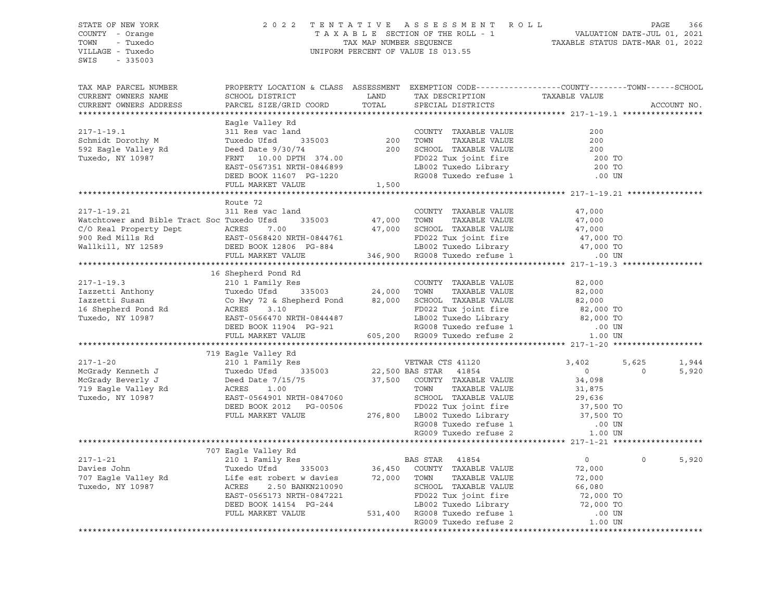| STATE OF NEW YORK<br>COUNTY - Orange                                                                                                                                                                                                 |                                                                                                                                                                                                                                                      | 2022 TENTATIVE ASSESSMENT ROLL PAGE 366<br>TAXABLE SECTION OF THE ROLL - 1 VALUATION DATE-JUL 01, 2021<br>TAX MAP NUMBER SEQUENCE TAXABLE STATUS DATE-MAR 01, 2022<br>UNIFORM PERCENT OF VALUE IS 013.55 |        |            |             |
|--------------------------------------------------------------------------------------------------------------------------------------------------------------------------------------------------------------------------------------|------------------------------------------------------------------------------------------------------------------------------------------------------------------------------------------------------------------------------------------------------|----------------------------------------------------------------------------------------------------------------------------------------------------------------------------------------------------------|--------|------------|-------------|
| TOWN - Tuxedo<br>VILLAGE - Tuxedo<br>SWIS - 335003                                                                                                                                                                                   |                                                                                                                                                                                                                                                      |                                                                                                                                                                                                          |        |            |             |
| TAX MAP PARCEL NUMBER                                                                                                                                                                                                                |                                                                                                                                                                                                                                                      | PROPERTY LOCATION & CLASS ASSESSMENT EXEMPTION CODE---------------COUNTY-------TOWN------SCHOOL                                                                                                          |        |            |             |
| CURRENT OWNERS NAME<br>CURRENT OWNERS ADDRESS                                                                                                                                                                                        |                                                                                                                                                                                                                                                      |                                                                                                                                                                                                          |        |            | ACCOUNT NO. |
|                                                                                                                                                                                                                                      |                                                                                                                                                                                                                                                      |                                                                                                                                                                                                          |        |            |             |
|                                                                                                                                                                                                                                      | Eagle Valley Rd                                                                                                                                                                                                                                      |                                                                                                                                                                                                          |        |            |             |
| $217 - 1 - 19.1$                                                                                                                                                                                                                     |                                                                                                                                                                                                                                                      |                                                                                                                                                                                                          |        |            |             |
| Schmidt Dorothy M<br>592 Eagle Valley Rd                                                                                                                                                                                             |                                                                                                                                                                                                                                                      |                                                                                                                                                                                                          |        |            |             |
| Tuxedo, NY 10987                                                                                                                                                                                                                     |                                                                                                                                                                                                                                                      |                                                                                                                                                                                                          |        |            |             |
|                                                                                                                                                                                                                                      |                                                                                                                                                                                                                                                      |                                                                                                                                                                                                          |        |            |             |
|                                                                                                                                                                                                                                      |                                                                                                                                                                                                                                                      |                                                                                                                                                                                                          |        |            |             |
|                                                                                                                                                                                                                                      | Eagle Valley Rd<br>31 Res vac land<br>Tuxedo Ufsd<br>335003<br>Deed Date 9/30/74<br>FRNT 10.00 DPTH 374.00<br>EAST-0567351 NRTH-0846899<br>DEED BOOK 11607 PG-1220<br>FULL MARKET VALUE<br>FULL MARKET VALUE<br>FULL MARKET VALUE<br>FULL MARKET VAL |                                                                                                                                                                                                          |        |            |             |
|                                                                                                                                                                                                                                      |                                                                                                                                                                                                                                                      |                                                                                                                                                                                                          |        |            |             |
|                                                                                                                                                                                                                                      | Route 72                                                                                                                                                                                                                                             |                                                                                                                                                                                                          |        |            |             |
| $217 - 1 - 19.21$                                                                                                                                                                                                                    | 311 Res vac land                                                                                                                                                                                                                                     | COUNTY TAXABLE VALUE                                                                                                                                                                                     | 47,000 |            |             |
|                                                                                                                                                                                                                                      |                                                                                                                                                                                                                                                      |                                                                                                                                                                                                          |        |            |             |
|                                                                                                                                                                                                                                      |                                                                                                                                                                                                                                                      |                                                                                                                                                                                                          |        |            |             |
|                                                                                                                                                                                                                                      |                                                                                                                                                                                                                                                      |                                                                                                                                                                                                          |        |            |             |
| 217-1-19.21 311 Res vac 1and<br>Watchtower and Bible Tract Soc Tuxedo Ufsd 335003 47,000 TOWN TAXABLE VALUE 47,000<br>C/O Real Property Dept ACRES 7.00 47,000 SCHOOL TAXABLE VALUE 47,000<br>900 Red Mills Rd EAST-0568420 NRTH-084 |                                                                                                                                                                                                                                                      |                                                                                                                                                                                                          |        |            |             |
|                                                                                                                                                                                                                                      |                                                                                                                                                                                                                                                      |                                                                                                                                                                                                          |        |            |             |
|                                                                                                                                                                                                                                      | 16 Shepherd Pond Rd                                                                                                                                                                                                                                  |                                                                                                                                                                                                          |        |            |             |
|                                                                                                                                                                                                                                      |                                                                                                                                                                                                                                                      |                                                                                                                                                                                                          |        |            |             |
|                                                                                                                                                                                                                                      |                                                                                                                                                                                                                                                      |                                                                                                                                                                                                          |        |            |             |
|                                                                                                                                                                                                                                      |                                                                                                                                                                                                                                                      |                                                                                                                                                                                                          |        |            |             |
|                                                                                                                                                                                                                                      |                                                                                                                                                                                                                                                      |                                                                                                                                                                                                          |        |            |             |
|                                                                                                                                                                                                                                      |                                                                                                                                                                                                                                                      |                                                                                                                                                                                                          |        |            |             |
|                                                                                                                                                                                                                                      |                                                                                                                                                                                                                                                      |                                                                                                                                                                                                          |        |            |             |
|                                                                                                                                                                                                                                      |                                                                                                                                                                                                                                                      |                                                                                                                                                                                                          |        |            |             |
|                                                                                                                                                                                                                                      | 719 Eagle Valley Rd                                                                                                                                                                                                                                  |                                                                                                                                                                                                          |        |            |             |
|                                                                                                                                                                                                                                      |                                                                                                                                                                                                                                                      |                                                                                                                                                                                                          |        | 5,625      | 1,944       |
|                                                                                                                                                                                                                                      |                                                                                                                                                                                                                                                      |                                                                                                                                                                                                          |        | $\bigcirc$ | 5,920       |
|                                                                                                                                                                                                                                      |                                                                                                                                                                                                                                                      |                                                                                                                                                                                                          |        |            |             |
|                                                                                                                                                                                                                                      |                                                                                                                                                                                                                                                      |                                                                                                                                                                                                          |        |            |             |
|                                                                                                                                                                                                                                      |                                                                                                                                                                                                                                                      |                                                                                                                                                                                                          |        |            |             |
|                                                                                                                                                                                                                                      |                                                                                                                                                                                                                                                      |                                                                                                                                                                                                          |        |            |             |
|                                                                                                                                                                                                                                      |                                                                                                                                                                                                                                                      |                                                                                                                                                                                                          |        |            |             |
|                                                                                                                                                                                                                                      |                                                                                                                                                                                                                                                      |                                                                                                                                                                                                          |        |            |             |
|                                                                                                                                                                                                                                      |                                                                                                                                                                                                                                                      |                                                                                                                                                                                                          |        |            |             |
|                                                                                                                                                                                                                                      | 707 Eagle Valley Rd                                                                                                                                                                                                                                  |                                                                                                                                                                                                          |        |            |             |
|                                                                                                                                                                                                                                      |                                                                                                                                                                                                                                                      |                                                                                                                                                                                                          |        | $\Omega$   | 5,920       |
|                                                                                                                                                                                                                                      |                                                                                                                                                                                                                                                      |                                                                                                                                                                                                          |        |            |             |
|                                                                                                                                                                                                                                      |                                                                                                                                                                                                                                                      |                                                                                                                                                                                                          |        |            |             |
|                                                                                                                                                                                                                                      |                                                                                                                                                                                                                                                      |                                                                                                                                                                                                          |        |            |             |
|                                                                                                                                                                                                                                      |                                                                                                                                                                                                                                                      |                                                                                                                                                                                                          |        |            |             |
|                                                                                                                                                                                                                                      |                                                                                                                                                                                                                                                      |                                                                                                                                                                                                          |        |            |             |
|                                                                                                                                                                                                                                      |                                                                                                                                                                                                                                                      |                                                                                                                                                                                                          |        |            |             |
|                                                                                                                                                                                                                                      |                                                                                                                                                                                                                                                      |                                                                                                                                                                                                          |        |            |             |
|                                                                                                                                                                                                                                      |                                                                                                                                                                                                                                                      |                                                                                                                                                                                                          |        |            |             |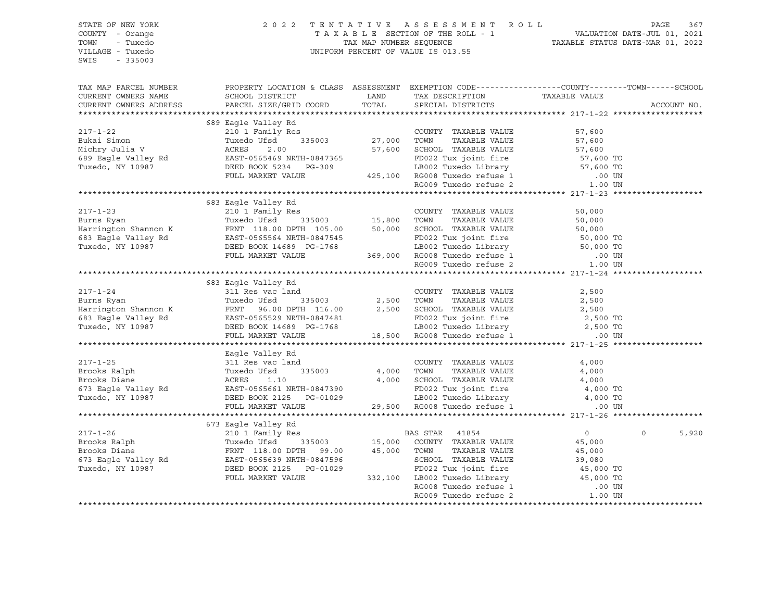| STATE OF NEW YORK<br>COUNTY - Orange<br>TOWN<br>- Tuxedo<br>VILLAGE - Tuxedo<br>SWIS<br>$-335003$                                                                                                                                                                                                                 | 2 0 2 2                                                                                                                                           | TENTATIVE ASSESSMENT ROLL<br>TAXABLE SECTION OF THE ROLL - 1<br>TAXABLE STATUS DATE-JUL 01, 2021<br>TAXABLE STATUS DATE-MAR 01, 2022<br>UNIFORM PERCENT OF VALUE IS 013.55 |        | PAGE<br>367          |
|-------------------------------------------------------------------------------------------------------------------------------------------------------------------------------------------------------------------------------------------------------------------------------------------------------------------|---------------------------------------------------------------------------------------------------------------------------------------------------|----------------------------------------------------------------------------------------------------------------------------------------------------------------------------|--------|----------------------|
| TAX MAP PARCEL NUMBER<br>CURRENT OWNERS NAME<br>CURRENT OWNERS ADDRESS                                                                                                                                                                                                                                            | PROPERTY LOCATION & CLASS ASSESSMENT EXEMPTION CODE---------------COUNTY-------TOWN-----SCHOOL<br>SCHOOL DISTRICT<br>PARCEL SIZE/GRID COORD TOTAL | EXAMP TAX DESCRIPTION TAXABLE VALUE<br>LAND TAX DESCRIPTION TAXABLE VALUE<br>SPECIAL DISTRICTS                                                                             |        | ACCOUNT NO.          |
| $217 - 1 - 22$<br>217-1-22<br>Alter Simon Tuxedo Uffanily Res 2.00<br>Michry Julia V<br>Michry Julia V<br>ST, 600<br>EAST-0565469 NRTH-0847365<br>Tuxedo, NY 10987<br>TULE MARKET VALUE<br>FULL MARKET VALUE<br>PULL MARKET VALUE<br>PULL MARKET VALUE<br>PULL MARKET                                             | 689 Eagle Valley Rd                                                                                                                               |                                                                                                                                                                            | 57,600 |                      |
|                                                                                                                                                                                                                                                                                                                   | 683 Eagle Valley Rd                                                                                                                               |                                                                                                                                                                            |        |                      |
|                                                                                                                                                                                                                                                                                                                   |                                                                                                                                                   |                                                                                                                                                                            |        |                      |
|                                                                                                                                                                                                                                                                                                                   | 683 Eagle Valley Rd                                                                                                                               |                                                                                                                                                                            |        |                      |
| 217-1-24<br>Burns Ryan 311 Res vac land COUNTY TAXABLE VALUE 2,500<br>Harrington Shannon K FRNT 96.00 DPTH 116.00 2,500 SCHOOL TAXABLE VALUE 2,500<br>683 Eagle Valley Rd EAST-0565529 NRTH-0847481 FD022 Tux joint fire 2,500 TOWN                                                                               |                                                                                                                                                   |                                                                                                                                                                            |        |                      |
| Eagle Valley Rd 217-1-25<br>Brooks Ralph Tuxedo Ufsd 335003 4,000 TOWN TAXABLE VALUE<br>Brooks Diane ACRES 1.10<br>673 Eagle Valley Rd 2125 PG-01029 128600L TAXABLE VALUE<br>Tuxedo, NY 10987 DEED BOOK 2125 PG-01029 128002 Tuxedo F                                                                            | Eagle Valley Rd                                                                                                                                   |                                                                                                                                                                            |        |                      |
| ${\small \begin{tabular}{lcccc} \bf 217-1-26 & \bf 673 Eagle Valley Rd & \bf 210 1 Family Res & \bf 210 1211-126 & \bf 210 1221-126 & \bf 210 1221-126 & \bf 210 1221-126 & \bf 210 1221-126 & \bf 210 1221-126 & \bf 210 1221-126 & \bf 210 1221-126 & \bf 210 1221-126 & \bf 210 1221-126 & \bf 210 1221-126 &$ | 673 Eagle Valley Rd                                                                                                                               |                                                                                                                                                                            |        | $\mathbf 0$<br>5,920 |
|                                                                                                                                                                                                                                                                                                                   |                                                                                                                                                   |                                                                                                                                                                            |        |                      |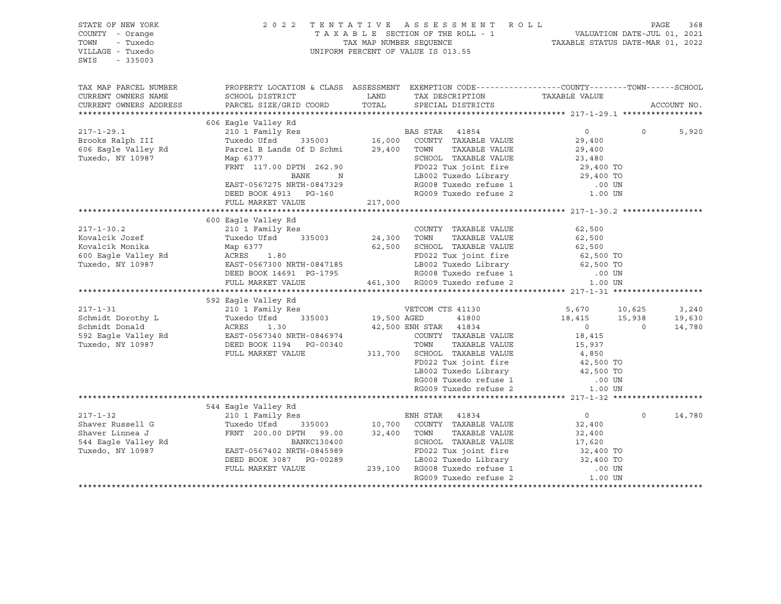| STATE OF NEW YORK<br>COUNTY - Orange<br>- Tuxedo<br>TOWN<br>VILLAGE - Tuxedo<br>$-335003$<br>SWIS                |                                                                                                                                                                                                                                                                                                                                                                                | 2022 TENTATIVE ASSESSMENT ROLL<br>UNIFORM PERCENT OF VALUE IS 013.55                                                                                                                                                                                                                                                                                              | PAGE<br>TAXABLE SECTION OF THE ROLL - 1<br>TAX MAP NUMBER SEQUENCE TAXABLE STATUS DATE-JUL 01, 2021<br>TAXABLE STATUS DATE-MAR 01, 2022                                                | 368 |
|------------------------------------------------------------------------------------------------------------------|--------------------------------------------------------------------------------------------------------------------------------------------------------------------------------------------------------------------------------------------------------------------------------------------------------------------------------------------------------------------------------|-------------------------------------------------------------------------------------------------------------------------------------------------------------------------------------------------------------------------------------------------------------------------------------------------------------------------------------------------------------------|----------------------------------------------------------------------------------------------------------------------------------------------------------------------------------------|-----|
| TAX MAP PARCEL NUMBER<br>CURRENT OWNERS NAME<br>CURRENT OWNERS ADDRESS                                           | SCHOOL DISTRICT<br>PARCEL SIZE/GRID COORD                                                                                                                                                                                                                                                                                                                                      | LAND TAX DESCRIPTION TAXABLE VALUE COORD TOTAL SPECIAL DISTRICTS                                                                                                                                                                                                                                                                                                  | PROPERTY LOCATION & CLASS ASSESSMENT EXEMPTION CODE----------------COUNTY-------TOWN------SCHOOL<br>ACCOUNT NO.                                                                        |     |
| $217 - 1 - 29.1$<br>Brooks Ralph III<br>606 Eagle Valley Rd<br>Tuxedo, NY 10987                                  | 606 Eagle Valley Rd<br>Map 6377<br>riap 03//<br>FRNT 117.00 DPTH 262.90<br>BANK N<br>EAST-0567275 NRTH-0847329<br>DEED BOOK 4913 PG-160                                                                                                                                                                                                                                        | TAXABLE VALUE<br>SCHOOL TAXABLE VALUE<br>SCHOOL TAXABLE VALUE<br>FD022 Tux joint fire<br>LB002 Tuxedo Library<br>RG008 Tuxedo refuse 1<br>RG009 Tuxedo refuse 2                                                                                                                                                                                                   | $\Omega$<br>$\Omega$<br>5,920<br>29,400<br>29,400<br>23,480<br>29,400 TO<br>29,400 TO<br>.00 UN<br>1.00 UN                                                                             |     |
|                                                                                                                  | FULL MARKET VALUE 217,000                                                                                                                                                                                                                                                                                                                                                      |                                                                                                                                                                                                                                                                                                                                                                   |                                                                                                                                                                                        |     |
| $217 - 1 - 30.2$<br>Kovalcik Jozef<br>Kovalcik Monika<br>600 Eagle Valley Rd<br>- 11 11 1097<br>Tuxedo, NY 10987 | 600 Eagle Valley Rd<br>210 1 Family Res<br>Tuxedo Ufsd 335003<br>Map 6377<br>ACRES 1.80<br>FULL MARKET VALUE<br>217-1-31<br>Schmidt Dorothy L<br>Schmidt Dorothy L<br>Schmidt Donald<br>592 Eagle Valley Rd<br>Tuxedo Ufsd<br>210 1 Family Res<br>Tuxedo Ufsd<br>235003<br>210 1 Family Res<br>210 1 Family Res<br>210 1 Family Res<br>235003<br>2003<br>2003<br>200340<br>200 | COUNTY<br>24,300 TOWN<br>COUNTY TAXABLE VALUE<br>TAXABLE VALUE<br>62,500 SCHOOL TAXABLE VALUE<br>ACRES 1.80<br>EAST-0567300 NRTH-0847185 LB002 Tuxedo Library<br>DEED BOOK 14691 PG-1795 RG008 Tuxedo refuse 1<br>461,300 RG009 Tuxedo refuse 2<br>210 1 Family Res<br>Tuxedo Ufsd 335003 19,500 AGED 41800<br>42,500 ENH STAR 41834                              | 62,500<br>62,500<br>62,500<br>62,500 TO<br>62,500 TO<br>.00 UN<br><b>1.00 UN</b><br>5,670 10,625<br>3,240<br>$18,415$ $15,938$<br>19,630<br>$\overline{0}$<br>$\overline{0}$<br>14,780 |     |
|                                                                                                                  |                                                                                                                                                                                                                                                                                                                                                                                | COUNTY TAXABLE VALUE<br>TOWN<br>TAXABLE VALUE<br>FULL MARKET VALUE 313,700 SCHOOL TAXABLE VALUE<br>FD022 Tux joint fire<br>LB002 Tuxedo Library<br>RG008 Tuxedo refuse 1<br>RG009 Tuxedo refuse 2                                                                                                                                                                 | 18,415<br>15,937<br>4,850<br>42,500 TO<br>42,500 TO<br>.00 UN<br>1.00 UN                                                                                                               |     |
|                                                                                                                  | 544 Eagle Valley Rd                                                                                                                                                                                                                                                                                                                                                            |                                                                                                                                                                                                                                                                                                                                                                   |                                                                                                                                                                                        |     |
| $217 - 1 - 32$<br>Shaver Russell G<br>Shaver Linnea J<br>544 Eagle Valley Rd<br>Tuxedo, NY 10987                 |                                                                                                                                                                                                                                                                                                                                                                                | ENH STAR 41834<br>FRNT 200.00 DPTH 99.00<br>ERNT 200.00 DPTH 99.00 32,400 TOWN TAXABLE VALUE<br>BANKC130400 SCHOOL TAXABLE VALUE<br>SCHOOL TAXABLE VALUE<br>EAST-0567402 NRTH-0845989 FD022 Tux joint fire 32,400 TO<br>DEED BOOK 3087 PG-00289 LB002 Tuxedo Library 32,400 TO<br>FULL MARKET VALUE 239,100 RG008 Tuxedo refuse 1 .00 UN<br>RG009 Tuxedo refuse 2 | $\overline{0}$<br>$\Omega$<br>14,780<br>32,400<br>32,400<br>17,620<br>32,400 TO<br>1.00 UN                                                                                             |     |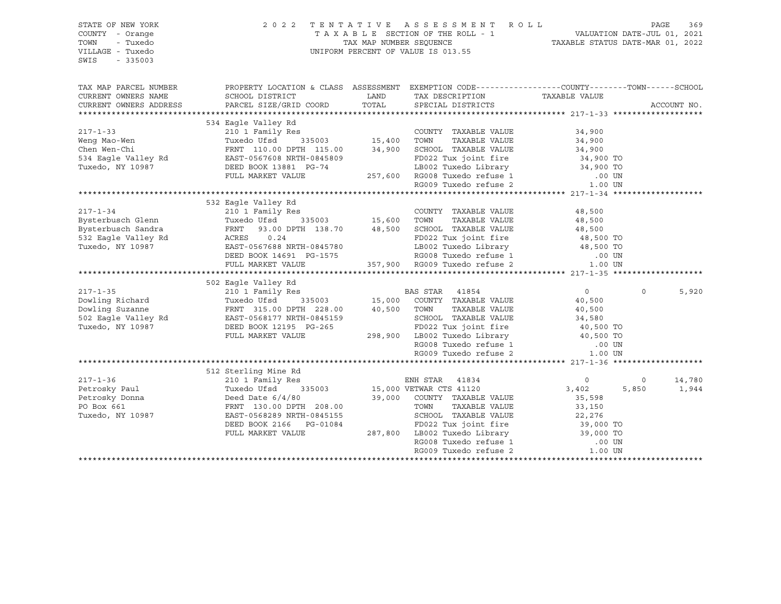| STATE OF NEW YORK                                                                                                                                                                                                                                                                                                                                                                                                                                  |                                                                                                                                                                                                                          |       | 2022 TENTATIVE ASSESSMENT ROLL                                                                                                                                                    |                  |          | PAGE | 369         |
|----------------------------------------------------------------------------------------------------------------------------------------------------------------------------------------------------------------------------------------------------------------------------------------------------------------------------------------------------------------------------------------------------------------------------------------------------|--------------------------------------------------------------------------------------------------------------------------------------------------------------------------------------------------------------------------|-------|-----------------------------------------------------------------------------------------------------------------------------------------------------------------------------------|------------------|----------|------|-------------|
| COUNTY - Orange                                                                                                                                                                                                                                                                                                                                                                                                                                    |                                                                                                                                                                                                                          |       | TAXABLE SECTION OF THE ROLL - 1<br>TAXABLE STATUS DATE-JUL 01, 2021<br>TAXABLE STATUS DATE-MAR 01, 2022                                                                           |                  |          |      |             |
| TOWN<br>- Tuxedo                                                                                                                                                                                                                                                                                                                                                                                                                                   |                                                                                                                                                                                                                          |       |                                                                                                                                                                                   |                  |          |      |             |
| VILLAGE - Tuxedo                                                                                                                                                                                                                                                                                                                                                                                                                                   |                                                                                                                                                                                                                          |       | UNIFORM PERCENT OF VALUE IS 013.55                                                                                                                                                |                  |          |      |             |
| $-335003$<br>SWIS                                                                                                                                                                                                                                                                                                                                                                                                                                  |                                                                                                                                                                                                                          |       |                                                                                                                                                                                   |                  |          |      |             |
|                                                                                                                                                                                                                                                                                                                                                                                                                                                    |                                                                                                                                                                                                                          |       |                                                                                                                                                                                   |                  |          |      |             |
|                                                                                                                                                                                                                                                                                                                                                                                                                                                    |                                                                                                                                                                                                                          |       |                                                                                                                                                                                   |                  |          |      |             |
| TAX MAP PARCEL NUMBER                                                                                                                                                                                                                                                                                                                                                                                                                              | PROPERTY LOCATION & CLASS ASSESSMENT EXEMPTION CODE----------------COUNTY-------TOWN------SCHOOL                                                                                                                         |       |                                                                                                                                                                                   |                  |          |      |             |
| CURRENT OWNERS NAME                                                                                                                                                                                                                                                                                                                                                                                                                                | SCHOOL DISTRICT                                                                                                                                                                                                          | LAND  | TAX DESCRIPTION                                                                                                                                                                   | TAXABLE VALUE    |          |      |             |
| CURRENT OWNERS ADDRESS                                                                                                                                                                                                                                                                                                                                                                                                                             |                                                                                                                                                                                                                          | TOTAL | SPECIAL DISTRICTS                                                                                                                                                                 |                  |          |      | ACCOUNT NO. |
|                                                                                                                                                                                                                                                                                                                                                                                                                                                    | PARCEL SIZE/GRID COORD                                                                                                                                                                                                   |       |                                                                                                                                                                                   |                  |          |      |             |
| 34,900<br>217-1-33<br>217-1-33<br>217-1-33<br>217-1-33<br>217-1-33<br>217-1-33<br>217-1-33<br>217-1-33<br>217-1-34<br>217-1-34<br>217-1-34<br>217-1-34<br>217-1-34<br>217-1-34<br>217-1-34<br>217-1-34<br>217-1-34<br>217-1-34<br>217-1-34<br>217-1-34<br>217-1-34<br>217-                                                                                                                                                                         |                                                                                                                                                                                                                          |       |                                                                                                                                                                                   |                  |          |      |             |
|                                                                                                                                                                                                                                                                                                                                                                                                                                                    |                                                                                                                                                                                                                          |       |                                                                                                                                                                                   |                  |          |      |             |
|                                                                                                                                                                                                                                                                                                                                                                                                                                                    |                                                                                                                                                                                                                          |       |                                                                                                                                                                                   |                  |          |      |             |
|                                                                                                                                                                                                                                                                                                                                                                                                                                                    |                                                                                                                                                                                                                          |       |                                                                                                                                                                                   |                  |          |      |             |
|                                                                                                                                                                                                                                                                                                                                                                                                                                                    |                                                                                                                                                                                                                          |       |                                                                                                                                                                                   |                  |          |      |             |
|                                                                                                                                                                                                                                                                                                                                                                                                                                                    |                                                                                                                                                                                                                          |       |                                                                                                                                                                                   |                  |          |      |             |
|                                                                                                                                                                                                                                                                                                                                                                                                                                                    |                                                                                                                                                                                                                          |       |                                                                                                                                                                                   |                  |          |      |             |
|                                                                                                                                                                                                                                                                                                                                                                                                                                                    |                                                                                                                                                                                                                          |       |                                                                                                                                                                                   |                  |          |      |             |
|                                                                                                                                                                                                                                                                                                                                                                                                                                                    |                                                                                                                                                                                                                          |       |                                                                                                                                                                                   |                  |          |      |             |
|                                                                                                                                                                                                                                                                                                                                                                                                                                                    |                                                                                                                                                                                                                          |       |                                                                                                                                                                                   |                  |          |      |             |
|                                                                                                                                                                                                                                                                                                                                                                                                                                                    |                                                                                                                                                                                                                          |       |                                                                                                                                                                                   |                  |          |      |             |
|                                                                                                                                                                                                                                                                                                                                                                                                                                                    |                                                                                                                                                                                                                          |       |                                                                                                                                                                                   |                  |          |      |             |
|                                                                                                                                                                                                                                                                                                                                                                                                                                                    |                                                                                                                                                                                                                          |       |                                                                                                                                                                                   |                  |          |      |             |
|                                                                                                                                                                                                                                                                                                                                                                                                                                                    |                                                                                                                                                                                                                          |       |                                                                                                                                                                                   |                  |          |      |             |
|                                                                                                                                                                                                                                                                                                                                                                                                                                                    |                                                                                                                                                                                                                          |       |                                                                                                                                                                                   |                  |          |      |             |
|                                                                                                                                                                                                                                                                                                                                                                                                                                                    |                                                                                                                                                                                                                          |       |                                                                                                                                                                                   |                  |          |      |             |
|                                                                                                                                                                                                                                                                                                                                                                                                                                                    |                                                                                                                                                                                                                          |       |                                                                                                                                                                                   |                  |          |      |             |
|                                                                                                                                                                                                                                                                                                                                                                                                                                                    |                                                                                                                                                                                                                          |       |                                                                                                                                                                                   |                  |          |      |             |
|                                                                                                                                                                                                                                                                                                                                                                                                                                                    | ACRES 0.24 FD022 Tux joint fire 48,500 TO<br>EAST-0567688 NRTH-0845780 LB002 Tuxedo Library 48,500 TO<br>DEED BOOK 14691 PG-1575 RG008 Tuxedo refuse 1 .00 UN<br>FULL MARKET VALUE 357,900 RG009 Tuxedo refuse 2 1.00 UN |       |                                                                                                                                                                                   |                  |          |      |             |
|                                                                                                                                                                                                                                                                                                                                                                                                                                                    |                                                                                                                                                                                                                          |       |                                                                                                                                                                                   |                  |          |      |             |
|                                                                                                                                                                                                                                                                                                                                                                                                                                                    | 502 Eagle Valley Rd                                                                                                                                                                                                      |       |                                                                                                                                                                                   |                  |          |      |             |
|                                                                                                                                                                                                                                                                                                                                                                                                                                                    | Eagle valley ku (* 1854)<br>210 1 Family Res (* 1850)<br>Tuxedo Ufsd (* 185003 15,000 COUNTY TAXABLE VALUE (* 10.500 10.500 10.500 10.500 10.500 10.500 10.500 10.500 1                                                  |       |                                                                                                                                                                                   |                  | $\Omega$ |      | 5,920       |
|                                                                                                                                                                                                                                                                                                                                                                                                                                                    |                                                                                                                                                                                                                          |       |                                                                                                                                                                                   |                  |          |      |             |
|                                                                                                                                                                                                                                                                                                                                                                                                                                                    |                                                                                                                                                                                                                          |       |                                                                                                                                                                                   |                  |          |      |             |
|                                                                                                                                                                                                                                                                                                                                                                                                                                                    |                                                                                                                                                                                                                          |       | TOWN TAXABLE VALUE<br>SCHOOL TAXABLE VALUE 34,580<br>TRASS That fire 40,500 TO                                                                                                    |                  |          |      |             |
|                                                                                                                                                                                                                                                                                                                                                                                                                                                    |                                                                                                                                                                                                                          |       |                                                                                                                                                                                   |                  |          |      |             |
| 217-1-35<br>Dowling Richard<br>Dowling Suzanne<br>502 Eagle Valley Rd<br>1987<br>228.00<br>228.00<br>228.00<br>228.00<br>23502<br>238.00<br>23502<br>238.00<br>238.00<br>238.00<br>238.00<br>238.00<br>238.00<br>238.00<br>238.00<br>238.00<br>238.00<br>238.00<br>238.00<br>2                                                                                                                                                                     |                                                                                                                                                                                                                          |       |                                                                                                                                                                                   |                  |          |      |             |
|                                                                                                                                                                                                                                                                                                                                                                                                                                                    |                                                                                                                                                                                                                          |       |                                                                                                                                                                                   |                  |          |      |             |
|                                                                                                                                                                                                                                                                                                                                                                                                                                                    |                                                                                                                                                                                                                          |       | PD022 Tux joint fire $298,900$ LB002 Tuxedo Library $40,500$ TO<br>RG008 Tuxedo Library $40,500$ TO<br>RG008 Tuxedo refuse 1 00 UN<br>RG009 Tuxedo refuse 2 1.00 UN               |                  |          |      |             |
|                                                                                                                                                                                                                                                                                                                                                                                                                                                    |                                                                                                                                                                                                                          |       |                                                                                                                                                                                   |                  |          |      |             |
|                                                                                                                                                                                                                                                                                                                                                                                                                                                    | 512 Sterling Mine Rd                                                                                                                                                                                                     |       |                                                                                                                                                                                   |                  |          |      |             |
|                                                                                                                                                                                                                                                                                                                                                                                                                                                    |                                                                                                                                                                                                                          |       |                                                                                                                                                                                   |                  |          |      |             |
|                                                                                                                                                                                                                                                                                                                                                                                                                                                    |                                                                                                                                                                                                                          |       |                                                                                                                                                                                   | $\overline{0}$   | $\circ$  |      | 14,780      |
|                                                                                                                                                                                                                                                                                                                                                                                                                                                    |                                                                                                                                                                                                                          |       |                                                                                                                                                                                   | 3,402            | 5,850    |      | 1,944       |
| $\begin{tabular}{lllllllllll} \multicolumn{3}{c}{217-1-36} \\ \multicolumn{3}{c}{Petersky Paul} & \multicolumn{3}{c}{Tuxedo Ufsd} & \multicolumn{3}{c}{355000} \\ \multicolumn{3}{c}{Petersky Donna} & \multicolumn{3}{c}{Deed Date 6/4/80} \\ \multicolumn{3}{c}{PO Box 661} & \multicolumn{3}{c}{FRT} & \multicolumn{3}{c}{130.00 DPTH} & \multicolumn{3}{c}{208.00} \\ \multicolumn{3}{c}{POS} & \multicolumn{3}{c}{FRT} & \multicolumn{3}{c}{$ |                                                                                                                                                                                                                          |       |                                                                                                                                                                                   | 35,598           |          |      |             |
|                                                                                                                                                                                                                                                                                                                                                                                                                                                    |                                                                                                                                                                                                                          |       | TAXABLE VALUE                                                                                                                                                                     | 33,150<br>22,276 |          |      |             |
|                                                                                                                                                                                                                                                                                                                                                                                                                                                    |                                                                                                                                                                                                                          |       |                                                                                                                                                                                   |                  |          |      |             |
|                                                                                                                                                                                                                                                                                                                                                                                                                                                    |                                                                                                                                                                                                                          |       |                                                                                                                                                                                   |                  |          |      |             |
|                                                                                                                                                                                                                                                                                                                                                                                                                                                    | FULL MARKET VALUE                                                                                                                                                                                                        |       |                                                                                                                                                                                   |                  |          |      |             |
|                                                                                                                                                                                                                                                                                                                                                                                                                                                    |                                                                                                                                                                                                                          |       |                                                                                                                                                                                   |                  |          |      |             |
|                                                                                                                                                                                                                                                                                                                                                                                                                                                    |                                                                                                                                                                                                                          |       | 1945155 SCHOOL TAXABLE VALUE<br>3-01084 PD022 Tux joint fire 39,000 TO<br>287,800 LB002 Tuxedo Library 39,000 TO<br>RG008 Tuxedo refuse 1 .00 UN<br>PG009 Tuxedo refuse 2 1.00 UN |                  |          |      |             |
|                                                                                                                                                                                                                                                                                                                                                                                                                                                    |                                                                                                                                                                                                                          |       |                                                                                                                                                                                   |                  |          |      |             |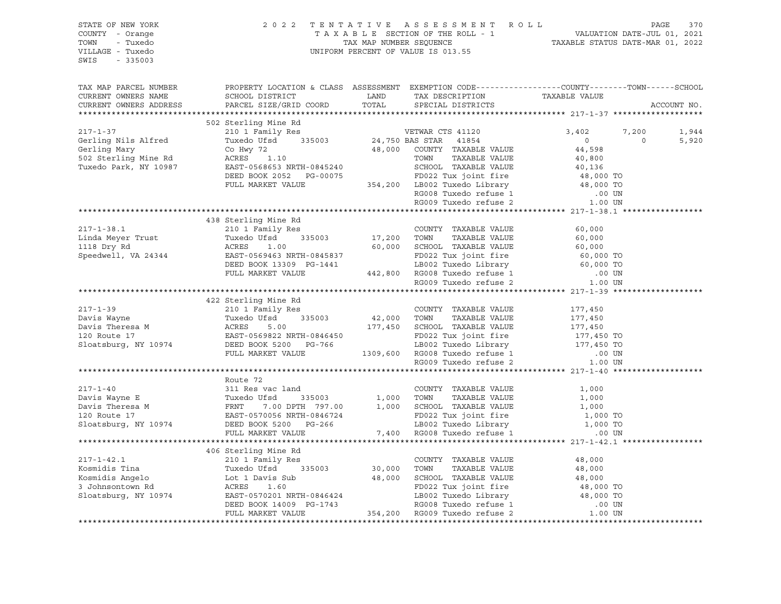| STATE OF NEW YORK<br>COUNTY - Orange<br>- Tuxedo<br>TOWN<br>VILLAGE - Tuxedo<br>SWIS<br>$-335003$                                                                                                                                                                                                                                                                                                                                                            |                                                                                                  | 2022 TENTATIVE ASSESSMENT ROLL<br>TAXABLE SECTION OF THE ROLL - 1 VALUATION DATE-JUL 01, 2021<br>TAX MAP NUMBER SEQUENCE TAXABLE STATUS DATE-MAR 01, 2022<br>UNIFORM PERCENT OF VALUE IS 013.55 |                         |  |
|--------------------------------------------------------------------------------------------------------------------------------------------------------------------------------------------------------------------------------------------------------------------------------------------------------------------------------------------------------------------------------------------------------------------------------------------------------------|--------------------------------------------------------------------------------------------------|-------------------------------------------------------------------------------------------------------------------------------------------------------------------------------------------------|-------------------------|--|
| TAX MAP PARCEL NUMBER<br>CURRENT OWNERS NAME<br>CURRENT OWNERS ADDRESS                                                                                                                                                                                                                                                                                                                                                                                       | PROPERTY LOCATION & CLASS ASSESSMENT EXEMPTION CODE----------------COUNTY-------TOWN------SCHOOL |                                                                                                                                                                                                 | ACCOUNT NO.             |  |
| $\begin{tabular}{lcccccc} \texttt{CURRENT} & \texttt{OWREKS} & \texttt{ADURBOS} \\ \texttt{****}{\texttt{****}{\texttt{****}{\texttt{****}{\texttt{****}{\texttt{****}{\texttt{****}{\texttt{****}{\texttt{****}{\texttt{****}{\texttt{****}{\texttt{****}}{\texttt{****}}{\texttt{****}}{\texttt{****}}{\texttt{****}}{\texttt{****}}{\texttt{****}}{\texttt{}}}}}}$ & 3,402 & 7, \\ & 210 & 1 & 1 & 200 & 1 & 1 & 1 & 1 & 1 & 1 & 1 & 1 & 1 & 1 & 1 & 1 &$ |                                                                                                  |                                                                                                                                                                                                 |                         |  |
|                                                                                                                                                                                                                                                                                                                                                                                                                                                              |                                                                                                  |                                                                                                                                                                                                 |                         |  |
|                                                                                                                                                                                                                                                                                                                                                                                                                                                              |                                                                                                  |                                                                                                                                                                                                 | 7,200<br>1,944          |  |
|                                                                                                                                                                                                                                                                                                                                                                                                                                                              |                                                                                                  |                                                                                                                                                                                                 | $\overline{0}$<br>5,920 |  |
|                                                                                                                                                                                                                                                                                                                                                                                                                                                              |                                                                                                  |                                                                                                                                                                                                 |                         |  |
|                                                                                                                                                                                                                                                                                                                                                                                                                                                              |                                                                                                  |                                                                                                                                                                                                 |                         |  |
|                                                                                                                                                                                                                                                                                                                                                                                                                                                              |                                                                                                  |                                                                                                                                                                                                 |                         |  |
|                                                                                                                                                                                                                                                                                                                                                                                                                                                              |                                                                                                  |                                                                                                                                                                                                 |                         |  |
|                                                                                                                                                                                                                                                                                                                                                                                                                                                              |                                                                                                  |                                                                                                                                                                                                 |                         |  |
|                                                                                                                                                                                                                                                                                                                                                                                                                                                              |                                                                                                  |                                                                                                                                                                                                 |                         |  |
|                                                                                                                                                                                                                                                                                                                                                                                                                                                              |                                                                                                  |                                                                                                                                                                                                 |                         |  |
|                                                                                                                                                                                                                                                                                                                                                                                                                                                              | 438 Sterling Mine Rd                                                                             |                                                                                                                                                                                                 |                         |  |
|                                                                                                                                                                                                                                                                                                                                                                                                                                                              |                                                                                                  |                                                                                                                                                                                                 |                         |  |
|                                                                                                                                                                                                                                                                                                                                                                                                                                                              |                                                                                                  |                                                                                                                                                                                                 |                         |  |
|                                                                                                                                                                                                                                                                                                                                                                                                                                                              |                                                                                                  |                                                                                                                                                                                                 |                         |  |
|                                                                                                                                                                                                                                                                                                                                                                                                                                                              |                                                                                                  |                                                                                                                                                                                                 |                         |  |
|                                                                                                                                                                                                                                                                                                                                                                                                                                                              |                                                                                                  |                                                                                                                                                                                                 |                         |  |
|                                                                                                                                                                                                                                                                                                                                                                                                                                                              |                                                                                                  |                                                                                                                                                                                                 |                         |  |
|                                                                                                                                                                                                                                                                                                                                                                                                                                                              |                                                                                                  |                                                                                                                                                                                                 |                         |  |
|                                                                                                                                                                                                                                                                                                                                                                                                                                                              |                                                                                                  |                                                                                                                                                                                                 |                         |  |
|                                                                                                                                                                                                                                                                                                                                                                                                                                                              |                                                                                                  |                                                                                                                                                                                                 |                         |  |
|                                                                                                                                                                                                                                                                                                                                                                                                                                                              |                                                                                                  |                                                                                                                                                                                                 |                         |  |
|                                                                                                                                                                                                                                                                                                                                                                                                                                                              |                                                                                                  |                                                                                                                                                                                                 |                         |  |
|                                                                                                                                                                                                                                                                                                                                                                                                                                                              |                                                                                                  |                                                                                                                                                                                                 |                         |  |
|                                                                                                                                                                                                                                                                                                                                                                                                                                                              |                                                                                                  |                                                                                                                                                                                                 |                         |  |
|                                                                                                                                                                                                                                                                                                                                                                                                                                                              |                                                                                                  |                                                                                                                                                                                                 |                         |  |
|                                                                                                                                                                                                                                                                                                                                                                                                                                                              |                                                                                                  |                                                                                                                                                                                                 |                         |  |
|                                                                                                                                                                                                                                                                                                                                                                                                                                                              |                                                                                                  |                                                                                                                                                                                                 |                         |  |
|                                                                                                                                                                                                                                                                                                                                                                                                                                                              | Route 72                                                                                         |                                                                                                                                                                                                 |                         |  |
| 217-1-40<br>217-1-40<br>Davis Wayne E<br>Davis Theresa M<br>20 Route 17<br>20 Route 17<br>20 Route 17<br>20 Route 17<br>20 Route 17<br>20 Route 17<br>20 Route 17<br>20 Route 17<br>20 Route 17<br>20 Route 17<br>20 Route 17<br>20 Route 17<br>20 Route 17<br>2                                                                                                                                                                                             |                                                                                                  |                                                                                                                                                                                                 |                         |  |
|                                                                                                                                                                                                                                                                                                                                                                                                                                                              |                                                                                                  |                                                                                                                                                                                                 |                         |  |
|                                                                                                                                                                                                                                                                                                                                                                                                                                                              |                                                                                                  |                                                                                                                                                                                                 |                         |  |
|                                                                                                                                                                                                                                                                                                                                                                                                                                                              |                                                                                                  |                                                                                                                                                                                                 |                         |  |
|                                                                                                                                                                                                                                                                                                                                                                                                                                                              |                                                                                                  |                                                                                                                                                                                                 |                         |  |
|                                                                                                                                                                                                                                                                                                                                                                                                                                                              |                                                                                                  |                                                                                                                                                                                                 |                         |  |
|                                                                                                                                                                                                                                                                                                                                                                                                                                                              |                                                                                                  |                                                                                                                                                                                                 |                         |  |
|                                                                                                                                                                                                                                                                                                                                                                                                                                                              | 406 Sterling Mine Rd                                                                             |                                                                                                                                                                                                 |                         |  |
|                                                                                                                                                                                                                                                                                                                                                                                                                                                              |                                                                                                  |                                                                                                                                                                                                 |                         |  |
|                                                                                                                                                                                                                                                                                                                                                                                                                                                              |                                                                                                  |                                                                                                                                                                                                 |                         |  |
|                                                                                                                                                                                                                                                                                                                                                                                                                                                              |                                                                                                  |                                                                                                                                                                                                 |                         |  |
|                                                                                                                                                                                                                                                                                                                                                                                                                                                              |                                                                                                  |                                                                                                                                                                                                 |                         |  |
|                                                                                                                                                                                                                                                                                                                                                                                                                                                              |                                                                                                  |                                                                                                                                                                                                 |                         |  |
| 217-1-42.1<br>Xosumidis Tina 210 1 Family Res<br>Xosmidis Tina Tuxedo Ufsd 335003<br>Xosmidis Angelo Lot 1 Davis Sub 48,000 TOWN TAXABLE VALUE 48,000<br>3 Johnsontown Rd ACRES 1.60<br>Sloatsburg, NY 10974 EAST-0570201 NRTH-0846424 L                                                                                                                                                                                                                     |                                                                                                  |                                                                                                                                                                                                 |                         |  |
|                                                                                                                                                                                                                                                                                                                                                                                                                                                              |                                                                                                  |                                                                                                                                                                                                 |                         |  |
|                                                                                                                                                                                                                                                                                                                                                                                                                                                              |                                                                                                  |                                                                                                                                                                                                 |                         |  |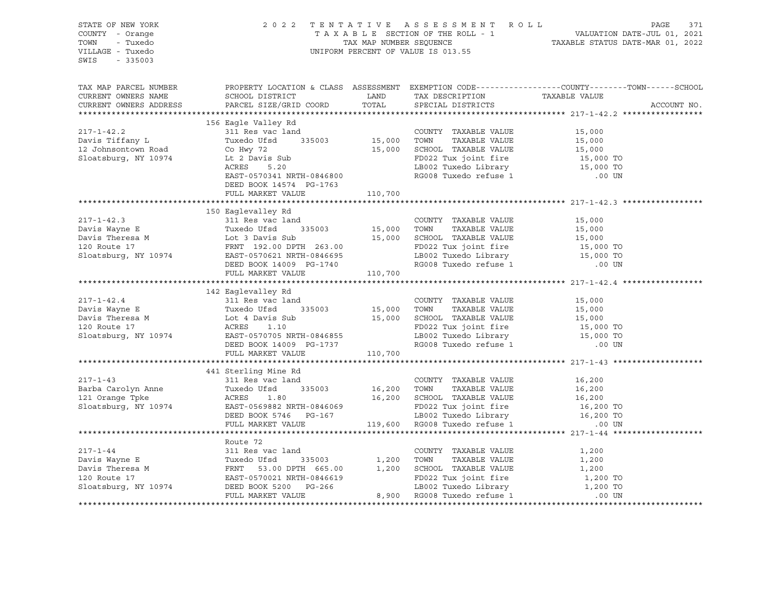| STATE OF NEW YORK<br>COUNTY - Orange<br>TOWN<br>- Tuxedo<br>VILLAGE - Tuxedo<br>$-335003$<br>SWIS                                                                                                                                                                                                                                                                                                                                                                                |                                                      | 2022 TENTATIVE ASSESSMENT ROLL<br>UNIFORM PERCENT OF VALUE IS 013.55 | PAGE<br>371<br>FAGE 371 PAGE 371 PAGE 371 PAGE 371 PAGE 371 PAXABLE SECTION OF THE ROLL - 1 VALUATION DATE-JUL 01, 2021 PAXABLE STATUS DATE-MAR 01, 2022 |
|----------------------------------------------------------------------------------------------------------------------------------------------------------------------------------------------------------------------------------------------------------------------------------------------------------------------------------------------------------------------------------------------------------------------------------------------------------------------------------|------------------------------------------------------|----------------------------------------------------------------------|----------------------------------------------------------------------------------------------------------------------------------------------------------|
|                                                                                                                                                                                                                                                                                                                                                                                                                                                                                  |                                                      |                                                                      | TAX MAP PARCEL NUMBER THE PROPERTY LOCATION & CLASS ASSESSMENT EXEMPTION CODE--------------COUNTY--------TOWN------SCHOOL                                |
|                                                                                                                                                                                                                                                                                                                                                                                                                                                                                  |                                                      |                                                                      | ACCOUNT NO.                                                                                                                                              |
|                                                                                                                                                                                                                                                                                                                                                                                                                                                                                  | 156 Eagle Valley Rd                                  |                                                                      |                                                                                                                                                          |
| 156 Eagle Valley Rd 311 Res vac land<br>217-1-42.2<br>2311 Res vac land<br>2311 Res vac land<br>2311 Res vac land<br>2316 Tiffany L<br>2311 Res vac land<br>235003<br>235003<br>235003<br>235003<br>235003<br>25,000 TOWN TAXABLE VALUE<br>235,000<br>25,0                                                                                                                                                                                                                       |                                                      |                                                                      |                                                                                                                                                          |
|                                                                                                                                                                                                                                                                                                                                                                                                                                                                                  |                                                      |                                                                      |                                                                                                                                                          |
|                                                                                                                                                                                                                                                                                                                                                                                                                                                                                  |                                                      |                                                                      |                                                                                                                                                          |
|                                                                                                                                                                                                                                                                                                                                                                                                                                                                                  |                                                      |                                                                      |                                                                                                                                                          |
|                                                                                                                                                                                                                                                                                                                                                                                                                                                                                  |                                                      |                                                                      |                                                                                                                                                          |
|                                                                                                                                                                                                                                                                                                                                                                                                                                                                                  |                                                      |                                                                      |                                                                                                                                                          |
|                                                                                                                                                                                                                                                                                                                                                                                                                                                                                  |                                                      |                                                                      |                                                                                                                                                          |
|                                                                                                                                                                                                                                                                                                                                                                                                                                                                                  | DEED BOOK 14574 PG-1763<br>FULL MARKET VALUE 110,700 |                                                                      |                                                                                                                                                          |
|                                                                                                                                                                                                                                                                                                                                                                                                                                                                                  |                                                      |                                                                      |                                                                                                                                                          |
| 150 Eqgle<br>150 Eqgleral country TAXABLE VALUE<br>217-1-42.3 311 Res vac land<br>Davis Wayne E Tuxedo Ufsd 335003 15,000 TOWN TAXABLE VALUE 15,000<br>Davis Theresa M Lot 3 Davis Sub 15,000 SCHOOL TAXABLE VALUE 15,000<br>16.000 ECHO                                                                                                                                                                                                                                         |                                                      |                                                                      |                                                                                                                                                          |
|                                                                                                                                                                                                                                                                                                                                                                                                                                                                                  |                                                      |                                                                      |                                                                                                                                                          |
|                                                                                                                                                                                                                                                                                                                                                                                                                                                                                  |                                                      |                                                                      |                                                                                                                                                          |
|                                                                                                                                                                                                                                                                                                                                                                                                                                                                                  |                                                      |                                                                      |                                                                                                                                                          |
|                                                                                                                                                                                                                                                                                                                                                                                                                                                                                  |                                                      |                                                                      |                                                                                                                                                          |
|                                                                                                                                                                                                                                                                                                                                                                                                                                                                                  |                                                      |                                                                      |                                                                                                                                                          |
|                                                                                                                                                                                                                                                                                                                                                                                                                                                                                  |                                                      |                                                                      |                                                                                                                                                          |
|                                                                                                                                                                                                                                                                                                                                                                                                                                                                                  |                                                      |                                                                      |                                                                                                                                                          |
|                                                                                                                                                                                                                                                                                                                                                                                                                                                                                  | 142 Eaglevalley Rd                                   |                                                                      |                                                                                                                                                          |
|                                                                                                                                                                                                                                                                                                                                                                                                                                                                                  |                                                      |                                                                      |                                                                                                                                                          |
|                                                                                                                                                                                                                                                                                                                                                                                                                                                                                  |                                                      |                                                                      |                                                                                                                                                          |
|                                                                                                                                                                                                                                                                                                                                                                                                                                                                                  |                                                      |                                                                      |                                                                                                                                                          |
|                                                                                                                                                                                                                                                                                                                                                                                                                                                                                  |                                                      |                                                                      |                                                                                                                                                          |
|                                                                                                                                                                                                                                                                                                                                                                                                                                                                                  |                                                      |                                                                      |                                                                                                                                                          |
|                                                                                                                                                                                                                                                                                                                                                                                                                                                                                  |                                                      |                                                                      |                                                                                                                                                          |
| $\begin{tabular}{lllllllllllll} \multicolumn{3}{l}{} & \multicolumn{3}{l}{} & \multicolumn{3}{l}{} & \multicolumn{3}{l}{} & \multicolumn{3}{l}{} & \multicolumn{3}{l}{} & \multicolumn{3}{l}{} & \multicolumn{3}{l}{} & \multicolumn{3}{l}{} & \multicolumn{3}{l}{} & \multicolumn{3}{l}{} & \multicolumn{3}{l}{} & \multicolumn{3}{l}{} & \multicolumn{3}{l}{} & \multicolumn{3}{l}{} & \multicolumn{3}{l}{} & \multicolumn{3}{l}{} & \multicolumn{3}{l}{} & \multicolumn{3}{l$ |                                                      |                                                                      |                                                                                                                                                          |
|                                                                                                                                                                                                                                                                                                                                                                                                                                                                                  |                                                      |                                                                      |                                                                                                                                                          |
|                                                                                                                                                                                                                                                                                                                                                                                                                                                                                  | 441 Sterling Mine Rd                                 |                                                                      |                                                                                                                                                          |
|                                                                                                                                                                                                                                                                                                                                                                                                                                                                                  |                                                      |                                                                      |                                                                                                                                                          |
|                                                                                                                                                                                                                                                                                                                                                                                                                                                                                  |                                                      |                                                                      |                                                                                                                                                          |
|                                                                                                                                                                                                                                                                                                                                                                                                                                                                                  |                                                      |                                                                      |                                                                                                                                                          |
|                                                                                                                                                                                                                                                                                                                                                                                                                                                                                  |                                                      |                                                                      |                                                                                                                                                          |
| 217-1-43<br>Barba Carolyn Anne 311 Res vac land COUNTY TAXABLE VALUE 16,200<br>121 Orange Tpke ACRES 1.80 16,200<br>Sloatsburg, NY 10974 EAST-0569882 NRTH-0846069 EDBED BOOK 5746 PG-167 LB002 Tuxedo FaxaBLE VALUE 16,200<br>FOO22 T                                                                                                                                                                                                                                           |                                                      |                                                                      |                                                                                                                                                          |
|                                                                                                                                                                                                                                                                                                                                                                                                                                                                                  |                                                      |                                                                      |                                                                                                                                                          |
|                                                                                                                                                                                                                                                                                                                                                                                                                                                                                  | Route 72                                             |                                                                      |                                                                                                                                                          |
|                                                                                                                                                                                                                                                                                                                                                                                                                                                                                  |                                                      |                                                                      |                                                                                                                                                          |
| 217-1-44<br>Davis Wayne E<br>Davis Theresa M<br>Davis Theresa M<br>Tuxedo Ufsd 335003<br>FRNT 53.00 DPTH 665.00 1,200 TOWN TAXABLE VALUE<br>1,200 TOWN TAXABLE VALUE<br>20 Route 17<br>Sloatsburg, NY 10974 DEED BOOK 5200 PG-266 1B002 Tuxedo                                                                                                                                                                                                                                   |                                                      |                                                                      | 1,200<br>1,200                                                                                                                                           |
|                                                                                                                                                                                                                                                                                                                                                                                                                                                                                  |                                                      |                                                                      | 1,200                                                                                                                                                    |
|                                                                                                                                                                                                                                                                                                                                                                                                                                                                                  |                                                      |                                                                      |                                                                                                                                                          |
|                                                                                                                                                                                                                                                                                                                                                                                                                                                                                  |                                                      |                                                                      | 1,200 TO<br>1,200 TO                                                                                                                                     |
|                                                                                                                                                                                                                                                                                                                                                                                                                                                                                  |                                                      |                                                                      | .00 UN                                                                                                                                                   |
|                                                                                                                                                                                                                                                                                                                                                                                                                                                                                  |                                                      |                                                                      |                                                                                                                                                          |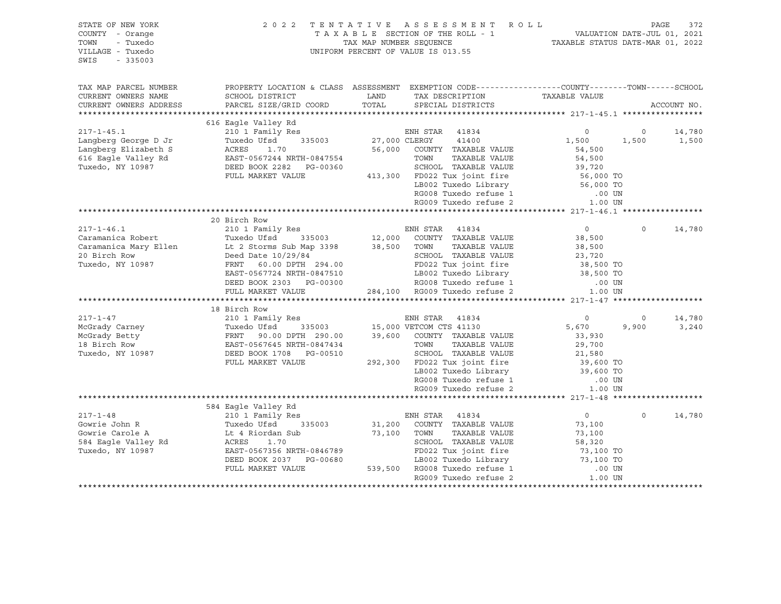| STATE OF NEW YORK<br>COUNTY - Orange<br>TOWN<br>- Tuxedo<br>VILLAGE - Tuxedo<br>$-335003$<br>SWIS |                                                                                                                                                               | 2022 TENTATIVE ASSESSMENT ROLL<br>TAXABLE SECTION OF THE ROLL - 1 VALUATION DATE-JUL 01, 2021<br>TAX MAP NUMBER SEQUENCE TAXABLE STATUS DATE-MAR 01, 2022<br>UNIFORM PERCENT OF VALUE IS 013.55                                                                                         | PAGE<br>372                                             |
|---------------------------------------------------------------------------------------------------|---------------------------------------------------------------------------------------------------------------------------------------------------------------|-----------------------------------------------------------------------------------------------------------------------------------------------------------------------------------------------------------------------------------------------------------------------------------------|---------------------------------------------------------|
| TAX MAP PARCEL NUMBER<br>CURRENT OWNERS NAME<br>CURRENT OWNERS ADDRESS                            | SCHOOL DISTRICT                                                                                                                                               | PROPERTY LOCATION & CLASS ASSESSMENT EXEMPTION CODE-----------------COUNTY-------TOWN------SCHOOL<br>LAND TAX DESCRIPTION<br>TOTAL<br>SPECIAL DISTRICTS                                                                                                                                 | TAXABLE VALUE                                           |
|                                                                                                   | PARCEL SIZE/GRID COORD                                                                                                                                        |                                                                                                                                                                                                                                                                                         | ACCOUNT NO.                                             |
|                                                                                                   |                                                                                                                                                               | $\begin{tabular}{lcccc} \tt 217-1-45.1 & 616 Eagle Valley Rd & \tt 210 1 Family Res & \tt 210 1 Finally Res & \tt 210 11.20 11.20 11.21.22 12.12.23.23.24.25.34.26.34.27.34.27.34.27.34.27.34.27.34.27.34.27.34.27.34.27.34.27.34.27.34.27.34.27.34.27.34.27.34.27.34.27.34.27.34.27.3$ |                                                         |
|                                                                                                   |                                                                                                                                                               |                                                                                                                                                                                                                                                                                         | $\overline{0}$<br>14,780                                |
|                                                                                                   |                                                                                                                                                               |                                                                                                                                                                                                                                                                                         | 1,500<br>1,500                                          |
|                                                                                                   |                                                                                                                                                               |                                                                                                                                                                                                                                                                                         |                                                         |
|                                                                                                   |                                                                                                                                                               |                                                                                                                                                                                                                                                                                         |                                                         |
|                                                                                                   |                                                                                                                                                               |                                                                                                                                                                                                                                                                                         |                                                         |
|                                                                                                   |                                                                                                                                                               |                                                                                                                                                                                                                                                                                         |                                                         |
|                                                                                                   |                                                                                                                                                               |                                                                                                                                                                                                                                                                                         |                                                         |
|                                                                                                   |                                                                                                                                                               |                                                                                                                                                                                                                                                                                         |                                                         |
|                                                                                                   |                                                                                                                                                               |                                                                                                                                                                                                                                                                                         |                                                         |
|                                                                                                   | 20 Birch Row                                                                                                                                                  |                                                                                                                                                                                                                                                                                         |                                                         |
|                                                                                                   |                                                                                                                                                               |                                                                                                                                                                                                                                                                                         | 14,780<br>$\overline{0}$<br>$\Omega$                    |
|                                                                                                   |                                                                                                                                                               |                                                                                                                                                                                                                                                                                         | 38,500                                                  |
|                                                                                                   |                                                                                                                                                               |                                                                                                                                                                                                                                                                                         |                                                         |
|                                                                                                   |                                                                                                                                                               |                                                                                                                                                                                                                                                                                         |                                                         |
|                                                                                                   |                                                                                                                                                               |                                                                                                                                                                                                                                                                                         |                                                         |
|                                                                                                   |                                                                                                                                                               |                                                                                                                                                                                                                                                                                         |                                                         |
|                                                                                                   |                                                                                                                                                               |                                                                                                                                                                                                                                                                                         |                                                         |
|                                                                                                   |                                                                                                                                                               | 1.00 UNIVERSIDE WALLER VALUE<br>2.8 1.00 UNIVERSIDE WALLER VALUE<br>2.3,720<br>2.3,720<br>FRNT 60.00 DPTH 294.00 PDD22 Tux joint fire 38,500<br>EAST-0567724 NRTH-0847510 LB002 Tuxedo Library 38,500 TO<br>DEED BOOK 2303 PG-00300 RG008                                               |                                                         |
|                                                                                                   | 18 Birch Row                                                                                                                                                  |                                                                                                                                                                                                                                                                                         |                                                         |
|                                                                                                   |                                                                                                                                                               | 217-1-47<br>McGrady Carney<br>McGrady Carney<br>McGrady Betty<br>McGrady Betty<br>McGrady Betty<br>McGrady Betty<br>McGrady Betty<br>FRNT 90.00 DPTH 290.00<br>39,600 COUNTY TAXABLE VALUE<br>Tuxedo, NY 10987<br>DEED BOOK 1708 PG-00510<br>FULL MARK                                  | 14,780<br>$\circ$                                       |
|                                                                                                   |                                                                                                                                                               |                                                                                                                                                                                                                                                                                         | $\begin{array}{c}0\\5,670\end{array}$<br>9,900<br>3,240 |
|                                                                                                   |                                                                                                                                                               |                                                                                                                                                                                                                                                                                         |                                                         |
|                                                                                                   |                                                                                                                                                               |                                                                                                                                                                                                                                                                                         |                                                         |
|                                                                                                   |                                                                                                                                                               |                                                                                                                                                                                                                                                                                         |                                                         |
|                                                                                                   |                                                                                                                                                               | 39,600 COUNTY TAXABLE VALUE<br>TOWN TAXABLE VALUE<br>SCHOOL TAXABLE VALUE<br>292,300 FD022 Tux joint fire<br>292,300 FD022 Tux joint fire<br>293,600 TO<br>293,600 TO<br>293,600 TO                                                                                                     |                                                         |
|                                                                                                   |                                                                                                                                                               | LB002 Tuxedo Library<br>RG008 Tuxedo refuse 1<br>RG009 Tuxedo refuse 2                                                                                                                                                                                                                  |                                                         |
|                                                                                                   |                                                                                                                                                               |                                                                                                                                                                                                                                                                                         | .00 UN                                                  |
|                                                                                                   |                                                                                                                                                               |                                                                                                                                                                                                                                                                                         | 1.00 UN                                                 |
|                                                                                                   |                                                                                                                                                               |                                                                                                                                                                                                                                                                                         |                                                         |
| $217 - 1 - 48$                                                                                    | 584 Eagle Valley Rd<br>210 1 Family Res                                                                                                                       | ENH STAR 41834                                                                                                                                                                                                                                                                          | $\overline{0}$<br>$\Omega$<br>14,780                    |
|                                                                                                   |                                                                                                                                                               |                                                                                                                                                                                                                                                                                         | 73,100                                                  |
|                                                                                                   | Cowrie John R<br>Cowrie Carole A<br>S84 Eagle Valley Rd<br>Tuxedo, NY 10987<br>Tuxedo, NY 10987<br>CRES 1.70<br>Tuxedo, NY 10987<br>EAST-0567356 NRTH-0846789 | $335003 \qquad 31,200 \qquad \text{COUNTY} \quad \text{TXABLE VALUE}$<br>$335003 \qquad 73,100 \qquad \text{TOWN} \qquad \text{TAXABLE VALUE}$                                                                                                                                          | 73,100                                                  |
|                                                                                                   |                                                                                                                                                               |                                                                                                                                                                                                                                                                                         |                                                         |
|                                                                                                   |                                                                                                                                                               | ACRES 1.70 SCHOOL TAXABLE VALUE 58,320<br>EAST-0567356 NRTH-0846789 FD022 Tux joint fire 73,100 TO<br>DEED BOOK 2037 PG-00680 LB002 Tuxedo Library 73,100 TO<br>FULL MARKET VALUE 539,500 RG008 Tuxedo refuse 1 .00 UN                                                                  |                                                         |
|                                                                                                   |                                                                                                                                                               |                                                                                                                                                                                                                                                                                         |                                                         |
|                                                                                                   |                                                                                                                                                               |                                                                                                                                                                                                                                                                                         |                                                         |
|                                                                                                   |                                                                                                                                                               | RG009 Tuxedo refuse 2                                                                                                                                                                                                                                                                   | 1.00 UN                                                 |
|                                                                                                   |                                                                                                                                                               |                                                                                                                                                                                                                                                                                         |                                                         |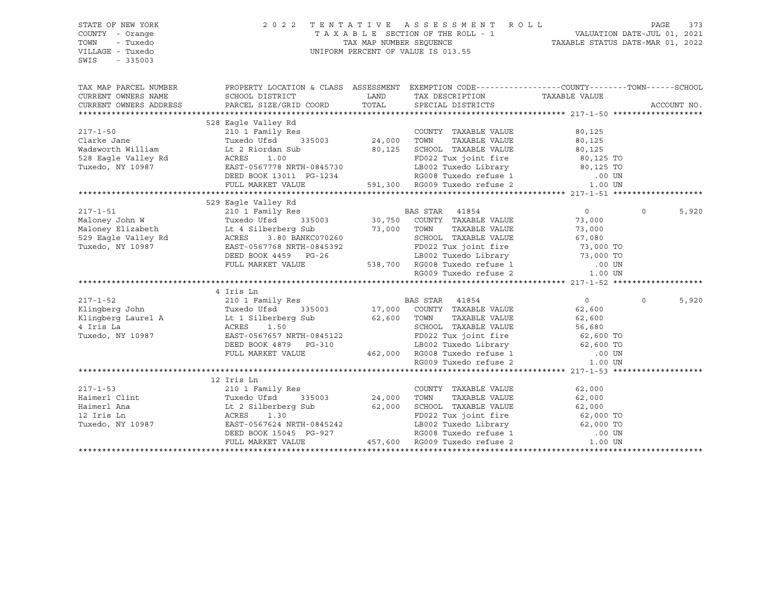| STATE OF NEW YORK                                                                                                                                                                                                              | 2 0 2 2                                        |                                                                                                                                                               |                   |
|--------------------------------------------------------------------------------------------------------------------------------------------------------------------------------------------------------------------------------|------------------------------------------------|---------------------------------------------------------------------------------------------------------------------------------------------------------------|-------------------|
| COUNTY - Orange                                                                                                                                                                                                                |                                                | TENTATIVE ASSESSMENT ROLL PAGE 373<br>TAXABLE SECTION OF THE ROLL - 1 VALUATION DATE-JUL 01, 2021<br>TAX MAP NUMBER SEQUENCE TAXABLE STATUS DATE-MAR 01, 2022 |                   |
| TOWN<br>- Tuxedo                                                                                                                                                                                                               |                                                |                                                                                                                                                               |                   |
| VILLAGE - Tuxedo                                                                                                                                                                                                               |                                                | UNIFORM PERCENT OF VALUE IS 013.55                                                                                                                            |                   |
| SWIS<br>$-335003$                                                                                                                                                                                                              |                                                |                                                                                                                                                               |                   |
|                                                                                                                                                                                                                                |                                                |                                                                                                                                                               |                   |
|                                                                                                                                                                                                                                |                                                |                                                                                                                                                               |                   |
| TAX MAP PARCEL NUMBER THE PROPERTY LOCATION & CLASS ASSESSMENT EXEMPTION CODE---------------COUNTY--------TOWN------SCHOOL                                                                                                     |                                                |                                                                                                                                                               |                   |
| CURRENT OWNERS NAME                                                                                                                                                                                                            | SCHOOL DISTRICT                                | LAND TAX DESCRIPTION TAXABLE VALUE COORD TOTAL SPECIAL DISTRICTS                                                                                              |                   |
| CURRENT OWNERS ADDRESS                                                                                                                                                                                                         | PARCEL SIZE/GRID COORD TOTAL SPECIAL DISTRICTS |                                                                                                                                                               | ACCOUNT NO.       |
|                                                                                                                                                                                                                                |                                                |                                                                                                                                                               |                   |
|                                                                                                                                                                                                                                | 528 Eagle Valley Rd                            |                                                                                                                                                               |                   |
|                                                                                                                                                                                                                                |                                                |                                                                                                                                                               |                   |
|                                                                                                                                                                                                                                |                                                |                                                                                                                                                               |                   |
|                                                                                                                                                                                                                                |                                                |                                                                                                                                                               |                   |
|                                                                                                                                                                                                                                |                                                |                                                                                                                                                               |                   |
|                                                                                                                                                                                                                                |                                                |                                                                                                                                                               |                   |
|                                                                                                                                                                                                                                |                                                |                                                                                                                                                               |                   |
|                                                                                                                                                                                                                                |                                                |                                                                                                                                                               |                   |
|                                                                                                                                                                                                                                |                                                |                                                                                                                                                               |                   |
|                                                                                                                                                                                                                                |                                                |                                                                                                                                                               |                   |
|                                                                                                                                                                                                                                |                                                |                                                                                                                                                               | $\Omega$<br>5,920 |
|                                                                                                                                                                                                                                |                                                |                                                                                                                                                               |                   |
|                                                                                                                                                                                                                                |                                                |                                                                                                                                                               |                   |
|                                                                                                                                                                                                                                |                                                |                                                                                                                                                               |                   |
|                                                                                                                                                                                                                                |                                                |                                                                                                                                                               |                   |
|                                                                                                                                                                                                                                |                                                |                                                                                                                                                               |                   |
|                                                                                                                                                                                                                                |                                                |                                                                                                                                                               |                   |
|                                                                                                                                                                                                                                |                                                |                                                                                                                                                               |                   |
| XAMINARY INTERFERENCE CONTROLL MARKET VALUE AND REGUO TRANSPORT (ACCORDINATION OF THE CONTROLL MARKET VALUE TO A THE CONTROLL MARKET VALUE OF THE CONTROLL MARKET VALUE OF THE CONTROLL MARKET VALUE CONTROLL MARKET VALUE CON |                                                |                                                                                                                                                               |                   |
|                                                                                                                                                                                                                                | 4 Iris Ln                                      |                                                                                                                                                               |                   |
|                                                                                                                                                                                                                                |                                                |                                                                                                                                                               | $\Omega$<br>5,920 |
|                                                                                                                                                                                                                                |                                                |                                                                                                                                                               |                   |
|                                                                                                                                                                                                                                |                                                |                                                                                                                                                               |                   |
|                                                                                                                                                                                                                                |                                                |                                                                                                                                                               |                   |
|                                                                                                                                                                                                                                |                                                |                                                                                                                                                               |                   |
|                                                                                                                                                                                                                                |                                                |                                                                                                                                                               |                   |
|                                                                                                                                                                                                                                |                                                |                                                                                                                                                               |                   |
|                                                                                                                                                                                                                                |                                                |                                                                                                                                                               |                   |
|                                                                                                                                                                                                                                |                                                |                                                                                                                                                               |                   |
|                                                                                                                                                                                                                                | 12 Iris Ln                                     |                                                                                                                                                               |                   |
|                                                                                                                                                                                                                                |                                                |                                                                                                                                                               |                   |
|                                                                                                                                                                                                                                |                                                |                                                                                                                                                               |                   |
|                                                                                                                                                                                                                                |                                                |                                                                                                                                                               |                   |
|                                                                                                                                                                                                                                |                                                |                                                                                                                                                               |                   |
|                                                                                                                                                                                                                                |                                                |                                                                                                                                                               |                   |
|                                                                                                                                                                                                                                |                                                |                                                                                                                                                               |                   |
|                                                                                                                                                                                                                                |                                                |                                                                                                                                                               |                   |
|                                                                                                                                                                                                                                |                                                |                                                                                                                                                               |                   |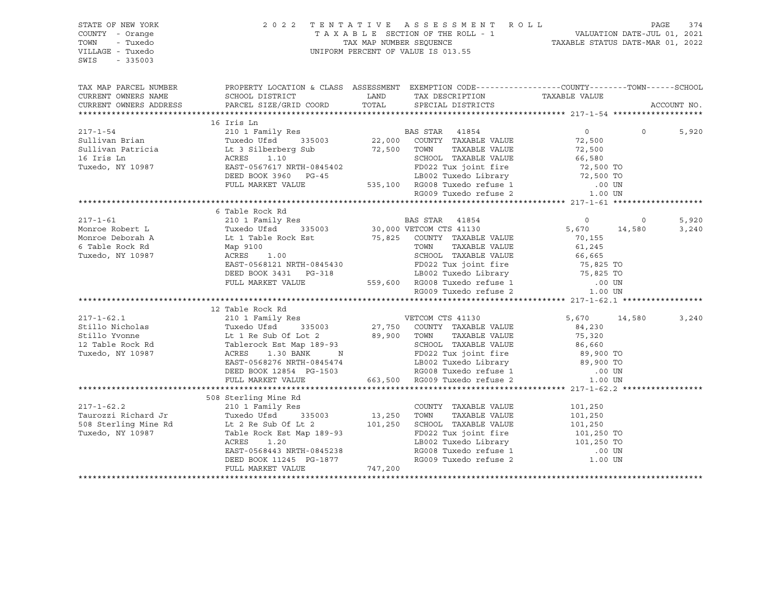| STATE OF NEW YORK<br>COUNTY - Orange<br>TOWN<br>- Tuxedo<br>VILLAGE - Tuxedo<br>SWIS<br>$-335003$ |                                                                                                                                                                                                                                                                                  | 2022 TENTATIVE ASSESSMENT ROLL PAGE 374<br>TAXABLE SECTION OF THE ROLL - 1 VALUATION DATE-JUL 01, 2021<br>TAX MAP NUMBER SEQUENCE TAXABLE STATUS DATE-MAR 01, 2022<br>UNIFORM PERCENT OF VALUE IS 013.55 |                                                |          |             |
|---------------------------------------------------------------------------------------------------|----------------------------------------------------------------------------------------------------------------------------------------------------------------------------------------------------------------------------------------------------------------------------------|----------------------------------------------------------------------------------------------------------------------------------------------------------------------------------------------------------|------------------------------------------------|----------|-------------|
|                                                                                                   | TAX MAP PARCEL NUMBER          PROPERTY LOCATION & CLASS ASSESSMENT EXEMPTION CODE---------------COUNTY-------TOWN------SCHOOL CURRENT OWNERS NAME              SCHOOL DISTRICT              LAND      TAX DESCRIPTION                                                           |                                                                                                                                                                                                          |                                                |          |             |
| CURRENT OWNERS ADDRESS                                                                            |                                                                                                                                                                                                                                                                                  |                                                                                                                                                                                                          |                                                |          | ACCOUNT NO. |
|                                                                                                   |                                                                                                                                                                                                                                                                                  |                                                                                                                                                                                                          |                                                |          |             |
|                                                                                                   | 16 Iris Ln<br>16 Iris Ln<br>217-1-54 210 1 Family Res<br>Sullivan Brian Tuxedo (JEsd 335003 22,000 COUNTY TAXABLE VALUE 72,500<br>Sullivan Patricia Lt 3 Silberberg Sub 72,500 TOWN TAXABLE VALUE 72,500<br>16 Iris Ln<br>2002 Tuxedo, NY 10987 EAST-0                           |                                                                                                                                                                                                          |                                                |          |             |
|                                                                                                   |                                                                                                                                                                                                                                                                                  |                                                                                                                                                                                                          |                                                | $\Omega$ | 5,920       |
|                                                                                                   |                                                                                                                                                                                                                                                                                  |                                                                                                                                                                                                          |                                                |          |             |
|                                                                                                   |                                                                                                                                                                                                                                                                                  |                                                                                                                                                                                                          |                                                |          |             |
|                                                                                                   |                                                                                                                                                                                                                                                                                  |                                                                                                                                                                                                          |                                                |          |             |
|                                                                                                   |                                                                                                                                                                                                                                                                                  |                                                                                                                                                                                                          |                                                |          |             |
|                                                                                                   |                                                                                                                                                                                                                                                                                  |                                                                                                                                                                                                          |                                                |          |             |
|                                                                                                   |                                                                                                                                                                                                                                                                                  |                                                                                                                                                                                                          |                                                |          |             |
|                                                                                                   |                                                                                                                                                                                                                                                                                  |                                                                                                                                                                                                          |                                                |          |             |
|                                                                                                   | 6 Table Rock Rd                                                                                                                                                                                                                                                                  |                                                                                                                                                                                                          |                                                |          |             |
|                                                                                                   |                                                                                                                                                                                                                                                                                  |                                                                                                                                                                                                          |                                                |          | 5,920       |
|                                                                                                   |                                                                                                                                                                                                                                                                                  |                                                                                                                                                                                                          |                                                |          | 3,240       |
|                                                                                                   |                                                                                                                                                                                                                                                                                  |                                                                                                                                                                                                          |                                                |          |             |
|                                                                                                   |                                                                                                                                                                                                                                                                                  |                                                                                                                                                                                                          |                                                |          |             |
|                                                                                                   |                                                                                                                                                                                                                                                                                  |                                                                                                                                                                                                          |                                                |          |             |
|                                                                                                   |                                                                                                                                                                                                                                                                                  |                                                                                                                                                                                                          |                                                |          |             |
|                                                                                                   |                                                                                                                                                                                                                                                                                  |                                                                                                                                                                                                          |                                                |          |             |
|                                                                                                   |                                                                                                                                                                                                                                                                                  |                                                                                                                                                                                                          |                                                |          |             |
|                                                                                                   |                                                                                                                                                                                                                                                                                  |                                                                                                                                                                                                          |                                                |          |             |
|                                                                                                   |                                                                                                                                                                                                                                                                                  |                                                                                                                                                                                                          |                                                |          |             |
|                                                                                                   | 12 Table Rock Rd                                                                                                                                                                                                                                                                 |                                                                                                                                                                                                          |                                                |          |             |
|                                                                                                   |                                                                                                                                                                                                                                                                                  |                                                                                                                                                                                                          |                                                |          | 3,240       |
|                                                                                                   |                                                                                                                                                                                                                                                                                  |                                                                                                                                                                                                          |                                                |          |             |
|                                                                                                   |                                                                                                                                                                                                                                                                                  |                                                                                                                                                                                                          |                                                |          |             |
|                                                                                                   |                                                                                                                                                                                                                                                                                  |                                                                                                                                                                                                          |                                                |          |             |
|                                                                                                   |                                                                                                                                                                                                                                                                                  |                                                                                                                                                                                                          |                                                |          |             |
|                                                                                                   |                                                                                                                                                                                                                                                                                  |                                                                                                                                                                                                          |                                                |          |             |
|                                                                                                   |                                                                                                                                                                                                                                                                                  |                                                                                                                                                                                                          |                                                |          |             |
|                                                                                                   |                                                                                                                                                                                                                                                                                  |                                                                                                                                                                                                          |                                                |          |             |
|                                                                                                   |                                                                                                                                                                                                                                                                                  |                                                                                                                                                                                                          |                                                |          |             |
|                                                                                                   | 508 Sterling Mine Rd<br>Sterling Mine Rd<br>210 1 Family Res                                                                                                                                                                                                                     |                                                                                                                                                                                                          |                                                |          |             |
| $217 - 1 - 62.2$                                                                                  |                                                                                                                                                                                                                                                                                  | COUNTY TAXABLE VALUE                                                                                                                                                                                     | 101,250                                        |          |             |
|                                                                                                   |                                                                                                                                                                                                                                                                                  |                                                                                                                                                                                                          | TAXABLE VALUE 101,250<br>TAXABLE VALUE 101,250 |          |             |
|                                                                                                   |                                                                                                                                                                                                                                                                                  |                                                                                                                                                                                                          |                                                |          |             |
|                                                                                                   | $Taurozzi Richard Jr\nTaurozzi Richard Jr\nTuxedo Ufsd\n101,250 TWM 11AABLE VALUE\nTuxedo, NY 10987\nTuxedo, NY 10987\nTuxedo, NY 10987\n2101 Fathel Rock Est Map 189-93\nFDO22 Tux joint fire\nACRES 1.20\nEAST-0568443 NRTH-0845238\nDEED BOK 11245 PG-1877\nFUL MARKET VALLM$ | FD022 Tux joint fire 101,250 TO<br>LB002 Tuxedo Library 101,250 TO<br>RG008 Tuxedo refuse 1 00 UN<br>RG009 Tuxedo refuse 2 1.00 UN                                                                       |                                                |          |             |
|                                                                                                   |                                                                                                                                                                                                                                                                                  |                                                                                                                                                                                                          |                                                |          |             |
|                                                                                                   |                                                                                                                                                                                                                                                                                  |                                                                                                                                                                                                          |                                                |          |             |
|                                                                                                   |                                                                                                                                                                                                                                                                                  |                                                                                                                                                                                                          |                                                |          |             |
|                                                                                                   |                                                                                                                                                                                                                                                                                  |                                                                                                                                                                                                          |                                                |          |             |
|                                                                                                   |                                                                                                                                                                                                                                                                                  |                                                                                                                                                                                                          |                                                |          |             |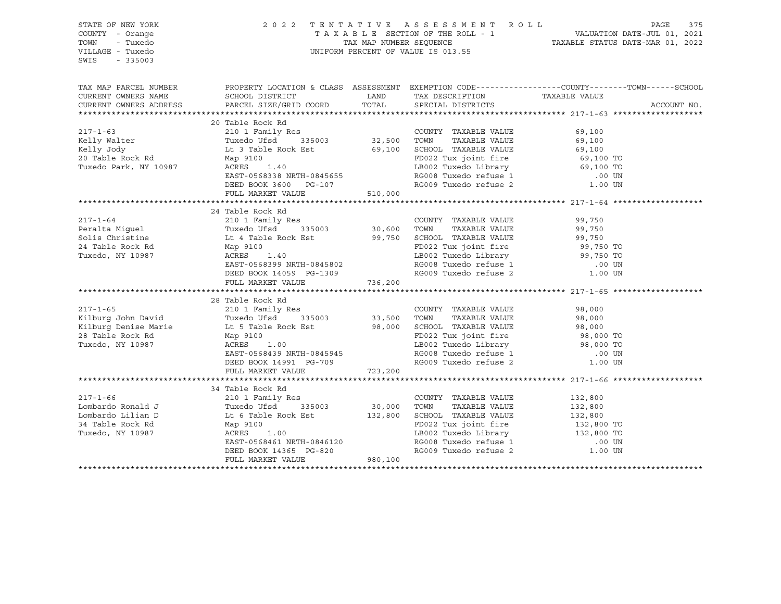| STATE OF NEW YORK<br>COUNTY - Orange<br>TOWN<br>- Tuxedo<br>VILLAGE - Tuxedo<br>SWIS<br>$-335003$ |                                                                                                                                                                                                                                                                                                                                                                                                                             |       | UNIFORM PERCENT OF VALUE IS 013.55                                                                                                                                                                              | 2022 TENTATIVE ASSESSMENT ROLL PAGE 375<br>TAXABLE SECTION OF THE ROLL - 1 VALUATION DATE-JUL 01, 2021<br>TAX MAP NUMBER SEQUENCE TAXABLE STATUS DATE-MAR 01, 2022 |  |
|---------------------------------------------------------------------------------------------------|-----------------------------------------------------------------------------------------------------------------------------------------------------------------------------------------------------------------------------------------------------------------------------------------------------------------------------------------------------------------------------------------------------------------------------|-------|-----------------------------------------------------------------------------------------------------------------------------------------------------------------------------------------------------------------|--------------------------------------------------------------------------------------------------------------------------------------------------------------------|--|
| CURRENT OWNERS NAME<br>CURRENT OWNERS ADDRESS                                                     | SCHOOL DISTRICT<br>PARCEL SIZE/GRID COORD                                                                                                                                                                                                                                                                                                                                                                                   | TOTAL | LAND TAX DESCRIPTION TAXABLE VALUE<br>SPECIAL DISTRICTS                                                                                                                                                         | TAX MAP PARCEL NUMBER PROPERTY LOCATION & CLASS ASSESSMENT EXEMPTION CODE---------------COUNTY-------TOWN------SCHOOL<br>ACCOUNT NO.                               |  |
| $217 - 1 - 63$                                                                                    | 20 Table Rock Rd<br>210 1 Family Res<br>Tuxedo Ufsd 335003 32,500 TOWN TAXABLE VALUE                                                                                                                                                                                                                                                                                                                                        |       | COUNTY TAXABLE VALUE 69,100                                                                                                                                                                                     |                                                                                                                                                                    |  |
| $217 - 1 - 64$                                                                                    | 24 Table Rock Rd<br>4 Table Rock Rd<br>210 1 Family Res<br>Tuxedo Ufsd 335003 30,600 TOWN<br>217-1-64<br>217-1-64<br>217-1-64<br>217-1-64<br>217-1-64<br>217-1-64<br>217-1-64<br>217-1-64<br>217-1-64<br>217-1-64<br>217-1-64<br>217-1-64<br>217-1-64<br>217-1-64<br>217-1-64<br>217-1-64<br>217-1-64<br>217-1-64<br>217-1-64<br>217-1-64<br>217-1-64<br>217-1-64<br>21<br>FULL MARKET VALUE 736,200                        |       | COUNTY TAXABLE VALUE                                                                                                                                                                                            | 99,750                                                                                                                                                             |  |
|                                                                                                   | 28 Table Rock Rd<br>COUNTY TAXABLE VALUE<br>Xilburg John David Tuxedo Ufsd 335003 33,500 TOWN TAXABLE VALUE<br>Xilburg Denise Marie Lt 5 Table Rock Est 98,000 SCHOOL TAXABLE VALUE<br>28 Table Rock Rd Map 9100 100 12022 Tux joint fire<br>Tuxedo, NY 10<br>EAST-0568439 NRTH-0845945<br>DEED BOOK 14991 PG-709<br>FULL MARKET VALUE 723,200                                                                              |       | TAXABLE VALUE 98,000<br>TAXABLE VALUE 98,000<br>PD022 Tux joint fire<br>198,000 TO<br>LB002 Tuxedo Library<br>RG008 Tuxedo refuse 1 00 UN<br>RG009 Tuxedo refuse 2 1.00 UN                                      | 98,000                                                                                                                                                             |  |
| $217 - 1 - 66$                                                                                    | 34 Table Rock Rd<br>210 1 Family Res<br>Eombardo Ronald J<br>Combardo Est Le Table Rock Est 132,800<br>34 Table Rock Rd Map 9100<br>Tuxedo, NY 10987 132,800<br>ACRES 1.00 1087 122,800<br>ACRES 1.00 1087 122,800<br>2002 Tuxedo Library 132,800<br>2002 Tuxedo Library 132,800<br>20<br>Lt 6 Table Rock Esc<br>Map 9100<br>ACRES 1.00<br>EAST-0568461 NRTH-0846120<br>DEED BOOK 14365 PG-820<br>FILL MARKET VALUE 980,100 |       | COUNTY TAXABLE VALUE 132,800<br>FD022 Tux joint fire<br>LB002 Tuxedo Library<br>RG008 Tuxedo refuse 1 132,800 TO<br>RG008 Tuxedo refuse 1 .00 UN<br>RG008 Tuxedo refuse 1 1 00 UN RG009 Tuxedo refuse 2 1.00 UN |                                                                                                                                                                    |  |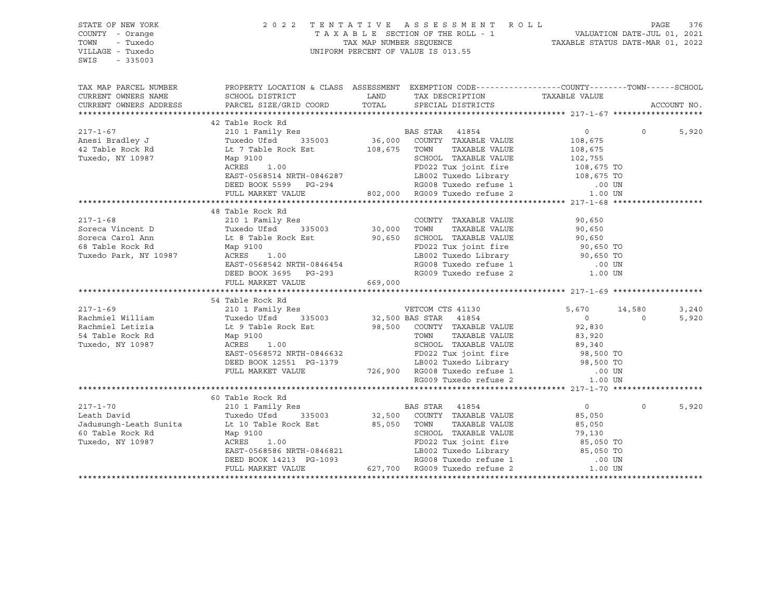| STATE OF NEW YORK<br>COUNTY - Orange<br>TOWN<br>- Tuxedo<br>VILLAGE - Tuxedo<br>SWIS<br>$-335003$                                                                                                     |                                                                                                                                                                                                                                                                                                                                                                                                                                                                                                                              |         | 2022 TENTATIVE ASSESSMENT ROLL PAGE 376<br>TAXABLE SECTION OF THE ROLL - 1 VALUATION DATE-JUL 01, 2021<br>TAX MAP NUMBER SEQUENCE TAXABLE STATUS DATE-MAR 01, 2022<br>UNIFORM PERCENT OF VALUE IS 013.55                                    |                                                                                      |          |                |
|-------------------------------------------------------------------------------------------------------------------------------------------------------------------------------------------------------|------------------------------------------------------------------------------------------------------------------------------------------------------------------------------------------------------------------------------------------------------------------------------------------------------------------------------------------------------------------------------------------------------------------------------------------------------------------------------------------------------------------------------|---------|---------------------------------------------------------------------------------------------------------------------------------------------------------------------------------------------------------------------------------------------|--------------------------------------------------------------------------------------|----------|----------------|
| CURRENT OWNERS NAME<br>CURRENT OWNERS ADDRESS                                                                                                                                                         | TAX MAP PARCEL NUMBER THE PROPERTY LOCATION & CLASS ASSESSMENT EXEMPTION CODE---------------COUNTY--------TOWN------SCHOOL<br>SCHOOL DISTRICT<br>PARCEL SIZE/GRID COORD                                                                                                                                                                                                                                                                                                                                                      |         | LAND TAX DESCRIPTION TAXABLE VALUE COORD TOTAL SPECIAL DISTRICTS                                                                                                                                                                            |                                                                                      |          | ACCOUNT NO.    |
|                                                                                                                                                                                                       | 42 Table Rock Rd                                                                                                                                                                                                                                                                                                                                                                                                                                                                                                             |         |                                                                                                                                                                                                                                             |                                                                                      |          |                |
| $217 - 1 - 67$<br>Anesi Bradley J<br>42 Table Rock Rd<br>Tuxedo, NY 10987                        Map 9100                                                                                             | 210 1 Family Res<br>210 1 Fallily Res and STAR 41054<br>Tuxedo Ufsd 335003 36,000 COUNTY TAXABLE VALUE 108,675<br>Tuxedo Ufsd<br>Lt 7 Table Rock Est<br>Li 100<br>Map 9100<br>ACRES 1.00 1.00 CRES 1.00<br>ACRES 1.00 FD022 Tux joint fire 108,675 TO<br>EAST-0568514 NRTH-0846287 LB002 Tuxedo Library 108,675 TO<br>DEED BOOK 5599 PG-294 RG008 Tuxedo refuse 1 .00 UN<br>FULL MARKET VALUE 802,000 RG009 Tuxedo refuse 2 1.00 UN                                                                                          |         | BAS STAR 41854<br>108,675 TOWN TAXABLE VALUE<br>SCHOOL TAXABLE VALUE 102,755                                                                                                                                                                | $0 \qquad \qquad$<br>108,675<br>108,675 TO                                           | $\Omega$ | 5,920          |
|                                                                                                                                                                                                       |                                                                                                                                                                                                                                                                                                                                                                                                                                                                                                                              |         |                                                                                                                                                                                                                                             |                                                                                      |          |                |
| $217 - 1 - 68$<br>Soreca Vincent D<br>Soreca Carol Ann<br>68 Table Rock Rd<br>Tuxedo Park, NY 10987<br>$217 - 1 - 69$<br>Rachmiel William<br>Rachmiel Letizia<br>54 Table Rock Rd<br>Tuxedo, NY 10987 | 48 Table Rock Rd<br>Map 9100<br>ACRES 1.00<br>EAST-0568542 NRTH-0846454<br>DEED BOOK 3695 PG-293<br>FULL MARKET VALUE<br>54 Table Rock Rd<br>Tuxedo Ufsd<br>Lt 9 Table Rock Est<br>Map 9100<br>ACRES 1.00<br>ILOT 0568572 NRTH-0846632<br>Map 9100<br>Map 9100<br>Map 9100<br>Map 9100<br>EAST-0568572 NRTH-0846632<br>DEED BOOK 12551 PG-1379<br>DEED BOOK 12551 PG-1379<br>TAXABLE VALUE<br>CHOOL TAXABLE VALUE<br>FULL MARKET VALUE<br>TAXABLE VALUE<br>FULL MARKET VALUE<br>TAXABLE VALUE<br>C<br>Map 9100<br>ACRES 1.00 | 669,000 | COUNTY TAXABLE VALUE 90,650<br>LB002 Tuxedo Library 90,650 TO<br>ساد میں میں 107600 ERGOOS Tuxedo refuse<br>RGOOS Tuxedo refuse 1 1 1.00 UN<br>RGOO9 Tuxedo refuse 2 1.00 UN<br>335003 32,500 BAS STAR 41854<br>98,500 COUNTY TAXABLE VALUE | 90,650<br>5,670 14,580<br>$\begin{smallmatrix}&&0\0&2\, ,\,8\,3\,0\end{smallmatrix}$ | $\Omega$ | 3,240<br>5,920 |
|                                                                                                                                                                                                       |                                                                                                                                                                                                                                                                                                                                                                                                                                                                                                                              |         |                                                                                                                                                                                                                                             |                                                                                      |          |                |
| $217 - 1 - 70$                                                                                                                                                                                        | 60 Table Rock Rd<br>217-1-70<br>Leath David Tuxedo Ufsd 335003<br>Jadusungh-Leath Sunita Lt 10 Table Rock Est<br>60 Table Rock Rd Map 9100<br>Tuxedo, NY 10987 ACRES 1.00<br>FART-0568586 NRTH-0846821<br>Map 9100<br>ACRES 1.00<br>EAST-0568586 NRTH-0846821<br>DEED BOOK 14213 PG-1093<br>FULL MARKET VALUE (27,700 RG009 Tuxedo refuse 2 1.00 UN<br>FULL MARKET VALUE (27,700 RG009 Tuxedo refuse 2 1.00 UN                                                                                                               |         | 32,500 COUNTY TAXABLE VALUE<br>85,050 TOWN TAXABLE VALUE                                                                                                                                                                                    | $\overline{0}$<br>85,050<br>85,050                                                   | $\Omega$ | 5,920          |
|                                                                                                                                                                                                       |                                                                                                                                                                                                                                                                                                                                                                                                                                                                                                                              |         |                                                                                                                                                                                                                                             |                                                                                      |          |                |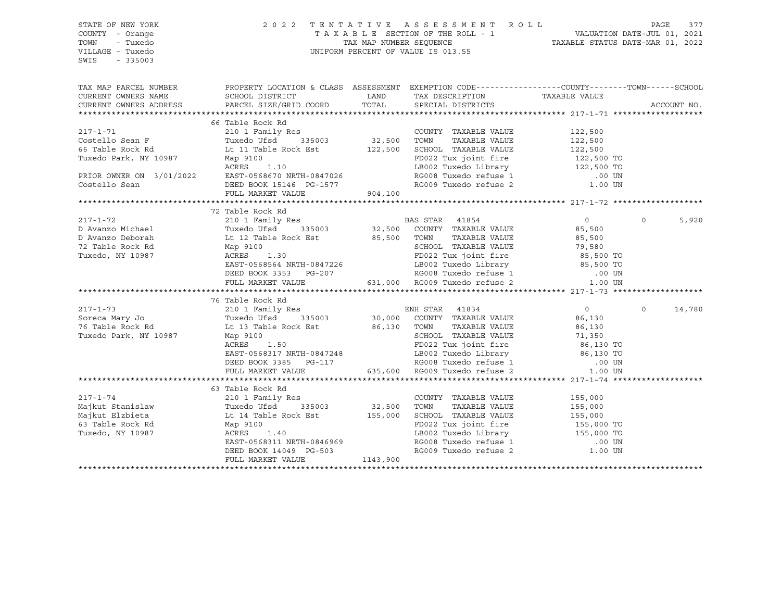| STATE OF NEW YORK<br>COUNTY - Orange<br>TOWN - Tuxedo<br>VILLAGE - Tuxedo<br>SWIS<br>$-335003$ |                                                                                                                                                                                                                                                      | 2022 TENTATIVE ASSESSMENT ROLL PAGE 377<br>TAXABLE SECTION OF THE ROLL - 1 VALUATION DATE-JUL 01, 2021<br>TAX MAP NUMBER SEQUENCE TAXABLE STATUS DATE-MAR 01, 2022<br>UNIFORM PERCENT OF VALUE IS 013.55 |                                 |                   |
|------------------------------------------------------------------------------------------------|------------------------------------------------------------------------------------------------------------------------------------------------------------------------------------------------------------------------------------------------------|----------------------------------------------------------------------------------------------------------------------------------------------------------------------------------------------------------|---------------------------------|-------------------|
|                                                                                                |                                                                                                                                                                                                                                                      |                                                                                                                                                                                                          |                                 |                   |
|                                                                                                |                                                                                                                                                                                                                                                      |                                                                                                                                                                                                          |                                 |                   |
|                                                                                                |                                                                                                                                                                                                                                                      |                                                                                                                                                                                                          |                                 |                   |
|                                                                                                | 66 Table Rock Rd                                                                                                                                                                                                                                     |                                                                                                                                                                                                          |                                 |                   |
|                                                                                                | 217-1-71<br>Costello Sean F<br>Costello Sean F<br>210 1 Family Res<br>Tuxedo Ufsd 335003<br>32,500 TOWN TAXABLE VALUE<br>TAXABLE VALUE<br>22,500<br>TOWNER ON 122,500<br>TOWNER ON 1997 Map 9100<br>PRIOR OWNER ON 3/01/2022<br>EAST-0568670 NRTH-08 |                                                                                                                                                                                                          |                                 |                   |
|                                                                                                |                                                                                                                                                                                                                                                      |                                                                                                                                                                                                          |                                 |                   |
|                                                                                                |                                                                                                                                                                                                                                                      |                                                                                                                                                                                                          |                                 |                   |
|                                                                                                |                                                                                                                                                                                                                                                      |                                                                                                                                                                                                          |                                 |                   |
|                                                                                                |                                                                                                                                                                                                                                                      |                                                                                                                                                                                                          |                                 |                   |
|                                                                                                |                                                                                                                                                                                                                                                      |                                                                                                                                                                                                          |                                 |                   |
|                                                                                                |                                                                                                                                                                                                                                                      |                                                                                                                                                                                                          |                                 |                   |
|                                                                                                |                                                                                                                                                                                                                                                      |                                                                                                                                                                                                          |                                 |                   |
|                                                                                                |                                                                                                                                                                                                                                                      |                                                                                                                                                                                                          |                                 |                   |
|                                                                                                | 72 Table Rock Rd                                                                                                                                                                                                                                     |                                                                                                                                                                                                          |                                 |                   |
|                                                                                                |                                                                                                                                                                                                                                                      |                                                                                                                                                                                                          | $\begin{matrix}0&0\end{matrix}$ | 5,920             |
|                                                                                                |                                                                                                                                                                                                                                                      |                                                                                                                                                                                                          |                                 |                   |
|                                                                                                |                                                                                                                                                                                                                                                      |                                                                                                                                                                                                          |                                 |                   |
|                                                                                                |                                                                                                                                                                                                                                                      |                                                                                                                                                                                                          |                                 |                   |
|                                                                                                |                                                                                                                                                                                                                                                      |                                                                                                                                                                                                          |                                 |                   |
|                                                                                                |                                                                                                                                                                                                                                                      |                                                                                                                                                                                                          |                                 |                   |
|                                                                                                |                                                                                                                                                                                                                                                      |                                                                                                                                                                                                          |                                 |                   |
|                                                                                                |                                                                                                                                                                                                                                                      |                                                                                                                                                                                                          |                                 |                   |
|                                                                                                |                                                                                                                                                                                                                                                      |                                                                                                                                                                                                          |                                 |                   |
|                                                                                                | 76 Table Rock Rd                                                                                                                                                                                                                                     |                                                                                                                                                                                                          |                                 | $\circ$<br>14,780 |
|                                                                                                |                                                                                                                                                                                                                                                      |                                                                                                                                                                                                          |                                 |                   |
|                                                                                                |                                                                                                                                                                                                                                                      |                                                                                                                                                                                                          |                                 |                   |
|                                                                                                |                                                                                                                                                                                                                                                      |                                                                                                                                                                                                          |                                 |                   |
|                                                                                                |                                                                                                                                                                                                                                                      |                                                                                                                                                                                                          |                                 |                   |
|                                                                                                |                                                                                                                                                                                                                                                      |                                                                                                                                                                                                          |                                 |                   |
|                                                                                                |                                                                                                                                                                                                                                                      |                                                                                                                                                                                                          |                                 |                   |
|                                                                                                |                                                                                                                                                                                                                                                      |                                                                                                                                                                                                          |                                 |                   |
|                                                                                                |                                                                                                                                                                                                                                                      |                                                                                                                                                                                                          |                                 |                   |
|                                                                                                | 63 Table Rock Rd                                                                                                                                                                                                                                     |                                                                                                                                                                                                          |                                 |                   |
|                                                                                                |                                                                                                                                                                                                                                                      |                                                                                                                                                                                                          |                                 |                   |
|                                                                                                |                                                                                                                                                                                                                                                      |                                                                                                                                                                                                          |                                 |                   |
|                                                                                                |                                                                                                                                                                                                                                                      |                                                                                                                                                                                                          |                                 |                   |
|                                                                                                |                                                                                                                                                                                                                                                      |                                                                                                                                                                                                          |                                 |                   |
|                                                                                                |                                                                                                                                                                                                                                                      |                                                                                                                                                                                                          |                                 |                   |
|                                                                                                |                                                                                                                                                                                                                                                      |                                                                                                                                                                                                          |                                 |                   |
|                                                                                                |                                                                                                                                                                                                                                                      |                                                                                                                                                                                                          |                                 |                   |
|                                                                                                | 317-1-74<br>Majkut Stanislaw and the standard and the standard country TAXABLE VALUE<br>Majkut Elzbieta It 14 Table Rock Est It 155,000<br>Majkut Elzbieta It 14 Table Rock Est It 155,000<br>Mag 9100<br>Tuxedo, NY 10987 ACRES 1.40<br>E           |                                                                                                                                                                                                          |                                 |                   |
|                                                                                                |                                                                                                                                                                                                                                                      |                                                                                                                                                                                                          |                                 |                   |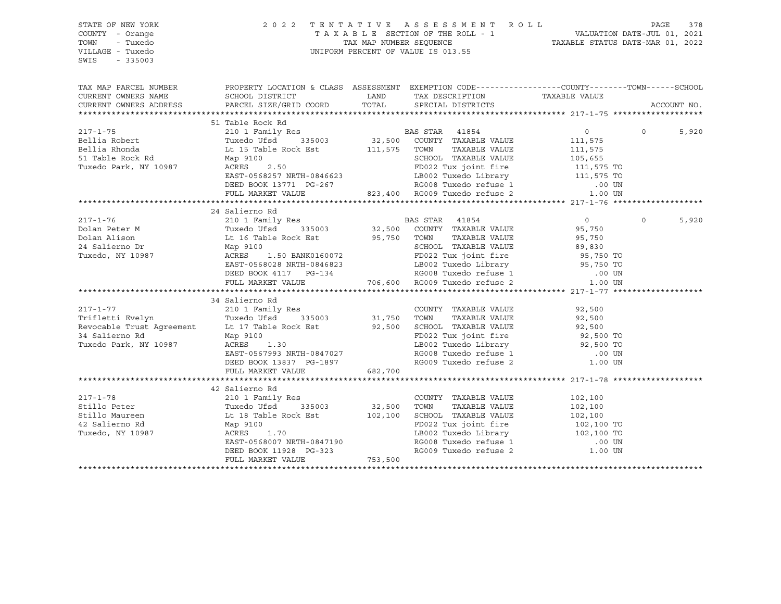STATE OF NEW YORK 2 0 2 2 T E N T A T I V E A S S E S S M E N T R O L L PAGE 378 COUNTY - Orange T A X A B L E SECTION OF THE ROLL - 1 VALUATION DATE-JUL 01, 2021 TOWN - Tuxedo TAX MAP NUMBER SEQUENCE TAXABLE STATUS DATE-MAR 01, 2022 UNIFORM PERCENT OF VALUE IS 013.55 SWIS - 335003 TAX MAP PARCEL NUMBER PROPERTY LOCATION & CLASS ASSESSMENT EXEMPTION CODE------------------COUNTY--------TOWN------SCHOOL CURRENT OWNERS NAME SCHOOL DISTRICT TAX NO TAX DESCRIPTION TAXABLE VALUE CURRENT OWNERS ADDRESS PARCEL SIZE/GRID COORD TOTAL SPECIAL DISTRICTS ACCOUNT NO. \*\*\*\*\*\*\*\*\*\*\*\*\*\*\*\*\*\*\*\*\*\*\*\*\*\*\*\*\*\*\*\*\*\*\*\*\*\*\*\*\*\*\*\*\*\*\*\*\*\*\*\*\*\*\*\*\*\*\*\*\*\*\*\*\*\*\*\*\*\*\*\*\*\*\*\*\*\*\*\*\*\*\*\*\*\*\*\*\*\*\*\*\*\*\*\*\*\*\*\*\*\*\* 217-1-75 \*\*\*\*\*\*\*\*\*\*\*\*\*\*\*\*\*\*\* 51 Table Rock Rd 217-1-75 210 1 Family Res BAS STAR 41854 0 0 5,920 Bellia Robert Tuxedo Ufsd 335003 32,500 COUNTY TAXABLE VALUE 111,575 Bellia Rhonda Lt 15 Table Rock Est 111,575 TOWN TAXABLE VALUE 111,575 51 Table Rock Rd Map 9100 SCHOOL TAXABLE VALUE 105,655 Tuxedo Park, NY 10987 ACRES 2.50 FD022 Tux joint fire 111,575 TO EAST-0568257 NRTH-0846623 LB002 Tuxedo Library 111,575 TO DEED BOOK 13771 PG-267 RG008 Tuxedo refuse 1 .00 UN FULL MARKET VALUE 823,400 RG009 Tuxedo refuse 2 1.00 UN \*\*\*\*\*\*\*\*\*\*\*\*\*\*\*\*\*\*\*\*\*\*\*\*\*\*\*\*\*\*\*\*\*\*\*\*\*\*\*\*\*\*\*\*\*\*\*\*\*\*\*\*\*\*\*\*\*\*\*\*\*\*\*\*\*\*\*\*\*\*\*\*\*\*\*\*\*\*\*\*\*\*\*\*\*\*\*\*\*\*\*\*\*\*\*\*\*\*\*\*\*\*\* 217-1-76 \*\*\*\*\*\*\*\*\*\*\*\*\*\*\*\*\*\*\* 24 Salierno Rd 217-1-76 210 1 Family Res BAS STAR 41854 0 0 5,920 Dolan Peter M Tuxedo Ufsd 335003 32,500 COUNTY TAXABLE VALUE 95,750 Dolan Alison Lt 16 Table Rock Est 95,750 TOWN TAXABLE VALUE 95,750 24 Salierno Dr Map 9100 SCHOOL TAXABLE VALUE 89,830 Tuxedo, NY 10987 ACRES 1.50 BANK0160072 FD022 Tux joint fire 95,750 TO EAST-0568028 NRTH-0846823 LB002 Tuxedo Library 95,750 TO DEED BOOK 4117 PG-134 RG008 Tuxedo refuse 1 .00 UN FULL MARKET VALUE 706,600 RG009 Tuxedo refuse 2 1.00 UN \*\*\*\*\*\*\*\*\*\*\*\*\*\*\*\*\*\*\*\*\*\*\*\*\*\*\*\*\*\*\*\*\*\*\*\*\*\*\*\*\*\*\*\*\*\*\*\*\*\*\*\*\*\*\*\*\*\*\*\*\*\*\*\*\*\*\*\*\*\*\*\*\*\*\*\*\*\*\*\*\*\*\*\*\*\*\*\*\*\*\*\*\*\*\*\*\*\*\*\*\*\*\* 217-1-77 \*\*\*\*\*\*\*\*\*\*\*\*\*\*\*\*\*\*\* 34 Salierno Rd 217-1-77 210 1 Family Res COUNTY TAXABLE VALUE 92,500 Trifletti Evelyn Tuxedo Ufsd 335003 31,750 TOWN TAXABLE VALUE 92,500 Revocable Trust Agreement Lt 17 Table Rock Est 92,500 SCHOOL TAXABLE VALUE 92,500 34 Salierno Rd Map 9100 FD022 Tux joint fire 92,500 TO Tuxedo Park, NY 10987 ACRES 1.30 LB002 Tuxedo Library 92,500 TO EAST-0567993 NRTH-0847027 RG008 Tuxedo refuse 1 .00 UN DEED BOOK 13837 PG-1897 RG009 Tuxedo refuse 2 1.00 UN FULL MARKET VALUE 682,700 \*\*\*\*\*\*\*\*\*\*\*\*\*\*\*\*\*\*\*\*\*\*\*\*\*\*\*\*\*\*\*\*\*\*\*\*\*\*\*\*\*\*\*\*\*\*\*\*\*\*\*\*\*\*\*\*\*\*\*\*\*\*\*\*\*\*\*\*\*\*\*\*\*\*\*\*\*\*\*\*\*\*\*\*\*\*\*\*\*\*\*\*\*\*\*\*\*\*\*\*\*\*\* 217-1-78 \*\*\*\*\*\*\*\*\*\*\*\*\*\*\*\*\*\*\* 42 Salierno Rd 217-1-78 210 1 Family Res COUNTY TAXABLE VALUE 102,100 Stillo Peter Tuxedo Ufsd 335003 32,500 TOWN TAXABLE VALUE 102,100 Stillo Maureen Lt 18 Table Rock Est 102,100 SCHOOL TAXABLE VALUE 102,100 42 Salierno Rd Map 9100 FD022 Tux joint fire 102,100 TO Tuxedo, NY 10987 ACRES 1.70 LB002 Tuxedo Library 102,100 TO EAST-0568007 NRTH-0847190 RG008 Tuxedo refuse 1 .00 UN DEED BOOK 11928 PG-323 RG009 Tuxedo refuse 2 1.00 UN FULL MARKET VALUE 753,500 \*\*\*\*\*\*\*\*\*\*\*\*\*\*\*\*\*\*\*\*\*\*\*\*\*\*\*\*\*\*\*\*\*\*\*\*\*\*\*\*\*\*\*\*\*\*\*\*\*\*\*\*\*\*\*\*\*\*\*\*\*\*\*\*\*\*\*\*\*\*\*\*\*\*\*\*\*\*\*\*\*\*\*\*\*\*\*\*\*\*\*\*\*\*\*\*\*\*\*\*\*\*\*\*\*\*\*\*\*\*\*\*\*\*\*\*\*\*\*\*\*\*\*\*\*\*\*\*\*\*\*\*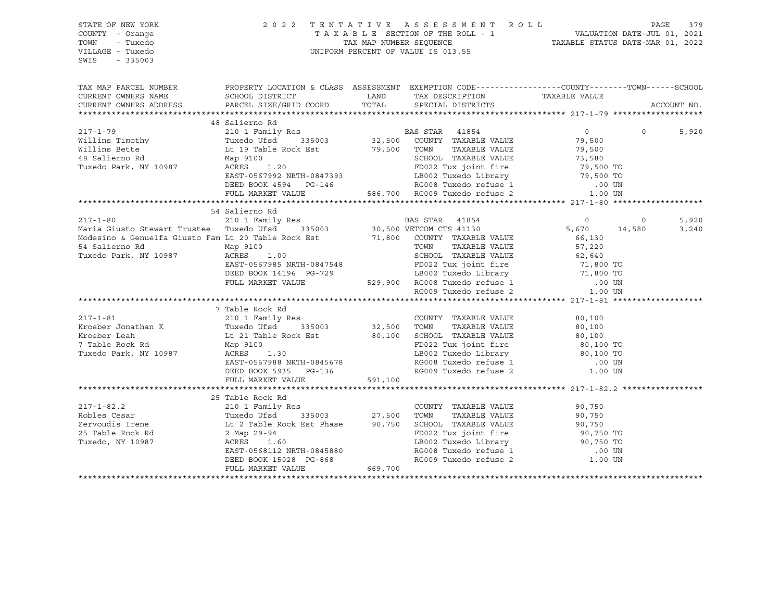| STATE OF NEW YORK<br>COUNTY - Orange<br>TOWN<br>- Tuxedo<br>VILLAGE - Tuxedo<br>$-335003$<br>SWIS                                                                                                                                      |                                                                                                                                                                                                                                                    |         | 2022 TENTATIVE ASSESSMENT ROLL PAGE 379<br>TAXABLE SECTION OF THE ROLL - 1 VALUATION DATE-JUL 01, 2021<br>TAX MAP NUMBER SEQUENCE TAXABLE STATUS DATE-MAR 01, 2022<br>UNIFORM PERCENT OF VALUE IS 013.55 |                  |          |             |       |
|----------------------------------------------------------------------------------------------------------------------------------------------------------------------------------------------------------------------------------------|----------------------------------------------------------------------------------------------------------------------------------------------------------------------------------------------------------------------------------------------------|---------|----------------------------------------------------------------------------------------------------------------------------------------------------------------------------------------------------------|------------------|----------|-------------|-------|
| TAX MAP PARCEL NUMBER THE PROPERTY LOCATION & CLASS ASSESSMENT EXEMPTION CODE--------------COUNTY--------TOWN------SCHOOL<br>CURRENT OWNERS NAME                                                                                       |                                                                                                                                                                                                                                                    |         |                                                                                                                                                                                                          |                  |          |             |       |
| CURRENT OWNERS ADDRESS                                                                                                                                                                                                                 |                                                                                                                                                                                                                                                    |         |                                                                                                                                                                                                          |                  |          | ACCOUNT NO. |       |
|                                                                                                                                                                                                                                        |                                                                                                                                                                                                                                                    |         |                                                                                                                                                                                                          |                  |          |             |       |
|                                                                                                                                                                                                                                        | 48 Salierno Rd                                                                                                                                                                                                                                     |         |                                                                                                                                                                                                          |                  |          |             |       |
| $217 - 1 - 79$                                                                                                                                                                                                                         | 210 1 Family Res<br>Tuxedo Ufsd 335003 32,500 COUNTY TAXABLE VALUE 79,500<br>129 Table Rock Est 79,500 TOWN TAXABLE VALUE 79,500<br>22 Tux joint fire 79,500<br>22 Tux joint fire 79,500<br>27,580<br>27,580<br>27,580<br>27,580<br>27,580<br>27,5 |         |                                                                                                                                                                                                          |                  | $\Omega$ |             | 5,920 |
| Willins Timothy                                                                                                                                                                                                                        |                                                                                                                                                                                                                                                    |         |                                                                                                                                                                                                          |                  |          |             |       |
| Willins Bette                                                                                                                                                                                                                          |                                                                                                                                                                                                                                                    |         |                                                                                                                                                                                                          |                  |          |             |       |
| 48 Salierno Rd                                                                                                                                                                                                                         |                                                                                                                                                                                                                                                    |         |                                                                                                                                                                                                          |                  |          |             |       |
| Tuxedo Park, NY 10987                                                                                                                                                                                                                  |                                                                                                                                                                                                                                                    |         |                                                                                                                                                                                                          |                  |          |             |       |
|                                                                                                                                                                                                                                        |                                                                                                                                                                                                                                                    |         |                                                                                                                                                                                                          |                  |          |             |       |
|                                                                                                                                                                                                                                        |                                                                                                                                                                                                                                                    |         |                                                                                                                                                                                                          |                  |          |             |       |
|                                                                                                                                                                                                                                        | Lt 19 Table Rock Est 79,500 TOWN TAXABLE VALUE 79,500<br>Map 9100 SCHOOL TAXABLE VALUE 79,500<br>Map 9100 SCHOOL TAXABLE VALUE 79,500<br>ACRES 1.20 FD022 Tux joint fire 79,500 TOWN<br>EAST-0567992 NRTH-0847393 LB002 Tuxedo Library             |         |                                                                                                                                                                                                          |                  |          |             |       |
|                                                                                                                                                                                                                                        |                                                                                                                                                                                                                                                    |         |                                                                                                                                                                                                          |                  |          |             |       |
|                                                                                                                                                                                                                                        | 54 Salierno Rd                                                                                                                                                                                                                                     |         |                                                                                                                                                                                                          |                  |          |             |       |
| $217 - 1 - 80$                                                                                                                                                                                                                         |                                                                                                                                                                                                                                                    |         |                                                                                                                                                                                                          |                  |          |             | 5,920 |
| Maria Giusto Stewart Trustee Tuxedo Ufsd 335003                                                                                                                                                                                        |                                                                                                                                                                                                                                                    |         |                                                                                                                                                                                                          |                  |          |             | 3,240 |
|                                                                                                                                                                                                                                        |                                                                                                                                                                                                                                                    |         |                                                                                                                                                                                                          |                  |          |             |       |
| Maria Giusto Stewart Trustee Tuxedo USA 30<br>Modesino & Genuelfa Giusto Fam Lt 20 Table Rock Est 71,800 COUNTY TAXABLE VALUE 66,130<br>Tuxedo Park, NY 10987 ACRES 1.00<br>Tuxedo Park, NY 10987 ACRES 1.00<br>EAST-0567985 NRTH-0847 |                                                                                                                                                                                                                                                    |         |                                                                                                                                                                                                          |                  |          |             |       |
|                                                                                                                                                                                                                                        |                                                                                                                                                                                                                                                    |         |                                                                                                                                                                                                          |                  |          |             |       |
|                                                                                                                                                                                                                                        |                                                                                                                                                                                                                                                    |         |                                                                                                                                                                                                          |                  |          |             |       |
|                                                                                                                                                                                                                                        |                                                                                                                                                                                                                                                    |         |                                                                                                                                                                                                          |                  |          |             |       |
|                                                                                                                                                                                                                                        |                                                                                                                                                                                                                                                    |         |                                                                                                                                                                                                          |                  |          |             |       |
|                                                                                                                                                                                                                                        |                                                                                                                                                                                                                                                    |         |                                                                                                                                                                                                          |                  |          |             |       |
|                                                                                                                                                                                                                                        | 7 Table Rock Rd                                                                                                                                                                                                                                    |         |                                                                                                                                                                                                          |                  |          |             |       |
| $217 - 1 - 81$                                                                                                                                                                                                                         |                                                                                                                                                                                                                                                    |         | COUNTY TAXABLE VALUE                                                                                                                                                                                     | $80,100$<br>80 - |          |             |       |
| Kroeber Jonathan K                                                                                                                                                                                                                     |                                                                                                                                                                                                                                                    |         | TAXABLE VALUE                                                                                                                                                                                            |                  |          |             |       |
| Kroeber Leah                                                                                                                                                                                                                           |                                                                                                                                                                                                                                                    |         |                                                                                                                                                                                                          |                  |          |             |       |
| 7 Table Rock Rd                                                                                                                                                                                                                        | 210 1 Family Res<br>Tuxedo Ufsd 335003<br>Lt 21 Table Rock Est 80,100 SCHOOL TAXABLE VALUE<br>Map 9100<br>Map 9100 FD022 Tuxedo Line<br>Map 9100<br>Map 9100 FD022 Tuxedo Line<br>Map 9100<br>ACRES 1.30                                           |         |                                                                                                                                                                                                          |                  |          |             |       |
| Tuxedo Park, NY 10987                                                                                                                                                                                                                  |                                                                                                                                                                                                                                                    |         |                                                                                                                                                                                                          |                  |          |             |       |
|                                                                                                                                                                                                                                        | EAST-0567988 NRTH-0845678                                                                                                                                                                                                                          |         | SCHOOL TAXABLE VALUE<br>FD022 Tux joint fire<br>LB002 Tuxedo Library<br>RG008 Tuxedo refuse 1 0000 TO<br>RG008 Tuxedo refuse 1 0000 TO                                                                   |                  |          |             |       |
|                                                                                                                                                                                                                                        | DEED BOOK 5935 PG-136                                                                                                                                                                                                                              |         | RG009 Tuxedo refuse 2                                                                                                                                                                                    | 1.00 UN          |          |             |       |
|                                                                                                                                                                                                                                        | FULL MARKET VALUE                                                                                                                                                                                                                                  | 591,100 |                                                                                                                                                                                                          |                  |          |             |       |
|                                                                                                                                                                                                                                        |                                                                                                                                                                                                                                                    |         |                                                                                                                                                                                                          |                  |          |             |       |
|                                                                                                                                                                                                                                        | 25 Table Rock Rd                                                                                                                                                                                                                                   |         |                                                                                                                                                                                                          |                  |          |             |       |
|                                                                                                                                                                                                                                        | 210 1 Family Res                                                                                                                                                                                                                                   |         |                                                                                                                                                                                                          | 90,750           |          |             |       |
|                                                                                                                                                                                                                                        |                                                                                                                                                                                                                                                    |         |                                                                                                                                                                                                          |                  |          |             |       |
|                                                                                                                                                                                                                                        |                                                                                                                                                                                                                                                    |         |                                                                                                                                                                                                          |                  |          |             |       |
| Robles Cesar (Example 21 and 1 ranged at 1 ranged at 1 ranged at 1 ranged at 1 ranged at 1 ranged at 1 ranged at 1 and 1 315003 (27,500) TOWN TAXABLE VALUE 2 Table Rock Est Phase (25 Table Rock Rd 2 Map 29-94 (Example 25 T         |                                                                                                                                                                                                                                                    |         | TOWN TAXABLE VALUE<br>SCHOOL TAXABLE VALUE<br>FD022 Tux joint fire<br>BD022 Tux joint fire<br>BD02 Tuxedo Library<br>RG008 Tuxedo refuse 1<br>RG009 Tuxedo refuse 2<br>1.00 UN                           |                  |          |             |       |
|                                                                                                                                                                                                                                        |                                                                                                                                                                                                                                                    |         |                                                                                                                                                                                                          |                  |          |             |       |
|                                                                                                                                                                                                                                        | EAST-0568112 NRTH-0845880<br>DEED BOOK 15028 PG-868                                                                                                                                                                                                |         |                                                                                                                                                                                                          |                  |          |             |       |
|                                                                                                                                                                                                                                        | FULL MARKET VALUE                                                                                                                                                                                                                                  | 669,700 |                                                                                                                                                                                                          |                  |          |             |       |
|                                                                                                                                                                                                                                        |                                                                                                                                                                                                                                                    |         |                                                                                                                                                                                                          |                  |          |             |       |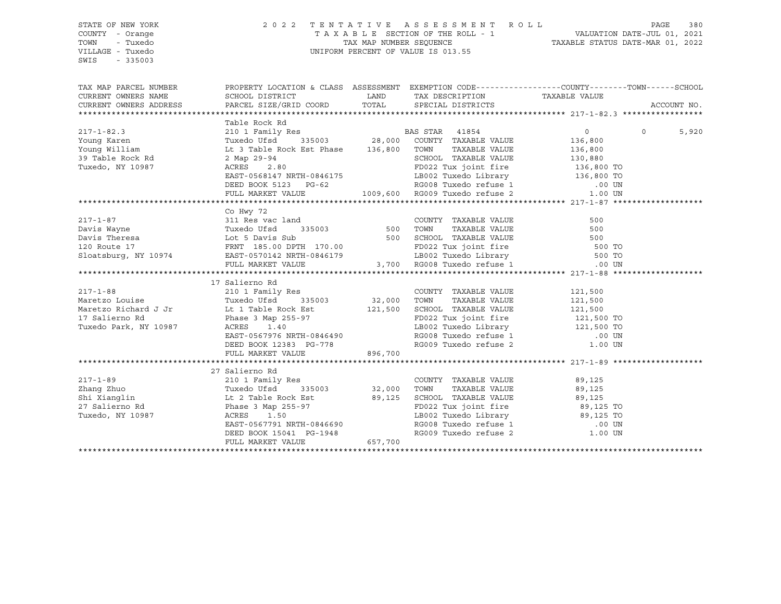SWIS - 335003

## STATE OF NEW YORK 2 0 2 2 T E N T A T I V E A S S E S S M E N T R O L L PAGE 380 COUNTY - Orange T A X A B L E SECTION OF THE ROLL - 1 VALUATION DATE-JUL 01, 2021 TOWN - Tuxedo TAX MAP NUMBER SEQUENCE TAXABLE STATUS DATE-MAR 01, 2022 UNIFORM PERCENT OF VALUE IS 013.55

TAX MAP PARCEL NUMBER PROPERTY LOCATION & CLASS ASSESSMENT EXEMPTION CODE------------------COUNTY--------TOWN------SCHOOL CURRENT OWNERS NAME SCHOOL DISTRICT LAND TAX DESCRIPTION TAXABLE VALUE CURRENT OWNERS ADDRESS PARCEL SIZE/GRID COORD TOTAL SPECIAL DISTRICTS ACCOUNT NO. \*\*\*\*\*\*\*\*\*\*\*\*\*\*\*\*\*\*\*\*\*\*\*\*\*\*\*\*\*\*\*\*\*\*\*\*\*\*\*\*\*\*\*\*\*\*\*\*\*\*\*\*\*\*\*\*\*\*\*\*\*\*\*\*\*\*\*\*\*\*\*\*\*\*\*\*\*\*\*\*\*\*\*\*\*\*\*\*\*\*\*\*\*\*\*\*\*\*\*\*\*\*\* 217-1-82.3 \*\*\*\*\*\*\*\*\*\*\*\*\*\*\*\*\* Table Rock Rd 217-1-82.3 210 1 Family Res BAS STAR 41854 0 0 5,920 Young Karen Tuxedo Ufsd 335003 28,000 COUNTY TAXABLE VALUE 136,800 Young William Lt 3 Table Rock Est Phase 136,800 TOWN TAXABLE VALUE 136,800 39 Table Rock Rd 2 Map 29-94 SCHOOL TAXABLE VALUE 130,880 Tuxedo, NY 10987 ACRES 2.80 FD022 Tux joint fire 136,800 TO EAST-0568147 NRTH-0846175 LB002 Tuxedo Library 136,800 TO DEED BOOK 5123 PG-62 RG008 Tuxedo refuse 1 .00 UN FULL MARKET VALUE 1009,600 RG009 Tuxedo refuse 2 \*\*\*\*\*\*\*\*\*\*\*\*\*\*\*\*\*\*\*\*\*\*\*\*\*\*\*\*\*\*\*\*\*\*\*\*\*\*\*\*\*\*\*\*\*\*\*\*\*\*\*\*\*\*\*\*\*\*\*\*\*\*\*\*\*\*\*\*\*\*\*\*\*\*\*\*\*\*\*\*\*\*\*\*\*\*\*\*\*\*\*\*\*\*\*\*\*\*\*\*\*\*\* 217-1-87 \*\*\*\*\*\*\*\*\*\*\*\*\*\*\*\*\*\*\* Co Hwy 72 217-1-87 311 Res vac land COUNTY TAXABLE VALUE 500 Davis Wayne Tuxedo Ufsd 335003 500 TOWN TAXABLE VALUE 500 Davis Theresa Lot 5 Davis Sub 500 SCHOOL TAXABLE VALUE 500 120 Route 17 FRNT 185.00 DPTH 170.00 FD022 Tux joint fire 500 TO Sloatsburg, NY 10974 EAST-0570142 NRTH-0846179 LB002 Tuxedo Library 500 TO FULL MARKET VALUE 3,700 RG008 Tuxedo refuse 1 .00 UN \*\*\*\*\*\*\*\*\*\*\*\*\*\*\*\*\*\*\*\*\*\*\*\*\*\*\*\*\*\*\*\*\*\*\*\*\*\*\*\*\*\*\*\*\*\*\*\*\*\*\*\*\*\*\*\*\*\*\*\*\*\*\*\*\*\*\*\*\*\*\*\*\*\*\*\*\*\*\*\*\*\*\*\*\*\*\*\*\*\*\*\*\*\*\*\*\*\*\*\*\*\*\* 217-1-88 \*\*\*\*\*\*\*\*\*\*\*\*\*\*\*\*\*\*\* 17 Salierno Rd 217-1-88 210 1 Family Res COUNTY TAXABLE VALUE 121,500 Maretzo Louise Tuxedo Ufsd 335003 32,000 TOWN TAXABLE VALUE 121,500 Maretzo Richard J Jr Lt 1 Table Rock Est 121,500 SCHOOL TAXABLE VALUE 121,500 17 Salierno Rd Phase 3 Map 255-97 FD022 Tux joint fire 121,500 TO Tuxedo Park, NY 10987 ACRES 1.40 LB002 Tuxedo Library 121,500 TO EAST-0567976 NRTH-0846490 RG008 Tuxedo refuse 1 .00 UN DEED BOOK 12383 PG-778 RG009 Tuxedo refuse 2 1.00 UN FULL MARKET VALUE 896,700 \*\*\*\*\*\*\*\*\*\*\*\*\*\*\*\*\*\*\*\*\*\*\*\*\*\*\*\*\*\*\*\*\*\*\*\*\*\*\*\*\*\*\*\*\*\*\*\*\*\*\*\*\*\*\*\*\*\*\*\*\*\*\*\*\*\*\*\*\*\*\*\*\*\*\*\*\*\*\*\*\*\*\*\*\*\*\*\*\*\*\*\*\*\*\*\*\*\*\*\*\*\*\* 217-1-89 \*\*\*\*\*\*\*\*\*\*\*\*\*\*\*\*\*\*\* 27 Salierno Rd 217-1-89 210 1 Family Res COUNTY TAXABLE VALUE 89,125 Zhang Zhuo Tuxedo Ufsd 335003 32,000 TOWN TAXABLE VALUE 89,125 Shi Xianglin Lt 2 Table Rock Est 89,125 SCHOOL TAXABLE VALUE 89,125 27 Salierno Rd Phase 3 Map 255-97 FD022 Tux joint fire 89,125 TO Tuxedo, NY 10987 ACRES 1.50 LB002 Tuxedo Library 89,125 TO EAST-0567791 NRTH-0846690 RG008 Tuxedo refuse 1 .00 UN DEED BOOK 15041 PG-1948 RG009 Tuxedo refuse 2 1.00 UN FULL MARKET VALUE 657,700 \*\*\*\*\*\*\*\*\*\*\*\*\*\*\*\*\*\*\*\*\*\*\*\*\*\*\*\*\*\*\*\*\*\*\*\*\*\*\*\*\*\*\*\*\*\*\*\*\*\*\*\*\*\*\*\*\*\*\*\*\*\*\*\*\*\*\*\*\*\*\*\*\*\*\*\*\*\*\*\*\*\*\*\*\*\*\*\*\*\*\*\*\*\*\*\*\*\*\*\*\*\*\*\*\*\*\*\*\*\*\*\*\*\*\*\*\*\*\*\*\*\*\*\*\*\*\*\*\*\*\*\*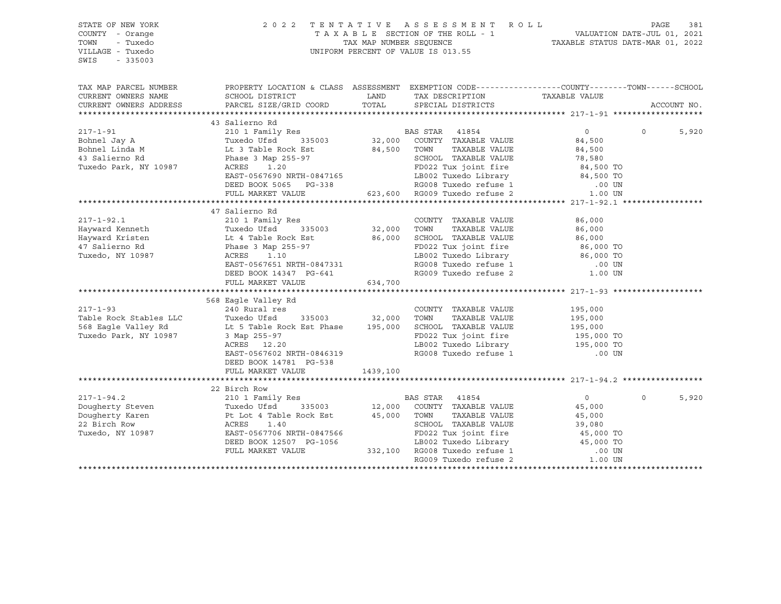| PROPERTY LOCATION & CLASS ASSESSMENT EXEMPTION CODE---------------COUNTY-------TOWN-----SCHOOL<br>TAX MAP PARCEL NUMBER<br>CURRENT OWNERS NAME<br>SCHOOL DISTRICT<br>LAND<br>TAX DESCRIPTION<br>TAXABLE VALUE<br>TOTAL<br>PARCEL SIZE/GRID COORD<br>CURRENT OWNERS ADDRESS<br>SPECIAL DISTRICTS<br>ACCOUNT NO.<br>43 Salierno Rd<br>BAS STAR 41854<br>32,000 COUNTY TAXABLE VALUE<br>210 1 Family Res<br>$217 - 1 - 91$<br>$\overline{0}$<br>$\Omega$<br>5,920<br>Bohnel Jay A<br>Tuxedo Ufsd<br>335003<br>84,500<br>Bohnel Linda M<br>84,500 TOWN<br>TAXABLE VALUE<br>Lt 3 Table Rock Est<br>84,500<br>43 Salierno Rd<br>Phase 3 Map 255-97<br>SCHOOL TAXABLE VALUE<br>78,580<br><b>The Community</b><br>FD022 Tux joint fire<br>Tuxedo Park, NY 10987<br>ACRES<br>1.20<br>84,500 TO<br>84,500 TO<br>ED022 Tuxedo Library<br>EB002 Tuxedo Library<br>RG008 Tuxedo refuse 1<br>A PG009 Tuxedo refuse 2<br>EAST-0567690 NRTH-0847165<br>DEED BOOK 5065 PG-338<br>.00 UN<br>623,600 RG009 Tuxedo refuse 2<br>FULL MARKET VALUE<br>1.00 UN<br>47 Salierno Rd<br>$217 - 1 - 92.1$<br>210 1 Family Res<br>COUNTY TAXABLE VALUE<br>86,000<br>32,000 TOWN<br>Hayward Kenneth<br>TAXABLE VALUE<br>Tuxedo Ufsd<br>335003<br>86,000<br>Lt 4 Table Room Less<br>Phase 3 Map 255-97<br>Announce 1.10<br>86,000 SCHOOL TAXABLE VALUE<br>Hayward Kristen<br>86,000<br>FD022 Tux joint fire<br>86,000 TO<br>47 Salierno Rd<br>Tuxedo, NY 10987<br>LB002 Tuxedo Library<br>RG008 Tuxedo refuse 1<br>86,000 TO<br>EAST-0567651 NRTH-0847331<br>.00 UN<br>RG009 Tuxedo refuse 2<br>DEED BOOK 14347 PG-641<br>1.00 UN<br>634,700<br>FULL MARKET VALUE<br>568 Eagle Valley Rd<br>$217 - 1 - 93$<br>240 Rural res<br>COUNTY TAXABLE VALUE<br>195,000<br>335003 32,000<br>Table Rock Stables LLC<br>Tuxedo Ufsd<br>TOWN<br>TAXABLE VALUE<br>195,000<br>568 Eagle Valley Rd<br>Lt 5 Table Rock Est Phase 195,000<br>SCHOOL TAXABLE VALUE<br>195,000<br>FD022 Tux joint fire 195,000 TO<br>LB002 Tuxedo Library 195,000 TO<br>Tuxedo Park, NY 10987<br>3 Map 255-97<br>LB002 Tuxedo Library<br>ACRES 12.20<br>RG008 Tuxedo refuse 1<br>EAST-0567602 NRTH-0846319<br>.00 UN<br>DEED BOOK 14781 PG-538<br>FULL MARKET VALUE<br>1439,100<br>22 Birch Row<br>$217 - 1 - 94.2$<br>210 1 Family Res<br>BAS STAR 41854<br>$\overline{0}$<br>$\Omega$<br>5,920<br>Dougherty Steven Tuxedo Ufsd 335003 12,000 COUNTY<br>Dougherty Karen Pt Lot 4 Table Rock Est 45,000 TOWN 22 Birch Row ACRES 1.40 SCHOOL<br>12,000 COUNTY TAXABLE VALUE<br>45,000<br>TAXABLE VALUE<br>45,000<br>SCHOOL TAXABLE VALUE<br>39,080<br>FD022 Tux joint fire<br>Tuxedo, NY 10987<br>EAST-0567706 NRTH-0847566<br>45,000 TO<br>45,000 TO<br>DEED BOOK 12507 PG-1056<br>LB002 Tuxedo Library<br>RG008 Tuxedo refuse 1<br>332,100 RG008 Tuxedo refuse 1<br>FULL MARKET VALUE<br>.00 UN<br>RG009 Tuxedo refuse 2<br>1.00 UN | STATE OF NEW YORK<br>COUNTY - Orange<br>- Tuxedo<br>TOWN<br>VILLAGE - Tuxedo<br>SWIS<br>$-335003$ | 2 0 2 2 | TENTATIVE ASSESSMENT ROLL<br>T A X A B L E SECTION OF THE ROLL - 1 WALUATION DATE-JUL 01, 2021<br>TAX MAP NUMBER SEQUENCE TAXABLE STATUS DATE-MAR 01, 2022<br>UNIFORM PERCENT OF VALUE IS 013.55 | PAGE<br>381 |
|--------------------------------------------------------------------------------------------------------------------------------------------------------------------------------------------------------------------------------------------------------------------------------------------------------------------------------------------------------------------------------------------------------------------------------------------------------------------------------------------------------------------------------------------------------------------------------------------------------------------------------------------------------------------------------------------------------------------------------------------------------------------------------------------------------------------------------------------------------------------------------------------------------------------------------------------------------------------------------------------------------------------------------------------------------------------------------------------------------------------------------------------------------------------------------------------------------------------------------------------------------------------------------------------------------------------------------------------------------------------------------------------------------------------------------------------------------------------------------------------------------------------------------------------------------------------------------------------------------------------------------------------------------------------------------------------------------------------------------------------------------------------------------------------------------------------------------------------------------------------------------------------------------------------------------------------------------------------------------------------------------------------------------------------------------------------------------------------------------------------------------------------------------------------------------------------------------------------------------------------------------------------------------------------------------------------------------------------------------------------------------------------------------------------------------------------------------------------------------------------------------------------------------------------------------------------------------------------------------------------------------------------------------------------------------------------------------------------------------------------------------------------------------------------------------------------------------------------------------------------|---------------------------------------------------------------------------------------------------|---------|--------------------------------------------------------------------------------------------------------------------------------------------------------------------------------------------------|-------------|
|                                                                                                                                                                                                                                                                                                                                                                                                                                                                                                                                                                                                                                                                                                                                                                                                                                                                                                                                                                                                                                                                                                                                                                                                                                                                                                                                                                                                                                                                                                                                                                                                                                                                                                                                                                                                                                                                                                                                                                                                                                                                                                                                                                                                                                                                                                                                                                                                                                                                                                                                                                                                                                                                                                                                                                                                                                                                    |                                                                                                   |         |                                                                                                                                                                                                  |             |
|                                                                                                                                                                                                                                                                                                                                                                                                                                                                                                                                                                                                                                                                                                                                                                                                                                                                                                                                                                                                                                                                                                                                                                                                                                                                                                                                                                                                                                                                                                                                                                                                                                                                                                                                                                                                                                                                                                                                                                                                                                                                                                                                                                                                                                                                                                                                                                                                                                                                                                                                                                                                                                                                                                                                                                                                                                                                    |                                                                                                   |         |                                                                                                                                                                                                  |             |
|                                                                                                                                                                                                                                                                                                                                                                                                                                                                                                                                                                                                                                                                                                                                                                                                                                                                                                                                                                                                                                                                                                                                                                                                                                                                                                                                                                                                                                                                                                                                                                                                                                                                                                                                                                                                                                                                                                                                                                                                                                                                                                                                                                                                                                                                                                                                                                                                                                                                                                                                                                                                                                                                                                                                                                                                                                                                    |                                                                                                   |         |                                                                                                                                                                                                  |             |
|                                                                                                                                                                                                                                                                                                                                                                                                                                                                                                                                                                                                                                                                                                                                                                                                                                                                                                                                                                                                                                                                                                                                                                                                                                                                                                                                                                                                                                                                                                                                                                                                                                                                                                                                                                                                                                                                                                                                                                                                                                                                                                                                                                                                                                                                                                                                                                                                                                                                                                                                                                                                                                                                                                                                                                                                                                                                    |                                                                                                   |         |                                                                                                                                                                                                  |             |
|                                                                                                                                                                                                                                                                                                                                                                                                                                                                                                                                                                                                                                                                                                                                                                                                                                                                                                                                                                                                                                                                                                                                                                                                                                                                                                                                                                                                                                                                                                                                                                                                                                                                                                                                                                                                                                                                                                                                                                                                                                                                                                                                                                                                                                                                                                                                                                                                                                                                                                                                                                                                                                                                                                                                                                                                                                                                    |                                                                                                   |         |                                                                                                                                                                                                  |             |
|                                                                                                                                                                                                                                                                                                                                                                                                                                                                                                                                                                                                                                                                                                                                                                                                                                                                                                                                                                                                                                                                                                                                                                                                                                                                                                                                                                                                                                                                                                                                                                                                                                                                                                                                                                                                                                                                                                                                                                                                                                                                                                                                                                                                                                                                                                                                                                                                                                                                                                                                                                                                                                                                                                                                                                                                                                                                    |                                                                                                   |         |                                                                                                                                                                                                  |             |
|                                                                                                                                                                                                                                                                                                                                                                                                                                                                                                                                                                                                                                                                                                                                                                                                                                                                                                                                                                                                                                                                                                                                                                                                                                                                                                                                                                                                                                                                                                                                                                                                                                                                                                                                                                                                                                                                                                                                                                                                                                                                                                                                                                                                                                                                                                                                                                                                                                                                                                                                                                                                                                                                                                                                                                                                                                                                    |                                                                                                   |         |                                                                                                                                                                                                  |             |
|                                                                                                                                                                                                                                                                                                                                                                                                                                                                                                                                                                                                                                                                                                                                                                                                                                                                                                                                                                                                                                                                                                                                                                                                                                                                                                                                                                                                                                                                                                                                                                                                                                                                                                                                                                                                                                                                                                                                                                                                                                                                                                                                                                                                                                                                                                                                                                                                                                                                                                                                                                                                                                                                                                                                                                                                                                                                    |                                                                                                   |         |                                                                                                                                                                                                  |             |
|                                                                                                                                                                                                                                                                                                                                                                                                                                                                                                                                                                                                                                                                                                                                                                                                                                                                                                                                                                                                                                                                                                                                                                                                                                                                                                                                                                                                                                                                                                                                                                                                                                                                                                                                                                                                                                                                                                                                                                                                                                                                                                                                                                                                                                                                                                                                                                                                                                                                                                                                                                                                                                                                                                                                                                                                                                                                    |                                                                                                   |         |                                                                                                                                                                                                  |             |
|                                                                                                                                                                                                                                                                                                                                                                                                                                                                                                                                                                                                                                                                                                                                                                                                                                                                                                                                                                                                                                                                                                                                                                                                                                                                                                                                                                                                                                                                                                                                                                                                                                                                                                                                                                                                                                                                                                                                                                                                                                                                                                                                                                                                                                                                                                                                                                                                                                                                                                                                                                                                                                                                                                                                                                                                                                                                    |                                                                                                   |         |                                                                                                                                                                                                  |             |
|                                                                                                                                                                                                                                                                                                                                                                                                                                                                                                                                                                                                                                                                                                                                                                                                                                                                                                                                                                                                                                                                                                                                                                                                                                                                                                                                                                                                                                                                                                                                                                                                                                                                                                                                                                                                                                                                                                                                                                                                                                                                                                                                                                                                                                                                                                                                                                                                                                                                                                                                                                                                                                                                                                                                                                                                                                                                    |                                                                                                   |         |                                                                                                                                                                                                  |             |
|                                                                                                                                                                                                                                                                                                                                                                                                                                                                                                                                                                                                                                                                                                                                                                                                                                                                                                                                                                                                                                                                                                                                                                                                                                                                                                                                                                                                                                                                                                                                                                                                                                                                                                                                                                                                                                                                                                                                                                                                                                                                                                                                                                                                                                                                                                                                                                                                                                                                                                                                                                                                                                                                                                                                                                                                                                                                    |                                                                                                   |         |                                                                                                                                                                                                  |             |
|                                                                                                                                                                                                                                                                                                                                                                                                                                                                                                                                                                                                                                                                                                                                                                                                                                                                                                                                                                                                                                                                                                                                                                                                                                                                                                                                                                                                                                                                                                                                                                                                                                                                                                                                                                                                                                                                                                                                                                                                                                                                                                                                                                                                                                                                                                                                                                                                                                                                                                                                                                                                                                                                                                                                                                                                                                                                    |                                                                                                   |         |                                                                                                                                                                                                  |             |
|                                                                                                                                                                                                                                                                                                                                                                                                                                                                                                                                                                                                                                                                                                                                                                                                                                                                                                                                                                                                                                                                                                                                                                                                                                                                                                                                                                                                                                                                                                                                                                                                                                                                                                                                                                                                                                                                                                                                                                                                                                                                                                                                                                                                                                                                                                                                                                                                                                                                                                                                                                                                                                                                                                                                                                                                                                                                    |                                                                                                   |         |                                                                                                                                                                                                  |             |
|                                                                                                                                                                                                                                                                                                                                                                                                                                                                                                                                                                                                                                                                                                                                                                                                                                                                                                                                                                                                                                                                                                                                                                                                                                                                                                                                                                                                                                                                                                                                                                                                                                                                                                                                                                                                                                                                                                                                                                                                                                                                                                                                                                                                                                                                                                                                                                                                                                                                                                                                                                                                                                                                                                                                                                                                                                                                    |                                                                                                   |         |                                                                                                                                                                                                  |             |
|                                                                                                                                                                                                                                                                                                                                                                                                                                                                                                                                                                                                                                                                                                                                                                                                                                                                                                                                                                                                                                                                                                                                                                                                                                                                                                                                                                                                                                                                                                                                                                                                                                                                                                                                                                                                                                                                                                                                                                                                                                                                                                                                                                                                                                                                                                                                                                                                                                                                                                                                                                                                                                                                                                                                                                                                                                                                    |                                                                                                   |         |                                                                                                                                                                                                  |             |
|                                                                                                                                                                                                                                                                                                                                                                                                                                                                                                                                                                                                                                                                                                                                                                                                                                                                                                                                                                                                                                                                                                                                                                                                                                                                                                                                                                                                                                                                                                                                                                                                                                                                                                                                                                                                                                                                                                                                                                                                                                                                                                                                                                                                                                                                                                                                                                                                                                                                                                                                                                                                                                                                                                                                                                                                                                                                    |                                                                                                   |         |                                                                                                                                                                                                  |             |
|                                                                                                                                                                                                                                                                                                                                                                                                                                                                                                                                                                                                                                                                                                                                                                                                                                                                                                                                                                                                                                                                                                                                                                                                                                                                                                                                                                                                                                                                                                                                                                                                                                                                                                                                                                                                                                                                                                                                                                                                                                                                                                                                                                                                                                                                                                                                                                                                                                                                                                                                                                                                                                                                                                                                                                                                                                                                    |                                                                                                   |         |                                                                                                                                                                                                  |             |
|                                                                                                                                                                                                                                                                                                                                                                                                                                                                                                                                                                                                                                                                                                                                                                                                                                                                                                                                                                                                                                                                                                                                                                                                                                                                                                                                                                                                                                                                                                                                                                                                                                                                                                                                                                                                                                                                                                                                                                                                                                                                                                                                                                                                                                                                                                                                                                                                                                                                                                                                                                                                                                                                                                                                                                                                                                                                    |                                                                                                   |         |                                                                                                                                                                                                  |             |
|                                                                                                                                                                                                                                                                                                                                                                                                                                                                                                                                                                                                                                                                                                                                                                                                                                                                                                                                                                                                                                                                                                                                                                                                                                                                                                                                                                                                                                                                                                                                                                                                                                                                                                                                                                                                                                                                                                                                                                                                                                                                                                                                                                                                                                                                                                                                                                                                                                                                                                                                                                                                                                                                                                                                                                                                                                                                    |                                                                                                   |         |                                                                                                                                                                                                  |             |
|                                                                                                                                                                                                                                                                                                                                                                                                                                                                                                                                                                                                                                                                                                                                                                                                                                                                                                                                                                                                                                                                                                                                                                                                                                                                                                                                                                                                                                                                                                                                                                                                                                                                                                                                                                                                                                                                                                                                                                                                                                                                                                                                                                                                                                                                                                                                                                                                                                                                                                                                                                                                                                                                                                                                                                                                                                                                    |                                                                                                   |         |                                                                                                                                                                                                  |             |
|                                                                                                                                                                                                                                                                                                                                                                                                                                                                                                                                                                                                                                                                                                                                                                                                                                                                                                                                                                                                                                                                                                                                                                                                                                                                                                                                                                                                                                                                                                                                                                                                                                                                                                                                                                                                                                                                                                                                                                                                                                                                                                                                                                                                                                                                                                                                                                                                                                                                                                                                                                                                                                                                                                                                                                                                                                                                    |                                                                                                   |         |                                                                                                                                                                                                  |             |
|                                                                                                                                                                                                                                                                                                                                                                                                                                                                                                                                                                                                                                                                                                                                                                                                                                                                                                                                                                                                                                                                                                                                                                                                                                                                                                                                                                                                                                                                                                                                                                                                                                                                                                                                                                                                                                                                                                                                                                                                                                                                                                                                                                                                                                                                                                                                                                                                                                                                                                                                                                                                                                                                                                                                                                                                                                                                    |                                                                                                   |         |                                                                                                                                                                                                  |             |
|                                                                                                                                                                                                                                                                                                                                                                                                                                                                                                                                                                                                                                                                                                                                                                                                                                                                                                                                                                                                                                                                                                                                                                                                                                                                                                                                                                                                                                                                                                                                                                                                                                                                                                                                                                                                                                                                                                                                                                                                                                                                                                                                                                                                                                                                                                                                                                                                                                                                                                                                                                                                                                                                                                                                                                                                                                                                    |                                                                                                   |         |                                                                                                                                                                                                  |             |
|                                                                                                                                                                                                                                                                                                                                                                                                                                                                                                                                                                                                                                                                                                                                                                                                                                                                                                                                                                                                                                                                                                                                                                                                                                                                                                                                                                                                                                                                                                                                                                                                                                                                                                                                                                                                                                                                                                                                                                                                                                                                                                                                                                                                                                                                                                                                                                                                                                                                                                                                                                                                                                                                                                                                                                                                                                                                    |                                                                                                   |         |                                                                                                                                                                                                  |             |
|                                                                                                                                                                                                                                                                                                                                                                                                                                                                                                                                                                                                                                                                                                                                                                                                                                                                                                                                                                                                                                                                                                                                                                                                                                                                                                                                                                                                                                                                                                                                                                                                                                                                                                                                                                                                                                                                                                                                                                                                                                                                                                                                                                                                                                                                                                                                                                                                                                                                                                                                                                                                                                                                                                                                                                                                                                                                    |                                                                                                   |         |                                                                                                                                                                                                  |             |
|                                                                                                                                                                                                                                                                                                                                                                                                                                                                                                                                                                                                                                                                                                                                                                                                                                                                                                                                                                                                                                                                                                                                                                                                                                                                                                                                                                                                                                                                                                                                                                                                                                                                                                                                                                                                                                                                                                                                                                                                                                                                                                                                                                                                                                                                                                                                                                                                                                                                                                                                                                                                                                                                                                                                                                                                                                                                    |                                                                                                   |         |                                                                                                                                                                                                  |             |
|                                                                                                                                                                                                                                                                                                                                                                                                                                                                                                                                                                                                                                                                                                                                                                                                                                                                                                                                                                                                                                                                                                                                                                                                                                                                                                                                                                                                                                                                                                                                                                                                                                                                                                                                                                                                                                                                                                                                                                                                                                                                                                                                                                                                                                                                                                                                                                                                                                                                                                                                                                                                                                                                                                                                                                                                                                                                    |                                                                                                   |         |                                                                                                                                                                                                  |             |
|                                                                                                                                                                                                                                                                                                                                                                                                                                                                                                                                                                                                                                                                                                                                                                                                                                                                                                                                                                                                                                                                                                                                                                                                                                                                                                                                                                                                                                                                                                                                                                                                                                                                                                                                                                                                                                                                                                                                                                                                                                                                                                                                                                                                                                                                                                                                                                                                                                                                                                                                                                                                                                                                                                                                                                                                                                                                    |                                                                                                   |         |                                                                                                                                                                                                  |             |
|                                                                                                                                                                                                                                                                                                                                                                                                                                                                                                                                                                                                                                                                                                                                                                                                                                                                                                                                                                                                                                                                                                                                                                                                                                                                                                                                                                                                                                                                                                                                                                                                                                                                                                                                                                                                                                                                                                                                                                                                                                                                                                                                                                                                                                                                                                                                                                                                                                                                                                                                                                                                                                                                                                                                                                                                                                                                    |                                                                                                   |         |                                                                                                                                                                                                  |             |
|                                                                                                                                                                                                                                                                                                                                                                                                                                                                                                                                                                                                                                                                                                                                                                                                                                                                                                                                                                                                                                                                                                                                                                                                                                                                                                                                                                                                                                                                                                                                                                                                                                                                                                                                                                                                                                                                                                                                                                                                                                                                                                                                                                                                                                                                                                                                                                                                                                                                                                                                                                                                                                                                                                                                                                                                                                                                    |                                                                                                   |         |                                                                                                                                                                                                  |             |
|                                                                                                                                                                                                                                                                                                                                                                                                                                                                                                                                                                                                                                                                                                                                                                                                                                                                                                                                                                                                                                                                                                                                                                                                                                                                                                                                                                                                                                                                                                                                                                                                                                                                                                                                                                                                                                                                                                                                                                                                                                                                                                                                                                                                                                                                                                                                                                                                                                                                                                                                                                                                                                                                                                                                                                                                                                                                    |                                                                                                   |         |                                                                                                                                                                                                  |             |
|                                                                                                                                                                                                                                                                                                                                                                                                                                                                                                                                                                                                                                                                                                                                                                                                                                                                                                                                                                                                                                                                                                                                                                                                                                                                                                                                                                                                                                                                                                                                                                                                                                                                                                                                                                                                                                                                                                                                                                                                                                                                                                                                                                                                                                                                                                                                                                                                                                                                                                                                                                                                                                                                                                                                                                                                                                                                    |                                                                                                   |         |                                                                                                                                                                                                  |             |
|                                                                                                                                                                                                                                                                                                                                                                                                                                                                                                                                                                                                                                                                                                                                                                                                                                                                                                                                                                                                                                                                                                                                                                                                                                                                                                                                                                                                                                                                                                                                                                                                                                                                                                                                                                                                                                                                                                                                                                                                                                                                                                                                                                                                                                                                                                                                                                                                                                                                                                                                                                                                                                                                                                                                                                                                                                                                    |                                                                                                   |         |                                                                                                                                                                                                  |             |
|                                                                                                                                                                                                                                                                                                                                                                                                                                                                                                                                                                                                                                                                                                                                                                                                                                                                                                                                                                                                                                                                                                                                                                                                                                                                                                                                                                                                                                                                                                                                                                                                                                                                                                                                                                                                                                                                                                                                                                                                                                                                                                                                                                                                                                                                                                                                                                                                                                                                                                                                                                                                                                                                                                                                                                                                                                                                    |                                                                                                   |         |                                                                                                                                                                                                  |             |
|                                                                                                                                                                                                                                                                                                                                                                                                                                                                                                                                                                                                                                                                                                                                                                                                                                                                                                                                                                                                                                                                                                                                                                                                                                                                                                                                                                                                                                                                                                                                                                                                                                                                                                                                                                                                                                                                                                                                                                                                                                                                                                                                                                                                                                                                                                                                                                                                                                                                                                                                                                                                                                                                                                                                                                                                                                                                    |                                                                                                   |         |                                                                                                                                                                                                  |             |
|                                                                                                                                                                                                                                                                                                                                                                                                                                                                                                                                                                                                                                                                                                                                                                                                                                                                                                                                                                                                                                                                                                                                                                                                                                                                                                                                                                                                                                                                                                                                                                                                                                                                                                                                                                                                                                                                                                                                                                                                                                                                                                                                                                                                                                                                                                                                                                                                                                                                                                                                                                                                                                                                                                                                                                                                                                                                    |                                                                                                   |         |                                                                                                                                                                                                  |             |
|                                                                                                                                                                                                                                                                                                                                                                                                                                                                                                                                                                                                                                                                                                                                                                                                                                                                                                                                                                                                                                                                                                                                                                                                                                                                                                                                                                                                                                                                                                                                                                                                                                                                                                                                                                                                                                                                                                                                                                                                                                                                                                                                                                                                                                                                                                                                                                                                                                                                                                                                                                                                                                                                                                                                                                                                                                                                    |                                                                                                   |         |                                                                                                                                                                                                  |             |
|                                                                                                                                                                                                                                                                                                                                                                                                                                                                                                                                                                                                                                                                                                                                                                                                                                                                                                                                                                                                                                                                                                                                                                                                                                                                                                                                                                                                                                                                                                                                                                                                                                                                                                                                                                                                                                                                                                                                                                                                                                                                                                                                                                                                                                                                                                                                                                                                                                                                                                                                                                                                                                                                                                                                                                                                                                                                    |                                                                                                   |         |                                                                                                                                                                                                  |             |
|                                                                                                                                                                                                                                                                                                                                                                                                                                                                                                                                                                                                                                                                                                                                                                                                                                                                                                                                                                                                                                                                                                                                                                                                                                                                                                                                                                                                                                                                                                                                                                                                                                                                                                                                                                                                                                                                                                                                                                                                                                                                                                                                                                                                                                                                                                                                                                                                                                                                                                                                                                                                                                                                                                                                                                                                                                                                    |                                                                                                   |         |                                                                                                                                                                                                  |             |
|                                                                                                                                                                                                                                                                                                                                                                                                                                                                                                                                                                                                                                                                                                                                                                                                                                                                                                                                                                                                                                                                                                                                                                                                                                                                                                                                                                                                                                                                                                                                                                                                                                                                                                                                                                                                                                                                                                                                                                                                                                                                                                                                                                                                                                                                                                                                                                                                                                                                                                                                                                                                                                                                                                                                                                                                                                                                    |                                                                                                   |         |                                                                                                                                                                                                  |             |
|                                                                                                                                                                                                                                                                                                                                                                                                                                                                                                                                                                                                                                                                                                                                                                                                                                                                                                                                                                                                                                                                                                                                                                                                                                                                                                                                                                                                                                                                                                                                                                                                                                                                                                                                                                                                                                                                                                                                                                                                                                                                                                                                                                                                                                                                                                                                                                                                                                                                                                                                                                                                                                                                                                                                                                                                                                                                    |                                                                                                   |         |                                                                                                                                                                                                  |             |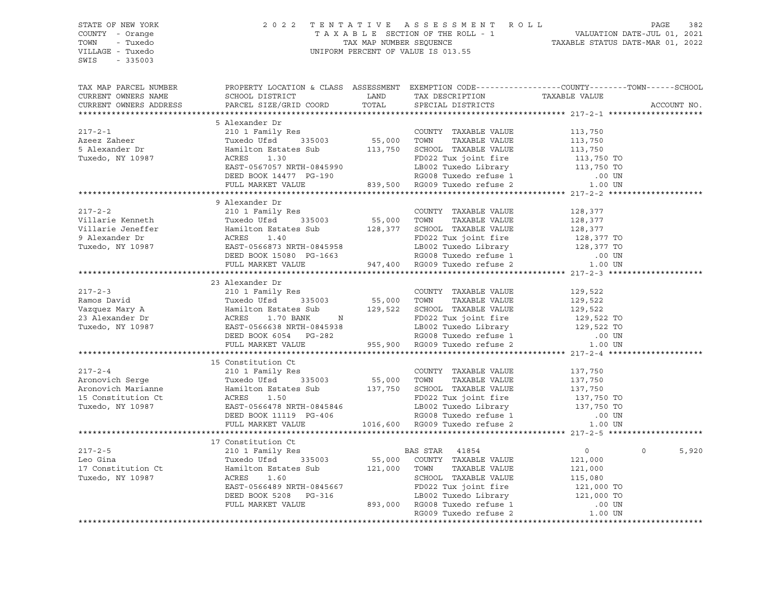STATE OF NEW YORK 2 0 2 2 T E N T A T I V E A S S E S S M E N T R O L L PAGE 382 COUNTY - Orange T A X A B L E SECTION OF THE ROLL - 1 VALUATION DATE-JUL 01, 2021 TOWN - Tuxedo TOWN - TAX MAP NUMBER SEQUENCE TAXABLE STATUS DATE-MAR 01, 2022 VILLAGE - Tuxedo UNIFORM PERCENT OF VALUE IS 013.55 SWIS - 335003 TAX MAP PARCEL NUMBER PROPERTY LOCATION & CLASS ASSESSMENT EXEMPTION CODE------------------COUNTY--------TOWN------SCHOOL CURRENT OWNERS NAME SCHOOL DISTRICT TAX DESCRIPTION TAXABLE VALUE CURRENT OWNERS ADDRESS PARCEL SIZE/GRID COORD TOTAL SPECIAL DISTRICTS ACCOUNT NO. \*\*\*\*\*\*\*\*\*\*\*\*\*\*\*\*\*\*\*\*\*\*\*\*\*\*\*\*\*\*\*\*\*\*\*\*\*\*\*\*\*\*\*\*\*\*\*\*\*\*\*\*\*\*\*\*\*\*\*\*\*\*\*\*\*\*\*\*\*\*\*\*\*\*\*\*\*\*\*\*\*\*\*\*\*\*\*\*\*\*\*\*\*\*\*\*\*\*\*\*\*\*\* 217-2-1 \*\*\*\*\*\*\*\*\*\*\*\*\*\*\*\*\*\*\*\* 5 Alexander Dr 217-2-1 210 1 Family Res COUNTY TAXABLE VALUE 113,750 Azeez Zaheer Tuxedo Ufsd 335003 55,000 TOWN TAXABLE VALUE 113,750 5 Alexander Dr Hamilton Estates Sub 113,750 SCHOOL TAXABLE VALUE 113,750 Tuxedo, NY 10987 ACRES 1.30 FD022 Tux joint fire 113,750 TO EAST-0567057 NRTH-0845990 LB002 Tuxedo Library 113,750 TO DEED BOOK 14477 PG-190 RG008 Tuxedo refuse 1 .00 UN FULL MARKET VALUE 839,500 RG009 Tuxedo refuse 2 1.00 UN \*\*\*\*\*\*\*\*\*\*\*\*\*\*\*\*\*\*\*\*\*\*\*\*\*\*\*\*\*\*\*\*\*\*\*\*\*\*\*\*\*\*\*\*\*\*\*\*\*\*\*\*\*\*\*\*\*\*\*\*\*\*\*\*\*\*\*\*\*\*\*\*\*\*\*\*\*\*\*\*\*\*\*\*\*\*\*\*\*\*\*\*\*\*\*\*\*\*\*\*\*\*\* 217-2-2 \*\*\*\*\*\*\*\*\*\*\*\*\*\*\*\*\*\*\*\* 9 Alexander Dr 217-2-2 210 1 Family Res COUNTY TAXABLE VALUE 128,377 Villarie Kenneth Tuxedo Ufsd 335003 55,000 TOWN TAXABLE VALUE 128,377 Villarie Jeneffer Hamilton Estates Sub 128,377 SCHOOL TAXABLE VALUE 128,377 9 Alexander Dr ACRES 1.40 FD022 Tux joint fire 128,377 TO Tuxedo, NY 10987 EAST-0566873 NRTH-0845958 LB002 Tuxedo Library 128,377 TO DEED BOOK 15080 PG-1663 RG008 Tuxedo refuse 1 .00 UN FULL MARKET VALUE 947,400 RG009 Tuxedo refuse 2 1.00 UN \*\*\*\*\*\*\*\*\*\*\*\*\*\*\*\*\*\*\*\*\*\*\*\*\*\*\*\*\*\*\*\*\*\*\*\*\*\*\*\*\*\*\*\*\*\*\*\*\*\*\*\*\*\*\*\*\*\*\*\*\*\*\*\*\*\*\*\*\*\*\*\*\*\*\*\*\*\*\*\*\*\*\*\*\*\*\*\*\*\*\*\*\*\*\*\*\*\*\*\*\*\*\* 217-2-3 \*\*\*\*\*\*\*\*\*\*\*\*\*\*\*\*\*\*\*\* 23 Alexander Dr 217-2-3 210 1 Family Res COUNTY TAXABLE VALUE 129,522 Ramos David Tuxedo Ufsd 335003 55,000 TOWN TAXABLE VALUE 129,522 Vazquez Mary A Hamilton Estates Sub 129,522 SCHOOL TAXABLE VALUE 129,522 23 Alexander Dr ACRES 1.70 BANK N FD022 Tux joint fire 129,522 TO Tuxedo, NY 10987 EAST-0566638 NRTH-0845938 LB002 Tuxedo Library 129,522 TO DEED BOOK 6054 PG-282 RG008 Tuxedo refuse 1 .00 UN FULL MARKET VALUE 955,900 RG009 Tuxedo refuse 2 1.00 UN \*\*\*\*\*\*\*\*\*\*\*\*\*\*\*\*\*\*\*\*\*\*\*\*\*\*\*\*\*\*\*\*\*\*\*\*\*\*\*\*\*\*\*\*\*\*\*\*\*\*\*\*\*\*\*\*\*\*\*\*\*\*\*\*\*\*\*\*\*\*\*\*\*\*\*\*\*\*\*\*\*\*\*\*\*\*\*\*\*\*\*\*\*\*\*\*\*\*\*\*\*\*\* 217-2-4 \*\*\*\*\*\*\*\*\*\*\*\*\*\*\*\*\*\*\*\* 15 Constitution Ct 217-2-4 210 1 Family Res COUNTY TAXABLE VALUE 137,750 Aronovich Serge Tuxedo Ufsd 335003 55,000 TOWN TAXABLE VALUE 137,750 Aronovich Marianne Hamilton Estates Sub 137,750 SCHOOL TAXABLE VALUE 137,750 15 Constitution Ct ACRES 1.50 FD022 Tux joint fire 137,750 TO Tuxedo, NY 10987 EAST-0566478 NRTH-0845846 LB002 Tuxedo Library 137,750 TO DEED BOOK 11119 PG-406 RG008 Tuxedo refuse 1 .00 UN FULL MARKET VALUE 1016,600 RG009 Tuxedo refuse 2 1.00 UN \*\*\*\*\*\*\*\*\*\*\*\*\*\*\*\*\*\*\*\*\*\*\*\*\*\*\*\*\*\*\*\*\*\*\*\*\*\*\*\*\*\*\*\*\*\*\*\*\*\*\*\*\*\*\*\*\*\*\*\*\*\*\*\*\*\*\*\*\*\*\*\*\*\*\*\*\*\*\*\*\*\*\*\*\*\*\*\*\*\*\*\*\*\*\*\*\*\*\*\*\*\*\* 217-2-5 \*\*\*\*\*\*\*\*\*\*\*\*\*\*\*\*\*\*\*\* 17 Constitution Ct 217-2-5 210 1 Family Res BAS STAR 41854 0 0 5,920 Leo Gina Tuxedo Ufsd 335003 55,000 COUNTY TAXABLE VALUE 121,000 17 Constitution Ct Hamilton Estates Sub 121,000 TOWN TAXABLE VALUE 121,000 Tuxedo, NY 10987 ACRES 1.60 SCHOOL TAXABLE VALUE 115,080 EAST-0566489 NRTH-0845667 FD022 Tux joint fire 121,000 TO DEED BOOK 5208 PG-316 LB002 Tuxedo Library 121,000 TO FULL MARKET VALUE 893,000 RG008 Tuxedo refuse 1 .00 UN RG009 Tuxedo refuse 2 1.00 UN \*\*\*\*\*\*\*\*\*\*\*\*\*\*\*\*\*\*\*\*\*\*\*\*\*\*\*\*\*\*\*\*\*\*\*\*\*\*\*\*\*\*\*\*\*\*\*\*\*\*\*\*\*\*\*\*\*\*\*\*\*\*\*\*\*\*\*\*\*\*\*\*\*\*\*\*\*\*\*\*\*\*\*\*\*\*\*\*\*\*\*\*\*\*\*\*\*\*\*\*\*\*\*\*\*\*\*\*\*\*\*\*\*\*\*\*\*\*\*\*\*\*\*\*\*\*\*\*\*\*\*\*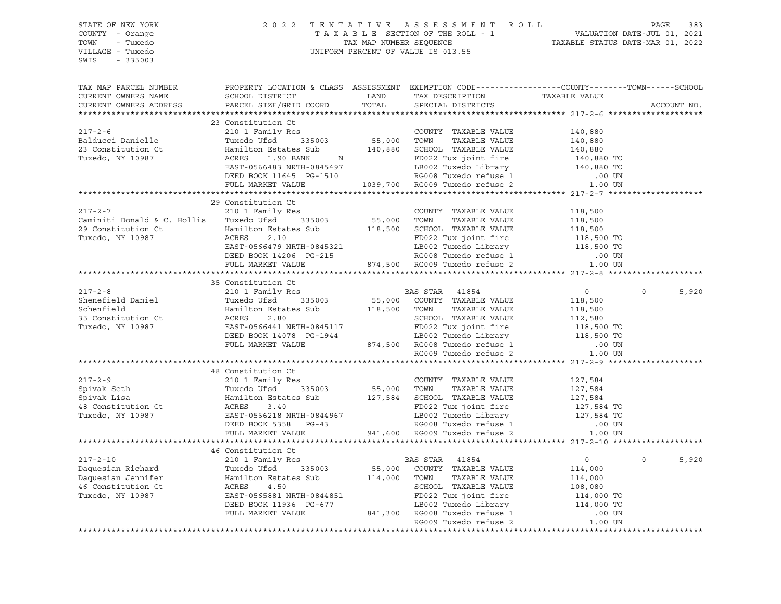STATE OF NEW YORK 2 0 2 2 T E N T A T I V E A S S E S S M E N T R O L L PAGE 383 COUNTY - Orange T A X A B L E SECTION OF THE ROLL - 1 VALUATION DATE-JUL 01, 2021 TOWN - Tuxedo TAX MAP NUMBER SEQUENCE TAXABLE STATUS DATE-MAR 01, 2022 UNIFORM PERCENT OF VALUE IS 013.55 SWIS - 335003 TAX MAP PARCEL NUMBER PROPERTY LOCATION & CLASS ASSESSMENT EXEMPTION CODE------------------COUNTY--------TOWN------SCHOOL CURRENT OWNERS NAME SCHOOL DISTRICT TAX DESCRIPTION TAXABLE VALUE CURRENT OWNERS ADDRESS PARCEL SIZE/GRID COORD TOTAL SPECIAL DISTRICTS ACCOUNT NO. \*\*\*\*\*\*\*\*\*\*\*\*\*\*\*\*\*\*\*\*\*\*\*\*\*\*\*\*\*\*\*\*\*\*\*\*\*\*\*\*\*\*\*\*\*\*\*\*\*\*\*\*\*\*\*\*\*\*\*\*\*\*\*\*\*\*\*\*\*\*\*\*\*\*\*\*\*\*\*\*\*\*\*\*\*\*\*\*\*\*\*\*\*\*\*\*\*\*\*\*\*\*\* 217-2-6 \*\*\*\*\*\*\*\*\*\*\*\*\*\*\*\*\*\*\*\* 23 Constitution Ct 217-2-6 210 1 Family Res COUNTY TAXABLE VALUE 140,880 Balducci Danielle Tuxedo Ufsd 335003 55,000 TOWN TAXABLE VALUE 140,880 23 Constitution Ct Hamilton Estates Sub 140,880 SCHOOL TAXABLE VALUE 140,880 Tuxedo, NY 10987 ACRES 1.90 BANK N FD022 Tux joint fire 140,880 TO EAST-0566483 NRTH-0845497 LB002 Tuxedo Library 140,880 TO DEED BOOK 11645 PG-1510 RG008 Tuxedo refuse 1 .00 UN FULL MARKET VALUE 1039,700 RG009 Tuxedo refuse 2 1.00 UN \*\*\*\*\*\*\*\*\*\*\*\*\*\*\*\*\*\*\*\*\*\*\*\*\*\*\*\*\*\*\*\*\*\*\*\*\*\*\*\*\*\*\*\*\*\*\*\*\*\*\*\*\*\*\*\*\*\*\*\*\*\*\*\*\*\*\*\*\*\*\*\*\*\*\*\*\*\*\*\*\*\*\*\*\*\*\*\*\*\*\*\*\*\*\*\*\*\*\*\*\*\*\* 217-2-7 \*\*\*\*\*\*\*\*\*\*\*\*\*\*\*\*\*\*\*\* 29 Constitution Ct 217-2-7 210 1 Family Res COUNTY TAXABLE VALUE 118,500 Caminiti Donald & C. Hollis Tuxedo Ufsd 335003 55,000 TOWN TAXABLE VALUE 118,500 29 Constitution Ct Hamilton Estates Sub 118,500 SCHOOL TAXABLE VALUE 118,500 Tuxedo, NY 10987 ACRES 2.10 FD022 Tux joint fire 118,500 TO EAST-0566479 NRTH-0845321 LB002 Tuxedo Library 118,500 TO DEED BOOK 14206 PG-215 RG008 Tuxedo refuse 1 .00 UN FULL MARKET VALUE 874,500 RG009 Tuxedo refuse 2 1.00 UN \*\*\*\*\*\*\*\*\*\*\*\*\*\*\*\*\*\*\*\*\*\*\*\*\*\*\*\*\*\*\*\*\*\*\*\*\*\*\*\*\*\*\*\*\*\*\*\*\*\*\*\*\*\*\*\*\*\*\*\*\*\*\*\*\*\*\*\*\*\*\*\*\*\*\*\*\*\*\*\*\*\*\*\*\*\*\*\*\*\*\*\*\*\*\*\*\*\*\*\*\*\*\* 217-2-8 \*\*\*\*\*\*\*\*\*\*\*\*\*\*\*\*\*\*\*\* 35 Constitution Ct 217-2-8 210 1 Family Res BAS STAR 41854 0 0 5,920 Shenefield Daniel Tuxedo Ufsd 335003 55,000 COUNTY TAXABLE VALUE 118,500 Schenfield Hamilton Estates Sub 118,500 TOWN TAXABLE VALUE 118,500 35 Constitution Ct ACRES 2.80 SCHOOL TAXABLE VALUE 112,580 Tuxedo, NY 10987 EAST-0566441 NRTH-0845117 FD022 Tux joint fire 118,500 TO DEED BOOK 14078 PG-1944 LB002 Tuxedo Library 118,500 TO FULL MARKET VALUE 874,500 RG008 Tuxedo refuse 1 .00 UN RG009 Tuxedo refuse 2  $1.00$  UN \*\*\*\*\*\*\*\*\*\*\*\*\*\*\*\*\*\*\*\*\*\*\*\*\*\*\*\*\*\*\*\*\*\*\*\*\*\*\*\*\*\*\*\*\*\*\*\*\*\*\*\*\*\*\*\*\*\*\*\*\*\*\*\*\*\*\*\*\*\*\*\*\*\*\*\*\*\*\*\*\*\*\*\*\*\*\*\*\*\*\*\*\*\*\*\*\*\*\*\*\*\*\* 217-2-9 \*\*\*\*\*\*\*\*\*\*\*\*\*\*\*\*\*\*\*\* 48 Constitution Ct 217-2-9 210 1 Family Res COUNTY TAXABLE VALUE 127,584 Spivak Seth Tuxedo Ufsd 335003 55,000 TOWN TAXABLE VALUE 127,584 Spivak Lisa Hamilton Estates Sub 127,584 SCHOOL TAXABLE VALUE 127,584 48 Constitution Ct ACRES 3.40 FD022 Tux joint fire 127,584 TO Tuxedo, NY 10987 EAST-0566218 NRTH-0844967 LB002 Tuxedo Library 127,584 TO DEED BOOK 5358 PG-43 RG008 Tuxedo refuse 1 .00 UN FULL MARKET VALUE 941,600 RG009 Tuxedo refuse 2 1.00 UN \*\*\*\*\*\*\*\*\*\*\*\*\*\*\*\*\*\*\*\*\*\*\*\*\*\*\*\*\*\*\*\*\*\*\*\*\*\*\*\*\*\*\*\*\*\*\*\*\*\*\*\*\*\*\*\*\*\*\*\*\*\*\*\*\*\*\*\*\*\*\*\*\*\*\*\*\*\*\*\*\*\*\*\*\*\*\*\*\*\*\*\*\*\*\*\*\*\*\*\*\*\*\* 217-2-10 \*\*\*\*\*\*\*\*\*\*\*\*\*\*\*\*\*\*\* 46 Constitution Ct 217-2-10 210 1 Family Res BAS STAR 41854 0 0 5,920 Daquesian Richard Tuxedo Ufsd 335003 55,000 COUNTY TAXABLE VALUE 114,000 Daquesian Jennifer Hamilton Estates Sub 114,000 TOWN TAXABLE VALUE 114,000 46 Constitution Ct ACRES 4.50 SCHOOL TAXABLE VALUE 108,080 Tuxedo, NY 10987 EAST-0565881 NRTH-0844851 FD022 Tux joint fire 114,000 TO DEED BOOK 11936 PG-677 LB002 Tuxedo Library 114,000 TO FULL MARKET VALUE 841,300 RG008 Tuxedo refuse 1 .00 UN RG009 Tuxedo refuse 2 \*\*\*\*\*\*\*\*\*\*\*\*\*\*\*\*\*\*\*\*\*\*\*\*\*\*\*\*\*\*\*\*\*\*\*\*\*\*\*\*\*\*\*\*\*\*\*\*\*\*\*\*\*\*\*\*\*\*\*\*\*\*\*\*\*\*\*\*\*\*\*\*\*\*\*\*\*\*\*\*\*\*\*\*\*\*\*\*\*\*\*\*\*\*\*\*\*\*\*\*\*\*\*\*\*\*\*\*\*\*\*\*\*\*\*\*\*\*\*\*\*\*\*\*\*\*\*\*\*\*\*\*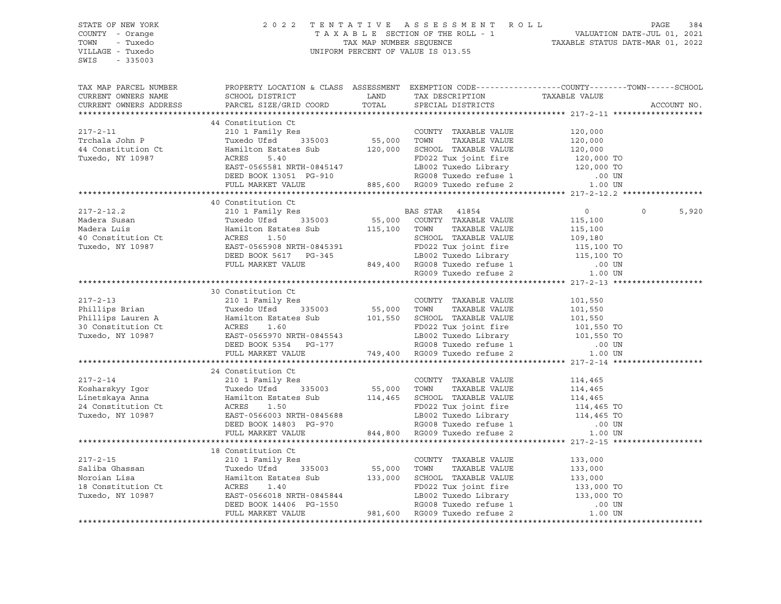| STATE OF NEW YORK      | 2022 TENTATIVE ASSESSMENT ROLL PAGE 384<br>TAXABLE SECTION OF THE ROLL - 1 VALUATION DATE-JUL 01, 2021<br>TAX MAP NUMBER SEQUENCE TAXABLE STATUS DATE-MAR 01, 2022<br>UNIFORM PERCENT OF VALUE IS 013.55                                                                                                                                                                                                                              |  |                         |
|------------------------|---------------------------------------------------------------------------------------------------------------------------------------------------------------------------------------------------------------------------------------------------------------------------------------------------------------------------------------------------------------------------------------------------------------------------------------|--|-------------------------|
| COUNTY - Orange        |                                                                                                                                                                                                                                                                                                                                                                                                                                       |  |                         |
| TOWN - Tuxedo          |                                                                                                                                                                                                                                                                                                                                                                                                                                       |  |                         |
| VILLAGE - Tuxedo       |                                                                                                                                                                                                                                                                                                                                                                                                                                       |  |                         |
| SWIS - 335003          |                                                                                                                                                                                                                                                                                                                                                                                                                                       |  |                         |
| TAX MAP PARCEL NUMBER  | PROPERTY LOCATION & CLASS ASSESSMENT EXEMPTION CODE-----------------COUNTY-------TOWN------SCHOOL                                                                                                                                                                                                                                                                                                                                     |  |                         |
| CURRENT OWNERS NAME    |                                                                                                                                                                                                                                                                                                                                                                                                                                       |  |                         |
| CURRENT OWNERS ADDRESS | SCHOOL DISTRICT LAND TAX DESCRIPTION TAXABLE VALUE<br>PARCEL SIZE/GRID COORD TOTAL SPECIAL DISTRICTS                                                                                                                                                                                                                                                                                                                                  |  | ACCOUNT NO.             |
|                        |                                                                                                                                                                                                                                                                                                                                                                                                                                       |  |                         |
|                        | 44 Constitution Ct                                                                                                                                                                                                                                                                                                                                                                                                                    |  |                         |
|                        | 217-2-11 44 Constitution Ct<br>210 1 Family Res<br>Trohala John P Tuxedo Usd Use 120,000<br>44 Constitution Ct<br>210 1 Family Res<br>210 1 Family Res<br>335003 55,000 TOWN TAXABLE VALUE 120,000<br>44 Constitution Ct<br>217-2-11 20,000<br>2                                                                                                                                                                                      |  |                         |
|                        |                                                                                                                                                                                                                                                                                                                                                                                                                                       |  |                         |
|                        |                                                                                                                                                                                                                                                                                                                                                                                                                                       |  |                         |
|                        |                                                                                                                                                                                                                                                                                                                                                                                                                                       |  |                         |
|                        |                                                                                                                                                                                                                                                                                                                                                                                                                                       |  |                         |
|                        |                                                                                                                                                                                                                                                                                                                                                                                                                                       |  |                         |
|                        |                                                                                                                                                                                                                                                                                                                                                                                                                                       |  |                         |
|                        | 40 Constitution Ct                                                                                                                                                                                                                                                                                                                                                                                                                    |  |                         |
|                        |                                                                                                                                                                                                                                                                                                                                                                                                                                       |  | $\overline{0}$<br>5,920 |
|                        |                                                                                                                                                                                                                                                                                                                                                                                                                                       |  |                         |
|                        |                                                                                                                                                                                                                                                                                                                                                                                                                                       |  |                         |
|                        |                                                                                                                                                                                                                                                                                                                                                                                                                                       |  |                         |
|                        |                                                                                                                                                                                                                                                                                                                                                                                                                                       |  |                         |
|                        |                                                                                                                                                                                                                                                                                                                                                                                                                                       |  |                         |
|                        |                                                                                                                                                                                                                                                                                                                                                                                                                                       |  |                         |
|                        | ${\small \begin{tabular}{lcccc} \bf 217-2-12.2 & \bf 40\text{ Constitution Ct} & \bf BAS\text{ STAR} & 41854 & \bf 0 \\ & \bf 210\text{ }1\text{ Family Res} & \bf 115,100 \\ \bf 210\text{ Madera Susan} & \text{Turxedo Ufsd} & 335003 & \text{ }55,000 & \text{COUNTY} & \text{TXABLE VALUE} & \text{115,100} \\ \bf 40\text{ Constitution Ct} & \bf ACRES & 1.50 & \text{SCHOOL TAXABLE VALUE} & 109,180 \\ \bf 415,100 & \text{$ |  |                         |
|                        |                                                                                                                                                                                                                                                                                                                                                                                                                                       |  |                         |
|                        | 30 Constitution Ct                                                                                                                                                                                                                                                                                                                                                                                                                    |  |                         |
|                        |                                                                                                                                                                                                                                                                                                                                                                                                                                       |  |                         |
|                        |                                                                                                                                                                                                                                                                                                                                                                                                                                       |  |                         |
|                        |                                                                                                                                                                                                                                                                                                                                                                                                                                       |  |                         |
|                        |                                                                                                                                                                                                                                                                                                                                                                                                                                       |  |                         |
|                        |                                                                                                                                                                                                                                                                                                                                                                                                                                       |  |                         |
|                        |                                                                                                                                                                                                                                                                                                                                                                                                                                       |  |                         |
|                        | 30 CORSEITED ON COUNTY TAXABLE VALUE<br>210 1 Family Res<br>Phillips Brian and Tuxedo Ufsd 335003 55,000 TOWN TAXABLE VALUE 101,550<br>Phillips Lauren A Hamilton Estates Sub 101,550 SCHOOL TAXABLE VALUE 101,550<br>30 Constitution                                                                                                                                                                                                 |  |                         |
|                        |                                                                                                                                                                                                                                                                                                                                                                                                                                       |  |                         |
|                        | 24 Constitution Ct                                                                                                                                                                                                                                                                                                                                                                                                                    |  |                         |
|                        |                                                                                                                                                                                                                                                                                                                                                                                                                                       |  |                         |
|                        |                                                                                                                                                                                                                                                                                                                                                                                                                                       |  |                         |
|                        |                                                                                                                                                                                                                                                                                                                                                                                                                                       |  |                         |
|                        |                                                                                                                                                                                                                                                                                                                                                                                                                                       |  |                         |
|                        |                                                                                                                                                                                                                                                                                                                                                                                                                                       |  |                         |
|                        |                                                                                                                                                                                                                                                                                                                                                                                                                                       |  |                         |
|                        |                                                                                                                                                                                                                                                                                                                                                                                                                                       |  |                         |
|                        | 18 Constitution Ct                                                                                                                                                                                                                                                                                                                                                                                                                    |  |                         |
|                        |                                                                                                                                                                                                                                                                                                                                                                                                                                       |  |                         |
|                        |                                                                                                                                                                                                                                                                                                                                                                                                                                       |  |                         |
|                        |                                                                                                                                                                                                                                                                                                                                                                                                                                       |  |                         |
|                        |                                                                                                                                                                                                                                                                                                                                                                                                                                       |  |                         |
|                        |                                                                                                                                                                                                                                                                                                                                                                                                                                       |  |                         |
|                        |                                                                                                                                                                                                                                                                                                                                                                                                                                       |  |                         |
|                        | 18 Constitution Ct<br>210 1 Family Res<br>210 1 Family Res<br>210 1 Family Res<br>210 1 Family Res<br>210 1 Family Res<br>335003<br>216 Ghassan<br>210 1 Family Res<br>335003<br>216 Gonstitution States Sub<br>213,000 TOWN TAXABLE VALUE<br>213,000<br>                                                                                                                                                                             |  |                         |
|                        |                                                                                                                                                                                                                                                                                                                                                                                                                                       |  |                         |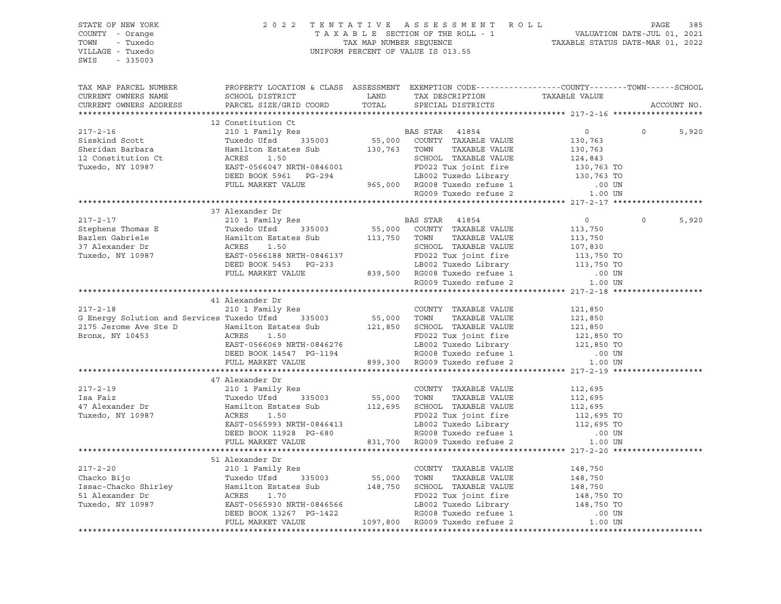| STATE OF NEW YORK<br>COUNTY - Orange<br>TOWN - Tuxedo<br>VILLAGE - Tuxedo<br>SWIS - 335003                                                                                                                                                                                                                                                                                                                                                        |                                                                                                                                                                                                       |  |                |                         |
|---------------------------------------------------------------------------------------------------------------------------------------------------------------------------------------------------------------------------------------------------------------------------------------------------------------------------------------------------------------------------------------------------------------------------------------------------|-------------------------------------------------------------------------------------------------------------------------------------------------------------------------------------------------------|--|----------------|-------------------------|
| TAX MAP PARCEL NUMBER<br>CURRENT OWNERS NAME<br>CURRENT OWNERS ADDRESS                                                                                                                                                                                                                                                                                                                                                                            | PROPERTY LOCATION & CLASS ASSESSMENT EXEMPTION CODE----------------COUNTY-------TOWN------SCHOOL<br>SCHOOL DISTRICT LAND TAX DESCRIPTION TAXABLE VALUE PARCEL SIZE/GRID COORD TOTAL SPECIAL DISTRICTS |  |                | ACCOUNT NO.             |
|                                                                                                                                                                                                                                                                                                                                                                                                                                                   |                                                                                                                                                                                                       |  |                |                         |
|                                                                                                                                                                                                                                                                                                                                                                                                                                                   | 12 Constitution Ct                                                                                                                                                                                    |  |                |                         |
|                                                                                                                                                                                                                                                                                                                                                                                                                                                   |                                                                                                                                                                                                       |  | $\overline{0}$ | 5,920<br>$\overline{0}$ |
|                                                                                                                                                                                                                                                                                                                                                                                                                                                   |                                                                                                                                                                                                       |  |                |                         |
|                                                                                                                                                                                                                                                                                                                                                                                                                                                   |                                                                                                                                                                                                       |  |                |                         |
|                                                                                                                                                                                                                                                                                                                                                                                                                                                   |                                                                                                                                                                                                       |  |                |                         |
|                                                                                                                                                                                                                                                                                                                                                                                                                                                   |                                                                                                                                                                                                       |  |                |                         |
|                                                                                                                                                                                                                                                                                                                                                                                                                                                   |                                                                                                                                                                                                       |  |                |                         |
|                                                                                                                                                                                                                                                                                                                                                                                                                                                   |                                                                                                                                                                                                       |  |                |                         |
|                                                                                                                                                                                                                                                                                                                                                                                                                                                   |                                                                                                                                                                                                       |  |                |                         |
|                                                                                                                                                                                                                                                                                                                                                                                                                                                   |                                                                                                                                                                                                       |  |                |                         |
|                                                                                                                                                                                                                                                                                                                                                                                                                                                   | 37 Alexander Dr                                                                                                                                                                                       |  |                |                         |
|                                                                                                                                                                                                                                                                                                                                                                                                                                                   |                                                                                                                                                                                                       |  |                | 5,920<br>$\circ$        |
|                                                                                                                                                                                                                                                                                                                                                                                                                                                   |                                                                                                                                                                                                       |  |                |                         |
|                                                                                                                                                                                                                                                                                                                                                                                                                                                   |                                                                                                                                                                                                       |  |                |                         |
|                                                                                                                                                                                                                                                                                                                                                                                                                                                   |                                                                                                                                                                                                       |  |                |                         |
|                                                                                                                                                                                                                                                                                                                                                                                                                                                   |                                                                                                                                                                                                       |  |                |                         |
|                                                                                                                                                                                                                                                                                                                                                                                                                                                   |                                                                                                                                                                                                       |  |                |                         |
|                                                                                                                                                                                                                                                                                                                                                                                                                                                   |                                                                                                                                                                                                       |  |                |                         |
|                                                                                                                                                                                                                                                                                                                                                                                                                                                   |                                                                                                                                                                                                       |  |                |                         |
|                                                                                                                                                                                                                                                                                                                                                                                                                                                   |                                                                                                                                                                                                       |  |                |                         |
|                                                                                                                                                                                                                                                                                                                                                                                                                                                   | 41 Alexander Dr                                                                                                                                                                                       |  |                |                         |
|                                                                                                                                                                                                                                                                                                                                                                                                                                                   |                                                                                                                                                                                                       |  |                |                         |
|                                                                                                                                                                                                                                                                                                                                                                                                                                                   |                                                                                                                                                                                                       |  |                |                         |
|                                                                                                                                                                                                                                                                                                                                                                                                                                                   |                                                                                                                                                                                                       |  |                |                         |
|                                                                                                                                                                                                                                                                                                                                                                                                                                                   |                                                                                                                                                                                                       |  |                |                         |
|                                                                                                                                                                                                                                                                                                                                                                                                                                                   |                                                                                                                                                                                                       |  |                |                         |
|                                                                                                                                                                                                                                                                                                                                                                                                                                                   |                                                                                                                                                                                                       |  |                |                         |
| $\begin{tabular}{lllllllllllllllllll} & & & & & 41\text{ Alexander Dr} & & & & & & & & 101\text{ Family Res} & & & & & & & & & & 101\text{ Family Res} & & & & & & & & & 121\text{,}850\text{ G Energy Solution and Services Tuxed Ufsd & & & & & 355003 & & & 55,000\text{ TOWN} & TAXABLE VALUE & & & 121,850\text{ Z175 Jerome Ave Ste D} & & & & & & & & & 121,850\text{ Z175 Jerome Ave Ste D} & & & & & & & & & 121,850\text{ ACRES} & & &$ |                                                                                                                                                                                                       |  |                |                         |
|                                                                                                                                                                                                                                                                                                                                                                                                                                                   | 47 Alexander Dr                                                                                                                                                                                       |  |                |                         |
|                                                                                                                                                                                                                                                                                                                                                                                                                                                   |                                                                                                                                                                                                       |  |                |                         |
|                                                                                                                                                                                                                                                                                                                                                                                                                                                   |                                                                                                                                                                                                       |  |                |                         |
|                                                                                                                                                                                                                                                                                                                                                                                                                                                   |                                                                                                                                                                                                       |  |                |                         |
|                                                                                                                                                                                                                                                                                                                                                                                                                                                   |                                                                                                                                                                                                       |  |                |                         |
|                                                                                                                                                                                                                                                                                                                                                                                                                                                   |                                                                                                                                                                                                       |  |                |                         |
|                                                                                                                                                                                                                                                                                                                                                                                                                                                   |                                                                                                                                                                                                       |  |                |                         |
|                                                                                                                                                                                                                                                                                                                                                                                                                                                   |                                                                                                                                                                                                       |  |                |                         |
|                                                                                                                                                                                                                                                                                                                                                                                                                                                   |                                                                                                                                                                                                       |  |                |                         |
|                                                                                                                                                                                                                                                                                                                                                                                                                                                   | 51 Alexander Dr                                                                                                                                                                                       |  |                |                         |
|                                                                                                                                                                                                                                                                                                                                                                                                                                                   |                                                                                                                                                                                                       |  |                |                         |
|                                                                                                                                                                                                                                                                                                                                                                                                                                                   |                                                                                                                                                                                                       |  |                |                         |
|                                                                                                                                                                                                                                                                                                                                                                                                                                                   |                                                                                                                                                                                                       |  |                |                         |
|                                                                                                                                                                                                                                                                                                                                                                                                                                                   |                                                                                                                                                                                                       |  |                |                         |
|                                                                                                                                                                                                                                                                                                                                                                                                                                                   |                                                                                                                                                                                                       |  |                |                         |
|                                                                                                                                                                                                                                                                                                                                                                                                                                                   |                                                                                                                                                                                                       |  |                |                         |
| $\begin{tabular}{c c c c c} \multicolumn{3}{c c c} \multicolumn{3}{c c c} \multicolumn{3}{c c c} \multicolumn{3}{c c c} \multicolumn{3}{c c c} \multicolumn{3}{c c c} \multicolumn{3}{c c c} \multicolumn{3}{c c c} \multicolumn{3}{c c c} \multicolumn{3}{c c c} \multicolumn{3}{c c c} \multicolumn{3}{c c c} \multicolumn{3}{c c c} \multicolumn{3}{c c c} \multicolumn{3}{c c c} \multicolumn{3}{c $                                          |                                                                                                                                                                                                       |  |                |                         |
|                                                                                                                                                                                                                                                                                                                                                                                                                                                   |                                                                                                                                                                                                       |  |                |                         |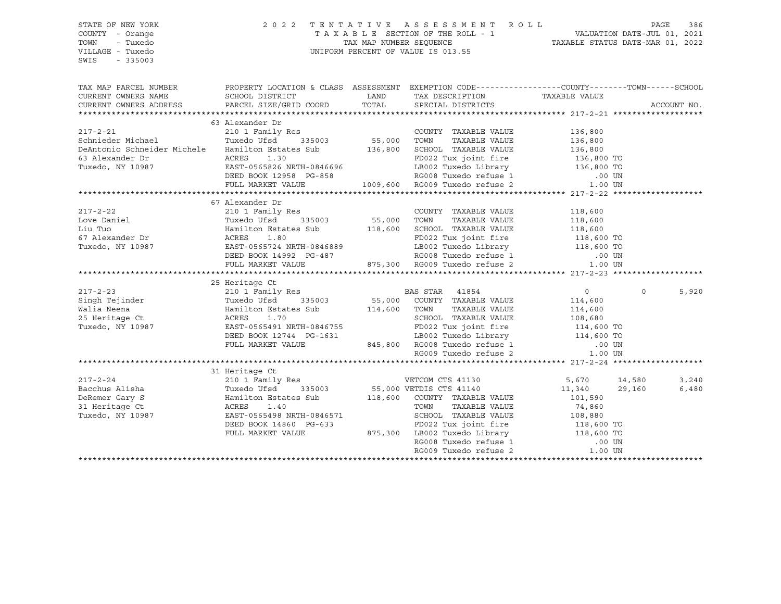| STATE OF NEW YORK                                                                                                                                                                                                                                                                                                                                                                                                                                          | 2 0 2 2                                                                                                                                               |       | TENTATIVE ASSESSMENT ROLL                                                                                                                               |               |          | PAGE<br>386 |
|------------------------------------------------------------------------------------------------------------------------------------------------------------------------------------------------------------------------------------------------------------------------------------------------------------------------------------------------------------------------------------------------------------------------------------------------------------|-------------------------------------------------------------------------------------------------------------------------------------------------------|-------|---------------------------------------------------------------------------------------------------------------------------------------------------------|---------------|----------|-------------|
| COUNTY - Orange                                                                                                                                                                                                                                                                                                                                                                                                                                            |                                                                                                                                                       |       |                                                                                                                                                         |               |          |             |
| TOWN<br>- Tuxedo                                                                                                                                                                                                                                                                                                                                                                                                                                           |                                                                                                                                                       |       | T A X A B L E SECTION OF THE ROLL - 1 VALUATION DATE-JUL 01, 2021<br>TAX MAP NUMBER SEQUENCE TAXIBLE STATUS DATE-MAR 01, 2022                           |               |          |             |
| VILLAGE - Tuxedo                                                                                                                                                                                                                                                                                                                                                                                                                                           |                                                                                                                                                       |       | UNIFORM PERCENT OF VALUE IS 013.55                                                                                                                      |               |          |             |
| $-335003$<br>SWIS                                                                                                                                                                                                                                                                                                                                                                                                                                          |                                                                                                                                                       |       |                                                                                                                                                         |               |          |             |
|                                                                                                                                                                                                                                                                                                                                                                                                                                                            |                                                                                                                                                       |       |                                                                                                                                                         |               |          |             |
| TAX MAP PARCEL NUMBER PROPERTY LOCATION & CLASS ASSESSMENT EXEMPTION CODE---------------COUNTY-------TOWN------SCHOOL                                                                                                                                                                                                                                                                                                                                      |                                                                                                                                                       |       |                                                                                                                                                         |               |          |             |
| CURRENT OWNERS NAME                                                                                                                                                                                                                                                                                                                                                                                                                                        | SCHOOL DISTRICT                                                                                                                                       | LAND  | TAX DESCRIPTION                                                                                                                                         | TAXABLE VALUE |          |             |
| CURRENT OWNERS ADDRESS                                                                                                                                                                                                                                                                                                                                                                                                                                     | PARCEL SIZE/GRID COORD                                                                                                                                | TOTAL | SPECIAL DISTRICTS                                                                                                                                       |               |          | ACCOUNT NO. |
|                                                                                                                                                                                                                                                                                                                                                                                                                                                            |                                                                                                                                                       |       |                                                                                                                                                         |               |          |             |
|                                                                                                                                                                                                                                                                                                                                                                                                                                                            | 63 Alexander Dr                                                                                                                                       |       |                                                                                                                                                         |               |          |             |
| $217 - 2 - 21$                                                                                                                                                                                                                                                                                                                                                                                                                                             | 210 1 Family Res                                                                                                                                      |       | COUNTY TAXABLE VALUE 136,800                                                                                                                            |               |          |             |
| Schnieder Michael                                                                                                                                                                                                                                                                                                                                                                                                                                          | Tuxedo Ufsd 335003                                                                                                                                    |       |                                                                                                                                                         |               |          |             |
| DeAntonio Schneider Michele Hamilton Estates Sub                                                                                                                                                                                                                                                                                                                                                                                                           |                                                                                                                                                       |       | 55,000 TOWN TAXABLE VALUE 136,800<br>136,800 SCHOOL TAXABLE VALUE 136,800                                                                               |               |          |             |
| 63 Alexander Dr                                                                                                                                                                                                                                                                                                                                                                                                                                            |                                                                                                                                                       |       |                                                                                                                                                         |               |          |             |
| Tuxedo, NY 10987                                                                                                                                                                                                                                                                                                                                                                                                                                           | ACRES 1.30<br>EAST-0565826 NRTH-0846696                                                                                                               |       |                                                                                                                                                         |               |          |             |
|                                                                                                                                                                                                                                                                                                                                                                                                                                                            | DEED BOOK 12958 PG-858                                                                                                                                |       |                                                                                                                                                         |               |          |             |
|                                                                                                                                                                                                                                                                                                                                                                                                                                                            | FULL MARKET VALUE                                                                                                                                     |       | FD022 Tux joint fire 136,800 TO<br>136,800 TO LB002 Tuxedo Library 136,800 TO<br>136,800 TO RG008 Tuxedo refuse 1 009,600 RG009 Tuxedo refuse 2 1.00 UN |               |          |             |
|                                                                                                                                                                                                                                                                                                                                                                                                                                                            |                                                                                                                                                       |       |                                                                                                                                                         |               |          |             |
|                                                                                                                                                                                                                                                                                                                                                                                                                                                            | 67 Alexander Dr                                                                                                                                       |       |                                                                                                                                                         |               |          |             |
|                                                                                                                                                                                                                                                                                                                                                                                                                                                            |                                                                                                                                                       |       |                                                                                                                                                         |               |          |             |
| $\begin{tabular}{lllllllllllllllllllllll} \hline 217-2-22 & 210 & 1 Family Res & 118,600\nLove Daniel & 118,600\nLiu Tuo & 118,600\n67 Alexander Dr & 118,600\nTuxedo, NY 10987 & 1187-0565724 NRTH-0846889 & 1187-0565724 NRTH-0846889 & 1187-0846889 & 1187-0846889 & 1187-0846889 & 1187-0846889 & 11$                                                                                                                                                  |                                                                                                                                                       |       |                                                                                                                                                         |               |          |             |
|                                                                                                                                                                                                                                                                                                                                                                                                                                                            |                                                                                                                                                       |       |                                                                                                                                                         |               |          |             |
|                                                                                                                                                                                                                                                                                                                                                                                                                                                            |                                                                                                                                                       |       |                                                                                                                                                         |               |          |             |
|                                                                                                                                                                                                                                                                                                                                                                                                                                                            |                                                                                                                                                       |       |                                                                                                                                                         |               |          |             |
|                                                                                                                                                                                                                                                                                                                                                                                                                                                            |                                                                                                                                                       |       |                                                                                                                                                         |               |          |             |
|                                                                                                                                                                                                                                                                                                                                                                                                                                                            | FULL MARKET VALUE                                                                                                                                     |       |                                                                                                                                                         |               |          |             |
|                                                                                                                                                                                                                                                                                                                                                                                                                                                            |                                                                                                                                                       |       |                                                                                                                                                         |               |          |             |
|                                                                                                                                                                                                                                                                                                                                                                                                                                                            | 25 Heritage Ct                                                                                                                                        |       |                                                                                                                                                         |               |          |             |
|                                                                                                                                                                                                                                                                                                                                                                                                                                                            |                                                                                                                                                       |       |                                                                                                                                                         |               | $\Omega$ | 5,920       |
| $\begin{tabular}{lllllllllllllllllllll} \begin{minipage}{0.93\textwidth} \begin{tabular}{lcccccc} \textbf{217-2-23} & & & & \textbf{210 1} & \textbf{Family Res} & & & \textbf{BAS STAR} & 41854 \\ \textbf{Singn} & \textbf{Tejinder} & & \textbf{Tuxedo Ufsd} & 335003 & & 55,000 & \textbf{COUNTY} & \textbf{TAXABLE VALUE} & & 114,600 \\ \textbf{Wallia Neena} & & \textbf{Hamilton Estates Sub} & & 114,600 & \textbf{TOWN} & \textbf{TAXABLE VALUE$ |                                                                                                                                                       |       |                                                                                                                                                         |               |          |             |
|                                                                                                                                                                                                                                                                                                                                                                                                                                                            |                                                                                                                                                       |       |                                                                                                                                                         |               |          |             |
|                                                                                                                                                                                                                                                                                                                                                                                                                                                            |                                                                                                                                                       |       |                                                                                                                                                         |               |          |             |
|                                                                                                                                                                                                                                                                                                                                                                                                                                                            |                                                                                                                                                       |       |                                                                                                                                                         |               |          |             |
|                                                                                                                                                                                                                                                                                                                                                                                                                                                            |                                                                                                                                                       |       | FD022 Tux joint fire<br>LB002 Tuxedo Library 114,600 TO<br>10 UN CHERRY 114,600 TO                                                                      |               |          |             |
|                                                                                                                                                                                                                                                                                                                                                                                                                                                            |                                                                                                                                                       |       |                                                                                                                                                         |               |          |             |
|                                                                                                                                                                                                                                                                                                                                                                                                                                                            | EAST-0565491 NRTH-0846755<br>DEED BOOK 12744 PG-1631 LB002 Tuxedo Library<br>FULL MARKET VALUE 845,800 RG008 Tuxedo refuse 1<br>RG009 Tuxedo refuse 2 |       |                                                                                                                                                         | 1.00 UN       |          |             |
|                                                                                                                                                                                                                                                                                                                                                                                                                                                            |                                                                                                                                                       |       |                                                                                                                                                         |               |          |             |
|                                                                                                                                                                                                                                                                                                                                                                                                                                                            | 31 Heritage Ct<br>nurraye ut<br>210 1 Family Res                                                                                                      |       |                                                                                                                                                         |               |          |             |
| $217 - 2 - 24$                                                                                                                                                                                                                                                                                                                                                                                                                                             |                                                                                                                                                       |       | VETCOM CTS 41130                                                                                                                                        | 5,670 14,580  |          | 3,240       |
| Bacchus Alisha                                                                                                                                                                                                                                                                                                                                                                                                                                             |                                                                                                                                                       |       | 335003 55,000 VETDIS CTS 41140                                                                                                                          | 11,340        | 29,160   | 6,480       |
| DeRemer Gary S                                                                                                                                                                                                                                                                                                                                                                                                                                             | Tuxedo Ufsd 335003<br>Hamilton Estates Sub<br>ACRES 1.40<br>TEAST-0565498 NRTH-0846571                                                                |       | 118,600 COUNTY TAXABLE VALUE                                                                                                                            | 101,590       |          |             |
| 31 Heritage Ct                                                                                                                                                                                                                                                                                                                                                                                                                                             |                                                                                                                                                       |       | TOWN<br>TAXABLE VALUE                                                                                                                                   | 74,860        |          |             |
| Tuxedo, NY 10987                                                                                                                                                                                                                                                                                                                                                                                                                                           | EAST-0565498 NRTH-0846571                                                                                                                             |       |                                                                                                                                                         |               |          |             |
|                                                                                                                                                                                                                                                                                                                                                                                                                                                            | DEED BOOK 14860 PG-633                                                                                                                                |       |                                                                                                                                                         |               |          |             |
|                                                                                                                                                                                                                                                                                                                                                                                                                                                            | FULL MARKET VALUE                                                                                                                                     |       | 371 SCHOOL TAXABLE VALUE 108,880<br>FD022 Tux joint fire 118,600 TO<br>875,300 LB002 Tuxedo Library 118,600 TO<br>RG008 Tuxedo refuse 1 .00 UN          |               |          |             |
|                                                                                                                                                                                                                                                                                                                                                                                                                                                            |                                                                                                                                                       |       | RG009 Tuxedo refuse 2                                                                                                                                   |               |          |             |
|                                                                                                                                                                                                                                                                                                                                                                                                                                                            |                                                                                                                                                       |       |                                                                                                                                                         | 1.00 UN       |          |             |
|                                                                                                                                                                                                                                                                                                                                                                                                                                                            |                                                                                                                                                       |       |                                                                                                                                                         |               |          |             |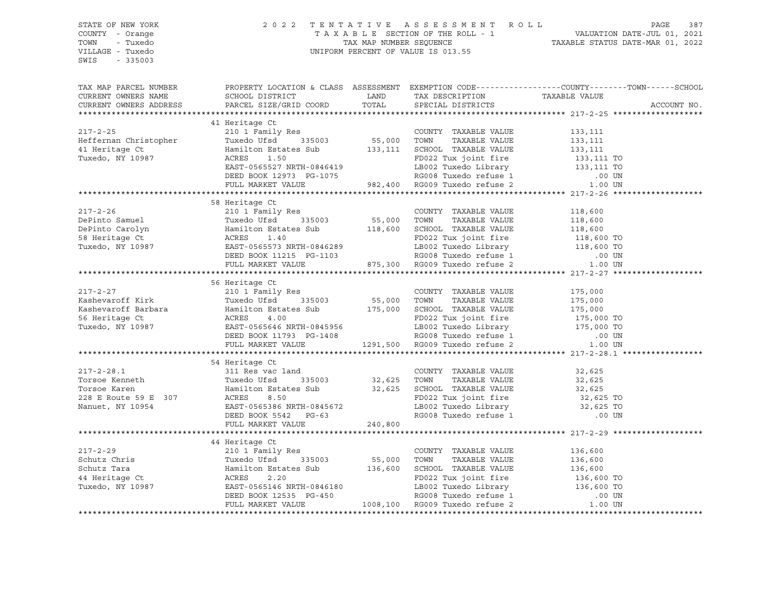| STATE OF NEW YORK<br>COUNTY - Orange<br>TOWN - Tuxedo<br>VILLAGE - Tuxedo<br>SWIS - 335003 |                                                                                                                                                                                                                                                                |  | 2022 TENTATIVE ASSESSMENT ROLL PAGE 387<br>TAXABLE SECTION OF THE ROLL - 1 VALUATION DATE-JUL 01, 2021<br>TAX MAP NUMBER SEQUENCE TAXABLE STATUS DATE-MAR 01, 2022<br>UNIFORM PERCENT OF VALUE IS 013.55                       |  |
|--------------------------------------------------------------------------------------------|----------------------------------------------------------------------------------------------------------------------------------------------------------------------------------------------------------------------------------------------------------------|--|--------------------------------------------------------------------------------------------------------------------------------------------------------------------------------------------------------------------------------|--|
|                                                                                            |                                                                                                                                                                                                                                                                |  | TAX MAP PARCEL NUMBER BOOPERTY LOCATION & CLASS ASSESSMENT EXEMPTION CODE----------------COUNTY--------TOWN------SCHOOL CURRENT OWNERS NAME SCHOOL DISTRICT LAND TAX DESCRIPTION TAXABLE VALUE CURRENT OWNERS ADDRESS PARCEL S |  |
|                                                                                            |                                                                                                                                                                                                                                                                |  |                                                                                                                                                                                                                                |  |
|                                                                                            | 41 Heritage Ct                                                                                                                                                                                                                                                 |  |                                                                                                                                                                                                                                |  |
|                                                                                            |                                                                                                                                                                                                                                                                |  |                                                                                                                                                                                                                                |  |
|                                                                                            |                                                                                                                                                                                                                                                                |  |                                                                                                                                                                                                                                |  |
|                                                                                            |                                                                                                                                                                                                                                                                |  |                                                                                                                                                                                                                                |  |
|                                                                                            |                                                                                                                                                                                                                                                                |  |                                                                                                                                                                                                                                |  |
|                                                                                            |                                                                                                                                                                                                                                                                |  |                                                                                                                                                                                                                                |  |
|                                                                                            |                                                                                                                                                                                                                                                                |  |                                                                                                                                                                                                                                |  |
|                                                                                            |                                                                                                                                                                                                                                                                |  |                                                                                                                                                                                                                                |  |
|                                                                                            | 58 Heritage Ct                                                                                                                                                                                                                                                 |  |                                                                                                                                                                                                                                |  |
|                                                                                            |                                                                                                                                                                                                                                                                |  |                                                                                                                                                                                                                                |  |
|                                                                                            |                                                                                                                                                                                                                                                                |  |                                                                                                                                                                                                                                |  |
|                                                                                            |                                                                                                                                                                                                                                                                |  |                                                                                                                                                                                                                                |  |
|                                                                                            |                                                                                                                                                                                                                                                                |  |                                                                                                                                                                                                                                |  |
|                                                                                            |                                                                                                                                                                                                                                                                |  |                                                                                                                                                                                                                                |  |
|                                                                                            |                                                                                                                                                                                                                                                                |  |                                                                                                                                                                                                                                |  |
|                                                                                            | 58 Heritage Ct<br>217-2-26 219<br>217-2-26 210 1 Family Res<br>DePinto Samuel Tuxedo USd 335003 55,000 TOWN TAXABLE VALUE 118,600<br>DePinto Carolyn Hamilton Estates Sub 118,600 SCHOOL TAXABLE VALUE 118,600<br>58 Heritage Ct ACRES 1                       |  |                                                                                                                                                                                                                                |  |
|                                                                                            |                                                                                                                                                                                                                                                                |  |                                                                                                                                                                                                                                |  |
|                                                                                            | 56 Heritage Ct<br>317-2-27<br>EXABELE VALUE<br>Xashevaroff Kirk Tuxedo USI Tamily Res<br>Xashevaroff Kirk Tuxedo USI Tamilton Estates Sub 175,000<br>TOWN TAXABLE VALUE 175,000<br>Xashevaroff Barbara Hamilton Estates Sub 175,000 SCHOOL TAXABLE VALUE 1     |  |                                                                                                                                                                                                                                |  |
|                                                                                            |                                                                                                                                                                                                                                                                |  |                                                                                                                                                                                                                                |  |
|                                                                                            |                                                                                                                                                                                                                                                                |  |                                                                                                                                                                                                                                |  |
|                                                                                            |                                                                                                                                                                                                                                                                |  |                                                                                                                                                                                                                                |  |
|                                                                                            |                                                                                                                                                                                                                                                                |  |                                                                                                                                                                                                                                |  |
|                                                                                            |                                                                                                                                                                                                                                                                |  |                                                                                                                                                                                                                                |  |
|                                                                                            |                                                                                                                                                                                                                                                                |  |                                                                                                                                                                                                                                |  |
|                                                                                            |                                                                                                                                                                                                                                                                |  |                                                                                                                                                                                                                                |  |
|                                                                                            | 117-2-28.1<br>34 Heritage Ct and<br>317-2-28.1<br>36 Heritage Ct and<br>Torsoe Kenneth<br>Torsoe Kenneth<br>37 1 Res vac land<br>Torsoe Kenneth<br>32,625<br>Torsoe Karen<br>32,625<br>Torsoe Karen<br>32,625<br>Torsoe Karen<br>32,625<br>Torsoe Karen<br>32, |  |                                                                                                                                                                                                                                |  |
|                                                                                            |                                                                                                                                                                                                                                                                |  |                                                                                                                                                                                                                                |  |
|                                                                                            |                                                                                                                                                                                                                                                                |  |                                                                                                                                                                                                                                |  |
|                                                                                            |                                                                                                                                                                                                                                                                |  |                                                                                                                                                                                                                                |  |
|                                                                                            |                                                                                                                                                                                                                                                                |  |                                                                                                                                                                                                                                |  |
|                                                                                            |                                                                                                                                                                                                                                                                |  |                                                                                                                                                                                                                                |  |
|                                                                                            |                                                                                                                                                                                                                                                                |  |                                                                                                                                                                                                                                |  |
|                                                                                            |                                                                                                                                                                                                                                                                |  |                                                                                                                                                                                                                                |  |
|                                                                                            | 44 Heritage Ct                                                                                                                                                                                                                                                 |  |                                                                                                                                                                                                                                |  |
|                                                                                            |                                                                                                                                                                                                                                                                |  |                                                                                                                                                                                                                                |  |
|                                                                                            |                                                                                                                                                                                                                                                                |  |                                                                                                                                                                                                                                |  |
|                                                                                            |                                                                                                                                                                                                                                                                |  |                                                                                                                                                                                                                                |  |
|                                                                                            |                                                                                                                                                                                                                                                                |  |                                                                                                                                                                                                                                |  |
|                                                                                            |                                                                                                                                                                                                                                                                |  |                                                                                                                                                                                                                                |  |
|                                                                                            |                                                                                                                                                                                                                                                                |  |                                                                                                                                                                                                                                |  |
|                                                                                            |                                                                                                                                                                                                                                                                |  |                                                                                                                                                                                                                                |  |
|                                                                                            |                                                                                                                                                                                                                                                                |  |                                                                                                                                                                                                                                |  |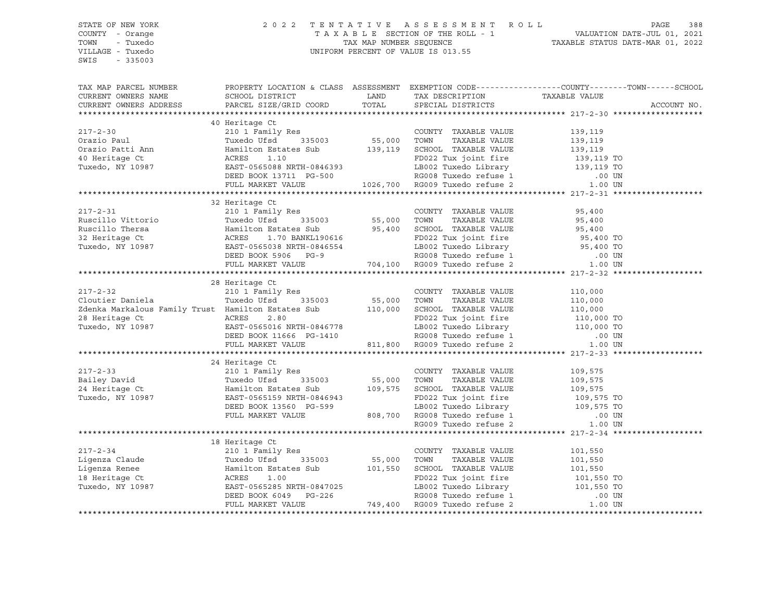| STATE OF NEW YORK                                                                                                                                                                                                                                |                                                                                                  |       | 2022 TENTATIVE ASSESSMENT ROLL                                                                                                       |         | PAGE<br>388 |
|--------------------------------------------------------------------------------------------------------------------------------------------------------------------------------------------------------------------------------------------------|--------------------------------------------------------------------------------------------------|-------|--------------------------------------------------------------------------------------------------------------------------------------|---------|-------------|
| COUNTY - Orange                                                                                                                                                                                                                                  |                                                                                                  |       | TAXABLE SECTION OF THE ROLL - 1<br>TAX MAP NUMBER SEQUENCE<br>UNIFORM PERCENT OF VALUE IS 013.55<br>TAXABLE STATUS DATE-MAR 01, 2022 |         |             |
| TOWN<br>- Tuxedo                                                                                                                                                                                                                                 |                                                                                                  |       |                                                                                                                                      |         |             |
| VILLAGE - Tuxedo                                                                                                                                                                                                                                 |                                                                                                  |       |                                                                                                                                      |         |             |
| SWIS - 335003                                                                                                                                                                                                                                    |                                                                                                  |       |                                                                                                                                      |         |             |
| TAX MAP PARCEL NUMBER                                                                                                                                                                                                                            | PROPERTY LOCATION & CLASS ASSESSMENT EXEMPTION CODE----------------COUNTY-------TOWN------SCHOOL |       |                                                                                                                                      |         |             |
|                                                                                                                                                                                                                                                  |                                                                                                  | LAND  | TAX DESCRIPTION TAXABLE VALUE                                                                                                        |         |             |
|                                                                                                                                                                                                                                                  |                                                                                                  | TOTAL | SPECIAL DISTRICTS                                                                                                                    |         | ACCOUNT NO. |
|                                                                                                                                                                                                                                                  |                                                                                                  |       |                                                                                                                                      |         |             |
| 40 Heritage Ct<br>210 1 Family Res<br>Orazio Paul Tuxedo USS 119 19 119 126,700 TOWN TAXABLE VALUE<br>210 1 Family Res<br>210 1 Family Res<br>210 1 Family Res<br>210 1 Family Res<br>335003 55,000 TOWN TAXABLE VALUE<br>55,000 TOWN TAXABLE    | 40 Heritage Ct                                                                                   |       |                                                                                                                                      |         |             |
|                                                                                                                                                                                                                                                  |                                                                                                  |       |                                                                                                                                      |         |             |
|                                                                                                                                                                                                                                                  |                                                                                                  |       |                                                                                                                                      |         |             |
|                                                                                                                                                                                                                                                  |                                                                                                  |       |                                                                                                                                      |         |             |
|                                                                                                                                                                                                                                                  |                                                                                                  |       |                                                                                                                                      |         |             |
|                                                                                                                                                                                                                                                  |                                                                                                  |       |                                                                                                                                      |         |             |
|                                                                                                                                                                                                                                                  |                                                                                                  |       |                                                                                                                                      |         |             |
|                                                                                                                                                                                                                                                  |                                                                                                  |       |                                                                                                                                      |         |             |
|                                                                                                                                                                                                                                                  |                                                                                                  |       |                                                                                                                                      |         |             |
| 32 Heritage Ct<br>Ruscillo Vittorio (1998)<br>Ruscillo Thersa (1998)<br>Muscillo Thersa (1998)<br>Muscillo Thersa (1998)<br>Muscillo Thersa (1998)<br>Muscillo Thersa (1998)<br>Muscillo Thersa (1998)<br>Muscillo Thersa (1998)<br>Muscle Muscl | 32 Heritage Ct                                                                                   |       |                                                                                                                                      |         |             |
|                                                                                                                                                                                                                                                  |                                                                                                  |       |                                                                                                                                      |         |             |
|                                                                                                                                                                                                                                                  |                                                                                                  |       |                                                                                                                                      |         |             |
|                                                                                                                                                                                                                                                  |                                                                                                  |       |                                                                                                                                      |         |             |
|                                                                                                                                                                                                                                                  |                                                                                                  |       |                                                                                                                                      |         |             |
|                                                                                                                                                                                                                                                  |                                                                                                  |       |                                                                                                                                      |         |             |
|                                                                                                                                                                                                                                                  |                                                                                                  |       |                                                                                                                                      |         |             |
|                                                                                                                                                                                                                                                  |                                                                                                  |       |                                                                                                                                      |         |             |
|                                                                                                                                                                                                                                                  |                                                                                                  |       |                                                                                                                                      |         |             |
| $217 - 2 - 32$                                                                                                                                                                                                                                   | 28 Heritage Ct<br>210 1 Family Res                                                               |       |                                                                                                                                      |         |             |
|                                                                                                                                                                                                                                                  |                                                                                                  |       | COUNTY TAXABLE VALUE                                                                                                                 | 110,000 |             |
|                                                                                                                                                                                                                                                  |                                                                                                  |       |                                                                                                                                      |         |             |
|                                                                                                                                                                                                                                                  |                                                                                                  |       |                                                                                                                                      |         |             |
| 210 1 Family Res 210 1 Family Res 200 1 Countril MAABLE VALUE<br>210 1 Family Res 200 1000 1000 1000 28<br>26 Heritage Ct ACRES 2.80 110,000 28 Heritage Ct ACRES 2.80 FD022 Tux joint fire 110,000 TOWN 1<br>28 Heritage Ct ACRES 2             |                                                                                                  |       |                                                                                                                                      |         |             |
|                                                                                                                                                                                                                                                  |                                                                                                  |       |                                                                                                                                      |         |             |
|                                                                                                                                                                                                                                                  |                                                                                                  |       |                                                                                                                                      |         |             |
|                                                                                                                                                                                                                                                  |                                                                                                  |       |                                                                                                                                      |         |             |
|                                                                                                                                                                                                                                                  |                                                                                                  |       |                                                                                                                                      |         |             |
|                                                                                                                                                                                                                                                  |                                                                                                  |       |                                                                                                                                      |         |             |
|                                                                                                                                                                                                                                                  |                                                                                                  |       |                                                                                                                                      |         |             |
|                                                                                                                                                                                                                                                  |                                                                                                  |       |                                                                                                                                      |         |             |
|                                                                                                                                                                                                                                                  |                                                                                                  |       |                                                                                                                                      |         |             |
|                                                                                                                                                                                                                                                  |                                                                                                  |       |                                                                                                                                      |         |             |
|                                                                                                                                                                                                                                                  |                                                                                                  |       |                                                                                                                                      |         |             |
|                                                                                                                                                                                                                                                  |                                                                                                  |       |                                                                                                                                      |         |             |
|                                                                                                                                                                                                                                                  |                                                                                                  |       |                                                                                                                                      |         |             |
| XARE WALUE 109, 575 24 Meritage Ct 210 1 Family Res 217-2-33<br>24 Meritage Ct 210 1 Family Res Tuxedo ISS 000 355,000 TONN TAXABLE VALUE 109,575 24 Meritage Ct 210 1 Familton Estates Sub 24 Meritage Ct 210 Manufold Bastates                 |                                                                                                  |       |                                                                                                                                      |         |             |
|                                                                                                                                                                                                                                                  |                                                                                                  |       |                                                                                                                                      |         |             |
|                                                                                                                                                                                                                                                  |                                                                                                  |       |                                                                                                                                      |         |             |
|                                                                                                                                                                                                                                                  |                                                                                                  |       |                                                                                                                                      |         |             |
|                                                                                                                                                                                                                                                  |                                                                                                  |       |                                                                                                                                      |         |             |
|                                                                                                                                                                                                                                                  |                                                                                                  |       |                                                                                                                                      |         |             |
| 18 Heritage Ct<br>217-2-34 210 1 Family Res<br>Ligenza Claude Tuxedo Ufsd 335003 55,000 TOWN TAXABLE VALUE 101,550<br>Ligenza Renee Hamilton Estates Sub 101,550 SCHOOL TAXABLE VALUE 101,550<br>18 Heritage Ct ACRES 1.00 FOR22 Tux j           |                                                                                                  |       |                                                                                                                                      |         |             |
|                                                                                                                                                                                                                                                  |                                                                                                  |       |                                                                                                                                      |         |             |
|                                                                                                                                                                                                                                                  |                                                                                                  |       |                                                                                                                                      |         |             |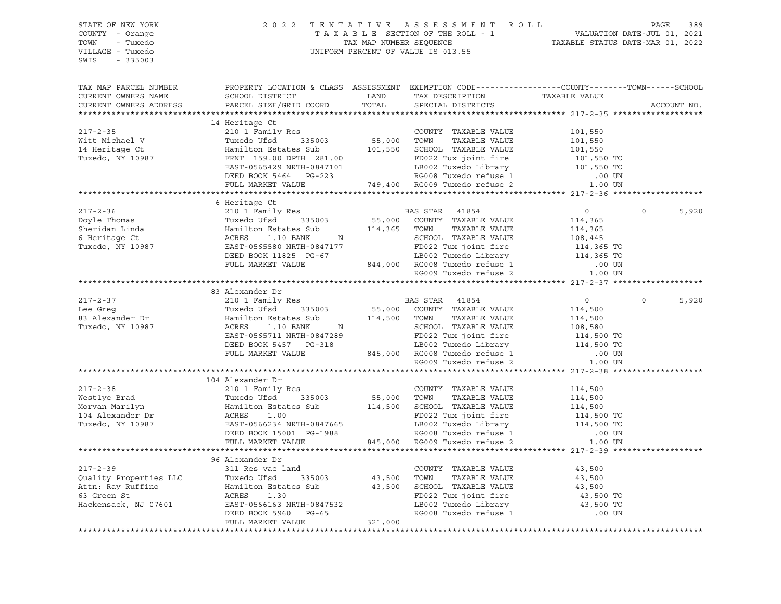| STATE OF NEW YORK<br>COUNTY - Orange<br>TOWN<br>- Tuxedo<br>VILLAGE - Tuxedo<br>SWIS - 335003                                                                                                                                                          |                                                                                                                                                                                                                                                    | $\begin{tabular}{lllllllllllllllll} \hline & $\mathbf{2}\;\;0\;\;2\;\;2\;\; & $\mathbf{T}\;\; \mathbf{E}\;\; \mathbf{N}\;\; \mathbf{T}\;\; \mathbf{A}\;\; \mathbf{X}\;\; \mathbf{A}\;\; \mathbf{B}\;\; \mathbf{L}\;\; & $\mathbf{3}\;\mathbf{9}\;\;$} \\ \hline & $\mathbf{T}\;\; \mathbf{A}\;\; \mathbf{X}\;\; \mathbf{A}\;\; \mathbf{B}\;\; \mathbf{L}\;\; & $\mathbf{S}\;\mathbf{E}\;\mathbf{C}\;\mathbf{T} \mathbf{I} \mathbf{N}\;\; \math$ |                               |                   |
|--------------------------------------------------------------------------------------------------------------------------------------------------------------------------------------------------------------------------------------------------------|----------------------------------------------------------------------------------------------------------------------------------------------------------------------------------------------------------------------------------------------------|-------------------------------------------------------------------------------------------------------------------------------------------------------------------------------------------------------------------------------------------------------------------------------------------------------------------------------------------------------------------------------------------------------------------------------------------------|-------------------------------|-------------------|
| TAX MAP PARCEL NUMBER                                                                                                                                                                                                                                  | PROPERTY LOCATION & CLASS ASSESSMENT EXEMPTION CODE----------------COUNTY-------TOWN------SCHOOL                                                                                                                                                   |                                                                                                                                                                                                                                                                                                                                                                                                                                                 |                               |                   |
| CURRENT OWNERS NAME                                                                                                                                                                                                                                    |                                                                                                                                                                                                                                                    |                                                                                                                                                                                                                                                                                                                                                                                                                                                 |                               |                   |
| CURRENT OWNERS ADDRESS                                                                                                                                                                                                                                 |                                                                                                                                                                                                                                                    |                                                                                                                                                                                                                                                                                                                                                                                                                                                 |                               | ACCOUNT NO.       |
|                                                                                                                                                                                                                                                        |                                                                                                                                                                                                                                                    |                                                                                                                                                                                                                                                                                                                                                                                                                                                 |                               |                   |
| $217 - 2 - 35$                                                                                                                                                                                                                                         | 14 Heritage Ct                                                                                                                                                                                                                                     |                                                                                                                                                                                                                                                                                                                                                                                                                                                 |                               |                   |
|                                                                                                                                                                                                                                                        | 210 1 Family Res<br>Tuxedo Ufsd 335003 55,000 TOWN TAXABLE VALUE<br>Unrilton Etative 3.1                                                                                                                                                           |                                                                                                                                                                                                                                                                                                                                                                                                                                                 | 101,550<br>101,550<br>101,550 |                   |
| Witt Michael V                                                                                                                                                                                                                                         |                                                                                                                                                                                                                                                    |                                                                                                                                                                                                                                                                                                                                                                                                                                                 |                               |                   |
| n<br>14 Heritage Ct<br>Tuxedo, NY 10987                                                                                                                                                                                                                |                                                                                                                                                                                                                                                    |                                                                                                                                                                                                                                                                                                                                                                                                                                                 |                               |                   |
|                                                                                                                                                                                                                                                        |                                                                                                                                                                                                                                                    |                                                                                                                                                                                                                                                                                                                                                                                                                                                 |                               |                   |
|                                                                                                                                                                                                                                                        |                                                                                                                                                                                                                                                    |                                                                                                                                                                                                                                                                                                                                                                                                                                                 |                               |                   |
|                                                                                                                                                                                                                                                        |                                                                                                                                                                                                                                                    |                                                                                                                                                                                                                                                                                                                                                                                                                                                 |                               |                   |
|                                                                                                                                                                                                                                                        | 210 1 ramilton Estates Sub<br>Hamilton Estates Sub<br>FRNT 159.00 DPTH 281.00<br>EAST-0565429 NRTH-0847101<br>DEED BOOK 5464 PG-223<br>FULL MARKET VALUE<br>FULL MARKET VALUE<br>TULL MARKET VALUE<br>TULL MARKET VALUE<br>TULL MARKET VALUE<br>TU |                                                                                                                                                                                                                                                                                                                                                                                                                                                 |                               |                   |
|                                                                                                                                                                                                                                                        |                                                                                                                                                                                                                                                    |                                                                                                                                                                                                                                                                                                                                                                                                                                                 |                               |                   |
|                                                                                                                                                                                                                                                        |                                                                                                                                                                                                                                                    |                                                                                                                                                                                                                                                                                                                                                                                                                                                 |                               | $\Omega$<br>5,920 |
|                                                                                                                                                                                                                                                        |                                                                                                                                                                                                                                                    |                                                                                                                                                                                                                                                                                                                                                                                                                                                 |                               |                   |
|                                                                                                                                                                                                                                                        |                                                                                                                                                                                                                                                    |                                                                                                                                                                                                                                                                                                                                                                                                                                                 |                               |                   |
|                                                                                                                                                                                                                                                        |                                                                                                                                                                                                                                                    |                                                                                                                                                                                                                                                                                                                                                                                                                                                 |                               |                   |
|                                                                                                                                                                                                                                                        |                                                                                                                                                                                                                                                    |                                                                                                                                                                                                                                                                                                                                                                                                                                                 |                               |                   |
|                                                                                                                                                                                                                                                        |                                                                                                                                                                                                                                                    |                                                                                                                                                                                                                                                                                                                                                                                                                                                 |                               |                   |
|                                                                                                                                                                                                                                                        |                                                                                                                                                                                                                                                    |                                                                                                                                                                                                                                                                                                                                                                                                                                                 |                               |                   |
|                                                                                                                                                                                                                                                        |                                                                                                                                                                                                                                                    |                                                                                                                                                                                                                                                                                                                                                                                                                                                 |                               |                   |
|                                                                                                                                                                                                                                                        |                                                                                                                                                                                                                                                    |                                                                                                                                                                                                                                                                                                                                                                                                                                                 |                               |                   |
|                                                                                                                                                                                                                                                        | 83 Alexander Dr<br>210 1 Family Res                                                                                                                                                                                                                |                                                                                                                                                                                                                                                                                                                                                                                                                                                 |                               | $\Omega$          |
|                                                                                                                                                                                                                                                        |                                                                                                                                                                                                                                                    |                                                                                                                                                                                                                                                                                                                                                                                                                                                 |                               | 5,920             |
|                                                                                                                                                                                                                                                        |                                                                                                                                                                                                                                                    |                                                                                                                                                                                                                                                                                                                                                                                                                                                 |                               |                   |
|                                                                                                                                                                                                                                                        |                                                                                                                                                                                                                                                    |                                                                                                                                                                                                                                                                                                                                                                                                                                                 |                               |                   |
|                                                                                                                                                                                                                                                        |                                                                                                                                                                                                                                                    |                                                                                                                                                                                                                                                                                                                                                                                                                                                 |                               |                   |
|                                                                                                                                                                                                                                                        |                                                                                                                                                                                                                                                    |                                                                                                                                                                                                                                                                                                                                                                                                                                                 |                               |                   |
|                                                                                                                                                                                                                                                        |                                                                                                                                                                                                                                                    |                                                                                                                                                                                                                                                                                                                                                                                                                                                 |                               |                   |
|                                                                                                                                                                                                                                                        |                                                                                                                                                                                                                                                    |                                                                                                                                                                                                                                                                                                                                                                                                                                                 |                               |                   |
|                                                                                                                                                                                                                                                        |                                                                                                                                                                                                                                                    |                                                                                                                                                                                                                                                                                                                                                                                                                                                 |                               |                   |
|                                                                                                                                                                                                                                                        | 104 Alexander Dr                                                                                                                                                                                                                                   |                                                                                                                                                                                                                                                                                                                                                                                                                                                 |                               |                   |
|                                                                                                                                                                                                                                                        |                                                                                                                                                                                                                                                    |                                                                                                                                                                                                                                                                                                                                                                                                                                                 |                               |                   |
|                                                                                                                                                                                                                                                        |                                                                                                                                                                                                                                                    |                                                                                                                                                                                                                                                                                                                                                                                                                                                 |                               |                   |
|                                                                                                                                                                                                                                                        |                                                                                                                                                                                                                                                    |                                                                                                                                                                                                                                                                                                                                                                                                                                                 |                               |                   |
|                                                                                                                                                                                                                                                        |                                                                                                                                                                                                                                                    |                                                                                                                                                                                                                                                                                                                                                                                                                                                 |                               |                   |
|                                                                                                                                                                                                                                                        |                                                                                                                                                                                                                                                    |                                                                                                                                                                                                                                                                                                                                                                                                                                                 |                               |                   |
|                                                                                                                                                                                                                                                        |                                                                                                                                                                                                                                                    |                                                                                                                                                                                                                                                                                                                                                                                                                                                 |                               |                   |
| 217-2-38<br>Westlye Brad (10 1 Family Res COUNTY TAXABLE VALUE 114,500<br>Morvan Marilyn Hamilton Estates Sub 114,500 SCHOOL TAXABLE VALUE 114,500<br>104 Alexander Dr ACRES 1.00<br>Tuxedo, NY 10987 EAST-0566234 NRTH-0847665 DBCD B                 |                                                                                                                                                                                                                                                    |                                                                                                                                                                                                                                                                                                                                                                                                                                                 |                               |                   |
|                                                                                                                                                                                                                                                        |                                                                                                                                                                                                                                                    |                                                                                                                                                                                                                                                                                                                                                                                                                                                 |                               |                   |
|                                                                                                                                                                                                                                                        | 96 Alexander Dr                                                                                                                                                                                                                                    |                                                                                                                                                                                                                                                                                                                                                                                                                                                 |                               |                   |
| $217 - 2 - 39$                                                                                                                                                                                                                                         | 311 Res vac land                                                                                                                                                                                                                                   | COUNTY TAXABLE VALUE                                                                                                                                                                                                                                                                                                                                                                                                                            | 43,500<br>43,500              |                   |
|                                                                                                                                                                                                                                                        |                                                                                                                                                                                                                                                    |                                                                                                                                                                                                                                                                                                                                                                                                                                                 |                               |                   |
|                                                                                                                                                                                                                                                        |                                                                                                                                                                                                                                                    |                                                                                                                                                                                                                                                                                                                                                                                                                                                 |                               |                   |
|                                                                                                                                                                                                                                                        |                                                                                                                                                                                                                                                    |                                                                                                                                                                                                                                                                                                                                                                                                                                                 |                               |                   |
| 217-2-39<br>Quality Properties LLC<br>Ath: Ray Ruffino<br>Ath: Ray Ruffino<br>Hamilton Estates Sub<br>ACRES<br>2130<br>Hackensack, NJ 07601<br>EAST-0566163 NRTH-0847532<br>DEED BOOS T95-65<br>2013000 TONN TAXABLE VALUE<br>FD022 Tux joint fire<br> |                                                                                                                                                                                                                                                    | 43,500 1000 12000 12000 12000 12000 12000 12000 12000 12000 12000 12000 12000 12000 12000 12000 12000 12000 1<br>ED022 Tux joint fire 43,500 TO<br>LB002 Tuxedo Library 43,500 TO<br>RG008 Tuxedo refuse 1 .00 UN                                                                                                                                                                                                                               |                               |                   |
|                                                                                                                                                                                                                                                        | FULL MARKET VALUE 321,000                                                                                                                                                                                                                          |                                                                                                                                                                                                                                                                                                                                                                                                                                                 |                               |                   |
|                                                                                                                                                                                                                                                        |                                                                                                                                                                                                                                                    |                                                                                                                                                                                                                                                                                                                                                                                                                                                 |                               |                   |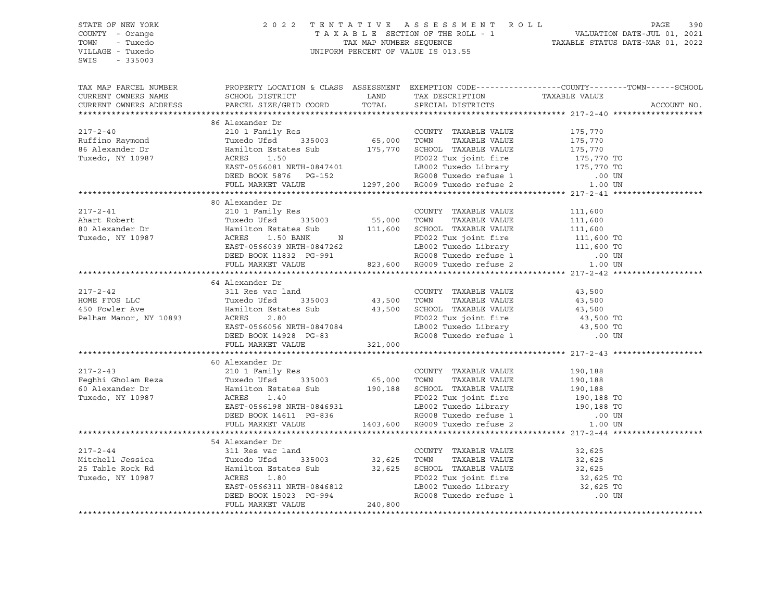| STATE OF NEW YORK<br>COUNTY - Orange<br>TOWN - Tuxedo<br>VILLAGE - Tuxedo<br>SWIS - 335003                                                                                                                                                                                                                                                                                                                                                                            | 2022 TENTATIVE ASSESSMENT ROLL PAGE 390<br>TAXABLE SECTION OF THE ROLL - 1 VALUATION DATE-JUL 01, 2021<br>TAX MAP NUMBER SEQUENCE TAXABLE STATUS DATE-MAR 01, 2022<br>UNIFORM PERCENT OF VALUE IS 013.55                         |  |  |
|-----------------------------------------------------------------------------------------------------------------------------------------------------------------------------------------------------------------------------------------------------------------------------------------------------------------------------------------------------------------------------------------------------------------------------------------------------------------------|----------------------------------------------------------------------------------------------------------------------------------------------------------------------------------------------------------------------------------|--|--|
| TAX MAP PARCEL NUMBER BOOPERTY LOCATION & CLASS ASSESSMENT EXEMPTION CODE-----------------COUNTY--------TOWN------SCHOOL CURRENT OWNERS NAME SCHOOL DISTRICT LAND TAX DESCRIPTION TAXABLE VALUE CURRENT OWNERS ADDRESS PARCEL                                                                                                                                                                                                                                         |                                                                                                                                                                                                                                  |  |  |
|                                                                                                                                                                                                                                                                                                                                                                                                                                                                       |                                                                                                                                                                                                                                  |  |  |
| $\begin{tabular}{lllllllllllll} \multicolumn{3}{l}{} & 86\text{ Alexander Dr} & 2101\text{ Family Res} & 200\text{NITY} & TAXABLE VALUE & 175,770 \nonumber \\ & 2101\text{ Family Res} & 335003 & 65,000 & TOWN & TAXABLE VALUE & 175,770 \nonumber \\ & 86\text{ Alexander Dr} & \text{Hamilton Estados} & 335003 & 65,000 & TOWN & TAXABLE VALUE & 175,770 \nonumber \\ & 86\text{ Alexander Dr} & \text{Hamilton Estados} & 175,770 & 5\text{CHOOL TAXABLE VALUE$ | 86 Alexander Dr                                                                                                                                                                                                                  |  |  |
|                                                                                                                                                                                                                                                                                                                                                                                                                                                                       |                                                                                                                                                                                                                                  |  |  |
|                                                                                                                                                                                                                                                                                                                                                                                                                                                                       |                                                                                                                                                                                                                                  |  |  |
|                                                                                                                                                                                                                                                                                                                                                                                                                                                                       |                                                                                                                                                                                                                                  |  |  |
|                                                                                                                                                                                                                                                                                                                                                                                                                                                                       |                                                                                                                                                                                                                                  |  |  |
|                                                                                                                                                                                                                                                                                                                                                                                                                                                                       |                                                                                                                                                                                                                                  |  |  |
|                                                                                                                                                                                                                                                                                                                                                                                                                                                                       |                                                                                                                                                                                                                                  |  |  |
|                                                                                                                                                                                                                                                                                                                                                                                                                                                                       |                                                                                                                                                                                                                                  |  |  |
|                                                                                                                                                                                                                                                                                                                                                                                                                                                                       | 80 Alexander Dr                                                                                                                                                                                                                  |  |  |
|                                                                                                                                                                                                                                                                                                                                                                                                                                                                       |                                                                                                                                                                                                                                  |  |  |
|                                                                                                                                                                                                                                                                                                                                                                                                                                                                       |                                                                                                                                                                                                                                  |  |  |
|                                                                                                                                                                                                                                                                                                                                                                                                                                                                       |                                                                                                                                                                                                                                  |  |  |
|                                                                                                                                                                                                                                                                                                                                                                                                                                                                       |                                                                                                                                                                                                                                  |  |  |
|                                                                                                                                                                                                                                                                                                                                                                                                                                                                       |                                                                                                                                                                                                                                  |  |  |
|                                                                                                                                                                                                                                                                                                                                                                                                                                                                       |                                                                                                                                                                                                                                  |  |  |
| ${\small \begin{tabular}{c cccc} \multicolumn{3}{c}{217-2-41} & & 80 Alexander Dr & & 210 1 Family Res & & 210 1 Family Res & & 210 1 Family Res & & 210 1 Family Res & & 210 1 Family Res & & 210 1 Family Res & & 210 1 family Res & & 210 135003 & & 210 135003 & & 210 135003 & & 210 135003 & & 210 135003 & & 210 135003 & & 211 1600 & & 211 1600 & & 211 1600 & &$                                                                                            |                                                                                                                                                                                                                                  |  |  |
|                                                                                                                                                                                                                                                                                                                                                                                                                                                                       |                                                                                                                                                                                                                                  |  |  |
|                                                                                                                                                                                                                                                                                                                                                                                                                                                                       |                                                                                                                                                                                                                                  |  |  |
|                                                                                                                                                                                                                                                                                                                                                                                                                                                                       |                                                                                                                                                                                                                                  |  |  |
|                                                                                                                                                                                                                                                                                                                                                                                                                                                                       |                                                                                                                                                                                                                                  |  |  |
|                                                                                                                                                                                                                                                                                                                                                                                                                                                                       |                                                                                                                                                                                                                                  |  |  |
|                                                                                                                                                                                                                                                                                                                                                                                                                                                                       |                                                                                                                                                                                                                                  |  |  |
|                                                                                                                                                                                                                                                                                                                                                                                                                                                                       |                                                                                                                                                                                                                                  |  |  |
|                                                                                                                                                                                                                                                                                                                                                                                                                                                                       |                                                                                                                                                                                                                                  |  |  |
|                                                                                                                                                                                                                                                                                                                                                                                                                                                                       |                                                                                                                                                                                                                                  |  |  |
|                                                                                                                                                                                                                                                                                                                                                                                                                                                                       |                                                                                                                                                                                                                                  |  |  |
|                                                                                                                                                                                                                                                                                                                                                                                                                                                                       |                                                                                                                                                                                                                                  |  |  |
|                                                                                                                                                                                                                                                                                                                                                                                                                                                                       |                                                                                                                                                                                                                                  |  |  |
|                                                                                                                                                                                                                                                                                                                                                                                                                                                                       |                                                                                                                                                                                                                                  |  |  |
|                                                                                                                                                                                                                                                                                                                                                                                                                                                                       |                                                                                                                                                                                                                                  |  |  |
|                                                                                                                                                                                                                                                                                                                                                                                                                                                                       |                                                                                                                                                                                                                                  |  |  |
|                                                                                                                                                                                                                                                                                                                                                                                                                                                                       |                                                                                                                                                                                                                                  |  |  |
|                                                                                                                                                                                                                                                                                                                                                                                                                                                                       |                                                                                                                                                                                                                                  |  |  |
|                                                                                                                                                                                                                                                                                                                                                                                                                                                                       | 54 Alexander Dr                                                                                                                                                                                                                  |  |  |
|                                                                                                                                                                                                                                                                                                                                                                                                                                                                       | $311$ Res vac land<br>There is the contract of the state of the state of the state of the state of the state of the state of the state of the state of the state of the state of the state of the state of the state of the stat |  |  |
|                                                                                                                                                                                                                                                                                                                                                                                                                                                                       |                                                                                                                                                                                                                                  |  |  |
|                                                                                                                                                                                                                                                                                                                                                                                                                                                                       |                                                                                                                                                                                                                                  |  |  |
|                                                                                                                                                                                                                                                                                                                                                                                                                                                                       |                                                                                                                                                                                                                                  |  |  |
|                                                                                                                                                                                                                                                                                                                                                                                                                                                                       |                                                                                                                                                                                                                                  |  |  |
|                                                                                                                                                                                                                                                                                                                                                                                                                                                                       |                                                                                                                                                                                                                                  |  |  |
|                                                                                                                                                                                                                                                                                                                                                                                                                                                                       |                                                                                                                                                                                                                                  |  |  |
|                                                                                                                                                                                                                                                                                                                                                                                                                                                                       |                                                                                                                                                                                                                                  |  |  |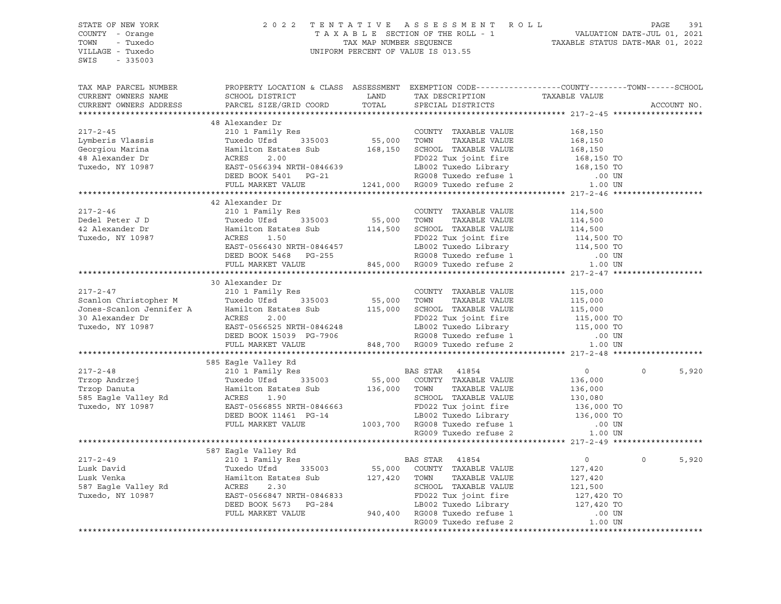| STATE OF NEW YORK      | 2 0 2 2                                                                                                                                                                                                                                                                                                                                     |       | TENTATIVE ASSESSMENT ROLL                                 |                | PAGE<br>391       |
|------------------------|---------------------------------------------------------------------------------------------------------------------------------------------------------------------------------------------------------------------------------------------------------------------------------------------------------------------------------------------|-------|-----------------------------------------------------------|----------------|-------------------|
| COUNTY - Orange        |                                                                                                                                                                                                                                                                                                                                             |       |                                                           |                |                   |
| TOWN - Tuxedo          |                                                                                                                                                                                                                                                                                                                                             |       |                                                           |                |                   |
| VILLAGE - Tuxedo       |                                                                                                                                                                                                                                                                                                                                             |       |                                                           |                |                   |
| SWIS<br>$-335003$      |                                                                                                                                                                                                                                                                                                                                             |       |                                                           |                |                   |
|                        |                                                                                                                                                                                                                                                                                                                                             |       |                                                           |                |                   |
|                        |                                                                                                                                                                                                                                                                                                                                             |       |                                                           |                |                   |
| TAX MAP PARCEL NUMBER  | PROPERTY LOCATION & CLASS ASSESSMENT EXEMPTION CODE---------------COUNTY-------TOWN------SCHOOL                                                                                                                                                                                                                                             |       |                                                           |                |                   |
| CURRENT OWNERS NAME    | SCHOOL DISTRICT LAND                                                                                                                                                                                                                                                                                                                        |       | TAX DESCRIPTION TAXABLE VALUE<br>SPECIAL DISTRICTS        |                |                   |
| CURRENT OWNERS ADDRESS | PARCEL SIZE/GRID COORD                                                                                                                                                                                                                                                                                                                      | TOTAL |                                                           |                | ACCOUNT NO.       |
|                        |                                                                                                                                                                                                                                                                                                                                             |       |                                                           |                |                   |
|                        | 48 Alexander Dr                                                                                                                                                                                                                                                                                                                             |       |                                                           |                |                   |
|                        |                                                                                                                                                                                                                                                                                                                                             |       |                                                           |                |                   |
|                        |                                                                                                                                                                                                                                                                                                                                             |       |                                                           |                |                   |
|                        |                                                                                                                                                                                                                                                                                                                                             |       |                                                           |                |                   |
|                        |                                                                                                                                                                                                                                                                                                                                             |       |                                                           |                |                   |
|                        |                                                                                                                                                                                                                                                                                                                                             |       |                                                           |                |                   |
|                        |                                                                                                                                                                                                                                                                                                                                             |       |                                                           |                |                   |
|                        |                                                                                                                                                                                                                                                                                                                                             |       |                                                           |                |                   |
|                        |                                                                                                                                                                                                                                                                                                                                             |       |                                                           |                |                   |
|                        |                                                                                                                                                                                                                                                                                                                                             |       |                                                           |                |                   |
|                        | $\begin{tabular}{lllllllllllllllllllll} \textsc{217-2-45} & \textsc{217-2-45} & \textsc{217-2-45} & \textsc{217-2-45} & \textsc{217-2-45} & \textsc{217-2-45} & \textsc{217-2-45} & \textsc{217-2-45} & \textsc{217-2-45} & \textsc{217-2-45} & \textsc{217-2-45} & \textsc{217-2-45} & \textsc{217-2-45} & \textsc{217-2-45} & \textsc{21$ |       |                                                           |                |                   |
|                        |                                                                                                                                                                                                                                                                                                                                             |       |                                                           |                |                   |
|                        |                                                                                                                                                                                                                                                                                                                                             |       |                                                           | 114,500        |                   |
|                        | Dedel Peter J D Tuxedo Ufsd 335003 55,000 TOWN TAXABLE VALUE<br>42 Alexander Dr Hamilton Estates Sub 114,500 SCHOOL TAXABLE VALUE<br>Tuxedo, NY 10987 ACRES 1.50 FD022 Tux joint fire                                                                                                                                                       |       |                                                           |                |                   |
|                        |                                                                                                                                                                                                                                                                                                                                             |       |                                                           |                |                   |
|                        |                                                                                                                                                                                                                                                                                                                                             |       |                                                           |                |                   |
|                        |                                                                                                                                                                                                                                                                                                                                             |       |                                                           |                |                   |
|                        | Hamilton Estates Sub<br>ACRES 1.50<br>EAST-0566430 NRTH-0846457<br>DEED BOOK 5468 PG-255<br>FULL MARKET VALUE<br>FULL MARKET VALUE<br>FULL MARKET VALUE<br>ACRES 1.50<br>DEED BOOK 5468 PG-255<br>ACRES 345,000 RG009 Tuxedo refuse 1<br>TULL MARK                                                                                          |       |                                                           |                |                   |
|                        |                                                                                                                                                                                                                                                                                                                                             |       |                                                           |                |                   |
|                        | 30 Alexander Dr                                                                                                                                                                                                                                                                                                                             |       |                                                           |                |                   |
|                        |                                                                                                                                                                                                                                                                                                                                             |       |                                                           |                |                   |
|                        |                                                                                                                                                                                                                                                                                                                                             |       |                                                           |                |                   |
|                        |                                                                                                                                                                                                                                                                                                                                             |       |                                                           |                |                   |
|                        |                                                                                                                                                                                                                                                                                                                                             |       |                                                           |                |                   |
|                        |                                                                                                                                                                                                                                                                                                                                             |       |                                                           |                |                   |
|                        |                                                                                                                                                                                                                                                                                                                                             |       |                                                           |                |                   |
|                        |                                                                                                                                                                                                                                                                                                                                             |       |                                                           |                |                   |
|                        |                                                                                                                                                                                                                                                                                                                                             |       |                                                           |                |                   |
|                        |                                                                                                                                                                                                                                                                                                                                             |       |                                                           |                |                   |
|                        | 585 Eagle Valley Rd                                                                                                                                                                                                                                                                                                                         |       |                                                           |                | $\Omega$          |
| $217 - 2 - 48$         | 210 1 Family Res                                                                                                                                                                                                                                                                                                                            |       | <b>BAS STAR 41854</b>                                     | $\overline{0}$ | 5,920             |
|                        |                                                                                                                                                                                                                                                                                                                                             |       |                                                           |                |                   |
|                        |                                                                                                                                                                                                                                                                                                                                             |       |                                                           |                |                   |
|                        |                                                                                                                                                                                                                                                                                                                                             |       |                                                           |                |                   |
|                        |                                                                                                                                                                                                                                                                                                                                             |       |                                                           |                |                   |
|                        |                                                                                                                                                                                                                                                                                                                                             |       |                                                           |                |                   |
|                        |                                                                                                                                                                                                                                                                                                                                             |       |                                                           |                |                   |
|                        |                                                                                                                                                                                                                                                                                                                                             |       |                                                           |                |                   |
|                        |                                                                                                                                                                                                                                                                                                                                             |       |                                                           |                |                   |
|                        | 587 Eagle Valley Rd                                                                                                                                                                                                                                                                                                                         |       |                                                           |                |                   |
| $217 - 2 - 49$         | 210 1 Family Res                                                                                                                                                                                                                                                                                                                            |       | <b>BAS STAR 41854</b>                                     | $\overline{0}$ | $\Omega$<br>5,920 |
|                        |                                                                                                                                                                                                                                                                                                                                             |       | 55,000 COUNTY TAXABLE VALUE<br>127,420 TOWN TAXABLE VALUE |                |                   |
|                        |                                                                                                                                                                                                                                                                                                                                             |       |                                                           |                |                   |
|                        |                                                                                                                                                                                                                                                                                                                                             |       |                                                           |                |                   |
|                        |                                                                                                                                                                                                                                                                                                                                             |       |                                                           |                |                   |
|                        |                                                                                                                                                                                                                                                                                                                                             |       |                                                           |                |                   |
|                        |                                                                                                                                                                                                                                                                                                                                             |       |                                                           |                |                   |
|                        |                                                                                                                                                                                                                                                                                                                                             |       |                                                           |                |                   |
|                        | Exact of the Hamilton Estates Sub<br>Lusk Venka Hamilton Estates Sub<br>Say Eagle Valley Rd<br>Tuxedo, NY 10987 EAST-0566847 NRTH-0846833<br>DEED BOOK 5673 PG-284 BOO2 Tuxedo Library 127,420 TO<br>PULL MARKET VALUE<br>PULL MARKET VALU                                                                                                  |       |                                                           |                |                   |
|                        |                                                                                                                                                                                                                                                                                                                                             |       |                                                           |                |                   |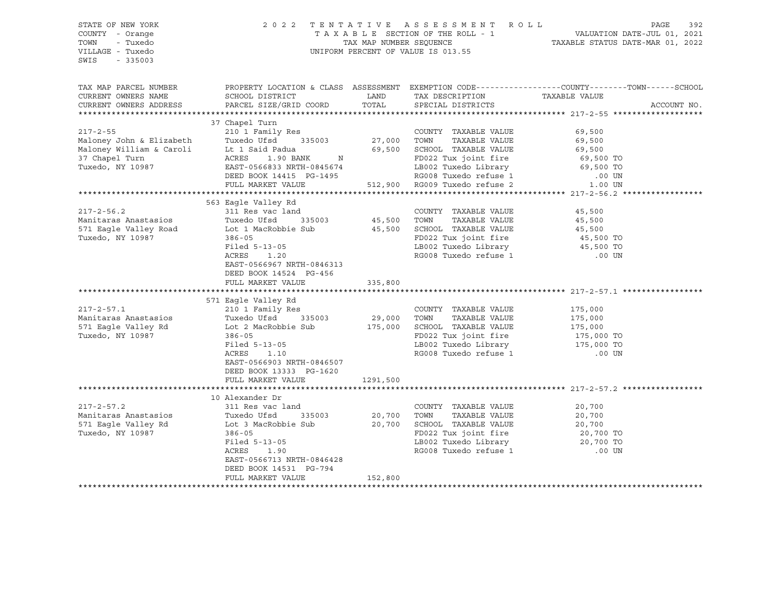| STATE OF NEW YORK<br>COUNTY - Orange<br>TOWN<br>- Tuxedo<br>VILLAGE - Tuxedo<br>SWIS<br>$-335003$                                                                          |                                                                                                                                                                                                                                                                    |                        | 2022 TENTATIVE ASSESSMENT ROLL<br>UNIFORM PERCENT OF VALUE IS 013.55                                                                                                                                          | PAGE                                                                                                              | 392         |
|----------------------------------------------------------------------------------------------------------------------------------------------------------------------------|--------------------------------------------------------------------------------------------------------------------------------------------------------------------------------------------------------------------------------------------------------------------|------------------------|---------------------------------------------------------------------------------------------------------------------------------------------------------------------------------------------------------------|-------------------------------------------------------------------------------------------------------------------|-------------|
| TAX MAP PARCEL NUMBER<br>CURRENT OWNERS NAME<br>CURRENT OWNERS ADDRESS                                                                                                     | SCHOOL DISTRICT<br>PARCEL SIZE/GRID COORD                                                                                                                                                                                                                          | LAND<br>TOTAL          | TAX DESCRIPTION<br>SPECIAL DISTRICTS                                                                                                                                                                          | PROPERTY LOCATION & CLASS ASSESSMENT EXEMPTION CODE----------------COUNTY-------TOWN------SCHOOL<br>TAXABLE VALUE | ACCOUNT NO. |
| $217 - 2 - 55$<br>Maloney John & Elizabeth Tuxedo Ufsd 33500<br>Maloney William & Caroli Lt 1 Said Padua<br>27 Chanol Turn 100 PANIZ<br>37 Chapel Turn<br>Tuxedo, NY 10987 | 37 Chapel Turn<br>210 1 Family Res<br>Tuxedo Ufsd 335003<br>ACRES 1.90 BANK N<br>EAST-0566833 NRTH-0845674<br>DEED BOOK 14415 PG-1495<br>FULL MARKET VALUE                                                                                                         |                        | COUNTY TAXABLE VALUE<br>27,000 TOWN TAXABLE VALUE<br>69,500 SCHOOL TAXABLE VALUE<br>N FD022 Tux joint fire 69,500 TO<br>845674 LB002 Tuxedo Library 69,500 TO<br>1-1495 S12,900 RG009 Tuxedo refuse 2 1.00 UN | 69,500<br>69,500<br>69,500                                                                                        |             |
|                                                                                                                                                                            |                                                                                                                                                                                                                                                                    |                        |                                                                                                                                                                                                               |                                                                                                                   |             |
| $217 - 2 - 56.2$<br>Manitaras Anastasios<br>Tuxedo, NY 10987                                                                                                               | 563 Eagle Valley Rd<br>311 Res vac land<br>Tuxedo Ufsd 335003<br>571 Eagle Valley Road Lot 1 MacRobbie Sub 35,500 SCHOOL TAXABLE VALUE<br>$386 - 05$<br>Filed 5-13-05<br>ACRES<br>1.20<br>EAST-0566967 NRTH-0846313<br>DEED BOOK 14524 PG-456<br>FULL MARKET VALUE | 335,800                | COUNTY TAXABLE VALUE<br>45,500 TOWN TAXABLE VALUE<br>FD022 Tux joint fire<br>LB002 Tuxedo Library<br>RG008 Tuxedo refuse 1                                                                                    | 45,500<br>45,500<br>45,500<br>45,500 TO<br>45,500 TO<br>.00 UN                                                    |             |
| $217 - 2 - 57.1$<br>Manitaras Anastasios<br>571 Eagle Valley Rd<br>Tuxedo, NY 10987                                                                                        | 571 Eagle Valley Rd<br>210 1 Family Res<br>Tuxedo Ufsd 335003<br>Lot 2 MacRobbie Sub<br>$386 - 05$<br>Filed 5-13-05<br>ACRES 1.10<br>EAST-0566903 NRTH-0846507<br>DEED BOOK 13333 PG-1620<br>FULL MARKET VALUE                                                     | 29,000<br>1291,500     | COUNTY TAXABLE VALUE<br>TOWN<br>TAXABLE VALUE<br>175,000 SCHOOL TAXABLE VALUE<br>FD022 Tux joint fire<br>LB002 Tuxedo Library<br>RG008 Tuxedo refuse 1                                                        | 175,000<br>175,000<br>175,000<br>175,000 TO<br>175,000 TO<br>.00 UN                                               |             |
|                                                                                                                                                                            |                                                                                                                                                                                                                                                                    |                        |                                                                                                                                                                                                               |                                                                                                                   |             |
| $217 - 2 - 57.2$<br>Manitaras Anastasios<br>Tuxedo, NY 10987                                                                                                               | 10 Alexander Dr<br>311 Res vac land<br>$386 - 05$<br>Filed 5-13-05<br>ACRES<br>1.90<br>EAST-0566713 NRTH-0846428<br>DEED BOOK 14531 PG-794<br>FULL MARKET VALUE                                                                                                    | 20,700 TOWN<br>152,800 | COUNTY TAXABLE VALUE<br>TAXABLE VALUE<br>20,700 SCHOOL TAXABLE VALUE<br>FD022 Tux joint fire<br>LB002 Tuxedo Library 20,700 TO<br>RG008 Tuxedo refuse 1                                                       | 20,700<br>20,700<br>20,700<br>20,700 TO<br>.00 UN                                                                 |             |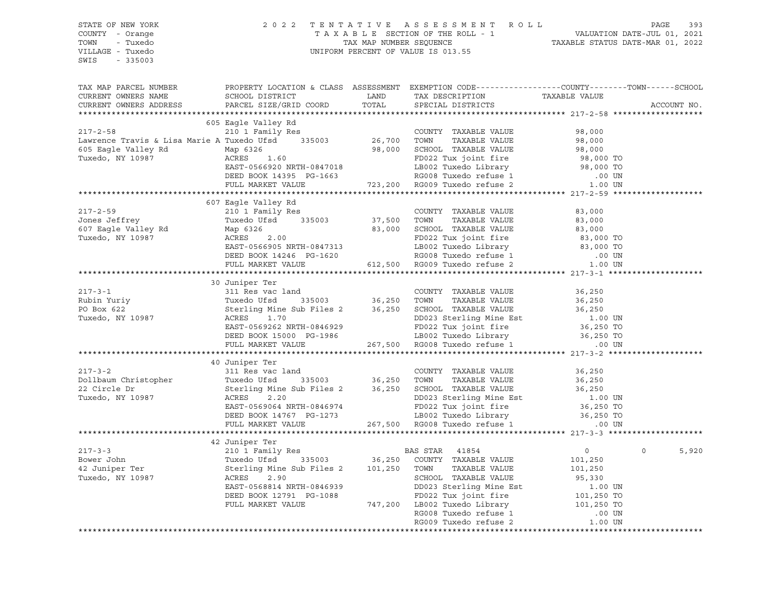| STATE OF NEW YORK<br>COUNTY - Orange<br>TOWN - Tuxedo                                                                                                                                                                                                                        | 2022 TENTATIVE ASSESSMENT ROLL PAGE 393<br>TAXABLE SECTION OF THE ROLL - 1 VALUATION DATE-JUL 01, 2021<br>TAX MAP NUMBER SEQUENCE TAXABLE STATUS DATE-MAR 01, 2022<br>UNIFORM PERCENT OF VALUE IS 013.55 |  |             |
|------------------------------------------------------------------------------------------------------------------------------------------------------------------------------------------------------------------------------------------------------------------------------|----------------------------------------------------------------------------------------------------------------------------------------------------------------------------------------------------------|--|-------------|
| VILLAGE - Tuxedo<br>SWIS - 335003                                                                                                                                                                                                                                            |                                                                                                                                                                                                          |  |             |
| TAX MAP PARCEL NUMBER                                                                                                                                                                                                                                                        | PROPERTY LOCATION & CLASS ASSESSMENT EXEMPTION CODE----------------COUNTY-------TOWN------SCHOOL                                                                                                         |  |             |
| CURRENT OWNERS NAME                                                                                                                                                                                                                                                          |                                                                                                                                                                                                          |  |             |
| CURRENT OWNERS ADDRESS                                                                                                                                                                                                                                                       |                                                                                                                                                                                                          |  | ACCOUNT NO. |
|                                                                                                                                                                                                                                                                              |                                                                                                                                                                                                          |  |             |
|                                                                                                                                                                                                                                                                              | 605 Eagle Valley Rd                                                                                                                                                                                      |  |             |
|                                                                                                                                                                                                                                                                              |                                                                                                                                                                                                          |  |             |
|                                                                                                                                                                                                                                                                              |                                                                                                                                                                                                          |  |             |
|                                                                                                                                                                                                                                                                              |                                                                                                                                                                                                          |  |             |
|                                                                                                                                                                                                                                                                              |                                                                                                                                                                                                          |  |             |
|                                                                                                                                                                                                                                                                              |                                                                                                                                                                                                          |  |             |
|                                                                                                                                                                                                                                                                              |                                                                                                                                                                                                          |  |             |
|                                                                                                                                                                                                                                                                              |                                                                                                                                                                                                          |  |             |
|                                                                                                                                                                                                                                                                              | 607 Eagle Valley Rd                                                                                                                                                                                      |  |             |
|                                                                                                                                                                                                                                                                              |                                                                                                                                                                                                          |  |             |
|                                                                                                                                                                                                                                                                              |                                                                                                                                                                                                          |  |             |
|                                                                                                                                                                                                                                                                              |                                                                                                                                                                                                          |  |             |
|                                                                                                                                                                                                                                                                              |                                                                                                                                                                                                          |  |             |
|                                                                                                                                                                                                                                                                              |                                                                                                                                                                                                          |  |             |
|                                                                                                                                                                                                                                                                              |                                                                                                                                                                                                          |  |             |
|                                                                                                                                                                                                                                                                              |                                                                                                                                                                                                          |  |             |
|                                                                                                                                                                                                                                                                              |                                                                                                                                                                                                          |  |             |
|                                                                                                                                                                                                                                                                              | 30 Juniper Ter                                                                                                                                                                                           |  |             |
|                                                                                                                                                                                                                                                                              |                                                                                                                                                                                                          |  |             |
|                                                                                                                                                                                                                                                                              |                                                                                                                                                                                                          |  |             |
|                                                                                                                                                                                                                                                                              |                                                                                                                                                                                                          |  |             |
|                                                                                                                                                                                                                                                                              |                                                                                                                                                                                                          |  |             |
|                                                                                                                                                                                                                                                                              |                                                                                                                                                                                                          |  |             |
|                                                                                                                                                                                                                                                                              |                                                                                                                                                                                                          |  |             |
| 217-3-1<br>217-3-1<br>217-3-1<br>2311 Res Value<br>236,250<br>2311 Res Value<br>236,250<br>236,250<br>236,250<br>236,250<br>267,500<br>267,500<br>267,500<br>267,500<br>267,500<br>267,500<br>267,500<br>267,500<br>267,500<br>267,500<br>267,500<br>267,500<br>267,500<br>2 |                                                                                                                                                                                                          |  |             |
|                                                                                                                                                                                                                                                                              |                                                                                                                                                                                                          |  |             |
|                                                                                                                                                                                                                                                                              | 40 Juniper Ter                                                                                                                                                                                           |  |             |
|                                                                                                                                                                                                                                                                              |                                                                                                                                                                                                          |  |             |
|                                                                                                                                                                                                                                                                              |                                                                                                                                                                                                          |  |             |
|                                                                                                                                                                                                                                                                              |                                                                                                                                                                                                          |  |             |
|                                                                                                                                                                                                                                                                              |                                                                                                                                                                                                          |  |             |
|                                                                                                                                                                                                                                                                              |                                                                                                                                                                                                          |  |             |
| 217-3-2<br>22 Circle Dr<br>22 Circle Dr<br>22 Circle Dr<br>22 Circle Dr<br>23 Circle Dr<br>22 Circle Dr<br>23 Circle Dr<br>24 Circle Dr<br>24 Circle Dr<br>24 Circle Dr<br>24 Circle Dr<br>24 Circle Dr<br>24 Circle Dr<br>24 Circle Dr<br>26 ACRES<br>2.20<br>              |                                                                                                                                                                                                          |  |             |
|                                                                                                                                                                                                                                                                              |                                                                                                                                                                                                          |  |             |
|                                                                                                                                                                                                                                                                              |                                                                                                                                                                                                          |  |             |
|                                                                                                                                                                                                                                                                              |                                                                                                                                                                                                          |  | 5,920       |
|                                                                                                                                                                                                                                                                              |                                                                                                                                                                                                          |  |             |
|                                                                                                                                                                                                                                                                              |                                                                                                                                                                                                          |  |             |
|                                                                                                                                                                                                                                                                              |                                                                                                                                                                                                          |  |             |
|                                                                                                                                                                                                                                                                              |                                                                                                                                                                                                          |  |             |
|                                                                                                                                                                                                                                                                              |                                                                                                                                                                                                          |  |             |
|                                                                                                                                                                                                                                                                              |                                                                                                                                                                                                          |  |             |
|                                                                                                                                                                                                                                                                              |                                                                                                                                                                                                          |  |             |
| XAMINERALLY AND THE THE PERTON CONTROLL AND THE DESCRIPTION AND THE DRIVING THE DRIVING SUPPORT ON THE PRETOR CONTROLL AND THE PRESENT OF THE PRESENT OF THE PRESENT OF THE PRESENT OF THE PRESENT OF THE PRESENT OF THE PRESE                                               |                                                                                                                                                                                                          |  |             |
|                                                                                                                                                                                                                                                                              |                                                                                                                                                                                                          |  |             |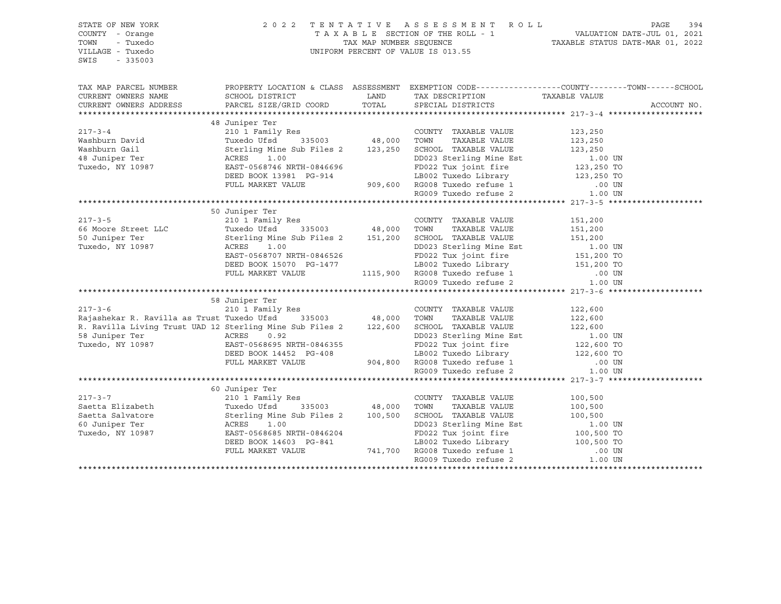| STATE OF NEW YORK<br>COUNTY - Orange<br>TOWN<br>- Tuxedo<br>VILLAGE - Tuxedo<br>SWIS<br>$-335003$                                                                                                                                                                                                                                                                                                                                                 |                | $\begin{tabular}{lllllllllllllll} \hline & 2&0&2&2&\text{T} & \text{E} & \text{N} & \text{T} & \text{A} & \text{T} & \text{A} & \text{T} & \text{A} & \text{B} & \text{A} & \text{B} & \text{B} & \text{B} & \text{B} & \text{B} & \text{B} & \text{B} & \text{B} & \text{B} & \text{B} & \text{B} & \text{B} & \text{B} & \text{B} & \text{B} & \text{B} & \text{B} & \text{B} & \text{B} & \text{B} & \text{B} & \text{B$ |             |
|---------------------------------------------------------------------------------------------------------------------------------------------------------------------------------------------------------------------------------------------------------------------------------------------------------------------------------------------------------------------------------------------------------------------------------------------------|----------------|-----------------------------------------------------------------------------------------------------------------------------------------------------------------------------------------------------------------------------------------------------------------------------------------------------------------------------------------------------------------------------------------------------------------------------|-------------|
| TAX MAP PARCEL NUMBER THE PROPERTY LOCATION & CLASS ASSESSMENT EXEMPTION CODE--------------COUNTY--------TOWN------SCHOOL                                                                                                                                                                                                                                                                                                                         |                |                                                                                                                                                                                                                                                                                                                                                                                                                             |             |
| CURRENT OWNERS NAME                                                                                                                                                                                                                                                                                                                                                                                                                               |                |                                                                                                                                                                                                                                                                                                                                                                                                                             |             |
| CURRENT OWNERS ADDRESS                                                                                                                                                                                                                                                                                                                                                                                                                            |                |                                                                                                                                                                                                                                                                                                                                                                                                                             | ACCOUNT NO. |
|                                                                                                                                                                                                                                                                                                                                                                                                                                                   |                |                                                                                                                                                                                                                                                                                                                                                                                                                             |             |
|                                                                                                                                                                                                                                                                                                                                                                                                                                                   | 48 Juniper Ter |                                                                                                                                                                                                                                                                                                                                                                                                                             |             |
|                                                                                                                                                                                                                                                                                                                                                                                                                                                   |                |                                                                                                                                                                                                                                                                                                                                                                                                                             |             |
|                                                                                                                                                                                                                                                                                                                                                                                                                                                   |                |                                                                                                                                                                                                                                                                                                                                                                                                                             |             |
|                                                                                                                                                                                                                                                                                                                                                                                                                                                   |                |                                                                                                                                                                                                                                                                                                                                                                                                                             |             |
|                                                                                                                                                                                                                                                                                                                                                                                                                                                   |                |                                                                                                                                                                                                                                                                                                                                                                                                                             |             |
|                                                                                                                                                                                                                                                                                                                                                                                                                                                   |                |                                                                                                                                                                                                                                                                                                                                                                                                                             |             |
|                                                                                                                                                                                                                                                                                                                                                                                                                                                   |                |                                                                                                                                                                                                                                                                                                                                                                                                                             |             |
|                                                                                                                                                                                                                                                                                                                                                                                                                                                   |                |                                                                                                                                                                                                                                                                                                                                                                                                                             |             |
|                                                                                                                                                                                                                                                                                                                                                                                                                                                   |                |                                                                                                                                                                                                                                                                                                                                                                                                                             |             |
|                                                                                                                                                                                                                                                                                                                                                                                                                                                   | 50 Juniper Ter |                                                                                                                                                                                                                                                                                                                                                                                                                             |             |
|                                                                                                                                                                                                                                                                                                                                                                                                                                                   |                |                                                                                                                                                                                                                                                                                                                                                                                                                             |             |
|                                                                                                                                                                                                                                                                                                                                                                                                                                                   |                |                                                                                                                                                                                                                                                                                                                                                                                                                             |             |
|                                                                                                                                                                                                                                                                                                                                                                                                                                                   |                |                                                                                                                                                                                                                                                                                                                                                                                                                             |             |
|                                                                                                                                                                                                                                                                                                                                                                                                                                                   |                |                                                                                                                                                                                                                                                                                                                                                                                                                             |             |
|                                                                                                                                                                                                                                                                                                                                                                                                                                                   |                |                                                                                                                                                                                                                                                                                                                                                                                                                             |             |
|                                                                                                                                                                                                                                                                                                                                                                                                                                                   |                |                                                                                                                                                                                                                                                                                                                                                                                                                             |             |
|                                                                                                                                                                                                                                                                                                                                                                                                                                                   |                |                                                                                                                                                                                                                                                                                                                                                                                                                             |             |
| 50 Juniper Ter<br>210 1 Family Res<br>66 Moore Street LLC Tuxedo Ufsd 0135003 48,000 TOWN TAXABLE VALUE 151,200<br>50 Juniper Ter Sterling Mine Sub Files 2 151,200 SCHOOL TAXABLE VALUE 151,200<br>Tuxedo, NY 10987 ACRES 1.00<br>EAST-                                                                                                                                                                                                          |                |                                                                                                                                                                                                                                                                                                                                                                                                                             |             |
|                                                                                                                                                                                                                                                                                                                                                                                                                                                   |                |                                                                                                                                                                                                                                                                                                                                                                                                                             |             |
| 58 Juniper Ter 210 1 Family Res 2000 TOWN TAXABLE VALUE 122,600<br>R. Ravilla Living Trust UAD 12 Scribing Mine Sub Files 2011<br>R. Ravilla Living Trust UAD 12 Scribing Mine Sub Files 2012,600<br>58 Juniper Ter 22,600<br>Tuxedo,                                                                                                                                                                                                             | 58 Juniper Ter |                                                                                                                                                                                                                                                                                                                                                                                                                             |             |
|                                                                                                                                                                                                                                                                                                                                                                                                                                                   |                |                                                                                                                                                                                                                                                                                                                                                                                                                             |             |
|                                                                                                                                                                                                                                                                                                                                                                                                                                                   |                |                                                                                                                                                                                                                                                                                                                                                                                                                             |             |
|                                                                                                                                                                                                                                                                                                                                                                                                                                                   |                |                                                                                                                                                                                                                                                                                                                                                                                                                             |             |
|                                                                                                                                                                                                                                                                                                                                                                                                                                                   |                |                                                                                                                                                                                                                                                                                                                                                                                                                             |             |
|                                                                                                                                                                                                                                                                                                                                                                                                                                                   |                |                                                                                                                                                                                                                                                                                                                                                                                                                             |             |
|                                                                                                                                                                                                                                                                                                                                                                                                                                                   |                |                                                                                                                                                                                                                                                                                                                                                                                                                             |             |
|                                                                                                                                                                                                                                                                                                                                                                                                                                                   |                |                                                                                                                                                                                                                                                                                                                                                                                                                             |             |
|                                                                                                                                                                                                                                                                                                                                                                                                                                                   |                |                                                                                                                                                                                                                                                                                                                                                                                                                             |             |
|                                                                                                                                                                                                                                                                                                                                                                                                                                                   |                |                                                                                                                                                                                                                                                                                                                                                                                                                             |             |
|                                                                                                                                                                                                                                                                                                                                                                                                                                                   |                |                                                                                                                                                                                                                                                                                                                                                                                                                             |             |
|                                                                                                                                                                                                                                                                                                                                                                                                                                                   |                |                                                                                                                                                                                                                                                                                                                                                                                                                             |             |
|                                                                                                                                                                                                                                                                                                                                                                                                                                                   |                |                                                                                                                                                                                                                                                                                                                                                                                                                             |             |
|                                                                                                                                                                                                                                                                                                                                                                                                                                                   |                |                                                                                                                                                                                                                                                                                                                                                                                                                             |             |
|                                                                                                                                                                                                                                                                                                                                                                                                                                                   |                |                                                                                                                                                                                                                                                                                                                                                                                                                             |             |
|                                                                                                                                                                                                                                                                                                                                                                                                                                                   |                |                                                                                                                                                                                                                                                                                                                                                                                                                             |             |
|                                                                                                                                                                                                                                                                                                                                                                                                                                                   |                |                                                                                                                                                                                                                                                                                                                                                                                                                             |             |
| $\begin{tabular}{l c c c c c c} \hline \texttt{100,500} & \texttt{Number Ter} & \texttt{COUNT} & \texttt{TAXABLE VALUE} & \texttt{100,500} \\ \hline \texttt{Saetta Elizabeth} & \texttt{Tuued0 I5d} & \texttt{335003} & \texttt{48,000} & \texttt{TONN} & \texttt{TAXABLE VALUE} & \texttt{100,500} \\ \hline \texttt{Saetta Silver} & \texttt{Sterling Mine Sub Files 2} & \texttt{100,500} & \texttt{SCHODL TAXABLE VALUE} & \texttt{100,500}$ |                |                                                                                                                                                                                                                                                                                                                                                                                                                             |             |
|                                                                                                                                                                                                                                                                                                                                                                                                                                                   |                |                                                                                                                                                                                                                                                                                                                                                                                                                             |             |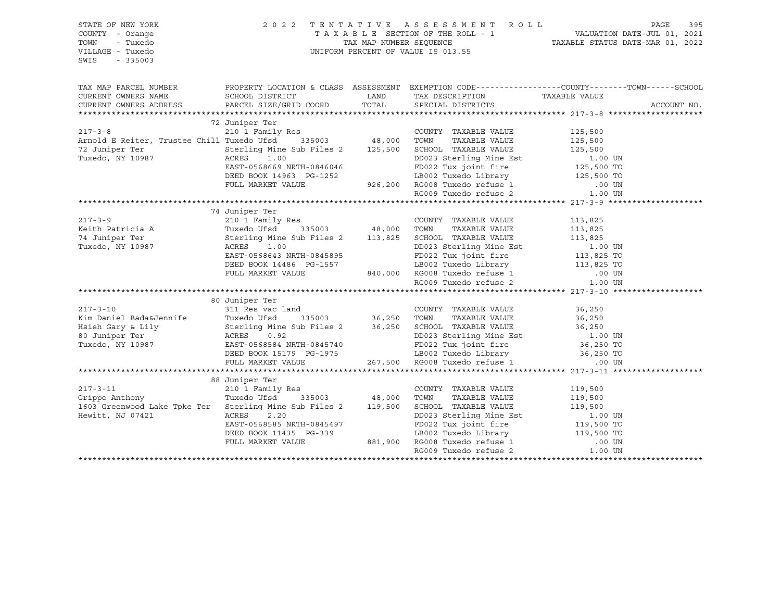| STATE OF NEW YORK<br>COUNTY - Orange<br>TOWN<br>- Tuxedo<br>VILLAGE - Tuxedo<br>SWIS<br>$-335003$ |                | 2022 TENTATIVE ASSESSMENT ROLL PAGE 395<br>TAXABLE SECTION OF THE ROLL - 1 WALUATION DATE-JUL 01, 2021<br>TAX MAP NUMBER SEQUENCE TAXABLE STATUS DATE-MAR 01, 2022<br>UNIFORM PERCENT OF VALUE IS 013.55 |             |
|---------------------------------------------------------------------------------------------------|----------------|----------------------------------------------------------------------------------------------------------------------------------------------------------------------------------------------------------|-------------|
| TAX MAP PARCEL NUMBER                                                                             |                | PROPERTY LOCATION & CLASS ASSESSMENT EXEMPTION CODE-----------------COUNTY-------TOWN------SCHOOL                                                                                                        |             |
| CURRENT OWNERS NAME                                                                               |                |                                                                                                                                                                                                          |             |
| CURRENT OWNERS ADDRESS                                                                            |                |                                                                                                                                                                                                          | ACCOUNT NO. |
|                                                                                                   |                |                                                                                                                                                                                                          |             |
|                                                                                                   | 72 Juniper Ter |                                                                                                                                                                                                          |             |
|                                                                                                   |                |                                                                                                                                                                                                          |             |
|                                                                                                   |                |                                                                                                                                                                                                          |             |
|                                                                                                   |                |                                                                                                                                                                                                          |             |
|                                                                                                   |                |                                                                                                                                                                                                          |             |
|                                                                                                   |                |                                                                                                                                                                                                          |             |
|                                                                                                   |                |                                                                                                                                                                                                          |             |
|                                                                                                   |                |                                                                                                                                                                                                          |             |
|                                                                                                   |                |                                                                                                                                                                                                          |             |
|                                                                                                   | 74 Juniper Ter |                                                                                                                                                                                                          |             |
|                                                                                                   |                |                                                                                                                                                                                                          |             |
|                                                                                                   |                |                                                                                                                                                                                                          |             |
|                                                                                                   |                |                                                                                                                                                                                                          |             |
|                                                                                                   |                |                                                                                                                                                                                                          |             |
|                                                                                                   |                |                                                                                                                                                                                                          |             |
|                                                                                                   |                |                                                                                                                                                                                                          |             |
|                                                                                                   |                |                                                                                                                                                                                                          |             |
|                                                                                                   |                |                                                                                                                                                                                                          |             |
|                                                                                                   | 80 Juniper Ter |                                                                                                                                                                                                          |             |
|                                                                                                   |                |                                                                                                                                                                                                          |             |
|                                                                                                   |                |                                                                                                                                                                                                          |             |
|                                                                                                   |                |                                                                                                                                                                                                          |             |
|                                                                                                   |                |                                                                                                                                                                                                          |             |
|                                                                                                   |                |                                                                                                                                                                                                          |             |
|                                                                                                   |                |                                                                                                                                                                                                          |             |
|                                                                                                   |                |                                                                                                                                                                                                          |             |
|                                                                                                   |                |                                                                                                                                                                                                          |             |
|                                                                                                   |                |                                                                                                                                                                                                          |             |
|                                                                                                   |                |                                                                                                                                                                                                          |             |
|                                                                                                   |                |                                                                                                                                                                                                          |             |
|                                                                                                   |                |                                                                                                                                                                                                          |             |
|                                                                                                   |                |                                                                                                                                                                                                          |             |
|                                                                                                   |                |                                                                                                                                                                                                          |             |
|                                                                                                   |                |                                                                                                                                                                                                          |             |
|                                                                                                   |                |                                                                                                                                                                                                          |             |
|                                                                                                   |                |                                                                                                                                                                                                          |             |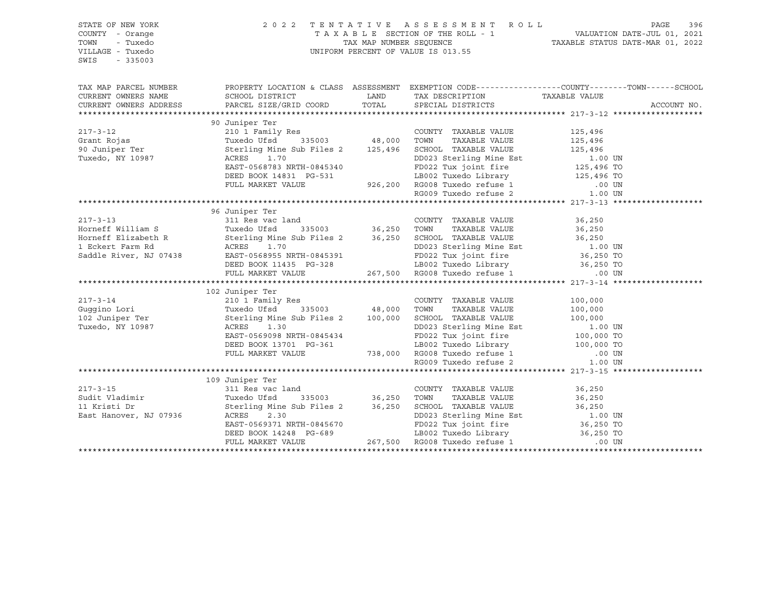| STATE OF NEW YORK<br>COUNTY - Orange<br>TOWN<br>- Tuxedo                                                                                                                                                                                             | $\begin{tabular}{lllllllllllllllll} \hline & 2&0&2&2&\text{T} & \text{E} & \text{N} & \text{T} & \text{A} & \text{T} & \text{A} & \text{T} & \text{A} & \text{E} & \text{S} & \text{E} & \text{S} & \text{E} & \text{S} & \text{S} & \text{S} & \text{A} & \text{E} & \text{E} & \text{S} & \text{E} & \text{S} & \text{E} & \text{S} & \text{E} & \text{E} & \text{E} & \text{E} & \text{E} & \text{E} & \text{E} & \text{$ |                                                                                                  |  |
|------------------------------------------------------------------------------------------------------------------------------------------------------------------------------------------------------------------------------------------------------|------------------------------------------------------------------------------------------------------------------------------------------------------------------------------------------------------------------------------------------------------------------------------------------------------------------------------------------------------------------------------------------------------------------------------|--------------------------------------------------------------------------------------------------|--|
| VILLAGE - Tuxedo<br>SWIS<br>$-335003$                                                                                                                                                                                                                |                                                                                                                                                                                                                                                                                                                                                                                                                              |                                                                                                  |  |
| TAX MAP PARCEL NUMBER                                                                                                                                                                                                                                |                                                                                                                                                                                                                                                                                                                                                                                                                              | PROPERTY LOCATION & CLASS ASSESSMENT EXEMPTION CODE----------------COUNTY-------TOWN------SCHOOL |  |
|                                                                                                                                                                                                                                                      |                                                                                                                                                                                                                                                                                                                                                                                                                              |                                                                                                  |  |
|                                                                                                                                                                                                                                                      |                                                                                                                                                                                                                                                                                                                                                                                                                              |                                                                                                  |  |
|                                                                                                                                                                                                                                                      | 90 Juniper Ter                                                                                                                                                                                                                                                                                                                                                                                                               |                                                                                                  |  |
| 90 Juniper Ter<br>210 1 Family Res<br>31003 TWR 125,496<br>90 Juniper Ter<br>310 1 Family Res<br>210 1 Family Res<br>210 1 Family Res<br>210 1 Family Res<br>315003 48,000 TOWN TAXABLE VALUE<br>215,496 SCHOOL TAXABLE VALUE<br>215,496 125,496<br> |                                                                                                                                                                                                                                                                                                                                                                                                                              |                                                                                                  |  |
|                                                                                                                                                                                                                                                      |                                                                                                                                                                                                                                                                                                                                                                                                                              |                                                                                                  |  |
|                                                                                                                                                                                                                                                      |                                                                                                                                                                                                                                                                                                                                                                                                                              |                                                                                                  |  |
|                                                                                                                                                                                                                                                      |                                                                                                                                                                                                                                                                                                                                                                                                                              |                                                                                                  |  |
|                                                                                                                                                                                                                                                      |                                                                                                                                                                                                                                                                                                                                                                                                                              |                                                                                                  |  |
|                                                                                                                                                                                                                                                      |                                                                                                                                                                                                                                                                                                                                                                                                                              |                                                                                                  |  |
|                                                                                                                                                                                                                                                      |                                                                                                                                                                                                                                                                                                                                                                                                                              |                                                                                                  |  |
|                                                                                                                                                                                                                                                      |                                                                                                                                                                                                                                                                                                                                                                                                                              |                                                                                                  |  |
|                                                                                                                                                                                                                                                      |                                                                                                                                                                                                                                                                                                                                                                                                                              |                                                                                                  |  |
|                                                                                                                                                                                                                                                      | 96 Juniper Ter                                                                                                                                                                                                                                                                                                                                                                                                               |                                                                                                  |  |
|                                                                                                                                                                                                                                                      |                                                                                                                                                                                                                                                                                                                                                                                                                              |                                                                                                  |  |
|                                                                                                                                                                                                                                                      |                                                                                                                                                                                                                                                                                                                                                                                                                              |                                                                                                  |  |
|                                                                                                                                                                                                                                                      |                                                                                                                                                                                                                                                                                                                                                                                                                              |                                                                                                  |  |
|                                                                                                                                                                                                                                                      |                                                                                                                                                                                                                                                                                                                                                                                                                              |                                                                                                  |  |
|                                                                                                                                                                                                                                                      |                                                                                                                                                                                                                                                                                                                                                                                                                              |                                                                                                  |  |
|                                                                                                                                                                                                                                                      |                                                                                                                                                                                                                                                                                                                                                                                                                              |                                                                                                  |  |
|                                                                                                                                                                                                                                                      |                                                                                                                                                                                                                                                                                                                                                                                                                              |                                                                                                  |  |
| 102 Juniper Ter 217-3-14 102 Juniper Ter 217-3-14 210 1 Family Res Guggino Lori Tuxedo Ufsd 335003 48,000 TOWN TAXABLE VALUE 100,000 100 2 Juniper Ter Streling Mine Sub Files 2 100,000 SCHOOL TAXABLE VALUE 100,000 100 23 S                       |                                                                                                                                                                                                                                                                                                                                                                                                                              |                                                                                                  |  |
|                                                                                                                                                                                                                                                      |                                                                                                                                                                                                                                                                                                                                                                                                                              |                                                                                                  |  |
|                                                                                                                                                                                                                                                      |                                                                                                                                                                                                                                                                                                                                                                                                                              |                                                                                                  |  |
|                                                                                                                                                                                                                                                      |                                                                                                                                                                                                                                                                                                                                                                                                                              |                                                                                                  |  |
|                                                                                                                                                                                                                                                      |                                                                                                                                                                                                                                                                                                                                                                                                                              |                                                                                                  |  |
|                                                                                                                                                                                                                                                      |                                                                                                                                                                                                                                                                                                                                                                                                                              |                                                                                                  |  |
|                                                                                                                                                                                                                                                      |                                                                                                                                                                                                                                                                                                                                                                                                                              |                                                                                                  |  |
|                                                                                                                                                                                                                                                      |                                                                                                                                                                                                                                                                                                                                                                                                                              |                                                                                                  |  |
|                                                                                                                                                                                                                                                      |                                                                                                                                                                                                                                                                                                                                                                                                                              |                                                                                                  |  |
|                                                                                                                                                                                                                                                      |                                                                                                                                                                                                                                                                                                                                                                                                                              |                                                                                                  |  |
|                                                                                                                                                                                                                                                      | 109 Juniper Ter                                                                                                                                                                                                                                                                                                                                                                                                              |                                                                                                  |  |
|                                                                                                                                                                                                                                                      |                                                                                                                                                                                                                                                                                                                                                                                                                              |                                                                                                  |  |
|                                                                                                                                                                                                                                                      |                                                                                                                                                                                                                                                                                                                                                                                                                              |                                                                                                  |  |
|                                                                                                                                                                                                                                                      |                                                                                                                                                                                                                                                                                                                                                                                                                              |                                                                                                  |  |
|                                                                                                                                                                                                                                                      |                                                                                                                                                                                                                                                                                                                                                                                                                              |                                                                                                  |  |
|                                                                                                                                                                                                                                                      |                                                                                                                                                                                                                                                                                                                                                                                                                              |                                                                                                  |  |
|                                                                                                                                                                                                                                                      |                                                                                                                                                                                                                                                                                                                                                                                                                              |                                                                                                  |  |
|                                                                                                                                                                                                                                                      |                                                                                                                                                                                                                                                                                                                                                                                                                              |                                                                                                  |  |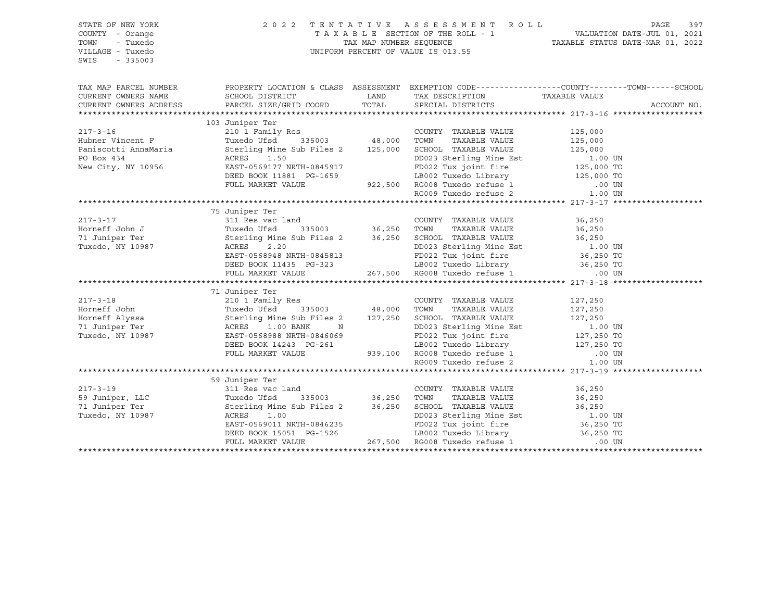| STATE OF NEW YORK<br>COUNTY - Orange<br>- Tuxedo<br>TOWN<br>VILLAGE - Tuxedo<br>SWIS<br>$-335003$          | 2022 TENTATIVE ASSESSMENT ROLL | PAGE<br>397                                                                                                                                                                                                            |                                                                                                  |
|------------------------------------------------------------------------------------------------------------|--------------------------------|------------------------------------------------------------------------------------------------------------------------------------------------------------------------------------------------------------------------|--------------------------------------------------------------------------------------------------|
| TAX MAP PARCEL NUMBER                                                                                      |                                |                                                                                                                                                                                                                        | PROPERTY LOCATION & CLASS ASSESSMENT EXEMPTION CODE----------------COUNTY-------TOWN------SCHOOL |
| CURRENT OWNERS NAME                                                                                        |                                |                                                                                                                                                                                                                        |                                                                                                  |
| CURRENT OWNERS ADDRESS                                                                                     |                                |                                                                                                                                                                                                                        | ACCOUNT NO.                                                                                      |
|                                                                                                            |                                |                                                                                                                                                                                                                        |                                                                                                  |
|                                                                                                            | 103 Juniper Ter                |                                                                                                                                                                                                                        |                                                                                                  |
| $217 - 3 - 16$<br>217-3-16<br>Hubner Vincent F<br>Paniscotti AnnaMaria<br>PO Box 434<br>New City, NY 10956 |                                | 210 1 Family Res<br>210 1 Family Res<br>Tuxedo Ufsd 335003 48,000 TOWN TAXABLE VALUE 125,000<br>Sterling Mine Sub Files 2 125,000 SCHOOL TAXABLE VALUE 125,000                                                         |                                                                                                  |
|                                                                                                            |                                |                                                                                                                                                                                                                        |                                                                                                  |
|                                                                                                            |                                |                                                                                                                                                                                                                        |                                                                                                  |
|                                                                                                            |                                | CRES 1.50<br>EAST-0569177 NRTH-0845917<br>DEED BOOK 11881 PG-1659<br>PULL MARKET VALUE 922,500 RG008 Tuxedo refuse 1 00 UN<br>PULL MARKET VALUE 922,500 RG008 Tuxedo refuse 2 1.00 UN<br>RG009 Tuxedo refuse 2 1.00 UN |                                                                                                  |
|                                                                                                            |                                |                                                                                                                                                                                                                        |                                                                                                  |
|                                                                                                            |                                |                                                                                                                                                                                                                        |                                                                                                  |
|                                                                                                            |                                |                                                                                                                                                                                                                        |                                                                                                  |
|                                                                                                            |                                |                                                                                                                                                                                                                        |                                                                                                  |
|                                                                                                            | 75 Juniper Ter                 |                                                                                                                                                                                                                        |                                                                                                  |
|                                                                                                            |                                |                                                                                                                                                                                                                        |                                                                                                  |
|                                                                                                            |                                |                                                                                                                                                                                                                        |                                                                                                  |
|                                                                                                            |                                |                                                                                                                                                                                                                        |                                                                                                  |
|                                                                                                            |                                |                                                                                                                                                                                                                        |                                                                                                  |
|                                                                                                            |                                |                                                                                                                                                                                                                        |                                                                                                  |
|                                                                                                            |                                |                                                                                                                                                                                                                        |                                                                                                  |
|                                                                                                            |                                |                                                                                                                                                                                                                        |                                                                                                  |
|                                                                                                            |                                |                                                                                                                                                                                                                        |                                                                                                  |
|                                                                                                            | 71 Juniper Ter                 |                                                                                                                                                                                                                        |                                                                                                  |
|                                                                                                            |                                |                                                                                                                                                                                                                        |                                                                                                  |
|                                                                                                            |                                |                                                                                                                                                                                                                        |                                                                                                  |
|                                                                                                            |                                |                                                                                                                                                                                                                        |                                                                                                  |
|                                                                                                            |                                |                                                                                                                                                                                                                        |                                                                                                  |
|                                                                                                            |                                |                                                                                                                                                                                                                        |                                                                                                  |
|                                                                                                            |                                |                                                                                                                                                                                                                        |                                                                                                  |
|                                                                                                            |                                |                                                                                                                                                                                                                        |                                                                                                  |
|                                                                                                            |                                |                                                                                                                                                                                                                        |                                                                                                  |
|                                                                                                            |                                |                                                                                                                                                                                                                        |                                                                                                  |
|                                                                                                            | 59 Juniper Ter                 |                                                                                                                                                                                                                        |                                                                                                  |
|                                                                                                            |                                |                                                                                                                                                                                                                        |                                                                                                  |
|                                                                                                            |                                |                                                                                                                                                                                                                        |                                                                                                  |
|                                                                                                            |                                |                                                                                                                                                                                                                        |                                                                                                  |
|                                                                                                            |                                |                                                                                                                                                                                                                        |                                                                                                  |
|                                                                                                            |                                |                                                                                                                                                                                                                        |                                                                                                  |
|                                                                                                            |                                |                                                                                                                                                                                                                        |                                                                                                  |
|                                                                                                            |                                |                                                                                                                                                                                                                        |                                                                                                  |
|                                                                                                            |                                |                                                                                                                                                                                                                        |                                                                                                  |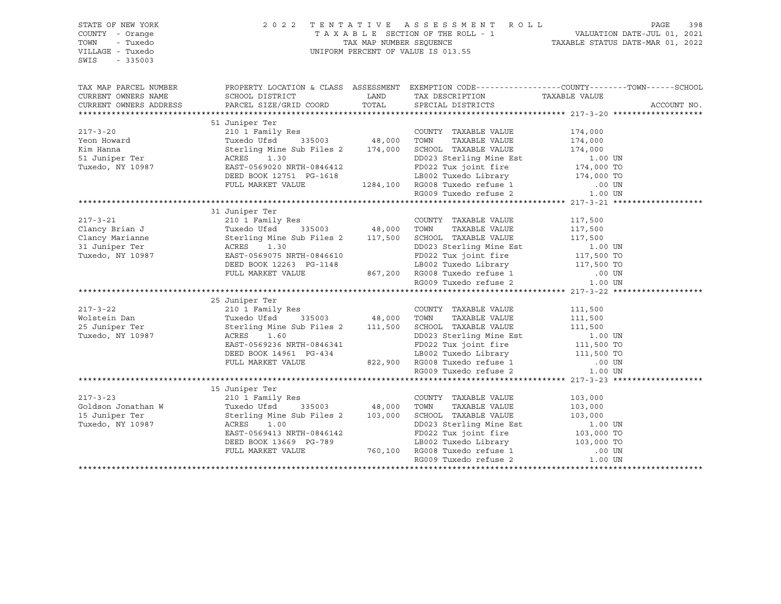| STATE OF NEW YORK<br>COUNTY - Orange<br>TOWN<br>- Tuxedo<br>VILLAGE - Tuxedo<br>SWIS - 335003                                                                                                                                                  |                | $\begin{tabular}{lllllllllllllllll} \hline & 2&0&2&2&\text{T} & \text{E} & \text{N} & \text{T} & \text{A} & \text{T} & \text{A} & \text{T} & \text{A} & \text{B} & \text{A} & \text{B} & \text{B} & \text{B} & \text{B} & \text{B} & \text{B} & \text{B} & \text{B} & \text{B} & \text{B} & \text{B} & \text{B} & \text{B} & \text{B} & \text{B} & \text{B} & \text{B} & \text{B} & \text{B} & \text{B} & \text{B} & \text{$ |  |             |
|------------------------------------------------------------------------------------------------------------------------------------------------------------------------------------------------------------------------------------------------|----------------|------------------------------------------------------------------------------------------------------------------------------------------------------------------------------------------------------------------------------------------------------------------------------------------------------------------------------------------------------------------------------------------------------------------------------|--|-------------|
| TAX MAP PARCEL NUMBER THE PROPERTY LOCATION & CLASS ASSESSMENT EXEMPTION CODE--------------COUNTY--------TOWN------SCHOOL                                                                                                                      |                |                                                                                                                                                                                                                                                                                                                                                                                                                              |  |             |
| CURRENT OWNERS NAME<br>CURRENT OWNERS ADDRESS                                                                                                                                                                                                  |                |                                                                                                                                                                                                                                                                                                                                                                                                                              |  |             |
| XERES 1.30<br>TRABLE VALUE 174,000<br>Xim Hanna Tuxedo USd COUNTY TAXABLE VALUE 174,000<br>Xim Hanna Sterling Mine Sub Files 2<br>Tuxedo, NY 10987<br>TULE MARKET VALUE DEED BOOK 12751 PG-1618<br>TULE MARKET VALUE 174,000<br>TULE MARKET    |                |                                                                                                                                                                                                                                                                                                                                                                                                                              |  | ACCOUNT NO. |
|                                                                                                                                                                                                                                                |                |                                                                                                                                                                                                                                                                                                                                                                                                                              |  |             |
|                                                                                                                                                                                                                                                |                |                                                                                                                                                                                                                                                                                                                                                                                                                              |  |             |
|                                                                                                                                                                                                                                                |                |                                                                                                                                                                                                                                                                                                                                                                                                                              |  |             |
|                                                                                                                                                                                                                                                |                |                                                                                                                                                                                                                                                                                                                                                                                                                              |  |             |
|                                                                                                                                                                                                                                                |                |                                                                                                                                                                                                                                                                                                                                                                                                                              |  |             |
|                                                                                                                                                                                                                                                |                |                                                                                                                                                                                                                                                                                                                                                                                                                              |  |             |
|                                                                                                                                                                                                                                                |                |                                                                                                                                                                                                                                                                                                                                                                                                                              |  |             |
|                                                                                                                                                                                                                                                |                |                                                                                                                                                                                                                                                                                                                                                                                                                              |  |             |
|                                                                                                                                                                                                                                                |                |                                                                                                                                                                                                                                                                                                                                                                                                                              |  |             |
|                                                                                                                                                                                                                                                |                |                                                                                                                                                                                                                                                                                                                                                                                                                              |  |             |
|                                                                                                                                                                                                                                                | 31 Juniper Ter |                                                                                                                                                                                                                                                                                                                                                                                                                              |  |             |
|                                                                                                                                                                                                                                                |                |                                                                                                                                                                                                                                                                                                                                                                                                                              |  |             |
|                                                                                                                                                                                                                                                |                |                                                                                                                                                                                                                                                                                                                                                                                                                              |  |             |
|                                                                                                                                                                                                                                                |                |                                                                                                                                                                                                                                                                                                                                                                                                                              |  |             |
|                                                                                                                                                                                                                                                |                |                                                                                                                                                                                                                                                                                                                                                                                                                              |  |             |
|                                                                                                                                                                                                                                                |                |                                                                                                                                                                                                                                                                                                                                                                                                                              |  |             |
|                                                                                                                                                                                                                                                |                |                                                                                                                                                                                                                                                                                                                                                                                                                              |  |             |
|                                                                                                                                                                                                                                                |                |                                                                                                                                                                                                                                                                                                                                                                                                                              |  |             |
| XAMILE VALUE 11,500<br>217-3-22 22 210 1 Family Res<br>210 1 Family Res<br>210 1 Family Res<br>210 1 Family Res<br>22 210 1 Family Res<br>23 Juniper Ter Sterling Mine Sub Files 2<br>25 Juniper Ter Sterling Mine Sub Files 2<br>25 Juniper T |                |                                                                                                                                                                                                                                                                                                                                                                                                                              |  |             |
|                                                                                                                                                                                                                                                |                |                                                                                                                                                                                                                                                                                                                                                                                                                              |  |             |
|                                                                                                                                                                                                                                                |                |                                                                                                                                                                                                                                                                                                                                                                                                                              |  |             |
|                                                                                                                                                                                                                                                |                |                                                                                                                                                                                                                                                                                                                                                                                                                              |  |             |
|                                                                                                                                                                                                                                                |                |                                                                                                                                                                                                                                                                                                                                                                                                                              |  |             |
|                                                                                                                                                                                                                                                |                |                                                                                                                                                                                                                                                                                                                                                                                                                              |  |             |
|                                                                                                                                                                                                                                                |                |                                                                                                                                                                                                                                                                                                                                                                                                                              |  |             |
|                                                                                                                                                                                                                                                |                |                                                                                                                                                                                                                                                                                                                                                                                                                              |  |             |
|                                                                                                                                                                                                                                                |                |                                                                                                                                                                                                                                                                                                                                                                                                                              |  |             |
|                                                                                                                                                                                                                                                |                |                                                                                                                                                                                                                                                                                                                                                                                                                              |  |             |
|                                                                                                                                                                                                                                                |                |                                                                                                                                                                                                                                                                                                                                                                                                                              |  |             |
|                                                                                                                                                                                                                                                |                |                                                                                                                                                                                                                                                                                                                                                                                                                              |  |             |
|                                                                                                                                                                                                                                                |                |                                                                                                                                                                                                                                                                                                                                                                                                                              |  |             |
|                                                                                                                                                                                                                                                |                |                                                                                                                                                                                                                                                                                                                                                                                                                              |  |             |
|                                                                                                                                                                                                                                                |                |                                                                                                                                                                                                                                                                                                                                                                                                                              |  |             |
|                                                                                                                                                                                                                                                |                |                                                                                                                                                                                                                                                                                                                                                                                                                              |  |             |
|                                                                                                                                                                                                                                                |                |                                                                                                                                                                                                                                                                                                                                                                                                                              |  |             |
|                                                                                                                                                                                                                                                |                |                                                                                                                                                                                                                                                                                                                                                                                                                              |  |             |
| 15 Juniper Ter 217-3-23 210 1 Family Res COUNTY TAXABLE VALUE 103,000<br>15 Juniper Ter 210 1 Family Res Goldson Jonathan W Tuxedo Ufsd 335003 48,000 TOWN TAXABLE VALUE 103,000<br>15 Juniper Ter Sterling Mine Sub Files 2 103,0             |                |                                                                                                                                                                                                                                                                                                                                                                                                                              |  |             |
|                                                                                                                                                                                                                                                |                |                                                                                                                                                                                                                                                                                                                                                                                                                              |  |             |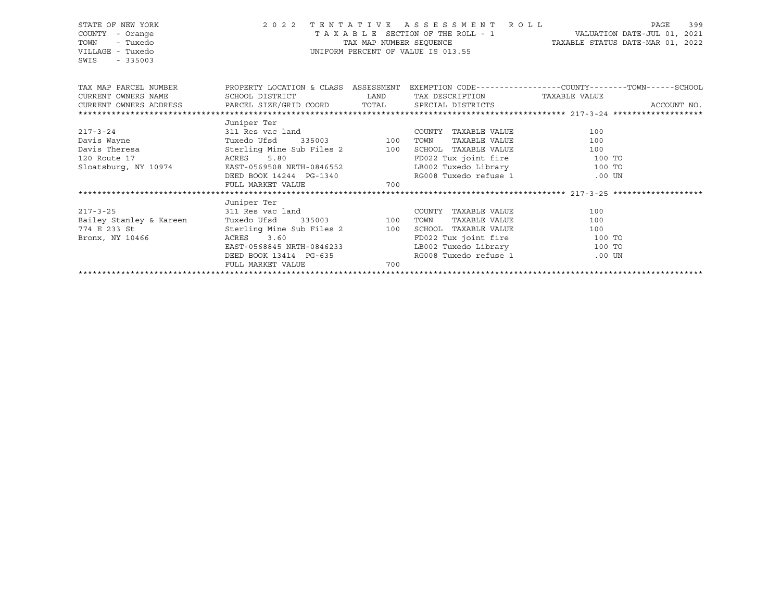| STATE OF NEW YORK<br>COUNTY - Orange<br>TOWN<br>- Tuxedo<br>VILLAGE - Tuxedo<br>SWIS<br>$-335003$                                                | UNIFORM PERCENT OF VALUE IS 013.55      | 2022 TENTATIVE ASSESSMENT ROLL<br>TAX MAP NUMBER SEQUENCE TAXABLE STATUS DATE-MAR 01, 2022      | 399<br>PAGE                             |  |
|--------------------------------------------------------------------------------------------------------------------------------------------------|-----------------------------------------|-------------------------------------------------------------------------------------------------|-----------------------------------------|--|
| TAX MAP PARCEL NUMBER THE PROPERTY LOCATION & CLASS ASSESSMENT EXEMPTION CODE--------------COUNTY--------TOWN------SCHOOL<br>CURRENT OWNERS NAME |                                         | SCHOOL DISTRICT                      LAND        TAX DESCRIPTION                  TAXABLE VALUE |                                         |  |
|                                                                                                                                                  |                                         |                                                                                                 |                                         |  |
|                                                                                                                                                  |                                         |                                                                                                 |                                         |  |
| Juniper Ter                                                                                                                                      |                                         |                                                                                                 |                                         |  |
|                                                                                                                                                  |                                         | COUNTY TAXABLE VALUE                                                                            | 100                                     |  |
|                                                                                                                                                  |                                         |                                                                                                 | TAXABLE VALUE<br>100                    |  |
|                                                                                                                                                  |                                         |                                                                                                 | 100                                     |  |
| 120 Route 17                           ACRES       5.80<br>Sloatsburg, NY 10974                       EAST-0569508 NRTH-0846552                  |                                         |                                                                                                 | FD022 Tux joint fire 100 TO             |  |
|                                                                                                                                                  |                                         |                                                                                                 | LB002 Tuxedo Library 100 TO             |  |
|                                                                                                                                                  | DEED BOOK 14244 PG-1340                 | RG008 Tuxedo refuse 1                                                                           | .00 UN                                  |  |
|                                                                                                                                                  | FULL MARKET VALUE 700                   |                                                                                                 |                                         |  |
|                                                                                                                                                  |                                         |                                                                                                 |                                         |  |
| Juniper Ter                                                                                                                                      |                                         |                                                                                                 |                                         |  |
| 217-3-25 311 Res vac land                                                                                                                        |                                         | COUNTY TAXABLE VALUE                                                                            | 100                                     |  |
| Bailey Stanley & Kareen<br>774 E 233 St                                                                                                          | Tuxedo Ufsd 335003 100 TOWN             |                                                                                                 | TAXABLE VALUE<br>100                    |  |
|                                                                                                                                                  |                                         | Sterling Mine Sub Files 2 100 SCHOOL TAXABLE VALUE 100                                          |                                         |  |
| Bronx, NY 10466                                                                                                                                  | ACRES 3.60<br>EAST-0568845 NRTH-0846233 |                                                                                                 | FD022 Tux joint fire 100 TO             |  |
|                                                                                                                                                  | DEED BOOK 13414 PG-635                  | RG008 Tuxedo refuse 1                                                                           | LB002 Tuxedo Library 100 TO<br>$.00$ UN |  |
| FULL MARKET VALUE                                                                                                                                | 700                                     |                                                                                                 |                                         |  |
|                                                                                                                                                  |                                         |                                                                                                 |                                         |  |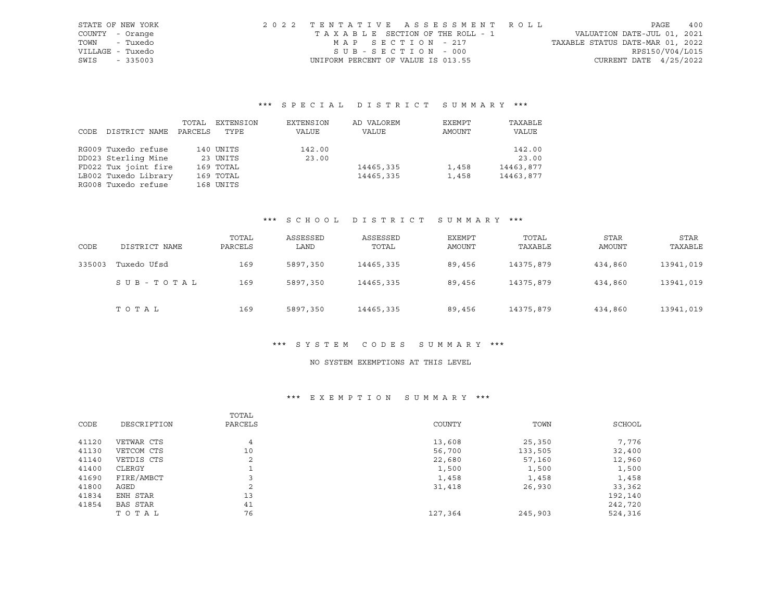| STATE OF NEW YORK | 2022 TENTATIVE ASSESSMENT ROLL     |                                  | PAGE | 400 |
|-------------------|------------------------------------|----------------------------------|------|-----|
| COUNTY - Orange   | TAXABLE SECTION OF THE ROLL - 1    | VALUATION DATE-JUL 01, 2021      |      |     |
| TOWN - Tuxedo     | MAP SECTION - 217                  | TAXABLE STATUS DATE-MAR 01, 2022 |      |     |
| VILLAGE - Tuxedo  | SUB-SECTION - 000                  | RPS150/V04/L015                  |      |     |
| SWIS<br>$-335003$ | UNIFORM PERCENT OF VALUE IS 013.55 | CURRENT DATE $4/25/2022$         |      |     |

|      |                      | TOTAL   | EXTENSION | EXTENSION | AD VALOREM | EXEMPT | TAXABLE   |
|------|----------------------|---------|-----------|-----------|------------|--------|-----------|
| CODE | DISTRICT NAME        | PARCELS | TYPE      | VALUE     | VALUE      | AMOUNT | VALUE     |
|      |                      |         |           |           |            |        |           |
|      | RG009 Tuxedo refuse  |         | 140 UNITS | 142.00    |            |        | 142.00    |
|      | DD023 Sterling Mine  |         | 23 UNITS  | 23.00     |            |        | 23.00     |
|      | FD022 Tux joint fire |         | 169 TOTAL |           | 14465,335  | 1,458  | 14463,877 |
|      | LB002 Tuxedo Library |         | 169 TOTAL |           | 14465,335  | 1,458  | 14463,877 |
|      | RG008 Tuxedo refuse  |         | 168 UNITS |           |            |        |           |

## \*\*\* S C H O O L D I S T R I C T S U M M A R Y \*\*\*

| CODE   | DISTRICT NAME | TOTAL<br>PARCELS | ASSESSED<br>LAND | ASSESSED<br>TOTAL | EXEMPT<br>AMOUNT | TOTAL<br>TAXABLE | STAR<br><b>AMOUNT</b> | <b>STAR</b><br>TAXABLE |
|--------|---------------|------------------|------------------|-------------------|------------------|------------------|-----------------------|------------------------|
| 335003 | Tuxedo Ufsd   | 169              | 5897,350         | 14465,335         | 89,456           | 14375,879        | 434,860               | 13941,019              |
|        | SUB-TOTAL     | 169              | 5897,350         | 14465,335         | 89,456           | 14375,879        | 434,860               | 13941,019              |
|        | TOTAL         | 169              | 5897,350         | 14465,335         | 89,456           | 14375,879        | 434,860               | 13941,019              |

#### \*\*\* S Y S T E M C O D E S S U M M A R Y \*\*\*

#### NO SYSTEM EXEMPTIONS AT THIS LEVEL

## \*\*\* E X E M P T I O N S U M M A R Y \*\*\*

| CODE  | DESCRIPTION     | TOTAL<br>PARCELS | COUNTY  | TOWN    | SCHOOL  |
|-------|-----------------|------------------|---------|---------|---------|
| 41120 | VETWAR CTS      | $\overline{4}$   | 13,608  | 25,350  | 7,776   |
| 41130 | VETCOM CTS      | 10               | 56,700  | 133,505 | 32,400  |
| 41140 | VETDIS CTS      | 2                | 22,680  | 57,160  | 12,960  |
| 41400 | CLERGY          |                  | 1,500   | 1,500   | 1,500   |
| 41690 | FIRE/AMBCT      | 3                | 1,458   | 1,458   | 1,458   |
| 41800 | AGED            | 2                | 31,418  | 26,930  | 33,362  |
| 41834 | ENH STAR        | 13               |         |         | 192,140 |
| 41854 | <b>BAS STAR</b> | 41               |         |         | 242,720 |
|       | TOTAL           | 76               | 127,364 | 245,903 | 524,316 |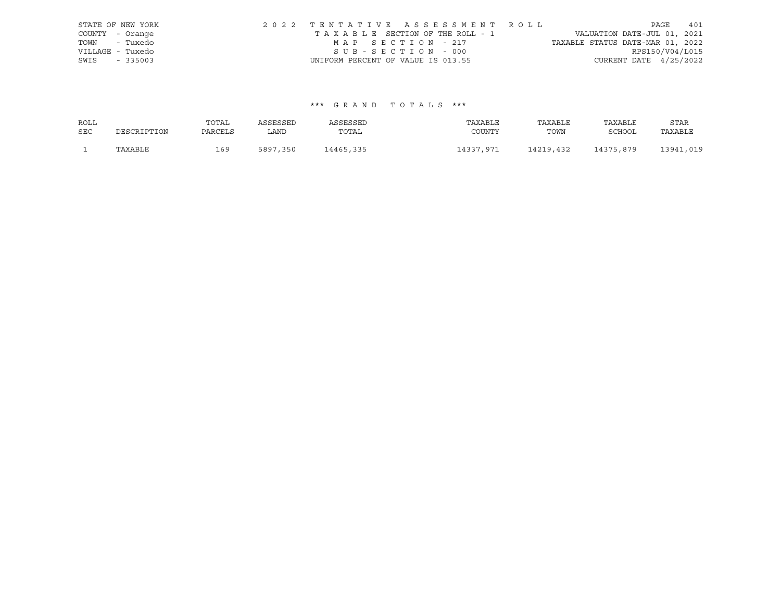|                  | STATE OF NEW YORK | 2022 TENTATIVE ASSESSMENT ROLL     |  |                                  |                          | PAGE | 401 |
|------------------|-------------------|------------------------------------|--|----------------------------------|--------------------------|------|-----|
| COUNTY - Orange  |                   | TAXABLE SECTION OF THE ROLL - 1    |  | VALUATION DATE-JUL 01, 2021      |                          |      |     |
| TOWN - Tuxedo    |                   | MAP SECTION - 217                  |  | TAXABLE STATUS DATE-MAR 01, 2022 |                          |      |     |
| VILLAGE - Tuxedo |                   | SUB-SECTION - 000                  |  |                                  | RPS150/V04/L015          |      |     |
| SWIS             | $-335003$         | UNIFORM PERCENT OF VALUE IS 013.55 |  |                                  | CURRENT DATE $4/25/2022$ |      |     |

| ROLL       |             | TOTAL   | ASSESSED | ASSESSED  | TAXABLE   | TAXABLE   | TAXABLE   | STAR      |
|------------|-------------|---------|----------|-----------|-----------|-----------|-----------|-----------|
| <b>SEC</b> | DESCRIPTION | PARCELS | LAND     | TOTAL     | COUNTY    | TOWN      | SCHOOL    | TAXABLE   |
|            | TAXABLE     | 169     | 5897,350 | 14465,335 | 14337,971 | 14219,432 | 14375,879 | 13941,019 |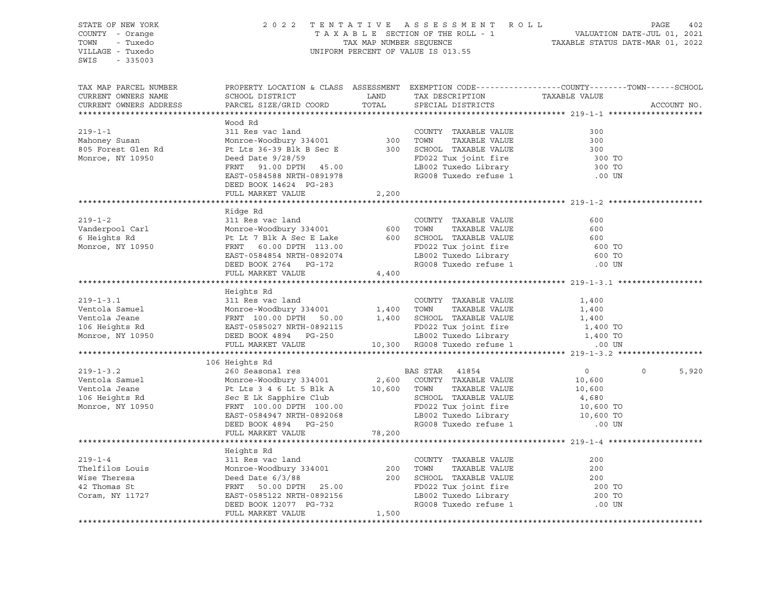STATE OF NEW YORK 2 0 2 2 T E N T A T I V E A S S E S S M E N T R O L L PAGE 402 COUNTY - Orange T A X A B L E SECTION OF THE ROLL - 1 VALUATION DATE-JUL 01, 2021 TOWN - Tuxedo TAX MAP NUMBER SEQUENCE TAXABLE STATUS DATE-MAR 01, 2022 VILLAGE - Tuxedo UNIFORM PERCENT OF VALUE IS 013.55 SWIS - 335003 TAX MAP PARCEL NUMBER PROPERTY LOCATION & CLASS ASSESSMENT EXEMPTION CODE------------------COUNTY--------TOWN------SCHOOL CURRENT OWNERS NAME SCHOOL DISTRICT TAX DESCRIPTION TAXABLE VALUE CURRENT OWNERS ADDRESS PARCEL SIZE/GRID COORD TOTAL SPECIAL DISTRICTS ACCOUNT NO. \*\*\*\*\*\*\*\*\*\*\*\*\*\*\*\*\*\*\*\*\*\*\*\*\*\*\*\*\*\*\*\*\*\*\*\*\*\*\*\*\*\*\*\*\*\*\*\*\*\*\*\*\*\*\*\*\*\*\*\*\*\*\*\*\*\*\*\*\*\*\*\*\*\*\*\*\*\*\*\*\*\*\*\*\*\*\*\*\*\*\*\*\*\*\*\*\*\*\*\*\*\*\* 219-1-1 \*\*\*\*\*\*\*\*\*\*\*\*\*\*\*\*\*\*\*\* Wood Rd 219-1-1 311 Res vac land COUNTY TAXABLE VALUE 300 Mahoney Susan Monroe-Woodbury 334001 300 TOWN TAXABLE VALUE 300 805 Forest Glen Rd Pt Lts 36-39 Blk B Sec E 300 SCHOOL TAXABLE VALUE 300 Monroe, NY 10950 Deed Date 9/28/59 FD022 Tux joint fire 300 TO LB002 Tuxedo Library 300 TO EAST-0584588 NRTH-0891978 RG008 Tuxedo refuse 1 .00 UN DEED BOOK 14624 PG-283 FULL MARKET VALUE 2,200 \*\*\*\*\*\*\*\*\*\*\*\*\*\*\*\*\*\*\*\*\*\*\*\*\*\*\*\*\*\*\*\*\*\*\*\*\*\*\*\*\*\*\*\*\*\*\*\*\*\*\*\*\*\*\*\*\*\*\*\*\*\*\*\*\*\*\*\*\*\*\*\*\*\*\*\*\*\*\*\*\*\*\*\*\*\*\*\*\*\*\*\*\*\*\*\*\*\*\*\*\*\*\* 219-1-2 \*\*\*\*\*\*\*\*\*\*\*\*\*\*\*\*\*\*\*\* Ridge Rd 219-1-2 311 Res vac land COUNTY TAXABLE VALUE 600 Vanderpool Carl Monroe-Woodbury 334001 600 TOWN TAXABLE VALUE 600 6 Heights Rd Pt Lt 7 Blk A Sec E Lake 600 SCHOOL TAXABLE VALUE 600 Monroe, NY 10950 FRNT 60.00 DPTH 113.00 FD022 Tux joint fire 600 TO EAST-0584854 NRTH-0892074 LB002 Tuxedo Library 600 TO DEED BOOK 2764 PG-172 RG008 Tuxedo refuse 1 .00 UN FULL MARKET VALUE 4,400 \*\*\*\*\*\*\*\*\*\*\*\*\*\*\*\*\*\*\*\*\*\*\*\*\*\*\*\*\*\*\*\*\*\*\*\*\*\*\*\*\*\*\*\*\*\*\*\*\*\*\*\*\*\*\*\*\*\*\*\*\*\*\*\*\*\*\*\*\*\*\*\*\*\*\*\*\*\*\*\*\*\*\*\*\*\*\*\*\*\*\*\*\*\*\*\*\*\*\*\*\*\*\* 219-1-3.1 \*\*\*\*\*\*\*\*\*\*\*\*\*\*\*\*\*\* Heights Rd 219-1-3.1 311 Res vac land COUNTY TAXABLE VALUE 1,400 Ventola Samuel Monroe-Woodbury 334001 1,400 TOWN TAXABLE VALUE 1,400 Ventola Jeane FRNT 100.00 DPTH 50.00 1,400 SCHOOL TAXABLE VALUE 1,400 106 Heights Rd EAST-0585027 NRTH-0892115 FD022 Tux joint fire 1,400 TO Monroe, NY 10950 DEED BOOK 4894 PG-250 LB002 Tuxedo Library 1,400 TO FULL MARKET VALUE 10,300 RG008 Tuxedo refuse 1 .00 UN \*\*\*\*\*\*\*\*\*\*\*\*\*\*\*\*\*\*\*\*\*\*\*\*\*\*\*\*\*\*\*\*\*\*\*\*\*\*\*\*\*\*\*\*\*\*\*\*\*\*\*\*\*\*\*\*\*\*\*\*\*\*\*\*\*\*\*\*\*\*\*\*\*\*\*\*\*\*\*\*\*\*\*\*\*\*\*\*\*\*\*\*\*\*\*\*\*\*\*\*\*\*\* 219-1-3.2 \*\*\*\*\*\*\*\*\*\*\*\*\*\*\*\*\*\* 106 Heights Rd 219-1-3.2 260 Seasonal res BAS STAR 41854 0 0 5,920 Ventola Samuel Monroe-Woodbury 334001 2,600 COUNTY TAXABLE VALUE 10,600 Ventola Jeane Pt Lts 3 4 6 Lt 5 Blk A 10,600 TOWN TAXABLE VALUE 10,600 106 Heights Rd Sec E Lk Sapphire Club SCHOOL TAXABLE VALUE 4,680 Monroe, NY 10950 FRNT 100.00 DPTH 100.00 FD022 Tux joint fire 10,600 TO EAST-0584947 NRTH-0892068 LB002 Tuxedo Library 10,600 TO DEED BOOK 4894 PG-250 RG008 Tuxedo refuse 1 .00 UN FULL MARKET VALUE 78,200 \*\*\*\*\*\*\*\*\*\*\*\*\*\*\*\*\*\*\*\*\*\*\*\*\*\*\*\*\*\*\*\*\*\*\*\*\*\*\*\*\*\*\*\*\*\*\*\*\*\*\*\*\*\*\*\*\*\*\*\*\*\*\*\*\*\*\*\*\*\*\*\*\*\*\*\*\*\*\*\*\*\*\*\*\*\*\*\*\*\*\*\*\*\*\*\*\*\*\*\*\*\*\* 219-1-4 \*\*\*\*\*\*\*\*\*\*\*\*\*\*\*\*\*\*\*\* Heights Rd 219-1-4 311 Res vac land COUNTY TAXABLE VALUE 200 Thelfilos Louis Monroe-Woodbury 334001 200 TOWN TAXABLE VALUE 200 Wise Theresa Deed Date 6/3/88 200 SCHOOL TAXABLE VALUE 200 42 Thomas St FRNT 50.00 DPTH 25.00 FD022 Tux joint fire 200 TO Coram, NY 11727 EAST-0585122 NRTH-0892156 LB002 Tuxedo Library<br>
REAST-0585122 NRTH-0892 12156 LB002 Tuxedo Library DEED BOOK 12077 PG-732 RG008 Tuxedo refuse 1 .00 UN FULL MARKET VALUE 1,500 \*\*\*\*\*\*\*\*\*\*\*\*\*\*\*\*\*\*\*\*\*\*\*\*\*\*\*\*\*\*\*\*\*\*\*\*\*\*\*\*\*\*\*\*\*\*\*\*\*\*\*\*\*\*\*\*\*\*\*\*\*\*\*\*\*\*\*\*\*\*\*\*\*\*\*\*\*\*\*\*\*\*\*\*\*\*\*\*\*\*\*\*\*\*\*\*\*\*\*\*\*\*\*\*\*\*\*\*\*\*\*\*\*\*\*\*\*\*\*\*\*\*\*\*\*\*\*\*\*\*\*\*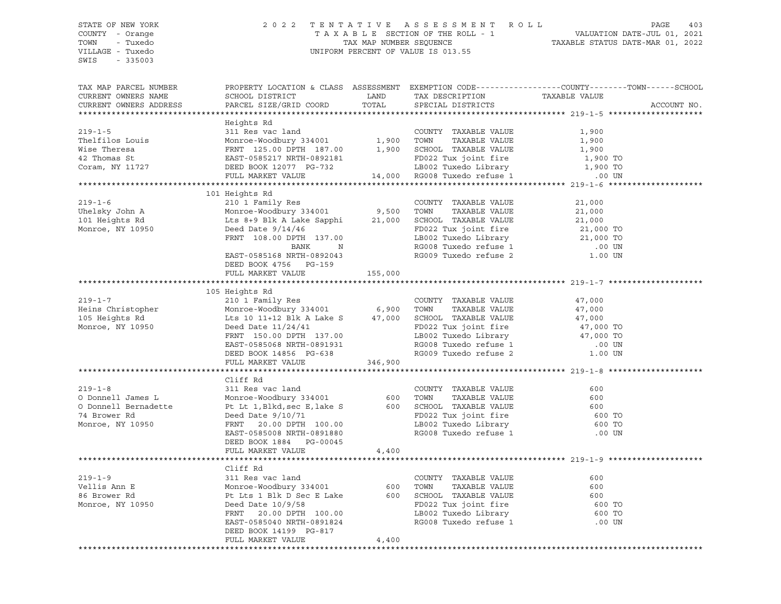SWIS - 335003

#### STATE OF NEW YORK 2 0 2 2 T E N T A T I V E A S S E S S M E N T R O L L PAGE 403 COUNTY - Orange T A X A B L E SECTION OF THE ROLL - 1 VALUATION DATE-JUL 01, 2021 TOWN - Tuxedo TAX MAP NUMBER SEQUENCE TAXABLE STATUS DATE-MAR 01, 2022 VILLAGE - Tuxedo UNIFORM PERCENT OF VALUE IS 013.55

| TAX MAP PARCEL NUMBER<br>CURRENT OWNERS NAME<br>CURRENT OWNERS ADDRESS                                                                                                                                                                                   | SCHOOL DISTRICT<br>PARCEL SIZE/GRID COORD                                                     |       | LAND TAX DESCRIPTION<br>TOTAL SPECIAL DISTRICTS | PROPERTY LOCATION & CLASS ASSESSMENT EXEMPTION CODE---------------COUNTY-------TOWN------SCHOOL<br>TAXABLE VALUE | ACCOUNT NO. |
|----------------------------------------------------------------------------------------------------------------------------------------------------------------------------------------------------------------------------------------------------------|-----------------------------------------------------------------------------------------------|-------|-------------------------------------------------|------------------------------------------------------------------------------------------------------------------|-------------|
|                                                                                                                                                                                                                                                          |                                                                                               |       |                                                 |                                                                                                                  |             |
| EPIT MANAGE VALUE<br>The is country the country that the manner of the country of the country of the country of the country of the<br>Wise The resa FRNT 125.00 DPTH 187.00 1,900 SCHOOL TAXABLE VALUE 1,900<br>42 Thomas St EAST-05                     | Heights Rd                                                                                    |       |                                                 |                                                                                                                  |             |
|                                                                                                                                                                                                                                                          |                                                                                               |       |                                                 |                                                                                                                  |             |
|                                                                                                                                                                                                                                                          | 101 Heights Rd<br>DEED BOOK 4756    PG-159<br>FULL MARKET VALUE                       155,000 |       |                                                 |                                                                                                                  |             |
|                                                                                                                                                                                                                                                          |                                                                                               |       |                                                 |                                                                                                                  |             |
| $219 - 1 - 7$                                                                                                                                                                                                                                            | 105 Heights Rd<br>210 1 Family Res                                                            |       | COUNTY TAXABLE VALUE                            | 47,000                                                                                                           |             |
|                                                                                                                                                                                                                                                          |                                                                                               |       |                                                 |                                                                                                                  |             |
| $219 - 1 - 8$<br>0 Donnell James L<br>0 Donnell James L<br>0 Donnell Bernadette Pt Lt 1, Blkd, sec E, lake S<br>74 Brower Rd<br>20.00 DPTH 100.00 DPTH 20.00 DPTH 100.00 DB002 Tuxedo Library 600 TO<br>Monroe, NY 10950 EAST-0585008 NRTH-0891880 RG008 | Cliff Rd<br>311 Res vac land<br>DEED BOOK 1884 PG-00045                                       |       | COUNTY TAXABLE VALUE                            | 600                                                                                                              |             |
|                                                                                                                                                                                                                                                          | FULL MARKET VALUE 4,400                                                                       |       |                                                 |                                                                                                                  |             |
|                                                                                                                                                                                                                                                          |                                                                                               |       |                                                 |                                                                                                                  |             |
|                                                                                                                                                                                                                                                          | Cliff Rd<br>FULL MARKET VALUE                                                                 | 4,400 |                                                 |                                                                                                                  |             |
|                                                                                                                                                                                                                                                          |                                                                                               |       |                                                 |                                                                                                                  |             |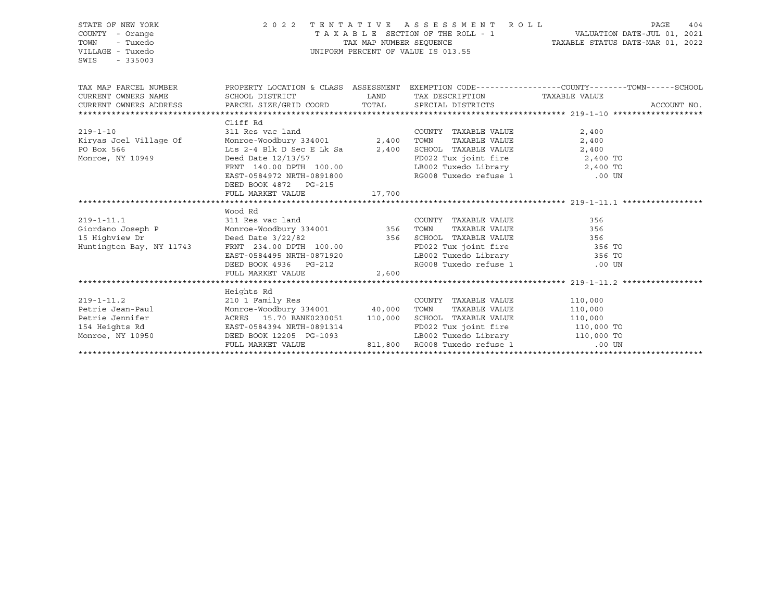| STATE OF NEW YORK<br>COUNTY - Orange<br>TOWN<br>- Tuxedo<br>VILLAGE - Tuxedo<br>SWIS<br>$-335003$ |                                                                                                                               | TAX MAP NUMBER SEQUENCE | 2022 TENTATIVE ASSESSMENT ROLL<br>UNIFORM PERCENT OF VALUE IS 013.55                                                  | PAGE<br>404<br>TAXABLE STATUS DATE-MAR 01, 2022                                                 |
|---------------------------------------------------------------------------------------------------|-------------------------------------------------------------------------------------------------------------------------------|-------------------------|-----------------------------------------------------------------------------------------------------------------------|-------------------------------------------------------------------------------------------------|
| TAX MAP PARCEL NUMBER                                                                             |                                                                                                                               |                         |                                                                                                                       | PROPERTY LOCATION & CLASS ASSESSMENT EXEMPTION CODE---------------COUNTY-------TOWN------SCHOOL |
| CURRENT OWNERS NAME                                                                               | SCHOOL DISTRICT LAND<br>PARCEL SIZE/GRID COORD TOTAL                                                                          |                         | TAX DESCRIPTION TAXABLE VALUE                                                                                         |                                                                                                 |
| CURRENT OWNERS ADDRESS                                                                            |                                                                                                                               |                         | SPECIAL DISTRICTS                                                                                                     | ACCOUNT NO.                                                                                     |
|                                                                                                   | Cliff Rd                                                                                                                      |                         |                                                                                                                       |                                                                                                 |
| $219 - 1 - 10$                                                                                    | 311 Res vac land                                                                                                              |                         | COUNTY TAXABLE VALUE                                                                                                  | 2,400                                                                                           |
| Kiryas Joel Village Of                                                                            | Monroe-Woodbury 334001 2,400                                                                                                  |                         | TAXABLE VALUE<br>TOWN                                                                                                 | 2,400                                                                                           |
| PO Box 566                                                                                        | Lts 2-4 Blk D Sec E Lk Sa $2,400$                                                                                             |                         |                                                                                                                       |                                                                                                 |
| Monroe, NY 10949                                                                                  | Deed Date 12/13/57                                                                                                            |                         | SCHOOL TAXABLE VALUE<br>FD022 Tux joint fire 2,400 TO<br>LB002 Tuxedo Library 2,400 TO<br>RG008 Tuxedo refuse 1 00 UN |                                                                                                 |
|                                                                                                   |                                                                                                                               |                         |                                                                                                                       |                                                                                                 |
|                                                                                                   | FRNT 140.00 DPTH 100.00<br>EAST-0584972 NRTH-0891800                                                                          |                         |                                                                                                                       |                                                                                                 |
|                                                                                                   | DEED BOOK 4872 PG-215                                                                                                         |                         |                                                                                                                       |                                                                                                 |
|                                                                                                   | FULL MARKET VALUE                                                                                                             | 17,700                  |                                                                                                                       |                                                                                                 |
|                                                                                                   | Wood Rd                                                                                                                       |                         |                                                                                                                       |                                                                                                 |
| $219 - 1 - 11.1$                                                                                  |                                                                                                                               |                         | COUNTY TAXABLE VALUE                                                                                                  | 356                                                                                             |
| Giordano Joseph P                                                                                 |                                                                                                                               |                         | TAXABLE VALUE                                                                                                         | 356                                                                                             |
| 15 Highview Dr                                                                                    |                                                                                                                               |                         |                                                                                                                       |                                                                                                 |
| Huntington Bay, NY 11743                                                                          | Deed Date 3/22/82<br>FRNT 234.00 DPTH 100.00 356 SCHOOL TAXABLE VALUE<br>356 SCHOOL TAXABLE VALUE<br>FD022 Tux joint fire 356 |                         | FD022 Tux joint fire 356 TO                                                                                           |                                                                                                 |
|                                                                                                   | EAST-0584495 NRTH-0871920                                                                                                     |                         | LB002 Tuxedo Library 356 TO                                                                                           |                                                                                                 |
|                                                                                                   | DEED BOOK 4936 PG-212                                                                                                         |                         | RG008 Tuxedo refuse 1                                                                                                 | $.00$ UN                                                                                        |
|                                                                                                   | FULL MARKET VALUE                                                                                                             | 2,600                   |                                                                                                                       |                                                                                                 |
|                                                                                                   |                                                                                                                               |                         |                                                                                                                       |                                                                                                 |
|                                                                                                   | Heights Rd                                                                                                                    |                         |                                                                                                                       |                                                                                                 |
| $219 - 1 - 11.2$                                                                                  | 210 1 Family Res<br>Monroe-Woodbury 334001 40,000 TOWN                                                                        |                         | COUNTY TAXABLE VALUE                                                                                                  | 110,000                                                                                         |
| Petrie Jean-Paul<br>Petrie Jennifer                                                               | ACRES 15.70 BANK0230051 110,000                                                                                               |                         | TAXABLE VALUE 110,000<br>SCHOOL TAXABLE VALUE                                                                         | 110,000                                                                                         |
|                                                                                                   |                                                                                                                               |                         | FD022 Tux joint fire 110,000 TO                                                                                       |                                                                                                 |
| Monroe, NY 10950                       DEED BOOK 12205   PG-1093                                  |                                                                                                                               |                         | LB002 Tuxedo Library 110,000 TO                                                                                       |                                                                                                 |
|                                                                                                   | FULL MARKET VALUE                                                                                                             |                         | 811,800 RG008 Tuxedo refuse 1                                                                                         | $.00$ UN                                                                                        |
|                                                                                                   |                                                                                                                               |                         |                                                                                                                       |                                                                                                 |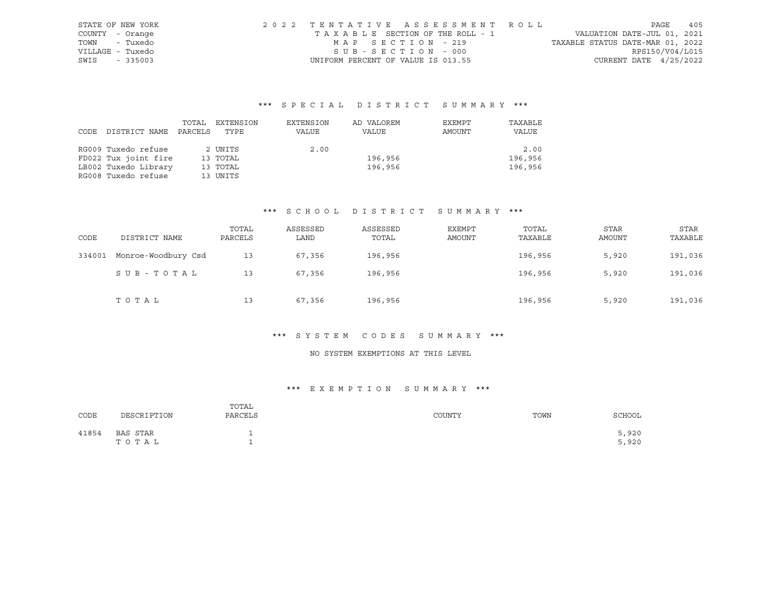| STATE OF NEW YORK |           | 2022 TENTATIVE ASSESSMENT ROLL |                                    |                   |  |  |  |                                  |                          | PAGE | 405 |
|-------------------|-----------|--------------------------------|------------------------------------|-------------------|--|--|--|----------------------------------|--------------------------|------|-----|
| COUNTY - Orange   |           |                                | TAXABLE SECTION OF THE ROLL - 1    |                   |  |  |  | VALUATION DATE-JUL 01, 2021      |                          |      |     |
| TOWN              | - Tuxedo  |                                |                                    | MAP SECTION - 219 |  |  |  | TAXABLE STATUS DATE-MAR 01, 2022 |                          |      |     |
| VILLAGE - Tuxedo  |           |                                |                                    | SUB-SECTION - 000 |  |  |  |                                  | RPS150/V04/L015          |      |     |
| SWIS              | $-335003$ |                                | UNIFORM PERCENT OF VALUE IS 013.55 |                   |  |  |  |                                  | CURRENT DATE $4/25/2022$ |      |     |

|      |                      | TOTAL   | EXTENSION | EXTENSION | AD VALOREM | EXEMPT | TAXABLE |
|------|----------------------|---------|-----------|-----------|------------|--------|---------|
| CODE | DISTRICT NAME        | PARCELS | TYPE      | VALUE     | VALUE      | AMOUNT | VALUE   |
|      |                      |         |           |           |            |        |         |
|      | RG009 Tuxedo refuse  |         | 2 UNITS   | 2.00      |            |        | 2.00    |
|      | FD022 Tux joint fire |         | 13 TOTAL  |           | 196,956    |        | 196,956 |
|      | LB002 Tuxedo Library |         | 13 TOTAL  |           | 196,956    |        | 196,956 |
|      | RG008 Tuxedo refuse  |         | 13 UNITS  |           |            |        |         |

## \*\*\* S C H O O L D I S T R I C T S U M M A R Y \*\*\*

| CODE   | DISTRICT NAME       | TOTAL<br>PARCELS | ASSESSED<br>LAND | ASSESSED<br>TOTAL | EXEMPT<br>AMOUNT | TOTAL<br>TAXABLE | STAR<br>AMOUNT | <b>STAR</b><br>TAXABLE |
|--------|---------------------|------------------|------------------|-------------------|------------------|------------------|----------------|------------------------|
| 334001 | Monroe-Woodbury Csd | 13               | 67,356           | 196,956           |                  | 196,956          | 5,920          | 191,036                |
|        | SUB-TOTAL           | 13               | 67,356           | 196,956           |                  | 196,956          | 5,920          | 191,036                |
|        | TOTAL               | 13               | 67,356           | 196,956           |                  | 196,956          | 5,920          | 191,036                |

#### \*\*\* S Y S T E M C O D E S S U M M A R Y \*\*\*

## NO SYSTEM EXEMPTIONS AT THIS LEVEL

## \*\*\* E X E M P T I O N S U M M A R Y \*\*\*

| CODE  | DESCRIPTION       | TOTAL<br>PARCELS | COUNTY | TOWN | SCHOOL         |
|-------|-------------------|------------------|--------|------|----------------|
| 41854 | BAS STAR<br>TOTAL |                  |        |      | 5,920<br>5,920 |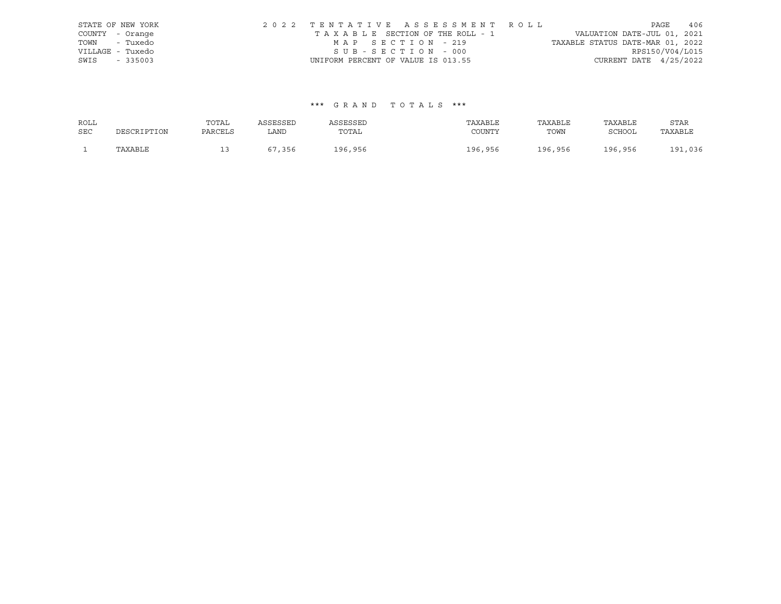|                  | STATE OF NEW YORK | 2022 TENTATIVE ASSESSMENT ROLL     |  |  |                                  |                          | PAGE | 406 |
|------------------|-------------------|------------------------------------|--|--|----------------------------------|--------------------------|------|-----|
| COUNTY - Orange  |                   | TAXABLE SECTION OF THE ROLL - 1    |  |  | VALUATION DATE-JUL 01, 2021      |                          |      |     |
| TOWN - Tuxedo    |                   | MAP SECTION - 219                  |  |  | TAXABLE STATUS DATE-MAR 01, 2022 |                          |      |     |
| VILLAGE - Tuxedo |                   | SUB-SECTION - 000                  |  |  |                                  | RPS150/V04/L015          |      |     |
| SWIS - 335003    |                   | UNIFORM PERCENT OF VALUE IS 013.55 |  |  |                                  | CURRENT DATE $4/25/2022$ |      |     |

| ROLL       |             | TOTAL   | ASSESSED | ASSESSED | TAXABLE | TAXABLE | TAXABLE | STAR         |
|------------|-------------|---------|----------|----------|---------|---------|---------|--------------|
| <b>SEC</b> | DESCRIPTION | PARCELS | LAND     | TOTAL    | COUNTY  | TOWN    | SCHOOL  | TAXABLE      |
|            | TAXABLE     | ∸∸      | 67,356   | 196,956  | 196,956 | 196,956 | 196,956 | .,036<br>191 |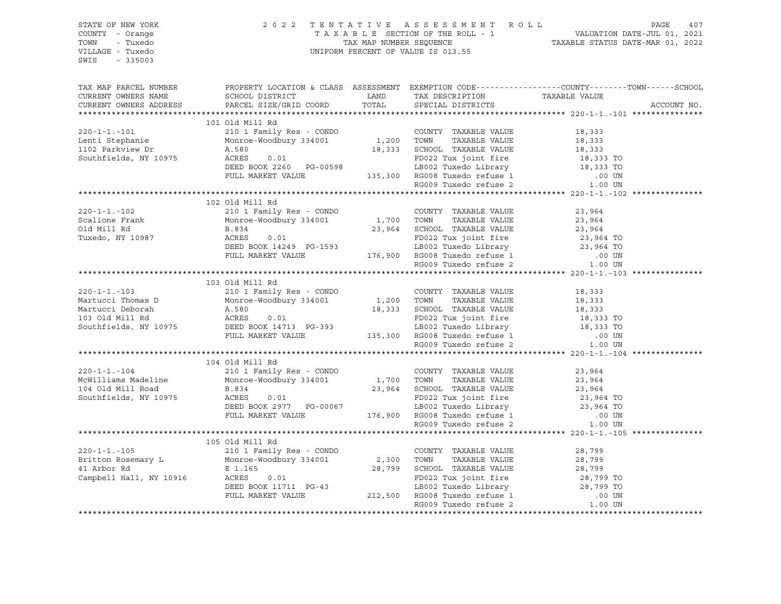| TOWN - Tuxedo<br>VILLAGE - Tuxedo<br>SWIS - 335003                                                                                                                                                                                       |                   |  | 2022 TENTATIVE ASSESSMENT ROLL PAGE 407<br>TAXABLE SECTION OF THE ROLL - 1 VALUATION DATE-JUL 01, 2021<br>TAX MAP NUMBER SEQUENCE TAXABLE STATUS DATE-MAR 01, 2022<br>UNIFORM PERCENT OF VALUE IS 013.55                                                                                                                                                                                                                                                                      |
|------------------------------------------------------------------------------------------------------------------------------------------------------------------------------------------------------------------------------------------|-------------------|--|-------------------------------------------------------------------------------------------------------------------------------------------------------------------------------------------------------------------------------------------------------------------------------------------------------------------------------------------------------------------------------------------------------------------------------------------------------------------------------|
|                                                                                                                                                                                                                                          |                   |  | $\begin{tabular}{lllllllllll} \textsc{TAX} \textsc{MAP} \textsc{PACEL} \textsc{ NUMBER} & \textsc{PROBERT} \textsc{LOCATION} \textsc{c} \textsc{LASS} & \textsc{SSEESMENT} \textsc{EXEMPTION} \textsc{CODE----------------COUNTY------TOWN-----SCHOOL} \\ \textsc{CURRENT} \textsc{OMNERS} \textsc{NAME} & \textsc{SCHOOL} \textsc{DISTRTCT} & \textsc{LAND} & \textsc{TAX} \textsc{DESCRIPTION} & \textsc{TAXABLE} \textsc{VALUE} \\ \textsc{CURRENT} \textsc{OMNERS} \text$ |
|                                                                                                                                                                                                                                          | $101$ Old Mill Rd |  |                                                                                                                                                                                                                                                                                                                                                                                                                                                                               |
|                                                                                                                                                                                                                                          |                   |  |                                                                                                                                                                                                                                                                                                                                                                                                                                                                               |
|                                                                                                                                                                                                                                          |                   |  |                                                                                                                                                                                                                                                                                                                                                                                                                                                                               |
|                                                                                                                                                                                                                                          |                   |  |                                                                                                                                                                                                                                                                                                                                                                                                                                                                               |
|                                                                                                                                                                                                                                          |                   |  |                                                                                                                                                                                                                                                                                                                                                                                                                                                                               |
|                                                                                                                                                                                                                                          |                   |  |                                                                                                                                                                                                                                                                                                                                                                                                                                                                               |
|                                                                                                                                                                                                                                          | 102 Old Mill Rd   |  |                                                                                                                                                                                                                                                                                                                                                                                                                                                                               |
|                                                                                                                                                                                                                                          |                   |  |                                                                                                                                                                                                                                                                                                                                                                                                                                                                               |
|                                                                                                                                                                                                                                          |                   |  |                                                                                                                                                                                                                                                                                                                                                                                                                                                                               |
|                                                                                                                                                                                                                                          |                   |  |                                                                                                                                                                                                                                                                                                                                                                                                                                                                               |
|                                                                                                                                                                                                                                          |                   |  |                                                                                                                                                                                                                                                                                                                                                                                                                                                                               |
|                                                                                                                                                                                                                                          |                   |  |                                                                                                                                                                                                                                                                                                                                                                                                                                                                               |
|                                                                                                                                                                                                                                          |                   |  |                                                                                                                                                                                                                                                                                                                                                                                                                                                                               |
|                                                                                                                                                                                                                                          | 103 Old Mill Rd   |  |                                                                                                                                                                                                                                                                                                                                                                                                                                                                               |
|                                                                                                                                                                                                                                          |                   |  |                                                                                                                                                                                                                                                                                                                                                                                                                                                                               |
|                                                                                                                                                                                                                                          |                   |  |                                                                                                                                                                                                                                                                                                                                                                                                                                                                               |
|                                                                                                                                                                                                                                          |                   |  |                                                                                                                                                                                                                                                                                                                                                                                                                                                                               |
|                                                                                                                                                                                                                                          |                   |  |                                                                                                                                                                                                                                                                                                                                                                                                                                                                               |
|                                                                                                                                                                                                                                          |                   |  |                                                                                                                                                                                                                                                                                                                                                                                                                                                                               |
|                                                                                                                                                                                                                                          |                   |  |                                                                                                                                                                                                                                                                                                                                                                                                                                                                               |
|                                                                                                                                                                                                                                          |                   |  |                                                                                                                                                                                                                                                                                                                                                                                                                                                                               |
|                                                                                                                                                                                                                                          |                   |  |                                                                                                                                                                                                                                                                                                                                                                                                                                                                               |
|                                                                                                                                                                                                                                          | 104 Old Mill Rd   |  |                                                                                                                                                                                                                                                                                                                                                                                                                                                                               |
|                                                                                                                                                                                                                                          |                   |  |                                                                                                                                                                                                                                                                                                                                                                                                                                                                               |
|                                                                                                                                                                                                                                          |                   |  |                                                                                                                                                                                                                                                                                                                                                                                                                                                                               |
|                                                                                                                                                                                                                                          |                   |  |                                                                                                                                                                                                                                                                                                                                                                                                                                                                               |
|                                                                                                                                                                                                                                          |                   |  |                                                                                                                                                                                                                                                                                                                                                                                                                                                                               |
|                                                                                                                                                                                                                                          |                   |  |                                                                                                                                                                                                                                                                                                                                                                                                                                                                               |
|                                                                                                                                                                                                                                          |                   |  |                                                                                                                                                                                                                                                                                                                                                                                                                                                                               |
| 104 010 Mill Rd<br>220-1-1.-104 210 1 Family Res - CONDO<br>McWilliams Madeline Monroe-Woodbury 334001 1,700 TOWN TAXABLE VALUE 23,964<br>104 010 Mill Road B.834 23,964 SCHOOL TAXABLE VALUE 23,964<br>5000 TAXABLE VALUE 23,964<br>500 |                   |  |                                                                                                                                                                                                                                                                                                                                                                                                                                                                               |
|                                                                                                                                                                                                                                          |                   |  |                                                                                                                                                                                                                                                                                                                                                                                                                                                                               |
|                                                                                                                                                                                                                                          | 105 Old Mill Rd   |  |                                                                                                                                                                                                                                                                                                                                                                                                                                                                               |
|                                                                                                                                                                                                                                          |                   |  |                                                                                                                                                                                                                                                                                                                                                                                                                                                                               |
|                                                                                                                                                                                                                                          |                   |  |                                                                                                                                                                                                                                                                                                                                                                                                                                                                               |
|                                                                                                                                                                                                                                          |                   |  |                                                                                                                                                                                                                                                                                                                                                                                                                                                                               |
|                                                                                                                                                                                                                                          |                   |  |                                                                                                                                                                                                                                                                                                                                                                                                                                                                               |
|                                                                                                                                                                                                                                          |                   |  |                                                                                                                                                                                                                                                                                                                                                                                                                                                                               |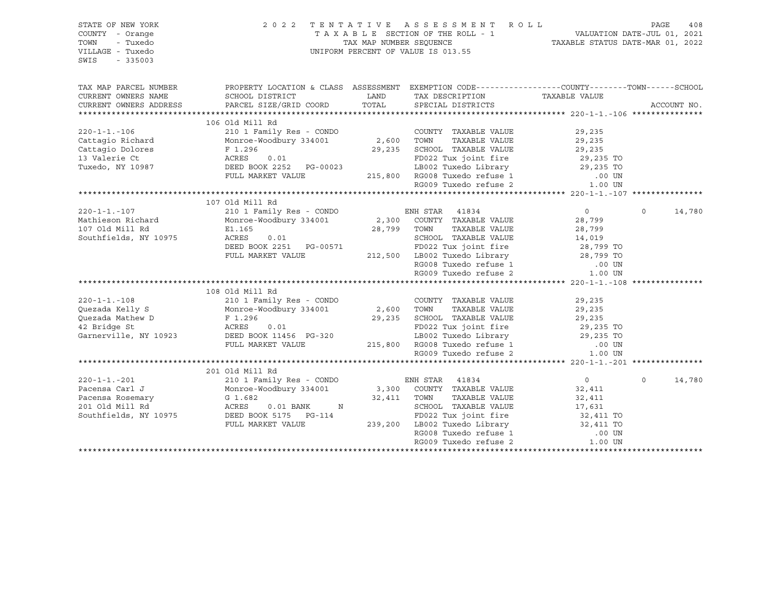| STATE OF NEW YORK<br>COUNTY - Orange<br>TOWN<br>- Tuxedo<br>VILLAGE - Tuxedo<br>SWIS<br>$-335003$                                                                        |                                                                                                  |                      | 2022 TENTATIVE ASSESSMENT ROLL PAGE 408<br>TAXABLE SECTION OF THE ROLL - 1 VALUATION DATE-JUL 01, 2021<br>TAX MAP NUMBER SEQUENCE TAXABLE STATUS DATE-MAR 01, 2022<br>UNIFORM PERCENT OF VALUE IS 013.55 |                   |                    |
|--------------------------------------------------------------------------------------------------------------------------------------------------------------------------|--------------------------------------------------------------------------------------------------|----------------------|----------------------------------------------------------------------------------------------------------------------------------------------------------------------------------------------------------|-------------------|--------------------|
| TAX MAP PARCEL NUMBER                                                                                                                                                    | PROPERTY LOCATION & CLASS ASSESSMENT EXEMPTION CODE----------------COUNTY-------TOWN------SCHOOL |                      |                                                                                                                                                                                                          |                   |                    |
| CURRENT OWNERS NAME<br>CURRENT OWNERS ADDRESS                                                                                                                            | SCHOOL DISTRICT<br>PARCEL SIZE/GRID COORD                                                        | LAND                 | TOTAL SPECIAL DISTRICTS                                                                                                                                                                                  |                   | ACCOUNT NO.        |
|                                                                                                                                                                          |                                                                                                  |                      |                                                                                                                                                                                                          |                   |                    |
|                                                                                                                                                                          | 106 Old Mill Rd                                                                                  |                      |                                                                                                                                                                                                          |                   |                    |
| $220 - 1 - 1 - 106$                                                                                                                                                      | 210 1 Family Res - CONDO                                                                         |                      | COUNTY TAXABLE VALUE                                                                                                                                                                                     | 29,235            |                    |
| Cattagio Richard                                                                                                                                                         | Monroe-Woodbury 334001                                                                           | COUNTY<br>2,600 TOWN | TAXABLE VALUE                                                                                                                                                                                            | 29,235            |                    |
| Cattagio Dolores                                                                                                                                                         | F 1.296<br>ACRES 0.01                                                                            |                      | 29,235 SCHOOL TAXABLE VALUE 29,235 FD022 Tux joint fire 29,235 TO                                                                                                                                        |                   |                    |
| 13 Valerie Ct                                                                                                                                                            |                                                                                                  |                      |                                                                                                                                                                                                          |                   |                    |
| $\begin{array}{cccc}\n\text{Tuxedo, NY 10987} & \text{O.01} & \text{O.021} \\ \text{DEED BOK 2252} & \text{PG-00023} \\ \text{FULL MARKET VALUE} & & & & \\ \end{array}$ |                                                                                                  |                      | LB002 Tuxedo Library 29,235 TO                                                                                                                                                                           |                   |                    |
|                                                                                                                                                                          |                                                                                                  |                      |                                                                                                                                                                                                          |                   |                    |
|                                                                                                                                                                          |                                                                                                  |                      |                                                                                                                                                                                                          |                   |                    |
|                                                                                                                                                                          |                                                                                                  |                      |                                                                                                                                                                                                          |                   |                    |
|                                                                                                                                                                          | 107 Old Mill Rd<br>210 1 Family Res - CONDO ENH STAR 41834                                       |                      |                                                                                                                                                                                                          |                   |                    |
| $220 - 1 - 1 - 107$<br>Mathieson Richard Monroe-Woodbury 334001 2,300 COUNTY TAXABLE VALUE                                                                               |                                                                                                  |                      |                                                                                                                                                                                                          | $\overline{0}$    | $\Omega$<br>14,780 |
|                                                                                                                                                                          |                                                                                                  |                      |                                                                                                                                                                                                          |                   |                    |
| 107 Old Mill Rd<br>Southfields, NY 10975                                                                                                                                 | E1.165<br>ACRES                                                                                  |                      |                                                                                                                                                                                                          |                   |                    |
|                                                                                                                                                                          | 0.01                                                                                             |                      |                                                                                                                                                                                                          |                   |                    |
|                                                                                                                                                                          | DEED BOOK 2251 PG-00571<br>FULL MARKET VALUE                                                     |                      |                                                                                                                                                                                                          |                   |                    |
|                                                                                                                                                                          |                                                                                                  |                      |                                                                                                                                                                                                          |                   |                    |
|                                                                                                                                                                          |                                                                                                  |                      |                                                                                                                                                                                                          |                   |                    |
|                                                                                                                                                                          |                                                                                                  |                      |                                                                                                                                                                                                          |                   |                    |
|                                                                                                                                                                          | 108 Old Mill Rd                                                                                  |                      |                                                                                                                                                                                                          |                   |                    |
| $220 - 1 - 1 - 108$                                                                                                                                                      |                                                                                                  |                      |                                                                                                                                                                                                          | 29,235            |                    |
| Quezada Kelly S                                                                                                                                                          |                                                                                                  |                      |                                                                                                                                                                                                          |                   |                    |
|                                                                                                                                                                          |                                                                                                  |                      |                                                                                                                                                                                                          |                   |                    |
|                                                                                                                                                                          |                                                                                                  |                      | 2,600 TOWN TAXABLE VALUE 29,235<br>29,235 SCHOOL TAXABLE VALUE 29,235 TO                                                                                                                                 |                   |                    |
|                                                                                                                                                                          |                                                                                                  |                      |                                                                                                                                                                                                          |                   |                    |
|                                                                                                                                                                          |                                                                                                  |                      |                                                                                                                                                                                                          |                   |                    |
|                                                                                                                                                                          |                                                                                                  |                      |                                                                                                                                                                                                          |                   |                    |
|                                                                                                                                                                          |                                                                                                  |                      |                                                                                                                                                                                                          |                   |                    |
|                                                                                                                                                                          | 201 Old Mill Rd                                                                                  |                      |                                                                                                                                                                                                          |                   |                    |
| $220 - 1 - 1 - 201$                                                                                                                                                      | 210 1 Family Res - CONDO<br>210 1 Family Res - CONDO<br>Monroe-Woodbury 334001                   |                      | ENH STAR 41834                                                                                                                                                                                           | $\overline{0}$    | 14,780<br>$\Omega$ |
| Pacensa Carl J                                                                                                                                                           |                                                                                                  |                      | 3,300 COUNTY TAXABLE VALUE                                                                                                                                                                               | 32,411            |                    |
|                                                                                                                                                                          |                                                                                                  | 32,411 TOWN          | TAXABLE VALUE                                                                                                                                                                                            | 32,411<br>17,631  |                    |
|                                                                                                                                                                          |                                                                                                  |                      | SCHOOL TAXABLE VALUE                                                                                                                                                                                     |                   |                    |
|                                                                                                                                                                          |                                                                                                  |                      | FD022 Tux joint fire<br>T-B002 Tux joint fire<br>T-B002 Tuxedo Library 12,411 TO<br>$\frac{1}{2}$ -114<br>239,200 LB002 Tuxedo Library<br>RG008 Tuxedo refuse 1                                          |                   |                    |
|                                                                                                                                                                          | FULL MARKET VALUE                                                                                |                      |                                                                                                                                                                                                          |                   |                    |
|                                                                                                                                                                          |                                                                                                  |                      | RG009 Tuxedo refuse 2                                                                                                                                                                                    | .00 UN<br>1.00 UN |                    |
|                                                                                                                                                                          |                                                                                                  |                      |                                                                                                                                                                                                          |                   |                    |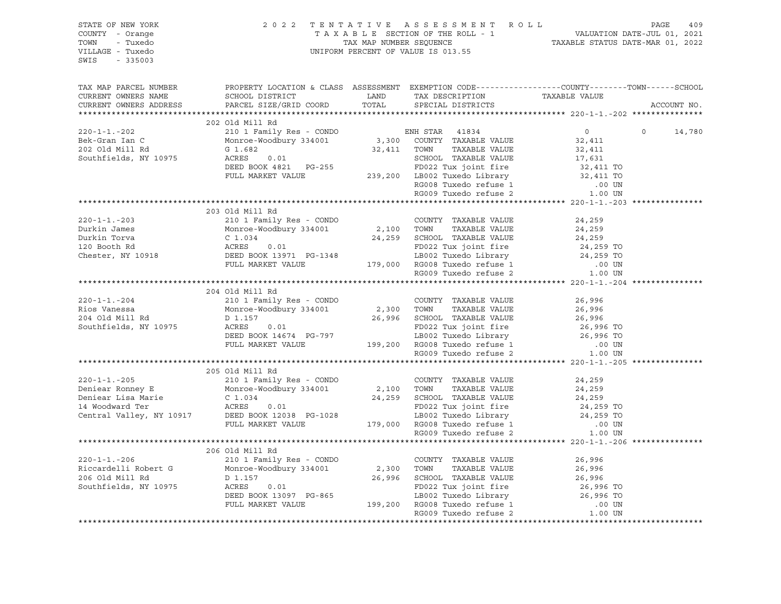| STATE OF NEW YORK<br>COUNTY - Orange<br>TOWN - Tuxedo<br>VILLAGE - Tuxedo<br>SWIS - 335003                                                                                                                                                              | 2022 TENTATIVE ASSESSMENT ROLL PAGE 409<br>TAXABLE SECTION OF THE ROLL - 1 VALUATION DATE-JUL 01, 2021<br>TAX MAP NUMBER SEQUENCE TAXABLE STATUS DATE-MAR 01, 2022<br>UNIFORM PERCENT OF VALUE IS 013.55 |  |             |
|---------------------------------------------------------------------------------------------------------------------------------------------------------------------------------------------------------------------------------------------------------|----------------------------------------------------------------------------------------------------------------------------------------------------------------------------------------------------------|--|-------------|
| TAX MAP PARCEL NUMBER<br>CURRENT OWNERS NAME<br>CURRENT OWNERS ADDRESS                                                                                                                                                                                  | PROPERTY LOCATION & CLASS ASSESSMENT EXEMPTION CODE----------------COUNTY-------TOWN------SCHOOL                                                                                                         |  | ACCOUNT NO. |
|                                                                                                                                                                                                                                                         |                                                                                                                                                                                                          |  |             |
|                                                                                                                                                                                                                                                         |                                                                                                                                                                                                          |  |             |
|                                                                                                                                                                                                                                                         |                                                                                                                                                                                                          |  |             |
|                                                                                                                                                                                                                                                         |                                                                                                                                                                                                          |  |             |
|                                                                                                                                                                                                                                                         |                                                                                                                                                                                                          |  |             |
|                                                                                                                                                                                                                                                         |                                                                                                                                                                                                          |  |             |
|                                                                                                                                                                                                                                                         |                                                                                                                                                                                                          |  |             |
|                                                                                                                                                                                                                                                         |                                                                                                                                                                                                          |  |             |
|                                                                                                                                                                                                                                                         |                                                                                                                                                                                                          |  |             |
|                                                                                                                                                                                                                                                         |                                                                                                                                                                                                          |  |             |
|                                                                                                                                                                                                                                                         | 203 Old Mill Rd                                                                                                                                                                                          |  |             |
|                                                                                                                                                                                                                                                         |                                                                                                                                                                                                          |  |             |
|                                                                                                                                                                                                                                                         |                                                                                                                                                                                                          |  |             |
|                                                                                                                                                                                                                                                         |                                                                                                                                                                                                          |  |             |
|                                                                                                                                                                                                                                                         |                                                                                                                                                                                                          |  |             |
|                                                                                                                                                                                                                                                         |                                                                                                                                                                                                          |  |             |
|                                                                                                                                                                                                                                                         |                                                                                                                                                                                                          |  |             |
|                                                                                                                                                                                                                                                         |                                                                                                                                                                                                          |  |             |
|                                                                                                                                                                                                                                                         |                                                                                                                                                                                                          |  |             |
|                                                                                                                                                                                                                                                         | 204 Old Mill Rd                                                                                                                                                                                          |  |             |
| $\begin{tabular}{lcccccc} 220-1-1.-204 & 204& 01d Mill Rd & 200-1-1.-204 & 26,996-26,996-26,996-26,996-26,996-26,996-26,996-26,996-26,996-26,996-26,996-26,996-26,996-26,996-26,996-26,996-26,996-26,996-26,996-26,996-26,996-26,996-26,996-26,996-26,$ |                                                                                                                                                                                                          |  |             |
|                                                                                                                                                                                                                                                         |                                                                                                                                                                                                          |  |             |
|                                                                                                                                                                                                                                                         |                                                                                                                                                                                                          |  |             |
|                                                                                                                                                                                                                                                         |                                                                                                                                                                                                          |  |             |
|                                                                                                                                                                                                                                                         |                                                                                                                                                                                                          |  |             |
|                                                                                                                                                                                                                                                         |                                                                                                                                                                                                          |  |             |
|                                                                                                                                                                                                                                                         |                                                                                                                                                                                                          |  |             |
|                                                                                                                                                                                                                                                         |                                                                                                                                                                                                          |  |             |
|                                                                                                                                                                                                                                                         | 205 Old Mill Rd                                                                                                                                                                                          |  |             |
|                                                                                                                                                                                                                                                         |                                                                                                                                                                                                          |  |             |
|                                                                                                                                                                                                                                                         |                                                                                                                                                                                                          |  |             |
|                                                                                                                                                                                                                                                         |                                                                                                                                                                                                          |  |             |
|                                                                                                                                                                                                                                                         |                                                                                                                                                                                                          |  |             |
|                                                                                                                                                                                                                                                         |                                                                                                                                                                                                          |  |             |
|                                                                                                                                                                                                                                                         |                                                                                                                                                                                                          |  |             |
|                                                                                                                                                                                                                                                         |                                                                                                                                                                                                          |  |             |
|                                                                                                                                                                                                                                                         |                                                                                                                                                                                                          |  |             |
|                                                                                                                                                                                                                                                         | 206 Old Mill Rd                                                                                                                                                                                          |  |             |
|                                                                                                                                                                                                                                                         |                                                                                                                                                                                                          |  |             |
|                                                                                                                                                                                                                                                         |                                                                                                                                                                                                          |  |             |
|                                                                                                                                                                                                                                                         |                                                                                                                                                                                                          |  |             |
|                                                                                                                                                                                                                                                         |                                                                                                                                                                                                          |  |             |
|                                                                                                                                                                                                                                                         |                                                                                                                                                                                                          |  |             |
|                                                                                                                                                                                                                                                         |                                                                                                                                                                                                          |  |             |
|                                                                                                                                                                                                                                                         |                                                                                                                                                                                                          |  |             |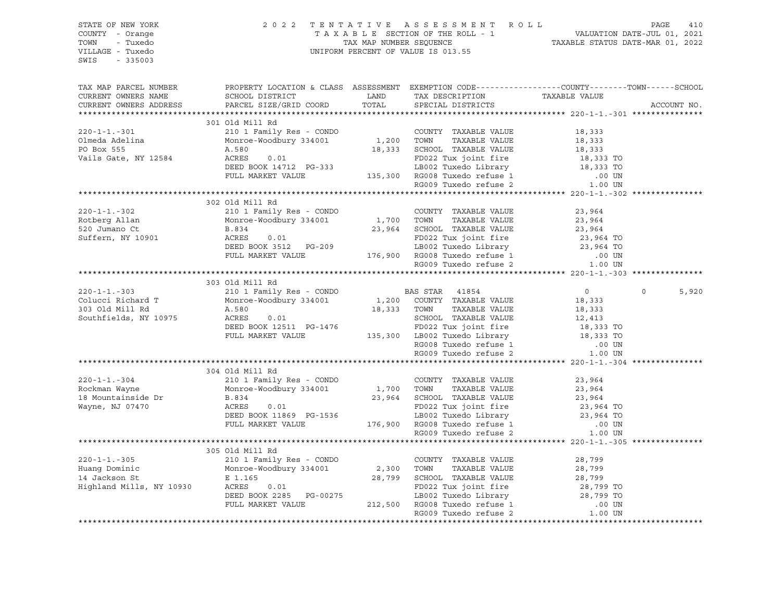| STATE OF NEW YORK<br>COUNTY - Orange<br>TOWN<br>- Tuxedo<br>VILLAGE - Tuxedo<br>SWIS<br>$-335003$ |                                                                                                                                                                                                                                                                   | 2022 TENTATIVE ASSESSMENT ROLL PAGE 410<br>TAXABLE SECTION OF THE ROLL - 1 VALUATION DATE-JUL 01, 2021<br>TAX MAP NUMBER SEQUENCE TAXABLE STATUS DATE-MAR 01, 2022<br>INIFORM PERCENT OF VALUE IS 013 55<br>UNIFORM PERCENT OF VALUE IS 013.55 |                |                   |
|---------------------------------------------------------------------------------------------------|-------------------------------------------------------------------------------------------------------------------------------------------------------------------------------------------------------------------------------------------------------------------|------------------------------------------------------------------------------------------------------------------------------------------------------------------------------------------------------------------------------------------------|----------------|-------------------|
| TAX MAP PARCEL NUMBER<br>CURRENT OWNERS NAME<br>CURRENT OWNERS ADDRESS                            | PROPERTY LOCATION & CLASS ASSESSMENT EXEMPTION CODE---------------COUNTY-------TOWN-----SCHOOL                                                                                                                                                                    |                                                                                                                                                                                                                                                |                | ACCOUNT NO.       |
|                                                                                                   |                                                                                                                                                                                                                                                                   |                                                                                                                                                                                                                                                |                |                   |
|                                                                                                   | 301 Old Mill Rd                                                                                                                                                                                                                                                   |                                                                                                                                                                                                                                                |                |                   |
| $220 - 1 - 1 - 301$                                                                               | 210 1 Family Res - CONDO COUNTY TAXABLE VALUE<br>Monroe-Woodbury 334001 1,200 TOWN TAXABLE VALUE                                                                                                                                                                  |                                                                                                                                                                                                                                                | 18,333         |                   |
| Olmeda Adelina<br>PO Box 555                                                                      |                                                                                                                                                                                                                                                                   |                                                                                                                                                                                                                                                | 18,333         |                   |
|                                                                                                   | MOITOR TRAABLE VALUE<br>A.580 0.01 1,200 10WN TAXABLE VALUE<br>A.580 0.01 18,333 SCHOOL TAXABLE VALUE<br>DEED BOOK 14712 PG-333 150 ED BOO2 Tuxedo Library 18,333 TO<br>FULL MARKET VALUE 135,300 RG008 Tuxedo refuse 1 00 UN<br>RG009 T<br>A.580                 |                                                                                                                                                                                                                                                |                |                   |
| Vails Gate, NY 12584                                                                              |                                                                                                                                                                                                                                                                   |                                                                                                                                                                                                                                                |                |                   |
|                                                                                                   |                                                                                                                                                                                                                                                                   |                                                                                                                                                                                                                                                |                |                   |
|                                                                                                   |                                                                                                                                                                                                                                                                   |                                                                                                                                                                                                                                                |                |                   |
|                                                                                                   |                                                                                                                                                                                                                                                                   |                                                                                                                                                                                                                                                |                |                   |
|                                                                                                   |                                                                                                                                                                                                                                                                   |                                                                                                                                                                                                                                                |                |                   |
|                                                                                                   | 302 Old Mill Rd<br>302 Old Mill Rd<br>210 1 Family Res - CONDO<br>Monroe-Woodbury 334001 1,700 TOWN TAXABLE VALUE<br>23,964<br>23,964 SCHOOL TAXABLE VALUE<br>23,964 SCHOOL TAXABLE VALUE<br>23,964 23,964 SCHOOL TAXABLE VALUE<br>23,964 TO<br>DEED BOOK 3512 PG |                                                                                                                                                                                                                                                |                |                   |
| $220 - 1 - 1 - 302$                                                                               |                                                                                                                                                                                                                                                                   |                                                                                                                                                                                                                                                |                |                   |
| Rotberg Allan                                                                                     |                                                                                                                                                                                                                                                                   |                                                                                                                                                                                                                                                |                |                   |
| $520$ Jumano Ct                                                                                   |                                                                                                                                                                                                                                                                   |                                                                                                                                                                                                                                                |                |                   |
| Suffern, NY 10901                                                                                 |                                                                                                                                                                                                                                                                   |                                                                                                                                                                                                                                                |                |                   |
|                                                                                                   |                                                                                                                                                                                                                                                                   |                                                                                                                                                                                                                                                |                |                   |
|                                                                                                   |                                                                                                                                                                                                                                                                   |                                                                                                                                                                                                                                                |                |                   |
|                                                                                                   |                                                                                                                                                                                                                                                                   |                                                                                                                                                                                                                                                |                |                   |
|                                                                                                   |                                                                                                                                                                                                                                                                   |                                                                                                                                                                                                                                                |                |                   |
|                                                                                                   | 303 Old Mill Rd                                                                                                                                                                                                                                                   |                                                                                                                                                                                                                                                |                |                   |
| $220 - 1 - 1 - 303$                                                                               | 210 1 Family Res - CONDO BAS STAR 41854<br>Monroe-Woodbury 334001 1,200 COUNTY TAXABLE VALUE                                                                                                                                                                      |                                                                                                                                                                                                                                                | $\overline{0}$ | $\Omega$<br>5,920 |
| Colucci Richard T                                                                                 |                                                                                                                                                                                                                                                                   |                                                                                                                                                                                                                                                | 18,333         |                   |
| 303 Old Mill Rd                                                                                   | A.580                                                                                                                                                                                                                                                             |                                                                                                                                                                                                                                                |                |                   |
| Southfields, NY 10975                                                                             |                                                                                                                                                                                                                                                                   |                                                                                                                                                                                                                                                |                |                   |
|                                                                                                   |                                                                                                                                                                                                                                                                   |                                                                                                                                                                                                                                                |                |                   |
|                                                                                                   |                                                                                                                                                                                                                                                                   |                                                                                                                                                                                                                                                |                |                   |
|                                                                                                   |                                                                                                                                                                                                                                                                   |                                                                                                                                                                                                                                                |                |                   |
|                                                                                                   |                                                                                                                                                                                                                                                                   |                                                                                                                                                                                                                                                |                |                   |
|                                                                                                   |                                                                                                                                                                                                                                                                   |                                                                                                                                                                                                                                                |                |                   |
|                                                                                                   | 304 Old Mill Rd<br>210 1 Family Res - CONDO<br>210 1 Family Res - CONDO<br>Monroe-Woodbury 334001<br>B.834                                                                                                                                                        |                                                                                                                                                                                                                                                |                |                   |
| 220-1-1.-304<br>Rockman Wayne                                                                     |                                                                                                                                                                                                                                                                   |                                                                                                                                                                                                                                                |                |                   |
|                                                                                                   | 01d Mill Rd<br>210 1 Family Res - CONDO<br>Monroe-Woodbury 334001 1,700 TOWN TAXABLE VALUE 23,964<br>B.834 23,964 SCHOOL TAXABLE VALUE 23,964<br>ACRES 0.01 FD022 Tux joint fire 23,964 TO<br>DEED BOOK 11869 PG-1536 LB002 Tuxedo Libra                          |                                                                                                                                                                                                                                                |                |                   |
| 18 Mountainside Dr                                                                                |                                                                                                                                                                                                                                                                   |                                                                                                                                                                                                                                                |                |                   |
| Nayne, NJ 07470<br>Wayne, NJ 07470                                                                |                                                                                                                                                                                                                                                                   |                                                                                                                                                                                                                                                |                |                   |
|                                                                                                   |                                                                                                                                                                                                                                                                   |                                                                                                                                                                                                                                                |                |                   |
|                                                                                                   |                                                                                                                                                                                                                                                                   |                                                                                                                                                                                                                                                |                |                   |
|                                                                                                   |                                                                                                                                                                                                                                                                   |                                                                                                                                                                                                                                                |                |                   |
|                                                                                                   |                                                                                                                                                                                                                                                                   |                                                                                                                                                                                                                                                |                |                   |
|                                                                                                   | 305 Old Mill Rd                                                                                                                                                                                                                                                   |                                                                                                                                                                                                                                                |                |                   |
|                                                                                                   |                                                                                                                                                                                                                                                                   |                                                                                                                                                                                                                                                |                |                   |
|                                                                                                   | 220-1-1.-305 210 1 Family Res - CONDO COUNTY TAXABLE VALUE<br>Huang Dominic Monroe-Woodbury 334001 2,300 TOWN TAXABLE VALUE<br>14 Jackson St E 1.165 28,799 SCHOOL TAXABLE VALUE<br>Highland Mills, NY 10930 ACRES 0.01 FD022 Tux jo                              |                                                                                                                                                                                                                                                |                |                   |
|                                                                                                   |                                                                                                                                                                                                                                                                   |                                                                                                                                                                                                                                                |                |                   |
|                                                                                                   |                                                                                                                                                                                                                                                                   |                                                                                                                                                                                                                                                |                |                   |
|                                                                                                   |                                                                                                                                                                                                                                                                   |                                                                                                                                                                                                                                                |                |                   |
|                                                                                                   |                                                                                                                                                                                                                                                                   |                                                                                                                                                                                                                                                |                |                   |
|                                                                                                   |                                                                                                                                                                                                                                                                   |                                                                                                                                                                                                                                                |                |                   |
|                                                                                                   |                                                                                                                                                                                                                                                                   |                                                                                                                                                                                                                                                |                |                   |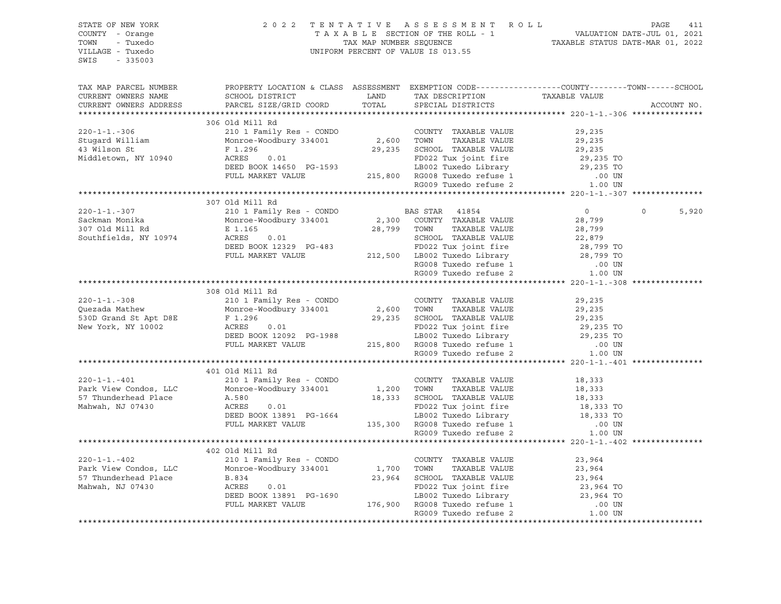| STATE OF NEW YORK<br>COUNTY - Orange<br>TOWN - Tuxedo<br>VILLAGE - Tuxedo<br>SWIS - 335003                                                                                                                                                                           |                                                                                                | 2022 TENTATIVE ASSESSMENT ROLL PAGE 411<br>TAXABLE SECTION OF THE ROLL - 1 VALUATION DATE-JUL 01, 2021<br>TAX MAP NUMBER SEQUENCE TAXABLE STATUS DATE-MAR 01, 2022<br>UNIFORM PERCENT OF VALUE IS 013 55<br>UNIFORM PERCENT OF VALUE IS 013.55 |                  |                |                |                |                |               |               |               |               |               |        |                 |  |  |
|----------------------------------------------------------------------------------------------------------------------------------------------------------------------------------------------------------------------------------------------------------------------|------------------------------------------------------------------------------------------------|------------------------------------------------------------------------------------------------------------------------------------------------------------------------------------------------------------------------------------------------|------------------|----------------|----------------|----------------|----------------|---------------|---------------|---------------|---------------|---------------|--------|-----------------|--|--|
| TAX MAP PARCEL NUMBER<br>CURRENT OWNERS NAME<br>CURRENT OWNERS ADDRESS                                                                                                                                                                                               | PROPERTY LOCATION & CLASS ASSESSMENT EXEMPTION CODE---------------COUNTY-------TOWN-----SCHOOL |                                                                                                                                                                                                                                                | ACCOUNT NO.      |                |                |                |                |               |               |               |               |               |        |                 |  |  |
|                                                                                                                                                                                                                                                                      |                                                                                                |                                                                                                                                                                                                                                                |                  |                |                |                |                |               |               |               |               |               |        |                 |  |  |
| 306 Old Mill Rd<br>306 Old Mill Rd<br>306 Old Mill Rd<br>210 1 Family Res - CONDO<br>Monnce-Woodbury 334001<br>29,235<br>43 Wilson St<br>F1.296<br>F1.296<br>F1.296<br>F1.296<br>F1.296<br>29,235<br>F1.296<br>29,235<br>29,235<br>29,235<br>29,235<br>29,235<br>29, |                                                                                                |                                                                                                                                                                                                                                                |                  |                |                |                |                |               |               |               |               |               |        |                 |  |  |
|                                                                                                                                                                                                                                                                      |                                                                                                |                                                                                                                                                                                                                                                |                  |                |                |                |                |               |               |               |               |               |        |                 |  |  |
|                                                                                                                                                                                                                                                                      |                                                                                                |                                                                                                                                                                                                                                                |                  |                |                |                |                |               |               |               |               |               |        |                 |  |  |
|                                                                                                                                                                                                                                                                      | 307 Old Mill Rd                                                                                |                                                                                                                                                                                                                                                | $\circ$<br>5,920 |                |                |                |                |               |               |               |               |               |        |                 |  |  |
|                                                                                                                                                                                                                                                                      |                                                                                                |                                                                                                                                                                                                                                                |                  |                |                |                |                |               |               |               |               |               |        |                 |  |  |
|                                                                                                                                                                                                                                                                      | 308 Old Mill Rd                                                                                |                                                                                                                                                                                                                                                |                  |                |                |                |                |               |               |               |               |               |        |                 |  |  |
| 308 Old Mill Rd<br>210 1 Family Res - CONDO<br>26 210 1 Family Res - CONDO<br>Monroe-Woodbury 334001<br>29,235<br>530D Grand St Apt D8E<br>F 1.296<br>Rew York, NY 10002<br>29,235 TO<br>REED BOOK 12092 PG-1988<br>FULL MARKET VALUE<br>PULL MARKET                 |                                                                                                |                                                                                                                                                                                                                                                |                  |                |                |                |                |               |               |               |               |               |        |                 |  |  |
|                                                                                                                                                                                                                                                                      |                                                                                                |                                                                                                                                                                                                                                                |                  |                |                |                |                |               |               |               |               |               |        |                 |  |  |
|                                                                                                                                                                                                                                                                      | 401 Old Mill Rd                                                                                |                                                                                                                                                                                                                                                |                  |                |                |                |                |               |               |               |               |               |        |                 |  |  |
|                                                                                                                                                                                                                                                                      |                                                                                                |                                                                                                                                                                                                                                                |                  |                |                |                |                |               |               |               |               |               |        |                 |  |  |
| $\n\n\n220-1-1.-402\n2101 Fami 1402\n2101 Fami 1402\n2101 Fami 1402\n2101 Fami 1402\n2101 Fami 1402\n2101 Fami 1402\n2101 Fmi 1402\n2101 Fmi 1402\n2101 Fmi 1402\n2101 Fmi 1402\n2101 Fmi 1402\n2101 F$                                                              | 220-1-1.-402                                                                                   | 2101 Fami 1402                                                                                                                                                                                                                                 | 2101 Fami 1402   | 2101 Fami 1402 | 2101 Fami 1402 | 2101 Fami 1402 | 2101 Fami 1402 | 2101 Fmi 1402 | 2101 Fmi 1402 | 2101 Fmi 1402 | 2101 Fmi 1402 | 2101 Fmi 1402 | 2101 F | 402 Old Mill Rd |  |  |
| 220-1-1.-402                                                                                                                                                                                                                                                         | 2101 Fami 1402                                                                                 | 2101 Fami 1402                                                                                                                                                                                                                                 | 2101 Fami 1402   | 2101 Fami 1402 | 2101 Fami 1402 | 2101 Fami 1402 | 2101 Fmi 1402  | 2101 Fmi 1402 | 2101 Fmi 1402 | 2101 Fmi 1402 | 2101 Fmi 1402 | 2101 F        |        |                 |  |  |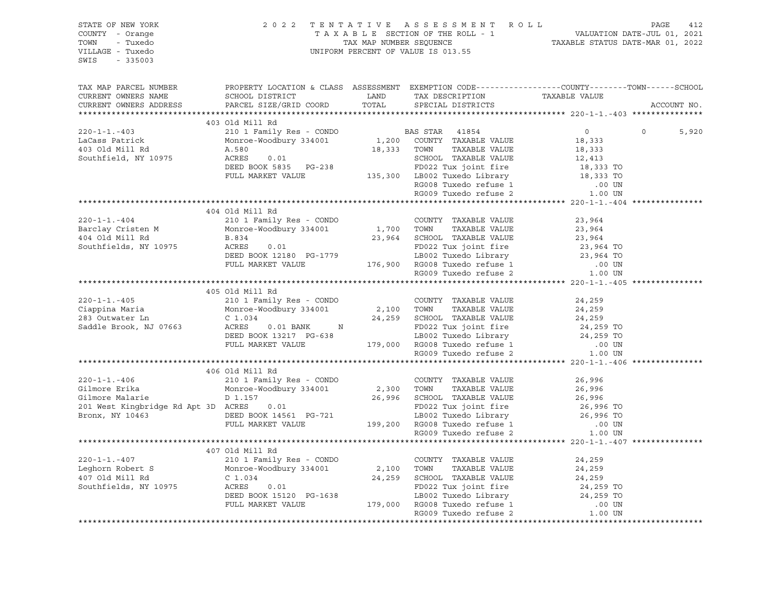| STATE OF NEW YORK<br>COUNTY - Orange<br>TOWN - Tuxedo<br>VILLAGE - Tuxedo<br>SWIS - 335003 | 2022 TENTATIVE ASSESSMENT ROLL PAGE 412<br>TAXABLE SECTION OF THE ROLL - 1 VALUATION DATE-JUL 01, 2021<br>TAX MAP NUMBER SEQUENCE TAXABLE STATUS DATE-MAR 01, 2022<br>UNIFORM PERCENT OF VALUE IS 013.55 |  |             |
|--------------------------------------------------------------------------------------------|----------------------------------------------------------------------------------------------------------------------------------------------------------------------------------------------------------|--|-------------|
| TAX MAP PARCEL NUMBER<br>CURRENT OWNERS NAME<br>CURRENT OWNERS ADDRESS                     | PROPERTY LOCATION & CLASS ASSESSMENT EXEMPTION CODE---------------COUNTY-------TOWN-----SCHOOL                                                                                                           |  | ACCOUNT NO. |
|                                                                                            |                                                                                                                                                                                                          |  |             |
|                                                                                            | 403 Old Mill Rd                                                                                                                                                                                          |  |             |
|                                                                                            |                                                                                                                                                                                                          |  | 5,920       |
|                                                                                            |                                                                                                                                                                                                          |  |             |
|                                                                                            |                                                                                                                                                                                                          |  |             |
|                                                                                            |                                                                                                                                                                                                          |  |             |
|                                                                                            |                                                                                                                                                                                                          |  |             |
|                                                                                            |                                                                                                                                                                                                          |  |             |
|                                                                                            |                                                                                                                                                                                                          |  |             |
|                                                                                            |                                                                                                                                                                                                          |  |             |
|                                                                                            |                                                                                                                                                                                                          |  |             |
|                                                                                            | 404 Old Mill Rd                                                                                                                                                                                          |  |             |
|                                                                                            |                                                                                                                                                                                                          |  |             |
|                                                                                            |                                                                                                                                                                                                          |  |             |
|                                                                                            |                                                                                                                                                                                                          |  |             |
|                                                                                            |                                                                                                                                                                                                          |  |             |
|                                                                                            |                                                                                                                                                                                                          |  |             |
|                                                                                            |                                                                                                                                                                                                          |  |             |
|                                                                                            |                                                                                                                                                                                                          |  |             |
|                                                                                            | 405 Old Mill Rd                                                                                                                                                                                          |  |             |
|                                                                                            |                                                                                                                                                                                                          |  |             |
|                                                                                            |                                                                                                                                                                                                          |  |             |
|                                                                                            |                                                                                                                                                                                                          |  |             |
|                                                                                            |                                                                                                                                                                                                          |  |             |
|                                                                                            |                                                                                                                                                                                                          |  |             |
|                                                                                            |                                                                                                                                                                                                          |  |             |
|                                                                                            |                                                                                                                                                                                                          |  |             |
|                                                                                            |                                                                                                                                                                                                          |  |             |
|                                                                                            | 406 Old Mill Rd                                                                                                                                                                                          |  |             |
|                                                                                            |                                                                                                                                                                                                          |  |             |
|                                                                                            |                                                                                                                                                                                                          |  |             |
|                                                                                            |                                                                                                                                                                                                          |  |             |
|                                                                                            |                                                                                                                                                                                                          |  |             |
|                                                                                            |                                                                                                                                                                                                          |  |             |
|                                                                                            |                                                                                                                                                                                                          |  |             |
|                                                                                            |                                                                                                                                                                                                          |  |             |
|                                                                                            |                                                                                                                                                                                                          |  |             |
|                                                                                            | 407 Old Mill Rd                                                                                                                                                                                          |  |             |
|                                                                                            |                                                                                                                                                                                                          |  |             |
|                                                                                            |                                                                                                                                                                                                          |  |             |
|                                                                                            |                                                                                                                                                                                                          |  |             |
|                                                                                            |                                                                                                                                                                                                          |  |             |
|                                                                                            |                                                                                                                                                                                                          |  |             |
|                                                                                            |                                                                                                                                                                                                          |  |             |
|                                                                                            |                                                                                                                                                                                                          |  |             |
|                                                                                            |                                                                                                                                                                                                          |  |             |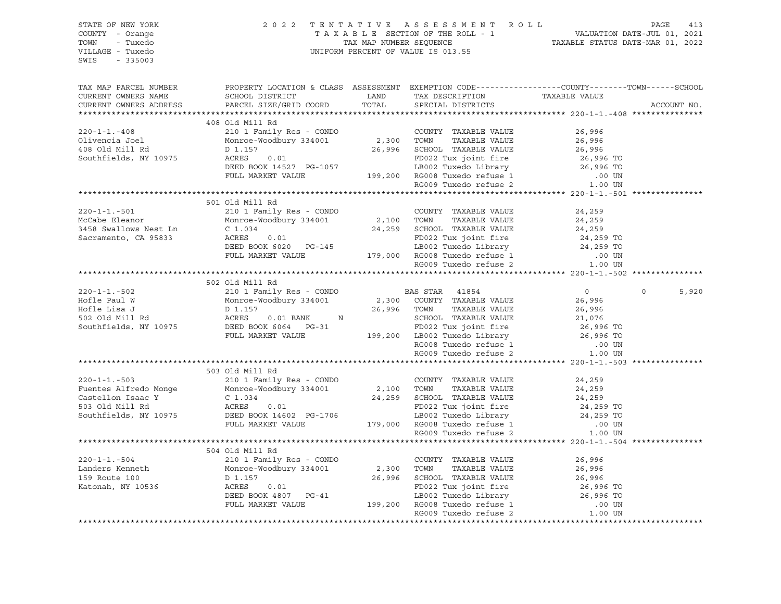| STATE OF NEW YORK<br>COUNTY - Orange<br>TOWN - Tuxedo<br>VILLAGE - Tuxedo<br>SWIS - 335003 |                                                                                                                                                                                                                                                                                                                                                                                                                    |  | 2022 TENTATIVE ASSESSMENT ROLL PAGE 413<br>TAXABLE SECTION OF THE ROLL - 1 VALUATION DATE-JUL 01, 2021<br>TAX MAP NUMBER SEQUENCE TAXABLE STATUS DATE-MAR 01, 2022<br>UNIFORM PERCENT OF VALUE IS 013.55 |
|--------------------------------------------------------------------------------------------|--------------------------------------------------------------------------------------------------------------------------------------------------------------------------------------------------------------------------------------------------------------------------------------------------------------------------------------------------------------------------------------------------------------------|--|----------------------------------------------------------------------------------------------------------------------------------------------------------------------------------------------------------|
| TAX MAP PARCEL NUMBER                                                                      |                                                                                                                                                                                                                                                                                                                                                                                                                    |  | PROPERTY LOCATION & CLASS ASSESSMENT EXEMPTION CODE----------------COUNTY-------TOWN-----SCHOOL<br>ACCOUNT NO.                                                                                           |
|                                                                                            |                                                                                                                                                                                                                                                                                                                                                                                                                    |  |                                                                                                                                                                                                          |
|                                                                                            | 408 Old Mill Rd                                                                                                                                                                                                                                                                                                                                                                                                    |  |                                                                                                                                                                                                          |
|                                                                                            |                                                                                                                                                                                                                                                                                                                                                                                                                    |  |                                                                                                                                                                                                          |
|                                                                                            |                                                                                                                                                                                                                                                                                                                                                                                                                    |  |                                                                                                                                                                                                          |
|                                                                                            |                                                                                                                                                                                                                                                                                                                                                                                                                    |  |                                                                                                                                                                                                          |
|                                                                                            |                                                                                                                                                                                                                                                                                                                                                                                                                    |  |                                                                                                                                                                                                          |
|                                                                                            |                                                                                                                                                                                                                                                                                                                                                                                                                    |  |                                                                                                                                                                                                          |
|                                                                                            |                                                                                                                                                                                                                                                                                                                                                                                                                    |  |                                                                                                                                                                                                          |
|                                                                                            |                                                                                                                                                                                                                                                                                                                                                                                                                    |  |                                                                                                                                                                                                          |
|                                                                                            |                                                                                                                                                                                                                                                                                                                                                                                                                    |  |                                                                                                                                                                                                          |
|                                                                                            | 501 Old Mill Rd<br>$\begin{tabular}{lcccccc} 220-1-1.-501 & 501 & 01d Mill Rd & 2101 Family Res - COMDO & 2,100 TOWTY TAXABLE VALUE & 24,259McCabe Eleanor & 21011 Family Res - COMDO & 2,100 TOWN TAXABLE VALUE & 24,2593458 Swallows Nest Ln & C 1.034 & 24,259 SCTAXABLE VALUE & 24,259Sceramento, CA 95833 & ACRES & 0.01DEED BOOK 6020 PG-145 & 179,000 RGO08 Tuxedo cifuse 1 & .00 UNFULL MARKET VALUE & 17$ |  |                                                                                                                                                                                                          |
|                                                                                            |                                                                                                                                                                                                                                                                                                                                                                                                                    |  |                                                                                                                                                                                                          |
|                                                                                            |                                                                                                                                                                                                                                                                                                                                                                                                                    |  |                                                                                                                                                                                                          |
|                                                                                            |                                                                                                                                                                                                                                                                                                                                                                                                                    |  |                                                                                                                                                                                                          |
|                                                                                            |                                                                                                                                                                                                                                                                                                                                                                                                                    |  |                                                                                                                                                                                                          |
|                                                                                            |                                                                                                                                                                                                                                                                                                                                                                                                                    |  |                                                                                                                                                                                                          |
|                                                                                            |                                                                                                                                                                                                                                                                                                                                                                                                                    |  |                                                                                                                                                                                                          |
|                                                                                            |                                                                                                                                                                                                                                                                                                                                                                                                                    |  |                                                                                                                                                                                                          |
|                                                                                            |                                                                                                                                                                                                                                                                                                                                                                                                                    |  |                                                                                                                                                                                                          |
|                                                                                            |                                                                                                                                                                                                                                                                                                                                                                                                                    |  |                                                                                                                                                                                                          |
|                                                                                            | 502 Old Mill Rd                                                                                                                                                                                                                                                                                                                                                                                                    |  |                                                                                                                                                                                                          |
|                                                                                            |                                                                                                                                                                                                                                                                                                                                                                                                                    |  | $\Omega$<br>5,920                                                                                                                                                                                        |
|                                                                                            |                                                                                                                                                                                                                                                                                                                                                                                                                    |  |                                                                                                                                                                                                          |
|                                                                                            |                                                                                                                                                                                                                                                                                                                                                                                                                    |  |                                                                                                                                                                                                          |
|                                                                                            |                                                                                                                                                                                                                                                                                                                                                                                                                    |  |                                                                                                                                                                                                          |
|                                                                                            |                                                                                                                                                                                                                                                                                                                                                                                                                    |  |                                                                                                                                                                                                          |
|                                                                                            |                                                                                                                                                                                                                                                                                                                                                                                                                    |  |                                                                                                                                                                                                          |
|                                                                                            |                                                                                                                                                                                                                                                                                                                                                                                                                    |  |                                                                                                                                                                                                          |
|                                                                                            |                                                                                                                                                                                                                                                                                                                                                                                                                    |  |                                                                                                                                                                                                          |
|                                                                                            |                                                                                                                                                                                                                                                                                                                                                                                                                    |  |                                                                                                                                                                                                          |
|                                                                                            | 503 Old Mill Rd                                                                                                                                                                                                                                                                                                                                                                                                    |  |                                                                                                                                                                                                          |
|                                                                                            |                                                                                                                                                                                                                                                                                                                                                                                                                    |  |                                                                                                                                                                                                          |
|                                                                                            |                                                                                                                                                                                                                                                                                                                                                                                                                    |  |                                                                                                                                                                                                          |
|                                                                                            |                                                                                                                                                                                                                                                                                                                                                                                                                    |  |                                                                                                                                                                                                          |
|                                                                                            |                                                                                                                                                                                                                                                                                                                                                                                                                    |  |                                                                                                                                                                                                          |
|                                                                                            |                                                                                                                                                                                                                                                                                                                                                                                                                    |  |                                                                                                                                                                                                          |
|                                                                                            |                                                                                                                                                                                                                                                                                                                                                                                                                    |  |                                                                                                                                                                                                          |
|                                                                                            |                                                                                                                                                                                                                                                                                                                                                                                                                    |  |                                                                                                                                                                                                          |
|                                                                                            |                                                                                                                                                                                                                                                                                                                                                                                                                    |  |                                                                                                                                                                                                          |
|                                                                                            | 504 Old Mill Rd                                                                                                                                                                                                                                                                                                                                                                                                    |  |                                                                                                                                                                                                          |
|                                                                                            |                                                                                                                                                                                                                                                                                                                                                                                                                    |  |                                                                                                                                                                                                          |
|                                                                                            |                                                                                                                                                                                                                                                                                                                                                                                                                    |  |                                                                                                                                                                                                          |
|                                                                                            |                                                                                                                                                                                                                                                                                                                                                                                                                    |  |                                                                                                                                                                                                          |
|                                                                                            |                                                                                                                                                                                                                                                                                                                                                                                                                    |  |                                                                                                                                                                                                          |
|                                                                                            |                                                                                                                                                                                                                                                                                                                                                                                                                    |  |                                                                                                                                                                                                          |
|                                                                                            |                                                                                                                                                                                                                                                                                                                                                                                                                    |  |                                                                                                                                                                                                          |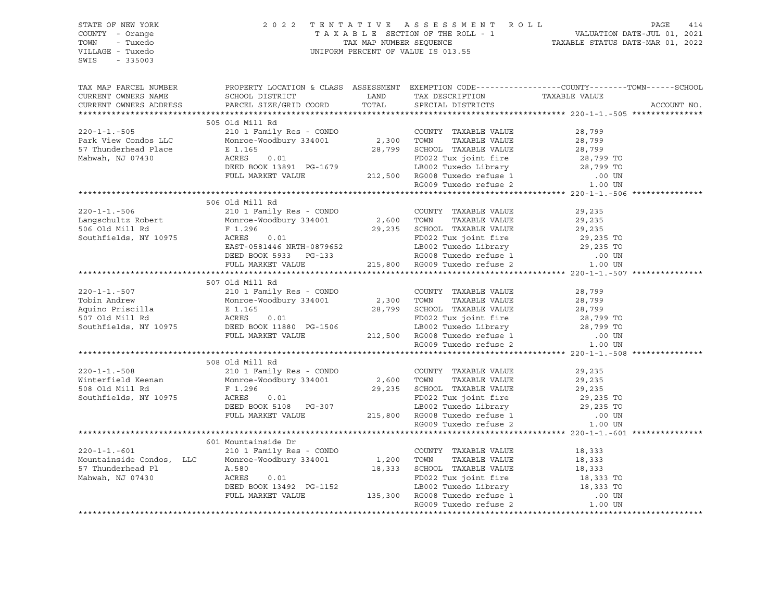| STATE OF NEW YORK     |                                                                                                                                                                                                                                                                                                                                                                                                                  |  |                                                                                                                                                                                                          |
|-----------------------|------------------------------------------------------------------------------------------------------------------------------------------------------------------------------------------------------------------------------------------------------------------------------------------------------------------------------------------------------------------------------------------------------------------|--|----------------------------------------------------------------------------------------------------------------------------------------------------------------------------------------------------------|
| COUNTY - Orange       |                                                                                                                                                                                                                                                                                                                                                                                                                  |  |                                                                                                                                                                                                          |
| TOWN - Tuxedo         |                                                                                                                                                                                                                                                                                                                                                                                                                  |  |                                                                                                                                                                                                          |
| VILLAGE - Tuxedo      |                                                                                                                                                                                                                                                                                                                                                                                                                  |  | 2022 TENTATIVE ASSESSMENT ROLL PAGE 414<br>TAXABLE SECTION OF THE ROLL - 1 VALUATION DATE-JUL 01, 2021<br>TAX MAP NUMBER SEQUENCE TAXABLE STATUS DATE-MAR 01, 2022<br>UNIFORM PERCENT OF VALUE IS 013.55 |
| SWIS - 335003         |                                                                                                                                                                                                                                                                                                                                                                                                                  |  |                                                                                                                                                                                                          |
|                       |                                                                                                                                                                                                                                                                                                                                                                                                                  |  |                                                                                                                                                                                                          |
|                       |                                                                                                                                                                                                                                                                                                                                                                                                                  |  |                                                                                                                                                                                                          |
| TAX MAP PARCEL NUMBER |                                                                                                                                                                                                                                                                                                                                                                                                                  |  | PROPERTY LOCATION & CLASS ASSESSMENT EXEMPTION CODE----------------COUNTY-------TOWN------SCHOOL                                                                                                         |
|                       |                                                                                                                                                                                                                                                                                                                                                                                                                  |  |                                                                                                                                                                                                          |
|                       | CURRENT OWNERS NAME SCHOOL DISTRICT LAND TAX DESCRIPTION TAXABLE VALUE CURRENT OWNERS ADDRESS PARCEL SIZE/GRID COORD TOTAL SPECIAL DISTRICTS                                                                                                                                                                                                                                                                     |  | ACCOUNT NO.                                                                                                                                                                                              |
|                       |                                                                                                                                                                                                                                                                                                                                                                                                                  |  |                                                                                                                                                                                                          |
|                       | 505 Old Mill Rd                                                                                                                                                                                                                                                                                                                                                                                                  |  |                                                                                                                                                                                                          |
|                       |                                                                                                                                                                                                                                                                                                                                                                                                                  |  |                                                                                                                                                                                                          |
|                       |                                                                                                                                                                                                                                                                                                                                                                                                                  |  |                                                                                                                                                                                                          |
|                       |                                                                                                                                                                                                                                                                                                                                                                                                                  |  |                                                                                                                                                                                                          |
|                       |                                                                                                                                                                                                                                                                                                                                                                                                                  |  |                                                                                                                                                                                                          |
|                       |                                                                                                                                                                                                                                                                                                                                                                                                                  |  |                                                                                                                                                                                                          |
|                       |                                                                                                                                                                                                                                                                                                                                                                                                                  |  |                                                                                                                                                                                                          |
|                       |                                                                                                                                                                                                                                                                                                                                                                                                                  |  |                                                                                                                                                                                                          |
|                       | 320-1-1.-505 505 Old Mill Rd<br>210 1 Family Res - CONDO<br>210 1 Family Res - CONDO<br>210 1 Family Res - CONDO<br>220-1-1.-505 28,799<br>236,799<br>236,799<br>237 Thunderhead Place E 1.165 28,799<br>28,799<br>28,799<br>28,799<br>28,799<br>28,79                                                                                                                                                           |  |                                                                                                                                                                                                          |
|                       |                                                                                                                                                                                                                                                                                                                                                                                                                  |  |                                                                                                                                                                                                          |
|                       | 506 Old Mill Rd<br>320-1-1.-506 506 Old Mill Rd<br>220-1-1.-506 200MTY TAXABLE VALUE 29,235<br>Langschultz Robert Monroe-Woodbury 334001 2,600 TOWN TAXABLE VALUE 29,235<br>506 Old Mill Rd<br>F 1.296 29,235 SCHOOL TAXABLE VALUE 29,235<br>506 Old Mill R                                                                                                                                                      |  |                                                                                                                                                                                                          |
|                       |                                                                                                                                                                                                                                                                                                                                                                                                                  |  |                                                                                                                                                                                                          |
|                       |                                                                                                                                                                                                                                                                                                                                                                                                                  |  |                                                                                                                                                                                                          |
|                       |                                                                                                                                                                                                                                                                                                                                                                                                                  |  |                                                                                                                                                                                                          |
|                       |                                                                                                                                                                                                                                                                                                                                                                                                                  |  |                                                                                                                                                                                                          |
|                       |                                                                                                                                                                                                                                                                                                                                                                                                                  |  |                                                                                                                                                                                                          |
|                       |                                                                                                                                                                                                                                                                                                                                                                                                                  |  |                                                                                                                                                                                                          |
|                       |                                                                                                                                                                                                                                                                                                                                                                                                                  |  |                                                                                                                                                                                                          |
|                       |                                                                                                                                                                                                                                                                                                                                                                                                                  |  |                                                                                                                                                                                                          |
|                       |                                                                                                                                                                                                                                                                                                                                                                                                                  |  |                                                                                                                                                                                                          |
|                       |                                                                                                                                                                                                                                                                                                                                                                                                                  |  |                                                                                                                                                                                                          |
|                       | 507 Old Mill Rd                                                                                                                                                                                                                                                                                                                                                                                                  |  |                                                                                                                                                                                                          |
|                       |                                                                                                                                                                                                                                                                                                                                                                                                                  |  |                                                                                                                                                                                                          |
|                       |                                                                                                                                                                                                                                                                                                                                                                                                                  |  |                                                                                                                                                                                                          |
|                       |                                                                                                                                                                                                                                                                                                                                                                                                                  |  |                                                                                                                                                                                                          |
|                       |                                                                                                                                                                                                                                                                                                                                                                                                                  |  |                                                                                                                                                                                                          |
|                       |                                                                                                                                                                                                                                                                                                                                                                                                                  |  |                                                                                                                                                                                                          |
|                       |                                                                                                                                                                                                                                                                                                                                                                                                                  |  |                                                                                                                                                                                                          |
|                       |                                                                                                                                                                                                                                                                                                                                                                                                                  |  |                                                                                                                                                                                                          |
|                       |                                                                                                                                                                                                                                                                                                                                                                                                                  |  |                                                                                                                                                                                                          |
|                       | 508 Old Mill Rd                                                                                                                                                                                                                                                                                                                                                                                                  |  |                                                                                                                                                                                                          |
|                       |                                                                                                                                                                                                                                                                                                                                                                                                                  |  |                                                                                                                                                                                                          |
|                       |                                                                                                                                                                                                                                                                                                                                                                                                                  |  |                                                                                                                                                                                                          |
|                       |                                                                                                                                                                                                                                                                                                                                                                                                                  |  |                                                                                                                                                                                                          |
|                       |                                                                                                                                                                                                                                                                                                                                                                                                                  |  |                                                                                                                                                                                                          |
|                       |                                                                                                                                                                                                                                                                                                                                                                                                                  |  |                                                                                                                                                                                                          |
|                       |                                                                                                                                                                                                                                                                                                                                                                                                                  |  |                                                                                                                                                                                                          |
|                       |                                                                                                                                                                                                                                                                                                                                                                                                                  |  |                                                                                                                                                                                                          |
|                       |                                                                                                                                                                                                                                                                                                                                                                                                                  |  |                                                                                                                                                                                                          |
|                       | 601 Mountainside Dr                                                                                                                                                                                                                                                                                                                                                                                              |  |                                                                                                                                                                                                          |
|                       |                                                                                                                                                                                                                                                                                                                                                                                                                  |  |                                                                                                                                                                                                          |
|                       |                                                                                                                                                                                                                                                                                                                                                                                                                  |  |                                                                                                                                                                                                          |
|                       |                                                                                                                                                                                                                                                                                                                                                                                                                  |  |                                                                                                                                                                                                          |
|                       |                                                                                                                                                                                                                                                                                                                                                                                                                  |  |                                                                                                                                                                                                          |
|                       |                                                                                                                                                                                                                                                                                                                                                                                                                  |  |                                                                                                                                                                                                          |
|                       |                                                                                                                                                                                                                                                                                                                                                                                                                  |  |                                                                                                                                                                                                          |
|                       | $\begin{tabular}{lllllllllllllllllllllll} \multicolumn{3}{c }{0.01&\text{Mountainside Dr}} & 601&\text{Mountainside Dr} & 210&1 &\text{Family Res - CONDO} & 210&1 &\text{Family Res - CONDO} & 1,200&\text{TOWNY - TAXABLE VALUE} & 18,333\\ \text{Mountainside Condos, LLC & 100000&\text{M00000}&0.01&1,200&\text{TOWN} & TAXABLE VALUE & 18,333\\ \text{57&\text{Thunderhead Pl} & \text{A.580}&0.01&18,333$ |  |                                                                                                                                                                                                          |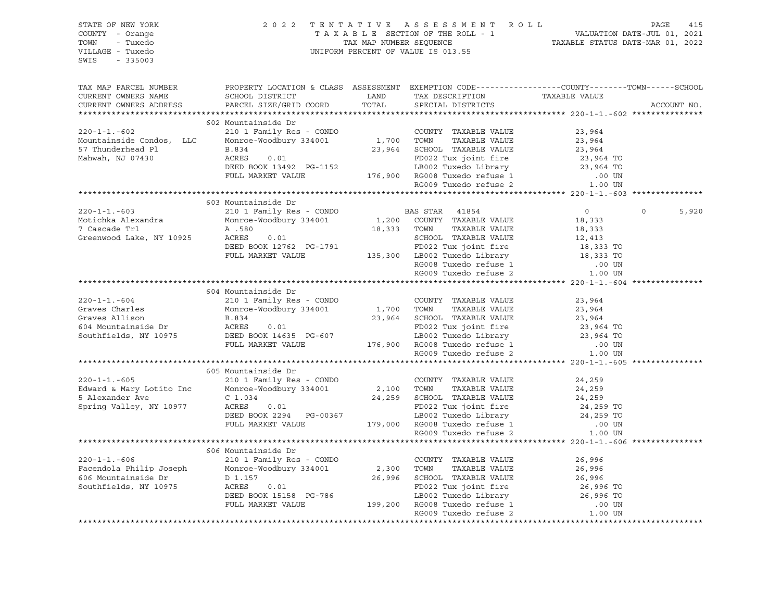| STATE OF NEW YORK<br>COUNTY - Orange<br>TOWN<br>- Tuxedo<br>VILLAGE - Tuxedo<br>SWIS |                                                                                                                                                                                                                                                   |               | 2022 TENTATIVE ASSESSMENT ROLL |                                                                                                 | PAGE<br>415 |
|--------------------------------------------------------------------------------------|---------------------------------------------------------------------------------------------------------------------------------------------------------------------------------------------------------------------------------------------------|---------------|--------------------------------|-------------------------------------------------------------------------------------------------|-------------|
| $-335003$                                                                            |                                                                                                                                                                                                                                                   |               |                                |                                                                                                 |             |
|                                                                                      |                                                                                                                                                                                                                                                   |               |                                |                                                                                                 |             |
| TAX MAP PARCEL NUMBER                                                                |                                                                                                                                                                                                                                                   |               |                                | PROPERTY LOCATION & CLASS ASSESSMENT EXEMPTION CODE---------------COUNTY-------TOWN------SCHOOL |             |
| CURRENT OWNERS NAME                                                                  | SCHOOL DISTRICT                                                                                                                                                                                                                                   | LAND<br>TOTAL | TAX DESCRIPTION                | TAXABLE VALUE                                                                                   |             |
| CURRENT OWNERS ADDRESS                                                               | PARCEL SIZE/GRID COORD                                                                                                                                                                                                                            |               | SPECIAL DISTRICTS              |                                                                                                 | ACCOUNT NO. |
|                                                                                      | 602 Mountainside Dr                                                                                                                                                                                                                               |               |                                |                                                                                                 |             |
| $220 - 1 - 1. - 602$                                                                 |                                                                                                                                                                                                                                                   |               | COUNTY TAXABLE VALUE           | 23,964                                                                                          |             |
| Mountainside Condos, LLC                                                             | 210 1 Family Res - CONDO COUNTY<br>Monroe-Woodbury 334001 1,700 TOWN                                                                                                                                                                              |               | TAXABLE VALUE                  | 23,964                                                                                          |             |
| 57 Thunderhead Pl                                                                    | B.834                                                                                                                                                                                                                                             |               | 23,964 SCHOOL TAXABLE VALUE    | 23,964                                                                                          |             |
| Mahwah, NJ 07430                                                                     | 0.01<br>ACRES 0.01 PD022 Tux joint fire 23,964 TO<br>DEED BOOK 13492 PG-1152 LB002 Tuxedo Library 23,964 TO<br>FULL MARKET VALUE 176,900 RG008 Tuxedo refuse 1 00 UN<br>RG009 Tuxedo refuse 2 1.00 UN                                             |               |                                |                                                                                                 |             |
|                                                                                      |                                                                                                                                                                                                                                                   |               |                                |                                                                                                 |             |
|                                                                                      |                                                                                                                                                                                                                                                   |               |                                |                                                                                                 |             |
|                                                                                      |                                                                                                                                                                                                                                                   |               |                                |                                                                                                 |             |
|                                                                                      |                                                                                                                                                                                                                                                   |               |                                |                                                                                                 |             |
|                                                                                      | 603 Mountainside Dr                                                                                                                                                                                                                               |               |                                |                                                                                                 |             |
| $220 - 1 - 1 - 603$                                                                  | 210 1 Family Res - CONDO                                                                                                                                                                                                                          |               | <b>BAS STAR</b> 41854          | $0 \qquad \qquad$<br>$\Omega$                                                                   | 5,920       |
| Motichka Alexandra                                                                   | Monroe-Woodbury 334001                                                                                                                                                                                                                            |               | 1,200 COUNTY TAXABLE VALUE     | 18,333                                                                                          |             |
| 7 Cascade Trl                                                                        | A .580                                                                                                                                                                                                                                            |               | 18,333 TOWN<br>TAXABLE VALUE   | 18,333                                                                                          |             |
| Greenwood Lake, NY 10925                                                             | ACRES<br>0.01                                                                                                                                                                                                                                     |               | SCHOOL TAXABLE VALUE           | 12,413                                                                                          |             |
|                                                                                      | ACRES 0.01 SCHOOL TAXABLE VALUE<br>DEED BOOK 12762 PG-1791 FD022 Tux joint fire<br>FULL MARKET VALUE 135,300 LB002 Tuxedo Library                                                                                                                 |               | FD022 Tux joint fire           |                                                                                                 |             |
|                                                                                      |                                                                                                                                                                                                                                                   |               |                                | 18,333 TO<br>18,333 TO                                                                          |             |
|                                                                                      |                                                                                                                                                                                                                                                   |               | RG008 Tuxedo refuse 1          | .00 UN                                                                                          |             |
|                                                                                      |                                                                                                                                                                                                                                                   |               | RG009 Tuxedo refuse 2          | 1.00 UN                                                                                         |             |
|                                                                                      |                                                                                                                                                                                                                                                   |               |                                |                                                                                                 |             |
|                                                                                      | 604 Mountainside Dr                                                                                                                                                                                                                               |               |                                |                                                                                                 |             |
| $220 - 1 - 1 - 604$                                                                  | 210 1 Family Res - CONDO                                                                                                                                                                                                                          |               | COUNTY TAXABLE VALUE           | 23,964                                                                                          |             |
|                                                                                      | Monroe-Woodbury 334001 1,700 TOWN                                                                                                                                                                                                                 |               |                                | 23,964                                                                                          |             |
|                                                                                      |                                                                                                                                                                                                                                                   |               |                                | 23,964                                                                                          |             |
|                                                                                      | Graves Charles<br>Graves Allison B.834<br>604 Mountainside Dr ACRES 0.01<br>50022 Tux joint fire<br>501 ED022 Tux joint fire<br>5012 Tux joint fire<br>5012 Tux joint fire<br>5022 Tux joint fire<br>FULL MARKET VALUE<br>FULL MARKET VALUE<br>76 |               |                                | 23,964 TO                                                                                       |             |
|                                                                                      |                                                                                                                                                                                                                                                   |               |                                | 23,964 TO                                                                                       |             |
|                                                                                      |                                                                                                                                                                                                                                                   |               |                                | .00 UN                                                                                          |             |
|                                                                                      |                                                                                                                                                                                                                                                   |               |                                | 1.00 UN                                                                                         |             |
|                                                                                      |                                                                                                                                                                                                                                                   |               |                                |                                                                                                 |             |
|                                                                                      | 605 Mountainside Dr                                                                                                                                                                                                                               |               |                                |                                                                                                 |             |
| $220 - 1 - 1 - 605$                                                                  | 210 1 Family Res - CONDO                                                                                                                                                                                                                          |               | COUNTY TAXABLE VALUE           | 24,259                                                                                          |             |
| Edward & Mary Lotito Inc                                                             | Monroe-Woodbury 334001                                                                                                                                                                                                                            |               | 2,100 TOWN<br>TAXABLE VALUE    | 24,259                                                                                          |             |
| 5 Alexander Ave                                                                      | $C_1.034$                                                                                                                                                                                                                                         |               | 24,259 SCHOOL TAXABLE VALUE    | 24,259                                                                                          |             |
| Spring Valley, NY 10977                                                              |                                                                                                                                                                                                                                                   |               |                                |                                                                                                 |             |
|                                                                                      |                                                                                                                                                                                                                                                   |               |                                |                                                                                                 |             |
|                                                                                      | EXERES 0.01<br>DEED BOOK 2294 PG-00367 LB002 Tuxedo Library 24,259 TO<br>PULL MARKET VALUE 179,000 RG008 Tuxedo refuse 1 .00 UN<br>RG009 Tuxedo refuse 2 1.00 UN                                                                                  |               |                                |                                                                                                 |             |
|                                                                                      |                                                                                                                                                                                                                                                   |               |                                |                                                                                                 |             |
|                                                                                      |                                                                                                                                                                                                                                                   |               |                                |                                                                                                 |             |
|                                                                                      | 606 Mountainside Dr                                                                                                                                                                                                                               |               |                                |                                                                                                 |             |
| $220 - 1 - 1 - 606$                                                                  | 210 1 Family Res - CONDO                                                                                                                                                                                                                          |               | COUNTY TAXABLE VALUE           | 26,996                                                                                          |             |
| Facendola Philip Joseph                                                              | Monroe-Woodbury 334001                                                                                                                                                                                                                            |               | 2,300 TOWN<br>TAXABLE VALUE    | 26,996                                                                                          |             |
| 606 Mountainside Dr                                                                  | D 1.157                                                                                                                                                                                                                                           |               | 26,996 SCHOOL TAXABLE VALUE    | 20,550<br>26,996<br>26,996 TO                                                                   |             |
| Southfields, NY 10975                                                                |                                                                                                                                                                                                                                                   |               |                                |                                                                                                 |             |
|                                                                                      |                                                                                                                                                                                                                                                   |               |                                |                                                                                                 |             |
|                                                                                      | ACRES 0.01 FD022 Tux joint fire 26,996 TO<br>DEED BOOK 15158 PG-786 LB002 Tuxedo Library 26,996 TO<br>FULL MARKET VALUE 199,200 RG008 Tuxedo refuse 1 .00 UN<br>RG009 Tuxedo refuse 2 1.00 UN                                                     |               |                                |                                                                                                 |             |
|                                                                                      |                                                                                                                                                                                                                                                   |               |                                |                                                                                                 |             |
|                                                                                      |                                                                                                                                                                                                                                                   |               |                                |                                                                                                 |             |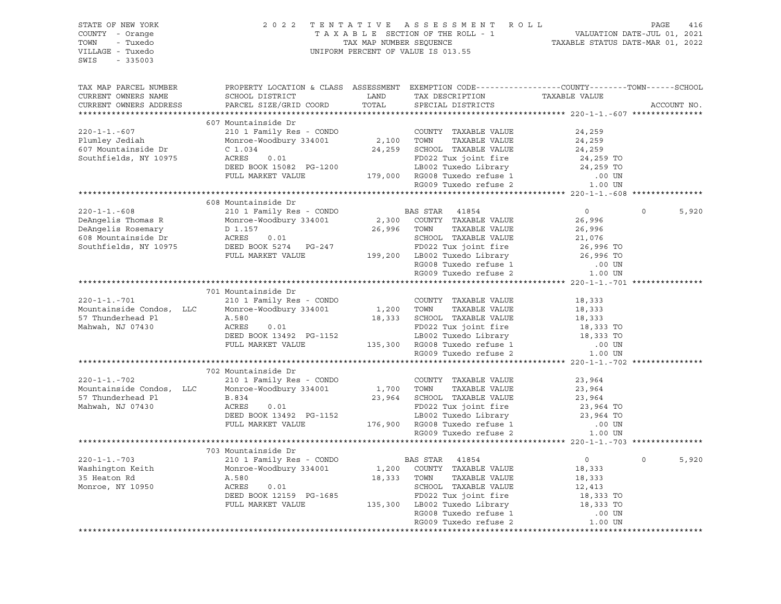| STATE OF NEW YORK<br>COUNTY - Orange<br>- Tuxedo<br>TOWN<br>VILLAGE - Tuxedo<br>$-335003$<br>SWIS |                                                                                                 | TAX MAP NUMBER SEQUENCE | 2022 TENTATIVE ASSESSMENT ROLL<br>TAXABLE SECTION OF THE ROLL - 1<br>UNIFORM PERCENT OF VALUE IS 013.55 | VALUATION DATE-JUL 01, 2021<br>TAXABLE STATUS DATE-MAR 01, 2022 | PAGE<br>416      |
|---------------------------------------------------------------------------------------------------|-------------------------------------------------------------------------------------------------|-------------------------|---------------------------------------------------------------------------------------------------------|-----------------------------------------------------------------|------------------|
| TAX MAP PARCEL NUMBER                                                                             | PROPERTY LOCATION & CLASS ASSESSMENT EXEMPTION CODE----------------COUNTY-------TOWN-----SCHOOL |                         |                                                                                                         |                                                                 |                  |
| CURRENT OWNERS NAME                                                                               | SCHOOL DISTRICT                                                                                 | LAND                    | TAX DESCRIPTION                                                                                         | TAXABLE VALUE                                                   |                  |
| CURRENT OWNERS ADDRESS                                                                            | PARCEL SIZE/GRID COORD                                                                          | TOTAL                   | SPECIAL DISTRICTS                                                                                       |                                                                 | ACCOUNT NO.      |
|                                                                                                   |                                                                                                 |                         |                                                                                                         |                                                                 |                  |
|                                                                                                   | 607 Mountainside Dr                                                                             |                         |                                                                                                         |                                                                 |                  |
| $220 - 1 - 1 - 607$<br>Plumley Jediah                                                             | 210 1 Family Res - CONDO<br>Monroe-Woodbury 334001                                              | 2,100 TOWN              | COUNTY TAXABLE VALUE<br>TAXABLE VALUE                                                                   | 24,259<br>24,259                                                |                  |
| 607 Mountainside Dr                                                                               | $C_1.034$                                                                                       |                         | 24,259 SCHOOL TAXABLE VALUE                                                                             | 24,259                                                          |                  |
| Southfields, NY 10975                                                                             | ACRES<br>0.01                                                                                   |                         | FD022 Tux joint fire                                                                                    | 24,259 TO                                                       |                  |
|                                                                                                   | DEED BOOK 15082 PG-1200                                                                         |                         | LB002 Tuxedo Library                                                                                    | 24,259 TO                                                       |                  |
|                                                                                                   | FULL MARKET VALUE                                                                               |                         | 179,000 RG008 Tuxedo refuse 1                                                                           | $.00$ UN                                                        |                  |
|                                                                                                   |                                                                                                 |                         | RG009 Tuxedo refuse 2                                                                                   | 1.00 UN                                                         |                  |
|                                                                                                   |                                                                                                 |                         |                                                                                                         |                                                                 |                  |
|                                                                                                   | 608 Mountainside Dr                                                                             |                         |                                                                                                         |                                                                 |                  |
| $220 - 1 - 1 - 608$                                                                               | 210 1 Family Res - CONDO                                                                        |                         | BAS STAR 41854                                                                                          | $\overline{0}$                                                  | $\circ$<br>5,920 |
| DeAngelis Thomas R                                                                                | Monroe-Woodbury 334001                                                                          |                         | 2,300 COUNTY TAXABLE VALUE                                                                              | 26,996                                                          |                  |
| DeAngelis Rosemary                                                                                | D 1.157                                                                                         | 26,996                  | TOWN<br>TAXABLE VALUE                                                                                   | 26,996                                                          |                  |
| 608 Mountainside Dr                                                                               | ACRES<br>0.01                                                                                   |                         | SCHOOL TAXABLE VALUE                                                                                    | 21,076                                                          |                  |
| Southfields, NY 10975                                                                             | DEED BOOK 5274 PG-247                                                                           |                         | FD022 Tux joint fire                                                                                    | 26,996 TO                                                       |                  |
|                                                                                                   | FULL MARKET VALUE                                                                               |                         | 199,200 LB002 Tuxedo Library                                                                            | 26,996 TO                                                       |                  |
|                                                                                                   |                                                                                                 |                         | RG008 Tuxedo refuse 1<br>RG009 Tuxedo refuse 2                                                          | .00 UN                                                          |                  |
|                                                                                                   |                                                                                                 |                         |                                                                                                         | 1.00 UN                                                         |                  |
|                                                                                                   | 701 Mountainside Dr                                                                             |                         |                                                                                                         |                                                                 |                  |
| $220 - 1 - 1 - 701$                                                                               | 210 1 Family Res - CONDO                                                                        |                         | COUNTY TAXABLE VALUE                                                                                    | 18,333                                                          |                  |
| Mountainside Condos, LLC                                                                          | Monroe-Woodbury 334001                                                                          |                         | 1,200 TOWN<br>TAXABLE VALUE                                                                             | 18,333                                                          |                  |
| 57 Thunderhead Pl                                                                                 | A.580                                                                                           |                         | 18,333 SCHOOL TAXABLE VALUE                                                                             | 18,333                                                          |                  |
| Mahwah, NJ 07430                                                                                  | ACRES<br>0.01                                                                                   |                         | FD022 Tux joint fire                                                                                    | 18,333 TO                                                       |                  |
|                                                                                                   | DEED BOOK 13492 PG-1152                                                                         |                         | LB002 Tuxedo Library                                                                                    | 18,333 TO                                                       |                  |
|                                                                                                   | FULL MARKET VALUE                                                                               |                         | 135,300 RG008 Tuxedo refuse 1                                                                           | .00 UN                                                          |                  |
|                                                                                                   |                                                                                                 |                         | RG009 Tuxedo refuse 2                                                                                   | 1.00 UN                                                         |                  |
|                                                                                                   |                                                                                                 |                         |                                                                                                         |                                                                 |                  |
|                                                                                                   | 702 Mountainside Dr                                                                             |                         |                                                                                                         |                                                                 |                  |
| $220 - 1 - 1. - 702$                                                                              | 210 1 Family Res - CONDO                                                                        |                         | COUNTY TAXABLE VALUE                                                                                    | 23,964                                                          |                  |
| Mountainside Condos, LLC                                                                          | Monroe-Woodbury 334001                                                                          | 1,700                   | TOWN<br>TAXABLE VALUE                                                                                   | 23,964                                                          |                  |
| 57 Thunderhead Pl                                                                                 | <b>B.834</b>                                                                                    | 23,964                  | SCHOOL TAXABLE VALUE                                                                                    | 23,964                                                          |                  |
| Mahwah, NJ 07430                                                                                  | ACRES<br>0.01                                                                                   |                         | FD022 Tux joint fire                                                                                    | 23,964 TO                                                       |                  |
|                                                                                                   | DEED BOOK 13492 PG-1152                                                                         |                         | LB002 Tuxedo Library                                                                                    | 23,964 TO                                                       |                  |
|                                                                                                   | FULL MARKET VALUE                                                                               |                         | 176,900 RG008 Tuxedo refuse 1                                                                           | .00 UN                                                          |                  |
|                                                                                                   |                                                                                                 |                         | RG009 Tuxedo refuse 2                                                                                   | 1.00 UN                                                         |                  |
|                                                                                                   | 703 Mountainside Dr                                                                             |                         |                                                                                                         |                                                                 |                  |
| $220 - 1 - 1 - 703$                                                                               | 210 1 Family Res - CONDO                                                                        |                         | BAS STAR 41854                                                                                          | $\overline{0}$                                                  | $\circ$<br>5,920 |
| Washington Keith                                                                                  | Monroe-Woodbury 334001                                                                          |                         | 1,200 COUNTY TAXABLE VALUE                                                                              | 18,333                                                          |                  |
| 35 Heaton Rd                                                                                      | A.580                                                                                           | 18,333                  | TOWN<br>TAXABLE VALUE                                                                                   | 18,333                                                          |                  |
| Monroe, NY 10950                                                                                  | ACRES<br>0.01                                                                                   |                         | SCHOOL TAXABLE VALUE                                                                                    | 12,413                                                          |                  |
|                                                                                                   | DEED BOOK 12159 PG-1685                                                                         |                         | FD022 Tux joint fire                                                                                    | 18,333 TO                                                       |                  |
|                                                                                                   | FULL MARKET VALUE                                                                               |                         | 135,300 LB002 Tuxedo Library                                                                            | 18,333 TO                                                       |                  |
|                                                                                                   |                                                                                                 |                         | RG008 Tuxedo refuse 1                                                                                   | .00 UN                                                          |                  |
|                                                                                                   |                                                                                                 |                         | RG009 Tuxedo refuse 2                                                                                   | 1.00 UN                                                         |                  |
|                                                                                                   |                                                                                                 |                         |                                                                                                         |                                                                 |                  |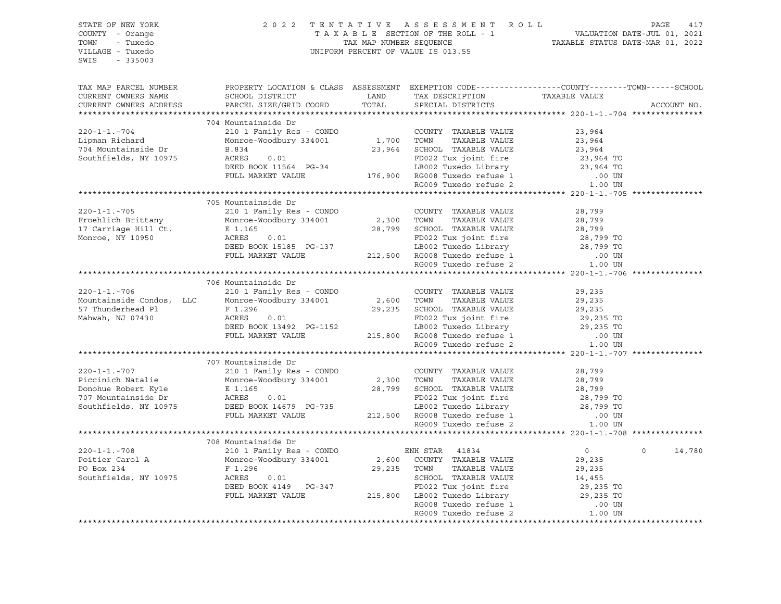| $220 - 1 - 1 - 706$<br>Mountainside Condos, LLC<br>57 Thunderhead Pl<br>Mahwah, NJ 07430<br>$220 - 1 - 1. - 707$<br>Piccinich Natalie<br>Donohue Robert Kyle<br>707 Mountainside Dr<br>8 Monroe-Woodbury 334001<br>8 E 1.165<br>707 Mountainside Dr<br>8 ACRES<br>707 Mountainside Dr<br>8 ACRES<br>707 Mountainside Dr<br>8 ACRES<br>707 Mountainside Dr<br>8 ACRES<br>707<br>$220 - 1 - 1. - 708$<br>Poitier Carol A<br>PO Box 234 | 210 1 Family Res - CONDO<br>Monroe-Woodbury 334001 2,600 TOWN<br>1.00 UNIXABLE VALUE 29, 235<br>F 1.296 29, 235<br>ACRES 0.01 29, 235<br>DEED BOOK 13492 PG-1152 115, 800 RG008 Tuxedo Library<br>FULL MARKET VALUE 215, 800 RG008 Tuxedo refuse 1 .00 UN<br>29, 235 TO<br>RG009 Tuxedo refuse 2 .00 UN<br>29<br>707 Mountainside Dr<br>210 1 Family Res - CONDO<br>210 1 Fallily Res - Conservation 2,300 TOWN TAXABLE VALUE<br>Monroe-Woodbury 334001 28,799 SCHOOL TAXABLE VALUE<br>E 1.165 28,799 SCHOOL TAXABLE VALUE<br>FULL MARKET VALUE<br>708 Mountainside Dr<br>210 1 Family Res - CONDO<br>Monroe-Woodbury 334001 | COUNTY TAXABLE VALUE<br>COUNTY TAXABLE VALUE<br>FD022 Tux joint fire<br>212,500 RG008 Tuxedo Library 28,799 TO<br>212,500 RG008 Tuxedo refuse 1 .00 UN<br>RG009 Tuxedo refuse 2 .00 UN<br>ENH STAR 41834<br>2,600 COUNTY TAXABLE VALUE | 29,235<br>28,799<br>28,799<br>20,799<br>28,799 TO<br>28,799 TO<br>$\overline{0}$<br>$\circ$                                                                        | 14,780      |
|--------------------------------------------------------------------------------------------------------------------------------------------------------------------------------------------------------------------------------------------------------------------------------------------------------------------------------------------------------------------------------------------------------------------------------------|------------------------------------------------------------------------------------------------------------------------------------------------------------------------------------------------------------------------------------------------------------------------------------------------------------------------------------------------------------------------------------------------------------------------------------------------------------------------------------------------------------------------------------------------------------------------------------------------------------------------------|----------------------------------------------------------------------------------------------------------------------------------------------------------------------------------------------------------------------------------------|--------------------------------------------------------------------------------------------------------------------------------------------------------------------|-------------|
|                                                                                                                                                                                                                                                                                                                                                                                                                                      |                                                                                                                                                                                                                                                                                                                                                                                                                                                                                                                                                                                                                              |                                                                                                                                                                                                                                        |                                                                                                                                                                    |             |
|                                                                                                                                                                                                                                                                                                                                                                                                                                      |                                                                                                                                                                                                                                                                                                                                                                                                                                                                                                                                                                                                                              |                                                                                                                                                                                                                                        |                                                                                                                                                                    |             |
|                                                                                                                                                                                                                                                                                                                                                                                                                                      |                                                                                                                                                                                                                                                                                                                                                                                                                                                                                                                                                                                                                              |                                                                                                                                                                                                                                        |                                                                                                                                                                    |             |
|                                                                                                                                                                                                                                                                                                                                                                                                                                      |                                                                                                                                                                                                                                                                                                                                                                                                                                                                                                                                                                                                                              |                                                                                                                                                                                                                                        |                                                                                                                                                                    |             |
|                                                                                                                                                                                                                                                                                                                                                                                                                                      |                                                                                                                                                                                                                                                                                                                                                                                                                                                                                                                                                                                                                              |                                                                                                                                                                                                                                        |                                                                                                                                                                    |             |
|                                                                                                                                                                                                                                                                                                                                                                                                                                      |                                                                                                                                                                                                                                                                                                                                                                                                                                                                                                                                                                                                                              |                                                                                                                                                                                                                                        |                                                                                                                                                                    |             |
|                                                                                                                                                                                                                                                                                                                                                                                                                                      |                                                                                                                                                                                                                                                                                                                                                                                                                                                                                                                                                                                                                              |                                                                                                                                                                                                                                        |                                                                                                                                                                    |             |
|                                                                                                                                                                                                                                                                                                                                                                                                                                      |                                                                                                                                                                                                                                                                                                                                                                                                                                                                                                                                                                                                                              |                                                                                                                                                                                                                                        |                                                                                                                                                                    |             |
|                                                                                                                                                                                                                                                                                                                                                                                                                                      |                                                                                                                                                                                                                                                                                                                                                                                                                                                                                                                                                                                                                              |                                                                                                                                                                                                                                        |                                                                                                                                                                    |             |
|                                                                                                                                                                                                                                                                                                                                                                                                                                      |                                                                                                                                                                                                                                                                                                                                                                                                                                                                                                                                                                                                                              |                                                                                                                                                                                                                                        |                                                                                                                                                                    |             |
|                                                                                                                                                                                                                                                                                                                                                                                                                                      |                                                                                                                                                                                                                                                                                                                                                                                                                                                                                                                                                                                                                              |                                                                                                                                                                                                                                        |                                                                                                                                                                    |             |
|                                                                                                                                                                                                                                                                                                                                                                                                                                      |                                                                                                                                                                                                                                                                                                                                                                                                                                                                                                                                                                                                                              |                                                                                                                                                                                                                                        |                                                                                                                                                                    |             |
|                                                                                                                                                                                                                                                                                                                                                                                                                                      |                                                                                                                                                                                                                                                                                                                                                                                                                                                                                                                                                                                                                              |                                                                                                                                                                                                                                        |                                                                                                                                                                    |             |
|                                                                                                                                                                                                                                                                                                                                                                                                                                      |                                                                                                                                                                                                                                                                                                                                                                                                                                                                                                                                                                                                                              |                                                                                                                                                                                                                                        |                                                                                                                                                                    |             |
|                                                                                                                                                                                                                                                                                                                                                                                                                                      |                                                                                                                                                                                                                                                                                                                                                                                                                                                                                                                                                                                                                              |                                                                                                                                                                                                                                        |                                                                                                                                                                    |             |
|                                                                                                                                                                                                                                                                                                                                                                                                                                      |                                                                                                                                                                                                                                                                                                                                                                                                                                                                                                                                                                                                                              |                                                                                                                                                                                                                                        |                                                                                                                                                                    |             |
|                                                                                                                                                                                                                                                                                                                                                                                                                                      |                                                                                                                                                                                                                                                                                                                                                                                                                                                                                                                                                                                                                              |                                                                                                                                                                                                                                        |                                                                                                                                                                    |             |
|                                                                                                                                                                                                                                                                                                                                                                                                                                      |                                                                                                                                                                                                                                                                                                                                                                                                                                                                                                                                                                                                                              |                                                                                                                                                                                                                                        |                                                                                                                                                                    |             |
|                                                                                                                                                                                                                                                                                                                                                                                                                                      |                                                                                                                                                                                                                                                                                                                                                                                                                                                                                                                                                                                                                              |                                                                                                                                                                                                                                        |                                                                                                                                                                    |             |
|                                                                                                                                                                                                                                                                                                                                                                                                                                      |                                                                                                                                                                                                                                                                                                                                                                                                                                                                                                                                                                                                                              |                                                                                                                                                                                                                                        |                                                                                                                                                                    |             |
|                                                                                                                                                                                                                                                                                                                                                                                                                                      | 706 Mountainside Dr                                                                                                                                                                                                                                                                                                                                                                                                                                                                                                                                                                                                          |                                                                                                                                                                                                                                        |                                                                                                                                                                    |             |
|                                                                                                                                                                                                                                                                                                                                                                                                                                      |                                                                                                                                                                                                                                                                                                                                                                                                                                                                                                                                                                                                                              |                                                                                                                                                                                                                                        |                                                                                                                                                                    |             |
|                                                                                                                                                                                                                                                                                                                                                                                                                                      |                                                                                                                                                                                                                                                                                                                                                                                                                                                                                                                                                                                                                              |                                                                                                                                                                                                                                        |                                                                                                                                                                    |             |
|                                                                                                                                                                                                                                                                                                                                                                                                                                      | ACRES 0.01 PD022 Tux joint fire 28,799 TO<br>DEED BOOK 15185 PG-137 LB002 Tuxedo Library 28,799 TO<br>PULL MARKET VALUE 212,500 RG008 Tuxedo refuse 1 .00 UN<br>RG009 Tuxedo refuse 2 1.00 UN                                                                                                                                                                                                                                                                                                                                                                                                                                |                                                                                                                                                                                                                                        |                                                                                                                                                                    |             |
|                                                                                                                                                                                                                                                                                                                                                                                                                                      |                                                                                                                                                                                                                                                                                                                                                                                                                                                                                                                                                                                                                              |                                                                                                                                                                                                                                        |                                                                                                                                                                    |             |
| Monroe, NY 10950                                                                                                                                                                                                                                                                                                                                                                                                                     |                                                                                                                                                                                                                                                                                                                                                                                                                                                                                                                                                                                                                              |                                                                                                                                                                                                                                        |                                                                                                                                                                    |             |
| 17 Carriage Hill Ct.                                                                                                                                                                                                                                                                                                                                                                                                                 | 0.01<br>E 1.165                                                                                                                                                                                                                                                                                                                                                                                                                                                                                                                                                                                                              | 28,799 SCHOOL TAXABLE VALUE                                                                                                                                                                                                            | 28,799                                                                                                                                                             |             |
| Froehlich Brittany                                                                                                                                                                                                                                                                                                                                                                                                                   |                                                                                                                                                                                                                                                                                                                                                                                                                                                                                                                                                                                                                              |                                                                                                                                                                                                                                        | 28,799                                                                                                                                                             |             |
| $220 - 1 - 1 - 705$                                                                                                                                                                                                                                                                                                                                                                                                                  | 210 1 Family Res - CONDO<br>Monroe-Woodbury 334001 2,300 TOWN TAXABLE VALUE                                                                                                                                                                                                                                                                                                                                                                                                                                                                                                                                                  |                                                                                                                                                                                                                                        | 28,799                                                                                                                                                             |             |
|                                                                                                                                                                                                                                                                                                                                                                                                                                      | 705 Mountainside Dr                                                                                                                                                                                                                                                                                                                                                                                                                                                                                                                                                                                                          |                                                                                                                                                                                                                                        |                                                                                                                                                                    |             |
|                                                                                                                                                                                                                                                                                                                                                                                                                                      |                                                                                                                                                                                                                                                                                                                                                                                                                                                                                                                                                                                                                              |                                                                                                                                                                                                                                        |                                                                                                                                                                    |             |
|                                                                                                                                                                                                                                                                                                                                                                                                                                      | B.834<br>ACRES 0.01<br>DEED BOOK 11564 PG-34<br>FULL MARKET VALUE 176,900 RG008 Tuxedo refuse 1 00 UN<br>RG009 Tuxedo refuse 2 1.00 UN<br>RG009 Tuxedo refuse 2 1.00 UN                                                                                                                                                                                                                                                                                                                                                                                                                                                      |                                                                                                                                                                                                                                        |                                                                                                                                                                    |             |
|                                                                                                                                                                                                                                                                                                                                                                                                                                      |                                                                                                                                                                                                                                                                                                                                                                                                                                                                                                                                                                                                                              |                                                                                                                                                                                                                                        |                                                                                                                                                                    |             |
|                                                                                                                                                                                                                                                                                                                                                                                                                                      |                                                                                                                                                                                                                                                                                                                                                                                                                                                                                                                                                                                                                              |                                                                                                                                                                                                                                        |                                                                                                                                                                    |             |
| Southfields, NY 10975                                                                                                                                                                                                                                                                                                                                                                                                                |                                                                                                                                                                                                                                                                                                                                                                                                                                                                                                                                                                                                                              |                                                                                                                                                                                                                                        |                                                                                                                                                                    |             |
| 704 Mountainside Dr                                                                                                                                                                                                                                                                                                                                                                                                                  | 0.01                                                                                                                                                                                                                                                                                                                                                                                                                                                                                                                                                                                                                         |                                                                                                                                                                                                                                        | 23,964                                                                                                                                                             |             |
| Lipman Richard                                                                                                                                                                                                                                                                                                                                                                                                                       | XOUNTY TAXABLE VALUE<br>210 1 Family Res - CONDO<br>Monroe-Woodbury 334001 1,700 TOWN TAXABLE VALUE<br>23,964 SCHOOL TAXABLE VALUE                                                                                                                                                                                                                                                                                                                                                                                                                                                                                           |                                                                                                                                                                                                                                        | 23,964                                                                                                                                                             |             |
| $220 - 1 - 1 - 704$                                                                                                                                                                                                                                                                                                                                                                                                                  |                                                                                                                                                                                                                                                                                                                                                                                                                                                                                                                                                                                                                              |                                                                                                                                                                                                                                        | 23,964                                                                                                                                                             |             |
|                                                                                                                                                                                                                                                                                                                                                                                                                                      | 704 Mountainside Dr                                                                                                                                                                                                                                                                                                                                                                                                                                                                                                                                                                                                          |                                                                                                                                                                                                                                        |                                                                                                                                                                    |             |
|                                                                                                                                                                                                                                                                                                                                                                                                                                      |                                                                                                                                                                                                                                                                                                                                                                                                                                                                                                                                                                                                                              |                                                                                                                                                                                                                                        |                                                                                                                                                                    |             |
| CURRENT OWNERS ADDRESS                                                                                                                                                                                                                                                                                                                                                                                                               |                                                                                                                                                                                                                                                                                                                                                                                                                                                                                                                                                                                                                              |                                                                                                                                                                                                                                        |                                                                                                                                                                    | ACCOUNT NO. |
| CURRENT OWNERS NAME                                                                                                                                                                                                                                                                                                                                                                                                                  |                                                                                                                                                                                                                                                                                                                                                                                                                                                                                                                                                                                                                              | -----------<br>TAX DESCRIPTION               TAXABLE VALUE<br>SPECIAL DISTRICTS                                                                                                                                                        |                                                                                                                                                                    |             |
| TAX MAP PARCEL NUMBER                                                                                                                                                                                                                                                                                                                                                                                                                |                                                                                                                                                                                                                                                                                                                                                                                                                                                                                                                                                                                                                              |                                                                                                                                                                                                                                        | PROPERTY LOCATION & CLASS ASSESSMENT EXEMPTION CODE----------------COUNTY-------TOWN------SCHOOL                                                                   |             |
|                                                                                                                                                                                                                                                                                                                                                                                                                                      |                                                                                                                                                                                                                                                                                                                                                                                                                                                                                                                                                                                                                              |                                                                                                                                                                                                                                        |                                                                                                                                                                    |             |
|                                                                                                                                                                                                                                                                                                                                                                                                                                      |                                                                                                                                                                                                                                                                                                                                                                                                                                                                                                                                                                                                                              |                                                                                                                                                                                                                                        |                                                                                                                                                                    |             |
| SWIS<br>$-335003$                                                                                                                                                                                                                                                                                                                                                                                                                    |                                                                                                                                                                                                                                                                                                                                                                                                                                                                                                                                                                                                                              |                                                                                                                                                                                                                                        |                                                                                                                                                                    |             |
| VILLAGE - Tuxedo                                                                                                                                                                                                                                                                                                                                                                                                                     |                                                                                                                                                                                                                                                                                                                                                                                                                                                                                                                                                                                                                              | UNIFORM PERCENT OF VALUE IS 013.55                                                                                                                                                                                                     |                                                                                                                                                                    |             |
| - Tuxedo<br>TOWN                                                                                                                                                                                                                                                                                                                                                                                                                     |                                                                                                                                                                                                                                                                                                                                                                                                                                                                                                                                                                                                                              |                                                                                                                                                                                                                                        | 2022 TENTATIVE ASSESSMENT ROLL PAGE 417<br>TAXABLE SECTION OF THE ROLL - 1 VALUATION DATE-JUL 01, 2021<br>TAX MAP NUMBER SEQUENCE TAXABLE STATUS DATE-MAR 01, 2022 |             |
|                                                                                                                                                                                                                                                                                                                                                                                                                                      |                                                                                                                                                                                                                                                                                                                                                                                                                                                                                                                                                                                                                              |                                                                                                                                                                                                                                        |                                                                                                                                                                    |             |
|                                                                                                                                                                                                                                                                                                                                                                                                                                      |                                                                                                                                                                                                                                                                                                                                                                                                                                                                                                                                                                                                                              |                                                                                                                                                                                                                                        |                                                                                                                                                                    |             |
| STATE OF NEW YORK<br>COUNTY - Orange                                                                                                                                                                                                                                                                                                                                                                                                 |                                                                                                                                                                                                                                                                                                                                                                                                                                                                                                                                                                                                                              |                                                                                                                                                                                                                                        |                                                                                                                                                                    |             |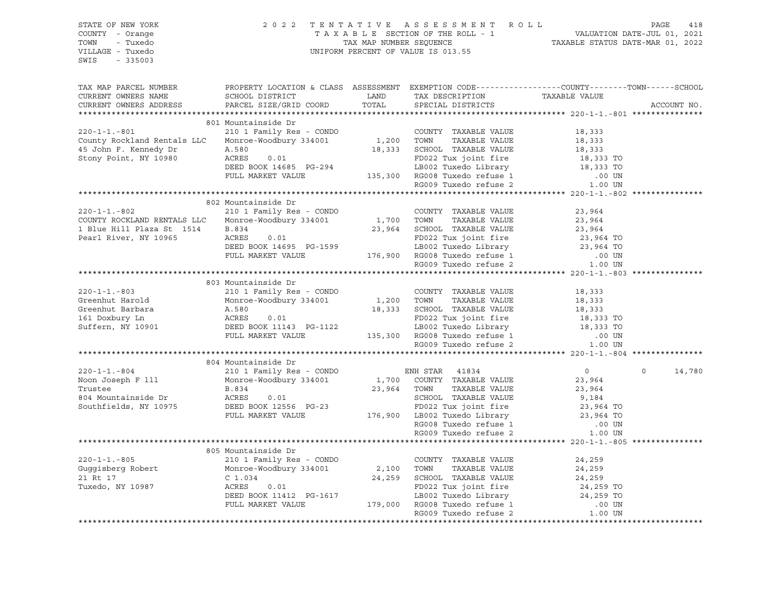| STATE OF NEW YORK<br>COUNTY - Orange<br>TOWN<br>- Tuxedo<br>VILLAGE - Tuxedo<br>SWIS - 335003                                                                                                                                            |                                                                                                                                                                                                                                                | 2022 TENTATIVE ASSESSMENT ROLL<br>TAXABLE SECTION OF THE ROLL - 1<br>TAXABLE STATUS DATE-JUL 01, 2021<br>TAXABLE STATUS DATE-MAR 01, 2022<br>UNIFORM PERCENT OF VALUE IS 013.55 |                                  | PAGE<br>418       |
|------------------------------------------------------------------------------------------------------------------------------------------------------------------------------------------------------------------------------------------|------------------------------------------------------------------------------------------------------------------------------------------------------------------------------------------------------------------------------------------------|---------------------------------------------------------------------------------------------------------------------------------------------------------------------------------|----------------------------------|-------------------|
| TAX MAP PARCEL NUMBER<br>CURRENT OWNERS NAME                                                                                                                                                                                             | PROPERTY LOCATION & CLASS ASSESSMENT EXEMPTION CODE----------------COUNTY-------TOWN------SCHOOL                                                                                                                                               |                                                                                                                                                                                 |                                  |                   |
| CURRENT OWNERS ADDRESS                                                                                                                                                                                                                   |                                                                                                                                                                                                                                                |                                                                                                                                                                                 |                                  | ACCOUNT NO.       |
|                                                                                                                                                                                                                                          |                                                                                                                                                                                                                                                |                                                                                                                                                                                 |                                  |                   |
|                                                                                                                                                                                                                                          | 801 Mountainside Dr                                                                                                                                                                                                                            |                                                                                                                                                                                 |                                  |                   |
| $220 - 1 - 1 - 801$<br>County Rockland Rentals LLC                                                                                                                                                                                       | Mountainside Dr<br>210 1 Family Res - CONDO COUNTY TAXABLE VALUE 18,333<br>Monroe-Woodbury 334001 1,200 TOWN TAXABLE VALUE 18,333                                                                                                              |                                                                                                                                                                                 |                                  |                   |
| 45 John F. Kennedy Dr                                                                                                                                                                                                                    |                                                                                                                                                                                                                                                | 18,333 SCHOOL TAXABLE VALUE                                                                                                                                                     |                                  |                   |
| Stony Point, NY 10980                                                                                                                                                                                                                    | A.580<br>ACRES 0.01                                                                                                                                                                                                                            |                                                                                                                                                                                 | 18,333<br>18,333 TO<br>18,333 TO |                   |
|                                                                                                                                                                                                                                          |                                                                                                                                                                                                                                                |                                                                                                                                                                                 |                                  |                   |
|                                                                                                                                                                                                                                          |                                                                                                                                                                                                                                                |                                                                                                                                                                                 |                                  |                   |
|                                                                                                                                                                                                                                          |                                                                                                                                                                                                                                                |                                                                                                                                                                                 |                                  |                   |
|                                                                                                                                                                                                                                          | A.580 0.01 FD022 Tux joint fire 19,333 TO<br>DEED BOOK 14685 PG-294 LB002 Tuxedo Library 18,333 TO<br>FULL MARKET VALUE 135,300 RG008 Tuxedo refuse 1 00 UN<br>RG009 Tuxedo refuse 2 1.00 UN<br>RG009 Tuxedo refuse 2 1.00 UN                  |                                                                                                                                                                                 |                                  |                   |
|                                                                                                                                                                                                                                          | 802 Mountainside Dr                                                                                                                                                                                                                            |                                                                                                                                                                                 |                                  |                   |
| $220 - 1 - 1 - 802$                                                                                                                                                                                                                      | 210 1 Family Res - CONDO COUNTY TAXABLE VALUE<br>Monroe-Woodbury 334001 1,700 TOWN TAXABLE VALUE                                                                                                                                               |                                                                                                                                                                                 | 23,964<br>23,964                 |                   |
| COUNTY ROCKLAND RENTALS LLC                                                                                                                                                                                                              |                                                                                                                                                                                                                                                |                                                                                                                                                                                 |                                  |                   |
| 1 Blue Hill Plaza St 1514                                                                                                                                                                                                                | B.834<br>ACRES 0.01                                                                                                                                                                                                                            | 23,964 SCHOOL TAXABLE VALUE                                                                                                                                                     | 23,964                           |                   |
| Pearl River, NY 10965                                                                                                                                                                                                                    | ACRES 0.01 FD022 Tux joint fire 23,964 TO<br>DEED BOOK 14695 PG-1599 LB002 Tuxedo Library 23,964 TO<br>FULL MARKET VALUE 176,900 RG008 Tuxedo refuse 1 .00 UN<br>RG009 Tuxedo refuse 2 1.00 UN                                                 |                                                                                                                                                                                 |                                  |                   |
|                                                                                                                                                                                                                                          |                                                                                                                                                                                                                                                |                                                                                                                                                                                 |                                  |                   |
|                                                                                                                                                                                                                                          |                                                                                                                                                                                                                                                |                                                                                                                                                                                 |                                  |                   |
|                                                                                                                                                                                                                                          |                                                                                                                                                                                                                                                |                                                                                                                                                                                 |                                  |                   |
|                                                                                                                                                                                                                                          | 803 Mountainside Dr                                                                                                                                                                                                                            |                                                                                                                                                                                 |                                  |                   |
| $220 - 1 - 1 - 803$                                                                                                                                                                                                                      | 210 1 Family Res - CONDO                                                                                                                                                                                                                       | COUNTY TAXABLE VALUE                                                                                                                                                            | 18,333                           |                   |
| Greenhut Harold                                                                                                                                                                                                                          | X10 1 Family Res CONDO<br>Monroe-Woodbury 334001 1,200 TOWN TAXABLE VALUE                                                                                                                                                                      |                                                                                                                                                                                 |                                  |                   |
| Greenhut Barbara                                                                                                                                                                                                                         |                                                                                                                                                                                                                                                |                                                                                                                                                                                 |                                  |                   |
| 161 Doxbury Ln                                                                                                                                                                                                                           | Monroe-Woodbury 334001<br>A.580<br>ACRES 0.01<br>DEED BOOK 11143 PG-1122                                                                                                                                                                       |                                                                                                                                                                                 |                                  |                   |
| Suffern, NY 10901                                                                                                                                                                                                                        |                                                                                                                                                                                                                                                |                                                                                                                                                                                 |                                  |                   |
|                                                                                                                                                                                                                                          |                                                                                                                                                                                                                                                |                                                                                                                                                                                 |                                  |                   |
|                                                                                                                                                                                                                                          | EXECT TRANSFERIMATION NATION NATION AND TRANSFERIMATION CONTRAINING MONORCE-WOODSUY 334001<br>A.580<br>A.580<br>A.580<br>DEED BOOK 11143 PG-1122<br>DEED BOOK 11143 PG-1122<br>DEED BOOK 11143 PG-1122<br>LB002 Tuxedo Library<br>LB002 Tuxedo |                                                                                                                                                                                 |                                  |                   |
|                                                                                                                                                                                                                                          |                                                                                                                                                                                                                                                |                                                                                                                                                                                 |                                  |                   |
|                                                                                                                                                                                                                                          | 804 Mountainside Dr                                                                                                                                                                                                                            |                                                                                                                                                                                 |                                  |                   |
| $220 - 1 - 1 - 804$                                                                                                                                                                                                                      |                                                                                                                                                                                                                                                |                                                                                                                                                                                 | $\overline{0}$                   | $\circ$<br>14,780 |
| Noon Joseph F 111                                                                                                                                                                                                                        |                                                                                                                                                                                                                                                |                                                                                                                                                                                 |                                  |                   |
| Trustee<br>804 Mountainside Dr<br>804 Mountainside Dr<br>804 Mouthfields, NY 10975<br>2008 DEED BOOK 12556 PG-23                                                                                                                         | 804 Mountainside Dia<br>210 1 Family Res - CONDO ENH STAR 41834<br>Monroe-Woodbury 334001 1,700 COUNTY TAXABLE VALUE<br>R.834 23,964 TOWN TAXABLE VALUE                                                                                        |                                                                                                                                                                                 |                                  |                   |
|                                                                                                                                                                                                                                          |                                                                                                                                                                                                                                                |                                                                                                                                                                                 |                                  |                   |
|                                                                                                                                                                                                                                          |                                                                                                                                                                                                                                                |                                                                                                                                                                                 |                                  |                   |
|                                                                                                                                                                                                                                          |                                                                                                                                                                                                                                                |                                                                                                                                                                                 |                                  |                   |
|                                                                                                                                                                                                                                          |                                                                                                                                                                                                                                                |                                                                                                                                                                                 |                                  |                   |
|                                                                                                                                                                                                                                          |                                                                                                                                                                                                                                                |                                                                                                                                                                                 |                                  |                   |
|                                                                                                                                                                                                                                          | 805 Mountainside Dr                                                                                                                                                                                                                            |                                                                                                                                                                                 |                                  |                   |
| $220 - 1 - 1 - 805$                                                                                                                                                                                                                      | 210 1 Family Res - CONDO                                                                                                                                                                                                                       |                                                                                                                                                                                 |                                  |                   |
|                                                                                                                                                                                                                                          |                                                                                                                                                                                                                                                |                                                                                                                                                                                 |                                  |                   |
|                                                                                                                                                                                                                                          |                                                                                                                                                                                                                                                |                                                                                                                                                                                 |                                  |                   |
|                                                                                                                                                                                                                                          |                                                                                                                                                                                                                                                |                                                                                                                                                                                 |                                  |                   |
|                                                                                                                                                                                                                                          |                                                                                                                                                                                                                                                |                                                                                                                                                                                 |                                  |                   |
| 200-1-1.-805<br>Guggisberg Robert Monroe-Woodbury 334001<br>210 1 Family Res - CUND 2,100 TOWN TAXABLE VALUE 24,259<br>21 Rt 17<br>24,259 TO 24,259<br>24,259 TO 24,259 TO 24,259 TO 24,259 TO 24,259 TO 24,259 TO 24,259 TO 24,259 TO 2 |                                                                                                                                                                                                                                                | RG009 Tuxedo refuse 2                                                                                                                                                           | 1.00 UN                          |                   |
|                                                                                                                                                                                                                                          |                                                                                                                                                                                                                                                |                                                                                                                                                                                 |                                  |                   |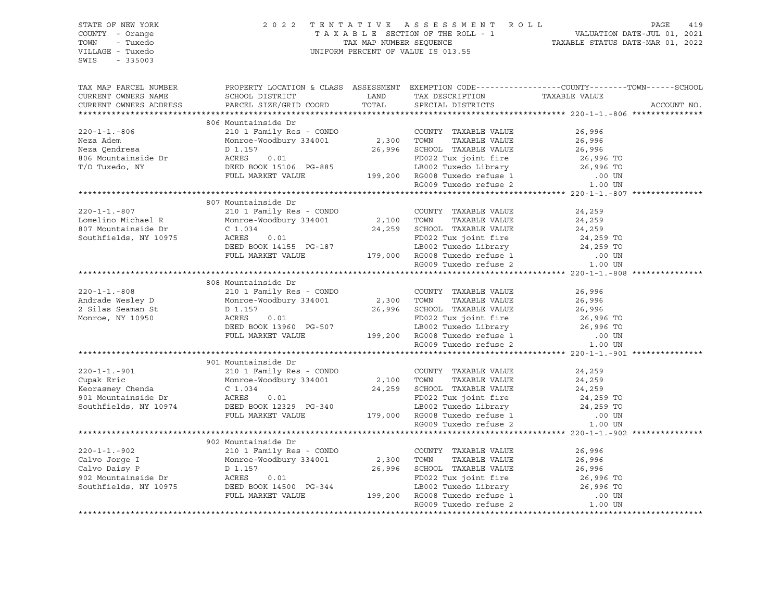| STATE OF NEW YORK     |                                                                                                                                                                                                                                  |  |                                                                                                                                                                                                          |  |
|-----------------------|----------------------------------------------------------------------------------------------------------------------------------------------------------------------------------------------------------------------------------|--|----------------------------------------------------------------------------------------------------------------------------------------------------------------------------------------------------------|--|
| COUNTY - Orange       |                                                                                                                                                                                                                                  |  |                                                                                                                                                                                                          |  |
| TOWN - Tuxedo         |                                                                                                                                                                                                                                  |  | 2022 TENTATIVE ASSESSMENT ROLL PAGE 419<br>TAXABLE SECTION OF THE ROLL - 1 VALUATION DATE-JUL 01, 2021<br>TAX MAP NUMBER SEQUENCE TAXABLE STATUS DATE-MAR 01, 2022<br>UNIFORM PERCENT OF VALUE IS 013.55 |  |
| VILLAGE - Tuxedo      |                                                                                                                                                                                                                                  |  |                                                                                                                                                                                                          |  |
| SWIS - 335003         |                                                                                                                                                                                                                                  |  |                                                                                                                                                                                                          |  |
|                       |                                                                                                                                                                                                                                  |  |                                                                                                                                                                                                          |  |
|                       |                                                                                                                                                                                                                                  |  |                                                                                                                                                                                                          |  |
|                       |                                                                                                                                                                                                                                  |  |                                                                                                                                                                                                          |  |
| TAX MAP PARCEL NUMBER |                                                                                                                                                                                                                                  |  | PROPERTY LOCATION & CLASS ASSESSMENT EXEMPTION CODE----------------COUNTY-------TOWN------SCHOOL                                                                                                         |  |
|                       |                                                                                                                                                                                                                                  |  |                                                                                                                                                                                                          |  |
|                       | CURRENT OWNERS NAME SCHOOL DISTRICT LAND TAX DESCRIPTION TAXABLE VALUE CURRENT OWNERS ADDRESS PARCEL SIZE/GRID COORD TOTAL SPECIAL DISTRICTS                                                                                     |  | ACCOUNT NO.                                                                                                                                                                                              |  |
|                       |                                                                                                                                                                                                                                  |  |                                                                                                                                                                                                          |  |
|                       | 806 Mountainside Dr                                                                                                                                                                                                              |  |                                                                                                                                                                                                          |  |
|                       |                                                                                                                                                                                                                                  |  |                                                                                                                                                                                                          |  |
|                       |                                                                                                                                                                                                                                  |  |                                                                                                                                                                                                          |  |
|                       |                                                                                                                                                                                                                                  |  |                                                                                                                                                                                                          |  |
|                       |                                                                                                                                                                                                                                  |  |                                                                                                                                                                                                          |  |
|                       |                                                                                                                                                                                                                                  |  |                                                                                                                                                                                                          |  |
|                       |                                                                                                                                                                                                                                  |  |                                                                                                                                                                                                          |  |
|                       |                                                                                                                                                                                                                                  |  |                                                                                                                                                                                                          |  |
|                       |                                                                                                                                                                                                                                  |  |                                                                                                                                                                                                          |  |
|                       |                                                                                                                                                                                                                                  |  |                                                                                                                                                                                                          |  |
|                       |                                                                                                                                                                                                                                  |  |                                                                                                                                                                                                          |  |
|                       |                                                                                                                                                                                                                                  |  |                                                                                                                                                                                                          |  |
|                       |                                                                                                                                                                                                                                  |  |                                                                                                                                                                                                          |  |
|                       |                                                                                                                                                                                                                                  |  |                                                                                                                                                                                                          |  |
|                       |                                                                                                                                                                                                                                  |  |                                                                                                                                                                                                          |  |
|                       |                                                                                                                                                                                                                                  |  |                                                                                                                                                                                                          |  |
|                       |                                                                                                                                                                                                                                  |  |                                                                                                                                                                                                          |  |
|                       |                                                                                                                                                                                                                                  |  |                                                                                                                                                                                                          |  |
|                       |                                                                                                                                                                                                                                  |  |                                                                                                                                                                                                          |  |
|                       | 808 Mountainside Dr                                                                                                                                                                                                              |  |                                                                                                                                                                                                          |  |
|                       |                                                                                                                                                                                                                                  |  |                                                                                                                                                                                                          |  |
|                       |                                                                                                                                                                                                                                  |  |                                                                                                                                                                                                          |  |
|                       |                                                                                                                                                                                                                                  |  |                                                                                                                                                                                                          |  |
|                       |                                                                                                                                                                                                                                  |  |                                                                                                                                                                                                          |  |
|                       |                                                                                                                                                                                                                                  |  |                                                                                                                                                                                                          |  |
|                       |                                                                                                                                                                                                                                  |  |                                                                                                                                                                                                          |  |
|                       |                                                                                                                                                                                                                                  |  |                                                                                                                                                                                                          |  |
|                       | 808 Mountainside Dr<br>200-1-1.-808 200-1-1.-808 2000 2.300 2.300 2.300 2.300 2.300 2.300 2.300 2.300 2.300 2.300 2.300 2.300 2.300 2.300 2.300 2.300 2.300 2.300 2.300 2.300 2.300 2.300 2.300 2.300 2.300 2.300 2.300 2.300 2. |  |                                                                                                                                                                                                          |  |
|                       |                                                                                                                                                                                                                                  |  |                                                                                                                                                                                                          |  |
|                       |                                                                                                                                                                                                                                  |  |                                                                                                                                                                                                          |  |
|                       |                                                                                                                                                                                                                                  |  |                                                                                                                                                                                                          |  |
|                       |                                                                                                                                                                                                                                  |  |                                                                                                                                                                                                          |  |
|                       |                                                                                                                                                                                                                                  |  |                                                                                                                                                                                                          |  |
|                       |                                                                                                                                                                                                                                  |  |                                                                                                                                                                                                          |  |
|                       |                                                                                                                                                                                                                                  |  |                                                                                                                                                                                                          |  |
|                       |                                                                                                                                                                                                                                  |  |                                                                                                                                                                                                          |  |
|                       |                                                                                                                                                                                                                                  |  |                                                                                                                                                                                                          |  |
|                       |                                                                                                                                                                                                                                  |  |                                                                                                                                                                                                          |  |
|                       |                                                                                                                                                                                                                                  |  |                                                                                                                                                                                                          |  |
|                       | 902 Mountainside Dr                                                                                                                                                                                                              |  |                                                                                                                                                                                                          |  |
|                       |                                                                                                                                                                                                                                  |  |                                                                                                                                                                                                          |  |
|                       |                                                                                                                                                                                                                                  |  |                                                                                                                                                                                                          |  |
|                       |                                                                                                                                                                                                                                  |  |                                                                                                                                                                                                          |  |
|                       |                                                                                                                                                                                                                                  |  |                                                                                                                                                                                                          |  |
|                       |                                                                                                                                                                                                                                  |  |                                                                                                                                                                                                          |  |
|                       |                                                                                                                                                                                                                                  |  |                                                                                                                                                                                                          |  |
|                       |                                                                                                                                                                                                                                  |  |                                                                                                                                                                                                          |  |
|                       |                                                                                                                                                                                                                                  |  |                                                                                                                                                                                                          |  |
|                       |                                                                                                                                                                                                                                  |  |                                                                                                                                                                                                          |  |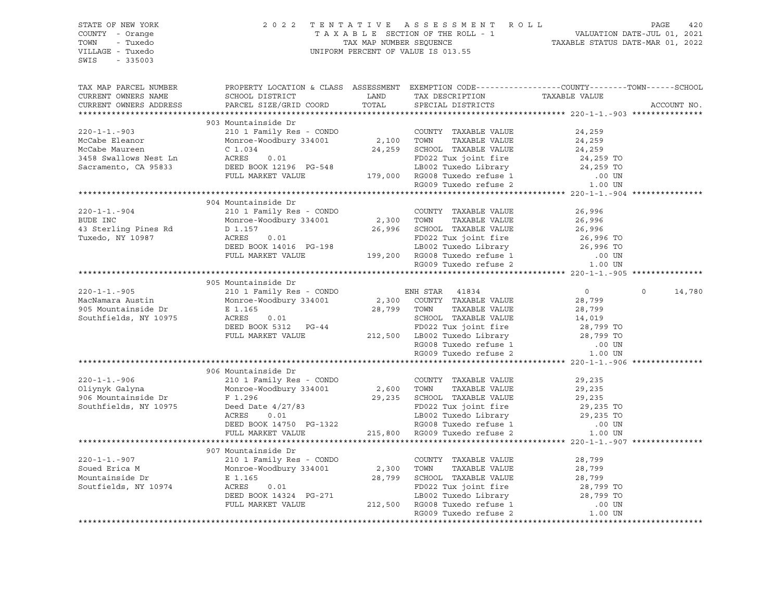| STATE OF NEW YORK      |                                                                                                                                                                                               |            | 2022 TENTATIVE ASSESSMENT ROLL                                                                       |                | PAGE<br>420           |
|------------------------|-----------------------------------------------------------------------------------------------------------------------------------------------------------------------------------------------|------------|------------------------------------------------------------------------------------------------------|----------------|-----------------------|
| COUNTY - Orange        |                                                                                                                                                                                               |            |                                                                                                      |                |                       |
| - Tuxedo<br>TOWN       |                                                                                                                                                                                               |            |                                                                                                      |                |                       |
| VILLAGE - Tuxedo       |                                                                                                                                                                                               |            |                                                                                                      |                |                       |
| $-335003$<br>SWIS      |                                                                                                                                                                                               |            |                                                                                                      |                |                       |
|                        |                                                                                                                                                                                               |            |                                                                                                      |                |                       |
|                        |                                                                                                                                                                                               |            |                                                                                                      |                |                       |
| TAX MAP PARCEL NUMBER  | PROPERTY LOCATION & CLASS ASSESSMENT EXEMPTION CODE----------------COUNTY-------TOWN------SCHOOL<br>SCHOOL DISTRICT                                                                           |            |                                                                                                      |                |                       |
| CURRENT OWNERS NAME    |                                                                                                                                                                                               | LAND       | TAX DESCRIPTION<br>SPECIAL DISTRICTS                                                                 |                |                       |
| CURRENT OWNERS ADDRESS | PARCEL SIZE/GRID COORD                                                                                                                                                                        | TOTAL      | SPECIAL DISTRICTS                                                                                    |                | ACCOUNT NO.           |
|                        |                                                                                                                                                                                               |            |                                                                                                      |                |                       |
|                        | 903 Mountainside Dr                                                                                                                                                                           |            |                                                                                                      |                |                       |
| $220 - 1 - 1 - 903$    | 210 1 Family Res - CONDO                                                                                                                                                                      |            | COUNTY TAXABLE VALUE<br>2,100 TOWN TAXABLE VALUE                                                     | 24,259         |                       |
| McCabe Eleanor         | Monroe-Woodbury 334001                                                                                                                                                                        |            |                                                                                                      | 24,259         |                       |
| McCabe Maureen         | $C_1.034$<br>0.01                                                                                                                                                                             |            | 24,259 SCHOOL TAXABLE VALUE                                                                          | 24,259         |                       |
| 3458 Swallows Nest Ln  | ACRES 0.01 PD022 Tux joint fire 24,259 TO<br>DEED BOOK 12196 PG-548 LB002 Tuxedo Library 24,259 TO<br>FULL MARKET VALUE 179,000 RG008 Tuxedo refuse 1 .00 UN<br>RG009 Tuxedo refuse 2 1.00 UN |            |                                                                                                      |                |                       |
| Sacramento, CA 95833   |                                                                                                                                                                                               |            |                                                                                                      |                |                       |
|                        |                                                                                                                                                                                               |            |                                                                                                      |                |                       |
|                        |                                                                                                                                                                                               |            |                                                                                                      |                |                       |
|                        |                                                                                                                                                                                               |            |                                                                                                      |                |                       |
|                        | 904 Mountainside Dr                                                                                                                                                                           |            |                                                                                                      |                |                       |
| $220 - 1 - 1 - 904$    | 210 1 Family Res - CONDO                                                                                                                                                                      |            | COUNTY TAXABLE VALUE                                                                                 | 26,996         |                       |
| BUDE INC               | Monroe-Woodbury 334001                                                                                                                                                                        | 2,300 TOWN | TAXABLE VALUE                                                                                        | 26,996         |                       |
| 43 Sterling Pines Rd   | D 1.157                                                                                                                                                                                       |            | 26,996 SCHOOL TAXABLE VALUE                                                                          | 26,996         |                       |
| Tuxedo, NY 10987       | ACRES<br>0.01                                                                                                                                                                                 |            | 1992 108 JOINT TITE 36,996 TO<br>LB002 Tuxedo Library 36,996 TO<br>RG008 Tuxedo refuse 1             |                |                       |
|                        | DEED BOOK 14016 PG-198                                                                                                                                                                        |            |                                                                                                      |                |                       |
|                        | FULL MARKET VALUE                                                                                                                                                                             |            |                                                                                                      | $.00$ UN       |                       |
|                        |                                                                                                                                                                                               |            |                                                                                                      | 1.00 UN        |                       |
|                        |                                                                                                                                                                                               |            |                                                                                                      |                |                       |
|                        | 905 Mountainside Dr                                                                                                                                                                           |            |                                                                                                      |                |                       |
| $220 - 1 - 1 - 905$    | 210 1 Family Res - CONDO                                                                                                                                                                      |            | ENH STAR 41834                                                                                       | $\overline{0}$ | $\mathbf 0$<br>14,780 |
| MacNamara Austin       | Monroe-Woodbury 334001                                                                                                                                                                        |            | 2,300 COUNTY TAXABLE VALUE                                                                           | 28,799         |                       |
| 905 Mountainside Dr    | E 1.165                                                                                                                                                                                       |            | 28,799 TOWN<br>TAXABLE VALUE                                                                         | 28,799         |                       |
| Southfields, NY 10975  | ACRES<br>0.01                                                                                                                                                                                 |            | SCHOOL TAXABLE VALUE                                                                                 | 14,019         |                       |
|                        | DEED BOOK 5312 PG-44                                                                                                                                                                          |            | SCHOOL TAXABLE VALUE<br>FD022 Tux joint fire<br>212,500 LB002 Tuxedo Library<br>FD022 Tux joint fire | 28,799 TO      |                       |
|                        | FULL MARKET VALUE                                                                                                                                                                             |            |                                                                                                      | 28,799 TO      |                       |
|                        |                                                                                                                                                                                               |            |                                                                                                      | .00 UN         |                       |
|                        |                                                                                                                                                                                               |            | RG008 Tuxedo refuse 1<br>RG009 Tuxedo refuse 2                                                       | 1.00 UN        |                       |
|                        |                                                                                                                                                                                               |            |                                                                                                      |                |                       |
|                        | 906 Mountainside Dr                                                                                                                                                                           |            |                                                                                                      |                |                       |
| $220 - 1 - 1 - 906$    | 210 1 Family Res - CONDO                                                                                                                                                                      |            | COUNTY TAXABLE VALUE                                                                                 | 29,235         |                       |
| Oliynyk Galyna         | Monroe-Woodbury 334001                                                                                                                                                                        |            | 2,600 TOWN<br>TAXABLE VALUE                                                                          | 29,235         |                       |
| 906 Mountainside Dr    | F 1.296                                                                                                                                                                                       |            | 29,235 SCHOOL TAXABLE VALUE                                                                          | 29,235         |                       |
| Southfields, NY 10975  |                                                                                                                                                                                               |            |                                                                                                      | 29,235 TO      |                       |
|                        | Deed Date 4/27/83<br>ACRES 0.01<br>Deed Date 4/27/83<br>ACRES 0.01<br>DEED BOOK 14750 PG-1322<br>PILE 100K 14750 PG-1322                                                                      |            | FD022 Tux joint fire<br>LB002 Tuxedo Library                                                         | 29,235 TO      |                       |
|                        |                                                                                                                                                                                               |            |                                                                                                      | .00 UN         |                       |
|                        | FULL MARKET VALUE                                                                                                                                                                             |            | 3-1322 RG008 Tuxedo refuse 1<br>215,800 RG009 Tuxedo refuse 2                                        | 1.00 UN        |                       |
|                        |                                                                                                                                                                                               |            |                                                                                                      |                |                       |
|                        |                                                                                                                                                                                               |            |                                                                                                      |                |                       |
| $220 - 1 - 1 - 907$    | 907 Mountainside Dr                                                                                                                                                                           |            | COUNTY TAXABLE VALUE                                                                                 |                |                       |
| Soued Erica M          | 210 1 Family Res - CONDO                                                                                                                                                                      |            | TAXABLE VALUE                                                                                        | 28,799         |                       |
|                        | Monroe-Woodbury 334001                                                                                                                                                                        |            | 2,300 TOWN                                                                                           | 28,799         |                       |
| Mountainside Dr        | E 1.165                                                                                                                                                                                       |            | 28,799 SCHOOL TAXABLE VALUE                                                                          | 28,799         |                       |
| Soutfields, NY 10974   | ACRES<br>0.01                                                                                                                                                                                 |            | FD022 Tux joint fire<br>LB002 Tuxedo Library 28,799 TO                                               | 28,799 TO      |                       |
|                        | DEED BOOK 14324 PG-271 LB002 Tuxedo Library<br>FULL MARKET VALUE 212,500 RG008 Tuxedo refuse 1                                                                                                |            |                                                                                                      |                |                       |
|                        |                                                                                                                                                                                               |            |                                                                                                      | $.00$ UN       |                       |
|                        |                                                                                                                                                                                               |            | RG009 Tuxedo refuse 2                                                                                | 1.00 UN        |                       |
|                        |                                                                                                                                                                                               |            |                                                                                                      |                |                       |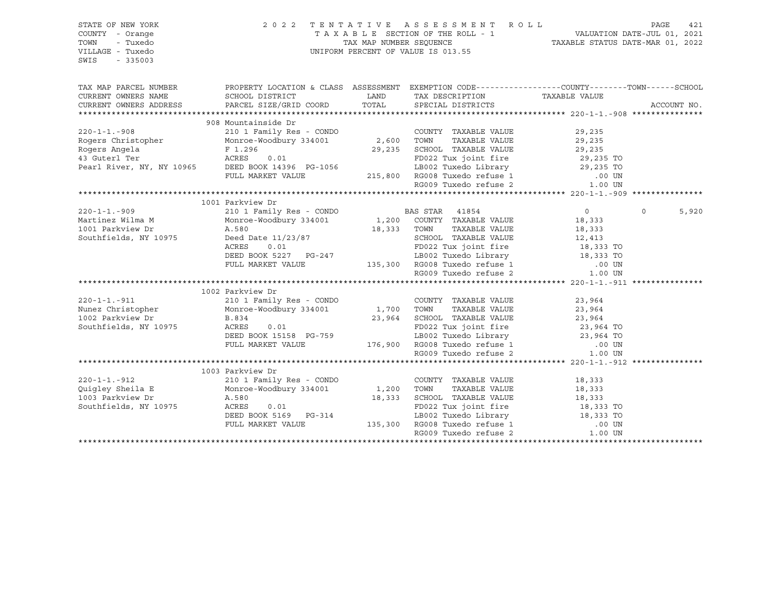| STATE OF NEW YORK<br>COUNTY - Orange<br>TOWN<br>- Tuxedo<br>VILLAGE - Tuxedo<br>SWIS<br>$-335003$                                                                                          |                                                                                                                                                                                                                                                                                            | 2022 TENTATIVE ASSESSMENT ROLL<br>T A X A B L E SECTION OF THE ROLL - 1 VALUATION DATE-JUL 01, 2021<br>TAX MAP NUMBER SEQUENCE TAXABLE STATUS DATE-MAR 01, 2022<br>UNIFORM PERCENT OF VALUE IS 013.55 |                  | PAGE<br>421       |
|--------------------------------------------------------------------------------------------------------------------------------------------------------------------------------------------|--------------------------------------------------------------------------------------------------------------------------------------------------------------------------------------------------------------------------------------------------------------------------------------------|-------------------------------------------------------------------------------------------------------------------------------------------------------------------------------------------------------|------------------|-------------------|
| TAX MAP PARCEL NUMBER<br>CURRENT OWNERS NAME                                                                                                                                               | PROPERTY LOCATION & CLASS ASSESSMENT EXEMPTION CODE---------------COUNTY-------TOWN-----SCHOOL<br>SCHOOL DISTRICT                                                                                                                                                                          |                                                                                                                                                                                                       |                  |                   |
| CURRENT OWNERS ADDRESS                                                                                                                                                                     | PARCEL SIZE/GRID COORD                                                                                                                                                                                                                                                                     | TAX DESCRIPTION TAXABLE VALUE SPECIAL DISTRICTS<br>LAND TAX DESCRIPTION<br>TOTAL SPECIAL DISTRICTS                                                                                                    |                  | ACCOUNT NO.       |
|                                                                                                                                                                                            |                                                                                                                                                                                                                                                                                            |                                                                                                                                                                                                       |                  |                   |
|                                                                                                                                                                                            |                                                                                                                                                                                                                                                                                            |                                                                                                                                                                                                       |                  |                   |
|                                                                                                                                                                                            |                                                                                                                                                                                                                                                                                            |                                                                                                                                                                                                       |                  |                   |
|                                                                                                                                                                                            |                                                                                                                                                                                                                                                                                            |                                                                                                                                                                                                       |                  |                   |
|                                                                                                                                                                                            |                                                                                                                                                                                                                                                                                            |                                                                                                                                                                                                       |                  |                   |
|                                                                                                                                                                                            |                                                                                                                                                                                                                                                                                            |                                                                                                                                                                                                       |                  |                   |
|                                                                                                                                                                                            |                                                                                                                                                                                                                                                                                            |                                                                                                                                                                                                       |                  |                   |
|                                                                                                                                                                                            |                                                                                                                                                                                                                                                                                            |                                                                                                                                                                                                       |                  |                   |
|                                                                                                                                                                                            |                                                                                                                                                                                                                                                                                            |                                                                                                                                                                                                       |                  |                   |
|                                                                                                                                                                                            |                                                                                                                                                                                                                                                                                            |                                                                                                                                                                                                       |                  |                   |
|                                                                                                                                                                                            | 1001 Parkview Dr                                                                                                                                                                                                                                                                           |                                                                                                                                                                                                       |                  |                   |
| 220-1-1.-909 210 1 Family Res - CONDONAL CONDINER VALUE<br>Martinez Wilma M Monroe-Woodbury 334001 1,200 COUNTY TAXABLE VALUE<br>18,333 TOWN TAXABLE VALUE<br>2011 Parkview Dr (1999) 2013 |                                                                                                                                                                                                                                                                                            |                                                                                                                                                                                                       | $\overline{0}$   | $\Omega$<br>5,920 |
|                                                                                                                                                                                            |                                                                                                                                                                                                                                                                                            |                                                                                                                                                                                                       | 18,333<br>18,333 |                   |
|                                                                                                                                                                                            |                                                                                                                                                                                                                                                                                            |                                                                                                                                                                                                       |                  |                   |
| Southfields, NY 10975                                                                                                                                                                      | A.580<br>Deed Date 11/23/87                                                                                                                                                                                                                                                                | SCHOOL TAXABLE VALUE 12,413<br>FD022 Tux joint fire 18,333 TO                                                                                                                                         |                  |                   |
|                                                                                                                                                                                            |                                                                                                                                                                                                                                                                                            |                                                                                                                                                                                                       |                  |                   |
|                                                                                                                                                                                            |                                                                                                                                                                                                                                                                                            |                                                                                                                                                                                                       |                  |                   |
|                                                                                                                                                                                            |                                                                                                                                                                                                                                                                                            |                                                                                                                                                                                                       |                  |                   |
|                                                                                                                                                                                            | Deed Date 11/25/57<br>ACRES 0.01<br>DEED BOOK 5227 PG-247 LB002 Tuxedo Library 18,333 TO<br>FULL MARKET VALUE 135,300 RG008 Tuxedo refuse 1 .00 UN<br>RG009 Tuxedo refuse 2 1.00 UN<br>RG009 Tuxedo refuse 2 1.00 UN                                                                       |                                                                                                                                                                                                       |                  |                   |
|                                                                                                                                                                                            | 1002 Parkview Dr                                                                                                                                                                                                                                                                           |                                                                                                                                                                                                       |                  |                   |
|                                                                                                                                                                                            |                                                                                                                                                                                                                                                                                            | COUNTY TAXABLE VALUE                                                                                                                                                                                  | 23,964           |                   |
| 220-1-1.-911 210 1 Family Res - CONDO COUNTY<br>Nunez Christopher Monroe-Woodbury 334001 1,700 TOWN                                                                                        |                                                                                                                                                                                                                                                                                            | TAXABLE VALUE                                                                                                                                                                                         | 23,964           |                   |
| 1002 Parkview Dr                                                                                                                                                                           | B.834                                                                                                                                                                                                                                                                                      |                                                                                                                                                                                                       |                  |                   |
| Southfields, NY 10975                                                                                                                                                                      |                                                                                                                                                                                                                                                                                            | 1,700 TOWN TAAADDE VADOL<br>23,964 SCHOOL TAXABLE VALUE 23,964 TO<br>PRASS THE 11TH STATE 23,964 TO                                                                                                   |                  |                   |
|                                                                                                                                                                                            |                                                                                                                                                                                                                                                                                            |                                                                                                                                                                                                       |                  |                   |
|                                                                                                                                                                                            |                                                                                                                                                                                                                                                                                            |                                                                                                                                                                                                       |                  |                   |
|                                                                                                                                                                                            | ACRES 0.01 FD022 Tux joint fire 23,964 TO<br>DEED BOOK 15158 PG-759 LB002 Tuxedo Library 23,964 TO<br>FULL MARKET VALUE 176,900 RG008 Tuxedo refuse 1 .00 UN<br>RG009 Tuxedo refuse 2 1.00 UN                                                                                              |                                                                                                                                                                                                       | 1.00 UN          |                   |
|                                                                                                                                                                                            |                                                                                                                                                                                                                                                                                            |                                                                                                                                                                                                       |                  |                   |
|                                                                                                                                                                                            | 1003 Parkview Dr                                                                                                                                                                                                                                                                           |                                                                                                                                                                                                       |                  |                   |
| $220 - 1 - 1 - 912$                                                                                                                                                                        |                                                                                                                                                                                                                                                                                            | COUNTY TAXABLE VALUE                                                                                                                                                                                  | 18,333           |                   |
| Quigley Sheila E                                                                                                                                                                           |                                                                                                                                                                                                                                                                                            | TAXABLE VALUE                                                                                                                                                                                         | 18,333           |                   |
| 1003 Parkview Dr                                                                                                                                                                           |                                                                                                                                                                                                                                                                                            |                                                                                                                                                                                                       |                  |                   |
| Southfields, NY 10975                                                                                                                                                                      |                                                                                                                                                                                                                                                                                            |                                                                                                                                                                                                       |                  |                   |
|                                                                                                                                                                                            |                                                                                                                                                                                                                                                                                            |                                                                                                                                                                                                       |                  |                   |
|                                                                                                                                                                                            |                                                                                                                                                                                                                                                                                            |                                                                                                                                                                                                       |                  |                   |
|                                                                                                                                                                                            | A.580<br>A.580<br>A.680<br>A.680<br>A.680<br>A.680<br>A.580<br>A.580<br>A.580<br>A.580<br>A.580<br>A.580<br>A.580<br>A.580<br>A.580<br>A.580<br>A.580<br>A.580<br>A.580<br>A.580<br>A.580<br>A.580<br>A.580<br>A.580<br>A.580<br>A.533<br>A.533<br>A.533<br>A.533<br>A.533<br>DEED BOOK 51 |                                                                                                                                                                                                       |                  |                   |
|                                                                                                                                                                                            |                                                                                                                                                                                                                                                                                            |                                                                                                                                                                                                       |                  |                   |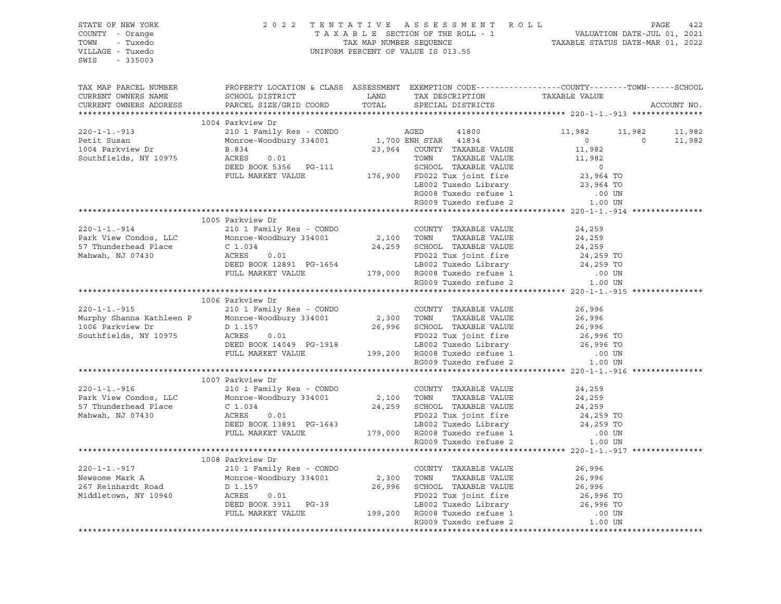| STATE OF NEW YORK<br>COUNTY - Orange<br>TOWN - Tuxedo<br>VILLAGE - Tuxedo<br>SWIS - 335003 | 2 0 2 2                                                                                                                                                                            | TENTATIVE ASSESSMENT ROLL PAGE 422<br>TAXABLE SECTION OF THE ROLL - 1 VALUATION DATE-JUL 01, 2021<br>TAX MAP NUMBER SEQUENCE TAXABLE STATUS DATE-MAR 01, 2022<br>UNIFORM PERCENT OF VALUE IS 013.55                                        |                                                                                                                        |                          |
|--------------------------------------------------------------------------------------------|------------------------------------------------------------------------------------------------------------------------------------------------------------------------------------|--------------------------------------------------------------------------------------------------------------------------------------------------------------------------------------------------------------------------------------------|------------------------------------------------------------------------------------------------------------------------|--------------------------|
| TAX MAP PARCEL NUMBER<br>CURRENT OWNERS NAME<br>CURRENT OWNERS ADDRESS                     |                                                                                                                                                                                    | PROPERTY LOCATION & CLASS ASSESSMENT EXEMPTION CODE---------------COUNTY-------TOWN-----SCHOOL                                                                                                                                             |                                                                                                                        | ACCOUNT NO.              |
|                                                                                            |                                                                                                                                                                                    |                                                                                                                                                                                                                                            |                                                                                                                        |                          |
|                                                                                            | 1004 Parkview Dr                                                                                                                                                                   |                                                                                                                                                                                                                                            |                                                                                                                        |                          |
| $220 - 1 - 1 - 913$                                                                        | 210 1 Family Res - CONDO                                                                                                                                                           | AGED<br>41800                                                                                                                                                                                                                              | 11,982                                                                                                                 | 11,982<br>11,982         |
| Petit Susan                                                                                | Monroe-Woodbury 334001 1,700 ENH STAR 41834                                                                                                                                        |                                                                                                                                                                                                                                            | $\overline{0}$                                                                                                         | $\overline{0}$<br>11,982 |
| 1004 Parkview Dr                                                                           | B.834<br>01                                                                                                                                                                        | 23,964 COUNTY TAXABLE VALUE                                                                                                                                                                                                                |                                                                                                                        |                          |
| Southfields, NY 10975                                                                      |                                                                                                                                                                                    | ACRES 0.01 TOWN TAXABLE VALUE<br>DEED BOOK 5356 PG-111 SCHOOL TAXABLE VALUE<br>FULL MARKET VALUE 176,900 FD022 Tux joint fire                                                                                                              |                                                                                                                        |                          |
|                                                                                            |                                                                                                                                                                                    |                                                                                                                                                                                                                                            |                                                                                                                        |                          |
|                                                                                            |                                                                                                                                                                                    |                                                                                                                                                                                                                                            |                                                                                                                        |                          |
|                                                                                            |                                                                                                                                                                                    | EB002 Tuxedo Library 23,964 TO<br>RG008 Tuxedo refuse 1 00 UN<br>RG009 Tuxedo refuse 2 1.00 UN                                                                                                                                             | $\begin{array}{c} 0 \\ 11,982 \\ 11,982 \\ 0 \\ 23,964 \ \text{TO} \\ 23,964 \ \text{TO} \\ 1 \ \text{IN} \end{array}$ |                          |
|                                                                                            |                                                                                                                                                                                    |                                                                                                                                                                                                                                            |                                                                                                                        |                          |
|                                                                                            |                                                                                                                                                                                    |                                                                                                                                                                                                                                            |                                                                                                                        |                          |
|                                                                                            | 1005 Parkview Dr                                                                                                                                                                   |                                                                                                                                                                                                                                            |                                                                                                                        |                          |
| $220 - 1 - 1. - 914$                                                                       |                                                                                                                                                                                    |                                                                                                                                                                                                                                            |                                                                                                                        |                          |
| Park View Condos, LLC                                                                      |                                                                                                                                                                                    |                                                                                                                                                                                                                                            | 24,259<br>24,259                                                                                                       |                          |
| 57 Thunderhead Place                                                                       | 210 1 Family Res - CONDO<br>Monroe-Woodbury 334001<br>C 1.034 24,259 SCHOOL TAXABLE VALUE                                                                                          |                                                                                                                                                                                                                                            | 24,259                                                                                                                 |                          |
| Mahwah, NJ 07430                                                                           | C 1.034<br>ACRES 0.01                                                                                                                                                              |                                                                                                                                                                                                                                            |                                                                                                                        |                          |
|                                                                                            |                                                                                                                                                                                    | 24,259 SCHOOL TAXABLE VALUE<br>ACRES 0.01 FD022 Tux joint fire 24,259 TO<br>DEED BOOK 12891 PG-1654 LB002 Tuxedo Library 24,259 TO<br>FULL MARKET VALUE 179,000 RG008 Tuxedo refuse 1 .00 UN<br>RG009 Tuxedo refuse 2 1.00 UN              |                                                                                                                        |                          |
|                                                                                            |                                                                                                                                                                                    |                                                                                                                                                                                                                                            |                                                                                                                        |                          |
|                                                                                            |                                                                                                                                                                                    |                                                                                                                                                                                                                                            |                                                                                                                        |                          |
|                                                                                            |                                                                                                                                                                                    |                                                                                                                                                                                                                                            |                                                                                                                        |                          |
|                                                                                            | 1006 Parkview Dr<br>21006 Parkview Di<br>210 1 Family Res - CONDO<br>Monroe-Woodbury 334001 2,300 TOWN TAXABLE VALUE<br>26,996 SCHOOL TAXABLE VALUE<br>26,996 SCHOOL TAXABLE VALUE |                                                                                                                                                                                                                                            |                                                                                                                        |                          |
| $220 - 1 - 1 - 915$                                                                        |                                                                                                                                                                                    |                                                                                                                                                                                                                                            | 26,996                                                                                                                 |                          |
| Murphy Shanna Kathleen P                                                                   |                                                                                                                                                                                    |                                                                                                                                                                                                                                            | 26,996<br>26,996<br>26,996 TO                                                                                          |                          |
| 1006 Parkview Dr<br>Southfields, NY 10975                                                  | D 1.157<br>ACRES 0.01                                                                                                                                                              | ACRES 0.01<br>DEED BOOK 14049 PG-1918<br>FD022 Tux joint fire 26,996 TO<br>LEED BOOK 14049 PG-1918<br>EULL MARKET VALUE 199,200 RG008 Tuxedo refuse 1 .00 UN<br>RG009 Tuxedo refuse 2 1.00 UN                                              |                                                                                                                        |                          |
|                                                                                            |                                                                                                                                                                                    |                                                                                                                                                                                                                                            |                                                                                                                        |                          |
|                                                                                            |                                                                                                                                                                                    |                                                                                                                                                                                                                                            |                                                                                                                        |                          |
|                                                                                            |                                                                                                                                                                                    |                                                                                                                                                                                                                                            |                                                                                                                        |                          |
|                                                                                            |                                                                                                                                                                                    |                                                                                                                                                                                                                                            |                                                                                                                        |                          |
|                                                                                            | 1007 Parkview Dr                                                                                                                                                                   |                                                                                                                                                                                                                                            |                                                                                                                        |                          |
| $220 - 1 - 1 - 916$                                                                        | 210 1 Family Res - CONDO                                                                                                                                                           | FAIRWIEW DE<br>210 1 Family Res - CONDO<br>Monroe-Woodbury 334001 2,100 TOWN TAXABLE VALUE<br>C 1.034 24,259 SCHOOL TAXABLE VALUE<br>ACRES 0.01 FD022 Tux joint fire<br>DEED BOOK 13891 PG-1643 LB002 Tuxedo refuse 1<br>FULL MARKET VALUE | 24,259                                                                                                                 |                          |
| Park View Condos, LLC                                                                      |                                                                                                                                                                                    |                                                                                                                                                                                                                                            | 24,259                                                                                                                 |                          |
| 57 Thunderhead Place                                                                       | $C_1.034$                                                                                                                                                                          |                                                                                                                                                                                                                                            | 24,259<br>24,259 TO<br>24,259 TO                                                                                       |                          |
| Mahwah, NJ 07430                                                                           |                                                                                                                                                                                    |                                                                                                                                                                                                                                            |                                                                                                                        |                          |
|                                                                                            |                                                                                                                                                                                    |                                                                                                                                                                                                                                            |                                                                                                                        |                          |
|                                                                                            |                                                                                                                                                                                    |                                                                                                                                                                                                                                            | 00 UN.<br>1.00 UN                                                                                                      |                          |
|                                                                                            |                                                                                                                                                                                    | RG009 Tuxedo refuse 2                                                                                                                                                                                                                      |                                                                                                                        |                          |
|                                                                                            |                                                                                                                                                                                    |                                                                                                                                                                                                                                            |                                                                                                                        |                          |
| $220 - 1 - 1 - 917$                                                                        | 1008 Parkview Dr<br>210 1 Family Res - CONDO                                                                                                                                       |                                                                                                                                                                                                                                            |                                                                                                                        |                          |
| Newsome Mark A                                                                             |                                                                                                                                                                                    |                                                                                                                                                                                                                                            |                                                                                                                        |                          |
| 267 Reinhardt Road                                                                         | Monroe-Woodbury 334001                                                                                                                                                             |                                                                                                                                                                                                                                            |                                                                                                                        |                          |
| Middletown, NY 10940                                                                       | <b>ACRES</b>                                                                                                                                                                       |                                                                                                                                                                                                                                            |                                                                                                                        |                          |
|                                                                                            |                                                                                                                                                                                    |                                                                                                                                                                                                                                            |                                                                                                                        |                          |
|                                                                                            |                                                                                                                                                                                    |                                                                                                                                                                                                                                            |                                                                                                                        |                          |
|                                                                                            |                                                                                                                                                                                    | 210 1 Family Res - CONDO COUNTY TAXABLE VALUE 26,996<br>Monroe-Woodbury 334001 2,300 TOWN TAXABLE VALUE 26,996<br>D 1.157 26,996 SCHOOL TAXABLE VALUE 26,996<br>ACRES 0.01 FD022 Tux joint fire 26,996 TO<br>DEED BOOK 3911 PG-39 LB00     |                                                                                                                        |                          |
|                                                                                            |                                                                                                                                                                                    |                                                                                                                                                                                                                                            |                                                                                                                        |                          |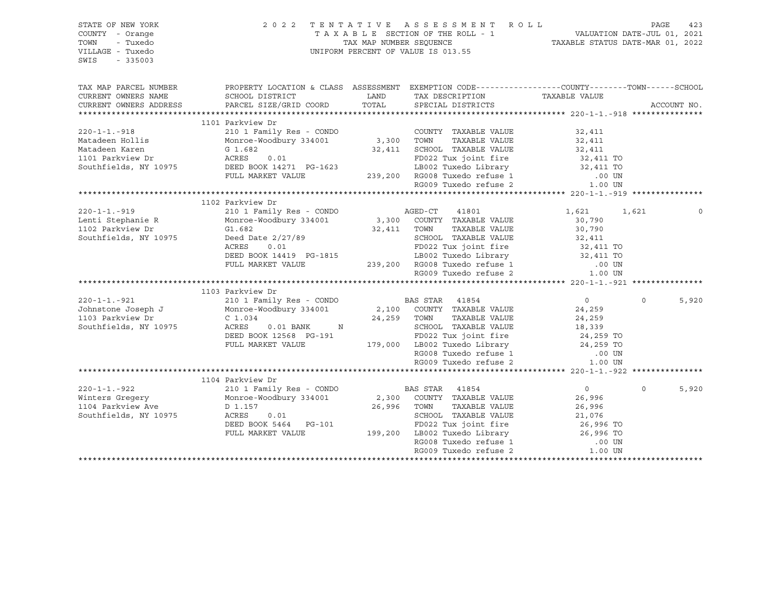| VILLAGE - Tuxedo<br>UNIFORM PERCENT OF VALUE IS 013.55<br>$-335003$<br>SWIS                                             |                        |             |       |
|-------------------------------------------------------------------------------------------------------------------------|------------------------|-------------|-------|
| TAX MAP PARCEL NUMBER<br>PROPERTY LOCATION & CLASS ASSESSMENT EXEMPTION CODE---------------COUNTY-------TOWN-----SCHOOL |                        |             |       |
| CURRENT OWNERS NAME<br>LAND<br>SCHOOL DISTRICT<br>TAX DESCRIPTION                                                       | TAXABLE VALUE          |             |       |
| TOTAL<br>CURRENT OWNERS ADDRESS<br>PARCEL SIZE/GRID COORD<br>SPECIAL DISTRICTS                                          |                        | ACCOUNT NO. |       |
|                                                                                                                         |                        |             |       |
| 1101 Parkview Dr                                                                                                        |                        |             |       |
| 210 1 Family Res - CONDO<br>$220 - 1 - 1 - 918$<br>COUNTY TAXABLE VALUE                                                 | 32,411                 |             |       |
| Monroe-Woodbury 334001<br>Matadeen Hollis<br>3,300 TOWN<br>TAXABLE VALUE                                                | 32,411                 |             |       |
| 32,411 SCHOOL TAXABLE VALUE<br>Matadeen Karen<br>G 1.682                                                                | 32,411                 |             |       |
| ACRES 0.01<br>1101 Parkview Dr<br>FD022 Tux joint fire                                                                  | 32,411 TO<br>32,411 TO |             |       |
| rnuzz iun jurii ---.<br>LB002 Tuxedo Library<br>DEED BOOK 14271 PG-1623<br>Southfields, NY 10975                        |                        |             |       |
| DEED BOOK 14271 FO 1929<br>FULL MARKET VALUE 239,200 RG008 Tuxedo refuse 1                                              | $.00$ UN               |             |       |
| RG009 Tuxedo refuse 2                                                                                                   | 1.00 UN                |             |       |
|                                                                                                                         |                        |             |       |
| 1102 Parkview Dr                                                                                                        |                        |             |       |
| $220 - 1 - 1 - 919$<br>210 1 Family Res - CONDO<br>AGED-CT 41801                                                        | 1,621                  | 1,621       |       |
| Monroe-Woodbury 334001<br>3,300 COUNTY TAXABLE VALUE<br>Lenti Stephanie R                                               | 30,790                 |             |       |
| 1102 Parkview Dr<br>TAXABLE VALUE<br>G1.682<br>32,411 TOWN                                                              | 30,790                 |             |       |
| Southfields, NY 10975<br>SCHOOL TAXABLE VALUE<br>Deed Date $2/27/89$                                                    | 32,411                 |             |       |
| FD022 Tux joint fire<br>ACRES<br>0.01                                                                                   | 32,411 TO<br>32,411 TO |             |       |
| LB002 Tuxedo Library<br>DEED BOOK 14419 PG-1815                                                                         |                        |             |       |
| FULL MARKET VALUE 239,200 RG008 Tuxedo refuse 1<br>RG009 Tuxedo refuse 2                                                | $.00$ UN               |             |       |
|                                                                                                                         | 1.00 UN                |             |       |
|                                                                                                                         |                        |             |       |
| 1103 Parkview Dr                                                                                                        |                        |             |       |
| $220 - 1 - 1 - 921$<br>210 1 Family Res - CONDO<br>BAS STAR 41854<br>Monroe-Woodbury 334001                             | $\overline{0}$         | $\circ$     | 5,920 |
| Johnstone Joseph J<br>2,100 COUNTY TAXABLE VALUE                                                                        | 24,259                 |             |       |
| 24,259 TOWN<br>1103 Parkview Dr<br>TAXABLE VALUE<br>C 1.034<br>SCHOOL TAXABLE VALUE<br>$_{\rm N}$                       | 24,259                 |             |       |
| Southfields, NY 10975<br>ACRES<br>$0.01$ BANK<br>FD022 Tux joint fire<br>DEED BOOK 12568 PG-191                         | 18,339                 |             |       |
| 179,000 LB002 Tuxedo Library<br>FULL MARKET VALUE                                                                       | 24,259 TO<br>24,259 TO |             |       |
|                                                                                                                         | $.00$ UN               |             |       |
| RG008 Tuxedo refuse 1<br>RG009 Tuxedo refuse 2                                                                          | 1.00 UN                |             |       |
|                                                                                                                         |                        |             |       |
| 1104 Parkview Dr                                                                                                        |                        |             |       |
| <b>BAS STAR</b> 41854<br>$220 - 1 - 1 - 922$<br>210 1 Family Res - CONDO                                                | $\overline{0}$         | $\Omega$    | 5,920 |
| Winters Gregery<br>Monroe-Woodbury 334001<br>2,300 COUNTY TAXABLE VALUE                                                 | 26,996                 |             |       |
| 1104 Parkview Ave<br>26,996 TOWN<br>TAXABLE VALUE<br>D 1.157                                                            | 26,996                 |             |       |
| Southfields, NY 10975<br>ACRES<br>0.01<br>SCHOOL TAXABLE VALUE                                                          | 21,076                 |             |       |
| FD022 Tux joint fire<br>DEED BOOK 5464 PG-101                                                                           |                        |             |       |
| 199,200 LB002 Tuxedo Library<br>FULL MARKET VALUE                                                                       | 26,996 TO<br>26,996 TO |             |       |
| RG008 Tuxedo refuse 1                                                                                                   | .00 UN                 |             |       |
| RG009 Tuxedo refuse 2                                                                                                   | 1.00 UN                |             |       |
|                                                                                                                         |                        |             |       |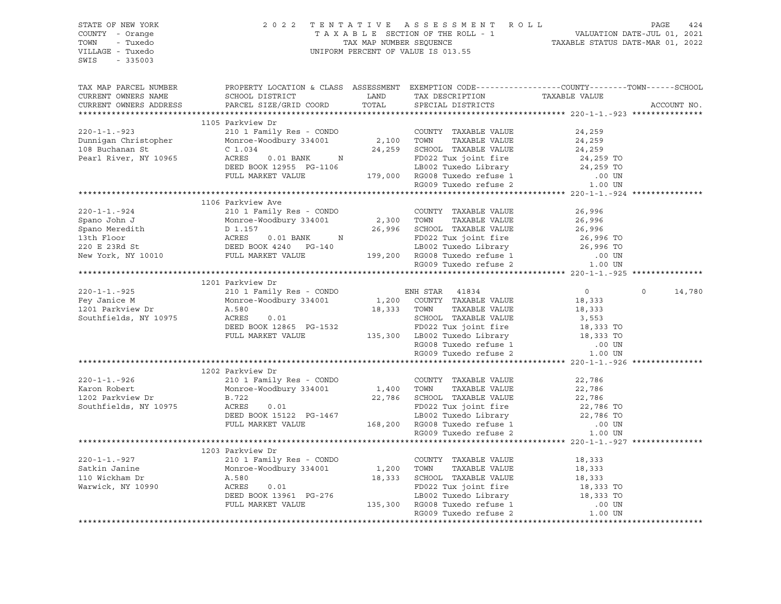| STATE OF NEW YORK      |                                                                                                                                                                          |            | 2022 TENTATIVE ASSESSMENT ROLL                                                                                                            |                        | PAGE<br>424        |
|------------------------|--------------------------------------------------------------------------------------------------------------------------------------------------------------------------|------------|-------------------------------------------------------------------------------------------------------------------------------------------|------------------------|--------------------|
| COUNTY - Orange        |                                                                                                                                                                          |            |                                                                                                                                           |                        |                    |
| TOWN<br>- Tuxedo       |                                                                                                                                                                          |            |                                                                                                                                           |                        |                    |
| VILLAGE - Tuxedo       |                                                                                                                                                                          |            |                                                                                                                                           |                        |                    |
| $-335003$<br>SWIS      |                                                                                                                                                                          |            |                                                                                                                                           |                        |                    |
|                        |                                                                                                                                                                          |            |                                                                                                                                           |                        |                    |
|                        |                                                                                                                                                                          |            |                                                                                                                                           |                        |                    |
| TAX MAP PARCEL NUMBER  | PROPERTY LOCATION & CLASS ASSESSMENT EXEMPTION CODE----------------COUNTY-------TOWN------SCHOOL                                                                         |            |                                                                                                                                           |                        |                    |
| CURRENT OWNERS NAME    | SCHOOL DISTRICT LAND                                                                                                                                                     |            |                                                                                                                                           |                        |                    |
| CURRENT OWNERS ADDRESS | PARCEL SIZE/GRID COORD                                                                                                                                                   | TOTAL      | TAX DESCRIPTION TAXABLE VALUE SPECIAL DISTRICTS                                                                                           |                        | ACCOUNT NO.        |
|                        |                                                                                                                                                                          |            |                                                                                                                                           |                        |                    |
|                        | 1105 Parkview Dr                                                                                                                                                         |            |                                                                                                                                           |                        |                    |
| $220 - 1 - 1 - 923$    |                                                                                                                                                                          |            | COUNTY TAXABLE VALUE                                                                                                                      | 24,259                 |                    |
| Dunnigan Christopher   | PATRYLEW DI<br>210 1 Family Res - CONDO COUNTY TAXABLE VALUE<br>Monroe-Woodbury 334001 2,100 TOWN TAXABLE VALUE                                                          |            |                                                                                                                                           | 24,259                 |                    |
| 108 Buchanan St        | C <sub>1.034</sub>                                                                                                                                                       |            | 24,259 SCHOOL TAXABLE VALUE                                                                                                               | 24,259                 |                    |
| Pearl River, NY 10965  |                                                                                                                                                                          |            |                                                                                                                                           |                        |                    |
|                        |                                                                                                                                                                          |            |                                                                                                                                           |                        |                    |
|                        |                                                                                                                                                                          |            |                                                                                                                                           |                        |                    |
|                        | ACRES 0.01 BANK N<br>DEED BOOK 12955 PG-1106 LB002 Tuxedo Library 24,259 TO<br>PULL MARKET VALUE 179,000 RG008 Tuxedo refuse 1 .00 UN<br>RG009 Tuxedo refuse 2 1.00 UN   |            |                                                                                                                                           |                        |                    |
|                        |                                                                                                                                                                          |            |                                                                                                                                           |                        |                    |
|                        | 1106 Parkview Ave                                                                                                                                                        |            |                                                                                                                                           |                        |                    |
| $220 - 1 - 1 - 924$    | 210 1 Family Res - CONDO                                                                                                                                                 |            | COUNTY TAXABLE VALUE                                                                                                                      | 26,996                 |                    |
| Spano John J           | Monroe-Woodbury 334001                                                                                                                                                   | 2,300 TOWN | TAXABLE VALUE                                                                                                                             | 26,996                 |                    |
|                        |                                                                                                                                                                          |            | 26,996 SCHOOL TAXABLE VALUE                                                                                                               | 26,996                 |                    |
|                        |                                                                                                                                                                          |            |                                                                                                                                           |                        |                    |
|                        | Spano Meredith<br>13th Floor<br>220 E 23Rd St<br>New York, NY 10010<br>New York, NY 10010<br>PULL MARKET VALUE                                                           |            | FD022 Tux joint fire 26,996 TO<br>LB002 Tuxedo Library 26,996 TO<br>199,200 RG008 Tuxedo refuse 1 .00 UN<br>RG009 Tuxedo refuse 2 1.00 UN |                        |                    |
|                        |                                                                                                                                                                          |            |                                                                                                                                           |                        |                    |
|                        |                                                                                                                                                                          |            |                                                                                                                                           |                        |                    |
|                        |                                                                                                                                                                          |            |                                                                                                                                           |                        |                    |
|                        | 1201 Parkview Dr                                                                                                                                                         |            |                                                                                                                                           |                        |                    |
| $220 - 1 - 1 - 925$    | 210 1 Family Res - CONDO                                                                                                                                                 |            | ENH STAR 41834                                                                                                                            | $0 \qquad \qquad$      | $\Omega$<br>14,780 |
| Fey Janice M           | Monroe-Woodbury 334001                                                                                                                                                   |            | $1,200$ COUNTY TAXABLE VALUE                                                                                                              | 18,333                 |                    |
| 1201 Parkview Dr       | A.580                                                                                                                                                                    |            | 18,333 TOWN<br>TAXABLE VALUE                                                                                                              | 18,333                 |                    |
| Southfields, NY 10975  |                                                                                                                                                                          |            |                                                                                                                                           | 3,553                  |                    |
|                        |                                                                                                                                                                          |            |                                                                                                                                           |                        |                    |
|                        | ACRES 0.01<br>DEED BOOK 12865 PG-1532<br>FULL MARKET VALUE 135,300 LB002 Tuxedo Library<br>FULL MARKET VALUE 135,300 LB002 Tuxedo Library                                |            |                                                                                                                                           | 18,333 TO<br>18,333 TO |                    |
|                        |                                                                                                                                                                          |            |                                                                                                                                           | .00 UN                 |                    |
|                        |                                                                                                                                                                          |            | RG008 Tuxedo refuse 1<br>RG009 Tuxedo refuse 2                                                                                            | 1.00 UN                |                    |
|                        |                                                                                                                                                                          |            |                                                                                                                                           |                        |                    |
|                        | 1202 Parkview Dr                                                                                                                                                         |            |                                                                                                                                           |                        |                    |
| $220 - 1 - 1 - 926$    | 210 1 Family Res - CONDO                                                                                                                                                 |            | COUNTY TAXABLE VALUE                                                                                                                      | 22,786                 |                    |
| Karon Robert           | Monroe-Woodbury 334001                                                                                                                                                   | 1,400 TOWN | TAXABLE VALUE                                                                                                                             | 22,786                 |                    |
| 1202 Parkview Dr       | B.722                                                                                                                                                                    |            | 22,786 SCHOOL TAXABLE VALUE                                                                                                               | 22,786                 |                    |
| Southfields, NY 10975  | 0.01                                                                                                                                                                     |            |                                                                                                                                           |                        |                    |
|                        | B.722 --.<br>ACRES 0.01 FD022 Tux joint fire<br>DEED BOOK 15122 PG-1467 LB002 Tuxedo Library<br>FULL MARKET VALUE 168,200 RG008 Tuxedo refuse 1<br>RG009 Tuxedo refuse 2 |            | FD022 Tux joint fire<br>FD022 Tuxedo Library<br>LB002 Tuxedo Library<br>100 IN                                                            |                        |                    |
|                        |                                                                                                                                                                          |            |                                                                                                                                           | .00 UN                 |                    |
|                        |                                                                                                                                                                          |            |                                                                                                                                           |                        |                    |
|                        |                                                                                                                                                                          |            |                                                                                                                                           | 1.00 UN                |                    |
|                        |                                                                                                                                                                          |            |                                                                                                                                           |                        |                    |
|                        | 1203 Parkview Dr                                                                                                                                                         |            |                                                                                                                                           |                        |                    |
| $220 - 1 - 1 - 927$    | 210 1 Family Res - CONDO                                                                                                                                                 |            | COUNTY TAXABLE VALUE                                                                                                                      | 18,333                 |                    |
| Satkin Janine          | Monroe-Woodbury 334001                                                                                                                                                   | 1,200 TOWN | TAXABLE VALUE                                                                                                                             | 18,333<br>18,333       |                    |
| 110 Wickham Dr         | A.580                                                                                                                                                                    |            | 18,333 SCHOOL TAXABLE VALUE                                                                                                               |                        |                    |
| Warwick, NY 10990      | ALD80<br>ACRES<br>ACRES 0.01 FD022 Tux joint fire<br>DEED BOOK 13961 PG-276 LB002 Tuxedo Library<br>FULL MARKET VALUE 135,300 RG008 Tuxedo refuse 1                      |            | FD022 Tux joint fire                                                                                                                      | 18,333 TO              |                    |
|                        |                                                                                                                                                                          |            | LB002 Tuxedo Library 18,333 TO                                                                                                            |                        |                    |
|                        |                                                                                                                                                                          |            |                                                                                                                                           | $.00$ UN               |                    |
|                        |                                                                                                                                                                          |            | RG009 Tuxedo refuse 2                                                                                                                     | 1.00 UN                |                    |
|                        |                                                                                                                                                                          |            |                                                                                                                                           |                        |                    |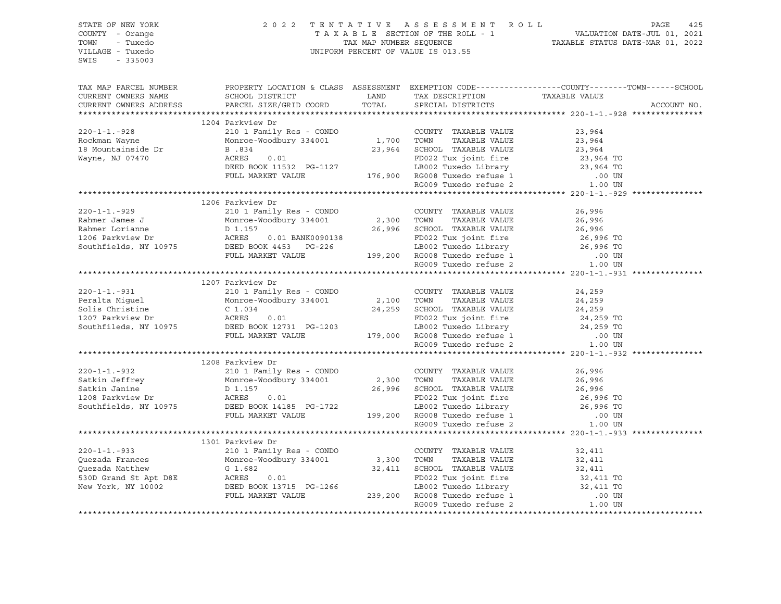| STATE OF NEW YORK                                                                                                                                                                                                                                                                                                                                                                                                        |                  |  |                                                                                                                                                                                                          |
|--------------------------------------------------------------------------------------------------------------------------------------------------------------------------------------------------------------------------------------------------------------------------------------------------------------------------------------------------------------------------------------------------------------------------|------------------|--|----------------------------------------------------------------------------------------------------------------------------------------------------------------------------------------------------------|
| COUNTY - Orange                                                                                                                                                                                                                                                                                                                                                                                                          |                  |  |                                                                                                                                                                                                          |
| TOWN - Tuxedo                                                                                                                                                                                                                                                                                                                                                                                                            |                  |  |                                                                                                                                                                                                          |
| VILLAGE - Tuxedo                                                                                                                                                                                                                                                                                                                                                                                                         |                  |  | 2022 TENTATIVE ASSESSMENT ROLL PAGE 425<br>TAXABLE SECTION OF THE ROLL - 1 VALUATION DATE-JUL 01, 2021<br>TAX MAP NUMBER SEQUENCE TAXABLE STATUS DATE-MAR 01, 2022<br>UNIFORM PERCENT OF VALUE IS 013.55 |
| SWIS - 335003                                                                                                                                                                                                                                                                                                                                                                                                            |                  |  |                                                                                                                                                                                                          |
|                                                                                                                                                                                                                                                                                                                                                                                                                          |                  |  |                                                                                                                                                                                                          |
|                                                                                                                                                                                                                                                                                                                                                                                                                          |                  |  |                                                                                                                                                                                                          |
|                                                                                                                                                                                                                                                                                                                                                                                                                          |                  |  |                                                                                                                                                                                                          |
|                                                                                                                                                                                                                                                                                                                                                                                                                          |                  |  | TAX MAP PARCEL NUMBER THE PROPERTY LOCATION & CLASS ASSESSMENT EXEMPTION CODE--------------COUNTY-------TOWN------SCHOOL                                                                                 |
| CURRENT OWNERS NAME SCHOOL DISTRICT TAND TAX DESCRIPTION TAXABLE VALUE CURRENT OWNERS ADDRESS PARCEL SIZE/GRID COORD TOTAL SPECIAL DISTRICTS                                                                                                                                                                                                                                                                             |                  |  |                                                                                                                                                                                                          |
|                                                                                                                                                                                                                                                                                                                                                                                                                          |                  |  | ACCOUNT NO.                                                                                                                                                                                              |
|                                                                                                                                                                                                                                                                                                                                                                                                                          |                  |  |                                                                                                                                                                                                          |
| $\begin{tabular}{lcccccc} 220-1-1.-928 & 1204 Parkview Dr & 2101 Family Res - COMDO & 1,700 TOWN TAXABLE VALUE & 23,964Rockman Wayne & 21,96418 Mountainside Dr & 1,700 TOWN TAXABLE VALUE & 23,96418 Mountainside Dr & 1,700 TOWN TAXABLE VALUE & 23,96418 Mayne, NJ 07470 & 23,964Wayne, NJ 07470 & 0.01DEED BOK 11532 PG-1127 & 176,900 RGOOS Tuxedo refuse 10$                                                       | 1204 Parkview Dr |  |                                                                                                                                                                                                          |
|                                                                                                                                                                                                                                                                                                                                                                                                                          |                  |  |                                                                                                                                                                                                          |
|                                                                                                                                                                                                                                                                                                                                                                                                                          |                  |  |                                                                                                                                                                                                          |
|                                                                                                                                                                                                                                                                                                                                                                                                                          |                  |  |                                                                                                                                                                                                          |
|                                                                                                                                                                                                                                                                                                                                                                                                                          |                  |  |                                                                                                                                                                                                          |
|                                                                                                                                                                                                                                                                                                                                                                                                                          |                  |  |                                                                                                                                                                                                          |
|                                                                                                                                                                                                                                                                                                                                                                                                                          |                  |  |                                                                                                                                                                                                          |
|                                                                                                                                                                                                                                                                                                                                                                                                                          |                  |  |                                                                                                                                                                                                          |
|                                                                                                                                                                                                                                                                                                                                                                                                                          |                  |  |                                                                                                                                                                                                          |
|                                                                                                                                                                                                                                                                                                                                                                                                                          |                  |  |                                                                                                                                                                                                          |
| $\begin{tabular}{lllllllllllllllllllll} \multicolumn{3}{c }{220-1-1.-929} & 1206\text{ Parkview Dr} & \multicolumn{3}{c }{\text{COUNTY}} & \multicolumn{3}{c }{\text{Z00-1-1} -929} & 26,996\text{Rahmer James J} & \multicolumn{3}{c }{\text{Monroe-Woobbury 334001}} & 2,300\text{ TOWN} & \text{TAXABLE VALUE} & 26,996\text{Rahmer Lorianne} & \multicolumn{3}{c }{\text{D 1.157}} & 26,996\text{L2$                 | 1206 Parkview Dr |  |                                                                                                                                                                                                          |
|                                                                                                                                                                                                                                                                                                                                                                                                                          |                  |  |                                                                                                                                                                                                          |
|                                                                                                                                                                                                                                                                                                                                                                                                                          |                  |  |                                                                                                                                                                                                          |
|                                                                                                                                                                                                                                                                                                                                                                                                                          |                  |  |                                                                                                                                                                                                          |
|                                                                                                                                                                                                                                                                                                                                                                                                                          |                  |  |                                                                                                                                                                                                          |
|                                                                                                                                                                                                                                                                                                                                                                                                                          |                  |  |                                                                                                                                                                                                          |
|                                                                                                                                                                                                                                                                                                                                                                                                                          |                  |  |                                                                                                                                                                                                          |
|                                                                                                                                                                                                                                                                                                                                                                                                                          |                  |  |                                                                                                                                                                                                          |
|                                                                                                                                                                                                                                                                                                                                                                                                                          |                  |  |                                                                                                                                                                                                          |
|                                                                                                                                                                                                                                                                                                                                                                                                                          |                  |  |                                                                                                                                                                                                          |
|                                                                                                                                                                                                                                                                                                                                                                                                                          |                  |  |                                                                                                                                                                                                          |
|                                                                                                                                                                                                                                                                                                                                                                                                                          | 1207 Parkview Dr |  |                                                                                                                                                                                                          |
|                                                                                                                                                                                                                                                                                                                                                                                                                          |                  |  |                                                                                                                                                                                                          |
|                                                                                                                                                                                                                                                                                                                                                                                                                          |                  |  |                                                                                                                                                                                                          |
|                                                                                                                                                                                                                                                                                                                                                                                                                          |                  |  |                                                                                                                                                                                                          |
|                                                                                                                                                                                                                                                                                                                                                                                                                          |                  |  |                                                                                                                                                                                                          |
|                                                                                                                                                                                                                                                                                                                                                                                                                          |                  |  |                                                                                                                                                                                                          |
|                                                                                                                                                                                                                                                                                                                                                                                                                          |                  |  |                                                                                                                                                                                                          |
|                                                                                                                                                                                                                                                                                                                                                                                                                          |                  |  |                                                                                                                                                                                                          |
|                                                                                                                                                                                                                                                                                                                                                                                                                          |                  |  |                                                                                                                                                                                                          |
| 1207 Parkview Dr<br>Peralta Miguel 24,259<br>Solis Christine C 1.034<br>1207 Parkview Dr<br>24,259<br>Solis Christine C 1.034<br>24,259<br>1207 Parkview Dr<br>24,259<br>24,259<br>24,259<br>24,259<br>24,259<br>24,259<br>24,259<br>24,259<br>24,259<br>24,259<br>                                                                                                                                                      |                  |  |                                                                                                                                                                                                          |
|                                                                                                                                                                                                                                                                                                                                                                                                                          | 1208 Parkview Dr |  |                                                                                                                                                                                                          |
|                                                                                                                                                                                                                                                                                                                                                                                                                          |                  |  |                                                                                                                                                                                                          |
|                                                                                                                                                                                                                                                                                                                                                                                                                          |                  |  |                                                                                                                                                                                                          |
|                                                                                                                                                                                                                                                                                                                                                                                                                          |                  |  |                                                                                                                                                                                                          |
|                                                                                                                                                                                                                                                                                                                                                                                                                          |                  |  |                                                                                                                                                                                                          |
|                                                                                                                                                                                                                                                                                                                                                                                                                          |                  |  |                                                                                                                                                                                                          |
|                                                                                                                                                                                                                                                                                                                                                                                                                          |                  |  |                                                                                                                                                                                                          |
|                                                                                                                                                                                                                                                                                                                                                                                                                          |                  |  |                                                                                                                                                                                                          |
| $\begin{tabular}{lcccccc} 220-1-1.-932 & 1208 \text{ Parkview Dr} & 2101 \text{ Family Res - CONDO} & 200\text{INTY TAXABLE VALUE} & 26,996 \text{Sakhin Jeffrey} & 26,996 \text{Sakhin Jahre} & 26,996 \text{Sakhin Janine} & 26,996 \text{Sakhin Janine} & 26,996 \text{Sakhin Janine} & 26,996 \text{SCKOOL TAXABLE VALUE} & 26,996 \text{SCKOOL TAXABLE VALUE} & 26,996 \text{SCKOOL TAXABLE VALUE} & 26,996 \text{$ |                  |  |                                                                                                                                                                                                          |
|                                                                                                                                                                                                                                                                                                                                                                                                                          |                  |  |                                                                                                                                                                                                          |
|                                                                                                                                                                                                                                                                                                                                                                                                                          | 1301 Parkview Dr |  |                                                                                                                                                                                                          |
|                                                                                                                                                                                                                                                                                                                                                                                                                          |                  |  |                                                                                                                                                                                                          |
|                                                                                                                                                                                                                                                                                                                                                                                                                          |                  |  |                                                                                                                                                                                                          |
|                                                                                                                                                                                                                                                                                                                                                                                                                          |                  |  |                                                                                                                                                                                                          |
|                                                                                                                                                                                                                                                                                                                                                                                                                          |                  |  |                                                                                                                                                                                                          |
|                                                                                                                                                                                                                                                                                                                                                                                                                          |                  |  |                                                                                                                                                                                                          |
|                                                                                                                                                                                                                                                                                                                                                                                                                          |                  |  |                                                                                                                                                                                                          |
| 220-1-1.-933<br>220-1-1.-933<br>220-1-1.-933<br>2201 Fannily Res - CONDO<br>2200 COUNTY TAXABLE VALUE<br>220-1-1.-933<br>22,411<br>232,411<br>232,411<br>239,200 TOWN TAXABLE VALUE<br>234,411<br>234,411<br>239,200 RG009 Tuxedo Library<br>239,200 RG0                                                                                                                                                                 |                  |  |                                                                                                                                                                                                          |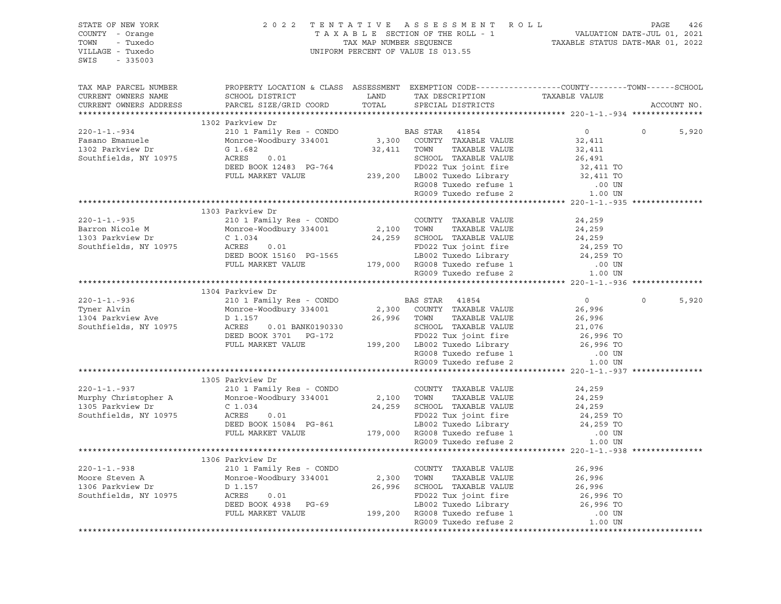| STATE OF NEW YORK<br>COUNTY - Orange<br>TOWN - Tuxedo<br>VILLAGE - Tuxedo<br>SWIS - 335003 |                                                                                                                                                                                                                                                                                        | $\begin{tabular}{lllllllllllllllllll} \hline 2&0&2&2&\text{T} &\text{E}&\text{N} &\text{T} &\text{A}&\text{T} &\text{T} &\text{V} &\text{E} &\text{A} &\text{S} &\text{E} &\text{E} &\text{S} &\text{S} &\text{M} &\text{E}&\text{N} &\text{T} &\text{A} &\text{A} &\text{B} &\text{A} &\text{E} &\text{S} &\text{E} &\text{C} &\text{T} &\text{A} &\text{X} &\text{A} &\text{B} &\text{L} &\text$ |                              |                                         |                   |  |  |
|--------------------------------------------------------------------------------------------|----------------------------------------------------------------------------------------------------------------------------------------------------------------------------------------------------------------------------------------------------------------------------------------|----------------------------------------------------------------------------------------------------------------------------------------------------------------------------------------------------------------------------------------------------------------------------------------------------------------------------------------------------------------------------------------------------|------------------------------|-----------------------------------------|-------------------|--|--|
| TAX MAP PARCEL NUMBER<br>CURRENT OWNERS NAME<br>CURRENT OWNERS ADDRESS                     | PROPERTY LOCATION & CLASS ASSESSMENT EXEMPTION CODE-----------------COUNTY-------TOWN------SCHOOL                                                                                                                                                                                      |                                                                                                                                                                                                                                                                                                                                                                                                    |                              |                                         | ACCOUNT NO.       |  |  |
|                                                                                            |                                                                                                                                                                                                                                                                                        |                                                                                                                                                                                                                                                                                                                                                                                                    |                              |                                         |                   |  |  |
|                                                                                            | 1302 Parkview Dr                                                                                                                                                                                                                                                                       |                                                                                                                                                                                                                                                                                                                                                                                                    |                              |                                         |                   |  |  |
| $220 - 1 - 1 - 934$                                                                        | 210 1 Family Res - CONDO<br>Monroe-Woodbury 334001 3,300 COUNTY TAXABLE VALUE                                                                                                                                                                                                          |                                                                                                                                                                                                                                                                                                                                                                                                    |                              | $\overline{0}$                          | $\circ$<br>5,920  |  |  |
| Fasano Emanuele                                                                            |                                                                                                                                                                                                                                                                                        |                                                                                                                                                                                                                                                                                                                                                                                                    |                              | 32,411                                  |                   |  |  |
| 1302 Parkview Dr                                                                           | $\begin{array}{c} 2 \\ 0.01 \end{array}$<br>G 1.682                                                                                                                                                                                                                                    |                                                                                                                                                                                                                                                                                                                                                                                                    | 32,411 TOWN TAXABLE VALUE    | 32,411                                  |                   |  |  |
| Southfields, NY 10975                                                                      |                                                                                                                                                                                                                                                                                        |                                                                                                                                                                                                                                                                                                                                                                                                    |                              | 26,491<br>32,411 TO<br>32,411 TO        |                   |  |  |
|                                                                                            |                                                                                                                                                                                                                                                                                        |                                                                                                                                                                                                                                                                                                                                                                                                    |                              |                                         |                   |  |  |
|                                                                                            |                                                                                                                                                                                                                                                                                        |                                                                                                                                                                                                                                                                                                                                                                                                    |                              |                                         |                   |  |  |
|                                                                                            | ACRES 0.01<br>DEED BOOK 12483 PG-764<br>PULL MARKET VALUE<br>PULL MARKET VALUE<br>PULL MARKET VALUE<br>PULL MARKET VALUE<br>PULL MARKET VALUE<br>239,200 LB002 Tuxedo Library<br>RG008 Tuxedo refuse 1 00 UN<br>RG009 Tuxedo refuse 2 1.00 UN                                          |                                                                                                                                                                                                                                                                                                                                                                                                    |                              |                                         |                   |  |  |
|                                                                                            |                                                                                                                                                                                                                                                                                        |                                                                                                                                                                                                                                                                                                                                                                                                    |                              |                                         |                   |  |  |
|                                                                                            | 1303 Parkview Dr                                                                                                                                                                                                                                                                       |                                                                                                                                                                                                                                                                                                                                                                                                    |                              |                                         |                   |  |  |
|                                                                                            | 220-1-1.-935 210 1 Family Res - CONDO COUNTY TAXABLE VALUE<br>Barron Nicole M Monroe-Woodbury 334001 2,100 TOWN TAXABLE VALUE<br>1303 Parkview Dr C 1.034 24.959 201001 2011                                                                                                           |                                                                                                                                                                                                                                                                                                                                                                                                    |                              | 24,259                                  |                   |  |  |
|                                                                                            |                                                                                                                                                                                                                                                                                        |                                                                                                                                                                                                                                                                                                                                                                                                    |                              | 24,259                                  |                   |  |  |
|                                                                                            |                                                                                                                                                                                                                                                                                        |                                                                                                                                                                                                                                                                                                                                                                                                    |                              |                                         |                   |  |  |
| Southfields, NY 10975                                                                      |                                                                                                                                                                                                                                                                                        |                                                                                                                                                                                                                                                                                                                                                                                                    |                              |                                         |                   |  |  |
|                                                                                            |                                                                                                                                                                                                                                                                                        |                                                                                                                                                                                                                                                                                                                                                                                                    |                              |                                         |                   |  |  |
|                                                                                            |                                                                                                                                                                                                                                                                                        |                                                                                                                                                                                                                                                                                                                                                                                                    |                              |                                         |                   |  |  |
|                                                                                            |                                                                                                                                                                                                                                                                                        |                                                                                                                                                                                                                                                                                                                                                                                                    |                              |                                         |                   |  |  |
|                                                                                            | Monroe-Woodbury 334001<br>C 1.034 24,259 SCHOOL TAXABLE VALUE<br>ACRES 0.01 FD022 Tux joint fire 24,259 TO<br>DEED BOOK 15160 PG-1565 LB002 Tuxedo Library 24,259 TO<br>FULL MARKET VALUE 179,000 RG008 Tuxedo refuse 1 .00 UN<br>RG009                                                |                                                                                                                                                                                                                                                                                                                                                                                                    |                              |                                         |                   |  |  |
|                                                                                            | 1304 Parkview Dr                                                                                                                                                                                                                                                                       |                                                                                                                                                                                                                                                                                                                                                                                                    |                              |                                         |                   |  |  |
| $220 - 1 - 1 - 936$<br>Tyner Alvin                                                         | 210 1 Family Res - CONDO                                                                                                                                                                                                                                                               |                                                                                                                                                                                                                                                                                                                                                                                                    | <b>BAS STAR</b> 41854        | $\overline{0}$                          | 5,920<br>$\Omega$ |  |  |
| 1304 Parkview Ave                                                                          | Monroe-Woodbury 334001                                                                                                                                                                                                                                                                 |                                                                                                                                                                                                                                                                                                                                                                                                    | 2,300 COUNTY TAXABLE VALUE   | 26,996                                  |                   |  |  |
| Southfields, NY 10975                                                                      | D 1.157                                                                                                                                                                                                                                                                                |                                                                                                                                                                                                                                                                                                                                                                                                    | 26,996 TOWN<br>TAXABLE VALUE | 26,996<br>26,996<br>21,076<br>26,996 TO |                   |  |  |
|                                                                                            |                                                                                                                                                                                                                                                                                        |                                                                                                                                                                                                                                                                                                                                                                                                    |                              |                                         |                   |  |  |
|                                                                                            |                                                                                                                                                                                                                                                                                        |                                                                                                                                                                                                                                                                                                                                                                                                    |                              |                                         |                   |  |  |
|                                                                                            |                                                                                                                                                                                                                                                                                        |                                                                                                                                                                                                                                                                                                                                                                                                    |                              |                                         |                   |  |  |
|                                                                                            | ${\small \begin{tabular}{lcccccc} ACRES & 0.01 BANK0190330 & SCHOOL TAXABLE VALUE & 21,076\nDEED BOOK 3701 PG-172 & FD022 Tux joint fire & 26,996 TO\nFULL MARKET VALUE & 199,200 LBO02 Tuxedo Library & 26,996 TO\nRG008 Tuxedo refuse 1 & .00 UN\nRG009 Tuxedo refuse 2 & 1.00 UN\n$ |                                                                                                                                                                                                                                                                                                                                                                                                    |                              |                                         |                   |  |  |
|                                                                                            |                                                                                                                                                                                                                                                                                        |                                                                                                                                                                                                                                                                                                                                                                                                    |                              |                                         |                   |  |  |
|                                                                                            | 1305 Parkview Dr                                                                                                                                                                                                                                                                       |                                                                                                                                                                                                                                                                                                                                                                                                    |                              |                                         |                   |  |  |
| $220 - 1 - 1 - 937$                                                                        |                                                                                                                                                                                                                                                                                        |                                                                                                                                                                                                                                                                                                                                                                                                    |                              | 24,259                                  |                   |  |  |
| Murphy Christopher A<br>1305 Parkview Dr                                                   | 210 1 Family Res - CONDO<br>Monroe-Woodbury 334001<br>C 1.034<br>2,100 TOWN TAXABLE VALUE<br>C 1.034<br>24,259 SCHOOL TAXABLE VALUE<br>ACRES 0.01<br>DEED BOOK 15084 PG-861<br>FUD22 Tux joint fire<br>LB002 Tuxedo refuse 1<br>LB002 Tuxedo refus                                     |                                                                                                                                                                                                                                                                                                                                                                                                    |                              | 24,259                                  |                   |  |  |
|                                                                                            |                                                                                                                                                                                                                                                                                        |                                                                                                                                                                                                                                                                                                                                                                                                    |                              | 24,259<br>24,259 TO                     |                   |  |  |
| Southfields, NY 10975                                                                      |                                                                                                                                                                                                                                                                                        |                                                                                                                                                                                                                                                                                                                                                                                                    |                              |                                         |                   |  |  |
|                                                                                            |                                                                                                                                                                                                                                                                                        |                                                                                                                                                                                                                                                                                                                                                                                                    |                              | 24,259 TO                               |                   |  |  |
|                                                                                            |                                                                                                                                                                                                                                                                                        |                                                                                                                                                                                                                                                                                                                                                                                                    |                              | .00 UN<br>1.00 UN                       |                   |  |  |
|                                                                                            |                                                                                                                                                                                                                                                                                        |                                                                                                                                                                                                                                                                                                                                                                                                    | RG009 Tuxedo refuse 2        |                                         |                   |  |  |
|                                                                                            |                                                                                                                                                                                                                                                                                        |                                                                                                                                                                                                                                                                                                                                                                                                    |                              |                                         |                   |  |  |
| $220 - 1 - 1 - 938$                                                                        | 1306 Parkview Dr<br>210 1 Family Res - CONDO                                                                                                                                                                                                                                           |                                                                                                                                                                                                                                                                                                                                                                                                    |                              |                                         |                   |  |  |
| Moore Steven A                                                                             | Monroe-Woodbury 334001                                                                                                                                                                                                                                                                 |                                                                                                                                                                                                                                                                                                                                                                                                    |                              |                                         |                   |  |  |
|                                                                                            |                                                                                                                                                                                                                                                                                        |                                                                                                                                                                                                                                                                                                                                                                                                    |                              |                                         |                   |  |  |
| A D 1.157<br>Southfields, NY 10975<br>Southfields, NY 10975<br>ACRES 0.01                  |                                                                                                                                                                                                                                                                                        |                                                                                                                                                                                                                                                                                                                                                                                                    |                              |                                         |                   |  |  |
|                                                                                            |                                                                                                                                                                                                                                                                                        |                                                                                                                                                                                                                                                                                                                                                                                                    |                              |                                         |                   |  |  |
|                                                                                            |                                                                                                                                                                                                                                                                                        |                                                                                                                                                                                                                                                                                                                                                                                                    |                              |                                         |                   |  |  |
|                                                                                            | 210 1 Family Res - CONDO COUNTY TAXABLE VALUE 26,996<br>Monroe-Woodbury 334001 2,300 TOWN TAXABLE VALUE 26,996<br>D 1.157 26,996 SCHOOL TAXABLE VALUE 26,996<br>ACRES 0.01 FD022 Tux joint fire 26,996 TO<br>DEED BOOK 4938 PG-69 LB00                                                 |                                                                                                                                                                                                                                                                                                                                                                                                    |                              |                                         |                   |  |  |
|                                                                                            |                                                                                                                                                                                                                                                                                        |                                                                                                                                                                                                                                                                                                                                                                                                    |                              |                                         |                   |  |  |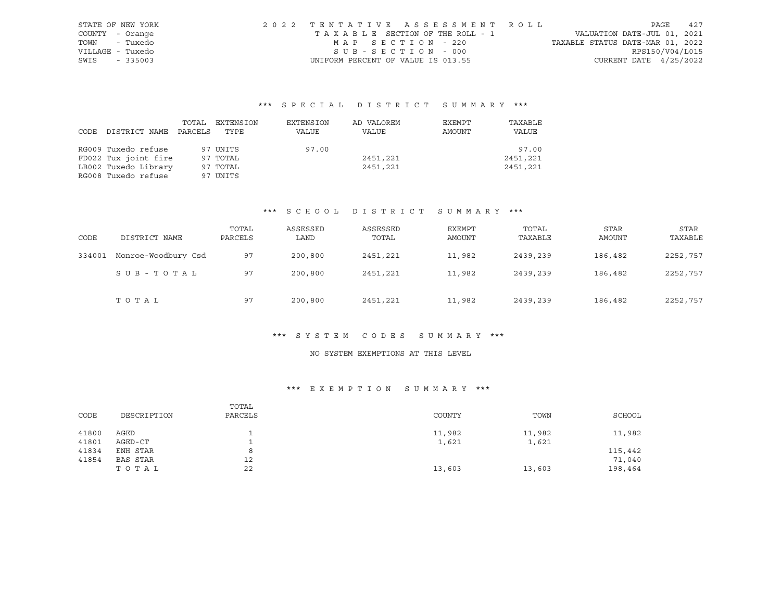| STATE OF NEW YORK | 2022 TENTATIVE ASSESSMENT ROLL        |                                  | PAGE            | 42.7 |
|-------------------|---------------------------------------|----------------------------------|-----------------|------|
| COUNTY - Orange   | T A X A B L E SECTION OF THE ROLL - 1 | VALUATION DATE-JUL 01, 2021      |                 |      |
| TOWN - Tuxedo     | MAP SECTION - 220                     | TAXABLE STATUS DATE-MAR 01, 2022 |                 |      |
| VILLAGE - Tuxedo  | SUB-SECTION - 000                     |                                  | RPS150/V04/L015 |      |
| SWIS - 335003     | UNIFORM PERCENT OF VALUE IS 013.55    | CURRENT DATE $4/25/2022$         |                 |      |

|      |                      | TOTAL   | EXTENSION | EXTENSION | AD VALOREM | EXEMPT | TAXABLE  |
|------|----------------------|---------|-----------|-----------|------------|--------|----------|
| CODE | DISTRICT NAME        | PARCELS | TYPE      | VALUE     | VALUE      | AMOUNT | VALUE    |
|      |                      |         |           |           |            |        |          |
|      | RG009 Tuxedo refuse  |         | 97 UNITS  | 97.00     |            |        | 97.00    |
|      | FD022 Tux joint fire |         | 97 TOTAL  |           | 2451,221   |        | 2451,221 |
|      | LB002 Tuxedo Library |         | 97 TOTAL  |           | 2451,221   |        | 2451,221 |
|      | RG008 Tuxedo refuse  |         | 97 UNITS  |           |            |        |          |

## \*\*\* S C H O O L D I S T R I C T S U M M A R Y \*\*\*

| CODE   | DISTRICT NAME       | TOTAL<br>PARCELS | ASSESSED<br>LAND | ASSESSED<br>TOTAL | EXEMPT<br>AMOUNT | TOTAL<br>TAXABLE | <b>STAR</b><br>AMOUNT | STAR<br>TAXABLE |
|--------|---------------------|------------------|------------------|-------------------|------------------|------------------|-----------------------|-----------------|
| 334001 | Monroe-Woodbury Csd | 97               | 200,800          | 2451,221          | 11,982           | 2439,239         | 186,482               | 2252,757        |
|        | SUB-TOTAL           | 97               | 200,800          | 2451,221          | 11,982           | 2439,239         | 186,482               | 2252,757        |
|        | TOTAL               | 97               | 200,800          | 2451,221          | 11,982           | 2439,239         | 186,482               | 2252,757        |

#### \*\*\* S Y S T E M C O D E S S U M M A R Y \*\*\*

## NO SYSTEM EXEMPTIONS AT THIS LEVEL

## \*\*\* E X E M P T I O N S U M M A R Y \*\*\*

| CODE  | DESCRIPTION     | TOTAL<br>PARCELS | COUNTY | TOWN   | SCHOOL  |
|-------|-----------------|------------------|--------|--------|---------|
| 41800 | AGED            |                  | 11,982 | 11,982 | 11,982  |
| 41801 | AGED-CT         |                  | 1,621  | 1,621  |         |
| 41834 | ENH STAR        |                  |        |        | 115,442 |
| 41854 | <b>BAS STAR</b> | 12               |        |        | 71,040  |
|       | TOTAL           | 22               | 13,603 | 13,603 | 198,464 |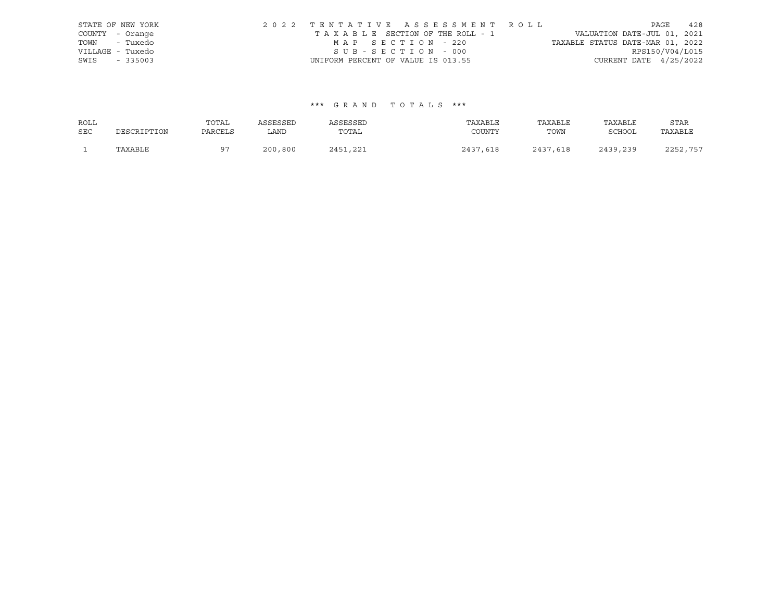|                  | STATE OF NEW YORK | 2022 TENTATIVE ASSESSMENT ROLL     |  |                                  |                          | PAGE | 428 |
|------------------|-------------------|------------------------------------|--|----------------------------------|--------------------------|------|-----|
| COUNTY - Orange  |                   | TAXABLE SECTION OF THE ROLL - 1    |  | VALUATION DATE-JUL 01, 2021      |                          |      |     |
| TOWN - Tuxedo    |                   | MAP SECTION - 220                  |  | TAXABLE STATUS DATE-MAR 01, 2022 |                          |      |     |
| VILLAGE - Tuxedo |                   | SUB-SECTION - 000                  |  |                                  | RPS150/V04/L015          |      |     |
| SWIS             | $-335003$         | UNIFORM PERCENT OF VALUE IS 013.55 |  |                                  | CURRENT DATE $4/25/2022$ |      |     |

| ROLL       |             | TOTAL    | ASSESSED | ASSESSED        | TAXABLE  | TAXABLE  | TAXABLE       | STAR     |
|------------|-------------|----------|----------|-----------------|----------|----------|---------------|----------|
| <b>SEC</b> | DESCRIPTION | PARCELS  | LAND     | TOTAL           | COUNTY   | TOWN     | <b>SCHOOL</b> | TAXABLE  |
|            | TAXABLE     | $\Omega$ | 200,800  | 2451<br>. . 221 | 2437,618 | 2437,618 | 2439,239      | 2252,757 |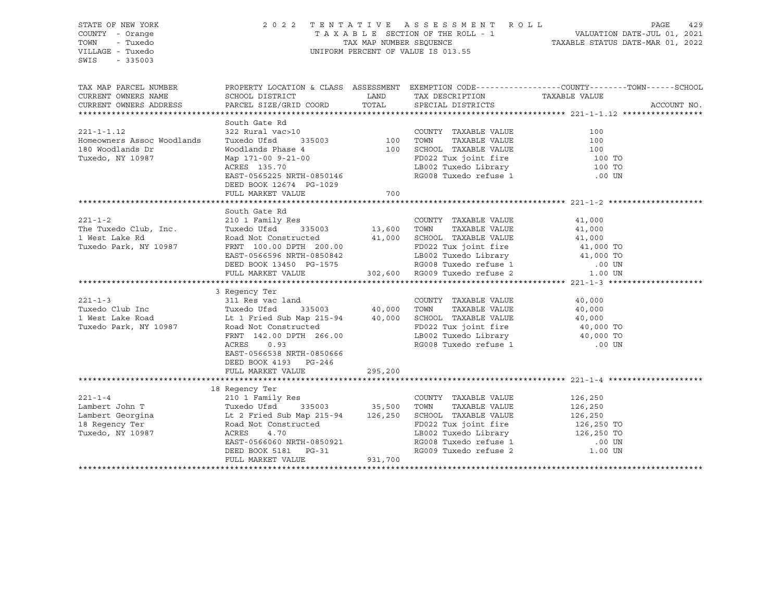STATE OF NEW YORK 2 0 2 2 T E N T A T I V E A S S E S S M E N T R O L L PAGE 429 COUNTY - Orange T A X A B L E SECTION OF THE ROLL - 1 VALUATION DATE-JUL 01, 2021 TOWN - Tuxedo TAX MAP NUMBER SEQUENCE TAXABLE STATUS DATE-MAR 01, 2022 UNIFORM PERCENT OF VALUE IS 013.55 SWIS - 335003 TAX MAP PARCEL NUMBER PROPERTY LOCATION & CLASS ASSESSMENT EXEMPTION CODE----------------COUNTY-------TOWN-----SCHOOL CURRENT OWNERS NAME SCHOOL DISTRICT TAX DESCRIPTION TAXABLE VALUE CURRENT OWNERS ADDRESS PARCEL SIZE/GRID COORD TOTAL SPECIAL DISTRICTS ACCOUNT NO. \*\*\*\*\*\*\*\*\*\*\*\*\*\*\*\*\*\*\*\*\*\*\*\*\*\*\*\*\*\*\*\*\*\*\*\*\*\*\*\*\*\*\*\*\*\*\*\*\*\*\*\*\*\*\*\*\*\*\*\*\*\*\*\*\*\*\*\*\*\*\*\*\*\*\*\*\*\*\*\*\*\*\*\*\*\*\*\*\*\*\*\*\*\*\*\*\*\*\*\*\*\*\* 221-1-1.12 \*\*\*\*\*\*\*\*\*\*\*\*\*\*\*\*\* South Gate Rd 221-1-1.12 322 Rural vac>10 COUNTY TAXABLE VALUE 100 Homeowners Assoc Woodlands Tuxedo Ufsd 335003 100 TOWN TAXABLE VALUE 100 180 Woodlands Dr Woodlands Phase 4 100 SCHOOL TAXABLE VALUE 100 Tuxedo, NY 10987 Map 171-00 9-21-00 FD022 Tux joint fire 100 TO ACRES 135.70 LB002 Tuxedo Library 100 TO EAST-0565225 NRTH-0850146 RG008 Tuxedo refuse 1 .00 UN DEED BOOK 12674 PG-1029 FULL MARKET VALUE 700 \*\*\*\*\*\*\*\*\*\*\*\*\*\*\*\*\*\*\*\*\*\*\*\*\*\*\*\*\*\*\*\*\*\*\*\*\*\*\*\*\*\*\*\*\*\*\*\*\*\*\*\*\*\*\*\*\*\*\*\*\*\*\*\*\*\*\*\*\*\*\*\*\*\*\*\*\*\*\*\*\*\*\*\*\*\*\*\*\*\*\*\*\*\*\*\*\*\*\*\*\*\*\* 221-1-2 \*\*\*\*\*\*\*\*\*\*\*\*\*\*\*\*\*\*\*\* South Gate Rd 221-1-2 210 1 Family Res COUNTY TAXABLE VALUE 41,000 The Tuxedo Club, Inc. Tuxedo Ufsd 335003 13,600 TOWN TAXABLE VALUE 41,000 1 West Lake Rd Road Not Constructed 41,000 SCHOOL TAXABLE VALUE 41,000 Tuxedo Park, NY 10987 FRNT 100.00 DPTH 200.00 FD022 Tux joint fire 41,000 TO EAST-0566596 NRTH-0850842 LB002 Tuxedo Library 41,000 TO DEED BOOK 13450 PG-1575 RG008 Tuxedo refuse 1 .00 UN FULL MARKET VALUE 302,600 RG009 Tuxedo refuse 2 1.00 UN \*\*\*\*\*\*\*\*\*\*\*\*\*\*\*\*\*\*\*\*\*\*\*\*\*\*\*\*\*\*\*\*\*\*\*\*\*\*\*\*\*\*\*\*\*\*\*\*\*\*\*\*\*\*\*\*\*\*\*\*\*\*\*\*\*\*\*\*\*\*\*\*\*\*\*\*\*\*\*\*\*\*\*\*\*\*\*\*\*\*\*\*\*\*\*\*\*\*\*\*\*\*\* 221-1-3 \*\*\*\*\*\*\*\*\*\*\*\*\*\*\*\*\*\*\*\* 3 Regency Ter 221-1-3 311 Res vac land COUNTY TAXABLE VALUE 40,000 Tuxedo Club Inc Tuxedo Ufsd 335003 40,000 TOWN TAXABLE VALUE 40,000 1 West Lake Road Lt 1 Fried Sub Map 215-94 40,000 SCHOOL TAXABLE VALUE 40,000 Tuxedo Park, NY 10987 Road Not Constructed FRNT 142.00 DPTH 266.00 LB002 Tuxedo Library 40,000 TO ACRES 0.93 RG008 Tuxedo refuse 1 .00 UN EAST-0566538 NRTH-0850666 DEED BOOK 4193 PG-246 FULL MARKET VALUE 295,200 \*\*\*\*\*\*\*\*\*\*\*\*\*\*\*\*\*\*\*\*\*\*\*\*\*\*\*\*\*\*\*\*\*\*\*\*\*\*\*\*\*\*\*\*\*\*\*\*\*\*\*\*\*\*\*\*\*\*\*\*\*\*\*\*\*\*\*\*\*\*\*\*\*\*\*\*\*\*\*\*\*\*\*\*\*\*\*\*\*\*\*\*\*\*\*\*\*\*\*\*\*\*\* 221-1-4 \*\*\*\*\*\*\*\*\*\*\*\*\*\*\*\*\*\*\*\* 18 Regency Ter 221-1-4 210 1 Family Res COUNTY TAXABLE VALUE 126,250 Lambert John T Tuxedo Ufsd 335003 35,500 TOWN TAXABLE VALUE 126,250 Lambert Georgina Lt 2 Fried Sub Map 215-94 126,250 SCHOOL TAXABLE VALUE 126,250 18 Regency Ter Road Not Constructed FD022 Tux joint fire 126,250 TO Tuxedo, NY 10987 ACRES 4.70 LB002 Tuxedo Library 126,250 TO EAST-0566060 NRTH-0850921 RG008 Tuxedo refuse 1 .00 UN DEED BOOK 5181 PG-31 RG009 Tuxedo refuse 2 1.00 UN FULL MARKET VALUE 931,700 \*\*\*\*\*\*\*\*\*\*\*\*\*\*\*\*\*\*\*\*\*\*\*\*\*\*\*\*\*\*\*\*\*\*\*\*\*\*\*\*\*\*\*\*\*\*\*\*\*\*\*\*\*\*\*\*\*\*\*\*\*\*\*\*\*\*\*\*\*\*\*\*\*\*\*\*\*\*\*\*\*\*\*\*\*\*\*\*\*\*\*\*\*\*\*\*\*\*\*\*\*\*\*\*\*\*\*\*\*\*\*\*\*\*\*\*\*\*\*\*\*\*\*\*\*\*\*\*\*\*\*\*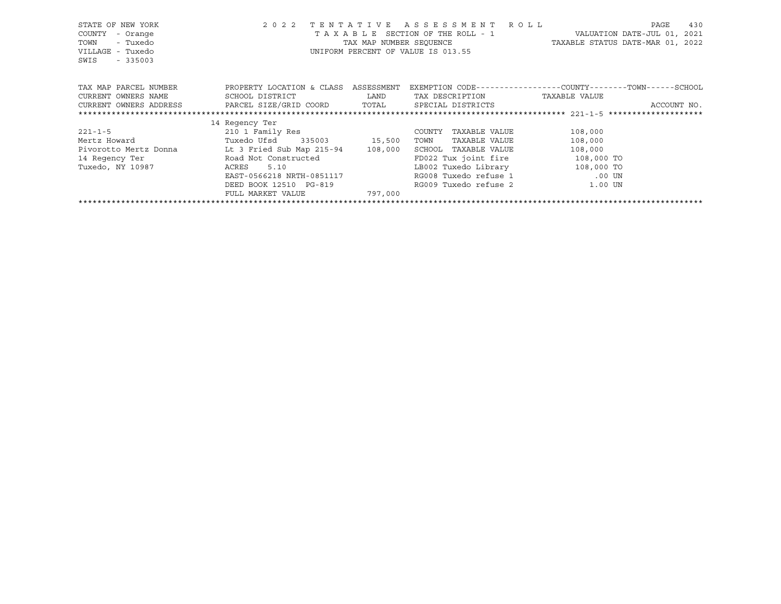| STATE OF NEW YORK<br>COUNTY<br>- Orange<br>- Tuxedo<br>TOWN<br>VILLAGE - Tuxedo<br>$-335003$<br>SWIS | 2 0 2 2                   |         | TENTATIVE ASSESSMENT ROLL<br>T A X A B L E SECTION OF THE ROLL - 1 WALUATION DATE-JUL 01, 2021<br>TAX MAP NUMBER SEQUENCE TAXABLE STATUS DATE-MAR 01, 2022<br>UNIFORM PERCENT OF VALUE IS 013.55 |         | PAGE        | 430 |
|------------------------------------------------------------------------------------------------------|---------------------------|---------|--------------------------------------------------------------------------------------------------------------------------------------------------------------------------------------------------|---------|-------------|-----|
| TAX MAP PARCEL NUMBER TROPERTY LOCATION & CLASS ASSESSMENT                                           |                           |         | EXEMPTION CODE-----------------COUNTY-------TOWN------SCHOOL                                                                                                                                     |         |             |     |
| CURRENT OWNERS NAME                                                                                  | SCHOOL DISTRICT           |         | LAND TAX DESCRIPTION TAXABLE VALUE                                                                                                                                                               |         |             |     |
| CURRENT OWNERS ADDRESS     PARCEL SIZE/GRID COORD     TOTAL     SPECIAL DISTRICTS                    |                           |         |                                                                                                                                                                                                  |         | ACCOUNT NO. |     |
|                                                                                                      |                           |         |                                                                                                                                                                                                  |         |             |     |
|                                                                                                      | 14 Regency Ter            |         |                                                                                                                                                                                                  |         |             |     |
| $221 - 1 - 5$                                                                                        | 210 1 Family Res          |         | TAXABLE VALUE<br>COUNTY                                                                                                                                                                          | 108,000 |             |     |
| Mertz Howard                                                                                         | Tuxedo Ufsd 335003 15,500 |         | TOWN<br>TAXABLE VALUE                                                                                                                                                                            | 108,000 |             |     |
| Pivorotto Mertz Donna Lt 3 Fried Sub Map 215-94 108,000                                              |                           |         | SCHOOL TAXABLE VALUE                                                                                                                                                                             | 108,000 |             |     |
| 14 Regency Ter                                                                                       | Road Not Constructed      |         | FD022 Tux joint fire 108,000 TO                                                                                                                                                                  |         |             |     |
| Tuxedo, NY 10987                                                                                     | 5.10<br>ACRES             |         | LB002 Tuxedo Library 108,000 TO                                                                                                                                                                  |         |             |     |
|                                                                                                      | EAST-0566218 NRTH-0851117 |         | RG008 Tuxedo refuse 1 00 UN                                                                                                                                                                      |         |             |     |
|                                                                                                      | DEED BOOK 12510 PG-819    |         | RG009 Tuxedo refuse 2 and 1.00 UN                                                                                                                                                                |         |             |     |
|                                                                                                      | FULL MARKET VALUE         | 797,000 |                                                                                                                                                                                                  |         |             |     |
|                                                                                                      |                           |         |                                                                                                                                                                                                  |         |             |     |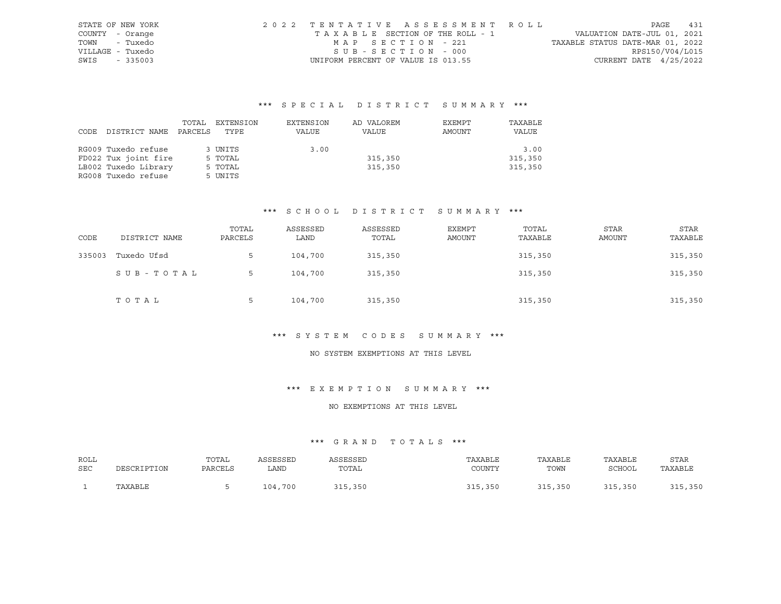| STATE OF NEW YORK | 2022 TENTATIVE ASSESSMENT ROLL     |                                  | PAGE                        | 431 |
|-------------------|------------------------------------|----------------------------------|-----------------------------|-----|
| COUNTY - Orange   | TAXABLE SECTION OF THE ROLL - 1    |                                  | VALUATION DATE-JUL 01, 2021 |     |
| - Tuxedo<br>TOWN  | MAP SECTION - 221                  | TAXABLE STATUS DATE-MAR 01, 2022 |                             |     |
| VILLAGE - Tuxedo  | SUB-SECTION - 000                  |                                  | RPS150/V04/L015             |     |
| SWIS<br>$-335003$ | UNIFORM PERCENT OF VALUE IS 013.55 |                                  | CURRENT DATE $4/25/2022$    |     |

|      |                      | TOTAL   | EXTENSION | EXTENSION | AD VALOREM | EXEMPT | TAXABLE |
|------|----------------------|---------|-----------|-----------|------------|--------|---------|
| CODE | DISTRICT NAME        | PARCELS | TYPE      | VALUE     | VALUE      | AMOUNT | VALUE   |
|      |                      |         |           |           |            |        |         |
|      | RG009 Tuxedo refuse  |         | 3 UNITS   | 3.00      |            |        | 3.00    |
|      | FD022 Tux joint fire |         | 5 TOTAL   |           | 315,350    |        | 315,350 |
|      | LB002 Tuxedo Library |         | 5 TOTAL   |           | 315,350    |        | 315,350 |
|      | RG008 Tuxedo refuse  |         | 5 UNITS   |           |            |        |         |

#### \*\*\* S C H O O L D I S T R I C T S U M M A R Y \*\*\*

| CODE   | DISTRICT NAME | TOTAL<br>PARCELS | ASSESSED<br>LAND | ASSESSED<br>TOTAL | EXEMPT<br>AMOUNT | TOTAL<br>TAXABLE | <b>STAR</b><br>AMOUNT | <b>STAR</b><br>TAXABLE |
|--------|---------------|------------------|------------------|-------------------|------------------|------------------|-----------------------|------------------------|
| 335003 | Tuxedo Ufsd   | 5                | 104,700          | 315,350           |                  | 315,350          |                       | 315,350                |
|        | SUB-TOTAL     | 5                | 104,700          | 315,350           |                  | 315,350          |                       | 315,350                |
|        | TOTAL         | 5                | 104,700          | 315,350           |                  | 315,350          |                       | 315,350                |

#### \*\*\* S Y S T E M C O D E S S U M M A R Y \*\*\*

## NO SYSTEM EXEMPTIONS AT THIS LEVEL

#### \*\*\* E X E M P T I O N S U M M A R Y \*\*\*

#### NO EXEMPTIONS AT THIS LEVEL

| ROLL |             | TOTAL   | ASSESSED | ASSESSED | TAXABLE | TAXABLE | TAXABLE | <b>STAR</b> |
|------|-------------|---------|----------|----------|---------|---------|---------|-------------|
| SEC  | DESCRIPTION | PARCELS | ∟AND     | TOTAL    | COUNTY  | TOWN    | SCHOOL  | TAXABLE     |
|      | TAXABLE     |         | 104,700  | 315,350  | 315,350 | 315,350 | 315,350 | 315,350     |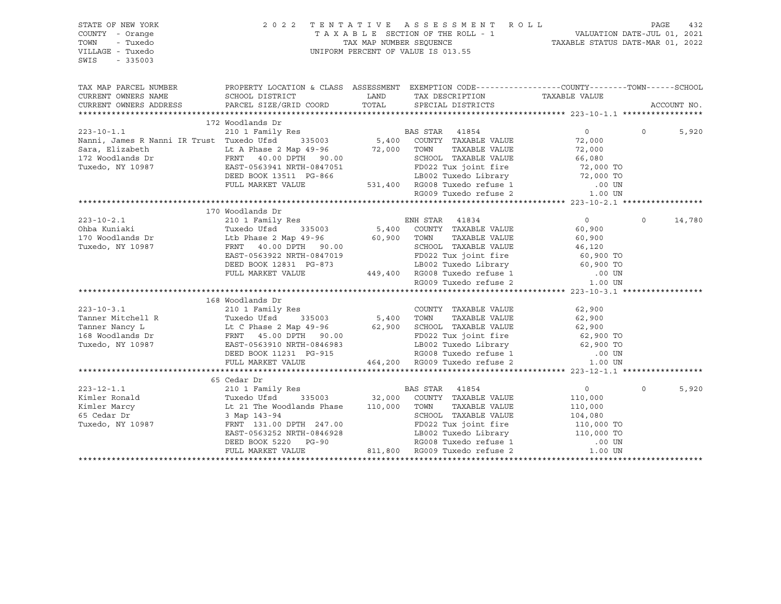| TAX MAP PARCEL NUMBER PROPERTY LOCATION & CLASS ASSESSMENT EXEMPTION CODE---------------COUNTY--------TOWN------SCHOOL<br>CURRENT OWNERS NAME<br>SCHOOL DISTRICT<br>CURRENT OWNERS ADDRESS<br>PARCEL SIZE/GRID COORD<br>ACCOUNT NO.<br>172 Woodlands Dr<br>1/2 WOOLLANDS DL<br>210 1 Family Res<br>210 1 Family Res<br>210 1 Family Res<br>5,400 COUNTY TAXABLE VALUE<br>22,000 TAXABLE VALUE<br>22,000 TAXABLE VALUE<br>22,000<br>$\overline{0}$<br>$\Omega$<br>5,920<br>Nanni, James K Nanni ik Trust Tuxedo UISQ<br>Sara, Elizabeth Lt A Phase 2 Map 49-96 72,000 TOWN TAXABLE VALUE 72,000<br>172 Woodlands Dr FRNT 40.00 DPTH 90.00<br>Tuxedo, NY 10987 EAST-0563941 NRTH-0847051 PG-866 LB002 Tuxedo Lib<br>170 Woodlands Dr<br>$\Omega$<br>14,780<br>168 Woodlands Dr<br>210 1 Family Res<br>$223 - 10 - 3.1$<br>COUNTY TAXABLE VALUE<br>62,900<br>$Tanner Mind = Mitchell R \nTanner March = 0.00 \nTakedo, NY 10987 \nTakedo, NY 10987 \n[1000] \nTakedo, NY 10987 \n[1000] \n[1000] \n[1000] \n[1000] \n[1000] \n[1000] \n[1000] \n[1000] \n[1000] \n[1000] \n[1000] \n[1000] \n[1000] \n[1000] \n[1000] \n[1000] \n[1000] \n[1000] \n[1000] \n[1$<br>65 Cedar Dr<br>${\small \begin{tabular}{lcccc} \textbf{233--12--1.1} & \textbf{65 Cedar Dr} \\ \textbf{Kimler Ronald} & \textbf{Tuxedo U5d} & \textbf{335003} & \textbf{32,000} & \textbf{COUNTY TAXABLE VALUE} & \textbf{110,000} \\ \textbf{Kimler Mary} & \textbf{Lt 21 The Woodlands Phase} & \textbf{110,000} & \textbf{TOUNTY TAXABLE VALUE} & \textbf{110,000} \\ \textbf{65 Cedar Dr} & \textbf{31 Map 143--94} & \textbf{52,000} & \textbf{COUNTY TAX$<br>$\Omega$<br>5,920 | STATE OF NEW YORK<br>COUNTY - Orange<br>TOWN<br>- Tuxedo<br>VILLAGE - Tuxedo<br>SWIS<br>$-335003$ |  | 2022 TENTATIVE ASSESSMENT ROLL | $\begin{tabular}{lllllllllllllllllll} \multicolumn{2}{c l} \multicolumn{2}{c l} \multicolumn{2}{c l} \multicolumn{2}{c l} \multicolumn{2}{c l} \multicolumn{2}{c l} \multicolumn{2}{c l} \multicolumn{2}{c l} \multicolumn{2}{c l} \multicolumn{2}{c l} \multicolumn{2}{c l} \multicolumn{2}{c l} \multicolumn{2}{c l} \multicolumn{2}{c l} \multicolumn{2}{c l} \multicolumn{2}{c l} \multicolumn{2}{c l} \multicolumn{2}{c l} \multicolumn{$ | PAGE | 432 |
|------------------------------------------------------------------------------------------------------------------------------------------------------------------------------------------------------------------------------------------------------------------------------------------------------------------------------------------------------------------------------------------------------------------------------------------------------------------------------------------------------------------------------------------------------------------------------------------------------------------------------------------------------------------------------------------------------------------------------------------------------------------------------------------------------------------------------------------------------------------------------------------------------------------------------------------------------------------------------------------------------------------------------------------------------------------------------------------------------------------------------------------------------------------------------------------------------------------------------------------------------------------------------------------------------------------------------------------------------------------------------------------------------------------------------------------------------------------------------------------------------------------------------------------------------------------------------------------------------------------------------------------------------|---------------------------------------------------------------------------------------------------|--|--------------------------------|------------------------------------------------------------------------------------------------------------------------------------------------------------------------------------------------------------------------------------------------------------------------------------------------------------------------------------------------------------------------------------------------------------------------------------------------|------|-----|
|                                                                                                                                                                                                                                                                                                                                                                                                                                                                                                                                                                                                                                                                                                                                                                                                                                                                                                                                                                                                                                                                                                                                                                                                                                                                                                                                                                                                                                                                                                                                                                                                                                                      |                                                                                                   |  |                                |                                                                                                                                                                                                                                                                                                                                                                                                                                                |      |     |
|                                                                                                                                                                                                                                                                                                                                                                                                                                                                                                                                                                                                                                                                                                                                                                                                                                                                                                                                                                                                                                                                                                                                                                                                                                                                                                                                                                                                                                                                                                                                                                                                                                                      |                                                                                                   |  |                                |                                                                                                                                                                                                                                                                                                                                                                                                                                                |      |     |
|                                                                                                                                                                                                                                                                                                                                                                                                                                                                                                                                                                                                                                                                                                                                                                                                                                                                                                                                                                                                                                                                                                                                                                                                                                                                                                                                                                                                                                                                                                                                                                                                                                                      |                                                                                                   |  |                                |                                                                                                                                                                                                                                                                                                                                                                                                                                                |      |     |
|                                                                                                                                                                                                                                                                                                                                                                                                                                                                                                                                                                                                                                                                                                                                                                                                                                                                                                                                                                                                                                                                                                                                                                                                                                                                                                                                                                                                                                                                                                                                                                                                                                                      |                                                                                                   |  |                                |                                                                                                                                                                                                                                                                                                                                                                                                                                                |      |     |
|                                                                                                                                                                                                                                                                                                                                                                                                                                                                                                                                                                                                                                                                                                                                                                                                                                                                                                                                                                                                                                                                                                                                                                                                                                                                                                                                                                                                                                                                                                                                                                                                                                                      |                                                                                                   |  |                                |                                                                                                                                                                                                                                                                                                                                                                                                                                                |      |     |
|                                                                                                                                                                                                                                                                                                                                                                                                                                                                                                                                                                                                                                                                                                                                                                                                                                                                                                                                                                                                                                                                                                                                                                                                                                                                                                                                                                                                                                                                                                                                                                                                                                                      |                                                                                                   |  |                                |                                                                                                                                                                                                                                                                                                                                                                                                                                                |      |     |
|                                                                                                                                                                                                                                                                                                                                                                                                                                                                                                                                                                                                                                                                                                                                                                                                                                                                                                                                                                                                                                                                                                                                                                                                                                                                                                                                                                                                                                                                                                                                                                                                                                                      |                                                                                                   |  |                                |                                                                                                                                                                                                                                                                                                                                                                                                                                                |      |     |
|                                                                                                                                                                                                                                                                                                                                                                                                                                                                                                                                                                                                                                                                                                                                                                                                                                                                                                                                                                                                                                                                                                                                                                                                                                                                                                                                                                                                                                                                                                                                                                                                                                                      |                                                                                                   |  |                                |                                                                                                                                                                                                                                                                                                                                                                                                                                                |      |     |
|                                                                                                                                                                                                                                                                                                                                                                                                                                                                                                                                                                                                                                                                                                                                                                                                                                                                                                                                                                                                                                                                                                                                                                                                                                                                                                                                                                                                                                                                                                                                                                                                                                                      |                                                                                                   |  |                                |                                                                                                                                                                                                                                                                                                                                                                                                                                                |      |     |
|                                                                                                                                                                                                                                                                                                                                                                                                                                                                                                                                                                                                                                                                                                                                                                                                                                                                                                                                                                                                                                                                                                                                                                                                                                                                                                                                                                                                                                                                                                                                                                                                                                                      |                                                                                                   |  |                                |                                                                                                                                                                                                                                                                                                                                                                                                                                                |      |     |
|                                                                                                                                                                                                                                                                                                                                                                                                                                                                                                                                                                                                                                                                                                                                                                                                                                                                                                                                                                                                                                                                                                                                                                                                                                                                                                                                                                                                                                                                                                                                                                                                                                                      |                                                                                                   |  |                                |                                                                                                                                                                                                                                                                                                                                                                                                                                                |      |     |
|                                                                                                                                                                                                                                                                                                                                                                                                                                                                                                                                                                                                                                                                                                                                                                                                                                                                                                                                                                                                                                                                                                                                                                                                                                                                                                                                                                                                                                                                                                                                                                                                                                                      |                                                                                                   |  |                                |                                                                                                                                                                                                                                                                                                                                                                                                                                                |      |     |
|                                                                                                                                                                                                                                                                                                                                                                                                                                                                                                                                                                                                                                                                                                                                                                                                                                                                                                                                                                                                                                                                                                                                                                                                                                                                                                                                                                                                                                                                                                                                                                                                                                                      |                                                                                                   |  |                                |                                                                                                                                                                                                                                                                                                                                                                                                                                                |      |     |
|                                                                                                                                                                                                                                                                                                                                                                                                                                                                                                                                                                                                                                                                                                                                                                                                                                                                                                                                                                                                                                                                                                                                                                                                                                                                                                                                                                                                                                                                                                                                                                                                                                                      |                                                                                                   |  |                                |                                                                                                                                                                                                                                                                                                                                                                                                                                                |      |     |
|                                                                                                                                                                                                                                                                                                                                                                                                                                                                                                                                                                                                                                                                                                                                                                                                                                                                                                                                                                                                                                                                                                                                                                                                                                                                                                                                                                                                                                                                                                                                                                                                                                                      |                                                                                                   |  |                                |                                                                                                                                                                                                                                                                                                                                                                                                                                                |      |     |
|                                                                                                                                                                                                                                                                                                                                                                                                                                                                                                                                                                                                                                                                                                                                                                                                                                                                                                                                                                                                                                                                                                                                                                                                                                                                                                                                                                                                                                                                                                                                                                                                                                                      |                                                                                                   |  |                                |                                                                                                                                                                                                                                                                                                                                                                                                                                                |      |     |
|                                                                                                                                                                                                                                                                                                                                                                                                                                                                                                                                                                                                                                                                                                                                                                                                                                                                                                                                                                                                                                                                                                                                                                                                                                                                                                                                                                                                                                                                                                                                                                                                                                                      |                                                                                                   |  |                                |                                                                                                                                                                                                                                                                                                                                                                                                                                                |      |     |
|                                                                                                                                                                                                                                                                                                                                                                                                                                                                                                                                                                                                                                                                                                                                                                                                                                                                                                                                                                                                                                                                                                                                                                                                                                                                                                                                                                                                                                                                                                                                                                                                                                                      |                                                                                                   |  |                                |                                                                                                                                                                                                                                                                                                                                                                                                                                                |      |     |
|                                                                                                                                                                                                                                                                                                                                                                                                                                                                                                                                                                                                                                                                                                                                                                                                                                                                                                                                                                                                                                                                                                                                                                                                                                                                                                                                                                                                                                                                                                                                                                                                                                                      |                                                                                                   |  |                                |                                                                                                                                                                                                                                                                                                                                                                                                                                                |      |     |
|                                                                                                                                                                                                                                                                                                                                                                                                                                                                                                                                                                                                                                                                                                                                                                                                                                                                                                                                                                                                                                                                                                                                                                                                                                                                                                                                                                                                                                                                                                                                                                                                                                                      |                                                                                                   |  |                                |                                                                                                                                                                                                                                                                                                                                                                                                                                                |      |     |
|                                                                                                                                                                                                                                                                                                                                                                                                                                                                                                                                                                                                                                                                                                                                                                                                                                                                                                                                                                                                                                                                                                                                                                                                                                                                                                                                                                                                                                                                                                                                                                                                                                                      |                                                                                                   |  |                                |                                                                                                                                                                                                                                                                                                                                                                                                                                                |      |     |
|                                                                                                                                                                                                                                                                                                                                                                                                                                                                                                                                                                                                                                                                                                                                                                                                                                                                                                                                                                                                                                                                                                                                                                                                                                                                                                                                                                                                                                                                                                                                                                                                                                                      |                                                                                                   |  |                                |                                                                                                                                                                                                                                                                                                                                                                                                                                                |      |     |
|                                                                                                                                                                                                                                                                                                                                                                                                                                                                                                                                                                                                                                                                                                                                                                                                                                                                                                                                                                                                                                                                                                                                                                                                                                                                                                                                                                                                                                                                                                                                                                                                                                                      |                                                                                                   |  |                                |                                                                                                                                                                                                                                                                                                                                                                                                                                                |      |     |
|                                                                                                                                                                                                                                                                                                                                                                                                                                                                                                                                                                                                                                                                                                                                                                                                                                                                                                                                                                                                                                                                                                                                                                                                                                                                                                                                                                                                                                                                                                                                                                                                                                                      |                                                                                                   |  |                                |                                                                                                                                                                                                                                                                                                                                                                                                                                                |      |     |
|                                                                                                                                                                                                                                                                                                                                                                                                                                                                                                                                                                                                                                                                                                                                                                                                                                                                                                                                                                                                                                                                                                                                                                                                                                                                                                                                                                                                                                                                                                                                                                                                                                                      |                                                                                                   |  |                                |                                                                                                                                                                                                                                                                                                                                                                                                                                                |      |     |
|                                                                                                                                                                                                                                                                                                                                                                                                                                                                                                                                                                                                                                                                                                                                                                                                                                                                                                                                                                                                                                                                                                                                                                                                                                                                                                                                                                                                                                                                                                                                                                                                                                                      |                                                                                                   |  |                                |                                                                                                                                                                                                                                                                                                                                                                                                                                                |      |     |
|                                                                                                                                                                                                                                                                                                                                                                                                                                                                                                                                                                                                                                                                                                                                                                                                                                                                                                                                                                                                                                                                                                                                                                                                                                                                                                                                                                                                                                                                                                                                                                                                                                                      |                                                                                                   |  |                                |                                                                                                                                                                                                                                                                                                                                                                                                                                                |      |     |
|                                                                                                                                                                                                                                                                                                                                                                                                                                                                                                                                                                                                                                                                                                                                                                                                                                                                                                                                                                                                                                                                                                                                                                                                                                                                                                                                                                                                                                                                                                                                                                                                                                                      |                                                                                                   |  |                                |                                                                                                                                                                                                                                                                                                                                                                                                                                                |      |     |
|                                                                                                                                                                                                                                                                                                                                                                                                                                                                                                                                                                                                                                                                                                                                                                                                                                                                                                                                                                                                                                                                                                                                                                                                                                                                                                                                                                                                                                                                                                                                                                                                                                                      |                                                                                                   |  |                                |                                                                                                                                                                                                                                                                                                                                                                                                                                                |      |     |
|                                                                                                                                                                                                                                                                                                                                                                                                                                                                                                                                                                                                                                                                                                                                                                                                                                                                                                                                                                                                                                                                                                                                                                                                                                                                                                                                                                                                                                                                                                                                                                                                                                                      |                                                                                                   |  |                                |                                                                                                                                                                                                                                                                                                                                                                                                                                                |      |     |
|                                                                                                                                                                                                                                                                                                                                                                                                                                                                                                                                                                                                                                                                                                                                                                                                                                                                                                                                                                                                                                                                                                                                                                                                                                                                                                                                                                                                                                                                                                                                                                                                                                                      |                                                                                                   |  |                                |                                                                                                                                                                                                                                                                                                                                                                                                                                                |      |     |
|                                                                                                                                                                                                                                                                                                                                                                                                                                                                                                                                                                                                                                                                                                                                                                                                                                                                                                                                                                                                                                                                                                                                                                                                                                                                                                                                                                                                                                                                                                                                                                                                                                                      |                                                                                                   |  |                                |                                                                                                                                                                                                                                                                                                                                                                                                                                                |      |     |
|                                                                                                                                                                                                                                                                                                                                                                                                                                                                                                                                                                                                                                                                                                                                                                                                                                                                                                                                                                                                                                                                                                                                                                                                                                                                                                                                                                                                                                                                                                                                                                                                                                                      |                                                                                                   |  |                                |                                                                                                                                                                                                                                                                                                                                                                                                                                                |      |     |
|                                                                                                                                                                                                                                                                                                                                                                                                                                                                                                                                                                                                                                                                                                                                                                                                                                                                                                                                                                                                                                                                                                                                                                                                                                                                                                                                                                                                                                                                                                                                                                                                                                                      |                                                                                                   |  |                                |                                                                                                                                                                                                                                                                                                                                                                                                                                                |      |     |
|                                                                                                                                                                                                                                                                                                                                                                                                                                                                                                                                                                                                                                                                                                                                                                                                                                                                                                                                                                                                                                                                                                                                                                                                                                                                                                                                                                                                                                                                                                                                                                                                                                                      |                                                                                                   |  |                                |                                                                                                                                                                                                                                                                                                                                                                                                                                                |      |     |
|                                                                                                                                                                                                                                                                                                                                                                                                                                                                                                                                                                                                                                                                                                                                                                                                                                                                                                                                                                                                                                                                                                                                                                                                                                                                                                                                                                                                                                                                                                                                                                                                                                                      |                                                                                                   |  |                                |                                                                                                                                                                                                                                                                                                                                                                                                                                                |      |     |
|                                                                                                                                                                                                                                                                                                                                                                                                                                                                                                                                                                                                                                                                                                                                                                                                                                                                                                                                                                                                                                                                                                                                                                                                                                                                                                                                                                                                                                                                                                                                                                                                                                                      |                                                                                                   |  |                                |                                                                                                                                                                                                                                                                                                                                                                                                                                                |      |     |
|                                                                                                                                                                                                                                                                                                                                                                                                                                                                                                                                                                                                                                                                                                                                                                                                                                                                                                                                                                                                                                                                                                                                                                                                                                                                                                                                                                                                                                                                                                                                                                                                                                                      |                                                                                                   |  |                                |                                                                                                                                                                                                                                                                                                                                                                                                                                                |      |     |
|                                                                                                                                                                                                                                                                                                                                                                                                                                                                                                                                                                                                                                                                                                                                                                                                                                                                                                                                                                                                                                                                                                                                                                                                                                                                                                                                                                                                                                                                                                                                                                                                                                                      |                                                                                                   |  |                                |                                                                                                                                                                                                                                                                                                                                                                                                                                                |      |     |
|                                                                                                                                                                                                                                                                                                                                                                                                                                                                                                                                                                                                                                                                                                                                                                                                                                                                                                                                                                                                                                                                                                                                                                                                                                                                                                                                                                                                                                                                                                                                                                                                                                                      |                                                                                                   |  |                                |                                                                                                                                                                                                                                                                                                                                                                                                                                                |      |     |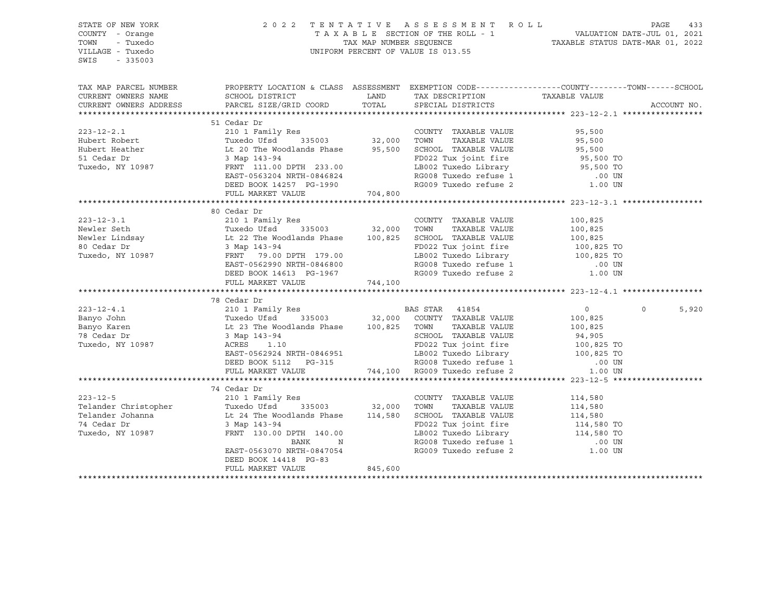| STATE OF NEW YORK<br>COUNTY - Orange<br>TOWN<br>- Tuxedo<br>VILLAGE - Tuxedo<br>SWIS<br>$-335003$                                                                                                                                      |                                                                                                                                                                                                                                                      |         | 2022 TENTATIVE ASSESSMENT ROLL PAGE 433<br>TAXABLE SECTION OF THE ROLL - 1 VALUATION DATE-JUL 01, 2021<br>TAX MAP NUMBER SEQUENCE TAXABLE STATUS DATE-MAR 01, 2022<br>UNIFORM PERCENT OF VALUE IS 013.55 |                |                   |
|----------------------------------------------------------------------------------------------------------------------------------------------------------------------------------------------------------------------------------------|------------------------------------------------------------------------------------------------------------------------------------------------------------------------------------------------------------------------------------------------------|---------|----------------------------------------------------------------------------------------------------------------------------------------------------------------------------------------------------------|----------------|-------------------|
| TAX MAP PARCEL NUMBER THE PROPERTY LOCATION & CLASS ASSESSMENT EXEMPTION CODE--------------COUNTY-------TOWN------SCHOOL                                                                                                               |                                                                                                                                                                                                                                                      |         |                                                                                                                                                                                                          |                |                   |
| CURRENT OWNERS NAME<br>CURRENT OWNERS ADDRESS                                                                                                                                                                                          | SCHOOL DISTRICT<br>PARCEL SIZE/GRID COORD                                                                                                                                                                                                            |         | LAND TAX DESCRIPTION TAXABLE VALUE COORD TOTAL SPECIAL DISTRICTS                                                                                                                                         |                | ACCOUNT NO.       |
|                                                                                                                                                                                                                                        |                                                                                                                                                                                                                                                      |         |                                                                                                                                                                                                          |                |                   |
|                                                                                                                                                                                                                                        | 51 Cedar Dr                                                                                                                                                                                                                                          |         |                                                                                                                                                                                                          |                |                   |
| 223-12-2.1<br>Hubert Robert COUNTY TAXABLE VALUE<br>Hubert Robert Eather Inc. In the Woodlands Phase 335003<br>Hubert Heather It 20 The Woodlands Phase 95,500 SCHOOL TAXABLE VALUE 95,500<br>Tuxedo, NY 10987 FRNT 111.00 DPTH 233.00 |                                                                                                                                                                                                                                                      |         |                                                                                                                                                                                                          |                |                   |
|                                                                                                                                                                                                                                        |                                                                                                                                                                                                                                                      |         |                                                                                                                                                                                                          |                |                   |
|                                                                                                                                                                                                                                        |                                                                                                                                                                                                                                                      |         |                                                                                                                                                                                                          |                |                   |
|                                                                                                                                                                                                                                        |                                                                                                                                                                                                                                                      |         |                                                                                                                                                                                                          |                |                   |
|                                                                                                                                                                                                                                        |                                                                                                                                                                                                                                                      |         | LEGEN PRINCE LIBRARY<br>RG008 Tuxedo refuse 1                                                                                                                                                            |                |                   |
|                                                                                                                                                                                                                                        | EAST-0563204 NRTH-0846824<br>DEED BOOK 14257 PG-1990                                                                                                                                                                                                 |         |                                                                                                                                                                                                          | .00 UN         |                   |
|                                                                                                                                                                                                                                        |                                                                                                                                                                                                                                                      |         | RG009 Tuxedo refuse 2                                                                                                                                                                                    | 1.00 UN        |                   |
|                                                                                                                                                                                                                                        | FULL MARKET VALUE                                                                                                                                                                                                                                    | 704,800 |                                                                                                                                                                                                          |                |                   |
|                                                                                                                                                                                                                                        |                                                                                                                                                                                                                                                      |         |                                                                                                                                                                                                          |                |                   |
|                                                                                                                                                                                                                                        | 80 Cedar Dr                                                                                                                                                                                                                                          |         |                                                                                                                                                                                                          |                |                   |
|                                                                                                                                                                                                                                        |                                                                                                                                                                                                                                                      |         |                                                                                                                                                                                                          |                |                   |
|                                                                                                                                                                                                                                        |                                                                                                                                                                                                                                                      |         |                                                                                                                                                                                                          |                |                   |
|                                                                                                                                                                                                                                        |                                                                                                                                                                                                                                                      |         |                                                                                                                                                                                                          |                |                   |
|                                                                                                                                                                                                                                        |                                                                                                                                                                                                                                                      |         |                                                                                                                                                                                                          |                |                   |
|                                                                                                                                                                                                                                        |                                                                                                                                                                                                                                                      |         |                                                                                                                                                                                                          |                |                   |
|                                                                                                                                                                                                                                        |                                                                                                                                                                                                                                                      |         |                                                                                                                                                                                                          |                |                   |
|                                                                                                                                                                                                                                        |                                                                                                                                                                                                                                                      |         |                                                                                                                                                                                                          |                |                   |
|                                                                                                                                                                                                                                        |                                                                                                                                                                                                                                                      |         |                                                                                                                                                                                                          |                |                   |
|                                                                                                                                                                                                                                        | 78 Cedar Dr                                                                                                                                                                                                                                          |         |                                                                                                                                                                                                          |                |                   |
| $223 - 12 - 4.1$                                                                                                                                                                                                                       |                                                                                                                                                                                                                                                      |         |                                                                                                                                                                                                          | $\overline{0}$ | $\Omega$<br>5,920 |
| Banyo John                                                                                                                                                                                                                             |                                                                                                                                                                                                                                                      |         |                                                                                                                                                                                                          | 100,825        |                   |
| Banyo Karen                                                                                                                                                                                                                            |                                                                                                                                                                                                                                                      |         |                                                                                                                                                                                                          | 100,825        |                   |
| 78 Cedar Dr<br>Tuxedo, NY 10987                                                                                                                                                                                                        |                                                                                                                                                                                                                                                      |         |                                                                                                                                                                                                          |                |                   |
|                                                                                                                                                                                                                                        | 210 1 Family Res<br>Tuxedo Ufsd 335003 32,000 COUNTY TAXABLE VALUE<br>Lt 23 The Woodlands Phase 100,825 TOWN TAXABLE VALUE<br>3 Map 143-94 SCHOOL TAXABLE VALUE<br>ACRES 1.10 FD022 Tux joint fire<br>IB002 Tuxedo Library                           |         |                                                                                                                                                                                                          |                |                   |
|                                                                                                                                                                                                                                        |                                                                                                                                                                                                                                                      |         |                                                                                                                                                                                                          |                |                   |
|                                                                                                                                                                                                                                        |                                                                                                                                                                                                                                                      |         |                                                                                                                                                                                                          |                |                   |
|                                                                                                                                                                                                                                        | 3 Map 143-94<br>ACRES 1.10<br>EAST-0562924 NRTH-0846951<br>DEED BOOK 5112 PG-315<br>PULL MARKET VALUE<br>FULL MARKET VALUE<br>PULL MARKET VALUE<br>PULL MARKET VALUE<br>PULL MARKET VALUE<br>PULL MARKET VALUE<br>PULL MARKET VALUE<br>PULL MARKET V |         |                                                                                                                                                                                                          |                |                   |
|                                                                                                                                                                                                                                        |                                                                                                                                                                                                                                                      |         |                                                                                                                                                                                                          |                |                   |
|                                                                                                                                                                                                                                        |                                                                                                                                                                                                                                                      |         |                                                                                                                                                                                                          |                |                   |
|                                                                                                                                                                                                                                        |                                                                                                                                                                                                                                                      |         |                                                                                                                                                                                                          |                |                   |
|                                                                                                                                                                                                                                        |                                                                                                                                                                                                                                                      |         |                                                                                                                                                                                                          |                |                   |
|                                                                                                                                                                                                                                        |                                                                                                                                                                                                                                                      |         |                                                                                                                                                                                                          |                |                   |
|                                                                                                                                                                                                                                        |                                                                                                                                                                                                                                                      |         |                                                                                                                                                                                                          |                |                   |
|                                                                                                                                                                                                                                        |                                                                                                                                                                                                                                                      |         |                                                                                                                                                                                                          |                |                   |
|                                                                                                                                                                                                                                        |                                                                                                                                                                                                                                                      |         |                                                                                                                                                                                                          |                |                   |
|                                                                                                                                                                                                                                        |                                                                                                                                                                                                                                                      |         |                                                                                                                                                                                                          |                |                   |
|                                                                                                                                                                                                                                        | FULL MARKET VALUE                                                                                                                                                                                                                                    | 845,600 |                                                                                                                                                                                                          |                |                   |
|                                                                                                                                                                                                                                        |                                                                                                                                                                                                                                                      |         |                                                                                                                                                                                                          |                |                   |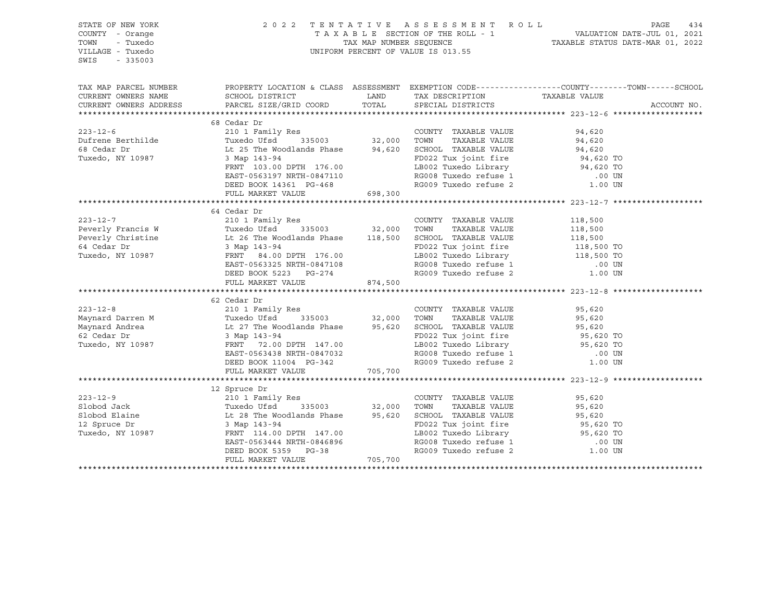| STATE OF NEW YORK      |                                                                                                                                                                                                                                                                                                                                                                      |         |                                                                                                                                  | 2022 TENTATIVE ASSESSMENT ROLL PAGE 434<br>TAXABLE SECTION OF THE ROLL - 1 VALUATION DATE-JUL 01, 2021<br>TAX MAP NUMBER SEQUENCE TAXABLE STATUS DATE-MAR 01, 2022 |  |
|------------------------|----------------------------------------------------------------------------------------------------------------------------------------------------------------------------------------------------------------------------------------------------------------------------------------------------------------------------------------------------------------------|---------|----------------------------------------------------------------------------------------------------------------------------------|--------------------------------------------------------------------------------------------------------------------------------------------------------------------|--|
| COUNTY - Orange        |                                                                                                                                                                                                                                                                                                                                                                      |         |                                                                                                                                  |                                                                                                                                                                    |  |
| TOWN<br>- Tuxedo       |                                                                                                                                                                                                                                                                                                                                                                      |         |                                                                                                                                  |                                                                                                                                                                    |  |
| VILLAGE - Tuxedo       |                                                                                                                                                                                                                                                                                                                                                                      |         | UNIFORM PERCENT OF VALUE IS 013.55                                                                                               |                                                                                                                                                                    |  |
| SWIS<br>$-335003$      |                                                                                                                                                                                                                                                                                                                                                                      |         |                                                                                                                                  |                                                                                                                                                                    |  |
|                        |                                                                                                                                                                                                                                                                                                                                                                      |         |                                                                                                                                  |                                                                                                                                                                    |  |
|                        |                                                                                                                                                                                                                                                                                                                                                                      |         |                                                                                                                                  | TAX MAP PARCEL NUMBER THE PROPERTY LOCATION & CLASS ASSESSMENT EXEMPTION CODE--------------COUNTY-------TOWN------SCHOOL                                           |  |
| CURRENT OWNERS NAME    | SCHOOL DISTRICT                                                                                                                                                                                                                                                                                                                                                      |         | LAND TAX DESCRIPTION                                                                                                             | TAXABLE VALUE                                                                                                                                                      |  |
| CURRENT OWNERS ADDRESS | PARCEL SIZE/GRID COORD                                                                                                                                                                                                                                                                                                                                               | TOTAL   | SPECIAL DISTRICTS                                                                                                                | ACCOUNT NO.                                                                                                                                                        |  |
|                        |                                                                                                                                                                                                                                                                                                                                                                      |         |                                                                                                                                  |                                                                                                                                                                    |  |
|                        | 68 Cedar Dr                                                                                                                                                                                                                                                                                                                                                          |         |                                                                                                                                  |                                                                                                                                                                    |  |
|                        |                                                                                                                                                                                                                                                                                                                                                                      |         |                                                                                                                                  |                                                                                                                                                                    |  |
|                        | 223-12-6<br>210 1 Family Res<br>210 1 Family Res<br>210 1 Family Res<br>210 1 Family Res<br>210 1 Family Res<br>210 1 Family Res<br>32,000 TOWN TAXABLE VALUE<br>24,620<br>24,620<br>24,620<br>24,620<br>24,620<br>24,620<br>24,620<br>24,620<br>24,620<br>24,62                                                                                                     |         |                                                                                                                                  |                                                                                                                                                                    |  |
|                        |                                                                                                                                                                                                                                                                                                                                                                      |         |                                                                                                                                  |                                                                                                                                                                    |  |
|                        |                                                                                                                                                                                                                                                                                                                                                                      |         |                                                                                                                                  |                                                                                                                                                                    |  |
|                        | FRNT 103.00 DPTH 176.00                                                                                                                                                                                                                                                                                                                                              |         |                                                                                                                                  |                                                                                                                                                                    |  |
|                        |                                                                                                                                                                                                                                                                                                                                                                      |         |                                                                                                                                  |                                                                                                                                                                    |  |
|                        |                                                                                                                                                                                                                                                                                                                                                                      |         |                                                                                                                                  |                                                                                                                                                                    |  |
|                        | 3 Map 143-94<br>FRNT 103.00 DPTH 176.00<br>EAST-0563197 NRTH-0847110<br>DEED BOOK 14361 PG-468<br>FULL MARKET VALUE 698,300<br>FULL MARKET VALUE 698,300<br>COOP Tuxedo refuse 2<br>COOP Tuxedo refuse 2<br>COOP Tuxedo refuse 2<br>COOP Tuxedo                                                                                                                      |         |                                                                                                                                  |                                                                                                                                                                    |  |
|                        |                                                                                                                                                                                                                                                                                                                                                                      |         |                                                                                                                                  |                                                                                                                                                                    |  |
| $223 - 12 - 7$         | 64 Cedar Dr                                                                                                                                                                                                                                                                                                                                                          |         |                                                                                                                                  |                                                                                                                                                                    |  |
|                        |                                                                                                                                                                                                                                                                                                                                                                      |         |                                                                                                                                  |                                                                                                                                                                    |  |
|                        |                                                                                                                                                                                                                                                                                                                                                                      |         |                                                                                                                                  |                                                                                                                                                                    |  |
|                        |                                                                                                                                                                                                                                                                                                                                                                      |         |                                                                                                                                  |                                                                                                                                                                    |  |
|                        |                                                                                                                                                                                                                                                                                                                                                                      |         |                                                                                                                                  |                                                                                                                                                                    |  |
|                        |                                                                                                                                                                                                                                                                                                                                                                      |         |                                                                                                                                  |                                                                                                                                                                    |  |
|                        |                                                                                                                                                                                                                                                                                                                                                                      |         |                                                                                                                                  |                                                                                                                                                                    |  |
|                        |                                                                                                                                                                                                                                                                                                                                                                      |         |                                                                                                                                  |                                                                                                                                                                    |  |
|                        |                                                                                                                                                                                                                                                                                                                                                                      |         |                                                                                                                                  |                                                                                                                                                                    |  |
|                        | 62 Cedar Dr                                                                                                                                                                                                                                                                                                                                                          |         |                                                                                                                                  |                                                                                                                                                                    |  |
|                        | 223-12-8<br>Maynard Darren M 210 1 Family Res<br>Maynard Andrea Tuxedo Ufsd 335003 32,000 TOWN TAXABLE VALUE 95,620<br>Maynard Andrea Lt 27 The Woodlands Phase 95,620 SCHOOL TAXABLE VALUE 95,620<br>62 Cedar Dr 3 Map 143-94<br>Tuxed                                                                                                                              |         |                                                                                                                                  |                                                                                                                                                                    |  |
|                        |                                                                                                                                                                                                                                                                                                                                                                      |         |                                                                                                                                  |                                                                                                                                                                    |  |
|                        |                                                                                                                                                                                                                                                                                                                                                                      |         |                                                                                                                                  |                                                                                                                                                                    |  |
|                        |                                                                                                                                                                                                                                                                                                                                                                      |         |                                                                                                                                  |                                                                                                                                                                    |  |
|                        |                                                                                                                                                                                                                                                                                                                                                                      |         | -----<br>LB002 Tuxedo Library<br>RG008 Tuxedo refuse 1                                                                           |                                                                                                                                                                    |  |
|                        |                                                                                                                                                                                                                                                                                                                                                                      |         |                                                                                                                                  |                                                                                                                                                                    |  |
|                        | EAST-0563438 NRTH-0847032<br>DEED BOOK 11004 PG-342                                                                                                                                                                                                                                                                                                                  |         | RG009 Tuxedo refuse 2                                                                                                            | .00 UN<br>1.00 UN                                                                                                                                                  |  |
|                        | FULL MARKET VALUE 705,700                                                                                                                                                                                                                                                                                                                                            |         |                                                                                                                                  |                                                                                                                                                                    |  |
|                        |                                                                                                                                                                                                                                                                                                                                                                      |         |                                                                                                                                  |                                                                                                                                                                    |  |
|                        | $\begin{tabular}{lcccccc} \texttt{12} & \texttt{Spruce Dr} & & \texttt{COUNTY} &\texttt{TAXABLE VALUE} & \texttt{95,620} \\ \texttt{31} & \texttt{12} & \texttt{13} & \texttt{141} & \texttt{Res} & & \texttt{COUNTY} &\texttt{TAXABLE VALUE} & \texttt{95,620} \\ \texttt{31} & \texttt{13} & \texttt{141} & \texttt{142} & \texttt{143} & \texttt{144} & \texttt{$ |         |                                                                                                                                  |                                                                                                                                                                    |  |
|                        |                                                                                                                                                                                                                                                                                                                                                                      |         |                                                                                                                                  |                                                                                                                                                                    |  |
|                        |                                                                                                                                                                                                                                                                                                                                                                      |         |                                                                                                                                  |                                                                                                                                                                    |  |
|                        |                                                                                                                                                                                                                                                                                                                                                                      |         |                                                                                                                                  |                                                                                                                                                                    |  |
|                        |                                                                                                                                                                                                                                                                                                                                                                      |         |                                                                                                                                  |                                                                                                                                                                    |  |
|                        |                                                                                                                                                                                                                                                                                                                                                                      |         |                                                                                                                                  |                                                                                                                                                                    |  |
|                        |                                                                                                                                                                                                                                                                                                                                                                      |         |                                                                                                                                  |                                                                                                                                                                    |  |
|                        |                                                                                                                                                                                                                                                                                                                                                                      |         | FD022 Tux joint fire 95,620 TO<br>LB002 Tuxedo Library 95,620 TO<br>RG008 Tuxedo refuse 1 00 UN<br>RG009 Tuxedo refuse 2 1.00 UN |                                                                                                                                                                    |  |
|                        | FULL MARKET VALUE                                                                                                                                                                                                                                                                                                                                                    | 705,700 |                                                                                                                                  |                                                                                                                                                                    |  |
|                        |                                                                                                                                                                                                                                                                                                                                                                      |         |                                                                                                                                  |                                                                                                                                                                    |  |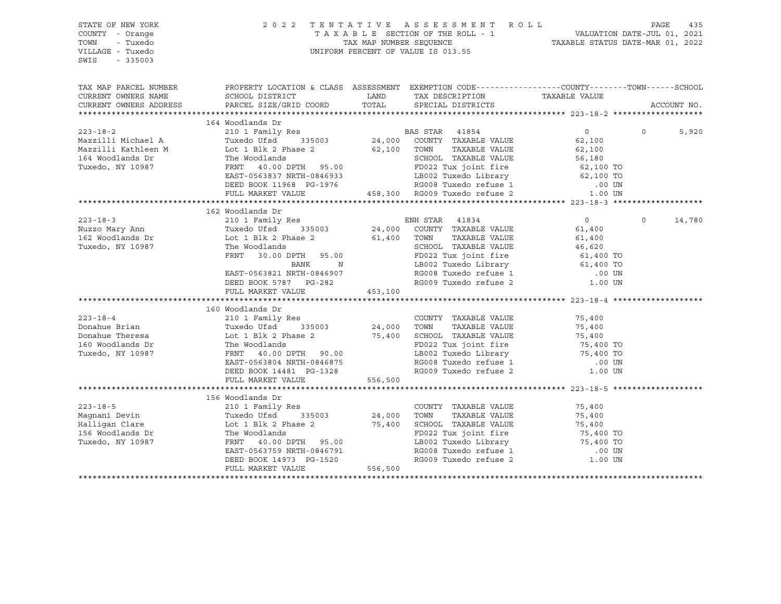| STATE OF NEW YORK<br>COUNTY - Orange                      | 2 0 2 2                                                                                        |                                                                                                                                 | TENTATIVE ASSESSMENT ROLL<br>T A X A B L E SECTION OF THE ROLL - 1 VALUATION DATE-JUL 01, 2021<br>TAX MAP NUMBER SEQUENCE TAXABLE STATUS DATE-MAR 01, 2022                                                                                                        |                                  | PAGE     | 435         |
|-----------------------------------------------------------|------------------------------------------------------------------------------------------------|---------------------------------------------------------------------------------------------------------------------------------|-------------------------------------------------------------------------------------------------------------------------------------------------------------------------------------------------------------------------------------------------------------------|----------------------------------|----------|-------------|
| TOWN<br>- Tuxedo<br>VILLAGE - Tuxedo<br>SWIS<br>$-335003$ |                                                                                                |                                                                                                                                 | UNIFORM PERCENT OF VALUE IS 013.55                                                                                                                                                                                                                                |                                  |          |             |
|                                                           |                                                                                                |                                                                                                                                 |                                                                                                                                                                                                                                                                   |                                  |          |             |
| TAX MAP PARCEL NUMBER                                     | PROPERTY LOCATION & CLASS ASSESSMENT EXEMPTION CODE---------------COUNTY-------TOWN-----SCHOOL |                                                                                                                                 |                                                                                                                                                                                                                                                                   |                                  |          |             |
| CURRENT OWNERS NAME<br>CURRENT OWNERS ADDRESS             | SCHOOL DISTRICT<br>PARCEL SIZE/GRID COORD                                                      | <b>EXAMPLE SERVICE SERVICE SERVICE SERVICE SERVICE SERVICE SERVICE SERVICE SERVICE SERVICE SERVICE SERVICE SERVICE</b><br>TOTAL | TAX DESCRIPTION TAXABLE VALUE                                                                                                                                                                                                                                     |                                  |          |             |
|                                                           |                                                                                                |                                                                                                                                 | SPECIAL DISTRICTS                                                                                                                                                                                                                                                 |                                  |          | ACCOUNT NO. |
|                                                           | 164 Woodlands Dr                                                                               |                                                                                                                                 |                                                                                                                                                                                                                                                                   |                                  |          |             |
| $223 - 18 - 2$                                            | 210 1 Family Res                                                                               |                                                                                                                                 | BAS STAR 41854                                                                                                                                                                                                                                                    | $0 \qquad \qquad$                | $\Omega$ | 5,920       |
| Mazzilli Michael A                                        | Tuxedo Ufsd                                                                                    |                                                                                                                                 |                                                                                                                                                                                                                                                                   | 62,100                           |          |             |
| Mazzilli Kathleen M                                       | Lot 1 Blk 2 Phase 2                                                                            | 62,100                                                                                                                          | TOWN<br>TAXABLE VALUE                                                                                                                                                                                                                                             | 62,100                           |          |             |
| 164 Woodlands Dr                                          | The Woodlands                                                                                  |                                                                                                                                 | SCHOOL TAXABLE VALUE                                                                                                                                                                                                                                              |                                  |          |             |
| Tuxedo, NY 10987                                          | FRNT 40.00 DPTH 95.00                                                                          |                                                                                                                                 | FD022 Tux joint fire                                                                                                                                                                                                                                              | 56,100 TO<br>62,100 TO<br>100 TO |          |             |
|                                                           | EAST-0563837 NRTH-0846933                                                                      |                                                                                                                                 |                                                                                                                                                                                                                                                                   |                                  |          |             |
|                                                           | DEED BOOK 11968 PG-1976                                                                        |                                                                                                                                 |                                                                                                                                                                                                                                                                   |                                  |          |             |
|                                                           | FULL MARKET VALUE                                                                              |                                                                                                                                 | LB002 Tuxedo Library 62,100 TO<br>RG008 Tuxedo refuse 1 00 UN<br>300 RG009 Tuxedo refuse 2 1.00 UN<br>458,300 RG009 Tuxedo refuse 2                                                                                                                               | 1.00 UN                          |          |             |
|                                                           |                                                                                                |                                                                                                                                 |                                                                                                                                                                                                                                                                   |                                  |          |             |
|                                                           | 162 Woodlands Dr                                                                               |                                                                                                                                 |                                                                                                                                                                                                                                                                   |                                  |          |             |
| $223 - 18 - 3$                                            |                                                                                                |                                                                                                                                 |                                                                                                                                                                                                                                                                   | $0 \qquad \qquad$                | $\circ$  | 14,780      |
| Nuzzo Mary Ann                                            |                                                                                                |                                                                                                                                 |                                                                                                                                                                                                                                                                   | 61,400                           |          |             |
| 162 Woodlands Dr                                          | Lot 1 Blk 2 Phase 2 $61,400$ TOWN                                                              |                                                                                                                                 | TAXABLE VALUE                                                                                                                                                                                                                                                     | 61,400                           |          |             |
| Tuxedo, NY 10987                                          | The Woodlands                                                                                  |                                                                                                                                 | SCHOOL TAXABLE VALUE                                                                                                                                                                                                                                              | 46,620                           |          |             |
|                                                           | FRNT<br>30.00 DPTH 95.00                                                                       |                                                                                                                                 | FD022 Tux joint fire                                                                                                                                                                                                                                              |                                  |          |             |
|                                                           | $\mathbb N$<br>BANK                                                                            |                                                                                                                                 | LB002 Tuxedo Library                                                                                                                                                                                                                                              | 61,400 TO<br>61,400 TO           |          |             |
|                                                           | EAST-0563821 NRTH-0846907                                                                      |                                                                                                                                 | RG008 Tuxedo refuse 1<br>RG009 Tuxedo refuse 2                                                                                                                                                                                                                    | $.00$ UN                         |          |             |
|                                                           | DEED BOOK 5787 PG-282                                                                          |                                                                                                                                 |                                                                                                                                                                                                                                                                   | 1.00 UN                          |          |             |
|                                                           | FULL MARKET VALUE                                                                              | 453,100                                                                                                                         |                                                                                                                                                                                                                                                                   |                                  |          |             |
|                                                           |                                                                                                |                                                                                                                                 |                                                                                                                                                                                                                                                                   |                                  |          |             |
|                                                           | 160 Woodlands Dr                                                                               |                                                                                                                                 |                                                                                                                                                                                                                                                                   |                                  |          |             |
| $223 - 18 - 4$                                            | 210 1 Family Res                                                                               | 24,000                                                                                                                          | COUNTY TAXABLE VALUE                                                                                                                                                                                                                                              | 75,400                           |          |             |
| Donahue Brian                                             | Tuxedo Ufsd 335003                                                                             |                                                                                                                                 | TOWN<br>TAXABLE VALUE                                                                                                                                                                                                                                             | 75,400                           |          |             |
| Donahue Theresa                                           | Lot 1 Blk 2 Phase 2 75,400 SCHOOL TAXABLE VALUE<br>The Woodlands 8 FD022 Tux joint fire        |                                                                                                                                 |                                                                                                                                                                                                                                                                   | 75,400<br>75,400 TO              |          |             |
| 160 Woodlands Dr                                          |                                                                                                |                                                                                                                                 | FD022 Tux joint fire                                                                                                                                                                                                                                              |                                  |          |             |
| Tuxedo, NY 10987                                          | FRNT 40.00 DPTH 90.00                                                                          |                                                                                                                                 | LB002 Tuxedo Library                                                                                                                                                                                                                                              | 75,400 TO                        |          |             |
|                                                           | EAST-0563804 NRTH-0846875                                                                      |                                                                                                                                 | RG008 Tuxedo refuse 1                                                                                                                                                                                                                                             | $.00$ UN                         |          |             |
|                                                           | DEED BOOK 14481 PG-1328                                                                        |                                                                                                                                 | RG009 Tuxedo refuse 2                                                                                                                                                                                                                                             | 1.00 UN                          |          |             |
|                                                           | FULL MARKET VALUE                                                                              | 556,500                                                                                                                         |                                                                                                                                                                                                                                                                   |                                  |          |             |
|                                                           |                                                                                                |                                                                                                                                 |                                                                                                                                                                                                                                                                   |                                  |          |             |
|                                                           | 156 Woodlands Dr                                                                               |                                                                                                                                 |                                                                                                                                                                                                                                                                   |                                  |          |             |
| $223 - 18 - 5$                                            | 210 1 Family Res                                                                               | $24,000$<br>$75.400$                                                                                                            | COUNTY TAXABLE VALUE                                                                                                                                                                                                                                              | 75,400                           |          |             |
| Maqnani Devin                                             | 335003<br>Tuxedo Ufsd                                                                          |                                                                                                                                 | TOWN<br>TAXABLE VALUE                                                                                                                                                                                                                                             | 75,400<br>75,400                 |          |             |
| Halligan Clare<br>156 Woodlands Dr                        | Lot 1 Blk 2 Phase 2                                                                            |                                                                                                                                 | SCHOOL TAXABLE VALUE                                                                                                                                                                                                                                              |                                  |          |             |
| Tuxedo, NY 10987                                          | The Woodlands<br>FRNT 40.00 DPTH 95.00                                                         |                                                                                                                                 | FD022 Tux joint fire 55,400 TO<br>LB002 Tuxedo Library 5,400 TO                                                                                                                                                                                                   |                                  |          |             |
|                                                           | EAST-0563759 NRTH-0846791                                                                      |                                                                                                                                 |                                                                                                                                                                                                                                                                   |                                  |          |             |
|                                                           | DEED BOOK 14973 PG-1520                                                                        |                                                                                                                                 |                                                                                                                                                                                                                                                                   |                                  |          |             |
|                                                           | FULL MARKET VALUE                                                                              | 556,500                                                                                                                         | $RG008$ Tuxedo refuse 1 $\sim$ 0.000 $\sim$ 1.000 $\sim$ 1.000 $\sim$ 1.000 $\sim$ 1.000 $\sim$ 1.000 $\sim$ 1.000 $\sim$ 1.000 $\sim$ 1.000 $\sim$ 1.000 $\sim$ 1.000 $\sim$ 1.000 $\sim$ 1.000 $\sim$ 1.000 $\sim$ 1.000 $\sim$ 1.000 $\sim$ 1.000 $\sim$ 1.000 |                                  |          |             |
|                                                           |                                                                                                |                                                                                                                                 |                                                                                                                                                                                                                                                                   |                                  |          |             |
|                                                           |                                                                                                |                                                                                                                                 |                                                                                                                                                                                                                                                                   |                                  |          |             |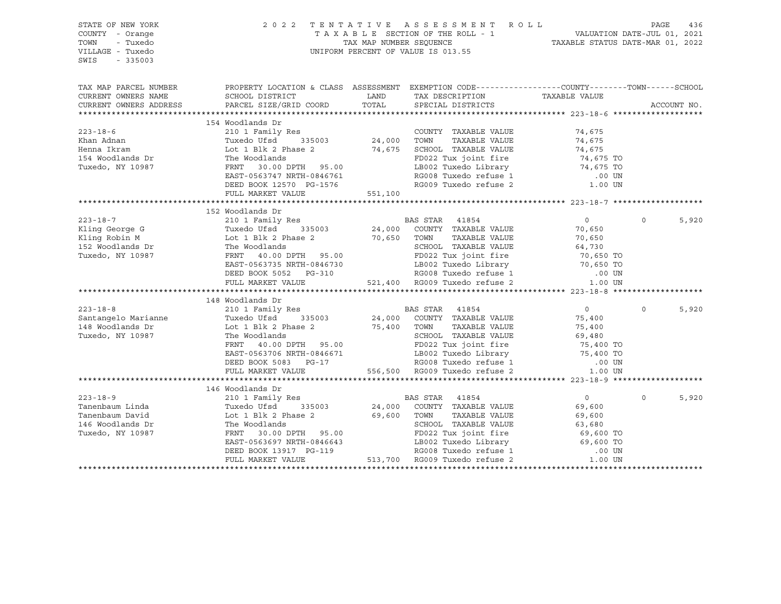| STATE OF NEW YORK<br>COUNTY - Orange<br>- Tuxedo<br>TOWN<br>VILLAGE - Tuxedo<br>SWIS<br>$-335003$                                                                                                                                          |                                                                                                                                                                                                                                                                                                                                                                                                                                  |       | 2022 TENTATIVE ASSESSMENT ROLL PAGE 436<br>TAXABLE SECTION OF THE ROLL - 1 VALUATION DATE-JUL 01, 2021<br>TAX MAP NUMBER SEQUENCE TAXABLE STATUS DATE-MAR 01, 2022<br>UNIFORM PERCENT OF VALUE IS 013.55 |                   |          |             |
|--------------------------------------------------------------------------------------------------------------------------------------------------------------------------------------------------------------------------------------------|----------------------------------------------------------------------------------------------------------------------------------------------------------------------------------------------------------------------------------------------------------------------------------------------------------------------------------------------------------------------------------------------------------------------------------|-------|----------------------------------------------------------------------------------------------------------------------------------------------------------------------------------------------------------|-------------------|----------|-------------|
| TAX MAP PARCEL NUMBER<br>CURRENT OWNERS NAME                                                                                                                                                                                               | PROPERTY LOCATION & CLASS ASSESSMENT EXEMPTION CODE-----------------COUNTY-------TOWN------SCHOOL<br>SCHOOL DISTRICT                                                                                                                                                                                                                                                                                                             | LAND  | TAX DESCRIPTION                                                                                                                                                                                          | TAXABLE VALUE     |          |             |
| CURRENT OWNERS ADDRESS                                                                                                                                                                                                                     | PARCEL SIZE/GRID COORD                                                                                                                                                                                                                                                                                                                                                                                                           | TOTAL | SPECIAL DISTRICTS                                                                                                                                                                                        |                   |          | ACCOUNT NO. |
|                                                                                                                                                                                                                                            |                                                                                                                                                                                                                                                                                                                                                                                                                                  |       |                                                                                                                                                                                                          |                   |          |             |
|                                                                                                                                                                                                                                            | 154 Woodlands Dr                                                                                                                                                                                                                                                                                                                                                                                                                 |       |                                                                                                                                                                                                          |                   |          |             |
| $223 - 18 - 6$                                                                                                                                                                                                                             | 210 1 Family Res<br>Tuxedo Ufsd 335003 24,000 TOWN TAXABLE VALUE                                                                                                                                                                                                                                                                                                                                                                 |       | COUNTY TAXABLE VALUE 74,675                                                                                                                                                                              |                   |          |             |
| Khan Adnan                                                                                                                                                                                                                                 |                                                                                                                                                                                                                                                                                                                                                                                                                                  |       |                                                                                                                                                                                                          | 74,675            |          |             |
| Henna Ikram                                                                                                                                                                                                                                |                                                                                                                                                                                                                                                                                                                                                                                                                                  |       |                                                                                                                                                                                                          |                   |          |             |
| 154 Woodlands Dr                                                                                                                                                                                                                           | Lot 1 Blk 2 Phase 2 $74,675$ SCHOOL TAXABLE VALUE $74,675$<br>The Woodlands $20002$ Tux joint fire $74,675$ TO<br>FRAT 30.00 DPTH 95.00<br>EAST-0563747 NRTH-0846761<br>DEED BOOK 12570 PG-1576<br>FULL MARKET VALUE 551,100<br>FULL MARKET VALUE 551,100<br>FULL MARKET VALUE 551,100<br>TURENT SOUTHER 1.00 UN<br>FULL MARKET VALUE 551,100                                                                                    |       |                                                                                                                                                                                                          |                   |          |             |
| Tuxedo, NY 10987                                                                                                                                                                                                                           |                                                                                                                                                                                                                                                                                                                                                                                                                                  |       |                                                                                                                                                                                                          |                   |          |             |
|                                                                                                                                                                                                                                            |                                                                                                                                                                                                                                                                                                                                                                                                                                  |       |                                                                                                                                                                                                          |                   |          |             |
|                                                                                                                                                                                                                                            |                                                                                                                                                                                                                                                                                                                                                                                                                                  |       |                                                                                                                                                                                                          |                   |          |             |
|                                                                                                                                                                                                                                            |                                                                                                                                                                                                                                                                                                                                                                                                                                  |       |                                                                                                                                                                                                          |                   |          |             |
|                                                                                                                                                                                                                                            |                                                                                                                                                                                                                                                                                                                                                                                                                                  |       |                                                                                                                                                                                                          |                   |          |             |
|                                                                                                                                                                                                                                            | 152 Woodlands Dr                                                                                                                                                                                                                                                                                                                                                                                                                 |       |                                                                                                                                                                                                          |                   |          |             |
| $223 - 18 - 7$                                                                                                                                                                                                                             | 210 1 Family Res 6 210 BAS STAR 41854                                                                                                                                                                                                                                                                                                                                                                                            |       |                                                                                                                                                                                                          | $\overline{0}$    | $\Omega$ | 5,920       |
|                                                                                                                                                                                                                                            |                                                                                                                                                                                                                                                                                                                                                                                                                                  |       |                                                                                                                                                                                                          | 70,650            |          |             |
|                                                                                                                                                                                                                                            |                                                                                                                                                                                                                                                                                                                                                                                                                                  |       |                                                                                                                                                                                                          |                   |          |             |
| X10 1 Family Acsoc 24,000 COUNTY TAXABLE VALUE<br>X1ing George G Tuxedo Ufsd 335003 24,000 COUNTY TAXABLE VALUE<br>X1ing Robin M Lot 1 Blk 2 Phase 2 70,650 TOWN TAXABLE VALUE<br>Taxable VALUE<br>The Woodlands<br>The Woodlands<br>The W |                                                                                                                                                                                                                                                                                                                                                                                                                                  |       |                                                                                                                                                                                                          |                   |          |             |
|                                                                                                                                                                                                                                            |                                                                                                                                                                                                                                                                                                                                                                                                                                  |       |                                                                                                                                                                                                          |                   |          |             |
|                                                                                                                                                                                                                                            |                                                                                                                                                                                                                                                                                                                                                                                                                                  |       |                                                                                                                                                                                                          |                   |          |             |
|                                                                                                                                                                                                                                            |                                                                                                                                                                                                                                                                                                                                                                                                                                  |       |                                                                                                                                                                                                          |                   |          |             |
|                                                                                                                                                                                                                                            | ${\small \begin{tabular}{lcccc} Lot 1 Blk 2 Phase 2 & 70,650 & TOWN & TAXABLE VALUE & 70,650 \\ The Woodlands & SCHOOL TAXABLE VALUE & 70,650 \\ FRNT & 40.00 DPTH & 95.00 & FD022 Tux joint fire & 70,650 \\ EAST-0563735 NRTH-0846730 & LBO02 Tuxedo Library & 70,650 TO \\ DEED BOOK 5052 PG-310 & 821,400 RGO09 Tuxedo refuse 1 & .00 UN \\ FULL MARKET VALUE & & & & 1.00 UN \\ FULL MARKET VALUE & & & & 1.00 UN \\ \end{$ |       |                                                                                                                                                                                                          |                   |          |             |
|                                                                                                                                                                                                                                            |                                                                                                                                                                                                                                                                                                                                                                                                                                  |       |                                                                                                                                                                                                          |                   |          |             |
| $223 - 18 - 8$                                                                                                                                                                                                                             | 148 Woodlands Dr                                                                                                                                                                                                                                                                                                                                                                                                                 |       |                                                                                                                                                                                                          |                   | $\Omega$ |             |
| Santangelo Marianne                                                                                                                                                                                                                        |                                                                                                                                                                                                                                                                                                                                                                                                                                  |       |                                                                                                                                                                                                          | $\overline{0}$    |          | 5,920       |
| 148 Woodlands Dr                                                                                                                                                                                                                           |                                                                                                                                                                                                                                                                                                                                                                                                                                  |       |                                                                                                                                                                                                          | 75,400<br>75,400  |          |             |
| Tuxedo, NY 10987                                                                                                                                                                                                                           | 210 November 2010 1 Family Res<br>Tuxedo Ufsd 335003 24,000 COUNTY TAXABLE VALUE<br>Lot 1 Blk 2 Phase 2 75,400 TOWN TAXABLE VALUE<br>The Woodlands SCHOOL TAXABLE VALUE<br>FRNT 40.00 DPTH 95.00 FD022 Tux joint fire                                                                                                                                                                                                            |       | TOWN TAXABLE VALUE 69,480<br>SCHOOL TAXABLE VALUE 69,480<br>75,400 TO                                                                                                                                    |                   |          |             |
|                                                                                                                                                                                                                                            |                                                                                                                                                                                                                                                                                                                                                                                                                                  |       |                                                                                                                                                                                                          |                   |          |             |
|                                                                                                                                                                                                                                            | EAST-0563706 NRTH-0846671                                                                                                                                                                                                                                                                                                                                                                                                        |       | 90 FD022 Tux joint fire 75,400 TO<br>71 LB002 Tuxedo Library 75,400 TO<br>RG008 Tuxedo refuse 1 000 UN<br>556,500 RG009 Tuxedo refuse 2 1.00 UN                                                          |                   |          |             |
|                                                                                                                                                                                                                                            | DEED BOOK 5083 PG-17                                                                                                                                                                                                                                                                                                                                                                                                             |       |                                                                                                                                                                                                          |                   |          |             |
|                                                                                                                                                                                                                                            | FULL MARKET VALUE                                                                                                                                                                                                                                                                                                                                                                                                                |       |                                                                                                                                                                                                          |                   |          |             |
|                                                                                                                                                                                                                                            |                                                                                                                                                                                                                                                                                                                                                                                                                                  |       |                                                                                                                                                                                                          |                   |          |             |
|                                                                                                                                                                                                                                            | 146 Woodlands Dr                                                                                                                                                                                                                                                                                                                                                                                                                 |       |                                                                                                                                                                                                          |                   |          |             |
| $223 - 18 - 9$                                                                                                                                                                                                                             | nobulanus Li<br>210 1 Family Res                                                                                                                                                                                                                                                                                                                                                                                                 |       | BAS STAR 41854                                                                                                                                                                                           | $\overline{0}$    | $\circ$  | 5,920       |
| Tanenbaum Linda                                                                                                                                                                                                                            |                                                                                                                                                                                                                                                                                                                                                                                                                                  |       |                                                                                                                                                                                                          | 69,600            |          |             |
| Tanenbaum David                                                                                                                                                                                                                            | Tuxedo Ufsd <sup>3</sup> 335003 24,000 COUNTY TAXABLE VALUE<br>Lot 1 Blk 2 Phase 2 69,600 TOWN TAXABLE VALUE                                                                                                                                                                                                                                                                                                                     |       | TAXABLE VALUE                                                                                                                                                                                            | 69,600            |          |             |
| 146 Woodlands Dr                                                                                                                                                                                                                           | The Woodlands                                                                                                                                                                                                                                                                                                                                                                                                                    |       |                                                                                                                                                                                                          |                   |          |             |
| Tuxedo, NY 10987                                                                                                                                                                                                                           |                                                                                                                                                                                                                                                                                                                                                                                                                                  |       | SCHOOL TAXABLE VALUE 63,680<br>FD022 Tux joint fire 69,600 TO<br>LB002 Tuxedo Library 69,600 TO<br>RG008 Tuxedo refuse 1 00 UN                                                                           |                   |          |             |
|                                                                                                                                                                                                                                            |                                                                                                                                                                                                                                                                                                                                                                                                                                  |       |                                                                                                                                                                                                          |                   |          |             |
|                                                                                                                                                                                                                                            |                                                                                                                                                                                                                                                                                                                                                                                                                                  |       |                                                                                                                                                                                                          |                   |          |             |
|                                                                                                                                                                                                                                            | FRNT 30.00 DPTH 95.00 FD022 Tux joint fire<br>EAST-0563697 NRTH-0846643 LB002 Tuxedo Library<br>DEED BOOK 13917 PG-119 RG008 Tuxedo refuse 1<br>FULL MARKET VALUE 513,700 RG009 Tuxedo refuse 2                                                                                                                                                                                                                                  |       |                                                                                                                                                                                                          | .00 UN<br>1.00 UN |          |             |
|                                                                                                                                                                                                                                            |                                                                                                                                                                                                                                                                                                                                                                                                                                  |       |                                                                                                                                                                                                          |                   |          |             |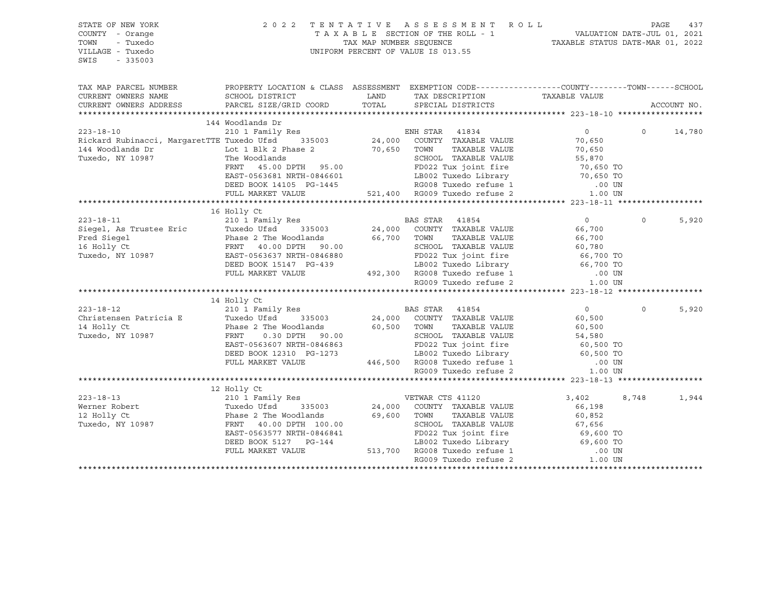| STATE OF NEW YORK<br>COUNTY - Orange<br>- Tuxedo<br>TOWN<br>VILLAGE - Tuxedo<br>SWIS<br>$-335003$                                                                                                                                        | 2 0 2 2                                                                                                                                                                                                                                                                                                                                                                                                                                    | TENTATIVE ASSESSMENT ROLL PAGE 437<br>TAXABLE SECTION OF THE ROLL - 1 VALUATION DATE-JUL 01, 2021<br>TAX MAP NUMBER SEQUENCE TAXABLE STATUS DATE-MAR 01, 2022<br>UNIFORM PERCENT OF VALUE IS 013.55              |                  |          |             |
|------------------------------------------------------------------------------------------------------------------------------------------------------------------------------------------------------------------------------------------|--------------------------------------------------------------------------------------------------------------------------------------------------------------------------------------------------------------------------------------------------------------------------------------------------------------------------------------------------------------------------------------------------------------------------------------------|------------------------------------------------------------------------------------------------------------------------------------------------------------------------------------------------------------------|------------------|----------|-------------|
| TAX MAP PARCEL NUMBER PROPERTY LOCATION & CLASS ASSESSMENT EXEMPTION CODE---------------COUNTY--------TOWN------SCHOOL                                                                                                                   |                                                                                                                                                                                                                                                                                                                                                                                                                                            |                                                                                                                                                                                                                  |                  |          |             |
| CURRENT OWNERS NAME                                                                                                                                                                                                                      | SCHOOL DISTRICT                                                                                                                                                                                                                                                                                                                                                                                                                            | LAND TAX DESCRIPTION                                                                                                                                                                                             | TAXABLE VALUE    |          |             |
| CURRENT OWNERS ADDRESS                                                                                                                                                                                                                   | PARCEL SIZE/GRID COORD                                                                                                                                                                                                                                                                                                                                                                                                                     | TOTAL SPECIAL DISTRICTS                                                                                                                                                                                          |                  |          | ACCOUNT NO. |
|                                                                                                                                                                                                                                          | 144 Woodlands Dr                                                                                                                                                                                                                                                                                                                                                                                                                           |                                                                                                                                                                                                                  |                  |          |             |
|                                                                                                                                                                                                                                          |                                                                                                                                                                                                                                                                                                                                                                                                                                            |                                                                                                                                                                                                                  | $\overline{0}$   | $\Omega$ | 14,780      |
| 223-18-10 210 1 Family Res 21,000 ENH STAR 41834<br>Rickard Rubinacci, MargaretTTE Tuxedo Ufsd 335003 24,000 COUNTY TAXABLE VALUE                                                                                                        |                                                                                                                                                                                                                                                                                                                                                                                                                                            |                                                                                                                                                                                                                  | 70,650           |          |             |
|                                                                                                                                                                                                                                          |                                                                                                                                                                                                                                                                                                                                                                                                                                            | TAXABLE VALUE                                                                                                                                                                                                    | 70,650           |          |             |
|                                                                                                                                                                                                                                          |                                                                                                                                                                                                                                                                                                                                                                                                                                            |                                                                                                                                                                                                                  |                  |          |             |
|                                                                                                                                                                                                                                          | $\begin{tabular}{lcccc} The Woodlands & & & & & & & \text{SCH OOL} & TAXABLE VALUE & & & & & \text{55,870} \\ FRNT & 45.00 DPTH & 95.00 & & & & & \text{FD022 Tux joint fire & & & \text{70,650 TO} \\ EAST-0563681 NRTH-0846601 & & & & & \text{LBO02 Tused Library} & & & \text{70,650 TO} \\ DEED BOOK 14105 PG-1445 & & & & & \text{RGO08 Tused refuse 1 & & & \text{00 UN} \\ FULL MARKET VALUE & & & & & & \text{521,400} & \text{R$ |                                                                                                                                                                                                                  |                  |          |             |
|                                                                                                                                                                                                                                          |                                                                                                                                                                                                                                                                                                                                                                                                                                            |                                                                                                                                                                                                                  |                  |          |             |
|                                                                                                                                                                                                                                          |                                                                                                                                                                                                                                                                                                                                                                                                                                            |                                                                                                                                                                                                                  |                  |          |             |
|                                                                                                                                                                                                                                          |                                                                                                                                                                                                                                                                                                                                                                                                                                            |                                                                                                                                                                                                                  |                  |          |             |
|                                                                                                                                                                                                                                          |                                                                                                                                                                                                                                                                                                                                                                                                                                            |                                                                                                                                                                                                                  |                  |          |             |
|                                                                                                                                                                                                                                          | 16 Holly Ct                                                                                                                                                                                                                                                                                                                                                                                                                                |                                                                                                                                                                                                                  |                  |          |             |
| 16 Holly Ct<br>223-18-11 210 1 Family Res<br>Siegel, As Trustee Eric Tuxedo Ufsd 335003 24,000 COUNTY TAXABLE VALUE<br>Fred Siegel Phase 2 The Woodlands 66,700 TOWN TAXABLE VALUE<br>16 Holly Ct FRNT 40.00 DPTH 90.00 SCHOOL TAXABLE   |                                                                                                                                                                                                                                                                                                                                                                                                                                            |                                                                                                                                                                                                                  | $\overline{0}$   | $\Omega$ | 5,920       |
|                                                                                                                                                                                                                                          |                                                                                                                                                                                                                                                                                                                                                                                                                                            |                                                                                                                                                                                                                  | 66,700           |          |             |
|                                                                                                                                                                                                                                          |                                                                                                                                                                                                                                                                                                                                                                                                                                            |                                                                                                                                                                                                                  |                  |          |             |
|                                                                                                                                                                                                                                          |                                                                                                                                                                                                                                                                                                                                                                                                                                            | TOWN TAXABLE VALUE<br>SCHOOL TAXABLE VALUE 60,780<br>CHOOL TAXABLE VALUE 66,700 TO                                                                                                                               |                  |          |             |
|                                                                                                                                                                                                                                          |                                                                                                                                                                                                                                                                                                                                                                                                                                            |                                                                                                                                                                                                                  |                  |          |             |
|                                                                                                                                                                                                                                          |                                                                                                                                                                                                                                                                                                                                                                                                                                            |                                                                                                                                                                                                                  |                  |          |             |
|                                                                                                                                                                                                                                          |                                                                                                                                                                                                                                                                                                                                                                                                                                            |                                                                                                                                                                                                                  |                  |          |             |
|                                                                                                                                                                                                                                          | FRNT 40.00 DPTH 90.00<br>EAST-0563637 NRTH-0846880<br>DEED BOOK 15147 PG-439 LB002 Tuxedo Library 66,700 TO<br>FULL MARKET VALUE 492,300 RG008 Tuxedo refuse 1 .00 UN<br>RG009 Tuxedo refuse 2 1.00 UN                                                                                                                                                                                                                                     |                                                                                                                                                                                                                  |                  |          |             |
|                                                                                                                                                                                                                                          |                                                                                                                                                                                                                                                                                                                                                                                                                                            |                                                                                                                                                                                                                  |                  |          |             |
| 210 1 Family Res<br>Christensen Patricia E (210 1 Family Res<br>Tuxedo Ufsd 335003 24,000 COUNTY TAXABLE VALUE<br>24,000 COUNTY TAXABLE VALUE<br>Tuxedo, NY 10987 PRAGE 2 The Woodlands<br>20,500 TOWN TAXABLE VALUE<br>Tuxedo, NY 10987 | 14 Holly Ct                                                                                                                                                                                                                                                                                                                                                                                                                                |                                                                                                                                                                                                                  |                  |          |             |
|                                                                                                                                                                                                                                          |                                                                                                                                                                                                                                                                                                                                                                                                                                            |                                                                                                                                                                                                                  | $\overline{0}$   | $\circ$  | 5,920       |
|                                                                                                                                                                                                                                          |                                                                                                                                                                                                                                                                                                                                                                                                                                            |                                                                                                                                                                                                                  | 60,500<br>60,500 |          |             |
|                                                                                                                                                                                                                                          |                                                                                                                                                                                                                                                                                                                                                                                                                                            |                                                                                                                                                                                                                  |                  |          |             |
| Tuxedo, NY 10987                                                                                                                                                                                                                         |                                                                                                                                                                                                                                                                                                                                                                                                                                            |                                                                                                                                                                                                                  |                  |          |             |
|                                                                                                                                                                                                                                          | EAST-0563607 NRTH-0846863                                                                                                                                                                                                                                                                                                                                                                                                                  |                                                                                                                                                                                                                  |                  |          |             |
|                                                                                                                                                                                                                                          | DEED BOOK 12310 PG-1273<br>FULL MARKET VALUE                                                                                                                                                                                                                                                                                                                                                                                               |                                                                                                                                                                                                                  |                  |          |             |
|                                                                                                                                                                                                                                          |                                                                                                                                                                                                                                                                                                                                                                                                                                            | 0.30 DPTH 90.00<br>63607 NRTH-0846863<br>63607 NRTH-0846863<br>0K 12310 PG-1273<br>446,500 RG008 Tuxedo refuse 1 0.00 UN<br>RKET VALUE<br>446,500 RG008 Tuxedo refuse 1 0.00 UN<br>RG009 Tuxedo refuse 2 1.00 UN |                  |          |             |
|                                                                                                                                                                                                                                          |                                                                                                                                                                                                                                                                                                                                                                                                                                            |                                                                                                                                                                                                                  |                  |          |             |
|                                                                                                                                                                                                                                          |                                                                                                                                                                                                                                                                                                                                                                                                                                            |                                                                                                                                                                                                                  |                  |          |             |
| $223 - 18 - 13$                                                                                                                                                                                                                          | 210 1 Family Res VETWAR CTS 41120                                                                                                                                                                                                                                                                                                                                                                                                          |                                                                                                                                                                                                                  | 3,402            | 8,748    | 1,944       |
| Werner Robert                                                                                                                                                                                                                            |                                                                                                                                                                                                                                                                                                                                                                                                                                            | 24,000 COUNTY TAXABLE VALUE                                                                                                                                                                                      | 66,198           |          |             |
| 12 Holly Ct                                                                                                                                                                                                                              | 210 1 Family Res<br>Tuxedo Ufsd 335003 24,000 COUNTY<br>Phase 2 The Woodlands 69,600 TOWN<br>FRNT 40.00 DPTH 100.00                                                                                                                                                                                                                                                                                                                        | TAXABLE VALUE                                                                                                                                                                                                    | 60,852           |          |             |
| Tuxedo, NY 10987                                                                                                                                                                                                                         |                                                                                                                                                                                                                                                                                                                                                                                                                                            | SCHOOL TAXABLE VALUE                                                                                                                                                                                             | 67,656           |          |             |
|                                                                                                                                                                                                                                          | EAST-0563577 NRTH-0846841                                                                                                                                                                                                                                                                                                                                                                                                                  | 97,656<br>9846841 FD022 Tux joint fire 69,600 TO<br>513,700 RG008 Tuxedo refuse 1 69,600 TO                                                                                                                      |                  |          |             |
|                                                                                                                                                                                                                                          | DEED BOOK 5127 PG-144                                                                                                                                                                                                                                                                                                                                                                                                                      |                                                                                                                                                                                                                  |                  |          |             |
|                                                                                                                                                                                                                                          | FULL MARKET VALUE                                                                                                                                                                                                                                                                                                                                                                                                                          |                                                                                                                                                                                                                  |                  |          |             |
|                                                                                                                                                                                                                                          |                                                                                                                                                                                                                                                                                                                                                                                                                                            | RG009 Tuxedo refuse 2                                                                                                                                                                                            | $1.00$ UN        |          |             |
|                                                                                                                                                                                                                                          |                                                                                                                                                                                                                                                                                                                                                                                                                                            |                                                                                                                                                                                                                  |                  |          |             |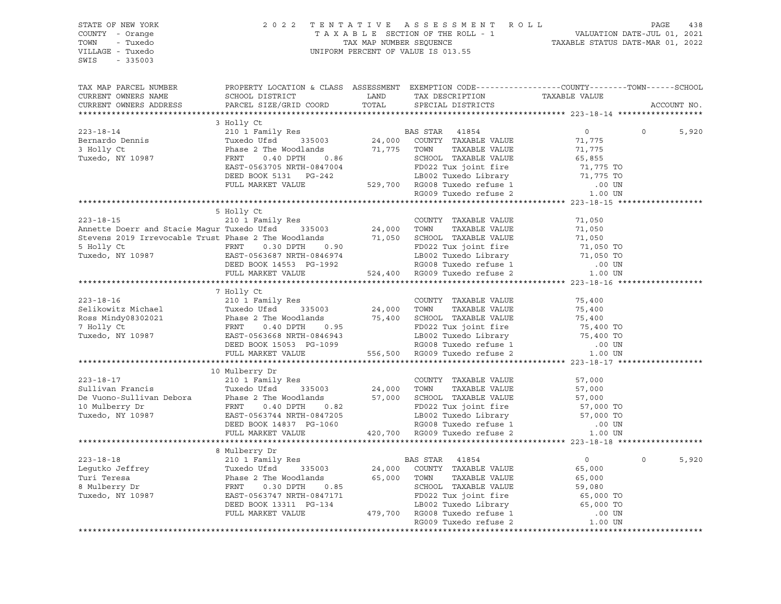| STATE OF NEW YORK<br>COUNTY - Orange<br>TOWN<br>- Tuxedo<br>VILLAGE - Tuxedo<br>SWIS - 335003                                                                                                                                          | 2022 TENTATIVE ASSESSMENT ROLL PAGE 438<br>TAXABLE SECTION OF THE ROLL - 1 VALUATION DATE-JUL 01, 2021<br>TAX MAP NUMBER SEQUENCE TAXABLE STATUS DATE-MAR 01, 2022<br>UNIFORM PERCENT OF VALUE IS 013.55 |  |             |       |
|----------------------------------------------------------------------------------------------------------------------------------------------------------------------------------------------------------------------------------------|----------------------------------------------------------------------------------------------------------------------------------------------------------------------------------------------------------|--|-------------|-------|
| TAX MAP PARCEL NUMBER                                                                                                                                                                                                                  | PROPERTY LOCATION & CLASS ASSESSMENT EXEMPTION CODE----------------COUNTY-------TOWN-----SCHOOL                                                                                                          |  |             |       |
| CURRENT OWNERS NAME                                                                                                                                                                                                                    | SCHOOL DISTRICT LAND TAX DESCRIPTION TAXABLE VALUE PARCEL SIZE/GRID COORD TOTAL SPECIAL DISTRICTS                                                                                                        |  |             |       |
| CURRENT OWNERS ADDRESS                                                                                                                                                                                                                 |                                                                                                                                                                                                          |  | ACCOUNT NO. |       |
|                                                                                                                                                                                                                                        | 3 Holly Ct                                                                                                                                                                                               |  |             |       |
|                                                                                                                                                                                                                                        |                                                                                                                                                                                                          |  | $\circ$     | 5,920 |
|                                                                                                                                                                                                                                        |                                                                                                                                                                                                          |  |             |       |
|                                                                                                                                                                                                                                        |                                                                                                                                                                                                          |  |             |       |
|                                                                                                                                                                                                                                        |                                                                                                                                                                                                          |  |             |       |
|                                                                                                                                                                                                                                        |                                                                                                                                                                                                          |  |             |       |
|                                                                                                                                                                                                                                        |                                                                                                                                                                                                          |  |             |       |
|                                                                                                                                                                                                                                        |                                                                                                                                                                                                          |  |             |       |
|                                                                                                                                                                                                                                        |                                                                                                                                                                                                          |  |             |       |
|                                                                                                                                                                                                                                        |                                                                                                                                                                                                          |  |             |       |
|                                                                                                                                                                                                                                        | 5 Holly Ct                                                                                                                                                                                               |  |             |       |
|                                                                                                                                                                                                                                        |                                                                                                                                                                                                          |  |             |       |
|                                                                                                                                                                                                                                        |                                                                                                                                                                                                          |  |             |       |
|                                                                                                                                                                                                                                        |                                                                                                                                                                                                          |  |             |       |
|                                                                                                                                                                                                                                        |                                                                                                                                                                                                          |  |             |       |
|                                                                                                                                                                                                                                        |                                                                                                                                                                                                          |  |             |       |
| 323-18-15<br>Annette Doerr and Stacie Magur Tuxedo Ufsd 335003<br>24,000 TOWN TAXABLE VALUE 71,050<br>Stevens 2019 Irrevocable Trust Phase 2 The Woodlands<br>5 Holly Ct FRNT 0.30 DPTH 0.90 FD022 Tux joint fire 71,050 Tuxedo, NY 10 |                                                                                                                                                                                                          |  |             |       |
|                                                                                                                                                                                                                                        |                                                                                                                                                                                                          |  |             |       |
|                                                                                                                                                                                                                                        | 7 Holly Ct                                                                                                                                                                                               |  |             |       |
|                                                                                                                                                                                                                                        |                                                                                                                                                                                                          |  |             |       |
|                                                                                                                                                                                                                                        |                                                                                                                                                                                                          |  |             |       |
|                                                                                                                                                                                                                                        |                                                                                                                                                                                                          |  |             |       |
|                                                                                                                                                                                                                                        |                                                                                                                                                                                                          |  |             |       |
|                                                                                                                                                                                                                                        |                                                                                                                                                                                                          |  |             |       |
|                                                                                                                                                                                                                                        |                                                                                                                                                                                                          |  |             |       |
|                                                                                                                                                                                                                                        |                                                                                                                                                                                                          |  |             |       |
|                                                                                                                                                                                                                                        | 10 Mulberry Dr                                                                                                                                                                                           |  |             |       |
|                                                                                                                                                                                                                                        |                                                                                                                                                                                                          |  |             |       |
|                                                                                                                                                                                                                                        |                                                                                                                                                                                                          |  |             |       |
|                                                                                                                                                                                                                                        |                                                                                                                                                                                                          |  |             |       |
|                                                                                                                                                                                                                                        |                                                                                                                                                                                                          |  |             |       |
|                                                                                                                                                                                                                                        |                                                                                                                                                                                                          |  |             |       |
|                                                                                                                                                                                                                                        |                                                                                                                                                                                                          |  |             |       |
|                                                                                                                                                                                                                                        |                                                                                                                                                                                                          |  |             |       |
|                                                                                                                                                                                                                                        |                                                                                                                                                                                                          |  |             |       |
|                                                                                                                                                                                                                                        | 8 Mulberry Dr                                                                                                                                                                                            |  |             |       |
|                                                                                                                                                                                                                                        |                                                                                                                                                                                                          |  | $\Omega$    | 5,920 |
|                                                                                                                                                                                                                                        |                                                                                                                                                                                                          |  |             |       |
|                                                                                                                                                                                                                                        |                                                                                                                                                                                                          |  |             |       |
|                                                                                                                                                                                                                                        |                                                                                                                                                                                                          |  |             |       |
|                                                                                                                                                                                                                                        |                                                                                                                                                                                                          |  |             |       |
|                                                                                                                                                                                                                                        |                                                                                                                                                                                                          |  |             |       |
|                                                                                                                                                                                                                                        |                                                                                                                                                                                                          |  |             |       |
|                                                                                                                                                                                                                                        |                                                                                                                                                                                                          |  |             |       |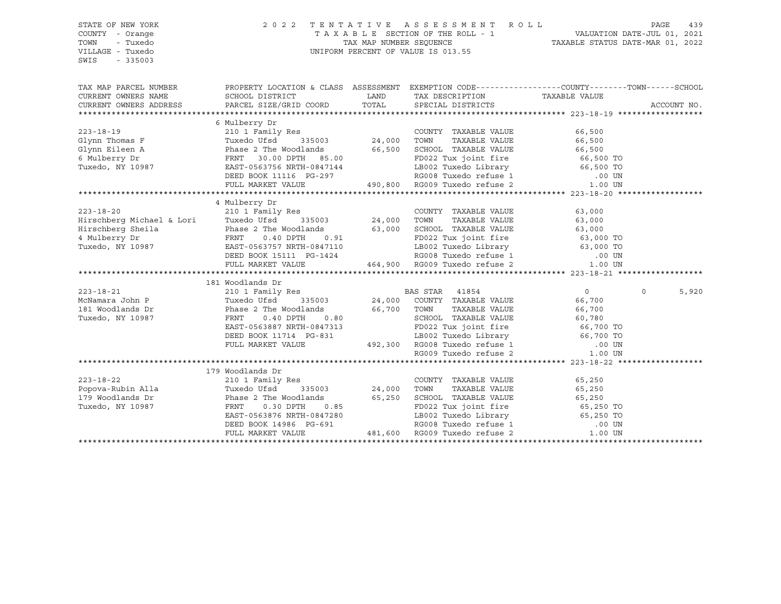| STATE OF NEW YORK<br>COUNTY - Orange<br>TOWN<br>- Tuxedo<br>VILLAGE - Tuxedo<br>SWIS<br>$-335003$ | 2 0 2 2                                                                                                                                                                                                                                                          | TENTATIVE ASSESSMENT ROLL<br>T A X A B L E SECTION OF THE ROLL - 1 VALUATION DATE-JUL 01, 2021<br>TAX MAP NUMBER SEQUENCE TAXABLE STATUS DATE-MAR 01, 2022<br>UNIFORM PERCENT OF VALUE IS 013.55 |        | PAGE     | 439         |
|---------------------------------------------------------------------------------------------------|------------------------------------------------------------------------------------------------------------------------------------------------------------------------------------------------------------------------------------------------------------------|--------------------------------------------------------------------------------------------------------------------------------------------------------------------------------------------------|--------|----------|-------------|
| TAX MAP PARCEL NUMBER                                                                             | PROPERTY LOCATION & CLASS ASSESSMENT EXEMPTION CODE-----------------COUNTY-------TOWN------SCHOOL<br>CURRENT OWNERS NAME SCHOOL DISTRICT THAND TAX DESCRIPTION TAXABLE VALUE CURRENT OWNERS ADDRESS TARGEL SIZE/GRID COORD TOTAL SPECIAL DISTRICTS               |                                                                                                                                                                                                  |        |          | ACCOUNT NO. |
|                                                                                                   | 6 Mulberry Dr                                                                                                                                                                                                                                                    |                                                                                                                                                                                                  |        |          |             |
|                                                                                                   | 4 Mulberry Dr                                                                                                                                                                                                                                                    |                                                                                                                                                                                                  |        |          |             |
| $223 - 18 - 20$                                                                                   | 210 1 Family Res<br>Example of the country than that the country of the country of the country of the country of the country of the country of the country of the country of the country of the country of the country of the country of the count               | COUNTY TAXABLE VALUE                                                                                                                                                                             | 63,000 |          |             |
|                                                                                                   | 181 Woodlands Dr<br>210 1 Family Res<br>Tuxedo Ufsd 335003 24,000 COUNTY TAXABLE VALUE                                                                                                                                                                           |                                                                                                                                                                                                  |        | $\Omega$ | 5,920       |
| $223 - 18 - 22$<br>Popova-Rubin Alla<br>179 Woodlands Dr<br>Tuxedo, NY 10987                      | 179 Woodlands Dr<br>1/9 WOODLANDS Dr<br>210 1 Family Res<br>Tuxedo Ufsd 335003 24,000 TOWN TAXABLE VALUE<br>24,000 TOWN TAXABLE VALUE 65,250<br>Phase 2 The Woodlands 65,250 SCHOOL TAXABLE VALUE 65,250<br>FRNT 0.30 DPTH 0.85<br>FRNT 0.30 DPTH 0.85<br>EAST-0 |                                                                                                                                                                                                  |        |          |             |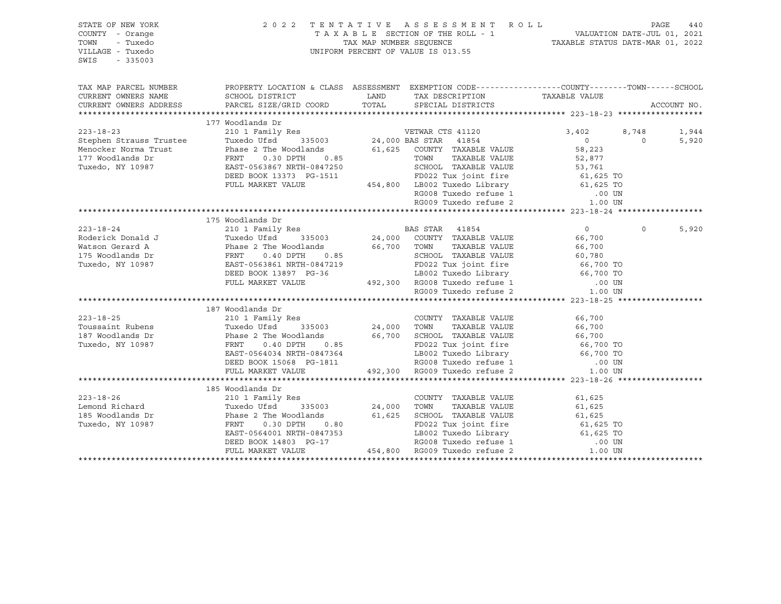| STATE OF NEW YORK<br>COUNTY - Orange<br>- Tuxedo<br>TOWN<br>VILLAGE - Tuxedo<br>SWIS<br>$-335003$ |                                                                                                                                                                                                                                                                                                                                                             | UNIFORM PERCENT OF VALUE IS 013.55 | 2022 TENTATIVE ASSESSMENT ROLL PAGE 440<br>TAXABLE SECTION OF THE ROLL - 1 VALUATION DATE-JUL 01, 2021<br>TAX MAP NUMBER SEQUENCE TAXABLE STATUS DATE-MAR 01, 2022 |                |
|---------------------------------------------------------------------------------------------------|-------------------------------------------------------------------------------------------------------------------------------------------------------------------------------------------------------------------------------------------------------------------------------------------------------------------------------------------------------------|------------------------------------|--------------------------------------------------------------------------------------------------------------------------------------------------------------------|----------------|
| CURRENT OWNERS NAME<br>CURRENT OWNERS ADDRESS                                                     | TAX MAP PARCEL NUMBER THE PROPERTY LOCATION & CLASS ASSESSMENT EXEMPTION CODE---------------COUNTY--------TOWN------SCHOOL                                                                                                                                                                                                                                  |                                    |                                                                                                                                                                    | ACCOUNT NO.    |
|                                                                                                   | 177 Woodlands Dr<br>223-18-23<br>223-18-23<br>223-18-23<br>223-18-23<br>223-18-23<br>223-18-23<br>223-18-23<br>223-18-23<br>223-18-23<br>223-18-24<br>223-18-24<br>223-18-24<br>223-18-24<br>223-18-24<br>223-18-24<br>223-18-24<br>223-18-24<br>223-18-24<br>223-18                                                                                        |                                    | 3,402 8,748<br>$\overline{0}$                                                                                                                                      | 1,944<br>5,920 |
|                                                                                                   | 175 Woodlands Dr                                                                                                                                                                                                                                                                                                                                            |                                    | $\Omega$                                                                                                                                                           | 5,920          |
| $223 - 18 - 25$<br>Toussaint Rubens<br>187 Woodlands Dr<br>Tuxedo, NY 10987                       | 187 Woodlands Dr<br>210 1 Family Res<br>210 1 Family Res<br>Tuxedo Ufsd 335003 24,000 TOWN TAXABLE VALUE 66,700<br>210 1 Family Res<br>Tuxedo Ufsd 335003 24,000 TOWN TAXABLE VALUE 66,700<br>Phase 2 The Woodlands 66,700 SCHOOL TAXABLE VALUE 66,700<br>FRNT 0.40 DPTH 0.85<br>EAST-0564034 NRTH-0847364 LB002 Tuxedo Library 66,700 TO<br>DEED BOOK 1506 |                                    |                                                                                                                                                                    |                |
|                                                                                                   | 185 Woodlands Dr<br>Continues Dr<br>Continues Dr<br>Continues Dr<br>210 1 Family Res<br>Tuxedo Ufsd<br>335003<br>185 Woodlands Dr<br>Tuxedo, NY 10987<br>Phase 2 The Woodlands<br>FRNT<br>0.30 DPTH<br>0.90                                                                                                                                                 |                                    |                                                                                                                                                                    |                |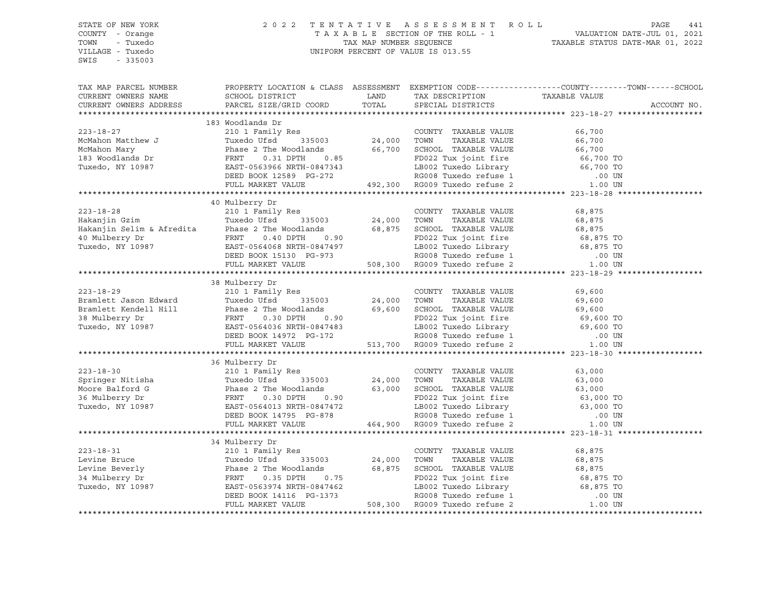SWIS - 335003

### STATE OF NEW YORK 2 0 2 2 T E N T A T I V E A S S E S S M E N T R O L L PAGE 441 COUNTY - Orange T A X A B L E SECTION OF THE ROLL - 1 VALUATION DATE-JUL 01, 2021 TOWN - Tuxedo TAX MAP NUMBER SEQUENCE TAXABLE STATUS DATE-MAR 01, 2022 VILLAGE - Tuxedo UNIFORM PERCENT OF VALUE IS 013.55

TAX MAP PARCEL NUMBER PROPERTY LOCATION & CLASS ASSESSMENT EXEMPTION CODE------------------COUNTY--------TOWN------SCHOOL CURRENT OWNERS NAME SCHOOL DISTRICT LAND TAX DESCRIPTION TAXABLE VALUE CURRENT OWNERS ADDRESS PARCEL SIZE/GRID COORD TOTAL SPECIAL DISTRICTS ACCOUNT NO. \*\*\*\*\*\*\*\*\*\*\*\*\*\*\*\*\*\*\*\*\*\*\*\*\*\*\*\*\*\*\*\*\*\*\*\*\*\*\*\*\*\*\*\*\*\*\*\*\*\*\*\*\*\*\*\*\*\*\*\*\*\*\*\*\*\*\*\*\*\*\*\*\*\*\*\*\*\*\*\*\*\*\*\*\*\*\*\*\*\*\*\*\*\*\*\*\*\*\*\*\*\*\* 223-18-27 \*\*\*\*\*\*\*\*\*\*\*\*\*\*\*\*\*\* 183 Woodlands Dr 223-18-27 210 1 Family Res COUNTY TAXABLE VALUE 66,700 McMahon Matthew J Tuxedo Ufsd 335003 24,000 TOWN TAXABLE VALUE 66,700 McMahon Mary Phase 2 The Woodlands 66,700 SCHOOL TAXABLE VALUE 66,700 183 Woodlands Dr FRNT 0.31 DPTH 0.85 FD022 Tux joint fire 66,700 TO Tuxedo, NY 10987 EAST-0563966 NRTH-0847343 LB002 Tuxedo Library 66,700 TO DEED BOOK 12589 PG-272 RG008 Tuxedo refuse 1 .00 UN FULL MARKET VALUE 492,300 RG009 Tuxedo refuse 2 1.00 UN \*\*\*\*\*\*\*\*\*\*\*\*\*\*\*\*\*\*\*\*\*\*\*\*\*\*\*\*\*\*\*\*\*\*\*\*\*\*\*\*\*\*\*\*\*\*\*\*\*\*\*\*\*\*\*\*\*\*\*\*\*\*\*\*\*\*\*\*\*\*\*\*\*\*\*\*\*\*\*\*\*\*\*\*\*\*\*\*\*\*\*\*\*\*\*\*\*\*\*\*\*\*\* 223-18-28 \*\*\*\*\*\*\*\*\*\*\*\*\*\*\*\*\*\* 40 Mulberry Dr 223-18-28 210 1 Family Res COUNTY TAXABLE VALUE 68,875 Hakanjin Gzim Tuxedo Ufsd 335003 24,000 TOWN TAXABLE VALUE 68,875 Hakanjin Selim & Afredita Phase 2 The Woodlands 68,875 SCHOOL TAXABLE VALUE 68,875 40 Mulberry Dr FRNT 0.40 DPTH 0.90 FD022 Tux joint fire 68,875 TO Tuxedo, NY 10987 EAST-0564068 NRTH-0847497 LB002 Tuxedo Library 68,875 TO DEED BOOK 15130 PG-973 RG008 Tuxedo refuse 1 .00 UN FULL MARKET VALUE 508,300 RG009 Tuxedo refuse 2 1.00 UN \*\*\*\*\*\*\*\*\*\*\*\*\*\*\*\*\*\*\*\*\*\*\*\*\*\*\*\*\*\*\*\*\*\*\*\*\*\*\*\*\*\*\*\*\*\*\*\*\*\*\*\*\*\*\*\*\*\*\*\*\*\*\*\*\*\*\*\*\*\*\*\*\*\*\*\*\*\*\*\*\*\*\*\*\*\*\*\*\*\*\*\*\*\*\*\*\*\*\*\*\*\*\* 223-18-29 \*\*\*\*\*\*\*\*\*\*\*\*\*\*\*\*\*\* 38 Mulberry Dr 223-18-29 210 1 Family Res COUNTY TAXABLE VALUE 69,600 Bramlett Jason Edward Tuxedo Ufsd 335003 24,000 TOWN TAXABLE VALUE 69,600 Bramlett Kendell Hill Phase 2 The Woodlands 69,600 SCHOOL TAXABLE VALUE 69,600 38 Mulberry Dr FRNT 0.30 DPTH 0.90 FD022 Tux joint fire 69,600 TO Tuxedo, NY 10987 EAST-0564036 NRTH-0847483 LB002 Tuxedo Library 69,600 TO DEED BOOK 14972 PG-172 RG008 Tuxedo refuse 1 .00 UN FULL MARKET VALUE 513,700 RG009 Tuxedo refuse 2 1.00 UN \*\*\*\*\*\*\*\*\*\*\*\*\*\*\*\*\*\*\*\*\*\*\*\*\*\*\*\*\*\*\*\*\*\*\*\*\*\*\*\*\*\*\*\*\*\*\*\*\*\*\*\*\*\*\*\*\*\*\*\*\*\*\*\*\*\*\*\*\*\*\*\*\*\*\*\*\*\*\*\*\*\*\*\*\*\*\*\*\*\*\*\*\*\*\*\*\*\*\*\*\*\*\* 223-18-30 \*\*\*\*\*\*\*\*\*\*\*\*\*\*\*\*\*\* 36 Mulberry Dr 223-18-30 210 1 Family Res COUNTY TAXABLE VALUE 63,000 Springer Nitisha Tuxedo Ufsd 335003 24,000 TOWN TAXABLE VALUE 63,000 Moore Balford G Phase 2 The Woodlands 63,000 SCHOOL TAXABLE VALUE 63,000 36 Mulberry Dr FRNT 0.30 DPTH 0.90 FD022 Tux joint fire 63,000 TO Tuxedo, NY 10987 EAST-0564013 NRTH-0847472 LB002 Tuxedo Library 63,000 TO DEED BOOK 14795 PG-878 RG008 Tuxedo refuse 1 .00 UN FULL MARKET VALUE 464,900 RG009 Tuxedo refuse 2 1.00 UN \*\*\*\*\*\*\*\*\*\*\*\*\*\*\*\*\*\*\*\*\*\*\*\*\*\*\*\*\*\*\*\*\*\*\*\*\*\*\*\*\*\*\*\*\*\*\*\*\*\*\*\*\*\*\*\*\*\*\*\*\*\*\*\*\*\*\*\*\*\*\*\*\*\*\*\*\*\*\*\*\*\*\*\*\*\*\*\*\*\*\*\*\*\*\*\*\*\*\*\*\*\*\* 223-18-31 \*\*\*\*\*\*\*\*\*\*\*\*\*\*\*\*\*\* 34 Mulberry Dr 223-18-31 210 1 Family Res COUNTY TAXABLE VALUE 68,875 Levine Bruce Tuxedo Ufsd 335003 24,000 TOWN TAXABLE VALUE 68,875 Levine Beverly Phase 2 The Woodlands 68,875 SCHOOL TAXABLE VALUE 68,875 34 Mulberry Dr FRNT 0.35 DPTH 0.75 FD022 Tux joint fire 68,875 TO Tuxedo, NY 10987 EAST-0563974 NRTH-0847462 LB002 Tuxedo Library 68,875 TO DEED BOOK 14116 PG-1373 RG008 Tuxedo refuse 1 .00 UN FULL MARKET VALUE 508,300 RG009 Tuxedo refuse 2 1.00 UN \*\*\*\*\*\*\*\*\*\*\*\*\*\*\*\*\*\*\*\*\*\*\*\*\*\*\*\*\*\*\*\*\*\*\*\*\*\*\*\*\*\*\*\*\*\*\*\*\*\*\*\*\*\*\*\*\*\*\*\*\*\*\*\*\*\*\*\*\*\*\*\*\*\*\*\*\*\*\*\*\*\*\*\*\*\*\*\*\*\*\*\*\*\*\*\*\*\*\*\*\*\*\*\*\*\*\*\*\*\*\*\*\*\*\*\*\*\*\*\*\*\*\*\*\*\*\*\*\*\*\*\*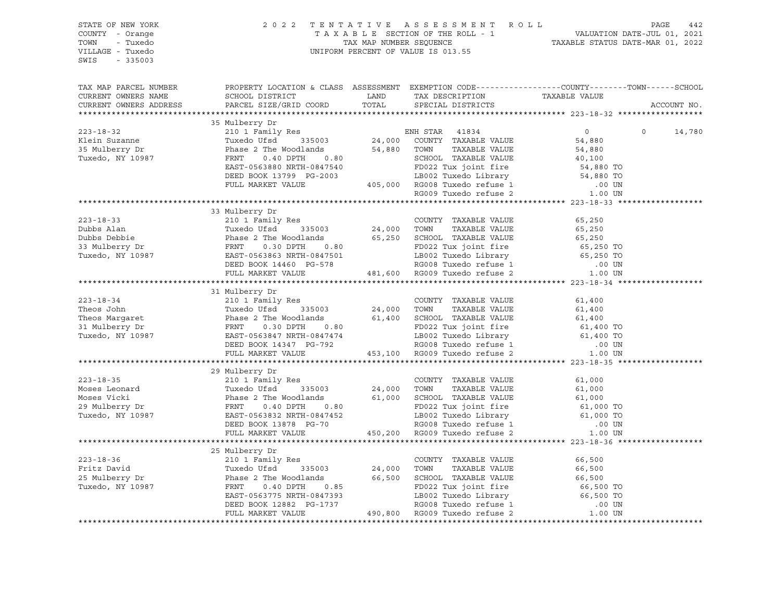| STATE OF NEW YORK<br>COUNTY - Orange<br>TOWN - Tuxedo<br>VILLAGE - Tuxedo<br>SWIS - 335003                                                                                                                                                                                                                                                                              |                |  | $\begin{tabular}{lllllllllllllll} \hline 2&0&2&2&\text{T} & \text{E} & \text{N} & \text{T} & \text{A} & \text{T} & \text{A} & \text{E} & \text{S} & \text{E} & \text{S} & \text{S} & \text{S} & \text{M} & \text{E} & \text{N} & \text{T} & \text{A} & \text{A} & \text{A} & \text{A} & \text{A} & \text{A} & \text{B} & \text{D} & \text{E} & \text{S} & \text{E} & \text{C} & \text{T} & \text{A} & \text{A} & \text{B} &$ |             |
|-------------------------------------------------------------------------------------------------------------------------------------------------------------------------------------------------------------------------------------------------------------------------------------------------------------------------------------------------------------------------|----------------|--|------------------------------------------------------------------------------------------------------------------------------------------------------------------------------------------------------------------------------------------------------------------------------------------------------------------------------------------------------------------------------------------------------------------------------|-------------|
| TAX MAP PARCEL NUMBER THE PROPERTY LOCATION & CLASS ASSESSMENT EXEMPTION CODE--------------COUNTY--------TOWN------SCHOOL                                                                                                                                                                                                                                               |                |  |                                                                                                                                                                                                                                                                                                                                                                                                                              |             |
|                                                                                                                                                                                                                                                                                                                                                                         |                |  |                                                                                                                                                                                                                                                                                                                                                                                                                              | ACCOUNT NO. |
|                                                                                                                                                                                                                                                                                                                                                                         | 35 Mulberry Dr |  |                                                                                                                                                                                                                                                                                                                                                                                                                              |             |
|                                                                                                                                                                                                                                                                                                                                                                         |                |  |                                                                                                                                                                                                                                                                                                                                                                                                                              |             |
|                                                                                                                                                                                                                                                                                                                                                                         |                |  |                                                                                                                                                                                                                                                                                                                                                                                                                              |             |
|                                                                                                                                                                                                                                                                                                                                                                         |                |  |                                                                                                                                                                                                                                                                                                                                                                                                                              |             |
|                                                                                                                                                                                                                                                                                                                                                                         |                |  |                                                                                                                                                                                                                                                                                                                                                                                                                              |             |
|                                                                                                                                                                                                                                                                                                                                                                         |                |  |                                                                                                                                                                                                                                                                                                                                                                                                                              |             |
|                                                                                                                                                                                                                                                                                                                                                                         |                |  |                                                                                                                                                                                                                                                                                                                                                                                                                              |             |
|                                                                                                                                                                                                                                                                                                                                                                         |                |  |                                                                                                                                                                                                                                                                                                                                                                                                                              |             |
|                                                                                                                                                                                                                                                                                                                                                                         |                |  |                                                                                                                                                                                                                                                                                                                                                                                                                              |             |
|                                                                                                                                                                                                                                                                                                                                                                         |                |  |                                                                                                                                                                                                                                                                                                                                                                                                                              |             |
|                                                                                                                                                                                                                                                                                                                                                                         | 33 Mulberry Dr |  |                                                                                                                                                                                                                                                                                                                                                                                                                              |             |
|                                                                                                                                                                                                                                                                                                                                                                         |                |  |                                                                                                                                                                                                                                                                                                                                                                                                                              |             |
|                                                                                                                                                                                                                                                                                                                                                                         |                |  |                                                                                                                                                                                                                                                                                                                                                                                                                              |             |
|                                                                                                                                                                                                                                                                                                                                                                         |                |  |                                                                                                                                                                                                                                                                                                                                                                                                                              |             |
|                                                                                                                                                                                                                                                                                                                                                                         |                |  |                                                                                                                                                                                                                                                                                                                                                                                                                              |             |
|                                                                                                                                                                                                                                                                                                                                                                         |                |  |                                                                                                                                                                                                                                                                                                                                                                                                                              |             |
|                                                                                                                                                                                                                                                                                                                                                                         |                |  |                                                                                                                                                                                                                                                                                                                                                                                                                              |             |
|                                                                                                                                                                                                                                                                                                                                                                         |                |  |                                                                                                                                                                                                                                                                                                                                                                                                                              |             |
|                                                                                                                                                                                                                                                                                                                                                                         | 31 Mulberry Dr |  |                                                                                                                                                                                                                                                                                                                                                                                                                              |             |
|                                                                                                                                                                                                                                                                                                                                                                         |                |  |                                                                                                                                                                                                                                                                                                                                                                                                                              |             |
|                                                                                                                                                                                                                                                                                                                                                                         |                |  |                                                                                                                                                                                                                                                                                                                                                                                                                              |             |
|                                                                                                                                                                                                                                                                                                                                                                         |                |  |                                                                                                                                                                                                                                                                                                                                                                                                                              |             |
|                                                                                                                                                                                                                                                                                                                                                                         |                |  |                                                                                                                                                                                                                                                                                                                                                                                                                              |             |
|                                                                                                                                                                                                                                                                                                                                                                         |                |  |                                                                                                                                                                                                                                                                                                                                                                                                                              |             |
|                                                                                                                                                                                                                                                                                                                                                                         |                |  |                                                                                                                                                                                                                                                                                                                                                                                                                              |             |
| $\begin{tabular}{lcccccc} 223-18-34 & 31 Mulberry Dr & 210 1 Family Res & 210 1 Find the 335003\n7 heos John & 11 MeVed & 335003\n7 heos Margaret & Phase 2 The Woodlands & 61,400\n81 Mulberry Dr & FRNT & 0.30 DPTH & 0.80\n7 Uxedo, NY 10987 & EAST-0563847 NRTH-0847474 & 453,100 RG008 Tuxedo reflex & 1\n9 EED BOOK 14347 PG-792 & RG008 Tuxedo reflex & 0.00 UN$ |                |  |                                                                                                                                                                                                                                                                                                                                                                                                                              |             |
|                                                                                                                                                                                                                                                                                                                                                                         |                |  |                                                                                                                                                                                                                                                                                                                                                                                                                              |             |
|                                                                                                                                                                                                                                                                                                                                                                         | 29 Mulberry Dr |  |                                                                                                                                                                                                                                                                                                                                                                                                                              |             |
|                                                                                                                                                                                                                                                                                                                                                                         |                |  |                                                                                                                                                                                                                                                                                                                                                                                                                              |             |
|                                                                                                                                                                                                                                                                                                                                                                         |                |  |                                                                                                                                                                                                                                                                                                                                                                                                                              |             |
|                                                                                                                                                                                                                                                                                                                                                                         |                |  |                                                                                                                                                                                                                                                                                                                                                                                                                              |             |
|                                                                                                                                                                                                                                                                                                                                                                         |                |  |                                                                                                                                                                                                                                                                                                                                                                                                                              |             |
|                                                                                                                                                                                                                                                                                                                                                                         |                |  |                                                                                                                                                                                                                                                                                                                                                                                                                              |             |
|                                                                                                                                                                                                                                                                                                                                                                         |                |  |                                                                                                                                                                                                                                                                                                                                                                                                                              |             |
|                                                                                                                                                                                                                                                                                                                                                                         |                |  |                                                                                                                                                                                                                                                                                                                                                                                                                              |             |
|                                                                                                                                                                                                                                                                                                                                                                         | 25 Mulberry Dr |  |                                                                                                                                                                                                                                                                                                                                                                                                                              |             |
|                                                                                                                                                                                                                                                                                                                                                                         |                |  |                                                                                                                                                                                                                                                                                                                                                                                                                              |             |
|                                                                                                                                                                                                                                                                                                                                                                         |                |  |                                                                                                                                                                                                                                                                                                                                                                                                                              |             |
|                                                                                                                                                                                                                                                                                                                                                                         |                |  |                                                                                                                                                                                                                                                                                                                                                                                                                              |             |
|                                                                                                                                                                                                                                                                                                                                                                         |                |  |                                                                                                                                                                                                                                                                                                                                                                                                                              |             |
|                                                                                                                                                                                                                                                                                                                                                                         |                |  |                                                                                                                                                                                                                                                                                                                                                                                                                              |             |
|                                                                                                                                                                                                                                                                                                                                                                         |                |  |                                                                                                                                                                                                                                                                                                                                                                                                                              |             |
|                                                                                                                                                                                                                                                                                                                                                                         |                |  |                                                                                                                                                                                                                                                                                                                                                                                                                              |             |
|                                                                                                                                                                                                                                                                                                                                                                         |                |  |                                                                                                                                                                                                                                                                                                                                                                                                                              |             |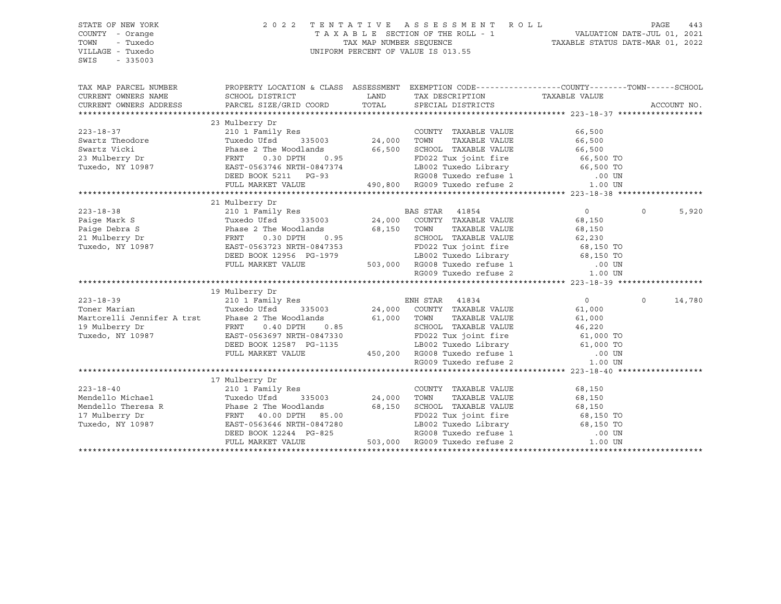| COUNTY - Orange                                                                                                                                                                                                                                                                                           |             |
|-----------------------------------------------------------------------------------------------------------------------------------------------------------------------------------------------------------------------------------------------------------------------------------------------------------|-------------|
| TAXABLE SECTION OF THE ROLL - 1 VALUATION DATE-JUL 01, 2021<br>TAX MAP NUMBER SEQUENCE TAXABLE STATUS DATE-MAR 01, 2022<br>TOWN<br>- Tuxedo                                                                                                                                                               |             |
| UNIFORM PERCENT OF VALUE IS 013.55<br>VILLAGE - Tuxedo                                                                                                                                                                                                                                                    |             |
| $-335003$<br>SWIS                                                                                                                                                                                                                                                                                         |             |
|                                                                                                                                                                                                                                                                                                           |             |
|                                                                                                                                                                                                                                                                                                           |             |
| PROPERTY LOCATION & CLASS ASSESSMENT EXEMPTION CODE----------------COUNTY-------TOWN------SCHOOL<br>TAX MAP PARCEL NUMBER                                                                                                                                                                                 |             |
| TAX DESCRIPTION TAXABLE VALUE SPECIAL DISTRICTS<br>CURRENT OWNERS NAME<br>SCHOOL DISTRICT<br><b>EXAMPLE THE STATE OF STATE OF STATE OF STATE OF STATE OF STATE OF STATE OF STATE OF STATE OF STATE</b>                                                                                                    |             |
| TOTAL<br>PARCEL SIZE/GRID COORD<br>CURRENT OWNERS ADDRESS                                                                                                                                                                                                                                                 | ACCOUNT NO. |
|                                                                                                                                                                                                                                                                                                           |             |
| 23 Mulberry Dr                                                                                                                                                                                                                                                                                            |             |
| 210 1 Family Res<br>Tuxedo Ufsd 335003 24,000 TOWN<br>COUNTY TAXABLE VALUE<br>66,500                                                                                                                                                                                                                      |             |
| TAXABLE VALUE<br>66,500                                                                                                                                                                                                                                                                                   |             |
| Phase 2 The Woodlands 66,500 SCHOOL TAXABLE VALUE 66,500 66,500 FRNT 0.30 DPTH 0.95 FD022 Tux joint fire 66,500 TO                                                                                                                                                                                        |             |
| FRNT 0.30 DPTH 0.95<br>EAST-0563746 NRTH-0847374<br>DEED BOOK 5211 PG-93                                                                                                                                                                                                                                  |             |
|                                                                                                                                                                                                                                                                                                           |             |
|                                                                                                                                                                                                                                                                                                           |             |
| 9847374<br>2.93<br>2.93<br>2.93<br>2.900 2.000 2.93<br>2.900 2.000 2.93<br>2.900 2.900 2.93<br>2.900 2.900 2.93<br>2.900 2.900 2.93<br>2.900 2.93<br>2.900 2.93<br>2.900 2.93<br>2.900 2.93<br>2.900 2.93<br>2.900 2.93<br>2.900 2.93<br>FULL MARKET VALUE                                                |             |
| Acki 210 1<br>210 1<br>23 Mulberry Dr Phase 2<br>23 Mulberry Dr PRNT<br>Tuxedo, NY 10987<br>22 EAST-056                                                                                                                                                                                                   |             |
| 21 Mulberry Dr                                                                                                                                                                                                                                                                                            |             |
| $0 \qquad \qquad$<br>$223 - 18 - 38$<br>$\Omega$                                                                                                                                                                                                                                                          | 5,920       |
| Paige Mark S<br>Paige Debra S<br>Paige Debra S<br>21 Mulberry Dr<br>21 Mulberry Dr<br>21 Mulberry Dr<br>21 Mulberry Dr<br>21 Mulberry Dr<br>21 Mulberry Dr<br>21 Mulberry Dr<br>21 Mulberry Dr<br>21 Mulberry Dr<br>21 Mulberry Dr<br>Tuxedo Ufsd <sup>335003</sup> 24,000 COUNTY TAXABLE VALUE<br>68,150 |             |
| TAXABLE VALUE<br>68,150                                                                                                                                                                                                                                                                                   |             |
| SCHOOL TAXABLE VALUE 62,230                                                                                                                                                                                                                                                                               |             |
| Tuxedo, NY 10987                                                                                                                                                                                                                                                                                          |             |
|                                                                                                                                                                                                                                                                                                           |             |
|                                                                                                                                                                                                                                                                                                           |             |
| EAST-0563723 NRTH-0847353<br>DEED BOOK 12956 PG-1979 LB002 Tuxedo Library 68,150 TO<br>FULL MARKET VALUE 503,000 RG008 Tuxedo refuse 1 00 UN<br>RG009 Tuxedo refuse 2 1.00 UN                                                                                                                             |             |
|                                                                                                                                                                                                                                                                                                           |             |
| 19 Mulberry Dr                                                                                                                                                                                                                                                                                            |             |
| $223 - 18 - 39$<br>$\overline{0}$<br>$\Omega$                                                                                                                                                                                                                                                             | 14,780      |
| Toner Marian<br>61,000                                                                                                                                                                                                                                                                                    |             |
| TAXABLE VALUE<br>61,000                                                                                                                                                                                                                                                                                   |             |
| SCHOOL TAXABLE VALUE<br>46,220                                                                                                                                                                                                                                                                            |             |
| Tuxedo, NY 10987                                                                                                                                                                                                                                                                                          |             |
|                                                                                                                                                                                                                                                                                                           |             |
|                                                                                                                                                                                                                                                                                                           |             |
| WAT 0.400 PD022 Tux joint fire 61,000 TO<br>EBD BOOK 12587 PG-1135 BOO2 Tuxedo Library 61,000 TO<br>FULL MARKET VALUE 450,200 RG008 Tuxedo refuse 1 000 UN<br>RG009 Tuxedo refuse 2 1.00 UN                                                                                                               |             |
|                                                                                                                                                                                                                                                                                                           |             |
| 17 Mulberry Dr                                                                                                                                                                                                                                                                                            |             |
| $223 - 18 - 40$<br>210 1 Family Res<br>COUNTY TAXABLE VALUE<br>68,150                                                                                                                                                                                                                                     |             |
| TOWN<br>TAXABLE VALUE<br>68,150                                                                                                                                                                                                                                                                           |             |
| Mendello Michael Tuxedo Ufsd 335003 24,000<br>Mendello Theresa R Phase 2 The Woodlands 68,150<br>17 Mulberry Dr FRNT 40.00 DPTH 85.00<br>Tuxedo, NY 10987 EAST-0563646 NRTH-0847280<br>68,150<br>68,150<br>SCHOOL TAXABLE VALUE                                                                           |             |
|                                                                                                                                                                                                                                                                                                           |             |
|                                                                                                                                                                                                                                                                                                           |             |
| FD022 Tux joint fire<br>LB002 Tuxedo Library<br>RG008 Tuxedo refuse 1 000 UN                                                                                                                                                                                                                              |             |
| DEED BOOK 12244 PG-825<br>FULL MARKET VALUE 503,000 RG009 Tuxedo refuse 2<br>1.00 UN                                                                                                                                                                                                                      |             |
|                                                                                                                                                                                                                                                                                                           |             |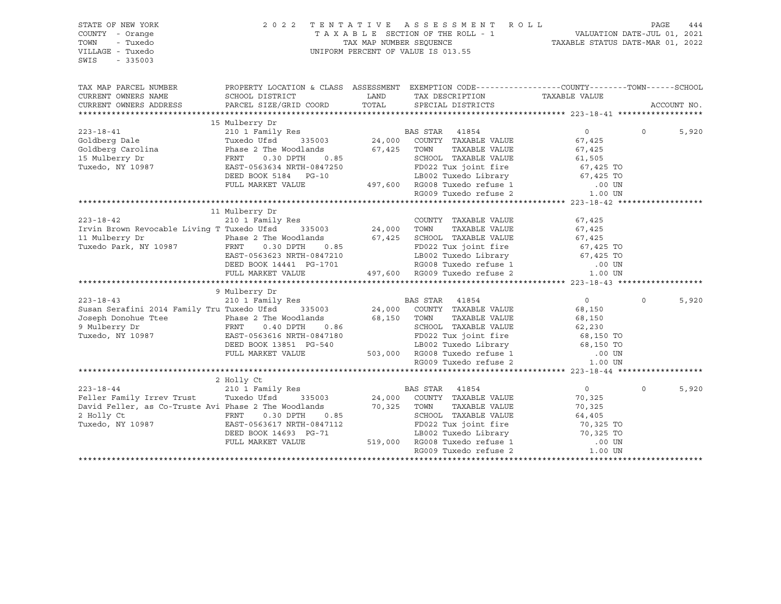| STATE OF NEW YORK<br>COUNTY - Orange<br>- Tuxedo<br>TOWN<br>VILLAGE - Tuxedo<br>SWIS<br>$-335003$                                                                                                                                                                                                                                                                                                                                                                                                                                                                                                       | 2022 TENTATIVE                                                                                                                                                                                                                             | TENTATIVE ASSESSMENT ROLL PAGE 444<br>TAXABLE SECTION OF THE ROLL - 1 VALUATION DATE-JUL 01, 2021<br>TAX MAP NUMBER SEQUENCE TAXABLE STATUS DATE-MAR 01, 2022<br>UNIFORM PERCENT OF VALUE IS 013.55 |                  |          |             |
|---------------------------------------------------------------------------------------------------------------------------------------------------------------------------------------------------------------------------------------------------------------------------------------------------------------------------------------------------------------------------------------------------------------------------------------------------------------------------------------------------------------------------------------------------------------------------------------------------------|--------------------------------------------------------------------------------------------------------------------------------------------------------------------------------------------------------------------------------------------|-----------------------------------------------------------------------------------------------------------------------------------------------------------------------------------------------------|------------------|----------|-------------|
| TAX MAP PARCEL NUMBER                                                                                                                                                                                                                                                                                                                                                                                                                                                                                                                                                                                   | PROPERTY LOCATION & CLASS ASSESSMENT EXEMPTION CODE----------------COUNTY-------TOWN------SCHOOL                                                                                                                                           |                                                                                                                                                                                                     |                  |          |             |
| CURRENT OWNERS NAME<br>CURRENT OWNERS ADDRESS                                                                                                                                                                                                                                                                                                                                                                                                                                                                                                                                                           |                                                                                                                                                                                                                                            |                                                                                                                                                                                                     |                  |          | ACCOUNT NO. |
|                                                                                                                                                                                                                                                                                                                                                                                                                                                                                                                                                                                                         |                                                                                                                                                                                                                                            |                                                                                                                                                                                                     |                  |          |             |
| $\begin{tabular}{lcccccc} 223-18-41 & & & \text{in the image} & \text{in the image} & \text{in the image} & \text{in the image} & \text{in the image} & \text{in the image} & \text{in the image} & \text{in the image} & \text{in the image} & \text{in the image} & \text{in the image} & \text{in the image} & \text{in the image} & \text{in the image} & \text{in the image} & \text{in the image} & \text{in the image} & \text{in the image} & \text{in the image} & \text{in the image} & \text{in the image} & \text{in the image} & \text{in the image} & \text{in the image} & \text{in the$ |                                                                                                                                                                                                                                            |                                                                                                                                                                                                     |                  |          |             |
|                                                                                                                                                                                                                                                                                                                                                                                                                                                                                                                                                                                                         |                                                                                                                                                                                                                                            |                                                                                                                                                                                                     | $\overline{0}$   | $\Omega$ | 5,920       |
|                                                                                                                                                                                                                                                                                                                                                                                                                                                                                                                                                                                                         |                                                                                                                                                                                                                                            |                                                                                                                                                                                                     |                  |          |             |
|                                                                                                                                                                                                                                                                                                                                                                                                                                                                                                                                                                                                         |                                                                                                                                                                                                                                            |                                                                                                                                                                                                     |                  |          |             |
|                                                                                                                                                                                                                                                                                                                                                                                                                                                                                                                                                                                                         |                                                                                                                                                                                                                                            |                                                                                                                                                                                                     |                  |          |             |
|                                                                                                                                                                                                                                                                                                                                                                                                                                                                                                                                                                                                         |                                                                                                                                                                                                                                            | TOWN IAAADDE VALUE<br>SCHOOL TAXABLE VALUE 61,505<br>EDO22 THIX JOINT fire 67,425 TO                                                                                                                |                  |          |             |
|                                                                                                                                                                                                                                                                                                                                                                                                                                                                                                                                                                                                         |                                                                                                                                                                                                                                            |                                                                                                                                                                                                     |                  |          |             |
|                                                                                                                                                                                                                                                                                                                                                                                                                                                                                                                                                                                                         |                                                                                                                                                                                                                                            |                                                                                                                                                                                                     |                  |          |             |
|                                                                                                                                                                                                                                                                                                                                                                                                                                                                                                                                                                                                         | FRAT U.SU DEL NATH-0847250<br>EAST-0563634 NRTH-0847250<br>DEED BOOK 5184 PG-10<br>FULL MARKET VALUE 497,600 RG008 Tuxedo refuse 1 00 UN<br>RG009 Tuxedo refuse 2 1.00 UN<br>RG009 Tuxedo refuse 2 1.00 UN<br>RG009 Tuxedo refuse 2 1.00 U |                                                                                                                                                                                                     |                  |          |             |
|                                                                                                                                                                                                                                                                                                                                                                                                                                                                                                                                                                                                         |                                                                                                                                                                                                                                            |                                                                                                                                                                                                     |                  |          |             |
|                                                                                                                                                                                                                                                                                                                                                                                                                                                                                                                                                                                                         | 11 Mulberry Dr                                                                                                                                                                                                                             |                                                                                                                                                                                                     |                  |          |             |
|                                                                                                                                                                                                                                                                                                                                                                                                                                                                                                                                                                                                         |                                                                                                                                                                                                                                            |                                                                                                                                                                                                     |                  |          |             |
|                                                                                                                                                                                                                                                                                                                                                                                                                                                                                                                                                                                                         |                                                                                                                                                                                                                                            |                                                                                                                                                                                                     |                  |          |             |
|                                                                                                                                                                                                                                                                                                                                                                                                                                                                                                                                                                                                         |                                                                                                                                                                                                                                            |                                                                                                                                                                                                     |                  |          |             |
|                                                                                                                                                                                                                                                                                                                                                                                                                                                                                                                                                                                                         |                                                                                                                                                                                                                                            |                                                                                                                                                                                                     |                  |          |             |
|                                                                                                                                                                                                                                                                                                                                                                                                                                                                                                                                                                                                         |                                                                                                                                                                                                                                            |                                                                                                                                                                                                     |                  |          |             |
|                                                                                                                                                                                                                                                                                                                                                                                                                                                                                                                                                                                                         |                                                                                                                                                                                                                                            |                                                                                                                                                                                                     |                  |          |             |
|                                                                                                                                                                                                                                                                                                                                                                                                                                                                                                                                                                                                         |                                                                                                                                                                                                                                            |                                                                                                                                                                                                     |                  |          |             |
|                                                                                                                                                                                                                                                                                                                                                                                                                                                                                                                                                                                                         | 9 Mulberry Dr                                                                                                                                                                                                                              |                                                                                                                                                                                                     |                  |          |             |
| 223-18-43<br>210 210 1 Family Res<br>24,000 COUNTY TAXABLE VALUE (Susan Serafini 2014 Family Tru Tuxedo Ufsd 335003                                                                                                                                                                                                                                                                                                                                                                                                                                                                                     |                                                                                                                                                                                                                                            |                                                                                                                                                                                                     | $\overline{0}$   | $\Omega$ | 5,920       |
|                                                                                                                                                                                                                                                                                                                                                                                                                                                                                                                                                                                                         |                                                                                                                                                                                                                                            |                                                                                                                                                                                                     | 68,150           |          |             |
|                                                                                                                                                                                                                                                                                                                                                                                                                                                                                                                                                                                                         |                                                                                                                                                                                                                                            |                                                                                                                                                                                                     |                  |          |             |
|                                                                                                                                                                                                                                                                                                                                                                                                                                                                                                                                                                                                         |                                                                                                                                                                                                                                            |                                                                                                                                                                                                     |                  |          |             |
|                                                                                                                                                                                                                                                                                                                                                                                                                                                                                                                                                                                                         |                                                                                                                                                                                                                                            |                                                                                                                                                                                                     |                  |          |             |
|                                                                                                                                                                                                                                                                                                                                                                                                                                                                                                                                                                                                         |                                                                                                                                                                                                                                            |                                                                                                                                                                                                     |                  |          |             |
|                                                                                                                                                                                                                                                                                                                                                                                                                                                                                                                                                                                                         |                                                                                                                                                                                                                                            |                                                                                                                                                                                                     |                  |          |             |
| Eusan Serafini 2014 Family Tru Tuxedo Ufsd 335003<br>Joseph Donohue Ttee Phase 2 The Woodlands 68,150 TOWN TAXABLE VALUE 68,150<br>9 Mulberry Dr FRNT 0.40 DPTH 0.86 SCHOOL TAXABLE VALUE 62,230<br>Tuxedo, NY 10987 EAST-0563616 NR                                                                                                                                                                                                                                                                                                                                                                    |                                                                                                                                                                                                                                            |                                                                                                                                                                                                     |                  |          |             |
|                                                                                                                                                                                                                                                                                                                                                                                                                                                                                                                                                                                                         |                                                                                                                                                                                                                                            |                                                                                                                                                                                                     |                  |          |             |
|                                                                                                                                                                                                                                                                                                                                                                                                                                                                                                                                                                                                         | 2 Holly Ct                                                                                                                                                                                                                                 |                                                                                                                                                                                                     |                  |          |             |
| 223-18-44<br>210 1 Family Res<br>24,000 COUNTY TAXABLE VALUE TUXE TUXE TURE OF THE TRANSIC VALUE                                                                                                                                                                                                                                                                                                                                                                                                                                                                                                        |                                                                                                                                                                                                                                            |                                                                                                                                                                                                     | $\overline{0}$   | $\Omega$ | 5,920       |
|                                                                                                                                                                                                                                                                                                                                                                                                                                                                                                                                                                                                         |                                                                                                                                                                                                                                            |                                                                                                                                                                                                     | 70,325           |          |             |
| Feller ramily litevaluse<br>David Feller, as Co-Truste Avi Phase 2 The Woodlands 70,325 TOWN<br>2 Holly Ct FRNT 0.30 DPTH 0.85 SCHOO                                                                                                                                                                                                                                                                                                                                                                                                                                                                    |                                                                                                                                                                                                                                            | TAXABLE VALUE                                                                                                                                                                                       | 70,325<br>64,405 |          |             |
| 2 Holly Ct CHERENT 0.30 DPTH 0.85<br>Tuxedo, NY 10987 EAST-0563617 NRTH-0847112<br>DEED BOOK 14693 PG-71                                                                                                                                                                                                                                                                                                                                                                                                                                                                                                |                                                                                                                                                                                                                                            | SCHOOL TAXABLE VALUE                                                                                                                                                                                |                  |          |             |
|                                                                                                                                                                                                                                                                                                                                                                                                                                                                                                                                                                                                         |                                                                                                                                                                                                                                            |                                                                                                                                                                                                     |                  |          |             |
|                                                                                                                                                                                                                                                                                                                                                                                                                                                                                                                                                                                                         | FULL MARKET VALUE                                                                                                                                                                                                                          |                                                                                                                                                                                                     |                  |          |             |
|                                                                                                                                                                                                                                                                                                                                                                                                                                                                                                                                                                                                         |                                                                                                                                                                                                                                            |                                                                                                                                                                                                     |                  |          |             |
|                                                                                                                                                                                                                                                                                                                                                                                                                                                                                                                                                                                                         |                                                                                                                                                                                                                                            |                                                                                                                                                                                                     |                  |          |             |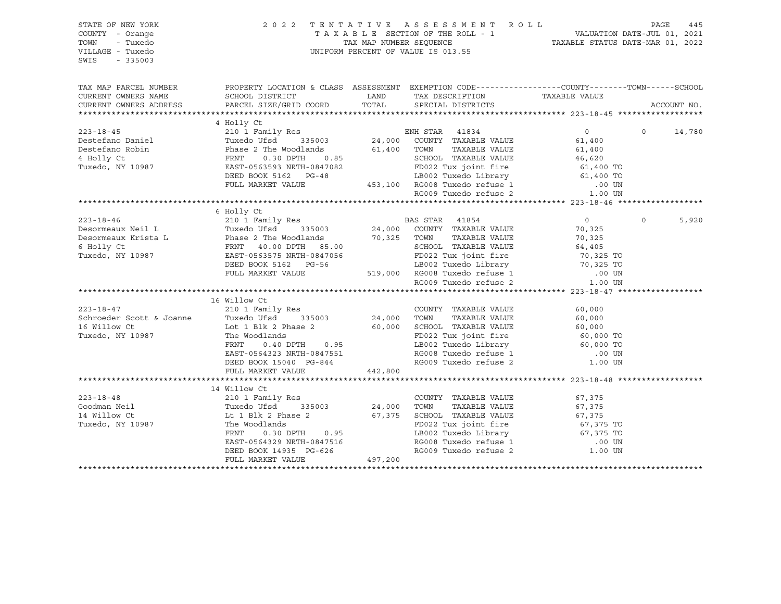| STATE OF NEW YORK<br>COUNTY - Orange<br>- Tuxedo<br>TOWN<br>VILLAGE - Tuxedo<br>SWIS<br>$-335003$ |                                                                                                                                                                                                                                                                                                                                                                                                                                                                                                          | 2022 TENTATIVE ASSESSMENT ROLL PAGE 445<br>TAXABLE SECTION OF THE ROLL - 1 VALUATION DATE-JUL 01, 2021<br>TAX MAP NUMBER SEQUENCE TAXABLE STATUS DATE-MAR 01, 2022<br>UNIFORM PERCENT OF VALUE IS 013.55 |                                              |                   |             |
|---------------------------------------------------------------------------------------------------|----------------------------------------------------------------------------------------------------------------------------------------------------------------------------------------------------------------------------------------------------------------------------------------------------------------------------------------------------------------------------------------------------------------------------------------------------------------------------------------------------------|----------------------------------------------------------------------------------------------------------------------------------------------------------------------------------------------------------|----------------------------------------------|-------------------|-------------|
|                                                                                                   | TAX MAP PARCEL NUMBER THE PROPERTY LOCATION & CLASS ASSESSMENT EXEMPTION CODE--------------COUNTY--------TOWN------SCHOOL                                                                                                                                                                                                                                                                                                                                                                                |                                                                                                                                                                                                          |                                              |                   |             |
| CURRENT OWNERS NAME                                                                               | SCHOOL DISTRICT                                                                                                                                                                                                                                                                                                                                                                                                                                                                                          | LAND TAX DESCRIPTION                                                                                                                                                                                     | TAXABLE VALUE                                |                   |             |
| CURRENT OWNERS ADDRESS                                                                            | PARCEL SIZE/GRID COORD                                                                                                                                                                                                                                                                                                                                                                                                                                                                                   | TOTAL SPECIAL DISTRICTS                                                                                                                                                                                  |                                              |                   | ACCOUNT NO. |
|                                                                                                   |                                                                                                                                                                                                                                                                                                                                                                                                                                                                                                          |                                                                                                                                                                                                          |                                              |                   |             |
|                                                                                                   | 4 Holly Ct                                                                                                                                                                                                                                                                                                                                                                                                                                                                                               |                                                                                                                                                                                                          |                                              | $0 \qquad \qquad$ |             |
|                                                                                                   |                                                                                                                                                                                                                                                                                                                                                                                                                                                                                                          |                                                                                                                                                                                                          | $\overline{0}$                               |                   | 14,780      |
|                                                                                                   |                                                                                                                                                                                                                                                                                                                                                                                                                                                                                                          |                                                                                                                                                                                                          |                                              |                   |             |
|                                                                                                   |                                                                                                                                                                                                                                                                                                                                                                                                                                                                                                          |                                                                                                                                                                                                          |                                              |                   |             |
|                                                                                                   |                                                                                                                                                                                                                                                                                                                                                                                                                                                                                                          |                                                                                                                                                                                                          |                                              |                   |             |
|                                                                                                   |                                                                                                                                                                                                                                                                                                                                                                                                                                                                                                          |                                                                                                                                                                                                          |                                              |                   |             |
|                                                                                                   |                                                                                                                                                                                                                                                                                                                                                                                                                                                                                                          |                                                                                                                                                                                                          |                                              |                   |             |
|                                                                                                   |                                                                                                                                                                                                                                                                                                                                                                                                                                                                                                          |                                                                                                                                                                                                          |                                              |                   |             |
|                                                                                                   |                                                                                                                                                                                                                                                                                                                                                                                                                                                                                                          |                                                                                                                                                                                                          |                                              |                   |             |
|                                                                                                   |                                                                                                                                                                                                                                                                                                                                                                                                                                                                                                          |                                                                                                                                                                                                          |                                              |                   |             |
|                                                                                                   |                                                                                                                                                                                                                                                                                                                                                                                                                                                                                                          |                                                                                                                                                                                                          |                                              | $\Omega$          | 5,920       |
|                                                                                                   |                                                                                                                                                                                                                                                                                                                                                                                                                                                                                                          |                                                                                                                                                                                                          |                                              |                   |             |
|                                                                                                   |                                                                                                                                                                                                                                                                                                                                                                                                                                                                                                          |                                                                                                                                                                                                          |                                              |                   |             |
|                                                                                                   |                                                                                                                                                                                                                                                                                                                                                                                                                                                                                                          |                                                                                                                                                                                                          |                                              |                   |             |
|                                                                                                   |                                                                                                                                                                                                                                                                                                                                                                                                                                                                                                          |                                                                                                                                                                                                          |                                              |                   |             |
|                                                                                                   |                                                                                                                                                                                                                                                                                                                                                                                                                                                                                                          |                                                                                                                                                                                                          |                                              |                   |             |
|                                                                                                   |                                                                                                                                                                                                                                                                                                                                                                                                                                                                                                          |                                                                                                                                                                                                          |                                              |                   |             |
|                                                                                                   | $\begin{tabular}{lcccccc} \texttt{\textbf{1}} & \texttt{\textbf{2}} & \texttt{\textbf{3}} & \texttt{\textbf{4}} & \texttt{\textbf{5}} & \texttt{\textbf{5}} & \texttt{\textbf{6}} & \texttt{\textbf{6}} & \texttt{\textbf{6}} & \texttt{\textbf{6}} & \texttt{\textbf{6}} & \texttt{\textbf{6}} & \texttt{\textbf{6}} & \texttt{\textbf{6}} & \texttt{\textbf{6}} & \texttt{\textbf{6}} & \texttt{\textbf{6}} & \texttt{\textbf{6}} & \texttt{\textbf{6}} & \texttt{\textbf{6}} & \texttt{\textbf{6}} &$ |                                                                                                                                                                                                          |                                              |                   |             |
|                                                                                                   |                                                                                                                                                                                                                                                                                                                                                                                                                                                                                                          |                                                                                                                                                                                                          |                                              |                   |             |
|                                                                                                   | 16 Willow Ct                                                                                                                                                                                                                                                                                                                                                                                                                                                                                             |                                                                                                                                                                                                          |                                              |                   |             |
|                                                                                                   |                                                                                                                                                                                                                                                                                                                                                                                                                                                                                                          | COUNTY TAXABLE VALUE                                                                                                                                                                                     | 60,000                                       |                   |             |
|                                                                                                   |                                                                                                                                                                                                                                                                                                                                                                                                                                                                                                          |                                                                                                                                                                                                          | TAXABLE VALUE 60,000<br>TAXABLE VALUE 60,000 |                   |             |
|                                                                                                   |                                                                                                                                                                                                                                                                                                                                                                                                                                                                                                          |                                                                                                                                                                                                          |                                              |                   |             |
|                                                                                                   |                                                                                                                                                                                                                                                                                                                                                                                                                                                                                                          |                                                                                                                                                                                                          |                                              |                   |             |
|                                                                                                   |                                                                                                                                                                                                                                                                                                                                                                                                                                                                                                          | FD022 Tux joint fire<br>ED022 Tux joint fire<br>LB002 Tuxedo Library<br>RG008 Tuxedo refuse 1 000 UN<br>RG009 Tuxedo refuse 2 1.00 UN                                                                    |                                              |                   |             |
|                                                                                                   | EAST-0564323 NRTH-0847551<br>DEED BOOK 15040 PG-844                                                                                                                                                                                                                                                                                                                                                                                                                                                      |                                                                                                                                                                                                          |                                              |                   |             |
|                                                                                                   |                                                                                                                                                                                                                                                                                                                                                                                                                                                                                                          |                                                                                                                                                                                                          |                                              |                   |             |
|                                                                                                   |                                                                                                                                                                                                                                                                                                                                                                                                                                                                                                          |                                                                                                                                                                                                          |                                              |                   |             |
|                                                                                                   |                                                                                                                                                                                                                                                                                                                                                                                                                                                                                                          |                                                                                                                                                                                                          |                                              |                   |             |
|                                                                                                   |                                                                                                                                                                                                                                                                                                                                                                                                                                                                                                          |                                                                                                                                                                                                          |                                              |                   |             |
|                                                                                                   |                                                                                                                                                                                                                                                                                                                                                                                                                                                                                                          |                                                                                                                                                                                                          |                                              |                   |             |
|                                                                                                   |                                                                                                                                                                                                                                                                                                                                                                                                                                                                                                          |                                                                                                                                                                                                          |                                              |                   |             |
|                                                                                                   |                                                                                                                                                                                                                                                                                                                                                                                                                                                                                                          |                                                                                                                                                                                                          |                                              |                   |             |
|                                                                                                   |                                                                                                                                                                                                                                                                                                                                                                                                                                                                                                          |                                                                                                                                                                                                          |                                              |                   |             |
|                                                                                                   |                                                                                                                                                                                                                                                                                                                                                                                                                                                                                                          |                                                                                                                                                                                                          |                                              |                   |             |
|                                                                                                   |                                                                                                                                                                                                                                                                                                                                                                                                                                                                                                          |                                                                                                                                                                                                          |                                              |                   |             |
|                                                                                                   |                                                                                                                                                                                                                                                                                                                                                                                                                                                                                                          |                                                                                                                                                                                                          |                                              |                   |             |
|                                                                                                   |                                                                                                                                                                                                                                                                                                                                                                                                                                                                                                          |                                                                                                                                                                                                          |                                              |                   |             |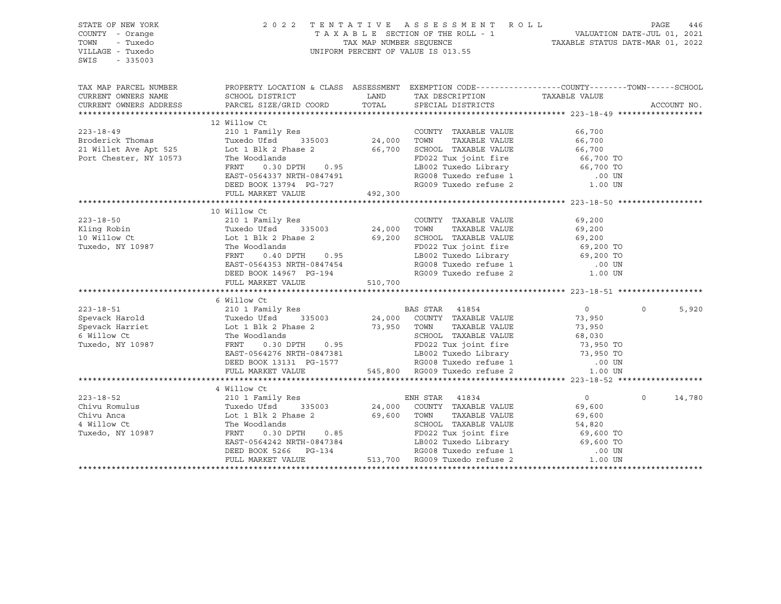| STATE OF NEW YORK<br>COUNTY - Orange<br>TOWN<br>- Tuxedo<br>VILLAGE - Tuxedo<br>SWIS<br>$-335003$                                                                                                                                                              |                                                                                                                                                                                                                                                      |         | 2022 TENTATIVE ASSESSMENT ROLL PAGE 446<br>TAXABLE SECTION OF THE ROLL - 1 VALUATION DATE-JUL 01, 2021<br>TAX MAP NUMBER SEQUENCE TAXABLE STATUS DATE-MAR 01, 2022<br>UNIFORM PERCENT OF VALUE IS 013.55 |                  |             |        |
|----------------------------------------------------------------------------------------------------------------------------------------------------------------------------------------------------------------------------------------------------------------|------------------------------------------------------------------------------------------------------------------------------------------------------------------------------------------------------------------------------------------------------|---------|----------------------------------------------------------------------------------------------------------------------------------------------------------------------------------------------------------|------------------|-------------|--------|
| TAX MAP PARCEL NUMBER          PROPERTY LOCATION & CLASS ASSESSMENT EXEMPTION CODE---------------COUNTY-------TOWN------SCHOOL CURRENT OWNERS NAME             SCHOOL DISTRICT              LAND      TAX DESCRIPTION                                          |                                                                                                                                                                                                                                                      |         |                                                                                                                                                                                                          | TAXABLE VALUE    |             |        |
| CURRENT OWNERS ADDRESS                                                                                                                                                                                                                                         | PARCEL SIZE/GRID COORD                                                                                                                                                                                                                               | TOTAL   | SPECIAL DISTRICTS                                                                                                                                                                                        |                  | ACCOUNT NO. |        |
|                                                                                                                                                                                                                                                                | 12 Willow Ct                                                                                                                                                                                                                                         |         |                                                                                                                                                                                                          |                  |             |        |
| $223 - 18 - 49$                                                                                                                                                                                                                                                |                                                                                                                                                                                                                                                      |         | COUNTY TAXABLE VALUE 66,700                                                                                                                                                                              |                  |             |        |
|                                                                                                                                                                                                                                                                |                                                                                                                                                                                                                                                      |         |                                                                                                                                                                                                          |                  |             |        |
|                                                                                                                                                                                                                                                                |                                                                                                                                                                                                                                                      |         |                                                                                                                                                                                                          |                  |             |        |
|                                                                                                                                                                                                                                                                |                                                                                                                                                                                                                                                      |         |                                                                                                                                                                                                          |                  |             |        |
|                                                                                                                                                                                                                                                                |                                                                                                                                                                                                                                                      |         |                                                                                                                                                                                                          |                  |             |        |
|                                                                                                                                                                                                                                                                |                                                                                                                                                                                                                                                      |         |                                                                                                                                                                                                          |                  |             |        |
|                                                                                                                                                                                                                                                                |                                                                                                                                                                                                                                                      |         |                                                                                                                                                                                                          |                  |             |        |
|                                                                                                                                                                                                                                                                |                                                                                                                                                                                                                                                      |         |                                                                                                                                                                                                          |                  |             |        |
|                                                                                                                                                                                                                                                                |                                                                                                                                                                                                                                                      |         |                                                                                                                                                                                                          |                  |             |        |
|                                                                                                                                                                                                                                                                | 10 Willow Ct                                                                                                                                                                                                                                         |         |                                                                                                                                                                                                          |                  |             |        |
|                                                                                                                                                                                                                                                                |                                                                                                                                                                                                                                                      |         |                                                                                                                                                                                                          |                  |             |        |
|                                                                                                                                                                                                                                                                |                                                                                                                                                                                                                                                      |         |                                                                                                                                                                                                          |                  |             |        |
|                                                                                                                                                                                                                                                                |                                                                                                                                                                                                                                                      |         |                                                                                                                                                                                                          |                  |             |        |
|                                                                                                                                                                                                                                                                |                                                                                                                                                                                                                                                      |         |                                                                                                                                                                                                          |                  |             |        |
|                                                                                                                                                                                                                                                                |                                                                                                                                                                                                                                                      |         |                                                                                                                                                                                                          |                  |             |        |
|                                                                                                                                                                                                                                                                |                                                                                                                                                                                                                                                      |         |                                                                                                                                                                                                          |                  |             |        |
|                                                                                                                                                                                                                                                                | FULL MARKET VALUE                                                                                                                                                                                                                                    | 510,700 |                                                                                                                                                                                                          |                  |             |        |
|                                                                                                                                                                                                                                                                |                                                                                                                                                                                                                                                      |         |                                                                                                                                                                                                          |                  |             |        |
|                                                                                                                                                                                                                                                                | 6 Willow Ct                                                                                                                                                                                                                                          |         |                                                                                                                                                                                                          |                  |             |        |
|                                                                                                                                                                                                                                                                |                                                                                                                                                                                                                                                      |         |                                                                                                                                                                                                          |                  | $\Omega$    | 5,920  |
|                                                                                                                                                                                                                                                                |                                                                                                                                                                                                                                                      |         |                                                                                                                                                                                                          |                  |             |        |
|                                                                                                                                                                                                                                                                |                                                                                                                                                                                                                                                      |         |                                                                                                                                                                                                          |                  |             |        |
|                                                                                                                                                                                                                                                                |                                                                                                                                                                                                                                                      |         |                                                                                                                                                                                                          |                  |             |        |
|                                                                                                                                                                                                                                                                |                                                                                                                                                                                                                                                      |         |                                                                                                                                                                                                          |                  |             |        |
|                                                                                                                                                                                                                                                                |                                                                                                                                                                                                                                                      |         |                                                                                                                                                                                                          |                  |             |        |
|                                                                                                                                                                                                                                                                |                                                                                                                                                                                                                                                      |         |                                                                                                                                                                                                          |                  |             |        |
|                                                                                                                                                                                                                                                                |                                                                                                                                                                                                                                                      |         |                                                                                                                                                                                                          |                  |             |        |
|                                                                                                                                                                                                                                                                |                                                                                                                                                                                                                                                      |         |                                                                                                                                                                                                          |                  |             |        |
|                                                                                                                                                                                                                                                                | 4 Willow Ct<br>n willow CC<br>210 1 Family Res                                                                                                                                                                                                       |         |                                                                                                                                                                                                          |                  |             |        |
| $223 - 18 - 52$                                                                                                                                                                                                                                                |                                                                                                                                                                                                                                                      |         | ENH STAR 41834                                                                                                                                                                                           | $\overline{0}$   | $\Omega$    | 14,780 |
|                                                                                                                                                                                                                                                                |                                                                                                                                                                                                                                                      |         | TAXABLE VALUE                                                                                                                                                                                            | 69,600<br>69,600 |             |        |
|                                                                                                                                                                                                                                                                |                                                                                                                                                                                                                                                      |         |                                                                                                                                                                                                          |                  |             |        |
| Chivu Romulus<br>Chivu Anca<br>Chivu Anca<br>4 Willow Ct<br>4 Willow Ct<br>The Woodlands<br>The Woodlands<br>The Woodlands<br>The Woodlands<br>The Woodlands<br>The Moodlands<br>The Moodlands<br>FRNT 0.85<br>FRNT 0.85<br>FRNT 0.85<br>FRNT 0.85<br>FRNT 0.8 |                                                                                                                                                                                                                                                      |         |                                                                                                                                                                                                          |                  |             |        |
|                                                                                                                                                                                                                                                                |                                                                                                                                                                                                                                                      |         |                                                                                                                                                                                                          |                  |             |        |
|                                                                                                                                                                                                                                                                |                                                                                                                                                                                                                                                      |         |                                                                                                                                                                                                          |                  |             |        |
|                                                                                                                                                                                                                                                                | The Woodlands<br>The Woodlands<br>FRNT 0.30 DPTH 0.85<br>EAST-0564242 NRTH-0847384<br>DEED BOOK 5266 PG-134<br>FULL MARKET VALUE<br>FULL MARKET VALUE<br>FULL MARKET VALUE<br>FULL MARKET VALUE<br>FULL MARKET VALUE<br>FULL MARKET VALUE<br>FULL MA |         |                                                                                                                                                                                                          |                  |             |        |
|                                                                                                                                                                                                                                                                |                                                                                                                                                                                                                                                      |         |                                                                                                                                                                                                          |                  |             |        |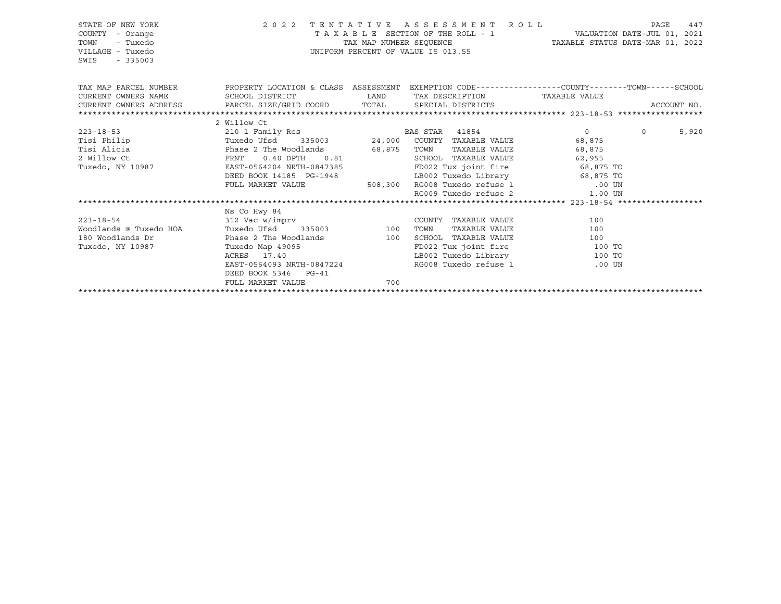| STATE OF NEW YORK<br>COUNTY - Orange<br>TOWN<br>- Tuxedo<br>VILLAGE - Tuxedo<br>SWIS<br>$-335003$                          |                                                                                                                 |     | 2022 TENTATIVE ASSESSMENT ROLL<br>UNIFORM PERCENT OF VALUE IS 013.55 | T A X A B L E SECTION OF THE ROLL - 1 VALUATION DATE-JUL 01, 2021<br>TAX MAP NUMBER SEQUENCE TAXABLE STATUS DATE-MAR 01, 2022 | PAGE<br>447       |
|----------------------------------------------------------------------------------------------------------------------------|-----------------------------------------------------------------------------------------------------------------|-----|----------------------------------------------------------------------|-------------------------------------------------------------------------------------------------------------------------------|-------------------|
| TAX MAP PARCEL NUMBER THE PROPERTY LOCATION & CLASS ASSESSMENT EXEMPTION CODE---------------COUNTY--------TOWN------SCHOOL |                                                                                                                 |     |                                                                      |                                                                                                                               |                   |
|                                                                                                                            |                                                                                                                 |     |                                                                      |                                                                                                                               |                   |
| CURRENT OWNERS ADDRESS PARCEL SIZE/GRID COORD TOTAL SPECIAL DISTRICTS                                                      |                                                                                                                 |     |                                                                      |                                                                                                                               | ACCOUNT NO.       |
|                                                                                                                            |                                                                                                                 |     |                                                                      |                                                                                                                               |                   |
| $223 - 18 - 53$                                                                                                            | 2 Willow Ct                                                                                                     |     |                                                                      |                                                                                                                               | $0 \qquad \qquad$ |
|                                                                                                                            |                                                                                                                 |     |                                                                      |                                                                                                                               | 5,920             |
|                                                                                                                            |                                                                                                                 |     |                                                                      |                                                                                                                               |                   |
|                                                                                                                            |                                                                                                                 |     | SCHOOL TAXABLE VALUE 62,955                                          |                                                                                                                               |                   |
|                                                                                                                            |                                                                                                                 |     |                                                                      |                                                                                                                               |                   |
|                                                                                                                            |                                                                                                                 |     |                                                                      |                                                                                                                               |                   |
|                                                                                                                            | DEED BOOK 14185 PG-1948 LB002 Tuxedo Library 68,875 TO<br>FULL MARKET VALUE 508,300 RG008 Tuxedo refuse 1 00 UN |     |                                                                      |                                                                                                                               |                   |
|                                                                                                                            |                                                                                                                 |     |                                                                      | RG009 Tuxedo refuse 2 1.00 UN                                                                                                 |                   |
|                                                                                                                            |                                                                                                                 |     |                                                                      |                                                                                                                               |                   |
|                                                                                                                            | Ns Co Hwy 84                                                                                                    |     |                                                                      |                                                                                                                               |                   |
|                                                                                                                            |                                                                                                                 |     | COUNTY TAXABLE VALUE                                                 | 100                                                                                                                           |                   |
|                                                                                                                            |                                                                                                                 |     | TAXABLE VALUE                                                        | 100                                                                                                                           |                   |
|                                                                                                                            |                                                                                                                 |     |                                                                      |                                                                                                                               |                   |
|                                                                                                                            |                                                                                                                 |     |                                                                      | FD022 Tux joint fire 100 TO                                                                                                   |                   |
|                                                                                                                            |                                                                                                                 |     |                                                                      | LB002 Tuxedo Library 100 TO                                                                                                   |                   |
|                                                                                                                            |                                                                                                                 |     |                                                                      | .00 UN                                                                                                                        |                   |
|                                                                                                                            | DEED BOOK 5346 PG-41                                                                                            |     |                                                                      |                                                                                                                               |                   |
|                                                                                                                            | FULL MARKET VALUE                                                                                               | 700 |                                                                      |                                                                                                                               |                   |
|                                                                                                                            |                                                                                                                 |     |                                                                      |                                                                                                                               |                   |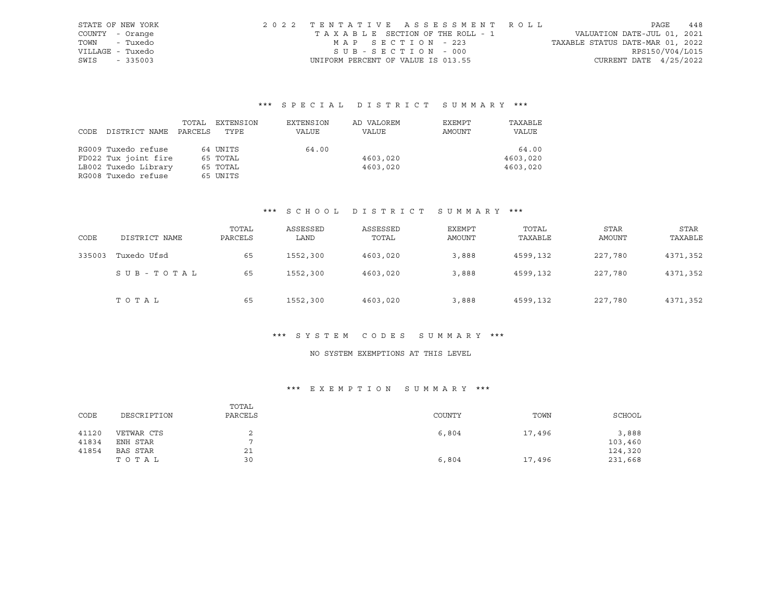| STATE OF NEW YORK | 2022 TENTATIVE ASSESSMENT ROLL     | 448<br>PAGE                      |
|-------------------|------------------------------------|----------------------------------|
| COUNTY - Orange   | TAXABLE SECTION OF THE ROLL - 1    | VALUATION DATE-JUL 01, 2021      |
| - Tuxedo<br>TOWN  | MAP SECTION - 223                  | TAXABLE STATUS DATE-MAR 01, 2022 |
| VILLAGE - Tuxedo  | SUB-SECTION - 000                  | RPS150/V04/L015                  |
| SWIS<br>$-335003$ | UNIFORM PERCENT OF VALUE IS 013.55 | CURRENT DATE $4/25/2022$         |

# \*\*\* S P E C I A L D I S T R I C T S U M M A R Y \*\*\*

|      |                      | TOTAL   | EXTENSION | EXTENSION | AD VALOREM | EXEMPT | TAXABLE  |
|------|----------------------|---------|-----------|-----------|------------|--------|----------|
| CODE | DISTRICT NAME        | PARCELS | TYPE      | VALUE     | VALUE      | AMOUNT | VALUE    |
|      |                      |         |           |           |            |        |          |
|      | RG009 Tuxedo refuse  |         | 64 UNITS  | 64.00     |            |        | 64.00    |
|      | FD022 Tux joint fire |         | 65 TOTAL  |           | 4603,020   |        | 4603,020 |
|      | LB002 Tuxedo Library |         | 65 TOTAL  |           | 4603,020   |        | 4603,020 |
|      | RG008 Tuxedo refuse  |         | 65 UNITS  |           |            |        |          |

# \*\*\* S C H O O L D I S T R I C T S U M M A R Y \*\*\*

| CODE   | DISTRICT NAME | TOTAL<br>PARCELS | ASSESSED<br>LAND | ASSESSED<br>TOTAL | <b>EXEMPT</b><br>AMOUNT | TOTAL<br>TAXABLE | <b>STAR</b><br>AMOUNT | <b>STAR</b><br>TAXABLE |
|--------|---------------|------------------|------------------|-------------------|-------------------------|------------------|-----------------------|------------------------|
| 335003 | Tuxedo Ufsd   | 65               | 1552,300         | 4603,020          | 3,888                   | 4599,132         | 227,780               | 4371,352               |
|        | SUB-TOTAL     | 65               | 1552,300         | 4603,020          | 3,888                   | 4599,132         | 227,780               | 4371,352               |
|        | TOTAL         | 65               | 1552,300         | 4603,020          | 3,888                   | 4599,132         | 227,780               | 4371,352               |

#### \*\*\* S Y S T E M C O D E S S U M M A R Y \*\*\*

# NO SYSTEM EXEMPTIONS AT THIS LEVEL

# \*\*\* E X E M P T I O N S U M M A R Y \*\*\*

| CODE  | DESCRIPTION | TOTAL<br>PARCELS | COUNTY | TOWN   | SCHOOL  |
|-------|-------------|------------------|--------|--------|---------|
| 41120 | VETWAR CTS  |                  | 6,804  | 17,496 | 3,888   |
| 41834 | ENH STAR    |                  |        |        | 103,460 |
| 41854 | BAS STAR    | 21               |        |        | 124,320 |
|       | тотаь       | 30               | 6,804  | 17,496 | 231,668 |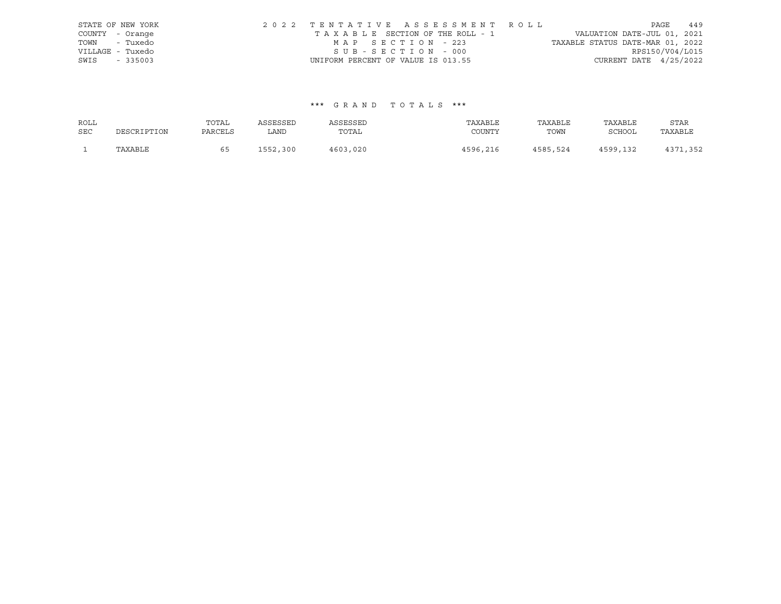|                  | STATE OF NEW YORK | 2022 TENTATIVE ASSESSMENT ROLL     |  |                                  |                          | PAGE | 449 |
|------------------|-------------------|------------------------------------|--|----------------------------------|--------------------------|------|-----|
| COUNTY - Orange  |                   | TAXABLE SECTION OF THE ROLL - 1    |  | VALUATION DATE-JUL 01, 2021      |                          |      |     |
| TOWN - Tuxedo    |                   | MAP SECTION - 223                  |  | TAXABLE STATUS DATE-MAR 01, 2022 |                          |      |     |
| VILLAGE - Tuxedo |                   | SUB-SECTION - 000                  |  |                                  | RPS150/V04/L015          |      |     |
| SWIS             | $-335003$         | UNIFORM PERCENT OF VALUE IS 013.55 |  |                                  | CURRENT DATE $4/25/2022$ |      |     |

# \*\*\* G R A N D T O T A L S \*\*\*

| ROLL       |             | TOTAL   | ASSESSED      | ASSESSED | TAXABLE  | TAXABLE  | TAXABLE       | STAR    |
|------------|-------------|---------|---------------|----------|----------|----------|---------------|---------|
| <b>SEC</b> | DESCRIPTION | PARCELS | LAND          | TOTAL    | COUNTY   | TOWN     | <b>SCHOOL</b> | TAXABLE |
|            | TAXABLE     | 65      | 1552,<br>.300 | 4603,020 | 4596,216 | 4585,524 | 4599,132      | , 352   |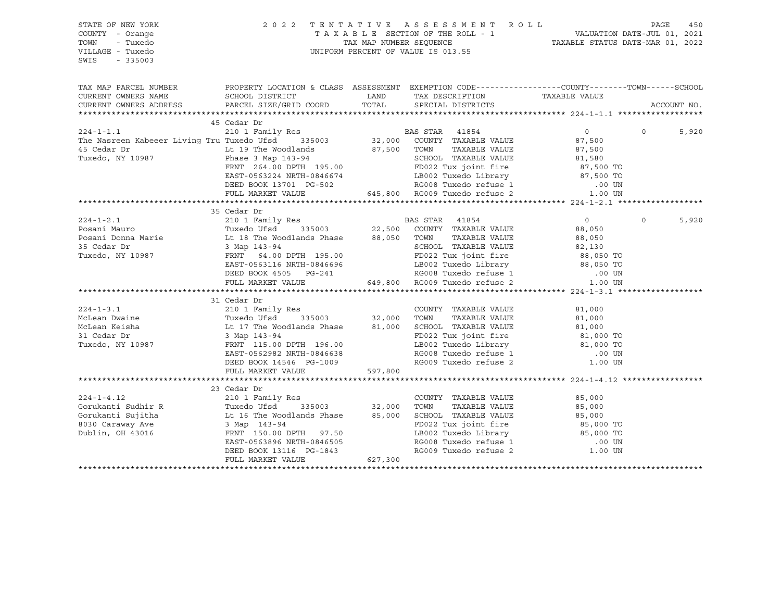STATE OF NEW YORK 2 0 2 2 T E N T A T I V E A S S E S S M E N T R O L L PAGE 450 COUNTY - Orange T A X A B L E SECTION OF THE ROLL - 1 VALUATION DATE-JUL 01, 2021 TOWN - Tuxedo TAX MAP NUMBER SEQUENCE TAXABLE STATUS DATE-MAR 01, 2022 UNIFORM PERCENT OF VALUE IS 013.55 SWIS - 335003 TAX MAP PARCEL NUMBER PROPERTY LOCATION & CLASS ASSESSMENT EXEMPTION CODE------------------COUNTY--------TOWN------SCHOOL CURRENT OWNERS NAME SCHOOL DISTRICT TAX DAND TAX DESCRIPTION TAXABLE VALUE CURRENT OWNERS ADDRESS PARCEL SIZE/GRID COORD TOTAL SPECIAL DISTRICTS ACCOUNT NO. \*\*\*\*\*\*\*\*\*\*\*\*\*\*\*\*\*\*\*\*\*\*\*\*\*\*\*\*\*\*\*\*\*\*\*\*\*\*\*\*\*\*\*\*\*\*\*\*\*\*\*\*\*\*\*\*\*\*\*\*\*\*\*\*\*\*\*\*\*\*\*\*\*\*\*\*\*\*\*\*\*\*\*\*\*\*\*\*\*\*\*\*\*\*\*\*\*\*\*\*\*\*\* 224-1-1.1 \*\*\*\*\*\*\*\*\*\*\*\*\*\*\*\*\*\* 45 Cedar Dr 224-1-1.1 210 1 Family Res BAS STAR 41854 0 0 5,920 The Nasreen Kabeeer Living Tru Tuxedo Ufsd 335003 32,000 COUNTY TAXABLE VALUE 87,500 45 Cedar Dr Lt 19 The Woodlands 87,500 TOWN TAXABLE VALUE 87,500 Tuxedo, NY 10987 Phase 3 Map 143-94 SCHOOL TAXABLE VALUE 81,580 FRNT 264.00 DPTH 195.00 FD022 Tux joint fire 87,500 TO EAST-0563224 NRTH-0846674 LB002 Tuxedo Library 87,500 TO DEED BOOK 13701 PG-502 RG008 Tuxedo refuse 1 .00 UN FULL MARKET VALUE 645,800 RG009 Tuxedo refuse 2 1.00 UN \*\*\*\*\*\*\*\*\*\*\*\*\*\*\*\*\*\*\*\*\*\*\*\*\*\*\*\*\*\*\*\*\*\*\*\*\*\*\*\*\*\*\*\*\*\*\*\*\*\*\*\*\*\*\*\*\*\*\*\*\*\*\*\*\*\*\*\*\*\*\*\*\*\*\*\*\*\*\*\*\*\*\*\*\*\*\*\*\*\*\*\*\*\*\*\*\*\*\*\*\*\*\* 224-1-2.1 \*\*\*\*\*\*\*\*\*\*\*\*\*\*\*\*\*\* 35 Cedar Dr 224-1-2.1 210 1 Family Res BAS STAR 41854 0 0 5,920 Posani Mauro Tuxedo Ufsd 335003 22,500 COUNTY TAXABLE VALUE 88,050 Posani Donna Marie **Lt 18** The Woodlands Phase 88,050 TOWN TAXABLE VALUE 88,050 35 Cedar Dr 3 Map 143-94 SCHOOL TAXABLE VALUE 82,130 Tuxedo, NY 10987 FRNT 64.00 DPTH 195.00 FD022 Tux joint fire 88,050 TO EAST-0563116 NRTH-0846696 LB002 Tuxedo Library 88,050 TO DEED BOOK 4505 PG-241 RG008 Tuxedo refuse 1 .00 UN FULL MARKET VALUE 649,800 RG009 Tuxedo refuse 2 1.00 UN \*\*\*\*\*\*\*\*\*\*\*\*\*\*\*\*\*\*\*\*\*\*\*\*\*\*\*\*\*\*\*\*\*\*\*\*\*\*\*\*\*\*\*\*\*\*\*\*\*\*\*\*\*\*\*\*\*\*\*\*\*\*\*\*\*\*\*\*\*\*\*\*\*\*\*\*\*\*\*\*\*\*\*\*\*\*\*\*\*\*\*\*\*\*\*\*\*\*\*\*\*\*\* 224-1-3.1 \*\*\*\*\*\*\*\*\*\*\*\*\*\*\*\*\*\* 31 Cedar Dr 224-1-3.1 210 1 Family Res COUNTY TAXABLE VALUE 81,000 McLean Dwaine Tuxedo Ufsd 335003 32,000 TOWN TAXABLE VALUE 81,000 McLean Keisha Lt 17 The Woodlands Phase 81,000 SCHOOL TAXABLE VALUE 81,000 31 Cedar Dr 3 Map 143-94 FD022 Tux joint fire 81,000 TO Tuxedo, NY 10987 FRNT 115.00 DPTH 196.00 LB002 Tuxedo Library 81,000 TO EAST-0562982 NRTH-0846638 RG008 Tuxedo refuse 1 .00 UN DEED BOOK 14546 PG-1009 RG009 Tuxedo refuse 2 1.00 UN FULL MARKET VALUE 597,800 \*\*\*\*\*\*\*\*\*\*\*\*\*\*\*\*\*\*\*\*\*\*\*\*\*\*\*\*\*\*\*\*\*\*\*\*\*\*\*\*\*\*\*\*\*\*\*\*\*\*\*\*\*\*\*\*\*\*\*\*\*\*\*\*\*\*\*\*\*\*\*\*\*\*\*\*\*\*\*\*\*\*\*\*\*\*\*\*\*\*\*\*\*\*\*\*\*\*\*\*\*\*\* 224-1-4.12 \*\*\*\*\*\*\*\*\*\*\*\*\*\*\*\*\* 23 Cedar Dr 224-1-4.12 210 1 Family Res COUNTY TAXABLE VALUE 85,000 Gorukanti Sudhir R Tuxedo Ufsd 335003 32,000 TOWN TAXABLE VALUE 85,000 Gorukanti Sujitha  $Lt$  16 The Woodlands Phase 85,000 SCHOOL TAXABLE VALUE 85,000 8030 Caraway Ave 3 Map 143-94 FD022 Tux joint fire 85,000 TO Dublin, OH 43016 FRNT 150.00 DPTH 97.50 LB002 Tuxedo Library EAST-0563896 NRTH-0846505 RG008 Tuxedo refuse 1 .00 UN DEED BOOK 13116 PG-1843 RG009 Tuxedo refuse 2 1.00 UN FULL MARKET VALUE 627,300 \*\*\*\*\*\*\*\*\*\*\*\*\*\*\*\*\*\*\*\*\*\*\*\*\*\*\*\*\*\*\*\*\*\*\*\*\*\*\*\*\*\*\*\*\*\*\*\*\*\*\*\*\*\*\*\*\*\*\*\*\*\*\*\*\*\*\*\*\*\*\*\*\*\*\*\*\*\*\*\*\*\*\*\*\*\*\*\*\*\*\*\*\*\*\*\*\*\*\*\*\*\*\*\*\*\*\*\*\*\*\*\*\*\*\*\*\*\*\*\*\*\*\*\*\*\*\*\*\*\*\*\*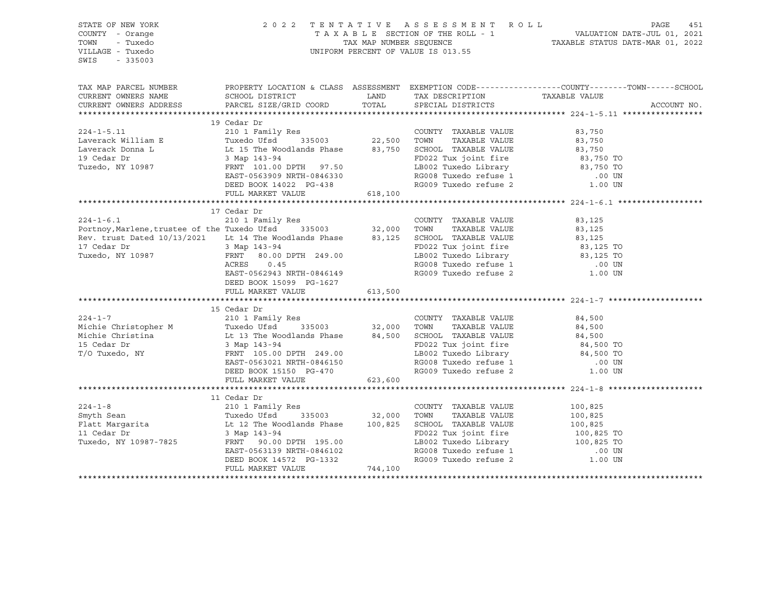| STATE OF NEW YORK<br>COUNTY - Orange<br>TOWN<br>- Tuxedo<br>VILLAGE - Tuxedo<br>SWIS<br>$-335003$                                                                                                                                        |                                                                                   |         | UNIFORM PERCENT OF VALUE IS 013.55                              | 2022 TENTATIVE ASSESSMENT ROLL PAGE 451<br>TAXABLE SECTION OF THE ROLL - 1 VALUATION DATE-JUL 01, 2021<br>TAX MAP NUMBER SEQUENCE TAXABLE STATUS DATE-MAR 01, 2022 |
|------------------------------------------------------------------------------------------------------------------------------------------------------------------------------------------------------------------------------------------|-----------------------------------------------------------------------------------|---------|-----------------------------------------------------------------|--------------------------------------------------------------------------------------------------------------------------------------------------------------------|
|                                                                                                                                                                                                                                          |                                                                                   |         |                                                                 | TAX MAP PARCEL NUMBER THE PROPERTY LOCATION & CLASS ASSESSMENT EXEMPTION CODE---------------COUNTY-------TOWN-----SCHOOL                                           |
| CURRENT OWNERS NAME                                                                                                                                                                                                                      | SCHOOL DISTRICT                                                                   |         | LAND TAX DESCRIPTION TAXABLE VALUE                              |                                                                                                                                                                    |
| CURRENT OWNERS ADDRESS                                                                                                                                                                                                                   | PARCEL SIZE/GRID COORD                                                            | TOTAL   | SPECIAL DISTRICTS                                               | ACCOUNT NO.                                                                                                                                                        |
|                                                                                                                                                                                                                                          |                                                                                   |         |                                                                 |                                                                                                                                                                    |
| 19 Cedar Dr<br>224-1-5.11 210 1 Family Res<br>Laverack William E Tuxedo Ufsd 335003 22,500 TOWN TAXABLE VALUE 83,750<br>Laverack Donna L Lt 15 The Woodlands Phase 83,750 SCHOOL TAXABLE VALUE 83,750<br>19 Cedar Dr<br>3 Map 143-94 FD0 |                                                                                   |         |                                                                 |                                                                                                                                                                    |
|                                                                                                                                                                                                                                          |                                                                                   |         |                                                                 |                                                                                                                                                                    |
|                                                                                                                                                                                                                                          |                                                                                   |         |                                                                 |                                                                                                                                                                    |
|                                                                                                                                                                                                                                          |                                                                                   |         |                                                                 |                                                                                                                                                                    |
|                                                                                                                                                                                                                                          |                                                                                   |         |                                                                 |                                                                                                                                                                    |
|                                                                                                                                                                                                                                          |                                                                                   |         |                                                                 |                                                                                                                                                                    |
|                                                                                                                                                                                                                                          | EAST-0563909 NRTH-0846330<br>DEED BOOK 14022 PG-438                               |         | RG009 Tuxedo refuse 2                                           | .00 UN<br>1.00 UN                                                                                                                                                  |
|                                                                                                                                                                                                                                          | FULL MARKET VALUE 618,100                                                         |         |                                                                 |                                                                                                                                                                    |
|                                                                                                                                                                                                                                          |                                                                                   |         |                                                                 |                                                                                                                                                                    |
|                                                                                                                                                                                                                                          | 17 Cedar Dr                                                                       |         |                                                                 |                                                                                                                                                                    |
|                                                                                                                                                                                                                                          |                                                                                   |         | COUNTY TAXABLE VALUE 83,125                                     |                                                                                                                                                                    |
|                                                                                                                                                                                                                                          |                                                                                   |         |                                                                 | 83,125                                                                                                                                                             |
|                                                                                                                                                                                                                                          |                                                                                   |         |                                                                 |                                                                                                                                                                    |
|                                                                                                                                                                                                                                          |                                                                                   |         |                                                                 |                                                                                                                                                                    |
| Rev. trust Dated 10/13/2021 Lt 14 The Woodlands Phase and the section TAXABLE VALUE and the state of the state of the state of the state of the state of the state of the state of the state of the state of the state of the            |                                                                                   |         |                                                                 |                                                                                                                                                                    |
|                                                                                                                                                                                                                                          | ACRES 0.45                                                                        |         |                                                                 |                                                                                                                                                                    |
|                                                                                                                                                                                                                                          | EAST-0562943 NRTH-0846149                                                         |         | RG008 Tuxedo refuse 1 (00 UN RG009 Tuxedo refuse 2 (1 ) 1.00 UN |                                                                                                                                                                    |
|                                                                                                                                                                                                                                          | DEED BOOK 15099 PG-1627                                                           |         |                                                                 |                                                                                                                                                                    |
|                                                                                                                                                                                                                                          | FULL MARKET VALUE                                                                 | 613,500 |                                                                 |                                                                                                                                                                    |
|                                                                                                                                                                                                                                          |                                                                                   |         |                                                                 |                                                                                                                                                                    |
|                                                                                                                                                                                                                                          |                                                                                   |         |                                                                 |                                                                                                                                                                    |
|                                                                                                                                                                                                                                          |                                                                                   |         |                                                                 |                                                                                                                                                                    |
|                                                                                                                                                                                                                                          |                                                                                   |         |                                                                 |                                                                                                                                                                    |
|                                                                                                                                                                                                                                          |                                                                                   |         |                                                                 |                                                                                                                                                                    |
|                                                                                                                                                                                                                                          |                                                                                   |         |                                                                 |                                                                                                                                                                    |
| 15 Cedar Dr<br>224-1-7 210 1 Family Res<br>Michie Christopher M Tuxedo Ufsd 335003 32,000 TOWN TAXABLE VALUE<br>Michie Christina Lt 13 The Woodlands Phase 84,500 SCHOOL TAXABLE VALUE 84,500<br>15 Cedar Dr 3 Map 143-94 FD022 Tux jo   |                                                                                   |         |                                                                 |                                                                                                                                                                    |
|                                                                                                                                                                                                                                          | DEED BOOK 15150 PG-470                                                            |         | RG009 Tuxedo refuse 2                                           | 1.00 UN                                                                                                                                                            |
|                                                                                                                                                                                                                                          | FULL MARKET VALUE                                                                 | 623,600 |                                                                 |                                                                                                                                                                    |
|                                                                                                                                                                                                                                          |                                                                                   |         |                                                                 |                                                                                                                                                                    |
|                                                                                                                                                                                                                                          |                                                                                   |         |                                                                 |                                                                                                                                                                    |
|                                                                                                                                                                                                                                          |                                                                                   |         |                                                                 |                                                                                                                                                                    |
|                                                                                                                                                                                                                                          |                                                                                   |         |                                                                 |                                                                                                                                                                    |
|                                                                                                                                                                                                                                          |                                                                                   |         |                                                                 |                                                                                                                                                                    |
|                                                                                                                                                                                                                                          |                                                                                   |         |                                                                 |                                                                                                                                                                    |
|                                                                                                                                                                                                                                          |                                                                                   |         |                                                                 |                                                                                                                                                                    |
|                                                                                                                                                                                                                                          | FAST-0563139 NRTH-0846102<br>DEED BOOK 14572 PG-1332<br>FULL MARKET VALUE 744,100 |         |                                                                 |                                                                                                                                                                    |
|                                                                                                                                                                                                                                          |                                                                                   |         |                                                                 |                                                                                                                                                                    |
|                                                                                                                                                                                                                                          |                                                                                   |         |                                                                 |                                                                                                                                                                    |
|                                                                                                                                                                                                                                          |                                                                                   |         |                                                                 |                                                                                                                                                                    |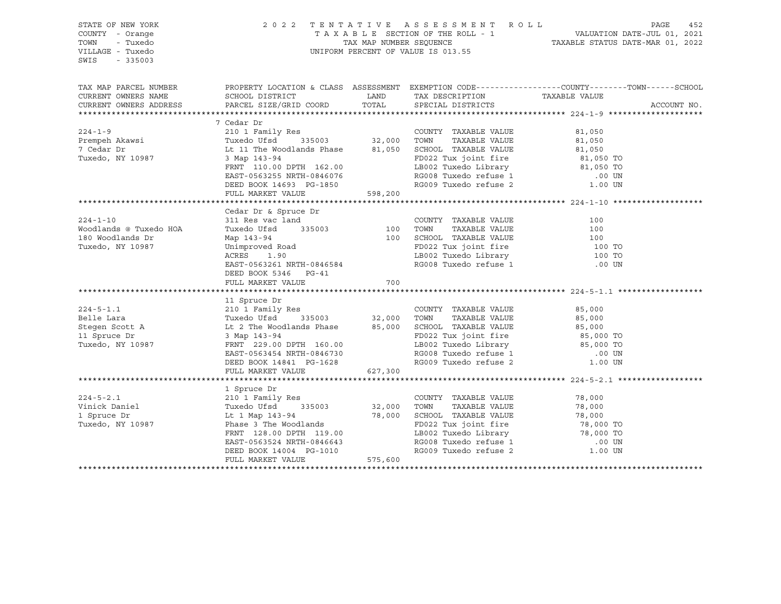| STATE OF NEW YORK                       |                                                                                                                                                                                                          |                                                                                                                                                                    |                                                                                                                                                                                                                                              |                                                                                                 |             |
|-----------------------------------------|----------------------------------------------------------------------------------------------------------------------------------------------------------------------------------------------------------|--------------------------------------------------------------------------------------------------------------------------------------------------------------------|----------------------------------------------------------------------------------------------------------------------------------------------------------------------------------------------------------------------------------------------|-------------------------------------------------------------------------------------------------|-------------|
| COUNTY - Orange                         |                                                                                                                                                                                                          |                                                                                                                                                                    |                                                                                                                                                                                                                                              |                                                                                                 |             |
| TOWN<br>- Tuxedo                        |                                                                                                                                                                                                          | 2022 TENTATIVE ASSESSMENT ROLL PAGE 452<br>TAXABLE SECTION OF THE ROLL - 1 VALUATION DATE-JUL 01, 2021<br>TAX MAP NUMBER SEQUENCE TAXABLE STATUS DATE-MAR 01, 2022 |                                                                                                                                                                                                                                              |                                                                                                 |             |
| VILLAGE - Tuxedo                        | UNIFORM PERCENT OF VALUE IS 013.55                                                                                                                                                                       |                                                                                                                                                                    |                                                                                                                                                                                                                                              |                                                                                                 |             |
| SWIS<br>$-335003$                       |                                                                                                                                                                                                          |                                                                                                                                                                    |                                                                                                                                                                                                                                              |                                                                                                 |             |
|                                         |                                                                                                                                                                                                          |                                                                                                                                                                    |                                                                                                                                                                                                                                              |                                                                                                 |             |
|                                         |                                                                                                                                                                                                          |                                                                                                                                                                    |                                                                                                                                                                                                                                              |                                                                                                 |             |
| TAX MAP PARCEL NUMBER                   |                                                                                                                                                                                                          |                                                                                                                                                                    |                                                                                                                                                                                                                                              | PROPERTY LOCATION & CLASS ASSESSMENT EXEMPTION CODE---------------COUNTY-------TOWN------SCHOOL |             |
| CURRENT OWNERS NAME                     | SCHOOL DISTRICT                                                                                                                                                                                          | LAND                                                                                                                                                               | TAX DESCRIPTION                                                                                                                                                                                                                              | TAXABLE VALUE                                                                                   |             |
| CURRENT OWNERS ADDRESS                  | PARCEL SIZE/GRID COORD                                                                                                                                                                                   | TOTAL                                                                                                                                                              | SPECIAL DISTRICTS                                                                                                                                                                                                                            |                                                                                                 | ACCOUNT NO. |
|                                         |                                                                                                                                                                                                          |                                                                                                                                                                    |                                                                                                                                                                                                                                              |                                                                                                 |             |
|                                         | 7 Cedar Dr                                                                                                                                                                                               |                                                                                                                                                                    |                                                                                                                                                                                                                                              |                                                                                                 |             |
| $224 - 1 - 9$                           |                                                                                                                                                                                                          |                                                                                                                                                                    | COUNTY TAXABLE VALUE 81,050                                                                                                                                                                                                                  |                                                                                                 |             |
|                                         |                                                                                                                                                                                                          |                                                                                                                                                                    |                                                                                                                                                                                                                                              |                                                                                                 |             |
| 224-1-2<br>Prempeh Akawsi<br>7 Codar Dr | Tuxedo Ufsd 335003 32,000 TOWN 1AAADDE VALUE<br>Lt 11 The Woodlands Phase 81,050 SCHOOL TAXABLE VALUE 81,050 TO                                                                                          |                                                                                                                                                                    |                                                                                                                                                                                                                                              |                                                                                                 |             |
| Tuxedo, NY 10987                        |                                                                                                                                                                                                          |                                                                                                                                                                    |                                                                                                                                                                                                                                              |                                                                                                 |             |
|                                         |                                                                                                                                                                                                          |                                                                                                                                                                    |                                                                                                                                                                                                                                              |                                                                                                 |             |
|                                         | FRNT 110.00 DPTH 162.00                                                                                                                                                                                  |                                                                                                                                                                    | LB002 Tuxedo Library 61,050 TO                                                                                                                                                                                                               |                                                                                                 |             |
|                                         | EAST-0563255 NRTH-0846076                                                                                                                                                                                |                                                                                                                                                                    | RG008 Tuxedo refuse 1 (00 UN RG009 Tuxedo refuse 2 (1.00 UN                                                                                                                                                                                  |                                                                                                 |             |
|                                         | DEED BOOK 14693 PG-1850<br>FULL MARKET VALUE 598,200                                                                                                                                                     |                                                                                                                                                                    |                                                                                                                                                                                                                                              |                                                                                                 |             |
|                                         |                                                                                                                                                                                                          |                                                                                                                                                                    |                                                                                                                                                                                                                                              |                                                                                                 |             |
|                                         |                                                                                                                                                                                                          |                                                                                                                                                                    |                                                                                                                                                                                                                                              |                                                                                                 |             |
|                                         | Cedar Dr & Spruce Dr                                                                                                                                                                                     |                                                                                                                                                                    |                                                                                                                                                                                                                                              |                                                                                                 |             |
| $224 - 1 - 10$                          | 311 Res vac land                                                                                                                                                                                         |                                                                                                                                                                    | COUNTY TAXABLE VALUE<br>TAXABLE VALUE<br>TAXABLE VALUE                                                                                                                                                                                       | 100                                                                                             |             |
| Woodlands @ Tuxedo HOA                  |                                                                                                                                                                                                          |                                                                                                                                                                    |                                                                                                                                                                                                                                              |                                                                                                 |             |
| 180 Woodlands Dr                        |                                                                                                                                                                                                          |                                                                                                                                                                    |                                                                                                                                                                                                                                              |                                                                                                 |             |
| Tuxedo, NY 10987                        | 311 kes vac 1and<br>Tuxedo Ufsd 335003 100 TOWN TAXABLE VALUE 100<br>Map 143-94 100 SCHOOL TAXABLE VALUE 100 TO<br>Unimproved Road FD022 Tux joint fire 100 TO<br>ACRES 1.90 LB002 Tuxedo Library 100 TO |                                                                                                                                                                    |                                                                                                                                                                                                                                              |                                                                                                 |             |
|                                         |                                                                                                                                                                                                          |                                                                                                                                                                    |                                                                                                                                                                                                                                              |                                                                                                 |             |
|                                         | EAST-0563261 NRTH-0846584                                                                                                                                                                                |                                                                                                                                                                    | LB002 Tuxedo Library<br>RG008 Tuxedo refuse 1                                                                                                                                                                                                | .00 UN                                                                                          |             |
|                                         | DEED BOOK 5346 PG-41                                                                                                                                                                                     |                                                                                                                                                                    |                                                                                                                                                                                                                                              |                                                                                                 |             |
|                                         | FULL MARKET VALUE                                                                                                                                                                                        | 700                                                                                                                                                                |                                                                                                                                                                                                                                              |                                                                                                 |             |
|                                         |                                                                                                                                                                                                          |                                                                                                                                                                    |                                                                                                                                                                                                                                              |                                                                                                 |             |
|                                         | 11 Spruce Dr                                                                                                                                                                                             |                                                                                                                                                                    |                                                                                                                                                                                                                                              |                                                                                                 |             |
| $224 - 5 - 1.1$                         | 210 1 Family Res<br>Tuxedo Ufsd 335003 32,000 TOWN<br>It 2 The Meadler 3                                                                                                                                 |                                                                                                                                                                    | COUNTY TAXABLE VALUE                                                                                                                                                                                                                         | 85,000                                                                                          |             |
| Belle Lara                              |                                                                                                                                                                                                          |                                                                                                                                                                    |                                                                                                                                                                                                                                              | TAXABLE VALUE 85,000                                                                            |             |
| Stegen Scott A                          |                                                                                                                                                                                                          |                                                                                                                                                                    |                                                                                                                                                                                                                                              |                                                                                                 |             |
| 11 Spruce Dr                            | Lt 2 The Woodlands Phase 85,000 SCHOOL TAXABLE VALUE<br>3 Map 143-94 FD022 Tux joint fire<br>FRNT 229.00 DPTH 160.00 LB002 Tuxedo Library                                                                |                                                                                                                                                                    | SCHOOL TAXABLE VALUE $85,000$<br>FD022 Tux joint fire $85,000$ TO<br>LB002 Tuxedo Library $85,000$ TO                                                                                                                                        |                                                                                                 |             |
| Tuxedo, NY 10987                        | FRNT 229.00 DPTH 160.00                                                                                                                                                                                  |                                                                                                                                                                    |                                                                                                                                                                                                                                              |                                                                                                 |             |
|                                         |                                                                                                                                                                                                          |                                                                                                                                                                    | LB002 Tuxedo Library<br>RG008 Tuxedo refuse 1                                                                                                                                                                                                | .00 UN                                                                                          |             |
|                                         | EAST-0563454 NRTH-0846730<br>DEED BOOK 14841 PG-1628                                                                                                                                                     |                                                                                                                                                                    | RG009 Tuxedo refuse 2                                                                                                                                                                                                                        | 1.00 UN                                                                                         |             |
|                                         | FULL MARKET VALUE 627,300                                                                                                                                                                                |                                                                                                                                                                    |                                                                                                                                                                                                                                              |                                                                                                 |             |
|                                         |                                                                                                                                                                                                          |                                                                                                                                                                    |                                                                                                                                                                                                                                              |                                                                                                 |             |
|                                         | 1 Spruce Dr                                                                                                                                                                                              |                                                                                                                                                                    |                                                                                                                                                                                                                                              |                                                                                                 |             |
|                                         | 210 <sup>1</sup> Family Res                                                                                                                                                                              |                                                                                                                                                                    |                                                                                                                                                                                                                                              | 78,000                                                                                          |             |
| $224 - 5 - 2.1$                         |                                                                                                                                                                                                          |                                                                                                                                                                    | COUNTY TAXABLE VALUE                                                                                                                                                                                                                         |                                                                                                 |             |
| Vinick Daniel                           | Tuxedo Ufsd 335003                                                                                                                                                                                       |                                                                                                                                                                    |                                                                                                                                                                                                                                              |                                                                                                 |             |
| 1 Spruce Dr                             | Lt 1 Map 143-94                                                                                                                                                                                          |                                                                                                                                                                    |                                                                                                                                                                                                                                              |                                                                                                 |             |
| Tuxedo, NY 10987                        | Phase 3 The Woodlands                                                                                                                                                                                    |                                                                                                                                                                    |                                                                                                                                                                                                                                              |                                                                                                 |             |
|                                         | FRNT 128.00 DPTH 119.00                                                                                                                                                                                  |                                                                                                                                                                    |                                                                                                                                                                                                                                              |                                                                                                 |             |
|                                         | EAST-0563524 NRTH-0846643<br>DEED BOOK 14004 PG-1010                                                                                                                                                     |                                                                                                                                                                    |                                                                                                                                                                                                                                              |                                                                                                 |             |
|                                         |                                                                                                                                                                                                          |                                                                                                                                                                    | 32,000 TOWN TAXABLE VALUE<br>78,000 SCHOOL TAXABLE VALUE<br>78,000 FD022 Tux joint fire<br>178,000 FD022 Tux joint fire<br>178,000 TD022 Tux joint fire<br>178,000 TO RG008 Tuxedo Library<br>RG008 Tuxedo refuse 1 00 UN<br>RG009 Tuxedo re |                                                                                                 |             |
|                                         | FULL MARKET VALUE                                                                                                                                                                                        | 575,600                                                                                                                                                            |                                                                                                                                                                                                                                              |                                                                                                 |             |
|                                         |                                                                                                                                                                                                          |                                                                                                                                                                    |                                                                                                                                                                                                                                              |                                                                                                 |             |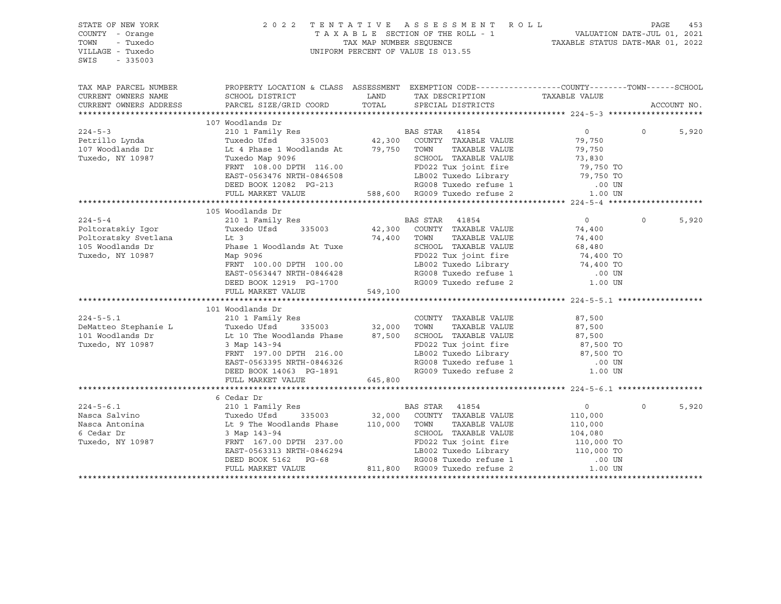| STATE OF NEW YORK<br>COUNTY - Orange<br>TOWN<br>- Tuxedo<br>VILLAGE - Tuxedo<br>$-335003$<br>SWIS | 2 0 2 2<br>TENTATIVE ASSESSMENT ROLL<br>UNIFORM PERCENT OF VALUE IS 013.55                                                                                                | T A X A B L E SECTION OF THE ROLL - 1 VALUATION DATE-JUL 01, 2021<br>TAX MAP NUMBER SEQUENCE TAXABLE STATUS DATE-MAR 01, 2022 | PAGE                                                                                                                               | 453                 |              |             |
|---------------------------------------------------------------------------------------------------|---------------------------------------------------------------------------------------------------------------------------------------------------------------------------|-------------------------------------------------------------------------------------------------------------------------------|------------------------------------------------------------------------------------------------------------------------------------|---------------------|--------------|-------------|
| TAX MAP PARCEL NUMBER<br>CURRENT OWNERS NAME                                                      | PROPERTY LOCATION & CLASS ASSESSMENT EXEMPTION CODE----------------COUNTY-------TOWN------SCHOOL<br>SCHOOL DISTRICT                                                       |                                                                                                                               | LAND TAX DESCRIPTION TAXABLE VALUE                                                                                                 |                     |              |             |
| CURRENT OWNERS ADDRESS                                                                            | PARCEL SIZE/GRID COORD                                                                                                                                                    | TOTAL                                                                                                                         | SPECIAL DISTRICTS                                                                                                                  |                     |              | ACCOUNT NO. |
|                                                                                                   |                                                                                                                                                                           |                                                                                                                               |                                                                                                                                    |                     |              |             |
|                                                                                                   | 107 Woodlands Dr                                                                                                                                                          |                                                                                                                               |                                                                                                                                    |                     |              |             |
| $224 - 5 - 3$                                                                                     | 210 1 Family Res                                                                                                                                                          |                                                                                                                               | BAS STAR 41854                                                                                                                     | $0 \qquad \qquad$   | $\mathsf{O}$ | 5,920       |
| Petrillo Lynda                                                                                    | Tuxedo Ufsd                                                                                                                                                               |                                                                                                                               | 335003 42,300 COUNTY TAXABLE VALUE                                                                                                 | 79,750              |              |             |
| 107 Woodlands Dr                                                                                  | Lt 4 Phase 1 Woodlands At                                                                                                                                                 | 79,750 TOWN                                                                                                                   | TAXABLE VALUE                                                                                                                      | 79,750              |              |             |
| Tuxedo, NY 10987                                                                                  | Tuxedo Map 9096                                                                                                                                                           |                                                                                                                               | SCHOOL TAXABLE VALUE                                                                                                               |                     |              |             |
|                                                                                                   | FRNT 108.00 DPTH 116.00                                                                                                                                                   |                                                                                                                               | FD022 Tux joint fire                                                                                                               | 73,830<br>79,750 TO |              |             |
|                                                                                                   | EAST-0563476 NRTH-0846508 LB002 Tuxedo Library 79,750 TO<br>DEED BOOK 12082 PG-213 RG008 Tuxedo refuse 1 00 UN<br>FULL MARKET VALUE 588,600 RG009 Tuxedo refuse 2 1.00 UN |                                                                                                                               |                                                                                                                                    |                     |              |             |
|                                                                                                   |                                                                                                                                                                           |                                                                                                                               |                                                                                                                                    |                     |              |             |
|                                                                                                   |                                                                                                                                                                           |                                                                                                                               |                                                                                                                                    |                     |              |             |
|                                                                                                   |                                                                                                                                                                           |                                                                                                                               |                                                                                                                                    |                     |              |             |
|                                                                                                   | 105 Woodlands Dr                                                                                                                                                          |                                                                                                                               |                                                                                                                                    |                     |              |             |
| $224 - 5 - 4$                                                                                     | 210 1 Family Res                                                                                                                                                          |                                                                                                                               | BAS STAR 41854<br>42,300 COUNTY TAXABLE VALUE                                                                                      | $\overline{0}$      | $\Omega$     | 5,920       |
| Poltoratskiy Iqor                                                                                 | Tuxedo Ufsd 335003                                                                                                                                                        |                                                                                                                               |                                                                                                                                    | 74,400              |              |             |
| Poltoratsky Svetlana                                                                              | $Lt$ 3                                                                                                                                                                    |                                                                                                                               | 74,400 TOWN<br>TAXABLE VALUE                                                                                                       | 74,400              |              |             |
| 105 Woodlands Dr<br>Tuxedo, NY 10987                                                              | Phase 1 Woodlands At Tuxe                                                                                                                                                 |                                                                                                                               | SCHOOL TAXABLE VALUE                                                                                                               | 68,480              |              |             |
|                                                                                                   | Map 9096<br>FRNT 100.00 DPTH 100.00                                                                                                                                       |                                                                                                                               | FD022 Tux joint fire $74,400$ TO<br>LB002 Tuxedo Library 74,400 TO<br>RG008 Tuxedo refuse 1 00 UN<br>RG009 Tuxedo refuse 2 1.00 UN |                     |              |             |
|                                                                                                   | EAST-0563447 NRTH-0846428                                                                                                                                                 |                                                                                                                               |                                                                                                                                    |                     |              |             |
|                                                                                                   | DEED BOOK 12919 PG-1700                                                                                                                                                   |                                                                                                                               |                                                                                                                                    |                     |              |             |
|                                                                                                   | FULL MARKET VALUE                                                                                                                                                         | 549,100                                                                                                                       |                                                                                                                                    |                     |              |             |
|                                                                                                   |                                                                                                                                                                           |                                                                                                                               |                                                                                                                                    |                     |              |             |
|                                                                                                   | 101 Woodlands Dr                                                                                                                                                          |                                                                                                                               |                                                                                                                                    |                     |              |             |
| $224 - 5 - 5.1$                                                                                   |                                                                                                                                                                           |                                                                                                                               | COUNTY TAXABLE VALUE                                                                                                               | 87,500              |              |             |
| DeMatteo Stephanie L                                                                              |                                                                                                                                                                           |                                                                                                                               | TOWN<br>TAXABLE VALUE                                                                                                              | 87,500              |              |             |
| 101 Woodlands Dr                                                                                  | Lt 10 The Woodlands Phase 87,500 SCHOOL TAXABLE VALUE                                                                                                                     |                                                                                                                               |                                                                                                                                    |                     |              |             |
| Tuxedo, NY 10987                                                                                  | 3 Map 143-94                                                                                                                                                              |                                                                                                                               | FD022 Tux joint fire                                                                                                               | 87,500<br>87,500 TO |              |             |
|                                                                                                   | FRNT 197.00 DPTH 216.00                                                                                                                                                   |                                                                                                                               |                                                                                                                                    | 87,500 TO           |              |             |
|                                                                                                   | EAST-0563395 NRTH-0846326                                                                                                                                                 |                                                                                                                               | LB002 Tuxedo Library<br>RG008 Tuxedo refuse 1                                                                                      | .00 UN              |              |             |
|                                                                                                   | DEED BOOK 14063 PG-1891                                                                                                                                                   |                                                                                                                               | RG009 Tuxedo refuse 2                                                                                                              | 1.00 UN             |              |             |
|                                                                                                   | FULL MARKET VALUE                                                                                                                                                         | 645,800                                                                                                                       |                                                                                                                                    |                     |              |             |
|                                                                                                   |                                                                                                                                                                           |                                                                                                                               |                                                                                                                                    |                     |              |             |
|                                                                                                   | 6 Cedar Dr                                                                                                                                                                |                                                                                                                               |                                                                                                                                    |                     |              |             |
| $224 - 5 - 6.1$                                                                                   | 210 1 Family Res                                                                                                                                                          |                                                                                                                               | BAS STAR 41854                                                                                                                     | $0 \qquad \qquad$   | $\Omega$     | 5,920       |
| Nasca Salvino                                                                                     |                                                                                                                                                                           |                                                                                                                               |                                                                                                                                    | 110,000             |              |             |
| Nasca Antonina                                                                                    |                                                                                                                                                                           |                                                                                                                               |                                                                                                                                    | 110,000             |              |             |
| 6 Cedar Dr                                                                                        | יים אחר 143-94<br>PRN <sup>or</sup> 143-94                                                                                                                                |                                                                                                                               |                                                                                                                                    |                     |              |             |
| Tuxedo, NY 10987                                                                                  | FRNT 167.00 DPTH 237.00                                                                                                                                                   |                                                                                                                               |                                                                                                                                    |                     |              |             |
|                                                                                                   | EAST-0563313 NRTH-0846294                                                                                                                                                 |                                                                                                                               |                                                                                                                                    |                     |              |             |
|                                                                                                   | DEED BOOK 5162 PG-68                                                                                                                                                      |                                                                                                                               | 811,800 RG009 Tuxedo refuse 2                                                                                                      |                     |              |             |
|                                                                                                   | FULL MARKET VALUE                                                                                                                                                         |                                                                                                                               |                                                                                                                                    |                     |              |             |
|                                                                                                   |                                                                                                                                                                           |                                                                                                                               |                                                                                                                                    |                     |              |             |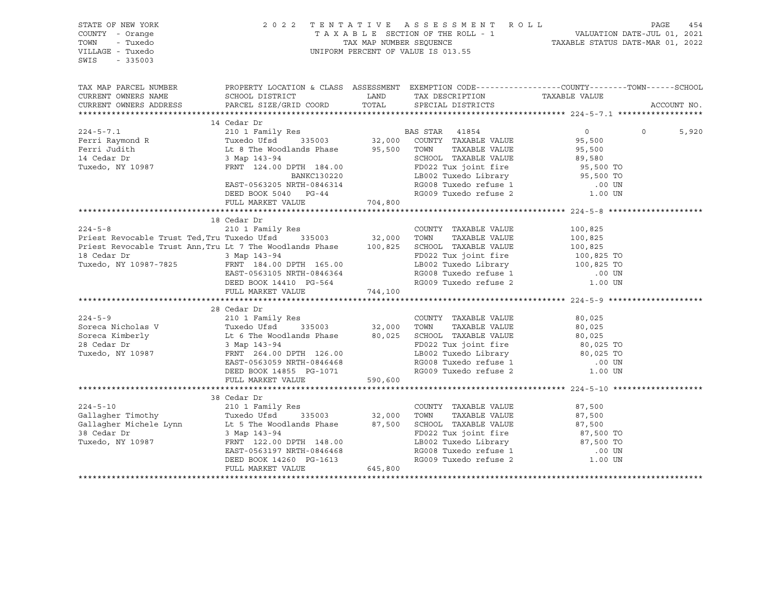| STATE OF NEW YORK<br>COUNTY - Orange<br>TOWN<br>- Tuxedo<br>VILLAGE - Tuxedo<br>SWIS<br>$-335003$ |                                                                                                                                                                                                                                                                                                                                                                                                                                                                               |         | 2022 TENTATIVE ASSESSMENT ROLL PAGE 454<br>TAXABLE SECTION OF THE ROLL - 1 VALUATION DATE-JUL 01, 2021<br>TAX MAP NUMBER SEQUENCE TAXABLE STATUS DATE-MAR 01, 2022<br>UNIFORM PERCENT OF VALUE IS 013.55 |                        |                   |
|---------------------------------------------------------------------------------------------------|-------------------------------------------------------------------------------------------------------------------------------------------------------------------------------------------------------------------------------------------------------------------------------------------------------------------------------------------------------------------------------------------------------------------------------------------------------------------------------|---------|----------------------------------------------------------------------------------------------------------------------------------------------------------------------------------------------------------|------------------------|-------------------|
|                                                                                                   |                                                                                                                                                                                                                                                                                                                                                                                                                                                                               |         |                                                                                                                                                                                                          |                        |                   |
| CURRENT OWNERS NAME                                                                               | TAX MAP PARCEL NUMBER THE PROPERTY LOCATION & CLASS ASSESSMENT EXEMPTION CODE---------------COUNTY--------TOWN------SCHOOL                                                                                                                                                                                                                                                                                                                                                    |         |                                                                                                                                                                                                          |                        |                   |
| CURRENT OWNERS ADDRESS                                                                            |                                                                                                                                                                                                                                                                                                                                                                                                                                                                               |         |                                                                                                                                                                                                          |                        | ACCOUNT NO.       |
|                                                                                                   |                                                                                                                                                                                                                                                                                                                                                                                                                                                                               |         |                                                                                                                                                                                                          |                        |                   |
|                                                                                                   | 14 Cedar Dr                                                                                                                                                                                                                                                                                                                                                                                                                                                                   |         |                                                                                                                                                                                                          |                        |                   |
|                                                                                                   |                                                                                                                                                                                                                                                                                                                                                                                                                                                                               |         |                                                                                                                                                                                                          |                        | $\Omega$<br>5,920 |
|                                                                                                   |                                                                                                                                                                                                                                                                                                                                                                                                                                                                               |         |                                                                                                                                                                                                          |                        |                   |
|                                                                                                   |                                                                                                                                                                                                                                                                                                                                                                                                                                                                               |         |                                                                                                                                                                                                          |                        |                   |
|                                                                                                   |                                                                                                                                                                                                                                                                                                                                                                                                                                                                               |         |                                                                                                                                                                                                          |                        |                   |
|                                                                                                   |                                                                                                                                                                                                                                                                                                                                                                                                                                                                               |         |                                                                                                                                                                                                          |                        |                   |
|                                                                                                   |                                                                                                                                                                                                                                                                                                                                                                                                                                                                               |         |                                                                                                                                                                                                          |                        |                   |
|                                                                                                   |                                                                                                                                                                                                                                                                                                                                                                                                                                                                               |         |                                                                                                                                                                                                          |                        |                   |
|                                                                                                   | $\small \begin{tabular}{lcccc} \textbf{224--5-7.1} & & & \textbf{14 Cedar Dr} & & \textbf{BAS STAR} & \textbf{41854} & & \textbf{0} \\ \textbf{Ferri Raymond R} & & \textbf{Tuxedo, I} & \textbf{Tuxedo, I} & \textbf{FawRU} & \textbf{BMS STAR} & \textbf{41854} & & \textbf{0} \\ \textbf{Ferri Judith} & & \textbf{Tuxedo, I} & \textbf{L8 The Woodlands Phase} & & \textbf{95,500 T0NN} & \textbf{TAXABLE VALUE} & \textbf{95,500} \\ \textbf{210 I$<br>FULL MARKET VALUE | 704,800 |                                                                                                                                                                                                          |                        |                   |
|                                                                                                   |                                                                                                                                                                                                                                                                                                                                                                                                                                                                               |         |                                                                                                                                                                                                          |                        |                   |
|                                                                                                   | 18 Cedar Dr                                                                                                                                                                                                                                                                                                                                                                                                                                                                   |         |                                                                                                                                                                                                          |                        |                   |
|                                                                                                   |                                                                                                                                                                                                                                                                                                                                                                                                                                                                               |         |                                                                                                                                                                                                          | 100,825                |                   |
|                                                                                                   |                                                                                                                                                                                                                                                                                                                                                                                                                                                                               |         |                                                                                                                                                                                                          | $100,825$<br>$100,825$ |                   |
|                                                                                                   |                                                                                                                                                                                                                                                                                                                                                                                                                                                                               |         |                                                                                                                                                                                                          |                        |                   |
|                                                                                                   |                                                                                                                                                                                                                                                                                                                                                                                                                                                                               |         |                                                                                                                                                                                                          |                        |                   |
|                                                                                                   | 210 1 Family Res<br>Priest Revocable Trust Ted, Tru Tuxedo Ufsd 335003 32,000 TOWN TAXABLE VALUE<br>Priest Revocable Trust Ann, Tru Lt 7 The Woodlands Phase 100,825 SCHOOL TAXABLE VALUE<br>18 Cedar Dr 3 Map 143-94 FD022 Tux join<br>3 Map 143-94<br>FD022 Tux joint fire $100,825$ TO<br>FRNT 184.00 DPTH 165.00<br>EAST-0563105 NRTH-0846364<br>DEED BOOK 14410 PG-564<br>RG009 Tuxedo refuse 2<br>RG009 Tuxedo refuse 2<br>1.00 UN                                      |         |                                                                                                                                                                                                          |                        |                   |
|                                                                                                   |                                                                                                                                                                                                                                                                                                                                                                                                                                                                               |         |                                                                                                                                                                                                          |                        |                   |
|                                                                                                   |                                                                                                                                                                                                                                                                                                                                                                                                                                                                               |         |                                                                                                                                                                                                          |                        |                   |
|                                                                                                   | FULL MARKET VALUE 744,100                                                                                                                                                                                                                                                                                                                                                                                                                                                     |         |                                                                                                                                                                                                          |                        |                   |
|                                                                                                   | 28 Cedar Dr                                                                                                                                                                                                                                                                                                                                                                                                                                                                   |         |                                                                                                                                                                                                          |                        |                   |
|                                                                                                   |                                                                                                                                                                                                                                                                                                                                                                                                                                                                               |         |                                                                                                                                                                                                          |                        |                   |
|                                                                                                   |                                                                                                                                                                                                                                                                                                                                                                                                                                                                               |         |                                                                                                                                                                                                          |                        |                   |
|                                                                                                   |                                                                                                                                                                                                                                                                                                                                                                                                                                                                               |         |                                                                                                                                                                                                          |                        |                   |
|                                                                                                   |                                                                                                                                                                                                                                                                                                                                                                                                                                                                               |         |                                                                                                                                                                                                          |                        |                   |
|                                                                                                   |                                                                                                                                                                                                                                                                                                                                                                                                                                                                               |         | LB002 Tuxedo Library<br>RG008 Tuxedo refuse 1                                                                                                                                                            |                        |                   |
|                                                                                                   | EAST-0563059 NRTH-0846468                                                                                                                                                                                                                                                                                                                                                                                                                                                     |         |                                                                                                                                                                                                          | .00 UN                 |                   |
|                                                                                                   | DEED BOOK 14855 PG-1071                                                                                                                                                                                                                                                                                                                                                                                                                                                       |         | RG009 Tuxedo refuse 2                                                                                                                                                                                    | 1.00 UN                |                   |
|                                                                                                   | FULL MARKET VALUE 590,600                                                                                                                                                                                                                                                                                                                                                                                                                                                     |         |                                                                                                                                                                                                          |                        |                   |
|                                                                                                   |                                                                                                                                                                                                                                                                                                                                                                                                                                                                               |         |                                                                                                                                                                                                          |                        |                   |
| $224 - 5 - 10$                                                                                    | 38 Cedar Dr<br>210 1 Family Res                                                                                                                                                                                                                                                                                                                                                                                                                                               |         |                                                                                                                                                                                                          |                        |                   |
|                                                                                                   |                                                                                                                                                                                                                                                                                                                                                                                                                                                                               |         | COUNTY TAXABLE VALUE                                                                                                                                                                                     | 87,500                 |                   |
|                                                                                                   |                                                                                                                                                                                                                                                                                                                                                                                                                                                                               |         | TAXABLE VALUE                                                                                                                                                                                            | 87,500<br>87,500       |                   |
|                                                                                                   |                                                                                                                                                                                                                                                                                                                                                                                                                                                                               |         |                                                                                                                                                                                                          |                        |                   |
|                                                                                                   |                                                                                                                                                                                                                                                                                                                                                                                                                                                                               |         |                                                                                                                                                                                                          |                        |                   |
|                                                                                                   |                                                                                                                                                                                                                                                                                                                                                                                                                                                                               |         |                                                                                                                                                                                                          |                        |                   |
|                                                                                                   |                                                                                                                                                                                                                                                                                                                                                                                                                                                                               |         | FD022 Tux joint fire 87,500 TO<br>LB002 Tuxedo Library 87,500 TO<br>RG008 Tuxedo refuse 1 00 UN<br>RG009 Tuxedo refuse 2 1.00 UN                                                                         |                        |                   |
|                                                                                                   |                                                                                                                                                                                                                                                                                                                                                                                                                                                                               |         |                                                                                                                                                                                                          |                        |                   |
|                                                                                                   |                                                                                                                                                                                                                                                                                                                                                                                                                                                                               |         |                                                                                                                                                                                                          |                        |                   |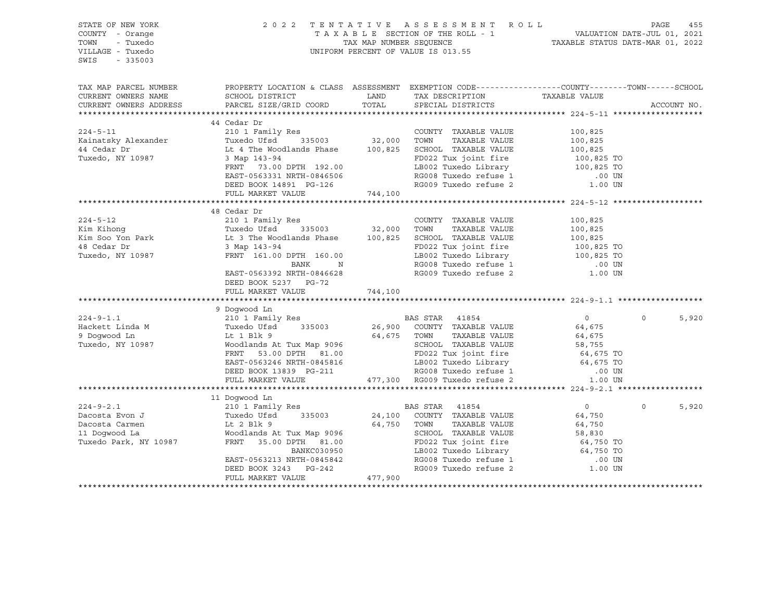| STATE OF NEW YORK<br>COUNTY - Orange<br>TOWN<br>- Tuxedo<br>VILLAGE - Tuxedo<br>SWIS<br>$-335003$ |                                                                                                                                                                                                                                                                                                                                                                                                                                                       |         | 2022 TENTATIVE ASSESSMENT ROLL<br>TAXABLE SECTION OF THE ROLL - 1 VALUATION DATE-JUL 01, 2021<br>TAXABLE SECTION OF THE ROLL - 1 TAXABLE STATUS DATE-MAR 01, 2022<br>UNIFORM PERCENT OF VALUE IS 013.55 | PAGE        | 455   |
|---------------------------------------------------------------------------------------------------|-------------------------------------------------------------------------------------------------------------------------------------------------------------------------------------------------------------------------------------------------------------------------------------------------------------------------------------------------------------------------------------------------------------------------------------------------------|---------|---------------------------------------------------------------------------------------------------------------------------------------------------------------------------------------------------------|-------------|-------|
|                                                                                                   | TAX MAP PARCEL NUMBER PROPERTY LOCATION & CLASS ASSESSMENT EXEMPTION CODE----------------COUNTY--------TOWN------SCHOOL                                                                                                                                                                                                                                                                                                                               |         |                                                                                                                                                                                                         | ACCOUNT NO. |       |
|                                                                                                   | 44 Cedar Dr                                                                                                                                                                                                                                                                                                                                                                                                                                           |         |                                                                                                                                                                                                         |             |       |
|                                                                                                   | FULL MARKET VALUE                                                                                                                                                                                                                                                                                                                                                                                                                                     | 744,100 |                                                                                                                                                                                                         |             |       |
|                                                                                                   | 9 Doqwood Ln<br>$\begin{tabular}{cccccc} 224-9-1.1 & 9\,\, \text{JQwood Ln} & 21011\,\, \text{Family Res} & \text{BAS STRR} & 41854 & 0 \\ \text{Hacket L linda M} & \text{Tuxedo Ufsd} & 335003 & 26,900\,\, \text{COUNTY} & \text{TAXABLE VALUE} & 64,675 \\ \text{9 Dogwood Ln} & \text{Lt 1 Blk 9} & 64,675 & \text{TOWN} & \text{TAXABLE VALUE} & 64,675 \\ \text{Tuxedo, NY 10987} & \text{Woodlands At Tux Map 9096$                           |         |                                                                                                                                                                                                         | $\Omega$    | 5,920 |
|                                                                                                   | 11 Doqwood Ln<br>$[224-9-2.1 \qquad \qquad 11\ \text{Dogwood In} \qquad \qquad 24,100 \quad \text{COUNTY} \qquad \text{PASE} \text{ VALUE} \qquad \qquad 64,750 \qquad \text{Dacosta Evon J} \qquad \qquad 11\ \text{Dogwood La} \qquad \qquad 1201 \text{ Family Res} \qquad \qquad 24,100 \quad \text{COUNTY} \qquad \text{TAXABLE VALUE} \qquad \qquad 64,750 \qquad \qquad 64,750 \qquad \qquad 64,750 \qquad \qquad 64,750 \qquad \qquad 64,750$ |         |                                                                                                                                                                                                         | $\Omega$    | 5,920 |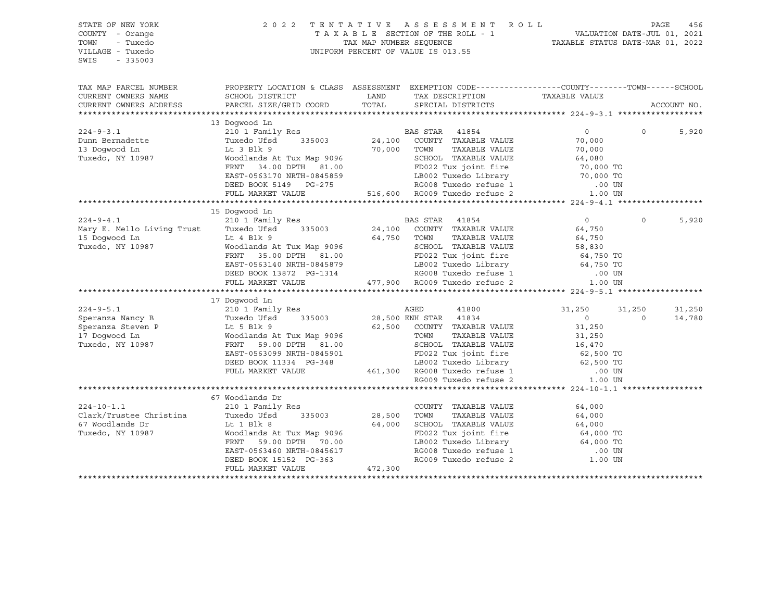| STATE OF NEW YORK<br>COUNTY - Orange<br>TOWN<br>- Tuxedo<br>VILLAGE - Tuxedo<br>SWIS<br>$-335003$                                                                   | 2 0 2 2                                                                                                                                                                                                                                    |                    | TENTATIVE ASSESSMENT ROLL PAGE 456<br>TAXABLE SECTION OF THE ROLL - 1 VALUATION DATE-JUL 01, 2021<br>TAX MAP NUMBER SEQUENCE TAXABLE STATUS DATE-MAR 01, 2022<br>UNIFORM PERCENT OF VALUE IS 013.55 |                      |          |             |
|---------------------------------------------------------------------------------------------------------------------------------------------------------------------|--------------------------------------------------------------------------------------------------------------------------------------------------------------------------------------------------------------------------------------------|--------------------|-----------------------------------------------------------------------------------------------------------------------------------------------------------------------------------------------------|----------------------|----------|-------------|
| CURRENT OWNERS NAME                                                                                                                                                 | TAX MAP PARCEL NUMBER THE PROPERTY LOCATION & CLASS ASSESSMENT EXEMPTION CODE---------------COUNTY--------TOWN------SCHOOL<br>SCHOOL DISTRICT                                                                                              |                    |                                                                                                                                                                                                     |                      |          |             |
| CURRENT OWNERS ADDRESS                                                                                                                                              | PARCEL SIZE/GRID COORD                                                                                                                                                                                                                     |                    | SPECIAL DISTRICTS                                                                                                                                                                                   |                      |          | ACCOUNT NO. |
|                                                                                                                                                                     |                                                                                                                                                                                                                                            |                    |                                                                                                                                                                                                     |                      |          |             |
| $224 - 9 - 3.1$                                                                                                                                                     | 13 Doqwood Ln                                                                                                                                                                                                                              |                    |                                                                                                                                                                                                     | 0                    | $\Omega$ |             |
| Dunn Bernadette                                                                                                                                                     | 210 1 Family Res<br>Tuxedo Ufsd 335003 24,100 COUNTY TAXABLE VALUE                                                                                                                                                                         |                    |                                                                                                                                                                                                     | 70,000               |          | 5,920       |
| 13 Doqwood Ln                                                                                                                                                       | Lt 3 Blk 9                                                                                                                                                                                                                                 |                    | 70,000 TOWN                                                                                                                                                                                         |                      |          |             |
| Tuxedo, NY 10987                                                                                                                                                    |                                                                                                                                                                                                                                            |                    |                                                                                                                                                                                                     |                      |          |             |
|                                                                                                                                                                     |                                                                                                                                                                                                                                            |                    | TOWN TAXABLE VALUE<br>SCHOOL TAXABLE VALUE 64,080<br>TO,000 TO 1000 TO 1000 TO                                                                                                                      |                      |          |             |
|                                                                                                                                                                     |                                                                                                                                                                                                                                            |                    |                                                                                                                                                                                                     |                      |          |             |
|                                                                                                                                                                     |                                                                                                                                                                                                                                            |                    |                                                                                                                                                                                                     |                      |          |             |
|                                                                                                                                                                     | EXECUTE 1.00 ENEXABLE VALUE FOR THE MARKET VALUE FULL MARKET VALUE AND PULL MARKET VALUE AND DESCRIPT AND DESCRIPT AND DESCRIPT AND MARKET VALUE AND DESCRIPT AND DESCRIPT OF THE CONDUCT ON THE CONDUCT OF THE CONDUCT OF THE             |                    |                                                                                                                                                                                                     |                      |          |             |
|                                                                                                                                                                     |                                                                                                                                                                                                                                            |                    |                                                                                                                                                                                                     |                      |          |             |
|                                                                                                                                                                     | 15 Doqwood Ln                                                                                                                                                                                                                              |                    |                                                                                                                                                                                                     |                      |          |             |
| $224 - 9 - 4.1$                                                                                                                                                     |                                                                                                                                                                                                                                            |                    |                                                                                                                                                                                                     | $\overline{0}$       | $\Omega$ | 5,920       |
|                                                                                                                                                                     | 210 1 Family Res<br>Tuxedo Ufsd 335003 24,100 COUNTY TAXABLE VALUE                                                                                                                                                                         |                    |                                                                                                                                                                                                     | 64,750               |          |             |
|                                                                                                                                                                     |                                                                                                                                                                                                                                            | 64,750 TOWN        | TAXABLE VALUE                                                                                                                                                                                       | 64,750<br>58,830     |          |             |
| Tuxedo, NY 10987                                                                                                                                                    |                                                                                                                                                                                                                                            |                    |                                                                                                                                                                                                     |                      |          |             |
|                                                                                                                                                                     |                                                                                                                                                                                                                                            |                    |                                                                                                                                                                                                     |                      |          |             |
|                                                                                                                                                                     |                                                                                                                                                                                                                                            |                    |                                                                                                                                                                                                     |                      |          |             |
|                                                                                                                                                                     |                                                                                                                                                                                                                                            |                    |                                                                                                                                                                                                     |                      |          |             |
|                                                                                                                                                                     | Moodlands At Tux Map 9096<br>Woodlands At Tux Map 9096<br>FRNT 35.00 DPTH 81.00<br>EAST-0563140 NRTH-0845879<br>DEED BOOK 13872 PG-1314<br>FULL MARKET VALUE 477,900 RG009 Tuxedo refuse 2 1.00 UN<br>FULL MARKET VALUE 477,900 RG009 Tuxe |                    |                                                                                                                                                                                                     |                      |          |             |
|                                                                                                                                                                     |                                                                                                                                                                                                                                            |                    |                                                                                                                                                                                                     |                      |          |             |
|                                                                                                                                                                     | 17 Doqwood Ln                                                                                                                                                                                                                              |                    |                                                                                                                                                                                                     |                      |          |             |
| $224 - 9 - 5.1$<br>224-9-5.1<br>Speranza Nancy B<br>Speranza Steven P<br>17 Dogwood Ln<br>Tuxedo VI also Herbert Communications At<br>Tuxedo NV 10987<br>FRNT 59.00 | 210 1 Family Res                                                                                                                                                                                                                           |                    | AGED<br>41800                                                                                                                                                                                       | 31,250               | 31,250   | 31,250      |
|                                                                                                                                                                     |                                                                                                                                                                                                                                            |                    | 335003 28,500 ENH STAR 41834                                                                                                                                                                        | $\Omega$             | $\Omega$ | 14,780      |
|                                                                                                                                                                     |                                                                                                                                                                                                                                            |                    | 62,500 COUNTY TAXABLE VALUE                                                                                                                                                                         | 31,250               |          |             |
|                                                                                                                                                                     | Woodlands At Tux Map 9096                                                                                                                                                                                                                  |                    | TOWN<br>TAXABLE VALUE<br>SCHOOL TAXABLE VALUE                                                                                                                                                       | 31,250<br>16,470     |          |             |
|                                                                                                                                                                     | FRNT 59.00 DPTH 81.00                                                                                                                                                                                                                      |                    |                                                                                                                                                                                                     |                      |          |             |
|                                                                                                                                                                     |                                                                                                                                                                                                                                            |                    |                                                                                                                                                                                                     |                      |          |             |
|                                                                                                                                                                     |                                                                                                                                                                                                                                            |                    |                                                                                                                                                                                                     |                      |          |             |
|                                                                                                                                                                     | EAST-0563099 NRTH-0845901<br>EAST-0563099 NRTH-0845901<br>DEED BOOK 11334 PG-348<br>FULL MARKET VALUE 461,300 RG008 Tuxedo refuse 1 00 UN<br>RG009 Tuxedo refuse 2 1.00 UN                                                                 |                    |                                                                                                                                                                                                     | 1.00 UN              |          |             |
|                                                                                                                                                                     |                                                                                                                                                                                                                                            |                    |                                                                                                                                                                                                     |                      |          |             |
|                                                                                                                                                                     | 67 Woodlands Dr                                                                                                                                                                                                                            |                    |                                                                                                                                                                                                     |                      |          |             |
| $224 - 10 - 1.1$                                                                                                                                                    | 210 1 Family Res                                                                                                                                                                                                                           |                    | COUNTY TAXABLE VALUE                                                                                                                                                                                | 64,000               |          |             |
| Clark/Trustee Christina                                                                                                                                             | Tuxedo Ufsd                                                                                                                                                                                                                                | 335003 28,500 TOWN | TAXABLE VALUE                                                                                                                                                                                       |                      |          |             |
| 67 Woodlands Dr                                                                                                                                                     | Lt 1 Blk 8                                                                                                                                                                                                                                 |                    | 64,000 SCHOOL TAXABLE VALUE                                                                                                                                                                         | $64,000$<br>$64,000$ |          |             |
| Tuxedo, NY 10987                                                                                                                                                    | Woodlands At Tux Map 9096                                                                                                                                                                                                                  |                    | SCHOOL TAXABLE vADOR<br>FD022 Tux joint fire 64,000 TO<br>TRANS Tuxedo Library 64,000 TO                                                                                                            |                      |          |             |
|                                                                                                                                                                     | FRNT 59.00 DPTH 70.00                                                                                                                                                                                                                      |                    |                                                                                                                                                                                                     |                      |          |             |
|                                                                                                                                                                     | EAST-0563460 NRTH-0845617<br>DEED BOOK 15152 PG-363                                                                                                                                                                                        |                    | LB002 Tuxedo Library 64,000 TO<br>RG008 Tuxedo refuse 1 00 UN<br>RG009 Tuxedo refuse 2 1.00 UN                                                                                                      |                      |          |             |
|                                                                                                                                                                     |                                                                                                                                                                                                                                            |                    |                                                                                                                                                                                                     |                      |          |             |
|                                                                                                                                                                     | FULL MARKET VALUE                                                                                                                                                                                                                          | 472,300            |                                                                                                                                                                                                     |                      |          |             |
|                                                                                                                                                                     |                                                                                                                                                                                                                                            |                    |                                                                                                                                                                                                     |                      |          |             |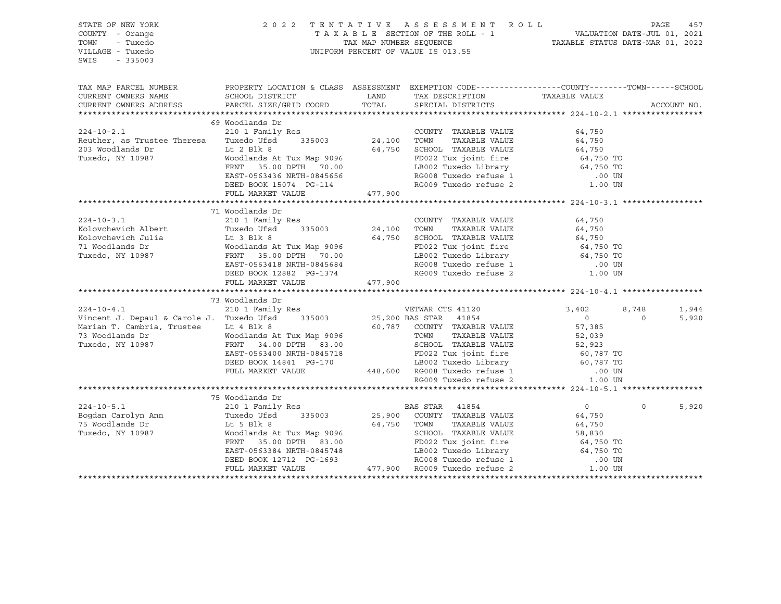| STATE OF NEW YORK<br>COUNTY - Orange<br>TOWN<br>- Tuxedo<br>VILLAGE - Tuxedo<br>SWIS<br>$-335003$                                                                                                                                                    |                                                                                                                                                                                                                                                |             | 2022 TENTATIVE ASSESSMENT ROLL PAGE 457<br>TAXABLE SECTION OF THE ROLL - 1 VALUATION DATE-JUL 01, 2021<br>TAX MAP NUMBER SEQUENCE TAXABLE STATUS DATE-MAR 01, 2022<br>UNIFORM PERCENT OF VALUE IS 013.55 |                   |                            |
|------------------------------------------------------------------------------------------------------------------------------------------------------------------------------------------------------------------------------------------------------|------------------------------------------------------------------------------------------------------------------------------------------------------------------------------------------------------------------------------------------------|-------------|----------------------------------------------------------------------------------------------------------------------------------------------------------------------------------------------------------|-------------------|----------------------------|
| TAX MAP PARCEL NUMBER THE PROPERTY LOCATION & CLASS ASSESSMENT EXEMPTION CODE--------------COUNTY--------TOWN------SCHOOL<br>CURRENT OWNERS NAME<br>CURRENT OWNERS ADDRESS                                                                           | SCHOOL DISTRICT<br>PARCEL SIZE/GRID COORD                                                                                                                                                                                                      | TOTAL       | LAND TAX DESCRIPTION<br>SPECIAL DISTRICTS                                                                                                                                                                | TAXABLE VALUE     | ACCOUNT NO.                |
|                                                                                                                                                                                                                                                      | 69 Woodlands Dr                                                                                                                                                                                                                                |             |                                                                                                                                                                                                          |                   |                            |
|                                                                                                                                                                                                                                                      |                                                                                                                                                                                                                                                |             |                                                                                                                                                                                                          |                   |                            |
| 224-10-2.1 210 210 1 Family Res COUNTY<br>Reuther, as Trustee Theresa Tuxedo Ufsd 335003 24,100 TOWN                                                                                                                                                 |                                                                                                                                                                                                                                                |             | COUNTY TAXABLE VALUE<br>TOWN      TAXABLE VALUE                                                                                                                                                          | 64,750<br>64,750  |                            |
|                                                                                                                                                                                                                                                      |                                                                                                                                                                                                                                                |             |                                                                                                                                                                                                          |                   |                            |
| $Tuxedo, NY 10987$<br>Tuxedo, NY 10987<br>Tuxedo, NY 10987<br>ERNT 35.00 DPTH 70.00<br>ERST-0563436 NRTH-0845656<br>ERST-0563436 NRTH-0845656<br>ERST-0563436 NRTH-0845656<br>ERST-0563436 NRTH-0845656<br>ERST-0563436 NRTH-0845656<br>ERST-0563436 |                                                                                                                                                                                                                                                |             |                                                                                                                                                                                                          |                   |                            |
|                                                                                                                                                                                                                                                      |                                                                                                                                                                                                                                                |             |                                                                                                                                                                                                          |                   |                            |
|                                                                                                                                                                                                                                                      |                                                                                                                                                                                                                                                |             |                                                                                                                                                                                                          |                   |                            |
|                                                                                                                                                                                                                                                      | EAST-0563436 NRTH-0845656<br>DEED BOOK 15074 PG-114                                                                                                                                                                                            |             | RG009 Tuxedo refuse 2                                                                                                                                                                                    | .00 UN<br>1.00 UN |                            |
|                                                                                                                                                                                                                                                      | FULL MARKET VALUE                                                                                                                                                                                                                              | 477,900     |                                                                                                                                                                                                          |                   |                            |
|                                                                                                                                                                                                                                                      |                                                                                                                                                                                                                                                |             |                                                                                                                                                                                                          |                   |                            |
|                                                                                                                                                                                                                                                      | 71 Woodlands Dr                                                                                                                                                                                                                                |             |                                                                                                                                                                                                          |                   |                            |
| $224 - 10 - 3.1$                                                                                                                                                                                                                                     | 210 1 Family Res                                                                                                                                                                                                                               |             | COUNTY TAXABLE VALUE 64,750                                                                                                                                                                              |                   |                            |
|                                                                                                                                                                                                                                                      |                                                                                                                                                                                                                                                |             |                                                                                                                                                                                                          |                   |                            |
|                                                                                                                                                                                                                                                      |                                                                                                                                                                                                                                                |             |                                                                                                                                                                                                          |                   |                            |
|                                                                                                                                                                                                                                                      |                                                                                                                                                                                                                                                |             |                                                                                                                                                                                                          |                   |                            |
|                                                                                                                                                                                                                                                      |                                                                                                                                                                                                                                                |             |                                                                                                                                                                                                          |                   |                            |
|                                                                                                                                                                                                                                                      |                                                                                                                                                                                                                                                |             |                                                                                                                                                                                                          |                   |                            |
| Exaction Albert Tuxedo Ufsd 335003 24,100 TOWN TAXABLE VALUE 64,750<br>Kolovchevich Julia It 3 Blk 8 64,750 SCHOOL TAXABLE VALUE 64,750<br>71 Woodlands Dr Woodlands At Tux Map 9096<br>Tuxedo, NY 10987 FRNT 35.00 DPTH 70.00 LB002                 |                                                                                                                                                                                                                                                |             |                                                                                                                                                                                                          |                   |                            |
|                                                                                                                                                                                                                                                      |                                                                                                                                                                                                                                                |             |                                                                                                                                                                                                          |                   |                            |
|                                                                                                                                                                                                                                                      |                                                                                                                                                                                                                                                |             |                                                                                                                                                                                                          |                   |                            |
|                                                                                                                                                                                                                                                      | 73 Woodlands Dr                                                                                                                                                                                                                                |             |                                                                                                                                                                                                          |                   |                            |
| $224 - 10 - 4.1$                                                                                                                                                                                                                                     | 210 1 Family Res                                                                                                                                                                                                                               |             | VETWAR CTS 41120                                                                                                                                                                                         | 3,402             | 8,748<br>1,944             |
| Vincent J. Depaul & Carole J. Tuxedo Ufsd                                                                                                                                                                                                            |                                                                                                                                                                                                                                                |             | 335003 25,200 BAS STAR 41854                                                                                                                                                                             | $0$<br>57,385     | $\circ$<br>5,920           |
| Marian T. Cambria, Trustee Lt 4 Blk 8                                                                                                                                                                                                                |                                                                                                                                                                                                                                                |             |                                                                                                                                                                                                          |                   |                            |
| 73 Woodlands Dr                                                                                                                                                                                                                                      |                                                                                                                                                                                                                                                |             | TAXABLE VALUE                                                                                                                                                                                            |                   |                            |
| Tuxedo, NY 10987                                                                                                                                                                                                                                     |                                                                                                                                                                                                                                                |             |                                                                                                                                                                                                          |                   |                            |
|                                                                                                                                                                                                                                                      |                                                                                                                                                                                                                                                |             |                                                                                                                                                                                                          |                   |                            |
|                                                                                                                                                                                                                                                      |                                                                                                                                                                                                                                                |             |                                                                                                                                                                                                          |                   |                            |
|                                                                                                                                                                                                                                                      | Moodlands At Tux Map 9096<br>FRNT 34.00 DPTH 83.00<br>FRNT 34.00 DPTH 83.00<br>EAST-0563400 NRTH-0845718<br>DEED BOOK 14841 PG-170<br>DEED BOOK 14841 PG-170<br>TAXABLE VALUE<br>LEO02 Tux joint fire 60,787 TO<br>LEO02 Tuxedo Library 60,787 |             |                                                                                                                                                                                                          |                   |                            |
|                                                                                                                                                                                                                                                      |                                                                                                                                                                                                                                                |             |                                                                                                                                                                                                          |                   |                            |
|                                                                                                                                                                                                                                                      |                                                                                                                                                                                                                                                |             |                                                                                                                                                                                                          |                   |                            |
|                                                                                                                                                                                                                                                      | 75 Woodlands Dr                                                                                                                                                                                                                                |             |                                                                                                                                                                                                          |                   |                            |
| $224 - 10 - 5.1$                                                                                                                                                                                                                                     |                                                                                                                                                                                                                                                |             |                                                                                                                                                                                                          | $\overline{0}$    | $0 \qquad \qquad$<br>5,920 |
|                                                                                                                                                                                                                                                      |                                                                                                                                                                                                                                                |             | 25,900 COUNTY TAXABLE VALUE                                                                                                                                                                              | 64,750            |                            |
|                                                                                                                                                                                                                                                      |                                                                                                                                                                                                                                                | 64,750 TOWN | TAXABLE VALUE                                                                                                                                                                                            | 64,750            |                            |
| Extra formular care and the community of the Samuel Carolyn Ann and Tuxedo Ufsd 335003 25,900<br>75 Woodlands Dr Lt 5 Blk 8 64,750<br>Tuxedo, NY 10987 Woodlands At Tux Map 9096<br>FRNT 35.00 DPTH 83.00                                            | Moodlands At Tux Map 9096<br>FRNT 35.00 DPTH 83.00<br>EAST-0563384 NRTH-0845748<br>DEED BOOK 12712 PG-1693<br>FULL MARKET VALUE<br>FULL MARKET VALUE<br>FULL MARKET VALUE<br>AT7,900 RG009 Tuxedo refuse 2<br>1.00 UN                          |             |                                                                                                                                                                                                          |                   |                            |
|                                                                                                                                                                                                                                                      |                                                                                                                                                                                                                                                |             |                                                                                                                                                                                                          |                   |                            |
|                                                                                                                                                                                                                                                      |                                                                                                                                                                                                                                                |             |                                                                                                                                                                                                          |                   |                            |
|                                                                                                                                                                                                                                                      |                                                                                                                                                                                                                                                |             |                                                                                                                                                                                                          |                   |                            |
|                                                                                                                                                                                                                                                      |                                                                                                                                                                                                                                                |             |                                                                                                                                                                                                          |                   |                            |
|                                                                                                                                                                                                                                                      |                                                                                                                                                                                                                                                |             |                                                                                                                                                                                                          |                   |                            |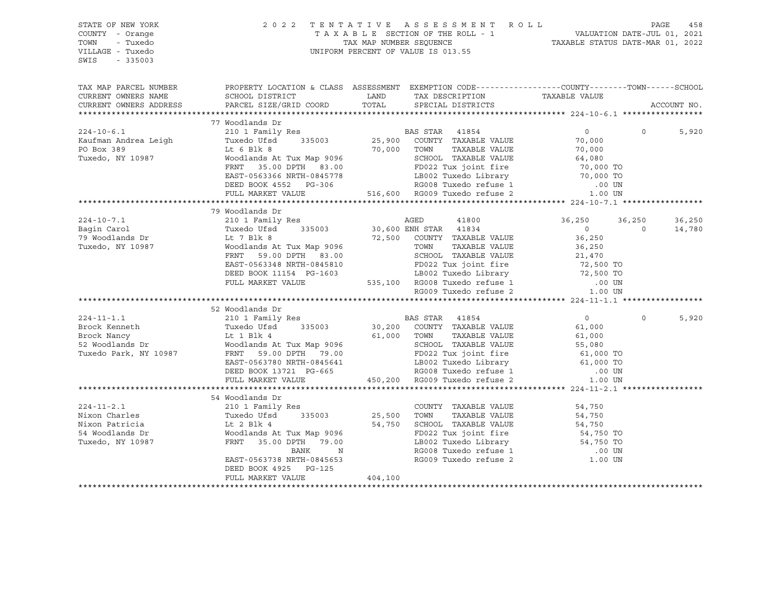| STATE OF NEW YORK |                       |                                                                                                                                                                                                                                                                                                                                                                                                         | 2022 TENTATIVE ASSESSMENT ROLL PAGE 458<br>TAXABLE SECTION OF THE ROLL - 1 VALUATION DATE-JUL 01, 2021<br>TAXABLE STATUS DATE-MAR 01, 2022 |
|-------------------|-----------------------|---------------------------------------------------------------------------------------------------------------------------------------------------------------------------------------------------------------------------------------------------------------------------------------------------------------------------------------------------------------------------------------------------------|--------------------------------------------------------------------------------------------------------------------------------------------|
| COUNTY - Orange   |                       |                                                                                                                                                                                                                                                                                                                                                                                                         |                                                                                                                                            |
| TOWN<br>- Tuxedo  |                       |                                                                                                                                                                                                                                                                                                                                                                                                         |                                                                                                                                            |
| VILLAGE - Tuxedo  |                       | UNIFORM PERCENT OF VALUE IS 013.55                                                                                                                                                                                                                                                                                                                                                                      |                                                                                                                                            |
| SWIS<br>$-335003$ |                       |                                                                                                                                                                                                                                                                                                                                                                                                         |                                                                                                                                            |
|                   |                       |                                                                                                                                                                                                                                                                                                                                                                                                         |                                                                                                                                            |
|                   |                       |                                                                                                                                                                                                                                                                                                                                                                                                         | TAX MAP PARCEL NUMBER PROPERTY LOCATION & CLASS ASSESSMENT EXEMPTION CODE---------------COUNTY--------TOWN------SCHOOL                     |
|                   |                       |                                                                                                                                                                                                                                                                                                                                                                                                         |                                                                                                                                            |
|                   |                       |                                                                                                                                                                                                                                                                                                                                                                                                         | ACCOUNT NO.                                                                                                                                |
|                   |                       |                                                                                                                                                                                                                                                                                                                                                                                                         |                                                                                                                                            |
|                   | 77 Woodlands Dr       |                                                                                                                                                                                                                                                                                                                                                                                                         |                                                                                                                                            |
| $224 - 10 - 6.1$  | 210 1 Family Res      | BAS STAR 41854                                                                                                                                                                                                                                                                                                                                                                                          | $\overline{0}$<br>$\Omega$<br>5,920                                                                                                        |
|                   |                       |                                                                                                                                                                                                                                                                                                                                                                                                         |                                                                                                                                            |
|                   |                       |                                                                                                                                                                                                                                                                                                                                                                                                         |                                                                                                                                            |
|                   |                       |                                                                                                                                                                                                                                                                                                                                                                                                         |                                                                                                                                            |
|                   |                       |                                                                                                                                                                                                                                                                                                                                                                                                         |                                                                                                                                            |
|                   |                       |                                                                                                                                                                                                                                                                                                                                                                                                         |                                                                                                                                            |
|                   |                       |                                                                                                                                                                                                                                                                                                                                                                                                         |                                                                                                                                            |
|                   |                       |                                                                                                                                                                                                                                                                                                                                                                                                         |                                                                                                                                            |
|                   | 79 Woodlands Dr       |                                                                                                                                                                                                                                                                                                                                                                                                         |                                                                                                                                            |
|                   |                       |                                                                                                                                                                                                                                                                                                                                                                                                         | 36,250 36,250<br>36,250                                                                                                                    |
|                   |                       |                                                                                                                                                                                                                                                                                                                                                                                                         | $\overline{0}$<br>14,780                                                                                                                   |
|                   |                       |                                                                                                                                                                                                                                                                                                                                                                                                         |                                                                                                                                            |
|                   |                       |                                                                                                                                                                                                                                                                                                                                                                                                         |                                                                                                                                            |
|                   |                       |                                                                                                                                                                                                                                                                                                                                                                                                         |                                                                                                                                            |
|                   |                       |                                                                                                                                                                                                                                                                                                                                                                                                         |                                                                                                                                            |
|                   |                       |                                                                                                                                                                                                                                                                                                                                                                                                         |                                                                                                                                            |
|                   |                       |                                                                                                                                                                                                                                                                                                                                                                                                         |                                                                                                                                            |
|                   |                       | $\begin{tabular}{l c c c c c} \multicolumn{3}{c c c c} \multicolumn{3}{c c c} \multicolumn{3}{c c c} \multicolumn{3}{c c c} \multicolumn{3}{c c c} \multicolumn{3}{c c c} \multicolumn{3}{c c c} \multicolumn{3}{c c c} \multicolumn{3}{c c c} \multicolumn{3}{c c c} \multicolumn{3}{c c c} \multicolumn{3}{c c c} \multicolumn{3}{c c c} \multicolumn{3}{c c c} \multicolumn{3}{c c c} \multicolumn{$ |                                                                                                                                            |
|                   |                       |                                                                                                                                                                                                                                                                                                                                                                                                         |                                                                                                                                            |
|                   | 52 Woodlands Dr       |                                                                                                                                                                                                                                                                                                                                                                                                         |                                                                                                                                            |
|                   |                       |                                                                                                                                                                                                                                                                                                                                                                                                         | 5,920<br>$\Omega$                                                                                                                          |
|                   |                       |                                                                                                                                                                                                                                                                                                                                                                                                         |                                                                                                                                            |
|                   |                       |                                                                                                                                                                                                                                                                                                                                                                                                         |                                                                                                                                            |
|                   |                       |                                                                                                                                                                                                                                                                                                                                                                                                         |                                                                                                                                            |
|                   |                       |                                                                                                                                                                                                                                                                                                                                                                                                         |                                                                                                                                            |
|                   |                       |                                                                                                                                                                                                                                                                                                                                                                                                         |                                                                                                                                            |
|                   |                       |                                                                                                                                                                                                                                                                                                                                                                                                         |                                                                                                                                            |
|                   |                       |                                                                                                                                                                                                                                                                                                                                                                                                         |                                                                                                                                            |
|                   | 54 Woodlands Dr       |                                                                                                                                                                                                                                                                                                                                                                                                         |                                                                                                                                            |
|                   |                       |                                                                                                                                                                                                                                                                                                                                                                                                         |                                                                                                                                            |
|                   |                       |                                                                                                                                                                                                                                                                                                                                                                                                         |                                                                                                                                            |
|                   |                       |                                                                                                                                                                                                                                                                                                                                                                                                         |                                                                                                                                            |
|                   |                       |                                                                                                                                                                                                                                                                                                                                                                                                         |                                                                                                                                            |
|                   |                       |                                                                                                                                                                                                                                                                                                                                                                                                         |                                                                                                                                            |
|                   |                       |                                                                                                                                                                                                                                                                                                                                                                                                         |                                                                                                                                            |
|                   |                       |                                                                                                                                                                                                                                                                                                                                                                                                         |                                                                                                                                            |
|                   | DEED BOOK 4925 PG-125 |                                                                                                                                                                                                                                                                                                                                                                                                         |                                                                                                                                            |
|                   | FULL MARKET VALUE     | 404, 100                                                                                                                                                                                                                                                                                                                                                                                                |                                                                                                                                            |
|                   |                       |                                                                                                                                                                                                                                                                                                                                                                                                         |                                                                                                                                            |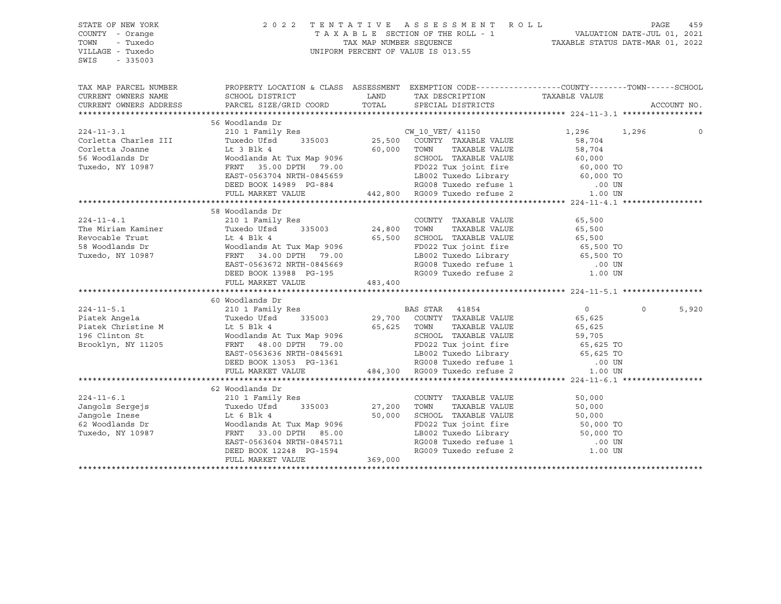| STATE OF NEW YORK<br>COUNTY - Orange<br>TOWN<br>- Tuxedo<br>VILLAGE - Tuxedo<br>SWIS<br>$-335003$ |                                                                                                                                                                                                                                            |         | 2022 TENTATIVE ASSESSMENT ROLL PAGE 459<br>TAXABLE SECTION OF THE ROLL - 1 VALUATION DATE-JUL 01, 2021<br>TAX MAP NUMBER SEQUENCE TAXABLE STATUS DATE-MAR 01, 2022<br>UNIFORM PERCENT OF VALUE IS 013.55 |                |                   |
|---------------------------------------------------------------------------------------------------|--------------------------------------------------------------------------------------------------------------------------------------------------------------------------------------------------------------------------------------------|---------|----------------------------------------------------------------------------------------------------------------------------------------------------------------------------------------------------------|----------------|-------------------|
|                                                                                                   | TAX MAP PARCEL NUMBER PROPERTY LOCATION & CLASS ASSESSMENT EXEMPTION CODE---------------COUNTY--------TOWN------SCHOOL                                                                                                                     |         |                                                                                                                                                                                                          |                |                   |
| CURRENT OWNERS NAME                                                                               | SCHOOL DISTRICT                                                                                                                                                                                                                            |         | LAND TAX DESCRIPTION<br>COORD TOTAL SPECIAL DISTRICTS                                                                                                                                                    | TAXABLE VALUE  |                   |
| CURRENT OWNERS ADDRESS                                                                            | PARCEL SIZE/GRID COORD                                                                                                                                                                                                                     |         |                                                                                                                                                                                                          |                | ACCOUNT NO.       |
|                                                                                                   |                                                                                                                                                                                                                                            |         |                                                                                                                                                                                                          |                |                   |
|                                                                                                   | 56 Woodlands Dr                                                                                                                                                                                                                            |         |                                                                                                                                                                                                          |                |                   |
| $224 - 11 - 3.1$                                                                                  | 210 1 Family Res<br>Tuxedo Ufsd 335003 25,500 COUNTY TAXABLE VALUE                                                                                                                                                                         |         | $CW_10_VET/$ 41150 $1,296$ 1,296                                                                                                                                                                         |                |                   |
| Corletta Charles III                                                                              |                                                                                                                                                                                                                                            |         |                                                                                                                                                                                                          | 58,704         |                   |
|                                                                                                   |                                                                                                                                                                                                                                            |         |                                                                                                                                                                                                          |                |                   |
|                                                                                                   |                                                                                                                                                                                                                                            |         |                                                                                                                                                                                                          |                |                   |
|                                                                                                   |                                                                                                                                                                                                                                            |         |                                                                                                                                                                                                          |                |                   |
|                                                                                                   |                                                                                                                                                                                                                                            |         |                                                                                                                                                                                                          |                |                   |
|                                                                                                   |                                                                                                                                                                                                                                            |         |                                                                                                                                                                                                          |                |                   |
|                                                                                                   | Confection Distribution of the Music Confection Distribution of the Music Confection Distribution of the Music Confection Distribution of the Music Confection of the Music Confection of the Music Confection of the Music Co             |         |                                                                                                                                                                                                          |                |                   |
|                                                                                                   |                                                                                                                                                                                                                                            |         |                                                                                                                                                                                                          |                |                   |
|                                                                                                   | 58 Woodlands Dr                                                                                                                                                                                                                            |         |                                                                                                                                                                                                          |                |                   |
| $224 - 11 - 4.1$                                                                                  | 210 1 Family Res<br>Res COUNTY<br>335003 24,800 TOWN                                                                                                                                                                                       |         | COUNTY TAXABLE VALUE                                                                                                                                                                                     | 65,500         |                   |
|                                                                                                   |                                                                                                                                                                                                                                            |         |                                                                                                                                                                                                          |                |                   |
|                                                                                                   |                                                                                                                                                                                                                                            |         |                                                                                                                                                                                                          |                |                   |
|                                                                                                   |                                                                                                                                                                                                                                            |         |                                                                                                                                                                                                          |                |                   |
|                                                                                                   |                                                                                                                                                                                                                                            |         |                                                                                                                                                                                                          |                |                   |
|                                                                                                   |                                                                                                                                                                                                                                            |         |                                                                                                                                                                                                          |                |                   |
|                                                                                                   | FULL MARKET VALUE                                                                                                                                                                                                                          | 483,400 |                                                                                                                                                                                                          |                |                   |
|                                                                                                   |                                                                                                                                                                                                                                            |         |                                                                                                                                                                                                          |                |                   |
|                                                                                                   | 224-11-5.1<br>Piatek Angela<br>Piatek Christine M<br>196 Clinton St Moodlands At Tux Map 9096 5CHOOL<br>NAME TRANGERY MOODLANDS FRNT 48.00 DPTH 79.00 FD022 T<br>TRANGERY 12.05 FRNT 48.00 DPTH 79.00 FD022 T<br>TRANGERY 12.05 TRANGERY T |         |                                                                                                                                                                                                          |                |                   |
|                                                                                                   |                                                                                                                                                                                                                                            |         | BAS STAR 41854                                                                                                                                                                                           | $\overline{0}$ | $\Omega$<br>5,920 |
|                                                                                                   | Tuxedo Ufsd 335003 29,700 COUNTY TAXABLE VALUE 65,625                                                                                                                                                                                      |         |                                                                                                                                                                                                          |                |                   |
|                                                                                                   |                                                                                                                                                                                                                                            |         |                                                                                                                                                                                                          |                |                   |
|                                                                                                   |                                                                                                                                                                                                                                            |         | TOWN TAXABLE VALUE<br>SCHOOL TAXABLE VALUE 59,705<br>- Albert fire 65,625 TO                                                                                                                             |                |                   |
|                                                                                                   |                                                                                                                                                                                                                                            |         |                                                                                                                                                                                                          |                |                   |
|                                                                                                   | EAST-0563636 NRTH-0845691<br>DEED BOOK 13053 PG-1361                                                                                                                                                                                       |         | 79.00 FD022 Tux joint fire 65,625 TO<br>-0845691 LB002 Tuxedo Library 65,625 TO<br>PG-1361 RG008 Tuxedo refuse 1 .00 UN<br>484,300 RG009 Tuxedo refuse 2 1.00 UN                                         |                |                   |
|                                                                                                   |                                                                                                                                                                                                                                            |         |                                                                                                                                                                                                          |                |                   |
|                                                                                                   | FULL MARKET VALUE                                                                                                                                                                                                                          |         |                                                                                                                                                                                                          |                |                   |
|                                                                                                   |                                                                                                                                                                                                                                            |         |                                                                                                                                                                                                          |                |                   |
|                                                                                                   | 62 Woodlands Dr                                                                                                                                                                                                                            |         |                                                                                                                                                                                                          |                |                   |
| $224 - 11 - 6.1$                                                                                  | 210 1 Family Res                                                                                                                                                                                                                           |         | COUNTY TAXABLE VALUE                                                                                                                                                                                     | 50,000         |                   |
|                                                                                                   |                                                                                                                                                                                                                                            |         |                                                                                                                                                                                                          |                |                   |
|                                                                                                   | Jangols Sergejs<br>Jangole Inese 11 and 135003<br>G2 Woodlands Dr 10987<br>Tuxedo, NY 10987<br>Tuxedo, NY 10987<br>TRNT 33.00 DPTH 85.00                                                                                                   |         | 27,200 TOWN TAXABLE VALUE 50,000<br>50,000 SCHOOL TAXABLE VALUE 50,000                                                                                                                                   |                |                   |
|                                                                                                   |                                                                                                                                                                                                                                            |         |                                                                                                                                                                                                          |                |                   |
|                                                                                                   |                                                                                                                                                                                                                                            |         | FD022 Tux joint fire 50,000 TO<br>LB002 Tuxedo Library 50,000 TO<br>RG008 Tuxedo refuse 1 00 UN<br>RG009 Tuxedo refuse 2 1.00 UN                                                                         |                |                   |
|                                                                                                   | EAST-0563604 NRTH-0845711                                                                                                                                                                                                                  |         |                                                                                                                                                                                                          |                |                   |
|                                                                                                   | DEED BOOK 12248 PG-1594                                                                                                                                                                                                                    |         |                                                                                                                                                                                                          |                |                   |
|                                                                                                   | FULL MARKET VALUE                                                                                                                                                                                                                          | 369,000 |                                                                                                                                                                                                          |                |                   |
|                                                                                                   |                                                                                                                                                                                                                                            |         |                                                                                                                                                                                                          |                |                   |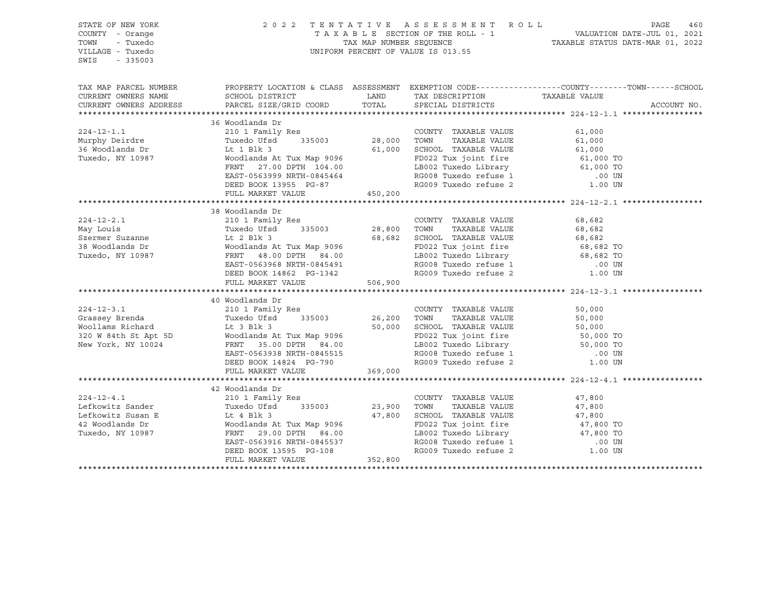| STATE OF NEW YORK<br>COUNTY - Orange<br>- Tuxedo<br>TOWN<br>VILLAGE - Tuxedo<br>$-335003$<br>SWIS                                                                                                                                                                                                                                                                                                                   |                                 |                             | $\begin{tabular}{lllllllllllll} \multicolumn{3}{c}{2\ 0\ 2\ 2\quad T\ \texttt{E}\ \texttt{N}\ \texttt{T}\ \texttt{A}\ \texttt{T}\ \texttt{I}\ \texttt{V}\ \texttt{E}\ &\texttt{A}\ \texttt{S}\ \texttt{S}\ \texttt{E}\ &\texttt{S}\ \texttt{E}\ &\texttt{T}\ \texttt{A}\ \texttt{X}\ \texttt{A}\ \texttt{B}\ \texttt{L}\ &\texttt{E}\ &\texttt{SECTION OF THE ROLL - 1} &\texttt{VALUATION DATE-JUL 01, 2021} \\ & & & & \texttt{TAX} \texttt{MAP NUMBER SEQUENCE$ |
|---------------------------------------------------------------------------------------------------------------------------------------------------------------------------------------------------------------------------------------------------------------------------------------------------------------------------------------------------------------------------------------------------------------------|---------------------------------|-----------------------------|--------------------------------------------------------------------------------------------------------------------------------------------------------------------------------------------------------------------------------------------------------------------------------------------------------------------------------------------------------------------------------------------------------------------------------------------------------------------|
|                                                                                                                                                                                                                                                                                                                                                                                                                     |                                 |                             | TAX MAP PARCEL NUMBER THE PROPERTY LOCATION & CLASS ASSESSMENT EXEMPTION CODE---------------COUNTY--------TOWN------SCHOOL                                                                                                                                                                                                                                                                                                                                         |
| CURRENT OWNERS NAME                                                                                                                                                                                                                                                                                                                                                                                                 | SCHOOL DISTRICT TAX DESCRIPTION |                             | TAXABLE VALUE                                                                                                                                                                                                                                                                                                                                                                                                                                                      |
| CURRENT OWNERS ADDRESS                                                                                                                                                                                                                                                                                                                                                                                              | PARCEL SIZE/GRID COORD          | TOTAL SPECIAL DISTRICTS     | ACCOUNT NO.                                                                                                                                                                                                                                                                                                                                                                                                                                                        |
|                                                                                                                                                                                                                                                                                                                                                                                                                     | 36 Woodlands Dr                 |                             |                                                                                                                                                                                                                                                                                                                                                                                                                                                                    |
| $224 - 12 - 1.1$                                                                                                                                                                                                                                                                                                                                                                                                    |                                 |                             |                                                                                                                                                                                                                                                                                                                                                                                                                                                                    |
|                                                                                                                                                                                                                                                                                                                                                                                                                     |                                 |                             |                                                                                                                                                                                                                                                                                                                                                                                                                                                                    |
|                                                                                                                                                                                                                                                                                                                                                                                                                     |                                 |                             |                                                                                                                                                                                                                                                                                                                                                                                                                                                                    |
|                                                                                                                                                                                                                                                                                                                                                                                                                     |                                 |                             |                                                                                                                                                                                                                                                                                                                                                                                                                                                                    |
| J. woodlands Dr<br>Tuxedo, NY 10987                                                                                                                                                                                                                                                                                                                                                                                 |                                 |                             |                                                                                                                                                                                                                                                                                                                                                                                                                                                                    |
|                                                                                                                                                                                                                                                                                                                                                                                                                     |                                 |                             |                                                                                                                                                                                                                                                                                                                                                                                                                                                                    |
|                                                                                                                                                                                                                                                                                                                                                                                                                     |                                 |                             |                                                                                                                                                                                                                                                                                                                                                                                                                                                                    |
|                                                                                                                                                                                                                                                                                                                                                                                                                     |                                 |                             |                                                                                                                                                                                                                                                                                                                                                                                                                                                                    |
|                                                                                                                                                                                                                                                                                                                                                                                                                     |                                 |                             |                                                                                                                                                                                                                                                                                                                                                                                                                                                                    |
|                                                                                                                                                                                                                                                                                                                                                                                                                     | 38 Woodlands Dr                 |                             |                                                                                                                                                                                                                                                                                                                                                                                                                                                                    |
|                                                                                                                                                                                                                                                                                                                                                                                                                     |                                 |                             |                                                                                                                                                                                                                                                                                                                                                                                                                                                                    |
|                                                                                                                                                                                                                                                                                                                                                                                                                     |                                 |                             |                                                                                                                                                                                                                                                                                                                                                                                                                                                                    |
|                                                                                                                                                                                                                                                                                                                                                                                                                     |                                 |                             |                                                                                                                                                                                                                                                                                                                                                                                                                                                                    |
|                                                                                                                                                                                                                                                                                                                                                                                                                     |                                 |                             |                                                                                                                                                                                                                                                                                                                                                                                                                                                                    |
|                                                                                                                                                                                                                                                                                                                                                                                                                     |                                 |                             |                                                                                                                                                                                                                                                                                                                                                                                                                                                                    |
|                                                                                                                                                                                                                                                                                                                                                                                                                     |                                 |                             |                                                                                                                                                                                                                                                                                                                                                                                                                                                                    |
|                                                                                                                                                                                                                                                                                                                                                                                                                     |                                 |                             |                                                                                                                                                                                                                                                                                                                                                                                                                                                                    |
|                                                                                                                                                                                                                                                                                                                                                                                                                     |                                 |                             |                                                                                                                                                                                                                                                                                                                                                                                                                                                                    |
|                                                                                                                                                                                                                                                                                                                                                                                                                     |                                 |                             |                                                                                                                                                                                                                                                                                                                                                                                                                                                                    |
|                                                                                                                                                                                                                                                                                                                                                                                                                     |                                 |                             |                                                                                                                                                                                                                                                                                                                                                                                                                                                                    |
|                                                                                                                                                                                                                                                                                                                                                                                                                     |                                 |                             |                                                                                                                                                                                                                                                                                                                                                                                                                                                                    |
|                                                                                                                                                                                                                                                                                                                                                                                                                     |                                 |                             |                                                                                                                                                                                                                                                                                                                                                                                                                                                                    |
|                                                                                                                                                                                                                                                                                                                                                                                                                     |                                 |                             |                                                                                                                                                                                                                                                                                                                                                                                                                                                                    |
|                                                                                                                                                                                                                                                                                                                                                                                                                     |                                 |                             |                                                                                                                                                                                                                                                                                                                                                                                                                                                                    |
|                                                                                                                                                                                                                                                                                                                                                                                                                     |                                 |                             |                                                                                                                                                                                                                                                                                                                                                                                                                                                                    |
|                                                                                                                                                                                                                                                                                                                                                                                                                     |                                 |                             |                                                                                                                                                                                                                                                                                                                                                                                                                                                                    |
|                                                                                                                                                                                                                                                                                                                                                                                                                     |                                 |                             |                                                                                                                                                                                                                                                                                                                                                                                                                                                                    |
|                                                                                                                                                                                                                                                                                                                                                                                                                     |                                 |                             |                                                                                                                                                                                                                                                                                                                                                                                                                                                                    |
|                                                                                                                                                                                                                                                                                                                                                                                                                     | 42 Woodlands Dr                 |                             |                                                                                                                                                                                                                                                                                                                                                                                                                                                                    |
| $224 - 12 - 4.1$                                                                                                                                                                                                                                                                                                                                                                                                    | 210 1 Family Res                | COUNTY TAXABLE VALUE 47,800 |                                                                                                                                                                                                                                                                                                                                                                                                                                                                    |
|                                                                                                                                                                                                                                                                                                                                                                                                                     |                                 |                             |                                                                                                                                                                                                                                                                                                                                                                                                                                                                    |
|                                                                                                                                                                                                                                                                                                                                                                                                                     |                                 |                             |                                                                                                                                                                                                                                                                                                                                                                                                                                                                    |
|                                                                                                                                                                                                                                                                                                                                                                                                                     |                                 |                             |                                                                                                                                                                                                                                                                                                                                                                                                                                                                    |
|                                                                                                                                                                                                                                                                                                                                                                                                                     |                                 |                             |                                                                                                                                                                                                                                                                                                                                                                                                                                                                    |
|                                                                                                                                                                                                                                                                                                                                                                                                                     |                                 |                             |                                                                                                                                                                                                                                                                                                                                                                                                                                                                    |
| $\begin{tabular}{lllllllllllllllllll} \multicolumn{3}{c}{\textbf{Lefkowitz Sander}} & $\begin{array}{l} \textbf{2.10 - 1 found} & \textbf{2.10 - 1 found} & \textbf{2.10 - 1 found} \\ \textbf{Lefkowitz Sander} & $\begin{array}{l} \textbf{2.10 - 1 found} & \textbf{2.10 - 200} \\ \textbf{1.10 - 100} & \textbf{2.10 - 200} \\ \textbf{1.10 - 200} & \textbf{2.10 - 200} \\ \textbf{2.10 - 200} & \textbf{2.10$ |                                 |                             |                                                                                                                                                                                                                                                                                                                                                                                                                                                                    |
|                                                                                                                                                                                                                                                                                                                                                                                                                     |                                 |                             |                                                                                                                                                                                                                                                                                                                                                                                                                                                                    |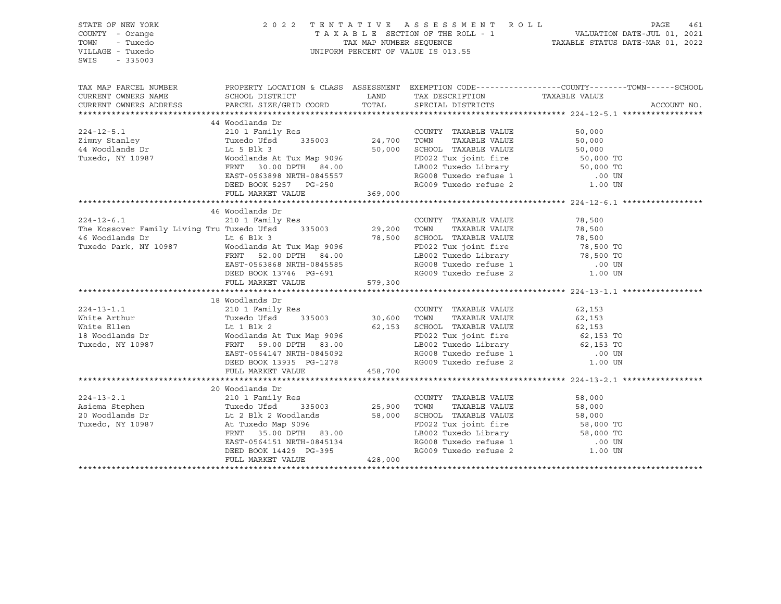| STATE OF NEW YORK<br>COUNTY - Orange<br>TOWN<br>- Tuxedo<br>VILLAGE - Tuxedo<br>$-335003$<br>SWIS                                                                                                                                                                                                                                                                                                                                       |                 |  | $\begin{tabular}{lllllllllllll} \hline 2&0&2&2&\text{T} & \text{E} & \text{N} & \text{T} & \text{A} & \text{T} & \text{A} & \text{T} & \text{A} & \text{B} & \text{A} & \text{E} & \text{E} & \text{E} & \text{E} & \text{E} & \text{E} & \text{E} & \text{E} & \text{E} & \text{E} & \text{E} & \text{E} & \text{E} & \text{E} & \text{E} & \text{E} & \text{E} & \text{E} & \text{E} & \text{E} & \text{E} & \text{E} &$ |
|-----------------------------------------------------------------------------------------------------------------------------------------------------------------------------------------------------------------------------------------------------------------------------------------------------------------------------------------------------------------------------------------------------------------------------------------|-----------------|--|----------------------------------------------------------------------------------------------------------------------------------------------------------------------------------------------------------------------------------------------------------------------------------------------------------------------------------------------------------------------------------------------------------------------------|
|                                                                                                                                                                                                                                                                                                                                                                                                                                         |                 |  | TAX MAP PARCEL NUMBER PROPERTY LOCATION & CLASS ASSESSMENT EXEMPTION CODE----------------COUNTY--------TOWN------SCHOOL                                                                                                                                                                                                                                                                                                    |
| CURRENT OWNERS NAME                                                                                                                                                                                                                                                                                                                                                                                                                     |                 |  |                                                                                                                                                                                                                                                                                                                                                                                                                            |
| CURRENT OWNERS ADDRESS                                                                                                                                                                                                                                                                                                                                                                                                                  |                 |  | ACCOUNT NO.                                                                                                                                                                                                                                                                                                                                                                                                                |
|                                                                                                                                                                                                                                                                                                                                                                                                                                         |                 |  |                                                                                                                                                                                                                                                                                                                                                                                                                            |
| $\begin{tabular}{lllllllllllll} 224-12-5.1 & 44\text{ Woodlands Dr} & 210 1 Family Res & 200 INTY TAXABLE VALUE & 50,000 \\ \hline \text{Zimny Stanley} & \text{TawBley} & \text{TawBLE VALUE} & 50,000 \\ \text{44 Woodlands Dr} & \text{Tuvedo.}\; \text{INY 10987} & \text{TVwedo.}\; \text{W10987} & \text{W0} & \text{W1087} \\ \text{W0} & \text{W0} & \text{W0} & \text{W0} & \text{W0} & \text{W1088} \\$                       | 44 Woodlands Dr |  |                                                                                                                                                                                                                                                                                                                                                                                                                            |
|                                                                                                                                                                                                                                                                                                                                                                                                                                         |                 |  |                                                                                                                                                                                                                                                                                                                                                                                                                            |
|                                                                                                                                                                                                                                                                                                                                                                                                                                         |                 |  |                                                                                                                                                                                                                                                                                                                                                                                                                            |
|                                                                                                                                                                                                                                                                                                                                                                                                                                         |                 |  |                                                                                                                                                                                                                                                                                                                                                                                                                            |
|                                                                                                                                                                                                                                                                                                                                                                                                                                         |                 |  |                                                                                                                                                                                                                                                                                                                                                                                                                            |
|                                                                                                                                                                                                                                                                                                                                                                                                                                         |                 |  |                                                                                                                                                                                                                                                                                                                                                                                                                            |
|                                                                                                                                                                                                                                                                                                                                                                                                                                         |                 |  |                                                                                                                                                                                                                                                                                                                                                                                                                            |
|                                                                                                                                                                                                                                                                                                                                                                                                                                         |                 |  |                                                                                                                                                                                                                                                                                                                                                                                                                            |
|                                                                                                                                                                                                                                                                                                                                                                                                                                         |                 |  |                                                                                                                                                                                                                                                                                                                                                                                                                            |
|                                                                                                                                                                                                                                                                                                                                                                                                                                         | 46 Woodlands Dr |  |                                                                                                                                                                                                                                                                                                                                                                                                                            |
|                                                                                                                                                                                                                                                                                                                                                                                                                                         |                 |  |                                                                                                                                                                                                                                                                                                                                                                                                                            |
|                                                                                                                                                                                                                                                                                                                                                                                                                                         |                 |  |                                                                                                                                                                                                                                                                                                                                                                                                                            |
|                                                                                                                                                                                                                                                                                                                                                                                                                                         |                 |  |                                                                                                                                                                                                                                                                                                                                                                                                                            |
|                                                                                                                                                                                                                                                                                                                                                                                                                                         |                 |  |                                                                                                                                                                                                                                                                                                                                                                                                                            |
|                                                                                                                                                                                                                                                                                                                                                                                                                                         |                 |  |                                                                                                                                                                                                                                                                                                                                                                                                                            |
|                                                                                                                                                                                                                                                                                                                                                                                                                                         |                 |  |                                                                                                                                                                                                                                                                                                                                                                                                                            |
|                                                                                                                                                                                                                                                                                                                                                                                                                                         |                 |  |                                                                                                                                                                                                                                                                                                                                                                                                                            |
| $\begin{tabular}{lllllllllllll} 224-12-6.1 & 46\text{ Woodlands Dr} & 210 1 Family Res & 200 INTY TAXABLE VALUE & 78,500 \\ \text{The Kossover Family Living Tru Tuxedo Park, NY 10987 & Lt & 6 Blk 3 & 35003 & 29,200 TOWN TAXABLE VALUE & 78,500 \\ \text{46 Woodlands Dr & Lt & 6 Blk 3 & 78,500 SCH OOL TAXABLE VALUE & 78,500 \\ \text{Twoollands At Tux Map 9096 & 29,200 TOWN TAXABLE VALUE & 78,500 \\ \text{Twoollands At Tux$ |                 |  |                                                                                                                                                                                                                                                                                                                                                                                                                            |
| 18 Woodlands Dr<br>224-13-1.1 210 1 Family Res<br>White Arthur 210 1 Family Res<br>White Ellen It 1 Blk 2 535003 30,600 TOWN TAXABLE VALUE<br>White Ellen It 1 Blk 2 62,153 SCHOOL TAXABLE VALUE<br>18 Woodlands Dr<br>Tuxedo, NY 10987 FR                                                                                                                                                                                              |                 |  |                                                                                                                                                                                                                                                                                                                                                                                                                            |
|                                                                                                                                                                                                                                                                                                                                                                                                                                         |                 |  |                                                                                                                                                                                                                                                                                                                                                                                                                            |
|                                                                                                                                                                                                                                                                                                                                                                                                                                         |                 |  |                                                                                                                                                                                                                                                                                                                                                                                                                            |
|                                                                                                                                                                                                                                                                                                                                                                                                                                         |                 |  |                                                                                                                                                                                                                                                                                                                                                                                                                            |
|                                                                                                                                                                                                                                                                                                                                                                                                                                         |                 |  |                                                                                                                                                                                                                                                                                                                                                                                                                            |
|                                                                                                                                                                                                                                                                                                                                                                                                                                         |                 |  |                                                                                                                                                                                                                                                                                                                                                                                                                            |
|                                                                                                                                                                                                                                                                                                                                                                                                                                         |                 |  |                                                                                                                                                                                                                                                                                                                                                                                                                            |
|                                                                                                                                                                                                                                                                                                                                                                                                                                         |                 |  |                                                                                                                                                                                                                                                                                                                                                                                                                            |
|                                                                                                                                                                                                                                                                                                                                                                                                                                         |                 |  |                                                                                                                                                                                                                                                                                                                                                                                                                            |
|                                                                                                                                                                                                                                                                                                                                                                                                                                         |                 |  |                                                                                                                                                                                                                                                                                                                                                                                                                            |
|                                                                                                                                                                                                                                                                                                                                                                                                                                         |                 |  |                                                                                                                                                                                                                                                                                                                                                                                                                            |
|                                                                                                                                                                                                                                                                                                                                                                                                                                         | 20 Woodlands Dr |  |                                                                                                                                                                                                                                                                                                                                                                                                                            |
|                                                                                                                                                                                                                                                                                                                                                                                                                                         |                 |  |                                                                                                                                                                                                                                                                                                                                                                                                                            |
|                                                                                                                                                                                                                                                                                                                                                                                                                                         |                 |  |                                                                                                                                                                                                                                                                                                                                                                                                                            |
|                                                                                                                                                                                                                                                                                                                                                                                                                                         |                 |  |                                                                                                                                                                                                                                                                                                                                                                                                                            |
|                                                                                                                                                                                                                                                                                                                                                                                                                                         |                 |  |                                                                                                                                                                                                                                                                                                                                                                                                                            |
|                                                                                                                                                                                                                                                                                                                                                                                                                                         |                 |  |                                                                                                                                                                                                                                                                                                                                                                                                                            |
|                                                                                                                                                                                                                                                                                                                                                                                                                                         |                 |  |                                                                                                                                                                                                                                                                                                                                                                                                                            |
| ${\small \begin{tabular}{lcccc} \bf 224-13-2.1 & & \bf 20\text{ Woodlands Dr} & & \bf 210\text{ 1 Family Res} & & \bf 224-13-2.1 & & \bf 210\text{ 1 Family Res} & & \bf 224-13-2.1 & & \bf 210\text{ 1 Family Res} & & \bf 224-13-2.1 & & \bf 210\text{ 1 Family Res} & & \bf 224-13-2.1 & & \bf 210\text{ 1 Family Res} & & \bf 224-13-2.1 & & \bf 210\text{ 1 Family Res} & & \bf 224-13$                                            |                 |  |                                                                                                                                                                                                                                                                                                                                                                                                                            |
|                                                                                                                                                                                                                                                                                                                                                                                                                                         |                 |  |                                                                                                                                                                                                                                                                                                                                                                                                                            |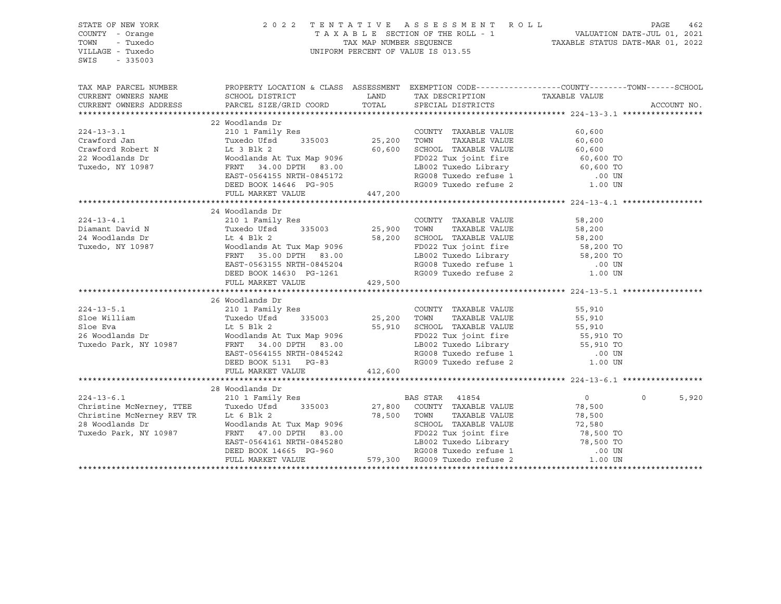| TAX MAP PARCEL NUMBER PROPERTY LOCATION & CLASS ASSESSMENT EXEMPTION CODE---------------COUNTY--------TOWN------SCHOOL<br>CURRENT OWNERS NAME<br>CURRENT OWNERS ADDRESS<br>ACCOUNT NO.<br>22 Woodlands Dr<br>24 Woodlands Dr<br>${\small \begin{tabular}{lcccc} \textbf{224--13-4.1} & \textbf{24 WOOalands Dr} & \textbf{210 1 Fanily Res} \\ \textbf{Diamant David N} & \textbf{210 1 Fanily Res} & \textbf{COUNTY} & \textbf{TAXABLE VALUE} & \textbf{58,200} \\ \textbf{Diamant David N} & \textbf{Tuxedo Ufsd} & \textbf{335003} & \textbf{25,900} & \textbf{TOWN} & \textbf{TAXABLE VALUE} & \textbf{58,200} \\ \textbf{24 Woodlands Dr} & \textbf{Lt 4 Blk 2} & \textbf{5$<br>26 Woodlands Dr<br>24-13-5.1 26 Woodlands Dr<br>26 Woodlands Dr<br>26 Woodlands Dr<br>26 Woodlands Dr<br>26 Woodlands Dr<br>26 Woodlands Dr<br>26 Woodlands Dr<br>26 Woodlands Dr<br>26 Woodlands Dr<br>26 Woodlands Dr<br>26 Woodlands Dr<br>26 Woodlands Dr<br>26 Woodl<br>FULL MARKET VALUE 412,600<br>$0 \qquad \qquad$<br>5,920 | STATE OF NEW YORK<br>COUNTY - Orange<br>TOWN<br>- Tuxedo<br>VILLAGE - Tuxedo<br>SWIS - 335003 |  |  |  |
|---------------------------------------------------------------------------------------------------------------------------------------------------------------------------------------------------------------------------------------------------------------------------------------------------------------------------------------------------------------------------------------------------------------------------------------------------------------------------------------------------------------------------------------------------------------------------------------------------------------------------------------------------------------------------------------------------------------------------------------------------------------------------------------------------------------------------------------------------------------------------------------------------------------------------------------------------------------------------------------------------------------------------|-----------------------------------------------------------------------------------------------|--|--|--|
|                                                                                                                                                                                                                                                                                                                                                                                                                                                                                                                                                                                                                                                                                                                                                                                                                                                                                                                                                                                                                           |                                                                                               |  |  |  |
|                                                                                                                                                                                                                                                                                                                                                                                                                                                                                                                                                                                                                                                                                                                                                                                                                                                                                                                                                                                                                           |                                                                                               |  |  |  |
|                                                                                                                                                                                                                                                                                                                                                                                                                                                                                                                                                                                                                                                                                                                                                                                                                                                                                                                                                                                                                           |                                                                                               |  |  |  |
|                                                                                                                                                                                                                                                                                                                                                                                                                                                                                                                                                                                                                                                                                                                                                                                                                                                                                                                                                                                                                           |                                                                                               |  |  |  |
|                                                                                                                                                                                                                                                                                                                                                                                                                                                                                                                                                                                                                                                                                                                                                                                                                                                                                                                                                                                                                           |                                                                                               |  |  |  |
|                                                                                                                                                                                                                                                                                                                                                                                                                                                                                                                                                                                                                                                                                                                                                                                                                                                                                                                                                                                                                           |                                                                                               |  |  |  |
|                                                                                                                                                                                                                                                                                                                                                                                                                                                                                                                                                                                                                                                                                                                                                                                                                                                                                                                                                                                                                           |                                                                                               |  |  |  |
|                                                                                                                                                                                                                                                                                                                                                                                                                                                                                                                                                                                                                                                                                                                                                                                                                                                                                                                                                                                                                           |                                                                                               |  |  |  |
|                                                                                                                                                                                                                                                                                                                                                                                                                                                                                                                                                                                                                                                                                                                                                                                                                                                                                                                                                                                                                           |                                                                                               |  |  |  |
|                                                                                                                                                                                                                                                                                                                                                                                                                                                                                                                                                                                                                                                                                                                                                                                                                                                                                                                                                                                                                           |                                                                                               |  |  |  |
|                                                                                                                                                                                                                                                                                                                                                                                                                                                                                                                                                                                                                                                                                                                                                                                                                                                                                                                                                                                                                           |                                                                                               |  |  |  |
|                                                                                                                                                                                                                                                                                                                                                                                                                                                                                                                                                                                                                                                                                                                                                                                                                                                                                                                                                                                                                           |                                                                                               |  |  |  |
|                                                                                                                                                                                                                                                                                                                                                                                                                                                                                                                                                                                                                                                                                                                                                                                                                                                                                                                                                                                                                           |                                                                                               |  |  |  |
|                                                                                                                                                                                                                                                                                                                                                                                                                                                                                                                                                                                                                                                                                                                                                                                                                                                                                                                                                                                                                           |                                                                                               |  |  |  |
|                                                                                                                                                                                                                                                                                                                                                                                                                                                                                                                                                                                                                                                                                                                                                                                                                                                                                                                                                                                                                           |                                                                                               |  |  |  |
|                                                                                                                                                                                                                                                                                                                                                                                                                                                                                                                                                                                                                                                                                                                                                                                                                                                                                                                                                                                                                           |                                                                                               |  |  |  |
|                                                                                                                                                                                                                                                                                                                                                                                                                                                                                                                                                                                                                                                                                                                                                                                                                                                                                                                                                                                                                           |                                                                                               |  |  |  |
|                                                                                                                                                                                                                                                                                                                                                                                                                                                                                                                                                                                                                                                                                                                                                                                                                                                                                                                                                                                                                           |                                                                                               |  |  |  |
|                                                                                                                                                                                                                                                                                                                                                                                                                                                                                                                                                                                                                                                                                                                                                                                                                                                                                                                                                                                                                           |                                                                                               |  |  |  |
|                                                                                                                                                                                                                                                                                                                                                                                                                                                                                                                                                                                                                                                                                                                                                                                                                                                                                                                                                                                                                           |                                                                                               |  |  |  |
|                                                                                                                                                                                                                                                                                                                                                                                                                                                                                                                                                                                                                                                                                                                                                                                                                                                                                                                                                                                                                           |                                                                                               |  |  |  |
|                                                                                                                                                                                                                                                                                                                                                                                                                                                                                                                                                                                                                                                                                                                                                                                                                                                                                                                                                                                                                           |                                                                                               |  |  |  |
|                                                                                                                                                                                                                                                                                                                                                                                                                                                                                                                                                                                                                                                                                                                                                                                                                                                                                                                                                                                                                           |                                                                                               |  |  |  |
|                                                                                                                                                                                                                                                                                                                                                                                                                                                                                                                                                                                                                                                                                                                                                                                                                                                                                                                                                                                                                           |                                                                                               |  |  |  |
|                                                                                                                                                                                                                                                                                                                                                                                                                                                                                                                                                                                                                                                                                                                                                                                                                                                                                                                                                                                                                           |                                                                                               |  |  |  |
|                                                                                                                                                                                                                                                                                                                                                                                                                                                                                                                                                                                                                                                                                                                                                                                                                                                                                                                                                                                                                           |                                                                                               |  |  |  |
|                                                                                                                                                                                                                                                                                                                                                                                                                                                                                                                                                                                                                                                                                                                                                                                                                                                                                                                                                                                                                           |                                                                                               |  |  |  |
|                                                                                                                                                                                                                                                                                                                                                                                                                                                                                                                                                                                                                                                                                                                                                                                                                                                                                                                                                                                                                           |                                                                                               |  |  |  |
|                                                                                                                                                                                                                                                                                                                                                                                                                                                                                                                                                                                                                                                                                                                                                                                                                                                                                                                                                                                                                           |                                                                                               |  |  |  |
|                                                                                                                                                                                                                                                                                                                                                                                                                                                                                                                                                                                                                                                                                                                                                                                                                                                                                                                                                                                                                           |                                                                                               |  |  |  |
|                                                                                                                                                                                                                                                                                                                                                                                                                                                                                                                                                                                                                                                                                                                                                                                                                                                                                                                                                                                                                           |                                                                                               |  |  |  |
|                                                                                                                                                                                                                                                                                                                                                                                                                                                                                                                                                                                                                                                                                                                                                                                                                                                                                                                                                                                                                           |                                                                                               |  |  |  |
|                                                                                                                                                                                                                                                                                                                                                                                                                                                                                                                                                                                                                                                                                                                                                                                                                                                                                                                                                                                                                           |                                                                                               |  |  |  |
|                                                                                                                                                                                                                                                                                                                                                                                                                                                                                                                                                                                                                                                                                                                                                                                                                                                                                                                                                                                                                           |                                                                                               |  |  |  |
|                                                                                                                                                                                                                                                                                                                                                                                                                                                                                                                                                                                                                                                                                                                                                                                                                                                                                                                                                                                                                           |                                                                                               |  |  |  |
|                                                                                                                                                                                                                                                                                                                                                                                                                                                                                                                                                                                                                                                                                                                                                                                                                                                                                                                                                                                                                           |                                                                                               |  |  |  |
|                                                                                                                                                                                                                                                                                                                                                                                                                                                                                                                                                                                                                                                                                                                                                                                                                                                                                                                                                                                                                           |                                                                                               |  |  |  |
|                                                                                                                                                                                                                                                                                                                                                                                                                                                                                                                                                                                                                                                                                                                                                                                                                                                                                                                                                                                                                           |                                                                                               |  |  |  |
|                                                                                                                                                                                                                                                                                                                                                                                                                                                                                                                                                                                                                                                                                                                                                                                                                                                                                                                                                                                                                           |                                                                                               |  |  |  |
|                                                                                                                                                                                                                                                                                                                                                                                                                                                                                                                                                                                                                                                                                                                                                                                                                                                                                                                                                                                                                           |                                                                                               |  |  |  |
|                                                                                                                                                                                                                                                                                                                                                                                                                                                                                                                                                                                                                                                                                                                                                                                                                                                                                                                                                                                                                           |                                                                                               |  |  |  |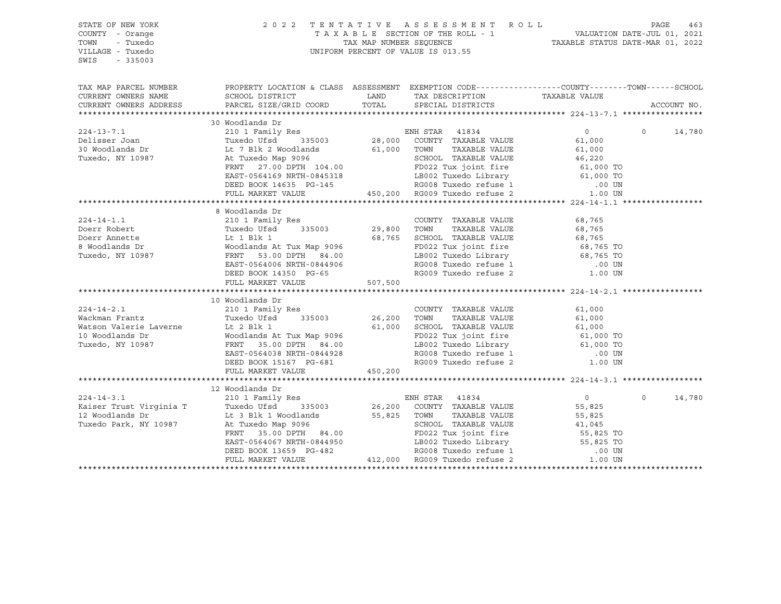| TAX MAP PARCEL NUMBER THE PROPERTY LOCATION & CLASS ASSESSMENT EXEMPTION CODE---------------COUNTY--------TOWN------SCHOOL<br>CURRENT OWNERS NAME<br>CURRENT OWNERS ADDRESS<br>ACCOUNT NO.<br>30 Woodlands Dr<br>$\overline{0}$<br>14,780<br>8 Woodlands Dr<br>10 Woodlands Dr<br>224-14-2.1<br>Weight and the Mackman Frantz<br>Weight and Tuxedo USd and S15003<br>Weight and Matson Valerie Laverne<br>Tuxedo, NY 10987<br>Tuxedo, NY 10987<br>COUNTY TAXABLE VALUE<br>COUNTY TAXABLE VALUE<br>COUNTY TAXABLE VALUE<br>COUNTY T<br>FULL MARKET VALUE 450,200<br>224-14-3.1 210 1 Family Res<br>Xaiser Trust Virginia T<br>Xaiser Trust Virginia T<br>Xaiser Trust Virginia T<br>Xaiser Trust Virginia T<br>Xaiser Trust Virginia T<br>Xaiser Trust Virginia T<br>Xaiser Trust Virginia T<br>Xaiser Trust Virgi<br>$\Omega$<br>$\overline{0}$<br>14,780<br>55,825<br>1.00 55,825 EXECUTE 1.00 EST,825 EXECUTE 1.00 UNIT ANABLE VALUE 1.00 EXECUTE 1.00 UNIT 25.00 DPTH 1.044950 EXECUTE 1.00 UNIT 2.00 EXECUTE 41,045 FRAT 35.00 DPTH 84.00 ED22 Tux joint fire 55,825 TO 1.00 UNIT 2.00 EXECUTE 41 | STATE OF NEW YORK<br>COUNTY - Orange<br>TOWN<br>- Tuxedo<br>VILLAGE - Tuxedo<br>SWIS<br>$-335003$ | 2022 TENTATIVE ASSESSMENT ROLL PAGE 463<br>TAXABLE SECTION OF THE ROLL - 1 VALUATION DATE-JUL 01, 2021<br>TAX MAP NUMBER SEQUENCE TAXABLE STATUS DATE-MAR 01, 2022<br>UNIFORM PERCENT OF VALUE IS 013.55 |  |  |
|-------------------------------------------------------------------------------------------------------------------------------------------------------------------------------------------------------------------------------------------------------------------------------------------------------------------------------------------------------------------------------------------------------------------------------------------------------------------------------------------------------------------------------------------------------------------------------------------------------------------------------------------------------------------------------------------------------------------------------------------------------------------------------------------------------------------------------------------------------------------------------------------------------------------------------------------------------------------------------------------------------------------------------------------------------------------------------------------------------|---------------------------------------------------------------------------------------------------|----------------------------------------------------------------------------------------------------------------------------------------------------------------------------------------------------------|--|--|
|                                                                                                                                                                                                                                                                                                                                                                                                                                                                                                                                                                                                                                                                                                                                                                                                                                                                                                                                                                                                                                                                                                       |                                                                                                   |                                                                                                                                                                                                          |  |  |
|                                                                                                                                                                                                                                                                                                                                                                                                                                                                                                                                                                                                                                                                                                                                                                                                                                                                                                                                                                                                                                                                                                       |                                                                                                   |                                                                                                                                                                                                          |  |  |
|                                                                                                                                                                                                                                                                                                                                                                                                                                                                                                                                                                                                                                                                                                                                                                                                                                                                                                                                                                                                                                                                                                       |                                                                                                   |                                                                                                                                                                                                          |  |  |
|                                                                                                                                                                                                                                                                                                                                                                                                                                                                                                                                                                                                                                                                                                                                                                                                                                                                                                                                                                                                                                                                                                       |                                                                                                   |                                                                                                                                                                                                          |  |  |
|                                                                                                                                                                                                                                                                                                                                                                                                                                                                                                                                                                                                                                                                                                                                                                                                                                                                                                                                                                                                                                                                                                       |                                                                                                   |                                                                                                                                                                                                          |  |  |
|                                                                                                                                                                                                                                                                                                                                                                                                                                                                                                                                                                                                                                                                                                                                                                                                                                                                                                                                                                                                                                                                                                       |                                                                                                   |                                                                                                                                                                                                          |  |  |
|                                                                                                                                                                                                                                                                                                                                                                                                                                                                                                                                                                                                                                                                                                                                                                                                                                                                                                                                                                                                                                                                                                       |                                                                                                   |                                                                                                                                                                                                          |  |  |
|                                                                                                                                                                                                                                                                                                                                                                                                                                                                                                                                                                                                                                                                                                                                                                                                                                                                                                                                                                                                                                                                                                       |                                                                                                   |                                                                                                                                                                                                          |  |  |
|                                                                                                                                                                                                                                                                                                                                                                                                                                                                                                                                                                                                                                                                                                                                                                                                                                                                                                                                                                                                                                                                                                       |                                                                                                   |                                                                                                                                                                                                          |  |  |
|                                                                                                                                                                                                                                                                                                                                                                                                                                                                                                                                                                                                                                                                                                                                                                                                                                                                                                                                                                                                                                                                                                       |                                                                                                   |                                                                                                                                                                                                          |  |  |
|                                                                                                                                                                                                                                                                                                                                                                                                                                                                                                                                                                                                                                                                                                                                                                                                                                                                                                                                                                                                                                                                                                       |                                                                                                   |                                                                                                                                                                                                          |  |  |
|                                                                                                                                                                                                                                                                                                                                                                                                                                                                                                                                                                                                                                                                                                                                                                                                                                                                                                                                                                                                                                                                                                       |                                                                                                   |                                                                                                                                                                                                          |  |  |
|                                                                                                                                                                                                                                                                                                                                                                                                                                                                                                                                                                                                                                                                                                                                                                                                                                                                                                                                                                                                                                                                                                       |                                                                                                   |                                                                                                                                                                                                          |  |  |
|                                                                                                                                                                                                                                                                                                                                                                                                                                                                                                                                                                                                                                                                                                                                                                                                                                                                                                                                                                                                                                                                                                       |                                                                                                   |                                                                                                                                                                                                          |  |  |
|                                                                                                                                                                                                                                                                                                                                                                                                                                                                                                                                                                                                                                                                                                                                                                                                                                                                                                                                                                                                                                                                                                       |                                                                                                   |                                                                                                                                                                                                          |  |  |
|                                                                                                                                                                                                                                                                                                                                                                                                                                                                                                                                                                                                                                                                                                                                                                                                                                                                                                                                                                                                                                                                                                       |                                                                                                   |                                                                                                                                                                                                          |  |  |
|                                                                                                                                                                                                                                                                                                                                                                                                                                                                                                                                                                                                                                                                                                                                                                                                                                                                                                                                                                                                                                                                                                       |                                                                                                   |                                                                                                                                                                                                          |  |  |
|                                                                                                                                                                                                                                                                                                                                                                                                                                                                                                                                                                                                                                                                                                                                                                                                                                                                                                                                                                                                                                                                                                       |                                                                                                   |                                                                                                                                                                                                          |  |  |
|                                                                                                                                                                                                                                                                                                                                                                                                                                                                                                                                                                                                                                                                                                                                                                                                                                                                                                                                                                                                                                                                                                       |                                                                                                   |                                                                                                                                                                                                          |  |  |
|                                                                                                                                                                                                                                                                                                                                                                                                                                                                                                                                                                                                                                                                                                                                                                                                                                                                                                                                                                                                                                                                                                       |                                                                                                   |                                                                                                                                                                                                          |  |  |
|                                                                                                                                                                                                                                                                                                                                                                                                                                                                                                                                                                                                                                                                                                                                                                                                                                                                                                                                                                                                                                                                                                       |                                                                                                   |                                                                                                                                                                                                          |  |  |
|                                                                                                                                                                                                                                                                                                                                                                                                                                                                                                                                                                                                                                                                                                                                                                                                                                                                                                                                                                                                                                                                                                       |                                                                                                   |                                                                                                                                                                                                          |  |  |
|                                                                                                                                                                                                                                                                                                                                                                                                                                                                                                                                                                                                                                                                                                                                                                                                                                                                                                                                                                                                                                                                                                       |                                                                                                   |                                                                                                                                                                                                          |  |  |
|                                                                                                                                                                                                                                                                                                                                                                                                                                                                                                                                                                                                                                                                                                                                                                                                                                                                                                                                                                                                                                                                                                       |                                                                                                   |                                                                                                                                                                                                          |  |  |
|                                                                                                                                                                                                                                                                                                                                                                                                                                                                                                                                                                                                                                                                                                                                                                                                                                                                                                                                                                                                                                                                                                       |                                                                                                   |                                                                                                                                                                                                          |  |  |
|                                                                                                                                                                                                                                                                                                                                                                                                                                                                                                                                                                                                                                                                                                                                                                                                                                                                                                                                                                                                                                                                                                       |                                                                                                   |                                                                                                                                                                                                          |  |  |
|                                                                                                                                                                                                                                                                                                                                                                                                                                                                                                                                                                                                                                                                                                                                                                                                                                                                                                                                                                                                                                                                                                       |                                                                                                   |                                                                                                                                                                                                          |  |  |
|                                                                                                                                                                                                                                                                                                                                                                                                                                                                                                                                                                                                                                                                                                                                                                                                                                                                                                                                                                                                                                                                                                       |                                                                                                   |                                                                                                                                                                                                          |  |  |
|                                                                                                                                                                                                                                                                                                                                                                                                                                                                                                                                                                                                                                                                                                                                                                                                                                                                                                                                                                                                                                                                                                       |                                                                                                   |                                                                                                                                                                                                          |  |  |
|                                                                                                                                                                                                                                                                                                                                                                                                                                                                                                                                                                                                                                                                                                                                                                                                                                                                                                                                                                                                                                                                                                       |                                                                                                   |                                                                                                                                                                                                          |  |  |
|                                                                                                                                                                                                                                                                                                                                                                                                                                                                                                                                                                                                                                                                                                                                                                                                                                                                                                                                                                                                                                                                                                       |                                                                                                   |                                                                                                                                                                                                          |  |  |
|                                                                                                                                                                                                                                                                                                                                                                                                                                                                                                                                                                                                                                                                                                                                                                                                                                                                                                                                                                                                                                                                                                       |                                                                                                   |                                                                                                                                                                                                          |  |  |
|                                                                                                                                                                                                                                                                                                                                                                                                                                                                                                                                                                                                                                                                                                                                                                                                                                                                                                                                                                                                                                                                                                       |                                                                                                   |                                                                                                                                                                                                          |  |  |
|                                                                                                                                                                                                                                                                                                                                                                                                                                                                                                                                                                                                                                                                                                                                                                                                                                                                                                                                                                                                                                                                                                       |                                                                                                   |                                                                                                                                                                                                          |  |  |
|                                                                                                                                                                                                                                                                                                                                                                                                                                                                                                                                                                                                                                                                                                                                                                                                                                                                                                                                                                                                                                                                                                       |                                                                                                   |                                                                                                                                                                                                          |  |  |
|                                                                                                                                                                                                                                                                                                                                                                                                                                                                                                                                                                                                                                                                                                                                                                                                                                                                                                                                                                                                                                                                                                       |                                                                                                   |                                                                                                                                                                                                          |  |  |
|                                                                                                                                                                                                                                                                                                                                                                                                                                                                                                                                                                                                                                                                                                                                                                                                                                                                                                                                                                                                                                                                                                       |                                                                                                   |                                                                                                                                                                                                          |  |  |
|                                                                                                                                                                                                                                                                                                                                                                                                                                                                                                                                                                                                                                                                                                                                                                                                                                                                                                                                                                                                                                                                                                       |                                                                                                   |                                                                                                                                                                                                          |  |  |
|                                                                                                                                                                                                                                                                                                                                                                                                                                                                                                                                                                                                                                                                                                                                                                                                                                                                                                                                                                                                                                                                                                       |                                                                                                   |                                                                                                                                                                                                          |  |  |
|                                                                                                                                                                                                                                                                                                                                                                                                                                                                                                                                                                                                                                                                                                                                                                                                                                                                                                                                                                                                                                                                                                       |                                                                                                   |                                                                                                                                                                                                          |  |  |
|                                                                                                                                                                                                                                                                                                                                                                                                                                                                                                                                                                                                                                                                                                                                                                                                                                                                                                                                                                                                                                                                                                       |                                                                                                   |                                                                                                                                                                                                          |  |  |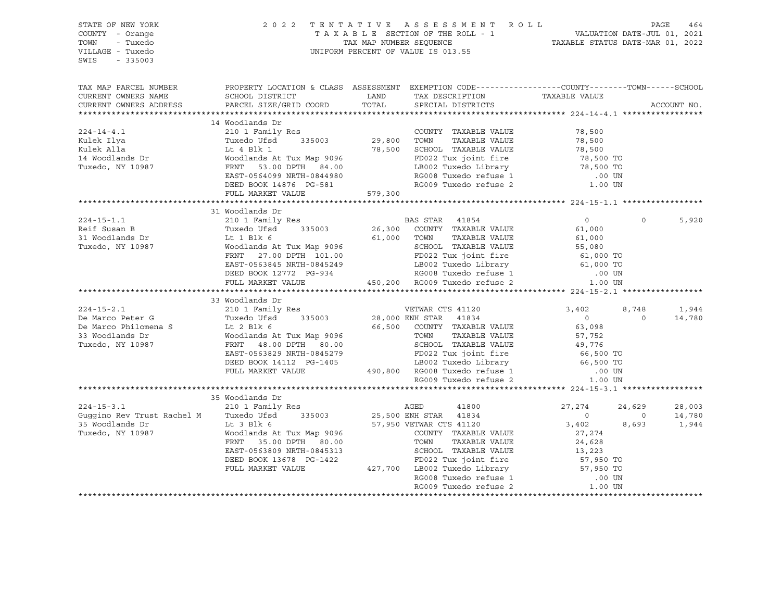| STATE OF NEW YORK<br>COUNTY - Orange<br>- Tuxedo<br>TOWN<br>VILLAGE - Tuxedo<br>$-335003$<br>SWIS | 2 0 2 2                                                                                                                                        |               | TENTATIVE ASSESSMENT ROLL<br>TAXABLE SECTION OF THE ROLL - 1 VALUATION DATE-JUL 01, 2021<br>TAX MAP NUMBER SEQUENCE TAXABLE STATUS DATE-MAR 01, 2022<br>UNIFORM PERCENT OF VALUE IS 013.55 |                                  | PAGE           | 464         |
|---------------------------------------------------------------------------------------------------|------------------------------------------------------------------------------------------------------------------------------------------------|---------------|--------------------------------------------------------------------------------------------------------------------------------------------------------------------------------------------|----------------------------------|----------------|-------------|
| TAX MAP PARCEL NUMBER<br>CURRENT OWNERS NAME<br>CURRENT OWNERS ADDRESS                            | PROPERTY LOCATION & CLASS ASSESSMENT EXEMPTION CODE----------------COUNTY--------TOWN------SCHOOL<br>SCHOOL DISTRICT<br>PARCEL SIZE/GRID COORD | LAND<br>TOTAL | TAX DESCRIPTION<br>SPECIAL DISTRICTS                                                                                                                                                       | TAXABLE VALUE                    |                | ACCOUNT NO. |
|                                                                                                   |                                                                                                                                                |               |                                                                                                                                                                                            |                                  |                |             |
|                                                                                                   | 14 Woodlands Dr                                                                                                                                |               |                                                                                                                                                                                            |                                  |                |             |
| $224 - 14 - 4.1$                                                                                  | 210 1 Family Res                                                                                                                               |               | COUNTY TAXABLE VALUE                                                                                                                                                                       | 78,500                           |                |             |
| Kulek Ilya                                                                                        | Tuxedo Ufsd 335003                                                                                                                             | 29,800 TOWN   | TAXABLE VALUE                                                                                                                                                                              | 78,500                           |                |             |
| Kulek Alla                                                                                        | Lt 4 Blk 1                                                                                                                                     | 78,500        | SCHOOL TAXABLE VALUE                                                                                                                                                                       | 78,500                           |                |             |
| 14 Woodlands Dr                                                                                   |                                                                                                                                                |               | FD022 Tux joint fire                                                                                                                                                                       | 78,500 TO                        |                |             |
| Tuxedo, NY 10987                                                                                  | Woodlands At Tux Map 9096<br>FRNT   53.00 DPTH   84.00                                                                                         |               |                                                                                                                                                                                            | 78,500 TO                        |                |             |
|                                                                                                   | EAST-0564099 NRTH-0844980                                                                                                                      |               | LB002 Tuxedo Library<br>RG008 Tuxedo refuse 1                                                                                                                                              | .00 UN                           |                |             |
|                                                                                                   | DEED BOOK 14876 PG-581                                                                                                                         |               | RG009 Tuxedo refuse 2                                                                                                                                                                      | 1.00 UN                          |                |             |
|                                                                                                   | FULL MARKET VALUE                                                                                                                              | 579,300       |                                                                                                                                                                                            |                                  |                |             |
|                                                                                                   |                                                                                                                                                |               |                                                                                                                                                                                            |                                  |                |             |
|                                                                                                   | 31 Woodlands Dr                                                                                                                                |               |                                                                                                                                                                                            |                                  |                |             |
| $224 - 15 - 1.1$                                                                                  | 210 1 Family Res                                                                                                                               |               | BAS STAR 41854                                                                                                                                                                             | $\overline{0}$                   | $\circ$        | 5,920       |
| Reif Susan B                                                                                      | Tuxedo Ufsd<br>335003                                                                                                                          | 26,300        | COUNTY TAXABLE VALUE                                                                                                                                                                       | 61,000                           |                |             |
| 31 Woodlands Dr<br>Tuxedo, NY 10987                                                               | Lt 1 Blk 6                                                                                                                                     |               | 61,000 TOWN<br>TAXABLE VALUE                                                                                                                                                               | 61,000                           |                |             |
| Tuxedo, NY 10987                                                                                  | Woodlands At Tux Map 9096                                                                                                                      |               | SCHOOL TAXABLE VALUE                                                                                                                                                                       | 55,080<br>61,000 TO              |                |             |
|                                                                                                   | FRNT 27.00 DPTH 101.00                                                                                                                         |               | FD022 Tux joint fire                                                                                                                                                                       |                                  |                |             |
|                                                                                                   | EAST-0563845 NRTH-0845249                                                                                                                      |               | LB002 Tuxedo Library 61,000 TO<br>B002 Tuxedo Library 61,000 TO                                                                                                                            |                                  |                |             |
|                                                                                                   | DEED BOOK 12772 PG-934<br>DEED BOOK 12772 PG-934 RG008 Tuxedo refuse 1<br>FULL MARKET VALUE 450,200 RG009 Tuxedo refuse 2                      |               |                                                                                                                                                                                            | $.00$ UN                         |                |             |
|                                                                                                   |                                                                                                                                                |               |                                                                                                                                                                                            | 1.00 UN                          |                |             |
|                                                                                                   |                                                                                                                                                |               |                                                                                                                                                                                            |                                  |                |             |
|                                                                                                   | 33 Woodlands Dr                                                                                                                                |               |                                                                                                                                                                                            |                                  |                |             |
| $224 - 15 - 2.1$                                                                                  | 210 1 Family Res                                                                                                                               |               | VETWAR CTS 41120                                                                                                                                                                           | 3,402                            | 8,748          | 1,944       |
| De Marco Peter G                                                                                  | 335003<br>Tuxedo Ufsd                                                                                                                          |               | 28,000 ENH STAR 41834                                                                                                                                                                      | $\overline{0}$                   | $\circ$        | 14,780      |
| De Marco Philomena S                                                                              | Lt $2$ Blk $6$                                                                                                                                 |               | 66,500 COUNTY TAXABLE VALUE                                                                                                                                                                | 63,098                           |                |             |
| 33 Woodlands Dr                                                                                   | Woodlands At Tux Map 9096                                                                                                                      |               | TAXABLE VALUE<br>TOWN                                                                                                                                                                      | 57,752<br>49,776                 |                |             |
| Tuxedo, NY 10987                                                                                  | FRNT 48.00 DPTH 80.00                                                                                                                          |               |                                                                                                                                                                                            |                                  |                |             |
|                                                                                                   | EAST-0563829 NRTH-0845279<br>DEED BOOK 14112 PG-1405                                                                                           |               | LB002 Tuxedo Library 66,500 TO                                                                                                                                                             | 66,500 TO                        |                |             |
|                                                                                                   | FULL MARKET VALUE                                                                                                                              |               | SCHOOL IAAADDD<br>FD022 Tux joint fire<br>LB002 Tuxedo Library<br>490,800 RG008 Tuxedo refuse 1<br>PC009 Tuxedo refuse 2                                                                   | $.00$ UN                         |                |             |
|                                                                                                   |                                                                                                                                                |               |                                                                                                                                                                                            | 1.00 UN                          |                |             |
|                                                                                                   |                                                                                                                                                |               |                                                                                                                                                                                            |                                  |                |             |
|                                                                                                   | 35 Woodlands Dr                                                                                                                                |               |                                                                                                                                                                                            |                                  |                |             |
| $224 - 15 - 3.1$                                                                                  | 210 1 Family Res                                                                                                                               |               |                                                                                                                                                                                            | 27,274                           | 24,629         | 28,003      |
| Guggino Rev Trust Rachel M Tuxedo Ufsd                                                            | 335003                                                                                                                                         |               | AGED 41800<br>25,500 ENH STAR 41834                                                                                                                                                        | $\overline{0}$                   | $\overline{0}$ | 14,780      |
| 35 Woodlands Dr                                                                                   | Lt 3 Blk 6                                                                                                                                     |               | 57,950 VETWAR CTS 41120                                                                                                                                                                    | 3,402                            | 8,693          | 1,944       |
| Tuxedo, NY 10987                                                                                  | Woodlands At Tux Map 9096                                                                                                                      |               | COUNTY TAXABLE VALUE                                                                                                                                                                       | 27,274                           |                |             |
|                                                                                                   | FRNT 35.00 DPTH 80.00                                                                                                                          |               | TOWN<br>TAXABLE VALUE                                                                                                                                                                      | 24,628                           |                |             |
|                                                                                                   | EAST-0563809 NRTH-0845313                                                                                                                      |               | SCHOOL TAXABLE VALUE                                                                                                                                                                       |                                  |                |             |
|                                                                                                   | DEED BOOK 13678 PG-1422                                                                                                                        |               | FD022 Tux joint fire                                                                                                                                                                       |                                  |                |             |
|                                                                                                   | FULL MARKET VALUE                                                                                                                              |               | 427,700 LB002 Tuxedo Library<br>RG008 Tuxedo refuse 1                                                                                                                                      | 13,223<br>57,950 TO<br>57,950 TO |                |             |
|                                                                                                   |                                                                                                                                                |               |                                                                                                                                                                                            | .00 UN                           |                |             |
|                                                                                                   |                                                                                                                                                |               | RG009 Tuxedo refuse 2                                                                                                                                                                      | 1.00 UN                          |                |             |
|                                                                                                   |                                                                                                                                                |               |                                                                                                                                                                                            |                                  |                |             |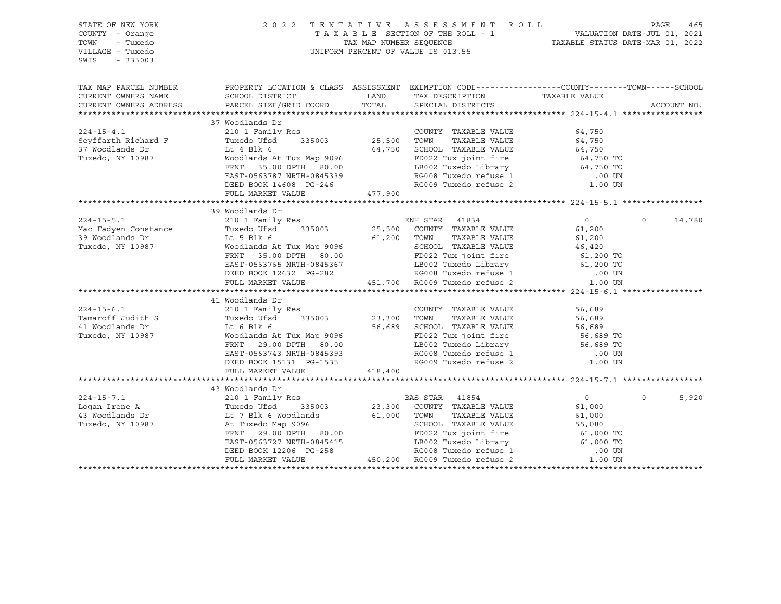| STATE OF NEW YORK<br>COUNTY - Orange<br>TOWN<br>- Tuxedo<br>VILLAGE - Tuxedo<br>SWIS<br>$-335003$                                                                                                                                     |                                                                                                                                                                                                                                                    |         | 2022 TENTATIVE ASSESSMENT ROLL PAGE 465<br>TAXABLE SECTION OF THE ROLL - 1 VALUATION DATE-JUL 01, 2021<br>TAX MAP NUMBER SEQUENCE TAXABLE STATUS DATE-MAR 01, 2022<br>UNIFORM PERCENT OF VALUE IS 013.55 |                |          |             |
|---------------------------------------------------------------------------------------------------------------------------------------------------------------------------------------------------------------------------------------|----------------------------------------------------------------------------------------------------------------------------------------------------------------------------------------------------------------------------------------------------|---------|----------------------------------------------------------------------------------------------------------------------------------------------------------------------------------------------------------|----------------|----------|-------------|
| TAX MAP PARCEL NUMBER                                                                                                                                                                                                                 | PROPERTY LOCATION & CLASS ASSESSMENT EXEMPTION CODE----------------COUNTY-------TOWN------SCHOOL                                                                                                                                                   |         |                                                                                                                                                                                                          |                |          |             |
| CURRENT OWNERS NAME                                                                                                                                                                                                                   | SCHOOL DISTRICT                                                                                                                                                                                                                                    | LAND    | TAX DESCRIPTION                                                                                                                                                                                          | TAXABLE VALUE  |          |             |
| CURRENT OWNERS ADDRESS                                                                                                                                                                                                                | PARCEL SIZE/GRID COORD                                                                                                                                                                                                                             | TOTAL   | SPECIAL DISTRICTS                                                                                                                                                                                        |                |          | ACCOUNT NO. |
|                                                                                                                                                                                                                                       | Woodlands Dr<br>210 1 Family Res<br>Tuxedo Ufsd<br>335003<br>25,500 TOWN TAXABLE VALUE<br>25,500 TOWN TAXABLE VALUE<br>25,500 TOWN TAXABLE VALUE<br>64,750 64,750 FORNT<br>64,750 FORNT 35.00 DPTH 80.00<br>FRNT 35.00 DPTH 80.00<br>EAST-0563787  |         |                                                                                                                                                                                                          |                |          |             |
|                                                                                                                                                                                                                                       | 37 Woodlands Dr                                                                                                                                                                                                                                    |         |                                                                                                                                                                                                          |                |          |             |
| $224 - 15 - 4.1$                                                                                                                                                                                                                      |                                                                                                                                                                                                                                                    |         |                                                                                                                                                                                                          |                |          |             |
| Seyffarth Richard F<br>37 Woodlands Dr                                                                                                                                                                                                |                                                                                                                                                                                                                                                    |         |                                                                                                                                                                                                          |                |          |             |
| Tuxedo, NY 10987                                                                                                                                                                                                                      |                                                                                                                                                                                                                                                    |         |                                                                                                                                                                                                          |                |          |             |
|                                                                                                                                                                                                                                       |                                                                                                                                                                                                                                                    |         |                                                                                                                                                                                                          |                |          |             |
|                                                                                                                                                                                                                                       |                                                                                                                                                                                                                                                    |         |                                                                                                                                                                                                          |                |          |             |
|                                                                                                                                                                                                                                       |                                                                                                                                                                                                                                                    |         |                                                                                                                                                                                                          |                |          |             |
|                                                                                                                                                                                                                                       |                                                                                                                                                                                                                                                    |         |                                                                                                                                                                                                          |                |          |             |
|                                                                                                                                                                                                                                       |                                                                                                                                                                                                                                                    |         |                                                                                                                                                                                                          |                |          |             |
|                                                                                                                                                                                                                                       | 39 Woodlands Dr                                                                                                                                                                                                                                    |         |                                                                                                                                                                                                          |                |          |             |
| 224-15-5.1 210 1 Family Res<br>Mac Fadyen Constance Tuxedo Ufsd 335003 25,500 COUNTY TAXABLE VALUE<br>39 Woodlands Dr Lt 5 Blk 6 61,200 TOWN TAXABLE VALUE<br>Tuxedo, NY 10987 Woodlands At Tux Map 9096 SCHOOL TAXABLE VALUE<br>FRNT |                                                                                                                                                                                                                                                    |         |                                                                                                                                                                                                          | $\overline{0}$ | $\circ$  | 14,780      |
|                                                                                                                                                                                                                                       |                                                                                                                                                                                                                                                    |         |                                                                                                                                                                                                          | 61,200         |          |             |
|                                                                                                                                                                                                                                       |                                                                                                                                                                                                                                                    |         |                                                                                                                                                                                                          |                |          |             |
|                                                                                                                                                                                                                                       |                                                                                                                                                                                                                                                    |         |                                                                                                                                                                                                          |                |          |             |
|                                                                                                                                                                                                                                       |                                                                                                                                                                                                                                                    |         |                                                                                                                                                                                                          |                |          |             |
|                                                                                                                                                                                                                                       |                                                                                                                                                                                                                                                    |         |                                                                                                                                                                                                          |                |          |             |
|                                                                                                                                                                                                                                       |                                                                                                                                                                                                                                                    |         |                                                                                                                                                                                                          |                |          |             |
|                                                                                                                                                                                                                                       | 1.1 5 Blk 6<br>Woodlands At Tux Map 9096<br>Woodlands At Tux Map 9096<br>FRNT 35.00 DPTH 80.00<br>EAST-0563765 NRTH-0845367<br>DEED BOOK 12632 PG-282<br>FULL MARKET VALUE<br>FULL MARKET VALUE<br>FULL MARKET VALUE<br>PEED BOOK 12632 PG-282<br> |         |                                                                                                                                                                                                          |                |          |             |
|                                                                                                                                                                                                                                       |                                                                                                                                                                                                                                                    |         |                                                                                                                                                                                                          |                |          |             |
|                                                                                                                                                                                                                                       |                                                                                                                                                                                                                                                    |         |                                                                                                                                                                                                          |                |          |             |
|                                                                                                                                                                                                                                       |                                                                                                                                                                                                                                                    |         | COUNTY TAXABLE VALUE                                                                                                                                                                                     | 56,689         |          |             |
|                                                                                                                                                                                                                                       |                                                                                                                                                                                                                                                    |         |                                                                                                                                                                                                          |                |          |             |
|                                                                                                                                                                                                                                       |                                                                                                                                                                                                                                                    |         | 56,689 SCHOOL TAXABLE VALUE                                                                                                                                                                              |                |          |             |
|                                                                                                                                                                                                                                       |                                                                                                                                                                                                                                                    |         |                                                                                                                                                                                                          |                |          |             |
|                                                                                                                                                                                                                                       |                                                                                                                                                                                                                                                    |         | CONT TAXABLE VALUE<br>TOWN TAXABLE VALUE<br>SCHOOL TAXABLE VALUE<br>FD022 Tux joint fire<br>LB002 Tuxedo Library<br>RG008 Tuxedo refuse 1 00 UN<br>RG009 Tuxedo refuse 2 1.00 UN                         |                |          |             |
|                                                                                                                                                                                                                                       | EAST-0563743 NRTH-0845393<br>DEED BOOK 15131 PG-1535                                                                                                                                                                                               |         |                                                                                                                                                                                                          |                |          |             |
|                                                                                                                                                                                                                                       | FULL MARKET VALUE                                                                                                                                                                                                                                  | 418,400 |                                                                                                                                                                                                          |                |          |             |
|                                                                                                                                                                                                                                       |                                                                                                                                                                                                                                                    |         |                                                                                                                                                                                                          |                |          |             |
|                                                                                                                                                                                                                                       | 43 Woodlands Dr                                                                                                                                                                                                                                    |         |                                                                                                                                                                                                          |                |          |             |
| $224 - 15 - 7.1$                                                                                                                                                                                                                      | 210 1 Family Res                                                                                                                                                                                                                                   |         | BAS STAR 41854                                                                                                                                                                                           | $\overline{0}$ | $\Omega$ | 5,920       |
|                                                                                                                                                                                                                                       |                                                                                                                                                                                                                                                    |         | 23,300 COUNTY TAXABLE VALUE                                                                                                                                                                              | 61,000         |          |             |
|                                                                                                                                                                                                                                       |                                                                                                                                                                                                                                                    |         | TAXABLE VALUE                                                                                                                                                                                            | 61,000         |          |             |
|                                                                                                                                                                                                                                       |                                                                                                                                                                                                                                                    |         |                                                                                                                                                                                                          |                |          |             |
| Logan Irene A<br>1998 1997 11 2007 11 2008 11 2009 23,300 COUNTY<br>13 Woodlands Dr Lt 7 Blk 6 Woodlands 61,000 TOWN<br>Tuxedo, NY 10987 10987 11 29.00 DPTH 80.00 22 Tuxedo FD022 Tu                                                 | FRNT 29.00 DPTH 80.00                                                                                                                                                                                                                              |         |                                                                                                                                                                                                          |                |          |             |
|                                                                                                                                                                                                                                       |                                                                                                                                                                                                                                                    |         |                                                                                                                                                                                                          |                |          |             |
|                                                                                                                                                                                                                                       |                                                                                                                                                                                                                                                    |         |                                                                                                                                                                                                          |                |          |             |
|                                                                                                                                                                                                                                       | FRNT 29.00 DPTH 80.00<br>EAST-0563727 NRTH-0845415<br>DEED BOOK 12206 PG-258<br>FULL MARKET VALUE 450,200 RG009 Tuxedo refuse 2                                                                                                                    |         | SCHOOL TAXABLE VALUE<br>FD022 Tux joint fire<br>LB002 Tuxedo Library<br>RG008 Tuxedo refuse 1 000 TO<br>RG009 Tuxedo refuse 2 1.000 TO                                                                   |                |          |             |
|                                                                                                                                                                                                                                       |                                                                                                                                                                                                                                                    |         |                                                                                                                                                                                                          |                |          |             |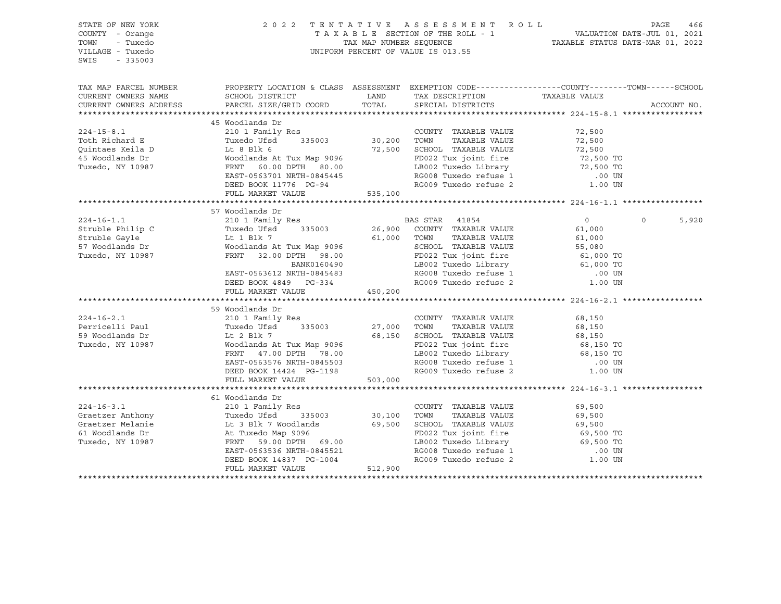| STATE OF NEW YORK<br>COUNTY - Orange<br>- Tuxedo<br>TOWN<br>VILLAGE - Tuxedo<br>SWIS<br>$-335003$                                                                    |                                                                                                                                               |                  | 2022 TENTATIVE ASSESSMENT ROLL<br>PAGE 466 PAGE 466 PAGE 466 PAGE 466 PAGE 466 PAGE 466 PAGE 466 PAGE 466 PAGE 466 PAGE 466 PAGE 466 PAGE 466 PAGE 466 PAGE 466 PAGE 466 PAGE 466 PAGE 466 PAGE 466 PAGE 466 PAGE 466 PAGE 466 PAGE 466 PAGE 466 PAGE 466 PAGE 4<br>UNIFORM PERCENT OF VALUE IS 013.55 |                               | PAGE<br>466                |
|----------------------------------------------------------------------------------------------------------------------------------------------------------------------|-----------------------------------------------------------------------------------------------------------------------------------------------|------------------|--------------------------------------------------------------------------------------------------------------------------------------------------------------------------------------------------------------------------------------------------------------------------------------------------------|-------------------------------|----------------------------|
| TAX MAP PARCEL NUMBER<br>CURRENT OWNERS NAME<br>CURRENT OWNERS ADDRESS                                                                                               | PROPERTY LOCATION & CLASS ASSESSMENT EXEMPTION CODE----------------COUNTY-------TOWN------SCHOOL<br>SCHOOL DISTRICT<br>PARCEL SIZE/GRID COORD | LAND<br>TOTAL    | TAX DESCRIPTION<br>SPECIAL DISTRICTS                                                                                                                                                                                                                                                                   | TAXABLE VALUE                 | ACCOUNT NO.                |
|                                                                                                                                                                      | 45 Woodlands Dr                                                                                                                               |                  |                                                                                                                                                                                                                                                                                                        |                               |                            |
| $224 - 15 - 8.1$                                                                                                                                                     | 210 1 Family Res                                                                                                                              |                  | COUNTY TAXABLE VALUE                                                                                                                                                                                                                                                                                   | 72,500                        |                            |
| Toth Richard E                                                                                                                                                       | Tuxedo Ufsd 335003                                                                                                                            | 30, 200          | TOWN<br>TAXABLE VALUE                                                                                                                                                                                                                                                                                  | 72,500                        |                            |
| Ouintaes Keila D                                                                                                                                                     | EXAMPLE VALUE<br>Woodlands At Tux Map 9096<br>FD022 Tux joint fire<br>FRNT 60.00 DPTH 80.00<br>EAST-0563701 NPTH 00111100                     |                  | 12,500<br>12,500<br>12,500 TUXedo Library<br>12,500 TO<br>12,500 TO<br>RG008 Tuxedo refuse 1 100 TM                                                                                                                                                                                                    |                               |                            |
| 45 Woodlands Dr                                                                                                                                                      |                                                                                                                                               |                  |                                                                                                                                                                                                                                                                                                        |                               |                            |
| Tuxedo, NY 10987                                                                                                                                                     |                                                                                                                                               |                  |                                                                                                                                                                                                                                                                                                        |                               |                            |
|                                                                                                                                                                      | EAST-0563701 NRTH-0845445                                                                                                                     |                  |                                                                                                                                                                                                                                                                                                        |                               |                            |
|                                                                                                                                                                      | DEED BOOK 11776 PG-94                                                                                                                         |                  |                                                                                                                                                                                                                                                                                                        |                               |                            |
|                                                                                                                                                                      | FULL MARKET VALUE                                                                                                                             | 535,100          |                                                                                                                                                                                                                                                                                                        |                               |                            |
|                                                                                                                                                                      |                                                                                                                                               |                  |                                                                                                                                                                                                                                                                                                        |                               |                            |
|                                                                                                                                                                      | 57 Woodlands Dr                                                                                                                               |                  |                                                                                                                                                                                                                                                                                                        |                               |                            |
| $224 - 16 - 1.1$                                                                                                                                                     | 210 1 Family Res BAS STAR 41854                                                                                                               |                  |                                                                                                                                                                                                                                                                                                        | $\overline{0}$                | $0 \qquad \qquad$<br>5,920 |
|                                                                                                                                                                      | Tuxedo Ufsd 335003                                                                                                                            |                  | 26,900 COUNTY TAXABLE VALUE                                                                                                                                                                                                                                                                            | 61,000                        |                            |
|                                                                                                                                                                      |                                                                                                                                               | 61,000 TOWN      | TAXABLE VALUE                                                                                                                                                                                                                                                                                          | 61,000                        |                            |
|                                                                                                                                                                      |                                                                                                                                               |                  |                                                                                                                                                                                                                                                                                                        |                               |                            |
| Struble Philip C<br>Struble Gayle<br>57 Woodlands Dr<br>Tuxedo, NY 10987                                                                                             | Tuxedo 0150<br>Lt 1 Blk 7<br>Woodlands At Tux Map 9096<br>---- 32.00 DPTH 98.00                                                               |                  | SCHOOL TAXABLE VALUE<br>FD022 Tux joint fire 61,000 TO<br>The Contract of the 61,000 TO                                                                                                                                                                                                                |                               |                            |
|                                                                                                                                                                      |                                                                                                                                               |                  |                                                                                                                                                                                                                                                                                                        |                               |                            |
|                                                                                                                                                                      | EAST-0563612 NRTH-0845483<br>DEED BOOK 4849 PG-334                                                                                            |                  | LB002 Tuxedo Library<br>RG008 Tuxedo refuse 1<br>RG009 Tuxedo refuse 2                                                                                                                                                                                                                                 | 00 UN.<br>1.00 UN             |                            |
|                                                                                                                                                                      |                                                                                                                                               |                  |                                                                                                                                                                                                                                                                                                        |                               |                            |
|                                                                                                                                                                      | FULL MARKET VALUE                                                                                                                             | 450,200          |                                                                                                                                                                                                                                                                                                        |                               |                            |
|                                                                                                                                                                      |                                                                                                                                               |                  |                                                                                                                                                                                                                                                                                                        |                               |                            |
|                                                                                                                                                                      | 59 Woodlands Dr                                                                                                                               |                  |                                                                                                                                                                                                                                                                                                        |                               |                            |
| $224 - 16 - 2.1$                                                                                                                                                     | 210 1 Family Res<br>Tuxedo Ufsd 335003 27,000                                                                                                 |                  | COUNTY TAXABLE VALUE                                                                                                                                                                                                                                                                                   | 68,150                        |                            |
| Perricelli Paul                                                                                                                                                      |                                                                                                                                               |                  | TOWN<br>TAXABLE VALUE                                                                                                                                                                                                                                                                                  | 68,150                        |                            |
| 59 Woodlands Dr                                                                                                                                                      | Lt 2 Blk 7<br>Woodlands A                                                                                                                     |                  |                                                                                                                                                                                                                                                                                                        |                               |                            |
| Tuxedo, NY 10987                                                                                                                                                     | Lt 2 Blk 7 68,150 SCHOOL TAXABLE VALUE<br>Woodlands At Tux Map 9096 FD022 Tux joint fire<br>FRNT 47.00 DPTH 78.00 LB002 Tuxedo Library        |                  |                                                                                                                                                                                                                                                                                                        |                               |                            |
|                                                                                                                                                                      | FRNT 47.00 DPTH 78.00                                                                                                                         |                  | COLLOCATE VALUE<br>FD022 Tux joint fire<br>LE002 Tuxedo Library<br>RG008 Tuxedo refuse 1 00 UN<br>RG009 Tuxedo refuse 3 00 UN                                                                                                                                                                          |                               |                            |
|                                                                                                                                                                      | EAST-0563576 NRTH-0845503                                                                                                                     |                  |                                                                                                                                                                                                                                                                                                        |                               |                            |
|                                                                                                                                                                      | DEED BOOK 14424 PG-1198                                                                                                                       |                  |                                                                                                                                                                                                                                                                                                        |                               |                            |
|                                                                                                                                                                      | FULL MARKET VALUE                                                                                                                             | 503,000          |                                                                                                                                                                                                                                                                                                        |                               |                            |
|                                                                                                                                                                      |                                                                                                                                               |                  |                                                                                                                                                                                                                                                                                                        |                               |                            |
|                                                                                                                                                                      | 61 Woodlands Dr<br>210 1 Family Res                                                                                                           |                  |                                                                                                                                                                                                                                                                                                        |                               |                            |
| $224 - 16 - 3.1$                                                                                                                                                     |                                                                                                                                               |                  | COUNTY TAXABLE VALUE                                                                                                                                                                                                                                                                                   | 69,500                        |                            |
| Graetzer Anthony<br>Graetzer Melanie<br>Graetzer Melanie<br>EL 3 Blk 7 Woodlands<br>S1 Woodlands Dr<br>Tuxedo, NY 10987<br>Tuxedo, NY 10987<br>FRNT 59.00 DPTH 69.00 |                                                                                                                                               | 30,100<br>69,500 | TOWN TAXABLE VALUE<br>69,500 SCHOOL TAXABLE VALUE                                                                                                                                                                                                                                                      | 69,500<br>69,500<br>69,500 TO |                            |
|                                                                                                                                                                      |                                                                                                                                               |                  | FD022 Tux joint fire                                                                                                                                                                                                                                                                                   |                               |                            |
|                                                                                                                                                                      | FRNT 59.00 DPTH 69.00                                                                                                                         |                  | LB002 Tuxedo Library 69,500 TO                                                                                                                                                                                                                                                                         |                               |                            |
|                                                                                                                                                                      | EAST-0563536 NRTH-0845521                                                                                                                     |                  |                                                                                                                                                                                                                                                                                                        |                               |                            |
|                                                                                                                                                                      | DEED BOOK 14837 PG-1004                                                                                                                       |                  | RG008 Tuxedo refuse 1 00 UN<br>RG009 Tuxedo refuse 2 1.00 UN                                                                                                                                                                                                                                           |                               |                            |
|                                                                                                                                                                      | FULL MARKET VALUE                                                                                                                             | 512,900          |                                                                                                                                                                                                                                                                                                        |                               |                            |
|                                                                                                                                                                      |                                                                                                                                               |                  |                                                                                                                                                                                                                                                                                                        |                               |                            |
|                                                                                                                                                                      |                                                                                                                                               |                  |                                                                                                                                                                                                                                                                                                        |                               |                            |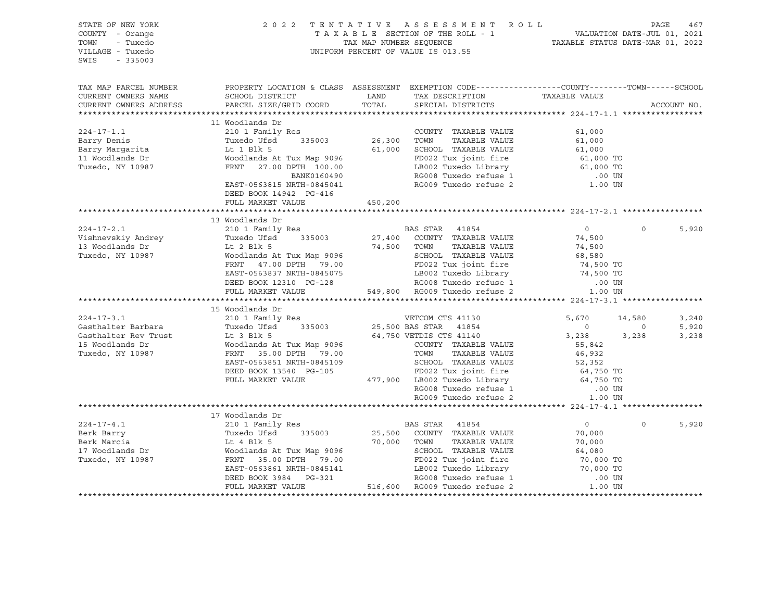| STATE OF NEW YORK<br>COUNTY - Orange<br>TOWN - Tuxedo<br>VILLAGE - Tuxedo<br>SWIS<br>$-335003$ |                                                               | 2022 TENTATIVE ASSESSMENT ROLL<br>PAGE 467<br>TAXABLE SECTION OF THE ROLL - 1<br>TAX MAP NUMBER SEQUENCE THE ROLL - 1<br>TAX MAP NUMBER SEQUENCE TAXABLE STATUS DATE-MAR 01, 2022<br>UNIFORM PERCENT OF VALUE IS 013.55                                                                                  |                            |                         |
|------------------------------------------------------------------------------------------------|---------------------------------------------------------------|----------------------------------------------------------------------------------------------------------------------------------------------------------------------------------------------------------------------------------------------------------------------------------------------------------|----------------------------|-------------------------|
| CURRENT OWNERS NAME<br>CURRENT OWNERS ADDRESS                                                  |                                                               | TAX MAP PARCEL NUMBER THE PROPERTY LOCATION & CLASS ASSESSMENT EXEMPTION CODE--------------COUNTY-------TOWN------SCHOOL                                                                                                                                                                                 | ACCOUNT NO.                |                         |
| $224 - 17 - 1.1$                                                                               | 11 Woodlands Dr<br>210 1 Family Res<br>DEED BOOK 14942 PG-416 | COUNTY TAXABLE VALUE<br>$\begin{tabular}{lcccccc} 224-17-1.1 & 210 & 1 Family Res & 1,000Barry Denis & 11 Woodlands Dr & 100011 Woodlands Dr & 26,300 & 26,300 & TONN & TAXABLE VALUE & 61,00011 Woodlands Dr & 61,00012,00013,00014.00015.00015.00016.00017.00017.00017.00017.00017.00017.00017.00017.$ | 61,000                     |                         |
|                                                                                                | FULL MARKET VALUE 450,200                                     |                                                                                                                                                                                                                                                                                                          |                            |                         |
| $224 - 17 - 2.1$                                                                               | 13 Woodlands Dr<br>210 1 Family Res                           | <b>BAS STAR 41854</b>                                                                                                                                                                                                                                                                                    | $\Omega$<br>$\overline{0}$ | 5,920                   |
|                                                                                                | 15 Woodlands Dr                                               |                                                                                                                                                                                                                                                                                                          |                            |                         |
| $224 - 17 - 3.1$                                                                               |                                                               |                                                                                                                                                                                                                                                                                                          | 5,670 14,580               | 3,240<br>5,920<br>3,238 |
|                                                                                                |                                                               |                                                                                                                                                                                                                                                                                                          |                            |                         |
| $224 - 17 - 4.1$                                                                               | 17 Woodlands Dr                                               |                                                                                                                                                                                                                                                                                                          | $\circ$                    | 5,920                   |
|                                                                                                |                                                               |                                                                                                                                                                                                                                                                                                          |                            |                         |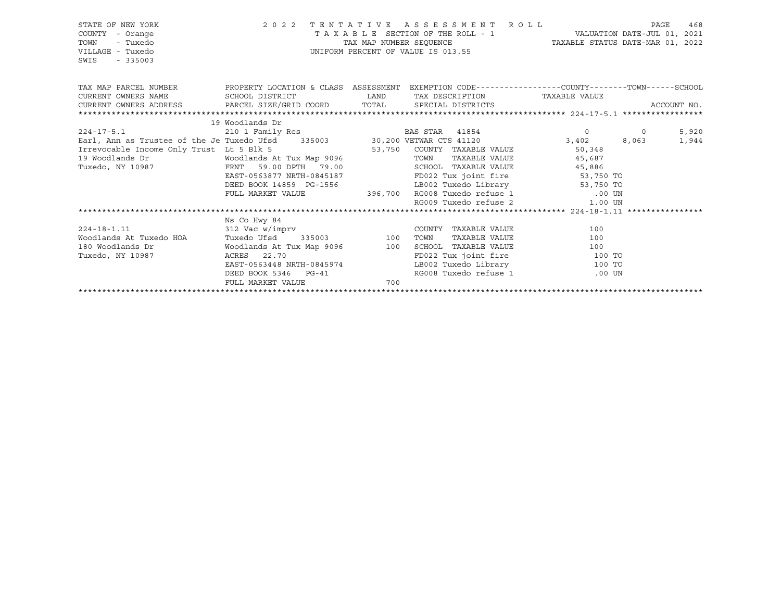| STATE OF NEW YORK<br>COUNTY - Orange<br>- Tuxedo<br>TOWN<br>VILLAGE - Tuxedo<br>SWIS<br>$-335003$                          |                                                                                     |     | 2022 TENTATIVE ASSESSMENT ROLL<br>TAXABLE SECTION OF THE ROLL - 1 VALUATION DATE-JUL 01, 2021<br>TAX MAP NUMBER SEQUENCE TAXABLE STATUS DATE-MAR 01, 2022<br>UNIFORM PERCENT OF VALUE IS 013.55 |                      | PAGE | 468   |
|----------------------------------------------------------------------------------------------------------------------------|-------------------------------------------------------------------------------------|-----|-------------------------------------------------------------------------------------------------------------------------------------------------------------------------------------------------|----------------------|------|-------|
| TAX MAP PARCEL NUMBER THE PROPERTY LOCATION & CLASS ASSESSMENT EXEMPTION CODE---------------COUNTY--------TOWN------SCHOOL |                                                                                     |     |                                                                                                                                                                                                 |                      |      |       |
|                                                                                                                            |                                                                                     |     |                                                                                                                                                                                                 |                      |      |       |
|                                                                                                                            |                                                                                     |     |                                                                                                                                                                                                 |                      |      |       |
|                                                                                                                            |                                                                                     |     |                                                                                                                                                                                                 |                      |      |       |
|                                                                                                                            | 19 Woodlands Dr                                                                     |     |                                                                                                                                                                                                 |                      |      |       |
|                                                                                                                            |                                                                                     |     |                                                                                                                                                                                                 |                      |      | 5,920 |
|                                                                                                                            |                                                                                     |     |                                                                                                                                                                                                 |                      |      | 1,944 |
|                                                                                                                            |                                                                                     |     |                                                                                                                                                                                                 |                      |      |       |
|                                                                                                                            |                                                                                     |     |                                                                                                                                                                                                 | TAXABLE VALUE 45,687 |      |       |
|                                                                                                                            |                                                                                     |     |                                                                                                                                                                                                 |                      |      |       |
|                                                                                                                            |                                                                                     |     |                                                                                                                                                                                                 |                      |      |       |
|                                                                                                                            |                                                                                     |     |                                                                                                                                                                                                 |                      |      |       |
|                                                                                                                            | FULL MARKET VALUE 396,700 RG008 Tuxedo refuse 1 00 UN RG009 Tuxedo refuse 2 1.00 UN |     |                                                                                                                                                                                                 |                      |      |       |
|                                                                                                                            |                                                                                     |     |                                                                                                                                                                                                 |                      |      |       |
|                                                                                                                            | Ns Co Hwy 84                                                                        |     |                                                                                                                                                                                                 |                      |      |       |
| $224 - 18 - 1.11$                                                                                                          | $312$ Vac w/imprv                                                                   |     | COUNTY TAXABLE VALUE                                                                                                                                                                            | 100                  |      |       |
|                                                                                                                            |                                                                                     |     |                                                                                                                                                                                                 |                      |      |       |
|                                                                                                                            |                                                                                     |     |                                                                                                                                                                                                 |                      |      |       |
| Tuxedo, NY 10987                                                                                                           | ACRES 22.70                                                                         |     | FD022 Tux joint fire 100 TO                                                                                                                                                                     |                      |      |       |
|                                                                                                                            | EAST-0563448 NRTH-0845974<br>DEED BOOK 5346 PG-41                                   |     | LB002 Tuxedo Library 100 TO                                                                                                                                                                     |                      |      |       |
|                                                                                                                            |                                                                                     |     | RG008 Tuxedo refuse 1                                                                                                                                                                           | $.00$ UN             |      |       |
|                                                                                                                            | FULL MARKET VALUE                                                                   | 700 |                                                                                                                                                                                                 |                      |      |       |
|                                                                                                                            |                                                                                     |     |                                                                                                                                                                                                 |                      |      |       |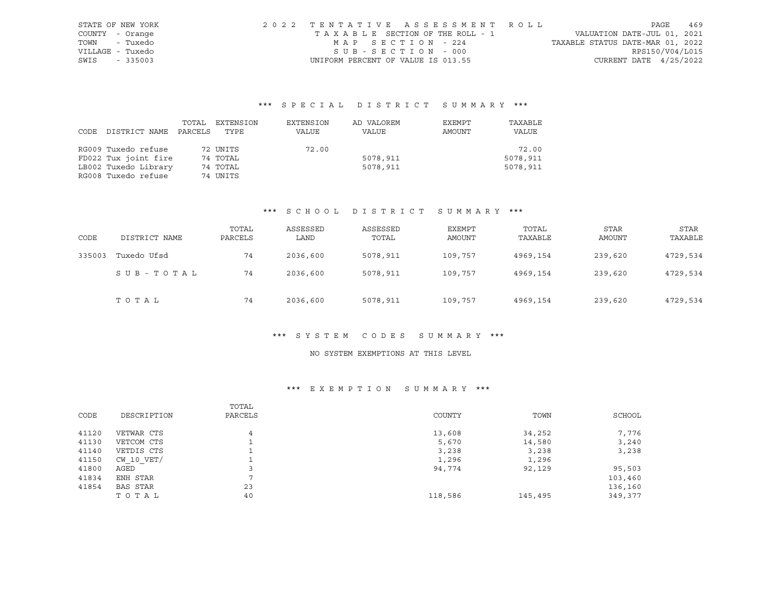| STATE OF NEW YORK | 2022 TENTATIVE ASSESSMENT ROLL        |                                  | PAGE            | 469 |
|-------------------|---------------------------------------|----------------------------------|-----------------|-----|
| COUNTY - Orange   | T A X A B L E SECTION OF THE ROLL - 1 | VALUATION DATE-JUL 01, 2021      |                 |     |
| TOWN - Tuxedo     | MAP SECTION - 224                     | TAXABLE STATUS DATE-MAR 01, 2022 |                 |     |
| VILLAGE - Tuxedo  | SUB-SECTION - 000                     |                                  | RPS150/V04/L015 |     |
| SWIS - 335003     | UNIFORM PERCENT OF VALUE IS 013.55    | CURRENT DATE $4/25/2022$         |                 |     |

# \*\*\* S P E C I A L D I S T R I C T S U M M A R Y \*\*\*

|      |                      | TOTAL   | EXTENSION | EXTENSION | AD VALOREM | EXEMPT | TAXABLE  |
|------|----------------------|---------|-----------|-----------|------------|--------|----------|
| CODE | DISTRICT NAME        | PARCELS | TYPE      | VALUE     | VALUE      | AMOUNT | VALUE    |
|      |                      |         |           |           |            |        |          |
|      | RG009 Tuxedo refuse  |         | 72 UNITS  | 72.00     |            |        | 72.00    |
|      | FD022 Tux joint fire |         | 74 TOTAL  |           | 5078,911   |        | 5078,911 |
|      | LB002 Tuxedo Library |         | 74 TOTAL  |           | 5078,911   |        | 5078,911 |
|      | RG008 Tuxedo refuse  |         | 74 UNITS  |           |            |        |          |

### \*\*\* S C H O O L D I S T R I C T S U M M A R Y \*\*\*

| CODE   | DISTRICT NAME | TOTAL<br>PARCELS | ASSESSED<br>LAND | ASSESSED<br>TOTAL | EXEMPT<br>AMOUNT | TOTAL<br>TAXABLE | <b>STAR</b><br><b>AMOUNT</b> | STAR<br>TAXABLE |
|--------|---------------|------------------|------------------|-------------------|------------------|------------------|------------------------------|-----------------|
| 335003 | Tuxedo Ufsd   | 74               | 2036,600         | 5078,911          | 109,757          | 4969,154         | 239,620                      | 4729,534        |
|        | SUB-TOTAL     | 74               | 2036,600         | 5078,911          | 109,757          | 4969,154         | 239,620                      | 4729,534        |
|        | TOTAL         | 74               | 2036,600         | 5078,911          | 109,757          | 4969,154         | 239,620                      | 4729,534        |

#### \*\*\* S Y S T E M C O D E S S U M M A R Y \*\*\*

### NO SYSTEM EXEMPTIONS AT THIS LEVEL

### \*\*\* E X E M P T I O N S U M M A R Y \*\*\*

| CODE  | DESCRIPTION    | TOTAL<br>PARCELS | COUNTY  | TOWN    | SCHOOL  |
|-------|----------------|------------------|---------|---------|---------|
| 41120 | VETWAR CTS     | 4                | 13,608  | 34,252  | 7,776   |
| 41130 | VETCOM CTS     |                  | 5,670   | 14,580  | 3,240   |
| 41140 | VETDIS CTS     |                  | 3,238   | 3,238   | 3,238   |
| 41150 | $CW$ 10 $VET/$ |                  | 1,296   | 1,296   |         |
| 41800 | AGED           |                  | 94,774  | 92,129  | 95,503  |
| 41834 | ENH STAR       | ⇁                |         |         | 103,460 |
| 41854 | BAS STAR       | 23               |         |         | 136,160 |
|       | TOTAL          | 40               | 118,586 | 145,495 | 349,377 |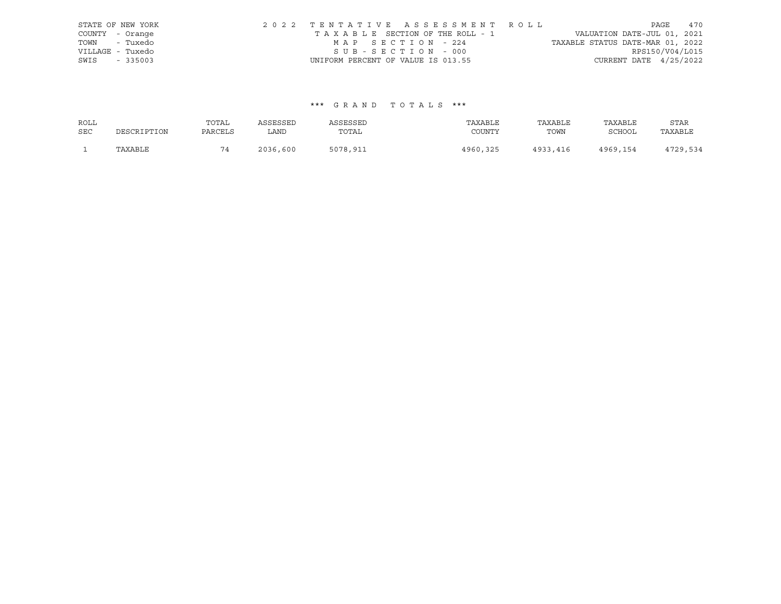|      | STATE OF NEW YORK | 2022 TENTATIVE ASSESSMENT ROLL     |                                 |                                  |                          | PAGE | 470 |
|------|-------------------|------------------------------------|---------------------------------|----------------------------------|--------------------------|------|-----|
|      | COUNTY - Orange   |                                    | TAXABLE SECTION OF THE ROLL - 1 | VALUATION DATE-JUL 01, 2021      |                          |      |     |
|      | TOWN - Tuxedo     | MAP SECTION - 224                  |                                 | TAXABLE STATUS DATE-MAR 01, 2022 |                          |      |     |
|      | VILLAGE - Tuxedo  | SUB-SECTION - 000                  |                                 |                                  | RPS150/V04/L015          |      |     |
| SWIS | $-335003$         | UNIFORM PERCENT OF VALUE IS 013.55 |                                 |                                  | CURRENT DATE $4/25/2022$ |      |     |

| ROLL       |             | TOTAL   | ASSESSED | ASSESSED | TAXABLE  | TAXABLE  | TAXABLE       | STAR     |
|------------|-------------|---------|----------|----------|----------|----------|---------------|----------|
| <b>SEC</b> | DESCRIPTION | PARCELS | LAND     | TOTAL    | COUNTY   | TOWN     | <b>SCHOOL</b> | TAXABLE  |
|            | TAXABLE     | 74      | 2036,600 | 5078,911 | 4960,325 | 4933,416 | 4969,154      | 4729,534 |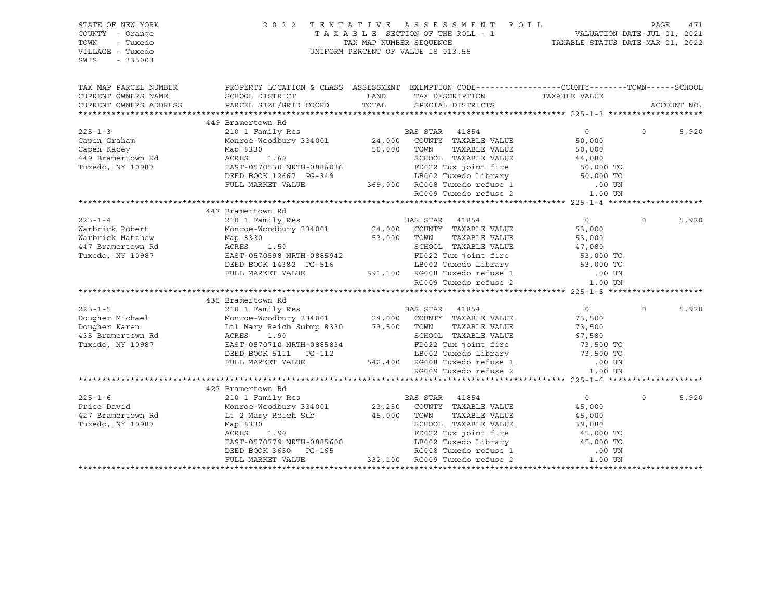| STATE OF NEW YORK<br>COUNTY - Orange<br>TOWN<br>- Tuxedo<br>VILLAGE - Tuxedo<br>SWIS<br>$-335003$ | 2022 TENTATIVE                                                                                  |               | ASSESSMENT ROLL<br>$\begin{tabular}{lllllllllll} \texttt{T A X A B L E} & \texttt{SECTION OF THE ROLL} & - & - & - & \texttt{VALUATION DATE-JUL 01, 2021} \\ & \texttt{TAX MAP NUMBER SEQUENCE} & & & \texttt{TAXABLE STATUS DATE-MAR 01, 2022} \end{tabular}$<br>UNIFORM PERCENT OF VALUE IS 013.55 |                                         | PAGE     | 471         |
|---------------------------------------------------------------------------------------------------|-------------------------------------------------------------------------------------------------|---------------|------------------------------------------------------------------------------------------------------------------------------------------------------------------------------------------------------------------------------------------------------------------------------------------------------|-----------------------------------------|----------|-------------|
| TAX MAP PARCEL NUMBER                                                                             | PROPERTY LOCATION & CLASS ASSESSMENT EXEMPTION CODE---------------COUNTY-------TOWN------SCHOOL |               |                                                                                                                                                                                                                                                                                                      |                                         |          |             |
| CURRENT OWNERS NAME                                                                               | SCHOOL DISTRICT                                                                                 | LAND          | TAX DESCRIPTION                                                                                                                                                                                                                                                                                      | TAXABLE VALUE                           |          |             |
| CURRENT OWNERS ADDRESS                                                                            | PARCEL SIZE/GRID COORD                                                                          | TOTAL         | SPECIAL DISTRICTS                                                                                                                                                                                                                                                                                    |                                         |          | ACCOUNT NO. |
|                                                                                                   |                                                                                                 |               |                                                                                                                                                                                                                                                                                                      |                                         |          |             |
|                                                                                                   | 449 Bramertown Rd                                                                               |               |                                                                                                                                                                                                                                                                                                      |                                         |          |             |
| $225 - 1 - 3$                                                                                     | 210 1 Family Res                                                                                |               | BAS STAR 41854                                                                                                                                                                                                                                                                                       | $\overline{0}$                          | $\Omega$ | 5,920       |
| Capen Graham                                                                                      | Monroe-Woodbury 334001 24,000 COUNTY TAXABLE VALUE                                              |               |                                                                                                                                                                                                                                                                                                      | 50,000                                  |          |             |
| Capen Kacey                                                                                       | Map 8330                                                                                        |               | 50,000 TOWN<br>TAXABLE VALUE                                                                                                                                                                                                                                                                         | 50,000                                  |          |             |
| 449 Bramertown Rd                                                                                 | ACRES<br>1.60                                                                                   |               | SCHOOL TAXABLE VALUE                                                                                                                                                                                                                                                                                 | 44,080                                  |          |             |
| Tuxedo, NY 10987                                                                                  | EAST-0570530 NRTH-0886036                                                                       |               | FD022 Tux joint fire                                                                                                                                                                                                                                                                                 | 50,000 TO<br>50,000 TO                  |          |             |
|                                                                                                   | DEED BOOK 12667 PG-349                                                                          |               | 3-349 LB002 Tuxedo Library<br>369,000 RG008 Tuxedo refuse 1<br>RG009 Tuxedo refuse 2                                                                                                                                                                                                                 |                                         |          |             |
|                                                                                                   | FULL MARKET VALUE                                                                               |               |                                                                                                                                                                                                                                                                                                      | .00 UN                                  |          |             |
|                                                                                                   |                                                                                                 |               |                                                                                                                                                                                                                                                                                                      | 1.00 UN                                 |          |             |
|                                                                                                   |                                                                                                 |               |                                                                                                                                                                                                                                                                                                      |                                         |          |             |
| $225 - 1 - 4$                                                                                     | 447 Bramertown Rd                                                                               |               | BAS STAR 41854                                                                                                                                                                                                                                                                                       | $\overline{0}$                          | $\Omega$ | 5,920       |
| Warbrick Robert                                                                                   | 210 1 Family Res<br>Monroe-Woodbury 334001                                                      |               | 24,000 COUNTY TAXABLE VALUE                                                                                                                                                                                                                                                                          | 53,000                                  |          |             |
| Warbrick Matthew                                                                                  | Map 8330                                                                                        |               | TAXABLE VALUE<br>53,000 TOWN                                                                                                                                                                                                                                                                         | 53,000                                  |          |             |
| 447 Bramertown Rd                                                                                 | $30$<br>1.50<br>ACRES                                                                           |               | SCHOOL TAXABLE VALUE                                                                                                                                                                                                                                                                                 | 47,080                                  |          |             |
| Tuxedo, NY 10987                                                                                  | EAST-0570598 NRTH-0885942                                                                       |               | FD022 Tux joint fire                                                                                                                                                                                                                                                                                 | 53,000 TO                               |          |             |
|                                                                                                   | DEED BOOK 14382 PG-516                                                                          |               | PD022 Tux Joint Tire<br>LB002 Tuxedo Library 53,000 TO                                                                                                                                                                                                                                               |                                         |          |             |
|                                                                                                   | FULL MARKET VALUE                                                                               |               |                                                                                                                                                                                                                                                                                                      | .00 UN                                  |          |             |
|                                                                                                   |                                                                                                 |               | 10002 Tuncas ----<br>391,100 RG008 Tuxedo refuse 1                                                                                                                                                                                                                                                   | 1.00 UN                                 |          |             |
|                                                                                                   |                                                                                                 |               |                                                                                                                                                                                                                                                                                                      |                                         |          |             |
|                                                                                                   | 435 Bramertown Rd                                                                               |               |                                                                                                                                                                                                                                                                                                      |                                         |          |             |
| $225 - 1 - 5$                                                                                     | 210 1 Family Res<br>Monroe-Woodbury 334001 24,000 COUNTY TAXABLE VALUE                          |               |                                                                                                                                                                                                                                                                                                      | $\circ$                                 | $\Omega$ | 5,920       |
| Dougher Michael                                                                                   |                                                                                                 |               |                                                                                                                                                                                                                                                                                                      | 73,500                                  |          |             |
| Dougher Karen                                                                                     | Lt1 Mary Reich Submp 8330 73,500 TOWN                                                           |               | TAXABLE VALUE                                                                                                                                                                                                                                                                                        | 73,500                                  |          |             |
| 435 Bramertown Rd                                                                                 | ACRES<br>1.90                                                                                   |               | SCHOOL TAXABLE VALUE                                                                                                                                                                                                                                                                                 |                                         |          |             |
| Tuxedo, NY 10987                                                                                  | EAST-0570710 NRTH-0885834                                                                       |               |                                                                                                                                                                                                                                                                                                      | 07,500 TO<br>73,500 TO<br>ר <u>ב בר</u> |          |             |
|                                                                                                   | DEED BOOK 5111 PG-112                                                                           |               |                                                                                                                                                                                                                                                                                                      | 73,500 TO                               |          |             |
|                                                                                                   | FULL MARKET VALUE                                                                               |               |                                                                                                                                                                                                                                                                                                      | $.00$ UN                                |          |             |
|                                                                                                   |                                                                                                 |               | FD022 Tux joint fire<br>ED022 Tuxedo Library<br>542,400 RG008 Tuxedo refuse 1<br>DC009 Tuxedo refuse 2                                                                                                                                                                                               | 1.00 UN                                 |          |             |
|                                                                                                   |                                                                                                 |               |                                                                                                                                                                                                                                                                                                      |                                         |          |             |
|                                                                                                   | 427 Bramertown Rd                                                                               |               |                                                                                                                                                                                                                                                                                                      |                                         |          |             |
| $225 - 1 - 6$                                                                                     | 210 1 Family Res                                                                                |               | BAS STAR 41854                                                                                                                                                                                                                                                                                       | $\overline{0}$                          | $\Omega$ | 5,920       |
| Price David                                                                                       | Monroe-Woodbury 334001                                                                          |               | 23,250 COUNTY TAXABLE VALUE                                                                                                                                                                                                                                                                          | 45,000                                  |          |             |
| 427 Bramertown Rd                                                                                 | Lt 2 Mary Reich Sub                                                                             | $45,000$ TOWN | TAXABLE VALUE                                                                                                                                                                                                                                                                                        | 45,000                                  |          |             |
| Tuxedo, NY 10987                                                                                  | Map 8330                                                                                        |               | SCHOOL TAXABLE VALUE                                                                                                                                                                                                                                                                                 | 39,080                                  |          |             |
|                                                                                                   | ACRES<br>1.90                                                                                   |               | FD022 Tux joint fire                                                                                                                                                                                                                                                                                 | 45,000 TO                               |          |             |
|                                                                                                   | EAST-0570779 NRTH-0885600                                                                       |               | 19002 Tuxedo Library<br>19002 Tuxedo Library<br>19003 Tuxedo refuse 1<br>332,100 RG009 Tuxedo refuse 2<br>FD022 iux joint<br>LB002 Tuxedo Library<br>T3000 Turedo refuse 1                                                                                                                           | 45,000 TO                               |          |             |
|                                                                                                   | DEED BOOK 3650 PG-165                                                                           |               |                                                                                                                                                                                                                                                                                                      | .00 UN                                  |          |             |
|                                                                                                   | FULL MARKET VALUE                                                                               |               |                                                                                                                                                                                                                                                                                                      | 1.00 UN                                 |          |             |
|                                                                                                   |                                                                                                 |               |                                                                                                                                                                                                                                                                                                      |                                         |          |             |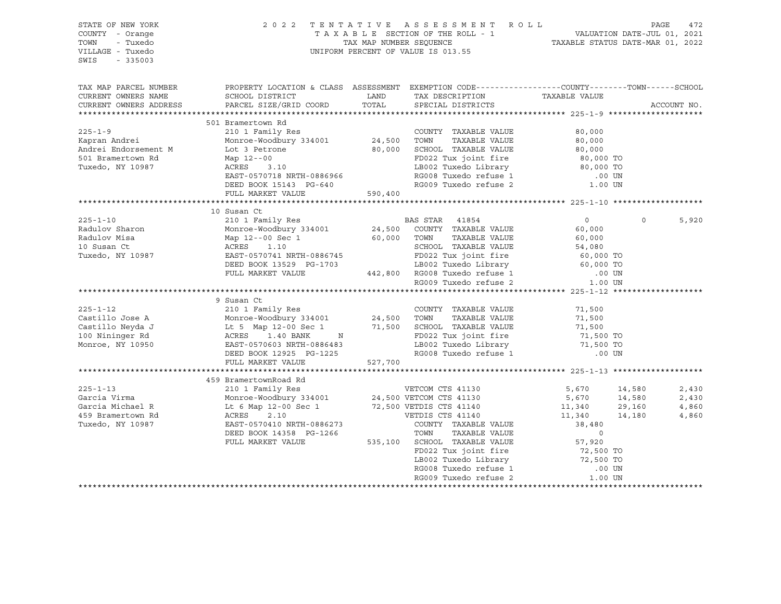| STATE OF NEW YORK<br>COUNTY - Orange<br>TOWN<br>- Tuxedo<br>VILLAGE - Tuxedo<br>SWIS<br>$-335003$                                                                                                                                     | 2022 TENTATIVE ASSESSMENT ROLL PAGE 472<br>TAXABLE SECTION OF THE ROLL - 1 VALUATION DATE-JUL 01, 2021<br>TAX MAP NUMBER SEQUENCE TAXABLE STATUS DATE-MAR 01, 2022<br>UNIFORM PERCENT OF VALUE IS 013.55                                       |         |                                                                                                                                                       |                                   |         |             |
|---------------------------------------------------------------------------------------------------------------------------------------------------------------------------------------------------------------------------------------|------------------------------------------------------------------------------------------------------------------------------------------------------------------------------------------------------------------------------------------------|---------|-------------------------------------------------------------------------------------------------------------------------------------------------------|-----------------------------------|---------|-------------|
| TAX MAP PARCEL NUMBER THE PROPERTY LOCATION & CLASS ASSESSMENT EXEMPTION CODE--------------COUNTY--------TOWN------SCHOOL<br>CURRENT OWNERS NAME                                                                                      | SCHOOL DISTRICT                                                                                                                                                                                                                                |         |                                                                                                                                                       |                                   |         |             |
| CURRENT OWNERS ADDRESS                                                                                                                                                                                                                | PARCEL SIZE/GRID COORD                                                                                                                                                                                                                         | TOTAL   | LAND TAX DESCRIPTION TAXABLE VALUE<br>SPECIAL DISTRICTS                                                                                               |                                   |         | ACCOUNT NO. |
|                                                                                                                                                                                                                                       |                                                                                                                                                                                                                                                |         |                                                                                                                                                       |                                   |         |             |
|                                                                                                                                                                                                                                       | 501 Bramertown Rd                                                                                                                                                                                                                              |         |                                                                                                                                                       |                                   |         |             |
| $225 - 1 - 9$                                                                                                                                                                                                                         | 210 1 Family Res                                                                                                                                                                                                                               |         | COUNTY TAXABLE VALUE                                                                                                                                  | 80,000                            |         |             |
| Kapran Andrei                                                                                                                                                                                                                         | Monroe-Woodbury 334001 24,500 TOWN TAXABLE VALUE<br>Lot 3 Petrone 80,000 SCHOOL TAXABLE VALUE<br>Monroe-Woodbury 333001<br>Lot 3 Petrone<br>Map 12--00<br>ACRES 3.10<br>Tornala NRTH-0886966                                                   |         |                                                                                                                                                       | 80,000<br>80,000<br>80,000 TO     |         |             |
| Andrei Endorsement M                                                                                                                                                                                                                  |                                                                                                                                                                                                                                                |         |                                                                                                                                                       |                                   |         |             |
| 501 Bramertown Rd                                                                                                                                                                                                                     |                                                                                                                                                                                                                                                |         | FD022 Tux joint fire<br>LB002 Tuxedo Library<br>10.000 TO                                                                                             |                                   |         |             |
| Tuxedo, NY 10987                                                                                                                                                                                                                      |                                                                                                                                                                                                                                                |         |                                                                                                                                                       |                                   |         |             |
|                                                                                                                                                                                                                                       | EAST-0570718 NRTH-0886966<br>DEED BOOK 15143 PG-640                                                                                                                                                                                            |         | RG008 Tuxedo refuse 1 (00 UN RG009 Tuxedo refuse 2 (1.00 UN                                                                                           |                                   |         |             |
|                                                                                                                                                                                                                                       | FULL MARKET VALUE                                                                                                                                                                                                                              | 590,400 |                                                                                                                                                       |                                   |         |             |
|                                                                                                                                                                                                                                       |                                                                                                                                                                                                                                                |         |                                                                                                                                                       |                                   |         |             |
|                                                                                                                                                                                                                                       | 10 Susan Ct                                                                                                                                                                                                                                    |         |                                                                                                                                                       |                                   |         |             |
| $225 - 1 - 10$                                                                                                                                                                                                                        |                                                                                                                                                                                                                                                |         |                                                                                                                                                       |                                   | $\circ$ | 5,920       |
| Radulov Sharon                                                                                                                                                                                                                        |                                                                                                                                                                                                                                                |         |                                                                                                                                                       |                                   |         |             |
| Radulov Misa                                                                                                                                                                                                                          |                                                                                                                                                                                                                                                |         |                                                                                                                                                       |                                   |         |             |
| 10 Susan Ct<br>Tuxedo, NY 10987                                                                                                                                                                                                       |                                                                                                                                                                                                                                                |         |                                                                                                                                                       |                                   |         |             |
|                                                                                                                                                                                                                                       |                                                                                                                                                                                                                                                |         |                                                                                                                                                       |                                   |         |             |
|                                                                                                                                                                                                                                       |                                                                                                                                                                                                                                                |         |                                                                                                                                                       |                                   |         |             |
|                                                                                                                                                                                                                                       |                                                                                                                                                                                                                                                |         |                                                                                                                                                       |                                   |         |             |
|                                                                                                                                                                                                                                       | 210 1 Family Res<br>Monroe-Woodbury 334001<br>Map 12--00 Sec 1<br>24,500 COUNTY TAXABLE VALUE<br>46,000 TOWN TAXABLE VALUE<br>24,500 COUNTY TAXABLE VALUE<br>24,500 TOWN TAXABLE VALUE<br>26,000 TOWN TAXABLE VALUE<br>60,000 TOWN TAXABLE VAL |         |                                                                                                                                                       |                                   |         |             |
| 9 Susan Ct<br>225-1-12 210 1 Family Res<br>Castillo Jose A Monroe-Woodbury 334001 24,500 TOWN TAXABLE VALUE<br>Castillo Neyda J Lt 5 Map 12-00 Sec 1 71,500 SCHOOL TAXABLE VALUE<br>100 Nininger Rd ACRES 1.40 BANK N FD022 Tux joint |                                                                                                                                                                                                                                                |         |                                                                                                                                                       |                                   |         |             |
|                                                                                                                                                                                                                                       |                                                                                                                                                                                                                                                |         |                                                                                                                                                       | 71,500                            |         |             |
|                                                                                                                                                                                                                                       |                                                                                                                                                                                                                                                |         |                                                                                                                                                       | 71,500<br>71,500                  |         |             |
|                                                                                                                                                                                                                                       |                                                                                                                                                                                                                                                |         |                                                                                                                                                       |                                   |         |             |
|                                                                                                                                                                                                                                       |                                                                                                                                                                                                                                                |         |                                                                                                                                                       | 71,500 TO<br>71,500 TO            |         |             |
|                                                                                                                                                                                                                                       |                                                                                                                                                                                                                                                |         |                                                                                                                                                       |                                   |         |             |
|                                                                                                                                                                                                                                       | FULL MARKET VALUE 527,700                                                                                                                                                                                                                      |         |                                                                                                                                                       | .00 UN                            |         |             |
|                                                                                                                                                                                                                                       |                                                                                                                                                                                                                                                |         |                                                                                                                                                       |                                   |         |             |
|                                                                                                                                                                                                                                       |                                                                                                                                                                                                                                                |         |                                                                                                                                                       |                                   |         |             |
| $225 - 1 - 13$                                                                                                                                                                                                                        | 459 BramertownRoad Rd<br>210 1 Family Res<br>Monroe-Woodbury 334001<br>24,500 VETCOM CTS 41130<br>12 6 Map 12-00 Sec 1<br>27,500 VETDIS CTS 41140<br>ACRES<br>2.10<br>27,500 VETDIS CTS 41140                                                  |         |                                                                                                                                                       | 5,670 14,580                      |         | 2,430       |
| Garcia Virma                                                                                                                                                                                                                          |                                                                                                                                                                                                                                                |         |                                                                                                                                                       | $5,670$ $14,580$<br>11,340 29,160 |         | 2,430       |
| Garcia Michael R                                                                                                                                                                                                                      |                                                                                                                                                                                                                                                |         |                                                                                                                                                       |                                   |         | 4,860       |
| 459 Bramertown Rd                                                                                                                                                                                                                     |                                                                                                                                                                                                                                                |         |                                                                                                                                                       | 11,340 14,180                     |         | 4,860       |
| Tuxedo, NY 10987                                                                                                                                                                                                                      |                                                                                                                                                                                                                                                |         |                                                                                                                                                       |                                   |         |             |
|                                                                                                                                                                                                                                       |                                                                                                                                                                                                                                                |         |                                                                                                                                                       |                                   |         |             |
|                                                                                                                                                                                                                                       |                                                                                                                                                                                                                                                |         |                                                                                                                                                       |                                   |         |             |
|                                                                                                                                                                                                                                       |                                                                                                                                                                                                                                                |         |                                                                                                                                                       |                                   |         |             |
|                                                                                                                                                                                                                                       |                                                                                                                                                                                                                                                |         |                                                                                                                                                       |                                   |         |             |
|                                                                                                                                                                                                                                       |                                                                                                                                                                                                                                                |         | SCHOOL TAXABLE v<br>FD022 Tux joint fire 72,500 TO<br>LB002 Tuxedo Library 72,500 TO<br>The Theodor Theodor Tefuse 1 1.00 UN<br>RG009 Tuxedo refuse 2 | 1.00 UN                           |         |             |
|                                                                                                                                                                                                                                       |                                                                                                                                                                                                                                                |         |                                                                                                                                                       |                                   |         |             |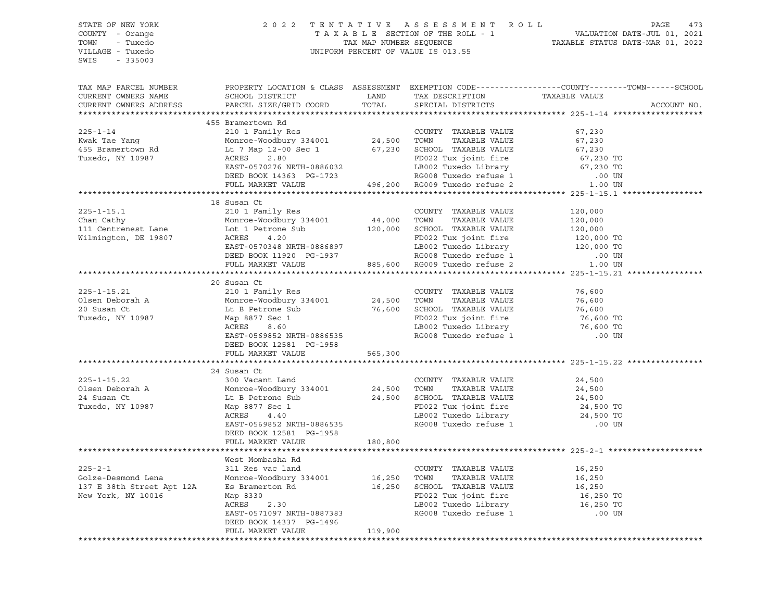| STATE OF NEW YORK         | 2 0 2 2                                                                                         |                         | TENTATIVE ASSESSMENT               | R O L L                          | PAGE<br>473                 |
|---------------------------|-------------------------------------------------------------------------------------------------|-------------------------|------------------------------------|----------------------------------|-----------------------------|
| COUNTY - Orange           |                                                                                                 |                         | TAXABLE SECTION OF THE ROLL - 1    |                                  | VALUATION DATE-JUL 01, 2021 |
| TOWN<br>- Tuxedo          |                                                                                                 | TAX MAP NUMBER SEQUENCE |                                    | TAXABLE STATUS DATE-MAR 01, 2022 |                             |
| VILLAGE - Tuxedo          |                                                                                                 |                         | UNIFORM PERCENT OF VALUE IS 013.55 |                                  |                             |
| SWIS<br>$-335003$         |                                                                                                 |                         |                                    |                                  |                             |
|                           |                                                                                                 |                         |                                    |                                  |                             |
|                           |                                                                                                 |                         |                                    |                                  |                             |
| TAX MAP PARCEL NUMBER     | PROPERTY LOCATION & CLASS ASSESSMENT EXEMPTION CODE---------------COUNTY-------TOWN------SCHOOL |                         |                                    |                                  |                             |
| CURRENT OWNERS NAME       | SCHOOL DISTRICT                                                                                 | LAND                    | TAX DESCRIPTION                    | TAXABLE VALUE                    |                             |
| CURRENT OWNERS ADDRESS    | PARCEL SIZE/GRID COORD                                                                          | TOTAL                   | SPECIAL DISTRICTS                  |                                  | ACCOUNT NO.                 |
|                           |                                                                                                 |                         |                                    |                                  |                             |
|                           | 455 Bramertown Rd                                                                               |                         |                                    |                                  |                             |
| $225 - 1 - 14$            | 210 1 Family Res                                                                                |                         | COUNTY TAXABLE VALUE               | 67,230                           |                             |
| Kwak Tae Yang             | Monroe-Woodbury 334001                                                                          | 24,500                  | TAXABLE VALUE<br>TOWN              | 67,230                           |                             |
| 455 Bramertown Rd         | Lt 7 Map 12-00 Sec 1                                                                            | 67,230                  | SCHOOL TAXABLE VALUE               | 67,230                           |                             |
| Tuxedo, NY 10987          | ACRES<br>2.80                                                                                   |                         | FD022 Tux joint fire               | 67,230 TO                        |                             |
|                           | EAST-0570276 NRTH-0886032                                                                       |                         | LB002 Tuxedo Library               | 67,230 TO                        |                             |
|                           | DEED BOOK 14363 PG-1723                                                                         |                         | RG008 Tuxedo refuse 1              | .00 UN                           |                             |
|                           | FULL MARKET VALUE                                                                               | 496,200                 | RG009 Tuxedo refuse 2              | 1.00 UN                          |                             |
|                           |                                                                                                 |                         |                                    |                                  |                             |
|                           |                                                                                                 |                         |                                    |                                  |                             |
|                           | 18 Susan Ct                                                                                     |                         |                                    |                                  |                             |
| $225 - 1 - 15.1$          | 210 1 Family Res                                                                                |                         | COUNTY TAXABLE VALUE               | 120,000                          |                             |
| Chan Cathy                | Monroe-Woodbury 334001                                                                          | 44,000                  | TAXABLE VALUE<br>TOWN              | 120,000                          |                             |
| 111 Centrenest Lane       | Lot 1 Petrone Sub                                                                               | 120,000                 | SCHOOL TAXABLE VALUE               | 120,000                          |                             |
| Wilmington, DE 19807      | ACRES<br>4.20                                                                                   |                         | FD022 Tux joint fire               | 120,000 TO                       |                             |
|                           | EAST-0570348 NRTH-0886897                                                                       |                         | LB002 Tuxedo Library               | 120,000 TO                       |                             |
|                           | DEED BOOK 11920 PG-1937                                                                         |                         | RG008 Tuxedo refuse 1              | .00 UN                           |                             |
|                           | FULL MARKET VALUE                                                                               |                         | 885,600 RG009 Tuxedo refuse 2      | 1.00 UN                          |                             |
|                           |                                                                                                 |                         |                                    |                                  |                             |
|                           | 20 Susan Ct                                                                                     |                         |                                    |                                  |                             |
| $225 - 1 - 15.21$         | 210 1 Family Res                                                                                |                         | COUNTY TAXABLE VALUE               | 76,600                           |                             |
| Olsen Deborah A           | Monroe-Woodbury 334001                                                                          | 24,500                  | TAXABLE VALUE<br>TOWN              | 76,600                           |                             |
| 20 Susan Ct               | Lt B Petrone Sub                                                                                | 76,600                  | SCHOOL TAXABLE VALUE               | 76,600                           |                             |
| Tuxedo, NY 10987          | Map 8877 Sec 1                                                                                  |                         | FD022 Tux joint fire               | 76,600 TO                        |                             |
|                           |                                                                                                 |                         | LB002 Tuxedo Library               |                                  |                             |
|                           | ACRES<br>8.60                                                                                   |                         |                                    | 76,600 TO                        |                             |
|                           | EAST-0569852 NRTH-0886535                                                                       |                         | RG008 Tuxedo refuse 1              | .00 UN                           |                             |
|                           | DEED BOOK 12581 PG-1958                                                                         |                         |                                    |                                  |                             |
|                           | FULL MARKET VALUE                                                                               | 565,300                 |                                    |                                  |                             |
|                           |                                                                                                 |                         |                                    |                                  |                             |
|                           | 24 Susan Ct                                                                                     |                         |                                    |                                  |                             |
| $225 - 1 - 15.22$         | 300 Vacant Land                                                                                 |                         | COUNTY TAXABLE VALUE               | 24,500                           |                             |
| Olsen Deborah A           | Monroe-Woodbury 334001                                                                          | 24,500                  | TAXABLE VALUE<br>TOWN              | 24,500                           |                             |
| 24 Susan Ct               | Lt B Petrone Sub                                                                                | 24,500                  | SCHOOL TAXABLE VALUE               | 24,500                           |                             |
| Tuxedo, NY 10987          | Map 8877 Sec 1                                                                                  |                         | FD022 Tux joint fire               | 24,500 TO                        |                             |
|                           | ACRES<br>4.40                                                                                   |                         | LB002 Tuxedo Library               | 24,500 TO                        |                             |
|                           | EAST-0569852 NRTH-0886535                                                                       |                         | RG008 Tuxedo refuse 1              | .00 UN                           |                             |
|                           | DEED BOOK 12581 PG-1958                                                                         |                         |                                    |                                  |                             |
|                           | FULL MARKET VALUE                                                                               | 180,800                 |                                    |                                  |                             |
|                           |                                                                                                 |                         |                                    |                                  |                             |
|                           | West Mombasha Rd                                                                                |                         |                                    |                                  |                             |
| $225 - 2 - 1$             | 311 Res vac land                                                                                |                         | COUNTY TAXABLE VALUE               | 16,250                           |                             |
| Golze-Desmond Lena        | Monroe-Woodbury 334001                                                                          | 16,250                  | TOWN<br>TAXABLE VALUE              | 16,250                           |                             |
| 137 E 38th Street Apt 12A | Es Bramerton Rd                                                                                 | 16,250                  | SCHOOL TAXABLE VALUE               | 16,250                           |                             |
|                           |                                                                                                 |                         |                                    |                                  |                             |
| New York, NY 10016        | Map 8330                                                                                        |                         | FD022 Tux joint fire               | 16,250 TO                        |                             |
|                           | ACRES<br>2.30                                                                                   |                         | LB002 Tuxedo Library               | 16,250 TO                        |                             |
|                           | EAST-0571097 NRTH-0887383                                                                       |                         | RG008 Tuxedo refuse 1              | .00 UN                           |                             |
|                           | DEED BOOK 14337 PG-1496                                                                         |                         |                                    |                                  |                             |
|                           | FULL MARKET VALUE                                                                               | 119,900                 |                                    |                                  |                             |
|                           |                                                                                                 |                         |                                    |                                  |                             |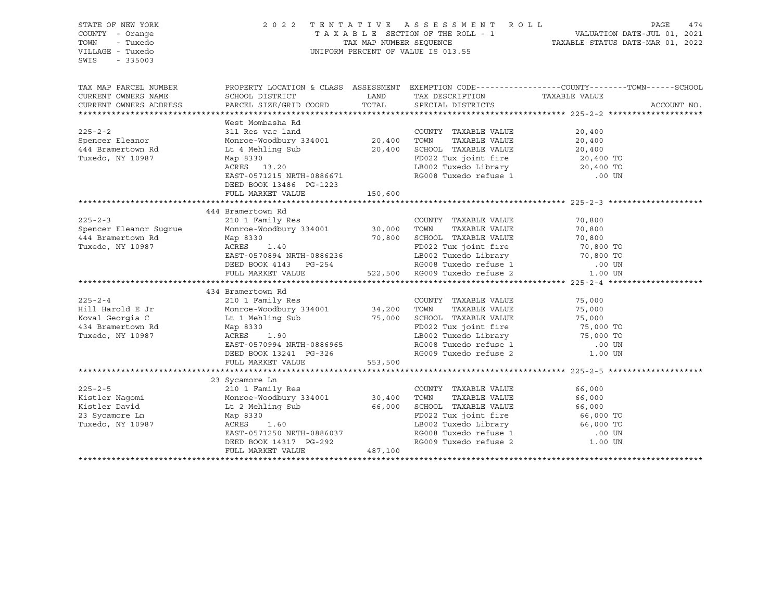| STATE OF NEW YORK<br>COUNTY - Orange<br>- Tuxedo<br>TOWN<br>VILLAGE - Tuxedo<br>$-335003$<br>SWIS                                                                                                                                                      | 2022 TENTATIVE<br>UNIFORM PERCENT OF VALUE IS 013.55                                                                                                                                                                                                                                                                | A S S E S S M E N T R O L L<br>PAGE<br>474 |                                                                                                                                                                                                                                                            |                                                                                                  |
|--------------------------------------------------------------------------------------------------------------------------------------------------------------------------------------------------------------------------------------------------------|---------------------------------------------------------------------------------------------------------------------------------------------------------------------------------------------------------------------------------------------------------------------------------------------------------------------|--------------------------------------------|------------------------------------------------------------------------------------------------------------------------------------------------------------------------------------------------------------------------------------------------------------|--------------------------------------------------------------------------------------------------|
| TAX MAP PARCEL NUMBER<br>CURRENT OWNERS NAME                                                                                                                                                                                                           | SCHOOL DISTRICT                                                                                                                                                                                                                                                                                                     | <b>EXAMPLE STATE STATE</b>                 | TAX DESCRIPTION TAXABLE VALUE<br>SPECIAL DISTRICTS                                                                                                                                                                                                         | PROPERTY LOCATION & CLASS ASSESSMENT EXEMPTION CODE----------------COUNTY-------TOWN------SCHOOL |
| CURRENT OWNERS ADDRESS                                                                                                                                                                                                                                 | PARCEL SIZE/GRID COORD TOTAL                                                                                                                                                                                                                                                                                        |                                            |                                                                                                                                                                                                                                                            | ACCOUNT NO.                                                                                      |
|                                                                                                                                                                                                                                                        | West Mombasha Rd                                                                                                                                                                                                                                                                                                    |                                            |                                                                                                                                                                                                                                                            |                                                                                                  |
| $225 - 2 - 2$<br>Spencer Eleanor<br>444 Bramertown Rd<br>Tuxedo, NY 10987                                                                                                                                                                              | 311 Res vac land<br>Monroe-Woodbury 334001 20,400 TOWN<br>Lt 4 Mehling Sub<br>Map 8330<br>ACRES 13.20<br>EAST-0571215 NRTH-0886671<br>DEED BOOK 13486 PG-1223                                                                                                                                                       |                                            | COUNTY TAXABLE VALUE<br>TOWN TAXABLE VALUE<br>SCHOOL TAXABLE VALUE<br>FD022 Tux joint fire<br>LB002 Tuxedo Library<br>20,400 TO<br>20,400 TO<br>20,400 TO<br>20,400 SCHOOL TAXABLE VALUE<br>LB002 Tuxedo Library 20,400 TO<br>RG008 Tuxedo refuse 1 .00 UN | 20,400                                                                                           |
|                                                                                                                                                                                                                                                        | FULL MARKET VALUE                                                                                                                                                                                                                                                                                                   | 150,600                                    |                                                                                                                                                                                                                                                            |                                                                                                  |
|                                                                                                                                                                                                                                                        |                                                                                                                                                                                                                                                                                                                     |                                            |                                                                                                                                                                                                                                                            |                                                                                                  |
|                                                                                                                                                                                                                                                        | 444 Bramertown Rd                                                                                                                                                                                                                                                                                                   |                                            |                                                                                                                                                                                                                                                            |                                                                                                  |
| $225 - 2 - 3$                                                                                                                                                                                                                                          | $\frac{1}{2}$ $\frac{1}{2}$ $\frac{1}{2}$ $\frac{1}{2}$ $\frac{1}{2}$ $\frac{1}{2}$ $\frac{1}{2}$ $\frac{1}{2}$ $\frac{1}{2}$ $\frac{1}{2}$ $\frac{1}{2}$ $\frac{1}{2}$ $\frac{1}{2}$ $\frac{1}{2}$ $\frac{1}{2}$ $\frac{1}{2}$ $\frac{1}{2}$ $\frac{1}{2}$ $\frac{1}{2}$ $\frac{1}{2}$ $\frac{1}{2}$ $\frac{1}{2}$ |                                            | COUNTY TAXABLE VALUE                                                                                                                                                                                                                                       | 70,800                                                                                           |
| Spencer Eleanor Sugrue                                                                                                                                                                                                                                 |                                                                                                                                                                                                                                                                                                                     |                                            |                                                                                                                                                                                                                                                            |                                                                                                  |
| 444 Bramertown Rd                                                                                                                                                                                                                                      | Map 8330                                                                                                                                                                                                                                                                                                            |                                            |                                                                                                                                                                                                                                                            |                                                                                                  |
| Tuxedo, NY 10987                                                                                                                                                                                                                                       |                                                                                                                                                                                                                                                                                                                     |                                            |                                                                                                                                                                                                                                                            |                                                                                                  |
|                                                                                                                                                                                                                                                        |                                                                                                                                                                                                                                                                                                                     |                                            |                                                                                                                                                                                                                                                            |                                                                                                  |
|                                                                                                                                                                                                                                                        |                                                                                                                                                                                                                                                                                                                     |                                            |                                                                                                                                                                                                                                                            |                                                                                                  |
|                                                                                                                                                                                                                                                        |                                                                                                                                                                                                                                                                                                                     |                                            |                                                                                                                                                                                                                                                            |                                                                                                  |
|                                                                                                                                                                                                                                                        | 434 Bramertown Rd                                                                                                                                                                                                                                                                                                   |                                            |                                                                                                                                                                                                                                                            |                                                                                                  |
| $225 - 2 - 4$                                                                                                                                                                                                                                          | 210 1 Family Res<br>Monroe-Woodbury 334001 34,200 TOWN TAXABLE VALUE 75,000<br>12 1 Mehling Sub 75,000 SCHOOL TAXABLE VALUE 75,000<br>25,000 SCHOOL TAXABLE VALUE 75,000<br>25,000 FD022 Tux joint fire 75,000 TO<br>25,000 TO<br>25,000 T                                                                          |                                            |                                                                                                                                                                                                                                                            |                                                                                                  |
| Hill Harold E Jr                                                                                                                                                                                                                                       |                                                                                                                                                                                                                                                                                                                     |                                            |                                                                                                                                                                                                                                                            |                                                                                                  |
| Koval Georgia C                                                                                                                                                                                                                                        |                                                                                                                                                                                                                                                                                                                     |                                            |                                                                                                                                                                                                                                                            |                                                                                                  |
| 434 Bramertown Rd                                                                                                                                                                                                                                      |                                                                                                                                                                                                                                                                                                                     |                                            | FD022 Tux joint fire<br>LB002 Tuxedo Library<br>198002 Tuxedo Library<br>19800 TO 100 UN                                                                                                                                                                   |                                                                                                  |
| Tuxedo, NY 10987                                                                                                                                                                                                                                       |                                                                                                                                                                                                                                                                                                                     |                                            |                                                                                                                                                                                                                                                            |                                                                                                  |
|                                                                                                                                                                                                                                                        | EAST-0570994 NRTH-0886965                                                                                                                                                                                                                                                                                           |                                            | RG008 Tuxedo refuse 1 (00 UN RG009 Tuxedo refuse 2 (1.00 UN                                                                                                                                                                                                |                                                                                                  |
|                                                                                                                                                                                                                                                        | DEED BOOK 13241 PG-326<br>FULL MARKET VALUE                                                                                                                                                                                                                                                                         | 553,500                                    |                                                                                                                                                                                                                                                            |                                                                                                  |
|                                                                                                                                                                                                                                                        |                                                                                                                                                                                                                                                                                                                     |                                            |                                                                                                                                                                                                                                                            |                                                                                                  |
|                                                                                                                                                                                                                                                        |                                                                                                                                                                                                                                                                                                                     |                                            |                                                                                                                                                                                                                                                            |                                                                                                  |
| 23 Sycamore Ln<br>23 Sycamore Ln<br>210 1 Family Res<br>210 1 Family Res<br>210 1 Family Res<br>210 1 Family Res<br>23 Sycamore Woodbury 334001<br>23 Svcamore Ln<br>23 Svcamore Ln<br>23 Sycamore Ln<br>23 Sycamore Ln<br>23 Sycamore Ln<br>23 Sycamo |                                                                                                                                                                                                                                                                                                                     |                                            |                                                                                                                                                                                                                                                            |                                                                                                  |
|                                                                                                                                                                                                                                                        |                                                                                                                                                                                                                                                                                                                     |                                            |                                                                                                                                                                                                                                                            |                                                                                                  |
|                                                                                                                                                                                                                                                        |                                                                                                                                                                                                                                                                                                                     |                                            |                                                                                                                                                                                                                                                            |                                                                                                  |
|                                                                                                                                                                                                                                                        |                                                                                                                                                                                                                                                                                                                     |                                            |                                                                                                                                                                                                                                                            |                                                                                                  |
| Tuxedo, NY 10987                                                                                                                                                                                                                                       | ACRES<br>1.60                                                                                                                                                                                                                                                                                                       |                                            | LB002 Tuxedo Library 66,000 TO                                                                                                                                                                                                                             |                                                                                                  |
|                                                                                                                                                                                                                                                        | EAST-0571250 NRTH-0886037                                                                                                                                                                                                                                                                                           |                                            | RG008 Tuxedo refuse 1 (00 UN RG009 Tuxedo refuse 2 (1.00 UN                                                                                                                                                                                                |                                                                                                  |
|                                                                                                                                                                                                                                                        | DEED BOOK 14317 PG-292<br>FULL MARKET VALUE 487,100                                                                                                                                                                                                                                                                 |                                            |                                                                                                                                                                                                                                                            |                                                                                                  |
|                                                                                                                                                                                                                                                        |                                                                                                                                                                                                                                                                                                                     |                                            |                                                                                                                                                                                                                                                            |                                                                                                  |
|                                                                                                                                                                                                                                                        |                                                                                                                                                                                                                                                                                                                     |                                            |                                                                                                                                                                                                                                                            |                                                                                                  |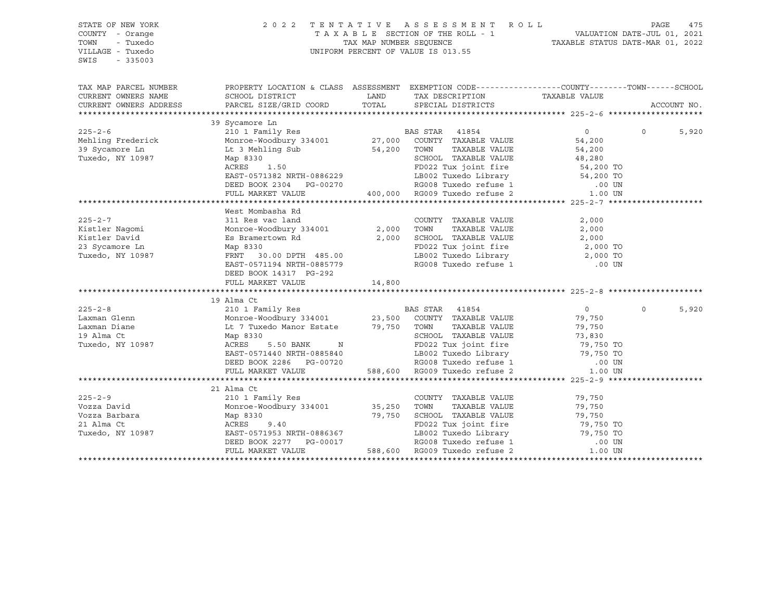| STATE OF NEW YORK<br>COUNTY - Orange<br>TOWN<br>- Tuxedo<br>VILLAGE - Tuxedo<br>SWIS<br>$-335003$ | 2 0 2 2                                                                                                                                                                     |        | TENTATIVE ASSESSMENT ROLL<br>UNIFORM PERCENT OF VALUE IS 013.55                                                | PAGE<br>475<br>T A X A B L E SECTION OF THE ROLL - 1 VALUATION DATE-JUL 01, 2021<br>TAX MAP NUMBER SEQUENCE TAXABLE STATUS DATE-MAR 01, 2022 |          |             |
|---------------------------------------------------------------------------------------------------|-----------------------------------------------------------------------------------------------------------------------------------------------------------------------------|--------|----------------------------------------------------------------------------------------------------------------|----------------------------------------------------------------------------------------------------------------------------------------------|----------|-------------|
| TAX MAP PARCEL NUMBER                                                                             | PROPERTY LOCATION & CLASS ASSESSMENT EXEMPTION CODE---------------COUNTY-------TOWN------SCHOOL                                                                             |        |                                                                                                                |                                                                                                                                              |          |             |
| CURRENT OWNERS NAME                                                                               | SCHOOL DISTRICT                                                                                                                                                             |        | LAND TAX DESCRIPTION                                                                                           | TAXABLE VALUE                                                                                                                                |          |             |
| CURRENT OWNERS ADDRESS                                                                            | PARCEL SIZE/GRID COORD                                                                                                                                                      | TOTAL  | SPECIAL DISTRICTS                                                                                              |                                                                                                                                              |          | ACCOUNT NO. |
|                                                                                                   |                                                                                                                                                                             |        |                                                                                                                |                                                                                                                                              |          |             |
| $225 - 2 - 6$                                                                                     | 39 Sycamore Ln                                                                                                                                                              |        |                                                                                                                | $\overline{0}$                                                                                                                               | $\Omega$ | 5,920       |
|                                                                                                   | 210 1 Family Res<br>210 1 Family Res<br>Moncoe-Woodbury 334001<br>27,000 COUNTY TAXABLE VALUE<br>27,000 COUNTY TAXABLE VALUE                                                |        |                                                                                                                | 54,200                                                                                                                                       |          |             |
| Mehling Frederick<br>39 Sycamore Ln                                                               | Monroe-Woodbury Joseph Monroe<br>Lt 3 Mehling Sub                                                                                                                           |        | 54,200 TOWN TAXABLE VALUE                                                                                      | 54,200                                                                                                                                       |          |             |
| Tuxedo, NY 10987                                                                                  | Map 8330                                                                                                                                                                    |        |                                                                                                                |                                                                                                                                              |          |             |
|                                                                                                   | $30$<br>1.50<br>ACRES                                                                                                                                                       |        | SCHOOL TAXABLE VALUE 48,280<br>FD022 Tux joint fire 54,200 TO                                                  |                                                                                                                                              |          |             |
|                                                                                                   | EAST-0571382 NRTH-0886229                                                                                                                                                   |        | LB002 Tuxedo Library 54,200 TO                                                                                 |                                                                                                                                              |          |             |
|                                                                                                   | DEED BOOK 2304 PG-00270                                                                                                                                                     |        |                                                                                                                |                                                                                                                                              |          |             |
|                                                                                                   | FULL MARKET VALUE                                                                                                                                                           |        | 9866229 LB002 Tuxedo Library 54,200 TO<br>3-00270 RG008 Tuxedo refuse 1 00 00 00 RG009 Tuxedo refuse 2 1.00 UN |                                                                                                                                              |          |             |
|                                                                                                   |                                                                                                                                                                             |        |                                                                                                                |                                                                                                                                              |          |             |
|                                                                                                   | West Mombasha Rd                                                                                                                                                            |        |                                                                                                                |                                                                                                                                              |          |             |
| $225 - 2 - 7$                                                                                     | 311 Res vac land                                                                                                                                                            |        | COUNTY TAXABLE VALUE                                                                                           | 2,000                                                                                                                                        |          |             |
| Kistler Nagomi                                                                                    | Monroe-Woodbury 334001 2,000 TOWN                                                                                                                                           |        | TAXABLE VALUE                                                                                                  | 2,000                                                                                                                                        |          |             |
| Kistler David                                                                                     | Es Bramertown Rd<br>Map 8330                                                                                                                                                |        | 2,000 SCHOOL TAXABLE VALUE                                                                                     | 2,000                                                                                                                                        |          |             |
| 23 Sycamore Ln                                                                                    |                                                                                                                                                                             |        | FD022 Tux joint fire<br>LB002 Tuxedo Library 12,000 TO                                                         |                                                                                                                                              |          |             |
| Tuxedo, NY 10987                                                                                  | FRNT 30.00 DPTH 485.00                                                                                                                                                      |        | LB002 Tuxedo Library                                                                                           |                                                                                                                                              |          |             |
|                                                                                                   | EAST-0571194 NRTH-0885779                                                                                                                                                   |        | RG008 Tuxedo refuse 1                                                                                          | .00 UN                                                                                                                                       |          |             |
|                                                                                                   | DEED BOOK 14317 PG-292                                                                                                                                                      |        |                                                                                                                |                                                                                                                                              |          |             |
|                                                                                                   | FULL MARKET VALUE                                                                                                                                                           | 14,800 |                                                                                                                |                                                                                                                                              |          |             |
|                                                                                                   | 19 Alma Ct                                                                                                                                                                  |        |                                                                                                                |                                                                                                                                              |          |             |
| $225 - 2 - 8$                                                                                     | 210 1 Family Res 6 210 BAS STAR 41854                                                                                                                                       |        |                                                                                                                | $\overline{0}$                                                                                                                               | $\Omega$ | 5,920       |
| Laxman Glenn                                                                                      |                                                                                                                                                                             |        |                                                                                                                |                                                                                                                                              |          |             |
| Laxman Diane                                                                                      | Monroe-Woodbury 334001 23,500 COUNTY TAXABLE VALUE<br>Lt 7 Tuxedo Manor Estate 79,750 TOWN TAXABLE VALUE                                                                    |        |                                                                                                                | 79,750<br>79 750<br>79,750                                                                                                                   |          |             |
| 19 Alma Ct                                                                                        |                                                                                                                                                                             |        |                                                                                                                |                                                                                                                                              |          |             |
| Tuxedo, NY 10987                                                                                  | Map 8330<br>ACRES<br>ACRES 5.50 BANK N                                                                                                                                      |        | SCHOOL TAXABLE VALUE 73,830<br>FD022 Tux joint fire 79,750 TO                                                  |                                                                                                                                              |          |             |
|                                                                                                   | EAST-0571440 NRTH-0885840                                                                                                                                                   |        | LB002 Tuxedo Library 79,750 TO                                                                                 |                                                                                                                                              |          |             |
|                                                                                                   |                                                                                                                                                                             |        |                                                                                                                |                                                                                                                                              |          |             |
|                                                                                                   | EAST-0571440 NRTH-0885840 LB002 Tuxedo Library 19,750 TO<br>DEED BOOK 2286 PG-00720 RG008 Tuxedo refuse 1 .00 UN<br>FULL MARKET VALUE 588,600 RG009 Tuxedo refuse 2 1.00 UN |        |                                                                                                                |                                                                                                                                              |          |             |
|                                                                                                   |                                                                                                                                                                             |        |                                                                                                                |                                                                                                                                              |          |             |
|                                                                                                   | 21 Alma Ct                                                                                                                                                                  |        |                                                                                                                |                                                                                                                                              |          |             |
| $225 - 2 - 9$                                                                                     | 210 1 Family Res                                                                                                                                                            |        | COUNTY TAXABLE VALUE                                                                                           | 79,750                                                                                                                                       |          |             |
| Vozza David                                                                                       | Monroe-Woodbury 334001 35,250                                                                                                                                               |        | TOWN<br>TAXABLE VALUE                                                                                          | 79,750                                                                                                                                       |          |             |
| Vozza Barbara                                                                                     | Map 8330<br>ACRES 9.40<br>EAST-0571953 NRTH-0886367                                                                                                                         |        | 79,750 SCHOOL TAXABLE VALUE                                                                                    | 79,750                                                                                                                                       |          |             |
| 21 Alma Ct                                                                                        |                                                                                                                                                                             |        | FD022 Tux joint fire                                                                                           | 79,750 TO<br>79,750 TO                                                                                                                       |          |             |
| Tuxedo, NY 10987                                                                                  |                                                                                                                                                                             |        | .<br>LB002 Tuxedo Library<br>RG008 Tuxedo refuse 1                                                             |                                                                                                                                              |          |             |
|                                                                                                   | EAST-0571953 NRTH-0886367<br>DEED BOOK 2277 PG-00017<br>FULL MARKET VALUE                                                                                                   |        | 588,600 RG009 Tuxedo refuse 2                                                                                  | .00 UN                                                                                                                                       |          |             |
|                                                                                                   |                                                                                                                                                                             |        |                                                                                                                | 1.00 UN                                                                                                                                      |          |             |
|                                                                                                   |                                                                                                                                                                             |        |                                                                                                                |                                                                                                                                              |          |             |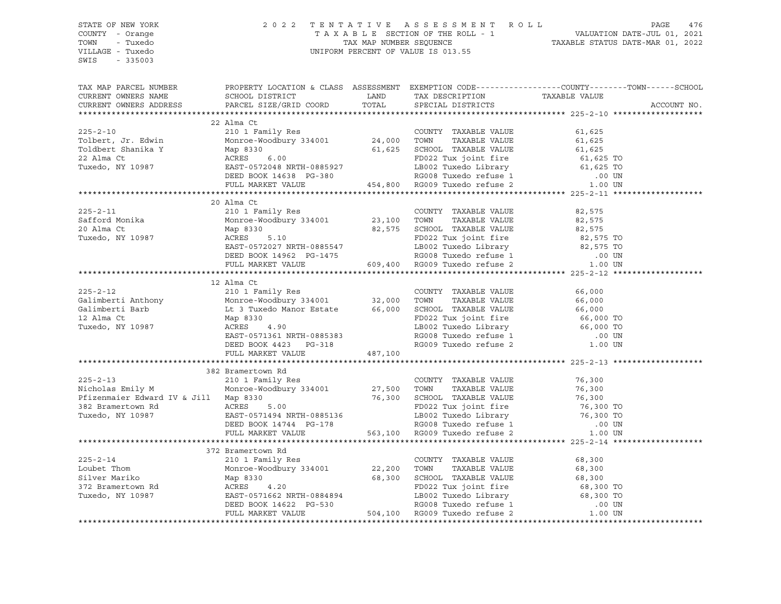STATE OF NEW YORK 2 0 2 2 T E N T A T I V E A S S E S S M E N T R O L L PAGE 476 COUNTY - Orange T A X A B L E SECTION OF THE ROLL - 1 VALUATION DATE-JUL 01, 2021 TOWN - Tuxedo TAX MAP NUMBER SEQUENCE TAXABLE STATUS DATE-MAR 01, 2022 UNIFORM PERCENT OF VALUE IS 013.55 SWIS - 335003 TAX MAP PARCEL NUMBER PROPERTY LOCATION & CLASS ASSESSMENT EXEMPTION CODE------------------COUNTY--------TOWN------SCHOOL CURRENT OWNERS NAME SCHOOL DISTRICT LAND TAX DESCRIPTION TAXABLE VALUE CURRENT OWNERS ADDRESS PARCEL SIZE/GRID COORD TOTAL SPECIAL DISTRICTS ACCOUNT NO. \*\*\*\*\*\*\*\*\*\*\*\*\*\*\*\*\*\*\*\*\*\*\*\*\*\*\*\*\*\*\*\*\*\*\*\*\*\*\*\*\*\*\*\*\*\*\*\*\*\*\*\*\*\*\*\*\*\*\*\*\*\*\*\*\*\*\*\*\*\*\*\*\*\*\*\*\*\*\*\*\*\*\*\*\*\*\*\*\*\*\*\*\*\*\*\*\*\*\*\*\*\*\* 225-2-10 \*\*\*\*\*\*\*\*\*\*\*\*\*\*\*\*\*\*\* 22 Alma Ct 225-2-10 210 1 Family Res COUNTY TAXABLE VALUE 61,625 Tolbert, Jr. Edwin Monroe-Woodbury 334001 24,000 TOWN TAXABLE VALUE 61,625 Toldbert Shanika Y Map 8330 61,625 SCHOOL TAXABLE VALUE 61,625 22 Alma Ct ACRES 6.00 FD022 Tux joint fire 61,625 TO Tuxedo, NY 10987 EAST-0572048 NRTH-0885927 LB002 Tuxedo Library 61,625 TO DEED BOOK 14638 PG-380 RG008 Tuxedo refuse 1 .00 UN FULL MARKET VALUE 454,800 RG009 Tuxedo refuse 2 1.00 UN \*\*\*\*\*\*\*\*\*\*\*\*\*\*\*\*\*\*\*\*\*\*\*\*\*\*\*\*\*\*\*\*\*\*\*\*\*\*\*\*\*\*\*\*\*\*\*\*\*\*\*\*\*\*\*\*\*\*\*\*\*\*\*\*\*\*\*\*\*\*\*\*\*\*\*\*\*\*\*\*\*\*\*\*\*\*\*\*\*\*\*\*\*\*\*\*\*\*\*\*\*\*\* 225-2-11 \*\*\*\*\*\*\*\*\*\*\*\*\*\*\*\*\*\*\* 20 Alma Ct 225-2-11 210 1 Family Res COUNTY TAXABLE VALUE 82,575 Safford Monika Monroe-Woodbury 334001 23,100 TOWN TAXABLE VALUE 82,575 20 Alma Ct Map 8330 82,575 SCHOOL TAXABLE VALUE 82,575 Tuxedo, NY 10987 ACRES 5.10 FD022 Tux joint fire 82,575 TO EAST-0572027 NRTH-0885547 LB002 Tuxedo Library 82,575 TO DEED BOOK 14962 PG-1475 RG008 Tuxedo refuse 1 .00 UN FULL MARKET VALUE 609,400 RG009 Tuxedo refuse 2 1.00 UN \*\*\*\*\*\*\*\*\*\*\*\*\*\*\*\*\*\*\*\*\*\*\*\*\*\*\*\*\*\*\*\*\*\*\*\*\*\*\*\*\*\*\*\*\*\*\*\*\*\*\*\*\*\*\*\*\*\*\*\*\*\*\*\*\*\*\*\*\*\*\*\*\*\*\*\*\*\*\*\*\*\*\*\*\*\*\*\*\*\*\*\*\*\*\*\*\*\*\*\*\*\*\* 225-2-12 \*\*\*\*\*\*\*\*\*\*\*\*\*\*\*\*\*\*\* 12 Alma Ct 225-2-12 210 1 Family Res COUNTY TAXABLE VALUE 66,000 Galimberti Anthony Monroe-Woodbury 334001 32,000 TOWN TAXABLE VALUE 66,000 Galimberti Barb Lt 3 Tuxedo Manor Estate 66,000 SCHOOL TAXABLE VALUE 66,000 12 Alma Ct Map 8330 FD022 Tux joint fire 66,000 TO Tuxedo, NY 10987 ACRES 4.90 LB002 Tuxedo Library 66,000 TO EAST-0571361 NRTH-0885383 RG008 Tuxedo refuse 1 .00 UN DEED BOOK 4423 PG-318 RG009 Tuxedo refuse 2 1.00 UN FULL MARKET VALUE 487,100 \*\*\*\*\*\*\*\*\*\*\*\*\*\*\*\*\*\*\*\*\*\*\*\*\*\*\*\*\*\*\*\*\*\*\*\*\*\*\*\*\*\*\*\*\*\*\*\*\*\*\*\*\*\*\*\*\*\*\*\*\*\*\*\*\*\*\*\*\*\*\*\*\*\*\*\*\*\*\*\*\*\*\*\*\*\*\*\*\*\*\*\*\*\*\*\*\*\*\*\*\*\*\* 225-2-13 \*\*\*\*\*\*\*\*\*\*\*\*\*\*\*\*\*\*\* 382 Bramertown Rd 225-2-13 210 1 Family Res COUNTY TAXABLE VALUE 76,300 Nicholas Emily M Monroe-Woodbury 334001 27,500 TOWN TAXABLE VALUE 76,300 Pfizenmaier Edward IV & Jill Map 8330 76,300 SCHOOL TAXABLE VALUE 76,300 382 Bramertown Rd ACRES 5.00 FD022 Tux joint fire 76,300 TO Tuxedo, NY 10987 EAST-0571494 NRTH-0885136 LB002 Tuxedo Library 76,300 TO DEED BOOK 14744 PG-178 RG008 Tuxedo refuse 1 .00 UN FULL MARKET VALUE 563,100 RG009 Tuxedo refuse 2 1.00 UN \*\*\*\*\*\*\*\*\*\*\*\*\*\*\*\*\*\*\*\*\*\*\*\*\*\*\*\*\*\*\*\*\*\*\*\*\*\*\*\*\*\*\*\*\*\*\*\*\*\*\*\*\*\*\*\*\*\*\*\*\*\*\*\*\*\*\*\*\*\*\*\*\*\*\*\*\*\*\*\*\*\*\*\*\*\*\*\*\*\*\*\*\*\*\*\*\*\*\*\*\*\*\* 225-2-14 \*\*\*\*\*\*\*\*\*\*\*\*\*\*\*\*\*\*\* 372 Bramertown Rd 225-2-14 210 1 Family Res COUNTY TAXABLE VALUE 68,300 Loubet Thom Monroe-Woodbury 334001 22,200 TOWN TAXABLE VALUE 68,300 Silver Mariko Map 8330 68,300 SCHOOL TAXABLE VALUE 68,300 372 Bramertown Rd ACRES 4.20 FD022 Tux joint fire 68,300 TO Tuxedo, NY 10987 EAST-0571662 NRTH-0884894 LB002 Tuxedo Library 68,300 TO DEED BOOK 14622 PG-530 RG008 Tuxedo refuse 1 .00 UN FULL MARKET VALUE 504,100 RG009 Tuxedo refuse 2 1.00 UN \*\*\*\*\*\*\*\*\*\*\*\*\*\*\*\*\*\*\*\*\*\*\*\*\*\*\*\*\*\*\*\*\*\*\*\*\*\*\*\*\*\*\*\*\*\*\*\*\*\*\*\*\*\*\*\*\*\*\*\*\*\*\*\*\*\*\*\*\*\*\*\*\*\*\*\*\*\*\*\*\*\*\*\*\*\*\*\*\*\*\*\*\*\*\*\*\*\*\*\*\*\*\*\*\*\*\*\*\*\*\*\*\*\*\*\*\*\*\*\*\*\*\*\*\*\*\*\*\*\*\*\*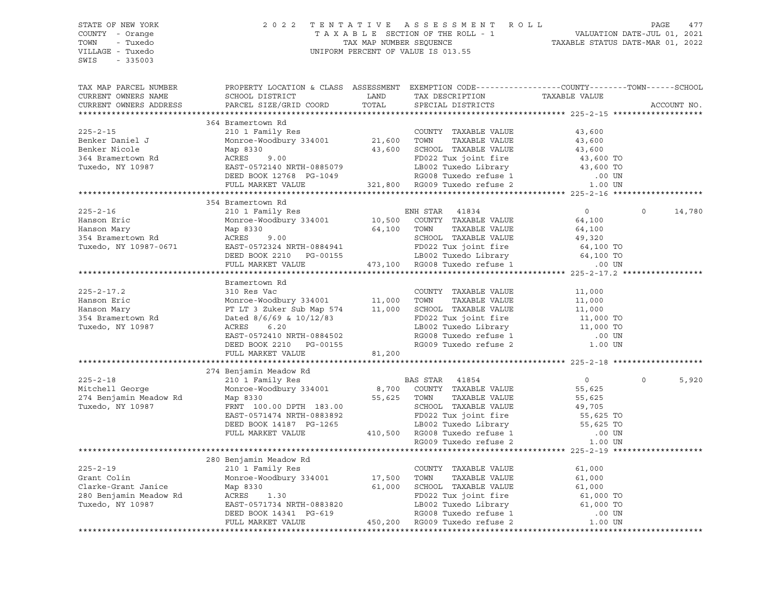STATE OF NEW YORK 2 0 2 2 T E N T A T I V E A S S E S S M E N T R O L L PAGE 477 COUNTY - Orange T A X A B L E SECTION OF THE ROLL - 1 VALUATION DATE-JUL 01, 2021 TOWN - Tuxedo TAX MAP NUMBER SEQUENCE TAXABLE STATUS DATE-MAR 01, 2022 UNIFORM PERCENT OF VALUE IS 013.55 SWIS - 335003 TAX MAP PARCEL NUMBER PROPERTY LOCATION & CLASS ASSESSMENT EXEMPTION CODE----------------COUNTY-------TOWN-----SCHOOL CURRENT OWNERS NAME SCHOOL DISTRICT TAXIBLE LAND TAXIBESCRIPTION TAXABLE VALUE CURRENT OWNERS ADDRESS PARCEL SIZE/GRID COORD TOTAL SPECIAL DISTRICTS ACCOUNT NO. \*\*\*\*\*\*\*\*\*\*\*\*\*\*\*\*\*\*\*\*\*\*\*\*\*\*\*\*\*\*\*\*\*\*\*\*\*\*\*\*\*\*\*\*\*\*\*\*\*\*\*\*\*\*\*\*\*\*\*\*\*\*\*\*\*\*\*\*\*\*\*\*\*\*\*\*\*\*\*\*\*\*\*\*\*\*\*\*\*\*\*\*\*\*\*\*\*\*\*\*\*\*\* 225-2-15 \*\*\*\*\*\*\*\*\*\*\*\*\*\*\*\*\*\*\* 364 Bramertown Rd 225-2-15 210 1 Family Res COUNTY TAXABLE VALUE 43,600 Benker Daniel J Monroe-Woodbury 334001 21,600 TOWN TAXABLE VALUE 43,600 Benker Nicole Map 8330 43,600 SCHOOL TAXABLE VALUE 43,600 364 Bramertown Rd ACRES 9.00 FD022 Tux joint fire 43,600 TO Tuxedo, NY 10987 EAST-0572140 NRTH-0885079 LB002 Tuxedo Library 43,600 TO DEED BOOK 12768 PG-1049 RG008 Tuxedo refuse 1 .00 UN FULL MARKET VALUE 321,800 RG009 Tuxedo refuse 2 1.00 UN \*\*\*\*\*\*\*\*\*\*\*\*\*\*\*\*\*\*\*\*\*\*\*\*\*\*\*\*\*\*\*\*\*\*\*\*\*\*\*\*\*\*\*\*\*\*\*\*\*\*\*\*\*\*\*\*\*\*\*\*\*\*\*\*\*\*\*\*\*\*\*\*\*\*\*\*\*\*\*\*\*\*\*\*\*\*\*\*\*\*\*\*\*\*\*\*\*\*\*\*\*\*\* 225-2-16 \*\*\*\*\*\*\*\*\*\*\*\*\*\*\*\*\*\*\* 354 Bramertown Rd 225-2-16 210 1 Family Res ENH STAR 41834 0 0 14,780 Hanson Eric Monroe-Woodbury 334001 10,500 COUNTY TAXABLE VALUE 64,100 Hanson Mary Map 8330 64,100 TOWN TAXABLE VALUE 64,100 354 Bramertown Rd ACRES 9.00 SCHOOL TAXABLE VALUE 49,320 Tuxedo, NY 10987-0671 EAST-0572324 NRTH-0884941 FD022 Tux joint fire 64,100 TO DEED BOOK 2210 PG-00155 LB002 Tuxedo Library 64,100 TO FULL MARKET VALUE 473,100 RG008 Tuxedo refuse 1 .00 UN \*\*\*\*\*\*\*\*\*\*\*\*\*\*\*\*\*\*\*\*\*\*\*\*\*\*\*\*\*\*\*\*\*\*\*\*\*\*\*\*\*\*\*\*\*\*\*\*\*\*\*\*\*\*\*\*\*\*\*\*\*\*\*\*\*\*\*\*\*\*\*\*\*\*\*\*\*\*\*\*\*\*\*\*\*\*\*\*\*\*\*\*\*\*\*\*\*\*\*\*\*\*\* 225-2-17.2 \*\*\*\*\*\*\*\*\*\*\*\*\*\*\*\*\* Bramertown Rd 225-2-17.2 310 Res Vac COUNTY TAXABLE VALUE 11,000 Hanson Eric Monroe-Woodbury 334001 11,000 TOWN TAXABLE VALUE 11,000 Hanson Mary PT LT 3 Zuker Sub Map 574 11,000 SCHOOL TAXABLE VALUE 11,000 354 Bramertown Rd Dated 8/6/69 & 10/12/83 FD022 Tux joint fire 11,000 TO Tuxedo, NY 10987 ACRES 6.20 LB002 Tuxedo Library 11,000 TO EAST-0572410 NRTH-0884502 RG008 Tuxedo refuse 1 .00 UN DEED BOOK 2210 PG-00155 RG009 Tuxedo refuse 2 1.00 UN FULL MARKET VALUE 81,200 \*\*\*\*\*\*\*\*\*\*\*\*\*\*\*\*\*\*\*\*\*\*\*\*\*\*\*\*\*\*\*\*\*\*\*\*\*\*\*\*\*\*\*\*\*\*\*\*\*\*\*\*\*\*\*\*\*\*\*\*\*\*\*\*\*\*\*\*\*\*\*\*\*\*\*\*\*\*\*\*\*\*\*\*\*\*\*\*\*\*\*\*\*\*\*\*\*\*\*\*\*\*\* 225-2-18 \*\*\*\*\*\*\*\*\*\*\*\*\*\*\*\*\*\*\* 274 Benjamin Meadow Rd 225-2-18 210 1 Family Res BAS STAR 41854 0 0 5,920 Mitchell George Monroe-Woodbury 334001 8,700 COUNTY TAXABLE VALUE 55,625 274 Benjamin Meadow Rd Map 8330 55,625 TOWN TAXABLE VALUE 55,625 Tuxedo, NY 10987 FRNT 100.00 DPTH 183.00 SCHOOL TAXABLE VALUE 49,705 EAST-0571474 NRTH-0883892 FD022 Tux joint fire 55,625 TO DEED BOOK 14187 PG-1265 LB002 Tuxedo Library 55,625 TO FULL MARKET VALUE 410,500 RG008 Tuxedo refuse 1 .00 UN RG009 Tuxedo refuse 2  $1.00$  UN \*\*\*\*\*\*\*\*\*\*\*\*\*\*\*\*\*\*\*\*\*\*\*\*\*\*\*\*\*\*\*\*\*\*\*\*\*\*\*\*\*\*\*\*\*\*\*\*\*\*\*\*\*\*\*\*\*\*\*\*\*\*\*\*\*\*\*\*\*\*\*\*\*\*\*\*\*\*\*\*\*\*\*\*\*\*\*\*\*\*\*\*\*\*\*\*\*\*\*\*\*\*\* 225-2-19 \*\*\*\*\*\*\*\*\*\*\*\*\*\*\*\*\*\*\* 280 Benjamin Meadow Rd 225-2-19 210 1 Family Res COUNTY TAXABLE VALUE 61,000 Grant Colin Monroe-Woodbury 334001 17,500 TOWN TAXABLE VALUE 61,000 Clarke-Grant Janice Map 8330 61,000 SCHOOL TAXABLE VALUE 61,000 280 Benjamin Meadow Rd ACRES 1.30 FD022 Tux joint fire 61,000 TO Tuxedo, NY 10987 EAST-0571734 NRTH-0883820 LB002 Tuxedo Library 61,000 TO DEED BOOK 14341 PG-619 RG008 Tuxedo refuse 1 .00 UN FULL MARKET VALUE 450,200 RG009 Tuxedo refuse 2 1.00 UN

\*\*\*\*\*\*\*\*\*\*\*\*\*\*\*\*\*\*\*\*\*\*\*\*\*\*\*\*\*\*\*\*\*\*\*\*\*\*\*\*\*\*\*\*\*\*\*\*\*\*\*\*\*\*\*\*\*\*\*\*\*\*\*\*\*\*\*\*\*\*\*\*\*\*\*\*\*\*\*\*\*\*\*\*\*\*\*\*\*\*\*\*\*\*\*\*\*\*\*\*\*\*\*\*\*\*\*\*\*\*\*\*\*\*\*\*\*\*\*\*\*\*\*\*\*\*\*\*\*\*\*\*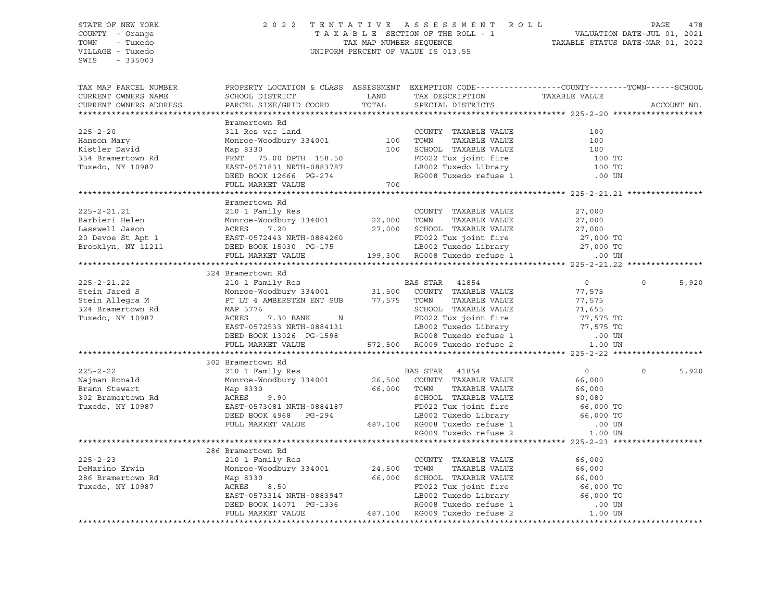SWIS - 335003

### STATE OF NEW YORK 2 0 2 2 T E N T A T I V E A S S E S S M E N T R O L L PAGE 478 COUNTY - Orange T A X A B L E SECTION OF THE ROLL - 1 VALUATION DATE-JUL 01, 2021 TOWN - Tuxedo TAX MAP NUMBER SEQUENCE TAXABLE STATUS DATE-MAR 01, 2022 VILLAGE - Tuxedo UNIFORM PERCENT OF VALUE IS 013.55

| TAX MAP PARCEL NUMBER<br>CURRENT OWNERS NAME<br>CURRENT OWNERS ADDRESS | PROPERTY LOCATION & CLASS ASSESSMENT EXEMPTION CODE---------------COUNTY-------TOWN------SCHOOL<br>SCHOOL DISTRICT<br>PARCEL SIZE/GRID COORD                                                                                            | <b>EXAMPLE SERVICE SERVICE SERVICE SERVICE SERVICE SERVICE SERVICE SERVICE SERVICE SERVICE SERVICE SERVICE SERVICE</b><br>TOTAL | TAX DESCRIPTION<br>SPECIAL DISTRICTS                                                                         | TAXABLE VALUE  | ACCOUNT NO.       |
|------------------------------------------------------------------------|-----------------------------------------------------------------------------------------------------------------------------------------------------------------------------------------------------------------------------------------|---------------------------------------------------------------------------------------------------------------------------------|--------------------------------------------------------------------------------------------------------------|----------------|-------------------|
|                                                                        |                                                                                                                                                                                                                                         |                                                                                                                                 |                                                                                                              |                |                   |
|                                                                        | Bramertown Rd                                                                                                                                                                                                                           |                                                                                                                                 |                                                                                                              |                |                   |
| $225 - 2 - 20$                                                         | 311 Res vac land                                                                                                                                                                                                                        |                                                                                                                                 | COUNTY TAXABLE VALUE                                                                                         | 100            |                   |
| Hanson Mary                                                            | Monroe-Woodbury 334001 $\qquad$ 100 TOWN                                                                                                                                                                                                |                                                                                                                                 | 100 TOWN TAXABLE VALUE<br>100 SCHOOL TAXABLE VALUE                                                           | 100            |                   |
| Kistler David                                                          | Map 8330                                                                                                                                                                                                                                |                                                                                                                                 |                                                                                                              | 100            |                   |
| 354 Bramertown Rd                                                      | FRNT 75.00 DPTH 158.50<br>EAST-0571831 NRTH-0883787                                                                                                                                                                                     |                                                                                                                                 |                                                                                                              | 100 TO         |                   |
| Tuxedo, NY 10987                                                       |                                                                                                                                                                                                                                         |                                                                                                                                 |                                                                                                              | 100 TO         |                   |
|                                                                        | DEED BOOK 12666 PG-274<br>FULL MARKET VALUE                                                                                                                                                                                             |                                                                                                                                 | FD022 Tux joint fire<br>LB002 Tuxedo Library<br>RG008 Tuxedo refuse 1                                        | .00 UN         |                   |
|                                                                        |                                                                                                                                                                                                                                         | 700                                                                                                                             |                                                                                                              |                |                   |
|                                                                        |                                                                                                                                                                                                                                         |                                                                                                                                 |                                                                                                              |                |                   |
|                                                                        | Bramertown Rd                                                                                                                                                                                                                           |                                                                                                                                 |                                                                                                              |                |                   |
| $225 - 2 - 21.21$                                                      | 210 1 Family Res COUNT<br>Monroe-Woodbury 334001 22,000 TOWN                                                                                                                                                                            |                                                                                                                                 | COUNTY TAXABLE VALUE                                                                                         | 27,000         |                   |
| Barbieri Helen                                                         | Monroe-Woodbury 334001<br>ACRES 7.20<br>EAST-0572443 NRTH-0884260                                                                                                                                                                       |                                                                                                                                 | TAXABLE VALUE                                                                                                | 27,000         |                   |
| Lasswell Jason                                                         |                                                                                                                                                                                                                                         |                                                                                                                                 |                                                                                                              |                |                   |
| 20 Devoe St Apt 1                                                      | ACRES 7.20 27,000 SCHOOL TAXABLE VALUE 27,000<br>EAST-0572443 NRTH-0884260 FD022 Tux joint fire 27,000 TO<br>DEED BOOK 15030 PG-175 LB002 Tuxedo Library 27,000 TO<br>FULL MARKET VALUE 199,300 RG008 Tuxedo refuse 1 00 UN             |                                                                                                                                 |                                                                                                              |                |                   |
| Brooklyn, NY 11211                                                     |                                                                                                                                                                                                                                         |                                                                                                                                 |                                                                                                              |                |                   |
|                                                                        |                                                                                                                                                                                                                                         |                                                                                                                                 |                                                                                                              |                |                   |
|                                                                        | 324 Bramertown Rd                                                                                                                                                                                                                       |                                                                                                                                 |                                                                                                              |                |                   |
| $225 - 2 - 21.22$                                                      |                                                                                                                                                                                                                                         |                                                                                                                                 |                                                                                                              | $\overline{0}$ | $\Omega$<br>5,920 |
| Stein Jared S                                                          |                                                                                                                                                                                                                                         |                                                                                                                                 |                                                                                                              | 77,575         |                   |
| Stein Allegra M                                                        | Monroe-Woodbury 334001 31,500 COUNTY<br>PT LT 4 AMBERSTEN ENT SUB 77,575 TOWN<br>MAP 5776 SCHOOL                                                                                                                                        |                                                                                                                                 | TAXABLE VALUE                                                                                                | 77,575         |                   |
| 324 Bramertown Rd                                                      |                                                                                                                                                                                                                                         |                                                                                                                                 |                                                                                                              |                |                   |
| Tuxedo, NY 10987                                                       |                                                                                                                                                                                                                                         |                                                                                                                                 |                                                                                                              |                |                   |
|                                                                        |                                                                                                                                                                                                                                         |                                                                                                                                 |                                                                                                              |                |                   |
|                                                                        |                                                                                                                                                                                                                                         |                                                                                                                                 |                                                                                                              |                |                   |
|                                                                        | MAP 5776<br>MR 5776<br>MAP 5776<br>ACRES 7.30 BANK N<br>EAST-0572533 NRTH-0884131<br>DEED BOOK 13026 PG-1598<br>FULL MARKET VALUE 572,500 RG009 Tuxedo refuse 2<br>FULL MARKET VALUE 572,500 RG009 Tuxedo refuse 2<br>1.00 UN           |                                                                                                                                 |                                                                                                              |                |                   |
|                                                                        |                                                                                                                                                                                                                                         |                                                                                                                                 |                                                                                                              |                |                   |
|                                                                        | 302 Bramertown Rd                                                                                                                                                                                                                       |                                                                                                                                 |                                                                                                              |                |                   |
| $225 - 2 - 22$                                                         | 210 1 Family Res                                                                                                                                                                                                                        |                                                                                                                                 | <b>BAS STAR 41854</b>                                                                                        | $\overline{0}$ | $\Omega$<br>5,920 |
| Najman Ronald                                                          | Monroe-Woodbury 334001 26,500 COUNTY TAXABLE VALUE                                                                                                                                                                                      |                                                                                                                                 |                                                                                                              | 66,000         |                   |
| Brann Stewart                                                          | Map 8330                                                                                                                                                                                                                                | 66,000 TOWN                                                                                                                     |                                                                                                              |                |                   |
| 302 Bramertown Rd                                                      | ACRES<br>9.90                                                                                                                                                                                                                           |                                                                                                                                 | TOWN TAXABLE VALUE<br>SCHOOL TAXABLE VALUE 60,080<br>CHOOL TAXABLE VALUE 66,000 TO                           |                |                   |
| Tuxedo, NY 10987                                                       |                                                                                                                                                                                                                                         |                                                                                                                                 |                                                                                                              |                |                   |
|                                                                        |                                                                                                                                                                                                                                         |                                                                                                                                 |                                                                                                              |                |                   |
|                                                                        |                                                                                                                                                                                                                                         |                                                                                                                                 |                                                                                                              |                |                   |
|                                                                        |                                                                                                                                                                                                                                         |                                                                                                                                 |                                                                                                              |                |                   |
|                                                                        | RCRES 7.70<br>EAST-0573081 NRTH-0884187 FD022 1ux joint 1-1-1<br>DEED BOOK 4968 PG-294 LB002 Tuxedo Library 66,000 TO<br>FULL MARKET VALUE 487,100 RG008 Tuxedo refuse 1 .00 UN<br>RG009 Tuxedo refuse 2 1.00 UN<br>RG009 Tuxedo refuse |                                                                                                                                 |                                                                                                              |                |                   |
|                                                                        | 286 Bramertown Rd                                                                                                                                                                                                                       |                                                                                                                                 |                                                                                                              |                |                   |
| $225 - 2 - 23$                                                         | 210 1 Family Res<br>Monroe-Woodbury 334001 24,500                                                                                                                                                                                       |                                                                                                                                 | COUNTY TAXABLE VALUE                                                                                         | 66,000         |                   |
| DeMarino Erwin                                                         |                                                                                                                                                                                                                                         |                                                                                                                                 | TOWN<br>TAXABLE VALUE                                                                                        | 66,000         |                   |
| 286 Bramertown Rd                                                      | Map 8330                                                                                                                                                                                                                                | 66,000                                                                                                                          | SCHOOL TAXABLE VALUE                                                                                         | 66,000         |                   |
| Tuxedo, NY 10987                                                       |                                                                                                                                                                                                                                         |                                                                                                                                 |                                                                                                              |                |                   |
|                                                                        |                                                                                                                                                                                                                                         |                                                                                                                                 | FD022 Tux joint fire<br>LB002 Tuxedo Library<br>RG008 Tuxedo refuse 1 000 UN<br>RG008 Tuxedo refuse 1 000 UN |                |                   |
|                                                                        | ACRES 8.50<br>EAST-0573314 NRTH-0883947<br>DEED BOOK 14071 PG-1336<br>FULL MARKET VALUE 487,100 RG009 Tuxedo refuse 1<br>FULL MARKET VALUE 487,100 RG009 Tuxedo refuse 2                                                                |                                                                                                                                 |                                                                                                              |                |                   |
|                                                                        |                                                                                                                                                                                                                                         |                                                                                                                                 |                                                                                                              | 1.00 UN        |                   |
|                                                                        |                                                                                                                                                                                                                                         |                                                                                                                                 |                                                                                                              |                |                   |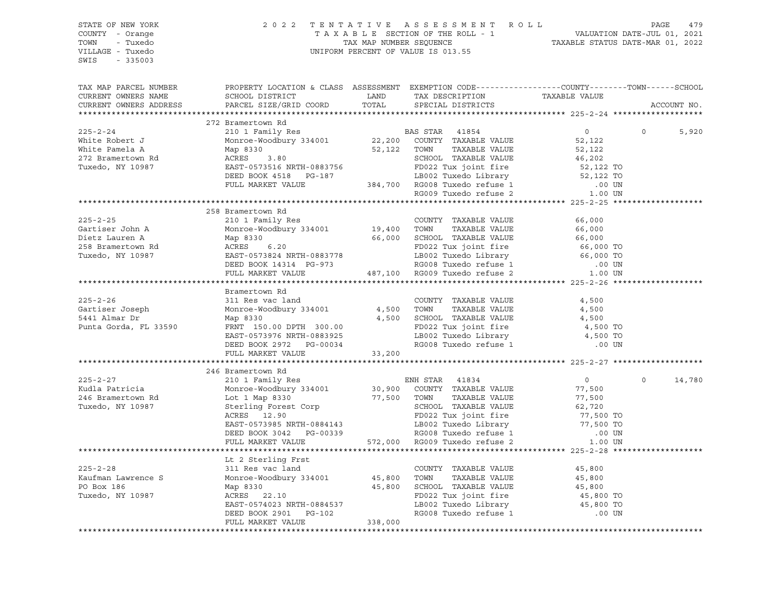| PROPERTY LOCATION & CLASS ASSESSMENT EXEMPTION CODE----------------COUNTY-------TOWN------SCHOOL<br>TAX MAP PARCEL NUMBER<br>CURRENT OWNERS NAME<br>CURRENT OWNERS ADDRESS<br>ACCOUNT NO.<br>272 Bramertown Rd<br>$\overline{0}$<br>5,920<br>$\circ$<br>258 Bramertown Rd<br>Bramertown Rd<br>246 Bramertown Rd<br>$\overline{0}$<br>$\circ$<br>14,780<br>Lt 2 Sterling Frst | STATE OF NEW YORK<br>COUNTY - Orange<br>TOWN - Tuxedo<br>VILLAGE - Tuxedo<br>SWIS - 335003 |  | 2022 TENTATIVE ASSESSMENT ROLL PAGE 479<br>TAXABLE SECTION OF THE ROLL - 1 VALUATION DATE-JUL 01, 2021<br>TAX MAP NUMBER SEQUENCE TAXABLE STATUS DATE-MAR 01, 2022<br>UNIFORM PERCENT OF VALUE IS 013 55<br>UNIFORM PERCENT OF VALUE IS 013.55 |  |  |  |
|------------------------------------------------------------------------------------------------------------------------------------------------------------------------------------------------------------------------------------------------------------------------------------------------------------------------------------------------------------------------------|--------------------------------------------------------------------------------------------|--|------------------------------------------------------------------------------------------------------------------------------------------------------------------------------------------------------------------------------------------------|--|--|--|
|                                                                                                                                                                                                                                                                                                                                                                              |                                                                                            |  |                                                                                                                                                                                                                                                |  |  |  |
|                                                                                                                                                                                                                                                                                                                                                                              |                                                                                            |  |                                                                                                                                                                                                                                                |  |  |  |
|                                                                                                                                                                                                                                                                                                                                                                              |                                                                                            |  |                                                                                                                                                                                                                                                |  |  |  |
|                                                                                                                                                                                                                                                                                                                                                                              |                                                                                            |  |                                                                                                                                                                                                                                                |  |  |  |
|                                                                                                                                                                                                                                                                                                                                                                              |                                                                                            |  |                                                                                                                                                                                                                                                |  |  |  |
|                                                                                                                                                                                                                                                                                                                                                                              |                                                                                            |  |                                                                                                                                                                                                                                                |  |  |  |
|                                                                                                                                                                                                                                                                                                                                                                              |                                                                                            |  |                                                                                                                                                                                                                                                |  |  |  |
|                                                                                                                                                                                                                                                                                                                                                                              |                                                                                            |  |                                                                                                                                                                                                                                                |  |  |  |
|                                                                                                                                                                                                                                                                                                                                                                              |                                                                                            |  |                                                                                                                                                                                                                                                |  |  |  |
|                                                                                                                                                                                                                                                                                                                                                                              |                                                                                            |  |                                                                                                                                                                                                                                                |  |  |  |
|                                                                                                                                                                                                                                                                                                                                                                              |                                                                                            |  |                                                                                                                                                                                                                                                |  |  |  |
|                                                                                                                                                                                                                                                                                                                                                                              |                                                                                            |  |                                                                                                                                                                                                                                                |  |  |  |
|                                                                                                                                                                                                                                                                                                                                                                              |                                                                                            |  |                                                                                                                                                                                                                                                |  |  |  |
|                                                                                                                                                                                                                                                                                                                                                                              |                                                                                            |  |                                                                                                                                                                                                                                                |  |  |  |
|                                                                                                                                                                                                                                                                                                                                                                              |                                                                                            |  |                                                                                                                                                                                                                                                |  |  |  |
|                                                                                                                                                                                                                                                                                                                                                                              |                                                                                            |  |                                                                                                                                                                                                                                                |  |  |  |
|                                                                                                                                                                                                                                                                                                                                                                              |                                                                                            |  |                                                                                                                                                                                                                                                |  |  |  |
|                                                                                                                                                                                                                                                                                                                                                                              |                                                                                            |  |                                                                                                                                                                                                                                                |  |  |  |
|                                                                                                                                                                                                                                                                                                                                                                              |                                                                                            |  |                                                                                                                                                                                                                                                |  |  |  |
|                                                                                                                                                                                                                                                                                                                                                                              |                                                                                            |  |                                                                                                                                                                                                                                                |  |  |  |
|                                                                                                                                                                                                                                                                                                                                                                              |                                                                                            |  |                                                                                                                                                                                                                                                |  |  |  |
|                                                                                                                                                                                                                                                                                                                                                                              |                                                                                            |  |                                                                                                                                                                                                                                                |  |  |  |
|                                                                                                                                                                                                                                                                                                                                                                              |                                                                                            |  |                                                                                                                                                                                                                                                |  |  |  |
|                                                                                                                                                                                                                                                                                                                                                                              |                                                                                            |  |                                                                                                                                                                                                                                                |  |  |  |
|                                                                                                                                                                                                                                                                                                                                                                              |                                                                                            |  |                                                                                                                                                                                                                                                |  |  |  |
|                                                                                                                                                                                                                                                                                                                                                                              |                                                                                            |  |                                                                                                                                                                                                                                                |  |  |  |
|                                                                                                                                                                                                                                                                                                                                                                              |                                                                                            |  |                                                                                                                                                                                                                                                |  |  |  |
|                                                                                                                                                                                                                                                                                                                                                                              |                                                                                            |  |                                                                                                                                                                                                                                                |  |  |  |
|                                                                                                                                                                                                                                                                                                                                                                              |                                                                                            |  |                                                                                                                                                                                                                                                |  |  |  |
|                                                                                                                                                                                                                                                                                                                                                                              |                                                                                            |  |                                                                                                                                                                                                                                                |  |  |  |
|                                                                                                                                                                                                                                                                                                                                                                              |                                                                                            |  |                                                                                                                                                                                                                                                |  |  |  |
|                                                                                                                                                                                                                                                                                                                                                                              |                                                                                            |  |                                                                                                                                                                                                                                                |  |  |  |
|                                                                                                                                                                                                                                                                                                                                                                              |                                                                                            |  |                                                                                                                                                                                                                                                |  |  |  |
|                                                                                                                                                                                                                                                                                                                                                                              |                                                                                            |  |                                                                                                                                                                                                                                                |  |  |  |
|                                                                                                                                                                                                                                                                                                                                                                              |                                                                                            |  |                                                                                                                                                                                                                                                |  |  |  |
|                                                                                                                                                                                                                                                                                                                                                                              |                                                                                            |  |                                                                                                                                                                                                                                                |  |  |  |
|                                                                                                                                                                                                                                                                                                                                                                              |                                                                                            |  |                                                                                                                                                                                                                                                |  |  |  |
|                                                                                                                                                                                                                                                                                                                                                                              |                                                                                            |  |                                                                                                                                                                                                                                                |  |  |  |
|                                                                                                                                                                                                                                                                                                                                                                              |                                                                                            |  |                                                                                                                                                                                                                                                |  |  |  |
|                                                                                                                                                                                                                                                                                                                                                                              |                                                                                            |  |                                                                                                                                                                                                                                                |  |  |  |
|                                                                                                                                                                                                                                                                                                                                                                              |                                                                                            |  |                                                                                                                                                                                                                                                |  |  |  |
|                                                                                                                                                                                                                                                                                                                                                                              |                                                                                            |  |                                                                                                                                                                                                                                                |  |  |  |
|                                                                                                                                                                                                                                                                                                                                                                              |                                                                                            |  |                                                                                                                                                                                                                                                |  |  |  |
|                                                                                                                                                                                                                                                                                                                                                                              |                                                                                            |  |                                                                                                                                                                                                                                                |  |  |  |
|                                                                                                                                                                                                                                                                                                                                                                              |                                                                                            |  |                                                                                                                                                                                                                                                |  |  |  |
|                                                                                                                                                                                                                                                                                                                                                                              |                                                                                            |  |                                                                                                                                                                                                                                                |  |  |  |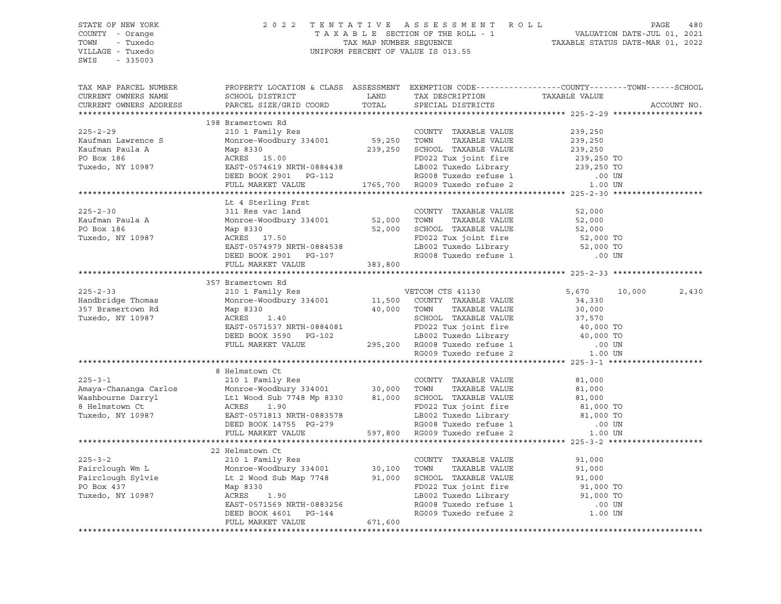SWIS - 335003

### STATE OF NEW YORK 2 0 2 2 T E N T A T I V E A S S E S S M E N T R O L L PAGE 480 COUNTY - Orange T A X A B L E SECTION OF THE ROLL - 1 VALUATION DATE-JUL 01, 2021 TOWN - Tuxedo TAX MAP NUMBER SEQUENCE TAXABLE STATUS DATE-MAR 01, 2022 VILLAGE - Tuxedo UNIFORM PERCENT OF VALUE IS 013.55

| TAX MAP PARCEL NUMBER<br>CURRENT OWNERS NAME                                                                                                                                                                                                                                                                                                                                                       | PROPERTY LOCATION & CLASS ASSESSMENT EXEMPTION CODE---------------COUNTY-------TOWN------SCHOOL<br>SCHOOL DISTRICT LAND                                                                                                                  |       | TAX DESCRIPTION             | TAXABLE VALUE |                 |
|----------------------------------------------------------------------------------------------------------------------------------------------------------------------------------------------------------------------------------------------------------------------------------------------------------------------------------------------------------------------------------------------------|------------------------------------------------------------------------------------------------------------------------------------------------------------------------------------------------------------------------------------------|-------|-----------------------------|---------------|-----------------|
| CURRENT OWNERS ADDRESS                                                                                                                                                                                                                                                                                                                                                                             | PARCEL SIZE/GRID COORD                                                                                                                                                                                                                   | TOTAL | SPECIAL DISTRICTS           |               | ACCOUNT NO.     |
|                                                                                                                                                                                                                                                                                                                                                                                                    |                                                                                                                                                                                                                                          |       |                             |               |                 |
| ${\small \begin{tabular}{lcccc} \textbf{225-2-29} & & & & & & & 198\text{ Frameworks} & \textbf{R10} & \textbf{R21} & \textbf{R32} & \textbf{R43} & \textbf{R53} & \textbf{R54} & \textbf{R65} & \textbf{R66} & \textbf{R7} & \textbf{R87} & \textbf{R88} & \textbf{R98} & \textbf{R29} & \textbf{R21} & \textbf{R31} & \textbf{R42} & \textbf{R53} & \textbf{R63} & \textbf{R64} & \textbf{R7} &$ | 198 Bramertown Rd                                                                                                                                                                                                                        |       |                             |               |                 |
|                                                                                                                                                                                                                                                                                                                                                                                                    |                                                                                                                                                                                                                                          |       |                             |               |                 |
|                                                                                                                                                                                                                                                                                                                                                                                                    |                                                                                                                                                                                                                                          |       |                             |               |                 |
|                                                                                                                                                                                                                                                                                                                                                                                                    |                                                                                                                                                                                                                                          |       |                             |               |                 |
|                                                                                                                                                                                                                                                                                                                                                                                                    |                                                                                                                                                                                                                                          |       |                             |               |                 |
|                                                                                                                                                                                                                                                                                                                                                                                                    |                                                                                                                                                                                                                                          |       |                             |               |                 |
|                                                                                                                                                                                                                                                                                                                                                                                                    |                                                                                                                                                                                                                                          |       |                             |               |                 |
|                                                                                                                                                                                                                                                                                                                                                                                                    |                                                                                                                                                                                                                                          |       |                             |               |                 |
|                                                                                                                                                                                                                                                                                                                                                                                                    | Lt 4 Sterling Frst                                                                                                                                                                                                                       |       |                             |               |                 |
| $225 - 2 - 30$                                                                                                                                                                                                                                                                                                                                                                                     | 311 Res vac land<br>311 Res<br>Monroe-W<br>Map 8330<br>ACREC                                                                                                                                                                             |       | COUNTY TAXABLE VALUE 52,000 |               |                 |
| Kaufman Paula A                                                                                                                                                                                                                                                                                                                                                                                    |                                                                                                                                                                                                                                          |       |                             |               |                 |
| PO Box 186                                                                                                                                                                                                                                                                                                                                                                                         |                                                                                                                                                                                                                                          |       |                             |               |                 |
| Tuxedo, NY 10987                                                                                                                                                                                                                                                                                                                                                                                   |                                                                                                                                                                                                                                          |       |                             |               |                 |
|                                                                                                                                                                                                                                                                                                                                                                                                    | 311 Res vac 1 and COUNTY TAXABLE VALUE 52,000<br>Monroe-Woodbury 334001 52,000 TOWN TAXABLE VALUE 52,000<br>Map 8330 52,000 SCHOOL TAXABLE VALUE 52,000<br>ACRES 17.50 FD022 Tux joint fire 52,000 TO<br>EAST-0574979 NRTH-0884538 LB0   |       |                             |               |                 |
|                                                                                                                                                                                                                                                                                                                                                                                                    |                                                                                                                                                                                                                                          |       |                             |               |                 |
|                                                                                                                                                                                                                                                                                                                                                                                                    |                                                                                                                                                                                                                                          |       |                             |               |                 |
|                                                                                                                                                                                                                                                                                                                                                                                                    |                                                                                                                                                                                                                                          |       |                             |               |                 |
|                                                                                                                                                                                                                                                                                                                                                                                                    | 357 Bramertown Rd                                                                                                                                                                                                                        |       |                             |               |                 |
| $225 - 2 - 33$                                                                                                                                                                                                                                                                                                                                                                                     |                                                                                                                                                                                                                                          |       |                             |               | 10,000<br>2,430 |
| Handbridge Thomas<br>357 Bramertown Rd                                                                                                                                                                                                                                                                                                                                                             |                                                                                                                                                                                                                                          |       |                             |               |                 |
|                                                                                                                                                                                                                                                                                                                                                                                                    |                                                                                                                                                                                                                                          |       |                             |               |                 |
| Tuxedo, NY 10987                                                                                                                                                                                                                                                                                                                                                                                   |                                                                                                                                                                                                                                          |       |                             |               |                 |
|                                                                                                                                                                                                                                                                                                                                                                                                    |                                                                                                                                                                                                                                          |       |                             |               |                 |
|                                                                                                                                                                                                                                                                                                                                                                                                    |                                                                                                                                                                                                                                          |       |                             |               |                 |
|                                                                                                                                                                                                                                                                                                                                                                                                    |                                                                                                                                                                                                                                          |       |                             |               |                 |
|                                                                                                                                                                                                                                                                                                                                                                                                    |                                                                                                                                                                                                                                          |       |                             |               |                 |
|                                                                                                                                                                                                                                                                                                                                                                                                    | XAMIE EXERCY RESERVING THE MARKET VALUE (1 PART VALUE ARRES 1.40<br>THE MONORE 1.40<br>THE MARKE SURVEY TAXABLE VALUE (34,330<br>MAP 8330 40,000 TOWN TAXABLE VALUE (34,330<br>ACRES 1.40 SCHOOL TAXABLE VALUE 37,570<br>THE MARKET VALU |       |                             |               |                 |
|                                                                                                                                                                                                                                                                                                                                                                                                    | 8 Helmstown Ct                                                                                                                                                                                                                           |       |                             |               |                 |
|                                                                                                                                                                                                                                                                                                                                                                                                    |                                                                                                                                                                                                                                          |       |                             |               |                 |
|                                                                                                                                                                                                                                                                                                                                                                                                    |                                                                                                                                                                                                                                          |       |                             |               |                 |
|                                                                                                                                                                                                                                                                                                                                                                                                    |                                                                                                                                                                                                                                          |       |                             |               |                 |
| 225-3-1<br>Amaya-Chananga Carlos (210 1 Family Res (225-3-1<br>Monroe-Woodbury 334001 30,000 TOWN TAXABLE VALUE 81,000<br>Washbourne Darryl Lt1 Wood Sub 7748 Mp 8330 81,000 SCHOOL TAXABLE VALUE 81,000<br>8 Helmstown Ct ACRES 1.90                                                                                                                                                              |                                                                                                                                                                                                                                          |       |                             |               |                 |
|                                                                                                                                                                                                                                                                                                                                                                                                    |                                                                                                                                                                                                                                          |       |                             |               |                 |
|                                                                                                                                                                                                                                                                                                                                                                                                    |                                                                                                                                                                                                                                          |       |                             |               |                 |
|                                                                                                                                                                                                                                                                                                                                                                                                    |                                                                                                                                                                                                                                          |       |                             |               |                 |
|                                                                                                                                                                                                                                                                                                                                                                                                    |                                                                                                                                                                                                                                          |       |                             |               |                 |
|                                                                                                                                                                                                                                                                                                                                                                                                    | 22 Helmstown Ct<br>210 1 Family Res                                                                                                                                                                                                      |       |                             |               |                 |
|                                                                                                                                                                                                                                                                                                                                                                                                    |                                                                                                                                                                                                                                          |       |                             |               |                 |
|                                                                                                                                                                                                                                                                                                                                                                                                    |                                                                                                                                                                                                                                          |       |                             |               |                 |
|                                                                                                                                                                                                                                                                                                                                                                                                    |                                                                                                                                                                                                                                          |       |                             |               |                 |
|                                                                                                                                                                                                                                                                                                                                                                                                    |                                                                                                                                                                                                                                          |       |                             |               |                 |
|                                                                                                                                                                                                                                                                                                                                                                                                    |                                                                                                                                                                                                                                          |       |                             |               |                 |
|                                                                                                                                                                                                                                                                                                                                                                                                    |                                                                                                                                                                                                                                          |       |                             |               |                 |
|                                                                                                                                                                                                                                                                                                                                                                                                    | Map 8330<br>ACRES 1.90<br>EAST-0571569 NRTH-0883256<br>DEED BOOK 4601 PG-144<br>FULL MARKET VALUE 671,600                                                                                                                                |       |                             |               |                 |
|                                                                                                                                                                                                                                                                                                                                                                                                    |                                                                                                                                                                                                                                          |       |                             |               |                 |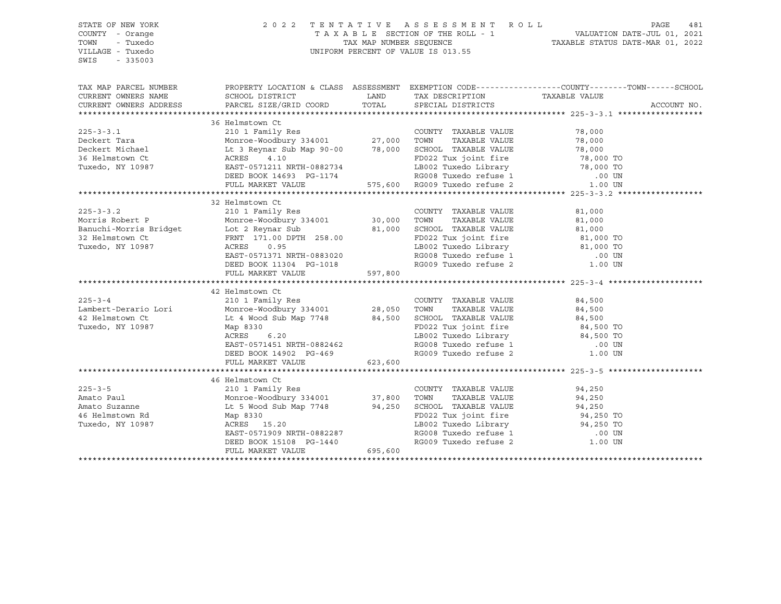| STATE OF NEW YORK<br>COUNTY - Orange |                                                                                                                                                                                                                                                                      | 2022 TENTATIVE ASSESSMENT ROLL                 | PAGE<br>481                                                                                     |
|--------------------------------------|----------------------------------------------------------------------------------------------------------------------------------------------------------------------------------------------------------------------------------------------------------------------|------------------------------------------------|-------------------------------------------------------------------------------------------------|
| TOWN<br>- Tuxedo                     |                                                                                                                                                                                                                                                                      |                                                |                                                                                                 |
| VILLAGE - Tuxedo                     |                                                                                                                                                                                                                                                                      | UNIFORM PERCENT OF VALUE IS 013.55             |                                                                                                 |
| $-335003$<br>SWIS                    |                                                                                                                                                                                                                                                                      |                                                |                                                                                                 |
|                                      |                                                                                                                                                                                                                                                                      |                                                |                                                                                                 |
| TAX MAP PARCEL NUMBER                |                                                                                                                                                                                                                                                                      |                                                | PROPERTY LOCATION & CLASS ASSESSMENT EXEMPTION CODE---------------COUNTY-------TOWN------SCHOOL |
| CURRENT OWNERS NAME                  |                                                                                                                                                                                                                                                                      |                                                |                                                                                                 |
| CURRENT OWNERS ADDRESS               |                                                                                                                                                                                                                                                                      |                                                | ACCOUNT NO.                                                                                     |
|                                      |                                                                                                                                                                                                                                                                      |                                                |                                                                                                 |
|                                      | 36 Helmstown Ct                                                                                                                                                                                                                                                      |                                                |                                                                                                 |
|                                      |                                                                                                                                                                                                                                                                      |                                                |                                                                                                 |
|                                      |                                                                                                                                                                                                                                                                      |                                                |                                                                                                 |
|                                      |                                                                                                                                                                                                                                                                      |                                                |                                                                                                 |
|                                      |                                                                                                                                                                                                                                                                      |                                                |                                                                                                 |
|                                      |                                                                                                                                                                                                                                                                      |                                                |                                                                                                 |
|                                      |                                                                                                                                                                                                                                                                      |                                                |                                                                                                 |
|                                      | 36 Helmstown Ct<br>Deckert Tara Monre-Woodbury 334001 27,000 TOWN TAXABLE VALUE 78,000<br>Deckert Michael Lt 3 Reynar Sub Map 90-00 78,000 SCHOOL TAXABLE VALUE 78,000<br>36 Helmstown Ct<br>36 Helmstown Ct<br>27,000 TOWN TAXABLE VALU                             |                                                |                                                                                                 |
|                                      |                                                                                                                                                                                                                                                                      |                                                |                                                                                                 |
|                                      | 32 Helmstown Ct                                                                                                                                                                                                                                                      |                                                |                                                                                                 |
|                                      |                                                                                                                                                                                                                                                                      |                                                | 81,000                                                                                          |
|                                      | 225-3-3.2 210 1 Family Res COUNTY TAXABLE VALUE<br>Morris Robert P Monroe-Woodbury 334001 30,000 TOWN TAXABLE VALUE                                                                                                                                                  |                                                | 81,000                                                                                          |
|                                      |                                                                                                                                                                                                                                                                      |                                                |                                                                                                 |
|                                      |                                                                                                                                                                                                                                                                      |                                                |                                                                                                 |
|                                      |                                                                                                                                                                                                                                                                      |                                                |                                                                                                 |
|                                      |                                                                                                                                                                                                                                                                      |                                                |                                                                                                 |
|                                      |                                                                                                                                                                                                                                                                      |                                                |                                                                                                 |
|                                      | FOUTIS NORTH SERIOR TAXABLE VALUE<br>32 Helmstown Ct 32 Helmstown Ct FRNT 171.00 DPTH 258.00<br>Tuxedo, NY 10987 ACRES 32 Helmstown Ct FRNT 171.00 DPTH 258.00<br>EAST-0571371 NRTH-0883020 RG008 Tuxedo Library 81,000 TO<br>DEED BOO                               |                                                |                                                                                                 |
|                                      |                                                                                                                                                                                                                                                                      |                                                |                                                                                                 |
|                                      | 42 Helmstown Ct                                                                                                                                                                                                                                                      |                                                |                                                                                                 |
|                                      |                                                                                                                                                                                                                                                                      |                                                |                                                                                                 |
|                                      |                                                                                                                                                                                                                                                                      | COUNTY TAXABLE VALUE<br>TOWN     TAXABLE VALUE | 84,500<br>84,500                                                                                |
| 42 Helmstown Ct                      |                                                                                                                                                                                                                                                                      |                                                |                                                                                                 |
| Tuxedo, NY 10987                     |                                                                                                                                                                                                                                                                      |                                                |                                                                                                 |
|                                      |                                                                                                                                                                                                                                                                      |                                                |                                                                                                 |
|                                      |                                                                                                                                                                                                                                                                      |                                                |                                                                                                 |
|                                      |                                                                                                                                                                                                                                                                      |                                                |                                                                                                 |
|                                      | ET A Wood Sub Map 7748<br>Map 8330<br>Map 8330<br>Map 8330<br>Map 8330<br>Map 8330<br>Map 8330<br>Map 8330<br>Map 8330<br>Map 8330<br>Map 8330<br>Map 8330<br>Map 8330<br>ERST - 0571451<br>NRTH-0882462<br>RG008<br>TLB002<br>Tuxedo Library<br>RG008<br>Tuxedo Ext |                                                |                                                                                                 |
|                                      |                                                                                                                                                                                                                                                                      |                                                |                                                                                                 |
|                                      | 46 Helmstown Ct                                                                                                                                                                                                                                                      |                                                |                                                                                                 |
|                                      |                                                                                                                                                                                                                                                                      | COUNTY TAXABLE VALUE 94,250                    |                                                                                                 |
| 225-3-5<br>Amato Paul                | 210 1 Family Res<br>210 1 Family Res<br>Monroe-Woodbury 334001 37,800                                                                                                                                                                                                | TOWN TAXABLE VALUE                             | 94,250                                                                                          |
| Amato Suzanne                        | 1. THE SWOOD MAP 7748<br>The SWOOD MAP 7748<br>Map 8330<br>Map 8330<br>Map 8330<br>ED BOOK 15108 PG-1440<br>TOD22 Tux joint fire<br>LED BOOK 15108 PG-1440<br>FOO22 Tux joint fire<br>ERST-0571909 NRTH-0882287<br>DEED BOOK 15108 PG-1440<br>FULL M                 |                                                |                                                                                                 |
| 46 Helmstown Rd                      |                                                                                                                                                                                                                                                                      |                                                |                                                                                                 |
| Tuxedo, NY 10987                     |                                                                                                                                                                                                                                                                      |                                                |                                                                                                 |
|                                      |                                                                                                                                                                                                                                                                      |                                                |                                                                                                 |
|                                      |                                                                                                                                                                                                                                                                      |                                                |                                                                                                 |
|                                      |                                                                                                                                                                                                                                                                      |                                                |                                                                                                 |
|                                      |                                                                                                                                                                                                                                                                      |                                                |                                                                                                 |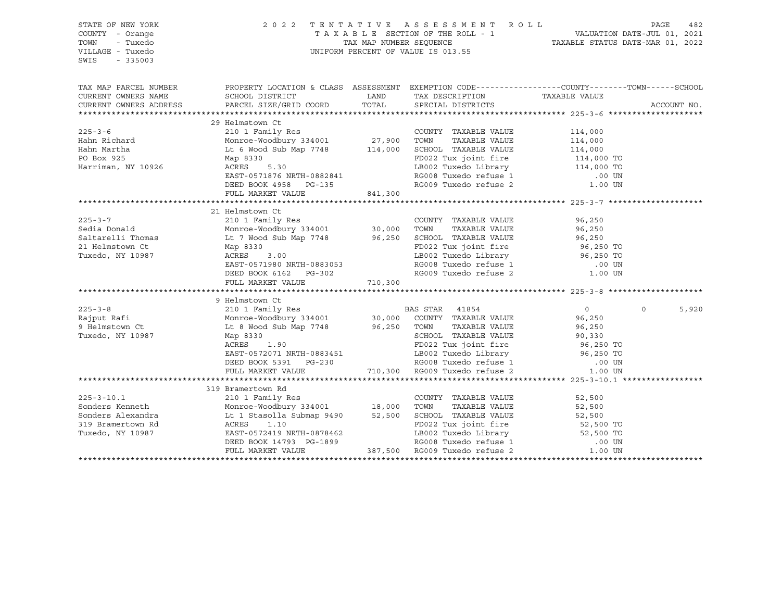| STATE OF NEW YORK<br>COUNTY - Orange<br>TOWN<br>- Tuxedo<br>VILLAGE - Tuxedo<br>SWIS<br>$-335003$                                                                                                                                                                                                                                                                                                                                     | UNIFORM PERCENT OF VALUE IS 013.55                                                                                                                                                                                                                               | 2022 TENTATIVE ASSESSMENT ROLL PAGE 482<br>TAXABLE SECTION OF THE ROLL - 1 VALUATION DATE-JUL 01, 2021<br>TAX MAP NUMBER SEQUENCE TAXABLE STATUS DATE-MAR 01, 2022 |                                                                  |                                                                                                                                                                                                                                      |             |       |
|---------------------------------------------------------------------------------------------------------------------------------------------------------------------------------------------------------------------------------------------------------------------------------------------------------------------------------------------------------------------------------------------------------------------------------------|------------------------------------------------------------------------------------------------------------------------------------------------------------------------------------------------------------------------------------------------------------------|--------------------------------------------------------------------------------------------------------------------------------------------------------------------|------------------------------------------------------------------|--------------------------------------------------------------------------------------------------------------------------------------------------------------------------------------------------------------------------------------|-------------|-------|
| TAX MAP PARCEL NUMBER THE PROPERTY LOCATION & CLASS ASSESSMENT EXEMPTION CODE---------------COUNTY--------TOWN------SCHOOL<br>CURRENT OWNERS NAME<br>CURRENT OWNERS ADDRESS                                                                                                                                                                                                                                                           | SCHOOL DISTRICT<br>PARCEL SIZE/GRID COORD                                                                                                                                                                                                                        |                                                                                                                                                                    | LAND TAX DESCRIPTION TAXABLE VALUE COORD TOTAL SPECIAL DISTRICTS |                                                                                                                                                                                                                                      | ACCOUNT NO. |       |
| $225 - 3 - 6$<br>Hahn Richard<br>Hahn Martha<br>PO Box 925<br>Harriman, NY 10926                                                                                                                                                                                                                                                                                                                                                      | -- ACLINSTOWIL CUNTS COUNTY TAXABLE VALUE<br>210 1 Family Res<br>Monroe-Woodbury 334001<br>27,900 TOWN TAXABLE VALUE<br>Lt 6 Wood Sub Map 7748<br>Map 8330<br>ACRES 5.30<br>CRES 5.30<br>EAST-0571876 NRTH-0882841<br>DEED BOOK 4958 PG-135<br>FULL MARKET VALUE | 841,300                                                                                                                                                            |                                                                  | 114,000<br>TOWN TAXABLE VALUE 114,000<br>SCHOOL TAXABLE VALUE 114,000<br>FD022 Tux joint fire 114,000<br>LB002 Tuxedo Library 114,000 TO<br>RG008 Tuxedo refuse 1 00 UN<br>RG009 Tuxedo refuse 2 1.00 UN                             |             |       |
|                                                                                                                                                                                                                                                                                                                                                                                                                                       |                                                                                                                                                                                                                                                                  |                                                                                                                                                                    |                                                                  |                                                                                                                                                                                                                                      |             |       |
|                                                                                                                                                                                                                                                                                                                                                                                                                                       | 21 Helmstown Ct<br>EAST-0571980 NRTH-0883053<br>DEED BOOK 6162 PG-302<br>FULL MARKET VALUE 710,300                                                                                                                                                               |                                                                                                                                                                    | LB002 Tuxedo Library<br>RG008 Tuxedo refuse 1                    | 96,250<br>TAXABLE VALUE 96,250<br>TAXABLE VALUE 96,250<br>SCHOOL TAXABLE VALUE<br>FD022 Tux joint fire 96,250 TO<br>The Third Library 96,250 TO<br>RGUU8 Tuxedo refuse 1 (00 UN RGOO9 Tuxedo refuse 2 (1.00 UN                       |             |       |
|                                                                                                                                                                                                                                                                                                                                                                                                                                       |                                                                                                                                                                                                                                                                  |                                                                                                                                                                    |                                                                  |                                                                                                                                                                                                                                      |             |       |
| $\begin{tabular}{lllllllllllll} \end{tabular} \begin{tabular}{lllllllllll} \multicolumn{4}{c c c c c} \multicolumn{4}{c c c c} \multicolumn{4}{c c c} \multicolumn{4}{c c c} \multicolumn{4}{c c c} \multicolumn{4}{c c} \multicolumn{4}{c c} \multicolumn{4}{c c} \multicolumn{4}{c c} \multicolumn{4}{c c} \multicolumn{4}{c c} \multicolumn{4}{c c} \multicolumn{4}{c c} \multicolumn{4}{c c} \multicolumn{4}{c c} \multicolumn{4$ | Map 8330<br>ACRES 1.90<br>EAST-0572071 NRTH-0883451<br>DEED BOOK 5391 PG-230<br>FULL MARKET VALUE                                                                                                                                                                |                                                                                                                                                                    |                                                                  | TOWN TAXABLE VALUE<br>SCHOOL TAXABLE VALUE 90,330<br>10 The fire 96,250 TO<br>PD022 Tux joint fire 96,250 TO<br>1983451 LB002 Tuxedo Library 96,250 TO<br>3-230 RG008 Tuxedo refuse 1 .00 UN<br>710,300 RG009 Tuxedo refuse 2 .00 UN | $\Omega$    | 5,920 |
|                                                                                                                                                                                                                                                                                                                                                                                                                                       |                                                                                                                                                                                                                                                                  |                                                                                                                                                                    |                                                                  |                                                                                                                                                                                                                                      |             |       |
|                                                                                                                                                                                                                                                                                                                                                                                                                                       | 319 Bramertown Rd                                                                                                                                                                                                                                                |                                                                                                                                                                    |                                                                  |                                                                                                                                                                                                                                      |             |       |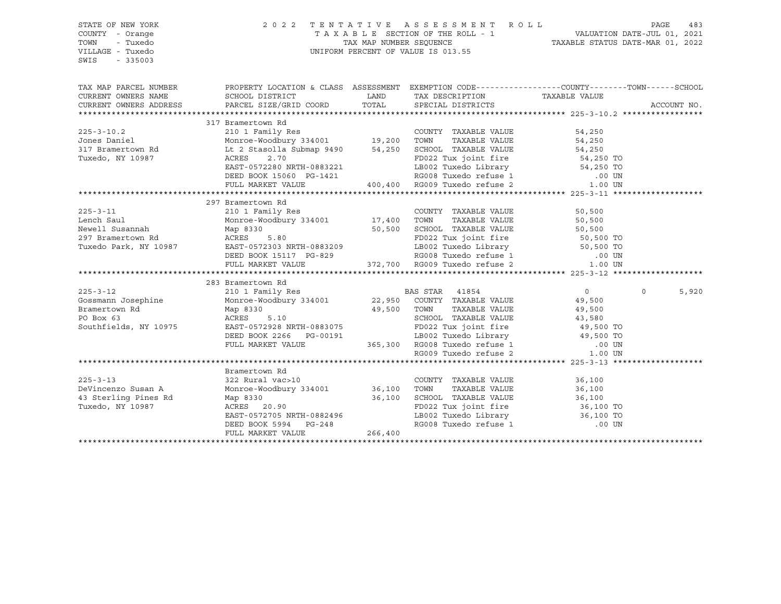| STATE OF NEW YORK<br>COUNTY - Orange<br>TOWN<br>- Tuxedo<br>VILLAGE - Tuxedo<br>SWIS<br>$-335003$ | UNIFORM PERCENT OF VALUE IS 013.55                                                                                                                                                                                                                     | 2022 TENTATIVE ASSESSMENT ROLL<br>TAXABLE SECTION OF THE ROLL - 1<br>TAX MAP NUMBER SEQUENCE TAXABLE STATUS DATE-JUL 01, 2021<br>NIFORM DEDGENT OF VALUE TO 010 LE | PAGE                                                                                                       | 483                                          |          |             |
|---------------------------------------------------------------------------------------------------|--------------------------------------------------------------------------------------------------------------------------------------------------------------------------------------------------------------------------------------------------------|--------------------------------------------------------------------------------------------------------------------------------------------------------------------|------------------------------------------------------------------------------------------------------------|----------------------------------------------|----------|-------------|
| TAX MAP PARCEL NUMBER                                                                             | PROPERTY LOCATION & CLASS ASSESSMENT EXEMPTION CODE---------------COUNTY-------TOWN------SCHOOL                                                                                                                                                        |                                                                                                                                                                    |                                                                                                            |                                              |          |             |
| CURRENT OWNERS NAME<br>CURRENT OWNERS ADDRESS                                                     | SCHOOL DISTRICT<br>PARCEL SIZE/GRID COORD TOTAL SPECIAL DISTRICTS                                                                                                                                                                                      | LAND                                                                                                                                                               | TAX DESCRIPTION TAXABLE VALUE                                                                              |                                              |          | ACCOUNT NO. |
|                                                                                                   |                                                                                                                                                                                                                                                        |                                                                                                                                                                    |                                                                                                            |                                              |          |             |
|                                                                                                   | 317 Bramertown Rd                                                                                                                                                                                                                                      |                                                                                                                                                                    |                                                                                                            |                                              |          |             |
|                                                                                                   |                                                                                                                                                                                                                                                        |                                                                                                                                                                    |                                                                                                            |                                              |          |             |
|                                                                                                   |                                                                                                                                                                                                                                                        |                                                                                                                                                                    |                                                                                                            |                                              |          |             |
|                                                                                                   |                                                                                                                                                                                                                                                        |                                                                                                                                                                    |                                                                                                            |                                              |          |             |
|                                                                                                   |                                                                                                                                                                                                                                                        |                                                                                                                                                                    |                                                                                                            |                                              |          |             |
|                                                                                                   |                                                                                                                                                                                                                                                        |                                                                                                                                                                    |                                                                                                            |                                              |          |             |
|                                                                                                   |                                                                                                                                                                                                                                                        |                                                                                                                                                                    |                                                                                                            |                                              |          |             |
|                                                                                                   |                                                                                                                                                                                                                                                        |                                                                                                                                                                    |                                                                                                            |                                              |          |             |
|                                                                                                   |                                                                                                                                                                                                                                                        |                                                                                                                                                                    |                                                                                                            |                                              |          |             |
|                                                                                                   | 297 Bramertown Rd                                                                                                                                                                                                                                      |                                                                                                                                                                    |                                                                                                            |                                              |          |             |
| $225 - 3 - 11$                                                                                    |                                                                                                                                                                                                                                                        |                                                                                                                                                                    | COUNTY TAXABLE VALUE                                                                                       | 50,500                                       |          |             |
| Lench Saul<br>Newell Susannah                                                                     | ALV L FAMILY RES<br>Monroe-Woodbury 334001 17,400 TOWN<br>Map 8330 20<br>Monroe-Wo<br>Map 8330                                                                                                                                                         |                                                                                                                                                                    |                                                                                                            | TAXABLE VALUE 50,500<br>TAXABLE VALUE 50,500 |          |             |
|                                                                                                   |                                                                                                                                                                                                                                                        |                                                                                                                                                                    |                                                                                                            |                                              |          |             |
| 100011 Demokratik Rd<br>297 Bramertown Rd<br>Tuxedo Park, NY 10987                                |                                                                                                                                                                                                                                                        |                                                                                                                                                                    |                                                                                                            |                                              |          |             |
|                                                                                                   |                                                                                                                                                                                                                                                        |                                                                                                                                                                    |                                                                                                            |                                              |          |             |
|                                                                                                   | Map 8330<br>ACRES 5.80<br>EAST-0572303 NRTH-0883209<br>DEED BOOK 15117 PG-829<br>FULL MARKET VALUE<br>FULL MARKET VALUE<br>FULL MARKET VALUE<br>ACRES 372,700<br>RG008 Tuxedo refuse 2<br>1.00 UN<br>PULL MARKET VALUE                                 |                                                                                                                                                                    |                                                                                                            |                                              |          |             |
|                                                                                                   |                                                                                                                                                                                                                                                        |                                                                                                                                                                    |                                                                                                            |                                              |          |             |
|                                                                                                   | 283 Bramertown Rd                                                                                                                                                                                                                                      |                                                                                                                                                                    |                                                                                                            |                                              |          |             |
|                                                                                                   | 225-3-12 210 1 Family Res BAS STAR 41854 0<br>Gossmann Josephine Monroe-Woodbury 334001 22,950 COUNTY TAXABLE VALUE 49,500                                                                                                                             |                                                                                                                                                                    |                                                                                                            |                                              | $\Omega$ | 5,920       |
|                                                                                                   |                                                                                                                                                                                                                                                        |                                                                                                                                                                    |                                                                                                            |                                              |          |             |
|                                                                                                   |                                                                                                                                                                                                                                                        |                                                                                                                                                                    |                                                                                                            |                                              |          |             |
|                                                                                                   |                                                                                                                                                                                                                                                        |                                                                                                                                                                    |                                                                                                            |                                              |          |             |
| Southfields, NY 10975                                                                             |                                                                                                                                                                                                                                                        |                                                                                                                                                                    |                                                                                                            |                                              |          |             |
|                                                                                                   |                                                                                                                                                                                                                                                        |                                                                                                                                                                    |                                                                                                            |                                              |          |             |
|                                                                                                   |                                                                                                                                                                                                                                                        |                                                                                                                                                                    |                                                                                                            |                                              |          |             |
|                                                                                                   | Map 8330<br>ACRES 5.10<br>EAST-0572928 NRTH-0883075<br>DEED BOOK 2266 PG-00191<br>FULL MARKET VALUE<br>FULL MARKET VALUE<br>FULL MARKET VALUE<br>ACRES 5.10<br>DEED BOOK 2266 PG-00191<br>TAXABLE VALUE<br>ACRES 5.10<br>CERD BOOK 2266 PG-00191<br>36 |                                                                                                                                                                    |                                                                                                            |                                              |          |             |
|                                                                                                   |                                                                                                                                                                                                                                                        |                                                                                                                                                                    |                                                                                                            |                                              |          |             |
|                                                                                                   | Bramertown Rd                                                                                                                                                                                                                                          |                                                                                                                                                                    |                                                                                                            |                                              |          |             |
| $225 - 3 - 13$                                                                                    |                                                                                                                                                                                                                                                        |                                                                                                                                                                    |                                                                                                            | 36,100                                       |          |             |
| DeVincenzo Susan A                                                                                |                                                                                                                                                                                                                                                        |                                                                                                                                                                    |                                                                                                            | 36,100<br>36,100                             |          |             |
| 43 Sterling Pines Rd                                                                              |                                                                                                                                                                                                                                                        |                                                                                                                                                                    |                                                                                                            |                                              |          |             |
| Tuxedo, NY 10987                                                                                  |                                                                                                                                                                                                                                                        |                                                                                                                                                                    | FD022 Tux joint fire<br>LB002 Tuxedo Library<br>RG008 Tuxedo refuse 1 00 UN<br>RG008 Tuxedo refuse 1 00 UN |                                              |          |             |
|                                                                                                   |                                                                                                                                                                                                                                                        |                                                                                                                                                                    |                                                                                                            |                                              |          |             |
|                                                                                                   | Exameriown Rd<br>32 Rural vac>10<br>Monroe-Woodbury 334001<br>36,100 TOWN TAXABLE VALUE<br>Map 8330 36,100 SCHOOL TAXABLE VALUE<br>ACRES 20.90<br>EAST-0572705 NRTH-0882496<br>DEED BOOK 5994 PG-248<br>TULL MARKET VALUE<br>266,400<br>LEGO08 Tux     |                                                                                                                                                                    |                                                                                                            |                                              |          |             |
|                                                                                                   |                                                                                                                                                                                                                                                        |                                                                                                                                                                    |                                                                                                            |                                              |          |             |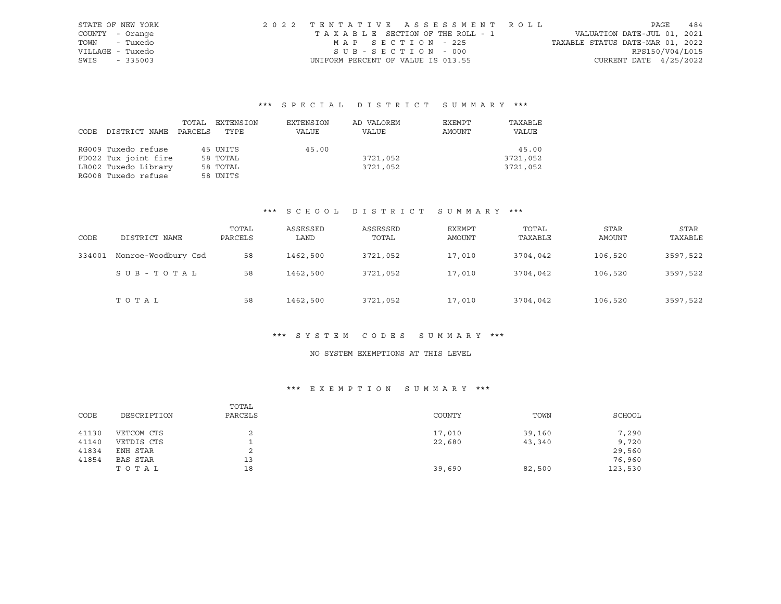| STATE OF NEW YORK | 2022 TENTATIVE ASSESSMENT ROLL     |  |                                  | PAGE            | 484 |
|-------------------|------------------------------------|--|----------------------------------|-----------------|-----|
| COUNTY - Orange   | TAXABLE SECTION OF THE ROLL - 1    |  | VALUATION DATE-JUL 01, 2021      |                 |     |
| - Tuxedo<br>TOWN  | MAP SECTION - 225                  |  | TAXABLE STATUS DATE-MAR 01, 2022 |                 |     |
| VILLAGE - Tuxedo  | SUB-SECTION - 000                  |  |                                  | RPS150/V04/L015 |     |
| SWIS<br>$-335003$ | UNIFORM PERCENT OF VALUE IS 013.55 |  | CURRENT DATE $4/25/2022$         |                 |     |

# \*\*\* S P E C I A L D I S T R I C T S U M M A R Y \*\*\*

|      |                      | TOTAL   | EXTENSION | EXTENSION | AD VALOREM | EXEMPT | TAXABLE  |
|------|----------------------|---------|-----------|-----------|------------|--------|----------|
| CODE | DISTRICT NAME        | PARCELS | TYPE      | VALUE     | VALUE      | AMOUNT | VALUE    |
|      |                      |         |           |           |            |        |          |
|      | RG009 Tuxedo refuse  |         | 45 UNITS  | 45.00     |            |        | 45.00    |
|      | FD022 Tux joint fire |         | 58 TOTAL  |           | 3721,052   |        | 3721,052 |
|      | LB002 Tuxedo Library |         | 58 TOTAL  |           | 3721,052   |        | 3721,052 |
|      | RG008 Tuxedo refuse  |         | 58 UNITS  |           |            |        |          |

### \*\*\* S C H O O L D I S T R I C T S U M M A R Y \*\*\*

| CODE   | DISTRICT NAME       | TOTAL<br>PARCELS | ASSESSED<br>LAND | ASSESSED<br>TOTAL | <b>EXEMPT</b><br>AMOUNT | TOTAL<br>TAXABLE | <b>STAR</b><br><b>AMOUNT</b> | STAR<br>TAXABLE |
|--------|---------------------|------------------|------------------|-------------------|-------------------------|------------------|------------------------------|-----------------|
| 334001 | Monroe-Woodbury Csd | 58               | 1462,500         | 3721,052          | 17,010                  | 3704,042         | 106,520                      | 3597,522        |
|        | SUB-TOTAL           | 58               | 1462,500         | 3721,052          | 17,010                  | 3704,042         | 106,520                      | 3597,522        |
|        | TOTAL               | 58               | 1462,500         | 3721,052          | 17,010                  | 3704,042         | 106,520                      | 3597,522        |

#### \*\*\* S Y S T E M C O D E S S U M M A R Y \*\*\*

## NO SYSTEM EXEMPTIONS AT THIS LEVEL

### \*\*\* E X E M P T I O N S U M M A R Y \*\*\*

| CODE  | DESCRIPTION | TOTAL<br>PARCELS | COUNTY | TOWN   | SCHOOL  |
|-------|-------------|------------------|--------|--------|---------|
| 41130 | VETCOM CTS  |                  | 17,010 | 39,160 | 7,290   |
| 41140 | VETDIS CTS  |                  | 22,680 | 43,340 | 9,720   |
| 41834 | ENH STAR    | ▵                |        |        | 29,560  |
| 41854 | BAS STAR    | 13               |        |        | 76,960  |
|       | TOTAL       | 18               | 39,690 | 82,500 | 123,530 |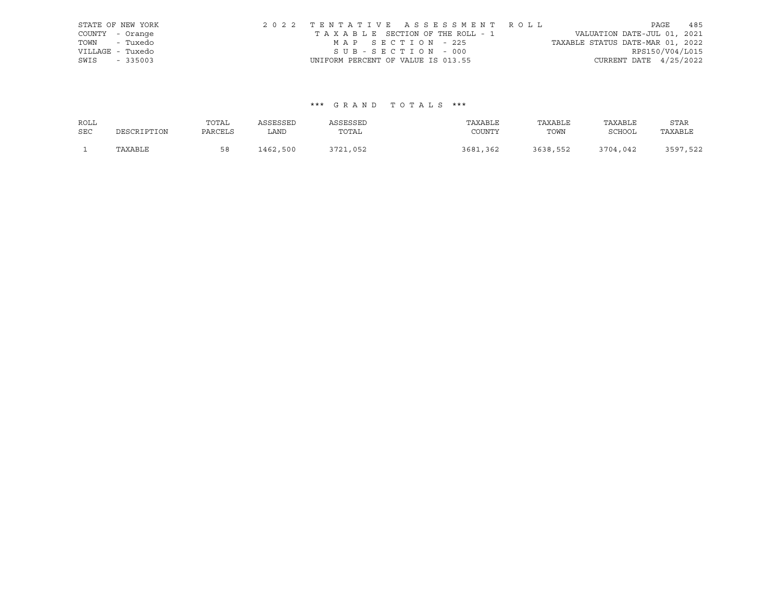|                  | STATE OF NEW YORK | 2022 TENTATIVE ASSESSMENT ROLL     |  |  |                                  |                          | PAGE | 485 |
|------------------|-------------------|------------------------------------|--|--|----------------------------------|--------------------------|------|-----|
| COUNTY - Orange  |                   | TAXABLE SECTION OF THE ROLL - 1    |  |  | VALUATION DATE-JUL 01, 2021      |                          |      |     |
| TOWN - Tuxedo    |                   | MAP SECTION - 225                  |  |  | TAXABLE STATUS DATE-MAR 01, 2022 |                          |      |     |
| VILLAGE - Tuxedo |                   | SUB-SECTION - 000                  |  |  |                                  | RPS150/V04/L015          |      |     |
| SWIS             | $-335003$         | UNIFORM PERCENT OF VALUE IS 013.55 |  |  |                                  | CURRENT DATE $4/25/2022$ |      |     |

| ROLL       |             | TOTAL   | ASSESSED | ASSESSED | TAXABLE      | TAXABLE  | TAXABLE       | STAR     |
|------------|-------------|---------|----------|----------|--------------|----------|---------------|----------|
| <b>SEC</b> | DESCRIPTION | PARCELS | LAND     | TOTAL    | COUNTY       | TOWN     | <b>SCHOOL</b> | TAXABLE  |
|            | TAXABLE     | 58      | 1462,500 | 3721,052 | 3681<br>.362 | 3638,552 | 3704,042      | 3597,522 |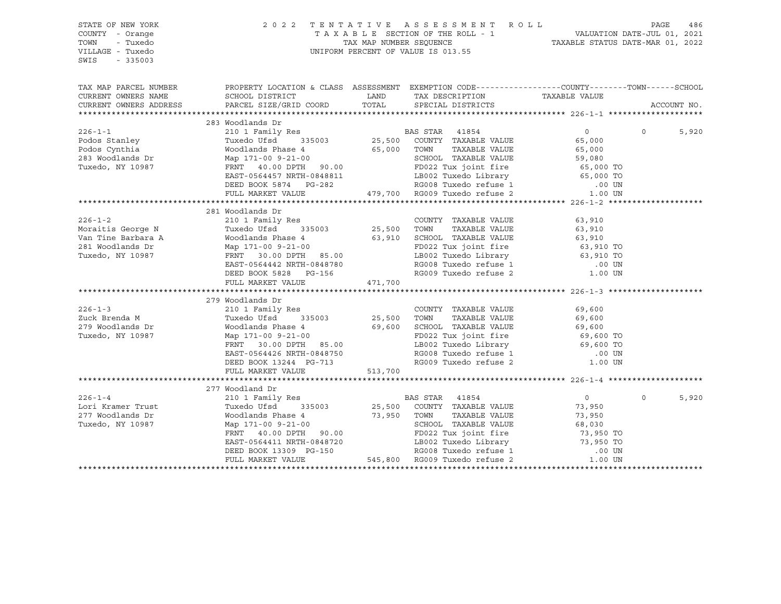| STATE OF NEW YORK<br>COUNTY - Orange<br>TOWN<br>- Tuxedo<br>VILLAGE - Tuxedo<br>$-335003$<br>SWIS | UNIFORM PERCENT OF VALUE IS 013.55                                                                                                                                                                                                           | PAGE 486 ASSESSMENT ROLL PAGE 486 PAGE 486 PAGE 486 PAGE 486 PAGE 486 PAGE 486 PAGE 486 PAGE 2021 |                                                                                                                                                                  |                      |                   |
|---------------------------------------------------------------------------------------------------|----------------------------------------------------------------------------------------------------------------------------------------------------------------------------------------------------------------------------------------------|---------------------------------------------------------------------------------------------------|------------------------------------------------------------------------------------------------------------------------------------------------------------------|----------------------|-------------------|
|                                                                                                   | TAX MAP PARCEL NUMBER THE PROPERTY LOCATION & CLASS ASSESSMENT EXEMPTION CODE--------------COUNTY--------TOWN------SCHOOL                                                                                                                    |                                                                                                   |                                                                                                                                                                  |                      |                   |
| CURRENT OWNERS NAME                                                                               | SCHOOL DISTRICT                                                                                                                                                                                                                              |                                                                                                   | LAND TAX DESCRIPTION TAXABLE VALUE COORD TOTAL SPECIAL DISTRICTS                                                                                                 |                      |                   |
| CURRENT OWNERS ADDRESS                                                                            | PARCEL SIZE/GRID COORD                                                                                                                                                                                                                       |                                                                                                   |                                                                                                                                                                  |                      | ACCOUNT NO.       |
|                                                                                                   |                                                                                                                                                                                                                                              |                                                                                                   |                                                                                                                                                                  |                      |                   |
|                                                                                                   | 283 Woodlands Dr                                                                                                                                                                                                                             |                                                                                                   |                                                                                                                                                                  |                      |                   |
| $226 - 1 - 1$                                                                                     | 210 1 Family Res<br>Tuxedo Ufsd 335003 25,500 COUNTY TAXABLE VALUE                                                                                                                                                                           |                                                                                                   |                                                                                                                                                                  | $\overline{0}$       | $\circ$<br>5,920  |
| Podos Stanley<br>Podos Cynthia<br>283 Woodlands Dr                                                |                                                                                                                                                                                                                                              |                                                                                                   |                                                                                                                                                                  |                      |                   |
|                                                                                                   |                                                                                                                                                                                                                                              |                                                                                                   |                                                                                                                                                                  |                      |                   |
|                                                                                                   | Tuxed UFsd 335003 25,500 COUNTY TAXABLE VALUE<br>Woodlands Phase 4 65,000 TOWN TAXABLE VALUE 65,000<br>Map 171-00 9-21-00 SCHOOL TAXABLE VALUE 59,080<br>FRNT 40.00 DPTH 90.00 FD022 Tux joint fire 65,000 TO<br>EAST-0564457 NRTH-084       |                                                                                                   |                                                                                                                                                                  |                      |                   |
| Tuxedo, NY 10987                                                                                  |                                                                                                                                                                                                                                              |                                                                                                   |                                                                                                                                                                  |                      |                   |
|                                                                                                   |                                                                                                                                                                                                                                              |                                                                                                   |                                                                                                                                                                  |                      |                   |
|                                                                                                   |                                                                                                                                                                                                                                              |                                                                                                   |                                                                                                                                                                  |                      |                   |
|                                                                                                   |                                                                                                                                                                                                                                              |                                                                                                   |                                                                                                                                                                  |                      |                   |
|                                                                                                   | 281 Woodlands Dr                                                                                                                                                                                                                             |                                                                                                   |                                                                                                                                                                  |                      |                   |
| $226 - 1 - 2$                                                                                     | 210 1 Family Res                                                                                                                                                                                                                             |                                                                                                   | COUNTY TAXABLE VALUE                                                                                                                                             | 63,910               |                   |
|                                                                                                   | Res COUNTY<br>335003 25,500 TOWN                                                                                                                                                                                                             |                                                                                                   |                                                                                                                                                                  | TAXABLE VALUE 63,910 |                   |
|                                                                                                   |                                                                                                                                                                                                                                              |                                                                                                   |                                                                                                                                                                  |                      |                   |
|                                                                                                   |                                                                                                                                                                                                                                              |                                                                                                   |                                                                                                                                                                  |                      |                   |
|                                                                                                   | Moraitis George N<br>Van Tine Barbara A<br>281 Woodlands Dr Map 171-00 9-21-00<br>Tuxedo, NY 10987 FRNT 30.00 DPTH 85.00                                                                                                                     |                                                                                                   | 63,910 SCHOOL TAXABLE VALUE<br>FD022 Tux joint fire 63,910 TO<br>LB002 Tuxedo Library 63,910 TO<br>RG008 Tuxedo refuse 1 .00 UN<br>RG009 Tuxedo refuse 2 1.00 UN |                      |                   |
|                                                                                                   |                                                                                                                                                                                                                                              |                                                                                                   |                                                                                                                                                                  |                      |                   |
|                                                                                                   |                                                                                                                                                                                                                                              |                                                                                                   |                                                                                                                                                                  |                      |                   |
|                                                                                                   | FULL MARKET VALUE                                                                                                                                                                                                                            | 471,700                                                                                           |                                                                                                                                                                  |                      |                   |
|                                                                                                   |                                                                                                                                                                                                                                              |                                                                                                   |                                                                                                                                                                  |                      |                   |
|                                                                                                   | 279 Woodlands Dr                                                                                                                                                                                                                             |                                                                                                   |                                                                                                                                                                  |                      |                   |
| $226 - 1 - 3$                                                                                     | 219 WOOQLANDS Dr<br>210 1 Family Res<br>Tuxedo Ufsd 335003 25,500 TOWN TAXABLE VALUE 69,600<br>Woodlands Phase 4 69,600 SCHOOL TAXABLE VALUE 69,600<br>Map 171-00 9-21-00 85.00 FD022 Tux joint fire 69,600 TO<br>FRNT 30.00 DPTH 85.00      |                                                                                                   |                                                                                                                                                                  |                      |                   |
| Zuck Brenda M                                                                                     |                                                                                                                                                                                                                                              |                                                                                                   |                                                                                                                                                                  |                      |                   |
| 279 Woodlands Dr                                                                                  |                                                                                                                                                                                                                                              |                                                                                                   |                                                                                                                                                                  |                      |                   |
| Tuxedo, NY 10987                                                                                  |                                                                                                                                                                                                                                              |                                                                                                   |                                                                                                                                                                  |                      |                   |
|                                                                                                   |                                                                                                                                                                                                                                              |                                                                                                   |                                                                                                                                                                  |                      |                   |
|                                                                                                   |                                                                                                                                                                                                                                              |                                                                                                   |                                                                                                                                                                  |                      |                   |
|                                                                                                   |                                                                                                                                                                                                                                              |                                                                                                   |                                                                                                                                                                  |                      |                   |
|                                                                                                   | FULL MARKET VALUE                                                                                                                                                                                                                            | 513,700                                                                                           |                                                                                                                                                                  |                      |                   |
|                                                                                                   |                                                                                                                                                                                                                                              |                                                                                                   |                                                                                                                                                                  |                      |                   |
|                                                                                                   | 277 Woodland Dr                                                                                                                                                                                                                              |                                                                                                   |                                                                                                                                                                  |                      |                   |
| $226 - 1 - 4$                                                                                     |                                                                                                                                                                                                                                              |                                                                                                   |                                                                                                                                                                  | $\overline{0}$       | 5,920<br>$\Omega$ |
| Lori Kramer Trust<br>277 Woodlands Dr                                                             |                                                                                                                                                                                                                                              |                                                                                                   |                                                                                                                                                                  | 73,950               |                   |
|                                                                                                   |                                                                                                                                                                                                                                              |                                                                                                   |                                                                                                                                                                  |                      |                   |
| Tuxedo, NY 10987                                                                                  | Woodland Dr<br>210 1 Family Res<br>Tuxedo Ufsd 335003 25,500 COUNTY TAXABLE VALUE<br>Woodlands Phase 4 73,950 TOWN TAXABLE VALUE<br>SCHOOL TAXABLE VALUE<br>SCHOOL TAXABLE VALUE<br>SCHOOL TAXABLE VALUE                                     |                                                                                                   |                                                                                                                                                                  |                      |                   |
|                                                                                                   |                                                                                                                                                                                                                                              |                                                                                                   |                                                                                                                                                                  |                      |                   |
|                                                                                                   |                                                                                                                                                                                                                                              |                                                                                                   |                                                                                                                                                                  |                      |                   |
|                                                                                                   |                                                                                                                                                                                                                                              |                                                                                                   |                                                                                                                                                                  |                      |                   |
|                                                                                                   | Woodlands Phase 4 73,950 TOWN TAXABLE VALUE 73,950<br>Map 171-00 9-21-00<br>FRNT 40.00 DPTH 90.00<br>FRNT 40.00 DPTH 90.00<br>EAST-0564411 NRTH-0848720<br>DEED BOOK 13309 PG-150<br>FRNT 545,800 ROO8 Tuxedo Library 73,950 TO<br>EAST-0564 |                                                                                                   |                                                                                                                                                                  |                      |                   |
|                                                                                                   |                                                                                                                                                                                                                                              |                                                                                                   |                                                                                                                                                                  |                      |                   |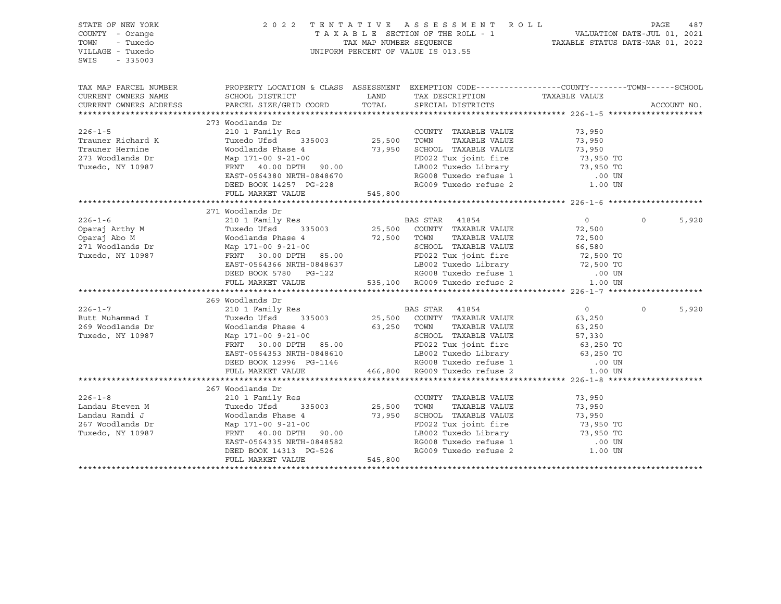| STATE OF NEW YORK<br>COUNTY - Orange<br>TOWN<br>- Tuxedo<br>VILLAGE - Tuxedo<br>SWIS<br>$-335003$                                                                                                                                      |                                                                                                                                                                                                                                                    |             | TENTATIVE ASSESSMENT ROLL PAGE 487<br>TAXABLE SECTION OF THE ROLL - 1 VALUATION DATE-JUL 01, 2021<br>TAX MAP NUMBER SEQUENCE TAXABLE STATUS DATE-MAR 01, 2022<br>2022 TENTATIVE ASSESSMENT ROLL<br>UNIFORM PERCENT OF VALUE IS 013.55                                                                                                                                                                                          |                |          |             |
|----------------------------------------------------------------------------------------------------------------------------------------------------------------------------------------------------------------------------------------|----------------------------------------------------------------------------------------------------------------------------------------------------------------------------------------------------------------------------------------------------|-------------|--------------------------------------------------------------------------------------------------------------------------------------------------------------------------------------------------------------------------------------------------------------------------------------------------------------------------------------------------------------------------------------------------------------------------------|----------------|----------|-------------|
| TAX MAP PARCEL NUMBER PROPERTY LOCATION & CLASS ASSESSMENT EXEMPTION CODE----------------COUNTY--------TOWN------SCHOOL<br>CURRENT OWNERS NAME                                                                                         |                                                                                                                                                                                                                                                    | LAND        |                                                                                                                                                                                                                                                                                                                                                                                                                                |                |          |             |
| CURRENT OWNERS ADDRESS                                                                                                                                                                                                                 | SCHOOL DISTRICT<br>PARCEL SIZE/GRID COORD                                                                                                                                                                                                          | TOTAL       | TAX DESCRIPTION<br>SPECIAL DISTRICTS                                                                                                                                                                                                                                                                                                                                                                                           | TAXABLE VALUE  |          | ACCOUNT NO. |
|                                                                                                                                                                                                                                        |                                                                                                                                                                                                                                                    |             |                                                                                                                                                                                                                                                                                                                                                                                                                                |                |          |             |
|                                                                                                                                                                                                                                        | 273 Woodlands Dr                                                                                                                                                                                                                                   |             |                                                                                                                                                                                                                                                                                                                                                                                                                                |                |          |             |
| $226 - 1 - 5$                                                                                                                                                                                                                          |                                                                                                                                                                                                                                                    |             | COUNTY TAXABLE VALUE 73,950                                                                                                                                                                                                                                                                                                                                                                                                    |                |          |             |
| Trauner Richard K                                                                                                                                                                                                                      |                                                                                                                                                                                                                                                    |             | TAXABLE VALUE                                                                                                                                                                                                                                                                                                                                                                                                                  | 73,950         |          |             |
| Trauner Hermine                                                                                                                                                                                                                        |                                                                                                                                                                                                                                                    |             |                                                                                                                                                                                                                                                                                                                                                                                                                                |                |          |             |
| 273 Woodlands Dr                                                                                                                                                                                                                       |                                                                                                                                                                                                                                                    |             |                                                                                                                                                                                                                                                                                                                                                                                                                                |                |          |             |
| Tuxedo, NY 10987                                                                                                                                                                                                                       |                                                                                                                                                                                                                                                    |             |                                                                                                                                                                                                                                                                                                                                                                                                                                |                |          |             |
|                                                                                                                                                                                                                                        |                                                                                                                                                                                                                                                    |             |                                                                                                                                                                                                                                                                                                                                                                                                                                |                |          |             |
|                                                                                                                                                                                                                                        |                                                                                                                                                                                                                                                    |             |                                                                                                                                                                                                                                                                                                                                                                                                                                |                |          |             |
|                                                                                                                                                                                                                                        | Woodlands Phase 4<br>Woodlands Phase 4<br>Moodlands Phase 4<br>Moodlands Phase 4<br>Map 171-00 9-21-00<br>FRNT 40.00 DPTH 90.00<br>EAST-0564380 NRTH-0848670<br>DEED BOOK 14257 PG-228<br>PULL MARKET VALUE<br>PULL MARKET VALUE<br>PULL MARKET VA |             |                                                                                                                                                                                                                                                                                                                                                                                                                                |                |          |             |
|                                                                                                                                                                                                                                        |                                                                                                                                                                                                                                                    |             |                                                                                                                                                                                                                                                                                                                                                                                                                                |                |          |             |
|                                                                                                                                                                                                                                        | 271 Woodlands Dr                                                                                                                                                                                                                                   |             |                                                                                                                                                                                                                                                                                                                                                                                                                                |                |          |             |
| $226 - 1 - 6$                                                                                                                                                                                                                          | Moodlands Dr<br>210 1 Family Res<br>Tuxedo Ufsd 335003 25,500 COUNTY TAXABLE VALUE                                                                                                                                                                 |             |                                                                                                                                                                                                                                                                                                                                                                                                                                | $\overline{0}$ | $\Omega$ | 5,920       |
|                                                                                                                                                                                                                                        |                                                                                                                                                                                                                                                    |             |                                                                                                                                                                                                                                                                                                                                                                                                                                | 72,500         |          |             |
| Comparaj Arthy M<br>Comparaj Abo M<br>Comparaj Abo M<br>271 Woodlands Dr Map 171-00 9-21-00<br>Tuxedo, NY 10987<br>Tuxedo, NY 10987<br>TRNT 30.00 DPTH 85.00<br>TUXED PRNT 30.00 DPTH 85.00<br>TUXED PRNT 30.00 DPTH 85.00<br>PD022 Tu |                                                                                                                                                                                                                                                    |             | TOWN      TAXABLE VALUE<br>SCHOOL   TAXABLE VALUE                                                                                                                                                                                                                                                                                                                                                                              | 72,500         |          |             |
|                                                                                                                                                                                                                                        |                                                                                                                                                                                                                                                    |             |                                                                                                                                                                                                                                                                                                                                                                                                                                |                |          |             |
|                                                                                                                                                                                                                                        | EAST-0564366 NRTH-0848637                                                                                                                                                                                                                          |             |                                                                                                                                                                                                                                                                                                                                                                                                                                |                |          |             |
|                                                                                                                                                                                                                                        | DEED BOOK 5780 PG-122                                                                                                                                                                                                                              |             |                                                                                                                                                                                                                                                                                                                                                                                                                                |                |          |             |
|                                                                                                                                                                                                                                        | FULL MARKET VALUE                                                                                                                                                                                                                                  |             | $\begin{array}{cccc} \text{72,500} & \text{TOWN} & \text{TAXABLE VALUE} & \text{72,500} \\ & \text{SCHOOL} & \text{TAXABLE VALUE} & \text{66,580} \\ \text{85.00} & \text{FD022 Tux joint fire} & \text{66,580} \\ \text{848637} & \text{LBO02 Tusedo Library} & \text{72,500 TO} \\ \text{72,500 TO} & \text{R0009 Tusedo refuse 1} & \text{00 UN} \\ \text{735,100} & \text{R0009 Tusedo refuse 2} & \text{1.00 UN} \\ \end$ |                |          |             |
|                                                                                                                                                                                                                                        |                                                                                                                                                                                                                                                    |             |                                                                                                                                                                                                                                                                                                                                                                                                                                |                |          |             |
|                                                                                                                                                                                                                                        | 269 Woodlands Dr                                                                                                                                                                                                                                   |             |                                                                                                                                                                                                                                                                                                                                                                                                                                |                |          |             |
| $226 - 1 - 7$                                                                                                                                                                                                                          | 210 1 Family Res                                                                                                                                                                                                                                   |             | BAS STAR 41854                                                                                                                                                                                                                                                                                                                                                                                                                 | $\overline{0}$ | $\Omega$ | 5,920       |
| Butt Muhammad I                                                                                                                                                                                                                        | Tuxedo Ufsd <sup>4</sup> 335003 25,500 COUNTY TAXABLE VALUE                                                                                                                                                                                        |             |                                                                                                                                                                                                                                                                                                                                                                                                                                | 63,250         |          |             |
| 269 Woodlands Dr                                                                                                                                                                                                                       | Woodlands Phase 4 63,250 TOWN TAXABLE VALUE<br>Map 171-00 9-21-00 65.00 SCHOOL TAXABLE VALUE<br>FRNT 30.00 DPTH 85.00 FD022 Tux joint fire                                                                                                         |             |                                                                                                                                                                                                                                                                                                                                                                                                                                | 63,250         |          |             |
| Tuxedo, NY 10987                                                                                                                                                                                                                       |                                                                                                                                                                                                                                                    |             | SCHOOL TAXABLE VALUE 57,330<br>FRONT TAXABLE VALUE 57,330<br>FRONT THE 63,250 TO                                                                                                                                                                                                                                                                                                                                               |                |          |             |
|                                                                                                                                                                                                                                        |                                                                                                                                                                                                                                                    |             |                                                                                                                                                                                                                                                                                                                                                                                                                                |                |          |             |
|                                                                                                                                                                                                                                        | FRNT 30.00 DPTH 85.00 FD022 Tux joint fire 63,250 TO<br>EAST-0564353 NRTH-0848610 LB002 Tuxedo Library 63,250 TO<br>DEED BOOK 12996 PG-1146 RG008 Tuxedo refuse 1 .00 UN<br>FULL MARKET VALUE 466,800 RG009 Tuxedo refuse 2 1.00 UN                |             |                                                                                                                                                                                                                                                                                                                                                                                                                                |                |          |             |
|                                                                                                                                                                                                                                        |                                                                                                                                                                                                                                                    |             |                                                                                                                                                                                                                                                                                                                                                                                                                                |                |          |             |
|                                                                                                                                                                                                                                        |                                                                                                                                                                                                                                                    |             |                                                                                                                                                                                                                                                                                                                                                                                                                                |                |          |             |
|                                                                                                                                                                                                                                        | 267 Woodlands Dr                                                                                                                                                                                                                                   |             |                                                                                                                                                                                                                                                                                                                                                                                                                                |                |          |             |
| $226 - 1 - 8$                                                                                                                                                                                                                          | 210 1 Family Res                                                                                                                                                                                                                                   |             | COUNTY TAXABLE VALUE 73,950                                                                                                                                                                                                                                                                                                                                                                                                    |                |          |             |
|                                                                                                                                                                                                                                        | Tuxedo Ufsd 335003                                                                                                                                                                                                                                 | 25,500 TOWN | TAXABLE VALUE                                                                                                                                                                                                                                                                                                                                                                                                                  | 73,950         |          |             |
| Landau Steven M<br>Landau Randi J                                                                                                                                                                                                      | Woodlands Phase 4                                                                                                                                                                                                                                  |             |                                                                                                                                                                                                                                                                                                                                                                                                                                |                |          |             |
| 267 Woodlands Dr                                                                                                                                                                                                                       | Map 171-00 9-21-00                                                                                                                                                                                                                                 |             | 73,950 SCHOOL TAXABLE VALUE 73,950<br>73,950 SCHOOL TAXABLE VALUE 73,950 FD022 Tux joint fire 73,950 TO<br>FD022 Tux joint fire 73,950 TO<br>LB002 Tuxedo Library 73,950 TO                                                                                                                                                                                                                                                    |                |          |             |
| Tuxedo, NY 10987                                                                                                                                                                                                                       | FRNT 40.00 DPTH 90.00                                                                                                                                                                                                                              |             |                                                                                                                                                                                                                                                                                                                                                                                                                                |                |          |             |
|                                                                                                                                                                                                                                        |                                                                                                                                                                                                                                                    |             |                                                                                                                                                                                                                                                                                                                                                                                                                                |                |          |             |
|                                                                                                                                                                                                                                        | ---<br>EAST-0564335 NRTH-0848582<br>DEED BOOK 14313 PG-526                                                                                                                                                                                         |             | RG008 Tuxedo refuse 1 (00 UN RG009 Tuxedo refuse 2 (1.00 UN                                                                                                                                                                                                                                                                                                                                                                    |                |          |             |
|                                                                                                                                                                                                                                        | FULL MARKET VALUE                                                                                                                                                                                                                                  | 545,800     |                                                                                                                                                                                                                                                                                                                                                                                                                                |                |          |             |
|                                                                                                                                                                                                                                        |                                                                                                                                                                                                                                                    |             |                                                                                                                                                                                                                                                                                                                                                                                                                                |                |          |             |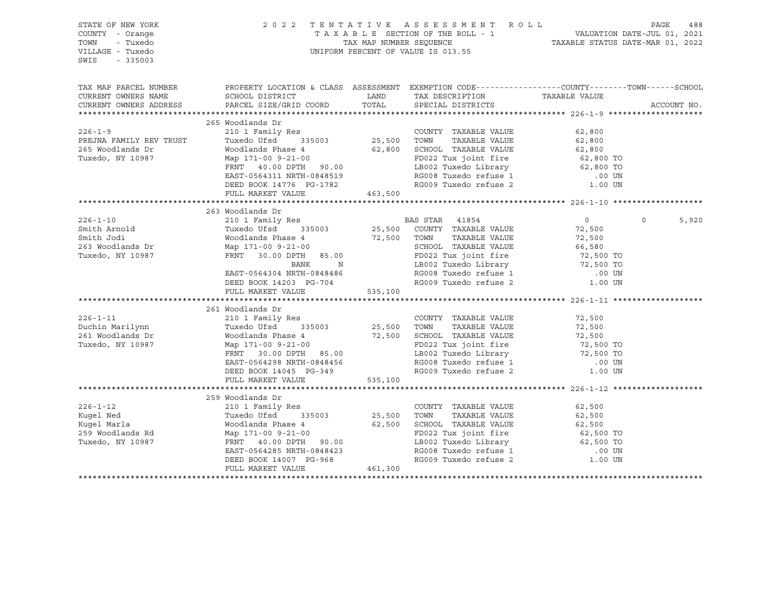| STATE OF NEW YORK<br>COUNTY - Orange<br>TOWN<br>- Tuxedo<br>VILLAGE - Tuxedo<br>$-335003$<br>SWIS |                                                                                                                                                                                                                                                    |                      | 2022 TENTATIVE ASSESSMENT ROLL PAGE 488<br>TAXABLE SECTION OF THE ROLL - 1 VALUATION DATE-JUL 01, 2021<br>TAX MAP NUMBER SEQUENCE TAXABLE STATUS DATE-MAR 01, 2022<br>UNIFORM PERCENT OF VALUE IS 013.55 |                  |                            |
|---------------------------------------------------------------------------------------------------|----------------------------------------------------------------------------------------------------------------------------------------------------------------------------------------------------------------------------------------------------|----------------------|----------------------------------------------------------------------------------------------------------------------------------------------------------------------------------------------------------|------------------|----------------------------|
| TAX MAP PARCEL NUMBER<br>CURRENT OWNERS NAME<br>CURRENT OWNERS ADDRESS                            | PROPERTY LOCATION & CLASS ASSESSMENT EXEMPTION CODE----------------COUNTY-------TOWN-----SCHOOL<br>SCHOOL DISTRICT<br>PARCEL SIZE/GRID COORD                                                                                                       | TOTAL                | LAND TAX DESCRIPTION<br>SPECIAL DISTRICTS                                                                                                                                                                | TAXABLE VALUE    | ACCOUNT NO.                |
|                                                                                                   | 265 Woodlands Dr                                                                                                                                                                                                                                   |                      |                                                                                                                                                                                                          |                  |                            |
| $226 - 1 - 9$                                                                                     |                                                                                                                                                                                                                                                    |                      | COUNTY TAXABLE VALUE                                                                                                                                                                                     | 62,800           |                            |
| PREJNA FAMILY REV TRUST                                                                           |                                                                                                                                                                                                                                                    |                      | TAXABLE VALUE                                                                                                                                                                                            | 62,800           |                            |
| 265 Woodlands Dr                                                                                  | Woodlands Phase 4 62,800 SCHOOL TAXABLE VALUE<br>Map 171-00 9-21-00 FD022 Tux joint fire 62,800 TO<br>FRNT 40.00 DPTH 90.00 LB002 Tuxedo Library 62,800 TO<br>EAST-0564311 NRTH-0848519 RG008 Tuxedo refuse 1 .00 UN                               |                      |                                                                                                                                                                                                          |                  |                            |
| Tuxedo, NY 10987                                                                                  |                                                                                                                                                                                                                                                    |                      |                                                                                                                                                                                                          |                  |                            |
|                                                                                                   |                                                                                                                                                                                                                                                    |                      |                                                                                                                                                                                                          |                  |                            |
|                                                                                                   |                                                                                                                                                                                                                                                    |                      |                                                                                                                                                                                                          |                  |                            |
|                                                                                                   | DEED BOOK 14776 PG-1782                                                                                                                                                                                                                            |                      | RG009 Tuxedo refuse 2 1.00 UN                                                                                                                                                                            |                  |                            |
|                                                                                                   | FULL MARKET VALUE                                                                                                                                                                                                                                  | 463,500              |                                                                                                                                                                                                          |                  |                            |
|                                                                                                   |                                                                                                                                                                                                                                                    |                      |                                                                                                                                                                                                          |                  |                            |
|                                                                                                   | 263 Woodlands Dr                                                                                                                                                                                                                                   |                      |                                                                                                                                                                                                          |                  |                            |
| $226 - 1 - 10$                                                                                    |                                                                                                                                                                                                                                                    |                      |                                                                                                                                                                                                          | $\overline{0}$   | $0 \qquad \qquad$<br>5,920 |
| Smith Arnold<br>Smith Jodi                                                                        |                                                                                                                                                                                                                                                    |                      |                                                                                                                                                                                                          | 72,500           |                            |
|                                                                                                   |                                                                                                                                                                                                                                                    |                      | TAXABLE VALUE                                                                                                                                                                                            | 72,500           |                            |
| 263 Woodlands Dr<br>Tuxedo, NY 10987                                                              |                                                                                                                                                                                                                                                    |                      |                                                                                                                                                                                                          |                  |                            |
|                                                                                                   | Woodlands Dr<br>210 1 Family Res<br>Tuxedo Ufsd<br>335003<br>25,500 COUNTY TAXABLE VALUE<br>Woodlands Phase 4<br>72,500 TOWN TAXABLE VALUE<br>Map 171-00 9-21-00<br>FRNT 30.00 DPTH 85.00<br>BANK N LB002 Tuxedo Library<br>25,500 TOWN TAXABLE VA |                      |                                                                                                                                                                                                          |                  |                            |
|                                                                                                   |                                                                                                                                                                                                                                                    |                      |                                                                                                                                                                                                          |                  |                            |
|                                                                                                   | EAST-0564304 NRTH-0848486                                                                                                                                                                                                                          |                      |                                                                                                                                                                                                          |                  |                            |
|                                                                                                   | DEED BOOK 14203 PG-704                                                                                                                                                                                                                             |                      |                                                                                                                                                                                                          |                  |                            |
|                                                                                                   | FULL MARKET VALUE                                                                                                                                                                                                                                  |                      |                                                                                                                                                                                                          |                  |                            |
|                                                                                                   |                                                                                                                                                                                                                                                    |                      |                                                                                                                                                                                                          |                  |                            |
| $226 - 1 - 11$                                                                                    | 261 Woodlands Dr<br>210 1 Family Res<br>Tuxedo Ufsd 335003 25,500 TOWN                                                                                                                                                                             |                      | COUNTY TAXABLE VALUE                                                                                                                                                                                     |                  |                            |
| Duchin Marilynn                                                                                   |                                                                                                                                                                                                                                                    |                      | TAXABLE VALUE                                                                                                                                                                                            | 72,500<br>72,500 |                            |
| 261 Woodlands Dr                                                                                  |                                                                                                                                                                                                                                                    |                      |                                                                                                                                                                                                          |                  |                            |
| Tuxedo, NY 10987                                                                                  | Woodlands Phase 4 $\begin{array}{ccc} 72,500 & \text{SCH OOL} & \text{TAXABLE VALUE} \\ \text{Map } 171-00 & 9-21-00 & & \text{FD022 Tux joint fire & & \end{array}$ 72,500 TO                                                                     |                      |                                                                                                                                                                                                          |                  |                            |
|                                                                                                   | FRNT 30.00 DPTH 85.00                                                                                                                                                                                                                              |                      |                                                                                                                                                                                                          |                  |                            |
|                                                                                                   | EAST-0564298 NRTH-0848456                                                                                                                                                                                                                          |                      |                                                                                                                                                                                                          |                  |                            |
|                                                                                                   | DEED BOOK 14045 PG-349                                                                                                                                                                                                                             |                      | FD022 Tux joint fire<br>LB002 Tuxedo Library<br>RG008 Tuxedo refuse 1 000 000 RG009 Tuxedo refuse 2 1 000 000                                                                                            |                  |                            |
|                                                                                                   | FULL MARKET VALUE 535,100                                                                                                                                                                                                                          |                      |                                                                                                                                                                                                          |                  |                            |
|                                                                                                   |                                                                                                                                                                                                                                                    |                      |                                                                                                                                                                                                          |                  |                            |
|                                                                                                   | 259 Woodlands Dr                                                                                                                                                                                                                                   |                      |                                                                                                                                                                                                          |                  |                            |
| $226 - 1 - 12$                                                                                    | 210 1 Family Res                                                                                                                                                                                                                                   |                      | COUNTY TAXABLE VALUE                                                                                                                                                                                     | 62,500           |                            |
| Kugel Ned                                                                                         | 335003<br>Tuxedo Ufsd                                                                                                                                                                                                                              |                      | TOWN<br>TAXABLE VALUE                                                                                                                                                                                    |                  |                            |
| Kuqel Marla                                                                                       | Woodlands Phase 4                                                                                                                                                                                                                                  | $25,500$<br>$62.500$ | 62,500 SCHOOL TAXABLE VALUE                                                                                                                                                                              | 62,500<br>62,500 |                            |
| 259 Woodlands Rd<br>Tuxedo, NY 10987                                                              | Map 171-00 9-21-00                                                                                                                                                                                                                                 |                      | FD022 Tux joint fire 62,500 TO<br>LB002 Tuxedo Library 62,500 TO<br>RG008 Tuxedo refuse 1 00 UN<br>RG009 Tuxedo refuse 2 1.00 UN                                                                         |                  |                            |
| Tuxedo, NY 10987                                                                                  | FRNT 40.00 DPTH 90.00                                                                                                                                                                                                                              |                      |                                                                                                                                                                                                          |                  |                            |
|                                                                                                   | EAST-0564285 NRTH-0848423                                                                                                                                                                                                                          |                      |                                                                                                                                                                                                          |                  |                            |
|                                                                                                   | DEED BOOK 14007 PG-968                                                                                                                                                                                                                             |                      |                                                                                                                                                                                                          |                  |                            |
|                                                                                                   | FULL MARKET VALUE                                                                                                                                                                                                                                  | 461,300              |                                                                                                                                                                                                          |                  |                            |
|                                                                                                   |                                                                                                                                                                                                                                                    |                      |                                                                                                                                                                                                          |                  |                            |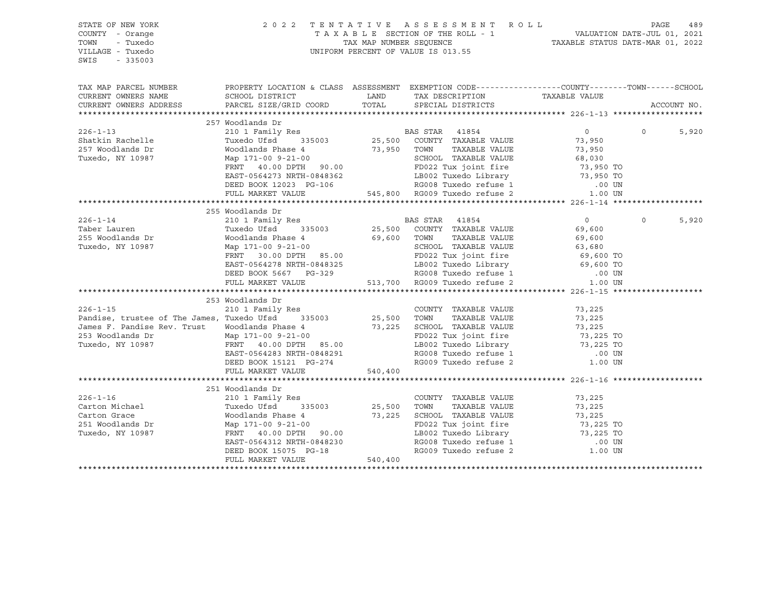| STATE OF NEW YORK<br>COUNTY - Orange<br>TOWN<br>- Tuxedo<br>VILLAGE - Tuxedo<br>SWIS<br>$-335003$                                                                                                                                                                                                                                                                                                                         |                                                                                                                                                                                                                                                    |         | PAGE 489 TENTATIVE ASSESSMENT ROLL PALUATION DATE-JUL 01, 2021<br>TAXABLE SECTION OF THE ROLL - 1 VALUATION DATE-JUL 01, 2021<br>TAX MAP NUMBER SEQUENCE TAXABLE STATUS DATE-MAR 01, 2022<br>UNIFORM PERCENT OF VALUE IS 013.55 |                          |                   |             |
|---------------------------------------------------------------------------------------------------------------------------------------------------------------------------------------------------------------------------------------------------------------------------------------------------------------------------------------------------------------------------------------------------------------------------|----------------------------------------------------------------------------------------------------------------------------------------------------------------------------------------------------------------------------------------------------|---------|---------------------------------------------------------------------------------------------------------------------------------------------------------------------------------------------------------------------------------|--------------------------|-------------------|-------------|
| TAX MAP PARCEL NUMBER THE PROPERTY LOCATION & CLASS ASSESSMENT EXEMPTION CODE--------------COUNTY--------TOWN------SCHOOL                                                                                                                                                                                                                                                                                                 |                                                                                                                                                                                                                                                    |         |                                                                                                                                                                                                                                 |                          |                   |             |
| CURRENT OWNERS NAME                                                                                                                                                                                                                                                                                                                                                                                                       | SCHOOL DISTRICT                                                                                                                                                                                                                                    |         | LAND TAX DESCRIPTION TAXABLE VALUE COORD TOTAL SPECIAL DISTRICTS                                                                                                                                                                |                          |                   |             |
| CURRENT OWNERS ADDRESS                                                                                                                                                                                                                                                                                                                                                                                                    | PARCEL SIZE/GRID COORD                                                                                                                                                                                                                             |         |                                                                                                                                                                                                                                 |                          |                   | ACCOUNT NO. |
|                                                                                                                                                                                                                                                                                                                                                                                                                           |                                                                                                                                                                                                                                                    |         |                                                                                                                                                                                                                                 |                          |                   |             |
|                                                                                                                                                                                                                                                                                                                                                                                                                           | 257 Woodlands Dr                                                                                                                                                                                                                                   |         |                                                                                                                                                                                                                                 |                          |                   |             |
| $226 - 1 - 13$                                                                                                                                                                                                                                                                                                                                                                                                            |                                                                                                                                                                                                                                                    |         |                                                                                                                                                                                                                                 | $\overline{0}$<br>73,950 | $0 \qquad \qquad$ | 5,920       |
| Shatkin Rachelle                                                                                                                                                                                                                                                                                                                                                                                                          |                                                                                                                                                                                                                                                    |         |                                                                                                                                                                                                                                 |                          |                   |             |
| 257 Woodlands Dr                                                                                                                                                                                                                                                                                                                                                                                                          |                                                                                                                                                                                                                                                    |         |                                                                                                                                                                                                                                 |                          |                   |             |
| Tuxedo, NY 10987                                                                                                                                                                                                                                                                                                                                                                                                          | Woodlands Phase 4<br>Map 171-00 9-21-00<br>Map 171-00 9-21-00<br>Map 171-00 9-21-00<br>FRNT 40.00 DPTH 90.00<br>FRNT 40.00 DPTH 90.00<br>EAST-0564273 NRTH-0848362<br>DEED BOOK 12023 PG-106<br>FULL MARKET VALUE<br>FULL MARKET VALUE<br>FULL MAR |         |                                                                                                                                                                                                                                 |                          |                   |             |
|                                                                                                                                                                                                                                                                                                                                                                                                                           |                                                                                                                                                                                                                                                    |         |                                                                                                                                                                                                                                 |                          |                   |             |
|                                                                                                                                                                                                                                                                                                                                                                                                                           |                                                                                                                                                                                                                                                    |         |                                                                                                                                                                                                                                 |                          |                   |             |
|                                                                                                                                                                                                                                                                                                                                                                                                                           |                                                                                                                                                                                                                                                    |         |                                                                                                                                                                                                                                 |                          |                   |             |
|                                                                                                                                                                                                                                                                                                                                                                                                                           |                                                                                                                                                                                                                                                    |         |                                                                                                                                                                                                                                 |                          |                   |             |
|                                                                                                                                                                                                                                                                                                                                                                                                                           |                                                                                                                                                                                                                                                    |         |                                                                                                                                                                                                                                 |                          |                   |             |
|                                                                                                                                                                                                                                                                                                                                                                                                                           | 255 Woodlands Dr                                                                                                                                                                                                                                   |         |                                                                                                                                                                                                                                 |                          |                   |             |
|                                                                                                                                                                                                                                                                                                                                                                                                                           |                                                                                                                                                                                                                                                    |         |                                                                                                                                                                                                                                 |                          | $\Omega$          | 5,920       |
|                                                                                                                                                                                                                                                                                                                                                                                                                           |                                                                                                                                                                                                                                                    |         |                                                                                                                                                                                                                                 |                          |                   |             |
|                                                                                                                                                                                                                                                                                                                                                                                                                           |                                                                                                                                                                                                                                                    |         |                                                                                                                                                                                                                                 |                          |                   |             |
|                                                                                                                                                                                                                                                                                                                                                                                                                           |                                                                                                                                                                                                                                                    |         |                                                                                                                                                                                                                                 |                          |                   |             |
|                                                                                                                                                                                                                                                                                                                                                                                                                           |                                                                                                                                                                                                                                                    |         |                                                                                                                                                                                                                                 |                          |                   |             |
|                                                                                                                                                                                                                                                                                                                                                                                                                           |                                                                                                                                                                                                                                                    |         |                                                                                                                                                                                                                                 |                          |                   |             |
|                                                                                                                                                                                                                                                                                                                                                                                                                           |                                                                                                                                                                                                                                                    |         |                                                                                                                                                                                                                                 |                          |                   |             |
| $\begin{tabular}{lcccccc} 226-1-14 & 210 & 1 family \; \text{res} \\ \text{Taber Laurent} & \text{Tuxedo Ufsd} & 335003 & 25,500 & \text{COUNTY} & \text{TAXABLE VALUE} & 69,600 \\ \text{255 Woodlands Dr} & \text{Woodlands Phase 4} & 69,600 & \text{TCWN} & \text{TAXABLE VALUE} & 69,600 \\ \text{Tuxedo, NY 10987} & \text{Map 171-00 9-21-00} & \text{SCHOOL TAXABLE VALUE} & 63,680 \\ \text{FRNT 30.00 DPTH} & $ |                                                                                                                                                                                                                                                    |         |                                                                                                                                                                                                                                 |                          |                   |             |
|                                                                                                                                                                                                                                                                                                                                                                                                                           | 253 Woodlands Dr                                                                                                                                                                                                                                   |         |                                                                                                                                                                                                                                 |                          |                   |             |
|                                                                                                                                                                                                                                                                                                                                                                                                                           |                                                                                                                                                                                                                                                    |         | COUNTY TAXABLE VALUE                                                                                                                                                                                                            | 73,225                   |                   |             |
| 226-1-15 210 1 Family Res COUNT<br>Pandise, trustee of The James, Tuxedo Ufsd 335003 25,500 TOWN                                                                                                                                                                                                                                                                                                                          |                                                                                                                                                                                                                                                    |         |                                                                                                                                                                                                                                 |                          |                   |             |
|                                                                                                                                                                                                                                                                                                                                                                                                                           |                                                                                                                                                                                                                                                    |         |                                                                                                                                                                                                                                 |                          |                   |             |
| James F. Pandise Rev. Trust Woodlands Phase 4 73,225 SCHOOL TAXABLE VALUE<br>253 Woodlands Dr Map 171-00 9-21-00<br>Tuxedo, NY 10987 FRNT 40.00 DPTH 85.00 LB002 Tuxedo Library                                                                                                                                                                                                                                           |                                                                                                                                                                                                                                                    |         | COUNTY TAAABLE VADUE<br>TOWN TAXABLE VALUE 73,225<br>SCHOOL TAXABLE VALUE 73,225<br>FD022 Tux joint fire 73,225 TO<br>LB002 Tuxedo Library 73,225 TO                                                                            |                          |                   |             |
|                                                                                                                                                                                                                                                                                                                                                                                                                           |                                                                                                                                                                                                                                                    |         |                                                                                                                                                                                                                                 |                          |                   |             |
|                                                                                                                                                                                                                                                                                                                                                                                                                           | EAST-0564283 NRTH-0848291<br>DEED BOOK 15121 PG-274                                                                                                                                                                                                |         | LB002 Tuxedo Library<br>RG008 Tuxedo refuse 1                                                                                                                                                                                   |                          |                   |             |
|                                                                                                                                                                                                                                                                                                                                                                                                                           |                                                                                                                                                                                                                                                    |         | RG008 Tuxedo refuse 1 (00 UN RG009 Tuxedo refuse 2 (1.00 UN                                                                                                                                                                     |                          |                   |             |
|                                                                                                                                                                                                                                                                                                                                                                                                                           | FULL MARKET VALUE 540,400                                                                                                                                                                                                                          |         |                                                                                                                                                                                                                                 |                          |                   |             |
|                                                                                                                                                                                                                                                                                                                                                                                                                           |                                                                                                                                                                                                                                                    |         |                                                                                                                                                                                                                                 |                          |                   |             |
|                                                                                                                                                                                                                                                                                                                                                                                                                           | 251 Woodlands Dr                                                                                                                                                                                                                                   |         |                                                                                                                                                                                                                                 |                          |                   |             |
| $226 - 1 - 16$                                                                                                                                                                                                                                                                                                                                                                                                            | 210 1 Family Res                                                                                                                                                                                                                                   |         | COUNTY TAXABLE VALUE 73,225                                                                                                                                                                                                     |                          |                   |             |
|                                                                                                                                                                                                                                                                                                                                                                                                                           |                                                                                                                                                                                                                                                    |         |                                                                                                                                                                                                                                 |                          |                   |             |
| Carton Michael Tuxedo Ufsd 335003 25,500 TOWN TAXABLE VALUE 73,225<br>Carton Grace Moodlands Phase 4 73,225 SCHOOL TAXABLE VALUE 73,225<br>251 Woodlands Dr Map 171-00 9-21-00<br>Tuxedo, NY 10987 FRNT 40.00 DPTH 90.00<br>EAST-05643                                                                                                                                                                                    |                                                                                                                                                                                                                                                    |         |                                                                                                                                                                                                                                 |                          |                   |             |
|                                                                                                                                                                                                                                                                                                                                                                                                                           |                                                                                                                                                                                                                                                    |         |                                                                                                                                                                                                                                 |                          |                   |             |
|                                                                                                                                                                                                                                                                                                                                                                                                                           |                                                                                                                                                                                                                                                    |         |                                                                                                                                                                                                                                 |                          |                   |             |
|                                                                                                                                                                                                                                                                                                                                                                                                                           |                                                                                                                                                                                                                                                    |         |                                                                                                                                                                                                                                 |                          |                   |             |
|                                                                                                                                                                                                                                                                                                                                                                                                                           |                                                                                                                                                                                                                                                    |         |                                                                                                                                                                                                                                 |                          |                   |             |
|                                                                                                                                                                                                                                                                                                                                                                                                                           | FULL MARKET VALUE                                                                                                                                                                                                                                  | 540,400 |                                                                                                                                                                                                                                 |                          |                   |             |
|                                                                                                                                                                                                                                                                                                                                                                                                                           |                                                                                                                                                                                                                                                    |         |                                                                                                                                                                                                                                 |                          |                   |             |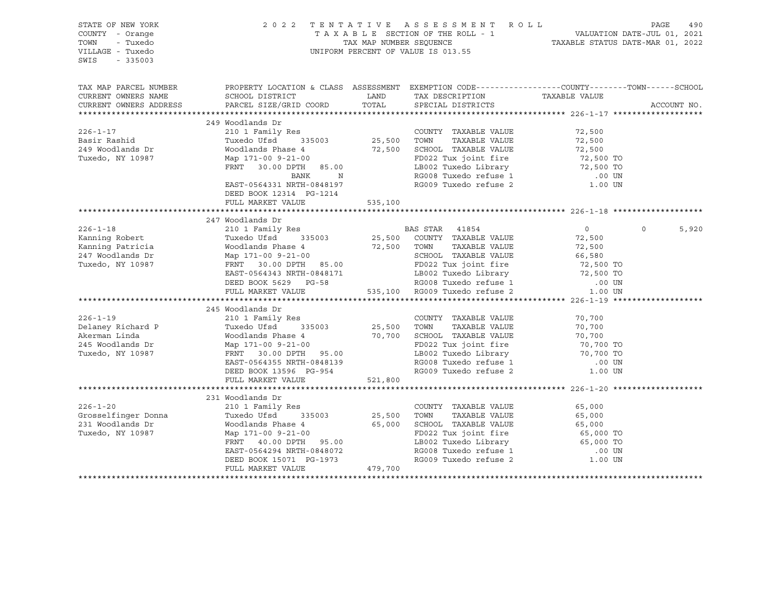| STATE OF NEW YORK<br>COUNTY - Orange<br>TOWN<br>- Tuxedo<br>VILLAGE - Tuxedo<br>$-335003$<br>SWIS |                                                                                                                                              |                                  | 2022 TENTATIVE ASSESSMENT ROLL<br>TAXABLE SECTION OF THE ROLL - 1<br>TAX MAP NUMBER SEQUENCE TAXABLE STATUS DATE-MAR 01, 2022<br>UNIFORM PERCENT OF VALUE IS 013.55 |                     | PAGE<br>490       |
|---------------------------------------------------------------------------------------------------|----------------------------------------------------------------------------------------------------------------------------------------------|----------------------------------|---------------------------------------------------------------------------------------------------------------------------------------------------------------------|---------------------|-------------------|
| TAX MAP PARCEL NUMBER<br>CURRENT OWNERS NAME<br>CURRENT OWNERS ADDRESS                            | PROPERTY LOCATION & CLASS ASSESSMENT EXEMPTION CODE---------------COUNTY-------TOWN------SCHOOL<br>SCHOOL DISTRICT<br>PARCEL SIZE/GRID COORD | LAND<br>TOTAL                    | TAX DESCRIPTION<br>SPECIAL DISTRICTS                                                                                                                                | TAXABLE VALUE       | ACCOUNT NO.       |
|                                                                                                   | 249 Woodlands Dr                                                                                                                             |                                  |                                                                                                                                                                     |                     |                   |
| $226 - 1 - 17$                                                                                    | 210 1 Family Res                                                                                                                             |                                  | COUNTY TAXABLE VALUE                                                                                                                                                | 72,500              |                   |
| Basir Rashid                                                                                      | Tuxedo Ufsd 335003                                                                                                                           | COUNTY<br>25,500       TOWN      | TAXABLE VALUE                                                                                                                                                       | 72,500              |                   |
| 249 Woodlands Dr                                                                                  | Woodlands Phase 4                                                                                                                            |                                  | 72,500 SCHOOL TAXABLE VALUE                                                                                                                                         |                     |                   |
| Tuxedo, NY 10987                                                                                  | Map 171-00 9-21-00                                                                                                                           |                                  | FD022 Tux joint fire                                                                                                                                                | 72,500<br>72,500 TO |                   |
|                                                                                                   | FRNT 30.00 DPTH 85.00                                                                                                                        |                                  | LB002 Tuxedo Library<br>RG008 Tuxedo refuse 1                                                                                                                       | 72,500 TO           |                   |
|                                                                                                   | BANK<br>N                                                                                                                                    |                                  |                                                                                                                                                                     | .00 UN              |                   |
|                                                                                                   | EAST-0564331 NRTH-0848197                                                                                                                    |                                  | RG009 Tuxedo refuse 2                                                                                                                                               | 1.00 UN             |                   |
|                                                                                                   | DEED BOOK 12314 PG-1214                                                                                                                      |                                  |                                                                                                                                                                     |                     |                   |
|                                                                                                   | FULL MARKET VALUE                                                                                                                            | 535,100                          |                                                                                                                                                                     |                     |                   |
|                                                                                                   |                                                                                                                                              |                                  |                                                                                                                                                                     |                     |                   |
|                                                                                                   | 247 Woodlands Dr                                                                                                                             |                                  |                                                                                                                                                                     |                     |                   |
| $226 - 1 - 18$                                                                                    | 210 1 Family Res                                                                                                                             |                                  | BAS STAR 41854<br>25,500 COUNTY TAXABLE VALUE                                                                                                                       | $\overline{0}$      | $\Omega$<br>5,920 |
| Kanning Robert                                                                                    | Tuxedo Ufsd<br>335003                                                                                                                        |                                  |                                                                                                                                                                     | 72,500              |                   |
| Kanning Patricia                                                                                  | Woodlands Phase 4                                                                                                                            | 72,500 TOWN<br>SCHOOL<br>FD022 T | TAXABLE VALUE                                                                                                                                                       | 72,500              |                   |
| 247 Woodlands Dr                                                                                  | Map 171-00 9-21-00                                                                                                                           |                                  | SCHOOL TAXABLE VALUE                                                                                                                                                |                     |                   |
| Tuxedo, NY 10987                                                                                  | FRNT 30.00 DPTH 85.00                                                                                                                        |                                  | FD022 Tux joint fire                                                                                                                                                |                     |                   |
|                                                                                                   | EAST-0564343 NRTH-0848171                                                                                                                    |                                  |                                                                                                                                                                     |                     |                   |
|                                                                                                   | DEED BOOK 5629 PG-58                                                                                                                         |                                  | 19902 Tuxedo Library (1991)<br>TLB002 Tuxedo Library (1990)<br>RG008 Tuxedo refuse 1 (1990)<br>535,100 RG009 Tuxedo refuse 2 (1.00 UN                               |                     |                   |
|                                                                                                   | FULL MARKET VALUE                                                                                                                            |                                  |                                                                                                                                                                     |                     |                   |
|                                                                                                   | 245 Woodlands Dr                                                                                                                             |                                  |                                                                                                                                                                     |                     |                   |
| $226 - 1 - 19$                                                                                    |                                                                                                                                              |                                  | COUNTY TAXABLE VALUE                                                                                                                                                | 70,700              |                   |
| Delaney Richard P                                                                                 | 210 1 Family Res<br>Tuxedo Ufsd 335003 25,500                                                                                                |                                  | TOWN<br>TAXABLE VALUE                                                                                                                                               | 70,700              |                   |
| Akerman Linda                                                                                     |                                                                                                                                              |                                  |                                                                                                                                                                     |                     |                   |
| 245 Woodlands Dr                                                                                  | Woodlands Phase 4 70,700 SCHOOL TAXABLE VALUE Map 171-00 9-21-00 70.700 FD022 Tux joint fire                                                 |                                  | FD022 Tux joint fire                                                                                                                                                | 70,700<br>70,700 TO |                   |
| Tuxedo, NY 10987                                                                                  | FRNT 30.00 DPTH 95.00                                                                                                                        |                                  | LB002 Tuxedo Library $\begin{array}{ccc} 70,700 & T0 \\ -70,700 & T0 \end{array}$                                                                                   |                     |                   |
|                                                                                                   | EAST-0564355 NRTH-0848139                                                                                                                    |                                  |                                                                                                                                                                     |                     |                   |
|                                                                                                   | DEED BOOK 13596 PG-954                                                                                                                       |                                  | RG008 Tuxedo refuse 1 (00 UN RG009 Tuxedo refuse 2 (1 00 UN                                                                                                         |                     |                   |
|                                                                                                   | FULL MARKET VALUE                                                                                                                            | 521,800                          |                                                                                                                                                                     |                     |                   |
|                                                                                                   |                                                                                                                                              |                                  |                                                                                                                                                                     |                     |                   |
|                                                                                                   | 231 Woodlands Dr                                                                                                                             |                                  |                                                                                                                                                                     |                     |                   |
| $226 - 1 - 20$                                                                                    | 210 1 Family Res                                                                                                                             |                                  | COUNTY TAXABLE VALUE                                                                                                                                                | 65,000              |                   |
| Grosselfinger Donna                                                                               | Tuxedo Ufsd<br>335003                                                                                                                        | 25,500                           | TOWN<br>TAXABLE VALUE                                                                                                                                               | 65,000              |                   |
| 231 Woodlands Dr                                                                                  | Woodlands Phase 4                                                                                                                            |                                  | 65,000 SCHOOL TAXABLE VALUE                                                                                                                                         | 65,000              |                   |
| Tuxedo, NY 10987                                                                                  | Map 171-00 9-21-00                                                                                                                           |                                  | FD022 Tux joint fire 65,000 TO<br>LB002 Tuxedo Library 65,000 TO<br>RG008 Tuxedo refuse 1 00 UN<br>RG009 Tuxedo refuse 2 1.00 UN                                    |                     |                   |
|                                                                                                   | FRNT 40.00 DPTH 95.00                                                                                                                        |                                  |                                                                                                                                                                     |                     |                   |
|                                                                                                   | EAST-0564294 NRTH-0848072                                                                                                                    |                                  |                                                                                                                                                                     |                     |                   |
|                                                                                                   | DEED BOOK 15071 PG-1973                                                                                                                      |                                  |                                                                                                                                                                     |                     |                   |
|                                                                                                   | FULL MARKET VALUE                                                                                                                            | 479,700                          |                                                                                                                                                                     |                     |                   |
|                                                                                                   |                                                                                                                                              |                                  |                                                                                                                                                                     |                     |                   |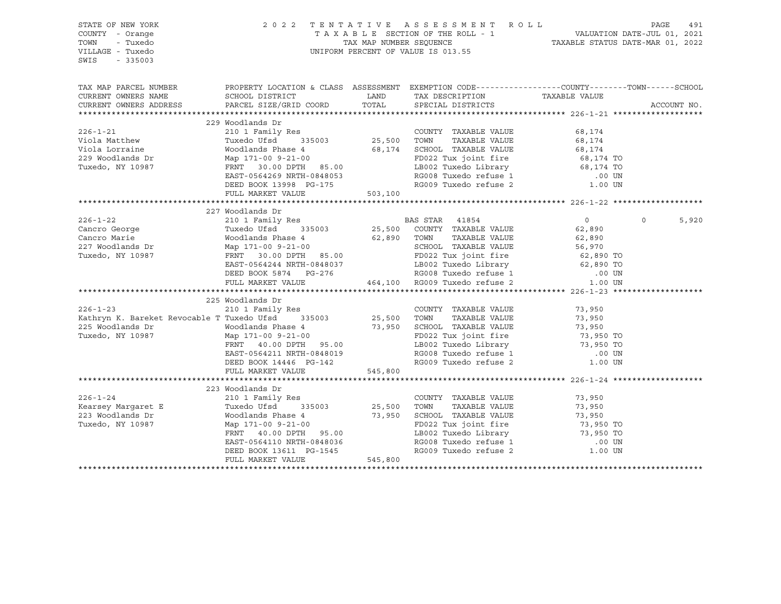| STATE OF NEW YORK<br>COUNTY - Orange<br>TOWN<br>- Tuxedo<br>VILLAGE - Tuxedo<br>SWIS<br>$-335003$                                                                                                                                                                                                                                                                                                               |                                                                                                                                                                                                                                      |         | 2022 TENTATIVE ASSESSMENT ROLL PAGE 491<br>TAXABLE SECTION OF THE ROLL - 1 VALUATION DATE-JUL 01, 2021<br>TAX MAP NUMBER SEQUENCE TAXABLE STATUS DATE-MAR 01, 2022<br>UNIFORM PERCENT OF VALUE IS 013.55 |               |                  |  |
|-----------------------------------------------------------------------------------------------------------------------------------------------------------------------------------------------------------------------------------------------------------------------------------------------------------------------------------------------------------------------------------------------------------------|--------------------------------------------------------------------------------------------------------------------------------------------------------------------------------------------------------------------------------------|---------|----------------------------------------------------------------------------------------------------------------------------------------------------------------------------------------------------------|---------------|------------------|--|
| TAX MAP PARCEL NUMBER PROPERTY LOCATION & CLASS ASSESSMENT EXEMPTION CODE---------------COUNTY-------TOWN------SCHOOL                                                                                                                                                                                                                                                                                           |                                                                                                                                                                                                                                      |         |                                                                                                                                                                                                          |               |                  |  |
| CURRENT OWNERS NAME                                                                                                                                                                                                                                                                                                                                                                                             | SCHOOL DISTRICT                                                                                                                                                                                                                      | LAND    | TAX DESCRIPTION                                                                                                                                                                                          | TAXABLE VALUE |                  |  |
| CURRENT OWNERS ADDRESS<br>VERENT OWNERS ADDRESS AND ALLER AND A SUBARUM COUNTY TAXABLE VALUE (1999)<br>229 Woodlands Dr<br>229 Woodlands Dr<br>229 Woodlands Phase 4 25,500 TOWN TAXABLE VALUE (68,174<br>229 Woodlands Phase 4 25,500 TOWN TAXABLE VALUE 68,174                                                                                                                                                | PARCEL SIZE/GRID COORD                                                                                                                                                                                                               | TOTAL   | SPECIAL DISTRICTS                                                                                                                                                                                        |               | ACCOUNT NO.      |  |
|                                                                                                                                                                                                                                                                                                                                                                                                                 |                                                                                                                                                                                                                                      |         |                                                                                                                                                                                                          |               |                  |  |
|                                                                                                                                                                                                                                                                                                                                                                                                                 |                                                                                                                                                                                                                                      |         |                                                                                                                                                                                                          |               |                  |  |
|                                                                                                                                                                                                                                                                                                                                                                                                                 |                                                                                                                                                                                                                                      |         |                                                                                                                                                                                                          |               |                  |  |
|                                                                                                                                                                                                                                                                                                                                                                                                                 |                                                                                                                                                                                                                                      |         |                                                                                                                                                                                                          |               |                  |  |
|                                                                                                                                                                                                                                                                                                                                                                                                                 |                                                                                                                                                                                                                                      |         |                                                                                                                                                                                                          |               |                  |  |
|                                                                                                                                                                                                                                                                                                                                                                                                                 |                                                                                                                                                                                                                                      |         |                                                                                                                                                                                                          |               |                  |  |
|                                                                                                                                                                                                                                                                                                                                                                                                                 |                                                                                                                                                                                                                                      |         |                                                                                                                                                                                                          |               |                  |  |
|                                                                                                                                                                                                                                                                                                                                                                                                                 |                                                                                                                                                                                                                                      |         |                                                                                                                                                                                                          |               |                  |  |
|                                                                                                                                                                                                                                                                                                                                                                                                                 |                                                                                                                                                                                                                                      |         |                                                                                                                                                                                                          |               |                  |  |
|                                                                                                                                                                                                                                                                                                                                                                                                                 |                                                                                                                                                                                                                                      |         |                                                                                                                                                                                                          |               |                  |  |
|                                                                                                                                                                                                                                                                                                                                                                                                                 | 227 Woodlands Dr                                                                                                                                                                                                                     |         |                                                                                                                                                                                                          |               |                  |  |
|                                                                                                                                                                                                                                                                                                                                                                                                                 | NOOGLABING DEVICES 210 1 Family Res<br>Tuxedo Ufsd 335003 25,500 COUNTY TAXABLE VALUE<br>The Country Taxable Value                                                                                                                   |         |                                                                                                                                                                                                          |               | $\circ$<br>5,920 |  |
|                                                                                                                                                                                                                                                                                                                                                                                                                 |                                                                                                                                                                                                                                      |         |                                                                                                                                                                                                          |               |                  |  |
|                                                                                                                                                                                                                                                                                                                                                                                                                 |                                                                                                                                                                                                                                      |         |                                                                                                                                                                                                          |               |                  |  |
|                                                                                                                                                                                                                                                                                                                                                                                                                 |                                                                                                                                                                                                                                      |         |                                                                                                                                                                                                          |               |                  |  |
|                                                                                                                                                                                                                                                                                                                                                                                                                 |                                                                                                                                                                                                                                      |         |                                                                                                                                                                                                          |               |                  |  |
|                                                                                                                                                                                                                                                                                                                                                                                                                 |                                                                                                                                                                                                                                      |         |                                                                                                                                                                                                          |               |                  |  |
|                                                                                                                                                                                                                                                                                                                                                                                                                 |                                                                                                                                                                                                                                      |         |                                                                                                                                                                                                          |               |                  |  |
|                                                                                                                                                                                                                                                                                                                                                                                                                 |                                                                                                                                                                                                                                      |         |                                                                                                                                                                                                          |               |                  |  |
| $\begin{tabular}{lcccc} 226-1-22 & 210 & 1 Family res \\ \mbox{Cancro George} & \mbox{Tuxedo Ufsd} & 335003 & 25,500 & \mbox{COUNTY} & \mbox{TAXABLE VALUE} & \mbox{}\\ \mbox{Cancro Marie} & \mbox{Woodlands Phase 4} & 62,890 & \mbox{TONN} & \mbox{TAXABLE VALUE} & 62,890 \\ \mbox{227 Woodlands Dr} & \mbox{Map 171-00 9-21-00} & \mbox{SCH0OL TAXABLE VALUE} & 56,970 \\ \mbox{Tuxedo, NY 10987} & \mbox$ |                                                                                                                                                                                                                                      |         |                                                                                                                                                                                                          |               |                  |  |
|                                                                                                                                                                                                                                                                                                                                                                                                                 | 225 Woodlands Dr                                                                                                                                                                                                                     |         |                                                                                                                                                                                                          |               |                  |  |
|                                                                                                                                                                                                                                                                                                                                                                                                                 |                                                                                                                                                                                                                                      |         | COUNTY TAXABLE VALUE                                                                                                                                                                                     | 73,950        |                  |  |
|                                                                                                                                                                                                                                                                                                                                                                                                                 |                                                                                                                                                                                                                                      |         |                                                                                                                                                                                                          |               |                  |  |
| 210 1 Family Res<br>Kathryn K. Bareket Revocable T Tuxedo Ufsd 335003 25,500<br>25,500<br>The Moodlands Phase 1                                                                                                                                                                                                                                                                                                 |                                                                                                                                                                                                                                      |         | TOWN TAXABLE VALUE 73,950<br>SCHOOL TAXABLE VALUE 73,950<br>FD022 Tux joint fire 73,950<br>LB002 Tuxedo Library 73,950 TO                                                                                |               |                  |  |
| Tuxedo, NY 10987                                                                                                                                                                                                                                                                                                                                                                                                |                                                                                                                                                                                                                                      |         |                                                                                                                                                                                                          |               |                  |  |
|                                                                                                                                                                                                                                                                                                                                                                                                                 |                                                                                                                                                                                                                                      |         |                                                                                                                                                                                                          |               |                  |  |
|                                                                                                                                                                                                                                                                                                                                                                                                                 | EAST-0564211 NRTH-0848019<br>DEED BOOK 14446 PG-142                                                                                                                                                                                  |         | 19002 Tuxedo Library 13,950 TO<br>RG008 Tuxedo refuse 1 100 UN<br>RG009 Tuxedo refuse 2 1.00 UN                                                                                                          |               |                  |  |
|                                                                                                                                                                                                                                                                                                                                                                                                                 |                                                                                                                                                                                                                                      |         |                                                                                                                                                                                                          |               |                  |  |
|                                                                                                                                                                                                                                                                                                                                                                                                                 | FULL MARKET VALUE                                                                                                                                                                                                                    | 545,800 |                                                                                                                                                                                                          |               |                  |  |
|                                                                                                                                                                                                                                                                                                                                                                                                                 | 223 Woodlands Dr                                                                                                                                                                                                                     |         |                                                                                                                                                                                                          |               |                  |  |
| $226 - 1 - 24$                                                                                                                                                                                                                                                                                                                                                                                                  | 210 1 Family Res                                                                                                                                                                                                                     |         | COUNTY TAXABLE VALUE 73,950                                                                                                                                                                              |               |                  |  |
|                                                                                                                                                                                                                                                                                                                                                                                                                 |                                                                                                                                                                                                                                      |         |                                                                                                                                                                                                          |               |                  |  |
| Kearsey Margaret E<br>223 Woodlands Dr                                                                                                                                                                                                                                                                                                                                                                          | VENDE VALUE 1950 UNIVE 1950 UNIVE 1950 UNIVE 1950<br>Woodlands Phase 4 1950 SCHOOL TAXABLE VALUE 1950<br>Map 171-00 9-21-00<br>FRNT 40.00 DPTH 95.00 EAST-0564110 NRTH-0848036 RG008 Tuxedo Library 195.00 EAST-0564110 NRTH-0848036 |         |                                                                                                                                                                                                          |               |                  |  |
| Tuxedo, NY 10987                                                                                                                                                                                                                                                                                                                                                                                                |                                                                                                                                                                                                                                      |         |                                                                                                                                                                                                          |               |                  |  |
|                                                                                                                                                                                                                                                                                                                                                                                                                 |                                                                                                                                                                                                                                      |         |                                                                                                                                                                                                          |               |                  |  |
|                                                                                                                                                                                                                                                                                                                                                                                                                 |                                                                                                                                                                                                                                      |         |                                                                                                                                                                                                          |               |                  |  |
|                                                                                                                                                                                                                                                                                                                                                                                                                 |                                                                                                                                                                                                                                      |         | RG008 Tuxedo refuse 1 (00 UN RG009 Tuxedo refuse 2 (1.00 UN                                                                                                                                              |               |                  |  |
|                                                                                                                                                                                                                                                                                                                                                                                                                 | EAST-0564110 NRTH-0848036<br>DEED BOOK 13611 PG-1545<br>FULL MARKET VALUE 545,800                                                                                                                                                    |         |                                                                                                                                                                                                          |               |                  |  |
|                                                                                                                                                                                                                                                                                                                                                                                                                 |                                                                                                                                                                                                                                      |         |                                                                                                                                                                                                          |               |                  |  |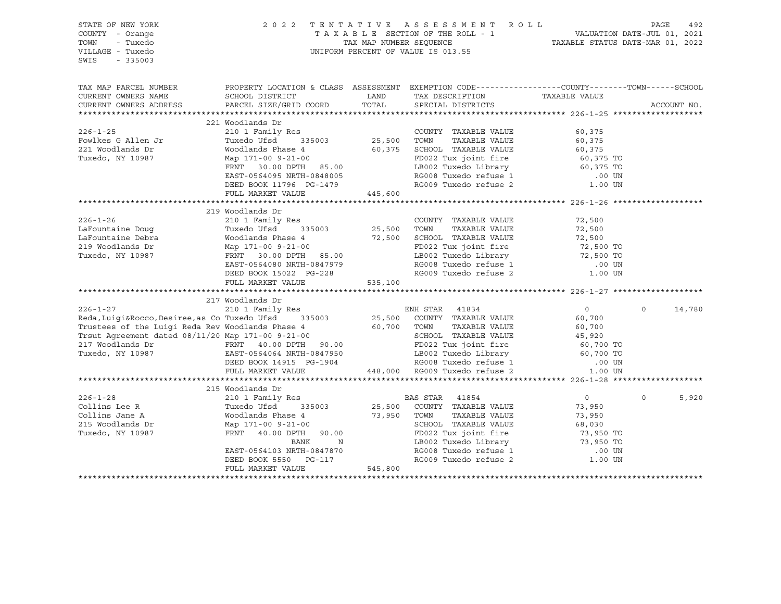| STATE OF NEW YORK<br>COUNTY - Orange<br>TOWN<br>- Tuxedo<br>VILLAGE - Tuxedo<br>SWIS<br>$-335003$                                                                                                                                     |                                                                                                                                                           |               | 2022 TENTATIVE ASSESSMENT ROLL PAGE 492<br>TAXABLE SECTION OF THE ROLL - 1 VALUATION DATE-JUL 01, 2021<br>TAX MAP NUMBER SEQUENCE TAXABLE STATUS DATE-MAR 01, 2022<br>UNIFORM PERCENT OF VALUE IS 013.55 |                                  |                    |
|---------------------------------------------------------------------------------------------------------------------------------------------------------------------------------------------------------------------------------------|-----------------------------------------------------------------------------------------------------------------------------------------------------------|---------------|----------------------------------------------------------------------------------------------------------------------------------------------------------------------------------------------------------|----------------------------------|--------------------|
| TAX MAP PARCEL NUMBER<br>CURRENT OWNERS NAME<br>CURRENT OWNERS ADDRESS                                                                                                                                                                | PROPERTY LOCATION & CLASS ASSESSMENT EXEMPTION CODE-----------------COUNTY--------TOWN------SCHOOL<br>SCHOOL DISTRICT<br>PARCEL SIZE/GRID COORD           | LAND<br>TOTAL | TAX DESCRIPTION<br>SPECIAL DISTRICTS                                                                                                                                                                     | TAXABLE VALUE                    | ACCOUNT NO.        |
|                                                                                                                                                                                                                                       | 221 Woodlands Dr                                                                                                                                          |               |                                                                                                                                                                                                          |                                  |                    |
| $226 - 1 - 25$                                                                                                                                                                                                                        |                                                                                                                                                           |               | COUNTY TAXABLE VALUE                                                                                                                                                                                     | 60,375                           |                    |
| Fowlkes G Allen Jr                                                                                                                                                                                                                    |                                                                                                                                                           |               | TAXABLE VALUE                                                                                                                                                                                            | 60,375                           |                    |
| 221 Woodlands Dr                                                                                                                                                                                                                      | Moodlands Phase 4<br>Map 171-00 9-21-00<br>FRNT 30.00 DPTH 85.00<br>FRNT 30.00 DPTH 85.00<br>FRNT 30.00 DPTH 85.00<br>LB002 Tuxedo Library                |               |                                                                                                                                                                                                          |                                  |                    |
| Tuxedo, NY 10987                                                                                                                                                                                                                      |                                                                                                                                                           |               |                                                                                                                                                                                                          | 60,375<br>60,375 TO<br>60,375 TO |                    |
|                                                                                                                                                                                                                                       |                                                                                                                                                           |               | ----<br>LB002 Tuxedo Library<br>RG008 Tuxedo refuse 1                                                                                                                                                    |                                  |                    |
|                                                                                                                                                                                                                                       | EAST-0564095 NRTH-0848005                                                                                                                                 |               |                                                                                                                                                                                                          | .00 UN                           |                    |
|                                                                                                                                                                                                                                       | DEED BOOK 11796 PG-1479                                                                                                                                   |               | RG009 Tuxedo refuse 2                                                                                                                                                                                    | 1.00 UN                          |                    |
|                                                                                                                                                                                                                                       | FULL MARKET VALUE                                                                                                                                         | 445,600       |                                                                                                                                                                                                          |                                  |                    |
|                                                                                                                                                                                                                                       |                                                                                                                                                           |               |                                                                                                                                                                                                          |                                  |                    |
|                                                                                                                                                                                                                                       | 219 Woodlands Dr                                                                                                                                          |               |                                                                                                                                                                                                          |                                  |                    |
| $226 - 1 - 26$                                                                                                                                                                                                                        | 210 1 Family Res                                                                                                                                          |               | COUNTY TAXABLE VALUE                                                                                                                                                                                     | 72,500                           |                    |
|                                                                                                                                                                                                                                       | Tuxedo Ufsd 335003 25,500 TOWN                                                                                                                            |               | TAXABLE VALUE                                                                                                                                                                                            | 72,500                           |                    |
|                                                                                                                                                                                                                                       | Woodlands Phase 4                                                                                                                                         |               |                                                                                                                                                                                                          |                                  |                    |
| LaFountaine Debra<br>219 Woodlands Dr<br>Tuxedo, NY 10987                                                                                                                                                                             | Map 171-00 9-21-00                                                                                                                                        |               |                                                                                                                                                                                                          |                                  |                    |
|                                                                                                                                                                                                                                       | FRNT 30.00 DPTH 85.00                                                                                                                                     |               |                                                                                                                                                                                                          |                                  |                    |
|                                                                                                                                                                                                                                       | EAST-0564080 NRTH-0847979<br>DEED BOOK 15022 PG-228                                                                                                       |               | 72,500 IOWN IAAABLE VALUE<br>72,500 SCHOOL TAXABLE VALUE<br>FD022 Tux joint fire<br>LB002 Tuxedo Library<br>RG008 Tuxedo refuse 1 .00 UN<br>RG009 Tuxedo refuse 2 1.00 UN                                |                                  |                    |
|                                                                                                                                                                                                                                       | FULL MARKET VALUE 535,100                                                                                                                                 |               |                                                                                                                                                                                                          |                                  |                    |
|                                                                                                                                                                                                                                       |                                                                                                                                                           |               |                                                                                                                                                                                                          |                                  |                    |
|                                                                                                                                                                                                                                       | 217 Woodlands Dr                                                                                                                                          |               |                                                                                                                                                                                                          |                                  |                    |
| $226 - 1 - 27$                                                                                                                                                                                                                        | 210 1 Family Res                                                                                                                                          |               | ENH STAR 41834                                                                                                                                                                                           | $\overline{0}$                   | $\Omega$<br>14,780 |
| Reda, Luigi&Rocco, Desiree, as Co Tuxedo Ufsd                                                                                                                                                                                         |                                                                                                                                                           |               | 335003 25,500 COUNTY TAXABLE VALUE                                                                                                                                                                       | 60,700                           |                    |
| Trustees of the Luigi Reda Rev Woodlands Phase 4                                                                                                                                                                                      |                                                                                                                                                           | 60,700 TOWN   | TAXABLE VALUE                                                                                                                                                                                            | 60,700                           |                    |
|                                                                                                                                                                                                                                       |                                                                                                                                                           |               |                                                                                                                                                                                                          |                                  |                    |
|                                                                                                                                                                                                                                       |                                                                                                                                                           |               |                                                                                                                                                                                                          |                                  |                    |
| Trsut Agreement dated 08/11/20 Map 171-00 9-21-00<br>217 Woodlands Dr<br>Tuxedo, NY 10987 EAST-0564064 NRTH-0847950 EED BOOK 14915 PG-1904 RG000 ETULL MARKET VALUE<br>FULL MARKET VALUE 448,000 RG009 Tuxedo refuse 1 .00 UN<br>PULL |                                                                                                                                                           |               |                                                                                                                                                                                                          |                                  |                    |
|                                                                                                                                                                                                                                       |                                                                                                                                                           |               |                                                                                                                                                                                                          |                                  |                    |
|                                                                                                                                                                                                                                       |                                                                                                                                                           |               |                                                                                                                                                                                                          |                                  |                    |
|                                                                                                                                                                                                                                       |                                                                                                                                                           |               |                                                                                                                                                                                                          |                                  |                    |
|                                                                                                                                                                                                                                       |                                                                                                                                                           |               |                                                                                                                                                                                                          |                                  |                    |
| $226 - 1 - 28$                                                                                                                                                                                                                        |                                                                                                                                                           |               | BAS STAR 41854<br>25,500 COUNTY TAXABLE VALUE                                                                                                                                                            | $0 \qquad \qquad$                | 5,920<br>$\circ$   |
| Collins Lee R                                                                                                                                                                                                                         |                                                                                                                                                           |               |                                                                                                                                                                                                          | 73,950                           |                    |
| Collins Jane A                                                                                                                                                                                                                        | ---> movalands Dr<br>210 1 Family Res<br>Tuxedo Ufsd 335003 25,500 COUNTY<br>Moodlands Phase 4 73,950 TOWN<br>Map 171-00 9-21-00<br>FRNT 40.00 DPTH 80.00 |               | TAXABLE VALUE                                                                                                                                                                                            | 73,950                           |                    |
| 215 Woodlands Dr                                                                                                                                                                                                                      |                                                                                                                                                           |               | SCHOOL TAXABLE VALUE                                                                                                                                                                                     | 68,030                           |                    |
| Tuxedo, NY 10987                                                                                                                                                                                                                      |                                                                                                                                                           |               | FD022 Tux joint fire 73,950 TO<br>LB002 Tuxedo Library 73,950 TO<br>RG008 Tuxedo refuse 1 00 UN<br>RG009 Tuxedo refuse 2 1.00 UN                                                                         |                                  |                    |
|                                                                                                                                                                                                                                       | BANK<br>N                                                                                                                                                 |               |                                                                                                                                                                                                          |                                  |                    |
|                                                                                                                                                                                                                                       | EAST-0564103 NRTH-0847870<br>DEED BOOK 5550 PG-117                                                                                                        |               |                                                                                                                                                                                                          |                                  |                    |
|                                                                                                                                                                                                                                       | FULL MARKET VALUE                                                                                                                                         | 545,800       |                                                                                                                                                                                                          |                                  |                    |
|                                                                                                                                                                                                                                       |                                                                                                                                                           |               |                                                                                                                                                                                                          |                                  |                    |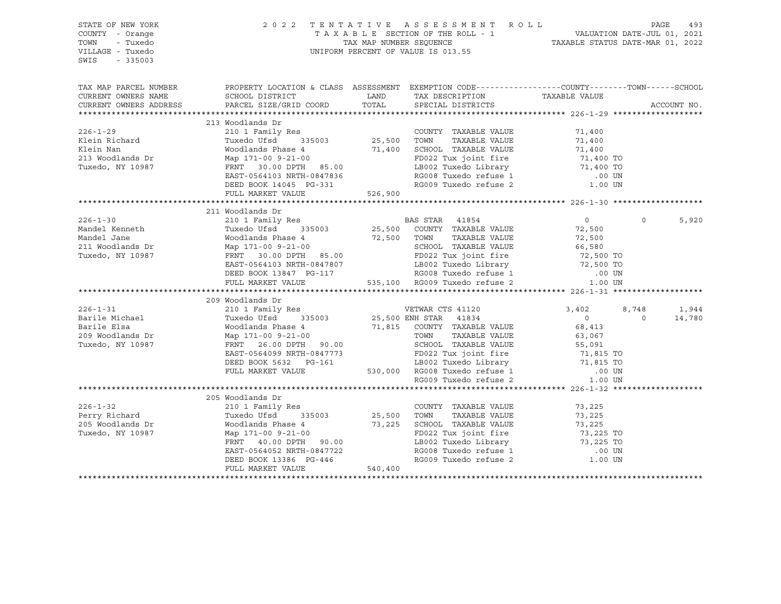| STATE OF NEW YORK<br>COUNTY - Orange<br>TOWN<br>- Tuxedo<br>VILLAGE - Tuxedo<br>SWIS<br>$-335003$                        |                                                                                                                                                                                                                                                                                            |         | 2022 TENTATIVE ASSESSMENT ROLL PAGE 493<br>TAXABLE SECTION OF THE ROLL - 1 VALUATION DATE-JUL 01, 2021<br>TAX MAP NUMBER SEQUENCE TAXABLE STATUS DATE-MAR 01, 2022<br>UNIFORM PERCENT OF VALUE IS 013.55                                            |                   |                   |             |
|--------------------------------------------------------------------------------------------------------------------------|--------------------------------------------------------------------------------------------------------------------------------------------------------------------------------------------------------------------------------------------------------------------------------------------|---------|-----------------------------------------------------------------------------------------------------------------------------------------------------------------------------------------------------------------------------------------------------|-------------------|-------------------|-------------|
| TAX MAP PARCEL NUMBER THE PROPERTY LOCATION & CLASS ASSESSMENT EXEMPTION CODE--------------COUNTY-------TOWN------SCHOOL |                                                                                                                                                                                                                                                                                            |         |                                                                                                                                                                                                                                                     |                   |                   |             |
| CURRENT OWNERS NAME<br>CURRENT OWNERS ADDRESS                                                                            | SCHOOL DISTRICT<br>PARCEL SIZE/GRID COORD                                                                                                                                                                                                                                                  |         | LAND TAX DESCRIPTION TAXABLE VALUE COORD TOTAL SPECIAL DISTRICTS                                                                                                                                                                                    |                   |                   | ACCOUNT NO. |
|                                                                                                                          |                                                                                                                                                                                                                                                                                            |         |                                                                                                                                                                                                                                                     |                   |                   |             |
|                                                                                                                          | 213 Woodlands Dr                                                                                                                                                                                                                                                                           |         |                                                                                                                                                                                                                                                     |                   |                   |             |
| $226 - 1 - 29$                                                                                                           |                                                                                                                                                                                                                                                                                            |         | COUNTY TAXABLE VALUE                                                                                                                                                                                                                                |                   |                   |             |
| Klein Richard                                                                                                            |                                                                                                                                                                                                                                                                                            |         |                                                                                                                                                                                                                                                     | 71,400<br>71,400  |                   |             |
| Klein Nan                                                                                                                | Woodlands Phase 4 2000<br>Map 171-00 9-21-00 71,400 SCHOOL TAXABLE VALUE<br>Map 171-00 9-21-00 71,400 FD022 Tux joint fire 71,400 TO<br>FRNT 30.00 DPTH 85.00 LB002 Tuxedo Library 71,400 TO                                                                                               |         |                                                                                                                                                                                                                                                     |                   |                   |             |
| 213 Woodlands Dr                                                                                                         |                                                                                                                                                                                                                                                                                            |         |                                                                                                                                                                                                                                                     |                   |                   |             |
| Tuxedo, NY 10987                                                                                                         |                                                                                                                                                                                                                                                                                            |         | LB002 Tuxedo Library<br>RG008 Tuxedo refuse 1                                                                                                                                                                                                       |                   |                   |             |
|                                                                                                                          |                                                                                                                                                                                                                                                                                            |         |                                                                                                                                                                                                                                                     | .00 UN<br>1.00 UN |                   |             |
|                                                                                                                          | EAST-0564103 NRTH-0847836<br>DEED BOOK 14045 PG-331                                                                                                                                                                                                                                        |         | RG009 Tuxedo refuse 2                                                                                                                                                                                                                               |                   |                   |             |
|                                                                                                                          | FULL MARKET VALUE 526,900                                                                                                                                                                                                                                                                  |         |                                                                                                                                                                                                                                                     |                   |                   |             |
|                                                                                                                          |                                                                                                                                                                                                                                                                                            |         |                                                                                                                                                                                                                                                     |                   |                   |             |
|                                                                                                                          | 211 Woodlands Dr<br>Woodlands Dr<br>210 1 Family Res<br>Tuxedo Ufsd<br>335003<br>25,500 COUNTY TAXABLE VALUE<br>27,500<br>27,500 TOWN TAXABLE VALUE<br>27,500<br>27,500<br>27,500<br>27,500<br>27,500<br>27,500<br>27,500<br>27,500<br>27,500<br>27,500<br>27,500<br>272,500<br>27,500<br> |         |                                                                                                                                                                                                                                                     |                   |                   |             |
| $226 - 1 - 30$                                                                                                           |                                                                                                                                                                                                                                                                                            |         |                                                                                                                                                                                                                                                     | $\overline{0}$    | $0 \qquad \qquad$ | 5,920       |
| Mandel Kenneth                                                                                                           |                                                                                                                                                                                                                                                                                            |         |                                                                                                                                                                                                                                                     |                   |                   |             |
| Mandel Jane                                                                                                              |                                                                                                                                                                                                                                                                                            |         |                                                                                                                                                                                                                                                     |                   |                   |             |
| 211 Woodlands Dr                                                                                                         |                                                                                                                                                                                                                                                                                            |         |                                                                                                                                                                                                                                                     |                   |                   |             |
| Tuxedo, NY 10987                                                                                                         |                                                                                                                                                                                                                                                                                            |         |                                                                                                                                                                                                                                                     |                   |                   |             |
|                                                                                                                          |                                                                                                                                                                                                                                                                                            |         |                                                                                                                                                                                                                                                     |                   |                   |             |
|                                                                                                                          |                                                                                                                                                                                                                                                                                            |         |                                                                                                                                                                                                                                                     |                   |                   |             |
|                                                                                                                          |                                                                                                                                                                                                                                                                                            |         |                                                                                                                                                                                                                                                     |                   |                   |             |
|                                                                                                                          |                                                                                                                                                                                                                                                                                            |         |                                                                                                                                                                                                                                                     |                   |                   |             |
| $226 - 1 - 31$                                                                                                           | 209 Woodlands Dr                                                                                                                                                                                                                                                                           |         |                                                                                                                                                                                                                                                     | 3,402             | 8,748             | 1,944       |
|                                                                                                                          |                                                                                                                                                                                                                                                                                            |         |                                                                                                                                                                                                                                                     |                   | $\Omega$          | 14,780      |
|                                                                                                                          |                                                                                                                                                                                                                                                                                            |         |                                                                                                                                                                                                                                                     | $0$<br>68,413     |                   |             |
|                                                                                                                          |                                                                                                                                                                                                                                                                                            |         |                                                                                                                                                                                                                                                     |                   |                   |             |
|                                                                                                                          |                                                                                                                                                                                                                                                                                            |         |                                                                                                                                                                                                                                                     |                   |                   |             |
|                                                                                                                          |                                                                                                                                                                                                                                                                                            |         |                                                                                                                                                                                                                                                     |                   |                   |             |
|                                                                                                                          |                                                                                                                                                                                                                                                                                            |         |                                                                                                                                                                                                                                                     |                   |                   |             |
|                                                                                                                          |                                                                                                                                                                                                                                                                                            |         |                                                                                                                                                                                                                                                     |                   |                   |             |
|                                                                                                                          | Map 171-00 9-21-00<br>Map 171-00 9-21-00<br>FRNT 26.00 DPTH 90.00<br>EAST-0564099 NRTH-0847773<br>DEED BOOK 5632 PG-161<br>DEED BOOK 5632 PG-161<br>DEED BOOK 5632 PG-161<br>DEED BOOK 5632 PG-161<br>DEED BOOK 5632 PG-161<br>BOO2 Tuxedo Libra                                           |         |                                                                                                                                                                                                                                                     |                   |                   |             |
|                                                                                                                          |                                                                                                                                                                                                                                                                                            |         |                                                                                                                                                                                                                                                     |                   |                   |             |
|                                                                                                                          | 205 Woodlands Dr                                                                                                                                                                                                                                                                           |         |                                                                                                                                                                                                                                                     |                   |                   |             |
| $226 - 1 - 32$                                                                                                           | noouranus Dr<br>210 1 Family Res                                                                                                                                                                                                                                                           |         | COUNTY TAXABLE VALUE                                                                                                                                                                                                                                | 73,225            |                   |             |
| Perry Richard                                                                                                            | Tuxedo Ufsd 335003                                                                                                                                                                                                                                                                         |         | 25,500 TOWN TAXABLE VALUE<br>73,225 SCHOOL TAXABLE VALUE<br>ED022 Tuy joint fire                                                                                                                                                                    |                   |                   |             |
| 205 Woodlands Dr                                                                                                         | Woodlands Phase 4                                                                                                                                                                                                                                                                          |         |                                                                                                                                                                                                                                                     |                   |                   |             |
| Tuxedo, NY 10987                                                                                                         | Map 171-00 9-21-00<br>FRNT 40.00 DPTH 90.00<br>EAST-0564052 NRTH-0847722<br>DEED BOOK 13386 PG-446<br>FULL MARKET VALUR                                                                                                                                                                    |         | TOWN TAXABLE VALUE<br>TOWN TAXABLE VALUE<br>SCHOOL TAXABLE VALUE<br>FD022 Tux joint fire<br>T3,225<br>FD022 Tux joint fire<br>T3,225 TO<br>LB002 Tuxedo Library<br>T3,225 TO<br>RG008 Tuxedo refuse 1<br>.00 UN<br>RG009 Tuxedo refuse 2<br>1.00 UN |                   |                   |             |
|                                                                                                                          |                                                                                                                                                                                                                                                                                            |         |                                                                                                                                                                                                                                                     |                   |                   |             |
|                                                                                                                          |                                                                                                                                                                                                                                                                                            |         |                                                                                                                                                                                                                                                     |                   |                   |             |
|                                                                                                                          |                                                                                                                                                                                                                                                                                            |         |                                                                                                                                                                                                                                                     |                   |                   |             |
|                                                                                                                          |                                                                                                                                                                                                                                                                                            | 540,400 |                                                                                                                                                                                                                                                     |                   |                   |             |
|                                                                                                                          |                                                                                                                                                                                                                                                                                            |         |                                                                                                                                                                                                                                                     |                   |                   |             |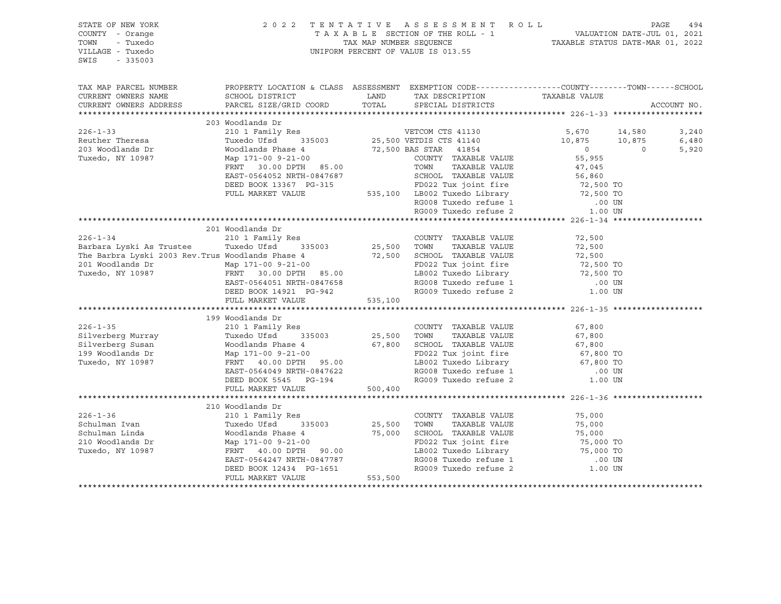SWIS - 335003

### STATE OF NEW YORK 2 0 2 2 T E N T A T I V E A S S E S S M E N T R O L L PAGE 494 COUNTY - Orange T A X A B L E SECTION OF THE ROLL - 1 VALUATION DATE-JUL 01, 2021 TOWN - Tuxedo TAX MAP NUMBER SEQUENCE TAXABLE STATUS DATE-MAR 01, 2022 VILLAGE - Tuxedo UNIFORM PERCENT OF VALUE IS 013.55

| TAX MAP PARCEL NUMBER<br>CURRENT OWNERS NAME<br>CURRENT OWNERS ADDRESS                                                                                                                                                                   | PROPERTY LOCATION & CLASS ASSESSMENT EXEMPTION CODE---------------COUNTY-------TOWN-----SCHOOL                                                                                                                                         |         |                                                                                                                                                                                                                               |        | ACCOUNT NO. |
|------------------------------------------------------------------------------------------------------------------------------------------------------------------------------------------------------------------------------------------|----------------------------------------------------------------------------------------------------------------------------------------------------------------------------------------------------------------------------------------|---------|-------------------------------------------------------------------------------------------------------------------------------------------------------------------------------------------------------------------------------|--------|-------------|
|                                                                                                                                                                                                                                          | 203 Woodlands Dr                                                                                                                                                                                                                       |         |                                                                                                                                                                                                                               |        |             |
| $226 - 1 - 33$                                                                                                                                                                                                                           |                                                                                                                                                                                                                                        |         |                                                                                                                                                                                                                               |        | 3,240       |
|                                                                                                                                                                                                                                          |                                                                                                                                                                                                                                        |         |                                                                                                                                                                                                                               |        | 6,480       |
| Reuther Theresa<br>203 Woodlands Dr<br>Tuxedo, NY 10987                                                                                                                                                                                  | 210 1 Family Res<br>210 1 Family Res<br>210 1 Family Res<br>25,500 VETDIS CTS 41140<br>25,500 VETDIS CTS 41140<br>25,500 VETDIS CTS 41140<br>25,500 VETDIS CTS 41140<br>25,500 VETDIS CTS 41140                                        |         |                                                                                                                                                                                                                               |        | 5,920       |
|                                                                                                                                                                                                                                          |                                                                                                                                                                                                                                        |         |                                                                                                                                                                                                                               |        |             |
|                                                                                                                                                                                                                                          |                                                                                                                                                                                                                                        |         |                                                                                                                                                                                                                               |        |             |
|                                                                                                                                                                                                                                          | Noddlands Phase 4 72,500 NAS STAR 41854 0<br>Map 171-00 9-21-00 72,500 BAS STAR 41854 0<br>Map 171-00 9-21-00 COUNTY TAXABLE VALUE 55,955<br>FRNT 30.00 DPTH 85.00 TOWN TAXABLE VALUE 47,045<br>EAST-0564052 NRTH-0847687 SCHOOL TAXAB |         |                                                                                                                                                                                                                               |        |             |
|                                                                                                                                                                                                                                          |                                                                                                                                                                                                                                        |         |                                                                                                                                                                                                                               |        |             |
|                                                                                                                                                                                                                                          |                                                                                                                                                                                                                                        |         |                                                                                                                                                                                                                               |        |             |
|                                                                                                                                                                                                                                          |                                                                                                                                                                                                                                        |         |                                                                                                                                                                                                                               |        |             |
|                                                                                                                                                                                                                                          |                                                                                                                                                                                                                                        |         |                                                                                                                                                                                                                               |        |             |
|                                                                                                                                                                                                                                          |                                                                                                                                                                                                                                        |         |                                                                                                                                                                                                                               |        |             |
|                                                                                                                                                                                                                                          | 201 Woodlands Dr                                                                                                                                                                                                                       |         |                                                                                                                                                                                                                               |        |             |
| $226 - 1 - 34$                                                                                                                                                                                                                           |                                                                                                                                                                                                                                        |         |                                                                                                                                                                                                                               | 72,500 |             |
| Barbara Lyski As Trustee Tuxedo Ufsd                                                                                                                                                                                                     |                                                                                                                                                                                                                                        |         |                                                                                                                                                                                                                               | 72,500 |             |
|                                                                                                                                                                                                                                          |                                                                                                                                                                                                                                        |         |                                                                                                                                                                                                                               |        |             |
| The Barbra Lyski 2003 Rev.Trus Woodlands Phase 4<br>201 Woodlands Dr Map 171-00 9-21-00<br>Tuxedo, NY 10987 FRNT 30.00 DPTH 85.00<br>EAST-0564051 NRTH-0847658 RG008 Tuxedo refuse 1<br>DEED BOO2 Tuxedo Library 72,500 TO<br>Tuxedo, NY |                                                                                                                                                                                                                                        |         |                                                                                                                                                                                                                               |        |             |
|                                                                                                                                                                                                                                          |                                                                                                                                                                                                                                        |         |                                                                                                                                                                                                                               |        |             |
|                                                                                                                                                                                                                                          |                                                                                                                                                                                                                                        |         |                                                                                                                                                                                                                               |        |             |
|                                                                                                                                                                                                                                          | EAST-0564051 NRTH-0847658<br>DEED BOOK 14921 PG-942<br>FULL MARKET VALUE 535,100                                                                                                                                                       |         |                                                                                                                                                                                                                               |        |             |
|                                                                                                                                                                                                                                          |                                                                                                                                                                                                                                        |         |                                                                                                                                                                                                                               |        |             |
|                                                                                                                                                                                                                                          |                                                                                                                                                                                                                                        |         |                                                                                                                                                                                                                               |        |             |
|                                                                                                                                                                                                                                          | 199 Woodlands Dr                                                                                                                                                                                                                       |         |                                                                                                                                                                                                                               |        |             |
|                                                                                                                                                                                                                                          |                                                                                                                                                                                                                                        |         |                                                                                                                                                                                                                               |        |             |
| 199 Woodlands Dr<br>226-1-35 210 1 Family Res<br>Silverberg Murray Tuxedo Ufsd 335003 25,500 TOWN TAXABLE VALUE 67,800<br>Silverberg Susan Woodlands Phase 4 67,800 SCHOOL TAXABLE VALUE 67,800<br>199 Woodlands Dr Map 171-00 9-21-00   |                                                                                                                                                                                                                                        |         |                                                                                                                                                                                                                               |        |             |
|                                                                                                                                                                                                                                          |                                                                                                                                                                                                                                        |         |                                                                                                                                                                                                                               |        |             |
|                                                                                                                                                                                                                                          |                                                                                                                                                                                                                                        |         |                                                                                                                                                                                                                               |        |             |
|                                                                                                                                                                                                                                          |                                                                                                                                                                                                                                        |         |                                                                                                                                                                                                                               |        |             |
|                                                                                                                                                                                                                                          |                                                                                                                                                                                                                                        |         | FD022 Tux joint fire<br>LB002 Tuxedo Library<br>RG008 Tuxedo refuse 1 0.00 UN<br>RG009 Tuxedo refuse 2 1.00 UN                                                                                                                |        |             |
|                                                                                                                                                                                                                                          | EAST-0564049 NRTH-0847622<br>DEED BOOK 5545 PG-194                                                                                                                                                                                     |         |                                                                                                                                                                                                                               |        |             |
|                                                                                                                                                                                                                                          | FULL MARKET VALUE                                                                                                                                                                                                                      | 500,400 |                                                                                                                                                                                                                               |        |             |
|                                                                                                                                                                                                                                          |                                                                                                                                                                                                                                        |         |                                                                                                                                                                                                                               |        |             |
|                                                                                                                                                                                                                                          | 210 Woodlands Dr                                                                                                                                                                                                                       |         |                                                                                                                                                                                                                               |        |             |
| $226 - 1 - 36$                                                                                                                                                                                                                           | 210 1 Family Res<br>Tuxedo Ufsd 335003 25,500                                                                                                                                                                                          |         | COUNTY TAXABLE VALUE                                                                                                                                                                                                          | 75,000 |             |
|                                                                                                                                                                                                                                          |                                                                                                                                                                                                                                        |         | TAXABLE VALUE<br>TOWN                                                                                                                                                                                                         | 75,000 |             |
|                                                                                                                                                                                                                                          |                                                                                                                                                                                                                                        |         |                                                                                                                                                                                                                               |        |             |
|                                                                                                                                                                                                                                          |                                                                                                                                                                                                                                        |         |                                                                                                                                                                                                                               |        |             |
|                                                                                                                                                                                                                                          |                                                                                                                                                                                                                                        |         | TOWN TAXABLE VALUE<br>SCHOOL TAXABLE VALUE<br>TOWN TO TAXABLE VALUE<br>TO 75,000<br>FD022 Tux joint fire<br>TO 75,000 TO<br>LB002 Tuxedo Library<br>TO 75,000 TO<br>RG008 Tuxedo refuse 1<br>RG009 Tuxedo refuse 2<br>1.00 UN |        |             |
|                                                                                                                                                                                                                                          |                                                                                                                                                                                                                                        |         |                                                                                                                                                                                                                               |        |             |
|                                                                                                                                                                                                                                          |                                                                                                                                                                                                                                        |         |                                                                                                                                                                                                                               |        |             |
|                                                                                                                                                                                                                                          |                                                                                                                                                                                                                                        |         |                                                                                                                                                                                                                               |        |             |
|                                                                                                                                                                                                                                          |                                                                                                                                                                                                                                        |         |                                                                                                                                                                                                                               |        |             |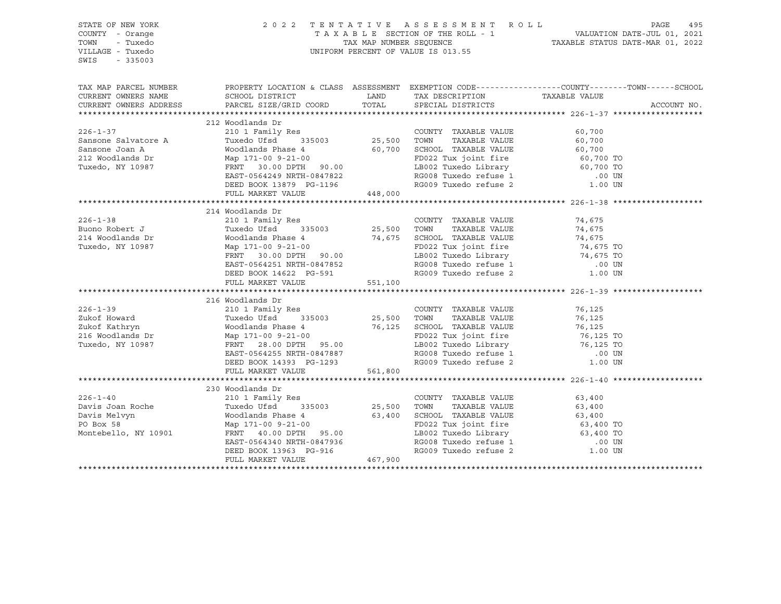| STATE OF NEW YORK<br>COUNTY - Orange<br>- Tuxedo<br>TOWN<br>VILLAGE - Tuxedo<br>$-335003$<br>SWIS                                                                                                                                          |                                                                                                                                                                                                                                                   |       | UNIFORM PERCENT OF VALUE IS 013.55                                                                                           | 2022 TENTATIVE ASSESSMENT ROLL PAGE 495<br>TAXABLE SECTION OF THE ROLL - 1 VALUATION DATE-JUL 01, 2021<br>TAX MAP NUMBER SEQUENCE TAXABLE STATUS DATE-MAR 01, 2022 |
|--------------------------------------------------------------------------------------------------------------------------------------------------------------------------------------------------------------------------------------------|---------------------------------------------------------------------------------------------------------------------------------------------------------------------------------------------------------------------------------------------------|-------|------------------------------------------------------------------------------------------------------------------------------|--------------------------------------------------------------------------------------------------------------------------------------------------------------------|
|                                                                                                                                                                                                                                            |                                                                                                                                                                                                                                                   |       |                                                                                                                              | TAX MAP PARCEL NUMBER PROPERTY LOCATION & CLASS ASSESSMENT EXEMPTION CODE----------------COUNTY--------TOWN------SCHOOL                                            |
| CURRENT OWNERS NAME                                                                                                                                                                                                                        |                                                                                                                                                                                                                                                   |       |                                                                                                                              | TAXABLE VALUE                                                                                                                                                      |
| CURRENT OWNERS ADDRESS                                                                                                                                                                                                                     | PARCEL SIZE/GRID COORD                                                                                                                                                                                                                            | TOTAL | SPECIAL DISTRICTS                                                                                                            | ACCOUNT NO.                                                                                                                                                        |
|                                                                                                                                                                                                                                            |                                                                                                                                                                                                                                                   |       |                                                                                                                              |                                                                                                                                                                    |
|                                                                                                                                                                                                                                            | 212 Woodlands Dr                                                                                                                                                                                                                                  |       |                                                                                                                              |                                                                                                                                                                    |
| $226 - 1 - 37$                                                                                                                                                                                                                             | 210 1 Family Res<br>Tuxedo Ufsd 335003 25,500 TOWN TAXABLE VALUE                                                                                                                                                                                  |       | COUNTY TAXABLE VALUE 60,700                                                                                                  |                                                                                                                                                                    |
| Sansone Salvatore A<br>Sansone Joan A                                                                                                                                                                                                      |                                                                                                                                                                                                                                                   |       |                                                                                                                              | 60,700                                                                                                                                                             |
|                                                                                                                                                                                                                                            |                                                                                                                                                                                                                                                   |       |                                                                                                                              |                                                                                                                                                                    |
| 212 Woodlands Dr<br>Tuxedo, NY 10987                                                                                                                                                                                                       |                                                                                                                                                                                                                                                   |       |                                                                                                                              |                                                                                                                                                                    |
|                                                                                                                                                                                                                                            |                                                                                                                                                                                                                                                   |       |                                                                                                                              |                                                                                                                                                                    |
|                                                                                                                                                                                                                                            |                                                                                                                                                                                                                                                   |       |                                                                                                                              |                                                                                                                                                                    |
|                                                                                                                                                                                                                                            | Woodlands Phase 4 60,700 SCHOOL TAXABLE VALUE 60,700<br>Map 171-00 9-21-00<br>FRNT 30.00 DPTH 90.00 LB002 Tuxedo Library 60,700 TO<br>EAST-0564249 NRTH-0847822 RG008 Tuxedo Library 60,700 TO<br>DEED BOOK 13879 PG-1196 RG009 Tuxedo            |       |                                                                                                                              |                                                                                                                                                                    |
|                                                                                                                                                                                                                                            |                                                                                                                                                                                                                                                   |       |                                                                                                                              |                                                                                                                                                                    |
|                                                                                                                                                                                                                                            | 214 Woodlands Dr                                                                                                                                                                                                                                  |       |                                                                                                                              |                                                                                                                                                                    |
| $226 - 1 - 38$                                                                                                                                                                                                                             | 210 1 Family Res                                                                                                                                                                                                                                  |       | COUNTY TAXABLE VALUE                                                                                                         | 74,675                                                                                                                                                             |
|                                                                                                                                                                                                                                            |                                                                                                                                                                                                                                                   |       |                                                                                                                              |                                                                                                                                                                    |
|                                                                                                                                                                                                                                            |                                                                                                                                                                                                                                                   |       |                                                                                                                              |                                                                                                                                                                    |
| Example of the case of the case of the case of the case of the case of the case of the case of the case of the case of the case of the case of the case of the case of the case of the case of the case of the case of the cas             |                                                                                                                                                                                                                                                   |       |                                                                                                                              |                                                                                                                                                                    |
|                                                                                                                                                                                                                                            |                                                                                                                                                                                                                                                   |       |                                                                                                                              |                                                                                                                                                                    |
|                                                                                                                                                                                                                                            |                                                                                                                                                                                                                                                   |       |                                                                                                                              |                                                                                                                                                                    |
|                                                                                                                                                                                                                                            |                                                                                                                                                                                                                                                   |       |                                                                                                                              |                                                                                                                                                                    |
|                                                                                                                                                                                                                                            | Tuxedo Ufsd 335003 25,500 TOWN TAXABLE VALUE 74,675<br>Woodlands Phase 4 74,675 SCHOOL TAXABLE VALUE 74,675<br>Map 171-00 9-21-00<br>FRNT 30.00 DPTH 90.00<br>EAST-0564251 NRTH-0847852 RG008 Tuxedo Library 74,675 TO<br>DEBD BOOK 14622 PG-     |       |                                                                                                                              |                                                                                                                                                                    |
|                                                                                                                                                                                                                                            |                                                                                                                                                                                                                                                   |       |                                                                                                                              |                                                                                                                                                                    |
|                                                                                                                                                                                                                                            | 216 Woodlands Dr                                                                                                                                                                                                                                  |       |                                                                                                                              |                                                                                                                                                                    |
| $226 - 1 - 39$                                                                                                                                                                                                                             | 210 1 Family Res<br>Tuxedo Ufsd 335003 25,500 TOWN<br>Woodlands Phase 4                                                                                                                                                                           |       | COUNTY TAXABLE VALUE                                                                                                         | 76,125                                                                                                                                                             |
|                                                                                                                                                                                                                                            |                                                                                                                                                                                                                                                   |       |                                                                                                                              |                                                                                                                                                                    |
|                                                                                                                                                                                                                                            |                                                                                                                                                                                                                                                   |       |                                                                                                                              |                                                                                                                                                                    |
|                                                                                                                                                                                                                                            |                                                                                                                                                                                                                                                   |       | TOWN TAXABLE VALUE 76,125<br>SCHOOL TAXABLE VALUE 76,125<br>FD022 Tux joint fire 76,125 TO<br>LB002 Tuxedo Library 76,125 TO |                                                                                                                                                                    |
|                                                                                                                                                                                                                                            |                                                                                                                                                                                                                                                   |       |                                                                                                                              |                                                                                                                                                                    |
| 226-1-39<br>216 Howard Tuxedo Ufsd 335003 25,500 TOWN IAAADLE VALUE<br>216 Woodlands Dr Map 171-00 9-21-00<br>216 Woodlands Dr Map 171-00 9-21-00<br>216 Woodlands Dr Map 171-00 9-21-00<br>216 Woodlands Dr FRNT 28.00 DPTH 95.00<br>22 T |                                                                                                                                                                                                                                                   |       | RG008 Tuxedo refuse 1 (00 UN RG009 Tuxedo refuse 2 (1.00 UN                                                                  |                                                                                                                                                                    |
|                                                                                                                                                                                                                                            | EAST-0564255 NRTH-0847887<br>DEED BOOK 14393 PG-1293                                                                                                                                                                                              |       |                                                                                                                              |                                                                                                                                                                    |
|                                                                                                                                                                                                                                            | FULL MARKET VALUE 561,800                                                                                                                                                                                                                         |       |                                                                                                                              |                                                                                                                                                                    |
|                                                                                                                                                                                                                                            |                                                                                                                                                                                                                                                   |       |                                                                                                                              |                                                                                                                                                                    |
|                                                                                                                                                                                                                                            | 230 Woodlands Dr                                                                                                                                                                                                                                  |       |                                                                                                                              |                                                                                                                                                                    |
| $226 - 1 - 40$                                                                                                                                                                                                                             | 210 1 Family Res                                                                                                                                                                                                                                  |       | COUNTY TAXABLE VALUE 63,400                                                                                                  |                                                                                                                                                                    |
|                                                                                                                                                                                                                                            | Tuxedo Ufsd 335003 25,500 TOWN TAXABLE VALUE                                                                                                                                                                                                      |       |                                                                                                                              | 63,400                                                                                                                                                             |
| Davis Joan Roche<br>Davis Melvyn<br>PO Box 58                                                                                                                                                                                              | Woodlands Phase 4<br>Map 171-00 9-21-00<br>FRNT 40.00 DPTH 95.00<br>FRNT 40.00 DPTH 95.00<br>FRNT 40.00 DPTH 95.00<br>EB002 Tuxedo Library<br>LB002 Tuxedo Library<br>CHOOL TAXABLE VALUE<br>FD022 Tuxedo Library<br>CHOOL TAXABLE VALUE<br>CHOOL |       |                                                                                                                              |                                                                                                                                                                    |
|                                                                                                                                                                                                                                            |                                                                                                                                                                                                                                                   |       |                                                                                                                              |                                                                                                                                                                    |
| Montebello, NY 10901                                                                                                                                                                                                                       |                                                                                                                                                                                                                                                   |       |                                                                                                                              |                                                                                                                                                                    |
|                                                                                                                                                                                                                                            |                                                                                                                                                                                                                                                   |       | RG008 Tuxedo refuse 1 (00 UN RG009 Tuxedo refuse 2 (1.00 UN                                                                  |                                                                                                                                                                    |
|                                                                                                                                                                                                                                            | EAST-0564340 NRTH-0847936<br>DEED BOOK 13963 PG-916<br>FULL MARKET VALUE 467,900                                                                                                                                                                  |       |                                                                                                                              |                                                                                                                                                                    |
|                                                                                                                                                                                                                                            |                                                                                                                                                                                                                                                   |       |                                                                                                                              |                                                                                                                                                                    |
|                                                                                                                                                                                                                                            |                                                                                                                                                                                                                                                   |       |                                                                                                                              |                                                                                                                                                                    |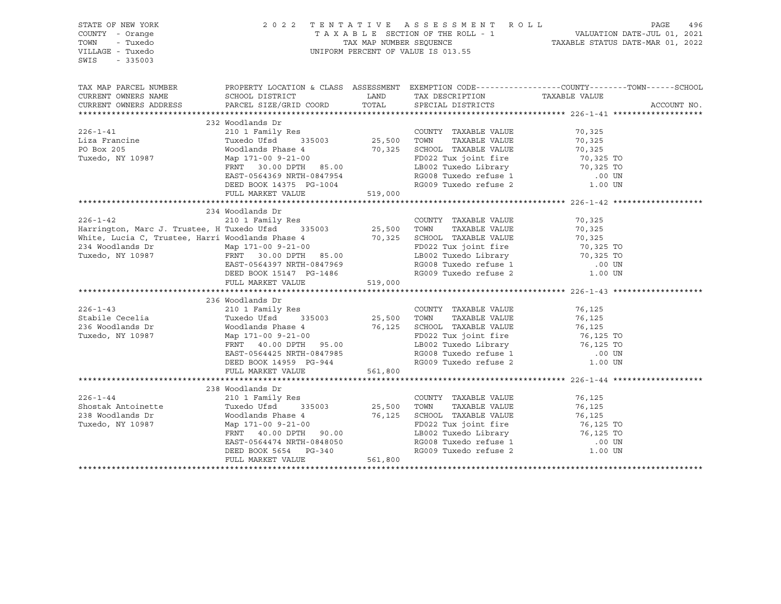| STATE OF NEW YORK<br>COUNTY - Orange<br>TOWN<br>- Tuxedo<br>VILLAGE - Tuxedo<br>SWIS<br>$-335003$                                                                                                                                                     |                                                                                                                                                                       |         |                                                                                                                              |        |             |
|-------------------------------------------------------------------------------------------------------------------------------------------------------------------------------------------------------------------------------------------------------|-----------------------------------------------------------------------------------------------------------------------------------------------------------------------|---------|------------------------------------------------------------------------------------------------------------------------------|--------|-------------|
| TAX MAP PARCEL NUMBER PROPERTY LOCATION & CLASS ASSESSMENT EXEMPTION CODE---------------COUNTY-------TOWN------SCHOOL                                                                                                                                 |                                                                                                                                                                       |         |                                                                                                                              |        |             |
| CURRENT OWNERS NAME                                                                                                                                                                                                                                   | SCHOOL DISTRICT TAND TAX DESCRIPTION                                                                                                                                  |         | TAX DESCRIPTION TAXABLE VALUE SPECIAL DISTRICTS                                                                              |        |             |
| CURRENT OWNERS ADDRESS                                                                                                                                                                                                                                | PARCEL SIZE/GRID COORD                                                                                                                                                | TOTAL   |                                                                                                                              |        | ACCOUNT NO. |
|                                                                                                                                                                                                                                                       |                                                                                                                                                                       |         |                                                                                                                              |        |             |
|                                                                                                                                                                                                                                                       | 232 Woodlands Dr                                                                                                                                                      |         |                                                                                                                              |        |             |
|                                                                                                                                                                                                                                                       |                                                                                                                                                                       |         |                                                                                                                              |        |             |
|                                                                                                                                                                                                                                                       |                                                                                                                                                                       |         |                                                                                                                              |        |             |
|                                                                                                                                                                                                                                                       |                                                                                                                                                                       |         |                                                                                                                              |        |             |
|                                                                                                                                                                                                                                                       |                                                                                                                                                                       |         |                                                                                                                              |        |             |
|                                                                                                                                                                                                                                                       |                                                                                                                                                                       |         |                                                                                                                              |        |             |
|                                                                                                                                                                                                                                                       |                                                                                                                                                                       |         |                                                                                                                              |        |             |
|                                                                                                                                                                                                                                                       |                                                                                                                                                                       |         |                                                                                                                              |        |             |
|                                                                                                                                                                                                                                                       |                                                                                                                                                                       |         |                                                                                                                              |        |             |
|                                                                                                                                                                                                                                                       | 234 Woodlands Dr                                                                                                                                                      |         |                                                                                                                              |        |             |
|                                                                                                                                                                                                                                                       |                                                                                                                                                                       |         |                                                                                                                              |        |             |
|                                                                                                                                                                                                                                                       |                                                                                                                                                                       |         |                                                                                                                              |        |             |
|                                                                                                                                                                                                                                                       |                                                                                                                                                                       |         |                                                                                                                              |        |             |
|                                                                                                                                                                                                                                                       |                                                                                                                                                                       |         |                                                                                                                              |        |             |
|                                                                                                                                                                                                                                                       |                                                                                                                                                                       |         |                                                                                                                              |        |             |
|                                                                                                                                                                                                                                                       |                                                                                                                                                                       |         |                                                                                                                              |        |             |
|                                                                                                                                                                                                                                                       |                                                                                                                                                                       |         |                                                                                                                              |        |             |
| 236-1-42<br>234 Woodlands Dr<br>234 Woodlands Dr<br>234 Woodlands Dr<br>234 Woodlands Dr<br>234 Woodlands Dr<br>234 Woodlands Dr<br>234 Woodlands Dr<br>234 Woodlands Dr<br>234 Woodlands Dr<br>234 Woodlands Dr<br>234 Woodlands Dr<br>234 Woodlands |                                                                                                                                                                       |         |                                                                                                                              |        |             |
|                                                                                                                                                                                                                                                       |                                                                                                                                                                       |         |                                                                                                                              |        |             |
|                                                                                                                                                                                                                                                       | 236 Woodlands Dr                                                                                                                                                      |         |                                                                                                                              |        |             |
|                                                                                                                                                                                                                                                       |                                                                                                                                                                       |         |                                                                                                                              | 76,125 |             |
|                                                                                                                                                                                                                                                       |                                                                                                                                                                       |         |                                                                                                                              |        |             |
|                                                                                                                                                                                                                                                       |                                                                                                                                                                       |         |                                                                                                                              |        |             |
|                                                                                                                                                                                                                                                       |                                                                                                                                                                       |         |                                                                                                                              |        |             |
| 216-1-43<br>Stabile Cecelia (1 Family Res COUNTY TAXABLE VALUE<br>236 Woodlands Dr Woodlands Phase 4<br>236 Woodlands Dr Woodlands Phase 4<br>25,500 TOWN TAXABLE VALUE<br>25,500 TOWN TAXABLE VALUE<br>25,500 TOWN TAXABLE VALUE<br>25,500           |                                                                                                                                                                       |         | TOWN TAXABLE VALUE 76,125<br>SCHOOL TAXABLE VALUE 76,125<br>FD022 Tux joint fire 76,125 TO<br>LB002 Tuxedo Library 76,125 TO |        |             |
|                                                                                                                                                                                                                                                       | FRNT 40.00 DPTH 95.00 LB002 Tuxedo Library 76,125 TO<br>EAST-0564425 NRTH-0847985 RG008 Tuxedo refuse 1 00 UN<br>DEED BOOK 14959 PG-944 RG009 Tuxedo refuse 2 1.00 UN |         |                                                                                                                              |        |             |
|                                                                                                                                                                                                                                                       |                                                                                                                                                                       |         |                                                                                                                              |        |             |
|                                                                                                                                                                                                                                                       | FULL MARKET VALUE                                                                                                                                                     | 561,800 |                                                                                                                              |        |             |
|                                                                                                                                                                                                                                                       |                                                                                                                                                                       |         |                                                                                                                              |        |             |
|                                                                                                                                                                                                                                                       | 238 Woodlands Dr<br>woodiands Di<br>210 1 Family Res                                                                                                                  |         |                                                                                                                              |        |             |
| $226 - 1 - 44$                                                                                                                                                                                                                                        |                                                                                                                                                                       |         | COUNTY TAXABLE VALUE 76,125                                                                                                  |        |             |
|                                                                                                                                                                                                                                                       |                                                                                                                                                                       |         |                                                                                                                              |        |             |
| 8hostak Antoinette Tuxedo Ufsd 335003 25,500 TOWN TAXABLE VALUE 76,125<br>238 Woodlands Dr Woodlands Phase 4 76,125 SCHOOL TAXABLE VALUE 76,125<br>Tuxedo, NY 10987 Map 171-00 9-21-00<br>FROM TAXABLE VALUE 76,125 TO FO22 Tux join                  |                                                                                                                                                                       |         |                                                                                                                              |        |             |
|                                                                                                                                                                                                                                                       |                                                                                                                                                                       |         |                                                                                                                              |        |             |
|                                                                                                                                                                                                                                                       | FRNT 40.00 DPTH 90.00                                                                                                                                                 |         |                                                                                                                              |        |             |
|                                                                                                                                                                                                                                                       |                                                                                                                                                                       |         | RG008 Tuxedo refuse 1 (00 UN RG009 Tuxedo refuse 2 (1.00 UN                                                                  |        |             |
|                                                                                                                                                                                                                                                       | EAST-0564474 NRTH-0848050<br>DEED BOOK 5654 PG-340<br>FULL MARKET VALUE 561,800                                                                                       |         |                                                                                                                              |        |             |
|                                                                                                                                                                                                                                                       |                                                                                                                                                                       |         |                                                                                                                              |        |             |
|                                                                                                                                                                                                                                                       |                                                                                                                                                                       |         |                                                                                                                              |        |             |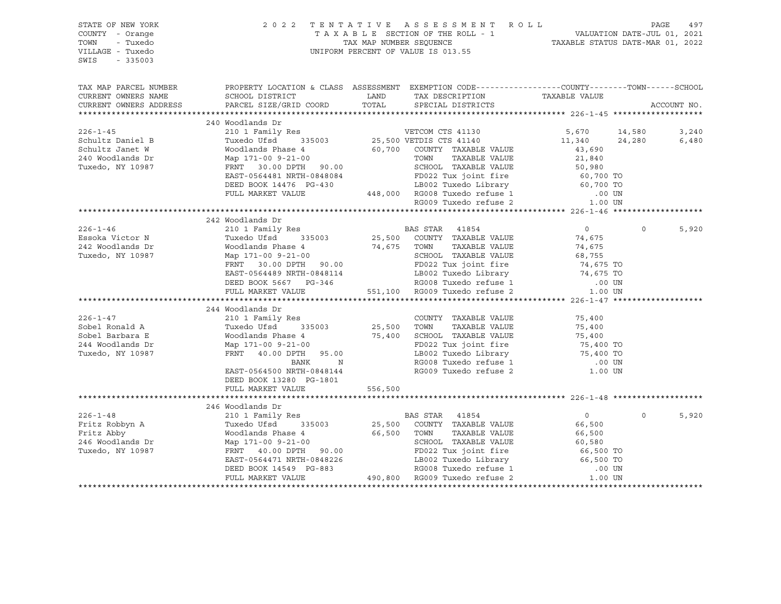| STATE OF NEW YORK<br>COUNTY - Orange<br>TOWN - Tuxedo<br>VILLAGE - Tuxedo<br>SWIS - 335003 | 2022 TENTATIVE ASSESSMENT ROLL PAGE 497<br>TAXABLE SECTION OF THE ROLL - 1 VALUATION DATE-JUL 01, 2021<br>TAX MAP NUMBER SEQUENCE TAXABLE STATUS DATE-MAR 01, 2022<br>UNIFORM PERCENT OF VALUE IS 013.55                                                                                                                                                                                                                     |  |                |          |             |
|--------------------------------------------------------------------------------------------|------------------------------------------------------------------------------------------------------------------------------------------------------------------------------------------------------------------------------------------------------------------------------------------------------------------------------------------------------------------------------------------------------------------------------|--|----------------|----------|-------------|
|                                                                                            | TAX MAP PARCEL NUMBER THE PROPERTY LOCATION & CLASS ASSESSMENT EXEMPTION CODE--------------COUNTY--------TOWN------SCHOOL                                                                                                                                                                                                                                                                                                    |  |                |          |             |
|                                                                                            |                                                                                                                                                                                                                                                                                                                                                                                                                              |  |                |          | ACCOUNT NO. |
|                                                                                            |                                                                                                                                                                                                                                                                                                                                                                                                                              |  |                |          |             |
|                                                                                            | 240 Woodlands Dr                                                                                                                                                                                                                                                                                                                                                                                                             |  |                |          |             |
|                                                                                            |                                                                                                                                                                                                                                                                                                                                                                                                                              |  |                |          |             |
|                                                                                            |                                                                                                                                                                                                                                                                                                                                                                                                                              |  |                |          |             |
|                                                                                            |                                                                                                                                                                                                                                                                                                                                                                                                                              |  |                |          |             |
|                                                                                            |                                                                                                                                                                                                                                                                                                                                                                                                                              |  |                |          |             |
|                                                                                            |                                                                                                                                                                                                                                                                                                                                                                                                                              |  |                |          |             |
|                                                                                            |                                                                                                                                                                                                                                                                                                                                                                                                                              |  |                |          |             |
|                                                                                            |                                                                                                                                                                                                                                                                                                                                                                                                                              |  |                |          |             |
|                                                                                            |                                                                                                                                                                                                                                                                                                                                                                                                                              |  |                |          |             |
|                                                                                            |                                                                                                                                                                                                                                                                                                                                                                                                                              |  |                |          |             |
|                                                                                            | 242 Woodlands Dr                                                                                                                                                                                                                                                                                                                                                                                                             |  |                |          |             |
|                                                                                            |                                                                                                                                                                                                                                                                                                                                                                                                                              |  |                | $\Omega$ | 5,920       |
|                                                                                            |                                                                                                                                                                                                                                                                                                                                                                                                                              |  |                |          |             |
|                                                                                            |                                                                                                                                                                                                                                                                                                                                                                                                                              |  |                |          |             |
|                                                                                            |                                                                                                                                                                                                                                                                                                                                                                                                                              |  |                |          |             |
|                                                                                            |                                                                                                                                                                                                                                                                                                                                                                                                                              |  |                |          |             |
|                                                                                            |                                                                                                                                                                                                                                                                                                                                                                                                                              |  |                |          |             |
|                                                                                            | $\begin{tabular}{lcccc} 226-1-46 & 242\text{ Woodlands Dr} & \text{BAS STR} & 41854 & 0 \\ & 21011\text{ Family Res} & \text{BAS STR} & 41854 & 0 \\ \text{Exoska Victor N} & \text{Tuxedo Ufsd} & 335003 & 25,500\text{ COUNTY TAXABLE VALUE} & 74,675 \\ & 242\text{ Woodlands Dr} & \text{Woodlands Phase 4} & 74,675\text{ TOWN TAXABLE VALUE} & 74,675 \\ & 242\text{ Woodlands Dr} & \text{Woodlands Phase 4} & 74,67$ |  |                |          |             |
|                                                                                            |                                                                                                                                                                                                                                                                                                                                                                                                                              |  |                |          |             |
|                                                                                            | 244 Woodlands Dr                                                                                                                                                                                                                                                                                                                                                                                                             |  |                |          |             |
|                                                                                            |                                                                                                                                                                                                                                                                                                                                                                                                                              |  |                |          |             |
|                                                                                            |                                                                                                                                                                                                                                                                                                                                                                                                                              |  |                |          |             |
|                                                                                            |                                                                                                                                                                                                                                                                                                                                                                                                                              |  |                |          |             |
|                                                                                            |                                                                                                                                                                                                                                                                                                                                                                                                                              |  |                |          |             |
|                                                                                            |                                                                                                                                                                                                                                                                                                                                                                                                                              |  |                |          |             |
|                                                                                            |                                                                                                                                                                                                                                                                                                                                                                                                                              |  |                |          |             |
|                                                                                            |                                                                                                                                                                                                                                                                                                                                                                                                                              |  |                |          |             |
|                                                                                            |                                                                                                                                                                                                                                                                                                                                                                                                                              |  |                |          |             |
|                                                                                            |                                                                                                                                                                                                                                                                                                                                                                                                                              |  |                |          |             |
|                                                                                            |                                                                                                                                                                                                                                                                                                                                                                                                                              |  |                |          |             |
|                                                                                            |                                                                                                                                                                                                                                                                                                                                                                                                                              |  | $\overline{0}$ | $\Omega$ | 5,920       |
|                                                                                            |                                                                                                                                                                                                                                                                                                                                                                                                                              |  |                |          |             |
|                                                                                            |                                                                                                                                                                                                                                                                                                                                                                                                                              |  |                |          |             |
|                                                                                            |                                                                                                                                                                                                                                                                                                                                                                                                                              |  |                |          |             |
|                                                                                            |                                                                                                                                                                                                                                                                                                                                                                                                                              |  |                |          |             |
|                                                                                            |                                                                                                                                                                                                                                                                                                                                                                                                                              |  |                |          |             |
|                                                                                            |                                                                                                                                                                                                                                                                                                                                                                                                                              |  |                |          |             |
|                                                                                            |                                                                                                                                                                                                                                                                                                                                                                                                                              |  |                |          |             |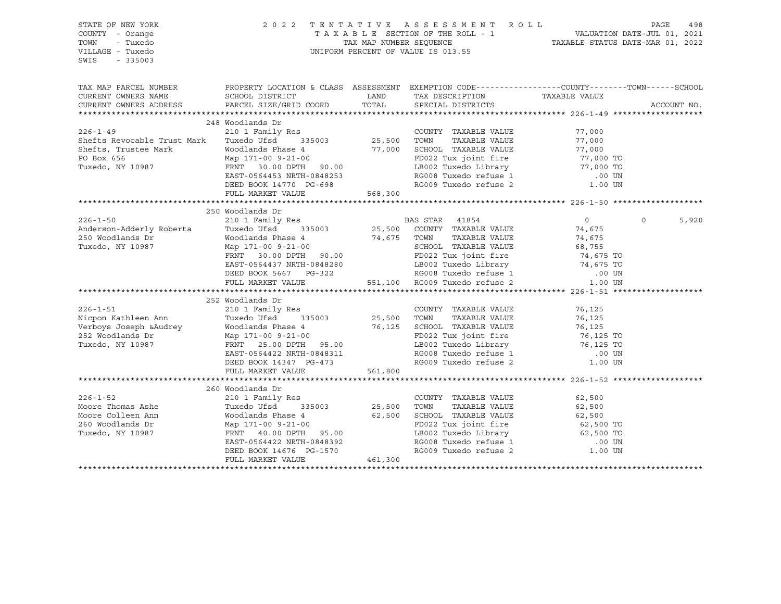| STATE OF NEW YORK<br>COUNTY - Orange<br>- Tuxedo<br>TOWN<br>VILLAGE - Tuxedo                                                                                                                                                               |                                                                                                                                                                                                                                              |             | 2022 TENTATIVE ASSESSMENT ROLL PAGE 498<br>TAXABLE SECTION OF THE ROLL - 1 VALUATION DATE-JUL 01, 2021<br>TAX MAP NUMBER SEQUENCE TAXABLE STATUS DATE-MAR 01, 2022<br>UNIFORM PERCENT OF VALUE IS 013.55 |                  |          |             |
|--------------------------------------------------------------------------------------------------------------------------------------------------------------------------------------------------------------------------------------------|----------------------------------------------------------------------------------------------------------------------------------------------------------------------------------------------------------------------------------------------|-------------|----------------------------------------------------------------------------------------------------------------------------------------------------------------------------------------------------------|------------------|----------|-------------|
| SWIS<br>$-335003$                                                                                                                                                                                                                          |                                                                                                                                                                                                                                              |             |                                                                                                                                                                                                          |                  |          |             |
| TAX MAP PARCEL NUMBER THE PROPERTY LOCATION & CLASS ASSESSMENT EXEMPTION CODE--------------COUNTY--------TOWN------SCHOOL                                                                                                                  |                                                                                                                                                                                                                                              |             |                                                                                                                                                                                                          |                  |          |             |
| CURRENT OWNERS NAME                                                                                                                                                                                                                        | SCHOOL DISTRICT                                                                                                                                                                                                                              |             | LAND TAX DESCRIPTION                                                                                                                                                                                     | TAXABLE VALUE    |          |             |
| CURRENT OWNERS ADDRESS                                                                                                                                                                                                                     | PARCEL SIZE/GRID COORD                                                                                                                                                                                                                       | TOTAL       | SPECIAL DISTRICTS                                                                                                                                                                                        |                  |          | ACCOUNT NO. |
|                                                                                                                                                                                                                                            |                                                                                                                                                                                                                                              |             |                                                                                                                                                                                                          |                  |          |             |
|                                                                                                                                                                                                                                            | 248 Woodlands Dr                                                                                                                                                                                                                             |             |                                                                                                                                                                                                          |                  |          |             |
| $226 - 1 - 49$                                                                                                                                                                                                                             |                                                                                                                                                                                                                                              |             | COUNTY TAXABLE VALUE                                                                                                                                                                                     | 77,000           |          |             |
| Shefts Revocable Trust Mark                                                                                                                                                                                                                |                                                                                                                                                                                                                                              |             | TAXABLE VALUE                                                                                                                                                                                            | 77,000           |          |             |
| Shefts, Trustee Mark                                                                                                                                                                                                                       | Woodlands Phase 4 77,000 SCHOOL TAXABLE VALUE 77,000 70<br>Map 171-00 9-21-00 FD022 Tux joint fire 77,000 TO                                                                                                                                 |             |                                                                                                                                                                                                          |                  |          |             |
| PO Box 656                                                                                                                                                                                                                                 |                                                                                                                                                                                                                                              |             | FD022 Tux joint fire 77,000 TO<br>LB002 Tuxedo Library 77,000 TO<br>RG008 Tuxedo refuse 1 00 UN<br>RG009 Tuxedo refuse 2 1.00 UN                                                                         |                  |          |             |
| Tuxedo, NY 10987                                                                                                                                                                                                                           | FRNT 30.00 DPTH 90.00                                                                                                                                                                                                                        |             |                                                                                                                                                                                                          |                  |          |             |
|                                                                                                                                                                                                                                            | EAST-0564453 NRTH-0848253                                                                                                                                                                                                                    |             |                                                                                                                                                                                                          |                  |          |             |
|                                                                                                                                                                                                                                            | DEED BOOK 14770 PG-698<br>FULL MARKET VALUE 568,300                                                                                                                                                                                          |             |                                                                                                                                                                                                          |                  |          |             |
|                                                                                                                                                                                                                                            |                                                                                                                                                                                                                                              |             |                                                                                                                                                                                                          |                  |          |             |
|                                                                                                                                                                                                                                            |                                                                                                                                                                                                                                              |             |                                                                                                                                                                                                          |                  |          |             |
|                                                                                                                                                                                                                                            | 250 Woodlands Dr                                                                                                                                                                                                                             |             |                                                                                                                                                                                                          |                  |          |             |
| $226 - 1 - 50$                                                                                                                                                                                                                             |                                                                                                                                                                                                                                              |             |                                                                                                                                                                                                          | $\overline{0}$   | $\Omega$ | 5,920       |
|                                                                                                                                                                                                                                            |                                                                                                                                                                                                                                              |             |                                                                                                                                                                                                          | 74,675           |          |             |
|                                                                                                                                                                                                                                            | Woodlands Phase 4 74,675 TOWN TAXABLE VALUE 74,675<br>Map 171-00 9-21-00<br>Map 171-00 9-21-00<br>FRNT 30.00 DPTH 90.00<br>EAST-0564437 NRTH-0848280<br>DEED BOOK 5667 PG-322<br>FULL MARKET VALUE 551,100 RG009 Tuxedo refuse 1 .00 UN<br>F |             |                                                                                                                                                                                                          |                  |          |             |
|                                                                                                                                                                                                                                            |                                                                                                                                                                                                                                              |             |                                                                                                                                                                                                          |                  |          |             |
|                                                                                                                                                                                                                                            |                                                                                                                                                                                                                                              |             |                                                                                                                                                                                                          |                  |          |             |
|                                                                                                                                                                                                                                            |                                                                                                                                                                                                                                              |             |                                                                                                                                                                                                          |                  |          |             |
|                                                                                                                                                                                                                                            |                                                                                                                                                                                                                                              |             |                                                                                                                                                                                                          |                  |          |             |
|                                                                                                                                                                                                                                            |                                                                                                                                                                                                                                              |             |                                                                                                                                                                                                          |                  |          |             |
|                                                                                                                                                                                                                                            |                                                                                                                                                                                                                                              |             |                                                                                                                                                                                                          |                  |          |             |
| $226 - 1 - 51$                                                                                                                                                                                                                             | 252 Woodlands Dr                                                                                                                                                                                                                             |             | COUNTY TAXABLE VALUE                                                                                                                                                                                     | 76,125           |          |             |
|                                                                                                                                                                                                                                            | 210 1 Family Res COUNT<br>Tuxedo Ufsd. 335003 25,500 TOWN                                                                                                                                                                                    |             |                                                                                                                                                                                                          |                  |          |             |
|                                                                                                                                                                                                                                            |                                                                                                                                                                                                                                              |             |                                                                                                                                                                                                          | 76,125<br>76,125 |          |             |
|                                                                                                                                                                                                                                            |                                                                                                                                                                                                                                              |             |                                                                                                                                                                                                          |                  |          |             |
|                                                                                                                                                                                                                                            |                                                                                                                                                                                                                                              |             | FD022 Tux joint fire 50 76,125 TO<br>LB002 Tuxedo Library 50 76,125 TO                                                                                                                                   |                  |          |             |
| 226-1-51<br>Nicpon Kathleen Ann Tuxedo Ufsd 335003<br>Verboys Joseph &Audrey Woodlands Phase 4<br>252 Woodlands Dr Map 171-00 9-21-00<br>Tuxedo, NY 10987 FRNT 25.00 DPTH 95.00<br>Tuxedo, NY 10987 FRNT 25.00 DPTH 95.00<br>Tuxedo, NY 10 |                                                                                                                                                                                                                                              |             |                                                                                                                                                                                                          |                  |          |             |
|                                                                                                                                                                                                                                            | DEED BOOK 14347 PG-473                                                                                                                                                                                                                       |             | RG008 Tuxedo refuse 1 (00 UN RG009 Tuxedo refuse 2 (1.00 UN                                                                                                                                              |                  |          |             |
|                                                                                                                                                                                                                                            | FULL MARKET VALUE                                                                                                                                                                                                                            | 561,800     |                                                                                                                                                                                                          |                  |          |             |
|                                                                                                                                                                                                                                            |                                                                                                                                                                                                                                              |             |                                                                                                                                                                                                          |                  |          |             |
|                                                                                                                                                                                                                                            | 260 Woodlands Dr                                                                                                                                                                                                                             |             |                                                                                                                                                                                                          |                  |          |             |
| $226 - 1 - 52$                                                                                                                                                                                                                             | 210 1 Family Res                                                                                                                                                                                                                             |             | COUNTY TAXABLE VALUE 62,500                                                                                                                                                                              |                  |          |             |
| Moore Thomas Ashe                                                                                                                                                                                                                          | Tuxedo Ufsd 335003                                                                                                                                                                                                                           | 25,500 TOWN | TAXABLE VALUE                                                                                                                                                                                            | 62,500           |          |             |
| Moore Colleen Ann                                                                                                                                                                                                                          | Woodlands Phase 4                                                                                                                                                                                                                            |             |                                                                                                                                                                                                          |                  |          |             |
| 260 Woodlands Dr                                                                                                                                                                                                                           | Map 171-00 9-21-00                                                                                                                                                                                                                           |             | 62,500 SCHOOL TAXABLE VALUE 62,500<br>FD022 Tux joint fire 62,500 TO<br>LB002 Tux joint fire 62,500 TO<br>DR002 Tux de Lefters                                                                           |                  |          |             |
| Tuxedo, NY 10987                                                                                                                                                                                                                           | FRNT 40.00 DPTH 95.00                                                                                                                                                                                                                        |             |                                                                                                                                                                                                          |                  |          |             |
|                                                                                                                                                                                                                                            | EAST-0564422 NRTH-0848392                                                                                                                                                                                                                    |             |                                                                                                                                                                                                          |                  |          |             |
|                                                                                                                                                                                                                                            |                                                                                                                                                                                                                                              |             | RG008 Tuxedo refuse 1 (00 UN RG009 Tuxedo refuse 2 (1.00 UN                                                                                                                                              |                  |          |             |
|                                                                                                                                                                                                                                            | DEED BOOK 14676 PG-1570<br>FULL MARKET VALUE 461,300                                                                                                                                                                                         |             |                                                                                                                                                                                                          |                  |          |             |
|                                                                                                                                                                                                                                            |                                                                                                                                                                                                                                              |             |                                                                                                                                                                                                          |                  |          |             |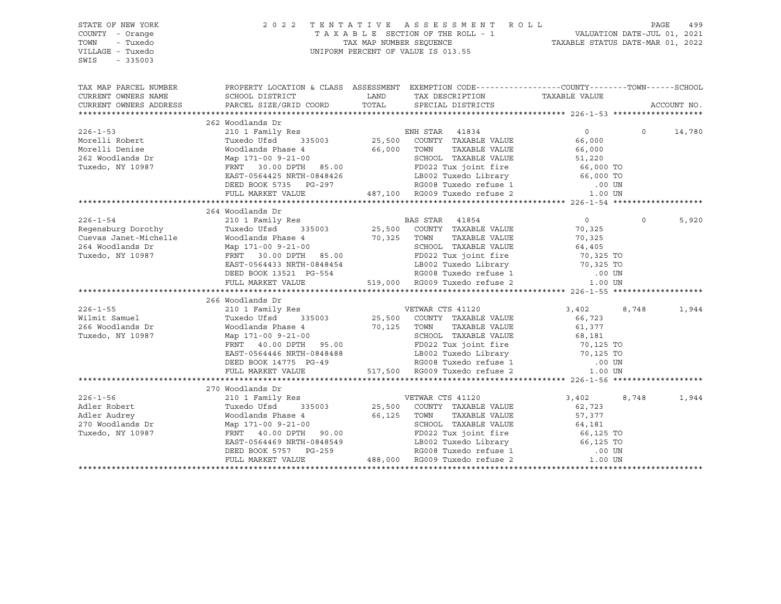| STATE OF NEW YORK<br>COUNTY - Orange<br>TOWN<br>- Tuxedo<br>VILLAGE - Tuxedo<br>SWIS<br>$-335003$ |                                                                                                                                                                                                                                                                                                                                                                                                                                                  | TENTATIVE ASSESSMENT ROLL PAGE 499<br>TAXABLE SECTION OF THE ROLL - 1 VALUATION DATE-JUL 01, 2021<br>TAXABLE STATUS DATE-MAR 01, 2022<br>TAXABLE STATUS DATE-MAR 01, 2022<br>2022 TENTATIVE ASSESSMENT ROLL<br>UNIFORM PERCENT OF VALUE IS 013.55 |                |          |             |
|---------------------------------------------------------------------------------------------------|--------------------------------------------------------------------------------------------------------------------------------------------------------------------------------------------------------------------------------------------------------------------------------------------------------------------------------------------------------------------------------------------------------------------------------------------------|---------------------------------------------------------------------------------------------------------------------------------------------------------------------------------------------------------------------------------------------------|----------------|----------|-------------|
| CURRENT OWNERS NAME                                                                               | TAX MAP PARCEL NUMBER THE PROPERTY LOCATION & CLASS ASSESSMENT EXEMPTION CODE---------------COUNTY--------TOWN------SCHOOL                                                                                                                                                                                                                                                                                                                       |                                                                                                                                                                                                                                                   |                |          |             |
| CURRENT OWNERS ADDRESS                                                                            |                                                                                                                                                                                                                                                                                                                                                                                                                                                  |                                                                                                                                                                                                                                                   |                |          | ACCOUNT NO. |
|                                                                                                   |                                                                                                                                                                                                                                                                                                                                                                                                                                                  |                                                                                                                                                                                                                                                   |                |          |             |
|                                                                                                   | 262 Woodlands Dr                                                                                                                                                                                                                                                                                                                                                                                                                                 |                                                                                                                                                                                                                                                   |                |          |             |
| $226 - 1 - 53$                                                                                    |                                                                                                                                                                                                                                                                                                                                                                                                                                                  |                                                                                                                                                                                                                                                   | $\overline{0}$ | $\circ$  | 14,780      |
| Morelli Robert                                                                                    |                                                                                                                                                                                                                                                                                                                                                                                                                                                  |                                                                                                                                                                                                                                                   |                |          |             |
| Morelli Denise<br>262 Woodlands Dr                                                                | Noodlands Phase 4<br>Moodlands Phase 4<br>Map 171-00 9-21-00<br>Map 171-00 9-21-00<br>FRNT 30.00 DPTH 85.00<br>FRNT 30.00 DPTH 85.00<br>EAST-0564425 NRTH-0848426<br>DEED BOOK 5735 PG-297<br>FULL MARKET VALUE<br>FULL MARKET VALUE<br>TULL MARKE                                                                                                                                                                                               |                                                                                                                                                                                                                                                   |                |          |             |
|                                                                                                   |                                                                                                                                                                                                                                                                                                                                                                                                                                                  |                                                                                                                                                                                                                                                   |                |          |             |
| Tuxedo, NY 10987                                                                                  |                                                                                                                                                                                                                                                                                                                                                                                                                                                  |                                                                                                                                                                                                                                                   |                |          |             |
|                                                                                                   |                                                                                                                                                                                                                                                                                                                                                                                                                                                  |                                                                                                                                                                                                                                                   |                |          |             |
|                                                                                                   |                                                                                                                                                                                                                                                                                                                                                                                                                                                  |                                                                                                                                                                                                                                                   |                |          |             |
|                                                                                                   |                                                                                                                                                                                                                                                                                                                                                                                                                                                  |                                                                                                                                                                                                                                                   |                |          |             |
|                                                                                                   |                                                                                                                                                                                                                                                                                                                                                                                                                                                  |                                                                                                                                                                                                                                                   |                |          |             |
|                                                                                                   | 264 Woodlands Dr                                                                                                                                                                                                                                                                                                                                                                                                                                 |                                                                                                                                                                                                                                                   | $\overline{0}$ | $\Omega$ |             |
|                                                                                                   |                                                                                                                                                                                                                                                                                                                                                                                                                                                  |                                                                                                                                                                                                                                                   |                |          | 5,920       |
|                                                                                                   |                                                                                                                                                                                                                                                                                                                                                                                                                                                  |                                                                                                                                                                                                                                                   |                |          |             |
|                                                                                                   |                                                                                                                                                                                                                                                                                                                                                                                                                                                  |                                                                                                                                                                                                                                                   |                |          |             |
|                                                                                                   |                                                                                                                                                                                                                                                                                                                                                                                                                                                  |                                                                                                                                                                                                                                                   |                |          |             |
|                                                                                                   |                                                                                                                                                                                                                                                                                                                                                                                                                                                  |                                                                                                                                                                                                                                                   |                |          |             |
|                                                                                                   |                                                                                                                                                                                                                                                                                                                                                                                                                                                  |                                                                                                                                                                                                                                                   |                |          |             |
|                                                                                                   |                                                                                                                                                                                                                                                                                                                                                                                                                                                  |                                                                                                                                                                                                                                                   |                |          |             |
|                                                                                                   | ${264\hbox{ Woodlands Dr}} \begin{array}{lcccc} 264 \hbox{ Woodlands Dr} & 264 \hbox{Woodlands Dr} & 264 \hbox{Woodlands Dr} & 264 \hbox{Woodlands Drawedo Ufsd} & 264 \hbox{Cours Janet-Michelle} & 0 \\ {\small\texttt{Regensburg Dorothy}} & 210\hbox{1 Family Res} & 25,500\hbox{COUNTY TAXABLE VALUE} & 70,325 \\ {\small\texttt{Cuevas Janet-Michelle}} & 70,325\hbox{Towdlands Phase 4} & 70,325\hbox{TowN TAXABLE VALUE} & 70,325\hbox{$ |                                                                                                                                                                                                                                                   |                |          |             |
|                                                                                                   | 266 Woodlands Dr                                                                                                                                                                                                                                                                                                                                                                                                                                 |                                                                                                                                                                                                                                                   |                |          |             |
| $226 - 1 - 55$                                                                                    | Woodlands Dr<br>210 1 Family Res<br>Tuxedo Ufsd 335003 25,500 COUNTY TAXABLE VALUE 66,723<br>Woodlands Phase 4 70,125 TOWN TAXABLE VALUE 66,723<br>Map 171-00 9-21-00 SCHOOL TAXABLE VALUE 61,377<br>Map 171-00 9-21-00 SCHOOL TAXABLE V                                                                                                                                                                                                         |                                                                                                                                                                                                                                                   |                | 8,748    | 1,944       |
| wilmit Samuel<br>266 Woodlands Dr                                                                 |                                                                                                                                                                                                                                                                                                                                                                                                                                                  |                                                                                                                                                                                                                                                   |                |          |             |
|                                                                                                   |                                                                                                                                                                                                                                                                                                                                                                                                                                                  |                                                                                                                                                                                                                                                   |                |          |             |
| Tuxedo, NY 10987                                                                                  |                                                                                                                                                                                                                                                                                                                                                                                                                                                  |                                                                                                                                                                                                                                                   |                |          |             |
|                                                                                                   |                                                                                                                                                                                                                                                                                                                                                                                                                                                  |                                                                                                                                                                                                                                                   |                |          |             |
|                                                                                                   |                                                                                                                                                                                                                                                                                                                                                                                                                                                  |                                                                                                                                                                                                                                                   |                |          |             |
|                                                                                                   |                                                                                                                                                                                                                                                                                                                                                                                                                                                  |                                                                                                                                                                                                                                                   |                |          |             |
|                                                                                                   |                                                                                                                                                                                                                                                                                                                                                                                                                                                  |                                                                                                                                                                                                                                                   |                |          |             |
|                                                                                                   |                                                                                                                                                                                                                                                                                                                                                                                                                                                  |                                                                                                                                                                                                                                                   |                |          |             |
|                                                                                                   | 270 Woodlands Dr                                                                                                                                                                                                                                                                                                                                                                                                                                 |                                                                                                                                                                                                                                                   |                |          |             |
| $226 - 1 - 56$                                                                                    | % WOOD MOOD MANUS PRESSURE TO A THE VERTAIN CTS 41120<br>Tuxedo Ufsd 335003 25,500 COUNTY TAXABLE VALUE<br>Woodlands Phase 4 66,125 TOWN TAXABLE VALUE                                                                                                                                                                                                                                                                                           |                                                                                                                                                                                                                                                   | 3,402          | 8,748    | 1,944       |
|                                                                                                   |                                                                                                                                                                                                                                                                                                                                                                                                                                                  |                                                                                                                                                                                                                                                   | 62,723         |          |             |
|                                                                                                   |                                                                                                                                                                                                                                                                                                                                                                                                                                                  | TAXABLE VALUE                                                                                                                                                                                                                                     | 57,377         |          |             |
| Adler Robert<br>Adler Audrey<br>270 Woodlands Dr<br>Tuxedo, NY 10987                              |                                                                                                                                                                                                                                                                                                                                                                                                                                                  |                                                                                                                                                                                                                                                   |                |          |             |
|                                                                                                   |                                                                                                                                                                                                                                                                                                                                                                                                                                                  |                                                                                                                                                                                                                                                   |                |          |             |
|                                                                                                   |                                                                                                                                                                                                                                                                                                                                                                                                                                                  |                                                                                                                                                                                                                                                   |                |          |             |
|                                                                                                   |                                                                                                                                                                                                                                                                                                                                                                                                                                                  |                                                                                                                                                                                                                                                   |                |          |             |
|                                                                                                   | Map 171-00 9-21-00<br>EAST-0564469 NRTH-0848549<br>EAST-0564469 NRTH-0848549<br>DEED BOOK 5757 PG-259<br>FULL MARKET VALUE<br>FULL MARKET VALUE<br>FULL MARKET VALUE<br>TULL MARKET VALUE<br>TULL MARKET VALUE<br>TULL MARKET VALUE<br>TULL MARKET                                                                                                                                                                                               |                                                                                                                                                                                                                                                   |                |          |             |
|                                                                                                   |                                                                                                                                                                                                                                                                                                                                                                                                                                                  |                                                                                                                                                                                                                                                   |                |          |             |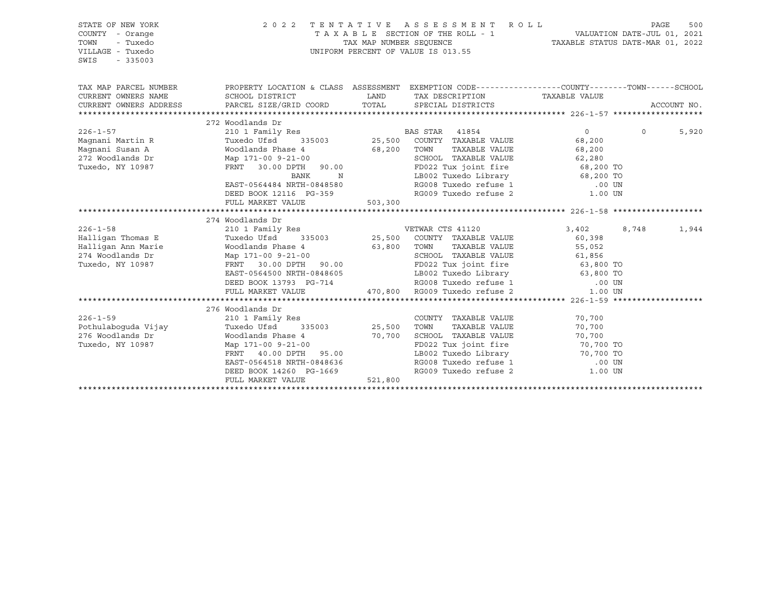| STATE OF NEW YORK<br>COUNTY - Orange<br>TOWN<br>- Tuxedo<br>VILLAGE - Tuxedo<br>SWIS<br>$-335003$ |                                                                                                                                                                                                                                                                                                      |                             | 2022 TENTATIVE ASSESSMENT ROLL<br>UNIFORM PERCENT OF VALUE IS 013.55                                                                                                             |                                                                                                                                                                 | PAGE     | 500         |
|---------------------------------------------------------------------------------------------------|------------------------------------------------------------------------------------------------------------------------------------------------------------------------------------------------------------------------------------------------------------------------------------------------------|-----------------------------|----------------------------------------------------------------------------------------------------------------------------------------------------------------------------------|-----------------------------------------------------------------------------------------------------------------------------------------------------------------|----------|-------------|
| TAX MAP PARCEL NUMBER<br>CURRENT OWNERS NAME<br>CURRENT OWNERS ADDRESS                            | PROPERTY LOCATION & CLASS ASSESSMENT EXEMPTION CODE----------------COUNTY-------TOWN------SCHOOL<br>SCHOOL DISTRICT<br>PARCEL SIZE/GRID COORD                                                                                                                                                        | <b>LAND</b><br>TOTAL        | TAX DESCRIPTION TAXABLE VALUE<br>SPECIAL DISTRICTS                                                                                                                               |                                                                                                                                                                 |          | ACCOUNT NO. |
| $226 - 1 - 57$<br>Maqnani Martin R<br>Maqnani Susan A<br>272 Woodlands Dr<br>Tuxedo, NY 10987     | 272 Woodlands Dr<br>210 1 Family Res<br>Tuxedo Ufsd 335003 25,500 COUNTY TAXABLE VALUE<br>Woodlands Phase 4 68,200 TOWN<br>Map 171-00 9-21-00<br>FRNT 30.00 DPTH 90.00 6CHOOL<br>FD022 Tu<br>Map $171-009-21-00$<br>BANK<br>EAST-0564484 NRTH-0848580<br>DEED BOOK 12116 PG-359<br>FULL MARKET VALUE | $\mathbb N$<br>503,300      | TAXABLE VALUE<br>LB002 Tuxedo Library 68,200 TO<br>RG008 Tuxedo refuse 1 (00 UN                                                                                                  | $0 \qquad \qquad$<br>68,200<br>68,200<br>SCHOOL TAXABLE VALUE 62,280<br>FD022 Tux joint fire 68,200 TO<br>RG009 Tuxedo refuse 2 1.00 UN                         | $\Omega$ | 5,920       |
| $226 - 1 - 58$<br>Halligan Thomas E<br>Halligan Ann Marie<br>274 Woodlands Dr<br>Tuxedo, NY 10987 | 274 Woodlands Dr<br>Woodlands Phase 4         63,800   TOWN   TAXABLE VALUE         55,052<br>Map 171-00 9-21-00              SCHOOL  TAXABLE VALUE         61,856<br>FRNT 30.00 DPTH 90.00<br>EAST-0564500 NRTH-0848605<br>DEED BOOK 13793 PG-714<br>FULL MARKET VALUE                              |                             | FD022 Tux joint fire 63,800 TO<br>LB002 Tuxedo Library 63,800 TO<br>LB002 luxed Lesse 1<br>RG008 Tuxedo refuse 1<br>7-714 RG008 Tuxedo refuse 1<br>470,800 RG009 Tuxedo refuse 2 | 3,402<br>60,398<br>55,052<br>$.00$ UN<br>1.00 UN                                                                                                                | 8,748    | 1,944       |
| $226 - 1 - 59$<br>Pothulaboquda Vijay<br>276 Woodlands Dr<br>Tuxedo, NY 10987                     | 276 Woodlands Dr<br>210 1 Family Res<br>Tuxedo Ufsd<br>335003<br>Woodlands Phase 4<br>Map 171-00 9-21-00<br>FRNT 40.00 DPTH 95.00<br>EAST-0564518 NRTH-0848636<br>---- ---- ---- 14360 PG-1669<br>DEED BOOK 14260 PG-1669<br>FULL MARKET VALUE                                                       | 25,500<br>70,700<br>521,800 | COUNTY TAXABLE VALUE<br>TOWN      TAXABLE  VALUE<br>SCHOOL   TAXABLE  VALUE                                                                                                      | 70,700<br>70,700<br>70,700<br>FD022 Tux joint fire 70,700 TO<br>19002 Tuxedo Library 10,700 TO<br>RG008 Tuxedo refuse 1 100 UN<br>RG009 Tuxedo refuse 2 1.00 UN |          |             |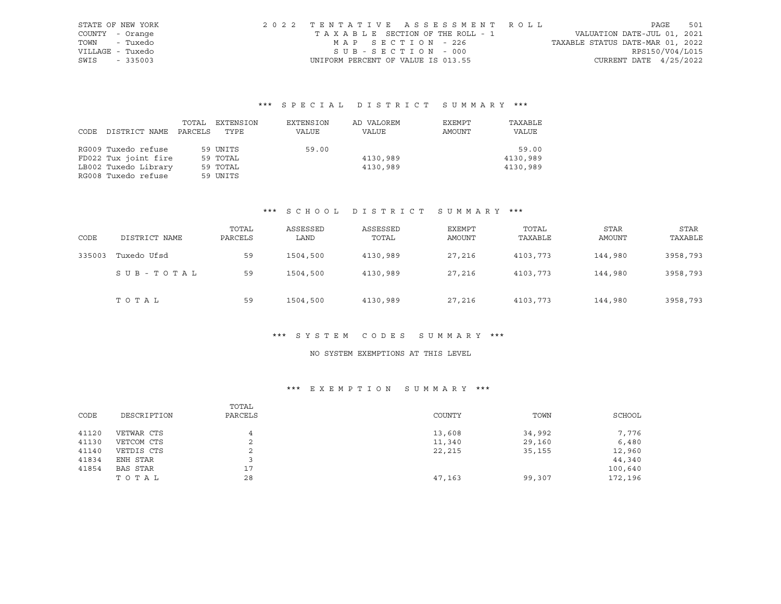| STATE OF NEW YORK | 2022 TENTATIVE ASSESSMENT ROLL     |  |                                  | PAGE            | 501 |
|-------------------|------------------------------------|--|----------------------------------|-----------------|-----|
| COUNTY - Orange   | TAXABLE SECTION OF THE ROLL - 1    |  | VALUATION DATE-JUL 01, 2021      |                 |     |
| - Tuxedo<br>TOWN  | MAP SECTION - 226                  |  | TAXABLE STATUS DATE-MAR 01, 2022 |                 |     |
| VILLAGE - Tuxedo  | SUB-SECTION - 000                  |  |                                  | RPS150/V04/L015 |     |
| SWIS<br>$-335003$ | UNIFORM PERCENT OF VALUE IS 013.55 |  | CURRENT DATE $4/25/2022$         |                 |     |

# \*\*\* S P E C I A L D I S T R I C T S U M M A R Y \*\*\*

|      |                      | TOTAL   | EXTENSION | EXTENSION | AD VALOREM | EXEMPT | TAXABLE  |
|------|----------------------|---------|-----------|-----------|------------|--------|----------|
| CODE | DISTRICT NAME        | PARCELS | TYPE      | VALUE     | VALUE      | AMOUNT | VALUE    |
|      |                      |         |           |           |            |        |          |
|      | RG009 Tuxedo refuse  |         | 59 UNITS  | 59.00     |            |        | 59.00    |
|      | FD022 Tux joint fire |         | 59 TOTAL  |           | 4130,989   |        | 4130,989 |
|      | LB002 Tuxedo Library |         | 59 TOTAL  |           | 4130,989   |        | 4130,989 |
|      | RG008 Tuxedo refuse  |         | 59 UNITS  |           |            |        |          |

### \*\*\* S C H O O L D I S T R I C T S U M M A R Y \*\*\*

| CODE   | DISTRICT NAME | TOTAL<br>PARCELS | ASSESSED<br>LAND | ASSESSED<br>TOTAL | EXEMPT<br>AMOUNT | TOTAL<br>TAXABLE | <b>STAR</b><br>AMOUNT | <b>STAR</b><br>TAXABLE |
|--------|---------------|------------------|------------------|-------------------|------------------|------------------|-----------------------|------------------------|
| 335003 | Tuxedo Ufsd   | 59               | 1504,500         | 4130,989          | 27,216           | 4103,773         | 144,980               | 3958,793               |
|        | SUB-TOTAL     | 59               | 1504,500         | 4130,989          | 27,216           | 4103,773         | 144,980               | 3958,793               |
|        | TOTAL         | 59               | 1504,500         | 4130,989          | 27,216           | 4103,773         | 144,980               | 3958,793               |

#### \*\*\* S Y S T E M C O D E S S U M M A R Y \*\*\*

### NO SYSTEM EXEMPTIONS AT THIS LEVEL

### \*\*\* E X E M P T I O N S U M M A R Y \*\*\*

|       |             | TOTAL   |        |        |         |
|-------|-------------|---------|--------|--------|---------|
| CODE  | DESCRIPTION | PARCELS | COUNTY | TOWN   | SCHOOL  |
|       |             |         |        |        |         |
| 41120 | VETWAR CTS  | 4       | 13,608 | 34,992 | 7,776   |
| 41130 | VETCOM CTS  | ◠<br>∠  | 11,340 | 29,160 | 6,480   |
| 41140 | VETDIS CTS  | ∠       | 22,215 | 35,155 | 12,960  |
| 41834 | ENH STAR    |         |        |        | 44,340  |
| 41854 | BAS STAR    | 17      |        |        | 100,640 |
|       | TOTAL       | 28      | 47,163 | 99,307 | 172,196 |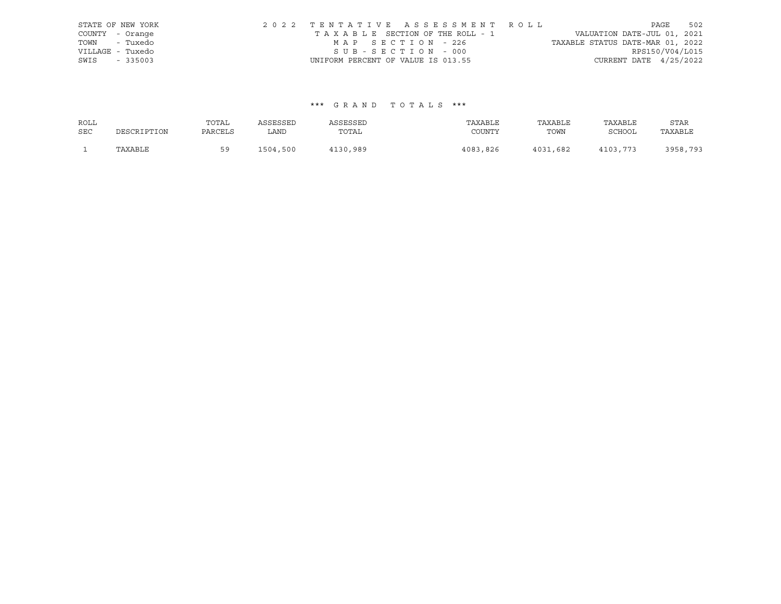|                  | STATE OF NEW YORK | 2022 TENTATIVE ASSESSMENT ROLL     |                                  | PAGE                     | 502 |
|------------------|-------------------|------------------------------------|----------------------------------|--------------------------|-----|
| COUNTY - Orange  |                   | TAXABLE SECTION OF THE ROLL - 1    | VALUATION DATE-JUL 01, 2021      |                          |     |
| TOWN - Tuxedo    |                   | MAP SECTION - 226                  | TAXABLE STATUS DATE-MAR 01, 2022 |                          |     |
| VILLAGE - Tuxedo |                   | SUB-SECTION - 000                  |                                  | RPS150/V04/L015          |     |
| SWIS             | $-335003$         | UNIFORM PERCENT OF VALUE IS 013.55 |                                  | CURRENT DATE $4/25/2022$ |     |

| ROLL       |             | TOTAL   | ASSESSED | ASSESSED | TAXABLE  | TAXABLE  | TAXABLE       | STAR     |
|------------|-------------|---------|----------|----------|----------|----------|---------------|----------|
| <b>SEC</b> | DESCRIPTION | PARCELS | LAND     | TOTAL    | COUNTY   | TOWN     | <b>SCHOOL</b> | TAXABLE  |
|            | TAXABLE     | ςą      | 1504,500 | 4130,989 | 4083,826 | 4031,682 | 4103,773      | 3958,793 |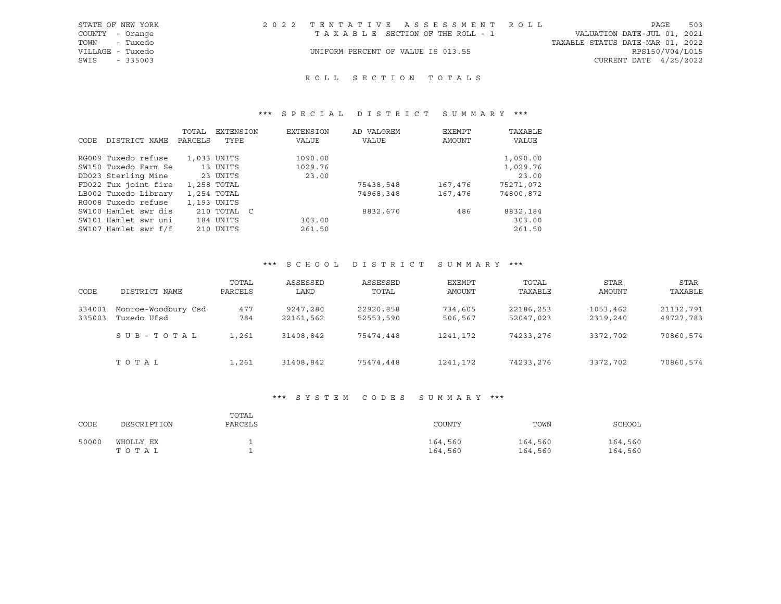| 2022 TENTATIVE ASSESSMENT ROLL<br>STATE OF NEW YORK    | 503<br>PAGE                      |
|--------------------------------------------------------|----------------------------------|
| COUNTY - Orange<br>TAXABLE SECTION OF THE ROLL - 1     | VALUATION DATE-JUL 01, 2021      |
| TOWN - Tuxedo                                          | TAXABLE STATUS DATE-MAR 01, 2022 |
| VILLAGE - Tuxedo<br>UNIFORM PERCENT OF VALUE IS 013.55 | RPS150/V04/L015                  |
| SWIS - 335003                                          | CURRENT DATE 4/25/2022           |

## ROLL SECTION TOTALS

## \*\*\* S P E C I A L D I S T R I C T S U M M A R Y \*\*\*

|      |                      | TOTAL   | EXTENSION   | EXTENSION | AD VALOREM | EXEMPT  | TAXABLE      |
|------|----------------------|---------|-------------|-----------|------------|---------|--------------|
| CODE | DISTRICT NAME        | PARCELS | TYPE        | VALUE     | VALUE      | AMOUNT  | <b>VALUE</b> |
|      | RG009 Tuxedo refuse  |         | 1,033 UNITS | 1090.00   |            |         | 1,090.00     |
|      |                      |         |             |           |            |         |              |
|      | SW150 Tuxedo Farm Se |         | 13 UNITS    | 1029.76   |            |         | 1,029.76     |
|      | DD023 Sterling Mine  |         | 23 UNITS    | 23.00     |            |         | 23.00        |
|      | FD022 Tux joint fire |         | 1,258 TOTAL |           | 75438,548  | 167,476 | 75271,072    |
|      | LB002 Tuxedo Library |         | 1,254 TOTAL |           | 74968,348  | 167,476 | 74800,872    |
|      | RG008 Tuxedo refuse  |         | 1,193 UNITS |           |            |         |              |
|      | SW100 Hamlet swr dis |         | 210 TOTAL C |           | 8832,670   | 486     | 8832,184     |
|      | SW101 Hamlet swr uni |         | 184 UNITS   | 303.00    |            |         | 303.00       |
|      | SW107 Hamlet swr f/f |         | 210 UNITS   | 261.50    |            |         | 261.50       |

## \*\*\* S C H O O L D I S T R I C T S U M M A R Y \*\*\*

| CODE             | DISTRICT NAME                      | TOTAL<br>PARCELS | ASSESSED<br>LAND      | ASSESSED<br>TOTAL      | EXEMPT<br>AMOUNT   | TOTAL<br>TAXABLE       | <b>STAR</b><br>AMOUNT | <b>STAR</b><br>TAXABLE |
|------------------|------------------------------------|------------------|-----------------------|------------------------|--------------------|------------------------|-----------------------|------------------------|
| 334001<br>335003 | Monroe-Woodbury Csd<br>Tuxedo Ufsd | 477<br>784       | 9247,280<br>22161,562 | 22920,858<br>52553,590 | 734,605<br>506,567 | 22186,253<br>52047,023 | 1053,462<br>2319,240  | 21132,791<br>49727,783 |
|                  | SUB-TOTAL                          | 1,261            | 31408,842             | 75474,448              | 1241,172           | 74233,276              | 3372,702              | 70860,574              |
|                  | TOTAL                              | 1,261            | 31408,842             | 75474,448              | 1241,172           | 74233,276              | 3372,702              | 70860,574              |

### \*\*\* S Y S T E M C O D E S S U M M A R Y \*\*\*

| CODE  | DESCRIPTION        | TOTAL<br>PARCELS | COUNTY             | TOWN               | SCHOOL             |
|-------|--------------------|------------------|--------------------|--------------------|--------------------|
| 50000 | WHOLLY EX<br>TOTAL |                  | 164,560<br>164,560 | 164,560<br>164,560 | 164,560<br>164,560 |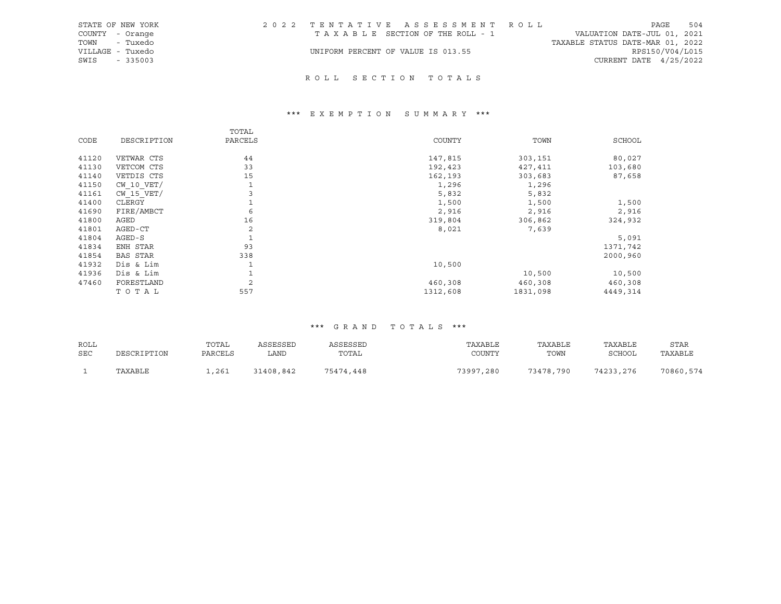| STATE OF NEW YORK | 2022 TENTATIVE ASSESSMENT ROLL     |  |                                  | PAGE                     | 504 |
|-------------------|------------------------------------|--|----------------------------------|--------------------------|-----|
| COUNTY - Orange   | TAXABLE SECTION OF THE ROLL - 1    |  | VALUATION DATE-JUL 01, 2021      |                          |     |
| TOWN - Tuxedo     |                                    |  | TAXABLE STATUS DATE-MAR 01, 2022 |                          |     |
| VILLAGE - Tuxedo  | UNIFORM PERCENT OF VALUE IS 013.55 |  |                                  | RPS150/V04/L015          |     |
| SWIS<br>- 335003  |                                    |  |                                  | CURRENT DATE $4/25/2022$ |     |
|                   |                                    |  |                                  |                          |     |

## R O L L S E C T I O N T O T A L S

## \*\*\* E X E M P T I O N S U M M A R Y \*\*\*

|       |                 | TOTAL          |          |          |               |
|-------|-----------------|----------------|----------|----------|---------------|
| CODE  | DESCRIPTION     | PARCELS        | COUNTY   | TOWN     | <b>SCHOOL</b> |
| 41120 | VETWAR CTS      | 44             | 147,815  | 303,151  | 80,027        |
| 41130 | VETCOM CTS      | 33             | 192,423  | 427,411  | 103,680       |
| 41140 | VETDIS CTS      | 15             | 162,193  | 303,683  | 87,658        |
| 41150 | $CW$ 10 $VET/$  | 1              | 1,296    | 1,296    |               |
| 41161 | $CW$ 15 $VET/$  | 3              | 5,832    | 5,832    |               |
| 41400 | CLERGY          |                | 1,500    | 1,500    | 1,500         |
| 41690 | FIRE/AMBCT      | 6              | 2,916    | 2,916    | 2,916         |
| 41800 | AGED            | 16             | 319,804  | 306,862  | 324,932       |
| 41801 | AGED-CT         | 2              | 8,021    | 7,639    |               |
| 41804 | $AGED-S$        |                |          |          | 5,091         |
| 41834 | ENH STAR        | 93             |          |          | 1371,742      |
| 41854 | <b>BAS STAR</b> | 338            |          |          | 2000,960      |
| 41932 | Dis & Lim       |                | 10,500   |          |               |
| 41936 | Dis & Lim       |                |          | 10,500   | 10,500        |
| 47460 | FORESTLAND      | $\overline{c}$ | 460,308  | 460,308  | 460,308       |
|       | TOTAL           | 557            | 1312,608 | 1831,098 | 4449,314      |

| ROLL<br>SEC | DESCRIPTION | TOTAL<br>PARCELS | ASSESSED<br>LAND | ASSESSED<br>TOTAL | TAXABLE<br>COUNTY | TAXABLE<br>TOWN | TAXABLE<br>SCHOOL | STAR<br>TAXABLE |
|-------------|-------------|------------------|------------------|-------------------|-------------------|-----------------|-------------------|-----------------|
|             | TAXABLE     | ,261             | 31408,842        | 75474,448         | 73997,280         | 73478,790       | 74233,276         | 70860,574       |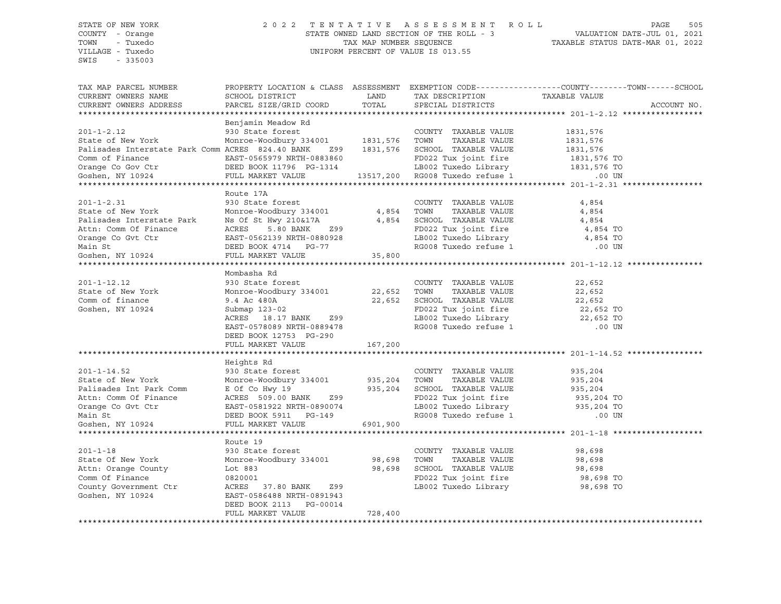# STATE OF NEW YORK 2 0 2 2 T E N T A T I V E A S S E S S M E N T R O L L PAGE 505 COUNTY - Orange STATE OWNED LAND SECTION OF THE ROLL - 3 VALUATION DATE-JUL 01, 2021 TOWN - Tuxedo TAX MAP NUMBER SEQUENCE TAXABLE STATUS DATE-MAR 01, 2022 VILLAGE - Tuxedo UNIFORM PERCENT OF VALUE IS 013.55

| TAX MAP PARCEL NUMBER<br>CURRENT OWNERS NAME                  | PROPERTY LOCATION & CLASS ASSESSMENT EXEMPTION CODE----------------COUNTY-------TOWN------SCHOOL<br>SCHOOL DISTRICT | LAND     | TAX DESCRIPTION                                              | ---YTTANDUR<br>TAXABLE VALUE |             |
|---------------------------------------------------------------|---------------------------------------------------------------------------------------------------------------------|----------|--------------------------------------------------------------|------------------------------|-------------|
| CURRENT OWNERS ADDRESS                                        | PARCEL SIZE/GRID COORD                                                                                              | TOTAL    | SPECIAL DISTRICTS                                            |                              | ACCOUNT NO. |
|                                                               | Benjamin Meadow Rd                                                                                                  |          |                                                              |                              |             |
| $201 - 1 - 2.12$                                              | 930 State forest                                                                                                    |          | COUNTY TAXABLE VALUE                                         | 1831,576                     |             |
| State of New York                                             | Monroe-Woodbury 334001 1831,576                                                                                     |          | TAXABLE VALUE<br>TOWN                                        | 1831,576                     |             |
| Palisades Interstate Park Comm ACRES 824.40 BANK Z99 1831,576 |                                                                                                                     |          | SCHOOL TAXABLE VALUE                                         | 1831,576                     |             |
| Comm of Finance                                               | EAST-0565979 NRTH-0883860                                                                                           |          | FD022 Tux joint fire                                         | 1831,576 TO                  |             |
| Orange Co Gov Ctr                                             | DEED BOOK 11796 PG-1314                                                                                             |          | LB002 Tuxedo Library                                         | 1831,576 TO                  |             |
| Goshen, NY 10924                                              | FULL MARKET VALUE                                                                                                   |          | 13517,200 RG008 Tuxedo refuse 1                              | $\overline{183}$<br>.00 UN   |             |
|                                                               |                                                                                                                     |          |                                                              |                              |             |
|                                                               | Route 17A                                                                                                           |          |                                                              |                              |             |
| $201 - 1 - 2.31$                                              | 930 State forest                                                                                                    |          | COUNTY TAXABLE VALUE                                         | 4,854                        |             |
| State of New York                                             | Monroe-Woodbury 334001                                                                                              | 4,854    | TOWN<br>TAXABLE VALUE                                        | 4,854                        |             |
| Palisades Interstate Park                                     | Ns Of St Hwy 210&17A                                                                                                | 4,854    | SCHOOL TAXABLE VALUE                                         | 4,854                        |             |
| Attn: Comm Of Finance                                         | ACRES<br>5.80 BANK<br>Z99                                                                                           |          | FD022 Tux joint fire                                         | 4,854 TO                     |             |
| Orange Co Gvt Ctr                                             | EAST-0562139 NRTH-0880928                                                                                           |          | LB002 Tuxedo Library                                         | 4,854 TO                     |             |
| Main St                                                       | DEED BOOK 4714 PG-77                                                                                                |          | RG008 Tuxedo refuse 1                                        | $.00$ UN                     |             |
| Goshen, NY 10924                                              | FULL MARKET VALUE                                                                                                   | 35,800   |                                                              |                              |             |
|                                                               |                                                                                                                     |          |                                                              |                              |             |
|                                                               | Mombasha Rd                                                                                                         |          |                                                              |                              |             |
| $201 - 1 - 12.12$                                             | 930 State forest                                                                                                    |          | COUNTY TAXABLE VALUE                                         | 22,652                       |             |
| State of New York                                             | Monroe-Woodbury 334001                                                                                              | 22,652   | TOWN<br>TAXABLE VALUE                                        | 22,652                       |             |
| Comm of finance                                               | 9.4 Ac 480A                                                                                                         | 22,652   | SCHOOL TAXABLE VALUE                                         | 22,652                       |             |
| Goshen, NY 10924                                              | Submap 123-02                                                                                                       |          | FD022 Tux joint fire                                         | $22,652$ TO                  |             |
|                                                               | ACRES 18.17 BANK Z99                                                                                                |          | LB002 Tuxedo Library                                         | 22,652 TO                    |             |
|                                                               | EAST-0578089 NRTH-0889478                                                                                           |          | RG008 Tuxedo refuse 1                                        | $.00$ UN                     |             |
|                                                               | DEED BOOK 12753 PG-290                                                                                              |          |                                                              |                              |             |
|                                                               | FULL MARKET VALUE                                                                                                   | 167,200  |                                                              |                              |             |
|                                                               |                                                                                                                     |          |                                                              |                              |             |
|                                                               | Heights Rd                                                                                                          |          |                                                              |                              |             |
| $201 - 1 - 14.52$                                             | 930 State forest                                                                                                    |          | COUNTY TAXABLE VALUE                                         | 935,204                      |             |
| State of New York                                             | Monroe-Woodbury 334001 935,204                                                                                      |          | TOWN<br>TAXABLE VALUE                                        | 935,204                      |             |
| Palisades Int Park Comm                                       | E Of Co Hwy 19                                                                                                      | 935,204  | SCHOOL TAXABLE VALUE                                         | 935,204                      |             |
| Attn: Comm Of Finance                                         | ACRES 509.00 BANK<br>Z99                                                                                            |          |                                                              | 935,204 TO                   |             |
| Orange Co Gvt Ctr                                             | EAST-0581922 NRTH-0890074                                                                                           |          |                                                              | 935,204 TO                   |             |
| Main St                                                       | DEED BOOK 5911 PG-149                                                                                               |          | FD022 Tux joint -<br>LB002 Tuxedo Library<br>- Indo refuse 1 | .00 UN                       |             |
| Goshen, NY 10924                                              | FULL MARKET VALUE                                                                                                   | 6901,900 |                                                              |                              |             |
|                                                               |                                                                                                                     |          |                                                              |                              |             |
|                                                               | Route 19                                                                                                            |          |                                                              |                              |             |
| $201 - 1 - 18$                                                | 930 State forest                                                                                                    |          | COUNTY TAXABLE VALUE                                         | 98,698                       |             |
| State Of New York                                             | Monroe-Woodbury 334001                                                                                              | 98,698   | TOWN<br>TAXABLE VALUE                                        | 98,698                       |             |
| Attn: Orange County                                           | Lot 883                                                                                                             | 98,698   | SCHOOL TAXABLE VALUE                                         | 98,698                       |             |
| Comm Of Finance                                               | 0820001                                                                                                             |          | FD022 Tux joint fire<br>LB002 Tuxedo Library                 | 98,698 TO                    |             |
| County Government Ctr<br>Goshen, NY 10924                     | ACRES 37.80 BANK<br>Z99<br>EAST-0586488 NRTH-0891943                                                                |          |                                                              | 98,698 TO                    |             |
|                                                               | DEED BOOK 2113 PG-00014                                                                                             |          |                                                              |                              |             |
|                                                               | FULL MARKET VALUE                                                                                                   | 728,400  |                                                              |                              |             |
|                                                               |                                                                                                                     |          |                                                              |                              |             |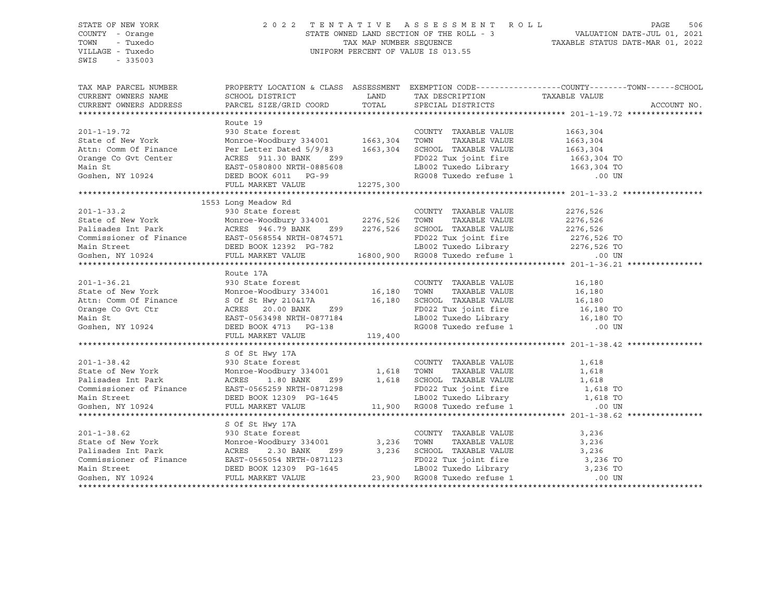## STATE OF NEW YORK 2 0 2 2 T E N T A T I V E A S S E S S M E N T R O L L PAGE 506 COUNTY - Orange STATE OWNED LAND SECTION OF THE ROLL - 3 VALUATION DATE-JUL 01, 2021 TOWN - Tuxedo TAX MAP NUMBER SEQUENCE TAXABLE STATUS DATE-MAR 01, 2022 VILLAGE - Tuxedo UNIFORM PERCENT OF VALUE IS 013.55

| TAX MAP PARCEL NUMBER                                                                                                                                                                                                                                                |                     |                                                                                                              | PROPERTY LOCATION & CLASS ASSESSMENT EXEMPTION CODE----------------COUNTY-------TOWN-----SCHOOL                                                                                                                                              |
|----------------------------------------------------------------------------------------------------------------------------------------------------------------------------------------------------------------------------------------------------------------------|---------------------|--------------------------------------------------------------------------------------------------------------|----------------------------------------------------------------------------------------------------------------------------------------------------------------------------------------------------------------------------------------------|
|                                                                                                                                                                                                                                                                      |                     |                                                                                                              |                                                                                                                                                                                                                                              |
|                                                                                                                                                                                                                                                                      | Route 19            |                                                                                                              |                                                                                                                                                                                                                                              |
| 201-1-19.72<br>330 State forest<br>330 State forest<br>201-1-19.72<br>330 State forest<br>230 State forest<br>230 State forest<br>230 State forest<br>230 State forest<br>230 State forest<br>263,304<br>263,304<br>2900 TOWN TAXABLE VALUE<br>201-2 TW              |                     |                                                                                                              |                                                                                                                                                                                                                                              |
|                                                                                                                                                                                                                                                                      |                     |                                                                                                              |                                                                                                                                                                                                                                              |
|                                                                                                                                                                                                                                                                      |                     |                                                                                                              |                                                                                                                                                                                                                                              |
|                                                                                                                                                                                                                                                                      |                     |                                                                                                              |                                                                                                                                                                                                                                              |
|                                                                                                                                                                                                                                                                      |                     |                                                                                                              |                                                                                                                                                                                                                                              |
|                                                                                                                                                                                                                                                                      |                     |                                                                                                              |                                                                                                                                                                                                                                              |
|                                                                                                                                                                                                                                                                      |                     | PD022 Tux joint fire<br>LB002 Tuxedo Library<br>RG008 Tuxedo refuse 1 000 UN<br>RG008 Tuxedo refuse 1 000 UN |                                                                                                                                                                                                                                              |
|                                                                                                                                                                                                                                                                      |                     |                                                                                                              |                                                                                                                                                                                                                                              |
|                                                                                                                                                                                                                                                                      | 1553 Long Meadow Rd |                                                                                                              |                                                                                                                                                                                                                                              |
|                                                                                                                                                                                                                                                                      |                     |                                                                                                              |                                                                                                                                                                                                                                              |
| 301-1-33.2<br>330 State forest<br>330 State forest<br>330 State forest<br>2276,526<br>2276,526<br>2276,526<br>2276,526<br>2276,526<br>2276,526<br>2276,526<br>2276,526<br>2276,526<br>2276,526<br>2276,526<br>2276,526<br>2276,526<br>2276,526<br>2276,526<br>2276,5 |                     |                                                                                                              |                                                                                                                                                                                                                                              |
|                                                                                                                                                                                                                                                                      |                     |                                                                                                              |                                                                                                                                                                                                                                              |
|                                                                                                                                                                                                                                                                      |                     |                                                                                                              |                                                                                                                                                                                                                                              |
|                                                                                                                                                                                                                                                                      |                     |                                                                                                              |                                                                                                                                                                                                                                              |
|                                                                                                                                                                                                                                                                      |                     |                                                                                                              |                                                                                                                                                                                                                                              |
|                                                                                                                                                                                                                                                                      |                     |                                                                                                              |                                                                                                                                                                                                                                              |
|                                                                                                                                                                                                                                                                      |                     |                                                                                                              |                                                                                                                                                                                                                                              |
|                                                                                                                                                                                                                                                                      |                     |                                                                                                              |                                                                                                                                                                                                                                              |
|                                                                                                                                                                                                                                                                      |                     |                                                                                                              |                                                                                                                                                                                                                                              |
|                                                                                                                                                                                                                                                                      |                     |                                                                                                              |                                                                                                                                                                                                                                              |
|                                                                                                                                                                                                                                                                      |                     |                                                                                                              |                                                                                                                                                                                                                                              |
|                                                                                                                                                                                                                                                                      |                     |                                                                                                              |                                                                                                                                                                                                                                              |
|                                                                                                                                                                                                                                                                      |                     |                                                                                                              |                                                                                                                                                                                                                                              |
|                                                                                                                                                                                                                                                                      |                     |                                                                                                              |                                                                                                                                                                                                                                              |
| Route 17A<br>201-1-36.21 930 State forest<br>30 State forest<br>201-1-36.21 930 State forest<br>201-1-36.21 930 State forest<br>201-1-36.21 930 State forest<br>201-1-36.21 930 State forest<br>201-1-36.21 930 State forest<br>201-1-36.20 Mo                       |                     |                                                                                                              |                                                                                                                                                                                                                                              |
|                                                                                                                                                                                                                                                                      | S Of St Hwy 17A     |                                                                                                              |                                                                                                                                                                                                                                              |
|                                                                                                                                                                                                                                                                      |                     |                                                                                                              |                                                                                                                                                                                                                                              |
|                                                                                                                                                                                                                                                                      |                     |                                                                                                              |                                                                                                                                                                                                                                              |
| S Of St Hwy 17A<br>S Of St Hwy 17A<br>S Of St Hwy 17A<br>S OUNTY TAXABLE VALUE<br>State of New York<br>Monroe-Woodbury 334001<br>Ralisades Int Park<br>ACRES 1.80 BANK<br>ACRES 1.80 BANK<br>Z99 1,618 SCHOOL TAXABLE VALUE<br>TOWN TAXABLE VALUE<br>                |                     |                                                                                                              |                                                                                                                                                                                                                                              |
|                                                                                                                                                                                                                                                                      |                     |                                                                                                              |                                                                                                                                                                                                                                              |
|                                                                                                                                                                                                                                                                      |                     |                                                                                                              |                                                                                                                                                                                                                                              |
|                                                                                                                                                                                                                                                                      |                     |                                                                                                              |                                                                                                                                                                                                                                              |
|                                                                                                                                                                                                                                                                      |                     |                                                                                                              |                                                                                                                                                                                                                                              |
|                                                                                                                                                                                                                                                                      | S Of St Hwy 17A     |                                                                                                              |                                                                                                                                                                                                                                              |
| $201 - 1 - 38.62$                                                                                                                                                                                                                                                    | 930 State forest    | COUNTY TAXABLE VALUE 3,236                                                                                   |                                                                                                                                                                                                                                              |
|                                                                                                                                                                                                                                                                      |                     |                                                                                                              | XOL-1-38.62<br>State of New York Monroe-Woodbury 334001<br>Monroe-Woodbury 334001<br>COUNTI TAXABLE VALUE 23,236<br>COUNTI TAXABLE VALUE 23,236<br>COUNTIL PARKER 2000 2 TO TAXABLE VALUE 3,236<br>COUNTISABLE VALUE 23,236<br>COUNTISABLE V |
|                                                                                                                                                                                                                                                                      |                     |                                                                                                              |                                                                                                                                                                                                                                              |
|                                                                                                                                                                                                                                                                      |                     |                                                                                                              |                                                                                                                                                                                                                                              |
|                                                                                                                                                                                                                                                                      |                     |                                                                                                              |                                                                                                                                                                                                                                              |
|                                                                                                                                                                                                                                                                      |                     |                                                                                                              |                                                                                                                                                                                                                                              |
|                                                                                                                                                                                                                                                                      |                     |                                                                                                              |                                                                                                                                                                                                                                              |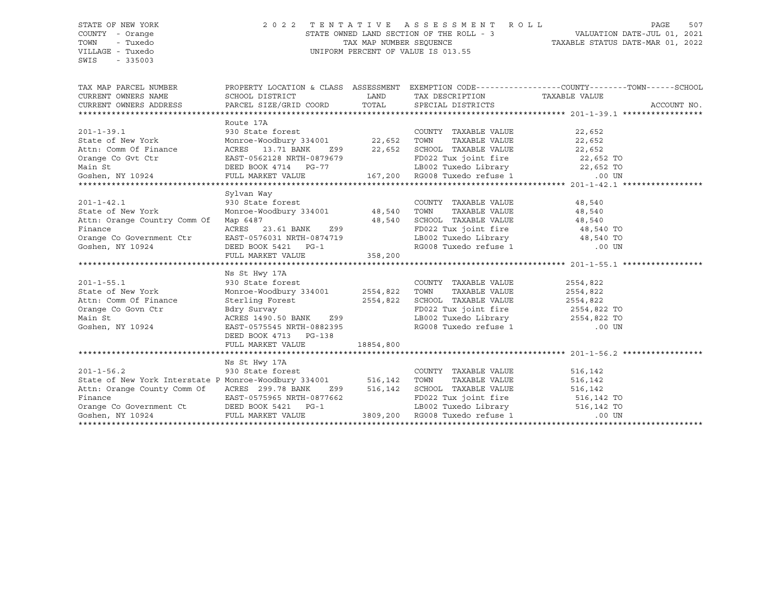## STATE OF NEW YORK 2 0 2 2 T E N T A T I V E A S S E S S M E N T R O L L PAGE 507 COUNTY - Orange STATE OWNED LAND SECTION OF THE ROLL - 3 VALUATION DATE-JUL 01, 2021 TOWN - Tuxedo TAX MAP NUMBER SEQUENCE TAXABLE STATUS DATE-MAR 01, 2022 VILLAGE - Tuxedo UNIFORM PERCENT OF VALUE IS 013.55

| TAX MAP PARCEL NUMBER                                                                                                                                                                                                                                                                                                      |                                                                                                                                                                                                                                                                                                                                                                                 |           |                                                                                                               | PROPERTY LOCATION & CLASS ASSESSMENT EXEMPTION CODE----------------COUNTY-------TOWN------SCHOOL<br>ACCOUNT NO. |
|----------------------------------------------------------------------------------------------------------------------------------------------------------------------------------------------------------------------------------------------------------------------------------------------------------------------------|---------------------------------------------------------------------------------------------------------------------------------------------------------------------------------------------------------------------------------------------------------------------------------------------------------------------------------------------------------------------------------|-----------|---------------------------------------------------------------------------------------------------------------|-----------------------------------------------------------------------------------------------------------------|
|                                                                                                                                                                                                                                                                                                                            |                                                                                                                                                                                                                                                                                                                                                                                 |           |                                                                                                               |                                                                                                                 |
| $201 - 1 - 39.1$<br>State of New York<br>Attn: Comm Of Finance ACRES 13.71 BANK 299 22,652 SCHOOL TAXABLE VALUE 22,652                                                                                                                                                                                                     | Route 17A<br>930 State forest COUNT<br>Monroe-Woodbury 334001 22,652 TOWN                                                                                                                                                                                                                                                                                                       |           | COUNTY TAXABLE VALUE 22,652                                                                                   | TAXABLE VALUE 22,652                                                                                            |
|                                                                                                                                                                                                                                                                                                                            |                                                                                                                                                                                                                                                                                                                                                                                 |           |                                                                                                               |                                                                                                                 |
|                                                                                                                                                                                                                                                                                                                            |                                                                                                                                                                                                                                                                                                                                                                                 |           |                                                                                                               |                                                                                                                 |
| 201-1-42.1<br>State of New York<br>Attn: Orange Country Comm Of<br>Finance<br>Orange Co Government Ctr EAST-0576031 NRTH-0874719<br>Goshen, NY 10924 DEED BOOK 5421 PG-1                                                                                                                                                   | Sylvan Way<br>930 State forest<br>Monroe-Woodbury 334001 48,540 TOWN<br>Map 6487<br>ACRES 23.61 BANK 299 48,540 SCHOOL TAXABLE VALUE 48,540<br>FD022 Tux joint fire 48,540 TO<br>FULL MARKET VALUE                                                                                                                                                                              | 358, 200  | COUNTY TAXABLE VALUE 48,540<br>TAXABLE VALUE<br>LB002 Tuxedo Library 48,540 TO<br>RG008 Tuxedo refuse 1 00 UN | 48,540                                                                                                          |
|                                                                                                                                                                                                                                                                                                                            |                                                                                                                                                                                                                                                                                                                                                                                 |           |                                                                                                               |                                                                                                                 |
| $201 - 1 - 55.1$<br>State of New York<br>Attn: Comm Of Finance<br>Orange Co Govn Ctr<br>Main St<br>Main St<br>Goshen, NY 10924                                                                                                                                                                                             | Ns St Hwy 17A<br>930 State forest COUNTY<br>Monroe-Woodbury 334001 2554,822 TOWN<br>Sterling Forest<br>930 State rorest<br>Monroe-Woodbury 334001 2554,822 TOWN TAXABLE VALUE<br>Sterling Forest 2554,822 SCHOOL TAXABLE VALUE<br>2554,822 SCHOOL TAXABLE VALUE<br>2554,822 TO<br>2554,822 TO<br>2554,822 TO<br>2554,822 TO<br>2554,822 TO<br>2554,822<br>DEED BOOK 4713 PG-138 |           | COUNTY TAXABLE VALUE                                                                                          | 2554,822                                                                                                        |
|                                                                                                                                                                                                                                                                                                                            | FULL MARKET VALUE                                                                                                                                                                                                                                                                                                                                                               | 18854,800 |                                                                                                               |                                                                                                                 |
|                                                                                                                                                                                                                                                                                                                            |                                                                                                                                                                                                                                                                                                                                                                                 |           |                                                                                                               |                                                                                                                 |
| $201 - 1 - 56.2$<br>State of New York Interstate P Monroe-Woodbury 334001 516,142 TOWN<br>Attn: Orange County Comm Of ACRES 299.78 BANK 299 516,142 SCHOOL TAXABLE VALUE 516,142 516,142 Finance EAST-0575965 NRTH-0877662 FD022 Tux joint fire 516,142 TO<br>Finance Co Government Ct DEED BOOK 5421 PG-1 LB002 Tuxedo Li | Ns St Hwy 17A<br>930 State forest                                                                                                                                                                                                                                                                                                                                               |           | COUNTY TAXABLE VALUE                                                                                          | 516,142<br>TAXABLE VALUE 516,142                                                                                |
|                                                                                                                                                                                                                                                                                                                            |                                                                                                                                                                                                                                                                                                                                                                                 |           |                                                                                                               |                                                                                                                 |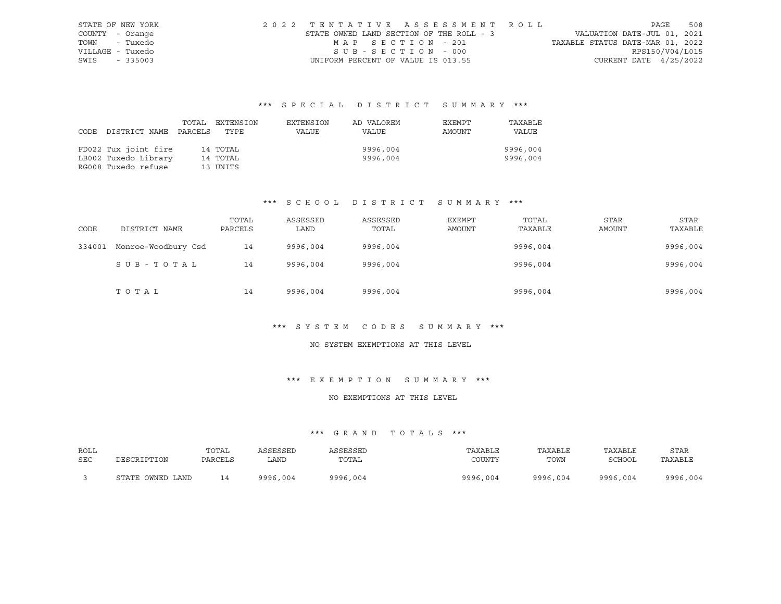| STATE OF NEW YORK | 2022 TENTATIVE ASSESSMENT ROLL           |  |  |                                  |                          | PAGE | 508 |
|-------------------|------------------------------------------|--|--|----------------------------------|--------------------------|------|-----|
| COUNTY - Orange   | STATE OWNED LAND SECTION OF THE ROLL - 3 |  |  | VALUATION DATE-JUL 01, 2021      |                          |      |     |
| TOWN - Tuxedo     | MAP SECTION - 201                        |  |  | TAXABLE STATUS DATE-MAR 01, 2022 |                          |      |     |
| VILLAGE - Tuxedo  | SUB-SECTION - 000                        |  |  |                                  | RPS150/V04/L015          |      |     |
| SWIS - 335003     | UNIFORM PERCENT OF VALUE IS 013.55       |  |  |                                  | CURRENT DATE $4/25/2022$ |      |     |

| CODE | DISTRICT NAME        | PARCELS | TOTAL EXTENSION<br>TYPE | EXTENSION<br>VALUE | AD VALOREM<br>VALUE | EXEMPT<br>AMOUNT | TAXABLE<br>VALUE |
|------|----------------------|---------|-------------------------|--------------------|---------------------|------------------|------------------|
|      | FD022 Tux joint fire |         | 14 TOTAL                |                    | 9996,004            |                  | 9996,004         |
|      | LB002 Tuxedo Library |         | 14 TOTAL                |                    | 9996,004            |                  | 9996,004         |
|      | RG008 Tuxedo refuse  |         | 13 UNITS                |                    |                     |                  |                  |

# \*\*\* S C H O O L D I S T R I C T S U M M A R Y \*\*\*

| CODE   | DISTRICT NAME       | TOTAL<br>PARCELS | ASSESSED<br>LAND | ASSESSED<br>TOTAL | EXEMPT<br>AMOUNT | TOTAL<br>TAXABLE | <b>STAR</b><br>AMOUNT | STAR<br>TAXABLE |
|--------|---------------------|------------------|------------------|-------------------|------------------|------------------|-----------------------|-----------------|
| 334001 | Monroe-Woodbury Csd | 14               | 9996,004         | 9996,004          |                  | 9996,004         |                       | 9996,004        |
|        | SUB-TOTAL           | 14               | 9996,004         | 9996,004          |                  | 9996,004         |                       | 9996,004        |
|        | TOTAL               | 14               | 9996,004         | 9996,004          |                  | 9996,004         |                       | 9996,004        |

#### \*\*\* S Y S T E M C O D E S S U M M A R Y \*\*\*

# NO SYSTEM EXEMPTIONS AT THIS LEVEL

#### \*\*\* E X E M P T I O N S U M M A R Y \*\*\*

#### NO EXEMPTIONS AT THIS LEVEL

| ROLL | DESCRIPTION      | TOTAI   | ASSESSED | ASSESSED | TAXABLE  | TAXABLE  | TAXABLE  | STAR     |
|------|------------------|---------|----------|----------|----------|----------|----------|----------|
| SEC  |                  | PARCELS | LAND     | TOTAL    | COUNTY   | TOWN     | SCHOOL   | TAXABLE  |
|      | STATE OWNED LAND |         | 9996,004 | 9996,004 | 9996,004 | 9996,004 | 9996,004 | 9996,004 |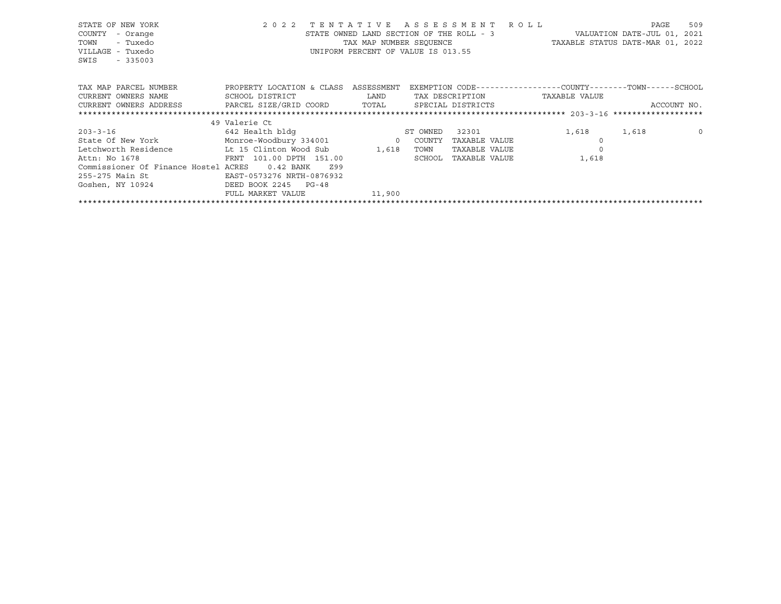| STATE OF NEW YORK<br>COUNTY<br>- Orange<br>- Tuxedo<br>TOWN<br>VILLAGE - Tuxedo<br>SWIS<br>$-335003$ | 2 0 2 2                   | TENTATIVE<br>STATE OWNED LAND SECTION OF THE ROLL - 3<br>TAX MAP NUMBER SEQUENCE<br>UNIFORM PERCENT OF VALUE IS 013.55 |          | A S S E S S M E N T | R O L L<br>TAXABLE STATUS DATE-MAR 01, 2022                  | PAGE<br>VALUATION DATE-JUL 01, 2021 | 509         |
|------------------------------------------------------------------------------------------------------|---------------------------|------------------------------------------------------------------------------------------------------------------------|----------|---------------------|--------------------------------------------------------------|-------------------------------------|-------------|
| TAX MAP PARCEL NUMBER                                                                                | PROPERTY LOCATION & CLASS | ASSESSMENT                                                                                                             |          |                     | EXEMPTION CODE-----------------COUNTY-------TOWN------SCHOOL |                                     |             |
| CURRENT OWNERS NAME                                                                                  | SCHOOL DISTRICT           | LAND                                                                                                                   |          | TAX DESCRIPTION     | TAXABLE VALUE                                                |                                     |             |
| CURRENT OWNERS ADDRESS                                                                               | PARCEL SIZE/GRID COORD    | TOTAL                                                                                                                  |          | SPECIAL DISTRICTS   |                                                              |                                     | ACCOUNT NO. |
|                                                                                                      |                           |                                                                                                                        |          |                     |                                                              |                                     |             |
|                                                                                                      | 49 Valerie Ct             |                                                                                                                        |          |                     |                                                              |                                     |             |
| $203 - 3 - 16$                                                                                       | 642 Health bldg           |                                                                                                                        | ST OWNED | 32301               | 1,618                                                        | 1,618                               | $\circ$     |
| State Of New York Monroe-Woodbury 334001 0                                                           |                           |                                                                                                                        | COUNTY   | TAXABLE VALUE       |                                                              |                                     |             |
| Letchworth Residence                                                                                 | Lt 15 Clinton Wood Sub    | 1,618                                                                                                                  | TOWN     | TAXABLE VALUE       |                                                              |                                     |             |
| Attn: No 1678                                                                                        | FRNT 101.00 DPTH 151.00   |                                                                                                                        | SCHOOL   | TAXABLE VALUE       | 1,618                                                        |                                     |             |
| Commissioner Of Finance Hostel ACRES                                                                 | $0.42$ BANK<br>Z99        |                                                                                                                        |          |                     |                                                              |                                     |             |
| 255-275 Main St                                                                                      | EAST-0573276 NRTH-0876932 |                                                                                                                        |          |                     |                                                              |                                     |             |
| Goshen, NY 10924                                                                                     | DEED BOOK 2245 PG-48      |                                                                                                                        |          |                     |                                                              |                                     |             |
|                                                                                                      | FULL MARKET VALUE         | 11,900                                                                                                                 |          |                     |                                                              |                                     |             |

\*\*\*\*\*\*\*\*\*\*\*\*\*\*\*\*\*\*\*\*\*\*\*\*\*\*\*\*\*\*\*\*\*\*\*\*\*\*\*\*\*\*\*\*\*\*\*\*\*\*\*\*\*\*\*\*\*\*\*\*\*\*\*\*\*\*\*\*\*\*\*\*\*\*\*\*\*\*\*\*\*\*\*\*\*\*\*\*\*\*\*\*\*\*\*\*\*\*\*\*\*\*\*\*\*\*\*\*\*\*\*\*\*\*\*\*\*\*\*\*\*\*\*\*\*\*\*\*\*\*\*\*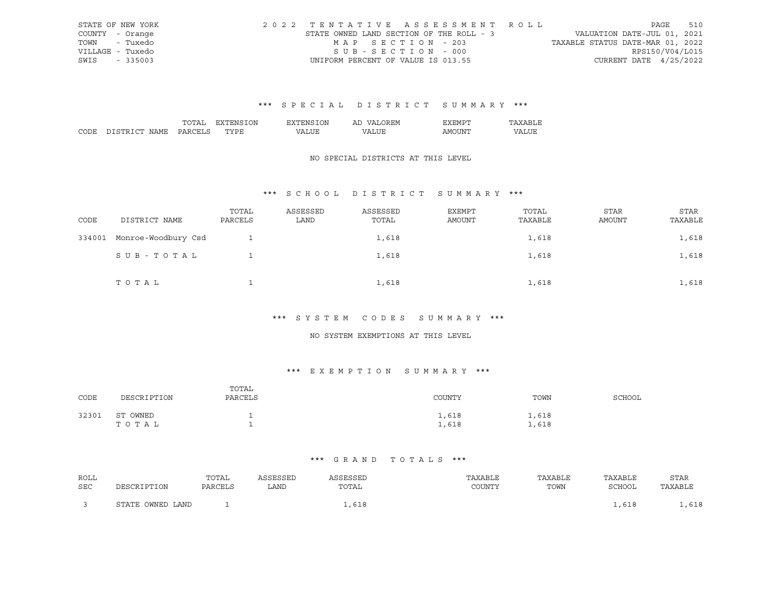| STATE OF NEW YORK | 2022 TENTATIVE ASSESSMENT ROLL           |                   |  |  |                                  |                        | PAGE | 510 |
|-------------------|------------------------------------------|-------------------|--|--|----------------------------------|------------------------|------|-----|
| COUNTY - Orange   | STATE OWNED LAND SECTION OF THE ROLL - 3 |                   |  |  | VALUATION DATE-JUL 01, 2021      |                        |      |     |
| TOWN - Tuxedo     |                                          | MAP SECTION - 203 |  |  | TAXABLE STATUS DATE-MAR 01, 2022 |                        |      |     |
| VILLAGE - Tuxedo  |                                          | SUB-SECTION - 000 |  |  |                                  | RPS150/V04/L015        |      |     |
| SWIS - 335003     | UNIFORM PERCENT OF VALUE IS 013.55       |                   |  |  |                                  | CURRENT DATE 4/25/2022 |      |     |

|      |                     |     | <b>JN</b><br>^ ^  | .) N | ' FIM<br>Аг |        |  |
|------|---------------------|-----|-------------------|------|-------------|--------|--|
| CODE | . בח<br>חר<br>√IAMF | ۸ ت | $m \times m$<br>◡ |      | 77\         | . IN!' |  |

#### NO SPECIAL DISTRICTS AT THIS LEVEL

# \*\*\* S C H O O L D I S T R I C T S U M M A R Y \*\*\*

| CODE   | DISTRICT NAME       | TOTAL<br>PARCELS | ASSESSED<br>LAND | ASSESSED<br>TOTAL | EXEMPT<br>AMOUNT | TOTAL<br>TAXABLE | <b>STAR</b><br>AMOUNT | <b>STAR</b><br>TAXABLE |
|--------|---------------------|------------------|------------------|-------------------|------------------|------------------|-----------------------|------------------------|
| 334001 | Monroe-Woodbury Csd |                  |                  | 1,618             |                  | 1,618            |                       | 1,618                  |
|        | SUB-TOTAL           |                  |                  | 1,618             |                  | 1,618            |                       | 1,618                  |
|        | TOTAL               |                  |                  | 1,618             |                  | 1,618            |                       | 1,618                  |

#### \*\*\* S Y S T E M C O D E S S U M M A R Y \*\*\*

#### NO SYSTEM EXEMPTIONS AT THIS LEVEL

# \*\*\* E X E M P T I O N S U M M A R Y \*\*\*

| CODE  | DESCRIPTION       | TOTAL<br>PARCELS | COUNTY         | TOWN           | SCHOOL |
|-------|-------------------|------------------|----------------|----------------|--------|
| 32301 | ST OWNED<br>TOTAL | -                | 1,618<br>1,618 | 1,618<br>1,618 |        |

| ROLL       |                  | TOTAL   | ASSESSED | ASSESSED | TAXABLE | TAXABLE | TAXABLE | STAR    |
|------------|------------------|---------|----------|----------|---------|---------|---------|---------|
| <b>SEC</b> | DESCRIPTION      | PARCELS | LAND     | TOTAL    | COUNTY  | TOWN    | SCHOOL  | TAXABLE |
|            | STATE OWNED LAND |         |          |          |         |         |         | ,618    |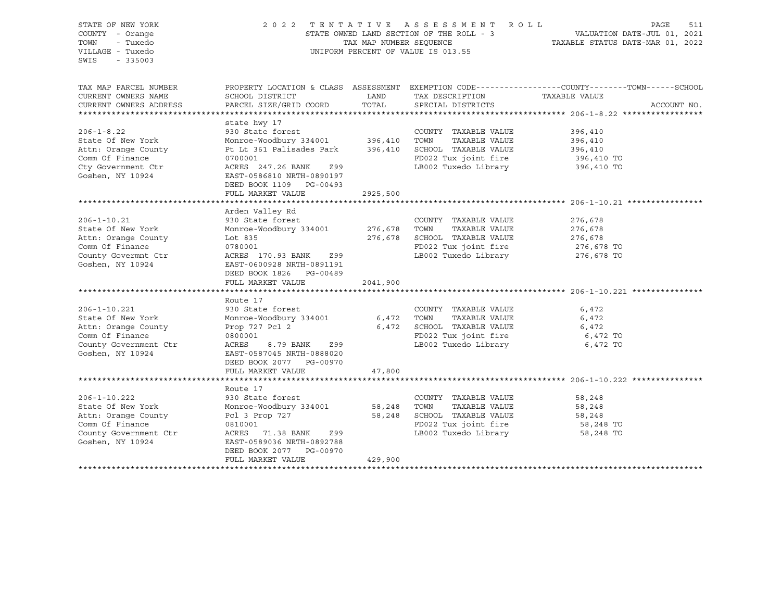| STATE OF NEW YORK<br>COUNTY - Orange<br>TOWN<br>- Tuxedo<br>VILLAGE - Tuxedo<br>$-335003$<br>SWIS | TENTATIVE ASSESSMENT ROLL<br>2022<br>STATE OWNED LAND SECTION OF THE ROLL - 3<br>TAX MAP NUMBER SEQUENCE<br>UNIFORM PERCENT OF VALUE IS 013.55 | PAGE<br>511<br>VALUATION DATE-JUL 01, 2021<br>TAXABLE STATUS DATE-MAR 01, 2022 |                              |                                                                                                                  |
|---------------------------------------------------------------------------------------------------|------------------------------------------------------------------------------------------------------------------------------------------------|--------------------------------------------------------------------------------|------------------------------|------------------------------------------------------------------------------------------------------------------|
| TAX MAP PARCEL NUMBER<br>CURRENT OWNERS NAME                                                      | SCHOOL DISTRICT                                                                                                                                | LAND                                                                           | TAX DESCRIPTION              | PROPERTY LOCATION & CLASS ASSESSMENT EXEMPTION CODE----------------COUNTY-------TOWN-----SCHOOL<br>TAXABLE VALUE |
| CURRENT OWNERS ADDRESS                                                                            | PARCEL SIZE/GRID COORD                                                                                                                         | TOTAL                                                                          | SPECIAL DISTRICTS            | ACCOUNT NO.                                                                                                      |
|                                                                                                   |                                                                                                                                                |                                                                                |                              |                                                                                                                  |
| $206 - 1 - 8.22$                                                                                  | state hwy 17<br>930 State forest                                                                                                               |                                                                                | COUNTY TAXABLE VALUE         | 396,410                                                                                                          |
| State Of New York                                                                                 | Monroe-Woodbury 334001 396,410                                                                                                                 |                                                                                | TOWN<br>TAXABLE VALUE        | 396,410                                                                                                          |
| Attn: Orange County                                                                               | Pt Lt 361 Palisades Park 396,410 SCHOOL TAXABLE VALUE                                                                                          |                                                                                |                              | 396,410                                                                                                          |
| Comm Of Finance                                                                                   | 0700001                                                                                                                                        |                                                                                | FD022 Tux joint fire         | 396,410 TO                                                                                                       |
| Cty Government Ctr                                                                                | ACRES 247.26 BANK 299                                                                                                                          |                                                                                | LB002 Tuxedo Library         |                                                                                                                  |
| Goshen, NY 10924                                                                                  | EAST-0586810 NRTH-0890197<br>DEED BOOK 1109 PG-00493                                                                                           |                                                                                |                              | 396,410 TO                                                                                                       |
|                                                                                                   | FULL MARKET VALUE                                                                                                                              | 2925,500                                                                       |                              |                                                                                                                  |
|                                                                                                   |                                                                                                                                                |                                                                                |                              |                                                                                                                  |
|                                                                                                   | Arden Valley Rd                                                                                                                                |                                                                                |                              |                                                                                                                  |
| $206 - 1 - 10.21$                                                                                 | 930 State forest                                                                                                                               |                                                                                | COUNTY TAXABLE VALUE         | 276,678                                                                                                          |
| State Of New York                                                                                 | Monroe-Woodbury 334001 276,678 TOWN                                                                                                            |                                                                                | TAXABLE VALUE                | 276,678                                                                                                          |
| Attn: Orange County                                                                               | Lot 835                                                                                                                                        | 276,678                                                                        | SCHOOL TAXABLE VALUE         | 276,678                                                                                                          |
| Comm Of Finance                                                                                   | 0780001                                                                                                                                        |                                                                                | FD022 Tux joint fire         | 276,678 TO                                                                                                       |
| County Govermnt Ctr<br>Goshen, NY 10924                                                           | ACRES 170.93 BANK<br>Z99<br>EAST-0600928 NRTH-0891191<br>DEED BOOK 1826 PG-00489<br>FULL MARKET VALUE                                          | 2041,900                                                                       | LB002 Tuxedo Library         | 276,678 TO                                                                                                       |
|                                                                                                   |                                                                                                                                                |                                                                                |                              |                                                                                                                  |
|                                                                                                   | Route 17                                                                                                                                       |                                                                                |                              |                                                                                                                  |
| $206 - 1 - 10.221$                                                                                | 930 State forest                                                                                                                               |                                                                                | COUNTY TAXABLE VALUE         | 6,472                                                                                                            |
| State Of New York                                                                                 | Monroe-Woodbury 334001                                                                                                                         | 6,472                                                                          | TOWN<br>TAXABLE VALUE        | 6,472                                                                                                            |
| Attn: Orange County                                                                               | Prop 727 Pcl 2                                                                                                                                 |                                                                                | 6,472 SCHOOL TAXABLE VALUE   | 6,472                                                                                                            |
| Comm Of Finance                                                                                   | 0800001                                                                                                                                        |                                                                                | FD022 Tux joint fire         | 6,472 TO                                                                                                         |
| County Government Ctr                                                                             | ACRES<br>8.79 BANK<br>Z99                                                                                                                      |                                                                                | LB002 Tuxedo Library         | 6,472 TO                                                                                                         |
| Goshen, NY 10924                                                                                  | EAST-0587045 NRTH-0888020<br>DEED BOOK 2077 PG-00970                                                                                           |                                                                                |                              |                                                                                                                  |
|                                                                                                   | FULL MARKET VALUE                                                                                                                              | 47,800                                                                         |                              |                                                                                                                  |
|                                                                                                   |                                                                                                                                                |                                                                                |                              |                                                                                                                  |
|                                                                                                   | Route 17                                                                                                                                       |                                                                                |                              |                                                                                                                  |
| $206 - 1 - 10.222$                                                                                | 930 State forest                                                                                                                               |                                                                                |                              |                                                                                                                  |
|                                                                                                   |                                                                                                                                                |                                                                                | COUNTY TAXABLE VALUE         | 58,248                                                                                                           |
| State Of New York                                                                                 | Monroe-Woodbury 334001                                                                                                                         |                                                                                | TAXABLE VALUE<br>58,248 TOWN | 58,248                                                                                                           |
| Attn: Orange County                                                                               | Pcl 3 Prop 727                                                                                                                                 | 58,248                                                                         | SCHOOL TAXABLE VALUE         | 58,248                                                                                                           |
| Comm Of Finance                                                                                   | 0810001                                                                                                                                        |                                                                                | FD022 Tux joint fire         | 58,248 TO                                                                                                        |
| County Government Ctr<br>Goshen, NY 10924                                                         | ACRES 71.38 BANK<br>Z99<br>EAST-0589036 NRTH-0892788<br>DEED BOOK 2077 PG-00970                                                                |                                                                                | LB002 Tuxedo Library         | 58,248 TO                                                                                                        |
|                                                                                                   | FULL MARKET VALUE                                                                                                                              | 429,900                                                                        |                              |                                                                                                                  |
|                                                                                                   |                                                                                                                                                |                                                                                |                              |                                                                                                                  |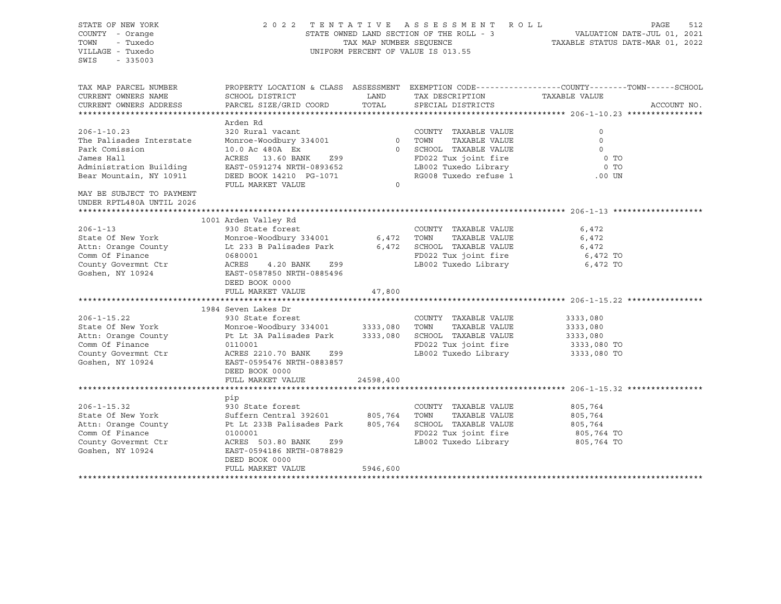| STATE OF NEW YORK<br>COUNTY - Orange<br>TOWN<br>- Tuxedo<br>VILLAGE - Tuxedo<br>SWIS<br>$-335003$ | 2 0 2 2                                                                                         | TAX MAP NUMBER SEQUENCE | TENTATIVE ASSESSMENT ROLL<br>STATE OWNED LAND SECTION OF THE ROLL - 3<br>UNIFORM PERCENT OF VALUE IS 013.55 |                | PAGE<br>512<br>VALUATION DATE-JUL 01, 2021<br>TAXABLE STATUS DATE-MAR 01, 2022 |
|---------------------------------------------------------------------------------------------------|-------------------------------------------------------------------------------------------------|-------------------------|-------------------------------------------------------------------------------------------------------------|----------------|--------------------------------------------------------------------------------|
| TAX MAP PARCEL NUMBER                                                                             | PROPERTY LOCATION & CLASS ASSESSMENT EXEMPTION CODE----------------COUNTY-------TOWN-----SCHOOL |                         |                                                                                                             |                |                                                                                |
| CURRENT OWNERS NAME<br>CURRENT OWNERS ADDRESS                                                     | SCHOOL DISTRICT<br>PARCEL SIZE/GRID COORD                                                       | LAND<br>TOTAL           | TAX DESCRIPTION<br>SPECIAL DISTRICTS                                                                        | TAXABLE VALUE  | ACCOUNT NO.                                                                    |
|                                                                                                   |                                                                                                 |                         |                                                                                                             |                |                                                                                |
|                                                                                                   | Arden Rd                                                                                        |                         |                                                                                                             |                |                                                                                |
| $206 - 1 - 10.23$                                                                                 | 320 Rural vacant                                                                                |                         | COUNTY TAXABLE VALUE                                                                                        | $\circ$        |                                                                                |
| The Palisades Interstate                                                                          | Monroe-Woodbury 334001                                                                          | $\overline{0}$          | TOWN<br>TAXABLE VALUE                                                                                       | $\circ$        |                                                                                |
| Park Comission                                                                                    | 10.0 Ac 480A Ex                                                                                 |                         | 0 SCHOOL TAXABLE VALUE                                                                                      | $\Omega$       |                                                                                |
| James Hall                                                                                        | ACRES 13.60 BANK<br>Z99                                                                         |                         | FD022 Tux joint fire                                                                                        | 0 <sub>T</sub> |                                                                                |
| Administration Building                                                                           | EAST-0591274 NRTH-0893652                                                                       |                         | LB002 Tuxedo Library                                                                                        | $0$ TO         |                                                                                |
| Bear Mountain, NY 10911                                                                           | DEED BOOK 14210 PG-1071                                                                         |                         | RG008 Tuxedo refuse 1                                                                                       | $.00$ UN       |                                                                                |
| MAY BE SUBJECT TO PAYMENT<br>UNDER RPTL480A UNTIL 2026                                            | FULL MARKET VALUE                                                                               | $\Omega$                |                                                                                                             |                |                                                                                |
|                                                                                                   |                                                                                                 |                         |                                                                                                             |                |                                                                                |
|                                                                                                   | 1001 Arden Valley Rd                                                                            |                         |                                                                                                             |                |                                                                                |
| $206 - 1 - 13$                                                                                    | 930 State forest                                                                                |                         | COUNTY TAXABLE VALUE                                                                                        | 6,472          |                                                                                |
| State Of New York                                                                                 | Monroe-Woodbury 334001                                                                          | 6,472                   | TAXABLE VALUE<br>TOWN                                                                                       | 6,472          |                                                                                |
| Attn: Orange County                                                                               | Lt 233 B Palisades Park                                                                         | 6,472                   | SCHOOL TAXABLE VALUE                                                                                        | 6,472          |                                                                                |
| Comm Of Finance                                                                                   | 0680001                                                                                         |                         | FD022 Tux joint fire                                                                                        | 6,472 TO       |                                                                                |
| County Govermnt Ctr                                                                               | ACRES<br>4.20 BANK<br>Z99                                                                       |                         | LB002 Tuxedo Library                                                                                        | 6,472 TO       |                                                                                |
| Goshen, NY 10924                                                                                  | EAST-0587850 NRTH-0885496                                                                       |                         |                                                                                                             |                |                                                                                |
|                                                                                                   | DEED BOOK 0000                                                                                  |                         |                                                                                                             |                |                                                                                |
|                                                                                                   | FULL MARKET VALUE                                                                               | 47,800<br>***********   |                                                                                                             |                |                                                                                |
|                                                                                                   | 1984 Seven Lakes Dr                                                                             |                         |                                                                                                             |                |                                                                                |
| $206 - 1 - 15.22$                                                                                 | 930 State forest                                                                                |                         | COUNTY TAXABLE VALUE                                                                                        | 3333,080       |                                                                                |
| State Of New York                                                                                 | Monroe-Woodbury 334001                                                                          | 3333,080                | TOWN<br>TAXABLE VALUE                                                                                       | 3333,080       |                                                                                |
| Attn: Orange County                                                                               | Pt Lt 3A Palisades Park                                                                         | 3333,080                | SCHOOL TAXABLE VALUE                                                                                        | 3333,080       |                                                                                |
| Comm Of Finance                                                                                   | 0110001                                                                                         |                         | FD022 Tux joint fire                                                                                        | 3333,080 TO    |                                                                                |
| County Govermnt Ctr                                                                               | ACRES 2210.70 BANK<br>Z99                                                                       |                         | LB002 Tuxedo Library                                                                                        | 3333,080 TO    |                                                                                |
| Goshen, NY 10924                                                                                  | EAST-0595476 NRTH-0883857                                                                       |                         |                                                                                                             |                |                                                                                |
|                                                                                                   | DEED BOOK 0000                                                                                  |                         |                                                                                                             |                |                                                                                |
|                                                                                                   | FULL MARKET VALUE                                                                               | 24598,400               |                                                                                                             |                |                                                                                |
|                                                                                                   |                                                                                                 |                         |                                                                                                             |                |                                                                                |
|                                                                                                   | pip                                                                                             |                         |                                                                                                             |                |                                                                                |
| $206 - 1 - 15.32$                                                                                 | 930 State forest                                                                                |                         | COUNTY TAXABLE VALUE                                                                                        | 805,764        |                                                                                |
| State Of New York                                                                                 | Suffern Central 392601                                                                          | 805,764                 | TAXABLE VALUE<br>TOWN                                                                                       | 805,764        |                                                                                |
| Attn: Orange County                                                                               | Pt Lt 233B Palisades Park                                                                       | 805,764                 | SCHOOL TAXABLE VALUE                                                                                        | 805,764        |                                                                                |
| Comm Of Finance                                                                                   | 0100001                                                                                         |                         | FD022 Tux joint fire                                                                                        | 805,764 TO     |                                                                                |
| County Govermnt Ctr                                                                               | ACRES 503.80 BANK<br>Z99                                                                        |                         | LB002 Tuxedo Library                                                                                        | 805,764 TO     |                                                                                |
| Goshen, NY 10924                                                                                  | EAST-0594186 NRTH-0878829<br>DEED BOOK 0000                                                     |                         |                                                                                                             |                |                                                                                |
|                                                                                                   | FULL MARKET VALUE                                                                               | 5946,600                |                                                                                                             |                |                                                                                |
|                                                                                                   |                                                                                                 |                         |                                                                                                             |                |                                                                                |
|                                                                                                   |                                                                                                 |                         |                                                                                                             |                |                                                                                |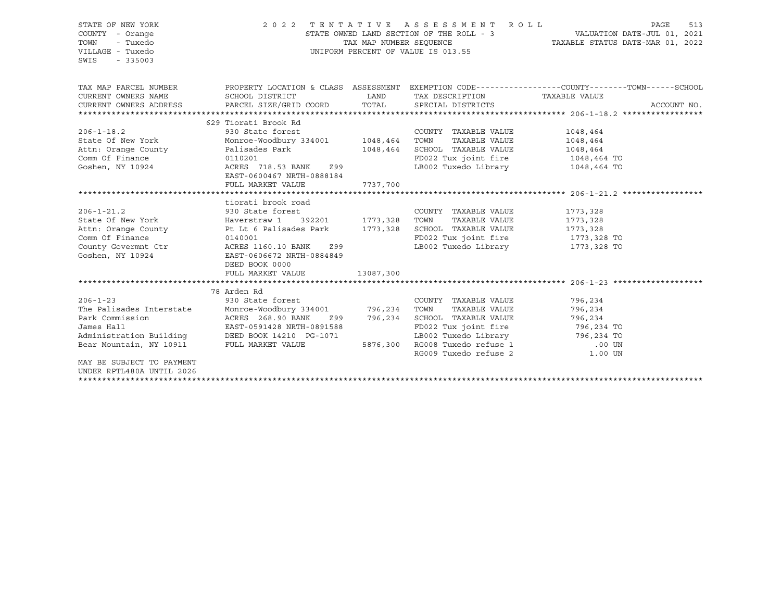| STATE OF NEW YORK<br>COUNTY - Orange<br>- Tuxedo<br>TOWN                                                                                                                                                                                                               | 2022 TENTATIVE ASSESSMENT ROLL                     |             | PAGE<br>513                                                          |                                                                                                  |             |
|------------------------------------------------------------------------------------------------------------------------------------------------------------------------------------------------------------------------------------------------------------------------|----------------------------------------------------|-------------|----------------------------------------------------------------------|--------------------------------------------------------------------------------------------------|-------------|
| VILLAGE - Tuxedo<br>SWIS<br>$-335003$                                                                                                                                                                                                                                  |                                                    |             | UNIFORM PERCENT OF VALUE IS 013.55                                   |                                                                                                  |             |
| TAX MAP PARCEL NUMBER                                                                                                                                                                                                                                                  |                                                    |             |                                                                      | PROPERTY LOCATION & CLASS ASSESSMENT EXEMPTION CODE----------------COUNTY-------TOWN------SCHOOL |             |
| CURRENT OWNERS NAME                                                                                                                                                                                                                                                    | SCHOOL DISTRICT                                    | <b>LAND</b> | TAX DESCRIPTION TAXABLE VALUE                                        |                                                                                                  |             |
| CURRENT OWNERS ADDRESS                                                                                                                                                                                                                                                 | PARCEL SIZE/GRID COORD TOTAL SPECIAL DISTRICTS     |             |                                                                      |                                                                                                  | ACCOUNT NO. |
|                                                                                                                                                                                                                                                                        |                                                    |             |                                                                      |                                                                                                  |             |
| 206-1-18.2<br>206-1-18.2<br>State Of New York<br>2000 Monroe-Woodbury 334001<br>2010201<br>2010201<br>2010201<br>2010201<br>2010201<br>2010201<br>2010201<br>2010201<br>2010201<br>2010201<br>2010201<br>2010201<br>2010201<br>2010201<br>2010201<br>2010201<br>201020 |                                                    |             | COUNTY TAXABLE VALUE                                                 | 1048,464                                                                                         |             |
|                                                                                                                                                                                                                                                                        |                                                    |             |                                                                      | 1048,464                                                                                         |             |
|                                                                                                                                                                                                                                                                        |                                                    |             |                                                                      |                                                                                                  |             |
|                                                                                                                                                                                                                                                                        |                                                    |             | SCHOOL TAXABLE VALUE 1048,464<br>FD022 Tux joint fire 1048,464 TO    |                                                                                                  |             |
| Goshen, NY 10924                                                                                                                                                                                                                                                       | ACRES 718.53 BANK Z99<br>EAST-0600467 NRTH-0888184 |             | LB002 Tuxedo Library 1048,464 TO                                     |                                                                                                  |             |
|                                                                                                                                                                                                                                                                        | FULL MARKET VALUE                                  | 7737,700    |                                                                      |                                                                                                  |             |
|                                                                                                                                                                                                                                                                        |                                                    |             |                                                                      |                                                                                                  |             |
|                                                                                                                                                                                                                                                                        | tiorati brook road                                 |             |                                                                      |                                                                                                  |             |
| $206 - 1 - 21.2$                                                                                                                                                                                                                                                       | 930 State forest                                   |             | COUNTY TAXABLE VALUE                                                 | 1773,328                                                                                         |             |
| State Of New York [100] Haverstraw 1 392201 1773,328 TOWN                                                                                                                                                                                                              |                                                    |             | TAXABLE VALUE                                                        | 1773,328                                                                                         |             |
| Attn: Orange County 1773, 328 FCHOOL TAXABLE VALUE 1773, 328                                                                                                                                                                                                           |                                                    |             |                                                                      |                                                                                                  |             |
|                                                                                                                                                                                                                                                                        |                                                    |             | FD022 Tux joint fire 1773,328 TO<br>LB002 Tuxedo Library 1773,328 TO |                                                                                                  |             |
| Comm Of Finance<br>County Governmt Ctr<br>County Governmt Ctr<br>County Governmt Ctr<br>County ACRES 1160.10 BANK 299<br>EAST-0606672 NDTU 2004                                                                                                                        |                                                    |             |                                                                      |                                                                                                  |             |
|                                                                                                                                                                                                                                                                        | DEED BOOK 0000<br>FULL MARKET VALUE                | 13087,300   |                                                                      |                                                                                                  |             |
|                                                                                                                                                                                                                                                                        |                                                    |             |                                                                      |                                                                                                  |             |
| 206-1-23<br>The Palisades Interstate Monroe-Woodbury 334001 796,234 TOWN TAXABLE VALUE<br>Park Commission ACRES 268.90 BANK 299 796.234 SCHOOT TAYABLE VALUE<br>James World James 2011                                                                                 |                                                    |             |                                                                      |                                                                                                  |             |
|                                                                                                                                                                                                                                                                        |                                                    |             |                                                                      | 796,234                                                                                          |             |
|                                                                                                                                                                                                                                                                        |                                                    |             |                                                                      | 796,234                                                                                          |             |
|                                                                                                                                                                                                                                                                        |                                                    |             | Z99 796,234 SCHOOL TAXABLE VALUE 796,234                             |                                                                                                  |             |
| James Hall                                                                                                                                                                                                                                                             | EAST-0591428 NRTH-0891588                          |             | FD022 Tux joint fire 796,234 TO                                      |                                                                                                  |             |
| Administration Building DEED BOOK 14210 PG-1071                                                                                                                                                                                                                        |                                                    |             | LB002 Tuxedo Library 796,234 TO                                      |                                                                                                  |             |
| Bear Mountain, NY 10911 FULL MARKET VALUE                                                                                                                                                                                                                              |                                                    |             | 5876,300 RG008 Tuxedo refuse 1 00 UN RG009 Tuxedo refuse 2 1.00 UN   |                                                                                                  |             |
|                                                                                                                                                                                                                                                                        |                                                    |             |                                                                      |                                                                                                  |             |
| MAY BE SUBJECT TO PAYMENT                                                                                                                                                                                                                                              |                                                    |             |                                                                      |                                                                                                  |             |
| UNDER RPTL480A UNTIL 2026                                                                                                                                                                                                                                              |                                                    |             |                                                                      |                                                                                                  |             |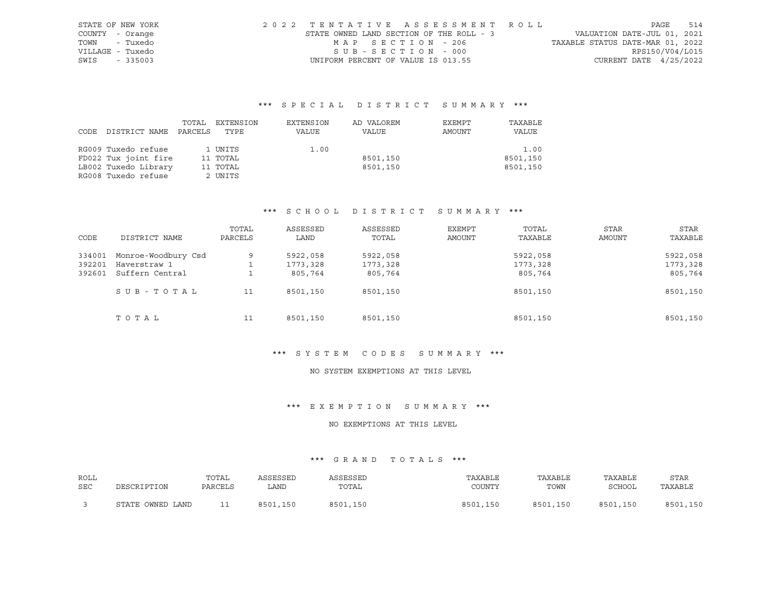| STATE OF NEW YORK | 2022 TENTATIVE ASSESSMENT ROLL           |                                  | PAGE            | 514 |
|-------------------|------------------------------------------|----------------------------------|-----------------|-----|
| COUNTY - Orange   | STATE OWNED LAND SECTION OF THE ROLL - 3 | VALUATION DATE-JUL 01, 2021      |                 |     |
| - Tuxedo<br>TOWN  | MAP SECTION - 206                        | TAXABLE STATUS DATE-MAR 01, 2022 |                 |     |
| VILLAGE - Tuxedo  | SUB-SECTION - 000                        |                                  | RPS150/V04/L015 |     |
| SWIS<br>$-335003$ | UNIFORM PERCENT OF VALUE IS 013.55       | CURRENT DATE $4/25/2022$         |                 |     |

|      |                      | TOTAL   | EXTENSION | EXTENSION | AD VALOREM | EXEMPT | TAXABLE  |
|------|----------------------|---------|-----------|-----------|------------|--------|----------|
| CODE | DISTRICT NAME        | PARCELS | TYPE      | VALUE     | VALUE      | AMOUNT | VALUE    |
|      |                      |         |           |           |            |        |          |
|      | RG009 Tuxedo refuse  |         | 1 UNITS   | 1.00      |            |        | 1.00     |
|      | FD022 Tux joint fire |         | 11 TOTAL  |           | 8501,150   |        | 8501,150 |
|      | LB002 Tuxedo Library |         | 11 TOTAL  |           | 8501,150   |        | 8501,150 |
|      | RG008 Tuxedo refuse  |         | 2 UNITS   |           |            |        |          |

#### \*\*\* S C H O O L D I S T R I C T S U M M A R Y \*\*\*

|        |                     | TOTAL   | ASSESSED | ASSESSED | EXEMPT | TOTAL    | <b>STAR</b>   | STAR     |
|--------|---------------------|---------|----------|----------|--------|----------|---------------|----------|
| CODE   | DISTRICT NAME       | PARCELS | LAND     | TOTAL    | AMOUNT | TAXABLE  | <b>AMOUNT</b> | TAXABLE  |
| 334001 | Monroe-Woodbury Csd | 9       | 5922,058 | 5922,058 |        | 5922,058 |               | 5922,058 |
| 392201 | Haverstraw 1        |         | 1773,328 | 1773,328 |        | 1773,328 |               | 1773,328 |
| 392601 | Suffern Central     |         | 805,764  | 805,764  |        | 805,764  |               | 805,764  |
|        | SUB-TOTAL           | 11      | 8501,150 | 8501,150 |        | 8501,150 |               | 8501,150 |
|        | TOTAL               | 11      | 8501,150 | 8501,150 |        | 8501,150 |               | 8501,150 |

# \*\*\* S Y S T E M C O D E S S U M M A R Y \*\*\*

#### NO SYSTEM EXEMPTIONS AT THIS LEVEL

#### \*\*\* E X E M P T I O N S U M M A R Y \*\*\*

#### NO EXEMPTIONS AT THIS LEVEL

| ROLL       |                  | TOTAL   | ASSESSED | ASSESSED | TAXABLE  | TAXABLE  | TAXABLE  | STAR     |
|------------|------------------|---------|----------|----------|----------|----------|----------|----------|
| <b>SEC</b> | DESCRIPTION      | PARCELS | LAND     | TOTAL    | COUNTY   | TOWN     | SCHOOL   | TAXABLE  |
|            | STATE OWNED LAND | ᆂᆂ      | 8501,150 | 8501,150 | 8501,150 | 8501,150 | 8501,150 | 8501,150 |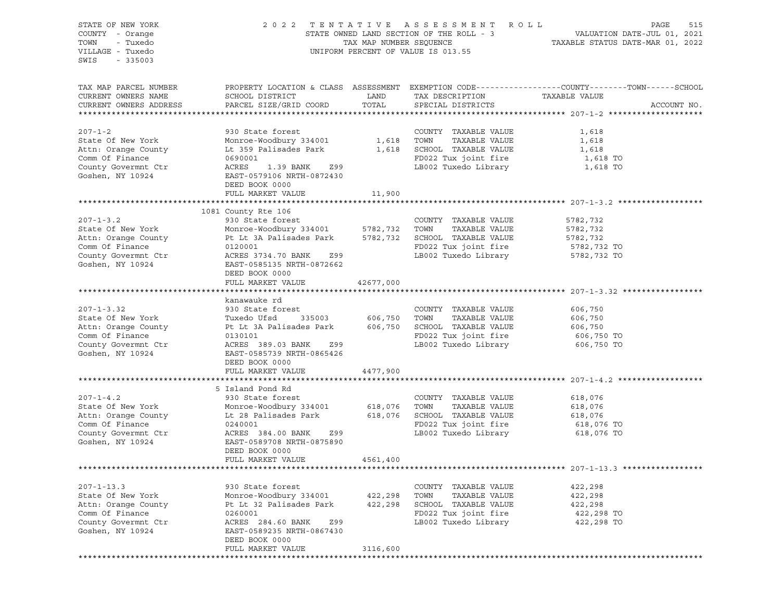STATE OF NEW YORK 2 0 2 2 T E N T A T I V E A S S E S S M E N T R O L L PAGE 515 COUNTY - Orange STATE OWNED LAND SECTION OF THE ROLL - 3 VALUATION DATE-JUL 01, 2021 TOWN - Tuxedo TAX MAP NUMBER SEQUENCE TAXABLE STATUS DATE-MAR 01, 2022 VILLAGE - Tuxedo UNIFORM PERCENT OF VALUE IS 013.55 SWIS - 335003 TAX MAP PARCEL NUMBER PROPERTY LOCATION & CLASS ASSESSMENT EXEMPTION CODE------------------COUNTY--------TOWN------SCHOOL CURRENT OWNERS NAME SCHOOL DISTRICT TAX DAND TAX DESCRIPTION TAXABLE VALUE CURRENT OWNERS ADDRESS PARCEL SIZE/GRID COORD TOTAL SPECIAL DISTRICTS ACCOUNT NO. \*\*\*\*\*\*\*\*\*\*\*\*\*\*\*\*\*\*\*\*\*\*\*\*\*\*\*\*\*\*\*\*\*\*\*\*\*\*\*\*\*\*\*\*\*\*\*\*\*\*\*\*\*\*\*\*\*\*\*\*\*\*\*\*\*\*\*\*\*\*\*\*\*\*\*\*\*\*\*\*\*\*\*\*\*\*\*\*\*\*\*\*\*\*\*\*\*\*\*\*\*\*\* 207-1-2 \*\*\*\*\*\*\*\*\*\*\*\*\*\*\*\*\*\*\*\* 207-1-2 930 State forest COUNTY TAXABLE VALUE 1,618 State Of New York Monroe-Woodbury 334001 1,618 TOWN TAXABLE VALUE 1,618 Attn: Orange County Lt 359 Palisades Park 1,618 SCHOOL TAXABLE VALUE 1,618 Comm Of Finance County 314001 1,618 TOWN TAXABLE VALUE 1,618<br>
Comm Of Finance 0000001 1,618 SCHOOL TAXABLE VALUE 1,618<br>
Comm Of Finance 0690001 1,618 FD022 Tux joint fire 1,618 TO County Govermnt Ctr  $ACRES$  1.39 BANK 299 LB002 Tuxedo Library 1,618 TO Goshen, NY 10924 EAST-0579106 NRTH-0872430 DEED BOOK 0000 FULL MARKET VALUE 11,900 \*\*\*\*\*\*\*\*\*\*\*\*\*\*\*\*\*\*\*\*\*\*\*\*\*\*\*\*\*\*\*\*\*\*\*\*\*\*\*\*\*\*\*\*\*\*\*\*\*\*\*\*\*\*\*\*\*\*\*\*\*\*\*\*\*\*\*\*\*\*\*\*\*\*\*\*\*\*\*\*\*\*\*\*\*\*\*\*\*\*\*\*\*\*\*\*\*\*\*\*\*\*\* 207-1-3.2 \*\*\*\*\*\*\*\*\*\*\*\*\*\*\*\*\*\* 1081 County Rte 106 207-1-3.2 930 State forest COUNTY TAXABLE VALUE 5782,732 State Of New York Monroe-Woodbury 334001 5782,732 TOWN TAXABLE VALUE 5782,732 Attn: Orange County Pt Lt 3A Palisades Park 5782,732 SCHOOL TAXABLE VALUE 5782,732 Comm Of Finance  $0120001$  Comm Of Finance 5782,732 TO County Govermnt Ctr  $ACRES 3734.70 BANK 299$  LB002 Tuxedo Library 5782,732 TO Goshen, NY 10924 EAST-0585135 NRTH-0872662 DEED BOOK 0000 FULL MARKET VALUE 42677,000 \*\*\*\*\*\*\*\*\*\*\*\*\*\*\*\*\*\*\*\*\*\*\*\*\*\*\*\*\*\*\*\*\*\*\*\*\*\*\*\*\*\*\*\*\*\*\*\*\*\*\*\*\*\*\*\*\*\*\*\*\*\*\*\*\*\*\*\*\*\*\*\*\*\*\*\*\*\*\*\*\*\*\*\*\*\*\*\*\*\*\*\*\*\*\*\*\*\*\*\*\*\*\* 207-1-3.32 \*\*\*\*\*\*\*\*\*\*\*\*\*\*\*\*\* kanawauke rd 207-1-3.32 930 State forest COUNTY TAXABLE VALUE 606,750 State Of New York Tuxedo Ufsd 335003 606,750 TOWN TAXABLE VALUE 606,750 Attn: Orange County Pt Lt 3A Palisades Park 606,750 SCHOOL TAXABLE VALUE 606,750 Comm Of Finance 0130101 FD022 Tux joint fire 606,750 TO County Govermnt Ctr ACRES 389.03 BANK Z99 LB002 Tuxedo Library 606,750 TO EAST-0585739 NRTH-0865426 DEED BOOK 0000 FULL MARKET VALUE 4477,900 \*\*\*\*\*\*\*\*\*\*\*\*\*\*\*\*\*\*\*\*\*\*\*\*\*\*\*\*\*\*\*\*\*\*\*\*\*\*\*\*\*\*\*\*\*\*\*\*\*\*\*\*\*\*\*\*\*\*\*\*\*\*\*\*\*\*\*\*\*\*\*\*\*\*\*\*\*\*\*\*\*\*\*\*\*\*\*\*\*\*\*\*\*\*\*\*\*\*\*\*\*\*\* 207-1-4.2 \*\*\*\*\*\*\*\*\*\*\*\*\*\*\*\*\*\* 5 Island Pond Rd 207-1-4.2 930 State forest COUNTY TAXABLE VALUE 618,076 State Of New York Monroe-Woodbury 334001 618,076 TOWN TAXABLE VALUE 618,076 Attn: Orange County Lt 28 Palisades Park 618,076 SCHOOL TAXABLE VALUE 618,076 Comm Of Finance  $0240001$   $0240001$  FD022 Tux joint fire 618,076 TO County Govermnt Ctr ACRES 384.00 BANK Z99 LB002 Tuxedo Library 618,076 TO Goshen, NY 10924 EAST-0589708 NRTH-0875890 DEED BOOK 0000 FULL MARKET VALUE 4561,400 \*\*\*\*\*\*\*\*\*\*\*\*\*\*\*\*\*\*\*\*\*\*\*\*\*\*\*\*\*\*\*\*\*\*\*\*\*\*\*\*\*\*\*\*\*\*\*\*\*\*\*\*\*\*\*\*\*\*\*\*\*\*\*\*\*\*\*\*\*\*\*\*\*\*\*\*\*\*\*\*\*\*\*\*\*\*\*\*\*\*\*\*\*\*\*\*\*\*\*\*\*\*\* 207-1-13.3 \*\*\*\*\*\*\*\*\*\*\*\*\*\*\*\*\* 207-1-13.3 930 State forest COUNTY TAXABLE VALUE 422,298 State Of New York Monroe-Woodbury 334001 422,298 TOWN TAXABLE VALUE 422,298 Attn: Orange County Pt Lt 32 Palisades Park 422,298 SCHOOL TAXABLE VALUE 422,298 Comm Of Finance 0260001 FD022 Tux joint fire 422,298 TO County Govermnt Ctr  $ACRES$  284.60 BANK 299 LB002 Tuxedo Library Goshen, NY 10924 EAST-0589235 NRTH-0867430 DEED BOOK 0000 FULL MARKET VALUE 3116,600 \*\*\*\*\*\*\*\*\*\*\*\*\*\*\*\*\*\*\*\*\*\*\*\*\*\*\*\*\*\*\*\*\*\*\*\*\*\*\*\*\*\*\*\*\*\*\*\*\*\*\*\*\*\*\*\*\*\*\*\*\*\*\*\*\*\*\*\*\*\*\*\*\*\*\*\*\*\*\*\*\*\*\*\*\*\*\*\*\*\*\*\*\*\*\*\*\*\*\*\*\*\*\*\*\*\*\*\*\*\*\*\*\*\*\*\*\*\*\*\*\*\*\*\*\*\*\*\*\*\*\*\*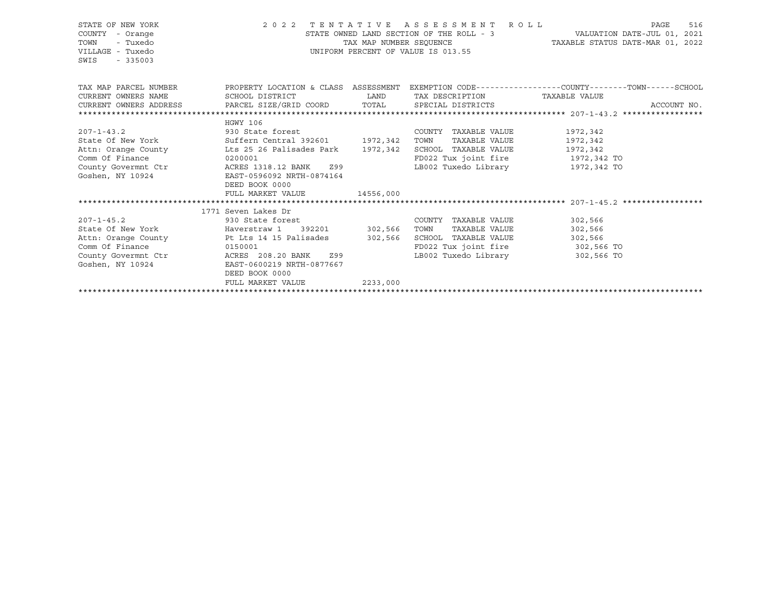| STATE OF NEW YORK<br>COUNTY<br>- Orange<br>TOWN<br>- Tuxedo<br>VILLAGE - Tuxedo<br>SWIS<br>$-335003$ | 2022 TENTATIVE ASSESSMENT ROLL | STATE OWNED LAND SECTION OF THE ROLL - 3<br>TAX MAP NUMBER SEOUENCE<br>UNIFORM PERCENT OF VALUE IS 013.55 | VALUATION DATE-JUL 01, 2021<br>TAXABLE STATUS DATE-MAR 01, 2022 | PAGE<br>516                                                                                     |             |
|------------------------------------------------------------------------------------------------------|--------------------------------|-----------------------------------------------------------------------------------------------------------|-----------------------------------------------------------------|-------------------------------------------------------------------------------------------------|-------------|
| TAX MAP PARCEL NUMBER                                                                                |                                |                                                                                                           |                                                                 | PROPERTY LOCATION & CLASS ASSESSMENT EXEMPTION CODE---------------COUNTY-------TOWN------SCHOOL |             |
| CURRENT OWNERS NAME<br>CURRENT OWNERS ADDRESS 6 PARCEL SIZE/GRID COORD TOTAL SPECIAL DISTRICTS       | SCHOOL DISTRICT                | <b>LAND</b>                                                                                               | TAX DESCRIPTION TAXABLE VALUE                                   |                                                                                                 | ACCOUNT NO. |
|                                                                                                      |                                |                                                                                                           |                                                                 |                                                                                                 |             |
|                                                                                                      | HGWY 106                       |                                                                                                           |                                                                 |                                                                                                 |             |
| $207 - 1 - 43.2$                                                                                     | 930 State forest               |                                                                                                           | COUNTY TAXABLE VALUE                                            | 1972,342                                                                                        |             |
| State Of New York Suffern Central 392601 1972, 342                                                   |                                |                                                                                                           | TOWN<br>TAXABLE VALUE                                           | 1972,342                                                                                        |             |
| Attn: Orange County Lts 25 26 Palisades Park 1972, 342                                               |                                |                                                                                                           | SCHOOL TAXABLE VALUE                                            | 1972,342                                                                                        |             |
| Comm Of Finance                                                                                      | 0200001                        |                                                                                                           | FD022 Tux joint fire 1972,342 TO                                |                                                                                                 |             |
| County Govermnt Ctr                                                                                  | ACRES 1318.12 BANK Z99         |                                                                                                           | LB002 Tuxedo Library 1972,342 TO                                |                                                                                                 |             |
| Goshen, NY 10924                                                                                     | EAST-0596092 NRTH-0874164      |                                                                                                           |                                                                 |                                                                                                 |             |
|                                                                                                      | DEED BOOK 0000                 |                                                                                                           |                                                                 |                                                                                                 |             |
|                                                                                                      | FULL MARKET VALUE              | 14556,000                                                                                                 |                                                                 |                                                                                                 |             |
|                                                                                                      |                                |                                                                                                           |                                                                 |                                                                                                 |             |
|                                                                                                      | 1771 Seven Lakes Dr            |                                                                                                           |                                                                 |                                                                                                 |             |
| $207 - 1 - 45.2$                                                                                     | 930 State forest               |                                                                                                           | COUNTY TAXABLE VALUE                                            | 302,566                                                                                         |             |
| State Of New York Flaverstraw 1 392201 302,566                                                       |                                |                                                                                                           | TAXABLE VALUE<br>TOWN                                           | 302,566                                                                                         |             |
| Attn: Orange County The Lts 14 15 Palisades 302,566<br>Comm Of Finance                               | 0150001                        |                                                                                                           | SCHOOL TAXABLE VALUE<br>FD022 Tux joint fire                    | 302,566                                                                                         |             |
| County Govermnt Ctr                                                                                  | ACRES 208.20 BANK Z99          |                                                                                                           | LB002 Tuxedo Library 302,566 TO                                 | 302,566 TO                                                                                      |             |
| Goshen, NY 10924                                                                                     | EAST-0600219 NRTH-0877667      |                                                                                                           |                                                                 |                                                                                                 |             |
|                                                                                                      | DEED BOOK 0000                 |                                                                                                           |                                                                 |                                                                                                 |             |
|                                                                                                      | FULL MARKET VALUE              | 2233,000                                                                                                  |                                                                 |                                                                                                 |             |
|                                                                                                      |                                |                                                                                                           |                                                                 |                                                                                                 |             |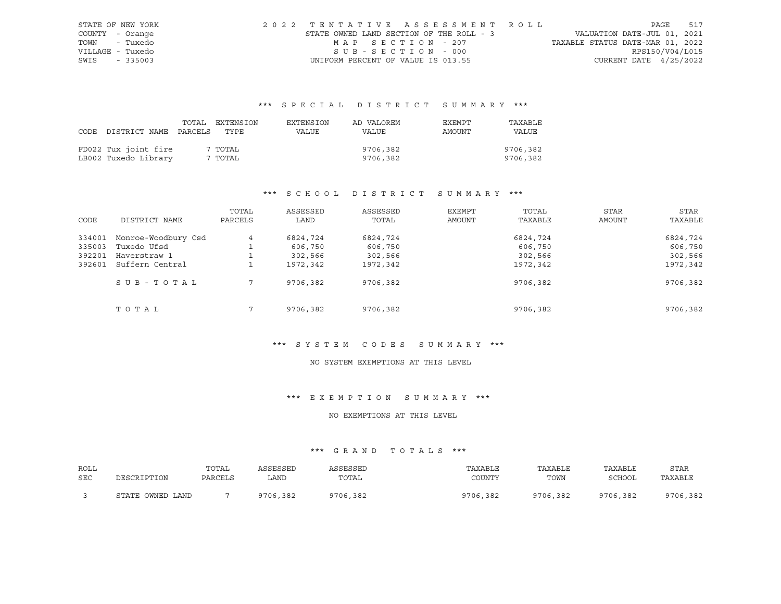| STATE OF NEW YORK | 2022 TENTATIVE ASSESSMENT ROLL           |                   |  |  |                                  |                          | PAGE | 517 |
|-------------------|------------------------------------------|-------------------|--|--|----------------------------------|--------------------------|------|-----|
| COUNTY - Orange   | STATE OWNED LAND SECTION OF THE ROLL - 3 |                   |  |  | VALUATION DATE-JUL 01, 2021      |                          |      |     |
| TOWN - Tuxedo     |                                          | MAP SECTION - 207 |  |  | TAXABLE STATUS DATE-MAR 01, 2022 |                          |      |     |
| VILLAGE - Tuxedo  |                                          | SUB-SECTION - 000 |  |  |                                  | RPS150/V04/L015          |      |     |
| SWIS - 335003     | UNIFORM PERCENT OF VALUE IS 013.55       |                   |  |  |                                  | CURRENT DATE $4/25/2022$ |      |     |

|                            | TOTAL | EXTENSION | EXTENSION | AD VALOREM | EXEMPT | TAXABLE      |
|----------------------------|-------|-----------|-----------|------------|--------|--------------|
| CODE DISTRICT NAME PARCELS |       | TYPE      | VALUE     | VALUE      | AMOUNT | <b>VALUE</b> |
|                            |       |           |           |            |        |              |
| FD022 Tux joint fire       |       | 7 TOTAL   |           | 9706,382   |        | 9706,382     |
| LB002 Tuxedo Library       |       | 7 TOTAL   |           | 9706,382   |        | 9706,382     |

# \*\*\* S C H O O L D I S T R I C T S U M M A R Y \*\*\*

|        |                     | TOTAL   | ASSESSED | ASSESSED | EXEMPT | TOTAL    | <b>STAR</b>   | STAR     |
|--------|---------------------|---------|----------|----------|--------|----------|---------------|----------|
| CODE   | DISTRICT NAME       | PARCELS | LAND     | TOTAL    | AMOUNT | TAXABLE  | <b>AMOUNT</b> | TAXABLE  |
| 334001 | Monroe-Woodbury Csd | 4       | 6824,724 | 6824,724 |        | 6824,724 |               | 6824,724 |
| 335003 | Tuxedo Ufsd         |         | 606,750  | 606,750  |        | 606,750  |               | 606,750  |
| 392201 | Haverstraw 1        |         | 302,566  | 302,566  |        | 302,566  |               | 302,566  |
| 392601 | Suffern Central     |         | 1972,342 | 1972,342 |        | 1972,342 |               | 1972,342 |
|        | SUB-TOTAL           |         | 9706,382 | 9706,382 |        | 9706,382 |               | 9706,382 |
|        | TOTAL               |         | 9706,382 | 9706,382 |        | 9706,382 |               | 9706,382 |

#### \*\*\* S Y S T E M C O D E S S U M M A R Y \*\*\*

#### NO SYSTEM EXEMPTIONS AT THIS LEVEL

# \*\*\* E X E M P T I O N S U M M A R Y \*\*\*

# NO EXEMPTIONS AT THIS LEVEL

| ROLL |                  | TOTAL   | ASSESSED | ASSESSED | TAXABLE  | TAXABLE  | TAXABLE  | STAR     |
|------|------------------|---------|----------|----------|----------|----------|----------|----------|
| SEC  | DESCRIPTION      | PARCELS | LAND     | TOTAL    | COUNTY   | TOWN     | SCHOOL   | TAXABLE  |
|      | STATE OWNED LAND |         | 9706,382 | 9706,382 | 9706,382 | 9706,382 | 9706,382 | 9706,382 |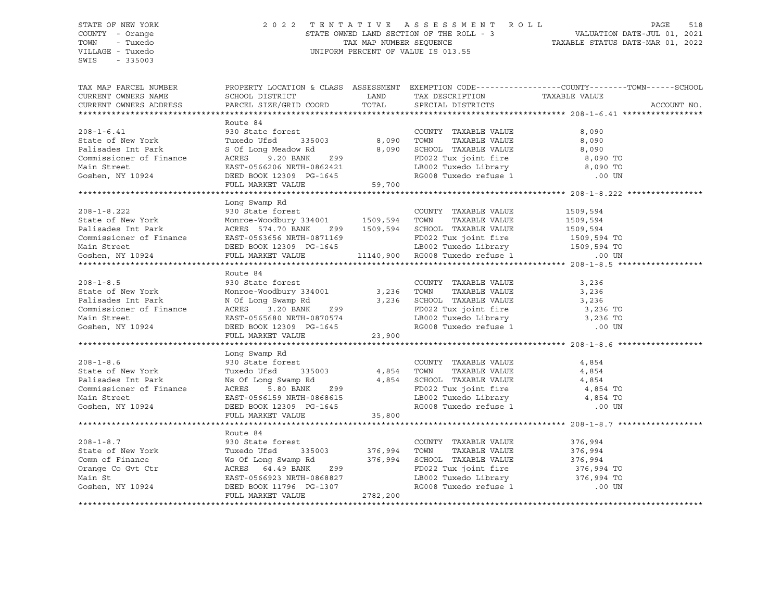# STATE OF NEW YORK 2 0 2 2 T E N T A T I V E A S S E S S M E N T R O L L PAGE 518 COUNTY - Orange STATE OWNED LAND SECTION OF THE ROLL - 3 TOWN - Tuxedo TAX MAP NUMBER SEQUENCE TAXABLE STATUS DATE-MAR 01, 2022 VILLAGE - Tuxedo UNIFORM PERCENT OF VALUE IS 013.55

TAX MAP PARCEL NUMBER PROPERTY LOCATION & CLASS ASSESSMENT EXEMPTION CODE------------------COUNTY--------TOWN------SCHOOL CURRENT OWNERS NAME SCHOOL DISTRICT TAX DAND TAX DESCRIPTION TAXABLE VALUE CURRENT OWNERS ADDRESS PARCEL SIZE/GRID COORD TOTAL SPECIAL DISTRICTS ACCOUNT NO. \*\*\*\*\*\*\*\*\*\*\*\*\*\*\*\*\*\*\*\*\*\*\*\*\*\*\*\*\*\*\*\*\*\*\*\*\*\*\*\*\*\*\*\*\*\*\*\*\*\*\*\*\*\*\*\*\*\*\*\*\*\*\*\*\*\*\*\*\*\*\*\*\*\*\*\*\*\*\*\*\*\*\*\*\*\*\*\*\*\*\*\*\*\*\*\*\*\*\*\*\*\*\* 208-1-6.41 \*\*\*\*\*\*\*\*\*\*\*\*\*\*\*\*\* Route 84<br>930 State forest 208-1-6.41 930 State forest COUNTY TAXABLE VALUE 8,090 State of New York Tuxedo Ufsd 335003 8,090 TOWN TAXABLE VALUE 8,090 Palisades Int Park S Of Long Meadow Rd 8,090 SCHOOL TAXABLE VALUE 8,090 Commissioner of Finance ACRES 9.20 BANK Z99 FD022 Tux joint fire 8,090 TO Main Street EAST-0566206 NRTH-0862421 LB002 Tuxedo Library 8,090 TO Goshen, NY 10924 DEED BOOK 12309 PG-1645 RG008 Tuxedo refuse 1 .00 UN FULL MARKET VALUE 59,700 \*\*\*\*\*\*\*\*\*\*\*\*\*\*\*\*\*\*\*\*\*\*\*\*\*\*\*\*\*\*\*\*\*\*\*\*\*\*\*\*\*\*\*\*\*\*\*\*\*\*\*\*\*\*\*\*\*\*\*\*\*\*\*\*\*\*\*\*\*\*\*\*\*\*\*\*\*\*\*\*\*\*\*\*\*\*\*\*\*\*\*\*\*\*\*\*\*\*\*\*\*\*\* 208-1-8.222 \*\*\*\*\*\*\*\*\*\*\*\*\*\*\*\* Long Swamp Rd 208-1-8.222 930 State forest COUNTY TAXABLE VALUE 1509,594 State of New York Monroe-Woodbury 334001 1509,594 TOWN TAXABLE VALUE 1509,594 Palisades Int Park ACRES 574.70 BANK 299 1509,594 SCHOOL TAXABLE VALUE 1509,594 Commissioner of Finance EAST-0563656 NRTH-0871169 FD022 Tux joint fire 1509,594 TO Main Street DEED BOOK 12309 PG-1645 LB002 Tuxedo Library 1509,594 TO Goshen, NY 10924 FULL MARKET VALUE 11140,900 RG008 Tuxedo refuse 1 .00 UN \*\*\*\*\*\*\*\*\*\*\*\*\*\*\*\*\*\*\*\*\*\*\*\*\*\*\*\*\*\*\*\*\*\*\*\*\*\*\*\*\*\*\*\*\*\*\*\*\*\*\*\*\*\*\*\*\*\*\*\*\*\*\*\*\*\*\*\*\*\*\*\*\*\*\*\*\*\*\*\*\*\*\*\*\*\*\*\*\*\*\*\*\*\*\*\*\*\*\*\*\*\*\* 208-1-8.5 \*\*\*\*\*\*\*\*\*\*\*\*\*\*\*\*\*\* Route 84 208-1-8.5 930 State forest COUNTY TAXABLE VALUE 3,236 State of New York Monroe-Woodbury 334001 3,236 TOWN TAXABLE VALUE 3,236 Palisades Int Park N Of Long Swamp Rd 3,236 SCHOOL TAXABLE VALUE 3,236 Commissioner of Finance ACRES 3.20 BANK Z99 FD022 Tux joint fire 3,236 TO Main Street EAST-0565680 NRTH-0870574 LB002 Tuxedo Library 3,236 TO Goshen, NY 10924 DEED BOOK 12309 PG-1645 RG008 Tuxedo refuse 1 .00 UN FULL MARKET VALUE 23,900 \*\*\*\*\*\*\*\*\*\*\*\*\*\*\*\*\*\*\*\*\*\*\*\*\*\*\*\*\*\*\*\*\*\*\*\*\*\*\*\*\*\*\*\*\*\*\*\*\*\*\*\*\*\*\*\*\*\*\*\*\*\*\*\*\*\*\*\*\*\*\*\*\*\*\*\*\*\*\*\*\*\*\*\*\*\*\*\*\*\*\*\*\*\*\*\*\*\*\*\*\*\*\* 208-1-8.6 \*\*\*\*\*\*\*\*\*\*\*\*\*\*\*\*\*\* Long Swamp Rd 208-1-8.6 930 State forest COUNTY TAXABLE VALUE 4,854 State of New York Tuxedo Ufsd 335003 4,854 TOWN TAXABLE VALUE 4,854 Palisades Int Park Ns Of Long Swamp Rd 4,854 SCHOOL TAXABLE VALUE 4,854 Commissioner of Finance ACRES 5.80 BANK Z99 FD022 Tux joint fire 4,854 TO Main Street EAST-0566159 NRTH-0868615 LB002 Tuxedo Library 4,854 TO Goshen, NY 10924 DEED BOOK 12309 PG-1645 RG008 Tuxedo refuse 1 .00 UN FULL MARKET VALUE 35,800 \*\*\*\*\*\*\*\*\*\*\*\*\*\*\*\*\*\*\*\*\*\*\*\*\*\*\*\*\*\*\*\*\*\*\*\*\*\*\*\*\*\*\*\*\*\*\*\*\*\*\*\*\*\*\*\*\*\*\*\*\*\*\*\*\*\*\*\*\*\*\*\*\*\*\*\*\*\*\*\*\*\*\*\*\*\*\*\*\*\*\*\*\*\*\*\*\*\*\*\*\*\*\* 208-1-8.7 \*\*\*\*\*\*\*\*\*\*\*\*\*\*\*\*\*\* Route 84 208-1-8.7 930 State forest COUNTY TAXABLE VALUE 376,994 State of New York Tuxedo Ufsd 335003 376,994 TOWN TAXABLE VALUE 376,994 Ws Of Long Swamp Rd  $376,994$  SCHOOL TAXABLE VALUE  $376,994$ Orange Co Gvt Ctr ACRES 64.49 BANK Z99 FD022 Tux joint fire 376,994 TO Main St EAST-0566923 NRTH-0868827 LB002 Tuxedo Library 376,994 TO Goshen, NY 10924 DEED BOOK 11796 PG-1307 RG008 Tuxedo refuse 1 .00 UN FULL MARKET VALUE 2782,200 \*\*\*\*\*\*\*\*\*\*\*\*\*\*\*\*\*\*\*\*\*\*\*\*\*\*\*\*\*\*\*\*\*\*\*\*\*\*\*\*\*\*\*\*\*\*\*\*\*\*\*\*\*\*\*\*\*\*\*\*\*\*\*\*\*\*\*\*\*\*\*\*\*\*\*\*\*\*\*\*\*\*\*\*\*\*\*\*\*\*\*\*\*\*\*\*\*\*\*\*\*\*\*\*\*\*\*\*\*\*\*\*\*\*\*\*\*\*\*\*\*\*\*\*\*\*\*\*\*\*\*\*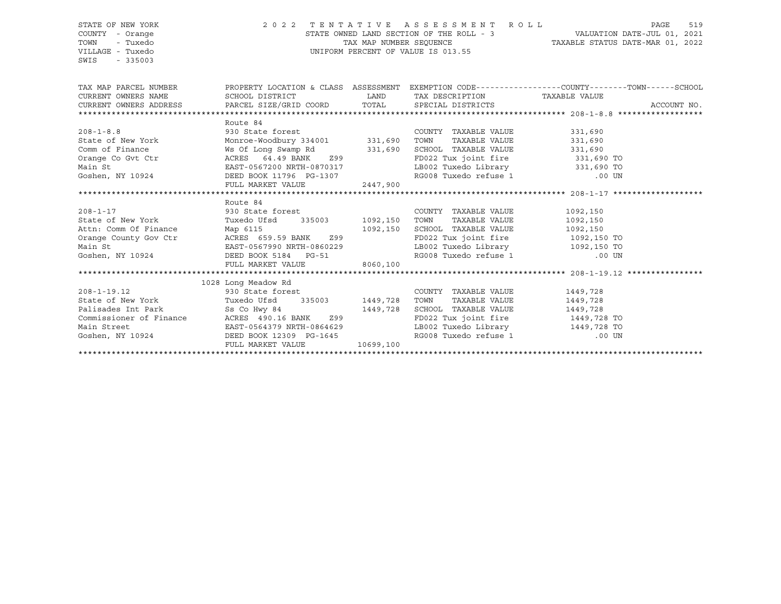## STATE OF NEW YORK 2 0 2 2 T E N T A T I V E A S S E S S M E N T R O L L PAGE 519 COUNTY - Orange STATE OWNED LAND SECTION OF THE ROLL - 3 VALUATION DATE-JUL 01, 2021 TOWN - Tuxedo TAX MAP NUMBER SEQUENCE TAXABLE STATUS DATE-MAR 01, 2022 VILLAGE - Tuxedo UNIFORM PERCENT OF VALUE IS 013.55

| TAX MAP PARCEL NUMBER                                                                                                                                                                                                                    |                                                                                                  |           |                                  | PROPERTY LOCATION & CLASS ASSESSMENT EXEMPTION CODE----------------COUNTY-------TOWN------SCHOOL |
|------------------------------------------------------------------------------------------------------------------------------------------------------------------------------------------------------------------------------------------|--------------------------------------------------------------------------------------------------|-----------|----------------------------------|--------------------------------------------------------------------------------------------------|
|                                                                                                                                                                                                                                          |                                                                                                  |           |                                  |                                                                                                  |
|                                                                                                                                                                                                                                          |                                                                                                  |           |                                  | ACCOUNT NO.                                                                                      |
|                                                                                                                                                                                                                                          |                                                                                                  |           |                                  |                                                                                                  |
|                                                                                                                                                                                                                                          | Route 84                                                                                         |           |                                  |                                                                                                  |
|                                                                                                                                                                                                                                          |                                                                                                  |           | COUNTY TAXABLE VALUE             | 331,690                                                                                          |
| 208-1-8.8<br>State of New York Monroe-Woodbury 334001 331,690<br>Comm of Finance Mos Of Long Swamp Rd 331,690                                                                                                                            |                                                                                                  |           | TOWN                             | TAXABLE VALUE 331,690                                                                            |
|                                                                                                                                                                                                                                          |                                                                                                  |           | SCHOOL TAXABLE VALUE 331,690     |                                                                                                  |
|                                                                                                                                                                                                                                          |                                                                                                  |           |                                  |                                                                                                  |
|                                                                                                                                                                                                                                          |                                                                                                  |           |                                  |                                                                                                  |
|                                                                                                                                                                                                                                          |                                                                                                  |           |                                  |                                                                                                  |
|                                                                                                                                                                                                                                          | FULL MARKET VALUE 2447,900                                                                       |           |                                  |                                                                                                  |
|                                                                                                                                                                                                                                          |                                                                                                  |           |                                  |                                                                                                  |
|                                                                                                                                                                                                                                          | Route 84                                                                                         |           |                                  |                                                                                                  |
|                                                                                                                                                                                                                                          |                                                                                                  |           | COUNTY TAXABLE VALUE             | 1092,150                                                                                         |
|                                                                                                                                                                                                                                          |                                                                                                  |           | TOWN TAXABLE VALUE               | 1092,150                                                                                         |
|                                                                                                                                                                                                                                          |                                                                                                  |           |                                  |                                                                                                  |
|                                                                                                                                                                                                                                          |                                                                                                  |           |                                  |                                                                                                  |
|                                                                                                                                                                                                                                          |                                                                                                  |           |                                  |                                                                                                  |
|                                                                                                                                                                                                                                          |                                                                                                  |           |                                  |                                                                                                  |
| Attn: Comm Of Finance Map 6115<br>Orange County Gov Ctr ACRES 659.59 BANK 299<br>Main St EAST-0567990 NRTH-0860229<br>Goshen, NY 10924 DEED BOOK 5184 PG-51 RG008 Tuxedo refuse 1 2092,150 TO<br>FD022 Tux joint fire 1092,150 TO<br>LB0 |                                                                                                  |           |                                  |                                                                                                  |
|                                                                                                                                                                                                                                          |                                                                                                  |           |                                  |                                                                                                  |
|                                                                                                                                                                                                                                          | 1028 Long Meadow Rd                                                                              |           |                                  |                                                                                                  |
| $208 - 1 - 19.12$                                                                                                                                                                                                                        | Long Meadow Rd<br>930 State forest                                                               |           | COUNTY TAXABLE VALUE             | 1449,728                                                                                         |
|                                                                                                                                                                                                                                          | State of New York             Tuxedo Ufsd       335003         1449,728   TOWN     TAXABLE VALUE |           |                                  | 1449,728                                                                                         |
| Palisades Int Park Ss Co Hwy 84 1449,728 SCHOOL TAXABLE VALUE                                                                                                                                                                            |                                                                                                  |           |                                  | 1449,728                                                                                         |
|                                                                                                                                                                                                                                          | Commissioner of Finance MCRES 490.16 BANK 299                                                    |           | FD022 Tux joint fire 1449,728 TO |                                                                                                  |
|                                                                                                                                                                                                                                          |                                                                                                  |           | LB002 Tuxedo Library 1449,728 TO |                                                                                                  |
| Main Street<br>Goshen, NY 10924<br>Goshen, NY 10924<br>DEED BOOK 12309 PG-1645                                                                                                                                                           |                                                                                                  |           | RG008 Tuxedo refuse 1 00 UN      |                                                                                                  |
|                                                                                                                                                                                                                                          | FULL MARKET VALUE                                                                                | 10699,100 |                                  |                                                                                                  |
|                                                                                                                                                                                                                                          |                                                                                                  |           |                                  |                                                                                                  |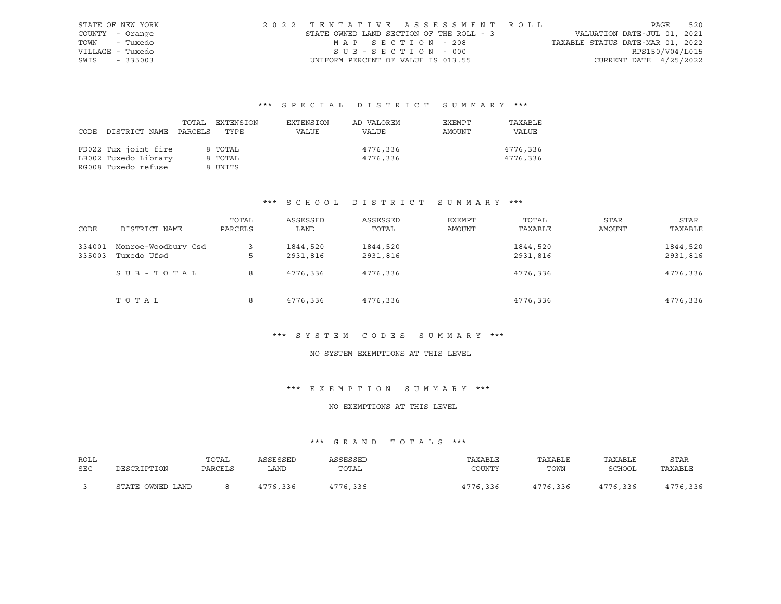| STATE OF NEW YORK | 2022 TENTATIVE ASSESSMENT ROLL           |                   |  |  |                                  |                          | PAGE | 520 |
|-------------------|------------------------------------------|-------------------|--|--|----------------------------------|--------------------------|------|-----|
| COUNTY - Orange   | STATE OWNED LAND SECTION OF THE ROLL - 3 |                   |  |  | VALUATION DATE-JUL 01, 2021      |                          |      |     |
| TOWN - Tuxedo     |                                          | MAP SECTION - 208 |  |  | TAXABLE STATUS DATE-MAR 01, 2022 |                          |      |     |
| VILLAGE - Tuxedo  |                                          | SUB-SECTION - 000 |  |  |                                  | RPS150/V04/L015          |      |     |
| SWIS - 335003     | UNIFORM PERCENT OF VALUE IS 013.55       |                   |  |  |                                  | CURRENT DATE $4/25/2022$ |      |     |

| DISTRICT NAME PARCELS                                               | TOTAL | EXTENSION                     | EXTENSION | AD VALOREM           | EXEMPT | TAXABLE              |
|---------------------------------------------------------------------|-------|-------------------------------|-----------|----------------------|--------|----------------------|
| CODE                                                                |       | TYPE                          | VALUE     | VALUE                | AMOUNT | VALUE                |
| FD022 Tux joint fire<br>LB002 Tuxedo Library<br>RG008 Tuxedo refuse |       | 8 TOTAL<br>8 TOTAL<br>8 UNITS |           | 4776,336<br>4776,336 |        | 4776,336<br>4776,336 |

# \*\*\* S C H O O L D I S T R I C T S U M M A R Y \*\*\*

| CODE             | DISTRICT NAME                      | TOTAL<br>PARCELS | ASSESSED<br>LAND     | ASSESSED<br>TOTAL    | EXEMPT<br>AMOUNT | TOTAL<br>TAXABLE     | <b>STAR</b><br>AMOUNT | STAR<br>TAXABLE      |
|------------------|------------------------------------|------------------|----------------------|----------------------|------------------|----------------------|-----------------------|----------------------|
| 334001<br>335003 | Monroe-Woodbury Csd<br>Tuxedo Ufsd | 3<br>5           | 1844,520<br>2931,816 | 1844,520<br>2931,816 |                  | 1844,520<br>2931,816 |                       | 1844,520<br>2931,816 |
|                  | SUB-TOTAL                          | 8                | 4776,336             | 4776,336             |                  | 4776,336             |                       | 4776,336             |
|                  | TOTAL                              | 8                | 4776,336             | 4776,336             |                  | 4776,336             |                       | 4776,336             |

#### \*\*\* S Y S T E M C O D E S S U M M A R Y \*\*\*

# NO SYSTEM EXEMPTIONS AT THIS LEVEL

# \*\*\* E X E M P T I O N S U M M A R Y \*\*\*

# NO EXEMPTIONS AT THIS LEVEL

| ROLL       |                  | TOTAL   | ASSESSED | ASSESSED | TAXABLE  | TAXABLE  | TAXABLE  | STAR     |
|------------|------------------|---------|----------|----------|----------|----------|----------|----------|
| <b>SEC</b> | DESCRIPTION      | PARCELS | LAND     | TOTAL    | COUNTY   | TOWN     | SCHOOL   | TAXABLE  |
|            | STATE OWNED LAND |         | 4776,336 | 4776,336 | 4776,336 | 4776,336 | 4776,336 | 4776,336 |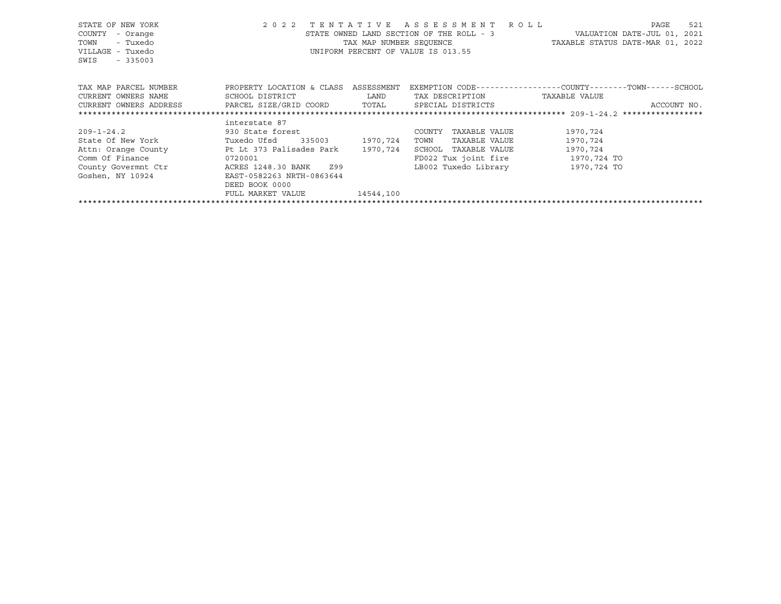| STATE OF NEW YORK<br>COUNTY<br>- Orange<br>- Tuxedo<br>TOWN<br>VILLAGE - Tuxedo<br>SWIS - 335003                            | 2 0 2 2                                                                                                        |             | TENTATIVE ASSESSMENT ROLL<br>STATE OWNED LAND SECTION OF THE ROLL - 3<br>TAX MAP NUMBER SEQUENCE TAXABLE STATUS DATE-MAR 01, 2022<br>UNIFORM PERCENT OF VALUE IS 013.55 | VALUATION DATE-JUL 01, 2021 | PAGE | 521         |
|-----------------------------------------------------------------------------------------------------------------------------|----------------------------------------------------------------------------------------------------------------|-------------|-------------------------------------------------------------------------------------------------------------------------------------------------------------------------|-----------------------------|------|-------------|
| TAX MAP PARCEL NUMBER<br>CURRENT OWNERS NAME<br>CURRENT OWNERS ADDRESS 6 PARCEL SIZE/GRID COORD 6 TOTAL 5 SPECIAL DISTRICTS | PROPERTY LOCATION & CLASS ASSESSMENT<br>SCHOOL DISTRICT                                                        | <b>LAND</b> | EXEMPTION CODE-----------------COUNTY-------TOWN------SCHOOL<br>TAX DESCRIPTION TAXABLE VALUE                                                                           |                             |      | ACCOUNT NO. |
|                                                                                                                             | interstate 87                                                                                                  |             |                                                                                                                                                                         |                             |      |             |
| $209 - 1 - 24.2$                                                                                                            | 930 State forest and the state of the state of the state of the state of the state of the state of the state o |             | COUNTY<br>TAXABLE VALUE                                                                                                                                                 | 1970,724                    |      |             |
| State Of New York Tuxedo Ufsd 335003 1970,724                                                                               |                                                                                                                |             | TAXABLE VALUE<br>TOWN                                                                                                                                                   | 1970,724                    |      |             |
| Attn: Orange County 1997 Pt Lt 373 Palisades Park                                                                           |                                                                                                                | 1970,724    | SCHOOL TAXABLE VALUE                                                                                                                                                    | 1970,724                    |      |             |
| Comm Of Finance                                                                                                             | 0720001                                                                                                        |             | FD022 Tux joint fire 1970, 724 TO                                                                                                                                       |                             |      |             |
| County Govermnt Ctr                                                                                                         | ACRES 1248.30 BANK Z99                                                                                         |             | LB002 Tuxedo Library                                                                                                                                                    | 1970,724 TO                 |      |             |
| Goshen, NY 10924                                                                                                            | EAST-0582263 NRTH-0863644                                                                                      |             |                                                                                                                                                                         |                             |      |             |
|                                                                                                                             | DEED BOOK 0000                                                                                                 |             |                                                                                                                                                                         |                             |      |             |
|                                                                                                                             | FULL MARKET VALUE                                                                                              | 14544,100   |                                                                                                                                                                         |                             |      |             |
|                                                                                                                             |                                                                                                                |             |                                                                                                                                                                         |                             |      |             |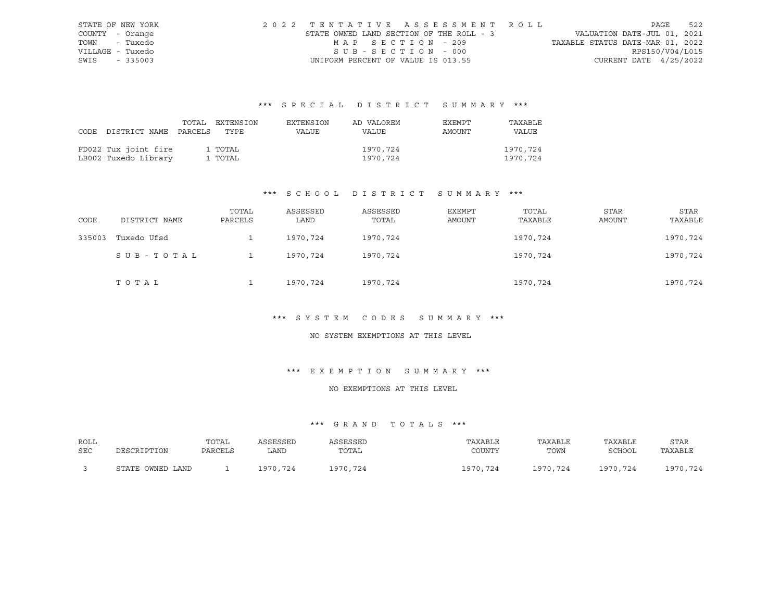| STATE OF NEW YORK | 2022 TENTATIVE ASSESSMENT ROLL           |                   |  |                                  |                          | PAGE | 522 |
|-------------------|------------------------------------------|-------------------|--|----------------------------------|--------------------------|------|-----|
| COUNTY - Orange   | STATE OWNED LAND SECTION OF THE ROLL - 3 |                   |  | VALUATION DATE-JUL 01, 2021      |                          |      |     |
| TOWN - Tuxedo     |                                          | MAP SECTION - 209 |  | TAXABLE STATUS DATE-MAR 01, 2022 |                          |      |     |
| VILLAGE - Tuxedo  | SUB-SECTION - 000                        |                   |  |                                  | RPS150/V04/L015          |      |     |
| SWIS - 335003     | UNIFORM PERCENT OF VALUE IS 013.55       |                   |  |                                  | CURRENT DATE $4/25/2022$ |      |     |

|                                 | TOTAL EXTENSION | EXTENSION | AD VALOREM   | EXEMPT | TAXABLE  |
|---------------------------------|-----------------|-----------|--------------|--------|----------|
| CODE DISTRICT NAME PARCELS TYPE |                 | VALUE     | <b>VALUE</b> | AMOUNT | VALUE    |
|                                 |                 |           |              |        |          |
| FD022 Tux joint fire            | 1 TOTAL         |           | 1970,724     |        | 1970.724 |
| LB002 Tuxedo Library            | 1 TOTAL         |           | 1970,724     |        | 1970,724 |

# \*\*\* S C H O O L D I S T R I C T S U M M A R Y \*\*\*

| CODE   | DISTRICT NAME | TOTAL<br>PARCELS | ASSESSED<br>LAND | ASSESSED<br>TOTAL | EXEMPT<br><b>AMOUNT</b> | TOTAL<br>TAXABLE | <b>STAR</b><br><b>AMOUNT</b> | STAR<br>TAXABLE |
|--------|---------------|------------------|------------------|-------------------|-------------------------|------------------|------------------------------|-----------------|
| 335003 | Tuxedo Ufsd   |                  | 1970,724         | 1970,724          |                         | 1970,724         |                              | 1970,724        |
|        | SUB-TOTAL     |                  | 1970,724         | 1970,724          |                         | 1970,724         |                              | 1970,724        |
|        | TOTAL         |                  | 1970,724         | 1970,724          |                         | 1970,724         |                              | 1970,724        |

# \*\*\* S Y S T E M C O D E S S U M M A R Y \*\*\*

#### NO SYSTEM EXEMPTIONS AT THIS LEVEL

# \*\*\* E X E M P T I O N S U M M A R Y \*\*\*

#### NO EXEMPTIONS AT THIS LEVEL

| ROLL | DESCRIPTION      | TOTAL   | ASSESSED | ASSESSED | TAXABLE  | TAXABLE  | TAXABLE       | <b>STAR</b> |
|------|------------------|---------|----------|----------|----------|----------|---------------|-------------|
| SEC  |                  | PARCELS | LAND     | TOTAL    | COUNTY   | TOWN     | <b>SCHOOL</b> | TAXABLE     |
|      | STATE OWNED LAND |         | 1970,724 | 1970,724 | 1970,724 | 1970,724 | 1970,724      | 1970,724    |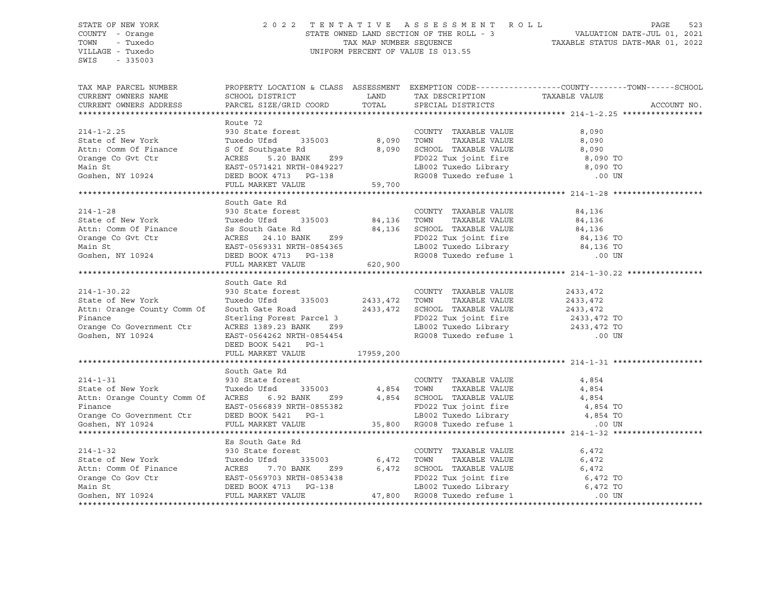## STATE OF NEW YORK 2 0 2 2 T E N T A T I V E A S S E S S M E N T R O L L PAGE 523 COUNTY - Orange STATE OWNED LAND SECTION OF THE ROLL - 3 VALUATION DATE-JUL 01, 2021 TOWN - Tuxedo TAX MAP NUMBER SEQUENCE TAXABLE STATUS DATE-MAR 01, 2022 VILLAGE - Tuxedo UNIFORM PERCENT OF VALUE IS 013.55

| TAX MAP PARCEL NUMBER                                                                                                                                                                                                                                        |                                                                                 |                                                                                                                                                                | PROPERTY LOCATION & CLASS ASSESSMENT EXEMPTION CODE---------------COUNTY-------TOWN-----SCHOOL |  |
|--------------------------------------------------------------------------------------------------------------------------------------------------------------------------------------------------------------------------------------------------------------|---------------------------------------------------------------------------------|----------------------------------------------------------------------------------------------------------------------------------------------------------------|------------------------------------------------------------------------------------------------|--|
|                                                                                                                                                                                                                                                              |                                                                                 |                                                                                                                                                                |                                                                                                |  |
|                                                                                                                                                                                                                                                              |                                                                                 |                                                                                                                                                                |                                                                                                |  |
|                                                                                                                                                                                                                                                              |                                                                                 |                                                                                                                                                                |                                                                                                |  |
|                                                                                                                                                                                                                                                              | Route 72                                                                        |                                                                                                                                                                |                                                                                                |  |
|                                                                                                                                                                                                                                                              |                                                                                 |                                                                                                                                                                |                                                                                                |  |
|                                                                                                                                                                                                                                                              |                                                                                 |                                                                                                                                                                |                                                                                                |  |
|                                                                                                                                                                                                                                                              |                                                                                 |                                                                                                                                                                |                                                                                                |  |
|                                                                                                                                                                                                                                                              |                                                                                 |                                                                                                                                                                |                                                                                                |  |
|                                                                                                                                                                                                                                                              |                                                                                 |                                                                                                                                                                |                                                                                                |  |
|                                                                                                                                                                                                                                                              |                                                                                 | FD022 Tux joint fire $\begin{array}{ccc} 6,090 \text{ TO} \\ \text{LBO02} \text{ Tusedo Library} \\ \text{RGO08} \text{ Tusedo refuse 1} \end{array}$ 8,090 TO |                                                                                                |  |
| 214-1-2.25<br>State of New York<br>316 OUNTY TAXABLE VALUE<br>31903<br>Ath: Comm Of Finance<br>COUNTY TAXABLE VALUE<br>31903<br>Ath: Comm Of Finance<br>Sof Southgate Rd<br>315003<br>2990<br>22 Tux joint fire<br>8,090<br>22 Tux joint fire<br>8,090<br>22 |                                                                                 |                                                                                                                                                                |                                                                                                |  |
|                                                                                                                                                                                                                                                              |                                                                                 |                                                                                                                                                                |                                                                                                |  |
|                                                                                                                                                                                                                                                              | South Gate Rd                                                                   |                                                                                                                                                                |                                                                                                |  |
|                                                                                                                                                                                                                                                              |                                                                                 |                                                                                                                                                                |                                                                                                |  |
|                                                                                                                                                                                                                                                              |                                                                                 |                                                                                                                                                                |                                                                                                |  |
|                                                                                                                                                                                                                                                              |                                                                                 |                                                                                                                                                                |                                                                                                |  |
|                                                                                                                                                                                                                                                              |                                                                                 |                                                                                                                                                                |                                                                                                |  |
|                                                                                                                                                                                                                                                              |                                                                                 |                                                                                                                                                                |                                                                                                |  |
|                                                                                                                                                                                                                                                              |                                                                                 |                                                                                                                                                                |                                                                                                |  |
|                                                                                                                                                                                                                                                              |                                                                                 |                                                                                                                                                                |                                                                                                |  |
|                                                                                                                                                                                                                                                              |                                                                                 |                                                                                                                                                                |                                                                                                |  |
|                                                                                                                                                                                                                                                              | South Gate Rd                                                                   |                                                                                                                                                                |                                                                                                |  |
|                                                                                                                                                                                                                                                              |                                                                                 |                                                                                                                                                                |                                                                                                |  |
|                                                                                                                                                                                                                                                              |                                                                                 |                                                                                                                                                                |                                                                                                |  |
|                                                                                                                                                                                                                                                              |                                                                                 |                                                                                                                                                                |                                                                                                |  |
|                                                                                                                                                                                                                                                              |                                                                                 |                                                                                                                                                                |                                                                                                |  |
|                                                                                                                                                                                                                                                              |                                                                                 |                                                                                                                                                                |                                                                                                |  |
|                                                                                                                                                                                                                                                              |                                                                                 |                                                                                                                                                                |                                                                                                |  |
|                                                                                                                                                                                                                                                              |                                                                                 |                                                                                                                                                                |                                                                                                |  |
|                                                                                                                                                                                                                                                              |                                                                                 |                                                                                                                                                                |                                                                                                |  |
|                                                                                                                                                                                                                                                              |                                                                                 |                                                                                                                                                                |                                                                                                |  |
|                                                                                                                                                                                                                                                              | South Gate Rd                                                                   |                                                                                                                                                                |                                                                                                |  |
| $214 - 1 - 31$                                                                                                                                                                                                                                               | 930 State forest<br>930 State forest 1986 1997 - COUNTY TAXABLE VALUE 1998 1999 |                                                                                                                                                                |                                                                                                |  |
| State of New York<br>Attn: Orange County Comm Of ACRES 6.92 BANK 299 4,854 TOWN TAXABLE VALUE 4,854<br>Finance EAST-0566839 NRTH-0855382 FD022 Tux joint fire 4,854 TO<br>Orange Co Government Ctr DEED BOOK 5421 PG-1 LB002 Tuxedo                          |                                                                                 |                                                                                                                                                                |                                                                                                |  |
|                                                                                                                                                                                                                                                              |                                                                                 |                                                                                                                                                                |                                                                                                |  |
|                                                                                                                                                                                                                                                              |                                                                                 |                                                                                                                                                                |                                                                                                |  |
|                                                                                                                                                                                                                                                              |                                                                                 |                                                                                                                                                                |                                                                                                |  |
|                                                                                                                                                                                                                                                              |                                                                                 |                                                                                                                                                                |                                                                                                |  |
|                                                                                                                                                                                                                                                              |                                                                                 |                                                                                                                                                                |                                                                                                |  |
|                                                                                                                                                                                                                                                              |                                                                                 |                                                                                                                                                                |                                                                                                |  |
| ES SOUL GALE RE<br>ES SOUL GALE RE COUNTY TAXABLE VALUE 6,472<br>SILE OF New York Tuxedo Ufsd 335003<br>Attn: Comm Of Finance ACRES 7.70 BANK Z99 6,472 TOWN TAXABLE VALUE 6,472<br>Orange Co Gov Ctr EAST-0569703 NRTH-0853438<br>Main                      |                                                                                 |                                                                                                                                                                |                                                                                                |  |
|                                                                                                                                                                                                                                                              |                                                                                 |                                                                                                                                                                |                                                                                                |  |
|                                                                                                                                                                                                                                                              |                                                                                 |                                                                                                                                                                |                                                                                                |  |
|                                                                                                                                                                                                                                                              |                                                                                 |                                                                                                                                                                |                                                                                                |  |
|                                                                                                                                                                                                                                                              |                                                                                 |                                                                                                                                                                |                                                                                                |  |
|                                                                                                                                                                                                                                                              |                                                                                 |                                                                                                                                                                |                                                                                                |  |
|                                                                                                                                                                                                                                                              |                                                                                 |                                                                                                                                                                |                                                                                                |  |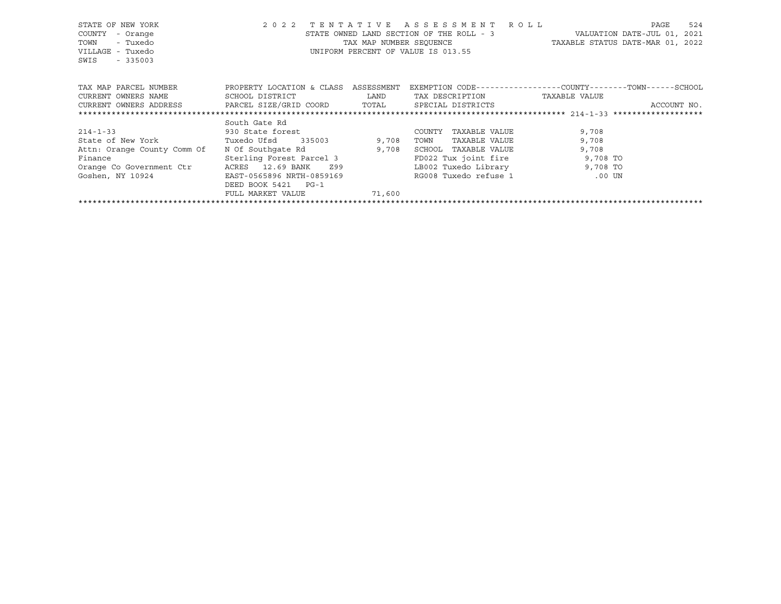| STATE OF NEW YORK<br>COUNTY<br>- Orange<br>- Tuxedo<br>TOWN<br>VILLAGE - Tuxedo<br>SWIS<br>$-335003$ | 2 0 2 2                   | TENTATIVE<br>TAX MAP NUMBER SEQUENCE | ASSESSMENT<br>STATE OWNED LAND SECTION OF THE ROLL - 3<br>UNIFORM PERCENT OF VALUE IS 013.55 | R O L L<br>524<br>PAGE<br>VALUATION DATE-JUL 01, 2021<br>TAXABLE STATUS DATE-MAR 01, 2022 |
|------------------------------------------------------------------------------------------------------|---------------------------|--------------------------------------|----------------------------------------------------------------------------------------------|-------------------------------------------------------------------------------------------|
| TAX MAP PARCEL NUMBER                                                                                | PROPERTY LOCATION & CLASS | ASSESSMENT                           |                                                                                              | EXEMPTION CODE-----------------COUNTY-------TOWN-----SCHOOL                               |
| CURRENT OWNERS NAME                                                                                  | SCHOOL DISTRICT           | LAND                                 | TAX DESCRIPTION                                                                              | TAXABLE VALUE                                                                             |
| CURRENT OWNERS ADDRESS                                                                               | PARCEL SIZE/GRID COORD    | TOTAL                                | SPECIAL DISTRICTS                                                                            | ACCOUNT NO.                                                                               |
|                                                                                                      |                           |                                      |                                                                                              |                                                                                           |
|                                                                                                      | South Gate Rd             |                                      |                                                                                              |                                                                                           |
| $214 - 1 - 33$                                                                                       | 930 State forest          |                                      | TAXABLE VALUE<br>COUNTY                                                                      | 9,708                                                                                     |
| State of New York                                                                                    | Tuxedo Ufsd 335003        | 9,708                                | TOWN<br>TAXABLE VALUE                                                                        | 9,708                                                                                     |
| Attn: Orange County Comm Of                                                                          | N Of Southqate Rd         | 9,708                                | SCHOOL<br>TAXABLE VALUE                                                                      | 9,708                                                                                     |
| Finance                                                                                              | Sterling Forest Parcel 3  |                                      | FD022 Tux joint fire                                                                         | 9,708 TO                                                                                  |
| Orange Co Government Ctr                                                                             | ACRES 12.69 BANK<br>Z99   |                                      | LB002 Tuxedo Library                                                                         | 9,708 TO                                                                                  |
| Goshen, NY 10924                                                                                     | EAST-0565896 NRTH-0859169 |                                      | RG008 Tuxedo refuse 1                                                                        | .00 UN                                                                                    |
|                                                                                                      | DEED BOOK 5421<br>$PG-1$  |                                      |                                                                                              |                                                                                           |
|                                                                                                      | FULL MARKET VALUE         | 71,600                               |                                                                                              |                                                                                           |

\*\*\*\*\*\*\*\*\*\*\*\*\*\*\*\*\*\*\*\*\*\*\*\*\*\*\*\*\*\*\*\*\*\*\*\*\*\*\*\*\*\*\*\*\*\*\*\*\*\*\*\*\*\*\*\*\*\*\*\*\*\*\*\*\*\*\*\*\*\*\*\*\*\*\*\*\*\*\*\*\*\*\*\*\*\*\*\*\*\*\*\*\*\*\*\*\*\*\*\*\*\*\*\*\*\*\*\*\*\*\*\*\*\*\*\*\*\*\*\*\*\*\*\*\*\*\*\*\*\*\*\*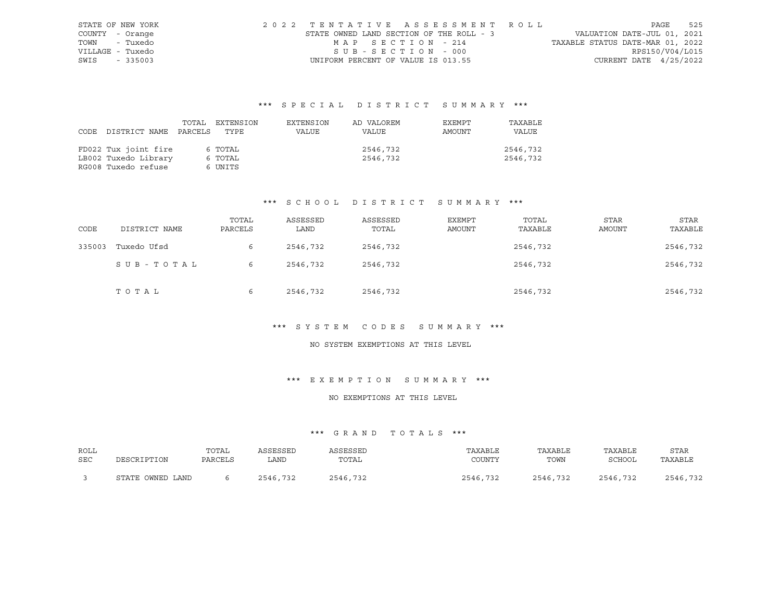|                  | STATE OF NEW YORK | 2022 TENTATIVE ASSESSMENT ROLL           |                   |  |                                  |                          | PAGE | 525 |
|------------------|-------------------|------------------------------------------|-------------------|--|----------------------------------|--------------------------|------|-----|
| COUNTY - Orange  |                   | STATE OWNED LAND SECTION OF THE ROLL - 3 |                   |  | VALUATION DATE-JUL 01, 2021      |                          |      |     |
| TOWN - Tuxedo    |                   |                                          | MAP SECTION - 214 |  | TAXABLE STATUS DATE-MAR 01, 2022 |                          |      |     |
| VILLAGE - Tuxedo |                   |                                          | SUB-SECTION - 000 |  |                                  | RPS150/V04/L015          |      |     |
| SWIS - 335003    |                   | UNIFORM PERCENT OF VALUE IS 013.55       |                   |  |                                  | CURRENT DATE $4/25/2022$ |      |     |

|      |                      | TOTAL   | EXTENSION | EXTENSION | AD VALOREM | EXEMPT | TAXABLE  |
|------|----------------------|---------|-----------|-----------|------------|--------|----------|
| CODE | DISTRICT NAME        | PARCELS | TYPE      | VALUE     | VALUE      | AMOUNT | VALUE    |
|      |                      |         |           |           |            |        |          |
|      | FD022 Tux joint fire |         | 6 TOTAL   |           | 2546,732   |        | 2546,732 |
|      | LB002 Tuxedo Library |         | 6 TOTAL   |           | 2546,732   |        | 2546,732 |
|      | RG008 Tuxedo refuse  |         | 6 UNITS   |           |            |        |          |

# \*\*\* S C H O O L D I S T R I C T S U M M A R Y \*\*\*

| CODE   | DISTRICT NAME | TOTAL<br>PARCELS | ASSESSED<br>LAND | ASSESSED<br>TOTAL | EXEMPT<br>AMOUNT | TOTAL<br>TAXABLE | <b>STAR</b><br><b>AMOUNT</b> | STAR<br>TAXABLE |
|--------|---------------|------------------|------------------|-------------------|------------------|------------------|------------------------------|-----------------|
| 335003 | Tuxedo Ufsd   | 6                | 2546,732         | 2546,732          |                  | 2546,732         |                              | 2546,732        |
|        | SUB-TOTAL     | 6                | 2546,732         | 2546,732          |                  | 2546,732         |                              | 2546,732        |
|        | TOTAL         | 6                | 2546,732         | 2546,732          |                  | 2546,732         |                              | 2546,732        |

#### \*\*\* S Y S T E M C O D E S S U M M A R Y \*\*\*

# NO SYSTEM EXEMPTIONS AT THIS LEVEL

#### \*\*\* E X E M P T I O N S U M M A R Y \*\*\*

#### NO EXEMPTIONS AT THIS LEVEL

| ROLL | DESCRIPTION      | TOTAL   | ASSESSED | ASSESSED | TAXABLE  | TAXABLE  | TAXABLE  | <b>STAR</b> |
|------|------------------|---------|----------|----------|----------|----------|----------|-------------|
| SEC  |                  | PARCELS | ∟AND     | TOTAL    | COUNTY   | TOWN     | SCHOOL   | TAXABLE     |
|      | STATE OWNED LAND |         | 2546,732 | 2546,732 | 2546,732 | 2546,732 | 2546,732 | 2546,732    |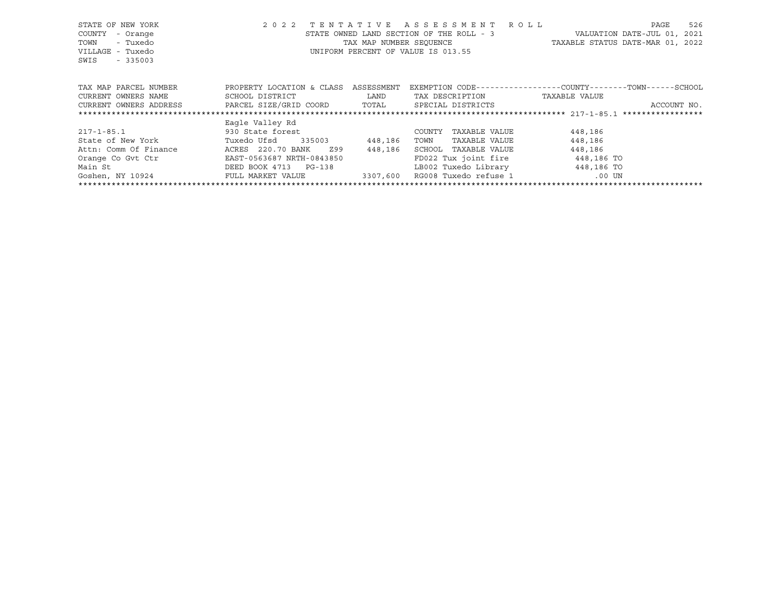| STATE OF NEW YORK<br>COUNTY<br>- Orange<br>TOWN<br>- Tuxedo<br>VILLAGE - Tuxedo<br>SWIS<br>$-335003$ | 2 0 2 2                   |            | TENTATIVE ASSESSMENT ROLL<br>STATE OWNED LAND SECTION OF THE ROLL - 3<br>UNIFORM PERCENT OF VALUE IS 013.55 | 526<br>PAGE<br>VALUATION DATE-JUL 01, 2021<br>TAX MAP NUMBER SEQUENCE TAXABLE STATUS DATE-MAR 01, 2022 |
|------------------------------------------------------------------------------------------------------|---------------------------|------------|-------------------------------------------------------------------------------------------------------------|--------------------------------------------------------------------------------------------------------|
| TAX MAP PARCEL NUMBER                                                                                | PROPERTY LOCATION & CLASS | ASSESSMENT |                                                                                                             | EXEMPTION CODE-----------------COUNTY-------TOWN------SCHOOL                                           |
| CURRENT OWNERS NAME                                                                                  | SCHOOL DISTRICT           | LAND       | TAX DESCRIPTION                                                                                             | TAXABLE VALUE                                                                                          |
| CURRENT OWNERS ADDRESS BARCEL SIZE/GRID COORD TOTAL                                                  |                           |            | SPECIAL DISTRICTS                                                                                           | ACCOUNT NO.                                                                                            |
|                                                                                                      |                           |            |                                                                                                             |                                                                                                        |
|                                                                                                      | Eagle Valley Rd           |            |                                                                                                             |                                                                                                        |
| $217 - 1 - 85.1$                                                                                     | 930 State forest          |            | TAXABLE VALUE<br>COUNTY                                                                                     | 448,186                                                                                                |
| State of New York Tuxedo Ufsd                                                                        | 335003                    | 448,186    | TAXABLE VALUE<br>TOWN                                                                                       | 448,186                                                                                                |
| Attn: Comm Of Finance                                                                                | ACRES 220.70 BANK<br>Z99  | 448,186    | SCHOOL TAXABLE VALUE                                                                                        | 448,186                                                                                                |
| Orange Co Gvt Ctr                                                                                    | EAST-0563687 NRTH-0843850 |            | FD022 Tux joint fire                                                                                        | 448,186 TO                                                                                             |
| Main St                                                                                              | DEED BOOK 4713 PG-138     |            | LB002 Tuxedo Library 1448,186 TO                                                                            |                                                                                                        |
| Goshen, NY 10924 FULL MARKET VALUE                                                                   |                           | 3307,600   | RG008 Tuxedo refuse 1 to the 1 to 100 UN                                                                    |                                                                                                        |
|                                                                                                      |                           |            |                                                                                                             |                                                                                                        |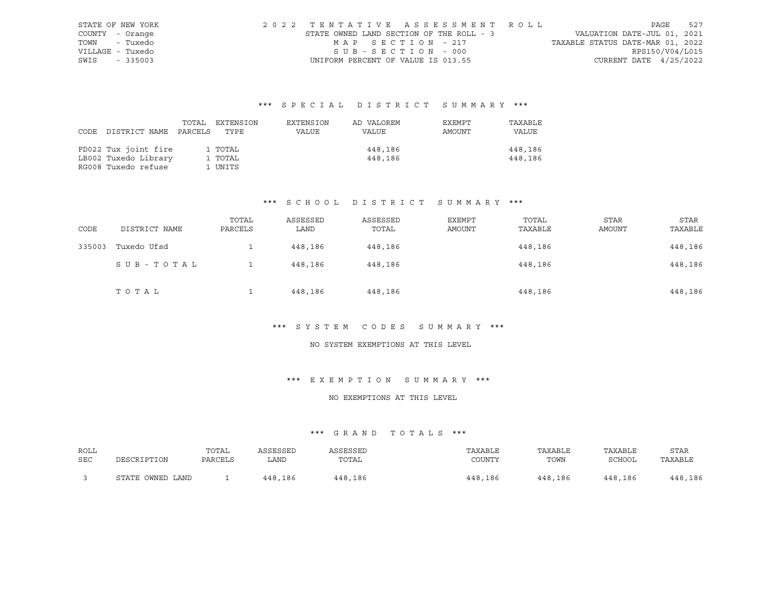|      | STATE OF NEW YORK | 2022 TENTATIVE ASSESSMENT ROLL           |                       |  |                                  |                          | PAGE | 527 |
|------|-------------------|------------------------------------------|-----------------------|--|----------------------------------|--------------------------|------|-----|
|      | COUNTY - Orange   | STATE OWNED LAND SECTION OF THE ROLL - 3 |                       |  | VALUATION DATE-JUL 01, 2021      |                          |      |     |
| TOWN | - Tuxedo          |                                          | MAP SECTION - 217     |  | TAXABLE STATUS DATE-MAR 01, 2022 |                          |      |     |
|      | VILLAGE - Tuxedo  |                                          | $SUB - SECTION - 000$ |  |                                  | RPS150/V04/L015          |      |     |
|      | SWIS - 335003     | UNIFORM PERCENT OF VALUE IS 013.55       |                       |  |                                  | CURRENT DATE $4/25/2022$ |      |     |

| CODE | DISTRICT NAME PARCELS                                               | TOTAL | EXTENSION<br>TYPE             | EXTENSION<br>VALUE | AD VALOREM<br>VALUE | EXEMPT<br>AMOUNT | TAXABLE<br>VALUE   |
|------|---------------------------------------------------------------------|-------|-------------------------------|--------------------|---------------------|------------------|--------------------|
|      | FD022 Tux joint fire<br>LB002 Tuxedo Library<br>RG008 Tuxedo refuse |       | 1 TOTAL<br>1 TOTAL<br>1 UNITS |                    | 448,186<br>448,186  |                  | 448,186<br>448,186 |

# \*\*\* S C H O O L D I S T R I C T S U M M A R Y \*\*\*

| CODE   | DISTRICT NAME | TOTAL<br>PARCELS | ASSESSED<br>LAND | ASSESSED<br>TOTAL | EXEMPT<br>AMOUNT | TOTAL<br>TAXABLE | <b>STAR</b><br>AMOUNT | <b>STAR</b><br>TAXABLE |
|--------|---------------|------------------|------------------|-------------------|------------------|------------------|-----------------------|------------------------|
| 335003 | Tuxedo Ufsd   |                  | 448,186          | 448,186           |                  | 448,186          |                       | 448,186                |
|        | SUB-TOTAL     |                  | 448,186          | 448,186           |                  | 448,186          |                       | 448,186                |
|        | TOTAL         |                  | 448,186          | 448,186           |                  | 448,186          |                       | 448,186                |

#### \*\*\* S Y S T E M C O D E S S U M M A R Y \*\*\*

#### NO SYSTEM EXEMPTIONS AT THIS LEVEL

#### \*\*\* E X E M P T I O N S U M M A R Y \*\*\*

#### NO EXEMPTIONS AT THIS LEVEL

| ROLL | DESCRIPTION      | TOTAL   | ASSESSED | ASSESSED | TAXABLE | TAXABLE | TAXABLE | <b>STAR</b> |
|------|------------------|---------|----------|----------|---------|---------|---------|-------------|
| SEC  |                  | PARCELS | LAND.    | TOTAL    | COUNTY  | TOWN    | SCHOOL  | TAXABLE     |
|      | STATE OWNED LAND |         | 448,186  | 448,186  | 448,186 | 448,186 | 448,186 | 448,186     |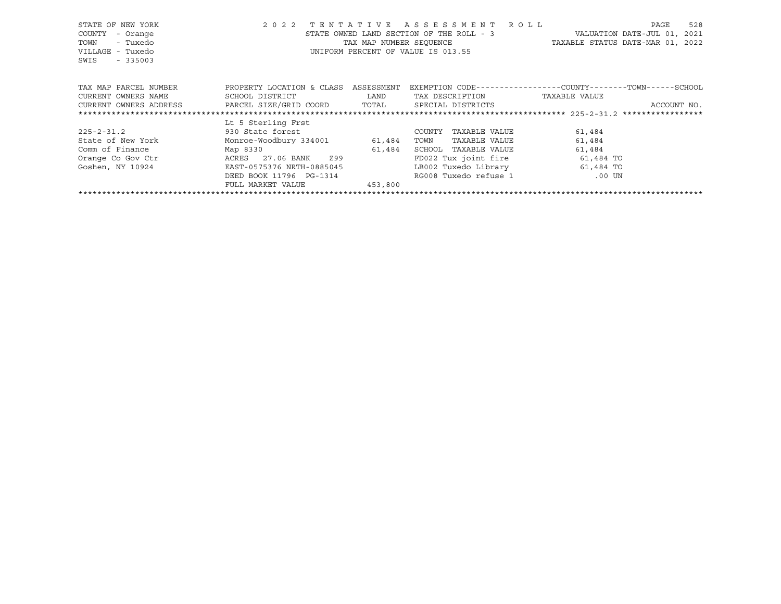| STATE OF NEW YORK<br>COUNTY<br>- Orange<br>- Tuxedo<br>TOWN<br>VILLAGE - Tuxedo<br>$-335003$<br>SWIS | 2 0 2 2<br>TENTATIVE                                                                                           | TAX MAP NUMBER SEOUENCE | ASSESSMENT ROLL<br>STATE OWNED LAND SECTION OF THE ROLL - 3<br>UNIFORM PERCENT OF VALUE IS 013.55 | 528<br>PAGE<br>VALUATION DATE-JUL 01,<br>2021<br>TAXABLE STATUS DATE-MAR 01, 2022 |
|------------------------------------------------------------------------------------------------------|----------------------------------------------------------------------------------------------------------------|-------------------------|---------------------------------------------------------------------------------------------------|-----------------------------------------------------------------------------------|
| TAX MAP PARCEL NUMBER                                                                                | PROPERTY LOCATION & CLASS                                                                                      | ASSESSMENT              |                                                                                                   | EXEMPTION CODE-----------------COUNTY-------TOWN------SCHOOL                      |
| CURRENT OWNERS NAME                                                                                  | SCHOOL DISTRICT                                                                                                | LAND                    | TAX DESCRIPTION                                                                                   | TAXABLE VALUE                                                                     |
| PARCEL SIZE/GRID COORD<br>CURRENT OWNERS ADDRESS                                                     | SPECIAL DISTRICTS<br>ACCOUNT NO.                                                                               |                         |                                                                                                   |                                                                                   |
|                                                                                                      |                                                                                                                |                         |                                                                                                   |                                                                                   |
|                                                                                                      | Lt 5 Sterling Frst                                                                                             |                         |                                                                                                   |                                                                                   |
| $225 - 2 - 31.2$                                                                                     | 930 State forest and the state of the state of the state of the state of the state of the state of the state o |                         | TAXABLE VALUE<br>COUNTY                                                                           | 61,484                                                                            |
| State of New York                                                                                    | Monroe-Woodbury 334001 61,484                                                                                  |                         | TAXABLE VALUE<br>TOWN                                                                             | 61,484                                                                            |
| Comm of Finance                                                                                      | Map 8330                                                                                                       | 61,484                  | SCHOOL<br>TAXABLE VALUE                                                                           | 61,484                                                                            |
| Orange Co Gov Ctr                                                                                    | ACRES 27.06 BANK 299                                                                                           |                         | FD022 Tux joint fire                                                                              | 61,484 TO                                                                         |
| Goshen, NY 10924                                                                                     | EAST-0575376 NRTH-0885045                                                                                      |                         | LB002 Tuxedo Library                                                                              | 61,484 TO                                                                         |
|                                                                                                      | DEED BOOK 11796 PG-1314                                                                                        |                         | RG008 Tuxedo refuse 1                                                                             | .00 UN                                                                            |
|                                                                                                      | FULL MARKET VALUE                                                                                              | 453,800                 |                                                                                                   |                                                                                   |
|                                                                                                      |                                                                                                                |                         |                                                                                                   |                                                                                   |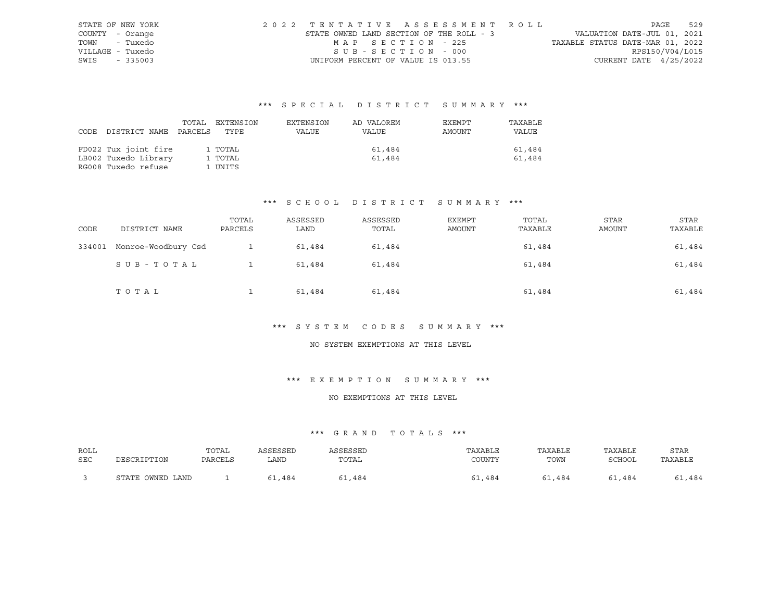|                  | STATE OF NEW YORK | 2022 TENTATIVE ASSESSMENT ROLL           |                   |  |                                  |                          | PAGE | 529 |
|------------------|-------------------|------------------------------------------|-------------------|--|----------------------------------|--------------------------|------|-----|
| COUNTY - Orange  |                   | STATE OWNED LAND SECTION OF THE ROLL - 3 |                   |  | VALUATION DATE-JUL 01, 2021      |                          |      |     |
| TOWN - Tuxedo    |                   |                                          | MAP SECTION - 225 |  | TAXABLE STATUS DATE-MAR 01, 2022 |                          |      |     |
| VILLAGE - Tuxedo |                   |                                          | SUB-SECTION - 000 |  |                                  | RPS150/V04/L015          |      |     |
| SWIS - 335003    |                   | UNIFORM PERCENT OF VALUE IS 013.55       |                   |  |                                  | CURRENT DATE $4/25/2022$ |      |     |

| DISTRICT NAME                                                       | TOTAL   | EXTENSION                     | EXTENSION | AD VALOREM       | EXEMPT | TAXABLE          |
|---------------------------------------------------------------------|---------|-------------------------------|-----------|------------------|--------|------------------|
| CODE                                                                | PARCELS | TYPE                          | VALUE     | VALUE            | AMOUNT | VALUE            |
| FD022 Tux joint fire<br>LB002 Tuxedo Library<br>RG008 Tuxedo refuse |         | 1 TOTAL<br>1 TOTAL<br>1 UNITS |           | 61,484<br>61,484 |        | 61,484<br>61,484 |

# \*\*\* S C H O O L D I S T R I C T S U M M A R Y \*\*\*

| CODE   | DISTRICT NAME       | TOTAL<br>PARCELS | ASSESSED<br>LAND | ASSESSED<br>TOTAL | EXEMPT<br>AMOUNT | TOTAL<br>TAXABLE | <b>STAR</b><br>AMOUNT | <b>STAR</b><br>TAXABLE |
|--------|---------------------|------------------|------------------|-------------------|------------------|------------------|-----------------------|------------------------|
| 334001 | Monroe-Woodbury Csd |                  | 61,484           | 61,484            |                  | 61,484           |                       | 61,484                 |
|        | SUB-TOTAL           |                  | 61,484           | 61,484            |                  | 61,484           |                       | 61,484                 |
|        | TOTAL               |                  | 61,484           | 61,484            |                  | 61,484           |                       | 61,484                 |

#### \*\*\* S Y S T E M C O D E S S U M M A R Y \*\*\*

#### NO SYSTEM EXEMPTIONS AT THIS LEVEL

#### \*\*\* E X E M P T I O N S U M M A R Y \*\*\*

#### NO EXEMPTIONS AT THIS LEVEL

| ROLL | DESCRIPTION      | TOTAL   | ASSESSED | ASSESSED | TAXABLE | TAXABLE | TAXABLE | <b>STAR</b> |
|------|------------------|---------|----------|----------|---------|---------|---------|-------------|
| SEC  |                  | PARCELS | LAND.    | TOTAL    | COUNTY  | TOWN    | SCHOOL  | TAXABLE     |
|      | STATE OWNED LAND |         | .484     | .484     | 61,484  | 61,484  | 61,484  | 51,484      |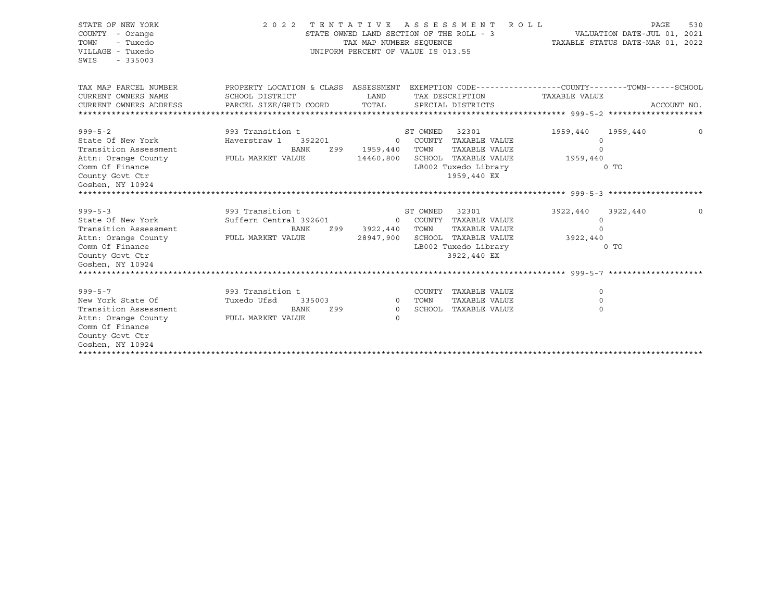| STATE OF NEW YORK<br>COUNTY - Orange<br>TOWN<br>- Tuxedo<br>VILLAGE - Tuxedo<br>SWIS<br>$-335003$ | 2022 TENTATIVE ASSESSMENT                                                                      | STATE OWNED LAND SECTION OF THE ROLL - 3<br>TAX MAP NUMBER SEOUENCE<br>UNIFORM PERCENT OF VALUE IS 013.55 |          | R O L L                              |               | VALUATION DATE-JUL 01, 2021<br>TAXABLE STATUS DATE-MAR 01, 2022 | <b>PAGE</b><br>530 |
|---------------------------------------------------------------------------------------------------|------------------------------------------------------------------------------------------------|-----------------------------------------------------------------------------------------------------------|----------|--------------------------------------|---------------|-----------------------------------------------------------------|--------------------|
| TAX MAP PARCEL NUMBER                                                                             | PROPERTY LOCATION & CLASS ASSESSMENT EXEMPTION CODE---------------COUNTY-------TOWN-----SCHOOL |                                                                                                           |          |                                      |               |                                                                 |                    |
| CURRENT OWNERS NAME<br>CURRENT OWNERS ADDRESS                                                     | SCHOOL DISTRICT<br>PARCEL SIZE/GRID COORD                                                      | LAND<br>TOTAL                                                                                             |          | TAX DESCRIPTION<br>SPECIAL DISTRICTS | TAXABLE VALUE |                                                                 | ACCOUNT NO.        |
|                                                                                                   |                                                                                                |                                                                                                           |          |                                      |               |                                                                 |                    |
| $999 - 5 - 2$                                                                                     | 993 Transition t                                                                               |                                                                                                           | ST OWNED | 32301                                | 1959,440      | 1959,440                                                        | $\Omega$           |
| State Of New York                                                                                 | 392201<br>Haverstraw 1                                                                         | $\circ$                                                                                                   |          | COUNTY TAXABLE VALUE                 | 0             |                                                                 |                    |
| Transition Assessment                                                                             | <b>BANK</b><br>Z99                                                                             | 1959,440                                                                                                  | TOWN     | TAXABLE VALUE                        | $\Omega$      |                                                                 |                    |
| Attn: Orange County                                                                               | FULL MARKET VALUE                                                                              | 14460,800                                                                                                 |          | SCHOOL TAXABLE VALUE                 | 1959,440      |                                                                 |                    |
| Comm Of Finance                                                                                   |                                                                                                |                                                                                                           |          | LB002 Tuxedo Library                 |               | 0 <sub>T</sub>                                                  |                    |
| County Govt Ctr                                                                                   |                                                                                                |                                                                                                           |          | 1959,440 EX                          |               |                                                                 |                    |
| Goshen, NY 10924                                                                                  |                                                                                                |                                                                                                           |          |                                      |               |                                                                 |                    |
|                                                                                                   |                                                                                                |                                                                                                           |          |                                      |               |                                                                 |                    |
| $999 - 5 - 3$                                                                                     | 993 Transition t                                                                               |                                                                                                           | ST OWNED | 32301                                | 3922,440      | 3922,440                                                        |                    |
| State Of New York                                                                                 | Suffern Central 392601                                                                         |                                                                                                           |          | 0 COUNTY TAXABLE VALUE               | $\mathbf 0$   |                                                                 |                    |
| Transition Assessment                                                                             | BANK<br>Z99                                                                                    | 3922,440                                                                                                  | TOWN     | TAXABLE VALUE                        | $\cap$        |                                                                 |                    |
| Attn: Orange County                                                                               | FULL MARKET VALUE                                                                              | 28947,900                                                                                                 |          | SCHOOL TAXABLE VALUE                 | 3922,440      |                                                                 |                    |
| Comm Of Finance                                                                                   |                                                                                                |                                                                                                           |          | LB002 Tuxedo Library                 |               | $0$ TO                                                          |                    |
| County Govt Ctr                                                                                   |                                                                                                |                                                                                                           |          | 3922,440 EX                          |               |                                                                 |                    |
| Goshen, NY 10924                                                                                  |                                                                                                |                                                                                                           |          |                                      |               |                                                                 |                    |
|                                                                                                   |                                                                                                |                                                                                                           |          |                                      |               |                                                                 |                    |
| $999 - 5 - 7$                                                                                     | 993 Transition t                                                                               |                                                                                                           |          | COUNTY TAXABLE VALUE                 | $\Omega$      |                                                                 |                    |
| New York State Of                                                                                 | Tuxedo Ufsd<br>335003                                                                          | $\circ$                                                                                                   | TOWN     | TAXABLE VALUE                        | $\Omega$      |                                                                 |                    |
| Transition Assessment                                                                             | BANK<br>Z99                                                                                    | $\Omega$                                                                                                  |          | SCHOOL TAXABLE VALUE                 | $\Omega$      |                                                                 |                    |
| Attn: Orange County                                                                               | FULL MARKET VALUE                                                                              | $\Omega$                                                                                                  |          |                                      |               |                                                                 |                    |
| Comm Of Finance                                                                                   |                                                                                                |                                                                                                           |          |                                      |               |                                                                 |                    |
| County Govt Ctr                                                                                   |                                                                                                |                                                                                                           |          |                                      |               |                                                                 |                    |
| Goshen, NY 10924                                                                                  |                                                                                                |                                                                                                           |          |                                      |               |                                                                 |                    |
|                                                                                                   |                                                                                                |                                                                                                           |          |                                      |               |                                                                 |                    |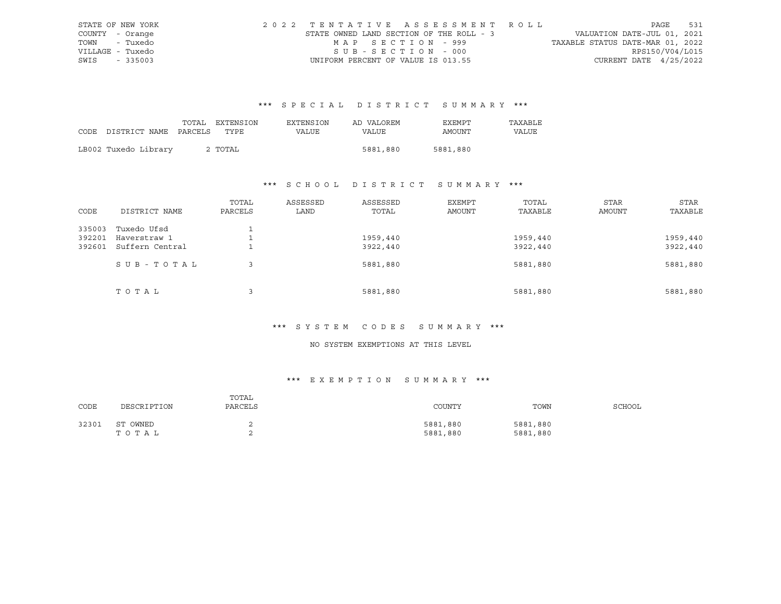|                  | STATE OF NEW YORK | 2022 TENTATIVE ASSESSMENT ROLL           |                   |  |  |                                  |                          | PAGE | 531 |
|------------------|-------------------|------------------------------------------|-------------------|--|--|----------------------------------|--------------------------|------|-----|
| COUNTY - Orange  |                   | STATE OWNED LAND SECTION OF THE ROLL - 3 |                   |  |  | VALUATION DATE-JUL 01, 2021      |                          |      |     |
|                  | TOWN - Tuxedo     |                                          | MAP SECTION - 999 |  |  | TAXABLE STATUS DATE-MAR 01, 2022 |                          |      |     |
| VILLAGE - Tuxedo |                   |                                          | SUB-SECTION - 000 |  |  |                                  | RPS150/V04/L015          |      |     |
| SWIS - 335003    |                   | UNIFORM PERCENT OF VALUE IS 013.55       |                   |  |  |                                  | CURRENT DATE $4/25/2022$ |      |     |

|      |                       | TOTAL EXTENSION | EXTENSION | AD VALOREM | EXEMPT   | TAXABLE |
|------|-----------------------|-----------------|-----------|------------|----------|---------|
| CODE | DISTRICT NAME PARCELS | TYPE            | VALUE     | VALUE      | AMOUNT   | VALUE   |
|      |                       |                 |           |            |          |         |
|      | LB002 Tuxedo Library  | 2 TOTAL         |           | 5881,880   | 5881,880 |         |

# \*\*\* S C H O O L D I S T R I C T S U M M A R Y \*\*\*

| CODE   | DISTRICT NAME   | TOTAL<br>PARCELS | ASSESSED<br>LAND | ASSESSED<br>TOTAL | EXEMPT<br>AMOUNT | TOTAL<br>TAXABLE | STAR<br><b>AMOUNT</b> | STAR<br>TAXABLE |
|--------|-----------------|------------------|------------------|-------------------|------------------|------------------|-----------------------|-----------------|
| 335003 | Tuxedo Ufsd     |                  |                  |                   |                  |                  |                       |                 |
| 392201 | Haverstraw 1    |                  |                  | 1959,440          |                  | 1959,440         |                       | 1959,440        |
| 392601 | Suffern Central |                  |                  | 3922,440          |                  | 3922,440         |                       | 3922,440        |
|        | SUB-TOTAL       | 3                |                  | 5881,880          |                  | 5881,880         |                       | 5881,880        |
|        | TOTAL           | 3                |                  | 5881,880          |                  | 5881,880         |                       | 5881,880        |

# \*\*\* S Y S T E M C O D E S S U M M A R Y \*\*\*

# NO SYSTEM EXEMPTIONS AT THIS LEVEL

# \*\*\* E X E M P T I O N S U M M A R Y \*\*\*

| CODE  | DESCRIPTION       | TOTAL<br>PARCELS | COUNTY               | TOWN                 | SCHOOL |
|-------|-------------------|------------------|----------------------|----------------------|--------|
| 32301 | ST OWNED<br>TOTAL |                  | 5881,880<br>5881,880 | 5881,880<br>5881,880 |        |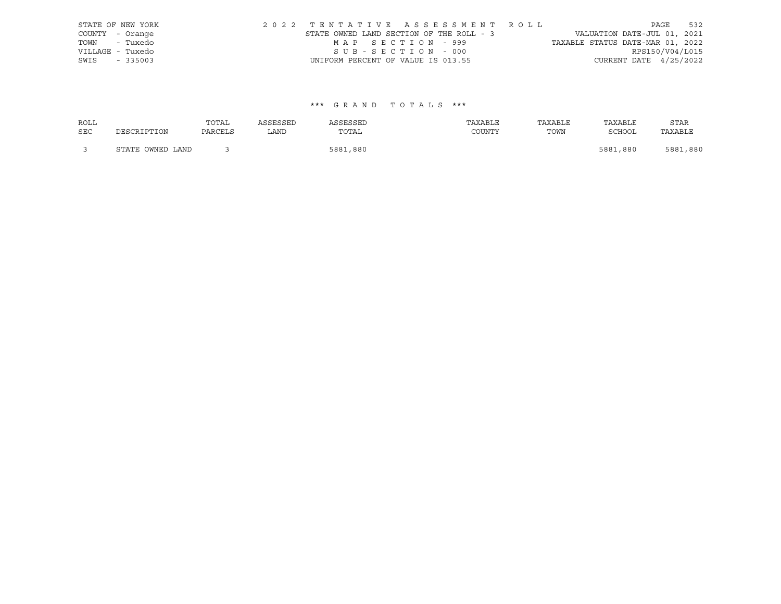|      | STATE OF NEW YORK |                                          |                   |  | 2022 TENTATIVE ASSESSMENT ROLL |                                  |                          | PAGE | 532 |
|------|-------------------|------------------------------------------|-------------------|--|--------------------------------|----------------------------------|--------------------------|------|-----|
|      | COUNTY - Orange   | STATE OWNED LAND SECTION OF THE ROLL - 3 |                   |  |                                | VALUATION DATE-JUL 01, 2021      |                          |      |     |
|      | TOWN - Tuxedo     |                                          | MAP SECTION - 999 |  |                                | TAXABLE STATUS DATE-MAR 01, 2022 |                          |      |     |
|      | VILLAGE - Tuxedo  |                                          | SUB-SECTION - 000 |  |                                |                                  | RPS150/V04/L015          |      |     |
| SWIS | $-335003$         | UNIFORM PERCENT OF VALUE IS 013.55       |                   |  |                                |                                  | CURRENT DATE $4/25/2022$ |      |     |

| <b>ROLL</b> |                  | TOTAL   | ASSESSED | ASSESSED | TAXABLE | TAXABLE | TAXABLE  | <b>STAR</b> |
|-------------|------------------|---------|----------|----------|---------|---------|----------|-------------|
| <b>SEC</b>  | DESCRIPTION      | PARCELS | LAND     | TOTAL    | COUNTY  | TOWN    | SCHOOL   | TAXABLE     |
|             | STATE OWNED LAND |         |          | 5881,880 |         |         | 5881,880 | 5881,880    |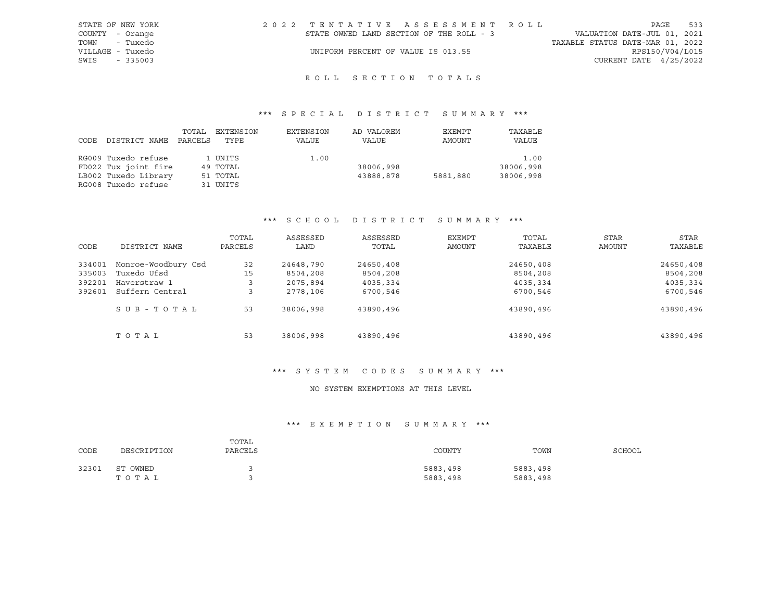| STATE OF NEW YORK | 2022 TENTATIVE ASSESSMENT ROLL           | 533<br>PAGE                      |
|-------------------|------------------------------------------|----------------------------------|
| COUNTY - Orange   | STATE OWNED LAND SECTION OF THE ROLL - 3 | VALUATION DATE-JUL 01, 2021      |
| TOWN - Tuxedo     |                                          | TAXABLE STATUS DATE-MAR 01, 2022 |
| VILLAGE - Tuxedo  | UNIFORM PERCENT OF VALUE IS 013.55       | RPS150/V04/L015                  |
| SWIS<br>$-335003$ |                                          | CURRENT DATE $4/25/2022$         |

# ROLL SECTION TOTALS

# \*\*\* S P E C I A L D I S T R I C T S U M M A R Y \*\*\*

| CODE | DISTRICT NAME        | TOTAL<br>PARCELS | EXTENSION<br>TYPE | EXTENSION<br>VALUE | AD VALOREM<br>VALUE | EXEMPT<br>AMOUNT | TAXABLE<br>VALUE |
|------|----------------------|------------------|-------------------|--------------------|---------------------|------------------|------------------|
|      | RG009 Tuxedo refuse  |                  | 1 UNITS           | 1.00               |                     |                  | 1.00             |
|      | FD022 Tux joint fire |                  | 49 TOTAL          |                    | 38006,998           |                  | 38006,998        |
|      | LB002 Tuxedo Library |                  | 51 TOTAL          |                    | 43888,878           | 5881,880         | 38006,998        |
|      | RG008 Tuxedo refuse  |                  | 31 UNITS          |                    |                     |                  |                  |

# \*\*\* S C H O O L D I S T R I C T S U M M A R Y \*\*\*

| CODE   | DISTRICT NAME       | TOTAL<br>PARCELS | ASSESSED<br>LAND | ASSESSED<br>TOTAL | EXEMPT<br>AMOUNT | TOTAL<br>TAXABLE | <b>STAR</b><br>AMOUNT | <b>STAR</b><br>TAXABLE |
|--------|---------------------|------------------|------------------|-------------------|------------------|------------------|-----------------------|------------------------|
| 334001 | Monroe-Woodbury Csd | 32               | 24648,790        | 24650,408         |                  | 24650,408        |                       | 24650,408              |
| 335003 | Tuxedo Ufsd         | 15               | 8504,208         | 8504,208          |                  | 8504,208         |                       | 8504,208               |
| 392201 | Haverstraw 1        | 3                | 2075,894         | 4035,334          |                  | 4035,334         |                       | 4035,334               |
| 392601 | Suffern Central     |                  | 2778,106         | 6700,546          |                  | 6700,546         |                       | 6700,546               |
|        | SUB-TOTAL           | 53               | 38006,998        | 43890,496         |                  | 43890,496        |                       | 43890,496              |
|        | TOTAL               | 53               | 38006,998        | 43890,496         |                  | 43890,496        |                       | 43890,496              |

# \*\*\* S Y S T E M C O D E S S U M M A R Y \*\*\*

#### NO SYSTEM EXEMPTIONS AT THIS LEVEL

# \*\*\* E X E M P T I O N S U M M A R Y \*\*\*

| CODE  | DESCRIPTION       | TOTAL<br>PARCELS | COUNTY               | TOWN                 | SCHOOL |
|-------|-------------------|------------------|----------------------|----------------------|--------|
| 32301 | ST OWNED<br>тотаь |                  | 5883,498<br>5883,498 | 5883,498<br>5883,498 |        |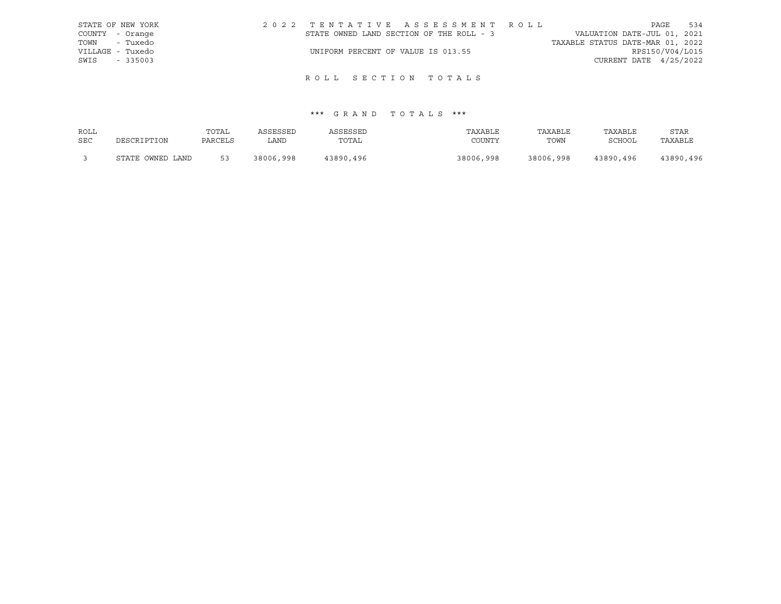| STATE OF NEW YORK | 2022 TENTATIVE ASSESSMENT ROLL           | 534<br>PAGE                      |
|-------------------|------------------------------------------|----------------------------------|
| COUNTY - Orange   | STATE OWNED LAND SECTION OF THE ROLL - 3 | VALUATION DATE-JUL 01, 2021      |
| TOWN - Tuxedo     |                                          | TAXABLE STATUS DATE-MAR 01, 2022 |
| VILLAGE - Tuxedo  | UNIFORM PERCENT OF VALUE IS 013.55       | RPS150/V04/L015                  |
| SWIS<br>$-335003$ |                                          | CURRENT DATE 4/25/2022           |

# ROLL SECTION TOTALS

| ROLL       |                  | TOTAL   | ASSESSED  | ASSESSED  | TAXABLE   | TAXABLE   | TAXABLE       | <b>STAR</b> |
|------------|------------------|---------|-----------|-----------|-----------|-----------|---------------|-------------|
| <b>SEC</b> | DESCRIPTION      | PARCELS | LAND      | TOTAL     | COUNTY    | TOWN      | <b>SCHOOL</b> | TAXABLE     |
|            | STATE OWNED LAND | 53      | 38006,998 | 43890,496 | 38006,998 | 38006,998 | 43890,496     | 43890,496   |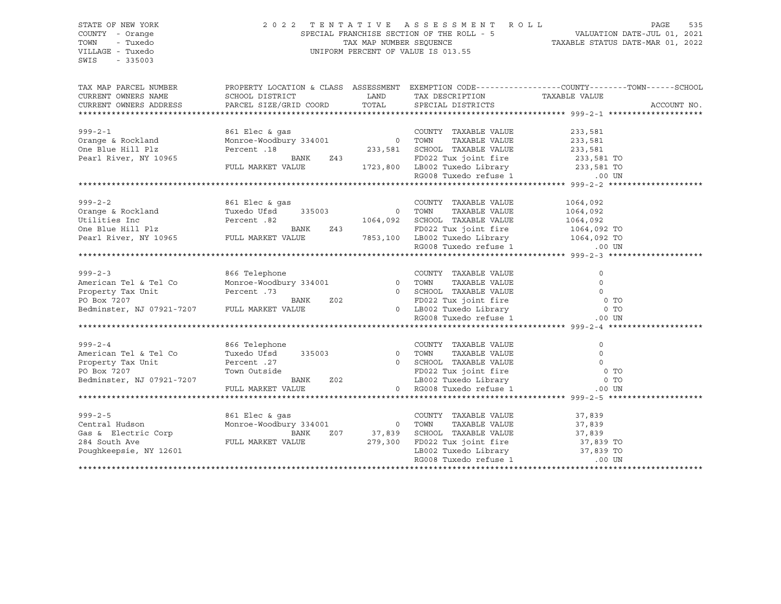# STATE OF NEW YORK 2 0 2 2 T E N T A T I V E A S S E S S M E N T R O L L PAGE 535 COUNTY - Orange SPECIAL FRANCHISE SECTION OF THE ROLL - 5 VALUATION DATE-JUL 01, 2021 TOWN - Tuxedo TAX MAP NUMBER SEQUENCE TAXABLE STATUS DATE-MAR 01, 2022 VILLAGE - Tuxedo UNIFORM PERCENT OF VALUE IS 013.55

| TAX MAP PARCEL NUMBER<br>CURRENT OWNERS NAME | PROPERTY LOCATION & CLASS ASSESSMENT EXEMPTION CODE----------------COUNTY-------TOWN------SCHOOL<br>SCHOOL DISTRICT | LAND           | TAX DESCRIPTION TAXABLE VALUE                  |                |             |
|----------------------------------------------|---------------------------------------------------------------------------------------------------------------------|----------------|------------------------------------------------|----------------|-------------|
| CURRENT OWNERS ADDRESS                       | PARCEL SIZE/GRID COORD                                                                                              | TOTAL          | SPECIAL DISTRICTS                              |                | ACCOUNT NO. |
|                                              |                                                                                                                     |                |                                                |                |             |
|                                              |                                                                                                                     |                |                                                |                |             |
| $999 - 2 - 1$                                | 861 Elec & qas                                                                                                      |                | COUNTY TAXABLE VALUE                           | 233,581        |             |
| Orange & Rockland                            | Monroe-Woodbury 334001 0 TOWN                                                                                       |                | TAXABLE VALUE                                  | 233,581        |             |
| One Blue Hill Plz                            | Percent .18                                                                                                         | 233,581        | SCHOOL TAXABLE VALUE                           | 233,581        |             |
| Pearl River, NY 10965                        | BANK<br>Z43                                                                                                         |                |                                                |                |             |
|                                              | FULL MARKET VALUE                                                                                                   | 1723,800       |                                                |                |             |
|                                              |                                                                                                                     |                | RG008 Tuxedo refuse 1                          | $.00$ UN       |             |
|                                              |                                                                                                                     |                |                                                |                |             |
|                                              |                                                                                                                     |                |                                                |                |             |
| $999 - 2 - 2$                                | 861 Elec & gas                                                                                                      |                | COUNTY TAXABLE VALUE                           | 1064,092       |             |
| Orange & Rockland                            | Tuxedo Ufsd<br>335003                                                                                               | 0 TOWN         | TAXABLE VALUE                                  | 1064,092       |             |
| Utilities Inc                                | 82. Percent                                                                                                         | 1064,092       | SCHOOL TAXABLE VALUE                           | 1064,092       |             |
| One Blue Hill Plz                            | BANK<br>Z43                                                                                                         |                | FD022 Tux joint fire 1064,092 TO               |                |             |
| Pearl River, NY 10965                        | FULL MARKET VALUE                                                                                                   | 7853,100       | LB002 Tuxedo Library 1064,092 TO               |                |             |
|                                              |                                                                                                                     |                | RG008 Tuxedo refuse 1                          | $.00$ UN       |             |
|                                              |                                                                                                                     |                |                                                |                |             |
|                                              |                                                                                                                     |                |                                                |                |             |
| $999 - 2 - 3$                                | 866 Telephone                                                                                                       |                | COUNTY TAXABLE VALUE                           | $\mathbf 0$    |             |
| American Tel & Tel Co                        | Monroe-Woodbury 334001                                                                                              |                | 0 TOWN<br>TAXABLE VALUE                        | $\Omega$       |             |
| Property Tax Unit                            | Percent .73                                                                                                         |                | 0 SCHOOL TAXABLE VALUE                         | $\Omega$       |             |
| PO Box 7207                                  | Z02<br>BANK                                                                                                         |                |                                                | 0 <sub>T</sub> |             |
| Bedminster, NJ 07921-7207 FULL MARKET VALUE  |                                                                                                                     |                | FD022 Tux joint fire<br>0 LB002 Tuxedo Library | $0$ TO         |             |
|                                              |                                                                                                                     |                | RG008 Tuxedo refuse 1                          | $.00$ UN       |             |
|                                              |                                                                                                                     |                |                                                |                |             |
|                                              |                                                                                                                     |                |                                                |                |             |
| $999 - 2 - 4$                                | 866 Telephone                                                                                                       |                | COUNTY TAXABLE VALUE                           | $\circ$        |             |
| American Tel & Tel Co                        | Tuxedo Ufsd<br>335003                                                                                               |                | 0 TOWN<br>TAXABLE VALUE                        | $\circ$        |             |
| Property Tax Unit                            | Percent .27                                                                                                         |                | 0 SCHOOL TAXABLE VALUE                         | $\Omega$       |             |
| PO Box 7207                                  | Town Outside                                                                                                        |                | FD022 Tux joint fire                           | 0 <sub>T</sub> |             |
| Bedminster, NJ 07921-7207                    | BANK<br><b>Z02</b>                                                                                                  |                | LB002 Tuxedo Library                           | 0 <sub>T</sub> |             |
|                                              | FULL MARKET VALUE                                                                                                   |                | 0 RG008 Tuxedo refuse 1                        | $.00$ UN       |             |
|                                              |                                                                                                                     |                |                                                |                |             |
|                                              |                                                                                                                     |                |                                                |                |             |
| $999 - 2 - 5$                                | 861 Elec & qas                                                                                                      |                | COUNTY TAXABLE VALUE                           | 37,839         |             |
| Central Hudson                               | Monroe-Woodbury 334001                                                                                              | $\overline{0}$ | TOWN<br>TAXABLE VALUE                          | 37,839         |             |
| Gas & Electric Corp                          | BANK<br>Z07                                                                                                         | 37,839         | SCHOOL TAXABLE VALUE 37,839                    |                |             |
| 284 South Ave                                | FULL MARKET VALUE                                                                                                   | 279,300        | FD022 Tux joint fire                           | 37,839 TO      |             |
| Poughkeepsie, NY 12601                       |                                                                                                                     |                | LB002 Tuxedo Library                           | 37,839 TO      |             |
|                                              |                                                                                                                     |                | RG008 Tuxedo refuse 1                          | $.00$ UN       |             |
|                                              |                                                                                                                     |                |                                                |                |             |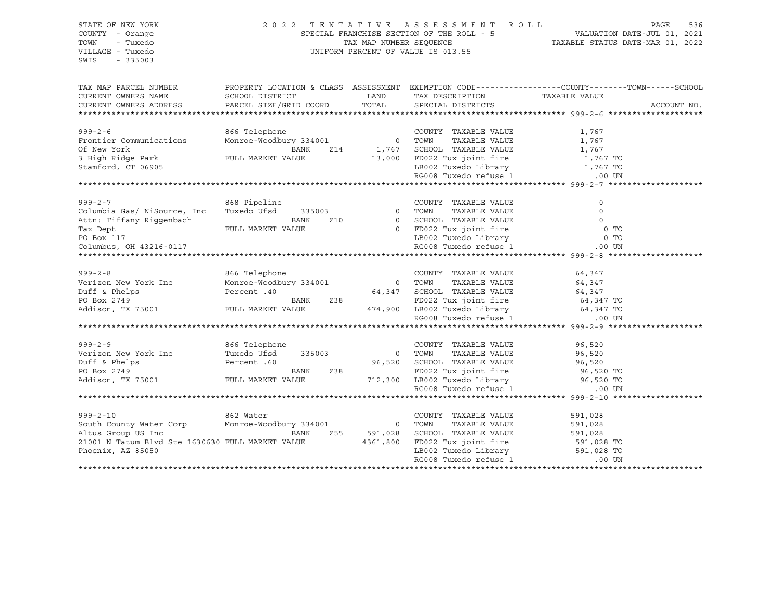## STATE OF NEW YORK 2 0 2 2 T E N T A T I V E A S S E S S M E N T R O L L PAGE 536 COUNTY - Orange SPECIAL FRANCHISE SECTION OF THE ROLL - 5 VALUATION DATE-JUL 01, 2021 TOWN - Tuxedo TAX MAP NUMBER SEQUENCE TAXABLE STATUS DATE-MAR 01, 2022 VILLAGE - Tuxedo UNIFORM PERCENT OF VALUE IS 013.55

| TAX MAP PARCEL NUMBER<br>CURRENT OWNERS NAME<br>CURRENT OWNERS ADDRESS PARCEL SIZE/GRID COORD TOTAL SPECIAL DISTRICTS                                                                                                                                 | SCHOOL DISTRICT                                                               |             | LAND TAX DESCRIPTION TAXABLE VALUE                                                                                                                                                                                       | PROPERTY LOCATION & CLASS ASSESSMENT EXEMPTION CODE---------------COUNTY-------TOWN-----SCHOOL | ACCOUNT NO. |
|-------------------------------------------------------------------------------------------------------------------------------------------------------------------------------------------------------------------------------------------------------|-------------------------------------------------------------------------------|-------------|--------------------------------------------------------------------------------------------------------------------------------------------------------------------------------------------------------------------------|------------------------------------------------------------------------------------------------|-------------|
| $999 - 2 - 6$<br>Frontier Communications<br>Of New York<br>3 High Ridge Park<br>Stamford, CT 06905                                                                                                                                                    | 866 Telephone<br>BANK<br>FULL MARKET VALUE                                    |             | COUNTY TAXABLE VALUE<br>TAXABLE VALUE<br>Z14 1,767 SCHOOL TAXABLE VALUE 1,767<br>13,000 FD022 Tux joint fire 1,767 TO<br>LB002 Tuxedo Library 1,767 TO<br>LB002 Tuxedo Library 1,767 TO<br>RG008 Tuxedo refuse 1 1.00 UN | 1,767<br>1,767                                                                                 |             |
| $999 - 2 - 7$<br>Columbia Gas/ NiSource, Inc<br>Attn: Tiffany Riqqenbach<br>Tax Dept                                                                                                                                                                  | 868 Pipeline<br>Tuxedo Ufsd 335003 0 TOWN<br>rund Market Value<br>BANK<br>Z10 |             | COUNTY TAXABLE VALUE<br>TAXABLE VALUE<br>0 SCHOOL TAXABLE VALUE 0 0 TO<br>0 FD022 Tux joint fire 0 0 TO<br>LB002 Tuxedo Library 0 0 TO<br>RG008 Tuxedo refuse 1 00 UN                                                    | $\circ$<br>$\Omega$                                                                            |             |
| 999-2-8<br>Verizon New York Inc Monroe-Woodbury 334001<br>Duff & Phelps Percent .40<br>PO Box 2749<br>Addison, TX 75001<br>PULL MARKET VALUE 238<br>PULL MARKET VALUE 474,900 LB002 Tuxedo Library 64,347 TO<br>RG008 Tuxedo refuse 1 00 UN           |                                                                               |             |                                                                                                                                                                                                                          |                                                                                                |             |
| $999 - 2 - 9$<br>Verizon New York Inc Tuxedo Ufsd 335003 0 TOWN TAXABLE VALUE 96,520<br>Duff & Phelps Percent .60<br>PO Box 2749 BANK 238 FD022 Tux joint fire 96,520 TO<br>Addison, TX 75001 FULL MARKET VALUE 712,300 LB002 Tuxedo Library 96,520 T | 866 Telephone                                                                 |             | COUNTY TAXABLE VALUE 96,520                                                                                                                                                                                              |                                                                                                |             |
| $999 - 2 - 10$<br>Altus Group US Inc<br>21001 N Tatum Blvd Ste 1630630 FULL MARKET VALUE 4361,800<br>Phoenix, AZ 85050                                                                                                                                | 862 Water<br>and the company of the company of the company<br>BANK            | Z55 591,028 | COUNTY TAXABLE VALUE<br>TOWN      TAXABLE VALUE<br>SCHOOL TAXABLE VALUE 591,028<br>FD022 Tux joint fire 591,028 TO<br>LB002 Tuxedo Library 591,028 TO<br>RG008 Tuxedo refuse 1 00 UN                                     | 591,028<br>591,028                                                                             |             |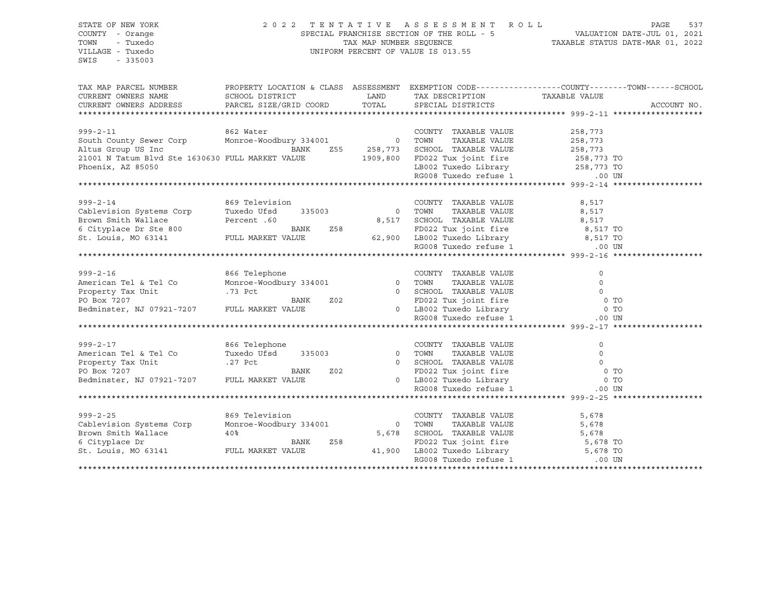## STATE OF NEW YORK 2 0 2 2 T E N T A T I V E A S S E S S M E N T R O L L PAGE 537 COUNTY - Orange SPECIAL FRANCHISE SECTION OF THE ROLL - 5 VALUATION DATE-JUL 01, 2021 TOWN - Tuxedo TAX MAP NUMBER SEQUENCE TAXABLE STATUS DATE-MAR 01, 2022 VILLAGE - Tuxedo UNIFORM PERCENT OF VALUE IS 013.55

| TAX MAP PARCEL NUMBER<br>CURRENT OWNERS NAME<br>CURRENT OWNERS ADDRESS | SCHOOL DISTRICT<br>PARCEL SIZE/GRID COORD | LAND<br>TOTAL  | PROPERTY LOCATION & CLASS ASSESSMENT EXEMPTION CODE----------------COUNTY-------TOWN------SCHOOL<br>TAX DESCRIPTION TAXABLE VALUE<br>SPECIAL DISTRICTS |                     | ACCOUNT NO. |
|------------------------------------------------------------------------|-------------------------------------------|----------------|--------------------------------------------------------------------------------------------------------------------------------------------------------|---------------------|-------------|
|                                                                        |                                           |                |                                                                                                                                                        |                     |             |
|                                                                        |                                           |                |                                                                                                                                                        |                     |             |
| $999 - 2 - 11$                                                         | 862 Water                                 |                | COUNTY TAXABLE VALUE                                                                                                                                   | 258,773             |             |
| South County Sewer Corp                                                | Monroe-Woodbury 334001 0 TOWN             |                | TAXABLE VALUE                                                                                                                                          | 258,773             |             |
| Altus Group US Inc                                                     | BANK                                      | Z55 258,773    | SCHOOL TAXABLE VALUE                                                                                                                                   | 258,773             |             |
| 21001 N Tatum Blvd Ste 1630630 FULL MARKET VALUE                       |                                           | 1909,800       |                                                                                                                                                        |                     |             |
| Phoenix, AZ 85050                                                      |                                           |                | FD022 Tux joint fire $258,773$ TO<br>LB002 Tuxedo Library $258,773$ TO<br>RG008 Tuxedo refuse 1 .00 UN                                                 |                     |             |
|                                                                        |                                           |                |                                                                                                                                                        |                     |             |
|                                                                        |                                           |                |                                                                                                                                                        |                     |             |
| $999 - 2 - 14$                                                         | 869 Television                            |                | COUNTY TAXABLE VALUE                                                                                                                                   | 8,517               |             |
| Cablevision Systems Corp                                               | Tuxedo Ufsd<br>335003                     | $\overline{0}$ | TOWN<br>TAXABLE VALUE                                                                                                                                  | 8,517               |             |
| Brown Smith Wallace                                                    | Percent .60                               | 8,517          | SCHOOL TAXABLE VALUE                                                                                                                                   | 8,517               |             |
| 6 Cityplace Dr Ste 800                                                 | BANK                                      | Z58            | FD022 Tux joint fire 8,517 TO                                                                                                                          |                     |             |
| St. Louis, MO 63141                                                    | FULL MARKET VALUE                         | 62,900         | LB002 Tuxedo Library 8,517 TO                                                                                                                          |                     |             |
|                                                                        |                                           |                | RG008 Tuxedo refuse 1                                                                                                                                  | $.00$ UN            |             |
|                                                                        |                                           |                |                                                                                                                                                        |                     |             |
|                                                                        |                                           |                |                                                                                                                                                        |                     |             |
| $999 - 2 - 16$                                                         | 866 Telephone                             |                | COUNTY TAXABLE VALUE<br>0 TOWN                                                                                                                         | $\circ$<br>$\Omega$ |             |
| American Tel & Tel Co                                                  | Monroe-Woodbury 334001                    |                | TAXABLE VALUE                                                                                                                                          |                     |             |
| Property Tax Unit                                                      | .73 Pct                                   |                | 0 SCHOOL TAXABLE VALUE                                                                                                                                 | $\Omega$            |             |
| PO Box 7207<br>Bedminster, NJ 07921-7207 FULL MARKET VALUE             | BANK                                      | Z02            | FD022 Tux joint fire<br>0 LB002 Tuxedo Library<br><sup>DC008</sup> Tuxedo refuse 1                                                                     | 0 <sub>T</sub>      |             |
|                                                                        |                                           |                |                                                                                                                                                        | $0$ TO              |             |
|                                                                        |                                           |                |                                                                                                                                                        | $.00$ UN            |             |
|                                                                        |                                           |                |                                                                                                                                                        |                     |             |
| $999 - 2 - 17$                                                         | 866 Telephone                             |                | COUNTY TAXABLE VALUE                                                                                                                                   | 0                   |             |
| American Tel & Tel Co                                                  | Tuxedo Ufsd<br>335003                     |                | 0 TOWN<br>TAXABLE VALUE                                                                                                                                | $\circ$             |             |
| Property Tax Unit                                                      | .27 Pct                                   |                | 0 SCHOOL TAXABLE VALUE                                                                                                                                 | $\Omega$            |             |
|                                                                        | BANK                                      | Z02            | FD022 Tux joint fire                                                                                                                                   | 0 <sub>T</sub>      |             |
| Bedminster, NJ 07921-7207 FULL MARKET VALUE                            |                                           |                | 0 LB002 Tuxedo Library                                                                                                                                 | 0 <sub>T</sub>      |             |
|                                                                        |                                           |                | RG008 Tuxedo refuse 1                                                                                                                                  | $.00$ UN            |             |
|                                                                        |                                           |                |                                                                                                                                                        |                     |             |
| $999 - 2 - 25$                                                         | 869 Television                            |                | COUNTY TAXABLE VALUE                                                                                                                                   | 5,678               |             |
| Cablevision Systems Corp                                               | Monroe-Woodbury 334001                    | $\overline{0}$ | TOWN<br>TAXABLE VALUE                                                                                                                                  | 5,678               |             |
| Brown Smith Wallace                                                    | 40 <sub>8</sub>                           | 5,678          | SCHOOL TAXABLE VALUE                                                                                                                                   | 5,678               |             |
| 6 Cityplace Dr                                                         |                                           | Z58            |                                                                                                                                                        |                     |             |
|                                                                        | BANK                                      |                | FD022 Tux joint fire $5,678$ TO                                                                                                                        |                     |             |
| St. Louis, MO 63141                                                    | FULL MARKET VALUE                         | 41,900         | LB002 Tuxedo Library<br>------ Tuxedo Library<br>------ Tuxedo refuse 1                                                                                | 5,678 TO            |             |
|                                                                        |                                           |                |                                                                                                                                                        | $.00$ UN            |             |
|                                                                        |                                           |                |                                                                                                                                                        |                     |             |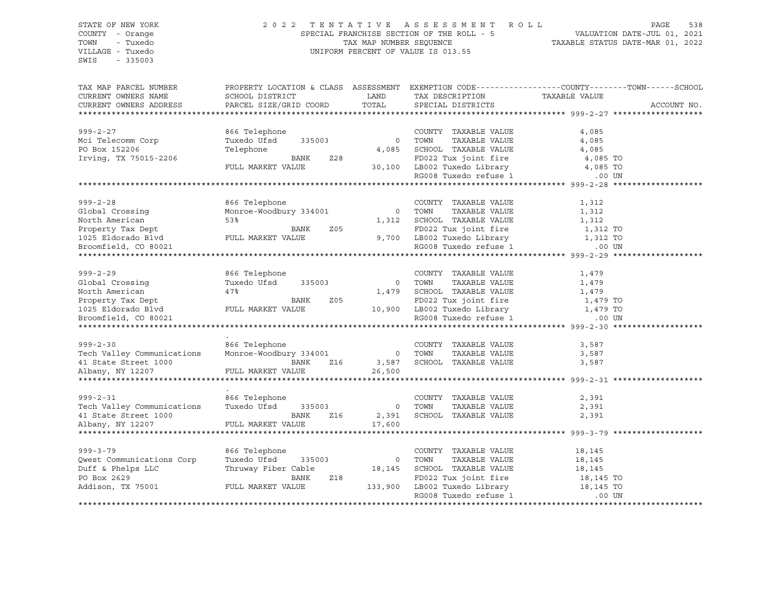## STATE OF NEW YORK 2 0 2 2 T E N T A T I V E A S S E S S M E N T R O L L PAGE 538 COUNTY - Orange SPECIAL FRANCHISE SECTION OF THE ROLL - 5 VALUATION DATE-JUL 01, 2021 TOWN - Tuxedo TAX MAP NUMBER SEQUENCE TAXABLE STATUS DATE-MAR 01, 2022 VILLAGE - Tuxedo UNIFORM PERCENT OF VALUE IS 013.55

| TAX MAP PARCEL NUMBER                    | PROPERTY LOCATION & CLASS ASSESSMENT EXEMPTION CODE----------------COUNTY-------TOWN-----SCHOOL |                |                                                                  |               |             |
|------------------------------------------|-------------------------------------------------------------------------------------------------|----------------|------------------------------------------------------------------|---------------|-------------|
| CURRENT OWNERS NAME                      | SCHOOL DISTRICT                                                                                 | LAND           | TAX DESCRIPTION                                                  | TAXABLE VALUE |             |
| CURRENT OWNERS ADDRESS                   | PARCEL SIZE/GRID COORD                                                                          | TOTAL          | SPECIAL DISTRICTS                                                |               | ACCOUNT NO. |
|                                          |                                                                                                 |                |                                                                  |               |             |
|                                          |                                                                                                 |                |                                                                  |               |             |
| $999 - 2 - 27$                           | 866 Telephone                                                                                   |                | COUNTY TAXABLE VALUE                                             | 4,085         |             |
|                                          | 335003                                                                                          | $\circ$        | TOWN<br>TAXABLE VALUE                                            |               |             |
| Mci Telecomm Corp                        | Tuxedo Ufsd                                                                                     |                |                                                                  | 4,085         |             |
| PO Box 152206                            | Telephone                                                                                       | 4,085          | SCHOOL TAXABLE VALUE                                             | 4,085         |             |
| Irving, TX 75015-2206                    | BANK<br>Z28                                                                                     |                | FD022 Tux joint fire                                             | 4,085 TO      |             |
|                                          | FULL MARKET VALUE                                                                               |                | 30,100 LB002 Tuxedo Library                                      | 4,085 TO      |             |
|                                          |                                                                                                 |                | RG008 Tuxedo refuse 1                                            | .00 UN        |             |
|                                          |                                                                                                 |                |                                                                  |               |             |
|                                          |                                                                                                 |                |                                                                  |               |             |
| $999 - 2 - 28$                           | 866 Telephone                                                                                   |                | COUNTY TAXABLE VALUE                                             | 1,312         |             |
| Global Crossing                          | Monroe-Woodbury 334001                                                                          | $\circ$        | TOWN<br>TAXABLE VALUE                                            | 1,312         |             |
| North American                           | 53%                                                                                             | 1,312          | SCHOOL TAXABLE VALUE                                             | 1,312         |             |
|                                          |                                                                                                 |                |                                                                  |               |             |
| Property Tax Dept                        | Z05<br>BANK                                                                                     |                | FD022 Tux joint fire                                             | 1,312 TO      |             |
| 1025 Eldorado Blvd                       | FULL MARKET VALUE                                                                               |                | 9,700 LB002 Tuxedo Library                                       | 1,312 TO      |             |
| Broomfield, CO 80021                     |                                                                                                 |                | RG008 Tuxedo refuse 1                                            | $.00$ UN      |             |
|                                          |                                                                                                 |                |                                                                  |               |             |
|                                          |                                                                                                 |                |                                                                  |               |             |
| $999 - 2 - 29$                           | 866 Telephone                                                                                   |                | COUNTY TAXABLE VALUE                                             | 1,479         |             |
| Global Crossing                          | Tuxedo Ufsd 335003                                                                              | $\overline{0}$ | TOWN<br>TAXABLE VALUE                                            | 1,479         |             |
| North American                           | 47%                                                                                             | 1,479          | SCHOOL TAXABLE VALUE                                             | 1,479         |             |
| Property Tax Dept                        | BANK<br>Z05                                                                                     |                | FD022 Tux joint fire                                             | 1,479 TO      |             |
|                                          |                                                                                                 |                | 10,900 LB002 Tuxedo Library                                      |               |             |
| 1025 Eldorado Blvd                       | FULL MARKET VALUE                                                                               |                |                                                                  | 1,479 TO      |             |
| Broomfield, CO 80021                     |                                                                                                 |                | RG008 Tuxedo refuse 1                                            | .00 UN        |             |
|                                          |                                                                                                 |                |                                                                  |               |             |
|                                          |                                                                                                 |                |                                                                  |               |             |
| $999 - 2 - 30$                           | 866 Telephone                                                                                   |                | COUNTY TAXABLE VALUE                                             | 3,587         |             |
| Tech Valley Communications               | Monroe-Woodbury 334001                                                                          | $\overline{0}$ | TOWN<br>TAXABLE VALUE                                            | 3,587         |             |
|                                          | BANK<br>Z16                                                                                     | 3,587          | SCHOOL TAXABLE VALUE                                             | 3,587         |             |
| 41 State Street 1000<br>Albany, NY 12207 | FULL MARKET VALUE                                                                               | 26,500         |                                                                  |               |             |
|                                          |                                                                                                 |                |                                                                  |               |             |
|                                          |                                                                                                 |                |                                                                  |               |             |
| $999 - 2 - 31$                           | 866 Telephone                                                                                   |                | COUNTY TAXABLE VALUE                                             | 2,391         |             |
| Tech Valley Communications               | Tuxedo Ufsd<br>335003                                                                           | $\overline{0}$ | TOWN<br>TAXABLE VALUE                                            | 2,391         |             |
|                                          |                                                                                                 |                |                                                                  |               |             |
| 41 State Street 1000                     | BANK<br>Z16                                                                                     | 2,391          | SCHOOL TAXABLE VALUE                                             | 2,391         |             |
| Albany, NY 12207                         | FULL MARKET VALUE                                                                               | 17,600         |                                                                  |               |             |
|                                          |                                                                                                 |                |                                                                  |               |             |
|                                          |                                                                                                 |                |                                                                  |               |             |
| $999 - 3 - 79$                           | 866 Telephone                                                                                   |                | COUNTY TAXABLE VALUE                                             | 18,145        |             |
| Qwest Communications Corp                | Tuxedo Ufsd<br>335003                                                                           | $\overline{0}$ | TOWN<br>TAXABLE VALUE                                            | 18,145        |             |
| Duff & Phelps LLC                        | Thruway Fiber Cable                                                                             | 18,145         | SCHOOL TAXABLE VALUE                                             | 18,145        |             |
| PO Box 2629                              | BANK<br>Z18                                                                                     |                |                                                                  |               |             |
| Addison, TX 75001                        | FULL MARKET VALUE                                                                               | 133,900        | FD022 Tux joint fire 18,145 TO<br>LB002 Tuxedo Library 18,145 TO |               |             |
|                                          |                                                                                                 |                | RG008 Tuxedo refuse 1                                            | .00 UN        |             |
|                                          |                                                                                                 |                |                                                                  |               |             |
|                                          |                                                                                                 |                |                                                                  |               |             |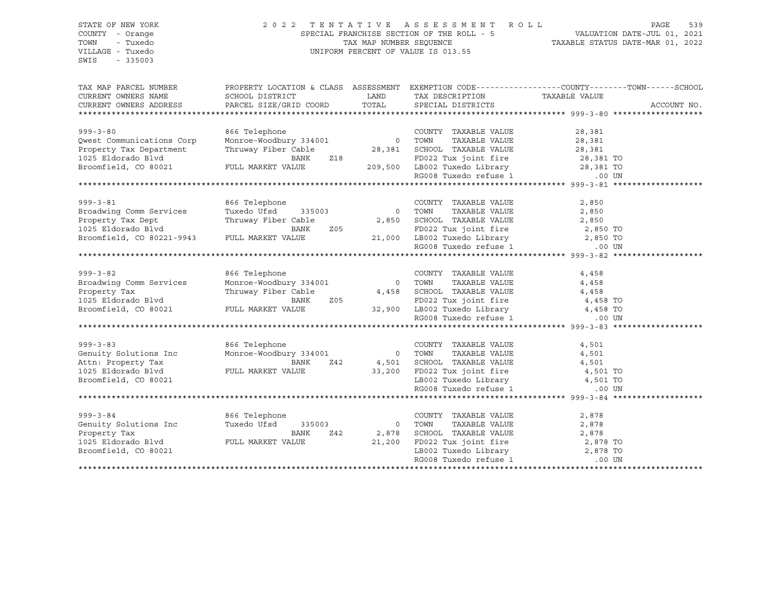## STATE OF NEW YORK 2 0 2 2 T E N T A T I V E A S S E S S M E N T R O L L PAGE 539 COUNTY - Orange SPECIAL FRANCHISE SECTION OF THE ROLL - 5 VALUATION DATE-JUL 01, 2021 TOWN - Tuxedo TAX MAP NUMBER SEQUENCE TAXABLE STATUS DATE-MAR 01, 2022 VILLAGE - Tuxedo UNIFORM PERCENT OF VALUE IS 013.55

| TAX MAP PARCEL NUMBER<br>CURRENT OWNERS NAME<br>CURRENT OWNERS ADDRESS PARCEL SIZE/GRID COORD TOTAL | PROPERTY LOCATION & CLASS ASSESSMENT EXEMPTION CODE---------------COUNTY-------TOWN------SCHOOL<br>SCHOOL DISTRICT | <b>Example 12 The LAND</b> | TAX DESCRIPTION TAXABLE VALUE<br>SPECIAL DISTRICTS                                                      |          | ACCOUNT NO. |
|-----------------------------------------------------------------------------------------------------|--------------------------------------------------------------------------------------------------------------------|----------------------------|---------------------------------------------------------------------------------------------------------|----------|-------------|
|                                                                                                     |                                                                                                                    |                            |                                                                                                         |          |             |
|                                                                                                     |                                                                                                                    |                            |                                                                                                         |          |             |
| $999 - 3 - 80$                                                                                      |                                                                                                                    |                            | COUNTY TAXABLE VALUE                                                                                    | 28,381   |             |
| Qwest Communications Corp                                                                           |                                                                                                                    |                            | TAXABLE VALUE                                                                                           | 28,381   |             |
| Property Tax Department                                                                             | Thruway Fiber Cable                                                                                                |                            | 28,381 SCHOOL TAXABLE VALUE 28,381                                                                      |          |             |
|                                                                                                     |                                                                                                                    |                            |                                                                                                         |          |             |
|                                                                                                     |                                                                                                                    |                            |                                                                                                         |          |             |
|                                                                                                     |                                                                                                                    |                            |                                                                                                         |          |             |
|                                                                                                     |                                                                                                                    |                            |                                                                                                         |          |             |
|                                                                                                     |                                                                                                                    |                            |                                                                                                         |          |             |
| $999 - 3 - 81$                                                                                      | 866 Telephone                                                                                                      |                            | COUNTY TAXABLE VALUE                                                                                    | 2,850    |             |
| Broadwing Comm Services                                                                             | Tuxedo Ufsd 335003 0                                                                                               |                            | TAXABLE VALUE<br>TOWN                                                                                   | 2,850    |             |
| Property Tax Dept                                                                                   | Thruway Fiber Cable                                                                                                |                            | 2,850 SCHOOL TAXABLE VALUE 205 2,850 FD022 Tux joint fire 2,850 TO                                      |          |             |
| Broomfield, CO 80221-9943 FULL MARKET VALUE                                                         | BANK                                                                                                               |                            | $205$<br>21,000 LB002 Tuxedo Library 2,850 TO                                                           |          |             |
|                                                                                                     |                                                                                                                    |                            | RG008 Tuxedo refuse 1                                                                                   |          |             |
|                                                                                                     |                                                                                                                    |                            |                                                                                                         | .00 UN   |             |
|                                                                                                     |                                                                                                                    |                            |                                                                                                         |          |             |
| $999 - 3 - 82$                                                                                      | 866 Telephone                                                                                                      |                            | COUNTY TAXABLE VALUE                                                                                    | 4,458    |             |
| Broadwing Comm Services                                                                             | Monroe-Woodbury 334001 0 TOWN                                                                                      |                            | TAXABLE VALUE                                                                                           | 4,458    |             |
| Property Tax                                                                                        | Thruway Fiber Cable 4,458 SCHOOL TAXABLE VALUE 4,458                                                               |                            |                                                                                                         |          |             |
| 1025 Eldorado Blvd                                                                                  | BANK<br>Z05                                                                                                        |                            |                                                                                                         |          |             |
| 1025 EIGOTAGO BIVO<br>Broomfield, CO 80021 FULL MARKET VALUE 32,900 LB002 Tuxedo Library            |                                                                                                                    |                            | FD022 Tux joint fire 50 and 4,458 TO<br>LB002 Tuxedo Library 50 and 4,458 TO                            |          |             |
|                                                                                                     |                                                                                                                    |                            | RG008 Tuxedo refuse 1 (00 UN                                                                            |          |             |
|                                                                                                     |                                                                                                                    |                            |                                                                                                         |          |             |
|                                                                                                     |                                                                                                                    |                            |                                                                                                         |          |             |
| $999 - 3 - 83$                                                                                      | 866 Telephone                                                                                                      |                            | COUNTY TAXABLE VALUE                                                                                    | 4,501    |             |
| Genuity Solutions Inc                                                                               | Monroe-Woodbury 334001 0 TOWN                                                                                      |                            | TAXABLE VALUE                                                                                           | 4,501    |             |
| Attn: Property Tax<br>1025 Eldorado Blvd                                                            | BANK                                                                                                               |                            | Z42   4,501   SCHOOL TAXABLE VALUE   4,501   4,501   70<br>33,200   FD022   Tux joint fire   4,501   TO |          |             |
|                                                                                                     | FULL MARKET VALUE                                                                                                  |                            |                                                                                                         |          |             |
| Broomfield, CO 80021                                                                                |                                                                                                                    |                            | LB002 Tuxedo Library 1,501 TO                                                                           |          |             |
|                                                                                                     |                                                                                                                    |                            | RG008 Tuxedo refuse 1                                                                                   | .00 UN   |             |
|                                                                                                     |                                                                                                                    |                            |                                                                                                         |          |             |
| $999 - 3 - 84$                                                                                      | 866 Telephone                                                                                                      |                            | COUNTY TAXABLE VALUE                                                                                    | 2,878    |             |
| Genuity Solutions Inc                                                                               | Tuxedo Ufsd 335003                                                                                                 |                            | 0 TOWN<br>TAXABLE VALUE                                                                                 | 2,878    |             |
| Property Tax                                                                                        | BANK<br>Z42                                                                                                        | 2,878                      | SCHOOL TAXABLE VALUE 2,878                                                                              |          |             |
| 1025 Eldorado Blvd       FULL MARKET VALUE                                                          |                                                                                                                    | 21,200                     | FD022 Tux joint fire 2,878 TO                                                                           |          |             |
| Broomfield, CO 80021                                                                                |                                                                                                                    |                            | LB002 Tuxedo Library<br>DC000 Tuxedo refuse 1                                                           | 2,878 TO |             |
|                                                                                                     |                                                                                                                    |                            |                                                                                                         | $.00$ UN |             |
|                                                                                                     |                                                                                                                    |                            |                                                                                                         |          |             |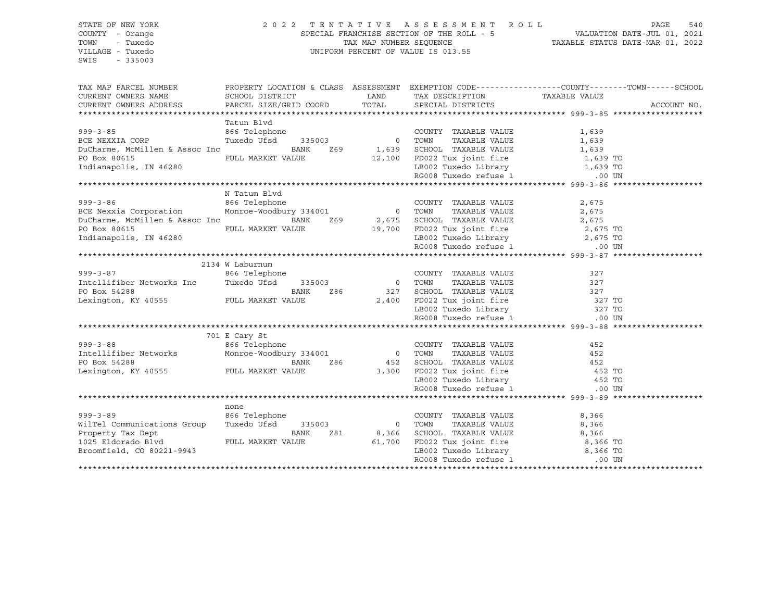## STATE OF NEW YORK 2 0 2 2 T E N T A T I V E A S S E S S M E N T R O L L PAGE 540 COUNTY - Orange SPECIAL FRANCHISE SECTION OF THE ROLL - 5 VALUATION DATE-JUL 01, 2021 TOWN - Tuxedo TAX MAP NUMBER SEQUENCE TAXABLE STATUS DATE-MAR 01, 2022 VILLAGE - Tuxedo UNIFORM PERCENT OF VALUE IS 013.55

| TAX MAP PARCEL NUMBER                 | PROPERTY LOCATION & CLASS ASSESSMENT EXEMPTION CODE----------------COUNTY-------TOWN------SCHOOL |                |                                              |          |             |
|---------------------------------------|--------------------------------------------------------------------------------------------------|----------------|----------------------------------------------|----------|-------------|
| CURRENT OWNERS NAME                   | SCHOOL DISTRICT                                                                                  | LAND           | TAX DESCRIPTION TAXABLE VALUE                |          |             |
| CURRENT OWNERS ADDRESS                | PARCEL SIZE/GRID COORD                                                                           | TOTAL          | SPECIAL DISTRICTS                            |          | ACCOUNT NO. |
|                                       |                                                                                                  |                |                                              |          |             |
|                                       | Tatun Blvd                                                                                       |                |                                              |          |             |
| $999 - 3 - 85$                        | 866 Telephone                                                                                    |                | COUNTY TAXABLE VALUE                         | 1,639    |             |
| BCE NEXXIA CORP                       | Tuxedo Ufsd<br>335003                                                                            | $\overline{0}$ | TAXABLE VALUE<br>TOWN                        | 1,639    |             |
| DuCharme, McMillen & Assoc Inc        | BANK<br>Z69                                                                                      | 1,639          | SCHOOL TAXABLE VALUE                         | 1,639    |             |
| PO Box 80615                          | FULL MARKET VALUE                                                                                | 12,100         | FD022 Tux joint fire 1,639 TO                |          |             |
| Indianapolis, IN 46280                |                                                                                                  |                | LB002 Tuxedo Library                         | 1,639 TO |             |
|                                       |                                                                                                  |                | RG008 Tuxedo refuse 1                        | .00 UN   |             |
|                                       |                                                                                                  |                |                                              |          |             |
|                                       | N Tatum Blvd                                                                                     |                |                                              |          |             |
| $999 - 3 - 86$                        | 866 Telephone                                                                                    |                | COUNTY TAXABLE VALUE                         | 2,675    |             |
| BCE Nexxia Corporation                | Monroe-Woodbury 334001                                                                           | $\overline{0}$ | TOWN<br>TAXABLE VALUE                        | 2,675    |             |
| DuCharme, McMillen & Assoc Inc        | BANK<br>Z69                                                                                      | 2,675          | SCHOOL TAXABLE VALUE                         | 2,675    |             |
| PO Box 80615                          | FULL MARKET VALUE                                                                                | 19,700         | FD022 Tux joint fire                         | 2,675 TO |             |
| Indianapolis, IN 46280                |                                                                                                  |                | LB002 Tuxedo Library 2,675 TO                |          |             |
|                                       |                                                                                                  |                | RG008 Tuxedo refuse 1                        | .00 UN   |             |
|                                       |                                                                                                  |                |                                              |          |             |
|                                       | 2134 W Laburnum                                                                                  |                |                                              |          |             |
| $999 - 3 - 87$                        | 866 Telephone                                                                                    |                | COUNTY TAXABLE VALUE                         | 327      |             |
| Intellifiber Networks Inc             | Tuxedo Ufsd<br>335003                                                                            | 0              | TAXABLE VALUE<br>TOWN                        | 327      |             |
| PO Box 54288                          | BANK<br>Z86                                                                                      | 327            | SCHOOL TAXABLE VALUE                         | 327      |             |
| Lexington, KY 40555 FULL MARKET VALUE |                                                                                                  | 2,400          | FD022 Tux joint fire                         | 327 TO   |             |
|                                       |                                                                                                  |                | LB002 Tuxedo Library                         | 327 TO   |             |
|                                       |                                                                                                  |                | RG008 Tuxedo refuse 1                        | .00 UN   |             |
|                                       |                                                                                                  |                |                                              |          |             |
|                                       | 701 E Cary St                                                                                    |                |                                              |          |             |
| $999 - 3 - 88$                        | 866 Telephone                                                                                    |                | COUNTY TAXABLE VALUE                         | 452      |             |
| Intellifiber Networks                 | Monroe-Woodbury 334001                                                                           | $\circ$        | TAXABLE VALUE<br>TOWN                        | 452      |             |
| PO Box 54288                          | BANK<br>Z86                                                                                      | 452            |                                              | 452      |             |
| Lexington, KY 40555 FULL MARKET VALUE |                                                                                                  | 3,300          | SCHOOL TAXABLE VALUE<br>FD022 Tux joint fire | 452 TO   |             |
|                                       |                                                                                                  |                | LB002 Tuxedo Library                         | 452 TO   |             |
|                                       |                                                                                                  |                | RG008 Tuxedo refuse 1                        | .00 UN   |             |
|                                       |                                                                                                  |                |                                              |          |             |
|                                       | none                                                                                             |                |                                              |          |             |
| $999 - 3 - 89$                        | 866 Telephone                                                                                    |                | COUNTY TAXABLE VALUE                         | 8,366    |             |
| WilTel Communications Group           | Tuxedo Ufsd<br>335003                                                                            | $\Omega$       | TAXABLE VALUE<br>TOWN                        | 8,366    |             |
| Property Tax Dept                     | BANK<br>Z81                                                                                      | 8,366          | SCHOOL TAXABLE VALUE                         | 8,366    |             |
| 1025 Eldorado Blvd                    | FULL MARKET VALUE                                                                                | 61,700         | FD022 Tux joint fire                         | 8,366 TO |             |
| Broomfield, CO 80221-9943             |                                                                                                  |                | LB002 Tuxedo Library                         | 8,366 TO |             |
|                                       |                                                                                                  |                | RG008 Tuxedo refuse 1                        | $.00$ UN |             |
|                                       |                                                                                                  |                |                                              |          |             |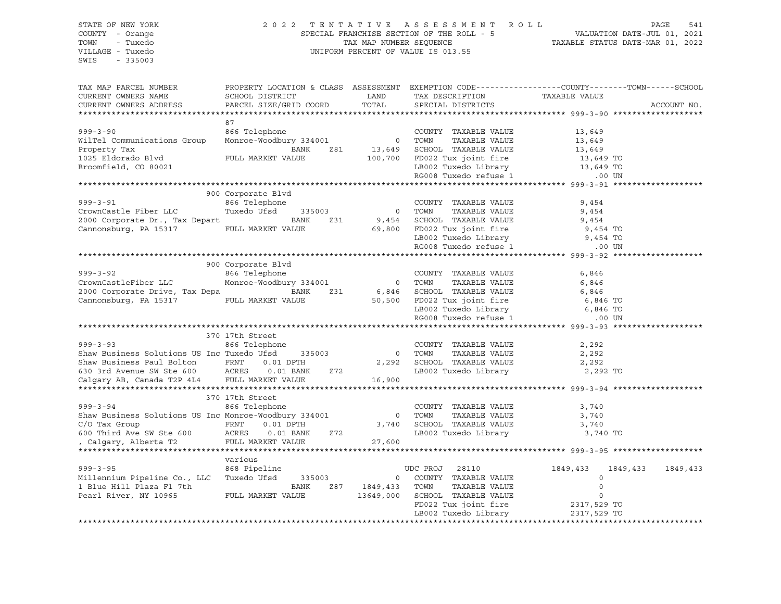# STATE OF NEW YORK 2 0 2 2 T E N T A T I V E A S S E S S M E N T R O L L PAGE 541 COUNTY - Orange SPECIAL FRANCHISE SECTION OF THE ROLL - 5 VALUATION DATE-JUL 01, 2021 TOWN - Tuxedo TAX MAP NUMBER SEQUENCE TAXABLE STATUS DATE-MAR 01, 2022 VILLAGE - Tuxedo UNIFORM PERCENT OF VALUE IS 013.55

| TAX MAP PARCEL NUMBER                                                                                                                 | PROPERTY LOCATION & CLASS ASSESSMENT EXEMPTION CODE----------------COUNTY-------TOWN-----SCHOOL |           |                                                                          |                     |                      |
|---------------------------------------------------------------------------------------------------------------------------------------|-------------------------------------------------------------------------------------------------|-----------|--------------------------------------------------------------------------|---------------------|----------------------|
| CURRENT OWNERS NAME                                                                                                                   | SCHOOL DISTRICT                                                                                 | LAND      | TAX DESCRIPTION TAXABLE VALUE                                            |                     |                      |
| CURRENT OWNERS ADDRESS                                                                                                                | PARCEL SIZE/GRID COORD                                                                          | TOTAL     | SPECIAL DISTRICTS                                                        |                     | ACCOUNT NO.          |
|                                                                                                                                       |                                                                                                 |           |                                                                          |                     |                      |
|                                                                                                                                       | 87                                                                                              |           |                                                                          |                     |                      |
| $999 - 3 - 90$                                                                                                                        | 866 Telephone                                                                                   |           | COUNTY TAXABLE VALUE                                                     | 13,649              |                      |
| WilTel Communications Group                                                                                                           | Monroe-Woodbury 334001                                                                          |           | 0 TOWN<br>TAXABLE VALUE                                                  | 13,649              |                      |
| Property Tax                                                                                                                          | BANK<br>Z81                                                                                     | 13,649    | SCHOOL TAXABLE VALUE                                                     |                     |                      |
| 1025 Eldorado Blvd                                                                                                                    | FULL MARKET VALUE                                                                               | 100,700   | FD022 Tux joint fire                                                     | 13,649<br>13,649 TO |                      |
| Broomfield, CO 80021                                                                                                                  |                                                                                                 |           |                                                                          |                     |                      |
|                                                                                                                                       |                                                                                                 |           | LB002 Tuxedo Library 13,649 TO<br>RG008 Tuxedo refuse 1 000 UN           |                     |                      |
|                                                                                                                                       |                                                                                                 |           |                                                                          |                     |                      |
|                                                                                                                                       | 900 Corporate Blvd                                                                              |           |                                                                          |                     |                      |
| $999 - 3 - 91$                                                                                                                        | 866 Telephone                                                                                   |           | COUNTY TAXABLE VALUE                                                     | 9,454               |                      |
| CrownCastle Fiber LLC                                                                                                                 | Tuxedo Ufsd<br>335003                                                                           |           | 0 TOWN<br>TAXABLE VALUE                                                  | 9,454               |                      |
| 2000 Corporate Dr., Tax Depart                                                                                                        | BANK<br>Z31                                                                                     |           |                                                                          |                     |                      |
|                                                                                                                                       | FULL MARKET VALUE                                                                               |           | 9,454 SCHOOL TAXABLE VALUE 9,454<br>69,800 FD022 Tux joint fire 9,454 TO |                     |                      |
| Cannonsburg, PA 15317                                                                                                                 |                                                                                                 |           |                                                                          |                     |                      |
|                                                                                                                                       |                                                                                                 |           | LB002 Tuxedo Library 9,454 TO<br>RG008 Tuxedo refuse 1 0.00 UN           |                     |                      |
|                                                                                                                                       |                                                                                                 |           |                                                                          |                     |                      |
|                                                                                                                                       |                                                                                                 |           |                                                                          |                     |                      |
|                                                                                                                                       | 900 Corporate Blvd                                                                              |           |                                                                          |                     |                      |
| $999 - 3 - 92$                                                                                                                        | 866 Telephone                                                                                   |           | COUNTY TAXABLE VALUE                                                     | 6,846               |                      |
| CrownCastleFiber LLC                                                                                                                  | Monroe-Woodbury 334001                                                                          | 0 TOWN    | TAXABLE VALUE                                                            | 6,846               |                      |
| 2000 Corporate Drive, Tax Depa                                                                                                        | $\begin{array}{c} 231 \\ 5 \end{array}$                                                         |           | BANK Z31 6,846 SCHOOL TAXABLE VALUE                                      | 6,846               |                      |
| Cannonsburg, PA 15317 FULL MARKET VALUE                                                                                               |                                                                                                 |           | $50,500$ FD022 Tux joint fire 6,846 TO                                   |                     |                      |
|                                                                                                                                       |                                                                                                 |           | LB002 Tuxedo Library<br>RG008 Tuxedo refuse 1                            | 6,846 TO            |                      |
|                                                                                                                                       |                                                                                                 |           |                                                                          | .00 UN              |                      |
|                                                                                                                                       |                                                                                                 |           |                                                                          |                     |                      |
|                                                                                                                                       | 370 17th Street                                                                                 |           |                                                                          |                     |                      |
| $999 - 3 - 93$                                                                                                                        | 866 Telephone                                                                                   |           | COUNTY TAXABLE VALUE                                                     | 2,292               |                      |
| Shaw Business Solutions US Inc Tuxedo Ufsd                                                                                            | 335003                                                                                          |           | 0 TOWN<br>TAXABLE VALUE                                                  | 2,292               |                      |
|                                                                                                                                       | $0.01$ $DPTH$                                                                                   |           | 2,292 SCHOOL TAXABLE VALUE                                               | 2,292               |                      |
| Shaw Business Paul Bolton FRNT 0.01 DPTH<br>630 3rd Avenue SW Ste 600 ACRES 0.01 BANK<br>Calgary AB, Canada T2P 4L4 FULL MARKET VALUE | $0.01$ BANK<br>Z72                                                                              |           | LB002 Tuxedo Library 2,292 TO                                            |                     |                      |
|                                                                                                                                       |                                                                                                 | 16,900    |                                                                          |                     |                      |
|                                                                                                                                       |                                                                                                 |           |                                                                          |                     |                      |
|                                                                                                                                       | 370 17th Street                                                                                 |           |                                                                          |                     |                      |
| $999 - 3 - 94$                                                                                                                        | 866 Telephone                                                                                   |           | COUNTY TAXABLE VALUE                                                     | 3,740               |                      |
| Shaw Business Solutions US Inc Monroe-Woodbury 334001                                                                                 |                                                                                                 |           | TAXABLE VALUE<br>0 TOWN                                                  | 3,740               |                      |
|                                                                                                                                       | $0.01$ $DPTH$                                                                                   |           |                                                                          |                     |                      |
| C/O Tax Group<br>600 Third Ave SW Ste 600 ACRES                                                                                       | $0.01$ BANK<br>Z72                                                                              |           |                                                                          |                     |                      |
|                                                                                                                                       |                                                                                                 |           |                                                                          |                     |                      |
| , Calgary, Alberta T2                                                                                                                 | FULL MARKET VALUE                                                                               | 27,600    |                                                                          |                     |                      |
|                                                                                                                                       |                                                                                                 |           |                                                                          |                     |                      |
|                                                                                                                                       | various                                                                                         |           |                                                                          |                     |                      |
| $999 - 3 - 95$                                                                                                                        | 868 Pipeline                                                                                    |           | UDC PROJ 28110                                                           | 1849,433            | 1849,433<br>1849,433 |
| Millennium Pipeline Co., LLC Tuxedo Ufsd 335003                                                                                       |                                                                                                 |           | 0 COUNTY TAXABLE VALUE                                                   | $\mathbf 0$         |                      |
| 1 Blue Hill Plaza Fl 7th                                                                                                              | BANK<br>Z87                                                                                     | 1849,433  | TAXABLE VALUE<br>TOWN                                                    | $\mathbf 0$         |                      |
| Pearl River, NY 10965 FULL MARKET VALUE                                                                                               |                                                                                                 | 13649,000 | SCHOOL TAXABLE VALUE                                                     | $\circ$             |                      |
|                                                                                                                                       |                                                                                                 |           | FD022 Tux joint fire 2317,529 TO                                         |                     |                      |
|                                                                                                                                       |                                                                                                 |           |                                                                          | 2317,529 TO         |                      |
|                                                                                                                                       |                                                                                                 |           |                                                                          |                     |                      |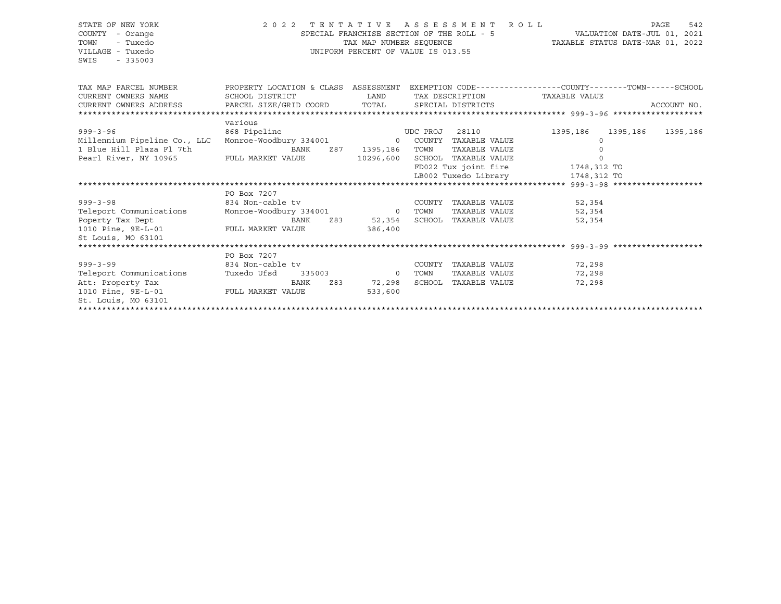# STATE OF NEW YORK 2 0 2 2 T E N T A T I V E A S S E S S M E N T R O L L PAGE 542 COUNTY - Orange SPECIAL FRANCHISE SECTION OF THE ROLL - 5 VALUATION DATE-JUL 01, 2021 TOWN - Tuxedo TAX MAP NUMBER SEQUENCE TAXABLE STATUS DATE-MAR 01, 2022 VILLAGE - Tuxedo UNIFORM PERCENT OF VALUE IS 013.55

| TAX MAP PARCEL NUMBER                                                             | PROPERTY LOCATION & CLASS ASSESSMENT           |                 |          |                      |                                  | EXEMPTION CODE-----------------COUNTY-------TOWN------SCHOOL |
|-----------------------------------------------------------------------------------|------------------------------------------------|-----------------|----------|----------------------|----------------------------------|--------------------------------------------------------------|
| CURRENT OWNERS NAME                                                               | SCHOOL DISTRICT                                | <b>LAND</b>     |          |                      | TAX DESCRIPTION TAXABLE VALUE    |                                                              |
| CURRENT OWNERS ADDRESS     PARCEL SIZE/GRID COORD     TOTAL     SPECIAL DISTRICTS |                                                |                 |          |                      |                                  | ACCOUNT NO.                                                  |
|                                                                                   |                                                |                 |          |                      |                                  |                                                              |
|                                                                                   | various                                        |                 |          |                      |                                  |                                                              |
| $999 - 3 - 96$                                                                    | 868 Pipeline                                   |                 | UDC PROJ | 28110                | 1395,186 1395,186                | 1395,186                                                     |
| Millennium Pipeline Co., LLC                                                      | Monroe-Woodbury 334001 60 COUNTY TAXABLE VALUE |                 |          |                      | $\Omega$                         |                                                              |
| 1 Blue Hill Plaza Fl 7th                                                          | BANK                                           | Z87 1395,186    | TOWN     | TAXABLE VALUE        |                                  |                                                              |
| Pearl River, NY 10965 FULL MARKET VALUE                                           |                                                | 10296,600       |          | SCHOOL TAXABLE VALUE | $\Omega$                         |                                                              |
|                                                                                   |                                                |                 |          |                      | FD022 Tux joint fire 1748,312 TO |                                                              |
|                                                                                   |                                                |                 |          |                      | LB002 Tuxedo Library 1748,312 TO |                                                              |
|                                                                                   |                                                |                 |          |                      |                                  |                                                              |
|                                                                                   | PO Box 7207                                    |                 |          |                      |                                  |                                                              |
| $999 - 3 - 98$                                                                    | 834 Non-cable tv                               |                 | COUNTY   | TAXABLE VALUE        | 52,354                           |                                                              |
| Teleport Communications                                                           | Monroe-Woodbury 334001 0 TOWN                  |                 |          |                      | TAXABLE VALUE 52,354             |                                                              |
| Poperty Tax Dept                                                                  |                                                | BANK Z83 52,354 |          | SCHOOL TAXABLE VALUE | 52,354                           |                                                              |
| 1010 Pine, 9E-L-01 FULL MARKET VALUE                                              |                                                | 386,400         |          |                      |                                  |                                                              |
| St Louis, MO 63101                                                                |                                                |                 |          |                      |                                  |                                                              |
|                                                                                   |                                                |                 |          |                      |                                  |                                                              |
|                                                                                   | PO Box 7207                                    |                 |          |                      |                                  |                                                              |
| $999 - 3 - 99$                                                                    | 834 Non-cable tv                               |                 | COUNTY   |                      | TAXABLE VALUE 72,298             |                                                              |
| Teleport Communications                                                           | Tuxedo Ufsd 335003 0                           |                 | TOWN     | TAXABLE VALUE        | 72,298                           |                                                              |
| Att: Property Tax                                                                 | BANK                                           | 72,298          |          | SCHOOL TAXABLE VALUE | 72,298                           |                                                              |
| 1010 Pine, 9E-L-01 FULL MARKET VALUE                                              |                                                | 533,600         |          |                      |                                  |                                                              |
| St. Louis, MO 63101                                                               |                                                |                 |          |                      |                                  |                                                              |
|                                                                                   |                                                |                 |          |                      |                                  |                                                              |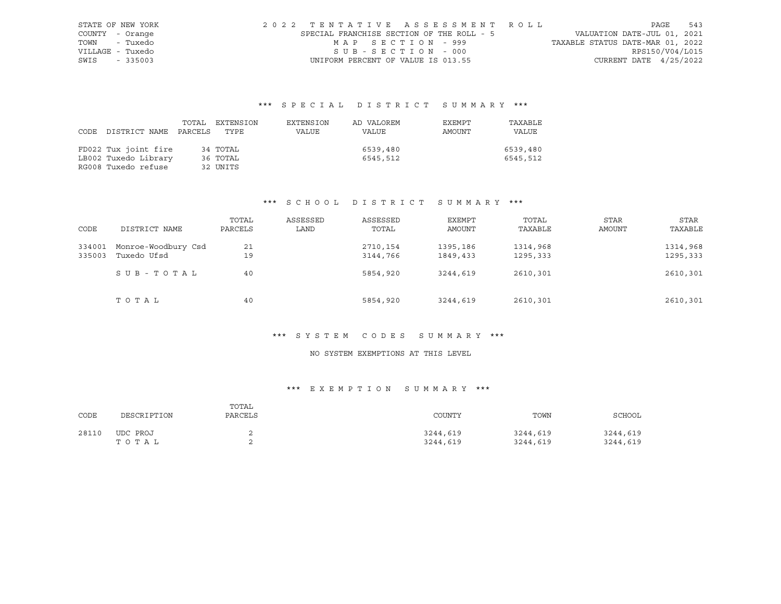|               | STATE OF NEW YORK | 2022 TENTATIVE ASSESSMENT ROLL            |                   |  |  |                                  |                          | PAGE | 543 |
|---------------|-------------------|-------------------------------------------|-------------------|--|--|----------------------------------|--------------------------|------|-----|
|               | COUNTY - Orange   | SPECIAL FRANCHISE SECTION OF THE ROLL - 5 |                   |  |  | VALUATION DATE-JUL 01, 2021      |                          |      |     |
|               | TOWN - Tuxedo     |                                           | MAP SECTION - 999 |  |  | TAXABLE STATUS DATE-MAR 01, 2022 |                          |      |     |
|               | VILLAGE - Tuxedo  |                                           | SUB-SECTION - 000 |  |  |                                  | RPS150/V04/L015          |      |     |
| SWIS - 335003 |                   | UNIFORM PERCENT OF VALUE IS 013.55        |                   |  |  |                                  | CURRENT DATE $4/25/2022$ |      |     |

|      |                       | TOTAL | EXTENSION | EXTENSION | AD VALOREM | EXEMPT | TAXABLE  |
|------|-----------------------|-------|-----------|-----------|------------|--------|----------|
| CODE | DISTRICT NAME PARCELS |       | TYPE      | VALUE     | VALUE      | AMOUNT | VALUE    |
|      |                       |       |           |           |            |        |          |
|      | FD022 Tux joint fire  |       | 34 TOTAL  |           | 6539,480   |        | 6539,480 |
|      | LB002 Tuxedo Library  |       | 36 TOTAL  |           | 6545,512   |        | 6545,512 |
|      | RG008 Tuxedo refuse   |       | 32 UNITS  |           |            |        |          |

# \*\*\* S C H O O L D I S T R I C T S U M M A R Y \*\*\*

| CODE             | DISTRICT NAME                      | TOTAL<br>PARCELS | ASSESSED<br>LAND | ASSESSED<br>TOTAL    | EXEMPT<br>AMOUNT     | TOTAL<br>TAXABLE     | <b>STAR</b><br>AMOUNT | STAR<br>TAXABLE      |
|------------------|------------------------------------|------------------|------------------|----------------------|----------------------|----------------------|-----------------------|----------------------|
| 334001<br>335003 | Monroe-Woodbury Csd<br>Tuxedo Ufsd | 21<br>19         |                  | 2710,154<br>3144,766 | 1395,186<br>1849,433 | 1314,968<br>1295,333 |                       | 1314,968<br>1295,333 |
|                  | SUB - TOTAL                        | 40               |                  | 5854,920             | 3244,619             | 2610,301             |                       | 2610,301             |
|                  | TOTAL                              | 40               |                  | 5854,920             | 3244,619             | 2610,301             |                       | 2610,301             |

#### \*\*\* S Y S T E M C O D E S S U M M A R Y \*\*\*

# NO SYSTEM EXEMPTIONS AT THIS LEVEL

# \*\*\* E X E M P T I O N S U M M A R Y \*\*\*

| CODE  | DESCRIPTION       | TOTAL<br>PARCELS | COUNTY               | TOWN                 | SCHOOL               |
|-------|-------------------|------------------|----------------------|----------------------|----------------------|
| 28110 | UDC PROJ<br>TOTAL |                  | 3244,619<br>3244,619 | 3244,619<br>3244,619 | 3244,619<br>3244,619 |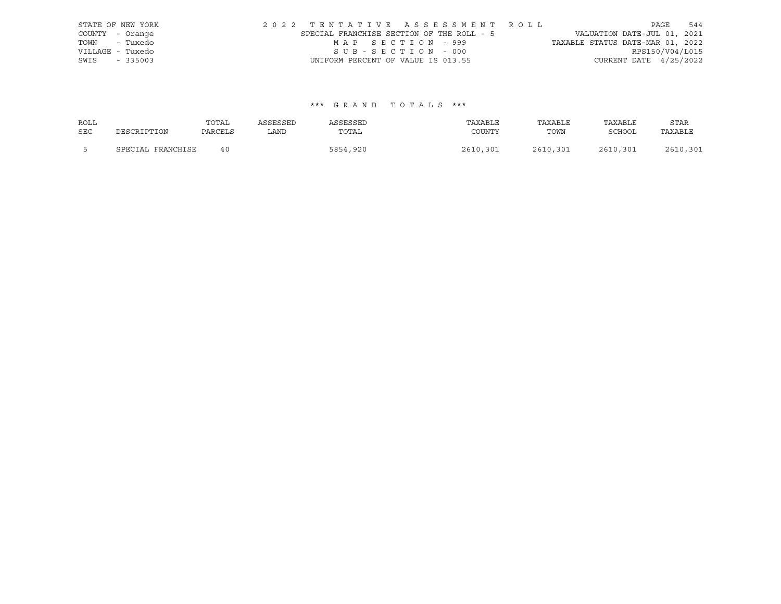|      | STATE OF NEW YORK |  |  |  |                                           |  |  |  | 2022 TENTATIVE ASSESSMENT ROLL |                                  | PAGE | 544             |
|------|-------------------|--|--|--|-------------------------------------------|--|--|--|--------------------------------|----------------------------------|------|-----------------|
|      | COUNTY - Orange   |  |  |  | SPECIAL FRANCHISE SECTION OF THE ROLL - 5 |  |  |  |                                | VALUATION DATE-JUL 01, 2021      |      |                 |
|      | TOWN - Tuxedo     |  |  |  | MAP SECTION - 999                         |  |  |  |                                | TAXABLE STATUS DATE-MAR 01, 2022 |      |                 |
|      | VILLAGE - Tuxedo  |  |  |  | SUB-SECTION - 000                         |  |  |  |                                |                                  |      | RPS150/V04/L015 |
| SWIS | $-335003$         |  |  |  | UNIFORM PERCENT OF VALUE IS 013.55        |  |  |  |                                | CURRENT DATE $4/25/2022$         |      |                 |

| ROLL       |                   | TOTAL   | ASSESSED | ASSESSED | TAXABLE  | TAXABLE  | TAXABLE  | <b>STAR</b> |
|------------|-------------------|---------|----------|----------|----------|----------|----------|-------------|
| <b>SEC</b> | DESCRIPTION       | PARCELS | LAND     | TOTAL    | COUNTY   | TOWN     | SCHOOL   | TAXABLE     |
|            | SPECIAL FRANCHISE | 40      |          | 5854,920 | 2610,301 | 2610,301 | 2610,301 | 2610,301    |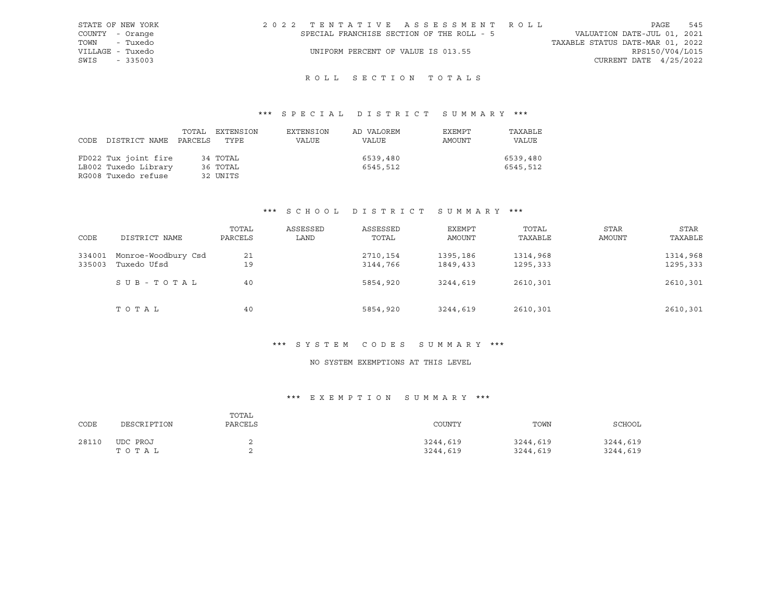| STATE OF NEW YORK | 2022 TENTATIVE ASSESSMENT ROLL            | 545<br>PAGE                      |
|-------------------|-------------------------------------------|----------------------------------|
| COUNTY - Orange   | SPECIAL FRANCHISE SECTION OF THE ROLL - 5 | VALUATION DATE-JUL 01, 2021      |
| TOWN - Tuxedo     |                                           | TAXABLE STATUS DATE-MAR 01, 2022 |
| VILLAGE - Tuxedo  | UNIFORM PERCENT OF VALUE IS 013.55        | RPS150/V04/L015                  |
| SWIS<br>$-335003$ |                                           | CURRENT DATE $4/25/2022$         |
|                   |                                           |                                  |

# ROLL SECTION TOTALS

# \*\*\* S P E C I A L D I S T R I C T S U M M A R Y \*\*\*

| CODE | DISTRICT NAME PARCELS TYPE | TOTAL | EXTENSION | EXTENSION<br>VALUE | AD VALOREM<br>VALUE | EXEMPT<br>AMOUNT | TAXABLE<br><b>VALUE</b> |
|------|----------------------------|-------|-----------|--------------------|---------------------|------------------|-------------------------|
|      |                            |       |           |                    |                     |                  |                         |
|      | FD022 Tux joint fire       |       | 34 TOTAL  |                    | 6539,480            |                  | 6539,480                |
|      | LB002 Tuxedo Library       |       | 36 TOTAL  |                    | 6545,512            |                  | 6545,512                |
|      | RG008 Tuxedo refuse        |       | 32 UNITS  |                    |                     |                  |                         |

#### \*\*\* S C H O O L D I S T R I C T S U M M A R Y \*\*\*

| CODE   | DISTRICT NAME       | TOTAL<br>PARCELS | ASSESSED<br>LAND | ASSESSED<br>TOTAL | EXEMPT<br>AMOUNT | TOTAL<br>TAXABLE | <b>STAR</b><br>AMOUNT | STAR<br>TAXABLE |
|--------|---------------------|------------------|------------------|-------------------|------------------|------------------|-----------------------|-----------------|
|        |                     |                  |                  |                   |                  |                  |                       |                 |
| 334001 | Monroe-Woodbury Csd | 21               |                  | 2710,154          | 1395,186         | 1314,968         |                       | 1314,968        |
| 335003 | Tuxedo Ufsd         | 19               |                  | 3144,766          | 1849,433         | 1295,333         |                       | 1295,333        |
|        | SUB-TOTAL           | 40               |                  | 5854,920          | 3244,619         | 2610,301         |                       | 2610,301        |
|        | ТОТАЬ               | 40               |                  | 5854,920          | 3244,619         | 2610,301         |                       | 2610,301        |

#### \*\*\* S Y S T E M C O D E S S U M M A R Y \*\*\*

#### NO SYSTEM EXEMPTIONS AT THIS LEVEL

# \*\*\* E X E M P T I O N S U M M A R Y \*\*\*

| CODE  | DESCRIPTION       | TOTAL<br>PARCELS | COUNTY               | TOWN                 | SCHOOL               |
|-------|-------------------|------------------|----------------------|----------------------|----------------------|
| 28110 | UDC PROJ<br>тотаь |                  | 3244,619<br>3244,619 | 3244,619<br>3244,619 | 3244,619<br>3244,619 |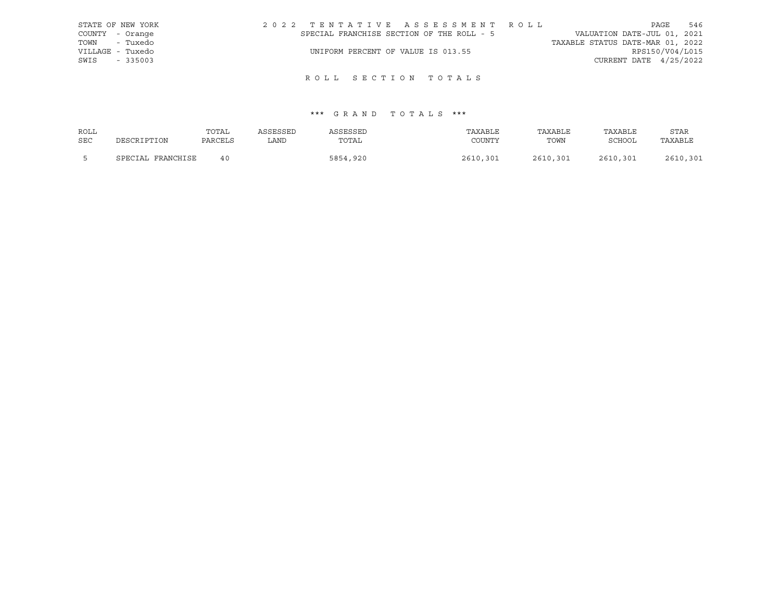|      | STATE OF NEW YORK |                                           |                                    |  |  |  | 2022 TENTATIVE ASSESSMENT ROLL |                                  | PAGE | 546             |
|------|-------------------|-------------------------------------------|------------------------------------|--|--|--|--------------------------------|----------------------------------|------|-----------------|
|      | COUNTY - Orange   | SPECIAL FRANCHISE SECTION OF THE ROLL - 5 |                                    |  |  |  |                                | VALUATION DATE-JUL 01, 2021      |      |                 |
|      | TOWN - Tuxedo     |                                           |                                    |  |  |  |                                | TAXABLE STATUS DATE-MAR 01, 2022 |      |                 |
|      | VILLAGE - Tuxedo  |                                           | UNIFORM PERCENT OF VALUE IS 013.55 |  |  |  |                                |                                  |      | RPS150/V04/L015 |
| SWIS | $-335003$         |                                           |                                    |  |  |  |                                | CURRENT DATE $4/25/2022$         |      |                 |
|      |                   |                                           |                                    |  |  |  |                                |                                  |      |                 |

# ROLL SECTION TOTALS

| ROLL |                   | TOTAL   | ASSESSED | ASSESSED | TAXABLE  | TAXABLE  | TAXABLE  | <b>STAR</b> |
|------|-------------------|---------|----------|----------|----------|----------|----------|-------------|
| SEC  | DESCRIPTION       | PARCELS | LAND     | TOTAL    | COUNTY   | TOWN     | SCHOOL   | TAXABLE     |
|      | SPECIAL FRANCHISE | 40      |          | 5854,920 | 2610,301 | 2610,301 | 2610,301 | 2610,301    |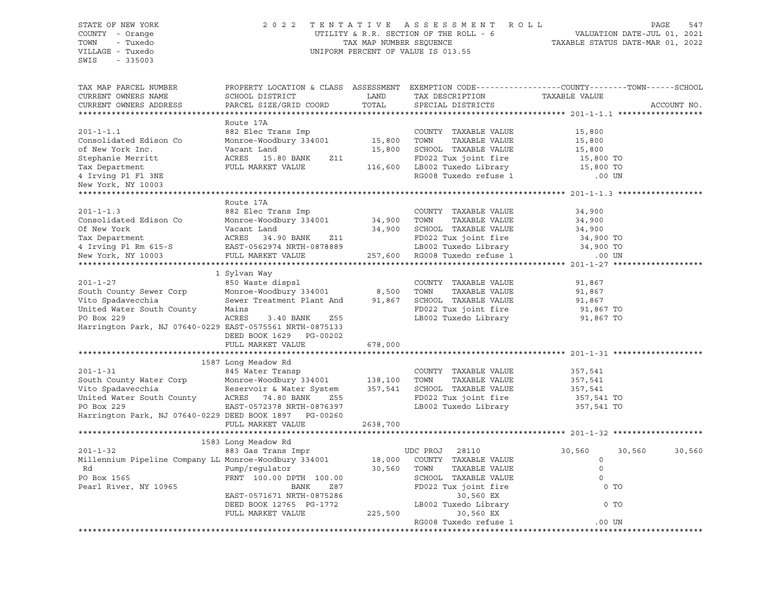# STATE OF NEW YORK 2 0 2 2 T E N T A T I V E A S S E S S M E N T R O L L PAGE 547 COUNTY - Orange UTILITY & R.R. SECTION OF THE ROLL - 6 VALUATION DATE-JUL 01, 2021 TOWN - Tuxedo TAX MAP NUMBER SEQUENCE TAXABLE STATUS DATE-MAR 01, 2022 VILLAGE - Tuxedo UNIFORM PERCENT OF VALUE IS 013.55

| TAX MAP PARCEL NUMBER<br>CURRENT OWNERS NAME                                        | PROPERTY LOCATION & CLASS ASSESSMENT EXEMPTION CODE----------------COUNTY-------TOWN------SCHOOL<br>SCHOOL DISTRICT | LAND     | TAX DESCRIPTION                                       | TAXABLE VALUE |                  |
|-------------------------------------------------------------------------------------|---------------------------------------------------------------------------------------------------------------------|----------|-------------------------------------------------------|---------------|------------------|
| CURRENT OWNERS ADDRESS                                                              | PARCEL SIZE/GRID COORD                                                                                              | TOTAL    | SPECIAL DISTRICTS                                     |               | ACCOUNT NO.      |
|                                                                                     |                                                                                                                     |          |                                                       |               |                  |
|                                                                                     | Route 17A                                                                                                           |          |                                                       |               |                  |
| $201 - 1 - 1.1$                                                                     | 882 Elec Trans Imp                                                                                                  |          | COUNTY TAXABLE VALUE                                  | 15,800        |                  |
| Consolidated Edison Co                                                              | Monroe-Woodbury 334001                                                                                              | 15,800   | TOWN<br>TAXABLE VALUE                                 | 15,800        |                  |
| of New York Inc.                                                                    | Vacant Land                                                                                                         | 15,800   | SCHOOL TAXABLE VALUE                                  | 15,800        |                  |
| Stephanie Merritt                                                                   | ACRES 15.80 BANK<br>Z11                                                                                             |          | FD022 Tux joint fire                                  | 15,800 TO     |                  |
| Tax Department                                                                      | FULL MARKET VALUE                                                                                                   |          | 116,600 LB002 Tuxedo Library                          | 15,800 TO     |                  |
| 4 Irving Pl Fl 3NE                                                                  |                                                                                                                     |          | RG008 Tuxedo refuse 1                                 | .00 UN        |                  |
| New York, NY 10003                                                                  |                                                                                                                     |          |                                                       |               |                  |
|                                                                                     |                                                                                                                     |          |                                                       |               |                  |
|                                                                                     | Route 17A                                                                                                           |          |                                                       |               |                  |
| $201 - 1 - 1.3$                                                                     | 882 Elec Trans Imp                                                                                                  |          | COUNTY TAXABLE VALUE                                  | 34,900        |                  |
| Consolidated Edison Co                                                              | 882 Elec Trans Imp<br>Monroe-Woodbury 334001            34,900                                                      |          | TAXABLE VALUE<br>TOWN                                 | 34,900        |                  |
| Of New York                                                                         | Vacant Land                                                                                                         |          | 34,900 SCHOOL TAXABLE VALUE                           | 34,900        |                  |
| Tax Department                                                                      |                                                                                                                     |          | FD022 Tux joint fire                                  | 34,900 TO     |                  |
|                                                                                     | ACRES 34.30 محمد محمد محمد المسلم<br>EAST-0562974 NRTH-0878889                                                      |          |                                                       | 34,900 TO     |                  |
|                                                                                     |                                                                                                                     |          | LB002 Tuxedo Library<br>257,600 RG008 Tuxedo refuse 1 | .00 UN        |                  |
|                                                                                     |                                                                                                                     |          |                                                       |               |                  |
|                                                                                     | 1 Sylvan Way                                                                                                        |          |                                                       |               |                  |
| $201 - 1 - 27$                                                                      | 850 Waste dispsl                                                                                                    |          | COUNTY TAXABLE VALUE                                  | 91,867        |                  |
| South County Sewer Corp                                                             |                                                                                                                     |          | TAXABLE VALUE<br>TOWN                                 | 91,867        |                  |
| Vito Spadavecchia                                                                   | Monroe-Woodbury 334001 8,500<br>Sewer Treatment Plant And 91,867                                                    |          | SCHOOL TAXABLE VALUE                                  | 91,867        |                  |
| United Water South County                                                           | Mains                                                                                                               |          | FD022 Tux joint fire                                  | 91,867 TO     |                  |
| PO Box 229                                                                          | ACRES<br>3.40 BANK<br>Z55                                                                                           |          | LB002 Tuxedo Library                                  | 91,867 TO     |                  |
| Harrington Park, NJ 07640-0229 EAST-0575561 NRTH-0875133                            |                                                                                                                     |          |                                                       |               |                  |
|                                                                                     | DEED BOOK 1629 PG-00202                                                                                             |          |                                                       |               |                  |
|                                                                                     | FULL MARKET VALUE                                                                                                   | 678,000  |                                                       |               |                  |
|                                                                                     |                                                                                                                     |          |                                                       |               |                  |
|                                                                                     | 1587 Long Meadow Rd                                                                                                 |          |                                                       |               |                  |
| $201 - 1 - 31$                                                                      |                                                                                                                     |          | COUNTY TAXABLE VALUE                                  | 357,541       |                  |
| South County Water Corp                                                             | 845 Water Transp<br>Monroe-Woodbury 334001          138,100                                                         |          | TOWN<br>TAXABLE VALUE                                 | 357,541       |                  |
|                                                                                     | Reservoir & Water System 357,541 SCHOOL TAXABLE VALUE                                                               |          |                                                       | 357,541       |                  |
| Vito Spadavecchia Meservoir & Water S<br>United Water South County ACRES 74.80 BANK | Z55                                                                                                                 |          | FD022 Tux joint fire                                  | 357,541 TO    |                  |
| PO Box 229                                                                          | EAST-0572378 NRTH-0876397                                                                                           |          | LB002 Tuxedo Library                                  | 357,541 TO    |                  |
| Harrington Park, NJ 07640-0229 DEED BOOK 1897 PG-00260                              |                                                                                                                     |          |                                                       |               |                  |
|                                                                                     | FULL MARKET VALUE                                                                                                   | 2638,700 |                                                       |               |                  |
|                                                                                     |                                                                                                                     |          |                                                       |               |                  |
|                                                                                     | 1583 Long Meadow Rd                                                                                                 |          |                                                       |               |                  |
| $201 - 1 - 32$                                                                      | 883 Gas Trans Impr                                                                                                  |          | UDC PROJ<br>28110                                     | 30,560        | 30,560<br>30,560 |
| Millennium Pipeline Company LL Monroe-Woodbury 334001                               |                                                                                                                     | 18,000   | COUNTY TAXABLE VALUE                                  | $\circ$       |                  |
| Rd                                                                                  | Pump/requlator                                                                                                      | 30,560   | TOWN<br>TAXABLE VALUE                                 | $\circ$       |                  |
| PO Box 1565                                                                         | FRNT 100.00 DPTH 100.00                                                                                             |          | SCHOOL TAXABLE VALUE                                  | $\circ$       |                  |
| Pearl River, NY 10965                                                               | BANK<br>Z87                                                                                                         |          | FD022 Tux joint fire                                  | $0$ TO        |                  |
|                                                                                     | EAST-0571671 NRTH-0875286                                                                                           |          | 30,560 EX                                             |               |                  |
|                                                                                     | DEED BOOK 12765 PG-1772                                                                                             |          | LB002 Tuxedo Library                                  | 0 TO          |                  |
|                                                                                     | FULL MARKET VALUE                                                                                                   | 225,500  | 30,560 EX                                             |               |                  |
|                                                                                     |                                                                                                                     |          | RG008 Tuxedo refuse 1                                 | .00 UN        |                  |
|                                                                                     |                                                                                                                     |          |                                                       |               |                  |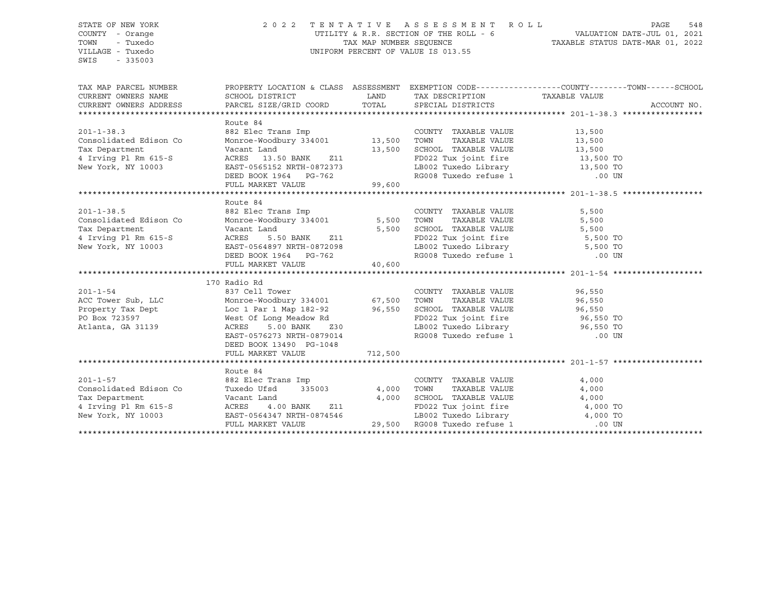STATE OF NEW YORK 2 0 2 2 T E N T A T I V E A S S E S S M E N T R O L L PAGE 548 COUNTY - Orange UTILITY & R.R. SECTION OF THE ROLL - 6 VALUATION DATE-JUL 01, 2021 TOWN - Tuxedo TOWN - TAX MAP NUMBER SEQUENCE TAXABLE STATUS DATE-MAR 01, 2022 VILLAGE - Tuxedo UNIFORM PERCENT OF VALUE IS 013.55 SWIS - 335003 TAX MAP PARCEL NUMBER PROPERTY LOCATION & CLASS ASSESSMENT EXEMPTION CODE------------------COUNTY--------TOWN------SCHOOL CURRENT OWNERS NAME SCHOOL DISTRICT LAND TAX DESCRIPTION TAXABLE VALUE CURRENT OWNERS ADDRESS PARCEL SIZE/GRID COORD TOTAL SPECIAL DISTRICTS ACCOUNT NO. \*\*\*\*\*\*\*\*\*\*\*\*\*\*\*\*\*\*\*\*\*\*\*\*\*\*\*\*\*\*\*\*\*\*\*\*\*\*\*\*\*\*\*\*\*\*\*\*\*\*\*\*\*\*\*\*\*\*\*\*\*\*\*\*\*\*\*\*\*\*\*\*\*\*\*\*\*\*\*\*\*\*\*\*\*\*\*\*\*\*\*\*\*\*\*\*\*\*\*\*\*\*\* 201-1-38.3 \*\*\*\*\*\*\*\*\*\*\*\*\*\*\*\*\* Route 84 201-1-38.3 882 Elec Trans Imp COUNTY TAXABLE VALUE 13,500 Consolidated Edison Co Monroe-Woodbury 334001 13,500 TOWN TAXABLE VALUE 13,500 Tax Department Vacant Land 13,500 SCHOOL TAXABLE VALUE 13,500 4 Irving Pl Rm 615-S ACRES 13.50 BANK Z11 FD022 Tux joint fire 13,500 TO New York, NY 10003 EAST-0565152 NRTH-0872373 LB002 Tuxedo Library 13,500 TO DEED BOOK 1964 PG-762 RG008 Tuxedo refuse 1 .00 UN FULL MARKET VALUE 99,600 \*\*\*\*\*\*\*\*\*\*\*\*\*\*\*\*\*\*\*\*\*\*\*\*\*\*\*\*\*\*\*\*\*\*\*\*\*\*\*\*\*\*\*\*\*\*\*\*\*\*\*\*\*\*\*\*\*\*\*\*\*\*\*\*\*\*\*\*\*\*\*\*\*\*\*\*\*\*\*\*\*\*\*\*\*\*\*\*\*\*\*\*\*\*\*\*\*\*\*\*\*\*\* 201-1-38.5 \*\*\*\*\*\*\*\*\*\*\*\*\*\*\*\*\* Route 84 201-1-38.5 882 Elec Trans Imp COUNTY TAXABLE VALUE 5,500 Consolidated Edison Co Monroe-Woodbury 334001 5,500 TOWN TAXABLE VALUE 5,500 Tax Department Vacant Land 5,500 SCHOOL TAXABLE VALUE 5,500 4 Irving Pl Rm 615-S ACRES 5.50 BANK Z11 FD022 Tux joint fire 5,500 TO New York, NY 10003 EAST-0564897 NRTH-0872098 LB002 Tuxedo Library 5,500 TO DEED BOOK 1964 PG-762 RG008 Tuxedo refuse 1 .00 UN FULL MARKET VALUE 40,600 \*\*\*\*\*\*\*\*\*\*\*\*\*\*\*\*\*\*\*\*\*\*\*\*\*\*\*\*\*\*\*\*\*\*\*\*\*\*\*\*\*\*\*\*\*\*\*\*\*\*\*\*\*\*\*\*\*\*\*\*\*\*\*\*\*\*\*\*\*\*\*\*\*\*\*\*\*\*\*\*\*\*\*\*\*\*\*\*\*\*\*\*\*\*\*\*\*\*\*\*\*\*\* 201-1-54 \*\*\*\*\*\*\*\*\*\*\*\*\*\*\*\*\*\*\* 170 Radio Rd 201-1-54 837 Cell Tower COUNTY TAXABLE VALUE 96,550 ACC Tower Sub, LLC Monroe-Woodbury 334001 67,500 TOWN TAXABLE VALUE 96,550 Property Tax Dept Loc 1 Par 1 Map 182-92 96,550 SCHOOL TAXABLE VALUE 96,550 PO Box 723597 West Of Long Meadow Rd FD022 Tux joint fire 96,550 TO Atlanta, GA 31139 ACRES 5.00 BANK Z30 LB002 Tuxedo Library 96,550 TO EAST-0576273 NRTH-0879014 RG008 Tuxedo refuse 1 .00 UN DEED BOOK 13490 PG-1048 FULL MARKET VALUE 712,500 \*\*\*\*\*\*\*\*\*\*\*\*\*\*\*\*\*\*\*\*\*\*\*\*\*\*\*\*\*\*\*\*\*\*\*\*\*\*\*\*\*\*\*\*\*\*\*\*\*\*\*\*\*\*\*\*\*\*\*\*\*\*\*\*\*\*\*\*\*\*\*\*\*\*\*\*\*\*\*\*\*\*\*\*\*\*\*\*\*\*\*\*\*\*\*\*\*\*\*\*\*\*\* 201-1-57 \*\*\*\*\*\*\*\*\*\*\*\*\*\*\*\*\*\*\* Route 84 201-1-57 882 Elec Trans Imp COUNTY TAXABLE VALUE 4,000 Consolidated Edison Co Tuxedo Ufsd 335003 4,000 TOWN TAXABLE VALUE 4,000 Tax Department Vacant Land 4,000 SCHOOL TAXABLE VALUE 4,000 4 Irving Pl Rm 615-S ACRES 4.00 BANK Z11 FD022 Tux joint fire 4,000 TO New York, NY 10003 EAST-0564347 NRTH-0874546 LB002 Tuxedo Library 4,000 TO FULL MARKET VALUE 29,500 RG008 Tuxedo refuse 1 .00 UN \*\*\*\*\*\*\*\*\*\*\*\*\*\*\*\*\*\*\*\*\*\*\*\*\*\*\*\*\*\*\*\*\*\*\*\*\*\*\*\*\*\*\*\*\*\*\*\*\*\*\*\*\*\*\*\*\*\*\*\*\*\*\*\*\*\*\*\*\*\*\*\*\*\*\*\*\*\*\*\*\*\*\*\*\*\*\*\*\*\*\*\*\*\*\*\*\*\*\*\*\*\*\*\*\*\*\*\*\*\*\*\*\*\*\*\*\*\*\*\*\*\*\*\*\*\*\*\*\*\*\*\*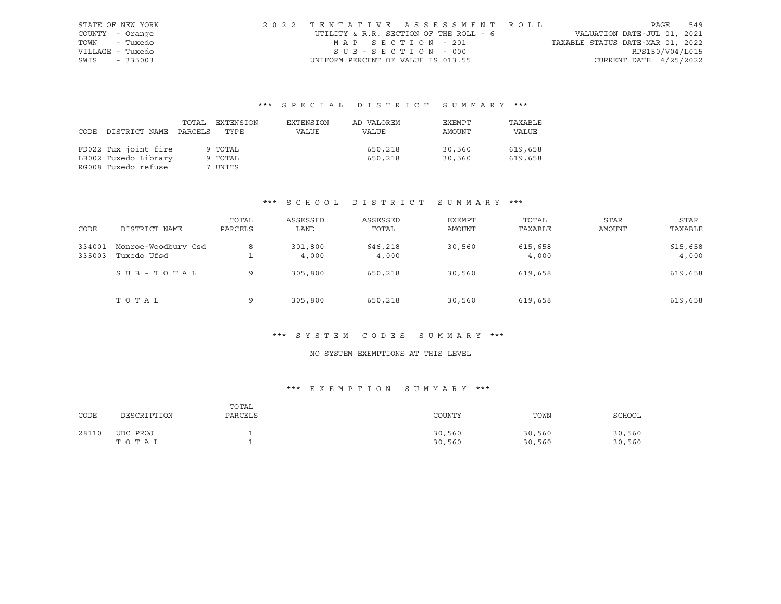| STATE OF NEW YORK |  | 2022 TENTATIVE ASSESSMENT ROLL         |                                  | PAGE | 549 |
|-------------------|--|----------------------------------------|----------------------------------|------|-----|
| COUNTY - Orange   |  | UTILITY & R.R. SECTION OF THE ROLL - 6 | VALUATION DATE-JUL 01, 2021      |      |     |
| TOWN - Tuxedo     |  | MAP SECTION - 201                      | TAXABLE STATUS DATE-MAR 01, 2022 |      |     |
| VILLAGE - Tuxedo  |  | SUB-SECTION - 000                      | RPS150/V04/L015                  |      |     |
| SWIS - 335003     |  | UNIFORM PERCENT OF VALUE IS 013.55     | CURRENT DATE $4/25/2022$         |      |     |

|      |                      | TOTAL   | EXTENSION | EXTENSION | AD VALOREM | EXEMPT | TAXABLE |
|------|----------------------|---------|-----------|-----------|------------|--------|---------|
| CODE | DISTRICT NAME        | PARCELS | TYPE      | VALUE     | VALUE      | AMOUNT | VALUE   |
|      |                      |         |           |           |            |        |         |
|      | FD022 Tux joint fire |         | 9 TOTAL   |           | 650,218    | 30,560 | 619,658 |
|      | LB002 Tuxedo Library |         | 9 TOTAL   |           | 650,218    | 30,560 | 619,658 |
|      | RG008 Tuxedo refuse  |         | 7 UNITS   |           |            |        |         |

# \*\*\* S C H O O L D I S T R I C T S U M M A R Y \*\*\*

| CODE             | DISTRICT NAME                      | TOTAL<br>PARCELS | ASSESSED<br>LAND | ASSESSED<br>TOTAL | EXEMPT<br>AMOUNT | TOTAL<br>TAXABLE | <b>STAR</b><br>AMOUNT | STAR<br>TAXABLE  |
|------------------|------------------------------------|------------------|------------------|-------------------|------------------|------------------|-----------------------|------------------|
| 334001<br>335003 | Monroe-Woodbury Csd<br>Tuxedo Ufsd | 8                | 301,800<br>4,000 | 646,218<br>4,000  | 30,560           | 615,658<br>4,000 |                       | 615,658<br>4,000 |
|                  | SUB - TOTAL                        | 9                | 305,800          | 650,218           | 30,560           | 619,658          |                       | 619,658          |
|                  | TOTAL                              | 9                | 305,800          | 650,218           | 30,560           | 619,658          |                       | 619,658          |

#### \*\*\* S Y S T E M C O D E S S U M M A R Y \*\*\*

# NO SYSTEM EXEMPTIONS AT THIS LEVEL

# \*\*\* E X E M P T I O N S U M M A R Y \*\*\*

| CODE  | DESCRIPTION       | TOTAL<br>PARCELS | COUNTY           | TOWN             | SCHOOL           |
|-------|-------------------|------------------|------------------|------------------|------------------|
| 28110 | UDC PROJ<br>TOTAL |                  | 30,560<br>30,560 | 30,560<br>30,560 | 30,560<br>30,560 |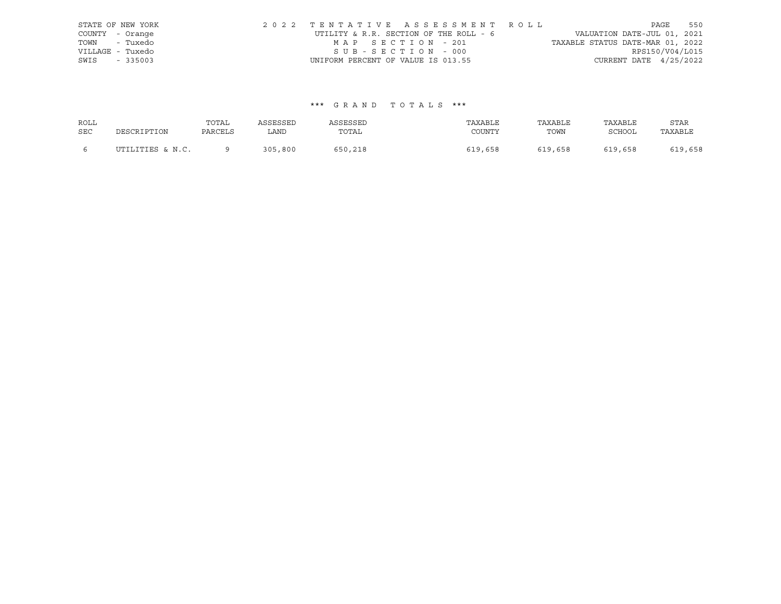| STATE OF NEW YORK | 2022 TENTATIVE ASSESSMENT ROLL         |                                  | PAGE                        | 550 |
|-------------------|----------------------------------------|----------------------------------|-----------------------------|-----|
| COUNTY - Orange   | UTILITY & R.R. SECTION OF THE ROLL - 6 |                                  | VALUATION DATE-JUL 01, 2021 |     |
| TOWN - Tuxedo     | MAP SECTION - 201                      | TAXABLE STATUS DATE-MAR 01, 2022 |                             |     |
| VILLAGE - Tuxedo  | SUB-SECTION - 000                      |                                  | RPS150/V04/L015             |     |
| SWIS - 335003     | UNIFORM PERCENT OF VALUE IS 013.55     |                                  | CURRENT DATE $4/25/2022$    |     |

| ROLL       |                  | TOTAL   | ASSESSED | ASSESSED | TAXABLE | TAXABLE | TAXABLE | <b>STAR</b> |
|------------|------------------|---------|----------|----------|---------|---------|---------|-------------|
| <b>SEC</b> | DESCRIPTION      | PARCELS | LAND     | TOTAL    | COUNTY  | TOWN    | SCHOOL  | TAXABLE     |
|            | UTILITIES & N.C. |         | 305,800  | 650,218  | 619,658 | 619,658 | 619,658 | 619,658     |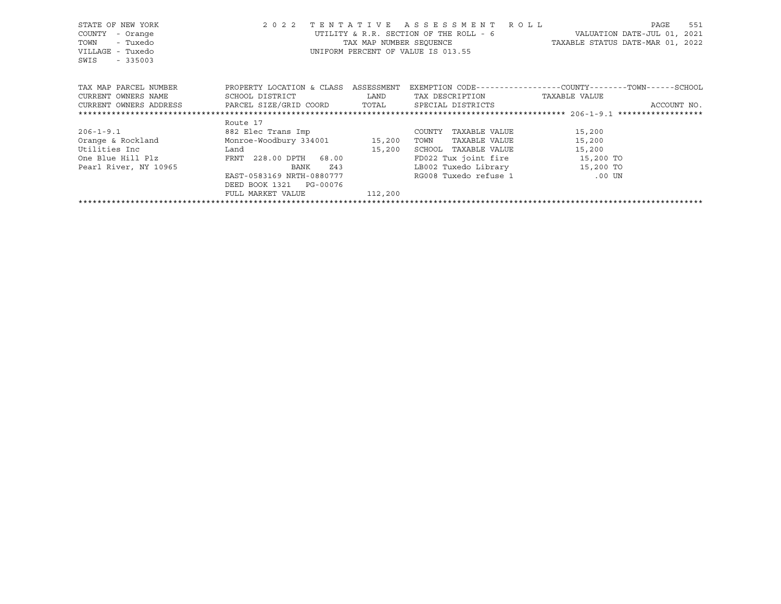| STATE OF NEW YORK<br>COUNTY<br>- Orange<br>- Tuxedo<br>TOWN<br>VILLAGE - Tuxedo<br>SWIS - 335003 |                                             |         | 2022 TENTATIVE ASSESSMENT ROLL<br>UTILITY & R.R. SECTION OF THE ROLL - 6<br>UNIFORM PERCENT OF VALUE IS 013.55 | 551<br>PAGE<br>VALUATION DATE-JUL 01, 2021<br>TAX MAP NUMBER SEQUENCE TAXABLE STATUS DATE-MAR 01, 2022 |
|--------------------------------------------------------------------------------------------------|---------------------------------------------|---------|----------------------------------------------------------------------------------------------------------------|--------------------------------------------------------------------------------------------------------|
| TAX MAP PARCEL NUMBER                                                                            | PROPERTY LOCATION & CLASS ASSESSMENT        |         |                                                                                                                | EXEMPTION CODE-----------------COUNTY-------TOWN------SCHOOL                                           |
| CURRENT OWNERS NAME                                                                              | SCHOOL DISTRICT LAND                        |         | TAX DESCRIPTION TAXABLE VALUE                                                                                  |                                                                                                        |
| CURRENT OWNERS ADDRESS     PARCEL SIZE/GRID COORD     TOTAL     SPECIAL DISTRICTS                |                                             |         |                                                                                                                | ACCOUNT NO.                                                                                            |
|                                                                                                  |                                             |         |                                                                                                                |                                                                                                        |
|                                                                                                  | Route 17                                    |         |                                                                                                                |                                                                                                        |
| $206 - 1 - 9.1$                                                                                  | 882 Elec Trans Imp                          |         | TAXABLE VALUE<br>COUNTY                                                                                        | 15,200                                                                                                 |
| Orange & Rockland Monroe-Woodbury 334001 15,200                                                  |                                             |         | TOWN<br>TAXABLE VALUE                                                                                          | 15,200                                                                                                 |
| Utilities Inc                                                                                    | <b>Example 1</b> Land <b>Example 2</b> Land | 15,200  | SCHOOL TAXABLE VALUE                                                                                           | 15,200                                                                                                 |
| One Blue Hill Plz                                                                                | FRNT 228.00 DPTH 68.00                      |         | FD022 Tux joint fire 15,200 TO                                                                                 |                                                                                                        |
| Pearl River, NY 10965                                                                            | BANK                                        | Z43     | LB002 Tuxedo Library                                                                                           | 15,200 TO                                                                                              |
|                                                                                                  | EAST-0583169 NRTH-0880777                   |         | RG008 Tuxedo refuse 1 600 UN                                                                                   |                                                                                                        |
|                                                                                                  | DEED BOOK 1321 PG-00076                     |         |                                                                                                                |                                                                                                        |
|                                                                                                  | FULL MARKET VALUE                           | 112,200 |                                                                                                                |                                                                                                        |
|                                                                                                  |                                             |         |                                                                                                                |                                                                                                        |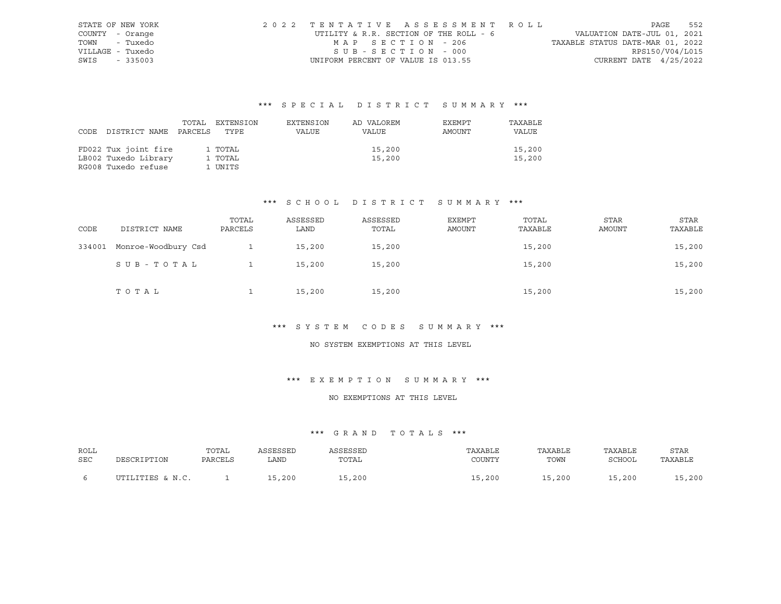|                  | STATE OF NEW YORK | 2022 TENTATIVE ASSESSMENT ROLL         |                                  | PAGE | 552 |
|------------------|-------------------|----------------------------------------|----------------------------------|------|-----|
| COUNTY - Orange  |                   | UTILITY & R.R. SECTION OF THE ROLL - 6 | VALUATION DATE-JUL 01, 2021      |      |     |
| TOWN - Tuxedo    |                   | MAP SECTION - 206                      | TAXABLE STATUS DATE-MAR 01, 2022 |      |     |
| VILLAGE - Tuxedo |                   | SUB-SECTION - 000                      | RPS150/V04/L015                  |      |     |
| SWIS - 335003    |                   | UNIFORM PERCENT OF VALUE IS 013.55     | CURRENT DATE $4/25/2022$         |      |     |

| DISTRICT NAME PARCELS                                               | TOTAL | EXTENSION                     | EXTENSION | AD VALOREM       | EXEMPT | TAXABLE          |
|---------------------------------------------------------------------|-------|-------------------------------|-----------|------------------|--------|------------------|
| CODE                                                                |       | TYPE                          | VALUE     | VALUE            | AMOUNT | VALUE            |
| FD022 Tux joint fire<br>LB002 Tuxedo Library<br>RG008 Tuxedo refuse |       | 1 TOTAL<br>1 TOTAL<br>1 UNITS |           | 15,200<br>15,200 |        | 15,200<br>15,200 |

# \*\*\* S C H O O L D I S T R I C T S U M M A R Y \*\*\*

| CODE   | DISTRICT NAME       | TOTAL<br>PARCELS | ASSESSED<br>LAND | ASSESSED<br>TOTAL | EXEMPT<br>AMOUNT | TOTAL<br>TAXABLE | <b>STAR</b><br><b>AMOUNT</b> | STAR<br>TAXABLE |
|--------|---------------------|------------------|------------------|-------------------|------------------|------------------|------------------------------|-----------------|
| 334001 | Monroe-Woodbury Csd |                  | 15,200           | 15,200            |                  | 15,200           |                              | 15,200          |
|        | SUB-TOTAL           |                  | 15,200           | 15,200            |                  | 15,200           |                              | 15,200          |
|        | TOTAL               |                  | 15,200           | 15,200            |                  | 15,200           |                              | 15,200          |

#### \*\*\* S Y S T E M C O D E S S U M M A R Y \*\*\*

### NO SYSTEM EXEMPTIONS AT THIS LEVEL

#### \*\*\* E X E M P T I O N S U M M A R Y \*\*\*

#### NO EXEMPTIONS AT THIS LEVEL

| ROLL | DESCRIPTION      | TOTAL   | ASSESSED | ASSESSED | TAXABLE | TAXABLE | TAXABLE | <b>STAR</b> |
|------|------------------|---------|----------|----------|---------|---------|---------|-------------|
| SEC  |                  | PARCELS | LAND     | TOTAL    | COUNTY  | TOWN    | SCHOOL  | TAXABLE     |
|      | UTILITIES & N.C. |         | 15,200   | 15,200   | 15,200  | 15,200  | 15,200  | 15,200      |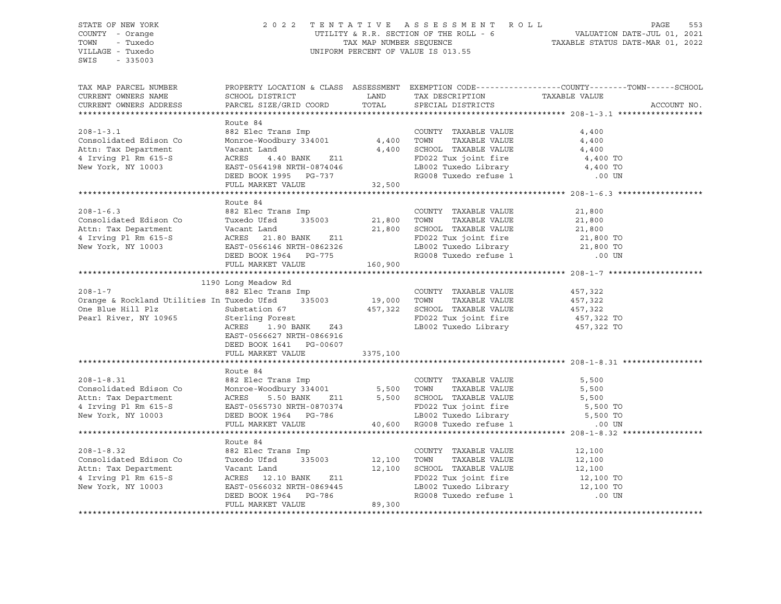# STATE OF NEW YORK 2 0 2 2 T E N T A T I V E A S S E S S M E N T R O L L PAGE 553 COUNTY - Orange UTILITY & R.R. SECTION OF THE ROLL - 6 VALUATION DATE-JUL 01, 2021 TOWN - Tuxedo TAX MAP NUMBER SEQUENCE TAXABLE STATUS DATE-MAR 01, 2022 VILLAGE - Tuxedo UNIFORM PERCENT OF VALUE IS 013.55

| TAX MAP PARCEL NUMBER<br>CURRENT OWNERS NAME<br>CURRENT OWNERS ADDRESS                                           | PROPERTY LOCATION & CLASS ASSESSMENT EXEMPTION CODE---------------COUNTY-------TOWN------SCHOOL<br>SCHOOL DISTRICT<br>PARCEL SIZE/GRID COORD                                                    | LAND<br>TOTAL               | TAX DESCRIPTION TAXABLE VALUE<br>SPECIAL DISTRICTS                                                                                                                                                     |                                                                | ACCOUNT NO. |
|------------------------------------------------------------------------------------------------------------------|-------------------------------------------------------------------------------------------------------------------------------------------------------------------------------------------------|-----------------------------|--------------------------------------------------------------------------------------------------------------------------------------------------------------------------------------------------------|----------------------------------------------------------------|-------------|
| $208 - 1 - 3.1$<br>Consolidated Edison Co<br>Attn: Tax Department<br>4 Irving Pl Rm 615-S<br>New York, NY 10003  | Route 84<br>882 Elec Trans Imp<br>Monroe-Woodbury 334001<br>Vacant Land<br>ACRES<br>4.40 BANK<br>Z11<br>EAST-0564198 NRTH-0874046<br>DEED BOOK 1995 PG-737<br>FULL MARKET VALUE                 | $4,400$<br>4,400<br>32,500  | COUNTY TAXABLE VALUE<br>TOWN<br>TAXABLE VALUE<br>SCHOOL TAXABLE VALUE<br>FD022 Tux joint fire<br>LB002 Tuxedo Library<br>RG008 Tuxedo refuse 1                                                         | 4,400<br>4,400<br>4,400<br>4,400 TO<br>4,400 TO<br>$.00$ UN    |             |
| $208 - 1 - 6.3$<br>Consolidated Edison Co<br>Attn: Tax Department<br>4 Irving Pl Rm 615-S<br>New York, NY 10003  | Route 84<br>882 Elec Trans Imp<br>335003<br>Tuxedo Ufsd<br>Vacant Land<br>ACRES<br>21.80 BANK<br>Z11<br>EAST-0566146 NRTH-0862326<br>DEED BOOK 1964 PG-775<br>FULL MARKET VALUE                 | 21,800<br>21,800<br>160,900 | COUNTY TAXABLE VALUE<br>TAXABLE VALUE<br>TOWN<br>SCHOOL TAXABLE VALUE<br>FD022 Tux joint fire<br>LB002 Tuxedo Library<br>RG008 Tuxedo refuse 1                                                         | 21,800<br>21,800<br>21,800<br>21,800 TO<br>21,800 TO<br>.00 UN |             |
| $208 - 1 - 7$<br>Orange & Rockland Utilities In Tuxedo Ufsd 335003<br>One Blue Hill Plz<br>Pearl River, NY 10965 | 1190 Long Meadow Rd<br>882 Elec Trans Imp<br>Substation 67 457,322<br>Sterling Forest<br>ACRES<br>1.90 BANK<br>Z43<br>EAST-0566627 NRTH-0866916<br>DEED BOOK 1641 PG-00607<br>FULL MARKET VALUE | 19,000<br>3375,100          | COUNTY TAXABLE VALUE<br>TOWN<br>TAXABLE VALUE<br>SCHOOL TAXABLE VALUE<br>FD022 Tux joint fire<br>LB002 Tuxedo Library 457,322 TO                                                                       | 457,322<br>457,322<br>457,322<br>457,322 TO                    |             |
|                                                                                                                  |                                                                                                                                                                                                 |                             |                                                                                                                                                                                                        |                                                                |             |
| $208 - 1 - 8.31$<br>Consolidated Edison Co<br>Attn: Tax Department<br>4 Irving Pl Rm 615-S<br>New York, NY 10003 | Route 84<br>882 Elec Trans Imp<br>Monroe-Woodbury 334001 5,500<br>ACRES 5.50 BANK Z11 5,500<br>EAST-0565730 NRTH-0870374<br>DEED BOOK 1964 PG-786<br>FULL MARKET VALUE                          |                             | COUNTY TAXABLE VALUE<br>TAXABLE VALUE<br>TOWN<br>SCHOOL TAXABLE VALUE<br>FD022 Tux joint fire 5,500 TO<br>LB002 Tuxedo Library 5,500 TO<br>RG008 Tuxedo refuse 1 00 UN<br>40,600 RG008 Tuxedo refuse 1 | 5,500<br>5,500<br>5,500                                        |             |
|                                                                                                                  | Route 84                                                                                                                                                                                        |                             |                                                                                                                                                                                                        |                                                                |             |
| $208 - 1 - 8.32$<br>Consolidated Edison Co<br>Attn: Tax Department<br>4 Irving Pl Rm 615-S<br>New York, NY 10003 | 882 Elec Trans Imp<br>Tuxedo Ufsd<br>335003<br>Vacant Land<br>ACRES 12.10 BANK<br>Z11<br>EAST-0566032 NRTH-0869445<br>DEED BOOK 1964 PG-786<br>FULL MARKET VALUE                                | 12,100<br>12,100<br>89,300  | COUNTY TAXABLE VALUE<br>TOWN<br>TAXABLE VALUE<br>SCHOOL TAXABLE VALUE<br>FD022 Tux joint fire<br>LB002 Tuxedo Library<br>RG008 Tuxedo refuse 1                                                         | 12,100<br>12,100<br>12,100<br>12,100 TO<br>12,100 TO<br>.00 UN |             |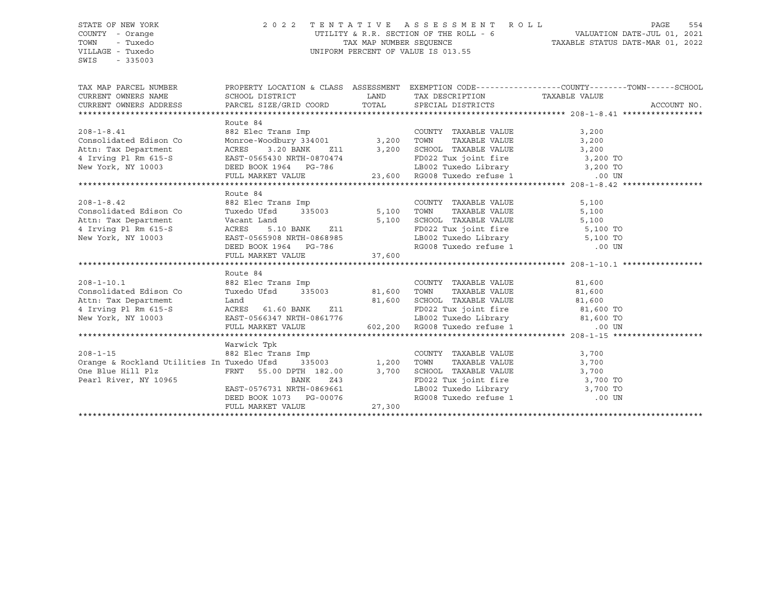# STATE OF NEW YORK 2 0 2 2 T E N T A T I V E A S S E S S M E N T R O L L PAGE 554 COUNTY - Orange UTILITY & R.R. SECTION OF THE ROLL - 6 VALUATION DATE-JUL 01, 2021 TOWN - Tuxedo TAX MAP NUMBER SEQUENCE TAXABLE STATUS DATE-MAR 01, 2022 VILLAGE - Tuxedo UNIFORM PERCENT OF VALUE IS 013.55

| TAX MAP PARCEL NUMBER<br>CURRENT OWNERS NAME SCHOOL DISTRICT THE LAND TAX DESCRIPTION TAXABLE VALUE<br>CURRENT OWNERS ADDRESS PARCEL SIZE/GRID COORD TOTAL SPECIAL DISTRICTS                                                                       | PROPERTY LOCATION & CLASS ASSESSMENT EXEMPTION CODE----------------COUNTY-------TOWN------SCHOOL |                                                 |       | ACCOUNT NO. |
|----------------------------------------------------------------------------------------------------------------------------------------------------------------------------------------------------------------------------------------------------|--------------------------------------------------------------------------------------------------|-------------------------------------------------|-------|-------------|
|                                                                                                                                                                                                                                                    |                                                                                                  |                                                 |       |             |
| 208-1-8.41<br>Consolidated Edison Co<br>Monroe-Woodbury 334001<br>Ath: Tax Department<br>4 Irving Pl Rm 615-S<br>New York, NY 10003<br>200 BASIT-0565430 NRTH-0870474<br>New York, NY 10003<br>200 BEED BOOK 1964<br>PULL MARKET VALUE<br>23,600 R | Route 84                                                                                         |                                                 |       |             |
|                                                                                                                                                                                                                                                    |                                                                                                  |                                                 |       |             |
|                                                                                                                                                                                                                                                    |                                                                                                  |                                                 |       |             |
|                                                                                                                                                                                                                                                    |                                                                                                  |                                                 |       |             |
|                                                                                                                                                                                                                                                    |                                                                                                  |                                                 |       |             |
|                                                                                                                                                                                                                                                    |                                                                                                  |                                                 |       |             |
|                                                                                                                                                                                                                                                    |                                                                                                  |                                                 |       |             |
|                                                                                                                                                                                                                                                    | Route 84                                                                                         |                                                 |       |             |
|                                                                                                                                                                                                                                                    |                                                                                                  | COUNTY TAXABLE VALUE<br>TOWN      TAXABLE VALUE | 5,100 |             |
|                                                                                                                                                                                                                                                    |                                                                                                  |                                                 | 5,100 |             |
|                                                                                                                                                                                                                                                    |                                                                                                  |                                                 |       |             |
|                                                                                                                                                                                                                                                    |                                                                                                  | FD022 Tux joint fire 5,100 TO                   |       |             |
| New York, NY 10003 EAST-0565908 NRTH-0868985                                                                                                                                                                                                       |                                                                                                  | LB002 Tuxedo Library 5,100 TO                   |       |             |
|                                                                                                                                                                                                                                                    | DEED BOOK 1964 PG-786                                                                            | RG008 Tuxedo refuse 1 .00 UN                    |       |             |
|                                                                                                                                                                                                                                                    |                                                                                                  |                                                 |       |             |
|                                                                                                                                                                                                                                                    |                                                                                                  |                                                 |       |             |
|                                                                                                                                                                                                                                                    | Route 84                                                                                         |                                                 |       |             |
| EXAMPLE VALUE ASSESS AND TO MAKE A SAMPLE VALUE ASSESS AND MAKE A SAMPLE VALUE AND MAKE AND MAKE AND MAKE AND SAMPLE ON MAKE AND MAKE AND MAKE AND MAKE AND MAKE AND MAKE AND MAKE AND MAKE AND MAKE AND MAKE AND MAKE AND MAK                     |                                                                                                  |                                                 |       |             |
|                                                                                                                                                                                                                                                    |                                                                                                  |                                                 |       |             |
|                                                                                                                                                                                                                                                    |                                                                                                  |                                                 |       |             |
|                                                                                                                                                                                                                                                    |                                                                                                  |                                                 |       |             |
| Attn: Tax Departmemt Land and a Land a Land a Land a Land a Land a Land a Land a Land a Land a Land a Land a Land a Land a Land a Land a Land a Land a Land a Land a Land a Land a Land a Land a Land a Land a Land a Land a L                     |                                                                                                  |                                                 |       |             |
|                                                                                                                                                                                                                                                    |                                                                                                  |                                                 |       |             |
|                                                                                                                                                                                                                                                    |                                                                                                  |                                                 |       |             |
|                                                                                                                                                                                                                                                    | Warwick Tpk                                                                                      |                                                 |       |             |
|                                                                                                                                                                                                                                                    |                                                                                                  |                                                 |       |             |
|                                                                                                                                                                                                                                                    |                                                                                                  |                                                 |       |             |
|                                                                                                                                                                                                                                                    |                                                                                                  |                                                 |       |             |
|                                                                                                                                                                                                                                                    |                                                                                                  |                                                 |       |             |
|                                                                                                                                                                                                                                                    |                                                                                                  |                                                 |       |             |
|                                                                                                                                                                                                                                                    |                                                                                                  |                                                 |       |             |
|                                                                                                                                                                                                                                                    |                                                                                                  |                                                 |       |             |
|                                                                                                                                                                                                                                                    |                                                                                                  |                                                 |       |             |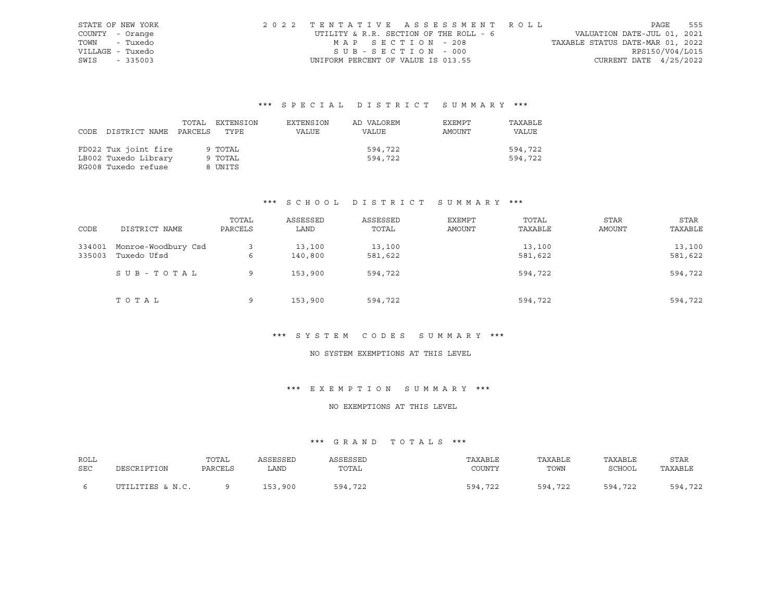| STATE OF NEW YORK | 2022 TENTATIVE ASSESSMENT ROLL         |                                  | PAGE            | 555 |
|-------------------|----------------------------------------|----------------------------------|-----------------|-----|
| COUNTY - Orange   | UTILITY & R.R. SECTION OF THE ROLL - 6 | VALUATION DATE-JUL 01, 2021      |                 |     |
| TOWN - Tuxedo     | MAP SECTION - 208                      | TAXABLE STATUS DATE-MAR 01, 2022 |                 |     |
| VILLAGE - Tuxedo  | SUB-SECTION - 000                      |                                  | RPS150/V04/L015 |     |
| SWIS - 335003     | UNIFORM PERCENT OF VALUE IS 013.55     | CURRENT DATE $4/25/2022$         |                 |     |

| CODE | DISTRICT NAME PARCELS | TOTAL | EXTENSION<br>TYPE | EXTENSION<br>VALUE | AD VALOREM<br>VALUE | EXEMPT<br>AMOUNT | TAXABLE<br>VALUE |
|------|-----------------------|-------|-------------------|--------------------|---------------------|------------------|------------------|
|      | FD022 Tux joint fire  |       | 9 TOTAL           |                    | 594,722             |                  | 594,722          |
|      | LB002 Tuxedo Library  |       | 9 TOTAL           |                    | 594,722             |                  | 594,722          |
|      | RG008 Tuxedo refuse   |       | 8 UNITS           |                    |                     |                  |                  |

# \*\*\* S C H O O L D I S T R I C T S U M M A R Y \*\*\*

| CODE             | DISTRICT NAME                      | TOTAL<br>PARCELS | ASSESSED<br>LAND  | ASSESSED<br>TOTAL | EXEMPT<br>AMOUNT | TOTAL<br>TAXABLE  | <b>STAR</b><br>AMOUNT | STAR<br>TAXABLE   |
|------------------|------------------------------------|------------------|-------------------|-------------------|------------------|-------------------|-----------------------|-------------------|
| 334001<br>335003 | Monroe-Woodbury Csd<br>Tuxedo Ufsd | 6                | 13,100<br>140,800 | 13,100<br>581,622 |                  | 13,100<br>581,622 |                       | 13,100<br>581,622 |
|                  | SUB-TOTAL                          | 9                | 153,900           | 594,722           |                  | 594,722           |                       | 594,722           |
|                  | TOTAL                              | 9                | 153,900           | 594,722           |                  | 594,722           |                       | 594,722           |

#### \*\*\* S Y S T E M C O D E S S U M M A R Y \*\*\*

# NO SYSTEM EXEMPTIONS AT THIS LEVEL

# \*\*\* E X E M P T I O N S U M M A R Y \*\*\*

# NO EXEMPTIONS AT THIS LEVEL

| ROLL       |                  | TOTAL   | ASSESSED | ASSESSED | TAXABLE | TAXABLE | TAXABLE | STAR    |
|------------|------------------|---------|----------|----------|---------|---------|---------|---------|
| <b>SEC</b> | DESCRIPTION      | PARCELS | LAND     | TOTAL    | COUNTY  | TOWN    | SCHOOL  | TAXABLE |
|            | UTILITIES & N.C. |         | 153,900  | 594,722  | 594,722 | 594,722 | 594,722 | 594,722 |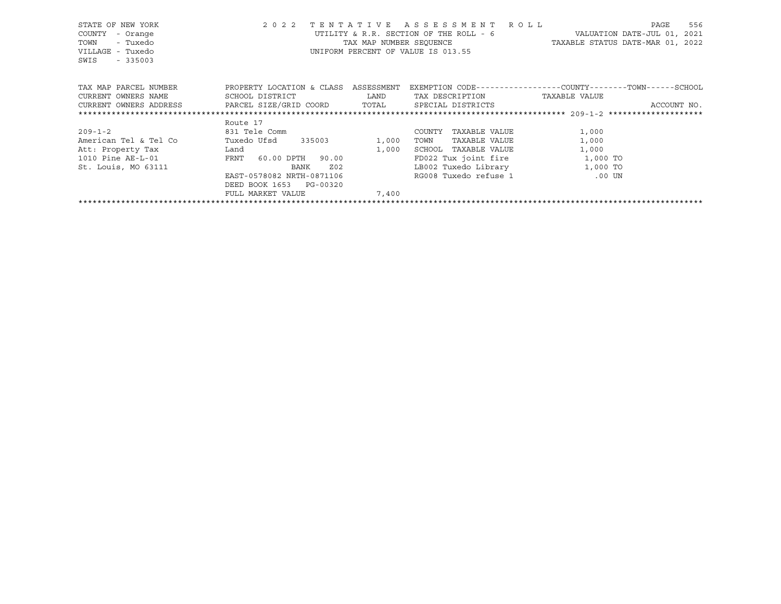| STATE OF NEW YORK<br>COUNTY<br>- Orange<br>- Tuxedo<br>TOWN<br>VILLAGE - Tuxedo<br>SWIS<br>$-335003$                                                                   | 2 0 2 2                                                                                                                                           |                                                                                                                        | TENTATIVE ASSESSMENT ROLL<br>UTILITY & R.R. SECTION OF THE ROLL - 6<br>UNIFORM PERCENT OF VALUE IS 013.55 | PAGE<br>VALUATION DATE-JUL 01, 2021<br>TAX MAP NUMBER SEQUENCE TAXABLE STATUS DATE-MAR 01, 2022                           | 556 |
|------------------------------------------------------------------------------------------------------------------------------------------------------------------------|---------------------------------------------------------------------------------------------------------------------------------------------------|------------------------------------------------------------------------------------------------------------------------|-----------------------------------------------------------------------------------------------------------|---------------------------------------------------------------------------------------------------------------------------|-----|
| TAX MAP PARCEL NUMBER TROPERTY LOCATION & CLASS ASSESSMENT<br>CURRENT OWNERS NAME<br>CURRENT OWNERS ADDRESS     PARCEL SIZE/GRID COORD     TOTAL     SPECIAL DISTRICTS | SCHOOL DISTRICT                                                                                                                                   | <b>EXAMPLE SERVICE SERVICE SERVICE SERVICE SERVICE SERVICE SERVICE SERVICE SERVICE SERVICE SERVICE SERVICE SERVICE</b> | TAX DESCRIPTION TAXABLE VALUE                                                                             | EXEMPTION CODE-----------------COUNTY-------TOWN------SCHOOL<br>ACCOUNT NO.                                               |     |
|                                                                                                                                                                        | Route 17                                                                                                                                          |                                                                                                                        |                                                                                                           |                                                                                                                           |     |
| $209 - 1 - 2$<br>American Tel & Tel Co<br>Att: Property Tax Land<br>1010 Pine AE-L-01<br>St. Louis, MO 63111                                                           | 831 Tele Comm<br>Tuxedo Ufsd 335003<br>FRNT 60.00 DPTH 90.00<br>BANK<br>EAST-0578082 NRTH-0871106<br>DEED BOOK 1653 PG-00320<br>FULL MARKET VALUE | 1,000<br>1,000<br>Z <sub>02</sub><br>7,400                                                                             | TAXABLE VALUE<br>COUNTY<br>TAXABLE VALUE<br>TOWN<br>SCHOOL TAXABLE VALUE                                  | 1,000<br>1,000<br>1,000<br>FD022 Tux joint fire 1,000 TO<br>LB002 Tuxedo Library 1,000 TO<br>RG008 Tuxedo refuse 1 600 UN |     |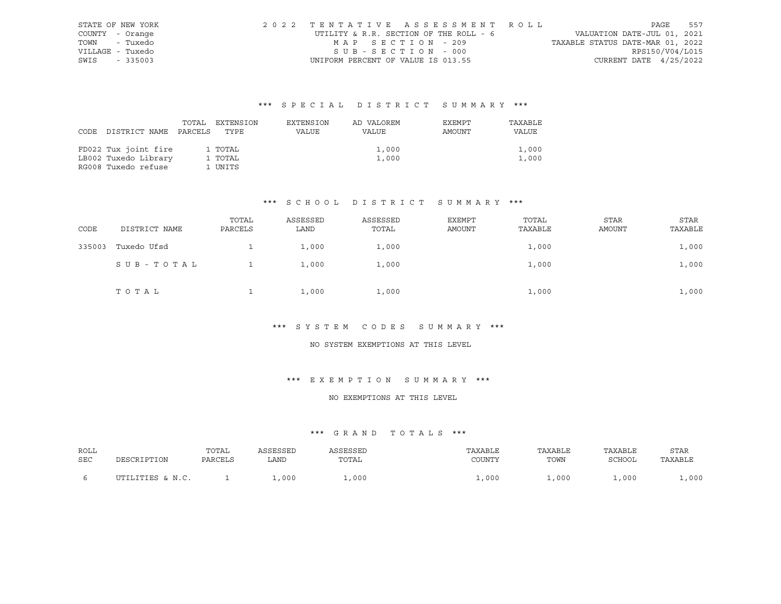|                  | STATE OF NEW YORK | 2022 TENTATIVE ASSESSMENT ROLL         |                                  | PAGE | 557 |
|------------------|-------------------|----------------------------------------|----------------------------------|------|-----|
| COUNTY - Orange  |                   | UTILITY & R.R. SECTION OF THE ROLL - 6 | VALUATION DATE-JUL 01, 2021      |      |     |
|                  | TOWN - Tuxedo     | MAP SECTION - 209                      | TAXABLE STATUS DATE-MAR 01, 2022 |      |     |
| VILLAGE - Tuxedo |                   | SUB-SECTION - 000                      | RPS150/V04/L015                  |      |     |
| SWIS - 335003    |                   | UNIFORM PERCENT OF VALUE IS 013.55     | CURRENT DATE $4/25/2022$         |      |     |

| DISTRICT NAME                                                       | TOTAL   | EXTENSION                     | EXTENSION | AD VALOREM     | EXEMPT | TAXABLE        |
|---------------------------------------------------------------------|---------|-------------------------------|-----------|----------------|--------|----------------|
| CODE                                                                | PARCELS | TYPE                          | VALUE     | VALUE          | AMOUNT | VALUE          |
| FD022 Tux joint fire<br>LB002 Tuxedo Library<br>RG008 Tuxedo refuse |         | 1 TOTAL<br>1 TOTAL<br>1 UNITS |           | 1,000<br>1,000 |        | 1,000<br>1,000 |

# \*\*\* S C H O O L D I S T R I C T S U M M A R Y \*\*\*

| CODE   | DISTRICT NAME | TOTAL<br>PARCELS | ASSESSED<br>LAND | ASSESSED<br>TOTAL | EXEMPT<br>AMOUNT | TOTAL<br>TAXABLE | STAR<br><b>AMOUNT</b> | STAR<br>TAXABLE |
|--------|---------------|------------------|------------------|-------------------|------------------|------------------|-----------------------|-----------------|
| 335003 | Tuxedo Ufsd   |                  | 1,000            | 1,000             |                  | 1,000            |                       | 1,000           |
|        | SUB-TOTAL     |                  | 1,000            | 1,000             |                  | 1,000            |                       | 1,000           |
|        | TOTAL         |                  | 1,000            | 1,000             |                  | 1,000            |                       | 1,000           |

#### \*\*\* S Y S T E M C O D E S S U M M A R Y \*\*\*

#### NO SYSTEM EXEMPTIONS AT THIS LEVEL

#### \*\*\* E X E M P T I O N S U M M A R Y \*\*\*

#### NO EXEMPTIONS AT THIS LEVEL

| ROLL | DESCRIPTION      | TOTAL   | ASSESSED | ASSESSED | TAXABLE | TAXABLE | TAXABLE | <b>STAR</b> |
|------|------------------|---------|----------|----------|---------|---------|---------|-------------|
| SEC  |                  | PARCELS | LAND     | TOTAL    | COUNTY  | TOWN    | SCHOOL  | TAXABLE     |
|      | UTILITIES & N.C. |         | ,000     | ,000     | .000    | .000    | L,000   | .000        |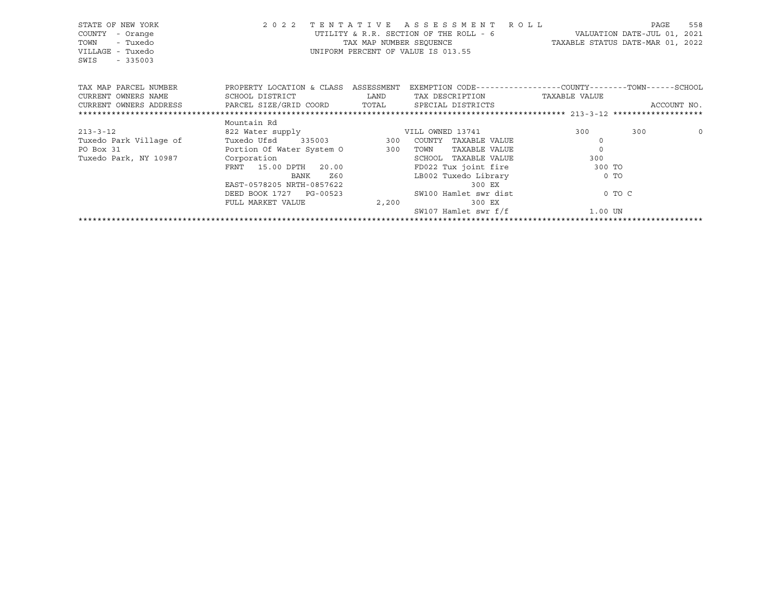| STATE OF NEW YORK<br>COUNTY<br>- Orange<br>- Tuxedo<br>TOWN<br>VILLAGE - Tuxedo<br>$-335003$<br>SWIS | 2 0 2 2                                                                                                         |             | TENTATIVE ASSESSMENT ROLL<br>UTILITY & R.R. SECTION OF THE ROLL - 6 WALUATION DATE-JUL 01, 2021<br>TAX MAP NUMBER SEQUENCE TAXABLE STATUS DATE-MAR 01, 2022<br>UNIFORM PERCENT OF VALUE IS 013.55 |              | 558<br>PAGE |
|------------------------------------------------------------------------------------------------------|-----------------------------------------------------------------------------------------------------------------|-------------|---------------------------------------------------------------------------------------------------------------------------------------------------------------------------------------------------|--------------|-------------|
| TAX MAP PARCEL NUMBER                                                                                | PROPERTY LOCATION & CLASS ASSESSMENT EXEMPTION CODE----------------COUNTY-------TOWN------SCHOOL                |             |                                                                                                                                                                                                   |              |             |
| CURRENT OWNERS NAME                                                                                  | SCHOOL DISTRICT                                                                                                 | <b>LAND</b> | TAX DESCRIPTION TAXABLE VALUE                                                                                                                                                                     |              |             |
| CURRENT OWNERS ADDRESS BARCEL SIZE/GRID COORD TOTAL SPECIAL DISTRICTS                                |                                                                                                                 |             |                                                                                                                                                                                                   |              | ACCOUNT NO. |
|                                                                                                      |                                                                                                                 |             |                                                                                                                                                                                                   |              |             |
|                                                                                                      | Mountain Rd                                                                                                     |             |                                                                                                                                                                                                   |              |             |
| $213 - 3 - 12$                                                                                       | 822 Water supply Same Multi District State of the Multi District State of the Multi District State of the Multi |             |                                                                                                                                                                                                   | 300          | 300<br>0    |
| Tuxedo Park Village of                                                                               | Tuxedo Ufsd 335003 300 COUNTY TAXABLE VALUE                                                                     |             |                                                                                                                                                                                                   | $\Omega$     |             |
| PO Box 31                                                                                            | -<br>Portion Of Water System 0 300                                                                              |             | TAXABLE VALUE<br>TOWN                                                                                                                                                                             | $\mathbf{0}$ |             |
| Tuxedo Park, NY 10987                                                                                | Corporation                                                                                                     |             | SCHOOL<br>TAXABLE VALUE                                                                                                                                                                           | 300          |             |
|                                                                                                      | FRNT 15.00 DPTH 20.00                                                                                           |             | FD022 Tux joint fire                                                                                                                                                                              | 300 TO       |             |
|                                                                                                      | BANK<br>Z60                                                                                                     |             | LB002 Tuxedo Library                                                                                                                                                                              | $0$ TO       |             |
|                                                                                                      | EAST-0578205 NRTH-0857622                                                                                       |             | 300 EX                                                                                                                                                                                            |              |             |
|                                                                                                      | DEED BOOK 1727 PG-00523                                                                                         |             | SW100 Hamlet swr dist                                                                                                                                                                             | 0 TO C       |             |
|                                                                                                      | FULL MARKET VALUE                                                                                               | 2,200       | 300 EX                                                                                                                                                                                            |              |             |
|                                                                                                      |                                                                                                                 |             | SW107 Hamlet swr f/f                                                                                                                                                                              | 1.00 UN      |             |
|                                                                                                      |                                                                                                                 |             |                                                                                                                                                                                                   |              |             |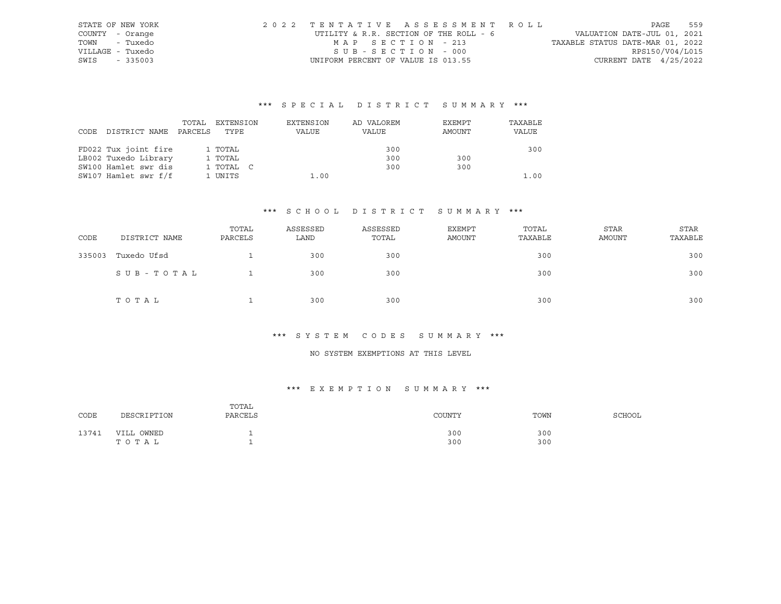| STATE OF NEW YORK | 2022 TENTATIVE ASSESSMENT ROLL         |  |                                  | PAGE            | 559 |
|-------------------|----------------------------------------|--|----------------------------------|-----------------|-----|
| COUNTY - Orange   | UTILITY & R.R. SECTION OF THE ROLL - 6 |  | VALUATION DATE-JUL 01, 2021      |                 |     |
| TOWN<br>- Tuxedo  | MAP SECTION - 213                      |  | TAXABLE STATUS DATE-MAR 01, 2022 |                 |     |
| VILLAGE - Tuxedo  | SUB-SECTION - 000                      |  |                                  | RPS150/V04/L015 |     |
| SWIS - 335003     | UNIFORM PERCENT OF VALUE IS 013.55     |  | CURRENT DATE $4/25/2022$         |                 |     |

| CODE DISTRICT NAME   | TOTAL<br>PARCELS | EXTENSION<br>TYPE | EXTENSION<br>VALUE | AD VALOREM<br>VALUE | EXEMPT<br>AMOUNT | TAXABLE<br>VALUE |
|----------------------|------------------|-------------------|--------------------|---------------------|------------------|------------------|
| FD022 Tux joint fire |                  | 1 TOTAL           |                    | 300                 |                  | 300              |
| LB002 Tuxedo Library |                  | 1 TOTAL           |                    | 300                 | 300              |                  |
| SW100 Hamlet swr dis |                  | 1 TOTAL C         |                    | 300                 | 300              |                  |
| SW107 Hamlet swr f/f |                  | 1 UNITS           | 1.00               |                     |                  | 1.00             |

#### \*\*\* S C H O O L D I S T R I C T S U M M A R Y \*\*\*

| CODE   | DISTRICT NAME | TOTAL<br>PARCELS | ASSESSED<br>LAND | ASSESSED<br>TOTAL | EXEMPT<br>AMOUNT | TOTAL<br>TAXABLE | <b>STAR</b><br>AMOUNT | <b>STAR</b><br>TAXABLE |
|--------|---------------|------------------|------------------|-------------------|------------------|------------------|-----------------------|------------------------|
| 335003 | Tuxedo Ufsd   |                  | 300              | 300               |                  | 300              |                       | 300                    |
|        | SUB-TOTAL     |                  | 300              | 300               |                  | 300              |                       | 300                    |
|        | TOTAL         |                  | 300              | 300               |                  | 300              |                       | 300                    |

#### \*\*\* S Y S T E M C O D E S S U M M A R Y \*\*\*

# NO SYSTEM EXEMPTIONS AT THIS LEVEL

# \*\*\* E X E M P T I O N S U M M A R Y \*\*\*

| CODE  | DESCRIPTION         | TOTAL<br>PARCELS | COUNTY     | TOWN       | SCHOOL |
|-------|---------------------|------------------|------------|------------|--------|
| 13741 | VILL OWNED<br>TOTAL |                  | 300<br>300 | 300<br>300 |        |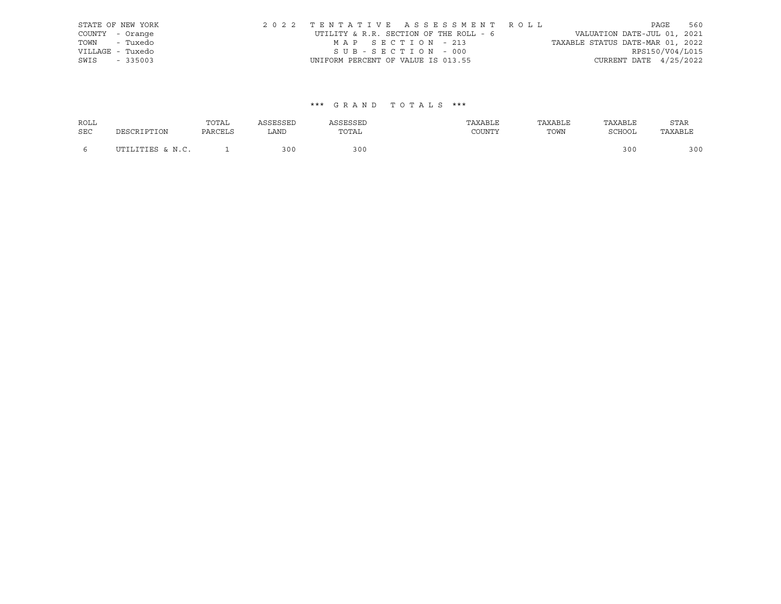|                  | STATE OF NEW YORK | 2022 TENTATIVE ASSESSMENT ROLL         |  |                                  |                          | PAGE | 560 |
|------------------|-------------------|----------------------------------------|--|----------------------------------|--------------------------|------|-----|
| COUNTY - Orange  |                   | UTILITY & R.R. SECTION OF THE ROLL - 6 |  | VALUATION DATE-JUL 01, 2021      |                          |      |     |
| TOWN - Tuxedo    |                   | MAP SECTION - 213                      |  | TAXABLE STATUS DATE-MAR 01, 2022 |                          |      |     |
| VILLAGE - Tuxedo |                   | SUB-SECTION - 000                      |  |                                  | RPS150/V04/L015          |      |     |
| SWIS - 335003    |                   | UNIFORM PERCENT OF VALUE IS 013.55     |  |                                  | CURRENT DATE $4/25/2022$ |      |     |

| <b>ROLL</b> |                  | TOTAL   | ASSESSED | ASSESSED | TAXABLE | TAXABLE | TAXABLE | <b>STAR</b> |
|-------------|------------------|---------|----------|----------|---------|---------|---------|-------------|
| <b>SEC</b>  | DESCRIPTION      | PARCELS | LAND     | TOTAL    | COUNTY  | TOWN    | SCHOOL  | TAXABLE     |
|             | UTILITIES & N.C. |         | 300      | 300      |         |         | 300     | 300         |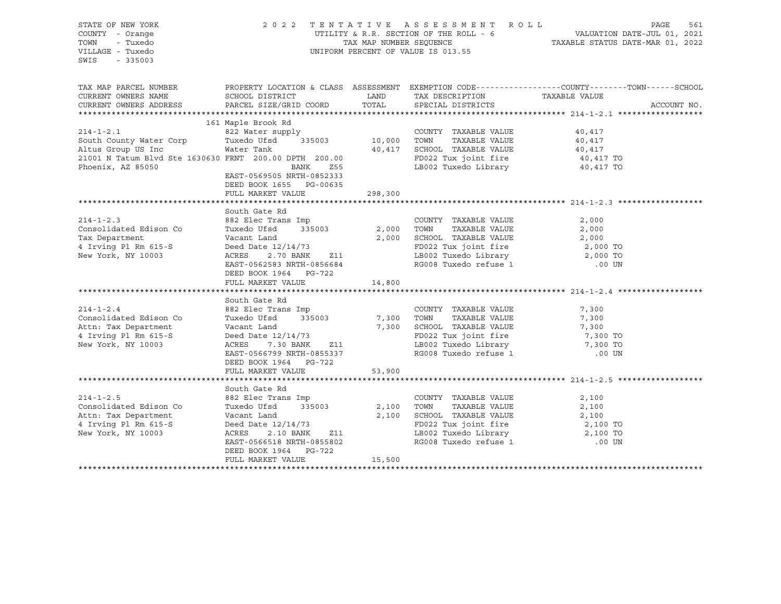| STATE OF NEW YORK<br>COUNTY - Orange<br>TOWN<br>- Tuxedo<br>VILLAGE - Tuxedo<br>$-335003$<br>SWIS                                                                                     | 2022 TENTATIVE ASSESSMENT ROLL                                                                                                | UNIFORM PERCENT OF VALUE IS 013.55   | PAGE<br>561<br>UTILITY & R.R. SECTION OF THE ROLL - 6<br>TAXABLE STATUS DATE-JUL 01, 2021<br>TAX MAP NUMBER SEQUENCE - TAXABLE STATUS DATE-MAR 01, 2022 |                                                                                                  |  |  |
|---------------------------------------------------------------------------------------------------------------------------------------------------------------------------------------|-------------------------------------------------------------------------------------------------------------------------------|--------------------------------------|---------------------------------------------------------------------------------------------------------------------------------------------------------|--------------------------------------------------------------------------------------------------|--|--|
| TAX MAP PARCEL NUMBER<br>CURRENT OWNERS NAME                                                                                                                                          | SCHOOL DISTRICT                                                                                                               | LAND                                 |                                                                                                                                                         | PROPERTY LOCATION & CLASS ASSESSMENT EXEMPTION CODE----------------COUNTY-------TOWN------SCHOOL |  |  |
| CURRENT OWNERS ADDRESS                                                                                                                                                                | PARCEL SIZE/GRID COORD                                                                                                        | TOTAL                                | TAX DESCRIPTION TAXABLE VALUE<br>SPECIAL DISTRICTS                                                                                                      | ACCOUNT NO.                                                                                      |  |  |
|                                                                                                                                                                                       | 161 Maple Brook Rd                                                                                                            |                                      |                                                                                                                                                         |                                                                                                  |  |  |
| 161 Maple Brook Rd<br>822 Water supply<br>South County Water Corp<br>Richard Ufsd<br>235003 10,000 TOWN TAXABLE VALUE<br>Altus Group US Inc Water Tank<br>20,417 SCHOOL TAXABLE VALUE |                                                                                                                               |                                      | COUNTY TAXABLE VALUE 40,417                                                                                                                             |                                                                                                  |  |  |
|                                                                                                                                                                                       |                                                                                                                               |                                      |                                                                                                                                                         |                                                                                                  |  |  |
|                                                                                                                                                                                       |                                                                                                                               |                                      |                                                                                                                                                         | 40,417<br>40,417                                                                                 |  |  |
| 21001 N Tatum Blvd Ste 1630630 FRNT 200.00 DPTH 200.00                                                                                                                                |                                                                                                                               |                                      |                                                                                                                                                         |                                                                                                  |  |  |
|                                                                                                                                                                                       |                                                                                                                               |                                      | FD022 Tux joint fire $40,417$ TO<br>LB002 Tuxedo Library $40,417$ TO                                                                                    |                                                                                                  |  |  |
| Phoenix, AZ 85050                                                                                                                                                                     | BANK<br>Z55<br>EAST-0569505 NRTH-0852333<br>DEED BOOK 1655 PG-00635<br>FULL MARKET VALUE 298,300                              |                                      |                                                                                                                                                         |                                                                                                  |  |  |
|                                                                                                                                                                                       |                                                                                                                               |                                      |                                                                                                                                                         |                                                                                                  |  |  |
|                                                                                                                                                                                       | South Gate Rd                                                                                                                 |                                      |                                                                                                                                                         |                                                                                                  |  |  |
| $214 - 1 - 2.3$                                                                                                                                                                       |                                                                                                                               |                                      | COUNTY TAXABLE VALUE                                                                                                                                    | 2,000                                                                                            |  |  |
| Consolidated Edison Co                                                                                                                                                                | 882 Elec Trans Imp<br>Tuxedo Ufsd 335003 2,000 TOWN                                                                           |                                      | TAXABLE VALUE                                                                                                                                           | 2,000                                                                                            |  |  |
| Tax Department                                                                                                                                                                        |                                                                                                                               |                                      | 2,000 SCHOOL TAXABLE VALUE                                                                                                                              | 2,000                                                                                            |  |  |
| 4 Irving Pl Rm 615-S                                                                                                                                                                  | Vacant Land<br>Deed Date 12/14/73                                                                                             |                                      | FD022 Tux joint fire                                                                                                                                    | 2,000 TO                                                                                         |  |  |
| New York, NY 10003                                                                                                                                                                    | ACRES 2.70 BANK Z11                                                                                                           |                                      |                                                                                                                                                         | 2,000 TO                                                                                         |  |  |
|                                                                                                                                                                                       | EAST-0562583 NRTH-0856684                                                                                                     |                                      | LB002 Tuxedo Library<br>RG008 Tuxedo refuse 1                                                                                                           | $.00$ UN                                                                                         |  |  |
|                                                                                                                                                                                       | DEED BOOK 1964 PG-722                                                                                                         |                                      |                                                                                                                                                         |                                                                                                  |  |  |
|                                                                                                                                                                                       | FULL MARKET VALUE                                                                                                             | 14,800                               |                                                                                                                                                         |                                                                                                  |  |  |
|                                                                                                                                                                                       |                                                                                                                               |                                      |                                                                                                                                                         |                                                                                                  |  |  |
|                                                                                                                                                                                       | South Gate Rd                                                                                                                 |                                      |                                                                                                                                                         |                                                                                                  |  |  |
| $214 - 1 - 2.4$                                                                                                                                                                       | 882 Elec Trans Imp                                                                                                            |                                      | COUNTY TAXABLE VALUE                                                                                                                                    | 7,300                                                                                            |  |  |
| Consolidated Edison Co                                                                                                                                                                | Tuxedo Ufsd 335003 7,300 TOWN                                                                                                 |                                      | TAXABLE VALUE                                                                                                                                           | 7,300                                                                                            |  |  |
| Attn: Tax Department                                                                                                                                                                  |                                                                                                                               |                                      |                                                                                                                                                         | 7,300                                                                                            |  |  |
| 4 Irving Pl Rm 615-S                                                                                                                                                                  | Vacant Land 7,300 SCHOOL TAXABLE VALUE<br>Deed Date 12/14/73 FD022 Tux joint fire<br>ACRES 7.30 BANK Z11 LB002 Tuxedo Library |                                      | FD022 Tux joint fire<br>FD022 Tux joint fire 57,300 TO<br>T.ROO2 Tuxedo Library 57,300 TO                                                               |                                                                                                  |  |  |
| New York, NY 10003                                                                                                                                                                    | 7.30 BANK 211<br>ACRES                                                                                                        |                                      |                                                                                                                                                         |                                                                                                  |  |  |
|                                                                                                                                                                                       | EAST-0566799 NRTH-0855337                                                                                                     |                                      | LB002 Tuxedo Library<br>RG008 Tuxedo refuse 1                                                                                                           | .00 UN                                                                                           |  |  |
|                                                                                                                                                                                       | DEED BOOK 1964 PG-722                                                                                                         |                                      |                                                                                                                                                         |                                                                                                  |  |  |
|                                                                                                                                                                                       | FULL MARKET VALUE                                                                                                             | 53,900                               |                                                                                                                                                         |                                                                                                  |  |  |
|                                                                                                                                                                                       |                                                                                                                               |                                      |                                                                                                                                                         |                                                                                                  |  |  |
|                                                                                                                                                                                       | South Gate Rd                                                                                                                 |                                      |                                                                                                                                                         |                                                                                                  |  |  |
| $214 - 1 - 2.5$                                                                                                                                                                       | 882 Elec Trans Imp                                                                                                            |                                      | COUNTY TAXABLE VALUE                                                                                                                                    | 2,100                                                                                            |  |  |
| Consolidated Edison Co                                                                                                                                                                | Tuxedo Ufsd 335003                                                                                                            |                                      |                                                                                                                                                         | 2,100                                                                                            |  |  |
| Attn: Tax Department                                                                                                                                                                  | Vacant Land                                                                                                                   | COUNTY<br>2,100 TOWN<br>2,100 COUNTY | 2,100 TOWN TAXABLE VALUE<br>2,100 SCHOOL TAXABLE VALUE                                                                                                  | 2,100                                                                                            |  |  |
| 4 Irving Pl Rm 615-S                                                                                                                                                                  | Deed Date $12/14/73$                                                                                                          |                                      | FD022 Tux joint fire                                                                                                                                    | 2,100 TO                                                                                         |  |  |
| New York, NY 10003                                                                                                                                                                    | 2.10 BANK Z11<br>ACRES                                                                                                        |                                      | LB002 Tuxedo Library 2,100 TO                                                                                                                           |                                                                                                  |  |  |
|                                                                                                                                                                                       | EAST-0566518 NRTH-0855802                                                                                                     |                                      | RG008 Tuxedo refuse 1                                                                                                                                   | .00 UN                                                                                           |  |  |
|                                                                                                                                                                                       | DEED BOOK 1964 PG-722                                                                                                         |                                      |                                                                                                                                                         |                                                                                                  |  |  |
|                                                                                                                                                                                       | FULL MARKET VALUE                                                                                                             | 15,500                               |                                                                                                                                                         |                                                                                                  |  |  |
|                                                                                                                                                                                       |                                                                                                                               |                                      |                                                                                                                                                         |                                                                                                  |  |  |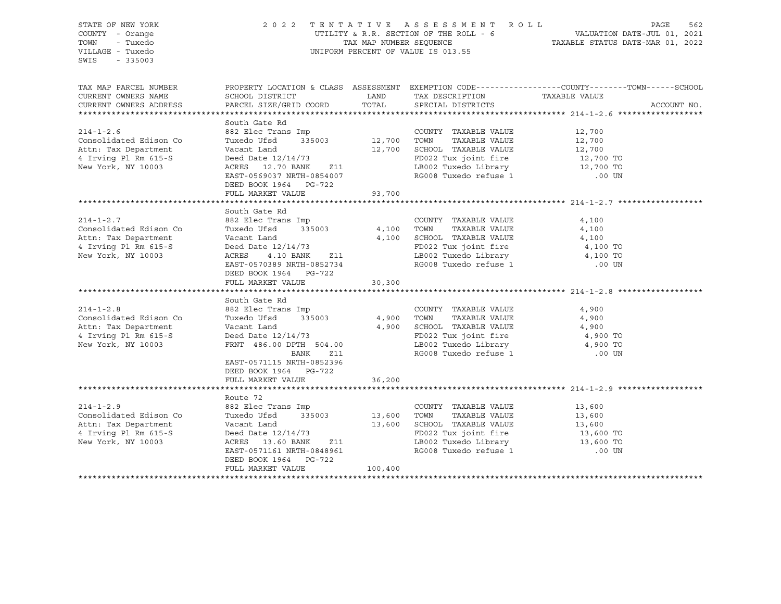| STATE OF NEW YORK<br>COUNTY - Orange<br>TOWN<br>- Tuxedo<br>VILLAGE - Tuxedo<br>SWIS<br>$-335003$               | 2022 TENTATIVE ASSESSMENT ROLL<br>UNIFORM PERCENT OF VALUE IS 013.55                                                                                                                                     | PAGE<br>562<br>UTILITY & R.R. SECTION OF THE ROLL - 6<br>TAXABLE STATUS DATE-JUL 01, 2021<br>TAXABLE STATUS DATE-MAR 01, 2022 |                                                                                                                                                                                                                                                              |                                                                                                                                 |
|-----------------------------------------------------------------------------------------------------------------|----------------------------------------------------------------------------------------------------------------------------------------------------------------------------------------------------------|-------------------------------------------------------------------------------------------------------------------------------|--------------------------------------------------------------------------------------------------------------------------------------------------------------------------------------------------------------------------------------------------------------|---------------------------------------------------------------------------------------------------------------------------------|
| TAX MAP PARCEL NUMBER<br>CURRENT OWNERS NAME<br>CURRENT OWNERS ADDRESS                                          | SCHOOL DISTRICT<br>PARCEL SIZE/GRID COORD                                                                                                                                                                | LAND<br>TOTAL                                                                                                                 | TAX DESCRIPTION<br>SPECIAL DISTRICTS                                                                                                                                                                                                                         | PROPERTY LOCATION & CLASS ASSESSMENT EXEMPTION CODE----------------COUNTY-------TOWN-----SCHOOL<br>TAXABLE VALUE<br>ACCOUNT NO. |
| $214 - 1 - 2.6$<br>Consolidated Edison Co<br>Attn: Tax Department<br>4 Irving Pl Rm 615-S<br>New York, NY 10003 | South Gate Rd<br>Vacant Land<br>Deed Date 12/14/73<br>ACRES 12.70 BANK Z11<br>EAST-0569037 NRTH-0854007<br>DEED BOOK 1964 PG-722<br>FULL MARKET VALUE                                                    | 93,700                                                                                                                        | COUNTY TAXABLE VALUE<br>TAXABLE VALUE<br>12,700 SCHOOL TAXABLE VALUE<br>FD022 Tux joint fire<br>LB002 Tuxedo Library<br>SCHOOL TAXABLE VALUE $12,700$<br>FD022 Tux joint fire $12,700$ TO<br>LB002 Tuxedo Library $12,700$ TO<br>RG008 Tuxedo refuse 1 00 UN | 12,700<br>12,700                                                                                                                |
|                                                                                                                 |                                                                                                                                                                                                          |                                                                                                                               |                                                                                                                                                                                                                                                              |                                                                                                                                 |
| $214 - 1 - 2.7$<br>Consolidated Edison Co<br>Attn: Tax Department<br>4 Irving Pl Rm 615-S<br>New York, NY 10003 | South Gate Rd<br>882 Elec Trans Imp<br>335003<br>Tuxedo Ufsd<br>Vacant Land<br>Deed Date $12/14/73$<br>4.10 BANK Z11<br>ACRES<br>EAST-0570389 NRTH-0852734<br>DEED BOOK 1964 PG-722<br>FULL MARKET VALUE | 4,100 TOWN<br>30,300                                                                                                          | COUNTY TAXABLE VALUE<br>TAXABLE VALUE<br>$4,100$ SCHOOL TAXABLE VALUE<br>FD022 Tux joint fire<br>LB002 Tuxedo Library 1,100 TO<br>RG008 Tuxedo refuse 1                                                                                                      | 4,100<br>4,100<br>4,100<br>4,100 TO<br>.00 UN                                                                                   |
|                                                                                                                 | South Gate Rd                                                                                                                                                                                            |                                                                                                                               |                                                                                                                                                                                                                                                              |                                                                                                                                 |
| $214 - 1 - 2.8$<br>Consolidated Edison Co<br>Attn: Tax Department<br>4 Irving Pl Rm 615-S<br>New York, NY 10003 | 882 Elec Trans Imp<br>Tuxedo Ufsd<br>Vacant Land<br>Deed Date 12/14/73<br>FRNT 486.00 DPTH 504.00<br>Z11<br>BANK<br>EAST-0571115 NRTH-0852396<br>DEED BOOK 1964 PG-722                                   | 335003 4,900 TOWN                                                                                                             | COUNTY TAXABLE VALUE<br>TAXABLE VALUE<br>4,900 SCHOOL TAXABLE VALUE<br>FD022 Tux joint fire<br>LB002 Tuxedo Library<br>RG008 Tuxedo refuse 1                                                                                                                 | 4,900<br>4,900<br>4,900<br>4,900 TO<br>4,900 TO<br>$.00$ UN                                                                     |
|                                                                                                                 | FULL MARKET VALUE                                                                                                                                                                                        | 36,200                                                                                                                        |                                                                                                                                                                                                                                                              |                                                                                                                                 |
|                                                                                                                 |                                                                                                                                                                                                          |                                                                                                                               |                                                                                                                                                                                                                                                              |                                                                                                                                 |
| $214 - 1 - 2.9$<br>Consolidated Edison Co<br>Attn: Tax Department<br>4 Irving Pl Rm 615-S<br>New York, NY 10003 | Route 72<br>882 Elec Trans Imp<br>335003<br>Tuxedo Ufsd<br>Vacant Land<br>Deed Date 12/14/73<br>ACRES 13.60 BANK Z11<br>EAST-0571161 NRTH-0848961<br>DEED BOOK 1964 PG-722<br>FULL MARKET VALUE          | 13,600    TOWN<br>13,600    SCHOOL<br>100,400                                                                                 | COUNTY TAXABLE VALUE<br>TAXABLE VALUE<br>13,600 SCHOOL TAXABLE VALUE<br>FD022 Tux joint fire<br>LB002 Tuxedo Library<br>RG008 Tuxedo refuse 1                                                                                                                | 13,600<br>13,600<br>13,600<br>13,600 TO<br>13,600 TO<br>.00 UN                                                                  |
|                                                                                                                 |                                                                                                                                                                                                          |                                                                                                                               |                                                                                                                                                                                                                                                              |                                                                                                                                 |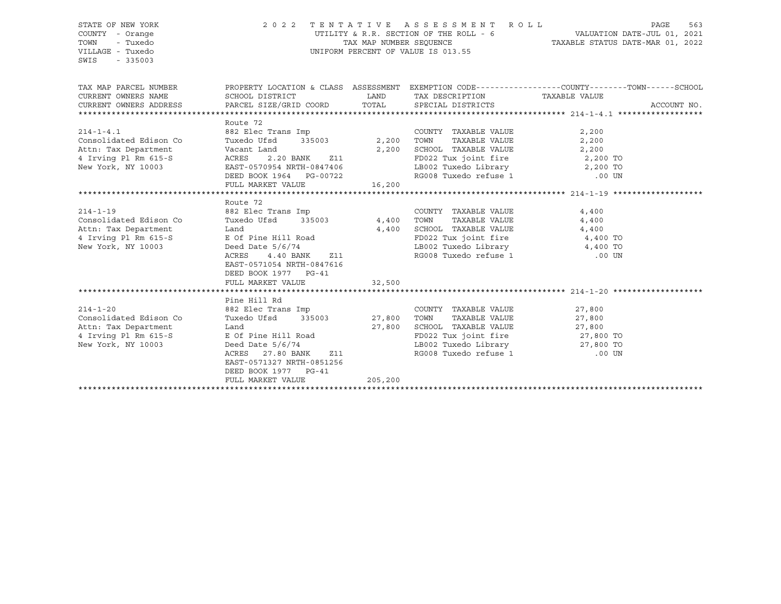| STATE OF NEW YORK<br>COUNTY - Orange<br>- Tuxedo<br>TOWN<br>VILLAGE - Tuxedo<br>SWIS<br>$-335003$               | TENTATIVE ASSESSMENT ROLL<br>2 0 2 2<br>UTILITY & R.R. SECTION OF THE ROLL - $6$ $$\tt VALUATION\ DATE-JUL\ 01,\ 2021$$ TAX MAP NUMBER SEQUENCE $$\tt TXAABLE\ STATUS\ DATE-MAR\ 01,\ 2022$$<br>UNIFORM PERCENT OF VALUE IS 013.55                                                                                             |                                 |                                                                                                                                                                                | PAGE                                 |             |  |
|-----------------------------------------------------------------------------------------------------------------|--------------------------------------------------------------------------------------------------------------------------------------------------------------------------------------------------------------------------------------------------------------------------------------------------------------------------------|---------------------------------|--------------------------------------------------------------------------------------------------------------------------------------------------------------------------------|--------------------------------------|-------------|--|
| TAX MAP PARCEL NUMBER<br>CURRENT OWNERS NAME<br>CURRENT OWNERS ADDRESS                                          | SCHOOL DISTRICT<br>PARCEL SIZE/GRID COORD                                                                                                                                                                                                                                                                                      | LAND<br>TOTAL                   | PROPERTY LOCATION & CLASS ASSESSMENT EXEMPTION CODE----------------COUNTY-------TOWN------SCHOOL<br>TAX DESCRIPTION TAXABLE VALUE<br>SPECIAL DISTRICTS                         |                                      | ACCOUNT NO. |  |
| $214 - 1 - 4.1$<br>Consolidated Edison Co<br>Attn: Tax Department<br>4 Irving Pl Rm 615-S<br>New York, NY 10003 | Route 72<br>882 Elec Trans Imp<br>335003<br>Tuxedo Ufsd<br>Vacant Land<br>ACRES<br>2.20 BANK<br>Z11<br>EAST-0570954 NRTH-0847406<br>DEED BOOK 1964 PG-00722<br>FULL MARKET VALUE                                                                                                                                               | 2,200 TOWN<br>00722 16,200 - PG | COUNTY TAXABLE VALUE<br>TAXABLE VALUE<br>2,200 SCHOOL TAXABLE VALUE<br>FD022 Tux joint fire that the 2,200 TO<br>LB002 Tuxedo Library 2,200 TO<br>RG008 Tuxedo refuse 1 .00 UN | 2,200<br>2,200<br>2,200              |             |  |
| $214 - 1 - 19$<br>Consolidated Edison Co<br>Attn: Tax Department<br>4 Irving Pl Rm 615-S<br>New York, NY 10003  | Route 72<br>882 Elec Trans Imp<br>Tuxedo Ufsd<br>335003<br>Land<br>E Of Pine Hill Road<br>Deed Date $5/6/74$<br>4.40 BANK<br>ACRES<br>Z11 and a set of the set of the set of the set of the set of the set of the set of the set of the set of the s<br>EAST-0571054 NRTH-0847616<br>DEED BOOK 1977 PG-41<br>FULL MARKET VALUE | 4,400 TOWN<br>32,500            | COUNTY TAXABLE VALUE<br>TAXABLE VALUE<br>$4,400$ SCHOOL TAXABLE VALUE $4,400$<br>FD022 Tux joint fire $4,400$ TO<br>LB002 Tuxedo Library 4,400 TO<br>RG008 Tuxedo refuse 1     | 4,400<br>4,400<br>$.00$ UN           |             |  |
| $214 - 1 - 20$<br>Consolidated Edison Co<br>Attn: Tax Department<br>4 Irving Pl Rm 615-S<br>New York, NY 10003  | Pine Hill Rd<br>882 Elec Trans Imp<br>Tuxedo Ufsd 335003<br>Land<br>E Of Pine Hill Road<br>Deed Date $5/6/74$<br>ACRES 27.80 BANK<br>Z11<br>EAST-0571327 NRTH-0851256<br>DEED BOOK 1977 PG-41<br>FULL MARKET VALUE                                                                                                             | 27,800<br>205,200               | COUNTY TAXABLE VALUE<br>27,800 TOWN<br>TAXABLE VALUE<br>SCHOOL TAXABLE VALUE<br>FD022 Tux joint fire 27,800 TO<br>LB002 Tuxedo Library 127,800 TO<br>RG008 Tuxedo refuse 1     | 27,800<br>27,800<br>27,800<br>.00 UN |             |  |
|                                                                                                                 |                                                                                                                                                                                                                                                                                                                                |                                 |                                                                                                                                                                                |                                      |             |  |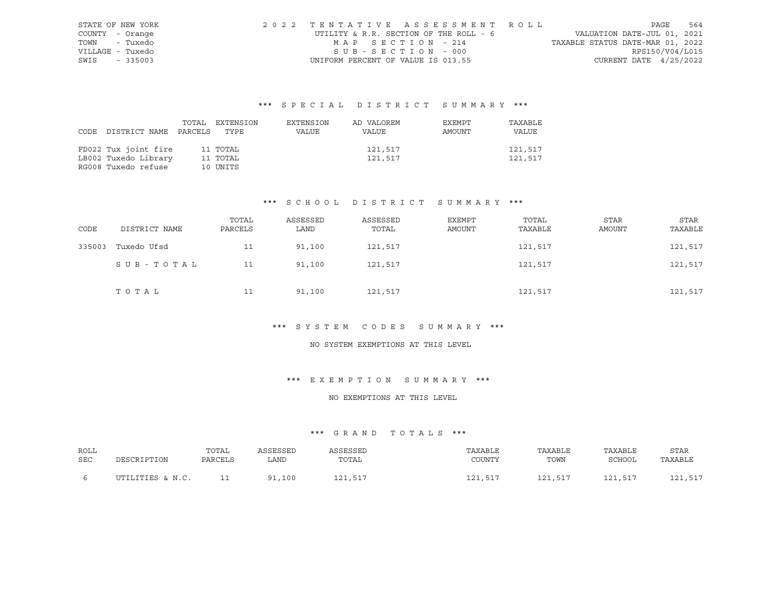|                  | STATE OF NEW YORK | 2022 TENTATIVE ASSESSMENT ROLL         |                                  | PAGE                     | 564 |
|------------------|-------------------|----------------------------------------|----------------------------------|--------------------------|-----|
| COUNTY - Orange  |                   | UTILITY & R.R. SECTION OF THE ROLL - 6 | VALUATION DATE-JUL 01, 2021      |                          |     |
|                  | TOWN - Tuxedo     | MAP SECTION - 214                      | TAXABLE STATUS DATE-MAR 01, 2022 |                          |     |
| VILLAGE - Tuxedo |                   | SUB-SECTION - 000                      |                                  | RPS150/V04/L015          |     |
| SWIS - 335003    |                   | UNIFORM PERCENT OF VALUE IS 013.55     |                                  | CURRENT DATE $4/25/2022$ |     |

| CODE DISTRICT NAME PARCELS TYPE | TOTAL EXTENSION | EXTENSION<br>VALUE | AD VALOREM<br>VALUE | EXEMPT<br>AMOUNT | TAXABLE<br>VALUE |
|---------------------------------|-----------------|--------------------|---------------------|------------------|------------------|
| FD022 Tux joint fire            | 11 TOTAL        |                    | 121,517             |                  | 121,517          |
| LB002 Tuxedo Library            | 11 TOTAL        |                    | 121,517             |                  | 121,517          |
| RG008 Tuxedo refuse             | 10 UNITS        |                    |                     |                  |                  |

# \*\*\* S C H O O L D I S T R I C T S U M M A R Y \*\*\*

| CODE   | DISTRICT NAME | TOTAL<br>PARCELS | ASSESSED<br>LAND | ASSESSED<br>TOTAL | EXEMPT<br>AMOUNT | TOTAL<br>TAXABLE | STAR<br>AMOUNT | STAR<br>TAXABLE |
|--------|---------------|------------------|------------------|-------------------|------------------|------------------|----------------|-----------------|
| 335003 | Tuxedo Ufsd   | 11               | 91,100           | 121,517           |                  | 121,517          |                | 121,517         |
|        | SUB-TOTAL     | 11               | 91,100           | 121,517           |                  | 121,517          |                | 121,517         |
|        | TOTAL         | 11               | 91,100           | 121,517           |                  | 121,517          |                | 121,517         |

#### \*\*\* S Y S T E M C O D E S S U M M A R Y \*\*\*

# NO SYSTEM EXEMPTIONS AT THIS LEVEL

#### \*\*\* E X E M P T I O N S U M M A R Y \*\*\*

#### NO EXEMPTIONS AT THIS LEVEL

| ROLL | DESCRIPTION      | TOTAL   | ASSESSED               | ASSESSED | TAXABLE | TAXABLE | TAXABLE | <b>STAR</b> |
|------|------------------|---------|------------------------|----------|---------|---------|---------|-------------|
| SEC  |                  | PARCELS | LAND                   | TOTAL    | COUNTY  | TOWN    | SCHOOL  | TAXABLE     |
|      | UTILITIES & N.C. |         | .100<br>Q <sub>1</sub> | 121,517  | 121,517 | 121,517 | 121,517 | 121,517     |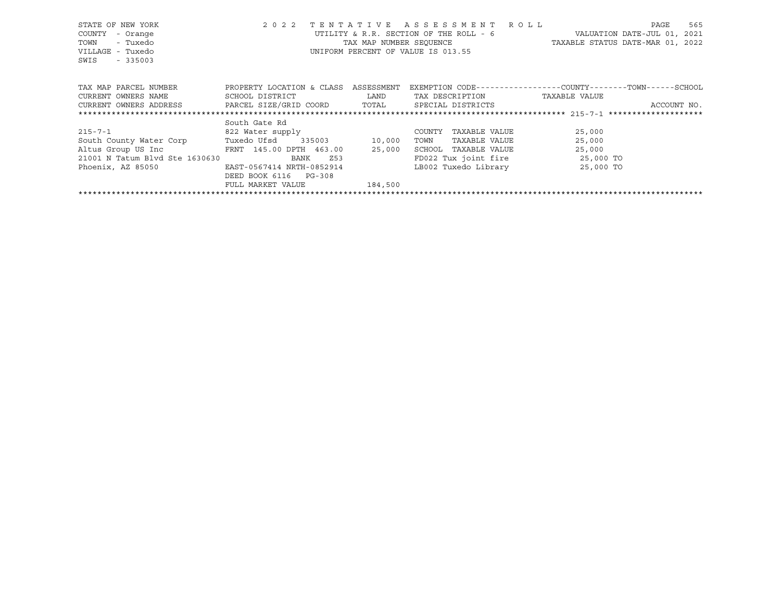| STATE OF NEW YORK<br>COUNTY<br>- Orange<br>- Tuxedo<br>TOWN<br>VILLAGE - Tuxedo<br>SWIS<br>$-335003$ | 2 0 2 2<br>TENTATIVE      | TAX MAP NUMBER SEOUENCE | A S S E S S M E N T<br>R O L L<br>UTILITY & R.R. SECTION OF THE ROLL - 6<br>UNIFORM PERCENT OF VALUE IS 013.55 | 565<br>PAGE<br>VALUATION DATE-JUL 01, 2021<br>TAXABLE STATUS DATE-MAR 01, 2022 |
|------------------------------------------------------------------------------------------------------|---------------------------|-------------------------|----------------------------------------------------------------------------------------------------------------|--------------------------------------------------------------------------------|
| TAX MAP PARCEL NUMBER                                                                                | PROPERTY LOCATION & CLASS | ASSESSMENT              |                                                                                                                | EXEMPTION CODE-----------------COUNTY-------TOWN------SCHOOL                   |
| CURRENT OWNERS NAME                                                                                  | SCHOOL DISTRICT           | LAND                    | TAX DESCRIPTION                                                                                                | TAXABLE VALUE                                                                  |
| CURRENT OWNERS ADDRESS FARCEL SIZE/GRID COORD                                                        |                           | TOTAL                   | SPECIAL DISTRICTS                                                                                              | ACCOUNT NO.                                                                    |
|                                                                                                      |                           |                         |                                                                                                                |                                                                                |
|                                                                                                      | South Gate Rd             |                         |                                                                                                                |                                                                                |
| 215-7-1                                                                                              | 822 Water supply          |                         | TAXABLE VALUE<br>COUNTY                                                                                        | 25,000                                                                         |
| South County Water Corp                                                                              | Tuxedo Ufsd<br>335003     | 10,000                  | TAXABLE VALUE<br>TOWN                                                                                          | 25,000                                                                         |
| Altus Group US Inc                                                                                   | FRNT 145.00 DPTH 463.00   | 25,000                  | SCHOOL<br>TAXABLE VALUE                                                                                        | 25,000                                                                         |
| 21001 N Tatum Blvd Ste 1630630                                                                       | Z53<br>BANK               |                         | FD022 Tux joint fire                                                                                           | 25,000 TO                                                                      |
| Phoenix, AZ 85050                                                                                    | EAST-0567414 NRTH-0852914 |                         | LB002 Tuxedo Library                                                                                           | 25,000 TO                                                                      |
|                                                                                                      | DEED BOOK 6116<br>PG-308  |                         |                                                                                                                |                                                                                |
|                                                                                                      | FULL MARKET VALUE         | 184,500                 |                                                                                                                |                                                                                |
|                                                                                                      |                           |                         |                                                                                                                |                                                                                |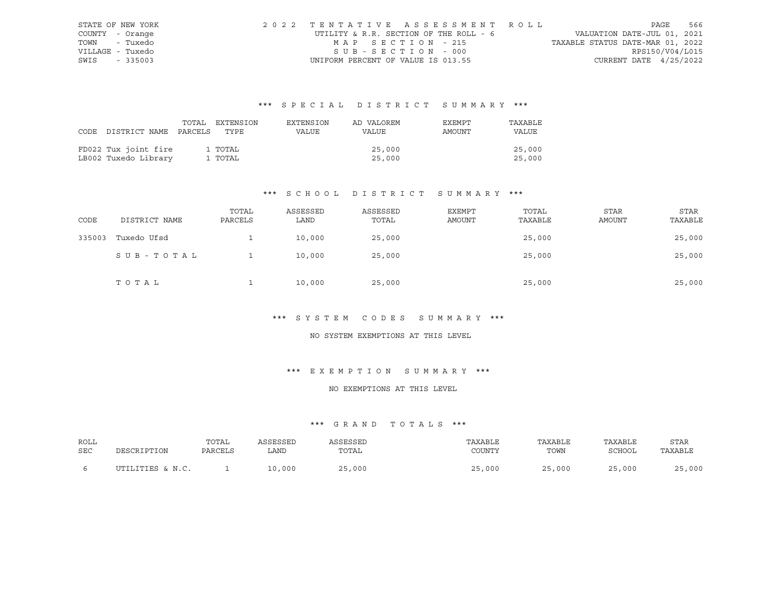| STATE OF NEW YORK |  | 2022 TENTATIVE ASSESSMENT ROLL         |                                  | PAGE            | 566 |
|-------------------|--|----------------------------------------|----------------------------------|-----------------|-----|
| COUNTY - Orange   |  | UTILITY & R.R. SECTION OF THE ROLL - 6 | VALUATION DATE-JUL 01, 2021      |                 |     |
| TOWN - Tuxedo     |  | MAP SECTION - 215                      | TAXABLE STATUS DATE-MAR 01, 2022 |                 |     |
| VILLAGE - Tuxedo  |  | SUB-SECTION - 000                      |                                  | RPS150/V04/L015 |     |
| SWIS - 335003     |  | UNIFORM PERCENT OF VALUE IS 013.55     | CURRENT DATE $4/25/2022$         |                 |     |

|                                 | TOTAL EXTENSION | EXTENSION | AD VALOREM | EXEMPT | TAXABLE |
|---------------------------------|-----------------|-----------|------------|--------|---------|
| CODE DISTRICT NAME PARCELS TYPE |                 | VALUE     | VALUE      | AMOUNT | VALUE   |
|                                 |                 |           |            |        |         |
| FD022 Tux joint fire            | 1 TOTAL         |           | 25,000     |        | 25,000  |
| LB002 Tuxedo Library            | 1 TOTAL         |           | 25,000     |        | 25,000  |

# \*\*\* S C H O O L D I S T R I C T S U M M A R Y \*\*\*

| CODE   | DISTRICT NAME | TOTAL<br>PARCELS | ASSESSED<br>LAND | ASSESSED<br>TOTAL | EXEMPT<br>AMOUNT | TOTAL<br>TAXABLE | STAR<br><b>AMOUNT</b> | <b>STAR</b><br>TAXABLE |
|--------|---------------|------------------|------------------|-------------------|------------------|------------------|-----------------------|------------------------|
| 335003 | Tuxedo Ufsd   |                  | 10,000           | 25,000            |                  | 25,000           |                       | 25,000                 |
|        | SUB-TOTAL     |                  | 10,000           | 25,000            |                  | 25,000           |                       | 25,000                 |
|        | TOTAL         |                  | 10,000           | 25,000            |                  | 25,000           |                       | 25,000                 |

# \*\*\* S Y S T E M C O D E S S U M M A R Y \*\*\*

#### NO SYSTEM EXEMPTIONS AT THIS LEVEL

# \*\*\* E X E M P T I O N S U M M A R Y \*\*\*

#### NO EXEMPTIONS AT THIS LEVEL

| ROLL<br>SEC |                  | TOTAL<br>PARCELS | SSESSED<br>LAND | SSESSED<br>TOTAL | TAXABLE<br>COUNTY | TAXABLE<br>TOWN | TAXABLE<br>SCHOOL | <b>STAR</b><br>TAXABLE |
|-------------|------------------|------------------|-----------------|------------------|-------------------|-----------------|-------------------|------------------------|
|             | UTILITIES & N.C. |                  | 10,000          | ,000             | 25,000            | 25,000          | 25,000            | 25,000                 |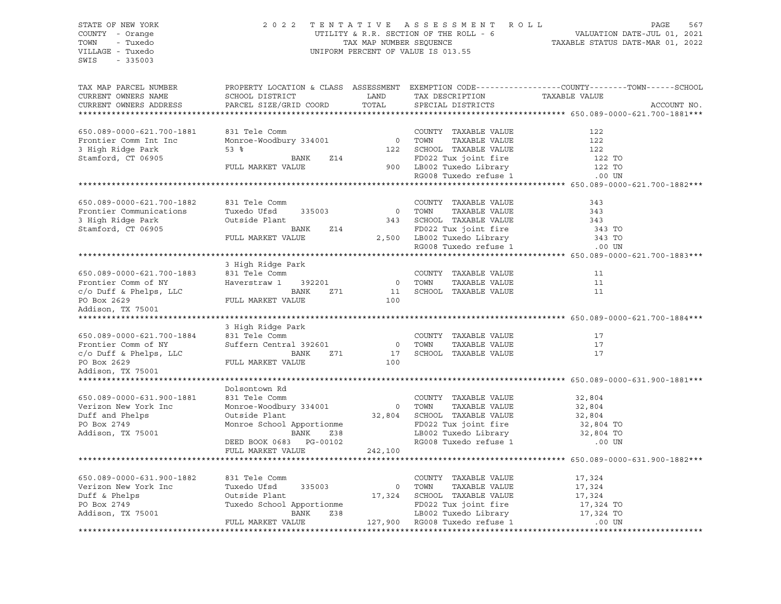# STATE OF NEW YORK 2 0 2 2 T E N T A T I V E A S S E S S M E N T R O L L PAGE 567 COUNTY - Orange UTILITY & R.R. SECTION OF THE ROLL - 6 VALUATION DATE-JUL 01, 2021 TOWN - Tuxedo TAX MAP NUMBER SEQUENCE TAXABLE STATUS DATE-MAR 01, 2022 VILLAGE - Tuxedo UNIFORM PERCENT OF VALUE IS 013.55

| TAX MAP PARCEL NUMBER     | PROPERTY LOCATION & CLASS ASSESSMENT EXEMPTION CODE----------------COUNTY-------TOWN------SCHOOL |                |                                                |               |             |
|---------------------------|--------------------------------------------------------------------------------------------------|----------------|------------------------------------------------|---------------|-------------|
| CURRENT OWNERS NAME       | SCHOOL DISTRICT                                                                                  | LAND           | TAX DESCRIPTION                                | TAXABLE VALUE |             |
| CURRENT OWNERS ADDRESS    | PARCEL SIZE/GRID COORD                                                                           | TOTAL          | SPECIAL DISTRICTS                              |               | ACCOUNT NO. |
|                           |                                                                                                  |                |                                                |               |             |
|                           |                                                                                                  |                |                                                |               |             |
| 650.089-0000-621.700-1881 | 831 Tele Comm                                                                                    |                | COUNTY TAXABLE VALUE                           | 122           |             |
| Frontier Comm Int Inc     | Monroe-Woodbury 334001                                                                           | $\overline{0}$ | TOWN<br>TAXABLE VALUE                          | 122           |             |
| 3 High Ridge Park         | 53 <sup>8</sup>                                                                                  | 122            | SCHOOL TAXABLE VALUE                           | 122           |             |
| Stamford, CT 06905        | BANK<br><b>Z14</b>                                                                               |                | FD022 Tux joint fire                           | 122 TO        |             |
|                           | FULL MARKET VALUE                                                                                |                | 900 LB002 Tuxedo Library<br>Passes and Library | 122 TO        |             |
|                           |                                                                                                  |                | RG008 Tuxedo refuse 1                          | .00 UN        |             |
|                           |                                                                                                  |                |                                                |               |             |
|                           |                                                                                                  |                |                                                |               |             |
| 650.089-0000-621.700-1882 | 831 Tele Comm                                                                                    |                | COUNTY TAXABLE VALUE                           | 343           |             |
| Frontier Communications   | Tuxedo Ufsd<br>335003                                                                            |                | 0 TOWN<br>TAXABLE VALUE                        | 343           |             |
| 3 High Ridge Park         | Outside Plant                                                                                    |                | 343 SCHOOL TAXABLE VALUE                       | 343           |             |
| Stamford, CT 06905        | BANK<br>Z14                                                                                      |                | FD022 Tux joint fire                           | 343 TO        |             |
|                           | FULL MARKET VALUE                                                                                |                | 2,500 LB002 Tuxedo Library                     | 343 TO        |             |
|                           |                                                                                                  |                | RG008 Tuxedo refuse 1                          | .00 UN        |             |
|                           |                                                                                                  |                |                                                |               |             |
|                           | 3 High Ridge Park                                                                                |                |                                                |               |             |
| 650.089-0000-621.700-1883 | 831 Tele Comm                                                                                    |                | COUNTY TAXABLE VALUE                           | 11            |             |
| Frontier Comm of NY       | Haverstraw 1 392201                                                                              |                | 0 TOWN<br>TAXABLE VALUE                        | 11            |             |
| c/o Duff & Phelps, LLC    | BANK<br>Z71                                                                                      | 11             | SCHOOL TAXABLE VALUE                           | 11            |             |
| PO Box 2629               | FULL MARKET VALUE                                                                                | 100            |                                                |               |             |
| Addison, TX 75001         |                                                                                                  |                |                                                |               |             |
|                           |                                                                                                  |                |                                                |               |             |
|                           | 3 High Ridge Park                                                                                |                |                                                |               |             |
| 650.089-0000-621.700-1884 | 831 Tele Comm                                                                                    |                | COUNTY TAXABLE VALUE                           | 17            |             |
| Frontier Comm of NY       | Suffern Central 392601                                                                           |                | 0 TOWN<br>TAXABLE VALUE                        | 17            |             |
| c/o Duff & Phelps, LLC    | BANK<br>Z71                                                                                      | 17             | SCHOOL TAXABLE VALUE                           | 17            |             |
| PO Box 2629               | FULL MARKET VALUE                                                                                | 100            |                                                |               |             |
| Addison, TX 75001         |                                                                                                  |                |                                                |               |             |
|                           |                                                                                                  |                |                                                |               |             |
|                           | Dolsontown Rd                                                                                    |                |                                                |               |             |
| 650.089-0000-631.900-1881 | 831 Tele Comm                                                                                    |                | COUNTY TAXABLE VALUE                           | 32,804        |             |
| Verizon New York Inc      | Monroe-Woodbury 334001                                                                           |                | 0 TOWN<br>TAXABLE VALUE                        | 32,804        |             |
| Duff and Phelps           | Outside Plant                                                                                    |                | 32,804 SCHOOL TAXABLE VALUE                    | 32,804        |             |
| PO Box 2749               | Monroe School Apportionme                                                                        |                | FD022 Tux joint fire                           | 32,804 TO     |             |
| Addison, TX 75001         | Z38<br>BANK                                                                                      |                | LB002 Tuxedo Library 32,804 TO                 |               |             |
|                           | DEED BOOK 0683 PG-00102                                                                          |                | RG008 Tuxedo refuse 1                          | .00 UN        |             |
|                           | FULL MARKET VALUE                                                                                | 242,100        |                                                |               |             |
|                           |                                                                                                  |                |                                                |               |             |
|                           |                                                                                                  |                |                                                |               |             |
| 650.089-0000-631.900-1882 | 831 Tele Comm                                                                                    |                | COUNTY TAXABLE VALUE                           | 17,324        |             |
| Verizon New York Inc      | Tuxedo Ufsd<br>335003                                                                            | $\overline{0}$ | TAXABLE VALUE<br>TOWN                          | 17,324        |             |
| Duff & Phelps             | Outside Plant                                                                                    | 17,324         | SCHOOL TAXABLE VALUE                           | 17,324        |             |
| PO Box 2749               | Tuxedo School Apportionme                                                                        |                | FD022 Tux joint fire                           | 17,324 TO     |             |
| Addison, TX 75001         | BANK<br>Z38                                                                                      |                | LB002 Tuxedo Library                           | 17,324 TO     |             |
|                           | FULL MARKET VALUE                                                                                |                | 127,900 RG008 Tuxedo refuse 1                  | .00 UN        |             |
|                           |                                                                                                  |                |                                                |               |             |
|                           |                                                                                                  |                |                                                |               |             |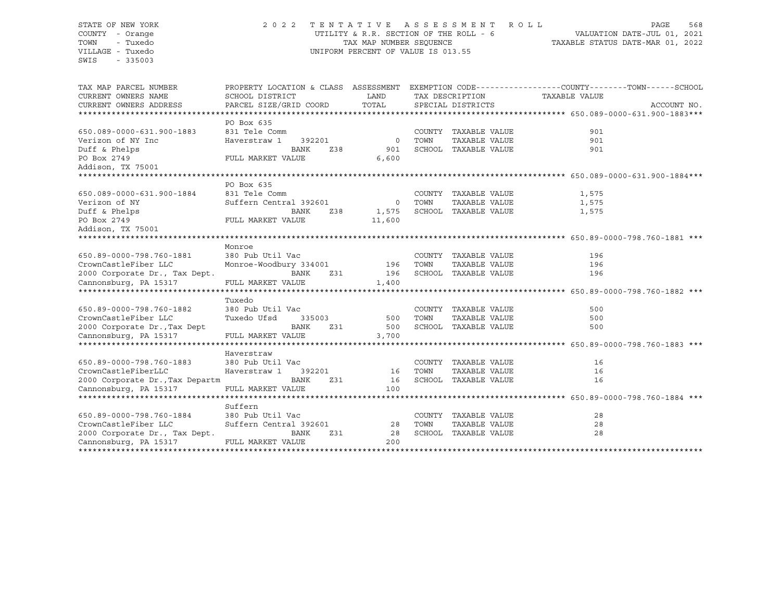# STATE OF NEW YORK 2 0 2 2 T E N T A T I V E A S S E S S M E N T R O L L PAGE 568 COUNTY - Orange UTILITY & R.R. SECTION OF THE ROLL - 6 VALUATION DATE-JUL 01, 2021 TOWN - Tuxedo TAX MAP NUMBER SEQUENCE TAXABLE STATUS DATE-MAR 01, 2022 VILLAGE - Tuxedo UNIFORM PERCENT OF VALUE IS 013.55

| TAX MAP PARCEL NUMBER<br>CURRENT OWNERS NAME<br>CURRENT OWNERS ADDRESS | PROPERTY LOCATION & CLASS ASSESSMENT<br>SCHOOL DISTRICT<br>PARCEL SIZE/GRID COORD | LAND<br>TOTAL |        | TAX DESCRIPTION<br>SPECIAL DISTRICTS | EXEMPTION CODE-----------------COUNTY-------TOWN------SCHOOL<br>TAXABLE VALUE<br>ACCOUNT NO. |
|------------------------------------------------------------------------|-----------------------------------------------------------------------------------|---------------|--------|--------------------------------------|----------------------------------------------------------------------------------------------|
|                                                                        | PO Box 635                                                                        |               |        |                                      |                                                                                              |
| 650.089-0000-631.900-1883                                              | 831 Tele Comm                                                                     |               |        | COUNTY TAXABLE VALUE                 | 901                                                                                          |
| Verizon of NY Inc                                                      | 392201<br>Haverstraw 1                                                            | $\Omega$      | TOWN   | TAXABLE VALUE                        | 901                                                                                          |
| Duff & Phelps                                                          | BANK<br>Z38                                                                       | 901           | SCHOOL | TAXABLE VALUE                        | 901                                                                                          |
| PO Box 2749                                                            | FULL MARKET VALUE                                                                 | 6,600         |        |                                      |                                                                                              |
| Addison, TX 75001                                                      |                                                                                   |               |        |                                      |                                                                                              |
|                                                                        |                                                                                   |               |        |                                      |                                                                                              |
|                                                                        | PO Box 635                                                                        |               |        |                                      |                                                                                              |
| 650.089-0000-631.900-1884                                              | 831 Tele Comm                                                                     |               |        | COUNTY TAXABLE VALUE                 | 1,575                                                                                        |
| Verizon of NY                                                          | Suffern Central 392601                                                            | $\circ$       | TOWN   | TAXABLE VALUE                        | 1,575                                                                                        |
| Duff & Phelps                                                          | BANK<br>Z38                                                                       | 1,575         |        | SCHOOL TAXABLE VALUE                 | 1,575                                                                                        |
| PO Box 2749                                                            | FULL MARKET VALUE                                                                 | 11,600        |        |                                      |                                                                                              |
| Addison, TX 75001                                                      |                                                                                   |               |        |                                      |                                                                                              |
| ******************************                                         |                                                                                   |               |        |                                      |                                                                                              |
|                                                                        | Monroe                                                                            |               |        |                                      |                                                                                              |
| 650.89-0000-798.760-1881                                               | 380 Pub Util Vac                                                                  |               | COUNTY | TAXABLE VALUE                        | 196                                                                                          |
| CrownCastleFiber LLC                                                   | Monroe-Woodbury 334001                                                            | 196           | TOWN   | TAXABLE VALUE                        | 196                                                                                          |
| 2000 Corporate Dr., Tax Dept.                                          | BANK<br>Z31                                                                       | 196           |        | SCHOOL TAXABLE VALUE                 | 196                                                                                          |
| Cannonsburg, PA 15317                                                  | FULL MARKET VALUE                                                                 | 1,400         |        |                                      |                                                                                              |
|                                                                        |                                                                                   |               |        |                                      |                                                                                              |
| 650.89-0000-798.760-1882                                               | Tuxedo<br>380 Pub Util Vac                                                        |               |        | COUNTY TAXABLE VALUE                 | 500                                                                                          |
| CrownCastleFiber LLC                                                   | Tuxedo Ufsd<br>335003                                                             | 500           | TOWN   | TAXABLE VALUE                        | 500                                                                                          |
| 2000 Corporate Dr., Tax Dept                                           | <b>BANK</b><br>Z31                                                                | 500           |        | SCHOOL TAXABLE VALUE                 | 500                                                                                          |
| Cannonsburg, PA 15317                                                  | FULL MARKET VALUE                                                                 | 3,700         |        |                                      |                                                                                              |
|                                                                        |                                                                                   |               |        |                                      |                                                                                              |
|                                                                        | Haverstraw                                                                        |               |        |                                      |                                                                                              |
| 650.89-0000-798.760-1883                                               | 380 Pub Util Vac                                                                  |               | COUNTY | TAXABLE VALUE                        | 16                                                                                           |
| CrownCastleFiberLLC                                                    | Haverstraw 1<br>392201                                                            | 16            | TOWN   | TAXABLE VALUE                        | 16                                                                                           |
| 2000 Corporate Dr., Tax Departm                                        | BANK<br>Z31                                                                       | 16            | SCHOOL | TAXABLE VALUE                        | 16                                                                                           |
| Cannonsburg, PA 15317                                                  | FULL MARKET VALUE                                                                 | 100           |        |                                      |                                                                                              |
|                                                                        |                                                                                   |               |        |                                      |                                                                                              |
|                                                                        | Suffern                                                                           |               |        |                                      |                                                                                              |
| 650.89-0000-798.760-1884                                               | 380 Pub Util Vac                                                                  |               |        | COUNTY TAXABLE VALUE                 | 28                                                                                           |
| CrownCastleFiber LLC                                                   | Suffern Central 392601                                                            | 28            | TOWN   | TAXABLE VALUE                        | 28                                                                                           |
| 2000 Corporate Dr., Tax Dept.                                          | Z31<br>BANK                                                                       | 28            |        | SCHOOL TAXABLE VALUE                 | 28                                                                                           |
| Cannonsburg, PA 15317                                                  | FULL MARKET VALUE                                                                 | 200           |        |                                      |                                                                                              |
|                                                                        |                                                                                   |               |        |                                      |                                                                                              |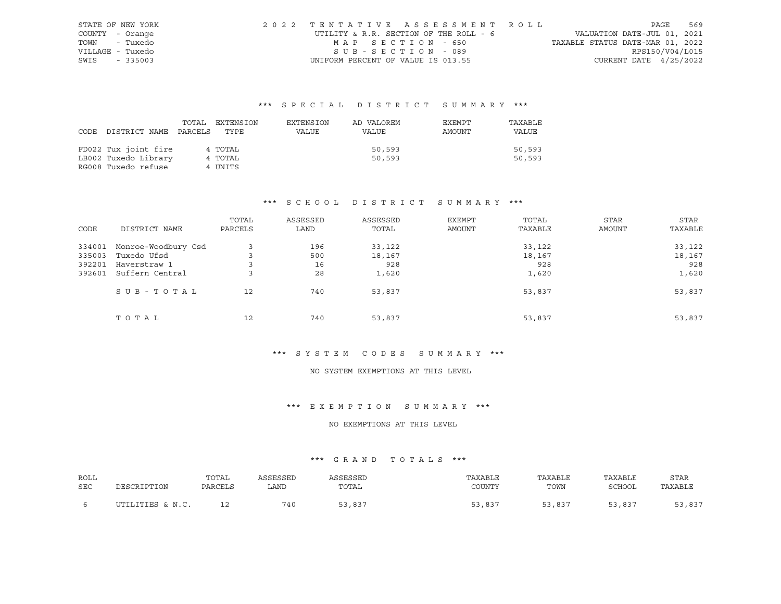| STATE OF NEW YORK | 2022 TENTATIVE ASSESSMENT ROLL         |                                  | PAGE                     | 569 |
|-------------------|----------------------------------------|----------------------------------|--------------------------|-----|
| COUNTY - Orange   | UTILITY & R.R. SECTION OF THE ROLL - 6 | VALUATION DATE-JUL 01, 2021      |                          |     |
| - Tuxedo<br>TOWN  | MAP SECTION - 650                      | TAXABLE STATUS DATE-MAR 01, 2022 |                          |     |
| VILLAGE - Tuxedo  | SUB-SECTION - 089                      |                                  | RPS150/V04/L015          |     |
| SWIS<br>$-335003$ | UNIFORM PERCENT OF VALUE IS 013.55     |                                  | CURRENT DATE $4/25/2022$ |     |

| DISTRICT NAME<br>CODE                                               | TOTAL<br>EXTENSION<br>PARCELS<br>TYPE | EXTENSION<br>VALUE | AD VALOREM<br>VALUE | EXEMPT<br>AMOUNT | TAXABLE<br>VALUE |
|---------------------------------------------------------------------|---------------------------------------|--------------------|---------------------|------------------|------------------|
| FD022 Tux joint fire<br>LB002 Tuxedo Library<br>RG008 Tuxedo refuse | 4 TOTAL<br>4 TOTAL<br>4 UNITS         |                    | 50,593<br>50,593    |                  | 50,593<br>50,593 |

# \*\*\* S C H O O L D I S T R I C T S U M M A R Y \*\*\*

| CODE   | DISTRICT NAME       | TOTAL<br>PARCELS | ASSESSED<br>LAND | ASSESSED<br>TOTAL | EXEMPT<br>AMOUNT | TOTAL<br>TAXABLE | <b>STAR</b><br><b>AMOUNT</b> | STAR<br>TAXABLE |
|--------|---------------------|------------------|------------------|-------------------|------------------|------------------|------------------------------|-----------------|
| 334001 | Monroe-Woodbury Csd |                  | 196              | 33,122            |                  | 33,122           |                              | 33,122          |
| 335003 | Tuxedo Ufsd         |                  | 500              | 18,167            |                  | 18,167           |                              | 18,167          |
| 392201 | Haverstraw 1        |                  | 16               | 928               |                  | 928              |                              | 928             |
| 392601 | Suffern Central     |                  | 28               | 1,620             |                  | 1,620            |                              | 1,620           |
|        | SUB-TOTAL           | 12               | 740              | 53,837            |                  | 53,837           |                              | 53,837          |
|        | TOTAL               | 12               | 740              | 53,837            |                  | 53,837           |                              | 53,837          |

# \*\*\* S Y S T E M C O D E S S U M M A R Y \*\*\*

#### NO SYSTEM EXEMPTIONS AT THIS LEVEL

#### \*\*\* E X E M P T I O N S U M M A R Y \*\*\*

### NO EXEMPTIONS AT THIS LEVEL

| ROLL       |                  | TOTAL   | ASSESSED | ASSESSED | TAXABLE | TAXABLE | TAXABLE | STAR    |
|------------|------------------|---------|----------|----------|---------|---------|---------|---------|
| <b>SEC</b> | DESCRIPTION      | PARCELS | LAND     | TOTAL    | COUNTY  | TOWN    | SCHOOL  | TAXABLE |
|            | UTILITIES & N.C. |         | 740      | 53,837   | 53,837  | 53,837  | 53,837  | 53,837  |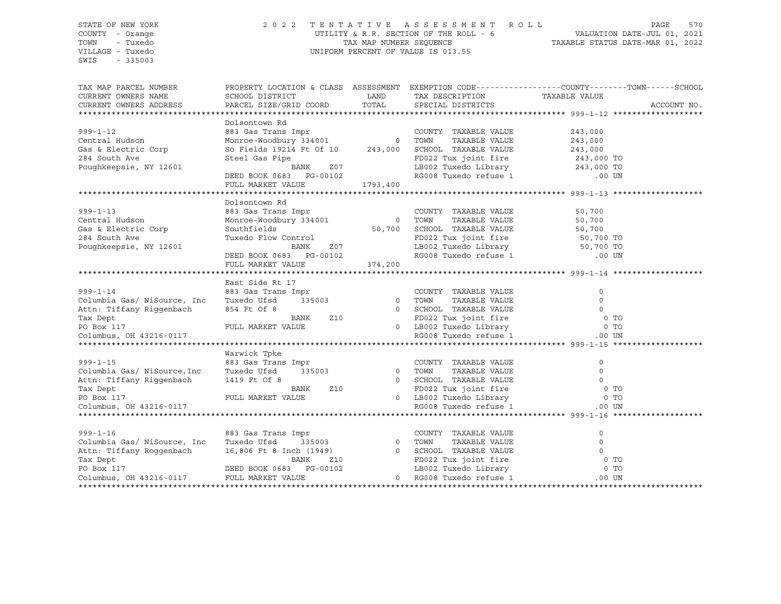### STATE OF NEW YORK 2 0 2 2 T E N T A T I V E A S S E S S M E N T R O L L PAGE 570 COUNTY - Orange UTILITY & R.R. SECTION OF THE ROLL - 6 VALUATION DATE-JUL 01, 2021 TOWN - Tuxedo TAX MAP NUMBER SEQUENCE TAXABLE STATUS DATE-MAR 01, 2022 UNIFORM PERCENT OF VALUE IS 013.55

TAX MAP PARCEL NUMBER PROPERTY LOCATION & CLASS ASSESSMENT EXEMPTION CODE------------------COUNTY--------TOWN------SCHOOL CURRENT OWNERS NAME SCHOOL DISTRICT LAND TAX DESCRIPTION TAXABLE VALUE CURRENT OWNERS ADDRESS PARCEL SIZE/GRID COORD TOTAL SPECIAL DISTRICTS ACCOUNT NO. \*\*\*\*\*\*\*\*\*\*\*\*\*\*\*\*\*\*\*\*\*\*\*\*\*\*\*\*\*\*\*\*\*\*\*\*\*\*\*\*\*\*\*\*\*\*\*\*\*\*\*\*\*\*\*\*\*\*\*\*\*\*\*\*\*\*\*\*\*\*\*\*\*\*\*\*\*\*\*\*\*\*\*\*\*\*\*\*\*\*\*\*\*\*\*\*\*\*\*\*\*\*\* 999-1-12 \*\*\*\*\*\*\*\*\*\*\*\*\*\*\*\*\*\*\* Dolsontown Rd 999-1-12 883 Gas Trans Impr COUNTY TAXABLE VALUE 243,000 Central Hudson Monroe-Woodbury 334001 0 TOWN TAXABLE VALUE 243,000 Gas & Electric Corp So Fields 19214 Ft Of 10 243,000 SCHOOL TAXABLE VALUE 243,000 284 South Ave Steel Gas Pipe FD022 Tux joint fire 243,000 TO<br>243,000 TO BANK 207 LB002 Tuxedo Library 243,000 TO<br>DEED BOOK 0683 PG-00102 RG008 Tuxedo refuse 1 .00 UN Poughkeepsie, NY 12601 BANK Z07 LB002 Tuxedo Library 243,000 TO DEED BOOK 0683 PG-00102 RG008 Tuxedo refuse 1 .00 UN FULL MARKET VALUE 1793,400 \*\*\*\*\*\*\*\*\*\*\*\*\*\*\*\*\*\*\*\*\*\*\*\*\*\*\*\*\*\*\*\*\*\*\*\*\*\*\*\*\*\*\*\*\*\*\*\*\*\*\*\*\*\*\*\*\*\*\*\*\*\*\*\*\*\*\*\*\*\*\*\*\*\*\*\*\*\*\*\*\*\*\*\*\*\*\*\*\*\*\*\*\*\*\*\*\*\*\*\*\*\*\* 999-1-13 \*\*\*\*\*\*\*\*\*\*\*\*\*\*\*\*\*\*\* Dolsontown Rd 999-1-13 883 Gas Trans Impr COUNTY TAXABLE VALUE 50,700 Central Hudson Monroe-Woodbury 334001 0 TOWN TAXABLE VALUE 50,700 Gas & Electric Corp Southfields 50,700 SCHOOL TAXABLE VALUE 50,700 284 South Ave Tuxedo Flow Control FD022 Tux joint fire 50,700 TO Poughkeepsie, NY 12601 BANK 207 LB002 Tuxedo Library 50,700 TO DEED BOOK 0683 PG-00102 RG008 Tuxedo refuse 1 .00 UN FULL MARKET VALUE 374,200 \*\*\*\*\*\*\*\*\*\*\*\*\*\*\*\*\*\*\*\*\*\*\*\*\*\*\*\*\*\*\*\*\*\*\*\*\*\*\*\*\*\*\*\*\*\*\*\*\*\*\*\*\*\*\*\*\*\*\*\*\*\*\*\*\*\*\*\*\*\*\*\*\*\*\*\*\*\*\*\*\*\*\*\*\*\*\*\*\*\*\*\*\*\*\*\*\*\*\*\*\*\*\* 999-1-14 \*\*\*\*\*\*\*\*\*\*\*\*\*\*\*\*\*\*\* East Side Rt 17 999-1-14 883 Gas Trans Impr COUNTY TAXABLE VALUE 0 Columbia Gas/ NiSource, Inc Tuxedo Ufsd 335003 0 TOWN TAXABLE VALUE 0 Attn: Tiffany Riggenbach 854 Ft Of 8 0 SCHOOL TAXABLE VALUE 0 Tax Dept BANK Z10 FD022 Tux joint fire 0 TO PO BANK 210 CONSULTING THE CONSULTING SUMMARKET VALUE OF TO A LOCAL THAT CONSULTED A TO BOX 2 TUX JOINT FIFE O<br>PO Box 117 PULL MARKET VALUE 0 LB002 Tuxedo Library 0 TO Columbus, OH 43216-0117 RG008 Tuxedo refuse 1 .00 UN \*\*\*\*\*\*\*\*\*\*\*\*\*\*\*\*\*\*\*\*\*\*\*\*\*\*\*\*\*\*\*\*\*\*\*\*\*\*\*\*\*\*\*\*\*\*\*\*\*\*\*\*\*\*\*\*\*\*\*\*\*\*\*\*\*\*\*\*\*\*\*\*\*\*\*\*\*\*\*\*\*\*\*\*\*\*\*\*\*\*\*\*\*\*\*\*\*\*\*\*\*\*\* 999-1-15 \*\*\*\*\*\*\*\*\*\*\*\*\*\*\*\*\*\*\* Warwick Tpke 999-1-15 883 Gas Trans Impr COUNTY TAXABLE VALUE 0 Columbia Gas/ NiSource,Inc Tuxedo Ufsd 335003 0 TOWN TAXABLE VALUE 0 Attn: Tiffany Riggenbach 1419 Ft Of 8 0 SCHOOL TAXABLE VALUE 0 Tax Dept BANK Z10 FD022 Tux joint fire 0 TO PO Box 117 FULL MARKET VALUE Columbus, OH 43216-0117 RG008 Tuxedo refuse 1 .00 UN \*\*\*\*\*\*\*\*\*\*\*\*\*\*\*\*\*\*\*\*\*\*\*\*\*\*\*\*\*\*\*\*\*\*\*\*\*\*\*\*\*\*\*\*\*\*\*\*\*\*\*\*\*\*\*\*\*\*\*\*\*\*\*\*\*\*\*\*\*\*\*\*\*\*\*\*\*\*\*\*\*\*\*\*\*\*\*\*\*\*\*\*\*\*\*\*\*\*\*\*\*\*\* 999-1-16 \*\*\*\*\*\*\*\*\*\*\*\*\*\*\*\*\*\*\* 999-1-16 883 Gas Trans Impr COUNTY TAXABLE VALUE 0 Columbia Gas/ NiSource, Inc Tuxedo Ufsd 335003 0 TOWN TAXABLE VALUE 0 Attn: Tiffany Roggenbach 16,806 Ft 8 Inch (1949) 0 SCHOOL TAXABLE VALUE 0 Tax Dept BANK Z10 FD022 Tux joint fire 0 TO PO Box 117 DEED BOOK 0683 PG-00102 LB002 Tuxedo Library 0 TO Columbus, OH 43216-0117 FULL MARKET VALUE 0 RG008 Tuxedo refuse 1 .00 UN \*\*\*\*\*\*\*\*\*\*\*\*\*\*\*\*\*\*\*\*\*\*\*\*\*\*\*\*\*\*\*\*\*\*\*\*\*\*\*\*\*\*\*\*\*\*\*\*\*\*\*\*\*\*\*\*\*\*\*\*\*\*\*\*\*\*\*\*\*\*\*\*\*\*\*\*\*\*\*\*\*\*\*\*\*\*\*\*\*\*\*\*\*\*\*\*\*\*\*\*\*\*\*\*\*\*\*\*\*\*\*\*\*\*\*\*\*\*\*\*\*\*\*\*\*\*\*\*\*\*\*\*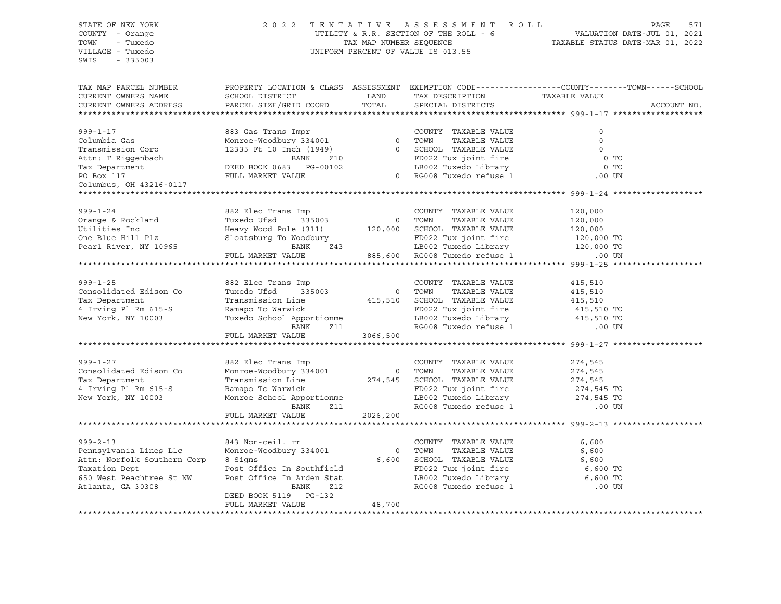# STATE OF NEW YORK 2 0 2 2 T E N T A T I V E A S S E S S M E N T R O L L PAGE 571 COUNTY - Orange UTILITY & R.R. SECTION OF THE ROLL - 6 VALUATION DATE-JUL 01, 2021 TOWN - Tuxedo TAX MAP NUMBER SEQUENCE TAXABLE STATUS DATE-MAR 01, 2022 VILLAGE - Tuxedo UNIFORM PERCENT OF VALUE IS 013.55

| TAX DESCRIPTION TAXABLE VALUE<br>CURRENT OWNERS NAME<br>SCHOOL DISTRICT<br>LAND<br>TOTAL<br>PARCEL SIZE/GRID COORD<br>SPECIAL DISTRICTS<br>ACCOUNT NO.<br>CURRENT OWNERS ADDRESS<br>$999 - 1 - 17$<br>883 Gas Trans Impr<br>COUNTY TAXABLE VALUE<br>$\Omega$<br>883 Gas Trans Impr<br>Monroe-Woodbury 334001                          0    TOWN     TAXABLE VALUE<br>12335 Ft 10 Inch (1949)                      0   SCHOOL  TAXABLE VALUE<br>Columbia Gas<br>$\Omega$<br>Transmission Corp<br>$\Omega$<br>Attn: T Riggenbach<br>Tax Department<br>DEED BOOK 0683 PG-00102<br>FD022 Tux joint fire<br>FULL MARKET VALUE<br>FULL MARKET VALUE<br>0 <sub>T</sub><br>LB002 Tuxedo Library<br>0 <sub>T</sub><br>0 RG008 Tuxedo refuse 1<br>PO Box 117<br>$.00$ UN<br>Columbus, OH 43216-0117<br>$999 - 1 - 24$<br>882 Elec Trans Imp<br>COUNTY TAXABLE VALUE<br>120,000<br>0 TOWN<br>Orange & Rockland<br>Tuxedo Ufsd<br>335003<br>TAXABLE VALUE<br>120,000<br>Heavy Wood Pole (311) 120,000 SCHOOL TAXABLE VALUE<br>Sloatsburg To Woodbury FD022 Tux joint fire<br>BANK 243 LB002 Tuxedo Library<br>Utilities Inc<br>120,000<br>120,000 TO<br>One Blue Hill Plz<br>FD022 Tux joint fire<br>Z43 LB002 Tuxedo Library 120,000 TO<br>885,600 RG008 Tuxedo refuse 1 00 UN<br>Pearl River, NY 10965<br>FULL MARKET VALUE<br>882 Elec Trans Imp<br>COUNTY TAXABLE VALUE<br>$999 - 1 - 25$<br>415,510<br>335003 0 TOWN<br>Consolidated Edison Co<br>Tuxedo Ufsd<br>TAXABLE VALUE<br>415,510<br>Transmission Line 415,510 SCHOOL TAXABLE VALUE<br>Ramapo To Warwick FD022 Tux joint fire<br>Tuxedo School Apportionme LB002 Tuxedo Library<br>BANK 211 RG008 Tuxedo refuse 1<br>Tax Department<br>415,510<br>415,510 TO<br>4 Irving Pl Rm 615-S<br>FD022 Tux joint fire<br>115,510 TO 415,510 TO RG008 Tuxedo refuse 1 15,510 TO<br>New York, NY 10003<br>FULL MARKET VALUE<br>3066,500<br>$999 - 1 - 27$<br>882 Elec Trans Imp<br>COUNTY TAXABLE VALUE<br>274,545<br>Consolidated Edison Co<br>Monroe-Woodbury 334001 0 TOWN TAXABLE VALUE<br>Transmission Line 274,545 SCHOOL TAXABLE VALUE<br>274,545<br>274,545<br>Tax Department<br>Ramapo To Warwick<br>4 Irving Pl Rm 615-S<br>FD022 Tux joint fire $274,545$ TO<br>LB002 Tuxedo Library 274,545 TO<br>RG008 Tuxedo refuse 1 00 UN<br>Monroe School Apportionme<br>New York, NY 10003 | TAX MAP PARCEL NUMBER | PROPERTY LOCATION & CLASS ASSESSMENT EXEMPTION CODE----------------COUNTY-------TOWN------SCHOOL |  |  |
|------------------------------------------------------------------------------------------------------------------------------------------------------------------------------------------------------------------------------------------------------------------------------------------------------------------------------------------------------------------------------------------------------------------------------------------------------------------------------------------------------------------------------------------------------------------------------------------------------------------------------------------------------------------------------------------------------------------------------------------------------------------------------------------------------------------------------------------------------------------------------------------------------------------------------------------------------------------------------------------------------------------------------------------------------------------------------------------------------------------------------------------------------------------------------------------------------------------------------------------------------------------------------------------------------------------------------------------------------------------------------------------------------------------------------------------------------------------------------------------------------------------------------------------------------------------------------------------------------------------------------------------------------------------------------------------------------------------------------------------------------------------------------------------------------------------------------------------------------------------------------------------------------------------------------------------------------------------------------------------------------------------------------------------------------------------------------------------------------------------------------------------------------------------------------------------------------------------------------------------------------------------------------------------------------------------------------------|-----------------------|--------------------------------------------------------------------------------------------------|--|--|
|                                                                                                                                                                                                                                                                                                                                                                                                                                                                                                                                                                                                                                                                                                                                                                                                                                                                                                                                                                                                                                                                                                                                                                                                                                                                                                                                                                                                                                                                                                                                                                                                                                                                                                                                                                                                                                                                                                                                                                                                                                                                                                                                                                                                                                                                                                                                    |                       |                                                                                                  |  |  |
|                                                                                                                                                                                                                                                                                                                                                                                                                                                                                                                                                                                                                                                                                                                                                                                                                                                                                                                                                                                                                                                                                                                                                                                                                                                                                                                                                                                                                                                                                                                                                                                                                                                                                                                                                                                                                                                                                                                                                                                                                                                                                                                                                                                                                                                                                                                                    |                       |                                                                                                  |  |  |
|                                                                                                                                                                                                                                                                                                                                                                                                                                                                                                                                                                                                                                                                                                                                                                                                                                                                                                                                                                                                                                                                                                                                                                                                                                                                                                                                                                                                                                                                                                                                                                                                                                                                                                                                                                                                                                                                                                                                                                                                                                                                                                                                                                                                                                                                                                                                    |                       |                                                                                                  |  |  |
|                                                                                                                                                                                                                                                                                                                                                                                                                                                                                                                                                                                                                                                                                                                                                                                                                                                                                                                                                                                                                                                                                                                                                                                                                                                                                                                                                                                                                                                                                                                                                                                                                                                                                                                                                                                                                                                                                                                                                                                                                                                                                                                                                                                                                                                                                                                                    |                       |                                                                                                  |  |  |
|                                                                                                                                                                                                                                                                                                                                                                                                                                                                                                                                                                                                                                                                                                                                                                                                                                                                                                                                                                                                                                                                                                                                                                                                                                                                                                                                                                                                                                                                                                                                                                                                                                                                                                                                                                                                                                                                                                                                                                                                                                                                                                                                                                                                                                                                                                                                    |                       |                                                                                                  |  |  |
|                                                                                                                                                                                                                                                                                                                                                                                                                                                                                                                                                                                                                                                                                                                                                                                                                                                                                                                                                                                                                                                                                                                                                                                                                                                                                                                                                                                                                                                                                                                                                                                                                                                                                                                                                                                                                                                                                                                                                                                                                                                                                                                                                                                                                                                                                                                                    |                       |                                                                                                  |  |  |
|                                                                                                                                                                                                                                                                                                                                                                                                                                                                                                                                                                                                                                                                                                                                                                                                                                                                                                                                                                                                                                                                                                                                                                                                                                                                                                                                                                                                                                                                                                                                                                                                                                                                                                                                                                                                                                                                                                                                                                                                                                                                                                                                                                                                                                                                                                                                    |                       |                                                                                                  |  |  |
|                                                                                                                                                                                                                                                                                                                                                                                                                                                                                                                                                                                                                                                                                                                                                                                                                                                                                                                                                                                                                                                                                                                                                                                                                                                                                                                                                                                                                                                                                                                                                                                                                                                                                                                                                                                                                                                                                                                                                                                                                                                                                                                                                                                                                                                                                                                                    |                       |                                                                                                  |  |  |
|                                                                                                                                                                                                                                                                                                                                                                                                                                                                                                                                                                                                                                                                                                                                                                                                                                                                                                                                                                                                                                                                                                                                                                                                                                                                                                                                                                                                                                                                                                                                                                                                                                                                                                                                                                                                                                                                                                                                                                                                                                                                                                                                                                                                                                                                                                                                    |                       |                                                                                                  |  |  |
|                                                                                                                                                                                                                                                                                                                                                                                                                                                                                                                                                                                                                                                                                                                                                                                                                                                                                                                                                                                                                                                                                                                                                                                                                                                                                                                                                                                                                                                                                                                                                                                                                                                                                                                                                                                                                                                                                                                                                                                                                                                                                                                                                                                                                                                                                                                                    |                       |                                                                                                  |  |  |
|                                                                                                                                                                                                                                                                                                                                                                                                                                                                                                                                                                                                                                                                                                                                                                                                                                                                                                                                                                                                                                                                                                                                                                                                                                                                                                                                                                                                                                                                                                                                                                                                                                                                                                                                                                                                                                                                                                                                                                                                                                                                                                                                                                                                                                                                                                                                    |                       |                                                                                                  |  |  |
|                                                                                                                                                                                                                                                                                                                                                                                                                                                                                                                                                                                                                                                                                                                                                                                                                                                                                                                                                                                                                                                                                                                                                                                                                                                                                                                                                                                                                                                                                                                                                                                                                                                                                                                                                                                                                                                                                                                                                                                                                                                                                                                                                                                                                                                                                                                                    |                       |                                                                                                  |  |  |
|                                                                                                                                                                                                                                                                                                                                                                                                                                                                                                                                                                                                                                                                                                                                                                                                                                                                                                                                                                                                                                                                                                                                                                                                                                                                                                                                                                                                                                                                                                                                                                                                                                                                                                                                                                                                                                                                                                                                                                                                                                                                                                                                                                                                                                                                                                                                    |                       |                                                                                                  |  |  |
|                                                                                                                                                                                                                                                                                                                                                                                                                                                                                                                                                                                                                                                                                                                                                                                                                                                                                                                                                                                                                                                                                                                                                                                                                                                                                                                                                                                                                                                                                                                                                                                                                                                                                                                                                                                                                                                                                                                                                                                                                                                                                                                                                                                                                                                                                                                                    |                       |                                                                                                  |  |  |
|                                                                                                                                                                                                                                                                                                                                                                                                                                                                                                                                                                                                                                                                                                                                                                                                                                                                                                                                                                                                                                                                                                                                                                                                                                                                                                                                                                                                                                                                                                                                                                                                                                                                                                                                                                                                                                                                                                                                                                                                                                                                                                                                                                                                                                                                                                                                    |                       |                                                                                                  |  |  |
|                                                                                                                                                                                                                                                                                                                                                                                                                                                                                                                                                                                                                                                                                                                                                                                                                                                                                                                                                                                                                                                                                                                                                                                                                                                                                                                                                                                                                                                                                                                                                                                                                                                                                                                                                                                                                                                                                                                                                                                                                                                                                                                                                                                                                                                                                                                                    |                       |                                                                                                  |  |  |
|                                                                                                                                                                                                                                                                                                                                                                                                                                                                                                                                                                                                                                                                                                                                                                                                                                                                                                                                                                                                                                                                                                                                                                                                                                                                                                                                                                                                                                                                                                                                                                                                                                                                                                                                                                                                                                                                                                                                                                                                                                                                                                                                                                                                                                                                                                                                    |                       |                                                                                                  |  |  |
|                                                                                                                                                                                                                                                                                                                                                                                                                                                                                                                                                                                                                                                                                                                                                                                                                                                                                                                                                                                                                                                                                                                                                                                                                                                                                                                                                                                                                                                                                                                                                                                                                                                                                                                                                                                                                                                                                                                                                                                                                                                                                                                                                                                                                                                                                                                                    |                       |                                                                                                  |  |  |
|                                                                                                                                                                                                                                                                                                                                                                                                                                                                                                                                                                                                                                                                                                                                                                                                                                                                                                                                                                                                                                                                                                                                                                                                                                                                                                                                                                                                                                                                                                                                                                                                                                                                                                                                                                                                                                                                                                                                                                                                                                                                                                                                                                                                                                                                                                                                    |                       |                                                                                                  |  |  |
|                                                                                                                                                                                                                                                                                                                                                                                                                                                                                                                                                                                                                                                                                                                                                                                                                                                                                                                                                                                                                                                                                                                                                                                                                                                                                                                                                                                                                                                                                                                                                                                                                                                                                                                                                                                                                                                                                                                                                                                                                                                                                                                                                                                                                                                                                                                                    |                       |                                                                                                  |  |  |
|                                                                                                                                                                                                                                                                                                                                                                                                                                                                                                                                                                                                                                                                                                                                                                                                                                                                                                                                                                                                                                                                                                                                                                                                                                                                                                                                                                                                                                                                                                                                                                                                                                                                                                                                                                                                                                                                                                                                                                                                                                                                                                                                                                                                                                                                                                                                    |                       |                                                                                                  |  |  |
|                                                                                                                                                                                                                                                                                                                                                                                                                                                                                                                                                                                                                                                                                                                                                                                                                                                                                                                                                                                                                                                                                                                                                                                                                                                                                                                                                                                                                                                                                                                                                                                                                                                                                                                                                                                                                                                                                                                                                                                                                                                                                                                                                                                                                                                                                                                                    |                       |                                                                                                  |  |  |
|                                                                                                                                                                                                                                                                                                                                                                                                                                                                                                                                                                                                                                                                                                                                                                                                                                                                                                                                                                                                                                                                                                                                                                                                                                                                                                                                                                                                                                                                                                                                                                                                                                                                                                                                                                                                                                                                                                                                                                                                                                                                                                                                                                                                                                                                                                                                    |                       |                                                                                                  |  |  |
|                                                                                                                                                                                                                                                                                                                                                                                                                                                                                                                                                                                                                                                                                                                                                                                                                                                                                                                                                                                                                                                                                                                                                                                                                                                                                                                                                                                                                                                                                                                                                                                                                                                                                                                                                                                                                                                                                                                                                                                                                                                                                                                                                                                                                                                                                                                                    |                       |                                                                                                  |  |  |
|                                                                                                                                                                                                                                                                                                                                                                                                                                                                                                                                                                                                                                                                                                                                                                                                                                                                                                                                                                                                                                                                                                                                                                                                                                                                                                                                                                                                                                                                                                                                                                                                                                                                                                                                                                                                                                                                                                                                                                                                                                                                                                                                                                                                                                                                                                                                    |                       |                                                                                                  |  |  |
|                                                                                                                                                                                                                                                                                                                                                                                                                                                                                                                                                                                                                                                                                                                                                                                                                                                                                                                                                                                                                                                                                                                                                                                                                                                                                                                                                                                                                                                                                                                                                                                                                                                                                                                                                                                                                                                                                                                                                                                                                                                                                                                                                                                                                                                                                                                                    |                       |                                                                                                  |  |  |
|                                                                                                                                                                                                                                                                                                                                                                                                                                                                                                                                                                                                                                                                                                                                                                                                                                                                                                                                                                                                                                                                                                                                                                                                                                                                                                                                                                                                                                                                                                                                                                                                                                                                                                                                                                                                                                                                                                                                                                                                                                                                                                                                                                                                                                                                                                                                    |                       |                                                                                                  |  |  |
|                                                                                                                                                                                                                                                                                                                                                                                                                                                                                                                                                                                                                                                                                                                                                                                                                                                                                                                                                                                                                                                                                                                                                                                                                                                                                                                                                                                                                                                                                                                                                                                                                                                                                                                                                                                                                                                                                                                                                                                                                                                                                                                                                                                                                                                                                                                                    |                       |                                                                                                  |  |  |
|                                                                                                                                                                                                                                                                                                                                                                                                                                                                                                                                                                                                                                                                                                                                                                                                                                                                                                                                                                                                                                                                                                                                                                                                                                                                                                                                                                                                                                                                                                                                                                                                                                                                                                                                                                                                                                                                                                                                                                                                                                                                                                                                                                                                                                                                                                                                    |                       |                                                                                                  |  |  |
|                                                                                                                                                                                                                                                                                                                                                                                                                                                                                                                                                                                                                                                                                                                                                                                                                                                                                                                                                                                                                                                                                                                                                                                                                                                                                                                                                                                                                                                                                                                                                                                                                                                                                                                                                                                                                                                                                                                                                                                                                                                                                                                                                                                                                                                                                                                                    |                       |                                                                                                  |  |  |
|                                                                                                                                                                                                                                                                                                                                                                                                                                                                                                                                                                                                                                                                                                                                                                                                                                                                                                                                                                                                                                                                                                                                                                                                                                                                                                                                                                                                                                                                                                                                                                                                                                                                                                                                                                                                                                                                                                                                                                                                                                                                                                                                                                                                                                                                                                                                    |                       |                                                                                                  |  |  |
|                                                                                                                                                                                                                                                                                                                                                                                                                                                                                                                                                                                                                                                                                                                                                                                                                                                                                                                                                                                                                                                                                                                                                                                                                                                                                                                                                                                                                                                                                                                                                                                                                                                                                                                                                                                                                                                                                                                                                                                                                                                                                                                                                                                                                                                                                                                                    |                       |                                                                                                  |  |  |
|                                                                                                                                                                                                                                                                                                                                                                                                                                                                                                                                                                                                                                                                                                                                                                                                                                                                                                                                                                                                                                                                                                                                                                                                                                                                                                                                                                                                                                                                                                                                                                                                                                                                                                                                                                                                                                                                                                                                                                                                                                                                                                                                                                                                                                                                                                                                    |                       |                                                                                                  |  |  |
|                                                                                                                                                                                                                                                                                                                                                                                                                                                                                                                                                                                                                                                                                                                                                                                                                                                                                                                                                                                                                                                                                                                                                                                                                                                                                                                                                                                                                                                                                                                                                                                                                                                                                                                                                                                                                                                                                                                                                                                                                                                                                                                                                                                                                                                                                                                                    |                       |                                                                                                  |  |  |
|                                                                                                                                                                                                                                                                                                                                                                                                                                                                                                                                                                                                                                                                                                                                                                                                                                                                                                                                                                                                                                                                                                                                                                                                                                                                                                                                                                                                                                                                                                                                                                                                                                                                                                                                                                                                                                                                                                                                                                                                                                                                                                                                                                                                                                                                                                                                    |                       |                                                                                                  |  |  |
| BANK<br>Z11                                                                                                                                                                                                                                                                                                                                                                                                                                                                                                                                                                                                                                                                                                                                                                                                                                                                                                                                                                                                                                                                                                                                                                                                                                                                                                                                                                                                                                                                                                                                                                                                                                                                                                                                                                                                                                                                                                                                                                                                                                                                                                                                                                                                                                                                                                                        |                       |                                                                                                  |  |  |
| 2026,200<br>FULL MARKET VALUE                                                                                                                                                                                                                                                                                                                                                                                                                                                                                                                                                                                                                                                                                                                                                                                                                                                                                                                                                                                                                                                                                                                                                                                                                                                                                                                                                                                                                                                                                                                                                                                                                                                                                                                                                                                                                                                                                                                                                                                                                                                                                                                                                                                                                                                                                                      |                       |                                                                                                  |  |  |
|                                                                                                                                                                                                                                                                                                                                                                                                                                                                                                                                                                                                                                                                                                                                                                                                                                                                                                                                                                                                                                                                                                                                                                                                                                                                                                                                                                                                                                                                                                                                                                                                                                                                                                                                                                                                                                                                                                                                                                                                                                                                                                                                                                                                                                                                                                                                    |                       |                                                                                                  |  |  |
| $999 - 2 - 13$<br>COUNTY TAXABLE VALUE<br>6,600                                                                                                                                                                                                                                                                                                                                                                                                                                                                                                                                                                                                                                                                                                                                                                                                                                                                                                                                                                                                                                                                                                                                                                                                                                                                                                                                                                                                                                                                                                                                                                                                                                                                                                                                                                                                                                                                                                                                                                                                                                                                                                                                                                                                                                                                                    |                       |                                                                                                  |  |  |
| 843 Non-ceil. rr<br>Monroe-Woodbury 334001<br>Pennsylvania Lines Llc<br>TOWN<br>TAXABLE VALUE<br>6,600<br>$\sim$ 0                                                                                                                                                                                                                                                                                                                                                                                                                                                                                                                                                                                                                                                                                                                                                                                                                                                                                                                                                                                                                                                                                                                                                                                                                                                                                                                                                                                                                                                                                                                                                                                                                                                                                                                                                                                                                                                                                                                                                                                                                                                                                                                                                                                                                 |                       |                                                                                                  |  |  |
| Attn: Norfolk Southern Corp<br>8 Signs<br>6,600<br>SCHOOL TAXABLE VALUE<br>6,600                                                                                                                                                                                                                                                                                                                                                                                                                                                                                                                                                                                                                                                                                                                                                                                                                                                                                                                                                                                                                                                                                                                                                                                                                                                                                                                                                                                                                                                                                                                                                                                                                                                                                                                                                                                                                                                                                                                                                                                                                                                                                                                                                                                                                                                   |                       |                                                                                                  |  |  |
| Post Office In Southfield<br>6,600 TO<br>FD022 Tux joint fire<br>Taxation Dept                                                                                                                                                                                                                                                                                                                                                                                                                                                                                                                                                                                                                                                                                                                                                                                                                                                                                                                                                                                                                                                                                                                                                                                                                                                                                                                                                                                                                                                                                                                                                                                                                                                                                                                                                                                                                                                                                                                                                                                                                                                                                                                                                                                                                                                     |                       |                                                                                                  |  |  |
| LB002 Tuxedo Library 6,600 TO<br>Post Office In Arden Stat<br>650 West Peachtree St NW                                                                                                                                                                                                                                                                                                                                                                                                                                                                                                                                                                                                                                                                                                                                                                                                                                                                                                                                                                                                                                                                                                                                                                                                                                                                                                                                                                                                                                                                                                                                                                                                                                                                                                                                                                                                                                                                                                                                                                                                                                                                                                                                                                                                                                             |                       |                                                                                                  |  |  |
| RG008 Tuxedo refuse 1<br>Atlanta, GA 30308<br>BANK<br>Z12<br>.00 UN                                                                                                                                                                                                                                                                                                                                                                                                                                                                                                                                                                                                                                                                                                                                                                                                                                                                                                                                                                                                                                                                                                                                                                                                                                                                                                                                                                                                                                                                                                                                                                                                                                                                                                                                                                                                                                                                                                                                                                                                                                                                                                                                                                                                                                                                |                       |                                                                                                  |  |  |
| DEED BOOK 5119 PG-132                                                                                                                                                                                                                                                                                                                                                                                                                                                                                                                                                                                                                                                                                                                                                                                                                                                                                                                                                                                                                                                                                                                                                                                                                                                                                                                                                                                                                                                                                                                                                                                                                                                                                                                                                                                                                                                                                                                                                                                                                                                                                                                                                                                                                                                                                                              |                       |                                                                                                  |  |  |
| 48,700<br>FULL MARKET VALUE                                                                                                                                                                                                                                                                                                                                                                                                                                                                                                                                                                                                                                                                                                                                                                                                                                                                                                                                                                                                                                                                                                                                                                                                                                                                                                                                                                                                                                                                                                                                                                                                                                                                                                                                                                                                                                                                                                                                                                                                                                                                                                                                                                                                                                                                                                        |                       |                                                                                                  |  |  |
|                                                                                                                                                                                                                                                                                                                                                                                                                                                                                                                                                                                                                                                                                                                                                                                                                                                                                                                                                                                                                                                                                                                                                                                                                                                                                                                                                                                                                                                                                                                                                                                                                                                                                                                                                                                                                                                                                                                                                                                                                                                                                                                                                                                                                                                                                                                                    |                       |                                                                                                  |  |  |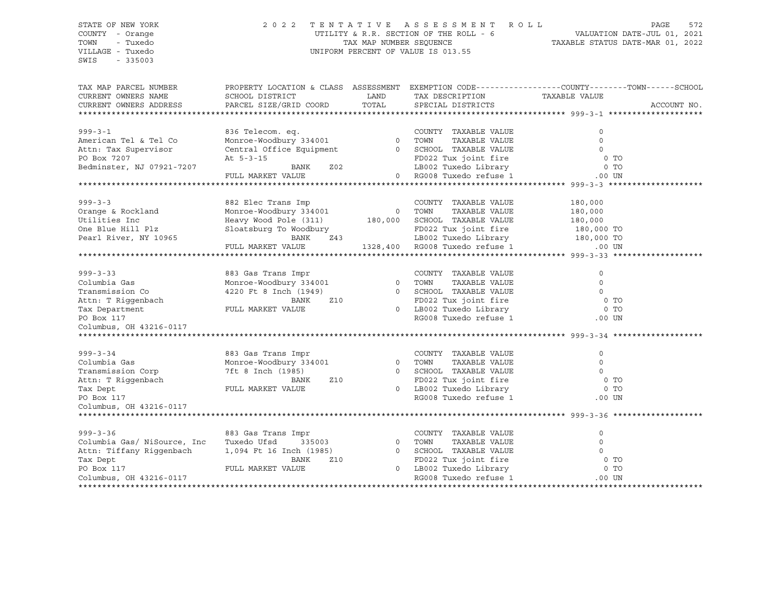# STATE OF NEW YORK 2 0 2 2 T E N T A T I V E A S S E S S M E N T R O L L PAGE 572 COUNTY - Orange UTILITY & R.R. SECTION OF THE ROLL - 6 VALUATION DATE-JUL 01, 2021 TOWN - Tuxedo TAX MAP NUMBER SEQUENCE TAXABLE STATUS DATE-MAR 01, 2022 VILLAGE - Tuxedo UNIFORM PERCENT OF VALUE IS 013.55

| TAX MAP PARCEL NUMBER<br>CURRENT OWNERS NAME<br>CURRENT OWNERS ADDRESS                                                             | PROPERTY LOCATION & CLASS ASSESSMENT EXEMPTION CODE----------------COUNTY-------TOWN------SCHOOL<br>SCHOOL DISTRICT<br>PARCEL SIZE/GRID COORD                    | LAND<br>TOTAL | TAX DESCRIPTION TAXABLE VALUE<br>SPECIAL DISTRICTS                                                                                                                 |                                                      | ACCOUNT NO.                          |
|------------------------------------------------------------------------------------------------------------------------------------|------------------------------------------------------------------------------------------------------------------------------------------------------------------|---------------|--------------------------------------------------------------------------------------------------------------------------------------------------------------------|------------------------------------------------------|--------------------------------------|
| $999 - 3 - 1$<br>American Tel & Tel Co<br>Attn: Tax Supervisor<br>PO Box 7207<br>Bedminster, NJ 07921-7207                         | 836 Telecom. eq.<br>Monroe-Woodbury 334001 0 TOWN<br>Central Office Equipment 0 SCHOOL TAXABLE VALUE<br>At 5-3-15<br>Z02<br>BANK<br>FULL MARKET VALUE            |               | COUNTY TAXABLE VALUE<br>TAXABLE VALUE<br>FD022 Tux joint fire<br>LB002 Tuxedo Library<br>0 RG008 Tuxedo refuse 1                                                   | 0<br>$\Omega$<br>$\Omega$<br>.00 UN                  | 0 <sub>T</sub><br>0 <sub>T</sub>     |
| $999 - 3 - 3$<br>Orange & Rockland<br>Utilities Inc<br>One Blue Hill Plz<br>Pearl River, NY 10965                                  | 882 Elec Trans Imp<br>Monroe-Woodbury 334001<br>Heavy Wood Pole (311) 180,000 SCHOOL TAXABLE VALUE<br>Sloatsburg To Woodbury<br>BANK<br>Z43<br>FULL MARKET VALUE | 0 TOWN        | COUNTY TAXABLE VALUE<br>TAXABLE VALUE<br>FD022 Tux joint fire<br>LB002 Tuxedo Library 180,000 TO<br>RG008 Tuxedo refuse 1 000 UN<br>1328,400 RG008 Tuxedo refuse 1 | 180,000<br>180,000<br>180,000<br>180,000 TO          |                                      |
| $999 - 3 - 33$<br>Columbia Gas<br>Transmission Co<br>Attn: T Riqqenbach<br>Tax Department<br>PO Box 117<br>Columbus, OH 43216-0117 | 883 Gas Trans Impr<br>Monroe-Woodbury 334001 0 TOWN<br>4220 Ft 8 Inch (1949)<br>BANK<br>Z10<br>FULL MARKET VALUE                                                 | $\circ$       | COUNTY TAXABLE VALUE<br>TAXABLE VALUE<br>0 SCHOOL TAXABLE VALUE<br>FD022 Tux joint fire<br>LB002 Tuxedo Library<br>RG008 Tuxedo refuse 1                           | $\mathbf 0$<br>$\Omega$<br>$\circ$<br>0 <sub>T</sub> | O TO<br>$.00$ UN                     |
| $999 - 3 - 34$<br>Columbia Gas<br>Transmission Corp<br>Attn: T Riggenbach<br>Tax Dept<br>PO Box 117<br>Columbus, OH 43216-0117     | 883 Gas Trans Impr<br>Monroe-Woodbury 334001<br>7ft 8 Inch (1985)<br>Z10<br>BANK<br>FULL MARKET VALUE                                                            |               | COUNTY TAXABLE VALUE<br>0 TOWN<br>TAXABLE VALUE<br>0 SCHOOL TAXABLE VALUE<br>FD022 Tux joint fire<br>0 LB002 Tuxedo Library<br>RG008 Tuxedo refuse 1               | 0<br>$\mathbf 0$<br>$\circ$                          | 0 <sub>T</sub><br>0 TO<br>$.00$ UN   |
| $999 - 3 - 36$<br>Columbia Gas/ NiSource, Inc<br>Attn: Tiffany Riggenbach<br>Tax Dept<br>PO Box 117<br>Columbus, OH 43216-0117     | 883 Gas Trans Impr<br>Tuxedo Ufsd<br>335003<br>1,094 Ft 16 Inch (1985)<br>BANK<br>Z10<br>FULL MARKET VALUE                                                       | $\sim$ 0      | COUNTY TAXABLE VALUE<br>TOWN<br>TAXABLE VALUE<br>0 SCHOOL TAXABLE VALUE<br>FD022 Tux joint fire<br>0 LB002 Tuxedo Library<br>RG008 Tuxedo refuse 1                 | $\Omega$<br>$\mathbf 0$<br>$\circ$                   | 0 <sub>T</sub><br>$0$ TO<br>$.00$ UN |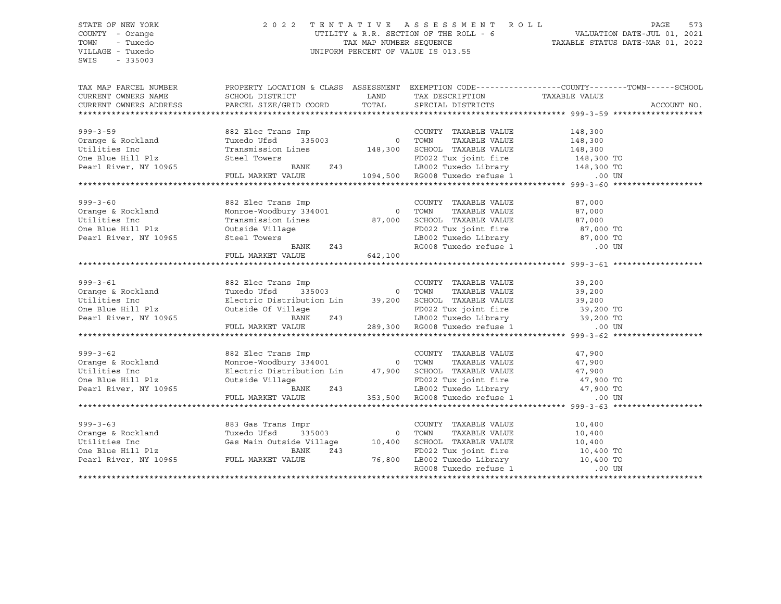# STATE OF NEW YORK 2 0 2 2 T E N T A T I V E A S S E S S M E N T R O L L PAGE 573 COUNTY - Orange UTILITY & R.R. SECTION OF THE ROLL - 6 VALUATION DATE-JUL 01, 2021 TOWN - Tuxedo TAX MAP NUMBER SEQUENCE TAXABLE STATUS DATE-MAR 01, 2022 UNIFORM PERCENT OF VALUE IS 013.55

| TAX MAP PARCEL NUMBER<br>CURRENT OWNERS NAME SCHOOL DISTRICT AND TAX DESCRIPTION CURRENT OWNERS ADDRESS PARCEL SIZE/GRID COORD TOTAL SPECIAL DISTRICTS                                                                                | PROPERTY LOCATION & CLASS ASSESSMENT EXEMPTION CODE---------------COUNTY-------TOWN------SCHOOL                                                                                                                                       |         | TAX DESCRIPTION TAXABLE VALUE<br>SPECIAL DISTRICTS                                                                                                                            |                       | ACCOUNT NO. |
|---------------------------------------------------------------------------------------------------------------------------------------------------------------------------------------------------------------------------------------|---------------------------------------------------------------------------------------------------------------------------------------------------------------------------------------------------------------------------------------|---------|-------------------------------------------------------------------------------------------------------------------------------------------------------------------------------|-----------------------|-------------|
|                                                                                                                                                                                                                                       |                                                                                                                                                                                                                                       |         |                                                                                                                                                                               |                       |             |
| $999 - 3 - 59$                                                                                                                                                                                                                        | 882 Elec Trans Imp                                                                                                                                                                                                                    |         | COUNTY TAXABLE VALUE                                                                                                                                                          | 148,300               |             |
| Orange & Rockland                                                                                                                                                                                                                     | Tuxedo Ufsd                                                                                                                                                                                                                           |         |                                                                                                                                                                               | TAXABLE VALUE 148,300 |             |
| Utilities Inc                                                                                                                                                                                                                         | Transmission Lines 148,300 SCHOOL TAXABLE VALUE 148,300 Steel Towers 148,300 FD022 Tux joint fire 148,300 TO                                                                                                                          |         |                                                                                                                                                                               |                       |             |
| Utilities Inc<br>One Blue Hill Plz                                                                                                                                                                                                    |                                                                                                                                                                                                                                       |         |                                                                                                                                                                               |                       |             |
| Pearl River, NY 10965                                                                                                                                                                                                                 |                                                                                                                                                                                                                                       |         |                                                                                                                                                                               |                       |             |
|                                                                                                                                                                                                                                       | Steel Towers BANK 243 ED022 Tux joint fire 148,300 TO<br>FULL MARKET VALUE 1094,500 RG008 Tuxedo refuse 1 1000 1000 N                                                                                                                 |         |                                                                                                                                                                               |                       |             |
|                                                                                                                                                                                                                                       |                                                                                                                                                                                                                                       |         |                                                                                                                                                                               |                       |             |
|                                                                                                                                                                                                                                       |                                                                                                                                                                                                                                       |         |                                                                                                                                                                               |                       |             |
| 999-3-60<br>Orange & Rockland                                                                                                                                                                                                         | 882 Elec Trans Imp<br>Monroe-Woodbury 334001 0 TOWN                                                                                                                                                                                   |         | COUNTY TAXABLE VALUE                                                                                                                                                          | 87,000<br>87,000      |             |
|                                                                                                                                                                                                                                       |                                                                                                                                                                                                                                       |         | TAXABLE VALUE<br>TAXABLE VALUE                                                                                                                                                |                       |             |
| Utilities Inc                                                                                                                                                                                                                         | Transmission Lines 87,000 SCHOOL TAXABLE VALUE                                                                                                                                                                                        |         |                                                                                                                                                                               | 87,000                |             |
| One Blue Hill Plz<br>Pearl River, NY 10965                                                                                                                                                                                            | Outside Village<br>Steel Towers<br>BANK 243                                                                                                                                                                                           |         | FD022 Tux joint fire $\begin{array}{ccc} 87,000 & \text{TO} \\ \text{LBO02 Tusedo Library} & 87,000 & \text{TO} \\ \text{RGO08 Tusedo refuse 1} & 00 & \text{UN} \end{array}$ |                       |             |
|                                                                                                                                                                                                                                       |                                                                                                                                                                                                                                       |         |                                                                                                                                                                               |                       |             |
|                                                                                                                                                                                                                                       |                                                                                                                                                                                                                                       |         |                                                                                                                                                                               |                       |             |
|                                                                                                                                                                                                                                       | FULL MARKET VALUE                                                                                                                                                                                                                     | 642,100 |                                                                                                                                                                               |                       |             |
|                                                                                                                                                                                                                                       |                                                                                                                                                                                                                                       |         |                                                                                                                                                                               |                       |             |
|                                                                                                                                                                                                                                       |                                                                                                                                                                                                                                       |         |                                                                                                                                                                               |                       |             |
| 999-3-61<br>Orange & Rockland                                                                                                                                                                                                         | 882 Elec Trans Imp<br>Tuxedo Ufsd 335003 0 TOWN                                                                                                                                                                                       |         | COUNTY TAXABLE VALUE 39,200<br>TOWN TAXABLE VALUE 39,200                                                                                                                      |                       |             |
|                                                                                                                                                                                                                                       |                                                                                                                                                                                                                                       |         |                                                                                                                                                                               |                       |             |
| Utilities Inc                                                                                                                                                                                                                         |                                                                                                                                                                                                                                       |         |                                                                                                                                                                               |                       |             |
| One Blue Hill Plz<br>Pearl River, NY 10965                                                                                                                                                                                            |                                                                                                                                                                                                                                       |         |                                                                                                                                                                               |                       |             |
|                                                                                                                                                                                                                                       |                                                                                                                                                                                                                                       |         |                                                                                                                                                                               |                       |             |
|                                                                                                                                                                                                                                       | Electric Distribution Lin 39,200 SCHOOL TAXABLE VALUE 39,200<br>Outside Of Village FD022 Tux joint fire 39,200 TO<br>BANK 243 LB002 Tuxedo Library 39,200 TO<br>FULL MARKET VALUE 289,300 RG008 Tuxedo refuse 1 .00 UN                |         |                                                                                                                                                                               |                       |             |
|                                                                                                                                                                                                                                       |                                                                                                                                                                                                                                       |         |                                                                                                                                                                               |                       |             |
|                                                                                                                                                                                                                                       |                                                                                                                                                                                                                                       |         |                                                                                                                                                                               |                       |             |
| $999 - 3 - 62$                                                                                                                                                                                                                        |                                                                                                                                                                                                                                       |         |                                                                                                                                                                               |                       |             |
| Orange & Rockland<br>II. I. I. I                                                                                                                                                                                                      |                                                                                                                                                                                                                                       |         |                                                                                                                                                                               |                       |             |
| Utilities Inc                                                                                                                                                                                                                         |                                                                                                                                                                                                                                       |         |                                                                                                                                                                               |                       |             |
| One Blue Hill Plz                                                                                                                                                                                                                     |                                                                                                                                                                                                                                       |         |                                                                                                                                                                               |                       |             |
| Pearl River, NY 10965                                                                                                                                                                                                                 | 882 Elec Trans Imp COUNTY TAXABLE VALUE 47,900<br>Monroe-Woodbury 334001 0 TOWN TAXABLE VALUE 47,900<br>Electric Distribution Lin 47,900 SCHOOL TAXABLE VALUE 47,900<br>Outside Village FD022 Tux joint fire 47,900 TO<br>FULL MARKET |         |                                                                                                                                                                               |                       |             |
|                                                                                                                                                                                                                                       |                                                                                                                                                                                                                                       |         |                                                                                                                                                                               |                       |             |
|                                                                                                                                                                                                                                       |                                                                                                                                                                                                                                       |         |                                                                                                                                                                               |                       |             |
|                                                                                                                                                                                                                                       |                                                                                                                                                                                                                                       |         |                                                                                                                                                                               |                       |             |
|                                                                                                                                                                                                                                       |                                                                                                                                                                                                                                       |         |                                                                                                                                                                               |                       |             |
|                                                                                                                                                                                                                                       |                                                                                                                                                                                                                                       |         |                                                                                                                                                                               |                       |             |
|                                                                                                                                                                                                                                       |                                                                                                                                                                                                                                       |         |                                                                                                                                                                               |                       |             |
|                                                                                                                                                                                                                                       |                                                                                                                                                                                                                                       |         |                                                                                                                                                                               |                       |             |
| 999-3-63<br>Orange & Rockland Tuxedo Ufsd 335003<br>Utilities Inc Gas Main Outside Village 10,400 SCHOOL TAXABLE VALUE 10,400 TOWN TAXABLE VALUE 10,400<br>One Blue Hill Plz BANK Z43<br>Pearl River, NY 10965 FULL MARKET VALUE 76,8 |                                                                                                                                                                                                                                       |         |                                                                                                                                                                               |                       |             |
|                                                                                                                                                                                                                                       |                                                                                                                                                                                                                                       |         |                                                                                                                                                                               |                       |             |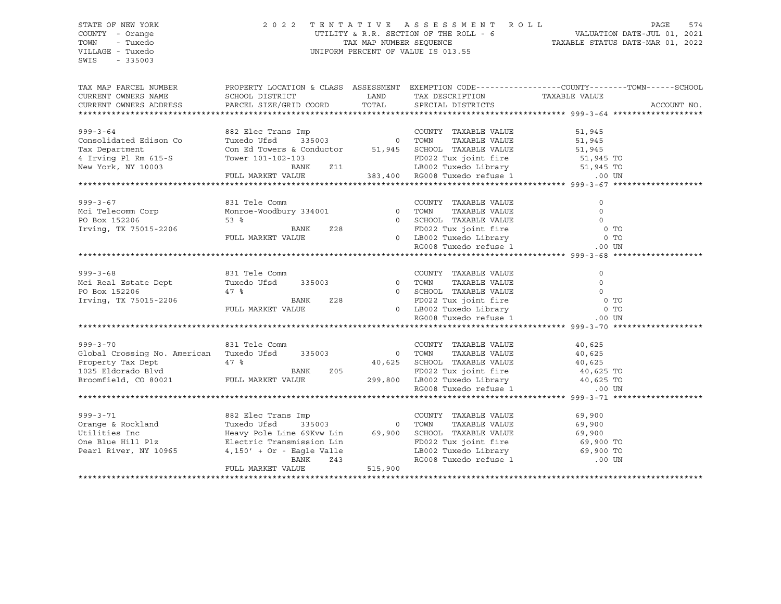# STATE OF NEW YORK 2 0 2 2 T E N T A T I V E A S S E S S M E N T R O L L PAGE 574 COUNTY - Orange UTILITY & R.R. SECTION OF THE ROLL - 6 VALUATION DATE-JUL 01, 2021 TOWN - Tuxedo TAX MAP NUMBER SEQUENCE TAXABLE STATUS DATE-MAR 01, 2022 VILLAGE - Tuxedo UNIFORM PERCENT OF VALUE IS 013.55

| TAX MAP PARCEL NUMBER<br>CURRENT OWNERS NAME SCHOOL DISTRICT THAND TAX DESCRIPTION<br>CURRENT OWNERS ADDRESS TERGEL SIZE/GRID COORD TOTAL SPECIAL DISTRICTS                                                                                                                                                                                                                                                                                                                                                 | PROPERTY LOCATION & CLASS ASSESSMENT EXEMPTION CODE----------------COUNTY-------TOWN------SCHOOL                                                                                                                                                                                                                              |         | TAX DESCRIPTION TAXABLE VALUE                                                                                                                                                                                                                                                                                                                                                                                                                                               |                                | ACCOUNT NO. |
|-------------------------------------------------------------------------------------------------------------------------------------------------------------------------------------------------------------------------------------------------------------------------------------------------------------------------------------------------------------------------------------------------------------------------------------------------------------------------------------------------------------|-------------------------------------------------------------------------------------------------------------------------------------------------------------------------------------------------------------------------------------------------------------------------------------------------------------------------------|---------|-----------------------------------------------------------------------------------------------------------------------------------------------------------------------------------------------------------------------------------------------------------------------------------------------------------------------------------------------------------------------------------------------------------------------------------------------------------------------------|--------------------------------|-------------|
| $999 - 3 - 64$<br>Consolidated Edison Co<br>Tax Department<br>4 Irving Pl Rm 615-S<br>New York, NY 10003                                                                                                                                                                                                                                                                                                                                                                                                    | 882 Elec Trans Imp<br>Tuxedo Ufsd 335003 0 700N TAXABLE VALUE 51,945<br>Con Ed Towers & Conductor 51,945 SCHOOL TAXABLE VALUE 51,945<br>Con Ed Towers & Conductor 51,945 SCHOOL TAXABLE VALUE 51,945<br>Tower 101-102-103<br>BANK 211 EB002 Tuxedo Library 51,945 TO<br>FULL MARKET VALUE 383,400 RG008 Tuxedo refuse 1 00 UN |         |                                                                                                                                                                                                                                                                                                                                                                                                                                                                             |                                |             |
| $999 - 3 - 67$<br>Mci Telecomm Corp<br>PO Box 152206<br>PO Box 152206<br>Irving, TX 75015-2206                                                                                                                                                                                                                                                                                                                                                                                                              |                                                                                                                                                                                                                                                                                                                               |         |                                                                                                                                                                                                                                                                                                                                                                                                                                                                             |                                |             |
| 831 Tele Comm<br>$999 - 3 - 68$<br>Mci Real Estate Dept Tuxedo Ufsd 335003 0 TOWN<br>PO Box 152206<br>Irving, TX 75015-2206                                                                                                                                                                                                                                                                                                                                                                                 | 47 % BANK 228 0 SCHOOL TAXABLE VALUE 0 0 TO<br>FULL MARKET VALUE 228 0 ED022 Tux joint fire 0 0 TO<br>FULL MARKET VALUE 0 LB002 Tuxedo Library 0 TO<br>RG008 Tuxedo refuse 1 .00 UN                                                                                                                                           |         | COUNTY TAXABLE VALUE<br>TAXABLE VALUE                                                                                                                                                                                                                                                                                                                                                                                                                                       | $\circ$<br>$\overline{0}$      |             |
| $999 - 3 - 70$<br>Global Crossing No. American Tuxedo Ufsd 335003 0 TOWN<br>Property Tax Dept a at 47 %<br>1025 Eldorado Blvd Broomfield, CO 80021 FULL MARKET VALUE                                                                                                                                                                                                                                                                                                                                        | 831 Tele Comm                                                                                                                                                                                                                                                                                                                 |         | COUNTY TAXABLE VALUE<br>$\begin{tabular}{lllllllllll} \multicolumn{2}{c}{\textbf{40,625}} & \multicolumn{2}{c}{\textbf{SCHOOL}} & \textbf{TAXABLE VALUE} & \multicolumn{2}{c}{\textbf{40,625}} & \multicolumn{2}{c}{\textbf{40,625}} & \multicolumn{2}{c}{\textbf{5}} \\ \multicolumn{2}{c}{\textbf{299,800}} & \multicolumn{2}{c}{\textbf{EDO22 Tux joint fire}} & \multicolumn{2}{c}{\textbf{40,625 TO}} \\ & \multicolumn{2}{c}{\textbf{299,800}} & \multicolumn{2}{c}{$ | 40,625<br>TAXABLE VALUE 40,625 |             |
| $\begin{tabular}{lllllllllll} \hline \multicolumn{3}{c}{\text{orange & $\&$ Rockland$} \\\hline \multicolumn{3}{c}{\text{orange & $\&$ Rockland$} \\\hline \multicolumn{3}{c}{\text{Uvary} $\&$ COUNTYY$} \\\hline \multicolumn{3}{c}{\text{TXABLE VALUE} \\\hline \multicolumn{3}{c}{\text{Value} \\\hline \multicolumn{3}{c}{\text{Uvary Pole Line 69Kvw Lin} \\\hline \multicolumn{3}{c}{\text{COUNTYY}}$ TAXABLE VALUE} \\\hline \multicolumn{3}{c}{\text{Po22 Tux Joint fire} \\\hline \multicolumn{3$ | Electric Transmission Lin<br>4,150' + Or - Eagle Valle<br>BANK 243<br>FULL MARKET VALUE                                                                                                                                                                                                                                       | 515,900 | FD022 Tux joint fire 69,900 TO<br>LB002 Tuxedo Library 69,900 TO<br>RG008 Tuxedo refuse 1 .00 UN                                                                                                                                                                                                                                                                                                                                                                            |                                |             |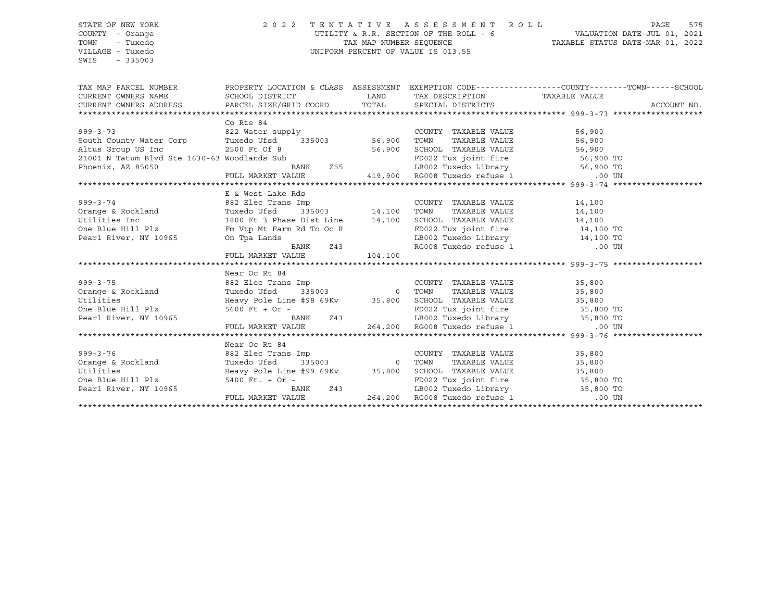# STATE OF NEW YORK 2 0 2 2 T E N T A T I V E A S S E S S M E N T R O L L PAGE 575 COUNTY - Orange UTILITY & R.R. SECTION OF THE ROLL - 6 VALUATION DATE-JUL 01, 2021 TOWN - Tuxedo TAX MAP NUMBER SEQUENCE TAXABLE STATUS DATE-MAR 01, 2022 VILLAGE - Tuxedo UNIFORM PERCENT OF VALUE IS 013.55

| TAX MAP PARCEL NUMBER THE PROPERTY LOCATION & CLASS ASSESSMENT EXEMPTION CODE--------------COUNTY-------TOWN------SCHOOL                                                                                                                                 |                                                                                                                                                                                                                                                            |                                    |             |
|----------------------------------------------------------------------------------------------------------------------------------------------------------------------------------------------------------------------------------------------------------|------------------------------------------------------------------------------------------------------------------------------------------------------------------------------------------------------------------------------------------------------------|------------------------------------|-------------|
|                                                                                                                                                                                                                                                          |                                                                                                                                                                                                                                                            | LAND TAX DESCRIPTION TAXABLE VALUE |             |
|                                                                                                                                                                                                                                                          |                                                                                                                                                                                                                                                            |                                    | ACCOUNT NO. |
|                                                                                                                                                                                                                                                          |                                                                                                                                                                                                                                                            |                                    |             |
| 999-3-73<br>South County Water Corp<br>South County Water Corp<br>Tuxedo Ufsd<br>2500 Ft Of 8<br>2500 Ft Of 8<br>2500 Ft Of 8<br>2500 Ft Of 8<br>2500 Ft Of 8<br>2500 Ft Of 8<br>255<br>21001 N Tatum Blvd Ste 1630-63 Woodlands Sub<br>255<br>21002 Tux | Co Rte 84                                                                                                                                                                                                                                                  |                                    |             |
|                                                                                                                                                                                                                                                          |                                                                                                                                                                                                                                                            |                                    |             |
|                                                                                                                                                                                                                                                          |                                                                                                                                                                                                                                                            |                                    |             |
|                                                                                                                                                                                                                                                          |                                                                                                                                                                                                                                                            |                                    |             |
|                                                                                                                                                                                                                                                          |                                                                                                                                                                                                                                                            |                                    |             |
|                                                                                                                                                                                                                                                          |                                                                                                                                                                                                                                                            |                                    |             |
|                                                                                                                                                                                                                                                          |                                                                                                                                                                                                                                                            |                                    |             |
|                                                                                                                                                                                                                                                          |                                                                                                                                                                                                                                                            |                                    |             |
|                                                                                                                                                                                                                                                          |                                                                                                                                                                                                                                                            |                                    |             |
|                                                                                                                                                                                                                                                          |                                                                                                                                                                                                                                                            |                                    |             |
|                                                                                                                                                                                                                                                          |                                                                                                                                                                                                                                                            |                                    |             |
|                                                                                                                                                                                                                                                          |                                                                                                                                                                                                                                                            |                                    |             |
|                                                                                                                                                                                                                                                          |                                                                                                                                                                                                                                                            |                                    |             |
|                                                                                                                                                                                                                                                          |                                                                                                                                                                                                                                                            |                                    |             |
| ANANASSES ARRESTS AND HE & West Lake Rds<br>B & West Lake Rds<br>282 Elec Trans Imp<br>COUNTY TAXABLE VALUE<br>COUNTY TAXABLE VALUE<br>COUNTY TAXABLE VALUE<br>214,100<br>COUNTY TAXABLE VALUE<br>214,100<br>2007 TAXABLE VALUE<br>214,100<br>2007       |                                                                                                                                                                                                                                                            |                                    |             |
|                                                                                                                                                                                                                                                          | FULL MARKET VALUE 104,100                                                                                                                                                                                                                                  |                                    |             |
|                                                                                                                                                                                                                                                          |                                                                                                                                                                                                                                                            |                                    |             |
|                                                                                                                                                                                                                                                          | Near Oc Rt 84                                                                                                                                                                                                                                              |                                    |             |
| 999-3-75<br>(264) Baz Elver Tans Imp<br>2642 OC RL 84<br>2682 Elec Trans Imp<br>2642 Oceans Imp<br>2642 Oceans Imp<br>2642 Oceans 10 TOWN TAXABLE VALUE<br>264,200 SCHOOL TAXABLE VALUE<br>264,200 RUNK 243<br>264,200 ROOS Tuxedo refuse 1<br>26        |                                                                                                                                                                                                                                                            |                                    |             |
|                                                                                                                                                                                                                                                          |                                                                                                                                                                                                                                                            |                                    |             |
|                                                                                                                                                                                                                                                          |                                                                                                                                                                                                                                                            |                                    |             |
|                                                                                                                                                                                                                                                          |                                                                                                                                                                                                                                                            |                                    |             |
|                                                                                                                                                                                                                                                          |                                                                                                                                                                                                                                                            |                                    |             |
|                                                                                                                                                                                                                                                          |                                                                                                                                                                                                                                                            |                                    |             |
|                                                                                                                                                                                                                                                          |                                                                                                                                                                                                                                                            |                                    |             |
|                                                                                                                                                                                                                                                          | Near Oc Rt 84                                                                                                                                                                                                                                              |                                    |             |
|                                                                                                                                                                                                                                                          |                                                                                                                                                                                                                                                            |                                    |             |
| 999-3-76<br>Orange & Rockland                                                                                                                                                                                                                            |                                                                                                                                                                                                                                                            |                                    |             |
| Utilities                                                                                                                                                                                                                                                |                                                                                                                                                                                                                                                            |                                    |             |
| One Blue Hill Plz                                                                                                                                                                                                                                        |                                                                                                                                                                                                                                                            |                                    |             |
|                                                                                                                                                                                                                                                          |                                                                                                                                                                                                                                                            |                                    |             |
| Pearl River, NY 10965                                                                                                                                                                                                                                    | Near Oc Rt 84<br>882 Elec Trans Imp<br>200000 TOWN TAXABLE VALUE 35,800<br>35,800<br>35,800<br>Heavy Pole Line #99 69Kv<br>35,800<br>35,800 SCHOOL TAXABLE VALUE 35,800<br>35,800<br>35,800<br>35,800<br>35,800<br>2011<br>2022 Tux joint fire<br>2022 Tux |                                    |             |
|                                                                                                                                                                                                                                                          |                                                                                                                                                                                                                                                            |                                    |             |
|                                                                                                                                                                                                                                                          |                                                                                                                                                                                                                                                            |                                    |             |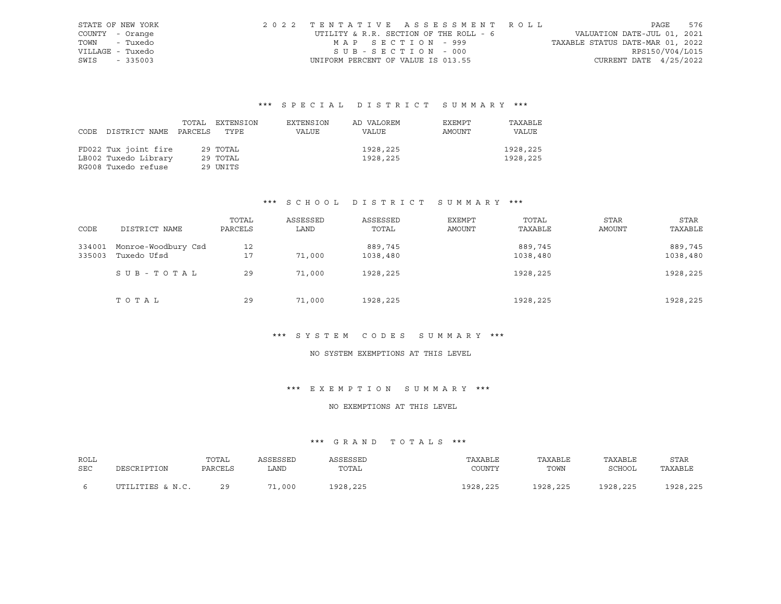| STATE OF NEW YORK | 2022 TENTATIVE ASSESSMENT ROLL         |                                  | PAGE                        | 576 |
|-------------------|----------------------------------------|----------------------------------|-----------------------------|-----|
| COUNTY - Orange   | UTILITY & R.R. SECTION OF THE ROLL - 6 |                                  | VALUATION DATE-JUL 01, 2021 |     |
| TOWN - Tuxedo     | MAP SECTION - 999                      | TAXABLE STATUS DATE-MAR 01, 2022 |                             |     |
| VILLAGE - Tuxedo  | SUB-SECTION - 000                      |                                  | RPS150/V04/L015             |     |
| SWIS - 335003     | UNIFORM PERCENT OF VALUE IS 013.55     |                                  | CURRENT DATE $4/25/2022$    |     |

| CODE | DISTRICT NAME PARCELS | TOTAL | EXTENSION<br>TYPE | EXTENSION<br>VALUE | AD VALOREM<br>VALUE | EXEMPT<br>AMOUNT | TAXABLE<br>VALUE |
|------|-----------------------|-------|-------------------|--------------------|---------------------|------------------|------------------|
|      | FD022 Tux joint fire  |       | 29 TOTAL          |                    | 1928,225            |                  | 1928,225         |
|      | LB002 Tuxedo Library  |       | 29 TOTAL          |                    | 1928,225            |                  | 1928,225         |
|      | RG008 Tuxedo refuse   |       | 29 UNITS          |                    |                     |                  |                  |

# \*\*\* S C H O O L D I S T R I C T S U M M A R Y \*\*\*

| CODE             | DISTRICT NAME                      | TOTAL<br>PARCELS | ASSESSED<br>LAND | ASSESSED<br>TOTAL   | EXEMPT<br>AMOUNT | TOTAL<br>TAXABLE    | <b>STAR</b><br>AMOUNT | STAR<br>TAXABLE     |
|------------------|------------------------------------|------------------|------------------|---------------------|------------------|---------------------|-----------------------|---------------------|
| 334001<br>335003 | Monroe-Woodbury Csd<br>Tuxedo Ufsd | 12<br>17         | 71,000           | 889,745<br>1038,480 |                  | 889,745<br>1038,480 |                       | 889,745<br>1038,480 |
|                  | SUB-TOTAL                          | 29               | 71,000           | 1928,225            |                  | 1928,225            |                       | 1928,225            |
|                  | TOTAL                              | 29               | 71,000           | 1928, 225           |                  | 1928, 225           |                       | 1928,225            |

#### \*\*\* S Y S T E M C O D E S S U M M A R Y \*\*\*

# NO SYSTEM EXEMPTIONS AT THIS LEVEL

# \*\*\* E X E M P T I O N S U M M A R Y \*\*\*

# NO EXEMPTIONS AT THIS LEVEL

| ROLL       |                  | TOTAL   | ASSESSED | ASSESSED | TAXABLE  | TAXABLE  | TAXABLE  | STAR     |
|------------|------------------|---------|----------|----------|----------|----------|----------|----------|
| <b>SEC</b> | DESCRIPTION      | PARCELS | LAND     | TOTAL    | COUNTY   | TOWN     | SCHOOL   | TAXABLE  |
|            | UTILITIES & N.C. | 29      | 71,000   | 1928,225 | 1928,225 | 1928,225 | 1928,225 | 1928,225 |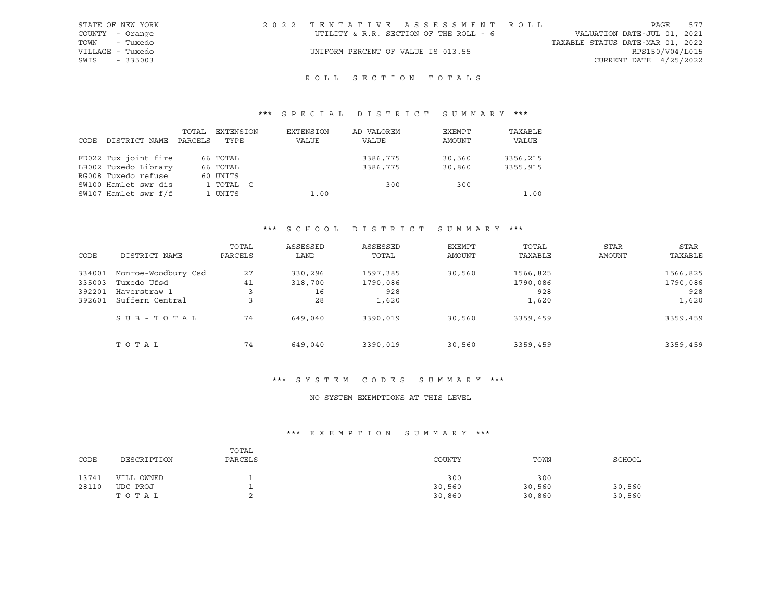| STATE OF NEW YORK | 2022 TENTATIVE ASSESSMENT ROLL         |                                  | PAGE                     | 577 |
|-------------------|----------------------------------------|----------------------------------|--------------------------|-----|
| COUNTY - Orange   | UTILITY & R.R. SECTION OF THE ROLL - 6 | VALUATION DATE-JUL 01, 2021      |                          |     |
| - Tuxedo<br>TOWN  |                                        | TAXABLE STATUS DATE-MAR 01, 2022 |                          |     |
| VILLAGE - Tuxedo  | UNIFORM PERCENT OF VALUE IS 013.55     |                                  | RPS150/V04/L015          |     |
| SWIS<br>$-335003$ |                                        |                                  | CURRENT DATE $4/25/2022$ |     |

# ROLL SECTION TOTALS

# \*\*\* S P E C I A L D I S T R I C T S U M M A R Y \*\*\*

| CODE | DISTRICT NAME        | TOTAL<br>PARCELS | EXTENSION<br>TYPE | EXTENSION<br>VALUE | AD VALOREM<br>VALUE | EXEMPT<br>AMOUNT | TAXABLE<br>VALUE |
|------|----------------------|------------------|-------------------|--------------------|---------------------|------------------|------------------|
|      | FD022 Tux joint fire |                  | 66 TOTAL          |                    | 3386,775            | 30,560           | 3356,215         |
|      | LB002 Tuxedo Library |                  | 66 TOTAL          |                    | 3386,775            | 30,860           | 3355,915         |
|      | RG008 Tuxedo refuse  |                  | 60 UNITS          |                    |                     |                  |                  |
|      | SW100 Hamlet swr dis |                  | 1 TOTAL C         |                    | 300                 | 300              |                  |
|      | SW107 Hamlet swr f/f |                  | 1 UNITS           | 1.00               |                     |                  | 1.00             |

#### \*\*\* S C H O O L D I S T R I C T S U M M A R Y \*\*\*

| CODE                                 | DISTRICT NAME                                                         | TOTAL<br>PARCELS   | ASSESSED<br>LAND               | ASSESSED<br>TOTAL                    | EXEMPT<br><b>AMOUNT</b> | TOTAL<br>TAXABLE                     | <b>STAR</b><br><b>AMOUNT</b> | STAR<br>TAXABLE                      |
|--------------------------------------|-----------------------------------------------------------------------|--------------------|--------------------------------|--------------------------------------|-------------------------|--------------------------------------|------------------------------|--------------------------------------|
| 334001<br>335003<br>392201<br>392601 | Monroe-Woodbury Csd<br>Tuxedo Ufsd<br>Haverstraw 1<br>Suffern Central | 27<br>41<br>3<br>3 | 330,296<br>318,700<br>16<br>28 | 1597,385<br>1790,086<br>928<br>1,620 | 30,560                  | 1566,825<br>1790,086<br>928<br>1,620 |                              | 1566,825<br>1790,086<br>928<br>1,620 |
|                                      | SUB-TOTAL                                                             | 74                 | 649,040                        | 3390,019                             | 30,560                  | 3359,459                             |                              | 3359,459                             |
|                                      | TOTAL                                                                 | 74                 | 649,040                        | 3390,019                             | 30,560                  | 3359,459                             |                              | 3359,459                             |

#### \*\*\* S Y S T E M C O D E S S U M M A R Y \*\*\*

#### NO SYSTEM EXEMPTIONS AT THIS LEVEL

| CODE  | DESCRIPTION | TOTAL<br>PARCELS | COUNTY | TOWN   | SCHOOL |
|-------|-------------|------------------|--------|--------|--------|
| 13741 | VILL OWNED  |                  | 300    | 300    |        |
| 28110 | UDC PROJ    | -                | 30,560 | 30,560 | 30,560 |
|       | TOTAL       |                  | 30,860 | 30,860 | 30,560 |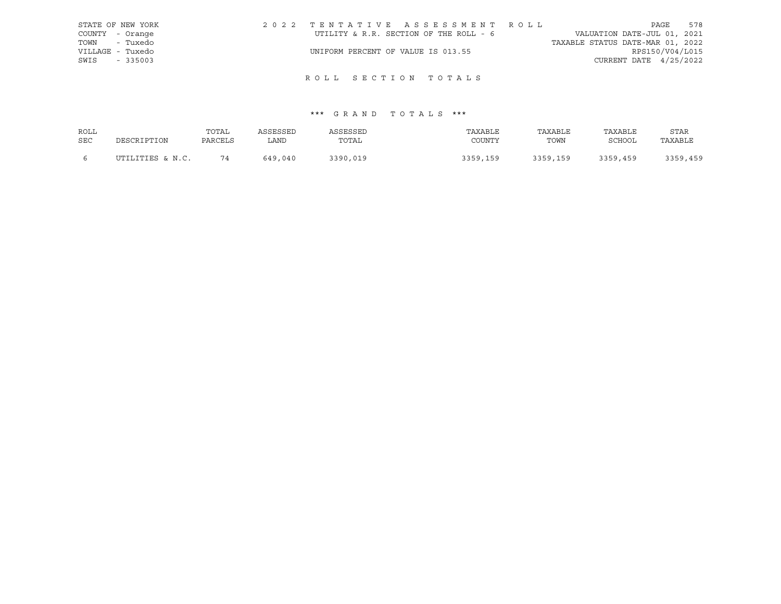| STATE OF NEW YORK | 2022 TENTATIVE ASSESSMENT ROLL         |                                  | PAGE                   | 578 |
|-------------------|----------------------------------------|----------------------------------|------------------------|-----|
| COUNTY - Orange   | UTILITY & R.R. SECTION OF THE ROLL - 6 | VALUATION DATE-JUL 01, 2021      |                        |     |
| TOWN - Tuxedo     |                                        | TAXABLE STATUS DATE-MAR 01, 2022 |                        |     |
| VILLAGE - Tuxedo  | UNIFORM PERCENT OF VALUE IS 013.55     |                                  | RPS150/V04/L015        |     |
| SWIS<br>$-335003$ |                                        |                                  | CURRENT DATE 4/25/2022 |     |

# ROLL SECTION TOTALS

| ROLL |                  | TOTAL   | ASSESSED | ASSESSED | TAXABLE  | TAXABLE  | TAXABLE  | <b>STAR</b> |
|------|------------------|---------|----------|----------|----------|----------|----------|-------------|
| SEC  | DESCRIPTION      | PARCELS | LAND     | TOTAL    | COUNTY   | TOWN     | SCHOOL   | TAXABLE     |
|      | UTILITIES & N.C. | 74      | 649,040  | 3390,019 | 3359,159 | 3359,159 | 3359,459 | 3359,459    |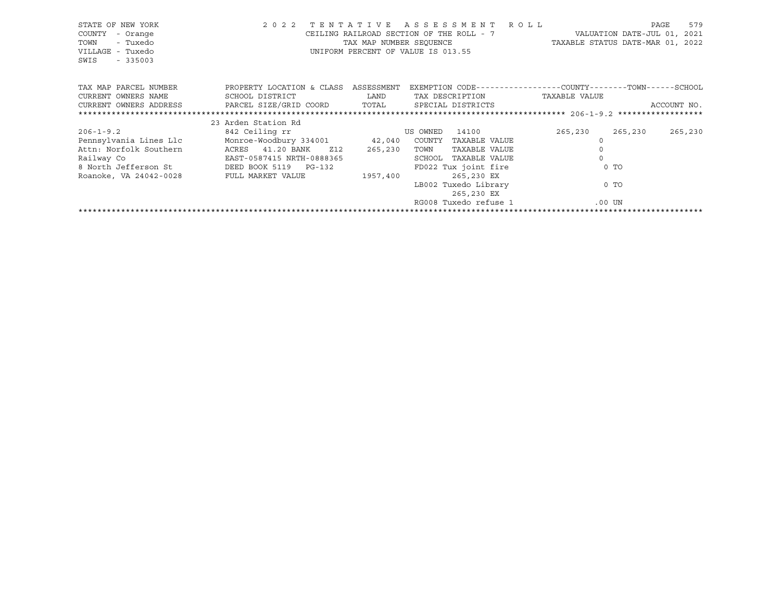| STATE OF NEW YORK<br>COUNTY<br>- Orange<br>- Tuxedo<br>TOWN<br>VILLAGE - Tuxedo<br>SWIS<br>$-335003$ | 2 0 2 2                              |          | TENTATIVE ASSESSMENT ROLL<br>UNIFORM PERCENT OF VALUE IS 013.55 |               | 579<br>PAGE<br>CEILING RAILROAD SECTION OF THE ROLL - 7 WALUATION DATE-JUL 01, 2021<br>TAX MAP NUMBER SEQUENCE TAXABLE STATUS DATE-MAR 01, 2022 |
|------------------------------------------------------------------------------------------------------|--------------------------------------|----------|-----------------------------------------------------------------|---------------|-------------------------------------------------------------------------------------------------------------------------------------------------|
| TAX MAP PARCEL NUMBER                                                                                | PROPERTY LOCATION & CLASS ASSESSMENT |          |                                                                 |               | EXEMPTION CODE-----------------COUNTY-------TOWN------SCHOOL                                                                                    |
| CURRENT OWNERS NAME                                                                                  | SCHOOL DISTRICT                      | LAND     | TAX DESCRIPTION                                                 | TAXABLE VALUE |                                                                                                                                                 |
| CURRENT OWNERS ADDRESS     PARCEL SIZE/GRID COORD     TOTAL     SPECIAL DISTRICTS                    |                                      |          |                                                                 |               | ACCOUNT NO.                                                                                                                                     |
|                                                                                                      |                                      |          |                                                                 |               |                                                                                                                                                 |
|                                                                                                      | 23 Arden Station Rd                  |          |                                                                 |               |                                                                                                                                                 |
| $206 - 1 - 9.2$                                                                                      | 842 Ceiling rr                       |          | 14100<br>US OWNED                                               | 265,230       | 265,230<br>265,230                                                                                                                              |
| Pennsylvania Lines Llc Monroe-Woodbury 334001 42,040 COUNTY TAXABLE VALUE                            |                                      |          |                                                                 |               |                                                                                                                                                 |
| Attn: Norfolk Southern                                                                               | ACRES 41.20 BANK Z12                 | 265,230  | TOWN<br>TAXABLE VALUE                                           |               |                                                                                                                                                 |
|                                                                                                      |                                      |          | SCHOOL TAXABLE VALUE                                            |               |                                                                                                                                                 |
|                                                                                                      |                                      |          | FD022 Tux joint fire                                            |               | $0$ TO                                                                                                                                          |
| Roanoke, VA 24042-0028 FULL MARKET VALUE                                                             |                                      | 1957,400 | 265,230 EX                                                      |               |                                                                                                                                                 |
|                                                                                                      |                                      |          | LB002 Tuxedo Library                                            |               | 0 TO                                                                                                                                            |
|                                                                                                      |                                      |          | 265,230 EX                                                      |               |                                                                                                                                                 |
|                                                                                                      |                                      |          | RG008 Tuxedo refuse 1                                           |               | .00 UN                                                                                                                                          |
|                                                                                                      |                                      |          |                                                                 |               |                                                                                                                                                 |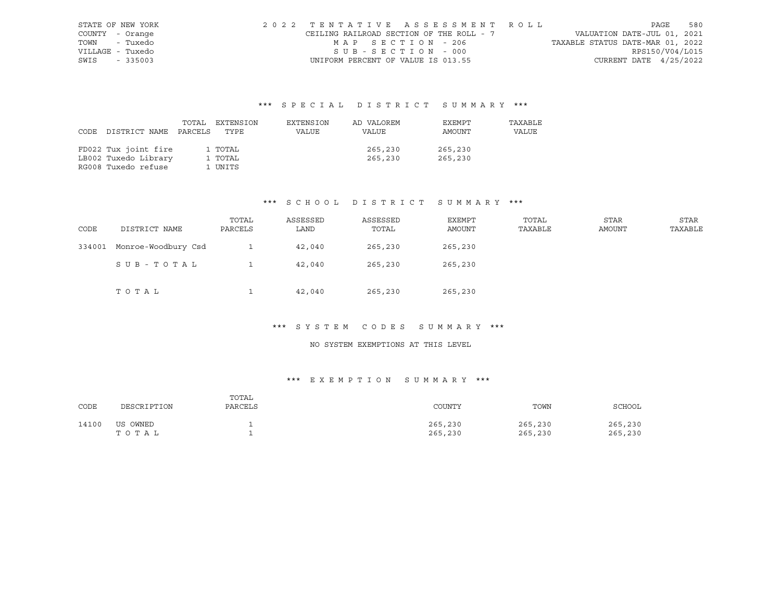| STATE OF NEW YORK | 2022 TENTATIVE ASSESSMENT ROLL           |                   |  |  |                                  |                          | PAGE | 580 |
|-------------------|------------------------------------------|-------------------|--|--|----------------------------------|--------------------------|------|-----|
| COUNTY - Orange   | CEILING RAILROAD SECTION OF THE ROLL - 7 |                   |  |  | VALUATION DATE-JUL 01, 2021      |                          |      |     |
| TOWN - Tuxedo     |                                          | MAP SECTION - 206 |  |  | TAXABLE STATUS DATE-MAR 01, 2022 |                          |      |     |
| VILLAGE - Tuxedo  |                                          | SUB-SECTION - 000 |  |  |                                  | RPS150/V04/L015          |      |     |
| SWIS - 335003     | UNIFORM PERCENT OF VALUE IS 013.55       |                   |  |  |                                  | CURRENT DATE $4/25/2022$ |      |     |

|      |                       | TOTAL EXTENSION | EXTENSION | AD VALOREM | EXEMPT  | TAXABLE |
|------|-----------------------|-----------------|-----------|------------|---------|---------|
| CODE | DISTRICT NAME PARCELS | TYPE            | VALUE     | VALUE      | AMOUNT  | VALUE   |
|      |                       |                 |           |            |         |         |
|      | FD022 Tux joint fire  | 1 TOTAL         |           | 265,230    | 265,230 |         |
|      | LB002 Tuxedo Library  | 1 TOTAL         |           | 265,230    | 265,230 |         |
|      | RG008 Tuxedo refuse   | 1 UNITS         |           |            |         |         |

#### \*\*\* S C H O O L D I S T R I C T S U M M A R Y \*\*\*

| CODE   | DISTRICT NAME       | TOTAL<br>PARCELS | ASSESSED<br>LAND | ASSESSED<br>TOTAL | EXEMPT<br>AMOUNT | TOTAL<br>TAXABLE | STAR<br>AMOUNT | STAR<br>TAXABLE |
|--------|---------------------|------------------|------------------|-------------------|------------------|------------------|----------------|-----------------|
| 334001 | Monroe-Woodbury Csd |                  | 42,040           | 265,230           | 265,230          |                  |                |                 |
|        | SUB-TOTAL           |                  | 42,040           | 265,230           | 265,230          |                  |                |                 |
|        | TOTAL               |                  | 42,040           | 265,230           | 265,230          |                  |                |                 |

# \*\*\* S Y S T E M C O D E S S U M M A R Y \*\*\*

#### NO SYSTEM EXEMPTIONS AT THIS LEVEL

| CODE  | DESCRIPTION       | TOTAL<br>PARCELS | COUNTY             | TOWN               | SCHOOL             |
|-------|-------------------|------------------|--------------------|--------------------|--------------------|
| 14100 | US OWNED<br>TOTAL |                  | 265,230<br>265,230 | 265,230<br>265,230 | 265,230<br>265,230 |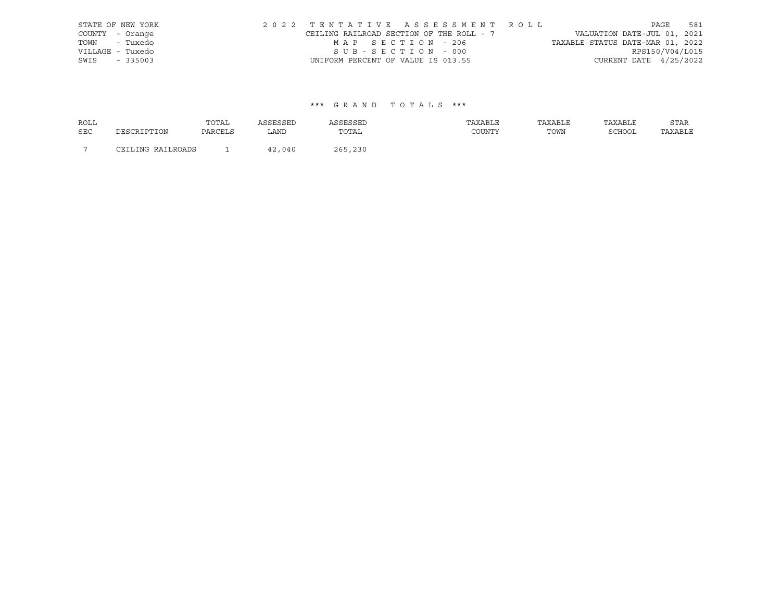| STATE OF NEW YORK |  |  |                                          |  |  |  | 2022 TENTATIVE ASSESSMENT ROLL |                                  | PAGE | 581             |
|-------------------|--|--|------------------------------------------|--|--|--|--------------------------------|----------------------------------|------|-----------------|
| COUNTY - Orange   |  |  | CEILING RAILROAD SECTION OF THE ROLL - 7 |  |  |  |                                | VALUATION DATE-JUL 01, 2021      |      |                 |
| TOWN - Tuxedo     |  |  | MAP SECTION - 206                        |  |  |  |                                | TAXABLE STATUS DATE-MAR 01, 2022 |      |                 |
| VILLAGE - Tuxedo  |  |  | SUB-SECTION - 000                        |  |  |  |                                |                                  |      | RPS150/V04/L015 |
| SWIS - 335003     |  |  | UNIFORM PERCENT OF VALUE IS 013.55       |  |  |  |                                | CURRENT DATE $4/25/2022$         |      |                 |

| <b>ROLL</b>    |                        | TOTAL   | <b>SCRCCRT</b> | ASSESSED | TAXABLE | TAXABLE | TAXABLE       | STAR    |
|----------------|------------------------|---------|----------------|----------|---------|---------|---------------|---------|
| <b>SEC</b>     | DESCRIPTION            | PARCELS | LAND           | TOTAL    | COUNTY  | TOWN    | <b>RCHOOL</b> | TAXABLE |
| $\overline{ }$ | ING RAILROADS<br>ודסי? |         | ,040           | 265,230  |         |         |               |         |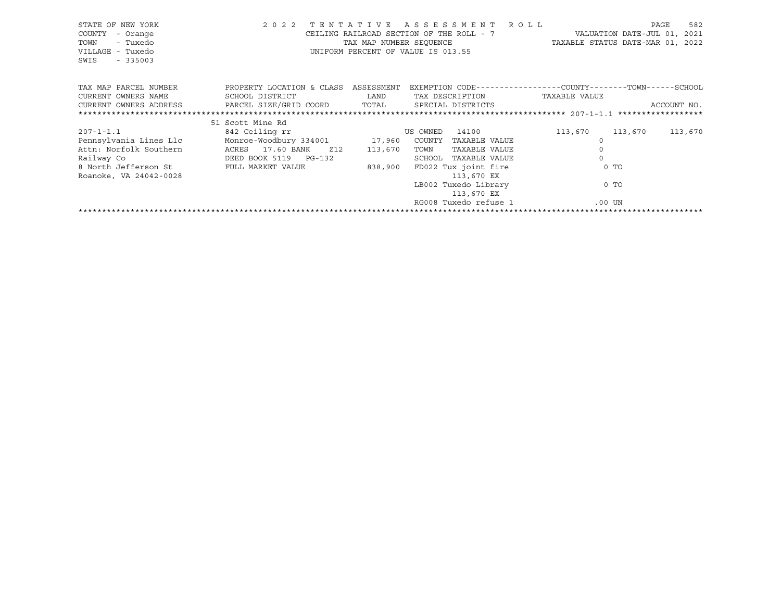| STATE OF NEW YORK<br>COUNTY<br>- Orange<br>- Tuxedo<br>TOWN<br>VILLAGE - Tuxedo<br>SWIS<br>$-335003$ | 2 0 2 2                              |             | TENTATIVE ASSESSMENT ROLL<br>CEILING RAILROAD SECTION OF THE ROLL - 7 WALUATION DATE-JUL 01, 2021<br>TAX MAP NUMBER SEQUENCE TAXABLE STATUS DATE-MAR 01, 2022<br>UNIFORM PERCENT OF VALUE IS 013.55 |                     | 582<br>PAGE |
|------------------------------------------------------------------------------------------------------|--------------------------------------|-------------|-----------------------------------------------------------------------------------------------------------------------------------------------------------------------------------------------------|---------------------|-------------|
| TAX MAP PARCEL NUMBER                                                                                | PROPERTY LOCATION & CLASS ASSESSMENT |             | EXEMPTION CODE-----------------COUNTY-------TOWN------SCHOOL                                                                                                                                        |                     |             |
| CURRENT OWNERS NAME                                                                                  | SCHOOL DISTRICT                      | <b>LAND</b> | TAX DESCRIPTION                                                                                                                                                                                     | TAXABLE VALUE       |             |
| CURRENT OWNERS ADDRESS     PARCEL SIZE/GRID COORD     TOTAL     SPECIAL DISTRICTS                    |                                      |             |                                                                                                                                                                                                     |                     | ACCOUNT NO. |
|                                                                                                      |                                      |             |                                                                                                                                                                                                     |                     |             |
|                                                                                                      | 51 Scott Mine Rd                     |             |                                                                                                                                                                                                     |                     |             |
| 207-1-1.1                                                                                            | 842 Ceiling rr                       |             | 14100<br>US OWNED                                                                                                                                                                                   | 113,670<br>113,670  | 113,670     |
| Pennsylvania Lines Llc Monroe-Woodbury 334001 17,960 COUNTY                                          |                                      |             | TAXABLE VALUE                                                                                                                                                                                       |                     |             |
| Attn: Norfolk Southern                                                                               | ACRES 17.60 BANK Z12                 | 113,670     | TOWN<br>TAXABLE VALUE                                                                                                                                                                               | $\mathsf{O}\xspace$ |             |
| Railway Co                                                                                           | DEED BOOK 5119 PG-132                |             | SCHOOL TAXABLE VALUE                                                                                                                                                                                | $\Omega$            |             |
| 8 North Jefferson St FULL MARKET VALUE                                                               |                                      |             | 838,900 FD022 Tux joint fire                                                                                                                                                                        | $0$ TO              |             |
| Roanoke, VA 24042-0028                                                                               |                                      |             | 113,670 EX                                                                                                                                                                                          |                     |             |
|                                                                                                      |                                      |             | LB002 Tuxedo Library                                                                                                                                                                                | 0 TO                |             |
|                                                                                                      |                                      |             | 113,670 EX                                                                                                                                                                                          |                     |             |
|                                                                                                      |                                      |             | RG008 Tuxedo refuse 1                                                                                                                                                                               | .00 UN              |             |
|                                                                                                      |                                      |             |                                                                                                                                                                                                     |                     |             |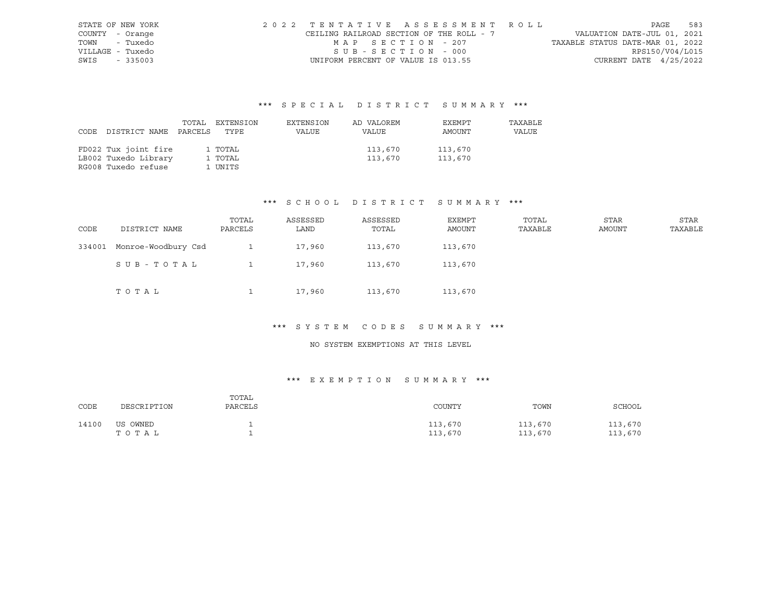| STATE OF NEW YORK | 2022 TENTATIVE ASSESSMENT ROLL           |                   |  |  |                                  |                          | PAGE | 583 |
|-------------------|------------------------------------------|-------------------|--|--|----------------------------------|--------------------------|------|-----|
| COUNTY - Orange   | CEILING RAILROAD SECTION OF THE ROLL - 7 |                   |  |  | VALUATION DATE-JUL 01, 2021      |                          |      |     |
| TOWN - Tuxedo     |                                          | MAP SECTION - 207 |  |  | TAXABLE STATUS DATE-MAR 01, 2022 |                          |      |     |
| VILLAGE - Tuxedo  |                                          | SUB-SECTION - 000 |  |  |                                  | RPS150/V04/L015          |      |     |
| SWIS - 335003     | UNIFORM PERCENT OF VALUE IS 013.55       |                   |  |  |                                  | CURRENT DATE $4/25/2022$ |      |     |

|                            | TOTAL EXTENSION | EXTENSION | AD VALOREM | EXEMPT  | TAXABLE |
|----------------------------|-----------------|-----------|------------|---------|---------|
| CODE DISTRICT NAME PARCELS | TYPE            | VALUE     | VALUE      | AMOUNT  | VALUE   |
|                            |                 |           |            |         |         |
| FD022 Tux joint fire       | 1 TOTAL         |           | 113,670    | 113,670 |         |
| LB002 Tuxedo Library       | 1 TOTAL         |           | 113,670    | 113,670 |         |
| RG008 Tuxedo refuse        | 1 UNITS         |           |            |         |         |

#### \*\*\* S C H O O L D I S T R I C T S U M M A R Y \*\*\*

| CODE   | DISTRICT NAME       | TOTAL<br>PARCELS | ASSESSED<br>LAND | ASSESSED<br>TOTAL | EXEMPT<br>AMOUNT | TOTAL<br>TAXABLE | STAR<br>AMOUNT | STAR<br>TAXABLE |
|--------|---------------------|------------------|------------------|-------------------|------------------|------------------|----------------|-----------------|
| 334001 | Monroe-Woodbury Csd |                  | 17,960           | 113,670           | 113,670          |                  |                |                 |
|        | SUB-TOTAL           |                  | 17,960           | 113,670           | 113,670          |                  |                |                 |
|        | TOTAL               |                  | 17,960           | 113,670           | 113,670          |                  |                |                 |

# \*\*\* S Y S T E M C O D E S S U M M A R Y \*\*\*

#### NO SYSTEM EXEMPTIONS AT THIS LEVEL

| CODE  | DESCRIPTION       | TOTAL<br>PARCELS | COUNTY             | TOWN               | SCHOOL             |
|-------|-------------------|------------------|--------------------|--------------------|--------------------|
| 14100 | US OWNED<br>TOTAL |                  | 113,670<br>113,670 | 113,670<br>113,670 | 113,670<br>113,670 |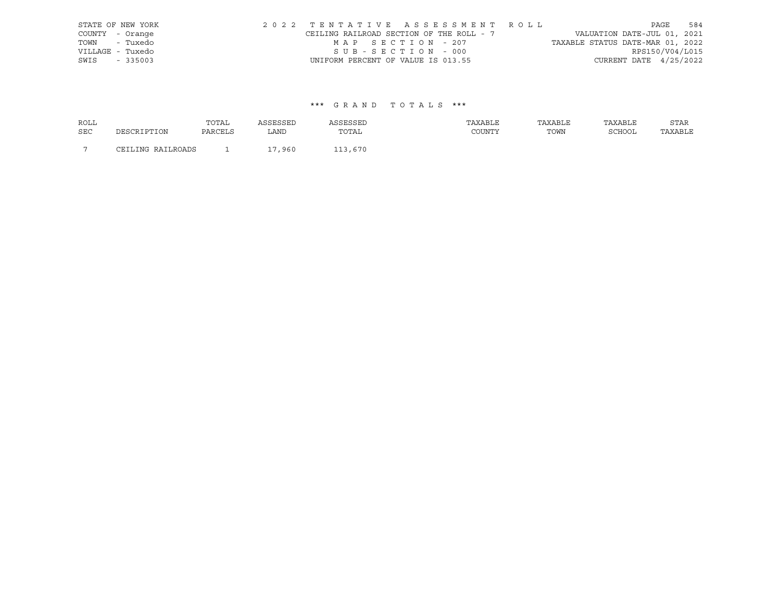| STATE OF NEW YORK |                                    |                   | 2022 TENTATIVE ASSESSMENT ROLL           |                                  |                          | PAGE | 584 |
|-------------------|------------------------------------|-------------------|------------------------------------------|----------------------------------|--------------------------|------|-----|
| COUNTY - Orange   |                                    |                   | CEILING RAILROAD SECTION OF THE ROLL - 7 | VALUATION DATE-JUL 01, 2021      |                          |      |     |
| TOWN - Tuxedo     |                                    | MAP SECTION - 207 |                                          | TAXABLE STATUS DATE-MAR 01, 2022 |                          |      |     |
| VILLAGE - Tuxedo  |                                    | SUB-SECTION - 000 |                                          |                                  | RPS150/V04/L015          |      |     |
| SWIS - 335003     | UNIFORM PERCENT OF VALUE IS 013.55 |                   |                                          |                                  | CURRENT DATE $4/25/2022$ |      |     |

| <b>ROLL</b>    |                   | TOTAL   |            |         | TAXABLE | TAXABLE | TAXABLE       | STAR    |
|----------------|-------------------|---------|------------|---------|---------|---------|---------------|---------|
| <b>SEC</b>     | DESCRIPTION       | PARCELS | LAND       | TOTAL   | COUNTY  | TOWN    | <b>SCHOOL</b> | TAXABLE |
| $\overline{ }$ | CEILING RAILROADS |         | ,960<br>17 | 113,670 |         |         |               |         |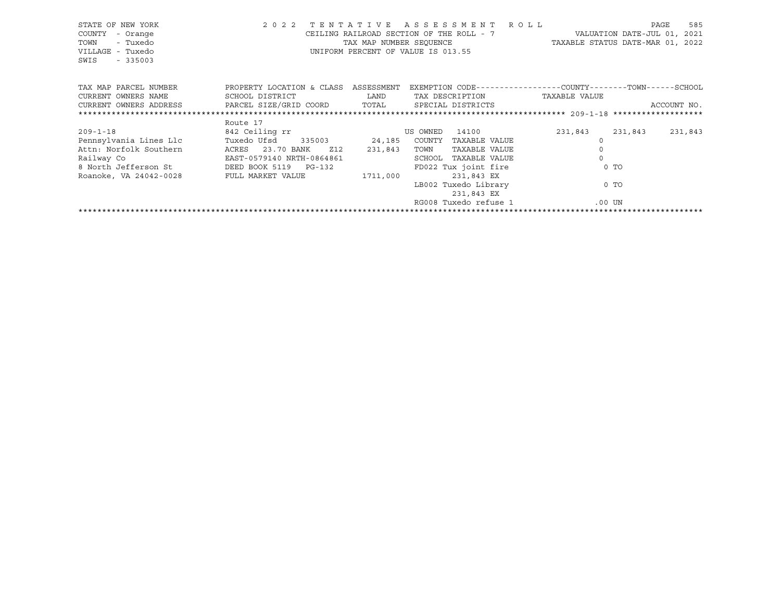| STATE OF NEW YORK<br>COUNTY<br>- Orange<br>- Tuxedo<br>TOWN<br>VILLAGE - Tuxedo<br>SWIS<br>$-335003$ | 2 0 2 2                              |             | TENTATIVE ASSESSMENT ROLL<br>CEILING RAILROAD SECTION OF THE ROLL - 7 WALUATION DATE-JUL 01, 2021<br>TAX MAP NUMBER SEQUENCE TAXABLE STATUS DATE-MAR 01, 2022<br>UNIFORM PERCENT OF VALUE IS 013.55 |               |                     | 585<br>PAGE |
|------------------------------------------------------------------------------------------------------|--------------------------------------|-------------|-----------------------------------------------------------------------------------------------------------------------------------------------------------------------------------------------------|---------------|---------------------|-------------|
| TAX MAP PARCEL NUMBER                                                                                | PROPERTY LOCATION & CLASS ASSESSMENT |             | EXEMPTION CODE-----------------COUNTY-------TOWN------SCHOOL                                                                                                                                        |               |                     |             |
| CURRENT OWNERS NAME                                                                                  | SCHOOL DISTRICT                      | <b>LAND</b> | TAX DESCRIPTION                                                                                                                                                                                     | TAXABLE VALUE |                     |             |
| CURRENT OWNERS ADDRESS     PARCEL SIZE/GRID COORD     TOTAL     SPECIAL DISTRICTS                    |                                      |             |                                                                                                                                                                                                     |               |                     | ACCOUNT NO. |
|                                                                                                      |                                      |             |                                                                                                                                                                                                     |               |                     |             |
|                                                                                                      | Route 17                             |             |                                                                                                                                                                                                     |               |                     |             |
| $209 - 1 - 18$                                                                                       | 842 Ceiling rr                       |             | 14100<br>US OWNED                                                                                                                                                                                   | 231,843       | 231,843             | 231,843     |
| Pennsylvania Lines Llc                                                                               | Tuxedo Ufsd 335003 24,185 COUNTY     |             | TAXABLE VALUE                                                                                                                                                                                       |               |                     |             |
| Attn: Norfolk Southern                                                                               | ACRES 23.70 BANK<br>Z12              | 231,843     | TOWN<br>TAXABLE VALUE                                                                                                                                                                               |               | $\mathsf{O}\xspace$ |             |
| Railway Co<br>8 North Jefferson St<br>8 North Jefferson St<br>DEED BOOK 5119 PG-132                  |                                      |             | SCHOOL TAXABLE VALUE                                                                                                                                                                                |               | $\Omega$            |             |
|                                                                                                      |                                      |             | FD022 Tux joint fire                                                                                                                                                                                |               | $0$ TO              |             |
| Roanoke, VA 24042-0028 FULL MARKET VALUE                                                             |                                      | 1711,000    | 231,843 EX                                                                                                                                                                                          |               |                     |             |
|                                                                                                      |                                      |             | LB002 Tuxedo Library                                                                                                                                                                                |               | 0 TO                |             |
|                                                                                                      |                                      |             | 231,843 EX                                                                                                                                                                                          |               |                     |             |
|                                                                                                      |                                      |             | RG008 Tuxedo refuse 1                                                                                                                                                                               |               | .00 UN              |             |
|                                                                                                      |                                      |             |                                                                                                                                                                                                     |               |                     |             |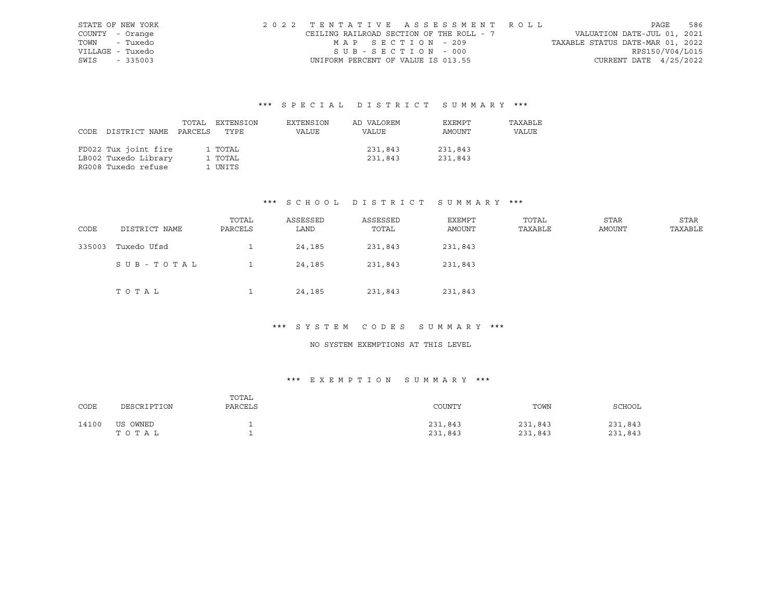| STATE OF NEW YORK | 2022 TENTATIVE ASSESSMENT ROLL           |                   |  |  |                                  |                          | PAGE | 586 |
|-------------------|------------------------------------------|-------------------|--|--|----------------------------------|--------------------------|------|-----|
| COUNTY - Orange   | CEILING RAILROAD SECTION OF THE ROLL - 7 |                   |  |  | VALUATION DATE-JUL 01, 2021      |                          |      |     |
| TOWN - Tuxedo     |                                          | MAP SECTION - 209 |  |  | TAXABLE STATUS DATE-MAR 01, 2022 |                          |      |     |
| VILLAGE - Tuxedo  |                                          | SUB-SECTION - 000 |  |  |                                  | RPS150/V04/L015          |      |     |
| SWIS - 335003     | UNIFORM PERCENT OF VALUE IS 013.55       |                   |  |  |                                  | CURRENT DATE $4/25/2022$ |      |     |

|                            | TOTAL EXTENSION | EXTENSION | AD VALOREM | EXEMPT  | TAXABLE |
|----------------------------|-----------------|-----------|------------|---------|---------|
| CODE DISTRICT NAME PARCELS | TYPE            | VALUE     | VALUE      | AMOUNT  | VALUE   |
|                            |                 |           |            |         |         |
| FD022 Tux joint fire       | 1 TOTAL         |           | 231,843    | 231,843 |         |
| LB002 Tuxedo Library       | 1 TOTAL         |           | 231,843    | 231,843 |         |
| RG008 Tuxedo refuse        | 1 UNITS         |           |            |         |         |

#### \*\*\* S C H O O L D I S T R I C T S U M M A R Y \*\*\*

| CODE   | DISTRICT NAME | TOTAL<br>PARCELS | ASSESSED<br>LAND | ASSESSED<br>TOTAL | EXEMPT<br>AMOUNT | TOTAL<br>TAXABLE | <b>STAR</b><br>AMOUNT | <b>STAR</b><br>TAXABLE |
|--------|---------------|------------------|------------------|-------------------|------------------|------------------|-----------------------|------------------------|
| 335003 | Tuxedo Ufsd   |                  | 24,185           | 231,843           | 231,843          |                  |                       |                        |
|        | SUB-TOTAL     |                  | 24,185           | 231,843           | 231,843          |                  |                       |                        |
|        | TOTAL         |                  | 24,185           | 231,843           | 231,843          |                  |                       |                        |

# \*\*\* S Y S T E M C O D E S S U M M A R Y \*\*\*

#### NO SYSTEM EXEMPTIONS AT THIS LEVEL

| CODE  | DESCRIPTION       | TOTAL<br>PARCELS | COUNTY             | TOWN               | SCHOOL             |
|-------|-------------------|------------------|--------------------|--------------------|--------------------|
| 14100 | US OWNED<br>TOTAL |                  | 231,843<br>231,843 | 231,843<br>231,843 | 231,843<br>231,843 |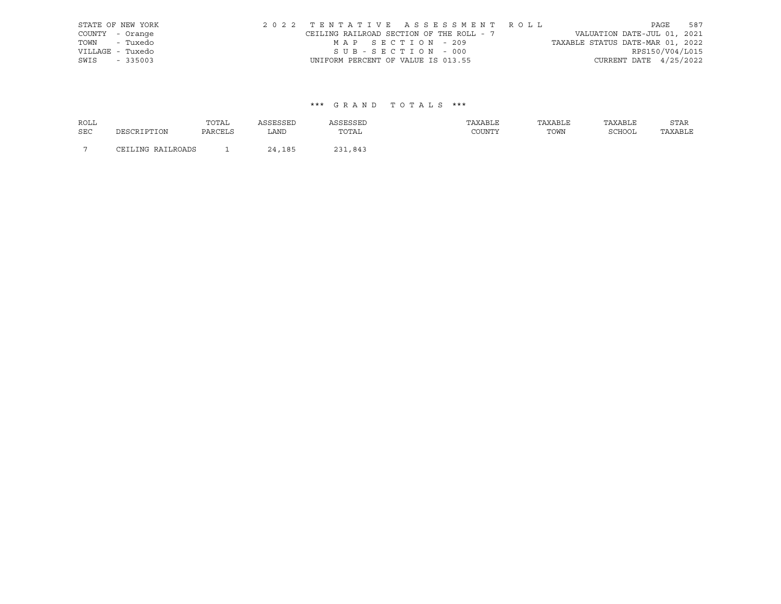| STATE OF NEW YORK |                                    |                   | 2022 TENTATIVE ASSESSMENT ROLL           |                                  |                          | PAGE | 587 |
|-------------------|------------------------------------|-------------------|------------------------------------------|----------------------------------|--------------------------|------|-----|
| COUNTY - Orange   |                                    |                   | CEILING RAILROAD SECTION OF THE ROLL - 7 | VALUATION DATE-JUL 01, 2021      |                          |      |     |
| TOWN - Tuxedo     |                                    | MAP SECTION - 209 |                                          | TAXABLE STATUS DATE-MAR 01, 2022 |                          |      |     |
| VILLAGE - Tuxedo  |                                    | SUB-SECTION - 000 |                                          |                                  | RPS150/V04/L015          |      |     |
| SWIS - 335003     | UNIFORM PERCENT OF VALUE IS 013.55 |                   |                                          |                                  | CURRENT DATE $4/25/2022$ |      |     |

| <b>ROLL</b>    |                   | TOTAL   | ASSESSED | ASSESSED | TAXABLE | TAXABLE | TAXABLE | STAR    |
|----------------|-------------------|---------|----------|----------|---------|---------|---------|---------|
| <b>SEC</b>     | DESCRIPTION       | PARCELS | LAND     | TOTAL    | COUNTY  | TOWN    | SCHOOL  | TAXABLE |
| $\overline{ }$ | CEILING RAILROADS |         | 24,185   | 231,843  |         |         |         |         |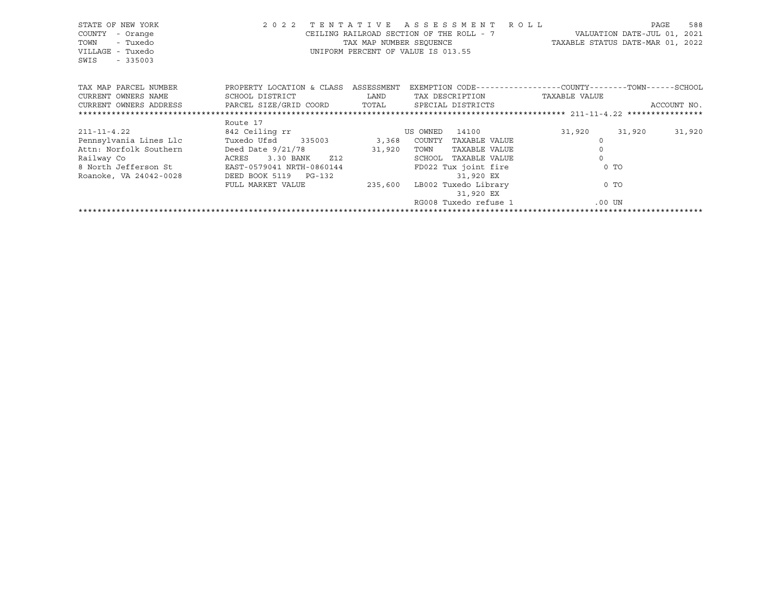| STATE OF NEW YORK<br>COUNTY<br>- Orange<br>TOWN<br>- Tuxedo<br>VILLAGE - Tuxedo<br>SWIS<br>$-335003$ |                                      |                                                                                                                             | 2022 TENTATIVE ASSESSMENT ROLL<br>CEILING RAILROAD SECTION OF THE ROLL - 7 WALUATION DATE-JUL 01, 2021<br>TAX MAP NUMBER SEQUENCE TAXABLE STATUS DATE-MAR 01, 2022<br>UNIFORM PERCENT OF VALUE IS 013.55 |          | PAGE   | 588         |
|------------------------------------------------------------------------------------------------------|--------------------------------------|-----------------------------------------------------------------------------------------------------------------------------|----------------------------------------------------------------------------------------------------------------------------------------------------------------------------------------------------------|----------|--------|-------------|
| TAX MAP PARCEL NUMBER                                                                                | PROPERTY LOCATION & CLASS ASSESSMENT |                                                                                                                             | EXEMPTION CODE-----------------COUNTY-------TOWN------SCHOOL                                                                                                                                             |          |        |             |
| CURRENT OWNERS NAME                                                                                  | SCHOOL DISTRICT                      | <b>EXAMPLE THE STATE OF STATE OF STATE OF STATE OF STATE OF STATE OF STATE OF STATE OF STATE OF STATE OF STATE OF STATE</b> | TAX DESCRIPTION TAXABLE VALUE                                                                                                                                                                            |          |        |             |
| CURRENT OWNERS ADDRESS              PARCEL SIZE/GRID COORD           TOTAL        SPECIAL DISTRICTS  |                                      |                                                                                                                             |                                                                                                                                                                                                          |          |        | ACCOUNT NO. |
|                                                                                                      |                                      |                                                                                                                             |                                                                                                                                                                                                          |          |        |             |
|                                                                                                      | Route 17                             |                                                                                                                             |                                                                                                                                                                                                          |          |        |             |
| $211 - 11 - 4.22$                                                                                    | 842 Ceiling rr                       |                                                                                                                             | 14100<br>US OWNED                                                                                                                                                                                        | 31,920   | 31,920 | 31,920      |
| Pennsylvania Lines Llc             Tuxedo Ufsd       335003             3,368     COUNTY             |                                      |                                                                                                                             | TAXABLE VALUE                                                                                                                                                                                            |          |        |             |
| Attn: Norfolk Southern                                                                               | Deed Date $9/21/78$                  | 31,920                                                                                                                      | TOWN<br>TAXABLE VALUE                                                                                                                                                                                    | $\circ$  |        |             |
| Railway Co                                                                                           | 3.30 BANK Z12<br>ACRES               |                                                                                                                             | SCHOOL<br>TAXABLE VALUE                                                                                                                                                                                  | $\Omega$ |        |             |
| 8 North Jefferson St EAST-0579041 NRTH-0860144                                                       |                                      |                                                                                                                             | FD022 Tux joint fire                                                                                                                                                                                     | $0$ TO   |        |             |
| Roanoke, VA 24042-0028                                                                               | DEED BOOK 5119 PG-132                |                                                                                                                             | 31,920 EX                                                                                                                                                                                                |          |        |             |
|                                                                                                      | FULL MARKET VALUE                    |                                                                                                                             | 235,600 LB002 Tuxedo Library                                                                                                                                                                             | 0 TO     |        |             |
|                                                                                                      |                                      |                                                                                                                             | 31,920 EX                                                                                                                                                                                                |          |        |             |
|                                                                                                      |                                      |                                                                                                                             | RG008 Tuxedo refuse 1                                                                                                                                                                                    | .00 UN   |        |             |
|                                                                                                      |                                      |                                                                                                                             |                                                                                                                                                                                                          |          |        |             |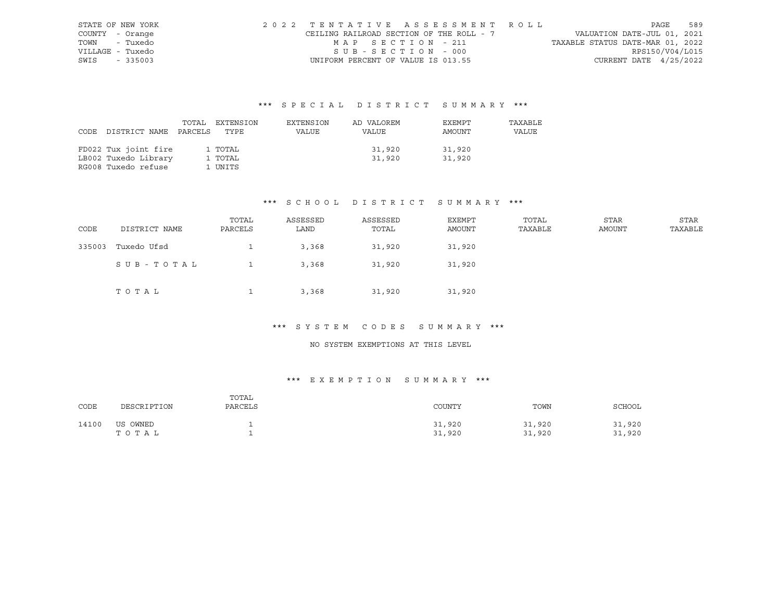| STATE OF NEW YORK | 2022 TENTATIVE ASSESSMENT ROLL           |                   |  |  |                                  |                          | PAGE | 589 |
|-------------------|------------------------------------------|-------------------|--|--|----------------------------------|--------------------------|------|-----|
| COUNTY - Orange   | CEILING RAILROAD SECTION OF THE ROLL - 7 |                   |  |  | VALUATION DATE-JUL 01, 2021      |                          |      |     |
| TOWN - Tuxedo     |                                          | MAP SECTION - 211 |  |  | TAXABLE STATUS DATE-MAR 01, 2022 |                          |      |     |
| VILLAGE - Tuxedo  |                                          | SUB-SECTION - 000 |  |  |                                  | RPS150/V04/L015          |      |     |
| SWIS - 335003     | UNIFORM PERCENT OF VALUE IS 013.55       |                   |  |  |                                  | CURRENT DATE $4/25/2022$ |      |     |

|                            | TOTAL EXTENSION | EXTENSION | AD VALOREM | EXEMPT | TAXABLE |
|----------------------------|-----------------|-----------|------------|--------|---------|
| CODE DISTRICT NAME PARCELS | TYPE            | VALUE     | VALUE      | AMOUNT | VALUE   |
|                            |                 |           |            |        |         |
| FD022 Tux joint fire       | 1 TOTAL         |           | 31,920     | 31,920 |         |
| LB002 Tuxedo Library       | 1 TOTAL         |           | 31,920     | 31,920 |         |
| RG008 Tuxedo refuse        | 1 UNITS         |           |            |        |         |

#### \*\*\* S C H O O L D I S T R I C T S U M M A R Y \*\*\*

| CODE   | DISTRICT NAME | TOTAL<br>PARCELS | ASSESSED<br>LAND | ASSESSED<br>TOTAL | EXEMPT<br>AMOUNT | TOTAL<br>TAXABLE | <b>STAR</b><br>AMOUNT | STAR<br>TAXABLE |
|--------|---------------|------------------|------------------|-------------------|------------------|------------------|-----------------------|-----------------|
| 335003 | Tuxedo Ufsd   |                  | 3,368            | 31,920            | 31,920           |                  |                       |                 |
|        | SUB-TOTAL     |                  | 3,368            | 31,920            | 31,920           |                  |                       |                 |
|        | TOTAL         |                  | 3,368            | 31,920            | 31,920           |                  |                       |                 |

# \*\*\* S Y S T E M C O D E S S U M M A R Y \*\*\*

#### NO SYSTEM EXEMPTIONS AT THIS LEVEL

| CODE  | DESCRIPTION       | TOTAL<br>PARCELS | COUNTY           | TOWN             | SCHOOL           |
|-------|-------------------|------------------|------------------|------------------|------------------|
| 14100 | US OWNED<br>TOTAL |                  | 31,920<br>31,920 | 31,920<br>31,920 | 31,920<br>31,920 |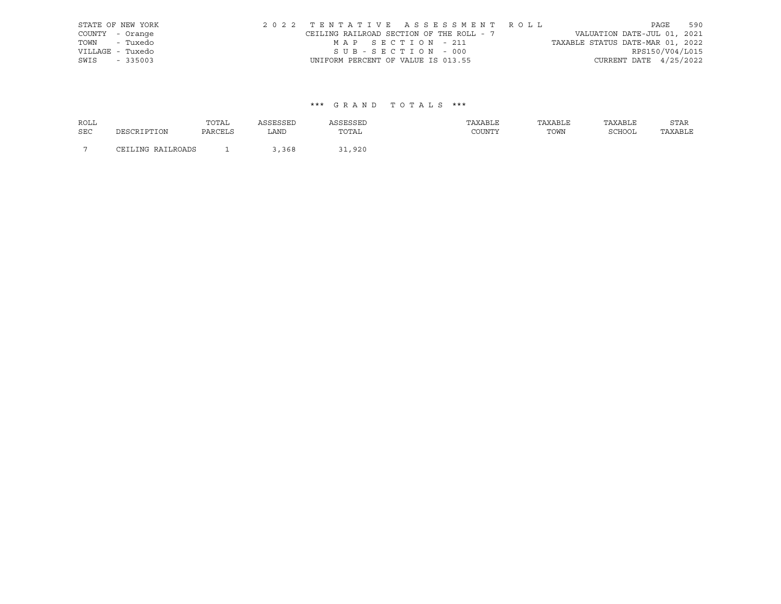| STATE OF NEW YORK |                                    |                   | 2022 TENTATIVE ASSESSMENT ROLL           |                                  |                          | PAGE | 590 |
|-------------------|------------------------------------|-------------------|------------------------------------------|----------------------------------|--------------------------|------|-----|
| COUNTY - Orange   |                                    |                   | CEILING RAILROAD SECTION OF THE ROLL - 7 | VALUATION DATE-JUL 01, 2021      |                          |      |     |
| TOWN - Tuxedo     |                                    | MAP SECTION - 211 |                                          | TAXABLE STATUS DATE-MAR 01, 2022 |                          |      |     |
| VILLAGE - Tuxedo  |                                    | SUB-SECTION - 000 |                                          |                                  | RPS150/V04/L015          |      |     |
| SWIS - 335003     | UNIFORM PERCENT OF VALUE IS 013.55 |                   |                                          |                                  | CURRENT DATE $4/25/2022$ |      |     |

| <b>ROLL</b>    |                   | TOTAL   |       |        | TAXABLE | TAXABLE | TAXABLE       | STAR    |
|----------------|-------------------|---------|-------|--------|---------|---------|---------------|---------|
| <b>SEC</b>     | DESCRIPTION       | PARCELS | LAND  | TOTAL  | COUNTY  | TOWN    | <b>SCHOOL</b> | TAXABLE |
| $\overline{ }$ | CEILING RAILROADS |         | 3,368 | 31,920 |         |         |               |         |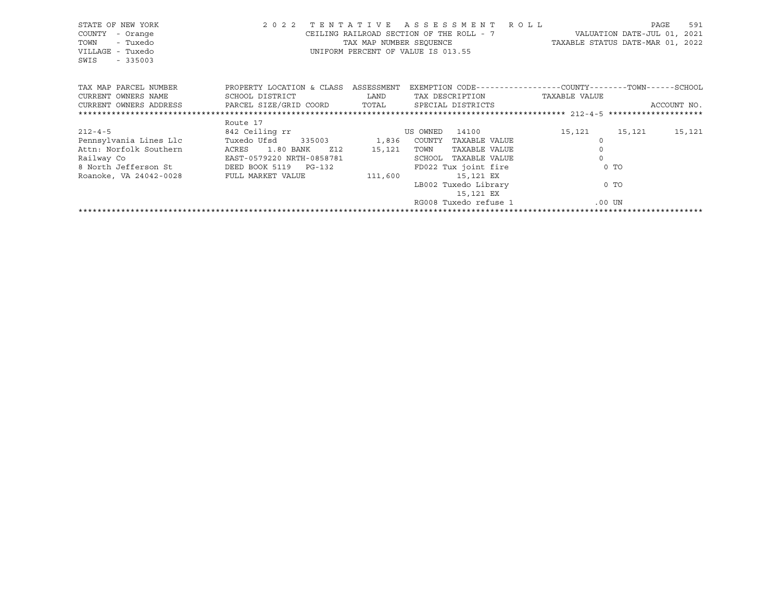| STATE OF NEW YORK<br>COUNTY<br>- Orange<br>TOWN<br>- Tuxedo<br>VILLAGE - Tuxedo<br>SWIS<br>$-335003$ |                                      |                                                                                                             | 2022 TENTATIVE ASSESSMENT ROLL<br>CEILING RAILROAD SECTION OF THE ROLL - 7 WALUATION DATE-JUL 01, 2021<br>TAX MAP NUMBER SEQUENCE TAXABLE STATUS DATE-MAR 01, 2022<br>UNIFORM PERCENT OF VALUE IS 013.55 |                     | 591<br>PAGE |
|------------------------------------------------------------------------------------------------------|--------------------------------------|-------------------------------------------------------------------------------------------------------------|----------------------------------------------------------------------------------------------------------------------------------------------------------------------------------------------------------|---------------------|-------------|
| TAX MAP PARCEL NUMBER                                                                                | PROPERTY LOCATION & CLASS ASSESSMENT |                                                                                                             | EXEMPTION CODE-----------------COUNTY-------TOWN------SCHOOL                                                                                                                                             |                     |             |
| CURRENT OWNERS NAME                                                                                  | SCHOOL DISTRICT                      | <b>LAND</b>                                                                                                 | TAX DESCRIPTION                                                                                                                                                                                          | TAXABLE VALUE       |             |
| CURRENT OWNERS ADDRESS     PARCEL SIZE/GRID COORD     TOTAL     SPECIAL DISTRICTS                    |                                      |                                                                                                             |                                                                                                                                                                                                          |                     | ACCOUNT NO. |
|                                                                                                      |                                      |                                                                                                             |                                                                                                                                                                                                          |                     |             |
|                                                                                                      | Route 17                             |                                                                                                             |                                                                                                                                                                                                          |                     |             |
| $212 - 4 - 5$                                                                                        | 842 Ceiling rr                       | <b>Example 19 ON STATE OF STATE OF STATE OF STATE OF STATE OF STATE OF STATE OF STATE OF STATE OF STATE</b> | 14100                                                                                                                                                                                                    | 15,121 15,121       | 15,121      |
| Pennsylvania Lines Llc                                                                               | Tuxedo Ufsd 335003 1,836 COUNTY      |                                                                                                             | TAXABLE VALUE                                                                                                                                                                                            |                     |             |
| Attn: Norfolk Southern                                                                               | ACRES<br>1.80 BANK<br>Z12            | 15,121                                                                                                      | TOWN<br>TAXABLE VALUE                                                                                                                                                                                    | $\mathsf{O}\xspace$ |             |
|                                                                                                      |                                      |                                                                                                             | SCHOOL TAXABLE VALUE                                                                                                                                                                                     | $\Omega$            |             |
|                                                                                                      |                                      |                                                                                                             | FD022 Tux joint fire                                                                                                                                                                                     | $0$ TO              |             |
| Roanoke, VA 24042-0028 FULL MARKET VALUE                                                             |                                      | 111,600                                                                                                     | 15,121 EX                                                                                                                                                                                                |                     |             |
|                                                                                                      |                                      |                                                                                                             | LB002 Tuxedo Library                                                                                                                                                                                     | 0 TO                |             |
|                                                                                                      |                                      |                                                                                                             | 15,121 EX                                                                                                                                                                                                |                     |             |
|                                                                                                      |                                      |                                                                                                             | RG008 Tuxedo refuse 1                                                                                                                                                                                    | $.00$ UN            |             |
|                                                                                                      |                                      |                                                                                                             |                                                                                                                                                                                                          |                     |             |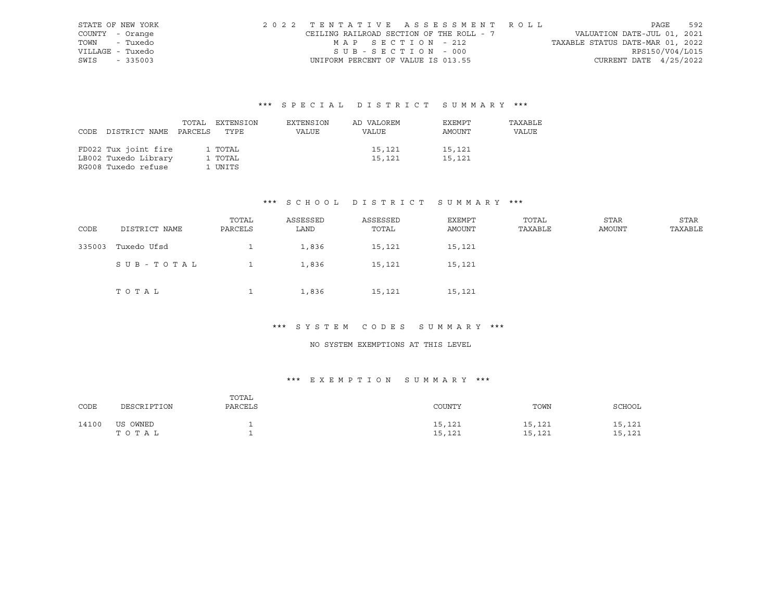| STATE OF NEW YORK | 2022 TENTATIVE ASSESSMENT ROLL           |                   |  |  |                                  |                          | PAGE | 592 |
|-------------------|------------------------------------------|-------------------|--|--|----------------------------------|--------------------------|------|-----|
| COUNTY - Orange   | CEILING RAILROAD SECTION OF THE ROLL - 7 |                   |  |  | VALUATION DATE-JUL 01, 2021      |                          |      |     |
| TOWN - Tuxedo     |                                          | MAP SECTION - 212 |  |  | TAXABLE STATUS DATE-MAR 01, 2022 |                          |      |     |
| VILLAGE - Tuxedo  |                                          | SUB-SECTION - 000 |  |  |                                  | RPS150/V04/L015          |      |     |
| SWIS - 335003     | UNIFORM PERCENT OF VALUE IS 013.55       |                   |  |  |                                  | CURRENT DATE $4/25/2022$ |      |     |

|                            | TOTAL EXTENSION | EXTENSION | AD VALOREM | EXEMPT | TAXABLE |
|----------------------------|-----------------|-----------|------------|--------|---------|
| CODE DISTRICT NAME PARCELS | TYPE            | VALUE     | VALUE      | AMOUNT | VALUE   |
|                            |                 |           |            |        |         |
| FD022 Tux joint fire       | 1 TOTAL         |           | 15,121     | 15,121 |         |
| LB002 Tuxedo Library       | 1 TOTAL         |           | 15,121     | 15,121 |         |
| RG008 Tuxedo refuse        | 1 UNITS         |           |            |        |         |

#### \*\*\* S C H O O L D I S T R I C T S U M M A R Y \*\*\*

| CODE   | DISTRICT NAME | TOTAL<br>PARCELS | ASSESSED<br>LAND | ASSESSED<br>TOTAL | EXEMPT<br>AMOUNT | TOTAL<br>TAXABLE | <b>STAR</b><br>AMOUNT | <b>STAR</b><br>TAXABLE |
|--------|---------------|------------------|------------------|-------------------|------------------|------------------|-----------------------|------------------------|
| 335003 | Tuxedo Ufsd   |                  | 1,836            | 15,121            | 15,121           |                  |                       |                        |
|        | SUB-TOTAL     |                  | 1,836            | 15,121            | 15,121           |                  |                       |                        |
|        | TOTAL         |                  | 1,836            | 15,121            | 15,121           |                  |                       |                        |

# \*\*\* S Y S T E M C O D E S S U M M A R Y \*\*\*

#### NO SYSTEM EXEMPTIONS AT THIS LEVEL

| CODE  | DESCRIPTION       | TOTAL<br>PARCELS | COUNTY           | TOWN             | SCHOOL           |
|-------|-------------------|------------------|------------------|------------------|------------------|
| 14100 | US OWNED<br>TOTAL |                  | 15,121<br>15,121 | 15,121<br>15,121 | 15,121<br>15,121 |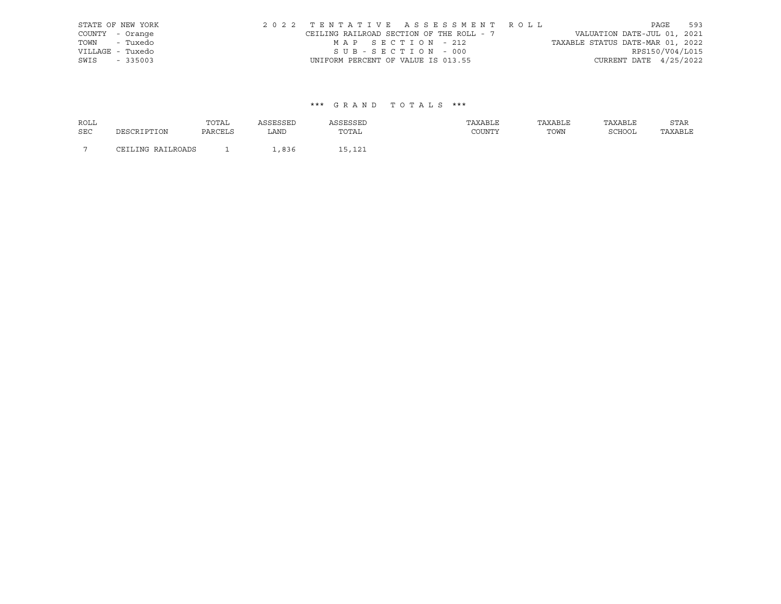| STATE OF NEW YORK |                                    |                   | 2022 TENTATIVE ASSESSMENT ROLL           |                                  |                          | PAGE | 593 |
|-------------------|------------------------------------|-------------------|------------------------------------------|----------------------------------|--------------------------|------|-----|
| COUNTY - Orange   |                                    |                   | CEILING RAILROAD SECTION OF THE ROLL - 7 | VALUATION DATE-JUL 01, 2021      |                          |      |     |
| TOWN - Tuxedo     |                                    | MAP SECTION - 212 |                                          | TAXABLE STATUS DATE-MAR 01, 2022 |                          |      |     |
| VILLAGE - Tuxedo  |                                    | SUB-SECTION - 000 |                                          |                                  | RPS150/V04/L015          |      |     |
| SWIS - 335003     | UNIFORM PERCENT OF VALUE IS 013.55 |                   |                                          |                                  | CURRENT DATE $4/25/2022$ |      |     |

| <b>ROLL</b>    |                   | TOTAL          |                |        | TAXABLE       | TAXABLE | TAXABLE       | STAR    |
|----------------|-------------------|----------------|----------------|--------|---------------|---------|---------------|---------|
| <b>SEC</b>     | DESCRIPTION       | <b>PARCELS</b> | LAND           | TOTAL  | <b>COUNTY</b> | TOWN    | <b>SCHOOL</b> | TAXABLE |
| $\overline{ }$ | CEILING RAILROADS |                | $R36$<br>- 200 | IE 195 |               |         |               |         |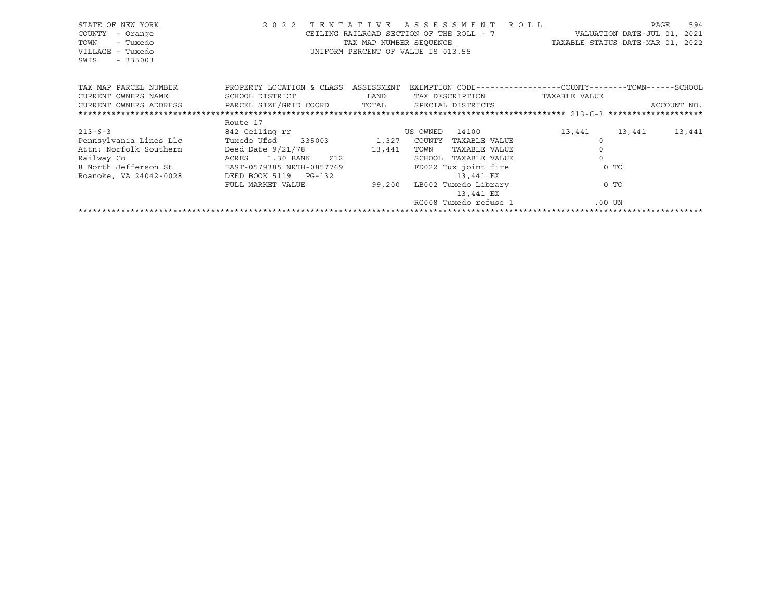| STATE OF NEW YORK<br>COUNTY<br>- Orange<br>TOWN<br>- Tuxedo<br>VILLAGE - Tuxedo<br>SWIS<br>$-335003$ |                                      |                                                                                                                        | 2022 TENTATIVE ASSESSMENT ROLL<br>CEILING RAILROAD SECTION OF THE ROLL - 7 WALUATION DATE-JUL 01, 2021<br>TAX MAP NUMBER SEQUENCE TAXABLE STATUS DATE-MAR 01, 2022<br>UNIFORM PERCENT OF VALUE IS 013.55 |               | PAGE        | 594    |
|------------------------------------------------------------------------------------------------------|--------------------------------------|------------------------------------------------------------------------------------------------------------------------|----------------------------------------------------------------------------------------------------------------------------------------------------------------------------------------------------------|---------------|-------------|--------|
| TAX MAP PARCEL NUMBER                                                                                | PROPERTY LOCATION & CLASS ASSESSMENT |                                                                                                                        | EXEMPTION CODE-----------------COUNTY-------TOWN------SCHOOL                                                                                                                                             |               |             |        |
| CURRENT OWNERS NAME                                                                                  | SCHOOL DISTRICT                      | <b>EXAMPLE SERVICE SERVICE SERVICE SERVICE SERVICE SERVICE SERVICE SERVICE SERVICE SERVICE SERVICE SERVICE SERVICE</b> | TAX DESCRIPTION TAXABLE VALUE                                                                                                                                                                            |               |             |        |
| CURRENT OWNERS ADDRESS             PARCEL SIZE/GRID COORD          TOTAL       SPECIAL DISTRICTS     |                                      |                                                                                                                        |                                                                                                                                                                                                          |               | ACCOUNT NO. |        |
|                                                                                                      |                                      |                                                                                                                        |                                                                                                                                                                                                          |               |             |        |
|                                                                                                      | Route 17                             |                                                                                                                        |                                                                                                                                                                                                          |               |             |        |
| $213 - 6 - 3$                                                                                        | 842 Ceiling rr                       |                                                                                                                        | 14100<br>US OWNED                                                                                                                                                                                        | 13,441 13,441 |             | 13,441 |
| Pennsylvania Lines Llc             Tuxedo Ufsd       335003             1,327   COUNTY               |                                      |                                                                                                                        | TAXABLE VALUE                                                                                                                                                                                            |               |             |        |
| Attn: Norfolk Southern                                                                               | Deed Date $9/21/78$                  | 13,441                                                                                                                 | TAXABLE VALUE<br>TOWN                                                                                                                                                                                    | $\circ$       |             |        |
|                                                                                                      |                                      |                                                                                                                        | SCHOOL<br>TAXABLE VALUE                                                                                                                                                                                  | $\Omega$      |             |        |
|                                                                                                      |                                      |                                                                                                                        | FD022 Tux joint fire                                                                                                                                                                                     | $0$ TO        |             |        |
| Roanoke, VA 24042-0028                                                                               | DEED BOOK 5119 PG-132                |                                                                                                                        | 13,441 EX                                                                                                                                                                                                |               |             |        |
|                                                                                                      | FULL MARKET VALUE                    |                                                                                                                        | 99,200 LB002 Tuxedo Library                                                                                                                                                                              | 0 TO          |             |        |
|                                                                                                      |                                      |                                                                                                                        | 13,441 EX                                                                                                                                                                                                |               |             |        |
|                                                                                                      |                                      |                                                                                                                        | RG008 Tuxedo refuse 1                                                                                                                                                                                    | .00 UN        |             |        |
|                                                                                                      |                                      |                                                                                                                        |                                                                                                                                                                                                          |               |             |        |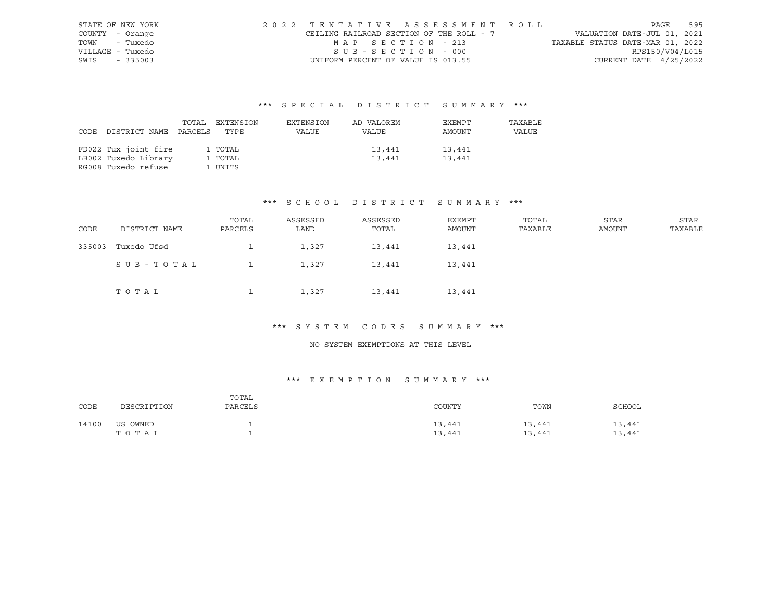| STATE OF NEW YORK | 2022 TENTATIVE ASSESSMENT ROLL           |                   |  |  |                                  |                          | PAGE | 595 |
|-------------------|------------------------------------------|-------------------|--|--|----------------------------------|--------------------------|------|-----|
| COUNTY - Orange   | CEILING RAILROAD SECTION OF THE ROLL - 7 |                   |  |  | VALUATION DATE-JUL 01, 2021      |                          |      |     |
| TOWN - Tuxedo     |                                          | MAP SECTION - 213 |  |  | TAXABLE STATUS DATE-MAR 01, 2022 |                          |      |     |
| VILLAGE - Tuxedo  |                                          | SUB-SECTION - 000 |  |  |                                  | RPS150/V04/L015          |      |     |
| SWIS - 335003     | UNIFORM PERCENT OF VALUE IS 013.55       |                   |  |  |                                  | CURRENT DATE $4/25/2022$ |      |     |

|                            | TOTAL EXTENSION | EXTENSION | AD VALOREM | EXEMPT | TAXABLE |
|----------------------------|-----------------|-----------|------------|--------|---------|
| CODE DISTRICT NAME PARCELS | TYPE            | VALUE     | VALUE      | AMOUNT | VALUE   |
|                            |                 |           |            |        |         |
| FD022 Tux joint fire       | 1 TOTAL         |           | 13,441     | 13,441 |         |
| LB002 Tuxedo Library       | 1 TOTAL         |           | 13,441     | 13,441 |         |
| RG008 Tuxedo refuse        | 1 UNITS         |           |            |        |         |

#### \*\*\* S C H O O L D I S T R I C T S U M M A R Y \*\*\*

| CODE   | DISTRICT NAME | TOTAL<br>PARCELS | ASSESSED<br>LAND | ASSESSED<br>TOTAL | EXEMPT<br>AMOUNT | TOTAL<br>TAXABLE | <b>STAR</b><br>AMOUNT | STAR<br>TAXABLE |
|--------|---------------|------------------|------------------|-------------------|------------------|------------------|-----------------------|-----------------|
| 335003 | Tuxedo Ufsd   |                  | 1,327            | 13,441            | 13,441           |                  |                       |                 |
|        | SUB-TOTAL     |                  | 1,327            | 13,441            | 13,441           |                  |                       |                 |
|        | TOTAL         |                  | 1,327            | 13,441            | 13,441           |                  |                       |                 |

# \*\*\* S Y S T E M C O D E S S U M M A R Y \*\*\*

#### NO SYSTEM EXEMPTIONS AT THIS LEVEL

| CODE  | DESCRIPTION       | TOTAL<br>PARCELS | COUNTY           | TOWN             | SCHOOL           |
|-------|-------------------|------------------|------------------|------------------|------------------|
| 14100 | US OWNED<br>TOTAL |                  | 13,441<br>13,441 | 13,441<br>13,441 | 13,441<br>13,441 |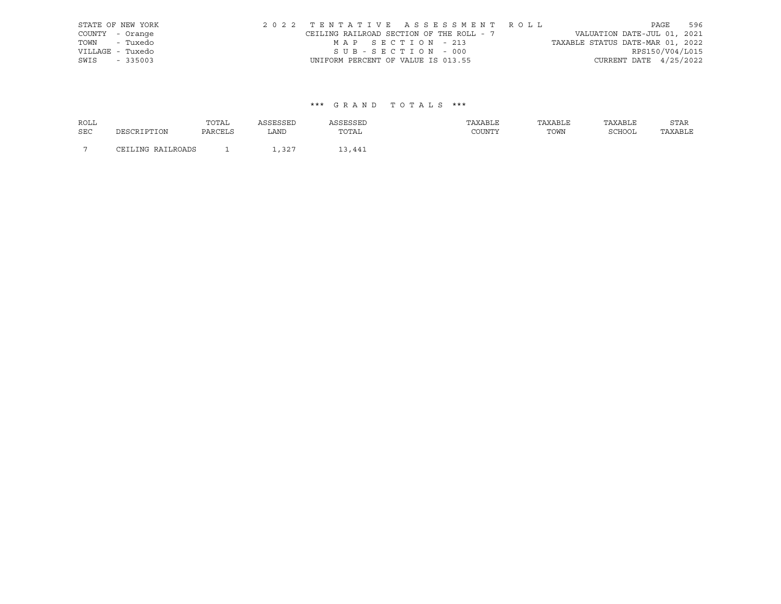| STATE OF NEW YORK | 2022 TENTATIVE ASSESSMENT ROLL           |                   |  |                                  |                          | PAGE | 596 |
|-------------------|------------------------------------------|-------------------|--|----------------------------------|--------------------------|------|-----|
| COUNTY - Orange   | CEILING RAILROAD SECTION OF THE ROLL - 7 |                   |  | VALUATION DATE-JUL 01, 2021      |                          |      |     |
| TOWN - Tuxedo     |                                          | MAP SECTION - 213 |  | TAXABLE STATUS DATE-MAR 01, 2022 |                          |      |     |
| VILLAGE - Tuxedo  |                                          | SUB-SECTION - 000 |  |                                  | RPS150/V04/L015          |      |     |
| SWIS - 335003     | UNIFORM PERCENT OF VALUE IS 013.55       |                   |  |                                  | CURRENT DATE $4/25/2022$ |      |     |

| <b>ROLL</b>    |                   | TOTAL          |       |        | TAXABLE       | TAXABLE | TAXABLE       | STAR    |
|----------------|-------------------|----------------|-------|--------|---------------|---------|---------------|---------|
| <b>SEC</b>     | DESCRIPTION       | <b>PARCELS</b> | LAND  | TOTAL  | <b>COUNTY</b> | TOWN    | <b>SCHOOL</b> | TAXABLE |
| $\overline{ }$ | CEILING RAILROADS |                | 1,327 | 13,441 |               |         |               |         |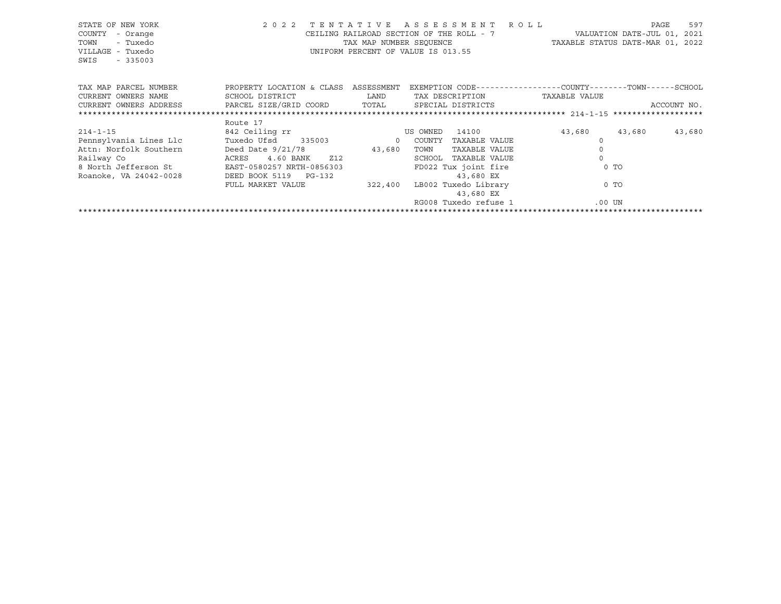| STATE OF NEW YORK<br>COUNTY<br>- Orange<br>- Tuxedo<br>TOWN<br>VILLAGE - Tuxedo<br>SWIS<br>$-335003$ | 2 0 2 2                              |        | TENTATIVE ASSESSMENT ROLL<br>CEILING RAILROAD SECTION OF THE ROLL - 7 WALUATION DATE-JUL 01, 2021<br>TAX MAP NUMBER SEQUENCE TAXABLE STATUS DATE-MAR 01, 2022<br>UNIFORM PERCENT OF VALUE IS 013.55 |                     | PAGE   | 597         |
|------------------------------------------------------------------------------------------------------|--------------------------------------|--------|-----------------------------------------------------------------------------------------------------------------------------------------------------------------------------------------------------|---------------------|--------|-------------|
| TAX MAP PARCEL NUMBER                                                                                | PROPERTY LOCATION & CLASS ASSESSMENT |        | EXEMPTION CODE-----------------COUNTY-------TOWN------SCHOOL                                                                                                                                        |                     |        |             |
| CURRENT OWNERS NAME                                                                                  | SCHOOL DISTRICT                      | LAND   | TAX DESCRIPTION                                                                                                                                                                                     | TAXABLE VALUE       |        |             |
| CURRENT OWNERS ADDRESS     PARCEL SIZE/GRID COORD     TOTAL     SPECIAL DISTRICTS                    |                                      |        |                                                                                                                                                                                                     |                     |        | ACCOUNT NO. |
|                                                                                                      |                                      |        |                                                                                                                                                                                                     |                     |        |             |
|                                                                                                      | Route 17                             |        |                                                                                                                                                                                                     |                     |        |             |
| $214 - 1 - 15$                                                                                       | 842 Ceiling rr                       |        | 14100<br>US OWNED                                                                                                                                                                                   | 43,680              | 43,680 | 43,680      |
| Pennsylvania Lines Llc                                                                               | Tuxedo Ufsd 335003 0 COUNTY          |        | TAXABLE VALUE                                                                                                                                                                                       |                     |        |             |
| Attn: Norfolk Southern                                                                               | Deed Date 9/21/78                    | 43,680 | TOWN<br>TAXABLE VALUE                                                                                                                                                                               | $\mathsf{O}\xspace$ |        |             |
| Railway Co                                                                                           | 4.60 BANK Z12<br>ACRES               |        | SCHOOL TAXABLE VALUE                                                                                                                                                                                | $\Omega$            |        |             |
| 8 North Jefferson St EAST-0580257 NRTH-0856303                                                       |                                      |        | FD022 Tux joint fire                                                                                                                                                                                | $0$ TO              |        |             |
| Roanoke, VA 24042-0028                                                                               | DEED BOOK 5119 PG-132                |        | 43,680 EX                                                                                                                                                                                           |                     |        |             |
|                                                                                                      | FULL MARKET VALUE                    |        | 322,400 LB002 Tuxedo Library                                                                                                                                                                        | 0 TO                |        |             |
|                                                                                                      |                                      |        | 43,680 EX                                                                                                                                                                                           |                     |        |             |
|                                                                                                      |                                      |        | RG008 Tuxedo refuse 1                                                                                                                                                                               | .00 UN              |        |             |
|                                                                                                      |                                      |        |                                                                                                                                                                                                     |                     |        |             |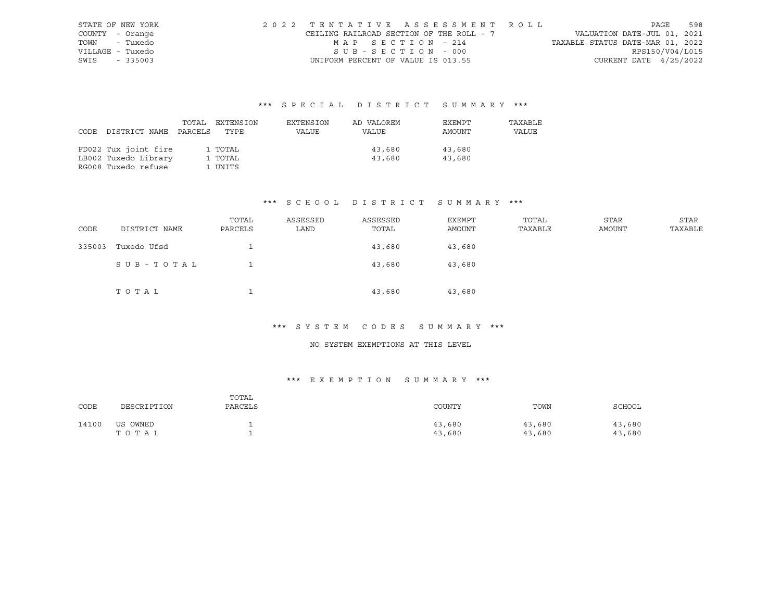| STATE OF NEW YORK | 2022 TENTATIVE ASSESSMENT ROLL           |                       |  |  |                                  |                        | PAGE | 598             |
|-------------------|------------------------------------------|-----------------------|--|--|----------------------------------|------------------------|------|-----------------|
| COUNTY - Orange   | CEILING RAILROAD SECTION OF THE ROLL - 7 |                       |  |  | VALUATION DATE-JUL 01, 2021      |                        |      |                 |
| TOWN - Tuxedo     |                                          | MAP SECTION - 214     |  |  | TAXABLE STATUS DATE-MAR 01, 2022 |                        |      |                 |
| VILLAGE - Tuxedo  |                                          | $SUB - SECTION - 000$ |  |  |                                  |                        |      | RPS150/V04/L015 |
| SWIS - 335003     | UNIFORM PERCENT OF VALUE IS 013.55       |                       |  |  |                                  | CURRENT DATE 4/25/2022 |      |                 |

|                            | TOTAL EXTENSION | EXTENSION | AD VALOREM | EXEMPT | TAXABLE |
|----------------------------|-----------------|-----------|------------|--------|---------|
| CODE DISTRICT NAME PARCELS | TYPE            | VALUE     | VALUE      | AMOUNT | VALUE   |
|                            |                 |           |            |        |         |
| FD022 Tux joint fire       | 1 TOTAL         |           | 43,680     | 43,680 |         |
| LB002 Tuxedo Library       | 1 TOTAL         |           | 43,680     | 43,680 |         |
| RG008 Tuxedo refuse        | 1 UNITS         |           |            |        |         |

#### \*\*\* S C H O O L D I S T R I C T S U M M A R Y \*\*\*

| CODE   | DISTRICT NAME | TOTAL<br>PARCELS | ASSESSED<br>LAND | ASSESSED<br>TOTAL | EXEMPT<br>AMOUNT | TOTAL<br>TAXABLE | <b>STAR</b><br>AMOUNT | STAR<br>TAXABLE |
|--------|---------------|------------------|------------------|-------------------|------------------|------------------|-----------------------|-----------------|
| 335003 | Tuxedo Ufsd   |                  |                  | 43,680            | 43,680           |                  |                       |                 |
|        | SUB-TOTAL     |                  |                  | 43,680            | 43,680           |                  |                       |                 |
|        | TOTAL         |                  |                  | 43,680            | 43,680           |                  |                       |                 |

# \*\*\* S Y S T E M C O D E S S U M M A R Y \*\*\*

#### NO SYSTEM EXEMPTIONS AT THIS LEVEL

| CODE  | DESCRIPTION       | TOTAL<br>PARCELS | COUNTY           | TOWN             | SCHOOL           |
|-------|-------------------|------------------|------------------|------------------|------------------|
| 14100 | US OWNED<br>TOTAL |                  | 43,680<br>43,680 | 43,680<br>43,680 | 43,680<br>43,680 |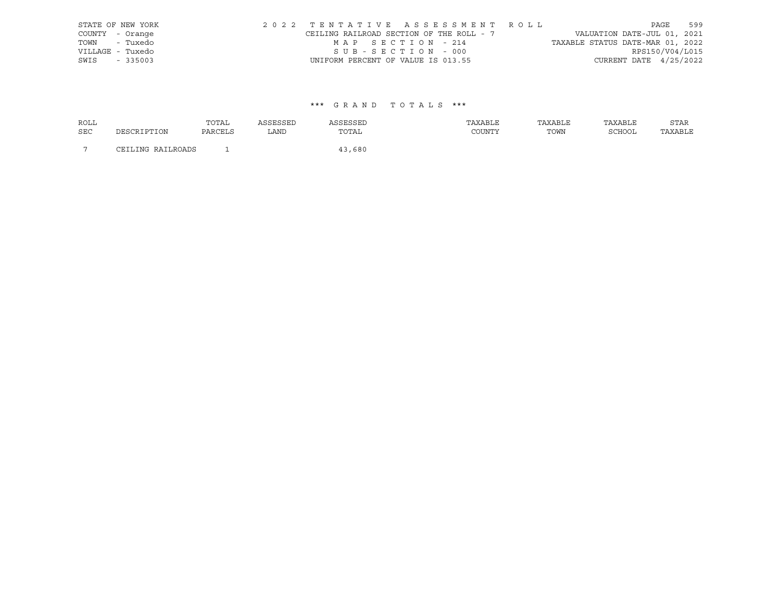| STATE OF NEW YORK |  |                                          |  |                   |  |  | 2022 TENTATIVE ASSESSMENT ROLL |                                  | PAGE | 599             |
|-------------------|--|------------------------------------------|--|-------------------|--|--|--------------------------------|----------------------------------|------|-----------------|
| COUNTY - Orange   |  | CEILING RAILROAD SECTION OF THE ROLL - 7 |  |                   |  |  |                                | VALUATION DATE-JUL 01, 2021      |      |                 |
| TOWN - Tuxedo     |  |                                          |  | MAP SECTION - 214 |  |  |                                | TAXABLE STATUS DATE-MAR 01, 2022 |      |                 |
| VILLAGE - Tuxedo  |  |                                          |  | SUB-SECTION - 000 |  |  |                                |                                  |      | RPS150/V04/L015 |
| SWIS - 335003     |  | UNIFORM PERCENT OF VALUE IS 013.55       |  |                   |  |  |                                | CURRENT DATE $4/25/2022$         |      |                 |

| <b>ROLL</b>    |                   | TOTAL   | ASSESSED | ASSESSED | TAXABLE | TAXABLE | TAXABLE | <b>STAR</b> |
|----------------|-------------------|---------|----------|----------|---------|---------|---------|-------------|
| <b>SEC</b>     | DESCRIPTION       | PARCELS | LAND     | TOTAL    | COUNTY  | TOWN    | SCHOOL  | TAXABLE     |
|                |                   |         |          |          |         |         |         |             |
| $\overline{ }$ | CEILING RAILROADS |         |          | 43,680   |         |         |         |             |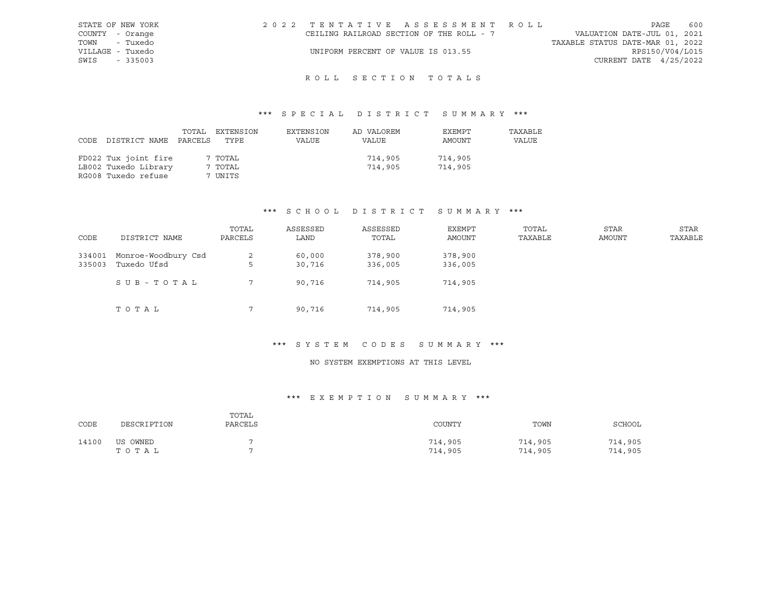| STATE OF NEW YORK | 2022 TENTATIVE ASSESSMENT ROLL           |  |                                  | PAGE                     | 600 |
|-------------------|------------------------------------------|--|----------------------------------|--------------------------|-----|
| COUNTY - Orange   | CEILING RAILROAD SECTION OF THE ROLL - 7 |  | VALUATION DATE-JUL 01, 2021      |                          |     |
| TOWN - Tuxedo     |                                          |  | TAXABLE STATUS DATE-MAR 01, 2022 |                          |     |
| VILLAGE - Tuxedo  | UNIFORM PERCENT OF VALUE IS 013.55       |  |                                  | RPS150/V04/L015          |     |
| $-335003$<br>SWIS |                                          |  |                                  | CURRENT DATE $4/25/2022$ |     |

# ROLL SECTION TOTALS

# \*\*\* S P E C I A L D I S T R I C T S U M M A R Y \*\*\*

| CODE | DISTRICT NAME        | TOTAL<br>PARCELS | EXTENSION<br>TYPE | EXTENSION<br>VALUE | AD VALOREM<br>VALUE | EXEMPT<br>AMOUNT | TAXABLE<br>VALUE |
|------|----------------------|------------------|-------------------|--------------------|---------------------|------------------|------------------|
|      | FD022 Tux joint fire |                  | 7 TOTAL           |                    | 714,905             | 714,905          |                  |
|      | LB002 Tuxedo Library |                  | 7 TOTAL           |                    | 714,905             | 714,905          |                  |
|      | RG008 Tuxedo refuse  |                  | 7 UNITS           |                    |                     |                  |                  |

#### \*\*\* S C H O O L D I S T R I C T S U M M A R Y \*\*\*

| CODE             | DISTRICT NAME                      | TOTAL<br>PARCELS | ASSESSED<br>LAND | ASSESSED<br>TOTAL  | EXEMPT<br>AMOUNT   | TOTAL<br>TAXABLE | STAR<br>AMOUNT | STAR<br>TAXABLE |
|------------------|------------------------------------|------------------|------------------|--------------------|--------------------|------------------|----------------|-----------------|
| 334001<br>335003 | Monroe-Woodbury Csd<br>Tuxedo Ufsd | 2<br>5           | 60,000<br>30,716 | 378,900<br>336,005 | 378,900<br>336,005 |                  |                |                 |
|                  | SUB-TOTAL                          |                  | 90,716           | 714,905            | 714,905            |                  |                |                 |
|                  | ТОТАЬ                              |                  | 90,716           | 714,905            | 714,905            |                  |                |                 |

#### \*\*\* S Y S T E M C O D E S S U M M A R Y \*\*\*

#### NO SYSTEM EXEMPTIONS AT THIS LEVEL

| CODE  | DESCRIPTION       | TOTAL<br>PARCELS | COUNTY             | TOWN               | SCHOOL             |
|-------|-------------------|------------------|--------------------|--------------------|--------------------|
| 14100 | US OWNED<br>TOTAL |                  | 714,905<br>714,905 | 714,905<br>714,905 | 714,905<br>714,905 |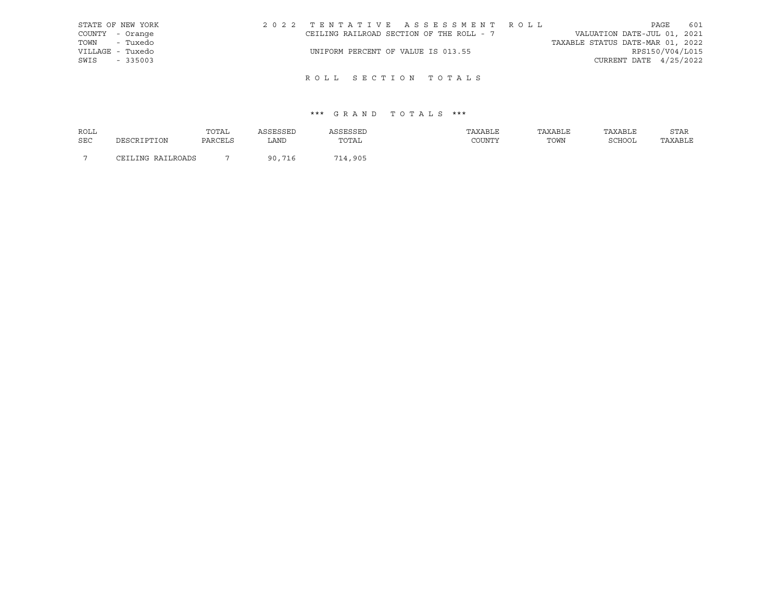|      | STATE OF NEW YORK | 2022 TENTATIVE ASSESSMENT ROLL           |  |  |                                  |                        | PAGE | 601 |
|------|-------------------|------------------------------------------|--|--|----------------------------------|------------------------|------|-----|
|      | COUNTY - Orange   | CEILING RAILROAD SECTION OF THE ROLL - 7 |  |  | VALUATION DATE-JUL 01, 2021      |                        |      |     |
|      | TOWN - Tuxedo     |                                          |  |  | TAXABLE STATUS DATE-MAR 01, 2022 |                        |      |     |
|      | VILLAGE - Tuxedo  | UNIFORM PERCENT OF VALUE IS 013.55       |  |  |                                  | RPS150/V04/L015        |      |     |
| SWIS | $-335003$         |                                          |  |  |                                  | CURRENT DATE 4/25/2022 |      |     |
|      |                   |                                          |  |  |                                  |                        |      |     |

# ROLL SECTION TOTALS

| ROLL       |                                     | TOTAL   | 1 C C F C C F D | <i><b>\SSESSED</b></i> | TAXABLE | TAXABLE | TAXABLE | STAR    |
|------------|-------------------------------------|---------|-----------------|------------------------|---------|---------|---------|---------|
| <b>SEC</b> | DESCRIPTION                         | PARCELS | LAND            | TOTAL                  | COUNTY  | TOWN    | SCHOOL  | TAXABLE |
|            |                                     |         |                 |                        |         |         |         |         |
|            | JING RAILROADS<br>$T$ $T$ $T$ $T$ . |         | 90,716          | 714,905                |         |         |         |         |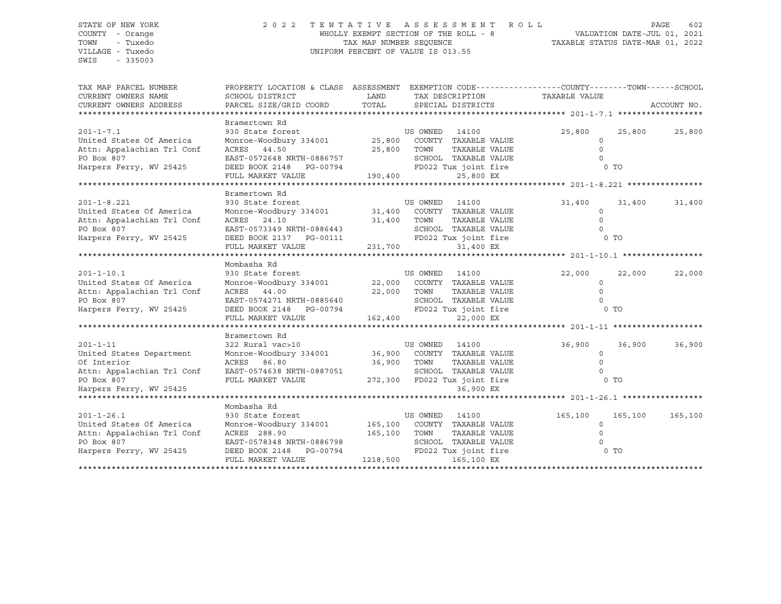SWIS - 335003

#### STATE OF NEW YORK 2 0 2 2 T E N T A T I V E A S S E S S M E N T R O L L PAGE 602 COUNTY - Orange WHOLLY EXEMPT SECTION OF THE ROLL - 8 VALUATION DATE-JUL 01, 2021 TOWN - Tuxedo TAX MAP NUMBER SEQUENCE TAXABLE STATUS DATE-MAR 01, 2022 VILLAGE - Tuxedo UNIFORM PERCENT OF VALUE IS 013.55

| TAX MAP PARCEL NUMBER<br>CURRENT OWNERS NAME<br>CURRENT OWNERS ADDRESS                                                                                     | PROPERTY LOCATION & CLASS ASSESSMENT EXEMPTION CODE---------------COUNTY-------TOWN-----SCHOOL<br>SCHOOL DISTRICT<br>PARCEL SIZE/GRID COORD                                                               | LAND                     | TAX DESCRIPTION<br>TOTAL SPECIAL DISTRICTS                                  | TAXABLE VALUE                                    | ACCOUNT NO.                  |
|------------------------------------------------------------------------------------------------------------------------------------------------------------|-----------------------------------------------------------------------------------------------------------------------------------------------------------------------------------------------------------|--------------------------|-----------------------------------------------------------------------------|--------------------------------------------------|------------------------------|
|                                                                                                                                                            |                                                                                                                                                                                                           |                          |                                                                             |                                                  |                              |
| $201 - 1 - 7.1$<br>United States Of America                                                                                                                | Bramertown Rd<br>930 State forest<br>Monroe-Woodbury 334001 25,800 COUNTY TAXABLE VALUE                                                                                                                   |                          | US OWNED 14100                                                              | 25,800<br>$\Omega$                               | 25,800<br>25,800             |
| Attn: Appalachian Trl Conf<br>PO Box 807<br>Harpers Ferry, WV 25425                                                                                        | ACRES 44.50<br>EAST-0572648 NRTH-0886757<br>DEED BOOK 2148 PG-00794 FD022 Tux joint fire                                                                                                                  | 25,800 TOWN              | TAXABLE VALUE<br>SCHOOL TAXABLE VALUE                                       | $\circ$<br>$\cap$                                | 0 TO                         |
|                                                                                                                                                            | FULL MARKET VALUE                                                                                                                                                                                         | 190,400                  | 25,800 EX                                                                   |                                                  |                              |
|                                                                                                                                                            |                                                                                                                                                                                                           |                          |                                                                             |                                                  |                              |
| $201 - 1 - 8.221$<br>United States Of America<br>Attn: Appalachian Trl Conf                                                                                | Bramertown Rd<br>Bramertown Ru<br>930 State forest<br>Monroe-Woodbury 334001 31,400 COUNTY TAXABLE VALUE<br>24.10 31,400 TOWN TAXABLE VALUE                                                               |                          |                                                                             | 31,400<br>$\circ$<br>$\Omega$                    | 31,400<br>31,400             |
| PO Box 807<br>Harpers Ferry, WV 25425                                                                                                                      | EAST-0573349 NRTH-0886443<br>DEED BOOK 2137 PG-00111 FD022 Tux joint fire<br>FULL MARKET VALUE 231,700 31,400 EX                                                                                          |                          | SCHOOL TAXABLE VALUE                                                        |                                                  | 0 <sub>T</sub>               |
|                                                                                                                                                            |                                                                                                                                                                                                           |                          |                                                                             |                                                  |                              |
| $201 - 1 - 10.1$<br>United States Of America<br>Attn: Appalachian Trl Conf<br>PO Box 807<br>Harpers Ferry, WV 25425                                        | Mombasha Rd<br>930 State forest US OWNED 14100<br>Monroe-Woodbury 334001 22,000 COUNTY TAXABLE VALUE<br>ACRES 44.00<br>EAST-0574271 NRTH-0885640<br>DEED BOOK 2148 PG-00794 FD022 Tux joint fire          | 22,000 TOWN              | TAXABLE VALUE<br>SCHOOL TAXABLE VALUE                                       | 22,000<br>$\Omega$<br>$\Omega$<br>0 <sub>T</sub> | 22,000<br>22,000             |
|                                                                                                                                                            | FULL MARKET VALUE                                                                                                                                                                                         | 162,400                  | 22,000 EX                                                                   |                                                  |                              |
|                                                                                                                                                            |                                                                                                                                                                                                           |                          |                                                                             |                                                  |                              |
| $201 - 1 - 11$<br>United States Department<br>Of Interior<br>Attn: Appalachian Trl Conf EAST-0574638 NRTH-0887051<br>PO Box 807<br>Harpers Ferry, WV 25425 | Bramertown Rd<br>322 Rural vac>10<br>Monroe-Woodbury 334001 36,900 COUNTY TAXABLE VALUE<br>ACRES 86.80<br>FULL MARKET VALUE 272,300 FD022 Tux joint fire                                                  | 36,900 TOWN              | US OWNED<br>14100<br>TAXABLE VALUE<br>SCHOOL TAXABLE VALUE<br>36,900 EX     | 36,900<br>$\circ$<br>$\Omega$                    | 36,900<br>36,900<br>0 TO     |
|                                                                                                                                                            |                                                                                                                                                                                                           |                          |                                                                             |                                                  |                              |
| $201 - 1 - 26.1$<br>United States Of America<br>Attn: Appalachian Trl Conf<br>PO Box 807<br>Harpers Ferry, WV 25425                                        | Mombasha Rd<br>930 State forest [14100 US OWNED 14100<br>Monroe-Woodbury 334001 165,100 COUNTY TAXABLE VALUE<br>ACRES 288.90<br>EAST-0578348 NRTH-0886798<br>DEED BOOK 2148 PG-00794<br>FULL MARKET VALUE | 165,100 TOWN<br>1218,500 | TAXABLE VALUE<br>SCHOOL TAXABLE VALUE<br>FD022 Tux joint fire<br>165,100 EX | 165,100<br>$\Omega$                              | 165,100<br>165,100<br>$0$ TO |
|                                                                                                                                                            |                                                                                                                                                                                                           |                          |                                                                             |                                                  |                              |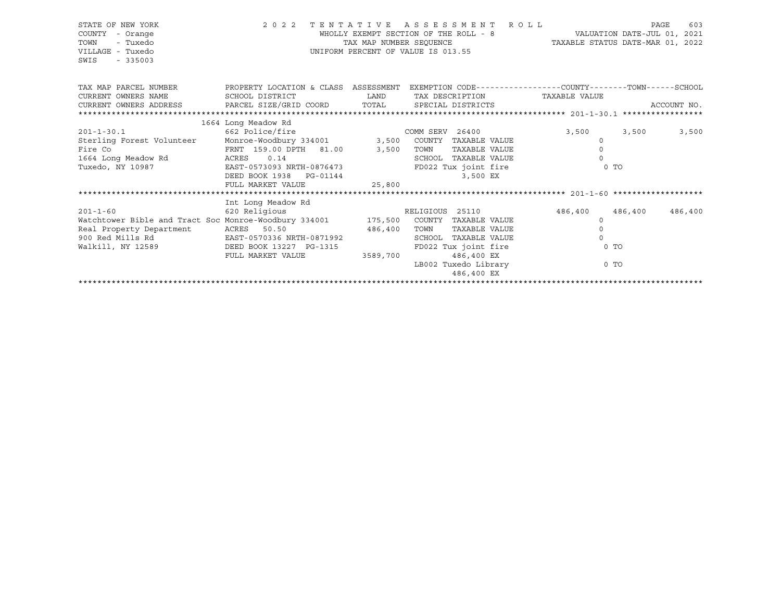| STATE OF NEW YORK<br>COUNTY<br>- Orange<br>TOWN<br>- Tuxedo<br>VILLAGE - Tuxedo<br>SWIS<br>$-335003$                     | 2 0 2 2                                           | TAX MAP NUMBER SEQUENCE | TENTATIVE ASSESSMENT ROLL<br>WHOLLY EXEMPT SECTION OF THE ROLL - 8<br>UNIFORM PERCENT OF VALUE IS 013.55 | TAXABLE STATUS DATE-MAR 01, 2022 | VALUATION DATE-JUL 01, 2021 | 603<br>PAGE |
|--------------------------------------------------------------------------------------------------------------------------|---------------------------------------------------|-------------------------|----------------------------------------------------------------------------------------------------------|----------------------------------|-----------------------------|-------------|
| TAX MAP PARCEL NUMBER THE PROPERTY LOCATION & CLASS ASSESSMENT EXEMPTION CODE--------------COUNTY-------TOWN------SCHOOL |                                                   |                         |                                                                                                          |                                  |                             |             |
| CURRENT OWNERS NAME                                                                                                      | SCHOOL DISTRICT                                   | <b>LAND</b>             | TAX DESCRIPTION TAXABLE VALUE                                                                            |                                  |                             |             |
| CURRENT OWNERS ADDRESS PARCEL SIZE/GRID COORD TOTAL                                                                      |                                                   |                         | SPECIAL DISTRICTS                                                                                        |                                  |                             | ACCOUNT NO. |
|                                                                                                                          |                                                   |                         |                                                                                                          |                                  |                             |             |
|                                                                                                                          | 1664 Long Meadow Rd                               |                         |                                                                                                          |                                  |                             |             |
| $201 - 1 - 30.1$                                                                                                         | 662 Police/fire                                   |                         | COMM SERV 26400                                                                                          | 3,500                            | 3,500                       | 3,500       |
| Sterling Forest Volunteer                                                                                                | Monroe-Woodbury 334001 3,500 COUNTY TAXABLE VALUE |                         |                                                                                                          | $\mathbf 0$                      |                             |             |
| Fire Co                                                                                                                  | FRNT 159.00 DPTH 81.00 3,500                      |                         | TOWN<br>TAXABLE VALUE                                                                                    | $\mathbf 0$                      |                             |             |
| 1664 Long Meadow Rd                                                                                                      | ACRES<br>0.14                                     |                         | SCHOOL TAXABLE VALUE                                                                                     | $\Omega$                         |                             |             |
| Tuxedo, NY 10987                                                                                                         | EAST-0573093 NRTH-0876473                         |                         | FD022 Tux joint fire                                                                                     | 0 <sub>T</sub>                   |                             |             |
|                                                                                                                          | DEED BOOK 1938 PG-01144                           |                         | 3,500 EX                                                                                                 |                                  |                             |             |
|                                                                                                                          | FULL MARKET VALUE                                 | 25,800                  |                                                                                                          |                                  |                             |             |
|                                                                                                                          | Int Long Meadow Rd                                |                         |                                                                                                          |                                  |                             |             |
| $201 - 1 - 60$                                                                                                           | 620 Religious                                     |                         | RELIGIOUS 25110                                                                                          | 486,400                          | 486,400                     | 486,400     |
| Watchtower Bible and Tract Soc Monroe-Woodbury 334001 175,500                                                            |                                                   |                         | COUNTY TAXABLE VALUE                                                                                     | $\mathbf 0$                      |                             |             |
| Real Property Department                                                                                                 | ACRES 50.50                                       | 486,400                 | TOWN<br>TAXABLE VALUE                                                                                    | $\mathbf 0$                      |                             |             |
| 900 Red Mills Rd BAST-0570336 NRTH-0871992                                                                               |                                                   |                         | SCHOOL<br>TAXABLE VALUE                                                                                  | $\circ$                          |                             |             |
| Walkill, NY 12589 DEED BOOK 13227 PG-1315                                                                                |                                                   |                         | FD022 Tux joint fire                                                                                     | 0 <sub>T</sub>                   |                             |             |
|                                                                                                                          | FULL MARKET VALUE                                 | 3589,700                | 486,400 EX                                                                                               |                                  |                             |             |
|                                                                                                                          |                                                   |                         | LB002 Tuxedo Library                                                                                     | $0$ TO                           |                             |             |
|                                                                                                                          |                                                   |                         | 486,400 EX                                                                                               |                                  |                             |             |
|                                                                                                                          |                                                   |                         |                                                                                                          |                                  |                             |             |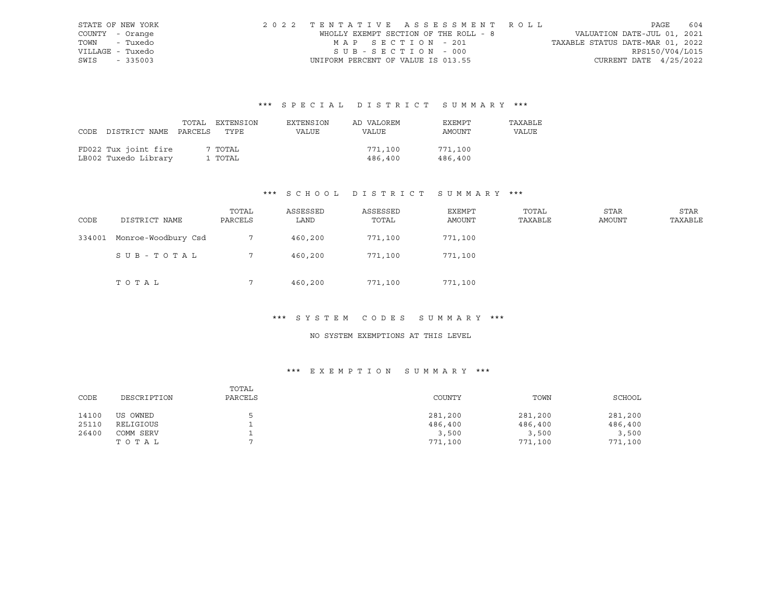|                  | STATE OF NEW YORK | 2022 TENTATIVE ASSESSMENT ROLL        |  |                                  |                          | PAGE | 604 |
|------------------|-------------------|---------------------------------------|--|----------------------------------|--------------------------|------|-----|
| COUNTY - Orange  |                   | WHOLLY EXEMPT SECTION OF THE ROLL - 8 |  | VALUATION DATE-JUL 01, 2021      |                          |      |     |
| TOWN - Tuxedo    |                   | MAP SECTION - 201                     |  | TAXABLE STATUS DATE-MAR 01, 2022 |                          |      |     |
| VILLAGE - Tuxedo |                   | SUB-SECTION - 000                     |  |                                  | RPS150/V04/L015          |      |     |
| SWIS - 335003    |                   | UNIFORM PERCENT OF VALUE IS 013.55    |  |                                  | CURRENT DATE $4/25/2022$ |      |     |

|      |                            | TOTAL EXTENSION | EXTENSION | AD VALOREM | EXEMPT  | TAXABLE |
|------|----------------------------|-----------------|-----------|------------|---------|---------|
| CODE | DISTRICT NAME PARCELS TYPE |                 | VALUE     | VALUE      | AMOUNT  | VALUE   |
|      |                            |                 |           |            |         |         |
|      | FD022 Tux joint fire       | 7 TOTAL         |           | 771,100    | 771,100 |         |
|      | LB002 Tuxedo Library       | 1 TOTAL         |           | 486,400    | 486,400 |         |

# \*\*\* S C H O O L D I S T R I C T S U M M A R Y \*\*\*

| CODE   | DISTRICT NAME       | TOTAL<br>PARCELS | ASSESSED<br>LAND | ASSESSED<br>TOTAL | EXEMPT<br>AMOUNT | TOTAL<br>TAXABLE | <b>STAR</b><br><b>AMOUNT</b> | STAR<br>TAXABLE |
|--------|---------------------|------------------|------------------|-------------------|------------------|------------------|------------------------------|-----------------|
| 334001 | Monroe-Woodbury Csd |                  | 460,200          | 771,100           | 771,100          |                  |                              |                 |
|        | SUB-TOTAL           |                  | 460,200          | 771,100           | 771,100          |                  |                              |                 |
|        | TOTAL               |                  | 460,200          | 771,100           | 771,100          |                  |                              |                 |

# \*\*\* S Y S T E M C O D E S S U M M A R Y \*\*\*

#### NO SYSTEM EXEMPTIONS AT THIS LEVEL

| CODE  | DESCRIPTION | TOTAL<br>PARCELS | COUNTY  | TOWN    | SCHOOL  |
|-------|-------------|------------------|---------|---------|---------|
| 14100 | US OWNED    |                  | 281,200 | 281,200 | 281,200 |
| 25110 | RELIGIOUS   |                  | 486,400 | 486,400 | 486,400 |
| 26400 | COMM SERV   |                  | 3,500   | 3,500   | 3,500   |
|       | TOTAL       |                  | 771,100 | 771,100 | 771,100 |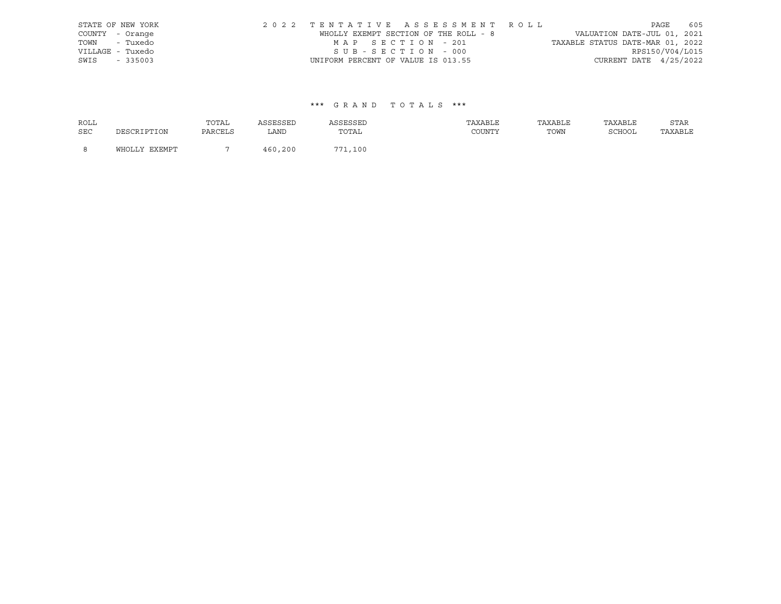|      | STATE OF NEW YORK | 2022 TENTATIVE ASSESSMENT ROLL        |  |                                  |                        | PAGE | 605 |
|------|-------------------|---------------------------------------|--|----------------------------------|------------------------|------|-----|
|      | COUNTY - Orange   | WHOLLY EXEMPT SECTION OF THE ROLL - 8 |  | VALUATION DATE-JUL 01, 2021      |                        |      |     |
|      | TOWN - Tuxedo     | MAP SECTION - 201                     |  | TAXABLE STATUS DATE-MAR 01, 2022 |                        |      |     |
|      | VILLAGE - Tuxedo  | SUB-SECTION - 000                     |  |                                  | RPS150/V04/L015        |      |     |
| SWIS | $-335003$         | UNIFORM PERCENT OF VALUE IS 013.55    |  |                                  | CURRENT DATE 4/25/2022 |      |     |

| <b>ROLL</b> |               | TOTAL   | ASSESSED | ASSESSED | TAXABLE | TAXABLE | TAXABLE | STAR    |
|-------------|---------------|---------|----------|----------|---------|---------|---------|---------|
| <b>SEC</b>  | DESCRIPTION   | PARCELS | LAND     | TOTAL    | COUNTY  | TOWN    | SCHOOL  | TAXABLE |
| - 8         | WHOLLY EXEMPT |         | 460,200  | 771,100  |         |         |         |         |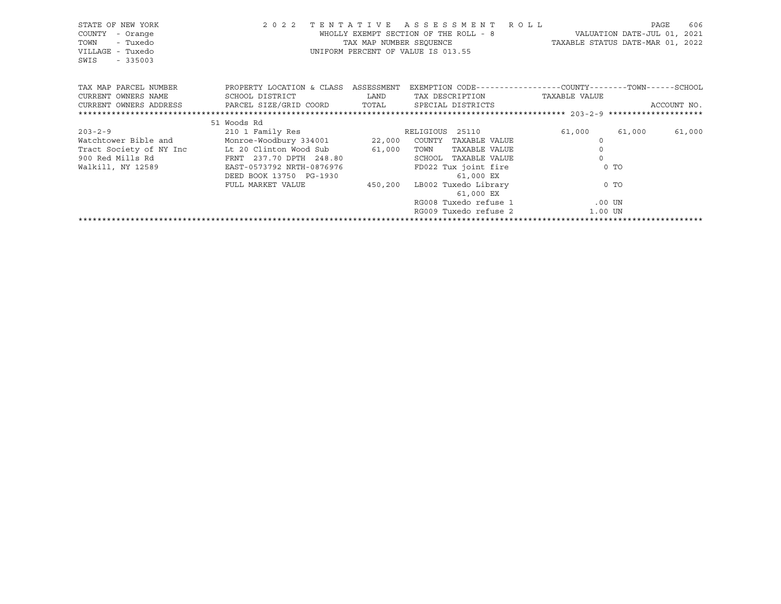| STATE OF NEW YORK<br>COUNTY<br>- Orange<br>- Tuxedo<br>TOWN<br>VILLAGE - Tuxedo<br>$-335003$<br>SWIS | 2 0 2 2                              | TAX MAP NUMBER SEQUENCE      | TENTATIVE ASSESSMENT ROLL<br>WHOLLY EXEMPT SECTION OF THE ROLL - 8<br>UNIFORM PERCENT OF VALUE IS 013.55 | TAXABLE STATUS DATE-MAR 01, 2022                             | 606<br>PAGE<br>VALUATION DATE-JUL 01, 2021 |
|------------------------------------------------------------------------------------------------------|--------------------------------------|------------------------------|----------------------------------------------------------------------------------------------------------|--------------------------------------------------------------|--------------------------------------------|
| TAX MAP PARCEL NUMBER                                                                                | PROPERTY LOCATION & CLASS ASSESSMENT |                              |                                                                                                          | EXEMPTION CODE-----------------COUNTY-------TOWN------SCHOOL |                                            |
| CURRENT OWNERS NAME                                                                                  | SCHOOL DISTRICT                      | <b>EXAMPLE SETTING STATE</b> | TAX DESCRIPTION                                                                                          | TAXABLE VALUE                                                |                                            |
| CURRENT OWNERS ADDRESS             PARCEL SIZE/GRID COORD         TOTAL       SPECIAL DISTRICTS      |                                      |                              |                                                                                                          |                                                              | ACCOUNT NO.                                |
|                                                                                                      |                                      |                              |                                                                                                          |                                                              |                                            |
|                                                                                                      | 51 Woods Rd                          |                              |                                                                                                          |                                                              |                                            |
| $203 - 2 - 9$                                                                                        | 210 1 Family Res                     |                              | RELIGIOUS 25110                                                                                          | 61,000                                                       | 61,000<br>61,000                           |
| Watchtower Bible and Monroe-Woodbury 334001 22,000 COUNTY                                            |                                      |                              | TAXABLE VALUE                                                                                            | $\Omega$                                                     |                                            |
| Tract Society of NY Inc                                                                              | Lt 20 Clinton Wood Sub 61,000        |                              | TOWN<br>TAXABLE VALUE                                                                                    | $\circ$                                                      |                                            |
| 900 Red Mills Rd                                                                                     | FRNT 237.70 DPTH 248.80              |                              | TAXABLE VALUE<br>SCHOOL                                                                                  | $\Omega$                                                     |                                            |
| Walkill, NY 12589                                                                                    | EAST-0573792 NRTH-0876976            |                              | FD022 Tux joint fire                                                                                     |                                                              | $0$ TO                                     |
|                                                                                                      | DEED BOOK 13750 PG-1930              |                              | 61,000 EX                                                                                                |                                                              |                                            |
|                                                                                                      | FULL MARKET VALUE                    | 450,200                      | LB002 Tuxedo Library                                                                                     |                                                              | $0$ TO                                     |
|                                                                                                      |                                      |                              | 61,000 EX                                                                                                |                                                              |                                            |
|                                                                                                      |                                      |                              | RG008 Tuxedo refuse 1                                                                                    | $.00$ UN                                                     |                                            |
|                                                                                                      |                                      |                              | RG009 Tuxedo refuse 2                                                                                    | 1.00 UN                                                      |                                            |
|                                                                                                      |                                      |                              |                                                                                                          |                                                              |                                            |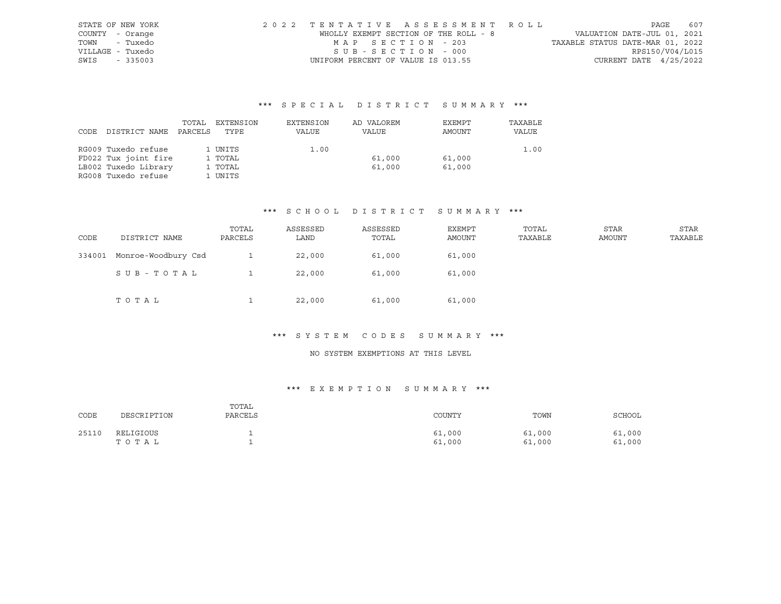| STATE OF NEW YORK | 2022 TENTATIVE ASSESSMENT ROLL        | PAGE                             | 607             |
|-------------------|---------------------------------------|----------------------------------|-----------------|
| COUNTY - Orange   | WHOLLY EXEMPT SECTION OF THE ROLL - 8 | VALUATION DATE-JUL 01, 2021      |                 |
| TOWN - Tuxedo     | MAP SECTION - 203                     | TAXABLE STATUS DATE-MAR 01, 2022 |                 |
| VILLAGE - Tuxedo  | SUB-SECTION - 000                     |                                  | RPS150/V04/L015 |
| SWIS - 335003     | UNIFORM PERCENT OF VALUE IS 013.55    | CURRENT DATE $4/25/2022$         |                 |

|      |                      | TOTAL   | EXTENSION | EXTENSION | AD VALOREM | EXEMPT | TAXABLE |
|------|----------------------|---------|-----------|-----------|------------|--------|---------|
| CODE | DISTRICT NAME        | PARCELS | TYPE      | VALUE     | VALUE      | AMOUNT | VALUE   |
|      |                      |         |           |           |            |        |         |
|      | RG009 Tuxedo refuse  |         | 1 UNITS   | 1.00      |            |        | 1.00    |
|      | FD022 Tux joint fire |         | 1 TOTAL   |           | 61,000     | 61,000 |         |
|      | LB002 Tuxedo Library |         | 1 TOTAL   |           | 61,000     | 61,000 |         |
|      | RG008 Tuxedo refuse  |         | 1 UNITS   |           |            |        |         |

#### \*\*\* S C H O O L D I S T R I C T S U M M A R Y \*\*\*

| CODE   | DISTRICT NAME       | TOTAL<br>PARCELS | ASSESSED<br>LAND | ASSESSED<br>TOTAL | EXEMPT<br><b>AMOUNT</b> | TOTAL<br>TAXABLE | STAR<br><b>AMOUNT</b> | STAR<br>TAXABLE |
|--------|---------------------|------------------|------------------|-------------------|-------------------------|------------------|-----------------------|-----------------|
| 334001 | Monroe-Woodbury Csd |                  | 22,000           | 61,000            | 61,000                  |                  |                       |                 |
|        | SUB-TOTAL           |                  | 22,000           | 61,000            | 61,000                  |                  |                       |                 |
|        | TOTAL               |                  | 22,000           | 61,000            | 61,000                  |                  |                       |                 |

#### \*\*\* S Y S T E M C O D E S S U M M A R Y \*\*\*

# NO SYSTEM EXEMPTIONS AT THIS LEVEL

| CODE  | DESCRIPTION        | TOTAL<br>PARCELS | COUNTY           | TOWN             | SCHOOL           |
|-------|--------------------|------------------|------------------|------------------|------------------|
| 25110 | RELIGIOUS<br>TOTAL |                  | 61,000<br>61,000 | 61,000<br>61,000 | 61,000<br>61,000 |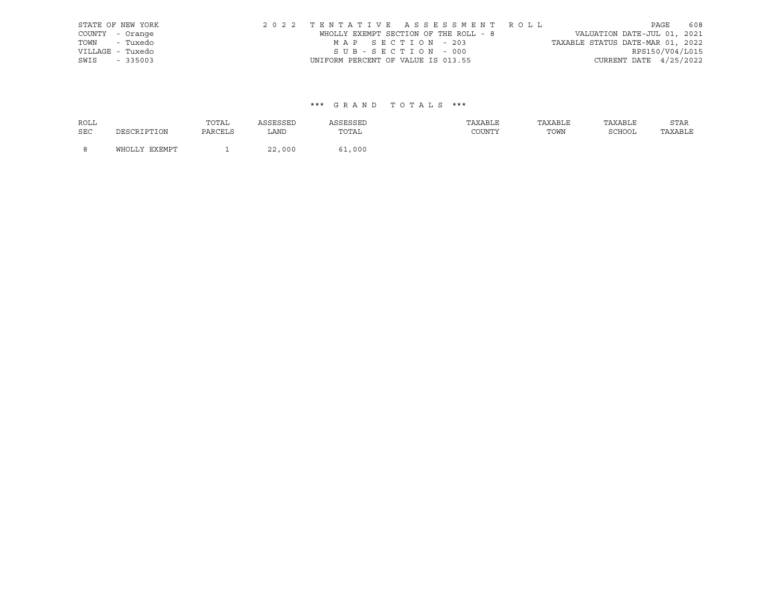|      | STATE OF NEW YORK | 2022 TENTATIVE ASSESSMENT ROLL        |  |                                  | PAGE            | 608 |
|------|-------------------|---------------------------------------|--|----------------------------------|-----------------|-----|
|      | COUNTY - Orange   | WHOLLY EXEMPT SECTION OF THE ROLL - 8 |  | VALUATION DATE-JUL 01, 2021      |                 |     |
|      | TOWN - Tuxedo     | MAP SECTION - 203                     |  | TAXABLE STATUS DATE-MAR 01, 2022 |                 |     |
|      | VILLAGE - Tuxedo  | SUB-SECTION - 000                     |  |                                  | RPS150/V04/L015 |     |
| SWIS | $-335003$         | UNIFORM PERCENT OF VALUE IS 013.55    |  | CURRENT DATE 4/25/2022           |                 |     |

| ROLL |               | TOTAL   | ASSESSED | ASSESSED | TAXABLE | TAXABLE | TAXABLE | STAR    |
|------|---------------|---------|----------|----------|---------|---------|---------|---------|
| SEC  | DESCRIPTION   | PARCELS | LAND     | TOTAL    | COUNTY  | TOWN    | SCHOOL  | TAXABLE |
| - 8  | WHOLLY EXEMPT |         | 22,000   | 61,000   |         |         |         |         |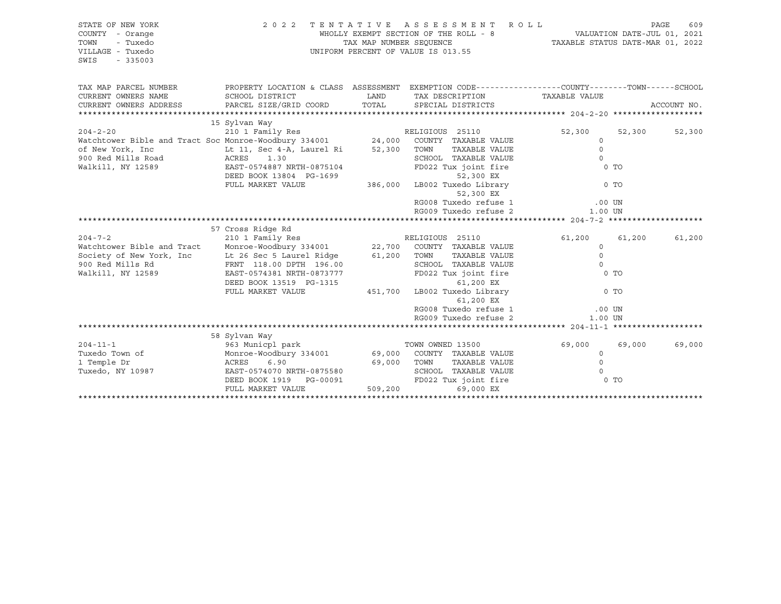| STATE OF NEW YORK<br>COUNTY - Orange<br>TOWN<br>- Tuxedo<br>VILLAGE - Tuxedo<br>SWIS<br>$-335003$ |                                                                                                                                                                                                                                                                                                                                                                                   |         | 2022 TENTATIVE ASSESSMENT ROLL<br>WHOLLY EXEMPT SECTION OF THE ROLL - 8<br>TAXABLE STATUS DATE-JUL 01, 2021<br>TAXABLE STATUS DATE-MAR 01, 2022<br>UNIFORM PERCENT OF VALUE IS 013.55 |                                                     |                  | PAGE<br>609 |
|---------------------------------------------------------------------------------------------------|-----------------------------------------------------------------------------------------------------------------------------------------------------------------------------------------------------------------------------------------------------------------------------------------------------------------------------------------------------------------------------------|---------|---------------------------------------------------------------------------------------------------------------------------------------------------------------------------------------|-----------------------------------------------------|------------------|-------------|
| TAX MAP PARCEL NUMBER<br>CURRENT OWNERS NAME<br>CURRENT OWNERS ADDRESS                            | PROPERTY LOCATION & CLASS ASSESSMENT EXEMPTION CODE-----------------COUNTY--------TOWN------SCHOOL<br>SCHOOL DISTRICT<br>PARCEL SIZE/GRID COORD TOTAL SPECIAL DISTRICTS                                                                                                                                                                                                           | LAND    | TAX DESCRIPTION TAXABLE VALUE                                                                                                                                                         |                                                     |                  | ACCOUNT NO. |
|                                                                                                   |                                                                                                                                                                                                                                                                                                                                                                                   |         |                                                                                                                                                                                       |                                                     |                  |             |
| of New York, Inc<br>900 Red Mills Road ACRES                                                      | 15 Sylvan Way<br>204-2-20 210 I Family Res RELIGIOUS 25110<br>Watchtower Bible and Tract Soc Monroe-Woodbury 334001 24,000 COUNTY TAXABLE VALUE<br>Lt 11, Sec 4-A, Laurel Ri 52,300 TOWN<br>1.30<br>Walkill, NY 12589 EAST-0574887 NRTH-0875104<br>EAST-0574887 NRTH-0875104<br>DEED BOOK 13804 PG-1699<br>FULL MARKET VALUE                                                      |         | TAXABLE VALUE<br>SCHOOL TAXABLE VALUE<br>FD022 Tux joint fire<br>52,300 EX<br>386,000 LB002 Tuxedo Library<br>52,300 EX                                                               | 52,300<br>$\circ$<br>$\Omega$<br>$\Omega$<br>$0$ TO | 52,300<br>$0$ TO | 52,300      |
|                                                                                                   |                                                                                                                                                                                                                                                                                                                                                                                   |         | RG008 Tuxedo refuse 1<br>RG009 Tuxedo refuse 2                                                                                                                                        | $.00$ UN                                            |                  |             |
|                                                                                                   |                                                                                                                                                                                                                                                                                                                                                                                   |         |                                                                                                                                                                                       | 1.00 UN                                             |                  |             |
|                                                                                                   |                                                                                                                                                                                                                                                                                                                                                                                   |         |                                                                                                                                                                                       |                                                     |                  |             |
| Walkill, NY 12589                                                                                 | 57 Cross Ridge Rd<br>57 Cross Ridge Rd<br>2010 - 210 RELIGIOUS 25110<br>Watchtower Bible and Tract Monroe-Woodbury 334001 22,700 COUNTY TAXABLE VALUE<br>Society of New York, Inc Lt 26 Sec 5 Laurel Ridge 61,200 TOWN<br>900 Red Mills Rd FRNT 118.00 DPTH 196.00<br>EAST-0574381 NRTH-0873777<br>DEED BOOK 13519 PG-1315<br>FULL MARKET VALUE 451,700 LB002 Tuxedo Library 0 TO |         | TAXABLE VALUE<br>SCHOOL TAXABLE VALUE<br>FD022 Tux joint fire<br>61,200 EX<br>RG008 Tuxedo refuse 1 (00 UN RG009 Tuxedo refuse 2 (1.00 UN                                             | 61,200 61,200<br>$\circ$<br>$\Omega$<br>$\Omega$    | 0 TO             | 61,200      |
|                                                                                                   |                                                                                                                                                                                                                                                                                                                                                                                   |         | RG009 Tuxedo refuse 2                                                                                                                                                                 | 1.00 UN                                             |                  |             |
|                                                                                                   |                                                                                                                                                                                                                                                                                                                                                                                   |         |                                                                                                                                                                                       |                                                     |                  |             |
| Tuxedo, NY 10987                                                                                  | $204-11-1$<br>$204-11-1$<br>$204-11-1$<br>$204-11-1$<br>$204-11-1$<br>$204-11-1$<br>$204-11-1$<br>$204-11-1$<br>$204-11-1$<br>$204-11-1$<br>$204-11-1$<br>$204-11-1$<br>$204-11-1$<br>$204-11-1$<br>$204-11-1$<br>$204-11-1$<br>$204-11-1$<br>$204-11-1$<br>$204-$<br>EAST-0574070 NRTH-0875580<br>DEED BOOK 1919 PG-00091<br>DEED BOOK 1919    PG-00091<br>FULL MARKET VALUE     | 509,200 | SCHOOL TAXABLE VALUE<br>FD022 Tux joint fire<br>69,000 EX                                                                                                                             | 69,000<br>$\circ$<br>$\Omega$<br>$\Omega$           | 69,000<br>0 TO   | 69,000      |
|                                                                                                   |                                                                                                                                                                                                                                                                                                                                                                                   |         |                                                                                                                                                                                       |                                                     |                  |             |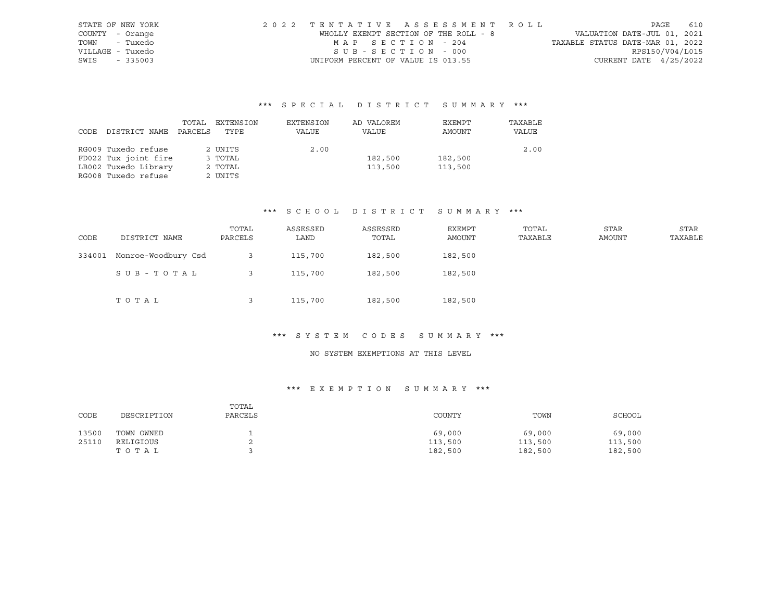|                  | STATE OF NEW YORK | 2022 TENTATIVE ASSESSMENT ROLL        |                                  | PAGE                     | 610 |
|------------------|-------------------|---------------------------------------|----------------------------------|--------------------------|-----|
| COUNTY - Orange  |                   | WHOLLY EXEMPT SECTION OF THE ROLL - 8 | VALUATION DATE-JUL 01, 2021      |                          |     |
| TOWN - Tuxedo    |                   | MAP SECTION - 204                     | TAXABLE STATUS DATE-MAR 01, 2022 |                          |     |
| VILLAGE - Tuxedo |                   | SUB-SECTION - 000                     |                                  | RPS150/V04/L015          |     |
| SWIS - 335003    |                   | UNIFORM PERCENT OF VALUE IS 013.55    |                                  | CURRENT DATE $4/25/2022$ |     |

|      |                      | TOTAL   | EXTENSION | EXTENSION | AD VALOREM | EXEMPT  | TAXABLE |
|------|----------------------|---------|-----------|-----------|------------|---------|---------|
| CODE | DISTRICT NAME        | PARCELS | TYPE      | VALUE     | VALUE      | AMOUNT  | VALUE   |
|      |                      |         |           |           |            |         |         |
|      | RG009 Tuxedo refuse  |         | 2 UNITS   | 2.00      |            |         | 2.00    |
|      | FD022 Tux joint fire |         | 3 TOTAL   |           | 182,500    | 182,500 |         |
|      | LB002 Tuxedo Library |         | 2 TOTAL   |           | 113,500    | 113,500 |         |
|      | RG008 Tuxedo refuse  |         | 2 UNITS   |           |            |         |         |

#### \*\*\* S C H O O L D I S T R I C T S U M M A R Y \*\*\*

| CODE   | DISTRICT NAME       | TOTAL<br>PARCELS | ASSESSED<br>LAND | ASSESSED<br>TOTAL | EXEMPT<br>AMOUNT | TOTAL<br>TAXABLE | STAR<br>AMOUNT | STAR<br>TAXABLE |
|--------|---------------------|------------------|------------------|-------------------|------------------|------------------|----------------|-----------------|
| 334001 | Monroe-Woodbury Csd |                  | 115,700          | 182,500           | 182,500          |                  |                |                 |
|        | SUB-TOTAL           |                  | 115,700          | 182,500           | 182,500          |                  |                |                 |
|        | TOTAL               |                  | 115,700          | 182,500           | 182,500          |                  |                |                 |

#### \*\*\* S Y S T E M C O D E S S U M M A R Y \*\*\*

### NO SYSTEM EXEMPTIONS AT THIS LEVEL

| CODE  | DESCRIPTION | TOTAL<br>PARCELS | COUNTY  | TOWN    | SCHOOL  |
|-------|-------------|------------------|---------|---------|---------|
| 13500 | TOWN OWNED  |                  | 69,000  | 69,000  | 69,000  |
| 25110 | RELIGIOUS   | ▵                | 113,500 | 113,500 | 113,500 |
|       | TOTAL       |                  | 182,500 | 182,500 | 182,500 |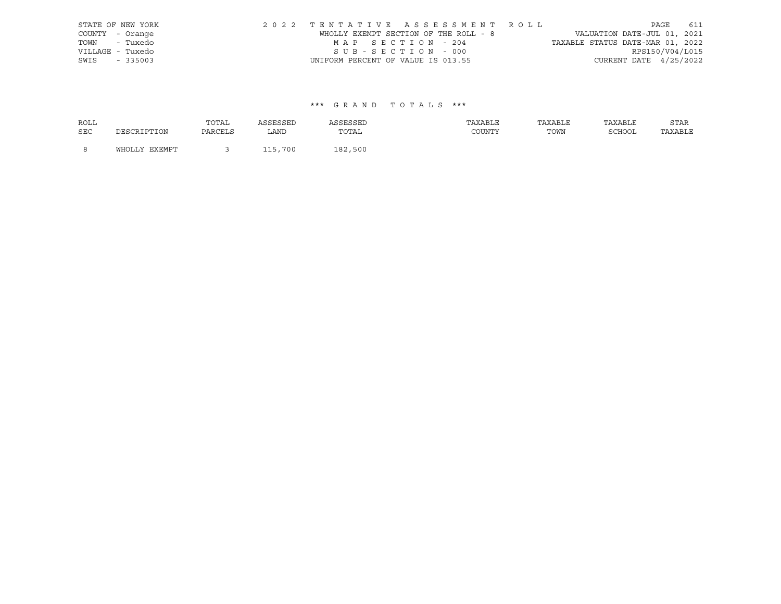|      | STATE OF NEW YORK | 2022 TENTATIVE ASSESSMENT ROLL        |  |                                  |                        | PAGE 611 |  |
|------|-------------------|---------------------------------------|--|----------------------------------|------------------------|----------|--|
|      | COUNTY - Orange   | WHOLLY EXEMPT SECTION OF THE ROLL - 8 |  | VALUATION DATE-JUL 01, 2021      |                        |          |  |
|      | TOWN - Tuxedo     | MAP SECTION - 204                     |  | TAXABLE STATUS DATE-MAR 01, 2022 |                        |          |  |
|      | VILLAGE - Tuxedo  | SUB-SECTION - 000                     |  |                                  | RPS150/V04/L015        |          |  |
| SWIS | $-335003$         | UNIFORM PERCENT OF VALUE IS 013.55    |  |                                  | CURRENT DATE 4/25/2022 |          |  |

| <b>ROLL</b> |               | TOTAL   | ASSESSED | ASSESSED | TAXABLE | TAXABLE | TAXABLE | STAR    |
|-------------|---------------|---------|----------|----------|---------|---------|---------|---------|
| <b>SEC</b>  | DESCRIPTION   | PARCELS | LAND     | TOTAL    | COUNTY  | TOWN    | SCHOOL  | TAXABLE |
| - 8         | WHOLLY EXEMPT |         | 115,700  | 182,500  |         |         |         |         |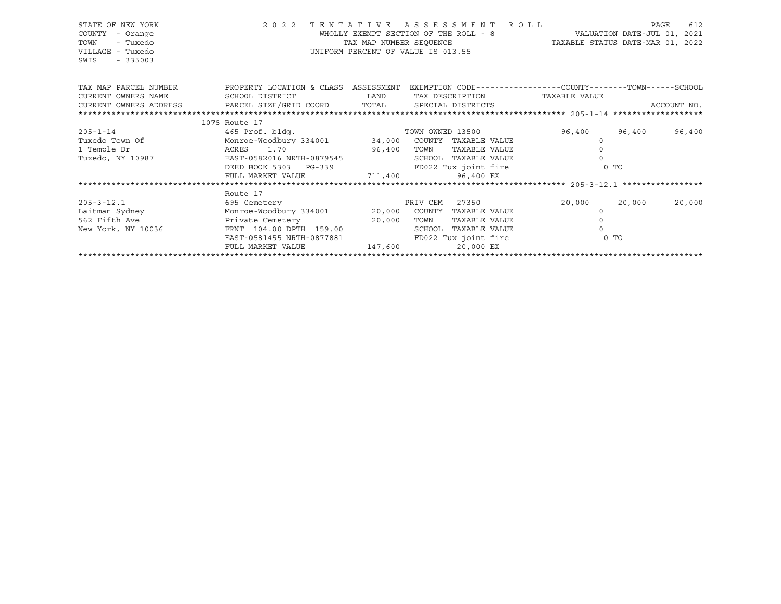| STATE OF NEW YORK<br>COUNTY<br>- Orange<br>TOWN<br>- Tuxedo<br>VILLAGE - Tuxedo<br>SWIS<br>$-335003$ | 2022 TENTATIVE ASSESSMENT ROLL<br>WHOLLY EXEMPT SECTION OF THE KOLL - O AND MANUS CONTE-MAR 01, 2022<br>TAX MAP NUMBER SEQUENCE TAXABLE STATUS DATE-MAR 01, 2022<br>UNIFORM PERCENT OF VALUE IS 013.55 |                   |      |                      | VALUATION DATE-JUL 01, 2021        |        | 612<br>PAGE |
|------------------------------------------------------------------------------------------------------|--------------------------------------------------------------------------------------------------------------------------------------------------------------------------------------------------------|-------------------|------|----------------------|------------------------------------|--------|-------------|
|                                                                                                      | TAX MAP PARCEL NUMBER THE PROPERTY LOCATION & CLASS ASSESSMENT EXEMPTION CODE--------------COUNTY-------TOWN------SCHOOL                                                                               |                   |      |                      |                                    |        |             |
| CURRENT OWNERS NAME                                                                                  | SCHOOL DISTRICT                                                                                                                                                                                        |                   |      |                      | LAND TAX DESCRIPTION TAXABLE VALUE |        |             |
|                                                                                                      |                                                                                                                                                                                                        |                   |      |                      |                                    |        |             |
|                                                                                                      |                                                                                                                                                                                                        |                   |      |                      |                                    |        |             |
|                                                                                                      | 1075 Route 17                                                                                                                                                                                          |                   |      |                      |                                    |        |             |
| $205 - 1 - 14$                                                                                       | 465 Prof. bldq.                                                                                                                                                                                        |                   |      |                      | TOWN OWNED 13500 96,400 96,400     |        | 96,400      |
| Tuxedo Town Of                                                                                       | Monroe-Woodbury 334001 34,000 COUNTY TAXABLE VALUE                                                                                                                                                     |                   |      |                      | $\Omega$                           |        |             |
| 1 Temple Dr                                                                                          | ACRES 1.70<br>96,400                                                                                                                                                                                   |                   | TOWN |                      | $\circ$<br>TAXABLE VALUE           |        |             |
| Tuxedo, NY 10987                                                                                     | EAST-0582016 NRTH-0879545                                                                                                                                                                              |                   |      | SCHOOL TAXABLE VALUE | $\Omega$                           |        |             |
|                                                                                                      | DEED BOOK 5303 PG-339                                                                                                                                                                                  |                   |      |                      | FD022 Tux joint fire               | $0$ TO |             |
|                                                                                                      | FULL MARKET VALUE 711,400 96,400 EX                                                                                                                                                                    |                   |      |                      |                                    |        |             |
|                                                                                                      |                                                                                                                                                                                                        |                   |      |                      |                                    |        |             |
|                                                                                                      | Route 17                                                                                                                                                                                               |                   |      |                      |                                    |        |             |
| $205 - 3 - 12.1$                                                                                     | PRIV CEM 27350<br>695 Cemetery                                                                                                                                                                         |                   |      |                      | 20,000                             | 20,000 | 20,000      |
| Laitman Sydney                                                                                       | Monroe-Woodbury 334001 20,000 COUNTY TAXABLE VALUE                                                                                                                                                     |                   |      |                      | $\circ$                            |        |             |
|                                                                                                      |                                                                                                                                                                                                        |                   | TOWN | TAXABLE VALUE        | $\mathbb O$                        |        |             |
|                                                                                                      |                                                                                                                                                                                                        |                   |      | SCHOOL TAXABLE VALUE | $\Omega$                           |        |             |
|                                                                                                      | EAST-0581455 NRTH-0877881                                                                                                                                                                              |                   |      | FD022 Tux joint fire |                                    | $0$ TO |             |
|                                                                                                      | FULL MARKET VALUE                                                                                                                                                                                      | 147,600 20,000 EX |      |                      |                                    |        |             |
|                                                                                                      |                                                                                                                                                                                                        |                   |      |                      |                                    |        |             |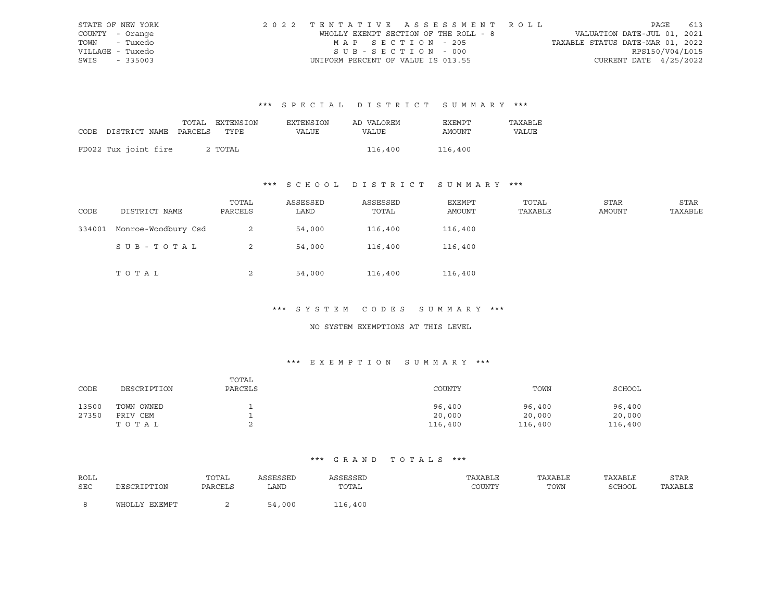|                  | STATE OF NEW YORK | 2022 TENTATIVE ASSESSMENT ROLL        |  |                                  |                          | PAGE 613 |
|------------------|-------------------|---------------------------------------|--|----------------------------------|--------------------------|----------|
| COUNTY - Orange  |                   | WHOLLY EXEMPT SECTION OF THE ROLL - 8 |  | VALUATION DATE-JUL 01, 2021      |                          |          |
| TOWN - Tuxedo    |                   | MAP SECTION - 205                     |  | TAXABLE STATUS DATE-MAR 01, 2022 |                          |          |
| VILLAGE - Tuxedo |                   | SUB-SECTION - 000                     |  |                                  | RPS150/V04/L015          |          |
| SWIS - 335003    |                   | UNIFORM PERCENT OF VALUE IS 013.55    |  |                                  | CURRENT DATE $4/25/2022$ |          |

|                                 | TOTAL EXTENSION | EXTENSION    | AD VALOREM | EXEMPT  | TAXABLE |
|---------------------------------|-----------------|--------------|------------|---------|---------|
| CODE DISTRICT NAME PARCELS TYPE |                 | <b>VALUE</b> | VALUE      | AMOUNT  | VALUE   |
|                                 |                 |              |            |         |         |
| FD022 Tux joint fire            | 2 TOTAL         |              | 116,400    | 116,400 |         |

## \*\*\* S C H O O L D I S T R I C T S U M M A R Y \*\*\*

| CODE   | DISTRICT NAME       | TOTAL<br>PARCELS | ASSESSED<br>LAND | ASSESSED<br>TOTAL | EXEMPT<br>AMOUNT | TOTAL<br>TAXABLE | STAR<br>AMOUNT | STAR<br>TAXABLE |
|--------|---------------------|------------------|------------------|-------------------|------------------|------------------|----------------|-----------------|
| 334001 | Monroe-Woodbury Csd | 2                | 54,000           | 116,400           | 116,400          |                  |                |                 |
|        | SUB-TOTAL           | 2                | 54,000           | 116,400           | 116,400          |                  |                |                 |
|        | TOTAL               | 2                | 54,000           | 116,400           | 116,400          |                  |                |                 |

#### \*\*\* S Y S T E M C O D E S S U M M A R Y \*\*\*

#### NO SYSTEM EXEMPTIONS AT THIS LEVEL

#### \*\*\* E X E M P T I O N S U M M A R Y \*\*\*

| CODE  | DESCRIPTION | TOTAL<br>PARCELS | COUNTY  | TOWN    | SCHOOL  |
|-------|-------------|------------------|---------|---------|---------|
| 13500 | TOWN OWNED  |                  | 96,400  | 96,400  | 96,400  |
| 27350 | PRIV CEM    |                  | 20,000  | 20,000  | 20,000  |
|       | тотаь       |                  | 116,400 | 116,400 | 116,400 |

| ROLL |               | TOTAL   | ASSESSED | ASSESSED | TAXABLE | TAXABLE | TAXABLE | STAR    |
|------|---------------|---------|----------|----------|---------|---------|---------|---------|
| SEC  | DESCRIPTION   | PARCELS | LAND     | TOTAL    | COUNTY  | TOWN    | SCHOOL  | TAXABLE |
|      | WHOLLY EXEMPT |         | 54,000   | 116,400  |         |         |         |         |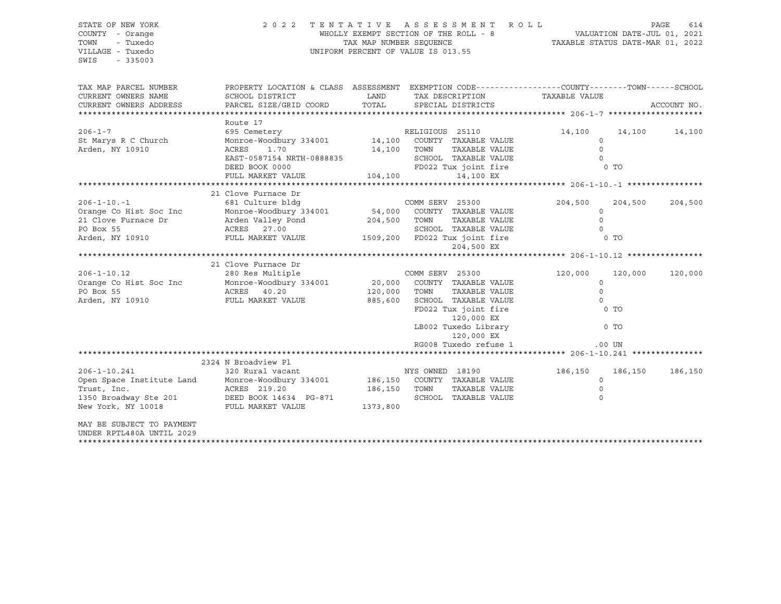STATE OF NEW YORK 2 0 2 2 T E N T A T I V E A S S E S S M E N T R O L L PAGE 614 COUNTY - Orange WHOLLY EXEMPT SECTION OF THE ROLL - 8 VALUATION DATE-JUL 01, 2021 TOWN - Tuxedo TAX MAP NUMBER SEQUENCE TAXABLE STATUS DATE-MAR 01, 2022 UNIFORM PERCENT OF VALUE IS 013.55 SWIS - 335003 TAX MAP PARCEL NUMBER PROPERTY LOCATION & CLASS ASSESSMENT EXEMPTION CODE----------------COUNTY-------TOWN-----SCHOOL CURRENT OWNERS NAME SCHOOL DISTRICT TAX DAND TAX DESCRIPTION TAXABLE VALUE CURRENT OWNERS ADDRESS PARCEL SIZE/GRID COORD TOTAL SPECIAL DISTRICTS ACCOUNT NO. \*\*\*\*\*\*\*\*\*\*\*\*\*\*\*\*\*\*\*\*\*\*\*\*\*\*\*\*\*\*\*\*\*\*\*\*\*\*\*\*\*\*\*\*\*\*\*\*\*\*\*\*\*\*\*\*\*\*\*\*\*\*\*\*\*\*\*\*\*\*\*\*\*\*\*\*\*\*\*\*\*\*\*\*\*\*\*\*\*\*\*\*\*\*\*\*\*\*\*\*\*\*\* 206-1-7 \*\*\*\*\*\*\*\*\*\*\*\*\*\*\*\*\*\*\*\* Route 17 206-1-7 695 Cemetery RELIGIOUS 25110 14,100 14,100 14,100 St Marys R C Church Monroe-Woodbury 334001 14,100 COUNTY TAXABLE VALUE 0 Arden, NY 10910 ACRES 1.70 14,100 TOWN TAXABLE VALUE 0 EAST-0587154 NRTH-0888835 SCHOOL TAXABLE VALUE DEED BOOK 0000 **FD022** Tux joint fire 0 TO FULL MARKET VALUE 104,100 14,100 EX \*\*\*\*\*\*\*\*\*\*\*\*\*\*\*\*\*\*\*\*\*\*\*\*\*\*\*\*\*\*\*\*\*\*\*\*\*\*\*\*\*\*\*\*\*\*\*\*\*\*\*\*\*\*\*\*\*\*\*\*\*\*\*\*\*\*\*\*\*\*\*\*\*\*\*\*\*\*\*\*\*\*\*\*\*\*\*\*\*\*\*\*\*\*\*\*\*\*\*\*\*\*\* 206-1-10.-1 \*\*\*\*\*\*\*\*\*\*\*\*\*\*\*\* 21 Clove Furnace Dr 206-1-10.-1 681 Culture bldg COMM SERV 25300 204,500 204,500 204,500 Orange Co Hist Soc Inc Monroe-Woodbury 334001 54,000 COUNTY TAXABLE VALUE 0 21 Clove Furnace Dr Arden Valley Pond 204,500 TOWN TAXABLE VALUE 0 PO Box 55 ACRES 27.00 SCHOOL TAXABLE VALUE 0 Arden, NY 10910 FULL MARKET VALUE 1509,200 FD022 Tux joint fire 0 TO 204,500 EX \*\*\*\*\*\*\*\*\*\*\*\*\*\*\*\*\*\*\*\*\*\*\*\*\*\*\*\*\*\*\*\*\*\*\*\*\*\*\*\*\*\*\*\*\*\*\*\*\*\*\*\*\*\*\*\*\*\*\*\*\*\*\*\*\*\*\*\*\*\*\*\*\*\*\*\*\*\*\*\*\*\*\*\*\*\*\*\*\*\*\*\*\*\*\*\*\*\*\*\*\*\*\* 206-1-10.12 \*\*\*\*\*\*\*\*\*\*\*\*\*\*\*\* 21 Clove Furnace Dr 206-1-10.12 280 Res Multiple COMM SERV 25300 120,000 120,000 120,000 Orange Co Hist Soc Inc Monroe-Woodbury 334001 20,000 COUNTY TAXABLE VALUE 0 PO Box 55 ACRES 40.20 120,000 TOWN TAXABLE VALUE 0 Arden, NY 10910 FULL MARKET VALUE 885,600 SCHOOL TAXABLE VALUE 0 FD022 Tux joint fire 0 TO 120,000 EX LB002 Tuxedo Library 0 TO 120,000 EX RG008 Tuxedo refuse 1 .00 UN \*\*\*\*\*\*\*\*\*\*\*\*\*\*\*\*\*\*\*\*\*\*\*\*\*\*\*\*\*\*\*\*\*\*\*\*\*\*\*\*\*\*\*\*\*\*\*\*\*\*\*\*\*\*\*\*\*\*\*\*\*\*\*\*\*\*\*\*\*\*\*\*\*\*\*\*\*\*\*\*\*\*\*\*\*\*\*\*\*\*\*\*\*\*\*\*\*\*\*\*\*\*\* 206-1-10.241 \*\*\*\*\*\*\*\*\*\*\*\*\*\*\* 2324 N Broadview Pl 206-1-10.241 320 Rural vacant NYS OWNED 18190 186,150 186,150 186,150 Open Space Institute Land Monroe-Woodbury 334001 186,150 COUNTY TAXABLE VALUE 0 Trust, Inc. ACRES 219.20 186,150 TOWN TAXABLE VALUE 0 1350 Broadway Ste 201 DEED BOOK 14634 PG-871 SCHOOL TAXABLE VALUE 0 New York, NY 10018 FULL MARKET VALUE 1373,800 MAY BE SUBJECT TO PAYMENT UNDER RPTL480A UNTIL 2029 \*\*\*\*\*\*\*\*\*\*\*\*\*\*\*\*\*\*\*\*\*\*\*\*\*\*\*\*\*\*\*\*\*\*\*\*\*\*\*\*\*\*\*\*\*\*\*\*\*\*\*\*\*\*\*\*\*\*\*\*\*\*\*\*\*\*\*\*\*\*\*\*\*\*\*\*\*\*\*\*\*\*\*\*\*\*\*\*\*\*\*\*\*\*\*\*\*\*\*\*\*\*\*\*\*\*\*\*\*\*\*\*\*\*\*\*\*\*\*\*\*\*\*\*\*\*\*\*\*\*\*\*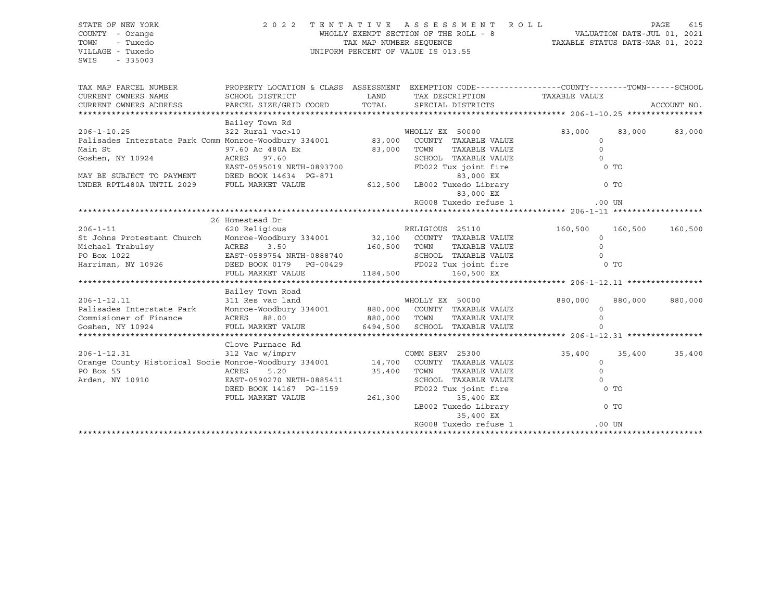SWIS - 335003

#### STATE OF NEW YORK 2 0 2 2 T E N T A T I V E A S S E S S M E N T R O L L PAGE 615 COUNTY - Orange WHOLLY EXEMPT SECTION OF THE ROLL - 8 VALUATION DATE-JUL 01, 2021 TOWN - Tuxedo TAX MAP NUMBER SEQUENCE TAXABLE STATUS DATE-MAR 01, 2022 VILLAGE - Tuxedo UNIFORM PERCENT OF VALUE IS 013.55

| TAX MAP PARCEL NUMBER<br>CURRENT OWNERS NAME<br>CURRENT OWNERS ADDRESS                                                                                                         | PROPERTY LOCATION & CLASS ASSESSMENT EXEMPTION CODE---------------COUNTY-------TOWN------SCHOOL<br>SCHOOL DISTRICT<br>PARCEL SIZE/GRID COORD | LAND<br>TOTAL |                 | SPECIAL DISTRICTS            | TAX DESCRIPTION TAXABLE VALUE |          | ACCOUNT NO. |
|--------------------------------------------------------------------------------------------------------------------------------------------------------------------------------|----------------------------------------------------------------------------------------------------------------------------------------------|---------------|-----------------|------------------------------|-------------------------------|----------|-------------|
|                                                                                                                                                                                |                                                                                                                                              |               |                 |                              |                               |          |             |
| $206 - 1 - 10.25$                                                                                                                                                              | Bailey Town Rd<br>322 Rural vac>10                                                                                                           |               |                 | WHOLLY EX 50000              | 83,000                        | 83,000   | 83,000      |
| Palisades Interstate Park Comm Monroe-Woodbury 334001 83,000 COUNTY TAXABLE VALUE                                                                                              |                                                                                                                                              |               |                 |                              | $\circ$                       |          |             |
| Main St                                                                                                                                                                        | 97.60 Ac 480A Ex                                                                                                                             | 83,000        | TOWN            | TAXABLE VALUE                | $\Omega$                      |          |             |
| Goshen, NY 10924                                                                                                                                                               | ACRES 97.60                                                                                                                                  |               |                 | SCHOOL TAXABLE VALUE         | $\Omega$                      |          |             |
|                                                                                                                                                                                | EAST-0595019 NRTH-0893700                                                                                                                    |               |                 | FD022 Tux joint fire         |                               | $0$ TO   |             |
| MAY BE SUBJECT TO PAYMENT                                                                                                                                                      | DEED BOOK 14634 PG-871                                                                                                                       |               |                 | 83,000 EX                    |                               |          |             |
| UNDER RPTL480A UNTIL 2029                                                                                                                                                      | FULL MARKET VALUE                                                                                                                            |               |                 | 612,500 LB002 Tuxedo Library |                               | $0$ TO   |             |
|                                                                                                                                                                                |                                                                                                                                              |               |                 | 83,000 EX                    |                               |          |             |
|                                                                                                                                                                                |                                                                                                                                              |               |                 | RG008 Tuxedo refuse 1        |                               | $.00$ UN |             |
|                                                                                                                                                                                |                                                                                                                                              |               |                 |                              |                               |          |             |
|                                                                                                                                                                                | 26 Homestead Dr                                                                                                                              |               |                 |                              |                               |          |             |
| $206 - 1 - 11$                                                                                                                                                                 | 620 Religious                                                                                                                                |               | RELIGIOUS 25110 |                              | 160,500                       | 160,500  | 160,500     |
| St Johns Protestant Church Monroe-Woodbury 334001 32,100 COUNTY TAXABLE VALUE                                                                                                  |                                                                                                                                              |               |                 |                              | $\circ$                       |          |             |
| Michael Trabulsy                                                                                                                                                               | 3.50                                                                                                                                         | 160,500 TOWN  |                 | TAXABLE VALUE                | $\mathbf{0}$                  |          |             |
| PO Box 1022                                                                                                                                                                    | ACRES<br>EAST-0589                                                                                                                           |               |                 | SCHOOL TAXABLE VALUE         | $\Omega$                      |          |             |
| Harriman, NY 10926                                                                                                                                                             | EAST-0589754 NRTH-0888740<br>FILE BOOK 0179 PG-00429                                                                                         |               |                 | FD022 Tux joint fire         |                               | 0 TO     |             |
|                                                                                                                                                                                | FULL MARKET VALUE                                                                                                                            | 1184,500      |                 | 160,500 EX                   |                               |          |             |
|                                                                                                                                                                                |                                                                                                                                              |               |                 |                              |                               |          |             |
|                                                                                                                                                                                | Bailey Town Road                                                                                                                             |               |                 |                              |                               |          |             |
|                                                                                                                                                                                |                                                                                                                                              |               |                 |                              |                               |          |             |
| $206 - 1 - 12.11$                                                                                                                                                              | 311 Res vac land                                                                                                                             |               | WHOLLY EX 50000 |                              | 880,000                       | 880,000  | 880,000     |
| 206-1-12.11 311 Res Vac Tand<br>Palisades Interstate Park Monroe-Woodbury 334001 880,000 COUNTY TAXABLE VALUE<br>Commisioner of Finance ACRES 88.00 880,000 TOWN TAXABLE VALUE |                                                                                                                                              |               |                 |                              | $\circ$                       |          |             |
|                                                                                                                                                                                |                                                                                                                                              |               |                 |                              | $\Omega$                      |          |             |
| Goshen, NY 10924                                                                                                                                                               | FULL MARKET VALUE                                                                                                                            | 6494,500      |                 | SCHOOL TAXABLE VALUE         |                               |          |             |
|                                                                                                                                                                                |                                                                                                                                              |               |                 |                              |                               |          |             |
|                                                                                                                                                                                | Clove Furnace Rd                                                                                                                             |               |                 |                              |                               |          |             |
| $206 - 1 - 12.31$                                                                                                                                                              | 312 Vac w/imprv                                                                                                                              |               | COMM SERV 25300 |                              | 35,400                        | 35,400   | 35,400      |
| Orange County Historical Socie Monroe-Woodbury 334001 14,700 COUNTY TAXABLE VALUE                                                                                              |                                                                                                                                              |               |                 |                              | $\circ$                       |          |             |
| PO Box 55                                                                                                                                                                      | 5.20<br>ACRES                                                                                                                                | 35,400        | TOWN            | TAXABLE VALUE                | $\mathbf{0}$                  |          |             |
| Arden, NY 10910                                                                                                                                                                | EAST-0590270 NRTH-0885411                                                                                                                    |               |                 | SCHOOL TAXABLE VALUE         | $\Omega$                      |          |             |
|                                                                                                                                                                                | DEED BOOK 14167 PG-1159                                                                                                                      |               |                 | FD022 Tux joint fire         |                               | $0$ TO   |             |
|                                                                                                                                                                                | FULL MARKET VALUE                                                                                                                            | 261,300       |                 | 35,400 EX                    |                               |          |             |
|                                                                                                                                                                                |                                                                                                                                              |               |                 | LB002 Tuxedo Library         |                               | $0$ TO   |             |
|                                                                                                                                                                                |                                                                                                                                              |               |                 | 35,400 EX                    |                               |          |             |
|                                                                                                                                                                                |                                                                                                                                              |               |                 | RG008 Tuxedo refuse 1        |                               | $.00$ UN |             |
|                                                                                                                                                                                |                                                                                                                                              |               |                 |                              |                               |          |             |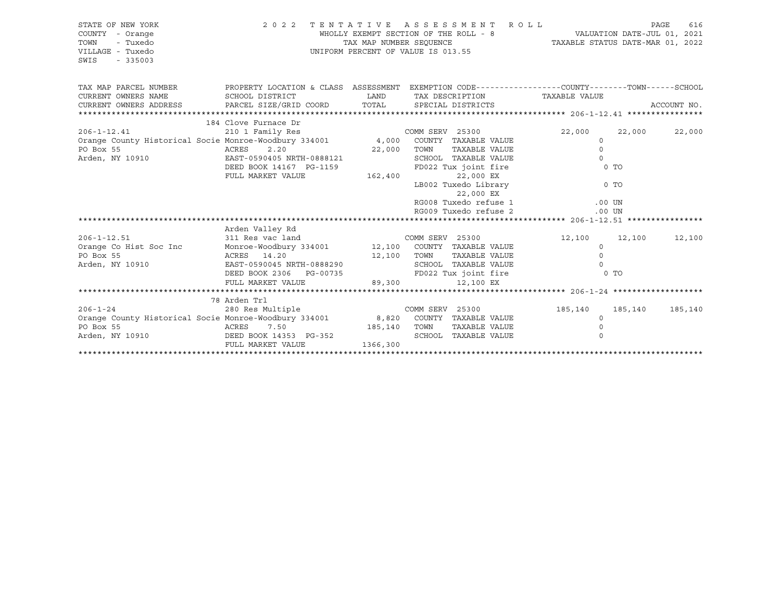| STATE OF NEW YORK<br>COUNTY - Orange<br>TOWN<br>- Tuxedo<br>VILLAGE - Tuxedo<br>SWIS<br>$-335003$                                                                                                                                                                            |                                                                                                                                                                                                                                                                                     |          | 2022 TENTATIVE ASSESSMENT ROLL<br>UNIFORM PERCENT OF VALUE IS 013.55     |                                                                             |      | PAGE<br>616   |
|------------------------------------------------------------------------------------------------------------------------------------------------------------------------------------------------------------------------------------------------------------------------------|-------------------------------------------------------------------------------------------------------------------------------------------------------------------------------------------------------------------------------------------------------------------------------------|----------|--------------------------------------------------------------------------|-----------------------------------------------------------------------------|------|---------------|
| TAX MAP PARCEL NUMBER THE PROPERTY LOCATION & CLASS ASSESSMENT EXEMPTION CODE--------------COUNTY-------TOWN------SCHOOL<br>CURRENT OWNERS NAME                                                                                                                              | SCHOOL DISTRICT                                                                                                                                                                                                                                                                     |          |                                                                          | LAND TAX DESCRIPTION TAXABLE VALUE                                          |      | ACCOUNT NO.   |
| 184 Clove Furnace Dr<br>210 1 Family Res<br>210 1 Family Res<br>22,000<br>22,000<br>22,000<br>22,000<br>22,000<br>22,000<br>22,000<br>22,000<br>22,000<br>22,000<br>22,000<br>22,000<br>22,000<br>22,000<br>22,000<br>22,000<br>22,000<br>22,000<br>22,000<br>22,000<br>22,0 | DEED BOOK 14167 PG-1159<br>FULL MARKET VALUE                                                                                                                                                                                                                                        | 162,400  | 22,000 EX<br>22,000 EX<br>RG008 Tuxedo refuse 1<br>RG009 Tuxedo refuse 2 | LB002 Tuxedo Library 0 TO<br>$.00$ UN<br>$.00$ UN                           | 0 TO | 22,000 22,000 |
| $206 - 1 - 12.51$<br>Orange Co Hist Soc Inc<br>ACRES 14.20<br>PO Box 55<br>Arden, NY 10910                                                                                                                                                                                   | Arden Valley Rd<br>311 Res vac land<br>Monroe-Woodbury 334001 12,100 COUNTY TAXABLE VALUE<br>ACRES 14.20 12,100 TOWN TAXABLE VALUE 0<br>EAST-0590045 NRTH-0888290 SCHOOL TAXABLE VALUE 0<br>DEED BOOK 2306 PG-00735 FD022 Tux joint fire 0 TO<br>FULL MARKET VALUE 89,300 12,100 EX |          |                                                                          | COMM SERV 25300 12,100 12,100 12,100<br>$\Omega$<br>TAXABLE VALUE           |      |               |
| $206 - 1 - 24$<br>Orange County Historical Socie Monroe-Woodbury 334001 8,820 COUNTY TAXABLE VALUE<br>PO Box 55<br>Arden, NY 10910 DEED BOOK 14353 PG-352                                                                                                                    | 78 Arden Trl<br>280 Res Multiple<br>7.50 185,140 TOWN<br>ACRES<br>FULL MARKET VALUE                                                                                                                                                                                                 | 1366,300 | COMM SERV 25300<br>SCHOOL TAXABLE VALUE                                  | 185,140 185,140 185,140<br>$\circ$<br>TAXABLE VALUE<br>$\Omega$<br>$\Omega$ |      |               |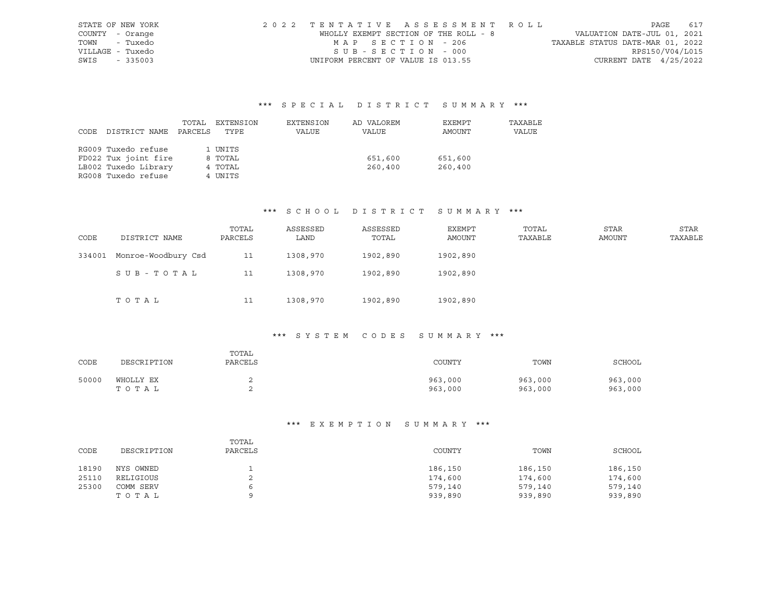|                 | STATE OF NEW YORK | 2022 TENTATIVE ASSESSMENT ROLL        |                                  |                          | PAGE 617 |
|-----------------|-------------------|---------------------------------------|----------------------------------|--------------------------|----------|
| COUNTY - Orange |                   | WHOLLY EXEMPT SECTION OF THE ROLL - 8 | VALUATION DATE-JUL 01, 2021      |                          |          |
|                 | TOWN - Tuxedo     | MAP SECTION - 206                     | TAXABLE STATUS DATE-MAR 01, 2022 |                          |          |
|                 | VILLAGE - Tuxedo  | SUB-SECTION - 000                     |                                  | RPS150/V04/L015          |          |
| SWIS - 335003   |                   | UNIFORM PERCENT OF VALUE IS 013.55    |                                  | CURRENT DATE $4/25/2022$ |          |

|      |                      | TOTAL   | EXTENSION | EXTENSION | AD VALOREM | EXEMPT  | TAXABLE      |
|------|----------------------|---------|-----------|-----------|------------|---------|--------------|
| CODE | DISTRICT NAME        | PARCELS | TYPE      | VALUE     | VALUE      | AMOUNT  | <b>VALUE</b> |
|      |                      |         |           |           |            |         |              |
|      | RG009 Tuxedo refuse  |         | 1 UNITS   |           |            |         |              |
|      | FD022 Tux joint fire |         | 8 TOTAL   |           | 651,600    | 651,600 |              |
|      | LB002 Tuxedo Library |         | 4 TOTAL   |           | 260,400    | 260,400 |              |
|      | RG008 Tuxedo refuse  |         | 4 UNITS   |           |            |         |              |

#### \*\*\* S C H O O L D I S T R I C T S U M M A R Y \*\*\*

| CODE   | DISTRICT NAME       | TOTAL<br>PARCELS | ASSESSED<br>LAND | ASSESSED<br>TOTAL | EXEMPT<br>AMOUNT | TOTAL<br>TAXABLE | STAR<br>AMOUNT | <b>STAR</b><br>TAXABLE |
|--------|---------------------|------------------|------------------|-------------------|------------------|------------------|----------------|------------------------|
| 334001 | Monroe-Woodbury Csd | 11               | 1308,970         | 1902,890          | 1902,890         |                  |                |                        |
|        | SUB-TOTAL           | 11               | 1308,970         | 1902,890          | 1902,890         |                  |                |                        |
|        | TOTAL               | 11               | 1308,970         | 1902,890          | 1902,890         |                  |                |                        |

#### \*\*\* S Y S T E M C O D E S S U M M A R Y \*\*\*

| CODE  | DESCRIPTION        | TOTAL<br>PARCELS | COUNTY             | TOWN               | SCHOOL             |
|-------|--------------------|------------------|--------------------|--------------------|--------------------|
| 50000 | WHOLLY EX<br>TOTAL |                  | 963,000<br>963,000 | 963,000<br>963,000 | 963,000<br>963,000 |

| CODE  | DESCRIPTION | TOTAL<br>PARCELS | COUNTY  | TOWN    | SCHOOL  |
|-------|-------------|------------------|---------|---------|---------|
| 18190 | NYS OWNED   |                  | 186,150 | 186,150 | 186,150 |
| 25110 | RELIGIOUS   | ▵                | 174,600 | 174,600 | 174,600 |
| 25300 | COMM SERV   | 6                | 579,140 | 579,140 | 579,140 |
|       | TOTAL       | Ω                | 939,890 | 939,890 | 939,890 |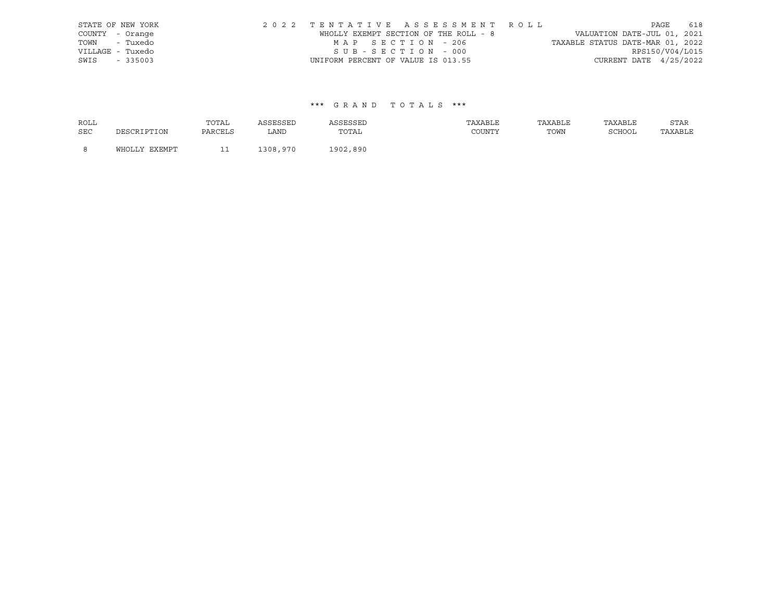|      | STATE OF NEW YORK | 2022 TENTATIVE ASSESSMENT ROLL        |  |                                  |                        | PAGE 618 |  |
|------|-------------------|---------------------------------------|--|----------------------------------|------------------------|----------|--|
|      | COUNTY - Orange   | WHOLLY EXEMPT SECTION OF THE ROLL - 8 |  | VALUATION DATE-JUL 01, 2021      |                        |          |  |
|      | TOWN - Tuxedo     | MAP SECTION - 206                     |  | TAXABLE STATUS DATE-MAR 01, 2022 |                        |          |  |
|      | VILLAGE - Tuxedo  | SUB-SECTION - 000                     |  |                                  | RPS150/V04/L015        |          |  |
| SWIS | $-335003$         | UNIFORM PERCENT OF VALUE IS 013.55    |  |                                  | CURRENT DATE 4/25/2022 |          |  |

| <b>ROLL</b> |               | TOTAL   | ASSESSED | ASSESSED | TAXABLE | TAXABLE | TAXABLE | STAR    |
|-------------|---------------|---------|----------|----------|---------|---------|---------|---------|
| <b>SEC</b>  | DESCRIPTION   | PARCELS | LAND     | TOTAL    | COUNTY  | TOWN    | SCHOOL  | TAXABLE |
| - 8         | WHOLLY EXEMPT |         | 1308,970 | 1902,890 |         |         |         |         |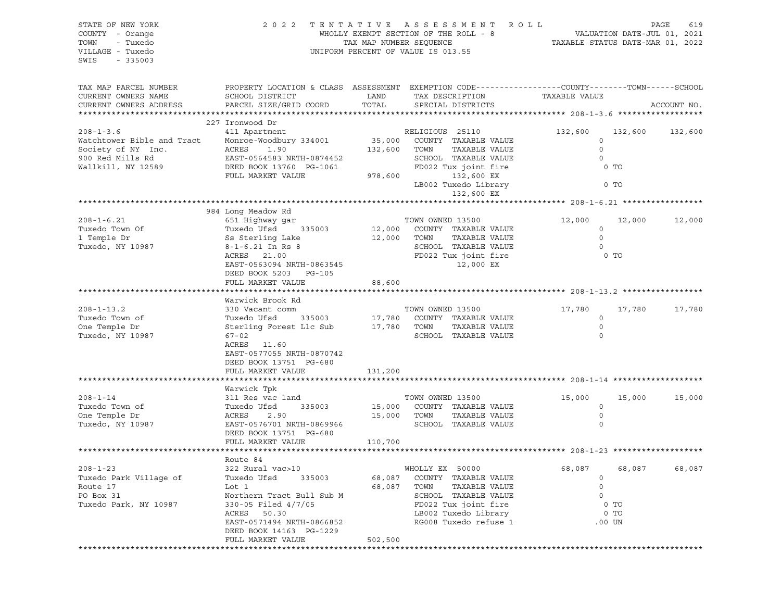| STATE OF NEW YORK<br>COUNTY - Orange<br>- Tuxedo<br>TOWN<br>VILLAGE - Tuxedo<br>SWIS<br>$-335003$             | 2 0 2 2                                                                                                                                                                                                           | TAX MAP NUMBER SEQUENCE      | TENTATIVE ASSESSMENT<br>WHOLLY EXEMPT SECTION OF THE ROLL - 8<br>UNIFORM PERCENT OF VALUE IS 013.55                                                                  | R O L L<br>TAXABLE STATUS DATE-MAR 01, 2022 | VALUATION DATE-JUL 01, 2021                    | PAGE<br>619 |
|---------------------------------------------------------------------------------------------------------------|-------------------------------------------------------------------------------------------------------------------------------------------------------------------------------------------------------------------|------------------------------|----------------------------------------------------------------------------------------------------------------------------------------------------------------------|---------------------------------------------|------------------------------------------------|-------------|
| TAX MAP PARCEL NUMBER<br>CURRENT OWNERS NAME<br>CURRENT OWNERS ADDRESS                                        | PROPERTY LOCATION & CLASS ASSESSMENT EXEMPTION CODE---------------COUNTY-------TOWN------SCHOOL<br>SCHOOL DISTRICT<br>PARCEL SIZE/GRID COORD                                                                      | LAND<br>TOTAL                | TAX DESCRIPTION<br>SPECIAL DISTRICTS                                                                                                                                 | TAXABLE VALUE                               |                                                | ACCOUNT NO. |
| $208 - 1 - 3.6$<br>Watchtower Bible and Tract<br>Society of NY Inc.<br>900 Red Mills Rd<br>Wallkill, NY 12589 | 227 Ironwood Dr<br>411 Apartment<br>Monroe-Woodbury 334001<br>ACRES<br>1.90<br>EAST-0564583 NRTH-0874452<br>DEED BOOK 13760 PG-1061<br>FULL MARKET VALUE                                                          | 35,000<br>132,600<br>978,600 | RELIGIOUS 25110<br>COUNTY TAXABLE VALUE<br>TOWN<br>TAXABLE VALUE<br>SCHOOL TAXABLE VALUE<br>FD022 Tux joint fire<br>132,600 EX<br>LB002 Tuxedo Library<br>132,600 EX | 132,600<br>$\circ$<br>$\circ$<br>$\circ$    | 132,600<br>$0$ TO<br>$0$ TO                    | 132,600     |
|                                                                                                               |                                                                                                                                                                                                                   |                              |                                                                                                                                                                      |                                             |                                                |             |
| $208 - 1 - 6.21$<br>Tuxedo Town Of<br>1 Temple Dr<br>Tuxedo, NY 10987                                         | 984 Long Meadow Rd<br>651 Highway gar<br>Tuxedo Ufsd<br>335003<br>Ss Sterling Lake<br>8-1-6.21 In Rs 8<br>ACRES 21.00<br>EAST-0563094 NRTH-0863545<br>DEED BOOK 5203 PG-105                                       | 12,000<br>12,000             | TOWN OWNED 13500<br>COUNTY TAXABLE VALUE<br>TAXABLE VALUE<br>TOWN<br>SCHOOL TAXABLE VALUE<br>FD022 Tux joint fire<br>12,000 EX                                       | 12,000<br>$\circ$<br>$\circ$<br>$\circ$     | 12,000<br>0 TO                                 | 12,000      |
|                                                                                                               | FULL MARKET VALUE                                                                                                                                                                                                 | 88,600                       |                                                                                                                                                                      |                                             |                                                |             |
|                                                                                                               |                                                                                                                                                                                                                   |                              |                                                                                                                                                                      |                                             |                                                |             |
| $208 - 1 - 13.2$<br>Tuxedo Town of<br>One Temple Dr<br>Tuxedo, NY 10987                                       | Warwick Brook Rd<br>330 Vacant comm<br>Tuxedo Ufsd<br>335003<br>Sterling Forest Llc Sub 17,780<br>$67 - 02$<br>ACRES<br>11.60<br>EAST-0577055 NRTH-0870742<br>DEED BOOK 13751 PG-680                              | 17,780                       | TOWN OWNED 13500<br>COUNTY TAXABLE VALUE<br>TOWN<br>TAXABLE VALUE<br>SCHOOL TAXABLE VALUE                                                                            | 17,780<br>$\circ$<br>$\circ$<br>0           | 17,780                                         | 17,780      |
|                                                                                                               | FULL MARKET VALUE                                                                                                                                                                                                 | 131,200                      |                                                                                                                                                                      |                                             |                                                |             |
|                                                                                                               |                                                                                                                                                                                                                   |                              |                                                                                                                                                                      |                                             |                                                |             |
| $208 - 1 - 14$<br>Tuxedo Town of<br>One Temple Dr<br>Tuxedo, NY 10987                                         | Warwick Tpk<br>311 Res vac land<br>Tuxedo Ufsd<br>335003<br>ACRES<br>2.90<br>EAST-0576701 NRTH-0869966<br>DEED BOOK 13751 PG-680<br>FULL MARKET VALUE                                                             | 15,000<br>15,000<br>110,700  | TOWN OWNED 13500<br>COUNTY TAXABLE VALUE<br>TOWN<br>TAXABLE VALUE<br>SCHOOL TAXABLE VALUE                                                                            | 15,000<br>$\circ$<br>$\circ$<br>0           | 15,000                                         | 15,000      |
|                                                                                                               |                                                                                                                                                                                                                   |                              |                                                                                                                                                                      |                                             |                                                |             |
| $208 - 1 - 23$<br>Tuxedo Park Village of<br>Route 17<br>PO Box 31<br>Tuxedo Park, NY 10987                    | Route 84<br>322 Rural vac>10<br>Tuxedo Ufsd<br>335003<br>Lot 1<br>Northern Tract Bull Sub M<br>330-05 Filed 4/7/05<br>ACRES<br>50.30<br>EAST-0571494 NRTH-0866852<br>DEED BOOK 14163 PG-1229<br>FULL MARKET VALUE | 68,087<br>68,087<br>502,500  | WHOLLY EX 50000<br>COUNTY TAXABLE VALUE<br>TOWN<br>TAXABLE VALUE<br>SCHOOL TAXABLE VALUE<br>FD022 Tux joint fire<br>LB002 Tuxedo Library<br>RG008 Tuxedo refuse 1    | 68,087<br>0<br>0<br>0                       | 68,087<br>$0$ TO<br>0 <sub>T</sub><br>$.00$ UN | 68,087      |
|                                                                                                               |                                                                                                                                                                                                                   |                              |                                                                                                                                                                      |                                             |                                                |             |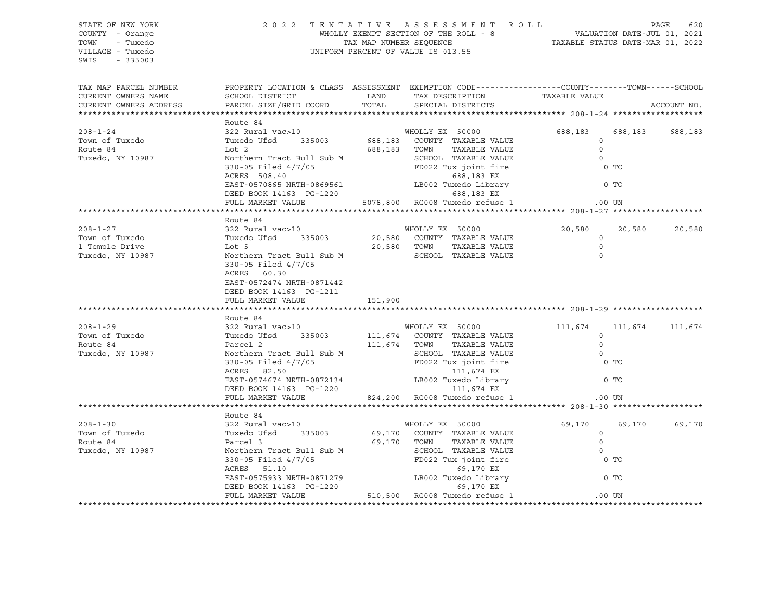STATE OF NEW YORK 2 0 2 2 T E N T A T I V E A S S E S S M E N T R O L L PAGE 620 COUNTY - Orange The MHOLLY EXEMPT SECTION OF THE ROLL - 8 TOWN - Tuxedo TAX MAP NUMBER SEQUENCE TAXABLE STATUS DATE-MAR 01, 2022 VILLAGE - Tuxedo UNIFORM PERCENT OF VALUE IS 013.55 SWIS - 335003 TAX MAP PARCEL NUMBER PROPERTY LOCATION & CLASS ASSESSMENT EXEMPTION CODE----------------COUNTY-------TOWN-----SCHOOL CURRENT OWNERS NAME SCHOOL DISTRICT LAND TAX DESCRIPTION TAXABLE VALUE CURRENT OWNERS ADDRESS PARCEL SIZE/GRID COORD TOTAL SPECIAL DISTRICTS ACCOUNT NO. \*\*\*\*\*\*\*\*\*\*\*\*\*\*\*\*\*\*\*\*\*\*\*\*\*\*\*\*\*\*\*\*\*\*\*\*\*\*\*\*\*\*\*\*\*\*\*\*\*\*\*\*\*\*\*\*\*\*\*\*\*\*\*\*\*\*\*\*\*\*\*\*\*\*\*\*\*\*\*\*\*\*\*\*\*\*\*\*\*\*\*\*\*\*\*\*\*\*\*\*\*\*\* 208-1-24 \*\*\*\*\*\*\*\*\*\*\*\*\*\*\*\*\*\*\* Route 84 208-1-24 322 Rural vac>10 WHOLLY EX 50000 688,183 688,183 688,183 Town of Tuxedo Communication of Tuxedo Ufsd 335003 688,183 COUNTY TAXABLE VALUE 0 Route 84 Lot 2 688,183 TOWN TAXABLE VALUE 0 Tuxedo, NY 10987 Northern Tract Bull Sub M SCHOOL TAXABLE VALUE 330-05 Filed 4/7/05 FD022 Tux joint fire 0 TO ACRES 508.40 688,183 EX EAST-0570865 NRTH-0869561 LB002 Tuxedo Library 0 TO DEED BOOK 14163 PG-1220 688,183 EX FULL MARKET VALUE 5078,800 RG008 Tuxedo refuse 1 .00 UN \*\*\*\*\*\*\*\*\*\*\*\*\*\*\*\*\*\*\*\*\*\*\*\*\*\*\*\*\*\*\*\*\*\*\*\*\*\*\*\*\*\*\*\*\*\*\*\*\*\*\*\*\*\*\*\*\*\*\*\*\*\*\*\*\*\*\*\*\*\*\*\*\*\*\*\*\*\*\*\*\*\*\*\*\*\*\*\*\*\*\*\*\*\*\*\*\*\*\*\*\*\*\* 208-1-27 \*\*\*\*\*\*\*\*\*\*\*\*\*\*\*\*\*\*\* Route 84 208-1-27 322 Rural vac>10 WHOLLY EX 50000 20,580 20,580 20,580 Town of Tuxedo Tuxedo Ufsd 335003 20,580 COUNTY TAXABLE VALUE 0 1 Temple Drive Lot 5 20,580 TOWN TAXABLE VALUE 0 Tuxedo, NY 10987 Northern Tract Bull Sub M SCHOOL TAXABLE VALUE 0 330-05 Filed 4/7/05 ACRES 60.30 EAST-0572474 NRTH-0871442 DEED BOOK 14163 PG-1211 FULL MARKET VALUE 151,900 \*\*\*\*\*\*\*\*\*\*\*\*\*\*\*\*\*\*\*\*\*\*\*\*\*\*\*\*\*\*\*\*\*\*\*\*\*\*\*\*\*\*\*\*\*\*\*\*\*\*\*\*\*\*\*\*\*\*\*\*\*\*\*\*\*\*\*\*\*\*\*\*\*\*\*\*\*\*\*\*\*\*\*\*\*\*\*\*\*\*\*\*\*\*\*\*\*\*\*\*\*\*\* 208-1-29 \*\*\*\*\*\*\*\*\*\*\*\*\*\*\*\*\*\*\* Route 84 208-1-29 322 Rural vac>10 WHOLLY EX 50000 111,674 111,674 111,674 Town of Tuxedo Tuxedo Ufsd 335003 111,674 COUNTY TAXABLE VALUE 0 Route 84 Parcel 2 111,674 TOWN TAXABLE VALUE 0 Tuxedo, NY 10987 Northern Tract Bull Sub M SCHOOL TAXABLE VALUE 0 330-05 Filed 4/7/05 FD022 Tux joint fire 0 TO ACRES 82.50 111,674 EX EAST-0574674 NRTH-0872134 LB002 Tuxedo Library 0 TO DEED BOOK 14163 PG-1220 111,674 EX FULL MARKET VALUE 824,200 RG008 Tuxedo refuse 1 .00 UN \*\*\*\*\*\*\*\*\*\*\*\*\*\*\*\*\*\*\*\*\*\*\*\*\*\*\*\*\*\*\*\*\*\*\*\*\*\*\*\*\*\*\*\*\*\*\*\*\*\*\*\*\*\*\*\*\*\*\*\*\*\*\*\*\*\*\*\*\*\*\*\*\*\*\*\*\*\*\*\*\*\*\*\*\*\*\*\*\*\*\*\*\*\*\*\*\*\*\*\*\*\*\* 208-1-30 \*\*\*\*\*\*\*\*\*\*\*\*\*\*\*\*\*\*\* Route 84 208-1-30 322 Rural vac>10 WHOLLY EX 50000 69,170 69,170 69,170 Town of Tuxedo Tuxedo Ufsd 335003 69,170 COUNTY TAXABLE VALUE 0 Route 84 Parcel 3 69,170 TOWN TAXABLE VALUE 0 Tuxedo, NY 10987 Northern Tract Bull Sub M SCHOOL TAXABLE VALUE 0 330-05 Filed 4/7/05 FD022 Tux joint fire 0 TO ACRES 51.10 69,170 EX EAST-0575933 NRTH-0871279 LB002 Tuxedo Library 0 TO DEED BOOK 14163 PG-1220 69,170 EX FULL MARKET VALUE 510,500 RG008 Tuxedo refuse 1 .00 UN \*\*\*\*\*\*\*\*\*\*\*\*\*\*\*\*\*\*\*\*\*\*\*\*\*\*\*\*\*\*\*\*\*\*\*\*\*\*\*\*\*\*\*\*\*\*\*\*\*\*\*\*\*\*\*\*\*\*\*\*\*\*\*\*\*\*\*\*\*\*\*\*\*\*\*\*\*\*\*\*\*\*\*\*\*\*\*\*\*\*\*\*\*\*\*\*\*\*\*\*\*\*\*\*\*\*\*\*\*\*\*\*\*\*\*\*\*\*\*\*\*\*\*\*\*\*\*\*\*\*\*\*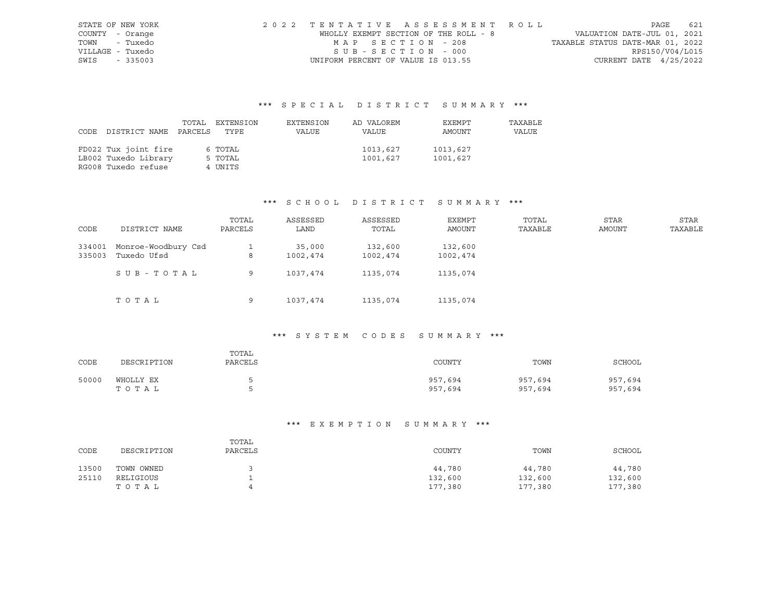| STATE OF NEW YORK | 2022 TENTATIVE ASSESSMENT ROLL        |                                  | PAGE 621                    |  |
|-------------------|---------------------------------------|----------------------------------|-----------------------------|--|
| COUNTY - Orange   | WHOLLY EXEMPT SECTION OF THE ROLL - 8 |                                  | VALUATION DATE-JUL 01, 2021 |  |
| TOWN - Tuxedo     | MAP SECTION - 208                     | TAXABLE STATUS DATE-MAR 01, 2022 |                             |  |
| VILLAGE - Tuxedo  | $SUB - SECTION - 000$                 |                                  | RPS150/V04/L015             |  |
| SWIS - 335003     | UNIFORM PERCENT OF VALUE IS 013.55    |                                  | CURRENT DATE 4/25/2022      |  |

|      |                      |         | TOTAL EXTENSION | EXTENSION | AD VALOREM | EXEMPT   | TAXABLE |
|------|----------------------|---------|-----------------|-----------|------------|----------|---------|
| CODE | DISTRICT NAME        | PARCELS | TYPE            | VALUE     | VALUE      | AMOUNT   | VALUE   |
|      |                      |         |                 |           |            |          |         |
|      | FD022 Tux joint fire |         | 6 TOTAL         |           | 1013,627   | 1013,627 |         |
|      | LB002 Tuxedo Library |         | 5 TOTAL         |           | 1001,627   | 1001,627 |         |
|      | RG008 Tuxedo refuse  |         | 4 UNITS         |           |            |          |         |

#### \*\*\* S C H O O L D I S T R I C T S U M M A R Y \*\*\*

| CODE   | DISTRICT NAME       | TOTAL<br>PARCELS | ASSESSED<br>LAND | ASSESSED<br>TOTAL | <b>EXEMPT</b><br>AMOUNT | TOTAL<br>TAXABLE | <b>STAR</b><br><b>AMOUNT</b> | STAR<br>TAXABLE |
|--------|---------------------|------------------|------------------|-------------------|-------------------------|------------------|------------------------------|-----------------|
| 334001 | Monroe-Woodbury Csd |                  | 35,000           | 132,600           | 132,600                 |                  |                              |                 |
| 335003 | Tuxedo Ufsd         | 8                | 1002,474         | 1002,474          | 1002,474                |                  |                              |                 |
|        | SUB-TOTAL           | 9                | 1037,474         | 1135,074          | 1135,074                |                  |                              |                 |
|        | TOTAL               | 9                | 1037,474         | 1135,074          | 1135,074                |                  |                              |                 |

### \*\*\* S Y S T E M C O D E S S U M M A R Y \*\*\*

| CODE  | DESCRIPTION        | TOTAL<br>PARCELS | COUNTY             | TOWN               | SCHOOL             |
|-------|--------------------|------------------|--------------------|--------------------|--------------------|
| 50000 | WHOLLY EX<br>тотаь |                  | 957,694<br>957,694 | 957,694<br>957,694 | 957,694<br>957,694 |

| CODE  | DESCRIPTION | TOTAL<br>PARCELS | COUNTY  | TOWN    | SCHOOL  |
|-------|-------------|------------------|---------|---------|---------|
| 13500 | TOWN OWNED  |                  | 44,780  | 44,780  | 44,780  |
| 25110 | RELIGIOUS   |                  | 132,600 | 132,600 | 132,600 |
|       | ТОТАЬ       |                  | 177,380 | 177,380 | 177,380 |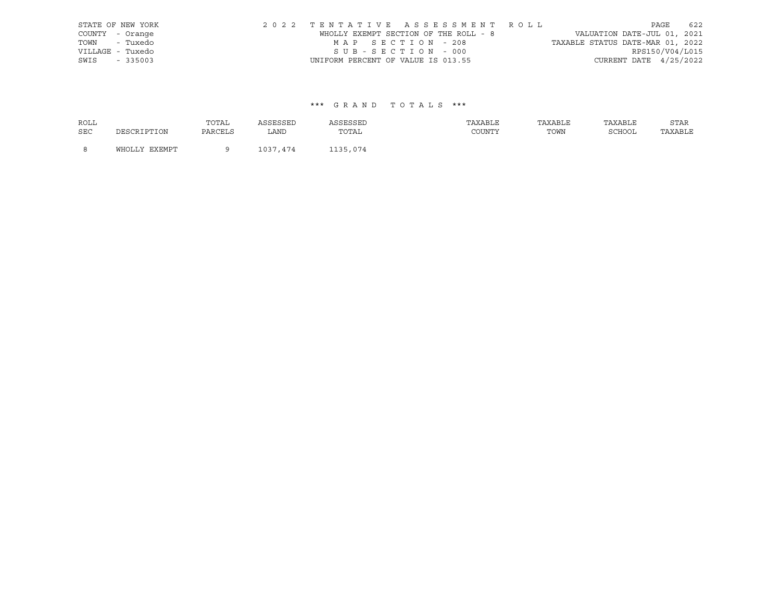|      | STATE OF NEW YORK | 2022 TENTATIVE ASSESSMENT ROLL        |  |                                  |                        | PAGE | 622 |
|------|-------------------|---------------------------------------|--|----------------------------------|------------------------|------|-----|
|      | COUNTY - Orange   | WHOLLY EXEMPT SECTION OF THE ROLL - 8 |  | VALUATION DATE-JUL 01, 2021      |                        |      |     |
|      | TOWN - Tuxedo     | MAP SECTION - 208                     |  | TAXABLE STATUS DATE-MAR 01, 2022 |                        |      |     |
|      | VILLAGE - Tuxedo  | SUB-SECTION - 000                     |  |                                  | RPS150/V04/L015        |      |     |
| SWIS | $-335003$         | UNIFORM PERCENT OF VALUE IS 013.55    |  |                                  | CURRENT DATE 4/25/2022 |      |     |

| <b>ROLL</b> |               | TOTAL   | ASSESSED | ASSESSED | TAXABLE | TAXABLE | TAXABLE | STAR    |
|-------------|---------------|---------|----------|----------|---------|---------|---------|---------|
| <b>SEC</b>  | DESCRIPTION   | PARCELS | LAND     | TOTAL    | COUNTY  | TOWN    | SCHOOL  | TAXABLE |
| - 8         | WHOLLY EXEMPT |         | 1037,474 | 1135,074 |         |         |         |         |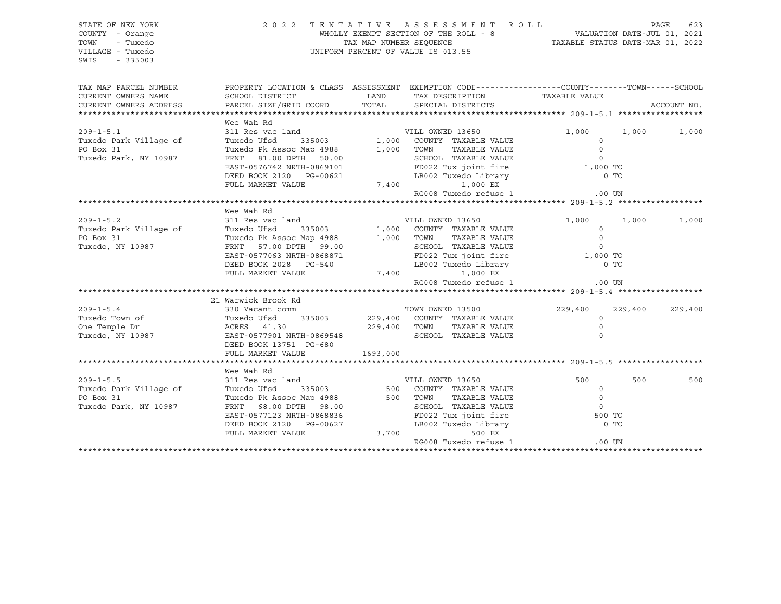| STATE OF NEW YORK<br>COUNTY - Orange<br>- Tuxedo<br>TOWN<br>VILLAGE - Tuxedo<br>$-335003$<br>SWIS |                                                                                                                                                                                                                                                |          | 2022 TENTATIVE ASSESSMENT ROLL<br>PAGE 623<br>WHOLLY EXEMPT SECTION OF THE ROLL - 8<br>TAX MAP NUMBER SEQUENCE THE ROLL - 8<br>UNIFORM PERCENT OF VALUE IS 013.55 |     | PAGE<br>623 |
|---------------------------------------------------------------------------------------------------|------------------------------------------------------------------------------------------------------------------------------------------------------------------------------------------------------------------------------------------------|----------|-------------------------------------------------------------------------------------------------------------------------------------------------------------------|-----|-------------|
| TAX MAP PARCEL NUMBER                                                                             | PROPERTY LOCATION & CLASS ASSESSMENT EXEMPTION CODE----------------COUNTY-------TOWN------SCHOOL                                                                                                                                               |          |                                                                                                                                                                   |     |             |
| CURRENT OWNERS NAME<br>CURRENT OWNERS ADDRESS                                                     |                                                                                                                                                                                                                                                |          |                                                                                                                                                                   |     | ACCOUNT NO. |
|                                                                                                   |                                                                                                                                                                                                                                                |          |                                                                                                                                                                   |     |             |
|                                                                                                   | Wee Wah Rd                                                                                                                                                                                                                                     |          |                                                                                                                                                                   |     |             |
| $209 - 1 - 5.1$                                                                                   | er am Nuclear Apple 13650<br>Tuxedo Ufsd 335003 1,000 COUNTY TAXABLE VALUE 0<br>Tuxedo Pk Assoc Map 4988 1,000 TOWN TAXABLE VALUE 0<br>FRNT 81.00 DPTH 50.00 SCHOOL TAXABLE VALUE 0<br>EAST-0576742 NRTH-0869101 FD022 Tux joint fire          |          |                                                                                                                                                                   |     |             |
| Tuxedo Park Village of                                                                            |                                                                                                                                                                                                                                                |          |                                                                                                                                                                   |     |             |
| PO Box 31                                                                                         |                                                                                                                                                                                                                                                |          |                                                                                                                                                                   |     |             |
| Tuxedo Park, NY 10987                                                                             |                                                                                                                                                                                                                                                |          |                                                                                                                                                                   |     |             |
|                                                                                                   |                                                                                                                                                                                                                                                |          |                                                                                                                                                                   |     |             |
|                                                                                                   |                                                                                                                                                                                                                                                |          |                                                                                                                                                                   |     |             |
|                                                                                                   |                                                                                                                                                                                                                                                |          |                                                                                                                                                                   |     |             |
|                                                                                                   |                                                                                                                                                                                                                                                |          | RG008 Tuxedo refuse 1 00 UN                                                                                                                                       |     |             |
|                                                                                                   |                                                                                                                                                                                                                                                |          |                                                                                                                                                                   |     |             |
|                                                                                                   | Wee Wah Rd                                                                                                                                                                                                                                     |          |                                                                                                                                                                   |     |             |
| $209 - 1 - 5.2$                                                                                   |                                                                                                                                                                                                                                                |          |                                                                                                                                                                   |     |             |
| Tuxedo Park Village of                                                                            |                                                                                                                                                                                                                                                |          |                                                                                                                                                                   |     |             |
| PO Box 31                                                                                         |                                                                                                                                                                                                                                                |          |                                                                                                                                                                   |     |             |
| PU BOX 31<br>Tuxedo, NY 10987                                                                     |                                                                                                                                                                                                                                                |          |                                                                                                                                                                   |     |             |
|                                                                                                   |                                                                                                                                                                                                                                                |          |                                                                                                                                                                   |     |             |
|                                                                                                   |                                                                                                                                                                                                                                                |          |                                                                                                                                                                   |     |             |
|                                                                                                   |                                                                                                                                                                                                                                                |          |                                                                                                                                                                   |     |             |
|                                                                                                   | Wee Wah Rd<br>311 Res vac land<br>Tuxedo Ufsd 335003 1,000 COUNTY TAXABLE VALUE 0<br>Tuxedo Ufsd 335003 1,000 COUNTY TAXABLE VALUE 0<br>TUXENG UF ASSOC Map 4988 1,000 TOWN TAXABLE VALUE 0<br>FRNT 57.00 DPTH 99.00 SCHOOL TAXABLE VALU       |          |                                                                                                                                                                   |     |             |
|                                                                                                   |                                                                                                                                                                                                                                                |          |                                                                                                                                                                   |     |             |
|                                                                                                   | 21 Warwick Brook Rd                                                                                                                                                                                                                            |          |                                                                                                                                                                   |     |             |
|                                                                                                   |                                                                                                                                                                                                                                                |          |                                                                                                                                                                   |     |             |
|                                                                                                   |                                                                                                                                                                                                                                                |          |                                                                                                                                                                   |     |             |
|                                                                                                   |                                                                                                                                                                                                                                                |          |                                                                                                                                                                   |     |             |
|                                                                                                   | 209-1-5.4<br>Tuxedo Town of Tuxedo Ufsd 335003<br>Tuxedo Ufsd 335003 229,400 COUNTY TAXABLE VALUE<br>Tuxedo Ufsd 335003 229,400 COUNTY TAXABLE VALUE 0<br>Tuxedo, NY 10987 EAST-0577901 NRTH-0869548 SCHOOL TAXABLE VALUE 0<br>Tuxedo, N       |          |                                                                                                                                                                   |     |             |
|                                                                                                   | DEED BOOK 13751 PG-680                                                                                                                                                                                                                         |          |                                                                                                                                                                   |     |             |
|                                                                                                   | FULL MARKET VALUE                                                                                                                                                                                                                              | 1693,000 |                                                                                                                                                                   |     |             |
|                                                                                                   |                                                                                                                                                                                                                                                |          |                                                                                                                                                                   |     |             |
|                                                                                                   | Wee Wah Rd                                                                                                                                                                                                                                     |          |                                                                                                                                                                   |     |             |
|                                                                                                   |                                                                                                                                                                                                                                                |          |                                                                                                                                                                   | 500 | 500         |
|                                                                                                   |                                                                                                                                                                                                                                                |          |                                                                                                                                                                   |     |             |
|                                                                                                   |                                                                                                                                                                                                                                                |          |                                                                                                                                                                   |     |             |
|                                                                                                   |                                                                                                                                                                                                                                                |          |                                                                                                                                                                   |     |             |
|                                                                                                   |                                                                                                                                                                                                                                                |          |                                                                                                                                                                   |     |             |
|                                                                                                   |                                                                                                                                                                                                                                                |          |                                                                                                                                                                   |     |             |
|                                                                                                   | 209-1-5.5 $\footnotesize$<br>Tuxedo Park Village of Tuxedo Ufsd 335003 500 COUNTY TAXABLE VALUE 0<br>PO Box 31 Tuxedo Pk Assoc Map 4988 500 TOWN TAXABLE VALUE 0<br>Tuxedo Park, NY 10987 FRNT 68.00 DPTH 98.00 SCHOOL TAXABLE VALUE 0<br>EAST |          |                                                                                                                                                                   |     |             |
|                                                                                                   |                                                                                                                                                                                                                                                |          | RG008 Tuxedo refuse 1 (00 UN                                                                                                                                      |     |             |
|                                                                                                   |                                                                                                                                                                                                                                                |          |                                                                                                                                                                   |     |             |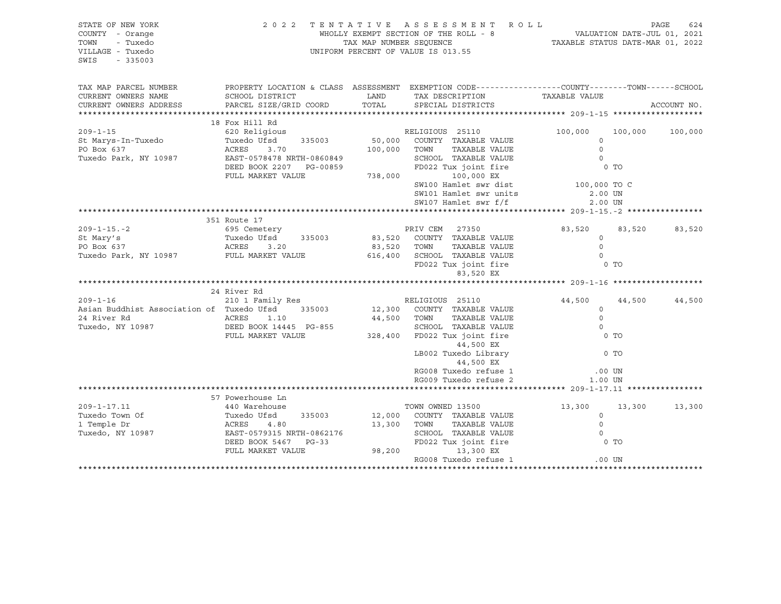| STATE OF NEW YORK<br>COUNTY - Orange<br>TOWN<br>- Tuxedo<br>VILLAGE - Tuxedo<br>SWIS<br>$-335003$ |                                                                                                                    |             |                                                                                                                                                                         |                           |                 |             |
|---------------------------------------------------------------------------------------------------|--------------------------------------------------------------------------------------------------------------------|-------------|-------------------------------------------------------------------------------------------------------------------------------------------------------------------------|---------------------------|-----------------|-------------|
| TAX MAP PARCEL NUMBER<br>CURRENT OWNERS NAME                                                      | PROPERTY LOCATION & CLASS ASSESSMENT EXEMPTION CODE----------------COUNTY-------TOWN-----SCHOOL<br>SCHOOL DISTRICT | LAND        | TAX DESCRIPTION                                                                                                                                                         | TAXABLE VALUE             |                 |             |
| CURRENT OWNERS ADDRESS                                                                            | PARCEL SIZE/GRID COORD                                                                                             | TOTAL       | SPECIAL DISTRICTS                                                                                                                                                       |                           |                 | ACCOUNT NO. |
|                                                                                                   | 18 Fox Hill Rd                                                                                                     |             |                                                                                                                                                                         |                           |                 |             |
| $209 - 1 - 15$                                                                                    |                                                                                                                    |             |                                                                                                                                                                         |                           | 100,000 100,000 |             |
|                                                                                                   |                                                                                                                    |             |                                                                                                                                                                         | $\bigcirc$                |                 |             |
|                                                                                                   |                                                                                                                    |             |                                                                                                                                                                         | 0 <sub>T</sub>            |                 |             |
|                                                                                                   |                                                                                                                    |             | SW100 Hamlet swr dist 100,000 TO C<br>SW101 Hamlet swr units<br>SW107 Hamlet swr f/f                                                                                    | 2.00 UN<br>2.00 UN        |                 |             |
|                                                                                                   |                                                                                                                    |             |                                                                                                                                                                         |                           |                 |             |
|                                                                                                   | 351 Route 17                                                                                                       |             |                                                                                                                                                                         |                           |                 |             |
| $209 - 1 - 15 - 2$                                                                                | 695 Cemetery                                                                                                       |             | PRIV CEM 27350                                                                                                                                                          | 83,520 83,520 83,520      |                 |             |
| St Mary's                                                                                         | Tuxedo Ufsd <sup>1</sup> 335003 83,520 COUNTY TAXABLE VALUE<br>ACRES 3.20 335003 83,520 TOWN TAXABLE VALUE         |             |                                                                                                                                                                         | $\overline{0}$<br>$\circ$ |                 |             |
| PO Box 637<br>Tuxedo Park, NY 10987 FULL MARKET VALUE                                             |                                                                                                                    |             |                                                                                                                                                                         |                           |                 |             |
|                                                                                                   |                                                                                                                    |             | 616,400 SCHOOL TAXABLE VALUE 0<br>FD022 Tux joint fire 0 0 TO<br>83,520 EX                                                                                              |                           |                 |             |
|                                                                                                   |                                                                                                                    |             |                                                                                                                                                                         |                           |                 |             |
|                                                                                                   | 24 River Rd                                                                                                        |             |                                                                                                                                                                         |                           |                 |             |
| $209 - 1 - 16$                                                                                    | RIVEL RO<br>210 1 Family Res<br>Tuxedo Ufsd 335003 12,300 COUNTY TAXABLE VALUE                                     |             |                                                                                                                                                                         | 44,500 44,500             |                 | 44,500      |
| Asian Buddhist Association of Tuxedo Ufsd 335003<br>24 River Rd                                   |                                                                                                                    |             | TAXABLE VALUE                                                                                                                                                           | $\circ$<br>$\Omega$       |                 |             |
| Tuxedo, NY 10987                                                                                  | ACRES<br>1.10<br>AURED 1.1.<br>DEED BOOK 14445 PG-855                                                              | 44,500 TOWN | SCHOOL TAXABLE VALUE                                                                                                                                                    | $\overline{0}$            |                 |             |
|                                                                                                   | FULL MARKET VALUE                                                                                                  |             | 328,400 FD022 Tux joint fire<br>44,500 EX                                                                                                                               | 0 <sub>T</sub>            |                 |             |
|                                                                                                   |                                                                                                                    |             | LB002 Tuxedo Library $\begin{array}{ccc} & \cdots & \cdots & \cdots \\ & & \ddots & \ddots & \vdots \\ & & & \ddots & \vdots \\ & & & & 1 & 1 \end{array}$<br>44,500 EX |                           |                 |             |
|                                                                                                   |                                                                                                                    |             | RG008 Tuxedo refuse 1 (00 UN CHO) 00 UN RG009 Tuxedo refuse 2 (00 UN CHO) 1<br>RG009 Tuxedo refuse 2                                                                    | 1.00 UN                   |                 |             |
|                                                                                                   |                                                                                                                    |             |                                                                                                                                                                         |                           |                 |             |
|                                                                                                   | 57 Powerhouse Ln                                                                                                   |             |                                                                                                                                                                         |                           |                 |             |
|                                                                                                   |                                                                                                                    |             | TOWN OWNED 13500                                                                                                                                                        | 13,300                    | 13,300          | 13,300      |
|                                                                                                   |                                                                                                                    |             | 335003 12,000 COUNTY TAXABLE VALUE                                                                                                                                      | $\circ$                   |                 |             |
|                                                                                                   |                                                                                                                    |             | TAXABLE VALUE                                                                                                                                                           | $\circ$                   |                 |             |
|                                                                                                   |                                                                                                                    |             |                                                                                                                                                                         | $\overline{0}$<br>0 TO    |                 |             |
|                                                                                                   | ACRES 4.80 13,300 TOWN<br>EAST-0579315 NRTH-0862176 5CHOOL<br>DEED BOOK 5467 PG-33 FULL MARKET VALUE 98,200        |             | SCHOOL TAXABLE VALUE<br>FD022 Tux joint fire<br>13,300 EX                                                                                                               |                           |                 |             |
|                                                                                                   |                                                                                                                    |             | RG008 Tuxedo refuse 1                                                                                                                                                   | .00 UN                    |                 |             |
|                                                                                                   |                                                                                                                    |             |                                                                                                                                                                         |                           |                 |             |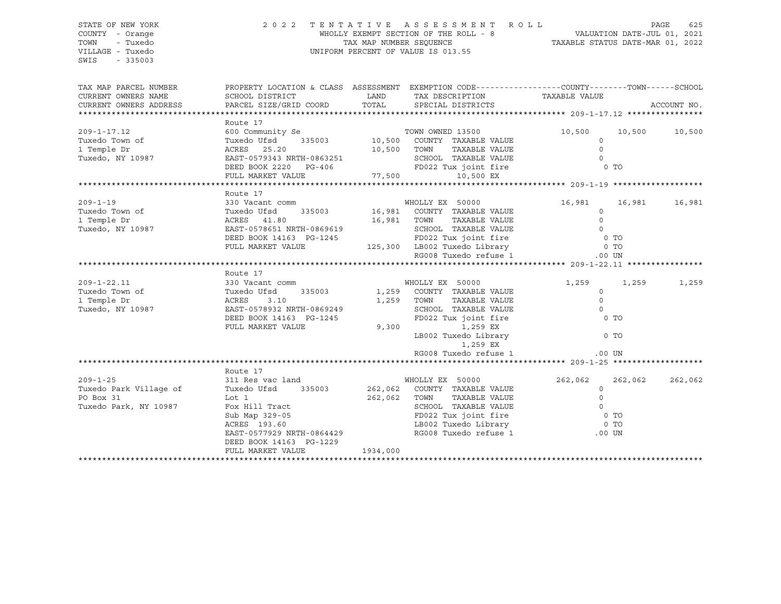SWIS - 335003

#### STATE OF NEW YORK 2 0 2 2 T E N T A T I V E A S S E S S M E N T R O L L PAGE 625 COUNTY - Orange WHOLLY EXEMPT SECTION OF THE ROLL - 8 VALUATION DATE-JUL 01, 2021 TOWN - Tuxedo TAX MAP NUMBER SEQUENCE TAXABLE STATUS DATE-MAR 01, 2022 VILLAGE - Tuxedo UNIFORM PERCENT OF VALUE IS 013.55

| TAX MAP PARCEL NUMBER                                                                                                                                                                                                                                                                                                                                                                                                                                  | PROPERTY LOCATION & CLASS ASSESSMENT EXEMPTION CODE----------------COUNTY-------TOWN------SCHOOL                                                                                                                                                                                                                                                                                                                                                                                          |                  |                                                                                                                                                  |                                       | ACCOUNT NO.    |
|--------------------------------------------------------------------------------------------------------------------------------------------------------------------------------------------------------------------------------------------------------------------------------------------------------------------------------------------------------------------------------------------------------------------------------------------------------|-------------------------------------------------------------------------------------------------------------------------------------------------------------------------------------------------------------------------------------------------------------------------------------------------------------------------------------------------------------------------------------------------------------------------------------------------------------------------------------------|------------------|--------------------------------------------------------------------------------------------------------------------------------------------------|---------------------------------------|----------------|
|                                                                                                                                                                                                                                                                                                                                                                                                                                                        |                                                                                                                                                                                                                                                                                                                                                                                                                                                                                           |                  |                                                                                                                                                  |                                       |                |
|                                                                                                                                                                                                                                                                                                                                                                                                                                                        | Route 17                                                                                                                                                                                                                                                                                                                                                                                                                                                                                  |                  |                                                                                                                                                  |                                       |                |
|                                                                                                                                                                                                                                                                                                                                                                                                                                                        |                                                                                                                                                                                                                                                                                                                                                                                                                                                                                           |                  |                                                                                                                                                  | 10,500 10,500 10,500                  |                |
| 209-1-17.12<br>Tuxedo Town of<br>1 Temple Dr<br>Tuxedo, NY 10987                                                                                                                                                                                                                                                                                                                                                                                       |                                                                                                                                                                                                                                                                                                                                                                                                                                                                                           |                  |                                                                                                                                                  | $\circ$                               |                |
|                                                                                                                                                                                                                                                                                                                                                                                                                                                        |                                                                                                                                                                                                                                                                                                                                                                                                                                                                                           |                  | TAXABLE VALUE<br>TAXABLE VALUE<br>TAXABLE I                                                                                                      |                                       |                |
|                                                                                                                                                                                                                                                                                                                                                                                                                                                        |                                                                                                                                                                                                                                                                                                                                                                                                                                                                                           |                  |                                                                                                                                                  |                                       |                |
|                                                                                                                                                                                                                                                                                                                                                                                                                                                        |                                                                                                                                                                                                                                                                                                                                                                                                                                                                                           |                  |                                                                                                                                                  |                                       |                |
|                                                                                                                                                                                                                                                                                                                                                                                                                                                        |                                                                                                                                                                                                                                                                                                                                                                                                                                                                                           |                  |                                                                                                                                                  |                                       |                |
| 1 Temple Dr<br>1 Temple Dr<br>2 Tuxedo, NY 10987 220 220 PG-406 2220 PG-406 277,500 221 20,500 EAST-0579343 NRTH-0863251<br>2 Tuxedo, NY 10987 220 BCED BOOK 2220 PG-406 2270 2 Tux joint fire 0 TO<br>2 Tunnel MARKET VALUE 77,500 10                                                                                                                                                                                                                 |                                                                                                                                                                                                                                                                                                                                                                                                                                                                                           |                  |                                                                                                                                                  |                                       |                |
|                                                                                                                                                                                                                                                                                                                                                                                                                                                        | Route 17                                                                                                                                                                                                                                                                                                                                                                                                                                                                                  |                  |                                                                                                                                                  |                                       |                |
|                                                                                                                                                                                                                                                                                                                                                                                                                                                        |                                                                                                                                                                                                                                                                                                                                                                                                                                                                                           |                  |                                                                                                                                                  | 16,981 16,981                         | 16,981         |
|                                                                                                                                                                                                                                                                                                                                                                                                                                                        |                                                                                                                                                                                                                                                                                                                                                                                                                                                                                           |                  |                                                                                                                                                  |                                       |                |
|                                                                                                                                                                                                                                                                                                                                                                                                                                                        |                                                                                                                                                                                                                                                                                                                                                                                                                                                                                           |                  |                                                                                                                                                  |                                       |                |
|                                                                                                                                                                                                                                                                                                                                                                                                                                                        |                                                                                                                                                                                                                                                                                                                                                                                                                                                                                           |                  |                                                                                                                                                  |                                       |                |
|                                                                                                                                                                                                                                                                                                                                                                                                                                                        |                                                                                                                                                                                                                                                                                                                                                                                                                                                                                           |                  |                                                                                                                                                  |                                       |                |
|                                                                                                                                                                                                                                                                                                                                                                                                                                                        |                                                                                                                                                                                                                                                                                                                                                                                                                                                                                           |                  |                                                                                                                                                  |                                       |                |
|                                                                                                                                                                                                                                                                                                                                                                                                                                                        |                                                                                                                                                                                                                                                                                                                                                                                                                                                                                           |                  |                                                                                                                                                  |                                       |                |
|                                                                                                                                                                                                                                                                                                                                                                                                                                                        |                                                                                                                                                                                                                                                                                                                                                                                                                                                                                           |                  |                                                                                                                                                  |                                       |                |
|                                                                                                                                                                                                                                                                                                                                                                                                                                                        | Route 17                                                                                                                                                                                                                                                                                                                                                                                                                                                                                  |                  |                                                                                                                                                  |                                       |                |
| $\footnotesize\begin{array}{cccccccc} 209-1-22.11 & 330\text{ Vacant comm} & & & & \text{WHOLLY EX} & 50000 \ \text{Tusedo Town of} & & & & & \text{Tusedo} & & & \text{Tusedo} & & \text{Tusedo} & \text{Theado} & \text{Theado} & \text{Theado} & \text{Theado} & \text{Theado} & \text{Theado} & \text{Theado} & \text{Theado} & \text{Theado} & \text{Theado} & \text{Theado} & \text{Theado} & \text{Theado} & \text{Theado} & \text{Theado} & \$ |                                                                                                                                                                                                                                                                                                                                                                                                                                                                                           |                  |                                                                                                                                                  | 1,259                                 | 1,259<br>1,259 |
|                                                                                                                                                                                                                                                                                                                                                                                                                                                        |                                                                                                                                                                                                                                                                                                                                                                                                                                                                                           |                  | 335003 1,259 COUNTY TAXABLE VALUE                                                                                                                | $\circ$                               |                |
|                                                                                                                                                                                                                                                                                                                                                                                                                                                        | $\begin{tabular}{lllllll} \multicolumn{2}{c}{\begin{tabular}{lcccc} \multicolumn{2}{c}{\multicolumn{2}{c}{\multicolumn{2}{c}{\multicolumn{2}{c}{\multicolumn{2}{c}{\multicolumn{2}{c}{\multicolumn{2}{c}{\multicolumn{2}{c}{\multicolumn{2}{c}{\multicolumn{2}{c}{\multicolumn{2}{c}{\multicolumn{2}{c}{\multicolumn{2}{c}{\multicolumn{2}{c}{\multicolumn{2}{c}{\multicolumn{2}{c}{\multicolumn{2}{c}{\multicolumn{2}{c}{\multicolumn{2}{c}{\multicolumn{2}{c}{\multicolumn{2}{c}{\mult$ |                  | TAXABLE VALUE                                                                                                                                    | $\begin{array}{c} 0 \\ 0 \end{array}$ |                |
|                                                                                                                                                                                                                                                                                                                                                                                                                                                        |                                                                                                                                                                                                                                                                                                                                                                                                                                                                                           |                  | SCHOOL TAXABLE VALUE                                                                                                                             |                                       |                |
|                                                                                                                                                                                                                                                                                                                                                                                                                                                        |                                                                                                                                                                                                                                                                                                                                                                                                                                                                                           |                  | FD022 Tux joint fire                                                                                                                             | $\circ$ 0 TO                          |                |
|                                                                                                                                                                                                                                                                                                                                                                                                                                                        |                                                                                                                                                                                                                                                                                                                                                                                                                                                                                           |                  | 9,300 1,259 EX                                                                                                                                   |                                       |                |
|                                                                                                                                                                                                                                                                                                                                                                                                                                                        |                                                                                                                                                                                                                                                                                                                                                                                                                                                                                           |                  | LB002 Tuxedo Library                                                                                                                             | 0 <sub>T</sub>                        |                |
|                                                                                                                                                                                                                                                                                                                                                                                                                                                        |                                                                                                                                                                                                                                                                                                                                                                                                                                                                                           |                  | 1,259 EX                                                                                                                                         |                                       |                |
|                                                                                                                                                                                                                                                                                                                                                                                                                                                        |                                                                                                                                                                                                                                                                                                                                                                                                                                                                                           |                  | RG008 Tuxedo refuse 1                                                                                                                            | $.00$ UN                              |                |
|                                                                                                                                                                                                                                                                                                                                                                                                                                                        |                                                                                                                                                                                                                                                                                                                                                                                                                                                                                           |                  |                                                                                                                                                  |                                       |                |
|                                                                                                                                                                                                                                                                                                                                                                                                                                                        | Route 17                                                                                                                                                                                                                                                                                                                                                                                                                                                                                  |                  |                                                                                                                                                  |                                       |                |
| $209 - 1 - 25$                                                                                                                                                                                                                                                                                                                                                                                                                                         | 311 Res vac land MHOLLY EX 50000                                                                                                                                                                                                                                                                                                                                                                                                                                                          |                  |                                                                                                                                                  | 262,062 262,062 262,062               |                |
| Tuxedo Park Village of Tuxedo Ufsd 335003 262,062 COUNTY TAXABLE VALUE                                                                                                                                                                                                                                                                                                                                                                                 |                                                                                                                                                                                                                                                                                                                                                                                                                                                                                           |                  |                                                                                                                                                  | $\Omega$                              |                |
| PO Box 31                                                                                                                                                                                                                                                                                                                                                                                                                                              | Lot 1                                                                                                                                                                                                                                                                                                                                                                                                                                                                                     | 262,062 TOWN     |                                                                                                                                                  |                                       |                |
| Tuxedo Park, NY 10987                                                                                                                                                                                                                                                                                                                                                                                                                                  |                                                                                                                                                                                                                                                                                                                                                                                                                                                                                           |                  |                                                                                                                                                  |                                       |                |
|                                                                                                                                                                                                                                                                                                                                                                                                                                                        | Fox Hill Tract<br>Sub Map 329-05<br>ACRES 193.60<br>EAST-0577929 NRTH-0864429                                                                                                                                                                                                                                                                                                                                                                                                             |                  | TOWN TAXABLE VALUE<br>TOWN TAXABLE VALUE<br>SCHOOL TAXABLE VALUE<br>PD022 Tux joint fire<br>LB002 Tuxedo Library<br>RG008 Tuxedo refuse 1 .00 UN |                                       |                |
|                                                                                                                                                                                                                                                                                                                                                                                                                                                        |                                                                                                                                                                                                                                                                                                                                                                                                                                                                                           |                  |                                                                                                                                                  |                                       |                |
|                                                                                                                                                                                                                                                                                                                                                                                                                                                        |                                                                                                                                                                                                                                                                                                                                                                                                                                                                                           |                  |                                                                                                                                                  |                                       |                |
|                                                                                                                                                                                                                                                                                                                                                                                                                                                        | DEED BOOK 14163 PG-1229                                                                                                                                                                                                                                                                                                                                                                                                                                                                   | 1229<br>1934,000 |                                                                                                                                                  |                                       |                |
|                                                                                                                                                                                                                                                                                                                                                                                                                                                        | FULL MARKET VALUE                                                                                                                                                                                                                                                                                                                                                                                                                                                                         |                  |                                                                                                                                                  |                                       |                |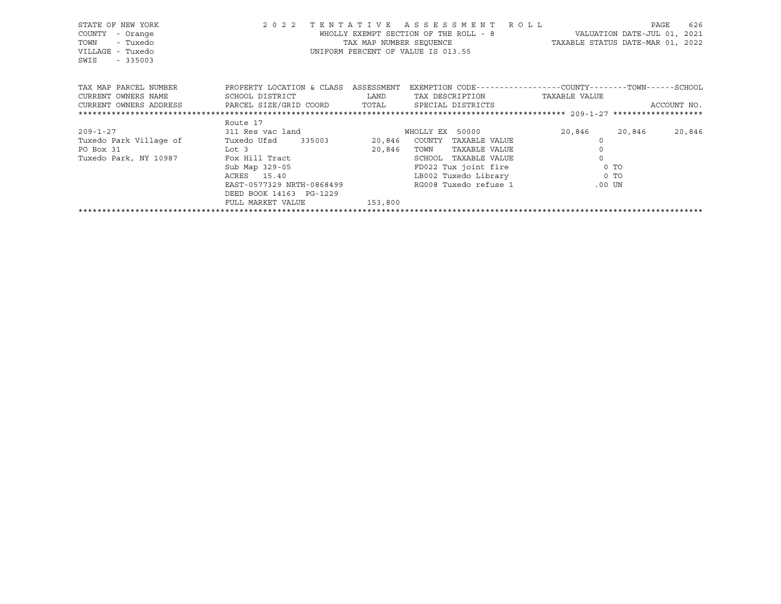| STATE OF NEW YORK<br>COUNTY<br>- Orange<br>TOWN<br>- Tuxedo<br>VILLAGE - Tuxedo<br>SWIS<br>$-335003$ |                                                                                                            |        | 2022 TENTATIVE ASSESSMENT ROLL<br>WHOLLY EXEMPT SECTION OF THE ROLL - 8 VALUATION DATE-JUL 01, 2021<br>TAX MAP NUMBER SEQUENCE TAXABLE STATUS DATE-MAR 01, 2022<br>UNIFORM PERCENT OF VALUE IS 013.55 |                                                                                                                                                                                                                                     | PAGE<br>626 |
|------------------------------------------------------------------------------------------------------|------------------------------------------------------------------------------------------------------------|--------|-------------------------------------------------------------------------------------------------------------------------------------------------------------------------------------------------------|-------------------------------------------------------------------------------------------------------------------------------------------------------------------------------------------------------------------------------------|-------------|
| TAX MAP PARCEL NUMBER TROPERTY LOCATION & CLASS ASSESSMENT                                           |                                                                                                            |        | EXEMPTION CODE-----------------COUNTY-------TOWN------SCHOOL                                                                                                                                          |                                                                                                                                                                                                                                     |             |
| CURRENT OWNERS NAME                                                                                  | SCHOOL DISTRICT<br><b>EXAMPLE THE STATE OF STATE OF STATE OF STATE OF STATE OF STATE OF STATE OF STATE</b> |        | TAX DESCRIPTION                                                                                                                                                                                       | TAXABLE VALUE                                                                                                                                                                                                                       |             |
| CURRENT OWNERS ADDRESS              PARCEL SIZE/GRID COORD           TOTAL        SPECIAL DISTRICTS  |                                                                                                            |        |                                                                                                                                                                                                       |                                                                                                                                                                                                                                     | ACCOUNT NO. |
|                                                                                                      |                                                                                                            |        |                                                                                                                                                                                                       |                                                                                                                                                                                                                                     |             |
|                                                                                                      | Route 17                                                                                                   |        |                                                                                                                                                                                                       |                                                                                                                                                                                                                                     |             |
| $209 - 1 - 27$                                                                                       | 311 Res vac land                                                                                           |        | WHOLLY EX 50000                                                                                                                                                                                       | 20,846 20,846                                                                                                                                                                                                                       | 20,846      |
| Tuxedo Park Village of                                                                               | Tuxedo Ufsd 335003                                                                                         |        | 20,846 COUNTY TAXABLE VALUE                                                                                                                                                                           |                                                                                                                                                                                                                                     |             |
| PO Box 31<br><u>Lot</u> 3                                                                            |                                                                                                            | 20,846 | TOWN<br>TAXABLE VALUE                                                                                                                                                                                 |                                                                                                                                                                                                                                     |             |
| Tuxedo Park, NY 10987                                                                                | Fox Hill Tract<br>Sub Map 329-05                                                                           |        | TAXABLE VALUE<br>SCHOOL                                                                                                                                                                               |                                                                                                                                                                                                                                     |             |
|                                                                                                      |                                                                                                            |        | FD022 Tux joint fire 0 TO                                                                                                                                                                             |                                                                                                                                                                                                                                     |             |
|                                                                                                      | ACRES 15.40                                                                                                |        | LB002 Tuxedo Library                                                                                                                                                                                  | <u>and</u> the contract of the contract of the contract of the contract of the contract of the contract of the contract of the contract of the contract of the contract of the contract of the contract of the contract of the cont |             |
|                                                                                                      | EAST-0577329 NRTH-0868499                                                                                  |        | RG008 Tuxedo refuse 1                                                                                                                                                                                 | .00 UN                                                                                                                                                                                                                              |             |
|                                                                                                      | DEED BOOK 14163 PG-1229                                                                                    |        |                                                                                                                                                                                                       |                                                                                                                                                                                                                                     |             |
|                                                                                                      | FULL MARKET VALUE<br>153,800                                                                               |        |                                                                                                                                                                                                       |                                                                                                                                                                                                                                     |             |
|                                                                                                      |                                                                                                            |        |                                                                                                                                                                                                       |                                                                                                                                                                                                                                     |             |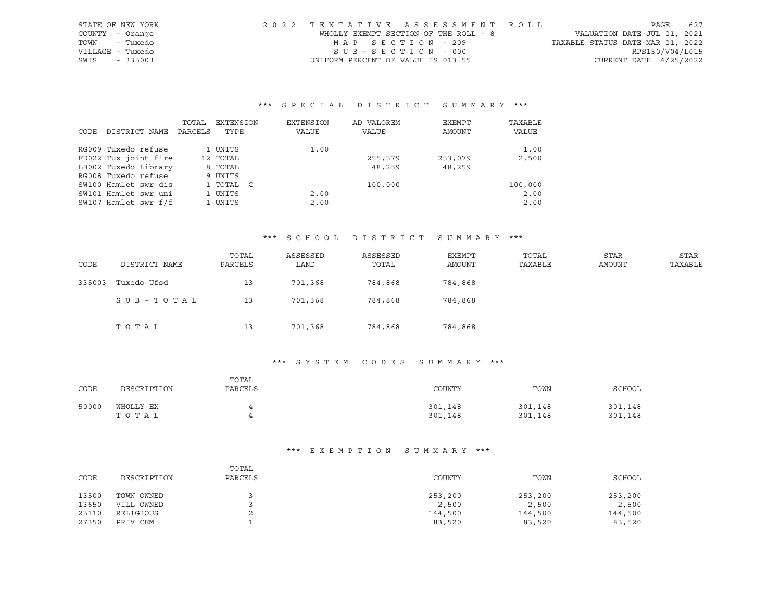| STATE OF NEW YORK | 2022 TENTATIVE ASSESSMENT ROLL        |                                  | PAGE                        | 627 |
|-------------------|---------------------------------------|----------------------------------|-----------------------------|-----|
| COUNTY - Orange   | WHOLLY EXEMPT SECTION OF THE ROLL - 8 |                                  | VALUATION DATE-JUL 01, 2021 |     |
| - Tuxedo<br>TOWN  | MAP SECTION - 209                     | TAXABLE STATUS DATE-MAR 01, 2022 |                             |     |
| VILLAGE - Tuxedo  | SUB-SECTION - 000                     |                                  | RPS150/V04/L015             |     |
| SWIS<br>$-335003$ | UNIFORM PERCENT OF VALUE IS 013.55    |                                  | CURRENT DATE $4/25/2022$    |     |

|      |                      | TOTAL   | EXTENSION | EXTENSION | AD VALOREM | EXEMPT  | TAXABLE |
|------|----------------------|---------|-----------|-----------|------------|---------|---------|
| CODE | DISTRICT NAME        | PARCELS | TYPE      | VALUE     | VALUE      | AMOUNT  | VALUE   |
|      |                      |         |           |           |            |         |         |
|      | RG009 Tuxedo refuse  |         | 1 UNITS   | 1.00      |            |         | 1.00    |
|      | FD022 Tux joint fire |         | 12 TOTAL  |           | 255,579    | 253,079 | 2,500   |
|      | LB002 Tuxedo Library |         | 8 TOTAL   |           | 48,259     | 48,259  |         |
|      | RG008 Tuxedo refuse  |         | 9 UNITS   |           |            |         |         |
|      | SW100 Hamlet swr dis |         | 1 TOTAL C |           | 100,000    |         | 100,000 |
|      | SW101 Hamlet swr uni |         | 1 UNITS   | 2.00      |            |         | 2.00    |
|      | SW107 Hamlet swr f/f |         | 1 UNITS   | 2.00      |            |         | 2.00    |

## \*\*\* S C H O O L D I S T R I C T S U M M A R Y \*\*\*

| CODE   | DISTRICT NAME | TOTAL<br>PARCELS | ASSESSED<br>LAND | ASSESSED<br>TOTAL | EXEMPT<br>AMOUNT | TOTAL<br>TAXABLE | STAR<br>AMOUNT | <b>STAR</b><br>TAXABLE |
|--------|---------------|------------------|------------------|-------------------|------------------|------------------|----------------|------------------------|
| 335003 | Tuxedo Ufsd   | 13               | 701,368          | 784,868           | 784,868          |                  |                |                        |
|        | SUB-TOTAL     | 13               | 701,368          | 784,868           | 784,868          |                  |                |                        |
|        | TOTAL         | 13               | 701,368          | 784,868           | 784,868          |                  |                |                        |

## \*\*\* S Y S T E M C O D E S S U M M A R Y \*\*\*

| CODE  | DESCRIPTION | TOTAL<br>PARCELS | COUNTY  | TOWN    | SCHOOL  |
|-------|-------------|------------------|---------|---------|---------|
| 50000 | WHOLLY EX   | 4                | 301,148 | 301,148 | 301,148 |
|       | тотаь       | 4                | 301,148 | 301,148 | 301,148 |

| CODE  | DESCRIPTION | TOTAL<br>PARCELS | COUNTY  | TOWN    | SCHOOL  |
|-------|-------------|------------------|---------|---------|---------|
| 13500 | TOWN OWNED  |                  | 253,200 | 253,200 | 253,200 |
| 13650 | VILL OWNED  |                  | 2,500   | 2,500   | 2,500   |
| 25110 | RELIGIOUS   | ▵                | 144,500 | 144,500 | 144,500 |
| 27350 | PRIV CEM    |                  | 83,520  | 83,520  | 83,520  |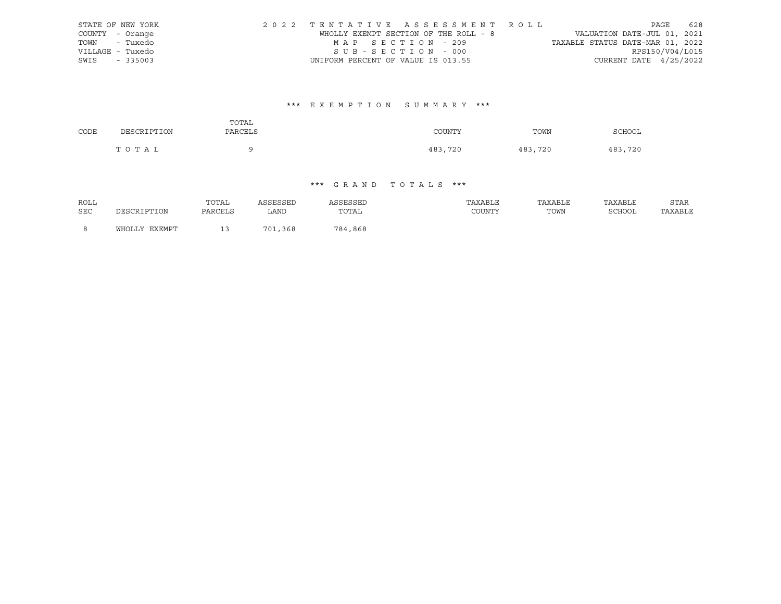|      | STATE OF NEW YORK | 2022 TENTATIVE ASSESSMENT ROLL        |  |                                  |                        | PAGE | 628 |
|------|-------------------|---------------------------------------|--|----------------------------------|------------------------|------|-----|
|      | COUNTY - Orange   | WHOLLY EXEMPT SECTION OF THE ROLL - 8 |  | VALUATION DATE-JUL 01, 2021      |                        |      |     |
|      | TOWN - Tuxedo     | MAP SECTION - 209                     |  | TAXABLE STATUS DATE-MAR 01, 2022 |                        |      |     |
|      | VILLAGE - Tuxedo  | SUB-SECTION - 000                     |  |                                  | RPS150/V04/L015        |      |     |
| SWIS | $-335003$         | UNIFORM PERCENT OF VALUE IS 013.55    |  |                                  | CURRENT DATE 4/25/2022 |      |     |

# \*\*\* E X E M P T I O N S U M M A R Y \*\*\*

| CODE | DESCRIPTION | TOTAL<br>PARCELS | COUNTY  | TOWN    | SCHOOL  |
|------|-------------|------------------|---------|---------|---------|
|      | TOTAL       | ີ                | 483,720 | 483,720 | 483,720 |

| ROLL |               | TOTAL   | ASSESSED | ASSESSED | TAXABLE | TAXABLE | TAXABLE | <b>STAR</b> |
|------|---------------|---------|----------|----------|---------|---------|---------|-------------|
| SEC  | DESCRIPTION   | PARCELS | LAND     | TOTAL    | COUNTY  | TOWN    | SCHOOL  | TAXABLE     |
|      | WHOLLY EXEMPT |         | 701,368  | 784,868  |         |         |         |             |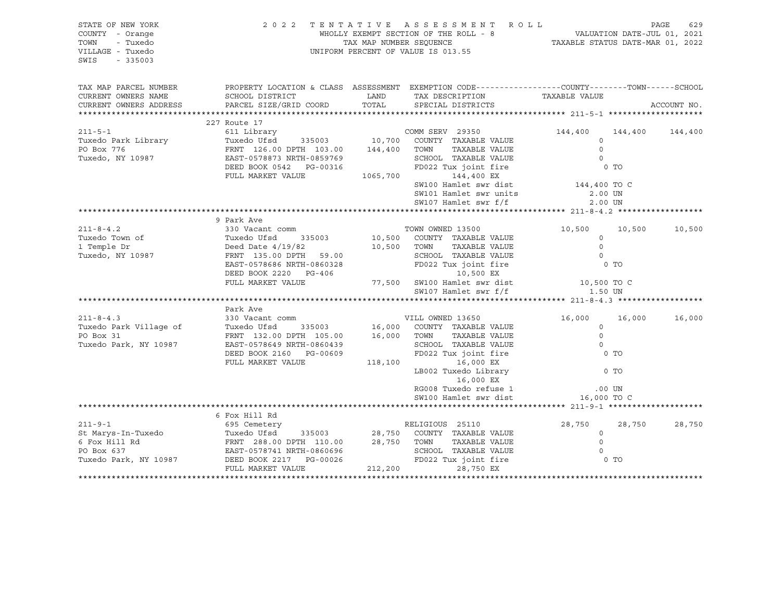| STATE OF NEW YORK<br>COUNTY - Orange<br>TOWN<br>- Tuxedo<br>VILLAGE - Tuxedo<br>SWIS<br>$-335003$                                                                                                                                                                     | 2 0 2 2                                                                                                                               | $\begin{tabular}{lllllllllllllllllll} \mboxsc{${\sf T}\,\,E\,\,N\,\,T\,\,A\,\,T\,\,I\,\,V\,\,E\, & A\,\,S\,\,S\,\,E\,\,S\,\,S\,\,M\,\,E\,\,N\,\,T\, & R\,\,O\,\,L\,\,L\, & PAGE & 629 \\ \mbox{\small{\small WHOLLY\,\,EKEMPT\,\,SECITON\,\,OF\,\,THE\,\,ROLL\,\,-\,\,8} & VALUATION\,\,DATE-JUL\,\,01,\ 2021 \\ \mbox{\small\small TAXABLE\,\,STATUS\,\,DATE-MAR\$ |                                                                |        |             |
|-----------------------------------------------------------------------------------------------------------------------------------------------------------------------------------------------------------------------------------------------------------------------|---------------------------------------------------------------------------------------------------------------------------------------|---------------------------------------------------------------------------------------------------------------------------------------------------------------------------------------------------------------------------------------------------------------------------------------------------------------------------------------------------------------------|----------------------------------------------------------------|--------|-------------|
| TAX MAP PARCEL NUMBER                                                                                                                                                                                                                                                 | PROPERTY LOCATION & CLASS ASSESSMENT EXEMPTION CODE---------------COUNTY-------TOWN-----SCHOOL                                        |                                                                                                                                                                                                                                                                                                                                                                     |                                                                |        |             |
| CURRENT OWNERS NAME                                                                                                                                                                                                                                                   | SCHOOL DISTRICT TAND TAX DESCRIPTION                                                                                                  |                                                                                                                                                                                                                                                                                                                                                                     | TAXABLE VALUE                                                  |        |             |
| CURRENT OWNERS ADDRESS                                                                                                                                                                                                                                                | PARCEL SIZE/GRID COORD                                                                                                                | TOTAL SPECIAL DISTRICTS                                                                                                                                                                                                                                                                                                                                             |                                                                |        | ACCOUNT NO. |
|                                                                                                                                                                                                                                                                       | 227 Route 17                                                                                                                          |                                                                                                                                                                                                                                                                                                                                                                     |                                                                |        |             |
| $211 - 5 - 1$                                                                                                                                                                                                                                                         |                                                                                                                                       | COMM SERV 29350                                                                                                                                                                                                                                                                                                                                                     | 144,400 144,400 144,400                                        |        |             |
| Tuxedo Park Library Tuxedo Ufsd 335003 10,700 COUNTY TAXABLE VALUE<br>PO Box 776 FRNT 126.00 DPTH 103.00 144,400 TOWN TAXABLE VALUE 0<br>Tuxedo, NY 10987 EAST-0578873 NRTH-0859769 SCHOOL TAXABLE VALUE 0<br>DEED BOOK 0542 PG-0031                                  |                                                                                                                                       |                                                                                                                                                                                                                                                                                                                                                                     |                                                                |        |             |
|                                                                                                                                                                                                                                                                       |                                                                                                                                       |                                                                                                                                                                                                                                                                                                                                                                     |                                                                |        |             |
|                                                                                                                                                                                                                                                                       |                                                                                                                                       |                                                                                                                                                                                                                                                                                                                                                                     |                                                                |        |             |
|                                                                                                                                                                                                                                                                       |                                                                                                                                       |                                                                                                                                                                                                                                                                                                                                                                     |                                                                |        |             |
|                                                                                                                                                                                                                                                                       |                                                                                                                                       |                                                                                                                                                                                                                                                                                                                                                                     |                                                                |        |             |
|                                                                                                                                                                                                                                                                       |                                                                                                                                       | SW100 Hamlet swr dist $144,400$ TO C                                                                                                                                                                                                                                                                                                                                |                                                                |        |             |
|                                                                                                                                                                                                                                                                       |                                                                                                                                       | SW101 Hamlet swr units                                                                                                                                                                                                                                                                                                                                              | 2.00 UN                                                        |        |             |
|                                                                                                                                                                                                                                                                       |                                                                                                                                       | SW107 Hamlet swr f/f                                                                                                                                                                                                                                                                                                                                                | 2.00 UN                                                        |        |             |
|                                                                                                                                                                                                                                                                       |                                                                                                                                       |                                                                                                                                                                                                                                                                                                                                                                     |                                                                |        |             |
|                                                                                                                                                                                                                                                                       |                                                                                                                                       |                                                                                                                                                                                                                                                                                                                                                                     |                                                                |        |             |
|                                                                                                                                                                                                                                                                       |                                                                                                                                       |                                                                                                                                                                                                                                                                                                                                                                     | 10,500 10,500                                                  |        | 10,500      |
|                                                                                                                                                                                                                                                                       |                                                                                                                                       |                                                                                                                                                                                                                                                                                                                                                                     |                                                                |        |             |
|                                                                                                                                                                                                                                                                       |                                                                                                                                       |                                                                                                                                                                                                                                                                                                                                                                     |                                                                |        |             |
|                                                                                                                                                                                                                                                                       |                                                                                                                                       |                                                                                                                                                                                                                                                                                                                                                                     |                                                                |        |             |
|                                                                                                                                                                                                                                                                       |                                                                                                                                       |                                                                                                                                                                                                                                                                                                                                                                     |                                                                |        |             |
|                                                                                                                                                                                                                                                                       |                                                                                                                                       |                                                                                                                                                                                                                                                                                                                                                                     |                                                                |        |             |
|                                                                                                                                                                                                                                                                       |                                                                                                                                       |                                                                                                                                                                                                                                                                                                                                                                     |                                                                |        |             |
|                                                                                                                                                                                                                                                                       |                                                                                                                                       |                                                                                                                                                                                                                                                                                                                                                                     |                                                                |        |             |
|                                                                                                                                                                                                                                                                       |                                                                                                                                       |                                                                                                                                                                                                                                                                                                                                                                     |                                                                |        |             |
| $211 - 8 - 4.3$                                                                                                                                                                                                                                                       |                                                                                                                                       |                                                                                                                                                                                                                                                                                                                                                                     | 16,000 16,000                                                  |        | 16,000      |
|                                                                                                                                                                                                                                                                       | FAIR AVE<br>330 Vacant comm<br>Tuxedo Ufsd 335003 16,000 COUNTY TAXABLE VALUE<br>FRNT 132.00 DPTH 105.00 16,000 TOWN TAXABLE VALUE    |                                                                                                                                                                                                                                                                                                                                                                     |                                                                |        |             |
| Tuxedo Park Village of<br>PO Box 31                                                                                                                                                                                                                                   |                                                                                                                                       |                                                                                                                                                                                                                                                                                                                                                                     |                                                                |        |             |
| Tuxedo Park, NY 10987                                                                                                                                                                                                                                                 |                                                                                                                                       |                                                                                                                                                                                                                                                                                                                                                                     | ) 13650<br>TAXABLE VALUE 0<br>TAXABLE VALUE 0<br>CONFIRENTIE 0 |        |             |
|                                                                                                                                                                                                                                                                       |                                                                                                                                       |                                                                                                                                                                                                                                                                                                                                                                     | 0 TO                                                           |        |             |
|                                                                                                                                                                                                                                                                       | EAST-0578649 NRTH-0860439 SCHOOL TAXABLE VALUE<br>DEED BOOK 2160 PG-00609 FD022 Tux joint fire<br>FULL MARKET VALUE 118,100 16,000 EX |                                                                                                                                                                                                                                                                                                                                                                     |                                                                |        |             |
|                                                                                                                                                                                                                                                                       |                                                                                                                                       | $LBO02$ Tuxedo $Library$<br>$16,000$ EX<br>RG008 Tuyedo refused                                                                                                                                                                                                                                                                                                     | $0$ TO                                                         |        |             |
|                                                                                                                                                                                                                                                                       |                                                                                                                                       |                                                                                                                                                                                                                                                                                                                                                                     |                                                                |        |             |
|                                                                                                                                                                                                                                                                       |                                                                                                                                       |                                                                                                                                                                                                                                                                                                                                                                     |                                                                |        |             |
|                                                                                                                                                                                                                                                                       |                                                                                                                                       | RG008 Tuxedo refuse 1 .00 UN<br>SW100 Hamlet swr dist 16,000 TO C                                                                                                                                                                                                                                                                                                   |                                                                |        |             |
|                                                                                                                                                                                                                                                                       |                                                                                                                                       |                                                                                                                                                                                                                                                                                                                                                                     |                                                                |        |             |
|                                                                                                                                                                                                                                                                       | 6 Fox Hill Rd                                                                                                                         |                                                                                                                                                                                                                                                                                                                                                                     |                                                                |        |             |
| $211 - 9 - 1$<br>211-9-1<br>3211-9-1<br>3211-9-1<br>328,750<br>328 COUNTY TAXABLE VALUE<br>625 Centery<br>629 COUNTY TAXABLE VALUE<br>629 COUNTY TAXABLE VALUE<br>629 COUNTY TAXABLE VALUE<br>629 COUNTY TAXABLE VALUE<br>629,750 COUNTY TAXABLE VALUE<br>629,750 COU |                                                                                                                                       |                                                                                                                                                                                                                                                                                                                                                                     |                                                                | 28,750 | 28,750      |
|                                                                                                                                                                                                                                                                       |                                                                                                                                       |                                                                                                                                                                                                                                                                                                                                                                     |                                                                |        |             |
|                                                                                                                                                                                                                                                                       |                                                                                                                                       |                                                                                                                                                                                                                                                                                                                                                                     |                                                                |        |             |
|                                                                                                                                                                                                                                                                       |                                                                                                                                       |                                                                                                                                                                                                                                                                                                                                                                     |                                                                |        |             |
|                                                                                                                                                                                                                                                                       |                                                                                                                                       |                                                                                                                                                                                                                                                                                                                                                                     |                                                                |        |             |
|                                                                                                                                                                                                                                                                       |                                                                                                                                       |                                                                                                                                                                                                                                                                                                                                                                     |                                                                |        |             |
|                                                                                                                                                                                                                                                                       |                                                                                                                                       |                                                                                                                                                                                                                                                                                                                                                                     |                                                                |        |             |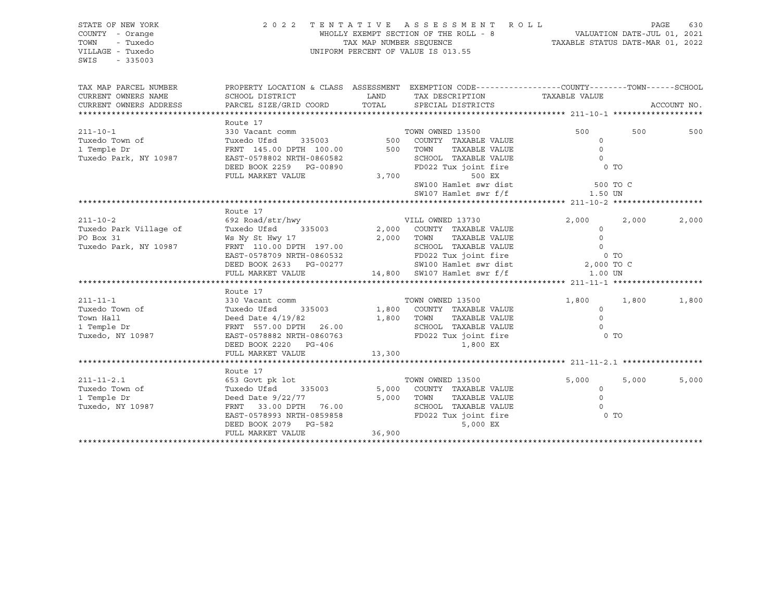| STATE OF NEW YORK<br>COUNTY - Orange<br>TOWN<br>- Tuxedo<br>VILLAGE - Tuxedo<br>SWIS<br>$-335003$ |                                                                                                                                                                                                                                                  |        | 2022 TENTATIVE ASSESSMENT ROLL<br>WHOLLY EXEMPT SECTION OF THE ROLL - 8<br>TAX MAP NUMBER SEQUENCE<br>TAXABLE STATUS DATE-MAR 01, 2022<br>UNIFORM PERCENT OF VALUE IS 013.55                                                                                                                                                                                                                                                                                                                                 |                                                                                         | PAGE  | 630         |
|---------------------------------------------------------------------------------------------------|--------------------------------------------------------------------------------------------------------------------------------------------------------------------------------------------------------------------------------------------------|--------|--------------------------------------------------------------------------------------------------------------------------------------------------------------------------------------------------------------------------------------------------------------------------------------------------------------------------------------------------------------------------------------------------------------------------------------------------------------------------------------------------------------|-----------------------------------------------------------------------------------------|-------|-------------|
| TAX MAP PARCEL NUMBER<br>CURRENT OWNERS NAME<br>CURRENT OWNERS ADDRESS                            | SCHOOL DISTRICT<br>PARCEL SIZE/GRID COORD TOTAL                                                                                                                                                                                                  | LAND   | PROPERTY LOCATION & CLASS ASSESSMENT EXEMPTION CODE----------------COUNTY-------TOWN------SCHOOL<br>TAX DESCRIPTION TAXABLE VALUE<br>SPECIAL DISTRICTS                                                                                                                                                                                                                                                                                                                                                       |                                                                                         |       | ACCOUNT NO. |
| $211 - 10 - 1$<br>Tuxedo Town of<br>1 Temple Dr<br>Tuxedo Park, NY 10987                          | Route 17<br>330 Vacant comm<br>EAST-0578802 NRTH-0860582<br>DEED BOOK 2259 PG-00890<br>FULL MARKET VALUE                                                                                                                                         | 3,700  | TOWN OWNED 13500<br>TAXABLE VALUE<br>SCHOOL TAXABLE VALUE<br>FD022 Tux joint fire<br>500 EX<br>SW100 Hamlet swr dist<br>SW107 Hamlet swr f/f 1.50 UN                                                                                                                                                                                                                                                                                                                                                         | 500<br>$\circ$<br>$\overline{0}$<br>$\overline{0}$<br>0 <sub>T</sub><br><b>600 TO C</b> | 500   | 500         |
| $211 - 10 - 2$<br>Tuxedo Park Village of<br>PO Box 31<br>Tuxedo Park, NY 10987                    | Route 17<br>692 Road/str/hwy<br>Tuxedo Ufsd 335003<br>Ws Ny St Hwy 17                                                                                                                                                                            |        | VILL OWNED 13730<br>2,000 COUNTY TAXABLE VALUE<br>2,000 TOWN<br>TAXABLE VALUE<br>$\begin{tabular}{lcccccc} \textbf{FRNT} & 110.00 \textbf{ DPTH} & 197.00 & & & \textbf{SCHOOL} & \textbf{TXABLE VALUE} & & & 0 \\ \textbf{EAST-0578709 NRTH-0860532} & & & \textbf{FD022 Tux joint fire} & & & 0 & \textbf{TO} \\ \textbf{DEED BOOK 2633} & & \textbf{PG-00277} & & & \textbf{SW100 Hamlet swr dist} & & 2,000 \textbf{ TO C} \\ \textbf{FULL MARKET VALUE} & & & 14,800 & \textbf{SW107 Hamlet swr f/f} &$ | 2,000<br>$\circ$<br>$\Omega$                                                            | 2,000 | 2,000       |
| $211 - 11 - 1$<br>Tuxedo Town of<br>Town Hall<br>1 Temple Dr<br>Tuxedo, NY 10987                  | Route 17<br>330 Vacant comm<br>Tuxedo Ufsd<br>Deed Date $4/19/82$<br>Deed Date 4/12/02<br>FRNT 557.00 DPTH 26.00<br>EAST-0578882 NRTH-0860763<br>EAST-0578882 NRTH-0860763<br>CASE COMPASS FD022 Tux joint fire<br>1,800 EX<br>FULL MARKET VALUE | 13,300 | TOWN OWNED 13500<br>$1,800$ COUNTY TAXABLE VALUE<br>19/82                  1,800    TOWN       TAXABLE VALUE<br>TOWN FRAME ---<br>SCHOOL TAXABLE VALUE                                                                                                                                                                                                                                                                                                                                                       | 1,800<br>$\circ$<br>$\Omega$<br>$\overline{0}$<br>0 TO                                  | 1,800 | 1,800       |
| $211 - 11 - 2.1$<br>Tuxedo Town of<br>1 Temple Dr<br>Tuxedo, NY 10987                             | Route 17<br>653 Govt pk lot<br>Tuxedo Ufsd<br>335003<br>Deed Date $9/22/77$<br>Deed Date 3/22///<br>FRNT 33.00 DPTH 76.00 SCHOOL TAXABLE VALUE<br>EAST-0578993 NRTH-0859858 FD022 Tux joint fire<br>5,000 EX<br>FULL MARKET VALUE                | 36,900 | TOWN OWNED 13500<br>5,000 COUNTY TAXABLE VALUE<br>5,000 TOWN<br>TAXABLE VALUE                                                                                                                                                                                                                                                                                                                                                                                                                                | 5,000<br>$\circ$<br>$\circ$<br>$\Omega$<br>0 TO                                         | 5,000 | 5,000       |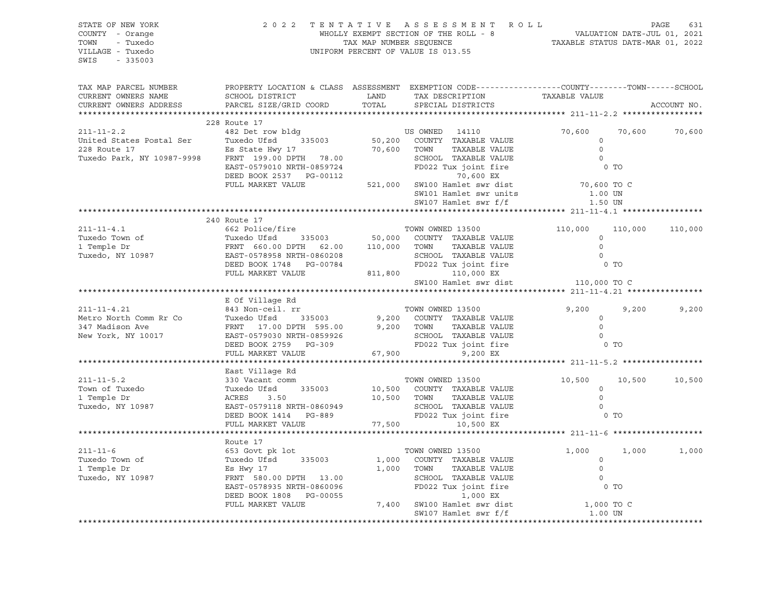| STATE OF NEW YORK<br>COUNTY - Orange<br>TOWN - Tuxedo<br>VILLAGE - Tuxedo<br>SWIS - 335003                                                                                                                                                                                                                                                                 |                                                        | 2022 TENTATIVE ASSESSMENT ROLL PAGE 631<br>WHOLLY EXEMPT SECTION OF THE ROLL - 8<br>TAX MAP NUMBER SEQUENCE TAXABLE STATUS DATE-MAR 01, 2022<br>UNIFORM PERCENT OF VALUE IS 013.55 |                                                                                                                                                                                                                                               |                                                         |             |
|------------------------------------------------------------------------------------------------------------------------------------------------------------------------------------------------------------------------------------------------------------------------------------------------------------------------------------------------------------|--------------------------------------------------------|------------------------------------------------------------------------------------------------------------------------------------------------------------------------------------|-----------------------------------------------------------------------------------------------------------------------------------------------------------------------------------------------------------------------------------------------|---------------------------------------------------------|-------------|
| TAX MAP PARCEL NUMBER<br>CURRENT OWNERS NAME<br>CURRENT OWNERS ADDRESS                                                                                                                                                                                                                                                                                     |                                                        |                                                                                                                                                                                    | PROPERTY LOCATION & CLASS ASSESSMENT EXEMPTION CODE-----------------COUNTY-------TOWN------SCHOOL                                                                                                                                             |                                                         | ACCOUNT NO. |
|                                                                                                                                                                                                                                                                                                                                                            |                                                        |                                                                                                                                                                                    |                                                                                                                                                                                                                                               |                                                         |             |
| $\begin{array}{cccccccc} \text{211--11-2.2} & \text{228 Route 17} & \text{335003} & \text{50,200 COMNED} & \text{14110} & \text{70,600} & \text{70,60} & \text{70,60} & \text{70,60} & \text{70,60} & \text{70,60} & \text{70,60} & \text{70,60} & \text{70,60} & \text{70,60} & \text{70,60} & \text{70,60} & \text{70,60} & \text{70,60} & \text{70,60}$ | 228 Route 17                                           |                                                                                                                                                                                    |                                                                                                                                                                                                                                               |                                                         |             |
|                                                                                                                                                                                                                                                                                                                                                            |                                                        |                                                                                                                                                                                    |                                                                                                                                                                                                                                               | 70,600 70,600 70,600                                    |             |
|                                                                                                                                                                                                                                                                                                                                                            |                                                        |                                                                                                                                                                                    |                                                                                                                                                                                                                                               |                                                         |             |
|                                                                                                                                                                                                                                                                                                                                                            |                                                        |                                                                                                                                                                                    |                                                                                                                                                                                                                                               |                                                         |             |
|                                                                                                                                                                                                                                                                                                                                                            |                                                        |                                                                                                                                                                                    |                                                                                                                                                                                                                                               |                                                         |             |
|                                                                                                                                                                                                                                                                                                                                                            |                                                        |                                                                                                                                                                                    |                                                                                                                                                                                                                                               |                                                         |             |
|                                                                                                                                                                                                                                                                                                                                                            |                                                        |                                                                                                                                                                                    |                                                                                                                                                                                                                                               |                                                         |             |
|                                                                                                                                                                                                                                                                                                                                                            |                                                        |                                                                                                                                                                                    |                                                                                                                                                                                                                                               |                                                         |             |
|                                                                                                                                                                                                                                                                                                                                                            |                                                        |                                                                                                                                                                                    |                                                                                                                                                                                                                                               |                                                         |             |
|                                                                                                                                                                                                                                                                                                                                                            |                                                        |                                                                                                                                                                                    |                                                                                                                                                                                                                                               |                                                         |             |
|                                                                                                                                                                                                                                                                                                                                                            | 240 Route 17                                           |                                                                                                                                                                                    |                                                                                                                                                                                                                                               |                                                         |             |
|                                                                                                                                                                                                                                                                                                                                                            |                                                        |                                                                                                                                                                                    |                                                                                                                                                                                                                                               | 110,000 110,000                                         | 110,000     |
|                                                                                                                                                                                                                                                                                                                                                            |                                                        |                                                                                                                                                                                    |                                                                                                                                                                                                                                               |                                                         |             |
|                                                                                                                                                                                                                                                                                                                                                            |                                                        |                                                                                                                                                                                    |                                                                                                                                                                                                                                               |                                                         |             |
|                                                                                                                                                                                                                                                                                                                                                            |                                                        |                                                                                                                                                                                    |                                                                                                                                                                                                                                               |                                                         |             |
|                                                                                                                                                                                                                                                                                                                                                            |                                                        |                                                                                                                                                                                    |                                                                                                                                                                                                                                               |                                                         |             |
|                                                                                                                                                                                                                                                                                                                                                            |                                                        |                                                                                                                                                                                    |                                                                                                                                                                                                                                               |                                                         |             |
|                                                                                                                                                                                                                                                                                                                                                            |                                                        |                                                                                                                                                                                    |                                                                                                                                                                                                                                               |                                                         |             |
|                                                                                                                                                                                                                                                                                                                                                            |                                                        |                                                                                                                                                                                    |                                                                                                                                                                                                                                               |                                                         |             |
|                                                                                                                                                                                                                                                                                                                                                            | E Of Village Rd<br>E OI VIIIage Rd<br>843 Non-ceil. rr |                                                                                                                                                                                    |                                                                                                                                                                                                                                               |                                                         |             |
|                                                                                                                                                                                                                                                                                                                                                            |                                                        |                                                                                                                                                                                    |                                                                                                                                                                                                                                               |                                                         | 9,200       |
|                                                                                                                                                                                                                                                                                                                                                            |                                                        |                                                                                                                                                                                    |                                                                                                                                                                                                                                               |                                                         |             |
|                                                                                                                                                                                                                                                                                                                                                            |                                                        |                                                                                                                                                                                    |                                                                                                                                                                                                                                               |                                                         |             |
|                                                                                                                                                                                                                                                                                                                                                            |                                                        |                                                                                                                                                                                    |                                                                                                                                                                                                                                               |                                                         |             |
|                                                                                                                                                                                                                                                                                                                                                            |                                                        |                                                                                                                                                                                    |                                                                                                                                                                                                                                               |                                                         |             |
| 413 Non-ceil.rr<br>Metro North Comm Rr Co Tuxedo Ufsd 335003 9,200 COUNTY TAXABLE VALUE<br>347 Madison Ave FRNT 17.00 DPTH 595.00 9,200 TOWN TAXABLE VALUE 0<br>New York, NY 10017 EAST-0579030 NRTH-0859926 SCHOOL TAXABLE VALUE 0<br>                                                                                                                    |                                                        |                                                                                                                                                                                    |                                                                                                                                                                                                                                               |                                                         |             |
|                                                                                                                                                                                                                                                                                                                                                            | East Village Rd                                        |                                                                                                                                                                                    |                                                                                                                                                                                                                                               |                                                         |             |
|                                                                                                                                                                                                                                                                                                                                                            | 330 Vacant comm                                        |                                                                                                                                                                                    |                                                                                                                                                                                                                                               |                                                         |             |
|                                                                                                                                                                                                                                                                                                                                                            |                                                        |                                                                                                                                                                                    |                                                                                                                                                                                                                                               |                                                         |             |
|                                                                                                                                                                                                                                                                                                                                                            |                                                        |                                                                                                                                                                                    |                                                                                                                                                                                                                                               |                                                         |             |
|                                                                                                                                                                                                                                                                                                                                                            |                                                        |                                                                                                                                                                                    |                                                                                                                                                                                                                                               |                                                         |             |
|                                                                                                                                                                                                                                                                                                                                                            |                                                        |                                                                                                                                                                                    |                                                                                                                                                                                                                                               |                                                         |             |
|                                                                                                                                                                                                                                                                                                                                                            |                                                        |                                                                                                                                                                                    |                                                                                                                                                                                                                                               |                                                         |             |
|                                                                                                                                                                                                                                                                                                                                                            |                                                        |                                                                                                                                                                                    |                                                                                                                                                                                                                                               |                                                         |             |
|                                                                                                                                                                                                                                                                                                                                                            | Route 17                                               |                                                                                                                                                                                    |                                                                                                                                                                                                                                               |                                                         |             |
| $211 - 11 - 6$                                                                                                                                                                                                                                                                                                                                             | 653 Govt pk lot                                        |                                                                                                                                                                                    | TOWN OWNED 13500                                                                                                                                                                                                                              | 1,000 1,000                                             | 1,000       |
| Tuxedo Town of<br>1 Temple Dr<br>1 Temple Dr                                                                                                                                                                                                                                                                                                               |                                                        |                                                                                                                                                                                    |                                                                                                                                                                                                                                               | $\overline{0}$<br>$\begin{array}{c} 0 \\ 0 \end{array}$ |             |
| Tuxedo, NY 10987                                                                                                                                                                                                                                                                                                                                           |                                                        |                                                                                                                                                                                    |                                                                                                                                                                                                                                               |                                                         |             |
|                                                                                                                                                                                                                                                                                                                                                            |                                                        |                                                                                                                                                                                    | 653 Govt pk lot<br>Tuxedo Ufsd 335003 1,000 COUNTY TAXABLE VALUE<br>Es Hwy 17 1,000 TOWN TAXABLE VALUE<br>FRNT 580.00 DPTH 13.00 SCHOOL TAXABLE VALUE<br>EAST-0578935 NRTH-0860096 FD022 Tux joint fire<br>TAXABLE VALUE<br>TAXABLE VALUE<br> |                                                         |             |
|                                                                                                                                                                                                                                                                                                                                                            |                                                        |                                                                                                                                                                                    |                                                                                                                                                                                                                                               |                                                         |             |
|                                                                                                                                                                                                                                                                                                                                                            |                                                        |                                                                                                                                                                                    |                                                                                                                                                                                                                                               |                                                         |             |
|                                                                                                                                                                                                                                                                                                                                                            |                                                        |                                                                                                                                                                                    | FRNT 580.00 DPTH 13.00<br>EAST-0578935 NRTH-0860096<br>DEED BOOK 1808 PG-00055<br>FULL MARKET VALUE 7,400 SW100 Hamlet swr dist 1,000 TO C<br>SW107 Hamlet swr f/f 1.000 UN                                                                   |                                                         |             |
|                                                                                                                                                                                                                                                                                                                                                            |                                                        |                                                                                                                                                                                    |                                                                                                                                                                                                                                               |                                                         |             |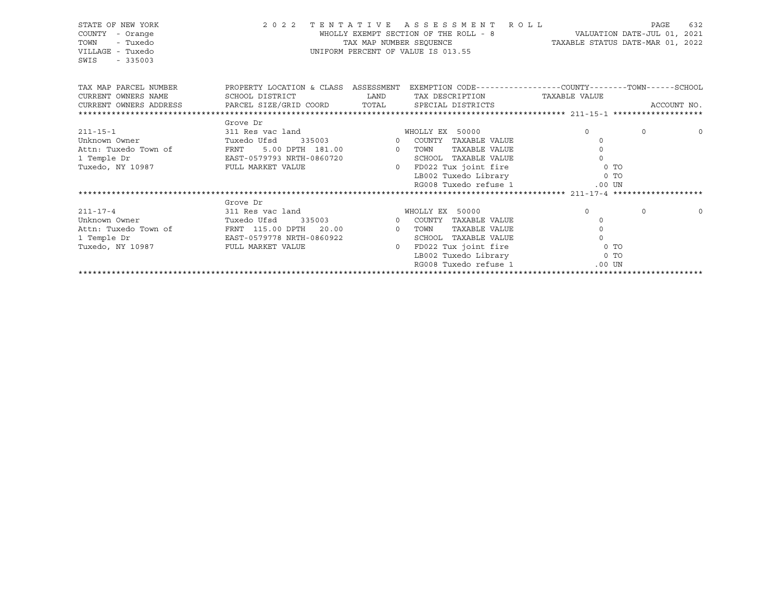| STATE OF NEW YORK<br>COUNTY<br>- Orange<br>TOWN<br>- Tuxedo<br>VILLAGE - Tuxedo<br>SWIS<br>$-335003$ |                                                                                                                                                                   | 2022 TENTATIVE ASSESSMENT ROLL<br>TAX MAP NUMBER SEOUENCE<br>UNIFORM PERCENT OF VALUE IS 013.55 |                        | WHOLLY EXEMPT SECTION OF THE ROLL - 8 VALUATION DATE-JUL 01, 2021<br>TAXABLE STATUS DATE-MAR 01, 2022 | PAGE     | 632      |
|------------------------------------------------------------------------------------------------------|-------------------------------------------------------------------------------------------------------------------------------------------------------------------|-------------------------------------------------------------------------------------------------|------------------------|-------------------------------------------------------------------------------------------------------|----------|----------|
| TAX MAP PARCEL NUMBER<br>CURRENT OWNERS NAME                                                         | PROPERTY LOCATION & CLASS ASSESSMENT EXEMPTION CODE----------------COUNTY-------TOWN------SCHOOL<br>SCHOOL DISTRICT<br><b>EXAMPLE THE STATE OF STATE OF STATE</b> |                                                                                                 | TAX DESCRIPTION        | TAXABLE VALUE                                                                                         |          |          |
|                                                                                                      |                                                                                                                                                                   |                                                                                                 |                        |                                                                                                       |          |          |
|                                                                                                      |                                                                                                                                                                   |                                                                                                 |                        |                                                                                                       |          |          |
|                                                                                                      | Grove Dr                                                                                                                                                          |                                                                                                 |                        |                                                                                                       |          |          |
| $211 - 15 - 1$                                                                                       | 311 Res vac land                                                                                                                                                  |                                                                                                 | WHOLLY EX 50000        | $\Omega$                                                                                              | $\Omega$ | $\Omega$ |
| Unknown Owner                                                                                        | Tuxedo Ufsd                                                                                                                                                       | 335003 0 COUNTY TAXABLE VALUE                                                                   |                        | $\Omega$                                                                                              |          |          |
| Attn: Tuxedo Town of                                                                                 | FRNT 5.00 DPTH 181.00 0 TOWN                                                                                                                                      |                                                                                                 | TAXABLE VALUE          |                                                                                                       |          |          |
| 1 Temple Dr                                                                                          | EAST-0579793 NRTH-0860720                                                                                                                                         |                                                                                                 | SCHOOL TAXABLE VALUE   | $\Omega$                                                                                              |          |          |
| Tuxedo, NY 10987 FULL MARKET VALUE                                                                   |                                                                                                                                                                   |                                                                                                 |                        | 0 FD022 Tux joint fire 0 TO                                                                           |          |          |
|                                                                                                      |                                                                                                                                                                   |                                                                                                 |                        | LB002 Tuxedo Library 6 0 TO                                                                           |          |          |
|                                                                                                      |                                                                                                                                                                   |                                                                                                 | RG008 Tuxedo refuse 1  | $.00$ UN                                                                                              |          |          |
|                                                                                                      |                                                                                                                                                                   |                                                                                                 |                        |                                                                                                       |          |          |
|                                                                                                      | Grove Dr                                                                                                                                                          |                                                                                                 |                        |                                                                                                       |          |          |
| $211 - 17 - 4$                                                                                       | 311 Res vac land                                                                                                                                                  |                                                                                                 | WHOLLY EX 50000        | $\Omega$                                                                                              | $\Omega$ | $\circ$  |
| Unknown Owner                                                                                        | Tuxedo Ufsd                                                                                                                                                       | 335003 0 COUNTY TAXABLE VALUE                                                                   |                        | $\Omega$                                                                                              |          |          |
| Attn: Tuxedo Town of FRNT 115.00 DPTH 20.00 00 TOWN                                                  |                                                                                                                                                                   |                                                                                                 | TAXABLE VALUE          | 0                                                                                                     |          |          |
| 1 Temple Dr                                                                                          | EAST-0579778 NRTH-0860922                                                                                                                                         |                                                                                                 | SCHOOL TAXABLE VALUE   | $\Omega$                                                                                              |          |          |
| Tuxedo, NY 10987                                                                                     | FULL MARKET VALUE                                                                                                                                                 |                                                                                                 | 0 FD022 Tux joint fire | 0 <sub>T</sub>                                                                                        |          |          |
|                                                                                                      |                                                                                                                                                                   |                                                                                                 |                        | LB002 Tuxedo Library 0 TO                                                                             |          |          |
|                                                                                                      |                                                                                                                                                                   |                                                                                                 | RG008 Tuxedo refuse 1  | $.00$ UN                                                                                              |          |          |
|                                                                                                      |                                                                                                                                                                   |                                                                                                 |                        |                                                                                                       |          |          |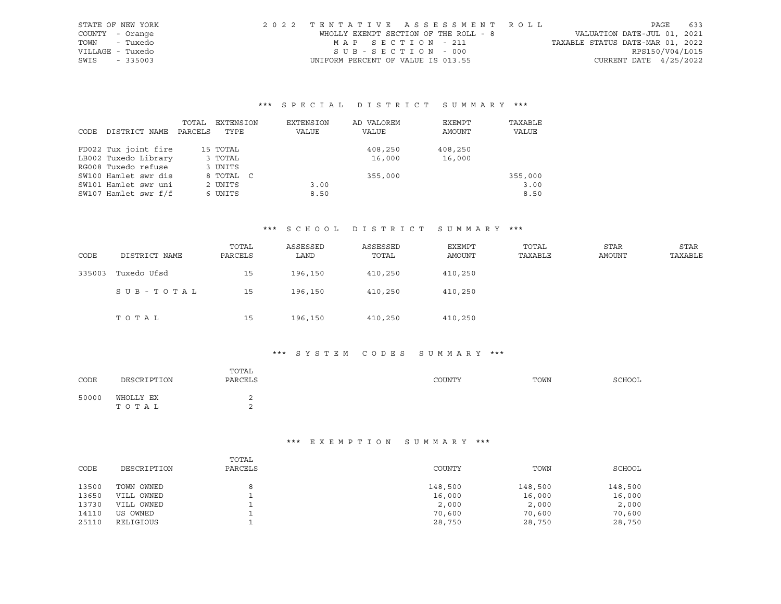| STATE OF NEW YORK | 2022 TENTATIVE ASSESSMENT ROLL        |                                  | PAGE                        | 633 |
|-------------------|---------------------------------------|----------------------------------|-----------------------------|-----|
| COUNTY - Orange   | WHOLLY EXEMPT SECTION OF THE ROLL - 8 |                                  | VALUATION DATE-JUL 01, 2021 |     |
| - Tuxedo<br>TOWN  | MAP SECTION - 211                     | TAXABLE STATUS DATE-MAR 01, 2022 |                             |     |
| VILLAGE - Tuxedo  | SUB-SECTION - 000                     |                                  | RPS150/V04/L015             |     |
| SWIS<br>$-335003$ | UNIFORM PERCENT OF VALUE IS 013.55    |                                  | CURRENT DATE $4/25/2022$    |     |

|      |                      | TOTAL   | EXTENSION | EXTENSION | AD VALOREM | EXEMPT  | TAXABLE |
|------|----------------------|---------|-----------|-----------|------------|---------|---------|
| CODE | DISTRICT NAME        | PARCELS | TYPE      | VALUE     | VALUE      | AMOUNT  | VALUE   |
|      |                      |         |           |           |            |         |         |
|      | FD022 Tux joint fire |         | 15 TOTAL  |           | 408,250    | 408,250 |         |
|      | LB002 Tuxedo Library |         | 3 TOTAL   |           | 16,000     | 16,000  |         |
|      | RG008 Tuxedo refuse  |         | 3 UNITS   |           |            |         |         |
|      | SW100 Hamlet swr dis |         | 8 TOTAL C |           | 355,000    |         | 355,000 |
|      | SW101 Hamlet swr uni |         | 2 UNITS   | 3.00      |            |         | 3.00    |
|      | SW107 Hamlet swr f/f |         | 6 UNITS   | 8.50      |            |         | 8.50    |

#### \*\*\* S C H O O L D I S T R I C T S U M M A R Y \*\*\*

| CODE   | DISTRICT NAME | TOTAL<br>PARCELS | ASSESSED<br>LAND | ASSESSED<br>TOTAL | <b>EXEMPT</b><br>AMOUNT | TOTAL<br>TAXABLE | <b>STAR</b><br>AMOUNT | <b>STAR</b><br>TAXABLE |
|--------|---------------|------------------|------------------|-------------------|-------------------------|------------------|-----------------------|------------------------|
| 335003 | Tuxedo Ufsd   | 15               | 196,150          | 410,250           | 410,250                 |                  |                       |                        |
|        | SUB-TOTAL     | 15               | 196,150          | 410,250           | 410,250                 |                  |                       |                        |
|        | TOTAL         | 15               | 196,150          | 410,250           | 410,250                 |                  |                       |                        |

## \*\*\* S Y S T E M C O D E S S U M M A R Y \*\*\*

| CODE  | DESCRIPTION        | TOTAL<br>PARCELS | COUNTY | TOWN | SCHOOL |
|-------|--------------------|------------------|--------|------|--------|
| 50000 | WHOLLY EX<br>ТОТАЬ |                  |        |      |        |

|       |             | TOTAL   |         |         |         |
|-------|-------------|---------|---------|---------|---------|
| CODE  | DESCRIPTION | PARCELS | COUNTY  | TOWN    | SCHOOL  |
|       |             |         |         |         |         |
| 13500 | TOWN OWNED  | 8       | 148,500 | 148,500 | 148,500 |
| 13650 | VILL OWNED  |         | 16,000  | 16,000  | 16,000  |
| 13730 | VILL OWNED  |         | 2,000   | 2,000   | 2,000   |
| 14110 | US OWNED    |         | 70,600  | 70,600  | 70,600  |
| 25110 | RELIGIOUS   |         | 28,750  | 28,750  | 28,750  |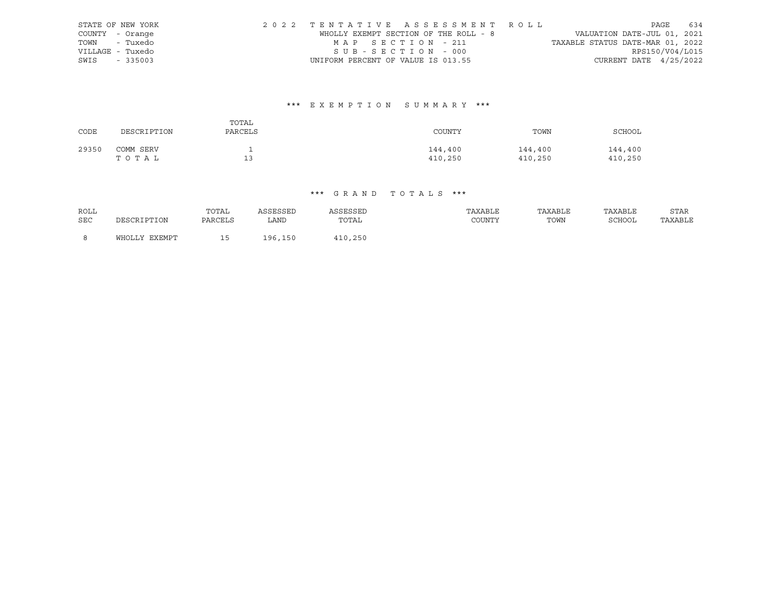| STATE OF NEW YORK | 2022 TENTATIVE ASSESSMENT ROLL        |  |                                  |                          | PAGE 634 |  |
|-------------------|---------------------------------------|--|----------------------------------|--------------------------|----------|--|
| COUNTY - Orange   | WHOLLY EXEMPT SECTION OF THE ROLL - 8 |  | VALUATION DATE-JUL 01, 2021      |                          |          |  |
| TOWN - Tuxedo     | MAP SECTION - 211                     |  | TAXABLE STATUS DATE-MAR 01, 2022 |                          |          |  |
| VILLAGE - Tuxedo  | SUB-SECTION - 000                     |  |                                  | RPS150/V04/L015          |          |  |
| SWIS - 335003     | UNIFORM PERCENT OF VALUE IS 013.55    |  |                                  | CURRENT DATE $4/25/2022$ |          |  |

# \*\*\* E X E M P T I O N S U M M A R Y \*\*\*

| CODE  | DESCRIPTION        | TOTAL<br>PARCELS | COUNTY             | TOWN               | SCHOOL             |
|-------|--------------------|------------------|--------------------|--------------------|--------------------|
| 29350 | COMM SERV<br>TOTAL | 13               | 144,400<br>410,250 | 144,400<br>410,250 | 144,400<br>410,250 |

| ROLL |               | TOTAL   | ASSESSED | ASSESSED | TAXABLE | TAXABLE | TAXABLE | STAR    |
|------|---------------|---------|----------|----------|---------|---------|---------|---------|
| SEC  | DESCRIPTION   | PARCELS | LAND     | TOTAL    | COUNTY  | TOWN    | SCHOOL  | TAXABLE |
|      |               |         |          |          |         |         |         |         |
|      | WHOLLY EXEMPT |         | 196,150  | 410,250  |         |         |         |         |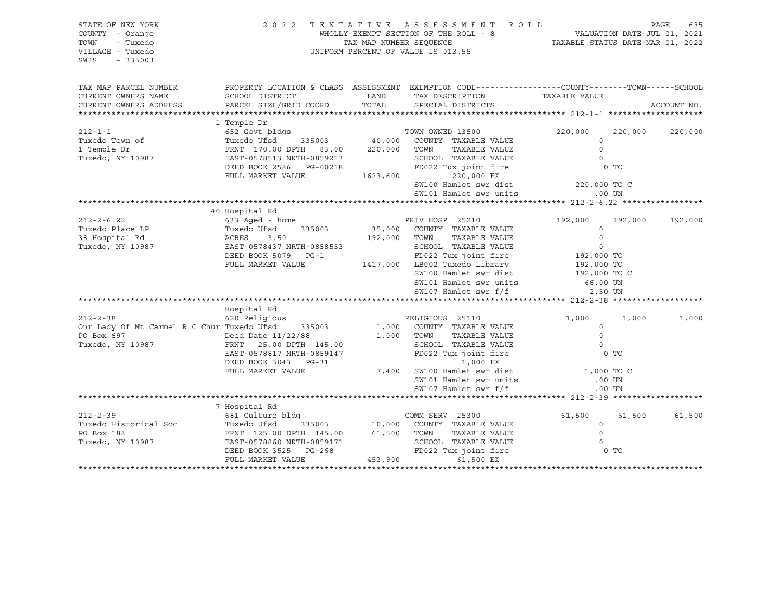| STATE OF NEW YORK<br>COUNTY - Orange<br>- Tuxedo<br>TOWN<br>VILLAGE - Tuxedo<br>SWIS<br>$-335003$ | 2022                                                                              |              | TENTATIVE ASSESSMENT ROLL<br>UNIFORM PERCENT OF VALUE IS 013.55                                  |                     |         | PAGE<br>635 |
|---------------------------------------------------------------------------------------------------|-----------------------------------------------------------------------------------|--------------|--------------------------------------------------------------------------------------------------|---------------------|---------|-------------|
| TAX MAP PARCEL NUMBER                                                                             |                                                                                   |              | PROPERTY LOCATION & CLASS ASSESSMENT EXEMPTION CODE----------------COUNTY-------TOWN------SCHOOL |                     |         |             |
| CURRENT OWNERS NAME                                                                               | SCHOOL DISTRICT                                                                   | LAND         | TAX DESCRIPTION TAXABLE VALUE                                                                    |                     |         |             |
| CURRENT OWNERS ADDRESS                                                                            | PARCEL SIZE/GRID COORD                                                            | TOTAL        | SPECIAL DISTRICTS                                                                                |                     |         | ACCOUNT NO. |
|                                                                                                   | 1 Temple Dr                                                                       |              |                                                                                                  |                     |         |             |
| $212 - 1 - 1$                                                                                     | 652 Govt bldgs                                                                    |              | TOWN OWNED 13500                                                                                 | 220,000             | 220,000 | 220,000     |
| Tuxedo Town of                                                                                    | Tuxedo Ufsd                                                                       |              | 335003 $\frac{1000}{1000}$ COUNTY TAXABLE VALUE                                                  | $\circ$             |         |             |
| 1 Temple Dr                                                                                       | FRNT 170.00 DPTH 83.00 220,000 TOWN                                               |              | TAXABLE VALUE                                                                                    | $\circ$             |         |             |
| Tuxedo, NY 10987                                                                                  | EAST-0578513 NRTH-0859213<br>EAST-0578513 NRTH-0859213                            |              | SCHOOL TAXABLE VALUE                                                                             | $\bigcirc$          |         |             |
|                                                                                                   | DEED BOOK 2586 PG-00218                                                           |              | FD022 Tux joint fire                                                                             |                     | $0$ TO  |             |
|                                                                                                   | FULL MARKET VALUE                                                                 | 1623,600     | 220,000 EX                                                                                       |                     |         |             |
|                                                                                                   |                                                                                   |              | SW100 Hamlet swr dist 220,000 TO C                                                               |                     |         |             |
|                                                                                                   |                                                                                   |              | SW101 Hamlet swr units                                                                           | $.00$ UN            |         |             |
|                                                                                                   | 40 Hospital Rd                                                                    |              |                                                                                                  |                     |         |             |
| $212 - 2 - 6.22$<br>AOSI<br>633<br>Tuxed<br>ACRES<br>EAST                                         | 633 Aged - home                                                                   |              | PRIV HOSP 25210                                                                                  | 192,000             | 192,000 | 192,000     |
| Tuxedo Place LP                                                                                   | Tuxedo Ufsd<br>335003                                                             |              | 35,000 COUNTY TAXABLE VALUE                                                                      | $\mathbf 0$         |         |             |
| 38 Hospital Rd                                                                                    | 3.50                                                                              | 192,000 TOWN | TAXABLE VALUE                                                                                    | $\circ$             |         |             |
| Tuxedo, NY 10987                                                                                  | EAST-0578437 NRTH-0858553                                                         |              | SCHOOL TAXABLE VALUE                                                                             | $\mathbb O$         |         |             |
|                                                                                                   | DEED BOOK 5079 PG-1                                                               |              | FD022 Tux joint fire<br>LB002 Tuxedo Library 192,000 TO<br>192,000 TO                            |                     |         |             |
|                                                                                                   | FULL MARKET VALUE                                                                 |              | 1417,000 LB002 Tuxedo Library                                                                    |                     |         |             |
|                                                                                                   |                                                                                   |              | SW100 Hamlet swr dist                                                                            | 192,000 TO C        |         |             |
|                                                                                                   |                                                                                   |              | SW101 Hamlet swr units                                                                           | 66.00 UN            |         |             |
|                                                                                                   |                                                                                   |              | SW107 Hamlet swr f/f                                                                             | 2.50 UN             |         |             |
|                                                                                                   |                                                                                   |              |                                                                                                  |                     |         |             |
|                                                                                                   | Hospital Rd                                                                       |              |                                                                                                  |                     |         |             |
| $212 - 2 - 38$                                                                                    | 620 Religious                                                                     |              | RELIGIOUS 25110                                                                                  | 1,000               | 1,000   | 1,000       |
| Our Lady Of Mt Carmel R C Chur Tuxedo Ufsd<br>PO Box 697                                          | 335003                                                                            | 1,000        | COUNTY TAXABLE VALUE<br>1,000 TOWN<br>TAXABLE VALUE                                              | $\circ$<br>$\Omega$ |         |             |
| Tuxedo, NY 10987                                                                                  | Deed Date 11/22/88<br>87 FRNT 25.00 DPTH<br>FRNT 25.00 DPTH 145.00                |              | SCHOOL TAXABLE VALUE                                                                             | $\Omega$            |         |             |
|                                                                                                   |                                                                                   |              | FD022 Tux joint fire 0 TO                                                                        |                     |         |             |
|                                                                                                   | EAST-0578817 NRTH-0859147<br>DEED BOOK 3043 DC 31<br>DEED BOOK 3043 PG-31         |              | 1,000 EX                                                                                         |                     |         |             |
|                                                                                                   | FULL MARKET VALUE                                                                 |              | 7,400 SW100 Hamlet swr dist                                                                      | 1,000 TO C          |         |             |
|                                                                                                   |                                                                                   |              | SW101 Hamlet swr units                                                                           | .00 UN              |         |             |
|                                                                                                   |                                                                                   |              | SW107 Hamlet swr f/f                                                                             | $.00$ UN            |         |             |
|                                                                                                   |                                                                                   |              |                                                                                                  |                     |         |             |
|                                                                                                   | 7 Hospital Rd                                                                     |              |                                                                                                  |                     |         |             |
| $212 - 2 - 39$                                                                                    | 681 Culture bldg                                                                  |              | COMM SERV 25300                                                                                  | 61,500              | 61,500  | 61,500      |
|                                                                                                   |                                                                                   |              |                                                                                                  | $\circ$             |         |             |
|                                                                                                   |                                                                                   |              |                                                                                                  | $\Omega$            |         |             |
| Tuxedo, NY 10987                                                                                  |                                                                                   |              | SCHOOL TAXABLE VALUE                                                                             | $\Omega$            | 0 TO    |             |
|                                                                                                   | EAST-0578860 NRTH-0859171 (<br>DEED BOOK 3525 PG-268 (FULL MARKET VALUE (453,900) |              | FD022 Tux joint fire<br>61,500 EX                                                                |                     |         |             |
|                                                                                                   |                                                                                   |              |                                                                                                  |                     |         |             |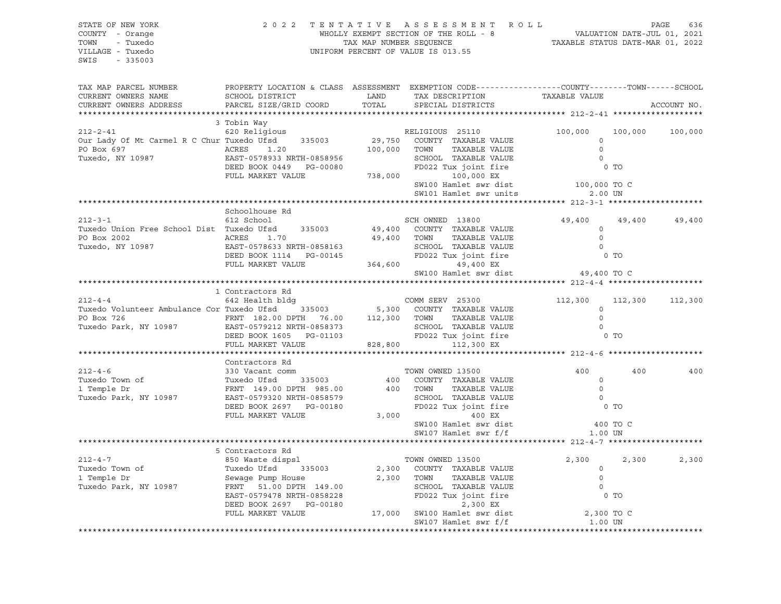| STATE OF NEW YORK<br>COUNTY - Orange<br>TOWN - Tuxedo<br>VILLAGE - Tuxedo<br>SWIS - 335003                                                                                                                                                                                                                                                                                  |                  | $\begin{tabular}{lllllllllllllll} \hline 2&0&2&2&\text{T} & \text{E} & \text{N} & \text{T} & \text{A} & \text{T} & \text{I} & \text{V} & \text{E} & \text{A} & \text{S} & \text{S} & \text{E} & \text{S} & \text{S} & \text{S} & \text{S} & \text{A} & \text{E} & \text{A} & \text{A} & \text{E} & \text{A} & \text{A} & \text{E} & \text{A} & \text{A} & \text{A} & \text{A} & \text{A} & \text{A} & \text{A} & \text{B$ |                                                                                                  |                      |                 |             |
|-----------------------------------------------------------------------------------------------------------------------------------------------------------------------------------------------------------------------------------------------------------------------------------------------------------------------------------------------------------------------------|------------------|---------------------------------------------------------------------------------------------------------------------------------------------------------------------------------------------------------------------------------------------------------------------------------------------------------------------------------------------------------------------------------------------------------------------------|--------------------------------------------------------------------------------------------------|----------------------|-----------------|-------------|
| TAX MAP PARCEL NUMBER<br>CURRENT OWNERS NAME SCHOOL DISTRICT LAND TAX DESCRIPTION TAXABLE VALUE<br>CURRENT OWNERS STARGEL SIZE/GRID COORD TOTAL SPECIAL DISTRICTS TAXABLE VALUE                                                                                                                                                                                             |                  |                                                                                                                                                                                                                                                                                                                                                                                                                           | PROPERTY LOCATION & CLASS ASSESSMENT EXEMPTION CODE----------------COUNTY-------TOWN------SCHOOL |                      |                 | ACCOUNT NO. |
|                                                                                                                                                                                                                                                                                                                                                                             | 3 Tobin Way      |                                                                                                                                                                                                                                                                                                                                                                                                                           |                                                                                                  |                      |                 |             |
|                                                                                                                                                                                                                                                                                                                                                                             |                  |                                                                                                                                                                                                                                                                                                                                                                                                                           |                                                                                                  |                      | 100,000 100,000 |             |
|                                                                                                                                                                                                                                                                                                                                                                             |                  |                                                                                                                                                                                                                                                                                                                                                                                                                           |                                                                                                  |                      |                 |             |
|                                                                                                                                                                                                                                                                                                                                                                             |                  |                                                                                                                                                                                                                                                                                                                                                                                                                           |                                                                                                  |                      |                 |             |
|                                                                                                                                                                                                                                                                                                                                                                             |                  |                                                                                                                                                                                                                                                                                                                                                                                                                           |                                                                                                  |                      |                 |             |
|                                                                                                                                                                                                                                                                                                                                                                             |                  |                                                                                                                                                                                                                                                                                                                                                                                                                           |                                                                                                  |                      |                 |             |
|                                                                                                                                                                                                                                                                                                                                                                             |                  |                                                                                                                                                                                                                                                                                                                                                                                                                           |                                                                                                  | 100,000 TO C         |                 |             |
|                                                                                                                                                                                                                                                                                                                                                                             |                  |                                                                                                                                                                                                                                                                                                                                                                                                                           |                                                                                                  |                      |                 |             |
|                                                                                                                                                                                                                                                                                                                                                                             |                  |                                                                                                                                                                                                                                                                                                                                                                                                                           |                                                                                                  |                      |                 |             |
|                                                                                                                                                                                                                                                                                                                                                                             | Schoolhouse Rd   |                                                                                                                                                                                                                                                                                                                                                                                                                           |                                                                                                  |                      |                 |             |
| $212 - 3 - 1$                                                                                                                                                                                                                                                                                                                                                               | 612 School       |                                                                                                                                                                                                                                                                                                                                                                                                                           |                                                                                                  | 49,400 49,400 49,400 |                 |             |
|                                                                                                                                                                                                                                                                                                                                                                             |                  |                                                                                                                                                                                                                                                                                                                                                                                                                           |                                                                                                  |                      |                 |             |
|                                                                                                                                                                                                                                                                                                                                                                             |                  |                                                                                                                                                                                                                                                                                                                                                                                                                           |                                                                                                  |                      |                 |             |
|                                                                                                                                                                                                                                                                                                                                                                             |                  |                                                                                                                                                                                                                                                                                                                                                                                                                           |                                                                                                  |                      |                 |             |
|                                                                                                                                                                                                                                                                                                                                                                             |                  |                                                                                                                                                                                                                                                                                                                                                                                                                           |                                                                                                  |                      |                 |             |
|                                                                                                                                                                                                                                                                                                                                                                             |                  |                                                                                                                                                                                                                                                                                                                                                                                                                           |                                                                                                  |                      |                 |             |
|                                                                                                                                                                                                                                                                                                                                                                             |                  |                                                                                                                                                                                                                                                                                                                                                                                                                           |                                                                                                  |                      |                 |             |
|                                                                                                                                                                                                                                                                                                                                                                             |                  |                                                                                                                                                                                                                                                                                                                                                                                                                           |                                                                                                  |                      |                 |             |
|                                                                                                                                                                                                                                                                                                                                                                             |                  |                                                                                                                                                                                                                                                                                                                                                                                                                           |                                                                                                  |                      |                 |             |
|                                                                                                                                                                                                                                                                                                                                                                             |                  |                                                                                                                                                                                                                                                                                                                                                                                                                           |                                                                                                  |                      |                 |             |
|                                                                                                                                                                                                                                                                                                                                                                             |                  |                                                                                                                                                                                                                                                                                                                                                                                                                           |                                                                                                  |                      |                 |             |
| 10 Contractors Rd<br>212-4-4<br>212-4-4<br>212-4-4<br>212-300<br>212-300<br>212-300<br>212-300<br>212-300<br>212-300<br>212-300<br>212-300<br>212-300<br>212-300<br>212-300<br>212-300<br>212-300<br>212-300<br>212-300<br>212-300<br>212-300<br>212-300<br>212-300<br>212-3                                                                                                |                  |                                                                                                                                                                                                                                                                                                                                                                                                                           |                                                                                                  |                      |                 |             |
|                                                                                                                                                                                                                                                                                                                                                                             |                  |                                                                                                                                                                                                                                                                                                                                                                                                                           |                                                                                                  |                      |                 |             |
|                                                                                                                                                                                                                                                                                                                                                                             |                  |                                                                                                                                                                                                                                                                                                                                                                                                                           |                                                                                                  |                      |                 |             |
|                                                                                                                                                                                                                                                                                                                                                                             |                  |                                                                                                                                                                                                                                                                                                                                                                                                                           |                                                                                                  |                      |                 |             |
|                                                                                                                                                                                                                                                                                                                                                                             | Contractors Rd   |                                                                                                                                                                                                                                                                                                                                                                                                                           |                                                                                                  |                      | 400             | 400         |
|                                                                                                                                                                                                                                                                                                                                                                             |                  |                                                                                                                                                                                                                                                                                                                                                                                                                           |                                                                                                  |                      |                 |             |
|                                                                                                                                                                                                                                                                                                                                                                             |                  |                                                                                                                                                                                                                                                                                                                                                                                                                           |                                                                                                  |                      |                 |             |
| 212-4-6<br>Tuxedo Town of Tuxedo Ufsd 335003 400 COUNTY TAXABLE VALUE 0<br>Tuxedo Park, NY 10987 EAST-0579320 NRTH-0858579 SCHOOL TAXABLE VALUE 0<br>Tuxedo Park, NY 10987 EAST-0579320 NRTH-0858579 SCHOOL TAXABLE VALUE 0<br>DEED BO                                                                                                                                      |                  |                                                                                                                                                                                                                                                                                                                                                                                                                           |                                                                                                  |                      |                 |             |
|                                                                                                                                                                                                                                                                                                                                                                             |                  |                                                                                                                                                                                                                                                                                                                                                                                                                           |                                                                                                  |                      |                 |             |
|                                                                                                                                                                                                                                                                                                                                                                             |                  |                                                                                                                                                                                                                                                                                                                                                                                                                           |                                                                                                  |                      |                 |             |
|                                                                                                                                                                                                                                                                                                                                                                             |                  |                                                                                                                                                                                                                                                                                                                                                                                                                           | SW100 Hamlet swr dist 100 TO C<br>SW107 Hamlet swr f/f 1.00 UN                                   |                      |                 |             |
|                                                                                                                                                                                                                                                                                                                                                                             |                  |                                                                                                                                                                                                                                                                                                                                                                                                                           |                                                                                                  |                      |                 |             |
|                                                                                                                                                                                                                                                                                                                                                                             |                  |                                                                                                                                                                                                                                                                                                                                                                                                                           |                                                                                                  |                      |                 |             |
|                                                                                                                                                                                                                                                                                                                                                                             | 5 Contractors Rd |                                                                                                                                                                                                                                                                                                                                                                                                                           |                                                                                                  |                      |                 |             |
|                                                                                                                                                                                                                                                                                                                                                                             |                  |                                                                                                                                                                                                                                                                                                                                                                                                                           |                                                                                                  |                      | 2,300           | 2,300       |
|                                                                                                                                                                                                                                                                                                                                                                             |                  |                                                                                                                                                                                                                                                                                                                                                                                                                           |                                                                                                  |                      |                 |             |
|                                                                                                                                                                                                                                                                                                                                                                             |                  |                                                                                                                                                                                                                                                                                                                                                                                                                           |                                                                                                  |                      |                 |             |
| $\begin{array}{cccccc} \texttt{212-4-7} & \texttt{5}\ \texttt{Contractors}\ \texttt{Rd} & \texttt{5}\ \texttt{27,300} & \texttt{27,300} & \texttt{27,300} & \texttt{27,300} & \texttt{27,300} & \texttt{27,300} & \texttt{27,300} & \texttt{27,300} & \texttt{27,300} & \texttt{27,300} & \texttt{27,300} & \texttt{27,300} & \texttt{27,300} & \texttt{27,300} & \texttt{$ |                  |                                                                                                                                                                                                                                                                                                                                                                                                                           |                                                                                                  |                      |                 |             |
|                                                                                                                                                                                                                                                                                                                                                                             |                  |                                                                                                                                                                                                                                                                                                                                                                                                                           |                                                                                                  |                      |                 |             |
|                                                                                                                                                                                                                                                                                                                                                                             |                  |                                                                                                                                                                                                                                                                                                                                                                                                                           |                                                                                                  |                      |                 |             |
|                                                                                                                                                                                                                                                                                                                                                                             |                  |                                                                                                                                                                                                                                                                                                                                                                                                                           |                                                                                                  |                      |                 |             |
|                                                                                                                                                                                                                                                                                                                                                                             |                  |                                                                                                                                                                                                                                                                                                                                                                                                                           |                                                                                                  |                      |                 |             |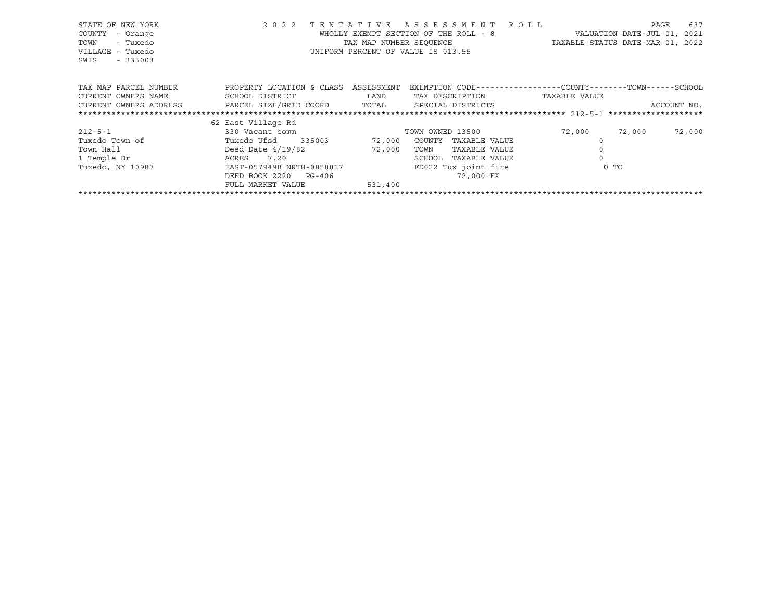| STATE OF NEW YORK<br>COUNTY<br>- Orange<br>- Tuxedo<br>TOWN<br>VILLAGE - Tuxedo<br>$-335003$<br>SWIS | TENTATIVE<br>2 0 2 2      | TAX MAP NUMBER SEOUENCE | A S S E S S M E N T A O L L<br>WHOLLY EXEMPT SECTION OF THE ROLL - 8<br>UNIFORM PERCENT OF VALUE IS 013.55 | VALUATION DATE-JUL 01, 2021<br>TAXABLE STATUS DATE-MAR 01, 2022 | 637<br>PAGE |
|------------------------------------------------------------------------------------------------------|---------------------------|-------------------------|------------------------------------------------------------------------------------------------------------|-----------------------------------------------------------------|-------------|
| TAX MAP PARCEL NUMBER                                                                                | PROPERTY LOCATION & CLASS | ASSESSMENT              |                                                                                                            | EXEMPTION CODE-----------------COUNTY-------TOWN------SCHOOL    |             |
| CURRENT OWNERS NAME                                                                                  | SCHOOL DISTRICT           | LAND                    | TAX DESCRIPTION                                                                                            | TAXABLE VALUE                                                   |             |
| CURRENT OWNERS ADDRESS                                                                               | PARCEL SIZE/GRID COORD    | TOTAL                   | SPECIAL DISTRICTS                                                                                          |                                                                 | ACCOUNT NO. |
|                                                                                                      |                           |                         |                                                                                                            |                                                                 |             |
|                                                                                                      | 62 East Village Rd        |                         |                                                                                                            |                                                                 |             |
| $212 - 5 - 1$                                                                                        | 330 Vacant comm           |                         | TOWN OWNED 13500                                                                                           | 72,000<br>72,000                                                | 72,000      |
| Tuxedo Town of                                                                                       | Tuxedo Ufsd 335003        | 72,000                  | COUNTY<br>TAXABLE VALUE                                                                                    |                                                                 |             |
| Town Hall                                                                                            | Deed Date $4/19/82$       | 72,000                  | TOWN<br>TAXABLE VALUE                                                                                      |                                                                 |             |
| 1 Temple Dr                                                                                          | ACRES<br>7.20             |                         | SCHOOL<br>TAXABLE VALUE                                                                                    |                                                                 |             |
| Tuxedo, NY 10987                                                                                     | EAST-0579498 NRTH-0858817 |                         | FD022 Tux joint fire                                                                                       | $0$ TO                                                          |             |
|                                                                                                      | DEED BOOK 2220<br>PG-406  |                         | 72,000 EX                                                                                                  |                                                                 |             |
|                                                                                                      | FULL MARKET VALUE         | 531,400                 |                                                                                                            |                                                                 |             |
|                                                                                                      |                           |                         |                                                                                                            |                                                                 |             |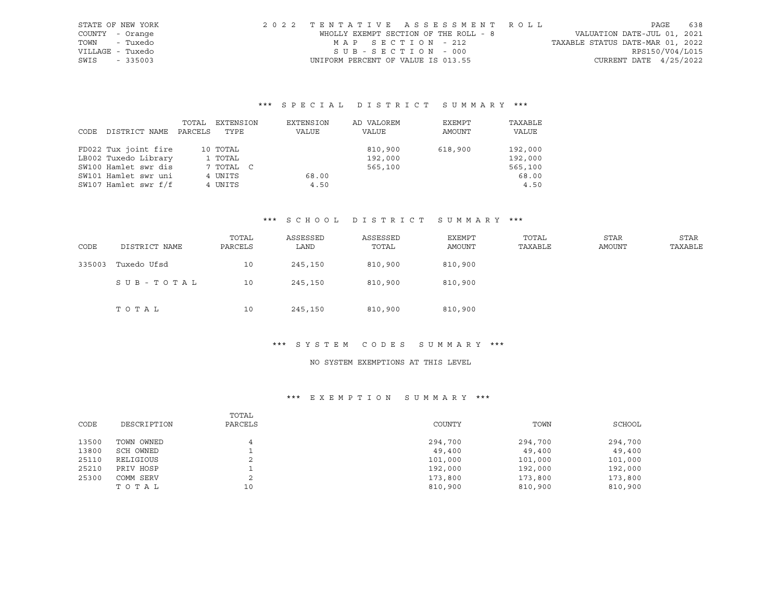| STATE OF NEW YORK | 2022 TENTATIVE ASSESSMENT ROLL        |                                  | PAGE                        | 638 |
|-------------------|---------------------------------------|----------------------------------|-----------------------------|-----|
| COUNTY - Orange   | WHOLLY EXEMPT SECTION OF THE ROLL - 8 |                                  | VALUATION DATE-JUL 01, 2021 |     |
| TOWN - Tuxedo     | MAP SECTION - 212                     | TAXABLE STATUS DATE-MAR 01, 2022 |                             |     |
| VILLAGE - Tuxedo  | SUB-SECTION - 000                     |                                  | RPS150/V04/L015             |     |
| SWIS - 335003     | UNIFORM PERCENT OF VALUE IS 013.55    |                                  | CURRENT DATE $4/25/2022$    |     |

|      |                      | TOTAL   | EXTENSION | EXTENSION | AD VALOREM | EXEMPT  | TAXABLE |
|------|----------------------|---------|-----------|-----------|------------|---------|---------|
| CODE | DISTRICT NAME        | PARCELS | TYPE      | VALUE     | VALUE      | AMOUNT  | VALUE   |
|      |                      |         |           |           |            |         |         |
|      | FD022 Tux joint fire |         | 10 TOTAL  |           | 810,900    | 618,900 | 192,000 |
|      | LB002 Tuxedo Library |         | 1 TOTAL   |           | 192,000    |         | 192,000 |
|      | SW100 Hamlet swr dis |         | 7 TOTAL C |           | 565,100    |         | 565,100 |
|      | SW101 Hamlet swr uni |         | 4 UNITS   | 68.00     |            |         | 68.00   |
|      | SW107 Hamlet swr f/f |         | 4 UNITS   | 4.50      |            |         | 4.50    |

## \*\*\* S C H O O L D I S T R I C T S U M M A R Y \*\*\*

| CODE   | DISTRICT NAME | TOTAL<br>PARCELS | ASSESSED<br>LAND | ASSESSED<br>TOTAL | EXEMPT<br>AMOUNT | TOTAL<br>TAXABLE | <b>STAR</b><br>AMOUNT | <b>STAR</b><br>TAXABLE |
|--------|---------------|------------------|------------------|-------------------|------------------|------------------|-----------------------|------------------------|
| 335003 | Tuxedo Ufsd   | 10               | 245,150          | 810,900           | 810,900          |                  |                       |                        |
|        | SUB-TOTAL     | 10               | 245,150          | 810,900           | 810,900          |                  |                       |                        |
|        | TOTAL         | 10               | 245,150          | 810,900           | 810,900          |                  |                       |                        |

#### \*\*\* S Y S T E M C O D E S S U M M A R Y \*\*\*

#### NO SYSTEM EXEMPTIONS AT THIS LEVEL

|       |             | TOTAL   |         |         |         |
|-------|-------------|---------|---------|---------|---------|
| CODE  | DESCRIPTION | PARCELS | COUNTY  | TOWN    | SCHOOL  |
|       |             |         |         |         |         |
| 13500 | TOWN OWNED  |         | 294,700 | 294,700 | 294,700 |
| 13800 | SCH OWNED   |         | 49,400  | 49,400  | 49,400  |
| 25110 | RELIGIOUS   | z.      | 101,000 | 101,000 | 101,000 |
| 25210 | PRIV HOSP   |         | 192,000 | 192,000 | 192,000 |
| 25300 | COMM SERV   |         | 173,800 | 173,800 | 173,800 |
|       | TOTAL       | 10      | 810,900 | 810,900 | 810,900 |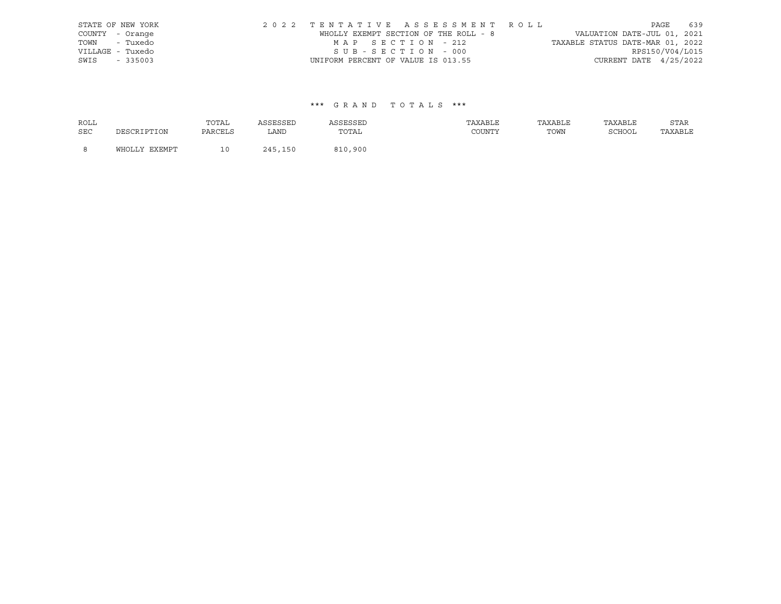|      | STATE OF NEW YORK | 2022 TENTATIVE ASSESSMENT ROLL        |  |                                  |                        | PAGE 639 |
|------|-------------------|---------------------------------------|--|----------------------------------|------------------------|----------|
|      | COUNTY - Orange   | WHOLLY EXEMPT SECTION OF THE ROLL - 8 |  | VALUATION DATE-JUL 01, 2021      |                        |          |
|      | TOWN - Tuxedo     | MAP SECTION - 212                     |  | TAXABLE STATUS DATE-MAR 01, 2022 |                        |          |
|      | VILLAGE - Tuxedo  | SUB-SECTION - 000                     |  |                                  | RPS150/V04/L015        |          |
| SWIS | $-335003$         | UNIFORM PERCENT OF VALUE IS 013.55    |  |                                  | CURRENT DATE 4/25/2022 |          |

| ROLL       |               | TOTAL   | ASSESSED | ASSESSED | TAXABLE | TAXABLE | TAXABLE | STAR    |
|------------|---------------|---------|----------|----------|---------|---------|---------|---------|
| <b>SEC</b> | DESCRIPTION   | PARCELS | LAND     | TOTAL    | COUNTY  | TOWN    | SCHOOL  | TAXABLE |
| - 8        | WHOLLY EXEMPT | 1 N     | 245,150  | 810,900  |         |         |         |         |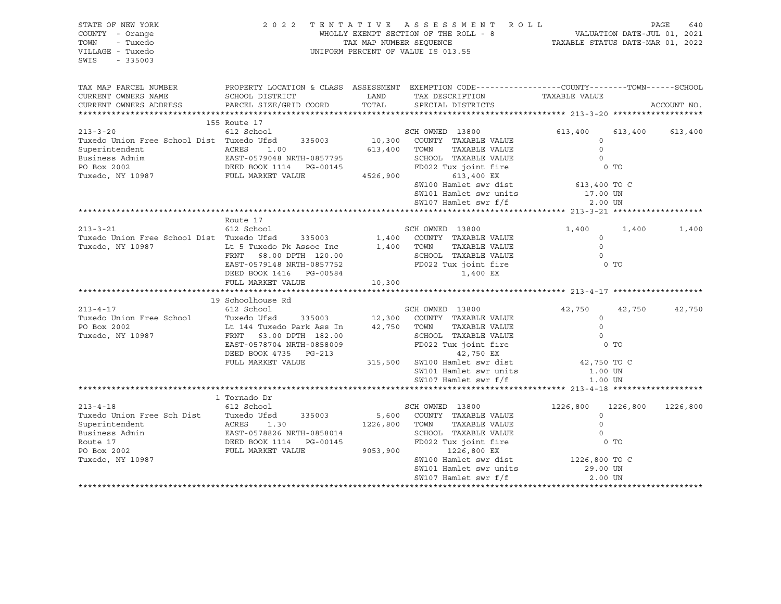| STATE OF NEW YORK<br>COUNTY - Orange<br>TOWN<br>- Tuxedo<br>VILLAGE - Tuxedo<br>SWIS<br>$-335003$                                                                                                                                                                              |                                                                                                                                                                   |                               | 2022 TENTATIVE ASSESSMENT ROLL<br>UNIFORM PERCENT OF VALUE IS 013.55                                                                                                                                            | PAGE<br>640<br>WHOLLY EXEMPT SECTION OF THE ROLL - 8<br>TAX MAP NUMBER SEQUENCE TAX AND NOMBER SEQUENCE TAXABLE STATUS DATE-MAR 01, 2022 |                            |             |
|--------------------------------------------------------------------------------------------------------------------------------------------------------------------------------------------------------------------------------------------------------------------------------|-------------------------------------------------------------------------------------------------------------------------------------------------------------------|-------------------------------|-----------------------------------------------------------------------------------------------------------------------------------------------------------------------------------------------------------------|------------------------------------------------------------------------------------------------------------------------------------------|----------------------------|-------------|
| TAX MAP PARCEL NUMBER<br>CURRENT OWNERS NAME<br>CURRENT OWNERS ADDRESS                                                                                                                                                                                                         | SCHOOL DISTRICT<br>PARCEL SIZE/GRID COORD                                                                                                                         | LAND<br>TOTAL                 | PROPERTY LOCATION & CLASS ASSESSMENT EXEMPTION CODE----------------COUNTY-------TOWN------SCHOOL<br>TAX DESCRIPTION<br>SPECIAL DISTRICTS                                                                        | TAXABLE VALUE                                                                                                                            |                            | ACCOUNT NO. |
|                                                                                                                                                                                                                                                                                | 155 Route 17                                                                                                                                                      |                               |                                                                                                                                                                                                                 |                                                                                                                                          |                            |             |
| $213 - 3 - 20$<br>Tuxedo Union Free School Dist Tuxedo Ufsd<br>Superintendent<br>Business Admim<br>PO Box 2002<br>PO Box 2002<br>Tuxedo, NY 10987                                                                                                                              | 612 School<br>335003<br>ACRES 1.00<br>EAST-0579048 NRTH-0857795<br>PEER POOK 1114 - PC 00145<br>FULL MARKET VALUE                                                 | 4526,900                      | SCH OWNED 13800<br>10,300 COUNTY TAXABLE VALUE<br>613,400 TOWN<br>TAXABLE VALUE<br>SCHOOL TAXABLE VALUE<br>FD022 Tux joint fire<br>613,400 EX<br>SW100 Hamlet swr dist<br>SW101 Hamlet swr units                | 613,400<br>$\circ$<br>$\Omega$<br>$\circ$<br>613,400 TO C<br>17.00 UN                                                                    | 613,400<br>0 TO            | 613,400     |
|                                                                                                                                                                                                                                                                                |                                                                                                                                                                   |                               | SW107 Hamlet swr f/f                                                                                                                                                                                            | 2.00 UN                                                                                                                                  |                            |             |
|                                                                                                                                                                                                                                                                                | Route 17                                                                                                                                                          |                               |                                                                                                                                                                                                                 |                                                                                                                                          |                            |             |
| $213 - 3 - 21$<br>Tuxedo Union Free School Dist Tuxedo Ufsd     335003<br>Tuxedo, NY 10987                                                                                                                                                                                     | 612 School<br>Lt 5 Tuxedo Pk Assoc Inc<br>FRNT 68.00 DPTH 120.00<br>EAST-0579148 NRTH-0857752<br>DEED BOOK 1416    PG-00584<br>FULL MARKET VALUE                  | 1,400<br>1,400<br>10,300      | SCH OWNED 13800<br>COUNTY TAXABLE VALUE<br>TOWN<br>TAXABLE VALUE<br>SCHOOL TAXABLE VALUE<br>FD022 Tux joint fire<br>1,400 EX                                                                                    | 1,400<br>$\circ$<br>$\circ$<br>$\Omega$                                                                                                  | 1,400<br>$0$ TO            | 1,400       |
|                                                                                                                                                                                                                                                                                |                                                                                                                                                                   |                               |                                                                                                                                                                                                                 |                                                                                                                                          |                            |             |
| $213 - 4 - 17$<br>Tuxedo Union Free School Tuxedo Ufsd 335003<br>PO Box 2002<br>Tuxedo, NY 10987                                                                                                                                                                               | 19 Schoolhouse Rd<br>612 School<br>Lt 144 Tuxedo Park Ass In<br>FRNT 63.00 DPTH 182.00<br>EAST-0578704 NRTH-0858009<br>DEED BOOK 4735 PG-213<br>FULL MARKET VALUE | 42,750 TOWN                   | SCH OWNED 13800<br>12,300 COUNTY TAXABLE VALUE<br>TAXABLE VALUE<br>SCHOOL TAXABLE VALUE<br>FD022 Tux joint fire<br>42,750 EX<br>315,500 SW100 Hamlet swr dist<br>SW101 Hamlet swr units<br>SW107 Hamlet swr f/f | 42,750<br>$\circ$<br>$\Omega$<br>$\circ$<br>42,750 TO C<br>1.00 UN<br>1.00 UN                                                            | 42,750<br>0 TO             | 42,750      |
|                                                                                                                                                                                                                                                                                |                                                                                                                                                                   |                               |                                                                                                                                                                                                                 |                                                                                                                                          |                            |             |
| $213 - 4 - 18$<br>Tuxedo Union Free Sch Dist<br>Tuxedo Ufsd<br>Superintendent<br>Route 17<br>Business Admin<br>Route 17<br>TUI MADYET VALUE<br>TUI MADYET VALUE<br>TUI MADYET VALUE<br>TUI MADYET VALUE<br>Superintendent<br>Business Admin<br>PO Box 2002<br>Tuxedo, NY 10987 | 1 Tornado Dr<br>612 School<br>EAST-0578826 NRTH-0858014<br>FULL MARKET VALUE                                                                                      | 5,600<br>1226,800<br>9053,900 | SCH OWNED 13800<br>COUNTY TAXABLE VALUE<br>TAXABLE VALUE<br>TOWN<br>SCHOOL TAXABLE VALUE<br>FD022 Tux joint fire<br>1226,800 EX<br>SW100 Hamlet swr dist<br>SW101 Hamlet swr units<br>SW107 Hamlet swr f/f      | 1226,800<br>$\Omega$<br>$\Omega$<br>$\Omega$<br>1226,800 TO C<br>29.00 UN<br>2.00 UN                                                     | 1226,800<br>0 <sub>T</sub> | 1226,800    |
|                                                                                                                                                                                                                                                                                |                                                                                                                                                                   |                               |                                                                                                                                                                                                                 |                                                                                                                                          |                            |             |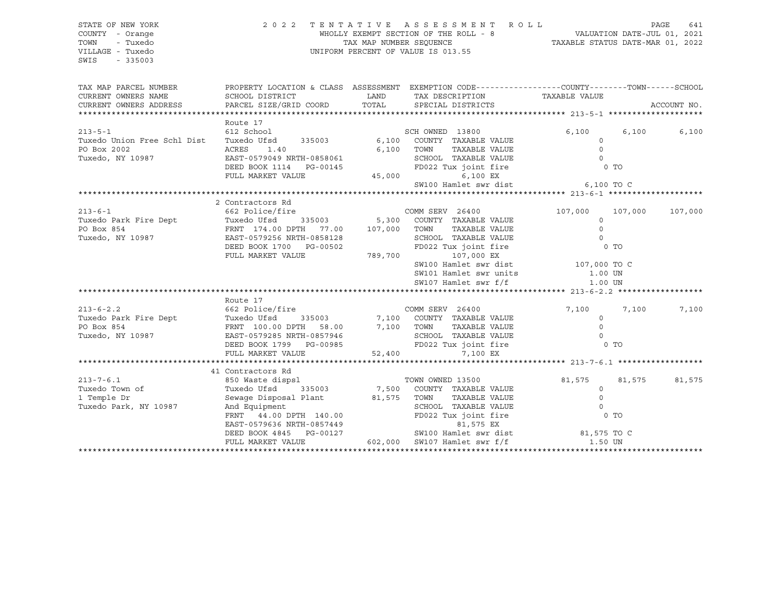| STATE OF NEW YORK                                                                                                                                                                                                                                          |                                                                                                                                                                                                                                        | 2022 TENTATIVE ASSESSMENT ROLL                                                                                                           |                         | PAGE<br>641      |
|------------------------------------------------------------------------------------------------------------------------------------------------------------------------------------------------------------------------------------------------------------|----------------------------------------------------------------------------------------------------------------------------------------------------------------------------------------------------------------------------------------|------------------------------------------------------------------------------------------------------------------------------------------|-------------------------|------------------|
| COUNTY - Orange                                                                                                                                                                                                                                            |                                                                                                                                                                                                                                        |                                                                                                                                          |                         |                  |
| TOWN<br>- Tuxedo                                                                                                                                                                                                                                           |                                                                                                                                                                                                                                        | WHOLLY EXEMPT SECTION OF THE ROLL - 8<br>TAX MAP NUMBER SEQUENCE<br>TAXABLE STATUS DATE-MAR 01, 2022<br>TAXABLE STATUS DATE-MAR 01, 2022 |                         |                  |
| VILLAGE - Tuxedo                                                                                                                                                                                                                                           |                                                                                                                                                                                                                                        | UNIFORM PERCENT OF VALUE IS 013.55                                                                                                       |                         |                  |
| SWIS<br>$-335003$                                                                                                                                                                                                                                          |                                                                                                                                                                                                                                        |                                                                                                                                          |                         |                  |
|                                                                                                                                                                                                                                                            |                                                                                                                                                                                                                                        |                                                                                                                                          |                         |                  |
| TAX MAP PARCEL NUMBER THE PROPERTY LOCATION & CLASS ASSESSMENT EXEMPTION CODE---------------COUNTY--------TOWN------SCHOOL                                                                                                                                 |                                                                                                                                                                                                                                        |                                                                                                                                          |                         |                  |
| CURRENT OWNERS NAME                                                                                                                                                                                                                                        | SCHOOL DISTRICT                                                                                                                                                                                                                        | )N & CLASS ASSESSMENT EAERLY COMPUTER<br>LAND TAX DESCRIPTION TAXABLE VALUE                                                              |                         |                  |
| CURRENT OWNERS ADDRESS                                                                                                                                                                                                                                     | PARCEL SIZE/GRID COORD TOTAL SPECIAL DISTRICTS                                                                                                                                                                                         |                                                                                                                                          |                         | ACCOUNT NO.      |
|                                                                                                                                                                                                                                                            |                                                                                                                                                                                                                                        |                                                                                                                                          |                         |                  |
|                                                                                                                                                                                                                                                            | Route 17                                                                                                                                                                                                                               |                                                                                                                                          |                         |                  |
| $213 - 5 - 1$                                                                                                                                                                                                                                              | 612 School                                                                                                                                                                                                                             | SCH OWNED 13800                                                                                                                          | 6,100                   | 6,100<br>6,100   |
| Tuxedo Union Free Schl Dist                                                                                                                                                                                                                                |                                                                                                                                                                                                                                        | Tuxedo Ufsd 335003 6,100 COUNTY TAXABLE VALUE                                                                                            | $\circ$                 |                  |
| PO Box 2002                                                                                                                                                                                                                                                |                                                                                                                                                                                                                                        |                                                                                                                                          |                         |                  |
| Tuxedo, NY 10987                                                                                                                                                                                                                                           |                                                                                                                                                                                                                                        |                                                                                                                                          |                         |                  |
|                                                                                                                                                                                                                                                            |                                                                                                                                                                                                                                        |                                                                                                                                          |                         |                  |
|                                                                                                                                                                                                                                                            |                                                                                                                                                                                                                                        |                                                                                                                                          |                         |                  |
|                                                                                                                                                                                                                                                            | ACRES 1.40 6,100 TOWN TAXABLE VALUE 0<br>EAST-0579049 NRTH-0858061 6,100 TOWN TAXABLE VALUE 0<br>DEED BOOK 1114 PG-00145 FD022 Tux joint fire 0 TO<br>FULL MARKET VALUE 45,000 6,100 EX<br>SW100 Hamlet swr dist 6,100 TO C            |                                                                                                                                          |                         |                  |
|                                                                                                                                                                                                                                                            |                                                                                                                                                                                                                                        |                                                                                                                                          |                         |                  |
|                                                                                                                                                                                                                                                            | 2 Contractors Rd                                                                                                                                                                                                                       |                                                                                                                                          |                         |                  |
| $213 - 6 - 1$                                                                                                                                                                                                                                              |                                                                                                                                                                                                                                        |                                                                                                                                          | 107,000 107,000 107,000 |                  |
|                                                                                                                                                                                                                                                            |                                                                                                                                                                                                                                        |                                                                                                                                          |                         |                  |
|                                                                                                                                                                                                                                                            |                                                                                                                                                                                                                                        |                                                                                                                                          |                         |                  |
|                                                                                                                                                                                                                                                            |                                                                                                                                                                                                                                        |                                                                                                                                          |                         |                  |
|                                                                                                                                                                                                                                                            |                                                                                                                                                                                                                                        |                                                                                                                                          |                         |                  |
| 213-6-1<br>Tuxedo Park Fire Dept<br>PO Box 854<br>PO Box 854<br>Tuxedo, NY 10987<br>Tuxedo, NY 10987<br>PO Box 854<br>EAST-0579256 NRTH-0858128<br>DEED BOOK 1700<br>PO BOX 1700<br>DEED BOOK 1700<br>PO PG-00502<br>PO PG-00502<br>PO PG-00502<br>PO 22 T |                                                                                                                                                                                                                                        |                                                                                                                                          |                         |                  |
|                                                                                                                                                                                                                                                            |                                                                                                                                                                                                                                        | SW100 Hamlet swr dist<br>SW101 Hamlet swr units<br>SW107 Hamlet swr f/f<br>1.00 UN<br>1.00 UN                                            |                         |                  |
|                                                                                                                                                                                                                                                            |                                                                                                                                                                                                                                        |                                                                                                                                          |                         |                  |
|                                                                                                                                                                                                                                                            |                                                                                                                                                                                                                                        |                                                                                                                                          |                         |                  |
|                                                                                                                                                                                                                                                            |                                                                                                                                                                                                                                        |                                                                                                                                          |                         |                  |
|                                                                                                                                                                                                                                                            | Route 17                                                                                                                                                                                                                               |                                                                                                                                          |                         |                  |
| $213 - 6 - 2.2$                                                                                                                                                                                                                                            | 662 Police/fire COMM SERV 26400                                                                                                                                                                                                        |                                                                                                                                          | 7,100                   | 7,100<br>7,100   |
|                                                                                                                                                                                                                                                            |                                                                                                                                                                                                                                        |                                                                                                                                          |                         |                  |
|                                                                                                                                                                                                                                                            |                                                                                                                                                                                                                                        |                                                                                                                                          |                         |                  |
|                                                                                                                                                                                                                                                            |                                                                                                                                                                                                                                        |                                                                                                                                          |                         |                  |
|                                                                                                                                                                                                                                                            |                                                                                                                                                                                                                                        |                                                                                                                                          |                         |                  |
| 213-6-2.2<br>Tuxedo Park Fire Dept<br>PO Box 854<br>Tuxedo, NY 10987<br>Tuxedo, NY 10987<br>Tuxedo, NY 10987<br>Tuxedo, NY 10987<br>Tuxedo, NY 10987<br>CEED BOOK 1799<br>DEED BOOK 1799<br>PG-00985<br>FD022 Tux joint fire<br>FD022 Tux joint fire<br>   |                                                                                                                                                                                                                                        |                                                                                                                                          |                         |                  |
|                                                                                                                                                                                                                                                            |                                                                                                                                                                                                                                        |                                                                                                                                          |                         |                  |
|                                                                                                                                                                                                                                                            |                                                                                                                                                                                                                                        |                                                                                                                                          |                         |                  |
|                                                                                                                                                                                                                                                            |                                                                                                                                                                                                                                        |                                                                                                                                          | 81,575                  | 81,575<br>81,575 |
|                                                                                                                                                                                                                                                            |                                                                                                                                                                                                                                        |                                                                                                                                          |                         |                  |
|                                                                                                                                                                                                                                                            |                                                                                                                                                                                                                                        |                                                                                                                                          |                         |                  |
| - CONCLOCUTS Rd<br>Tuxedo Town of Tuxedo Town of Tuxedo Ufsd 335003 7,500 COUNTY TAXABLE VALUE<br>Tuxedo Park, NY 10987 And Equipment<br>Tuxedo Park, NY 10987 And Equipment<br>Tuxedo Park, NY 10987 And Equipment                                        |                                                                                                                                                                                                                                        |                                                                                                                                          |                         |                  |
|                                                                                                                                                                                                                                                            |                                                                                                                                                                                                                                        |                                                                                                                                          |                         |                  |
|                                                                                                                                                                                                                                                            |                                                                                                                                                                                                                                        |                                                                                                                                          |                         |                  |
|                                                                                                                                                                                                                                                            |                                                                                                                                                                                                                                        |                                                                                                                                          |                         |                  |
|                                                                                                                                                                                                                                                            | EXERCISE OF THE CONTRAINING COUNTRAINS ON THE CASE OF SAMPLE VALUE<br>Sewage Disposal Plant and Equipment SCHOOL TAXABLE VALUE<br>And Equipment SCHOOL TAXABLE VALUE<br>FRNT 44.00 DPTH 140.00 FD022 Tux joint fire 0 TO<br>EAST-05796 |                                                                                                                                          |                         |                  |
|                                                                                                                                                                                                                                                            |                                                                                                                                                                                                                                        |                                                                                                                                          |                         |                  |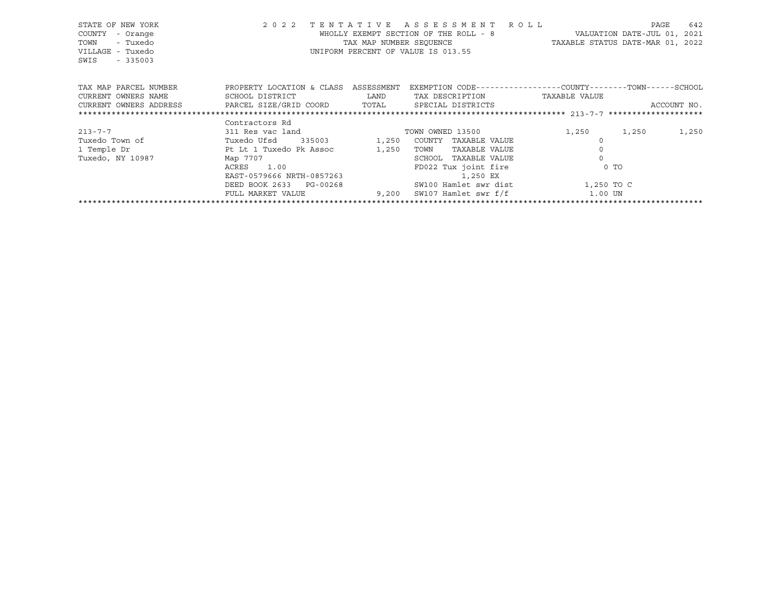| STATE OF NEW YORK<br>COUNTY<br>- Orange<br>TOWN<br>- Tuxedo<br>VILLAGE - Tuxedo<br>SWIS - 335003                                                |                                                                                                                                                                                                                                                                                                                                                                                                                                                                                                                                                                                                                                                               |       | 2022 TENTATIVE ASSESSMENT ROLL<br>UNIFORM PERCENT OF VALUE IS 013.55                 | WHOLLY EXEMPT SECTION OF THE ROLL - 8 VALUATION DATE-JUL 01, 2021<br>TAX MAP NUMBER SEQUENCE TAXABLE STATUS DATE-MAR 01, 2022 | PAGE<br>642    |
|-------------------------------------------------------------------------------------------------------------------------------------------------|---------------------------------------------------------------------------------------------------------------------------------------------------------------------------------------------------------------------------------------------------------------------------------------------------------------------------------------------------------------------------------------------------------------------------------------------------------------------------------------------------------------------------------------------------------------------------------------------------------------------------------------------------------------|-------|--------------------------------------------------------------------------------------|-------------------------------------------------------------------------------------------------------------------------------|----------------|
| TAX MAP PARCEL NUMBER TROPERTY LOCATION & CLASS ASSESSMENT<br>CURRENT OWNERS ADDRESS     PARCEL SIZE/GRID COORD     TOTAL     SPECIAL DISTRICTS |                                                                                                                                                                                                                                                                                                                                                                                                                                                                                                                                                                                                                                                               |       |                                                                                      | EXEMPTION CODE-----------------COUNTY-------TOWN------SCHOOL                                                                  | ACCOUNT NO.    |
|                                                                                                                                                 |                                                                                                                                                                                                                                                                                                                                                                                                                                                                                                                                                                                                                                                               |       |                                                                                      |                                                                                                                               |                |
| $213 - 7 - 7$<br>Tuxedo Town of<br>1 Temple Dr<br>Tuxedo, NY 10987                                                                              | Contractors Rd<br>311 Res vac land TOWN OWNED 13500<br>Tuxedo Ufsd 335003 1,250 COUNTY TAXABLE VALUE<br>Pt Lt 1 Tuxedo Pk Assoc<br>Map 7707<br>$\begin{tabular}{ll} ACRES & 1.00 \\ EAST-0579666 \\ NRTH-0857263 \\ \end{tabular} \hspace{1.5cm} \begin{tabular}{ll} \bf{RO22} T \\ \bf{F} \\ \bf{R} \\ \bf{R} \\ \bf{S} \\ \bf{S} \\ \bf{S} \\ \bf{S} \\ \bf{S} \\ \bf{S} \\ \bf{S} \\ \bf{S} \\ \bf{S} \\ \bf{S} \\ \bf{S} \\ \bf{S} \\ \bf{S} \\ \bf{S} \\ \bf{S} \\ \bf{S} \\ \bf{S} \\ \bf{S} \\ \bf{S} \\ \bf{S} \\ \bf{S} \\ \bf{$<br>DEED BOOK 2633 PG-00268 SW100 Hamlet swr dist 1,250 TO C<br>FULL MARKET VALUE 9,200 SW107 Hamlet swr f/f 1.00 UN | 1,250 | TOWN<br>TAXABLE VALUE<br>SCHOOL<br>TAXABLE VALUE<br>FD022 Tux joint fire<br>1,250 EX | 1,250<br>0 TO                                                                                                                 | 1,250<br>1,250 |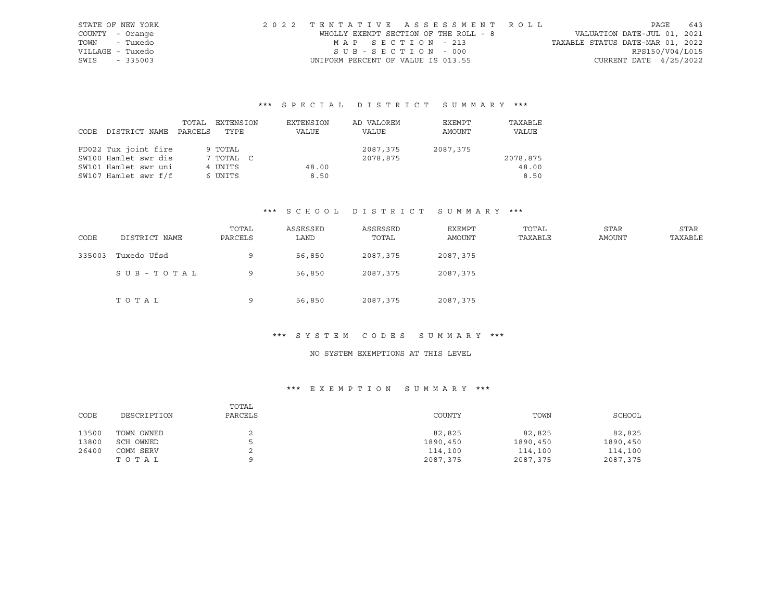|                  | STATE OF NEW YORK | 2022 TENTATIVE ASSESSMENT ROLL        |  |                                  |                          | PAGE | 643 |
|------------------|-------------------|---------------------------------------|--|----------------------------------|--------------------------|------|-----|
| COUNTY - Orange  |                   | WHOLLY EXEMPT SECTION OF THE ROLL - 8 |  | VALUATION DATE-JUL 01, 2021      |                          |      |     |
|                  | TOWN - Tuxedo     | MAP SECTION - 213                     |  | TAXABLE STATUS DATE-MAR 01, 2022 |                          |      |     |
| VILLAGE - Tuxedo |                   | SUB-SECTION - 000                     |  |                                  | RPS150/V04/L015          |      |     |
| SWIS - 335003    |                   | UNIFORM PERCENT OF VALUE IS 013.55    |  |                                  | CURRENT DATE $4/25/2022$ |      |     |

|      |                      | TOTAL   | EXTENSION | EXTENSION | AD VALOREM | EXEMPT   | TAXABLE  |
|------|----------------------|---------|-----------|-----------|------------|----------|----------|
| CODE | DISTRICT NAME        | PARCELS | TYPE      | VALUE     | VALUE      | AMOUNT   | VALUE    |
|      |                      |         |           |           |            |          |          |
|      | FD022 Tux joint fire |         | 9 TOTAL   |           | 2087,375   | 2087,375 |          |
|      | SW100 Hamlet swr dis |         | 7 TOTAL C |           | 2078,875   |          | 2078,875 |
|      | SW101 Hamlet swr uni |         | 4 UNITS   | 48.00     |            |          | 48.00    |
|      | SW107 Hamlet swr f/f |         | 6 UNITS   | 8.50      |            |          | 8.50     |

#### \*\*\* S C H O O L D I S T R I C T S U M M A R Y \*\*\*

| CODE   | DISTRICT NAME | TOTAL<br>PARCELS | ASSESSED<br>LAND | ASSESSED<br>TOTAL | EXEMPT<br>AMOUNT | TOTAL<br>TAXABLE | STAR<br>AMOUNT | STAR<br>TAXABLE |
|--------|---------------|------------------|------------------|-------------------|------------------|------------------|----------------|-----------------|
| 335003 | Tuxedo Ufsd   | 9                | 56,850           | 2087,375          | 2087,375         |                  |                |                 |
|        | SUB-TOTAL     | 9                | 56,850           | 2087,375          | 2087,375         |                  |                |                 |
|        | TOTAL         | 9                | 56,850           | 2087,375          | 2087,375         |                  |                |                 |

#### \*\*\* S Y S T E M C O D E S S U M M A R Y \*\*\*

### NO SYSTEM EXEMPTIONS AT THIS LEVEL

| CODE  | DESCRIPTION | TOTAL<br>PARCELS | COUNTY   | TOWN     | SCHOOL   |
|-------|-------------|------------------|----------|----------|----------|
| 13500 | TOWN OWNED  | ▵                | 82,825   | 82,825   | 82,825   |
| 13800 | SCH OWNED   |                  | 1890,450 | 1890,450 | 1890,450 |
| 26400 | COMM SERV   | ▵                | 114,100  | 114,100  | 114,100  |
|       | ТОТАЬ       |                  | 2087,375 | 2087,375 | 2087,375 |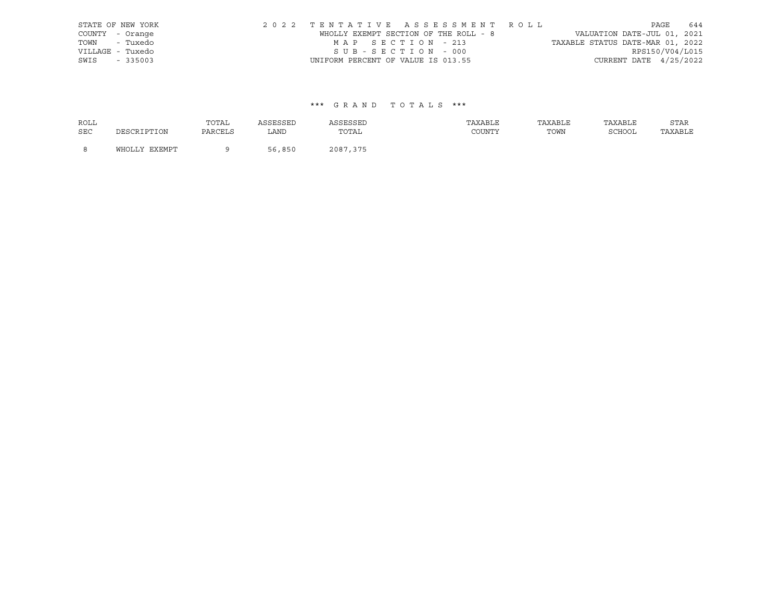| STATE OF NEW YORK | 2022 TENTATIVE ASSESSMENT ROLL        |                                  | PAGE            | 644 |
|-------------------|---------------------------------------|----------------------------------|-----------------|-----|
| COUNTY - Orange   | WHOLLY EXEMPT SECTION OF THE ROLL - 8 | VALUATION DATE-JUL 01, 2021      |                 |     |
| TOWN - Tuxedo     | MAP SECTION - 213                     | TAXABLE STATUS DATE-MAR 01, 2022 |                 |     |
| VILLAGE - Tuxedo  | SUB-SECTION - 000                     |                                  | RPS150/V04/L015 |     |
| SWIS - 335003     | UNIFORM PERCENT OF VALUE IS 013.55    | CURRENT DATE $4/25/2022$         |                 |     |

| <b>ROLL</b> |               | TOTAL   | ASSESSED | ASSESSED | TAXABLE | TAXABLE | TAXABLE | STAR    |
|-------------|---------------|---------|----------|----------|---------|---------|---------|---------|
| <b>SEC</b>  | DESCRIPTION   | PARCELS | LAND     | TOTAL    | COUNTY  | TOWN    | SCHOOL  | TAXABLE |
| - 8         | WHOLLY EXEMPT |         | 56,850   | 2087,375 |         |         |         |         |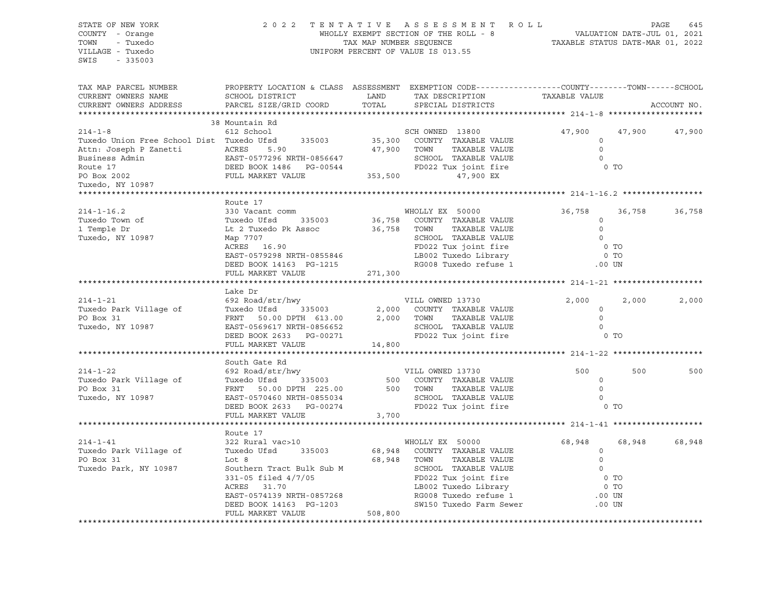| STATE OF NEW YORK<br>COUNTY - Orange<br>TOWN - Tuxedo<br>VILLAGE - Tuxedo<br>SWIS - 335003 |                              |       |                                                                                                                                                                                                                                            | $\begin{tabular}{lllllllllllllllll} \hline 2&0&2&2&\text{T} &\text{E} &\text{N} &\text{T} &\text{A} &\text{T} &\text{I} &\text{V} &\text{E} &\text{A} &\text{S} &\text{E} &\text{S} &\text{S} &\text{M} &\text{E} &\text{N} &\text{T} &\text{R} &\text{O} &\text{L} &\text{D} &\text{D} &\text{A} &\text{G} &\text{E} &\text{A} &\text{G} &\text{A} &\text{A} &\text{A} &\text{B} &\text{A$ |               |             |  |
|--------------------------------------------------------------------------------------------|------------------------------|-------|--------------------------------------------------------------------------------------------------------------------------------------------------------------------------------------------------------------------------------------------|---------------------------------------------------------------------------------------------------------------------------------------------------------------------------------------------------------------------------------------------------------------------------------------------------------------------------------------------------------------------------------------------|---------------|-------------|--|
| TAX MAP PARCEL NUMBER<br>CURRENT OWNERS NAME<br>CURRENT OWNERS ADDRESS                     | PARCEL SIZE/GRID COORD       |       | PROPERTY LOCATION & CLASS ASSESSMENT EXEMPTION CODE---------------COUNTY-------TOWN-----SCHOOL                                                                                                                                             |                                                                                                                                                                                                                                                                                                                                                                                             |               | ACCOUNT NO. |  |
|                                                                                            | 38 Mountain Rd               |       |                                                                                                                                                                                                                                            |                                                                                                                                                                                                                                                                                                                                                                                             |               |             |  |
|                                                                                            |                              |       |                                                                                                                                                                                                                                            | 47,900                                                                                                                                                                                                                                                                                                                                                                                      | 47,900 47,900 |             |  |
|                                                                                            |                              |       |                                                                                                                                                                                                                                            |                                                                                                                                                                                                                                                                                                                                                                                             |               |             |  |
|                                                                                            |                              |       |                                                                                                                                                                                                                                            | $\begin{matrix}0\\0\\0\end{matrix}$                                                                                                                                                                                                                                                                                                                                                         |               |             |  |
|                                                                                            |                              |       |                                                                                                                                                                                                                                            | $\overline{0}$                                                                                                                                                                                                                                                                                                                                                                              |               |             |  |
|                                                                                            |                              |       |                                                                                                                                                                                                                                            | 0 <sub>T</sub>                                                                                                                                                                                                                                                                                                                                                                              |               |             |  |
|                                                                                            |                              |       |                                                                                                                                                                                                                                            |                                                                                                                                                                                                                                                                                                                                                                                             |               |             |  |
|                                                                                            |                              |       |                                                                                                                                                                                                                                            |                                                                                                                                                                                                                                                                                                                                                                                             |               |             |  |
|                                                                                            | Route 17                     |       |                                                                                                                                                                                                                                            |                                                                                                                                                                                                                                                                                                                                                                                             |               |             |  |
|                                                                                            |                              |       |                                                                                                                                                                                                                                            | 36,758                                                                                                                                                                                                                                                                                                                                                                                      | 36,758 36,758 |             |  |
|                                                                                            |                              |       |                                                                                                                                                                                                                                            | $\circ$                                                                                                                                                                                                                                                                                                                                                                                     |               |             |  |
|                                                                                            |                              |       |                                                                                                                                                                                                                                            | $\begin{matrix}0\\0\end{matrix}$                                                                                                                                                                                                                                                                                                                                                            |               |             |  |
|                                                                                            |                              |       |                                                                                                                                                                                                                                            |                                                                                                                                                                                                                                                                                                                                                                                             |               |             |  |
|                                                                                            |                              |       |                                                                                                                                                                                                                                            | $0$ TO                                                                                                                                                                                                                                                                                                                                                                                      |               |             |  |
|                                                                                            |                              |       |                                                                                                                                                                                                                                            | 0 <sub>T</sub>                                                                                                                                                                                                                                                                                                                                                                              |               |             |  |
|                                                                                            |                              |       |                                                                                                                                                                                                                                            | .00 UN                                                                                                                                                                                                                                                                                                                                                                                      |               |             |  |
|                                                                                            |                              |       |                                                                                                                                                                                                                                            |                                                                                                                                                                                                                                                                                                                                                                                             |               |             |  |
|                                                                                            | Lake Dr                      |       |                                                                                                                                                                                                                                            |                                                                                                                                                                                                                                                                                                                                                                                             |               |             |  |
| $214 - 1 - 21$                                                                             |                              |       |                                                                                                                                                                                                                                            | 2,000                                                                                                                                                                                                                                                                                                                                                                                       | 2,000         | 2,000       |  |
| Tuxedo Park Village of                                                                     |                              |       |                                                                                                                                                                                                                                            | $\circ$                                                                                                                                                                                                                                                                                                                                                                                     |               |             |  |
| PO Box 31                                                                                  |                              |       |                                                                                                                                                                                                                                            | $\overline{0}$                                                                                                                                                                                                                                                                                                                                                                              |               |             |  |
| Tuxedo, NY 10987                                                                           |                              |       |                                                                                                                                                                                                                                            | $\overline{0}$                                                                                                                                                                                                                                                                                                                                                                              |               |             |  |
|                                                                                            |                              |       | Lake Dr<br>692 Road/str/hwy<br>Tuxedo Ufsd 335003 2,000 COUNTY TAXABLE VALUE<br>FRNT 50.00 DPTH 613.00 2,000 TOWN TAXABLE VALUE<br>EAST-0569617 NRTH-0856652 SCHOOL TAXABLE VALUE<br>NARTH-0856652 SCHOOL TAXABLE VALUE<br>NARTH-0856652 S | 0 <sub>T</sub>                                                                                                                                                                                                                                                                                                                                                                              |               |             |  |
|                                                                                            |                              |       |                                                                                                                                                                                                                                            |                                                                                                                                                                                                                                                                                                                                                                                             |               |             |  |
|                                                                                            | South Gate Rd                |       |                                                                                                                                                                                                                                            |                                                                                                                                                                                                                                                                                                                                                                                             |               |             |  |
|                                                                                            |                              |       |                                                                                                                                                                                                                                            |                                                                                                                                                                                                                                                                                                                                                                                             | 500           | 500         |  |
|                                                                                            |                              |       |                                                                                                                                                                                                                                            |                                                                                                                                                                                                                                                                                                                                                                                             |               |             |  |
|                                                                                            |                              |       |                                                                                                                                                                                                                                            |                                                                                                                                                                                                                                                                                                                                                                                             |               |             |  |
|                                                                                            |                              |       |                                                                                                                                                                                                                                            |                                                                                                                                                                                                                                                                                                                                                                                             |               |             |  |
|                                                                                            |                              |       |                                                                                                                                                                                                                                            |                                                                                                                                                                                                                                                                                                                                                                                             |               |             |  |
|                                                                                            | FULL MARKET VALUE            | 3,700 |                                                                                                                                                                                                                                            |                                                                                                                                                                                                                                                                                                                                                                                             |               |             |  |
|                                                                                            |                              |       |                                                                                                                                                                                                                                            |                                                                                                                                                                                                                                                                                                                                                                                             |               |             |  |
| $214 - 1 - 41$                                                                             | Route 17<br>322 Rural vac>10 |       |                                                                                                                                                                                                                                            | 68,948                                                                                                                                                                                                                                                                                                                                                                                      | 68,948        | 68,948      |  |
| Tuxedo Park Village of                                                                     | Tuxedo Ufsd 335003           |       | WHOLLY EX 50000<br>68,948 COUNTY TAXABLE VALUE                                                                                                                                                                                             |                                                                                                                                                                                                                                                                                                                                                                                             |               |             |  |
| PO Box 31                                                                                  |                              |       |                                                                                                                                                                                                                                            | $\begin{array}{c} 0 \\ 0 \end{array}$                                                                                                                                                                                                                                                                                                                                                       |               |             |  |
| Tuxedo Park, NY 10987                                                                      |                              |       |                                                                                                                                                                                                                                            |                                                                                                                                                                                                                                                                                                                                                                                             |               |             |  |
|                                                                                            |                              |       |                                                                                                                                                                                                                                            |                                                                                                                                                                                                                                                                                                                                                                                             |               |             |  |
|                                                                                            |                              |       |                                                                                                                                                                                                                                            |                                                                                                                                                                                                                                                                                                                                                                                             |               |             |  |
|                                                                                            |                              |       |                                                                                                                                                                                                                                            |                                                                                                                                                                                                                                                                                                                                                                                             |               |             |  |
|                                                                                            |                              |       |                                                                                                                                                                                                                                            |                                                                                                                                                                                                                                                                                                                                                                                             |               |             |  |
|                                                                                            |                              |       |                                                                                                                                                                                                                                            |                                                                                                                                                                                                                                                                                                                                                                                             |               |             |  |
|                                                                                            |                              |       |                                                                                                                                                                                                                                            |                                                                                                                                                                                                                                                                                                                                                                                             |               |             |  |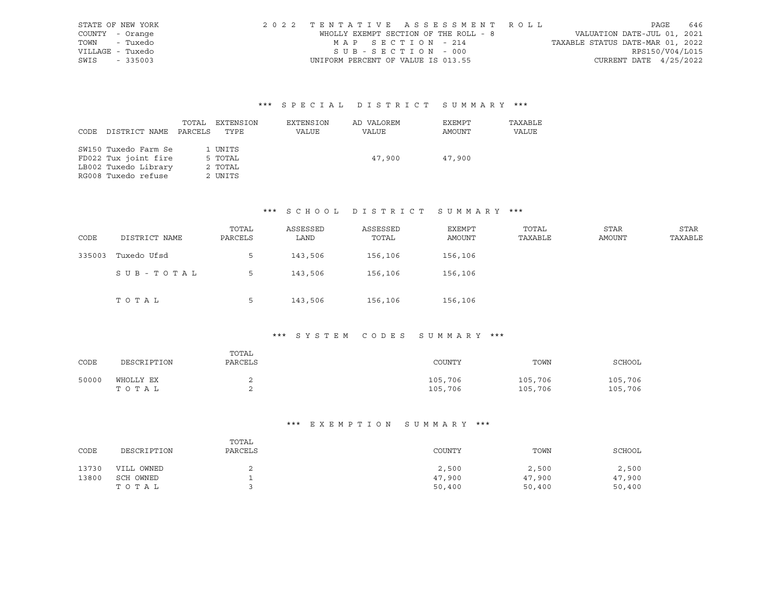| STATE OF NEW YORK | 2022 TENTATIVE ASSESSMENT ROLL        |                                  | PAGE                        | 646 |
|-------------------|---------------------------------------|----------------------------------|-----------------------------|-----|
| COUNTY - Orange   | WHOLLY EXEMPT SECTION OF THE ROLL - 8 |                                  | VALUATION DATE-JUL 01, 2021 |     |
| TOWN - Tuxedo     | MAP SECTION - 214                     | TAXABLE STATUS DATE-MAR 01, 2022 |                             |     |
| VILLAGE - Tuxedo  | SUB-SECTION - 000                     |                                  | RPS150/V04/L015             |     |
| SWIS - 335003     | UNIFORM PERCENT OF VALUE IS 013.55    |                                  | CURRENT DATE $4/25/2022$    |     |

|      |                      | TOTAL   | EXTENSION | EXTENSION | AD VALOREM | EXEMPT | TAXABLE |
|------|----------------------|---------|-----------|-----------|------------|--------|---------|
| CODE | DISTRICT NAME        | PARCELS | TYPE      | VALUE     | VALUE      | AMOUNT | VALUE   |
|      |                      |         |           |           |            |        |         |
|      | SW150 Tuxedo Farm Se |         | 1 UNITS   |           |            |        |         |
|      | FD022 Tux joint fire |         | 5 TOTAL   |           | 47,900     | 47,900 |         |
|      | LB002 Tuxedo Library |         | 2 TOTAL   |           |            |        |         |
|      | RG008 Tuxedo refuse  |         | 2 UNITS   |           |            |        |         |

#### \*\*\* S C H O O L D I S T R I C T S U M M A R Y \*\*\*

| CODE   | DISTRICT NAME | TOTAL<br>PARCELS | ASSESSED<br>LAND | ASSESSED<br>TOTAL | EXEMPT<br>AMOUNT | TOTAL<br>TAXABLE | STAR<br>AMOUNT | <b>STAR</b><br>TAXABLE |
|--------|---------------|------------------|------------------|-------------------|------------------|------------------|----------------|------------------------|
| 335003 | Tuxedo Ufsd   | 5.               | 143,506          | 156,106           | 156,106          |                  |                |                        |
|        | SUB-TOTAL     | 5                | 143,506          | 156,106           | 156,106          |                  |                |                        |
|        | TOTAL         | 5                | 143,506          | 156,106           | 156,106          |                  |                |                        |

### \*\*\* S Y S T E M C O D E S S U M M A R Y \*\*\*

| CODE  | DESCRIPTION        | TOTAL<br>PARCELS | COUNTY             | TOWN               | SCHOOL             |
|-------|--------------------|------------------|--------------------|--------------------|--------------------|
| 50000 | WHOLLY EX<br>TOTAL |                  | 105,706<br>105,706 | 105,706<br>105,706 | 105,706<br>105,706 |

| CODE  | DESCRIPTION | TOTAL<br>PARCELS | COUNTY | TOWN   | SCHOOL |
|-------|-------------|------------------|--------|--------|--------|
| 13730 | VILL OWNED  | ∸                | 2,500  | 2,500  | 2,500  |
| 13800 | SCH OWNED   |                  | 47,900 | 47,900 | 47,900 |
|       | TOTAL       |                  | 50,400 | 50,400 | 50,400 |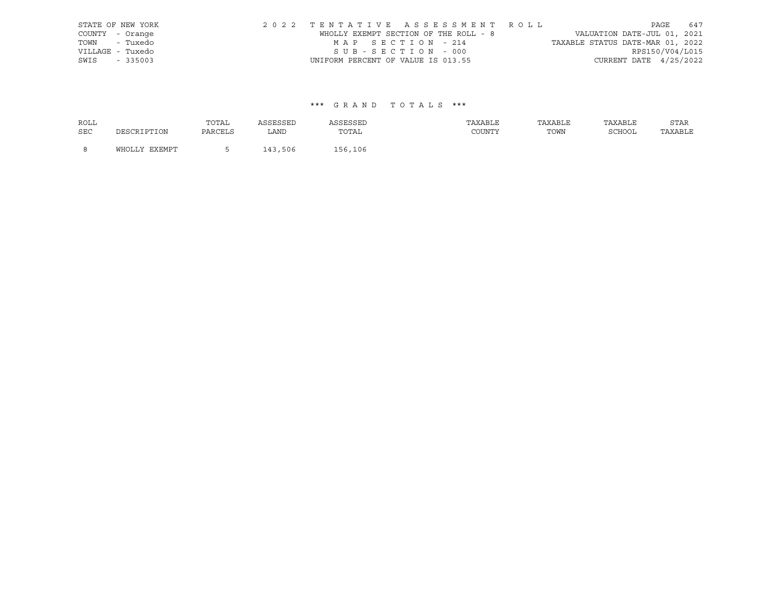| STATE OF NEW YORK | 2022 TENTATIVE ASSESSMENT ROLL        |                                  | PAGE                     | 647 |
|-------------------|---------------------------------------|----------------------------------|--------------------------|-----|
| COUNTY - Orange   | WHOLLY EXEMPT SECTION OF THE ROLL - 8 | VALUATION DATE-JUL 01, 2021      |                          |     |
| TOWN - Tuxedo     | MAP SECTION - 214                     | TAXABLE STATUS DATE-MAR 01, 2022 |                          |     |
| VILLAGE - Tuxedo  | SUB-SECTION - 000                     |                                  | RPS150/V04/L015          |     |
| SWIS - 335003     | UNIFORM PERCENT OF VALUE IS 013.55    |                                  | CURRENT DATE $4/25/2022$ |     |

| ROLL       |               | TOTAL   | ASSESSED | ASSESSED | TAXABLE | TAXABLE | TAXABLE | STAR    |
|------------|---------------|---------|----------|----------|---------|---------|---------|---------|
| <b>SEC</b> | DESCRIPTION   | PARCELS | LAND     | TOTAL    | COUNTY  | TOWN    | SCHOOL  | TAXABLE |
|            |               |         |          |          |         |         |         |         |
| - 8        | WHOLLY EXEMPT |         | 143,506  | 156,106  |         |         |         |         |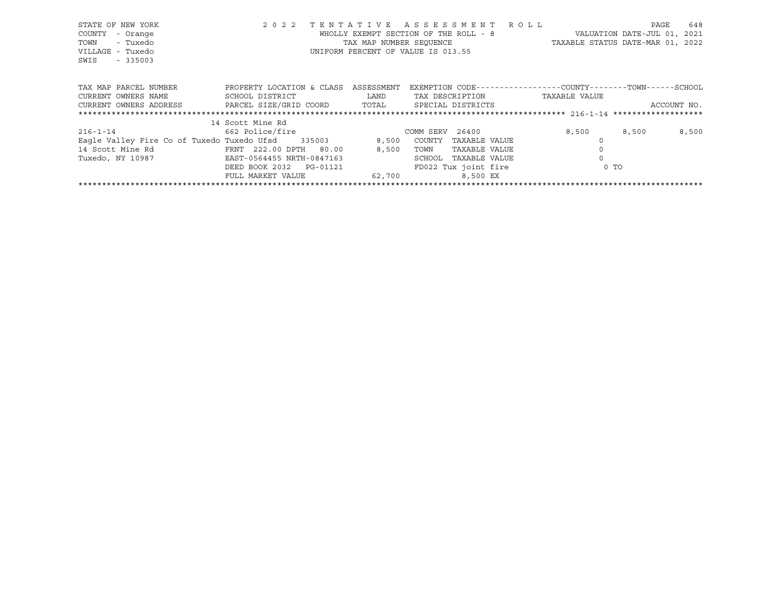| STATE OF NEW YORK<br>COUNTY<br>- Orange<br>TOWN<br>- Tuxedo<br>VILLAGE - Tuxedo<br>SWIS<br>$-335003$ | 2 0 2 2<br>TENTATIVE         | TAX MAP NUMBER SEOUENCE | ASSESSMENT ROLL<br>WHOLLY EXEMPT SECTION OF THE ROLL - 8<br>UNIFORM PERCENT OF VALUE IS 013.55 | VALUATION DATE-JUL 01,<br>TAXABLE STATUS DATE-MAR 01, 2022 | 648<br>PAGE<br>2021 |
|------------------------------------------------------------------------------------------------------|------------------------------|-------------------------|------------------------------------------------------------------------------------------------|------------------------------------------------------------|---------------------|
| TAX MAP PARCEL NUMBER                                                                                | PROPERTY LOCATION & CLASS    | ASSESSMENT              | EXEMPTION CODE-----------------COUNTY-------TOWN------SCHOOL                                   |                                                            |                     |
| CURRENT OWNERS NAME                                                                                  | SCHOOL DISTRICT              | LAND                    | TAX DESCRIPTION                                                                                | TAXABLE VALUE                                              |                     |
| CURRENT OWNERS ADDRESS                                                                               | PARCEL SIZE/GRID COORD TOTAL |                         | SPECIAL DISTRICTS                                                                              |                                                            | ACCOUNT NO.         |
|                                                                                                      |                              |                         |                                                                                                |                                                            |                     |
|                                                                                                      | 14 Scott Mine Rd             |                         |                                                                                                |                                                            |                     |
| $216 - 1 - 14$                                                                                       | 662 Police/fire              |                         | COMM SERV 26400                                                                                | 8,500                                                      | 8,500<br>8,500      |
| Eagle Valley Fire Co of Tuxedo Tuxedo Ufsd 335003                                                    |                              | 8,500                   | COUNTY<br>TAXABLE VALUE                                                                        |                                                            |                     |
| 14 Scott Mine Rd                                                                                     | FRNT 222.00 DPTH 80.00       | 8,500                   | TAXABLE VALUE<br>TOWN                                                                          |                                                            |                     |
| Tuxedo, NY 10987                                                                                     | EAST-0564455 NRTH-0847163    |                         | SCHOOL<br>TAXABLE VALUE                                                                        |                                                            |                     |
|                                                                                                      | DEED BOOK 2032<br>PG-01121   |                         | FD022 Tux joint fire                                                                           | 0 <sub>T</sub>                                             |                     |
|                                                                                                      | FULL MARKET VALUE            | 62,700                  | 8,500 EX                                                                                       |                                                            |                     |
|                                                                                                      |                              |                         |                                                                                                |                                                            |                     |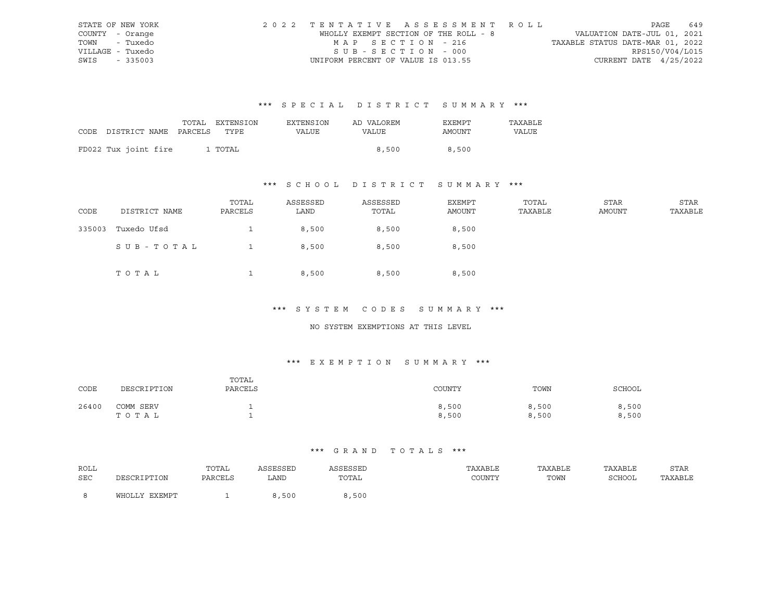|                  | STATE OF NEW YORK | 2022 TENTATIVE ASSESSMENT ROLL        |  |                                  |                          | PAGE | 649 |
|------------------|-------------------|---------------------------------------|--|----------------------------------|--------------------------|------|-----|
| COUNTY - Orange  |                   | WHOLLY EXEMPT SECTION OF THE ROLL - 8 |  | VALUATION DATE-JUL 01, 2021      |                          |      |     |
| TOWN - Tuxedo    |                   | MAP SECTION - 216                     |  | TAXABLE STATUS DATE-MAR 01, 2022 |                          |      |     |
| VILLAGE - Tuxedo |                   | SUB-SECTION - 000                     |  |                                  | RPS150/V04/L015          |      |     |
| SWIS - 335003    |                   | UNIFORM PERCENT OF VALUE IS 013.55    |  |                                  | CURRENT DATE $4/25/2022$ |      |     |

|      |                            | TOTAL EXTENSION | <b>EXTENSION</b> | AD VALOREM | EXEMPT | TAXABLE |
|------|----------------------------|-----------------|------------------|------------|--------|---------|
| CODE | DISTRICT NAME PARCELS TYPE |                 | VALUE            | VALUE      | AMOUNT | VALUE   |
|      |                            |                 |                  |            |        |         |
|      | FD022 Tux joint fire       | 1 TOTAL         |                  | 8,500      | 8,500  |         |

# \*\*\* S C H O O L D I S T R I C T S U M M A R Y \*\*\*

| CODE   | DISTRICT NAME | TOTAL<br>PARCELS | ASSESSED<br>LAND | ASSESSED<br>TOTAL | EXEMPT<br>AMOUNT | TOTAL<br>TAXABLE | STAR<br>AMOUNT | STAR<br>TAXABLE |
|--------|---------------|------------------|------------------|-------------------|------------------|------------------|----------------|-----------------|
| 335003 | Tuxedo Ufsd   |                  | 8,500            | 8,500             | 8,500            |                  |                |                 |
|        | SUB-TOTAL     |                  | 8,500            | 8,500             | 8,500            |                  |                |                 |
|        | TOTAL         |                  | 8,500            | 8,500             | 8,500            |                  |                |                 |

#### \*\*\* S Y S T E M C O D E S S U M M A R Y \*\*\*

#### NO SYSTEM EXEMPTIONS AT THIS LEVEL

### \*\*\* E X E M P T I O N S U M M A R Y \*\*\*

| CODE  | DESCRIPTION        | TOTAL<br>PARCELS | COUNTY         | TOWN           | SCHOOL         |
|-------|--------------------|------------------|----------------|----------------|----------------|
| 26400 | COMM SERV<br>TOTAL |                  | 8,500<br>8,500 | 8,500<br>8,500 | 8,500<br>8,500 |

| ROLL |                   | TOTAL   | <b>\SSESSED</b> | ASSESSEL                                                 | TAXABLE | TAXABLE | TAXABLE     | STAR    |
|------|-------------------|---------|-----------------|----------------------------------------------------------|---------|---------|-------------|---------|
| SEC  | זור חיים דפר סידר | PARCELS | LAND            | TOTAL<br>the contract of the contract of the contract of | COUNTY  | TOWN    | SCHOOL<br>. | TAXABLE |
|      | WHOLLY EXEMPT     |         | 3,500           | ,500                                                     |         |         |             |         |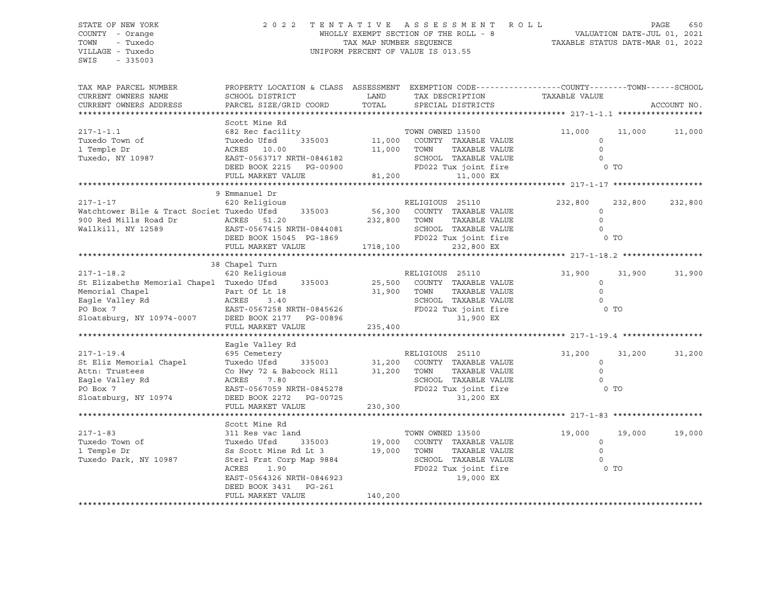SWIS - 335003

#### STATE OF NEW YORK 2 0 2 2 T E N T A T I V E A S S E S S M E N T R O L L PAGE 650 COUNTY - Orange WHOLLY EXEMPT SECTION OF THE ROLL - 8 VALUATION DATE-JUL 01, 2021 TOWN - Tuxedo TAX MAP NUMBER SEQUENCE TAXABLE STATUS DATE-MAR 01, 2022 VILLAGE - Tuxedo UNIFORM PERCENT OF VALUE IS 013.55

TAX MAP PARCEL NUMBER PROPERTY LOCATION & CLASS ASSESSMENT EXEMPTION CODE------------------COUNTY--------TOWN------SCHOOL CURRENT OWNERS NAME SCHOOL DISTRICT TAX DAND TAX DESCRIPTION TAXABLE VALUE CURRENT OWNERS ADDRESS PARCEL SIZE/GRID COORD TOTAL SPECIAL DISTRICTS ACCOUNT NO. \*\*\*\*\*\*\*\*\*\*\*\*\*\*\*\*\*\*\*\*\*\*\*\*\*\*\*\*\*\*\*\*\*\*\*\*\*\*\*\*\*\*\*\*\*\*\*\*\*\*\*\*\*\*\*\*\*\*\*\*\*\*\*\*\*\*\*\*\*\*\*\*\*\*\*\*\*\*\*\*\*\*\*\*\*\*\*\*\*\*\*\*\*\*\*\*\*\*\*\*\*\*\* 217-1-1.1 \*\*\*\*\*\*\*\*\*\*\*\*\*\*\*\*\*\* Scott Mine Rd 217-1-1.1 682 Rec facility TOWN OWNED 13500 11,000 11,000 11,000 Tuxedo Town of Tuxedo Ufsd 335003 11,000 COUNTY TAXABLE VALUE 0 1 Temple Dr ACRES 10.00 11,000 TOWN TAXABLE VALUE 0 Tuxedo, NY 10987 EAST-0563717 NRTH-0846182 SCHOOL TAXABLE VALUE 0 DEED BOOK 2215 PG-00900 FD022 Tux joint fire 6 O TO FULL MARKET VALUE 81,200 11,000 EX \*\*\*\*\*\*\*\*\*\*\*\*\*\*\*\*\*\*\*\*\*\*\*\*\*\*\*\*\*\*\*\*\*\*\*\*\*\*\*\*\*\*\*\*\*\*\*\*\*\*\*\*\*\*\*\*\*\*\*\*\*\*\*\*\*\*\*\*\*\*\*\*\*\*\*\*\*\*\*\*\*\*\*\*\*\*\*\*\*\*\*\*\*\*\*\*\*\*\*\*\*\*\* 217-1-17 \*\*\*\*\*\*\*\*\*\*\*\*\*\*\*\*\*\*\* 9 Emmanuel Dr 217-1-17 620 Religious RELIGIOUS 25110 232,800 232,800 232,800 Watchtower Bile & Tract Societ Tuxedo Ufsd 335003 56,300 COUNTY TAXABLE VALUE 0 900 Red Mills Road Dr ACRES 51.20 232,800 TOWN TAXABLE VALUE 0 Wallkill, NY 12589 EAST-0567415 NRTH-0844081 SCHOOL TAXABLE VALUE 0 DEED BOOK 15045 PG-1869 FD022 Tux joint fire 6 O TO FULL MARKET VALUE 1718,100 232,800 EX \*\*\*\*\*\*\*\*\*\*\*\*\*\*\*\*\*\*\*\*\*\*\*\*\*\*\*\*\*\*\*\*\*\*\*\*\*\*\*\*\*\*\*\*\*\*\*\*\*\*\*\*\*\*\*\*\*\*\*\*\*\*\*\*\*\*\*\*\*\*\*\*\*\*\*\*\*\*\*\*\*\*\*\*\*\*\*\*\*\*\*\*\*\*\*\*\*\*\*\*\*\*\* 217-1-18.2 \*\*\*\*\*\*\*\*\*\*\*\*\*\*\*\*\* 38 Chapel Turn 217-1-18.2 620 Religious RELIGIOUS 25110 31,900 31,900 31,900 St Elizabeths Memorial Chapel Tuxedo Ufsd 335003 25,500 COUNTY TAXABLE VALUE 0 Memorial Chapel Part Of Lt 18 31,900 TOWN TAXABLE VALUE 0 Eagle Valley Rd ACRES 3.40 SCHOOL TAXABLE VALUE 0 PO Box 7 EAST-0567258 NRTH-0845626 FD022 Tux joint fire 0 TO Sloatsburg, NY 10974-0007 DEED BOOK 2177 PG-00896 31,900 EX FULL MARKET VALUE 235,400 \*\*\*\*\*\*\*\*\*\*\*\*\*\*\*\*\*\*\*\*\*\*\*\*\*\*\*\*\*\*\*\*\*\*\*\*\*\*\*\*\*\*\*\*\*\*\*\*\*\*\*\*\*\*\*\*\*\*\*\*\*\*\*\*\*\*\*\*\*\*\*\*\*\*\*\*\*\*\*\*\*\*\*\*\*\*\*\*\*\*\*\*\*\*\*\*\*\*\*\*\*\*\* 217-1-19.4 \*\*\*\*\*\*\*\*\*\*\*\*\*\*\*\*\* Eagle Valley Rd 217-1-19.4 695 Cemetery RELIGIOUS 25110 31,200 31,200 31,200 St Eliz Memorial Chapel Tuxedo Ufsd 335003 31,200 COUNTY TAXABLE VALUE 0 Attn: Trustees Co Hwy 72 & Babcock Hill 31,200 TOWN TAXABLE VALUE 0 Eagle Valley Rd ACRES 7.80 SCHOOL TAXABLE VALUE 0 PO Box 7 EAST-0567059 NRTH-0845278 FD022 Tux joint fire 0 TO Sloatsburg, NY 10974 DEED BOOK 2272 PG-00725 31,200 EX FULL MARKET VALUE 230,300 \*\*\*\*\*\*\*\*\*\*\*\*\*\*\*\*\*\*\*\*\*\*\*\*\*\*\*\*\*\*\*\*\*\*\*\*\*\*\*\*\*\*\*\*\*\*\*\*\*\*\*\*\*\*\*\*\*\*\*\*\*\*\*\*\*\*\*\*\*\*\*\*\*\*\*\*\*\*\*\*\*\*\*\*\*\*\*\*\*\*\*\*\*\*\*\*\*\*\*\*\*\*\* 217-1-83 \*\*\*\*\*\*\*\*\*\*\*\*\*\*\*\*\*\*\* Scott Mine Rd<br>311 Res vac land 217-1-83 311 Res vac land TOWN OWNED 13500 19,000 19,000 19,000 Tuxedo Town of Tuxedo Ufsd 335003 19,000 COUNTY TAXABLE VALUE 0 1 Temple Dr Ss Scott Mine Rd Lt 3 19,000 TOWN TAXABLE VALUE 0 Tuxedo Park, NY 10987 Sterl Frst Corp Map 9884 SCHOOL TAXABLE VALUE 0 ACRES 1.90 CONTROLLER TO THE REDUCE TUX joint fire the control of the control of the product of the product of the  $0$  TO EAST-0564326 NRTH-0846923 19,000 EX DEED BOOK 3431 PG-261 FULL MARKET VALUE 140,200 \*\*\*\*\*\*\*\*\*\*\*\*\*\*\*\*\*\*\*\*\*\*\*\*\*\*\*\*\*\*\*\*\*\*\*\*\*\*\*\*\*\*\*\*\*\*\*\*\*\*\*\*\*\*\*\*\*\*\*\*\*\*\*\*\*\*\*\*\*\*\*\*\*\*\*\*\*\*\*\*\*\*\*\*\*\*\*\*\*\*\*\*\*\*\*\*\*\*\*\*\*\*\*\*\*\*\*\*\*\*\*\*\*\*\*\*\*\*\*\*\*\*\*\*\*\*\*\*\*\*\*\*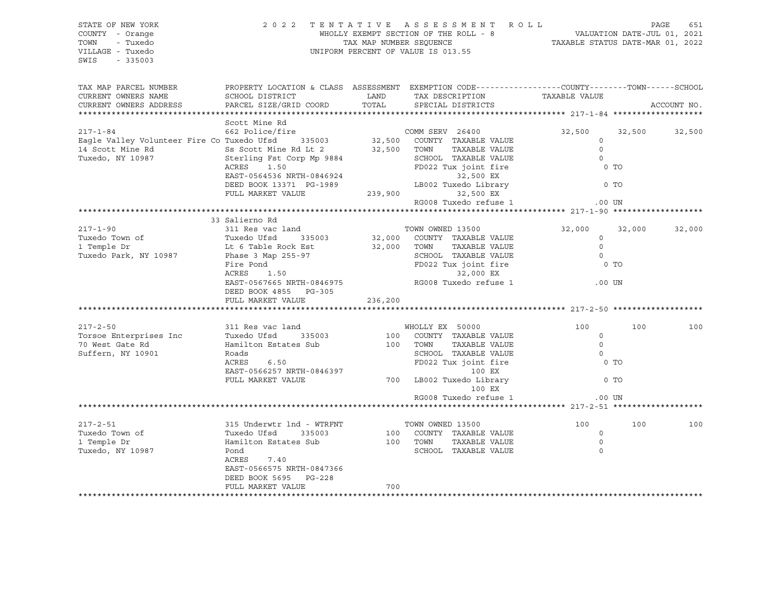| STATE OF NEW YORK<br>COUNTY - Orange<br>TOWN<br>- Tuxedo<br>VILLAGE - Tuxedo<br>SWIS<br>$-335003$                                                                                                                                              |                                                                                   |                                            | 2022 TENTATIVE ASSESSMENT ROLL<br>WHOLLY EXEMPT SECTION OF THE ROLL - 8<br>WALUATION DATE-JUL 01, 2021<br>TAXABLE STATUS DATE-MAR 01, 2022<br>TAXABLE STATUS DATE-MAR 01, 2022<br>UNIFORM PERCENT OF VALUE IS 013.55 |                      |        | PAGE<br>651 |
|------------------------------------------------------------------------------------------------------------------------------------------------------------------------------------------------------------------------------------------------|-----------------------------------------------------------------------------------|--------------------------------------------|----------------------------------------------------------------------------------------------------------------------------------------------------------------------------------------------------------------------|----------------------|--------|-------------|
| TAX MAP PARCEL NUMBER<br>CURRENT OWNERS NAME                                                                                                                                                                                                   | SCHOOL DISTRICT                                                                   | <b>EXAMPLE THE STATE OF STATE OF STATE</b> | PROPERTY LOCATION & CLASS ASSESSMENT EXEMPTION CODE----------------COUNTY-------TOWN------SCHOOL<br>TAX DESCRIPTION                                                                                                  | TAXABLE VALUE        |        |             |
| CURRENT OWNERS ADDRESS                                                                                                                                                                                                                         | PARCEL SIZE/GRID COORD                                                            | TOTAL                                      | SPECIAL DISTRICTS                                                                                                                                                                                                    |                      |        | ACCOUNT NO. |
|                                                                                                                                                                                                                                                |                                                                                   |                                            |                                                                                                                                                                                                                      |                      |        |             |
| COMM SERV 26400<br>Eagle Valley Volunteer Fire Co Tuxedo Ufsd 335003<br>14 Scott Mine Rd Ss Scott Mine Rd Lt 2<br>Tuxedo, NY 10987<br>20087<br>2008 Sterling Fst Corp Mp 9884<br>22,500 TOWN TAXABLE VALUE<br>22,500 TOWN TAXABLE VALUE<br>22, | Scott Mine Rd                                                                     |                                            |                                                                                                                                                                                                                      | 32,500               | 32,500 |             |
|                                                                                                                                                                                                                                                |                                                                                   |                                            |                                                                                                                                                                                                                      | $\Omega$             |        | 32,500      |
|                                                                                                                                                                                                                                                |                                                                                   |                                            |                                                                                                                                                                                                                      | $\overline{0}$       |        |             |
|                                                                                                                                                                                                                                                |                                                                                   |                                            |                                                                                                                                                                                                                      | $\overline{0}$       |        |             |
|                                                                                                                                                                                                                                                |                                                                                   |                                            | EXERES 1.50<br>EXERES 1.50<br>EXERES 1.50<br>DEED BOOK 13371 PG-1989<br>FD022 Tux joint fire<br>32,500 EX<br>LB002 Tuxedo Library<br>239,900<br>RG008 Tuxedo cefuse 1 0.00 UN<br>RG008 Tuxedo refuse 1 0.00 UN       | 0 TO                 |        |             |
|                                                                                                                                                                                                                                                |                                                                                   |                                            |                                                                                                                                                                                                                      |                      |        |             |
|                                                                                                                                                                                                                                                |                                                                                   |                                            |                                                                                                                                                                                                                      |                      |        |             |
|                                                                                                                                                                                                                                                |                                                                                   |                                            |                                                                                                                                                                                                                      |                      |        |             |
|                                                                                                                                                                                                                                                |                                                                                   |                                            |                                                                                                                                                                                                                      |                      |        |             |
|                                                                                                                                                                                                                                                |                                                                                   |                                            |                                                                                                                                                                                                                      |                      |        |             |
|                                                                                                                                                                                                                                                | 33 Salierno Rd<br>311 Res vac land TOWN OWNED 13500                               |                                            |                                                                                                                                                                                                                      |                      |        |             |
| $217 - 1 - 90$                                                                                                                                                                                                                                 |                                                                                   |                                            |                                                                                                                                                                                                                      | 32,000 32,000 32,000 |        |             |
|                                                                                                                                                                                                                                                |                                                                                   |                                            | 32,000 COUNTY TAXABLE VALUE<br>32,000 TOWN TAXABLE VALUE                                                                                                                                                             |                      |        |             |
|                                                                                                                                                                                                                                                |                                                                                   |                                            |                                                                                                                                                                                                                      |                      |        |             |
| 1 Temple D1<br>Tuxedo Park, NY 10987<br>Phase 3 Map 255-97<br>Fire Pond<br>ACRES 1.50                                                                                                                                                          |                                                                                   |                                            | 32,000 COUNTY TAXABLE VALUE 0<br>32,000 TOWN TAXABLE VALUE 0<br>SCHOOL TAXABLE VALUE 0<br>FD022 Tux joint fire 0 0 TO<br>32.000 EX                                                                                   |                      |        |             |
|                                                                                                                                                                                                                                                |                                                                                   |                                            | 32,000 EX                                                                                                                                                                                                            |                      |        |             |
|                                                                                                                                                                                                                                                |                                                                                   |                                            |                                                                                                                                                                                                                      |                      |        |             |
|                                                                                                                                                                                                                                                | DEED BOOK 4855 PG-305                                                             |                                            |                                                                                                                                                                                                                      |                      |        |             |
|                                                                                                                                                                                                                                                | FULL MARKET VALUE                                                                 | 236,200                                    |                                                                                                                                                                                                                      |                      |        |             |
|                                                                                                                                                                                                                                                | ***************************                                                       |                                            |                                                                                                                                                                                                                      |                      |        |             |
| $217 - 2 - 50$                                                                                                                                                                                                                                 | 311 Res vac land                                                                  |                                            | WHOLLY EX 50000                                                                                                                                                                                                      | 100                  | 100    | 100         |
| 217-2-50<br>Torsoe Enterprises Inc Tuxedo Ufsd 335003<br>To West Gate Rd Hamilton Estates Sub 100 COUNTY TAXABLE VALUE 0<br>Suffern, NY 10901 Roads 6.50 FD022 Tux joint fire 0 TO<br>EAST-0566257 NRTH-0846397 100 EX                         |                                                                                   |                                            |                                                                                                                                                                                                                      |                      |        |             |
|                                                                                                                                                                                                                                                |                                                                                   |                                            |                                                                                                                                                                                                                      |                      |        |             |
|                                                                                                                                                                                                                                                |                                                                                   |                                            |                                                                                                                                                                                                                      |                      |        |             |
|                                                                                                                                                                                                                                                |                                                                                   |                                            |                                                                                                                                                                                                                      |                      |        |             |
|                                                                                                                                                                                                                                                |                                                                                   |                                            |                                                                                                                                                                                                                      |                      |        |             |
|                                                                                                                                                                                                                                                |                                                                                   |                                            | FULL MARKET VALUE 700 LB002 Tuxedo Library                                                                                                                                                                           | 0 <sub>T</sub>       |        |             |
|                                                                                                                                                                                                                                                |                                                                                   |                                            | 100 EX                                                                                                                                                                                                               |                      |        |             |
|                                                                                                                                                                                                                                                |                                                                                   |                                            | RG008 Tuxedo refuse 1                                                                                                                                                                                                | $.00$ UN             |        |             |
|                                                                                                                                                                                                                                                |                                                                                   |                                            |                                                                                                                                                                                                                      |                      |        |             |
| $217 - 2 - 51$                                                                                                                                                                                                                                 | 315 Underwtr 1nd - WTRFNT<br>Tuxedo Ufsd - 335003<br>Hamilton Estates Sub<br>Pond |                                            | TOWN OWNED 13500<br>100 COUNTY TAXABLE VALUE<br>100 TOWN TAXABLE VALUE<br>SCHOOL TAXABLE VALUE                                                                                                                       | 100                  | 100    | 100         |
| Tuxedo Town of                                                                                                                                                                                                                                 |                                                                                   |                                            |                                                                                                                                                                                                                      | $\circ$              |        |             |
| 1 Temple Dr                                                                                                                                                                                                                                    |                                                                                   |                                            |                                                                                                                                                                                                                      | $\circ$              |        |             |
| Tuxedo, NY 10987                                                                                                                                                                                                                               |                                                                                   |                                            |                                                                                                                                                                                                                      | $\Omega$             |        |             |
|                                                                                                                                                                                                                                                | ACRES 7.40                                                                        |                                            |                                                                                                                                                                                                                      |                      |        |             |
|                                                                                                                                                                                                                                                | EAST-0566575 NRTH-0847366                                                         |                                            |                                                                                                                                                                                                                      |                      |        |             |
|                                                                                                                                                                                                                                                | DEED BOOK 5695 PG-228                                                             |                                            |                                                                                                                                                                                                                      |                      |        |             |
|                                                                                                                                                                                                                                                | FULL MARKET VALUE                                                                 | 700                                        |                                                                                                                                                                                                                      |                      |        |             |
|                                                                                                                                                                                                                                                |                                                                                   |                                            |                                                                                                                                                                                                                      |                      |        |             |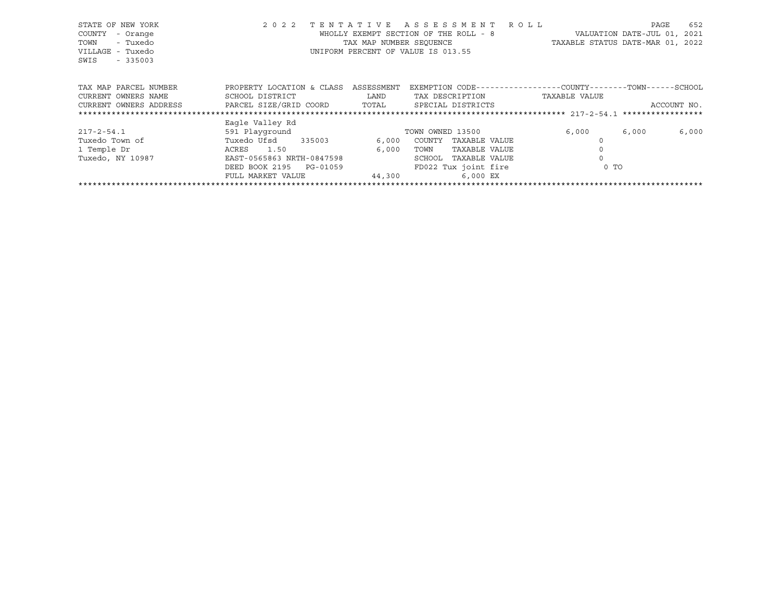| STATE OF NEW YORK<br>COUNTY<br>- Orange<br>- Tuxedo<br>TOWN<br>VILLAGE<br>- Tuxedo<br>SWIS<br>$-335003$ | 2 0 2 2                      | TENTATIVE<br>TAX MAP NUMBER SEOUENCE | ASSESSMENT ROLL<br>WHOLLY EXEMPT SECTION OF THE ROLL - 8<br>UNIFORM PERCENT OF VALUE IS 013.55 | TAXABLE STATUS DATE-MAR 01, 2022 | 652<br>PAGE<br>VALUATION DATE-JUL 01,<br>2021 |
|---------------------------------------------------------------------------------------------------------|------------------------------|--------------------------------------|------------------------------------------------------------------------------------------------|----------------------------------|-----------------------------------------------|
| TAX MAP PARCEL NUMBER                                                                                   | PROPERTY LOCATION & CLASS    | ASSESSMENT                           | EXEMPTION CODE-----------------COUNTY-------TOWN------SCHOOL                                   |                                  |                                               |
| CURRENT OWNERS NAME                                                                                     | SCHOOL DISTRICT              | LAND                                 | TAX DESCRIPTION                                                                                | TAXABLE VALUE                    |                                               |
| CURRENT OWNERS ADDRESS                                                                                  | PARCEL SIZE/GRID COORD TOTAL |                                      | SPECIAL DISTRICTS                                                                              |                                  | ACCOUNT NO.                                   |
|                                                                                                         |                              |                                      |                                                                                                |                                  |                                               |
|                                                                                                         | Eagle Valley Rd              |                                      |                                                                                                |                                  |                                               |
| $217 - 2 - 54.1$                                                                                        | 591 Playground               |                                      | TOWN OWNED 13500                                                                               | 6,000                            | 6,000<br>6,000                                |
| Tuxedo Town of                                                                                          | Tuxedo Ufsd<br>335003        | 6,000                                | COUNTY<br>TAXABLE VALUE                                                                        |                                  |                                               |
| 1 Temple Dr                                                                                             | ACRES<br>1.50                | 6,000                                | TAXABLE VALUE<br>TOWN                                                                          |                                  |                                               |
| Tuxedo, NY 10987                                                                                        | EAST-0565863 NRTH-0847598    |                                      | SCHOOL<br>TAXABLE VALUE                                                                        | $\Omega$                         |                                               |
|                                                                                                         | DEED BOOK 2195<br>PG-01059   |                                      | FD022 Tux joint fire                                                                           | $0$ TO                           |                                               |
|                                                                                                         | FULL MARKET VALUE            | 44,300                               | 6,000 EX                                                                                       |                                  |                                               |
|                                                                                                         |                              |                                      |                                                                                                |                                  |                                               |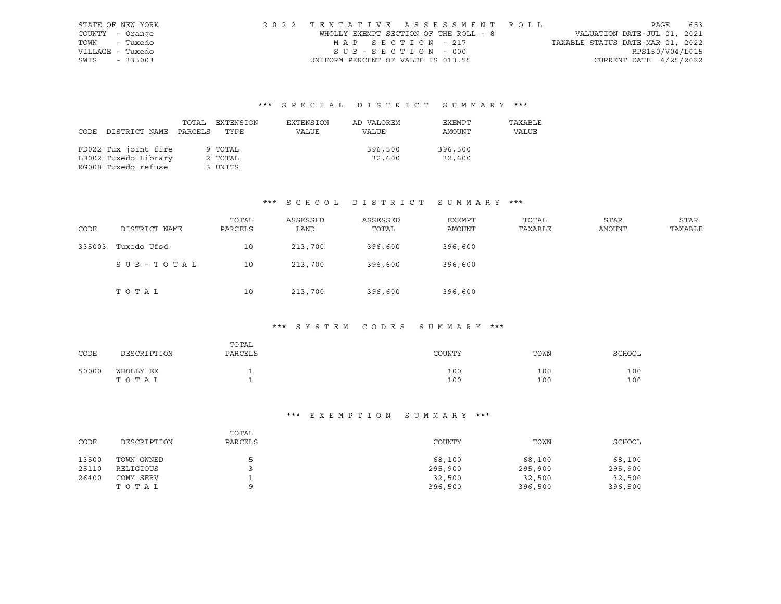|                  | STATE OF NEW YORK | 2022 TENTATIVE ASSESSMENT ROLL        |  |                                  |                          | PAGE | 653 |
|------------------|-------------------|---------------------------------------|--|----------------------------------|--------------------------|------|-----|
| COUNTY - Orange  |                   | WHOLLY EXEMPT SECTION OF THE ROLL - 8 |  | VALUATION DATE-JUL 01, 2021      |                          |      |     |
| TOWN - Tuxedo    |                   | MAP SECTION - 217                     |  | TAXABLE STATUS DATE-MAR 01, 2022 |                          |      |     |
| VILLAGE - Tuxedo |                   | SUB-SECTION - 000                     |  |                                  | RPS150/V04/L015          |      |     |
| SWIS - 335003    |                   | UNIFORM PERCENT OF VALUE IS 013.55    |  |                                  | CURRENT DATE $4/25/2022$ |      |     |

|                            | TOTAL | EXTENSION | EXTENSION | AD VALOREM | EXEMPT  | TAXABLE |
|----------------------------|-------|-----------|-----------|------------|---------|---------|
| CODE DISTRICT NAME PARCELS |       | TYPE      | VALUE     | VALUE      | AMOUNT  | VALUE   |
|                            |       |           |           |            |         |         |
| FD022 Tux joint fire       |       | 9 TOTAL   |           | 396,500    | 396,500 |         |
| LB002 Tuxedo Library       |       | 2 TOTAL   |           | 32,600     | 32,600  |         |
| RG008 Tuxedo refuse        |       | 3 UNITS   |           |            |         |         |

### \*\*\* S C H O O L D I S T R I C T S U M M A R Y \*\*\*

| CODE   | DISTRICT NAME | TOTAL<br>PARCELS | ASSESSED<br>LAND | ASSESSED<br>TOTAL | EXEMPT<br><b>AMOUNT</b> | TOTAL<br>TAXABLE | STAR<br>AMOUNT | <b>STAR</b><br>TAXABLE |
|--------|---------------|------------------|------------------|-------------------|-------------------------|------------------|----------------|------------------------|
| 335003 | Tuxedo Ufsd   | 10               | 213,700          | 396,600           | 396,600                 |                  |                |                        |
|        | SUB-TOTAL     | 10               | 213,700          | 396,600           | 396,600                 |                  |                |                        |
|        | TOTAL         | 10               | 213,700          | 396,600           | 396,600                 |                  |                |                        |

### \*\*\* S Y S T E M C O D E S S U M M A R Y \*\*\*

| CODE  | DESCRIPTION        | TOTAL<br>PARCELS | COUNTY     | TOWN       | <b>SCHOOL</b> |
|-------|--------------------|------------------|------------|------------|---------------|
| 50000 | WHOLLY EX<br>TOTAL |                  | 100<br>100 | 100<br>100 | 100<br>100    |

| CODE  | DESCRIPTION | TOTAL<br>PARCELS | COUNTY  | TOWN    | SCHOOL  |
|-------|-------------|------------------|---------|---------|---------|
| 13500 | TOWN OWNED  |                  | 68,100  | 68,100  | 68,100  |
| 25110 | RELIGIOUS   |                  | 295,900 | 295,900 | 295,900 |
| 26400 | COMM SERV   |                  | 32,500  | 32,500  | 32,500  |
|       | TOTAL       |                  | 396,500 | 396,500 | 396,500 |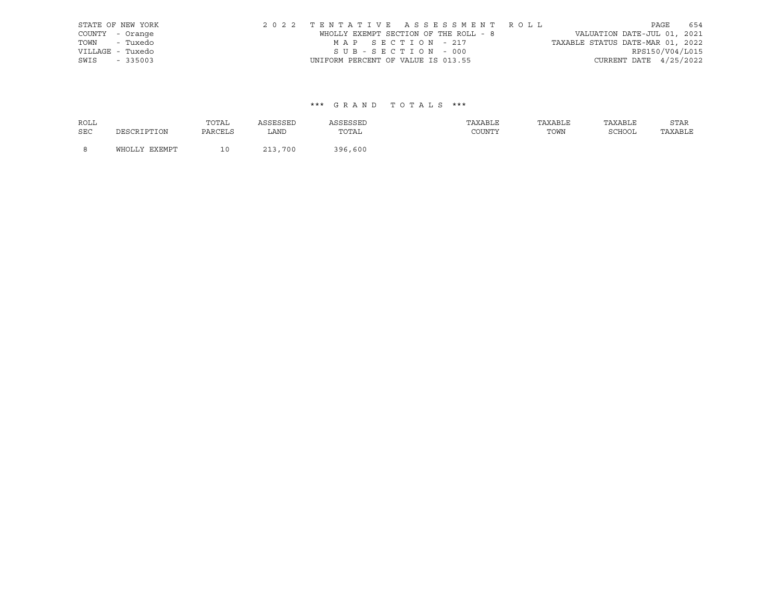|      | STATE OF NEW YORK | 2022 TENTATIVE ASSESSMENT ROLL        |  |                                  |                        | PAGE | 654 |
|------|-------------------|---------------------------------------|--|----------------------------------|------------------------|------|-----|
|      | COUNTY - Orange   | WHOLLY EXEMPT SECTION OF THE ROLL - 8 |  | VALUATION DATE-JUL 01, 2021      |                        |      |     |
|      | TOWN - Tuxedo     | MAP SECTION - 217                     |  | TAXABLE STATUS DATE-MAR 01, 2022 |                        |      |     |
|      | VILLAGE - Tuxedo  | SUB-SECTION - 000                     |  |                                  | RPS150/V04/L015        |      |     |
| SWIS | $-335003$         | UNIFORM PERCENT OF VALUE IS 013.55    |  |                                  | CURRENT DATE 4/25/2022 |      |     |

| ROLL       |               | TOTAL   | ASSESSED | ASSESSED | TAXABLE | TAXABLE | TAXABLE | STAR    |
|------------|---------------|---------|----------|----------|---------|---------|---------|---------|
| <b>SEC</b> | DESCRIPTION   | PARCELS | LAND     | TOTAL    | COUNTY  | TOWN    | SCHOOL  | TAXABLE |
| - 8        | WHOLLY EXEMPT |         | 213,700  | 396,600  |         |         |         |         |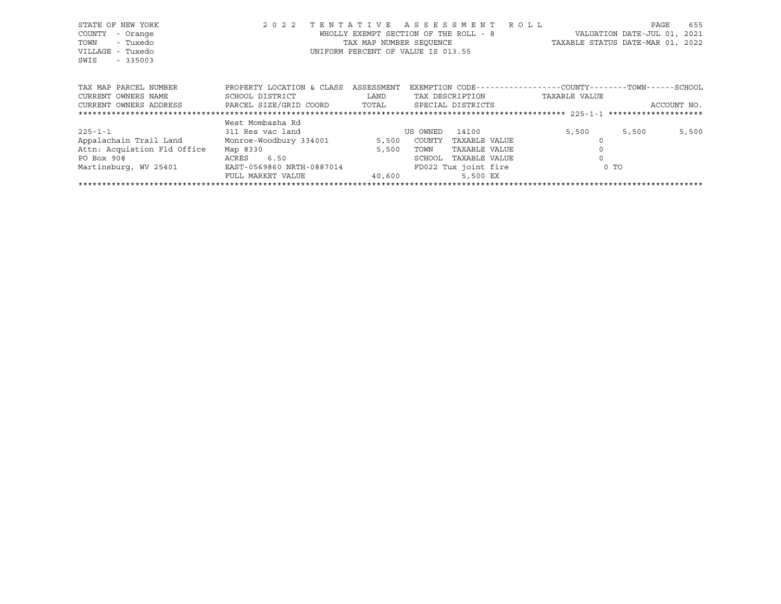| STATE OF NEW YORK                             | 2 0 2 2                   |            | TENTATIVE ASSESSMENT ROLL                                    |                                  | PAGE                        | 655         |
|-----------------------------------------------|---------------------------|------------|--------------------------------------------------------------|----------------------------------|-----------------------------|-------------|
| - Orange<br>COUNTY                            |                           |            | WHOLLY EXEMPT SECTION OF THE ROLL - 8                        |                                  | VALUATION DATE-JUL 01, 2021 |             |
| - Tuxedo<br>TOWN                              |                           |            | TAX MAP NUMBER SEQUENCE                                      | TAXABLE STATUS DATE-MAR 01, 2022 |                             |             |
| VILLAGE - Tuxedo                              |                           |            | UNIFORM PERCENT OF VALUE IS 013.55                           |                                  |                             |             |
| SWIS<br>$-335003$                             |                           |            |                                                              |                                  |                             |             |
|                                               |                           |            |                                                              |                                  |                             |             |
| TAX MAP PARCEL NUMBER                         | PROPERTY LOCATION & CLASS | ASSESSMENT | EXEMPTION CODE-----------------COUNTY-------TOWN------SCHOOL |                                  |                             |             |
| CURRENT OWNERS NAME                           | SCHOOL DISTRICT           | LAND       | TAX DESCRIPTION                                              | TAXABLE VALUE                    |                             |             |
| CURRENT OWNERS ADDRESS PARCEL SIZE/GRID COORD |                           | TOTAL      | SPECIAL DISTRICTS                                            |                                  |                             | ACCOUNT NO. |
|                                               |                           |            |                                                              |                                  |                             |             |
|                                               | West Mombasha Rd          |            |                                                              |                                  |                             |             |
| $225 - 1 - 1$                                 | 311 Res vac land          |            | US OWNED<br>14100                                            | 5,500                            | 5,500                       | 5,500       |
| Appalachain Trail Land Monroe-Woodbury 334001 |                           |            | 5,500 COUNTY<br>TAXABLE VALUE                                |                                  |                             |             |
| Attn: Acquistion Fld Office                   | Map 8330                  | 5,500      | TAXABLE VALUE<br>TOWN                                        |                                  |                             |             |
|                                               |                           |            |                                                              |                                  |                             |             |
| PO Box 908                                    | ACRES 6.50                |            | TAXABLE VALUE<br>SCHOOL                                      |                                  |                             |             |
| Martinsburg, WV 25401                         | EAST-0569860 NRTH-0887014 |            | FD022 Tux joint fire                                         | $0$ TO                           |                             |             |
|                                               | FULL MARKET VALUE         | 40,600     | 5,500 EX                                                     |                                  |                             |             |
|                                               |                           |            |                                                              |                                  |                             |             |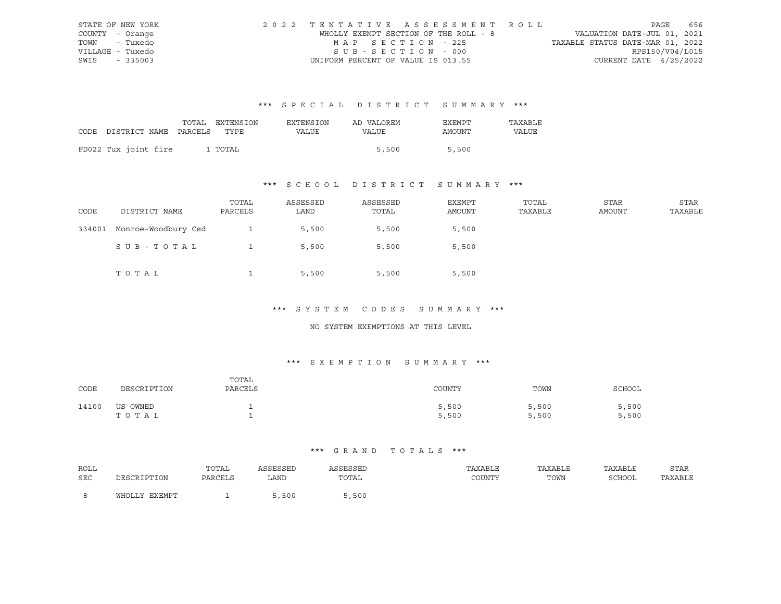|                  | STATE OF NEW YORK | 2022 TENTATIVE ASSESSMENT ROLL        |  |                                  | PAGE                     | 656 |
|------------------|-------------------|---------------------------------------|--|----------------------------------|--------------------------|-----|
| COUNTY - Orange  |                   | WHOLLY EXEMPT SECTION OF THE ROLL - 8 |  | VALUATION DATE-JUL 01, 2021      |                          |     |
| TOWN - Tuxedo    |                   | MAP SECTION - 225                     |  | TAXABLE STATUS DATE-MAR 01, 2022 |                          |     |
| VILLAGE - Tuxedo |                   | SUB-SECTION - 000                     |  |                                  | RPS150/V04/L015          |     |
| SWIS - 335003    |                   | UNIFORM PERCENT OF VALUE IS 013.55    |  |                                  | CURRENT DATE $4/25/2022$ |     |

|                                 | TOTAL EXTENSION | <b>EXTENSION</b> | AD VALOREM | EXEMPT | TAXABLE |
|---------------------------------|-----------------|------------------|------------|--------|---------|
| CODE DISTRICT NAME PARCELS TYPE |                 | VALUE            | VALUE      | AMOUNT | VALUE   |
|                                 |                 |                  |            |        |         |
| FD022 Tux joint fire            | 1 TOTAL         |                  | 5,500      | 5,500  |         |

# \*\*\* S C H O O L D I S T R I C T S U M M A R Y \*\*\*

| CODE   | DISTRICT NAME       | TOTAL<br>PARCELS | ASSESSED<br>LAND | ASSESSED<br>TOTAL | EXEMPT<br>AMOUNT | TOTAL<br>TAXABLE | STAR<br>AMOUNT | STAR<br>TAXABLE |
|--------|---------------------|------------------|------------------|-------------------|------------------|------------------|----------------|-----------------|
| 334001 | Monroe-Woodbury Csd |                  | 5,500            | 5,500             | 5,500            |                  |                |                 |
|        | SUB-TOTAL           |                  | 5,500            | 5,500             | 5,500            |                  |                |                 |
|        | TOTAL               |                  | 5,500            | 5,500             | 5,500            |                  |                |                 |

#### \*\*\* S Y S T E M C O D E S S U M M A R Y \*\*\*

#### NO SYSTEM EXEMPTIONS AT THIS LEVEL

### \*\*\* E X E M P T I O N S U M M A R Y \*\*\*

| CODE  | DESCRIPTION       | TOTAL<br>PARCELS | COUNTY         | TOWN           | SCHOOL         |
|-------|-------------------|------------------|----------------|----------------|----------------|
| 14100 | US OWNED<br>TOTAL |                  | 5,500<br>5,500 | 5,500<br>5,500 | 5,500<br>5,500 |

| ROLL |                   | TOTAL   | <b>\SSESSED</b> | ASSESSEL                                                 | TAXABLE | TAXABLE | TAXABLE     | STAR    |
|------|-------------------|---------|-----------------|----------------------------------------------------------|---------|---------|-------------|---------|
| SEC  | זור חיים דפר סידר | PARCELS | LAND            | TOTAL<br>the contract of the contract of the contract of | COUNTY  | TOWN    | SCHOOL<br>. | TAXABLE |
|      | WHOLLY EXEMPT     |         | 5,500           | , 500                                                    |         |         |             |         |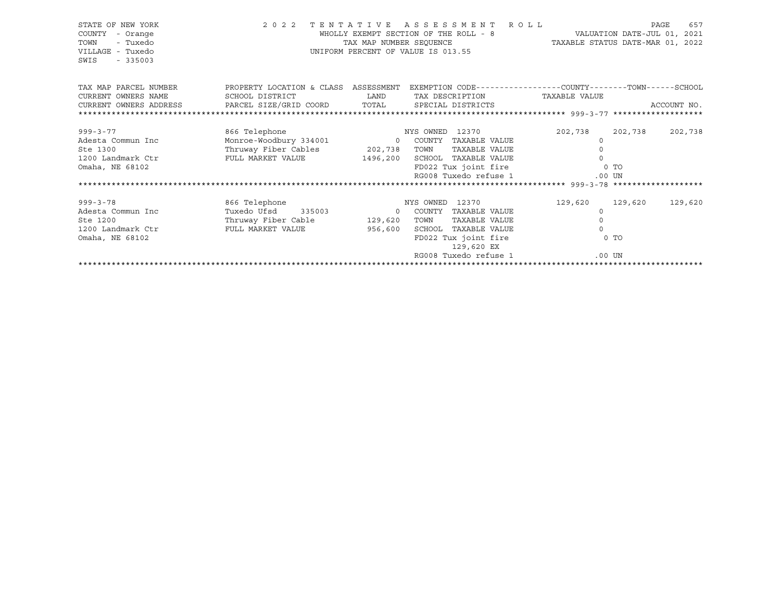| STATE OF NEW YORK<br>COUNTY<br>- Orange<br>TOWN<br>- Tuxedo<br>VILLAGE - Tuxedo<br>SWIS<br>$-335003$ | 2 0 2 2                              | TENTATIVE ASSESSMENT<br>WHOLLY EXEMPT SECTION OF THE ROLL - 8<br>TAX MAP NUMBER SEOUENCE<br>UNIFORM PERCENT OF VALUE IS 013.55 |                 |                       | <b>ROLL</b>     | TAXABLE STATUS DATE-MAR 01, 2022                             |                | 657<br>PAGE<br>VALUATION DATE-JUL 01, 2021 |
|------------------------------------------------------------------------------------------------------|--------------------------------------|--------------------------------------------------------------------------------------------------------------------------------|-----------------|-----------------------|-----------------|--------------------------------------------------------------|----------------|--------------------------------------------|
| TAX MAP PARCEL NUMBER                                                                                | PROPERTY LOCATION & CLASS ASSESSMENT |                                                                                                                                |                 |                       |                 | EXEMPTION CODE-----------------COUNTY-------TOWN------SCHOOL |                |                                            |
| CURRENT OWNERS NAME                                                                                  | SCHOOL DISTRICT                      | LAND                                                                                                                           |                 |                       | TAX DESCRIPTION | TAXABLE VALUE                                                |                |                                            |
| CURRENT OWNERS ADDRESS                                                                               | PARCEL SIZE/GRID COORD TOTAL         |                                                                                                                                |                 | SPECIAL DISTRICTS     |                 |                                                              |                | ACCOUNT NO.                                |
|                                                                                                      |                                      |                                                                                                                                |                 |                       |                 |                                                              |                |                                            |
| $999 - 3 - 77$                                                                                       | 866 Telephone                        |                                                                                                                                | NYS OWNED 12370 |                       |                 | 202,738                                                      | 202,738        | 202,738                                    |
| Adesta Commun Inc                                                                                    | Monroe-Woodbury 334001               | $\overline{0}$                                                                                                                 | COUNTY          | TAXABLE VALUE         |                 | $\circ$                                                      |                |                                            |
| Ste 1300                                                                                             | Thruway Fiber Cables 202,738         |                                                                                                                                | TOWN            | TAXABLE VALUE         |                 |                                                              |                |                                            |
| 1200 Landmark Ctr                                                                                    | FULL MARKET VALUE                    | 1496,200                                                                                                                       |                 | SCHOOL TAXABLE VALUE  |                 | $\Omega$                                                     |                |                                            |
| Omaha, NE 68102                                                                                      |                                      |                                                                                                                                |                 | FD022 Tux joint fire  |                 |                                                              | $0$ TO         |                                            |
|                                                                                                      |                                      |                                                                                                                                |                 | RG008 Tuxedo refuse 1 |                 | $.00$ UN                                                     |                |                                            |
|                                                                                                      |                                      |                                                                                                                                |                 |                       |                 |                                                              |                |                                            |
|                                                                                                      |                                      |                                                                                                                                |                 |                       |                 |                                                              |                |                                            |
| $999 - 3 - 78$                                                                                       | 866 Telephone                        |                                                                                                                                | NYS OWNED 12370 |                       |                 | 129,620                                                      | 129,620        | 129,620                                    |
| Adesta Commun Inc                                                                                    | Tuxedo Ufsd 335003                   | $\circ$                                                                                                                        | COUNTY          | TAXABLE VALUE         |                 | $\Omega$                                                     |                |                                            |
| Ste 1200                                                                                             | Thruway Fiber Cable                  | 129,620                                                                                                                        | TOWN            | TAXABLE VALUE         |                 | 0                                                            |                |                                            |
| 1200 Landmark Ctr                                                                                    | FULL MARKET VALUE                    | 956,600                                                                                                                        | SCHOOL          | TAXABLE VALUE         |                 | $\Omega$                                                     |                |                                            |
| Omaha, NE 68102                                                                                      |                                      |                                                                                                                                |                 | FD022 Tux joint fire  |                 |                                                              | 0 <sub>T</sub> |                                            |
|                                                                                                      |                                      |                                                                                                                                |                 | 129,620 EX            |                 |                                                              |                |                                            |
|                                                                                                      |                                      |                                                                                                                                |                 | RG008 Tuxedo refuse 1 |                 |                                                              | $.00$ UN       |                                            |
|                                                                                                      |                                      |                                                                                                                                |                 |                       |                 |                                                              |                |                                            |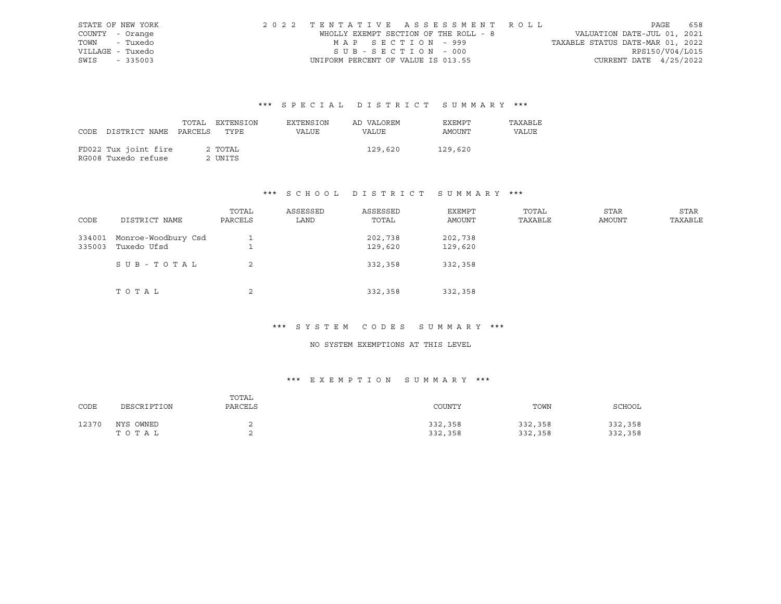| STATE OF NEW YORK | 2022 TENTATIVE ASSESSMENT ROLL        |                                  | PAGE                     | 658 |
|-------------------|---------------------------------------|----------------------------------|--------------------------|-----|
| COUNTY - Orange   | WHOLLY EXEMPT SECTION OF THE ROLL - 8 | VALUATION DATE-JUL 01, 2021      |                          |     |
| TOWN - Tuxedo     | MAP SECTION - 999                     | TAXABLE STATUS DATE-MAR 01, 2022 |                          |     |
| VILLAGE - Tuxedo  | SUB-SECTION - 000                     |                                  | RPS150/V04/L015          |     |
| SWIS - 335003     | UNIFORM PERCENT OF VALUE IS 013.55    |                                  | CURRENT DATE $4/25/2022$ |     |

|      |                       | TOTAL | EXTENSION | EXTENSION    | AD VALOREM | EXEMPT  | TAXABLE |
|------|-----------------------|-------|-----------|--------------|------------|---------|---------|
| CODE | DISTRICT NAME PARCELS |       | TYPE      | <b>VALUE</b> | VALUE      | AMOUNT  | VALUE   |
|      |                       |       |           |              |            |         |         |
|      | FD022 Tux joint fire  |       | 2 TOTAL   |              | 129,620    | 129,620 |         |
|      | RG008 Tuxedo refuse   |       | 2 UNITS   |              |            |         |         |

# \*\*\* S C H O O L D I S T R I C T S U M M A R Y \*\*\*

| CODE             | DISTRICT NAME                      | TOTAL<br>PARCELS | ASSESSED<br>LAND | ASSESSED<br>TOTAL  | EXEMPT<br>AMOUNT   | TOTAL<br>TAXABLE | <b>STAR</b><br>AMOUNT | <b>STAR</b><br>TAXABLE |
|------------------|------------------------------------|------------------|------------------|--------------------|--------------------|------------------|-----------------------|------------------------|
|                  |                                    |                  |                  |                    |                    |                  |                       |                        |
| 334001<br>335003 | Monroe-Woodbury Csd<br>Tuxedo Ufsd |                  |                  | 202,738<br>129,620 | 202,738<br>129,620 |                  |                       |                        |
|                  |                                    |                  |                  |                    |                    |                  |                       |                        |
|                  | SUB-TOTAL                          | 2                |                  | 332,358            | 332,358            |                  |                       |                        |
|                  |                                    |                  |                  |                    |                    |                  |                       |                        |
|                  | TOTAL                              | 2                |                  | 332,358            | 332,358            |                  |                       |                        |

# \*\*\* S Y S T E M C O D E S S U M M A R Y \*\*\*

### NO SYSTEM EXEMPTIONS AT THIS LEVEL

| CODE  | DESCRIPTION        | TOTAL<br>PARCELS | COUNTY             | TOWN               | SCHOOL             |
|-------|--------------------|------------------|--------------------|--------------------|--------------------|
| 12370 | NYS OWNED<br>TOTAL |                  | 332,358<br>332,358 | 332,358<br>332,358 | 332,358<br>332,358 |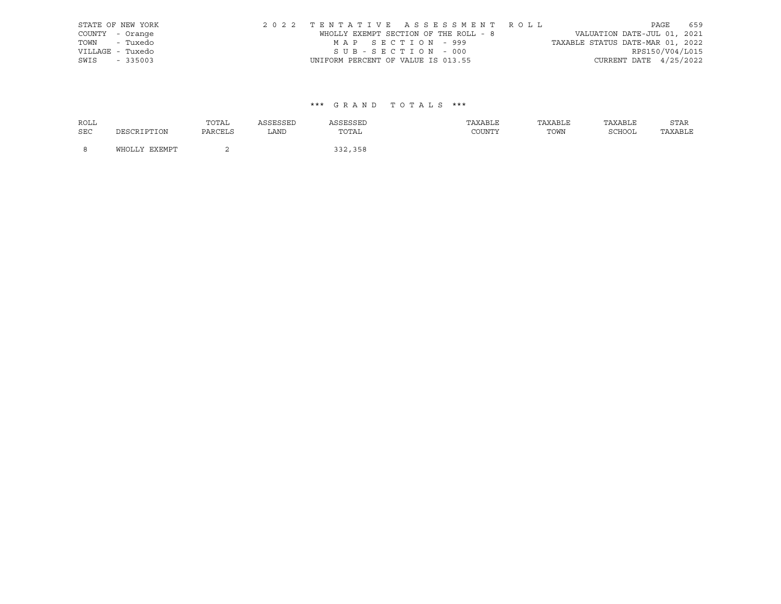|      | STATE OF NEW YORK | 2022 TENTATIVE ASSESSMENT ROLL        |  |                                  |                        | PAGE | 659 |
|------|-------------------|---------------------------------------|--|----------------------------------|------------------------|------|-----|
|      | COUNTY - Orange   | WHOLLY EXEMPT SECTION OF THE ROLL - 8 |  | VALUATION DATE-JUL 01, 2021      |                        |      |     |
|      | TOWN - Tuxedo     | MAP SECTION - 999                     |  | TAXABLE STATUS DATE-MAR 01, 2022 |                        |      |     |
|      | VILLAGE - Tuxedo  | SUB-SECTION - 000                     |  |                                  | RPS150/V04/L015        |      |     |
| SWIS | $-335003$         | UNIFORM PERCENT OF VALUE IS 013.55    |  |                                  | CURRENT DATE 4/25/2022 |      |     |

| <b>ROLL</b> |               | TOTAL   | ASSESSED | ASSESSED | TAXABLE | TAXABLE | TAXABLE | STAR    |
|-------------|---------------|---------|----------|----------|---------|---------|---------|---------|
| SEC         | DESCRIPTION   | PARCELS | LAND     | TOTAL    | COUNTY  | TOWN    | SCHOOL  | TAXABLE |
| -8          | WHOLLY EXEMPT |         |          | 332,358  |         |         |         |         |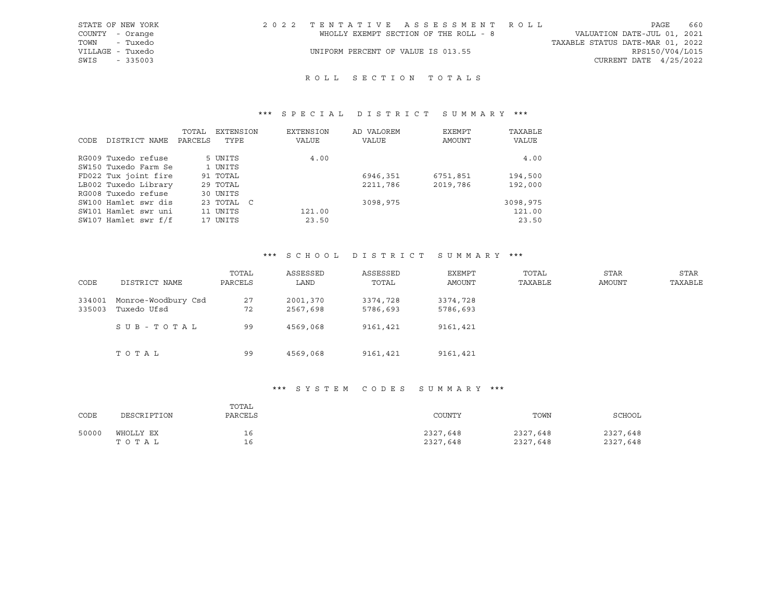| STATE OF NEW YORK | 2022 TENTATIVE ASSESSMENT ROLL        |                                  | PAGE                        | 660 |
|-------------------|---------------------------------------|----------------------------------|-----------------------------|-----|
| COUNTY - Orange   | WHOLLY EXEMPT SECTION OF THE ROLL - 8 |                                  | VALUATION DATE-JUL 01, 2021 |     |
| TOWN - Tuxedo     |                                       | TAXABLE STATUS DATE-MAR 01, 2022 |                             |     |
| VILLAGE - Tuxedo  | UNIFORM PERCENT OF VALUE IS 013.55    |                                  | RPS150/V04/L015             |     |
| SWIS - 335003     |                                       |                                  | CURRENT DATE $4/25/2022$    |     |
|                   |                                       |                                  |                             |     |

# R O L L S E C T I O N T O T A L S

# \*\*\* S P E C I A L D I S T R I C T S U M M A R Y \*\*\*

| CODE | DISTRICT NAME        | TOTAL<br>PARCELS | EXTENSION<br>TYPE | EXTENSION<br>VALUE | AD VALOREM<br>VALUE | EXEMPT<br>AMOUNT | TAXABLE<br>VALUE |
|------|----------------------|------------------|-------------------|--------------------|---------------------|------------------|------------------|
|      |                      |                  |                   |                    |                     |                  |                  |
|      | RG009 Tuxedo refuse  |                  | 5 UNITS           | 4.00               |                     |                  | 4.00             |
|      | SW150 Tuxedo Farm Se |                  | 1 UNITS           |                    |                     |                  |                  |
|      | FD022 Tux joint fire |                  | 91 TOTAL          |                    | 6946,351            | 6751,851         | 194,500          |
|      | LB002 Tuxedo Library |                  | 29 TOTAL          |                    | 2211,786            | 2019,786         | 192,000          |
|      | RG008 Tuxedo refuse  |                  | 30 UNITS          |                    |                     |                  |                  |
|      | SW100 Hamlet swr dis |                  | 23 TOTAL C        |                    | 3098,975            |                  | 3098,975         |
|      | SW101 Hamlet swr uni |                  | 11 UNITS          | 121.00             |                     |                  | 121.00           |
|      | SW107 Hamlet swr f/f |                  | 17 UNITS          | 23.50              |                     |                  | 23.50            |

### \*\*\* S C H O O L D I S T R I C T S U M M A R Y \*\*\*

| CODE             | DISTRICT NAME                      | TOTAL<br>PARCELS | ASSESSED<br>LAND     | ASSESSED<br>TOTAL    | EXEMPT<br>AMOUNT     | TOTAL<br>TAXABLE | <b>STAR</b><br>AMOUNT | <b>STAR</b><br>TAXABLE |
|------------------|------------------------------------|------------------|----------------------|----------------------|----------------------|------------------|-----------------------|------------------------|
| 334001<br>335003 | Monroe-Woodbury Csd<br>Tuxedo Ufsd | 27<br>72         | 2001,370<br>2567,698 | 3374,728<br>5786,693 | 3374,728<br>5786,693 |                  |                       |                        |
|                  | SUB-TOTAL                          | 99               | 4569,068             | 9161,421             | 9161,421             |                  |                       |                        |
|                  | TOTAL                              | 99               | 4569,068             | 9161,421             | 9161,421             |                  |                       |                        |

### \*\*\* S Y S T E M C O D E S S U M M A R Y \*\*\*

| CODE  | DESCRIPTION | TOTAL<br>PARCELS | COUNTY   | TOWN     | SCHOOL   |
|-------|-------------|------------------|----------|----------|----------|
| 50000 | WHOLLY EX   | 16               | 2327,648 | 2327,648 | 2327,648 |
|       | T O T A L   | 16               | 2327,648 | 2327,648 | 2327,648 |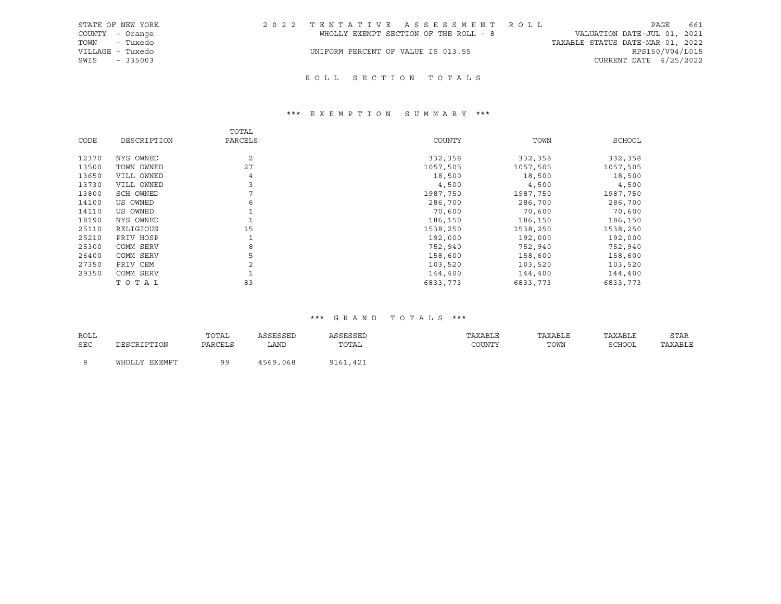| STATE OF NEW YORK | 2022 TENTATIVE ASSESSMENT ROLL        | 661<br>PAGE                      |
|-------------------|---------------------------------------|----------------------------------|
| COUNTY - Orange   | WHOLLY EXEMPT SECTION OF THE ROLL - 8 | VALUATION DATE-JUL 01, 2021      |
| TOWN - Tuxedo     |                                       | TAXABLE STATUS DATE-MAR 01, 2022 |
| VILLAGE - Tuxedo  | UNIFORM PERCENT OF VALUE IS 013.55    | RPS150/V04/L015                  |
| SWIS - 335003     |                                       | CURRENT DATE 4/25/2022           |
|                   |                                       |                                  |

# ROLL SECTION TOTALS

# \*\*\* E X E M P T I O N S U M M A R Y \*\*\*

|       |             | TOTAL          |          |          |          |
|-------|-------------|----------------|----------|----------|----------|
| CODE  | DESCRIPTION | PARCELS        | COUNTY   | TOWN     | SCHOOL   |
| 12370 | NYS OWNED   | $\overline{c}$ | 332,358  | 332,358  | 332,358  |
| 13500 | TOWN OWNED  | 27             | 1057,505 | 1057,505 | 1057,505 |
| 13650 | VILL OWNED  | 4              | 18,500   | 18,500   | 18,500   |
| 13730 | VILL OWNED  | 3              | 4,500    | 4,500    | 4,500    |
| 13800 | SCH OWNED   |                | 1987,750 | 1987,750 | 1987,750 |
| 14100 | US OWNED    | 6              | 286,700  | 286,700  | 286,700  |
| 14110 | US OWNED    |                | 70,600   | 70,600   | 70,600   |
| 18190 | NYS OWNED   |                | 186,150  | 186,150  | 186,150  |
| 25110 | RELIGIOUS   | 15             | 1538,250 | 1538,250 | 1538,250 |
| 25210 | PRIV HOSP   |                | 192,000  | 192,000  | 192,000  |
| 25300 | COMM SERV   | 8              | 752,940  | 752,940  | 752,940  |
| 26400 | COMM SERV   | 5              | 158,600  | 158,600  | 158,600  |
| 27350 | PRIV CEM    |                | 103,520  | 103,520  | 103,520  |
| 29350 | COMM SERV   |                | 144,400  | 144,400  | 144,400  |
|       | TOTAL       | 83             | 6833,773 | 6833,773 | 6833,773 |

| ROLL |               | TOTAL     | ASSESSED | ASSESSED | TAXABLE | TAXABLE | TAXABLE | <b>STAR</b> |
|------|---------------|-----------|----------|----------|---------|---------|---------|-------------|
| SEC  | DESCRIPTION   | PARCELS   | LAND     | TOTAL    | COUNTY  | TOWN    | SCHOOL  | TAXABLE     |
|      | WHOLLY EXEMPT | <b>QQ</b> | 4569,068 | 9161,421 |         |         |         |             |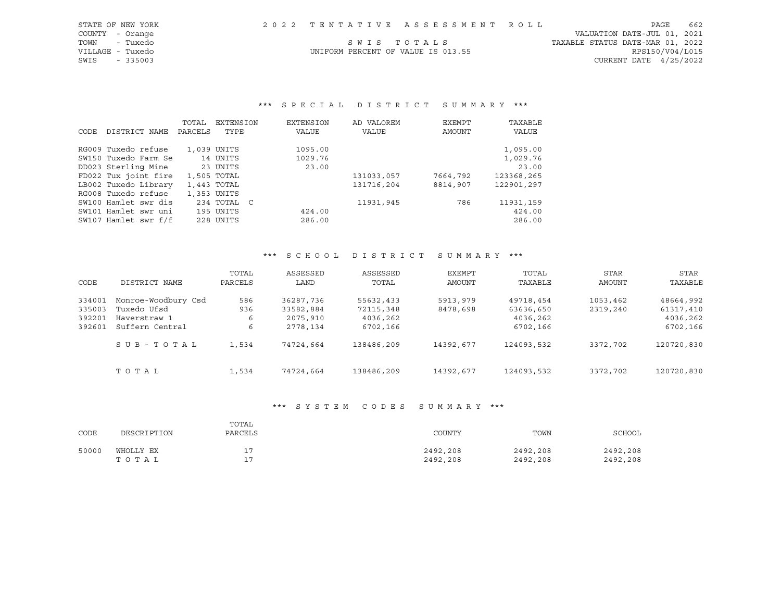| STATE OF NEW YORK |                                    | 2022 TENTATIVE ASSESSMENT ROLL |                                  | PAGE                   | 662 |
|-------------------|------------------------------------|--------------------------------|----------------------------------|------------------------|-----|
| COUNTY - Orange   |                                    |                                | VALUATION DATE-JUL 01, 2021      |                        |     |
| TOWN - Tuxedo     |                                    | SWIS TOTALS                    | TAXABLE STATUS DATE-MAR 01, 2022 |                        |     |
| VILLAGE - Tuxedo  | UNIFORM PERCENT OF VALUE IS 013.55 |                                |                                  | RPS150/V04/L015        |     |
| SWIS<br>$-335003$ |                                    |                                |                                  | CURRENT DATE 4/25/2022 |     |

|      |                      | TOTAL   | <b>EXTENSION</b> | EXTENSION | AD VALOREM | EXEMPT   | TAXABLE    |
|------|----------------------|---------|------------------|-----------|------------|----------|------------|
| CODE | DISTRICT NAME        | PARCELS | TYPE             | VALUE     | VALUE      | AMOUNT   | VALUE      |
|      |                      |         |                  |           |            |          |            |
|      | RG009 Tuxedo refuse  |         | 1,039 UNITS      | 1095.00   |            |          | 1,095.00   |
|      | SW150 Tuxedo Farm Se |         | 14 UNITS         | 1029.76   |            |          | 1,029.76   |
|      | DD023 Sterling Mine  |         | 23 UNITS         | 23.00     |            |          | 23.00      |
|      | FD022 Tux joint fire |         | 1,505 TOTAL      |           | 131033,057 | 7664,792 | 123368,265 |
|      | LB002 Tuxedo Library |         | 1,443 TOTAL      |           | 131716,204 | 8814,907 | 122901,297 |
|      | RG008 Tuxedo refuse  |         | 1,353 UNITS      |           |            |          |            |
|      | SW100 Hamlet swr dis |         | 234 TOTAL C      |           | 11931,945  | 786      | 11931,159  |
|      | SW101 Hamlet swr uni |         | 195 UNITS        | 424.00    |            |          | 424.00     |
|      | SW107 Hamlet swr f/f |         | 228 UNITS        | 286.00    |            |          | 286.00     |

### \*\*\* S C H O O L D I S T R I C T S U M M A R Y \*\*\*

| CODE   | DISTRICT NAME       | TOTAL<br>PARCELS | ASSESSED<br>LAND | ASSESSED<br>TOTAL | EXEMPT<br>AMOUNT | TOTAL<br>TAXABLE | STAR<br>AMOUNT | STAR<br>TAXABLE |
|--------|---------------------|------------------|------------------|-------------------|------------------|------------------|----------------|-----------------|
| 334001 | Monroe-Woodbury Csd | 586              | 36287,736        | 55632,433         | 5913,979         | 49718,454        | 1053,462       | 48664,992       |
| 335003 | Tuxedo Ufsd         | 936              | 33582,884        | 72115,348         | 8478,698         | 63636,650        | 2319,240       | 61317,410       |
| 392201 | Haverstraw 1        | 6                | 2075,910         | 4036,262          |                  | 4036,262         |                | 4036,262        |
| 392601 | Suffern Central     | 6                | 2778,134         | 6702,166          |                  | 6702,166         |                | 6702,166        |
|        | SUB-TOTAL           | 1,534            | 74724,664        | 138486,209        | 14392,677        | 124093,532       | 3372,702       | 120720,830      |
|        | TOTAL               | 1,534            | 74724,664        | 138486,209        | 14392,677        | 124093,532       | 3372,702       | 120720,830      |

### \*\*\* S Y S T E M C O D E S S U M M A R Y \*\*\*

| CODE  | DESCRIPTION        | TOTAL<br>PARCELS | COUNTY               | TOWN                 | SCHOOL               |
|-------|--------------------|------------------|----------------------|----------------------|----------------------|
| 50000 | WHOLLY EX<br>TOTAL | 17<br>÷          | 2492,208<br>2492,208 | 2492,208<br>2492,208 | 2492,208<br>2492,208 |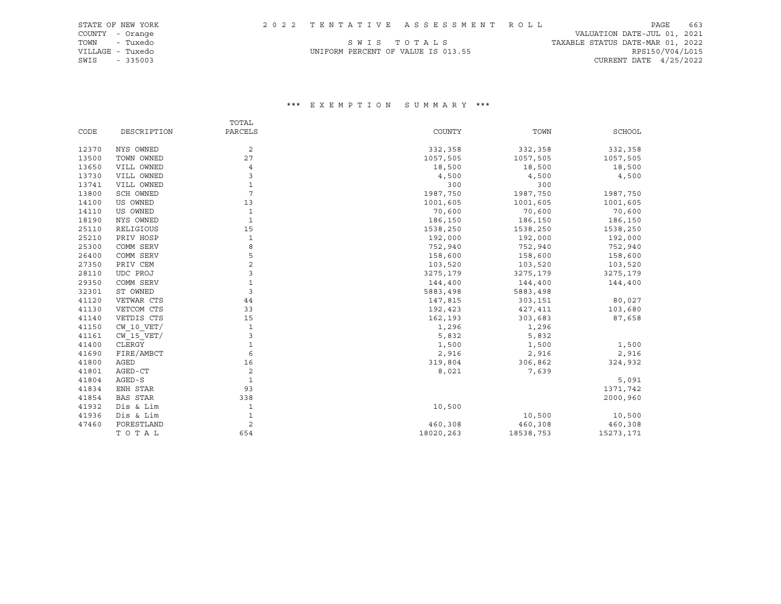| STATE OF NEW YORK |                                    | 2022 TENTATIVE ASSESSMENT ROLL |                                  | PAGE                     | 663 |
|-------------------|------------------------------------|--------------------------------|----------------------------------|--------------------------|-----|
| COUNTY - Orange   |                                    |                                | VALUATION DATE-JUL 01, 2021      |                          |     |
| - Tuxedo<br>TOWN  |                                    | SWIS TOTALS                    | TAXABLE STATUS DATE-MAR 01, 2022 |                          |     |
| VILLAGE - Tuxedo  | UNIFORM PERCENT OF VALUE IS 013.55 |                                |                                  | RPS150/V04/L015          |     |
| SWIS<br>$-335003$ |                                    |                                |                                  | CURRENT DATE $4/25/2022$ |     |

|       |                | TOTAL          |           |           |               |
|-------|----------------|----------------|-----------|-----------|---------------|
| CODE  | DESCRIPTION    | PARCELS        | COUNTY    | TOWN      | <b>SCHOOL</b> |
| 12370 | NYS OWNED      | 2              | 332,358   | 332,358   | 332,358       |
| 13500 | TOWN OWNED     | 27             | 1057,505  | 1057,505  | 1057,505      |
| 13650 | VILL OWNED     | 4              | 18,500    | 18,500    | 18,500        |
| 13730 | VILL OWNED     | 3              | 4,500     | 4,500     | 4,500         |
| 13741 | VILL OWNED     | 1              | 300       | 300       |               |
| 13800 | SCH OWNED      | 7              | 1987,750  | 1987,750  | 1987,750      |
| 14100 | US OWNED       | 13             | 1001,605  | 1001,605  | 1001,605      |
| 14110 | US OWNED       | 1              | 70,600    | 70,600    | 70,600        |
| 18190 | NYS OWNED      | 1              | 186,150   | 186,150   | 186,150       |
| 25110 | RELIGIOUS      | 15             | 1538,250  | 1538,250  | 1538,250      |
| 25210 | PRIV HOSP      | $\mathbf 1$    | 192,000   | 192,000   | 192,000       |
| 25300 | COMM SERV      | 8              | 752,940   | 752,940   | 752,940       |
| 26400 | COMM SERV      | 5              | 158,600   | 158,600   | 158,600       |
| 27350 | PRIV CEM       | $\overline{a}$ | 103,520   | 103,520   | 103,520       |
| 28110 | UDC PROJ       | 3              | 3275,179  | 3275,179  | 3275,179      |
| 29350 | COMM SERV      | $\mathbf 1$    | 144,400   | 144,400   | 144,400       |
| 32301 | ST OWNED       | 3              | 5883,498  | 5883,498  |               |
| 41120 | VETWAR CTS     | 44             | 147,815   | 303,151   | 80,027        |
| 41130 | VETCOM CTS     | 33             | 192,423   | 427,411   | 103,680       |
| 41140 | VETDIS CTS     | 15             | 162,193   | 303,683   | 87,658        |
| 41150 | $CW$ 10 $VET/$ | $\mathbf{1}$   | 1,296     | 1,296     |               |
| 41161 | $CW$ 15 $VET/$ | 3              | 5,832     | 5,832     |               |
| 41400 | CLERGY         | $\mathbf 1$    | 1,500     | 1,500     | 1,500         |
| 41690 | FIRE/AMBCT     | 6              | 2,916     | 2,916     | 2,916         |
| 41800 | AGED           | 16             | 319,804   | 306,862   | 324,932       |
| 41801 | AGED-CT        | 2              | 8,021     | 7,639     |               |
| 41804 | AGED-S         | 1              |           |           | 5,091         |
| 41834 | ENH STAR       | 93             |           |           | 1371,742      |
| 41854 | BAS STAR       | 338            |           |           | 2000,960      |
| 41932 | Dis & Lim      | 1              | 10,500    |           |               |
| 41936 | Dis & Lim      | 1              |           | 10,500    | 10,500        |
| 47460 | FORESTLAND     | $\overline{c}$ | 460,308   | 460,308   | 460,308       |
|       | TOTAL          | 654            | 18020,263 | 18538,753 | 15273,171     |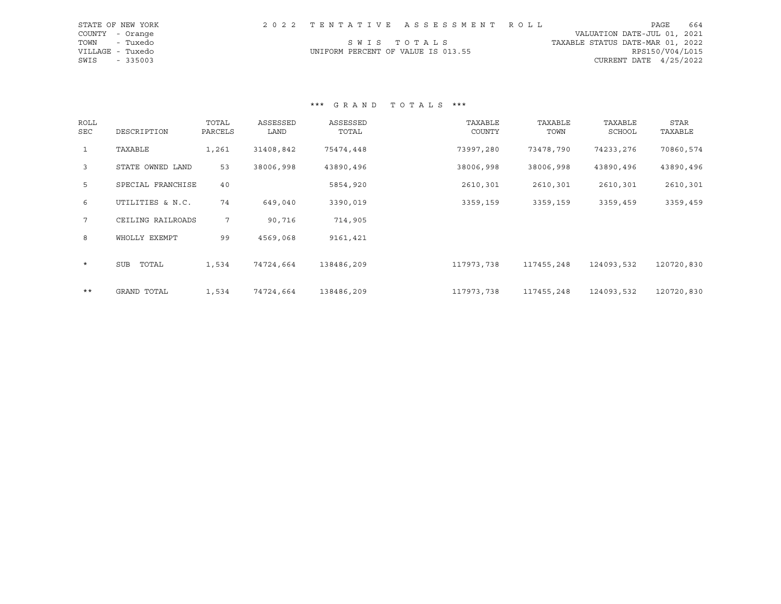|                  | STATE OF NEW YORK |                                    |             | 2022 TENTATIVE ASSESSMENT ROLL |                                  | PAGE                     | 664 |
|------------------|-------------------|------------------------------------|-------------|--------------------------------|----------------------------------|--------------------------|-----|
| COUNTY - Orange  |                   |                                    |             |                                | VALUATION DATE-JUL 01, 2021      |                          |     |
| TOWN             | - Tuxedo          |                                    | SWIS TOTALS |                                | TAXABLE STATUS DATE-MAR 01, 2022 |                          |     |
| VILLAGE - Tuxedo |                   | UNIFORM PERCENT OF VALUE IS 013.55 |             |                                |                                  | RPS150/V04/L015          |     |
| SWIS             | $-335003$         |                                    |             |                                |                                  | CURRENT DATE $4/25/2022$ |     |

| ROLL<br>SEC     | DESCRIPTION       | TOTAL<br>PARCELS | ASSESSED<br>LAND | ASSESSED<br>TOTAL | TAXABLE<br>COUNTY | TAXABLE<br>TOWN | TAXABLE<br>SCHOOL | <b>STAR</b><br>TAXABLE |
|-----------------|-------------------|------------------|------------------|-------------------|-------------------|-----------------|-------------------|------------------------|
| $\mathbf{1}$    | TAXABLE           | 1,261            | 31408,842        | 75474,448         | 73997,280         | 73478,790       | 74233,276         | 70860,574              |
| $\mathbf{3}$    | STATE OWNED LAND  | 53               | 38006,998        | 43890,496         | 38006,998         | 38006,998       | 43890,496         | 43890,496              |
| 5               | SPECIAL FRANCHISE | 40               |                  | 5854,920          | 2610,301          | 2610,301        | 2610,301          | 2610,301               |
| 6               | UTILITIES & N.C.  | 74               | 649,040          | 3390,019          | 3359,159          | 3359,159        | 3359,459          | 3359,459               |
| $7\overline{ }$ | CEILING RAILROADS | 7                | 90,716           | 714,905           |                   |                 |                   |                        |
| 8               | WHOLLY EXEMPT     | 99               | 4569,068         | 9161,421          |                   |                 |                   |                        |
| $\star$         | TOTAL<br>SUB      | 1,534            | 74724,664        | 138486,209        | 117973,738        | 117455,248      | 124093,532        | 120720,830             |
| $***$           | GRAND TOTAL       | 1,534            | 74724,664        | 138486,209        | 117973,738        | 117455,248      | 124093,532        | 120720,830             |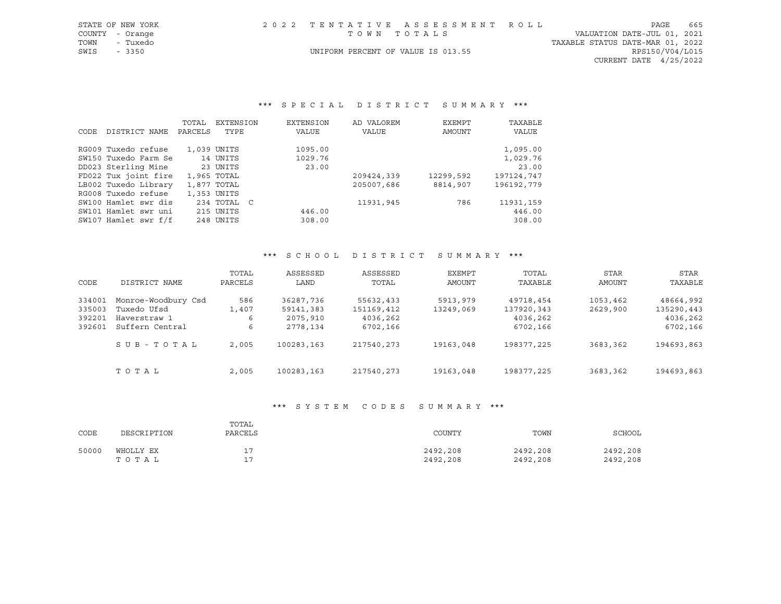| STATE OF NEW YORK | 2022 TENTATIVE ASSESSMENT ROLL     | PAGE                             | 665 |
|-------------------|------------------------------------|----------------------------------|-----|
| COUNTY - Orange   | TOWN TOTALS                        | VALUATION DATE-JUL 01, 2021      |     |
| TOWN<br>- Tuxedo  |                                    | TAXABLE STATUS DATE-MAR 01, 2022 |     |
| SWIS - 3350       | UNIFORM PERCENT OF VALUE IS 013.55 | RPS150/V04/L015                  |     |
|                   |                                    | CURRENT DATE $4/25/2022$         |     |

|      |                      | TOTAL   | <b>EXTENSION</b> | EXTENSION | AD VALOREM | EXEMPT    | TAXABLE    |
|------|----------------------|---------|------------------|-----------|------------|-----------|------------|
| CODE | DISTRICT NAME        | PARCELS | TYPE             | VALUE     | VALUE      | AMOUNT    | VALUE      |
|      | RG009 Tuxedo refuse  |         | 1,039 UNITS      | 1095.00   |            |           | 1,095.00   |
|      | SW150 Tuxedo Farm Se |         | 14 UNITS         | 1029.76   |            |           | 1,029.76   |
|      | DD023 Sterling Mine  |         | 23 UNITS         | 23.00     |            |           | 23.00      |
|      | FD022 Tux joint fire |         | 1,965 TOTAL      |           | 209424,339 | 12299,592 | 197124,747 |
|      | LB002 Tuxedo Library |         | 1,877 TOTAL      |           | 205007,686 | 8814,907  | 196192,779 |
|      | RG008 Tuxedo refuse  |         | 1,353 UNITS      |           |            |           |            |
|      | SW100 Hamlet swr dis |         | 234 TOTAL C      |           | 11931,945  | 786       | 11931,159  |
|      | SW101 Hamlet swr uni |         | 215 UNITS        | 446.00    |            |           | 446.00     |
|      | SW107 Hamlet swr f/f |         | 248 UNITS        | 308.00    |            |           | 308.00     |

#### \*\*\* S C H O O L D I S T R I C T S U M M A R Y \*\*\*

| CODE   | DISTRICT NAME       | TOTAL<br>PARCELS | ASSESSED<br>LAND | ASSESSED<br>TOTAL | EXEMPT<br>AMOUNT | TOTAL<br>TAXABLE | <b>STAR</b><br>AMOUNT | STAR<br>TAXABLE |
|--------|---------------------|------------------|------------------|-------------------|------------------|------------------|-----------------------|-----------------|
| 334001 | Monroe-Woodbury Csd | 586              | 36287,736        | 55632,433         | 5913,979         | 49718,454        | 1053,462              | 48664,992       |
| 335003 | Tuxedo Ufsd         | 1,407            | 59141,383        | 151169,412        | 13249,069        | 137920,343       | 2629,900              | 135290,443      |
| 392201 | Haverstraw 1        | 6                | 2075,910         | 4036,262          |                  | 4036,262         |                       | 4036,262        |
| 392601 | Suffern Central     | 6                | 2778,134         | 6702,166          |                  | 6702,166         |                       | 6702,166        |
|        | SUB-TOTAL           | 2,005            | 100283,163       | 217540,273        | 19163,048        | 198377,225       | 3683,362              | 194693,863      |
|        | TOTAL               | 2,005            | 100283,163       | 217540,273        | 19163,048        | 198377,225       | 3683,362              | 194693,863      |

#### \*\*\* S Y S T E M C O D E S S U M M A R Y \*\*\*

| CODE  | DESCRIPTION        | TOTAL<br>PARCELS  | COUNTY               | TOWN                 | SCHOOL               |
|-------|--------------------|-------------------|----------------------|----------------------|----------------------|
| 50000 | WHOLLY EX<br>TOTAL | . .<br>17<br>.  . | 2492,208<br>2492,208 | 2492,208<br>2492,208 | 2492,208<br>2492,208 |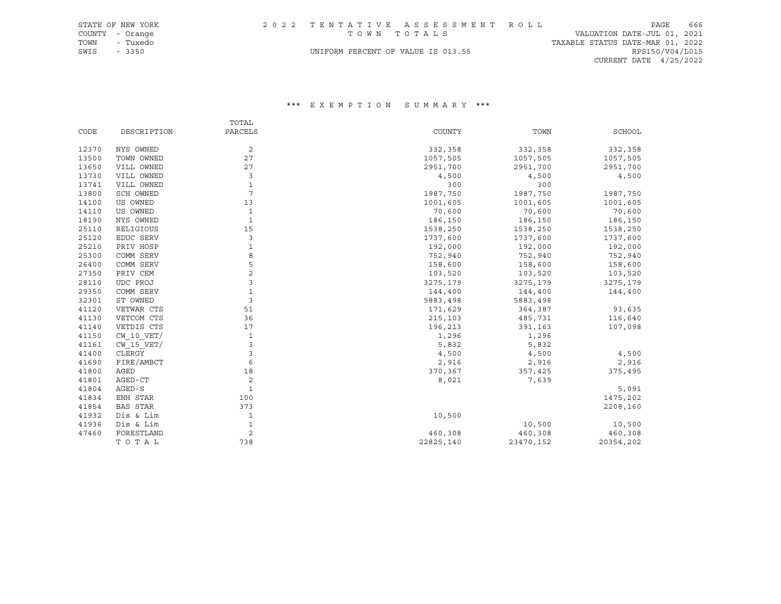| STATE OF NEW YORK |        |          |  | 2022 TENTATIVE ASSESSMENT ROLL     |  |  |                                  |                          | PAGE | 666 |
|-------------------|--------|----------|--|------------------------------------|--|--|----------------------------------|--------------------------|------|-----|
| COUNTY - Orange   |        |          |  | TOWN TOTALS                        |  |  | VALUATION DATE-JUL 01, 2021      |                          |      |     |
| TOWN              |        | - Tuxedo |  |                                    |  |  | TAXABLE STATUS DATE-MAR 01, 2022 |                          |      |     |
| SWIS              | - 3350 |          |  | UNIFORM PERCENT OF VALUE IS 013.55 |  |  |                                  | RPS150/V04/L015          |      |     |
|                   |        |          |  |                                    |  |  |                                  | CURRENT DATE $4/25/2022$ |      |     |

|       |                 | TOTAL          |           |           |           |
|-------|-----------------|----------------|-----------|-----------|-----------|
| CODE  | DESCRIPTION     | PARCELS        | COUNTY    | TOWN      | SCHOOL    |
| 12370 | NYS OWNED       | 2              | 332,358   | 332,358   | 332,358   |
| 13500 | TOWN OWNED      | 27             | 1057,505  | 1057,505  | 1057,505  |
| 13650 | VILL OWNED      | 27             | 2951,700  | 2951,700  | 2951,700  |
| 13730 | VILL OWNED      | 3              | 4,500     | 4,500     | 4,500     |
| 13741 | VILL OWNED      | $\mathbf 1$    | 300       | 300       |           |
| 13800 | SCH OWNED       | $\overline{7}$ | 1987,750  | 1987,750  | 1987,750  |
| 14100 | US OWNED        | 13             | 1001,605  | 1001,605  | 1001,605  |
| 14110 | US OWNED        | $\mathbf 1$    | 70,600    | 70,600    | 70,600    |
| 18190 | NYS OWNED       | $\mathbf{1}$   | 186,150   | 186,150   | 186,150   |
| 25110 | RELIGIOUS       | 15             | 1538,250  | 1538,250  | 1538,250  |
| 25120 | EDUC SERV       | 3              | 1737,600  | 1737,600  | 1737,600  |
| 25210 | PRIV HOSP       | $\mathbf 1$    | 192,000   | 192,000   | 192,000   |
| 25300 | COMM SERV       | 8              | 752,940   | 752,940   | 752,940   |
| 26400 | COMM SERV       | 5              | 158,600   | 158,600   | 158,600   |
| 27350 | PRIV CEM        | $\overline{a}$ | 103,520   | 103,520   | 103,520   |
| 28110 | UDC PROJ        | 3              | 3275,179  | 3275,179  | 3275,179  |
| 29350 | COMM SERV       | $\mathbf 1$    | 144,400   | 144,400   | 144,400   |
| 32301 | ST OWNED        | 3              | 5883,498  | 5883,498  |           |
| 41120 | VETWAR CTS      | 51             | 171,629   | 364,387   | 93,635    |
| 41130 | VETCOM CTS      | 36             | 215,103   | 485,731   | 116,640   |
| 41140 | VETDIS CTS      | 17             | 196,213   | 391,163   | 107,098   |
| 41150 | $CW$ 10 $VET/$  | $\mathbf{1}$   | 1,296     | 1,296     |           |
| 41161 | $CW$ 15 $VET/$  | 3              | 5,832     | 5,832     |           |
| 41400 | CLERGY          | 3              | 4,500     | 4,500     | 4,500     |
| 41690 | FIRE/AMBCT      | 6              | 2,916     | 2,916     | 2,916     |
| 41800 | AGED            | 18             | 370,367   | 357,425   | 375,495   |
| 41801 | AGED-CT         | 2              | 8,021     | 7,639     |           |
| 41804 | AGED-S          | $\mathbf{1}$   |           |           | 5,091     |
| 41834 | ENH STAR        | 100            |           |           | 1475,202  |
| 41854 | <b>BAS STAR</b> | 373            |           |           | 2208,160  |
| 41932 | Dis & Lim       | $\mathbf 1$    | 10,500    |           |           |
| 41936 | Dis & Lim       | $\mathbf{1}$   |           | 10,500    | 10,500    |
| 47460 | FORESTLAND      | $\overline{c}$ | 460,308   | 460,308   | 460,308   |
|       | TOTAL           | 738            | 22825,140 | 23470,152 | 20354,202 |